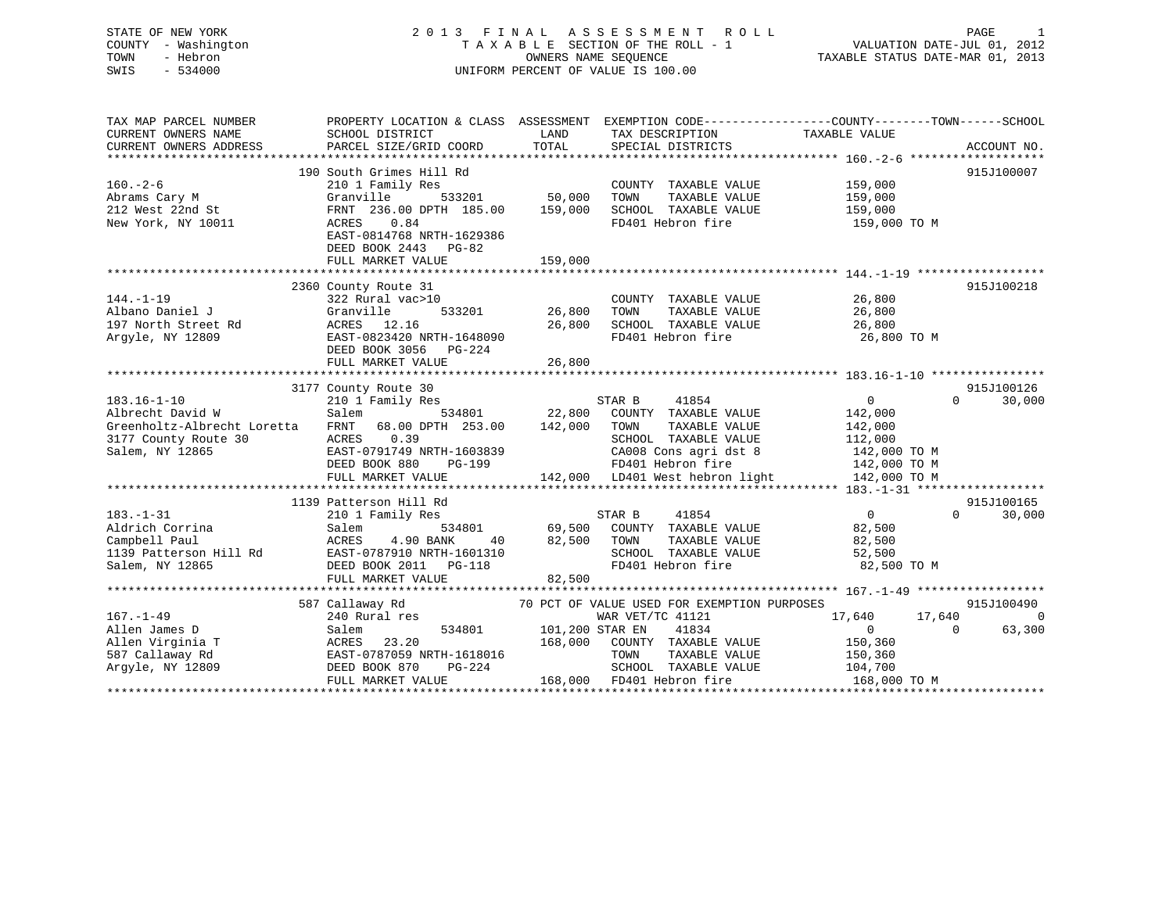## STATE OF NEW YORK 2 0 1 3 F I N A L A S S E S S M E N T R O L L PAGE 1COUNTY - Washington  $\begin{array}{ccc} 1 & 0 & 0 \\ -1 & 0 & 0 \end{array}$  T A X A B L E SECTION OF THE ROLL - 1 SWIS - 534000 UNIFORM PERCENT OF VALUE IS 100.00

VALUATION DATE-JUL 01, 2012

TAXABLE STATUS DATE-MAR 01, 2013

| TAX MAP PARCEL NUMBER<br>CURRENT OWNERS NAME<br>CURRENT OWNERS ADDRESS                                          | SCHOOL DISTRICT<br>PARCEL SIZE/GRID COORD                                                                                                                                                    | LAND<br>TOTAL                | TAX DESCRIPTION<br>SPECIAL DISTRICTS                                                                                                                                      | PROPERTY LOCATION & CLASS ASSESSMENT EXEMPTION CODE----------------COUNTY-------TOWN------SCHOOL<br>TAXABLE VALUE | ACCOUNT NO.          |
|-----------------------------------------------------------------------------------------------------------------|----------------------------------------------------------------------------------------------------------------------------------------------------------------------------------------------|------------------------------|---------------------------------------------------------------------------------------------------------------------------------------------------------------------------|-------------------------------------------------------------------------------------------------------------------|----------------------|
| $160. - 2 - 6$<br>Abrams Cary M<br>212 West 22nd St<br>New York, NY 10011                                       | 190 South Grimes Hill Rd<br>210 1 Family Res<br>533201<br>Granville<br>FRNT 236.00 DPTH 185.00<br>ACRES<br>0.84<br>EAST-0814768 NRTH-1629386<br>DEED BOOK 2443<br>PG-82<br>FULL MARKET VALUE | 50,000<br>159,000<br>159,000 | COUNTY TAXABLE VALUE<br>TOWN<br>TAXABLE VALUE<br>SCHOOL TAXABLE VALUE<br>FD401 Hebron fire                                                                                | 159,000<br>159,000<br>159,000<br>159,000 TO M                                                                     | 915J100007           |
| $144. - 1 - 19$<br>Albano Daniel J<br>197 North Street Rd<br>Argyle, NY 12809                                   | 2360 County Route 31<br>322 Rural vac>10<br>533201<br>Granville<br>ACRES 12.16<br>EAST-0823420 NRTH-1648090<br>DEED BOOK 3056 PG-224<br>FULL MARKET VALUE                                    | 26,800<br>26,800<br>26,800   | COUNTY TAXABLE VALUE<br>TOWN<br>TAXABLE VALUE<br>SCHOOL TAXABLE VALUE<br>FD401 Hebron fire                                                                                | 26,800<br>26,800<br>26,800<br>26,800 TO M                                                                         | 915J100218           |
| $183.16 - 1 - 10$<br>Albrecht David W<br>Greenholtz-Albrecht Loretta<br>3177 County Route 30<br>Salem, NY 12865 | 3177 County Route 30<br>210 1 Family Res<br>Salem<br>534801<br>68.00 DPTH 253.00<br>FRNT<br>0.39<br>ACRES<br>EAST-0791749 NRTH-1603839<br>DEED BOOK 880<br>PG-199<br>FULL MARKET VALUE       | 22,800<br>142,000            | 41854<br>STAR B<br>COUNTY TAXABLE VALUE<br>TOWN<br>TAXABLE VALUE<br>SCHOOL TAXABLE VALUE<br>CA008 Cons agri dst 8<br>FD401 Hebron fire<br>142,000 LD401 West hebron light | 0<br>$\Omega$<br>142,000<br>142,000<br>112,000<br>142,000 TO M<br>142,000 TO M<br>142,000 TO M                    | 915J100126<br>30,000 |
|                                                                                                                 | 1139 Patterson Hill Rd                                                                                                                                                                       |                              |                                                                                                                                                                           |                                                                                                                   | 915J100165           |
| $183. - 1 - 31$<br>Aldrich Corrina<br>Campbell Paul<br>1139 Patterson Hill Rd<br>Salem, NY 12865                | 210 1 Family Res<br>Salem<br>534801<br>ACRES<br>4.90 BANK<br>40<br>EAST-0787910 NRTH-1601310<br>DEED BOOK 2011    PG-118<br>FULL MARKET VALUE                                                | 69,500<br>82,500<br>82,500   | 41854<br>STAR B<br>COUNTY TAXABLE VALUE<br>TOWN<br>TAXABLE VALUE<br>SCHOOL TAXABLE VALUE<br>FD401 Hebron fire                                                             | $\Omega$<br>$\overline{0}$<br>82,500<br>82,500<br>52,500<br>82,500 TO M                                           | 30,000               |
|                                                                                                                 | 587 Callaway Rd                                                                                                                                                                              |                              | 70 PCT OF VALUE USED FOR EXEMPTION PURPOSES                                                                                                                               |                                                                                                                   | 915J100490           |
| $167. - 1 - 49$<br>Allen James D<br>Allen Virginia T<br>587 Callaway Rd<br>Argyle, NY 12809                     | 240 Rural res<br>Salem<br>534801<br>23.20<br>ACRES<br>EAST-0787059 NRTH-1618016<br>DEED BOOK 870<br>PG-224<br>FULL MARKET VALUE                                                              | 101,200 STAR EN<br>168,000   | WAR VET/TC 41121<br>41834<br>COUNTY TAXABLE VALUE<br>TOWN<br>TAXABLE VALUE<br>SCHOOL TAXABLE VALUE<br>168,000 FD401 Hebron fire                                           | 17,640<br>17,640<br>$\overline{0}$<br>$\Omega$<br>150,360<br>150,360<br>104,700<br>168,000 TO M                   | $\Omega$<br>63,300   |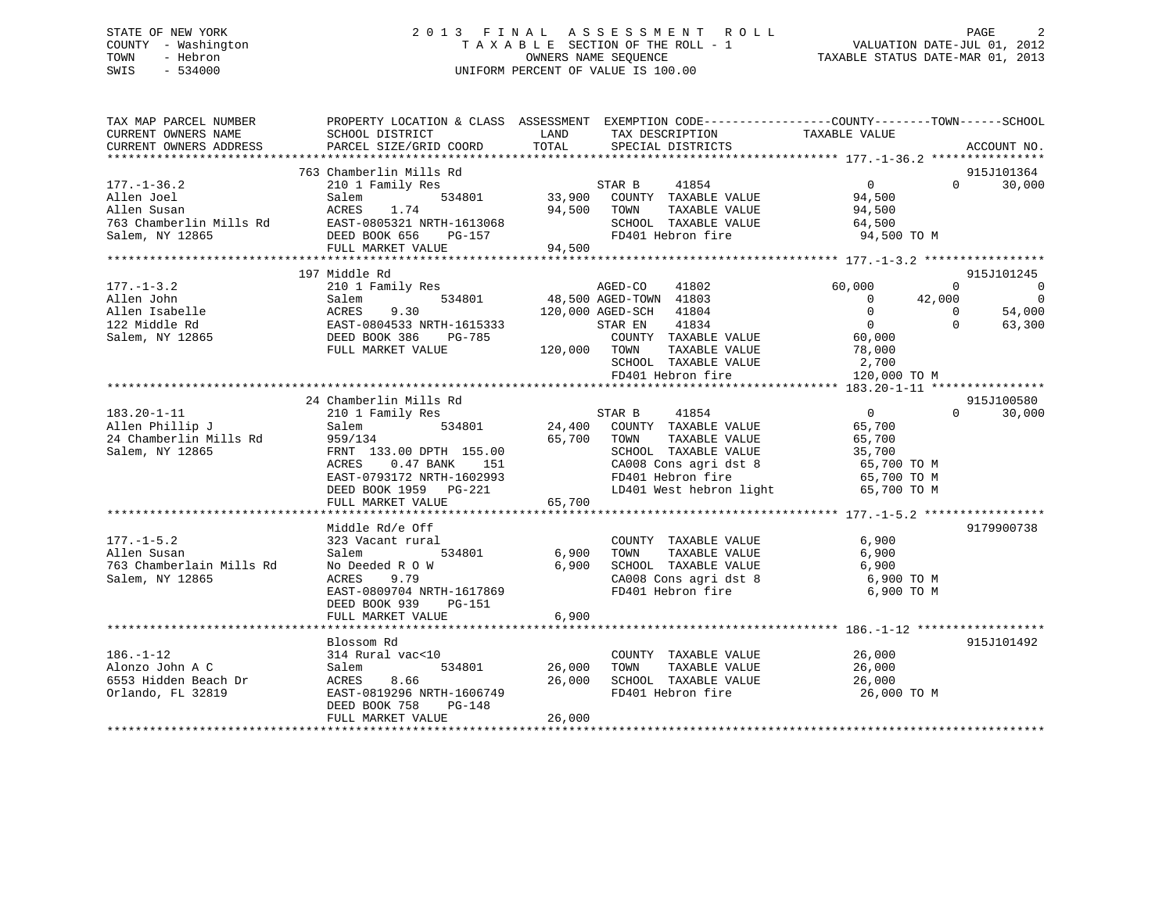### STATE OF NEW YORK 2 0 1 3 F I N A L A S S E S S M E N T R O L L PAGE 2 COUNTY - Washington T A X A B L E SECTION OF THE ROLL - 1 VALUATION DATE-JUL 01, 2012 TOWN - Hebron OWNERS NAME SEQUENCE TAXABLE STATUS DATE-MAR 01, 2013 SWIS - 534000 UNIFORM PERCENT OF VALUE IS 100.00

| TAX MAP PARCEL NUMBER                                                                              |                                                                                                                                                     | PROPERTY LOCATION & CLASS ASSESSMENT EXEMPTION CODE----------------COUNTY-------TOWN------SCHOOL                                                                                                                                                                                                                                                                                                                                                                  |                                                                                                                                                     |
|----------------------------------------------------------------------------------------------------|-----------------------------------------------------------------------------------------------------------------------------------------------------|-------------------------------------------------------------------------------------------------------------------------------------------------------------------------------------------------------------------------------------------------------------------------------------------------------------------------------------------------------------------------------------------------------------------------------------------------------------------|-----------------------------------------------------------------------------------------------------------------------------------------------------|
|                                                                                                    |                                                                                                                                                     |                                                                                                                                                                                                                                                                                                                                                                                                                                                                   | 915J101364                                                                                                                                          |
| $177. - 1 - 36.2$                                                                                  |                                                                                                                                                     | $\begin{array}{lllllllll} 177. -1-36.2 & \text{if} & 534801\\ \text{Allen Joel} & & & & 534801\\ \text{Allen Susan} & & & & 534801\\ 763 \text{ Chamberlin Mills Rd} & & & & 534801\\ 763 \text{ Chamberlin Mills Rd} & & & & 534801\\ 864.500 & & & & 94.500\\ \text{Salem, NY 12865} & & & & 534801\\ 87.500 & & & & 94.500\\ 87.500 & & & & 94.500\\ 87.500 & & & & 94$                                                                                        | 30,000<br>$\Omega$                                                                                                                                  |
|                                                                                                    | 197 Middle Rd                                                                                                                                       |                                                                                                                                                                                                                                                                                                                                                                                                                                                                   | 915J101245                                                                                                                                          |
|                                                                                                    |                                                                                                                                                     | 210 1 Family Res<br>Salem 534801 48,500 AGED-TOWN 41803<br>SCHOOL TAXABLE VALUE $2,700$<br>FD401 Hebron fire 120,000 TO M                                                                                                                                                                                                                                                                                                                                         | $\overline{0}$<br>$\overline{0}$<br>$\overline{\phantom{0}}$<br>42,000<br>$\begin{matrix}0\\0\\0\end{matrix}$<br>54,000<br>$\overline{0}$<br>63,300 |
|                                                                                                    |                                                                                                                                                     |                                                                                                                                                                                                                                                                                                                                                                                                                                                                   |                                                                                                                                                     |
| $183.20 - 1 - 11$<br>Allen Phillip J<br>24 Chamberlin Mills Rd<br>399/134<br>Salem, NY 12865       | 24 Chamberlin Mills Rd<br>FULL MARKET VALUE                                                                                                         | CHAINGLETIN ATTLE AND STAR B 41854 0<br>210 1 Family Res 534801 24,400 COUNTY TAXABLE VALUE 65,700<br>959/134 65,700 TOWN TAXABLE VALUE 65,700<br>FRNT 133.00 DPTH 155.00 SCHOOL TAXABLE VALUE 35,700<br>ACRES 0.47 BANK 151 CA008 Con<br>FRNT 133.00 DPTH 155.00<br>ACRES 0.47 BANK 151 CA008 Cons agri dst 8 65,700 TO M<br>EAST-0793172 NRTH-1602993 FD401 Hebron fire 65,700 TO M<br>DEED BOOK 1959 PG-221 LD401 West hebron light 65,700 TO M<br>$   65,700$ | 915J100580<br>$\Omega$<br>30,000                                                                                                                    |
|                                                                                                    | Middle Rd/e Off                                                                                                                                     |                                                                                                                                                                                                                                                                                                                                                                                                                                                                   | 9179900738                                                                                                                                          |
| $177. - 1 - 5.2$<br>Allen Susan<br>763 Chamberlain Mills Rd<br>Salem, NY 12865                     | 323 Vacant rural<br>534801 6,900<br>Salem<br>ACRES<br>9.79<br>EAST-0809704 NRTH-1617869<br>DEED BOOK 939 PG-151                                     | COUNTY TAXABLE VALUE<br>TAXABLE VALUE<br>TOWN<br>6,900 SCHOOL TAXABLE VALUE 6,900 6,900 CA008 Cons agri dst 8 6,900 TO M<br>FD401 Hebron fire                                                                                                                                                                                                                                                                                                                     | 6,900<br>6,900<br>6,900 ТО М                                                                                                                        |
|                                                                                                    | FULL MARKET VALUE                                                                                                                                   | 6,900                                                                                                                                                                                                                                                                                                                                                                                                                                                             |                                                                                                                                                     |
|                                                                                                    | Blossom Rd                                                                                                                                          |                                                                                                                                                                                                                                                                                                                                                                                                                                                                   | 915J101492                                                                                                                                          |
| $186. - 1 - 12$<br>Alonzo John A C<br>6553 Hidden Beach Dr<br>Alonzo John A C<br>Orlando, FL 32819 | 314 Rural vac<10<br>534801 26,000<br>Salem<br>ACRES 8.66 26,00<br>EAST-0819296 NRTH-1606749 26,00<br>DEED BOOK 758<br>$PG-148$<br>FULL MARKET VALUE | COUNTY TAXABLE VALUE 26,000<br>TAXABLE VALUE 26,000<br>TAXABLE VALUE 26,000<br>TOWN<br>26,000 SCHOOL TAXABLE VALUE<br>FD401 Hebron fire<br>26,000                                                                                                                                                                                                                                                                                                                 | 26,000 TO M                                                                                                                                         |
|                                                                                                    |                                                                                                                                                     |                                                                                                                                                                                                                                                                                                                                                                                                                                                                   |                                                                                                                                                     |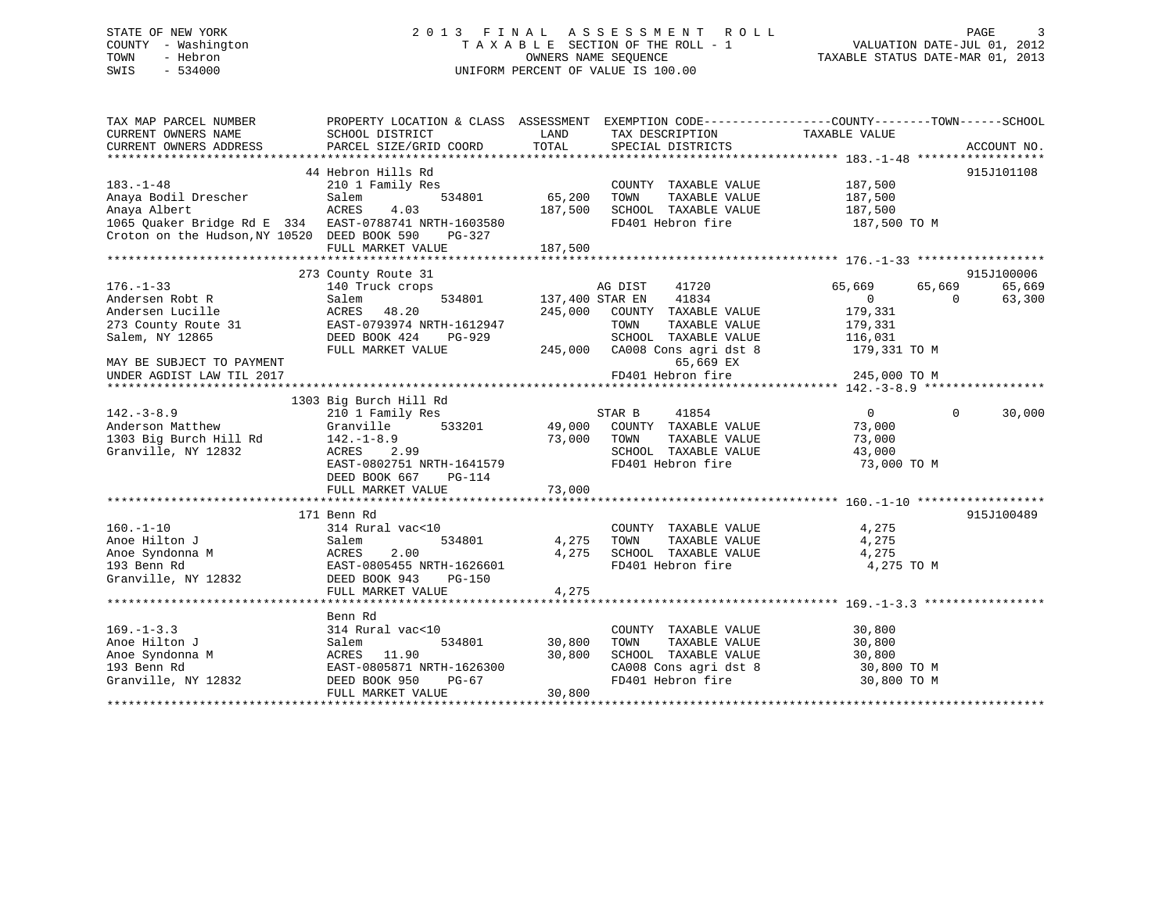### STATE OF NEW YORK 2 0 1 3 F I N A L A S S E S S M E N T R O L L PAGE 3 COUNTY - Washington T A X A B L E SECTION OF THE ROLL - 1 VALUATION DATE-JUL 01, 2012 TOWN - Hebron OWNERS NAME SEQUENCE TAXABLE STATUS DATE-MAR 01, 2013 SWIS - 534000 UNIFORM PERCENT OF VALUE IS 100.00

| TAX MAP PARCEL NUMBER<br>CURRENT OWNERS NAME<br>CURRENT OWNERS ADDRESS                                                       | PROPERTY LOCATION & CLASS ASSESSMENT EXEMPTION CODE---------------COUNTY-------TOWN------SCHOOL<br>SCHOOL DISTRICT<br>PARCEL SIZE/GRID COORD | LAND<br>TOTAL      | TAX DESCRIPTION TAXABLE VALUE<br>SERCIAL DISTRICTS<br>SPECIAL DISTRICTS |                                                | ACCOUNT NO.      |
|------------------------------------------------------------------------------------------------------------------------------|----------------------------------------------------------------------------------------------------------------------------------------------|--------------------|-------------------------------------------------------------------------|------------------------------------------------|------------------|
| $183. - 1 - 48$<br>Anaya Bodil Drescher                                                                                      | 44 Hebron Hills Rd<br>210 1 Family Res<br>534801<br>Salem                                                                                    | 65,200             | COUNTY TAXABLE VALUE<br>TAXABLE VALUE<br>TOWN                           | 187,500<br>187,500                             | 915J101108       |
| Anaya Albert<br>1065 Quaker Bridge Rd E 334 EAST-0788741 NRTH-1603580<br>Croton on the Hudson, NY 10520 DEED BOOK 590 PG-327 | ACRES<br>4.03<br>FULL MARKET VALUE                                                                                                           | 187,500<br>187,500 | SCHOOL TAXABLE VALUE<br>FD401 Hebron fire                               | 187,500<br>187,500 TO M                        |                  |
|                                                                                                                              |                                                                                                                                              |                    |                                                                         |                                                |                  |
|                                                                                                                              | 273 County Route 31                                                                                                                          |                    |                                                                         |                                                | 915J100006       |
| $176. - 1 - 33$<br>Andersen Robt R                                                                                           | 140 Truck crops<br>534801<br>Salem                                                                                                           |                    | AG DIST 41720<br>137,400 STAR EN 41834                                  | 65,669<br>65,669<br>$\overline{0}$<br>$\Omega$ | 65,669<br>63,300 |
| Andersen Lucille<br>273 County Route 31                                                                                      | 48.20<br>ACRES<br>EAST-0793974 NRTH-1612947                                                                                                  | 245,000            | COUNTY TAXABLE VALUE<br>TOWN<br>TAXABLE VALUE                           | 179,331<br>179,331                             |                  |
| Salem, NY 12865                                                                                                              | DEED BOOK 424<br>PG-929<br>FULL MARKET VALUE                                                                                                 |                    | SCHOOL TAXABLE VALUE<br>245,000 CA008 Cons agri dst 8                   | 116,031<br>179,331 TO M                        |                  |
| MAY BE SUBJECT TO PAYMENT<br>UNDER AGDIST LAW TIL 2017                                                                       |                                                                                                                                              |                    | 65,669 EX<br>FD401 Hebron fire                                          | 245,000 TO M                                   |                  |
|                                                                                                                              |                                                                                                                                              |                    |                                                                         |                                                |                  |
|                                                                                                                              | 1303 Big Burch Hill Rd                                                                                                                       |                    |                                                                         |                                                |                  |
| $142. - 3 - 8.9$                                                                                                             | 210 1 Family Res                                                                                                                             |                    | STAR B<br>41854                                                         | $0 \qquad \qquad$<br>$\Omega$                  | 30,000           |
| Anderson Matthew                                                                                                             | 533201<br>Granville                                                                                                                          |                    | 49,000 COUNTY TAXABLE VALUE                                             | 73,000                                         |                  |
| 1303 Big Burch Hill Rd $142.-1-8.9$                                                                                          |                                                                                                                                              | 73,000             | TOWN<br>TAXABLE VALUE                                                   | 73,000                                         |                  |
| Granville, NY 12832                                                                                                          | ACRES 2.99                                                                                                                                   |                    | SCHOOL TAXABLE VALUE                                                    | 43,000                                         |                  |
|                                                                                                                              | EAST-0802751 NRTH-1641579<br>DEED BOOK 667<br>PG-114                                                                                         | 73,000             | FD401 Hebron fire                                                       | 73,000 TO M                                    |                  |
|                                                                                                                              | FULL MARKET VALUE                                                                                                                            |                    |                                                                         |                                                |                  |
|                                                                                                                              | 171 Benn Rd                                                                                                                                  |                    |                                                                         |                                                | 915J100489       |
| $160. - 1 - 10$<br>Anoe Hilton J                                                                                             | 314 Rural vac<10<br>534801<br>Salem                                                                                                          |                    | COUNTY TAXABLE VALUE<br>4,275 TOWN<br>TAXABLE VALUE                     | 4,275<br>4,275                                 |                  |
| Anoe Syndonna M                                                                                                              | 2.00<br>ACRES                                                                                                                                | 4,275              | SCHOOL TAXABLE VALUE                                                    | 4,275                                          |                  |
| 193 Benn Rd                                                                                                                  | EAST-0805455 NRTH-1626601                                                                                                                    |                    | FD401 Hebron fire                                                       | 4,275 TO M                                     |                  |
| Granville, NY 12832                                                                                                          | DEED BOOK 943<br>PG-150                                                                                                                      |                    |                                                                         |                                                |                  |
|                                                                                                                              | FULL MARKET VALUE                                                                                                                            | 4,275              |                                                                         |                                                |                  |
|                                                                                                                              |                                                                                                                                              |                    |                                                                         |                                                |                  |
|                                                                                                                              | Benn Rd                                                                                                                                      |                    |                                                                         |                                                |                  |
| $169. - 1 - 3.3$                                                                                                             | 314 Rural vac<10                                                                                                                             |                    | COUNTY TAXABLE VALUE                                                    | 30,800                                         |                  |
| Anoe Hilton J                                                                                                                | Salem<br>534801                                                                                                                              | 30,800             | TAXABLE VALUE<br>TOWN                                                   | 30,800                                         |                  |
| Anoe Syndonna M                                                                                                              | ACRES 11.90                                                                                                                                  | 30,800             | SCHOOL TAXABLE VALUE                                                    | 30,800                                         |                  |
| 193 Benn Rd                                                                                                                  | EAST-0805871 NRTH-1626300                                                                                                                    |                    | CA008 Cons agri dst 8                                                   | 30,800 TO M                                    |                  |
| Granville, NY 12832                                                                                                          | DEED BOOK 950<br>PG-67                                                                                                                       |                    | FD401 Hebron fire                                                       | 30,800 TO M                                    |                  |
|                                                                                                                              | FULL MARKET VALUE                                                                                                                            | 30,800             |                                                                         |                                                |                  |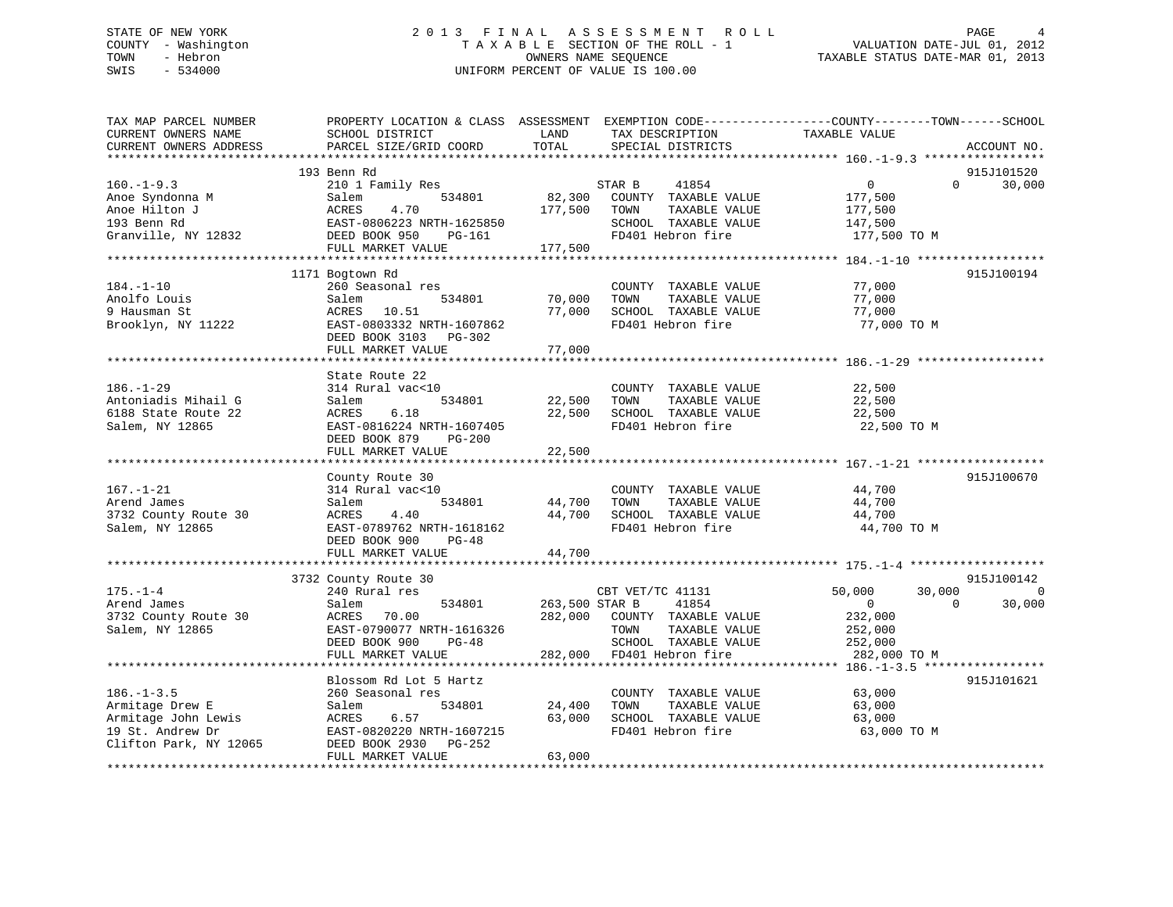### STATE OF NEW YORK 2 0 1 3 F I N A L A S S E S S M E N T R O L L PAGE 4 COUNTY - Washington T A X A B L E SECTION OF THE ROLL - 1 VALUATION DATE-JUL 01, 2012 TOWN - Hebron OWNERS NAME SEQUENCE TAXABLE STATUS DATE-MAR 01, 2013 SWIS - 534000 UNIFORM PERCENT OF VALUE IS 100.00

| TAX MAP PARCEL NUMBER<br>CURRENT OWNERS NAME | PROPERTY LOCATION & CLASS ASSESSMENT EXEMPTION CODE----------------COUNTY-------TOWN------SCHOOL<br>SCHOOL DISTRICT | LAND           | TAX DESCRIPTION                | TAXABLE VALUE    |                    |
|----------------------------------------------|---------------------------------------------------------------------------------------------------------------------|----------------|--------------------------------|------------------|--------------------|
| CURRENT OWNERS ADDRESS                       | PARCEL SIZE/GRID COORD                                                                                              | TOTAL          | SPECIAL DISTRICTS              |                  | ACCOUNT NO.        |
|                                              |                                                                                                                     |                |                                |                  | 915J101520         |
| $160. -1 - 9.3$                              | 193 Benn Rd                                                                                                         |                | 41854                          | $\mathbf{0}$     | $\Omega$<br>30,000 |
| Anoe Syndonna M                              | 210 1 Family Res<br>534801                                                                                          | 82,300         | STAR B<br>COUNTY TAXABLE VALUE | 177,500          |                    |
| Anoe Hilton J                                | Salem<br>4.70<br>ACRES                                                                                              | 177,500        | TAXABLE VALUE<br>TOWN          | 177,500          |                    |
| 193 Benn Rd                                  | EAST-0806223 NRTH-1625850                                                                                           |                | SCHOOL TAXABLE VALUE           | 147,500          |                    |
| Granville, NY 12832                          | DEED BOOK 950<br>PG-161                                                                                             |                | FD401 Hebron fire              | 177,500 TO M     |                    |
|                                              | FULL MARKET VALUE                                                                                                   | 177,500        |                                |                  |                    |
|                                              |                                                                                                                     |                |                                |                  |                    |
|                                              | 1171 Bogtown Rd                                                                                                     |                |                                |                  | 915J100194         |
| $184. - 1 - 10$                              | 260 Seasonal res                                                                                                    |                | COUNTY TAXABLE VALUE           | 77,000           |                    |
| Anolfo Louis                                 | Salem<br>534801                                                                                                     | 70,000         | TAXABLE VALUE<br>TOWN          | 77,000           |                    |
| 9 Hausman St                                 | ACRES 10.51                                                                                                         | 77,000         | SCHOOL TAXABLE VALUE           | 77,000           |                    |
| Brooklyn, NY 11222                           | EAST-0803332 NRTH-1607862                                                                                           |                | FD401 Hebron fire              | 77,000 TO M      |                    |
|                                              | DEED BOOK 3103 PG-302                                                                                               |                |                                |                  |                    |
|                                              | FULL MARKET VALUE                                                                                                   | 77,000         |                                |                  |                    |
|                                              |                                                                                                                     |                |                                |                  |                    |
|                                              | State Route 22                                                                                                      |                |                                |                  |                    |
| $186. - 1 - 29$                              | 314 Rural vac<10                                                                                                    |                | COUNTY TAXABLE VALUE           | 22,500           |                    |
| Antoniadis Mihail G                          | Salem<br>534801                                                                                                     | 22,500         | TAXABLE VALUE<br>TOWN          | 22,500           |                    |
| 6188 State Route 22                          | ACRES<br>6.18                                                                                                       | 22,500         | SCHOOL TAXABLE VALUE           | 22,500           |                    |
| Salem, NY 12865                              | EAST-0816224 NRTH-1607405                                                                                           |                | FD401 Hebron fire              | 22,500 TO M      |                    |
|                                              | DEED BOOK 879<br>$PG-200$                                                                                           |                |                                |                  |                    |
|                                              | FULL MARKET VALUE                                                                                                   | 22,500         |                                |                  |                    |
|                                              |                                                                                                                     |                |                                |                  |                    |
|                                              | County Route 30                                                                                                     |                |                                |                  | 915J100670         |
| $167. - 1 - 21$                              | 314 Rural vac<10                                                                                                    |                | COUNTY TAXABLE VALUE           | 44,700           |                    |
| Arend James                                  | 534801<br>Salem                                                                                                     | 44,700         | TAXABLE VALUE<br>TOWN          | 44,700           |                    |
| 3732 County Route 30                         | ACRES<br>4.40                                                                                                       | 44,700         | SCHOOL TAXABLE VALUE           | 44,700           |                    |
| Salem, NY 12865                              | EAST-0789762 NRTH-1618162                                                                                           |                | FD401 Hebron fire              | 44,700 TO M      |                    |
|                                              | DEED BOOK 900<br>$PG-48$                                                                                            |                |                                |                  |                    |
|                                              | FULL MARKET VALUE                                                                                                   | 44,700         |                                |                  |                    |
|                                              |                                                                                                                     |                |                                |                  |                    |
|                                              | 3732 County Route 30                                                                                                |                |                                |                  | 915J100142         |
| $175. - 1 - 4$                               | 240 Rural res                                                                                                       |                | CBT VET/TC 41131               | 30,000<br>50,000 | $\mathbf 0$        |
| Arend James                                  | Salem<br>534801                                                                                                     | 263,500 STAR B | 41854                          | $\overline{0}$   | 30,000<br>$\Omega$ |
| 3732 County Route 30                         | ACRES<br>70.00                                                                                                      | 282,000        | COUNTY TAXABLE VALUE           | 232,000          |                    |
| Salem, NY 12865                              | EAST-0790077 NRTH-1616326                                                                                           |                | TOWN<br>TAXABLE VALUE          | 252,000          |                    |
|                                              | DEED BOOK 900<br>$PG-48$                                                                                            |                | SCHOOL TAXABLE VALUE           | 252,000          |                    |
|                                              | FULL MARKET VALUE                                                                                                   | 282,000        | FD401 Hebron fire              | 282,000 TO M     |                    |
|                                              |                                                                                                                     |                |                                |                  |                    |
|                                              | Blossom Rd Lot 5 Hartz                                                                                              |                |                                |                  | 915J101621         |
| $186. - 1 - 3.5$                             | 260 Seasonal res                                                                                                    |                | COUNTY TAXABLE VALUE           | 63,000           |                    |
| Armitage Drew E                              | 534801<br>Salem                                                                                                     | 24,400         | TOWN<br>TAXABLE VALUE          | 63,000           |                    |
| Armitage John Lewis                          | 6.57<br>ACRES                                                                                                       | 63,000         | SCHOOL TAXABLE VALUE           | 63,000           |                    |
| 19 St. Andrew Dr                             | EAST-0820220 NRTH-1607215                                                                                           |                | FD401 Hebron fire              | 63,000 TO M      |                    |
| Clifton Park, NY 12065                       | DEED BOOK 2930<br>PG-252                                                                                            |                |                                |                  |                    |
|                                              | FULL MARKET VALUE                                                                                                   | 63,000         |                                |                  |                    |
|                                              |                                                                                                                     |                |                                |                  |                    |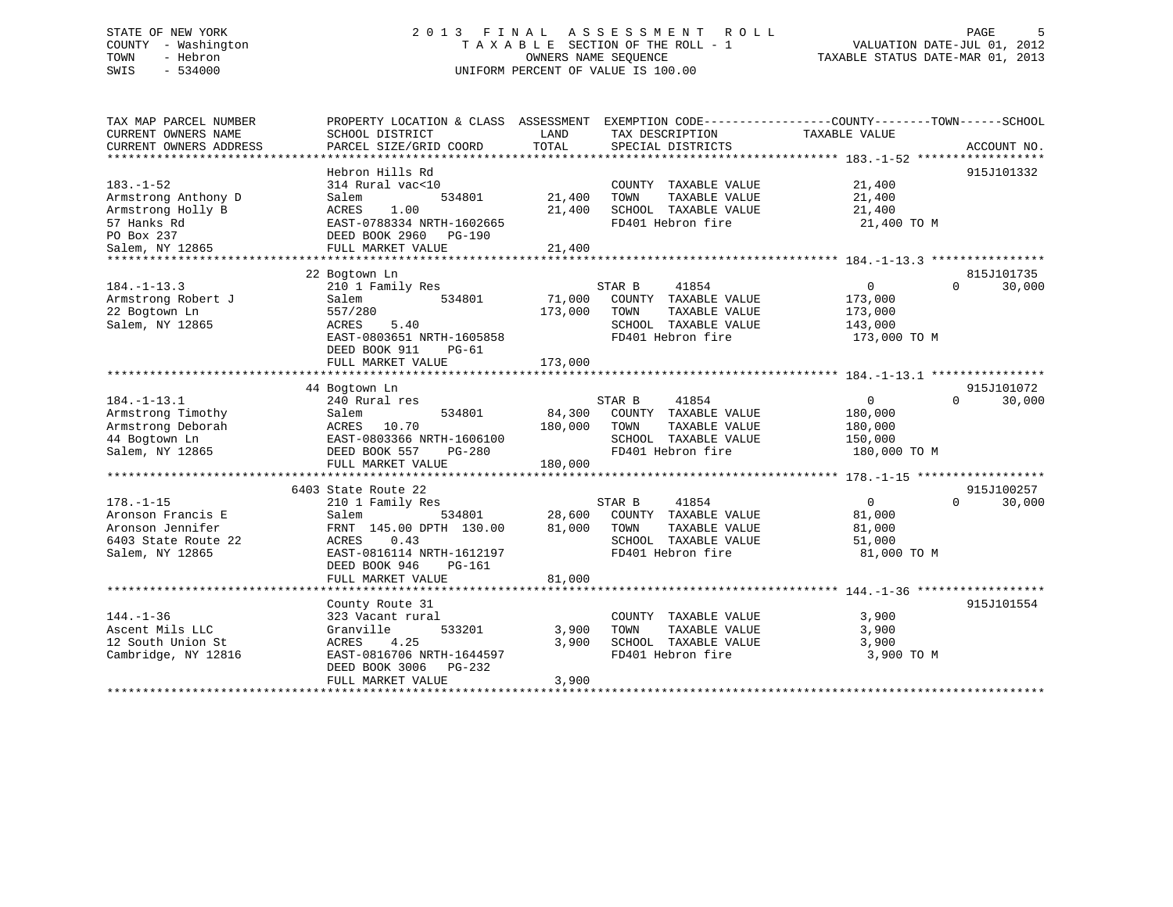### STATE OF NEW YORK 2 0 1 3 F I N A L A S S E S S M E N T R O L L PAGE 5 COUNTY - Washington T A X A B L E SECTION OF THE ROLL - 1 VALUATION DATE-JUL 01, 2012 TOWN - Hebron OWNERS NAME SEQUENCE TAXABLE STATUS DATE-MAR 01, 2013 SWIS - 534000 UNIFORM PERCENT OF VALUE IS 100.00

| TAX MAP PARCEL NUMBER  |                                |                                 | PROPERTY LOCATION & CLASS ASSESSMENT EXEMPTION CODE---------------COUNTY-------TOWN-----SCHOOL |
|------------------------|--------------------------------|---------------------------------|------------------------------------------------------------------------------------------------|
| CURRENT OWNERS NAME    | SCHOOL DISTRICT                | TAX DESCRIPTION<br>LAND         | TAXABLE VALUE                                                                                  |
| CURRENT OWNERS ADDRESS | PARCEL SIZE/GRID COORD         | TOTAL<br>SPECIAL DISTRICTS      | ACCOUNT NO.                                                                                    |
|                        |                                |                                 |                                                                                                |
|                        | Hebron Hills Rd                |                                 | 915J101332                                                                                     |
| $183. - 1 - 52$        | 314 Rural vac<10               | COUNTY TAXABLE VALUE            | 21,400                                                                                         |
| Armstrong Anthony D    | 534801<br>Salem                | 21,400<br>TAXABLE VALUE<br>TOWN | 21,400                                                                                         |
| Armstrong Holly B      | 1.00<br>ACRES                  | 21,400<br>SCHOOL TAXABLE VALUE  | 21,400                                                                                         |
| 57 Hanks Rd            | EAST-0788334 NRTH-1602665      | FD401 Hebron fire               | 21,400 TO M                                                                                    |
| PO Box 237             | DEED BOOK 2960 PG-190          |                                 |                                                                                                |
| Salem, NY 12865        | FULL MARKET VALUE              | 21,400                          |                                                                                                |
|                        |                                |                                 |                                                                                                |
|                        | 22 Bogtown Ln                  |                                 | 815J101735                                                                                     |
| $184. - 1 - 13.3$      | 210 1 Family Res               | STAR B<br>41854                 | 0<br>$\Omega$<br>30,000                                                                        |
| Armstrong Robert J     | 534801<br>Salem                | 71,000 COUNTY TAXABLE VALUE     | 173,000                                                                                        |
| 22 Bogtown Ln          | 557/280                        | TAXABLE VALUE<br>173,000 TOWN   | 173,000                                                                                        |
| Salem, NY 12865        | ACRES<br>5.40                  | SCHOOL TAXABLE VALUE            | 143,000                                                                                        |
|                        |                                |                                 |                                                                                                |
|                        | EAST-0803651 NRTH-1605858      | FD401 Hebron fire               | 173,000 TO M                                                                                   |
|                        | DEED BOOK 911<br>PG-61         |                                 |                                                                                                |
|                        | FULL MARKET VALUE              | 173,000                         |                                                                                                |
|                        |                                |                                 |                                                                                                |
|                        | 44 Bogtown Ln                  |                                 | 915J101072                                                                                     |
| $184. - 1 - 13.1$      | 240 Rural res                  | 41854<br>STAR B                 | $\overline{0}$<br>$\Omega$<br>30,000                                                           |
| Armstrong Timothy      | 534801<br>Salem                | 84,300 COUNTY TAXABLE VALUE     | 180,000                                                                                        |
| Armstrong Deborah      | ACRES 10.70                    | 180,000 TOWN<br>TAXABLE VALUE   | 180,000                                                                                        |
| 44 Bogtown Ln          | EAST-0803366 NRTH-1606100      | SCHOOL TAXABLE VALUE            | 150,000                                                                                        |
| Salem, NY 12865        | DEED BOOK 557<br><b>PG-280</b> | FD401 Hebron fire               | 180,000 TO M                                                                                   |
|                        | FULL MARKET VALUE              | 180,000                         |                                                                                                |
|                        |                                |                                 |                                                                                                |
|                        | 6403 State Route 22            |                                 | 915J100257                                                                                     |
| $178. - 1 - 15$        | 210 1 Family Res               | STAR B<br>41854                 | $\overline{0}$<br>$\Omega$<br>30,000                                                           |
| Aronson Francis E      | 534801<br>Salem                | 28,600 COUNTY TAXABLE VALUE     | 81,000                                                                                         |
| Aronson Jennifer       | FRNT 145.00 DPTH 130.00        | 81,000<br>TOWN<br>TAXABLE VALUE | 81,000                                                                                         |
| 6403 State Route 22    | ACRES<br>0.43                  | SCHOOL TAXABLE VALUE            | 51,000                                                                                         |
| Salem, NY 12865        | EAST-0816114 NRTH-1612197      | FD401 Hebron fire               | 81,000 TO M                                                                                    |
|                        | DEED BOOK 946<br>PG-161        |                                 |                                                                                                |
|                        | FULL MARKET VALUE              | 81,000                          |                                                                                                |
|                        |                                |                                 |                                                                                                |
|                        |                                |                                 | 915J101554                                                                                     |
|                        | County Route 31                |                                 |                                                                                                |
| $144. - 1 - 36$        | 323 Vacant rural               | COUNTY TAXABLE VALUE            | 3,900                                                                                          |
| Ascent Mils LLC        | Granville<br>533201            | 3,900<br>TOWN<br>TAXABLE VALUE  | 3,900                                                                                          |
| 12 South Union St      | 4.25<br>ACRES                  | 3,900<br>SCHOOL TAXABLE VALUE   | 3,900                                                                                          |
| Cambridge, NY 12816    | EAST-0816706 NRTH-1644597      | FD401 Hebron fire               | 3,900 TO M                                                                                     |
|                        | DEED BOOK 3006 PG-232          |                                 |                                                                                                |
|                        | FULL MARKET VALUE              | 3,900                           |                                                                                                |
|                        |                                |                                 |                                                                                                |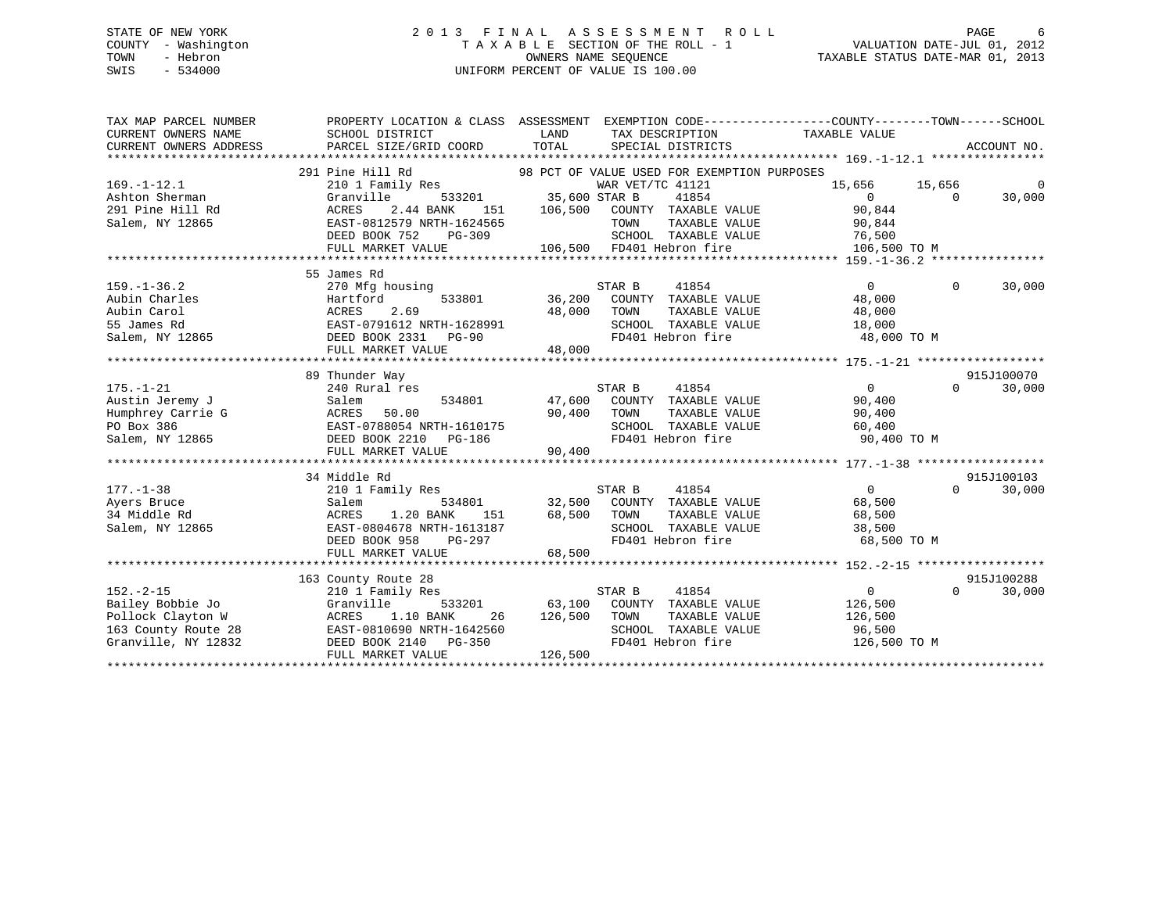### STATE OF NEW YORK 2 0 1 3 F I N A L A S S E S S M E N T R O L L PAGE 6 COUNTY - Washington T A X A B L E SECTION OF THE ROLL - 1 VALUATION DATE-JUL 01, 2012 TOWN - Hebron OWNERS NAME SEQUENCE TAXABLE STATUS DATE-MAR 01, 2013 SWIS - 534000 UNIFORM PERCENT OF VALUE IS 100.00

| TAX MAP PARCEL NUMBER<br>CURRENT OWNERS NAME<br>CURRENT OWNERS ADDRESS                                 | SCHOOL DISTRICT<br>PARCEL SIZE/GRID COORD                                                                                                            | PROPERTY LOCATION & CLASS ASSESSMENT EXEMPTION CODE----------------COUNTY-------TOWN------SCHOOL<br>LAND<br>TAX DESCRIPTION<br>TOTAL<br>SPECIAL DISTRICTS                                                                              | TAXABLE VALUE<br>ACCOUNT NO.                                                                                       |
|--------------------------------------------------------------------------------------------------------|------------------------------------------------------------------------------------------------------------------------------------------------------|----------------------------------------------------------------------------------------------------------------------------------------------------------------------------------------------------------------------------------------|--------------------------------------------------------------------------------------------------------------------|
| $169. - 1 - 12.1$<br>Ashton Sherman<br>291 Pine Hill Rd<br>Salem, NY 12865                             | 291 Pine Hill Rd<br>210 1 Family Res<br>Granville<br>2.44 BANK<br>ACRES<br>EAST-0812579 NRTH-1624565<br>DEED BOOK 752<br>PG-309<br>FULL MARKET VALUE | 98 PCT OF VALUE USED FOR EXEMPTION PURPOSES<br>WAR VET/TC 41121<br>533201 35,600 STAR B<br>41854<br>151 106,500<br>COUNTY TAXABLE VALUE<br>TOWN<br>TAXABLE VALUE<br>$\frac{1}{2}$<br>SCHOOL TAXABLE VALUE<br>106,500 FD401 Hebron fire | $\mathbf 0$<br>15,656 15,656<br>$\overline{0}$<br>$\Omega$<br>30,000<br>90,844<br>90,844<br>76,500<br>106,500 TO M |
| $159. - 1 - 36.2$<br>Aubin Charles<br>Aubin Carol<br>55 James Rd<br>Salem, NY 12865                    | 55 James Rd<br>270 Mfg housing<br>Hartford<br>2.69<br>ACRES<br>EAST-0791612 NRTH-1628991<br>DEED BOOK 2331 PG-90<br>FULL MARKET VALUE                | STAR B<br>41854<br>533801 36,200 COUNTY TAXABLE VALUE<br>48,000<br>TOWN<br>TAXABLE VALUE<br>SCHOOL TAXABLE VALUE<br>FD401 Hebron fire<br>48,000                                                                                        | $\Omega$<br>30,000<br>$\Omega$<br>48,000<br>48,000<br>18,000<br>48,000 TO M                                        |
|                                                                                                        | 89 Thunder Way                                                                                                                                       |                                                                                                                                                                                                                                        | 915J100070                                                                                                         |
| $175. - 1 - 21$<br>Austin Jeremy J<br>Humphrey Carrie G<br>PO Box 386<br>Salem, NY 12865               | 240 Rural res<br>Salem<br>ACRES 50.00 90,400 TOWN<br>EAST-0788054 NRTH-1610175 90,400 TOWN<br>DEED BOOK 2210 PG-186 FD401                            | STAR B<br>41854<br>534801 47,600 COUNTY TAXABLE VALUE<br>TAXABLE VALUE<br>SCHOOL TAXABLE VALUE<br>FD401 Hebron fire                                                                                                                    | $\overline{0}$<br>$\Omega$<br>30,000<br>90,400<br>90,400<br>60,400<br>90,400 TO M                                  |
|                                                                                                        | FULL MARKET VALUE                                                                                                                                    | 90,400                                                                                                                                                                                                                                 |                                                                                                                    |
|                                                                                                        | 34 Middle Rd                                                                                                                                         |                                                                                                                                                                                                                                        | 915J100103                                                                                                         |
| $177. - 1 - 38$<br>Ayers Bruce<br>34 Middle Rd<br>Salem, NY 12865                                      | 210 1 Family Res<br>Salem<br>ACRES 1.20 BANK 151 68,500 TOWN<br>EAST-0804678 NRTH-1613187 SCHOO<br>DEED BOOK 958 PG-297 FD401<br>FULL MARKET VALUE   | STAR B<br>41854<br>534801 32,500 COUNTY TAXABLE VALUE<br>TOWN TAXABLE VALUE 68,500<br>SCHOOL TAXABLE VALUE 38,500<br>FD401 Hebron fire 68,500 TO M<br>68,500                                                                           | $\overline{0}$<br>$\Omega$<br>30,000<br>68,500                                                                     |
|                                                                                                        | 163 County Route 28                                                                                                                                  |                                                                                                                                                                                                                                        | 915J100288                                                                                                         |
| $152. - 2 - 15$<br>Bailey Bobbie Jo<br>Pollock Clayton W<br>163 County Route 28<br>Granville, NY 12832 | 210 1 Family Res<br>533201<br>Granville<br>ACRES<br>1.10 BANK<br>26<br>EAST-0810690 NRTH-1642560<br>DEED BOOK 2140 PG-350<br>FULL MARKET VALUE       | STAR B<br>41854<br>63,100 COUNTY TAXABLE VALUE<br>126,500<br>TOWN<br>TAXABLE VALUE<br>SCHOOL TAXABLE VALUE<br>FD401 Hebron fire<br>126,500                                                                                             | $\overline{0}$<br>$\Omega$<br>30,000<br>126,500<br>126,500<br>96,500<br>126,500 TO M                               |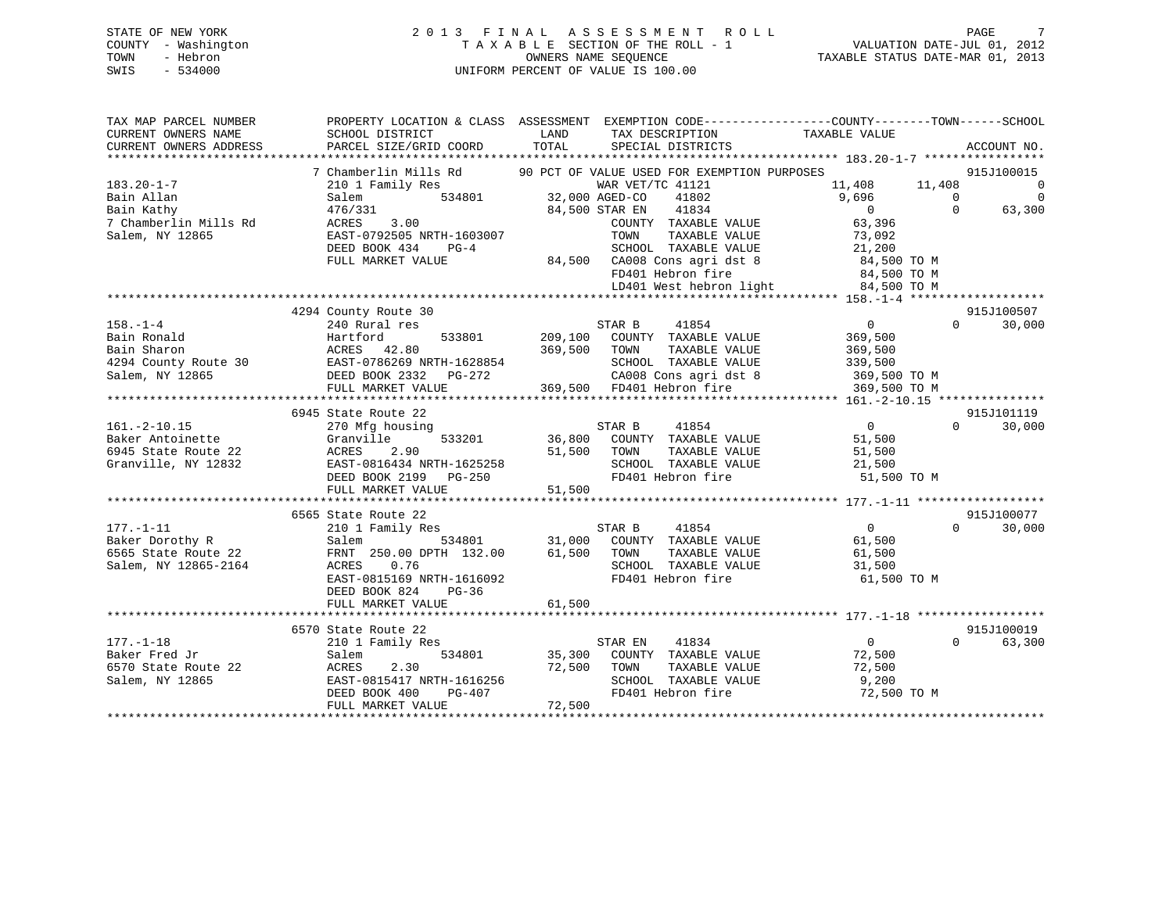#### STATE OF NEW YORK 2 0 1 3 F I N A L A S S E S S M E N T R O L L PAGE 7COUNTY - Washington T A X A B L E SECTION OF THE ROLL - 1 VALUATION DATE-JUL 01, 2012 TOWN - Hebron OWNERS NAME SEQUENCE TAXABLE STATUS DATE-MAR 01, 2013 SWIS - 534000 UNIFORM PERCENT OF VALUE IS 100.00

| TAX MAP PARCEL NUMBER  |                           |                                             | PROPERTY LOCATION & CLASS ASSESSMENT EXEMPTION CODE----------------COUNTY-------TOWN-----SCHOOL |
|------------------------|---------------------------|---------------------------------------------|-------------------------------------------------------------------------------------------------|
| CURRENT OWNERS NAME    | SCHOOL DISTRICT           | LAND<br>TAX DESCRIPTION                     | TAXABLE VALUE                                                                                   |
| CURRENT OWNERS ADDRESS | PARCEL SIZE/GRID COORD    | TOTAL<br>SPECIAL DISTRICTS                  | ACCOUNT NO.                                                                                     |
|                        |                           |                                             |                                                                                                 |
|                        | 7 Chamberlin Mills Rd     | 90 PCT OF VALUE USED FOR EXEMPTION PURPOSES | 915J100015                                                                                      |
| $183.20 - 1 - 7$       | 210 1 Family Res          | WAR VET/TC 41121                            | 11,408 11,408<br>$\overline{0}$                                                                 |
| Bain Allan             | Salem<br>534801           | 32,000 AGED-CO<br>41802                     | 9,696<br>$\Omega$<br>$\mathbf 0$                                                                |
| Bain Kathy             | 476/331                   | 41834<br>84,500 STAR EN                     | $\overline{0}$<br>$\Omega$<br>63,300                                                            |
| 7 Chamberlin Mills Rd  | 3.00<br>ACRES             | COUNTY TAXABLE VALUE                        | 63,396                                                                                          |
| Salem, NY 12865        | EAST-0792505 NRTH-1603007 | TAXABLE VALUE<br>TOWN                       | 73,092                                                                                          |
|                        | DEED BOOK 434<br>$PG-4$   | SCHOOL TAXABLE VALUE                        | 21,200                                                                                          |
|                        | FULL MARKET VALUE         | 84,500 CA008 Cons agri dst 8                | 84,500 TO M                                                                                     |
|                        |                           | FD401 Hebron fire                           | 84,500 TO M                                                                                     |
|                        |                           | LD401 West hebron light                     | 84,500 TO M                                                                                     |
|                        |                           |                                             |                                                                                                 |
|                        | 4294 County Route 30      |                                             | 915J100507                                                                                      |
| $158. - 1 - 4$         | 240 Rural res             | STAR B<br>41854                             | $\overline{0}$<br>$\Omega$<br>30,000                                                            |
| Bain Ronald            | 533801<br>Hartford        | 209,100<br>COUNTY TAXABLE VALUE             | 369,500                                                                                         |
| Bain Sharon            | ACRES 42.80               | 369,500<br>TOWN<br>TAXABLE VALUE            | 369,500                                                                                         |
| 4294 County Route 30   | EAST-0786269 NRTH-1628854 | SCHOOL TAXABLE VALUE                        | 339,500                                                                                         |
| Salem, NY 12865        | DEED BOOK 2332 PG-272     | CA008 Cons agri dst 8                       | 369,500 TO M                                                                                    |
|                        | FULL MARKET VALUE         | 369,500 FD401 Hebron fire                   | 369,500 TO M                                                                                    |
|                        |                           |                                             |                                                                                                 |
|                        | 6945 State Route 22       |                                             | 915J101119                                                                                      |
| $161. - 2 - 10.15$     | 270 Mfg housing           | 41854<br>STAR B                             | $\overline{0}$<br>$\Omega$<br>30,000                                                            |
| Baker Antoinette       | Granville<br>533201       | 36,800<br>COUNTY TAXABLE VALUE              | 51,500                                                                                          |
| 6945 State Route 22    | ACRES<br>2.90             | 51,500<br>TOWN<br>TAXABLE VALUE             | 51,500                                                                                          |
| Granville, NY 12832    | EAST-0816434 NRTH-1625258 | SCHOOL TAXABLE VALUE                        | 21,500                                                                                          |
|                        | DEED BOOK 2199<br>PG-250  | FD401 Hebron fire                           | 51,500 TO M                                                                                     |
|                        | FULL MARKET VALUE         | 51,500                                      |                                                                                                 |
|                        |                           |                                             |                                                                                                 |
|                        | 6565 State Route 22       |                                             | 915J100077                                                                                      |
| $177. - 1 - 11$        | 210 1 Family Res          | STAR B<br>41854                             | $\overline{0}$<br>30,000<br>$\Omega$                                                            |
| Baker Dorothy R        | Salem<br>534801           | COUNTY TAXABLE VALUE<br>31,000              | 61,500                                                                                          |
| 6565 State Route 22    | FRNT 250.00 DPTH 132.00   | TAXABLE VALUE<br>61,500<br>TOWN             | 61,500                                                                                          |
| Salem, NY 12865-2164   | ACRES<br>0.76             | SCHOOL TAXABLE VALUE                        | 31,500                                                                                          |
|                        | EAST-0815169 NRTH-1616092 | FD401 Hebron fire                           | 61,500 TO M                                                                                     |
|                        | DEED BOOK 824<br>$PG-36$  |                                             |                                                                                                 |
|                        | FULL MARKET VALUE         | 61,500                                      |                                                                                                 |
|                        |                           |                                             |                                                                                                 |
|                        | 6570 State Route 22       |                                             | 915J100019                                                                                      |
| $177. - 1 - 18$        | 210 1 Family Res          | STAR EN<br>41834                            | 63,300<br>$\Omega$<br>$\Omega$                                                                  |
| Baker Fred Jr          | 534801<br>Salem           | 35,300 COUNTY TAXABLE VALUE                 | 72,500                                                                                          |

6570 State Route 22 ACRES 2.30 72,500 TOWN TAXABLE VALUE 72,500 Salem, NY 12865 EAST-0815417 NRTH-1616256 SCHOOL TAXABLE VALUE 9,200  $DEED BOK 400 PC-407$  FD401 Hebron fire

\*\*\*\*\*\*\*\*\*\*\*\*\*\*\*\*\*\*\*\*\*\*\*\*\*\*\*\*\*\*\*\*\*\*\*\*\*\*\*\*\*\*\*\*\*\*\*\*\*\*\*\*\*\*\*\*\*\*\*\*\*\*\*\*\*\*\*\*\*\*\*\*\*\*\*\*\*\*\*\*\*\*\*\*\*\*\*\*\*\*\*\*\*\*\*\*\*\*\*\*\*\*\*\*\*\*\*\*\*\*\*\*\*\*\*\*\*\*\*\*\*\*\*\*\*\*\*\*\*\*\*\*

FULL MARKET VALUE 72,500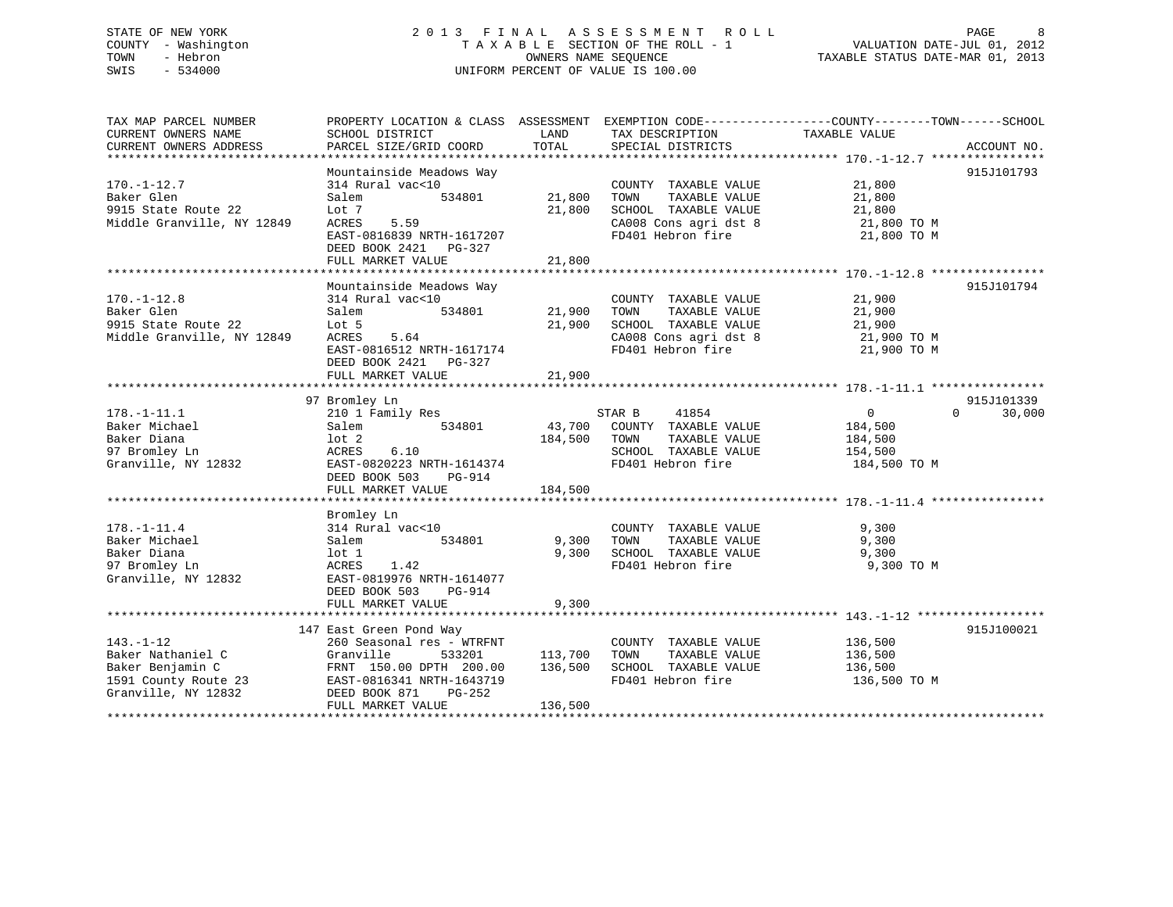### STATE OF NEW YORK 2 0 1 3 F I N A L A S S E S S M E N T R O L L PAGE 8 COUNTY - Washington T A X A B L E SECTION OF THE ROLL - 1 VALUATION DATE-JUL 01, 2012 TOWN - Hebron OWNERS NAME SEQUENCE TAXABLE STATUS DATE-MAR 01, 2013 SWIS - 534000 UNIFORM PERCENT OF VALUE IS 100.00

| TAX MAP PARCEL NUMBER<br>CURRENT OWNERS NAME<br>CURRENT OWNERS ADDRESS                                  | PROPERTY LOCATION & CLASS ASSESSMENT EXEMPTION CODE----------------COUNTY-------TOWN------SCHOOL<br>SCHOOL DISTRICT<br>PARCEL SIZE/GRID COORD                                       | LAND<br>TOTAL                 | TAX DESCRIPTION<br>SPECIAL DISTRICTS                                                                                            | TAXABLE VALUE                                                             | ACCOUNT NO.                      |
|---------------------------------------------------------------------------------------------------------|-------------------------------------------------------------------------------------------------------------------------------------------------------------------------------------|-------------------------------|---------------------------------------------------------------------------------------------------------------------------------|---------------------------------------------------------------------------|----------------------------------|
| $170. - 1 - 12.7$<br>Baker Glen<br>9915 State Route 22<br>Middle Granville, NY 12849                    | Mountainside Meadows Way<br>314 Rural vac<10<br>534801<br>Salem<br>Lot 7<br>ACRES<br>5.59<br>EAST-0816839 NRTH-1617207<br>DEED BOOK 2421 PG-327<br>FULL MARKET VALUE                | 21,800<br>21,800<br>21,800    | COUNTY TAXABLE VALUE<br>TOWN<br>TAXABLE VALUE<br>SCHOOL TAXABLE VALUE<br>CA008 Cons agri dst 8 21,800 TO M<br>FD401 Hebron fire | 21,800<br>21,800<br>21,800<br>21,800 TO M                                 | 915J101793                       |
| $170. - 1 - 12.8$<br>Baker Glen<br>9915 State Route 22<br>Middle Granville, NY 12849                    | Mountainside Meadows Way<br>314 Rural vac<10<br>534801<br>Salem<br>Lot 5<br>ACRES<br>5.64<br>EAST-0816512 NRTH-1617174<br>DEED BOOK 2421 PG-327<br>FULL MARKET VALUE                | 21,900<br>21,900<br>21,900    | COUNTY TAXABLE VALUE<br>TOWN<br>TAXABLE VALUE<br>SCHOOL TAXABLE VALUE<br>CA008 Cons agri dst 8<br>FD401 Hebron fire             | 21,900<br>21,900<br>21,900<br>$21,900$ TO M<br>21,900 TO M<br>21,900 TO M | 915J101794                       |
| $178. - 1 - 11.1$<br>Baker Michael<br>Baker Diana<br>97 Bromley Ln<br>Granville, NY 12832               | 97 Bromley Ln<br>210 1 Family Res<br>534801<br>Salem<br>lot 2<br>6.10<br>ACRES<br>EAST-0820223 NRTH-1614374<br>DEED BOOK 503<br>PG-914<br>FULL MARKET VALUE                         | 184,500 TOWN<br>184,500       | STAR B<br>41854<br>43,700 COUNTY TAXABLE VALUE<br>TAXABLE VALUE<br>SCHOOL TAXABLE VALUE<br>FD401 Hebron fire                    | $\overline{0}$<br>184,500<br>184,500<br>154,500<br>184,500 TO M           | 915J101339<br>$\Omega$<br>30,000 |
| $178. - 1 - 11.4$<br>Baker Michael<br>Baker Diana<br>97 Bromley Ln<br>Granville, NY 12832               | Bromley Ln<br>314 Rural vac<10<br>534801<br>Salem<br>lot 1<br>ACRES<br>1.42<br>EAST-0819976 NRTH-1614077<br>DEED BOOK 503<br>PG-914<br>FULL MARKET VALUE                            | 9,300<br>9,300<br>9,300       | COUNTY TAXABLE VALUE<br>TOWN<br>TAXABLE VALUE<br>SCHOOL TAXABLE VALUE<br>FD401 Hebron fire                                      | 9,300<br>9,300<br>9,300<br>9,300 TO M                                     |                                  |
| $143. - 1 - 12$<br>Baker Nathaniel C<br>Baker Benjamin C<br>1591 County Route 23<br>Granville, NY 12832 | 147 East Green Pond Way<br>260 Seasonal res - WTRFNT<br>Granville<br>533201<br>FRNT 150.00 DPTH 200.00<br>EAST-0816341 NRTH-1643719<br>DEED BOOK 871<br>PG-252<br>FULL MARKET VALUE | 113,700<br>136,500<br>136,500 | COUNTY TAXABLE VALUE<br>TAXABLE VALUE<br>TOWN<br>SCHOOL TAXABLE VALUE<br>FD401 Hebron fire                                      | 136,500<br>136,500<br>136,500<br>136,500 TO M                             | 915J100021                       |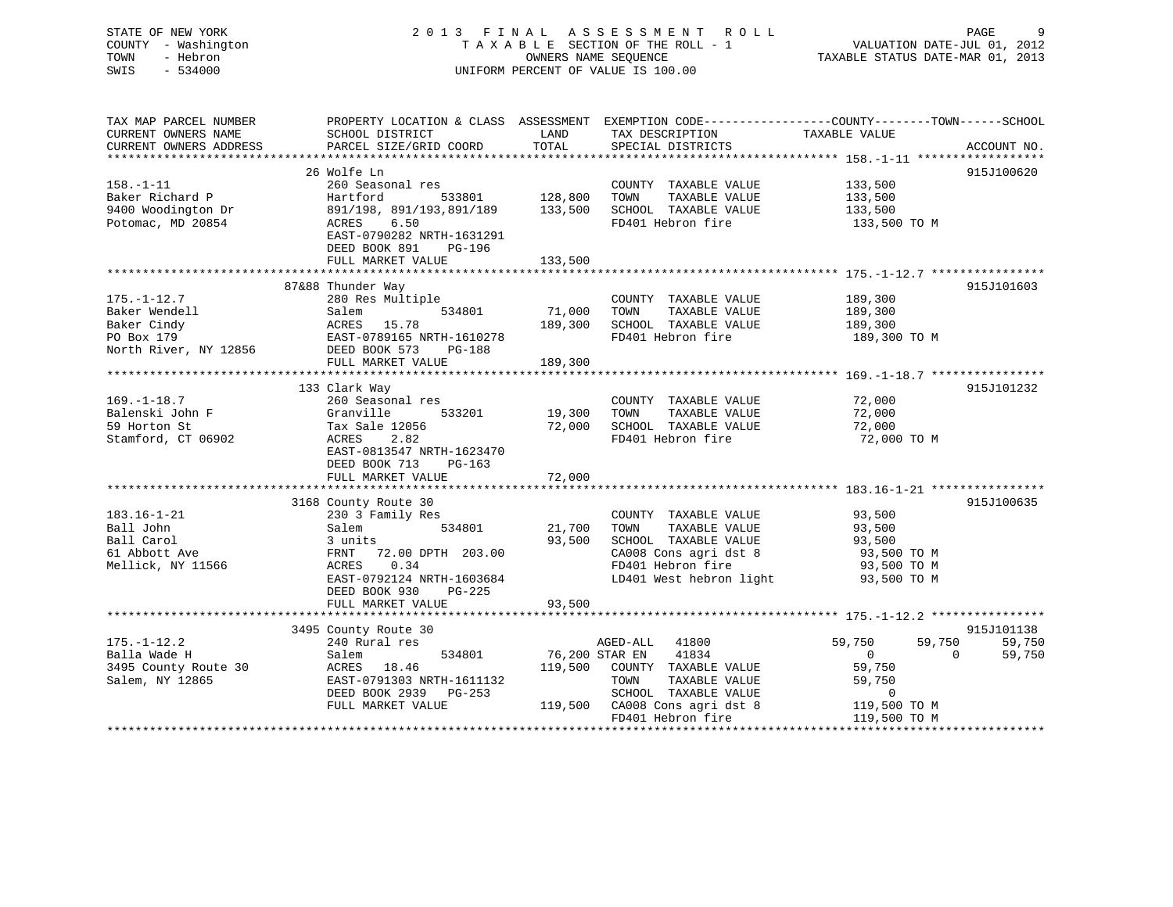# STATE OF NEW YORK GALL 2013 FINAL ASSESSMENT ROLL CHARGE 9 COUNTY - Washington  $T A X A B L E$  SECTION OF THE ROLL - 1<br>TOWN - Hebron DATE-JUL 000NERS NAME SEQUENCE SWIS - 534000 UNIFORM PERCENT OF VALUE IS 100.00

TAXABLE STATUS DATE-MAR 01, 2013

| TAX MAP PARCEL NUMBER<br>CURRENT OWNERS NAME<br>CURRENT OWNERS ADDRESS | SCHOOL DISTRICT<br>PARCEL SIZE/GRID COORD                                                  | LAND<br>TOTAL      | TAX DESCRIPTION<br>SPECIAL DISTRICTS                                  | PROPERTY LOCATION & CLASS ASSESSMENT EXEMPTION CODE---------------COUNTY-------TOWN-----SCHOOL<br>TAXABLE VALUE | ACCOUNT NO. |
|------------------------------------------------------------------------|--------------------------------------------------------------------------------------------|--------------------|-----------------------------------------------------------------------|-----------------------------------------------------------------------------------------------------------------|-------------|
|                                                                        |                                                                                            |                    |                                                                       |                                                                                                                 |             |
| $158. - 1 - 11$<br>Baker Richard P<br>9400 Woodington Dr               | 26 Wolfe Ln<br>260 Seasonal res<br>Hartford<br>533801<br>891/198, 891/193,891/189          | 128,800<br>133,500 | COUNTY TAXABLE VALUE<br>TOWN<br>TAXABLE VALUE<br>SCHOOL TAXABLE VALUE | 133,500<br>133,500<br>133,500                                                                                   | 915J100620  |
| Potomac, MD 20854                                                      | ACRES<br>6.50<br>EAST-0790282 NRTH-1631291<br>DEED BOOK 891<br>PG-196<br>FULL MARKET VALUE | 133,500            | FD401 Hebron fire                                                     | 133,500 TO M                                                                                                    |             |
|                                                                        |                                                                                            |                    |                                                                       |                                                                                                                 |             |
|                                                                        | 87&88 Thunder Way                                                                          |                    |                                                                       |                                                                                                                 | 915J101603  |
| $175. - 1 - 12.7$                                                      | 280 Res Multiple                                                                           |                    | COUNTY TAXABLE VALUE                                                  | 189,300                                                                                                         |             |
| Baker Wendell                                                          | 534801<br>Salem                                                                            | 71,000             | TOWN<br>TAXABLE VALUE                                                 | 189,300                                                                                                         |             |
| Baker Cindy                                                            | ACRES 15.78                                                                                | 189,300            | SCHOOL TAXABLE VALUE                                                  | 189,300                                                                                                         |             |
| PO Box 179<br>North River, NY 12856                                    | EAST-0789165 NRTH-1610278<br>DEED BOOK 573<br><b>PG-188</b>                                |                    | FD401 Hebron fire                                                     | 189,300 TO M                                                                                                    |             |
|                                                                        | FULL MARKET VALUE                                                                          | 189,300            |                                                                       |                                                                                                                 |             |
|                                                                        |                                                                                            |                    |                                                                       |                                                                                                                 |             |
|                                                                        | 133 Clark Way                                                                              |                    |                                                                       |                                                                                                                 | 915J101232  |
| $169. - 1 - 18.7$                                                      | 260 Seasonal res                                                                           |                    | COUNTY TAXABLE VALUE                                                  | 72,000                                                                                                          |             |
| Balenski John F                                                        | 533201<br>Granville                                                                        | 19,300             | TAXABLE VALUE<br>TOWN                                                 | 72,000                                                                                                          |             |
| 59 Horton St                                                           | Tax Sale 12056                                                                             | 72,000             | SCHOOL TAXABLE VALUE                                                  | 72,000                                                                                                          |             |
| Stamford, CT 06902                                                     | ACRES<br>2.82<br>EAST-0813547 NRTH-1623470<br>DEED BOOK 713<br>$PG-163$                    |                    | FD401 Hebron fire                                                     | 72,000 TO M                                                                                                     |             |
|                                                                        | FULL MARKET VALUE                                                                          | 72,000             |                                                                       |                                                                                                                 |             |
|                                                                        |                                                                                            |                    |                                                                       |                                                                                                                 | 915J100635  |
| $183.16 - 1 - 21$                                                      | 3168 County Route 30<br>230 3 Family Res                                                   |                    | COUNTY TAXABLE VALUE                                                  | 93,500                                                                                                          |             |
| Ball John                                                              | 534801<br>Salem                                                                            | 21,700             | TAXABLE VALUE<br>TOWN                                                 | 93,500                                                                                                          |             |
| Ball Carol                                                             | 3 units                                                                                    | 93,500             | SCHOOL TAXABLE VALUE                                                  | 93,500                                                                                                          |             |
| 61 Abbott Ave                                                          | FRNT<br>72.00 DPTH 203.00                                                                  |                    | CA008 Cons agri dst 8                                                 | 93,500 TO M                                                                                                     |             |
| Mellick, NY 11566                                                      | 0.34<br>ACRES                                                                              |                    | FD401 Hebron fire                                                     | 93,500 TO M                                                                                                     |             |
|                                                                        | EAST-0792124 NRTH-1603684<br>DEED BOOK 930<br>PG-225                                       |                    | LD401 West hebron light                                               | 93,500 TO M                                                                                                     |             |
|                                                                        | FULL MARKET VALUE                                                                          | 93,500             |                                                                       |                                                                                                                 |             |
|                                                                        | 3495 County Route 30                                                                       |                    |                                                                       |                                                                                                                 | 915J101138  |
| $175. - 1 - 12.2$                                                      | 240 Rural res                                                                              |                    | AGED-ALL 41800                                                        | 59,750<br>59,750                                                                                                | 59,750      |
| Balla Wade H                                                           | 534801<br>Salem                                                                            | 76,200 STAR EN     | 41834                                                                 | $\Omega$<br>$\circ$                                                                                             | 59,750      |
| 3495 County Route 30                                                   | ACRES<br>18.46                                                                             | 119,500            | COUNTY TAXABLE VALUE                                                  | 59,750                                                                                                          |             |
| Salem, NY 12865                                                        | EAST-0791303 NRTH-1611132                                                                  |                    | TOWN<br>TAXABLE VALUE                                                 | 59,750                                                                                                          |             |
|                                                                        | DEED BOOK 2939<br>PG-253                                                                   |                    | SCHOOL TAXABLE VALUE                                                  | $\mathbf 0$                                                                                                     |             |
|                                                                        | FULL MARKET VALUE                                                                          | 119,500            | CA008 Cons agri dst 8                                                 | 119,500 TO M                                                                                                    |             |
|                                                                        |                                                                                            |                    | FD401 Hebron fire                                                     | 119,500 TO M                                                                                                    |             |
|                                                                        |                                                                                            |                    |                                                                       |                                                                                                                 |             |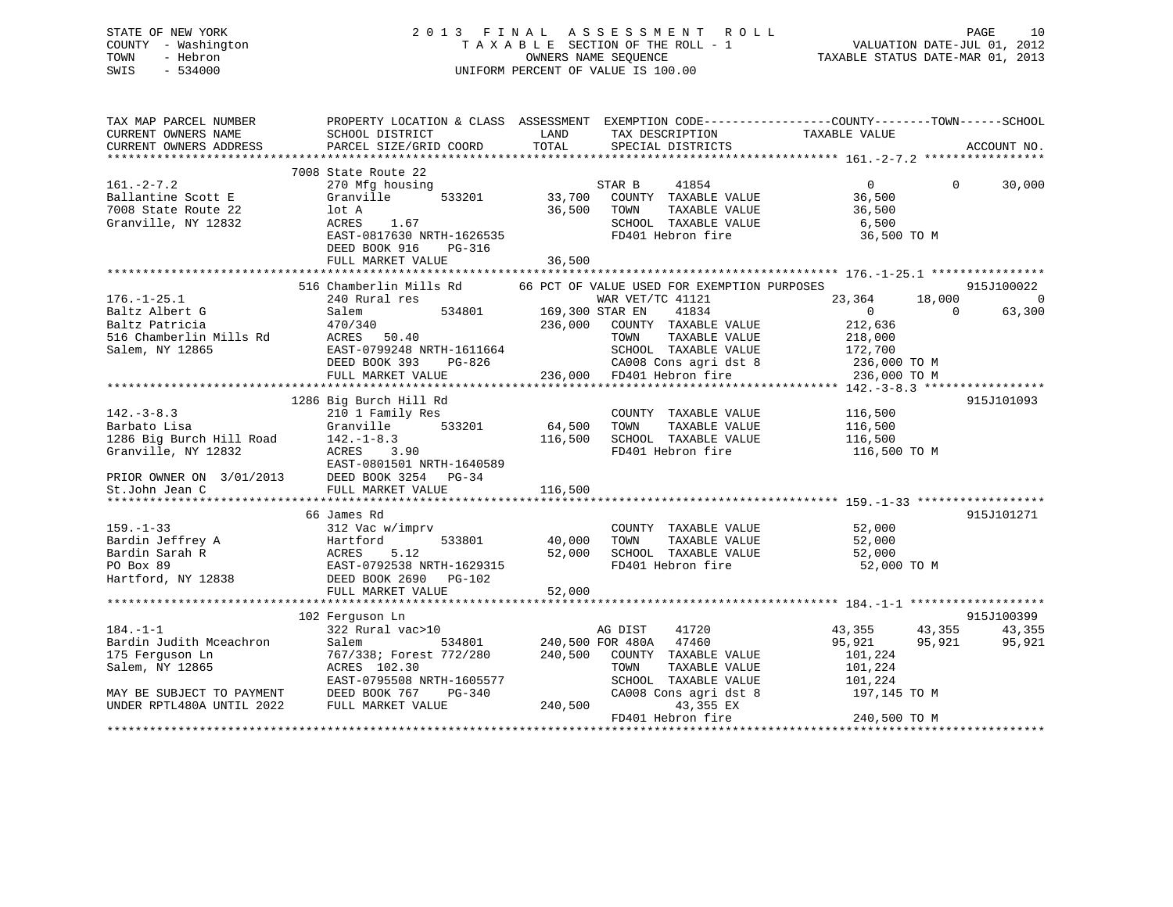### STATE OF NEW YORK 2 0 1 3 F I N A L A S S E S S M E N T R O L L PAGE 10 COUNTY - Washington T A X A B L E SECTION OF THE ROLL - 1 VALUATION DATE-JUL 01, 2012 TOWN - Hebron OWNERS NAME SEQUENCE TAXABLE STATUS DATE-MAR 01, 2013 SWIS - 534000 UNIFORM PERCENT OF VALUE IS 100.00

| TAX MAP PARCEL NUMBER                         | PROPERTY LOCATION & CLASS  ASSESSMENT  EXEMPTION CODE-----------------COUNTY-------TOWN------SCHOOL                                                                                                                                            |                                               |                                                         |                               |                |
|-----------------------------------------------|------------------------------------------------------------------------------------------------------------------------------------------------------------------------------------------------------------------------------------------------|-----------------------------------------------|---------------------------------------------------------|-------------------------------|----------------|
| CURRENT OWNERS NAME                           | SCHOOL DISTRICT                                                                                                                                                                                                                                | LAND                                          | TAX DESCRIPTION                                         | TAXABLE VALUE                 |                |
| CURRENT OWNERS ADDRESS PARCEL SIZE/GRID COORD |                                                                                                                                                                                                                                                | TOTAL                                         | SPECIAL DISTRICTS                                       |                               | ACCOUNT NO.    |
|                                               |                                                                                                                                                                                                                                                |                                               |                                                         |                               |                |
|                                               | 7008 State Route 22                                                                                                                                                                                                                            |                                               |                                                         |                               |                |
| 161.-2-7.2                                    | 270 Mfg housing                                                                                                                                                                                                                                |                                               | STAR B<br>41854                                         | $0 \qquad \qquad$<br>$\Omega$ | 30,000         |
| Ballantine Scott E                            | Granville<br>533201                                                                                                                                                                                                                            | 33,700                                        | COUNTY TAXABLE VALUE                                    | 36,500                        |                |
| 7008 State Route 22                           | lot A                                                                                                                                                                                                                                          | 36,500                                        | TOWN<br>TAXABLE VALUE                                   | 36,500                        |                |
| Granville, NY 12832                           | ACRES 1.67                                                                                                                                                                                                                                     |                                               | SCHOOL TAXABLE VALUE                                    | 6,500                         |                |
|                                               | EAST-0817630 NRTH-1626535                                                                                                                                                                                                                      |                                               | FD401 Hebron fire                                       | 36,500 TO M                   |                |
|                                               | DEED BOOK 916<br>PG-316                                                                                                                                                                                                                        |                                               |                                                         |                               |                |
|                                               | FULL MARKET VALUE                                                                                                                                                                                                                              | 36,500                                        |                                                         |                               |                |
|                                               |                                                                                                                                                                                                                                                |                                               |                                                         |                               |                |
|                                               | 516 Chamberlin Mills Rd 66 PCT OF VALUE USED FOR EXEMPTION PURPOSES                                                                                                                                                                            |                                               |                                                         |                               | 915J100022     |
|                                               |                                                                                                                                                                                                                                                |                                               |                                                         |                               |                |
| $176. - 1 - 25.1$                             | 240 Rural res                                                                                                                                                                                                                                  | $534801$ 169,300 STAR EN                      | WAR VET/TC 41121                                        | 23,364 18,000                 | $\overline{0}$ |
|                                               |                                                                                                                                                                                                                                                |                                               | 41834                                                   | $\overline{0}$<br>$\Omega$    | 63,300         |
|                                               |                                                                                                                                                                                                                                                | 236,000                                       | COUNTY TAXABLE VALUE                                    | 212,636                       |                |
|                                               |                                                                                                                                                                                                                                                |                                               | TAXABLE VALUE<br>TOWN                                   | 218,000                       |                |
| Salem, NY 12865                               | EAST-0799248 NRTH-1611664                                                                                                                                                                                                                      |                                               | SCHOOL TAXABLE VALUE 172,700                            |                               |                |
|                                               | DEED BOOK 393 PG-826                                                                                                                                                                                                                           |                                               |                                                         | 236,000 TO M                  |                |
|                                               | FULL MARKET VALUE                                                                                                                                                                                                                              |                                               | -826 CA008 Cons agri dst 8<br>236,000 FD401 Hebron fire | 236,000 TO M                  |                |
|                                               |                                                                                                                                                                                                                                                |                                               |                                                         |                               |                |
|                                               | 1286 Big Burch Hill Rd                                                                                                                                                                                                                         |                                               |                                                         |                               | 915J101093     |
| $142. - 3 - 8.3$                              | 210 1 Family Res                                                                                                                                                                                                                               |                                               | COUNTY TAXABLE VALUE                                    | 116,500                       |                |
| Barbato Lisa                                  | Granville                                                                                                                                                                                                                                      | з<br>533201                            64,500 | TOWN<br>TAXABLE VALUE                                   | 116,500                       |                |
|                                               |                                                                                                                                                                                                                                                | 116,500                                       | SCHOOL TAXABLE VALUE                                    | 116,500                       |                |
|                                               |                                                                                                                                                                                                                                                |                                               | FD401 Hebron fire                                       | 116,500 TO M                  |                |
|                                               |                                                                                                                                                                                                                                                |                                               |                                                         |                               |                |
|                                               |                                                                                                                                                                                                                                                |                                               |                                                         |                               |                |
|                                               | 21286 Big Burch Hill Road<br>1286 Big Burch Hill Road<br>Granville, NY 12832<br>PRIOR OWNER ON 3/01/2013<br>2008 BAST-0801501 NRTH-1640589<br>2015 DEED BOOK 3254<br>2015 DEED BOOK 3254<br>2015 DEED BOOK 3254<br>2016 PRIOR OWNER ON 3/01/20 |                                               |                                                         |                               |                |
|                                               |                                                                                                                                                                                                                                                | 116,500                                       |                                                         |                               |                |
|                                               |                                                                                                                                                                                                                                                |                                               |                                                         |                               |                |
|                                               | 66 James Rd                                                                                                                                                                                                                                    |                                               |                                                         |                               | 915J101271     |
|                                               |                                                                                                                                                                                                                                                |                                               | COUNTY TAXABLE VALUE                                    | 52,000                        |                |
|                                               |                                                                                                                                                                                                                                                | 533801 40,000                                 | TAXABLE VALUE<br>TOWN                                   | 52,000                        |                |
|                                               |                                                                                                                                                                                                                                                | 52,000                                        | SCHOOL TAXABLE VALUE                                    | 52,000                        |                |
|                                               |                                                                                                                                                                                                                                                |                                               | FD401 Hebron fire                                       | 52,000 TO M                   |                |
| Hartford, NY 12838 DEED BOOK 2690             | PG-102                                                                                                                                                                                                                                         |                                               |                                                         |                               |                |
|                                               | FULL MARKET VALUE                                                                                                                                                                                                                              | 52,000                                        |                                                         |                               |                |
|                                               |                                                                                                                                                                                                                                                |                                               |                                                         |                               |                |
|                                               | 102 Ferquson Ln                                                                                                                                                                                                                                |                                               |                                                         |                               | 915J100399     |
| $184. - 1 - 1$                                | $322$ Rural vac > 10                                                                                                                                                                                                                           |                                               | AG DIST<br>41720                                        | 43,355 43,355 43,355          |                |
|                                               |                                                                                                                                                                                                                                                |                                               | 534801 240,500 FOR 480A 47460                           | 95,921<br>95,921              | 95,921         |
|                                               |                                                                                                                                                                                                                                                |                                               |                                                         |                               |                |
|                                               |                                                                                                                                                                                                                                                |                                               | COUNTY TAXABLE VALUE                                    | 101,224                       |                |
|                                               | Salem, NY 12865<br>Salem, NY 12865<br>MAY BE SUBJECT TO PAYMENT<br>MAY BE SUBJECT TO PAYMENT<br>UNDER RPTL480A UNTIL 2022<br>FULL MARKET VALUE                                                                                                 |                                               | TOWN<br>TAXABLE VALUE                                   | 101,224                       |                |
|                                               |                                                                                                                                                                                                                                                |                                               | SCHOOL TAXABLE VALUE                                    | 101,224                       |                |
|                                               |                                                                                                                                                                                                                                                |                                               | CA008 Cons agri dst 8                                   | 197,145 TO M                  |                |
|                                               |                                                                                                                                                                                                                                                | 240,500                                       | 43,355 EX                                               |                               |                |
|                                               |                                                                                                                                                                                                                                                |                                               | FD401 Hebron fire                                       | 240,500 TO M                  |                |
|                                               |                                                                                                                                                                                                                                                |                                               |                                                         |                               |                |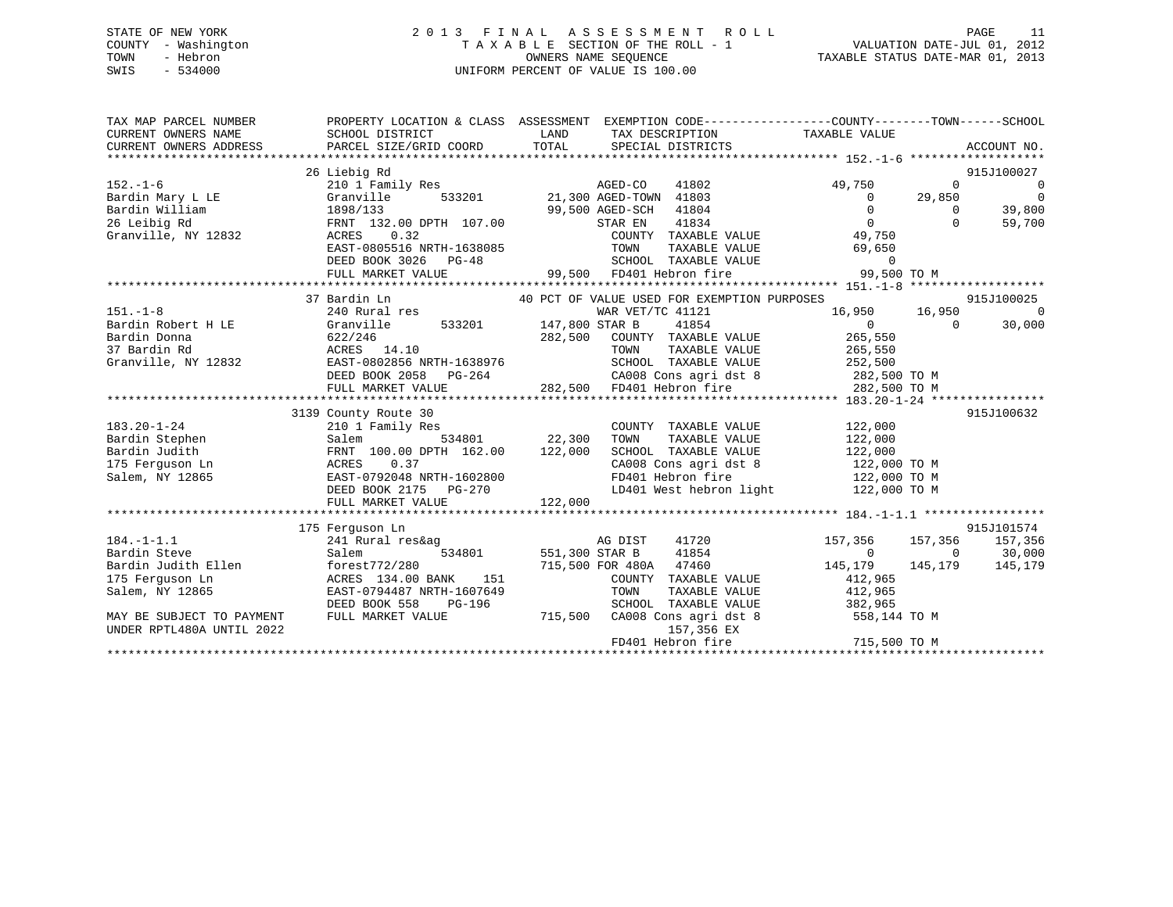### STATE OF NEW YORK 2 0 1 3 F I N A L A S S E S S M E N T R O L L PAGE 11 COUNTY - Washington T A X A B L E SECTION OF THE ROLL - 1 VALUATION DATE-JUL 01, 2012 TOWN - Hebron OWNERS NAME SEQUENCE TAXABLE STATUS DATE-MAR 01, 2013 SWIS - 534000 UNIFORM PERCENT OF VALUE IS 100.00

| TAX MAP PARCEL NUMBER<br>CURRENT OWNERS NAME<br>CURRENT OWNERS ADDRESS | PROPERTY LOCATION & CLASS ASSESSMENT EXEMPTION CODE----------------COUNTY-------TOWN-----SCHOOL<br>SCHOOL DISTRICT<br>PARCEL SIZE/GRID COORD | LAND<br>TOTAL | TAX DESCRIPTION<br>SPECIAL DISTRICTS        | TAXABLE VALUE  |          | ACCOUNT NO.              |
|------------------------------------------------------------------------|----------------------------------------------------------------------------------------------------------------------------------------------|---------------|---------------------------------------------|----------------|----------|--------------------------|
|                                                                        | 26 Liebig Rd                                                                                                                                 |               |                                             |                |          | 915J100027               |
| $152. - 1 - 6$                                                         | 210 1 Family Res                                                                                                                             |               | AGED-CO                                     | 49,750         | $\Omega$ | $\overline{\phantom{0}}$ |
| Bardin Mary L LE                                                       | 533201<br>Granville                                                                                                                          |               | AGED-CO 11201<br>21,300 AGED-TOWN 41803     | $\Omega$       | 29,850   | $\overline{\phantom{0}}$ |
| Bardin William                                                         | 1898/133                                                                                                                                     |               | 41804<br>99,500 AGED-SCH                    | $\Omega$       | $\Omega$ | 39,800                   |
| 26 Leibig Rd                                                           | FRNT 132.00 DPTH 107.00                                                                                                                      |               | 41834<br>STAR EN                            | $\overline{0}$ | $\Omega$ | 59,700                   |
| Granville, NY 12832                                                    | ACRES 0.32                                                                                                                                   |               | COUNTY TAXABLE VALUE                        | 49,750         |          |                          |
|                                                                        | EAST-0805516 NRTH-1638085                                                                                                                    |               | TAXABLE VALUE<br>TOWN                       | 69,650         |          |                          |
|                                                                        | DEED BOOK 3026 PG-48                                                                                                                         |               | SCHOOL TAXABLE VALUE                        | $\overline{0}$ |          |                          |
|                                                                        | FULL MARKET VALUE                                                                                                                            |               | 99,500 FD401 Hebron fire                    | 99,500 TO M    |          |                          |
|                                                                        |                                                                                                                                              |               |                                             |                |          |                          |
|                                                                        | 37 Bardin Ln                                                                                                                                 |               | 40 PCT OF VALUE USED FOR EXEMPTION PURPOSES |                |          | 915J100025               |
| $151. - 1 - 8$                                                         | 240 Rural res                                                                                                                                |               | WAR VET/TC 41121                            | 16,950 16,950  |          | $\bigcirc$               |
| Bardin Robert H LE                                                     | 533201 147,800 STAR B<br>Granville                                                                                                           |               | 41854                                       | $\overline{0}$ | $\Omega$ | 30,000                   |
| Bardin Donna                                                           | 622/246                                                                                                                                      | 282,500       | COUNTY TAXABLE VALUE                        | 265,550        |          |                          |
| 37 Bardin Rd                                                           | ACRES 14.10                                                                                                                                  |               | TAXABLE VALUE<br>TOWN                       | 265,550        |          |                          |
| Granville, NY 12832                                                    | EAST-0802856 NRTH-1638976                                                                                                                    |               | SCHOOL TAXABLE VALUE                        | 252,500        |          |                          |
|                                                                        | DEED BOOK 2058<br>PG-264                                                                                                                     |               | CA008 Cons agri dst 8 282,500 TO M          |                |          |                          |
|                                                                        | FULL MARKET VALUE                                                                                                                            |               | 282,500 FD401 Hebron fire                   | 282,500 TO M   |          |                          |
|                                                                        |                                                                                                                                              |               |                                             |                |          |                          |
|                                                                        | 3139 County Route 30                                                                                                                         |               |                                             |                |          | 915J100632               |
| $183.20 - 1 - 24$                                                      | 210 1 Family Res                                                                                                                             |               | COUNTY TAXABLE VALUE                        | 122,000        |          |                          |
| Bardin Stephen                                                         | Salem                                                                                                                                        | 534801 22,300 | TAXABLE VALUE<br>TOWN                       | 122,000        |          |                          |
| Bardin Judith                                                          | FRNT 100.00 DPTH 162.00                                                                                                                      | 122,000       | SCHOOL TAXABLE VALUE                        | 122,000        |          |                          |
| 175 Ferquson Ln                                                        | 0.37<br>ACRES                                                                                                                                |               | CA008 Cons agri dst 8                       | 122,000 TO M   |          |                          |
| Salem, NY 12865                                                        | EAST-0792048 NRTH-1602800                                                                                                                    |               | FD401 Hebron fire                           | 122,000 TO M   |          |                          |
|                                                                        | DEED BOOK 2175 PG-270                                                                                                                        |               | LD401 West hebron light                     | 122,000 TO M   |          |                          |
|                                                                        | FULL MARKET VALUE                                                                                                                            | 122,000       |                                             |                |          |                          |
|                                                                        |                                                                                                                                              |               |                                             |                |          |                          |
|                                                                        | 175 Ferguson Ln                                                                                                                              |               |                                             |                |          | 915J101574               |
| $184. - 1 - 1.1$                                                       | 241 Rural res&ag                                                                                                                             |               | AG DIST<br>41720                            | 157,356        | 157,356  | 157,356                  |
| Bardin Steve                                                           | Salem<br>534801                                                                                                                              |               | 41854<br>551,300 STAR B                     | $\Omega$       | $\Omega$ | 30,000                   |
| Bardin Judith Ellen                                                    | forest772/280                                                                                                                                |               | 715,500 FOR 480A 47460                      | 145,179        | 145,179  | 145,179                  |
| 175 Ferguson Ln                                                        | ACRES 134.00 BANK<br>151                                                                                                                     |               | COUNTY TAXABLE VALUE                        | 412,965        |          |                          |
| Salem, NY 12865                                                        | EAST-0794487 NRTH-1607649                                                                                                                    |               | TOWN<br>TAXABLE VALUE                       | 412,965        |          |                          |
|                                                                        | PG-196<br>DEED BOOK 558                                                                                                                      |               | SCHOOL TAXABLE VALUE 382,965                |                |          |                          |
| MAY BE SUBJECT TO PAYMENT                                              | FULL MARKET VALUE                                                                                                                            |               | 715,500 CA008 Cons agri dst 8               | 558,144 TO M   |          |                          |
| UNDER RPTL480A UNTIL 2022                                              |                                                                                                                                              |               | 157,356 EX                                  |                |          |                          |
|                                                                        |                                                                                                                                              |               | FD401 Hebron fire                           | 715,500 TO M   |          |                          |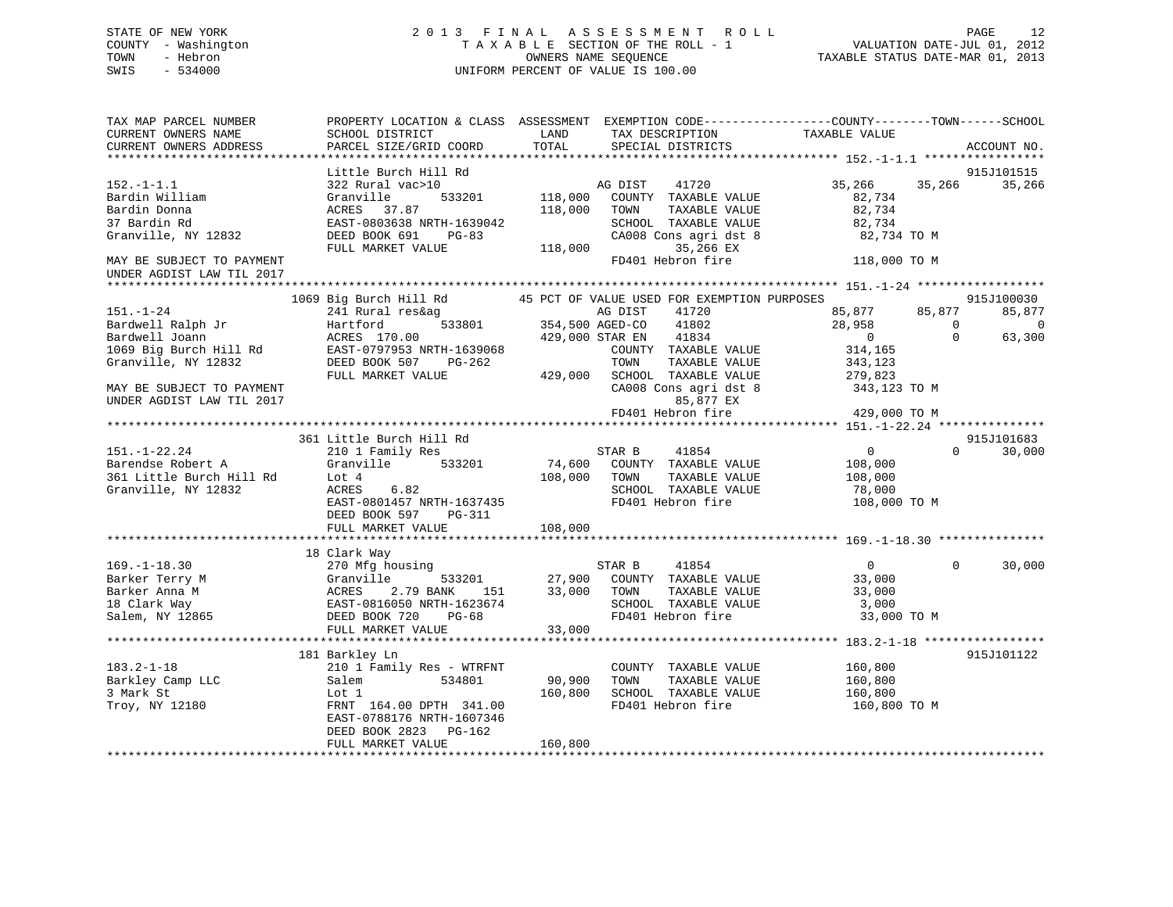### STATE OF NEW YORK 2 0 1 3 F I N A L A S S E S S M E N T R O L L PAGE 12 COUNTY - Washington T A X A B L E SECTION OF THE ROLL - 1 VALUATION DATE-JUL 01, 2012 TOWN - Hebron OWNERS NAME SEQUENCE TAXABLE STATUS DATE-MAR 01, 2013 SWIS - 534000 UNIFORM PERCENT OF VALUE IS 100.00UNIFORM PERCENT OF VALUE IS 100.00

TAX MAP PARCEL NUMBER PROPERTY LOCATION & CLASS ASSESSMENT EXEMPTION CODE------------------COUNTY--------TOWN------SCHOOL

| CURRENT OWNERS NAME       | SCHOOL DISTRICT           | LAND                   | TAX DESCRIPTION                             | TAXABLE VALUE    |                        |
|---------------------------|---------------------------|------------------------|---------------------------------------------|------------------|------------------------|
| CURRENT OWNERS ADDRESS    | PARCEL SIZE/GRID COORD    | TOTAL                  | SPECIAL DISTRICTS                           |                  | ACCOUNT NO.            |
|                           |                           |                        |                                             |                  |                        |
|                           | Little Burch Hill Rd      |                        |                                             |                  | 915J101515             |
| $152. - 1 - 1.1$          | 322 Rural vac>10          |                        | 41720<br>AG DIST                            | 35,266<br>35,266 | 35,266                 |
| Bardin William            | 533201<br>Granville       | 118,000                | COUNTY TAXABLE VALUE                        | 82,734           |                        |
| Bardin Donna              | ACRES<br>37.87            | 118,000                | TOWN<br>TAXABLE VALUE                       | 82,734           |                        |
| 37 Bardin Rd              | EAST-0803638 NRTH-1639042 |                        | SCHOOL TAXABLE VALUE                        | 82,734           |                        |
| Granville, NY 12832       | DEED BOOK 691<br>$PG-83$  |                        | CA008 Cons agri dst 8                       | 82,734 TO M      |                        |
|                           | FULL MARKET VALUE         | 118,000                | 35,266 EX                                   |                  |                        |
| MAY BE SUBJECT TO PAYMENT |                           |                        | FD401 Hebron fire                           | 118,000 TO M     |                        |
| UNDER AGDIST LAW TIL 2017 |                           |                        |                                             |                  |                        |
|                           |                           |                        |                                             |                  |                        |
|                           | 1069 Big Burch Hill Rd    |                        | 45 PCT OF VALUE USED FOR EXEMPTION PURPOSES |                  | 915J100030             |
| $151. - 1 - 24$           | 241 Rural res&ag          |                        | AG DIST<br>41720                            | 85,877<br>85,877 | 85,877                 |
| Bardwell Ralph Jr         | Hartford                  | 533801 354,500 AGED-CO | 41802                                       | 28,958           | $\Omega$<br>$\sqrt{ }$ |
| Bardwell Joann            | ACRES 170.00              |                        | 41834<br>429,000 STAR EN                    | $\sim$ 0         | 63,300<br>$\Omega$     |
| 1069 Big Burch Hill Rd    | EAST-0797953 NRTH-1639068 |                        | COUNTY TAXABLE VALUE                        | 314,165          |                        |
| Granville, NY 12832       | DEED BOOK 507 PG-262      |                        | TOWN<br>TAXABLE VALUE                       | 343,123          |                        |
|                           | FULL MARKET VALUE         | 429,000                | SCHOOL TAXABLE VALUE                        | 279,823          |                        |
| MAY BE SUBJECT TO PAYMENT |                           |                        | CA008 Cons agri dst 8                       | 343,123 TO M     |                        |
| UNDER AGDIST LAW TIL 2017 |                           |                        | 85,877 EX                                   |                  |                        |
|                           |                           |                        | FD401 Hebron fire                           | 429,000 TO M     |                        |
|                           |                           |                        |                                             |                  |                        |
|                           | 361 Little Burch Hill Rd  |                        |                                             |                  | 915J101683             |
| $151. - 1 - 22.24$        | 210 1 Family Res          |                        | STAR B<br>41854                             | $\overline{0}$   | $\Omega$<br>30,000     |
| Barendse Robert A         | Granville<br>533201       | 74,600                 | COUNTY TAXABLE VALUE                        | 108,000          |                        |
| 361 Little Burch Hill Rd  | Lot 4                     | 108,000                | TOWN<br>TAXABLE VALUE                       | 108,000          |                        |
| Granville, NY 12832       | ACRES<br>6.82             |                        | SCHOOL TAXABLE VALUE                        | 78,000           |                        |
|                           | EAST-0801457 NRTH-1637435 |                        | FD401 Hebron fire                           |                  |                        |
|                           | DEED BOOK 597 PG-311      |                        |                                             | 108,000 TO M     |                        |
|                           | FULL MARKET VALUE         | 108,000                |                                             |                  |                        |
|                           |                           |                        |                                             |                  |                        |
|                           |                           |                        |                                             |                  |                        |
|                           | 18 Clark Way              |                        |                                             |                  | $\Omega$               |
| $169. - 1 - 18.30$        | 270 Mfg housing           |                        | STAR B<br>41854                             | $\mathbf{0}$     | 30,000                 |
| Barker Terry M            | 533201<br>Granville       | 27,900                 | COUNTY TAXABLE VALUE                        | 33,000           |                        |
| Barker Anna M             | 2.79 BANK<br>ACRES<br>151 | 33,000                 | TAXABLE VALUE<br>TOWN                       | 33,000           |                        |
| 18 Clark Way              | EAST-0816050 NRTH-1623674 |                        | SCHOOL TAXABLE VALUE                        | 3,000            |                        |
| Salem, NY 12865           | DEED BOOK 720<br>$PG-68$  |                        | FD401 Hebron fire                           | 33,000 TO M      |                        |
|                           | FULL MARKET VALUE         | 33,000                 |                                             |                  |                        |
|                           |                           |                        |                                             |                  |                        |
|                           | 181 Barkley Ln            |                        |                                             |                  | 915J101122             |
| $183.2 - 1 - 18$          | 210 1 Family Res - WTRFNT |                        | COUNTY TAXABLE VALUE                        | 160,800          |                        |
| Barkley Camp LLC          | Salem<br>534801           | 90,900                 | TAXABLE VALUE<br>TOWN                       | 160,800          |                        |
| 3 Mark St                 | Lot 1                     | 160,800                | SCHOOL TAXABLE VALUE                        | 160,800          |                        |
| Troy, NY 12180            | FRNT 164.00 DPTH 341.00   |                        | FD401 Hebron fire                           | 160,800 TO M     |                        |
|                           | EAST-0788176 NRTH-1607346 |                        |                                             |                  |                        |
|                           | DEED BOOK 2823 PG-162     |                        |                                             |                  |                        |
|                           | FULL MARKET VALUE         | 160,800                |                                             |                  |                        |
|                           |                           |                        |                                             |                  |                        |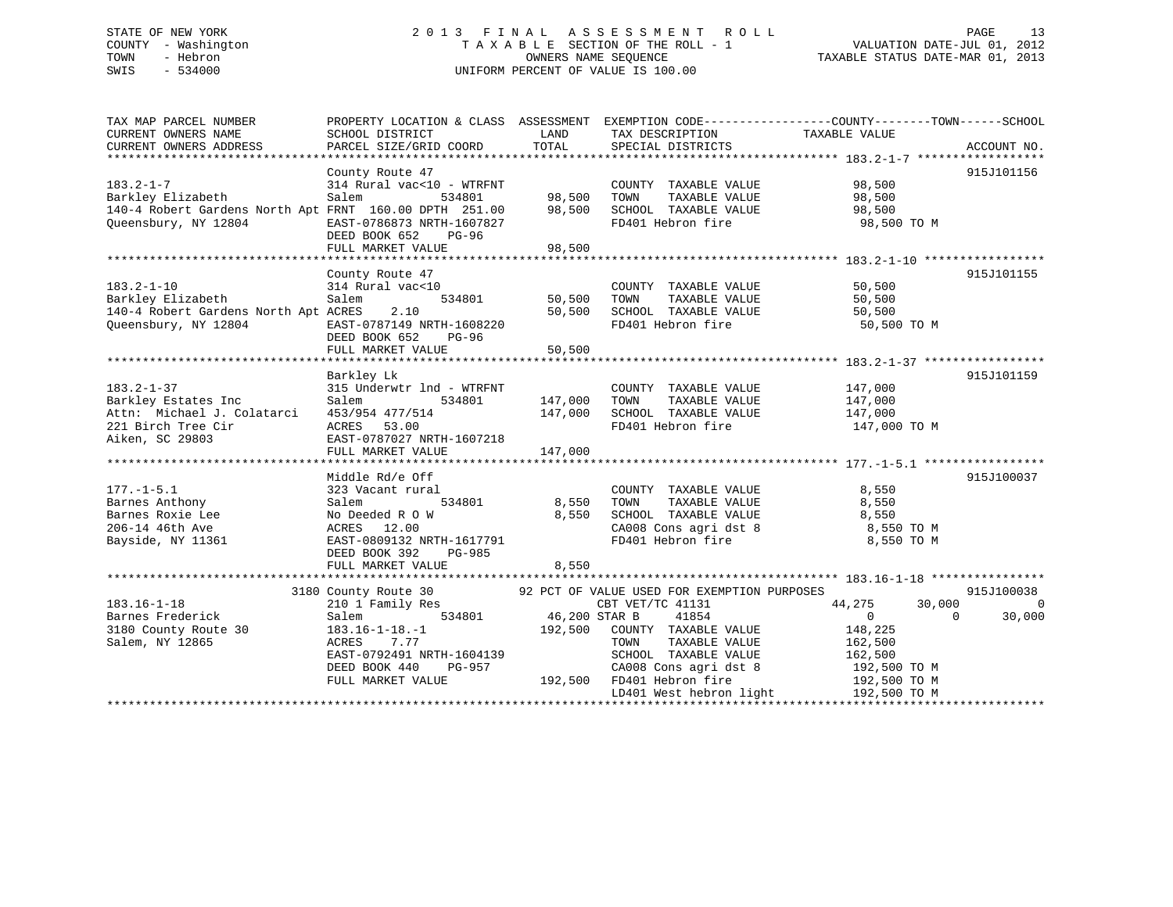### STATE OF NEW YORK 2 0 1 3 F I N A L A S S E S S M E N T R O L L PAGE 13 COUNTY - Washington T A X A B L E SECTION OF THE ROLL - 1 VALUATION DATE-JUL 01, 2012 TOWN - Hebron OWNERS NAME SEQUENCE TAXABLE STATUS DATE-MAR 01, 2013 SWIS - 534000 UNIFORM PERCENT OF VALUE IS 100.00

| TAX MAP PARCEL NUMBER<br>CURRENT OWNERS NAME                                                                           | PROPERTY LOCATION & CLASS ASSESSMENT<br>SCHOOL DISTRICT                                                                                                               | LAND                                | TAX DESCRIPTION                                                                                                                                                             | EXEMPTION CODE-----------------COUNTY-------TOWN------SCHOOL<br>TAXABLE VALUE                                                   |                    |
|------------------------------------------------------------------------------------------------------------------------|-----------------------------------------------------------------------------------------------------------------------------------------------------------------------|-------------------------------------|-----------------------------------------------------------------------------------------------------------------------------------------------------------------------------|---------------------------------------------------------------------------------------------------------------------------------|--------------------|
| CURRENT OWNERS ADDRESS                                                                                                 | PARCEL SIZE/GRID COORD                                                                                                                                                | TOTAL                               | SPECIAL DISTRICTS                                                                                                                                                           |                                                                                                                                 | ACCOUNT NO.        |
|                                                                                                                        | County Route 47                                                                                                                                                       |                                     |                                                                                                                                                                             |                                                                                                                                 | 915J101156         |
| $183.2 - 1 - 7$<br>Barkley Elizabeth<br>140-4 Robert Gardens North Apt FRNT 160.00 DPTH 251.00<br>Queensbury, NY 12804 | 314 Rural vac<10 - WTRFNT<br>Salem<br>534801<br>EAST-0786873 NRTH-1607827<br>DEED BOOK 652<br>PG-96                                                                   | 98,500<br>98,500                    | COUNTY TAXABLE VALUE<br>TOWN<br>TAXABLE VALUE<br>SCHOOL TAXABLE VALUE<br>FD401 Hebron fire                                                                                  | 98,500<br>98,500<br>98,500<br>98,500 TO M                                                                                       |                    |
|                                                                                                                        | FULL MARKET VALUE                                                                                                                                                     | 98,500                              |                                                                                                                                                                             |                                                                                                                                 |                    |
|                                                                                                                        |                                                                                                                                                                       |                                     |                                                                                                                                                                             |                                                                                                                                 |                    |
| $183.2 - 1 - 10$<br>Barkley Elizabeth<br>140-4 Robert Gardens North Apt ACRES<br>Oueensbury, NY 12804                  | County Route 47<br>314 Rural vac<10<br>534801<br>Salem<br>2.10<br>EAST-0787149 NRTH-1608220<br>DEED BOOK 652<br>PG-96                                                 | 50,500<br>50,500                    | COUNTY TAXABLE VALUE<br>TOWN<br>TAXABLE VALUE<br>SCHOOL TAXABLE VALUE<br>FD401 Hebron fire                                                                                  | 50,500<br>50,500<br>50,500<br>50,500 TO M                                                                                       | 915J101155         |
|                                                                                                                        | FULL MARKET VALUE                                                                                                                                                     | 50,500                              |                                                                                                                                                                             |                                                                                                                                 |                    |
|                                                                                                                        |                                                                                                                                                                       |                                     |                                                                                                                                                                             |                                                                                                                                 |                    |
| $183.2 - 1 - 37$<br>Barkley Estates Inc<br>Attn: Michael J. Colatarci<br>221 Birch Tree Cir<br>Aiken, SC 29803         | Barkley Lk<br>315 Underwtr lnd - WTRFNT<br>Salem<br>534801<br>453/954 477/514<br>ACRES 53.00<br>EAST-0787027 NRTH-1607218                                             | 147,000<br>147,000                  | COUNTY TAXABLE VALUE<br>TOWN<br>TAXABLE VALUE<br>SCHOOL TAXABLE VALUE<br>FD401 Hebron fire                                                                                  | 147,000<br>147,000<br>147,000<br>147,000 TO M                                                                                   | 915J101159         |
|                                                                                                                        | FULL MARKET VALUE                                                                                                                                                     | 147,000                             |                                                                                                                                                                             |                                                                                                                                 |                    |
|                                                                                                                        |                                                                                                                                                                       |                                     |                                                                                                                                                                             |                                                                                                                                 |                    |
| $177. - 1 - 5.1$<br>Barnes Anthony<br>Barnes Roxie Lee<br>206-14 46th Ave<br>Bayside, NY 11361                         | Middle Rd/e Off<br>323 Vacant rural<br>Salem<br>534801<br>No Deeded R O W<br>ACRES 12.00<br>EAST-0809132 NRTH-1617791<br>DEED BOOK 392<br>PG-985<br>FULL MARKET VALUE | 8,550<br>8,550<br>8,550             | COUNTY TAXABLE VALUE<br>TOWN<br>TAXABLE VALUE<br>SCHOOL TAXABLE VALUE<br>CA008 Cons agri dst 8<br>FD401 Hebron fire                                                         | 8,550<br>8,550<br>8,550<br>8,550 TO M<br>8,550 TO M                                                                             | 915J100037         |
|                                                                                                                        | 3180 County Route 30                                                                                                                                                  |                                     | 92 PCT OF VALUE USED FOR EXEMPTION PURPOSES                                                                                                                                 |                                                                                                                                 | 915J100038         |
| $183.16 - 1 - 18$<br>Barnes Frederick<br>3180 County Route 30<br>Salem, NY 12865                                       | 210 1 Family Res<br>534801<br>Salem<br>$183.16 - 1 - 18. - 1$<br>ACRES<br>7.77<br>EAST-0792491 NRTH-1604139<br>DEED BOOK 440<br>PG-957<br>FULL MARKET VALUE           | 46,200 STAR B<br>192,500<br>192,500 | CBT VET/TC 41131<br>41854<br>COUNTY TAXABLE VALUE<br>TOWN<br>TAXABLE VALUE<br>SCHOOL TAXABLE VALUE<br>CA008 Cons agri dst 8<br>FD401 Hebron fire<br>LD401 West hebron light | 44,275<br>30,000<br>$\overline{0}$<br>$\Omega$<br>148,225<br>162,500<br>162,500<br>192,500 TO M<br>192,500 TO M<br>192,500 TO M | $\Omega$<br>30,000 |
|                                                                                                                        |                                                                                                                                                                       |                                     |                                                                                                                                                                             |                                                                                                                                 |                    |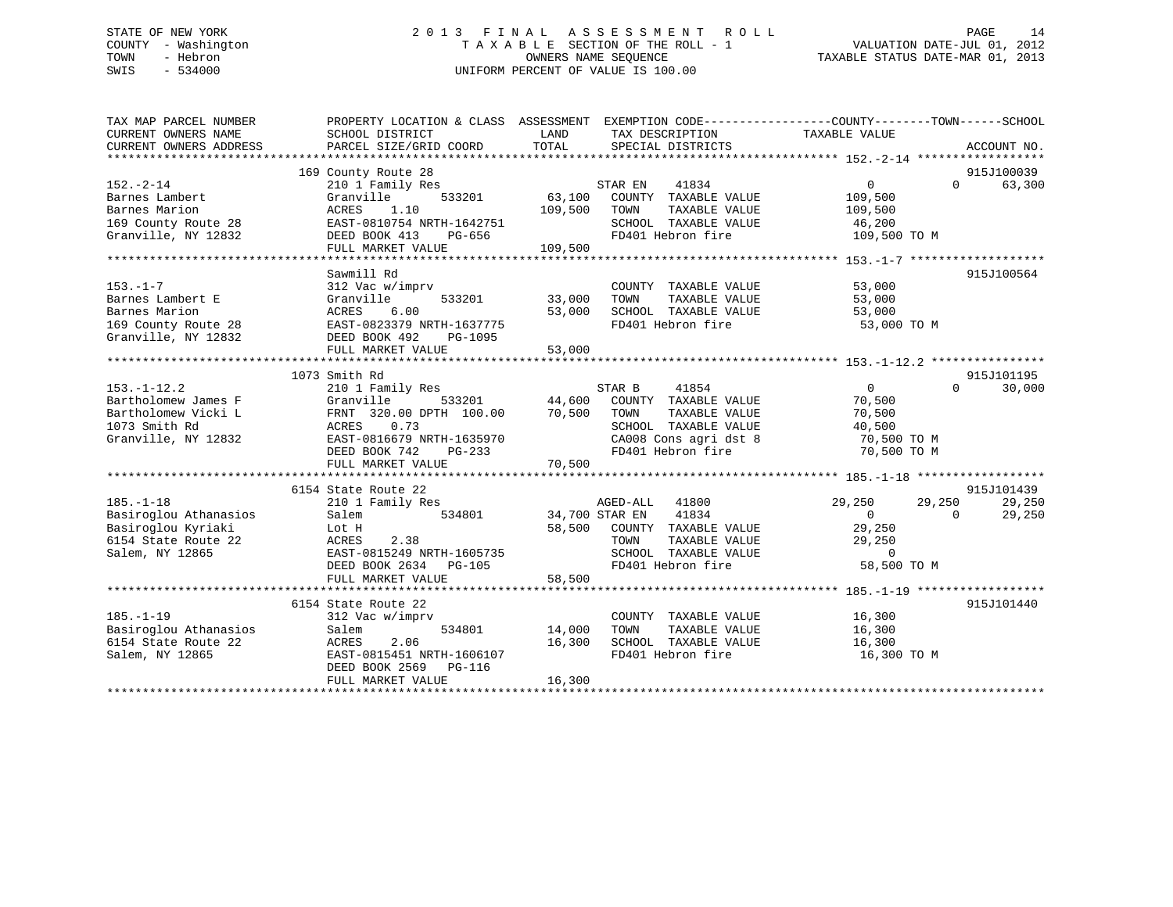### STATE OF NEW YORK 2 0 1 3 F I N A L A S S E S S M E N T R O L L PAGE 14 COUNTY - Washington T A X A B L E SECTION OF THE ROLL - 1 VALUATION DATE-JUL 01, 2012 TOWN - Hebron OWNERS NAME SEQUENCE TAXABLE STATUS DATE-MAR 01, 2013 SWIS - 534000 UNIFORM PERCENT OF VALUE IS 100.00

| TAX MAP PARCEL NUMBER<br>CURRENT OWNERS NAME | PROPERTY LOCATION & CLASS ASSESSMENT EXEMPTION CODE----------------COUNTY-------TOWN------SCHOOL<br>SCHOOL DISTRICT | LAND           | TAX DESCRIPTION             | TAXABLE VALUE  |                    |
|----------------------------------------------|---------------------------------------------------------------------------------------------------------------------|----------------|-----------------------------|----------------|--------------------|
| CURRENT OWNERS ADDRESS                       | PARCEL SIZE/GRID COORD                                                                                              | TOTAL          | SPECIAL DISTRICTS           |                | ACCOUNT NO.        |
|                                              |                                                                                                                     |                |                             |                |                    |
|                                              | 169 County Route 28                                                                                                 |                |                             |                | 915J100039         |
| $152. - 2 - 14$                              | 210 1 Family Res                                                                                                    |                | STAR EN<br>41834            | $\overline{0}$ | $\Omega$<br>63,300 |
| Barnes Lambert                               | Granville<br>533201                                                                                                 | 63,100         | COUNTY TAXABLE VALUE        | 109,500        |                    |
| Barnes Marion                                | 1.10<br>ACRES                                                                                                       | 109,500        | TOWN<br>TAXABLE VALUE       | 109,500        |                    |
| 169 County Route 28                          | EAST-0810754 NRTH-1642751                                                                                           |                | SCHOOL TAXABLE VALUE        | 46,200         |                    |
| Granville, NY 12832                          | DEED BOOK 413<br>PG-656                                                                                             |                | FD401 Hebron fire           | 109,500 TO M   |                    |
|                                              | FULL MARKET VALUE                                                                                                   | 109,500        |                             |                |                    |
|                                              |                                                                                                                     |                |                             |                |                    |
|                                              | Sawmill Rd                                                                                                          |                |                             |                | 915J100564         |
| $153. - 1 - 7$                               | 312 Vac w/imprv                                                                                                     |                | COUNTY TAXABLE VALUE        | 53,000         |                    |
| Barnes Lambert E                             | 533201<br>Granville                                                                                                 | 33,000         | TOWN<br>TAXABLE VALUE       | 53,000         |                    |
| Barnes Marion                                | ACRES<br>6.00                                                                                                       | 53,000         | SCHOOL TAXABLE VALUE 53,000 |                |                    |
| 169 County Route 28                          | EAST-0823379 NRTH-1637775                                                                                           |                | FD401 Hebron fire           | 53,000 TO M    |                    |
| Granville, NY 12832                          | DEED BOOK 492<br>PG-1095                                                                                            |                |                             |                |                    |
|                                              | FULL MARKET VALUE                                                                                                   | 53,000         |                             |                |                    |
|                                              |                                                                                                                     |                |                             |                |                    |
|                                              | 1073 Smith Rd                                                                                                       |                |                             |                | 915J101195         |
| $153. - 1 - 12.2$                            | 210 1 Family Res                                                                                                    |                | STAR B<br>41854             | $\overline{0}$ | $\Omega$<br>30,000 |
| Bartholomew James F                          | Granville<br>533201                                                                                                 | 44,600         | COUNTY TAXABLE VALUE        | 70,500         |                    |
| Bartholomew Vicki L                          | FRNT 320.00 DPTH 100.00                                                                                             | 70,500         | TOWN<br>TAXABLE VALUE       | 70,500         |                    |
| 1073 Smith Rd                                | ACRES<br>0.73                                                                                                       |                | SCHOOL TAXABLE VALUE        | 40,500         |                    |
| Granville, NY 12832                          | EAST-0816679 NRTH-1635970                                                                                           |                | CA008 Cons agri dst 8       | 70,500 TO M    |                    |
|                                              | DEED BOOK 742<br>PG-233                                                                                             |                |                             | 70,500 TO M    |                    |
|                                              | FULL MARKET VALUE                                                                                                   | 70,500         |                             |                |                    |
|                                              |                                                                                                                     |                |                             |                |                    |
|                                              | 6154 State Route 22                                                                                                 |                |                             |                | 915J101439         |
| $185. - 1 - 18$                              | 210 1 Family Res                                                                                                    |                | AGED-ALL 41800              | 29,250         | 29,250<br>29,250   |
| Basiroglou Athanasios                        | 534801<br>Salem                                                                                                     | 34,700 STAR EN | 41834                       | $\overline{0}$ | 29,250<br>$\Omega$ |
| Basiroglou Kyriaki                           | Lot H                                                                                                               | 58,500         | COUNTY TAXABLE VALUE        | 29,250         |                    |
| 6154 State Route 22                          | 2.38<br>ACRES                                                                                                       |                | TOWN<br>TAXABLE VALUE       | 29,250         |                    |
| Salem, NY 12865                              | EAST-0815249 NRTH-1605735                                                                                           |                | SCHOOL TAXABLE VALUE        | $\circ$        |                    |
|                                              | DEED BOOK 2634<br>PG-105                                                                                            |                | FD401 Hebron fire           | 58,500 TO M    |                    |
|                                              | FULL MARKET VALUE                                                                                                   | 58,500         |                             |                |                    |
|                                              |                                                                                                                     |                |                             |                |                    |
|                                              | 6154 State Route 22                                                                                                 |                |                             |                | 915J101440         |
| $185. - 1 - 19$                              | 312 Vac w/imprv                                                                                                     |                | COUNTY TAXABLE VALUE        | 16,300         |                    |
| Basiroglou Athanasios                        | 534801<br>Salem                                                                                                     | 14,000         | TOWN<br>TAXABLE VALUE       | 16,300         |                    |
| 6154 State Route 22                          | 2.06<br>ACRES                                                                                                       | 16,300         | SCHOOL TAXABLE VALUE        | 16,300         |                    |
| Salem, NY 12865                              | EAST-0815451 NRTH-1606107                                                                                           |                | FD401 Hebron fire           | 16,300 TO M    |                    |
|                                              | DEED BOOK 2569<br>PG-116                                                                                            |                |                             |                |                    |
|                                              | FULL MARKET VALUE                                                                                                   | 16,300         |                             |                |                    |
|                                              |                                                                                                                     |                |                             |                |                    |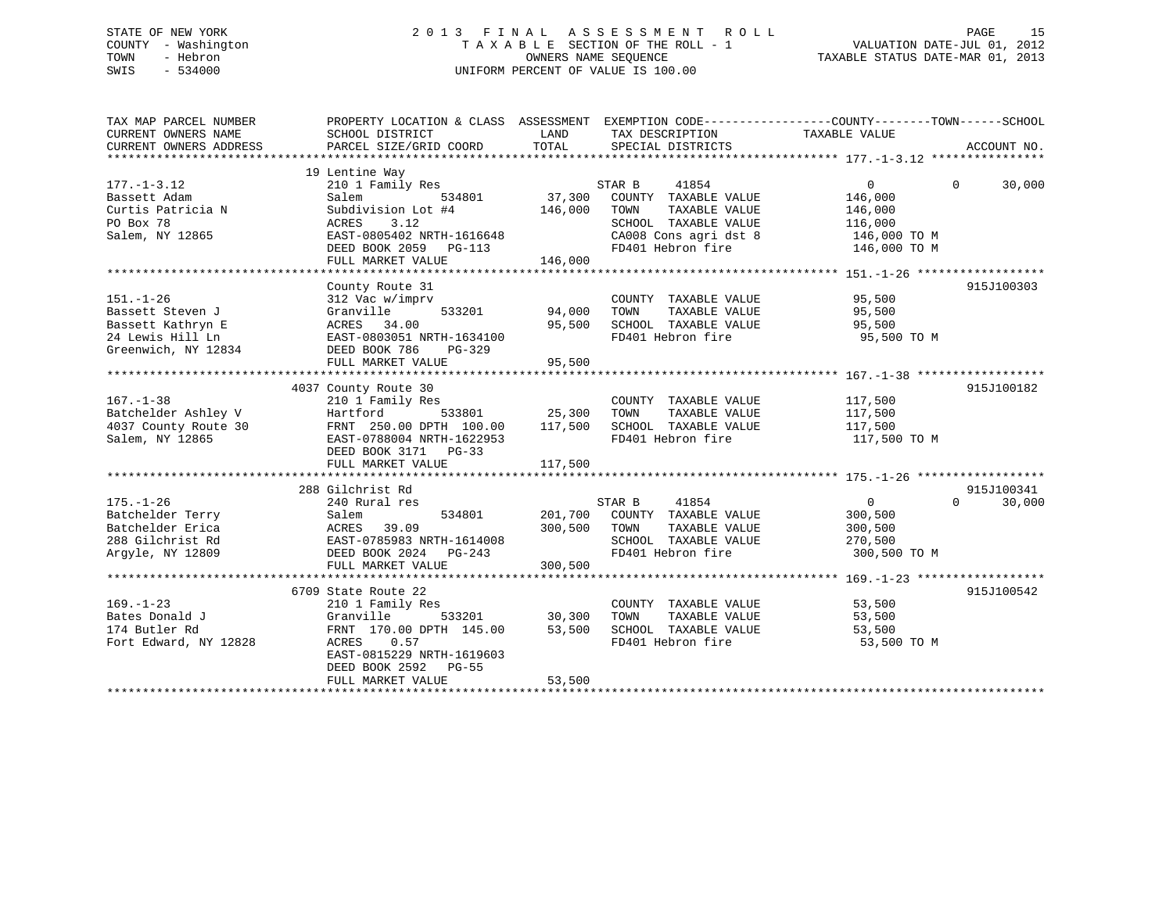### STATE OF NEW YORK 2 0 1 3 F I N A L A S S E S S M E N T R O L L PAGE 15 COUNTY - Washington T A X A B L E SECTION OF THE ROLL - 1 VALUATION DATE-JUL 01, 2012 TOWN - Hebron OWNERS NAME SEQUENCE TAXABLE STATUS DATE-MAR 01, 2013 SWIS - 534000 UNIFORM PERCENT OF VALUE IS 100.00

| PROPERTY LOCATION & CLASS ASSESSMENT EXEMPTION CODE---------------COUNTY-------TOWN------SCHOOL<br>TAX MAP PARCEL NUMBER                                                |          |            |
|-------------------------------------------------------------------------------------------------------------------------------------------------------------------------|----------|------------|
| 19 Lentine Way<br>$177. - 1 - 3.12$<br>STAR B<br>$\overline{0}$<br>210 1 Family Res<br>41854                                                                            | $\Omega$ | 30,000     |
| 37,300<br>Bassett Adam<br>Salem<br>COUNTY TAXABLE VALUE<br>534801<br>146,000                                                                                            |          |            |
| Curtis Patricia N<br>146,000<br>TAXABLE VALUE<br>Subdivision Lot #4<br>TOWN<br>146,000                                                                                  |          |            |
| PO Box 78<br>SCHOOL TAXABLE VALUE<br>ACRES<br>3.12<br>116,000                                                                                                           |          |            |
| EAST-0805402 NRTH-1616648<br>Salem, NY 12865<br>$\texttt{CA008}$ Cons agri dst 8 $\texttt{146,000}$ TO M<br>FD401 Hebron fire $\texttt{146,000}$ TO M                   |          |            |
| DEED BOOK 2059 PG-113                                                                                                                                                   |          |            |
|                                                                                                                                                                         |          |            |
| County Route 31                                                                                                                                                         |          | 915J100303 |
| $95,500$<br>95 Fre<br>$151. - 1 - 26$<br>312 Vac w/imprv<br>COUNTY TAXABLE VALUE<br>TOWN TAXABLE VALUE<br>533201 94,000                                                 |          |            |
| Bassett Steven J<br>Granville<br>95,500                                                                                                                                 |          |            |
| Passett Kathryn E<br>24 Lewis Hill Ln<br>34.00<br>24 Lewis Hill Ln<br>6 EAST-0803051 N<br>6 EAST-0803051 N<br>26 DEED BOOK 786<br>SCHOOL TAXABLE VALUE 95,500<br>95,500 |          |            |
| FD401 Hebron fire<br>EAST-0803051 NRTH-1634100<br>95,500 TO M                                                                                                           |          |            |
| PG-329                                                                                                                                                                  |          |            |
| 95,500<br>FULL MARKET VALUE                                                                                                                                             |          |            |
|                                                                                                                                                                         |          |            |
| 4037 County Route 30<br>$167. - 1 - 38$                                                                                                                                 |          | 915J100182 |
| 117,500<br>210 1 Family Res<br>COUNTY TAXABLE VALUE<br>- 533801 25,300<br>Batchelder Ashley V<br>TAXABLE VALUE<br>Hartford<br>TOWN<br>117,500                           |          |            |
| FRNT 250.00 DPTH 100.00 117,500<br>SCHOOL TAXABLE VALUE 117,500<br>4037 County Route 30                                                                                 |          |            |
| FD401 Hebron fire<br>Salem, NY 12865<br>EAST-0788004 NRTH-1622953<br>117,500 TO M                                                                                       |          |            |
| DEED BOOK 3171 PG-33                                                                                                                                                    |          |            |
|                                                                                                                                                                         |          |            |
|                                                                                                                                                                         |          |            |
| 288 Gilchrist Rd                                                                                                                                                        |          | 915J100341 |
| $175. - 1 - 26$<br>41854<br>$0 \qquad \qquad$<br>240 Rural res<br>STAR B                                                                                                | $\Omega$ | 30,000     |
| 534801 201,700 COUNTY TAXABLE VALUE<br>Batchelder Terry<br>300,500                                                                                                      |          |            |
| 300,500 TOWN<br>TAXABLE VALUE<br>Batchelder Erica<br>300,500                                                                                                            |          |            |
| 288 Gilchrist Rd<br>SCHOOL TAXABLE VALUE<br>270,500                                                                                                                     |          |            |
| EAST-0785983 NRTH-1614008<br>DEED BOOK 2024 PG-243<br>Arqyle, NY 12809<br>FD401 Hebron fire<br>300,500 TO M                                                             |          |            |
| FULL MARKET VALUE<br>300,500                                                                                                                                            |          |            |
|                                                                                                                                                                         |          |            |
| 6709 State Route 22                                                                                                                                                     |          | 915J100542 |
| $169. - 1 - 23$<br>53,500<br>210 1 Family Res<br>COUNTY TAXABLE VALUE                                                                                                   |          |            |
| 533201 30,300<br>Granville<br>TAXABLE VALUE<br>Bates Donald J<br>TOWN<br>53,500                                                                                         |          |            |
| SCHOOL TAXABLE VALUE<br>FRNT 170.00 DPTH 145.00<br>174 Butler Rd<br>53,500<br>53,500                                                                                    |          |            |
| Fort Edward, NY 12828<br>FD401 Hebron fire<br>53,500 TO M<br>ACRES 0.57                                                                                                 |          |            |
| EAST-0815229 NRTH-1619603                                                                                                                                               |          |            |
| DEED BOOK 2592 PG-55                                                                                                                                                    |          |            |
| 53,500<br>FULL MARKET VALUE                                                                                                                                             |          |            |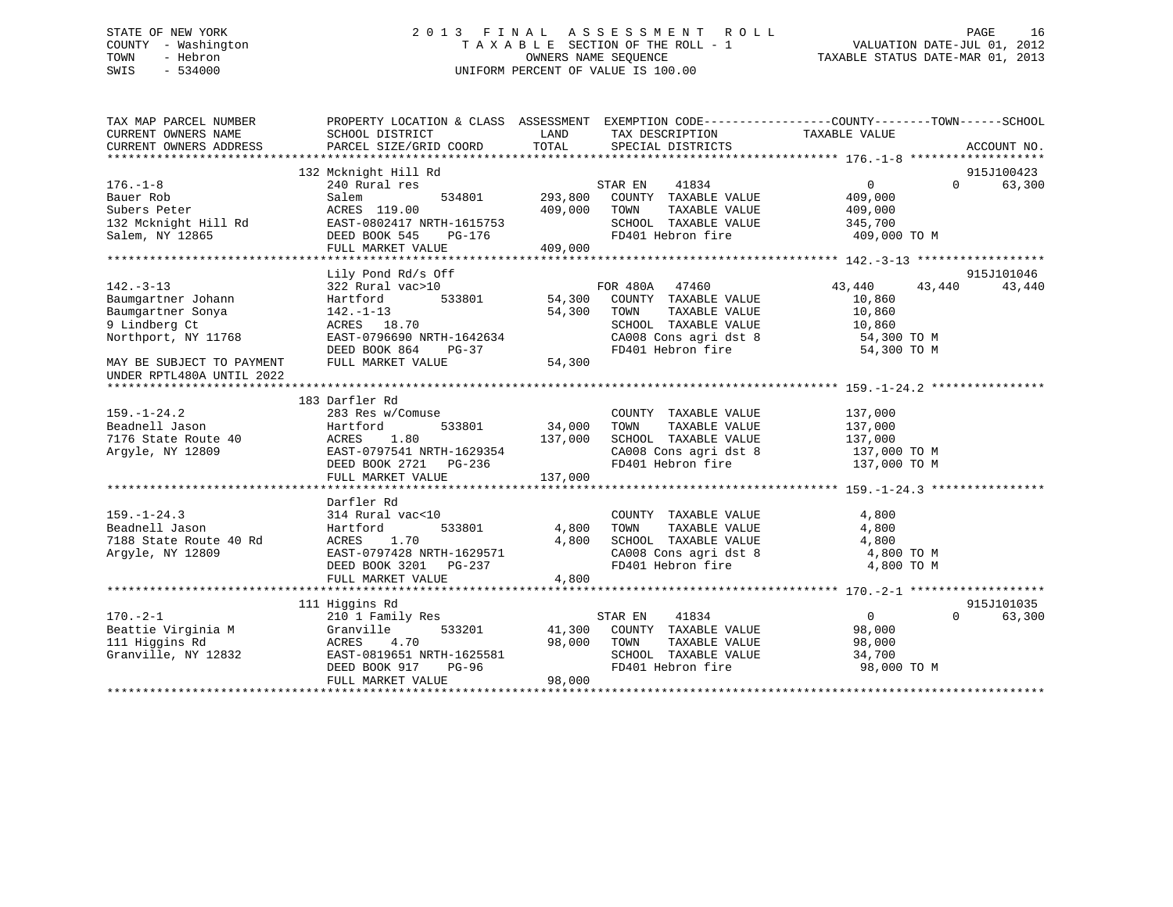### STATE OF NEW YORK 2 0 1 3 F I N A L A S S E S S M E N T R O L L PAGE 16 COUNTY - Washington T A X A B L E SECTION OF THE ROLL - 1 VALUATION DATE-JUL 01, 2012 TOWN - Hebron OWNERS NAME SEQUENCE TAXABLE STATUS DATE-MAR 01, 2013 SWIS - 534000 UNIFORM PERCENT OF VALUE IS 100.00

| TAX MAP PARCEL NUMBER<br>CURRENT OWNERS NAME | PROPERTY LOCATION & CLASS ASSESSMENT EXEMPTION CODE---------------COUNTY-------TOWN-----SCHOOL<br>SCHOOL DISTRICT | LAND               | TAX DESCRIPTION                                                 | TAXABLE VALUE           |                    |
|----------------------------------------------|-------------------------------------------------------------------------------------------------------------------|--------------------|-----------------------------------------------------------------|-------------------------|--------------------|
| CURRENT OWNERS ADDRESS                       | PARCEL SIZE/GRID COORD                                                                                            | TOTAL              | SPECIAL DISTRICTS                                               |                         | ACCOUNT NO.        |
|                                              |                                                                                                                   |                    |                                                                 |                         |                    |
|                                              | 132 Mcknight Hill Rd                                                                                              |                    |                                                                 |                         | 915J100423         |
| $176. - 1 - 8$                               | 240 Rural res                                                                                                     |                    | STAR EN<br>41834                                                | $\overline{0}$          | 63,300<br>$\Omega$ |
| Bauer Rob<br>Subers Peter                    | 534801<br>Salem<br>ACRES 119.00                                                                                   | 293,800<br>409,000 | COUNTY TAXABLE VALUE<br>TAXABLE VALUE<br>TOWN                   | 409,000                 |                    |
|                                              | EAST-0802417 NRTH-1615753                                                                                         |                    | SCHOOL TAXABLE VALUE                                            | 409,000                 |                    |
| 132 Mcknight Hill Rd                         |                                                                                                                   |                    | FD401 Hebron fire                                               | 345,700<br>409,000 TO M |                    |
| Salem, NY 12865                              | DEED BOOK 545<br>PG-176<br>FULL MARKET VALUE                                                                      |                    |                                                                 |                         |                    |
|                                              |                                                                                                                   | 409,000            |                                                                 |                         |                    |
|                                              | Lily Pond Rd/s Off                                                                                                |                    |                                                                 |                         | 915J101046         |
| $142. - 3 - 13$                              | 322 Rural vac>10                                                                                                  |                    | FOR 480A<br>47460                                               | 43,440                  | 43,440<br>43,440   |
| Baumgartner Johann                           | Hartford<br>533801                                                                                                |                    | 54,300 COUNTY TAXABLE VALUE                                     | 10,860                  |                    |
| Baumgartner Sonya                            | $142. - 1 - 13$                                                                                                   | 54,300             | TAXABLE VALUE<br>TOWN                                           | 10,860                  |                    |
| 9 Lindberg Ct                                | ACRES 18.70                                                                                                       |                    | SCHOOL TAXABLE VALUE                                            | 10,860                  |                    |
| Northport, NY 11768                          | EAST-0796690 NRTH-1642634                                                                                         |                    |                                                                 | 54,300 TO M             |                    |
|                                              | DEED BOOK 864<br>PG-37                                                                                            |                    | CA008 Cons agri dst 8<br>Think Hobert fire<br>FD401 Hebron fire | 54,300 TO M             |                    |
| MAY BE SUBJECT TO PAYMENT                    | FULL MARKET VALUE                                                                                                 | 54,300             |                                                                 |                         |                    |
| UNDER RPTL480A UNTIL 2022                    |                                                                                                                   |                    |                                                                 |                         |                    |
|                                              |                                                                                                                   |                    |                                                                 |                         |                    |
|                                              | 183 Darfler Rd                                                                                                    |                    |                                                                 |                         |                    |
| $159. - 1 - 24.2$                            | 283 Res w/Comuse                                                                                                  |                    | COUNTY TAXABLE VALUE                                            | 137,000                 |                    |
| Beadnell Jason                               | 533801<br>Hartford                                                                                                | 34,000             | TOWN<br>TAXABLE VALUE                                           | 137,000                 |                    |
| 7176 State Route 40                          | ACRES<br>1.80                                                                                                     | 137,000            |                                                                 | 137,000                 |                    |
| Argyle, NY 12809                             | EAST-0797541 NRTH-1629354                                                                                         |                    | SCHOOL TAXABLE VALUE<br>CA008 Cons agri dst 8                   | 137,000 TO M            |                    |
|                                              | DEED BOOK 2721 PG-236                                                                                             |                    | FD401 Hebron fire                                               | 137,000 TO M            |                    |
|                                              | FULL MARKET VALUE                                                                                                 | 137,000            |                                                                 |                         |                    |
|                                              |                                                                                                                   |                    |                                                                 |                         |                    |
|                                              | Darfler Rd                                                                                                        |                    |                                                                 |                         |                    |
| $159. - 1 - 24.3$                            | 314 Rural vac<10                                                                                                  |                    | COUNTY TAXABLE VALUE                                            | 4,800                   |                    |
| Beadnell Jason                               | 533801<br>Hartford                                                                                                | 4,800              | TOWN<br>TAXABLE VALUE                                           | 4,800                   |                    |
| 7188 State Route 40 Rd                       | 1.70<br>ACRES                                                                                                     | 4,800              | SCHOOL TAXABLE VALUE                                            | 4,800                   |                    |
| Argyle, NY 12809                             | EAST-0797428 NRTH-1629571                                                                                         |                    | CA008 Cons agri dst 8                                           | 4,800 TO M              |                    |
|                                              | DEED BOOK 3201 PG-237                                                                                             |                    | FD401 Hebron fire                                               | 4,800 TO M              |                    |
|                                              | FULL MARKET VALUE                                                                                                 | 4,800              |                                                                 |                         |                    |
|                                              |                                                                                                                   |                    |                                                                 |                         |                    |
|                                              | 111 Higgins Rd                                                                                                    |                    |                                                                 |                         | 915J101035         |
| $170. - 2 - 1$                               | 210 1 Family Res                                                                                                  |                    | STAR EN<br>41834                                                | $\overline{0}$          | $\Omega$<br>63,300 |
| Beattie Virginia M                           | Granville<br>533201                                                                                               | 41,300             | COUNTY TAXABLE VALUE                                            | 98,000                  |                    |
| 111 Higgins Rd                               | ACRES<br>4.70                                                                                                     | 98,000             | TAXABLE VALUE<br>TOWN                                           | 98,000                  |                    |
| Granville, NY 12832                          | EAST-0819651 NRTH-1625581                                                                                         |                    | SCHOOL TAXABLE VALUE                                            | 34,700                  |                    |
|                                              | DEED BOOK 917<br>PG-96                                                                                            |                    | FD401 Hebron fire                                               | 98,000 TO M             |                    |
|                                              | FULL MARKET VALUE                                                                                                 | 98,000             |                                                                 |                         |                    |
|                                              |                                                                                                                   |                    |                                                                 |                         |                    |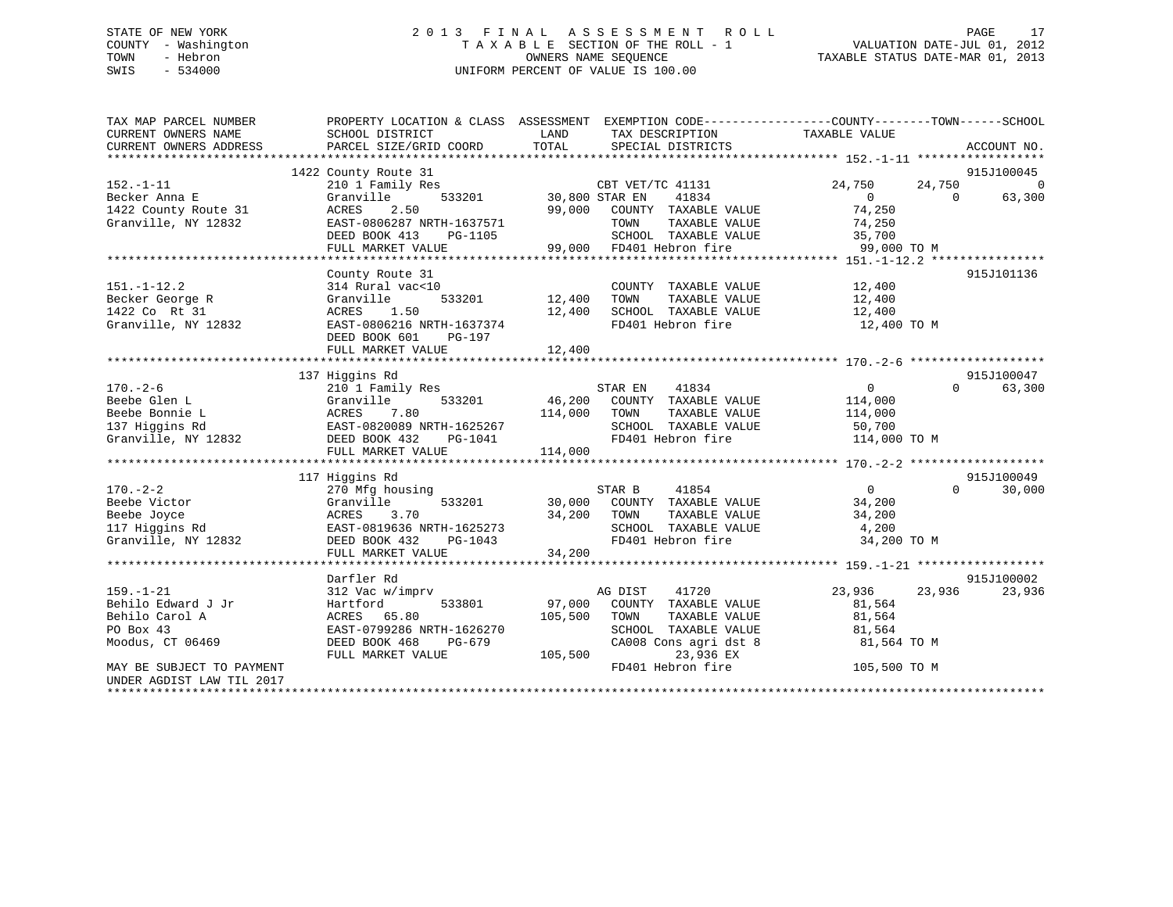### STATE OF NEW YORK 2 0 1 3 F I N A L A S S E S S M E N T R O L L PAGE 17 COUNTY - Washington T A X A B L E SECTION OF THE ROLL - 1 VALUATION DATE-JUL 01, 2012 TOWN - Hebron OWNERS NAME SEQUENCE TAXABLE STATUS DATE-MAR 01, 2013 SWIS - 534000 UNIFORM PERCENT OF VALUE IS 100.00

| TAX MAP PARCEL NUMBER<br>CURRENT OWNERS NAME<br>CURRENT OWNERS ADDRESS | PROPERTY LOCATION & CLASS ASSESSMENT EXEMPTION CODE---------------COUNTY-------TOWN------SCHOOL<br>SCHOOL DISTRICT<br>PARCEL SIZE/GRID COORD | LAND<br>TOTAL         | TAX DESCRIPTION<br>SPECIAL DISTRICTS      | TAXABLE VALUE   |          | ACCOUNT NO.    |
|------------------------------------------------------------------------|----------------------------------------------------------------------------------------------------------------------------------------------|-----------------------|-------------------------------------------|-----------------|----------|----------------|
|                                                                        |                                                                                                                                              |                       |                                           |                 |          |                |
|                                                                        | 1422 County Route 31                                                                                                                         |                       |                                           |                 |          | 915J100045     |
| $152. - 1 - 11$                                                        | 210 1 Family Res                                                                                                                             |                       | CBT VET/TC 41131                          | 24,750          | 24,750   | $\overline{0}$ |
| Becker Anna E                                                          | Granville                                                                                                                                    | 533201 30,800 STAR EN | 41834                                     | $\overline{0}$  | $\Omega$ | 63,300         |
| 1422 County Route 31                                                   | 2.50<br>ACRES                                                                                                                                | 99,000                | COUNTY TAXABLE VALUE                      | 74,250          |          |                |
| Granville, NY 12832                                                    | EAST-0806287 NRTH-1637571                                                                                                                    |                       | TOWN<br>TAXABLE VALUE                     | 74,250          |          |                |
|                                                                        | DEED BOOK 413<br>PG-1105                                                                                                                     |                       | SCHOOL TAXABLE VALUE                      | 35,700          |          |                |
|                                                                        | FULL MARKET VALUE                                                                                                                            |                       | 99,000 FD401 Hebron fire                  | 99,000 TO M     |          |                |
|                                                                        |                                                                                                                                              |                       |                                           |                 |          |                |
|                                                                        | County Route 31                                                                                                                              |                       |                                           |                 |          | 915J101136     |
| $151. - 1 - 12.2$                                                      | 314 Rural vac<10                                                                                                                             |                       | COUNTY TAXABLE VALUE                      | 12,400          |          |                |
| Becker George R                                                        | 533201<br>Granville                                                                                                                          | 12,400                | TOWN<br>TAXABLE VALUE                     | 12,400          |          |                |
| 1422 Co Rt 31                                                          | 1.50<br>ACRES                                                                                                                                | 12,400                | SCHOOL TAXABLE VALUE<br>FD401 Hebron fire | 12,400          |          |                |
| Granville, NY 12832                                                    | EAST-0806216 NRTH-1637374                                                                                                                    |                       | FD401 Hebron fire                         | 12,400 TO M     |          |                |
|                                                                        | DEED BOOK 601<br>PG-197                                                                                                                      |                       |                                           |                 |          |                |
|                                                                        |                                                                                                                                              |                       |                                           |                 |          |                |
|                                                                        |                                                                                                                                              |                       |                                           |                 |          |                |
|                                                                        | 137 Higgins Rd                                                                                                                               |                       |                                           |                 |          | 915J100047     |
| $170. - 2 - 6$                                                         | 210 1 Family Res                                                                                                                             |                       | STAR EN<br>41834                          | $\overline{0}$  | $\Omega$ | 63,300         |
| Beebe Glen L                                                           | Granville                                                                                                                                    | 533201 46,200         | COUNTY TAXABLE VALUE                      | 114,000         |          |                |
| Beebe Bonnie L                                                         | ACRES 7.80<br>EAST-0820089 NRTH-1625267                                                                                                      | 114,000               | TOWN<br>TAXABLE VALUE                     | 114,000         |          |                |
| 137 Higgins Rd                                                         |                                                                                                                                              |                       | SCHOOL TAXABLE VALUE                      | 50,700          |          |                |
| Granville, NY 12832                                                    | DEED BOOK 432<br>PG-1041                                                                                                                     |                       | FD401 Hebron fire                         | 114,000 TO M    |          |                |
|                                                                        | FULL MARKET VALUE                                                                                                                            | 114,000               |                                           |                 |          |                |
|                                                                        |                                                                                                                                              |                       |                                           |                 |          |                |
|                                                                        | 117 Higgins Rd                                                                                                                               |                       |                                           |                 |          | 915J100049     |
| $170. - 2 - 2$                                                         | 270 Mfg housing                                                                                                                              |                       | STAR B<br>41854                           | $\overline{0}$  | $\Omega$ | 30,000         |
| Beebe Victor                                                           | Granville<br>533201                                                                                                                          |                       | 30,000 COUNTY TAXABLE VALUE               | 34,200          |          |                |
| Beebe Joyce                                                            | ACRES<br>3.70                                                                                                                                | 34,200                | TOWN<br>TAXABLE VALUE                     | 34,200          |          |                |
| 117 Higgins Rd                                                         | EAST-0819636 NRTH-1625273                                                                                                                    |                       | SCHOOL TAXABLE VALUE                      | $3 + 7 = 4,200$ |          |                |
| Granville, NY 12832                                                    | DEED BOOK 432<br>PG-1043                                                                                                                     |                       | FD401 Hebron fire                         | 34,200 TO M     |          |                |
|                                                                        | FULL MARKET VALUE                                                                                                                            | 34,200                |                                           |                 |          |                |
|                                                                        |                                                                                                                                              |                       |                                           |                 |          |                |
|                                                                        | Darfler Rd                                                                                                                                   |                       |                                           |                 |          | 915J100002     |
| $159. - 1 - 21$                                                        | 312 Vac w/imprv                                                                                                                              |                       | AG DIST<br>41720                          | 23,936          | 23,936   | 23,936         |
| Behilo Edward J Jr                                                     | Hartford<br>533801                                                                                                                           | 97,000                | COUNTY TAXABLE VALUE                      | 81,564          |          |                |
| Behilo Carol A                                                         | ACRES 65.80                                                                                                                                  | 105,500               | TOWN<br>TAXABLE VALUE                     | 81,564          |          |                |
| PO Box 43                                                              | EAST-0799286 NRTH-1626270                                                                                                                    |                       | SCHOOL TAXABLE VALUE                      | 81,564          |          |                |
| Moodus, CT 06469                                                       | DEED BOOK 468<br>PG-679                                                                                                                      |                       | CA008 Cons agri dst 8                     | 81,564 TO M     |          |                |
|                                                                        | FULL MARKET VALUE                                                                                                                            | 105,500               | 23,936 EX                                 |                 |          |                |
| MAY BE SUBJECT TO PAYMENT                                              |                                                                                                                                              |                       | FD401 Hebron fire                         | 105,500 TO M    |          |                |
| UNDER AGDIST LAW TIL 2017                                              |                                                                                                                                              |                       |                                           |                 |          |                |
|                                                                        |                                                                                                                                              |                       |                                           |                 |          |                |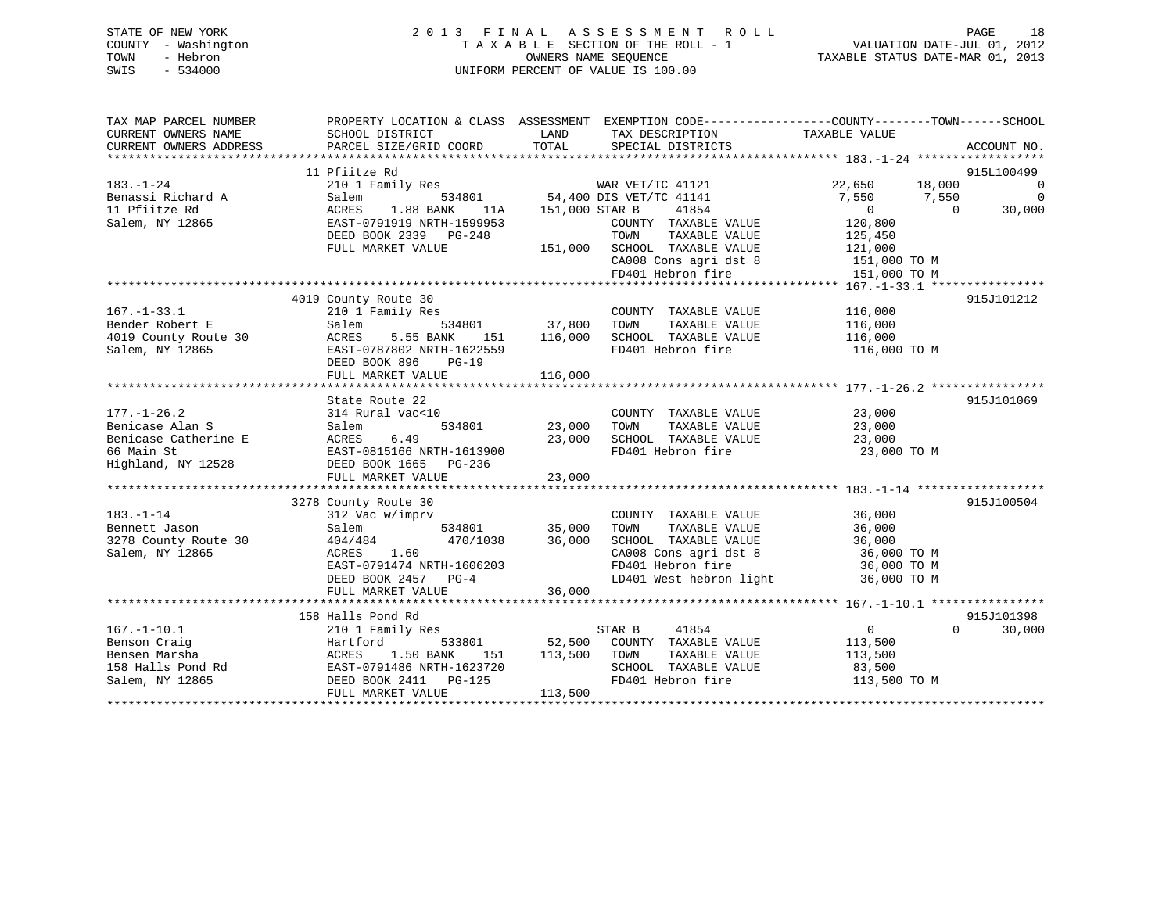| STATE OF NEW YORK   | 2013 FINAL ASSESSMENT ROLL                               | PAGE                        | 18 |
|---------------------|----------------------------------------------------------|-----------------------------|----|
| COUNTY - Washington | TAXABLE SECTION OF THE ROLL - 1                          | VALUATION DATE-JUL 01, 2012 |    |
| TOWN<br>- Hebron    | TAXABLE STATUS DATE-MAR 01, 2013<br>OWNERS NAME SEOUENCE |                             |    |
| $-534000$<br>SWIS   | UNIFORM PERCENT OF VALUE IS 100.00                       |                             |    |
|                     |                                                          |                             |    |

| TAX MAP PARCEL NUMBER<br>CURRENT OWNERS NAME | PROPERTY LOCATION & CLASS ASSESSMENT EXEMPTION CODE----------------COUNTY-------TOWN------SCHOOL<br>SCHOOL DISTRICT                               | LAND                   | TAX DESCRIPTION                                                                     | TAXABLE VALUE                                |            |                                            |
|----------------------------------------------|---------------------------------------------------------------------------------------------------------------------------------------------------|------------------------|-------------------------------------------------------------------------------------|----------------------------------------------|------------|--------------------------------------------|
| CURRENT OWNERS ADDRESS                       | PARCEL SIZE/GRID COORD                                                                                                                            | TOTAL                  | SPECIAL DISTRICTS                                                                   |                                              |            | ACCOUNT NO.                                |
|                                              |                                                                                                                                                   |                        |                                                                                     |                                              |            |                                            |
|                                              | 11 Pfiitze Rd                                                                                                                                     |                        |                                                                                     |                                              |            | 915L100499                                 |
| $183. - 1 - 24$                              | 111122<br>210 1 Family Res MAR VET/TC 41121<br>Salem 534801 54,400 DIS VET/TC 41141                                                               |                        |                                                                                     | 22,650 18,000                                |            | $\overline{\phantom{0}}$<br>$\overline{0}$ |
| Benassi Richard A<br>11 Pfiitze Rd           | ACRES<br>1.88 BANK 11A 151,000 STAR B                                                                                                             |                        | 41854                                                                               | 7,550 7,550<br>$\overline{0}$                | $\bigcirc$ | 30,000                                     |
| Salem, NY 12865                              | EAST-0791919 NRTH-1599953                                                                                                                         |                        | COUNTY TAXABLE VALUE                                                                | 120,800                                      |            |                                            |
|                                              | DEED BOOK 2339 PG-248                                                                                                                             |                        |                                                                                     | 125,450                                      |            |                                            |
|                                              | FULL MARKET VALUE                                                                                                                                 |                        | TOWN TAXABLE VALUE<br>151,000 SCHOOL TAXABLE VALUE                                  | 121,000                                      |            |                                            |
|                                              |                                                                                                                                                   |                        | CA008 Cons agri dst 8 151,000 TO M                                                  |                                              |            |                                            |
|                                              |                                                                                                                                                   |                        | FD401 Hebron fire                                                                   | 151,000 TO M                                 |            |                                            |
|                                              |                                                                                                                                                   |                        |                                                                                     |                                              |            |                                            |
|                                              | 4019 County Route 30                                                                                                                              |                        |                                                                                     |                                              |            | 915J101212                                 |
| $167. - 1 - 33.1$                            | 210 1 Family Res                                                                                                                                  |                        | COUNTY TAXABLE VALUE 116,000                                                        |                                              |            |                                            |
| Bender Robert E                              | Salem                                                                                                                                             | 534801 37,800 TOWN     | TAXABLE VALUE                                                                       | 116,000                                      |            |                                            |
| 4019 County Route 30                         | ACRES                                                                                                                                             |                        | 5.55 BANK 151 116,000 SCHOOL TAXABLE VALUE                                          | 116,000                                      |            |                                            |
| Salem, NY 12865                              | EAST-0787802 NRTH-1622559                                                                                                                         |                        | FD401 Hebron fire                                                                   | 116,000 TO M                                 |            |                                            |
|                                              | DEED BOOK 896<br>$PG-19$                                                                                                                          |                        |                                                                                     |                                              |            |                                            |
|                                              |                                                                                                                                                   |                        |                                                                                     |                                              |            |                                            |
|                                              |                                                                                                                                                   |                        |                                                                                     |                                              |            |                                            |
|                                              | State Route 22                                                                                                                                    |                        |                                                                                     |                                              |            | 915J101069                                 |
| $177. - 1 - 26.2$                            | 314 Rural vac<10                                                                                                                                  |                        | COUNTY TAXABLE VALUE                                                                | 23,000                                       |            |                                            |
| Benicase Alan S                              |                                                                                                                                                   | 534801 23,000<br>TOWN  | TAXABLE VALUE                                                                       | $\frac{23}{23},000$                          |            |                                            |
| Benicase Catherine E                         |                                                                                                                                                   | 23,000                 | SCHOOL TAXABLE VALUE                                                                | 23,000                                       |            |                                            |
| 66 Main St                                   |                                                                                                                                                   |                        | FD401 Hebron fire                                                                   | 23,000 TO M                                  |            |                                            |
|                                              | Highland, NY 12528 DEED BOOK 1665 PG-236                                                                                                          |                        |                                                                                     |                                              |            |                                            |
|                                              | FULL MARKET VALUE                                                                                                                                 | 23,000                 |                                                                                     |                                              |            |                                            |
|                                              |                                                                                                                                                   |                        |                                                                                     |                                              |            |                                            |
| $183. - 1 - 14$                              | 3278 County Route 30<br>312 Vac w/imprv                                                                                                           |                        |                                                                                     |                                              |            | 915J100504                                 |
| Bennett Jason                                | Salem                                                                                                                                             |                        |                                                                                     | 36,000                                       |            |                                            |
| 3278 County Route 30                         | 404/484                                                                                                                                           |                        | W/imprv<br>534801 35,000 TOWN TAXABLE VALUE<br>470/1038 36,000 SCHOOL TAXABLE VALUE | TAXABLE VALUE 36,000<br>TAXABLE VALUE 36,000 |            |                                            |
| Salem, NY 12865                              | 1.60<br>ACRES                                                                                                                                     |                        | CA008 Cons agri dst 8 36,000 TO M                                                   |                                              |            |                                            |
|                                              | EAST-0791474 NRTH-1606203                                                                                                                         |                        | FD401 Hebron fire                                                                   | 36,000 TO M                                  |            |                                            |
|                                              | DEED BOOK 2457 PG-4                                                                                                                               |                        | LD401 West hebron light                                                             | 36,000 TO M                                  |            |                                            |
|                                              | FULL MARKET VALUE                                                                                                                                 | 36,000                 |                                                                                     |                                              |            |                                            |
|                                              |                                                                                                                                                   |                        |                                                                                     |                                              |            |                                            |
|                                              | 158 Halls Pond Rd                                                                                                                                 |                        |                                                                                     |                                              |            | 915J101398                                 |
| $167. - 1 - 10.1$                            | 210 1 Family Res                                                                                                                                  | STAR B                 | 41854                                                                               | $\overline{a}$                               |            | $\Omega$<br>30,000                         |
|                                              |                                                                                                                                                   |                        | 533801 52,500 COUNTY TAXABLE VALUE 113,500                                          |                                              |            |                                            |
|                                              | Benson Craig<br>Bensen Marsha<br>158 Halls Pond Rd<br>158 Halls Pond Rd<br>158 Halls Pond Rd<br>158 Halls Pond Rd<br>158 Halls Pond Rd<br>1623720 | 151    113,500    TOWN | TAXABLE VALUE                                                                       | 113,500                                      |            |                                            |
|                                              |                                                                                                                                                   |                        | SCHOOL TAXABLE VALUE                                                                | 83,500                                       |            |                                            |
| Salem, NY 12865                              | DEED BOOK 2411 PG-125                                                                                                                             |                        | FD401 Hebron fire                                                                   | 113,500 TO M                                 |            |                                            |
|                                              | FULL MARKET VALUE                                                                                                                                 | 113,500                |                                                                                     |                                              |            |                                            |
|                                              |                                                                                                                                                   |                        |                                                                                     |                                              |            |                                            |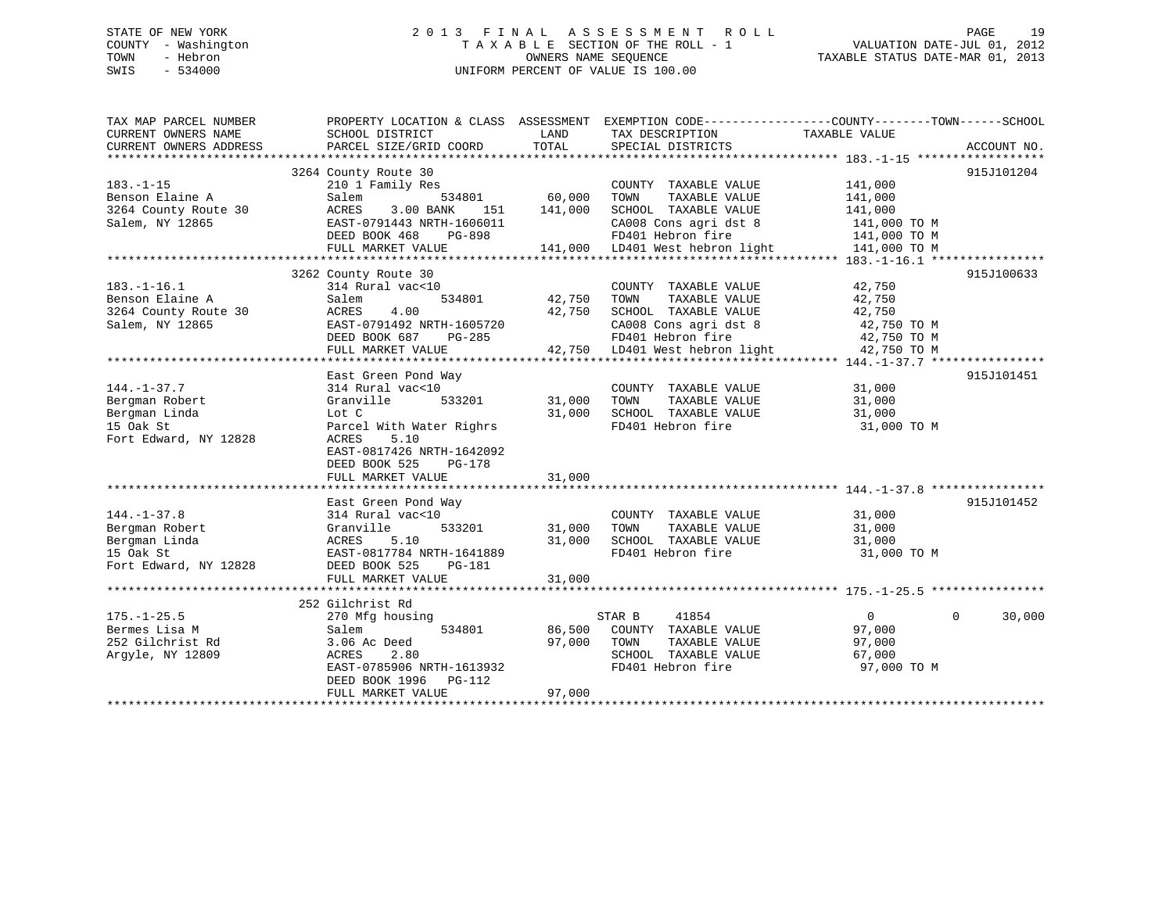### STATE OF NEW YORK 2 0 1 3 F I N A L A S S E S S M E N T R O L L PAGE 19 COUNTY - Washington T A X A B L E SECTION OF THE ROLL - 1 VALUATION DATE-JUL 01, 2012 TOWN - Hebron OWNERS NAME SEQUENCE TAXABLE STATUS DATE-MAR 01, 2013 SWIS - 534000 UNIFORM PERCENT OF VALUE IS 100.00

| TAX MAP PARCEL NUMBER<br>CURRENT OWNERS NAME | PROPERTY LOCATION & CLASS ASSESSMENT EXEMPTION CODE---------------COUNTY-------TOWN------SCHOOL<br>SCHOOL DISTRICT | LAND    | TAX DESCRIPTION                           | TAXABLE VALUE              |             |
|----------------------------------------------|--------------------------------------------------------------------------------------------------------------------|---------|-------------------------------------------|----------------------------|-------------|
| CURRENT OWNERS ADDRESS                       | PARCEL SIZE/GRID COORD                                                                                             | TOTAL   | SPECIAL DISTRICTS                         |                            | ACCOUNT NO. |
|                                              |                                                                                                                    |         |                                           |                            |             |
|                                              | 3264 County Route 30                                                                                               |         |                                           |                            | 915J101204  |
| $183. - 1 - 15$                              | 210 1 Family Res                                                                                                   |         | COUNTY TAXABLE VALUE                      | 141,000                    |             |
| Benson Elaine A                              | 534801<br>Salem                                                                                                    | 60,000  | TAXABLE VALUE<br>TOWN                     | 141,000                    |             |
| 3264 County Route 30                         | 3.00 BANK<br>ACRES<br>151                                                                                          | 141,000 | SCHOOL TAXABLE VALUE                      | 141,000                    |             |
| Salem, NY 12865                              | EAST-0791443 NRTH-1606011                                                                                          |         | CA008 Cons agri dst 8                     | 141,000 TO M               |             |
|                                              | DEED BOOK 468 PG-898                                                                                               |         | FD401 Hebron fire                         | 141,000 TO M               |             |
|                                              | FULL MARKET VALUE                                                                                                  |         | 141,000 LD401 West hebron light           | 141,000 TO M               |             |
|                                              |                                                                                                                    |         |                                           |                            |             |
|                                              | 3262 County Route 30                                                                                               |         |                                           |                            | 915J100633  |
| $183.-1-16.1$                                | 314 Rural vac<10                                                                                                   |         | COUNTY TAXABLE VALUE                      | 42,750                     |             |
| Benson Elaine A                              | Salem<br>534801                                                                                                    | 42,750  | TAXABLE VALUE<br>TOWN                     | 42,750                     |             |
| 3264 County Route 30                         | 4.00<br>ACRES                                                                                                      | 42,750  | SCHOOL TAXABLE VALUE                      | 42,750                     |             |
| Salem, NY 12865                              | EAST-0791492 NRTH-1605720                                                                                          |         | CA008 Cons agri dst 8                     | 42,750 TO M                |             |
|                                              | DEED BOOK 687<br>PG-285                                                                                            |         | FD401 Hebron fire                         | 42,750 TO M                |             |
|                                              | FULL MARKET VALUE                                                                                                  |         | 42,750 LD401 West hebron light            | 42,750 TO M                |             |
|                                              |                                                                                                                    |         |                                           |                            |             |
|                                              | East Green Pond Way                                                                                                |         |                                           |                            | 915J101451  |
| $144. - 1 - 37.7$                            | 314 Rural vac<10                                                                                                   |         | COUNTY TAXABLE VALUE                      | 31,000                     |             |
| Bergman Robert                               | Granville<br>533201                                                                                                | 31,000  | TOWN<br>TAXABLE VALUE                     | 31,000                     |             |
| Bergman Linda                                | Lot C                                                                                                              | 31,000  | SCHOOL TAXABLE VALUE                      | 31,000                     |             |
| 15 Oak St                                    | Parcel With Water Righrs                                                                                           |         | FD401 Hebron fire                         | 31,000 TO M                |             |
| Fort Edward, NY 12828                        | 5.10<br>ACRES                                                                                                      |         |                                           |                            |             |
|                                              | EAST-0817426 NRTH-1642092                                                                                          |         |                                           |                            |             |
|                                              | DEED BOOK 525<br>PG-178                                                                                            |         |                                           |                            |             |
|                                              | FULL MARKET VALUE                                                                                                  | 31,000  |                                           |                            |             |
|                                              |                                                                                                                    |         |                                           |                            |             |
|                                              | East Green Pond Way                                                                                                |         |                                           |                            | 915J101452  |
| $144. - 1 - 37.8$                            | 314 Rural vac<10                                                                                                   |         | COUNTY TAXABLE VALUE                      | 31,000                     |             |
| Bergman Robert                               | 533201<br>Granville                                                                                                | 31,000  | TOWN<br>TAXABLE VALUE                     | 31,000                     |             |
|                                              | 5.10                                                                                                               | 31,000  |                                           |                            |             |
| Bergman Linda                                | ACRES                                                                                                              |         | SCHOOL TAXABLE VALUE<br>FD401 Hebron fire | 31,000                     |             |
| 15 Oak St                                    | EAST-0817784 NRTH-1641889                                                                                          |         |                                           | 31,000 TO M                |             |
| Fort Edward, NY 12828                        | DEED BOOK 525<br>PG-181                                                                                            |         |                                           |                            |             |
|                                              | FULL MARKET VALUE                                                                                                  | 31,000  |                                           |                            |             |
|                                              |                                                                                                                    |         |                                           |                            |             |
|                                              | 252 Gilchrist Rd                                                                                                   |         |                                           |                            |             |
| $175. - 1 - 25.5$                            | 270 Mfg housing                                                                                                    |         | 41854<br>STAR B                           | $\overline{0}$<br>$\Omega$ | 30,000      |
| Bermes Lisa M                                | 534801<br>Salem                                                                                                    | 86,500  | COUNTY TAXABLE VALUE                      | 97,000                     |             |
| 252 Gilchrist Rd                             | 3.06 Ac Deed                                                                                                       | 97,000  | TOWN<br>TAXABLE VALUE                     | 97,000                     |             |
| Argyle, NY 12809                             | ACRES<br>2.80                                                                                                      |         | SCHOOL TAXABLE VALUE                      | 67,000                     |             |
|                                              | EAST-0785906 NRTH-1613932                                                                                          |         | FD401 Hebron fire                         | 97,000 TO M                |             |
|                                              | DEED BOOK 1996<br>PG-112                                                                                           |         |                                           |                            |             |
|                                              | FULL MARKET VALUE                                                                                                  | 97,000  |                                           |                            |             |
|                                              |                                                                                                                    |         |                                           |                            |             |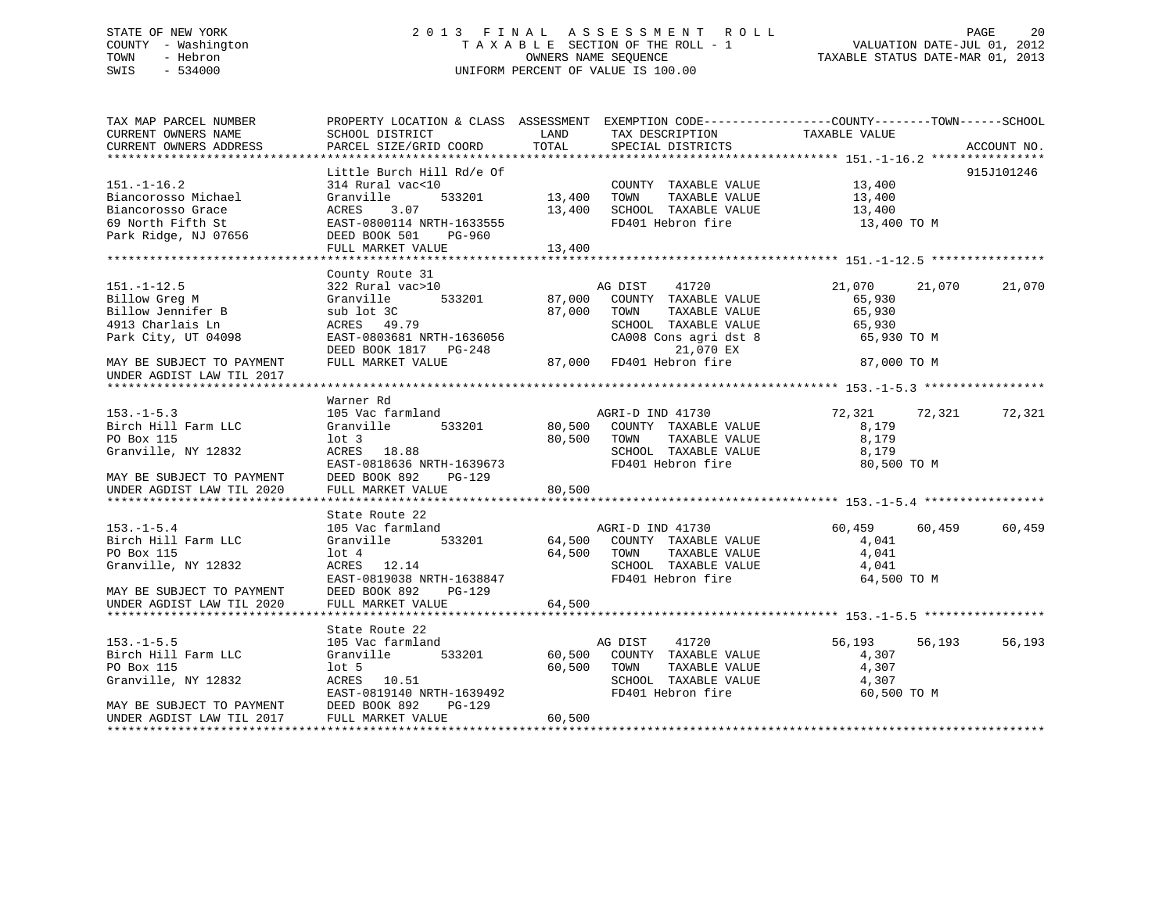### STATE OF NEW YORK 2 0 1 3 F I N A L A S S E S S M E N T R O L L PAGE 20 COUNTY - Washington T A X A B L E SECTION OF THE ROLL - 1 VALUATION DATE-JUL 01, 2012 TOWN - Hebron OWNERS NAME SEQUENCE TAXABLE STATUS DATE-MAR 01, 2013 SWIS - 534000 UNIFORM PERCENT OF VALUE IS 100.00

| TAX MAP PARCEL NUMBER                                                              | PROPERTY LOCATION & CLASS ASSESSMENT EXEMPTION CODE---------------COUNTY-------TOWN------SCHOOL            |                       |                                                                  |                              |                  |
|------------------------------------------------------------------------------------|------------------------------------------------------------------------------------------------------------|-----------------------|------------------------------------------------------------------|------------------------------|------------------|
| CURRENT OWNERS NAME                                                                | SCHOOL DISTRICT                                                                                            | LAND                  | TAX DESCRIPTION                                                  | TAXABLE VALUE                |                  |
| CURRENT OWNERS ADDRESS                                                             | PARCEL SIZE/GRID COORD                                                                                     | TOTAL                 | SPECIAL DISTRICTS                                                |                              | ACCOUNT NO.      |
|                                                                                    |                                                                                                            |                       |                                                                  |                              |                  |
|                                                                                    | Little Burch Hill Rd/e Of                                                                                  |                       |                                                                  |                              | 915J101246       |
| $151. - 1 - 16.2$                                                                  | 314 Rural vac<10                                                                                           |                       |                                                                  |                              |                  |
| Biancorosso Michael                                                                | 533201<br>Granville                                                                                        | COUNTY<br>13,400 TOWN | COUNTY TAXABLE VALUE<br>TOWN TAXABLE VALUE                       | 13,400<br>13,400             |                  |
| Biancorosso Grace                                                                  | 3.07<br>ACRES                                                                                              |                       | 13,400 SCHOOL TAXABLE VALUE 13,400                               |                              |                  |
| 69 North Fifth St                                                                  | ACRES 5.07<br>EAST-0800114 NRTH-1633555                                                                    |                       | FD401 Hebron fire                                                | 13,400 TO M                  |                  |
| Park Ridge, NJ 07656                                                               | DEED BOOK 501 PG-960                                                                                       |                       |                                                                  |                              |                  |
|                                                                                    | FULL MARKET VALUE                                                                                          | 13,400                |                                                                  |                              |                  |
|                                                                                    |                                                                                                            |                       |                                                                  |                              |                  |
|                                                                                    | County Route 31                                                                                            |                       |                                                                  |                              |                  |
|                                                                                    | 322 Rural vac>10                                                                                           |                       |                                                                  |                              |                  |
| $151. - 1 - 12.5$                                                                  |                                                                                                            |                       | 41720                                                            | 21,070 21,070                | 21,070           |
| Billow Greg M<br>Billow Jennifer B                                                 |                                                                                                            |                       |                                                                  | 65,930                       |                  |
|                                                                                    | $\frac{100 \text{ J/C}}{49.79}$                                                                            |                       |                                                                  | 65,930                       |                  |
| 4913 Charlais Ln                                                                   |                                                                                                            |                       |                                                                  |                              |                  |
| Park City, UT 04098                                                                |                                                                                                            |                       | SCHOOL TAXABLE VALUE 65,930<br>CA008 Cons agri dst 8 65,930 TO M |                              |                  |
|                                                                                    |                                                                                                            |                       |                                                                  |                              |                  |
| MAY BE SUBJECT TO PAYMENT                                                          | EAST-0803681 NRTH-1636056<br>DEED BOOK 1817 PG-248 21,070 EX<br>FULL MARKET VALUE 87,000 FD401 Hebron fire |                       |                                                                  | 87,000 TO M                  |                  |
| UNDER AGDIST LAW TIL 2017                                                          |                                                                                                            |                       |                                                                  |                              |                  |
|                                                                                    |                                                                                                            |                       |                                                                  |                              |                  |
|                                                                                    | Warner Rd                                                                                                  |                       |                                                                  |                              |                  |
| $153. - 1 - 5.3$                                                                   | 105 Vac farmland                                                                                           |                       |                                                                  | 72,321 72,321                | 72,321           |
| Birch Hill Farm LLC                                                                | Granville                                                                                                  |                       | rmland MGRI-D IND 41730<br>533201 80,500 COUNTY TAXABLE VALUE    | 8,179                        |                  |
| PO Box 115                                                                         | $1$ ot 3                                                                                                   |                       | 80,500 TOWN TAXABLE VALUE                                        | 8,179                        |                  |
| Granville, NY 12832                                                                | ACRES 18.88<br>EAST-0818636 NRTH-1639673<br>DEED BOOK 892 PG-129<br>FUILLETT WITH                          |                       | SCHOOL TAXABLE VALUE 8,179                                       |                              |                  |
|                                                                                    |                                                                                                            |                       | FD401 Hebron fire                                                | 80,500 TO M                  |                  |
| MAY BE SUBJECT TO PAYMENT                                                          |                                                                                                            |                       |                                                                  |                              |                  |
| UNDER AGDIST LAW TIL 2020                                                          | FULL MARKET VALUE                                                                                          | 80,500                |                                                                  |                              |                  |
|                                                                                    |                                                                                                            |                       |                                                                  |                              |                  |
|                                                                                    | State Route 22                                                                                             |                       |                                                                  |                              |                  |
| $153. - 1 - 5.4$                                                                   | 105 Vac farmland                                                                                           |                       |                                                                  | 60,459<br>60,459             | 60,459           |
| Birch Hill Farm LLC                                                                | Granville                                                                                                  |                       | rmland MGRI-D IND 41730<br>533201 64,500 COUNTY TAXABLE VALUE    | 4,041                        |                  |
| PO Box 115                                                                         |                                                                                                            |                       | TAXABLE VALUE                                                    | 4,041                        |                  |
|                                                                                    |                                                                                                            |                       |                                                                  |                              |                  |
| Granville, NY 12832                                                                | 10t 4 64,500 TOWN<br>ACRES 12.14 SCHOOL<br>EAST-0819038 NRTH-1638847 FD401 He                              |                       | SCHOOL TAXABLE VALUE 4,041                                       |                              |                  |
|                                                                                    |                                                                                                            |                       | FD401 Hebron fire                                                | 64,500 TO M                  |                  |
| MAY BE SUBJECT TO PAYMENT                                                          | DEED BOOK 892<br>PG-129                                                                                    |                       |                                                                  |                              |                  |
| UNDER AGDIST LAW TIL 2020                                                          | FULL MARKET VALUE 64,500                                                                                   |                       |                                                                  |                              |                  |
|                                                                                    |                                                                                                            |                       |                                                                  |                              |                  |
|                                                                                    | State Route 22                                                                                             |                       |                                                                  |                              |                  |
| $153. - 1 - 5.5$                                                                   | 105 Vac farmland                                                                                           |                       | AG DIST<br>41720                                                 | 56,193<br>$4,307$<br>$4,307$ | 56,193<br>56,193 |
| Birch Hill Farm LLC                                                                | Granville                                                                                                  |                       | 533201 60,500 COUNTY TAXABLE VALUE                               |                              |                  |
| PO Box 115                                                                         | $1$ ot 5                                                                                                   | 60,500 TOWN           | TAXABLE VALUE                                                    |                              |                  |
| Granville, NY 12832                                                                | $ACRES$ 10.51                                                                                              |                       | SCHOOL TAXABLE VALUE                                             | 4,307                        |                  |
|                                                                                    |                                                                                                            |                       |                                                                  | 60,500 TO M                  |                  |
|                                                                                    | PG-129                                                                                                     |                       |                                                                  |                              |                  |
| MAY BE SUBJECT TO PAYMENT DEED BOOK 892<br>UNDER AGDIST LAW TIL 2017 FULL MARKET V | FULL MARKET VALUE                                                                                          | 60,500                |                                                                  |                              |                  |
|                                                                                    |                                                                                                            |                       |                                                                  |                              |                  |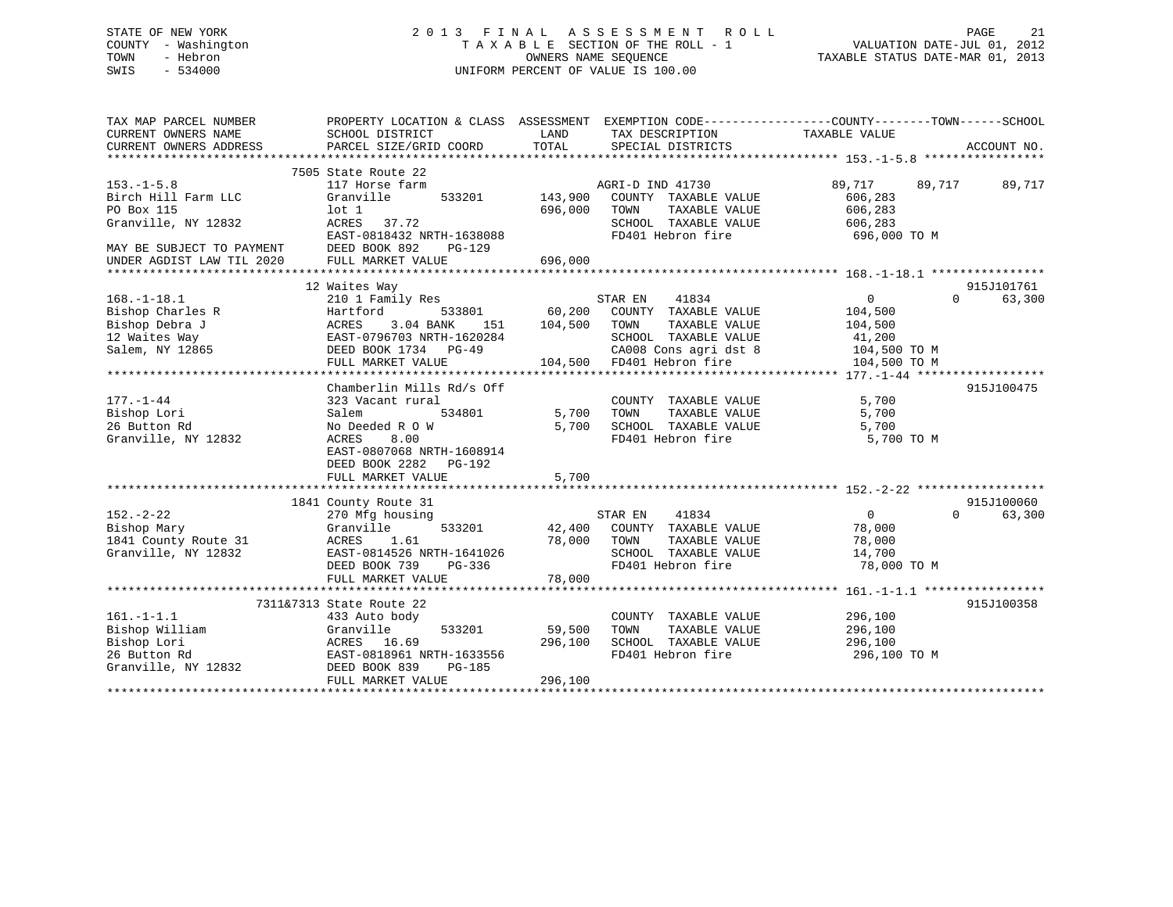### STATE OF NEW YORK 2 0 1 3 F I N A L A S S E S S M E N T R O L L PAGE 21 COUNTY - Washington T A X A B L E SECTION OF THE ROLL - 1 VALUATION DATE-JUL 01, 2012 TOWN - Hebron OWNERS NAME SEQUENCE TAXABLE STATUS DATE-MAR 01, 2013 SWIS - 534000 UNIFORM PERCENT OF VALUE IS 100.00

| TAX MAP PARCEL NUMBER<br>CURRENT OWNERS NAME<br>CURRENT OWNERS ADDRESS | PROPERTY LOCATION & CLASS ASSESSMENT<br>SCHOOL DISTRICT<br>PARCEL SIZE/GRID COORD | LAND<br>TOTAL | EXEMPTION CODE-----------------COUNTY-------TOWN------SCHOOL<br>TAX DESCRIPTION TAXABLE VALUE<br>SPECIAL DISTRICTS |                             | ACCOUNT NO.        |
|------------------------------------------------------------------------|-----------------------------------------------------------------------------------|---------------|--------------------------------------------------------------------------------------------------------------------|-----------------------------|--------------------|
|                                                                        |                                                                                   |               |                                                                                                                    |                             |                    |
| $153. - 1 - 5.8$<br>Birch Hill Farm LLC                                | 7505 State Route 22<br>117 Horse farm<br>Granville<br>533201                      | 143,900       | AGRI-D IND 41730<br>COUNTY TAXABLE VALUE                                                                           | 89,717<br>89,717<br>606,283 | 89,717             |
| PO Box 115                                                             | lot 1                                                                             | 696,000       | TAXABLE VALUE<br>TOWN                                                                                              | 606,283                     |                    |
| Granville, NY 12832                                                    | ACRES<br>37.72                                                                    |               | SCHOOL TAXABLE VALUE                                                                                               | 606,283                     |                    |
|                                                                        | EAST-0818432 NRTH-1638088                                                         |               | FD401 Hebron fire                                                                                                  | 696,000 TO M                |                    |
| MAY BE SUBJECT TO PAYMENT<br>UNDER AGDIST LAW TIL 2020                 | DEED BOOK 892<br>PG-129<br>FULL MARKET VALUE                                      | 696,000       |                                                                                                                    |                             |                    |
|                                                                        |                                                                                   |               |                                                                                                                    |                             |                    |
|                                                                        | 12 Waites Way                                                                     |               |                                                                                                                    |                             | 915J101761         |
| $168. - 1 - 18.1$                                                      | 210 1 Family Res                                                                  |               | 41834<br>STAR EN                                                                                                   | $\Omega$                    | $\Omega$<br>63,300 |
| Bishop Charles R                                                       | Hartford<br>533801                                                                | 60,200        | COUNTY TAXABLE VALUE                                                                                               | 104,500                     |                    |
| Bishop Debra J                                                         | ACRES<br>3.04 BANK<br>151                                                         | 104,500       | TAXABLE VALUE<br>TOWN                                                                                              | 104,500                     |                    |
| 12 Waites Way                                                          | EAST-0796703 NRTH-1620284                                                         |               | SCHOOL TAXABLE VALUE                                                                                               | 41,200                      |                    |
| Salem, NY 12865                                                        | DEED BOOK 1734 PG-49                                                              |               | CA008 Cons agri dst 8                                                                                              | 104,500 TO M                |                    |
|                                                                        | FULL MARKET VALUE                                                                 | 104,500       | FD401 Hebron fire                                                                                                  | 104,500 TO M                |                    |
|                                                                        |                                                                                   |               |                                                                                                                    |                             |                    |
|                                                                        | Chamberlin Mills Rd/s Off                                                         |               |                                                                                                                    |                             | 915J100475         |
| $177. - 1 - 44$                                                        | 323 Vacant rural                                                                  |               | COUNTY TAXABLE VALUE                                                                                               | 5,700                       |                    |
| Bishop Lori                                                            | Salem<br>534801                                                                   | 5,700         | TAXABLE VALUE<br>TOWN                                                                                              | 5,700                       |                    |
| 26 Button Rd                                                           | No Deeded R O W                                                                   | 5,700         | SCHOOL TAXABLE VALUE                                                                                               | 5,700                       |                    |
| Granville, NY 12832                                                    | 8.00<br>ACRES                                                                     |               | FD401 Hebron fire                                                                                                  | 5,700 TO M                  |                    |
|                                                                        | EAST-0807068 NRTH-1608914                                                         |               |                                                                                                                    |                             |                    |
|                                                                        | DEED BOOK 2282<br>PG-192                                                          |               |                                                                                                                    |                             |                    |
|                                                                        | FULL MARKET VALUE                                                                 | 5,700         |                                                                                                                    |                             |                    |
|                                                                        |                                                                                   |               |                                                                                                                    |                             |                    |
|                                                                        | 1841 County Route 31                                                              |               |                                                                                                                    |                             | 915J100060         |
| $152. - 2 - 22$                                                        | 270 Mfg housing                                                                   |               | STAR EN<br>41834                                                                                                   | $\mathbf{0}$                | $\Omega$<br>63,300 |
| Bishop Mary                                                            | Granville<br>533201                                                               | 42,400        | COUNTY TAXABLE VALUE                                                                                               | 78,000                      |                    |
| 1841 County Route 31                                                   | ACRES<br>1.61                                                                     | 78,000        | TAXABLE VALUE<br>TOWN                                                                                              | 78,000                      |                    |
| Granville, NY 12832                                                    | EAST-0814526 NRTH-1641026                                                         |               | SCHOOL TAXABLE VALUE                                                                                               | 14,700                      |                    |
|                                                                        | DEED BOOK 739<br>PG-336                                                           |               | FD401 Hebron fire                                                                                                  | 78,000 TO M                 |                    |
|                                                                        | FULL MARKET VALUE                                                                 | 78,000        |                                                                                                                    |                             |                    |
|                                                                        |                                                                                   |               |                                                                                                                    |                             |                    |
|                                                                        | 7311&7313 State Route 22                                                          |               |                                                                                                                    |                             | 915J100358         |
| $161. - 1 - 1.1$                                                       | 433 Auto body                                                                     |               | COUNTY TAXABLE VALUE                                                                                               | 296,100                     |                    |
| Bishop William                                                         | Granville<br>533201                                                               | 59,500        | TOWN<br>TAXABLE VALUE                                                                                              | 296,100                     |                    |
| Bishop Lori                                                            | ACRES 16.69                                                                       | 296,100       | SCHOOL TAXABLE VALUE                                                                                               | 296,100                     |                    |
| 26 Button Rd                                                           | EAST-0818961 NRTH-1633556                                                         |               | FD401 Hebron fire                                                                                                  | 296,100 TO M                |                    |
| Granville, NY 12832                                                    | DEED BOOK 839<br><b>PG-185</b>                                                    |               |                                                                                                                    |                             |                    |
|                                                                        | FULL MARKET VALUE                                                                 | 296,100       |                                                                                                                    |                             |                    |
|                                                                        |                                                                                   |               |                                                                                                                    |                             |                    |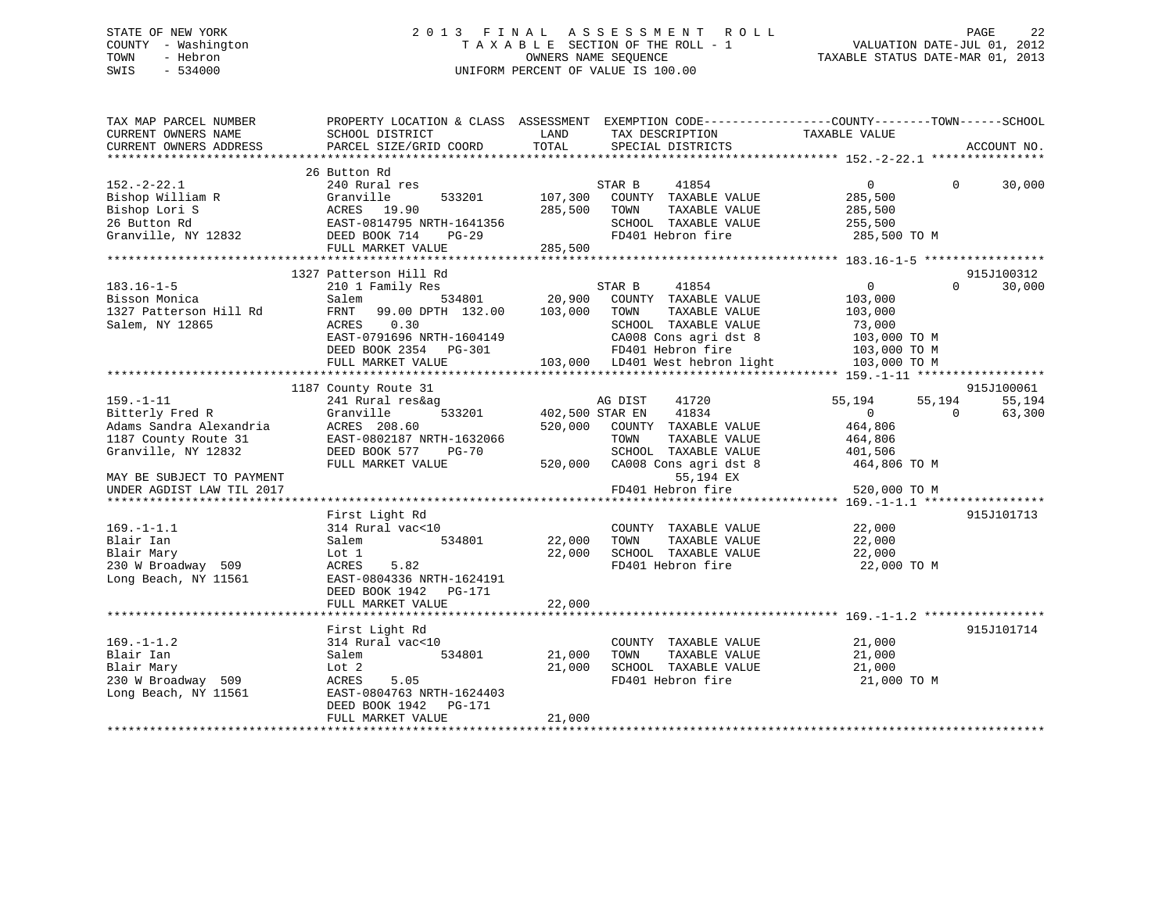### STATE OF NEW YORK 2 0 1 3 F I N A L A S S E S S M E N T R O L L PAGE 22 COUNTY - Washington T A X A B L E SECTION OF THE ROLL - 1 VALUATION DATE-JUL 01, 2012 TOWN - Hebron OWNERS NAME SEQUENCE TAXABLE STATUS DATE-MAR 01, 2013 SWIS - 534000 UNIFORM PERCENT OF VALUE IS 100.00

| TAX MAP PARCEL NUMBER     | PROPERTY LOCATION & CLASS ASSESSMENT EXEMPTION CODE----------------COUNTY-------TOWN------SCHOOL |                 |                                 |                |          |             |
|---------------------------|--------------------------------------------------------------------------------------------------|-----------------|---------------------------------|----------------|----------|-------------|
| CURRENT OWNERS NAME       | SCHOOL DISTRICT                                                                                  | LAND            | TAX DESCRIPTION                 | TAXABLE VALUE  |          |             |
| CURRENT OWNERS ADDRESS    | PARCEL SIZE/GRID COORD                                                                           | TOTAL           | SPECIAL DISTRICTS               |                |          | ACCOUNT NO. |
|                           |                                                                                                  |                 |                                 |                |          |             |
|                           | 26 Button Rd                                                                                     |                 |                                 |                |          |             |
| $152. - 2 - 22.1$         | 240 Rural res                                                                                    |                 | STAR B<br>41854                 | $\overline{0}$ | $\Omega$ | 30,000      |
| Bishop William R          | Granville<br>533201                                                                              | 107,300         | COUNTY TAXABLE VALUE            | 285,500        |          |             |
| Bishop Lori S             | ACRES 19.90                                                                                      | 285,500         | TAXABLE VALUE<br>TOWN           | 285,500        |          |             |
| 26 Button Rd              | EAST-0814795 NRTH-1641356                                                                        |                 | SCHOOL TAXABLE VALUE            | 255,500        |          |             |
| Granville, NY 12832       | DEED BOOK 714<br>$PG-29$                                                                         |                 | FD401 Hebron fire               | 285,500 TO M   |          |             |
|                           | FULL MARKET VALUE                                                                                | 285,500         |                                 |                |          |             |
|                           |                                                                                                  |                 |                                 |                |          |             |
|                           | 1327 Patterson Hill Rd                                                                           |                 |                                 |                |          | 915J100312  |
| $183.16 - 1 - 5$          | 210 1 Family Res                                                                                 |                 | STAR B<br>41854                 | $\overline{0}$ | $\Omega$ | 30,000      |
| Bisson Monica             | Salem<br>534801                                                                                  | 20,900          | COUNTY TAXABLE VALUE            | 103,000        |          |             |
| 1327 Patterson Hill Rd    | 99.00 DPTH 132.00<br>FRNT                                                                        | 103,000         | TOWN<br>TAXABLE VALUE           | 103,000        |          |             |
| Salem, NY 12865           | ACRES<br>0.30                                                                                    |                 | SCHOOL TAXABLE VALUE            | 73,000         |          |             |
|                           | EAST-0791696 NRTH-1604149                                                                        |                 | CA008 Cons agri dst 8           | 103,000 TO M   |          |             |
|                           | DEED BOOK 2354<br>PG-301                                                                         |                 | FD401 Hebron fire               | 103,000 TO M   |          |             |
|                           | FULL MARKET VALUE                                                                                |                 | 103,000 LD401 West hebron light | 103,000 TO M   |          |             |
|                           |                                                                                                  |                 |                                 |                |          |             |
|                           | 1187 County Route 31                                                                             |                 |                                 |                |          | 915J100061  |
| $159. - 1 - 11$           | 241 Rural res&ag                                                                                 |                 | AG DIST<br>41720                | 55,194         | 55,194   | 55,194      |
| Bitterly Fred R           | 533201<br>Granville                                                                              | 402,500 STAR EN | 41834                           | $\overline{0}$ | $\Omega$ | 63,300      |
| Adams Sandra Alexandria   | ACRES 208.60                                                                                     | 520,000         | COUNTY TAXABLE VALUE            | 464,806        |          |             |
| 1187 County Route 31      | EAST-0802187 NRTH-1632066                                                                        |                 | TAXABLE VALUE<br>TOWN           | 464,806        |          |             |
| Granville, NY 12832       | DEED BOOK 577<br>$PG-70$                                                                         |                 | SCHOOL TAXABLE VALUE            | 401,506        |          |             |
|                           | FULL MARKET VALUE                                                                                | 520,000         | CA008 Cons agri dst 8           | 464,806 TO M   |          |             |
| MAY BE SUBJECT TO PAYMENT |                                                                                                  |                 | 55,194 EX                       |                |          |             |
| UNDER AGDIST LAW TIL 2017 |                                                                                                  |                 | FD401 Hebron fire               | 520,000 TO M   |          |             |
|                           |                                                                                                  |                 |                                 |                |          |             |
|                           | First Light Rd                                                                                   |                 |                                 |                |          | 915J101713  |
| $169. - 1 - 1.1$          | 314 Rural vac<10                                                                                 |                 | COUNTY TAXABLE VALUE            | 22,000         |          |             |
| Blair Ian                 | 534801<br>Salem                                                                                  | 22,000          | TOWN<br>TAXABLE VALUE           | 22,000         |          |             |
| Blair Mary                | Lot 1                                                                                            | 22,000          | SCHOOL TAXABLE VALUE            | 22,000         |          |             |
| 230 W Broadway 509        | 5.82<br>ACRES                                                                                    |                 | FD401 Hebron fire               | 22,000 TO M    |          |             |
| Long Beach, NY 11561      | EAST-0804336 NRTH-1624191                                                                        |                 |                                 |                |          |             |
|                           | DEED BOOK 1942 PG-171                                                                            |                 |                                 |                |          |             |
|                           | FULL MARKET VALUE                                                                                | 22,000          |                                 |                |          |             |
|                           |                                                                                                  |                 |                                 |                |          |             |
|                           | First Light Rd                                                                                   |                 |                                 |                |          | 915J101714  |
| $169. - 1 - 1.2$          | 314 Rural vac<10                                                                                 |                 | COUNTY TAXABLE VALUE            | 21,000         |          |             |
| Blair Ian                 | 534801<br>Salem                                                                                  | 21,000          | TOWN<br>TAXABLE VALUE           | 21,000         |          |             |
| Blair Mary                | Lot 2                                                                                            | 21,000          | SCHOOL TAXABLE VALUE            | 21,000         |          |             |
| 230 W Broadway 509        | ACRES<br>5.05                                                                                    |                 | FD401 Hebron fire               | 21,000 TO M    |          |             |
| Long Beach, NY 11561      | EAST-0804763 NRTH-1624403                                                                        |                 |                                 |                |          |             |
|                           | DEED BOOK 1942<br>PG-171                                                                         |                 |                                 |                |          |             |
|                           | FULL MARKET VALUE                                                                                | 21,000          |                                 |                |          |             |
|                           |                                                                                                  |                 |                                 |                |          |             |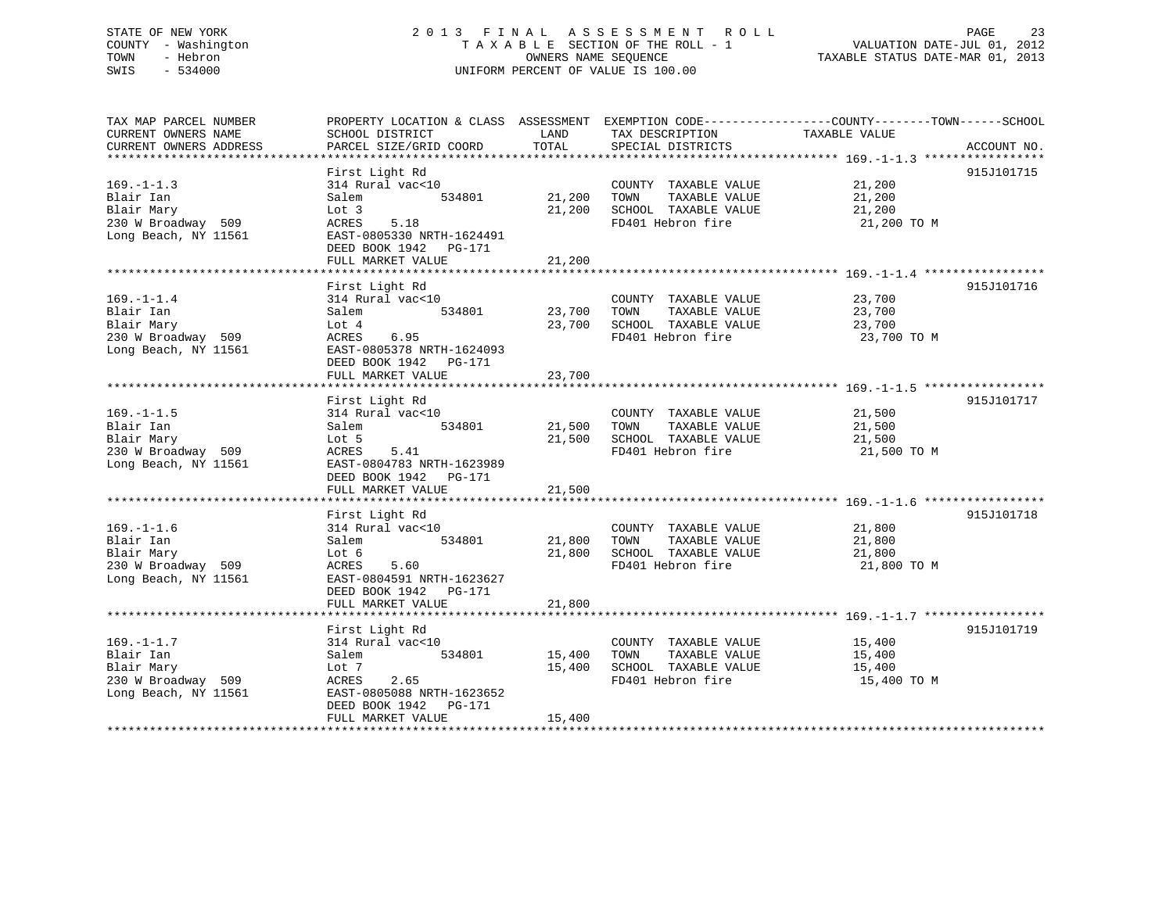### STATE OF NEW YORK 2 0 1 3 F I N A L A S S E S S M E N T R O L L PAGE 23 COUNTY - Washington T A X A B L E SECTION OF THE ROLL - 1 VALUATION DATE-JUL 01, 2012 TOWN - Hebron OWNERS NAME SEQUENCE TAXABLE STATUS DATE-MAR 01, 2013 SWIS - 534000 UNIFORM PERCENT OF VALUE IS 100.00

| TAX MAP PARCEL NUMBER  | PROPERTY LOCATION & CLASS ASSESSMENT EXEMPTION CODE----------------COUNTY-------TOWN------SCHOOL |                         |                       |                                                                     |             |
|------------------------|--------------------------------------------------------------------------------------------------|-------------------------|-----------------------|---------------------------------------------------------------------|-------------|
| CURRENT OWNERS NAME    | SCHOOL DISTRICT                                                                                  | LAND                    | TAX DESCRIPTION       | TAXABLE VALUE                                                       |             |
| CURRENT OWNERS ADDRESS | PARCEL SIZE/GRID COORD                                                                           | TOTAL                   | SPECIAL DISTRICTS     |                                                                     | ACCOUNT NO. |
|                        | First Light Rd                                                                                   |                         |                       |                                                                     | 915J101715  |
| $169. - 1 - 1.3$       | 314 Rural vac<10                                                                                 |                         | COUNTY TAXABLE VALUE  | 21,200                                                              |             |
| Blair Ian              | 534801<br>Salem                                                                                  | 21,200                  | TOWN<br>TAXABLE VALUE | 21,200                                                              |             |
| Blair Mary             | Lot 3                                                                                            | 21,200                  | SCHOOL TAXABLE VALUE  | 21,200                                                              |             |
| 230 W Broadway 509     | ACRES<br>5.18                                                                                    |                         | FD401 Hebron fire     | 21,200 TO M                                                         |             |
| Long Beach, NY 11561   | EAST-0805330 NRTH-1624491                                                                        |                         |                       |                                                                     |             |
|                        | DEED BOOK 1942<br>PG-171                                                                         |                         |                       |                                                                     |             |
|                        | FULL MARKET VALUE                                                                                | 21,200                  |                       |                                                                     |             |
|                        | ************************                                                                         | * * * * * * * * * * * * |                       | ************************************* 169.-1-1.4 ****************** |             |
|                        | First Light Rd                                                                                   |                         |                       |                                                                     | 915J101716  |
| $169. - 1 - 1.4$       | 314 Rural vac<10                                                                                 |                         | COUNTY TAXABLE VALUE  | 23,700                                                              |             |
| Blair Ian              | 534801<br>Salem                                                                                  | 23,700                  | TOWN<br>TAXABLE VALUE | 23,700                                                              |             |
| Blair Mary             | Lot 4                                                                                            | 23,700                  | SCHOOL TAXABLE VALUE  | 23,700                                                              |             |
| 230 W Broadway 509     | ACRES 6.95                                                                                       |                         | FD401 Hebron fire     | 23,700 TO M                                                         |             |
| Long Beach, NY 11561   | EAST-0805378 NRTH-1624093                                                                        |                         |                       |                                                                     |             |
|                        | DEED BOOK 1942 PG-171                                                                            |                         |                       |                                                                     |             |
|                        | FULL MARKET VALUE                                                                                | 23,700                  |                       |                                                                     |             |
|                        |                                                                                                  |                         |                       |                                                                     |             |
|                        | First Light Rd                                                                                   |                         |                       |                                                                     | 915J101717  |
| $169. - 1 - 1.5$       | 314 Rural vac<10                                                                                 |                         | COUNTY TAXABLE VALUE  | 21,500                                                              |             |
| Blair Ian              | 534801<br>Salem                                                                                  | 21,500                  | TOWN<br>TAXABLE VALUE | 21,500                                                              |             |
| Blair Mary             | Lot 5                                                                                            | 21,500                  | SCHOOL TAXABLE VALUE  | 21,500                                                              |             |
| 230 W Broadway 509     | 5.41<br>ACRES                                                                                    |                         | FD401 Hebron fire     | 21,500 TO M                                                         |             |
| Long Beach, NY 11561   | EAST-0804783 NRTH-1623989                                                                        |                         |                       |                                                                     |             |
|                        | DEED BOOK 1942<br>PG-171<br>FULL MARKET VALUE                                                    | 21,500                  |                       |                                                                     |             |
|                        |                                                                                                  |                         |                       |                                                                     |             |
|                        | First Light Rd                                                                                   |                         |                       |                                                                     | 915J101718  |
| $169. - 1 - 1.6$       | 314 Rural vac<10                                                                                 |                         | COUNTY TAXABLE VALUE  | 21,800                                                              |             |
| Blair Ian              | 534801<br>Salem                                                                                  | 21,800                  | TAXABLE VALUE<br>TOWN | 21,800                                                              |             |
| Blair Mary             | Lot 6                                                                                            | 21,800                  | SCHOOL TAXABLE VALUE  | 21,800                                                              |             |
| 230 W Broadway 509     | 5.60<br>ACRES                                                                                    |                         | FD401 Hebron fire     | 21,800 TO M                                                         |             |
| Long Beach, NY 11561   | EAST-0804591 NRTH-1623627                                                                        |                         |                       |                                                                     |             |
|                        | DEED BOOK 1942 PG-171                                                                            |                         |                       |                                                                     |             |
|                        | FULL MARKET VALUE                                                                                | 21,800                  |                       |                                                                     |             |
|                        |                                                                                                  |                         |                       |                                                                     |             |
|                        | First Light Rd                                                                                   |                         |                       |                                                                     | 915J101719  |
| $169. - 1 - 1.7$       | 314 Rural vac<10                                                                                 |                         | COUNTY TAXABLE VALUE  | 15,400                                                              |             |
| Blair Ian              | Salem<br>534801                                                                                  | 15,400                  | TOWN<br>TAXABLE VALUE | 15,400                                                              |             |
| Blair Mary             | Lot 7                                                                                            | 15,400                  | SCHOOL TAXABLE VALUE  | 15,400                                                              |             |
| 230 W Broadway 509     | ACRES<br>2.65                                                                                    |                         | FD401 Hebron fire     | 15,400 TO M                                                         |             |
| Long Beach, NY 11561   | EAST-0805088 NRTH-1623652                                                                        |                         |                       |                                                                     |             |
|                        | DEED BOOK 1942<br>PG-171                                                                         |                         |                       |                                                                     |             |
|                        | FULL MARKET VALUE                                                                                | 15,400                  |                       |                                                                     |             |
|                        |                                                                                                  |                         |                       |                                                                     |             |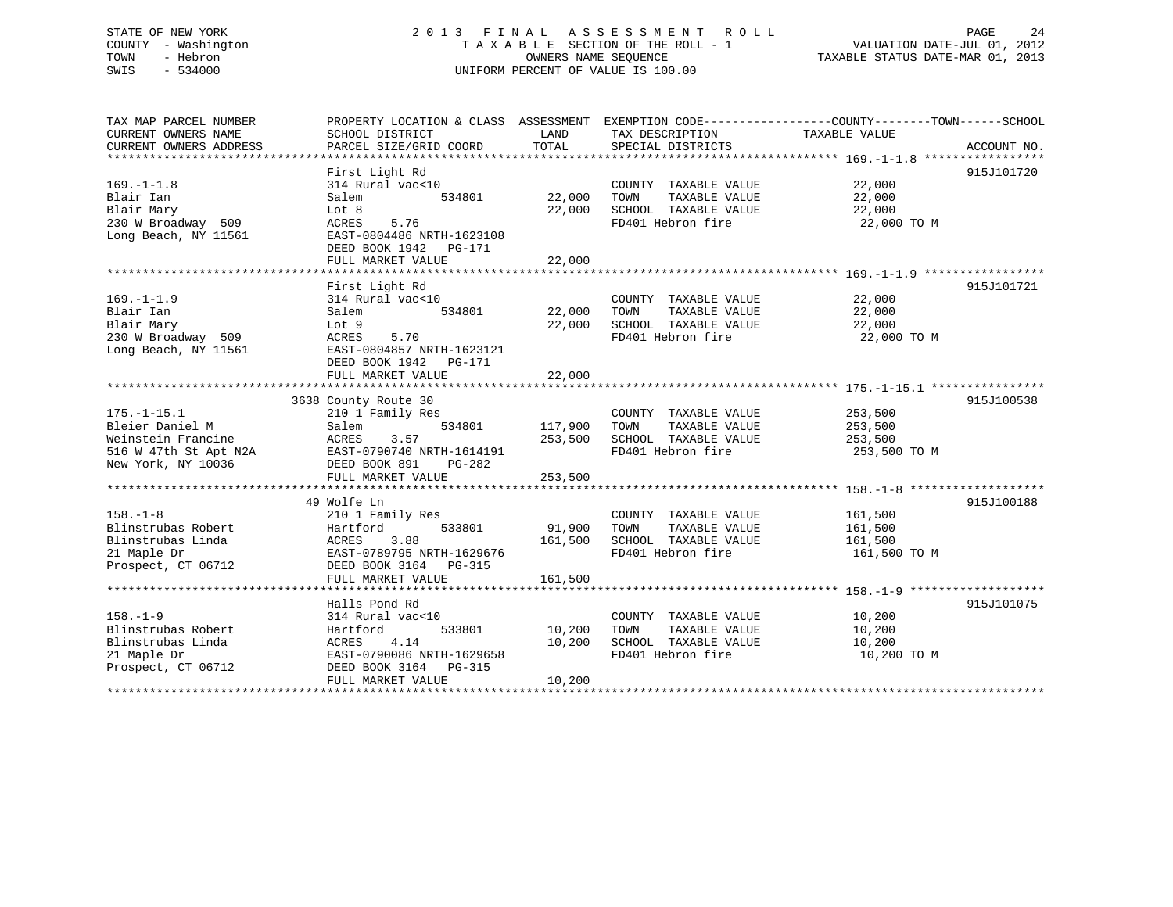### STATE OF NEW YORK 2 0 1 3 F I N A L A S S E S S M E N T R O L L PAGE 24 COUNTY - Washington T A X A B L E SECTION OF THE ROLL - 1 VALUATION DATE-JUL 01, 2012 TOWN - Hebron OWNERS NAME SEQUENCE TAXABLE STATUS DATE-MAR 01, 2013 SWIS - 534000 UNIFORM PERCENT OF VALUE IS 100.00

| TAX MAP PARCEL NUMBER<br>CURRENT OWNERS NAME | SCHOOL DISTRICT                                        | LAND            | TAX DESCRIPTION                           | PROPERTY LOCATION & CLASS ASSESSMENT EXEMPTION CODE---------------COUNTY-------TOWN-----SCHOOL<br>TAXABLE VALUE |  |
|----------------------------------------------|--------------------------------------------------------|-----------------|-------------------------------------------|-----------------------------------------------------------------------------------------------------------------|--|
| CURRENT OWNERS ADDRESS                       | PARCEL SIZE/GRID COORD                                 | TOTAL           | SPECIAL DISTRICTS                         | ACCOUNT NO.                                                                                                     |  |
|                                              |                                                        | *************** |                                           |                                                                                                                 |  |
|                                              | First Light Rd                                         |                 |                                           | 915J101720                                                                                                      |  |
| $169. - 1 - 1.8$                             | 314 Rural vac<10                                       |                 | COUNTY TAXABLE VALUE                      | 22,000                                                                                                          |  |
| Blair Ian                                    | Salem<br>534801                                        | 22,000          | TOWN<br>TAXABLE VALUE                     | 22,000                                                                                                          |  |
| Blair Mary                                   | Lot 8                                                  | 22,000          | SCHOOL TAXABLE VALUE                      | 22,000                                                                                                          |  |
| 230 W Broadway 509                           | 5.76<br>ACRES                                          |                 | FD401 Hebron fire                         | 22,000 TO M                                                                                                     |  |
| Long Beach, NY 11561                         | EAST-0804486 NRTH-1623108                              |                 |                                           |                                                                                                                 |  |
|                                              | DEED BOOK 1942<br>PG-171                               |                 |                                           |                                                                                                                 |  |
|                                              | FULL MARKET VALUE                                      | 22,000          |                                           |                                                                                                                 |  |
|                                              |                                                        |                 |                                           |                                                                                                                 |  |
|                                              | First Light Rd                                         |                 |                                           | 915J101721                                                                                                      |  |
| $169. - 1 - 1.9$                             | 314 Rural vac<10                                       |                 | COUNTY TAXABLE VALUE                      | 22,000                                                                                                          |  |
| Blair Ian                                    | Salem<br>534801                                        | 22,000          | TOWN<br>TAXABLE VALUE                     | 22,000                                                                                                          |  |
| Blair Mary                                   | Lot 9                                                  | 22,000          | SCHOOL TAXABLE VALUE                      | 22,000                                                                                                          |  |
| 230 W Broadway 509                           | ACRES<br>5.70                                          |                 | FD401 Hebron fire                         | 22,000 TO M                                                                                                     |  |
| Long Beach, NY 11561                         | EAST-0804857 NRTH-1623121                              |                 |                                           |                                                                                                                 |  |
|                                              | DEED BOOK 1942    PG-171                               |                 |                                           |                                                                                                                 |  |
|                                              | FULL MARKET VALUE                                      | 22,000          |                                           |                                                                                                                 |  |
|                                              |                                                        |                 |                                           |                                                                                                                 |  |
|                                              | 3638 County Route 30                                   |                 |                                           | 915J100538                                                                                                      |  |
| $175. - 1 - 15.1$                            | 210 1 Family Res                                       |                 | COUNTY TAXABLE VALUE                      | 253,500                                                                                                         |  |
| Bleier Daniel M                              | Salem<br>534801                                        | 117,900         | TOWN<br>TAXABLE VALUE                     | 253,500                                                                                                         |  |
| Weinstein Francine                           | 3.57<br>ACRES                                          | 253,500         | SCHOOL TAXABLE VALUE<br>FD401 Hebron fire | 253,500                                                                                                         |  |
| 516 W 47th St Apt N2A<br>New York, NY 10036  | EAST-0790740 NRTH-1614191<br>DEED BOOK 891<br>$PG-282$ |                 |                                           | 253,500 TO M                                                                                                    |  |
|                                              | FULL MARKET VALUE                                      | 253,500         |                                           |                                                                                                                 |  |
|                                              |                                                        |                 |                                           |                                                                                                                 |  |
|                                              | 49 Wolfe Ln                                            |                 |                                           | 915J100188                                                                                                      |  |
| $158. - 1 - 8$                               | 210 1 Family Res                                       |                 | COUNTY TAXABLE VALUE                      | 161,500                                                                                                         |  |
| Blinstrubas Robert                           | 533801<br>Hartford                                     | 91,900          | TOWN<br>TAXABLE VALUE                     | 161,500                                                                                                         |  |
| Blinstrubas Linda                            | ACRES<br>3.88                                          | 161,500         | SCHOOL TAXABLE VALUE                      | 161,500                                                                                                         |  |
| 21 Maple Dr                                  | EAST-0789795 NRTH-1629676                              |                 | FD401 Hebron fire                         | 161,500 TO M                                                                                                    |  |
| Prospect, CT 06712                           | DEED BOOK 3164 PG-315                                  |                 |                                           |                                                                                                                 |  |
|                                              | FULL MARKET VALUE                                      | 161,500         |                                           |                                                                                                                 |  |
|                                              |                                                        |                 |                                           |                                                                                                                 |  |
|                                              | Halls Pond Rd                                          |                 |                                           | 915J101075                                                                                                      |  |
| $158. - 1 - 9$                               | 314 Rural vac<10                                       |                 | COUNTY TAXABLE VALUE                      | 10,200                                                                                                          |  |
| Blinstrubas Robert                           | 533801<br>Hartford                                     | 10,200          | TOWN<br>TAXABLE VALUE                     | 10,200                                                                                                          |  |
| Blinstrubas Linda                            | 4.14<br>ACRES                                          | 10,200          | SCHOOL TAXABLE VALUE                      | 10,200                                                                                                          |  |
| 21 Maple Dr                                  | EAST-0790086 NRTH-1629658                              |                 | FD401 Hebron fire                         | 10,200 TO M                                                                                                     |  |
| Prospect, CT 06712                           | DEED BOOK 3164 PG-315                                  |                 |                                           |                                                                                                                 |  |
|                                              | FULL MARKET VALUE                                      | 10,200          |                                           |                                                                                                                 |  |
|                                              |                                                        |                 |                                           |                                                                                                                 |  |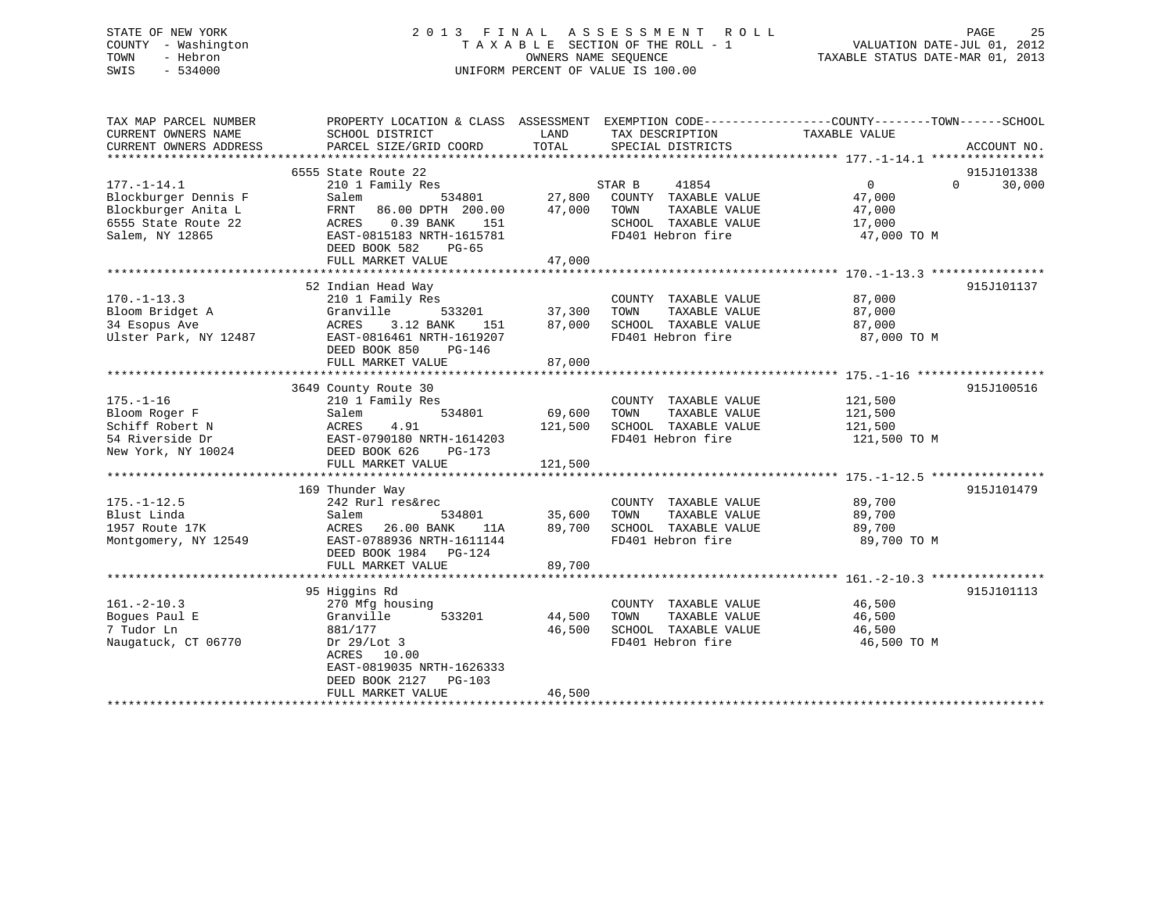### STATE OF NEW YORK 2 0 1 3 F I N A L A S S E S S M E N T R O L L PAGE 25 COUNTY - Washington T A X A B L E SECTION OF THE ROLL - 1 VALUATION DATE-JUL 01, 2012 TOWN - Hebron OWNERS NAME SEQUENCE TAXABLE STATUS DATE-MAR 01, 2013 SWIS - 534000 UNIFORM PERCENT OF VALUE IS 100.00

| TAX MAP PARCEL NUMBER            | PROPERTY LOCATION & CLASS ASSESSMENT EXEMPTION CODE----------------COUNTY-------TOWN------SCHOOL |         |                              |                       |                    |
|----------------------------------|--------------------------------------------------------------------------------------------------|---------|------------------------------|-----------------------|--------------------|
| CURRENT OWNERS NAME              | SCHOOL DISTRICT                                                                                  | LAND    | TAX DESCRIPTION              | TAXABLE VALUE         |                    |
| CURRENT OWNERS ADDRESS           | PARCEL SIZE/GRID COORD                                                                           | TOTAL   | SPECIAL DISTRICTS            |                       | ACCOUNT NO.        |
|                                  |                                                                                                  |         |                              |                       |                    |
|                                  | 6555 State Route 22                                                                              |         |                              |                       | 915J101338         |
| $177. - 1 - 14.1$                | 210 1 Family Res                                                                                 |         | 41854<br>STAR B              | $\Omega$              | $\Omega$<br>30,000 |
| Blockburger Dennis F             | 534801<br>Salem                                                                                  | 27,800  | COUNTY TAXABLE VALUE         | 47,000                |                    |
| Blockburger Anita L              | FRNT<br>86.00 DPTH 200.00                                                                        | 47,000  | TOWN<br>TAXABLE VALUE        | 47,000                |                    |
| 6555 State Route 22              | ACRES<br>$0.39$ BANK<br>151                                                                      |         | SCHOOL TAXABLE VALUE         | 17,000                |                    |
| Salem, NY 12865                  | EAST-0815183 NRTH-1615781                                                                        |         | FD401 Hebron fire            | 47,000 TO M           |                    |
|                                  | DEED BOOK 582<br>$PG-65$                                                                         |         |                              |                       |                    |
|                                  | FULL MARKET VALUE                                                                                | 47,000  |                              |                       |                    |
|                                  |                                                                                                  |         |                              |                       |                    |
|                                  | 52 Indian Head Way                                                                               |         |                              |                       | 915J101137         |
| $170. - 1 - 13.3$                | 210 1 Family Res                                                                                 |         | COUNTY TAXABLE VALUE         | 87,000                |                    |
| Bloom Bridget A                  | Granville<br>533201                                                                              | 37,300  | TAXABLE VALUE<br>TOWN        | 87,000                |                    |
| 34 Esopus Ave                    | 3.12 BANK<br>ACRES<br>151                                                                        | 87,000  | SCHOOL TAXABLE VALUE         | 87,000                |                    |
| Ulster Park, NY 12487            | EAST-0816461 NRTH-1619207                                                                        |         | FD401 Hebron fire            | 87,000 TO M           |                    |
|                                  | DEED BOOK 850<br>PG-146                                                                          |         |                              |                       |                    |
|                                  | FULL MARKET VALUE                                                                                | 87,000  |                              |                       |                    |
|                                  |                                                                                                  |         |                              |                       |                    |
|                                  | 3649 County Route 30                                                                             |         |                              |                       | 915J100516         |
| $175. - 1 - 16$                  | 210 1 Family Res                                                                                 |         | COUNTY TAXABLE VALUE         | 121,500               |                    |
| Bloom Roger F                    | Salem<br>534801                                                                                  | 69,600  | TAXABLE VALUE<br>TOWN        | 121,500               |                    |
| Schiff Robert N                  | ACRES<br>4.91                                                                                    | 121,500 | SCHOOL TAXABLE VALUE         | 121,500               |                    |
| 54 Riverside Dr                  | EAST-0790180 NRTH-1614203                                                                        |         | FD401 Hebron fire            | 121,500 TO M          |                    |
| New York, NY 10024               | DEED BOOK 626<br>$PG-173$                                                                        |         |                              |                       |                    |
|                                  | FULL MARKET VALUE                                                                                | 121,500 |                              |                       |                    |
|                                  |                                                                                                  |         |                              |                       |                    |
|                                  | 169 Thunder Way                                                                                  |         |                              |                       | 915J101479         |
|                                  | 242 Rurl res&rec                                                                                 |         | COUNTY TAXABLE VALUE         | 89,700                |                    |
| $175. - 1 - 12.5$<br>Blust Linda |                                                                                                  | 35,600  | TAXABLE VALUE                |                       |                    |
| 1957 Route 17K                   | Salem<br>534801<br>26.00 BANK<br>ACRES<br>11A                                                    | 89,700  | TOWN<br>SCHOOL TAXABLE VALUE | 89,700                |                    |
|                                  | EAST-0788936 NRTH-1611144                                                                        |         | FD401 Hebron fire            | 89,700<br>89,700 TO M |                    |
| Montgomery, NY 12549             |                                                                                                  |         |                              |                       |                    |
|                                  | DEED BOOK 1984 PG-124                                                                            |         |                              |                       |                    |
|                                  | FULL MARKET VALUE                                                                                | 89,700  |                              |                       |                    |
|                                  |                                                                                                  |         |                              |                       |                    |
|                                  | 95 Higgins Rd                                                                                    |         |                              |                       | 915J101113         |
| $161. - 2 - 10.3$                | 270 Mfg housing                                                                                  |         | COUNTY TAXABLE VALUE         | 46,500                |                    |
| Boques Paul E                    | Granville<br>533201                                                                              | 44,500  | TOWN<br>TAXABLE VALUE        | 46,500                |                    |
| 7 Tudor Ln                       | 881/177                                                                                          | 46,500  | SCHOOL TAXABLE VALUE         | 46,500                |                    |
| Naugatuck, CT 06770              | Dr $29/Lot$ 3                                                                                    |         | FD401 Hebron fire            | 46,500 TO M           |                    |
|                                  | ACRES 10.00                                                                                      |         |                              |                       |                    |
|                                  | EAST-0819035 NRTH-1626333                                                                        |         |                              |                       |                    |
|                                  | DEED BOOK 2127<br>$PG-103$                                                                       |         |                              |                       |                    |
|                                  | FULL MARKET VALUE                                                                                | 46,500  |                              |                       |                    |
|                                  |                                                                                                  |         |                              |                       |                    |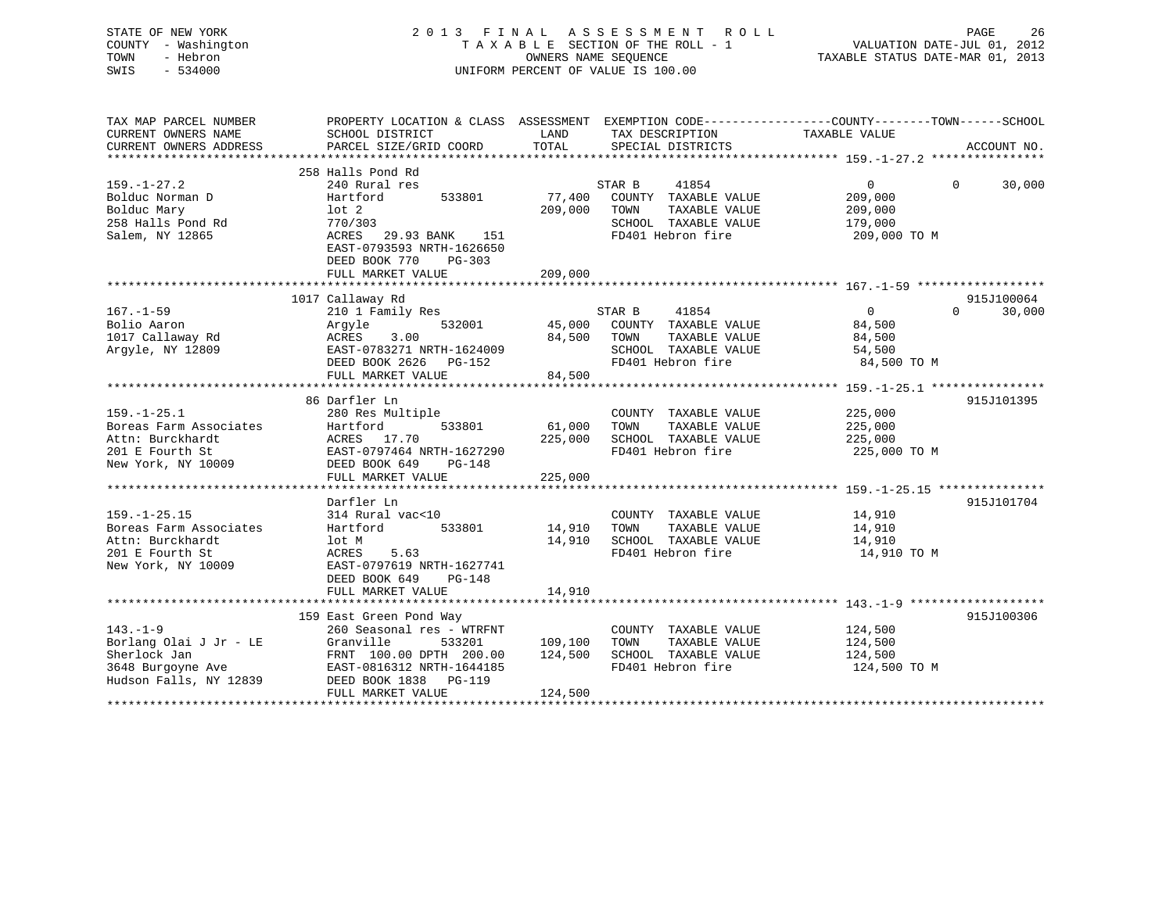### STATE OF NEW YORK 2 0 1 3 F I N A L A S S E S S M E N T R O L L PAGE 26 COUNTY - Washington T A X A B L E SECTION OF THE ROLL - 1 VALUATION DATE-JUL 01, 2012 TOWN - Hebron OWNERS NAME SEQUENCE TAXABLE STATUS DATE-MAR 01, 2013 SWIS - 534000 UNIFORM PERCENT OF VALUE IS 100.00

| TAX MAP PARCEL NUMBER<br>CURRENT OWNERS NAME<br>CURRENT OWNERS ADDRESS                                    | SCHOOL DISTRICT<br>PARCEL SIZE/GRID COORD                                                                                                                                                      | LAND<br>TOTAL                 | TAX DESCRIPTION<br>SPECIAL DISTRICTS                                                                          | PROPERTY LOCATION & CLASS ASSESSMENT EXEMPTION CODE----------------COUNTY-------TOWN------SCHOOL<br>TAXABLE VALUE<br>ACCOUNT NO. |  |
|-----------------------------------------------------------------------------------------------------------|------------------------------------------------------------------------------------------------------------------------------------------------------------------------------------------------|-------------------------------|---------------------------------------------------------------------------------------------------------------|----------------------------------------------------------------------------------------------------------------------------------|--|
| $159. - 1 - 27.2$<br>Bolduc Norman D<br>Bolduc Mary<br>258 Halls Pond Rd<br>Salem, NY 12865               | 258 Halls Pond Rd<br>240 Rural res<br>Hartford<br>533801<br>$1$ ot $2$<br>770/303<br>ACRES<br>29.93 BANK<br>151<br>EAST-0793593 NRTH-1626650<br>DEED BOOK 770<br>$PG-303$<br>FULL MARKET VALUE | 77,400<br>209,000<br>209,000  | STAR B<br>41854<br>COUNTY TAXABLE VALUE<br>TAXABLE VALUE<br>TOWN<br>SCHOOL TAXABLE VALUE<br>FD401 Hebron fire | $\Omega$<br>$\Omega$<br>30,000<br>209,000<br>209,000<br>179,000<br>209,000 TO M                                                  |  |
|                                                                                                           |                                                                                                                                                                                                |                               |                                                                                                               |                                                                                                                                  |  |
| $167. - 1 - 59$<br>Bolio Aaron<br>1017 Callaway Rd<br>Argyle, NY 12809                                    | 1017 Callaway Rd<br>210 1 Family Res<br>532001<br>Argyle<br>ACRES<br>3.00<br>EAST-0783271 NRTH-1624009<br>DEED BOOK 2626<br>PG-152<br>FULL MARKET VALUE                                        | 45,000<br>84,500<br>84,500    | STAR B<br>41854<br>COUNTY TAXABLE VALUE<br>TOWN<br>TAXABLE VALUE<br>SCHOOL TAXABLE VALUE<br>FD401 Hebron fire | 915J100064<br>$\mathbf{0}$<br>$\Omega$<br>30,000<br>84,500<br>84,500<br>54,500<br>84,500 TO M                                    |  |
|                                                                                                           |                                                                                                                                                                                                |                               |                                                                                                               |                                                                                                                                  |  |
| $159. - 1 - 25.1$<br>Boreas Farm Associates<br>Attn: Burckhardt<br>201 E Fourth St<br>New York, NY 10009  | 86 Darfler Ln<br>280 Res Multiple<br>533801<br>Hartford<br>ACRES 17.70<br>EAST-0797464 NRTH-1627290<br>DEED BOOK 649<br>PG-148<br>FULL MARKET VALUE                                            | 61,000<br>225,000<br>225,000  | COUNTY TAXABLE VALUE<br>TAXABLE VALUE<br>TOWN<br>SCHOOL TAXABLE VALUE<br>FD401 Hebron fire                    | 915J101395<br>225,000<br>225,000<br>225,000<br>225,000 TO M                                                                      |  |
|                                                                                                           |                                                                                                                                                                                                |                               |                                                                                                               |                                                                                                                                  |  |
| $159. - 1 - 25.15$<br>Boreas Farm Associates<br>Attn: Burckhardt<br>201 E Fourth St<br>New York, NY 10009 | Darfler Ln<br>314 Rural vac<10<br>Hartford<br>533801<br>lot M<br>ACRES<br>5.63<br>EAST-0797619 NRTH-1627741<br>DEED BOOK 649<br>$PG-148$                                                       | 14,910<br>14,910              | COUNTY TAXABLE VALUE<br>TOWN<br>TAXABLE VALUE<br>SCHOOL TAXABLE VALUE<br>FD401 Hebron fire                    | 915J101704<br>14,910<br>14,910<br>14,910<br>14,910 TO M                                                                          |  |
|                                                                                                           | FULL MARKET VALUE                                                                                                                                                                              | 14,910                        |                                                                                                               |                                                                                                                                  |  |
| $143. - 1 - 9$<br>Borlang Olai J Jr - LE<br>Sherlock Jan<br>3648 Burgoyne Ave<br>Hudson Falls, NY 12839   | 159 East Green Pond Way<br>260 Seasonal res - WTRFNT<br>Granville<br>533201<br>FRNT 100.00 DPTH 200.00<br>EAST-0816312 NRTH-1644185<br>DEED BOOK 1838<br><b>PG-119</b><br>FULL MARKET VALUE    | 109,100<br>124,500<br>124,500 | COUNTY TAXABLE VALUE<br>TAXABLE VALUE<br>TOWN<br>SCHOOL TAXABLE VALUE<br>FD401 Hebron fire                    | 915J100306<br>124,500<br>124,500<br>124,500<br>124,500 TO M                                                                      |  |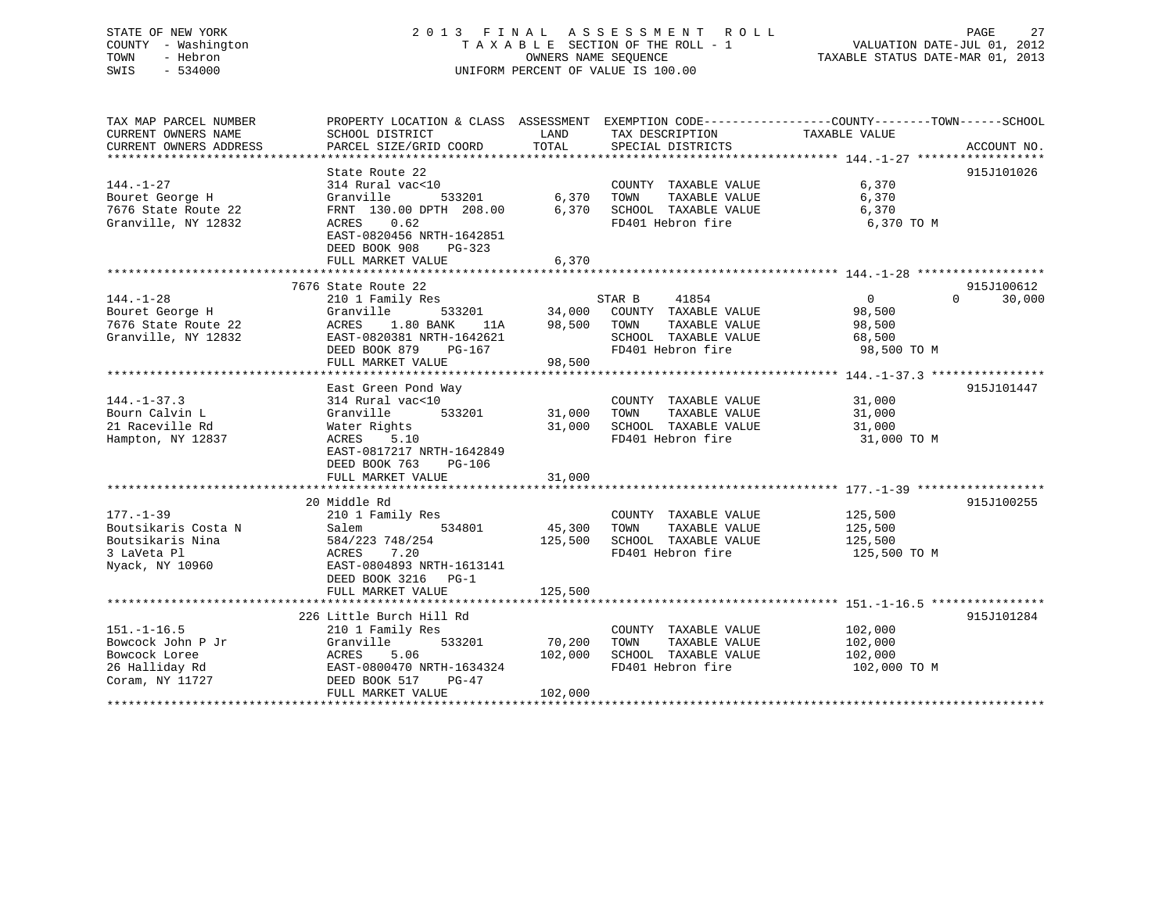| STATE OF NEW YORK<br>COUNTY - Washington<br>- Hebron<br>TOWN<br>SWIS<br>$-534000$            |                                                                                                                                                                  | OWNERS NAME SEQUENCE         | 2013 FINAL ASSESSMENT<br>R O L L<br>TAXABLE SECTION OF THE ROLL - 1<br>UNIFORM PERCENT OF VALUE IS 100.00     | PAGE<br>27<br>VALUATION DATE-JUL 01, 2012<br>TAXABLE STATUS DATE-MAR 01, 2013                                                    |
|----------------------------------------------------------------------------------------------|------------------------------------------------------------------------------------------------------------------------------------------------------------------|------------------------------|---------------------------------------------------------------------------------------------------------------|----------------------------------------------------------------------------------------------------------------------------------|
| TAX MAP PARCEL NUMBER<br>CURRENT OWNERS NAME<br>CURRENT OWNERS ADDRESS                       | SCHOOL DISTRICT<br>PARCEL SIZE/GRID COORD                                                                                                                        | LAND<br>TOTAL                | TAX DESCRIPTION<br>SPECIAL DISTRICTS                                                                          | PROPERTY LOCATION & CLASS ASSESSMENT EXEMPTION CODE----------------COUNTY-------TOWN------SCHOOL<br>TAXABLE VALUE<br>ACCOUNT NO. |
|                                                                                              |                                                                                                                                                                  |                              |                                                                                                               |                                                                                                                                  |
| $144. - 1 - 27$<br>Bouret George H<br>7676 State Route 22<br>Granville, NY 12832             | State Route 22<br>314 Rural vac<10<br>Granville<br>533201<br>FRNT 130.00 DPTH 208.00<br>ACRES<br>0.62<br>EAST-0820456 NRTH-1642851<br>DEED BOOK 908<br>PG-323    | 6,370<br>6,370               | COUNTY TAXABLE VALUE<br>TOWN<br>TAXABLE VALUE<br>SCHOOL TAXABLE VALUE<br>FD401 Hebron fire                    | 915J101026<br>6,370<br>6,370<br>6,370<br>6,370 TO M                                                                              |
|                                                                                              | FULL MARKET VALUE                                                                                                                                                | 6,370                        |                                                                                                               |                                                                                                                                  |
|                                                                                              |                                                                                                                                                                  |                              |                                                                                                               |                                                                                                                                  |
|                                                                                              | 7676 State Route 22                                                                                                                                              |                              |                                                                                                               | 915J100612                                                                                                                       |
| $144. - 1 - 28$<br>Bouret George H<br>7676 State Route 22<br>Granville, NY 12832             | 210 1 Family Res<br>Granville<br>533201<br>ACRES<br>1.80 BANK<br>11A<br>EAST-0820381 NRTH-1642621<br>DEED BOOK 879<br>$PG-167$<br>FULL MARKET VALUE              | 34,000<br>98,500<br>98,500   | STAR B<br>41854<br>COUNTY TAXABLE VALUE<br>TOWN<br>TAXABLE VALUE<br>SCHOOL TAXABLE VALUE<br>FD401 Hebron fire | 30,000<br>$\overline{0}$<br>$\Omega$<br>98,500<br>98,500<br>68,500<br>98,500 TO M                                                |
|                                                                                              |                                                                                                                                                                  |                              |                                                                                                               |                                                                                                                                  |
| $144. - 1 - 37.3$<br>Bourn Calvin L<br>21 Raceville Rd<br>Hampton, NY 12837                  | East Green Pond Way<br>314 Rural vac<10<br>Granville<br>533201<br>Water Rights<br>ACRES<br>5.10<br>EAST-0817217 NRTH-1642849<br>DEED BOOK 763<br>PG-106          | 31,000<br>31,000             | COUNTY TAXABLE VALUE<br>TAXABLE VALUE<br>TOWN<br>SCHOOL TAXABLE VALUE<br>FD401 Hebron fire                    | 915J101447<br>31,000<br>31,000<br>31,000<br>31,000 TO M                                                                          |
|                                                                                              | FULL MARKET VALUE                                                                                                                                                | 31,000                       |                                                                                                               |                                                                                                                                  |
| $177. - 1 - 39$<br>Boutsikaris Costa N<br>Boutsikaris Nina<br>3 LaVeta Pl<br>Nyack, NY 10960 | 20 Middle Rd<br>210 1 Family Res<br>Salem<br>534801<br>584/223 748/254<br>ACRES<br>7.20<br>EAST-0804893 NRTH-1613141<br>DEED BOOK 3216<br>$PG-1$                 | 45,300<br>125,500            | COUNTY TAXABLE VALUE<br>TOWN<br>TAXABLE VALUE<br>SCHOOL TAXABLE VALUE<br>FD401 Hebron fire                    | 915J100255<br>125,500<br>125,500<br>125,500<br>125,500 TO M                                                                      |
|                                                                                              | FULL MARKET VALUE<br>**********************************                                                                                                          | 125,500                      |                                                                                                               |                                                                                                                                  |
| $151. - 1 - 16.5$<br>Bowcock John P Jr<br>Bowcock Loree<br>26 Halliday Rd<br>Coram, NY 11727 | 226 Little Burch Hill Rd<br>210 1 Family Res<br>Granville<br>533201<br>ACRES<br>5.06<br>EAST-0800470 NRTH-1634324<br>DEED BOOK 517<br>PG-47<br>FULL MARKET VALUE | 70,200<br>102,000<br>102,000 | COUNTY TAXABLE VALUE<br>TAXABLE VALUE<br>TOWN<br>SCHOOL TAXABLE VALUE<br>FD401 Hebron fire                    | 915J101284<br>102,000<br>102,000<br>102,000<br>102,000 TO M                                                                      |

\*\*\*\*\*\*\*\*\*\*\*\*\*\*\*\*\*\*\*\*\*\*\*\*\*\*\*\*\*\*\*\*\*\*\*\*\*\*\*\*\*\*\*\*\*\*\*\*\*\*\*\*\*\*\*\*\*\*\*\*\*\*\*\*\*\*\*\*\*\*\*\*\*\*\*\*\*\*\*\*\*\*\*\*\*\*\*\*\*\*\*\*\*\*\*\*\*\*\*\*\*\*\*\*\*\*\*\*\*\*\*\*\*\*\*\*\*\*\*\*\*\*\*\*\*\*\*\*\*\*\*\*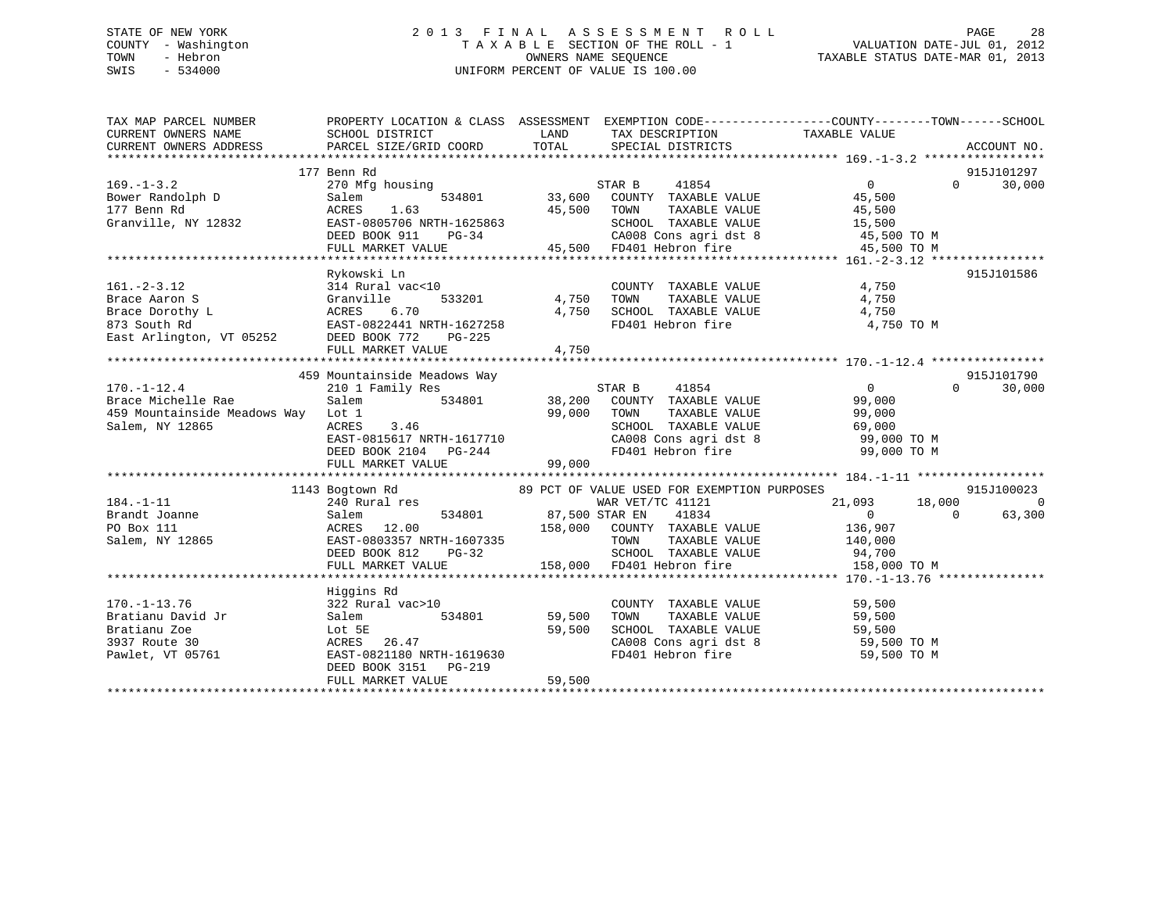### STATE OF NEW YORK 2 0 1 3 F I N A L A S S E S S M E N T R O L L PAGE 28 COUNTY - Washington T A X A B L E SECTION OF THE ROLL - 1 VALUATION DATE-JUL 01, 2012 TOWN - Hebron OWNERS NAME SEQUENCE TAXABLE STATUS DATE-MAR 01, 2013 SWIS - 534000 UNIFORM PERCENT OF VALUE IS 100.00

| TAX MAP PARCEL NUMBER                                                                                                                                                                                                                              | PROPERTY LOCATION & CLASS ASSESSMENT EXEMPTION CODE---------------COUNTY-------TOWN-----SCHOOL<br>PROPERTY LOCATIO<br>SCHOOL DISTRICT                                                                                                  |        |                                                                                         |             |                                 |
|----------------------------------------------------------------------------------------------------------------------------------------------------------------------------------------------------------------------------------------------------|----------------------------------------------------------------------------------------------------------------------------------------------------------------------------------------------------------------------------------------|--------|-----------------------------------------------------------------------------------------|-------------|---------------------------------|
|                                                                                                                                                                                                                                                    |                                                                                                                                                                                                                                        |        |                                                                                         |             |                                 |
|                                                                                                                                                                                                                                                    | 177 Benn Rd                                                                                                                                                                                                                            |        |                                                                                         |             | 915J101297                      |
|                                                                                                                                                                                                                                                    |                                                                                                                                                                                                                                        |        |                                                                                         |             |                                 |
|                                                                                                                                                                                                                                                    |                                                                                                                                                                                                                                        |        |                                                                                         |             |                                 |
|                                                                                                                                                                                                                                                    |                                                                                                                                                                                                                                        |        |                                                                                         |             |                                 |
|                                                                                                                                                                                                                                                    |                                                                                                                                                                                                                                        |        |                                                                                         |             |                                 |
|                                                                                                                                                                                                                                                    |                                                                                                                                                                                                                                        |        |                                                                                         |             |                                 |
|                                                                                                                                                                                                                                                    |                                                                                                                                                                                                                                        |        |                                                                                         |             |                                 |
|                                                                                                                                                                                                                                                    |                                                                                                                                                                                                                                        |        |                                                                                         |             |                                 |
|                                                                                                                                                                                                                                                    | Rykowski Ln                                                                                                                                                                                                                            |        |                                                                                         |             | 915J101586                      |
|                                                                                                                                                                                                                                                    |                                                                                                                                                                                                                                        |        |                                                                                         |             |                                 |
|                                                                                                                                                                                                                                                    |                                                                                                                                                                                                                                        |        |                                                                                         |             |                                 |
|                                                                                                                                                                                                                                                    |                                                                                                                                                                                                                                        |        |                                                                                         |             |                                 |
|                                                                                                                                                                                                                                                    |                                                                                                                                                                                                                                        |        |                                                                                         |             |                                 |
| 161.-2-3.12 314 Rural vac<10<br>Brace Aaron S<br>Brace Dorothy L<br>873 South Rd<br>East Arlington, VT 05252<br>DEED BOOK 772 PG-225<br>FIII.I, MARKET VALIIE<br>FIII.I, MARKET VALIIE<br>FIII.I, MARKET VALIIE<br>FIII.I, MARKET VALIIE<br>200000 |                                                                                                                                                                                                                                        |        |                                                                                         |             |                                 |
|                                                                                                                                                                                                                                                    | FULL MARKET VALUE 4,750                                                                                                                                                                                                                |        |                                                                                         |             |                                 |
|                                                                                                                                                                                                                                                    |                                                                                                                                                                                                                                        |        |                                                                                         |             |                                 |
|                                                                                                                                                                                                                                                    | 459 Mountainside Meadows Way                                                                                                                                                                                                           |        |                                                                                         |             | 915J101790                      |
| 459 MOULLALISTAR B 11854<br>210 1 Family Res<br>Brace Michelle Rae Salem 534801 534801 99,000 TOWN TAXABLE VALUE 99,000<br>99,000 TOWN TAXABLE VALUE 99,000 99,000                                                                                 |                                                                                                                                                                                                                                        |        |                                                                                         |             | $\Omega$ and $\Omega$<br>30,000 |
|                                                                                                                                                                                                                                                    |                                                                                                                                                                                                                                        |        |                                                                                         |             |                                 |
|                                                                                                                                                                                                                                                    |                                                                                                                                                                                                                                        |        |                                                                                         |             |                                 |
| Salem, NY 12865                                                                                                                                                                                                                                    |                                                                                                                                                                                                                                        |        |                                                                                         |             |                                 |
|                                                                                                                                                                                                                                                    |                                                                                                                                                                                                                                        |        |                                                                                         |             |                                 |
|                                                                                                                                                                                                                                                    |                                                                                                                                                                                                                                        |        |                                                                                         |             |                                 |
|                                                                                                                                                                                                                                                    | Let 1<br>29,000 TOWN TAXABLE VALUE<br>ACRES 3.46<br>EAST-0815617 NRTH-1617710<br>DEED BOOK 2104 PG-244<br>FULL MARKET VALUE<br>PA01 Hebron fire 99,000 TOM PG-244<br>PA01 Hebron fire 99,000 TOM PG-244<br>PA01 Hebron fire 99,000 TOM |        |                                                                                         |             |                                 |
|                                                                                                                                                                                                                                                    |                                                                                                                                                                                                                                        |        |                                                                                         |             |                                 |
|                                                                                                                                                                                                                                                    | 1143 Bogtown Rd 69 PCT OF VALUE USED FOR EXEMPTION PURPOSES                                                                                                                                                                            |        |                                                                                         |             | 915J100023                      |
|                                                                                                                                                                                                                                                    |                                                                                                                                                                                                                                        |        |                                                                                         |             | $\overline{0}$                  |
|                                                                                                                                                                                                                                                    |                                                                                                                                                                                                                                        |        |                                                                                         |             | 63,300                          |
|                                                                                                                                                                                                                                                    |                                                                                                                                                                                                                                        |        |                                                                                         |             |                                 |
|                                                                                                                                                                                                                                                    |                                                                                                                                                                                                                                        |        |                                                                                         |             |                                 |
|                                                                                                                                                                                                                                                    |                                                                                                                                                                                                                                        |        |                                                                                         |             |                                 |
|                                                                                                                                                                                                                                                    |                                                                                                                                                                                                                                        |        |                                                                                         |             |                                 |
|                                                                                                                                                                                                                                                    |                                                                                                                                                                                                                                        |        |                                                                                         |             |                                 |
|                                                                                                                                                                                                                                                    | Higgins Rd                                                                                                                                                                                                                             |        |                                                                                         |             |                                 |
|                                                                                                                                                                                                                                                    |                                                                                                                                                                                                                                        |        | COUNTY TAXABLE VALUE 59,500<br>TOWN TAXABLE VALUE 59,500<br>SCHOOL TAXABLE VALUE 59,500 |             |                                 |
|                                                                                                                                                                                                                                                    |                                                                                                                                                                                                                                        |        |                                                                                         |             |                                 |
|                                                                                                                                                                                                                                                    |                                                                                                                                                                                                                                        |        |                                                                                         |             |                                 |
|                                                                                                                                                                                                                                                    |                                                                                                                                                                                                                                        |        | CA008 Cons agri dst 8 59,500 TO M                                                       |             |                                 |
|                                                                                                                                                                                                                                                    |                                                                                                                                                                                                                                        |        | FD401 Hebron fire                                                                       | 59,500 TO M |                                 |
|                                                                                                                                                                                                                                                    | DEED BOOK 3151 PG-219                                                                                                                                                                                                                  |        |                                                                                         |             |                                 |
|                                                                                                                                                                                                                                                    | FULL MARKET VALUE                                                                                                                                                                                                                      | 59,500 |                                                                                         |             |                                 |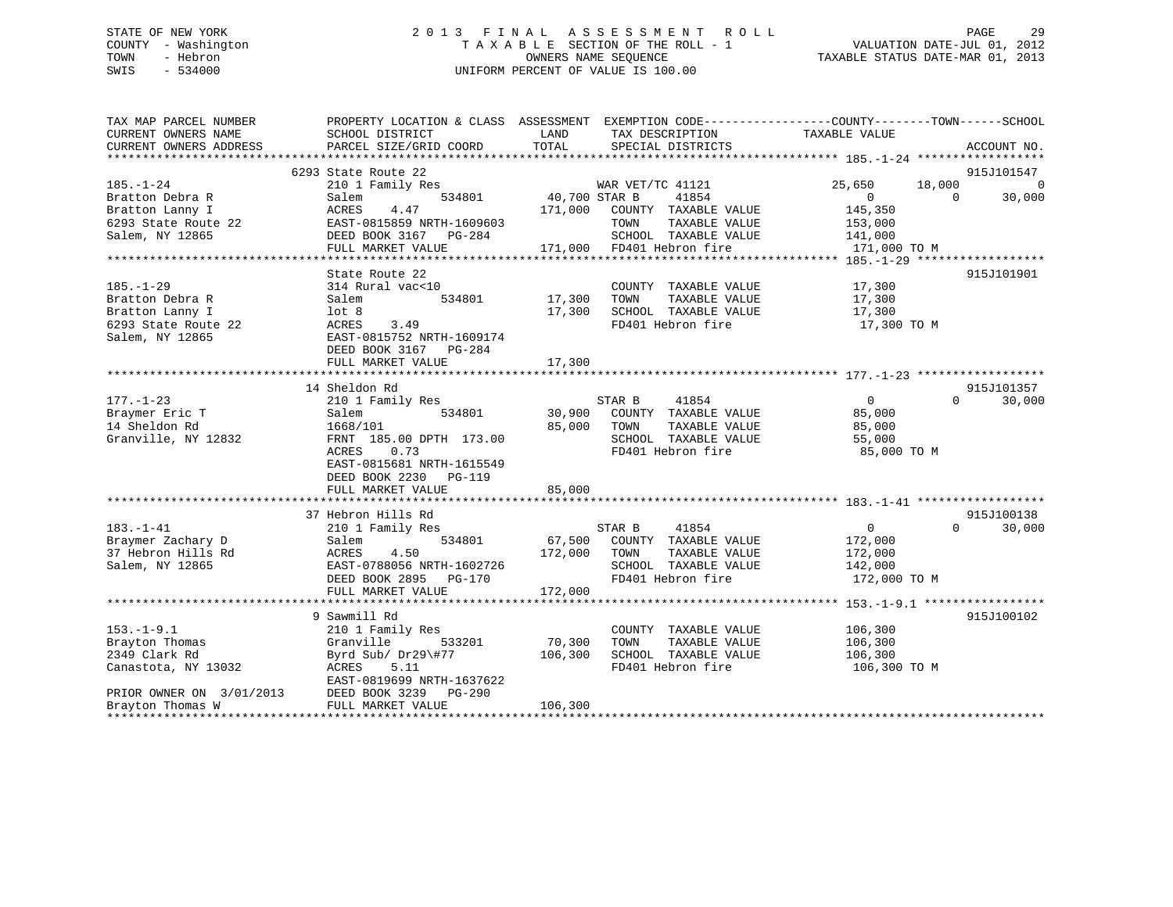### STATE OF NEW YORK 2 0 1 3 F I N A L A S S E S S M E N T R O L L PAGE 29 COUNTY - Washington T A X A B L E SECTION OF THE ROLL - 1 VALUATION DATE-JUL 01, 2012 TOWN - Hebron OWNERS NAME SEQUENCE TAXABLE STATUS DATE-MAR 01, 2013 SWIS - 534000 UNIFORM PERCENT OF VALUE IS 100.00

| TAX MAP PARCEL NUMBER<br>CURRENT OWNERS NAME | SCHOOL DISTRICT           | LAND<br>TAX DESCRIPTION          | PROPERTY LOCATION & CLASS ASSESSMENT EXEMPTION CODE---------------COUNTY-------TOWN------SCHOOL<br>TAXABLE VALUE |                    |
|----------------------------------------------|---------------------------|----------------------------------|------------------------------------------------------------------------------------------------------------------|--------------------|
| CURRENT OWNERS ADDRESS                       | PARCEL SIZE/GRID COORD    | TOTAL<br>SPECIAL DISTRICTS       |                                                                                                                  | ACCOUNT NO.        |
|                                              |                           |                                  |                                                                                                                  |                    |
|                                              | 6293 State Route 22       |                                  |                                                                                                                  | 915J101547         |
| $185. - 1 - 24$                              | 210 1 Family Res          | WAR VET/TC 41121                 | 25,650                                                                                                           | 18,000<br>$\Omega$ |
| Bratton Debra R                              | 534801<br>Salem           | 40,700 STAR B<br>41854           | $\Omega$                                                                                                         | $\Omega$<br>30,000 |
| Bratton Lanny I                              | 4.47<br>ACRES             | 171,000<br>COUNTY TAXABLE VALUE  | 145,350                                                                                                          |                    |
| 6293 State Route 22                          | EAST-0815859 NRTH-1609603 | TOWN<br>TAXABLE VALUE            | 153,000                                                                                                          |                    |
| Salem, NY 12865                              | DEED BOOK 3167 PG-284     | SCHOOL TAXABLE VALUE             | 141,000                                                                                                          |                    |
|                                              | FULL MARKET VALUE         | 171,000 FD401 Hebron fire        | 171,000 TO M                                                                                                     |                    |
|                                              |                           |                                  |                                                                                                                  |                    |
|                                              | State Route 22            |                                  |                                                                                                                  | 915J101901         |
| $185. - 1 - 29$                              | 314 Rural vac<10          | COUNTY TAXABLE VALUE             | 17,300                                                                                                           |                    |
| Bratton Debra R                              | 534801<br>Salem           | 17,300<br>TAXABLE VALUE<br>TOWN  | 17,300                                                                                                           |                    |
| Bratton Lanny I                              | lot <sub>8</sub>          | 17,300<br>SCHOOL TAXABLE VALUE   | 17,300                                                                                                           |                    |
| 6293 State Route 22                          | ACRES<br>3.49             | FD401 Hebron fire                | 17,300 TO M                                                                                                      |                    |
| Salem, NY 12865                              | EAST-0815752 NRTH-1609174 |                                  |                                                                                                                  |                    |
|                                              | DEED BOOK 3167 PG-284     |                                  |                                                                                                                  |                    |
|                                              | FULL MARKET VALUE         | 17,300                           |                                                                                                                  |                    |
|                                              |                           |                                  |                                                                                                                  |                    |
|                                              | 14 Sheldon Rd             |                                  |                                                                                                                  | 915J101357         |
| $177. - 1 - 23$                              | 210 1 Family Res          | STAR B<br>41854                  | $\Omega$                                                                                                         | 30,000<br>$\Omega$ |
| Braymer Eric T                               | 534801<br>Salem           | 30,900<br>COUNTY TAXABLE VALUE   | 85,000                                                                                                           |                    |
| 14 Sheldon Rd                                | 1668/101                  | 85,000<br>TOWN<br>TAXABLE VALUE  | 85,000                                                                                                           |                    |
| Granville, NY 12832                          | FRNT 185.00 DPTH 173.00   | SCHOOL TAXABLE VALUE             | 55,000                                                                                                           |                    |
|                                              | 0.73<br>ACRES             | FD401 Hebron fire                | 85,000 TO M                                                                                                      |                    |
|                                              | EAST-0815681 NRTH-1615549 |                                  |                                                                                                                  |                    |
|                                              | DEED BOOK 2230 PG-119     |                                  |                                                                                                                  |                    |
|                                              | FULL MARKET VALUE         | 85,000                           |                                                                                                                  |                    |
|                                              |                           |                                  |                                                                                                                  |                    |
|                                              | 37 Hebron Hills Rd        |                                  |                                                                                                                  | 915J100138         |
| $183. - 1 - 41$                              | 210 1 Family Res          | 41854<br>STAR B                  | $\overline{0}$                                                                                                   | 30,000<br>$\Omega$ |
| Braymer Zachary D                            | Salem<br>534801           | 67,500<br>COUNTY TAXABLE VALUE   | 172,000                                                                                                          |                    |
| 37 Hebron Hills Rd                           | ACRES<br>4.50             | 172,000<br>TAXABLE VALUE<br>TOWN | 172,000                                                                                                          |                    |
| Salem, NY 12865                              | EAST-0788056 NRTH-1602726 | SCHOOL TAXABLE VALUE             | 142,000                                                                                                          |                    |
|                                              | DEED BOOK 2895 PG-170     | FD401 Hebron fire                | 172,000 TO M                                                                                                     |                    |
|                                              | FULL MARKET VALUE         | 172,000                          |                                                                                                                  |                    |
|                                              |                           |                                  |                                                                                                                  |                    |
|                                              | 9 Sawmill Rd              |                                  |                                                                                                                  | 915J100102         |
| $153. - 1 - 9.1$                             | 210 1 Family Res          | COUNTY TAXABLE VALUE             | 106,300                                                                                                          |                    |
| Brayton Thomas                               | Granville<br>533201       | 70,300<br>TAXABLE VALUE<br>TOWN  | 106,300                                                                                                          |                    |
| 2349 Clark Rd                                | Byrd Sub/ Dr29\#77        | 106,300<br>SCHOOL TAXABLE VALUE  | 106,300                                                                                                          |                    |
| Canastota, NY 13032                          | ACRES<br>5.11             | FD401 Hebron fire                | 106,300 TO M                                                                                                     |                    |
|                                              | EAST-0819699 NRTH-1637622 |                                  |                                                                                                                  |                    |
| PRIOR OWNER ON 3/01/2013                     | DEED BOOK 3239 PG-290     |                                  |                                                                                                                  |                    |
| Brayton Thomas W                             | FULL MARKET VALUE         | 106,300                          |                                                                                                                  |                    |
|                                              |                           |                                  |                                                                                                                  |                    |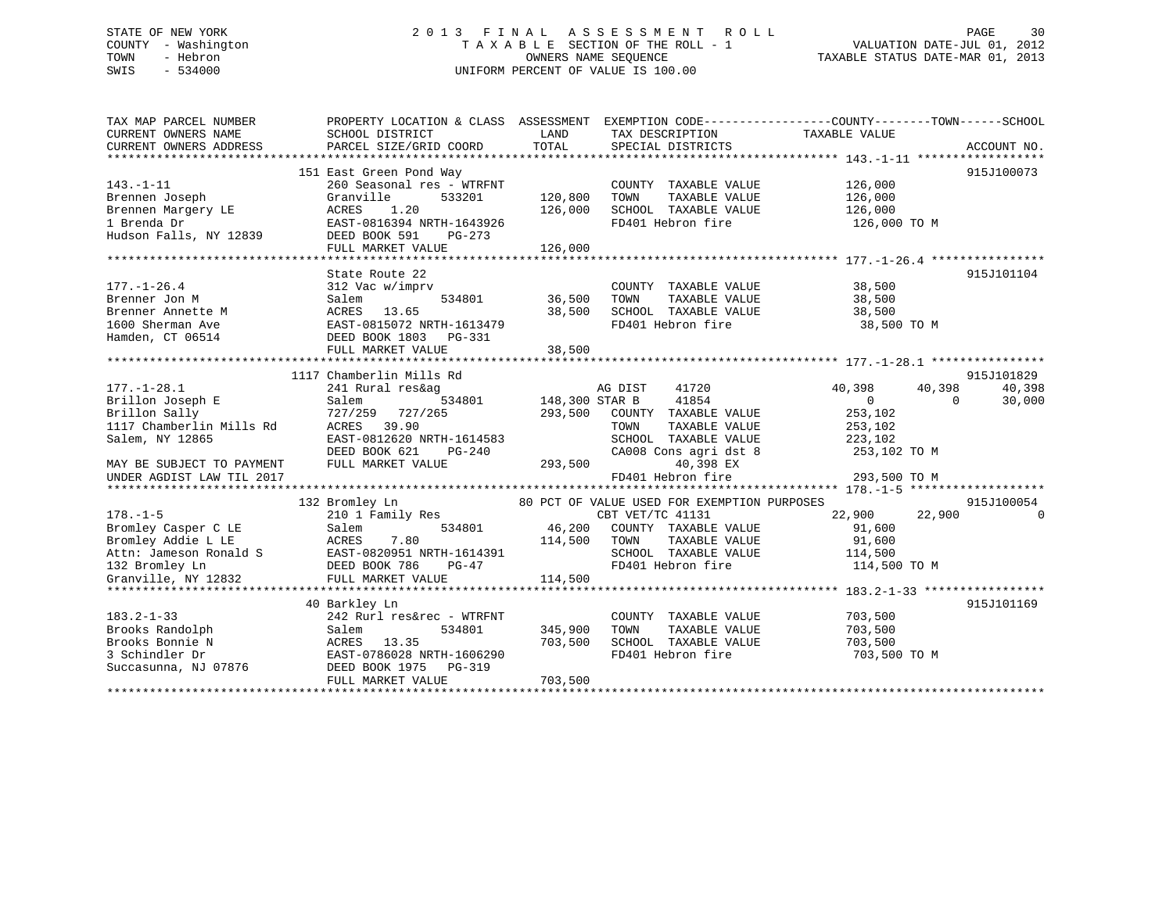### STATE OF NEW YORK 2 0 1 3 F I N A L A S S E S S M E N T R O L L PAGE 30 COUNTY - Washington T A X A B L E SECTION OF THE ROLL - 1 VALUATION DATE-JUL 01, 2012 TOWN - Hebron OWNERS NAME SEQUENCE TAXABLE STATUS DATE-MAR 01, 2013 SWIS - 534000 UNIFORM PERCENT OF VALUE IS 100.00

| TAX MAP PARCEL NUMBER                                                                                                                                                                                                          |                                                  |                       |                                             | PROPERTY LOCATION & CLASS ASSESSMENT EXEMPTION CODE----------------COUNTY-------TOWN------SCHOOL |             |
|--------------------------------------------------------------------------------------------------------------------------------------------------------------------------------------------------------------------------------|--------------------------------------------------|-----------------------|---------------------------------------------|--------------------------------------------------------------------------------------------------|-------------|
| CURRENT OWNERS NAME                                                                                                                                                                                                            | SCHOOL DISTRICT                                  | LAND                  | TAX DESCRIPTION                             | TAXABLE VALUE                                                                                    |             |
| CURRENT OWNERS ADDRESS                                                                                                                                                                                                         | PARCEL SIZE/GRID COORD                           | TOTAL                 | SPECIAL DISTRICTS                           |                                                                                                  | ACCOUNT NO. |
|                                                                                                                                                                                                                                |                                                  |                       |                                             |                                                                                                  |             |
|                                                                                                                                                                                                                                | 151 East Green Pond Way                          |                       |                                             |                                                                                                  | 915J100073  |
| $143. - 1 - 11$                                                                                                                                                                                                                | 260 Seasonal res - WTRFNT                        |                       | COUNTY TAXABLE VALUE                        |                                                                                                  |             |
| Brennen Joseph                                                                                                                                                                                                                 | 533201<br>Granville                              | 120,800               | TOWN<br>TAXABLE VALUE                       | 126,000<br>126,000                                                                               |             |
|                                                                                                                                                                                                                                |                                                  | 126,000               | SCHOOL TAXABLE VALUE 126,000                |                                                                                                  |             |
|                                                                                                                                                                                                                                |                                                  |                       | FD401 Hebron fire                           | 126,000 TO M                                                                                     |             |
|                                                                                                                                                                                                                                |                                                  |                       |                                             |                                                                                                  |             |
|                                                                                                                                                                                                                                | FULL MARKET VALUE                                | 126,000               |                                             |                                                                                                  |             |
|                                                                                                                                                                                                                                |                                                  |                       |                                             |                                                                                                  |             |
|                                                                                                                                                                                                                                | State Route 22                                   |                       |                                             |                                                                                                  | 915J101104  |
| $177. - 1 - 26.4$                                                                                                                                                                                                              | 312 Vac w/imprv                                  |                       | COUNTY TAXABLE VALUE 38,500                 |                                                                                                  |             |
| Brenner Jon M                                                                                                                                                                                                                  | Salem                                            | 534801 36,500         | TOWN<br>TAXABLE VALUE                       | 38,500                                                                                           |             |
|                                                                                                                                                                                                                                |                                                  | 38,500                | SCHOOL TAXABLE VALUE 38,500                 |                                                                                                  |             |
|                                                                                                                                                                                                                                |                                                  |                       | FD401 Hebron fire                           | 38,500 TO M                                                                                      |             |
| Example the model of the state of the state of the state of the state of the state of the state of the state of the state of the state of the state of the state of the state of the state of the state of the state of the st |                                                  |                       |                                             |                                                                                                  |             |
|                                                                                                                                                                                                                                | FULL MARKET VALUE                                |                       |                                             |                                                                                                  |             |
|                                                                                                                                                                                                                                |                                                  | 38,500                |                                             |                                                                                                  |             |
|                                                                                                                                                                                                                                | 1117 Chamberlin Mills Rd                         |                       |                                             |                                                                                                  | 915J101829  |
|                                                                                                                                                                                                                                |                                                  |                       |                                             |                                                                                                  | 40,398      |
| $177. - 1 - 28.1$                                                                                                                                                                                                              | 241 Rural res&ag                                 |                       | AG DIST<br>41720                            | 40,398<br>40,398                                                                                 |             |
| Brillon Joseph E                                                                                                                                                                                                               | Salem                                            | 534801 148,300 STAR B | 41854                                       | $\overline{0}$<br>$\Omega$                                                                       | 30,000      |
| Brillon Sally                                                                                                                                                                                                                  | 727/259 727/265                                  | 293,500               | COUNTY TAXABLE VALUE                        | 253,102                                                                                          |             |
| 1117 Chamberlin Mills Rd                                                                                                                                                                                                       | ACRES 39.90                                      |                       | TOWN<br>TAXABLE VALUE                       | 253,102<br>223,102                                                                               |             |
| Salem, NY 12865                                                                                                                                                                                                                | EAST-0812620 NRTH-1614583                        |                       |                                             | SCHOOL TAXABLE VALUE 223,102<br>CA008 Cons agri dst 8 253,102 TO M                               |             |
|                                                                                                                                                                                                                                | PG-240<br>LUE 293,500<br>DEED BOOK 621           |                       |                                             |                                                                                                  |             |
| MAY BE SUBJECT TO PAYMENT                                                                                                                                                                                                      | FULL MARKET VALUE                                |                       | 40,398 EX<br>40,398 EX<br>FD401 Hebron fire |                                                                                                  |             |
| UNDER AGDIST LAW TIL 2017                                                                                                                                                                                                      |                                                  |                       |                                             | 293,500 TO M                                                                                     |             |
|                                                                                                                                                                                                                                |                                                  |                       |                                             |                                                                                                  |             |
|                                                                                                                                                                                                                                | 132 Bromley Ln<br>Bromley Ln<br>210 1 Family Res |                       | 80 PCT OF VALUE USED FOR EXEMPTION PURPOSES |                                                                                                  | 915J100054  |
| $178. - 1 - 5$                                                                                                                                                                                                                 |                                                  |                       | CBT VET/TC 41131                            | 22,900<br>22,900                                                                                 | $\mathbf 0$ |
|                                                                                                                                                                                                                                |                                                  | 534801 46,200         | COUNTY TAXABLE VALUE                        | 91,600                                                                                           |             |
|                                                                                                                                                                                                                                |                                                  | 114,500               | TAXABLE VALUE<br>TOWN                       | 91,600                                                                                           |             |
|                                                                                                                                                                                                                                |                                                  |                       | SCHOOL TAXABLE VALUE 114,500                |                                                                                                  |             |
|                                                                                                                                                                                                                                |                                                  |                       | FD401 Hebron fire                           | 114,500 TO M                                                                                     |             |
| Bromley Casper C LE<br>Bromley Addie L LE<br>ACRES 7.80<br>Attn: Jameson Ronald S<br>132 Bromley Ln<br>Granville, NY 12832<br>FULL MARKET VALUE                                                                                |                                                  | 114,500               |                                             |                                                                                                  |             |
|                                                                                                                                                                                                                                |                                                  |                       |                                             |                                                                                                  |             |
|                                                                                                                                                                                                                                | 40 Barkley Ln                                    |                       |                                             |                                                                                                  | 915J101169  |
| $183.2 - 1 - 33$                                                                                                                                                                                                               | 242 Rurl res&rec - WTRFNT                        |                       | COUNTY TAXABLE VALUE                        | 703,500                                                                                          |             |
| Brooks Randolph                                                                                                                                                                                                                | 534801<br>Salem                                  | 345,900               | TOWN                                        | TAXABLE VALUE 703,500                                                                            |             |
| Brooks Bonnie N                                                                                                                                                                                                                | ACRES 13.35<br>EAST-0786028 NRTH-1606290         | 703,500               | SCHOOL TAXABLE VALUE<br>FD401 Hebron fire   | 703,500                                                                                          |             |
| 3 Schindler Dr                                                                                                                                                                                                                 |                                                  |                       |                                             | 703,500 TO M                                                                                     |             |
| Succasunna, NJ 07876 DEED BOOK 1975 PG-319                                                                                                                                                                                     |                                                  |                       |                                             |                                                                                                  |             |
|                                                                                                                                                                                                                                | FULL MARKET VALUE                                | 703,500               |                                             |                                                                                                  |             |
|                                                                                                                                                                                                                                |                                                  |                       |                                             |                                                                                                  |             |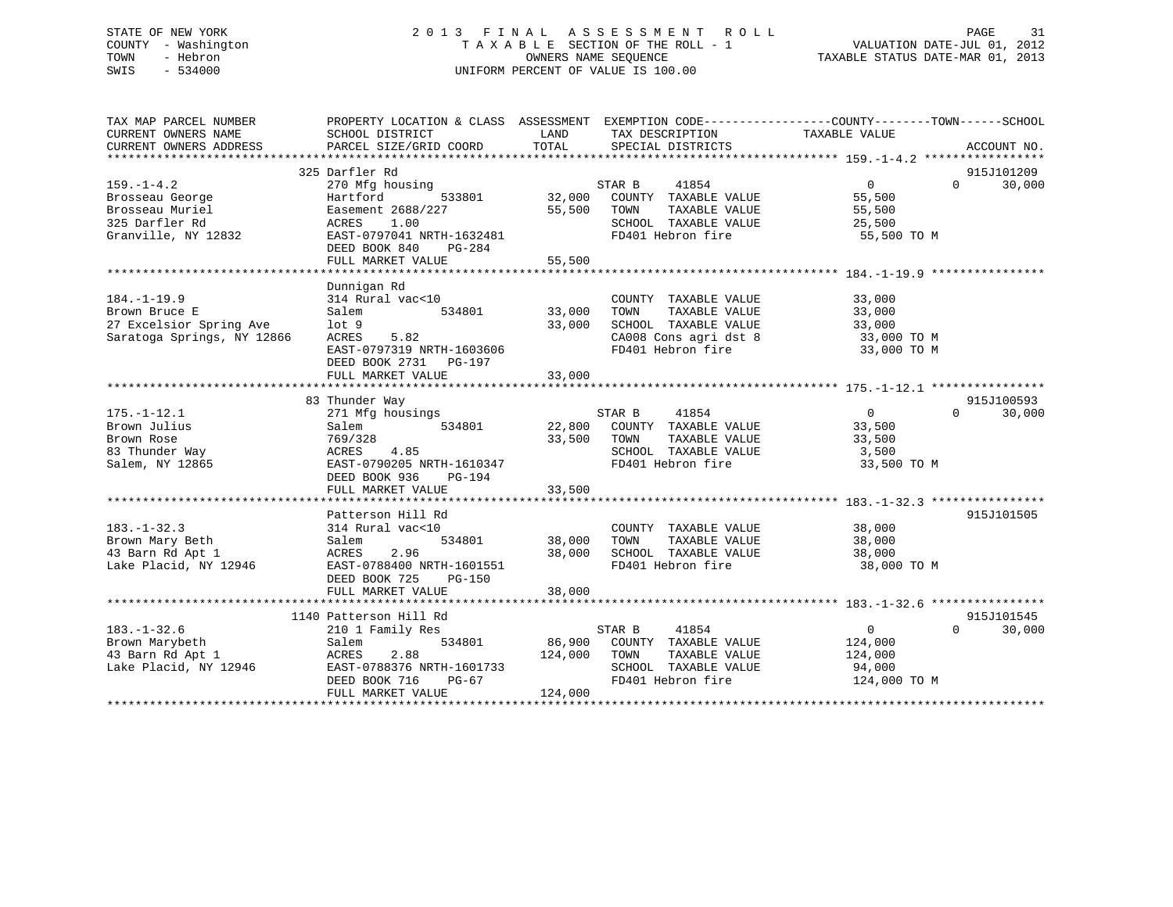### STATE OF NEW YORK 2 0 1 3 F I N A L A S S E S S M E N T R O L L PAGE 31 COUNTY - Washington T A X A B L E SECTION OF THE ROLL - 1 VALUATION DATE-JUL 01, 2012 TOWN - Hebron OWNERS NAME SEQUENCE TAXABLE STATUS DATE-MAR 01, 2013 SWIS - 534000 UNIFORM PERCENT OF VALUE IS 100.00

| TAX MAP PARCEL NUMBER<br>CURRENT OWNERS NAME<br>CURRENT OWNERS ADDRESS | PROPERTY LOCATION & CLASS ASSESSMENT EXEMPTION CODE---------------COUNTY-------TOWN-----SCHOOL<br>SCHOOL DISTRICT<br>PARCEL SIZE/GRID COORD TOTAL |              | SPECIAL DISTRICTS                                                                                                                                   |                            | ACCOUNT NO.        |
|------------------------------------------------------------------------|---------------------------------------------------------------------------------------------------------------------------------------------------|--------------|-----------------------------------------------------------------------------------------------------------------------------------------------------|----------------------------|--------------------|
|                                                                        |                                                                                                                                                   |              |                                                                                                                                                     |                            |                    |
|                                                                        | 325 Darfler Rd                                                                                                                                    |              |                                                                                                                                                     |                            | 915J101209         |
| $159. - 1 - 4.2$                                                       | 270 Mfg housing                                                                                                                                   |              |                                                                                                                                                     | $\overline{0}$             | $\Omega$<br>30,000 |
| Brosseau George                                                        | Hartford 533801                                                                                                                                   |              | $\begin{array}{cccc}\n\texttt{STAR B} & \texttt{41854} \\ \texttt{33801} & \texttt{32,000} & \texttt{COUNTY} & \texttt{TAXABLE VALUE}\n\end{array}$ | 55,500                     |                    |
| Brosseau Muriel                                                        | Easement 2688/227                                                                                                                                 | 55,500 TOWN  | TAXABLE VALUE                                                                                                                                       | 55,500                     |                    |
| 325 Darfler Rd                                                         | ACRES<br>1.00                                                                                                                                     |              | SCHOOL TAXABLE VALUE                                                                                                                                | 25,500                     |                    |
| Granville, NY 12832                                                    | EAST-0797041 NRTH-1632481                                                                                                                         |              | FD401 Hebron fire                                                                                                                                   | 55,500 TO M                |                    |
|                                                                        | DEED BOOK 840<br>PG-284                                                                                                                           |              |                                                                                                                                                     |                            |                    |
|                                                                        |                                                                                                                                                   |              |                                                                                                                                                     |                            |                    |
|                                                                        |                                                                                                                                                   |              |                                                                                                                                                     |                            |                    |
|                                                                        | Dunnigan Rd                                                                                                                                       |              |                                                                                                                                                     |                            |                    |
| $184. - 1 - 19.9$                                                      | 314 Rural vac<10                                                                                                                                  |              | COUNTY TAXABLE VALUE                                                                                                                                | 33,000                     |                    |
| Brown Bruce E                                                          | 534801 33,000<br>Salem                                                                                                                            |              | TOWN<br>TAXABLE VALUE                                                                                                                               | 33,000                     |                    |
| 27 Excelsior Spring Ave                                                | lot <sub>9</sub>                                                                                                                                  | 33,000       | SCHOOL TAXABLE VALUE                                                                                                                                | 33,000                     |                    |
| Saratoga Springs, NY 12866                                             | ACRES 5.82                                                                                                                                        |              | CA008 Cons agri dst 8 33,000 TO M                                                                                                                   |                            |                    |
|                                                                        | EAST-0797319 NRTH-1603606                                                                                                                         |              | FD401 Hebron fire                                                                                                                                   | 33,000 TO M                |                    |
|                                                                        | DEED BOOK 2731 PG-197                                                                                                                             |              |                                                                                                                                                     |                            |                    |
|                                                                        |                                                                                                                                                   |              |                                                                                                                                                     |                            |                    |
|                                                                        |                                                                                                                                                   |              |                                                                                                                                                     |                            |                    |
|                                                                        | 83 Thunder Way                                                                                                                                    |              |                                                                                                                                                     |                            | 915J100593         |
| $175. - 1 - 12.1$                                                      | 271 Mfg housings 534801 522,800 COUNTY TAXABLE VALUE                                                                                              |              |                                                                                                                                                     | $\overline{0}$<br>$\Omega$ | 30,000             |
| Brown Julius                                                           |                                                                                                                                                   |              |                                                                                                                                                     | 33,500                     |                    |
| Brown Rose                                                             | 769/328                                                                                                                                           | 33,500 TOWN  | TAXABLE VALUE                                                                                                                                       | 33,500                     |                    |
| 83 Thunder Way                                                         | ACRES 4.85                                                                                                                                        |              | SCHOOL TAXABLE VALUE                                                                                                                                | 3,500                      |                    |
| Salem, NY 12865                                                        | EAST-0790205 NRTH-1610347                                                                                                                         |              | FD401 Hebron fire                                                                                                                                   | 33,500 TO M                |                    |
|                                                                        | DEED BOOK 936<br>PG-194                                                                                                                           |              |                                                                                                                                                     |                            |                    |
|                                                                        | FULL MARKET VALUE                                                                                                                                 | 33,500       |                                                                                                                                                     |                            |                    |
|                                                                        |                                                                                                                                                   |              |                                                                                                                                                     |                            |                    |
|                                                                        | Patterson Hill Rd                                                                                                                                 |              |                                                                                                                                                     |                            | 915J101505         |
| $183. - 1 - 32.3$                                                      | 314 Rural vac<10                                                                                                                                  |              | COUNTY TAXABLE VALUE 38,000                                                                                                                         |                            |                    |
| Brown Mary Beth                                                        | 534801<br>Salem                                                                                                                                   |              | 38,000    TOWN      TAXABLE VALUE<br>38,000    SCHOOL   TAXABLE VALUE                                                                               | 38,000                     |                    |
| 43 Barn Rd Apt 1                                                       | ACRES<br>2.96                                                                                                                                     |              |                                                                                                                                                     | 38,000<br>38,000           |                    |
| Lake Placid, NY 12946                                                  | EAST-0788400 NRTH-1601551                                                                                                                         |              | FD401 Hebron fire                                                                                                                                   | 38,000 TO M                |                    |
|                                                                        | DEED BOOK 725 PG-150                                                                                                                              |              |                                                                                                                                                     |                            |                    |
|                                                                        | FULL MARKET VALUE                                                                                                                                 | 38,000       |                                                                                                                                                     |                            |                    |
|                                                                        |                                                                                                                                                   |              |                                                                                                                                                     |                            |                    |
|                                                                        | 1140 Patterson Hill Rd                                                                                                                            |              |                                                                                                                                                     |                            | 915J101545         |
| $183. - 1 - 32.6$                                                      | 210 1 Family Res                                                                                                                                  |              | STAR B<br>41854                                                                                                                                     | $0 \qquad \qquad$          | $\Omega$<br>30,000 |
| Brown Marybeth                                                         | 534801<br>Salem                                                                                                                                   |              | 86,900 COUNTY TAXABLE VALUE                                                                                                                         | 124,000                    |                    |
| 43 Barn Rd Apt 1                                                       | ACRES<br>2.88                                                                                                                                     | 124,000 TOWN | TAXABLE VALUE                                                                                                                                       | 124,000                    |                    |
| Lake Placid, NY 12946                                                  | EAST-0788376 NRTH-1601733                                                                                                                         |              | SCHOOL TAXABLE VALUE                                                                                                                                | 94,000                     |                    |
|                                                                        | DEED BOOK 716<br>$PG-67$                                                                                                                          |              | FD401 Hebron fire                                                                                                                                   | 124,000 TO M               |                    |
|                                                                        | FULL MARKET VALUE                                                                                                                                 | 124,000      |                                                                                                                                                     |                            |                    |
|                                                                        |                                                                                                                                                   |              |                                                                                                                                                     |                            |                    |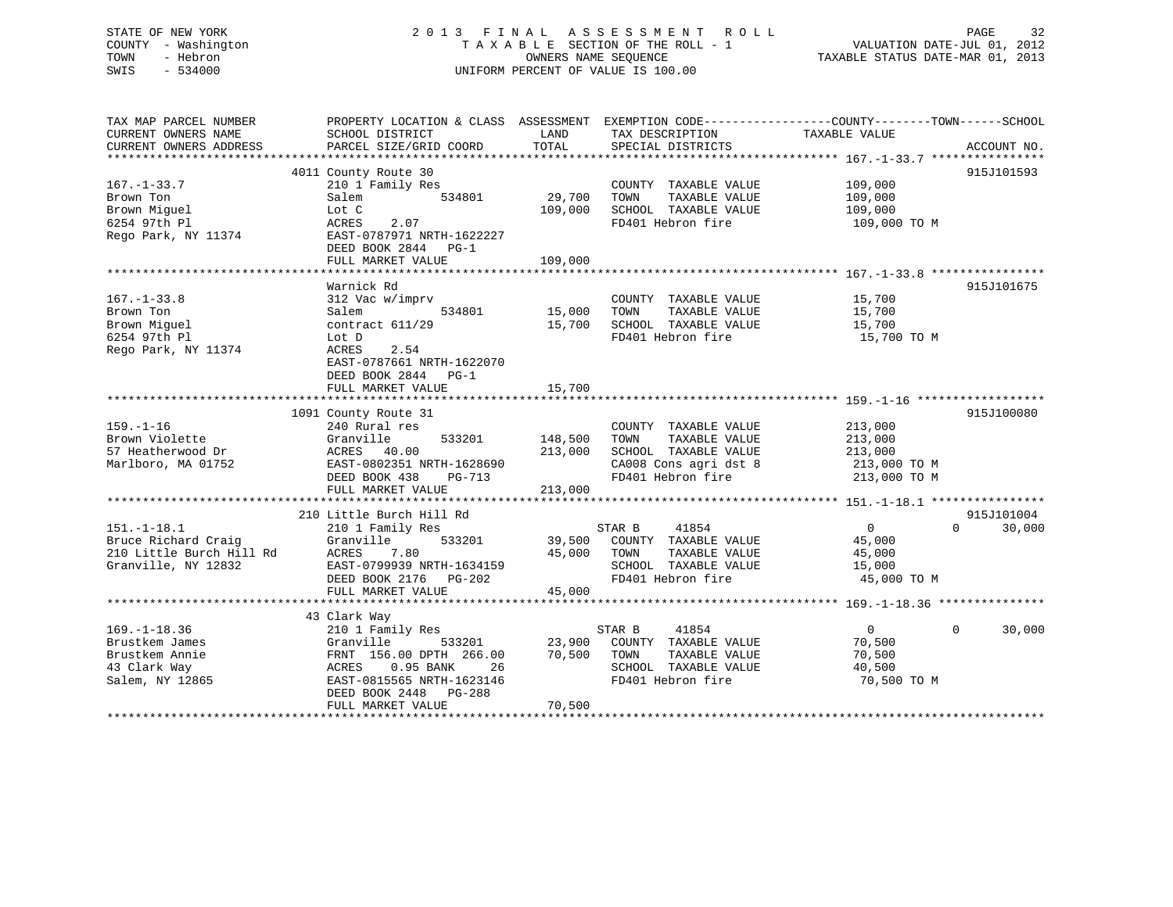## STATE OF NEW YORK 2013 FINAL ASSESSMENT ROLL PAGE 32 COUNTY - Washington T A X A B L E SECTION OF THE ROLL - 1 VALUATION DATE-JUL 01, 2012 SWIS - 534000 UNIFORM PERCENT OF VALUE IS 100.00

VALUATION DATE-JUL  $01$ , 2012

TAXABLE STATUS DATE-MAR 01, 2013

| TAX MAP PARCEL NUMBER<br>CURRENT OWNERS NAME<br>CURRENT OWNERS ADDRESS                  | SCHOOL DISTRICT<br>PARCEL SIZE/GRID COORD                                                                                                                                             | LAND<br>TOTAL                 | TAX DESCRIPTION TAXABLE VALUE<br>SPECIAL DISTRICTS                                                                  | PROPERTY LOCATION & CLASS ASSESSMENT EXEMPTION CODE----------------COUNTY-------TOWN------SCHOOL<br>ACCOUNT NO. |
|-----------------------------------------------------------------------------------------|---------------------------------------------------------------------------------------------------------------------------------------------------------------------------------------|-------------------------------|---------------------------------------------------------------------------------------------------------------------|-----------------------------------------------------------------------------------------------------------------|
| 167.–1–33.7<br>Brown Ton<br>Brown Miguel<br>6254 97th Pl                                | 4011 County Route 30<br>210 1 Family Res<br>534801<br>Salem<br>Lot C<br>2.07<br>ACRES<br>DEED BOOK 2844 PG-1<br>FULL MARKET VALUE                                                     | 29,700<br>109,000<br>109,000  | COUNTY TAXABLE VALUE<br>TAXABLE VALUE<br>TOWN<br>SCHOOL TAXABLE VALUE<br>FD401 Hebron fire                          | 915J101593<br>109,000<br>109,000<br>109,000<br>109,000 TO M                                                     |
| $167. - 1 - 33.8$<br>Brown Ton<br>Brown Miquel<br>6254 97th Pl<br>Rego Park, NY 11374   | Warnick Rd<br>312 Vac w/imprv<br>Siz ve<br>Salem<br>534801<br>contract 611/29<br>Lot D<br>ACRES<br>2.54<br>EAST-0787661 NRTH-1622070<br>DEED BOOK 2844<br>$PG-1$<br>FULL MARKET VALUE | 15,000<br>15,700<br>15,700    | COUNTY TAXABLE VALUE<br>TOWN<br>TAXABLE VALUE<br>SCHOOL TAXABLE VALUE<br>FD401 Hebron fire                          | 915J101675<br>15,700<br>15,700<br>15,700<br>15,700 TO M                                                         |
| 159.–1–16<br>Brown Violette<br>57 Heatherwood Dr<br>Marlboro, MA 01752                  | 1091 County Route 31<br>240 Rural res<br>533201<br>Granville<br>ACRES     40.00<br>EAST-0802351 NRTH-1628690<br>DEED BOOK 438<br>PG-713<br>FULL MARKET VALUE                          | 148,500<br>213,000<br>213,000 | COUNTY TAXABLE VALUE<br>TOWN<br>TAXABLE VALUE<br>SCHOOL TAXABLE VALUE<br>CA008 Cons agri dst 8<br>FD401 Hebron fire | 915J100080<br>213,000<br>213,000<br>213,000<br>213,000 TO M<br>213,000 TO M                                     |
| $151.-1-18.1$<br>Bruce Richard Craiq<br>210 Little Burch Hill Rd<br>Granville, NY 12832 | 210 Little Burch Hill Rd<br>210 1 Family Res<br>Granville<br>533201<br>ACRES 7.80<br>EAST-0799939 NRTH-1634159<br>DEED BOOK 2176 PG-202<br>FULL MARKET VALUE                          | 39,500<br>45,000<br>45,000    | STAR B<br>41854<br>COUNTY TAXABLE VALUE<br>TOWN<br>TAXABLE VALUE<br>SCHOOL TAXABLE VALUE<br>FD401 Hebron fire       | 915J101004<br>$\overline{0}$<br>$\overline{0}$<br>30,000<br>45,000<br>45,000<br>15,000<br>45,000 TO M           |
| 169.–1–18.36<br>Brustkem James<br>Brustkem Annie<br>43 Clark Way<br>Salem, NY 12865     | 43 Clark Way<br>210 1 Family Res<br>Granville 333201<br>FRNT 156.00 DPTH 266.00<br>ACRES 0.95 BANK 26<br>EAST-0815565 NRTH-1623146<br>FULL MARKET VALUE                               | 23,900<br>70,500<br>70,500    | 41854<br>STAR B<br>COUNTY TAXABLE VALUE<br>TOWN<br>TAXABLE VALUE<br>SCHOOL TAXABLE VALUE<br>FD401 Hebron fire       | 30,000<br>$\overline{0}$<br>$\mathbf{0}$<br>70,500<br>70,500<br>40,500<br>70,500 TO M                           |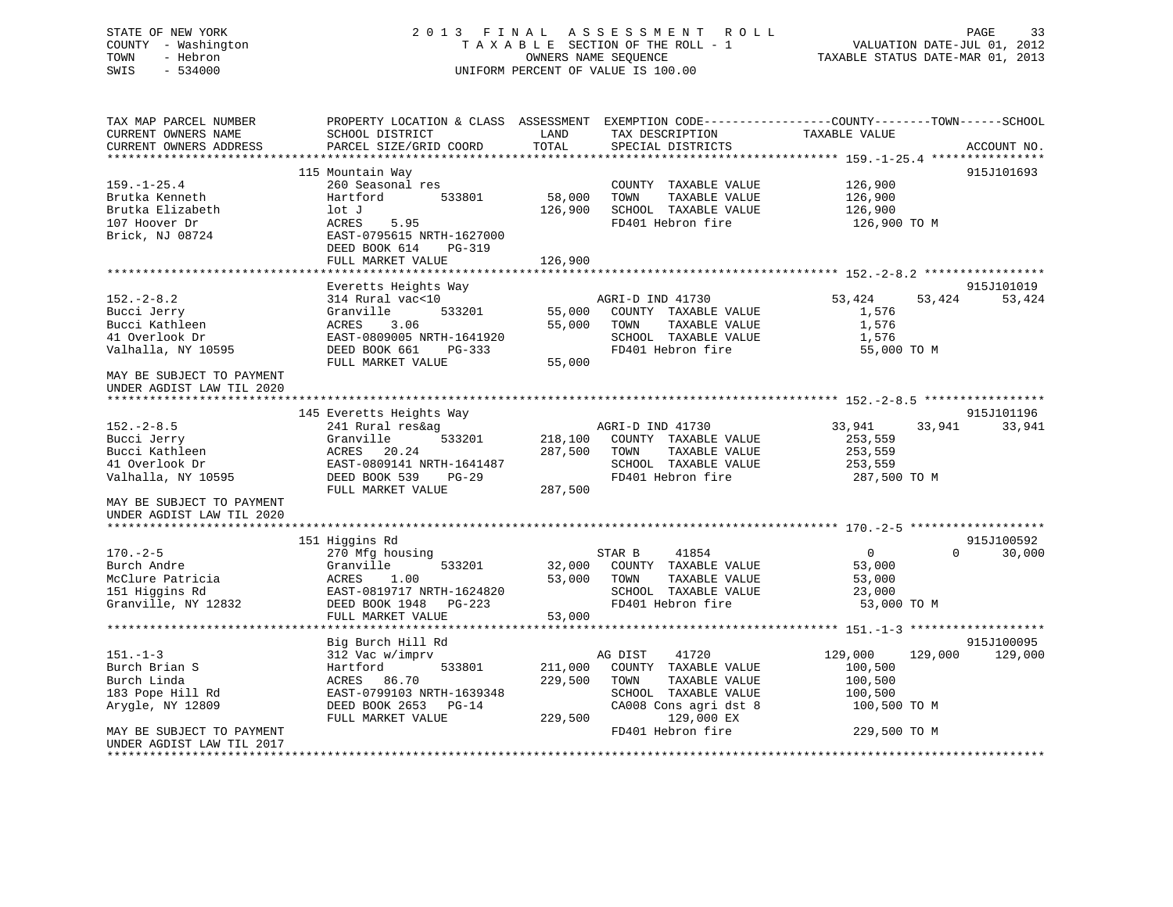# STATE OF NEW YORK 2 0 1 3 F I N A L A S S E S S M E N T R O L L PAGE 33COUNTY - Washington  $T A X A B L E$  SECTION OF THE ROLL - 1 TOWN - Hebron SWIS - 534000 UNIFORM PERCENT OF VALUE IS 100.00

VALUATION DATE-JUL 01, 2012

TAXABLE STATUS DATE-MAR 01, 2013

| TAX MAP PARCEL NUMBER<br>CURRENT OWNERS NAME | PROPERTY LOCATION & CLASS ASSESSMENT EXEMPTION CODE---------------COUNTY-------TOWN-----SCHOOL<br>SCHOOL DISTRICT | LAND    | TAX DESCRIPTION                                  | TAXABLE VALUE      |                    |
|----------------------------------------------|-------------------------------------------------------------------------------------------------------------------|---------|--------------------------------------------------|--------------------|--------------------|
| CURRENT OWNERS ADDRESS                       | PARCEL SIZE/GRID COORD                                                                                            | TOTAL   | SPECIAL DISTRICTS                                |                    | ACCOUNT NO.        |
|                                              | 115 Mountain Way                                                                                                  |         |                                                  |                    | 915J101693         |
| $159. - 1 - 25.4$                            | 260 Seasonal res                                                                                                  |         | COUNTY TAXABLE VALUE                             | 126,900            |                    |
| Brutka Kenneth                               | Hartford<br>533801                                                                                                | 58,000  | TOWN<br>TAXABLE VALUE                            | 126,900            |                    |
| Brutka Elizabeth                             | lot J                                                                                                             | 126,900 | SCHOOL TAXABLE VALUE                             | 126,900            |                    |
| 107 Hoover Dr                                | ACRES<br>5.95                                                                                                     |         | FD401 Hebron fire                                | 126,900 TO M       |                    |
| Brick, NJ 08724                              | EAST-0795615 NRTH-1627000                                                                                         |         |                                                  |                    |                    |
|                                              | DEED BOOK 614<br>PG-319                                                                                           |         |                                                  |                    |                    |
|                                              | FULL MARKET VALUE                                                                                                 | 126,900 |                                                  |                    |                    |
|                                              |                                                                                                                   |         |                                                  |                    |                    |
|                                              | Everetts Heights Way                                                                                              |         |                                                  |                    | 915J101019         |
| $152. - 2 - 8.2$                             | 314 Rural vac<10                                                                                                  |         | AGRI-D IND 41730                                 | 53,424             | 53,424<br>53,424   |
| Bucci Jerry                                  | 533201<br>Granville                                                                                               | 55,000  | COUNTY TAXABLE VALUE                             | 1,576              |                    |
| Bucci Kathleen                               | 3.06<br>ACRES                                                                                                     | 55,000  | TOWN<br>TAXABLE VALUE                            | 1,576              |                    |
| 41 Overlook Dr                               | EAST-0809005 NRTH-1641920                                                                                         |         | SCHOOL TAXABLE VALUE                             | 1,576              |                    |
| Valhalla, NY 10595                           | DEED BOOK 661<br>PG-333                                                                                           |         | FD401 Hebron fire                                | 55,000 TO M        |                    |
|                                              | FULL MARKET VALUE                                                                                                 | 55,000  |                                                  |                    |                    |
| MAY BE SUBJECT TO PAYMENT                    |                                                                                                                   |         |                                                  |                    |                    |
| UNDER AGDIST LAW TIL 2020                    |                                                                                                                   |         |                                                  |                    |                    |
|                                              |                                                                                                                   |         |                                                  |                    |                    |
|                                              | 145 Everetts Heights Way                                                                                          |         |                                                  |                    | 915J101196         |
| $152 - 2 - 8.5$                              | 241 Rural res&ag<br>Granville<br>533201                                                                           |         | AGRI-D IND 41730<br>218,100 COUNTY TAXABLE VALUE | 33,941             | 33,941<br>33,941   |
| Bucci Jerry<br>Bucci Kathleen                | ACRES<br>20.24                                                                                                    | 287,500 | TAXABLE VALUE<br>TOWN                            | 253,559<br>253,559 |                    |
| 41 Overlook Dr                               | EAST-0809141 NRTH-1641487                                                                                         |         | SCHOOL TAXABLE VALUE                             | 253,559            |                    |
| Valhalla, NY 10595                           | DEED BOOK 539<br>$PG-29$                                                                                          |         | FD401 Hebron fire                                | 287,500 TO M       |                    |
|                                              | FULL MARKET VALUE                                                                                                 | 287,500 |                                                  |                    |                    |
| MAY BE SUBJECT TO PAYMENT                    |                                                                                                                   |         |                                                  |                    |                    |
| UNDER AGDIST LAW TIL 2020                    |                                                                                                                   |         |                                                  |                    |                    |
|                                              |                                                                                                                   |         |                                                  |                    |                    |
|                                              | 151 Higgins Rd                                                                                                    |         |                                                  |                    | 915J100592         |
| $170. - 2 - 5$                               | 270 Mfg housing                                                                                                   |         | STAR B<br>41854                                  | $\overline{0}$     | 30,000<br>$\Omega$ |
| Burch Andre                                  | Granville<br>533201                                                                                               | 32,000  | COUNTY TAXABLE VALUE                             | 53,000             |                    |
| McClure Patricia                             | ACRES<br>1.00                                                                                                     | 53,000  | TOWN<br>TAXABLE VALUE                            | 53,000             |                    |
| 151 Higgins Rd                               | EAST-0819717 NRTH-1624820                                                                                         |         | SCHOOL TAXABLE VALUE                             | 23,000             |                    |
| Granville, NY 12832                          | DEED BOOK 1948 PG-223                                                                                             |         | FD401 Hebron fire                                | 53,000 TO M        |                    |
|                                              | FULL MARKET VALUE                                                                                                 | 53,000  |                                                  |                    |                    |
|                                              |                                                                                                                   |         |                                                  |                    |                    |
|                                              | Big Burch Hill Rd                                                                                                 |         |                                                  |                    | 915J100095         |
| $151 - 1 - 3$                                | 312 Vac w/imprv                                                                                                   |         | AG DIST<br>41720                                 | 129,000            | 129,000<br>129,000 |
| Burch Brian S                                | Hartford<br>533801                                                                                                | 211,000 | COUNTY TAXABLE VALUE                             | 100,500            |                    |
| Burch Linda                                  | ACRES 86.70                                                                                                       | 229,500 | TOWN<br>TAXABLE VALUE                            | 100,500            |                    |
| 183 Pope Hill Rd                             | EAST-0799103 NRTH-1639348                                                                                         |         | SCHOOL TAXABLE VALUE                             | 100,500            |                    |
| Arygle, NY 12809                             | DEED BOOK 2653 PG-14<br>FULL MARKET VALUE                                                                         | 229,500 | CA008 Cons agri dst 8<br>129,000 EX              | 100,500 TO M       |                    |
| MAY BE SUBJECT TO PAYMENT                    |                                                                                                                   |         | FD401 Hebron fire                                | 229,500 TO M       |                    |
| UNDER AGDIST LAW TIL 2017                    |                                                                                                                   |         |                                                  |                    |                    |
|                                              |                                                                                                                   |         |                                                  |                    |                    |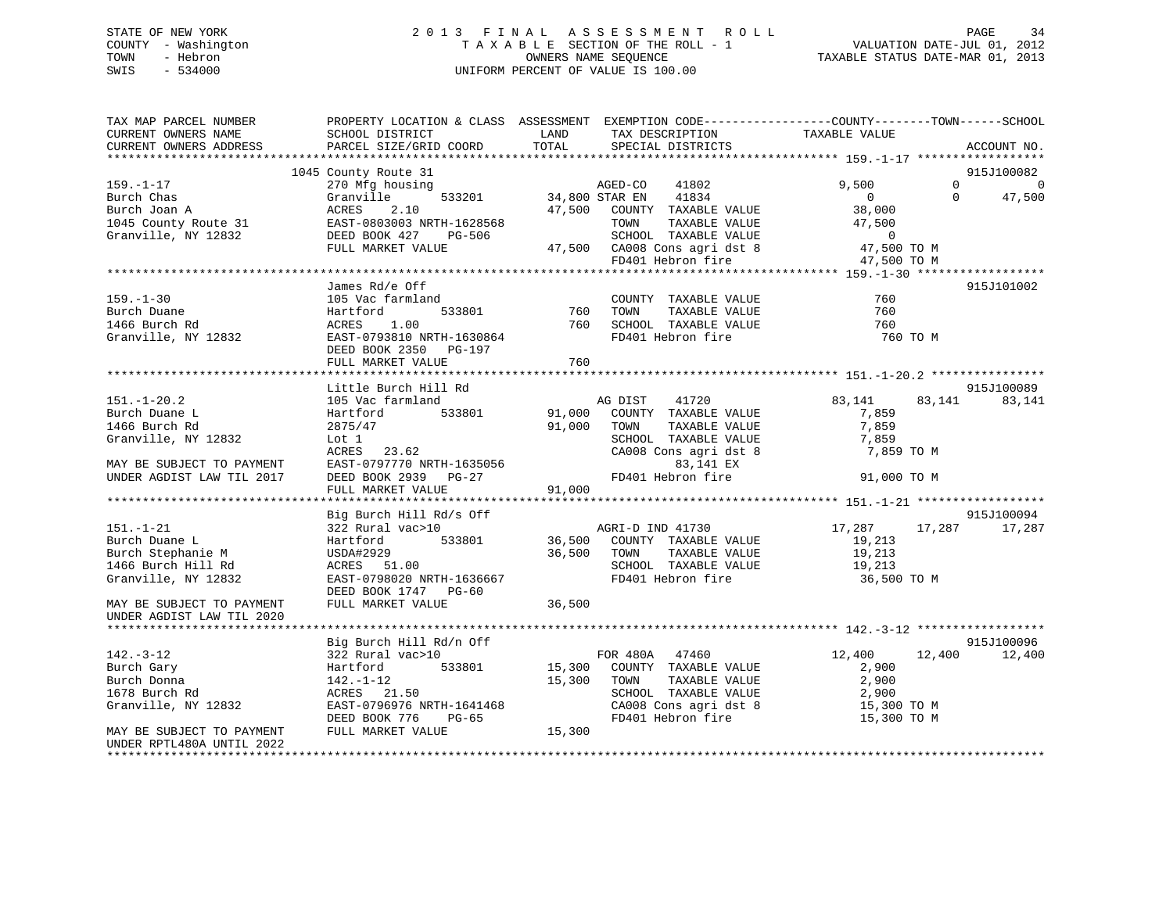### STATE OF NEW YORK 2 0 1 3 F I N A L A S S E S S M E N T R O L L PAGE 34 COUNTY - Washington T A X A B L E SECTION OF THE ROLL - 1 VALUATION DATE-JUL 01, 2012 TOWN - Hebron OWNERS NAME SEQUENCE TAXABLE STATUS DATE-MAR 01, 2013 SWIS - 534000 UNIFORM PERCENT OF VALUE IS 100.00

| TAX MAP PARCEL NUMBER<br>CURRENT OWNERS NAME<br>CURRENT OWNERS ADDRESS                             | SCHOOL DISTRICT<br>PARCEL SIZE/GRID COORD                                                           | LAND<br>TAX DESCRIPTION<br>TOTAL<br>SPECIAL DISTRICTS                                                                                               | PROPERTY LOCATION & CLASS ASSESSMENT EXEMPTION CODE----------------COUNTY-------TOWN-----SCHOOL<br>TAXABLE VALUE<br>ACCOUNT NO.                                                                                                                                                                                                                                                                 |
|----------------------------------------------------------------------------------------------------|-----------------------------------------------------------------------------------------------------|-----------------------------------------------------------------------------------------------------------------------------------------------------|-------------------------------------------------------------------------------------------------------------------------------------------------------------------------------------------------------------------------------------------------------------------------------------------------------------------------------------------------------------------------------------------------|
|                                                                                                    |                                                                                                     |                                                                                                                                                     |                                                                                                                                                                                                                                                                                                                                                                                                 |
|                                                                                                    | 1045 County Route 31                                                                                |                                                                                                                                                     | 915J100082                                                                                                                                                                                                                                                                                                                                                                                      |
| $159. - 1 - 17$<br>Burch Chas<br>Burch Joan A                                                      | 270 Mfg housing<br>Granville<br>2.10<br>ACRES                                                       | AGED-CO<br>41802<br>533201 34,800 STAR EN<br>41834<br>47,500 COUNTY TAXABLE VALUE                                                                   | $\begin{matrix} 0 & 0 \\ 0 & 0 \\ 0 & 0 \\ 0 & 0 \\ 0 & 0 \\ 0 & 0 \\ 0 & 0 \\ 0 & 0 \\ 0 & 0 \\ 0 & 0 \\ 0 & 0 \\ 0 & 0 & 0 \\ 0 & 0 & 0 \\ 0 & 0 & 0 \\ 0 & 0 & 0 & 0 \\ 0 & 0 & 0 & 0 \\ 0 & 0 & 0 & 0 \\ 0 & 0 & 0 & 0 & 0 \\ 0 & 0 & 0 & 0 & 0 \\ 0 & 0 & 0 & 0 & 0 \\ 0 & 0 & 0 & 0 & 0 & 0 \\ 0 & 0 & 0 & 0 & 0 & 0 \\ 0 & 0$<br>9,500<br>$\Omega$<br>47,500<br>$\overline{0}$<br>38,000 |
| 1045 County Route 31<br>Granville, NY 12832 DEED BOOK 427                                          | EAST-0803003 NRTH-1628568<br>PG-506<br>FULL MARKET VALUE                                            | TOWN<br>TAXABLE VALUE<br>SCHOOL TAXABLE VALUE<br>47,500 CA008 Cons agri dst 8<br>FD401 Hebron fire                                                  | 47,500<br>0<br>47,500 TO M                                                                                                                                                                                                                                                                                                                                                                      |
|                                                                                                    |                                                                                                     |                                                                                                                                                     | 47,500 TO M                                                                                                                                                                                                                                                                                                                                                                                     |
|                                                                                                    | James Rd/e Off                                                                                      |                                                                                                                                                     | 915J101002                                                                                                                                                                                                                                                                                                                                                                                      |
| $159. - 1 - 30$<br>Burch Duane<br>1466 Burch Rd<br>Granville, NY 12832                             | 105 Vac farmland<br>Hartford<br>1.00<br>ACRES<br>EAST-0793810 NRTH-1630864<br>DEED BOOK 2350 PG-197 | COUNTY TAXABLE VALUE<br>533801 760<br>TAXABLE VALUE<br>TOWN<br>SCHOOL TAXABLE VALUE<br>FD401 Hebron fire                                            | 760<br>760<br>760<br>760 TO M                                                                                                                                                                                                                                                                                                                                                                   |
|                                                                                                    | FULL MARKET VALUE                                                                                   | 760                                                                                                                                                 |                                                                                                                                                                                                                                                                                                                                                                                                 |
|                                                                                                    | Little Burch Hill Rd                                                                                |                                                                                                                                                     | 915J100089                                                                                                                                                                                                                                                                                                                                                                                      |
| $151. - 1 - 20.2$                                                                                  | 105 Vac farmland                                                                                    | AG DIST<br>41720                                                                                                                                    | 83,141<br>83,141<br>83,141                                                                                                                                                                                                                                                                                                                                                                      |
| Burch Duane L<br>1466 Burch Rd<br>Granville, NY 12832                                              | 533801<br>Hartford<br>2875/47<br>Lot 1<br>ACRES<br>23.62                                            | 91,000<br>COUNTY TAXABLE VALUE<br>91,000<br>TOWN<br>TAXABLE VALUE<br>SCHOOL TAXABLE VALUE<br>CA008 Cons agri dst 8                                  | 7,859<br>7,859<br>7,859<br>7,859 TO M                                                                                                                                                                                                                                                                                                                                                           |
| MAY BE SUBJECT TO PAYMENT                                                                          | EAST-0797770 NRTH-1635056                                                                           | 83,141 EX                                                                                                                                           |                                                                                                                                                                                                                                                                                                                                                                                                 |
| UNDER AGDIST LAW TIL 2017                                                                          | DEED BOOK 2939 PG-27<br>FULL MARKET VALUE                                                           | FD401 Hebron fire<br>91,000                                                                                                                         | 91,000 TO M                                                                                                                                                                                                                                                                                                                                                                                     |
|                                                                                                    |                                                                                                     |                                                                                                                                                     |                                                                                                                                                                                                                                                                                                                                                                                                 |
|                                                                                                    | Big Burch Hill Rd/s Off                                                                             |                                                                                                                                                     | 915J100094                                                                                                                                                                                                                                                                                                                                                                                      |
| $151. - 1 - 21$<br>Burch Duane L<br>Burch Stephanie M<br>1466 Burch Hill Rd<br>Granville, NY 12832 | 322 Rural vac>10<br>533801<br>Hartford<br>EAST-0798020 NRTH-1636667<br>DEED BOOK 1747 PG-60         | AGRI-D IND 41730<br>36,500 COUNTY TAXABLE VALUE<br>AGRI-D IND 41730<br>36,500<br>TAXABLE VALUE<br>TOWN<br>SCHOOL TAXABLE VALUE<br>FD401 Hebron fire | 17,287 17,287<br>17,287<br>19,213<br>19,213<br>19,213<br>36,500 TO M                                                                                                                                                                                                                                                                                                                            |
| MAY BE SUBJECT TO PAYMENT<br>UNDER AGDIST LAW TIL 2020                                             | FULL MARKET VALUE                                                                                   | 36,500                                                                                                                                              |                                                                                                                                                                                                                                                                                                                                                                                                 |
|                                                                                                    | Big Burch Hill Rd/n Off                                                                             |                                                                                                                                                     | 915J100096                                                                                                                                                                                                                                                                                                                                                                                      |
| $142. - 3 - 12$                                                                                    | 322 Rural vac>10                                                                                    | FOR 480A 47460                                                                                                                                      | 12,400<br>12,400 12,400                                                                                                                                                                                                                                                                                                                                                                         |
| Burch Gary                                                                                         | Hartford<br>533801                                                                                  | 15,300 COUNTY TAXABLE VALUE                                                                                                                         | 2,900                                                                                                                                                                                                                                                                                                                                                                                           |
| Burch Donna                                                                                        |                                                                                                     | 15,300 TOWN                                                                                                                                         | 2,900                                                                                                                                                                                                                                                                                                                                                                                           |
| 1678 Burch Rd                                                                                      | 142.-1-12<br>ACRES 21.50                                                                            | TOWN      TAXABLE VALUE<br>SCHOOL   TAXABLE VALUE                                                                                                   | 2,900                                                                                                                                                                                                                                                                                                                                                                                           |
| Granville, NY 12832                                                                                | EAST-0796976 NRTH-1641468<br>DEED BOOK 776<br>PG-65                                                 | CA008 Cons agri dst 8<br>FD401 Hebron fire                                                                                                          | 15,300 TO M<br>15,300 TO M                                                                                                                                                                                                                                                                                                                                                                      |
| MAY BE SUBJECT TO PAYMENT<br>UNDER RPTL480A UNTIL 2022                                             | FULL MARKET VALUE                                                                                   | 15,300                                                                                                                                              |                                                                                                                                                                                                                                                                                                                                                                                                 |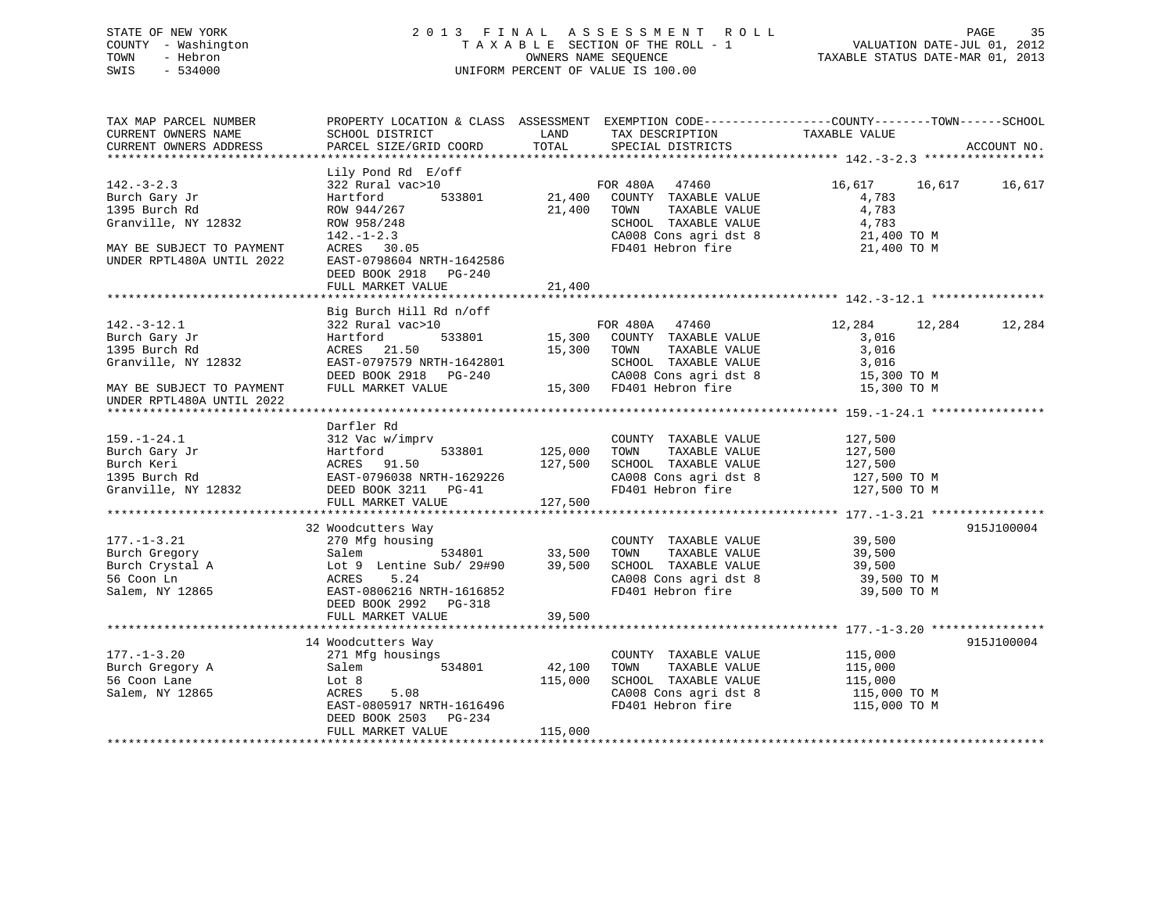### STATE OF NEW YORK 2 0 1 3 F I N A L A S S E S S M E N T R O L L PAGE 35 COUNTY - Washington T A X A B L E SECTION OF THE ROLL - 1 VALUATION DATE-JUL 01, 2012 TOWN - Hebron OWNERS NAME SEQUENCE TAXABLE STATUS DATE-MAR 01, 2013 SWIS - 534000 UNIFORM PERCENT OF VALUE IS 100.00

| TAX MAP PARCEL NUMBER<br>CURRENT OWNERS NAME           | PROPERTY LOCATION & CLASS ASSESSMENT EXEMPTION CODE----------------COUNTY-------TOWN------SCHOOL<br>SCHOOL DISTRICT | LAND<br>TOTAL | TAX DESCRIPTION<br>SPECIAL DISTRICTS          | TAXABLE VALUE           |        | ACCOUNT NO. |
|--------------------------------------------------------|---------------------------------------------------------------------------------------------------------------------|---------------|-----------------------------------------------|-------------------------|--------|-------------|
| CURRENT OWNERS ADDRESS                                 | PARCEL SIZE/GRID COORD                                                                                              |               |                                               |                         |        |             |
| $142. - 3 - 2.3$                                       | Lily Pond Rd E/off<br>322 Rural vac>10                                                                              |               | FOR 480A 47460                                | 16,617 16,617 16,617    |        |             |
| Burch Gary Jr                                          | 533801<br>Hartford                                                                                                  | 21,400        | COUNTY TAXABLE VALUE                          | 4,783                   |        |             |
| 1395 Burch Rd                                          | ROW 944/267                                                                                                         | 21,400        | TOWN<br>TAXABLE VALUE                         | 4,783                   |        |             |
| Granville, NY 12832                                    | ROW 958/248                                                                                                         |               | SCHOOL TAXABLE VALUE                          | 4,783                   |        |             |
|                                                        | $142. - 1 - 2.3$                                                                                                    |               | CA008 Cons agri dst 8                         | 21,400 TO M             |        |             |
| MAY BE SUBJECT TO PAYMENT                              | ACRES 30.05                                                                                                         |               | FD401 Hebron fire                             | 21,400 TO M             |        |             |
| UNDER RPTL480A UNTIL 2022                              | EAST-0798604 NRTH-1642586<br>DEED BOOK 2918 PG-240                                                                  | 21,400        |                                               |                         |        |             |
|                                                        | FULL MARKET VALUE                                                                                                   |               |                                               |                         |        |             |
|                                                        | Big Burch Hill Rd n/off                                                                                             |               |                                               |                         |        |             |
| $142.-3-12.1$                                          | 322 Rural vac>10                                                                                                    |               | FOR 480A 47460                                | 12,284                  | 12,284 | 12,284      |
| Burch Gary Jr                                          | 533801<br>Hartford                                                                                                  | 15,300        | COUNTY TAXABLE VALUE                          | 3,016                   |        |             |
| 1395 Burch Rd                                          | ACRES 21.50                                                                                                         | 15,300        | TAXABLE VALUE<br>TOWN                         | 3,016                   |        |             |
| Granville, NY 12832                                    | EAST-0797579 NRTH-1642801                                                                                           |               | SCHOOL TAXABLE VALUE                          | 3,016                   |        |             |
|                                                        | DEED BOOK 2918 PG-240                                                                                               |               | CA008 Cons agri dst 8                         | 15,300 TO M             |        |             |
| MAY BE SUBJECT TO PAYMENT<br>UNDER RPTL480A UNTIL 2022 | FULL MARKET VALUE                                                                                                   |               | 15,300 FD401 Hebron fire                      | 15,300 TO M             |        |             |
|                                                        |                                                                                                                     |               |                                               |                         |        |             |
|                                                        | Darfler Rd                                                                                                          |               |                                               |                         |        |             |
| $159. - 1 - 24.1$                                      | 312 Vac w/imprv                                                                                                     |               | COUNTY TAXABLE VALUE                          | 127,500                 |        |             |
| Burch Gary Jr                                          | Hartford<br>533801                                                                                                  | 125,000       | TOWN<br>TAXABLE VALUE                         | 127,500                 |        |             |
| Burch Keri                                             | ACRES 91.50                                                                                                         | 127,500       | SCHOOL TAXABLE VALUE                          | 127,500                 |        |             |
| 1395 Burch Rd                                          | EAST-0796038 NRTH-1629226                                                                                           |               | CA008 Cons agri dst 8                         | 127,500 TO M            |        |             |
| Granville, NY 12832                                    | DEED BOOK 3211 PG-41<br>FULL MARKET VALUE                                                                           | 127,500       | FD401 Hebron fire                             | 127,500 TO M            |        |             |
|                                                        |                                                                                                                     |               |                                               |                         |        |             |
|                                                        | 32 Woodcutters Way                                                                                                  |               |                                               |                         |        | 915J100004  |
| $177. - 1 - 3.21$                                      | 270 Mfg housing                                                                                                     |               | COUNTY TAXABLE VALUE                          | 39,500                  |        |             |
| Burch Gregory                                          | Salem                                                                                                               | 534801 33,500 | TOWN<br>TAXABLE VALUE                         | 39,500                  |        |             |
| Burch Crystal A                                        | Lot 9 Lentine Sub/ 29#90                                                                                            | 39,500        | SCHOOL TAXABLE VALUE                          | 39,500                  |        |             |
| 56 Coon Ln                                             | 5.24<br>ACRES                                                                                                       |               | CA008 Cons agri dst 8                         | 39,500 TO M             |        |             |
| Salem, NY 12865                                        | EAST-0806216 NRTH-1616852<br>DEED BOOK 2992 PG-318                                                                  |               | FD401 Hebron fire                             | 39,500 TO M             |        |             |
|                                                        | FULL MARKET VALUE                                                                                                   | 39,500        |                                               |                         |        |             |
|                                                        |                                                                                                                     |               |                                               |                         |        |             |
|                                                        | 14 Woodcutters Way                                                                                                  |               |                                               |                         |        | 915J100004  |
| $177. - 1 - 3.20$                                      | 271 Mfg housings<br>534801                                                                                          | 42,100        | COUNTY TAXABLE VALUE<br>TAXABLE VALUE<br>TOWN | 115,000                 |        |             |
| Burch Gregory A<br>56 Coon Lane                        | Salem<br>Lot 8                                                                                                      |               | SCHOOL TAXABLE VALUE                          | 115,000                 |        |             |
| Salem, NY 12865                                        | ACRES<br>5.08                                                                                                       | 115,000       | CA008 Cons agri dst 8                         | 115,000<br>115,000 TO M |        |             |
|                                                        | EAST-0805917 NRTH-1616496                                                                                           |               | FD401 Hebron fire                             | 115,000 TO M            |        |             |
|                                                        | DEED BOOK 2503 PG-234                                                                                               |               |                                               |                         |        |             |
|                                                        | FULL MARKET VALUE                                                                                                   | 115,000       |                                               |                         |        |             |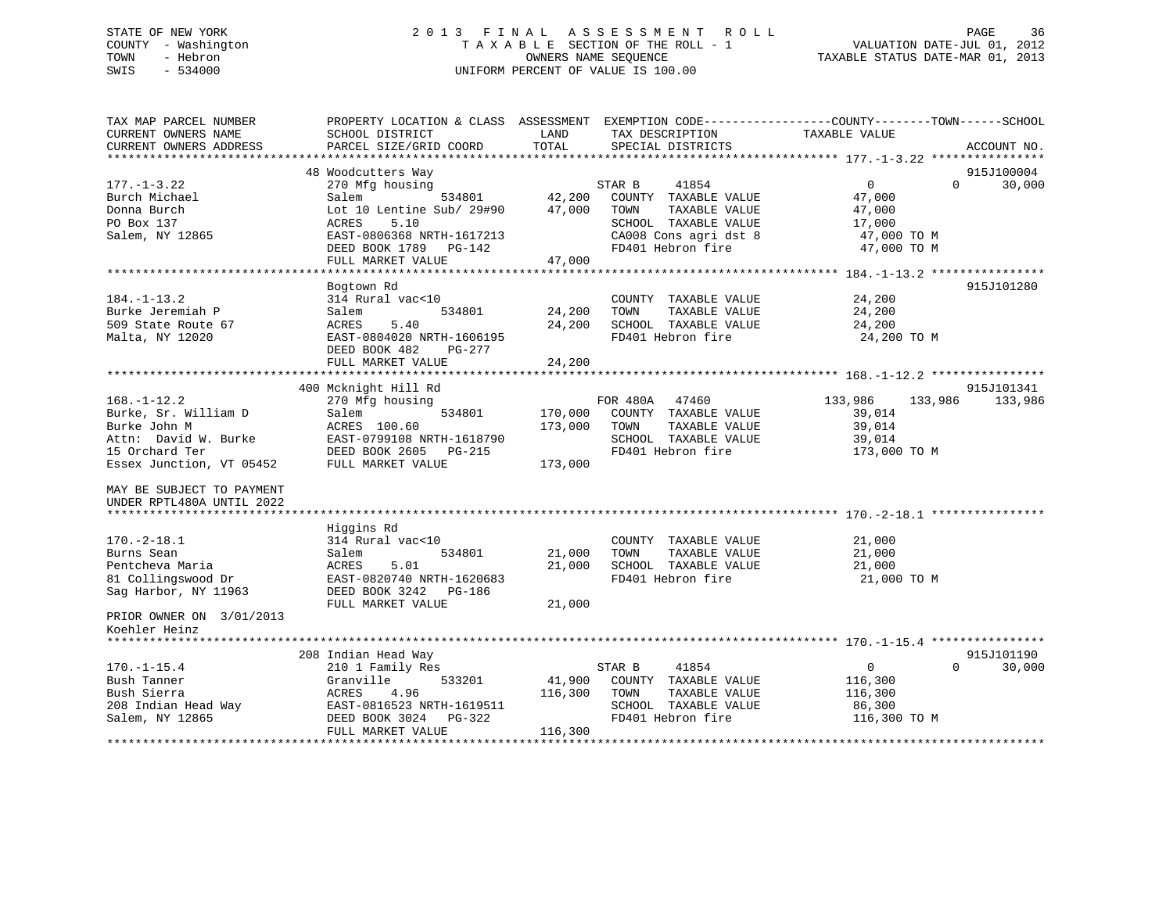### STATE OF NEW YORK 2 0 1 3 F I N A L A S S E S S M E N T R O L L PAGE 36 COUNTY - Washington T A X A B L E SECTION OF THE ROLL - 1 VALUATION DATE-JUL 01, 2012 TOWN - Hebron OWNERS NAME SEQUENCE TAXABLE STATUS DATE-MAR 01, 2013 SWIS - 534000 UNIFORM PERCENT OF VALUE IS 100.00

| TAX MAP PARCEL NUMBER<br>CURRENT OWNERS NAME<br>CURRENT OWNERS ADDRESS | PROPERTY LOCATION & CLASS ASSESSMENT<br>SCHOOL DISTRICT<br>PARCEL SIZE/GRID COORD | LAND<br>TOTAL | EXEMPTION CODE-----------------COUNTY-------TOWN------SCHOOL<br>TAX DESCRIPTION<br>SPECIAL DISTRICTS | TAXABLE VALUE  |          |             |
|------------------------------------------------------------------------|-----------------------------------------------------------------------------------|---------------|------------------------------------------------------------------------------------------------------|----------------|----------|-------------|
| *************************                                              |                                                                                   |               |                                                                                                      |                |          | ACCOUNT NO. |
|                                                                        | 48 Woodcutters Way                                                                |               |                                                                                                      |                |          | 915J100004  |
| $177. - 1 - 3.22$                                                      | 270 Mfg housing                                                                   |               | 41854<br>STAR B                                                                                      | $\overline{0}$ | $\Omega$ | 30,000      |
| Burch Michael                                                          | 534801<br>Salem                                                                   | 42,200        | COUNTY TAXABLE VALUE                                                                                 | 47,000         |          |             |
| Donna Burch                                                            | Lot 10 Lentine Sub/ 29#90                                                         | 47,000        | TOWN<br>TAXABLE VALUE                                                                                | 47,000         |          |             |
| PO Box 137                                                             | ACRES<br>5.10                                                                     |               | SCHOOL TAXABLE VALUE                                                                                 | 17,000         |          |             |
| Salem, NY 12865                                                        | EAST-0806368 NRTH-1617213                                                         |               | CA008 Cons agri dst 8                                                                                | 47,000 TO M    |          |             |
|                                                                        | DEED BOOK 1789 PG-142                                                             |               | FD401 Hebron fire                                                                                    | 47,000 TO M    |          |             |
|                                                                        | FULL MARKET VALUE                                                                 | 47,000        |                                                                                                      |                |          |             |
|                                                                        |                                                                                   |               |                                                                                                      |                |          |             |
|                                                                        | Bogtown Rd                                                                        |               |                                                                                                      |                |          | 915J101280  |
| $184. - 1 - 13.2$                                                      | 314 Rural vac<10                                                                  |               | COUNTY TAXABLE VALUE                                                                                 | 24,200         |          |             |
| Burke Jeremiah P                                                       | 534801<br>Salem                                                                   | 24,200        | TOWN<br>TAXABLE VALUE                                                                                | 24,200         |          |             |
| 509 State Route 67                                                     | ACRES<br>5.40                                                                     | 24,200        | SCHOOL TAXABLE VALUE                                                                                 | 24,200         |          |             |
| Malta, NY 12020                                                        | EAST-0804020 NRTH-1606195<br>DEED BOOK 482<br>PG-277                              |               | FD401 Hebron fire                                                                                    | 24,200 TO M    |          |             |
|                                                                        | FULL MARKET VALUE                                                                 | 24,200        |                                                                                                      |                |          |             |
|                                                                        |                                                                                   |               |                                                                                                      |                |          |             |
|                                                                        | 400 Mcknight Hill Rd                                                              |               |                                                                                                      |                |          | 915J101341  |
| $168. - 1 - 12.2$                                                      | 270 Mfg housing                                                                   |               | FOR 480A<br>47460                                                                                    | 133,986        | 133,986  | 133,986     |
| Burke, Sr. William D                                                   | Salem<br>534801                                                                   | 170,000       | COUNTY TAXABLE VALUE                                                                                 | 39,014         |          |             |
| Burke John M                                                           | ACRES 100.60                                                                      | 173,000       | TAXABLE VALUE<br>TOWN                                                                                | 39,014         |          |             |
| Attn: David W. Burke                                                   | EAST-0799108 NRTH-1618790                                                         |               | SCHOOL TAXABLE VALUE                                                                                 | 39,014         |          |             |
| 15 Orchard Ter                                                         | DEED BOOK 2605<br>PG-215                                                          |               | FD401 Hebron fire                                                                                    | 173,000 TO M   |          |             |
| Essex Junction, VT 05452                                               | FULL MARKET VALUE                                                                 | 173,000       |                                                                                                      |                |          |             |
| MAY BE SUBJECT TO PAYMENT<br>UNDER RPTL480A UNTIL 2022                 |                                                                                   |               |                                                                                                      |                |          |             |
|                                                                        | Higgins Rd                                                                        |               |                                                                                                      |                |          |             |
| $170. - 2 - 18.1$                                                      | 314 Rural vac<10                                                                  |               | COUNTY TAXABLE VALUE                                                                                 | 21,000         |          |             |
| Burns Sean                                                             | 534801<br>Salem                                                                   | 21,000        | TOWN<br>TAXABLE VALUE                                                                                | 21,000         |          |             |
| Pentcheva Maria                                                        | 5.01<br>ACRES                                                                     | 21,000        | SCHOOL TAXABLE VALUE                                                                                 | 21,000         |          |             |
| 81 Collingswood Dr                                                     | EAST-0820740 NRTH-1620683                                                         |               | FD401 Hebron fire                                                                                    | 21,000 TO M    |          |             |
| Sag Harbor, NY 11963                                                   | DEED BOOK 3242 PG-186                                                             |               |                                                                                                      |                |          |             |
|                                                                        | FULL MARKET VALUE                                                                 | 21,000        |                                                                                                      |                |          |             |
| PRIOR OWNER ON 3/01/2013                                               |                                                                                   |               |                                                                                                      |                |          |             |
| Koehler Heinz                                                          |                                                                                   |               |                                                                                                      |                |          |             |
|                                                                        |                                                                                   |               |                                                                                                      |                |          |             |
|                                                                        | 208 Indian Head Way                                                               |               |                                                                                                      |                |          | 915J101190  |
| $170. - 1 - 15.4$                                                      | 210 1 Family Res                                                                  |               | 41854<br>STAR B                                                                                      | 0              | $\Omega$ | 30,000      |
| Bush Tanner                                                            | 533201<br>Granville                                                               | 41,900        | COUNTY TAXABLE VALUE                                                                                 | 116,300        |          |             |
| Bush Sierra                                                            | ACRES<br>4.96                                                                     | 116,300       | TAXABLE VALUE<br>TOWN                                                                                | 116,300        |          |             |
| 208 Indian Head Way                                                    | EAST-0816523 NRTH-1619511                                                         |               | SCHOOL TAXABLE VALUE<br>FD401 Hebron fire                                                            | 86,300         |          |             |
| Salem, NY 12865                                                        | DEED BOOK 3024<br>PG-322<br>FULL MARKET VALUE                                     | 116,300       |                                                                                                      | 116,300 TO M   |          |             |
|                                                                        |                                                                                   |               |                                                                                                      |                |          |             |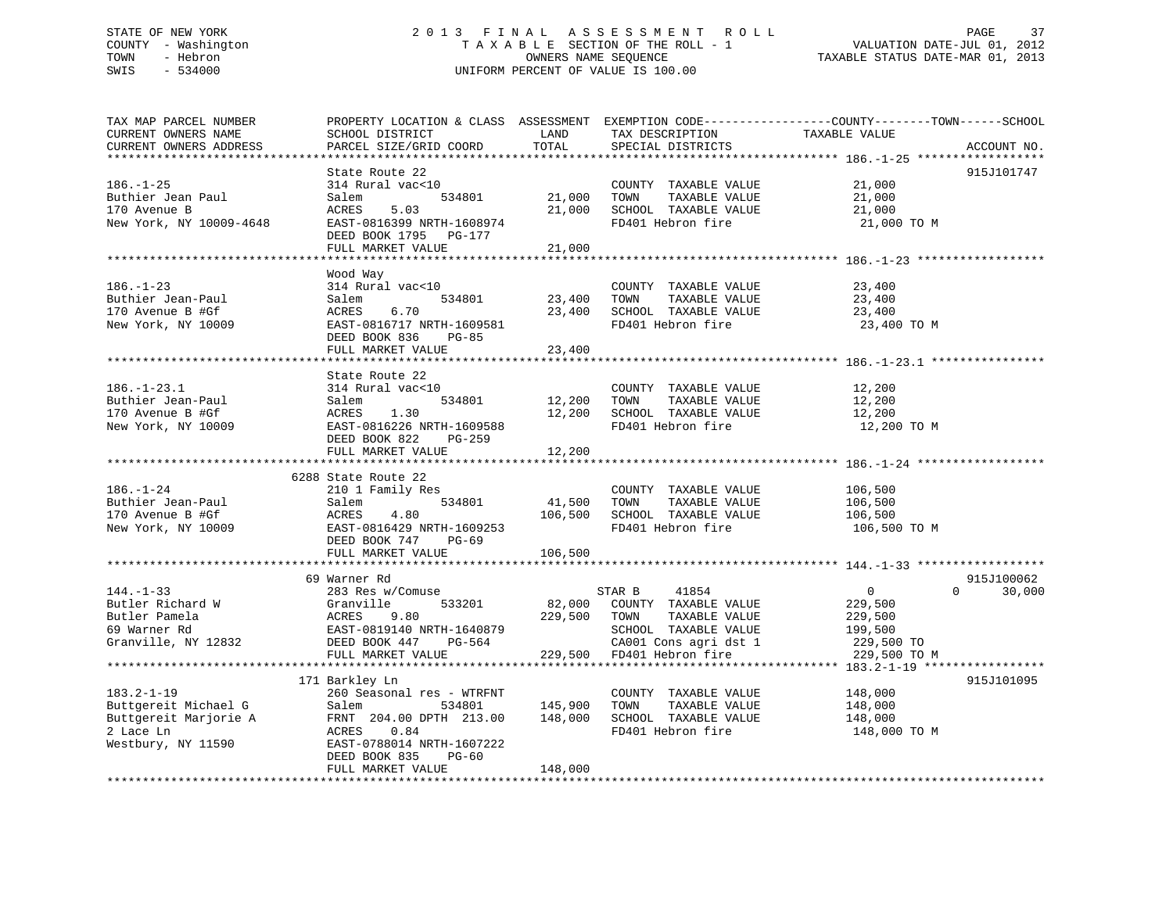# STATE OF NEW YORK 2 0 1 3 F I N A L A S S E S S M E N T R O L L PAGE 37 COUNTY - Washington T A X A B L E SECTION OF THE ROLL - 1 VALUATION DATE-JUL 01, 2012 TOWN - Hebron OWNERS NAME SEQUENCE TAXABLE STATUS DATE-MAR 01, 2013 SWIS - 534000 UNIFORM PERCENT OF VALUE IS 100.00

TAX MAP PARCEL NUMBER PROPERTY LOCATION & CLASS ASSESSMENT EXEMPTION CODE------------------COUNTY--------TOWN------SCHOOL CURRENT OWNERS NAME SCHOOL DISTRICT LAND TAX DESCRIPTION TAXABLE VALUE CURRENT OWNERS ADDRESS PARCEL SIZE/GRID COORD TOTAL SPECIAL DISTRICTS ACCOUNT NO. \*\*\*\*\*\*\*\*\*\*\*\*\*\*\*\*\*\*\*\*\*\*\*\*\*\*\*\*\*\*\*\*\*\*\*\*\*\*\*\*\*\*\*\*\*\*\*\*\*\*\*\*\*\*\*\*\*\*\*\*\*\*\*\*\*\*\*\*\*\*\*\*\*\*\*\*\*\*\*\*\*\*\*\*\*\*\*\*\*\*\*\*\*\*\*\*\*\*\*\*\*\*\* 186.-1-25 \*\*\*\*\*\*\*\*\*\*\*\*\*\*\*\*\*\* State Route 22 915J101747 186.-1-25 314 Rural vac<10 COUNTY TAXABLE VALUE 21,000 Buthier Jean Paul Salem 534801 21,000 TOWN TAXABLE VALUE 21,000 170 Avenue B ACRES 5.03 21,000 SCHOOL TAXABLE VALUE 21,000 New York, NY 10009-4648 EAST-0816399 NRTH-1608974 FD401 Hebron fire 21,000 TO M DEED BOOK 1795 PG-177 FULL MARKET VALUE 21,000 \*\*\*\*\*\*\*\*\*\*\*\*\*\*\*\*\*\*\*\*\*\*\*\*\*\*\*\*\*\*\*\*\*\*\*\*\*\*\*\*\*\*\*\*\*\*\*\*\*\*\*\*\*\*\*\*\*\*\*\*\*\*\*\*\*\*\*\*\*\*\*\*\*\*\*\*\*\*\*\*\*\*\*\*\*\*\*\*\*\*\*\*\*\*\*\*\*\*\*\*\*\*\* 186.-1-23 \*\*\*\*\*\*\*\*\*\*\*\*\*\*\*\*\*\*Wood Way<br>314 Rural vac<10 186.-1-23 314 Rural vac<10 COUNTY TAXABLE VALUE 23,400 Buthier Jean-Paul Salem 534801 23,400 TOWN TAXABLE VALUE 23,400 170 Avenue B #Gf ACRES 6.70 23,400 SCHOOL TAXABLE VALUE 23,400 New York, NY 10009 **EAST-0816717 NRTH-1609581** FD401 Hebron fire 23,400 TO M DEED BOOK 836 PG-85 FULL MARKET VALUE 23,400 \*\*\*\*\*\*\*\*\*\*\*\*\*\*\*\*\*\*\*\*\*\*\*\*\*\*\*\*\*\*\*\*\*\*\*\*\*\*\*\*\*\*\*\*\*\*\*\*\*\*\*\*\*\*\*\*\*\*\*\*\*\*\*\*\*\*\*\*\*\*\*\*\*\*\*\*\*\*\*\*\*\*\*\*\*\*\*\*\*\*\*\*\*\*\*\*\*\*\*\*\*\*\* 186.-1-23.1 \*\*\*\*\*\*\*\*\*\*\*\*\*\*\*\* State Route 22314 Rural vac<10 186.-1-23.1 314 Rural vac<10 COUNTY TAXABLE VALUE 12,200 Buthier Jean-Paul Salem 534801 12,200 TOWN TAXABLE VALUE 12,200 170 Avenue B #Gf ACRES 1.30 12,200 SCHOOL TAXABLE VALUE 12,200 New York, NY 10009 EAST-0816226 NRTH-1609588 FD401 Hebron fire 12,200 TO M DEED BOOK 822 PG-259FULL MARKET VALUE 12,200 \*\*\*\*\*\*\*\*\*\*\*\*\*\*\*\*\*\*\*\*\*\*\*\*\*\*\*\*\*\*\*\*\*\*\*\*\*\*\*\*\*\*\*\*\*\*\*\*\*\*\*\*\*\*\*\*\*\*\*\*\*\*\*\*\*\*\*\*\*\*\*\*\*\*\*\*\*\*\*\*\*\*\*\*\*\*\*\*\*\*\*\*\*\*\*\*\*\*\*\*\*\*\* 186.-1-24 \*\*\*\*\*\*\*\*\*\*\*\*\*\*\*\*\*\* 6288 State Route 22210 1 Family Res 186.-1-24 210 1 Family Res COUNTY TAXABLE VALUE 106,500 Buthier Jean-Paul Salem 534801 41,500 TOWN TAXABLE VALUE 106,500 170 Avenue B #Gf ACRES 4.80 106,500 SCHOOL TAXABLE VALUE 106,500 New York, NY 10009 **EAST-0816429 NRTH-1609253** FD401 Hebron fire 106,500 TO M DEED BOOK 747 PG-69FULL MARKET VALUE 106,500 \*\*\*\*\*\*\*\*\*\*\*\*\*\*\*\*\*\*\*\*\*\*\*\*\*\*\*\*\*\*\*\*\*\*\*\*\*\*\*\*\*\*\*\*\*\*\*\*\*\*\*\*\*\*\*\*\*\*\*\*\*\*\*\*\*\*\*\*\*\*\*\*\*\*\*\*\*\*\*\*\*\*\*\*\*\*\*\*\*\*\*\*\*\*\*\*\*\*\*\*\*\*\* 144.-1-33 \*\*\*\*\*\*\*\*\*\*\*\*\*\*\*\*\*\*915-T100062 69 Warner Rd 144.-1-33 283 Res w/Comuse STAR B 41854 0 0 30,000 Butler Richard W Granville 533201 82,000 COUNTY TAXABLE VALUE 229,500 Butler Pamela ACRES 9.80 229,500 TOWN TAXABLE VALUE 229,500 69 Warner Rd EAST-0819140 NRTH-1640879 SCHOOL TAXABLE VALUE 199,500 Granville, NY 12832 DEED BOOK 447 PG-564 CA001 Cons agri dst 1 229,500 TO FULL MARKET VALUE 229,500 FD401 Hebron fire 229,500 TO M \*\*\*\*\*\*\*\*\*\*\*\*\*\*\*\*\*\*\*\*\*\*\*\*\*\*\*\*\*\*\*\*\*\*\*\*\*\*\*\*\*\*\*\*\*\*\*\*\*\*\*\*\*\*\*\*\*\*\*\*\*\*\*\*\*\*\*\*\*\*\*\*\*\*\*\*\*\*\*\*\*\*\*\*\*\*\*\*\*\*\*\*\*\*\*\*\*\*\*\*\*\*\* 183.2-1-19 \*\*\*\*\*\*\*\*\*\*\*\*\*\*\*\*\* 171 Barkley Ln 915J101095 183.2-1-19 260 Seasonal res - WTRFNT COUNTY TAXABLE VALUE 148,000 Buttgereit Michael G Salem 534801 145,900 TOWN TAXABLE VALUE 148,000 Buttgereit Marjorie A FRNT 204.00 DPTH 213.00 148,000 SCHOOL TAXABLE VALUE 148,000 2 Lace Ln ACRES 0.84 FD401 Hebron fire 148,000 TO M Westbury, NY 11590 EAST-0788014 NRTH-1607222 DEED BOOK 835 PG-60FULL MARKET VALUE 148,000 \*\*\*\*\*\*\*\*\*\*\*\*\*\*\*\*\*\*\*\*\*\*\*\*\*\*\*\*\*\*\*\*\*\*\*\*\*\*\*\*\*\*\*\*\*\*\*\*\*\*\*\*\*\*\*\*\*\*\*\*\*\*\*\*\*\*\*\*\*\*\*\*\*\*\*\*\*\*\*\*\*\*\*\*\*\*\*\*\*\*\*\*\*\*\*\*\*\*\*\*\*\*\*\*\*\*\*\*\*\*\*\*\*\*\*\*\*\*\*\*\*\*\*\*\*\*\*\*\*\*\*\*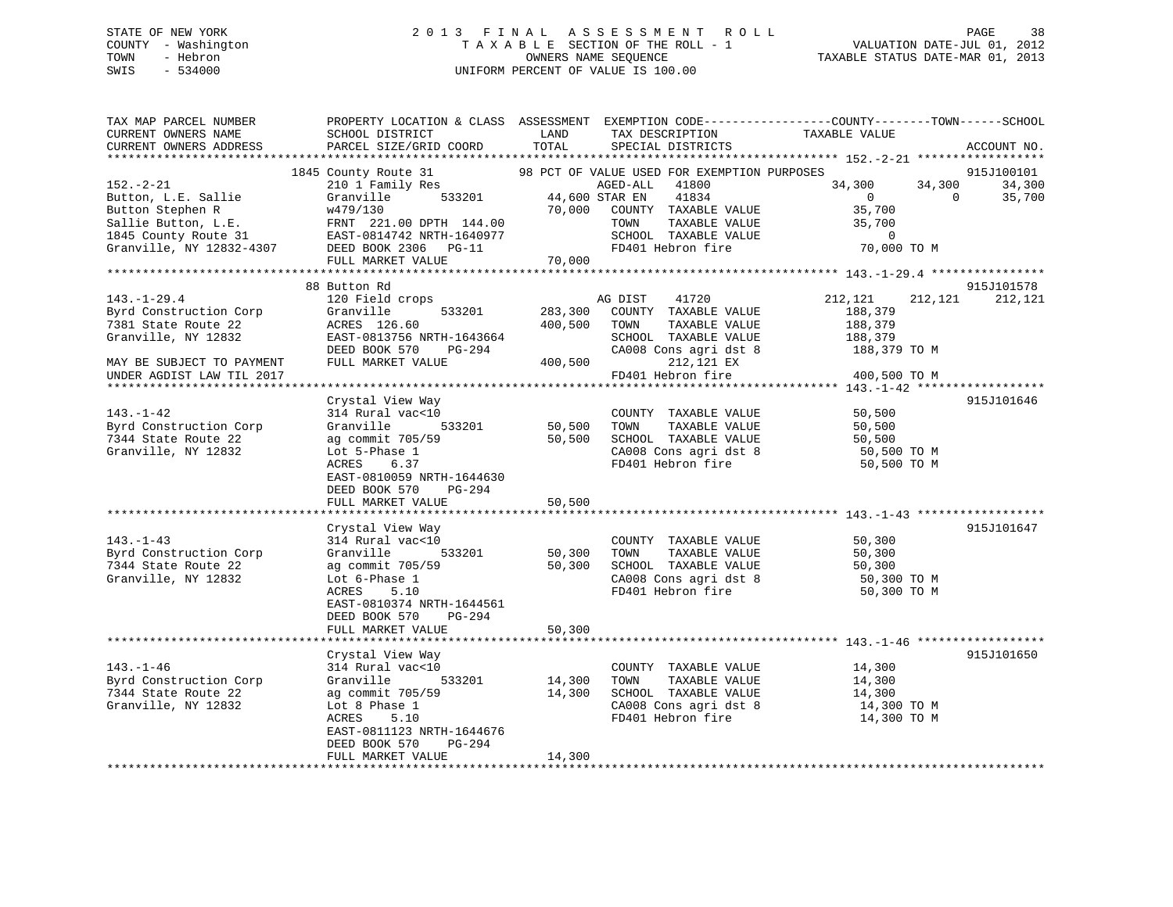# STATE OF NEW YORK 2 0 1 3 F I N A L A S S E S S M E N T R O L L PAGE 38 COUNTY - Washington T A X A B L E SECTION OF THE ROLL - 1 VALUATION DATE-JUL 01, 2012 TOWN - Hebron OWNERS NAME SEQUENCE TAXABLE STATUS DATE-MAR 01, 2013 SWIS - 534000 UNIFORM PERCENT OF VALUE IS 100.00

| TAX MAP PARCEL NUMBER<br>CURRENT OWNERS NAME<br>CURRENT OWNERS ADDRESS                                                                                                                                                                 | PROPERTY LOCATION & CLASS ASSESSMENT EXEMPTION CODE----------------COUNTY-------TOWN------SCHOOL<br>SCHOOL DISTRICT<br>PARCEL SIZE/GRID COORD | LAND<br>TOTAL                 | TAX DESCRIPTION TAXABLE VALUE SPECIAL DISTRICTS                                  |                      |                | ACCOUNT NO.          |
|----------------------------------------------------------------------------------------------------------------------------------------------------------------------------------------------------------------------------------------|-----------------------------------------------------------------------------------------------------------------------------------------------|-------------------------------|----------------------------------------------------------------------------------|----------------------|----------------|----------------------|
|                                                                                                                                                                                                                                        |                                                                                                                                               |                               |                                                                                  |                      |                |                      |
| $152 - 2 - 21$                                                                                                                                                                                                                         | County Route 31 98 PCT OF VALUE USED FOR EXEMPTION PURPOSES 210 1 Family Res<br>1845 County Route 31                                          |                               |                                                                                  | 34,300               | 34,300         | 915J100101<br>34,300 |
|                                                                                                                                                                                                                                        | 210 1 Family Res<br>Granville 533201 44,600 STAR EN                                                                                           |                               |                                                                                  | $\overline{0}$       | $\overline{0}$ | 35,700               |
|                                                                                                                                                                                                                                        |                                                                                                                                               |                               |                                                                                  | 35,700               |                |                      |
| Button, L.E. Sallie (1834)<br>Button Stephen R (1834)<br>Sallie Button, L.E. FRNT 221.00 DPTH 144.00 70,000 COUNTY TAXABLE VALUE<br>Sallie Button, L.E. FRNT 221.00 DPTH 144.00 70,000 COUNTY TAXABLE VALUE<br>1845 County Route 31 EA |                                                                                                                                               |                               |                                                                                  | 35,700               |                |                      |
|                                                                                                                                                                                                                                        |                                                                                                                                               |                               | SCHOOL TAXABLE VALUE                                                             | 0<br>70,000 TO M     |                |                      |
|                                                                                                                                                                                                                                        |                                                                                                                                               |                               | FD401 Hebron fire                                                                |                      |                |                      |
|                                                                                                                                                                                                                                        | FULL MARKET VALUE                                                                                                                             | 70,000                        |                                                                                  |                      |                |                      |
|                                                                                                                                                                                                                                        |                                                                                                                                               |                               |                                                                                  |                      |                |                      |
|                                                                                                                                                                                                                                        | 88 Button Rd                                                                                                                                  |                               |                                                                                  |                      |                | 915J101578           |
| $143. - 1 - 29.4$                                                                                                                                                                                                                      | 120 Field crops                                                                                                                               |                               | 41720<br>AG DIST                                                                 | 212,121              | 212,121        | 212,121              |
| Byrd Construction Corp                                                                                                                                                                                                                 | Granville 533201                                                                                                                              |                               | 283,300 COUNTY TAXABLE VALUE                                                     | 188,379              |                |                      |
| 7381 State Route 22                                                                                                                                                                                                                    | ACRES 126.60                                                                                                                                  | 400,500 TOWN                  | TAXABLE VALUE                                                                    | 188,379              |                |                      |
| Granville, NY 12832                                                                                                                                                                                                                    | EAST-0813756 NRTH-1643664                                                                                                                     |                               | SCHOOL TAXABLE VALUE                                                             | 188,379              |                |                      |
|                                                                                                                                                                                                                                        | DEED BOOK 570 PG-294                                                                                                                          | SCHOOL<br>CA008 Co<br>400,500 | CA008 Cons agri dst 8 188,379 TO M                                               |                      |                |                      |
| MAY BE SUBJECT TO PAYMENT                                                                                                                                                                                                              | FULL MARKET VALUE                                                                                                                             |                               | 212,121 EX                                                                       |                      |                |                      |
| UNDER AGDIST LAW TIL 2017                                                                                                                                                                                                              |                                                                                                                                               |                               | FD401 Hebron fire                                                                | 400,500 TO M         |                |                      |
|                                                                                                                                                                                                                                        |                                                                                                                                               |                               |                                                                                  |                      |                |                      |
|                                                                                                                                                                                                                                        | Crystal View Way                                                                                                                              |                               |                                                                                  |                      |                | 915J101646           |
| $143. - 1 - 42$                                                                                                                                                                                                                        | 314 Rural vac<10<br>Granville 533201                                                                                                          |                               | COUNTY TAXABLE VALUE<br>50,500 TOWN TAXABLE VALUE<br>COUNTY TAXABLE VALUE 50,500 | 50,500               |                |                      |
| Byrd Construction Corp<br>7344 State Route 22                                                                                                                                                                                          | ag commit 705/59                                                                                                                              |                               |                                                                                  |                      |                |                      |
| Granville, NY 12832                                                                                                                                                                                                                    | Lot 5-Phase 1                                                                                                                                 |                               | 50,500 SCHOOL TAXABLE VALUE 50,500<br>CA008 Cons agri dst 8 50,500 TO M          |                      |                |                      |
|                                                                                                                                                                                                                                        | ACRES<br>6.37                                                                                                                                 |                               | CA008 Cons agri dst 8<br>FD401 Hebron fire                                       | 50,500 TO M          |                |                      |
|                                                                                                                                                                                                                                        | EAST-0810059 NRTH-1644630                                                                                                                     |                               |                                                                                  |                      |                |                      |
|                                                                                                                                                                                                                                        | DEED BOOK 570<br>PG-294                                                                                                                       |                               |                                                                                  |                      |                |                      |
|                                                                                                                                                                                                                                        | FULL MARKET VALUE                                                                                                                             | 50,500                        |                                                                                  |                      |                |                      |
|                                                                                                                                                                                                                                        |                                                                                                                                               |                               |                                                                                  |                      |                |                      |
|                                                                                                                                                                                                                                        | Crystal View Way                                                                                                                              |                               |                                                                                  |                      |                | 915J101647           |
| $143. - 1 - 43$                                                                                                                                                                                                                        | 314 Rural vac<10                                                                                                                              |                               | COUNTY TAXABLE VALUE                                                             | 50,300               |                |                      |
| Byrd Construction Corp                                                                                                                                                                                                                 |                                                                                                                                               |                               |                                                                                  |                      |                |                      |
| 7344 State Route 22                                                                                                                                                                                                                    | Granville 533201 50,300 TOWN TAXABLE VALUE<br>ag commit 705/59 50,300 SCHOOL TAXABLE VALUE                                                    |                               |                                                                                  | 50,300<br>50,300     |                |                      |
| Granville, NY 12832                                                                                                                                                                                                                    | Lot 6-Phase 1                                                                                                                                 |                               | CA008 Cons agri dst 8 50,300 TO M<br>FD401 Hebron fire 50,300 TO M               |                      |                |                      |
|                                                                                                                                                                                                                                        | ACRES<br>5.10                                                                                                                                 |                               |                                                                                  |                      |                |                      |
|                                                                                                                                                                                                                                        | EAST-0810374 NRTH-1644561                                                                                                                     |                               |                                                                                  |                      |                |                      |
|                                                                                                                                                                                                                                        | DEED BOOK 570 PG-294                                                                                                                          |                               |                                                                                  |                      |                |                      |
|                                                                                                                                                                                                                                        | FULL MARKET VALUE                                                                                                                             | 50,300                        |                                                                                  |                      |                |                      |
|                                                                                                                                                                                                                                        |                                                                                                                                               |                               |                                                                                  |                      |                |                      |
|                                                                                                                                                                                                                                        | Crystal View Way                                                                                                                              |                               |                                                                                  |                      |                | 915J101650           |
| $143. - 1 - 46$                                                                                                                                                                                                                        | 314 Rural vac<10                                                                                                                              |                               | COUNTY TAXABLE VALUE                                                             | $14,300$<br>$14,300$ |                |                      |
| Byrd Construction Corp                                                                                                                                                                                                                 | Granville<br>533201                                                                                                                           | 14,300                        | TAXABLE VALUE<br>TOWN                                                            |                      |                |                      |
| 7344 State Route 22                                                                                                                                                                                                                    | ag commit 705/59                                                                                                                              | 14,300                        | SCHOOL TAXABLE VALUE 14,300<br>CA008 Cons agri dst 8 14,300 TO M                 |                      |                |                      |
| Granville, NY 12832                                                                                                                                                                                                                    | Lot 8 Phase 1                                                                                                                                 |                               |                                                                                  |                      |                |                      |
|                                                                                                                                                                                                                                        | ACRES 5.10                                                                                                                                    |                               | FD401 Hebron fire                                                                | 14,300 TO M          |                |                      |
|                                                                                                                                                                                                                                        | EAST-0811123 NRTH-1644676                                                                                                                     |                               |                                                                                  |                      |                |                      |
|                                                                                                                                                                                                                                        | DEED BOOK 570<br>PG-294                                                                                                                       | 14,300                        |                                                                                  |                      |                |                      |
|                                                                                                                                                                                                                                        | FULL MARKET VALUE                                                                                                                             |                               |                                                                                  |                      |                |                      |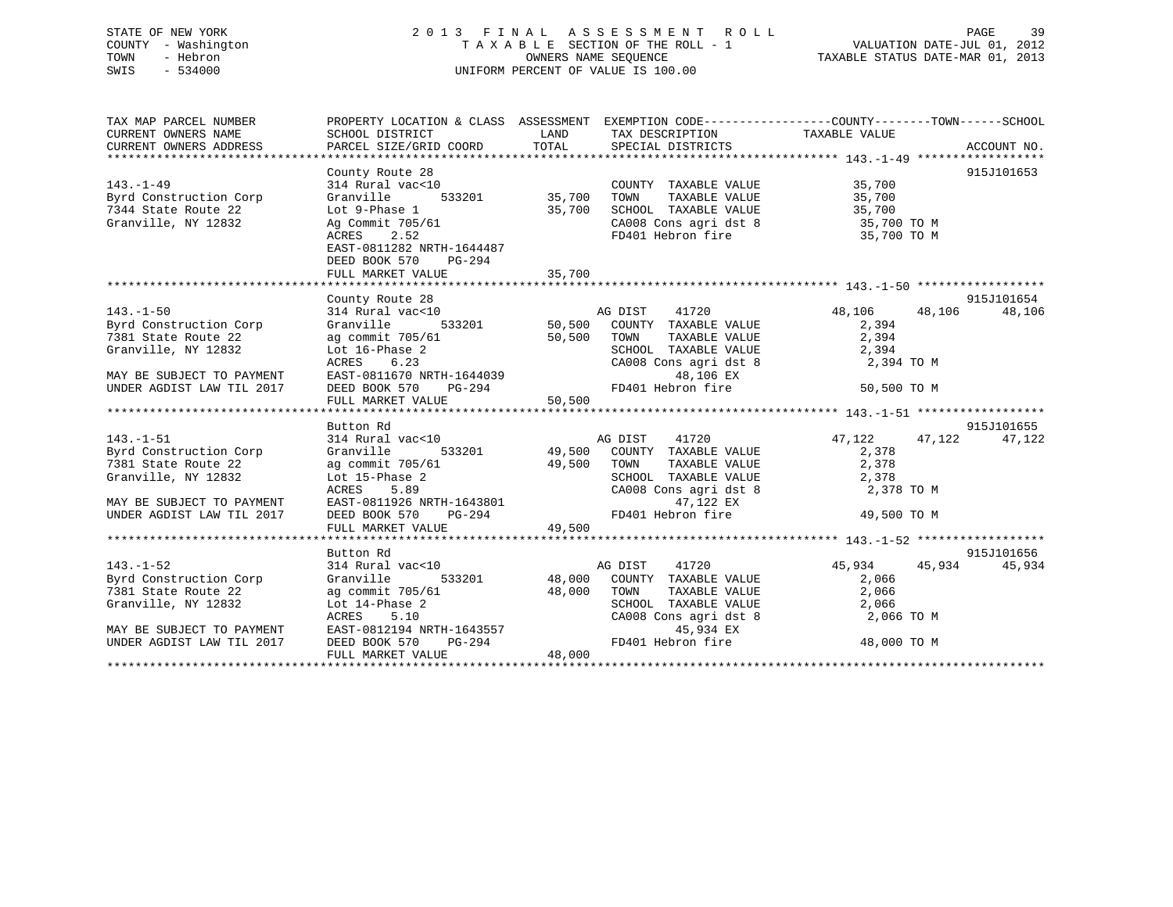# STATE OF NEW YORK 2 0 1 3 F I N A L A S S E S S M E N T R O L L PAGE 39 COUNTY - Washington T A X A B L E SECTION OF THE ROLL - 1 VALUATION DATE-JUL 01, 2012 TOWN - Hebron OWNERS NAME SEQUENCE TAXABLE STATUS DATE-MAR 01, 2013 SWIS - 534000 UNIFORM PERCENT OF VALUE IS 100.00

| TAX MAP PARCEL NUMBER                         | PROPERTY LOCATION & CLASS ASSESSMENT EXEMPTION CODE---------------COUNTY-------TOWN-----SCHOOL                                                                                                     |        |                                                                                            |                      |            |
|-----------------------------------------------|----------------------------------------------------------------------------------------------------------------------------------------------------------------------------------------------------|--------|--------------------------------------------------------------------------------------------|----------------------|------------|
| CURRENT OWNERS NAME                           | SCHOOL DISTRICT                                                                                                                                                                                    |        | LAND TAX DESCRIPTION TAXABLE VALUE                                                         |                      |            |
| CURRENT OWNERS ADDRESS                        |                                                                                                                                                                                                    |        |                                                                                            |                      |            |
|                                               |                                                                                                                                                                                                    |        |                                                                                            |                      |            |
|                                               | County Route 28                                                                                                                                                                                    |        |                                                                                            |                      | 915J101653 |
| $143. - 1 - 49$                               | 314 Rural vac<10                                                                                                                                                                                   |        | COUNTY TAXABLE VALUE 35,700                                                                |                      |            |
| Byrd Construction Corp                        | 533201 35,700<br>Granville                                                                                                                                                                         |        | TOWN                                                                                       | TAXABLE VALUE 35,700 |            |
| 7344 State Route 22                           | Lot 9-Phase 1<br>Ag Commit 705/61                                                                                                                                                                  | 35,700 | SCHOOL TAXABLE VALUE 35,700<br>CA008 Cons agri dst 8 35,700 TO M                           |                      |            |
| Granville, NY 12832                           |                                                                                                                                                                                                    |        |                                                                                            |                      |            |
|                                               | ACRES 2.52                                                                                                                                                                                         |        | FD401 Hebron fire 35,700 TO M                                                              |                      |            |
|                                               | EAST-0811282 NRTH-1644487                                                                                                                                                                          |        |                                                                                            |                      |            |
|                                               | DEED BOOK 570 PG-294                                                                                                                                                                               |        |                                                                                            |                      |            |
|                                               | FULL MARKET VALUE                                                                                                                                                                                  | 35,700 |                                                                                            |                      |            |
|                                               |                                                                                                                                                                                                    |        |                                                                                            |                      | 915J101654 |
| $143. - 1 - 50$                               | County Route 28<br>County Route 28<br>314 Rural vac<10<br>314 Rural vac<10<br>533201 50,500 COUNTY TAXABLE VALUE 2,394                                                                             |        |                                                                                            |                      | 48,106     |
| Byrd Construction Corp                        |                                                                                                                                                                                                    |        |                                                                                            |                      |            |
| 7381 State Route 22                           |                                                                                                                                                                                                    |        |                                                                                            |                      |            |
| Granville, NY 12832                           | ag commit 705/61 50,500 TOWN                                                                                                                                                                       |        |                                                                                            |                      |            |
|                                               | Lot 16-Phase 2<br>ACRES 6.23                                                                                                                                                                       |        | TOWN TAXABLE VALUE 2,394<br>SCHOOL TAXABLE VALUE 2,394<br>CA008 Cons agri dst 8 2,394 TO M |                      |            |
| MAY BE SUBJECT TO PAYMENT                     |                                                                                                                                                                                                    |        |                                                                                            |                      |            |
| UNDER AGDIST LAW TIL 2017                     |                                                                                                                                                                                                    |        |                                                                                            | 50,500 TO M          |            |
|                                               | EAST-0811670 NRTH-1644039 48,106 EX<br>DEED BOOK 570 PG-294 FD401 Hebron fire<br>FULL MARKET VALUE 50,500                                                                                          |        |                                                                                            |                      |            |
|                                               |                                                                                                                                                                                                    |        |                                                                                            |                      |            |
|                                               | Button Rd                                                                                                                                                                                          |        |                                                                                            |                      | 915J101655 |
| $143. - 1 - 51$                               |                                                                                                                                                                                                    |        |                                                                                            | 47,122 47,122 47,122 |            |
| Byrd Construction Corp Granville              | $\begin{tabular}{lllllllllll} 314~Rural&\verb vac<10&\verb ACDIST&\verb 41720&\verb 314~Rural&\verb vac<10&\verb 333201&\verb 49,500&\verb COUNTY &\verb TAXABLE VALUE&\verb 2,378  \end{tabular}$ |        |                                                                                            |                      |            |
| 7381 State Route 22                           | ag commit 705/61 49,500 TOWN                                                                                                                                                                       |        |                                                                                            | TAXABLE VALUE 2,378  |            |
| Granville, NY 12832                           |                                                                                                                                                                                                    |        |                                                                                            |                      |            |
|                                               | Lot 15-Phase 2<br>ACRES 5.89                                                                                                                                                                       |        | SCHOOL TAXABLE VALUE 2,378<br>CA008 Cons agri dst 8 2,378 TO M                             |                      |            |
| MAY BE SUBJECT TO PAYMENT                     |                                                                                                                                                                                                    |        | 47,122 EX                                                                                  |                      |            |
| UNDER AGDIST LAW TIL 2017                     |                                                                                                                                                                                                    |        | FD401 Hebron fire 49,500 TO M                                                              |                      |            |
|                                               | ACRES 5.89<br>EAST-0811926 NRTH-1643801<br>DEED BOOK 570 PG-294 PD401 Herry MARKET VALUE 49,500                                                                                                    |        |                                                                                            |                      |            |
|                                               |                                                                                                                                                                                                    |        |                                                                                            |                      |            |
|                                               | Button Rd                                                                                                                                                                                          |        |                                                                                            |                      | 915J101656 |
| $143. - 1 - 52$                               | שטענטוו גם<br>314 Rural vac<10                                                                                                                                                                     |        | 7ac<10 633201 633201 633201 633201 633201 633201 633201 633201 684                         | 45,934 45,934        | 45,934     |
| Byrd Construction Corp<br>7381 State Route 22 | Granville                                                                                                                                                                                          |        |                                                                                            | 2,066                |            |
|                                               |                                                                                                                                                                                                    |        |                                                                                            | TAXABLE VALUE 2,066  |            |
| Granville, NY 12832                           |                                                                                                                                                                                                    |        | SCHOOL TAXABLE VALUE 2,066                                                                 |                      |            |
|                                               | ag commit 705/61<br>Lot 14-Phase 2 8 SCHOOL<br>ACRES 5.10 CA008 (<br>EAST-0812194 NRTH-1643557<br>DEED BOOK 570 PG-294 FD401 F                                                                     |        | CA008 Cons agri dst 8                                                                      | 2,066 TO M           |            |
| MAY BE SUBJECT TO PAYMENT                     |                                                                                                                                                                                                    |        | 45,934 EX                                                                                  |                      |            |
| UNDER AGDIST LAW TIL 2017                     |                                                                                                                                                                                                    |        | FD401 Hebron fire 48,000 TO M                                                              |                      |            |
|                                               | FULL MARKET VALUE                                                                                                                                                                                  | 48,000 |                                                                                            |                      |            |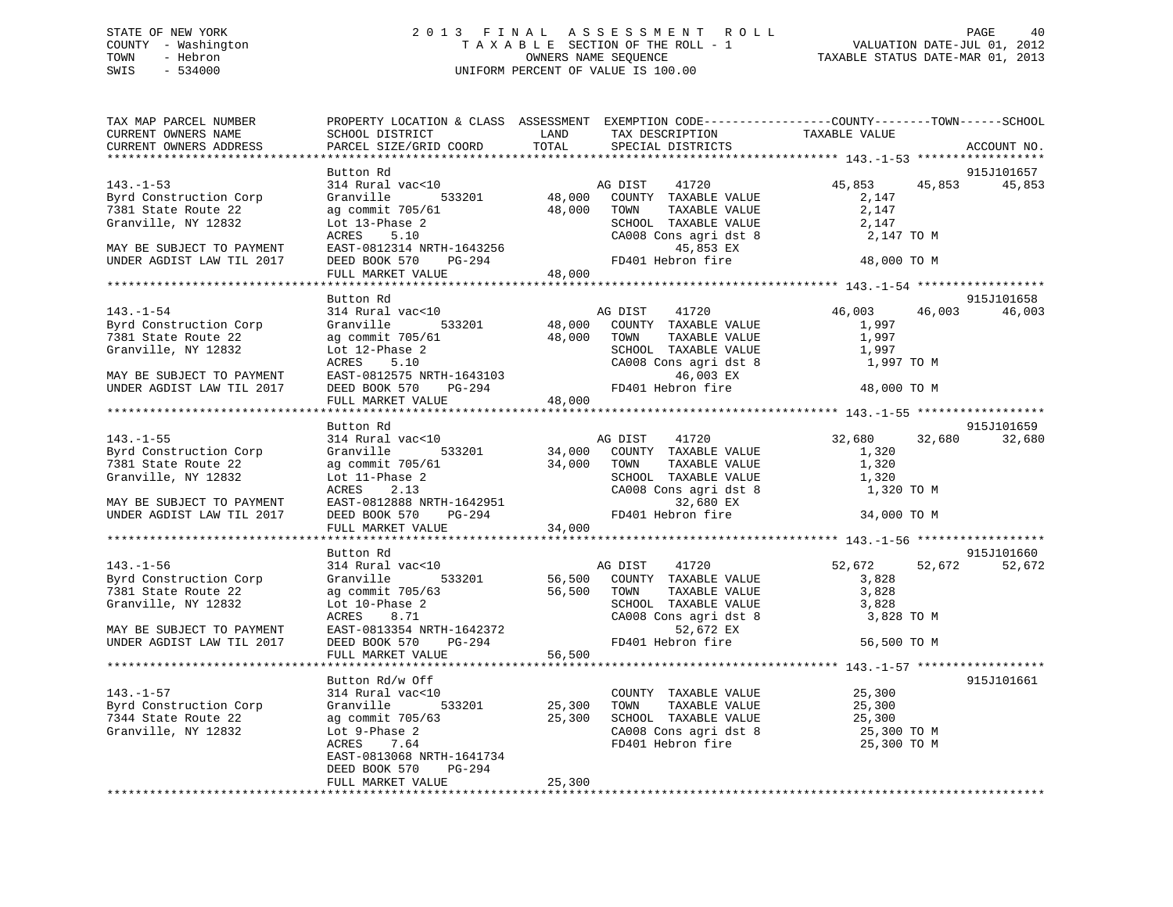# STATE OF NEW YORK 2 0 1 3 F I N A L A S S E S S M E N T R O L L PAGE 40 COUNTY - Washington T A X A B L E SECTION OF THE ROLL - 1 VALUATION DATE-JUL 01, 2012 TOWN - Hebron OWNERS NAME SEQUENCE TAXABLE STATUS DATE-MAR 01, 2013 SWIS - 534000 UNIFORM PERCENT OF VALUE IS 100.00

| TAX MAP PARCEL NUMBER<br>CURRENT OWNERS NAME<br>CURRENT OWNERS ADDRESS | PROPERTY LOCATION & CLASS ASSESSMENT EXEMPTION CODE----------------COUNTY-------TOWN------SCHOOL<br>SCHOOL DISTRICT<br>PARCEL SIZE/GRID COORD | <b>LAND</b><br>TOTAL | TAX DESCRIPTION<br>SPECIAL DISTRICTS                                                         | TAXABLE VALUE         | ACCOUNT NO.      |
|------------------------------------------------------------------------|-----------------------------------------------------------------------------------------------------------------------------------------------|----------------------|----------------------------------------------------------------------------------------------|-----------------------|------------------|
|                                                                        |                                                                                                                                               |                      |                                                                                              |                       |                  |
|                                                                        | Button Rd                                                                                                                                     |                      |                                                                                              |                       | 915J101657       |
| $143. - 1 - 53$                                                        | 314 Rural vac<10                                                                                                                              |                      | AG DIST<br>41720                                                                             | 45,853                | 45,853<br>45,853 |
| Byrd Construction Corp                                                 | Granville                                                                                                                                     |                      | VACKLO AG DISI 41720<br>533201 48,000 COUNTY TAXABLE VALUE                                   | 2,147                 |                  |
| 7381 State Route 22                                                    | ag commit 705/61                                                                                                                              | 48,000 TOWN          | TAXABLE VALUE                                                                                | 2,147                 |                  |
| Granville, NY 12832                                                    | Lot 13-Phase 2                                                                                                                                |                      | SCHOOL TAXABLE VALUE                                                                         | 2,147                 |                  |
|                                                                        | ACRES<br>5.10                                                                                                                                 |                      | CA008 Cons agri dst 8                                                                        | 2,147 TO M            |                  |
| MAY BE SUBJECT TO PAYMENT                                              | EAST-0812314 NRTH-1643256                                                                                                                     |                      | 45,853 EX                                                                                    |                       |                  |
| UNDER AGDIST LAW TIL 2017                                              | $PG-294$<br>DEED BOOK 570                                                                                                                     | 48,000               | FD401 Hebron fire                                                                            | 48,000 TO M           |                  |
|                                                                        | FULL MARKET VALUE                                                                                                                             |                      |                                                                                              |                       |                  |
|                                                                        |                                                                                                                                               |                      |                                                                                              |                       |                  |
|                                                                        | Button Rd                                                                                                                                     |                      |                                                                                              |                       | 915J101658       |
| $143. - 1 - 54$                                                        | 314 Rural vac<10                                                                                                                              |                      | AG DIST<br>41720                                                                             | 46,003                | 46,003<br>46,003 |
| Byrd Construction Corp                                                 | Granville                                                                                                                                     |                      |                                                                                              | 1,997                 |                  |
| 7381 State Route 22                                                    | ag commit 705/61                                                                                                                              |                      | %<br>533201 48,000 COUNTY TAXABLE VALUE<br>705/61 48,000 TOWN TAXABLE VALUE<br>TAXABLE VALUE | 1,997                 |                  |
| Granville, NY 12832                                                    | Lot 12-Phase 2                                                                                                                                |                      |                                                                                              | 1,997                 |                  |
|                                                                        | 5.10<br>ACRES                                                                                                                                 |                      | SCHOOL TAXABLE VALUE<br>CA008 Cons agri dst 8                                                | 1,997 TO M            |                  |
| MAY BE SUBJECT TO PAYMENT                                              |                                                                                                                                               |                      | 46,003 EX                                                                                    |                       |                  |
| UNDER AGDIST LAW TIL 2017                                              |                                                                                                                                               |                      | FD401 Hebron fire                                                                            | 48,000 TO M           |                  |
|                                                                        | ACRES 5.10<br>EAST-0812575 NRTH-1643103<br>DEED BOOK 570 PG-294<br>FULL MARKET VALUE 48,000                                                   |                      |                                                                                              |                       |                  |
|                                                                        |                                                                                                                                               |                      |                                                                                              |                       |                  |
|                                                                        | Button Rd                                                                                                                                     |                      |                                                                                              |                       | 915J101659       |
| $143. - 1 - 55$                                                        | 314 Rural vac<10                                                                                                                              |                      | AG DIST 41720                                                                                | 32,680                | 32,680<br>32,680 |
| Byrd Construction Corp                                                 | Granville<br>533201                                                                                                                           |                      |                                                                                              | 1,320                 |                  |
| 7381 State Route 22                                                    | ag commit 705/61                                                                                                                              |                      | 34,000 COUNTY TAXABLE VALUE<br>34,000 TOWN TAXABLE VALUE<br>TAXABLE VALUE                    | 1,320                 |                  |
| Granville, NY 12832                                                    | Lot 11-Phase 2                                                                                                                                |                      |                                                                                              | 1,320                 |                  |
|                                                                        | ACRES<br>2.13                                                                                                                                 |                      | SCHOOL TAXABLE VALUE<br>CA008 Cons agri dst 8                                                | 1,320 TO M            |                  |
|                                                                        |                                                                                                                                               |                      | 32,680 EX                                                                                    |                       |                  |
| MAY BE SUBJECT TO PAYMENT                                              | EAST-0812888 NRTH-1642951<br>PG-294                                                                                                           |                      | FD401 Hebron fire                                                                            | 34,000 TO M           |                  |
| UNDER AGDIST LAW TIL 2017                                              | DEED BOOK 570<br>FULL MARKET VALUE                                                                                                            | $294$ $34,000$       |                                                                                              |                       |                  |
|                                                                        |                                                                                                                                               |                      |                                                                                              |                       |                  |
|                                                                        |                                                                                                                                               |                      |                                                                                              |                       |                  |
|                                                                        | Button Rd                                                                                                                                     |                      |                                                                                              |                       | 915J101660       |
| $143. - 1 - 56$                                                        | 314 Rural vac<10                                                                                                                              |                      | AG DIST<br>41720                                                                             | 52,672                | 52,672<br>52,672 |
| Byrd Construction Corp                                                 | 533201<br>Granville                                                                                                                           |                      | 56,500 COUNTY TAXABLE VALUE<br>56,500 TOWN TAXABLE VALUE                                     | 3,828                 |                  |
| 7381 State Route 22                                                    | ag commit 705/63                                                                                                                              |                      | TAXABLE VALUE                                                                                | 3,828                 |                  |
| Granville, NY 12832                                                    | Lot 10-Phase 2                                                                                                                                |                      | SCHOOL TAXABLE VALUE                                                                         | 3,828                 |                  |
|                                                                        | ACRES<br>8.71                                                                                                                                 |                      | CA008 Cons agri dst 8                                                                        | 3,828 TO M            |                  |
| MAY BE SUBJECT TO PAYMENT                                              | ACRES 8.71<br>EAST-0813354 NRTH-1642372<br>DG-294                                                                                             |                      | 52,672 EX                                                                                    |                       |                  |
| UNDER AGDIST LAW TIL 2017                                              |                                                                                                                                               |                      | FD401 Hebron fire                                                                            | 56,500 TO M           |                  |
|                                                                        | FULL MARKET VALUE                                                                                                                             | 56,500               |                                                                                              |                       |                  |
|                                                                        |                                                                                                                                               |                      |                                                                                              |                       |                  |
|                                                                        | Button Rd/w Off                                                                                                                               |                      |                                                                                              |                       | 915J101661       |
| $143. - 1 - 57$                                                        | 314 Rural vac<10                                                                                                                              |                      | COUNTY TAXABLE VALUE                                                                         | 25,300<br>25,300      |                  |
| Byrd Construction Corp                                                 | Granville 533201                                                                                                                              | 25,300               | TAXABLE VALUE<br>TOWN                                                                        | 25,300                |                  |
| 7344 State Route 22                                                    |                                                                                                                                               |                      | 25,300 SCHOOL TAXABLE VALUE<br>SCHOOL TAXABLE VALUE<br>CA008 Cons agri dst 8                 | 25,300                |                  |
| Granville, NY 12832                                                    | ag commit 705/63<br>Lot 9-Phase 2<br>ACRES 7.64                                                                                               |                      |                                                                                              | 25,300<br>25,300 TO M |                  |
|                                                                        | ACRES 7.64                                                                                                                                    |                      | FD401 Hebron fire                                                                            | 25,300 TO M           |                  |
|                                                                        | EAST-0813068 NRTH-1641734                                                                                                                     |                      |                                                                                              |                       |                  |
|                                                                        | DEED BOOK 570<br>PG-294                                                                                                                       |                      |                                                                                              |                       |                  |
|                                                                        | FULL MARKET VALUE                                                                                                                             | 25,300               |                                                                                              |                       |                  |
|                                                                        |                                                                                                                                               |                      |                                                                                              |                       |                  |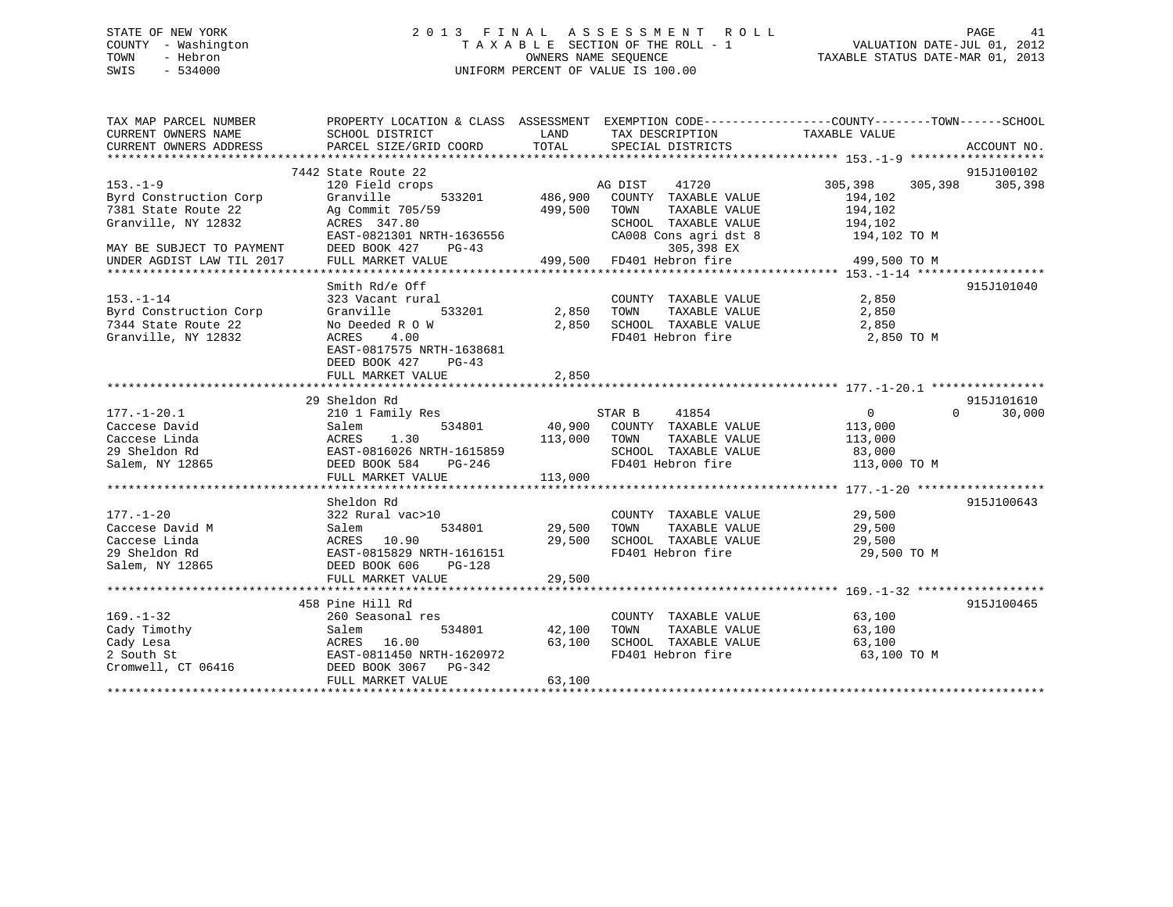# STATE OF NEW YORK 2 0 1 3 F I N A L A S S E S S M E N T R O L L PAGE 41 COUNTY - Washington T A X A B L E SECTION OF THE ROLL - 1 VALUATION DATE-JUL 01, 2012 TOWN - Hebron OWNERS NAME SEQUENCE TAXABLE STATUS DATE-MAR 01, 2013 SWIS - 534000 UNIFORM PERCENT OF VALUE IS 100.00

| TAX MAP PARCEL NUMBER     | PROPERTY LOCATION & CLASS ASSESSMENT EXEMPTION CODE----------------COUNTY-------TOWN------SCHOOL                 |                                                                            |                                                                                                                                                                                                                     |                      |                    |
|---------------------------|------------------------------------------------------------------------------------------------------------------|----------------------------------------------------------------------------|---------------------------------------------------------------------------------------------------------------------------------------------------------------------------------------------------------------------|----------------------|--------------------|
| CURRENT OWNERS NAME       | SCHOOL DISTRICT                                                                                                  | LAND                                                                       | TAX DESCRIPTION                                                                                                                                                                                                     | TAXABLE VALUE        |                    |
| CURRENT OWNERS ADDRESS    | PARCEL SIZE/GRID COORD                                                                                           | TOTAL                                                                      | SPECIAL DISTRICTS                                                                                                                                                                                                   |                      | ACCOUNT NO.        |
|                           |                                                                                                                  |                                                                            |                                                                                                                                                                                                                     |                      |                    |
|                           | 7442 State Route 22                                                                                              |                                                                            |                                                                                                                                                                                                                     |                      | 915J100102         |
| $153. - 1 - 9$            | 120 Field crops                                                                                                  |                                                                            | 41720<br>AG DIST                                                                                                                                                                                                    | 305,398              | 305,398 305,398    |
| Byrd Construction Corp    | 533201<br>Granville                                                                                              | $\begin{array}{cc} \text{A} \\ \text{33201} \\ \text{486,900} \end{array}$ | COUNTY TAXABLE VALUE                                                                                                                                                                                                | 194,102              |                    |
| 7381 State Route 22       | Ag Commit 705/59                                                                                                 | 499,500                                                                    | TOWN<br>TAXABLE VALUE                                                                                                                                                                                               | 194,102              |                    |
| Granville, NY 12832       | ACRES 347.80                                                                                                     |                                                                            | $\begin{tabular}{lllllllllll} \texttt{SCHOOL} & \texttt{TAXABLE} & \texttt{VALUE} & & 194,102 \\ \texttt{CA008} & \texttt{Cons}\ \texttt{agri}\ \texttt{dst}\ 8 & & 194,102\ \texttt{TO}\ \texttt{M} \end{tabular}$ |                      |                    |
|                           | EAST-0821301 NRTH-1636556                                                                                        |                                                                            |                                                                                                                                                                                                                     |                      |                    |
| MAY BE SUBJECT TO PAYMENT | DEED BOOK 427<br>$PG-43$                                                                                         |                                                                            | 9G-43 305,398 EX<br>499,500 FD401 Hebron fire                                                                                                                                                                       |                      |                    |
| UNDER AGDIST LAW TIL 2017 | FULL MARKET VALUE                                                                                                |                                                                            |                                                                                                                                                                                                                     | 499,500 TO M         |                    |
|                           |                                                                                                                  |                                                                            |                                                                                                                                                                                                                     |                      |                    |
|                           | Smith Rd/e Off                                                                                                   |                                                                            |                                                                                                                                                                                                                     |                      | 915J101040         |
| $153. - 1 - 14$           | 323 Vacant rural                                                                                                 |                                                                            | $\begin{tabular}{lllllllll} \multicolumn{2}{c}{\text{COUNTY}} & \text{TAXABLE VALUE} & & & & 2,850 \\ \multicolumn{2}{c}{\text{TOWN}} & \text{TAXABLE VALUE} & & & 2,850 \end{tabular}$                             | 2,850                |                    |
| Byrd Construction Corp    | $533201$ 2,850<br>Granville                                                                                      |                                                                            |                                                                                                                                                                                                                     |                      |                    |
| 7344 State Route 22       | No Deeded R O W                                                                                                  | 2,850                                                                      | SCHOOL TAXABLE VALUE 2,850                                                                                                                                                                                          |                      |                    |
| Granville, NY 12832       | ACRES<br>4.00                                                                                                    |                                                                            | FD401 Hebron fire                                                                                                                                                                                                   | 2,850 TO M           |                    |
|                           | EAST-0817575 NRTH-1638681                                                                                        |                                                                            |                                                                                                                                                                                                                     |                      |                    |
|                           | DEED BOOK 427<br>$PG-43$                                                                                         |                                                                            |                                                                                                                                                                                                                     |                      |                    |
|                           | FULL MARKET VALUE                                                                                                | 2,850                                                                      |                                                                                                                                                                                                                     |                      |                    |
|                           |                                                                                                                  |                                                                            |                                                                                                                                                                                                                     |                      |                    |
|                           | 29 Sheldon Rd                                                                                                    |                                                                            |                                                                                                                                                                                                                     |                      | 915J101610         |
| $177. - 1 - 20.1$         | 210 1 Family Res                                                                                                 |                                                                            | STAR B<br>41854                                                                                                                                                                                                     | $\overline{0}$       | $\Omega$<br>30,000 |
|                           |                                                                                                                  |                                                                            | 534801 40,900 COUNTY TAXABLE VALUE 113,000                                                                                                                                                                          |                      |                    |
|                           |                                                                                                                  |                                                                            | TAXABLE VALUE                                                                                                                                                                                                       | 113,000              |                    |
|                           |                                                                                                                  |                                                                            | SCHOOL TAXABLE VALUE 83,000                                                                                                                                                                                         |                      |                    |
|                           |                                                                                                                  |                                                                            | FD401 Hebron fire 113,000 TO M                                                                                                                                                                                      |                      |                    |
|                           |                                                                                                                  |                                                                            |                                                                                                                                                                                                                     |                      |                    |
|                           |                                                                                                                  |                                                                            |                                                                                                                                                                                                                     |                      |                    |
|                           | Sheldon Rd                                                                                                       |                                                                            |                                                                                                                                                                                                                     |                      | 915J100643         |
| $177. - 1 - 20$           | 322 Rural vac>10                                                                                                 |                                                                            | COUNTY TAXABLE VALUE                                                                                                                                                                                                | 29,500               |                    |
| Caccese David M           | Salem                                                                                                            | 534801 29,500                                                              | TOWN                                                                                                                                                                                                                | TAXABLE VALUE 29,500 |                    |
| Caccese Linda             | ACRES 10.90<br>EAST-0815829 NRTH-1616151                                                                         | 29,500                                                                     | SCHOOL TAXABLE VALUE<br>FD401 Hebron fire                                                                                                                                                                           | 29,500               |                    |
| 29 Sheldon Rd             |                                                                                                                  |                                                                            |                                                                                                                                                                                                                     | 29,500 TO M          |                    |
| Salem, NY 12865           | DEED BOOK 606<br>$PG-128$                                                                                        |                                                                            |                                                                                                                                                                                                                     |                      |                    |
|                           | FULL MARKET VALUE                                                                                                | 29,500                                                                     |                                                                                                                                                                                                                     |                      |                    |
|                           |                                                                                                                  |                                                                            |                                                                                                                                                                                                                     |                      |                    |
|                           | 458 Pine Hill Rd                                                                                                 |                                                                            |                                                                                                                                                                                                                     |                      | 915J100465         |
| $169. - 1 - 32$           | 260 Seasonal res                                                                                                 |                                                                            | COUNTY TAXABLE VALUE 63,100                                                                                                                                                                                         |                      |                    |
| Cady Timothy              | Salem                                                                                                            | 534801 42,100                                                              | TOWN                                                                                                                                                                                                                | TAXABLE VALUE 63,100 |                    |
|                           | 63,100<br>Cady Lesa<br>2 South St<br>2 South St<br>2 South St<br>2 Cromwell, CT 06416<br>2 DEED BOOK 3067 PG-342 |                                                                            | SCHOOL TAXABLE VALUE 63,100                                                                                                                                                                                         |                      |                    |
|                           |                                                                                                                  |                                                                            | FD401 Hebron fire                                                                                                                                                                                                   | 63,100 TO M          |                    |
|                           |                                                                                                                  |                                                                            |                                                                                                                                                                                                                     |                      |                    |
|                           | FULL MARKET VALUE                                                                                                | 63,100                                                                     |                                                                                                                                                                                                                     |                      |                    |
|                           |                                                                                                                  |                                                                            |                                                                                                                                                                                                                     |                      |                    |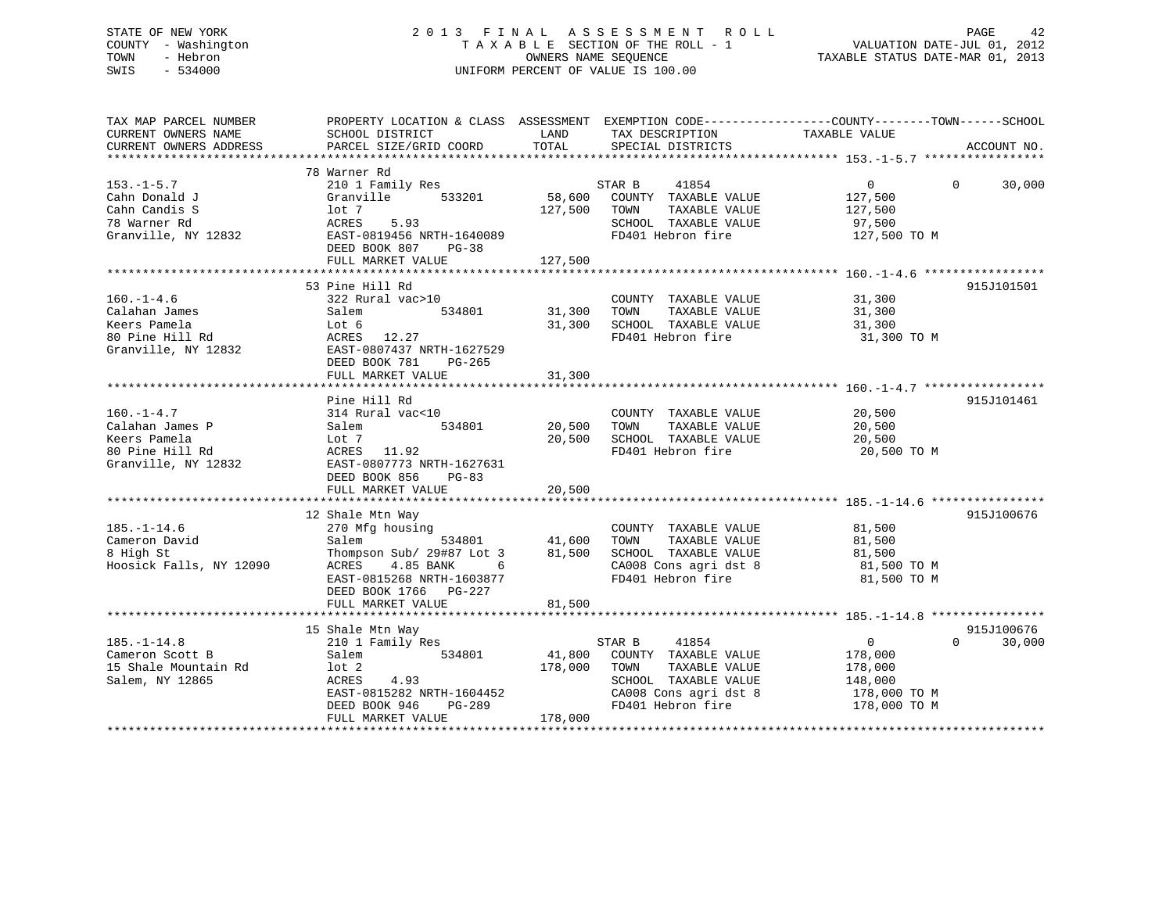# STATE OF NEW YORK 2 0 1 3 F I N A L A S S E S S M E N T R O L L PAGE 42 COUNTY - Washington T A X A B L E SECTION OF THE ROLL - 1 VALUATION DATE-JUL 01, 2012 TOWN - Hebron OWNERS NAME SEQUENCE TAXABLE STATUS DATE-MAR 01, 2013 SWIS - 534000 UNIFORM PERCENT OF VALUE IS 100.00

| TAX MAP PARCEL NUMBER<br>CURRENT OWNERS NAME<br>CURRENT OWNERS ADDRESS                        | PROPERTY LOCATION & CLASS ASSESSMENT<br>SCHOOL DISTRICT<br>PARCEL SIZE/GRID COORD                                                                                                         | LAND<br>TOTAL                | EXEMPTION CODE-----------------COUNTY-------TOWN------SCHOOL<br>TAX DESCRIPTION<br>SPECIAL DISTRICTS                                   | TAXABLE VALUE                                                                   | ACCOUNT NO.                      |
|-----------------------------------------------------------------------------------------------|-------------------------------------------------------------------------------------------------------------------------------------------------------------------------------------------|------------------------------|----------------------------------------------------------------------------------------------------------------------------------------|---------------------------------------------------------------------------------|----------------------------------|
| $153.-1-5.7$<br>Cahn Donald J<br>Cahn Candis S<br>78 Warner Rd<br>Granville, NY 12832         | 78 Warner Rd<br>210 1 Family Res<br>Granville<br>533201<br>$1$ ot $7$<br>ACRES<br>5.93<br>EAST-0819456 NRTH-1640089<br>DEED BOOK 807<br>$PG-38$<br>FULL MARKET VALUE                      | 58,600<br>127,500<br>127,500 | STAR B<br>41854<br>COUNTY TAXABLE VALUE<br>TAXABLE VALUE<br>TOWN<br>SCHOOL TAXABLE VALUE<br>FD401 Hebron fire                          | $\overline{0}$<br>127,500<br>127,500<br>97,500<br>127,500 TO M                  | $\Omega$<br>30,000               |
| $160. - 1 - 4.6$<br>Calahan James<br>Keers Pamela<br>80 Pine Hill Rd<br>Granville, NY 12832   | 53 Pine Hill Rd<br>322 Rural vac>10<br>534801<br>Salem<br>Lot 6<br>ACRES 12.27<br>EAST-0807437 NRTH-1627529<br>DEED BOOK 781<br>PG-265<br>FULL MARKET VALUE                               | 31,300<br>31,300<br>31,300   | COUNTY TAXABLE VALUE<br>TAXABLE VALUE<br>TOWN<br>SCHOOL TAXABLE VALUE<br>FD401 Hebron fire                                             | 31,300<br>31,300<br>31,300<br>31,300 TO M                                       | 915J101501                       |
| $160. - 1 - 4.7$<br>Calahan James P<br>Keers Pamela<br>80 Pine Hill Rd<br>Granville, NY 12832 | Pine Hill Rd<br>314 Rural vac<10<br>534801<br>Salem<br>Lot 7<br>ACRES 11.92<br>EAST-0807773 NRTH-1627631<br>DEED BOOK 856<br>PG-83<br>FULL MARKET VALUE                                   | 20,500<br>20,500<br>20,500   | COUNTY TAXABLE VALUE<br>TAXABLE VALUE<br>TOWN<br>SCHOOL TAXABLE VALUE<br>FD401 Hebron fire                                             | 20,500<br>20,500<br>20,500<br>20,500 TO M                                       | 915J101461                       |
| $185. - 1 - 14.6$<br>Cameron David<br>8 High St<br>Hoosick Falls, NY 12090                    | 12 Shale Mtn Way<br>270 Mfg housing<br>Salem<br>534801<br>Thompson Sub/ 29#87 Lot 3<br>ACRES<br>4.85 BANK<br>6<br>EAST-0815268 NRTH-1603877<br>DEED BOOK 1766 PG-227<br>FULL MARKET VALUE | 41,600<br>81,500<br>81,500   | COUNTY TAXABLE VALUE<br>TAXABLE VALUE<br>TOWN<br>SCHOOL TAXABLE VALUE<br>CA008 Cons agri dst 8<br>FD401 Hebron fire                    | 81,500<br>81,500<br>81,500<br>81,500 TO M<br>81,500 TO M                        | 915J100676                       |
| $185. - 1 - 14.8$<br>Cameron Scott B<br>15 Shale Mountain Rd<br>Salem, NY 12865               | 15 Shale Mtn Way<br>210 1 Family Res<br>Salem<br>534801<br>$1$ ot $2$<br>ACRES<br>4.93<br>EAST-0815282 NRTH-1604452<br>DEED BOOK 946<br>PG-289<br>FULL MARKET VALUE                       | 41,800<br>178,000<br>178,000 | STAR B<br>41854<br>COUNTY TAXABLE VALUE<br>TAXABLE VALUE<br>TOWN<br>SCHOOL TAXABLE VALUE<br>CA008 Cons agri dst 8<br>FD401 Hebron fire | $\overline{0}$<br>178,000<br>178,000<br>148,000<br>178,000 TO M<br>178,000 TO M | 915J100676<br>$\Omega$<br>30,000 |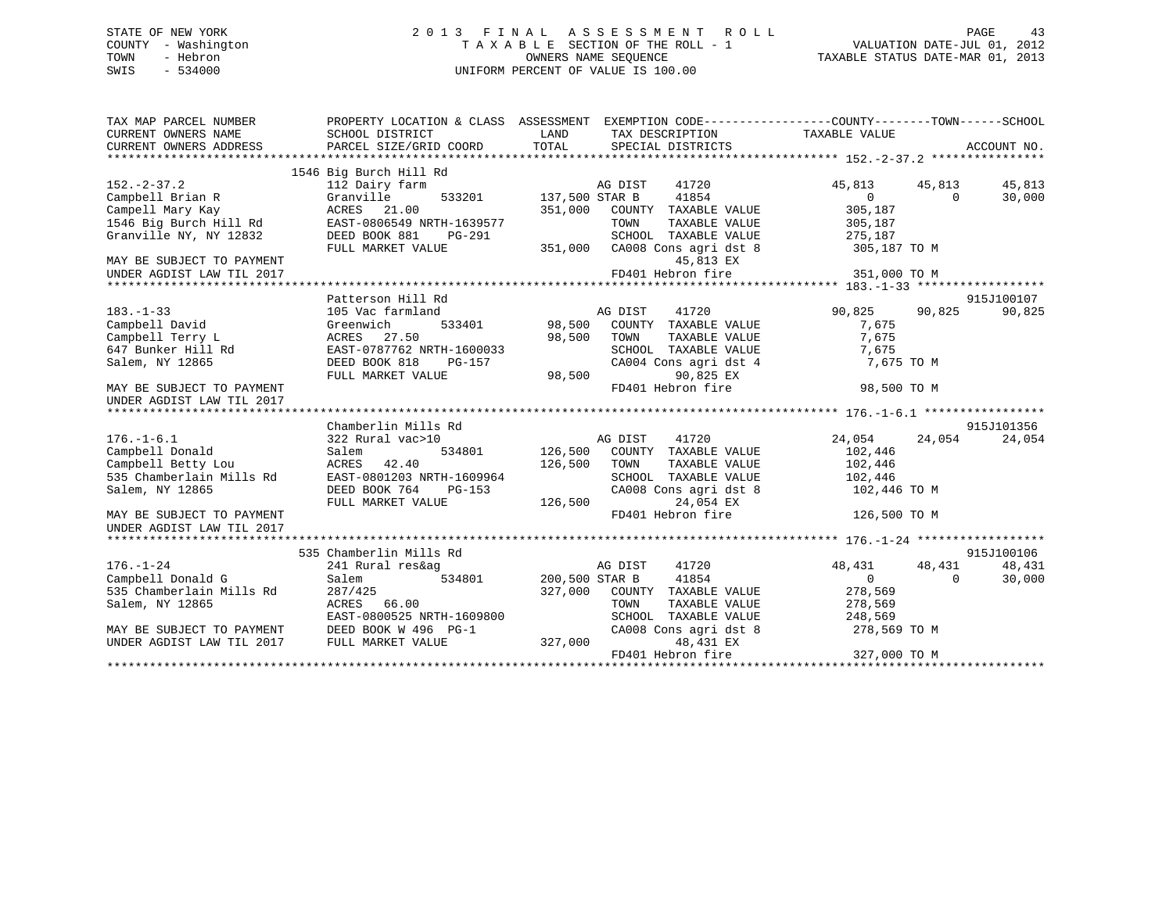#### STATE OF NEW YORK 2 0 1 3 F I N A L A S S E S S M E N T R O L L PAGE 43COUNTY - Washington  $\begin{array}{ccc}\n\text{T A X A B L E} & \text{SECTION OF THE ROLL} - 1 \\
\text{TOWN} & - \text{ Hebrew} \\
\end{array}$ OWNERS NAME SEQUENCE TAXABLE STATUS DATE-MAR 01, 2013 SWIS - 534000 UNIFORM PERCENT OF VALUE IS 100.00

| TAX MAP PARCEL NUMBER<br>CURRENT OWNERS ADDRESS                                                                                                                                   |                                                                                                                                                                                                                                                                                                                                                                                                                                                          | PROPERTY LOCATION & CLASS ASSESSMENT EXEMPTION CODE---------------COUNTY-------TOWN-----SCHOOL   |                      |            |
|-----------------------------------------------------------------------------------------------------------------------------------------------------------------------------------|----------------------------------------------------------------------------------------------------------------------------------------------------------------------------------------------------------------------------------------------------------------------------------------------------------------------------------------------------------------------------------------------------------------------------------------------------------|--------------------------------------------------------------------------------------------------|----------------------|------------|
|                                                                                                                                                                                   | 1546 Big Burch Hill Rd                                                                                                                                                                                                                                                                                                                                                                                                                                   |                                                                                                  |                      |            |
| $152. - 2 - 37.2$                                                                                                                                                                 | 112 Dairy farm                                                                                                                                                                                                                                                                                                                                                                                                                                           | 41720                                                                                            | 45,813<br>45,813     | 45,813     |
|                                                                                                                                                                                   |                                                                                                                                                                                                                                                                                                                                                                                                                                                          | Earm AG DIST<br>533201 137,500 STAR B<br>41854                                                   | $\sim$ 0<br>$\Omega$ | 30,000     |
|                                                                                                                                                                                   |                                                                                                                                                                                                                                                                                                                                                                                                                                                          | 351,000 COUNTY TAXABLE VALUE                                                                     | 305,187              |            |
|                                                                                                                                                                                   | EAST-0806549 NRTH-1639577                                                                                                                                                                                                                                                                                                                                                                                                                                | TAXABLE VALUE<br>TOWN                                                                            | 305,187              |            |
| 1921-2237.2<br>Campell Brian R (Campell Brian R (Campell Brian R (Campell Mary Kay (CARES 21.00)<br>1546 Big Burch Hill Rd EAST-0806549 N<br>Granville NY, NY 12832 DEED BOOK 881 |                                                                                                                                                                                                                                                                                                                                                                                                                                                          | SCHOOL TAXABLE VALUE 275,187                                                                     |                      |            |
|                                                                                                                                                                                   | FULL MARKET VALUE                                                                                                                                                                                                                                                                                                                                                                                                                                        | 351,000 CA008 Cons agri dst 8 305,187 TO M                                                       |                      |            |
| MAY BE SUBJECT TO PAYMENT                                                                                                                                                         |                                                                                                                                                                                                                                                                                                                                                                                                                                                          | 45,813 EX                                                                                        |                      |            |
|                                                                                                                                                                                   |                                                                                                                                                                                                                                                                                                                                                                                                                                                          |                                                                                                  |                      |            |
|                                                                                                                                                                                   |                                                                                                                                                                                                                                                                                                                                                                                                                                                          |                                                                                                  |                      |            |
|                                                                                                                                                                                   | Patterson Hill Rd                                                                                                                                                                                                                                                                                                                                                                                                                                        |                                                                                                  |                      | 915J100107 |
| $183. - 1 - 33$                                                                                                                                                                   | 105 Vac farmland                                                                                                                                                                                                                                                                                                                                                                                                                                         |                                                                                                  | 90,825 90,825        | 90,825     |
| Campbell David                                                                                                                                                                    | Greenwich                                                                                                                                                                                                                                                                                                                                                                                                                                                |                                                                                                  | 7,675                |            |
| Campbell Terry L<br>647 Bunker Hill Rd<br>61am NV 19865                                                                                                                           | ACRES 27.50                                                                                                                                                                                                                                                                                                                                                                                                                                              | TAXABLE VALUE                                                                                    | 7,675                |            |
|                                                                                                                                                                                   | EAST-0787762 NRTH-1600033                                                                                                                                                                                                                                                                                                                                                                                                                                | 98,500 TOWN<br>RTH-1600033 SCHOO                                                                 |                      |            |
| Salem, NY 12865                                                                                                                                                                   |                                                                                                                                                                                                                                                                                                                                                                                                                                                          | SCHOOL TAXABLE VALUE 7,675<br>CA004 Cons agri dst 4 7,675 TO M                                   |                      |            |
|                                                                                                                                                                                   |                                                                                                                                                                                                                                                                                                                                                                                                                                                          | 90,825 EX                                                                                        |                      |            |
| MAY BE SUBJECT TO PAYMENT                                                                                                                                                         | $\begin{tabular}{lllllllll} \multicolumn{2}{c l}{{\small\textbf{D}\textbf{E}\textbf{E}\textbf{D}}}&\multicolumn{2}{c l}{{\small\textbf{S}\textbf{C}\textbf{H}\textbf{O}(\textbf{U}\textbf{D}\textbf{E}\textbf{E}\textbf{D}}}&\multicolumn{2}{c l}{{\small\textbf{S}\textbf{C}\textbf{H}\textbf{O}(\textbf{E}\textbf{D}\textbf{D}}}&\multicolumn{2}{c l}{{\small\textbf{S}\textbf{C}\textbf{H}\textbf{O}(\textbf{E}\textbf{D}\textbf{D}}}&\multicolumn{2$ | FD401 Hebron fire                                                                                | 98,500 TO M          |            |
| UNDER AGDIST LAW TIL 2017                                                                                                                                                         |                                                                                                                                                                                                                                                                                                                                                                                                                                                          |                                                                                                  |                      |            |
|                                                                                                                                                                                   |                                                                                                                                                                                                                                                                                                                                                                                                                                                          |                                                                                                  |                      |            |
|                                                                                                                                                                                   | Chamberlin Mills Rd                                                                                                                                                                                                                                                                                                                                                                                                                                      |                                                                                                  |                      | 915J101356 |
| $176. - 1 - 6.1$                                                                                                                                                                  | 322 Rural vac>10                                                                                                                                                                                                                                                                                                                                                                                                                                         |                                                                                                  | 24,054<br>24,054     | 24,054     |
| Campbell Donald                                                                                                                                                                   |                                                                                                                                                                                                                                                                                                                                                                                                                                                          | )<br>534801 126,500 COUNTY TAXABLE VALUE                                                         | 102,446              |            |
|                                                                                                                                                                                   |                                                                                                                                                                                                                                                                                                                                                                                                                                                          | 126,500 TOWN<br>TAXABLE VALUE 102,446                                                            |                      |            |
|                                                                                                                                                                                   |                                                                                                                                                                                                                                                                                                                                                                                                                                                          |                                                                                                  |                      |            |
|                                                                                                                                                                                   |                                                                                                                                                                                                                                                                                                                                                                                                                                                          | SCHOOL TAXABLE VALUE 102,446<br>CA008 Cons agri dst 8 102,446 TO M                               |                      |            |
|                                                                                                                                                                                   |                                                                                                                                                                                                                                                                                                                                                                                                                                                          | 126,500<br>24,054 EX                                                                             |                      |            |
| MAY BE SUBJECT TO PAYMENT<br>UNDER AGDIST LAW TIL 2017                                                                                                                            |                                                                                                                                                                                                                                                                                                                                                                                                                                                          | FD401 Hebron fire                                                                                | 126,500 TO M         |            |
|                                                                                                                                                                                   |                                                                                                                                                                                                                                                                                                                                                                                                                                                          |                                                                                                  |                      |            |
|                                                                                                                                                                                   | 535 Chamberlin Mills Rd                                                                                                                                                                                                                                                                                                                                                                                                                                  |                                                                                                  |                      | 915J100106 |
| $176. - 1 - 24$                                                                                                                                                                   | 241 Rural res&ag                                                                                                                                                                                                                                                                                                                                                                                                                                         | AG DIST<br>41720                                                                                 | 48,431<br>48,431     | 48,431     |
| Campbell Donald G                                                                                                                                                                 | Salem                                                                                                                                                                                                                                                                                                                                                                                                                                                    | 534801 200,500 STAR B<br>41854                                                                   | $\Omega$<br>$\Omega$ | 30,000     |
| 535 Chamberlain Mills Rd                                                                                                                                                          |                                                                                                                                                                                                                                                                                                                                                                                                                                                          | 327,000 COUNTY TAXABLE VALUE 278,569                                                             |                      |            |
| Salem, NY 12865                                                                                                                                                                   | 287/425<br>ACRES 66.00                                                                                                                                                                                                                                                                                                                                                                                                                                   |                                                                                                  |                      |            |
|                                                                                                                                                                                   |                                                                                                                                                                                                                                                                                                                                                                                                                                                          |                                                                                                  |                      |            |
|                                                                                                                                                                                   | EAST-0800525 NRTH-1609800<br>DRED BOOK M 100                                                                                                                                                                                                                                                                                                                                                                                                             | TOWN TAXABLE VALUE 278,569<br>SCHOOL TAXABLE VALUE 248,569<br>CA008 Cons agri dst 8 278,569 TO M |                      |            |
| MAY BE SUBJECT TO PAYMENT<br>UNDER AGDIST LAW TIL 2017 FULL MARKET VALUE 7000 327,000                                                                                             |                                                                                                                                                                                                                                                                                                                                                                                                                                                          | 48,431 EX                                                                                        |                      |            |
|                                                                                                                                                                                   |                                                                                                                                                                                                                                                                                                                                                                                                                                                          | FD401 Hebron fire                                                                                | 327,000 TO M         |            |
|                                                                                                                                                                                   |                                                                                                                                                                                                                                                                                                                                                                                                                                                          |                                                                                                  |                      |            |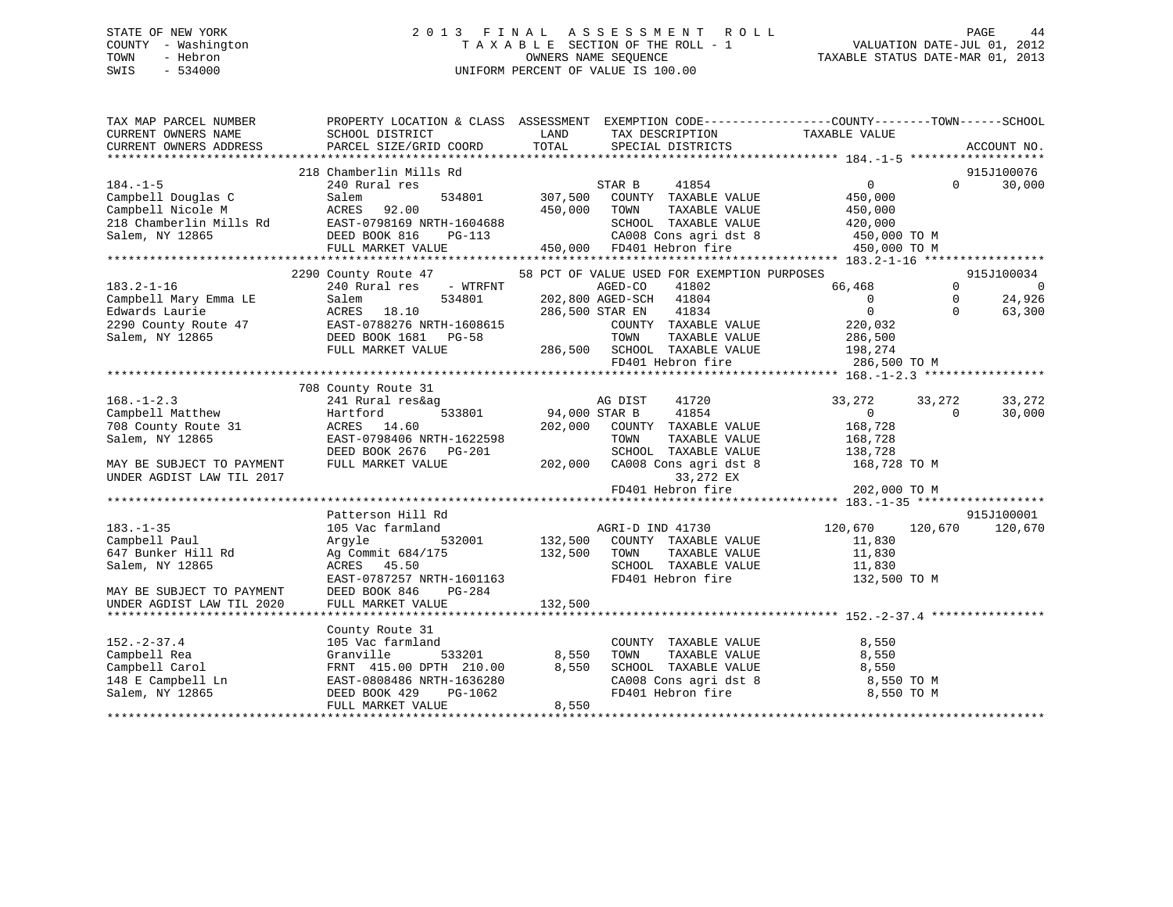# STATE OF NEW YORK 2 0 1 3 F I N A L A S S E S S M E N T R O L L PAGE 44 COUNTY - Washington T A X A B L E SECTION OF THE ROLL - 1 VALUATION DATE-JUL 01, 2012 TOWN - Hebron OWNERS NAME SEQUENCE TAXABLE STATUS DATE-MAR 01, 2013 SWIS - 534000 UNIFORM PERCENT OF VALUE IS 100.00

| TAX MAP PARCEL NUMBER<br>CURRENT OWNERS NAME | PROPERTY LOCATION & CLASS ASSESSMENT EXEMPTION CODE----------------COUNTY-------TOWN------SCHOOL<br>SCHOOL DISTRICT | LAND                 | TAX DESCRIPTION                                 | TAXABLE VALUE     |             |                      |
|----------------------------------------------|---------------------------------------------------------------------------------------------------------------------|----------------------|-------------------------------------------------|-------------------|-------------|----------------------|
| CURRENT OWNERS ADDRESS                       | PARCEL SIZE/GRID COORD                                                                                              | TOTAL                | SPECIAL DISTRICTS                               |                   |             | ACCOUNT NO.          |
|                                              |                                                                                                                     |                      |                                                 |                   |             |                      |
| $184. - 1 - 5$                               | 218 Chamberlin Mills Rd                                                                                             |                      | 41854                                           | $0 \qquad \qquad$ | $\Omega$    | 915J100076<br>30,000 |
| Campbell Douglas C                           | 240 Rural res<br>534801                                                                                             | 307,500              | STAR B<br>COUNTY TAXABLE VALUE                  | 450,000           |             |                      |
| Campbell Nicole M                            | Salem<br>ACRES<br>92.00                                                                                             | 450,000              | TOWN<br>TAXABLE VALUE                           | 450,000           |             |                      |
| 218 Chamberlin Mills Rd                      | EAST-0798169 NRTH-1604688                                                                                           |                      | SCHOOL TAXABLE VALUE                            | 420,000           |             |                      |
| Salem, NY 12865                              | DEED BOOK 816                                                                                                       |                      | CA008 Cons agri dst 8 450,000 TO M              |                   |             |                      |
|                                              | FULL MARKET VALUE                                                                                                   |                      | PG-113<br>PG-113<br>E 450,000 FD401 Hebron fire | 450,000 TO M      |             |                      |
|                                              |                                                                                                                     |                      |                                                 |                   |             |                      |
|                                              | 2290 County Route 47                                                                                                |                      | 58 PCT OF VALUE USED FOR EXEMPTION PURPOSES     |                   |             | 915J100034           |
| $183.2 - 1 - 16$                             | 240 Rural res - WTRFNT                                                                                              |                      | AGED-CO<br>41802                                | 66,468            | $\Omega$    | $\overline{0}$       |
| Campbell Mary Emma LE                        | 534801<br>Salem                                                                                                     |                      | 202,800 AGED-SCH<br>41804                       | $\overline{0}$    | $\mathbf 0$ | 24,926               |
| Edwards Laurie                               | ACRES 18.10                                                                                                         |                      | 286,500 STAR EN<br>41834                        | $\overline{0}$    | $\Omega$    | 63,300               |
| 2290 County Route 47                         | EAST-0788276 NRTH-1608615                                                                                           |                      | COUNTY TAXABLE VALUE                            | 220,032           |             |                      |
| Salem, NY 12865                              | DEED BOOK 1681 PG-58                                                                                                |                      | TOWN<br>TAXABLE VALUE                           | 286,500           |             |                      |
|                                              | FULL MARKET VALUE                                                                                                   |                      | 286,500 SCHOOL TAXABLE VALUE 198,274            |                   |             |                      |
|                                              |                                                                                                                     |                      | FD401 Hebron fire                               | 286,500 TO M      |             |                      |
|                                              |                                                                                                                     |                      |                                                 |                   |             |                      |
|                                              | 708 County Route 31                                                                                                 |                      |                                                 |                   |             |                      |
| $168. - 1 - 2.3$                             | 241 Rural res&ag                                                                                                    |                      | 41720<br>AG DIST                                | 33,272            | 33,272      | 33,272               |
| Campbell Matthew                             | Hartford                                                                                                            | 533801 94,000 STAR B | 41854                                           | $\overline{0}$    | $\Omega$    | 30,000               |
| 708 County Route 31                          | ACRES 14.60                                                                                                         | 202,000              | COUNTY TAXABLE VALUE                            | 168,728           |             |                      |
| Salem, NY 12865                              | EAST-0798406 NRTH-1622598                                                                                           |                      | TOWN<br>TAXABLE VALUE                           | 168,728           |             |                      |
|                                              | DEED BOOK 2676 PG-201                                                                                               |                      | SCHOOL TAXABLE VALUE                            | 138,728           |             |                      |
| MAY BE SUBJECT TO PAYMENT                    | FULL MARKET VALUE                                                                                                   | 202,000              | CA008 Cons agri dst 8                           | 168,728 TO M      |             |                      |
| UNDER AGDIST LAW TIL 2017                    |                                                                                                                     |                      | 33,272 EX                                       |                   |             |                      |
|                                              |                                                                                                                     |                      | FD401 Hebron fire                               | 202,000 TO M      |             |                      |
|                                              |                                                                                                                     |                      |                                                 |                   |             |                      |
|                                              | Patterson Hill Rd                                                                                                   |                      |                                                 |                   |             | 915J100001           |
| $183. - 1 - 35$                              | 105 Vac farmland                                                                                                    |                      | AGRI-D IND 41730                                | 120,670           | 120,670     | 120,670              |
| Campbell Paul                                | 532001<br>Arqyle                                                                                                    | 132,500              | COUNTY TAXABLE VALUE                            | 11,830            |             |                      |
| 647 Bunker Hill Rd                           | Ag Commit 684/175                                                                                                   | 132,500              | TOWN<br>TAXABLE VALUE                           | 11,830            |             |                      |
| Salem, NY 12865                              | ACRES 45.50                                                                                                         |                      | SCHOOL TAXABLE VALUE                            | 11,830            |             |                      |
|                                              | EAST-0787257 NRTH-1601163                                                                                           |                      | FD401 Hebron fire                               | 132,500 TO M      |             |                      |
| MAY BE SUBJECT TO PAYMENT                    | PG-284<br>DEED BOOK 846                                                                                             |                      |                                                 |                   |             |                      |
| UNDER AGDIST LAW TIL 2020                    | FULL MARKET VALUE                                                                                                   | 132,500              |                                                 |                   |             |                      |
|                                              |                                                                                                                     |                      |                                                 |                   |             |                      |
|                                              | County Route 31                                                                                                     |                      |                                                 |                   |             |                      |
| $152 - 2 - 37.4$                             | 105 Vac farmland                                                                                                    |                      | COUNTY TAXABLE VALUE                            | 8,550             |             |                      |
| Campbell Rea                                 | Granville<br>533201                                                                                                 | 8,550                | TAXABLE VALUE<br>TOWN                           | 8,550             |             |                      |
| Campbell Carol                               | FRNT 415.00 DPTH 210.00                                                                                             | 8,550                | SCHOOL TAXABLE VALUE                            | 8,550             |             |                      |
| 148 E Campbell Ln                            | EAST-0808486 NRTH-1636280                                                                                           |                      | CA008 Cons agri dst 8                           | 8,550 TO M        |             |                      |
| Salem, NY 12865                              | DEED BOOK 429<br>PG-1062                                                                                            |                      | FD401 Hebron fire                               | 8,550 TO M        |             |                      |
|                                              | FULL MARKET VALUE                                                                                                   | 8,550                |                                                 |                   |             |                      |
|                                              |                                                                                                                     |                      |                                                 |                   |             |                      |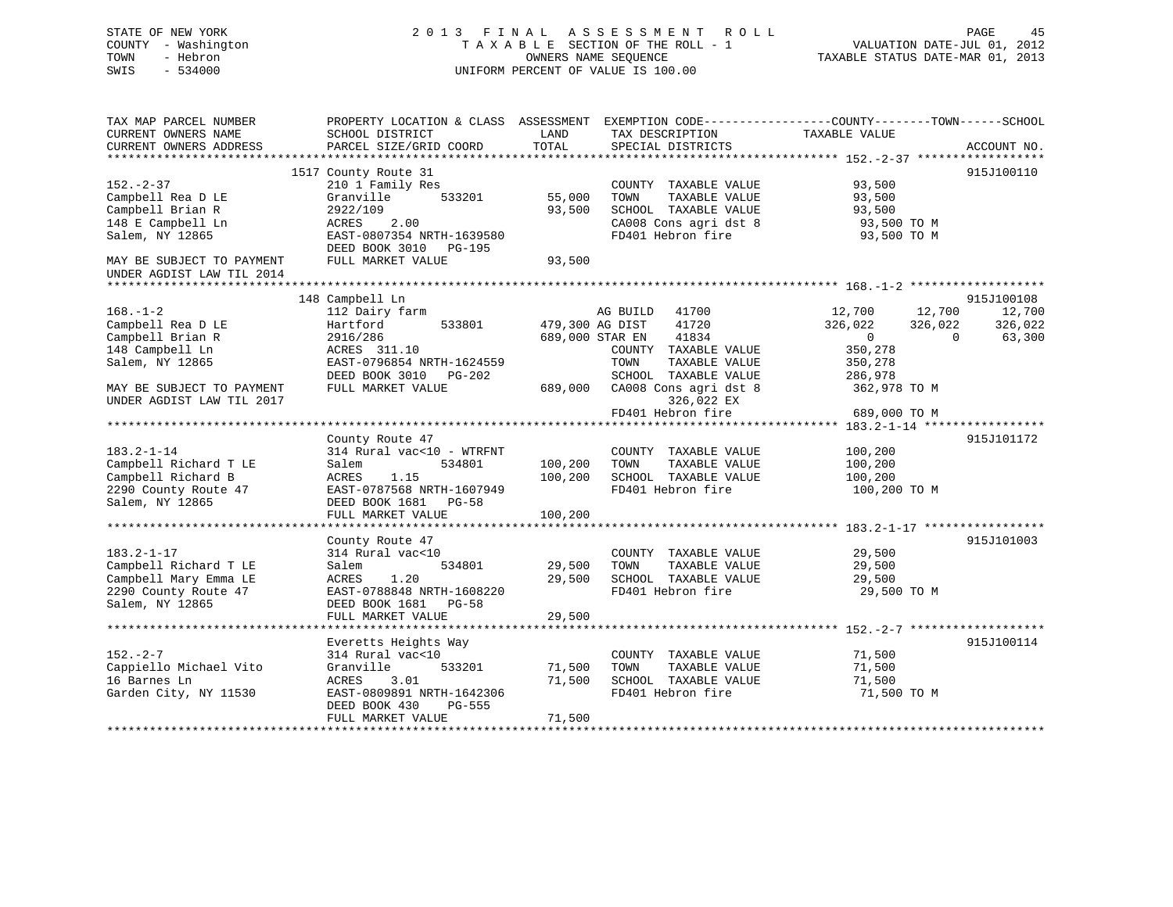STATE OF NEW YORK 2 0 1 3 F I N A L A S S E S S M E N T R O L L PAGE 45COUNTY - Washington  $T A X A B L E$  SECTION OF THE ROLL - 1<br>TOWN - Hebron DATE-JUL 000NERS NAME SEQUENCE SWIS - 534000 UNIFORM PERCENT OF VALUE IS 100.00

TAXABLE STATUS DATE-MAR 01, 2013

| TAX MAP PARCEL NUMBER<br>CURRENT OWNERS NAME<br>CURRENT OWNERS ADDRESS | SCHOOL DISTRICT<br>PARCEL SIZE/GRID COORD            | LAND<br>TOTAL | TAX DESCRIPTION<br>SPECIAL DISTRICTS | PROPERTY LOCATION & CLASS ASSESSMENT EXEMPTION CODE-----------------COUNTY-------TOWN------SCHOOL<br>TAXABLE VALUE | ACCOUNT NO. |
|------------------------------------------------------------------------|------------------------------------------------------|---------------|--------------------------------------|--------------------------------------------------------------------------------------------------------------------|-------------|
|                                                                        |                                                      |               |                                      |                                                                                                                    |             |
|                                                                        | 1517 County Route 31                                 |               |                                      |                                                                                                                    | 915J100110  |
| $152. - 2 - 37$                                                        | 210 1 Family Res                                     |               | COUNTY TAXABLE VALUE                 | 93,500                                                                                                             |             |
| Campbell Rea D LE                                                      | 533201<br>Granville                                  | 55,000        | TOWN<br>TAXABLE VALUE                | 93,500                                                                                                             |             |
| Campbell Brian R                                                       | 2922/109                                             | 93,500        | SCHOOL TAXABLE VALUE                 | 93,500                                                                                                             |             |
| 148 E Campbell Ln                                                      | ACRES<br>2.00                                        |               | CA008 Cons agri dst 8                | 93,500 TO M                                                                                                        |             |
| Salem, NY 12865                                                        | EAST-0807354 NRTH-1639580                            |               | FD401 Hebron fire                    | 93,500 TO M                                                                                                        |             |
|                                                                        | DEED BOOK 3010 PG-195<br>FULL MARKET VALUE           | 93,500        |                                      |                                                                                                                    |             |
| MAY BE SUBJECT TO PAYMENT<br>UNDER AGDIST LAW TIL 2014                 |                                                      |               |                                      |                                                                                                                    |             |
|                                                                        |                                                      |               |                                      |                                                                                                                    |             |
|                                                                        | 148 Campbell Ln                                      |               |                                      |                                                                                                                    | 915J100108  |
| $168. - 1 - 2$                                                         | 112 Dairy farm                                       |               | AG BUILD<br>41700                    | 12,700<br>12,700                                                                                                   | 12,700      |
| Campbell Rea D LE                                                      | Hartford<br>533801                                   |               | 479,300 AG DIST<br>41720             | 326,022<br>326,022                                                                                                 | 326,022     |
| Campbell Brian R                                                       | 2916/286                                             |               | 689,000 STAR EN<br>41834             | $\overline{0}$<br>$\Omega$                                                                                         | 63,300      |
| 148 Campbell Ln                                                        | ACRES 311.10                                         |               | COUNTY TAXABLE VALUE                 | 350,278                                                                                                            |             |
| Salem, NY 12865                                                        | EAST-0796854 NRTH-1624559                            |               | TOWN<br>TAXABLE VALUE                | 350,278                                                                                                            |             |
|                                                                        | DEED BOOK 3010 PG-202                                |               | SCHOOL TAXABLE VALUE                 | 286,978                                                                                                            |             |
| MAY BE SUBJECT TO PAYMENT                                              | FULL MARKET VALUE                                    | 689,000       | CA008 Cons agri dst 8                | 362,978 TO M                                                                                                       |             |
| UNDER AGDIST LAW TIL 2017                                              |                                                      |               | 326,022 EX                           |                                                                                                                    |             |
|                                                                        |                                                      |               | FD401 Hebron fire                    | 689,000 TO M                                                                                                       |             |
|                                                                        |                                                      |               |                                      |                                                                                                                    |             |
|                                                                        | County Route 47                                      |               |                                      |                                                                                                                    | 915J101172  |
| $183.2 - 1 - 14$                                                       | 314 Rural vac<10 - WTRFNT                            |               | COUNTY TAXABLE VALUE                 | 100,200                                                                                                            |             |
| Campbell Richard T LE                                                  | 534801<br>Salem                                      | 100,200       | TOWN<br>TAXABLE VALUE                | 100,200                                                                                                            |             |
| Campbell Richard B                                                     | 1.15<br>ACRES                                        | 100,200       | SCHOOL TAXABLE VALUE                 | 100,200                                                                                                            |             |
| 2290 County Route 47                                                   | EAST-0787568 NRTH-1607949                            |               | FD401 Hebron fire                    | 100,200 TO M                                                                                                       |             |
| Salem, NY 12865                                                        | DEED BOOK 1681 PG-58                                 |               |                                      |                                                                                                                    |             |
|                                                                        | FULL MARKET VALUE                                    | 100,200       |                                      |                                                                                                                    |             |
|                                                                        |                                                      |               |                                      |                                                                                                                    |             |
|                                                                        | County Route 47                                      |               |                                      |                                                                                                                    | 915J101003  |
| $183.2 - 1 - 17$                                                       | 314 Rural vac<10                                     |               | COUNTY TAXABLE VALUE                 | 29,500                                                                                                             |             |
| Campbell Richard T LE                                                  | 534801<br>Salem                                      | 29,500        | TAXABLE VALUE<br>TOWN                | 29,500                                                                                                             |             |
| Campbell Mary Emma LE                                                  | 1.20<br>ACRES                                        | 29,500        | SCHOOL TAXABLE VALUE                 | 29,500                                                                                                             |             |
| 2290 County Route 47                                                   | EAST-0788848 NRTH-1608220                            |               | FD401 Hebron fire                    | 29,500 TO M                                                                                                        |             |
| Salem, NY 12865                                                        | DEED BOOK 1681 PG-58                                 |               |                                      |                                                                                                                    |             |
| ******************************                                         | FULL MARKET VALUE                                    | 29,500        |                                      |                                                                                                                    |             |
|                                                                        |                                                      |               |                                      |                                                                                                                    |             |
|                                                                        | Everetts Heights Way                                 |               |                                      |                                                                                                                    | 915J100114  |
| $152 - 2 - 7$                                                          | 314 Rural vac<10                                     |               | COUNTY TAXABLE VALUE                 | 71,500                                                                                                             |             |
| Cappiello Michael Vito                                                 | Granville<br>533201                                  | 71,500        | TOWN<br>TAXABLE VALUE                | 71,500                                                                                                             |             |
| 16 Barnes Ln                                                           | 3.01<br>ACRES                                        | 71,500        | SCHOOL TAXABLE VALUE                 | 71,500                                                                                                             |             |
| Garden City, NY 11530                                                  | EAST-0809891 NRTH-1642306<br>DEED BOOK 430<br>PG-555 |               | FD401 Hebron fire                    | 71,500 TO M                                                                                                        |             |
|                                                                        | FULL MARKET VALUE                                    |               |                                      |                                                                                                                    |             |
|                                                                        |                                                      | 71,500        |                                      |                                                                                                                    |             |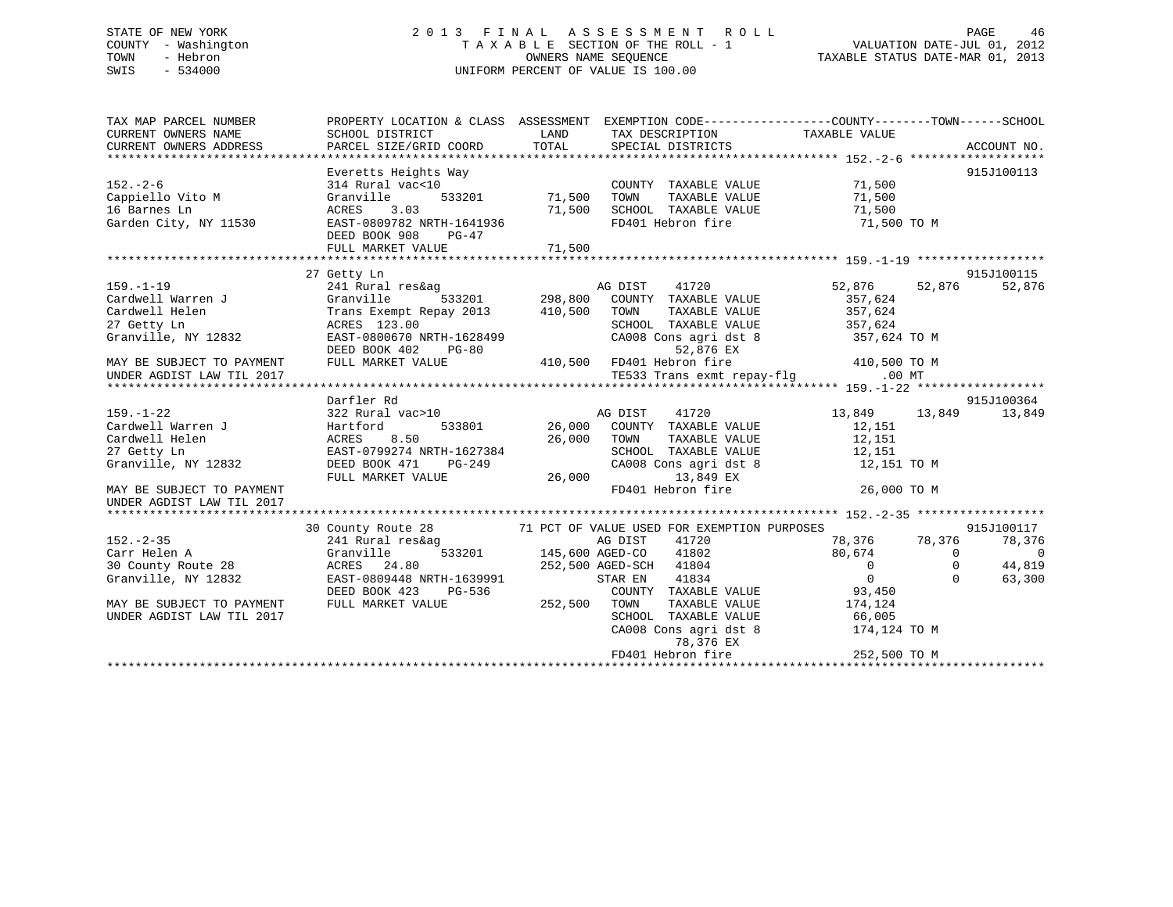# STATE OF NEW YORK 2 0 1 3 F I N A L A S S E S S M E N T R O L L PAGE 46 COUNTY - Washington T A X A B L E SECTION OF THE ROLL - 1 VALUATION DATE-JUL 01, 2012 TOWN - Hebron OWNERS NAME SEQUENCE TAXABLE STATUS DATE-MAR 01, 2013 SWIS - 534000 UNIFORM PERCENT OF VALUE IS 100.00

| TAX MAP PARCEL NUMBER     | PROPERTY LOCATION & CLASS ASSESSMENT EXEMPTION CODE---------------COUNTY-------TOWN-----SCHOOL |                                   |                                                                                                                                                            |                                                                  |          |             |
|---------------------------|------------------------------------------------------------------------------------------------|-----------------------------------|------------------------------------------------------------------------------------------------------------------------------------------------------------|------------------------------------------------------------------|----------|-------------|
| CURRENT OWNERS NAME       | SCHOOL DISTRICT                                                                                | <b>EXAMPLE TO A LAND THE LAND</b> | TAX DESCRIPTION                                                                                                                                            | TAXABLE VALUE                                                    |          |             |
| CURRENT OWNERS ADDRESS    | PARCEL SIZE/GRID COORD                                                                         | TOTAL                             | SPECIAL DISTRICTS                                                                                                                                          |                                                                  |          | ACCOUNT NO. |
|                           |                                                                                                |                                   |                                                                                                                                                            |                                                                  |          |             |
|                           | Everetts Heights Way                                                                           |                                   |                                                                                                                                                            |                                                                  |          | 915J100113  |
| $152. - 2 - 6$            | 314 Rural vac<10                                                                               |                                   | COUNTY TAXABLE VALUE 71,500                                                                                                                                |                                                                  |          |             |
| Cappiello Vito M          | $533201$ $71,500$<br>Granville                                                                 |                                   | TOWN                                                                                                                                                       | TAXABLE VALUE 71,500<br>TAXABLE VALUE 71,500                     |          |             |
| 16 Barnes Ln              | 3.03<br>ACRES                                                                                  | 71,500                            | SCHOOL TAXABLE VALUE<br>FD401 Hebron fire 71,500 TO M                                                                                                      | 71,500                                                           |          |             |
| Garden City, NY 11530     | EAST-0809782 NRTH-1641936                                                                      |                                   |                                                                                                                                                            |                                                                  |          |             |
|                           | DEED BOOK 908<br>PG-47<br>FULL MARKET VALUE                                                    | 71,500                            |                                                                                                                                                            |                                                                  |          |             |
|                           |                                                                                                |                                   |                                                                                                                                                            |                                                                  |          |             |
|                           | 27 Getty Ln                                                                                    |                                   |                                                                                                                                                            |                                                                  |          | 915J100115  |
| $159. - 1 - 19$           | 241 Rural res&ag                                                                               |                                   |                                                                                                                                                            | 52,876 52,876                                                    |          | 52,876      |
| Cardwell Warren J         | Granville                                                                                      |                                   |                                                                                                                                                            | 357,624                                                          |          |             |
| Cardwell Helen            | Trans Exempt Repay 2013 410,500 TOWN                                                           |                                   |                                                                                                                                                            | TAXABLE VALUE 357,624                                            |          |             |
| 27 Getty Ln               | ACRES 123.00                                                                                   |                                   |                                                                                                                                                            |                                                                  |          |             |
| Granville, NY 12832       | EAST-0800670 NRTH-1628499                                                                      |                                   | SCHOOL TAXABLE VALUE 357,624<br>CA008 Cons agri dst 8 357,624 TO M                                                                                         |                                                                  |          |             |
|                           | DEED BOOK 402 PG-80                                                                            |                                   | 52,876 EX                                                                                                                                                  |                                                                  |          |             |
| MAY BE SUBJECT TO PAYMENT | FULL MARKET VALUE                                                                              |                                   |                                                                                                                                                            |                                                                  |          |             |
| UNDER AGDIST LAW TIL 2017 |                                                                                                |                                   | 410,500 FD401 Hebron fire 410,500 TO M<br>TE533 Trans exmt repay-flg .00 MT                                                                                |                                                                  |          |             |
|                           |                                                                                                |                                   |                                                                                                                                                            |                                                                  |          |             |
|                           | Darfler Rd                                                                                     |                                   |                                                                                                                                                            |                                                                  |          | 915J100364  |
| $159. - 1 - 22$           | 322 Rural vac>10                                                                               |                                   |                                                                                                                                                            | 13,849 13,849                                                    |          | 13,849      |
| Cardwell Warren J         | Hartford                                                                                       |                                   |                                                                                                                                                            | 12,151                                                           |          |             |
| Cardwell Helen            | ACRES<br>8.50                                                                                  |                                   | 26,000 TOWN                                                                                                                                                | TAXABLE VALUE 12,151                                             |          |             |
| 27 Getty Ln               | EAST-0799274 NRTH-1627384<br>NKTH-1627384<br>PG-249                                            |                                   | SCHOOL TAXABLE VALUE 12,151<br>CA008 Cons agri dst 8 12,151 TO M                                                                                           |                                                                  |          |             |
| Granville, NY 12832       | DEED BOOK 471                                                                                  |                                   |                                                                                                                                                            |                                                                  |          |             |
|                           | FULL MARKET VALUE                                                                              |                                   | 26,000 13,849 EX                                                                                                                                           |                                                                  |          |             |
| MAY BE SUBJECT TO PAYMENT |                                                                                                |                                   | FD401 Hebron fire                                                                                                                                          | 26,000 TO M                                                      |          |             |
| UNDER AGDIST LAW TIL 2017 |                                                                                                |                                   |                                                                                                                                                            |                                                                  |          |             |
|                           |                                                                                                |                                   |                                                                                                                                                            |                                                                  |          | 915J100117  |
| $152 - 2 - 35$            | 30 County Route 28<br>241 Rural res&aq                                                         |                                   | 71 PCT OF VALUE USED FOR EXEMPTION PURPOSES<br>AG DIST<br>41720                                                                                            |                                                                  |          | 78,376      |
| Carr Helen A              | Granville                                                                                      |                                   | 533201 145,600 AGED-CO 41802                                                                                                                               | 78,376             78,376<br>80,674                            0 |          | $\Omega$    |
| 30 County Route 28        | ACRES 24.80 252,500 AGED-SCH 41804                                                             |                                   |                                                                                                                                                            |                                                                  | $\Omega$ | 44,819      |
| Granville, NY 12832       | EAST-0809448 NRTH-1639991                                                                      |                                   | STAR EN 41834                                                                                                                                              | $\overline{0}$<br>$\overline{0}$                                 | $\Omega$ | 63,300      |
|                           | DEED BOOK 423 PG-536                                                                           |                                   | COUNTY TAXABLE VALUE 93,450                                                                                                                                |                                                                  |          |             |
| MAY BE SUBJECT TO PAYMENT | FULL MARKET VALUE                                                                              | 252,500 TOWN                      |                                                                                                                                                            | TAXABLE VALUE 174,124                                            |          |             |
| UNDER AGDIST LAW TIL 2017 |                                                                                                |                                   |                                                                                                                                                            |                                                                  |          |             |
|                           |                                                                                                |                                   | $\begin{tabular}{lllllllll} \texttt{SCHOOL} & \texttt{TAXABLE VALUE} & & & & 66,005 \\ \texttt{CA008 Cons agri dst 8} & & & 174,124 TO M \\ \end{tabular}$ |                                                                  |          |             |
|                           |                                                                                                |                                   | 78,376 EX                                                                                                                                                  |                                                                  |          |             |
|                           |                                                                                                |                                   | FD401 Hebron fire                                                                                                                                          | 252,500 TO M                                                     |          |             |
|                           |                                                                                                |                                   |                                                                                                                                                            |                                                                  |          |             |
|                           |                                                                                                |                                   |                                                                                                                                                            |                                                                  |          |             |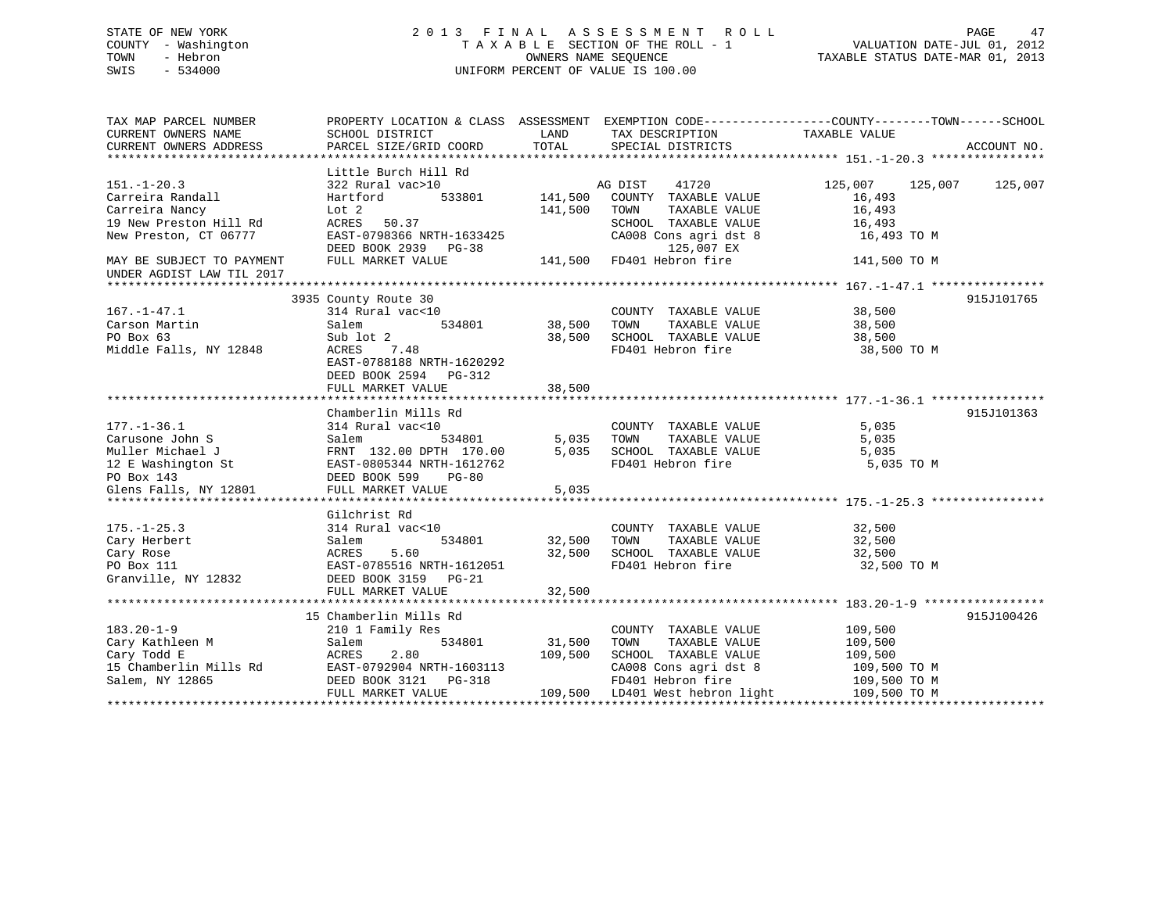# STATE OF NEW YORK 2 0 1 3 F I N A L A S S E S S M E N T R O L L PAGE 47 COUNTY - Washington T A X A B L E SECTION OF THE ROLL - 1 VALUATION DATE-JUL 01, 2012 TOWN - Hebron OWNERS NAME SEQUENCE TAXABLE STATUS DATE-MAR 01, 2013 SWIS - 534000 UNIFORM PERCENT OF VALUE IS 100.00

| TAX MAP PARCEL NUMBER<br>CURRENT OWNERS NAME | SCHOOL DISTRICT                              | LAND<br>TOTAL | TAX DESCRIPTION                              | PROPERTY LOCATION & CLASS ASSESSMENT EXEMPTION CODE----------------COUNTY-------TOWN------SCHOOL<br>TAXABLE VALUE |             |
|----------------------------------------------|----------------------------------------------|---------------|----------------------------------------------|-------------------------------------------------------------------------------------------------------------------|-------------|
| CURRENT OWNERS ADDRESS                       | PARCEL SIZE/GRID COORD                       |               | SPECIAL DISTRICTS                            |                                                                                                                   | ACCOUNT NO. |
|                                              | Little Burch Hill Rd                         |               |                                              |                                                                                                                   |             |
| $151. - 1 - 20.3$                            | 322 Rural vac>10                             |               | 41720<br>AG DIST                             |                                                                                                                   | 125,007     |
| Carreira Randall                             | 533801<br>Hartford                           | 141,500       | COUNTY TAXABLE VALUE                         | 16,493                                                                                                            |             |
| Carreira Nancy                               | Lot 2                                        | 141,500       | TOWN<br>TAXABLE VALUE                        | 16,493                                                                                                            |             |
| 19 New Preston Hill Rd                       | ACRES 50.37                                  |               | SCHOOL TAXABLE VALUE                         | 16,493                                                                                                            |             |
| New Preston, CT 06777                        | EAST-0798366 NRTH-1633425                    |               | CA008 Cons agri dst 8                        | 16,493 TO M                                                                                                       |             |
|                                              | DEED BOOK 2939 PG-38                         |               | 125,007 EX                                   |                                                                                                                   |             |
| MAY BE SUBJECT TO PAYMENT                    | FULL MARKET VALUE                            |               | 141,500 FD401 Hebron fire                    | 141,500 TO M                                                                                                      |             |
| UNDER AGDIST LAW TIL 2017                    |                                              |               |                                              |                                                                                                                   |             |
|                                              |                                              |               |                                              |                                                                                                                   |             |
|                                              | 3935 County Route 30                         |               |                                              |                                                                                                                   | 915J101765  |
| $167. - 1 - 47.1$                            | 314 Rural vac<10                             |               | COUNTY TAXABLE VALUE                         | 38,500                                                                                                            |             |
| Carson Martin                                | Salem<br>534801                              | 38,500        | TAXABLE VALUE<br>TOWN                        | 38,500                                                                                                            |             |
| PO Box 63                                    | Sub lot 2                                    | 38,500        | SCHOOL TAXABLE VALUE                         | 38,500                                                                                                            |             |
| Middle Falls, NY 12848                       | ACRES 7.48                                   |               | FD401 Hebron fire                            | 38,500 TO M                                                                                                       |             |
|                                              | EAST-0788188 NRTH-1620292                    |               |                                              |                                                                                                                   |             |
|                                              | DEED BOOK 2594 PG-312                        |               |                                              |                                                                                                                   |             |
|                                              | FULL MARKET VALUE                            | 38,500        |                                              |                                                                                                                   |             |
|                                              |                                              |               |                                              |                                                                                                                   |             |
|                                              | Chamberlin Mills Rd                          |               |                                              |                                                                                                                   | 915J101363  |
| $177. - 1 - 36.1$                            | 314 Rural vac<10                             |               | COUNTY TAXABLE VALUE                         | 5,035                                                                                                             |             |
| Carusone John S                              | Salem<br>534801                              | 5,035         | TAXABLE VALUE<br>TOWN                        | 5,035                                                                                                             |             |
| Muller Michael J                             | FRNT 132.00 DPTH 170.00                      | 5,035         | SCHOOL TAXABLE VALUE                         | 5,035                                                                                                             |             |
|                                              | 12 E Washington St EAST-0805344 NRTH-1612762 |               | FD401 Hebron fire                            | 5,035 TO M                                                                                                        |             |
| PO Box 143                                   | DEED BOOK 599<br>$PG-80$                     |               |                                              |                                                                                                                   |             |
|                                              |                                              |               |                                              |                                                                                                                   |             |
|                                              |                                              |               |                                              |                                                                                                                   |             |
|                                              | Gilchrist Rd                                 |               |                                              |                                                                                                                   |             |
| $175. - 1 - 25.3$                            | 314 Rural vac<10                             |               | COUNTY TAXABLE VALUE                         | 32,500                                                                                                            |             |
| Cary Herbert                                 | Salem<br>534801                              | 32,500        | TOWN<br>TAXABLE VALUE                        | 32,500                                                                                                            |             |
| Cary Rose                                    | ACRES<br>5.60                                | 32,500        | SCHOOL TAXABLE VALUE                         | 32,500                                                                                                            |             |
| PO Box 111                                   | EAST-0785516 NRTH-1612051                    |               | FD401 Hebron fire                            | 32,500 TO M                                                                                                       |             |
| Granville, NY 12832                          | DEED BOOK 3159 PG-21                         |               |                                              |                                                                                                                   |             |
|                                              | FULL MARKET VALUE                            | 32,500        |                                              |                                                                                                                   |             |
|                                              |                                              |               |                                              |                                                                                                                   |             |
|                                              | 15 Chamberlin Mills Rd                       |               |                                              |                                                                                                                   | 915J100426  |
| $183.20 - 1 - 9$                             | 210 1 Family Res                             |               | COUNTY TAXABLE VALUE                         | 109,500                                                                                                           |             |
| Cary Kathleen M                              | Salem<br>534801                              | 31,500        | TOWN<br>TAXABLE VALUE                        | 109,500                                                                                                           |             |
| Cary Todd E                                  | ACRES<br>2.80                                | 109,500       | SCHOOL TAXABLE VALUE                         | 109,500                                                                                                           |             |
| 15 Chamberlin Mills Rd                       | EAST-0792904 NRTH-1603113                    |               | CA008 Cons agri dst 8                        | 109,500 TO M                                                                                                      |             |
| Salem, NY 12865                              | DEED BOOK 3121<br>PG-318                     |               | FD401 Hebron fire                            | 109,500 TO M                                                                                                      |             |
|                                              |                                              |               | 109,500 LD401 West hebron light 109,500 TO M |                                                                                                                   |             |
|                                              | FULL MARKET VALUE                            |               |                                              |                                                                                                                   |             |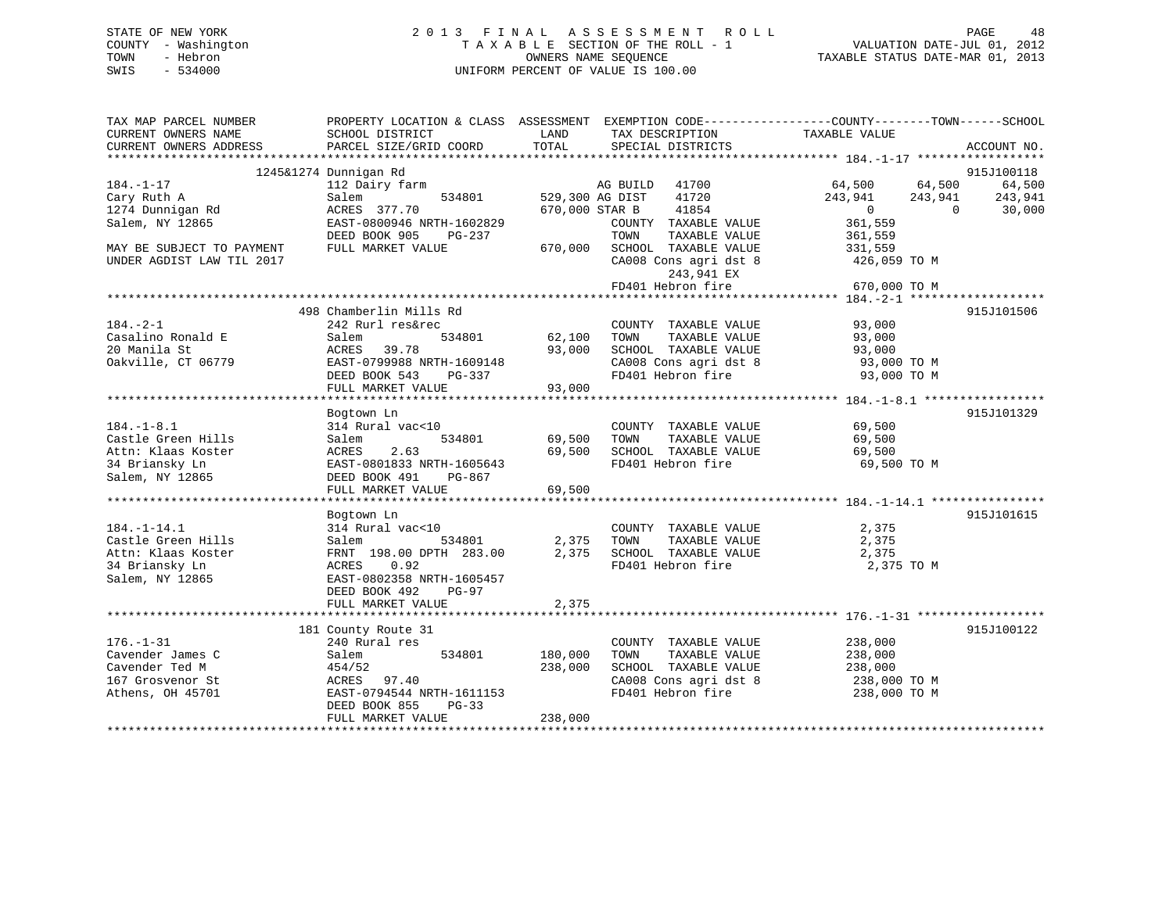# STATE OF NEW YORK 2 0 1 3 F I N A L A S S E S S M E N T R O L L PAGE 48 COUNTY - Washington T A X A B L E SECTION OF THE ROLL - 1 VALUATION DATE-JUL 01, 2012 TOWN - Hebron OWNERS NAME SEQUENCE TAXABLE STATUS DATE-MAR 01, 2013 SWIS - 534000 UNIFORM PERCENT OF VALUE IS 100.00

| TAX MAP PARCEL NUMBER<br>CURRENT OWNERS NAME | PROPERTY LOCATION & CLASS ASSESSMENT<br>SCHOOL DISTRICT | LAND                              | TAX DESCRIPTION                               | EXEMPTION CODE-----------------COUNTY-------TOWN------SCHOOL<br>TAXABLE VALUE |                   |
|----------------------------------------------|---------------------------------------------------------|-----------------------------------|-----------------------------------------------|-------------------------------------------------------------------------------|-------------------|
| CURRENT OWNERS ADDRESS                       | PARCEL SIZE/GRID COORD                                  | TOTAL                             | SPECIAL DISTRICTS                             |                                                                               | ACCOUNT NO.       |
|                                              | 1245&1274 Dunnigan Rd                                   |                                   |                                               |                                                                               | 915J100118        |
| $184. - 1 - 17$                              | 112 Dairy farm                                          |                                   | 41700<br>AG BUILD                             | 64,500<br>64,500                                                              | 64,500            |
| Cary Ruth A<br>1274 Dunnigan Rd              | 534801<br>Salem<br>ACRES 377.70                         | 529,300 AG DIST<br>670,000 STAR B | 41720<br>41854                                | 243,941<br>243,941<br>$\overline{0}$<br>$\Omega$                              | 243,941<br>30,000 |
| Salem, NY 12865                              | EAST-0800946 NRTH-1602829<br>DEED BOOK 905<br>PG-237    |                                   | COUNTY TAXABLE VALUE<br>TAXABLE VALUE<br>TOWN | 361,559<br>361,559                                                            |                   |
| MAY BE SUBJECT TO PAYMENT                    | FULL MARKET VALUE                                       | 670,000                           | SCHOOL TAXABLE VALUE                          | 331,559                                                                       |                   |
| UNDER AGDIST LAW TIL 2017                    |                                                         |                                   | CA008 Cons agri dst 8<br>243,941 EX           | 426,059 TO M                                                                  |                   |
|                                              |                                                         |                                   | FD401 Hebron fire                             | 670,000 TO M                                                                  |                   |
|                                              |                                                         |                                   |                                               |                                                                               |                   |
|                                              | 498 Chamberlin Mills Rd                                 |                                   |                                               |                                                                               | 915J101506        |
| $184. - 2 - 1$<br>Casalino Ronald E          | 242 Rurl res&rec<br>534801                              |                                   | COUNTY TAXABLE VALUE                          | 93,000                                                                        |                   |
| 20 Manila St                                 | Salem<br>39.78                                          | 62,100<br>93,000                  | TOWN<br>TAXABLE VALUE<br>SCHOOL TAXABLE VALUE | 93,000                                                                        |                   |
| Oakville, CT 06779                           | ACRES<br>EAST-0799988 NRTH-1609148                      |                                   | CA008 Cons agri dst 8                         | 93,000<br>93,000 TO M                                                         |                   |
|                                              | DEED BOOK 543<br>PG-337                                 |                                   | FD401 Hebron fire                             | 93,000 TO M                                                                   |                   |
|                                              | FULL MARKET VALUE                                       | 93,000                            |                                               |                                                                               |                   |
|                                              |                                                         |                                   |                                               |                                                                               |                   |
|                                              | Bogtown Ln                                              |                                   |                                               |                                                                               | 915J101329        |
| $184. - 1 - 8.1$                             | 314 Rural vac<10                                        |                                   | COUNTY TAXABLE VALUE                          | 69,500                                                                        |                   |
| Castle Green Hills                           | Salem<br>534801                                         | 69,500                            | TOWN<br>TAXABLE VALUE                         | 69,500                                                                        |                   |
| Attn: Klaas Koster                           | 2.63<br>ACRES                                           | 69,500                            | SCHOOL TAXABLE VALUE                          | 69,500                                                                        |                   |
| 34 Briansky Ln                               | EAST-0801833 NRTH-1605643                               |                                   | FD401 Hebron fire                             | 69,500 TO M                                                                   |                   |
| Salem, NY 12865                              | DEED BOOK 491<br>PG-867                                 |                                   |                                               |                                                                               |                   |
|                                              | FULL MARKET VALUE                                       | 69,500                            |                                               |                                                                               |                   |
|                                              | Bogtown Ln                                              |                                   |                                               |                                                                               | 915J101615        |
| $184. - 1 - 14.1$                            | 314 Rural vac<10                                        |                                   | COUNTY TAXABLE VALUE                          | 2,375                                                                         |                   |
| Castle Green Hills                           | Salem<br>534801                                         | 2,375                             | TAXABLE VALUE<br>TOWN                         | 2,375                                                                         |                   |
| Attn: Klaas Koster                           | FRNT 198.00 DPTH 283.00                                 | 2,375                             | SCHOOL TAXABLE VALUE                          | 2,375                                                                         |                   |
| 34 Briansky Ln                               | 0.92<br>ACRES                                           |                                   | FD401 Hebron fire                             | 2,375 TO M                                                                    |                   |
| Salem, NY 12865                              | EAST-0802358 NRTH-1605457                               |                                   |                                               |                                                                               |                   |
|                                              | DEED BOOK 492<br>PG-97                                  |                                   |                                               |                                                                               |                   |
|                                              | FULL MARKET VALUE                                       | 2,375                             |                                               |                                                                               |                   |
|                                              |                                                         |                                   |                                               |                                                                               |                   |
| $176. - 1 - 31$                              | 181 County Route 31<br>240 Rural res                    |                                   | COUNTY TAXABLE VALUE                          | 238,000                                                                       | 915J100122        |
| Cavender James C                             | 534801<br>Salem                                         | 180,000                           | TOWN<br>TAXABLE VALUE                         | 238,000                                                                       |                   |
| Cavender Ted M                               | 454/52                                                  | 238,000                           | SCHOOL TAXABLE VALUE                          | 238,000                                                                       |                   |
| 167 Grosvenor St                             | ACRES<br>97.40                                          |                                   | CA008 Cons agri dst 8                         | 238,000 TO M                                                                  |                   |
| Athens, OH 45701                             | EAST-0794544 NRTH-1611153                               |                                   | FD401 Hebron fire                             | 238,000 TO M                                                                  |                   |
|                                              | DEED BOOK 855<br>$PG-33$                                |                                   |                                               |                                                                               |                   |
|                                              | FULL MARKET VALUE                                       | 238,000                           |                                               |                                                                               |                   |
|                                              |                                                         |                                   |                                               |                                                                               |                   |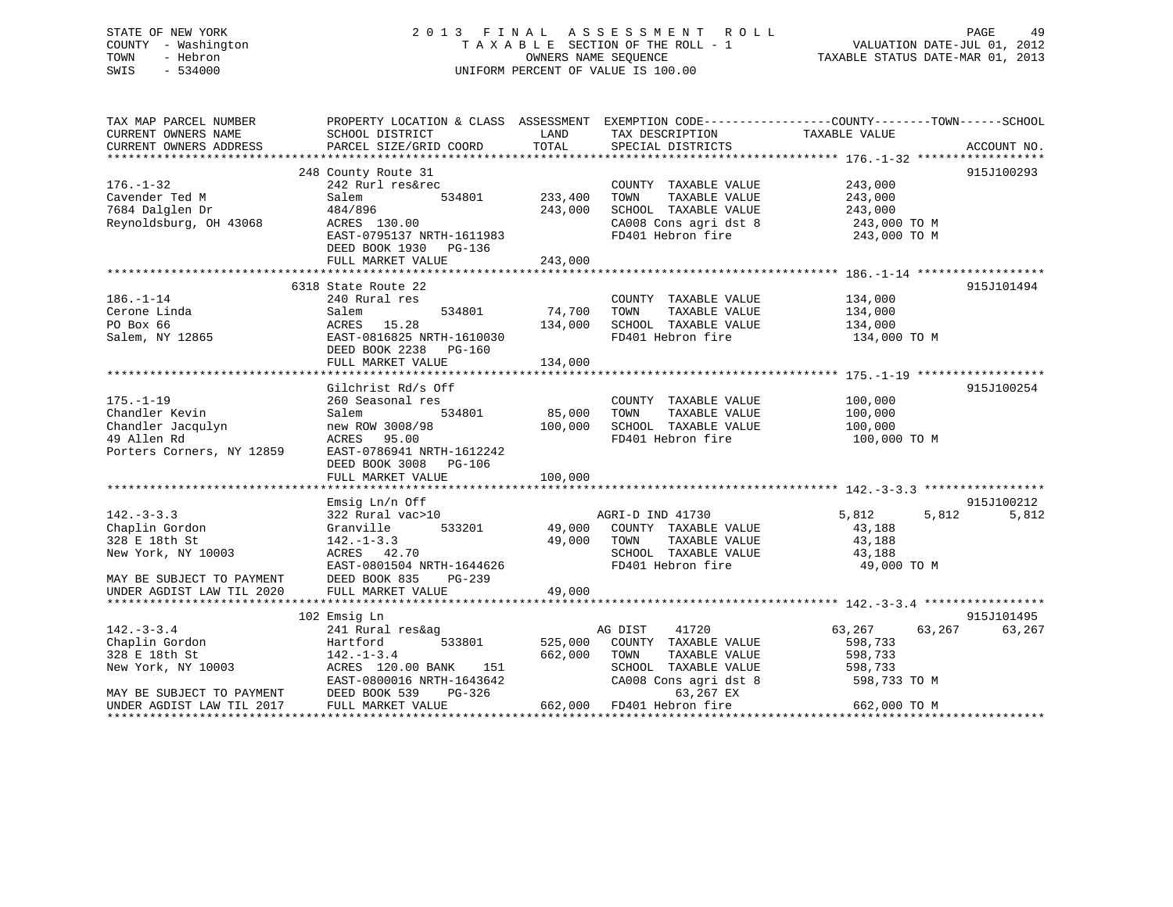# STATE OF NEW YORK 2 0 1 3 F I N A L A S S E S S M E N T R O L L PAGE 49 COUNTY - Washington T A X A B L E SECTION OF THE ROLL - 1 VALUATION DATE-JUL 01, 2012 TOWN - Hebron OWNERS NAME SEQUENCE TAXABLE STATUS DATE-MAR 01, 2013 SWIS - 534000 UNIFORM PERCENT OF VALUE IS 100.00

| TAX MAP PARCEL NUMBER                     | PROPERTY LOCATION & CLASS ASSESSMENT EXEMPTION CODE---------------COUNTY-------TOWN-----SCHOOL |                |                                    |                    |                |
|-------------------------------------------|------------------------------------------------------------------------------------------------|----------------|------------------------------------|--------------------|----------------|
| CURRENT OWNERS NAME                       | SCHOOL DISTRICT                                                                                | LAND           | TAX DESCRIPTION                    | TAXABLE VALUE      |                |
| CURRENT OWNERS ADDRESS                    | PARCEL SIZE/GRID COORD                                                                         | TOTAL          | SPECIAL DISTRICTS                  |                    | ACCOUNT NO.    |
|                                           |                                                                                                |                |                                    |                    |                |
|                                           | 248 County Route 31                                                                            |                |                                    |                    | 915J100293     |
| $176. - 1 - 32$                           | 242 Rurl res&rec                                                                               |                | COUNTY TAXABLE VALUE 243,000       |                    |                |
| Cavender Ted M                            | Salem                                                                                          | 534801 233,400 | TOWN<br>TAXABLE VALUE              | 243,000            |                |
| 7684 Dalglen Dr                           | 484/896                                                                                        | 243,000        | SCHOOL TAXABLE VALUE               | 243,000            |                |
| Reynoldsburg, OH 43068                    | ACRES 130.00                                                                                   |                | CA008 Cons agri dst 8 243,000 TO M |                    |                |
|                                           | EAST-0795137 NRTH-1611983                                                                      |                | FD401 Hebron fire                  | 243,000 TO M       |                |
|                                           | DEED BOOK 1930 PG-136                                                                          |                |                                    |                    |                |
|                                           | FULL MARKET VALUE                                                                              | 243,000        |                                    |                    |                |
|                                           |                                                                                                |                |                                    |                    |                |
|                                           | 6318 State Route 22                                                                            |                |                                    |                    | 915J101494     |
| $186. - 1 - 14$                           | 240 Rural res                                                                                  |                | COUNTY TAXABLE VALUE 134,000       |                    |                |
| Cerone Linda                              | Salem                                                                                          | 534801 74,700  | TOWN<br>TAXABLE VALUE              | 134,000            |                |
| PO Box 66                                 | ACRES<br>15.28                                                                                 | 134,000        | SCHOOL TAXABLE VALUE               | 134,000            |                |
| Salem, NY 12865                           | EAST-0816825 NRTH-1610030                                                                      |                | FD401 Hebron fire                  | 134,000 TO M       |                |
|                                           | DEED BOOK 2238 PG-160                                                                          |                |                                    |                    |                |
|                                           | FULL MARKET VALUE                                                                              | 134,000        |                                    |                    |                |
|                                           |                                                                                                |                |                                    |                    |                |
|                                           | Gilchrist Rd/s Off                                                                             |                |                                    |                    | 915J100254     |
| $175. - 1 - 19$                           | 260 Seasonal res                                                                               |                | COUNTY TAXABLE VALUE               | 100,000            |                |
| Chandler Kevin                            | Salem<br>534801                                                                                | 85,000         | TAXABLE VALUE<br>TOWN              |                    |                |
| Chandler Jacqulyn                         | new ROW 3008/98                                                                                | 100,000        | SCHOOL TAXABLE VALUE               | 100,000<br>100,000 |                |
| The company of the company<br>49 Allen Rd | ACRES 95.00                                                                                    |                | FD401 Hebron fire                  | 100,000 TO M       |                |
| Porters Corners, NY 12859                 | EAST-0786941 NRTH-1612242                                                                      |                |                                    |                    |                |
|                                           | DEED BOOK 3008 PG-106                                                                          |                |                                    |                    |                |
|                                           | FULL MARKET VALUE                                                                              | 100,000        |                                    |                    |                |
|                                           |                                                                                                |                |                                    |                    |                |
|                                           | Emsig Ln/n Off                                                                                 |                |                                    |                    | 915J100212     |
| $142. - 3 - 3.3$                          | 322 Rural vac>10                                                                               |                | AGRI-D IND 41730                   | 5,812              | 5,812<br>5,812 |
| Chaplin Gordon                            | Granville                                                                                      |                | 533201 49,000 COUNTY TAXABLE VALUE | 43,188             |                |
| 328 E 18th St                             | $142. - 1 - 3.3$                                                                               | 49,000 TOWN    | TAXABLE VALUE                      | 43,188             |                |
| New York, NY 10003                        | ACRES 42.70                                                                                    |                | SCHOOL TAXABLE VALUE               | 43,188             |                |
|                                           | EAST-0801504 NRTH-1644626                                                                      |                | FD401 Hebron fire                  | 49,000 TO M        |                |
| MAY BE SUBJECT TO PAYMENT                 | DEED BOOK 835<br>PG-239                                                                        |                |                                    |                    |                |
| UNDER AGDIST LAW TIL 2020                 | FULL MARKET VALUE                                                                              | 49,000         |                                    |                    |                |
|                                           |                                                                                                |                |                                    |                    |                |
|                                           | 102 Emsig Ln                                                                                   |                |                                    |                    | 915J101495     |
| $142. - 3 - 3.4$                          | 241 Rural res&ag                                                                               |                | AG DIST<br>41720                   | 63,267<br>63,267   | 63,267         |
| Chaplin Gordon                            | Hartford                                                                                       | 533801 525,000 | COUNTY TAXABLE VALUE               | 598,733            |                |
| 328 E 18th St                             | $142. - 1 - 3.4$                                                                               | 662,000        | TAXABLE VALUE<br>TOWN              | 598,733            |                |
| New York, NY 10003                        | ACRES 120.00 BANK 151                                                                          |                | SCHOOL TAXABLE VALUE               | 598,733            |                |
|                                           | EAST-0800016 NRTH-1643642                                                                      |                | CA008 Cons agri dst 8              | 598,733 TO M       |                |
| MAY BE SUBJECT TO PAYMENT                 | DEED BOOK 539<br>PG-326                                                                        |                | 63,267 EX                          |                    |                |
| UNDER AGDIST LAW TIL 2017                 | FULL MARKET VALUE                                                                              |                | 662,000 FD401 Hebron fire          | 662,000 TO M       |                |
|                                           |                                                                                                |                |                                    |                    |                |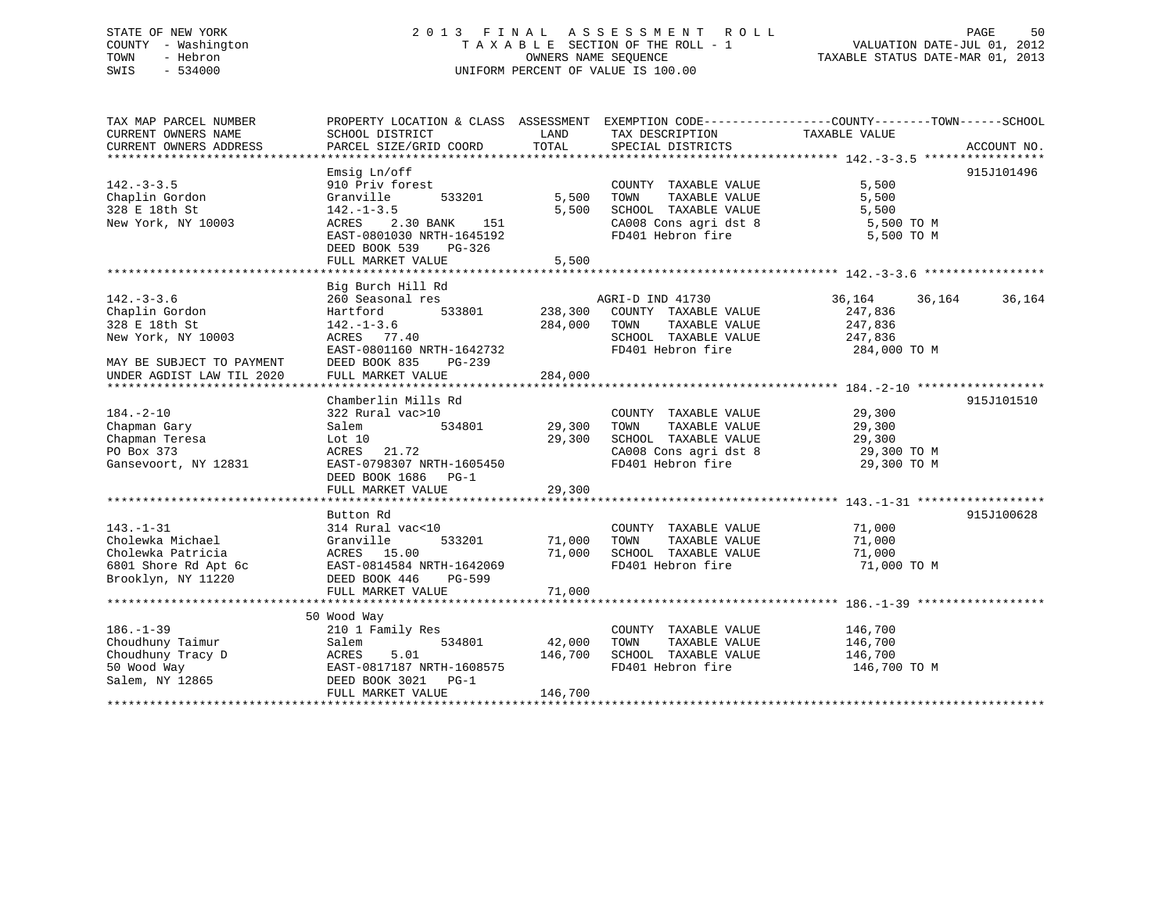# STATE OF NEW YORK 2 0 1 3 F I N A L A S S E S S M E N T R O L L PAGE 50 COUNTY - Washington T A X A B L E SECTION OF THE ROLL - 1 VALUATION DATE-JUL 01, 2012 TOWN - Hebron OWNERS NAME SEQUENCE TAXABLE STATUS DATE-MAR 01, 2013 SWIS - 534000 UNIFORM PERCENT OF VALUE IS 100.00

| TAX MAP PARCEL NUMBER<br>CURRENT OWNERS NAME                            | SCHOOL DISTRICT                                                                                  | LAND           | PROPERTY LOCATION & CLASS ASSESSMENT EXEMPTION CODE---------------COUNTY-------TOWN-----SCHOOL<br>TAX DESCRIPTION                  | TAXABLE VALUE      |                  |
|-------------------------------------------------------------------------|--------------------------------------------------------------------------------------------------|----------------|------------------------------------------------------------------------------------------------------------------------------------|--------------------|------------------|
| CURRENT OWNERS ADDRESS                                                  | PARCEL SIZE/GRID COORD                                                                           | TOTAL          | SPECIAL DISTRICTS                                                                                                                  |                    | ACCOUNT NO.      |
|                                                                         | Emsig Ln/off                                                                                     |                |                                                                                                                                    |                    | 915J101496       |
| $142. - 3 - 3.5$                                                        | 910 Priv forest                                                                                  |                | COUNTY TAXABLE VALUE                                                                                                               | 5,500              |                  |
| Chaplin Gordon                                                          | Granville<br>533201                                                                              | 5,500          | TOWN<br>TAXABLE VALUE                                                                                                              | 5,500              |                  |
| 328 E 18th St                                                           | $142. - 1 - 3.5$                                                                                 | 5,500          | SCHOOL TAXABLE VALUE                                                                                                               | 5,500              |                  |
| New York, NY 10003                                                      | 2.30 BANK 151<br>ACRES                                                                           |                |                                                                                                                                    | 5,500 TO M         |                  |
|                                                                         | EAST-0801030 NRTH-1645192                                                                        |                | CA008 Cons agri dst 8<br>FD401 Hebron fire                                                                                         | 5,500 TO M         |                  |
|                                                                         | DEED BOOK 539<br>$PG-326$                                                                        |                |                                                                                                                                    |                    |                  |
|                                                                         |                                                                                                  |                |                                                                                                                                    |                    |                  |
|                                                                         |                                                                                                  |                |                                                                                                                                    |                    |                  |
|                                                                         | Big Burch Hill Rd                                                                                |                |                                                                                                                                    |                    |                  |
| $142. - 3 - 3.6$                                                        | 260 Seasonal res                                                                                 |                | AGRI-D IND 41730                                                                                                                   | 36,164             | 36,164<br>36,164 |
| Chaplin Gordon                                                          | Hartford                                                                                         | 533801 238,300 | COUNTY TAXABLE VALUE                                                                                                               | 247,836            |                  |
| 328 E 18th St                                                           | $142. - 1 - 3.6$                                                                                 | 284,000        | TAXABLE VALUE<br>TOWN                                                                                                              | 247,836            |                  |
| New York, NY 10003                                                      | ACRES 77.40                                                                                      |                | SCHOOL TAXABLE VALUE 247,836                                                                                                       |                    |                  |
|                                                                         | EAST-0801160 NRTH-1642732                                                                        |                | FD401 Hebron fire                                                                                                                  | 284,000 TO M       |                  |
| MAY BE SUBJECT TO PAYMENT                                               | DEED BOOK 835<br>PG-239                                                                          |                |                                                                                                                                    |                    |                  |
| UNDER AGDIST LAW TIL 2020                                               | FULL MARKET VALUE                                                                                | 284,000        |                                                                                                                                    |                    |                  |
|                                                                         |                                                                                                  |                |                                                                                                                                    |                    |                  |
|                                                                         | Chamberlin Mills Rd                                                                              |                |                                                                                                                                    |                    | 915J101510       |
| $184. - 2 - 10$                                                         | 322 Rural vac>10                                                                                 |                | COUNTY TAXABLE VALUE                                                                                                               | 29,300             |                  |
| Chapman Gary                                                            | Salem                                                                                            |                | TOWN<br>TAXABLE VALUE                                                                                                              | 29,300             |                  |
| Chapman Teresa                                                          | Lot 10                                                                                           | 29,300         |                                                                                                                                    |                    |                  |
| PO Box 373                                                              | ACRES 21.72                                                                                      |                |                                                                                                                                    |                    |                  |
| Gansevoort, NY 12831                                                    | EAST-0798307 NRTH-1605450                                                                        |                | COMPOSED CAOOS CONSTRAINED AND CAOOS CONSTRAINED AND 29,300 TO M<br>FD401 Hebron fire 29.300 TO M<br>PD401 Hebron fire 29.300 TO M |                    |                  |
|                                                                         | DEED BOOK 1686 PG-1<br>FULL MARKET VALUE                                                         | 29,300         |                                                                                                                                    |                    |                  |
|                                                                         |                                                                                                  |                |                                                                                                                                    |                    |                  |
|                                                                         | Button Rd                                                                                        |                |                                                                                                                                    |                    | 915J100628       |
| $143. - 1 - 31$                                                         | 314 Rural vac<10                                                                                 |                | COUNTY TAXABLE VALUE 71,000                                                                                                        |                    |                  |
| Cholewka Michael                                                        | 533201                                                                                           | 71,000         | TAXABLE VALUE<br>TOWN                                                                                                              | 71,000             |                  |
| Cholewka Patricia                                                       | Granville<br>ACRES 15.00                                                                         | 71,000         | SCHOOL TAXABLE VALUE                                                                                                               | 71,000             |                  |
|                                                                         |                                                                                                  |                | FD401 Hebron fire                                                                                                                  | 71,000 TO M        |                  |
| Brooklyn, NY 11220                                                      | 6801 Shore Rd Apt 6c<br>Brooklyn, NY 11220<br>DEED BOOK 446<br>PG-599<br>DEED BOOK 446<br>PG-599 |                |                                                                                                                                    |                    |                  |
|                                                                         | FULL MARKET VALUE                                                                                | 71,000         |                                                                                                                                    |                    |                  |
|                                                                         |                                                                                                  |                |                                                                                                                                    |                    |                  |
|                                                                         | 50 Wood Way                                                                                      |                |                                                                                                                                    |                    |                  |
| $186. - 1 - 39$                                                         | 210 1 Family Res                                                                                 |                | COUNTY TAXABLE VALUE                                                                                                               | 146,700<br>146,700 |                  |
| Choudhuny Taimur                                                        | Salem<br>534801                                                                                  | 42,000         | TAXABLE VALUE<br>TOWN                                                                                                              |                    |                  |
|                                                                         | 5.01                                                                                             | 146,700        | SCHOOL TAXABLE VALUE                                                                                                               | 146,700            |                  |
|                                                                         | EAST-0817187 NRTH-1608575                                                                        |                | FD401 Hebron fire                                                                                                                  | 146,700 TO M       |                  |
| Choudhuny Tracy D<br>50 Wood Way<br>Salem, NY 12865<br>DEED BORED BORED | DEED BOOK 3021 PG-1                                                                              |                |                                                                                                                                    |                    |                  |
|                                                                         | FULL MARKET VALUE                                                                                | 146,700        |                                                                                                                                    |                    |                  |
|                                                                         |                                                                                                  |                |                                                                                                                                    |                    |                  |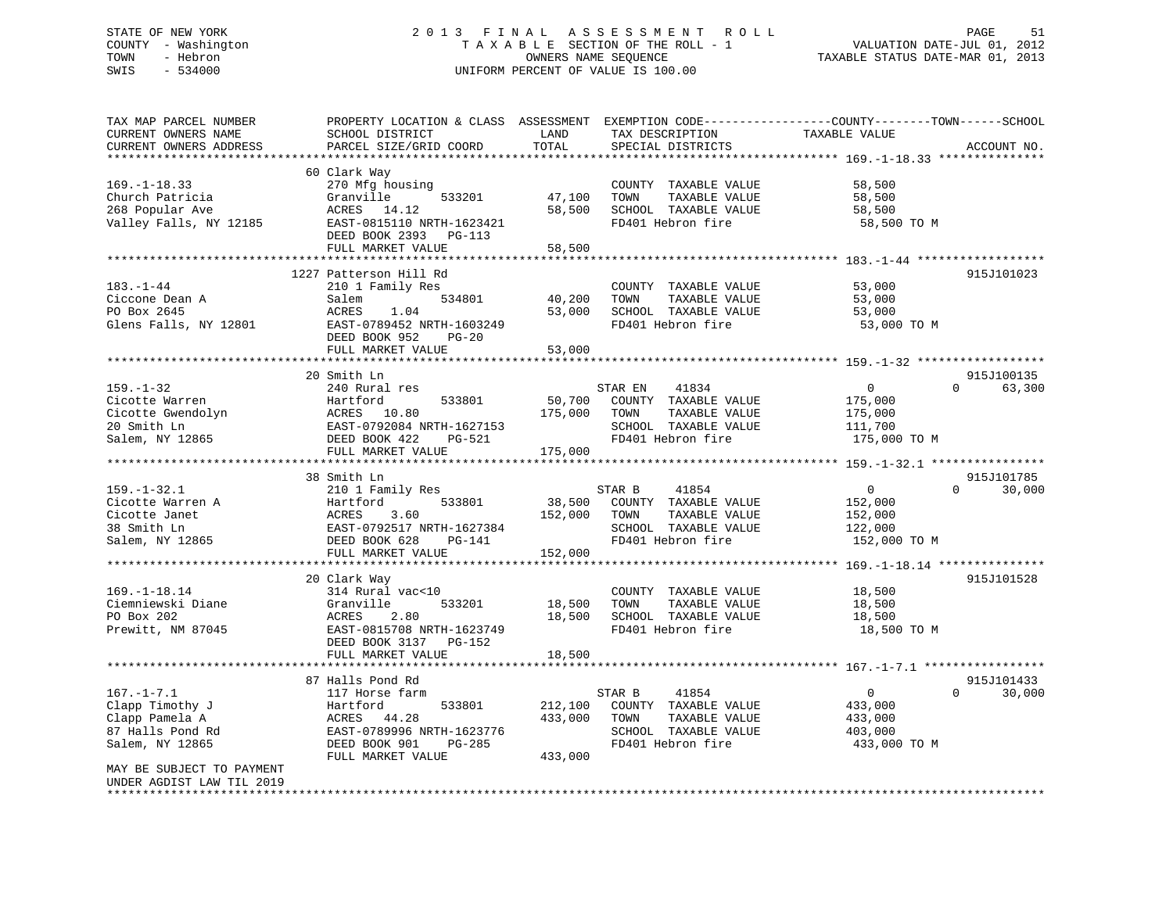# STATE OF NEW YORK 2 0 1 3 F I N A L A S S E S S M E N T R O L L PAGE 51 COUNTY - Washington T A X A B L E SECTION OF THE ROLL - 1 VALUATION DATE-JUL 01, 2012 TOWN - Hebron OWNERS NAME SEQUENCE TAXABLE STATUS DATE-MAR 01, 2013 SWIS - 534000 UNIFORM PERCENT OF VALUE IS 100.00

| TAX MAP PARCEL NUMBER<br>CURRENT OWNERS NAME<br>CURRENT OWNERS ADDRESS                                                                                 | PROPERTY LOCATION & CLASS ASSESSMENT<br>SCHOOL DISTRICT<br>PARCEL SIZE/GRID COORD                                                                                                       | LAND<br>TOTAL                 | EXEMPTION CODE-----------------COUNTY-------TOWN------SCHOOL<br>TAX DESCRIPTION<br>SPECIAL DISTRICTS           | TAXABLE VALUE                                                   | ACCOUNT NO.                      |
|--------------------------------------------------------------------------------------------------------------------------------------------------------|-----------------------------------------------------------------------------------------------------------------------------------------------------------------------------------------|-------------------------------|----------------------------------------------------------------------------------------------------------------|-----------------------------------------------------------------|----------------------------------|
| *******************                                                                                                                                    |                                                                                                                                                                                         |                               |                                                                                                                |                                                                 |                                  |
| $169. - 1 - 18.33$<br>Church Patricia<br>268 Popular Ave<br>Valley Falls, NY 12185                                                                     | 60 Clark Way<br>270 Mfg housing<br>Granville<br>533201<br>ACRES 14.12<br>EAST-0815110 NRTH-1623421<br>DEED BOOK 2393 PG-113<br>FULL MARKET VALUE                                        | 47,100<br>58,500<br>58,500    | COUNTY TAXABLE VALUE<br>TOWN<br>TAXABLE VALUE<br>SCHOOL TAXABLE VALUE<br>FD401 Hebron fire                     | 58,500<br>58,500<br>58,500<br>58,500 TO M                       |                                  |
|                                                                                                                                                        |                                                                                                                                                                                         |                               |                                                                                                                |                                                                 |                                  |
| 183.-1-44<br>Ciccone Dean A<br>PO Box 2645<br>Glens Falls, NY 12801                                                                                    | 1227 Patterson Hill Rd<br>210 1 Family Res<br>534801<br>Salem<br>ACRES<br>1.04<br>EAST-0789452 NRTH-1603249<br>DEED BOOK 952<br>$PG-20$                                                 | 40,200<br>53,000              | COUNTY TAXABLE VALUE<br>TOWN<br>TAXABLE VALUE<br>SCHOOL TAXABLE VALUE<br>FD401 Hebron fire                     | 53,000<br>53,000<br>53,000<br>53,000 TO M                       | 915J101023                       |
|                                                                                                                                                        | FULL MARKET VALUE                                                                                                                                                                       | 53,000                        |                                                                                                                |                                                                 |                                  |
|                                                                                                                                                        | 20 Smith Ln                                                                                                                                                                             |                               |                                                                                                                |                                                                 | 915J100135                       |
| $159. - 1 - 32$<br>Cicotte Warren<br>Cicotte Gwendolyn<br>20 Smith Ln<br>Salem, NY 12865                                                               | 240 Rural res<br>533801<br>Hartford<br>ACRES 10.80<br>EAST-0792084 NRTH-1627153<br>DEED BOOK 422<br>PG-521<br>FULL MARKET VALUE                                                         | 50,700<br>175,000<br>175,000  | STAR EN<br>41834<br>COUNTY TAXABLE VALUE<br>TOWN<br>TAXABLE VALUE<br>SCHOOL TAXABLE VALUE<br>FD401 Hebron fire | $\overline{0}$<br>175,000<br>175,000<br>111,700<br>175,000 TO M | $\Omega$<br>63,300               |
|                                                                                                                                                        | ***********************                                                                                                                                                                 |                               |                                                                                                                |                                                                 |                                  |
| $159. - 1 - 32.1$<br>Cicotte Warren A<br>Cicotte Janet<br>38 Smith Ln<br>Salem, NY 12865                                                               | 38 Smith Ln<br>210 1 Family Res<br>533801<br>Hartford<br>3.60<br>ACRES<br>EAST-0792517 NRTH-1627384<br>DEED BOOK 628<br>PG-141<br>FULL MARKET VALUE                                     | 38,500<br>152,000<br>152,000  | 41854<br>STAR B<br>COUNTY TAXABLE VALUE<br>TOWN<br>TAXABLE VALUE<br>SCHOOL TAXABLE VALUE<br>FD401 Hebron fire  | $\overline{0}$<br>152,000<br>152,000<br>122,000<br>152,000 TO M | 915J101785<br>$\Omega$<br>30,000 |
|                                                                                                                                                        | **********************                                                                                                                                                                  |                               |                                                                                                                |                                                                 |                                  |
| $169. - 1 - 18.14$<br>Ciemniewski Diane<br>PO Box 202<br>Prewitt, NM 87045                                                                             | 20 Clark Way<br>314 Rural vac<10<br>Granville<br>533201<br>ACRES<br>2.80<br>EAST-0815708 NRTH-1623749<br>DEED BOOK 3137 PG-152                                                          | 18,500<br>18,500              | COUNTY TAXABLE VALUE<br>TOWN<br>TAXABLE VALUE<br>SCHOOL TAXABLE VALUE<br>FD401 Hebron fire                     | 18,500<br>18,500<br>18,500<br>18,500 TO M                       | 915J101528                       |
|                                                                                                                                                        | FULL MARKET VALUE                                                                                                                                                                       | 18,500                        |                                                                                                                |                                                                 |                                  |
| $167. - 1 - 7.1$<br>Clapp Timothy J<br>Clapp Pamela A<br>87 Halls Pond Rd<br>Salem, NY 12865<br>MAY BE SUBJECT TO PAYMENT<br>UNDER AGDIST LAW TIL 2019 | <b>*********************</b><br>87 Halls Pond Rd<br>117 Horse farm<br>Hartford<br>533801<br>44.28<br>ACRES<br>EAST-0789996 NRTH-1623776<br>DEED BOOK 901<br>PG-285<br>FULL MARKET VALUE | 212,100<br>433,000<br>433,000 | STAR B<br>41854<br>COUNTY TAXABLE VALUE<br>TOWN<br>TAXABLE VALUE<br>SCHOOL TAXABLE VALUE<br>FD401 Hebron fire  | $\overline{0}$<br>433,000<br>433,000<br>403,000<br>433,000 TO M | 915J101433<br>$\Omega$<br>30,000 |
|                                                                                                                                                        |                                                                                                                                                                                         |                               |                                                                                                                |                                                                 |                                  |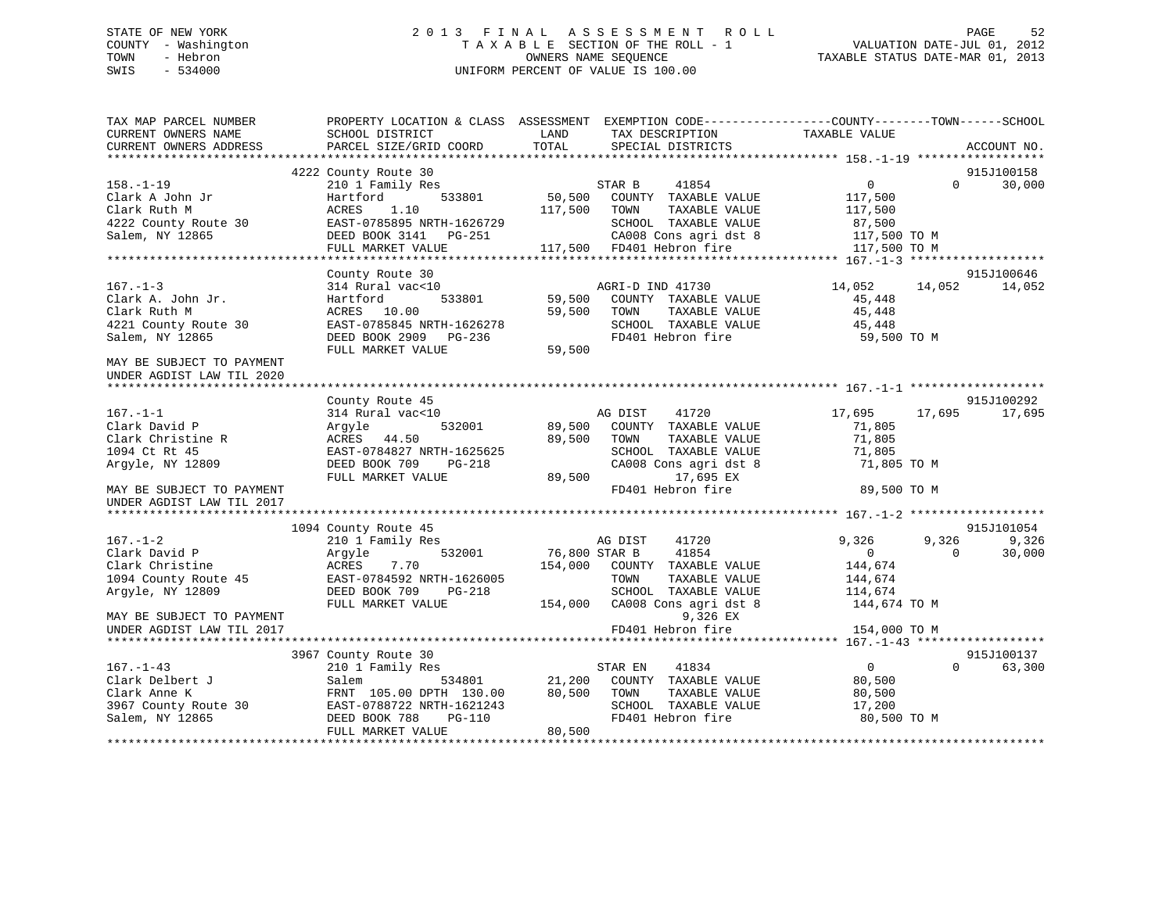# STATE OF NEW YORK 2 0 1 3 F I N A L A S S E S S M E N T R O L L PAGE 52 COUNTY - Washington T A X A B L E SECTION OF THE ROLL - 1 VALUATION DATE-JUL 01, 2012 TOWN - Hebron OWNERS NAME SEQUENCE TAXABLE STATUS DATE-MAR 01, 2013 SWIS - 534000 UNIFORM PERCENT OF VALUE IS 100.00

| TAX MAP PARCEL NUMBER<br>CURRENT OWNERS NAME        | PROPERTY LOCATION & CLASS ASSESSMENT<br>SCHOOL DISTRICT | LAND          | EXEMPTION CODE-----------------COUNTY-------TOWN------SCHOOL<br>TAX DESCRIPTION | TAXABLE VALUE  |          |                      |
|-----------------------------------------------------|---------------------------------------------------------|---------------|---------------------------------------------------------------------------------|----------------|----------|----------------------|
| CURRENT OWNERS ADDRESS<br>************************* | PARCEL SIZE/GRID COORD                                  | TOTAL         | SPECIAL DISTRICTS                                                               |                |          | ACCOUNT NO.          |
|                                                     | 4222 County Route 30                                    |               |                                                                                 |                |          | 915J100158           |
| $158. - 1 - 19$                                     | 210 1 Family Res                                        |               | 41854<br>STAR B                                                                 | $\overline{0}$ | $\Omega$ | 30,000               |
| Clark A John Jr                                     | 533801<br>Hartford                                      | 50,500        | COUNTY TAXABLE VALUE                                                            | 117,500        |          |                      |
| Clark Ruth M                                        | ACRES<br>1.10                                           | 117,500       | TOWN<br>TAXABLE VALUE                                                           | 117,500        |          |                      |
| 4222 County Route 30                                | EAST-0785895 NRTH-1626729                               |               | SCHOOL TAXABLE VALUE                                                            | 87,500         |          |                      |
| Salem, NY 12865                                     | DEED BOOK 3141<br>PG-251                                |               | CA008 Cons agri dst 8                                                           | 117,500 TO M   |          |                      |
|                                                     | FULL MARKET VALUE                                       | 117,500       | FD401 Hebron fire                                                               | 117,500 TO M   |          |                      |
|                                                     |                                                         |               |                                                                                 |                |          |                      |
|                                                     | County Route 30                                         |               |                                                                                 |                |          | 915J100646           |
| $167. - 1 - 3$                                      | 314 Rural vac<10                                        |               | AGRI-D IND 41730                                                                | 14,052         | 14,052   | 14,052               |
| Clark A. John Jr.                                   | 533801<br>Hartford                                      | 59,500        | COUNTY TAXABLE VALUE                                                            | 45,448         |          |                      |
| Clark Ruth M                                        | ACRES 10.00                                             | 59,500        | TOWN<br>TAXABLE VALUE                                                           | 45,448         |          |                      |
| 4221 County Route 30                                | EAST-0785845 NRTH-1626278                               |               | SCHOOL TAXABLE VALUE                                                            | 45,448         |          |                      |
| Salem, NY 12865                                     | DEED BOOK 2909<br>PG-236                                |               | FD401 Hebron fire                                                               | 59,500 TO M    |          |                      |
|                                                     | FULL MARKET VALUE                                       | 59,500        |                                                                                 |                |          |                      |
| MAY BE SUBJECT TO PAYMENT                           |                                                         |               |                                                                                 |                |          |                      |
| UNDER AGDIST LAW TIL 2020                           |                                                         |               |                                                                                 |                |          |                      |
|                                                     |                                                         |               |                                                                                 |                |          |                      |
| $167. - 1 - 1$                                      | County Route 45<br>314 Rural vac<10                     |               | AG DIST<br>41720                                                                | 17,695         | 17,695   | 915J100292<br>17,695 |
| Clark David P                                       | 532001<br>Argyle                                        | 89,500        | COUNTY TAXABLE VALUE                                                            | 71,805         |          |                      |
| Clark Christine R                                   | ACRES 44.50                                             | 89,500        | TOWN<br>TAXABLE VALUE                                                           | 71,805         |          |                      |
| 1094 Ct Rt 45                                       | EAST-0784827 NRTH-1625625                               |               | SCHOOL TAXABLE VALUE                                                            | 71,805         |          |                      |
| Arqyle, NY 12809                                    | DEED BOOK 709<br>$PG-218$                               |               | CA008 Cons agri dst 8                                                           | 71,805 TO M    |          |                      |
|                                                     | FULL MARKET VALUE                                       | 89,500        | 17,695 EX                                                                       |                |          |                      |
| MAY BE SUBJECT TO PAYMENT                           |                                                         |               | FD401 Hebron fire                                                               | 89,500 TO M    |          |                      |
| UNDER AGDIST LAW TIL 2017                           |                                                         |               |                                                                                 |                |          |                      |
|                                                     |                                                         |               |                                                                                 |                |          |                      |
|                                                     | 1094 County Route 45                                    |               |                                                                                 |                |          | 915J101054           |
| $167. - 1 - 2$                                      | 210 1 Family Res                                        |               | AG DIST<br>41720                                                                | 9,326          | 9,326    | 9,326                |
| Clark David P                                       | 532001<br>Argyle                                        | 76,800 STAR B | 41854                                                                           | $\overline{0}$ | $\Omega$ | 30,000               |
| Clark Christine                                     | <b>ACRES</b><br>7.70                                    | 154,000       | COUNTY TAXABLE VALUE                                                            | 144,674        |          |                      |
| 1094 County Route 45                                | EAST-0784592 NRTH-1626005                               |               | TOWN<br>TAXABLE VALUE                                                           | 144,674        |          |                      |
| Argyle, NY 12809                                    | DEED BOOK 709<br>$PG-218$                               |               | SCHOOL TAXABLE VALUE                                                            | 114,674        |          |                      |
|                                                     | FULL MARKET VALUE                                       | 154,000       | CA008 Cons agri dst 8                                                           | 144,674 TO M   |          |                      |
| MAY BE SUBJECT TO PAYMENT                           |                                                         |               | 9,326 EX                                                                        |                |          |                      |
| UNDER AGDIST LAW TIL 2017                           |                                                         |               | FD401 Hebron fire                                                               | 154,000 TO M   |          |                      |
|                                                     | 3967 County Route 30                                    |               |                                                                                 |                |          | 915J100137           |
| $167. - 1 - 43$                                     | 210 1 Family Res                                        |               | STAR EN<br>41834                                                                | $\overline{0}$ | $\Omega$ | 63,300               |
| Clark Delbert J                                     | Salem<br>534801                                         | 21,200        | COUNTY TAXABLE VALUE                                                            | 80,500         |          |                      |
| Clark Anne K                                        | FRNT 105.00 DPTH 130.00                                 | 80,500        | TOWN<br>TAXABLE VALUE                                                           | 80,500         |          |                      |
| 3967 County Route 30                                | EAST-0788722 NRTH-1621243                               |               | SCHOOL TAXABLE VALUE                                                            | 17,200         |          |                      |
| Salem, NY 12865                                     | DEED BOOK 788<br>PG-110                                 |               | FD401 Hebron fire                                                               | 80,500 TO M    |          |                      |
|                                                     | FULL MARKET VALUE                                       | 80,500        |                                                                                 |                |          |                      |
|                                                     |                                                         |               |                                                                                 |                |          |                      |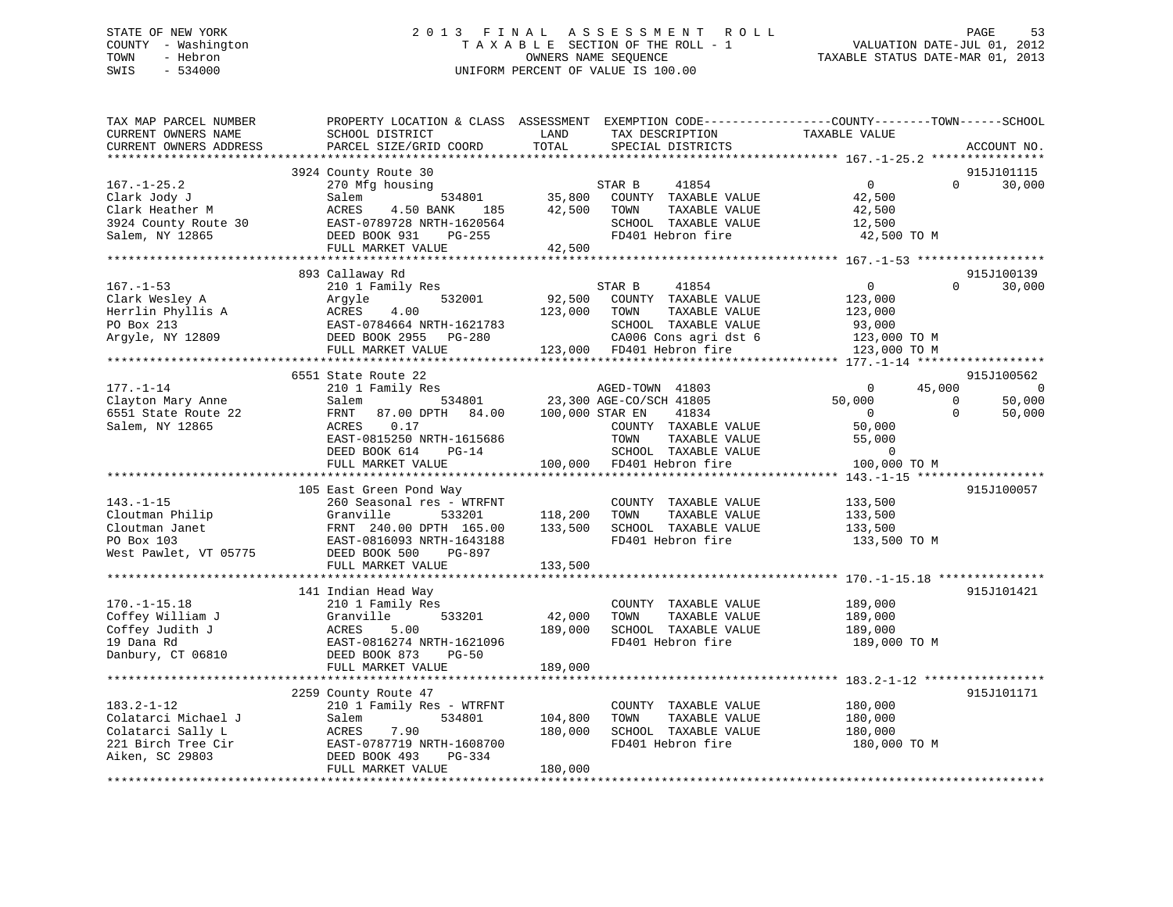# STATE OF NEW YORK 2 0 1 3 F I N A L A S S E S S M E N T R O L L PAGE 53 COUNTY - Washington T A X A B L E SECTION OF THE ROLL - 1 VALUATION DATE-JUL 01, 2012 TOWN - Hebron OWNERS NAME SEQUENCE TAXABLE STATUS DATE-MAR 01, 2013 SWIS - 534000 UNIFORM PERCENT OF VALUE IS 100.00

| TAX MAP PARCEL NUMBER<br>CURRENT OWNERS NAME<br>CURRENT OWNERS ADDRESS                                | PROPERTY LOCATION & CLASS ASSESSMENT<br>SCHOOL DISTRICT<br>PARCEL SIZE/GRID COORD                                                                                                                                                                                                             | LAND<br>TOTAL                                        | EXEMPTION CODE-----------------COUNTY-------TOWN------SCHOOL<br>TAX DESCRIPTION<br>SPECIAL DISTRICTS                                                                                                                                                                                                                    | TAXABLE VALUE                                                  |                            | ACCOUNT NO.                  |
|-------------------------------------------------------------------------------------------------------|-----------------------------------------------------------------------------------------------------------------------------------------------------------------------------------------------------------------------------------------------------------------------------------------------|------------------------------------------------------|-------------------------------------------------------------------------------------------------------------------------------------------------------------------------------------------------------------------------------------------------------------------------------------------------------------------------|----------------------------------------------------------------|----------------------------|------------------------------|
|                                                                                                       |                                                                                                                                                                                                                                                                                               |                                                      |                                                                                                                                                                                                                                                                                                                         |                                                                |                            |                              |
| $167. - 1 - 25.2$<br>Clark Jody J<br>Clark Heather M<br>3924 County Route 30<br>Salem, NY 12865       | 3924 County Route 30<br>270 Mfg housing<br>Salem<br>ACRES<br>4.50 BANK 185<br>EAST-0789728 NRTH-1620564<br>DEED BOOK 931 PG-255<br>FULL MARKET VALUE                                                                                                                                          | $534801$<br>$35,800$<br>$35,800$<br>42,500<br>42,500 | STAR B<br>41854<br>COUNTY TAXABLE VALUE<br>TAXABLE VALUE<br>TOWN<br>SCHOOL TAXABLE VALUE<br>FD401 Hebron fire                                                                                                                                                                                                           | 0<br>42,500<br>42,500<br>12,500<br>42,500 TO M                 | $\Omega$                   | 915J101115<br>30,000         |
|                                                                                                       |                                                                                                                                                                                                                                                                                               |                                                      |                                                                                                                                                                                                                                                                                                                         |                                                                |                            |                              |
| $167. - 1 - 53$                                                                                       | 893 Callaway Rd<br>210 1 Family Res<br>Clark Wesley A<br>Clark Wesley A<br>Herrlin Phyllis A<br>PO Box 213<br>PO Box 213<br>Argyle, NY 12809<br>PULL MARKET VALUE<br>PULL MARKET VALUE<br>PULL MARKET VALUE<br>PULL MARKET VALUE<br>PULL MARKET VALUE<br>PULL MARKET VALUE<br>PULL MARKET VAL |                                                      | STAR B<br>41854<br>COUNTY TAXABLE VALUE<br>TAXABLE VALUE<br>SCHOOL TAXABLE VALUE<br>$\begin{array}{lll} \texttt{CA006} \texttt{ Cons} & \texttt{aspti} & \texttt{dst} & \texttt{6} & \texttt{123,000} \texttt{ TO M} \\ \texttt{FD401} & \texttt{Hebron} & \texttt{fire} & \texttt{123,000} \texttt{ TO M} \end{array}$ | $\overline{0}$<br>123,000<br>123,000<br>93,000<br>123,000 TO M | $\Omega$                   | 915J100139<br>30,000         |
|                                                                                                       |                                                                                                                                                                                                                                                                                               |                                                      |                                                                                                                                                                                                                                                                                                                         |                                                                |                            |                              |
| $177. - 1 - 14$                                                                                       | 6551 State Route 22<br>210 1 Family Res                                                                                                                                                                                                                                                       |                                                      | AGED-TOWN 41803                                                                                                                                                                                                                                                                                                         | $\overline{0}$                                                 | 45,000                     | 915J100562<br>$\overline{0}$ |
| Clayton Mary Anne<br>6551 State Route 22<br>Salem, NY 12865                                           | ${\bf 534801} \qquad {\bf 23,300 \,\, AGE-CO/SCH\,\, 41805} \\ {\bf 87.00 \,\, DPTH} \qquad {\bf 84.00} \qquad {\bf 100,000 \,\, STR\,\, EN} \qquad {\bf 41834}$<br>Salem<br>FRNT<br>ACRES<br>0.17<br>EAST-0815250 NRTH-1615686<br>DEED BOOK 614<br>$PG-14$                                   |                                                      | COUNTY TAXABLE VALUE<br>TOWN<br>TAXABLE VALUE<br>SCHOOL TAXABLE VALUE                                                                                                                                                                                                                                                   | 50,000<br>$\Omega$<br>50,000<br>55,000<br>$\overline{0}$       | $\overline{0}$<br>$\Omega$ | 50,000<br>50,000             |
|                                                                                                       | FULL MARKET VALUE                                                                                                                                                                                                                                                                             |                                                      | 100,000 FD401 Hebron fire                                                                                                                                                                                                                                                                                               | 100,000 TO M                                                   |                            |                              |
|                                                                                                       |                                                                                                                                                                                                                                                                                               |                                                      |                                                                                                                                                                                                                                                                                                                         |                                                                |                            |                              |
| $143. - 1 - 15$<br>Cloutman Philip<br>Cloutman Janet<br>PO Box 103<br>West Pawlet, VT 05775           | 105 East Green Pond Way<br>260 Seasonal res - WTRFNT<br>Granville<br>533201<br>FRNT 240.00 DPTH 165.00<br>EAST-0816093 NRTH-1643188<br>DEED BOOK 500<br>PG-897<br>FULL MARKET VALUE                                                                                                           | 118,200<br>133,500<br>133,500                        | COUNTY TAXABLE VALUE<br>TAXABLE VALUE<br>TOWN<br>SCHOOL TAXABLE VALUE<br>FD401 Hebron fire                                                                                                                                                                                                                              | 133,500<br>133,500<br>133,500<br>133,500 TO M                  |                            | 915J100057                   |
|                                                                                                       |                                                                                                                                                                                                                                                                                               |                                                      |                                                                                                                                                                                                                                                                                                                         |                                                                |                            |                              |
| $170. - 1 - 15.18$<br>Coffey William J<br>Coffey Judith J<br>19 Dana Rd<br>Danbury, CT 06810          | 141 Indian Head Way<br>210 1 Family Res<br>533201<br>Granville<br>ACRES<br>5.00<br>EAST-0816274 NRTH-1621096<br>DEED BOOK 873<br>$PG-50$                                                                                                                                                      | 42,000<br>189,000                                    | COUNTY TAXABLE VALUE<br>TAXABLE VALUE<br>TOWN<br>SCHOOL TAXABLE VALUE<br>FD401 Hebron fire                                                                                                                                                                                                                              | 189,000<br>189,000<br>189,000<br>189,000 TO M                  |                            | 915J101421                   |
|                                                                                                       | FULL MARKET VALUE                                                                                                                                                                                                                                                                             | 189,000                                              |                                                                                                                                                                                                                                                                                                                         |                                                                |                            |                              |
|                                                                                                       | 2259 County Route 47                                                                                                                                                                                                                                                                          |                                                      |                                                                                                                                                                                                                                                                                                                         |                                                                |                            | 915J101171                   |
| $183.2 - 1 - 12$<br>Colatarci Michael J<br>Colatarci Sally L<br>221 Birch Tree Cir<br>Aiken, SC 29803 | 210 1 Family Res - WTRFNT<br>Salem<br>534801<br>ACRES<br>7.90<br>EAST-0787719 NRTH-1608700<br>DEED BOOK 493<br>PG-334<br>FULL MARKET VALUE                                                                                                                                                    | 104,800<br>180,000<br>180,000                        | COUNTY TAXABLE VALUE<br>TOWN<br>TAXABLE VALUE<br>SCHOOL TAXABLE VALUE<br>FD401 Hebron fire                                                                                                                                                                                                                              | 180,000<br>180,000<br>180,000<br>180,000 TO M                  |                            |                              |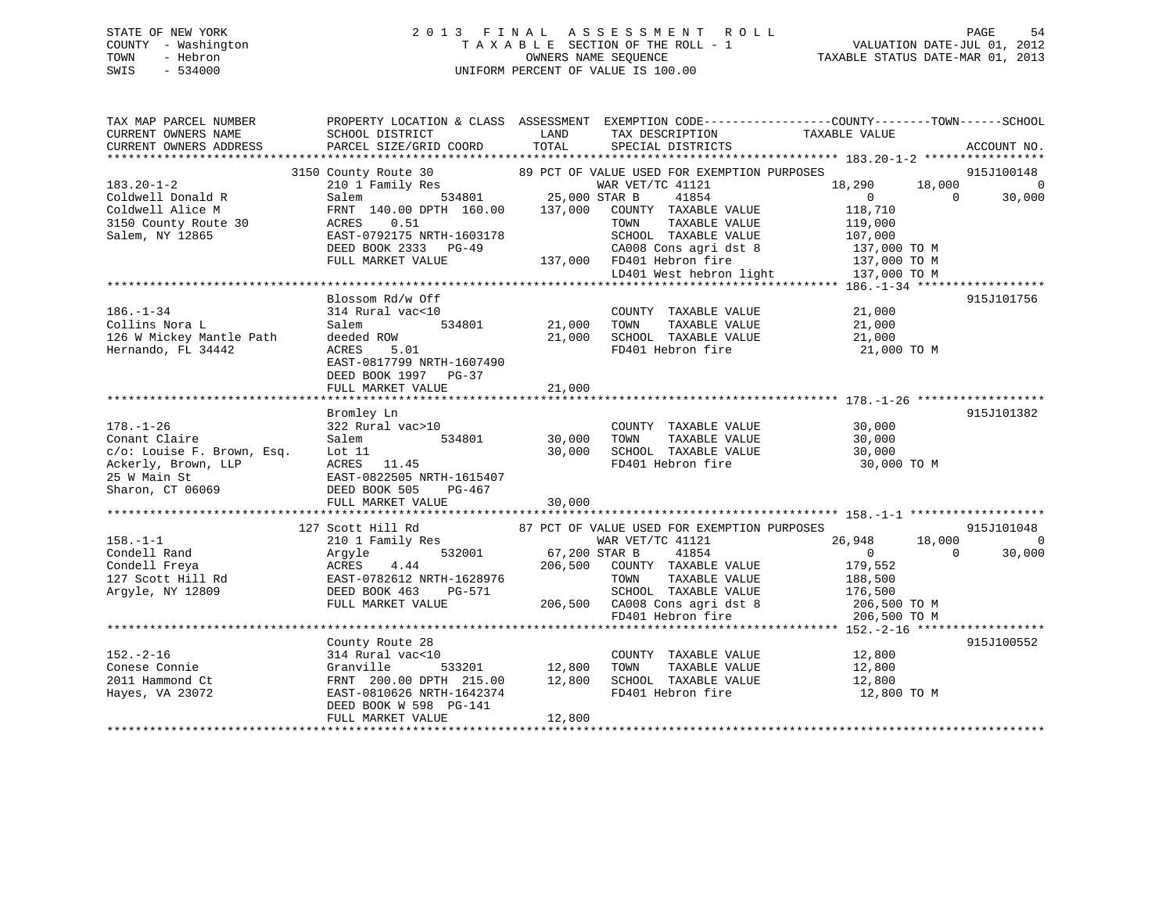# STATE OF NEW YORK 2 0 1 3 F I N A L A S S E S S M E N T R O L L PAGE 54 COUNTY - Washington T A X A B L E SECTION OF THE ROLL - 1 VALUATION DATE-JUL 01, 2012 TOWN - Hebron OWNERS NAME SEQUENCE TAXABLE STATUS DATE-MAR 01, 2013 SWIS - 534000 UNIFORM PERCENT OF VALUE IS 100.00

| TAX MAP PARCEL NUMBER                                                                                                                                                                                                                                                      | PROPERTY LOCATION & CLASS ASSESSMENT EXEMPTION CODE----------------COUNTY-------TOWN------SCHOOL |               |                                                            |                                                                              |                        |
|----------------------------------------------------------------------------------------------------------------------------------------------------------------------------------------------------------------------------------------------------------------------------|--------------------------------------------------------------------------------------------------|---------------|------------------------------------------------------------|------------------------------------------------------------------------------|------------------------|
| CURRENT OWNERS NAME                                                                                                                                                                                                                                                        | SCHOOL DISTRICT                                                                                  | LAND          | TAX DESCRIPTION                                            | TAXABLE VALUE                                                                |                        |
| CURRENT OWNERS ADDRESS                                                                                                                                                                                                                                                     | PARCEL SIZE/GRID COORD                                                                           | TOTAL         | SPECIAL DISTRICTS                                          |                                                                              | ACCOUNT NO.            |
|                                                                                                                                                                                                                                                                            |                                                                                                  |               |                                                            |                                                                              |                        |
|                                                                                                                                                                                                                                                                            |                                                                                                  |               |                                                            |                                                                              | 915J100148             |
| $183.20 - 1 - 2$                                                                                                                                                                                                                                                           |                                                                                                  |               |                                                            | 18,290                                                                       | $18,000$ 0<br>0 30,000 |
| Coldwell Donald R                                                                                                                                                                                                                                                          |                                                                                                  |               |                                                            | $\overline{0}$                                                               |                        |
| Coldwell Alice M                                                                                                                                                                                                                                                           |                                                                                                  |               |                                                            | 118,710                                                                      |                        |
| Coldwell Allee n.<br>3150 County Route 30                                                                                                                                                                                                                                  | 0.51<br>ACRES                                                                                    |               | TAXABLE VALUE<br>TOWN                                      | 119,000                                                                      |                        |
| Salem, NY 12865                                                                                                                                                                                                                                                            | EAST-0792175 NRTH-1603178                                                                        |               | SCHOOL TAXABLE VALUE                                       | 107,000                                                                      |                        |
|                                                                                                                                                                                                                                                                            | DEED BOOK 2333 PG-49                                                                             |               |                                                            | CA008 Cons agri dst 8 137,000 TO M                                           |                        |
|                                                                                                                                                                                                                                                                            | FULL MARKET VALUE                                                                                |               | 137,000 FD401 Hebron fire                                  | 137,000 TO M                                                                 |                        |
|                                                                                                                                                                                                                                                                            |                                                                                                  |               |                                                            | LD401 West hebron light 137,000 TO M                                         |                        |
|                                                                                                                                                                                                                                                                            |                                                                                                  |               |                                                            |                                                                              |                        |
|                                                                                                                                                                                                                                                                            | Blossom Rd/w Off                                                                                 |               |                                                            |                                                                              | 915J101756             |
| $186. - 1 - 34$                                                                                                                                                                                                                                                            | 314 Rural vac<10                                                                                 |               | COUNTY TAXABLE VALUE                                       | 21,000                                                                       |                        |
| Collins Nora L                                                                                                                                                                                                                                                             | Salem                                                                                            | 534801 21,000 | TOWN                                                       | TAXABLE VALUE 21,000                                                         |                        |
| 126 W Mickey Mantle Path                                                                                                                                                                                                                                                   | deeded ROW                                                                                       | 21,000        | SCHOOL TAXABLE VALUE                                       | 21,000                                                                       |                        |
| Hernando, FL 34442                                                                                                                                                                                                                                                         | ACRES<br>5.01                                                                                    |               | FD401 Hebron fire                                          | 21,000 TO M                                                                  |                        |
|                                                                                                                                                                                                                                                                            | EAST-0817799 NRTH-1607490                                                                        |               |                                                            |                                                                              |                        |
|                                                                                                                                                                                                                                                                            | DEED BOOK 1997 PG-37                                                                             |               |                                                            |                                                                              |                        |
|                                                                                                                                                                                                                                                                            | FULL MARKET VALUE                                                                                | 21,000        |                                                            |                                                                              |                        |
|                                                                                                                                                                                                                                                                            |                                                                                                  |               |                                                            |                                                                              |                        |
|                                                                                                                                                                                                                                                                            | Bromley Ln                                                                                       |               |                                                            |                                                                              | 915J101382             |
| $178. - 1 - 26$                                                                                                                                                                                                                                                            | 322 Rural vac>10                                                                                 |               | COUNTY TAXABLE VALUE                                       | 30,000                                                                       |                        |
| Conant Claire                                                                                                                                                                                                                                                              | Salem<br>534801                                                                                  | 30,000        | TAXABLE VALUE<br>TOWN                                      | 30,000                                                                       |                        |
| c/o: Louise F. Brown, Esq. Lot 11                                                                                                                                                                                                                                          |                                                                                                  | 30,000        | SCHOOL TAXABLE VALUE                                       | 30,000                                                                       |                        |
|                                                                                                                                                                                                                                                                            |                                                                                                  |               | FD401 Hebron fire                                          | 30,000 TO M                                                                  |                        |
|                                                                                                                                                                                                                                                                            |                                                                                                  |               |                                                            |                                                                              |                        |
| Ackerly, Brown, LLP<br>25 W Main St<br>25 W Main St<br>25 W Main St<br>25 W Main St<br>26 BAST-0822505 NRTH-1615407<br>26 DEED BOOK 505 PG-467                                                                                                                             |                                                                                                  |               |                                                            |                                                                              |                        |
|                                                                                                                                                                                                                                                                            |                                                                                                  |               |                                                            |                                                                              |                        |
|                                                                                                                                                                                                                                                                            | FULL MARKET VALUE                                                                                | 30,000        |                                                            |                                                                              |                        |
|                                                                                                                                                                                                                                                                            |                                                                                                  |               |                                                            |                                                                              |                        |
|                                                                                                                                                                                                                                                                            | 127 Scott Hill Rd                                                                                |               | 87 PCT OF VALUE USED FOR EXEMPTION PURPOSES                |                                                                              | 915J101048             |
| $158. - 1 - 1$                                                                                                                                                                                                                                                             | 210 1 Family Res                                                                                 |               | WAR VET/TC 41121                                           | 26,948<br>18,000                                                             | $\overline{0}$         |
| Condell Rand<br>Condell Freya<br>Condell Freya<br>206,500<br>206,500<br>206,500<br>206,500<br>206,500<br>206,500<br>206,500<br>206,500<br>206,500<br>DEED BOOK 463<br>206,500<br>206,500<br>206,500<br>206,500<br>206,500<br>206,500<br>206,500<br>206,500<br>206,500<br>2 | $\begin{array}{cccc} 67,200 & \text{STAR B} \\ 4.44 & 206,500 & \text{COUT} \end{array}$         |               | 41854                                                      | $\overline{0}$<br>$\overline{0}$                                             | 30,000                 |
|                                                                                                                                                                                                                                                                            |                                                                                                  |               | COUNTY TAXABLE VALUE                                       | 179,552                                                                      |                        |
|                                                                                                                                                                                                                                                                            |                                                                                                  |               | TOWN TAXABLE VALUE 188,500<br>SCHOOL TAXABLE VALUE 176,500 |                                                                              |                        |
|                                                                                                                                                                                                                                                                            |                                                                                                  |               |                                                            |                                                                              |                        |
|                                                                                                                                                                                                                                                                            | FULL MARKET VALUE                                                                                |               |                                                            | 206,500 CA008 Cons agri dst 8 206,500 TO M<br>FD401 Hebron fire 206,500 TO M |                        |
|                                                                                                                                                                                                                                                                            |                                                                                                  |               |                                                            |                                                                              |                        |
|                                                                                                                                                                                                                                                                            |                                                                                                  |               |                                                            |                                                                              |                        |
|                                                                                                                                                                                                                                                                            | County Route 28                                                                                  |               |                                                            |                                                                              | 915J100552             |
| $152. - 2 - 16$                                                                                                                                                                                                                                                            | 314 Rural vac<10                                                                                 |               | COUNTY TAXABLE VALUE                                       | 12,800                                                                       |                        |
| Conese Connie                                                                                                                                                                                                                                                              | Granville<br>533201                                                                              | 12,800        | TAXABLE VALUE<br>TOWN                                      | 12,800                                                                       |                        |
| 2011 Hammond Ct                                                                                                                                                                                                                                                            | FRNT 200.00 DPTH 215.00 12,800                                                                   |               | SCHOOL TAXABLE VALUE 12,800                                |                                                                              |                        |
| Hayes, VA 23072                                                                                                                                                                                                                                                            | EAST-0810626 NRTH-1642374                                                                        |               | FD401 Hebron fire                                          | 12,800 TO M                                                                  |                        |
|                                                                                                                                                                                                                                                                            | DEED BOOK W 598 PG-141                                                                           |               |                                                            |                                                                              |                        |
|                                                                                                                                                                                                                                                                            | FULL MARKET VALUE                                                                                | 12,800        |                                                            |                                                                              |                        |
|                                                                                                                                                                                                                                                                            |                                                                                                  |               |                                                            |                                                                              |                        |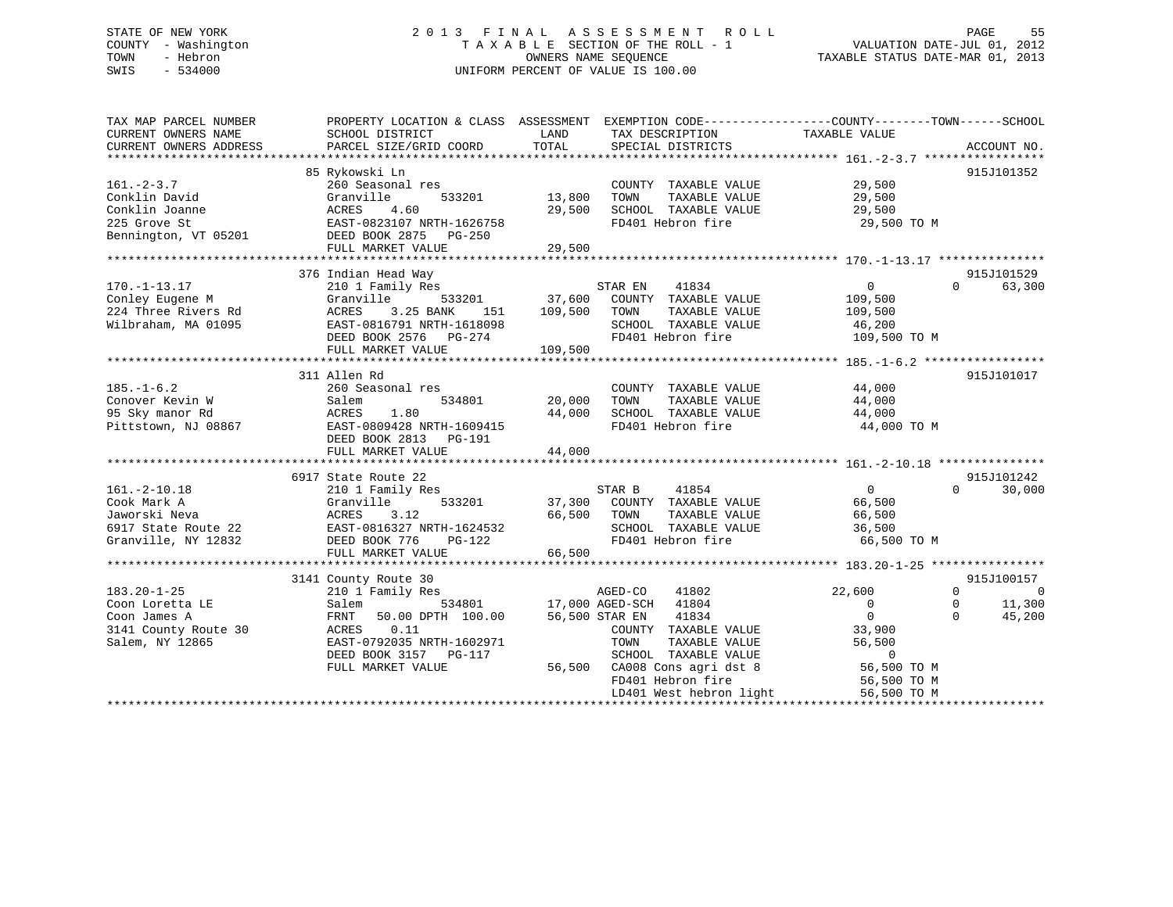# STATE OF NEW YORK 2 0 1 3 F I N A L A S S E S S M E N T R O L L PAGE 55 COUNTY - Washington T A X A B L E SECTION OF THE ROLL - 1 VALUATION DATE-JUL 01, 2012 TOWN - Hebron OWNERS NAME SEQUENCE TAXABLE STATUS DATE-MAR 01, 2013 SWIS - 534000 UNIFORM PERCENT OF VALUE IS 100.00

| TAX MAP PARCEL NUMBER<br>CURRENT OWNERS NAME                                                     | PROPERTY LOCATION & CLASS ASSESSMENT<br>SCHOOL DISTRICT                                                                                                                              | LAND                            | EXEMPTION CODE-----------------COUNTY-------TOWN------SCHOOL<br>TAX DESCRIPTION                                                                                                                                           | TAXABLE VALUE                                                                                               |                                                                        |
|--------------------------------------------------------------------------------------------------|--------------------------------------------------------------------------------------------------------------------------------------------------------------------------------------|---------------------------------|---------------------------------------------------------------------------------------------------------------------------------------------------------------------------------------------------------------------------|-------------------------------------------------------------------------------------------------------------|------------------------------------------------------------------------|
| CURRENT OWNERS ADDRESS                                                                           | PARCEL SIZE/GRID COORD                                                                                                                                                               | TOTAL                           | SPECIAL DISTRICTS                                                                                                                                                                                                         |                                                                                                             | ACCOUNT NO.                                                            |
|                                                                                                  | 85 Rykowski Ln                                                                                                                                                                       |                                 |                                                                                                                                                                                                                           |                                                                                                             | 915J101352                                                             |
| $161. - 2 - 3.7$<br>Conklin David<br>Conklin Joanne<br>225 Grove St                              | 260 Seasonal res<br>533201<br>Granville<br>4.60<br>ACRES<br>EAST-0823107 NRTH-1626758                                                                                                | 13,800<br>29,500                | COUNTY TAXABLE VALUE<br>TAXABLE VALUE<br>TOWN<br>SCHOOL TAXABLE VALUE<br>FD401 Hebron fire                                                                                                                                | 29,500<br>29,500<br>29,500<br>29,500 TO M                                                                   |                                                                        |
| Bennington, VT 05201                                                                             | DEED BOOK 2875 PG-250                                                                                                                                                                |                                 |                                                                                                                                                                                                                           |                                                                                                             |                                                                        |
|                                                                                                  | FULL MARKET VALUE                                                                                                                                                                    | 29,500                          |                                                                                                                                                                                                                           |                                                                                                             |                                                                        |
|                                                                                                  |                                                                                                                                                                                      |                                 |                                                                                                                                                                                                                           |                                                                                                             |                                                                        |
| $170. - 1 - 13.17$<br>Conley Eugene M<br>224 Three Rivers Rd<br>Wilbraham, MA 01095              | 376 Indian Head Way<br>210 1 Family Res<br>Granville<br>533201<br>3.25 BANK<br>ACRES<br>151<br>EAST-0816791 NRTH-1618098<br>DEED BOOK 2576 PG-274                                    | 37,600<br>109,500               | STAR EN<br>41834<br>COUNTY TAXABLE VALUE<br>TAXABLE VALUE<br>TOWN<br>SCHOOL TAXABLE VALUE<br>FD401 Hebron fire                                                                                                            | $\Omega$<br>109,500<br>109,500<br>46,200<br>109,500 TO M                                                    | 915J101529<br>$\Omega$<br>63,300                                       |
|                                                                                                  | FULL MARKET VALUE<br>*****************************                                                                                                                                   | 109,500<br>******************** |                                                                                                                                                                                                                           | ****************** 185.-1-6.2 ******************                                                            |                                                                        |
|                                                                                                  | 311 Allen Rd                                                                                                                                                                         |                                 |                                                                                                                                                                                                                           |                                                                                                             | 915J101017                                                             |
| $185. - 1 - 6.2$<br>Conover Kevin W<br>95 Sky manor Rd<br>Pittstown, NJ 08867                    | 260 Seasonal res<br>534801<br>Salem<br>1.80<br>ACRES<br>EAST-0809428 NRTH-1609415                                                                                                    | 20,000<br>44,000                | COUNTY TAXABLE VALUE<br>TOWN<br>TAXABLE VALUE<br>SCHOOL TAXABLE VALUE<br>FD401 Hebron fire                                                                                                                                | 44,000<br>44,000<br>44,000<br>44,000 TO M                                                                   |                                                                        |
|                                                                                                  | DEED BOOK 2813 PG-191                                                                                                                                                                |                                 |                                                                                                                                                                                                                           |                                                                                                             |                                                                        |
|                                                                                                  | FULL MARKET VALUE                                                                                                                                                                    | 44,000                          |                                                                                                                                                                                                                           |                                                                                                             |                                                                        |
|                                                                                                  | 6917 State Route 22                                                                                                                                                                  |                                 |                                                                                                                                                                                                                           |                                                                                                             | 915J101242                                                             |
| $161. - 2 - 10.18$<br>Cook Mark A<br>Jaworski Neva<br>6917 State Route 22<br>Granville, NY 12832 | 210 1 Family Res<br>Granville<br>533201<br>3.12<br>ACRES<br>EAST-0816327 NRTH-1624532<br>DEED BOOK 776<br>PG-122<br>FULL MARKET VALUE                                                | 37,300<br>66,500<br>66,500      | STAR B<br>41854<br>COUNTY TAXABLE VALUE<br>TAXABLE VALUE<br>TOWN<br>SCHOOL TAXABLE VALUE<br>FD401 Hebron fire                                                                                                             | $\overline{0}$<br>66,500<br>66,500<br>36,500<br>66,500 TO M                                                 | $\Omega$<br>30,000                                                     |
|                                                                                                  |                                                                                                                                                                                      |                                 |                                                                                                                                                                                                                           |                                                                                                             | 915J100157                                                             |
| $183.20 - 1 - 25$<br>Coon Loretta LE<br>Coon James A<br>3141 County Route 30<br>Salem, NY 12865  | 3141 County Route 30<br>210 1 Family Res<br>534801<br>Salem<br>FRNT<br>50.00 DPTH 100.00<br>0.11<br>ACRES<br>EAST-0792035 NRTH-1602971<br>DEED BOOK 3157 PG-117<br>FULL MARKET VALUE | 56,500                          | AGED-CO<br>41802<br>17,000 AGED-SCH<br>41804<br>56,500 STAR EN<br>41834<br>COUNTY TAXABLE VALUE<br>TAXABLE VALUE<br>TOWN<br>SCHOOL TAXABLE VALUE<br>CA008 Cons agri dst 8<br>FD401 Hebron fire<br>LD401 West hebron light | 22,600<br>$\Omega$<br>$\Omega$<br>33,900<br>56,500<br>$\Omega$<br>56,500 TO M<br>56,500 TO M<br>56,500 TO M | $\Omega$<br>$\overline{0}$<br>11,300<br>$\Omega$<br>$\Omega$<br>45,200 |
|                                                                                                  |                                                                                                                                                                                      |                                 |                                                                                                                                                                                                                           |                                                                                                             |                                                                        |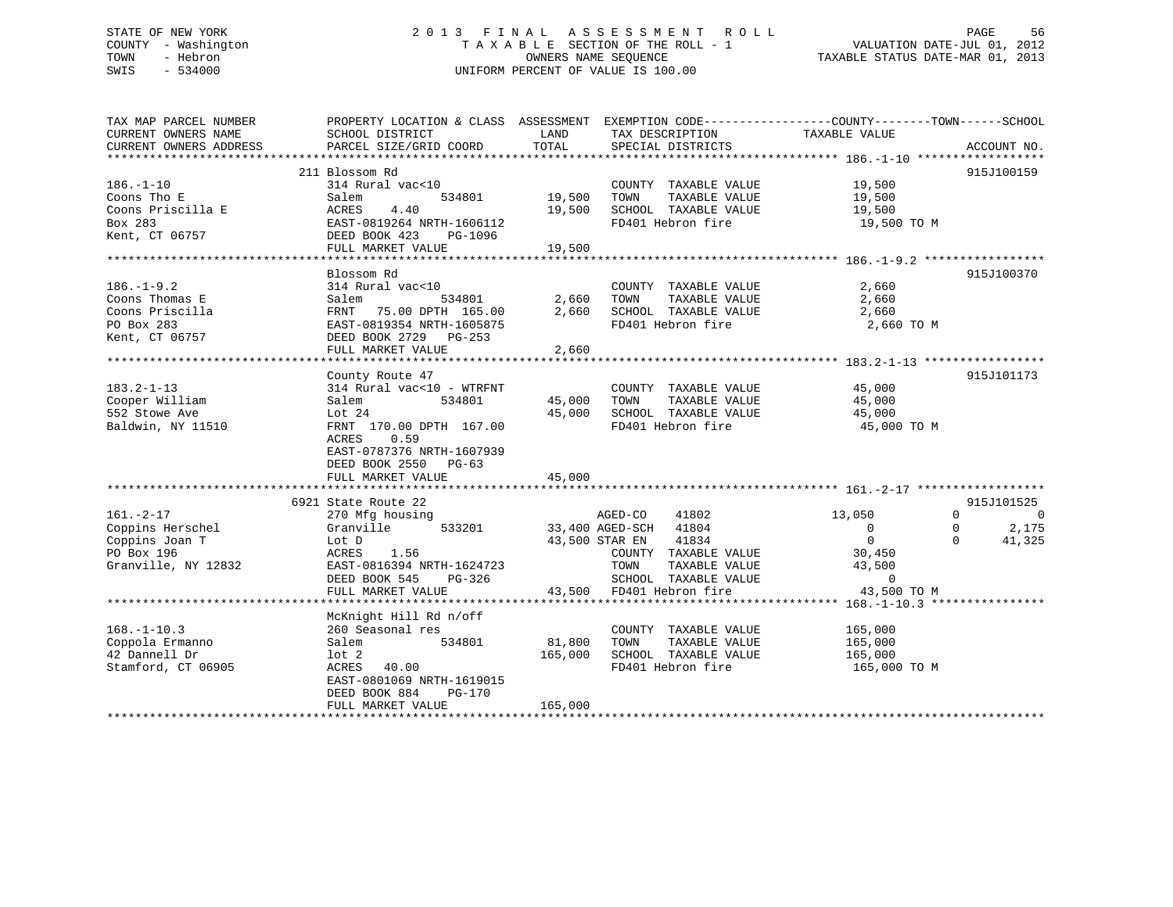#### STATE OF NEW YORK 2 0 1 3 F I N A L A S S E S S M E N T R O L L PAGE 56COUNTY - Washington T A X A B L E SECTION OF THE ROLL - 1 TOWN - Hebron **CONNERS NAME SEQUENCE** TAXABLE STATUS DATE-MAR 01, 2013 SWIS - 534000 UNIFORM PERCENT OF VALUE IS 100.00

| TAX MAP PARCEL NUMBER  | PROPERTY LOCATION & CLASS ASSESSMENT EXEMPTION CODE----------------COUNTY-------TOWN-----SCHOOL |         |                                                      |                                                                                                                                                                                                                                                                                |                            |
|------------------------|-------------------------------------------------------------------------------------------------|---------|------------------------------------------------------|--------------------------------------------------------------------------------------------------------------------------------------------------------------------------------------------------------------------------------------------------------------------------------|----------------------------|
| CURRENT OWNERS NAME    | SCHOOL DISTRICT                                                                                 | LAND    | TAX DESCRIPTION                                      | TAXABLE VALUE                                                                                                                                                                                                                                                                  |                            |
| CURRENT OWNERS ADDRESS | PARCEL SIZE/GRID COORD                                                                          | TOTAL   | SPECIAL DISTRICTS                                    |                                                                                                                                                                                                                                                                                | ACCOUNT NO.                |
|                        |                                                                                                 |         |                                                      |                                                                                                                                                                                                                                                                                |                            |
|                        | 211 Blossom Rd                                                                                  |         |                                                      |                                                                                                                                                                                                                                                                                | 915J100159                 |
| $186. - 1 - 10$        | 314 Rural vac<10                                                                                |         | COUNTY TAXABLE VALUE 19,500                          |                                                                                                                                                                                                                                                                                |                            |
| Coons Tho E            | 534801<br>Salem                                                                                 | 19,500  | TOWN<br>TAXABLE VALUE                                | 19,500<br>19,500                                                                                                                                                                                                                                                               |                            |
| Coons Priscilla E      | ACRES<br>4.40                                                                                   |         | 19,500 SCHOOL TAXABLE VALUE                          |                                                                                                                                                                                                                                                                                |                            |
| Box 283                | EAST-0819264 NRTH-1606112                                                                       |         | FD401 Hebron fire                                    | 19,500 TO M                                                                                                                                                                                                                                                                    |                            |
| Kent, CT 06757         | DEED BOOK 423 PG-1096                                                                           |         |                                                      |                                                                                                                                                                                                                                                                                |                            |
|                        | FULL MARKET VALUE                                                                               | 19,500  |                                                      |                                                                                                                                                                                                                                                                                |                            |
|                        |                                                                                                 |         |                                                      |                                                                                                                                                                                                                                                                                |                            |
|                        | Blossom Rd                                                                                      |         |                                                      |                                                                                                                                                                                                                                                                                | 915J100370                 |
| $186. - 1 - 9.2$       | 314 Rural vac<10                                                                                |         | COUNTY TAXABLE VALUE                                 | 2,660                                                                                                                                                                                                                                                                          |                            |
| Coons Thomas E         | 534801 2,660 TOWN<br>Salem                                                                      |         | TAXABLE VALUE                                        | 2,660                                                                                                                                                                                                                                                                          |                            |
| Coons Priscilla        | FRNT 75.00 DPTH 165.00                                                                          |         | 2,660 SCHOOL TAXABLE VALUE                           | 2,660                                                                                                                                                                                                                                                                          |                            |
| PO Box 283             | EAST-0819354 NRTH-1605875                                                                       |         | FD401 Hebron fire                                    | 2,660 TO M                                                                                                                                                                                                                                                                     |                            |
| Kent, CT 06757         | DEED BOOK 2729 PG-253                                                                           |         |                                                      |                                                                                                                                                                                                                                                                                |                            |
|                        | FULL MARKET VALUE                                                                               | 2,660   |                                                      |                                                                                                                                                                                                                                                                                |                            |
|                        |                                                                                                 |         |                                                      |                                                                                                                                                                                                                                                                                |                            |
|                        | County Route 47                                                                                 |         |                                                      |                                                                                                                                                                                                                                                                                | 915J101173                 |
| $183.2 - 1 - 13$       | 314 Rural vac<10 - WTRFNT                                                                       |         | COUNTY TAXABLE VALUE 45,000                          |                                                                                                                                                                                                                                                                                |                            |
| Cooper William         | 534801<br>Salem                                                                                 | 45,000  | TOWN                                                 | TAXABLE VALUE 45,000                                                                                                                                                                                                                                                           |                            |
| 552 Stowe Ave          | Lot $24$                                                                                        | 45,000  | SCHOOL TAXABLE VALUE                                 | 45,000                                                                                                                                                                                                                                                                         |                            |
| Baldwin, NY 11510      | FRNT 170.00 DPTH 167.00                                                                         |         | FD401 Hebron fire                                    | 45,000 TO M                                                                                                                                                                                                                                                                    |                            |
|                        | ACRES<br>0.59                                                                                   |         |                                                      |                                                                                                                                                                                                                                                                                |                            |
|                        | EAST-0787376 NRTH-1607939                                                                       |         |                                                      |                                                                                                                                                                                                                                                                                |                            |
|                        | DEED BOOK 2550 PG-63                                                                            |         |                                                      |                                                                                                                                                                                                                                                                                |                            |
|                        |                                                                                                 |         |                                                      |                                                                                                                                                                                                                                                                                |                            |
|                        |                                                                                                 |         |                                                      |                                                                                                                                                                                                                                                                                |                            |
|                        | 6921 State Route 22                                                                             |         |                                                      |                                                                                                                                                                                                                                                                                | 915J101525                 |
| $161. - 2 - 17$        | 270 Mfg housing                                                                                 |         | AGED-CO<br>41802                                     | 13,050                                                                                                                                                                                                                                                                         | $\Omega$<br>$\overline{0}$ |
| Coppins Herschel       | Granville                                                                                       |         | 533201 33,400 AGED-SCH 41804                         | $\overline{0}$                                                                                                                                                                                                                                                                 | 2,175<br>$\mathbf{0}$      |
| Coppins Joan T         | Lot D                                                                                           |         | 43,500 STAR EN 41834                                 | $\overline{0}$                                                                                                                                                                                                                                                                 | $\Omega$<br>41,325         |
| PO Box 196             | 1.56<br>ACRES                                                                                   |         | COUNTY TAXABLE VALUE                                 |                                                                                                                                                                                                                                                                                |                            |
| Granville, NY 12832    | EAST-0816394 NRTH-1624723                                                                       |         | TOWN<br>TAXABLE VALUE                                | 30,450<br>43,500                                                                                                                                                                                                                                                               |                            |
|                        | DEED BOOK 545                                                                                   |         | SCHOOL TAXABLE VALUE                                 | $\sim$ 000 $\sim$ 000 $\sim$ 000 $\sim$ 000 $\sim$ 000 $\sim$ 000 $\sim$ 000 $\sim$ 000 $\sim$ 000 $\sim$ 000 $\sim$ 000 $\sim$ 000 $\sim$ 000 $\sim$ 000 $\sim$ 000 $\sim$ 000 $\sim$ 000 $\sim$ 000 $\sim$ 000 $\sim$ 000 $\sim$ 000 $\sim$ 000 $\sim$ 000 $\sim$ 000 $\sim$ |                            |
|                        | FULL MARKET VALUE                                                                               |         | PG-326 SCHOOL TAXABLE VALUE 43,500 FD401 Hebron fire | 43,500 TO M                                                                                                                                                                                                                                                                    |                            |
|                        |                                                                                                 |         |                                                      |                                                                                                                                                                                                                                                                                |                            |
|                        | McKnight Hill Rd n/off                                                                          |         |                                                      |                                                                                                                                                                                                                                                                                |                            |
| $168. - 1 - 10.3$      | 260 Seasonal res                                                                                |         | COUNTY TAXABLE VALUE                                 | 165,000                                                                                                                                                                                                                                                                        |                            |
| Coppola Ermanno        | 534801<br>Salem                                                                                 | 81,800  | TAXABLE VALUE<br>TOWN                                | 165,000                                                                                                                                                                                                                                                                        |                            |
| 42 Dannell Dr          | $1$ ot $2$                                                                                      | 165,000 | SCHOOL TAXABLE VALUE                                 | 165,000                                                                                                                                                                                                                                                                        |                            |
| Stamford, CT 06905     | 40.00<br>ACRES                                                                                  |         | FD401 Hebron fire                                    | 165,000 TO M                                                                                                                                                                                                                                                                   |                            |
|                        | EAST-0801069 NRTH-1619015                                                                       |         |                                                      |                                                                                                                                                                                                                                                                                |                            |
|                        | DEED BOOK 884<br>PG-170                                                                         |         |                                                      |                                                                                                                                                                                                                                                                                |                            |
|                        | FULL MARKET VALUE                                                                               | 165,000 |                                                      |                                                                                                                                                                                                                                                                                |                            |
|                        |                                                                                                 |         |                                                      |                                                                                                                                                                                                                                                                                |                            |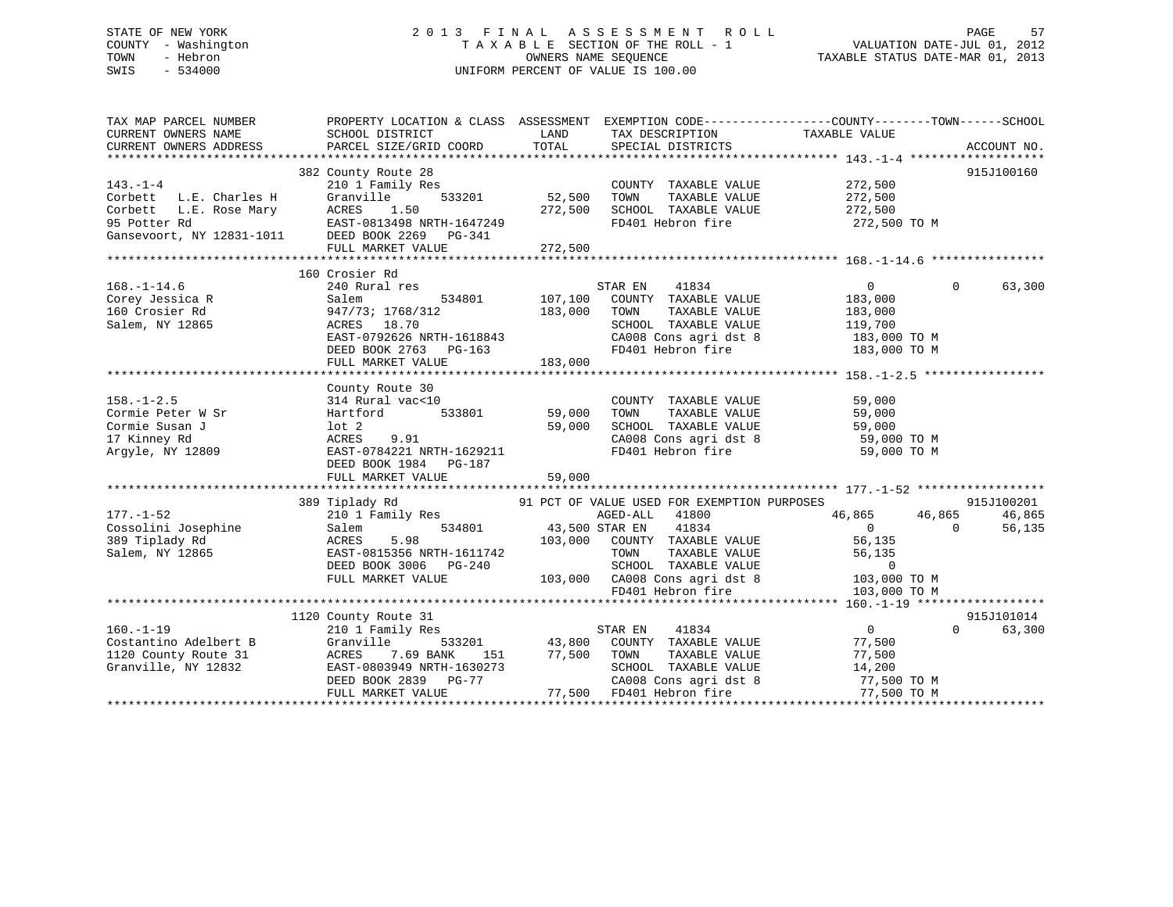# STATE OF NEW YORK 2 0 1 3 F I N A L A S S E S S M E N T R O L L PAGE 57 COUNTY - Washington T A X A B L E SECTION OF THE ROLL - 1 VALUATION DATE-JUL 01, 2012 TOWN - Hebron OWNERS NAME SEQUENCE TAXABLE STATUS DATE-MAR 01, 2013 SWIS - 534000 UNIFORM PERCENT OF VALUE IS 100.00

| TAX MAP PARCEL NUMBER<br>CURRENT OWNERS NAME<br>CURRENT OWNERS ADDRESS                        | SCHOOL DISTRICT<br>PARCEL SIZE/GRID COORD                                                                                                                                         | LAND<br>TOTAL                        | TAX DESCRIPTION TAXABLE VALUE SPECIAL DISTRICTS                                                                                                                                                                              | PROPERTY LOCATION & CLASS ASSESSMENT EXEMPTION CODE---------------COUNTY-------TOWN------SCHOOL<br>ACCOUNT NO.                                |
|-----------------------------------------------------------------------------------------------|-----------------------------------------------------------------------------------------------------------------------------------------------------------------------------------|--------------------------------------|------------------------------------------------------------------------------------------------------------------------------------------------------------------------------------------------------------------------------|-----------------------------------------------------------------------------------------------------------------------------------------------|
| $143. - 1 - 4$<br>Corbett L.E. Charles H<br>Corbett L.E. Rose Mary<br>95 Potter Rd            | 382 County Route 28<br>210 1 Family Res<br>533201<br>Granville<br>ACRES 1.50<br>EAST-0813498 NRTH-1647249<br>Gansevoort, NY 12831-1011 DEED BOOK 2269 PG-341<br>FULL MARKET VALUE | $33201$ 52,500<br>272,500<br>272,500 | COUNTY TAXABLE VALUE<br>TOWN<br>TAXABLE VALUE<br>SCHOOL TAXABLE VALUE 272,500<br>FD401 Hebron fire                                                                                                                           | 915J100160<br>272,500<br>272,500<br>272,500 TO M                                                                                              |
| $168. - 1 - 14.6$<br>Corey Jessica R<br>160 Crosier Rd<br>Salem, NY 12865                     | 160 Crosier Rd<br>240 Rural res<br>534801 107,100<br>Salem<br>947/73; 1768/312<br>ACRES 18.70<br>EAST-0792626 NRTH-1618843<br>DEED BOOK 2763 PG-163<br>FULL MARKET VALUE          | 183,000<br>183,000                   | STAR EN 41834<br>COUNTY TAXABLE VALUE<br>TOWN<br>TAXABLE VALUE<br>SCHOOL TAXABLE VALUE<br>FD401 Hebron fire                                                                                                                  | $\overline{0}$<br>$\Omega$<br>63,300<br>183,000<br>183,000<br>119,700<br>CA008 Cons agri dst 8 $183,000$ TO M<br>183,000 TO M                 |
| $158. - 1 - 2.5$                                                                              | County Route 30<br>314 Rural vac<10<br>DEED BOOK 1984 PG-187<br>FULL MARKET VALUE                                                                                                 | 59,000<br>59,000<br>59,000           | COUNTY TAXABLE VALUE 59,000<br>TOWN<br>TAXABLE VALUE<br>CA008 Cons agri dst 8<br>FD401 Hebron fire                                                                                                                           | 59,000<br>SCHOOL TAXABLE VALUE 59,000<br>CA008 Cons agri dst 8 59,000 TO M<br>59,000 TO M                                                     |
| $177. - 1 - 52$<br>Cossolini Josephine<br>200 Tirlady Rd<br>389 Tiplady Rd<br>Salem, NY 12865 | 389 Tiplady Rd<br>IIPIady Rd<br>210 1 Family Res<br>534801<br>Salem<br>5.98<br>ACRES<br>EAST-0815356 NRTH-1611742<br>DEED BOOK 3006 PG-240<br>FULL MARKET VALUE                   | 43,500 STAR EN                       | 91 PCT OF VALUE USED FOR EXEMPTION PURPOSES<br>AGED-ALL 41800<br>41834<br>103,000 COUNTY TAXABLE VALUE<br>TAXABLE VALUE<br>TOWN<br>SCHOOL TAXABLE VALUE 0<br>103,000 CA008 Cons agri dst 8 103,000 TO M<br>FD401 Hebron fire | 915J100201<br>46,865 46,865<br>46,865<br>$\overline{0}$<br>$\Omega$<br>56,135<br>56,135<br>56,135<br>103,000 TO M                             |
| $160. - 1 - 19$<br>Costantino Adelbert B<br>1120 County Route 31<br>Granville, NY 12832       | 1120 County Route 31<br>210 1 Family Res<br>Granville<br>ACRES        7.69  BANK       151<br>EAST-0803949  NRTH-1630273<br>DEED BOOK 2839 PG-77<br>FULL MARKET VALUE             | 151 77,500 TOWN                      | 41834<br>STAR EN<br>533201 43,800 COUNTY TAXABLE VALUE<br>TOWN      TAXABLE VALUE<br>SCHOOL   TAXABLE VALUE<br>77,500 FD401 Hebron fire                                                                                      | 915J101014<br>$\overline{0}$<br>$0 \qquad \qquad$<br>63,300<br>77,500<br>77,500<br>14,200<br>CA008 Cons agri dst 8 77,500 TO M<br>77,500 TO M |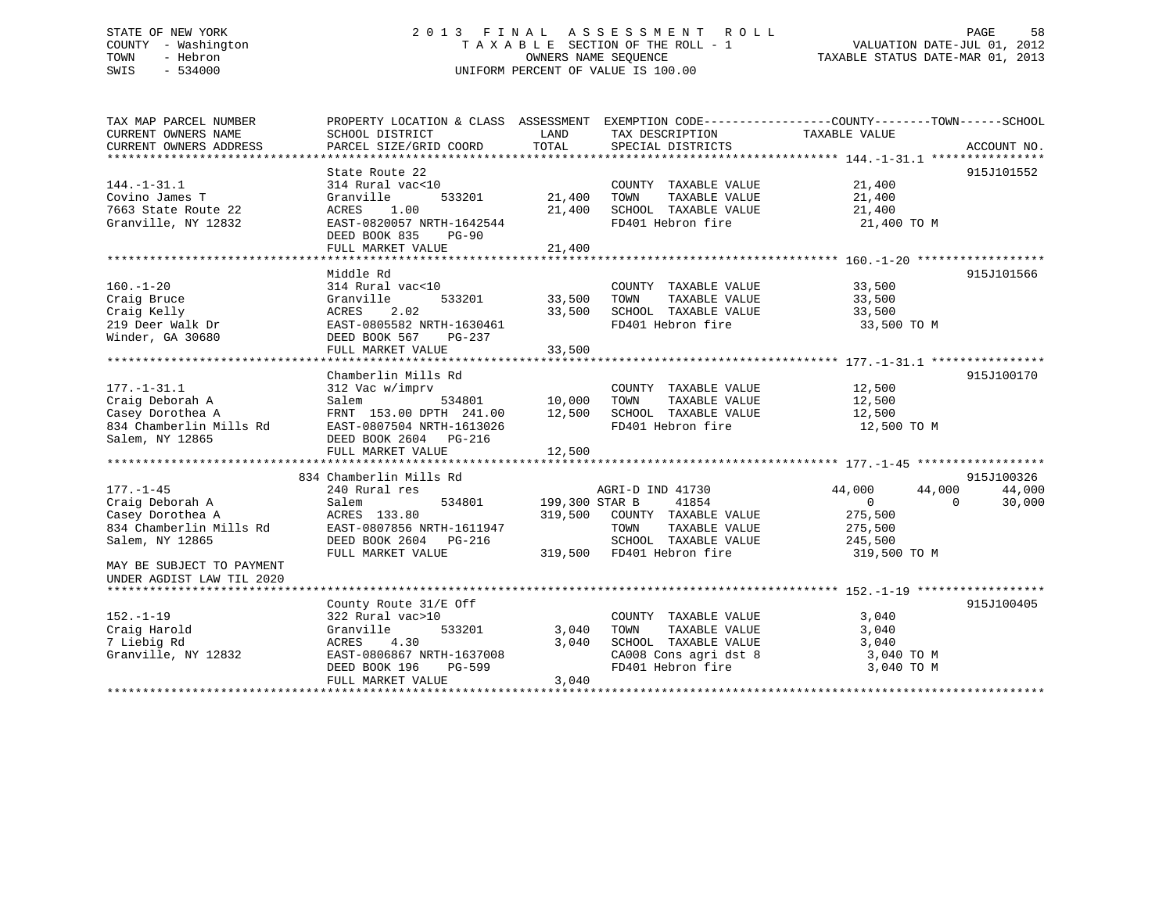### STATE OF NEW YORK STATE OF NEW YORK SEE SOMEN THE SEE SOME NOT THE ROLL STATE OF NEW YORK SEE SOME NOT A LA S SEE S S M E N T R O L L COUNTY - Washington T A X A B L E SECTION OF THE ROLL - 1 VALUATION DATE-JUL 01, 2012 OWNERS NAME SEQUENCE TAXABLE STATUS DATE-MAR 01, 2013 SWIS - 534000 UNIFORM PERCENT OF VALUE IS 100.00

| TAX MAP PARCEL NUMBER<br>CURRENT OWNERS NAME<br>CURRENT OWNERS ADDRESS                                                                                         | PROPERTY LOCATION & CLASS ASSESSMENT<br>SCHOOL DISTRICT<br>PARCEL SIZE/GRID COORD                                                                               | LAND<br>TOTAL              | TAX DESCRIPTION<br>SPECIAL DISTRICTS                                                                                            | EXEMPTION CODE-----------------COUNTY-------TOWN------SCHOOL<br>TAXABLE VALUE                   | ACCOUNT NO.      |
|----------------------------------------------------------------------------------------------------------------------------------------------------------------|-----------------------------------------------------------------------------------------------------------------------------------------------------------------|----------------------------|---------------------------------------------------------------------------------------------------------------------------------|-------------------------------------------------------------------------------------------------|------------------|
| $144. - 1 - 31.1$<br>Covino James T<br>7663 State Route 22<br>Granville, NY 12832                                                                              | State Route 22<br>314 Rural vac<10<br>Granville<br>533201<br>1.00<br>ACRES<br>EAST-0820057 NRTH-1642544<br>DEED BOOK 835<br>$PG-90$                             | 21,400<br>21,400           | COUNTY TAXABLE VALUE<br>TAXABLE VALUE<br>TOWN<br>SCHOOL TAXABLE VALUE<br>FD401 Hebron fire                                      | 21,400<br>21,400<br>21,400<br>21,400 TO M                                                       | 915J101552       |
|                                                                                                                                                                | FULL MARKET VALUE                                                                                                                                               | 21,400                     |                                                                                                                                 |                                                                                                 |                  |
| $160. - 1 - 20$<br>Craig Bruce<br>Craig Kelly<br>219 Deer Walk Dr<br>Winder, GA 30680                                                                          | Middle Rd<br>314 Rural vac<10<br>Granville<br>533201<br>ACRES<br>2.02<br>EAST-0805582 NRTH-1630461<br>DEED BOOK 567<br>PG-237<br>FULL MARKET VALUE              | 33,500<br>33,500<br>33,500 | COUNTY TAXABLE VALUE<br>TAXABLE VALUE<br>TOWN<br>SCHOOL TAXABLE VALUE<br>FD401 Hebron fire                                      | 33,500<br>33,500<br>33,500<br>33,500 TO M                                                       | 915J101566       |
| $177. - 1 - 31.1$<br>Craig Deborah A<br>Casey Dorothea A<br>834 Chamberlin Mills Rd<br>Salem, NY 12865                                                         | Chamberlin Mills Rd<br>312 Vac w/imprv<br>Salem<br>534801<br>FRNT 153.00 DPTH 241.00<br>EAST-0807504 NRTH-1613026<br>DEED BOOK 2604 PG-216<br>FULL MARKET VALUE | 10,000<br>12,500<br>12,500 | COUNTY TAXABLE VALUE<br>TOWN<br>TAXABLE VALUE<br>SCHOOL TAXABLE VALUE<br>FD401 Hebron fire                                      | 12,500<br>12,500<br>12,500<br>12,500 TO M                                                       | 915J100170       |
|                                                                                                                                                                | 834 Chamberlin Mills Rd                                                                                                                                         |                            |                                                                                                                                 |                                                                                                 | 915J100326       |
| $177. - 1 - 45$<br>Craig Deborah A<br>Casey Dorothea A<br>834 Chamberlin Mills Rd<br>Salem, NY 12865<br>MAY BE SUBJECT TO PAYMENT<br>UNDER AGDIST LAW TIL 2020 | 240 Rural res<br>534801<br>Salem<br>ACRES 133.80<br>EAST-0807856 NRTH-1611947<br>DEED BOOK 2604 PG-216<br>FULL MARKET VALUE                                     | 199,300 STAR B<br>319,500  | AGRI-D IND 41730<br>41854<br>319,500 COUNTY TAXABLE VALUE<br>TOWN<br>TAXABLE VALUE<br>SCHOOL TAXABLE VALUE<br>FD401 Hebron fire | 44,000<br>44,000<br>$\overline{0}$<br>$\Omega$<br>275,500<br>275,500<br>245,500<br>319,500 TO M | 44,000<br>30,000 |
| $152. - 1 - 19$<br>Craig Harold<br>7 Liebig Rd<br>Granville, NY 12832                                                                                          | County Route 31/E Off<br>322 Rural vac>10<br>533201<br>Granville<br>4.30<br>ACRES<br>EAST-0806867 NRTH-1637008<br>DEED BOOK 196<br>PG-599<br>FULL MARKET VALUE  | 3,040<br>3,040<br>3,040    | COUNTY TAXABLE VALUE<br>TOWN<br>TAXABLE VALUE<br>SCHOOL TAXABLE VALUE<br>CA008 Cons agri dst 8<br>FD401 Hebron fire             | 3,040<br>3,040<br>3,040<br>3,040 TO M<br>3,040 TO M                                             | 915J100405       |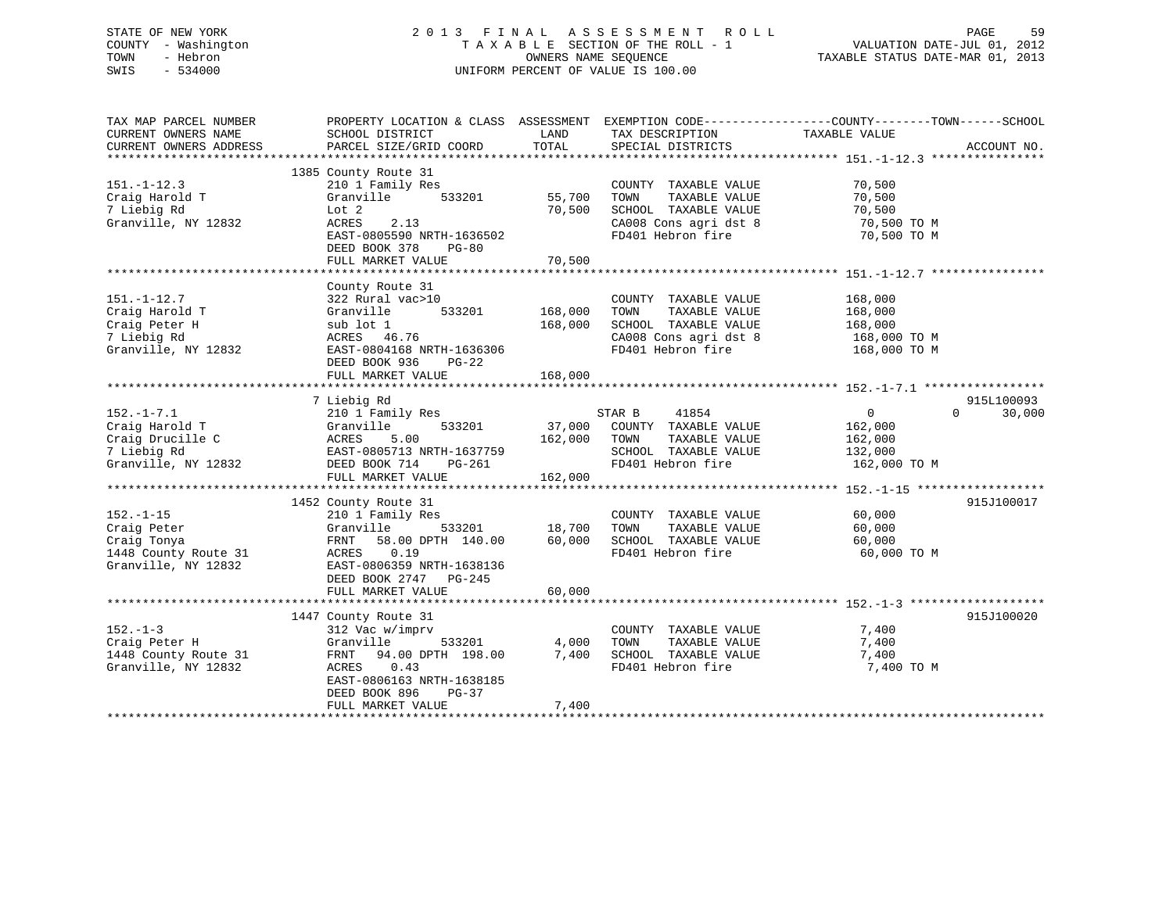# STATE OF NEW YORK 2 0 1 3 F I N A L A S S E S S M E N T R O L L PAGE 59 COUNTY - Washington T A X A B L E SECTION OF THE ROLL - 1 VALUATION DATE-JUL 01, 2012 TOWN - Hebron OWNERS NAME SEQUENCE TAXABLE STATUS DATE-MAR 01, 2013 SWIS - 534000 UNIFORM PERCENT OF VALUE IS 100.00

| TAX MAP PARCEL NUMBER  | PROPERTY LOCATION & CLASS ASSESSMENT EXEMPTION CODE---------------COUNTY-------TOWN-----SCHOOL |              |                              |               |                    |
|------------------------|------------------------------------------------------------------------------------------------|--------------|------------------------------|---------------|--------------------|
| CURRENT OWNERS NAME    | SCHOOL DISTRICT                                                                                | LAND         | TAX DESCRIPTION              | TAXABLE VALUE |                    |
| CURRENT OWNERS ADDRESS | PARCEL SIZE/GRID COORD                                                                         | TOTAL        | SPECIAL DISTRICTS            |               | ACCOUNT NO.        |
|                        |                                                                                                |              |                              |               |                    |
|                        | 1385 County Route 31                                                                           |              |                              |               |                    |
| $151. - 1 - 12.3$      | 210 1 Family Res                                                                               |              | COUNTY TAXABLE VALUE         | 70,500        |                    |
| Craig Harold T         | 533201<br>Granville                                                                            | 55,700       | TOWN<br>TAXABLE VALUE        | 70,500        |                    |
| 7 Liebig Rd            | Lot 2                                                                                          | 70,500       | SCHOOL TAXABLE VALUE         | 70,500        |                    |
| Granville, NY 12832    | ACRES<br>2.13                                                                                  |              | CA008 Cons agri dst 8        | 70,500 TO M   |                    |
|                        | EAST-0805590 NRTH-1636502                                                                      |              | FD401 Hebron fire            | 70,500 TO M   |                    |
|                        | DEED BOOK 378<br>$PG-80$                                                                       |              |                              |               |                    |
|                        | FULL MARKET VALUE                                                                              | 70,500       |                              |               |                    |
|                        |                                                                                                |              |                              |               |                    |
|                        | County Route 31                                                                                |              |                              |               |                    |
| $151. - 1 - 12.7$      | 322 Rural vac>10                                                                               |              | COUNTY TAXABLE VALUE         | 168,000       |                    |
|                        | 533201                                                                                         | 168,000      |                              |               |                    |
| Craig Harold T         | Granville                                                                                      |              | TOWN<br>TAXABLE VALUE        | 168,000       |                    |
| Craig Peter H          | sub lot 1                                                                                      | 168,000      | SCHOOL TAXABLE VALUE         | 168,000       |                    |
| 7 Liebig Rd            | ACRES 46.76                                                                                    |              | CA008 Cons agri dst 8        | 168,000 TO M  |                    |
| Granville, NY 12832    | EAST-0804168 NRTH-1636306                                                                      |              | FD401 Hebron fire            | 168,000 TO M  |                    |
|                        | DEED BOOK 936<br>$PG-22$                                                                       |              |                              |               |                    |
|                        | FULL MARKET VALUE                                                                              | 168,000      |                              |               |                    |
|                        |                                                                                                |              |                              |               |                    |
|                        | 7 Liebig Rd                                                                                    |              |                              |               | 915L100093         |
| $152. - 1 - 7.1$       | 210 1 Family Res                                                                               |              | STAR B<br>41854              | $\sim$ 0      | $\Omega$<br>30,000 |
| Craig Harold T         | 533201<br>Granville                                                                            |              | 37,000 COUNTY TAXABLE VALUE  | 162,000       |                    |
| Craig Drucille C       | ACRES<br>5.00                                                                                  | 162,000 TOWN | TAXABLE VALUE                | 162,000       |                    |
| 7 Liebig Rd            | EAST-0805713 NRTH-1637759                                                                      |              | SCHOOL TAXABLE VALUE 132,000 |               |                    |
| Granville, NY 12832    | DEED BOOK 714<br>PG-261                                                                        |              | FD401 Hebron fire            | 162,000 TO M  |                    |
|                        | FULL MARKET VALUE                                                                              | 162,000      |                              |               |                    |
|                        |                                                                                                |              |                              |               |                    |
|                        | 1452 County Route 31                                                                           |              |                              |               | 915J100017         |
| $152. - 1 - 15$        | 210 1 Family Res                                                                               |              | COUNTY TAXABLE VALUE         | 60,000        |                    |
| Craig Peter            | Granville<br>533201                                                                            | 18,700       | TOWN<br>TAXABLE VALUE        | 60,000        |                    |
| Craig Tonya            | FRNT 58.00 DPTH 140.00                                                                         | 60,000       | SCHOOL TAXABLE VALUE         | 60,000        |                    |
| 1448 County Route 31   | ACRES 0.19                                                                                     |              | FD401 Hebron fire            | 60,000 TO M   |                    |
| Granville, NY 12832    | EAST-0806359 NRTH-1638136                                                                      |              |                              |               |                    |
|                        | DEED BOOK 2747 PG-245                                                                          |              |                              |               |                    |
|                        | FULL MARKET VALUE                                                                              | 60,000       |                              |               |                    |
|                        |                                                                                                |              |                              |               |                    |
|                        | 1447 County Route 31                                                                           |              |                              |               | 915J100020         |
| $152. - 1 - 3$         | 312 Vac w/imprv                                                                                |              | COUNTY TAXABLE VALUE         | 7,400         |                    |
| Craig Peter H          | Granville<br>533201                                                                            | 4,000        | TAXABLE VALUE<br>TOWN        | 7,400         |                    |
| 1448 County Route 31   | FRNT 94.00 DPTH 198.00                                                                         | 7,400        | SCHOOL TAXABLE VALUE         | 7,400         |                    |
| Granville, NY 12832    | ACRES 0.43                                                                                     |              | FD401 Hebron fire            | 7,400 TO M    |                    |
|                        | EAST-0806163 NRTH-1638185                                                                      |              |                              |               |                    |
|                        | DEED BOOK 896<br>PG-37                                                                         |              |                              |               |                    |
|                        | FULL MARKET VALUE                                                                              | 7,400        |                              |               |                    |
|                        |                                                                                                |              |                              |               |                    |
|                        |                                                                                                |              |                              |               |                    |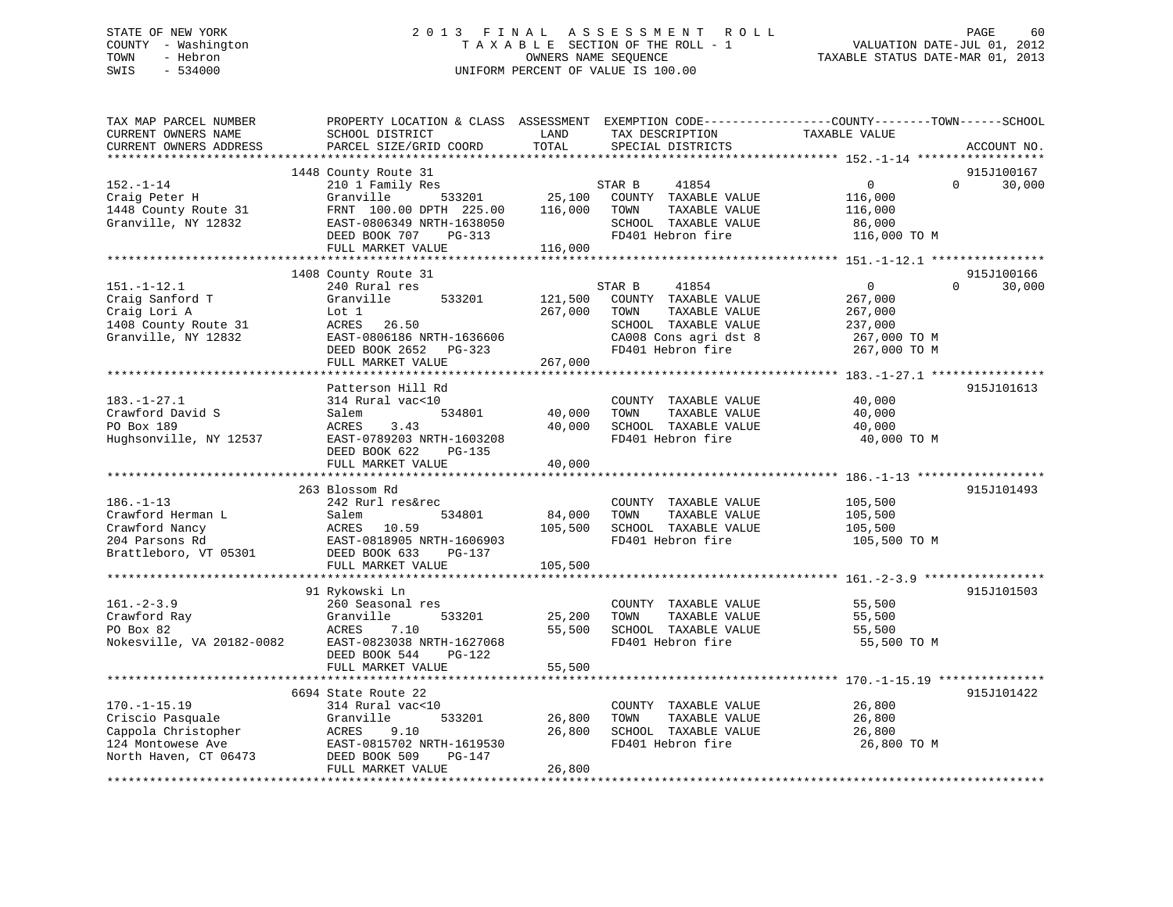# STATE OF NEW YORK 2 0 1 3 F I N A L A S S E S S M E N T R O L L PAGE 60 COUNTY - Washington T A X A B L E SECTION OF THE ROLL - 1 VALUATION DATE-JUL 01, 2012 TOWN - Hebron OWNERS NAME SEQUENCE TAXABLE STATUS DATE-MAR 01, 2013 SWIS - 534000 UNIFORM PERCENT OF VALUE IS 100.00

| TAX MAP PARCEL NUMBER<br>CURRENT OWNERS NAME<br>CURRENT OWNERS ADDRESS                                      | PROPERTY LOCATION & CLASS ASSESSMENT EXEMPTION CODE----------------COUNTY-------TOWN------SCHOOL<br>SCHOOL DISTRICT<br>PARCEL SIZE/GRID COORD                           | LAND<br>TOTAL                 | TAX DESCRIPTION<br>SPECIAL DISTRICTS                                                                                                   | TAXABLE VALUE                                                                 | ACCOUNT NO.                      |
|-------------------------------------------------------------------------------------------------------------|-------------------------------------------------------------------------------------------------------------------------------------------------------------------------|-------------------------------|----------------------------------------------------------------------------------------------------------------------------------------|-------------------------------------------------------------------------------|----------------------------------|
| ***********************                                                                                     |                                                                                                                                                                         |                               |                                                                                                                                        |                                                                               |                                  |
| $152. - 1 - 14$<br>Craig Peter H<br>1448 County Route 31<br>Granville, NY 12832                             | 1448 County Route 31<br>210 1 Family Res<br>Granville<br>533201<br>FRNT 100.00 DPTH 225.00<br>EAST-0806349 NRTH-1638050<br>DEED BOOK 707<br>PG-313<br>FULL MARKET VALUE | 25,100<br>116,000<br>116,000  | STAR B<br>41854<br>COUNTY TAXABLE VALUE<br>TOWN<br>TAXABLE VALUE<br>SCHOOL TAXABLE VALUE<br>FD401 Hebron fire                          | $\mathbf 0$<br>116,000<br>116,000<br>86,000<br>116,000 TO M                   | 915J100167<br>$\Omega$<br>30,000 |
|                                                                                                             |                                                                                                                                                                         |                               |                                                                                                                                        | ***************** 151.-1-12.1 *****************                               |                                  |
| $151. - 1 - 12.1$<br>Craig Sanford T<br>Craig Lori A<br>1408 County Route 31<br>Granville, NY 12832         | 1408 County Route 31<br>240 Rural res<br>Granville<br>533201<br>Lot 1<br>ACRES<br>26.50<br>EAST-0806186 NRTH-1636606<br>DEED BOOK 2652<br>PG-323<br>FULL MARKET VALUE   | 121,500<br>267,000<br>267,000 | STAR B<br>41854<br>COUNTY TAXABLE VALUE<br>TOWN<br>TAXABLE VALUE<br>SCHOOL TAXABLE VALUE<br>CA008 Cons agri dst 8<br>FD401 Hebron fire | $\mathbf{0}$<br>267,000<br>267,000<br>237,000<br>267,000 TO M<br>267,000 TO M | 915J100166<br>$\Omega$<br>30,000 |
|                                                                                                             |                                                                                                                                                                         |                               |                                                                                                                                        |                                                                               |                                  |
| $183. - 1 - 27.1$<br>Crawford David S<br>PO Box 189<br>Hughsonville, NY 12537                               | Patterson Hill Rd<br>314 Rural vac<10<br>Salem<br>534801<br>ACRES<br>3.43<br>EAST-0789203 NRTH-1603208<br>DEED BOOK 622<br>PG-135                                       | 40,000<br>40,000              | COUNTY TAXABLE VALUE<br>TOWN<br>TAXABLE VALUE<br>SCHOOL TAXABLE VALUE<br>FD401 Hebron fire                                             | 40,000<br>40,000<br>40,000<br>40,000 TO M                                     | 915J101613                       |
|                                                                                                             | FULL MARKET VALUE                                                                                                                                                       | 40,000                        |                                                                                                                                        |                                                                               |                                  |
|                                                                                                             | ***********************                                                                                                                                                 |                               |                                                                                                                                        |                                                                               |                                  |
| $186. - 1 - 13$<br>Crawford Herman L<br>Crawford Nancy<br>204 Parsons Rd<br>Brattleboro, VT 05301           | 263 Blossom Rd<br>242 Rurl res&rec<br>Salem<br>534801<br>ACRES 10.59<br>EAST-0818905 NRTH-1606903<br>DEED BOOK 633<br>PG-137<br>FULL MARKET VALUE                       | 84,000<br>105,500<br>105,500  | COUNTY TAXABLE VALUE<br>TAXABLE VALUE<br>TOWN<br>SCHOOL TAXABLE VALUE<br>FD401 Hebron fire                                             | 105,500<br>105,500<br>105,500<br>105,500 TO M                                 | 915J101493                       |
|                                                                                                             |                                                                                                                                                                         |                               |                                                                                                                                        |                                                                               |                                  |
| $161. - 2 - 3.9$<br>Crawford Ray<br>PO Box 82<br>Nokesville, VA 20182-0082                                  | 91 Rykowski Ln<br>260 Seasonal res<br>Granville<br>533201<br>7.10<br>ACRES<br>EAST-0823038 NRTH-1627068<br>DEED BOOK 544<br>$PG-122$                                    | 25,200<br>55,500              | COUNTY TAXABLE VALUE<br>TAXABLE VALUE<br>TOWN<br>SCHOOL TAXABLE VALUE<br>FD401 Hebron fire                                             | 55,500<br>55,500<br>55,500<br>55,500 TO M                                     | 915J101503                       |
|                                                                                                             | FULL MARKET VALUE                                                                                                                                                       | 55,500                        |                                                                                                                                        |                                                                               |                                  |
|                                                                                                             |                                                                                                                                                                         |                               |                                                                                                                                        | ****************** 170.-1-15.19 ****************                              |                                  |
| $170. - 1 - 15.19$<br>Criscio Pasquale<br>Cappola Christopher<br>124 Montowese Ave<br>North Haven, CT 06473 | 6694 State Route 22<br>314 Rural vac<10<br>Granville<br>533201<br>ACRES<br>9.10<br>EAST-0815702 NRTH-1619530<br>DEED BOOK 509<br>PG-147<br>FULL MARKET VALUE            | 26,800<br>26,800<br>26,800    | COUNTY TAXABLE VALUE<br>TOWN<br>TAXABLE VALUE<br>SCHOOL TAXABLE VALUE<br>FD401 Hebron fire                                             | 26,800<br>26,800<br>26,800<br>26,800 TO M                                     | 915J101422                       |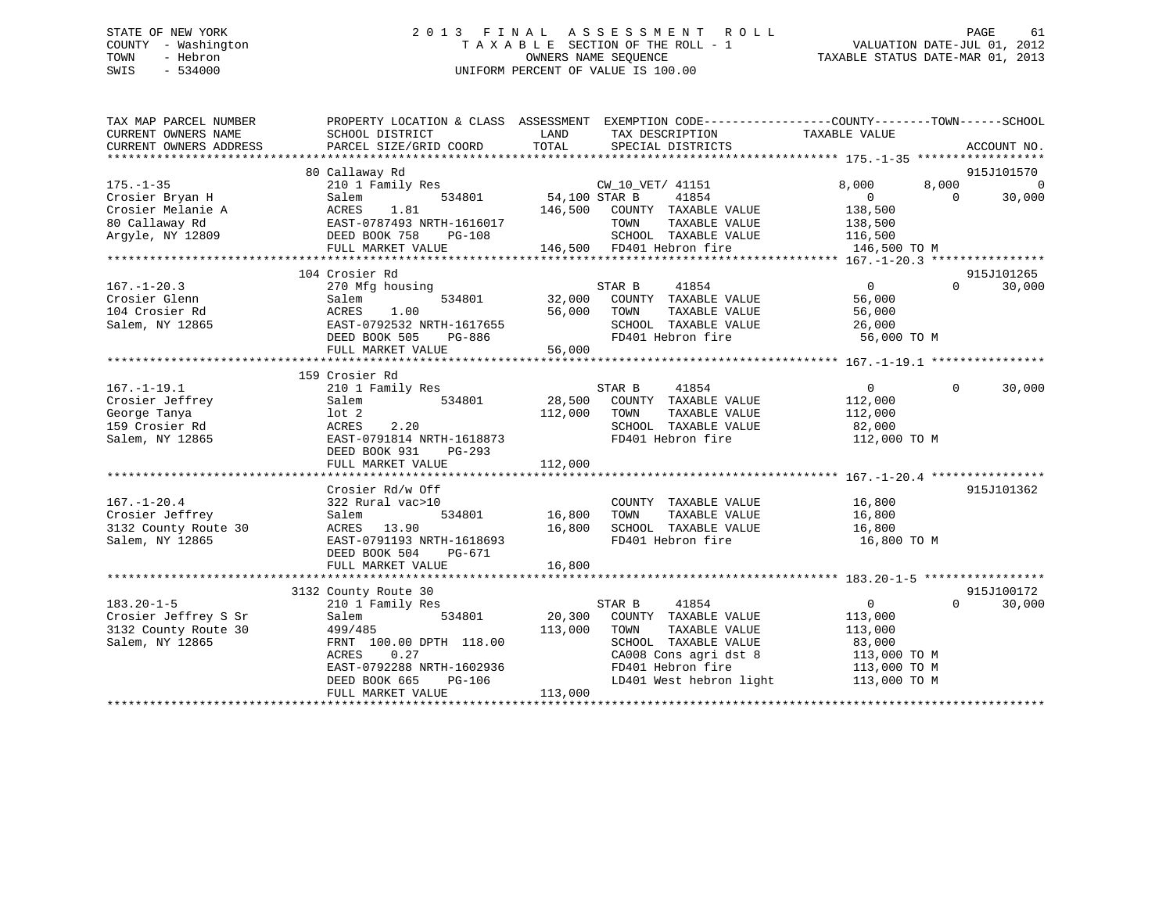# STATE OF NEW YORK 2 0 1 3 F I N A L A S S E S S M E N T R O L L PAGE 61 COUNTY - Washington T A X A B L E SECTION OF THE ROLL - 1 VALUATION DATE-JUL 01, 2012 TOWN - Hebron OWNERS NAME SEQUENCE TAXABLE STATUS DATE-MAR 01, 2013 SWIS - 534000 UNIFORM PERCENT OF VALUE IS 100.00

| TAX MAP PARCEL NUMBER<br>CURRENT OWNERS NAME<br>CURRENT OWNERS ADDRESS | PROPERTY LOCATION & CLASS ASSESSMENT<br>SCHOOL DISTRICT<br>PARCEL SIZE/GRID COORD | LAND<br>TOTAL | EXEMPTION CODE-----------------COUNTY-------TOWN------SCHOOL<br>TAX DESCRIPTION<br>SPECIAL DISTRICTS | TAXABLE VALUE                | ACCOUNT NO.        |
|------------------------------------------------------------------------|-----------------------------------------------------------------------------------|---------------|------------------------------------------------------------------------------------------------------|------------------------------|--------------------|
|                                                                        |                                                                                   |               |                                                                                                      |                              |                    |
|                                                                        | 80 Callaway Rd                                                                    |               |                                                                                                      |                              | 915J101570         |
| $175. - 1 - 35$                                                        | 210 1 Family Res                                                                  |               | CW 10 VET/ 41151                                                                                     | 8,000<br>8,000               | $\Omega$           |
| Crosier Bryan H                                                        | 534801<br>Salem                                                                   | 54,100 STAR B | 41854                                                                                                | $\mathbf{0}$                 | $\Omega$<br>30,000 |
| Crosier Melanie A                                                      | ACRES<br>1.81                                                                     | 146,500       | COUNTY TAXABLE VALUE                                                                                 | 138,500                      |                    |
| 80 Callaway Rd                                                         | EAST-0787493 NRTH-1616017                                                         |               | TOWN<br>TAXABLE VALUE                                                                                | 138,500                      |                    |
| Arqyle, NY 12809                                                       | DEED BOOK 758<br><b>PG-108</b>                                                    |               | SCHOOL TAXABLE VALUE                                                                                 | 116,500                      |                    |
|                                                                        | FULL MARKET VALUE                                                                 |               | 146,500 FD401 Hebron fire                                                                            | 146,500 TO M                 |                    |
|                                                                        |                                                                                   |               |                                                                                                      |                              |                    |
|                                                                        | 104 Crosier Rd                                                                    |               |                                                                                                      |                              | 915J101265         |
| $167. - 1 - 20.3$                                                      | 270 Mfg housing                                                                   |               | STAR B<br>41854                                                                                      | $\mathbf{0}$                 | 30,000<br>$\Omega$ |
| Crosier Glenn                                                          | Salem<br>534801                                                                   | 32,000        | COUNTY TAXABLE VALUE                                                                                 | 56,000                       |                    |
| 104 Crosier Rd                                                         | ACRES<br>1.00                                                                     | 56,000        | TAXABLE VALUE<br>TOWN                                                                                | 56,000                       |                    |
| Salem, NY 12865                                                        | EAST-0792532 NRTH-1617655                                                         |               | SCHOOL TAXABLE VALUE                                                                                 | 26,000                       |                    |
|                                                                        | DEED BOOK 505<br>PG-886                                                           |               | FD401 Hebron fire                                                                                    | 56,000 TO M                  |                    |
|                                                                        | FULL MARKET VALUE                                                                 | 56,000        |                                                                                                      |                              |                    |
|                                                                        |                                                                                   |               |                                                                                                      |                              |                    |
|                                                                        | 159 Crosier Rd                                                                    |               |                                                                                                      |                              |                    |
| $167. - 1 - 19.1$                                                      | 210 1 Family Res                                                                  |               | STAR B<br>41854                                                                                      | $\overline{0}$               | $\Omega$<br>30,000 |
| Crosier Jeffrey                                                        | 534801<br>Salem                                                                   | 28,500        | COUNTY TAXABLE VALUE                                                                                 | 112,000                      |                    |
| George Tanya                                                           | $1$ ot $2$                                                                        | 112,000       | TAXABLE VALUE<br>TOWN                                                                                | 112,000                      |                    |
| 159 Crosier Rd                                                         | 2.20<br>ACRES                                                                     |               | SCHOOL TAXABLE VALUE                                                                                 | 82,000                       |                    |
| Salem, NY 12865                                                        | EAST-0791814 NRTH-1618873                                                         |               | FD401 Hebron fire                                                                                    | 112,000 TO M                 |                    |
|                                                                        | DEED BOOK 931<br>$PG-293$                                                         |               |                                                                                                      |                              |                    |
|                                                                        | FULL MARKET VALUE                                                                 | 112,000       |                                                                                                      |                              |                    |
|                                                                        |                                                                                   |               |                                                                                                      |                              |                    |
|                                                                        | Crosier Rd/w Off                                                                  |               |                                                                                                      |                              | 915J101362         |
| $167. - 1 - 20.4$                                                      | 322 Rural vac>10                                                                  |               | COUNTY TAXABLE VALUE                                                                                 | 16,800                       |                    |
| Crosier Jeffrey                                                        | Salem<br>534801                                                                   | 16,800        | TAXABLE VALUE<br>TOWN                                                                                | 16,800                       |                    |
| 3132 County Route 30                                                   | ACRES<br>13.90                                                                    | 16,800        | SCHOOL TAXABLE VALUE                                                                                 | 16,800                       |                    |
| Salem, NY 12865                                                        | EAST-0791193 NRTH-1618693                                                         |               | FD401 Hebron fire                                                                                    | 16,800 TO M                  |                    |
|                                                                        | DEED BOOK 504<br>PG-671                                                           |               |                                                                                                      |                              |                    |
|                                                                        | FULL MARKET VALUE                                                                 | 16,800        |                                                                                                      |                              |                    |
|                                                                        |                                                                                   |               |                                                                                                      |                              |                    |
|                                                                        | 3132 County Route 30                                                              |               |                                                                                                      |                              | 915J100172         |
| $183.20 - 1 - 5$                                                       | 210 1 Family Res                                                                  |               | STAR B<br>41854                                                                                      | $\overline{0}$               | $\Omega$<br>30,000 |
| Crosier Jeffrey S Sr                                                   | Salem<br>534801                                                                   | 20,300        | COUNTY TAXABLE VALUE                                                                                 | 113,000                      |                    |
| 3132 County Route 30                                                   | 499/485                                                                           | 113,000       | TOWN<br>TAXABLE VALUE                                                                                | 113,000                      |                    |
| Salem, NY 12865                                                        | FRNT 100.00 DPTH 118.00                                                           |               | SCHOOL TAXABLE VALUE                                                                                 | 83,000                       |                    |
|                                                                        | ACRES<br>0.27                                                                     |               | CA008 Cons agri dst 8                                                                                |                              |                    |
|                                                                        | EAST-0792288 NRTH-1602936                                                         |               | FD401 Hebron fire                                                                                    | 113,000 TO M<br>113,000 TO M |                    |
|                                                                        | $PG-106$                                                                          |               | LD401 West hebron light                                                                              |                              |                    |
|                                                                        | DEED BOOK 665                                                                     |               |                                                                                                      | 113,000 TO M                 |                    |
|                                                                        | FULL MARKET VALUE                                                                 | 113,000       |                                                                                                      |                              |                    |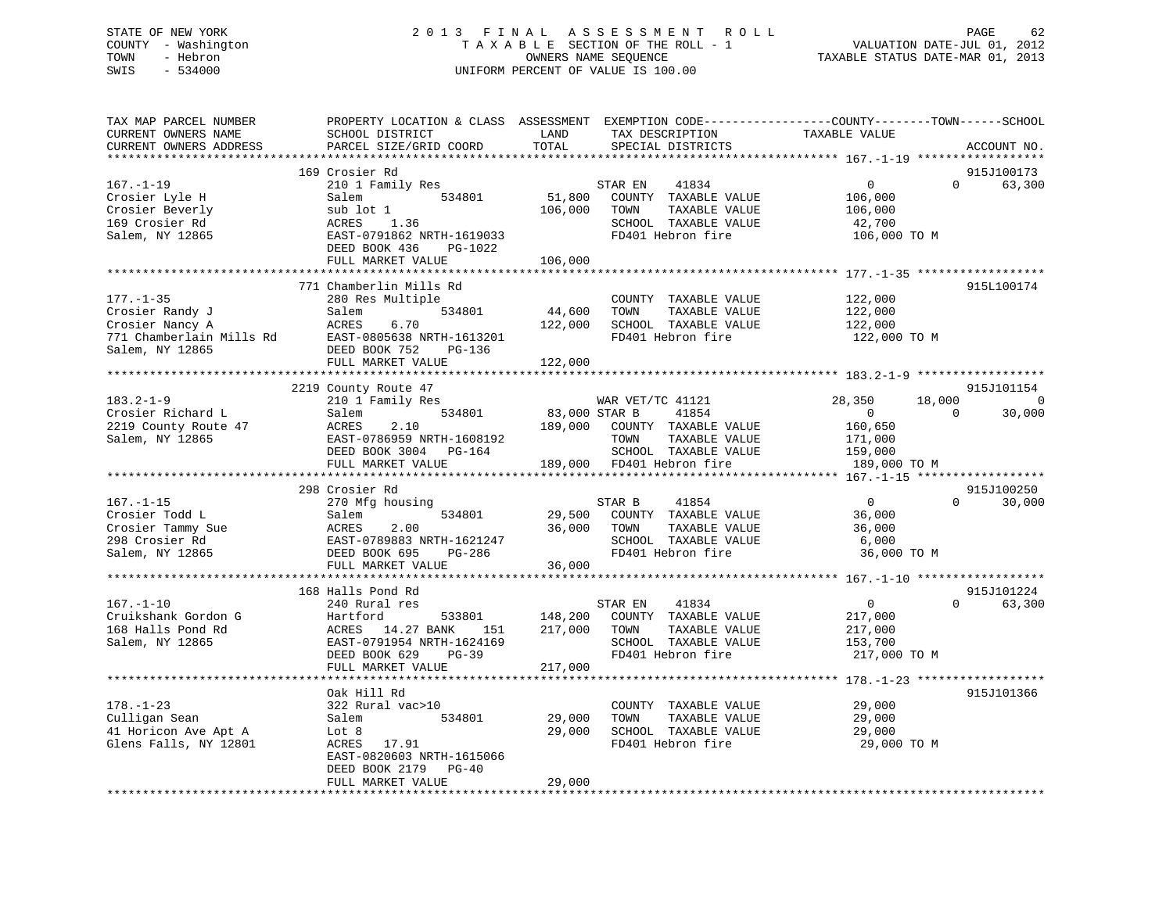# STATE OF NEW YORK 2 0 1 3 F I N A L A S S E S S M E N T R O L L PAGE 62 COUNTY - Washington T A X A B L E SECTION OF THE ROLL - 1 VALUATION DATE-JUL 01, 2012 TOWN - Hebron OWNERS NAME SEQUENCE TAXABLE STATUS DATE-MAR 01, 2013 SWIS - 534000 UNIFORM PERCENT OF VALUE IS 100.00

| TAX MAP PARCEL NUMBER<br>CURRENT OWNERS NAME<br>CURRENT OWNERS ADDRESS                               | PROPERTY LOCATION & CLASS ASSESSMENT<br>SCHOOL DISTRICT<br>PARCEL SIZE/GRID COORD                                                                                    | LAND<br>TOTAL                 | TAX DESCRIPTION<br>SPECIAL DISTRICTS                                                                                            | EXEMPTION CODE-----------------COUNTY-------TOWN------SCHOOL<br>TAXABLE VALUE | ACCOUNT NO.                       |
|------------------------------------------------------------------------------------------------------|----------------------------------------------------------------------------------------------------------------------------------------------------------------------|-------------------------------|---------------------------------------------------------------------------------------------------------------------------------|-------------------------------------------------------------------------------|-----------------------------------|
| $167. - 1 - 19$<br>Crosier Lyle H<br>Crosier Beverly<br>169 Crosier Rd<br>Salem, NY 12865            | 169 Crosier Rd<br>210 1 Family Res<br>534801<br>Salem<br>sub lot 1<br>ACRES<br>1.36<br>EAST-0791862 NRTH-1619033<br>DEED BOOK 436<br>PG-1022<br>FULL MARKET VALUE    | 51,800<br>106,000<br>106,000  | STAR EN<br>41834<br>COUNTY TAXABLE VALUE<br>TAXABLE VALUE<br>TOWN<br>SCHOOL TAXABLE VALUE<br>FD401 Hebron fire                  | $\mathbf{0}$<br>106,000<br>106,000<br>42,700<br>106,000 TO M                  | 915J100173<br>$\Omega$<br>63,300  |
|                                                                                                      |                                                                                                                                                                      |                               |                                                                                                                                 |                                                                               |                                   |
| $177. - 1 - 35$<br>Crosier Randy J<br>Crosier Nancy A<br>771 Chamberlain Mills Rd<br>Salem, NY 12865 | 771 Chamberlin Mills Rd<br>280 Res Multiple<br>534801<br>Salem<br>ACRES<br>6.70<br>EAST-0805638 NRTH-1613201<br>DEED BOOK 752<br>PG-136                              | 44,600<br>122,000             | COUNTY TAXABLE VALUE<br>TOWN<br>TAXABLE VALUE<br>SCHOOL TAXABLE VALUE<br>FD401 Hebron fire                                      | 122,000<br>122,000<br>122,000<br>122,000 TO M                                 | 915L100174                        |
|                                                                                                      | FULL MARKET VALUE                                                                                                                                                    | 122,000                       |                                                                                                                                 |                                                                               |                                   |
|                                                                                                      | 2219 County Route 47                                                                                                                                                 |                               |                                                                                                                                 |                                                                               | 915J101154                        |
| $183.2 - 1 - 9$<br>Crosier Richard L<br>2219 County Route 47<br>Salem, NY 12865                      | 210 1 Family Res<br>534801<br>Salem<br>2.10<br>ACRES<br>EAST-0786959 NRTH-1608192<br>DEED BOOK 3004 PG-164<br>FULL MARKET VALUE                                      | 83,000 STAR B<br>189,000      | WAR VET/TC 41121<br>41854<br>COUNTY TAXABLE VALUE<br>TOWN<br>TAXABLE VALUE<br>SCHOOL TAXABLE VALUE<br>189,000 FD401 Hebron fire | 28,350<br>18,000<br>$\Omega$<br>160,650<br>171,000<br>159,000<br>189,000 TO M | $\mathbf 0$<br>$\Omega$<br>30,000 |
|                                                                                                      |                                                                                                                                                                      |                               |                                                                                                                                 |                                                                               |                                   |
| $167. - 1 - 15$<br>Crosier Todd L<br>Crosier Tammy Sue<br>298 Crosier Rd<br>Salem, NY 12865          | 298 Crosier Rd<br>270 Mfg housing<br>Salem<br>534801<br>ACRES<br>2.00<br>EAST-0789883 NRTH-1621247<br>DEED BOOK 695<br>PG-286                                        | 29,500<br>36,000              | STAR B<br>41854<br>COUNTY TAXABLE VALUE<br>TOWN<br>TAXABLE VALUE<br>SCHOOL TAXABLE VALUE<br>FD401 Hebron fire                   | $\overline{0}$<br>36,000<br>36,000<br>6,000<br>36,000 TO M                    | 915J100250<br>$\Omega$<br>30,000  |
|                                                                                                      | FULL MARKET VALUE                                                                                                                                                    | 36,000                        |                                                                                                                                 |                                                                               |                                   |
| $167. - 1 - 10$<br>Cruikshank Gordon G<br>168 Halls Pond Rd<br>Salem, NY 12865                       | 168 Halls Pond Rd<br>240 Rural res<br>Hartford<br>533801<br>14.27 BANK<br>ACRES<br>151<br>EAST-0791954 NRTH-1624169<br>DEED BOOK 629<br>$PG-39$<br>FULL MARKET VALUE | 148,200<br>217,000<br>217,000 | STAR EN<br>41834<br>COUNTY TAXABLE VALUE<br>TOWN<br>TAXABLE VALUE<br>SCHOOL TAXABLE VALUE<br>FD401 Hebron fire                  | $\mathbf 0$<br>217,000<br>217,000<br>153,700<br>217,000 TO M                  | 915J101224<br>$\Omega$<br>63,300  |
|                                                                                                      |                                                                                                                                                                      |                               |                                                                                                                                 |                                                                               |                                   |
| $178. - 1 - 23$<br>Culligan Sean<br>41 Horicon Ave Apt A<br>Glens Falls, NY 12801                    | Oak Hill Rd<br>322 Rural vac>10<br>Salem<br>534801<br>Lot 8<br>ACRES<br>17.91<br>EAST-0820603 NRTH-1615066                                                           | 29,000<br>29,000              | COUNTY TAXABLE VALUE<br>TOWN<br>TAXABLE VALUE<br>SCHOOL TAXABLE VALUE<br>FD401 Hebron fire                                      | 29,000<br>29,000<br>29,000<br>29,000 TO M                                     | 915J101366                        |
|                                                                                                      | DEED BOOK 2179<br>$PG-40$<br>FULL MARKET VALUE                                                                                                                       | 29,000                        |                                                                                                                                 |                                                                               |                                   |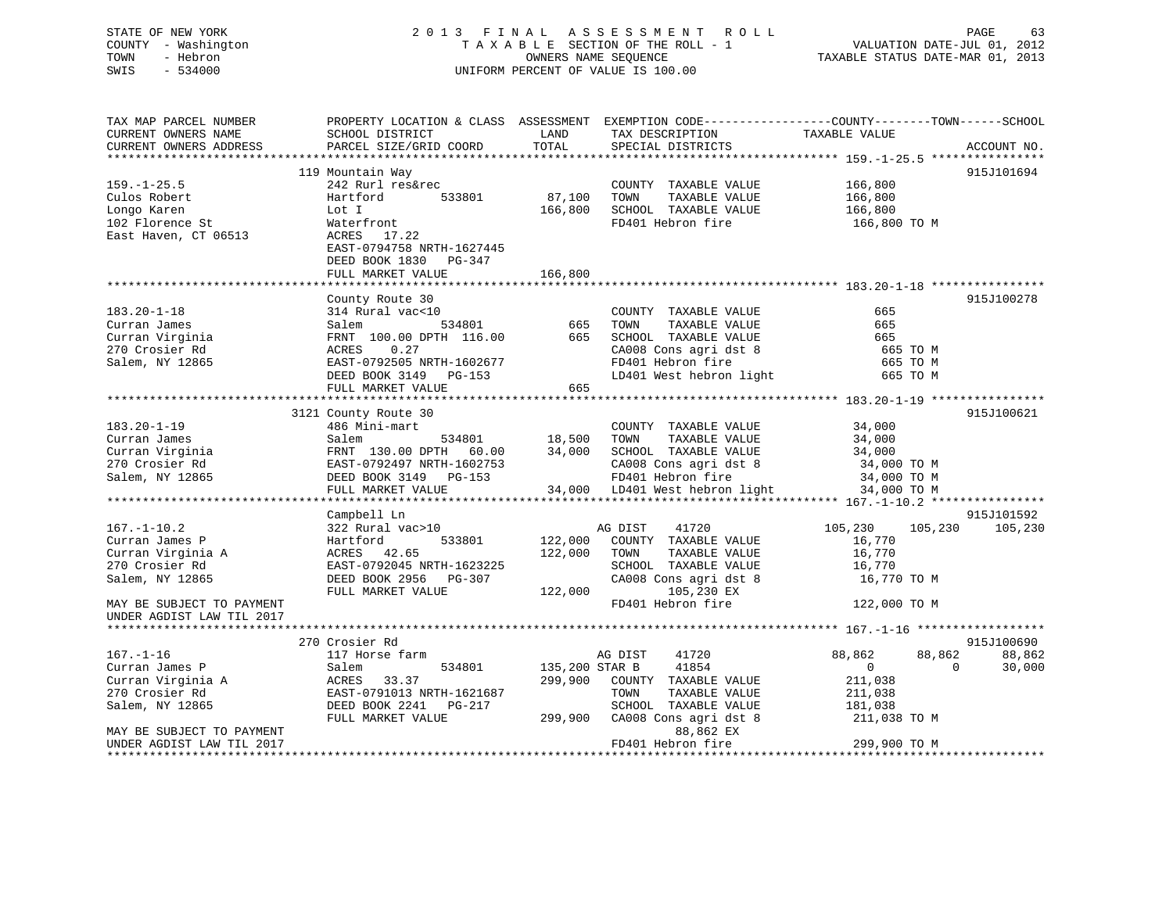# STATE OF NEW YORK 2 0 1 3 F I N A L A S S E S S M E N T R O L L PAGE 63 COUNTY - Washington T A X A B L E SECTION OF THE ROLL - 1 VALUATION DATE-JUL 01, 2012 TOWN - Hebron OWNERS NAME SEQUENCE TAXABLE STATUS DATE-MAR 01, 2013 SWIS - 534000 UNIFORM PERCENT OF VALUE IS 100.00

| TAX MAP PARCEL NUMBER     | PROPERTY LOCATION & CLASS ASSESSMENT EXEMPTION CODE---------------COUNTY-------TOWN-----SCHOOL |                |                                |                    |                    |
|---------------------------|------------------------------------------------------------------------------------------------|----------------|--------------------------------|--------------------|--------------------|
| CURRENT OWNERS NAME       | SCHOOL DISTRICT                                                                                | LAND<br>TOTAL  | TAX DESCRIPTION                | TAXABLE VALUE      |                    |
| CURRENT OWNERS ADDRESS    | PARCEL SIZE/GRID COORD                                                                         |                | SPECIAL DISTRICTS              |                    | ACCOUNT NO.        |
|                           | 119 Mountain Way                                                                               |                |                                |                    | 915J101694         |
| $159. - 1 - 25.5$         | 242 Rurl res&rec                                                                               |                | COUNTY TAXABLE VALUE           | 166,800            |                    |
| Culos Robert              | Hartford<br>533801                                                                             | 87,100         | TOWN<br>TAXABLE VALUE          | 166,800            |                    |
| Longo Karen               | Lot I                                                                                          | 166,800        | SCHOOL TAXABLE VALUE           | 166,800            |                    |
| 102 Florence St           |                                                                                                |                | FD401 Hebron fire              |                    |                    |
| East Haven, CT 06513      | Waterfront<br>ACRES 17.22                                                                      |                |                                | 166,800 TO M       |                    |
|                           | EAST-0794758 NRTH-1627445                                                                      |                |                                |                    |                    |
|                           |                                                                                                |                |                                |                    |                    |
|                           | DEED BOOK 1830 PG-347                                                                          |                |                                |                    |                    |
|                           | FULL MARKET VALUE                                                                              | 166,800        |                                |                    |                    |
|                           |                                                                                                |                |                                |                    |                    |
| $183.20 - 1 - 18$         | County Route 30<br>314 Rural vac<10                                                            |                |                                | 665                | 915J100278         |
|                           |                                                                                                |                | COUNTY TAXABLE VALUE           |                    |                    |
| Curran James              | Salem<br>534801                                                                                | 665            | TOWN<br>TAXABLE VALUE          | 665                |                    |
| Curran Virginia           | FRNT 100.00 DPTH 116.00                                                                        | 665            | SCHOOL TAXABLE VALUE           | 665                |                    |
| 270 Crosier Rd            | ACRES<br>0.27                                                                                  |                | CA008 Cons agri dst 8          | 665 TO M           |                    |
| Salem, NY 12865           | EAST-0792505 NRTH-1602677                                                                      |                | FD401 Hebron fire              | 665 TO M           |                    |
|                           | DEED BOOK 3149 PG-153                                                                          |                | LD401 West hebron light        | 665 TO M           |                    |
|                           | FULL MARKET VALUE                                                                              | 665            |                                |                    |                    |
|                           |                                                                                                |                |                                |                    |                    |
|                           | 3121 County Route 30                                                                           |                |                                |                    | 915J100621         |
| $183.20 - 1 - 19$         | 486 Mini-mart                                                                                  |                | COUNTY TAXABLE VALUE           | 34,000             |                    |
| Curran James              | Salem<br>534801                                                                                | 18,500         | TOWN<br>TAXABLE VALUE          | 34,000             |                    |
| Curran Virginia           | FRNT 130.00 DPTH 60.00                                                                         | 34,000         | SCHOOL TAXABLE VALUE           | 34,000             |                    |
| 270 Crosier Rd            | EAST-0792497 NRTH-1602753                                                                      |                | CA008 Cons agri dst 8          | 34,000 TO M        |                    |
| Salem, NY 12865           | DEED BOOK 3149 PG-153                                                                          |                | FD401 Hebron fire              | 34,000 TO M        |                    |
|                           | FULL MARKET VALUE                                                                              |                | 34,000 LD401 West hebron light | 34,000 TO M        |                    |
|                           |                                                                                                |                |                                |                    |                    |
|                           | Campbell Ln                                                                                    |                |                                |                    | 915J101592         |
| $167. - 1 - 10.2$         | 322 Rural vac>10                                                                               |                | AG DIST<br>41720               | 105,230<br>105,230 | 105,230            |
| Curran James P            | Hartford<br>533801                                                                             | 122,000        | COUNTY TAXABLE VALUE           | 16,770             |                    |
| Curran Virginia A         | ACRES 42.65                                                                                    | 122,000        | TOWN<br>TAXABLE VALUE          | 16,770             |                    |
| 270 Crosier Rd            | EAST-0792045 NRTH-1623225                                                                      |                | SCHOOL TAXABLE VALUE           | 16,770             |                    |
| Salem, NY 12865           | DEED BOOK 2956 PG-307                                                                          |                | CA008 Cons agri dst 8          | 16,770 TO M        |                    |
|                           | FULL MARKET VALUE                                                                              | 122,000        | 105,230 EX                     |                    |                    |
| MAY BE SUBJECT TO PAYMENT |                                                                                                |                | FD401 Hebron fire              | 122,000 TO M       |                    |
| UNDER AGDIST LAW TIL 2017 |                                                                                                |                |                                |                    |                    |
|                           |                                                                                                |                |                                |                    |                    |
|                           | 270 Crosier Rd                                                                                 |                |                                |                    | 915J100690         |
| $167. - 1 - 16$           | 117 Horse farm                                                                                 |                | 41720<br>AG DIST               | 88,862<br>88,862   | 88,862             |
| Curran James P            | 534801<br>Salem                                                                                | 135,200 STAR B | 41854                          | $\Omega$           | $\Omega$<br>30,000 |
| Curran Virginia A         | ACRES<br>33.37                                                                                 | 299,900        | COUNTY TAXABLE VALUE           | 211,038            |                    |
| 270 Crosier Rd            | EAST-0791013 NRTH-1621687                                                                      |                | TOWN<br>TAXABLE VALUE          | 211,038            |                    |
| Salem, NY 12865           | DEED BOOK 2241<br>PG-217                                                                       |                | SCHOOL TAXABLE VALUE           | 181,038            |                    |
|                           | FULL MARKET VALUE                                                                              | 299,900        | CA008 Cons agri dst 8          | 211,038 TO M       |                    |
| MAY BE SUBJECT TO PAYMENT |                                                                                                |                | 88,862 EX                      |                    |                    |
| UNDER AGDIST LAW TIL 2017 |                                                                                                |                | FD401 Hebron fire              | 299,900 TO M       |                    |
|                           |                                                                                                |                |                                |                    |                    |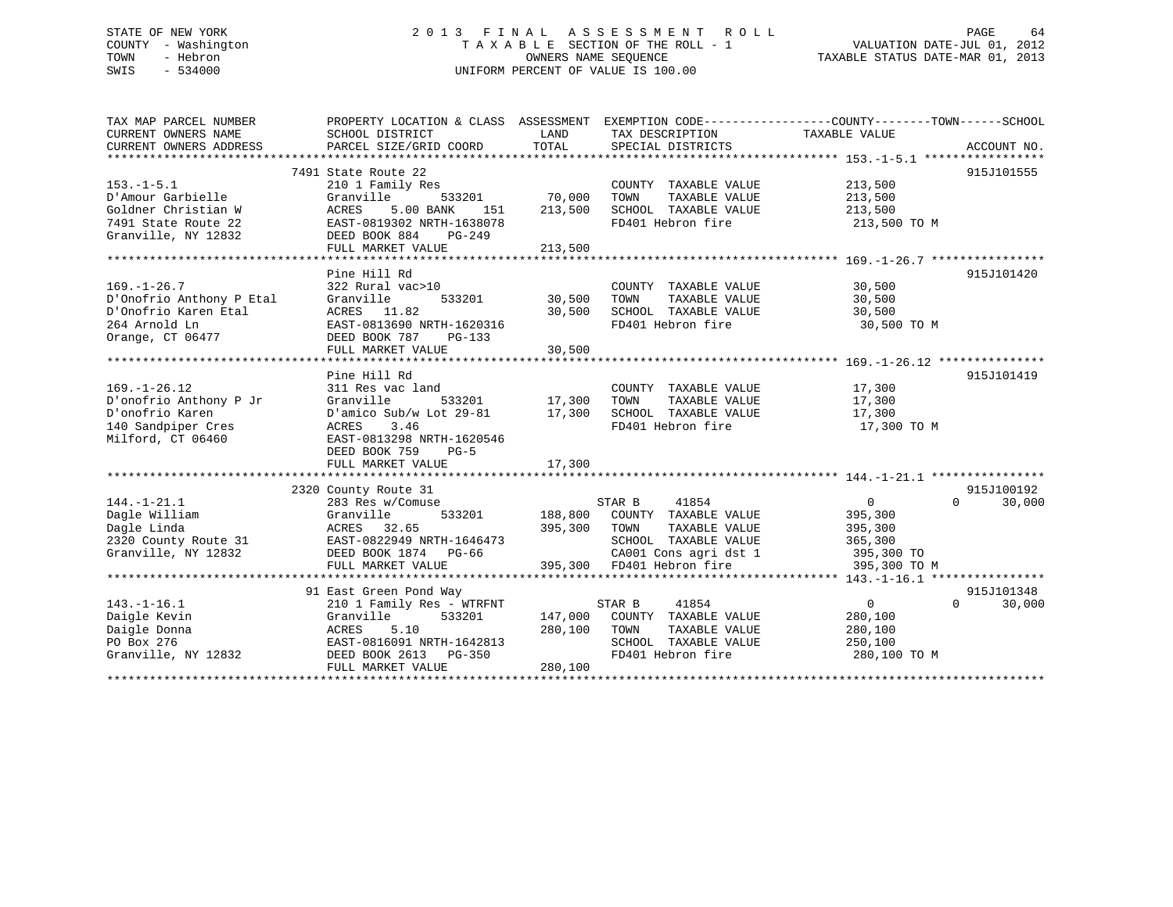# STATE OF NEW YORK 2 0 1 3 F I N A L A S S E S S M E N T R O L L PAGE 64 COUNTY - Washington T A X A B L E SECTION OF THE ROLL - 1 VALUATION DATE-JUL 01, 2012 TOWN - Hebron OWNERS NAME SEQUENCE TAXABLE STATUS DATE-MAR 01, 2013 SWIS - 534000 UNIFORM PERCENT OF VALUE IS 100.00

| TAX MAP PARCEL NUMBER<br>CURRENT OWNERS NAME<br>CURRENT OWNERS ADDRESS                                     | SCHOOL DISTRICT<br>PARCEL SIZE/GRID COORD                                                                                                                                       | LAND<br>TOTAL                 | TAX DESCRIPTION<br>SPECIAL DISTRICTS                                                                                                                                           | PROPERTY LOCATION & CLASS ASSESSMENT EXEMPTION CODE----------------COUNTY-------TOWN------SCHOOL<br>TAXABLE VALUE<br>ACCOUNT NO. |
|------------------------------------------------------------------------------------------------------------|---------------------------------------------------------------------------------------------------------------------------------------------------------------------------------|-------------------------------|--------------------------------------------------------------------------------------------------------------------------------------------------------------------------------|----------------------------------------------------------------------------------------------------------------------------------|
| $153. - 1 - 5.1$<br>D'Amour Garbielle<br>Goldner Christian W<br>7491 State Route 22<br>Granville, NY 12832 | 7491 State Route 22<br>210 1 Family Res<br>533201<br>Granville<br>5.00 BANK<br>ACRES<br>151<br>EAST-0819302 NRTH-1638078<br>DEED BOOK 884<br>PG-249<br>FULL MARKET VALUE        | 70,000<br>213,500<br>213,500  | COUNTY TAXABLE VALUE<br>TOWN<br>TAXABLE VALUE<br>SCHOOL TAXABLE VALUE<br>FD401 Hebron fire                                                                                     | 915J101555<br>213,500<br>213,500<br>213,500<br>213,500 TO M                                                                      |
| $169. - 1 - 26.7$<br>D'Onofrio Anthony P Etal<br>D'Onofrio Karen Etal<br>264 Arnold Ln<br>Orange, CT 06477 | Pine Hill Rd<br>322 Rural vac>10<br>533201<br>Granville<br>ACRES 11.82<br>EAST-0813690 NRTH-1620316<br>DEED BOOK 787<br>PG-133<br>FULL MARKET VALUE                             | 30,500<br>30,500<br>30,500    | COUNTY TAXABLE VALUE<br>TOWN<br>TAXABLE VALUE<br>SCHOOL TAXABLE VALUE<br>FD401 Hebron fire                                                                                     | 915J101420<br>30,500<br>30,500<br>30,500<br>30,500 TO M                                                                          |
| $169. - 1 - 26.12$<br>D'onofrio Anthony P Jr<br>D'onofrio Karen<br>140 Sandpiper Cres<br>Milford, CT 06460 | Pine Hill Rd<br>311 Res vac land<br>Granville<br>D'amico Sub/w Lot $29-81$ 17,300<br>3.46<br>ACRES<br>EAST-0813298 NRTH-1620546<br>DEED BOOK 759<br>$PG-5$<br>FULL MARKET VALUE | 533201 17,300<br>17,300       | COUNTY TAXABLE VALUE<br>TOWN<br>TAXABLE VALUE<br>SCHOOL TAXABLE VALUE<br>FD401 Hebron fire                                                                                     | 915J101419<br>17,300<br>17,300<br>17,300<br>17,300 TO M                                                                          |
| $144. - 1 - 21.1$<br>Dagle William<br>Dagle Linda<br>2320 County Route 31<br>Granville, NY 12832           | 2320 County Route 31<br>283 Res w/Comuse<br>533201<br>Granville<br>ACRES 32.65<br>EAST-0822949 NRTH-1646473<br>DEED BOOK 1874 PG-66<br>FULL MARKET VALUE                        | 395,300                       | 41854<br>STAR B<br>188,800 COUNTY TAXABLE VALUE<br>TOWN<br>TAXABLE VALUE<br>SCHOOL TAXABLE VALUE<br>SCHOOL TAXABLE VALUE<br>CA001 Cons agri dst 1<br>395,300 FD401 Hebron fire | 915J100192<br>$\overline{0}$<br>$\Omega$<br>30,000<br>395,300<br>395,300<br>365,300<br>395,300 TO<br>395,300 TO M                |
| $143. - 1 - 16.1$<br>Daigle Kevin<br>Daigle Donna<br>PO Box 276<br>Granville, NY 12832                     | 91 East Green Pond Way<br>210 1 Family Res - WTRFNT<br>Granville<br>533201<br>5.10<br>ACRES<br>EAST-0816091 NRTH-1642813<br>DEED BOOK 2613 PG-350<br>FULL MARKET VALUE          | 147,000<br>280,100<br>280,100 | STAR B<br>41854<br>COUNTY TAXABLE VALUE<br>TOWN<br>TAXABLE VALUE<br>SCHOOL TAXABLE VALUE<br>FD401 Hebron fire                                                                  | 915J101348<br>$\overline{0}$<br>$\Omega$<br>30,000<br>280,100<br>280,100<br>250,100<br>280,100 TO M                              |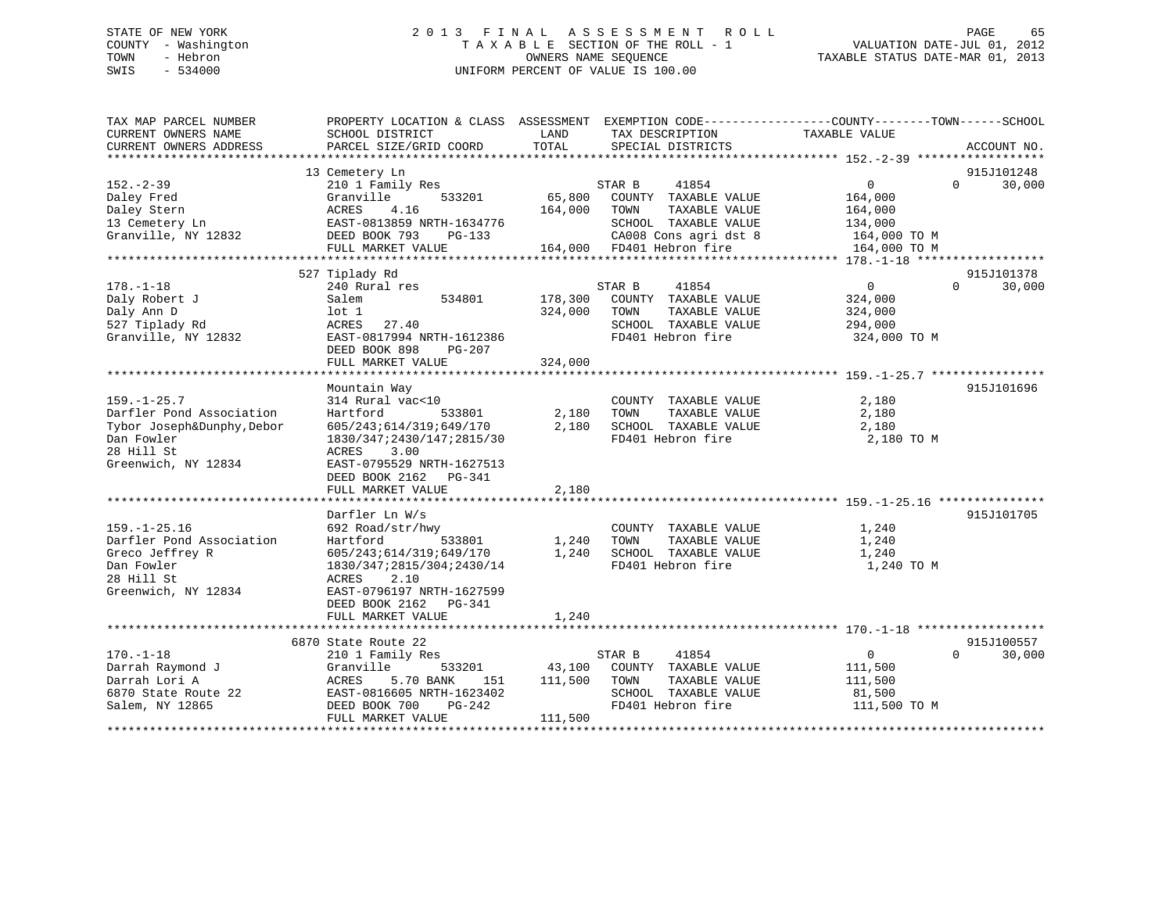# STATE OF NEW YORK 2 0 1 3 F I N A L A S S E S S M E N T R O L L PAGE 65 COUNTY - Washington T A X A B L E SECTION OF THE ROLL - 1 VALUATION DATE-JUL 01, 2012 TOWN - Hebron OWNERS NAME SEQUENCE TAXABLE STATUS DATE-MAR 01, 2013 SWIS - 534000 UNIFORM PERCENT OF VALUE IS 100.00

| TAX MAP PARCEL NUMBER<br>CURRENT OWNERS NAME<br>CURRENT OWNERS ADDRESS | PROPERTY LOCATION & CLASS ASSESSMENT EXEMPTION CODE---------------COUNTY-------TOWN-----SCHOOL<br>SCHOOL DISTRICT<br>PARCEL SIZE/GRID COORD | LAND<br>TOTAL | TAX DESCRIPTION<br>SPECIAL DISTRICTS               | TAXABLE VALUE           | ACCOUNT NO.        |
|------------------------------------------------------------------------|---------------------------------------------------------------------------------------------------------------------------------------------|---------------|----------------------------------------------------|-------------------------|--------------------|
|                                                                        |                                                                                                                                             |               |                                                    |                         |                    |
|                                                                        | 13 Cemetery Ln                                                                                                                              |               |                                                    |                         | 915J101248         |
| $152 - 2 - 39$                                                         | 210 1 Family Res                                                                                                                            |               | 41854<br>STAR B                                    | $\overline{0}$          | $\Omega$<br>30,000 |
| Daley Fred                                                             | 533201<br>Granville                                                                                                                         | 65,800        | COUNTY TAXABLE VALUE                               | 164,000                 |                    |
| Daley Stern                                                            | ACRES<br>4.16                                                                                                                               | 164,000       | TOWN<br>TAXABLE VALUE                              | 164,000                 |                    |
| 13 Cemetery Ln<br>Granville, NY 12832                                  | EAST-0813859 NRTH-1634776<br>DEED BOOK 793<br>$PG-133$                                                                                      |               | SCHOOL TAXABLE VALUE                               | 134,000<br>164,000 TO M |                    |
|                                                                        | FULL MARKET VALUE                                                                                                                           |               | CA008 Cons agri dst 8<br>164,000 FD401 Hebron fire | 164,000 TO M            |                    |
|                                                                        |                                                                                                                                             |               |                                                    |                         |                    |
|                                                                        | 527 Tiplady Rd                                                                                                                              |               |                                                    |                         | 915J101378         |
| $178. - 1 - 18$                                                        | 240 Rural res                                                                                                                               |               | 41854<br>STAR B                                    | $\overline{0}$          | 30,000<br>$\Omega$ |
| Daly Robert J                                                          | 534801<br>Salem                                                                                                                             | 178,300       | COUNTY TAXABLE VALUE                               | 324,000                 |                    |
| Daly Ann D                                                             | $1$ ot $1$                                                                                                                                  | 324,000       | TAXABLE VALUE<br>TOWN                              | 324,000                 |                    |
| 527 Tiplady Rd                                                         | ACRES<br>27.40                                                                                                                              |               | SCHOOL TAXABLE VALUE                               | 294,000                 |                    |
| Granville, NY 12832                                                    | EAST-0817994 NRTH-1612386                                                                                                                   |               | FD401 Hebron fire                                  | 324,000 TO M            |                    |
|                                                                        | DEED BOOK 898<br>PG-207                                                                                                                     |               |                                                    |                         |                    |
|                                                                        | FULL MARKET VALUE                                                                                                                           | 324,000       |                                                    |                         |                    |
|                                                                        |                                                                                                                                             |               |                                                    |                         |                    |
|                                                                        | Mountain Way                                                                                                                                |               |                                                    |                         | 915J101696         |
| $159. - 1 - 25.7$                                                      | 314 Rural vac<10                                                                                                                            |               | COUNTY TAXABLE VALUE                               | 2,180                   |                    |
| Darfler Pond Association                                               | Hartford<br>533801                                                                                                                          | 2,180         | TOWN<br>TAXABLE VALUE<br>SCHOOL TAXABLE VALUE      | 2,180                   |                    |
| Tybor Joseph&Dunphy, Debor<br>Dan Fowler                               | 605/243;614/319;649/170                                                                                                                     | 2,180         | FD401 Hebron fire                                  | 2,180<br>2,180 TO M     |                    |
| 28 Hill St                                                             | 1830/347;2430/147;2815/30<br>ACRES<br>3.00                                                                                                  |               |                                                    |                         |                    |
| Greenwich, NY 12834                                                    | EAST-0795529 NRTH-1627513                                                                                                                   |               |                                                    |                         |                    |
|                                                                        | DEED BOOK 2162<br>PG-341                                                                                                                    |               |                                                    |                         |                    |
|                                                                        | FULL MARKET VALUE                                                                                                                           | 2,180         |                                                    |                         |                    |
|                                                                        |                                                                                                                                             |               |                                                    |                         |                    |
|                                                                        | Darfler Ln W/s                                                                                                                              |               |                                                    |                         | 915J101705         |
| $159. - 1 - 25.16$                                                     | 692 Road/str/hwy                                                                                                                            |               | COUNTY TAXABLE VALUE                               | 1,240                   |                    |
| Darfler Pond Association                                               | Hartford<br>533801                                                                                                                          | 1,240         | TOWN<br>TAXABLE VALUE                              | 1,240                   |                    |
| Greco Jeffrey R                                                        | 605/243;614/319;649/170                                                                                                                     | 1,240         | SCHOOL TAXABLE VALUE                               | 1,240                   |                    |
| Dan Fowler                                                             | 1830/347;2815/304;2430/14                                                                                                                   |               | FD401 Hebron fire                                  | 1,240 TO M              |                    |
| 28 Hill St                                                             | ACRES<br>2.10                                                                                                                               |               |                                                    |                         |                    |
| Greenwich, NY 12834                                                    | EAST-0796197 NRTH-1627599                                                                                                                   |               |                                                    |                         |                    |
|                                                                        | DEED BOOK 2162    PG-341                                                                                                                    |               |                                                    |                         |                    |
|                                                                        | FULL MARKET VALUE                                                                                                                           | 1,240         |                                                    |                         |                    |
|                                                                        | 6870 State Route 22                                                                                                                         |               |                                                    |                         | 915J100557         |
| $170. - 1 - 18$                                                        | 210 1 Family Res                                                                                                                            |               | STAR B<br>41854                                    | $\mathbf 0$             | $\Omega$<br>30,000 |
| Darrah Raymond J                                                       | Granville<br>533201                                                                                                                         | 43,100        | COUNTY TAXABLE VALUE                               | 111,500                 |                    |
| Darrah Lori A                                                          | 5.70 BANK<br>ACRES<br>151                                                                                                                   | 111,500       | TOWN<br>TAXABLE VALUE                              | 111,500                 |                    |
| 6870 State Route 22                                                    | EAST-0816605 NRTH-1623402                                                                                                                   |               | SCHOOL TAXABLE VALUE                               | 81,500                  |                    |
| Salem, NY 12865                                                        | DEED BOOK 700<br>PG-242                                                                                                                     |               | FD401 Hebron fire                                  | 111,500 TO M            |                    |
|                                                                        | FULL MARKET VALUE                                                                                                                           | 111,500       |                                                    |                         |                    |
|                                                                        |                                                                                                                                             |               |                                                    |                         |                    |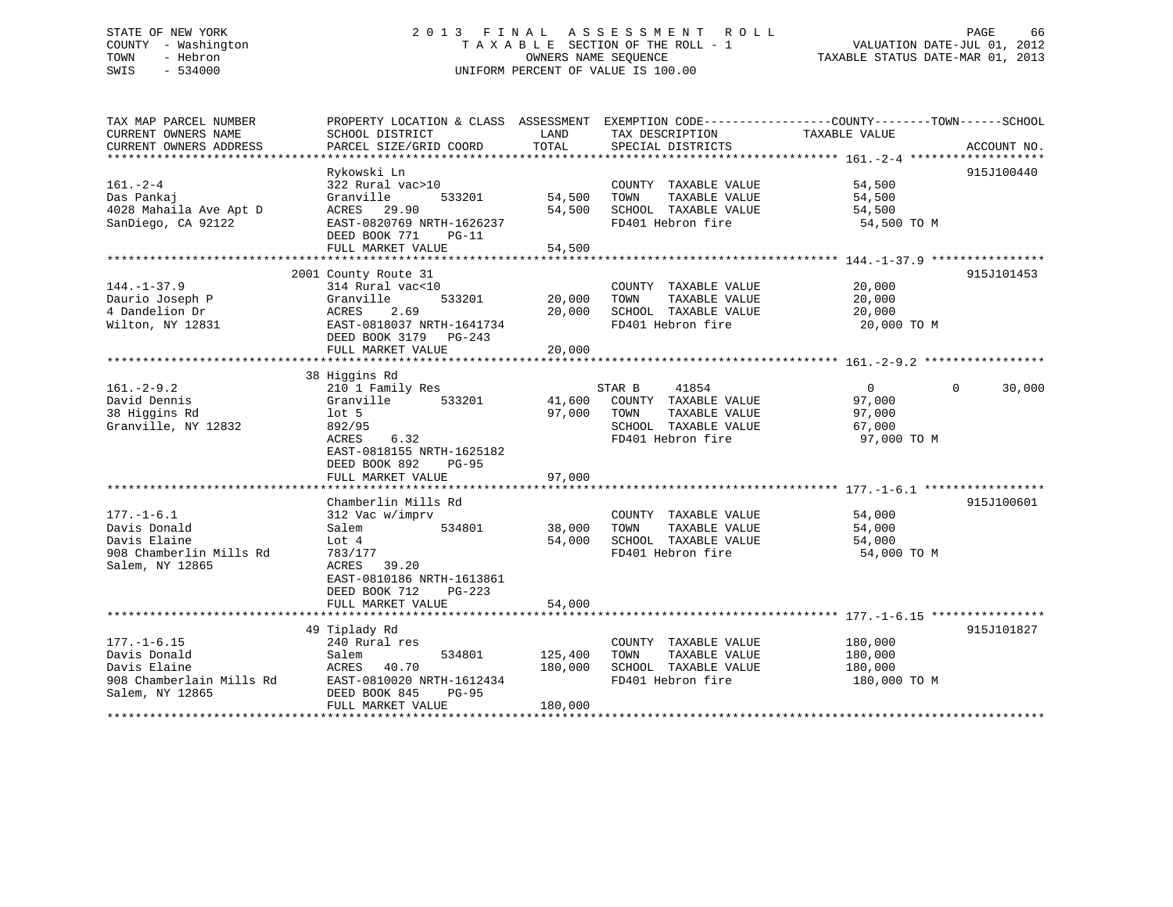# STATE OF NEW YORK 2 0 1 3 F I N A L A S S E S S M E N T R O L L PAGE 66 COUNTY - Washington T A X A B L E SECTION OF THE ROLL - 1 VALUATION DATE-JUL 01, 2012 TOWN - Hebron OWNERS NAME SEQUENCE TAXABLE STATUS DATE-MAR 01, 2013 SWIS - 534000 UNIFORM PERCENT OF VALUE IS 100.00

| SCHOOL DISTRICT<br>PARCEL SIZE/GRID COORD                                                                                                                                   | LAND<br>TOTAL                  | TAX DESCRIPTION<br>SPECIAL DISTRICTS                                                                | TAXABLE VALUE                                         | ACCOUNT NO.                                                                                      |
|-----------------------------------------------------------------------------------------------------------------------------------------------------------------------------|--------------------------------|-----------------------------------------------------------------------------------------------------|-------------------------------------------------------|--------------------------------------------------------------------------------------------------|
| Rykowski Ln<br>322 Rural vac>10<br>Granville<br>533201<br>ACRES 29.90<br>EAST-0820769 NRTH-1626237<br>DEED BOOK 771<br>$PG-11$<br>FULL MARKET VALUE                         | 54,500<br>54,500<br>54,500     | COUNTY TAXABLE VALUE<br>TOWN<br>TAXABLE VALUE<br>FD401 Hebron fire                                  | 54,500<br>54,500<br>54,500<br>54,500 TO M             | 915J100440                                                                                       |
| 2001 County Route 31<br>314 Rural vac<10<br>533201<br>Granville<br>ACRES<br>2.69<br>EAST-0818037 NRTH-1641734<br>DEED BOOK 3179 PG-243<br>FULL MARKET VALUE                 | 20,000<br>20,000<br>20,000     | COUNTY TAXABLE VALUE<br>TAXABLE VALUE<br>TOWN<br>SCHOOL TAXABLE VALUE<br>FD401 Hebron fire          | 20,000<br>20,000<br>20,000<br>20,000 TO M             | 915J101453                                                                                       |
|                                                                                                                                                                             |                                |                                                                                                     |                                                       |                                                                                                  |
| 210 1 Family Res<br>Granville<br>533201<br>$1$ ot 5<br>892/95<br>6.32<br>ACRES<br>EAST-0818155 NRTH-1625182<br>DEED BOOK 892<br><b>PG-95</b><br>FULL MARKET VALUE           | 41,600<br>97,000<br>97,000     | 41854<br>COUNTY TAXABLE VALUE<br>TOWN<br>TAXABLE VALUE<br>SCHOOL TAXABLE VALUE<br>FD401 Hebron fire | $\Omega$<br>97,000<br>97,000<br>67,000<br>97,000 TO M | 30,000<br>$\Omega$                                                                               |
| Chamberlin Mills Rd<br>312 Vac w/imprv<br>Salem<br>534801<br>Lot 4<br>783/177<br>ACRES 39.20<br>EAST-0810186 NRTH-1613861<br>DEED BOOK 712<br>$PG-223$<br>FULL MARKET VALUE | 38,000<br>54,000<br>54,000     | COUNTY TAXABLE VALUE<br>TOWN<br>TAXABLE VALUE<br>SCHOOL TAXABLE VALUE<br>FD401 Hebron fire          | 54,000<br>54,000<br>54,000<br>54,000 TO M             | 915J100601                                                                                       |
|                                                                                                                                                                             |                                |                                                                                                     |                                                       |                                                                                                  |
| 240 Rural res<br>Salem<br>534801<br>40.70<br>ACRES<br>EAST-0810020 NRTH-1612434<br>DEED BOOK 845<br>$PG-95$<br>FULL MARKET VALUE                                            | 125,400<br>180,000<br>180,000  | COUNTY TAXABLE VALUE<br>TAXABLE VALUE<br>TOWN<br>SCHOOL TAXABLE VALUE<br>FD401 Hebron fire          | 180,000<br>180,000<br>180,000<br>180,000 TO M         | 915J101827                                                                                       |
|                                                                                                                                                                             | 38 Higgins Rd<br>49 Tiplady Rd |                                                                                                     | SCHOOL TAXABLE VALUE<br>STAR B                        | PROPERTY LOCATION & CLASS ASSESSMENT EXEMPTION CODE----------------COUNTY-------TOWN------SCHOOL |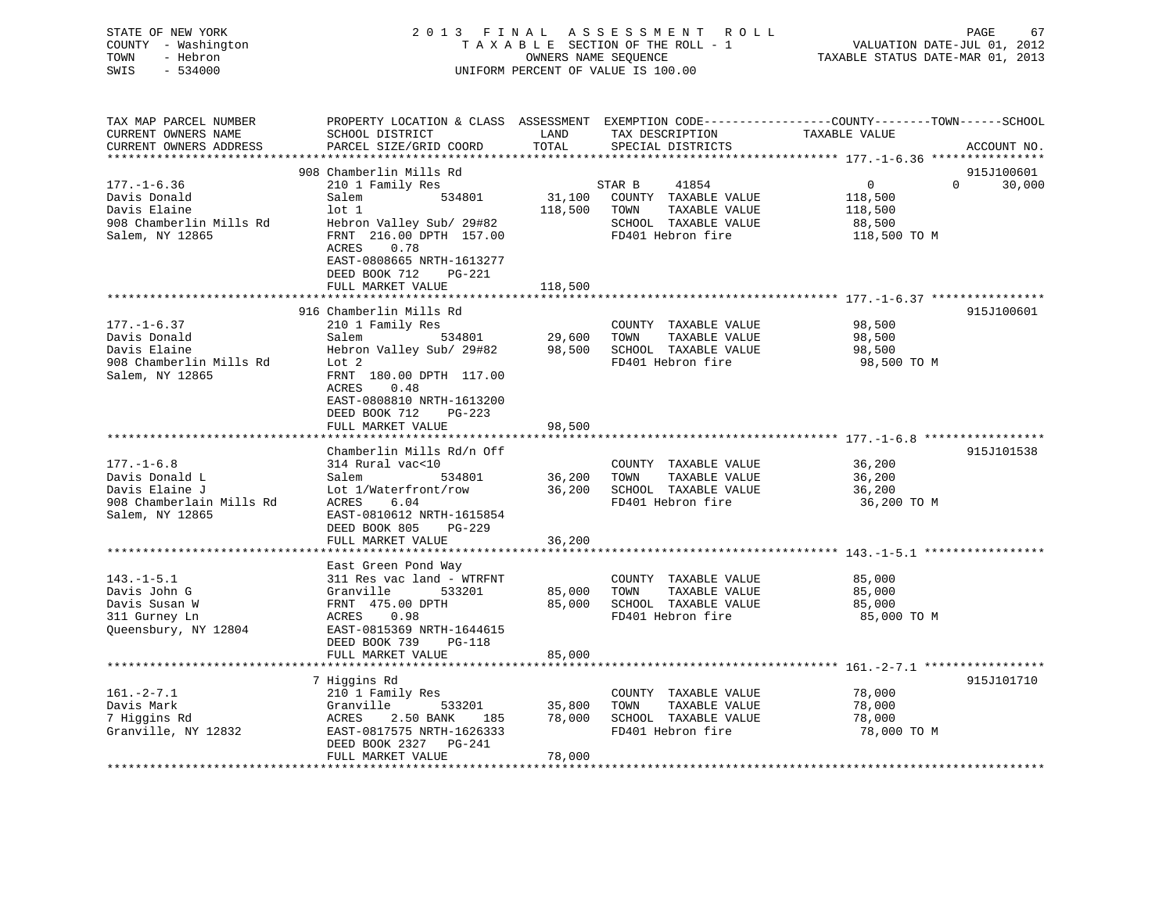| STATE OF NEW YORK<br>COUNTY - Washington<br>TOWN<br>- Hebron<br>SWIS<br>$-534000$                   | 2013 FINAL                                                                                                                                                                                              | OWNERS NAME SEQUENCE     | A S S E S S M E N T R O L L<br>TAXABLE SECTION OF THE ROLL - 1<br>UNIFORM PERCENT OF VALUE IS 100.00 | PAGE<br>67<br>VALUATION DATE-JUL 01, 2012<br>TAXABLE STATUS DATE-MAR 01, 2013                                                   |
|-----------------------------------------------------------------------------------------------------|---------------------------------------------------------------------------------------------------------------------------------------------------------------------------------------------------------|--------------------------|------------------------------------------------------------------------------------------------------|---------------------------------------------------------------------------------------------------------------------------------|
| TAX MAP PARCEL NUMBER<br>CURRENT OWNERS NAME<br>CURRENT OWNERS ADDRESS<br>***********************   | SCHOOL DISTRICT<br>PARCEL SIZE/GRID COORD                                                                                                                                                               | LAND<br>TOTAL            | TAX DESCRIPTION<br>SPECIAL DISTRICTS                                                                 | PROPERTY LOCATION & CLASS ASSESSMENT EXEMPTION CODE----------------COUNTY-------TOWN-----SCHOOL<br>TAXABLE VALUE<br>ACCOUNT NO. |
| $177. - 1 - 6.36$<br>Davis Donald<br>Davis Elaine                                                   | 908 Chamberlin Mills Rd<br>210 1 Family Res<br>Salem<br>534801<br>$1$ ot $1$                                                                                                                            | 31,100<br>118,500        | STAR B<br>41854<br>COUNTY TAXABLE VALUE<br>TOWN<br>TAXABLE VALUE                                     | 915J100601<br>$\Omega$<br>$\overline{0}$<br>30,000<br>118,500<br>118,500                                                        |
| 908 Chamberlin Mills Rd<br>Salem, NY 12865                                                          | Hebron Valley Sub/ 29#82<br>FRNT 216.00 DPTH 157.00<br>ACRES<br>0.78<br>EAST-0808665 NRTH-1613277<br>DEED BOOK 712<br>PG-221<br>FULL MARKET VALUE                                                       | 118,500                  | SCHOOL TAXABLE VALUE<br>FD401 Hebron fire                                                            | 88,500<br>118,500 TO M                                                                                                          |
|                                                                                                     | ************************                                                                                                                                                                                | ************             |                                                                                                      |                                                                                                                                 |
| $177. - 1 - 6.37$<br>Davis Donald<br>Davis Elaine<br>908 Chamberlin Mills Rd<br>Salem, NY 12865     | 916 Chamberlin Mills Rd<br>210 1 Family Res<br>Salem<br>534801<br>Hebron Valley Sub/ 29#82<br>Lot 2<br>FRNT 180.00 DPTH 117.00<br>0.48<br>ACRES<br>EAST-0808810 NRTH-1613200<br>DEED BOOK 712<br>PG-223 | 29,600<br>98,500         | COUNTY TAXABLE VALUE<br>TOWN<br>TAXABLE VALUE<br>SCHOOL TAXABLE VALUE<br>FD401 Hebron fire           | 915J100601<br>98,500<br>98,500<br>98,500<br>98,500 TO M                                                                         |
|                                                                                                     | FULL MARKET VALUE                                                                                                                                                                                       | 98,500                   |                                                                                                      |                                                                                                                                 |
| $177. - 1 - 6.8$<br>Davis Donald L<br>Davis Elaine J<br>908 Chamberlain Mills Rd<br>Salem, NY 12865 | Chamberlin Mills Rd/n Off<br>314 Rural vac<10<br>Salem<br>534801<br>Lot 1/Waterfront/row<br>ACRES<br>6.04<br>EAST-0810612 NRTH-1615854<br>DEED BOOK 805<br>$PG-229$                                     | 36,200<br>36,200         | COUNTY TAXABLE VALUE<br>TAXABLE VALUE<br>TOWN<br>SCHOOL TAXABLE VALUE<br>FD401 Hebron fire           | 915J101538<br>36,200<br>36,200<br>36,200<br>36,200 TO M                                                                         |
|                                                                                                     | FULL MARKET VALUE                                                                                                                                                                                       | 36,200                   |                                                                                                      |                                                                                                                                 |
| $143. - 1 - 5.1$<br>Davis John G<br>Davis Susan W<br>311 Gurney Ln<br>Queensbury, NY 12804          | East Green Pond Way<br>311 Res vac land - WTRFNT<br>Granville<br>533201<br>FRNT 475.00 DPTH<br>ACRES<br>0.98<br>EAST-0815369 NRTH-1644615<br>DEED BOOK 739<br>PG-118                                    | 85,000<br>85,000         | COUNTY TAXABLE VALUE<br>TOWN<br>TAXABLE VALUE<br>SCHOOL TAXABLE VALUE<br>FD401 Hebron fire           | 85,000<br>85,000<br>85,000<br>85,000 TO M                                                                                       |
|                                                                                                     | FULL MARKET VALUE                                                                                                                                                                                       | 85,000                   |                                                                                                      |                                                                                                                                 |
| $161. - 2 - 7.1$<br>Davis Mark<br>7 Higgins Rd<br>Granville, NY 12832                               | 7 Higgins Rd<br>210 1 Family Res<br>Granville<br>533201<br>ACRES<br>2.50 BANK<br>185<br>EAST-0817575 NRTH-1626333<br>DEED BOOK 2327 PG-241                                                              | 35,800<br>78,000         | COUNTY TAXABLE VALUE<br>TOWN<br>TAXABLE VALUE<br>SCHOOL TAXABLE VALUE<br>FD401 Hebron fire           | 915J101710<br>78,000<br>78,000<br>78,000<br>78,000 TO M                                                                         |
|                                                                                                     | FULL MARKET VALUE                                                                                                                                                                                       | 78,000<br>************** |                                                                                                      |                                                                                                                                 |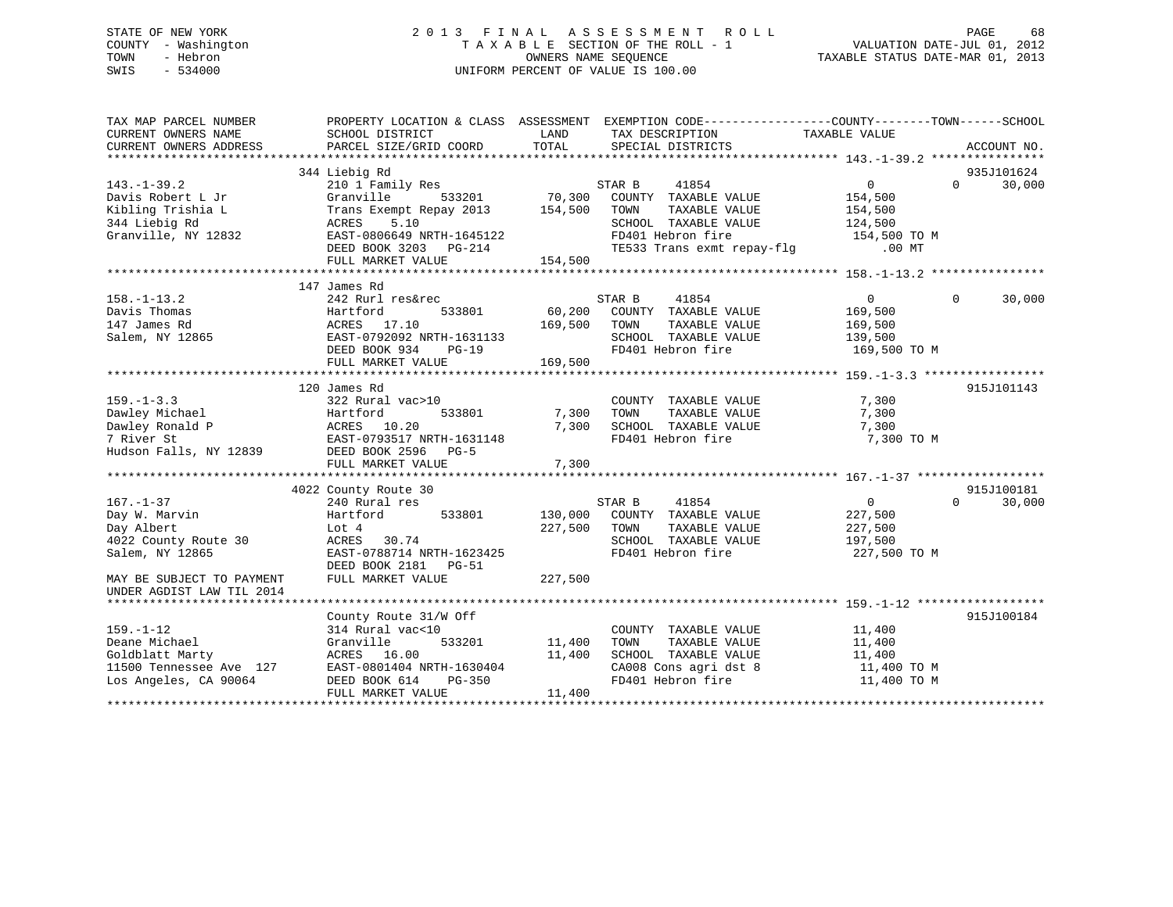# STATE OF NEW YORK 2 0 1 3 F I N A L A S S E S S M E N T R O L L PAGE 68 COUNTY - Washington T A X A B L E SECTION OF THE ROLL - 1 VALUATION DATE-JUL 01, 2012 TOWN - Hebron OWNERS NAME SEQUENCE TAXABLE STATUS DATE-MAR 01, 2013 SWIS - 534000 UNIFORM PERCENT OF VALUE IS 100.00

| CURRENT OWNERS ADDRESS<br>935J101624<br>344 Liebig Rd<br>$143. - 1 - 39.2$<br>STAR B<br>41854<br>$\mathbf{0}$<br>$\Omega$<br>210 1 Family Res<br>Davis Robert L Jr<br>Granville<br>533201<br>70,300<br>COUNTY TAXABLE VALUE<br>154,500<br>154,500<br>Kibling Trishia L<br>Trans Exempt Repay 2013<br>TOWN<br>TAXABLE VALUE<br>154,500<br>344 Liebig Rd<br>ACRES<br>5.10<br>SCHOOL TAXABLE VALUE<br>124,500<br>Granville, NY 12832<br>EAST-0806649 NRTH-1645122<br>FD401 Hebron fire<br>154,500 TO M<br>TE533 Trans exmt repay-flg<br>DEED BOOK 3203 PG-214<br>$.00$ MT<br>FULL MARKET VALUE<br>154,500<br>147 James Rd<br>$158. - 1 - 13.2$<br>41854<br>30,000<br>242 Rurl res&rec<br>STAR B<br>$\Omega$<br>$\Omega$<br>60,200<br>Davis Thomas<br>Hartford<br>533801<br>COUNTY TAXABLE VALUE<br>169,500<br>147 James Rd<br>ACRES 17.10<br>169,500<br>TOWN<br>TAXABLE VALUE<br>169,500<br>EAST-0792092 NRTH-1631133<br>Salem, NY 12865<br>SCHOOL TAXABLE VALUE<br>139,500 | TAX MAP PARCEL NUMBER<br>CURRENT OWNERS NAME | PROPERTY LOCATION & CLASS ASSESSMENT<br>SCHOOL DISTRICT | LAND  | EXEMPTION CODE-----------------COUNTY-------TOWN------SCHOOL<br>TAX DESCRIPTION | TAXABLE VALUE |             |
|--------------------------------------------------------------------------------------------------------------------------------------------------------------------------------------------------------------------------------------------------------------------------------------------------------------------------------------------------------------------------------------------------------------------------------------------------------------------------------------------------------------------------------------------------------------------------------------------------------------------------------------------------------------------------------------------------------------------------------------------------------------------------------------------------------------------------------------------------------------------------------------------------------------------------------------------------------------------------|----------------------------------------------|---------------------------------------------------------|-------|---------------------------------------------------------------------------------|---------------|-------------|
|                                                                                                                                                                                                                                                                                                                                                                                                                                                                                                                                                                                                                                                                                                                                                                                                                                                                                                                                                                          |                                              | PARCEL SIZE/GRID COORD                                  | TOTAL | SPECIAL DISTRICTS                                                               |               | ACCOUNT NO. |
|                                                                                                                                                                                                                                                                                                                                                                                                                                                                                                                                                                                                                                                                                                                                                                                                                                                                                                                                                                          |                                              |                                                         |       |                                                                                 |               |             |
|                                                                                                                                                                                                                                                                                                                                                                                                                                                                                                                                                                                                                                                                                                                                                                                                                                                                                                                                                                          |                                              |                                                         |       |                                                                                 |               | 30,000      |
|                                                                                                                                                                                                                                                                                                                                                                                                                                                                                                                                                                                                                                                                                                                                                                                                                                                                                                                                                                          |                                              |                                                         |       |                                                                                 |               |             |
|                                                                                                                                                                                                                                                                                                                                                                                                                                                                                                                                                                                                                                                                                                                                                                                                                                                                                                                                                                          |                                              |                                                         |       |                                                                                 |               |             |
|                                                                                                                                                                                                                                                                                                                                                                                                                                                                                                                                                                                                                                                                                                                                                                                                                                                                                                                                                                          |                                              |                                                         |       |                                                                                 |               |             |
|                                                                                                                                                                                                                                                                                                                                                                                                                                                                                                                                                                                                                                                                                                                                                                                                                                                                                                                                                                          |                                              |                                                         |       |                                                                                 |               |             |
|                                                                                                                                                                                                                                                                                                                                                                                                                                                                                                                                                                                                                                                                                                                                                                                                                                                                                                                                                                          |                                              |                                                         |       |                                                                                 |               |             |
|                                                                                                                                                                                                                                                                                                                                                                                                                                                                                                                                                                                                                                                                                                                                                                                                                                                                                                                                                                          |                                              |                                                         |       |                                                                                 |               |             |
|                                                                                                                                                                                                                                                                                                                                                                                                                                                                                                                                                                                                                                                                                                                                                                                                                                                                                                                                                                          |                                              |                                                         |       |                                                                                 |               |             |
|                                                                                                                                                                                                                                                                                                                                                                                                                                                                                                                                                                                                                                                                                                                                                                                                                                                                                                                                                                          |                                              |                                                         |       |                                                                                 |               |             |
|                                                                                                                                                                                                                                                                                                                                                                                                                                                                                                                                                                                                                                                                                                                                                                                                                                                                                                                                                                          |                                              |                                                         |       |                                                                                 |               |             |
|                                                                                                                                                                                                                                                                                                                                                                                                                                                                                                                                                                                                                                                                                                                                                                                                                                                                                                                                                                          |                                              |                                                         |       |                                                                                 |               |             |
|                                                                                                                                                                                                                                                                                                                                                                                                                                                                                                                                                                                                                                                                                                                                                                                                                                                                                                                                                                          |                                              |                                                         |       |                                                                                 |               |             |
| FD401 Hebron fire<br>DEED BOOK 934<br>169,500 TO M<br>$PG-19$                                                                                                                                                                                                                                                                                                                                                                                                                                                                                                                                                                                                                                                                                                                                                                                                                                                                                                            |                                              |                                                         |       |                                                                                 |               |             |
| FULL MARKET VALUE<br>169,500                                                                                                                                                                                                                                                                                                                                                                                                                                                                                                                                                                                                                                                                                                                                                                                                                                                                                                                                             |                                              |                                                         |       |                                                                                 |               |             |
|                                                                                                                                                                                                                                                                                                                                                                                                                                                                                                                                                                                                                                                                                                                                                                                                                                                                                                                                                                          |                                              |                                                         |       |                                                                                 |               |             |
| 915J101143<br>120 James Rd                                                                                                                                                                                                                                                                                                                                                                                                                                                                                                                                                                                                                                                                                                                                                                                                                                                                                                                                               |                                              |                                                         |       |                                                                                 |               |             |
| $159. - 1 - 3.3$<br>7,300<br>322 Rural vac>10<br>COUNTY TAXABLE VALUE                                                                                                                                                                                                                                                                                                                                                                                                                                                                                                                                                                                                                                                                                                                                                                                                                                                                                                    |                                              |                                                         |       |                                                                                 |               |             |
| 533801<br>Dawley Michael<br>Hartford<br>7,300<br>TOWN<br>TAXABLE VALUE<br>7,300                                                                                                                                                                                                                                                                                                                                                                                                                                                                                                                                                                                                                                                                                                                                                                                                                                                                                          |                                              |                                                         |       |                                                                                 |               |             |
| 7,300<br>Dawley Ronald P<br>ACRES 10.20<br>SCHOOL TAXABLE VALUE<br>7,300                                                                                                                                                                                                                                                                                                                                                                                                                                                                                                                                                                                                                                                                                                                                                                                                                                                                                                 |                                              |                                                         |       |                                                                                 |               |             |
| 7 River St<br>EAST-0793517 NRTH-1631148<br>FD401 Hebron fire<br>7,300 TO M                                                                                                                                                                                                                                                                                                                                                                                                                                                                                                                                                                                                                                                                                                                                                                                                                                                                                               |                                              |                                                         |       |                                                                                 |               |             |
| Hudson Falls, NY 12839<br>DEED BOOK 2596 PG-5                                                                                                                                                                                                                                                                                                                                                                                                                                                                                                                                                                                                                                                                                                                                                                                                                                                                                                                            |                                              |                                                         |       |                                                                                 |               |             |
| FULL MARKET VALUE<br>7,300                                                                                                                                                                                                                                                                                                                                                                                                                                                                                                                                                                                                                                                                                                                                                                                                                                                                                                                                               |                                              |                                                         |       |                                                                                 |               |             |
|                                                                                                                                                                                                                                                                                                                                                                                                                                                                                                                                                                                                                                                                                                                                                                                                                                                                                                                                                                          |                                              |                                                         |       |                                                                                 |               |             |
| 4022 County Route 30                                                                                                                                                                                                                                                                                                                                                                                                                                                                                                                                                                                                                                                                                                                                                                                                                                                                                                                                                     |                                              |                                                         |       |                                                                                 |               | 915J100181  |
| $167. - 1 - 37$<br>240 Rural res<br>STAR B<br>41854<br>$\overline{0}$<br>$\Omega$                                                                                                                                                                                                                                                                                                                                                                                                                                                                                                                                                                                                                                                                                                                                                                                                                                                                                        |                                              |                                                         |       |                                                                                 |               | 30,000      |
| Day W. Marvin<br>533801<br>130,000<br>COUNTY TAXABLE VALUE<br>Hartford<br>227,500                                                                                                                                                                                                                                                                                                                                                                                                                                                                                                                                                                                                                                                                                                                                                                                                                                                                                        |                                              |                                                         |       |                                                                                 |               |             |
| 227,500<br>Day Albert<br>Lot 4<br>TOWN<br>TAXABLE VALUE<br>227,500                                                                                                                                                                                                                                                                                                                                                                                                                                                                                                                                                                                                                                                                                                                                                                                                                                                                                                       |                                              |                                                         |       |                                                                                 |               |             |
| SCHOOL TAXABLE VALUE<br>4022 County Route 30<br>ACRES<br>30.74<br>197,500                                                                                                                                                                                                                                                                                                                                                                                                                                                                                                                                                                                                                                                                                                                                                                                                                                                                                                |                                              |                                                         |       |                                                                                 |               |             |
| EAST-0788714 NRTH-1623425<br>FD401 Hebron fire<br>Salem, NY 12865<br>227,500 TO M                                                                                                                                                                                                                                                                                                                                                                                                                                                                                                                                                                                                                                                                                                                                                                                                                                                                                        |                                              |                                                         |       |                                                                                 |               |             |
| DEED BOOK 2181<br>PG-51                                                                                                                                                                                                                                                                                                                                                                                                                                                                                                                                                                                                                                                                                                                                                                                                                                                                                                                                                  |                                              |                                                         |       |                                                                                 |               |             |
| 227,500<br>FULL MARKET VALUE<br>MAY BE SUBJECT TO PAYMENT                                                                                                                                                                                                                                                                                                                                                                                                                                                                                                                                                                                                                                                                                                                                                                                                                                                                                                                |                                              |                                                         |       |                                                                                 |               |             |
| UNDER AGDIST LAW TIL 2014                                                                                                                                                                                                                                                                                                                                                                                                                                                                                                                                                                                                                                                                                                                                                                                                                                                                                                                                                |                                              |                                                         |       |                                                                                 |               |             |
|                                                                                                                                                                                                                                                                                                                                                                                                                                                                                                                                                                                                                                                                                                                                                                                                                                                                                                                                                                          |                                              |                                                         |       |                                                                                 |               |             |
| 915J100184<br>County Route 31/W Off                                                                                                                                                                                                                                                                                                                                                                                                                                                                                                                                                                                                                                                                                                                                                                                                                                                                                                                                      |                                              |                                                         |       |                                                                                 |               |             |
| $159. - 1 - 12$<br>314 Rural vac<10<br>COUNTY TAXABLE VALUE<br>11,400                                                                                                                                                                                                                                                                                                                                                                                                                                                                                                                                                                                                                                                                                                                                                                                                                                                                                                    |                                              |                                                         |       |                                                                                 |               |             |
| Deane Michael<br>533201<br>11,400<br>TAXABLE VALUE<br>Granville<br>TOWN<br>11,400                                                                                                                                                                                                                                                                                                                                                                                                                                                                                                                                                                                                                                                                                                                                                                                                                                                                                        |                                              |                                                         |       |                                                                                 |               |             |
| Goldblatt Marty<br>ACRES 16.00<br>11,400<br>SCHOOL TAXABLE VALUE<br>11,400                                                                                                                                                                                                                                                                                                                                                                                                                                                                                                                                                                                                                                                                                                                                                                                                                                                                                               |                                              |                                                         |       |                                                                                 |               |             |
| CA008 Cons agri dst 8<br>11500 Tennessee Ave 127<br>EAST-0801404 NRTH-1630404<br>11,400 TO M                                                                                                                                                                                                                                                                                                                                                                                                                                                                                                                                                                                                                                                                                                                                                                                                                                                                             |                                              |                                                         |       |                                                                                 |               |             |
| FD401 Hebron fire<br>Los Angeles, CA 90064<br>DEED BOOK 614<br>PG-350<br>11,400 TO M                                                                                                                                                                                                                                                                                                                                                                                                                                                                                                                                                                                                                                                                                                                                                                                                                                                                                     |                                              |                                                         |       |                                                                                 |               |             |
| FULL MARKET VALUE<br>11,400                                                                                                                                                                                                                                                                                                                                                                                                                                                                                                                                                                                                                                                                                                                                                                                                                                                                                                                                              |                                              |                                                         |       |                                                                                 |               |             |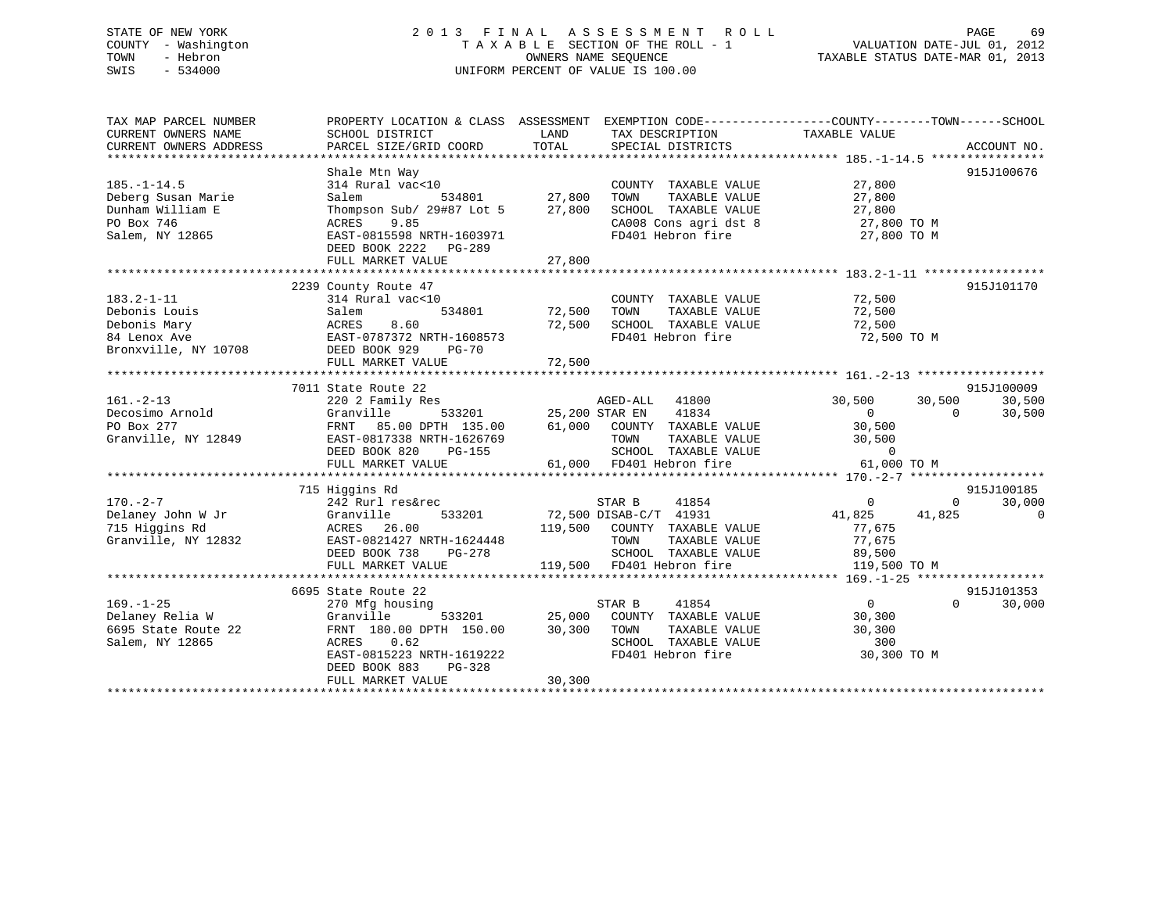# STATE OF NEW YORK 2 0 1 3 F I N A L A S S E S S M E N T R O L L PAGE 69 COUNTY - Washington T A X A B L E SECTION OF THE ROLL - 1 VALUATION DATE-JUL 01, 2012 TOWN - Hebron OWNERS NAME SEQUENCE TAXABLE STATUS DATE-MAR 01, 2013 SWIS - 534000 UNIFORM PERCENT OF VALUE IS 100.00

| TAX MAP PARCEL NUMBER              |                                                         |               |                                                                                         | PROPERTY LOCATION & CLASS ASSESSMENT EXEMPTION CODE---------------COUNTY-------TOWN------SCHOOL    |                             |
|------------------------------------|---------------------------------------------------------|---------------|-----------------------------------------------------------------------------------------|----------------------------------------------------------------------------------------------------|-----------------------------|
| CURRENT OWNERS NAME                | SCHOOL DISTRICT                                         | LAND          | TAX DESCRIPTION                                                                         | TAXABLE VALUE                                                                                      |                             |
| CURRENT OWNERS ADDRESS             | PARCEL SIZE/GRID COORD                                  | TOTAL         | SPECIAL DISTRICTS                                                                       |                                                                                                    | ACCOUNT NO.                 |
|                                    |                                                         |               |                                                                                         |                                                                                                    |                             |
|                                    | Shale Mtn Way                                           |               |                                                                                         |                                                                                                    | 915J100676                  |
| $185. - 1 - 14.5$                  | 314 Rural vac<10                                        |               | COUNTY TAXABLE VALUE 27,800                                                             |                                                                                                    |                             |
| Deberg Susan Marie                 | Salem                                                   | 534801 27,800 | TOWN                                                                                    | TAXABLE VALUE 27,800                                                                               |                             |
| Dunham William E                   | Thompson Sub/ 29#87 Lot 5 27,800                        |               |                                                                                         |                                                                                                    |                             |
| PO Box 746                         | 9.85<br>ACRES                                           |               |                                                                                         |                                                                                                    |                             |
| Salem, NY 12865                    | EAST-0815598 NRTH-1603971                               |               |                                                                                         | SCHOOL TAXABLE VALUE $27,800$<br>CA008 Cons agridst 8 27,800 TO M<br>FD401 Hebron fire 27,800 TO M |                             |
|                                    | DEED BOOK 2222 PG-289                                   |               |                                                                                         |                                                                                                    |                             |
|                                    |                                                         |               |                                                                                         |                                                                                                    |                             |
|                                    |                                                         |               |                                                                                         |                                                                                                    |                             |
|                                    | 2239 County Route 47                                    |               |                                                                                         |                                                                                                    | 915J101170                  |
| $183.2 - 1 - 11$                   | 314 Rural vac<10                                        |               | COUNTY TAXABLE VALUE 72,500                                                             |                                                                                                    |                             |
| Debonis Louis                      | Salem                                                   | 534801 72,500 | TOWN<br>TAXABLE VALUE                                                                   | 72,500                                                                                             |                             |
| Debonis Mary                       |                                                         | 72,500        | SCHOOL TAXABLE VALUE                                                                    | 72,500                                                                                             |                             |
| 84 Lenox Ave                       | Salem 534801<br>ACRES 8.60<br>EAST-0787372 NRTH-1608573 |               |                                                                                         | FD401 Hebron fire 72,500 TO M                                                                      |                             |
| Bronxville, NY 10708 DEED BOOK 929 | PG-70                                                   |               |                                                                                         |                                                                                                    |                             |
|                                    | FULL MARKET VALUE                                       | 72,500        |                                                                                         |                                                                                                    |                             |
|                                    |                                                         |               |                                                                                         |                                                                                                    |                             |
|                                    | 7011 State Route 22                                     |               |                                                                                         |                                                                                                    | 915J100009                  |
| $161. - 2 - 13$                    | 220 2 Family Res                                        |               | AGED-ALL 41800                                                                          | 30,500 30,500                                                                                      | 30,500                      |
|                                    |                                                         |               |                                                                                         | $\overline{0}$                                                                                     | 30,500                      |
|                                    |                                                         |               |                                                                                         | $\begin{array}{c} 0 \\ 30,500 \end{array}$                                                         |                             |
|                                    |                                                         |               |                                                                                         | TAXABLE VALUE 30,500                                                                               |                             |
|                                    |                                                         |               |                                                                                         |                                                                                                    |                             |
|                                    |                                                         |               |                                                                                         |                                                                                                    |                             |
|                                    |                                                         |               |                                                                                         |                                                                                                    |                             |
|                                    | 715 Higgins Rd                                          |               |                                                                                         |                                                                                                    | 915J100185                  |
| $170. - 2 - 7$                     | 242 Rurl res&rec                                        |               | STAR B<br>41854                                                                         | $\overline{0}$                                                                                     | 30,000<br>$\Omega$          |
|                                    |                                                         |               | 533201 72,500 DISAB-C/T 41931                                                           | 41,825 41,825                                                                                      | $\overline{0}$              |
|                                    |                                                         |               | 119,500 COUNTY TAXABLE VALUE                                                            | 77.675                                                                                             |                             |
|                                    | Granville, NY 12832 EAST-0821427 NRTH-1624448           |               | TOWN                                                                                    | TAXABLE VALUE 77,675                                                                               |                             |
|                                    | DEED BOOK 738<br>PG-278                                 |               |                                                                                         |                                                                                                    |                             |
|                                    | FULL MARKET VALUE                                       |               | SCHOOL TAXABLE VALUE 89,500<br>119,500 FD401 Hebron fire 119,500                        | 119,500 TO M                                                                                       |                             |
|                                    |                                                         |               |                                                                                         |                                                                                                    |                             |
|                                    | 6695 State Route 22                                     |               |                                                                                         |                                                                                                    | 915J101353                  |
| $169. - 1 - 25$                    | 270 Mfg housing                                         |               | 41854<br>STAR B                                                                         | $\overline{0}$                                                                                     | $0 \qquad \qquad$<br>30,000 |
| Delaney Relia W                    | Granville                                               |               |                                                                                         |                                                                                                    |                             |
| 6695 State Route 22                | FRNT 180.00 DPTH 150.00 30,300 TOWN                     |               | 533201 25,000 COUNTY TAXABLE VALUE 30,300<br>TH 150.00 30,300 TOWN TAXABLE VALUE 30,300 |                                                                                                    |                             |
| Salem, NY 12865                    | 0.62<br>ACRES                                           |               | SCHOOL TAXABLE VALUE                                                                    | 300                                                                                                |                             |
|                                    | EAST-0815223 NRTH-1619222                               |               | FD401 Hebron fire                                                                       | 30,300 TO M                                                                                        |                             |
|                                    | DEED BOOK 883<br>PG-328                                 |               |                                                                                         |                                                                                                    |                             |
|                                    | FULL MARKET VALUE                                       | 30,300        |                                                                                         |                                                                                                    |                             |
|                                    |                                                         |               |                                                                                         |                                                                                                    |                             |
|                                    |                                                         |               |                                                                                         |                                                                                                    |                             |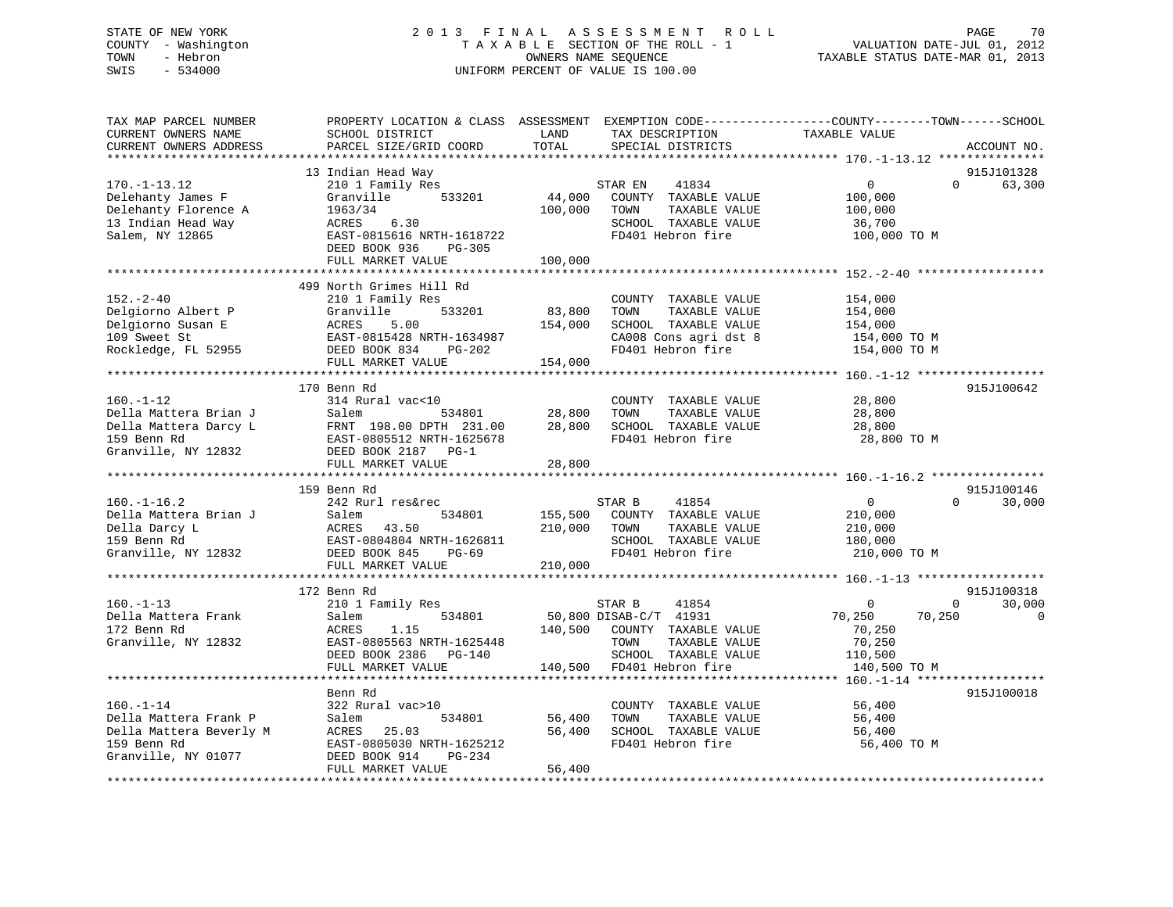# STATE OF NEW YORK 2 0 1 3 F I N A L A S S E S S M E N T R O L L PAGE 70 COUNTY - Washington T A X A B L E SECTION OF THE ROLL - 1 VALUATION DATE-JUL 01, 2012 TOWN - Hebron OWNERS NAME SEQUENCE TAXABLE STATUS DATE-MAR 01, 2013 SWIS - 534000 UNIFORM PERCENT OF VALUE IS 100.00

| TAX MAP PARCEL NUMBER<br>CURRENT OWNERS NAME<br>CURRENT OWNERS ADDRESS<br>***********************         | PROPERTY LOCATION & CLASS ASSESSMENT<br>SCHOOL DISTRICT<br>PARCEL SIZE/GRID COORD                                                                                                                     | LAND<br>TAX DESCRIPTION<br>TOTAL<br>SPECIAL DISTRICTS                                                                                                         | EXEMPTION CODE-----------------COUNTY-------TOWN------SCHOOL<br>TAXABLE VALUE<br>ACCOUNT NO.                                  |
|-----------------------------------------------------------------------------------------------------------|-------------------------------------------------------------------------------------------------------------------------------------------------------------------------------------------------------|---------------------------------------------------------------------------------------------------------------------------------------------------------------|-------------------------------------------------------------------------------------------------------------------------------|
| $170. - 1 - 13.12$<br>Delehanty James F<br>Delehanty Florence A<br>13 Indian Head Way<br>Salem, NY 12865  | 13 Indian Head Way<br>210 1 Family Res<br>Granville<br>533201<br>1963/34<br>6.30<br>ACRES<br>EAST-0815616 NRTH-1618722<br>DEED BOOK 936<br>PG-305<br>FULL MARKET VALUE                                | STAR EN<br>41834<br>44,000<br>COUNTY TAXABLE VALUE<br>100,000<br>TAXABLE VALUE<br>TOWN<br>SCHOOL TAXABLE VALUE<br>FD401 Hebron fire<br>100,000                | 915J101328<br>$\overline{0}$<br>$\Omega$<br>63,300<br>100,000<br>100,000<br>36,700<br>100,000 TO M                            |
| $152 - 2 - 40$<br>Delgiorno Albert P<br>Delgiorno Susan E<br>109 Sweet St<br>Rockledge, FL 52955          | 499 North Grimes Hill Rd<br>210 1 Family Res<br>Granville<br>533201<br>ACRES<br>5.00<br>EAST-0815428 NRTH-1634987<br>DEED BOOK 834<br>PG-202<br>FULL MARKET VALUE                                     | COUNTY TAXABLE VALUE<br>83,800<br>TAXABLE VALUE<br>TOWN<br>154,000<br>SCHOOL TAXABLE VALUE<br>CA008 Cons agri dst 8<br>FD401 Hebron fire<br>154,000           | 154,000<br>154,000<br>154,000<br>154,000 TO M<br>154,000 TO M                                                                 |
| $160. - 1 - 12$<br>Della Mattera Brian J<br>Della Mattera Darcy L<br>159 Benn Rd<br>Granville, NY 12832   | 170 Benn Rd<br>314 Rural vac<10<br>534801<br>Salem<br>FRNT 198.00 DPTH 231.00<br>EAST-0805512 NRTH-1625678<br>DEED BOOK 2187 PG-1<br>FULL MARKET VALUE                                                | COUNTY TAXABLE VALUE<br>28,800<br>TAXABLE VALUE<br>TOWN<br>28,800<br>SCHOOL TAXABLE VALUE<br>FD401 Hebron fire<br>28,800                                      | 915J100642<br>28,800<br>28,800<br>28,800<br>28,800 TO M                                                                       |
| $160. - 1 - 16.2$<br>Della Mattera Brian J<br>Della Darcy L<br>159 Benn Rd<br>Granville, NY 12832         | 159 Benn Rd<br>242 Rurl res&rec<br>Salem<br>534801<br>ACRES<br>43.50<br>EAST-0804804 NRTH-1626811<br>DEED BOOK 845<br>PG-69<br>FULL MARKET VALUE                                                      | 41854<br>STAR B<br>155,500<br>COUNTY TAXABLE VALUE<br>210,000<br>TOWN<br>TAXABLE VALUE<br>SCHOOL TAXABLE VALUE<br>FD401 Hebron fire<br>210,000                | 915J100146<br>0<br>$\Omega$<br>30,000<br>210,000<br>210,000<br>180,000<br>210,000 TO M                                        |
| $160. -1 - 13$<br>Della Mattera Frank<br>172 Benn Rd<br>Granville, NY 12832                               | **************************<br>172 Benn Rd<br>210 1 Family Res<br>534801<br>Salem<br>1.15<br>ACRES<br>EAST-0805563 NRTH-1625448<br>DEED BOOK 2386<br>PG-140<br>FULL MARKET VALUE<br>****************** | 41854<br>STAR B<br>50,800 DISAB-C/T 41931<br>140,500<br>COUNTY TAXABLE VALUE<br>TAXABLE VALUE<br>TOWN<br>SCHOOL TAXABLE VALUE<br>FD401 Hebron fire<br>140,500 | 915J100318<br>30,000<br>$\overline{0}$<br>$\mathbf 0$<br>70,250<br>70,250<br>0<br>70,250<br>70,250<br>110,500<br>140,500 TO M |
| $160. - 1 - 14$<br>Della Mattera Frank P<br>Della Mattera Beverly M<br>159 Benn Rd<br>Granville, NY 01077 | Benn Rd<br>322 Rural vac>10<br>Salem<br>534801<br>25.03<br>ACRES<br>EAST-0805030 NRTH-1625212<br>DEED BOOK 914<br>PG-234<br>FULL MARKET VALUE                                                         | COUNTY TAXABLE VALUE<br>56,400<br>TOWN<br>TAXABLE VALUE<br>56,400<br>SCHOOL TAXABLE VALUE<br>FD401 Hebron fire<br>56,400                                      | **** 160.-1-14 ******<br>915J100018<br>56,400<br>56,400<br>56,400<br>56,400 TO M                                              |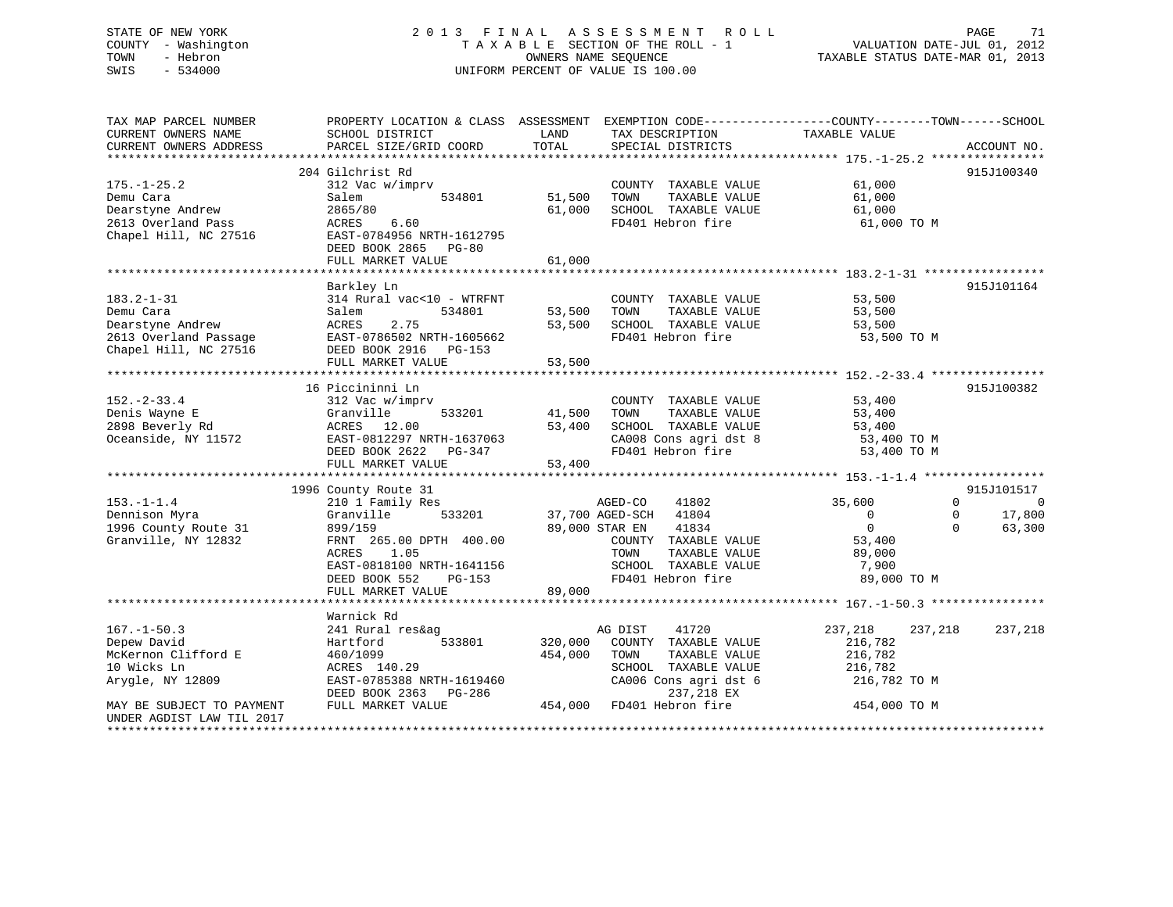# STATE OF NEW YORK 2 0 1 3 F I N A L A S S E S S M E N T R O L L PAGE 71 COUNTY - Washington T A X A B L E SECTION OF THE ROLL - 1 VALUATION DATE-JUL 01, 2012 TOWN - Hebron **CONNERS NAME SEQUENCE** TAXABLE STATUS DATE-MAR 01, 2013 SWIS - 534000 UNIFORM PERCENT OF VALUE IS 100.00

| SCHOOL DISTRICT<br>PARCEL SIZE/GRID COORD                                                                                                                                     | LAND<br>TOTAL                                                              | TAX DESCRIPTION<br>SPECIAL DISTRICTS                                                                                                       | PROPERTY LOCATION & CLASS ASSESSMENT EXEMPTION CODE----------------COUNTY-------TOWN------SCHOOL<br>TAXABLE VALUE | ACCOUNT NO.                                |
|-------------------------------------------------------------------------------------------------------------------------------------------------------------------------------|----------------------------------------------------------------------------|--------------------------------------------------------------------------------------------------------------------------------------------|-------------------------------------------------------------------------------------------------------------------|--------------------------------------------|
| 312 Vac w/imprv<br>534801<br>Salem<br>2865/80<br>6.60<br>ACRES<br>EAST-0784956 NRTH-1612795<br>DEED BOOK 2865<br>$PG-80$<br>FULL MARKET VALUE                                 | 51,500<br>61,000<br>61,000                                                 | COUNTY TAXABLE VALUE<br>TOWN<br>TAXABLE VALUE<br>SCHOOL TAXABLE VALUE<br>FD401 Hebron fire                                                 | 61,000<br>61,000<br>61,000<br>61,000 TO M                                                                         | 915J100340                                 |
| Barkley Ln<br>314 Rural vac<10 - WTRFNT<br>Salem<br>534801<br>2.75<br>ACRES<br>EAST-0786502 NRTH-1605662<br>DEED BOOK 2916 PG-153<br>FULL MARKET VALUE                        | 53,500<br>53,500<br>53,500                                                 | COUNTY TAXABLE VALUE<br>TOWN<br>TAXABLE VALUE<br>SCHOOL TAXABLE VALUE<br>FD401 Hebron fire                                                 | 53,500<br>53,500<br>53,500<br>53,500 TO M                                                                         | 915J101164                                 |
| 312 Vac w/imprv<br>Granville<br>533201<br>ACRES 12.00<br>EAST-0812297 NRTH-1637063<br>DEED BOOK 2622 PG-347<br>FULL MARKET VALUE                                              | 41,500<br>53,400<br>53,400                                                 | COUNTY TAXABLE VALUE<br>TOWN<br>TAXABLE VALUE<br>SCHOOL TAXABLE VALUE<br>CA008 Cons agri dst 8<br>FD401 Hebron fire                        | 53,400<br>53,400<br>53,400<br>53,400 TO M<br>53,400 TO M                                                          | 915J100382                                 |
| 210 1 Family Res<br>Granville<br>533201<br>899/159<br>FRNT 265.00 DPTH 400.00<br>1.05<br>ACRES<br>EAST-0818100 NRTH-1641156<br>DEED BOOK 552<br>$PG-153$<br>FULL MARKET VALUE | 89,000                                                                     | 41802<br>41804<br>41834<br>COUNTY TAXABLE VALUE<br>TAXABLE VALUE<br>TOWN<br>SCHOOL TAXABLE VALUE<br>FD401 Hebron fire                      | 35,600<br>$\Omega$<br>$\mathbf 0$<br>0<br>$\Omega$<br>$\Omega$<br>53,400<br>89,000<br>7,900<br>89,000 TO M        | 915J101517<br>$\Omega$<br>17,800<br>63,300 |
|                                                                                                                                                                               |                                                                            |                                                                                                                                            |                                                                                                                   |                                            |
| 241 Rural res&ag<br>533801<br>Hartford<br>460/1099<br>ACRES 140.29<br>EAST-0785388 NRTH-1619460<br>DEED BOOK 2363<br>PG-286<br>FULL MARKET VALUE                              | 320,000<br>454,000<br>454,000                                              | 41720<br>COUNTY TAXABLE VALUE<br>TOWN<br>TAXABLE VALUE<br>SCHOOL TAXABLE VALUE<br>CA006 Cons agri dst 6<br>237,218 EX<br>FD401 Hebron fire | 237,218<br>237,218<br>216,782<br>216,782<br>216,782<br>216,782 TO M<br>454,000 TO M                               | 237,218                                    |
|                                                                                                                                                                               | 204 Gilchrist Rd<br>16 Piccininni Ln<br>1996 County Route 31<br>Warnick Rd |                                                                                                                                            | AGED-CO<br>37,700 AGED-SCH<br>89,000 STAR EN<br>AG DIST                                                           |                                            |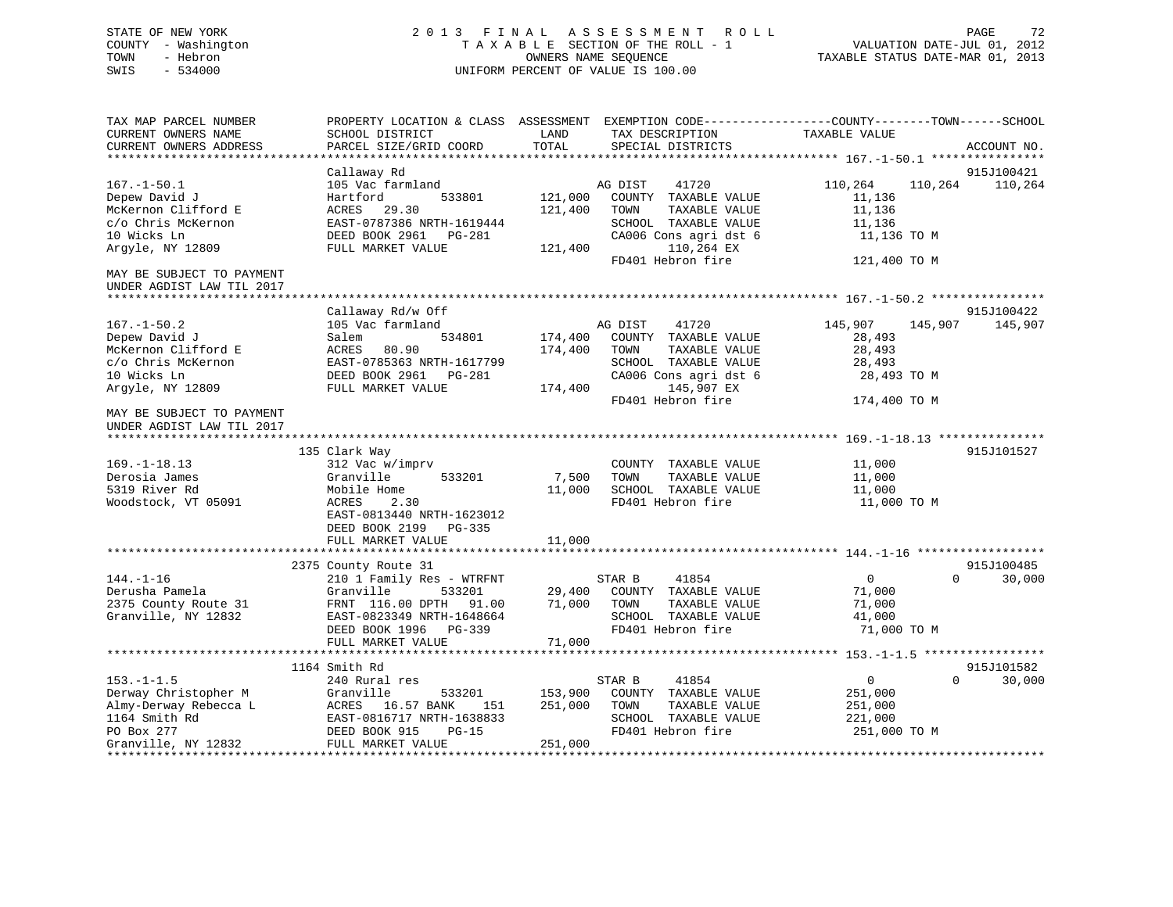# STATE OF NEW YORK 2 0 1 3 F I N A L A S S E S S M E N T R O L L PAGE 72 COUNTY - Washington T A X A B L E SECTION OF THE ROLL - 1 VALUATION DATE-JUL 01, 2012 TOWN - Hebron OWNERS NAME SEQUENCE TAXABLE STATUS DATE-MAR 01, 2013 SWIS - 534000 UNIFORM PERCENT OF VALUE IS 100.00

| TAX MAP PARCEL NUMBER<br>CURRENT OWNERS NAME<br>CURRENT OWNERS ADDRESS | SCHOOL DISTRICT<br>PARCEL SIZE/GRID COORD                | LAND<br>TOTAL      | TAX DESCRIPTION<br>SPECIAL DISTRICTS                              | PROPERTY LOCATION & CLASS ASSESSMENT EXEMPTION CODE----------------COUNTY-------TOWN------SCHOOL<br>TAXABLE VALUE | ACCOUNT NO. |
|------------------------------------------------------------------------|----------------------------------------------------------|--------------------|-------------------------------------------------------------------|-------------------------------------------------------------------------------------------------------------------|-------------|
|                                                                        |                                                          |                    |                                                                   |                                                                                                                   |             |
|                                                                        | Callaway Rd                                              |                    |                                                                   |                                                                                                                   | 915J100421  |
| $167. - 1 - 50.1$<br>Depew David J<br>McKernon Clifford E              | 105 Vac farmland<br>533801<br>Hartford<br>ACRES<br>29.30 | 121,000<br>121,400 | AG DIST<br>41720<br>COUNTY TAXABLE VALUE<br>TOWN<br>TAXABLE VALUE | 110,264<br>110,264<br>11,136<br>11,136                                                                            | 110,264     |
| c/o Chris McKernon                                                     | EAST-0787386 NRTH-1619444                                |                    | SCHOOL TAXABLE VALUE                                              | 11,136                                                                                                            |             |
| 10 Wicks Ln                                                            | DEED BOOK 2961<br>PG-281                                 |                    | CA006 Cons agri dst 6                                             | 11,136 TO M                                                                                                       |             |
| Argyle, NY 12809                                                       | FULL MARKET VALUE                                        | 121,400            | 110,264 EX                                                        |                                                                                                                   |             |
|                                                                        |                                                          |                    | FD401 Hebron fire                                                 | 121,400 TO M                                                                                                      |             |
| MAY BE SUBJECT TO PAYMENT<br>UNDER AGDIST LAW TIL 2017                 |                                                          |                    |                                                                   |                                                                                                                   |             |
|                                                                        |                                                          |                    |                                                                   |                                                                                                                   |             |
|                                                                        | Callaway Rd/w Off                                        |                    |                                                                   |                                                                                                                   | 915J100422  |
| $167. - 1 - 50.2$                                                      | 105 Vac farmland                                         |                    | 41720<br>AG DIST                                                  | 145,907<br>145,907                                                                                                | 145,907     |
| Depew David J                                                          | 534801<br>Salem                                          | 174,400            | COUNTY TAXABLE VALUE                                              | 28,493                                                                                                            |             |
| McKernon Clifford E                                                    | ACRES<br>80.90                                           | 174,400            | TAXABLE VALUE<br>TOWN                                             | 28,493                                                                                                            |             |
| c/o Chris McKernon                                                     | EAST-0785363 NRTH-1617799                                |                    | SCHOOL TAXABLE VALUE                                              | 28,493                                                                                                            |             |
| 10 Wicks Ln                                                            | DEED BOOK 2961    PG-281                                 |                    | CA006 Cons agri dst 6                                             | 28,493 TO M                                                                                                       |             |
| Argyle, NY 12809                                                       | FULL MARKET VALUE                                        | 174,400            | 145,907 EX                                                        |                                                                                                                   |             |
|                                                                        |                                                          |                    | FD401 Hebron fire                                                 | 174,400 TO M                                                                                                      |             |
| MAY BE SUBJECT TO PAYMENT<br>UNDER AGDIST LAW TIL 2017                 |                                                          |                    |                                                                   |                                                                                                                   |             |
|                                                                        |                                                          |                    |                                                                   |                                                                                                                   |             |
|                                                                        | 135 Clark Way                                            |                    |                                                                   |                                                                                                                   | 915J101527  |
| $169. - 1 - 18.13$                                                     | 312 Vac w/imprv                                          |                    | COUNTY TAXABLE VALUE                                              | 11,000                                                                                                            |             |
| Derosia James                                                          | Granville<br>533201                                      | 7,500              | TOWN<br>TAXABLE VALUE                                             | 11,000                                                                                                            |             |
| 5319 River Rd<br>Woodstock, VT 05091                                   | Mobile Home<br>ACRES<br>2.30                             | 11,000             | SCHOOL TAXABLE VALUE<br>FD401 Hebron fire                         | 11,000<br>11,000 TO M                                                                                             |             |
|                                                                        | EAST-0813440 NRTH-1623012                                |                    |                                                                   |                                                                                                                   |             |
|                                                                        | DEED BOOK 2199<br>PG-335                                 |                    |                                                                   |                                                                                                                   |             |
|                                                                        | FULL MARKET VALUE                                        | 11,000             |                                                                   |                                                                                                                   |             |
|                                                                        |                                                          |                    |                                                                   |                                                                                                                   |             |
|                                                                        | 2375 County Route 31                                     |                    |                                                                   |                                                                                                                   | 915J100485  |
| $144. - 1 - 16$                                                        | 210 1 Family Res - WTRFNT                                |                    | STAR B<br>41854                                                   | $\overline{0}$<br>$\Omega$                                                                                        | 30,000      |
| Derusha Pamela                                                         | 533201<br>Granville                                      | 29,400             | COUNTY TAXABLE VALUE                                              | 71,000                                                                                                            |             |
| 2375 County Route 31                                                   | FRNT 116.00 DPTH 91.00                                   | 71,000             | TAXABLE VALUE<br>TOWN                                             | 71,000                                                                                                            |             |
| Granville, NY 12832                                                    | EAST-0823349 NRTH-1648664                                |                    | SCHOOL TAXABLE VALUE                                              | 41,000                                                                                                            |             |
|                                                                        | DEED BOOK 1996<br>PG-339                                 |                    | FD401 Hebron fire                                                 | 71,000 TO M                                                                                                       |             |
|                                                                        | FULL MARKET VALUE                                        | 71,000             |                                                                   |                                                                                                                   |             |
|                                                                        |                                                          |                    |                                                                   |                                                                                                                   |             |
|                                                                        | 1164 Smith Rd                                            |                    |                                                                   |                                                                                                                   | 915J101582  |
| $153. - 1 - 1.5$                                                       | 240 Rural res                                            |                    | STAR B<br>41854                                                   | $\mathbf{0}$<br>$\Omega$                                                                                          | 30,000      |
| Derway Christopher M                                                   | Granville<br>533201                                      | 153,900            | COUNTY TAXABLE VALUE                                              | 251,000                                                                                                           |             |
| Almy-Derway Rebecca L                                                  | ACRES<br>16.57 BANK<br>151                               | 251,000            | TAXABLE VALUE<br>TOWN                                             | 251,000                                                                                                           |             |
| 1164 Smith Rd                                                          | EAST-0816717 NRTH-1638833                                |                    | SCHOOL TAXABLE VALUE                                              | 221,000                                                                                                           |             |
| PO Box 277                                                             | DEED BOOK 915<br>$PG-15$                                 |                    | FD401 Hebron fire                                                 | 251,000 TO M                                                                                                      |             |
| Granville, NY 12832                                                    | FULL MARKET VALUE                                        | 251,000            |                                                                   |                                                                                                                   |             |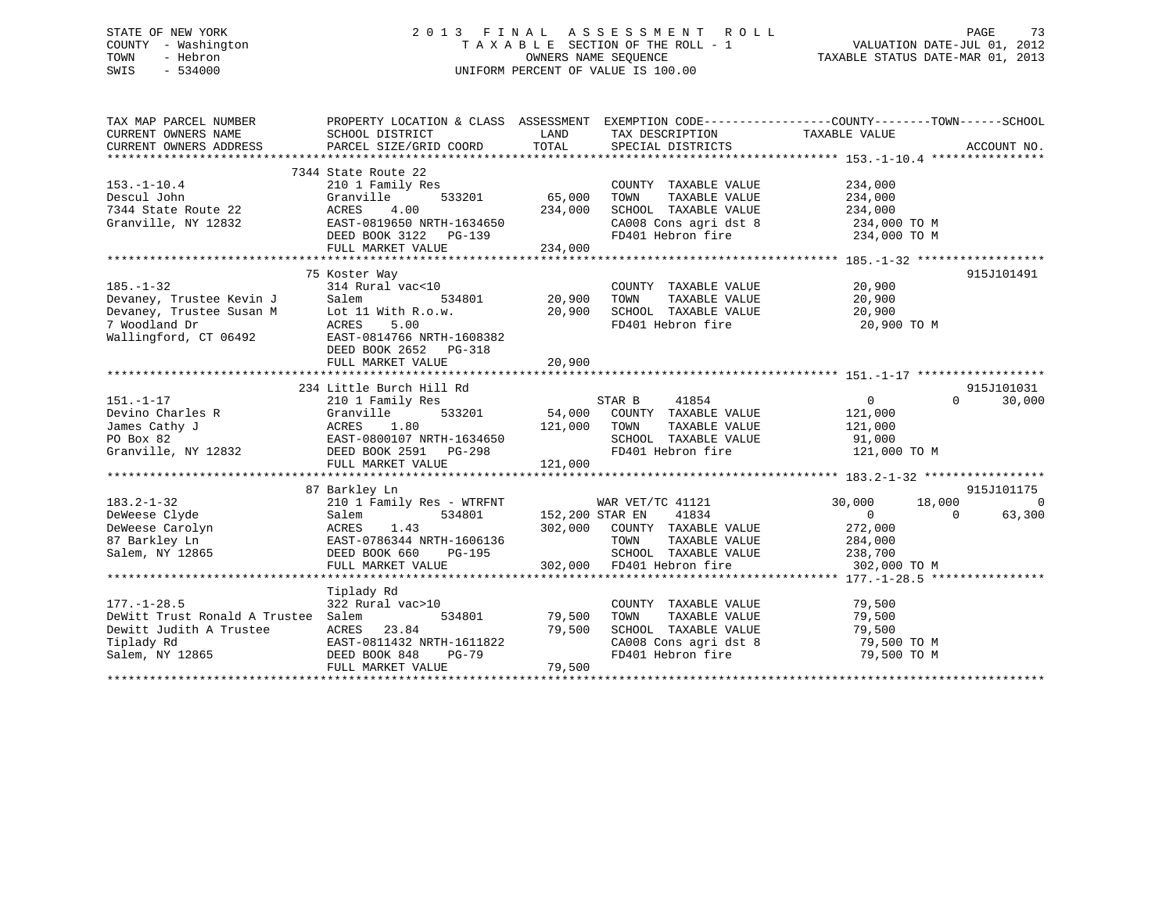# STATE OF NEW YORK 2 0 1 3 F I N A L A S S E S S M E N T R O L L PAGE 73 COUNTY - Washington T A X A B L E SECTION OF THE ROLL - 1 VALUATION DATE-JUL 01, 2012 TOWN - Hebron OWNERS NAME SEQUENCE TAXABLE STATUS DATE-MAR 01, 2013 SWIS - 534000 UNIFORM PERCENT OF VALUE IS 100.00

| SCHOOL DISTRICT<br>PARCEL SIZE/GRID COORD                                                                                                    | LAND<br>TOTAL                                                                                                                                                | SPECIAL DISTRICTS                                                     |                                                                                                                      | ACCOUNT NO.                                                                                                                                                                                                                                                                                                                                                                                                                                                               |
|----------------------------------------------------------------------------------------------------------------------------------------------|--------------------------------------------------------------------------------------------------------------------------------------------------------------|-----------------------------------------------------------------------|----------------------------------------------------------------------------------------------------------------------|---------------------------------------------------------------------------------------------------------------------------------------------------------------------------------------------------------------------------------------------------------------------------------------------------------------------------------------------------------------------------------------------------------------------------------------------------------------------------|
| 210 1 Family Res<br>Granville<br>ACRES<br>4.00<br>EAST-0819650 NRTH-1634650<br>DEED BOOK 3122<br>PG-139<br>FULL MARKET VALUE                 | 234,000<br>234,000                                                                                                                                           | COUNTY TAXABLE VALUE<br>TOWN<br>TAXABLE VALUE<br>SCHOOL TAXABLE VALUE | 234,000<br>234,000<br>234,000<br>234,000 TO M                                                                        |                                                                                                                                                                                                                                                                                                                                                                                                                                                                           |
| Salem<br>534801<br>ACRES<br>5.00<br>EAST-0814766 NRTH-1608382<br>DEED BOOK 2652 PG-318<br>FULL MARKET VALUE                                  | 20,900<br>20,900                                                                                                                                             | TOWN<br>TAXABLE VALUE                                                 | 20,900<br>20,900<br>20,900 TO M                                                                                      | 915J101491                                                                                                                                                                                                                                                                                                                                                                                                                                                                |
|                                                                                                                                              |                                                                                                                                                              |                                                                       |                                                                                                                      | 915J101031                                                                                                                                                                                                                                                                                                                                                                                                                                                                |
| 210 1 Family Res<br>Granville<br>533201<br>ACRES<br>1.80<br>EAST-0800107 NRTH-1634650<br>DEED BOOK 2591 PG-298<br>FULL MARKET VALUE          | 121,000<br>121,000                                                                                                                                           | 41854<br>TOWN<br>TAXABLE VALUE<br>FD401 Hebron fire                   | $\mathbf{0}$<br>121,000<br>121,000<br>91,000                                                                         | $\Omega$<br>30,000                                                                                                                                                                                                                                                                                                                                                                                                                                                        |
|                                                                                                                                              |                                                                                                                                                              |                                                                       |                                                                                                                      | 915J101175                                                                                                                                                                                                                                                                                                                                                                                                                                                                |
| 210 1 Family Res - WTRFNT<br>534801<br>Salem<br>ACRES<br>1.43<br>EAST-0786344 NRTH-1606136<br>DEED BOOK 660<br>$PG-195$<br>FULL MARKET VALUE | 302,000                                                                                                                                                      | 41834<br>TOWN<br>TAXABLE VALUE<br>FD401 Hebron fire                   | 30,000<br>$\overline{0}$<br>272,000<br>284,000<br>238,700<br>302,000 TO M                                            | $\bigcirc$<br>63,300<br>$\Omega$                                                                                                                                                                                                                                                                                                                                                                                                                                          |
|                                                                                                                                              |                                                                                                                                                              |                                                                       |                                                                                                                      |                                                                                                                                                                                                                                                                                                                                                                                                                                                                           |
| 322 Rural vac>10<br>534801<br>ACRES 23.84<br>EAST-0811432 NRTH-1611822<br>DEED BOOK 848<br>PG-79<br>FULL MARKET VALUE                        | 79,500<br>79,500<br>79,500                                                                                                                                   | COUNTY TAXABLE VALUE                                                  | 79,500<br>79,500<br>79,500 TO M                                                                                      |                                                                                                                                                                                                                                                                                                                                                                                                                                                                           |
|                                                                                                                                              | 7344 State Route 22<br>75 Koster Way<br>Lot 11 With R.o.w.<br>234 Little Burch Hill Rd<br>87 Barkley Ln<br>Tiplady Rd<br>DeWitt Trust Ronald A Trustee Salem | 533201 65,000<br>314 Rural vac<10<br>20,900                           | PROPERTY LOCATION & CLASS ASSESSMENT<br>STAR B<br>54,000 COUNTY TAXABLE VALUE<br>WAR VET/TC 41121<br>152,200 STAR EN | EXEMPTION CODE-----------------COUNTY-------TOWN------SCHOOL<br>TAX DESCRIPTION TAXABLE VALUE<br>CA008 Cons agri dst 8<br>FD401 Hebron fire 234,000 TO M<br>COUNTY TAXABLE VALUE<br>SCHOOL TAXABLE VALUE 20,900<br>FD401 Hebron fire<br>SCHOOL TAXABLE VALUE<br>121,000 TO M<br>18,000<br>302,000 COUNTY TAXABLE VALUE<br>SCHOOL TAXABLE VALUE<br>79,500<br>TOWN      TAXABLE  VALUE<br>SCHOOL   TAXABLE  VALUE<br>CA008 Cons agri dst 8 79,500 TO M<br>FD401 Hebron fire |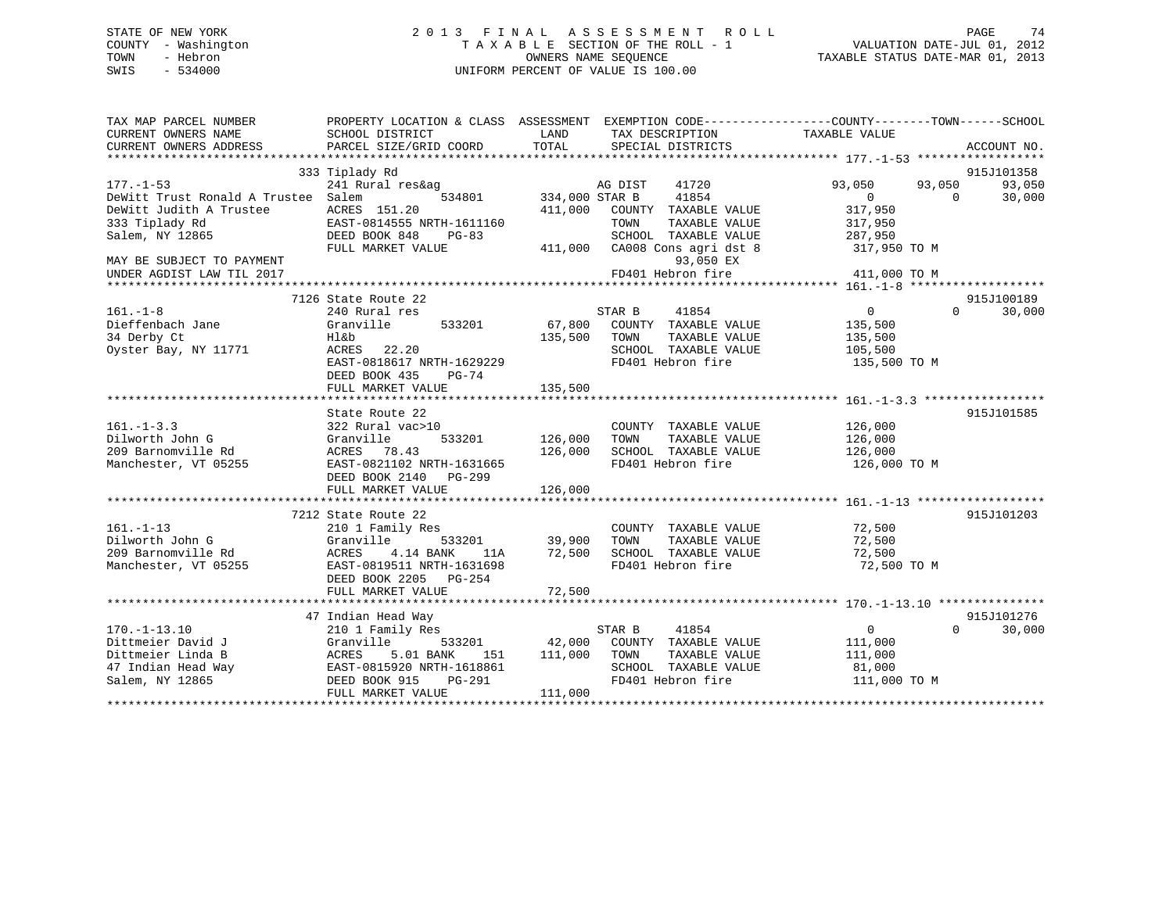# STATE OF NEW YORK 2 0 1 3 F I N A L A S S E S S M E N T R O L L PAGE 74 COUNTY - Washington T A X A B L E SECTION OF THE ROLL - 1 VALUATION DATE-JUL 01, 2012 TOWN - Hebron **CONNERS NAME SEQUENCE** TAXABLE STATUS DATE-MAR 01, 2013 SWIS - 534000 UNIFORM PERCENT OF VALUE IS 100.00

| TAX MAP PARCEL NUMBER<br>CURRENT OWNERS NAME | PROPERTY LOCATION & CLASS ASSESSMENT EXEMPTION CODE----------------COUNTY-------TOWN------SCHOOL<br>SCHOOL DISTRICT | LAND           | TAX DESCRIPTION       | TAXABLE VALUE     |          |             |
|----------------------------------------------|---------------------------------------------------------------------------------------------------------------------|----------------|-----------------------|-------------------|----------|-------------|
| CURRENT OWNERS ADDRESS                       | PARCEL SIZE/GRID COORD                                                                                              | TOTAL          | SPECIAL DISTRICTS     |                   |          | ACCOUNT NO. |
|                                              |                                                                                                                     |                |                       |                   |          |             |
|                                              | 333 Tiplady Rd                                                                                                      |                |                       |                   |          | 915J101358  |
| $177. - 1 - 53$                              | 241 Rural res&ag                                                                                                    |                | AG DIST<br>41720      | 93,050            | 93,050   | 93,050      |
| DeWitt Trust Ronald A Trustee Salem          | 534801                                                                                                              | 334,000 STAR B | 41854                 | $\Omega$          | $\Omega$ | 30,000      |
| DeWitt Judith A Trustee                      | ACRES 151.20                                                                                                        | 411,000        | COUNTY TAXABLE VALUE  | 317,950           |          |             |
| 333 Tiplady Rd                               | EAST-0814555 NRTH-1611160                                                                                           |                | TOWN<br>TAXABLE VALUE | 317,950           |          |             |
| Salem, NY 12865                              | DEED BOOK 848<br>$PG-83$                                                                                            |                | SCHOOL TAXABLE VALUE  | 287,950           |          |             |
|                                              | FULL MARKET VALUE                                                                                                   | 411,000        | CA008 Cons agri dst 8 | 317,950 TO M      |          |             |
| MAY BE SUBJECT TO PAYMENT                    |                                                                                                                     |                | 93,050 EX             |                   |          |             |
| UNDER AGDIST LAW TIL 2017                    |                                                                                                                     |                | FD401 Hebron fire     | 411,000 TO M      |          |             |
|                                              |                                                                                                                     |                |                       |                   |          |             |
|                                              | 7126 State Route 22                                                                                                 |                |                       |                   |          | 915J100189  |
| $161. - 1 - 8$                               | 240 Rural res                                                                                                       |                | STAR B<br>41854       | $0 \qquad \qquad$ | $\Omega$ | 30,000      |
| Dieffenbach Jane                             | Granville<br>533201                                                                                                 | 67,800         | COUNTY TAXABLE VALUE  | 135,500           |          |             |
| 34 Derby Ct                                  | Hl&b                                                                                                                | 135,500        | TOWN<br>TAXABLE VALUE | 135,500           |          |             |
| Oyster Bay, NY 11771                         | ACRES 22.20                                                                                                         |                | SCHOOL TAXABLE VALUE  | 105,500           |          |             |
|                                              | EAST-0818617 NRTH-1629229                                                                                           |                | FD401 Hebron fire     | 135,500 TO M      |          |             |
|                                              | DEED BOOK 435<br>PG-74                                                                                              |                |                       |                   |          |             |
|                                              | FULL MARKET VALUE                                                                                                   | 135,500        |                       |                   |          |             |
|                                              |                                                                                                                     |                |                       |                   |          |             |
|                                              | State Route 22                                                                                                      |                |                       |                   |          | 915J101585  |
| $161. - 1 - 3.3$                             | 322 Rural vac>10                                                                                                    |                | COUNTY TAXABLE VALUE  | 126,000           |          |             |
| Dilworth John G                              | Granville<br>533201                                                                                                 | 126,000        | TAXABLE VALUE<br>TOWN | 126,000           |          |             |
|                                              |                                                                                                                     |                |                       |                   |          |             |
| 209 Barnomville Rd                           | ACRES 78.43                                                                                                         | 126,000        | SCHOOL TAXABLE VALUE  | 126,000           |          |             |
| Manchester, VT 05255                         | EAST-0821102 NRTH-1631665                                                                                           |                | FD401 Hebron fire     | 126,000 TO M      |          |             |
|                                              | DEED BOOK 2140 PG-299                                                                                               |                |                       |                   |          |             |
|                                              | FULL MARKET VALUE                                                                                                   | 126,000        |                       |                   |          |             |
|                                              |                                                                                                                     |                |                       |                   |          |             |
|                                              | 7212 State Route 22                                                                                                 |                |                       |                   |          | 915J101203  |
| $161. - 1 - 13$                              | 210 1 Family Res                                                                                                    |                | COUNTY TAXABLE VALUE  | 72,500            |          |             |
| Dilworth John G                              | Granville<br>533201                                                                                                 | 39,900         | TOWN<br>TAXABLE VALUE | 72,500            |          |             |
| 209 Barnomville Rd                           | ACRES<br>4.14 BANK<br>11A                                                                                           | 72,500         | SCHOOL TAXABLE VALUE  | 72,500            |          |             |
| Manchester, VT 05255                         | EAST-0819511 NRTH-1631698                                                                                           |                | FD401 Hebron fire     | 72,500 TO M       |          |             |
|                                              | DEED BOOK 2205 PG-254                                                                                               |                |                       |                   |          |             |
|                                              | FULL MARKET VALUE                                                                                                   | 72,500         |                       |                   |          |             |
|                                              |                                                                                                                     |                |                       |                   |          |             |
|                                              | 47 Indian Head Way                                                                                                  |                |                       |                   |          | 915J101276  |
| $170. - 1 - 13.10$                           | 210 1 Family Res                                                                                                    |                | STAR B<br>41854       | $\overline{0}$    | $\Omega$ | 30,000      |
| Dittmeier David J                            | Granville<br>533201                                                                                                 | 42,000         | COUNTY TAXABLE VALUE  | 111,000           |          |             |
| Dittmeier Linda B                            | ACRES<br>5.01 BANK<br>151                                                                                           | 111,000        | TOWN<br>TAXABLE VALUE | 111,000           |          |             |
| 47 Indian Head Way                           | EAST-0815920 NRTH-1618861                                                                                           |                | SCHOOL TAXABLE VALUE  | 81,000            |          |             |
| Salem, NY 12865                              | PG-291<br>DEED BOOK 915                                                                                             |                | FD401 Hebron fire     | 111,000 TO M      |          |             |
|                                              | FULL MARKET VALUE                                                                                                   | 111,000        |                       |                   |          |             |
|                                              |                                                                                                                     |                |                       |                   |          |             |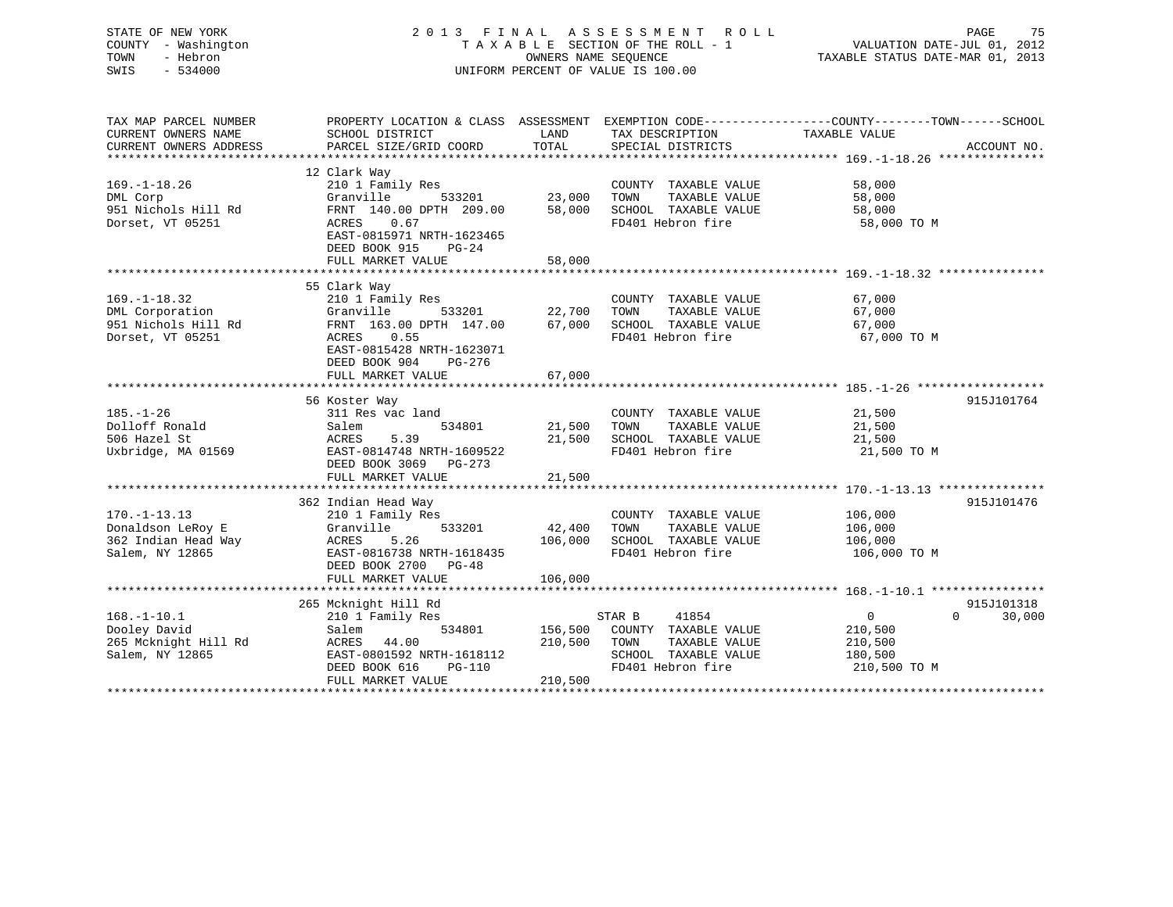| STATE OF NEW YORK<br>COUNTY - Washington<br>- Hebron<br>TOWN<br>SWIS<br>$-534000$ |                                                                                                                                               |                      | 2013 FINAL ASSESSMENT ROLL<br>TAXABLE SECTION OF THE ROLL - 1<br>OWNERS NAME SEQUENCE<br>UNIFORM PERCENT OF VALUE IS 100.00 | VALUATION DATE-JUL 01, 2012<br>TAXABLE STATUS DATE-MAR 01, 2013 | PAGE<br>75  |
|-----------------------------------------------------------------------------------|-----------------------------------------------------------------------------------------------------------------------------------------------|----------------------|-----------------------------------------------------------------------------------------------------------------------------|-----------------------------------------------------------------|-------------|
| TAX MAP PARCEL NUMBER<br>CURRENT OWNERS NAME<br>CURRENT OWNERS ADDRESS            | PROPERTY LOCATION & CLASS ASSESSMENT EXEMPTION CODE----------------COUNTY-------TOWN------SCHOOL<br>SCHOOL DISTRICT<br>PARCEL SIZE/GRID COORD | LAND<br>TOTAL        | TAX DESCRIPTION<br>SPECIAL DISTRICTS                                                                                        | TAXABLE VALUE                                                   | ACCOUNT NO. |
|                                                                                   |                                                                                                                                               |                      |                                                                                                                             |                                                                 |             |
|                                                                                   | 12 Clark Way                                                                                                                                  |                      |                                                                                                                             |                                                                 |             |
| $169. - 1 - 18.26$                                                                | 210 1 Family Res                                                                                                                              |                      | COUNTY TAXABLE VALUE                                                                                                        | 58,000                                                          |             |
| DML Corp                                                                          | Granville<br>533201                                                                                                                           | 23,000               | TAXABLE VALUE<br>TOWN                                                                                                       | 58,000                                                          |             |
| 951 Nichols Hill Rd                                                               | FRNT 140.00 DPTH 209.00                                                                                                                       | 58,000               | SCHOOL TAXABLE VALUE                                                                                                        | 58,000                                                          |             |
| Dorset, VT 05251                                                                  | ACRES<br>0.67<br>EAST-0815971 NRTH-1623465                                                                                                    |                      | FD401 Hebron fire                                                                                                           | 58,000 TO M                                                     |             |
|                                                                                   | DEED BOOK 915<br>$PG-24$                                                                                                                      |                      |                                                                                                                             |                                                                 |             |
|                                                                                   | FULL MARKET VALUE                                                                                                                             | 58,000               |                                                                                                                             |                                                                 |             |
|                                                                                   |                                                                                                                                               | **************       |                                                                                                                             | ********************************* 169.-1-18.32 ***********      |             |
|                                                                                   | 55 Clark Way                                                                                                                                  |                      |                                                                                                                             |                                                                 |             |
| $169. - 1 - 18.32$                                                                | 210 1 Family Res                                                                                                                              |                      | COUNTY TAXABLE VALUE                                                                                                        | 67,000                                                          |             |
| DML Corporation                                                                   | Granville<br>533201                                                                                                                           | 22,700               | TOWN<br>TAXABLE VALUE                                                                                                       | 67,000                                                          |             |
| 951 Nichols Hill Rd<br>Dorset, VT 05251                                           | FRNT 163.00 DPTH 147.00<br>0.55<br>ACRES                                                                                                      | 67,000               | SCHOOL TAXABLE VALUE<br>FD401 Hebron fire                                                                                   | 67,000<br>67,000 TO M                                           |             |
|                                                                                   | EAST-0815428 NRTH-1623071                                                                                                                     |                      |                                                                                                                             |                                                                 |             |
|                                                                                   | DEED BOOK 904<br>PG-276                                                                                                                       |                      |                                                                                                                             |                                                                 |             |
|                                                                                   | FULL MARKET VALUE                                                                                                                             | 67,000               |                                                                                                                             |                                                                 |             |
|                                                                                   |                                                                                                                                               |                      |                                                                                                                             |                                                                 |             |
|                                                                                   | 56 Koster Way                                                                                                                                 |                      |                                                                                                                             |                                                                 | 915J101764  |
| $185. - 1 - 26$                                                                   | 311 Res vac land                                                                                                                              |                      | COUNTY TAXABLE VALUE                                                                                                        | 21,500                                                          |             |
| Dolloff Ronald                                                                    | Salem<br>534801                                                                                                                               | 21,500               | TOWN<br>TAXABLE VALUE                                                                                                       | 21,500                                                          |             |
| 506 Hazel St                                                                      | ACRES<br>5.39                                                                                                                                 | 21,500               | SCHOOL TAXABLE VALUE                                                                                                        | 21,500                                                          |             |
| Uxbridge, MA 01569                                                                | EAST-0814748 NRTH-1609522<br>DEED BOOK 3069 PG-273                                                                                            |                      | FD401 Hebron fire                                                                                                           | 21,500 TO M                                                     |             |
|                                                                                   | FULL MARKET VALUE                                                                                                                             | 21,500               |                                                                                                                             |                                                                 |             |
|                                                                                   |                                                                                                                                               |                      |                                                                                                                             |                                                                 |             |
|                                                                                   | 362 Indian Head Way                                                                                                                           |                      |                                                                                                                             |                                                                 | 915J101476  |
| $170. - 1 - 13.13$                                                                | 210 1 Family Res                                                                                                                              |                      | COUNTY TAXABLE VALUE                                                                                                        | 106,000                                                         |             |
| Donaldson LeRoy E                                                                 | 533201<br>Granville                                                                                                                           | 42,400               | TOWN<br>TAXABLE VALUE                                                                                                       | 106,000                                                         |             |
| 362 Indian Head Way                                                               | 5.26<br>ACRES                                                                                                                                 | 106,000              | SCHOOL TAXABLE VALUE                                                                                                        | 106,000                                                         |             |
| Salem, NY 12865                                                                   | EAST-0816738 NRTH-1618435                                                                                                                     |                      | FD401 Hebron fire                                                                                                           | 106,000 TO M                                                    |             |
|                                                                                   | DEED BOOK 2700 PG-48                                                                                                                          |                      |                                                                                                                             |                                                                 |             |
|                                                                                   | FULL MARKET VALUE<br>**************************                                                                                               | 106,000<br>********* |                                                                                                                             | ********************** 168.-1-10.1 *****************            |             |
|                                                                                   | 265 Mcknight Hill Rd                                                                                                                          |                      |                                                                                                                             |                                                                 | 915J101318  |
| $168. - 1 - 10.1$                                                                 | 210 1 Family Res                                                                                                                              |                      | 41854<br>STAR B                                                                                                             | $\overline{0}$<br>$\Omega$                                      | 30,000      |
| Dooley David                                                                      | 534801<br>Salem                                                                                                                               | 156,500              | COUNTY TAXABLE VALUE                                                                                                        | 210,500                                                         |             |
| 265 Mcknight Hill Rd                                                              | ACRES<br>44.00                                                                                                                                | 210,500              | TAXABLE VALUE<br>TOWN                                                                                                       | 210,500                                                         |             |
| Salem, NY 12865                                                                   | EAST-0801592 NRTH-1618112                                                                                                                     |                      | SCHOOL TAXABLE VALUE                                                                                                        | 180,500                                                         |             |
|                                                                                   | DEED BOOK 616<br>$PG-110$                                                                                                                     |                      | FD401 Hebron fire                                                                                                           | 210,500 TO M                                                    |             |
|                                                                                   | FULL MARKET VALUE                                                                                                                             | 210,500              |                                                                                                                             |                                                                 |             |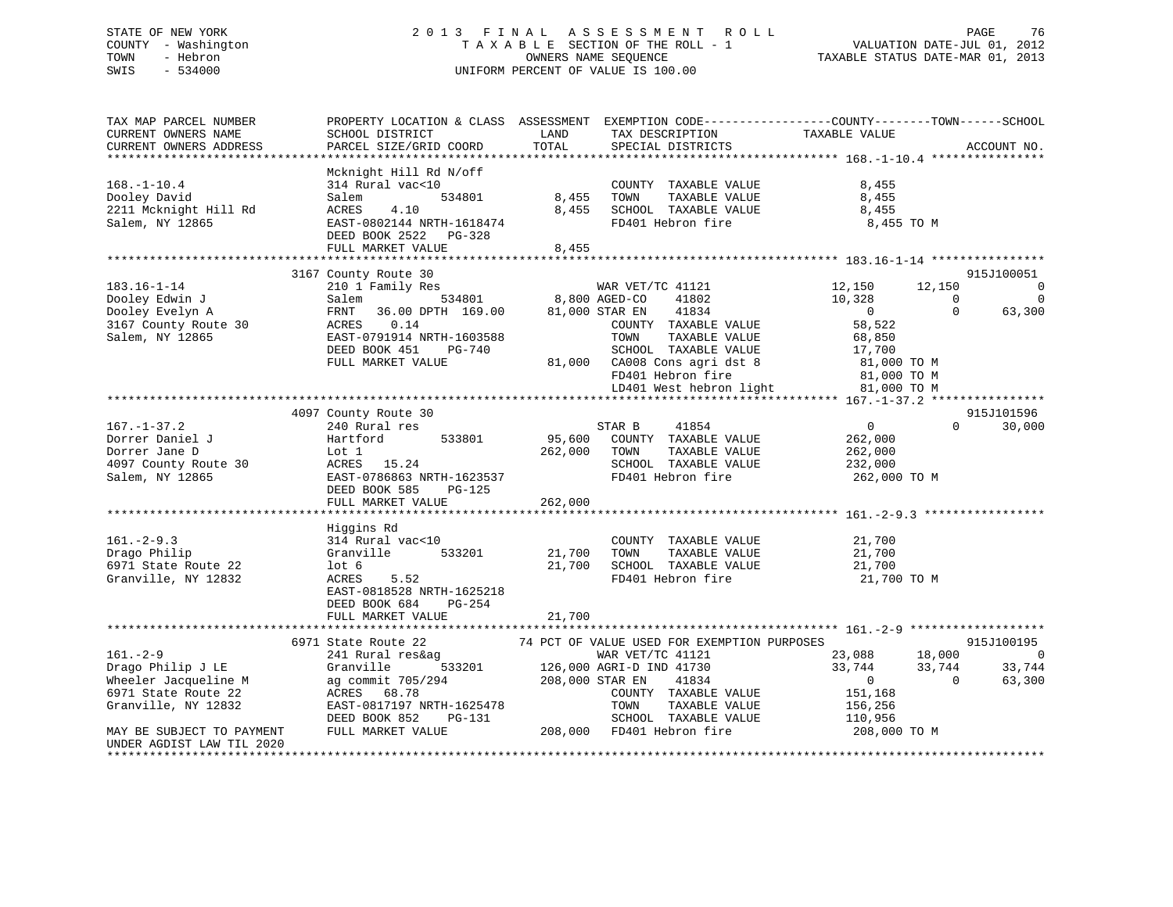# STATE OF NEW YORK 2 0 1 3 F I N A L A S S E S S M E N T R O L L PAGE 76 COUNTY - Washington T A X A B L E SECTION OF THE ROLL - 1 VALUATION DATE-JUL 01, 2012 TOWN - Hebron OWNERS NAME SEQUENCE TAXABLE STATUS DATE-MAR 01, 2013 SWIS - 534000 UNIFORM PERCENT OF VALUE IS 100.00

TAX MAP PARCEL NUMBER PROPERTY LOCATION & CLASS ASSESSMENT EXEMPTION CODE------------------COUNTY--------TOWN------SCHOOL CURRENT OWNERS NAME SCHOOL DISTRICT THE LAND TAX DESCRIPTION TAXABLE VALUE CURRENT OWNERS ADDRESS PARCEL SIZE/GRID COORD TOTAL SPECIAL DISTRICTS ACCOUNT NO. \*\*\*\*\*\*\*\*\*\*\*\*\*\*\*\*\*\*\*\*\*\*\*\*\*\*\*\*\*\*\*\*\*\*\*\*\*\*\*\*\*\*\*\*\*\*\*\*\*\*\*\*\*\*\*\*\*\*\*\*\*\*\*\*\*\*\*\*\*\*\*\*\*\*\*\*\*\*\*\*\*\*\*\*\*\*\*\*\*\*\*\*\*\*\*\*\*\*\*\*\*\*\* 168.-1-10.4 \*\*\*\*\*\*\*\*\*\*\*\*\*\*\*\* Mcknight Hill Rd N/off 168.-1-10.4 314 Rural vac<10 COUNTY TAXABLE VALUE 8,455 Dooley David Salem 534801 8,455 TOWN TAXABLE VALUE 8,455 2211 Mcknight Hill Rd ACRES 4.10 8,455 SCHOOL TAXABLE VALUE 8,455 Salem, NY 12865 EAST-0802144 NRTH-1618474 FD401 Hebron fire 8,455 TO M DEED BOOK 2522 PG-328 FULL MARKET VALUE 8,455 \*\*\*\*\*\*\*\*\*\*\*\*\*\*\*\*\*\*\*\*\*\*\*\*\*\*\*\*\*\*\*\*\*\*\*\*\*\*\*\*\*\*\*\*\*\*\*\*\*\*\*\*\*\*\*\*\*\*\*\*\*\*\*\*\*\*\*\*\*\*\*\*\*\*\*\*\*\*\*\*\*\*\*\*\*\*\*\*\*\*\*\*\*\*\*\*\*\*\*\*\*\*\* 183.16-1-14 \*\*\*\*\*\*\*\*\*\*\*\*\*\*\*\*3167 County Route 30 915J100051<br>210 1 Family Res 61, 210 1 Family Res 61 210 812/10 915J100051 810 812/150 812/150 812/150 812/150 812/150 81 183.16-1-14 210 1 Family Res WAR VET/TC 41121 12,150 12,150 0 Dooley Edwin J Salem 534801 8,800 AGED-CO 41802 10,328 0 0 Dooley Evelyn A FRNT 36.00 DPTH 169.00 81,000 STAR EN 41834 0 0 63,300 3167 County Route 30 ACRES 0.14 COUNTY TAXABLE VALUE 58,522 Salem, NY 12865 EAST-0791914 NRTH-1603588 TOWN TAXABLE VALUE 68,850 DEED BOOK 451 PG-740 SCHOOL TAXABLE VALUE 17,700 FULL MARKET VALUE 81,000 CA008 Cons agri dst 8 81,000 TO M FD401 Hebron fire 81,000 TO M LD401 West hebron light 81,000 TO M \*\*\*\*\*\*\*\*\*\*\*\*\*\*\*\*\*\*\*\*\*\*\*\*\*\*\*\*\*\*\*\*\*\*\*\*\*\*\*\*\*\*\*\*\*\*\*\*\*\*\*\*\*\*\*\*\*\*\*\*\*\*\*\*\*\*\*\*\*\*\*\*\*\*\*\*\*\*\*\*\*\*\*\*\*\*\*\*\*\*\*\*\*\*\*\*\*\*\*\*\*\*\* 167.-1-37.2 \*\*\*\*\*\*\*\*\*\*\*\*\*\*\*\*915J101596 4097 County Route 30 167.-1-37.2 240 Rural res STAR B 41854 0 0 30,000 Dorrer Daniel J Hartford 533801 95,600 COUNTY TAXABLE VALUE 262,000 Dorrer Jane D Lot 1 262,000 TOWN TAXABLE VALUE 262,000 4097 County Route 30 ACRES 15.24 SCHOOL TAXABLE VALUE 232,000 Salem, NY 12865 EAST-0786863 NRTH-1623537 FD401 Hebron fire 262,000 TO M DEED BOOK 585 PG-125EXEL BOOK DODE 202 262,000 \*\*\*\*\*\*\*\*\*\*\*\*\*\*\*\*\*\*\*\*\*\*\*\*\*\*\*\*\*\*\*\*\*\*\*\*\*\*\*\*\*\*\*\*\*\*\*\*\*\*\*\*\*\*\*\*\*\*\*\*\*\*\*\*\*\*\*\*\*\*\*\*\*\*\*\*\*\*\*\*\*\*\*\*\*\*\*\*\*\*\*\*\*\*\*\*\*\*\*\*\*\*\* 161.-2-9.3 \*\*\*\*\*\*\*\*\*\*\*\*\*\*\*\*\* Higgins Rd 161.-2-9.3 314 Rural vac<10 COUNTY TAXABLE VALUE 21,700 Drago Philip Granville 533201 21,700 TOWN TAXABLE VALUE 21,700 6971 State Route 22 lot 6 21,700 SCHOOL TAXABLE VALUE 21,700 Granville, NY 12832 ACRES 5.52 FD401 Hebron fire 21,700 TO M EAST-0818528 NRTH-1625218 DEED BOOK 684 PG-254 FULL MARKET VALUE 21,700 \*\*\*\*\*\*\*\*\*\*\*\*\*\*\*\*\*\*\*\*\*\*\*\*\*\*\*\*\*\*\*\*\*\*\*\*\*\*\*\*\*\*\*\*\*\*\*\*\*\*\*\*\*\*\*\*\*\*\*\*\*\*\*\*\*\*\*\*\*\*\*\*\*\*\*\*\*\*\*\*\*\*\*\*\*\*\*\*\*\*\*\*\*\*\*\*\*\*\*\*\*\*\* 161.-2-9 \*\*\*\*\*\*\*\*\*\*\*\*\*\*\*\*\*\*\* 6971 State Route 22 74 PCT OF VALUE USED FOR EXEMPTION PURPOSES 915J100195161.-2-9 241 Rural res&ag WAR VET/TC 41121 23,088 18,000 0 Drago Philip J LE Granville 533201 126,000 AGRI-D IND 41730 33,744 33,744 33,744 Wheeler Jacqueline M ag commit 705/294 208,000 STAR EN 41834 0 0 63,300 6971 State Route 22 ACRES 68.78 COUNTY TAXABLE VALUE 151,168 Value 1 200,000 200,000 200,000 200,000 200,000 200,000 200,000 200,000 200,000 200,000 200,000 200,000 200,000<br>
Granville, NY 12832 EAST-0817197 NRTH-1625478 TOWN TAXABLE VALUE 156,256<br>
DEED BOOK 852 PG-131 SCHOOL TAXABLE DEED BOOK 852 PG-131 SCHOOL TAXABLE VALUE 110,956 MAY BE SUBJECT TO PAYMENT FULL MARKET VALUE 208,000 FD401 Hebron fire 208,000 TO M UNDER AGDIST LAW TIL 2020\*\*\*\*\*\*\*\*\*\*\*\*\*\*\*\*\*\*\*\*\*\*\*\*\*\*\*\*\*\*\*\*\*\*\*\*\*\*\*\*\*\*\*\*\*\*\*\*\*\*\*\*\*\*\*\*\*\*\*\*\*\*\*\*\*\*\*\*\*\*\*\*\*\*\*\*\*\*\*\*\*\*\*\*\*\*\*\*\*\*\*\*\*\*\*\*\*\*\*\*\*\*\*\*\*\*\*\*\*\*\*\*\*\*\*\*\*\*\*\*\*\*\*\*\*\*\*\*\*\*\*\*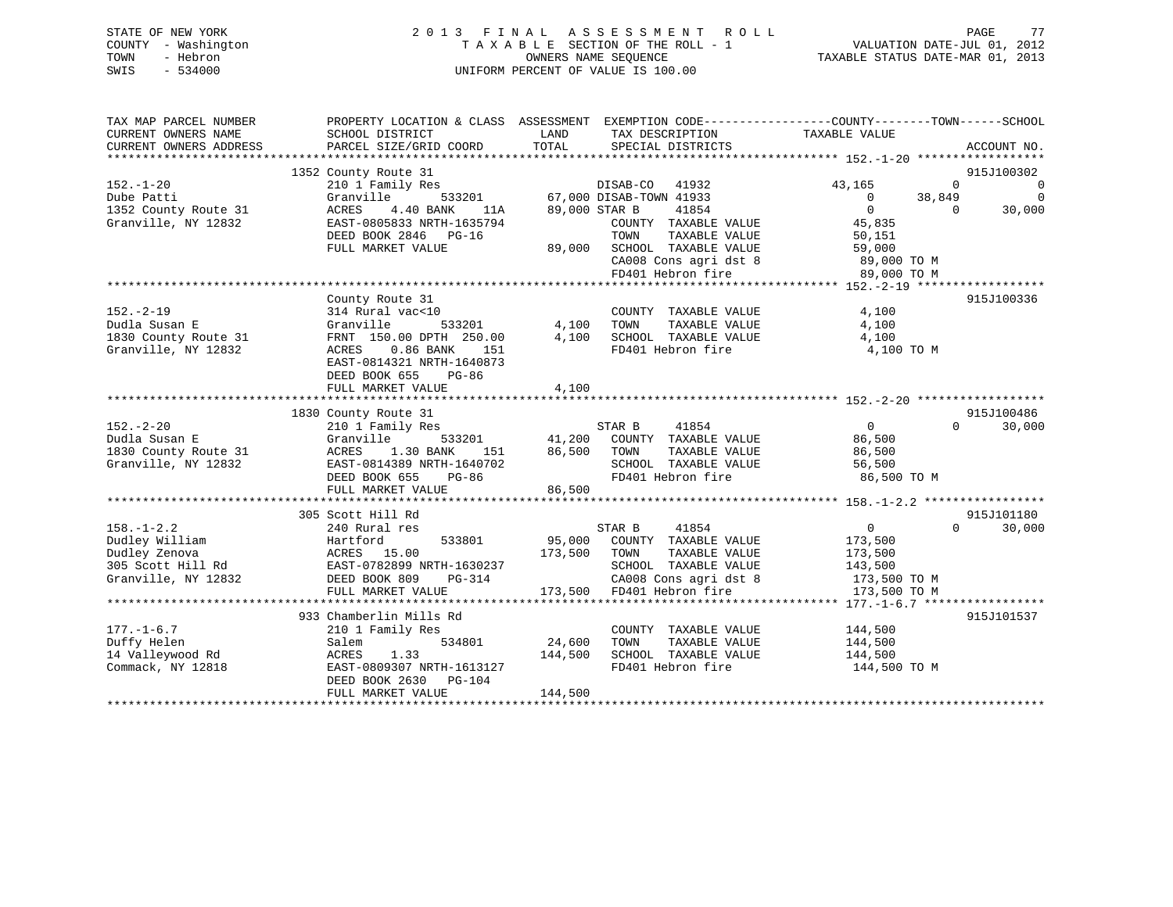|      | STATE OF NEW YORK   | 2013 FINAL ASSESSMENT ROLL                               | PAGE                        | 77 |
|------|---------------------|----------------------------------------------------------|-----------------------------|----|
|      | COUNTY - Washington | TAXABLE SECTION OF THE ROLL - 1                          | VALUATION DATE-JUL 01, 2012 |    |
| TOWN | - Hebron            | TAXABLE STATUS DATE-MAR 01, 2013<br>OWNERS NAME SEOUENCE |                             |    |
| SWIS | $-534000$           | UNIFORM PERCENT OF VALUE IS 100.00                       |                             |    |

| TAX MAP PARCEL NUMBER                 |                                                   | PROPERTY LOCATION & CLASS ASSESSMENT EXEMPTION CODE----------------COUNTY-------TOWN------SCHOOL |                                                    |
|---------------------------------------|---------------------------------------------------|--------------------------------------------------------------------------------------------------|----------------------------------------------------|
| CURRENT OWNERS NAME                   | SCHOOL DISTRICT                                   | LAND<br>TAX DESCRIPTION                                                                          | TAXABLE VALUE                                      |
| CURRENT OWNERS ADDRESS                | PARCEL SIZE/GRID COORD                            | TOTAL<br>SPECIAL DISTRICTS                                                                       | ACCOUNT NO.                                        |
|                                       | 1352 County Route 31                              |                                                                                                  | 915J100302                                         |
| $152. - 1 - 20$                       | 210 1 Family Res                                  | DISAB-CO 41932                                                                                   | 43,165<br>$\overline{0}$<br>0                      |
| Dube Patti                            | Granville                                         | 533201 67,000 DISAB-TOWN 41933                                                                   | 38,849<br>$\mathbf 0$<br>$\overline{0}$            |
| 1352 County Route 31                  | ACRES<br>4.40 BANK<br>11A                         | 89,000 STAR B<br>41854                                                                           | 30,000<br>$\overline{0}$<br>$\Omega$               |
| Granville, NY 12832                   | EAST-0805833 NRTH-1635794                         | COUNTY TAXABLE VALUE                                                                             | 45,835                                             |
|                                       | DEED BOOK 2846 PG-16                              | TOWN<br>TAXABLE VALUE                                                                            | 50,151                                             |
|                                       | FULL MARKET VALUE                                 | 89,000 SCHOOL TAXABLE VALUE                                                                      | 59,000                                             |
|                                       |                                                   | CA008 Cons agri dst 8                                                                            | 89,000 TO M                                        |
|                                       |                                                   | FD401 Hebron fire                                                                                | 89,000 TO M                                        |
|                                       |                                                   |                                                                                                  |                                                    |
|                                       | County Route 31                                   |                                                                                                  | 915J100336                                         |
| $152. - 2 - 19$                       | 314 Rural vac<10                                  | COUNTY TAXABLE VALUE 4,100                                                                       |                                                    |
| Dudla Susan E<br>1830 County Route 31 | Granville                                         | 533201 4,100<br>TOWN<br>TAXABLE VALUE<br>4,100                                                   | 4,100<br>4,100                                     |
| Granville, NY 12832                   | FRNT 150.00 DPTH 250.00<br>ACRES 0.86 BANK<br>151 | SCHOOL TAXABLE VALUE<br>FD401 Hebron fire                                                        | 4,100 TO M                                         |
|                                       | EAST-0814321 NRTH-1640873                         |                                                                                                  |                                                    |
|                                       | DEED BOOK 655<br>PG-86                            |                                                                                                  |                                                    |
|                                       | FULL MARKET VALUE                                 | 4,100                                                                                            |                                                    |
|                                       |                                                   |                                                                                                  |                                                    |
|                                       | 1830 County Route 31                              |                                                                                                  | 915J100486                                         |
| $152 - 2 - 20$                        | 210 1 Family Res                                  | STAR B<br>41854                                                                                  | $\overline{0}$<br>30,000<br>$\Omega$               |
| Dudla Susan E                         | Granville                                         | 533201 41,200 COUNTY TAXABLE VALUE                                                               | 86,500                                             |
| 1830 County Route 31                  | 1.30 BANK<br>ACRES<br>151                         | 86,500 TOWN<br>TAXABLE VALUE                                                                     | 86,500                                             |
| Granville, NY 12832                   | EAST-0814389 NRTH-1640702                         | SCHOOL TAXABLE VALUE 56,500<br>FD401 Hebron fire 86,500 TO M                                     |                                                    |
|                                       | DEED BOOK 655 PG-86                               |                                                                                                  |                                                    |
|                                       | FULL MARKET VALUE                                 | 86,500                                                                                           |                                                    |
|                                       |                                                   |                                                                                                  |                                                    |
| $158. - 1 - 2.2$                      | 305 Scott Hill Rd<br>240 Rural res                | STAR B<br>41854                                                                                  | 915J101180<br>$\overline{0}$<br>30,000<br>$\Omega$ |
|                                       |                                                   | 533801 95,000<br>COUNTY TAXABLE VALUE 173,500                                                    |                                                    |
|                                       |                                                   | TAXABLE VALUE<br>173,500<br>TOWN                                                                 | 173,500                                            |
|                                       |                                                   | SCHOOL TAXABLE VALUE                                                                             | 143,500                                            |
| Granville, NY 12832                   | DEED BOOK 809<br>PG-314                           | CA008 Cons agri dst 8                                                                            | 173,500 TO M                                       |
|                                       | FULL MARKET VALUE                                 | 173,500 FD401 Hebron fire                                                                        | 173,500 TO M                                       |
|                                       |                                                   |                                                                                                  |                                                    |
|                                       | 933 Chamberlin Mills Rd                           |                                                                                                  | 915J101537                                         |
| $177. - 1 - 6.7$                      | 210 1 Family Res                                  | COUNTY TAXABLE VALUE 144,500                                                                     |                                                    |
| Duffy Helen                           | 534801<br>Salem                                   | 24,600<br>TAXABLE VALUE<br>TOWN                                                                  | 144,500                                            |
| 14 Valleywood Rd                      | 1.33<br>ACRES                                     | 144,500<br>SCHOOL TAXABLE VALUE                                                                  | 144,500                                            |
| Commack, NY 12818                     | EAST-0809307 NRTH-1613127                         | FD401 Hebron fire                                                                                | 144,500 TO M                                       |
|                                       | DEED BOOK 2630 PG-104                             |                                                                                                  |                                                    |
|                                       | FULL MARKET VALUE                                 | 144,500                                                                                          |                                                    |
|                                       |                                                   |                                                                                                  |                                                    |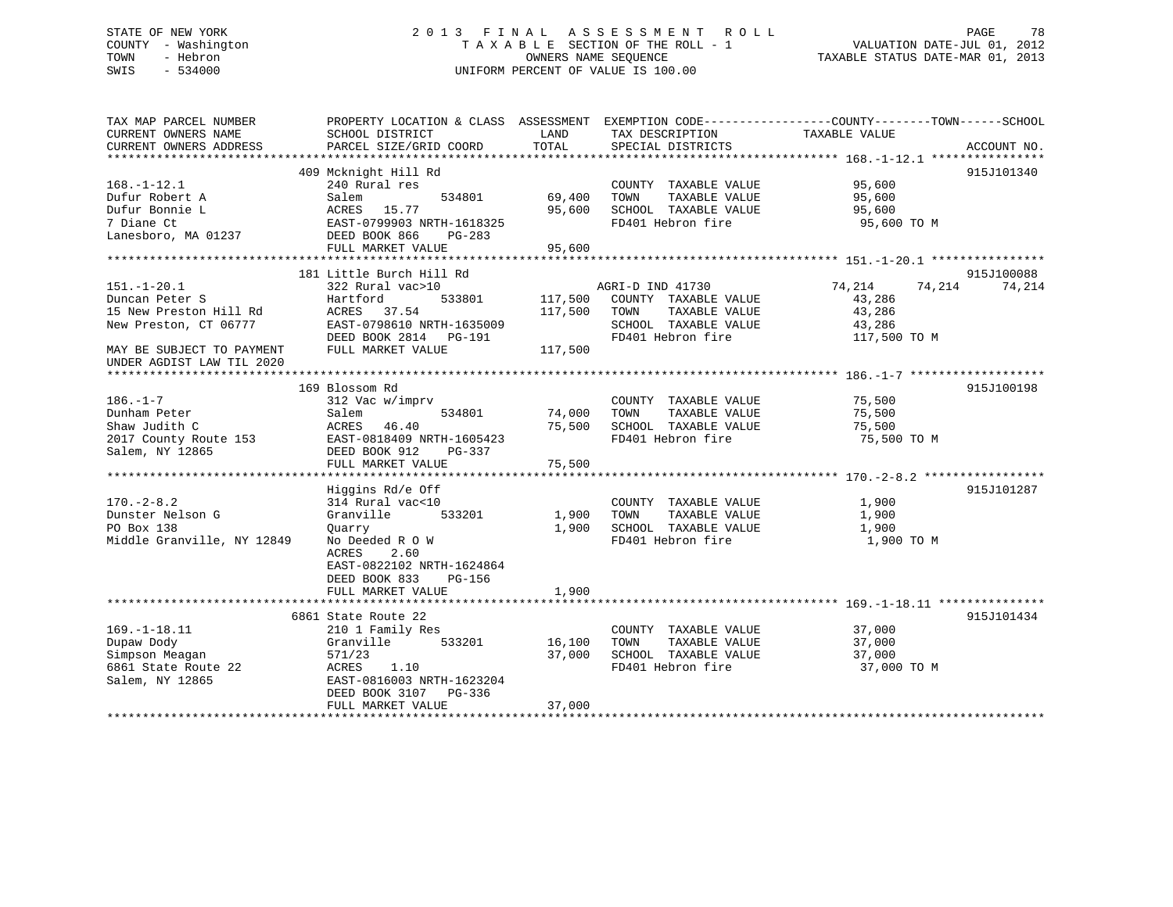# STATE OF NEW YORK 2 0 1 3 F I N A L A S S E S S M E N T R O L L PAGE 78 COUNTY - Washington T A X A B L E SECTION OF THE ROLL - 1 VALUATION DATE-JUL 01, 2012 TOWN - Hebron **CONNERS NAME SEQUENCE** TAXABLE STATUS DATE-MAR 01, 2013 SWIS - 534000 UNIFORM PERCENT OF VALUE IS 100.00

| TAX MAP PARCEL NUMBER<br>CURRENT OWNERS NAME<br>CURRENT OWNERS ADDRESS                                                                           | PROPERTY LOCATION & CLASS ASSESSMENT<br>SCHOOL DISTRICT<br>PARCEL SIZE/GRID COORD                                                                                                             | LAND<br>TOTAL                 | TAX DESCRIPTION<br>SPECIAL DISTRICTS                                                                           | EXEMPTION CODE-----------------COUNTY--------TOWN------SCHOOL<br>TAXABLE VALUE | ACCOUNT NO.          |
|--------------------------------------------------------------------------------------------------------------------------------------------------|-----------------------------------------------------------------------------------------------------------------------------------------------------------------------------------------------|-------------------------------|----------------------------------------------------------------------------------------------------------------|--------------------------------------------------------------------------------|----------------------|
| $168. - 1 - 12.1$<br>Dufur Robert A<br>Dufur Bonnie L<br>7 Diane Ct<br>Lanesboro, MA 01237                                                       | 409 Mcknight Hill Rd<br>240 Rural res<br>534801<br>Salem<br>15.77<br>ACRES<br>EAST-0799903 NRTH-1618325<br>DEED BOOK 866<br>PG-283<br>FULL MARKET VALUE                                       | 69,400<br>95,600<br>95,600    | COUNTY TAXABLE VALUE<br>TOWN<br>TAXABLE VALUE<br>SCHOOL TAXABLE VALUE<br>FD401 Hebron fire                     | 95,600<br>95,600<br>95,600<br>95,600 TO M                                      | 915J101340           |
| $151. - 1 - 20.1$<br>Duncan Peter S<br>15 New Preston Hill Rd<br>New Preston, CT 06777<br>MAY BE SUBJECT TO PAYMENT<br>UNDER AGDIST LAW TIL 2020 | 181 Little Burch Hill Rd<br>322 Rural vac>10<br>Hartford<br>533801<br>ACRES<br>37.54<br>EAST-0798610 NRTH-1635009<br>DEED BOOK 2814 PG-191<br>FULL MARKET VALUE                               | 117,500<br>117,500<br>117,500 | AGRI-D IND 41730<br>COUNTY TAXABLE VALUE<br>TAXABLE VALUE<br>TOWN<br>SCHOOL TAXABLE VALUE<br>FD401 Hebron fire | 74,214<br>74,214<br>43,286<br>43,286<br>43,286<br>117,500 TO M                 | 915J100088<br>74,214 |
| $186. - 1 - 7$<br>Dunham Peter<br>Shaw Judith C<br>2017 County Route 153<br>Salem, NY 12865                                                      | 169 Blossom Rd<br>312 Vac w/imprv<br>Salem<br>534801<br>46.40<br>ACRES<br>EAST-0818409 NRTH-1605423<br>DEED BOOK 912<br>PG-337<br>FULL MARKET VALUE                                           | 74,000<br>75,500<br>75,500    | COUNTY TAXABLE VALUE<br>TAXABLE VALUE<br>TOWN<br>SCHOOL TAXABLE VALUE<br>FD401 Hebron fire                     | 75,500<br>75,500<br>75,500<br>75,500 TO M                                      | 915J100198           |
| $170. - 2 - 8.2$<br>Dunster Nelson G<br>PO Box 138<br>Middle Granville, NY 12849                                                                 | Higgins Rd/e Off<br>314 Rural vac<10<br>Granville<br>533201<br>Ouarry<br>No Deeded R O W<br>ACRES<br>2.60<br>EAST-0822102 NRTH-1624864<br>DEED BOOK 833<br><b>PG-156</b><br>FULL MARKET VALUE | 1,900<br>1,900<br>1,900       | COUNTY TAXABLE VALUE<br>TOWN<br>TAXABLE VALUE<br>SCHOOL TAXABLE VALUE<br>FD401 Hebron fire                     | 1,900<br>1,900<br>1,900<br>1,900 TO M                                          | 915J101287           |
| $169. - 1 - 18.11$<br>Dupaw Dody<br>Simpson Meagan<br>6861 State Route 22<br>Salem, NY 12865                                                     | 6861 State Route 22<br>210 1 Family Res<br>533201<br>Granville<br>571/23<br>ACRES<br>1.10<br>EAST-0816003 NRTH-1623204<br>DEED BOOK 3107<br>PG-336<br>FULL MARKET VALUE                       | 16,100<br>37,000<br>37,000    | COUNTY TAXABLE VALUE<br>TOWN<br>TAXABLE VALUE<br>SCHOOL TAXABLE VALUE<br>FD401 Hebron fire                     | 37,000<br>37,000<br>37,000<br>37,000 TO M                                      | 915J101434           |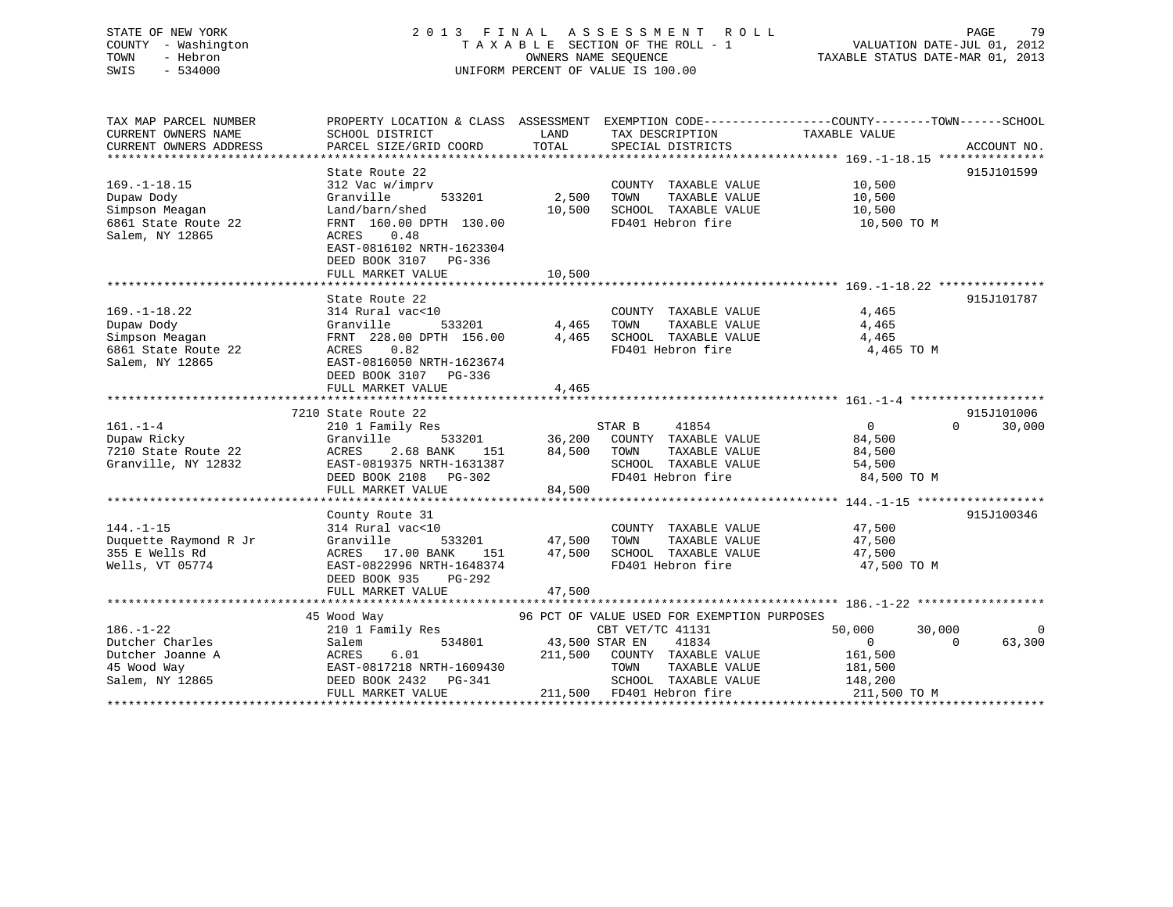# STATE OF NEW YORK 2 0 1 3 F I N A L A S S E S S M E N T R O L L PAGE 79 COUNTY - Washington T A X A B L E SECTION OF THE ROLL - 1 VALUATION DATE-JUL 01, 2012 TOWN - Hebron OWNERS NAME SEQUENCE TAXABLE STATUS DATE-MAR 01, 2013 SWIS - 534000 UNIFORM PERCENT OF VALUE IS 100.00

| TAX MAP PARCEL NUMBER                 |                                                                                |                       |                                             | PROPERTY LOCATION & CLASS ASSESSMENT EXEMPTION CODE---------------COUNTY-------TOWN-----SCHOOL |                |
|---------------------------------------|--------------------------------------------------------------------------------|-----------------------|---------------------------------------------|------------------------------------------------------------------------------------------------|----------------|
| CURRENT OWNERS NAME                   | SCHOOL DISTRICT                                                                | LAND                  | TAX DESCRIPTION                             | TAXABLE VALUE                                                                                  |                |
|                                       |                                                                                |                       |                                             |                                                                                                |                |
|                                       |                                                                                |                       |                                             |                                                                                                |                |
|                                       | State Route 22                                                                 |                       |                                             |                                                                                                | 915J101599     |
| $169. - 1 - 18.15$                    | 312 Vac w/imprv                                                                |                       | COUNTY TAXABLE VALUE 10,500                 |                                                                                                |                |
| Dupaw Dody                            | 533201<br>Granville                                                            | 2,500                 | TOWN<br>TAXABLE VALUE                       | 10,500                                                                                         |                |
| Simpson Meagan                        | Land/barn/shed                                                                 | 10,500                | SCHOOL TAXABLE VALUE                        | 10,500                                                                                         |                |
| 6861 State Route 22                   | FRNT 160.00 DPTH 130.00                                                        |                       | FD401 Hebron fire                           | $10,500$ TO M                                                                                  |                |
| Salem, NY 12865                       | ACRES<br>0.48                                                                  |                       |                                             |                                                                                                |                |
|                                       | EAST-0816102 NRTH-1623304                                                      |                       |                                             |                                                                                                |                |
|                                       | DEED BOOK 3107 PG-336                                                          |                       |                                             |                                                                                                |                |
|                                       | FULL MARKET VALUE                                                              | 10,500                |                                             |                                                                                                |                |
|                                       |                                                                                |                       |                                             |                                                                                                |                |
|                                       | State Route 22                                                                 |                       |                                             |                                                                                                | 915J101787     |
| $169. - 1 - 18.22$                    | 314 Rural vac<10                                                               |                       | COUNTY TAXABLE VALUE                        | 4,465                                                                                          |                |
| Dupaw Dody                            | Granville                                                                      | 533201 4,465          | TOWN<br>TAXABLE VALUE                       | 4,465                                                                                          |                |
| Simpson Meagan                        | FRNT 228.00 DPTH 156.00 4,465                                                  |                       |                                             | 4,465                                                                                          |                |
| 6861 State Route 22                   | ACRES 0.82                                                                     |                       | SCHOOL TAXABLE VALUE<br>FD401 Hebron fire   | 4,465 TO M                                                                                     |                |
| Salem, NY 12865                       | EAST-0816050 NRTH-1623674                                                      |                       |                                             |                                                                                                |                |
|                                       | DEED BOOK 3107 PG-336                                                          |                       |                                             |                                                                                                |                |
|                                       | FULL MARKET VALUE                                                              | 4,465                 |                                             |                                                                                                |                |
|                                       |                                                                                |                       |                                             |                                                                                                |                |
|                                       | 7210 State Route 22                                                            |                       |                                             |                                                                                                | 915J101006     |
| $161. - 1 - 4$                        | 210 1 Family Res                                                               |                       | 41854<br>STAR B                             | $\Omega$<br>$\Omega$                                                                           | 30,000         |
| Dupaw Ricky                           | Granville                                                                      | 533201 36,200         | COUNTY TAXABLE VALUE                        | 84,500                                                                                         |                |
| 7210 State Route 22                   | ACRES<br>2.68 BANK<br>151                                                      | 84,500                | TOWN<br>TAXABLE VALUE                       | 84,500                                                                                         |                |
| Granville, NY 12832                   | EAST-0819375 NRTH-1631387                                                      |                       |                                             | 54,500                                                                                         |                |
|                                       | DEED BOOK 2108 PG-302                                                          |                       | SCHOOL TAXABLE VALUE<br>FD401 Hebron fire   | 84,500 TO M                                                                                    |                |
|                                       | FULL MARKET VALUE                                                              | 84,500                |                                             |                                                                                                |                |
|                                       |                                                                                |                       |                                             |                                                                                                |                |
|                                       | County Route 31                                                                |                       |                                             |                                                                                                | 915J100346     |
| $144. - 1 - 15$                       | 314 Rural vac<10                                                               |                       | COUNTY TAXABLE VALUE                        | 47,500                                                                                         |                |
| Duquette Raymond R Jr                 | Granville                                                                      | 533201 47,500         | TAXABLE VALUE<br>TOWN                       | 47,500                                                                                         |                |
| 355 E Wells Rd                        | ACRES 17.00 BANK                                                               | 151 47,500            | SCHOOL TAXABLE VALUE                        | 47,500                                                                                         |                |
| Wells, VT 05774                       | EAST-0822996 NRTH-1648374                                                      |                       | FD401 Hebron fire                           | 47,500 TO M                                                                                    |                |
|                                       | DEED BOOK 935<br>PG-292                                                        |                       |                                             |                                                                                                |                |
|                                       | FULL MARKET VALUE                                                              | 47,500                |                                             |                                                                                                |                |
|                                       |                                                                                |                       |                                             |                                                                                                |                |
|                                       | 45 Wood Way                                                                    |                       | 96 PCT OF VALUE USED FOR EXEMPTION PURPOSES |                                                                                                |                |
| $186. - 1 - 22$                       | $210$ 1 Family Res                                                             |                       | CBT VET/TC 41131                            | 50,000<br>30,000                                                                               | $\overline{0}$ |
| Dutcher Charles                       | Salem                                                                          | 534801 43,500 STAR EN | 41834                                       | $\Omega$<br>$\Omega$                                                                           | 63,300         |
|                                       | Ducher Joanne A<br>Dutcher Joanne A<br>ACRES 6.01<br>EAST-0817218 NRTH-1609430 |                       | 211,500 COUNTY TAXABLE VALUE                | 161,500                                                                                        |                |
|                                       |                                                                                |                       | TOWN<br>TAXABLE VALUE                       | 181,500                                                                                        |                |
| Salem, NY 12865 DEED BOOK 2432 PG-341 |                                                                                |                       | SCHOOL TAXABLE VALUE                        | 148,200                                                                                        |                |
|                                       | FULL MARKET VALUE                                                              |                       | 211,500 FD401 Hebron fire                   | 211,500 TO M                                                                                   |                |
|                                       |                                                                                |                       |                                             |                                                                                                |                |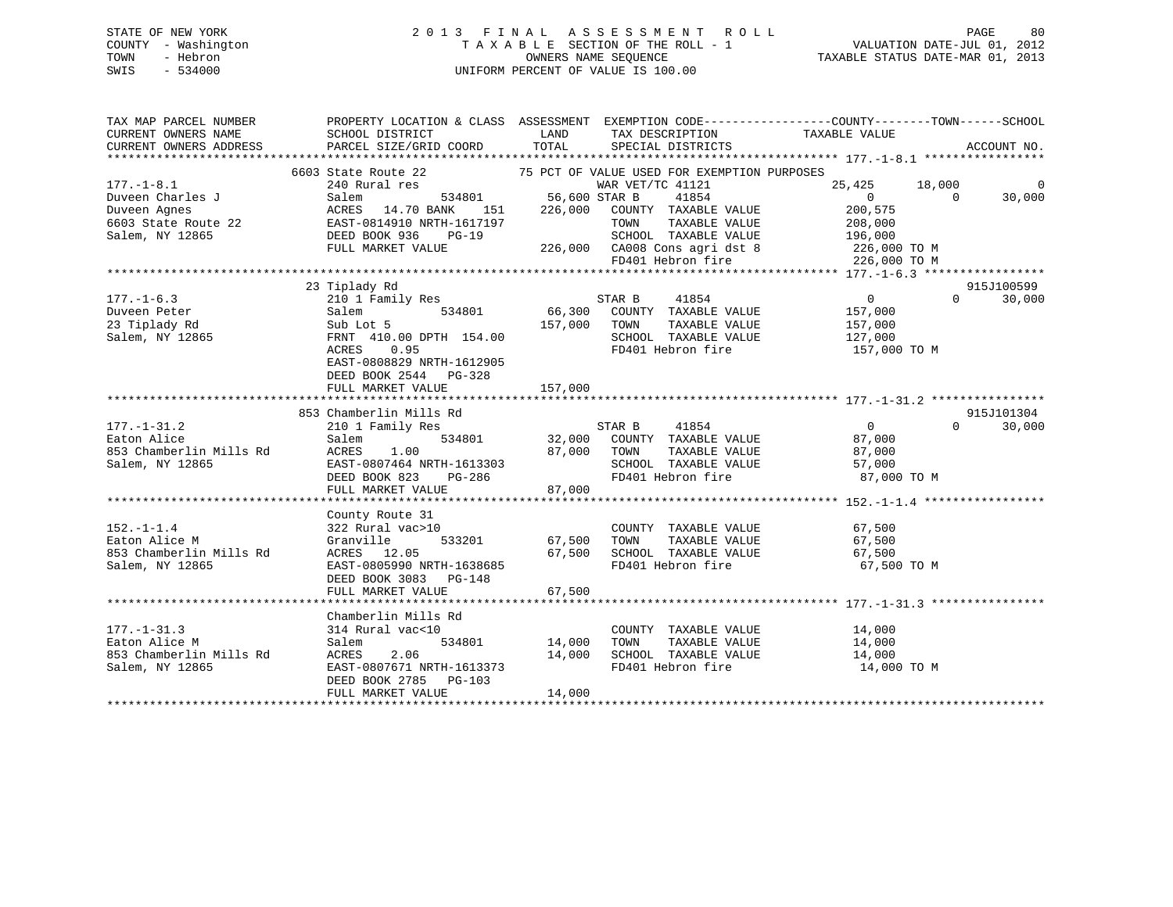# STATE OF NEW YORK 2 0 1 3 F I N A L A S S E S S M E N T R O L L PAGE 80 COUNTY - Washington T A X A B L E SECTION OF THE ROLL - 1 VALUATION DATE-JUL 01, 2012 TOWN - Hebron OWNERS NAME SEQUENCE TAXABLE STATUS DATE-MAR 01, 2013 SWIS - 534000 UNIFORM PERCENT OF VALUE IS 100.00

| TAX MAP PARCEL NUMBER<br>CURRENT OWNERS NAME<br>CURRENT OWNERS ADDRESS | PROPERTY LOCATION & CLASS ASSESSMENT<br>SCHOOL DISTRICT<br>PARCEL SIZE/GRID COORD | LAND<br>TOTAL | EXEMPTION CODE----------------COUNTY-------TOWN------SCHOOL<br>TAX DESCRIPTION TAXABLE VALUE SPECIAL DISTRICTS |                              | ACCOUNT NO.                    |
|------------------------------------------------------------------------|-----------------------------------------------------------------------------------|---------------|----------------------------------------------------------------------------------------------------------------|------------------------------|--------------------------------|
|                                                                        |                                                                                   |               |                                                                                                                |                              |                                |
| $177. - 1 - 8.1$<br>Duveen Charles J                                   | 6603 State Route 22<br>240 Rural res<br>534801<br>Salem                           | 56,600 STAR B | 75 PCT OF VALUE USED FOR EXEMPTION PURPOSES<br>WAR VET/TC 41121<br>41854                                       | 18,000<br>25,425<br>$\Omega$ | $\Omega$<br>$\Omega$<br>30,000 |
| Duveen Aqnes<br>6603 State Route 22                                    | ACRES 14.70 BANK<br>151<br>EAST-0814910 NRTH-1617197                              | 226,000       | COUNTY TAXABLE VALUE<br>TOWN<br>TAXABLE VALUE                                                                  | 200,575<br>208,000           |                                |
| Salem, NY 12865                                                        | DEED BOOK 936<br>$PG-19$<br>FULL MARKET VALUE                                     |               | SCHOOL TAXABLE VALUE<br>226,000 CA008 Cons agri dst 8 226,000 TO M<br>FD401 Hebron fire                        | 196,000                      |                                |
|                                                                        |                                                                                   |               |                                                                                                                | 226,000 TO M                 |                                |
|                                                                        |                                                                                   |               |                                                                                                                |                              | 915J100599                     |
| $177. - 1 - 6.3$<br>Duveen Peter                                       | 23 Tiplady Rd<br>210 1 Family Res<br>534801<br>Salem                              | 66,300        | STAR B<br>41854<br>COUNTY TAXABLE VALUE                                                                        | $\overline{0}$<br>157,000    | $\Omega$<br>30,000             |
| 23 Tiplady Rd                                                          | Sub Lot 5                                                                         | 157,000       | TAXABLE VALUE<br>TOWN                                                                                          | 157,000                      |                                |
| Salem, NY 12865                                                        | FRNT 410.00 DPTH 154.00<br>ACRES 0.95                                             |               | SCHOOL TAXABLE VALUE<br>FD401 Hebron fire                                                                      | 127,000<br>157,000 TO M      |                                |
|                                                                        | EAST-0808829 NRTH-1612905<br>DEED BOOK 2544 PG-328<br>FULL MARKET VALUE           | 157,000       |                                                                                                                |                              |                                |
|                                                                        |                                                                                   |               |                                                                                                                |                              |                                |
|                                                                        | 853 Chamberlin Mills Rd                                                           |               |                                                                                                                |                              | 915J101304                     |
| $177. - 1 - 31.2$                                                      | 210 1 Family Res                                                                  |               | STAR B<br>41854                                                                                                | $\Omega$                     | 30,000<br>$\Omega$             |
| Eaton Alice                                                            | 534801<br>Salem                                                                   | 32,000        | COUNTY TAXABLE VALUE                                                                                           | 87,000                       |                                |
| 853 Chamberlin Mills Rd                                                | ACRES<br>1.00                                                                     | 87,000        | TOWN<br>TAXABLE VALUE                                                                                          | 87,000                       |                                |
| Salem, NY 12865                                                        | EAST-0807464 NRTH-1613303                                                         |               | SCHOOL TAXABLE VALUE                                                                                           | 57,000                       |                                |
|                                                                        | DEED BOOK 823<br>PG-286                                                           |               | FD401 Hebron fire                                                                                              | 87,000 TO M                  |                                |
|                                                                        | FULL MARKET VALUE                                                                 | 87,000        |                                                                                                                |                              |                                |
|                                                                        |                                                                                   |               |                                                                                                                |                              |                                |
|                                                                        | County Route 31                                                                   |               |                                                                                                                |                              |                                |
| $152. - 1 - 1.4$                                                       | 322 Rural vac>10                                                                  |               | COUNTY TAXABLE VALUE                                                                                           | 67,500                       |                                |
| Eaton Alice M                                                          | 533201<br>Granville                                                               | 67,500        | TAXABLE VALUE<br>TOWN                                                                                          | 67,500                       |                                |
| 853 Chamberlin Mills Rd                                                | ACRES 12.05                                                                       | 67,500        | TOWN      TAXABLE VALUE<br>SCHOOL   TAXABLE VALUE                                                              | 67,500                       |                                |
| Salem, NY 12865                                                        | EAST-0805990 NRTH-1638685<br>DEED BOOK 3083 PG-148                                |               | FD401 Hebron fire                                                                                              | 67,500 TO M                  |                                |
|                                                                        | FULL MARKET VALUE                                                                 | 67,500        |                                                                                                                |                              |                                |
|                                                                        |                                                                                   |               |                                                                                                                |                              |                                |
|                                                                        | Chamberlin Mills Rd                                                               |               |                                                                                                                |                              |                                |
| $177. - 1 - 31.3$                                                      | 314 Rural vac<10                                                                  |               | COUNTY TAXABLE VALUE                                                                                           | 14,000                       |                                |
| Eaton Alice M                                                          | Salem<br>534801                                                                   | 14,000        | TAXABLE VALUE<br>TOWN                                                                                          | 14,000                       |                                |
| 853 Chamberlin Mills Rd                                                | ACRES<br>2.06                                                                     | 14,000        | SCHOOL TAXABLE VALUE                                                                                           | 14,000                       |                                |
| Salem, NY 12865                                                        | EAST-0807671 NRTH-1613373<br>DEED BOOK 2785<br>PG-103                             |               | FD401 Hebron fire                                                                                              | 14,000 TO M                  |                                |
|                                                                        | FULL MARKET VALUE                                                                 | 14,000        |                                                                                                                |                              |                                |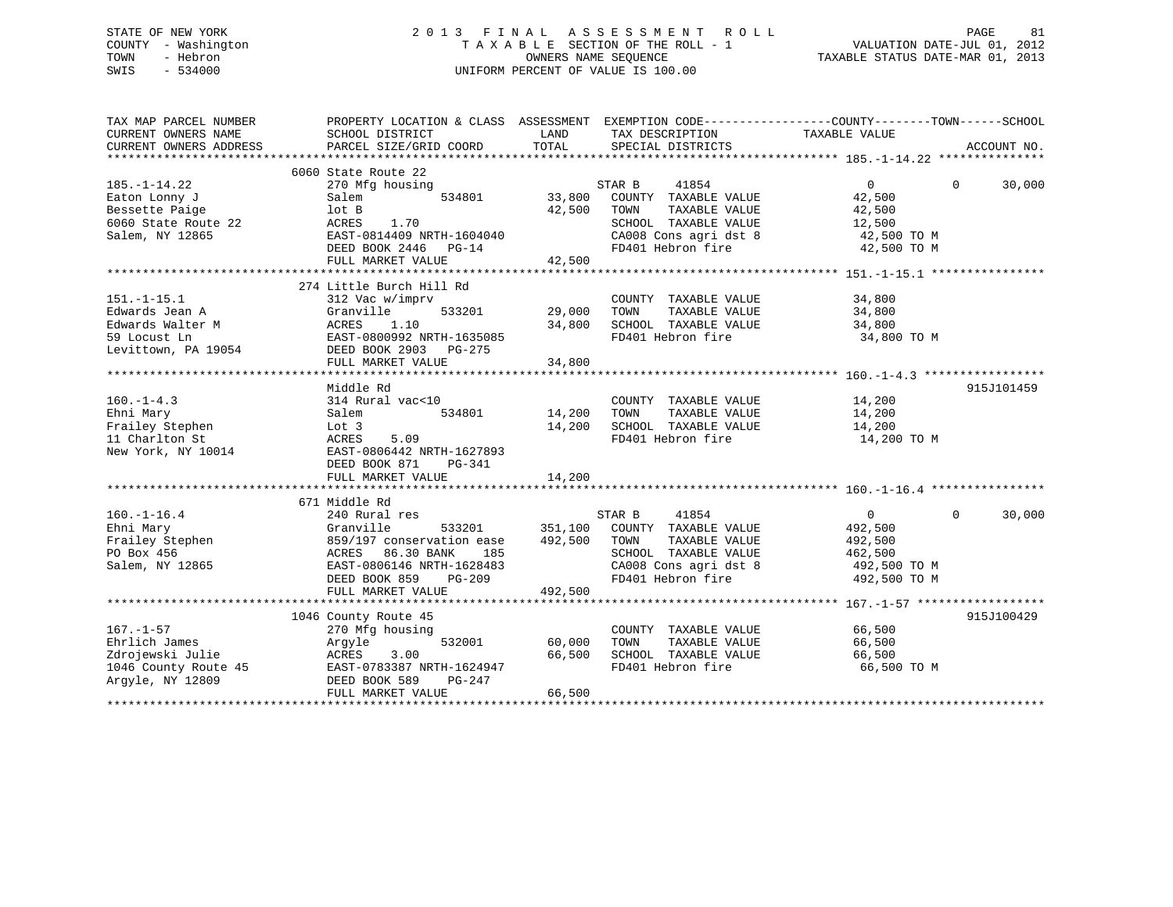# STATE OF NEW YORK 2 0 1 3 F I N A L A S S E S S M E N T R O L L PAGE 81 COUNTY - Washington T A X A B L E SECTION OF THE ROLL - 1 VALUATION DATE-JUL 01, 2012 TOWN - Hebron OWNERS NAME SEQUENCE TAXABLE STATUS DATE-MAR 01, 2013 SWIS - 534000 UNIFORM PERCENT OF VALUE IS 100.00

| TAX MAP PARCEL NUMBER<br>CURRENT OWNERS NAME | PROPERTY LOCATION & CLASS ASSESSMENT EXEMPTION CODE---------------COUNTY-------TOWN-----SCHOOL<br>SCHOOL DISTRICT | LAND    | TAX DESCRIPTION TAXABLE VALUE                                                                     |                            |             |
|----------------------------------------------|-------------------------------------------------------------------------------------------------------------------|---------|---------------------------------------------------------------------------------------------------|----------------------------|-------------|
| CURRENT OWNERS ADDRESS                       | PARCEL SIZE/GRID COORD                                                                                            | TOTAL   | SPECIAL DISTRICTS                                                                                 |                            | ACCOUNT NO. |
|                                              |                                                                                                                   |         |                                                                                                   |                            |             |
|                                              | 6060 State Route 22                                                                                               |         |                                                                                                   |                            |             |
| $185. - 1 - 14.22$                           | 270 Mfg housing                                                                                                   |         | STAR B<br>41854                                                                                   | $\overline{0}$<br>$\Omega$ | 30,000      |
| Eaton Lonny J                                | 534801<br>Salem                                                                                                   | 33,800  | COUNTY TAXABLE VALUE                                                                              | 42,500                     |             |
| Bessette Paige                               | lot B                                                                                                             | 42,500  | TOWN<br>TAXABLE VALUE                                                                             | 42,500                     |             |
| 6060 State Route 22                          | ACRES<br>1.70                                                                                                     |         | SCHOOL TAXABLE VALUE                                                                              | 12,500                     |             |
| Salem, NY 12865                              | EAST-0814409 NRTH-1604040                                                                                         |         | SCHOOL TAXABLE VALUE 12,500<br>CA008 Cons agri dst 8 12,500 TO M<br>FD401 Hebron fire 12,500 TO M |                            |             |
|                                              | DEED BOOK 2446 PG-14                                                                                              |         |                                                                                                   |                            |             |
|                                              | FULL MARKET VALUE                                                                                                 | 42,500  |                                                                                                   |                            |             |
|                                              |                                                                                                                   |         |                                                                                                   |                            |             |
|                                              | 274 Little Burch Hill Rd                                                                                          |         |                                                                                                   |                            |             |
| $151.-1-15.1$                                | 312 Vac w/imprv                                                                                                   |         | COUNTY TAXABLE VALUE                                                                              | 34,800                     |             |
| Edwards Jean A                               | Granville<br>533201                                                                                               | 29,000  | TOWN<br>TAXABLE VALUE                                                                             | 34,800                     |             |
| Edwards Walter M                             | 1.10<br>ACRES                                                                                                     | 34,800  | SCHOOL TAXABLE VALUE                                                                              | 34,800                     |             |
| 59 Locust Ln                                 |                                                                                                                   |         | FD401 Hebron fire                                                                                 | 34,800 TO M                |             |
| Levittown, PA 19054                          | EAST-0800992 NRTH-1635085<br>DEED BOOK 2903 – DC-275<br>DEED BOOK 2903 PG-275                                     |         |                                                                                                   |                            |             |
|                                              | FULL MARKET VALUE                                                                                                 | 34,800  |                                                                                                   |                            |             |
|                                              |                                                                                                                   |         |                                                                                                   |                            |             |
|                                              | Middle Rd                                                                                                         |         |                                                                                                   |                            | 915J101459  |
| $160. - 1 - 4.3$                             | 314 Rural vac<10                                                                                                  |         | COUNTY TAXABLE VALUE 14,200                                                                       |                            |             |
| Ehni Mary                                    | Salem<br>534801                                                                                                   | 14,200  | TAXABLE VALUE<br>TOWN                                                                             | 14,200                     |             |
| Frailey Stephen                              | Lot 3                                                                                                             | 14,200  | SCHOOL TAXABLE VALUE                                                                              | 14,200                     |             |
| 11 Charlton St                               | ACRES<br>5.09                                                                                                     |         | FD401 Hebron fire                                                                                 | 14,200 TO M                |             |
| New York, NY 10014                           | EAST-0806442 NRTH-1627893                                                                                         |         |                                                                                                   |                            |             |
|                                              | DEED BOOK 871<br>PG-341                                                                                           |         |                                                                                                   |                            |             |
|                                              | FULL MARKET VALUE                                                                                                 | 14,200  |                                                                                                   |                            |             |
|                                              |                                                                                                                   |         |                                                                                                   |                            |             |
|                                              | 671 Middle Rd                                                                                                     |         |                                                                                                   |                            |             |
| $160. - 1 - 16.4$                            | 240 Rural res                                                                                                     |         | STAR B<br>41854                                                                                   | $\overline{0}$<br>$\Omega$ | 30,000      |
| Ehni Mary                                    | Granville<br>533201                                                                                               |         | 351,100 COUNTY TAXABLE VALUE                                                                      | 492,500                    |             |
| Ehni Mary<br>Frailey Stephen                 | 859/197 conservation ease                                                                                         | 492,500 | TOWN<br>TAXABLE VALUE                                                                             | 492,500                    |             |
| PO Box 456                                   | 86.30 BANK<br>ACRES<br>185                                                                                        |         | SCHOOL TAXABLE VALUE                                                                              | 462,500                    |             |
| Salem, NY 12865                              | EAST-0806146 NRTH-1628483                                                                                         |         | CA008 Cons agri dst 8                                                                             | 492,500 TO M               |             |
|                                              | DEED BOOK 859<br>PG-209                                                                                           |         | FD401 Hebron fire                                                                                 | 492,500 TO M               |             |
|                                              | FULL MARKET VALUE                                                                                                 | 492,500 |                                                                                                   |                            |             |
|                                              |                                                                                                                   |         |                                                                                                   |                            |             |
|                                              | 1046 County Route 45                                                                                              |         |                                                                                                   |                            | 915J100429  |
| $167. - 1 - 57$                              | 270 Mfg housing                                                                                                   |         | COUNTY TAXABLE VALUE                                                                              | 66,500                     |             |
| Ehrlich James                                | 532001<br>Argyle                                                                                                  | 60,000  | TAXABLE VALUE<br>TOWN                                                                             | 66,500                     |             |
| Zdrojewski Julie                             | 3.00<br>ACRES                                                                                                     | 66,500  | SCHOOL TAXABLE VALUE                                                                              | 66,500                     |             |
| 1046 County Route 45                         | EAST-0783387 NRTH-1624947                                                                                         |         | FD401 Hebron fire                                                                                 | 66,500 TO M                |             |
| Argyle, NY 12809                             | DEED BOOK 589<br>PG-247                                                                                           |         |                                                                                                   |                            |             |
|                                              | FULL MARKET VALUE                                                                                                 | 66,500  |                                                                                                   |                            |             |
|                                              |                                                                                                                   |         |                                                                                                   |                            |             |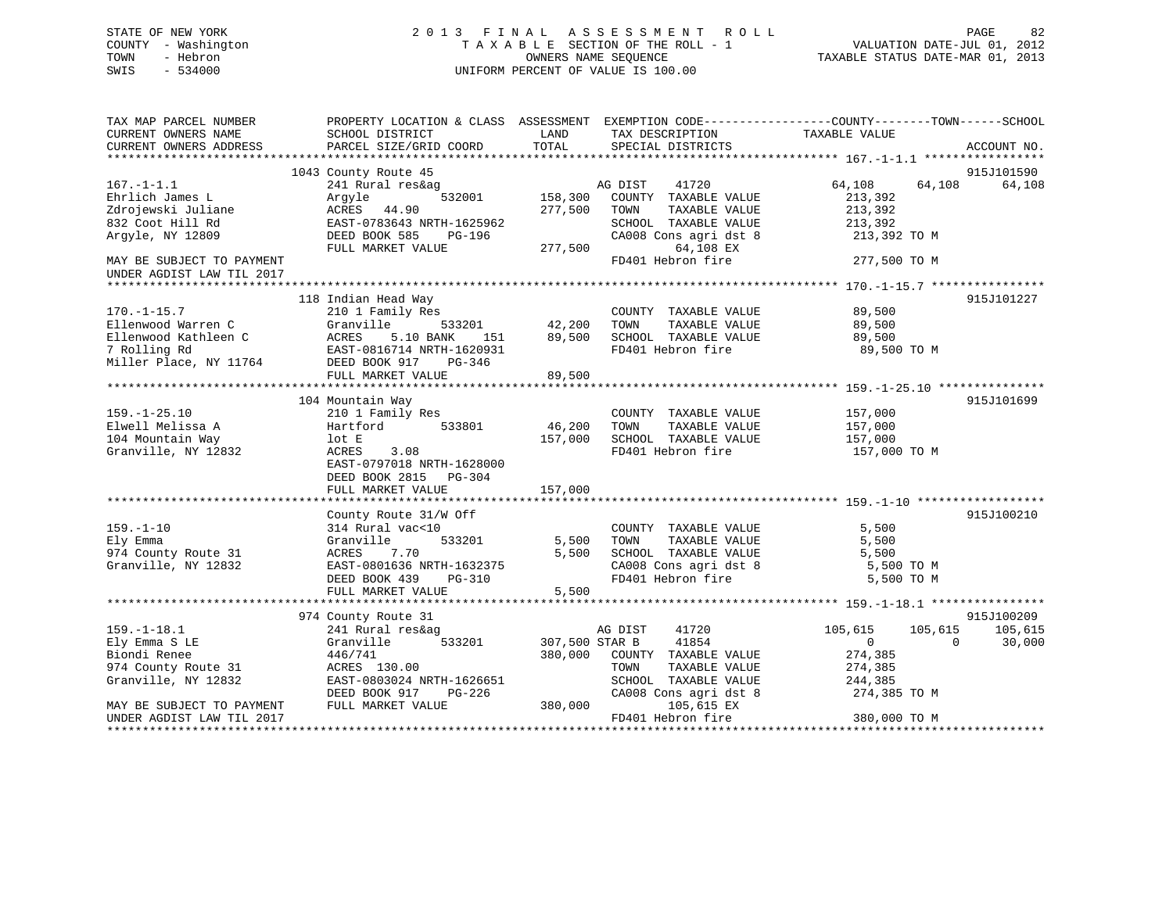# STATE OF NEW YORK 2 0 1 3 F I N A L A S S E S S M E N T R O L L PAGE 82 COUNTY - Washington T A X A B L E SECTION OF THE ROLL - 1 VALUATION DATE-JUL 01, 2012 TOWN - Hebron OWNERS NAME SEQUENCE TAXABLE STATUS DATE-MAR 01, 2013 SWIS - 534000 UNIFORM PERCENT OF VALUE IS 100.00

| TAX MAP PARCEL NUMBER<br>CURRENT OWNERS NAME<br>CURRENT OWNERS ADDRESS | PROPERTY LOCATION & CLASS ASSESSMENT EXEMPTION CODE---------------COUNTY-------TOWN------SCHOOL<br>SCHOOL DISTRICT<br>PARCEL SIZE/GRID COORD | LAND<br>TOTAL  | TAX DESCRIPTION<br>SPECIAL DISTRICTS          | TAXABLE VALUE            | ACCOUNT NO. |
|------------------------------------------------------------------------|----------------------------------------------------------------------------------------------------------------------------------------------|----------------|-----------------------------------------------|--------------------------|-------------|
|                                                                        |                                                                                                                                              |                |                                               |                          |             |
|                                                                        | 1043 County Route 45                                                                                                                         |                |                                               |                          | 915J101590  |
| $167. - 1 - 1.1$                                                       | 241 Rural res&ag                                                                                                                             |                | 41720<br>AG DIST                              | 64,108<br>64,108         | 64,108      |
| Ehrlich James L                                                        | 532001<br>Argyle                                                                                                                             | 158,300        | COUNTY TAXABLE VALUE                          | 213,392                  |             |
| Zdrojewski Juliane                                                     | ACRES 44.90                                                                                                                                  | 277,500        | TOWN<br>TAXABLE VALUE                         | 213,392                  |             |
| 832 Coot Hill Rd                                                       | EAST-0783643 NRTH-1625962                                                                                                                    |                | SCHOOL TAXABLE VALUE                          | 213,392                  |             |
| Argyle, NY 12809                                                       | DEED BOOK 585<br>PG-196                                                                                                                      |                | CA008 Cons agri dst 8                         | 213,392 TO M             |             |
|                                                                        | FULL MARKET VALUE                                                                                                                            | 277,500        | 64,108 EX                                     |                          |             |
| MAY BE SUBJECT TO PAYMENT                                              |                                                                                                                                              |                | FD401 Hebron fire                             | 277,500 TO M             |             |
| UNDER AGDIST LAW TIL 2017                                              |                                                                                                                                              |                |                                               |                          |             |
|                                                                        |                                                                                                                                              |                |                                               |                          | 915J101227  |
| $170. - 1 - 15.7$                                                      | 118 Indian Head Way<br>210 1 Family Res                                                                                                      |                | COUNTY TAXABLE VALUE                          | 89,500                   |             |
| Ellenwood Warren C                                                     | 533201<br>Granville                                                                                                                          | 42,200         | TOWN<br>TAXABLE VALUE                         | 89,500                   |             |
| Ellenwood Kathleen C                                                   | ACRES<br>5.10 BANK<br>151                                                                                                                    | 89,500         | SCHOOL TAXABLE VALUE                          | 89,500                   |             |
| 7 Rolling Rd                                                           | EAST-0816714 NRTH-1620931                                                                                                                    |                | FD401 Hebron fire                             | 89,500 TO M              |             |
| Miller Place, NY 11764                                                 | DEED BOOK 917<br>PG-346                                                                                                                      |                |                                               |                          |             |
|                                                                        | FULL MARKET VALUE                                                                                                                            | 89,500         |                                               |                          |             |
|                                                                        |                                                                                                                                              |                |                                               |                          |             |
|                                                                        | 104 Mountain Way                                                                                                                             |                |                                               |                          | 915J101699  |
| $159. - 1 - 25.10$                                                     | 210 1 Family Res                                                                                                                             |                | COUNTY TAXABLE VALUE                          | 157,000                  |             |
| Elwell Melissa A                                                       | 533801<br>Hartford                                                                                                                           | 46,200         | TOWN<br>TAXABLE VALUE                         | 157,000                  |             |
| 104 Mountain Way                                                       | lot E                                                                                                                                        | 157,000        | SCHOOL TAXABLE VALUE                          | 157,000                  |             |
| Granville, NY 12832                                                    | 3.08<br>ACRES                                                                                                                                |                | FD401 Hebron fire                             | 157,000 TO M             |             |
|                                                                        | EAST-0797018 NRTH-1628000                                                                                                                    |                |                                               |                          |             |
|                                                                        | DEED BOOK 2815 PG-304                                                                                                                        |                |                                               |                          |             |
|                                                                        | FULL MARKET VALUE                                                                                                                            | 157,000        |                                               |                          |             |
|                                                                        |                                                                                                                                              |                |                                               |                          |             |
|                                                                        | County Route 31/W Off                                                                                                                        |                |                                               |                          | 915J100210  |
| $159. - 1 - 10$                                                        | 314 Rural vac<10                                                                                                                             |                | COUNTY TAXABLE VALUE                          | 5,500                    |             |
| Ely Emma                                                               | Granville<br>533201                                                                                                                          | 5,500          | TOWN<br>TAXABLE VALUE                         | 5,500                    |             |
| 974 County Route 31                                                    | ACRES<br>7.70                                                                                                                                | 5,500          | SCHOOL TAXABLE VALUE                          | 5,500                    |             |
| Granville, NY 12832                                                    | EAST-0801636 NRTH-1632375                                                                                                                    |                | CA008 Cons agri dst 8                         | 5,500 TO M               |             |
|                                                                        | DEED BOOK 439<br>PG-310                                                                                                                      |                | FD401 Hebron fire                             | 5,500 TO M               |             |
|                                                                        | FULL MARKET VALUE                                                                                                                            | 5,500          |                                               |                          |             |
|                                                                        |                                                                                                                                              |                |                                               |                          |             |
|                                                                        | 974 County Route 31                                                                                                                          |                |                                               |                          | 915J100209  |
| $159. - 1 - 18.1$                                                      | 241 Rural res&ag                                                                                                                             |                | 41720<br>AG DIST                              | 105,615<br>105,615       | 105,615     |
| Ely Emma S LE                                                          | 533201<br>Granville                                                                                                                          | 307,500 STAR B | 41854                                         | $\mathbf{0}$<br>$\Omega$ | 30,000      |
| Biondi Renee<br>974 County Route 31                                    | 446/741<br>ACRES 130.00                                                                                                                      | 380,000        | COUNTY TAXABLE VALUE<br>TOWN<br>TAXABLE VALUE | 274,385                  |             |
| Granville, NY 12832                                                    | EAST-0803024 NRTH-1626651                                                                                                                    |                | SCHOOL TAXABLE VALUE                          | 274,385                  |             |
|                                                                        | DEED BOOK 917<br>PG-226                                                                                                                      |                | CA008 Cons agri dst 8                         | 244,385<br>274,385 TO M  |             |
| MAY BE SUBJECT TO PAYMENT                                              | FULL MARKET VALUE                                                                                                                            | 380,000        | 105,615 EX                                    |                          |             |
| UNDER AGDIST LAW TIL 2017                                              |                                                                                                                                              |                | FD401 Hebron fire                             | 380,000 TO M             |             |
|                                                                        |                                                                                                                                              |                |                                               |                          |             |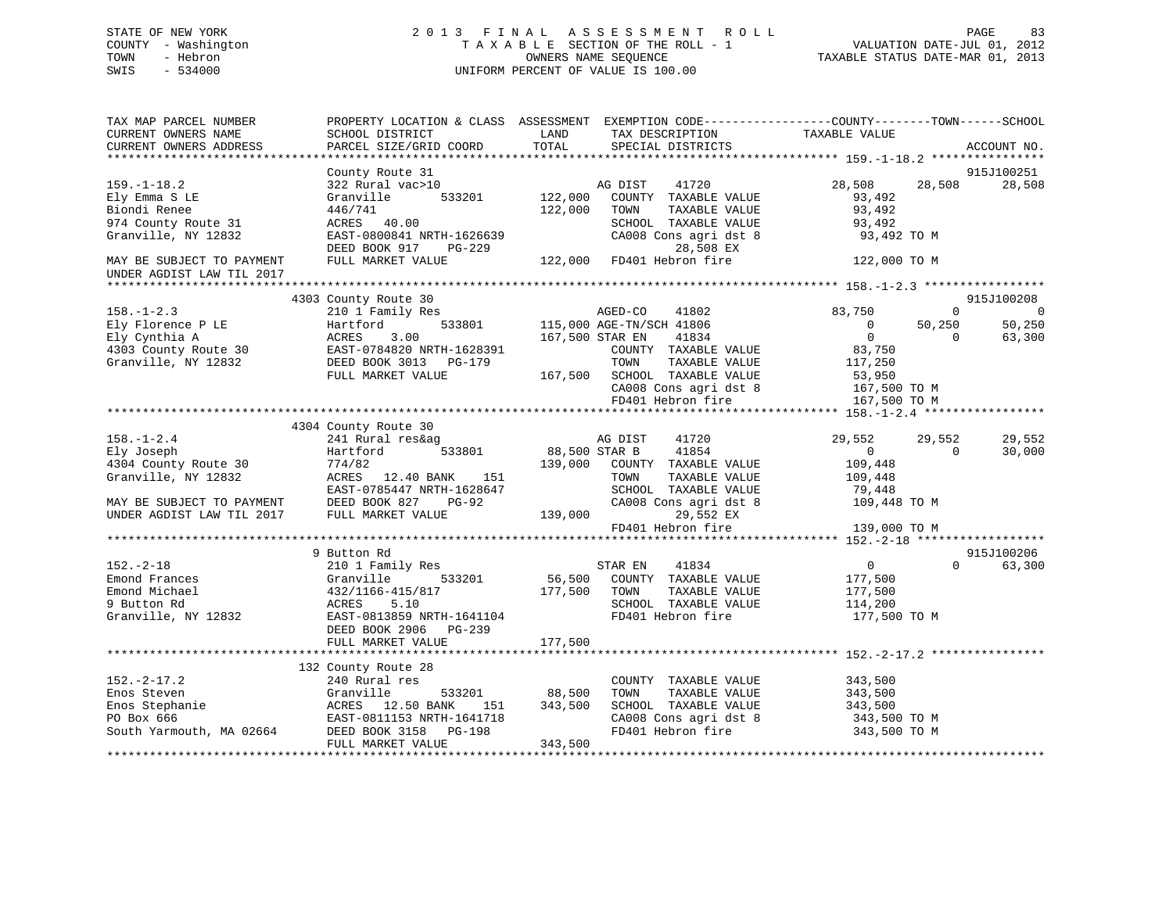# STATE OF NEW YORK 2 0 1 3 F I N A L A S S E S S M E N T R O L L PAGE 83 COUNTY - Washington T A X A B L E SECTION OF THE ROLL - 1 VALUATION DATE-JUL 01, 2012 TOWN - Hebron OWNERS NAME SEQUENCE TAXABLE STATUS DATE-MAR 01, 2013 SWIS - 534000 UNIFORM PERCENT OF VALUE IS 100.00

| TAX MAP PARCEL NUMBER<br>CURRENT OWNERS NAME<br>CURRENT OWNERS ADDRESS | PROPERTY LOCATION & CLASS ASSESSMENT EXEMPTION CODE----------------COUNTY-------TOWN------SCHOOL<br>SCHOOL DISTRICT<br>PARCEL SIZE/GRID COORD | LAND<br>TOTAL            | TAX DESCRIPTION<br>SPECIAL DISTRICTS                              | TAXABLE VALUE                                          | ACCOUNT NO.            |
|------------------------------------------------------------------------|-----------------------------------------------------------------------------------------------------------------------------------------------|--------------------------|-------------------------------------------------------------------|--------------------------------------------------------|------------------------|
|                                                                        |                                                                                                                                               |                          |                                                                   |                                                        |                        |
|                                                                        | County Route 31                                                                                                                               |                          |                                                                   |                                                        | 915J100251             |
| $159. - 1 - 18.2$<br>Ely Emma S LE<br>Biondi Renee                     | 322 Rural vac>10<br>533201<br>Granville<br>446/741                                                                                            | 122,000<br>122,000       | AG DIST<br>41720<br>COUNTY TAXABLE VALUE<br>TOWN<br>TAXABLE VALUE | 28,508<br>28,508<br>93,492<br>93,492                   | 28,508                 |
| 974 County Route 31<br>Granville, NY 12832                             | ACRES 40.00<br>EAST-0800841 NRTH-1626639<br>DEED BOOK 917<br><b>PG-229</b>                                                                    |                          | SCHOOL TAXABLE VALUE<br>CA008 Cons agri dst 8<br>28,508 EX        | 93,492<br>93,492 TO M                                  |                        |
| MAY BE SUBJECT TO PAYMENT<br>UNDER AGDIST LAW TIL 2017                 | FULL MARKET VALUE                                                                                                                             |                          | 122,000 FD401 Hebron fire                                         | 122,000 TO M                                           |                        |
|                                                                        |                                                                                                                                               |                          |                                                                   |                                                        |                        |
| $158. - 1 - 2.3$                                                       | 4303 County Route 30<br>210 1 Family Res                                                                                                      |                          | AGED-CO<br>41802                                                  | 83,750<br>$\Omega$                                     | 915J100208<br>$\Omega$ |
| Ely Florence P LE<br>Ely Cynthia A                                     | 533801<br>Hartford<br>ACRES<br>3.00                                                                                                           | 167,500 STAR EN          | 115,000 AGE-TN/SCH 41806<br>41834                                 | 50,250<br>$\overline{0}$<br>$\overline{0}$<br>$\Omega$ | 50,250<br>63,300       |
| 4303 County Route 30                                                   | -------<br>EAST-0784820 NRTH-1628391<br>---- ---- ---- --- --- ---- ----                                                                      |                          | COUNTY TAXABLE VALUE                                              | 83,750                                                 |                        |
| Granville, NY 12832                                                    | DEED BOOK 3013 PG-179                                                                                                                         |                          | TOWN<br>TAXABLE VALUE                                             | 117,250                                                |                        |
|                                                                        | FULL MARKET VALUE                                                                                                                             |                          | 167,500 SCHOOL TAXABLE VALUE                                      | 53,950                                                 |                        |
|                                                                        |                                                                                                                                               |                          | CA008 Cons agri dst 8                                             | 167,500 TO M                                           |                        |
|                                                                        |                                                                                                                                               |                          | FD401 Hebron fire                                                 | 167,500 TO M                                           |                        |
|                                                                        |                                                                                                                                               |                          |                                                                   |                                                        |                        |
|                                                                        | 4304 County Route 30                                                                                                                          |                          |                                                                   |                                                        |                        |
| $158. - 1 - 2.4$                                                       | 241 Rural res&ag<br>533801                                                                                                                    |                          | AG DIST<br>41720                                                  | 29,552<br>29,552<br>$\Omega$                           | 29,552                 |
| Ely Joseph<br>4304 County Route 30                                     | Hartford<br>774/82                                                                                                                            | 88,500 STAR B<br>139,000 | 41854<br>COUNTY TAXABLE VALUE                                     | $\Omega$<br>109,448                                    | 30,000                 |
| Granville, NY 12832                                                    | ACRES 12.40 BANK<br>151                                                                                                                       |                          | TOWN<br>TAXABLE VALUE                                             | 109,448                                                |                        |
|                                                                        | EAST-0785447 NRTH-1628647                                                                                                                     |                          | SCHOOL TAXABLE VALUE                                              | 79,448                                                 |                        |
| MAY BE SUBJECT TO PAYMENT                                              | DEED BOOK 827<br>PG-92                                                                                                                        |                          | CA008 Cons agri dst 8                                             | 109,448 TO M                                           |                        |
| UNDER AGDIST LAW TIL 2017                                              | FULL MARKET VALUE                                                                                                                             | 139,000                  | 29,552 EX                                                         |                                                        |                        |
|                                                                        |                                                                                                                                               |                          | FD401 Hebron fire                                                 | 139,000 TO M                                           |                        |
|                                                                        |                                                                                                                                               |                          |                                                                   |                                                        |                        |
|                                                                        | 9 Button Rd                                                                                                                                   |                          |                                                                   |                                                        | 915J100206             |
| $152. - 2 - 18$                                                        | 210 1 Family Res                                                                                                                              | ST<br>56,500             | STAR EN<br>41834                                                  | $\overline{0}$<br>$\Omega$                             | 63,300                 |
| Emond Frances                                                          | 533201<br>Granville                                                                                                                           |                          | COUNTY TAXABLE VALUE                                              | 177,500                                                |                        |
| Emond Michael                                                          | 432/1166-415/817                                                                                                                              | 177,500                  | TOWN<br>TAXABLE VALUE                                             | 177,500                                                |                        |
| 9 Button Rd                                                            | 5.10<br>ACRES                                                                                                                                 |                          | SCHOOL TAXABLE VALUE                                              | 114,200                                                |                        |
| Granville, NY 12832                                                    | EAST-0813859 NRTH-1641104<br>DEED BOOK 2906 PG-239                                                                                            |                          | FD401 Hebron fire                                                 | 177,500 TO M                                           |                        |
|                                                                        | FULL MARKET VALUE                                                                                                                             | 177,500                  |                                                                   |                                                        |                        |
|                                                                        | 132 County Route 28                                                                                                                           |                          |                                                                   |                                                        |                        |
| $152. - 2 - 17.2$                                                      | 240 Rural res                                                                                                                                 |                          | COUNTY TAXABLE VALUE                                              | 343,500                                                |                        |
| Enos Steven                                                            | Granville<br>533201                                                                                                                           | 88,500                   | TOWN<br>TAXABLE VALUE                                             | 343,500                                                |                        |
| Enos Stephanie                                                         | ACRES 12.50 BANK<br>151                                                                                                                       | 343,500                  | SCHOOL TAXABLE VALUE                                              | 343,500                                                |                        |
| PO Box 666                                                             | EAST-0811153 NRTH-1641718                                                                                                                     |                          | CA008 Cons agri dst 8                                             | 343,500 TO M                                           |                        |
| South Yarmouth, MA 02664                                               | DEED BOOK 3158 PG-198<br>FULL MARKET VALUE                                                                                                    | 343,500                  | FD401 Hebron fire                                                 | 343,500 TO M                                           |                        |
|                                                                        |                                                                                                                                               |                          |                                                                   |                                                        |                        |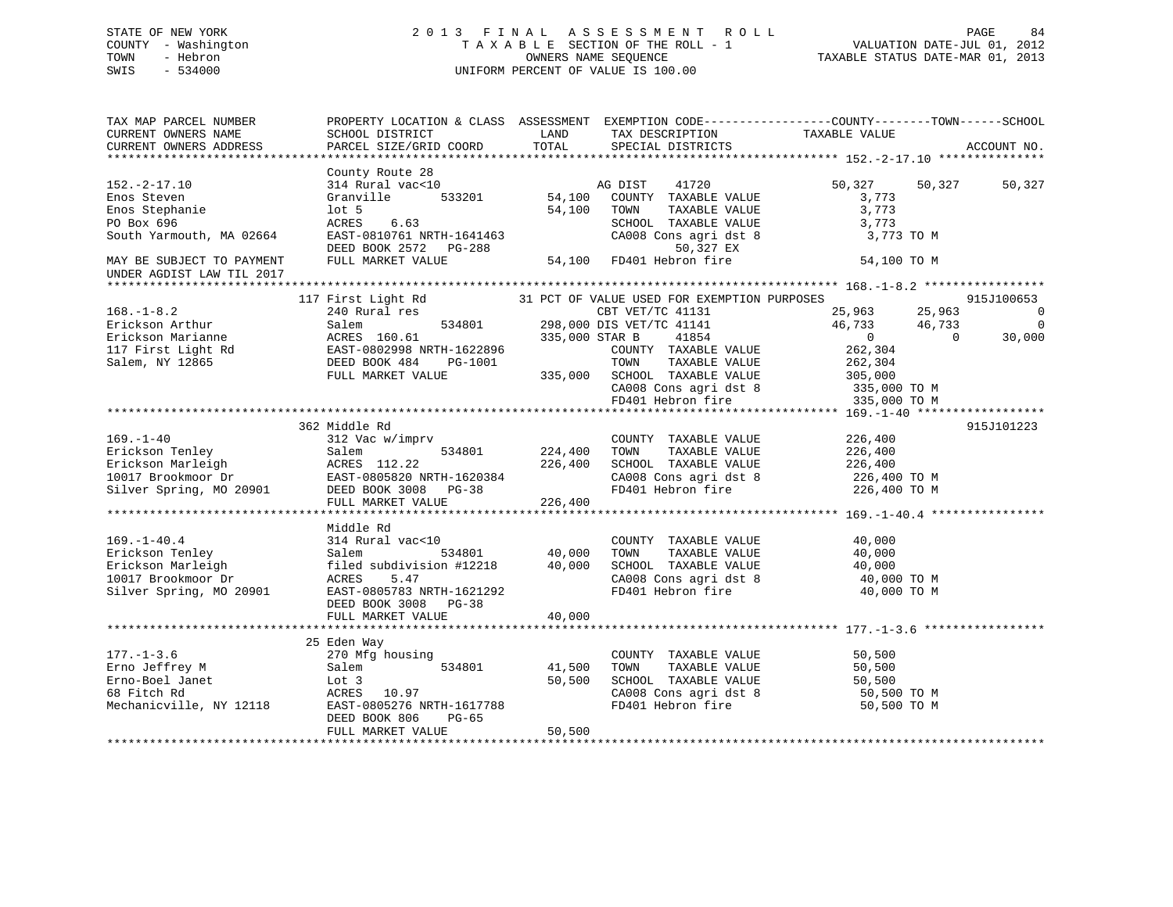# STATE OF NEW YORK 2 0 1 3 F I N A L A S S E S S M E N T R O L L PAGE 84 COUNTY - Washington T A X A B L E SECTION OF THE ROLL - 1 VALUATION DATE-JUL 01, 2012 TOWN - Hebron OWNERS NAME SEQUENCE TAXABLE STATUS DATE-MAR 01, 2013 SWIS - 534000 UNIFORM PERCENT OF VALUE IS 100.00

| TAX MAP PARCEL NUMBER<br>CURRENT OWNERS NAME<br>CURRENT OWNERS ADDRESS                                                                                                            | PROPERTY LOCATION & CLASS ASSESSMENT EXEMPTION CODE----------------COUNTY-------TOWN------SCHOOL<br>SCHOOL DISTRICT<br>PARCEL SIZE/GRID COORD                      | LAND<br>TOTAL                 | TAX DESCRIPTION TAXABLE VALUE<br>SPECIAL DISTRICTS                                                                                                                                                                                  |                                                                                                            | ACCOUNT NO.                                                              |
|-----------------------------------------------------------------------------------------------------------------------------------------------------------------------------------|--------------------------------------------------------------------------------------------------------------------------------------------------------------------|-------------------------------|-------------------------------------------------------------------------------------------------------------------------------------------------------------------------------------------------------------------------------------|------------------------------------------------------------------------------------------------------------|--------------------------------------------------------------------------|
| $152. - 2 - 17.10$<br>Enos Steven<br>Enos Stephanie<br>PO Box 696<br>South Yarmouth, MA 02664<br>MAY BE SUBJECT TO PAYMENT<br>UNDER AGDIST LAW TIL 2017                           | County Route 28<br>314 Rural vac<10<br>Granville<br>533201<br>$1$ ot 5<br>ACRES<br>6.63<br>EAST-0810761 NRTH-1641463<br>DEED BOOK 2572 PG-288<br>FULL MARKET VALUE | 54,100<br>54,100<br>54,100    | AG DIST<br>41720<br>COUNTY TAXABLE VALUE<br>TAXABLE VALUE<br>TOWN<br>SCHOOL TAXABLE VALUE<br>CA008 Cons agri dst 8<br>50,327 EX<br>FD401 Hebron fire                                                                                | 50,327<br>3,773<br>3,773<br>3,773<br>3,773 TO M<br>54,100 TO M                                             | 50,327<br>50,327                                                         |
|                                                                                                                                                                                   |                                                                                                                                                                    |                               |                                                                                                                                                                                                                                     |                                                                                                            |                                                                          |
| $168. - 1 - 8.2$<br>Erickson Arthur<br>Erickson Marianne<br>117 First Light Rd<br>Salem, NY 12865                                                                                 | 117 First Light Rd<br>240 Rural res<br>534801<br>Salem<br>ACRES 160.61<br>EAST-0802998 NRTH-1622896<br>DEED BOOK 484 PG-1001<br>FULL MARKET VALUE                  | 335,000 STAR B                | 31 PCT OF VALUE USED FOR EXEMPTION PURPOSES<br>CBT VET/TC 41131<br>298,000 DIS VET/TC 41141<br>41854<br>COUNTY TAXABLE VALUE<br>TOWN<br>TAXABLE VALUE<br>335,000 SCHOOL TAXABLE VALUE<br>CA008 Cons agri dst 8<br>FD401 Hebron fire | 25,963<br>46,733 46,733<br>$\overline{0}$<br>262,304<br>262,304<br>305,000<br>335,000 TO M<br>335,000 TO M | 915J100653<br>25,963<br>$\Omega$<br>$\Omega$<br>$\overline{0}$<br>30,000 |
|                                                                                                                                                                                   |                                                                                                                                                                    |                               |                                                                                                                                                                                                                                     |                                                                                                            |                                                                          |
| $169. - 1 - 40$<br>Expression Tenley Salem 1988<br>Exickson Marleigh ACRES 112.22<br>10017 Brookmoor Dr EAST-0805820 NRTH-1620384<br>Silver Spring, MO 20901 DEED BOOK 3008 PG-38 | 362 Middle Rd<br>312 Vac w/imprv<br>FULL MARKET VALUE                                                                                                              | 224,400<br>226,400<br>226,400 | COUNTY TAXABLE VALUE<br>TOWN<br>TAXABLE VALUE<br>SCHOOL TAXABLE VALUE<br>CA008 Cons agri dst 8<br>FD401 Hebron fire                                                                                                                 | 226,400<br>226,400<br>226,400<br>226,400 TO M<br>226,400 TO M                                              | 915J101223                                                               |
|                                                                                                                                                                                   |                                                                                                                                                                    |                               |                                                                                                                                                                                                                                     |                                                                                                            |                                                                          |
| $169. - 1 - 40.4$<br>Erickson Tenley<br>Erickson Marleigh<br>10017 Brookmoor Dr<br>Silver Spring, MO 20901                                                                        | Middle Rd<br>314 Rural vac<10<br>Salem 534801<br>filed subdivision #12218<br>ACRES 5.47<br>PO1 EAST-0805783 NRTH-1621292<br>PG-38<br>FULL MARKET VALUE             | 40,000<br>40,000<br>40,000    | COUNTY TAXABLE VALUE<br>TOWN<br>TAXABLE VALUE<br>SCHOOL TAXABLE VALUE<br>CA008 Cons agri dst 8<br>FD401 Hebron fire                                                                                                                 | 40,000<br>40,000<br>40,000<br>40,000 TO M<br>40,000 TO M                                                   |                                                                          |
|                                                                                                                                                                                   |                                                                                                                                                                    |                               |                                                                                                                                                                                                                                     |                                                                                                            |                                                                          |
| $177. - 1 - 3.6$<br>Erno Jeffrey M<br>Erno-Boel Janet<br>68 Fitch Rd<br>Mechanicville, NY 12118                                                                                   | 25 Eden Way<br>270 Mfg housing<br>534801<br>Salem<br>Lot 3<br>ACRES 10.97<br>EAST-0805276 NRTH-1617788<br>DEED BOOK 806<br>$PG-65$                                 | 41,500<br>50,500              | COUNTY TAXABLE VALUE<br>TOWN<br>TAXABLE VALUE<br>SCHOOL TAXABLE VALUE<br>CA008 Cons agri dst 8<br>FD401 Hebron fire                                                                                                                 | 50,500<br>50,500<br>50, 500<br>50, 500 TO M<br>---- TO TO M<br>50,500 TO M                                 |                                                                          |
|                                                                                                                                                                                   | FULL MARKET VALUE                                                                                                                                                  | 50,500                        |                                                                                                                                                                                                                                     |                                                                                                            |                                                                          |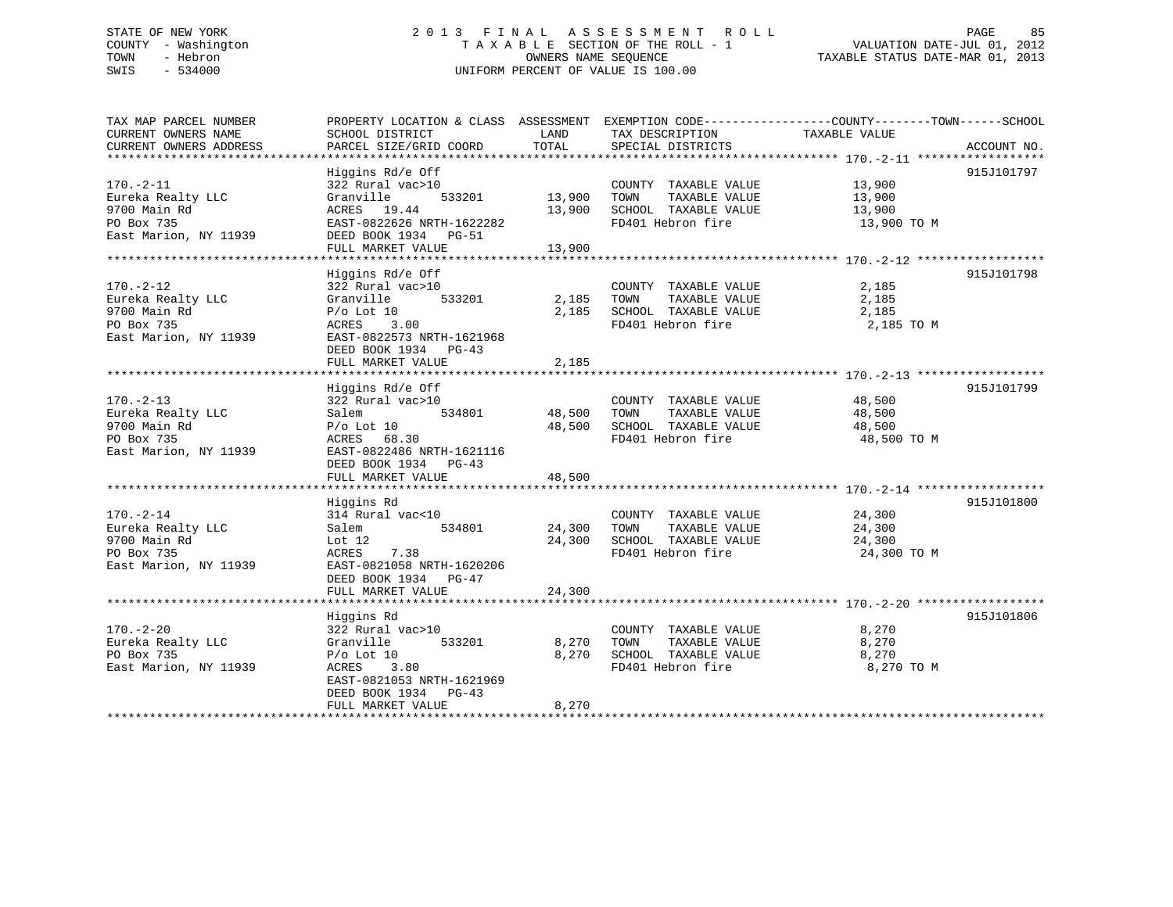# STATE OF NEW YORK 2 0 1 3 F I N A L A S S E S S M E N T R O L L PAGE 85 COUNTY - Washington T A X A B L E SECTION OF THE ROLL - 1 VALUATION DATE-JUL 01, 2012 TOWN - Hebron OWNERS NAME SEQUENCE TAXABLE STATUS DATE-MAR 01, 2013 SWIS - 534000 UNIFORM PERCENT OF VALUE IS 100.00

| TAX MAP PARCEL NUMBER<br>CURRENT OWNERS NAME<br>CURRENT OWNERS ADDRESS                      | PROPERTY LOCATION & CLASS ASSESSMENT EXEMPTION CODE---------------COUNTY-------TOWN-----SCHOOL<br>SCHOOL DISTRICT<br>PARCEL SIZE/GRID COORD                            | LAND<br>TOTAL              | TAX DESCRIPTION<br>SPECIAL DISTRICTS                                                       | TAXABLE VALUE                             | ACCOUNT NO. |
|---------------------------------------------------------------------------------------------|------------------------------------------------------------------------------------------------------------------------------------------------------------------------|----------------------------|--------------------------------------------------------------------------------------------|-------------------------------------------|-------------|
| $170. - 2 - 11$<br>Eureka Realty LLC<br>9700 Main Rd<br>PO Box 735<br>East Marion, NY 11939 | Higgins Rd/e Off<br>322 Rural vac>10<br>533201<br>Granville<br>ACRES 19.44<br>EAST-0822626 NRTH-1622282<br>DEED BOOK 1934 PG-51<br>FULL MARKET VALUE                   | 13,900<br>13,900<br>13,900 | COUNTY TAXABLE VALUE<br>TAXABLE VALUE<br>TOWN<br>SCHOOL TAXABLE VALUE<br>FD401 Hebron fire | 13,900<br>13,900<br>13,900<br>13,900 TO M | 915J101797  |
| $170. - 2 - 12$<br>Eureka Realty LLC<br>9700 Main Rd<br>PO Box 735<br>East Marion, NY 11939 | Higgins Rd/e Off<br>322 Rural vac>10<br>Granville<br>533201<br>$P/O$ Lot 10<br>3.00<br>ACRES<br>EAST-0822573 NRTH-1621968<br>DEED BOOK 1934 PG-43<br>FULL MARKET VALUE | 2,185<br>2,185<br>2,185    | COUNTY TAXABLE VALUE<br>TOWN<br>TAXABLE VALUE<br>SCHOOL TAXABLE VALUE<br>FD401 Hebron fire | 2,185<br>2,185<br>2,185<br>2,185 TO M     | 915J101798  |
| $170. - 2 - 13$<br>Eureka Realty LLC<br>9700 Main Rd<br>PO Box 735<br>East Marion, NY 11939 | Higgins Rd/e Off<br>322 Rural vac>10<br>534801<br>Salem<br>$P/O$ Lot 10<br>ACRES 68.30<br>EAST-0822486 NRTH-1621116<br>DEED BOOK 1934 PG-43<br>FULL MARKET VALUE       | 48,500<br>48,500<br>48,500 | COUNTY TAXABLE VALUE<br>TOWN<br>TAXABLE VALUE<br>SCHOOL TAXABLE VALUE<br>FD401 Hebron fire | 48,500<br>48,500<br>48,500<br>48,500 TO M | 915J101799  |
| $170. - 2 - 14$<br>Eureka Realty LLC<br>9700 Main Rd<br>PO Box 735<br>East Marion, NY 11939 | Higgins Rd<br>314 Rural vac<10<br>534801<br>Salem<br>Lot $12$<br>ACRES<br>7.38<br>EAST-0821058 NRTH-1620206<br>DEED BOOK 1934 PG-47<br>FULL MARKET VALUE               | 24,300<br>24,300<br>24,300 | COUNTY TAXABLE VALUE<br>TAXABLE VALUE<br>TOWN<br>SCHOOL TAXABLE VALUE<br>FD401 Hebron fire | 24,300<br>24,300<br>24,300<br>24,300 TO M | 915J101800  |
| $170. - 2 - 20$<br>Eureka Realty LLC<br>PO Box 735<br>East Marion, NY 11939                 | Higgins Rd<br>322 Rural vac>10<br>533201<br>Granville<br>$P/O$ Lot 10<br>ACRES<br>3.80<br>EAST-0821053 NRTH-1621969<br>DEED BOOK 1934 PG-43<br>FULL MARKET VALUE       | 8,270<br>8,270<br>8,270    | COUNTY TAXABLE VALUE<br>TAXABLE VALUE<br>TOWN<br>SCHOOL TAXABLE VALUE<br>FD401 Hebron fire | 8,270<br>8,270<br>8,270<br>8,270 TO M     | 915J101806  |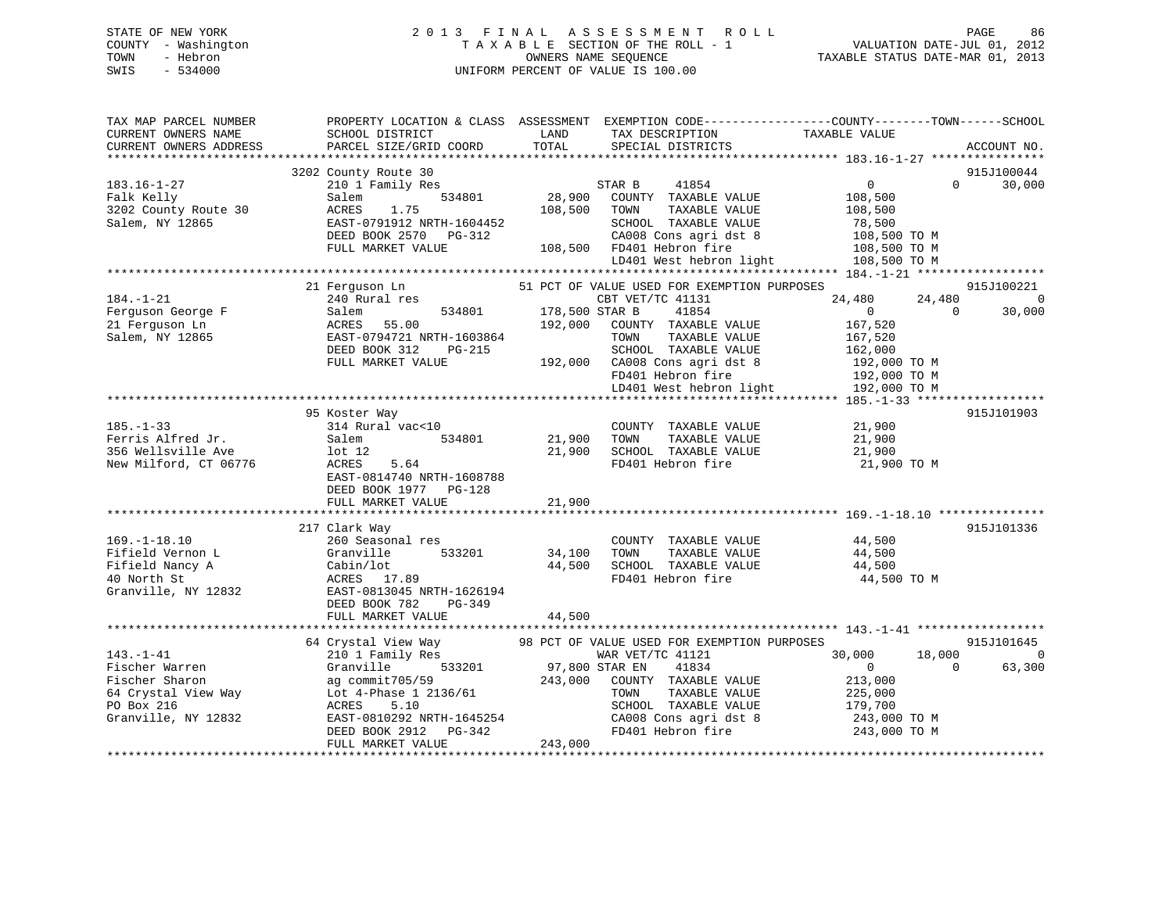# STATE OF NEW YORK 2 0 1 3 F I N A L A S S E S S M E N T R O L L PAGE 86 COUNTY - Washington T A X A B L E SECTION OF THE ROLL - 1 VALUATION DATE-JUL 01, 2012 TOWN - Hebron OWNERS NAME SEQUENCE TAXABLE STATUS DATE-MAR 01, 2013 SWIS - 534000 UNIFORM PERCENT OF VALUE IS 100.00

| TAX MAP PARCEL NUMBER<br>CURRENT OWNERS NAME<br>CURRENT OWNERS ADDRESS                                          | SCHOOL DISTRICT<br>PARCEL SIZE/GRID COORD                                                                                                                     | LAND<br>TOTAL             | TAX DESCRIPTION<br>SPECIAL DISTRICTS                                                                                                             | PROPERTY LOCATION & CLASS ASSESSMENT EXEMPTION CODE----------------COUNTY-------TOWN------SCHOOL<br>TAXABLE VALUE | ACCOUNT NO.                            |
|-----------------------------------------------------------------------------------------------------------------|---------------------------------------------------------------------------------------------------------------------------------------------------------------|---------------------------|--------------------------------------------------------------------------------------------------------------------------------------------------|-------------------------------------------------------------------------------------------------------------------|----------------------------------------|
|                                                                                                                 |                                                                                                                                                               |                           |                                                                                                                                                  |                                                                                                                   |                                        |
|                                                                                                                 | 3202 County Route 30                                                                                                                                          |                           |                                                                                                                                                  |                                                                                                                   | 915J100044                             |
| $183.16 - 1 - 27$<br>Falk Kelly<br>3202 County Route 30<br>Salem, NY 12865                                      | 210 1 Family Res<br>534801<br>Salem<br>ACRES<br>1.75<br>EAST-0791912 NRTH-1604452                                                                             | 28,900<br>108,500         | 41854<br>STAR B<br>COUNTY TAXABLE VALUE<br>TOWN<br>TAXABLE VALUE<br>SCHOOL TAXABLE VALUE                                                         | $\overline{0}$<br>$\Omega$<br>108,500<br>108,500<br>78,500                                                        | 30,000                                 |
|                                                                                                                 | DEED BOOK 2570 PG-312<br>FULL MARKET VALUE                                                                                                                    |                           | CA008 Cons agri dst 8<br>108,500 FD401 Hebron fire                                                                                               | 108,500 TO M<br>108,500 TO M                                                                                      |                                        |
|                                                                                                                 |                                                                                                                                                               |                           | LD401 West hebron light                                                                                                                          | 108,500 TO M                                                                                                      |                                        |
|                                                                                                                 |                                                                                                                                                               |                           |                                                                                                                                                  |                                                                                                                   |                                        |
| $184. - 1 - 21$<br>Ferguson George F<br>21 Ferquson Ln<br>Salem, NY 12865                                       | 21 Ferguson Ln<br>240 Rural res<br>534801<br>Salem<br>ACRES<br>55.00<br>EAST-0794721 NRTH-1603864                                                             | 178,500 STAR B<br>192,000 | 51 PCT OF VALUE USED FOR EXEMPTION PURPOSES<br>CBT VET/TC 41131<br>41854<br>COUNTY TAXABLE VALUE<br>TOWN<br>TAXABLE VALUE                        | 24,480<br>24,480<br>$0 \qquad \qquad$<br>$\Omega$<br>167,520<br>167,520                                           | 915J100221<br>$\overline{0}$<br>30,000 |
|                                                                                                                 | DEED BOOK 312<br>PG-215<br>FULL MARKET VALUE                                                                                                                  | 192,000                   | SCHOOL TAXABLE VALUE<br>CA008 Cons agri dst 8<br>FD401 Hebron fire<br>LD401 West hebron light                                                    | 162,000<br>192,000 TO M<br>192,000 TO M<br>192,000 TO M                                                           |                                        |
|                                                                                                                 |                                                                                                                                                               |                           |                                                                                                                                                  |                                                                                                                   |                                        |
| $185. - 1 - 33$<br>Ferris Alfred Jr.<br>356 Wellsville Ave<br>New Milford, CT 06776                             | 95 Koster Way<br>314 Rural vac<10<br>Salem<br>534801<br>lot <sub>12</sub><br>ACRES<br>5.64<br>EAST-0814740 NRTH-1608788<br>DEED BOOK 1977 PG-128              | 21,900<br>21,900          | COUNTY TAXABLE VALUE<br>TOWN<br>TAXABLE VALUE<br>SCHOOL TAXABLE VALUE<br>FD401 Hebron fire                                                       | 21,900<br>21,900<br>21,900<br>21,900 TO M                                                                         | 915J101903                             |
|                                                                                                                 | FULL MARKET VALUE                                                                                                                                             | 21,900                    |                                                                                                                                                  |                                                                                                                   |                                        |
|                                                                                                                 |                                                                                                                                                               |                           |                                                                                                                                                  |                                                                                                                   |                                        |
| $169. - 1 - 18.10$<br>Fifield Vernon L<br>Fifield Nancy A<br>40 North St<br>Granville, NY 12832                 | 217 Clark Way<br>260 Seasonal res<br>533201<br>Granville<br>Cabin/lot<br>ACRES 17.89<br>EAST-0813045 NRTH-1626194<br>DEED BOOK 782<br>$PG-349$                | 34,100<br>44,500          | COUNTY TAXABLE VALUE<br>TAXABLE VALUE<br>TOWN<br>SCHOOL TAXABLE VALUE<br>FD401 Hebron fire                                                       | 44,500<br>44,500<br>44,500<br>44,500 TO M                                                                         | 915J101336                             |
|                                                                                                                 | FULL MARKET VALUE                                                                                                                                             | 44,500                    |                                                                                                                                                  |                                                                                                                   |                                        |
|                                                                                                                 | 64 Crystal View Way                                                                                                                                           |                           | 98 PCT OF VALUE USED FOR EXEMPTION PURPOSES                                                                                                      |                                                                                                                   | 915J101645                             |
| $143. - 1 - 41$<br>Fischer Warren<br>Fischer Sharon<br>64 Crystal View Way<br>PO Box 216<br>Granville, NY 12832 | 210 1 Family Res<br>Granville<br>533201<br>ag commit705/59<br>Lot 4-Phase 1 2136/61<br>5.10<br>ACRES<br>EAST-0810292 NRTH-1645254<br>DEED BOOK 2912<br>PG-342 | 97,800 STAR EN<br>243,000 | WAR VET/TC 41121<br>41834<br>COUNTY TAXABLE VALUE<br>TOWN<br>TAXABLE VALUE<br>SCHOOL TAXABLE VALUE<br>CA008 Cons agri dst 8<br>FD401 Hebron fire | 30,000<br>18,000<br>$\Omega$<br>$\overline{0}$<br>213,000<br>225,000<br>179,700<br>243,000 TO M<br>243,000 TO M   | $\overline{0}$<br>63,300               |
|                                                                                                                 | FULL MARKET VALUE                                                                                                                                             | 243,000                   |                                                                                                                                                  |                                                                                                                   |                                        |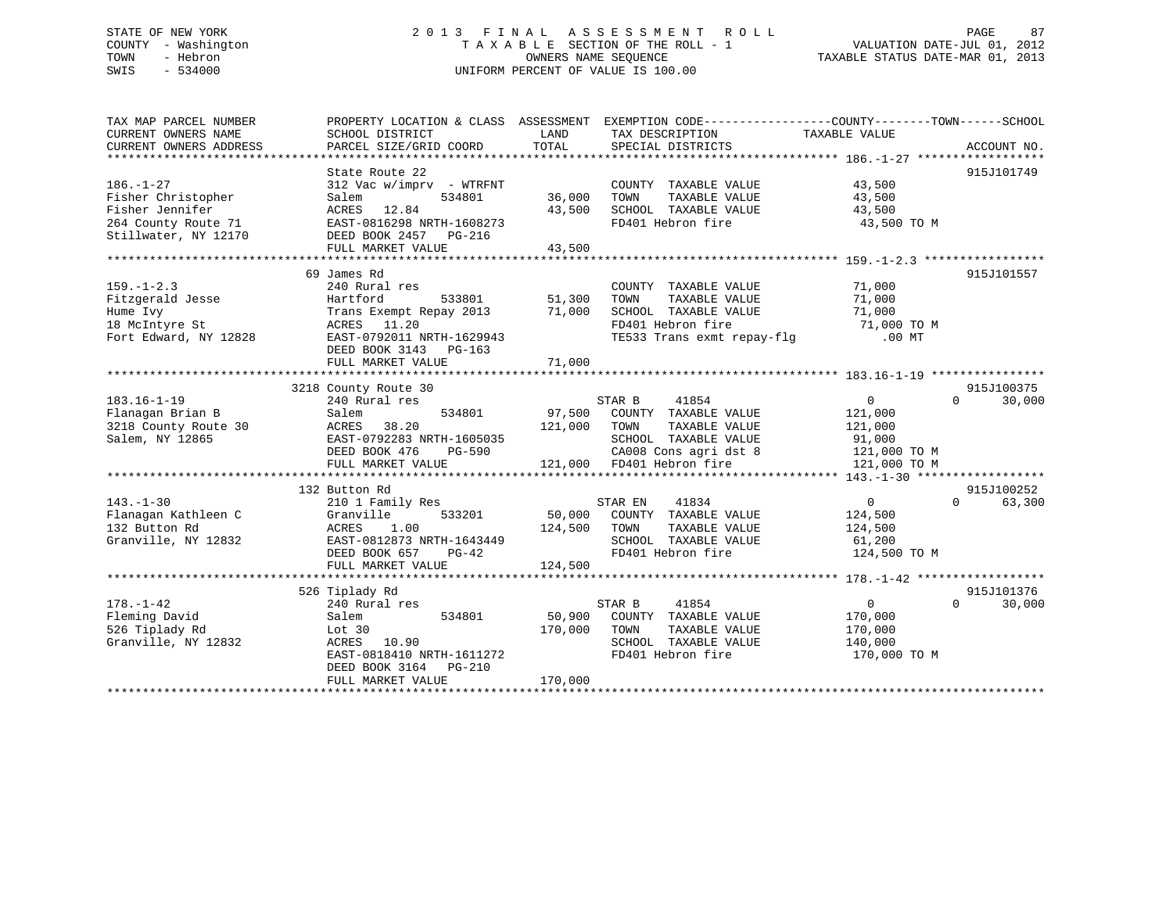# STATE OF NEW YORK 2 0 1 3 F I N A L A S S E S S M E N T R O L L PAGE 87 COUNTY - Washington T A X A B L E SECTION OF THE ROLL - 1 VALUATION DATE-JUL 01, 2012 TOWN - Hebron OWNERS NAME SEQUENCE TAXABLE STATUS DATE-MAR 01, 2013 SWIS - 534000 UNIFORM PERCENT OF VALUE IS 100.00

| TAX MAP PARCEL NUMBER  |                            |                                                                      | PROPERTY LOCATION & CLASS ASSESSMENT EXEMPTION CODE---------------COUNTY-------TOWN-----SCHOOL |
|------------------------|----------------------------|----------------------------------------------------------------------|------------------------------------------------------------------------------------------------|
| CURRENT OWNERS NAME    | SCHOOL DISTRICT            | TAX DESCRIPTION<br>LAND                                              | TAXABLE VALUE                                                                                  |
| CURRENT OWNERS ADDRESS | PARCEL SIZE/GRID COORD     | TOTAL<br>SPECIAL DISTRICTS                                           | ACCOUNT NO.                                                                                    |
|                        |                            |                                                                      |                                                                                                |
|                        | State Route 22             |                                                                      | 915J101749                                                                                     |
| $186. - 1 - 27$        | $312$ Vac w/imprv - WTRFNT | COUNTY TAXABLE VALUE                                                 | 43,500                                                                                         |
| Fisher Christopher     | 534801<br>Salem            | 36,000<br>TAXABLE VALUE<br>TOWN                                      | 43,500                                                                                         |
| Fisher Jennifer        | ACRES 12.84                | 43,500<br>SCHOOL TAXABLE VALUE                                       | 43,500                                                                                         |
| 264 County Route 71    | EAST-0816298 NRTH-1608273  | FD401 Hebron fire                                                    | 43,500 TO M                                                                                    |
| Stillwater, NY 12170   | DEED BOOK 2457 PG-216      |                                                                      |                                                                                                |
|                        | FULL MARKET VALUE          | 43,500                                                               |                                                                                                |
|                        |                            |                                                                      |                                                                                                |
|                        | 69 James Rd                |                                                                      | 915J101557                                                                                     |
| $159. - 1 - 2.3$       | 240 Rural res              | COUNTY TAXABLE VALUE                                                 | 71,000                                                                                         |
| Fitzgerald Jesse       | 533801<br>Hartford         | 51,300<br>TOWN<br>TAXABLE VALUE                                      | 71,000                                                                                         |
| Hume Ivy               | Trans Exempt Repay 2013    | 71,000<br>SCHOOL TAXABLE VALUE                                       | 71,000                                                                                         |
| 18 McIntyre St         | ACRES 11.20                | FD401 Hebron fire<br>FD401 Hebron fire<br>TE533 Trans exmt repay-flg | 71,000 TO M                                                                                    |
| Fort Edward, NY 12828  | EAST-0792011 NRTH-1629943  |                                                                      | .00 MT                                                                                         |
|                        | DEED BOOK 3143<br>PG-163   |                                                                      |                                                                                                |
|                        | FULL MARKET VALUE          | 71,000                                                               |                                                                                                |
|                        |                            |                                                                      |                                                                                                |
|                        | 3218 County Route 30       |                                                                      | 915J100375                                                                                     |
| $183.16 - 1 - 19$      | 240 Rural res              | STAR B<br>41854                                                      | $\overline{0}$<br>$\Omega$<br>30,000                                                           |
| Flanagan Brian B       | 534801<br>Salem            | 97,500 COUNTY TAXABLE VALUE                                          | 121,000                                                                                        |
| 3218 County Route 30   | ACRES<br>38.20             | 121,000 TOWN<br>TAXABLE VALUE                                        | 121,000                                                                                        |
| Salem, NY 12865        | EAST-0792283 NRTH-1605035  | SCHOOL TAXABLE VALUE                                                 | 91,000                                                                                         |
|                        | DEED BOOK 476<br>PG-590    |                                                                      | CA008 Cons agri dst 8 121,000 TO M                                                             |
|                        | FULL MARKET VALUE          | 121,000 FD401 Hebron fire                                            | 121,000 TO M                                                                                   |
|                        |                            |                                                                      |                                                                                                |
|                        | 132 Button Rd              |                                                                      | 915J100252                                                                                     |
| $143. - 1 - 30$        | 210 1 Family Res           | STAR EN<br>41834                                                     | $\overline{0}$<br>$\Omega$<br>63,300                                                           |
| Flanagan Kathleen C    | 533201<br>Granville        | 50,000 COUNTY TAXABLE VALUE                                          | 124,500                                                                                        |
| 132 Button Rd          | ACRES<br>1.00              | 124,500<br>TAXABLE VALUE<br>TOWN                                     | 124,500                                                                                        |
| Granville, NY 12832    | EAST-0812873 NRTH-1643449  | SCHOOL TAXABLE VALUE                                                 | 61,200                                                                                         |
|                        | DEED BOOK 657<br>PG-42     | FD401 Hebron fire                                                    | 124,500 TO M                                                                                   |
|                        | FULL MARKET VALUE          | 124,500                                                              |                                                                                                |
|                        |                            |                                                                      |                                                                                                |
|                        | 526 Tiplady Rd             |                                                                      | 915J101376                                                                                     |
| $178. - 1 - 42$        | 240 Rural res              | STAR B<br>41854                                                      | $0 \qquad \qquad$<br>$\Omega$<br>30,000                                                        |
| Fleming David          | Salem<br>534801            | 50,900<br>COUNTY TAXABLE VALUE                                       | 170,000                                                                                        |
| 526 Tiplady Rd         | Lot 30                     | 170,000<br>TOWN<br>TAXABLE VALUE                                     | 170,000                                                                                        |
| Granville, NY 12832    | ACRES 10.90                | SCHOOL TAXABLE VALUE                                                 | 140,000                                                                                        |
|                        | EAST-0818410 NRTH-1611272  | FD401 Hebron fire                                                    | 170,000 TO M                                                                                   |
|                        | DEED BOOK 3164 PG-210      |                                                                      |                                                                                                |
|                        | FULL MARKET VALUE          | 170,000                                                              |                                                                                                |
|                        |                            |                                                                      |                                                                                                |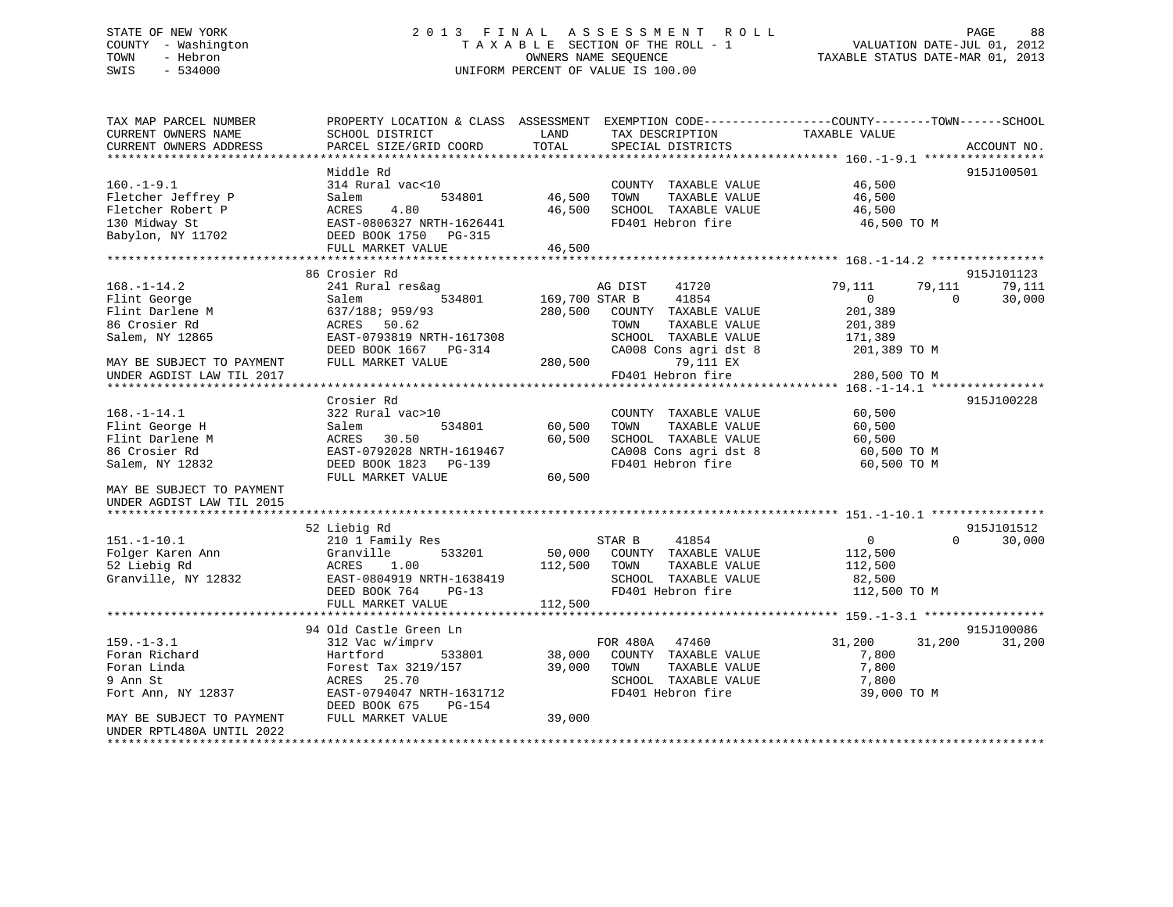# STATE OF NEW YORK 2 0 1 3 F I N A L A S S E S S M E N T R O L L PAGE 88 COUNTY - Washington T A X A B L E SECTION OF THE ROLL - 1 VALUATION DATE-JUL 01, 2012 TOWN - Hebron OWNERS NAME SEQUENCE TAXABLE STATUS DATE-MAR 01, 2013 SWIS - 534000 UNIFORM PERCENT OF VALUE IS 100.00

| TAX MAP PARCEL NUMBER<br>CURRENT OWNERS NAME | PROPERTY LOCATION & CLASS ASSESSMENT<br>SCHOOL DISTRICT | LAND           | EXEMPTION CODE-----------------COUNTY-------TOWN------SCHOOL<br>TAX DESCRIPTION | TAXABLE VALUE              |             |
|----------------------------------------------|---------------------------------------------------------|----------------|---------------------------------------------------------------------------------|----------------------------|-------------|
| CURRENT OWNERS ADDRESS                       | PARCEL SIZE/GRID COORD                                  | TOTAL          | SPECIAL DISTRICTS                                                               |                            | ACCOUNT NO. |
|                                              | Middle Rd                                               |                |                                                                                 |                            | 915J100501  |
| $160. -1 - 9.1$                              | 314 Rural vac<10                                        |                | COUNTY TAXABLE VALUE                                                            | 46,500                     |             |
| Fletcher Jeffrey P                           | Salem<br>534801                                         | 46,500         | TAXABLE VALUE<br>TOWN                                                           | 46,500                     |             |
| Fletcher Robert P                            | ACRES<br>4.80                                           | 46,500         | SCHOOL TAXABLE VALUE                                                            | 46,500                     |             |
| 130 Midway St                                | EAST-0806327 NRTH-1626441                               |                | FD401 Hebron fire                                                               | 46,500 TO M                |             |
| Babylon, NY 11702                            | DEED BOOK 1750<br>PG-315                                |                |                                                                                 |                            |             |
|                                              | FULL MARKET VALUE                                       | 46,500         |                                                                                 |                            |             |
|                                              |                                                         |                |                                                                                 |                            |             |
|                                              | 86 Crosier Rd                                           |                |                                                                                 |                            | 915J101123  |
| $168. - 1 - 14.2$                            | 241 Rural res&ag                                        |                | AG DIST<br>41720                                                                | 79,111<br>79,111           | 79,111      |
| Flint George                                 | 534801<br>Salem                                         | 169,700 STAR B | 41854                                                                           | $\Omega$<br>$\overline{0}$ | 30,000      |
| Flint Darlene M                              | 637/188; 959/93                                         | 280,500        | COUNTY<br>TAXABLE VALUE                                                         | 201,389                    |             |
| 86 Crosier Rd                                | ACRES<br>50.62                                          |                | TOWN<br>TAXABLE VALUE                                                           | 201,389                    |             |
| Salem, NY 12865                              | EAST-0793819 NRTH-1617308                               |                | SCHOOL TAXABLE VALUE                                                            | 171,389                    |             |
|                                              | DEED BOOK 1667<br>PG-314                                |                | CA008 Cons agri dst 8                                                           | 201,389 TO M               |             |
| MAY BE SUBJECT TO PAYMENT                    | FULL MARKET VALUE                                       | 280,500        | 79,111 EX                                                                       |                            |             |
| UNDER AGDIST LAW TIL 2017                    |                                                         |                | FD401 Hebron fire                                                               | 280,500 TO M               |             |
| ****************                             | *********************************                       |                |                                                                                 | ********** 168.-1-14.1 **  |             |
|                                              | Crosier Rd                                              |                |                                                                                 |                            | 915J100228  |
| $168. - 1 - 14.1$                            | 322 Rural vac>10                                        |                | COUNTY TAXABLE VALUE                                                            | 60,500                     |             |
| Flint George H                               | Salem<br>534801<br>30.50                                | 60,500         | TOWN<br>TAXABLE VALUE                                                           | 60,500                     |             |
| Flint Darlene M<br>86 Crosier Rd             | ACRES                                                   | 60,500         | SCHOOL TAXABLE VALUE                                                            | 60,500                     |             |
| Salem, NY 12832                              | EAST-0792028 NRTH-1619467<br>DEED BOOK 1823<br>PG-139   |                | CA008 Cons agri dst 8<br>FD401 Hebron fire                                      | 60,500 TO M<br>60,500 TO M |             |
|                                              | FULL MARKET VALUE                                       | 60,500         |                                                                                 |                            |             |
| MAY BE SUBJECT TO PAYMENT                    |                                                         |                |                                                                                 |                            |             |
| UNDER AGDIST LAW TIL 2015                    |                                                         |                |                                                                                 |                            |             |
|                                              |                                                         |                |                                                                                 |                            |             |
|                                              | 52 Liebig Rd                                            |                |                                                                                 |                            | 915J101512  |
| $151. - 1 - 10.1$                            | 210 1 Family Res                                        |                | STAR B<br>41854                                                                 | $\overline{0}$<br>$\Omega$ | 30,000      |
| Folger Karen Ann                             | 533201<br>Granville                                     | 50,000         | COUNTY TAXABLE VALUE                                                            | 112,500                    |             |
| 52 Liebig Rd                                 | 1.00<br>ACRES                                           | 112,500        | TOWN<br>TAXABLE VALUE                                                           | 112,500                    |             |
| Granville, NY 12832                          | EAST-0804919 NRTH-1638419                               |                | SCHOOL TAXABLE VALUE                                                            | 82,500                     |             |
|                                              | DEED BOOK 764<br>$PG-13$                                |                | FD401 Hebron fire                                                               | 112,500 TO M               |             |
|                                              | FULL MARKET VALUE                                       | 112,500        |                                                                                 |                            |             |
|                                              |                                                         |                |                                                                                 |                            |             |
|                                              | 94 Old Castle Green Ln                                  |                |                                                                                 |                            | 915J100086  |
| $159. - 1 - 3.1$                             | 312 Vac w/imprv                                         |                | FOR 480A<br>47460                                                               | 31,200<br>31,200           | 31,200      |
| Foran Richard                                | Hartford<br>533801                                      | 38,000         | COUNTY TAXABLE VALUE                                                            | 7,800                      |             |
| Foran Linda                                  | Forest Tax 3219/157                                     | 39,000         | TOWN<br>TAXABLE VALUE                                                           | 7,800                      |             |
| 9 Ann St                                     | ACRES<br>25.70                                          |                | SCHOOL<br>TAXABLE VALUE                                                         | 7,800                      |             |
| Fort Ann, NY 12837                           | EAST-0794047 NRTH-1631712                               |                | FD401 Hebron fire                                                               | 39,000 TO M                |             |
|                                              | DEED BOOK 675<br><b>PG-154</b>                          |                |                                                                                 |                            |             |
| MAY BE SUBJECT TO PAYMENT                    | FULL MARKET VALUE                                       | 39,000         |                                                                                 |                            |             |
| UNDER RPTL480A UNTIL 2022                    |                                                         |                |                                                                                 |                            |             |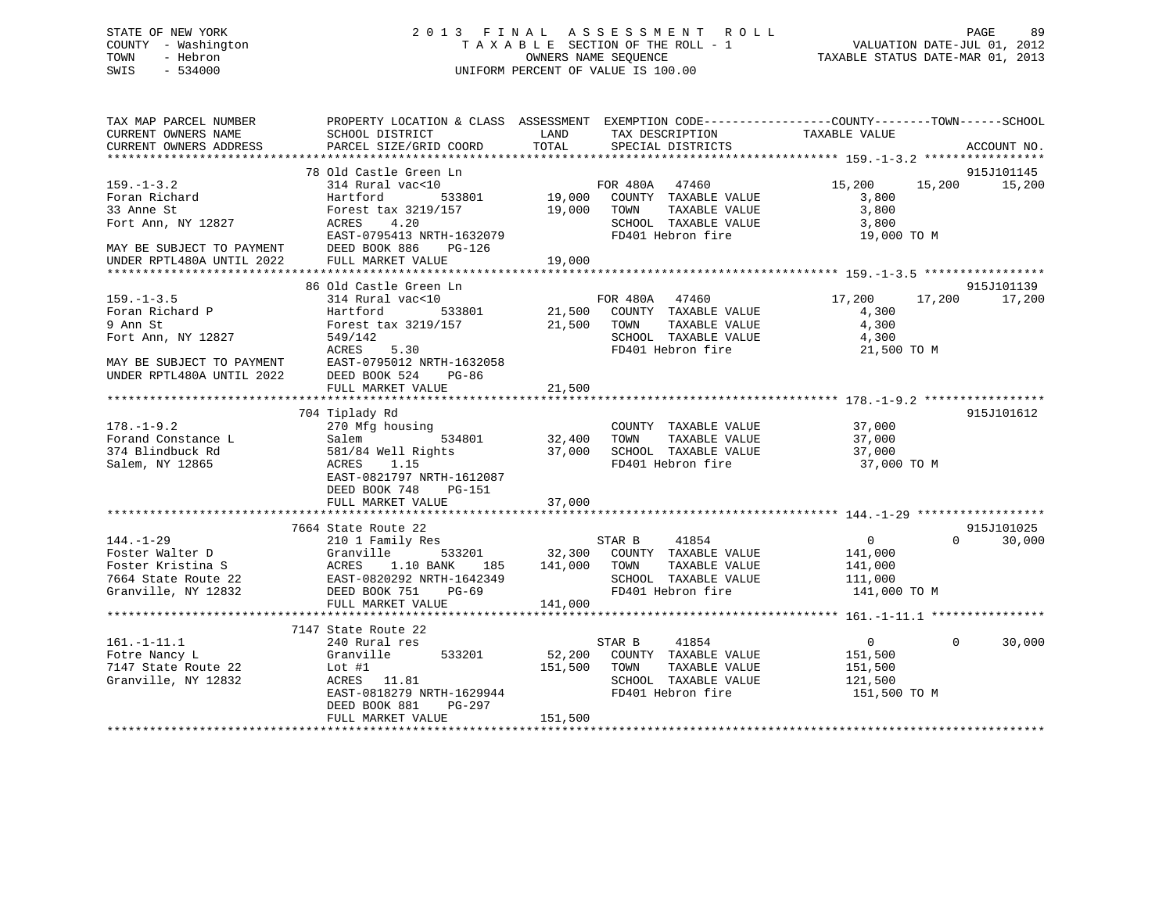# STATE OF NEW YORK 2 0 1 3 F I N A L A S S E S S M E N T R O L L PAGE 89 COUNTY - Washington T A X A B L E SECTION OF THE ROLL - 1 VALUATION DATE-JUL 01, 2012 TOWN - Hebron OWNERS NAME SEQUENCE TAXABLE STATUS DATE-MAR 01, 2013 SWIS - 534000 UNIFORM PERCENT OF VALUE IS 100.00

| TAX MAP PARCEL NUMBER<br>CURRENT OWNERS NAME                                                                                    | SCHOOL DISTRICT                                                                                                                                                         | LAND<br>TAX DESCRIPTION                                                                                                                       | PROPERTY LOCATION & CLASS ASSESSMENT EXEMPTION CODE----------------COUNTY-------TOWN------SCHOOL<br>TAXABLE VALUE |
|---------------------------------------------------------------------------------------------------------------------------------|-------------------------------------------------------------------------------------------------------------------------------------------------------------------------|-----------------------------------------------------------------------------------------------------------------------------------------------|-------------------------------------------------------------------------------------------------------------------|
| CURRENT OWNERS ADDRESS                                                                                                          | PARCEL SIZE/GRID COORD                                                                                                                                                  | TOTAL<br>SPECIAL DISTRICTS                                                                                                                    | ACCOUNT NO.                                                                                                       |
|                                                                                                                                 | 78 Old Castle Green Ln                                                                                                                                                  |                                                                                                                                               | 915J101145                                                                                                        |
| $159. - 1 - 3.2$<br>Foran Richard<br>33 Anne St<br>Fort Ann, NY 12827<br>MAY BE SUBJECT TO PAYMENT                              | 314 Rural vac<10<br>533801<br>Hartford<br>Forest tax 3219/157<br>4.20<br>ACRES<br>EAST-0795413 NRTH-1632079<br>DEED BOOK 886<br>PG-126                                  | FOR 480A 47460<br>19,000 COUNTY TAXABLE VALUE<br>19,000<br>TOWN<br>TAXABLE VALUE<br>SCHOOL TAXABLE VALUE<br>FD401 Hebron fire                 | 15,200 15,200<br>15,200<br>3,800<br>3,800<br>3,800<br>19,000 TO M                                                 |
| UNDER RPTL480A UNTIL 2022                                                                                                       | FULL MARKET VALUE                                                                                                                                                       | 19,000                                                                                                                                        |                                                                                                                   |
|                                                                                                                                 | 86 Old Castle Green Ln                                                                                                                                                  |                                                                                                                                               | 915J101139                                                                                                        |
| $159. - 1 - 3.5$<br>Foran Richard P<br>9 Ann St<br>Fort Ann, NY 12827<br>MAY BE SUBJECT TO PAYMENT<br>UNDER RPTL480A UNTIL 2022 | 314 Rural vac<10<br>533801<br>Hartford<br>Forest tax 3219/157<br>549/142<br><b>ACRES</b><br>5.30<br>EAST-0795012 NRTH-1632058<br>DEED BOOK 524 PG-86                    | FOR 480A<br>47460<br>21,500 COUNTY TAXABLE VALUE<br>21,500 TOWN<br>TAXABLE VALUE<br>SCHOOL TAXABLE VALUE<br>FD401 Hebron fire                 | 17,200<br>17,200<br>17,200<br>4,300<br>4,300<br>4,300<br>21,500 TO M                                              |
|                                                                                                                                 | FULL MARKET VALUE                                                                                                                                                       | 21,500                                                                                                                                        |                                                                                                                   |
|                                                                                                                                 |                                                                                                                                                                         |                                                                                                                                               |                                                                                                                   |
| $178. - 1 - 9.2$<br>Forand Constance L<br>374 Blindbuck Rd<br>Salem, NY 12865                                                   | 704 Tiplady Rd<br>270 Mfg housing<br>Salem<br>534801<br>581/84 Well Rights<br>ACRES<br>1.15<br>EAST-0821797 NRTH-1612087<br>DEED BOOK 748<br>PG-151                     | COUNTY TAXABLE VALUE<br>32,400<br>TAXABLE VALUE<br>TOWN<br>37,000<br>SCHOOL TAXABLE VALUE<br>FD401 Hebron fire                                | 915J101612<br>37,000<br>37,000<br>37,000<br>37,000 TO M                                                           |
|                                                                                                                                 | FULL MARKET VALUE                                                                                                                                                       | 37,000                                                                                                                                        |                                                                                                                   |
|                                                                                                                                 |                                                                                                                                                                         |                                                                                                                                               |                                                                                                                   |
| $144. - 1 - 29$<br>Foster Walter D<br>Foster Kristina S<br>7664 State Route 22<br>Granville, NY 12832                           | 7664 State Route 22<br>210 1 Family Res<br>Granville<br>533201<br>ACRES<br>1.10 BANK<br>185<br>EAST-0820292 NRTH-1642349<br>DEED BOOK 751<br>PG-69<br>FULL MARKET VALUE | 41854<br>STAR B<br>32,300 COUNTY TAXABLE VALUE<br>141,000<br>TOWN<br>TAXABLE VALUE<br>SCHOOL TAXABLE VALUE<br>FD401 Hebron fire<br>141,000    | 915J101025<br>$\mathbf{0}$<br>$\Omega$<br>30,000<br>141,000<br>141,000<br>111,000<br>141,000 TO M                 |
|                                                                                                                                 | 7147 State Route 22                                                                                                                                                     |                                                                                                                                               |                                                                                                                   |
| $161. - 1 - 11.1$<br>Fotre Nancy L<br>7147 State Route 22<br>Granville, NY 12832                                                | 240 Rural res<br>Granville<br>533201<br>Lot $#1$<br>ACRES 11.81<br>EAST-0818279 NRTH-1629944<br>PG-297<br>DEED BOOK 881<br>FULL MARKET VALUE                            | STAR B<br>41854<br>52,200<br>COUNTY TAXABLE VALUE<br>151,500<br>TOWN<br>TAXABLE VALUE<br>SCHOOL TAXABLE VALUE<br>FD401 Hebron fire<br>151,500 | $\mathbf{0}$<br>$\overline{0}$<br>30,000<br>151,500<br>151,500<br>121,500<br>151,500 TO M                         |
|                                                                                                                                 |                                                                                                                                                                         |                                                                                                                                               |                                                                                                                   |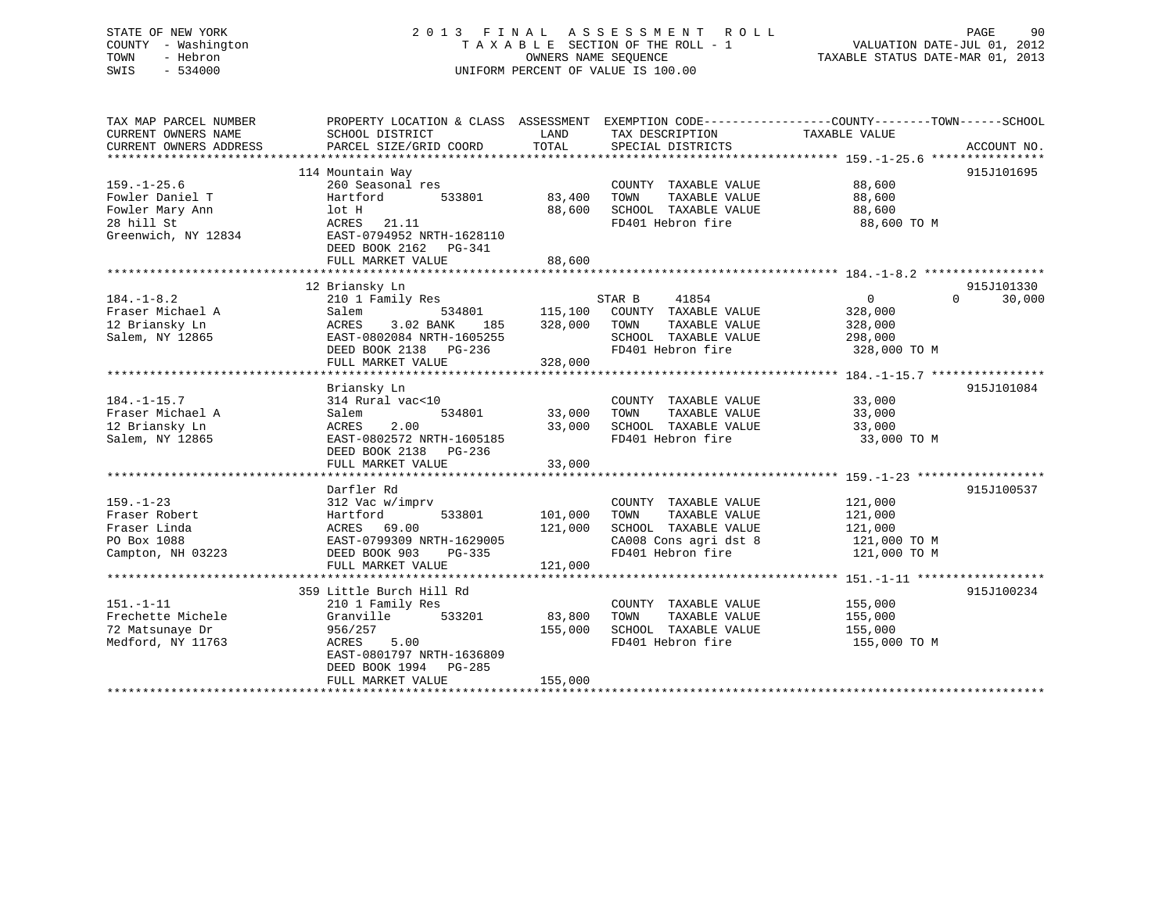# STATE OF NEW YORK 2 0 1 3 F I N A L A S S E S S M E N T R O L L PAGE 90 COUNTY - Washington T A X A B L E SECTION OF THE ROLL - 1 VALUATION DATE-JUL 01, 2012 TOWN - Hebron OWNERS NAME SEQUENCE TAXABLE STATUS DATE-MAR 01, 2013 SWIS - 534000 UNIFORM PERCENT OF VALUE IS 100.00

| TAX MAP PARCEL NUMBER<br>CURRENT OWNERS NAME<br>CURRENT OWNERS ADDRESS | PROPERTY LOCATION & CLASS ASSESSMENT EXEMPTION CODE---------------COUNTY-------TOWN-----SCHOOL<br>SCHOOL DISTRICT<br>PARCEL SIZE/GRID COORD | LAND<br>TOTAL | TAX DESCRIPTION<br>SPECIAL DISTRICTS | TAXABLE VALUE              | ACCOUNT NO. |
|------------------------------------------------------------------------|---------------------------------------------------------------------------------------------------------------------------------------------|---------------|--------------------------------------|----------------------------|-------------|
|                                                                        |                                                                                                                                             |               |                                      |                            |             |
|                                                                        | 114 Mountain Way                                                                                                                            |               |                                      |                            | 915J101695  |
| $159. - 1 - 25.6$                                                      | 260 Seasonal res                                                                                                                            |               | COUNTY TAXABLE VALUE                 | 88,600                     |             |
| Fowler Daniel T                                                        | Hartford<br>533801                                                                                                                          | 83,400        | TAXABLE VALUE<br>TOWN                | 88,600                     |             |
| Fowler Mary Ann                                                        | lot H                                                                                                                                       | 88,600        | SCHOOL TAXABLE VALUE                 | 88,600                     |             |
| 28 hill St                                                             | ACRES<br>21.11                                                                                                                              |               | FD401 Hebron fire                    | 88,600 TO M                |             |
| Greenwich, NY 12834                                                    | EAST-0794952 NRTH-1628110                                                                                                                   |               |                                      |                            |             |
|                                                                        | DEED BOOK 2162 PG-341                                                                                                                       |               |                                      |                            |             |
|                                                                        | FULL MARKET VALUE                                                                                                                           | 88,600        |                                      |                            |             |
|                                                                        |                                                                                                                                             |               |                                      |                            |             |
|                                                                        | 12 Briansky Ln                                                                                                                              |               |                                      |                            | 915J101330  |
| $184. - 1 - 8.2$                                                       | 210 1 Family Res                                                                                                                            |               | STAR B<br>41854                      | $\overline{0}$<br>$\Omega$ | 30,000      |
| Fraser Michael A                                                       | 534801<br>Salem                                                                                                                             |               | 115,100 COUNTY TAXABLE VALUE         | 328,000                    |             |
| 12 Briansky Ln                                                         | ACRES<br>3.02 BANK<br>185                                                                                                                   | 328,000       | TOWN<br>TAXABLE VALUE                | 328,000                    |             |
| Salem, NY 12865                                                        | EAST-0802084 NRTH-1605255                                                                                                                   |               | SCHOOL TAXABLE VALUE                 | 298,000                    |             |
|                                                                        | DEED BOOK 2138 PG-236                                                                                                                       |               | FD401 Hebron fire                    | 328,000 TO M               |             |
|                                                                        | FULL MARKET VALUE                                                                                                                           | 328,000       |                                      |                            |             |
|                                                                        |                                                                                                                                             |               |                                      |                            |             |
|                                                                        | Briansky Ln                                                                                                                                 |               |                                      |                            | 915J101084  |
| $184. - 1 - 15.7$                                                      | 314 Rural vac<10                                                                                                                            |               | COUNTY TAXABLE VALUE                 | 33,000                     |             |
| Fraser Michael A                                                       | 534801<br>Salem                                                                                                                             | 33,000        | TAXABLE VALUE<br>TOWN                | 33,000                     |             |
| 12 Briansky Ln                                                         | 2.00<br>ACRES                                                                                                                               | 33,000        | SCHOOL TAXABLE VALUE                 | 33,000                     |             |
| Salem, NY 12865                                                        | EAST-0802572 NRTH-1605185                                                                                                                   |               | FD401 Hebron fire                    | 33,000 TO M                |             |
|                                                                        | DEED BOOK 2138 PG-236                                                                                                                       |               |                                      |                            |             |
|                                                                        | FULL MARKET VALUE                                                                                                                           | 33,000        |                                      |                            |             |
|                                                                        |                                                                                                                                             |               |                                      |                            |             |
|                                                                        | Darfler Rd                                                                                                                                  |               |                                      |                            | 915J100537  |
| $159. - 1 - 23$                                                        | 312 Vac w/imprv                                                                                                                             |               | COUNTY TAXABLE VALUE                 | 121,000                    |             |
| Fraser Robert                                                          | Hartford<br>533801                                                                                                                          | 101,000       | TOWN<br>TAXABLE VALUE                | 121,000                    |             |
| Fraser Linda                                                           | ACRES 69.00                                                                                                                                 | 121,000       | SCHOOL TAXABLE VALUE                 | 121,000                    |             |
| PO Box 1088                                                            | EAST-0799309 NRTH-1629005                                                                                                                   |               | CA008 Cons agri dst 8                | 121,000 TO M               |             |
| Campton, NH 03223                                                      | DEED BOOK 903<br>PG-335                                                                                                                     |               | FD401 Hebron fire                    | 121,000 TO M               |             |
|                                                                        | FULL MARKET VALUE                                                                                                                           | 121,000       |                                      |                            |             |
|                                                                        | 359 Little Burch Hill Rd                                                                                                                    |               |                                      |                            | 915J100234  |
| $151. - 1 - 11$                                                        | 210 1 Family Res                                                                                                                            |               | COUNTY TAXABLE VALUE                 | 155,000                    |             |
| Frechette Michele                                                      | 533201<br>Granville                                                                                                                         | 83,800        | TAXABLE VALUE<br>TOWN                | 155,000                    |             |
| 72 Matsunaye Dr                                                        | 956/257                                                                                                                                     | 155,000       | SCHOOL TAXABLE VALUE                 | 155,000                    |             |
| Medford, NY 11763                                                      | ACRES<br>5.00                                                                                                                               |               | FD401 Hebron fire                    | 155,000 TO M               |             |
|                                                                        | EAST-0801797 NRTH-1636809                                                                                                                   |               |                                      |                            |             |
|                                                                        | DEED BOOK 1994<br>PG-285                                                                                                                    |               |                                      |                            |             |
|                                                                        | FULL MARKET VALUE                                                                                                                           | 155,000       |                                      |                            |             |
|                                                                        |                                                                                                                                             |               |                                      |                            |             |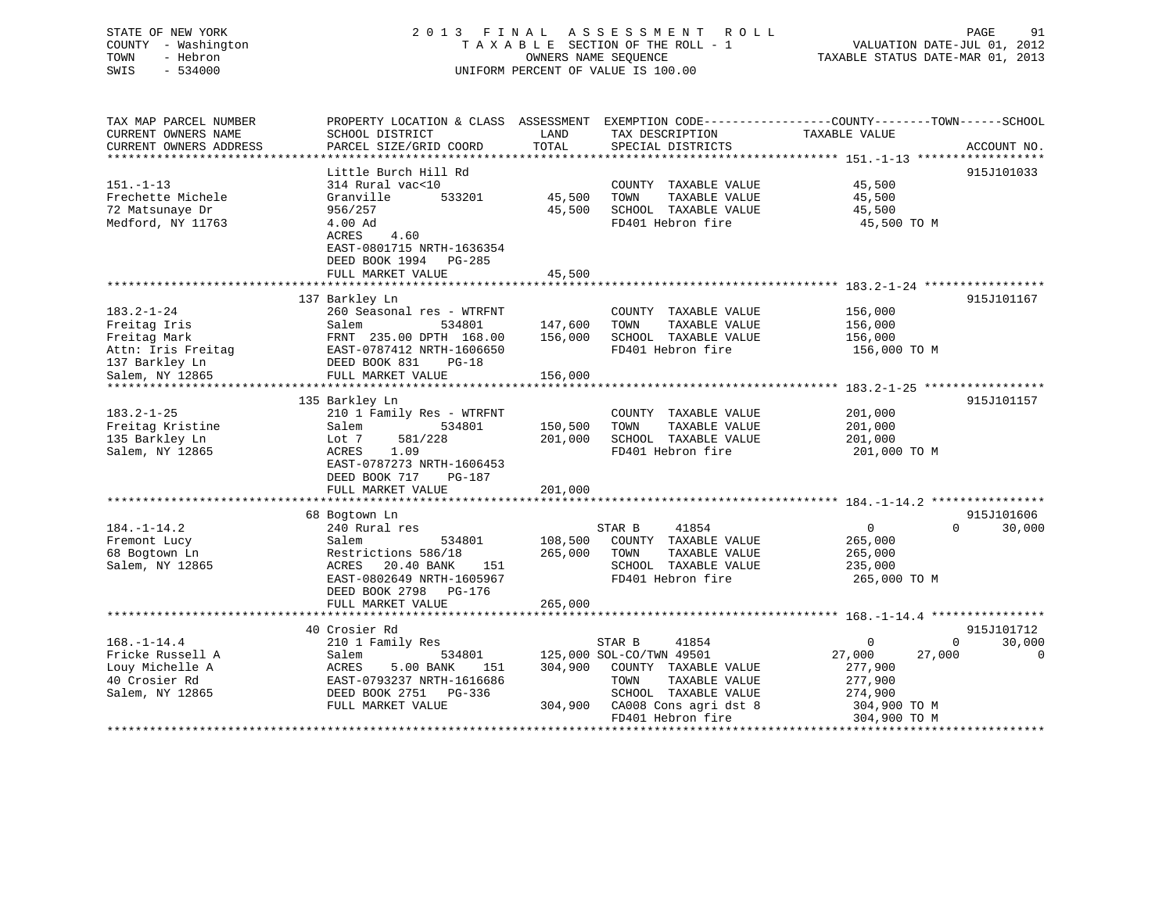# STATE OF NEW YORK 2 0 1 3 F I N A L A S S E S S M E N T R O L L PAGE 91 COUNTY - Washington T A X A B L E SECTION OF THE ROLL - 1 VALUATION DATE-JUL 01, 2012 TOWN - Hebron OWNERS NAME SEQUENCE TAXABLE STATUS DATE-MAR 01, 2013 SWIS - 534000 UNIFORM PERCENT OF VALUE IS 100.00

| TAX MAP PARCEL NUMBER  | PROPERTY LOCATION & CLASS ASSESSMENT EXEMPTION CODE-----------------COUNTY-------TOWN------SCHOOL |         |                          |                          |             |
|------------------------|---------------------------------------------------------------------------------------------------|---------|--------------------------|--------------------------|-------------|
| CURRENT OWNERS NAME    | SCHOOL DISTRICT                                                                                   | LAND    | TAX DESCRIPTION          | TAXABLE VALUE            |             |
| CURRENT OWNERS ADDRESS | PARCEL SIZE/GRID COORD                                                                            | TOTAL   | SPECIAL DISTRICTS        |                          | ACCOUNT NO. |
|                        |                                                                                                   |         |                          |                          |             |
|                        |                                                                                                   |         |                          |                          |             |
|                        | Little Burch Hill Rd                                                                              |         |                          |                          | 915J101033  |
| $151. - 1 - 13$        | 314 Rural vac<10                                                                                  |         | COUNTY TAXABLE VALUE     | 45,500                   |             |
| Frechette Michele      | 533201<br>Granville                                                                               | 45,500  | TAXABLE VALUE<br>TOWN    | 45,500                   |             |
| 72 Matsunaye Dr        | 956/257                                                                                           | 45,500  | SCHOOL TAXABLE VALUE     | 45,500                   |             |
| Medford, NY 11763      | 4.00 Ad                                                                                           |         | FD401 Hebron fire        | 45,500 TO M              |             |
|                        | 4.60<br>ACRES                                                                                     |         |                          |                          |             |
|                        | EAST-0801715 NRTH-1636354                                                                         |         |                          |                          |             |
|                        | DEED BOOK 1994 PG-285                                                                             |         |                          |                          |             |
|                        |                                                                                                   | 45,500  |                          |                          |             |
|                        | FULL MARKET VALUE                                                                                 |         |                          |                          |             |
|                        |                                                                                                   |         |                          |                          |             |
|                        | 137 Barkley Ln                                                                                    |         |                          |                          | 915J101167  |
| 183.2-1-24             | 260 Seasonal res - WTRFNT                                                                         |         | COUNTY TAXABLE VALUE     | 156,000                  |             |
| Freitag Iris           | Salem<br>534801                                                                                   | 147,600 | TAXABLE VALUE<br>TOWN    | 156,000                  |             |
| Freitag Mark           | FRNT 235.00 DPTH 168.00                                                                           | 156,000 | SCHOOL TAXABLE VALUE     | 156,000                  |             |
| Attn: Iris Freitag     | EAST-0787412 NRTH-1606650                                                                         |         | FD401 Hebron fire        | 156,000 TO M             |             |
| 137 Barkley Ln         | DEED BOOK 831<br>PG-18                                                                            |         |                          |                          |             |
| Salem, NY 12865        | FULL MARKET VALUE                                                                                 | 156,000 |                          |                          |             |
|                        |                                                                                                   |         |                          |                          |             |
|                        |                                                                                                   |         |                          |                          |             |
|                        | 135 Barkley Ln                                                                                    |         |                          |                          | 915J101157  |
| $183.2 - 1 - 25$       | 210 1 Family Res - WTRFNT                                                                         |         | COUNTY TAXABLE VALUE     | 201,000                  |             |
| Freitag Kristine       | 534801<br>Salem                                                                                   | 150,500 | TAXABLE VALUE<br>TOWN    | 201,000                  |             |
| 135 Barkley Ln         | Lot 7<br>581/228                                                                                  | 201,000 | SCHOOL TAXABLE VALUE     | 201,000                  |             |
| Salem, NY 12865        | 1.09<br>ACRES                                                                                     |         | FD401 Hebron fire        | 201,000 TO M             |             |
|                        | EAST-0787273 NRTH-1606453                                                                         |         |                          |                          |             |
|                        | DEED BOOK 717<br>PG-187                                                                           |         |                          |                          |             |
|                        | FULL MARKET VALUE                                                                                 | 201,000 |                          |                          |             |
|                        |                                                                                                   |         |                          |                          |             |
|                        |                                                                                                   |         |                          |                          |             |
|                        | 68 Bogtown Ln                                                                                     |         |                          |                          | 915J101606  |
| 184.-1-14.2            | 240 Rural res                                                                                     |         | STAR B<br>41854          | $\mathbf{0}$<br>$\Omega$ | 30,000      |
| Fremont Lucy           | 534801<br>Salem                                                                                   | 108,500 | COUNTY TAXABLE VALUE     | 265,000                  |             |
| 68 Bogtown Ln          | Restrictions 586/18                                                                               | 265,000 | TAXABLE VALUE<br>TOWN    | 265,000                  |             |
| Salem, NY 12865        | ACRES<br>20.40 BANK<br>151                                                                        |         | SCHOOL TAXABLE VALUE     | 235,000                  |             |
|                        | EAST-0802649 NRTH-1605967                                                                         |         | FD401 Hebron fire        | 265,000 TO M             |             |
|                        | DEED BOOK 2798 PG-176                                                                             |         |                          |                          |             |
|                        | FULL MARKET VALUE                                                                                 | 265,000 |                          |                          |             |
|                        |                                                                                                   |         |                          |                          |             |
|                        |                                                                                                   |         |                          |                          |             |
|                        | 40 Crosier Rd                                                                                     |         |                          |                          | 915J101712  |
| $168. - 1 - 14.4$      | 210 1 Family Res                                                                                  |         | STAR B<br>41854          | 0<br>$\mathbf{0}$        | 30,000      |
| Fricke Russell A       | 534801<br>Salem                                                                                   |         | 125,000 SOL-CO/TWN 49501 | 27,000<br>27,000         | 0           |
| Louy Michelle A        | ACRES<br>5.00 BANK<br>151                                                                         | 304,900 | COUNTY TAXABLE VALUE     | 277,900                  |             |
| 40 Crosier Rd          | EAST-0793237 NRTH-1616686                                                                         |         | TOWN<br>TAXABLE VALUE    | 277,900                  |             |
| Salem, NY 12865        | DEED BOOK 2751 PG-336                                                                             |         | SCHOOL TAXABLE VALUE     | 274,900                  |             |
|                        | FULL MARKET VALUE                                                                                 | 304,900 | CA008 Cons agri dst 8    | 304,900 TO M             |             |
|                        |                                                                                                   |         | FD401 Hebron fire        | 304,900 TO M             |             |
|                        |                                                                                                   |         |                          |                          |             |
|                        |                                                                                                   |         |                          |                          |             |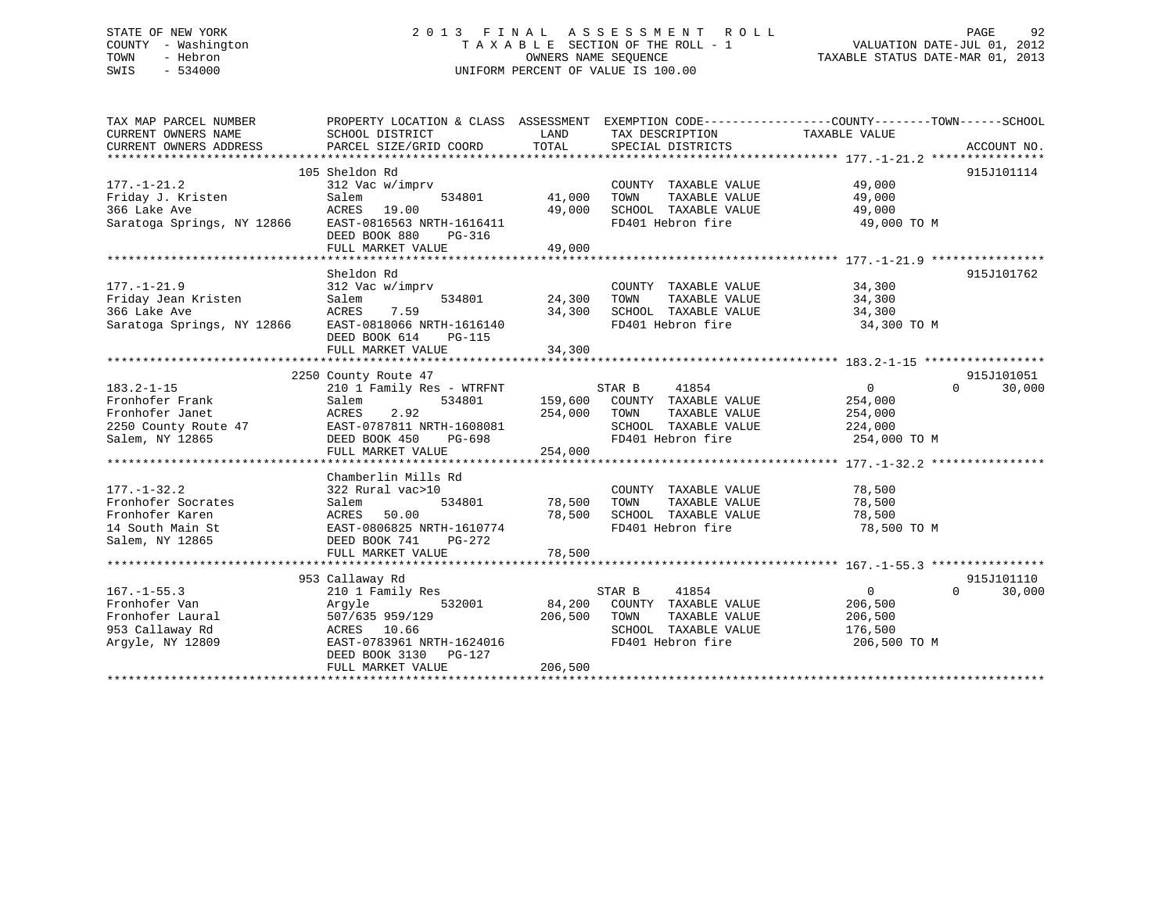# STATE OF NEW YORK 2 0 1 3 F I N A L A S S E S S M E N T R O L L PAGE 92 COUNTY - Washington T A X A B L E SECTION OF THE ROLL - 1 VALUATION DATE-JUL 01, 2012 TOWN - Hebron OWNERS NAME SEQUENCE TAXABLE STATUS DATE-MAR 01, 2013 SWIS - 534000 UNIFORM PERCENT OF VALUE IS 100.00

| TAX MAP PARCEL NUMBER<br>CURRENT OWNERS NAME<br>CURRENT OWNERS ADDRESS | PROPERTY LOCATION & CLASS ASSESSMENT<br>SCHOOL DISTRICT<br>PARCEL SIZE/GRID COORD | LAND<br>TOTAL | TAX DESCRIPTION<br>SPECIAL DISTRICTS | EXEMPTION CODE-----------------COUNTY-------TOWN------SCHOOL<br>TAXABLE VALUE | ACCOUNT NO. |
|------------------------------------------------------------------------|-----------------------------------------------------------------------------------|---------------|--------------------------------------|-------------------------------------------------------------------------------|-------------|
|                                                                        |                                                                                   |               |                                      |                                                                               |             |
|                                                                        | 105 Sheldon Rd                                                                    |               |                                      |                                                                               | 915J101114  |
| $177. - 1 - 21.2$                                                      | 312 Vac w/imprv                                                                   |               | COUNTY TAXABLE VALUE                 | 49,000                                                                        |             |
| Friday J. Kristen                                                      | Salem<br>534801                                                                   | 41,000        | TOWN<br>TAXABLE VALUE                | 49,000                                                                        |             |
| 366 Lake Ave                                                           | ACRES 19.00                                                                       | 49,000        | SCHOOL TAXABLE VALUE                 | 49,000                                                                        |             |
| Saratoga Springs, NY 12866                                             | EAST-0816563 NRTH-1616411                                                         |               | FD401 Hebron fire                    | 49,000 TO M                                                                   |             |
|                                                                        | DEED BOOK 880<br>PG-316                                                           |               |                                      |                                                                               |             |
|                                                                        | FULL MARKET VALUE                                                                 | 49,000        |                                      |                                                                               |             |
|                                                                        |                                                                                   |               |                                      |                                                                               |             |
|                                                                        | Sheldon Rd                                                                        |               |                                      |                                                                               | 915J101762  |
| $177. - 1 - 21.9$                                                      | 312 Vac w/imprv                                                                   |               | COUNTY TAXABLE VALUE                 | 34,300                                                                        |             |
| Friday Jean Kristen                                                    | Salem<br>534801                                                                   | 24,300        | TAXABLE VALUE<br>TOWN                | 34,300                                                                        |             |
| 366 Lake Ave                                                           | ACRES<br>7.59                                                                     | 34,300        | SCHOOL TAXABLE VALUE                 | 34,300                                                                        |             |
| Saratoga Springs, NY 12866                                             | EAST-0818066 NRTH-1616140                                                         |               | FD401 Hebron fire                    | 34,300 TO M                                                                   |             |
|                                                                        | DEED BOOK 614<br>PG-115                                                           |               |                                      |                                                                               |             |
|                                                                        | FULL MARKET VALUE                                                                 | 34,300        |                                      |                                                                               |             |
|                                                                        |                                                                                   |               |                                      |                                                                               |             |
|                                                                        | 2250 County Route 47                                                              |               |                                      |                                                                               | 915J101051  |
| $183.2 - 1 - 15$                                                       | 210 1 Family Res - WTRFNT                                                         |               | STAR B<br>41854                      | $\overline{0}$<br>$\Omega$                                                    | 30,000      |
| Fronhofer Frank                                                        | Salem<br>534801                                                                   |               | 159,600 COUNTY TAXABLE VALUE         | 254,000                                                                       |             |
| Fronhofer Janet                                                        | ACRES<br>2.92                                                                     | 254,000       | TAXABLE VALUE<br>TOWN                | 254,000                                                                       |             |
| 2250 County Route 47                                                   | EAST-0787811 NRTH-1608081                                                         |               | SCHOOL TAXABLE VALUE                 | 224,000                                                                       |             |
| Salem, NY 12865                                                        | DEED BOOK 450<br>PG-698                                                           |               | FD401 Hebron fire                    | 254,000 TO M                                                                  |             |
|                                                                        | FULL MARKET VALUE                                                                 | 254,000       |                                      |                                                                               |             |
|                                                                        |                                                                                   |               |                                      |                                                                               |             |
|                                                                        | Chamberlin Mills Rd                                                               |               |                                      |                                                                               |             |
| $177. - 1 - 32.2$                                                      | 322 Rural vac>10                                                                  |               | COUNTY TAXABLE VALUE                 | 78,500                                                                        |             |
| Fronhofer Socrates                                                     | Salem<br>534801                                                                   | 78,500        | TAXABLE VALUE<br>TOWN                | 78,500                                                                        |             |
| Fronhofer Karen                                                        | 50.00<br>ACRES                                                                    | 78,500        | SCHOOL TAXABLE VALUE                 | 78,500                                                                        |             |
| 14 South Main St                                                       | EAST-0806825 NRTH-1610774                                                         |               | FD401 Hebron fire                    | 78,500 TO M                                                                   |             |
| Salem, NY 12865                                                        | DEED BOOK 741<br>PG-272                                                           |               |                                      |                                                                               |             |
|                                                                        | FULL MARKET VALUE                                                                 | 78,500        |                                      |                                                                               |             |
|                                                                        | *********************************                                                 |               |                                      |                                                                               |             |
|                                                                        | 953 Callaway Rd                                                                   |               |                                      |                                                                               | 915J101110  |
| $167. - 1 - 55.3$                                                      | 210 1 Family Res                                                                  |               | 41854<br>STAR B                      | $\overline{0}$<br>$\Omega$                                                    | 30,000      |
| Fronhofer Van                                                          | 532001<br>Argyle                                                                  | 84,200        | COUNTY TAXABLE VALUE                 | 206,500                                                                       |             |
| Fronhofer Laural                                                       | 507/635 959/129                                                                   | 206,500       | TOWN<br>TAXABLE VALUE                | 206,500                                                                       |             |
| 953 Callaway Rd                                                        | ACRES 10.66                                                                       |               | SCHOOL TAXABLE VALUE                 | 176,500                                                                       |             |
| Argyle, NY 12809                                                       | EAST-0783961 NRTH-1624016                                                         |               | FD401 Hebron fire                    | 206,500 TO M                                                                  |             |
|                                                                        | DEED BOOK 3130 PG-127                                                             |               |                                      |                                                                               |             |
|                                                                        | FULL MARKET VALUE                                                                 | 206,500       |                                      |                                                                               |             |
|                                                                        |                                                                                   |               |                                      |                                                                               |             |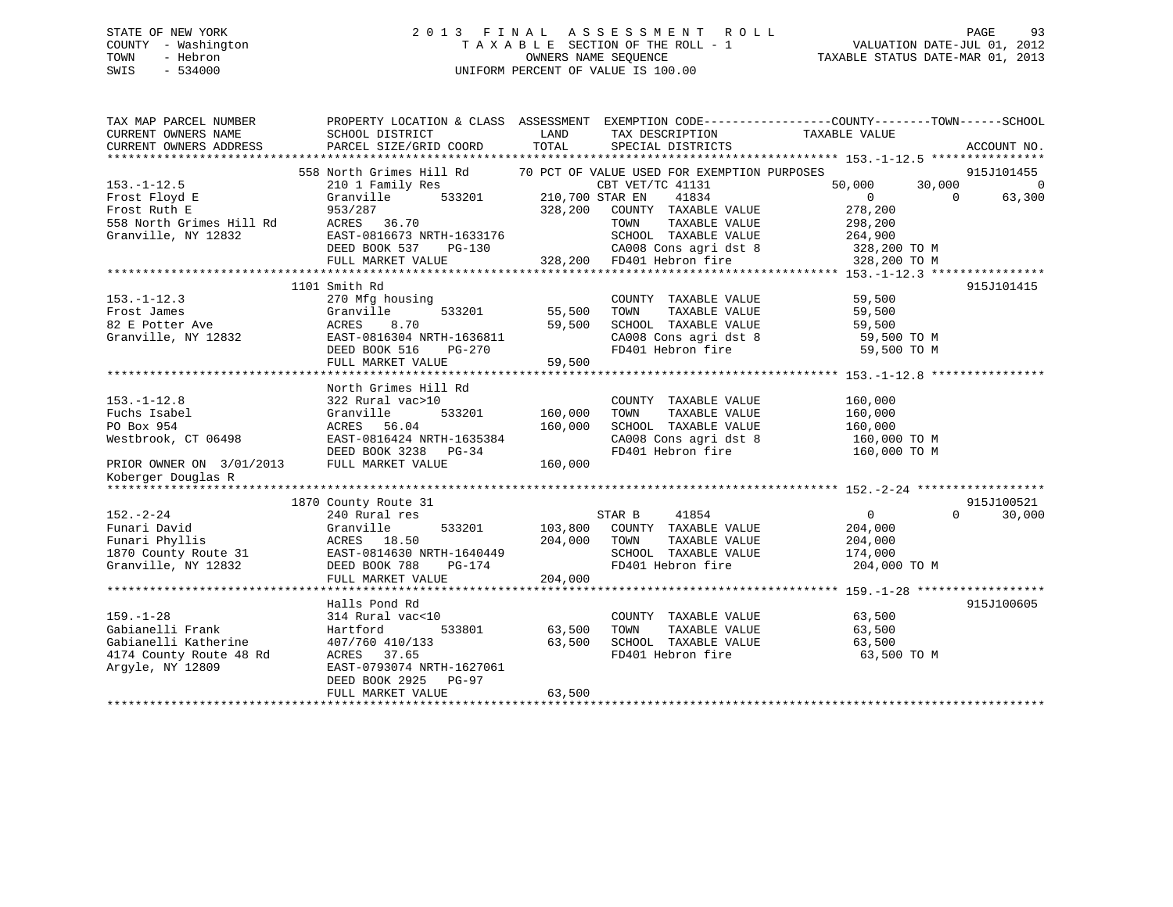# STATE OF NEW YORK 2 0 1 3 F I N A L A S S E S S M E N T R O L L PAGE 93 COUNTY - Washington T A X A B L E SECTION OF THE ROLL - 1 VALUATION DATE-JUL 01, 2012 TOWN - Hebron OWNERS NAME SEQUENCE TAXABLE STATUS DATE-MAR 01, 2013 SWIS - 534000 UNIFORM PERCENT OF VALUE IS 100.00

| TAX MAP PARCEL NUMBER<br>CURRENT OWNERS NAME | SCHOOL DISTRICT                                                      | LAND            | TAX DESCRIPTION           | PROPERTY LOCATION & CLASS ASSESSMENT EXEMPTION CODE----------------COUNTY-------TOWN------SCHOOL<br>TAXABLE VALUE |                |
|----------------------------------------------|----------------------------------------------------------------------|-----------------|---------------------------|-------------------------------------------------------------------------------------------------------------------|----------------|
| CURRENT OWNERS ADDRESS                       | PARCEL SIZE/GRID COORD                                               | TOTAL           | SPECIAL DISTRICTS         |                                                                                                                   | ACCOUNT NO.    |
|                                              |                                                                      |                 |                           |                                                                                                                   |                |
|                                              | 558 North Grimes Hill Rd 30 PCT OF VALUE USED FOR EXEMPTION PURPOSES |                 |                           |                                                                                                                   | 915J101455     |
| $153. - 1 - 12.5$                            | 210 1 Family Res                                                     |                 | CBT VET/TC 41131          | 50,000<br>30,000                                                                                                  | $\overline{0}$ |
| Frost Floyd E                                | 533201<br>Granville                                                  | 210,700 STAR EN | 41834                     | $\overline{0}$<br>$\Omega$                                                                                        | 63,300         |
| Frost Ruth E                                 | 953/287                                                              | 328,200         | COUNTY TAXABLE VALUE      | 278,200                                                                                                           |                |
| 558 North Grimes Hill Rd                     | ACRES 36.70                                                          |                 | TOWN<br>TAXABLE VALUE     | 298,200                                                                                                           |                |
| Granville, NY 12832                          | EAST-0816673 NRTH-1633176                                            |                 | SCHOOL TAXABLE VALUE      | 264,900                                                                                                           |                |
|                                              | DEED BOOK 537<br>PG-130                                              |                 | CA008 Cons agri dst 8     | 328,200 TO M                                                                                                      |                |
|                                              | FULL MARKET VALUE                                                    |                 | 328,200 FD401 Hebron fire | 328,200 TO M                                                                                                      |                |
|                                              |                                                                      |                 |                           |                                                                                                                   |                |
|                                              | 1101 Smith Rd                                                        |                 |                           |                                                                                                                   | 915J101415     |
| $153. - 1 - 12.3$                            | 270 Mfg housing                                                      |                 | COUNTY TAXABLE VALUE      | 59,500                                                                                                            |                |
| Frost James                                  | 533201<br>Granville                                                  | 55,500          | TOWN<br>TAXABLE VALUE     | 59,500                                                                                                            |                |
| 82 E Potter Ave                              | ACRES<br>8.70                                                        | 59,500          | SCHOOL TAXABLE VALUE      | 59,500                                                                                                            |                |
| Granville, NY 12832                          | EAST-0816304 NRTH-1636811                                            |                 | CA008 Cons agri dst 8     | 59,500 TO M                                                                                                       |                |
|                                              | DEED BOOK 516<br>PG-270                                              |                 | FD401 Hebron fire         | 59,500 TO M                                                                                                       |                |
|                                              | FULL MARKET VALUE                                                    | 59,500          |                           |                                                                                                                   |                |
|                                              |                                                                      |                 |                           |                                                                                                                   |                |
|                                              |                                                                      |                 |                           |                                                                                                                   |                |
|                                              | North Grimes Hill Rd                                                 |                 |                           |                                                                                                                   |                |
| $153. - 1 - 12.8$                            | 322 Rural vac>10                                                     |                 | COUNTY TAXABLE VALUE      | 160,000                                                                                                           |                |
| Fuchs Isabel                                 | 533201<br>Granville                                                  | 160,000         | TOWN<br>TAXABLE VALUE     | 160,000                                                                                                           |                |
| PO Box 954                                   | ACRES 56.04                                                          | 160,000         | SCHOOL TAXABLE VALUE      | 160,000                                                                                                           |                |
| Westbrook, CT 06498                          | EAST-0816424 NRTH-1635384                                            |                 | CA008 Cons agri dst 8     | 160,000 TO M                                                                                                      |                |
|                                              | DEED BOOK 3238<br>PG-34                                              |                 | FD401 Hebron fire         | 160,000 TO M                                                                                                      |                |
| PRIOR OWNER ON 3/01/2013                     | FULL MARKET VALUE                                                    | 160,000         |                           |                                                                                                                   |                |
| Koberger Douglas R                           |                                                                      |                 |                           |                                                                                                                   |                |
|                                              |                                                                      |                 |                           |                                                                                                                   |                |
|                                              | 1870 County Route 31                                                 |                 |                           |                                                                                                                   | 915J100521     |
| $152. - 2 - 24$                              | 240 Rural res                                                        |                 | STAR B<br>41854           | $\overline{0}$<br>$\Omega$                                                                                        | 30,000         |
| Funari David                                 | 533201<br>Granville                                                  | 103,800         | COUNTY TAXABLE VALUE      | 204,000                                                                                                           |                |
| Funari Phyllis                               | ACRES 18.50                                                          | 204,000         | TOWN<br>TAXABLE VALUE     | 204,000                                                                                                           |                |
| 1870 County Route 31                         | EAST-0814630 NRTH-1640449                                            |                 | SCHOOL TAXABLE VALUE      | 174,000                                                                                                           |                |
| Granville, NY 12832                          | DEED BOOK 788<br>PG-174                                              |                 | FD401 Hebron fire         | 204,000 TO M                                                                                                      |                |
|                                              | FULL MARKET VALUE                                                    | 204,000         |                           |                                                                                                                   |                |
|                                              |                                                                      |                 |                           |                                                                                                                   |                |
|                                              | Halls Pond Rd                                                        |                 |                           |                                                                                                                   | 915J100605     |
| $159. - 1 - 28$                              |                                                                      |                 |                           | 63,500                                                                                                            |                |
|                                              | 314 Rural vac<10                                                     |                 | COUNTY TAXABLE VALUE      |                                                                                                                   |                |
| Gabianelli Frank                             | Hartford<br>533801                                                   | 63,500          | TAXABLE VALUE<br>TOWN     | 63,500                                                                                                            |                |
| Gabianelli Katherine                         | 407/760 410/133                                                      | 63,500          | SCHOOL TAXABLE VALUE      | 63,500                                                                                                            |                |
| 4174 County Route 48 Rd                      | ACRES 37.65                                                          |                 | FD401 Hebron fire         | 63,500 TO M                                                                                                       |                |
| Arqyle, NY 12809                             | EAST-0793074 NRTH-1627061                                            |                 |                           |                                                                                                                   |                |
|                                              | DEED BOOK 2925<br>PG-97                                              |                 |                           |                                                                                                                   |                |
|                                              | FULL MARKET VALUE                                                    | 63,500          |                           |                                                                                                                   |                |
|                                              |                                                                      |                 |                           |                                                                                                                   |                |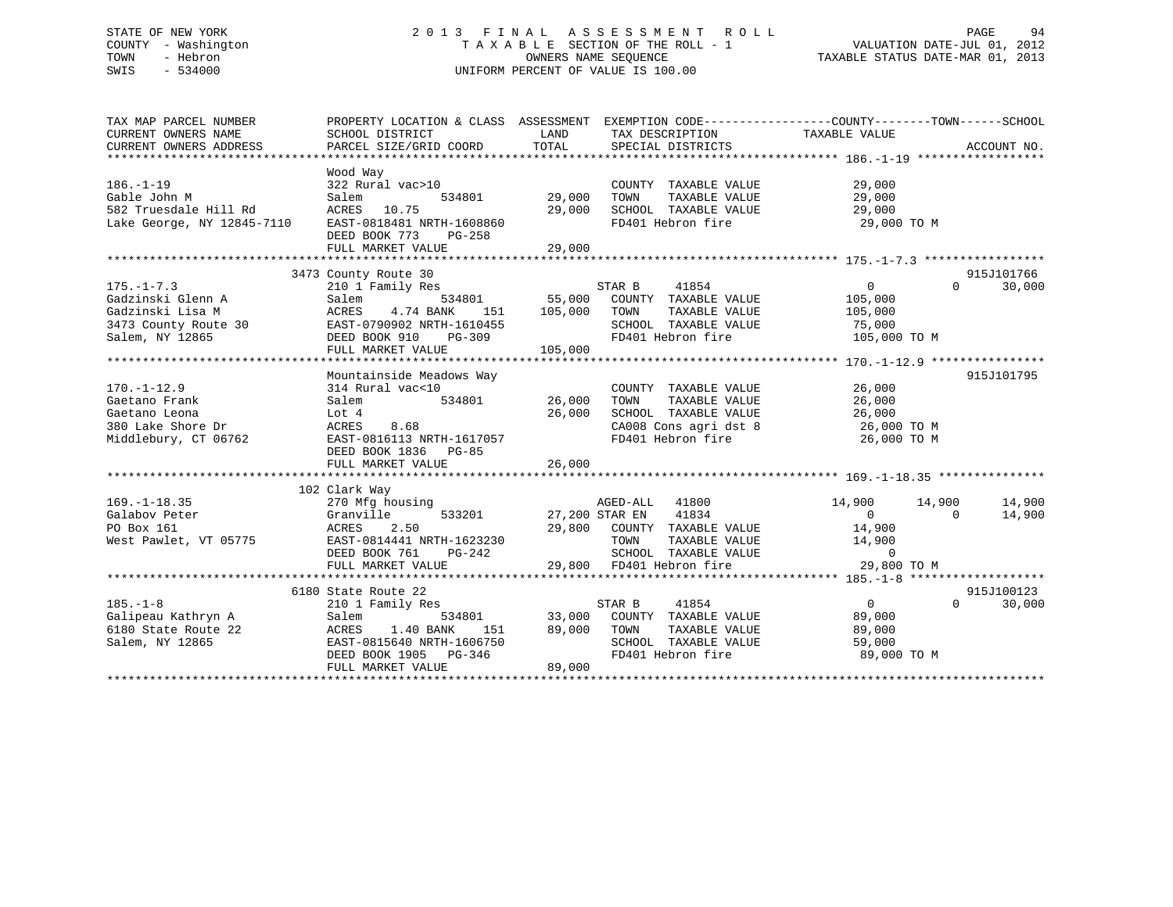# STATE OF NEW YORK 2 0 1 3 F I N A L A S S E S S M E N T R O L L PAGE 94 COUNTY - Washington T A X A B L E SECTION OF THE ROLL - 1 VALUATION DATE-JUL 01, 2012 TOWN - Hebron OWNERS NAME SEQUENCE TAXABLE STATUS DATE-MAR 01, 2013 SWIS - 534000 UNIFORM PERCENT OF VALUE IS 100.00

| TAX MAP PARCEL NUMBER<br>CURRENT OWNERS NAME<br>CURRENT OWNERS ADDRESS                           | PROPERTY LOCATION & CLASS ASSESSMENT EXEMPTION CODE----------------COUNTY-------TOWN-----SCHOOL<br>SCHOOL DISTRICT<br>PARCEL SIZE/GRID COORD                                                                                      | LAND<br>TOTAL         | TAX DESCRIPTION<br>SPECIAL DISTRICTS                                                                                                                                                                                               | $\begin{array}{c} \mathsf{-}\texttt{CUUNTY--}\\ \mathsf{TAXABLE}\end{array}$      | ACCOUNT NO.          |
|--------------------------------------------------------------------------------------------------|-----------------------------------------------------------------------------------------------------------------------------------------------------------------------------------------------------------------------------------|-----------------------|------------------------------------------------------------------------------------------------------------------------------------------------------------------------------------------------------------------------------------|-----------------------------------------------------------------------------------|----------------------|
| $186. - 1 - 19$<br>Gable John M<br>Gab⊥e John M<br>582 Truesdale Hill Rd                         | Wood Way<br>322 Rural vac>10<br>Salem<br>534801 29,000<br>ACRES 10.75<br>Lake George, NY 12845-7110 EAST-0818481 NRTH-1608860<br>DEED BOOK 773<br>PG-258<br>FULL MARKET VALUE                                                     | 29,000<br>29,000      | COUNTY TAXABLE VALUE<br>TOWN<br>SCHOOL TAXABLE VALUE<br>FD401 Hebron fire                                                                                                                                                          | 29,000<br>TAXABLE VALUE $29,000$<br>TAXABLE VALUE 29.000<br>29,000<br>29,000 TO M |                      |
| $175. - 1 - 7.3$<br>Gadzinski Glenn A                                                            | 3473 County Route 30<br>210 1 Family Res<br>Salem<br>Cadzinski Lisa M<br>Gadzinski Lisa M<br>3473 County Route 30<br>Salem, NY 12865<br>DEED BOOK 910<br>TC-309<br>CHE DEED BOOK 910<br>TC-309                                    | 151   105,000   TOWN  | STAR B 41854<br>534801 55,000 COUNTY TAXABLE VALUE<br>TOWN TAXABLE VALUE 105,000<br>SCHOOL TAXABLE VALUE 75,000<br>FD401 Hebron fire 105,000 TO M                                                                                  | $\overline{0}$<br>$\Omega$<br>105,000                                             | 915J101766<br>30,000 |
| $170. - 1 - 12.9$<br>Gaetano Frank<br>Gaetano Leona<br>380 Lake Shore Dr<br>Middlebury, CT 06762 | Mountainside Meadows Way<br>$\begin{array}{r} \text{cal vac} < 10 \\ 534801 \end{array}$ 26,000<br>314 Rural vac<10<br>Salem<br>Lot 4<br>ACRES 8.68<br>762 EAST-0816113 NRTH-1617057<br>DEED BOOK 1836 PG-85<br>FULL MARKET VALUE | 26,000<br>26,000      | COUNTY TAXABLE VALUE<br>TOWN TAXABLE VALUE<br>SCHOOL TAXABLE VALUE<br>CA008 Cons agri dst 8<br>FD401 Hebron fire                                                                                                                   | 26,000<br>26,000<br>26,000<br>26,000 TO M<br>26,000 TO M                          | 915J101795           |
| $169. - 1 - 18.35$<br>Galabov Peter<br>PO Box 161<br>West Pawlet, VT 05775                       | 102 Clark Way<br>270 Mfg housing<br>Granville<br>2.50<br>ACRES<br>EAST-0814441 NRTH-1623230<br>DEED BOOK 761 PG-242<br>FULL MARKET VALUE                                                                                          |                       | AGED-ALL 41800<br>$27,200$ STAR EN 41834<br>29,800 COUNTY TAXABLE VALUE 14,900<br>TOWN TAXABLE VALUE $14,900$<br>SCHOOL TAXABLE VALUE 0<br>FD401 Hebron fire 29,800 TO M<br>29,800 FD401 Hebron fire                               | $14,900$ $14,900$<br>$\sim$ 0<br>$\overline{0}$                                   | 14,900<br>14,900     |
| $185. - 1 - 8$<br>Galipeau Kathryn A<br>6180 State Route 22<br>Salem, NY 12865                   | 6180 State Route 22<br>210 1 Family Res<br>Salem<br>$\frac{151}{151}$<br>ACRES<br>1.40 BANK<br>EAST-0815640 NRTH-1606750<br>DEED BOOK 1905 PG-346<br>FULL MARKET VALUE                                                            | 89,000 TOWN<br>89,000 | $\begin{array}{cccc}\texttt{534801} & \texttt{537AR B} & \texttt{41854} \\ \texttt{534801} & \texttt{33,000} & \texttt{COUNTY} & \texttt{TAXABLE VALUE} \end{array}$<br>TAXABLE VALUE<br>SCHOOL TAXABLE VALUE<br>FD401 Hebron fire | $\overline{0}$<br>$\Omega$<br>89,000<br>89,000<br>59,000<br>89,000 TO M           | 915J100123<br>30,000 |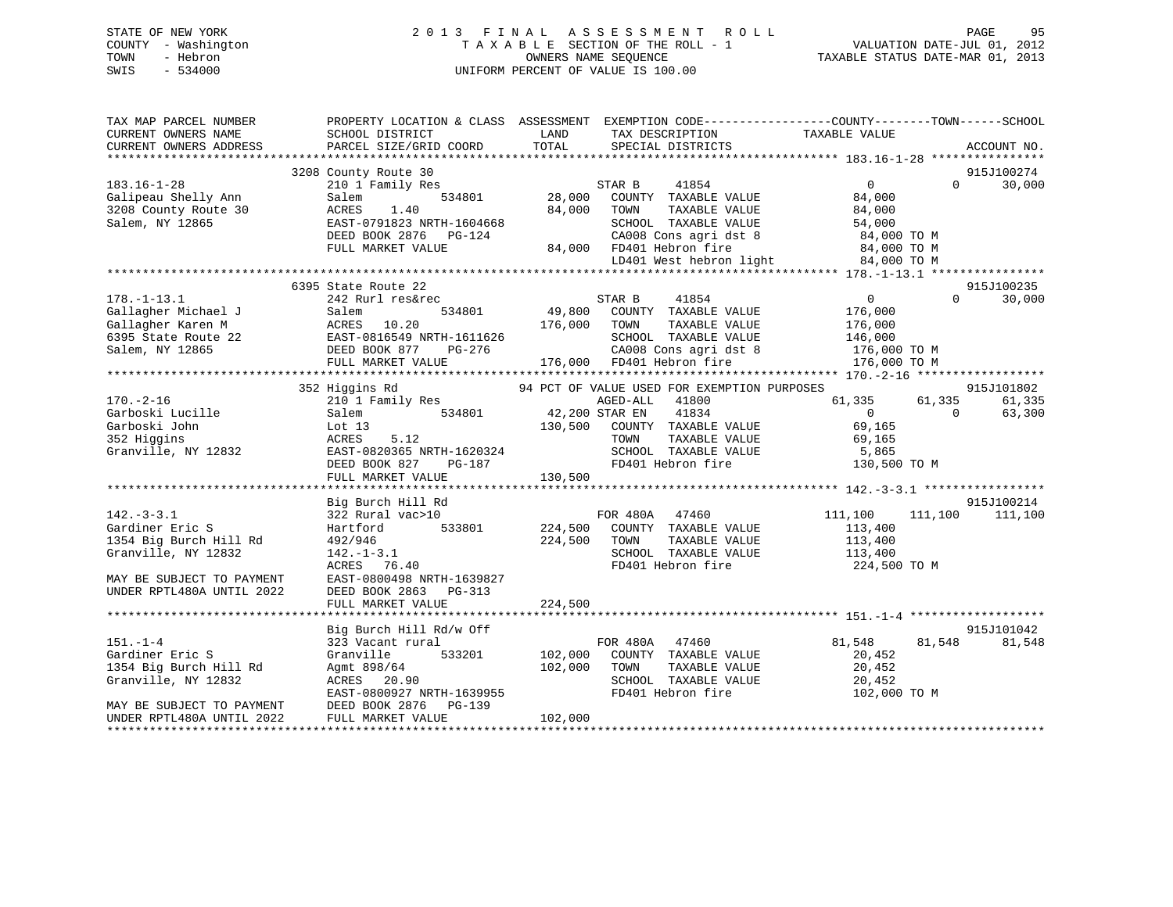# STATE OF NEW YORK 2 0 1 3 F I N A L A S S E S S M E N T R O L L PAGE 95 COUNTY - Washington T A X A B L E SECTION OF THE ROLL - 1 VALUATION DATE-JUL 01, 2012 TOWN - Hebron OWNERS NAME SEQUENCE TAXABLE STATUS DATE-MAR 01, 2013 SWIS - 534000 UNIFORM PERCENT OF VALUE IS 100.00

| 915J100274<br>3208 County Route 30<br>0<br>30,000<br>210 1 Family Res<br>STAR B<br>41854<br>$\Omega$<br>28,000<br>COUNTY TAXABLE VALUE<br>84,000<br>Salem<br>534801<br>3208 County Route 30<br>1.40<br>84,000<br>TAXABLE VALUE<br>84,000<br>ACRES<br>TOWN<br>EAST-0791823 NRTH-1604668<br>SCHOOL TAXABLE VALUE<br>54,000<br>DEED BOOK 2876 PG-124<br>CA008 Cons agri dst 8<br>84,000 TO M<br>FULL MARKET VALUE<br>84,000 FD401 Hebron fire<br>84,000 TO M<br>LD401 West hebron light<br>84,000 TO M<br>915J100235<br>6395 State Route 22<br>41854<br>$\overline{0}$<br>$\Omega$<br>30,000<br>242 Rurl res&rec<br>STAR B<br>49,800<br>534801<br>Gallagher Michael J<br>COUNTY TAXABLE VALUE<br>176,000<br>Salem<br>Gallagher Karen M<br>10.20<br>176,000<br>ACRES<br>TOWN<br>TAXABLE VALUE<br>176,000<br>6395 State Route 22<br>EAST-0816549 NRTH-1611626<br>SCHOOL TAXABLE VALUE<br>146,000<br>Salem, NY 12865<br>DEED BOOK 877<br>PG-276<br>CA008 Cons agri dst 8<br>176,000 TO M<br>FULL MARKET VALUE<br>176,000 FD401 Hebron fire<br>176,000 TO M<br>915J101802<br>352 Higgins Rd<br>94 PCT OF VALUE USED FOR EXEMPTION PURPOSES<br>$170. - 2 - 16$<br>AGED-ALL<br>41800<br>61,335<br>61,335<br>210 1 Family Res<br>61,335<br>41834<br>Garboski Lucille<br>534801<br>42,200 STAR EN<br>$\overline{0}$<br>$\Omega$<br>63,300<br>Salem<br>130,500<br>Garboski John<br>Lot $13$<br>COUNTY TAXABLE VALUE<br>69,165<br>352 Higgins<br>5.12<br>TAXABLE VALUE<br>ACRES<br>TOWN<br>69,165<br>SCHOOL TAXABLE VALUE<br>Granville, NY 12832<br>EAST-0820365 NRTH-1620324<br>5,865<br>FD401 Hebron fire<br>130,500 TO M<br>DEED BOOK 827<br>$PG-187$<br>130,500<br>FULL MARKET VALUE<br>915J100214<br>Big Burch Hill Rd<br>$142. - 3 - 3.1$<br>FOR 480A 47460<br>322 Rural vac>10<br>111,100<br>111,100<br>111,100<br>Gardiner Eric S<br>533801<br>224,500<br>COUNTY TAXABLE VALUE<br>113,400<br>Hartford<br>1354 Big Burch Hill Rd<br>224,500<br>TAXABLE VALUE<br>492/946<br>TOWN<br>113,400<br>Granville, NY 12832<br>$142. - 1 - 3.1$<br>SCHOOL TAXABLE VALUE<br>113,400<br>ACRES 76.40<br>FD401 Hebron fire<br>224,500 TO M<br>EAST-0800498 NRTH-1639827<br>MAY BE SUBJECT TO PAYMENT<br>UNDER RPTL480A UNTIL 2022<br>DEED BOOK 2863<br>PG-313<br>FULL MARKET VALUE<br>224,500<br>915J101042<br>Big Burch Hill Rd/w Off<br>81,548<br>$151. - 1 - 4$<br>FOR 480A 47460<br>81,548<br>81,548<br>323 Vacant rural<br>Gardiner Eric S<br>Granville<br>533201<br>102,000<br>COUNTY TAXABLE VALUE<br>20,452<br>1354 Big Burch Hill Rd<br>102,000<br>TAXABLE VALUE<br>20,452<br>Agmt 898/64<br>TOWN<br>Granville, NY 12832<br>SCHOOL TAXABLE VALUE<br>20,452<br>ACRES<br>20.90<br>FD401 Hebron fire<br>EAST-0800927 NRTH-1639955<br>102,000 TO M<br>DEED BOOK 2876<br>$PG-139$<br>MAY BE SUBJECT TO PAYMENT<br>102,000<br>UNDER RPTL480A UNTIL 2022<br>FULL MARKET VALUE | TAX MAP PARCEL NUMBER<br>CURRENT OWNERS NAME<br>CURRENT OWNERS ADDRESS | PROPERTY LOCATION & CLASS ASSESSMENT<br>SCHOOL DISTRICT<br>PARCEL SIZE/GRID COORD | LAND<br>TOTAL | EXEMPTION CODE-----------------COUNTY-------TOWN------SCHOOL<br>TAX DESCRIPTION<br>SPECIAL DISTRICTS | TAXABLE VALUE | ACCOUNT NO. |  |
|-------------------------------------------------------------------------------------------------------------------------------------------------------------------------------------------------------------------------------------------------------------------------------------------------------------------------------------------------------------------------------------------------------------------------------------------------------------------------------------------------------------------------------------------------------------------------------------------------------------------------------------------------------------------------------------------------------------------------------------------------------------------------------------------------------------------------------------------------------------------------------------------------------------------------------------------------------------------------------------------------------------------------------------------------------------------------------------------------------------------------------------------------------------------------------------------------------------------------------------------------------------------------------------------------------------------------------------------------------------------------------------------------------------------------------------------------------------------------------------------------------------------------------------------------------------------------------------------------------------------------------------------------------------------------------------------------------------------------------------------------------------------------------------------------------------------------------------------------------------------------------------------------------------------------------------------------------------------------------------------------------------------------------------------------------------------------------------------------------------------------------------------------------------------------------------------------------------------------------------------------------------------------------------------------------------------------------------------------------------------------------------------------------------------------------------------------------------------------------------------------------------------------------------------------------------------------------------------------------------------------------------------------------------------------------------------------------------------------------------------------------------------------------------------------------------------------------------------------------------|------------------------------------------------------------------------|-----------------------------------------------------------------------------------|---------------|------------------------------------------------------------------------------------------------------|---------------|-------------|--|
|                                                                                                                                                                                                                                                                                                                                                                                                                                                                                                                                                                                                                                                                                                                                                                                                                                                                                                                                                                                                                                                                                                                                                                                                                                                                                                                                                                                                                                                                                                                                                                                                                                                                                                                                                                                                                                                                                                                                                                                                                                                                                                                                                                                                                                                                                                                                                                                                                                                                                                                                                                                                                                                                                                                                                                                                                                                             |                                                                        |                                                                                   |               |                                                                                                      |               |             |  |
|                                                                                                                                                                                                                                                                                                                                                                                                                                                                                                                                                                                                                                                                                                                                                                                                                                                                                                                                                                                                                                                                                                                                                                                                                                                                                                                                                                                                                                                                                                                                                                                                                                                                                                                                                                                                                                                                                                                                                                                                                                                                                                                                                                                                                                                                                                                                                                                                                                                                                                                                                                                                                                                                                                                                                                                                                                                             |                                                                        |                                                                                   |               |                                                                                                      |               |             |  |
|                                                                                                                                                                                                                                                                                                                                                                                                                                                                                                                                                                                                                                                                                                                                                                                                                                                                                                                                                                                                                                                                                                                                                                                                                                                                                                                                                                                                                                                                                                                                                                                                                                                                                                                                                                                                                                                                                                                                                                                                                                                                                                                                                                                                                                                                                                                                                                                                                                                                                                                                                                                                                                                                                                                                                                                                                                                             | $183.16 - 1 - 28$                                                      |                                                                                   |               |                                                                                                      |               |             |  |
|                                                                                                                                                                                                                                                                                                                                                                                                                                                                                                                                                                                                                                                                                                                                                                                                                                                                                                                                                                                                                                                                                                                                                                                                                                                                                                                                                                                                                                                                                                                                                                                                                                                                                                                                                                                                                                                                                                                                                                                                                                                                                                                                                                                                                                                                                                                                                                                                                                                                                                                                                                                                                                                                                                                                                                                                                                                             | Galipeau Shelly Ann                                                    |                                                                                   |               |                                                                                                      |               |             |  |
|                                                                                                                                                                                                                                                                                                                                                                                                                                                                                                                                                                                                                                                                                                                                                                                                                                                                                                                                                                                                                                                                                                                                                                                                                                                                                                                                                                                                                                                                                                                                                                                                                                                                                                                                                                                                                                                                                                                                                                                                                                                                                                                                                                                                                                                                                                                                                                                                                                                                                                                                                                                                                                                                                                                                                                                                                                                             |                                                                        |                                                                                   |               |                                                                                                      |               |             |  |
|                                                                                                                                                                                                                                                                                                                                                                                                                                                                                                                                                                                                                                                                                                                                                                                                                                                                                                                                                                                                                                                                                                                                                                                                                                                                                                                                                                                                                                                                                                                                                                                                                                                                                                                                                                                                                                                                                                                                                                                                                                                                                                                                                                                                                                                                                                                                                                                                                                                                                                                                                                                                                                                                                                                                                                                                                                                             | Salem, NY 12865                                                        |                                                                                   |               |                                                                                                      |               |             |  |
|                                                                                                                                                                                                                                                                                                                                                                                                                                                                                                                                                                                                                                                                                                                                                                                                                                                                                                                                                                                                                                                                                                                                                                                                                                                                                                                                                                                                                                                                                                                                                                                                                                                                                                                                                                                                                                                                                                                                                                                                                                                                                                                                                                                                                                                                                                                                                                                                                                                                                                                                                                                                                                                                                                                                                                                                                                                             |                                                                        |                                                                                   |               |                                                                                                      |               |             |  |
|                                                                                                                                                                                                                                                                                                                                                                                                                                                                                                                                                                                                                                                                                                                                                                                                                                                                                                                                                                                                                                                                                                                                                                                                                                                                                                                                                                                                                                                                                                                                                                                                                                                                                                                                                                                                                                                                                                                                                                                                                                                                                                                                                                                                                                                                                                                                                                                                                                                                                                                                                                                                                                                                                                                                                                                                                                                             |                                                                        |                                                                                   |               |                                                                                                      |               |             |  |
|                                                                                                                                                                                                                                                                                                                                                                                                                                                                                                                                                                                                                                                                                                                                                                                                                                                                                                                                                                                                                                                                                                                                                                                                                                                                                                                                                                                                                                                                                                                                                                                                                                                                                                                                                                                                                                                                                                                                                                                                                                                                                                                                                                                                                                                                                                                                                                                                                                                                                                                                                                                                                                                                                                                                                                                                                                                             |                                                                        |                                                                                   |               |                                                                                                      |               |             |  |
|                                                                                                                                                                                                                                                                                                                                                                                                                                                                                                                                                                                                                                                                                                                                                                                                                                                                                                                                                                                                                                                                                                                                                                                                                                                                                                                                                                                                                                                                                                                                                                                                                                                                                                                                                                                                                                                                                                                                                                                                                                                                                                                                                                                                                                                                                                                                                                                                                                                                                                                                                                                                                                                                                                                                                                                                                                                             |                                                                        |                                                                                   |               |                                                                                                      |               |             |  |
|                                                                                                                                                                                                                                                                                                                                                                                                                                                                                                                                                                                                                                                                                                                                                                                                                                                                                                                                                                                                                                                                                                                                                                                                                                                                                                                                                                                                                                                                                                                                                                                                                                                                                                                                                                                                                                                                                                                                                                                                                                                                                                                                                                                                                                                                                                                                                                                                                                                                                                                                                                                                                                                                                                                                                                                                                                                             |                                                                        |                                                                                   |               |                                                                                                      |               |             |  |
|                                                                                                                                                                                                                                                                                                                                                                                                                                                                                                                                                                                                                                                                                                                                                                                                                                                                                                                                                                                                                                                                                                                                                                                                                                                                                                                                                                                                                                                                                                                                                                                                                                                                                                                                                                                                                                                                                                                                                                                                                                                                                                                                                                                                                                                                                                                                                                                                                                                                                                                                                                                                                                                                                                                                                                                                                                                             | $178. - 1 - 13.1$                                                      |                                                                                   |               |                                                                                                      |               |             |  |
|                                                                                                                                                                                                                                                                                                                                                                                                                                                                                                                                                                                                                                                                                                                                                                                                                                                                                                                                                                                                                                                                                                                                                                                                                                                                                                                                                                                                                                                                                                                                                                                                                                                                                                                                                                                                                                                                                                                                                                                                                                                                                                                                                                                                                                                                                                                                                                                                                                                                                                                                                                                                                                                                                                                                                                                                                                                             |                                                                        |                                                                                   |               |                                                                                                      |               |             |  |
|                                                                                                                                                                                                                                                                                                                                                                                                                                                                                                                                                                                                                                                                                                                                                                                                                                                                                                                                                                                                                                                                                                                                                                                                                                                                                                                                                                                                                                                                                                                                                                                                                                                                                                                                                                                                                                                                                                                                                                                                                                                                                                                                                                                                                                                                                                                                                                                                                                                                                                                                                                                                                                                                                                                                                                                                                                                             |                                                                        |                                                                                   |               |                                                                                                      |               |             |  |
|                                                                                                                                                                                                                                                                                                                                                                                                                                                                                                                                                                                                                                                                                                                                                                                                                                                                                                                                                                                                                                                                                                                                                                                                                                                                                                                                                                                                                                                                                                                                                                                                                                                                                                                                                                                                                                                                                                                                                                                                                                                                                                                                                                                                                                                                                                                                                                                                                                                                                                                                                                                                                                                                                                                                                                                                                                                             |                                                                        |                                                                                   |               |                                                                                                      |               |             |  |
|                                                                                                                                                                                                                                                                                                                                                                                                                                                                                                                                                                                                                                                                                                                                                                                                                                                                                                                                                                                                                                                                                                                                                                                                                                                                                                                                                                                                                                                                                                                                                                                                                                                                                                                                                                                                                                                                                                                                                                                                                                                                                                                                                                                                                                                                                                                                                                                                                                                                                                                                                                                                                                                                                                                                                                                                                                                             |                                                                        |                                                                                   |               |                                                                                                      |               |             |  |
|                                                                                                                                                                                                                                                                                                                                                                                                                                                                                                                                                                                                                                                                                                                                                                                                                                                                                                                                                                                                                                                                                                                                                                                                                                                                                                                                                                                                                                                                                                                                                                                                                                                                                                                                                                                                                                                                                                                                                                                                                                                                                                                                                                                                                                                                                                                                                                                                                                                                                                                                                                                                                                                                                                                                                                                                                                                             |                                                                        |                                                                                   |               |                                                                                                      |               |             |  |
|                                                                                                                                                                                                                                                                                                                                                                                                                                                                                                                                                                                                                                                                                                                                                                                                                                                                                                                                                                                                                                                                                                                                                                                                                                                                                                                                                                                                                                                                                                                                                                                                                                                                                                                                                                                                                                                                                                                                                                                                                                                                                                                                                                                                                                                                                                                                                                                                                                                                                                                                                                                                                                                                                                                                                                                                                                                             |                                                                        |                                                                                   |               |                                                                                                      |               |             |  |
|                                                                                                                                                                                                                                                                                                                                                                                                                                                                                                                                                                                                                                                                                                                                                                                                                                                                                                                                                                                                                                                                                                                                                                                                                                                                                                                                                                                                                                                                                                                                                                                                                                                                                                                                                                                                                                                                                                                                                                                                                                                                                                                                                                                                                                                                                                                                                                                                                                                                                                                                                                                                                                                                                                                                                                                                                                                             |                                                                        |                                                                                   |               |                                                                                                      |               |             |  |
|                                                                                                                                                                                                                                                                                                                                                                                                                                                                                                                                                                                                                                                                                                                                                                                                                                                                                                                                                                                                                                                                                                                                                                                                                                                                                                                                                                                                                                                                                                                                                                                                                                                                                                                                                                                                                                                                                                                                                                                                                                                                                                                                                                                                                                                                                                                                                                                                                                                                                                                                                                                                                                                                                                                                                                                                                                                             |                                                                        |                                                                                   |               |                                                                                                      |               |             |  |
|                                                                                                                                                                                                                                                                                                                                                                                                                                                                                                                                                                                                                                                                                                                                                                                                                                                                                                                                                                                                                                                                                                                                                                                                                                                                                                                                                                                                                                                                                                                                                                                                                                                                                                                                                                                                                                                                                                                                                                                                                                                                                                                                                                                                                                                                                                                                                                                                                                                                                                                                                                                                                                                                                                                                                                                                                                                             |                                                                        |                                                                                   |               |                                                                                                      |               |             |  |
|                                                                                                                                                                                                                                                                                                                                                                                                                                                                                                                                                                                                                                                                                                                                                                                                                                                                                                                                                                                                                                                                                                                                                                                                                                                                                                                                                                                                                                                                                                                                                                                                                                                                                                                                                                                                                                                                                                                                                                                                                                                                                                                                                                                                                                                                                                                                                                                                                                                                                                                                                                                                                                                                                                                                                                                                                                                             |                                                                        |                                                                                   |               |                                                                                                      |               |             |  |
|                                                                                                                                                                                                                                                                                                                                                                                                                                                                                                                                                                                                                                                                                                                                                                                                                                                                                                                                                                                                                                                                                                                                                                                                                                                                                                                                                                                                                                                                                                                                                                                                                                                                                                                                                                                                                                                                                                                                                                                                                                                                                                                                                                                                                                                                                                                                                                                                                                                                                                                                                                                                                                                                                                                                                                                                                                                             |                                                                        |                                                                                   |               |                                                                                                      |               |             |  |
|                                                                                                                                                                                                                                                                                                                                                                                                                                                                                                                                                                                                                                                                                                                                                                                                                                                                                                                                                                                                                                                                                                                                                                                                                                                                                                                                                                                                                                                                                                                                                                                                                                                                                                                                                                                                                                                                                                                                                                                                                                                                                                                                                                                                                                                                                                                                                                                                                                                                                                                                                                                                                                                                                                                                                                                                                                                             |                                                                        |                                                                                   |               |                                                                                                      |               |             |  |
|                                                                                                                                                                                                                                                                                                                                                                                                                                                                                                                                                                                                                                                                                                                                                                                                                                                                                                                                                                                                                                                                                                                                                                                                                                                                                                                                                                                                                                                                                                                                                                                                                                                                                                                                                                                                                                                                                                                                                                                                                                                                                                                                                                                                                                                                                                                                                                                                                                                                                                                                                                                                                                                                                                                                                                                                                                                             |                                                                        |                                                                                   |               |                                                                                                      |               |             |  |
|                                                                                                                                                                                                                                                                                                                                                                                                                                                                                                                                                                                                                                                                                                                                                                                                                                                                                                                                                                                                                                                                                                                                                                                                                                                                                                                                                                                                                                                                                                                                                                                                                                                                                                                                                                                                                                                                                                                                                                                                                                                                                                                                                                                                                                                                                                                                                                                                                                                                                                                                                                                                                                                                                                                                                                                                                                                             |                                                                        |                                                                                   |               |                                                                                                      |               |             |  |
|                                                                                                                                                                                                                                                                                                                                                                                                                                                                                                                                                                                                                                                                                                                                                                                                                                                                                                                                                                                                                                                                                                                                                                                                                                                                                                                                                                                                                                                                                                                                                                                                                                                                                                                                                                                                                                                                                                                                                                                                                                                                                                                                                                                                                                                                                                                                                                                                                                                                                                                                                                                                                                                                                                                                                                                                                                                             |                                                                        |                                                                                   |               |                                                                                                      |               |             |  |
|                                                                                                                                                                                                                                                                                                                                                                                                                                                                                                                                                                                                                                                                                                                                                                                                                                                                                                                                                                                                                                                                                                                                                                                                                                                                                                                                                                                                                                                                                                                                                                                                                                                                                                                                                                                                                                                                                                                                                                                                                                                                                                                                                                                                                                                                                                                                                                                                                                                                                                                                                                                                                                                                                                                                                                                                                                                             |                                                                        |                                                                                   |               |                                                                                                      |               |             |  |
|                                                                                                                                                                                                                                                                                                                                                                                                                                                                                                                                                                                                                                                                                                                                                                                                                                                                                                                                                                                                                                                                                                                                                                                                                                                                                                                                                                                                                                                                                                                                                                                                                                                                                                                                                                                                                                                                                                                                                                                                                                                                                                                                                                                                                                                                                                                                                                                                                                                                                                                                                                                                                                                                                                                                                                                                                                                             |                                                                        |                                                                                   |               |                                                                                                      |               |             |  |
|                                                                                                                                                                                                                                                                                                                                                                                                                                                                                                                                                                                                                                                                                                                                                                                                                                                                                                                                                                                                                                                                                                                                                                                                                                                                                                                                                                                                                                                                                                                                                                                                                                                                                                                                                                                                                                                                                                                                                                                                                                                                                                                                                                                                                                                                                                                                                                                                                                                                                                                                                                                                                                                                                                                                                                                                                                                             |                                                                        |                                                                                   |               |                                                                                                      |               |             |  |
|                                                                                                                                                                                                                                                                                                                                                                                                                                                                                                                                                                                                                                                                                                                                                                                                                                                                                                                                                                                                                                                                                                                                                                                                                                                                                                                                                                                                                                                                                                                                                                                                                                                                                                                                                                                                                                                                                                                                                                                                                                                                                                                                                                                                                                                                                                                                                                                                                                                                                                                                                                                                                                                                                                                                                                                                                                                             |                                                                        |                                                                                   |               |                                                                                                      |               |             |  |
|                                                                                                                                                                                                                                                                                                                                                                                                                                                                                                                                                                                                                                                                                                                                                                                                                                                                                                                                                                                                                                                                                                                                                                                                                                                                                                                                                                                                                                                                                                                                                                                                                                                                                                                                                                                                                                                                                                                                                                                                                                                                                                                                                                                                                                                                                                                                                                                                                                                                                                                                                                                                                                                                                                                                                                                                                                                             |                                                                        |                                                                                   |               |                                                                                                      |               |             |  |
|                                                                                                                                                                                                                                                                                                                                                                                                                                                                                                                                                                                                                                                                                                                                                                                                                                                                                                                                                                                                                                                                                                                                                                                                                                                                                                                                                                                                                                                                                                                                                                                                                                                                                                                                                                                                                                                                                                                                                                                                                                                                                                                                                                                                                                                                                                                                                                                                                                                                                                                                                                                                                                                                                                                                                                                                                                                             |                                                                        |                                                                                   |               |                                                                                                      |               |             |  |
|                                                                                                                                                                                                                                                                                                                                                                                                                                                                                                                                                                                                                                                                                                                                                                                                                                                                                                                                                                                                                                                                                                                                                                                                                                                                                                                                                                                                                                                                                                                                                                                                                                                                                                                                                                                                                                                                                                                                                                                                                                                                                                                                                                                                                                                                                                                                                                                                                                                                                                                                                                                                                                                                                                                                                                                                                                                             |                                                                        |                                                                                   |               |                                                                                                      |               |             |  |
|                                                                                                                                                                                                                                                                                                                                                                                                                                                                                                                                                                                                                                                                                                                                                                                                                                                                                                                                                                                                                                                                                                                                                                                                                                                                                                                                                                                                                                                                                                                                                                                                                                                                                                                                                                                                                                                                                                                                                                                                                                                                                                                                                                                                                                                                                                                                                                                                                                                                                                                                                                                                                                                                                                                                                                                                                                                             |                                                                        |                                                                                   |               |                                                                                                      |               |             |  |
|                                                                                                                                                                                                                                                                                                                                                                                                                                                                                                                                                                                                                                                                                                                                                                                                                                                                                                                                                                                                                                                                                                                                                                                                                                                                                                                                                                                                                                                                                                                                                                                                                                                                                                                                                                                                                                                                                                                                                                                                                                                                                                                                                                                                                                                                                                                                                                                                                                                                                                                                                                                                                                                                                                                                                                                                                                                             |                                                                        |                                                                                   |               |                                                                                                      |               |             |  |
|                                                                                                                                                                                                                                                                                                                                                                                                                                                                                                                                                                                                                                                                                                                                                                                                                                                                                                                                                                                                                                                                                                                                                                                                                                                                                                                                                                                                                                                                                                                                                                                                                                                                                                                                                                                                                                                                                                                                                                                                                                                                                                                                                                                                                                                                                                                                                                                                                                                                                                                                                                                                                                                                                                                                                                                                                                                             |                                                                        |                                                                                   |               |                                                                                                      |               |             |  |
|                                                                                                                                                                                                                                                                                                                                                                                                                                                                                                                                                                                                                                                                                                                                                                                                                                                                                                                                                                                                                                                                                                                                                                                                                                                                                                                                                                                                                                                                                                                                                                                                                                                                                                                                                                                                                                                                                                                                                                                                                                                                                                                                                                                                                                                                                                                                                                                                                                                                                                                                                                                                                                                                                                                                                                                                                                                             |                                                                        |                                                                                   |               |                                                                                                      |               |             |  |
|                                                                                                                                                                                                                                                                                                                                                                                                                                                                                                                                                                                                                                                                                                                                                                                                                                                                                                                                                                                                                                                                                                                                                                                                                                                                                                                                                                                                                                                                                                                                                                                                                                                                                                                                                                                                                                                                                                                                                                                                                                                                                                                                                                                                                                                                                                                                                                                                                                                                                                                                                                                                                                                                                                                                                                                                                                                             |                                                                        |                                                                                   |               |                                                                                                      |               |             |  |
|                                                                                                                                                                                                                                                                                                                                                                                                                                                                                                                                                                                                                                                                                                                                                                                                                                                                                                                                                                                                                                                                                                                                                                                                                                                                                                                                                                                                                                                                                                                                                                                                                                                                                                                                                                                                                                                                                                                                                                                                                                                                                                                                                                                                                                                                                                                                                                                                                                                                                                                                                                                                                                                                                                                                                                                                                                                             |                                                                        |                                                                                   |               |                                                                                                      |               |             |  |
|                                                                                                                                                                                                                                                                                                                                                                                                                                                                                                                                                                                                                                                                                                                                                                                                                                                                                                                                                                                                                                                                                                                                                                                                                                                                                                                                                                                                                                                                                                                                                                                                                                                                                                                                                                                                                                                                                                                                                                                                                                                                                                                                                                                                                                                                                                                                                                                                                                                                                                                                                                                                                                                                                                                                                                                                                                                             |                                                                        |                                                                                   |               |                                                                                                      |               |             |  |
|                                                                                                                                                                                                                                                                                                                                                                                                                                                                                                                                                                                                                                                                                                                                                                                                                                                                                                                                                                                                                                                                                                                                                                                                                                                                                                                                                                                                                                                                                                                                                                                                                                                                                                                                                                                                                                                                                                                                                                                                                                                                                                                                                                                                                                                                                                                                                                                                                                                                                                                                                                                                                                                                                                                                                                                                                                                             |                                                                        |                                                                                   |               |                                                                                                      |               |             |  |
|                                                                                                                                                                                                                                                                                                                                                                                                                                                                                                                                                                                                                                                                                                                                                                                                                                                                                                                                                                                                                                                                                                                                                                                                                                                                                                                                                                                                                                                                                                                                                                                                                                                                                                                                                                                                                                                                                                                                                                                                                                                                                                                                                                                                                                                                                                                                                                                                                                                                                                                                                                                                                                                                                                                                                                                                                                                             |                                                                        |                                                                                   |               |                                                                                                      |               |             |  |
|                                                                                                                                                                                                                                                                                                                                                                                                                                                                                                                                                                                                                                                                                                                                                                                                                                                                                                                                                                                                                                                                                                                                                                                                                                                                                                                                                                                                                                                                                                                                                                                                                                                                                                                                                                                                                                                                                                                                                                                                                                                                                                                                                                                                                                                                                                                                                                                                                                                                                                                                                                                                                                                                                                                                                                                                                                                             |                                                                        |                                                                                   |               |                                                                                                      |               |             |  |
|                                                                                                                                                                                                                                                                                                                                                                                                                                                                                                                                                                                                                                                                                                                                                                                                                                                                                                                                                                                                                                                                                                                                                                                                                                                                                                                                                                                                                                                                                                                                                                                                                                                                                                                                                                                                                                                                                                                                                                                                                                                                                                                                                                                                                                                                                                                                                                                                                                                                                                                                                                                                                                                                                                                                                                                                                                                             |                                                                        |                                                                                   |               |                                                                                                      |               |             |  |
|                                                                                                                                                                                                                                                                                                                                                                                                                                                                                                                                                                                                                                                                                                                                                                                                                                                                                                                                                                                                                                                                                                                                                                                                                                                                                                                                                                                                                                                                                                                                                                                                                                                                                                                                                                                                                                                                                                                                                                                                                                                                                                                                                                                                                                                                                                                                                                                                                                                                                                                                                                                                                                                                                                                                                                                                                                                             |                                                                        |                                                                                   |               |                                                                                                      |               |             |  |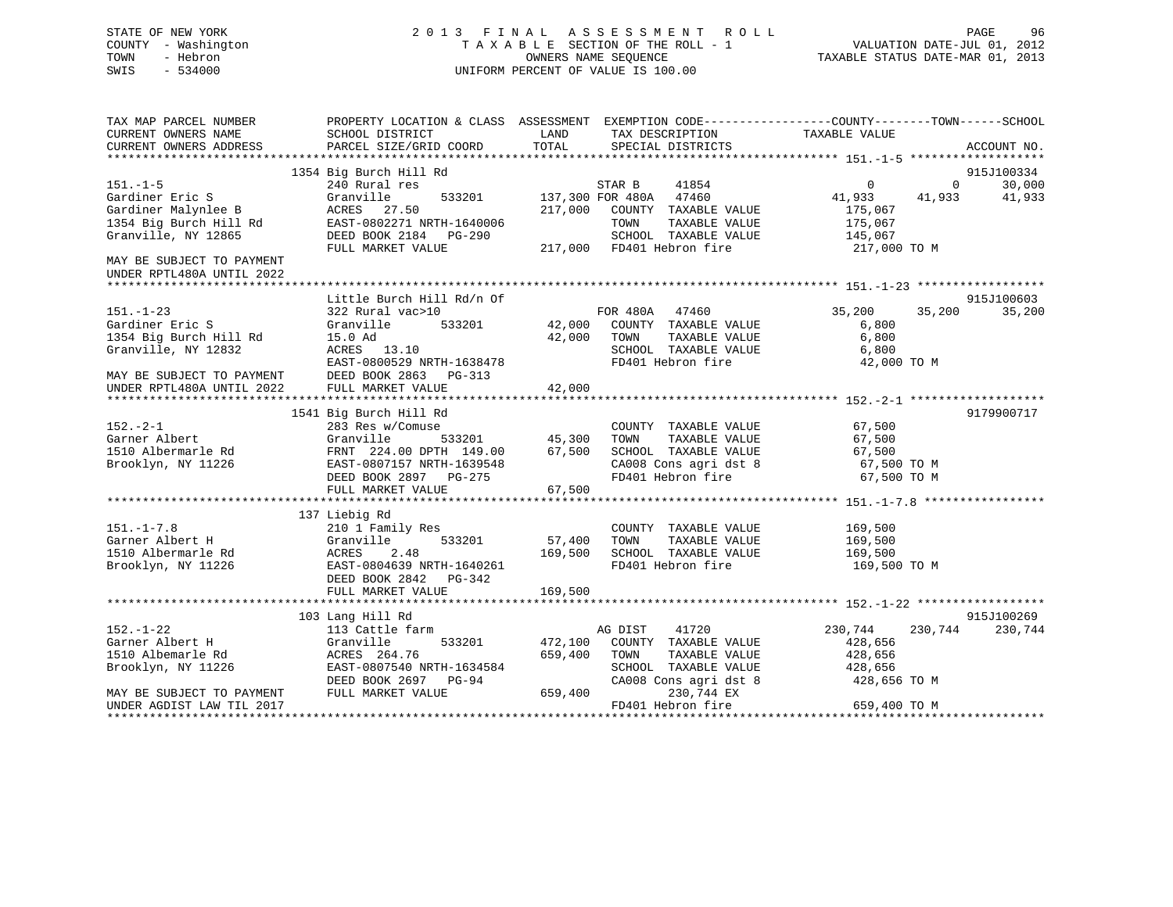# STATE OF NEW YORK 2 0 1 3 F I N A L A S S E S S M E N T R O L L PAGE 96 COUNTY - Washington T A X A B L E SECTION OF THE ROLL - 1 VALUATION DATE-JUL 01, 2012 TOWN - Hebron OWNERS NAME SEQUENCE TAXABLE STATUS DATE-MAR 01, 2013 SWIS - 534000 UNIFORM PERCENT OF VALUE IS 100.00

| TAX MAP PARCEL NUMBER<br>CURRENT OWNERS NAME           | SCHOOL DISTRICT                                                                                                                              | PROPERTY LOCATION & CLASS ASSESSMENT EXEMPTION CODE---------------COUNTY-------TOWN------SCHOOL<br>LAND<br>TAX DESCRIPTION | TAXABLE VALUE                         |  |
|--------------------------------------------------------|----------------------------------------------------------------------------------------------------------------------------------------------|----------------------------------------------------------------------------------------------------------------------------|---------------------------------------|--|
| CURRENT OWNERS ADDRESS                                 | PARCEL SIZE/GRID COORD                                                                                                                       | TOTAL<br>SPECIAL DISTRICTS                                                                                                 | ACCOUNT NO.                           |  |
|                                                        | 1354 Big Burch Hill Rd                                                                                                                       |                                                                                                                            | 915J100334                            |  |
| $151. - 1 - 5$                                         | 240 Rural res                                                                                                                                | STAR B<br>41854                                                                                                            | $\Omega$<br>30,000<br>$\Omega$        |  |
| Gardiner Eric S<br>Gardiner Malynlee B                 | Granville<br>ACRES 27.50<br>Gardiner Malynlee B                 ACRES    27.50<br>1354 Big Burch Hill Rd           EAST-0802271 NRTH-1640006 | 533201 137,300 FOR 480A 47460<br>217,000 COUNTY TAXABLE VALUE                                                              | 41,933<br>41,933<br>41,933<br>175,067 |  |
| Granville, NY 12865                                    | DEED BOOK 2184    PG-290                                                                                                                     | TOWN<br>TAXABLE VALUE<br>SCHOOL TAXABLE VALUE                                                                              | 175,067<br>145,067                    |  |
|                                                        | FULL MARKET VALUE                                                                                                                            | 217,000 FD401 Hebron fire                                                                                                  | 217,000 TO M                          |  |
| MAY BE SUBJECT TO PAYMENT<br>UNDER RPTL480A UNTIL 2022 |                                                                                                                                              |                                                                                                                            |                                       |  |
|                                                        | Little Burch Hill Rd/n Of                                                                                                                    |                                                                                                                            | 915J100603                            |  |
| $151. - 1 - 23$                                        | 322 Rural vac>10                                                                                                                             | FOR 480A 47460                                                                                                             | 35,200<br>35,200<br>35,200            |  |
| Gardiner Eric S                                        | Granville                                                                                                                                    | 533201 42,000 COUNTY TAXABLE VALUE<br>42,000 TOWN TAXABLE VALUE                                                            | 6,800                                 |  |
| 1354 Big Burch Hill Rd                                 | 15.0 Ad                                                                                                                                      |                                                                                                                            | 6,800                                 |  |
| Granville, NY 12832                                    | ACRES 13.10                                                                                                                                  | SCHOOL TAXABLE VALUE                                                                                                       | 6,800                                 |  |
|                                                        | EAST-0800529 NRTH-1638478                                                                                                                    | FD401 Hebron fire                                                                                                          | 42,000 TO M                           |  |
| MAY BE SUBJECT TO PAYMENT<br>UNDER RPTL480A UNTIL 2022 | DEED BOOK 2863 PG-313<br>FULL MARKET VALUE                                                                                                   | 42,000                                                                                                                     |                                       |  |
|                                                        |                                                                                                                                              |                                                                                                                            |                                       |  |
|                                                        | 1541 Big Burch Hill Rd                                                                                                                       |                                                                                                                            | 9179900717                            |  |
| $152 - 2 - 1$                                          | 283 Res w/Comuse                                                                                                                             | COUNTY TAXABLE VALUE 67,500                                                                                                |                                       |  |
|                                                        |                                                                                                                                              |                                                                                                                            | 67,500                                |  |
|                                                        |                                                                                                                                              |                                                                                                                            | 67,500                                |  |
| Brooklyn, NY 11226                                     | EAST-0807157 NRTH-1639548<br>DEED BOOK 2897 PG-275                                                                                           | CA008 Cons agri dst 8 67,500 TO M                                                                                          |                                       |  |
|                                                        | DEED BOOK 2897 PG-275                                                                                                                        | FD401 Hebron fire                                                                                                          | 67,500 TO M                           |  |
|                                                        | FULL MARKET VALUE                                                                                                                            | 67,500                                                                                                                     |                                       |  |
|                                                        | 137 Liebig Rd                                                                                                                                |                                                                                                                            |                                       |  |
| $151. - 1 - 7.8$                                       | 210 1 Family Res                                                                                                                             | COUNTY TAXABLE VALUE                                                                                                       |                                       |  |
| Garner Albert H                                        | 533201<br>Granville                                                                                                                          | 57,400<br>TAXABLE VALUE<br>TOWN                                                                                            | 169,500<br>169,500                    |  |
| 1510 Albermarle Rd                                     | 2.48<br>ACRES                                                                                                                                | 169,500<br>SCHOOL TAXABLE VALUE 169,500                                                                                    |                                       |  |
| Brooklyn, NY 11226                                     | EAST-0804639 NRTH-1640261                                                                                                                    | FD401 Hebron fire                                                                                                          | 169,500 TO M                          |  |
|                                                        | DEED BOOK 2842 PG-342                                                                                                                        |                                                                                                                            |                                       |  |
|                                                        | FULL MARKET VALUE                                                                                                                            | 169,500                                                                                                                    |                                       |  |
|                                                        |                                                                                                                                              |                                                                                                                            |                                       |  |
|                                                        | 103 Lang Hill Rd                                                                                                                             |                                                                                                                            | 915J100269                            |  |
| $152. - 1 - 22$                                        | 113 Cattle farm                                                                                                                              | 41720<br>AG DIST                                                                                                           | 230,744<br>230,744<br>230,744         |  |
| Garner Albert H                                        | Granville<br>ACRES 264.76                                                                                                                    | 533201 472,100 COUNTY TAXABLE VALUE                                                                                        | 428,656                               |  |
| 1510 Albemarle Rd                                      |                                                                                                                                              | 659,400<br>TOWN<br>TAXABLE VALUE                                                                                           | 428,656                               |  |
| Brooklyn, NY 11226                                     | EAST-0807540 NRTH-1634584                                                                                                                    | SCHOOL TAXABLE VALUE 428,656                                                                                               |                                       |  |
|                                                        | DEED BOOK 2697 PG-94                                                                                                                         | CA008 Cons agri dst 8                                                                                                      | 428,656 TO M                          |  |
| MAY BE SUBJECT TO PAYMENT                              | FULL MARKET VALUE                                                                                                                            | 659,400<br>230,744 EX                                                                                                      |                                       |  |
| UNDER AGDIST LAW TIL 2017                              |                                                                                                                                              | FD401 Hebron fire                                                                                                          | 659,400 TO M                          |  |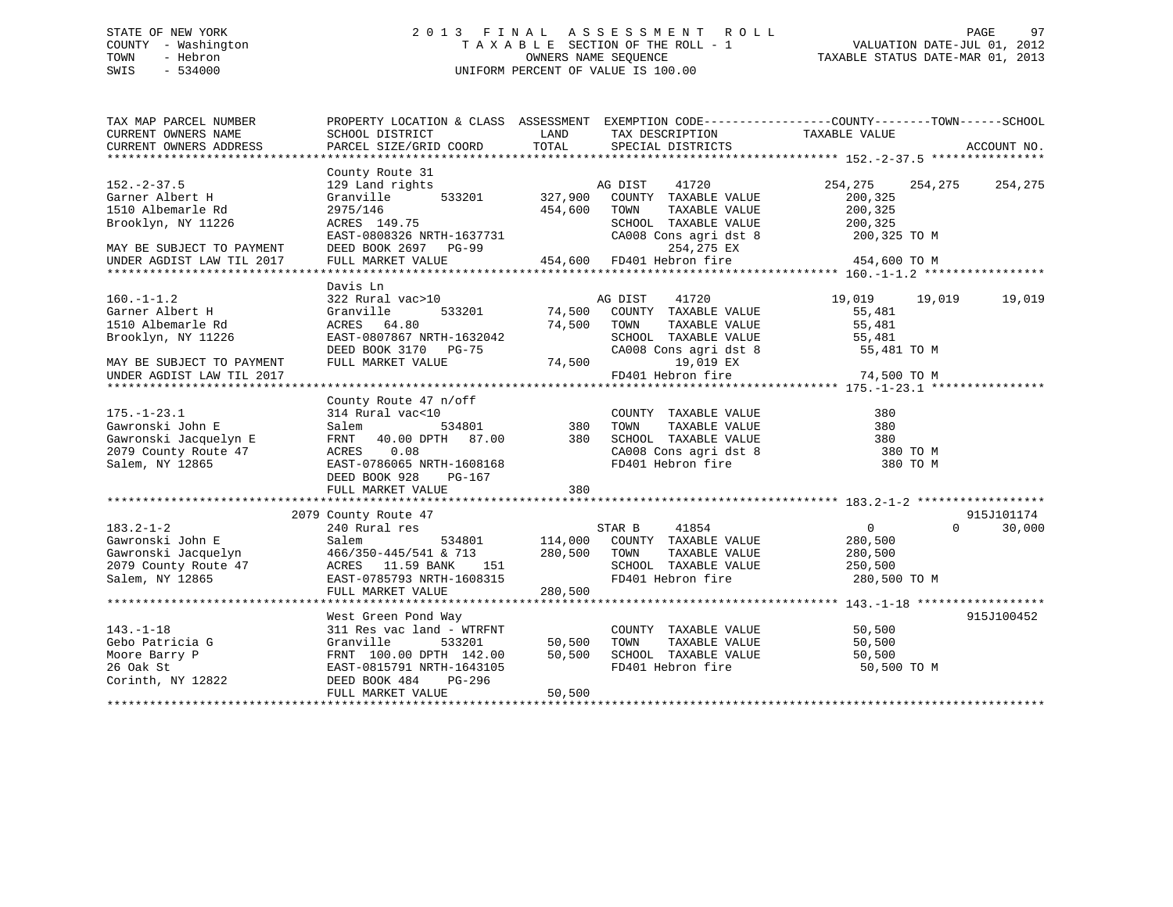# STATE OF NEW YORK 2 0 1 3 F I N A L A S S E S S M E N T R O L L PAGE 97 COUNTY - Washington T A X A B L E SECTION OF THE ROLL - 1 VALUATION DATE-JUL 01, 2012 TOWN - Hebron OWNERS NAME SEQUENCE TAXABLE STATUS DATE-MAR 01, 2013 SWIS - 534000 UNIFORM PERCENT OF VALUE IS 100.00

| TAX MAP PARCEL NUMBER<br>CURRENT OWNERS NAME<br>CURRENT OWNERS ADDRESS                                                    | SCHOOL DISTRICT<br>PARCEL SIZE/GRID COORD                                                                                                                         | LAND<br>TOTAL                | TAX DESCRIPTION TAXABLE VALUE<br>SPECIAL DISTRICTS                                                            | PROPERTY LOCATION & CLASS ASSESSMENT EXEMPTION CODE---------------COUNTY-------TOWN------SCHOOL | ACCOUNT NO. |
|---------------------------------------------------------------------------------------------------------------------------|-------------------------------------------------------------------------------------------------------------------------------------------------------------------|------------------------------|---------------------------------------------------------------------------------------------------------------|-------------------------------------------------------------------------------------------------|-------------|
|                                                                                                                           |                                                                                                                                                                   |                              |                                                                                                               |                                                                                                 |             |
| $152 - 2 - 37.5$<br>Garner Albert H                                                                                       | County Route 31<br>129 Land rights<br>Granville<br>533201                                                                                                         | 327,900                      | AG DIST<br>41720<br>COUNTY TAXABLE VALUE                                                                      | 254,275<br>254,275<br>200,325                                                                   | 254,275     |
| 1510 Albemarle Rd<br>Brooklyn, NY 11226                                                                                   | 2975/146<br>ACRES 149.75                                                                                                                                          | 454,600                      | TOWN<br>TAXABLE VALUE<br>SCHOOL TAXABLE VALUE<br>SCHOOL TAXABLE VALUE<br>CA008 Cons agri dst 8                | 200,325<br>200,325                                                                              |             |
| MAY BE SUBJECT TO PAYMENT<br>UNDER AGDIST LAW TIL 2017                                                                    | EAST-0808326 NRTH-1637731<br>DEED BOOK 2697 PG-99<br>FULL MARKET VALUE                                                                                            |                              | 254,275 EX<br>254,275 EX<br>454,600 FD401 Hebron fire 454,400                                                 | 200,325 TO M<br>454,600 TO M                                                                    |             |
|                                                                                                                           |                                                                                                                                                                   |                              |                                                                                                               |                                                                                                 |             |
| $160. - 1 - 1.2$<br>Garner Albert H<br>1510 Albemarle Rd<br>Brooklyn, NY 11226                                            | Davis Ln<br>322 Rural vac>10<br>Granville<br>ACRES 64.80<br>EAST-0807867 NRTH-1632042                                                                             | 533201 74,500<br>74,500 TOWN | 41720<br>AG DIST<br>COUNTY TAXABLE VALUE<br>TAXABLE VALUE<br>SCHOOL TAXABLE VALUE                             | 19,019<br>19,019<br>55,481<br>55,481<br>55,481                                                  | 19,019      |
| MAY BE SUBJECT TO PAYMENT<br>UNDER AGDIST LAW TIL 2017                                                                    | DEED BOOK 3170 PG-75<br>FULL MARKET VALUE                                                                                                                         | (24, 500)                    | CA008 Cons agri dst 8<br>19,019 EX<br>FD401 Hebron fire                                                       | 55,481 TO M<br>74,500 TO M                                                                      |             |
|                                                                                                                           | County Route 47 n/off                                                                                                                                             |                              |                                                                                                               |                                                                                                 |             |
| $175. - 1 - 23.1$<br>Gawronski John E                                                                                     | 314 Rural vac<10<br>534801<br>Salem                                                                                                                               | COUNT<br>380 TOWN            | COUNTY TAXABLE VALUE<br>TAXABLE VALUE                                                                         | 380<br>380                                                                                      |             |
| Gawronski Jacquelyn E<br>2079 County Route 47<br>Salem, NY 12865                                                          | FRNT 40.00 DPTH 87.00 380 SCHOOL TAXABLE VALUE<br>ACRES 0.08<br>EAST-0786065 NRTH-1608168<br>DEED BOOK 928<br>PG-167<br>FULL MARKET VALUE                         | 380                          | SCHOOL TAXABLE VALUE<br>CA008 Cons agri dst 8<br>FD401 Hebron fire                                            | 380<br>380 TO M<br>380 TO M                                                                     |             |
|                                                                                                                           |                                                                                                                                                                   |                              |                                                                                                               |                                                                                                 |             |
|                                                                                                                           | 2079 County Route 47                                                                                                                                              |                              |                                                                                                               |                                                                                                 | 915J101174  |
| $183.2 - 1 - 2$<br>Gawronski John E<br>Gawronski John E<br>Gawronski Jacquelyn<br>2079 County Route 47<br>Salem, NY 12865 | 240 Rural res<br>Salem<br>534801<br>466/350-445/541 & 713<br>ACRES 11.59 BANK 151<br>EAST-0785793 NRTH-1608315<br>EAST-0785793 NRTH-1608315<br>FULL MARKET VALUE  | 280,500 TOWN<br>280,500      | STAR B<br>41854<br>114,000 COUNTY TAXABLE VALUE<br>TAXABLE VALUE<br>SCHOOL TAXABLE VALUE<br>FD401 Hebron fire | $\overline{0}$<br>$\Omega$<br>280,500<br>280,500<br>250,500<br>280,500 TO M                     | 30,000      |
|                                                                                                                           |                                                                                                                                                                   |                              |                                                                                                               |                                                                                                 |             |
| $143. - 1 - 18$<br>Gebo Patricia G<br>Moore Barry P<br>26 Oak St<br>Corinth, NY 12822                                     | West Green Pond Way<br>311 Res vac land - WTRFNT<br>Granville<br>533201<br>FRNT 100.00 DPTH 142.00 50,500<br>EAST-0815791 NRTH-1643105<br>DEED BOOK 484<br>PG-296 | 50,500                       | COUNTY TAXABLE VALUE<br>TOWN<br>TAXABLE VALUE<br>SCHOOL TAXABLE VALUE<br>FD401 Hebron fire                    | 50,500<br>50,500<br>50,500<br>50,500 TO M                                                       | 915J100452  |
|                                                                                                                           | FULL MARKET VALUE                                                                                                                                                 | 50,500                       |                                                                                                               |                                                                                                 |             |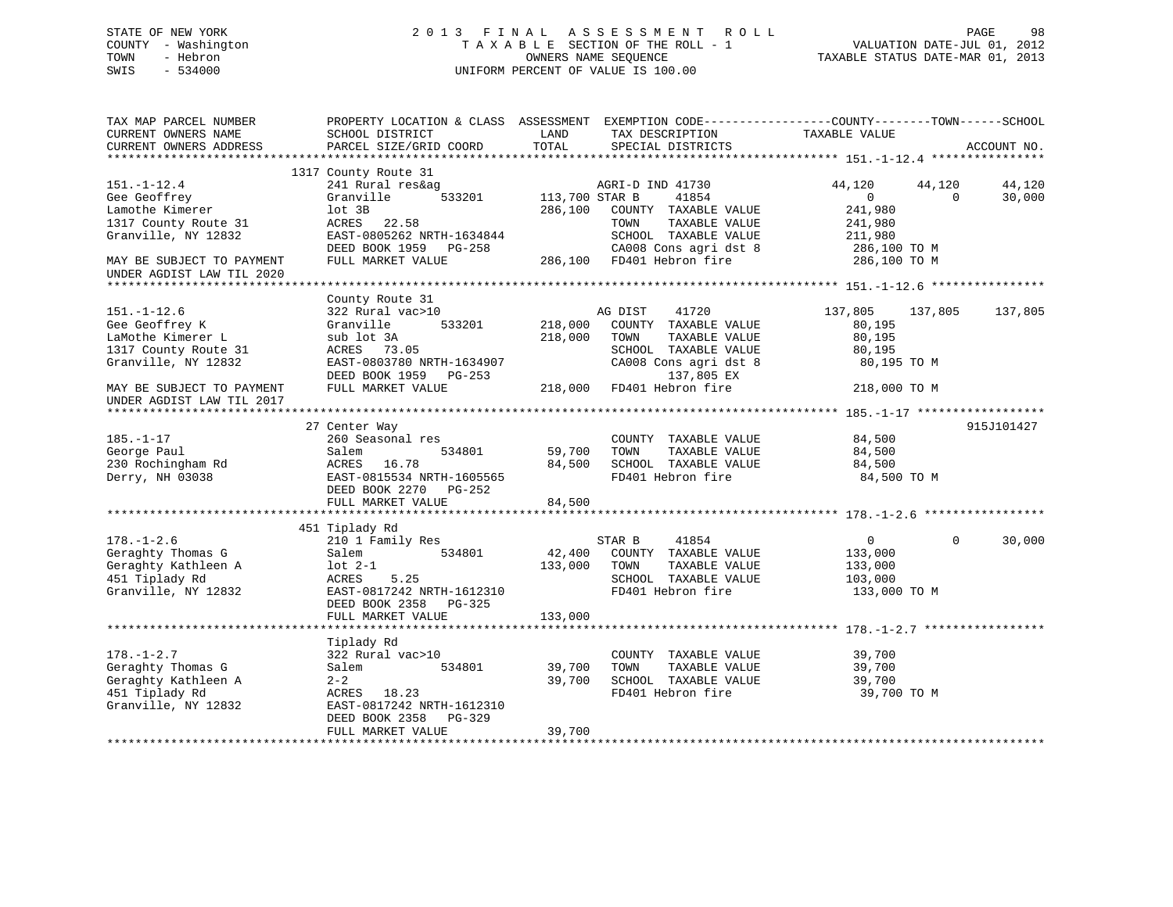# STATE OF NEW YORK 2 0 1 3 F I N A L A S S E S S M E N T R O L L PAGE 98 COUNTY - Washington T A X A B L E SECTION OF THE ROLL - 1 VALUATION DATE-JUL 01, 2012 TOWN - Hebron OWNERS NAME SEQUENCE TAXABLE STATUS DATE-MAR 01, 2013 SWIS - 534000 UNIFORM PERCENT OF VALUE IS 100.00

| TAX MAP PARCEL NUMBER<br>CURRENT OWNERS NAME<br>CURRENT OWNERS ADDRESS                                | PROPERTY LOCATION & CLASS ASSESSMENT EXEMPTION CODE----------------COUNTY-------TOWN------SCHOOL<br>SCHOOL DISTRICT<br>PARCEL SIZE/GRID COORD | LAND<br>TOTAL             | TAX DESCRIPTION<br>SPECIAL DISTRICTS                                                       | TAXABLE VALUE                                                        | ACCOUNT NO.      |
|-------------------------------------------------------------------------------------------------------|-----------------------------------------------------------------------------------------------------------------------------------------------|---------------------------|--------------------------------------------------------------------------------------------|----------------------------------------------------------------------|------------------|
|                                                                                                       |                                                                                                                                               |                           |                                                                                            |                                                                      |                  |
| $151. - 1 - 12.4$<br>Gee Geoffrey<br>Lamothe Kimerer<br>1317 County Route 31                          | 1317 County Route 31<br>241 Rural res&ag<br>533201<br>Granville<br>lot 3B<br>ACRES<br>22.58                                                   | 113,700 STAR B<br>286,100 | AGRI-D IND 41730<br>41854<br>COUNTY TAXABLE VALUE<br>TAXABLE VALUE<br>TOWN                 | 44,120<br>44,120<br>$\overline{0}$<br>$\Omega$<br>241,980<br>241,980 | 44,120<br>30,000 |
| Granville, NY 12832<br>MAY BE SUBJECT TO PAYMENT                                                      | EAST-0805262 NRTH-1634844<br>DEED BOOK 1959 PG-258<br>FULL MARKET VALUE                                                                       |                           | SCHOOL TAXABLE VALUE<br>CA008 Cons agri dst 8<br>286,100 FD401 Hebron fire                 | 211,980<br>286,100 TO M<br>286,100 TO M                              |                  |
| UNDER AGDIST LAW TIL 2020                                                                             |                                                                                                                                               |                           |                                                                                            |                                                                      |                  |
|                                                                                                       |                                                                                                                                               |                           |                                                                                            |                                                                      |                  |
| $151. - 1 - 12.6$<br>Gee Geoffrey K                                                                   | County Route 31<br>322 Rural vac>10<br>Granville<br>533201                                                                                    | 218,000                   | AG DIST<br>41720<br>COUNTY TAXABLE VALUE                                                   | 137,805<br>137,805<br>80,195                                         | 137,805          |
| LaMothe Kimerer L<br>1317 County Route 31<br>Granville, NY 12832                                      | sub lot 3A<br>ACRES 73.05<br>EAST-0803780 NRTH-1634907<br>DEED BOOK 1959 PG-253                                                               | 218,000                   | TOWN<br>TAXABLE VALUE<br>SCHOOL TAXABLE VALUE<br>CA008 Cons agri dst 8<br>137,805 EX       | 80,195<br>80,195<br>80,195 TO M                                      |                  |
| MAY BE SUBJECT TO PAYMENT<br>UNDER AGDIST LAW TIL 2017                                                | FULL MARKET VALUE                                                                                                                             |                           | 218,000 FD401 Hebron fire                                                                  | 218,000 TO M                                                         |                  |
|                                                                                                       |                                                                                                                                               |                           |                                                                                            |                                                                      |                  |
| $185. - 1 - 17$<br>George Paul<br>230 Rochingham Rd<br>Derry, NH 03038                                | 27 Center Way<br>260 Seasonal res<br>534801<br>Salem<br>ACRES 16.78<br>EAST-0815534 NRTH-1605565<br>DEED BOOK 2270 PG-252                     | 59,700<br>84,500          | COUNTY TAXABLE VALUE<br>TAXABLE VALUE<br>TOWN<br>SCHOOL TAXABLE VALUE<br>FD401 Hebron fire | 84,500<br>84,500<br>84,500<br>84,500 TO M                            | 915J101427       |
|                                                                                                       | FULL MARKET VALUE                                                                                                                             | 84,500                    |                                                                                            |                                                                      |                  |
|                                                                                                       |                                                                                                                                               |                           |                                                                                            |                                                                      |                  |
| $178. - 1 - 2.6$<br>Geraghty Thomas G<br>Geraghty Kathleen A<br>451 Tiplady Rd                        | 451 Tiplady Rd<br>210 1 Family Res<br>534801<br>Salem<br>$1$ ot $2-1$<br>5.25<br>ACRES                                                        | 42,400<br>133,000         | STAR B<br>41854<br>COUNTY TAXABLE VALUE<br>TAXABLE VALUE<br>TOWN<br>SCHOOL TAXABLE VALUE   | $\overline{0}$<br>$\Omega$<br>133,000<br>133,000<br>103,000          | 30,000           |
| Granville, NY 12832                                                                                   | EAST-0817242 NRTH-1612310<br>DEED BOOK 2358<br>PG-325<br>FULL MARKET VALUE                                                                    | 133,000                   | FD401 Hebron fire                                                                          | 133,000 TO M                                                         |                  |
|                                                                                                       |                                                                                                                                               |                           |                                                                                            |                                                                      |                  |
| $178. - 1 - 2.7$<br>Geraghty Thomas G<br>Geraghty Kathleen A<br>451 Tiplady Rd<br>Granville, NY 12832 | Tiplady Rd<br>322 Rural vac>10<br>Salem<br>534801<br>$2 - 2$<br>ACRES 18.23<br>EAST-0817242 NRTH-1612310                                      | 39,700<br>39,700          | COUNTY TAXABLE VALUE<br>TOWN<br>TAXABLE VALUE<br>SCHOOL TAXABLE VALUE<br>FD401 Hebron fire | 39,700<br>39,700<br>39,700<br>39,700 TO M                            |                  |
|                                                                                                       | DEED BOOK 2358 PG-329<br>FULL MARKET VALUE                                                                                                    | 39,700                    |                                                                                            |                                                                      |                  |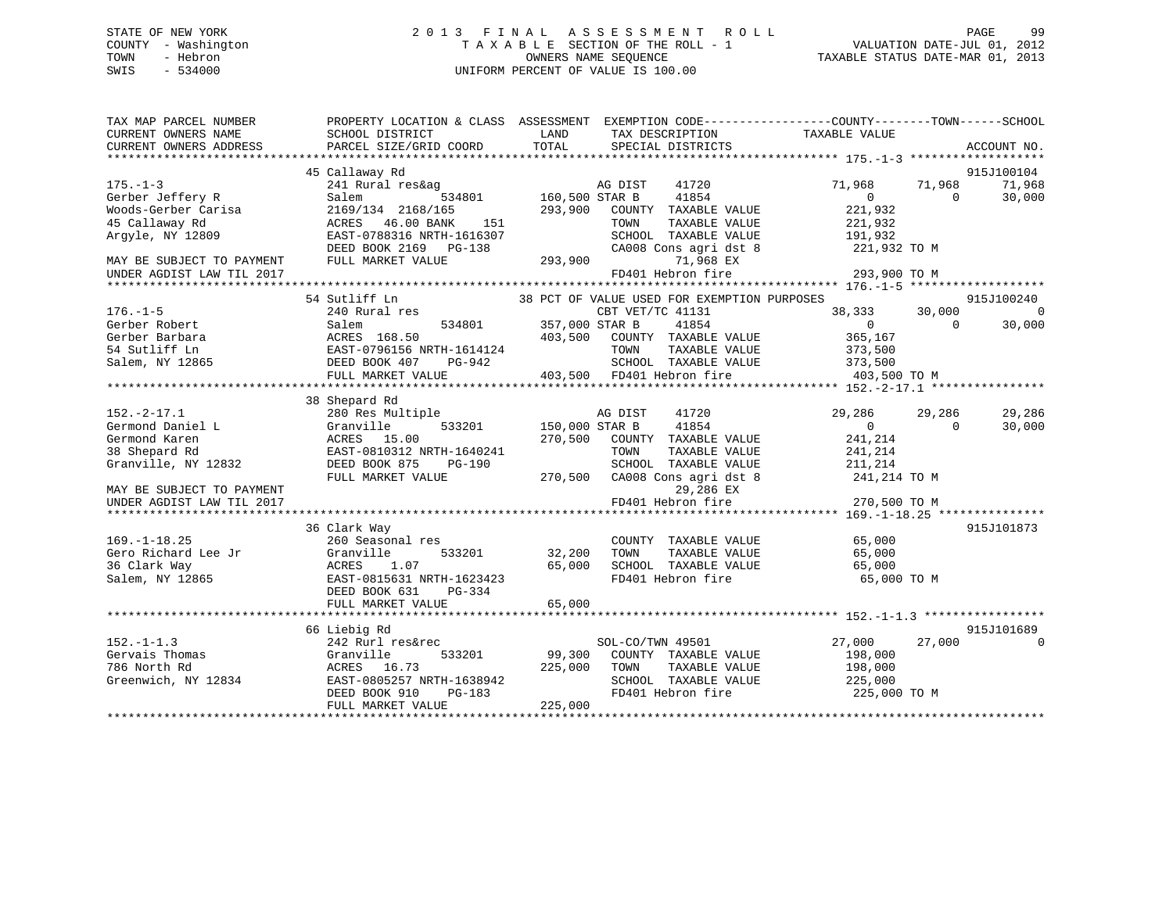# STATE OF NEW YORK 2 0 1 3 F I N A L A S S E S S M E N T R O L L PAGE 99 COUNTY - Washington T A X A B L E SECTION OF THE ROLL - 1 VALUATION DATE-JUL 01, 2012 TOWN - Hebron OWNERS NAME SEQUENCE TAXABLE STATUS DATE-MAR 01, 2013 SWIS - 534000 UNIFORM PERCENT OF VALUE IS 100.00

| TAX MAP PARCEL NUMBER     | PROPERTY LOCATION & CLASS ASSESSMENT |                | EXEMPTION CODE-----------------COUNTY-------TOWN------SCHOOL |                    |                    |             |
|---------------------------|--------------------------------------|----------------|--------------------------------------------------------------|--------------------|--------------------|-------------|
| CURRENT OWNERS NAME       | SCHOOL DISTRICT                      | LAND<br>TOTAL  | TAX DESCRIPTION                                              | TAXABLE VALUE      |                    |             |
| CURRENT OWNERS ADDRESS    | PARCEL SIZE/GRID COORD               |                | SPECIAL DISTRICTS                                            |                    |                    | ACCOUNT NO. |
|                           |                                      |                |                                                              |                    |                    |             |
| $175. - 1 - 3$            | 45 Callaway Rd                       |                | 41720                                                        |                    |                    | 915J100104  |
|                           | 241 Rural res&ag                     |                | AG DIST<br>41854                                             | 71,968<br>$\Omega$ | 71,968<br>$\Omega$ | 71,968      |
| Gerber Jeffery R          | 534801<br>Salem                      | 160,500 STAR B |                                                              | 221,932            |                    | 30,000      |
| Woods-Gerber Carisa       | 2169/134 2168/165                    | 293,900        | COUNTY TAXABLE VALUE                                         |                    |                    |             |
| 45 Callaway Rd            | 46.00 BANK<br>151<br>ACRES           |                | TOWN<br>TAXABLE VALUE                                        | 221,932            |                    |             |
| Argyle, NY 12809          | EAST-0788316 NRTH-1616307            |                | SCHOOL TAXABLE VALUE                                         | 191,932            |                    |             |
|                           | DEED BOOK 2169 PG-138                |                | CA008 Cons agri dst 8                                        | 221,932 TO M       |                    |             |
| MAY BE SUBJECT TO PAYMENT | FULL MARKET VALUE                    | 293,900        | 71,968 EX                                                    |                    |                    |             |
| UNDER AGDIST LAW TIL 2017 |                                      |                | FD401 Hebron fire                                            | 293,900 TO M       |                    |             |
|                           |                                      |                |                                                              |                    |                    |             |
|                           | 54 Sutliff Ln                        |                | 38 PCT OF VALUE USED FOR EXEMPTION PURPOSES                  |                    |                    | 915J100240  |
| $176. - 1 - 5$            | 240 Rural res                        |                | CBT VET/TC 41131                                             | 38,333             | 30,000             | $\Omega$    |
| Gerber Robert             | 534801<br>Salem                      | 357,000 STAR B | 41854                                                        | $\overline{0}$     | $\Omega$           | 30,000      |
| Gerber Barbara            | ACRES 168.50                         |                | 403,500 COUNTY TAXABLE VALUE                                 | 365,167            |                    |             |
| 54 Sutliff Ln             | EAST-0796156 NRTH-1614124            |                | TAXABLE VALUE<br>TOWN                                        | 373,500            |                    |             |
| Salem, NY 12865           | DEED BOOK 407<br>PG-942              |                | SCHOOL TAXABLE VALUE                                         | 373,500            |                    |             |
|                           | FULL MARKET VALUE                    |                | 403,500 FD401 Hebron fire                                    | 403,500 TO M       |                    |             |
|                           |                                      |                |                                                              |                    |                    |             |
|                           | 38 Shepard Rd                        |                |                                                              |                    |                    |             |
| $152. - 2 - 17.1$         | 280 Res Multiple                     |                | AG DIST<br>41720                                             | 29,286             | 29,286             | 29,286      |
| Germond Daniel L          | 533201<br>Granville                  | 150,000 STAR B | 41854                                                        | $\overline{0}$     | $\Omega$           | 30,000      |
| Germond Karen             | ACRES 15.00                          | 270,500        | COUNTY TAXABLE VALUE                                         | 241,214            |                    |             |
| 38 Shepard Rd             | EAST-0810312 NRTH-1640241            |                | TOWN<br>TAXABLE VALUE                                        | 241,214            |                    |             |
| Granville, NY 12832       | DEED BOOK 875<br>PG-190              |                | SCHOOL TAXABLE VALUE                                         | 211,214            |                    |             |
|                           | FULL MARKET VALUE                    | 270,500        | CA008 Cons agri dst 8                                        | 241,214 TO M       |                    |             |
| MAY BE SUBJECT TO PAYMENT |                                      |                | 29,286 EX                                                    |                    |                    |             |
| UNDER AGDIST LAW TIL 2017 |                                      |                | FD401 Hebron fire                                            | 270,500 TO M       |                    |             |
|                           |                                      |                |                                                              |                    |                    |             |
|                           | 36 Clark Way                         |                |                                                              |                    |                    | 915J101873  |
| $169. - 1 - 18.25$        | 260 Seasonal res                     |                | COUNTY TAXABLE VALUE                                         | 65,000             |                    |             |
| Gero Richard Lee Jr       | Granville<br>533201                  | 32,200         | TOWN<br>TAXABLE VALUE                                        | 65,000             |                    |             |
| 36 Clark Way              | 1.07<br>ACRES                        | 65,000         | SCHOOL TAXABLE VALUE                                         | 65,000             |                    |             |
| Salem, NY 12865           | EAST-0815631 NRTH-1623423            |                | FD401 Hebron fire                                            | 65,000 TO M        |                    |             |
|                           | DEED BOOK 631<br>PG-334              |                |                                                              |                    |                    |             |
|                           | FULL MARKET VALUE                    | 65,000         |                                                              |                    |                    |             |
|                           |                                      |                |                                                              |                    |                    |             |
|                           | 66 Liebig Rd                         |                |                                                              |                    |                    | 915J101689  |
| $152. - 1 - 1.3$          | 242 Rurl res&rec                     |                | SOL-CO/TWN 49501                                             | 27,000             | 27,000             | $\Omega$    |
| Gervais Thomas            | Granville<br>533201                  | 99,300         | COUNTY TAXABLE VALUE                                         | 198,000            |                    |             |
| 786 North Rd              | 16.73<br>ACRES                       | 225,000        | TAXABLE VALUE<br>TOWN                                        | 198,000            |                    |             |
| Greenwich, NY 12834       | EAST-0805257 NRTH-1638942            |                | SCHOOL TAXABLE VALUE                                         | 225,000            |                    |             |
|                           | DEED BOOK 910<br>$PG-183$            |                | FD401 Hebron fire                                            | 225,000 TO M       |                    |             |
|                           | FULL MARKET VALUE                    | 225,000        |                                                              |                    |                    |             |
|                           |                                      |                |                                                              |                    |                    |             |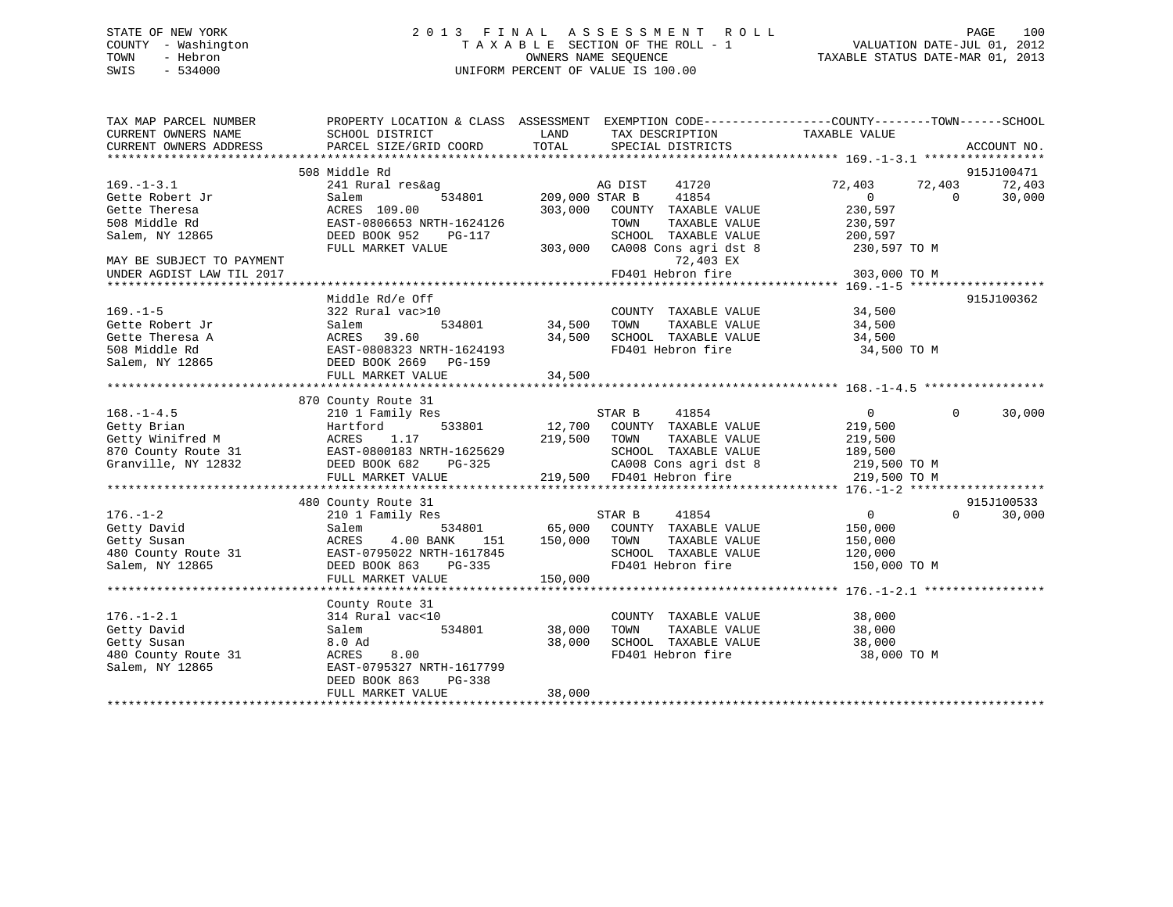# STATE OF NEW YORK 2 0 1 3 F I N A L A S S E S S M E N T R O L L PAGE 100 COUNTY - Washington T A X A B L E SECTION OF THE ROLL - 1 VALUATION DATE-JUL 01, 2012 TOWN - Hebron OWNERS NAME SEQUENCE TAXABLE STATUS DATE-MAR 01, 2013 SWIS - 534000 UNIFORM PERCENT OF VALUE IS 100.00

| TAX MAP PARCEL NUMBER<br>CURRENT OWNERS NAME | PROPERTY LOCATION & CLASS ASSESSMENT EXEMPTION CODE----------------COUNTY-------TOWN-----SCHOOL<br>SCHOOL DISTRICT | LAND           | TAX DESCRIPTION                                                          | TAXABLE VALUE  |           |             |
|----------------------------------------------|--------------------------------------------------------------------------------------------------------------------|----------------|--------------------------------------------------------------------------|----------------|-----------|-------------|
| CURRENT OWNERS ADDRESS                       | PARCEL SIZE/GRID COORD                                                                                             | TOTAL          | SPECIAL DISTRICTS                                                        |                |           | ACCOUNT NO. |
|                                              |                                                                                                                    |                |                                                                          |                |           |             |
|                                              | 508 Middle Rd                                                                                                      |                |                                                                          |                |           | 915J100471  |
| $169. - 1 - 3.1$                             | 241 Rural res&ag                                                                                                   |                | 41720<br>AG DIST                                                         | 72,403         | 72,403    | 72,403      |
| Gette Robert Jr                              | 534801<br>Salem                                                                                                    | 209,000 STAR B | 41854                                                                    | $\overline{0}$ | $\bigcap$ | 30,000      |
| Gette Theresa                                | ACRES 109.00                                                                                                       | 303,000        | COUNTY TAXABLE VALUE                                                     | 230,597        |           |             |
| 508 Middle Rd                                | EAST-0806653 NRTH-1624126                                                                                          |                | TAXABLE VALUE<br>TOWN                                                    | 230,597        |           |             |
| Salem, NY 12865                              | DEED BOOK 952<br>PG-117                                                                                            |                | SCHOOL TAXABLE VALUE 200,597                                             |                |           |             |
|                                              | FULL MARKET VALUE                                                                                                  |                | 303,000 CA008 Cons agri dst 8 230,597 TO M                               |                |           |             |
| MAY BE SUBJECT TO PAYMENT                    |                                                                                                                    |                | 72,403 EX                                                                |                |           |             |
| UNDER AGDIST LAW TIL 2017                    |                                                                                                                    |                | FD401 Hebron fire                                                        | 303,000 TO M   |           |             |
|                                              |                                                                                                                    |                |                                                                          |                |           |             |
|                                              | Middle Rd/e Off                                                                                                    |                |                                                                          |                |           | 915J100362  |
| $169. - 1 - 5$                               | 322 Rural vac>10                                                                                                   |                | COUNTY TAXABLE VALUE                                                     | 34,500         |           |             |
| Gette Robert Jr                              | 534801<br>Salem                                                                                                    | 34,500         | TAXABLE VALUE<br>TOWN                                                    | 34,500         |           |             |
| Gette Theresa A                              | ACRES 39.60                                                                                                        | 34,500         | SCHOOL TAXABLE VALUE 34,500                                              |                |           |             |
| 508 Middle Rd                                | EAST-0808323 NRTH-1624193                                                                                          |                | FD401 Hebron fire                                                        | 34,500 TO M    |           |             |
| Salem, NY 12865                              | DEED BOOK 2669 PG-159                                                                                              |                |                                                                          |                |           |             |
|                                              | FULL MARKET VALUE                                                                                                  | 34,500         |                                                                          |                |           |             |
|                                              |                                                                                                                    |                |                                                                          |                |           |             |
|                                              | 870 County Route 31                                                                                                |                |                                                                          |                |           |             |
| $168. - 1 - 4.5$                             | 210 1 Family Res                                                                                                   |                | STAR B<br>41854                                                          | $\overline{0}$ | $\Omega$  | 30,000      |
| Getty Brian                                  | Hartford                                                                                                           |                | 533801 12,700 COUNTY TAXABLE VALUE                                       | 219,500        |           |             |
| Getty Winifred M                             | 1.17<br>ACRES                                                                                                      | 219,500        | TOWN<br>TAXABLE VALUE                                                    | 219,500        |           |             |
| 870 County Route 31                          | EAST-0800183 NRTH-1625629                                                                                          |                | SCHOOL TAXABLE VALUE                                                     | 189,500        |           |             |
| Granville, NY 12832                          | DEED BOOK 682<br>PG-325                                                                                            |                | CA008 Cons agri dst 8 219,500 TO M                                       |                |           |             |
|                                              | FULL MARKET VALUE                                                                                                  |                | 219,500 FD401 Hebron fire                                                | 219,500 TO M   |           |             |
|                                              |                                                                                                                    |                |                                                                          |                |           |             |
|                                              | 480 County Route 31                                                                                                |                |                                                                          |                |           | 915J100533  |
| $176. - 1 - 2$                               | 210 1 Family Res                                                                                                   |                | 41854<br>STAR B                                                          | $\overline{0}$ | $\Omega$  | 30,000      |
| Getty David                                  | Salem                                                                                                              |                |                                                                          | 150,000        |           |             |
| Getty Susan                                  | 4.00 BANK<br>ACRES                                                                                                 |                | 534801 65,000 COUNTY TAXABLE VALUE<br>ANK 151 150,000 TOWN TAXABLE VALUE | 150,000        |           |             |
| 480 County Route 31                          | EAST-0795022 NRTH-1617845                                                                                          |                | SCHOOL TAXABLE VALUE 120,000                                             |                |           |             |
| Salem, NY 12865                              | DEED BOOK 863<br>PG-335                                                                                            |                | FD401 Hebron fire                                                        | 150,000 TO M   |           |             |
|                                              | FULL MARKET VALUE                                                                                                  | 150,000        |                                                                          |                |           |             |
|                                              |                                                                                                                    |                |                                                                          |                |           |             |
|                                              | County Route 31                                                                                                    |                |                                                                          |                |           |             |
| $176. - 1 - 2.1$                             | 314 Rural vac<10                                                                                                   |                | COUNTY TAXABLE VALUE                                                     | 38,000         |           |             |
| Getty David                                  | 534801<br>Salem                                                                                                    | 38,000         | TAXABLE VALUE<br>TOWN                                                    | 38,000         |           |             |
| Getty Susan                                  | 8.0 Ad                                                                                                             | 38,000         | SCHOOL TAXABLE VALUE                                                     | 38,000         |           |             |
| 480 County Route 31                          | ACRES<br>8.00                                                                                                      |                | FD401 Hebron fire                                                        | 38,000 TO M    |           |             |
| Salem, NY 12865                              | EAST-0795327 NRTH-1617799                                                                                          |                |                                                                          |                |           |             |
|                                              | DEED BOOK 863<br>PG-338                                                                                            |                |                                                                          |                |           |             |
|                                              | FULL MARKET VALUE                                                                                                  | 38,000         |                                                                          |                |           |             |
|                                              |                                                                                                                    |                |                                                                          |                |           |             |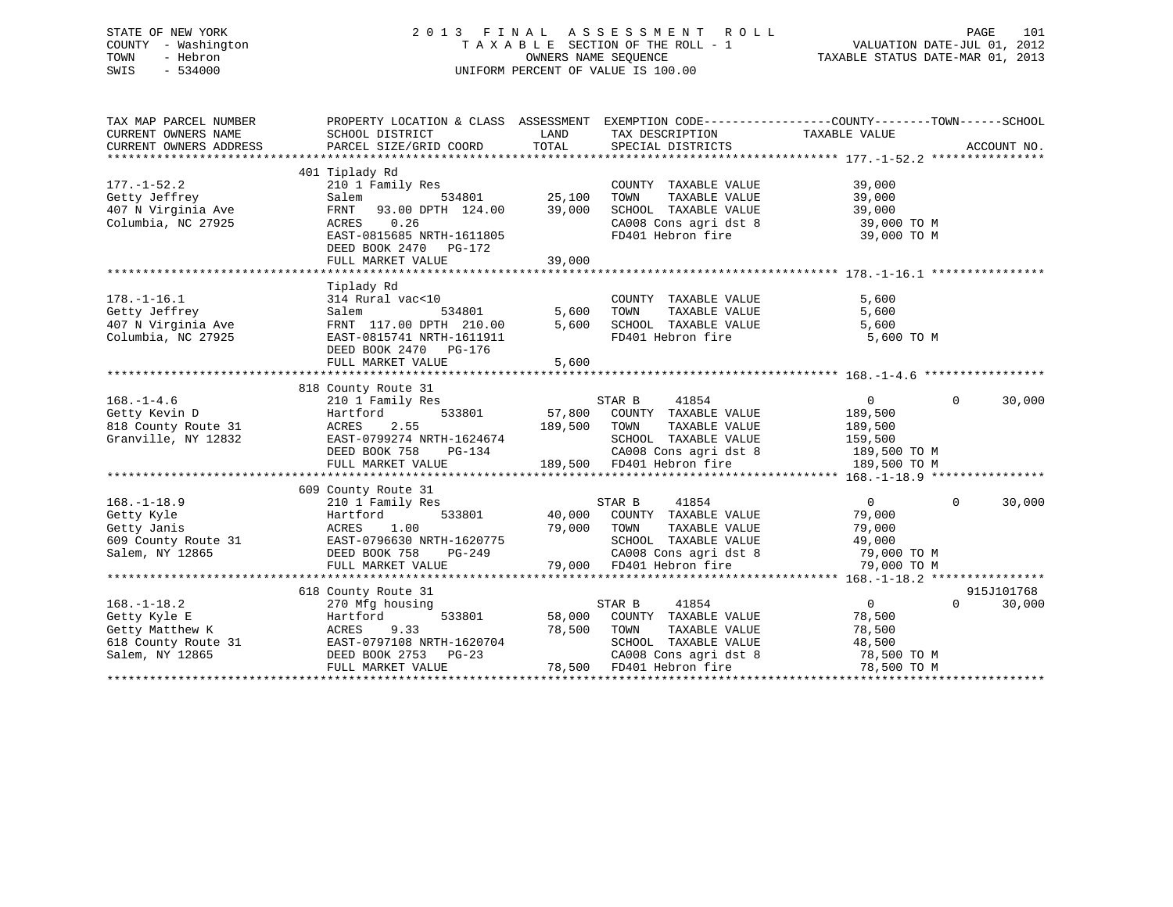# STATE OF NEW YORK 2 0 1 3 F I N A L A S S E S S M E N T R O L L PAGE 101 COUNTY - Washington T A X A B L E SECTION OF THE ROLL - 1 VALUATION DATE-JUL 01, 2012 TOWN - Hebron OWNERS NAME SEQUENCE TAXABLE STATUS DATE-MAR 01, 2013 SWIS - 534000 UNIFORM PERCENT OF VALUE IS 100.00

| TAX MAP PARCEL NUMBER               | PROPERTY LOCATION & CLASS ASSESSMENT EXEMPTION CODE----------------COUNTY-------TOWN------SCHOOL                                                                     |                                                       |                                                                                                                    |                |                |             |
|-------------------------------------|----------------------------------------------------------------------------------------------------------------------------------------------------------------------|-------------------------------------------------------|--------------------------------------------------------------------------------------------------------------------|----------------|----------------|-------------|
| CURRENT OWNERS NAME                 | SCHOOL DISTRICT                                                                                                                                                      | LAND                                                  | TAX DESCRIPTION                                                                                                    | TAXABLE VALUE  |                |             |
| CURRENT OWNERS ADDRESS              | PARCEL SIZE/GRID COORD                                                                                                                                               | TOTAL                                                 | SPECIAL DISTRICTS                                                                                                  |                |                | ACCOUNT NO. |
|                                     |                                                                                                                                                                      |                                                       |                                                                                                                    |                |                |             |
|                                     | 401 Tiplady Rd                                                                                                                                                       |                                                       |                                                                                                                    |                |                |             |
| $177. - 1 - 52.2$                   | 210 1 Family Res                                                                                                                                                     |                                                       | COUNTY TAXABLE VALUE                                                                                               | 39,000         |                |             |
| Getty Jeffrey                       | Salem 534801 25,100<br>FRNT 93.00 DPTH 124.00 39,000                                                                                                                 |                                                       | TOWN      TAXABLE  VALUE<br>SCHOOL   TAXABLE  VALUE                                                                | 39,000         |                |             |
| 407 N Virginia Ave                  |                                                                                                                                                                      |                                                       |                                                                                                                    | 39,000         |                |             |
| Columbia, NC 27925                  | ACRES 0.26                                                                                                                                                           |                                                       | CA008 Cons agri dst 8 39,000 TO M                                                                                  |                |                |             |
|                                     | EAST-0815685 NRTH-1611805                                                                                                                                            |                                                       | FD401 Hebron fire                                                                                                  | 39,000 TO M    |                |             |
|                                     | DEED BOOK 2470 PG-172                                                                                                                                                |                                                       |                                                                                                                    |                |                |             |
|                                     | FULL MARKET VALUE                                                                                                                                                    | 39,000                                                |                                                                                                                    |                |                |             |
|                                     |                                                                                                                                                                      |                                                       |                                                                                                                    |                |                |             |
|                                     | Tiplady Rd                                                                                                                                                           |                                                       |                                                                                                                    |                |                |             |
| $178. - 1 - 16.1$                   | 314 Rural vac<10                                                                                                                                                     |                                                       | COUNTY TAXABLE VALUE                                                                                               | 5,600          |                |             |
| Getty Jeffrey<br>407 N Virginia Ave | 534801<br>Salem                                                                                                                                                      | 5,600                                                 |                                                                                                                    |                |                |             |
|                                     | FRNT 117.00 DPTH 210.00                                                                                                                                              | 5,600                                                 | TOWN TAXABLE VALUE 5,600<br>SCHOOL TAXABLE VALUE 5,600<br>FD401 Hebron fire 5,600 TO M                             |                |                |             |
| Columbia, NC 27925                  | EAST-0815741 NRTH-1611911                                                                                                                                            |                                                       |                                                                                                                    |                |                |             |
|                                     | DEED BOOK 2470 PG-176                                                                                                                                                |                                                       |                                                                                                                    |                |                |             |
|                                     | FULL MARKET VALUE                                                                                                                                                    | 5,600                                                 |                                                                                                                    |                |                |             |
|                                     | 818 County Route 31                                                                                                                                                  |                                                       |                                                                                                                    |                |                |             |
| $168. - 1 - 4.6$                    | 210 1 Family Res                                                                                                                                                     |                                                       | 41854<br>STAR B                                                                                                    | $\overline{0}$ | $\Omega$       | 30,000      |
| Getty Kevin D                       |                                                                                                                                                                      |                                                       | 533801 57,800 COUNTY TAXABLE VALUE 189,500                                                                         |                |                |             |
| 818 County Route 31                 |                                                                                                                                                                      | 189,500 TOWN                                          | TAXABLE VALUE                                                                                                      | 189,500        |                |             |
| Granville, NY 12832                 | Hartford<br>ce 31 ACRES 2.55<br>12832 EAST-0799274 NRTH-1624674<br>PG-134                                                                                            |                                                       | SCHOOL TAXABLE VALUE                                                                                               | 159,500        |                |             |
|                                     |                                                                                                                                                                      | H-1624674<br>PG-134                                   | CA008 Cons agri dst 8 189,500 TO M                                                                                 |                |                |             |
|                                     | FULL MARKET VALUE                                                                                                                                                    |                                                       | 189,500 FD401 Hebron fire                                                                                          | 189,500 TO M   |                |             |
|                                     |                                                                                                                                                                      |                                                       |                                                                                                                    |                |                |             |
|                                     | 609 County Route 31                                                                                                                                                  |                                                       |                                                                                                                    |                |                |             |
| $168. - 1 - 18.9$                   | 210 1 Family Res                                                                                                                                                     |                                                       | STAR B 41854                                                                                                       | $\overline{0}$ | $\overline{0}$ | 30,000      |
|                                     |                                                                                                                                                                      |                                                       | 533801 40,000 COUNTY TAXABLE VALUE                                                                                 | 79,000         |                |             |
|                                     |                                                                                                                                                                      |                                                       | TAXABLE VALUE                                                                                                      | 79,000         |                |             |
|                                     |                                                                                                                                                                      |                                                       |                                                                                                                    |                |                |             |
|                                     | 168.-1-18.9<br>Getty Kyle<br>Getty Janis<br>Getty Janis<br>Getty Janis<br>Salem, NY 12865<br>Salem, NY 12865<br>CEED BOOK 758<br>DEED BOOK 758<br>POOK 758<br>PO-249 | 79,000 TOMN<br>TH-1620775 79,000 TOMN<br>PG-249 CA008 |                                                                                                                    |                |                |             |
|                                     | FULL MARKET VALUE                                                                                                                                                    |                                                       | 20775 SCHOOL TAXABLE VALUE 49,000<br>249 CA008 Cons agri dst 8 79,000 TO M<br>79,000 FD401 Hebron fire 79,000 TO M |                |                |             |
|                                     |                                                                                                                                                                      |                                                       |                                                                                                                    |                |                |             |
|                                     | 618 County Route 31                                                                                                                                                  |                                                       |                                                                                                                    |                |                | 915J101768  |
| $168. - 1 - 18.2$                   | 270 Mfg housing                                                                                                                                                      |                                                       | STAR B<br>41854                                                                                                    | $\overline{0}$ | $\Omega$       | 30,000      |
| Getty Kyle E                        | 533801<br>Hartford                                                                                                                                                   |                                                       | 58,000 COUNTY TAXABLE VALUE                                                                                        | 78,500         |                |             |
| Getty Matthew K                     | 9.33<br>ACRES                                                                                                                                                        | 78,500                                                | TAXABLE VALUE<br>TOWN                                                                                              | 78,500         |                |             |
|                                     | 618 County Route 31 EAST-0797108 NRTH-1620704                                                                                                                        |                                                       | SCHOOL TAXABLE VALUE                                                                                               | 48,500         |                |             |
| Salem, NY 12865                     | DEED BOOK 2753 PG-23                                                                                                                                                 |                                                       | CA008 Cons agri dst 8<br>Think Women fire                                                                          | 78,500 TO M    |                |             |
|                                     | FULL MARKET VALUE                                                                                                                                                    |                                                       | 78,500 FD401 Hebron fire                                                                                           | 78,500 TO M    |                |             |
|                                     |                                                                                                                                                                      |                                                       |                                                                                                                    |                |                |             |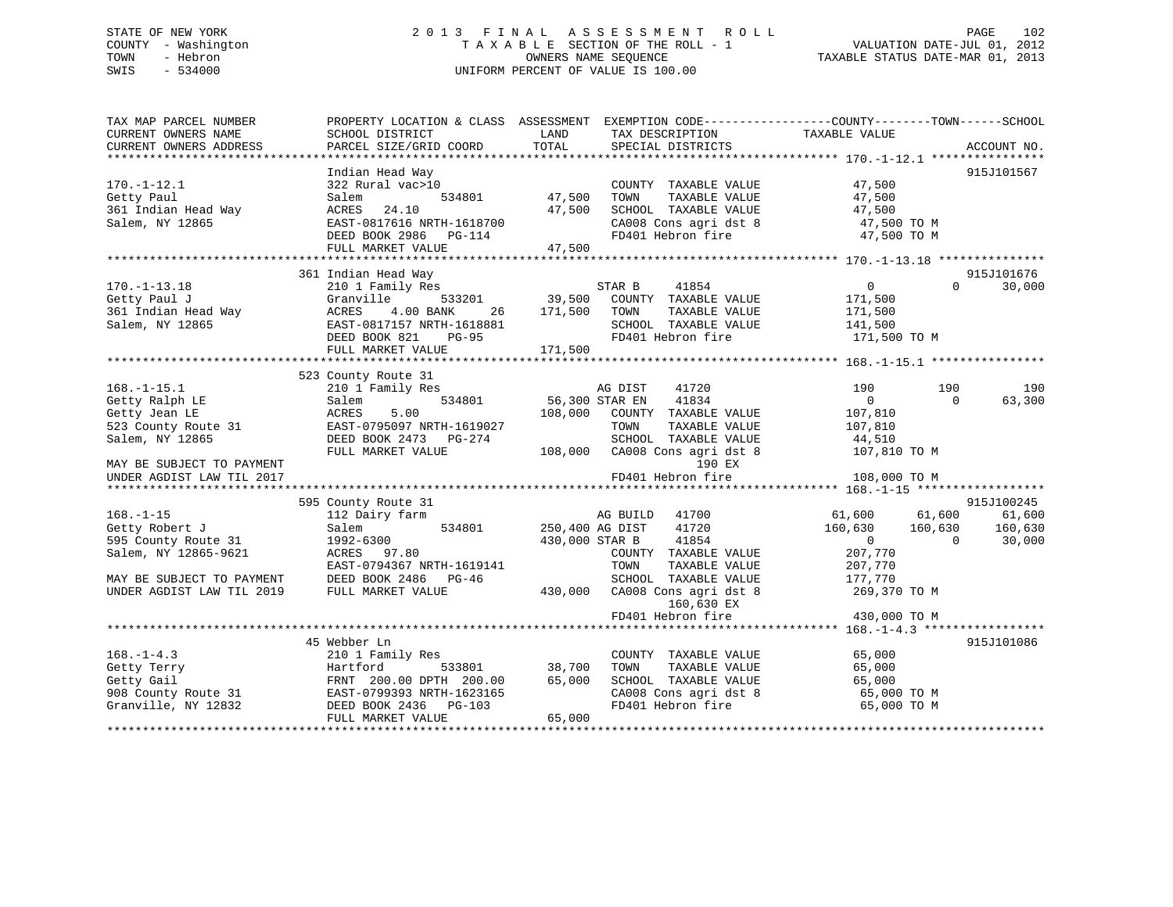# STATE OF NEW YORK 2 0 1 3 F I N A L A S S E S S M E N T R O L L PAGE 102 COUNTY - Washington T A X A B L E SECTION OF THE ROLL - 1 VALUATION DATE-JUL 01, 2012 TOWN - Hebron OWNERS NAME SEQUENCE TAXABLE STATUS DATE-MAR 01, 2013 SWIS - 534000 UNIFORM PERCENT OF VALUE IS 100.00

| TAX MAP PARCEL NUMBER     |                                               |                |                               | PROPERTY LOCATION & CLASS ASSESSMENT EXEMPTION CODE----------------COUNTY-------TOWN------SCHOOL |             |
|---------------------------|-----------------------------------------------|----------------|-------------------------------|--------------------------------------------------------------------------------------------------|-------------|
| CURRENT OWNERS NAME       | SCHOOL DISTRICT                               | LAND           | TAX DESCRIPTION               | TAXABLE VALUE                                                                                    |             |
| CURRENT OWNERS ADDRESS    | PARCEL SIZE/GRID COORD                        | TOTAL          | SPECIAL DISTRICTS             |                                                                                                  | ACCOUNT NO. |
|                           |                                               |                |                               |                                                                                                  |             |
|                           | Indian Head Way                               |                |                               |                                                                                                  | 915J101567  |
| $170. - 1 - 12.1$         | 322 Rural vac>10                              |                | COUNTY TAXABLE VALUE          | 47,500                                                                                           |             |
| Getty Paul                | 534801<br>Salem                               | 47,500         | TOWN<br>TAXABLE VALUE         | 47,500                                                                                           |             |
| 361 Indian Head Way       | ACRES 24.10                                   | 47,500         | SCHOOL TAXABLE VALUE          | 47,500                                                                                           |             |
| Salem, NY 12865           | EAST-0817616 NRTH-1618700                     |                | CA008 Cons agri dst 8         | 47,500 TO M                                                                                      |             |
|                           | DEED BOOK 2986 PG-114                         |                | FD401 Hebron fire             | 47,500 TO M                                                                                      |             |
|                           | FULL MARKET VALUE                             | 47,500         |                               |                                                                                                  |             |
|                           |                                               |                |                               |                                                                                                  |             |
|                           | 361 Indian Head Way                           |                |                               |                                                                                                  | 915J101676  |
| $170. - 1 - 13.18$        | 210 1 Family Res                              |                | 41854<br>STAR B               | $\overline{0}$<br>$\Omega$                                                                       | 30,000      |
| Getty Paul J              | Granville                                     | 533201 39,500  | COUNTY TAXABLE VALUE          | 171,500                                                                                          |             |
| 361 Indian Head Way       | ACRES 4.00 BANK<br>26                         | 171,500        | TOWN<br>TAXABLE VALUE         | 171,500                                                                                          |             |
| Salem, NY 12865           | EAST-0817157 NRTH-1618881                     |                | SCHOOL TAXABLE VALUE          | 141,500                                                                                          |             |
|                           | DEED BOOK 821<br>PG-95                        |                | FD401 Hebron fire             | 171,500 TO M                                                                                     |             |
|                           | FULL MARKET VALUE                             | 171,500        |                               |                                                                                                  |             |
|                           |                                               |                |                               |                                                                                                  |             |
|                           | 523 County Route 31                           |                |                               |                                                                                                  |             |
| $168. - 1 - 15.1$         | 210 1 Family Res                              |                | 41720<br>AG DIST              | 190<br>190                                                                                       | 190         |
| Getty Ralph LE            | 534801<br>Salem                               | 56,300 STAR EN | 41834                         | $\overline{0}$<br>$\Omega$                                                                       | 63,300      |
| Getty Jean LE             | ACRES<br>5.00                                 | 108,000        | COUNTY TAXABLE VALUE          | 107,810                                                                                          |             |
| 523 County Route 31       | EAST-0795097 NRTH-1619027                     |                | TOWN<br>TAXABLE VALUE         | 107,810                                                                                          |             |
| Salem, NY 12865           | DEED BOOK 2473 PG-274                         |                | SCHOOL TAXABLE VALUE          | 44,510                                                                                           |             |
|                           | FULL MARKET VALUE                             |                | 108,000 CA008 Cons agri dst 8 | 107,810 TO M                                                                                     |             |
| MAY BE SUBJECT TO PAYMENT |                                               |                | 190 EX                        |                                                                                                  |             |
| UNDER AGDIST LAW TIL 2017 |                                               |                | FD401 Hebron fire             | 108,000 TO M                                                                                     |             |
|                           |                                               |                |                               |                                                                                                  |             |
|                           | 595 County Route 31                           |                |                               |                                                                                                  | 915J100245  |
| $168. - 1 - 15$           | 112 Dairy farm                                |                | AG BUILD 41700                | 61,600 61,600                                                                                    | 61,600      |
| Getty Robert J            | 534801<br>Salem                               |                | 250,400 AG DIST<br>41720      | 160,630 160,630 160,630                                                                          |             |
| 595 County Route 31       | 1992-6300                                     |                | 41854<br>430,000 STAR B       | $\overline{0}$<br>$\sim$ 0                                                                       | 30,000      |
| Salem, NY 12865-9621      | ACRES 97.80                                   |                | COUNTY TAXABLE VALUE          | 207,770                                                                                          |             |
|                           | EAST-0794367 NRTH-1619141                     |                | TOWN<br>TAXABLE VALUE         | 207,770                                                                                          |             |
| MAY BE SUBJECT TO PAYMENT | DEED BOOK 2486 PG-46                          |                | SCHOOL TAXABLE VALUE          | 177,770                                                                                          |             |
| UNDER AGDIST LAW TIL 2019 | FULL MARKET VALUE                             | 430,000        | CA008 Cons agri dst 8         | 269,370 TO M                                                                                     |             |
|                           |                                               |                | 160,630 EX                    |                                                                                                  |             |
|                           |                                               |                | FD401 Hebron fire             | 430,000 TO M                                                                                     |             |
|                           |                                               |                |                               |                                                                                                  |             |
|                           | 45 Webber Ln                                  |                |                               |                                                                                                  | 915J101086  |
| $168. - 1 - 4.3$          | 210 1 Family Res                              |                | COUNTY TAXABLE VALUE          | 65,000                                                                                           |             |
| Getty Terry               | Hartford<br>533801                            | 38,700         | TOWN<br>TAXABLE VALUE         | 65,000                                                                                           |             |
| Getty Gail                | FRNT 200.00 DPTH 200.00                       | 65,000         | SCHOOL TAXABLE VALUE          | 65,000                                                                                           |             |
|                           | 908 County Route 31 EAST-0799393 NRTH-1623165 |                | CA008 Cons agri dst 8         | 65,000 TO M                                                                                      |             |
| Granville, NY 12832       | DEED BOOK 2436 PG-103                         |                | FD401 Hebron fire             | 65,000 TO M                                                                                      |             |
|                           | FULL MARKET VALUE                             | 65,000         |                               |                                                                                                  |             |
|                           |                                               |                |                               |                                                                                                  |             |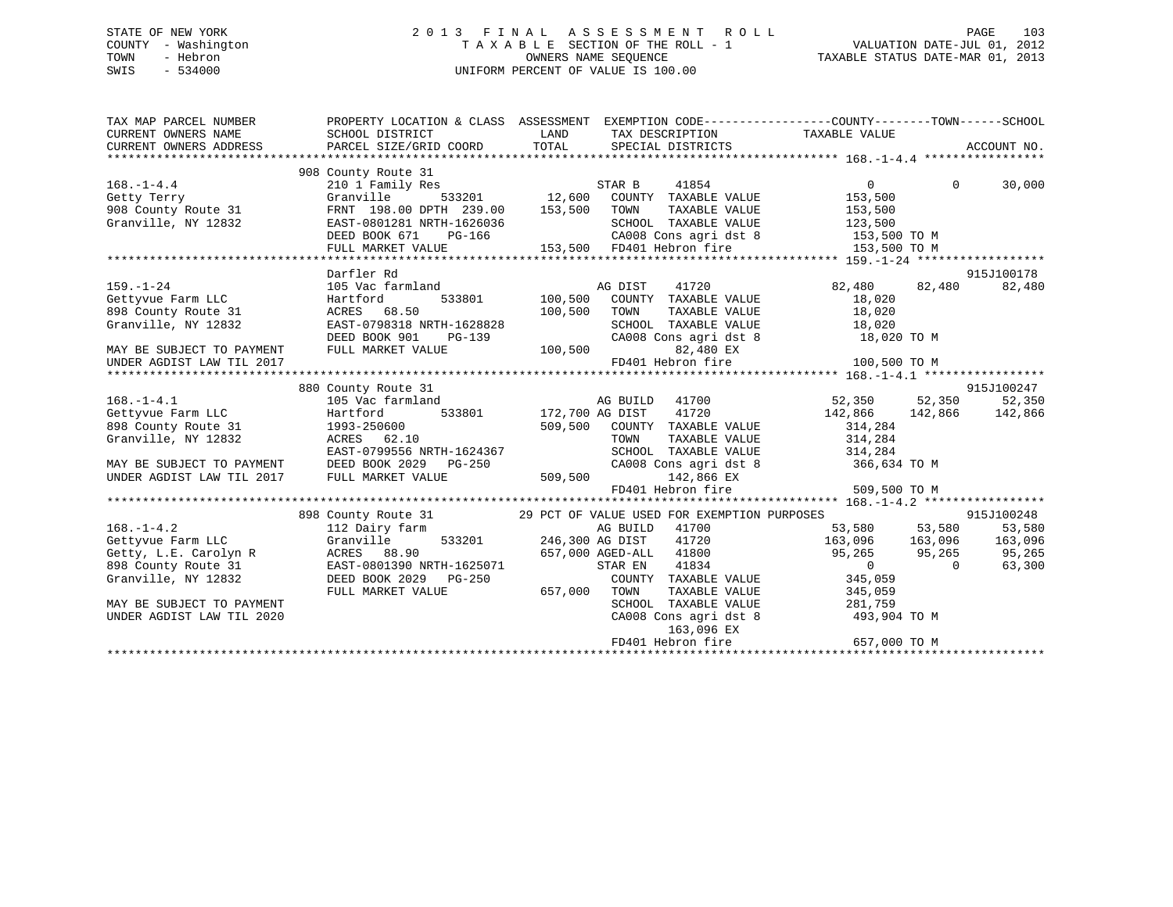# STATE OF NEW YORK 2 0 1 3 F I N A L A S S E S S M E N T R O L L PAGE 103 COUNTY - Washington T A X A B L E SECTION OF THE ROLL - 1 VALUATION DATE-JUL 01, 2012 TOWN - Hebron OWNERS NAME SEQUENCE TAXABLE STATUS DATE-MAR 01, 2013 SWIS - 534000 UNIFORM PERCENT OF VALUE IS 100.00

| TAX MAP PARCEL NUMBER<br>CURRENT OWNERS NAME<br>CURRENT OWNERS ADDRESS              | SCHOOL DISTRICT<br>PARCEL SIZE/GRID COORD TOTAL                                                                                                                      | PROPERTY LOCATION & CLASS ASSESSMENT EXEMPTION CODE---------------COUNTY-------TOWN-----SCHOOL<br>LAND<br>TAX DESCRIPTION TAXABLE VALUE<br>SPECIAL DISTRICTS                                                                                                                                                                                                                   |                                                                      | ACCOUNT NO.                     |
|-------------------------------------------------------------------------------------|----------------------------------------------------------------------------------------------------------------------------------------------------------------------|--------------------------------------------------------------------------------------------------------------------------------------------------------------------------------------------------------------------------------------------------------------------------------------------------------------------------------------------------------------------------------|----------------------------------------------------------------------|---------------------------------|
| $168. - 1 - 4.4$<br>Getty Terry<br>908 County Route 31<br>Granville, NY 12832       | 908 County Route 31<br>210 1 Family Res<br>Granville<br>FRNT 198.00 DPTH 239.00 153,500<br>EAST-0801281 NRTH-1626036<br>DEED BOOK 671<br>PG-166<br>FULL MARKET VALUE | $\begin{tabular}{lllllllll} \texttt{Res} & \texttt{S} & \texttt{S} & \texttt{S} & \texttt{S} & \texttt{S} \\ \texttt{533201} & \texttt{12,600} & \texttt{COUNTY} & \texttt{TAXABLE VALUE} \end{tabular}$<br>TOWN<br>SCHOOL TAXABLE VALUE 123,500<br>1626036 SCHOOL TAXABLE VALUE 123,500<br>G-166 CA008 Cons agri dst 8 153,500 TO M<br>153,500 FD401 Hebron fire 153,500 TO M | $\overline{0}$<br>$\Omega$<br>153,500<br>TAXABLE VALUE 153,500       | 30,000                          |
|                                                                                     |                                                                                                                                                                      |                                                                                                                                                                                                                                                                                                                                                                                |                                                                      |                                 |
|                                                                                     | Darfler Rd                                                                                                                                                           |                                                                                                                                                                                                                                                                                                                                                                                |                                                                      | 915J100178                      |
| $159. - 1 - 24$<br>Gettyvue Farm LLC<br>898 County Route 31<br>Granville, NY 12832  | 105 Vac farmland<br>Hartford<br>ACRES 68.50<br>EAST-0798318 NRTH-1628828<br>IRTH-1628828<br>PG-139<br>DEED BOOK 901                                                  | 1 AG DIST 41720<br>533801 100,500 COUNTY TAXABLE VALUE<br>100,500<br>TOWN<br>SCHOOL TAXABLE VALUE 18,020<br>CA008 Cons agri dst 8 18,020 TO M                                                                                                                                                                                                                                  | 82,480 82,480<br>18,020<br>TAXABLE VALUE 18,020                      | 82,480                          |
| MAY BE SUBJECT TO PAYMENT<br>UNDER AGDIST LAW TIL 2017                              | FULL MARKET VALUE                                                                                                                                                    | 100,500<br>82,480 EX<br>FD401 Hebron fire                                                                                                                                                                                                                                                                                                                                      | 100,500 TO M                                                         |                                 |
|                                                                                     |                                                                                                                                                                      |                                                                                                                                                                                                                                                                                                                                                                                |                                                                      |                                 |
|                                                                                     | 880 County Route 31                                                                                                                                                  |                                                                                                                                                                                                                                                                                                                                                                                |                                                                      | 915J100247                      |
| $168. - 1 - 4.1$<br>Gettyvue Farm LLC<br>898 County Route 31<br>Granville, NY 12832 | 105 Vac farmland<br>Hartford<br>1993-250600<br>ACRES 62.10<br>EAST-0799556 NRTH-1624367                                                                              | AG BUILD<br>533801 172,700 AG DIST<br>41720<br>509,500 COUNTY TAXABLE VALUE<br>TOWN<br>TAXABLE VALUE<br>SCHOOL TAXABLE VALUE 314,284                                                                                                                                                                                                                                           | 41700 52,350 52,350<br>142,866 142,866 142,866<br>314,284<br>314,284 | 52,350                          |
| MAY BE SUBJECT TO PAYMENT<br>UNDER AGDIST LAW TIL 2017                              | DEED BOOK 2029 PG-250<br>FULL MARKET VALUE                                                                                                                           | CA008 Cons agri dst 8 366,634 TO M<br>509,500<br>142,866 EX                                                                                                                                                                                                                                                                                                                    |                                                                      |                                 |
|                                                                                     |                                                                                                                                                                      | FD401 Hebron fire                                                                                                                                                                                                                                                                                                                                                              | 509,500 TO M                                                         |                                 |
|                                                                                     |                                                                                                                                                                      |                                                                                                                                                                                                                                                                                                                                                                                |                                                                      |                                 |
| $168. - 1 - 4.2$<br>Gettyvue Farm LLC                                               | 898 County Route 31<br>112 Dairy farm<br>Granville                                                                                                                   | 29 PCT OF VALUE USED FOR EXEMPTION PURPOSES<br>AG BUILD $41700$ 53,580 53,580<br>533201 246,300 AG DIST<br>41720                                                                                                                                                                                                                                                               | 163,096 163,096                                                      | 915J100248<br>53,580<br>163,096 |
| Getty, L.E. Carolyn R<br>898 County Route 31<br>Granville, NY 12832                 | ACRES 88.90<br>EAST-0801390 NRTH-1625071<br>DEED BOOK 2029 PG-250                                                                                                    | 657,000 AGED-ALL<br>41800<br>41834<br>STAR EN<br>COUNTY TAXABLE VALUE                                                                                                                                                                                                                                                                                                          | 95,265 95,265<br>$\overline{0}$<br>$\bigcirc$<br>345,059             | 95,265<br>63,300                |
| MAY BE SUBJECT TO PAYMENT<br>UNDER AGDIST LAW TIL 2020                              | FULL MARKET VALUE                                                                                                                                                    | 657,000<br>TOWN<br>SCHOOL TAXABLE VALUE<br>CA008 Cons agri dst 8<br>163,096 EX                                                                                                                                                                                                                                                                                                 | TAXABLE VALUE 345,059<br>281,759<br>493,904 TO M                     |                                 |
|                                                                                     |                                                                                                                                                                      | FD401 Hebron fire                                                                                                                                                                                                                                                                                                                                                              | 657,000 TO M                                                         |                                 |
|                                                                                     |                                                                                                                                                                      |                                                                                                                                                                                                                                                                                                                                                                                |                                                                      |                                 |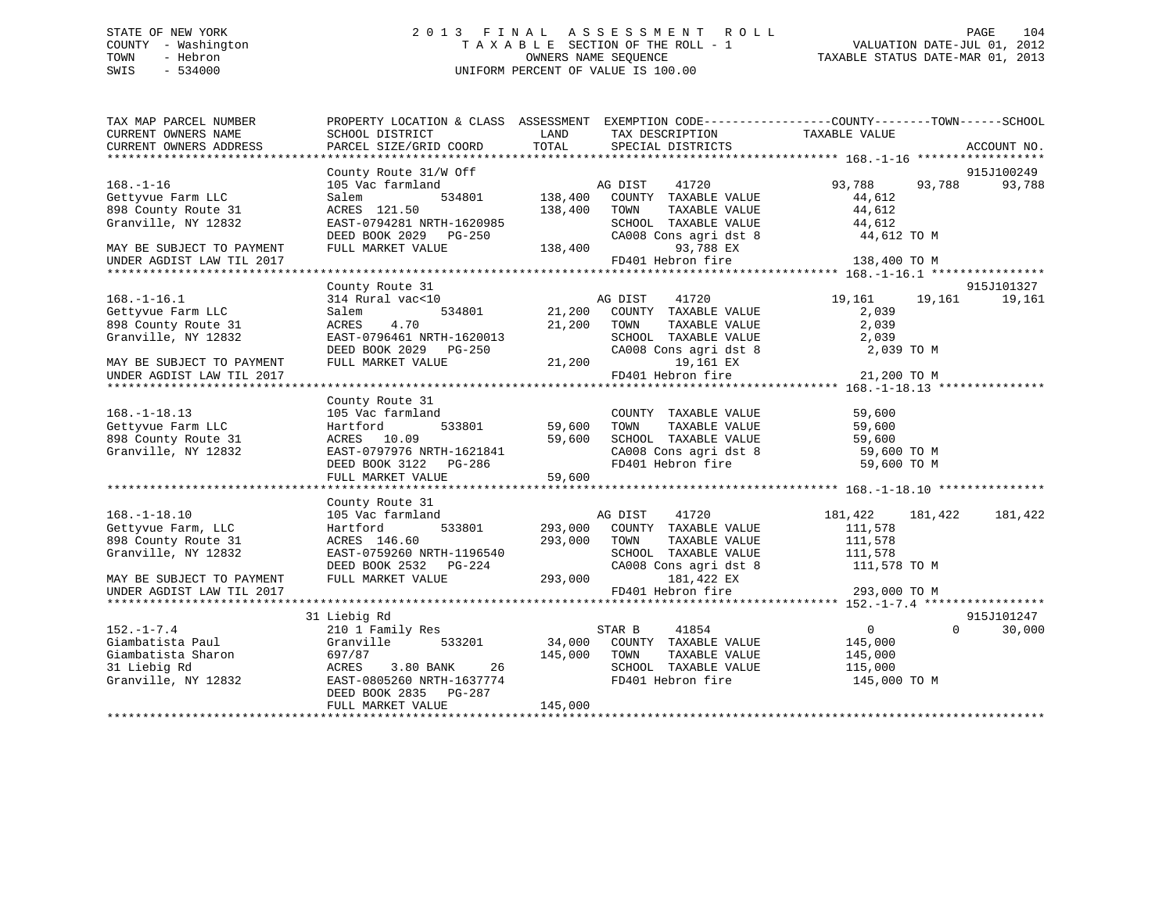# STATE OF NEW YORK 2 0 1 3 F I N A L A S S E S S M E N T R O L L PAGE 104 COUNTY - Washington T A X A B L E SECTION OF THE ROLL - 1 VALUATION DATE-JUL 01, 2012 TOWN - Hebron OWNERS NAME SEQUENCE TAXABLE STATUS DATE-MAR 01, 2013 SWIS - 534000 UNIFORM PERCENT OF VALUE IS 100.00

| TOTAL<br>CURRENT OWNERS ADDRESS<br>PARCEL SIZE/GRID COORD<br>SPECIAL DISTRICTS<br>ACCOUNT NO.<br>County Route 31/W Off<br>915J100249<br>105 Vac farmland<br>AG DIST<br>41720<br>93,788<br>93,788<br>93,788<br>$168. - 1 - 16$<br>534801<br>138,400<br>COUNTY TAXABLE VALUE<br>Gettyvue Farm LLC<br>44,612<br>Salem<br>44,612<br>898 County Route 31<br>ACRES 121.50<br>138,400<br>TOWN<br>TAXABLE VALUE<br>Granville, NY 12832<br>EAST-0794281 NRTH-1620985<br>SCHOOL TAXABLE VALUE<br>44,612<br>CA008 Cons agri dst 8<br>DEED BOOK 2029 PG-250<br>44,612 TO M<br>138,400<br>FULL MARKET VALUE<br>93,788 EX<br>MAY BE SUBJECT TO PAYMENT<br>FD401 Hebron fire<br>138,400 TO M<br>UNDER AGDIST LAW TIL 2017<br>915J101327<br>County Route 31<br>19,161<br>$168. - 1 - 16.1$<br>314 Rural vac<10<br>AG DIST<br>41720<br>19,161<br>19,161<br>534801<br>21,200 COUNTY TAXABLE VALUE<br>Gettyvue Farm LLC<br>2,039<br>Salem<br>898 County Route 31<br>4.70<br>21,200 TOWN<br>2,039<br>ACRES<br>TAXABLE VALUE<br>Granville, NY 12832<br>EAST-0796461 NRTH-1620013<br>SCHOOL TAXABLE VALUE<br>2,039<br>DEED BOOK 2029 PG-250<br>CA008 Cons agri dst 8<br>2,039 TO M<br>FULL MARKET VALUE<br>21,200<br>19,161 EX<br>MAY BE SUBJECT TO PAYMENT<br>FD401 Hebron fire<br>21,200 TO M<br>UNDER AGDIST LAW TIL 2017<br>County Route 31<br>105 Vac farmland<br>COUNTY TAXABLE VALUE<br>59,600<br>59,600<br>Gettyvue Farm LLC<br>533801<br>TOWN<br>TAXABLE VALUE<br>59,600<br>Hartford<br>59,600<br>898 County Route 31<br>ACRES 10.09<br>SCHOOL TAXABLE VALUE 59,600<br>CA008 Cons agri dst 8 59,600 TO M<br>FD401 Hebron fire 59,600 TO M<br>59,600<br>EAST-0797976 NRTH-1621841<br>Granville, NY 12832<br>DEED BOOK 3122 PG-286<br>County Route 31<br>105 Vac farmland<br>$168. - 1 - 18.10$<br>AG DIST<br>41720<br>181,422<br>181,422<br>181,422<br>Gettyvue Farm, LLC<br>Hartford<br>533801<br>293,000<br>COUNTY TAXABLE VALUE<br>111,578<br>898 County Route 31<br>ACRES 146.60<br>293,000<br>TOWN<br>TAXABLE VALUE<br>111,578<br>Granville, NY 12832<br>EAST-0759260 NRTH-1196540<br>SCHOOL TAXABLE VALUE<br>111,578<br>CA008 Cons agri dst 8<br>DEED BOOK 2532 PG-224<br>111,578 TO M<br>293,000<br>FULL MARKET VALUE<br>181,422 EX<br>MAY BE SUBJECT TO PAYMENT<br>FD401 Hebron fire<br>293,000 TO M<br>UNDER AGDIST LAW TIL 2017<br>31 Liebig Rd<br>915J101247<br>$\Omega$<br>30,000<br>$152. - 1 - 7.4$<br>210 1 Family Res<br>STAR B<br>41854<br>$\overline{0}$<br>34,000<br>Giambatista Paul<br>Granville<br>533201<br>COUNTY TAXABLE VALUE<br>145,000<br>Giambatista Sharon<br>697/87<br>145,000<br>TOWN<br>TAXABLE VALUE<br>145,000<br>31 Liebig Rd<br>3.80 BANK<br>26<br>SCHOOL TAXABLE VALUE<br>ACRES<br>115,000<br>Granville, NY 12832<br>EAST-0805260 NRTH-1637774<br>FD401 Hebron fire<br>145,000 TO M<br>DEED BOOK 2835 PG-287<br>145,000<br>FULL MARKET VALUE | TAX MAP PARCEL NUMBER<br>CURRENT OWNERS NAME | PROPERTY LOCATION & CLASS ASSESSMENT EXEMPTION CODE---------------COUNTY-------TOWN-----SCHOOL<br>SCHOOL DISTRICT | LAND | TAX DESCRIPTION | TAXABLE VALUE |  |
|----------------------------------------------------------------------------------------------------------------------------------------------------------------------------------------------------------------------------------------------------------------------------------------------------------------------------------------------------------------------------------------------------------------------------------------------------------------------------------------------------------------------------------------------------------------------------------------------------------------------------------------------------------------------------------------------------------------------------------------------------------------------------------------------------------------------------------------------------------------------------------------------------------------------------------------------------------------------------------------------------------------------------------------------------------------------------------------------------------------------------------------------------------------------------------------------------------------------------------------------------------------------------------------------------------------------------------------------------------------------------------------------------------------------------------------------------------------------------------------------------------------------------------------------------------------------------------------------------------------------------------------------------------------------------------------------------------------------------------------------------------------------------------------------------------------------------------------------------------------------------------------------------------------------------------------------------------------------------------------------------------------------------------------------------------------------------------------------------------------------------------------------------------------------------------------------------------------------------------------------------------------------------------------------------------------------------------------------------------------------------------------------------------------------------------------------------------------------------------------------------------------------------------------------------------------------------------------------------------------------------------------------------------------------------------------------------------------------------------------------------------------------------------------------------------------------------------------------------------------------|----------------------------------------------|-------------------------------------------------------------------------------------------------------------------|------|-----------------|---------------|--|
|                                                                                                                                                                                                                                                                                                                                                                                                                                                                                                                                                                                                                                                                                                                                                                                                                                                                                                                                                                                                                                                                                                                                                                                                                                                                                                                                                                                                                                                                                                                                                                                                                                                                                                                                                                                                                                                                                                                                                                                                                                                                                                                                                                                                                                                                                                                                                                                                                                                                                                                                                                                                                                                                                                                                                                                                                                                                      |                                              |                                                                                                                   |      |                 |               |  |
|                                                                                                                                                                                                                                                                                                                                                                                                                                                                                                                                                                                                                                                                                                                                                                                                                                                                                                                                                                                                                                                                                                                                                                                                                                                                                                                                                                                                                                                                                                                                                                                                                                                                                                                                                                                                                                                                                                                                                                                                                                                                                                                                                                                                                                                                                                                                                                                                                                                                                                                                                                                                                                                                                                                                                                                                                                                                      |                                              |                                                                                                                   |      |                 |               |  |
|                                                                                                                                                                                                                                                                                                                                                                                                                                                                                                                                                                                                                                                                                                                                                                                                                                                                                                                                                                                                                                                                                                                                                                                                                                                                                                                                                                                                                                                                                                                                                                                                                                                                                                                                                                                                                                                                                                                                                                                                                                                                                                                                                                                                                                                                                                                                                                                                                                                                                                                                                                                                                                                                                                                                                                                                                                                                      |                                              |                                                                                                                   |      |                 |               |  |
|                                                                                                                                                                                                                                                                                                                                                                                                                                                                                                                                                                                                                                                                                                                                                                                                                                                                                                                                                                                                                                                                                                                                                                                                                                                                                                                                                                                                                                                                                                                                                                                                                                                                                                                                                                                                                                                                                                                                                                                                                                                                                                                                                                                                                                                                                                                                                                                                                                                                                                                                                                                                                                                                                                                                                                                                                                                                      |                                              |                                                                                                                   |      |                 |               |  |
|                                                                                                                                                                                                                                                                                                                                                                                                                                                                                                                                                                                                                                                                                                                                                                                                                                                                                                                                                                                                                                                                                                                                                                                                                                                                                                                                                                                                                                                                                                                                                                                                                                                                                                                                                                                                                                                                                                                                                                                                                                                                                                                                                                                                                                                                                                                                                                                                                                                                                                                                                                                                                                                                                                                                                                                                                                                                      |                                              |                                                                                                                   |      |                 |               |  |
|                                                                                                                                                                                                                                                                                                                                                                                                                                                                                                                                                                                                                                                                                                                                                                                                                                                                                                                                                                                                                                                                                                                                                                                                                                                                                                                                                                                                                                                                                                                                                                                                                                                                                                                                                                                                                                                                                                                                                                                                                                                                                                                                                                                                                                                                                                                                                                                                                                                                                                                                                                                                                                                                                                                                                                                                                                                                      |                                              |                                                                                                                   |      |                 |               |  |
|                                                                                                                                                                                                                                                                                                                                                                                                                                                                                                                                                                                                                                                                                                                                                                                                                                                                                                                                                                                                                                                                                                                                                                                                                                                                                                                                                                                                                                                                                                                                                                                                                                                                                                                                                                                                                                                                                                                                                                                                                                                                                                                                                                                                                                                                                                                                                                                                                                                                                                                                                                                                                                                                                                                                                                                                                                                                      |                                              |                                                                                                                   |      |                 |               |  |
|                                                                                                                                                                                                                                                                                                                                                                                                                                                                                                                                                                                                                                                                                                                                                                                                                                                                                                                                                                                                                                                                                                                                                                                                                                                                                                                                                                                                                                                                                                                                                                                                                                                                                                                                                                                                                                                                                                                                                                                                                                                                                                                                                                                                                                                                                                                                                                                                                                                                                                                                                                                                                                                                                                                                                                                                                                                                      |                                              |                                                                                                                   |      |                 |               |  |
|                                                                                                                                                                                                                                                                                                                                                                                                                                                                                                                                                                                                                                                                                                                                                                                                                                                                                                                                                                                                                                                                                                                                                                                                                                                                                                                                                                                                                                                                                                                                                                                                                                                                                                                                                                                                                                                                                                                                                                                                                                                                                                                                                                                                                                                                                                                                                                                                                                                                                                                                                                                                                                                                                                                                                                                                                                                                      |                                              |                                                                                                                   |      |                 |               |  |
|                                                                                                                                                                                                                                                                                                                                                                                                                                                                                                                                                                                                                                                                                                                                                                                                                                                                                                                                                                                                                                                                                                                                                                                                                                                                                                                                                                                                                                                                                                                                                                                                                                                                                                                                                                                                                                                                                                                                                                                                                                                                                                                                                                                                                                                                                                                                                                                                                                                                                                                                                                                                                                                                                                                                                                                                                                                                      |                                              |                                                                                                                   |      |                 |               |  |
|                                                                                                                                                                                                                                                                                                                                                                                                                                                                                                                                                                                                                                                                                                                                                                                                                                                                                                                                                                                                                                                                                                                                                                                                                                                                                                                                                                                                                                                                                                                                                                                                                                                                                                                                                                                                                                                                                                                                                                                                                                                                                                                                                                                                                                                                                                                                                                                                                                                                                                                                                                                                                                                                                                                                                                                                                                                                      |                                              |                                                                                                                   |      |                 |               |  |
|                                                                                                                                                                                                                                                                                                                                                                                                                                                                                                                                                                                                                                                                                                                                                                                                                                                                                                                                                                                                                                                                                                                                                                                                                                                                                                                                                                                                                                                                                                                                                                                                                                                                                                                                                                                                                                                                                                                                                                                                                                                                                                                                                                                                                                                                                                                                                                                                                                                                                                                                                                                                                                                                                                                                                                                                                                                                      |                                              |                                                                                                                   |      |                 |               |  |
|                                                                                                                                                                                                                                                                                                                                                                                                                                                                                                                                                                                                                                                                                                                                                                                                                                                                                                                                                                                                                                                                                                                                                                                                                                                                                                                                                                                                                                                                                                                                                                                                                                                                                                                                                                                                                                                                                                                                                                                                                                                                                                                                                                                                                                                                                                                                                                                                                                                                                                                                                                                                                                                                                                                                                                                                                                                                      |                                              |                                                                                                                   |      |                 |               |  |
|                                                                                                                                                                                                                                                                                                                                                                                                                                                                                                                                                                                                                                                                                                                                                                                                                                                                                                                                                                                                                                                                                                                                                                                                                                                                                                                                                                                                                                                                                                                                                                                                                                                                                                                                                                                                                                                                                                                                                                                                                                                                                                                                                                                                                                                                                                                                                                                                                                                                                                                                                                                                                                                                                                                                                                                                                                                                      |                                              |                                                                                                                   |      |                 |               |  |
|                                                                                                                                                                                                                                                                                                                                                                                                                                                                                                                                                                                                                                                                                                                                                                                                                                                                                                                                                                                                                                                                                                                                                                                                                                                                                                                                                                                                                                                                                                                                                                                                                                                                                                                                                                                                                                                                                                                                                                                                                                                                                                                                                                                                                                                                                                                                                                                                                                                                                                                                                                                                                                                                                                                                                                                                                                                                      |                                              |                                                                                                                   |      |                 |               |  |
|                                                                                                                                                                                                                                                                                                                                                                                                                                                                                                                                                                                                                                                                                                                                                                                                                                                                                                                                                                                                                                                                                                                                                                                                                                                                                                                                                                                                                                                                                                                                                                                                                                                                                                                                                                                                                                                                                                                                                                                                                                                                                                                                                                                                                                                                                                                                                                                                                                                                                                                                                                                                                                                                                                                                                                                                                                                                      |                                              |                                                                                                                   |      |                 |               |  |
|                                                                                                                                                                                                                                                                                                                                                                                                                                                                                                                                                                                                                                                                                                                                                                                                                                                                                                                                                                                                                                                                                                                                                                                                                                                                                                                                                                                                                                                                                                                                                                                                                                                                                                                                                                                                                                                                                                                                                                                                                                                                                                                                                                                                                                                                                                                                                                                                                                                                                                                                                                                                                                                                                                                                                                                                                                                                      |                                              |                                                                                                                   |      |                 |               |  |
|                                                                                                                                                                                                                                                                                                                                                                                                                                                                                                                                                                                                                                                                                                                                                                                                                                                                                                                                                                                                                                                                                                                                                                                                                                                                                                                                                                                                                                                                                                                                                                                                                                                                                                                                                                                                                                                                                                                                                                                                                                                                                                                                                                                                                                                                                                                                                                                                                                                                                                                                                                                                                                                                                                                                                                                                                                                                      |                                              |                                                                                                                   |      |                 |               |  |
|                                                                                                                                                                                                                                                                                                                                                                                                                                                                                                                                                                                                                                                                                                                                                                                                                                                                                                                                                                                                                                                                                                                                                                                                                                                                                                                                                                                                                                                                                                                                                                                                                                                                                                                                                                                                                                                                                                                                                                                                                                                                                                                                                                                                                                                                                                                                                                                                                                                                                                                                                                                                                                                                                                                                                                                                                                                                      |                                              |                                                                                                                   |      |                 |               |  |
|                                                                                                                                                                                                                                                                                                                                                                                                                                                                                                                                                                                                                                                                                                                                                                                                                                                                                                                                                                                                                                                                                                                                                                                                                                                                                                                                                                                                                                                                                                                                                                                                                                                                                                                                                                                                                                                                                                                                                                                                                                                                                                                                                                                                                                                                                                                                                                                                                                                                                                                                                                                                                                                                                                                                                                                                                                                                      | $168. - 1 - 18.13$                           |                                                                                                                   |      |                 |               |  |
|                                                                                                                                                                                                                                                                                                                                                                                                                                                                                                                                                                                                                                                                                                                                                                                                                                                                                                                                                                                                                                                                                                                                                                                                                                                                                                                                                                                                                                                                                                                                                                                                                                                                                                                                                                                                                                                                                                                                                                                                                                                                                                                                                                                                                                                                                                                                                                                                                                                                                                                                                                                                                                                                                                                                                                                                                                                                      |                                              |                                                                                                                   |      |                 |               |  |
|                                                                                                                                                                                                                                                                                                                                                                                                                                                                                                                                                                                                                                                                                                                                                                                                                                                                                                                                                                                                                                                                                                                                                                                                                                                                                                                                                                                                                                                                                                                                                                                                                                                                                                                                                                                                                                                                                                                                                                                                                                                                                                                                                                                                                                                                                                                                                                                                                                                                                                                                                                                                                                                                                                                                                                                                                                                                      |                                              |                                                                                                                   |      |                 |               |  |
|                                                                                                                                                                                                                                                                                                                                                                                                                                                                                                                                                                                                                                                                                                                                                                                                                                                                                                                                                                                                                                                                                                                                                                                                                                                                                                                                                                                                                                                                                                                                                                                                                                                                                                                                                                                                                                                                                                                                                                                                                                                                                                                                                                                                                                                                                                                                                                                                                                                                                                                                                                                                                                                                                                                                                                                                                                                                      |                                              |                                                                                                                   |      |                 |               |  |
|                                                                                                                                                                                                                                                                                                                                                                                                                                                                                                                                                                                                                                                                                                                                                                                                                                                                                                                                                                                                                                                                                                                                                                                                                                                                                                                                                                                                                                                                                                                                                                                                                                                                                                                                                                                                                                                                                                                                                                                                                                                                                                                                                                                                                                                                                                                                                                                                                                                                                                                                                                                                                                                                                                                                                                                                                                                                      |                                              |                                                                                                                   |      |                 |               |  |
|                                                                                                                                                                                                                                                                                                                                                                                                                                                                                                                                                                                                                                                                                                                                                                                                                                                                                                                                                                                                                                                                                                                                                                                                                                                                                                                                                                                                                                                                                                                                                                                                                                                                                                                                                                                                                                                                                                                                                                                                                                                                                                                                                                                                                                                                                                                                                                                                                                                                                                                                                                                                                                                                                                                                                                                                                                                                      |                                              |                                                                                                                   |      |                 |               |  |
|                                                                                                                                                                                                                                                                                                                                                                                                                                                                                                                                                                                                                                                                                                                                                                                                                                                                                                                                                                                                                                                                                                                                                                                                                                                                                                                                                                                                                                                                                                                                                                                                                                                                                                                                                                                                                                                                                                                                                                                                                                                                                                                                                                                                                                                                                                                                                                                                                                                                                                                                                                                                                                                                                                                                                                                                                                                                      |                                              |                                                                                                                   |      |                 |               |  |
|                                                                                                                                                                                                                                                                                                                                                                                                                                                                                                                                                                                                                                                                                                                                                                                                                                                                                                                                                                                                                                                                                                                                                                                                                                                                                                                                                                                                                                                                                                                                                                                                                                                                                                                                                                                                                                                                                                                                                                                                                                                                                                                                                                                                                                                                                                                                                                                                                                                                                                                                                                                                                                                                                                                                                                                                                                                                      |                                              |                                                                                                                   |      |                 |               |  |
|                                                                                                                                                                                                                                                                                                                                                                                                                                                                                                                                                                                                                                                                                                                                                                                                                                                                                                                                                                                                                                                                                                                                                                                                                                                                                                                                                                                                                                                                                                                                                                                                                                                                                                                                                                                                                                                                                                                                                                                                                                                                                                                                                                                                                                                                                                                                                                                                                                                                                                                                                                                                                                                                                                                                                                                                                                                                      |                                              |                                                                                                                   |      |                 |               |  |
|                                                                                                                                                                                                                                                                                                                                                                                                                                                                                                                                                                                                                                                                                                                                                                                                                                                                                                                                                                                                                                                                                                                                                                                                                                                                                                                                                                                                                                                                                                                                                                                                                                                                                                                                                                                                                                                                                                                                                                                                                                                                                                                                                                                                                                                                                                                                                                                                                                                                                                                                                                                                                                                                                                                                                                                                                                                                      |                                              |                                                                                                                   |      |                 |               |  |
|                                                                                                                                                                                                                                                                                                                                                                                                                                                                                                                                                                                                                                                                                                                                                                                                                                                                                                                                                                                                                                                                                                                                                                                                                                                                                                                                                                                                                                                                                                                                                                                                                                                                                                                                                                                                                                                                                                                                                                                                                                                                                                                                                                                                                                                                                                                                                                                                                                                                                                                                                                                                                                                                                                                                                                                                                                                                      |                                              |                                                                                                                   |      |                 |               |  |
|                                                                                                                                                                                                                                                                                                                                                                                                                                                                                                                                                                                                                                                                                                                                                                                                                                                                                                                                                                                                                                                                                                                                                                                                                                                                                                                                                                                                                                                                                                                                                                                                                                                                                                                                                                                                                                                                                                                                                                                                                                                                                                                                                                                                                                                                                                                                                                                                                                                                                                                                                                                                                                                                                                                                                                                                                                                                      |                                              |                                                                                                                   |      |                 |               |  |
|                                                                                                                                                                                                                                                                                                                                                                                                                                                                                                                                                                                                                                                                                                                                                                                                                                                                                                                                                                                                                                                                                                                                                                                                                                                                                                                                                                                                                                                                                                                                                                                                                                                                                                                                                                                                                                                                                                                                                                                                                                                                                                                                                                                                                                                                                                                                                                                                                                                                                                                                                                                                                                                                                                                                                                                                                                                                      |                                              |                                                                                                                   |      |                 |               |  |
|                                                                                                                                                                                                                                                                                                                                                                                                                                                                                                                                                                                                                                                                                                                                                                                                                                                                                                                                                                                                                                                                                                                                                                                                                                                                                                                                                                                                                                                                                                                                                                                                                                                                                                                                                                                                                                                                                                                                                                                                                                                                                                                                                                                                                                                                                                                                                                                                                                                                                                                                                                                                                                                                                                                                                                                                                                                                      |                                              |                                                                                                                   |      |                 |               |  |
|                                                                                                                                                                                                                                                                                                                                                                                                                                                                                                                                                                                                                                                                                                                                                                                                                                                                                                                                                                                                                                                                                                                                                                                                                                                                                                                                                                                                                                                                                                                                                                                                                                                                                                                                                                                                                                                                                                                                                                                                                                                                                                                                                                                                                                                                                                                                                                                                                                                                                                                                                                                                                                                                                                                                                                                                                                                                      |                                              |                                                                                                                   |      |                 |               |  |
|                                                                                                                                                                                                                                                                                                                                                                                                                                                                                                                                                                                                                                                                                                                                                                                                                                                                                                                                                                                                                                                                                                                                                                                                                                                                                                                                                                                                                                                                                                                                                                                                                                                                                                                                                                                                                                                                                                                                                                                                                                                                                                                                                                                                                                                                                                                                                                                                                                                                                                                                                                                                                                                                                                                                                                                                                                                                      |                                              |                                                                                                                   |      |                 |               |  |
|                                                                                                                                                                                                                                                                                                                                                                                                                                                                                                                                                                                                                                                                                                                                                                                                                                                                                                                                                                                                                                                                                                                                                                                                                                                                                                                                                                                                                                                                                                                                                                                                                                                                                                                                                                                                                                                                                                                                                                                                                                                                                                                                                                                                                                                                                                                                                                                                                                                                                                                                                                                                                                                                                                                                                                                                                                                                      |                                              |                                                                                                                   |      |                 |               |  |
|                                                                                                                                                                                                                                                                                                                                                                                                                                                                                                                                                                                                                                                                                                                                                                                                                                                                                                                                                                                                                                                                                                                                                                                                                                                                                                                                                                                                                                                                                                                                                                                                                                                                                                                                                                                                                                                                                                                                                                                                                                                                                                                                                                                                                                                                                                                                                                                                                                                                                                                                                                                                                                                                                                                                                                                                                                                                      |                                              |                                                                                                                   |      |                 |               |  |
|                                                                                                                                                                                                                                                                                                                                                                                                                                                                                                                                                                                                                                                                                                                                                                                                                                                                                                                                                                                                                                                                                                                                                                                                                                                                                                                                                                                                                                                                                                                                                                                                                                                                                                                                                                                                                                                                                                                                                                                                                                                                                                                                                                                                                                                                                                                                                                                                                                                                                                                                                                                                                                                                                                                                                                                                                                                                      |                                              |                                                                                                                   |      |                 |               |  |
|                                                                                                                                                                                                                                                                                                                                                                                                                                                                                                                                                                                                                                                                                                                                                                                                                                                                                                                                                                                                                                                                                                                                                                                                                                                                                                                                                                                                                                                                                                                                                                                                                                                                                                                                                                                                                                                                                                                                                                                                                                                                                                                                                                                                                                                                                                                                                                                                                                                                                                                                                                                                                                                                                                                                                                                                                                                                      |                                              |                                                                                                                   |      |                 |               |  |
|                                                                                                                                                                                                                                                                                                                                                                                                                                                                                                                                                                                                                                                                                                                                                                                                                                                                                                                                                                                                                                                                                                                                                                                                                                                                                                                                                                                                                                                                                                                                                                                                                                                                                                                                                                                                                                                                                                                                                                                                                                                                                                                                                                                                                                                                                                                                                                                                                                                                                                                                                                                                                                                                                                                                                                                                                                                                      |                                              |                                                                                                                   |      |                 |               |  |
|                                                                                                                                                                                                                                                                                                                                                                                                                                                                                                                                                                                                                                                                                                                                                                                                                                                                                                                                                                                                                                                                                                                                                                                                                                                                                                                                                                                                                                                                                                                                                                                                                                                                                                                                                                                                                                                                                                                                                                                                                                                                                                                                                                                                                                                                                                                                                                                                                                                                                                                                                                                                                                                                                                                                                                                                                                                                      |                                              |                                                                                                                   |      |                 |               |  |
|                                                                                                                                                                                                                                                                                                                                                                                                                                                                                                                                                                                                                                                                                                                                                                                                                                                                                                                                                                                                                                                                                                                                                                                                                                                                                                                                                                                                                                                                                                                                                                                                                                                                                                                                                                                                                                                                                                                                                                                                                                                                                                                                                                                                                                                                                                                                                                                                                                                                                                                                                                                                                                                                                                                                                                                                                                                                      |                                              |                                                                                                                   |      |                 |               |  |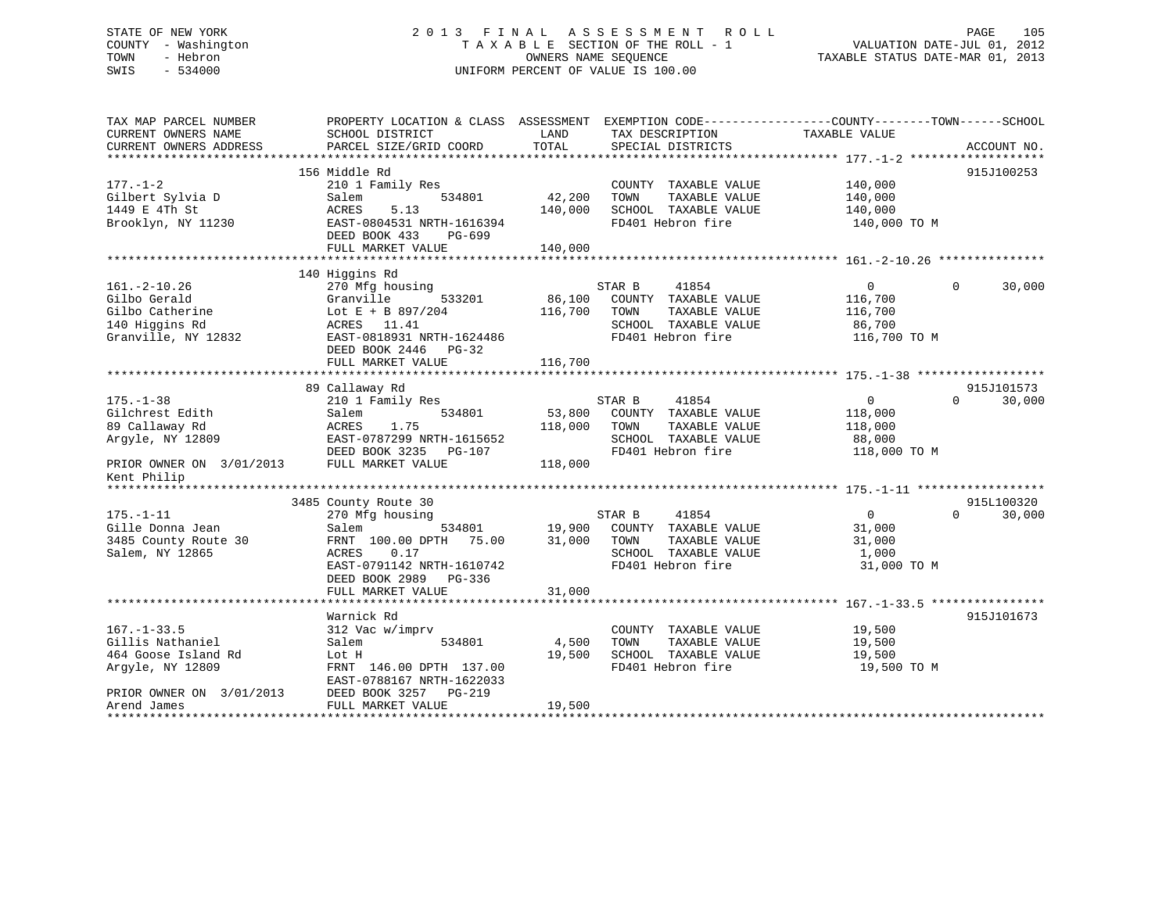# STATE OF NEW YORK 2 0 1 3 F I N A L A S S E S S M E N T R O L L PAGE 105 COUNTY - Washington T A X A B L E SECTION OF THE ROLL - 1 VALUATION DATE-JUL 01, 2012 TOWN - Hebron OWNERS NAME SEQUENCE TAXABLE STATUS DATE-MAR 01, 2013 SWIS - 534000 UNIFORM PERCENT OF VALUE IS 100.00

| TAX MAP PARCEL NUMBER<br>CURRENT OWNERS NAME<br>CURRENT OWNERS ADDRESS                                                                       | PROPERTY LOCATION & CLASS ASSESSMENT<br>SCHOOL DISTRICT<br>PARCEL SIZE/GRID COORD                                                                                                   | LAND<br>TOTAL                | EXEMPTION CODE-----------------COUNTY--------TOWN------SCHOOL<br>TAX DESCRIPTION<br>SPECIAL DISTRICTS         | TAXABLE VALUE                                                | ACCOUNT NO.                      |
|----------------------------------------------------------------------------------------------------------------------------------------------|-------------------------------------------------------------------------------------------------------------------------------------------------------------------------------------|------------------------------|---------------------------------------------------------------------------------------------------------------|--------------------------------------------------------------|----------------------------------|
| $177. - 1 - 2$<br>Gilbert Sylvia D<br>1449 E 4Th St<br>Brooklyn, NY 11230                                                                    | 156 Middle Rd<br>210 1 Family Res<br>534801<br>Salem<br>5.13<br>ACRES<br>EAST-0804531 NRTH-1616394<br>DEED BOOK 433<br>PG-699<br>FULL MARKET VALUE                                  | 42,200<br>140,000<br>140,000 | COUNTY TAXABLE VALUE<br>TOWN<br>TAXABLE VALUE<br>SCHOOL TAXABLE VALUE<br>FD401 Hebron fire                    | 140,000<br>140,000<br>140,000<br>140,000 TO M                | 915J100253                       |
| $161. - 2 - 10.26$<br>Gilbo Gerald<br>Gilbo Catherine<br>140 Higgins Rd<br>Granville, NY 12832                                               | 140 Higgins Rd<br>270 Mfg housing<br>Granville<br>533201<br>Lot E + B 897/204<br>ACRES 11.41<br>EAST-0818931 NRTH-1624486<br>DEED BOOK 2446 PG-32<br>FULL MARKET VALUE              | 86,100<br>116,700<br>116,700 | STAR B<br>41854<br>COUNTY TAXABLE VALUE<br>TOWN<br>TAXABLE VALUE<br>SCHOOL TAXABLE VALUE<br>FD401 Hebron fire | $\mathbf{0}$<br>116,700<br>116,700<br>86,700<br>116,700 TO M | 30,000<br>$\Omega$               |
| $175. - 1 - 38$<br>Gilchrest Edith<br>89 Callaway Rd<br>Argyle, NY 12809<br>PRIOR OWNER ON 3/01/2013<br>Kent Philip                          | 89 Callaway Rd<br>210 1 Family Res<br>534801<br>Salem<br>ACRES<br>1.75<br>EAST-0787299 NRTH-1615652<br>DEED BOOK 3235<br>PG-107<br>FULL MARKET VALUE                                | 53,800<br>118,000<br>118,000 | STAR B<br>41854<br>COUNTY TAXABLE VALUE<br>TOWN<br>TAXABLE VALUE<br>SCHOOL TAXABLE VALUE<br>FD401 Hebron fire | $\mathbf{0}$<br>118,000<br>118,000<br>88,000<br>118,000 TO M | 915J101573<br>30,000<br>$\Omega$ |
| $175. - 1 - 11$<br>Gille Donna Jean<br>3485 County Route 30<br>Salem, NY 12865                                                               | 3485 County Route 30<br>270 Mfg housing<br>534801<br>Salem<br>75.00<br>FRNT 100.00 DPTH<br>ACRES<br>0.17<br>EAST-0791142 NRTH-1610742<br>DEED BOOK 2989 PG-336<br>FULL MARKET VALUE | 19,900<br>31,000<br>31,000   | 41854<br>STAR B<br>COUNTY TAXABLE VALUE<br>TOWN<br>TAXABLE VALUE<br>SCHOOL TAXABLE VALUE<br>FD401 Hebron fire | $\mathbf{0}$<br>31,000<br>31,000<br>1,000<br>31,000 TO M     | 915L100320<br>30,000<br>$\Omega$ |
| $167. - 1 - 33.5$<br>Gillis Nathaniel<br>464 Goose Island Rd<br>Argyle, NY 12809<br>PRIOR OWNER ON 3/01/2013<br>Arend James<br>************* | Warnick Rd<br>312 Vac w/imprv<br>534801<br>Salem<br>Lot H<br>FRNT 146.00 DPTH 137.00<br>EAST-0788167 NRTH-1622033<br>DEED BOOK 3257<br>PG-219<br>FULL MARKET VALUE                  | 4,500<br>19,500<br>19,500    | COUNTY TAXABLE VALUE<br>TAXABLE VALUE<br>TOWN<br>SCHOOL TAXABLE VALUE<br>FD401 Hebron fire                    | 19,500<br>19,500<br>19,500<br>19,500 TO M                    | 915J101673                       |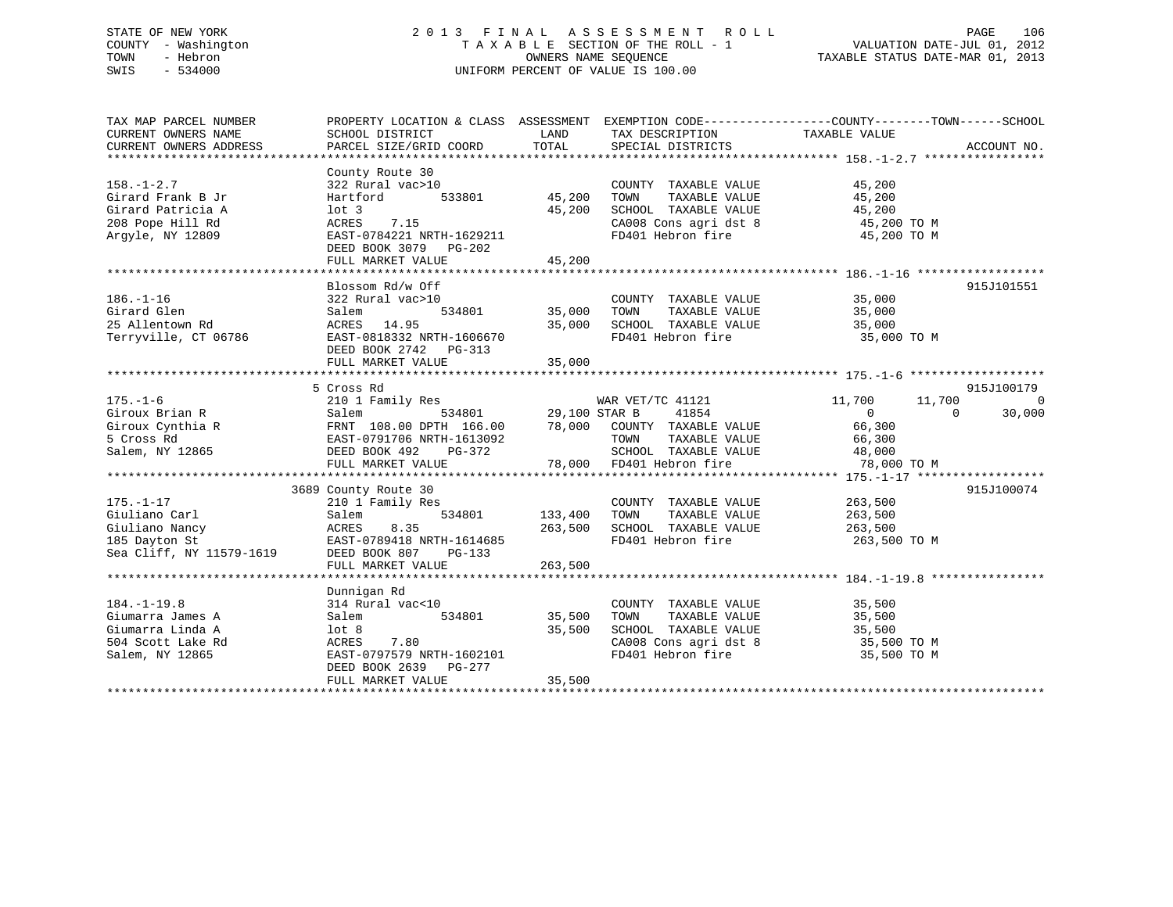# STATE OF NEW YORK 2 0 1 3 F I N A L A S S E S S M E N T R O L L PAGE 106 COUNTY - Washington T A X A B L E SECTION OF THE ROLL - 1 VALUATION DATE-JUL 01, 2012 TOWN - Hebron OWNERS NAME SEQUENCE TAXABLE STATUS DATE-MAR 01, 2013 SWIS - 534000 UNIFORM PERCENT OF VALUE IS 100.00

| TAX MAP PARCEL NUMBER    | PROPERTY LOCATION & CLASS ASSESSMENT EXEMPTION CODE----------------COUNTY-------TOWN-----SCHOOL |               |                             |                          |                |
|--------------------------|-------------------------------------------------------------------------------------------------|---------------|-----------------------------|--------------------------|----------------|
| CURRENT OWNERS NAME      | SCHOOL DISTRICT                                                                                 | LAND          | TAX DESCRIPTION             | TAXABLE VALUE            |                |
| CURRENT OWNERS ADDRESS   | PARCEL SIZE/GRID COORD                                                                          | TOTAL         | SPECIAL DISTRICTS           |                          | ACCOUNT NO.    |
|                          |                                                                                                 |               |                             |                          |                |
|                          | County Route 30                                                                                 |               |                             |                          |                |
| $158. - 1 - 2.7$         | 322 Rural vac>10                                                                                |               | COUNTY TAXABLE VALUE        | 45,200                   |                |
| Girard Frank B Jr        | 533801<br>Hartford                                                                              | 45,200        | TOWN<br>TAXABLE VALUE       | 45,200                   |                |
| Girard Patricia A        | $1$ ot $3$                                                                                      | 45,200        | SCHOOL TAXABLE VALUE        | 45,200                   |                |
| 208 Pope Hill Rd         | ACRES<br>7.15                                                                                   |               | CA008 Cons agri dst 8       | 45,200 TO M              |                |
| Arqyle, NY 12809         | EAST-0784221 NRTH-1629211                                                                       |               | FD401 Hebron fire           | 45,200 TO M              |                |
|                          | DEED BOOK 3079 PG-202                                                                           |               |                             |                          |                |
|                          | FULL MARKET VALUE                                                                               | 45,200        |                             |                          |                |
|                          |                                                                                                 |               |                             |                          |                |
|                          | Blossom Rd/w Off                                                                                |               |                             |                          | 915J101551     |
| $186. - 1 - 16$          | 322 Rural vac>10                                                                                |               | COUNTY TAXABLE VALUE        | 35,000                   |                |
| Girard Glen              | 534801<br>Salem                                                                                 | 35,000        | TOWN<br>TAXABLE VALUE       | 35,000                   |                |
| 25 Allentown Rd          | ACRES 14.95                                                                                     | 35,000        | SCHOOL TAXABLE VALUE        | 35,000                   |                |
| Terryville, CT 06786     | EAST-0818332 NRTH-1606670                                                                       |               | FD401 Hebron fire           | 35,000 TO M              |                |
|                          | DEED BOOK 2742<br>$PG-313$                                                                      |               |                             |                          |                |
|                          | FULL MARKET VALUE                                                                               | 35,000        |                             |                          |                |
|                          |                                                                                                 |               |                             |                          |                |
|                          | 5 Cross Rd                                                                                      |               |                             |                          | 915J100179     |
| $175. - 1 - 6$           | 210 1 Family Res                                                                                |               | WAR VET/TC 41121            | 11,700<br>11,700         | $\overline{0}$ |
| Giroux Brian R           | 534801<br>Salem                                                                                 | 29,100 STAR B | 41854                       | $\mathbf{0}$<br>$\Omega$ | 30,000         |
| Giroux Cynthia R         | FRNT 108.00 DPTH 166.00                                                                         |               | 78,000 COUNTY TAXABLE VALUE | 66,300                   |                |
| 5 Cross Rd               | EAST-0791706 NRTH-1613092                                                                       |               | TOWN<br>TAXABLE VALUE       | 66,300                   |                |
| Salem, NY 12865          | DEED BOOK 492<br>PG-372                                                                         |               | SCHOOL TAXABLE VALUE        | 48,000                   |                |
|                          | FULL MARKET VALUE                                                                               |               | 78,000 FD401 Hebron fire    | 78,000 TO M              |                |
|                          |                                                                                                 |               |                             |                          |                |
|                          | 3689 County Route 30                                                                            |               |                             |                          | 915J100074     |
| $175. - 1 - 17$          | 210 1 Family Res                                                                                |               | COUNTY TAXABLE VALUE        | 263,500                  |                |
| Giuliano Carl            | 534801<br>Salem                                                                                 | 133,400       | TOWN<br>TAXABLE VALUE       | 263,500                  |                |
| Giuliano Nancy           | 8.35<br>ACRES                                                                                   | 263,500       | SCHOOL TAXABLE VALUE        | 263,500                  |                |
| 185 Dayton St            | EAST-0789418 NRTH-1614685                                                                       |               | FD401 Hebron fire           | 263,500 TO M             |                |
| Sea Cliff, NY 11579-1619 | DEED BOOK 807<br>$PG-133$                                                                       |               |                             |                          |                |
|                          | FULL MARKET VALUE                                                                               | 263,500       |                             |                          |                |
|                          |                                                                                                 |               |                             |                          |                |
|                          | Dunnigan Rd                                                                                     |               |                             |                          |                |
| $184. - 1 - 19.8$        | 314 Rural vac<10                                                                                |               | COUNTY TAXABLE VALUE        | 35,500                   |                |
| Giumarra James A         | 534801<br>Salem                                                                                 | 35,500        | TOWN<br>TAXABLE VALUE       | 35,500                   |                |
| Giumarra Linda A         | lot 8                                                                                           | 35,500        | SCHOOL TAXABLE VALUE        | 35,500                   |                |
| 504 Scott Lake Rd        | ACRES<br>7.80                                                                                   |               | CA008 Cons agri dst 8       | 35,500 TO M              |                |
| Salem, NY 12865          | EAST-0797579 NRTH-1602101                                                                       |               | FD401 Hebron fire           | 35,500 TO M              |                |
|                          | DEED BOOK 2639<br>PG-277                                                                        |               |                             |                          |                |
|                          | FULL MARKET VALUE                                                                               | 35,500        |                             |                          |                |
|                          |                                                                                                 |               |                             |                          |                |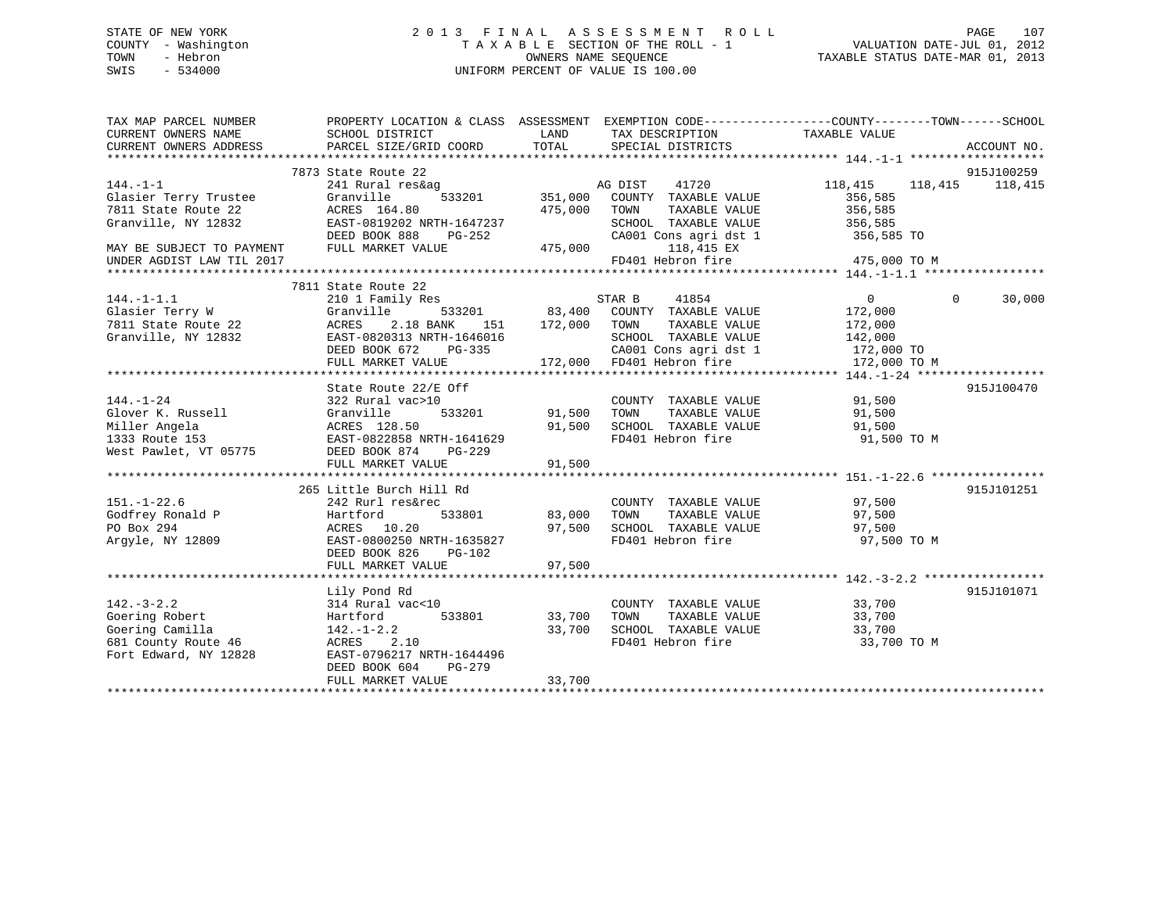# STATE OF NEW YORK 2 0 1 3 F I N A L A S S E S S M E N T R O L L PAGE 107 COUNTY - Washington T A X A B L E SECTION OF THE ROLL - 1 VALUATION DATE-JUL 01, 2012 TOWN - Hebron OWNERS NAME SEQUENCE TAXABLE STATUS DATE-MAR 01, 2013 SWIS - 534000 UNIFORM PERCENT OF VALUE IS 100.00

| TAX MAP PARCEL NUMBER<br>CURRENT OWNERS NAME<br>CURRENT OWNERS ADDRESS | PROPERTY LOCATION & CLASS ASSESSMENT EXEMPTION CODE---------------COUNTY-------TOWN-----SCHOOL<br>SCHOOL DISTRICT<br>PARCEL SIZE/GRID COORD | LAND<br>TOTAL  | TAX DESCRIPTION<br>SPECIAL DISTRICTS      | TAXABLE VALUE         | ACCOUNT NO. |
|------------------------------------------------------------------------|---------------------------------------------------------------------------------------------------------------------------------------------|----------------|-------------------------------------------|-----------------------|-------------|
|                                                                        |                                                                                                                                             |                |                                           |                       |             |
|                                                                        | 7873 State Route 22                                                                                                                         |                |                                           |                       | 915J100259  |
| $144. - 1 - 1$                                                         | 241 Rural res&ag                                                                                                                            |                | AG DIST<br>41720                          | 118,415<br>118,415    | 118,415     |
| Glasier Terry Trustee                                                  | Granville                                                                                                                                   | 533201 351,000 | COUNTY TAXABLE VALUE                      | 356,585               |             |
| 7811 State Route 22                                                    | ACRES 164.80                                                                                                                                | 475,000        | TOWN<br>TAXABLE VALUE                     | 356,585               |             |
| Granville, NY 12832                                                    | EAST-0819202 NRTH-1647237                                                                                                                   |                | SCHOOL TAXABLE VALUE                      | 356,585               |             |
|                                                                        | DEED BOOK 888<br>PG-252                                                                                                                     |                | CA001 Cons agri dst 1                     | 356,585 TO            |             |
| MAY BE SUBJECT TO PAYMENT                                              | FULL MARKET VALUE                                                                                                                           | 475,000        | 118,415 EX                                |                       |             |
| UNDER AGDIST LAW TIL 2017                                              |                                                                                                                                             |                | FD401 Hebron fire                         | 475,000 TO M          |             |
|                                                                        |                                                                                                                                             |                |                                           |                       |             |
|                                                                        | 7811 State Route 22                                                                                                                         |                |                                           |                       |             |
| $144. -1 - 1.1$                                                        | 210 1 Family Res                                                                                                                            |                | 41854<br>STAR B                           | $\Omega$<br>$\Omega$  | 30,000      |
| Glasier Terry W                                                        | Granville                                                                                                                                   |                | 533201 83,400 COUNTY TAXABLE VALUE        | 172,000               |             |
| 7811 State Route 22                                                    | ACRES<br>2.18 BANK<br>151                                                                                                                   | 172,000        | TOWN<br>TAXABLE VALUE                     | 172,000               |             |
| Granville, NY 12832                                                    | EAST-0820313 NRTH-1646016                                                                                                                   |                | SCHOOL TAXABLE VALUE                      | 142,000               |             |
|                                                                        | DEED BOOK 672<br>$PG-335$                                                                                                                   |                | CA001 Cons agri dst 1                     | 172,000 TO            |             |
|                                                                        | FULL MARKET VALUE                                                                                                                           |                | 172,000 FD401 Hebron fire                 | 172,000 TO M          |             |
|                                                                        |                                                                                                                                             |                |                                           |                       |             |
|                                                                        | State Route 22/E Off                                                                                                                        |                |                                           |                       | 915J100470  |
| $144. - 1 - 24$                                                        | 322 Rural vac>10                                                                                                                            |                | COUNTY TAXABLE VALUE                      | 91,500                |             |
| Glover K. Russell                                                      | 533201<br>Granville                                                                                                                         | 91,500         | TAXABLE VALUE<br>TOWN                     | 91,500                |             |
| Miller Angela                                                          | ACRES 128.50                                                                                                                                | 91,500         | SCHOOL TAXABLE VALUE                      | 91,500                |             |
| 1333 Route 153                                                         | EAST-0822858 NRTH-1641629                                                                                                                   |                | FD401 Hebron fire                         | 91,500 TO M           |             |
| West Pawlet, VT 05775                                                  | DEED BOOK 874<br>PG-229                                                                                                                     |                |                                           |                       |             |
|                                                                        | FULL MARKET VALUE                                                                                                                           | 91,500         |                                           |                       |             |
|                                                                        |                                                                                                                                             |                |                                           |                       |             |
|                                                                        | 265 Little Burch Hill Rd                                                                                                                    |                |                                           |                       | 915J101251  |
| $151. - 1 - 22.6$                                                      | 242 Rurl res&rec                                                                                                                            |                | COUNTY TAXABLE VALUE                      | 97,500                |             |
| Godfrey Ronald P                                                       | Hartford<br>533801                                                                                                                          | 83,000         | TOWN<br>TAXABLE VALUE                     | 97,500                |             |
| PO Box 294                                                             | ACRES 10.20                                                                                                                                 | 97,500         | SCHOOL TAXABLE VALUE                      | 97,500                |             |
| Arqyle, NY 12809                                                       | EAST-0800250 NRTH-1635827                                                                                                                   |                | FD401 Hebron fire                         | 97,500 TO M           |             |
|                                                                        | DEED BOOK 826<br>$PG-102$                                                                                                                   |                |                                           |                       |             |
|                                                                        | FULL MARKET VALUE                                                                                                                           | 97,500         |                                           |                       |             |
|                                                                        |                                                                                                                                             |                |                                           |                       |             |
|                                                                        | Lily Pond Rd                                                                                                                                |                | COUNTY TAXABLE VALUE 33,700               |                       | 915J101071  |
| $142. - 3 - 2.2$                                                       | 314 Rural vac<10                                                                                                                            |                |                                           |                       |             |
| Goering Robert                                                         | 533801<br>Hartford                                                                                                                          | 33,700         | TAXABLE VALUE<br>TOWN                     | 33,700                |             |
| Goering Camilla                                                        | $142. - 1 - 2.2$<br>ACRES 2.10                                                                                                              | 33,700         | SCHOOL TAXABLE VALUE<br>FD401 Hebron fire | 33,700<br>33,700 TO M |             |
| 681 County Route 46                                                    |                                                                                                                                             |                |                                           |                       |             |
| Fort Edward, NY 12828                                                  | EAST-0796217 NRTH-1644496<br>DEED BOOK 604<br>$PG-279$                                                                                      |                |                                           |                       |             |
|                                                                        | FULL MARKET VALUE                                                                                                                           | 33,700         |                                           |                       |             |
|                                                                        |                                                                                                                                             |                |                                           |                       |             |
|                                                                        |                                                                                                                                             |                |                                           |                       |             |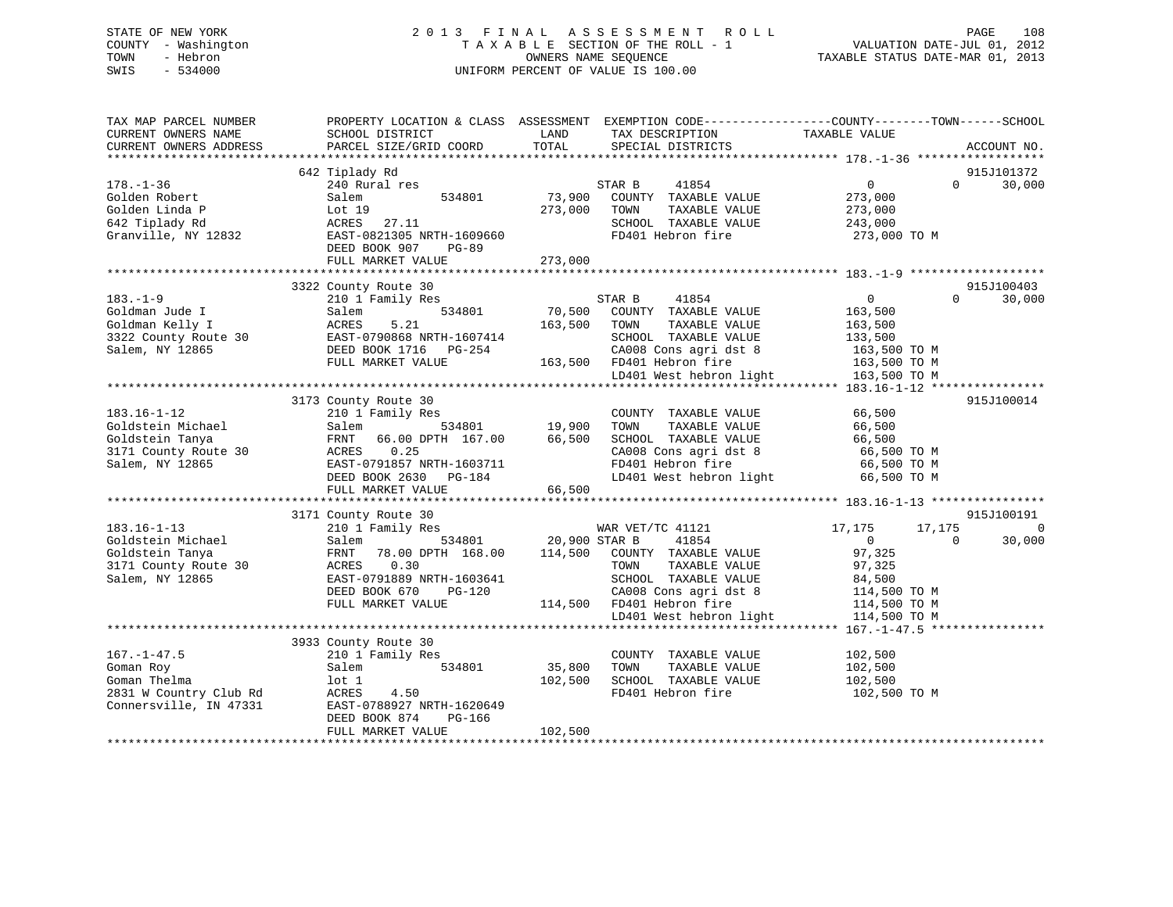# STATE OF NEW YORK 2 0 1 3 F I N A L A S S E S S M E N T R O L L PAGE 108 COUNTY - Washington T A X A B L E SECTION OF THE ROLL - 1 VALUATION DATE-JUL 01, 2012 TOWN - Hebron OWNERS NAME SEQUENCE TAXABLE STATUS DATE-MAR 01, 2013 SWIS - 534000 UNIFORM PERCENT OF VALUE IS 100.00

| TAX MAP PARCEL NUMBER<br>CURRENT OWNERS NAME<br>CURRENT OWNERS ADDRESS                               | PROPERTY LOCATION & CLASS ASSESSMENT EXEMPTION CODE----------------COUNTY-------TOWN------SCHOOL<br>SCHOOL DISTRICT<br>PARCEL SIZE/GRID COORD                                          | LAND<br>TOTAL                     | TAX DESCRIPTION<br>SPECIAL DISTRICTS                                                                                                                                                        | TAXABLE VALUE                                                                                                                | ACCOUNT NO.                 |
|------------------------------------------------------------------------------------------------------|----------------------------------------------------------------------------------------------------------------------------------------------------------------------------------------|-----------------------------------|---------------------------------------------------------------------------------------------------------------------------------------------------------------------------------------------|------------------------------------------------------------------------------------------------------------------------------|-----------------------------|
| $178. - 1 - 36$<br>Golden Robert<br>Golden Linda P<br>642 Tiplady Rd<br>Granville, NY 12832          | 642 Tiplady Rd<br>240 Rural res<br>534801<br>Salem<br>Lot 19<br>ACRES<br>27.11<br>EAST-0821305 NRTH-1609660<br>DEED BOOK 907<br>$PG-89$<br>FULL MARKET VALUE                           | 73,900<br>273,000<br>273,000      | STAR B<br>41854<br>COUNTY TAXABLE VALUE<br>TOWN<br>TAXABLE VALUE<br>SCHOOL TAXABLE VALUE<br>FD401 Hebron fire                                                                               | $\overline{0}$<br>$\Omega$<br>273,000<br>273,000<br>243,000<br>273,000 TO M                                                  | 915J101372<br>30,000        |
| $183. - 1 - 9$<br>Goldman Jude I<br>Goldman Kelly I<br>3322 County Route 30<br>Salem, NY 12865       | 3322 County Route 30<br>210 1 Family Res<br>534801<br>Salem<br>ACRES<br>5.21<br>EAST-0790868 NRTH-1607414<br>DEED BOOK 1716 PG-254<br>FULL MARKET VALUE                                | 70,500<br>163,500                 | STAR B<br>41854<br>COUNTY TAXABLE VALUE<br>TAXABLE VALUE<br>TOWN<br>SCHOOL TAXABLE VALUE<br>CA008 Cons agri dst 8<br>163,500 FD401 Hebron fire<br>LD401 West hebron light                   | 0<br>$\Omega$<br>163,500<br>163,500<br>133,500<br>163,500 TO M<br>163,500 TO M<br>163,500 TO M                               | 915J100403<br>30,000        |
| $183.16 - 1 - 12$<br>Goldstein Michael<br>Goldstein Tanya<br>3171 County Route 30<br>Salem, NY 12865 | 3173 County Route 30<br>210 1 Family Res<br>Salem<br>FRNT<br>66.00 DPTH 167.00<br>ACRES<br>0.25<br>EAST-0791857 NRTH-1603711<br>DEED BOOK 2630 PG-184<br>FULL MARKET VALUE             | 534801 19,900<br>66,500<br>66,500 | COUNTY TAXABLE VALUE<br>TOWN<br>TAXABLE VALUE<br>SCHOOL TAXABLE VALUE<br>CA008 Cons agri dst 8<br>FD401 Hebron fire<br>LD401 West hebron light                                              | 66,500<br>66,500<br>66,500<br>66,500 TO M<br>66,500 TO M<br>66,500 TO M                                                      | 915J100014                  |
| $183.16 - 1 - 13$<br>Goldstein Michael<br>Goldstein Tanya<br>3171 County Route 30<br>Salem, NY 12865 | 3171 County Route 30<br>210 1 Family Res<br>534801<br>Salem<br>78.00 DPTH 168.00<br>FRNT<br>0.30<br>ACRES<br>EAST-0791889 NRTH-1603641<br>DEED BOOK 670<br>PG-120<br>FULL MARKET VALUE | 20,900 STAR B                     | WAR VET/TC 41121<br>41854<br>114,500 COUNTY TAXABLE VALUE<br>TOWN<br>TAXABLE VALUE<br>SCHOOL TAXABLE VALUE<br>CA008 Cons agri dst 8<br>114,500 FD401 Hebron fire<br>LD401 West hebron light | 17,175<br>17,175<br>$\overline{0}$<br>$\Omega$<br>97,325<br>97,325<br>84,500<br>114,500 TO M<br>114,500 TO M<br>114,500 TO M | 915J100191<br>- 0<br>30,000 |
| $167. - 1 - 47.5$<br>Goman Roy<br>Goman Thelma<br>2831 W Country Club Rd<br>Connersville, IN 47331   | 3933 County Route 30<br>210 1 Family Res<br>534801<br>Salem<br>lot 1<br>4.50<br>ACRES<br>EAST-0788927 NRTH-1620649<br>DEED BOOK 874<br>PG-166<br>FULL MARKET VALUE                     | 35,800<br>102,500<br>102,500      | COUNTY TAXABLE VALUE<br>TOWN<br>TAXABLE VALUE<br>SCHOOL TAXABLE VALUE<br>FD401 Hebron fire                                                                                                  | 102,500<br>102,500<br>102,500<br>102,500 TO M                                                                                |                             |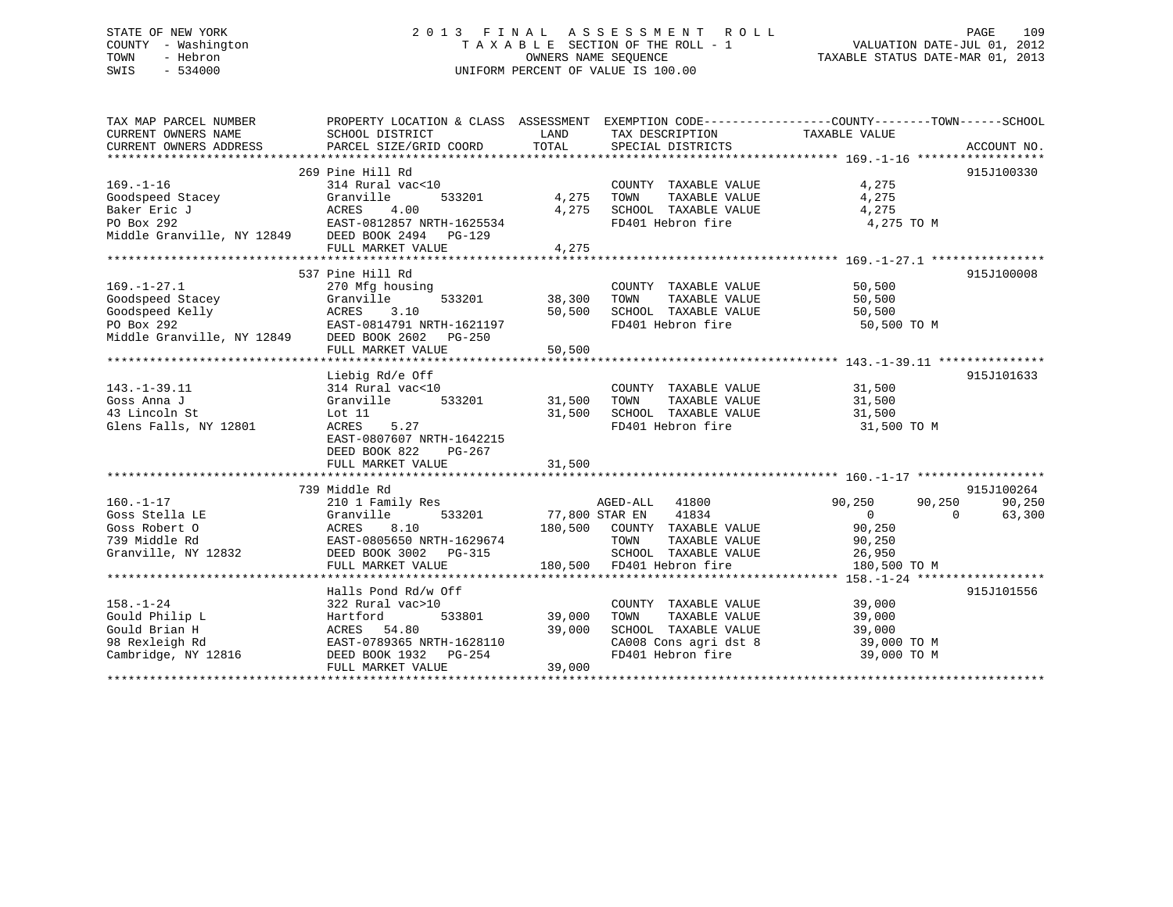# STATE OF NEW YORK 2 0 1 3 F I N A L A S S E S S M E N T R O L L PAGE 109 COUNTY - Washington T A X A B L E SECTION OF THE ROLL - 1 VALUATION DATE-JUL 01, 2012 TOWN - Hebron OWNERS NAME SEQUENCE TAXABLE STATUS DATE-MAR 01, 2013 SWIS - 534000 UNIFORM PERCENT OF VALUE IS 100.00

| TAX MAP PARCEL NUMBER                                                                                    |                                                                                                           |        | PROPERTY LOCATION & CLASS ASSESSMENT EXEMPTION CODE---------------COUNTY-------TOWN------SCHOOL         |                             |            |
|----------------------------------------------------------------------------------------------------------|-----------------------------------------------------------------------------------------------------------|--------|---------------------------------------------------------------------------------------------------------|-----------------------------|------------|
|                                                                                                          |                                                                                                           |        |                                                                                                         |                             |            |
|                                                                                                          |                                                                                                           |        |                                                                                                         |                             |            |
|                                                                                                          |                                                                                                           |        |                                                                                                         |                             |            |
|                                                                                                          | 269 Pine Hill Rd                                                                                          |        |                                                                                                         |                             | 915J100330 |
| $169. - 1 - 16$                                                                                          | 314 Rural vac<10                                                                                          |        | COUNTY TAXABLE VALUE                                                                                    | 4,275                       |            |
| Goodspeed Stacey                                                                                         | 533201<br>Granville                                                                                       |        | TAXABLE VALUE<br>4,275 TOWN                                                                             | 4,275                       |            |
|                                                                                                          |                                                                                                           | 4,275  | SCHOOL TAXABLE VALUE                                                                                    | 4,275                       |            |
|                                                                                                          |                                                                                                           |        | FD401 Hebron fire                                                                                       | 4,275 TO M                  |            |
| Baker Eric J<br>Po Box 292<br>Middle Granville, NY 12849<br>DEED BOOK 2494<br>DEED BOOK 2494<br>PO-129   |                                                                                                           |        |                                                                                                         |                             |            |
|                                                                                                          | FULL MARKET VALUE                                                                                         | 4,275  |                                                                                                         |                             |            |
|                                                                                                          |                                                                                                           |        |                                                                                                         |                             |            |
|                                                                                                          | 537 Pine Hill Rd                                                                                          |        |                                                                                                         |                             | 915J100008 |
| $169. - 1 - 27.1$                                                                                        | 270 Mfg housing                                                                                           |        | COUNTY TAXABLE VALUE 50,500                                                                             |                             |            |
|                                                                                                          |                                                                                                           | 38,300 |                                                                                                         |                             |            |
|                                                                                                          |                                                                                                           |        |                                                                                                         |                             |            |
| Goodspeed Stacey Granville 533201<br>Goodspeed Kelly (ACRES 3.10<br>PO Box 292 EAST-0814791 NRTH-1621197 |                                                                                                           |        | 38,300 TOWN TAXABLE VALUE 50,500<br>50,500 SCHOOL TAXABLE VALUE 50,500<br>FD401 Hebron fire 50,500 TO M |                             |            |
| Middle Granville, NY 12849 DEED BOOK 2602 PG-250                                                         |                                                                                                           |        |                                                                                                         |                             |            |
|                                                                                                          | FULL MARKET VALUE                                                                                         | 50,500 |                                                                                                         |                             |            |
|                                                                                                          |                                                                                                           |        |                                                                                                         |                             |            |
|                                                                                                          | Liebig Rd/e Off                                                                                           |        |                                                                                                         |                             | 915J101633 |
| $143. - 1 - 39.11$                                                                                       |                                                                                                           |        | COUNTY TAXABLE VALUE                                                                                    | 31,500                      |            |
| Goss Anna J                                                                                              | 314 Rural vac<10 COUNT<br>Granville 533201 31,500 TOWN                                                    |        |                                                                                                         | TAXABLE VALUE 31,500        |            |
| 43 Lincoln St                                                                                            | Lot 11                                                                                                    | 31,500 | SCHOOL TAXABLE VALUE 31,500                                                                             |                             |            |
| Glens Falls, NY 12801                                                                                    | 5.27<br>ACRES                                                                                             |        | FD401 Hebron fire                                                                                       | 31,500 TO M                 |            |
|                                                                                                          | EAST-0807607 NRTH-1642215                                                                                 |        |                                                                                                         |                             |            |
|                                                                                                          | DEED BOOK 822<br>PG-267                                                                                   |        |                                                                                                         |                             |            |
|                                                                                                          | FULL MARKET VALUE                                                                                         | 31,500 |                                                                                                         |                             |            |
|                                                                                                          |                                                                                                           |        |                                                                                                         |                             |            |
|                                                                                                          | 739 Middle Rd                                                                                             |        |                                                                                                         |                             | 915J100264 |
| $160. - 1 - 17$                                                                                          | 210 1 Family Res                                                                                          |        | AGED-ALL 41800                                                                                          | 90,250 90,250               | 90,250     |
| Goss Stella LE                                                                                           | Granville                                                                                                 |        | 533201 77,800 STAR EN 41834                                                                             | $\overline{0}$<br>$\bigcap$ | 63,300     |
| COSS ROBERT O<br>T39 Middle Rd<br>T39 Middle Rd<br>Granville, NY 12832<br>DEED BOOK 3002 PG-315          |                                                                                                           |        | 180,500 COUNTY TAXABLE VALUE 90,250                                                                     |                             |            |
|                                                                                                          |                                                                                                           |        |                                                                                                         |                             |            |
|                                                                                                          |                                                                                                           |        | TOWN       TAXABLE  VALUE<br>SCHOOL    TAXABLE  VALUE                                                   | 90,250<br>26,950            |            |
|                                                                                                          | FULL MARKET VALUE                                                                                         |        | 180,500 FD401 Hebron fire                                                                               | 180,500 TO M                |            |
|                                                                                                          |                                                                                                           |        |                                                                                                         |                             |            |
|                                                                                                          | Halls Pond Rd/w Off                                                                                       |        |                                                                                                         |                             | 915J101556 |
| $158. - 1 - 24$                                                                                          | 322 Rural vac>10                                                                                          |        | COUNTY TAXABLE VALUE 39,000                                                                             |                             |            |
| Gould Philip L                                                                                           |                                                                                                           |        | TOWN                                                                                                    | 39,000                      |            |
| Gould Brian H                                                                                            |                                                                                                           |        | TAXABLE VALUE<br>TAXARLE VALUE                                                                          |                             |            |
| 98 Rexleigh Rd                                                                                           |                                                                                                           |        | SCHOOL TAXABLE VALUE 39,000<br>CA008 Cons agri dst 8 39,000 TO M                                        |                             |            |
| Cambridge, NY 12816                                                                                      |                                                                                                           |        | FD401 Hebron fire                                                                                       | 39,000 TO M                 |            |
|                                                                                                          | Hartford 533801<br>ACRES 54.80 39,000<br>EAST-0789365 NRTH-1628110 39,000<br>DEED BOOK 1932 PG-254 39,000 |        |                                                                                                         |                             |            |
|                                                                                                          |                                                                                                           |        |                                                                                                         |                             |            |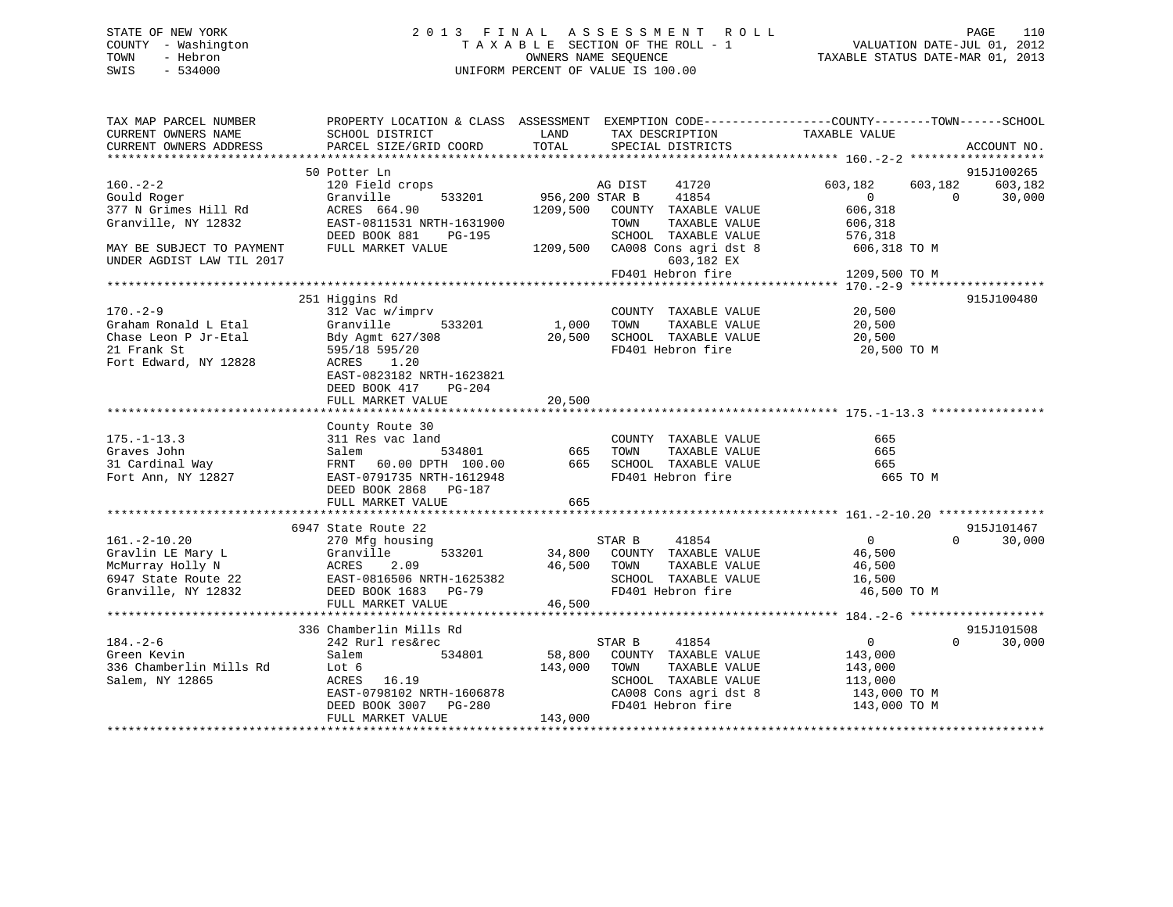# STATE OF NEW YORK 2 0 1 3 F I N A L A S S E S S M E N T R O L L PAGE 110 COUNTY - Washington T A X A B L E SECTION OF THE ROLL - 1 VALUATION DATE-JUL 01, 2012 TOWN - Hebron OWNERS NAME SEQUENCE TAXABLE STATUS DATE-MAR 01, 2013 SWIS - 534000 UNIFORM PERCENT OF VALUE IS 100.00

| TAX MAP PARCEL NUMBER<br>CURRENT OWNERS NAME           | PROPERTY LOCATION & CLASS ASSESSMENT EXEMPTION CODE---------------COUNTY-------TOWN------SCHOOL<br>SCHOOL DISTRICT                                                                                                                                      | LAND                  | TAX DESCRIPTION                                                                | TAXABLE VALUE                                    |                    |
|--------------------------------------------------------|---------------------------------------------------------------------------------------------------------------------------------------------------------------------------------------------------------------------------------------------------------|-----------------------|--------------------------------------------------------------------------------|--------------------------------------------------|--------------------|
| CURRENT OWNERS ADDRESS                                 | PARCEL SIZE/GRID COORD                                                                                                                                                                                                                                  | TOTAL                 | SPECIAL DISTRICTS                                                              |                                                  | ACCOUNT NO.        |
|                                                        | 50 Potter Ln                                                                                                                                                                                                                                            |                       |                                                                                |                                                  | 915J100265         |
| $160. - 2 - 2$<br>Gould Roger                          | 120 Field crops<br>Granville                                                                                                                                                                                                                            | 533201 956,200 STAR B | 41720<br>AG DIST<br>41854                                                      | 603,182<br>603,182<br>$\overline{0}$<br>$\Omega$ | 603,182<br>30,000  |
| 377 N Grimes Hill Rd<br>Granville, NY 12832            | ACRES 664.90<br>EAST-0811531 NRTH-1631900<br>DEED BOOK 881 PG-195                                                                                                                                                                                       |                       | 1209,500 COUNTY TAXABLE VALUE<br>TAXABLE VALUE<br>TOWN<br>SCHOOL TAXABLE VALUE | 606,318<br>606,318<br>576,318                    |                    |
| MAY BE SUBJECT TO PAYMENT<br>UNDER AGDIST LAW TIL 2017 | FULL MARKET VALUE                                                                                                                                                                                                                                       |                       | 1209,500 CA008 Cons agri dst 8 606,318 TO M<br>603,182 EX                      |                                                  |                    |
|                                                        |                                                                                                                                                                                                                                                         |                       | FD401 Hebron fire                                                              | 1209,500 TO M                                    |                    |
|                                                        | 251 Higgins Rd                                                                                                                                                                                                                                          |                       |                                                                                |                                                  | 915J100480         |
| $170. - 2 - 9$                                         | 312 Vac w/imprv                                                                                                                                                                                                                                         |                       | COUNTY TAXABLE VALUE                                                           | 20,500                                           |                    |
| Graham Ronald L Etal                                   | Granville<br>533201                                                                                                                                                                                                                                     | 1,000 TOWN            | TAXABLE VALUE                                                                  | 20,500                                           |                    |
| Chase Leon P Jr-Etal                                   | Bdy Agmt 627/308                                                                                                                                                                                                                                        | 20,500                | SCHOOL TAXABLE VALUE                                                           | 20,500                                           |                    |
| 21 Frank St<br>Fort Edward, NY 12828                   | 595/18 595/20<br>ACRES<br>1.20<br>EAST-0823182 NRTH-1623821<br>DEED BOOK 417<br>PG-204                                                                                                                                                                  |                       | FD401 Hebron fire                                                              | 20,500 TO M                                      |                    |
|                                                        | FULL MARKET VALUE                                                                                                                                                                                                                                       | 20,500                |                                                                                |                                                  |                    |
|                                                        |                                                                                                                                                                                                                                                         |                       |                                                                                |                                                  |                    |
|                                                        | County Route 30                                                                                                                                                                                                                                         |                       |                                                                                |                                                  |                    |
| $175. - 1 - 13.3$                                      | 311 Res vac land                                                                                                                                                                                                                                        |                       | COUNTY TAXABLE VALUE                                                           | 665                                              |                    |
| Graves John                                            | Salem<br>534801                                                                                                                                                                                                                                         | 665                   | TAXABLE VALUE<br>TOWN                                                          | 665                                              |                    |
| 31 Cardinal Way                                        | FRNT 60.00 DPTH 100.00 665 SCHOOL TAXABLE VALUE                                                                                                                                                                                                         |                       |                                                                                | 665                                              |                    |
| Fort Ann, NY 12827                                     | EAST-0791735 NRTH-1612948<br>DEED BOOK 2868 PG-187                                                                                                                                                                                                      |                       | FD401 Hebron fire                                                              | 665 TO M                                         |                    |
|                                                        | FULL MARKET VALUE                                                                                                                                                                                                                                       | 665                   |                                                                                |                                                  |                    |
|                                                        | 6947 State Route 22                                                                                                                                                                                                                                     |                       |                                                                                |                                                  | 915J101467         |
| $161. - 2 - 10.20$                                     | 270 Mfg housing                                                                                                                                                                                                                                         |                       | STAR B<br>41854                                                                | $\overline{0}$                                   | 30,000<br>$\Omega$ |
|                                                        |                                                                                                                                                                                                                                                         |                       | 533201 34,800 COUNTY TAXABLE VALUE                                             | 46,500                                           |                    |
|                                                        |                                                                                                                                                                                                                                                         | 46,500 TOWN           | TAXABLE VALUE                                                                  | 46,500                                           |                    |
|                                                        |                                                                                                                                                                                                                                                         |                       | SCHOOL TAXABLE VALUE                                                           | 16,500                                           |                    |
|                                                        | Channel Branch Channel Channel Channel Channel Strate Method and the Strate Route 22<br>Strate Route 22<br>Channel Channel Channel Channel Channel Channel Channel Channel Channel Channel Channel Channel Channel Channel Channel<br>FULL MARKET VALUE | 46,500                | FD401 Hebron fire                                                              | 46,500 TO M                                      |                    |
|                                                        |                                                                                                                                                                                                                                                         |                       |                                                                                |                                                  |                    |
|                                                        | 336 Chamberlin Mills Rd                                                                                                                                                                                                                                 |                       |                                                                                |                                                  | 915J101508         |
| $184. - 2 - 6$                                         | 242 Rurl res&rec                                                                                                                                                                                                                                        |                       | STAR B<br>41854                                                                | $\overline{0}$                                   | $\Omega$<br>30,000 |
| Green Kevin                                            | 534801<br>Salem                                                                                                                                                                                                                                         | 58,800                | COUNTY TAXABLE VALUE                                                           | 143,000                                          |                    |
| 336 Chamberlin Mills Rd                                | Lot 6                                                                                                                                                                                                                                                   | 143,000               | TOWN<br>TAXABLE VALUE                                                          | 143,000                                          |                    |
| Salem, NY 12865                                        | ACRES 16.19                                                                                                                                                                                                                                             |                       | SCHOOL TAXABLE VALUE                                                           | 113,000                                          |                    |
|                                                        | EAST-0798102 NRTH-1606878<br>DEED BOOK 3007 PG-280                                                                                                                                                                                                      |                       | CA008 Cons agri dst 8                                                          | 143,000 TO M                                     |                    |
|                                                        |                                                                                                                                                                                                                                                         |                       | FD401 Hebron fire                                                              | 143,000 TO M                                     |                    |
|                                                        | FULL MARKET VALUE                                                                                                                                                                                                                                       | 143,000               |                                                                                |                                                  |                    |
|                                                        |                                                                                                                                                                                                                                                         |                       |                                                                                |                                                  |                    |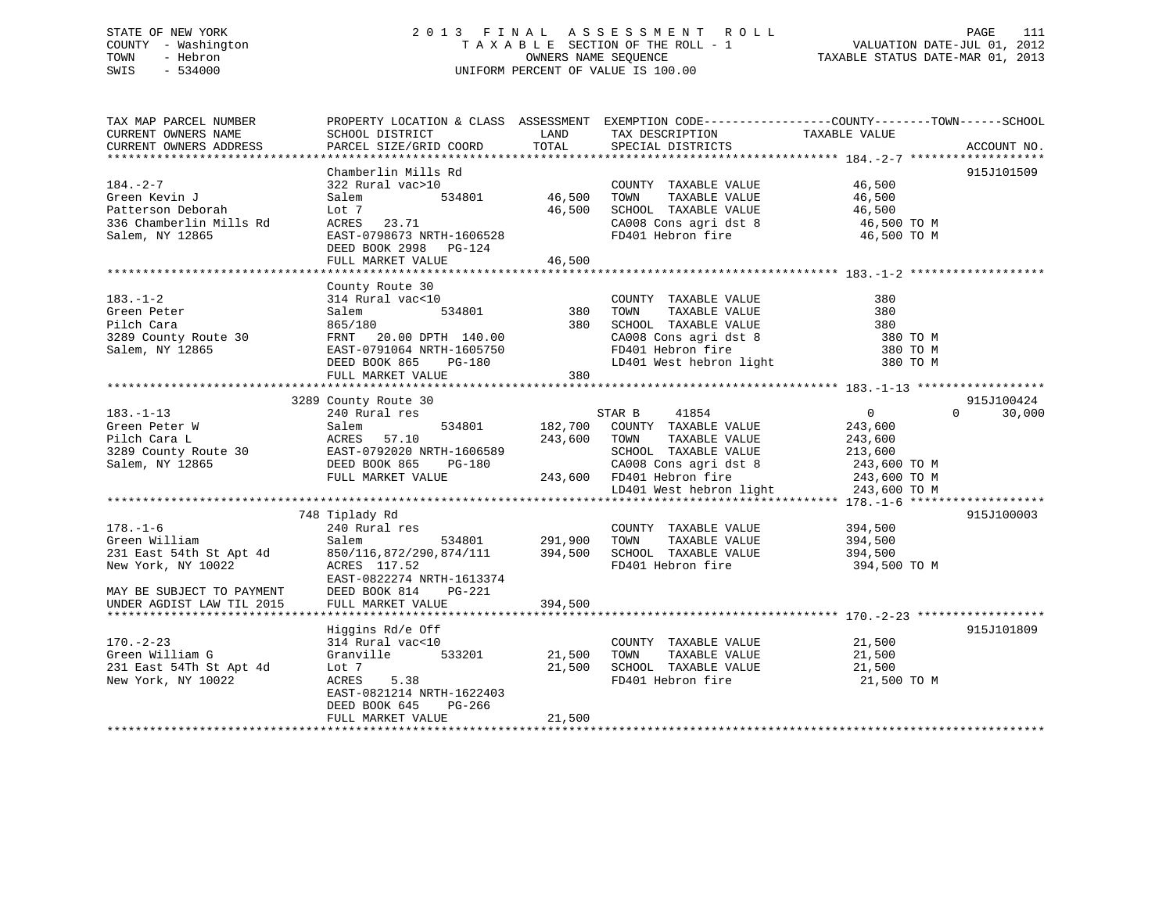# STATE OF NEW YORK 2 0 1 3 F I N A L A S S E S S M E N T R O L L PAGE 111 COUNTY - Washington T A X A B L E SECTION OF THE ROLL - 1 VALUATION DATE-JUL 01, 2012 TOWN - Hebron OWNERS NAME SEQUENCE TAXABLE STATUS DATE-MAR 01, 2013 SWIS - 534000 UNIFORM PERCENT OF VALUE IS 100.00

| TAX MAP PARCEL NUMBER<br>CURRENT OWNERS NAME<br>CURRENT OWNERS ADDRESS                                                                     | PROPERTY LOCATION & CLASS ASSESSMENT EXEMPTION CODE----------------COUNTY-------TOWN------SCHOOL<br>SCHOOL DISTRICT<br>PARCEL SIZE/GRID COORD                                | LAND<br>TOTAL              | TAX DESCRIPTION<br>SPECIAL DISTRICTS                                                                                                                                                   | TAXABLE VALUE                                                                   | ACCOUNT NO.        |
|--------------------------------------------------------------------------------------------------------------------------------------------|------------------------------------------------------------------------------------------------------------------------------------------------------------------------------|----------------------------|----------------------------------------------------------------------------------------------------------------------------------------------------------------------------------------|---------------------------------------------------------------------------------|--------------------|
| $184. - 2 - 7$<br>Green Kevin J<br>Patterson Deborah<br>336 Chamberlin Mills Rd                                                            | Chamberlin Mills Rd<br>322 Rural vac>10<br>534801<br>Salem<br>Lot 7<br>ACRES 23.71                                                                                           | 46,500<br>46,500           | COUNTY TAXABLE VALUE<br>TAXABLE VALUE<br>TOWN<br>SCHOOL TAXABLE VALUE<br>CA008 Cons agri dst 8                                                                                         | 46,500<br>46,500<br>46,500<br>46,500 TO M                                       | 915J101509         |
| Salem, NY 12865                                                                                                                            | EAST-0798673 NRTH-1606528<br>DEED BOOK 2998 PG-124<br>FULL MARKET VALUE                                                                                                      | 46,500                     | FD401 Hebron fire                                                                                                                                                                      | 46,500 TO M                                                                     |                    |
| $183. - 1 - 2$<br>Green Peter<br>Pilch Cara<br>3289 County Route 30<br>Salem, NY 12865                                                     | County Route 30<br>314 Rural vac<10<br>534801<br>Salem<br>865/180<br>FRNT 20.00 DPTH 140.00<br>EAST-0791064 NRTH-1605750<br>DEED BOOK 865<br>PG-180<br>FULL MARKET VALUE     | 380<br>380<br>380          | COUNTY TAXABLE VALUE<br>TAXABLE VALUE<br>TOWN<br>SCHOOL TAXABLE VALUE<br>CA008 Cons agri dst 8<br>LD401 West hebron light                                                              | 380<br>380<br>380<br>380 TO M<br>380 TO M<br>380 TO M                           |                    |
|                                                                                                                                            | 3289 County Route 30                                                                                                                                                         |                            |                                                                                                                                                                                        |                                                                                 | 915J100424         |
| $183. - 1 - 13$<br>Green Peter W<br>Pilch Cara L<br>3289 County Route 30<br>Salem, NY 12865                                                | 240 Rural res<br>534801<br>Salem<br>57.10<br>ACRES<br>EAST-0792020 NRTH-1606589<br>DEED BOOK 865<br>PG-180<br>FULL MARKET VALUE                                              | 182,700<br>243,600         | 41854<br>STAR B<br>COUNTY TAXABLE VALUE<br>TOWN<br>TAXABLE VALUE<br>SCHOOL TAXABLE VALUE<br>CA008 Cons agri dst 8<br>243,600 FD401 Hebron fire<br>LD401 West hebron light 243,600 TO M | $\overline{0}$<br>243,600<br>243,600<br>213,600<br>243,600 ТО М<br>243,600 TO M | $\Omega$<br>30,000 |
|                                                                                                                                            |                                                                                                                                                                              |                            |                                                                                                                                                                                        |                                                                                 |                    |
| $178. - 1 - 6$<br>Green William<br>231 East 54th St Apt 4d<br>New York, NY 10022<br>MAY BE SUBJECT TO PAYMENT<br>UNDER AGDIST LAW TIL 2015 | 748 Tiplady Rd<br>240 Rural res<br>Salem<br>$850/116, 872/290, 874/111$ 394,500<br>ACRES 117.52<br>EAST-0822274 NRTH-1613374<br>DEED BOOK 814<br>PG-221<br>FULL MARKET VALUE | 534801 291,900<br>394,500  | COUNTY TAXABLE VALUE<br>TOWN<br>TAXABLE VALUE<br>SCHOOL TAXABLE VALUE<br>FD401 Hebron fire                                                                                             | 394,500<br>394,500<br>394,500<br>394,500 TO M                                   | 915J100003         |
| $170. - 2 - 23$<br>Green William G<br>231 East 54Th St Apt 4d<br>New York, NY 10022                                                        | Higgins Rd/e Off<br>314 Rural vac<10<br>Granville<br>533201<br>Lot 7<br>ACRES<br>5.38<br>EAST-0821214 NRTH-1622403<br>DEED BOOK 645<br>PG-266<br>FULL MARKET VALUE           | 21,500<br>21,500<br>21,500 | COUNTY TAXABLE VALUE<br>TAXABLE VALUE<br>TOWN<br>SCHOOL TAXABLE VALUE<br>FD401 Hebron fire                                                                                             | 21,500<br>21,500<br>21,500<br>21,500 TO M                                       | 915J101809         |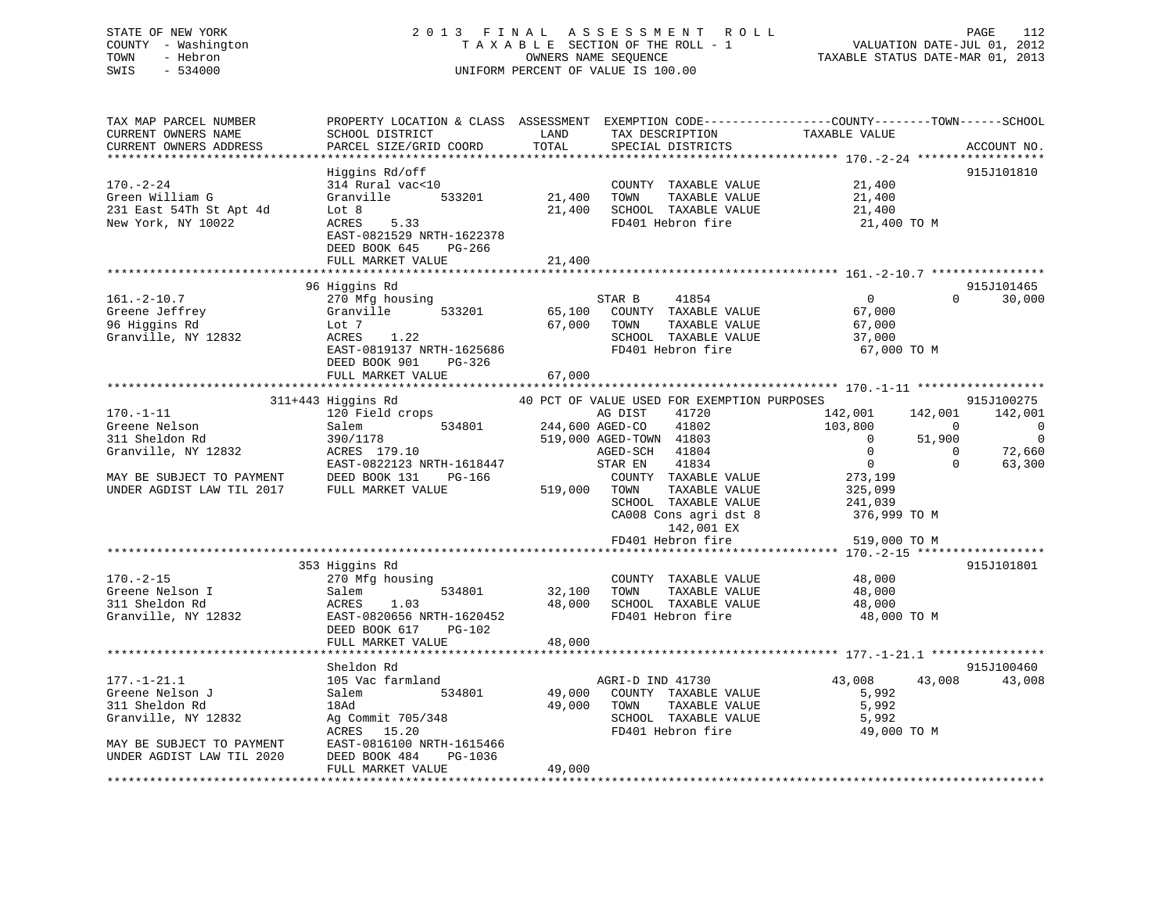# STATE OF NEW YORK 2 0 1 3 F I N A L A S S E S S M E N T R O L L PAGE 112 COUNTY - Washington T A X A B L E SECTION OF THE ROLL - 1 VALUATION DATE-JUL 01, 2012 TOWN - Hebron OWNERS NAME SEQUENCE TAXABLE STATUS DATE-MAR 01, 2013 SWIS - 534000 UNIFORM PERCENT OF VALUE IS 100.00

| TAX MAP PARCEL NUMBER<br>CURRENT OWNERS NAME<br>CURRENT OWNERS ADDRESS                                                              | PROPERTY LOCATION & CLASS ASSESSMENT EXEMPTION CODE----------------COUNTY-------TOWN------SCHOOL<br>SCHOOL DISTRICT<br>PARCEL SIZE/GRID COORD                     | LAND<br>TOTAL              | TAX DESCRIPTION<br>SPECIAL DISTRICTS                                                                                                                                                                                                                                                         | TAXABLE VALUE                                                                                                                                                                  | ACCOUNT NO.                                                                              |
|-------------------------------------------------------------------------------------------------------------------------------------|-------------------------------------------------------------------------------------------------------------------------------------------------------------------|----------------------------|----------------------------------------------------------------------------------------------------------------------------------------------------------------------------------------------------------------------------------------------------------------------------------------------|--------------------------------------------------------------------------------------------------------------------------------------------------------------------------------|------------------------------------------------------------------------------------------|
| $170. - 2 - 24$<br>Green William G<br>231 East 54Th St Apt 4d<br>New York, NY 10022                                                 | Higgins Rd/off<br>314 Rural vac<10<br>Granville 533201<br>Lot 8<br>5.33<br>ACRES<br>EAST-0821529 NRTH-1622378<br>DEED BOOK 645<br>PG-266<br>FULL MARKET VALUE     | 21,400<br>21,400<br>21,400 | COUNTY TAXABLE VALUE<br>TOWN<br>TAXABLE VALUE<br>SCHOOL TAXABLE VALUE<br>FD401 Hebron fire                                                                                                                                                                                                   | 21,400<br>21,400<br>21,400<br>21,400 TO M                                                                                                                                      | 915J101810                                                                               |
|                                                                                                                                     |                                                                                                                                                                   |                            |                                                                                                                                                                                                                                                                                              |                                                                                                                                                                                |                                                                                          |
| $161. - 2 - 10.7$<br>Greene Jeffrey<br>96 Higgins Rd<br>Granville, NY 12832                                                         | 96 Higgins Rd<br>270 Mfg housing<br>Granville<br>533201<br>Lot 7<br>1.22<br>ACRES<br>EAST-0819137 NRTH-1625686<br>DEED BOOK 901<br>PG-326                         | 65,100<br>67,000           | STAR B<br>41854<br>COUNTY TAXABLE VALUE<br>TAXABLE VALUE<br>TOWN<br>SCHOOL TAXABLE VALUE<br>FD401 Hebron fire                                                                                                                                                                                | $\overline{0}$<br>67,000<br>67,000<br>37,000<br>67,000 TO M                                                                                                                    | 915J101465<br>$\Omega$<br>30,000                                                         |
|                                                                                                                                     | FULL MARKET VALUE                                                                                                                                                 | 67,000                     |                                                                                                                                                                                                                                                                                              |                                                                                                                                                                                |                                                                                          |
|                                                                                                                                     |                                                                                                                                                                   |                            |                                                                                                                                                                                                                                                                                              |                                                                                                                                                                                |                                                                                          |
| $170. - 1 - 11$<br>Greene Nelson<br>311 Sheldon Rd<br>Granville, NY 12832<br>MAY BE SUBJECT TO PAYMENT<br>UNDER AGDIST LAW TIL 2017 | 311+443 Higgins Rd<br>120 Field crops<br>534801<br>Salem<br>390/1178<br>ACRES 179.10<br>EAST-0822123 NRTH-1618447<br>DEED BOOK 131<br>PG-166<br>FULL MARKET VALUE | 519,000 TOWN               | 40 PCT OF VALUE USED FOR EXEMPTION PURPOSES<br>41720<br>AG DIST<br>244,600 AGED-CO<br>41802<br>519,000 AGED-TOWN 41803<br>41804<br>AGED-SCH<br>41834<br>STAR EN<br>COUNTY TAXABLE VALUE<br>TAXABLE VALUE<br>SCHOOL TAXABLE VALUE<br>CA008 Cons agri dst 8<br>142,001 EX<br>FD401 Hebron fire | 142,001<br>142,001<br>103,800<br>$\overline{\phantom{0}}$<br>$\sim$ 0<br>51,900<br>$\Omega$<br>$\overline{0}$<br>273,199<br>325,099<br>241,039<br>376,999 ТО М<br>519,000 TO M | 915J100275<br>142,001<br>0<br>$\overline{0}$<br>72,660<br>$\Omega$<br>$\Omega$<br>63,300 |
|                                                                                                                                     | 353 Higgins Rd                                                                                                                                                    |                            |                                                                                                                                                                                                                                                                                              |                                                                                                                                                                                | 915J101801                                                                               |
| $170. - 2 - 15$<br>Greene Nelson I<br>311 Sheldon Rd<br>Granville, NY 12832                                                         | 270 Mfg housing<br>534801<br>Salem<br>ACRES<br>1.03<br>EAST-0820656 NRTH-1620452<br>DEED BOOK 617<br>PG-102                                                       | 32,100 TOWN<br>48,000      | COUNTY TAXABLE VALUE<br>TAXABLE VALUE<br>SCHOOL TAXABLE VALUE<br>FD401 Hebron fire                                                                                                                                                                                                           | 48,000<br>48,000<br>48,000<br>48,000 TO M                                                                                                                                      |                                                                                          |
|                                                                                                                                     | FULL MARKET VALUE                                                                                                                                                 | 48,000                     |                                                                                                                                                                                                                                                                                              |                                                                                                                                                                                |                                                                                          |
| $177. - 1 - 21.1$<br>Greene Nelson J<br>311 Sheldon Rd<br>Granville, NY 12832<br>MAY BE SUBJECT TO PAYMENT                          | Sheldon Rd<br>105 Vac farmland<br>Salem<br>534801<br>18Ad<br>Ag Commit 705/348<br>ACRES 15.20<br>EAST-0816100 NRTH-1615466                                        | 49,000<br>49,000           | AGRI-D IND 41730<br>COUNTY TAXABLE VALUE<br>TOWN<br>TAXABLE VALUE<br>SCHOOL TAXABLE VALUE<br>FD401 Hebron fire                                                                                                                                                                               | 43,008<br>43,008<br>5,992<br>5,992<br>5,992<br>49,000 TO M                                                                                                                     | 915J100460<br>43,008                                                                     |
| UNDER AGDIST LAW TIL 2020                                                                                                           | DEED BOOK 484<br>PG-1036<br>FULL MARKET VALUE                                                                                                                     | 49,000                     |                                                                                                                                                                                                                                                                                              |                                                                                                                                                                                |                                                                                          |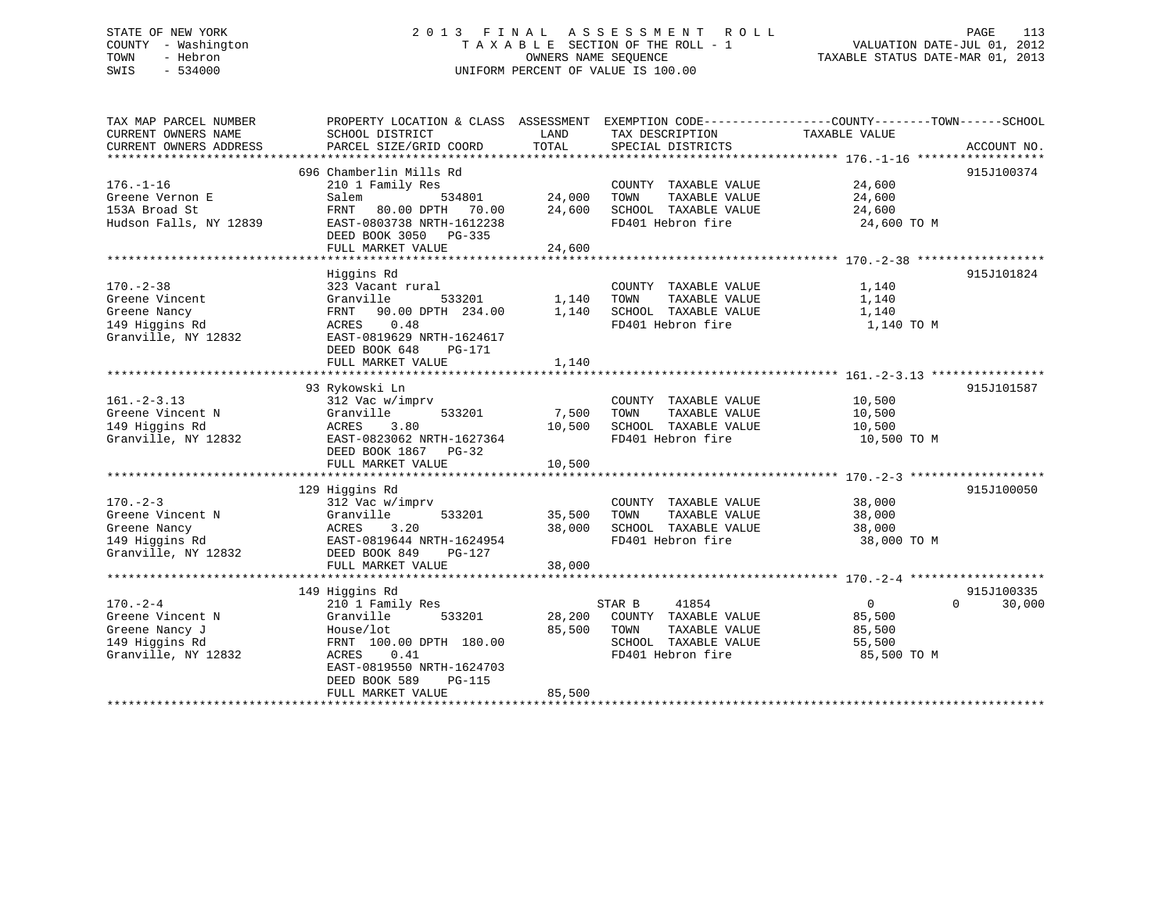# STATE OF NEW YORK 2 0 1 3 F I N A L A S S E S S M E N T R O L L PAGE 113 COUNTY - Washington T A X A B L E SECTION OF THE ROLL - 1 VALUATION DATE-JUL 01, 2012 TOWN - Hebron OWNERS NAME SEQUENCE TAXABLE STATUS DATE-MAR 01, 2013 SWIS - 534000 UNIFORM PERCENT OF VALUE IS 100.00

| EXEMPTION CODE-----------------COUNTY-------TOWN------SCHOOL<br>TAX MAP PARCEL NUMBER<br>PROPERTY LOCATION & CLASS ASSESSMENT |                    |
|-------------------------------------------------------------------------------------------------------------------------------|--------------------|
| CURRENT OWNERS NAME<br>SCHOOL DISTRICT<br>LAND<br>TAX DESCRIPTION<br>TAXABLE VALUE                                            |                    |
| TOTAL<br>CURRENT OWNERS ADDRESS<br>PARCEL SIZE/GRID COORD<br>SPECIAL DISTRICTS                                                | ACCOUNT NO.        |
|                                                                                                                               |                    |
| 696 Chamberlin Mills Rd                                                                                                       | 915J100374         |
| $176. - 1 - 16$<br>210 1 Family Res<br>24,600<br>COUNTY TAXABLE VALUE                                                         |                    |
| 24,000<br>TAXABLE VALUE<br>Salem<br>534801<br>TOWN<br>24,600<br>Greene Vernon E                                               |                    |
| 80.00 DPTH 70.00<br>24,600<br>SCHOOL TAXABLE VALUE<br>153A Broad St<br>FRNT<br>24,600                                         |                    |
| FD401 Hebron fire<br>Hudson Falls, NY 12839<br>EAST-0803738 NRTH-1612238<br>24,600 TO M                                       |                    |
| DEED BOOK 3050 PG-335                                                                                                         |                    |
| 24,600<br>FULL MARKET VALUE                                                                                                   |                    |
|                                                                                                                               |                    |
| Higgins Rd                                                                                                                    | 915J101824         |
| $170. - 2 - 38$<br>323 Vacant rural<br>COUNTY TAXABLE VALUE<br>1,140                                                          |                    |
| Greene Vincent<br>Granville<br>533201<br>1,140<br>TOWN<br>TAXABLE VALUE<br>1,140                                              |                    |
| 1,140<br>Greene Nancy<br>FRNT 90.00 DPTH 234.00<br>SCHOOL TAXABLE VALUE<br>1,140                                              |                    |
| 0.48<br>FD401 Hebron fire<br>1,140 TO M<br>149 Higgins Rd<br>ACRES                                                            |                    |
| Granville, NY 12832<br>EAST-0819629 NRTH-1624617                                                                              |                    |
| DEED BOOK 648<br>PG-171                                                                                                       |                    |
| FULL MARKET VALUE<br>1,140                                                                                                    |                    |
|                                                                                                                               |                    |
| 93 Rykowski Ln                                                                                                                | 915J101587         |
| $161. - 2 - 3.13$<br>312 Vac w/imprv<br>COUNTY TAXABLE VALUE<br>10,500                                                        |                    |
| 7,500<br>TAXABLE VALUE<br>Greene Vincent N<br>Granville<br>533201<br>TOWN<br>10,500                                           |                    |
| 149 Higgins Rd<br>10,500<br>SCHOOL TAXABLE VALUE<br>ACRES<br>3.80<br>10,500                                                   |                    |
| FD401 Hebron fire<br>Granville, NY 12832<br>EAST-0823062 NRTH-1627364<br>10,500 TO M                                          |                    |
| DEED BOOK 1867 PG-32                                                                                                          |                    |
| FULL MARKET VALUE<br>10,500                                                                                                   |                    |
|                                                                                                                               |                    |
| 129 Higgins Rd                                                                                                                | 915J100050         |
| $170 - 2 - 3$<br>312 Vac w/imprv<br>COUNTY TAXABLE VALUE<br>38,000                                                            |                    |
| Greene Vincent N<br>Granville<br>533201<br>35,500<br>TOWN<br>TAXABLE VALUE<br>38,000                                          |                    |
| 3.20<br>38,000<br>SCHOOL TAXABLE VALUE<br>38,000<br>Greene Nancy<br>ACRES                                                     |                    |
| EAST-0819644 NRTH-1624954<br>FD401 Hebron fire<br>38,000 TO M<br>149 Higgins Rd                                               |                    |
| Granville, NY 12832<br>DEED BOOK 849<br>PG-127                                                                                |                    |
| FULL MARKET VALUE<br>38,000                                                                                                   |                    |
|                                                                                                                               |                    |
| 149 Higgins Rd                                                                                                                | 915J100335         |
| $170. - 2 - 4$<br>$\mathbf{0}$<br>210 1 Family Res<br>STAR B<br>41854                                                         | 30,000<br>$\Omega$ |
| Greene Vincent N<br>533201<br>28,200<br>COUNTY TAXABLE VALUE<br>85,500<br>Granville                                           |                    |
| 85,500<br>TOWN<br>TAXABLE VALUE<br>Greene Nancy J<br>House/lot<br>85,500                                                      |                    |
| FRNT 100.00 DPTH 180.00<br>SCHOOL TAXABLE VALUE<br>149 Higgins Rd<br>55,500                                                   |                    |
| FD401 Hebron fire<br>Granville, NY 12832<br>ACRES<br>0.41<br>85,500 TO M                                                      |                    |
| EAST-0819550 NRTH-1624703                                                                                                     |                    |
| DEED BOOK 589<br>PG-115                                                                                                       |                    |
|                                                                                                                               |                    |
| 85,500<br>FULL MARKET VALUE                                                                                                   |                    |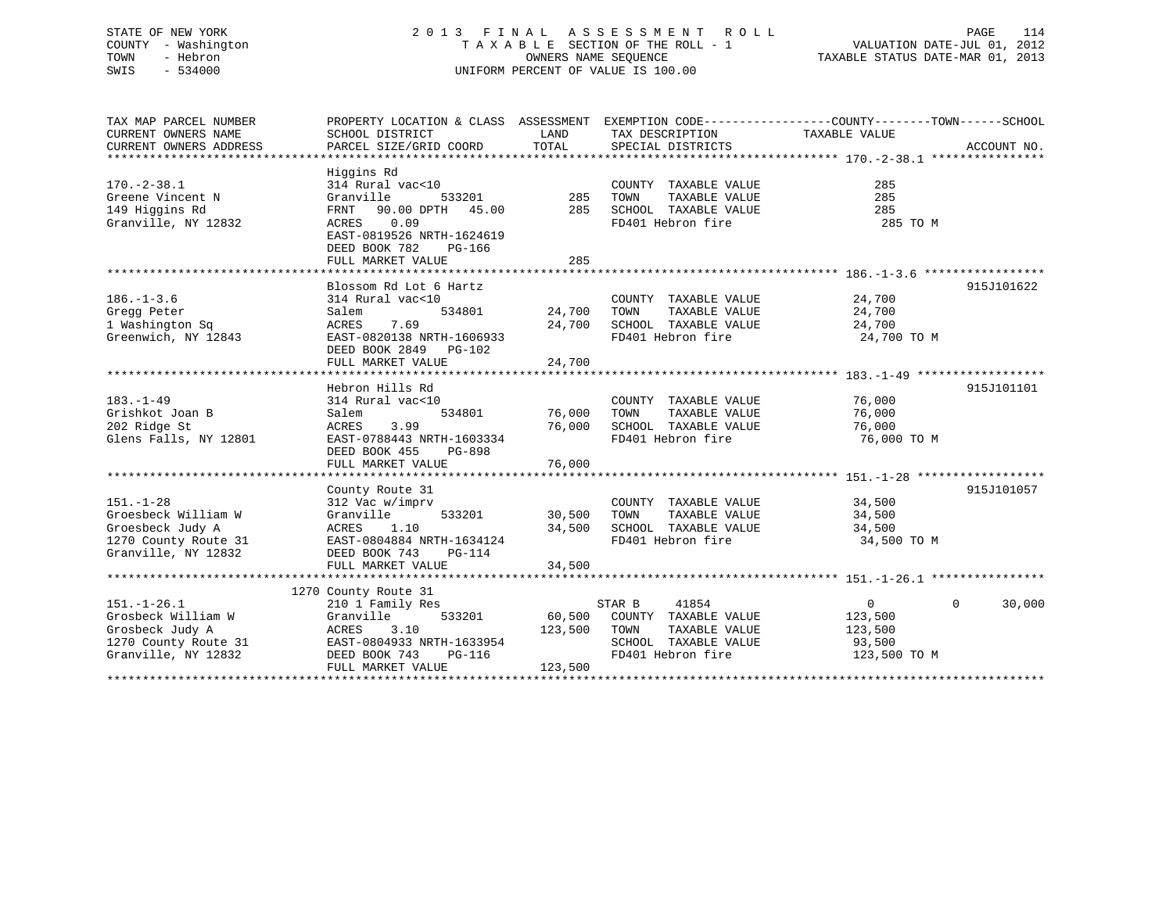# STATE OF NEW YORK 2 0 1 3 F I N A L A S S E S S M E N T R O L L PAGE 114 COUNTY - Washington T A X A B L E SECTION OF THE ROLL - 1 VALUATION DATE-JUL 01, 2012 TOWN - Hebron OWNERS NAME SEQUENCE TAXABLE STATUS DATE-MAR 01, 2013 SWIS - 534000 UNIFORM PERCENT OF VALUE IS 100.00

| TAX MAP PARCEL NUMBER<br>CURRENT OWNERS NAME                                                              | PROPERTY LOCATION & CLASS ASSESSMENT EXEMPTION CODE----------------COUNTY-------TOWN------SCHOOL<br>SCHOOL DISTRICT                                                                | LAND                              | TAX DESCRIPTION                                                                                                      | TAXABLE VALUE                                                  |                          |
|-----------------------------------------------------------------------------------------------------------|------------------------------------------------------------------------------------------------------------------------------------------------------------------------------------|-----------------------------------|----------------------------------------------------------------------------------------------------------------------|----------------------------------------------------------------|--------------------------|
| CURRENT OWNERS ADDRESS                                                                                    | PARCEL SIZE/GRID COORD                                                                                                                                                             | TOTAL                             | SPECIAL DISTRICTS                                                                                                    |                                                                | ACCOUNT NO.              |
| $170. - 2 - 38.1$<br>Greene Vincent N<br>149 Higgins Rd<br>Granville, NY 12832                            | Higgins Rd<br>314 Rural vac<10<br>533201<br>Granville<br>FRNT 90.00 DPTH 45.00<br>ACRES 0.09<br>EAST-0819526 NRTH-1624619<br>DEED BOOK 782<br>PG-166<br>FULL MARKET VALUE          | 285<br>285<br>285                 | COUNTY TAXABLE VALUE<br>TAXABLE VALUE<br>TOWN<br>SCHOOL TAXABLE VALUE<br>FD401 Hebron fire                           | 285<br>285<br>285<br>285 TO M                                  |                          |
| $186. - 1 - 3.6$<br>Gregg Peter<br>1 Washington Sq<br>Greenwich, NY 12843                                 | Blossom Rd Lot 6 Hartz<br>314 Rural vac<10<br>534801<br>Salem<br>7.69<br>ACRES<br>EAST-0820138 NRTH-1606933<br>DEED BOOK 2849 PG-102<br>FULL MARKET VALUE                          | 24,700<br>24,700                  | COUNTY TAXABLE VALUE<br>24,700 TOWN<br>TAXABLE VALUE<br>SCHOOL TAXABLE VALUE<br>FD401 Hebron fire                    | 24,700<br>24,700<br>24,700<br>24,700 TO M                      | 915J101622               |
| $183. - 1 - 49$<br>Grishkot Joan B<br>202 Ridge St<br>Glens Falls, NY 12801                               | Hebron Hills Rd<br>314 Rural vac<10<br>Salem<br>3.99<br>ACRES<br>EAST-0788443 NRTH-1603334<br>DEED BOOK 455<br>PG-898<br>FULL MARKET VALUE                                         | 534801 76,000<br>76,000<br>76,000 | COUNTY TAXABLE VALUE<br>TAXABLE VALUE<br>TOWN<br>SCHOOL TAXABLE VALUE<br>FD401 Hebron fire                           | 76,000<br>76,000<br>76,000<br>76,000 TO M                      | 915J101101               |
| $151. - 1 - 28$<br>Groesbeck William W<br>Groesbeck Judy A<br>1270 County Route 31<br>Granville, NY 12832 | County Route 31<br>312 Vac w/imprv<br>533201<br>Granville<br>1.10<br>ACRES<br>EAST-0804884 NRTH-1634124<br>DEED BOOK 743<br>PG-114<br>FULL MARKET VALUE                            | 30,500<br>34,500<br>34,500        | COUNTY TAXABLE VALUE 34,500<br>TAXABLE VALUE<br>TOWN<br>SCHOOL TAXABLE VALUE<br>FD401 Hebron fire                    | 34,500<br>34,500<br>34,500 TO M                                | 915J101057               |
| $151. - 1 - 26.1$<br>Grosbeck William W<br>Grosbeck Judy A<br>Granville, NY 12832                         | 1270 County Route 31<br>210 1 Family Res<br>533201<br>Granville<br>ACRES<br>3.10<br>1270 County Route 31 EAST-0804933 NRTH-1633954<br>DEED BOOK 743<br>PG-116<br>FULL MARKET VALUE | 123,500<br>123,500                | 41854<br>STAR B<br>60,500 COUNTY TAXABLE VALUE<br>TOWN<br>TAXABLE VALUE<br>SCHOOL TAXABLE VALUE<br>FD401 Hebron fire | $\overline{0}$<br>123,500<br>123,500<br>93,500<br>123,500 TO M | $\overline{0}$<br>30,000 |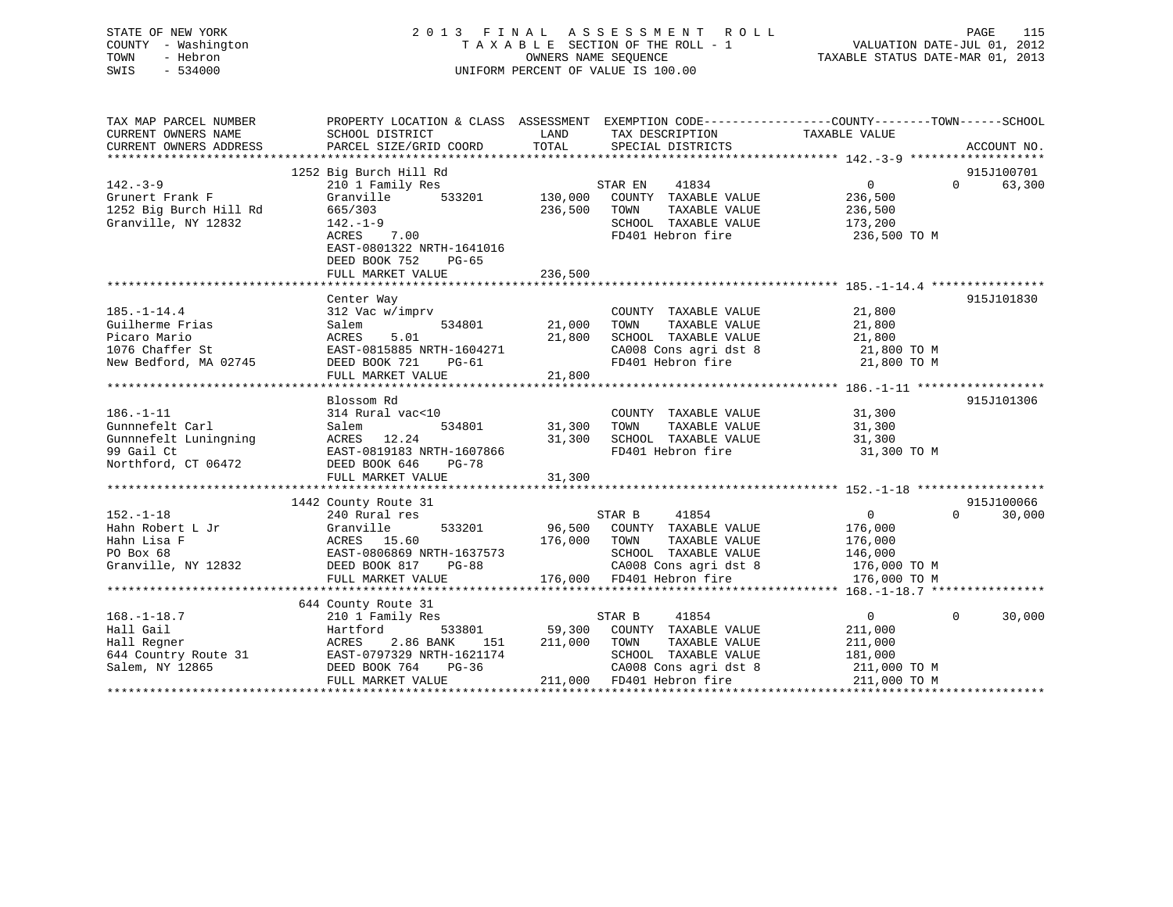# STATE OF NEW YORK 2 0 1 3 F I N A L A S S E S S M E N T R O L L PAGE 115 COUNTY - Washington T A X A B L E SECTION OF THE ROLL - 1 VALUATION DATE-JUL 01, 2012 TOWN - Hebron OWNERS NAME SEQUENCE TAXABLE STATUS DATE-MAR 01, 2013 SWIS - 534000 UNIFORM PERCENT OF VALUE IS 100.00

| TAX MAP PARCEL NUMBER<br>CURRENT OWNERS NAME<br>CURRENT OWNERS ADDRESS | PROPERTY LOCATION & CLASS ASSESSMENT EXEMPTION CODE---------------COUNTY-------TOWN-----SCHOOL<br>SCHOOL DISTRICT<br>PARCEL SIZE/GRID COORD | LAND<br>TOTAL      | TAX DESCRIPTION<br>SPECIAL DISTRICTS          | TAXABLE VALUE      | ACCOUNT NO.            |
|------------------------------------------------------------------------|---------------------------------------------------------------------------------------------------------------------------------------------|--------------------|-----------------------------------------------|--------------------|------------------------|
|                                                                        | 1252 Big Burch Hill Rd                                                                                                                      |                    |                                               |                    | 915J100701<br>$\Omega$ |
| $142. - 3 - 9$                                                         | 210 1 Family Res                                                                                                                            |                    | STAR EN<br>41834                              | 0                  | 63,300                 |
| Grunert Frank F<br>1252 Big Burch Hill Rd                              | Granville<br>533201<br>665/303                                                                                                              | 130,000<br>236,500 | COUNTY TAXABLE VALUE<br>TAXABLE VALUE<br>TOWN | 236,500<br>236,500 |                        |
| Granville, NY 12832                                                    | $142. - 1 - 9$                                                                                                                              |                    | SCHOOL TAXABLE VALUE                          | 173,200            |                        |
|                                                                        |                                                                                                                                             |                    | FD401 Hebron fire                             | 236,500 TO M       |                        |
|                                                                        | ACRES 7.00<br>EAST-0801322 NRTH-1641016<br>DEED BOOK 752<br>PG-65<br>FULL MARKET VALUE                                                      | 236,500            |                                               |                    |                        |
|                                                                        |                                                                                                                                             |                    |                                               |                    |                        |
|                                                                        | Center Way                                                                                                                                  |                    |                                               |                    | 915J101830             |
| $185. - 1 - 14.4$                                                      | 312 Vac w/imprv                                                                                                                             |                    | COUNTY TAXABLE VALUE                          | 21,800             |                        |
| Guilherme Frias                                                        | 534801<br>Salem                                                                                                                             | 21,000             | TAXABLE VALUE<br>TOWN                         | 21,800             |                        |
| Picaro Mario                                                           | 5.01<br>ACRES                                                                                                                               | 21,800             | SCHOOL TAXABLE VALUE                          | 21,800             |                        |
| 1076 Chaffer St                                                        | EAST-0815885 NRTH-1604271                                                                                                                   |                    | CA008 Cons agri dst 8                         | 21,800 TO M        |                        |
| New Bedford, MA 02745                                                  | DEED BOOK 721<br>PG-61                                                                                                                      |                    | FD401 Hebron fire                             | 21,800 TO M        |                        |
|                                                                        | FULL MARKET VALUE                                                                                                                           | 21,800             |                                               |                    |                        |
|                                                                        |                                                                                                                                             |                    |                                               |                    |                        |
|                                                                        | Blossom Rd                                                                                                                                  |                    |                                               |                    | 915J101306             |
| $186. - 1 - 11$                                                        | 314 Rural vac<10                                                                                                                            |                    | COUNTY TAXABLE VALUE                          | 31,300             |                        |
| Gunnnefelt Carl                                                        | 534801<br>Salem                                                                                                                             | 31,300             | TAXABLE VALUE<br>TOWN                         | 31,300             |                        |
| Gunnnefelt Luningning                                                  | ACRES 12.24                                                                                                                                 | 31,300             | SCHOOL TAXABLE VALUE                          | 31,300             |                        |
| 99 Gail Ct                                                             | EAST-0819183 NRTH-1607866                                                                                                                   |                    | FD401 Hebron fire                             | 31,300 TO M        |                        |
| Northford, CT 06472                                                    | DEED BOOK 646<br><b>PG-78</b>                                                                                                               |                    |                                               |                    |                        |
|                                                                        | FULL MARKET VALUE                                                                                                                           | 31,300             |                                               |                    |                        |
|                                                                        | 1442 County Route 31                                                                                                                        |                    |                                               |                    | 915J100066             |
| $152. - 1 - 18$                                                        | 240 Rural res                                                                                                                               |                    | STAR B<br>41854                               | $\overline{0}$     | $\Omega$<br>30,000     |
| Hahn Robert L Jr                                                       | Granville                                                                                                                                   | 533201 96,500      | COUNTY TAXABLE VALUE                          | 176,000            |                        |
| Hahn Lisa F                                                            | ACRES 15.60                                                                                                                                 | 176,000            | TOWN<br>TAXABLE VALUE                         | 176,000            |                        |
| PO Box 68                                                              | EAST-0806869 NRTH-1637573                                                                                                                   |                    | SCHOOL TAXABLE VALUE                          | 146,000            |                        |
| Granville, NY 12832                                                    | DEED BOOK 817<br>$PG-88$                                                                                                                    |                    | CA008 Cons agri dst 8                         | 176,000 TO M       |                        |
|                                                                        | FULL MARKET VALUE                                                                                                                           |                    | 176,000 FD401 Hebron fire                     | 176,000 TO M       |                        |
|                                                                        |                                                                                                                                             |                    |                                               |                    |                        |
|                                                                        | 644 County Route 31                                                                                                                         |                    |                                               |                    |                        |
| $168. - 1 - 18.7$                                                      | 210 1 Family Res                                                                                                                            |                    | STAR B<br>41854                               | $\Omega$           | $\Omega$<br>30,000     |
| Hall Gail                                                              | Hartford<br>533801                                                                                                                          | 59,300             | COUNTY TAXABLE VALUE                          | 211,000            |                        |
| Hall Regner                                                            | 2.86 BANK<br>151<br>ACRES                                                                                                                   | 211,000            | TOWN<br>TAXABLE VALUE                         | 211,000            |                        |
| 644 Country Route 31                                                   | EAST-0797329 NRTH-1621174                                                                                                                   |                    | SCHOOL TAXABLE VALUE                          | 181,000            |                        |
| Salem, NY 12865                                                        | DEED BOOK 764<br>$PG-36$                                                                                                                    |                    | CA008 Cons agri dst 8                         | 211,000 TO M       |                        |
|                                                                        | FULL MARKET VALUE                                                                                                                           |                    | 211,000 FD401 Hebron fire                     | 211,000 TO M       |                        |
|                                                                        |                                                                                                                                             |                    |                                               |                    |                        |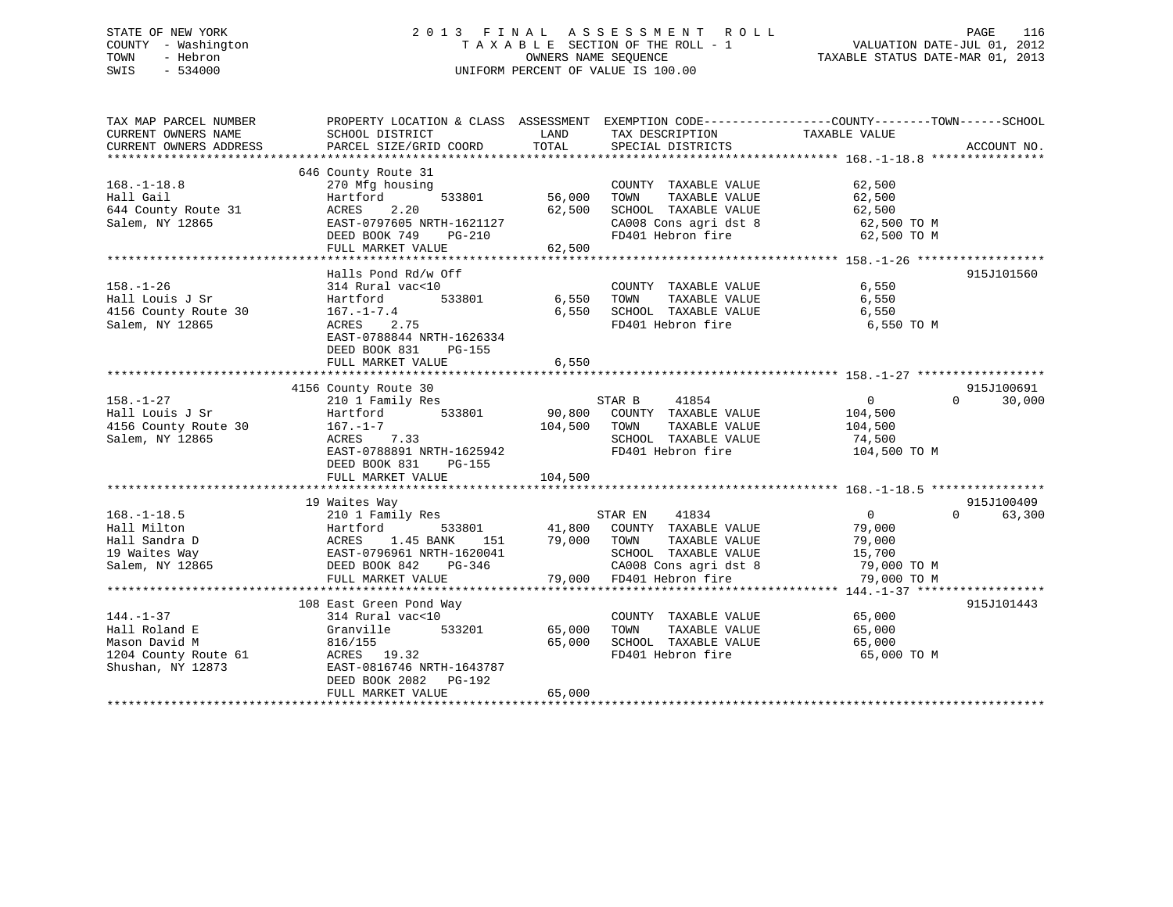# STATE OF NEW YORK 2 0 1 3 F I N A L A S S E S S M E N T R O L L PAGE 116 COUNTY - Washington T A X A B L E SECTION OF THE ROLL - 1 VALUATION DATE-JUL 01, 2012 TOWN - Hebron OWNERS NAME SEQUENCE TAXABLE STATUS DATE-MAR 01, 2013 SWIS - 534000 UNIFORM PERCENT OF VALUE IS 100.00

| TAX MAP PARCEL NUMBER            | PROPERTY LOCATION & CLASS ASSESSMENT EXEMPTION CODE---------------COUNTY-------TOWN------SCHOOL |             |                                           |                       |                    |
|----------------------------------|-------------------------------------------------------------------------------------------------|-------------|-------------------------------------------|-----------------------|--------------------|
| CURRENT OWNERS NAME              | SCHOOL DISTRICT                                                                                 | LAND        | TAX DESCRIPTION                           | TAXABLE VALUE         |                    |
| CURRENT OWNERS ADDRESS           | PARCEL SIZE/GRID COORD                                                                          | TOTAL       | SPECIAL DISTRICTS                         |                       | ACCOUNT NO.        |
|                                  |                                                                                                 |             |                                           |                       |                    |
|                                  | 646 County Route 31                                                                             |             |                                           |                       |                    |
| $168. - 1 - 18.8$                | 270 Mfg housing                                                                                 |             | COUNTY TAXABLE VALUE 62,500               |                       |                    |
| Hall Gail                        | 533801<br>Hartford                                                                              | 56,000      | TOWN<br>TAXABLE VALUE                     | 62,500                |                    |
| 644 County Route 31              | 2.20<br>ACRES                                                                                   | 62,500      | SCHOOL TAXABLE VALUE                      | 62,500                |                    |
| Salem, NY 12865                  | EAST-0797605 NRTH-1621127                                                                       |             | CA008 Cons agri dst 8 62,500 TO M         |                       |                    |
|                                  | DEED BOOK 749<br>PG-210                                                                         |             | FD401 Hebron fire                         | 62,500 TO M           |                    |
|                                  | FULL MARKET VALUE                                                                               | 62,500      |                                           |                       |                    |
|                                  |                                                                                                 |             |                                           |                       |                    |
|                                  | Halls Pond Rd/w Off                                                                             |             |                                           |                       | 915J101560         |
| $158. - 1 - 26$                  | 314 Rural vac<10                                                                                |             | COUNTY TAXABLE VALUE                      | 6,550                 |                    |
| Hall Louis J Sr                  | Hartford<br>533801                                                                              | 6,550       | TAXABLE VALUE<br>TOWN                     | 6,550                 |                    |
| 4156 County Route 30             | $167. - 1 - 7.4$                                                                                | 6,550       | SCHOOL TAXABLE VALUE                      | 6,550                 |                    |
| Salem, NY 12865                  | ACRES 2.75                                                                                      |             | FD401 Hebron fire                         | 6,550 TO M            |                    |
|                                  | EAST-0788844 NRTH-1626334                                                                       |             |                                           |                       |                    |
|                                  | DEED BOOK 831<br>PG-155                                                                         |             |                                           |                       |                    |
|                                  | FULL MARKET VALUE                                                                               | 6,550       |                                           |                       |                    |
|                                  |                                                                                                 |             |                                           |                       |                    |
|                                  | 4156 County Route 30                                                                            |             |                                           |                       | 915J100691         |
| $158. - 1 - 27$                  | 210 1 Family Res                                                                                |             | 41854<br>STAR B                           | $\sim$ 0              | $\Omega$<br>30,000 |
| Hall Louis J Sr                  | 533801<br>Hartford                                                                              |             | 90,800 COUNTY TAXABLE VALUE 104,500       |                       |                    |
| 4156 County Route 30             | $167. - 1 - 7$                                                                                  | 104,500     | TOWN<br>TAXABLE VALUE                     | 104,500               |                    |
| Salem, NY 12865                  | ACRES 7.33                                                                                      |             | SCHOOL TAXABLE VALUE                      | 74,500                |                    |
|                                  | EAST-0788891 NRTH-1625942                                                                       |             | FD401 Hebron fire                         | 104,500 TO M          |                    |
|                                  | DEED BOOK 831 PG-155                                                                            |             |                                           |                       |                    |
|                                  | FULL MARKET VALUE                                                                               | 104,500     |                                           |                       |                    |
|                                  |                                                                                                 |             |                                           |                       |                    |
|                                  | 19 Waites Way                                                                                   |             |                                           |                       | 915J100409         |
| $168. - 1 - 18.5$                | 210 1 Family Res                                                                                |             | STAR EN 41834                             | $\overline{0}$        | $\Omega$<br>63,300 |
| Hall Milton                      | 533801                                                                                          |             | 41,800 COUNTY TAXABLE VALUE               | 79,000                |                    |
| Hall Sandra D                    |                                                                                                 | 79,000 TOWN | TAXABLE VALUE                             |                       |                    |
| 19 Waites Way                    |                                                                                                 |             | SCHOOL TAXABLE VALUE                      | $\frac{15}{15}$ , 700 |                    |
| Salem, NY 12865                  | DEED BOOK 842<br>PG-346                                                                         |             | CA008 Cons agri dst 8 79,000 TO M         |                       |                    |
|                                  | FULL MARKET VALUE                                                                               |             | 79,000 FD401 Hebron fire                  | 79,000 TO M           |                    |
|                                  |                                                                                                 |             |                                           |                       |                    |
|                                  | 108 East Green Pond Way                                                                         |             |                                           |                       | 915J101443         |
| $144. - 1 - 37$                  | 314 Rural vac<10                                                                                |             | COUNTY TAXABLE VALUE 65,000               |                       |                    |
| Hall Roland E                    | 533201<br>Granville                                                                             | 65,000      | TOWN<br>TAXABLE VALUE                     | 65,000                |                    |
| Mason David M                    | 816/155                                                                                         | 65,000      |                                           | 65,000                |                    |
| 1204 County Route 61 ACRES 19.32 |                                                                                                 |             | SCHOOL TAXABLE VALUE<br>FD401 Hebron fire | 65,000 TO M           |                    |
| Shushan, NY 12873                | EAST-0816746 NRTH-1643787                                                                       |             |                                           |                       |                    |
|                                  | DEED BOOK 2082    PG-192                                                                        |             |                                           |                       |                    |
|                                  | FULL MARKET VALUE                                                                               | 65,000      |                                           |                       |                    |
|                                  |                                                                                                 |             |                                           |                       |                    |
|                                  |                                                                                                 |             |                                           |                       |                    |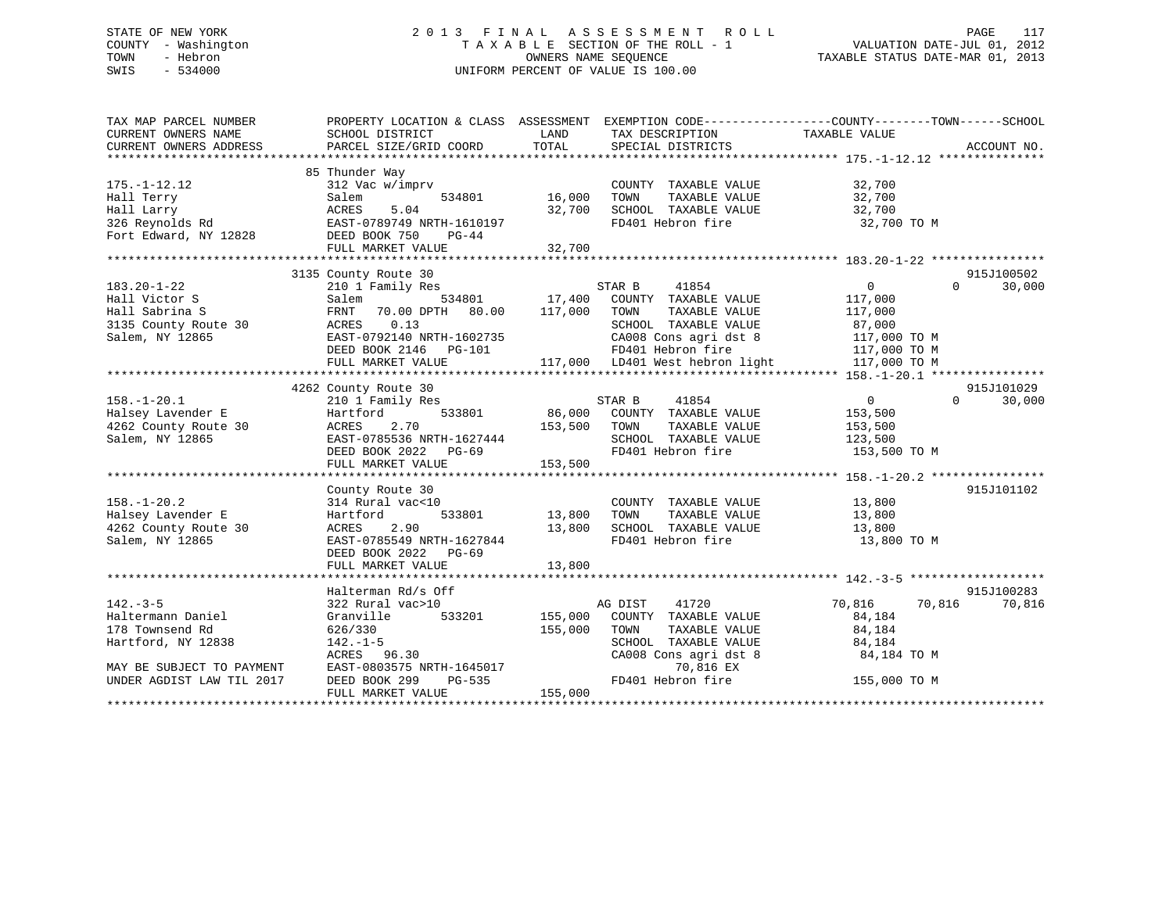# STATE OF NEW YORK 2 0 1 3 F I N A L A S S E S S M E N T R O L L PAGE 117 COUNTY - Washington T A X A B L E SECTION OF THE ROLL - 1 VALUATION DATE-JUL 01, 2012 TOWN - Hebron OWNERS NAME SEQUENCE TAXABLE STATUS DATE-MAR 01, 2013 SWIS - 534000 UNIFORM PERCENT OF VALUE IS 100.00

| TAX MAP PARCEL NUMBER                                                                                     |                                                                                                                                                                                                      |                    |                                                                                                                                                                                                                          | PROPERTY LOCATION & CLASS ASSESSMENT EXEMPTION CODE---------------COUNTY-------TOWN------SCHOOL                       |
|-----------------------------------------------------------------------------------------------------------|------------------------------------------------------------------------------------------------------------------------------------------------------------------------------------------------------|--------------------|--------------------------------------------------------------------------------------------------------------------------------------------------------------------------------------------------------------------------|-----------------------------------------------------------------------------------------------------------------------|
| $175. - 1 - 12.12$<br>Hall Terry<br>Hall Larry<br>326 Reynolds Rd<br>Fort Edward, NY 12828 DEED BOOK 750  | 85 Thunder Way<br>312 Vac w/imprv<br>Salem<br>534801<br>ACRES<br>5.04<br>EAST-0789749 NRTH-1610197<br>PG-44                                                                                          | 16,000<br>32,700   | COUNTY TAXABLE VALUE<br>TAXABLE VALUE<br>TOWN<br>SCHOOL TAXABLE VALUE<br>FD401 Hebron fire                                                                                                                               | 32,700<br>32,700<br>32,700<br>32,700 TO M                                                                             |
|                                                                                                           |                                                                                                                                                                                                      |                    |                                                                                                                                                                                                                          |                                                                                                                       |
| $183.20 - 1 - 22$<br>Hall Victor S<br>Hall Sabrina S<br>3135 County Route 30<br>Salem, NY 12865           | 3135 County Route 30<br>210 1 Family Res<br>s<br>534801 17,400<br>Salem<br>FRNT 70.00 DPTH 80.00 117,000<br>ACRES 0.13<br>EAST-0792140 NRTH-1602735<br>DEED BOOK 2146    PG-101<br>FULL MARKET VALUE |                    | 41854<br>STAR B<br>COUNTY TAXABLE VALUE<br>TOWN<br>TAXABLE VALUE<br>SCHOOL TAXABLE VALUE<br>CA008 Cons agri dst 8<br>FD401 Hebron fire<br>FD401 Hebron fire 117,000 TO M<br>117,000 LD401 West hebron light 117,000 TO M | 915J100502<br>$0 \qquad \qquad$<br>$\Omega$<br>30,000<br>117,000<br>117,000<br>87,000<br>117,000 TO M<br>117,000 TO M |
|                                                                                                           |                                                                                                                                                                                                      |                    |                                                                                                                                                                                                                          |                                                                                                                       |
|                                                                                                           | 4262 County Route 30                                                                                                                                                                                 |                    |                                                                                                                                                                                                                          | 915J101029                                                                                                            |
| $158. - 1 - 20.1$<br>Halsey Lavender E<br>Halsey Lavender E<br>4262 County Route 30<br>Salem, NY 12865    | 210 1 Family Res<br>533801<br>Hartford<br>ACRES<br>2.70<br>EAST-0785536 NRTH-1627444<br>DEED BOOK 2022 PG-69<br>FULL MARKET VALUE                                                                    | 153,500<br>153,500 | 41854<br>STAR B<br>86,000 COUNTY TAXABLE VALUE<br>TAXABLE VALUE<br>TOWN<br>SCHOOL TAXABLE VALUE 123,500<br>FD401 Hebron fire                                                                                             | $\overline{0}$<br>$\Omega$<br>30,000<br>153,500<br>153,500<br>153,500 TO M                                            |
|                                                                                                           |                                                                                                                                                                                                      |                    |                                                                                                                                                                                                                          |                                                                                                                       |
| $158. - 1 - 20.2$<br>Halsey Lavender E<br>4262 County Route 30<br>Salem, NY 12865                         | County Route 30<br>314 Rural vac<10<br>Hartford<br>533801 13,800<br>2.90<br>ACRES<br>EAST-0785549 NRTH-1627844<br>DEED BOOK 2022 PG-69                                                               | 13,800             | COUNTY TAXABLE VALUE<br>TAXABLE VALUE<br>TOWN<br>SCHOOL TAXABLE VALUE 13,800<br>FD401 Hebron fire                                                                                                                        | 915J101102<br>13,800<br>13,800<br>13,800 TO M                                                                         |
|                                                                                                           |                                                                                                                                                                                                      |                    |                                                                                                                                                                                                                          |                                                                                                                       |
| $142. - 3 - 5$<br>Haltermann Daniel<br>178 Townsend Rd<br>Hartford, NY 12838<br>MAY BE SUBJECT TO PAYMENT | Halterman Rd/s Off<br>322 Rural vac>10<br>533201<br>Granville<br>626/330<br>$142. - 1 - 5$<br>EAST-0803575 NRTH-1645017<br>DEED BOOK 299 PG-535<br>FIILL MAPKET WALLER                               | 155,000<br>155,000 | 41720<br>AG DIST<br>COUNTY TAXABLE VALUE<br>TOWN<br>TAXABLE VALUE<br>TOWN TAAADDE WELLE<br>SCHOOL TAXABLE VALUE<br>Tiene Gons agridst 8 84,184 TO M                                                                      | 915J100283<br>70,816<br>70,816<br>70,816<br>84,184<br>84,184                                                          |
| UNDER AGDIST LAW TIL 2017                                                                                 | FULL MARKET VALUE                                                                                                                                                                                    | 155,000            | FD401 Hebron fire 155,000 TO M                                                                                                                                                                                           |                                                                                                                       |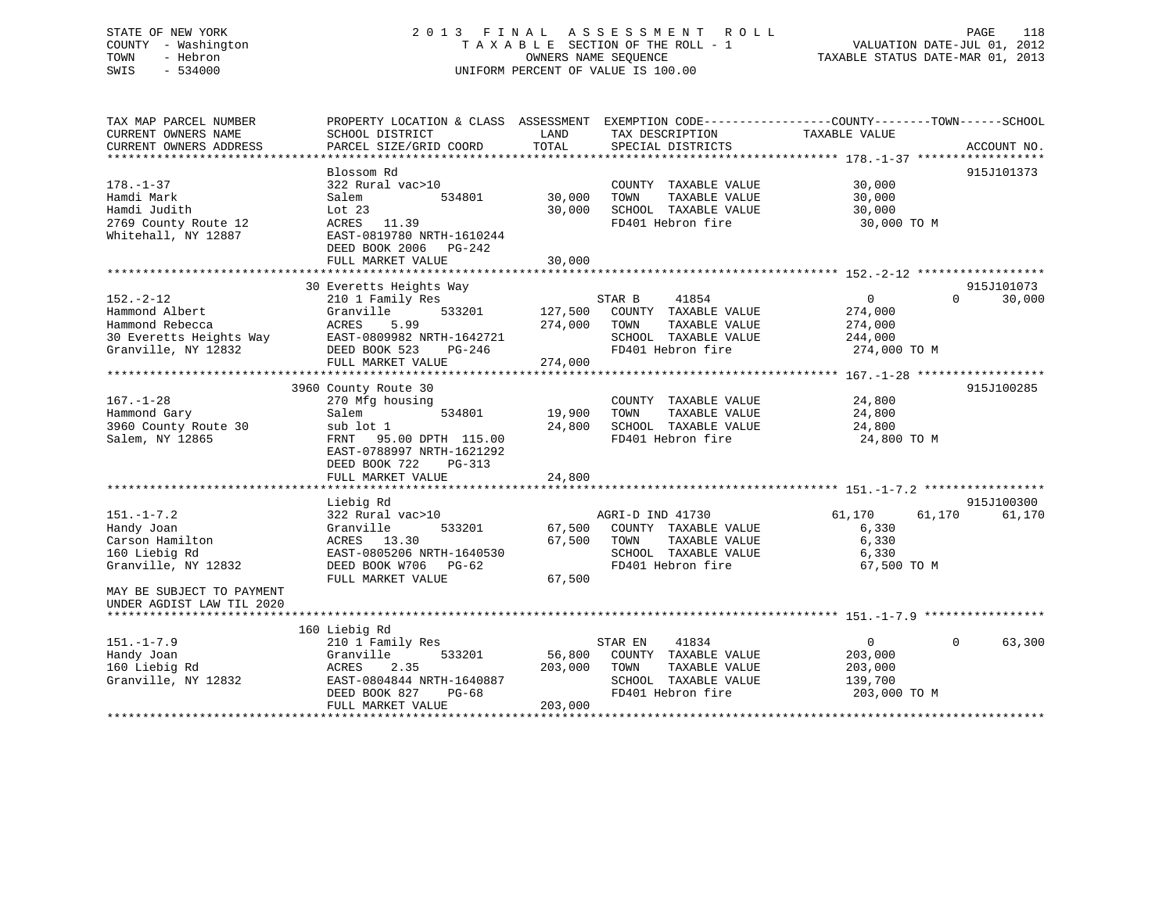# STATE OF NEW YORK 2 0 1 3 F I N A L A S S E S S M E N T R O L L PAGE 118 COUNTY - Washington T A X A B L E SECTION OF THE ROLL - 1 VALUATION DATE-JUL 01, 2012 TOWN - Hebron OWNERS NAME SEQUENCE TAXABLE STATUS DATE-MAR 01, 2013 SWIS - 534000 UNIFORM PERCENT OF VALUE IS 100.00

| TAX MAP PARCEL NUMBER<br>CURRENT OWNERS NAME<br>CURRENT OWNERS ADDRESS | PROPERTY LOCATION & CLASS ASSESSMENT<br>SCHOOL DISTRICT<br>PARCEL SIZE/GRID COORD   | LAND<br>TOTAL | TAX DESCRIPTION<br>SPECIAL DISTRICTS                                  | EXEMPTION CODE-----------------COUNTY-------TOWN------SCHOOL<br>TAXABLE VALUE<br>ACCOUNT NO. |        |
|------------------------------------------------------------------------|-------------------------------------------------------------------------------------|---------------|-----------------------------------------------------------------------|----------------------------------------------------------------------------------------------|--------|
|                                                                        |                                                                                     |               |                                                                       |                                                                                              |        |
|                                                                        | Blossom Rd                                                                          |               |                                                                       | 915J101373                                                                                   |        |
| $178. - 1 - 37$<br>Hamdi Mark                                          | 322 Rural vac>10<br>534801<br>Salem                                                 | 30,000        | COUNTY TAXABLE VALUE<br>TOWN<br>TAXABLE VALUE<br>SCHOOL TAXABLE VALUE | 30,000<br>30,000                                                                             |        |
| Hamdi Judith<br>2769 County Route 12<br>Whitehall, NY 12887            | Lot 23<br>ACRES<br>11.39<br>EAST-0819780 NRTH-1610244<br>DEED BOOK 2006 PG-242      | 30,000        | FD401 Hebron fire                                                     | 30,000<br>30,000 TO M                                                                        |        |
|                                                                        | FULL MARKET VALUE                                                                   | 30,000        |                                                                       |                                                                                              |        |
|                                                                        |                                                                                     |               |                                                                       |                                                                                              |        |
|                                                                        | 30 Everetts Heights Way                                                             |               |                                                                       | 915J101073                                                                                   |        |
| $152. - 2 - 12$                                                        | 210 1 Family Res                                                                    |               | STAR B<br>41854                                                       | $\overline{0}$<br>$\Omega$                                                                   | 30,000 |
| Hammond Albert                                                         | 533201<br>Granville                                                                 | 127,500       | COUNTY TAXABLE VALUE                                                  | 274,000                                                                                      |        |
| Hammond Rebecca                                                        | ACRES<br>5.99                                                                       | 274,000       | TAXABLE VALUE<br>TOWN                                                 | 274,000                                                                                      |        |
| 30 Everetts Heights Way                                                | EAST-0809982 NRTH-1642721                                                           |               | SCHOOL TAXABLE VALUE                                                  | 244,000                                                                                      |        |
| Granville, NY 12832                                                    | DEED BOOK 523<br>PG-246<br>FULL MARKET VALUE                                        | 274,000       | FD401 Hebron fire                                                     | 274,000 TO M                                                                                 |        |
|                                                                        |                                                                                     |               |                                                                       |                                                                                              |        |
|                                                                        | 3960 County Route 30                                                                |               |                                                                       | 915J100285                                                                                   |        |
| $167. - 1 - 28$                                                        | 270 Mfg housing                                                                     |               | COUNTY TAXABLE VALUE                                                  | 24,800                                                                                       |        |
| Hammond Gary                                                           | Salem<br>534801                                                                     | 19,900        | TAXABLE VALUE<br>TOWN                                                 | 24,800                                                                                       |        |
| 3960 County Route 30                                                   | sub lot 1                                                                           | 24,800        | SCHOOL TAXABLE VALUE                                                  | 24,800                                                                                       |        |
| Salem, NY 12865                                                        | 95.00 DPTH 115.00<br>FRNT<br>EAST-0788997 NRTH-1621292<br>DEED BOOK 722<br>$PG-313$ |               | FD401 Hebron fire                                                     | 24,800 TO M                                                                                  |        |
|                                                                        | FULL MARKET VALUE                                                                   | 24,800        |                                                                       |                                                                                              |        |
|                                                                        |                                                                                     |               |                                                                       |                                                                                              |        |
|                                                                        | Liebig Rd                                                                           |               |                                                                       | 915J100300                                                                                   |        |
| $151. - 1 - 7.2$                                                       | 322 Rural vac>10                                                                    |               | AGRI-D IND 41730                                                      | 61,170<br>61,170                                                                             | 61,170 |
| Handy Joan                                                             | Granville<br>533201                                                                 | 67,500        | COUNTY TAXABLE VALUE<br>TOWN                                          | 6,330                                                                                        |        |
| Carson Hamilton                                                        | ACRES 13.30                                                                         | 67,500        | TAXABLE VALUE                                                         | 6,330                                                                                        |        |
| 160 Liebig Rd                                                          | EAST-0805206 NRTH-1640530                                                           |               | SCHOOL TAXABLE VALUE<br>FD401 Hebron fire                             | 6,330                                                                                        |        |
| Granville, NY 12832                                                    | DEED BOOK W706 PG-62<br>FULL MARKET VALUE                                           | 67,500        |                                                                       | 67,500 TO M                                                                                  |        |
| MAY BE SUBJECT TO PAYMENT                                              |                                                                                     |               |                                                                       |                                                                                              |        |
| UNDER AGDIST LAW TIL 2020                                              |                                                                                     |               |                                                                       |                                                                                              |        |
|                                                                        |                                                                                     |               |                                                                       |                                                                                              |        |
|                                                                        | 160 Liebig Rd                                                                       |               |                                                                       |                                                                                              |        |
| $151. - 1 - 7.9$                                                       | 210 1 Family Res                                                                    |               | 41834<br>STAR EN                                                      | $\mathbf 0$<br>$\Omega$                                                                      | 63,300 |
| Handy Joan                                                             | Granville<br>533201                                                                 | 56,800        | COUNTY TAXABLE VALUE                                                  | 203,000                                                                                      |        |
| 160 Liebig Rd                                                          | ACRES<br>2.35                                                                       | 203,000       | TOWN<br>TAXABLE VALUE                                                 | 203,000                                                                                      |        |
| Granville, NY 12832                                                    | EAST-0804844 NRTH-1640887                                                           |               | SCHOOL TAXABLE VALUE                                                  | 139,700                                                                                      |        |
|                                                                        | DEED BOOK 827<br>$PG-68$                                                            |               | FD401 Hebron fire                                                     | 203,000 TO M                                                                                 |        |
|                                                                        | FULL MARKET VALUE                                                                   | 203,000       |                                                                       |                                                                                              |        |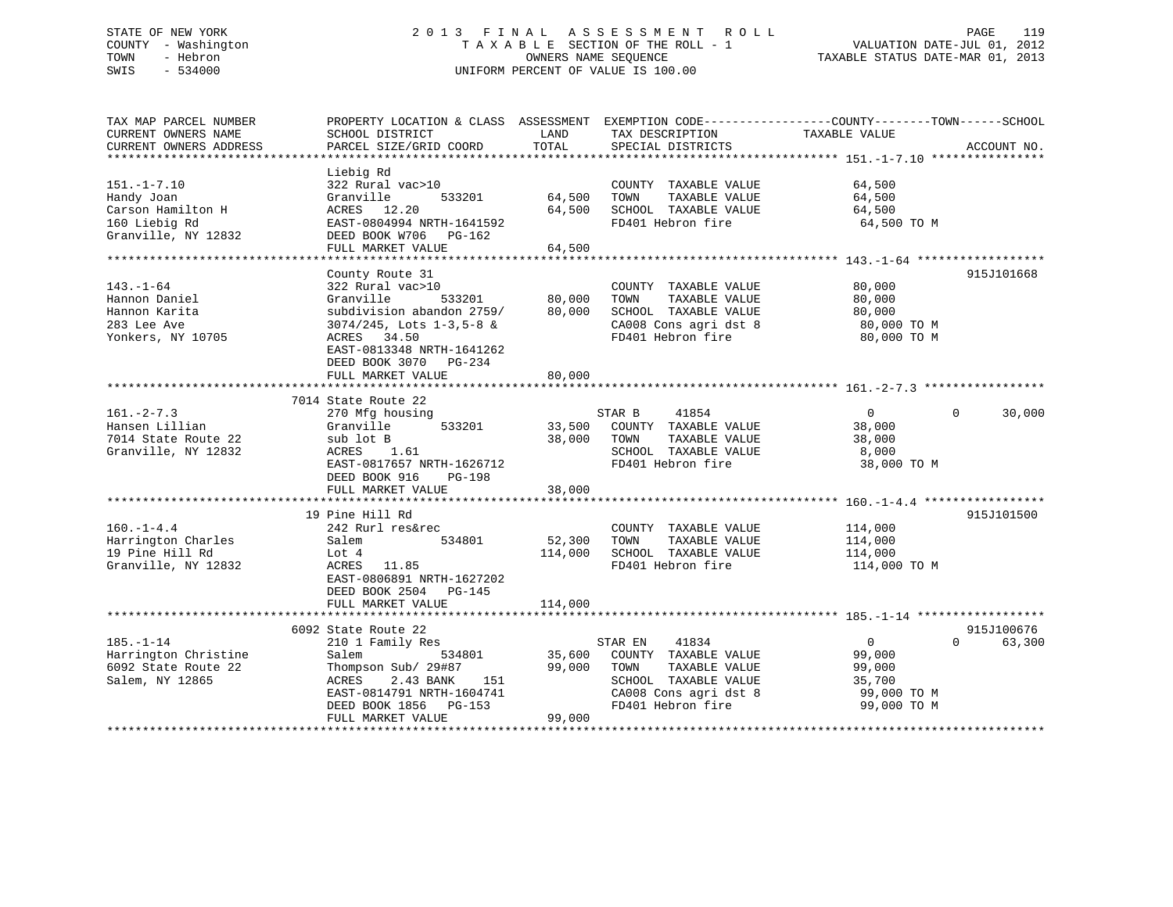# STATE OF NEW YORK 2 0 1 3 F I N A L A S S E S S M E N T R O L L PAGE 119 COUNTY - Washington T A X A B L E SECTION OF THE ROLL - 1 VALUATION DATE-JUL 01, 2012 TOWN - Hebron OWNERS NAME SEQUENCE TAXABLE STATUS DATE-MAR 01, 2013 SWIS - 534000 UNIFORM PERCENT OF VALUE IS 100.00

| TAX MAP PARCEL NUMBER<br>CURRENT OWNERS NAME                                          | PROPERTY LOCATION & CLASS ASSESSMENT<br>SCHOOL DISTRICT                                                                                                                                  | LAND                       | TAX DESCRIPTION                                                                                                                         | EXEMPTION CODE-----------------COUNTY-------TOWN------SCHOOL<br>TAXABLE VALUE |                        |
|---------------------------------------------------------------------------------------|------------------------------------------------------------------------------------------------------------------------------------------------------------------------------------------|----------------------------|-----------------------------------------------------------------------------------------------------------------------------------------|-------------------------------------------------------------------------------|------------------------|
| CURRENT OWNERS ADDRESS                                                                | PARCEL SIZE/GRID COORD                                                                                                                                                                   | TOTAL                      | SPECIAL DISTRICTS                                                                                                                       |                                                                               | ACCOUNT NO.            |
|                                                                                       | Liebig Rd                                                                                                                                                                                |                            |                                                                                                                                         |                                                                               |                        |
| $151. - 1 - 7.10$<br>Handy Joan<br>Carson Hamilton H                                  | 322 Rural vac>10<br>533201<br>Granville<br>ACRES 12.20                                                                                                                                   | 64,500<br>64,500           | COUNTY TAXABLE VALUE<br>TAXABLE VALUE<br>TOWN<br>SCHOOL TAXABLE VALUE                                                                   | 64,500<br>64,500<br>64,500                                                    |                        |
| 160 Liebig Rd<br>Granville, NY 12832                                                  | EAST-0804994 NRTH-1641592<br>DEED BOOK W706 PG-162<br>FULL MARKET VALUE                                                                                                                  | 64,500                     | FD401 Hebron fire                                                                                                                       | 64,500 TO M                                                                   |                        |
|                                                                                       | ***************************                                                                                                                                                              | ********************       |                                                                                                                                         | ******************** 143.-1-64 ******                                         | 915J101668             |
| $143. - 1 - 64$<br>Hannon Daniel<br>Hannon Karita<br>283 Lee Ave<br>Yonkers, NY 10705 | County Route 31<br>322 Rural vac>10<br>533201<br>Granville<br>subdivision abandon 2759/<br>3074/245, Lots 1-3,5-8 &<br>ACRES 34.50<br>EAST-0813348 NRTH-1641262<br>DEED BOOK 3070 PG-234 | 80,000<br>80,000           | COUNTY TAXABLE VALUE<br>TAXABLE VALUE<br>TOWN<br>SCHOOL TAXABLE VALUE<br>CA008 Cons agri dst 8<br>FD401 Hebron fire                     | 80,000<br>80,000<br>80,000<br>80,000 TO M<br>80,000 TO M                      |                        |
|                                                                                       | FULL MARKET VALUE                                                                                                                                                                        | 80,000                     |                                                                                                                                         |                                                                               |                        |
|                                                                                       |                                                                                                                                                                                          |                            |                                                                                                                                         |                                                                               |                        |
| $161 - 2 - 7.3$<br>Hansen Lillian<br>7014 State Route 22<br>Granville, NY 12832       | 7014 State Route 22<br>270 Mfg housing<br>533201<br>Granville<br>sub lot B<br>ACRES<br>1.61<br>EAST-0817657 NRTH-1626712<br>DEED BOOK 916<br>PG-198<br>FULL MARKET VALUE                 | 33,500<br>38,000<br>38,000 | STAR B<br>41854<br>COUNTY TAXABLE VALUE<br>TOWN<br>TAXABLE VALUE<br>SCHOOL TAXABLE VALUE<br>FD401 Hebron fire                           | $\overline{0}$<br>38,000<br>38,000<br>8,000<br>38,000 TO M                    | $\mathbf{0}$<br>30,000 |
|                                                                                       |                                                                                                                                                                                          |                            |                                                                                                                                         |                                                                               |                        |
| $160. - 1 - 4.4$<br>Harrington Charles<br>19 Pine Hill Rd<br>Granville, NY 12832      | 19 Pine Hill Rd<br>242 Rurl res&rec<br>534801<br>Salem<br>Lot 4<br>ACRES 11.85<br>EAST-0806891 NRTH-1627202<br>DEED BOOK 2504 PG-145                                                     | 52,300<br>114,000          | COUNTY TAXABLE VALUE<br>TOWN<br>TAXABLE VALUE<br>SCHOOL TAXABLE VALUE<br>FD401 Hebron fire                                              | 114,000<br>114,000<br>114,000<br>114,000 TO M                                 | 915J101500             |
|                                                                                       | FULL MARKET VALUE                                                                                                                                                                        | 114,000                    |                                                                                                                                         |                                                                               |                        |
|                                                                                       | 6092 State Route 22                                                                                                                                                                      |                            |                                                                                                                                         |                                                                               | 915J100676             |
| $185. - 1 - 14$<br>Harrington Christine<br>6092 State Route 22<br>Salem, NY 12865     | 210 1 Family Res<br>Salem<br>534801<br>Thompson Sub/ 29#87<br>151<br>ACRES<br>2.43 BANK<br>EAST-0814791 NRTH-1604741<br>DEED BOOK 1856 PG-153<br>FULL MARKET VALUE                       | 35,600<br>99,000<br>99,000 | 41834<br>STAR EN<br>COUNTY TAXABLE VALUE<br>TOWN<br>TAXABLE VALUE<br>SCHOOL TAXABLE VALUE<br>CA008 Cons agri dst 8<br>FD401 Hebron fire | $\overline{0}$<br>99,000<br>99,000<br>35,700<br>99,000 TO M<br>99,000 TO M    | 63,300<br>$\Omega$     |
|                                                                                       |                                                                                                                                                                                          |                            |                                                                                                                                         |                                                                               |                        |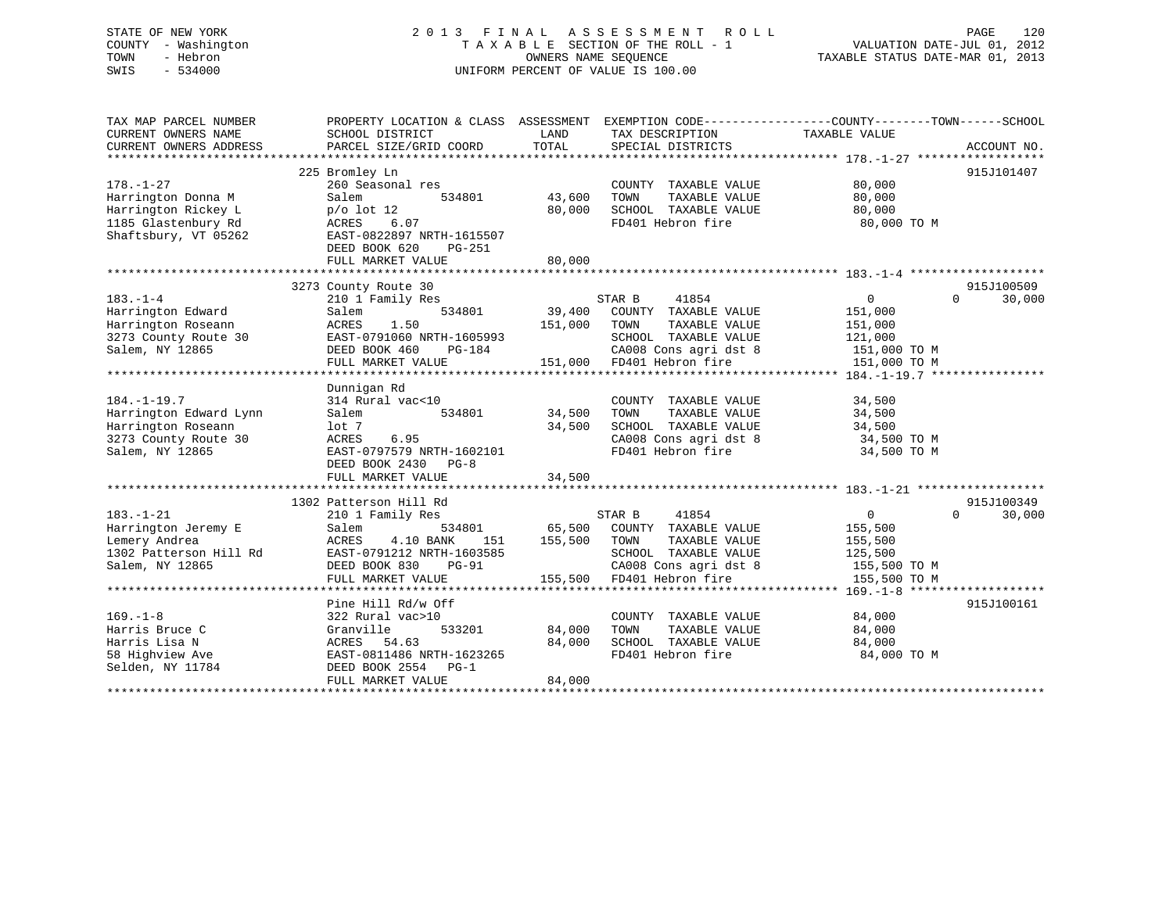# STATE OF NEW YORK 2 0 1 3 F I N A L A S S E S S M E N T R O L L PAGE 120 COUNTY - Washington T A X A B L E SECTION OF THE ROLL - 1 VALUATION DATE-JUL 01, 2012 TOWN - Hebron OWNERS NAME SEQUENCE TAXABLE STATUS DATE-MAR 01, 2013 SWIS - 534000 UNIFORM PERCENT OF VALUE IS 100.00

| TAX MAP PARCEL NUMBER<br>CURRENT OWNERS NAME<br>CURRENT OWNERS ADDRESS | PROPERTY LOCATION & CLASS ASSESSMENT<br>SCHOOL DISTRICT<br>PARCEL SIZE/GRID COORD | LAND<br>TOTAL | EXEMPTION CODE-----------------COUNTY-------TOWN------SCHOOL<br>TAX DESCRIPTION<br>SPECIAL DISTRICTS | TAXABLE VALUE  | ACCOUNT NO.        |
|------------------------------------------------------------------------|-----------------------------------------------------------------------------------|---------------|------------------------------------------------------------------------------------------------------|----------------|--------------------|
|                                                                        |                                                                                   |               |                                                                                                      |                |                    |
|                                                                        | 225 Bromley Ln                                                                    |               |                                                                                                      |                | 915J101407         |
| $178. - 1 - 27$                                                        | 260 Seasonal res                                                                  |               | COUNTY TAXABLE VALUE                                                                                 | 80,000         |                    |
| Harrington Donna M                                                     | 534801<br>Salem                                                                   | 43,600        | TOWN<br>TAXABLE VALUE                                                                                | 80,000         |                    |
| Harrington Rickey L                                                    | $p/o$ lot 12                                                                      | 80,000        | SCHOOL TAXABLE VALUE                                                                                 | 80,000         |                    |
| 1185 Glastenbury Rd                                                    | ACRES<br>6.07                                                                     |               | FD401 Hebron fire                                                                                    | 80,000 TO M    |                    |
| Shaftsbury, VT 05262                                                   | EAST-0822897 NRTH-1615507                                                         |               |                                                                                                      |                |                    |
|                                                                        | DEED BOOK 620<br>PG-251                                                           |               |                                                                                                      |                |                    |
|                                                                        | FULL MARKET VALUE                                                                 | 80,000        |                                                                                                      |                |                    |
|                                                                        |                                                                                   |               |                                                                                                      |                |                    |
|                                                                        | 3273 County Route 30                                                              |               |                                                                                                      |                | 915J100509         |
| $183. - 1 - 4$                                                         | 210 1 Family Res                                                                  |               | STAR B<br>41854                                                                                      | $\overline{0}$ | $\Omega$<br>30,000 |
| Harrington Edward                                                      | Salem<br>534801                                                                   | 39,400        | COUNTY TAXABLE VALUE                                                                                 | 151,000        |                    |
| Harrington Roseann                                                     | ACRES<br>1.50                                                                     | 151,000       | TOWN<br>TAXABLE VALUE                                                                                | 151,000        |                    |
| 3273 County Route 30                                                   | EAST-0791060 NRTH-1605993                                                         |               | SCHOOL TAXABLE VALUE                                                                                 | 121,000        |                    |
| Salem, NY 12865                                                        | DEED BOOK 460<br>PG-184                                                           |               | CA008 Cons agri dst 8                                                                                | 151,000 TO M   |                    |
|                                                                        | FULL MARKET VALUE                                                                 |               | 151,000 FD401 Hebron fire                                                                            | 151,000 TO M   |                    |
|                                                                        |                                                                                   |               |                                                                                                      |                |                    |
|                                                                        | Dunnigan Rd                                                                       |               |                                                                                                      |                |                    |
| $184. - 1 - 19.7$                                                      | 314 Rural vac<10                                                                  |               | COUNTY TAXABLE VALUE                                                                                 | 34,500         |                    |
| Harrington Edward Lynn                                                 | Salem<br>534801                                                                   | 34,500        | TAXABLE VALUE<br>TOWN                                                                                | 34,500         |                    |
| Harrington Roseann                                                     | $1$ ot 7                                                                          | 34,500        | SCHOOL TAXABLE VALUE                                                                                 | 34,500         |                    |
| 3273 County Route 30                                                   | ACRES<br>6.95                                                                     |               | CA008 Cons agri dst 8                                                                                | 34,500 TO M    |                    |
| Salem, NY 12865                                                        | EAST-0797579 NRTH-1602101                                                         |               | FD401 Hebron fire                                                                                    | 34,500 TO M    |                    |
|                                                                        | DEED BOOK 2430<br>$PG-8$                                                          |               |                                                                                                      |                |                    |
|                                                                        | FULL MARKET VALUE                                                                 | 34,500        |                                                                                                      |                |                    |
|                                                                        |                                                                                   |               |                                                                                                      |                |                    |
|                                                                        | 1302 Patterson Hill Rd                                                            |               |                                                                                                      |                | 915J100349         |
| $183. - 1 - 21$                                                        | 210 1 Family Res                                                                  |               | STAR B<br>41854                                                                                      | $\overline{0}$ | $\Omega$<br>30,000 |
| Harrington Jeremy E                                                    | Salem<br>534801                                                                   | 65,500        | COUNTY TAXABLE VALUE                                                                                 | 155,500        |                    |
| Lemery Andrea                                                          | ACRES<br>4.10 BANK<br>151                                                         | 155,500       | TOWN<br>TAXABLE VALUE                                                                                | 155,500        |                    |
| 1302 Patterson Hill Rd                                                 | EAST-0791212 NRTH-1603585                                                         |               | SCHOOL TAXABLE VALUE                                                                                 | 125,500        |                    |
| Salem, NY 12865                                                        | DEED BOOK 830<br><b>PG-91</b>                                                     |               | CA008 Cons agri dst 8                                                                                | 155,500 TO M   |                    |
|                                                                        | FULL MARKET VALUE                                                                 | 155,500       | FD401 Hebron fire                                                                                    | 155,500 TO M   |                    |
|                                                                        |                                                                                   |               |                                                                                                      |                |                    |
|                                                                        | Pine Hill Rd/w Off                                                                |               |                                                                                                      |                | 915J100161         |
| $169. - 1 - 8$                                                         | 322 Rural vac>10                                                                  |               | COUNTY TAXABLE VALUE                                                                                 | 84,000         |                    |
| Harris Bruce C                                                         | 533201<br>Granville                                                               | 84,000        | TOWN<br>TAXABLE VALUE                                                                                | 84,000         |                    |
| Harris Lisa N                                                          | ACRES<br>54.63                                                                    | 84,000        | SCHOOL TAXABLE VALUE                                                                                 | 84,000         |                    |
| 58 Highview Ave                                                        | EAST-0811486 NRTH-1623265                                                         |               | FD401 Hebron fire                                                                                    | 84,000 TO M    |                    |
| Selden, NY 11784                                                       | DEED BOOK 2554 PG-1                                                               |               |                                                                                                      |                |                    |
|                                                                        | FULL MARKET VALUE                                                                 | 84,000        |                                                                                                      |                |                    |
|                                                                        |                                                                                   |               |                                                                                                      |                |                    |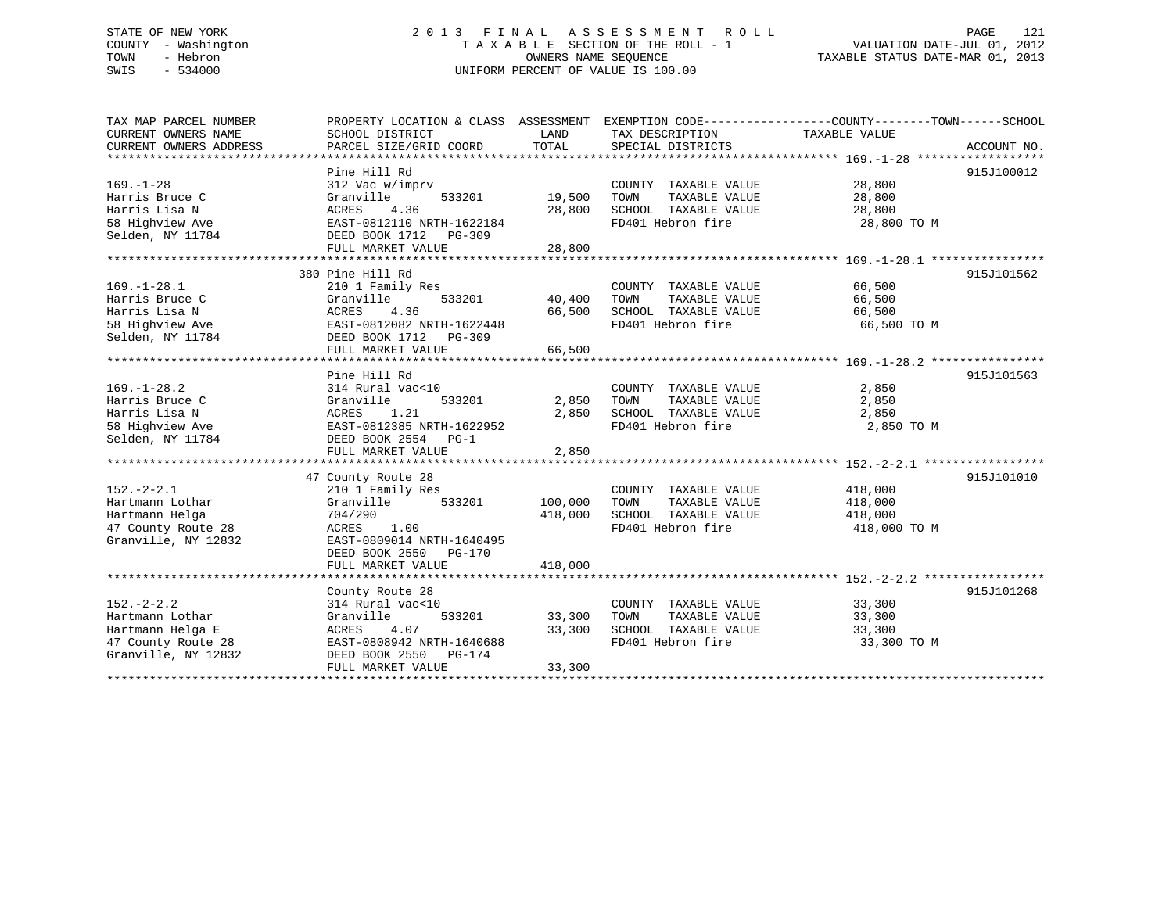# STATE OF NEW YORK 2 0 1 3 F I N A L A S S E S S M E N T R O L L PAGE 121 COUNTY - Washington T A X A B L E SECTION OF THE ROLL - 1 VALUATION DATE-JUL 01, 2012 TOWN - Hebron OWNERS NAME SEQUENCE TAXABLE STATUS DATE-MAR 01, 2013 SWIS - 534000 UNIFORM PERCENT OF VALUE IS 100.00

TAX MAP PARCEL NUMBER PROPERTY LOCATION & CLASS ASSESSMENT EXEMPTION CODE------------------COUNTY--------TOWN------SCHOOL CURRENT OWNERS NAME SCHOOL DISTRICT LAND TAX DESCRIPTION TAXABLE VALUE CURRENT OWNERS ADDRESS PARCEL SIZE/GRID COORD TOTAL SPECIAL DISTRICTS ACCOUNT NO. \*\*\*\*\*\*\*\*\*\*\*\*\*\*\*\*\*\*\*\*\*\*\*\*\*\*\*\*\*\*\*\*\*\*\*\*\*\*\*\*\*\*\*\*\*\*\*\*\*\*\*\*\*\*\*\*\*\*\*\*\*\*\*\*\*\*\*\*\*\*\*\*\*\*\*\*\*\*\*\*\*\*\*\*\*\*\*\*\*\*\*\*\*\*\*\*\*\*\*\*\*\*\* 169.-1-28 \*\*\*\*\*\*\*\*\*\*\*\*\*\*\*\*\*\* Pine Hill Rd 915J100012

| $169. - 1 - 28$     | 312 Vac w/imprv            |              | COUNTY TAXABLE VALUE         | 28,800       |            |
|---------------------|----------------------------|--------------|------------------------------|--------------|------------|
| Harris Bruce C      | Granville<br>533201        | 19,500       | TOWN<br>TAXABLE VALUE        | 28,800       |            |
| Harris Lisa N       | <b>ACRES</b><br>4.36       | 28,800       | SCHOOL TAXABLE VALUE         | 28,800       |            |
| 58 Highview Ave     | EAST-0812110 NRTH-1622184  |              | FD401 Hebron fire            | 28,800 TO M  |            |
| Selden, NY 11784    | DEED BOOK 1712 PG-309      |              |                              |              |            |
|                     | FULL MARKET VALUE          | 28,800       |                              |              |            |
|                     |                            |              |                              |              |            |
|                     | 380 Pine Hill Rd           |              |                              |              | 915J101562 |
| $169. - 1 - 28.1$   | 210 1 Family Res           |              | COUNTY TAXABLE VALUE         | 66,500       |            |
| Harris Bruce C      | Granville<br>533201        | 40,400 TOWN  | TAXABLE VALUE                | 66,500       |            |
| Harris Lisa N       | ACRES<br>4.36              |              | 66,500 SCHOOL TAXABLE VALUE  | 66,500       |            |
| 58 Highview Ave     | EAST-0812082 NRTH-1622448  |              | FD401 Hebron fire            | 66,500 TO M  |            |
| Selden, NY 11784    | DEED BOOK 1712 PG-309      |              |                              |              |            |
|                     | FULL MARKET VALUE          | 66,500       |                              |              |            |
|                     |                            |              |                              |              |            |
|                     | Pine Hill Rd               |              |                              |              | 915J101563 |
| $169. - 1 - 28.2$   | 314 Rural vac<10           |              | COUNTY TAXABLE VALUE         | 2,850        |            |
| Harris Bruce C      | Granville<br>533201        | 2,850 TOWN   | TAXABLE VALUE                | 2,850        |            |
| Harris Lisa N       | ACRES 1.21                 | 2,850        | SCHOOL TAXABLE VALUE         | 2,850        |            |
| 58 Highview Ave     | EAST-0812385 NRTH-1622952  |              | FD401 Hebron fire            | 2,850 TO M   |            |
| Selden, NY 11784    | DEED BOOK 2554 PG-1        |              |                              |              |            |
|                     | FULL MARKET VALUE          | 2,850        |                              |              |            |
|                     |                            |              |                              |              |            |
|                     | 47 County Route 28         |              |                              |              | 915J101010 |
| $152. - 2 - 2.1$    | 210 1 Family Res           |              | COUNTY TAXABLE VALUE         | 418,000      |            |
| Hartmann Lothar     | 533201<br>Granville        | 100,000 TOWN | TAXABLE VALUE                | 418,000      |            |
| Hartmann Helga      | 704/290                    |              | 418,000 SCHOOL TAXABLE VALUE | 418,000      |            |
| 47 County Route 28  | ACRES<br>1.00              |              | FD401 Hebron fire            | 418,000 TO M |            |
| Granville, NY 12832 | EAST-0809014 NRTH-1640495  |              |                              |              |            |
|                     | DEED BOOK 2550<br>$PG-170$ |              |                              |              |            |
|                     | FULL MARKET VALUE          | 418,000      |                              |              |            |
|                     |                            |              |                              |              |            |
|                     | County Route 28            |              |                              |              | 915J101268 |
| $152. - 2 - 2.2$    | 314 Rural vac<10           |              | COUNTY TAXABLE VALUE         | 33,300       |            |
| Hartmann Lothar     | 533201<br>Granville        | 33,300       | TOWN<br>TAXABLE VALUE        | 33,300       |            |
| Hartmann Helga E    | 4.07<br>ACRES              | 33,300       | SCHOOL TAXABLE VALUE         | 33,300       |            |
| 47 County Route 28  | EAST-0808942 NRTH-1640688  |              | FD401 Hebron fire            | 33,300 TO M  |            |
| Granville, NY 12832 | DEED BOOK 2550<br>PG-174   |              |                              |              |            |
|                     | FULL MARKET VALUE          | 33,300       |                              |              |            |
|                     |                            |              |                              |              |            |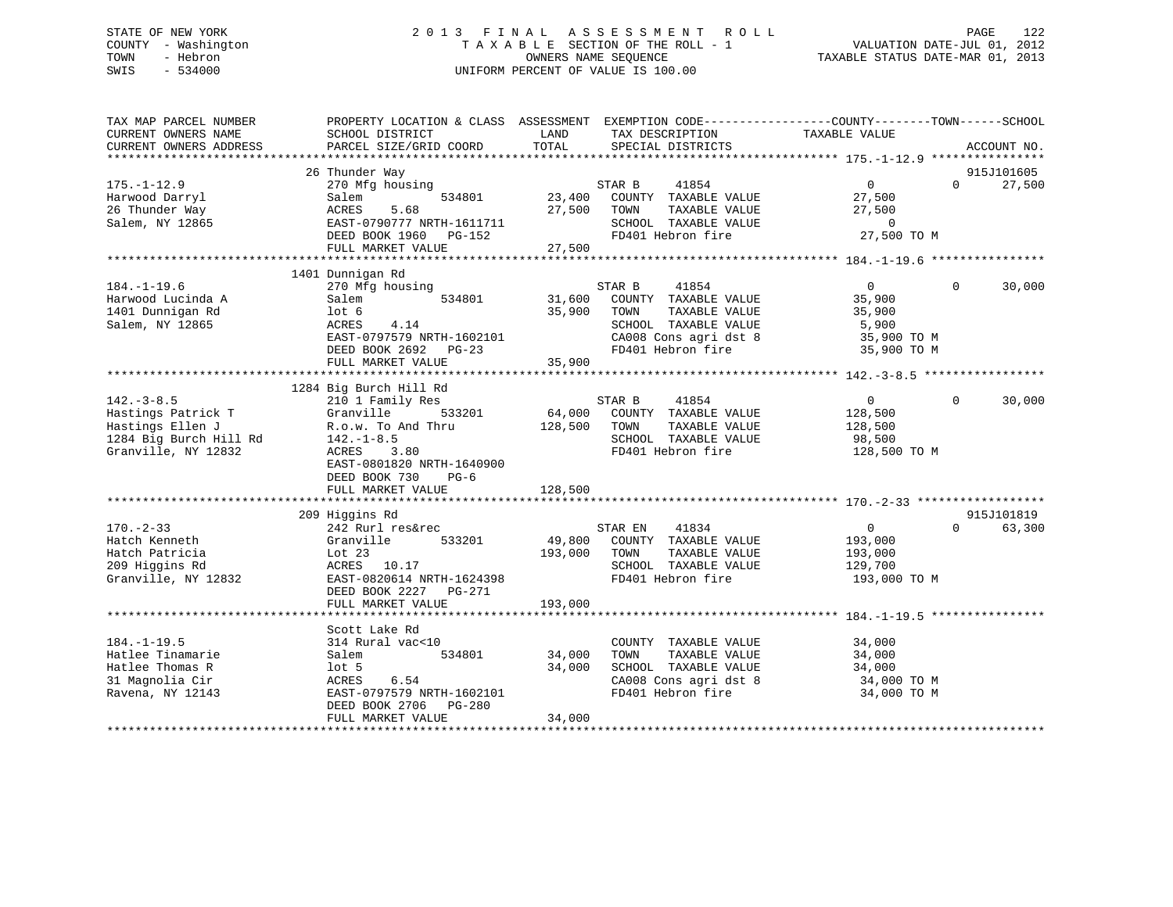# STATE OF NEW YORK 2 0 1 3 F I N A L A S S E S S M E N T R O L L PAGE 122 COUNTY - Washington T A X A B L E SECTION OF THE ROLL - 1 VALUATION DATE-JUL 01, 2012 TOWN - Hebron OWNERS NAME SEQUENCE TAXABLE STATUS DATE-MAR 01, 2013 SWIS - 534000 UNIFORM PERCENT OF VALUE IS 100.00

| TAX MAP PARCEL NUMBER<br>CURRENT OWNERS NAME | PROPERTY LOCATION & CLASS ASSESSMENT EXEMPTION CODE----------------COUNTY-------TOWN------SCHOOL<br>SCHOOL DISTRICT | LAND    | TAX DESCRIPTION             | TAXABLE VALUE  |          |             |
|----------------------------------------------|---------------------------------------------------------------------------------------------------------------------|---------|-----------------------------|----------------|----------|-------------|
| CURRENT OWNERS ADDRESS                       | PARCEL SIZE/GRID COORD                                                                                              | TOTAL   | SPECIAL DISTRICTS           |                |          | ACCOUNT NO. |
|                                              |                                                                                                                     |         |                             |                |          |             |
|                                              | 26 Thunder Way                                                                                                      |         |                             |                |          | 915J101605  |
| $175. - 1 - 12.9$                            | 270 Mfg housing                                                                                                     |         | 41854<br>STAR B             | $\overline{0}$ | $\Omega$ | 27,500      |
| Harwood Darryl                               | Salem<br>534801                                                                                                     |         | 23,400 COUNTY TAXABLE VALUE | 27,500         |          |             |
| 26 Thunder Way                               | 5.68<br>ACRES                                                                                                       | 27,500  | TAXABLE VALUE<br>TOWN       | 27,500         |          |             |
| Salem, NY 12865                              | EAST-0790777 NRTH-1611711                                                                                           |         | SCHOOL TAXABLE VALUE        | $\overline{0}$ |          |             |
|                                              | DEED BOOK 1960<br>PG-152                                                                                            |         | FD401 Hebron fire           | 27,500 TO M    |          |             |
|                                              | FULL MARKET VALUE                                                                                                   | 27,500  |                             |                |          |             |
|                                              |                                                                                                                     |         |                             |                |          |             |
|                                              | 1401 Dunnigan Rd                                                                                                    |         |                             |                |          |             |
| $184. - 1 - 19.6$                            | 270 Mfg housing                                                                                                     |         | STAR B<br>41854             | $\overline{0}$ | $\Omega$ | 30,000      |
| Harwood Lucinda A                            | 534801<br>Salem                                                                                                     | 31,600  | COUNTY TAXABLE VALUE        | 35,900         |          |             |
| 1401 Dunnigan Rd                             | lot 6                                                                                                               | 35,900  | TOWN<br>TAXABLE VALUE       | 35,900         |          |             |
| Salem, NY 12865                              | 4.14<br>ACRES                                                                                                       |         | SCHOOL TAXABLE VALUE        | 5,900          |          |             |
|                                              | EAST-0797579 NRTH-1602101                                                                                           |         | CA008 Cons agri dst 8       | 35,900 TO M    |          |             |
|                                              | DEED BOOK 2692<br>$PG-23$                                                                                           |         | FD401 Hebron fire           | 35,900 TO M    |          |             |
|                                              | FULL MARKET VALUE                                                                                                   | 35,900  |                             |                |          |             |
|                                              |                                                                                                                     |         |                             |                |          |             |
|                                              | 1284 Big Burch Hill Rd                                                                                              |         |                             |                |          |             |
| $142. - 3 - 8.5$                             | 210 1 Family Res                                                                                                    |         | STAR B<br>41854             | $\overline{0}$ | $\Omega$ | 30,000      |
|                                              | 533201<br>Granville                                                                                                 |         | 64,000 COUNTY TAXABLE VALUE | 128,500        |          |             |
| Hastings Patrick T<br>Hastings Ellen J       | R.o.w. To And Thru                                                                                                  | 128,500 | TAXABLE VALUE<br>TOWN       | 128,500        |          |             |
| 1284 Big Burch Hill Rd                       |                                                                                                                     |         | SCHOOL TAXABLE VALUE        | 98,500         |          |             |
| Granville, NY 12832                          | $142.-1-8.5$<br>ACRES 3.80                                                                                          |         | FD401 Hebron fire           |                |          |             |
|                                              |                                                                                                                     |         |                             | 128,500 TO M   |          |             |
|                                              | EAST-0801820 NRTH-1640900                                                                                           |         |                             |                |          |             |
|                                              | DEED BOOK 730<br>$PG-6$                                                                                             |         |                             |                |          |             |
|                                              | FULL MARKET VALUE                                                                                                   | 128,500 |                             |                |          |             |
|                                              |                                                                                                                     |         |                             |                |          | 915J101819  |
| $170. - 2 - 33$                              | 209 Higgins Rd<br>242 Rurl res&rec                                                                                  |         | 41834<br>STAR EN            | $\overline{0}$ | $\cap$   | 63,300      |
|                                              |                                                                                                                     |         |                             |                |          |             |
| Hatch Kenneth                                | Granville<br>533201                                                                                                 | 49,800  | COUNTY TAXABLE VALUE        | 193,000        |          |             |
| Hatch Patricia                               | Lot $23$                                                                                                            | 193,000 | TAXABLE VALUE<br>TOWN       | 193,000        |          |             |
| 209 Higgins Rd                               | 10.17<br>ACRES                                                                                                      |         | SCHOOL TAXABLE VALUE        | 129,700        |          |             |
| Granville, NY 12832                          | EAST-0820614 NRTH-1624398                                                                                           |         | FD401 Hebron fire           | 193,000 TO M   |          |             |
|                                              | DEED BOOK 2227 PG-271                                                                                               |         |                             |                |          |             |
|                                              | FULL MARKET VALUE                                                                                                   | 193,000 |                             |                |          |             |
|                                              |                                                                                                                     |         |                             |                |          |             |
|                                              | Scott Lake Rd                                                                                                       |         |                             |                |          |             |
| $184. - 1 - 19.5$                            | 314 Rural vac<10                                                                                                    |         | COUNTY TAXABLE VALUE        | 34,000         |          |             |
| Hatlee Tinamarie                             | 534801<br>Salem                                                                                                     | 34,000  | TOWN<br>TAXABLE VALUE       | 34,000         |          |             |
| Hatlee Thomas R                              | $1$ ot 5                                                                                                            | 34,000  | SCHOOL TAXABLE VALUE        | 34,000         |          |             |
| 31 Magnolia Cir                              | 6.54<br>ACRES                                                                                                       |         | CA008 Cons agri dst 8       | 34,000 TO M    |          |             |
| Ravena, NY 12143                             | EAST-0797579 NRTH-1602101                                                                                           |         | FD401 Hebron fire           | 34,000 TO M    |          |             |
|                                              | DEED BOOK 2706<br>PG-280                                                                                            |         |                             |                |          |             |
|                                              | FULL MARKET VALUE                                                                                                   | 34,000  |                             |                |          |             |
|                                              |                                                                                                                     |         |                             |                |          |             |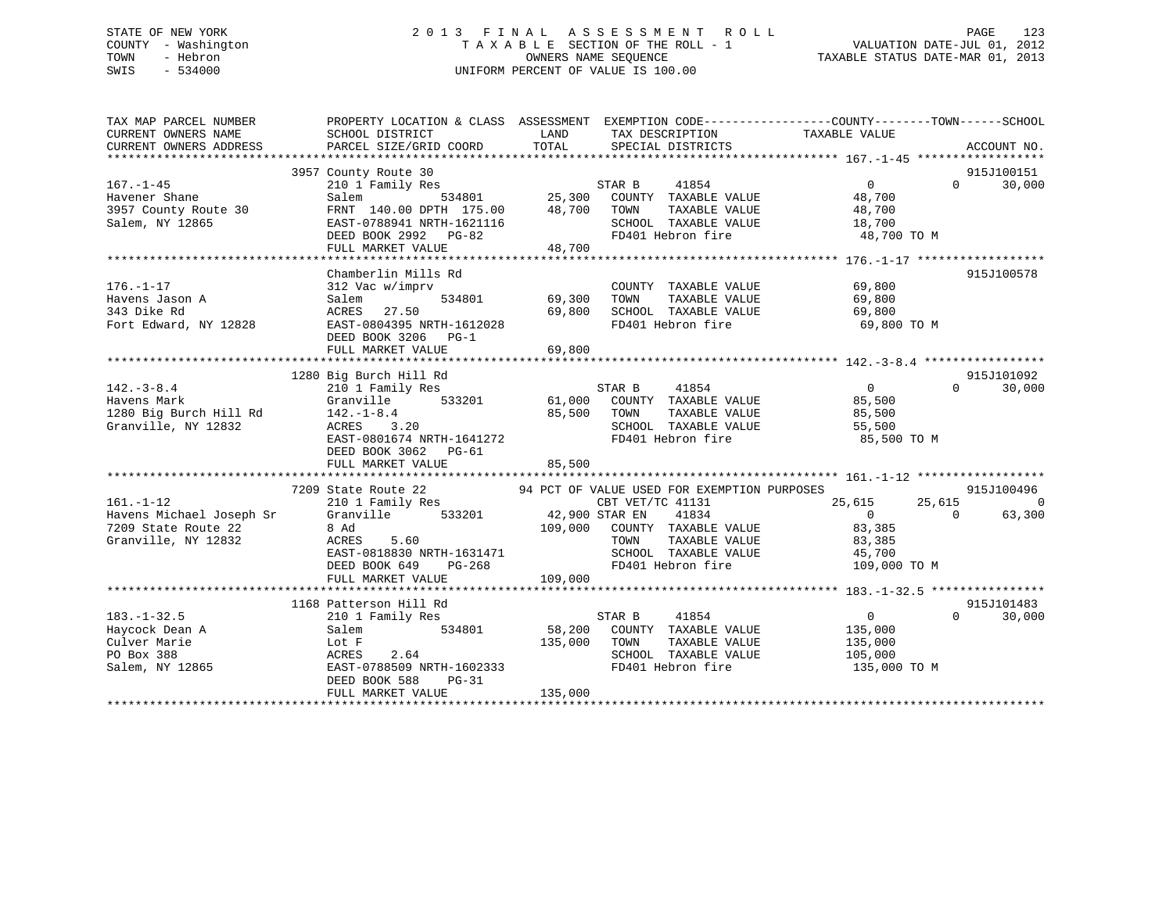# STATE OF NEW YORK 2 0 1 3 F I N A L A S S E S S M E N T R O L L PAGE 123 COUNTY - Washington T A X A B L E SECTION OF THE ROLL - 1 VALUATION DATE-JUL 01, 2012 TOWN - Hebron OWNERS NAME SEQUENCE TAXABLE STATUS DATE-MAR 01, 2013 SWIS - 534000 UNIFORM PERCENT OF VALUE IS 100.00

| TAX MAP PARCEL NUMBER                                      |                                                                               |                                                                                                                                                   | PROPERTY LOCATION & CLASS ASSESSMENT EXEMPTION CODE---------------COUNTY-------TOWN------SCHOOL |
|------------------------------------------------------------|-------------------------------------------------------------------------------|---------------------------------------------------------------------------------------------------------------------------------------------------|-------------------------------------------------------------------------------------------------|
| CURRENT OWNERS NAME                                        | SCHOOL DISTRICT                                                               | LAND TAX DESCRIPTION                                                                                                                              | TAXABLE VALUE                                                                                   |
| CURRENT OWNERS ADDRESS                                     | PARCEL SIZE/GRID COORD                                                        | TOTAL SPECIAL DISTRICTS                                                                                                                           | ACCOUNT NO.                                                                                     |
|                                                            | 3957 County Route 30                                                          |                                                                                                                                                   | 915J100151                                                                                      |
| $167. - 1 - 45$                                            | 210 1 Family Res                                                              | Route 30 6<br>Family Res 634801 6 25,300 COUNTY TAXABLE VALUE 48,700<br>534801 25,300 COUNTY TAXABLE VALUE 48,700 6 26.700 6 2011 72.7115 177.115 | $\overline{0}$<br>$\Omega$<br>30,000                                                            |
| Havener Shane                                              | Salem                                                                         |                                                                                                                                                   |                                                                                                 |
| 3957 County Route 30                                       | FRNT 140.00 DPTH 175.00 48,700 TOWN                                           |                                                                                                                                                   |                                                                                                 |
| Salem, NY 12865                                            |                                                                               | SCHOOL TAXABLE VALUE                                                                                                                              | TAXABLE VALUE 48,700<br>TAXABLE VALUE 18,700                                                    |
|                                                            |                                                                               | FD401 Hebron fire 48,700 TO M                                                                                                                     |                                                                                                 |
|                                                            | EAST-0788941 NRTH-1621116<br>DEED BOOK 2992 PG-82<br>FULL MARKET VALUE 48,700 |                                                                                                                                                   |                                                                                                 |
|                                                            |                                                                               |                                                                                                                                                   |                                                                                                 |
|                                                            | Chamberlin Mills Rd                                                           |                                                                                                                                                   | 915J100578                                                                                      |
| $176. - 1 - 17$                                            | 312 Vac w/imprv                                                               | COUNTY TAXABLE VALUE                                                                                                                              | 69,800                                                                                          |
| Havens Jason A                                             | Salem                                                                         | 534801 69,300 TOWN<br>TAXABLE VALUE                                                                                                               | 69,800                                                                                          |
| 343 Dike Rd                                                | ACRES 27.50                                                                   | 69,800                                                                                                                                            | 69,800                                                                                          |
| Fort Edward, NY 12828                                      | EAST-0804395 NRTH-1612028                                                     | SCHOOL TAXABLE VALUE<br>FD401 Hebron fire                                                                                                         | 69,800 TO M                                                                                     |
|                                                            | DEED BOOK 3206 PG-1                                                           |                                                                                                                                                   |                                                                                                 |
|                                                            | FULL MARKET VALUE                                                             | 69,800                                                                                                                                            |                                                                                                 |
|                                                            |                                                                               |                                                                                                                                                   |                                                                                                 |
|                                                            | 1280 Big Burch Hill Rd                                                        |                                                                                                                                                   | 915J101092                                                                                      |
| $142. - 3 - 8.4$                                           | 210 1 Family Res                                                              | STAR B<br>41854                                                                                                                                   | $\overline{0}$<br>$\Omega$<br>30,000                                                            |
|                                                            | Granville 533201                                                              | 61,000 COUNTY TAXABLE VALUE                                                                                                                       |                                                                                                 |
| Havens Mark Granville<br>1280 Big Burch Hill Rd 142.-1-8.4 |                                                                               | 85,500 TOWN<br>TAXABLE VALUE                                                                                                                      | 85,500<br>85,500<br>85,500                                                                      |
| Granville, NY 12832                                        | $142.-1-8.4$<br>ACRES 3.20                                                    |                                                                                                                                                   | 55,500                                                                                          |
|                                                            | EAST-0801674 NRTH-1641272                                                     | SCHOOL TAXABLE VALUE<br>FD401 Hebron fire                                                                                                         | 85,500 TO M                                                                                     |
|                                                            | DEED BOOK 3062 PG-61                                                          |                                                                                                                                                   |                                                                                                 |
|                                                            |                                                                               | 85,500                                                                                                                                            |                                                                                                 |
|                                                            | FULL MARKET VALUE                                                             |                                                                                                                                                   |                                                                                                 |
|                                                            |                                                                               | 94 PCT OF VALUE USED FOR EXEMPTION PURPOSES                                                                                                       | 915J100496                                                                                      |
| $161. - 1 - 12$                                            | 7209 State Route 22<br>210 1 Family Res                                       | CBT VET/TC 41131                                                                                                                                  | 25,615<br>$\overline{0}$                                                                        |
|                                                            |                                                                               | 41834                                                                                                                                             | 25,615<br>$\overline{0}$<br>$\Omega$                                                            |
|                                                            | Havens Michael Joseph Sr Granville 533201 42,900 STAR EN<br>8 Ad              | 109,000 COUNTY TAXABLE VALUE                                                                                                                      | 63,300<br>83,385                                                                                |
| 7209 State Route 22<br>Granville. NY 12832                 |                                                                               | TAXABLE VALUE                                                                                                                                     |                                                                                                 |
| Granville, NY 12832                                        | ACRES<br>5.60                                                                 | TOWN                                                                                                                                              | 83,385                                                                                          |
|                                                            | LASI-U818830 NRTH-1631471<br>DEED BOOK 649 PG-268                             | SCHOOL TAXABLE VALUE                     45,700<br>FD401 Hebron fire                                    109 000                                   |                                                                                                 |
|                                                            |                                                                               | FD401 Hebron fire                                                                                                                                 | 109,000 TO M                                                                                    |
|                                                            | FULL MARKET VALUE                                                             | 109,000                                                                                                                                           |                                                                                                 |
|                                                            |                                                                               |                                                                                                                                                   |                                                                                                 |
|                                                            | 1168 Patterson Hill Rd                                                        |                                                                                                                                                   | 915J101483                                                                                      |
| $183. - 1 - 32.5$                                          | 210 1 Family Res                                                              | STAR B<br>41854                                                                                                                                   | $\overline{0}$<br>$\Omega$<br>30,000                                                            |
| Haycock Dean A                                             | 534801<br>Salem                                                               | 58,200 COUNTY TAXABLE VALUE                                                                                                                       | 135,000                                                                                         |
| Culver Marie                                               |                                                                               | 135,000 TOWN                                                                                                                                      | TAXABLE VALUE 135,000                                                                           |
| PO Box 388                                                 |                                                                               | SCHOOL TAXABLE VALUE<br>FD401 Hebron fire                                                                                                         | 105,000                                                                                         |
| Salem, NY 12865                                            | EAST-0788509 NRTH-1602333                                                     |                                                                                                                                                   | 135,000 TO M                                                                                    |
|                                                            | DEED BOOK 588<br>PG-31                                                        |                                                                                                                                                   |                                                                                                 |
|                                                            | FULL MARKET VALUE                                                             | 135,000                                                                                                                                           |                                                                                                 |
|                                                            |                                                                               |                                                                                                                                                   |                                                                                                 |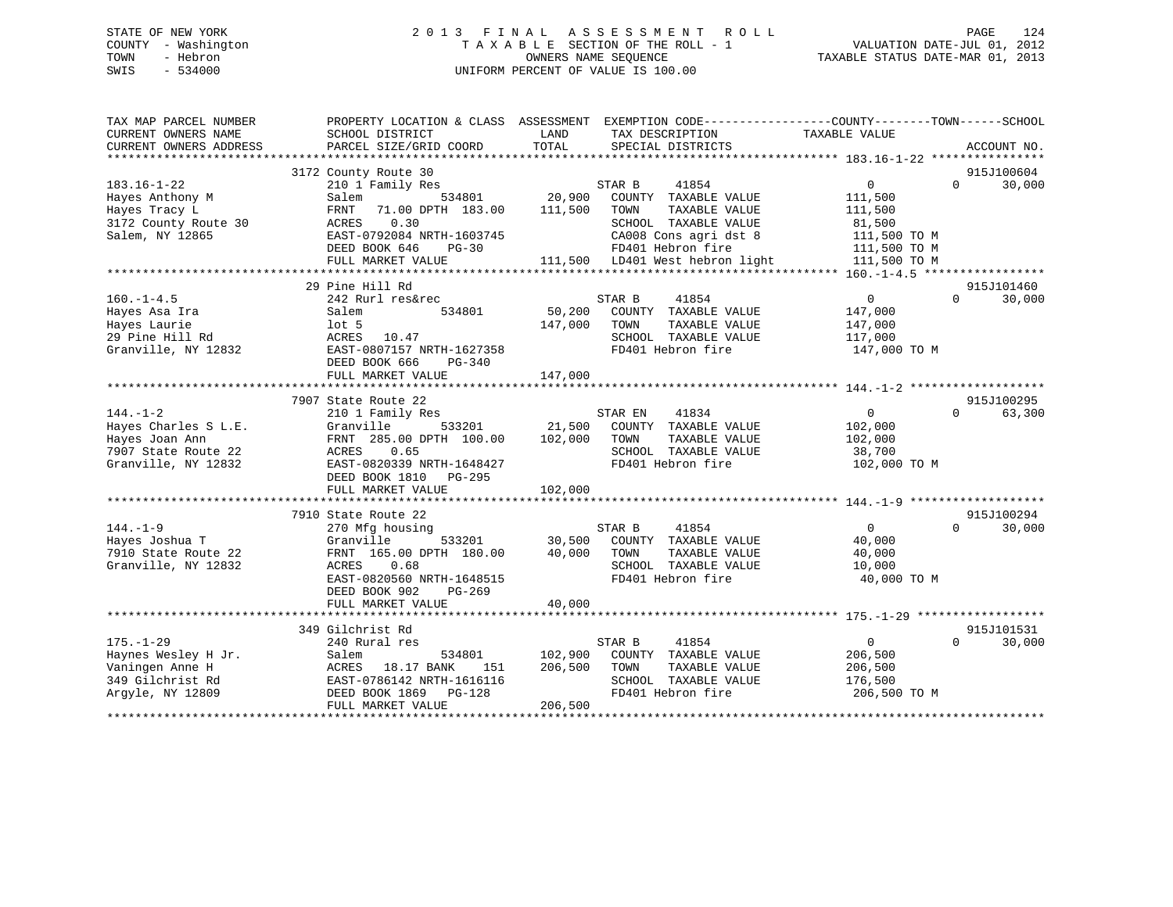# STATE OF NEW YORK 2 0 1 3 F I N A L A S S E S S M E N T R O L L PAGE 124 COUNTY - Washington T A X A B L E SECTION OF THE ROLL - 1 VALUATION DATE-JUL 01, 2012 TOWN - Hebron OWNERS NAME SEQUENCE TAXABLE STATUS DATE-MAR 01, 2013 SWIS - 534000 UNIFORM PERCENT OF VALUE IS 100.00

| TAX MAP PARCEL NUMBER<br>CURRENT OWNERS NAME<br>CURRENT OWNERS ADDRESS                                 | PROPERTY LOCATION & CLASS ASSESSMENT<br>SCHOOL DISTRICT<br>PARCEL SIZE/GRID COORD                                                                                                       | LAND<br>TAX DESCRIPTION<br>TOTAL<br>SPECIAL DISTRICTS                                                                                                                                          | EXEMPTION CODE-----------------COUNTY-------TOWN------SCHOOL<br>TAXABLE VALUE<br>ACCOUNT NO.                                       |
|--------------------------------------------------------------------------------------------------------|-----------------------------------------------------------------------------------------------------------------------------------------------------------------------------------------|------------------------------------------------------------------------------------------------------------------------------------------------------------------------------------------------|------------------------------------------------------------------------------------------------------------------------------------|
| $183.16 - 1 - 22$<br>Hayes Anthony M<br>Hayes Tracy L<br>3172 County Route 30<br>Salem, NY 12865       | 3172 County Route 30<br>210 1 Family Res<br>534801<br>Salem<br>71.00 DPTH 183.00<br>FRNT<br>0.30<br>ACRES<br>EAST-0792084 NRTH-1603745<br>DEED BOOK 646<br>$PG-30$<br>FULL MARKET VALUE | 41854<br>STAR B<br>20,900<br>COUNTY TAXABLE VALUE<br>111,500<br>TOWN<br>TAXABLE VALUE<br>SCHOOL TAXABLE VALUE<br>CA008 Cons agri dst 8<br>FD401 Hebron fire<br>111,500 LD401 West hebron light | 915J100604<br>$\overline{0}$<br>30,000<br>$\Omega$<br>111,500<br>111,500<br>81,500<br>111,500 TO M<br>111,500 TO M<br>111,500 TO M |
| $160. - 1 - 4.5$<br>Hayes Asa Ira<br>Hayes Laurie<br>29 Pine Hill Rd<br>Granville, NY 12832            | 29 Pine Hill Rd<br>242 Rurl res&rec<br>534801<br>Salem<br>$1$ ot 5<br>ACRES<br>10.47<br>EAST-0807157 NRTH-1627358<br>DEED BOOK 666<br>PG-340<br>FULL MARKET VALUE                       | STAR B<br>41854<br>50,200<br>COUNTY TAXABLE VALUE<br>147,000<br>TOWN<br>TAXABLE VALUE<br>SCHOOL TAXABLE VALUE<br>FD401 Hebron fire<br>147,000                                                  | 915J101460<br>$\Omega$<br>$\Omega$<br>30,000<br>147,000<br>147,000<br>117,000<br>147,000 TO M                                      |
| $144. - 1 - 2$<br>Hayes Charles S L.E.<br>Hayes Joan Ann<br>7907 State Route 22<br>Granville, NY 12832 | 7907 State Route 22<br>210 1 Family Res<br>Granville<br>533201<br>FRNT 285.00 DPTH 100.00<br>ACRES<br>0.65<br>EAST-0820339 NRTH-1648427<br>DEED BOOK 1810 PG-295<br>FULL MARKET VALUE   | STAR EN<br>41834<br>21,500<br>COUNTY TAXABLE VALUE<br>102,000<br>TAXABLE VALUE<br>TOWN<br>SCHOOL TAXABLE VALUE<br>FD401 Hebron fire<br>102,000                                                 | 915J100295<br>63,300<br>0<br>$\Omega$<br>102,000<br>102,000<br>38,700<br>102,000 TO M                                              |
| $144. - 1 - 9$<br>Hayes Joshua T<br>7910 State Route 22<br>Granville, NY 12832                         | 7910 State Route 22<br>270 Mfg housing<br>533201<br>Granville<br>FRNT 165.00 DPTH 180.00<br>ACRES<br>0.68<br>EAST-0820560 NRTH-1648515<br>DEED BOOK 902<br>PG-269<br>FULL MARKET VALUE  | STAR B<br>41854<br>30,500<br>COUNTY TAXABLE VALUE<br>40,000<br>TOWN<br>TAXABLE VALUE<br>SCHOOL TAXABLE VALUE<br>FD401 Hebron fire<br>40,000                                                    | 915J100294<br>$\Omega$<br>$\Omega$<br>30,000<br>40,000<br>40,000<br>10,000<br>40,000 TO M                                          |
| $175. - 1 - 29$<br>Haynes Wesley H Jr.<br>Vaningen Anne H<br>349 Gilchrist Rd<br>Arqyle, NY 12809      | 349 Gilchrist Rd<br>240 Rural res<br>534801<br>Salem<br>ACRES<br>18.17 BANK<br>151<br>EAST-0786142 NRTH-1616116<br>DEED BOOK 1869<br>PG-128<br>FULL MARKET VALUE                        | STAR B<br>41854<br>102,900<br>COUNTY TAXABLE VALUE<br>206,500<br>TAXABLE VALUE<br>TOWN<br>SCHOOL TAXABLE VALUE<br>FD401 Hebron fire<br>206,500                                                 | 915J101531<br>$\overline{0}$<br>30,000<br>$\Omega$<br>206,500<br>206,500<br>176,500<br>206,500 TO M                                |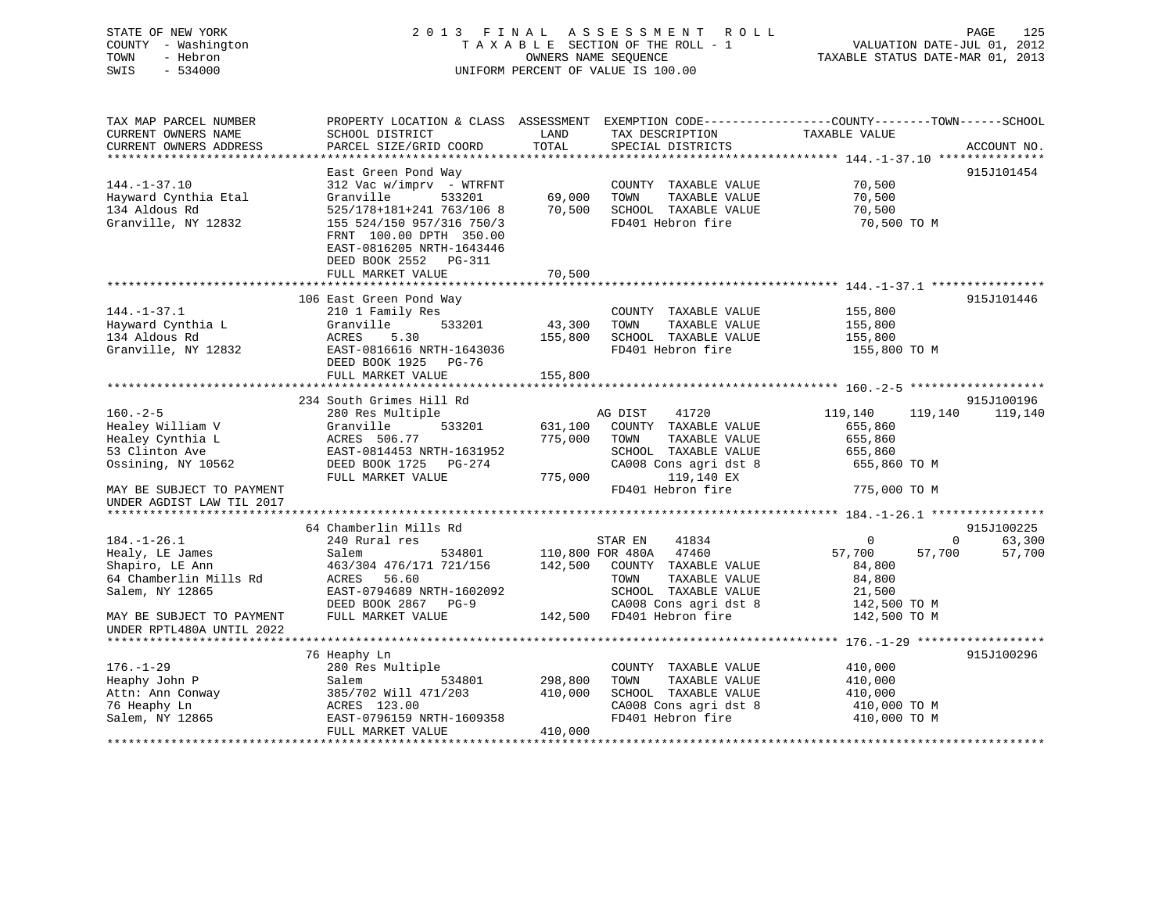# STATE OF NEW YORK 2 0 1 3 F I N A L A S S E S S M E N T R O L L PAGE 125 COUNTY - Washington T A X A B L E SECTION OF THE ROLL - 1 VALUATION DATE-JUL 01, 2012 TOWN - Hebron OWNERS NAME SEQUENCE TAXABLE STATUS DATE-MAR 01, 2013 SWIS - 534000 UNIFORM PERCENT OF VALUE IS 100.00

| TAX MAP PARCEL NUMBER<br>CURRENT OWNERS NAME           | PROPERTY LOCATION & CLASS ASSESSMENT<br>SCHOOL DISTRICT                                                    | LAND    | TAX DESCRIPTION                           | EXEMPTION CODE-----------------COUNTY-------TOWN------SCHOOL<br>TAXABLE VALUE |             |
|--------------------------------------------------------|------------------------------------------------------------------------------------------------------------|---------|-------------------------------------------|-------------------------------------------------------------------------------|-------------|
| CURRENT OWNERS ADDRESS                                 | PARCEL SIZE/GRID COORD                                                                                     | TOTAL   | SPECIAL DISTRICTS                         |                                                                               | ACCOUNT NO. |
|                                                        | East Green Pond Way                                                                                        |         |                                           |                                                                               | 915J101454  |
| $144. - 1 - 37.10$                                     | $312$ Vac w/imprv - WTRFNT                                                                                 |         | COUNTY TAXABLE VALUE                      | 70,500                                                                        |             |
| Hayward Cynthia Etal                                   | Granville<br>533201                                                                                        | 69,000  | TOWN<br>TAXABLE VALUE                     | 70,500                                                                        |             |
| 134 Aldous Rd                                          | 525/178+181+241 763/106 8                                                                                  | 70,500  | SCHOOL TAXABLE VALUE                      | 70,500                                                                        |             |
| Granville, NY 12832                                    | 155 524/150 957/316 750/3<br>FRNT 100.00 DPTH 350.00<br>EAST-0816205 NRTH-1643446<br>DEED BOOK 2552 PG-311 |         | FD401 Hebron fire                         | 70,500 TO M                                                                   |             |
|                                                        | FULL MARKET VALUE                                                                                          | 70,500  |                                           |                                                                               |             |
|                                                        |                                                                                                            |         |                                           |                                                                               |             |
|                                                        | 106 East Green Pond Way                                                                                    |         |                                           |                                                                               | 915J101446  |
| $144. - 1 - 37.1$                                      | 210 1 Family Res                                                                                           |         | COUNTY TAXABLE VALUE                      | 155,800                                                                       |             |
| Hayward Cynthia L                                      | Granville<br>533201                                                                                        | 43,300  | TOWN<br>TAXABLE VALUE                     | 155,800                                                                       |             |
| 134 Aldous Rd                                          | 5.30<br>ACRES                                                                                              | 155,800 | SCHOOL TAXABLE VALUE<br>FD401 Hebron fire | 155,800                                                                       |             |
| Granville, NY 12832                                    | EAST-0816616 NRTH-1643036<br>DEED BOOK 1925 PG-76                                                          |         |                                           | 155,800 TO M                                                                  |             |
|                                                        | FULL MARKET VALUE                                                                                          | 155,800 |                                           |                                                                               |             |
|                                                        | 234 South Grimes Hill Rd                                                                                   |         |                                           |                                                                               | 915J100196  |
| $160. - 2 - 5$                                         | 280 Res Multiple                                                                                           |         | AG DIST<br>41720                          | 119,140<br>119,140                                                            | 119,140     |
| Healey William V                                       | 533201<br>Granville                                                                                        | 631,100 | COUNTY TAXABLE VALUE                      | 655,860                                                                       |             |
| Healey Cynthia L                                       | ACRES 506.77                                                                                               | 775,000 | TOWN<br>TAXABLE VALUE                     | 655,860                                                                       |             |
| 53 Clinton Ave                                         | EAST-0814453 NRTH-1631952                                                                                  |         | SCHOOL TAXABLE VALUE                      | 655,860                                                                       |             |
| Ossining, NY 10562                                     | DEED BOOK 1725<br>PG-274                                                                                   |         | CA008 Cons agri dst 8                     | 655,860 TO M                                                                  |             |
|                                                        | FULL MARKET VALUE                                                                                          | 775,000 | 119,140 EX                                |                                                                               |             |
| MAY BE SUBJECT TO PAYMENT<br>UNDER AGDIST LAW TIL 2017 |                                                                                                            |         | FD401 Hebron fire                         | 775,000 TO M                                                                  |             |
|                                                        |                                                                                                            |         |                                           |                                                                               |             |
|                                                        | 64 Chamberlin Mills Rd                                                                                     |         |                                           |                                                                               | 915J100225  |
| $184. - 1 - 26.1$                                      | 240 Rural res                                                                                              |         | 41834<br>STAR EN                          | $\mathbf 0$<br>$\mathbf{0}$                                                   | 63,300      |
| Healy, LE James                                        | Salem<br>534801                                                                                            |         | 110,800 FOR 480A<br>47460                 | 57,700<br>57,700                                                              | 57,700      |
| Shapiro, LE Ann                                        | 463/304 476/171 721/156                                                                                    | 142,500 | COUNTY TAXABLE VALUE                      | 84,800                                                                        |             |
| 64 Chamberlin Mills Rd                                 | ACRES<br>56.60                                                                                             |         | TOWN<br>TAXABLE VALUE                     | 84,800                                                                        |             |
| Salem, NY 12865                                        | EAST-0794689 NRTH-1602092                                                                                  |         | SCHOOL TAXABLE VALUE                      | 21,500                                                                        |             |
|                                                        | DEED BOOK 2867 PG-9                                                                                        |         | CA008 Cons agri dst 8                     | 142,500 TO M                                                                  |             |
| MAY BE SUBJECT TO PAYMENT<br>UNDER RPTL480A UNTIL 2022 | FULL MARKET VALUE                                                                                          |         | 142,500 FD401 Hebron fire                 | 142,500 TO M                                                                  |             |
|                                                        |                                                                                                            |         |                                           |                                                                               |             |
|                                                        | 76 Heaphy Ln                                                                                               |         |                                           |                                                                               | 915J100296  |
| $176. - 1 - 29$                                        | 280 Res Multiple                                                                                           |         | COUNTY TAXABLE VALUE                      | 410,000                                                                       |             |
| Heaphy John P                                          | Salem<br>534801                                                                                            | 298,800 | TOWN<br>TAXABLE VALUE                     | 410,000                                                                       |             |
| Attn: Ann Conway                                       | 385/702 Will 471/203                                                                                       | 410,000 | SCHOOL TAXABLE VALUE                      | 410,000                                                                       |             |
| 76 Heaphy Ln                                           | ACRES 123.00                                                                                               |         | CA008 Cons agri dst 8                     | 410,000 TO M                                                                  |             |
| Salem, NY 12865                                        | EAST-0796159 NRTH-1609358                                                                                  |         | FD401 Hebron fire                         | 410,000 TO M                                                                  |             |
|                                                        | FULL MARKET VALUE                                                                                          | 410,000 |                                           |                                                                               |             |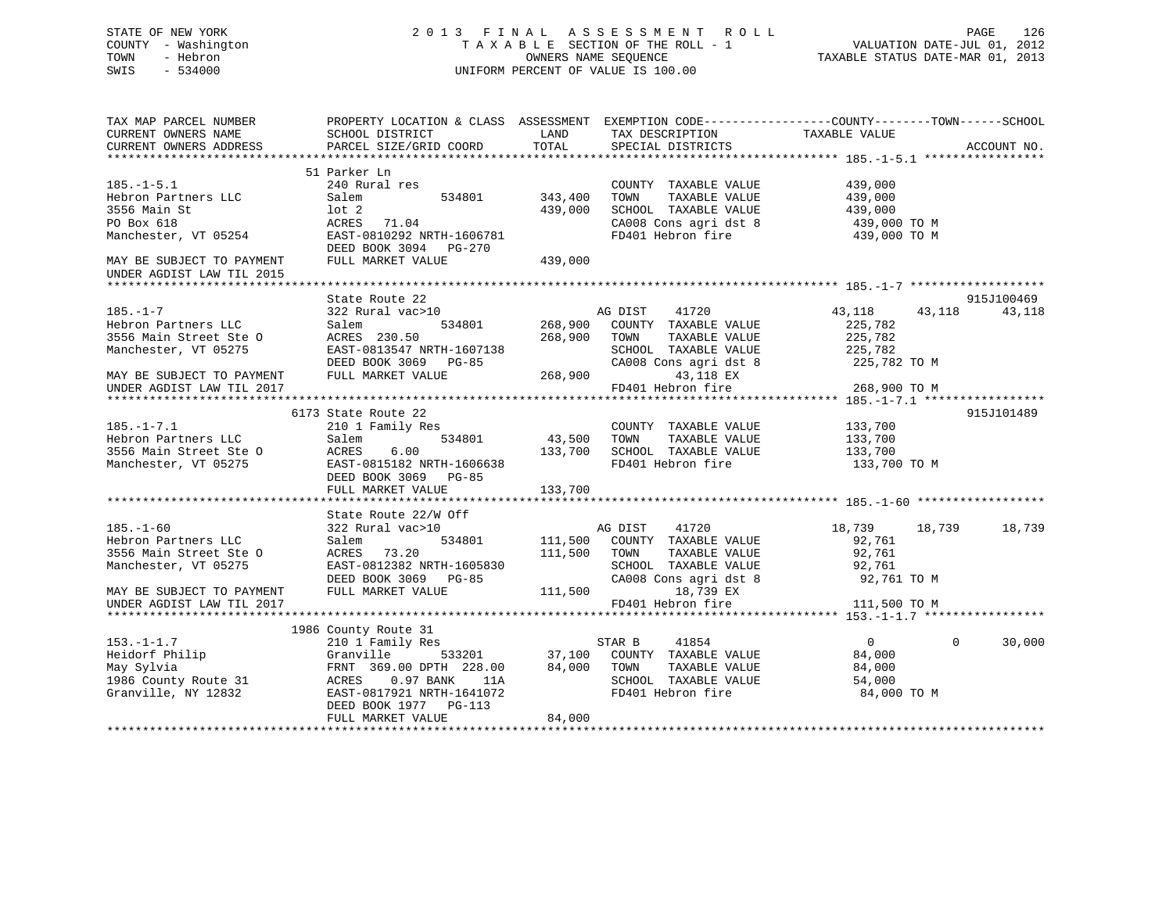# STATE OF NEW YORK 2 0 1 3 F I N A L A S S E S S M E N T R O L L PAGE 126 COUNTY - Washington T A X A B L E SECTION OF THE ROLL - 1 VALUATION DATE-JUL 01, 2012 TOWN - Hebron OWNERS NAME SEQUENCE TAXABLE STATUS DATE-MAR 01, 2013 SWIS - 534000 UNIFORM PERCENT OF VALUE IS 100.00

| TAX MAP PARCEL NUMBER<br>CURRENT OWNERS NAME<br>CURRENT OWNERS ADDRESS                                                     | PROPERTY LOCATION & CLASS ASSESSMENT EXEMPTION CODE----------------COUNTY-------TOWN------SCHOOL<br>SCHOOL DISTRICT<br>PARCEL SIZE/GRID COORD                                            | LAND<br>TOTAL                 | TAX DESCRIPTION TAXABLE VALUE<br>SPECIAL DISTRICTS                                                                                          |                                                                   | ACCOUNT NO.           |
|----------------------------------------------------------------------------------------------------------------------------|------------------------------------------------------------------------------------------------------------------------------------------------------------------------------------------|-------------------------------|---------------------------------------------------------------------------------------------------------------------------------------------|-------------------------------------------------------------------|-----------------------|
| $185. - 1 - 5.1$<br>Hebron Partners LLC<br>3556 Main St<br>PO Box 618<br>Manchester, VT 05254<br>MAY BE SUBJECT TO PAYMENT | 51 Parker Ln<br>240 Rural res<br>Salem<br>534801<br>$1$ ot $2$<br>ACRES<br>71.04<br>EAST-0810292 NRTH-1606781<br>DEED BOOK 3094 PG-270<br>FULL MARKET VALUE                              | 343,400<br>439,000<br>439,000 | COUNTY TAXABLE VALUE<br>TAXABLE VALUE<br>TOWN<br>SCHOOL TAXABLE VALUE<br>SCHOOL TAXABLE VALUE<br>CA008 Cons agri dst 8<br>FD401 Hebron fire | 439,000<br>439,000<br>439,000<br>439,000 TO M<br>439,000 TO M     |                       |
| UNDER AGDIST LAW TIL 2015                                                                                                  |                                                                                                                                                                                          |                               |                                                                                                                                             |                                                                   |                       |
|                                                                                                                            | State Route 22                                                                                                                                                                           |                               |                                                                                                                                             |                                                                   | 915J100469            |
| $185. - 1 - 7$<br>Hebron Partners LLC<br>3556 Main Street Ste O<br>Manchester, VT 05275                                    | 322 Rural vac>10<br>Salem<br>534801<br>ACRES 230.50<br>EAST-0813547 NRTH-1607138<br>DEED BOOK 3069 PG-85                                                                                 | 268,900                       | AG DIST<br>41720<br>268,900 COUNTY TAXABLE VALUE<br>TAXABLE VALUE<br>TOWN<br>SCHOOL TAXABLE VALUE<br>CA008 Cons agri dst 8                  | 43,118<br>43,118<br>225,782<br>225,782<br>225,782<br>225,782 TO M | 43,118                |
| MAY BE SUBJECT TO PAYMENT<br>UNDER AGDIST LAW TIL 2017                                                                     | FULL MARKET VALUE                                                                                                                                                                        | 268,900                       | 43,118 EX<br>FD401 Hebron fire                                                                                                              | 268,900 TO M                                                      |                       |
|                                                                                                                            | 6173 State Route 22                                                                                                                                                                      |                               |                                                                                                                                             |                                                                   | 915J101489            |
| $185. - 1 - 7.1$<br>Hebron Partners LLC<br>3556 Main Street Ste O<br>Manchester, VT 05275                                  | 210 1 Family Res<br>Salem<br>534801<br>ACRES 0.00<br>EAST-0815182 NRTH-1606638<br>DEED BOOK 3069<br>$PG-85$                                                                              | 43,500<br>133,700             | COUNTY TAXABLE VALUE<br>TAXABLE VALUE<br>TOWN<br>SCHOOL TAXABLE VALUE<br>FD401 Hebron fire                                                  | 133,700<br>133,700<br>133,700<br>133,700 TO M                     |                       |
|                                                                                                                            | FULL MARKET VALUE                                                                                                                                                                        | 133,700                       |                                                                                                                                             |                                                                   |                       |
| $185. - 1 - 60$<br>Hebron Partners LLC<br>3556 Main Street Ste O<br>Manchester, VT 05275                                   | State Route 22/W Off<br>322 Rural vac>10<br>534801<br>Salem<br>73.20<br>ACRES<br>EAST-0812382 NRTH-1605830<br>DEED BOOK 3069 PG-85                                                       | 111,500<br>111,500            | AG DIST 41720<br>COUNTY TAXABLE VALUE<br>TOWN<br>TAXABLE VALUE<br>SCHOOL TAXABLE VALUE<br>CA008 Cons agri dst 8                             | 18,739 18,739<br>92,761<br>92,761<br>92,761<br>92,761 TO M        | 18,739                |
| MAY BE SUBJECT TO PAYMENT<br>UNDER AGDIST LAW TIL 2017                                                                     | FULL MARKET VALUE                                                                                                                                                                        | 111,500                       | 18,739 EX<br>FD401 Hebron fire                                                                                                              | 111,500 TO M                                                      |                       |
|                                                                                                                            |                                                                                                                                                                                          |                               |                                                                                                                                             |                                                                   |                       |
| $153. - 1 - 1.7$<br>Heidorf Philip<br>May Sylvia<br>1986 County Route 31<br>Granville, NY 12832                            | 1986 County Route 31<br>210 1 Family Res<br>Granville<br>FRNT 369.00 DPTH 228.00<br>0.97 BANK<br>ACRES<br>11A<br>EAST-0817921 NRTH-1641072<br>DEED BOOK 1977 PG-113<br>FULL MARKET VALUE | 84,000<br>84,000              | STAR B<br>41854<br>533201 37,100 COUNTY TAXABLE VALUE<br>TAXABLE VALUE<br>TOWN<br>SCHOOL TAXABLE VALUE<br>FD401 Hebron fire                 | $\overline{0}$<br>84,000<br>84,000<br>54,000<br>84,000 TO M       | $\mathbf 0$<br>30,000 |
|                                                                                                                            |                                                                                                                                                                                          |                               |                                                                                                                                             |                                                                   |                       |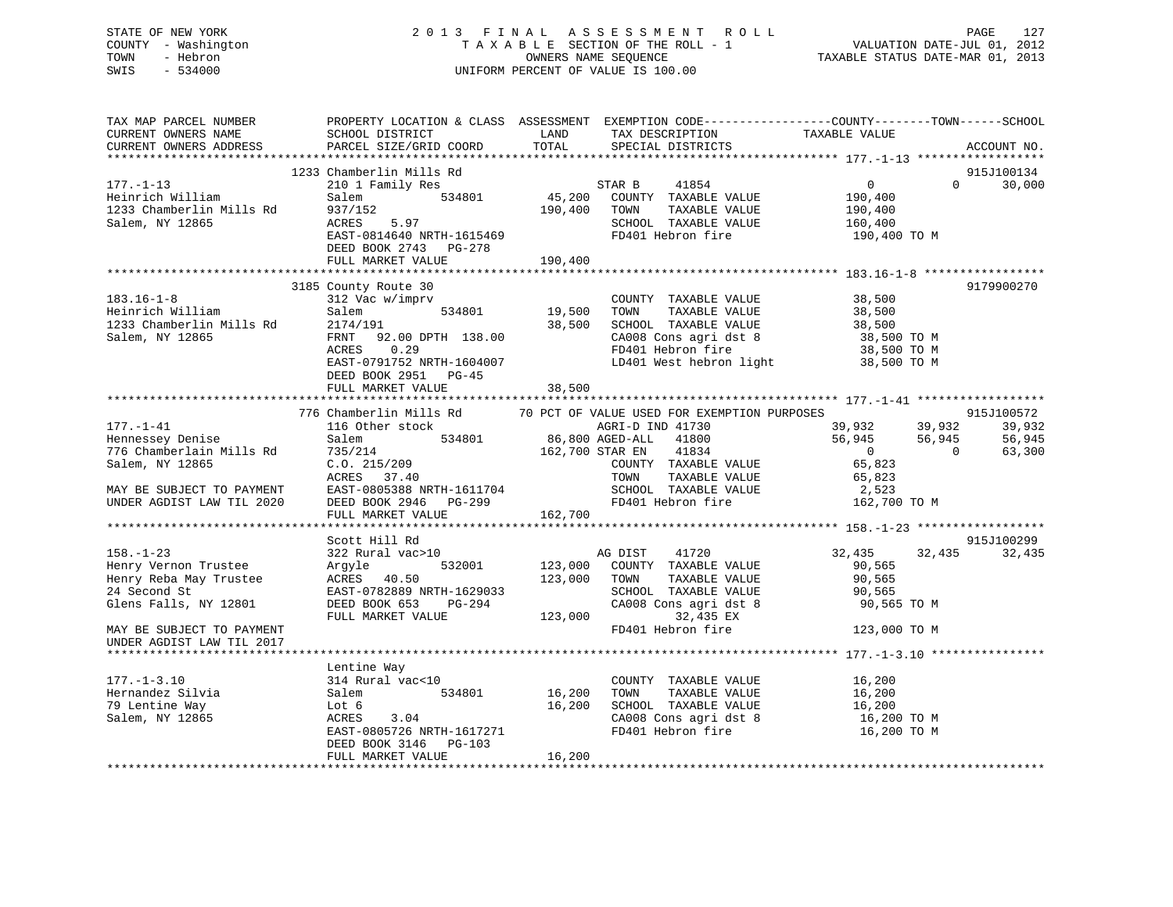# STATE OF NEW YORK 2 0 1 3 F I N A L A S S E S S M E N T R O L L PAGE 127 COUNTY - Washington T A X A B L E SECTION OF THE ROLL - 1 VALUATION DATE-JUL 01, 2012 TOWN - Hebron OWNERS NAME SEQUENCE TAXABLE STATUS DATE-MAR 01, 2013 SWIS - 534000 UNIFORM PERCENT OF VALUE IS 100.00

| TAX MAP PARCEL NUMBER<br>CURRENT OWNERS NAME<br>CURRENT OWNERS ADDRESS                                                                                                             | PROPERTY LOCATION & CLASS ASSESSMENT EXEMPTION CODE----------------COUNTY-------TOWN------SCHOOL<br>SCHOOL DISTRICT<br>PARCEL SIZE/GRID COORD                                                                                | LAND<br>TOTAL              | TAX DESCRIPTION<br>SPECIAL DISTRICTS                                                                                                                                                                                                                                                      | TAXABLE VALUE                                                                                                                 | ACCOUNT NO.                                                      |
|------------------------------------------------------------------------------------------------------------------------------------------------------------------------------------|------------------------------------------------------------------------------------------------------------------------------------------------------------------------------------------------------------------------------|----------------------------|-------------------------------------------------------------------------------------------------------------------------------------------------------------------------------------------------------------------------------------------------------------------------------------------|-------------------------------------------------------------------------------------------------------------------------------|------------------------------------------------------------------|
|                                                                                                                                                                                    |                                                                                                                                                                                                                              |                            |                                                                                                                                                                                                                                                                                           |                                                                                                                               |                                                                  |
| $177. - 1 - 13$<br>Heinrich William<br>1233 Chamberlin Mills Rd<br>Salem, NY 12865                                                                                                 | 1233 Chamberlin Mills Rd<br>210 1 Family Res<br>Salem 534801<br>937/152<br>ACRES 5.97                                                                                                                                        | 190,400                    | STAR B 41854<br>45,200 COUNTY TAXABLE VALUE<br>TOWN<br>TAXABLE VALUE<br>SCHOOL TAXABLE VALUE                                                                                                                                                                                              | $\overline{0}$<br>$\Omega$<br>190,400<br>190,400<br>160,400                                                                   | 915J100134<br>30,000                                             |
|                                                                                                                                                                                    | ACRES 5.97<br>EAST-0814640 NRTH-1615469<br>DEED BOOK 2743 PG-278<br>FULL MARKET VALUE                                                                                                                                        | 190,400                    | FD401 Hebron fire                                                                                                                                                                                                                                                                         | 190,400 TO M                                                                                                                  |                                                                  |
|                                                                                                                                                                                    |                                                                                                                                                                                                                              |                            |                                                                                                                                                                                                                                                                                           |                                                                                                                               |                                                                  |
| $183.16 - 1 - 8$<br>183.16-1-8<br>Heinrich William Salem<br>1233 Chamberlin Mills Rd 2174/191<br>22.00 DPT 92.00 DPT<br>Salem, NY 12865                                            | 3185 County Route 30<br>312 Vac w/imprv<br>534801<br>FRNT 92.00 DPTH 138.00<br>ACRES 0.29<br>EAST-0791752 NRTH-1604007<br>DEED BOOK 2951 PG-45<br>FULL MARKET VALUE                                                          | 19,500<br>38,500<br>38,500 | COUNTY TAXABLE VALUE 38,500<br>TOWN TAXABLE VALUE 38,500<br>TOWN<br>TAXABLE VALUE<br>SCHOOL TAXABLE VALUE<br>CA008 Cons agri dst 8<br>FD401 Hebron fire<br>LD401 West hebron light 38,500 TO M                                                                                            | 38,500<br>38,500<br>38,500 TO M<br>38,500 TO M                                                                                | 9179900270                                                       |
|                                                                                                                                                                                    |                                                                                                                                                                                                                              |                            |                                                                                                                                                                                                                                                                                           |                                                                                                                               |                                                                  |
| $177. - 1 - 41$<br>Hennessey Denise<br>776 Chamberlain Mills Rd<br>Salem, NY 12865<br>MAY BE SUBJECT TO PAYMENT<br>UNDER AGDIST LAW TIL 2020<br>$158. - 1 - 23$                    | 776 Chamberlin Mills Rd<br>116 Other stock<br>Salem<br>735/214<br>C.O. 215/209<br>ACRES 37.40<br>ACRES 37.40<br>EAST-0805388 NRTH-1611704<br>DEED BOOK 2946 PG-299<br>FULL MARKET VALUE<br>Scott Hill Rd<br>322 Rural vac>10 | 162,700                    | 70 PCT OF VALUE USED FOR EXEMPTION PURPOSES<br>1 - .<br>er stock 534801 86,800 AGED-ALL 41800<br>162,700 STAR EN 41834<br>COUNTY TAXABLE VALUE<br>TOWN<br>TAXABLE VALUE<br>SCHOOL TAXABLE VALUE<br>FD401 Hebron fire 162,700 TO M<br>AG DIST 41720<br>532001 123,000 COUNTY TAXABLE VALUE | 39,932 39,932<br>56,945 56,945<br>$\overline{0}$<br>$\overline{0}$<br>65,823<br>65,823<br>2,523<br>32,435<br>32,435<br>90,565 | 915J100572<br>39,932<br>56,945<br>63,300<br>915J100299<br>32,435 |
| Henry Vernon Trustee<br>Henry Reba May Trustee<br>24 Second St<br>Glens Falls, NY 12801<br>MAY BE SUBJECT TO PAYMENT<br>UNDER AGDIST LAW TIL 2017<br>***************************** | Argyle<br>ACRES 40.50<br>ACAST-0782889 NRTH-1629033<br>EAST-0782889 NRTH-1629033<br>DEED BOOK 653<br>PG-294<br>FULL MARKET VALUE                                                                                             | 123,000 TOWN<br>123,000    | TAXABLE VALUE<br>SCHOOL TAXABLE VALUE<br>CA008 Cons agri dst 8<br>32,435 EX<br>FD401 Hebron fire                                                                                                                                                                                          | 90,565<br>90,565<br>90,565 TO M<br>123,000 TO M                                                                               |                                                                  |
| $177. - 1 - 3.10$<br>Hernandez Silvia<br>79 Lentine Way<br>Salem, NY 12865                                                                                                         | Lentine Way<br>314 Rural vac<10<br>534801<br>Salem<br>$16,200$<br>3.04<br>Lot 6<br>ACRES<br>EAST-0805726 NRTH-1617271<br>DEED BOOK 3146 PG-103<br>FULL MARKET VALUE                                                          | 16,200<br>16,200           | COUNTY TAXABLE VALUE 16,200<br>TOWN TAXABLE VALUE 16,200<br>SCHOOL TAXABLE VALUE<br>CA008 Cons agri dst 8<br>FD401 Hebron fire                                                                                                                                                            | 16,200<br>16,200 TO M<br>16,200 TO M                                                                                          |                                                                  |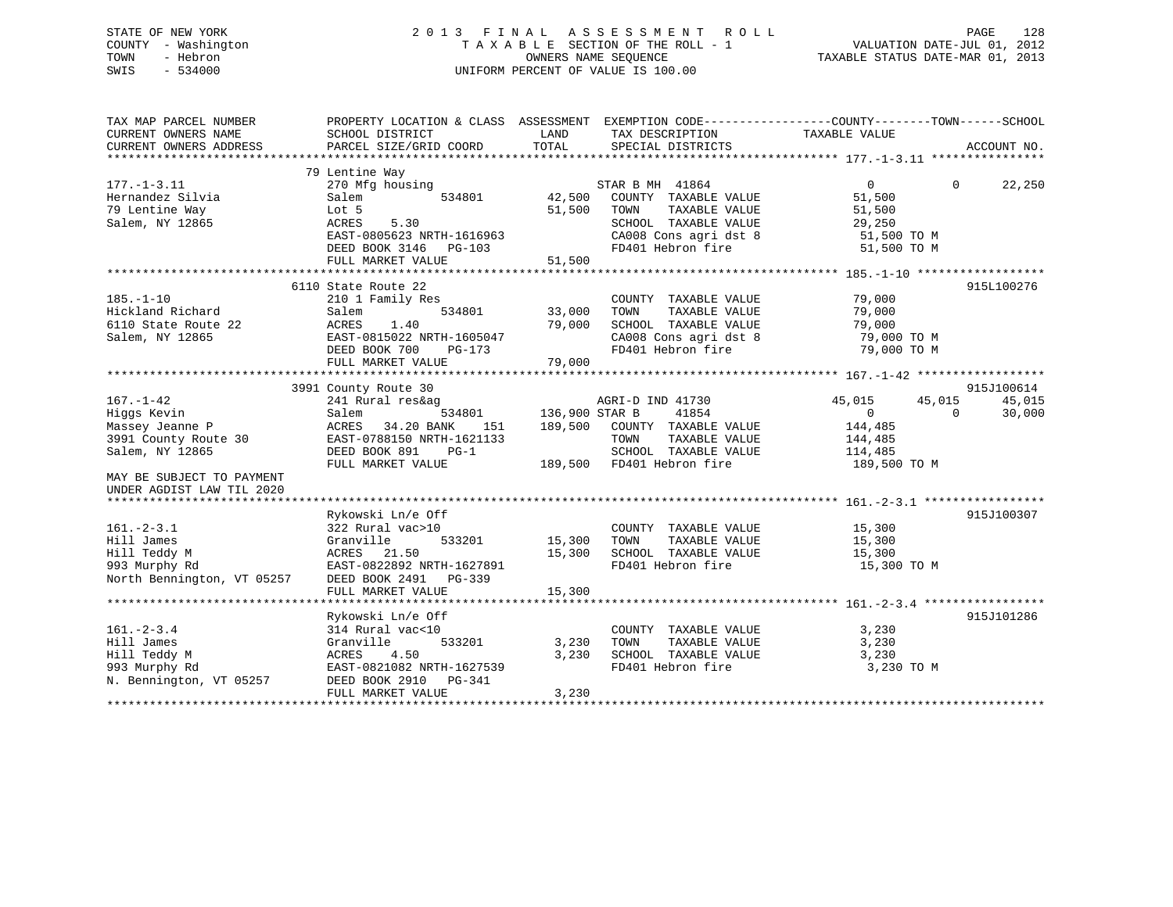# STATE OF NEW YORK 2 0 1 3 F I N A L A S S E S S M E N T R O L L PAGE 128 COUNTY - Washington T A X A B L E SECTION OF THE ROLL - 1 VALUATION DATE-JUL 01, 2012 TOWN - Hebron OWNERS NAME SEQUENCE TAXABLE STATUS DATE-MAR 01, 2013 SWIS - 534000 UNIFORM PERCENT OF VALUE IS 100.00

| TAX MAP PARCEL NUMBER<br>CURRENT OWNERS NAME<br>CURRENT OWNERS ADDRESS                                                                                 | PROPERTY LOCATION & CLASS ASSESSMENT EXEMPTION CODE----------------COUNTY-------TOWN------SCHOOL<br>SCHOOL DISTRICT<br>PARCEL SIZE/GRID COORD               | LAND<br>TOTAL                        | TAX DESCRIPTION TAXABLE VALUE<br>SPECIAL DISTRICTS                                                                                     |                                                                                                 | ACCOUNT NO.        |
|--------------------------------------------------------------------------------------------------------------------------------------------------------|-------------------------------------------------------------------------------------------------------------------------------------------------------------|--------------------------------------|----------------------------------------------------------------------------------------------------------------------------------------|-------------------------------------------------------------------------------------------------|--------------------|
| $177. - 1 - 3.11$<br>Hernandez Silvia<br>79 Lentine Way<br>Salem, NY 12865                                                                             | 79 Lentine Way<br>270 Mfg housing<br>Salem<br>534801<br>Lot 5<br>ACRES<br>5.30<br>EAST-0805623 NRTH-1616963<br>DEED BOOK 3146 PG-103<br>FULL MARKET VALUE   | 42,500<br>51,500<br>51,500           | STAR B MH 41864<br>COUNTY TAXABLE VALUE<br>TAXABLE VALUE<br>TOWN<br>SCHOOL TAXABLE VALUE<br>CA008 Cons agri dst 8<br>FD401 Hebron fire | $\overline{0}$<br>51,500<br>51,500<br>29,250<br>51,500 TO M<br>51,500 TO M                      | 22,250<br>$\Omega$ |
| $185. - 1 - 10$<br>Hickland Richard<br>6110 State Route 22<br>Salem, NY 12865                                                                          | 6110 State Route 22<br>210 1 Family Res<br>534801<br>Salem<br>ACRES<br>1.40<br>EAST-0815022 NRTH-1605047<br>DEED BOOK 700<br>PG-173<br>FULL MARKET VALUE    | 33,000<br>79,000<br>79,000           | COUNTY TAXABLE VALUE<br>TAXABLE VALUE<br>TOWN<br>SCHOOL TAXABLE VALUE<br>CA008 Cons agri dst 8<br>FD401 Hebron fire                    | 79,000<br>79,000<br>79,000<br>79,000 TO M<br>79,000 TO M                                        | 915L100276         |
|                                                                                                                                                        | 3991 County Route 30                                                                                                                                        |                                      |                                                                                                                                        |                                                                                                 | 915J100614         |
| $167. - 1 - 42$<br>Higgs Kevin<br>Massey Jeanne P<br>3991 County Route 30<br>Salem, NY 12865<br>MAY BE SUBJECT TO PAYMENT<br>UNDER AGDIST LAW TIL 2020 | 241 Rural res&ag<br>Salem<br>534801<br>ACRES<br>34.20 BANK<br>151<br>EAST-0788150 NRTH-1621133<br>DEED BOOK 891<br>$PG-1$<br>FULL MARKET VALUE              | 136,900 STAR B<br>189,500<br>189,500 | AGRI-D IND 41730<br>41854<br>COUNTY TAXABLE VALUE<br>TOWN<br>TAXABLE VALUE<br>SCHOOL TAXABLE VALUE<br>FD401 Hebron fire                | 45,015<br>45,015<br>$\Omega$<br>$\overline{0}$<br>144,485<br>144,485<br>114,485<br>189,500 TO M | 45,015<br>30,000   |
| $161. - 2 - 3.1$<br>Hill James<br>Hill Teddy M<br>993 Murphy Rd<br>North Bennington, VT 05257                                                          | Rykowski Ln/e Off<br>322 Rural vac>10<br>Granville<br>533201<br>ACRES 21.50<br>EAST-0822892 NRTH-1627891<br>DEED BOOK 2491    PG-339<br>FULL MARKET VALUE   | 15,300<br>15,300<br>15,300           | COUNTY TAXABLE VALUE<br>TOWN<br>TAXABLE VALUE<br>SCHOOL TAXABLE VALUE<br>FD401 Hebron fire                                             | 15,300<br>15,300<br>15,300<br>15,300 TO M                                                       | 915J100307         |
| $161. - 2 - 3.4$<br>Hill James<br>Hill Teddy M<br>993 Murphy Rd<br>N. Bennington, VT 05257                                                             | Rykowski Ln/e Off<br>314 Rural vac<10<br>Granville<br>533201<br>4.50<br>ACRES<br>EAST-0821082 NRTH-1627539<br>DEED BOOK 2910<br>PG-341<br>FULL MARKET VALUE | 3,230<br>3,230<br>3,230              | COUNTY TAXABLE VALUE<br>TOWN<br>TAXABLE VALUE<br>SCHOOL TAXABLE VALUE<br>FD401 Hebron fire                                             | 3,230<br>3,230<br>3,230<br>3,230 TO M                                                           | 915J101286         |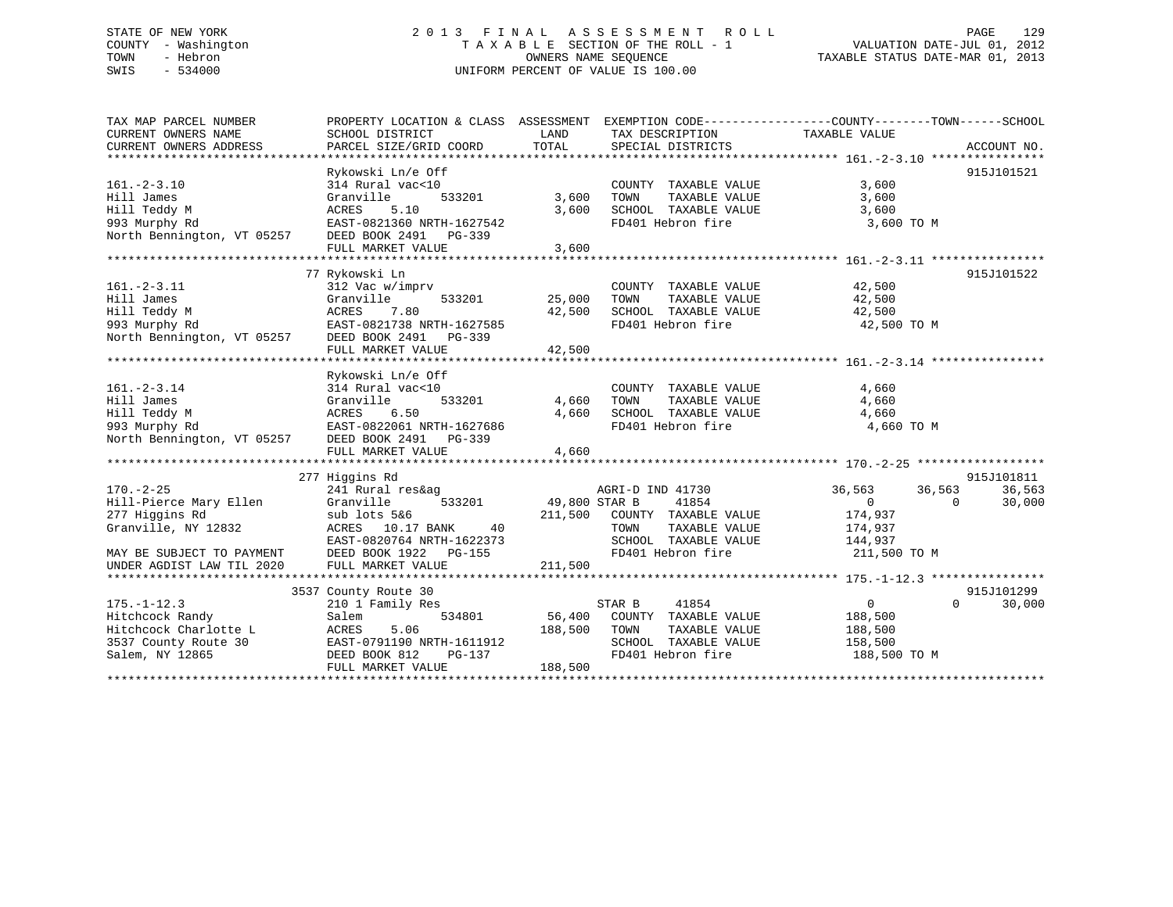# STATE OF NEW YORK 2 0 1 3 F I N A L A S S E S S M E N T R O L L PAGE 129 COUNTY - Washington T A X A B L E SECTION OF THE ROLL - 1 VALUATION DATE-JUL 01, 2012 TOWN - Hebron OWNERS NAME SEQUENCE TAXABLE STATUS DATE-MAR 01, 2013 SWIS - 534000 UNIFORM PERCENT OF VALUE IS 100.00

| TAX MAP PARCEL NUMBER                                                                               | PROPERTY LOCATION & CLASS ASSESSMENT EXEMPTION CODE---------------COUNTY-------TOWN-----SCHOOL |         |                                                                           |                       |                |            |
|-----------------------------------------------------------------------------------------------------|------------------------------------------------------------------------------------------------|---------|---------------------------------------------------------------------------|-----------------------|----------------|------------|
| CURRENT OWNERS NAME                                                                                 | SCHOOL DISTRICT                                                                                | LAND    | TAX DESCRIPTION                                                           | TAXABLE VALUE         |                |            |
|                                                                                                     |                                                                                                |         |                                                                           |                       |                |            |
|                                                                                                     |                                                                                                |         |                                                                           |                       |                |            |
|                                                                                                     | Rykowski Ln/e Off                                                                              |         |                                                                           |                       |                | 915J101521 |
| $161. - 2 - 3.10$                                                                                   | 314 Rural vac<10                                                                               |         | COUNTY TAXABLE VALUE                                                      | 3,600                 |                |            |
| Hill James                                                                                          | 533201<br>Granville                                                                            | 3,600   | TAXABLE VALUE<br>TOWN                                                     | 3,600                 |                |            |
|                                                                                                     |                                                                                                | 3,600   | SCHOOL TAXABLE VALUE                                                      | 3,600                 |                |            |
|                                                                                                     |                                                                                                |         | FD401 Hebron fire                                                         | 3,600 TO M            |                |            |
| Hill Teddy M<br>Hill Teddy M<br>93 Murphy Rd<br>North Bennington, VT 05257<br>DEED BOOK 2491 PG-339 |                                                                                                |         |                                                                           |                       |                |            |
|                                                                                                     | FULL MARKET VALUE                                                                              | 3,600   |                                                                           |                       |                |            |
|                                                                                                     |                                                                                                |         |                                                                           |                       |                |            |
|                                                                                                     | 77 Rykowski Ln                                                                                 |         |                                                                           |                       |                | 915J101522 |
| $161. - 2 - 3.11$                                                                                   | 312 Vac w/imprv                                                                                |         | COUNTY TAXABLE VALUE 42,500                                               |                       |                |            |
| Hill James                                                                                          | 533201<br>Granville                                                                            | 25,000  | TAXABLE VALUE 42,500<br>TOWN                                              |                       |                |            |
| Hill Teddy M                                                                                        | ACRES 7.80                                                                                     |         |                                                                           |                       |                |            |
| 993 Murphy Rd                                                                                       | EAST-0821738 NRTH-1627585                                                                      |         | $42,500$ SCHOOL TAXABLE VALUE $42,500$<br>FD401 Hebron fire $42,500$ TO M |                       |                |            |
| North Bennington, VT 05257 DEED BOOK 2491 PG-339                                                    |                                                                                                |         |                                                                           |                       |                |            |
|                                                                                                     | FULL MARKET VALUE                                                                              | 42,500  |                                                                           |                       |                |            |
|                                                                                                     |                                                                                                |         |                                                                           |                       |                |            |
|                                                                                                     | Rykowski Ln/e Off                                                                              |         |                                                                           |                       |                |            |
| $161.-2-3.14$                                                                                       | 314 Rural vac<10                                                                               |         | COUNTY TAXABLE VALUE                                                      | 4,660                 |                |            |
| Hill James                                                                                          | 533201<br>Granville                                                                            | 4,660   | TAXABLE VALUE<br>TOWN                                                     | 4,660                 |                |            |
| Hill Teddy M                                                                                        | 6.50                                                                                           | 4,660   | SCHOOL TAXABLE VALUE                                                      | 4,660                 |                |            |
| 993 Murphy Rd                                                                                       |                                                                                                |         | FD401 Hebron fire                                                         | 4,660 TO M            |                |            |
| North Bennington, VT 05257 DEED BOOK 2491 PG-339                                                    |                                                                                                |         |                                                                           |                       |                |            |
|                                                                                                     | FULL MARKET VALUE                                                                              | 4,660   |                                                                           |                       |                |            |
|                                                                                                     |                                                                                                |         |                                                                           |                       |                |            |
|                                                                                                     | 277 Higgins Rd                                                                                 |         |                                                                           |                       |                | 915J101811 |
| $170. - 2 - 25$                                                                                     | 241 Rural res&ag                                                                               |         | AGRI-D IND 41730                                                          | 36,563 36,563         |                | 36,563     |
| Hill-Pierce Mary Ellen                                                                              | Granville                                                                                      |         | 533201 49,800 STAR B 41854                                                | $\overline{0}$        | $\overline{0}$ | 30,000     |
| 277 Higgins Rd                                                                                      | sub lots 5&6                                                                                   |         | 211,500 COUNTY TAXABLE VALUE 174,937                                      |                       |                |            |
| Granville, NY 12832                                                                                 | ACRES 10.17 BANK<br>40                                                                         |         | TOWN                                                                      | TAXABLE VALUE 174,937 |                |            |
|                                                                                                     | EAST-0820764 NRTH-1622373                                                                      |         | SCHOOL TAXABLE VALUE                                                      | 144,937               |                |            |
| MAY BE SUBJECT TO PAYMENT                                                                           |                                                                                                |         | FD401 Hebron fire                                                         | 211,500 TO M          |                |            |
| UNDER AGDIST LAW TIL 2020                                                                           | FULL MARKET VALUE                                                                              | 211,500 |                                                                           |                       |                |            |
|                                                                                                     |                                                                                                |         |                                                                           |                       |                |            |
|                                                                                                     | 3537 County Route 30                                                                           |         |                                                                           |                       |                | 915J101299 |
| $175. - 1 - 12.3$                                                                                   | 210 1 Family Res                                                                               |         | STAR B<br>41854                                                           | $\overline{0}$        | $\Omega$       | 30,000     |
| Hitchcock Randy                                                                                     | Salem<br>534801                                                                                |         | 56,400 COUNTY TAXABLE VALUE                                               | 188,500               |                |            |
| Hitchcock Charlotte L                                                                               | 5.06<br>ACRES                                                                                  | 188,500 | TAXABLE VALUE<br>TOWN                                                     | 188,500               |                |            |
|                                                                                                     |                                                                                                |         | SCHOOL TAXABLE VALUE                                                      | 158,500               |                |            |
| 3537 County Route 30 EAST-0791190 NRTH-1611912<br>Salem, NY 12865                                   | DEED BOOK 812<br>PG-137                                                                        |         | FD401 Hebron fire                                                         | 188,500 TO M          |                |            |
|                                                                                                     | FULL MARKET VALUE                                                                              | 188,500 |                                                                           |                       |                |            |
|                                                                                                     |                                                                                                |         |                                                                           |                       |                |            |
|                                                                                                     |                                                                                                |         |                                                                           |                       |                |            |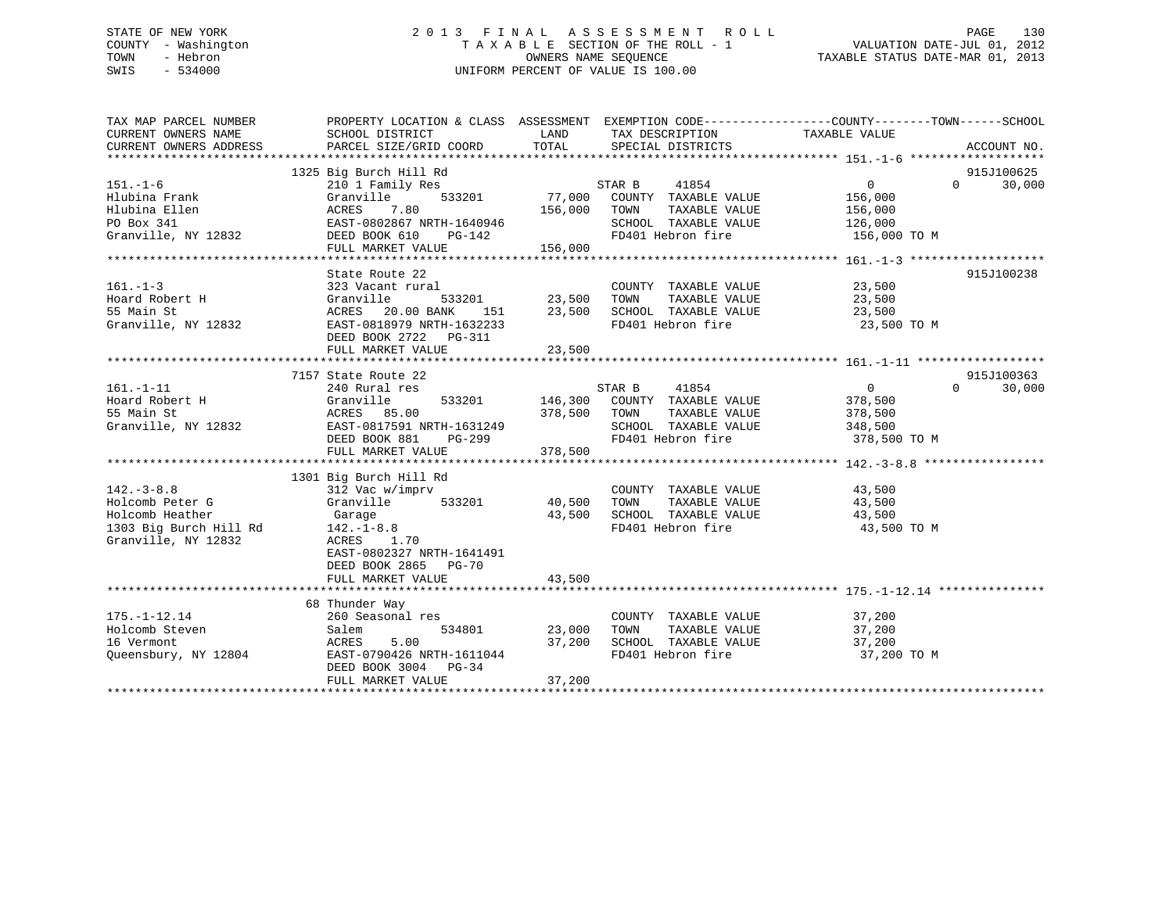# STATE OF NEW YORK 2 0 1 3 F I N A L A S S E S S M E N T R O L L PAGE 130 COUNTY - Washington T A X A B L E SECTION OF THE ROLL - 1 VALUATION DATE-JUL 01, 2012 TOWN - Hebron OWNERS NAME SEQUENCE TAXABLE STATUS DATE-MAR 01, 2013 SWIS - 534000 UNIFORM PERCENT OF VALUE IS 100.00

| TAX MAP PARCEL NUMBER<br>CURRENT OWNERS NAME                                                            | PROPERTY LOCATION & CLASS ASSESSMENT EXEMPTION CODE---------------COUNTY-------TOWN------SCHOOL<br>SCHOOL DISTRICT                                                          | LAND                                      | TAX DESCRIPTION                                                                                               | TAXABLE VALUE                                                   |                                  |
|---------------------------------------------------------------------------------------------------------|-----------------------------------------------------------------------------------------------------------------------------------------------------------------------------|-------------------------------------------|---------------------------------------------------------------------------------------------------------------|-----------------------------------------------------------------|----------------------------------|
| CURRENT OWNERS ADDRESS                                                                                  | PARCEL SIZE/GRID COORD                                                                                                                                                      | TOTAL                                     | SPECIAL DISTRICTS                                                                                             |                                                                 | ACCOUNT NO.                      |
| $151. - 1 - 6$<br>Hlubina Frank<br>Hlubina Ellen<br>PO Box 341<br>Granville, NY 12832                   | 1325 Big Burch Hill Rd<br>210 1 Family Res<br>533201<br>Granville<br>7.80<br>ACRES<br>EAST-0802867 NRTH-1640946<br>DEED BOOK 610<br>PG-142<br>FULL MARKET VALUE             | 77,000<br>156,000<br>156,000              | STAR B<br>41854<br>COUNTY TAXABLE VALUE<br>TOWN<br>TAXABLE VALUE<br>SCHOOL TAXABLE VALUE<br>FD401 Hebron fire | $\overline{0}$<br>156,000<br>156,000<br>126,000<br>156,000 TO M | 915J100625<br>30,000<br>$\Omega$ |
|                                                                                                         |                                                                                                                                                                             |                                           |                                                                                                               |                                                                 |                                  |
| $161. - 1 - 3$<br>Hoard Robert H<br>55 Main St<br>Granville, NY 12832                                   | State Route 22<br>323 Vacant rural<br>Granville<br>ACRES 20.00 BANK<br>EAST-0818979 NRTH-1632233<br>DEED BOOK 2722 PG-311<br>FULL MARKET VALUE                              | 533201 23,500<br>NXK 151 23,500<br>23,500 | COUNTY TAXABLE VALUE 23,500<br>SCHOOL TAXABLE VALUE<br>SCHOOL TAXABLE VALUE<br>FD401 Hebron fire              | 23,500<br>23,500<br>23,500 TO M                                 | 915J100238                       |
|                                                                                                         |                                                                                                                                                                             |                                           |                                                                                                               |                                                                 |                                  |
| $161. - 1 - 11$<br>Hoard Robert H<br>55 Main St                                                         | 7157 State Route 22<br>240 Rural res<br>Granville<br>533201<br>ACRES 85.00<br>Granville, NY 12832 EAST-0817591 NRTH-1631249<br>DEED BOOK 881<br>PG-299<br>FULL MARKET VALUE | 146,300<br>378,500<br>378,500             | STAR B<br>41854<br>COUNTY TAXABLE VALUE<br>TAXABLE VALUE<br>TOWN<br>SCHOOL TAXABLE VALUE<br>FD401 Hebron fire | $\overline{0}$<br>378,500<br>378,500<br>348,500<br>378,500 TO M | 915J100363<br>$\Omega$<br>30,000 |
|                                                                                                         | 1301 Big Burch Hill Rd                                                                                                                                                      |                                           |                                                                                                               |                                                                 |                                  |
| $142. - 3 - 8.8$<br>Holcomb Peter G<br>Holcomb Heather<br>1303 Big Burch Hill Rd<br>Granville, NY 12832 | 312 Vac w/imprv<br>Granville 533201<br>Garage<br>$142. - 1 - 8.8$<br>ACRES 1.70<br>EAST-0802327 NRTH-1641491<br>DEED BOOK 2865 PG-70                                        | 40,500<br>43,500                          | COUNTY TAXABLE VALUE 43,500<br>TOWN<br>TAXABLE VALUE<br>SCHOOL TAXABLE VALUE<br>FD401 Hebron fire             | 43,500<br>43,500<br>43,500 TO M                                 |                                  |
|                                                                                                         | FULL MARKET VALUE                                                                                                                                                           | 43,500                                    |                                                                                                               |                                                                 |                                  |
|                                                                                                         | 68 Thunder Way                                                                                                                                                              |                                           |                                                                                                               |                                                                 |                                  |
| $175. - 1 - 12.14$<br>Holcomb Steven<br>16 Vermont<br>Queensbury, NY 12804                              | 260 Seasonal res<br>Salem<br>534801<br>5.00<br>ACRES<br>EAST-0790426 NRTH-1611044<br>DEED BOOK 3004 PG-34<br>FULL MARKET VALUE                                              | 23,000<br>37,200<br>37,200                | COUNTY TAXABLE VALUE<br>TAXABLE VALUE<br>TOWN<br>SCHOOL TAXABLE VALUE<br>FD401 Hebron fire                    | 37,200<br>37,200<br>37,200<br>37,200 TO M                       |                                  |
|                                                                                                         |                                                                                                                                                                             |                                           |                                                                                                               |                                                                 |                                  |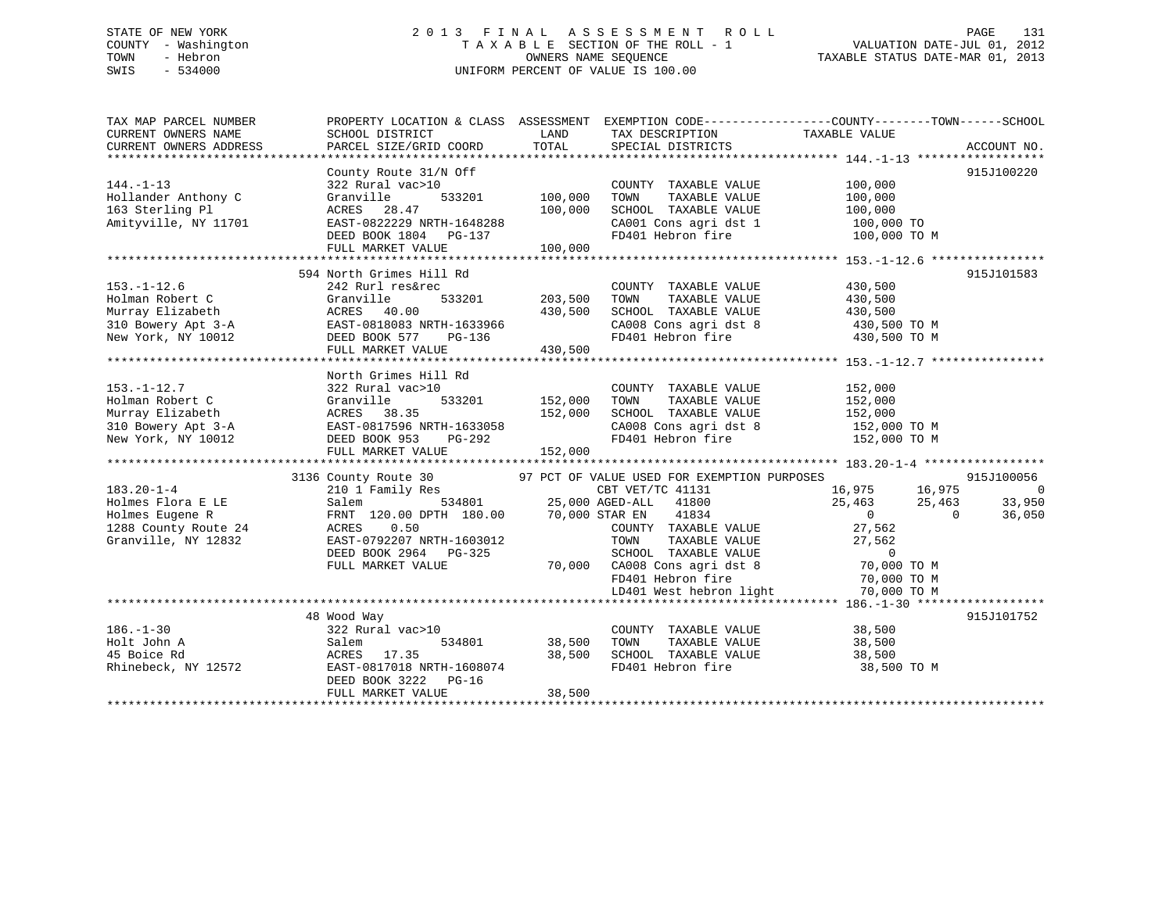# STATE OF NEW YORK 2 0 1 3 F I N A L A S S E S S M E N T R O L L PAGE 131 COUNTY - Washington T A X A B L E SECTION OF THE ROLL - 1 VALUATION DATE-JUL 01, 2012 TOWN - Hebron OWNERS NAME SEQUENCE TAXABLE STATUS DATE-MAR 01, 2013 SWIS - 534000 UNIFORM PERCENT OF VALUE IS 100.00

| TAX MAP PARCEL NUMBER<br>CURRENT OWNERS NAME | PROPERTY LOCATION & CLASS ASSESSMENT<br>SCHOOL DISTRICT | LAND    | TAX DESCRIPTION                             | EXEMPTION CODE-----------------COUNTY-------TOWN------SCHOOL<br>TAXABLE VALUE |                |
|----------------------------------------------|---------------------------------------------------------|---------|---------------------------------------------|-------------------------------------------------------------------------------|----------------|
| CURRENT OWNERS ADDRESS                       | PARCEL SIZE/GRID COORD                                  | TOTAL   | SPECIAL DISTRICTS                           |                                                                               | ACCOUNT NO.    |
|                                              |                                                         |         |                                             |                                                                               |                |
|                                              | County Route 31/N Off                                   |         |                                             |                                                                               | 915J100220     |
| $144. - 1 - 13$                              | 322 Rural vac>10                                        |         | COUNTY TAXABLE VALUE                        | 100,000                                                                       |                |
| Hollander Anthony C                          | 533201<br>Granville                                     | 100,000 | TAXABLE VALUE<br>TOWN                       | 100,000                                                                       |                |
| 163 Sterling Pl                              | ACRES<br>28.47                                          | 100,000 | SCHOOL TAXABLE VALUE                        | 100,000                                                                       |                |
| Amityville, NY 11701                         | EAST-0822229 NRTH-1648288                               |         | CA001 Cons agri dst 1                       | 100,000 TO                                                                    |                |
|                                              | DEED BOOK 1804 PG-137                                   |         | FD401 Hebron fire                           | 100,000 TO M                                                                  |                |
|                                              | FULL MARKET VALUE                                       | 100,000 |                                             |                                                                               |                |
|                                              |                                                         |         |                                             |                                                                               |                |
|                                              | 594 North Grimes Hill Rd                                |         |                                             |                                                                               | 915J101583     |
| $153. - 1 - 12.6$                            | 242 Rurl res&rec                                        |         | COUNTY TAXABLE VALUE                        | 430,500                                                                       |                |
| Holman Robert C                              | 533201<br>Granville                                     | 203,500 | TAXABLE VALUE<br>TOWN                       | 430,500                                                                       |                |
| Murray Elizabeth                             | ACRES 40.00                                             | 430,500 | SCHOOL TAXABLE VALUE                        | 430,500                                                                       |                |
| 310 Bowery Apt 3-A                           | EAST-0818083 NRTH-1633966                               |         | CA008 Cons agri dst 8                       | 430,500 TO M                                                                  |                |
| New York, NY 10012                           | DEED BOOK 577<br>PG-136                                 |         | FD401 Hebron fire                           | 430,500 TO M                                                                  |                |
|                                              | FULL MARKET VALUE                                       | 430,500 |                                             |                                                                               |                |
|                                              |                                                         |         |                                             |                                                                               |                |
|                                              | North Grimes Hill Rd                                    |         |                                             |                                                                               |                |
| $153. - 1 - 12.7$                            | 322 Rural vac>10                                        |         | COUNTY TAXABLE VALUE                        | 152,000                                                                       |                |
| Holman Robert C                              | 533201<br>Granville                                     | 152,000 | TOWN<br>TAXABLE VALUE                       | 152,000                                                                       |                |
| Murray Elizabeth                             | 38.35                                                   | 152,000 | SCHOOL TAXABLE VALUE                        |                                                                               |                |
|                                              | ACRES                                                   |         |                                             | 152,000                                                                       |                |
| 310 Bowery Apt 3-A                           | EAST-0817596 NRTH-1633058                               |         | CA008 Cons agri dst 8                       | 152,000 TO M                                                                  |                |
| New York, NY 10012                           | DEED BOOK 953<br>PG-292                                 |         | FD401 Hebron fire                           | 152,000 TO M                                                                  |                |
|                                              | FULL MARKET VALUE                                       | 152,000 |                                             |                                                                               |                |
|                                              |                                                         |         |                                             |                                                                               |                |
|                                              | 3136 County Route 30                                    |         | 97 PCT OF VALUE USED FOR EXEMPTION PURPOSES |                                                                               | 915J100056     |
| $183.20 - 1 - 4$                             | 210 1 Family Res                                        |         | CBT VET/TC 41131                            | 16,975<br>16,975                                                              | $\overline{0}$ |
| Holmes Flora E LE                            | 534801<br>Salem                                         |         | 25,000 AGED-ALL<br>41800                    | 25,463<br>25,463                                                              | 33,950         |
| Holmes Eugene R                              | FRNT 120.00 DPTH 180.00                                 |         | 70,000 STAR EN<br>41834                     | $\overline{0}$<br>$\Omega$                                                    | 36,050         |
| 1288 County Route 24                         | 0.50<br>ACRES                                           |         | COUNTY TAXABLE VALUE                        | 27,562                                                                        |                |
| Granville, NY 12832                          | EAST-0792207 NRTH-1603012                               |         | TOWN<br>TAXABLE VALUE                       | 27,562                                                                        |                |
|                                              | DEED BOOK 2964 PG-325                                   |         | SCHOOL TAXABLE VALUE                        | $\Omega$                                                                      |                |
|                                              | FULL MARKET VALUE                                       |         | 70,000 CA008 Cons agri dst 8                | 70,000 TO M                                                                   |                |
|                                              |                                                         |         | FD401 Hebron fire                           | 70,000 TO M                                                                   |                |
|                                              |                                                         |         | LD401 West hebron light                     | 70,000 TO M                                                                   |                |
|                                              |                                                         |         |                                             |                                                                               |                |
|                                              | 48 Wood Way                                             |         |                                             |                                                                               | 915J101752     |
| $186. - 1 - 30$                              | 322 Rural vac>10                                        |         | COUNTY TAXABLE VALUE                        | 38,500                                                                        |                |
| Holt John A                                  | 534801<br>Salem                                         | 38,500  | TOWN<br>TAXABLE VALUE                       | 38,500                                                                        |                |
| 45 Boice Rd                                  | ACRES<br>17.35                                          | 38,500  | SCHOOL TAXABLE VALUE                        | 38,500                                                                        |                |
| Rhinebeck, NY 12572                          | EAST-0817018 NRTH-1608074                               |         | FD401 Hebron fire                           | 38,500 TO M                                                                   |                |
|                                              | DEED BOOK 3222 PG-16                                    |         |                                             |                                                                               |                |
|                                              | FULL MARKET VALUE                                       | 38,500  |                                             |                                                                               |                |
|                                              |                                                         |         |                                             |                                                                               |                |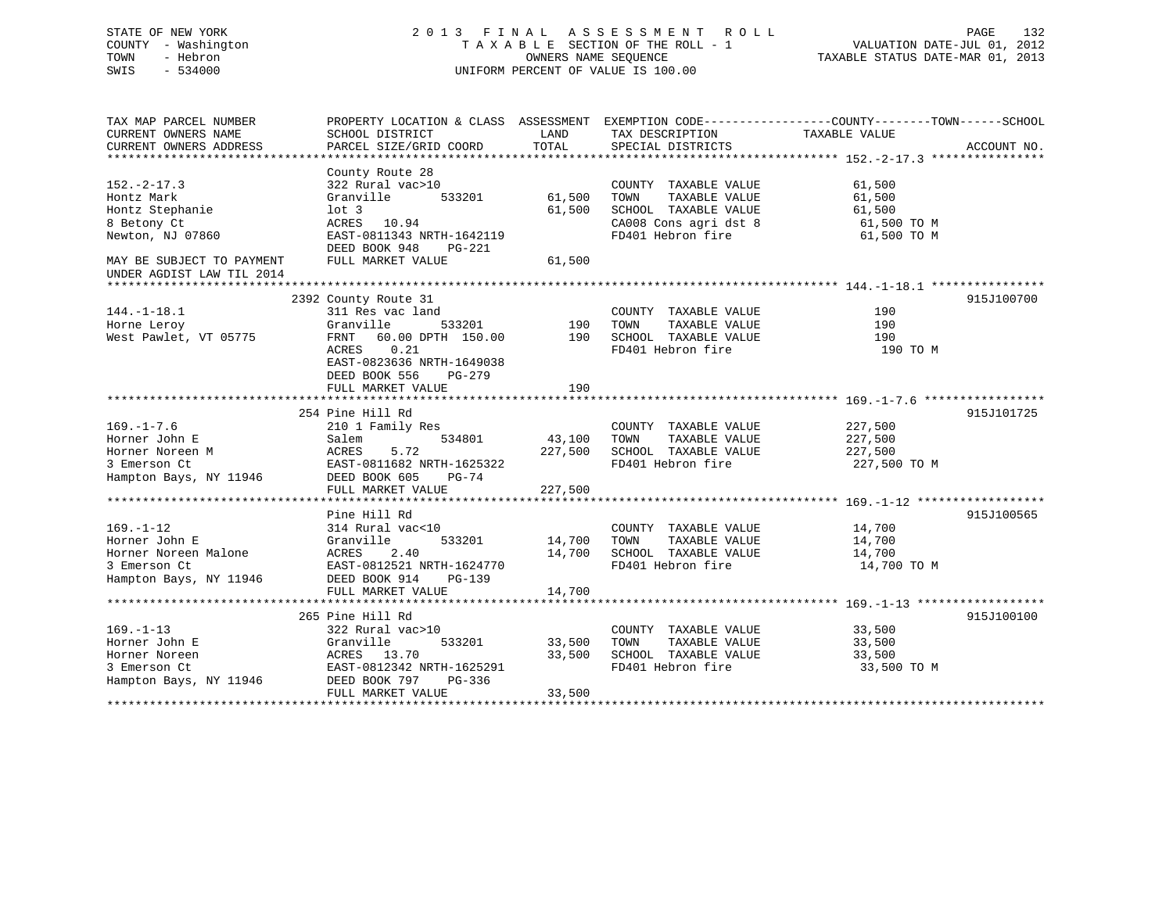# STATE OF NEW YORK 2 0 1 3 F I N A L A S S E S S M E N T R O L L PAGE 132 COUNTY - Washington T A X A B L E SECTION OF THE ROLL - 1 VALUATION DATE-JUL 01, 2012 TOWN - Hebron OWNERS NAME SEQUENCE TAXABLE STATUS DATE-MAR 01, 2013 SWIS - 534000 UNIFORM PERCENT OF VALUE IS 100.00

| TAX MAP PARCEL NUMBER<br>CURRENT OWNERS NAME<br>CURRENT OWNERS ADDRESS                             | PROPERTY LOCATION & CLASS ASSESSMENT<br>SCHOOL DISTRICT<br>PARCEL SIZE/GRID COORD                                                                                     | LAND<br>TOTAL              | TAX DESCRIPTION<br>SPECIAL DISTRICTS                                                                                | EXEMPTION CODE-----------------COUNTY-------TOWN------SCHOOL<br>TAXABLE VALUE<br>ACCOUNT NO. |
|----------------------------------------------------------------------------------------------------|-----------------------------------------------------------------------------------------------------------------------------------------------------------------------|----------------------------|---------------------------------------------------------------------------------------------------------------------|----------------------------------------------------------------------------------------------|
|                                                                                                    |                                                                                                                                                                       |                            |                                                                                                                     |                                                                                              |
| $152. - 2 - 17.3$<br>Hontz Mark<br>Hontz Stephanie<br>8 Betony Ct<br>Newton, NJ 07860              | County Route 28<br>322 Rural vac>10<br>Granville<br>533201<br>$1$ ot $3$<br>ACRES 10.94<br>EAST-0811343 NRTH-1642119                                                  | 61,500<br>61,500           | COUNTY TAXABLE VALUE<br>TAXABLE VALUE<br>TOWN<br>SCHOOL TAXABLE VALUE<br>CA008 Cons agri dst 8<br>FD401 Hebron fire | 61,500<br>61,500<br>61,500<br>61,500 TO M<br>61,500 TO M                                     |
| MAY BE SUBJECT TO PAYMENT<br>UNDER AGDIST LAW TIL 2014                                             | DEED BOOK 948<br><b>PG-221</b><br>FULL MARKET VALUE                                                                                                                   | 61,500                     |                                                                                                                     |                                                                                              |
|                                                                                                    |                                                                                                                                                                       |                            |                                                                                                                     |                                                                                              |
| $144. - 1 - 18.1$<br>Horne Leroy<br>West Pawlet, VT 05775                                          | 2392 County Route 31<br>311 Res vac land<br>Granville<br>533201<br>60.00 DPTH 150.00<br>FRNT<br>ACRES<br>0.21<br>EAST-0823636 NRTH-1649038<br>DEED BOOK 556<br>PG-279 | 190<br>190                 | COUNTY TAXABLE VALUE<br>TOWN<br>TAXABLE VALUE<br>SCHOOL TAXABLE VALUE<br>FD401 Hebron fire                          | 915J100700<br>190<br>190<br>190<br>190 TO M                                                  |
|                                                                                                    | FULL MARKET VALUE                                                                                                                                                     | 190                        |                                                                                                                     |                                                                                              |
|                                                                                                    |                                                                                                                                                                       |                            |                                                                                                                     |                                                                                              |
|                                                                                                    | 254 Pine Hill Rd                                                                                                                                                      |                            |                                                                                                                     | 915J101725                                                                                   |
| $169. - 1 - 7.6$                                                                                   | 210 1 Family Res                                                                                                                                                      |                            | COUNTY TAXABLE VALUE                                                                                                | 227,500                                                                                      |
| Horner John E                                                                                      | Salem<br>534801                                                                                                                                                       | 43,100                     | TOWN<br>TAXABLE VALUE                                                                                               | 227,500                                                                                      |
| Horner Noreen M                                                                                    | ACRES<br>5.72                                                                                                                                                         | 227,500                    | SCHOOL TAXABLE VALUE                                                                                                | 227,500                                                                                      |
| 3 Emerson Ct<br>Hampton Bays, NY 11946                                                             | EAST-0811682 NRTH-1625322<br>DEED BOOK 605<br>$PG-74$<br>FULL MARKET VALUE                                                                                            | 227,500                    | FD401 Hebron fire                                                                                                   | 227,500 TO M                                                                                 |
|                                                                                                    |                                                                                                                                                                       |                            |                                                                                                                     |                                                                                              |
|                                                                                                    | Pine Hill Rd                                                                                                                                                          |                            |                                                                                                                     | 915J100565                                                                                   |
| $169. - 1 - 12$<br>Horner John E<br>Horner Noreen Malone<br>3 Emerson Ct<br>Hampton Bays, NY 11946 | 314 Rural vac<10<br>Granville<br>533201<br>2.40<br>ACRES<br>EAST-0812521 NRTH-1624770<br>DEED BOOK 914<br>PG-139<br>FULL MARKET VALUE                                 | 14,700<br>14,700<br>14,700 | COUNTY TAXABLE VALUE<br>TOWN<br>TAXABLE VALUE<br>SCHOOL TAXABLE VALUE<br>FD401 Hebron fire                          | 14,700<br>14,700<br>14,700<br>14,700 TO M                                                    |
|                                                                                                    |                                                                                                                                                                       |                            |                                                                                                                     |                                                                                              |
| $169. - 1 - 13$<br>Horner John E<br>Horner Noreen<br>3 Emerson Ct<br>Hampton Bays, NY 11946        | 265 Pine Hill Rd<br>322 Rural vac>10<br>533201<br>Granville<br>ACRES 13.70<br>EAST-0812342 NRTH-1625291<br>DEED BOOK 797<br>PG-336<br>FULL MARKET VALUE               | 33,500<br>33,500<br>33,500 | COUNTY TAXABLE VALUE<br>TOWN<br>TAXABLE VALUE<br>SCHOOL TAXABLE VALUE<br>FD401 Hebron fire                          | 915J100100<br>33,500<br>33,500<br>33,500<br>33,500 TO M                                      |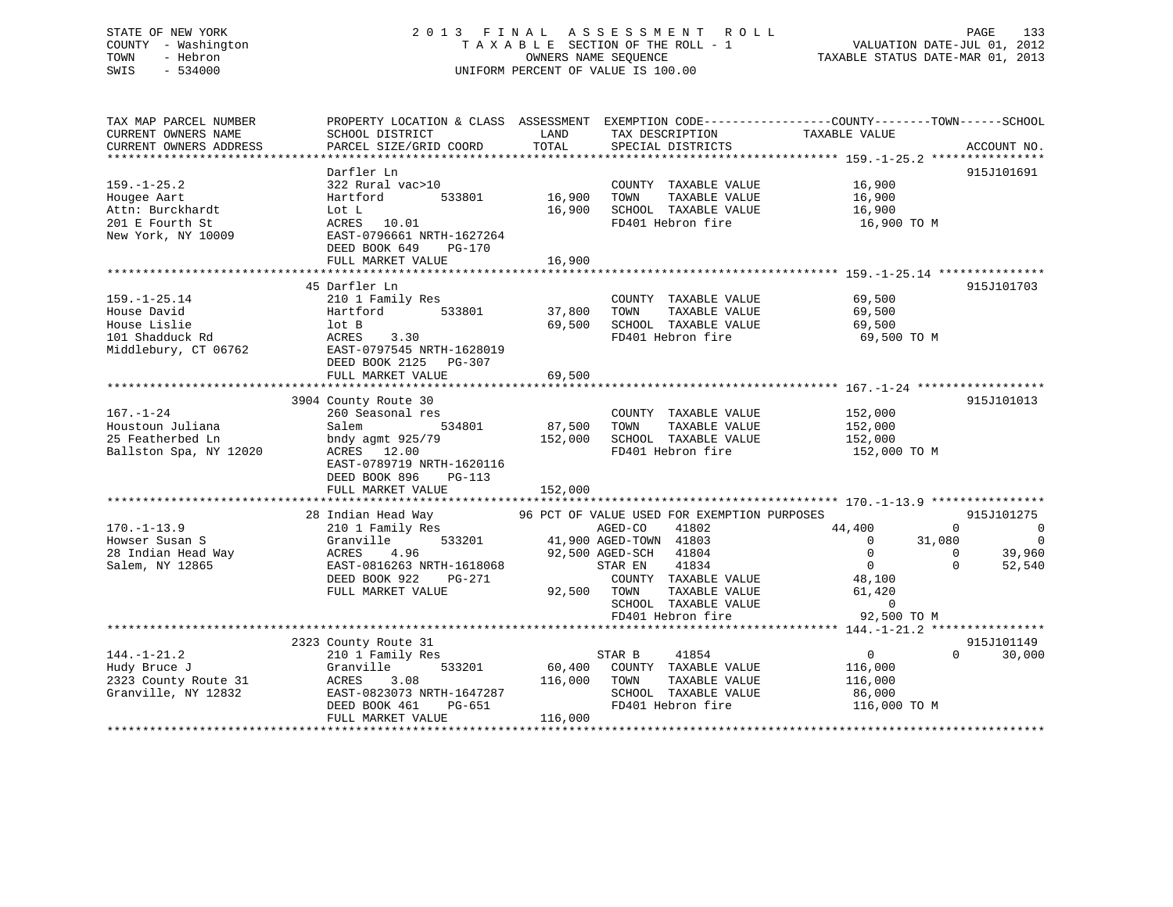# STATE OF NEW YORK 2 0 1 3 F I N A L A S S E S S M E N T R O L L PAGE 133 COUNTY - Washington T A X A B L E SECTION OF THE ROLL - 1 VALUATION DATE-JUL 01, 2012 TOWN - Hebron OWNERS NAME SEQUENCE TAXABLE STATUS DATE-MAR 01, 2013 SWIS - 534000 UNIFORM PERCENT OF VALUE IS 100.00

| TAX MAP PARCEL NUMBER<br>CURRENT OWNERS NAME<br>CURRENT OWNERS ADDRESS                        | SCHOOL DISTRICT<br>PARCEL SIZE/GRID COORD                                                                                                                                     | LAND<br>TOTAL                | TAX DESCRIPTION<br>SPECIAL DISTRICTS                                                                                                                                                                                                           | PROPERTY LOCATION & CLASS ASSESSMENT EXEMPTION CODE---------------COUNTY-------TOWN-----SCHOOL<br>TAXABLE VALUE | ACCOUNT NO.                                                                                                      |
|-----------------------------------------------------------------------------------------------|-------------------------------------------------------------------------------------------------------------------------------------------------------------------------------|------------------------------|------------------------------------------------------------------------------------------------------------------------------------------------------------------------------------------------------------------------------------------------|-----------------------------------------------------------------------------------------------------------------|------------------------------------------------------------------------------------------------------------------|
| $159. - 1 - 25.2$<br>Hougee Aart<br>Attn: Burckhardt<br>201 E Fourth St<br>New York, NY 10009 | Darfler Ln<br>322 Rural vac>10<br>533801<br>Hartford<br>Lot L<br>ACRES 10.01<br>EAST-0796661 NRTH-1627264<br>DEED BOOK 649<br>PG-170<br>FULL MARKET VALUE                     | 16,900<br>16,900<br>16,900   | COUNTY TAXABLE VALUE<br>TAXABLE VALUE<br>TOWN<br>SCHOOL TAXABLE VALUE<br>FD401 Hebron fire                                                                                                                                                     | 16,900<br>16,900<br>16,900<br>16,900 TO M                                                                       | 915J101691                                                                                                       |
| $159. - 1 - 25.14$<br>House David<br>House Lislie<br>101 Shadduck Rd<br>Middlebury, CT 06762  | 45 Darfler Ln<br>210 1 Family Res<br>533801<br>Hartford<br>lot B<br>ACRES<br>3.30<br>EAST-0797545 NRTH-1628019<br>DEED BOOK 2125<br>PG-307<br>FULL MARKET VALUE               | 37,800<br>69,500<br>69,500   | COUNTY TAXABLE VALUE<br>TAXABLE VALUE<br>TOWN<br>SCHOOL TAXABLE VALUE<br>FD401 Hebron fire                                                                                                                                                     | 69,500<br>69,500<br>69,500<br>69,500 TO M                                                                       | 915J101703                                                                                                       |
| $167. - 1 - 24$<br>Houstoun Juliana<br>25 Featherbed Ln<br>Ballston Spa, NY 12020             | 3904 County Route 30<br>260 Seasonal res<br>534801<br>Salem<br>bndy agmt 925/79<br>ACRES 12.00<br>EAST-0789719 NRTH-1620116<br>DEED BOOK 896<br>$PG-113$<br>FULL MARKET VALUE | 87,500<br>152,000<br>152,000 | COUNTY TAXABLE VALUE<br>TOWN<br>TAXABLE VALUE<br>SCHOOL TAXABLE VALUE<br>FD401 Hebron fire                                                                                                                                                     | 152,000<br>152,000<br>152,000<br>152,000 TO M                                                                   | 915J101013                                                                                                       |
| $170. - 1 - 13.9$<br>Howser Susan S<br>28 Indian Head Way<br>Salem, NY 12865                  | 28 Indian Head Way<br>210 1 Family Res<br>533201<br>Granville<br>4.96<br>ACRES<br>EAST-0816263 NRTH-1618068<br>DEED BOOK 922<br>PG-271<br>FULL MARKET VALUE                   |                              | 96 PCT OF VALUE USED FOR EXEMPTION PURPOSES<br>41802<br>AGED-CO<br>41,900 AGED-TOWN 41803<br>92,500 AGED-SCH<br>41804<br>STAR EN<br>41834<br>COUNTY TAXABLE VALUE<br>92,500 TOWN<br>TAXABLE VALUE<br>SCHOOL TAXABLE VALUE<br>FD401 Hebron fire | 44,400<br>$\Omega$<br>$\Omega$<br>$\overline{0}$<br>48,100<br>61,420<br>$\overline{0}$<br>92,500 TO M           | 915J101275<br>$\Omega$<br>$\overline{0}$<br>31,080<br>$\overline{0}$<br>39,960<br>$\Omega$<br>52,540<br>$\Omega$ |
| $144. - 1 - 21.2$<br>Hudy Bruce J<br>2323 County Route 31<br>Granville, NY 12832              | 2323 County Route 31<br>210 1 Family Res<br>533201<br>Granville<br>ACRES<br>3.08<br>EAST-0823073 NRTH-1647287<br>DEED BOOK 461<br>PG-651<br>FULL MARKET VALUE                 | 60,400<br>116,000<br>116,000 | 41854<br>STAR B<br>COUNTY TAXABLE VALUE<br>TAXABLE VALUE<br>TOWN<br>SCHOOL TAXABLE VALUE<br>FD401 Hebron fire                                                                                                                                  | $\overline{0}$<br>116,000<br>116,000<br>86,000<br>116,000 TO M                                                  | 915J101149<br>$\Omega$<br>30,000                                                                                 |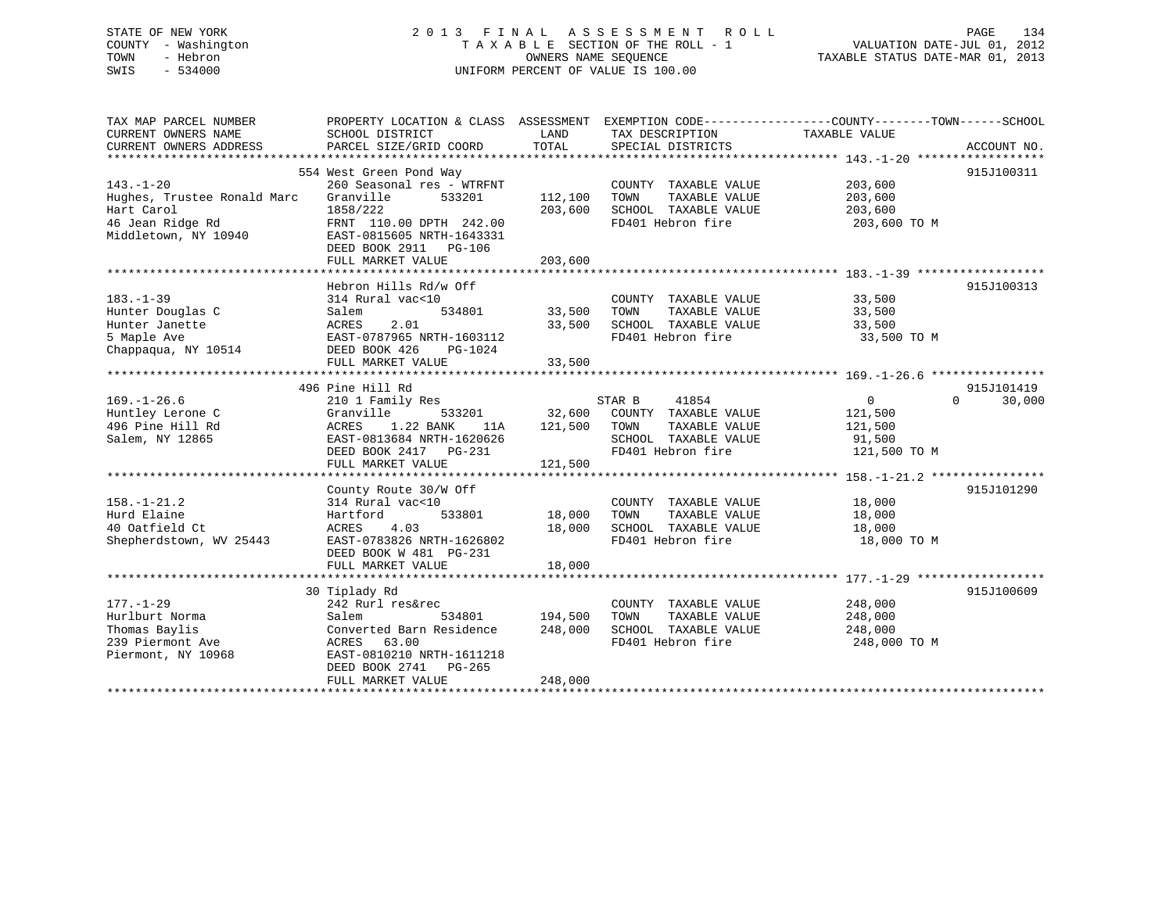# STATE OF NEW YORK 2 0 1 3 F I N A L A S S E S S M E N T R O L L PAGE 134 COUNTY - Washington T A X A B L E SECTION OF THE ROLL - 1 VALUATION DATE-JUL 01, 2012 TOWN - Hebron OWNERS NAME SEQUENCE TAXABLE STATUS DATE-MAR 01, 2013 SWIS - 534000 UNIFORM PERCENT OF VALUE IS 100.00

| TAX MAP PARCEL NUMBER                         | PROPERTY LOCATION & CLASS ASSESSMENT EXEMPTION CODE---------------COUNTY-------TOWN-----SCHOOL |               |                                      |                |                    |
|-----------------------------------------------|------------------------------------------------------------------------------------------------|---------------|--------------------------------------|----------------|--------------------|
| CURRENT OWNERS NAME<br>CURRENT OWNERS ADDRESS | SCHOOL DISTRICT<br>PARCEL SIZE/GRID COORD                                                      | LAND<br>TOTAL | TAX DESCRIPTION<br>SPECIAL DISTRICTS | TAXABLE VALUE  | ACCOUNT NO.        |
|                                               |                                                                                                |               |                                      |                |                    |
|                                               | 554 West Green Pond Way                                                                        |               |                                      |                | 915J100311         |
| $143. - 1 - 20$                               | 260 Seasonal res - WTRFNT                                                                      |               | COUNTY TAXABLE VALUE                 | 203,600        |                    |
| Hughes, Trustee Ronald Marc                   | Granville<br>533201                                                                            | 112,100       | TAXABLE VALUE<br>TOWN                | 203,600        |                    |
| Hart Carol                                    | 1858/222                                                                                       | 203,600       | SCHOOL TAXABLE VALUE                 | 203,600        |                    |
| 46 Jean Ridge Rd                              | FRNT 110.00 DPTH 242.00                                                                        |               | FD401 Hebron fire                    | 203,600 TO M   |                    |
| Middletown, NY 10940                          | EAST-0815605 NRTH-1643331                                                                      |               |                                      |                |                    |
|                                               | DEED BOOK 2911 PG-106                                                                          |               |                                      |                |                    |
|                                               | FULL MARKET VALUE                                                                              | 203,600       |                                      |                |                    |
|                                               |                                                                                                |               |                                      |                |                    |
|                                               | Hebron Hills Rd/w Off                                                                          |               |                                      |                | 915J100313         |
| $183. - 1 - 39$                               | 314 Rural vac<10                                                                               |               | COUNTY TAXABLE VALUE                 | 33,500         |                    |
| Hunter Douglas C                              | 534801<br>Salem                                                                                | 33,500        | TOWN<br>TAXABLE VALUE                | 33,500         |                    |
| Hunter Janette                                | 2.01<br>ACRES                                                                                  | 33,500        | SCHOOL TAXABLE VALUE                 | 33,500         |                    |
| 5 Maple Ave                                   | EAST-0787965 NRTH-1603112                                                                      |               | FD401 Hebron fire                    | 33,500 TO M    |                    |
| Chappagua, NY 10514                           | DEED BOOK 426<br>PG-1024                                                                       |               |                                      |                |                    |
|                                               | FULL MARKET VALUE                                                                              | 33,500        |                                      |                |                    |
|                                               |                                                                                                |               |                                      |                |                    |
|                                               | 496 Pine Hill Rd                                                                               |               |                                      |                | 915J101419         |
| $169. - 1 - 26.6$                             | 210 1 Family Res                                                                               |               | 41854<br>STAR B                      | $\overline{0}$ | 30,000<br>$\Omega$ |
| Huntley Lerone C                              | Granville<br>533201                                                                            |               | 32,600 COUNTY TAXABLE VALUE          | 121,500        |                    |
| 496 Pine Hill Rd                              | 1.22 BANK<br>ACRES<br>11A                                                                      | 121,500 TOWN  | TAXABLE VALUE                        | 121,500        |                    |
| Salem, NY 12865                               | EAST-0813684 NRTH-1620626                                                                      |               | SCHOOL TAXABLE VALUE                 | 91,500         |                    |
|                                               | DEED BOOK 2417 PG-231                                                                          |               | FD401 Hebron fire                    | 121,500 TO M   |                    |
|                                               | FULL MARKET VALUE                                                                              | 121,500       |                                      |                |                    |
|                                               |                                                                                                |               |                                      |                |                    |
|                                               | County Route 30/W Off                                                                          |               |                                      |                | 915J101290         |
| $158. - 1 - 21.2$                             | 314 Rural vac<10                                                                               |               | COUNTY TAXABLE VALUE                 | 18,000         |                    |
| Hurd Elaine                                   | Hartford<br>533801                                                                             | 18,000        | TAXABLE VALUE<br>TOWN                | 18,000         |                    |
| 40 Oatfield Ct                                | ACRES<br>4.03                                                                                  | 18,000        | SCHOOL TAXABLE VALUE                 | 18,000         |                    |
| Shepherdstown, WV 25443                       | EAST-0783826 NRTH-1626802                                                                      |               | FD401 Hebron fire                    | 18,000 TO M    |                    |
|                                               | DEED BOOK W 481 PG-231                                                                         |               |                                      |                |                    |
|                                               | FULL MARKET VALUE                                                                              | 18,000        |                                      |                |                    |
|                                               |                                                                                                |               |                                      |                |                    |
|                                               | 30 Tiplady Rd                                                                                  |               |                                      |                | 915J100609         |
| $177. - 1 - 29$                               | 242 Rurl res&rec                                                                               |               | COUNTY TAXABLE VALUE                 | 248,000        |                    |
| Hurlburt Norma                                | 534801<br>Salem                                                                                | 194,500       | TAXABLE VALUE<br>TOWN                | 248,000        |                    |
| Thomas Baylis                                 | Converted Barn Residence                                                                       | 248,000       | SCHOOL TAXABLE VALUE                 | 248,000        |                    |
| 239 Piermont Ave                              | ACRES 63.00                                                                                    |               | FD401 Hebron fire                    | 248,000 TO M   |                    |
| Piermont, NY 10968                            | EAST-0810210 NRTH-1611218<br>DEED BOOK 2741 PG-265                                             |               |                                      |                |                    |
|                                               | FULL MARKET VALUE                                                                              | 248,000       |                                      |                |                    |
|                                               |                                                                                                |               |                                      |                |                    |
|                                               |                                                                                                |               |                                      |                |                    |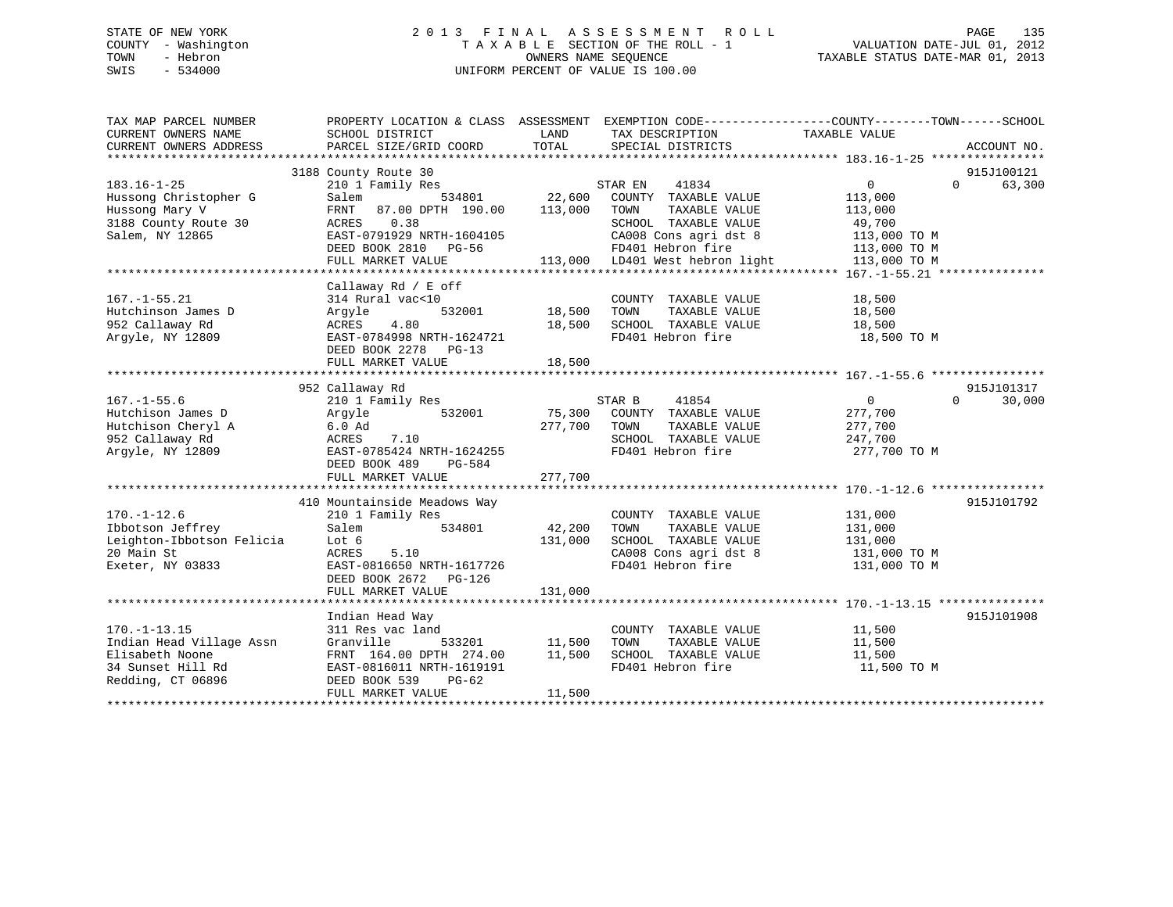# STATE OF NEW YORK 2 0 1 3 F I N A L A S S E S S M E N T R O L L PAGE 135 COUNTY - Washington T A X A B L E SECTION OF THE ROLL - 1 VALUATION DATE-JUL 01, 2012 TOWN - Hebron OWNERS NAME SEQUENCE TAXABLE STATUS DATE-MAR 01, 2013 SWIS - 534000 UNIFORM PERCENT OF VALUE IS 100.00

| TAX MAP PARCEL NUMBER<br>CURRENT OWNERS NAME<br>CURRENT OWNERS ADDRESS                                      | PROPERTY LOCATION & CLASS ASSESSMENT EXEMPTION CODE---------------COUNTY-------TOWN-----SCHOOL<br>SCHOOL DISTRICT<br>PARCEL SIZE/GRID COORD                                         | LAND<br>TOTAL                               | TAX DESCRIPTION<br>SPECIAL DISTRICTS                                                                                                                                       | TAXABLE VALUE                                                                                | ACCOUNT NO.                      |
|-------------------------------------------------------------------------------------------------------------|-------------------------------------------------------------------------------------------------------------------------------------------------------------------------------------|---------------------------------------------|----------------------------------------------------------------------------------------------------------------------------------------------------------------------------|----------------------------------------------------------------------------------------------|----------------------------------|
| $183.16 - 1 - 25$<br>Hussong Christopher G<br>Hussong Mary V<br>3188 County Route 30<br>Salem, NY 12865     | 3188 County Route 30<br>210 1 Family Res<br>Salem<br>534801<br>87.00 DPTH 190.00<br>FRNT<br>ACRES<br>0.38<br>EAST-0791929 NRTH-1604105<br>DEED BOOK 2810 PG-56<br>FULL MARKET VALUE | 22,600<br>113,000                           | STAR EN<br>41834<br>COUNTY TAXABLE VALUE<br>TOWN<br>TAXABLE VALUE<br>SCHOOL TAXABLE VALUE<br>CA008 Cons agri dst 8<br>FD401 Hebron fire<br>113,000 LD401 West hebron light | $\mathbf{0}$<br>113,000<br>113,000<br>49,700<br>113,000 TO M<br>113,000 TO M<br>113,000 TO M | 915J100121<br>$\Omega$<br>63,300 |
| $167. - 1 - 55.21$<br>Hutchinson James D<br>952 Callaway Rd<br>Arqyle, NY 12809                             | Callaway Rd / E off<br>314 Rural vac<10<br>532001<br>Argyle<br>4.80<br>ACRES<br>EAST-0784998 NRTH-1624721<br>DEED BOOK 2278 PG-13<br>FULL MARKET VALUE                              | 18,500<br>18,500<br>18,500<br>************* | COUNTY TAXABLE VALUE<br>TOWN<br>TAXABLE VALUE<br>SCHOOL TAXABLE VALUE<br>FD401 Hebron fire                                                                                 | 18,500<br>18,500<br>18,500<br>18,500 TO M                                                    |                                  |
| $167. - 1 - 55.6$<br>Hutchison James D<br>Hutchison Cheryl A<br>952 Callaway Rd<br>Arqyle, NY 12809         | 952 Callaway Rd<br>210 1 Family Res<br>532001<br>Argyle<br>6.0 Ad<br>ACRES<br>7.10<br>EAST-0785424 NRTH-1624255<br>DEED BOOK 489<br>PG-584<br>FULL MARKET VALUE                     | 75,300<br>277,700<br>277,700                | STAR B<br>41854<br>COUNTY TAXABLE VALUE<br>TOWN<br>TAXABLE VALUE<br>SCHOOL TAXABLE VALUE<br>FD401 Hebron fire                                                              | $\overline{0}$<br>277,700<br>277,700<br>247,700<br>277,700 TO M                              | 915J101317<br>$\Omega$<br>30,000 |
| $170. - 1 - 12.6$<br>Ibbotson Jeffrey<br>Leighton-Ibbotson Felicia<br>20 Main St<br>Exeter, NY 03833        | 410 Mountainside Meadows Way<br>210 1 Family Res<br>534801<br>Salem<br>Lot 6<br>ACRES<br>5.10<br>EAST-0816650 NRTH-1617726<br>DEED BOOK 2672 PG-126<br>FULL MARKET VALUE            | 42,200<br>131,000<br>131,000                | COUNTY TAXABLE VALUE<br>TAXABLE VALUE<br>TOWN<br>SCHOOL TAXABLE VALUE<br>CA008 Cons agri dst 8<br>FD401 Hebron fire                                                        | 131,000<br>131,000<br>131,000<br>131,000 TO M<br>131,000 TO M                                | 915J101792                       |
| $170. - 1 - 13.15$<br>Indian Head Village Assn<br>Elisabeth Noone<br>34 Sunset Hill Rd<br>Redding, CT 06896 | Indian Head Way<br>311 Res vac land<br>Granville<br>533201<br>FRNT 164.00 DPTH 274.00<br>EAST-0816011 NRTH-1619191<br>DEED BOOK 539<br>$PG-62$<br>FULL MARKET VALUE                 | 11,500<br>11,500<br>11,500                  | COUNTY TAXABLE VALUE<br>TAXABLE VALUE<br>TOWN<br>SCHOOL TAXABLE VALUE<br>FD401 Hebron fire                                                                                 | 11,500<br>11,500<br>11,500<br>11,500 TO M                                                    | 915J101908                       |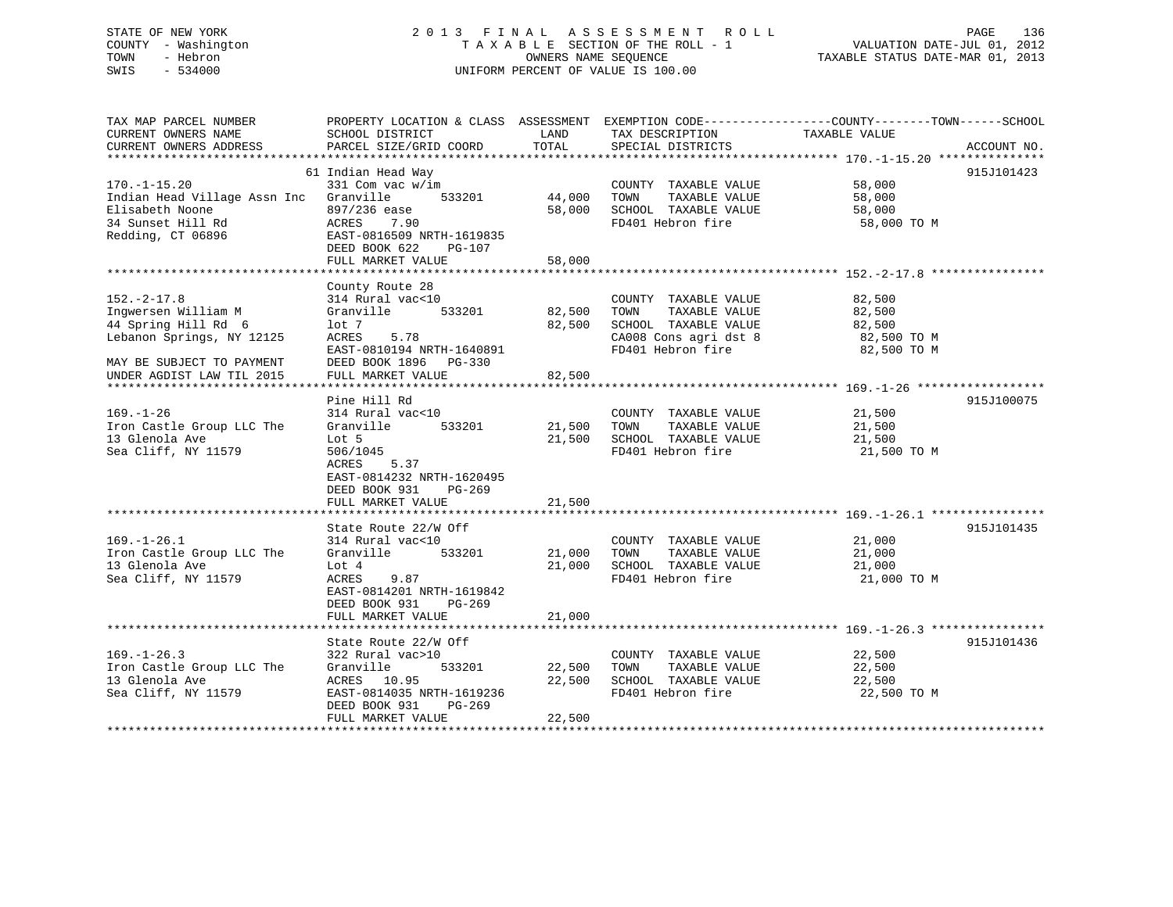# STATE OF NEW YORK 2 0 1 3 F I N A L A S S E S S M E N T R O L L PAGE 136 COUNTY - Washington T A X A B L E SECTION OF THE ROLL - 1 VALUATION DATE-JUL 01, 2012 TOWN - Hebron OWNERS NAME SEQUENCE TAXABLE STATUS DATE-MAR 01, 2013 SWIS - 534000 UNIFORM PERCENT OF VALUE IS 100.00

| TAX MAP PARCEL NUMBER<br>CURRENT OWNERS NAME<br>CURRENT OWNERS ADDRESS                                                                                 | PROPERTY LOCATION & CLASS ASSESSMENT<br>SCHOOL DISTRICT<br>PARCEL SIZE/GRID COORD                                                                                            | LAND<br>TOTAL              | TAX DESCRIPTION<br>SPECIAL DISTRICTS                                                                                | EXEMPTION CODE-----------------COUNTY-------TOWN------SCHOOL<br>TAXABLE VALUE<br>ACCOUNT NO. |  |
|--------------------------------------------------------------------------------------------------------------------------------------------------------|------------------------------------------------------------------------------------------------------------------------------------------------------------------------------|----------------------------|---------------------------------------------------------------------------------------------------------------------|----------------------------------------------------------------------------------------------|--|
| $170. - 1 - 15.20$<br>Indian Head Village Assn Inc Granville<br>Elisabeth Noone<br>34 Sunset Hill Rd<br>Redding, CT 06896                              | 61 Indian Head Way<br>331 Com vac w/im<br>533201<br>897/236 ease<br>ACRES<br>7.90<br>EAST-0816509 NRTH-1619835<br>DEED BOOK 622<br>$PG-107$<br>FULL MARKET VALUE             | 44,000<br>58,000<br>58,000 | COUNTY TAXABLE VALUE<br>TOWN<br>TAXABLE VALUE<br>SCHOOL TAXABLE VALUE<br>FD401 Hebron fire                          | 915J101423<br>58,000<br>58,000<br>58,000<br>58,000 TO M                                      |  |
| $152. - 2 - 17.8$<br>Ingwersen William M<br>44 Spring Hill Rd 6<br>Lebanon Springs, NY 12125<br>MAY BE SUBJECT TO PAYMENT<br>UNDER AGDIST LAW TIL 2015 | County Route 28<br>314 Rural vac<10<br>533201<br>Granville<br>lot 7<br>5.78<br>ACRES<br>EAST-0810194 NRTH-1640891<br>DEED BOOK 1896 PG-330<br>FULL MARKET VALUE              | 82,500<br>82,500<br>82,500 | COUNTY TAXABLE VALUE<br>TOWN<br>TAXABLE VALUE<br>SCHOOL TAXABLE VALUE<br>CA008 Cons agri dst 8<br>FD401 Hebron fire | 82,500<br>82,500<br>82,500<br>82,500 TO M<br>82,500 TO M                                     |  |
| $169. - 1 - 26$<br>Iron Castle Group LLC The<br>13 Glenola Ave<br>Sea Cliff, NY 11579                                                                  | Pine Hill Rd<br>314 Rural vac<10<br>Granville<br>533201<br>Lot 5<br>506/1045<br>5.37<br>ACRES<br>EAST-0814232 NRTH-1620495<br>DEED BOOK 931<br>$PG-269$<br>FULL MARKET VALUE | 21,500<br>21,500<br>21,500 | COUNTY TAXABLE VALUE<br>TOWN<br>TAXABLE VALUE<br>SCHOOL TAXABLE VALUE<br>FD401 Hebron fire                          | 915J100075<br>21,500<br>21,500<br>21,500<br>21,500 TO M                                      |  |
| $169. - 1 - 26.1$<br>Iron Castle Group LLC The<br>13 Glenola Ave<br>Sea Cliff, NY 11579                                                                | State Route 22/W Off<br>314 Rural vac<10<br>Granville<br>533201<br>Lot 4<br>ACRES<br>9.87<br>EAST-0814201 NRTH-1619842<br>DEED BOOK 931<br>$PG-269$<br>FULL MARKET VALUE     | 21,000<br>21,000<br>21,000 | COUNTY TAXABLE VALUE<br>TOWN<br>TAXABLE VALUE<br>SCHOOL TAXABLE VALUE<br>FD401 Hebron fire                          | 915J101435<br>21,000<br>21,000<br>21,000<br>21,000 TO M                                      |  |
| $169. - 1 - 26.3$<br>Iron Castle Group LLC The<br>13 Glenola Ave<br>Sea Cliff, NY 11579                                                                | State Route 22/W Off<br>322 Rural vac>10<br>Granville<br>533201<br>ACRES 10.95<br>EAST-0814035 NRTH-1619236<br>DEED BOOK 931<br>PG-269<br>FULL MARKET VALUE                  | 22,500<br>22,500<br>22,500 | COUNTY TAXABLE VALUE<br>TAXABLE VALUE<br>TOWN<br>SCHOOL TAXABLE VALUE<br>FD401 Hebron fire                          | 915J101436<br>22,500<br>22,500<br>22,500<br>22,500 TO M                                      |  |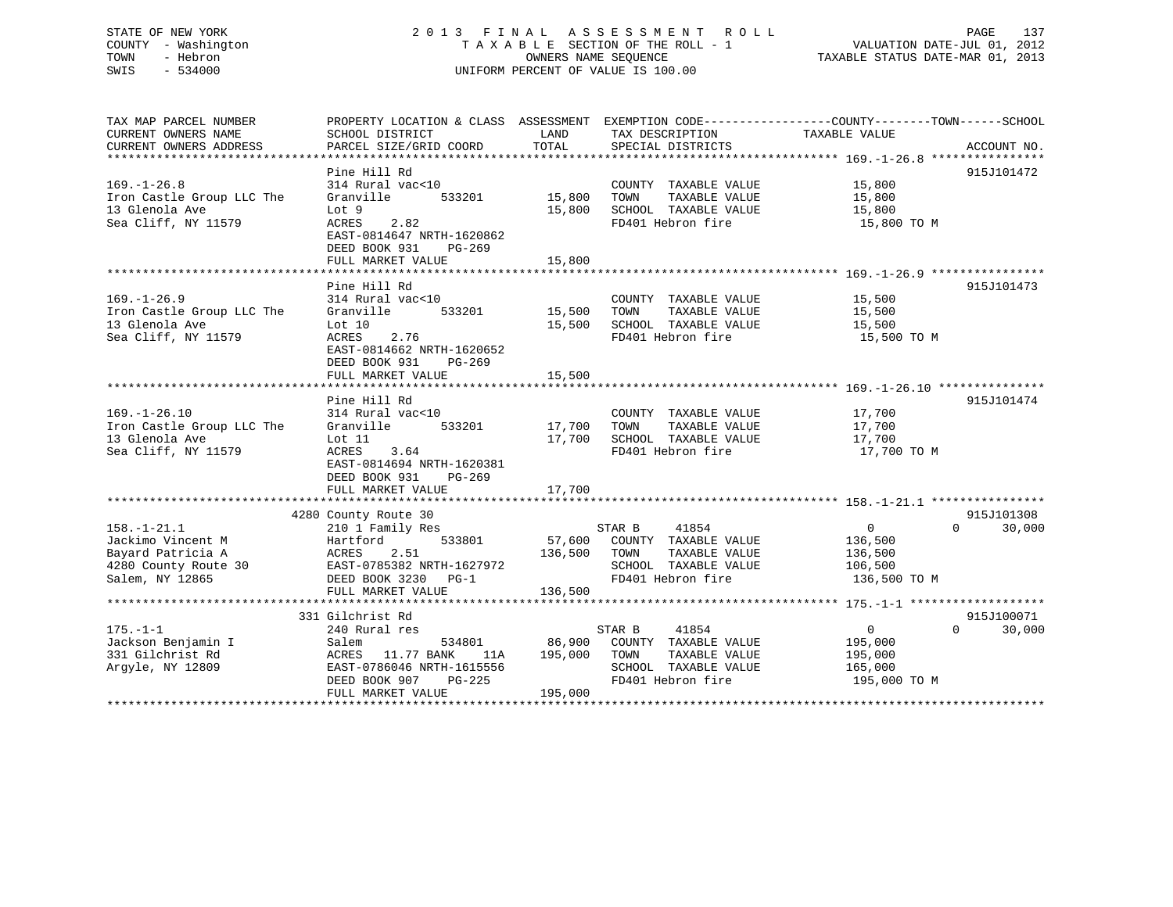# STATE OF NEW YORK 2 0 1 3 F I N A L A S S E S S M E N T R O L L PAGE 137 COUNTY - Washington T A X A B L E SECTION OF THE ROLL - 1 VALUATION DATE-JUL 01, 2012 TOWN - Hebron OWNERS NAME SEQUENCE TAXABLE STATUS DATE-MAR 01, 2013 SWIS - 534000 UNIFORM PERCENT OF VALUE IS 100.00

| TAX MAP PARCEL NUMBER               | PROPERTY LOCATION & CLASS ASSESSMENT EXEMPTION CODE----------------COUNTY-------TOWN------SCHOOL |                     |                             |                |                    |
|-------------------------------------|--------------------------------------------------------------------------------------------------|---------------------|-----------------------------|----------------|--------------------|
| CURRENT OWNERS NAME                 | SCHOOL DISTRICT                                                                                  | LAND                | TAX DESCRIPTION             | TAXABLE VALUE  |                    |
| CURRENT OWNERS ADDRESS              | PARCEL SIZE/GRID COORD                                                                           | TOTAL               | SPECIAL DISTRICTS           |                | ACCOUNT NO.        |
|                                     |                                                                                                  |                     |                             |                |                    |
|                                     | Pine Hill Rd                                                                                     |                     |                             |                | 915J101472         |
| $169. - 1 - 26.8$                   | 314 Rural vac<10                                                                                 |                     | COUNTY TAXABLE VALUE        | 15,800         |                    |
| Iron Castle Group LLC The           | Granville<br>533201                                                                              | 15,800              | TAXABLE VALUE<br>TOWN       | 15,800         |                    |
| 13 Glenola Ave                      | Lot 9                                                                                            | 15,800              | SCHOOL TAXABLE VALUE        | 15,800         |                    |
| Sea Cliff, NY 11579                 | ACRES<br>2.82                                                                                    |                     | FD401 Hebron fire           | 15,800 TO M    |                    |
|                                     | EAST-0814647 NRTH-1620862                                                                        |                     |                             |                |                    |
|                                     | DEED BOOK 931<br>$PG-269$                                                                        |                     |                             |                |                    |
|                                     | FULL MARKET VALUE                                                                                | 15,800              |                             |                |                    |
|                                     | Pine Hill Rd                                                                                     |                     |                             |                | 915J101473         |
| $169. - 1 - 26.9$                   | 314 Rural vac<10                                                                                 |                     | COUNTY TAXABLE VALUE        | 15,500         |                    |
| Iron Castle Group LLC The           | Granville<br>533201                                                                              | 15,500              | TAXABLE VALUE<br>TOWN       | 15,500         |                    |
| 13 Glenola Ave                      | Lot 10                                                                                           | 15,500              | SCHOOL TAXABLE VALUE        | 15,500         |                    |
| Sea Cliff, NY 11579                 | 2.76<br>ACRES                                                                                    |                     | FD401 Hebron fire           | 15,500 TO M    |                    |
|                                     | EAST-0814662 NRTH-1620652                                                                        |                     |                             |                |                    |
|                                     | DEED BOOK 931<br>PG-269                                                                          |                     |                             |                |                    |
|                                     | FULL MARKET VALUE                                                                                | 15,500              |                             |                |                    |
|                                     |                                                                                                  |                     |                             |                |                    |
|                                     | Pine Hill Rd                                                                                     |                     |                             |                | 915J101474         |
| $169. - 1 - 26.10$                  | 314 Rural vac<10                                                                                 |                     | COUNTY TAXABLE VALUE        | 17,700         |                    |
| Iron Castle Group LLC The Granville | 533201 17,700                                                                                    |                     | TAXABLE VALUE<br>TOWN       | 17,700         |                    |
| 13 Glenola Ave                      | Lot 11                                                                                           | 17,700              | SCHOOL TAXABLE VALUE        | 17,700         |                    |
| Sea Cliff, NY 11579                 | ACRES 3.64                                                                                       |                     | FD401 Hebron fire           | 17,700 TO M    |                    |
|                                     | EAST-0814694 NRTH-1620381                                                                        |                     |                             |                |                    |
|                                     | DEED BOOK 931<br>PG-269                                                                          |                     |                             |                |                    |
|                                     | FULL MARKET VALUE                                                                                | 17,700              |                             |                |                    |
|                                     |                                                                                                  |                     |                             |                |                    |
|                                     | 4280 County Route 30                                                                             |                     |                             |                | 915J101308         |
| $158. - 1 - 21.1$                   | 210 1 Family Res                                                                                 |                     | 41854<br>STAR B             | $\overline{0}$ | $\Omega$<br>30,000 |
| Jackimo Vincent M<br><b>ACRES</b>   | 533801<br>Hartford                                                                               |                     | 57,600 COUNTY TAXABLE VALUE | 136,500        |                    |
| Bayard Patricia A                   | 2.51                                                                                             | 136,500 TOWN        | TAXABLE VALUE               | 136,500        |                    |
| 4280 County Route 30                | EAST-0785382 NRTH-1627972                                                                        |                     | SCHOOL TAXABLE VALUE        | 106,500        |                    |
| Salem, NY 12865                     | DEED BOOK 3230 PG-1                                                                              |                     | FD401 Hebron fire           | 136,500 TO M   |                    |
|                                     | FULL MARKET VALUE                                                                                | 136,500             |                             |                |                    |
|                                     | 331 Gilchrist Rd                                                                                 |                     |                             |                | 915J100071         |
| $175. - 1 - 1$                      | 240 Rural res                                                                                    |                     | STAR B<br>41854             | $\overline{0}$ | 30,000<br>$\Omega$ |
| Jackson Benjamin I                  | 534801<br>Salem                                                                                  |                     | 86,900 COUNTY TAXABLE VALUE | 195,000        |                    |
| 331 Gilchrist Rd                    | ACRES 11.77 BANK<br>11A                                                                          | 195,000 TOWN        | TAXABLE VALUE               | 195,000        |                    |
| Arqyle, NY 12809                    | EAST-0786046 NRTH-1615556                                                                        |                     | SCHOOL TAXABLE VALUE        | 165,000        |                    |
|                                     | DEED BOOK 907                                                                                    | H-1615556<br>PG-225 | FD401 Hebron fire           | 195,000 TO M   |                    |
|                                     | FULL MARKET VALUE                                                                                | 195,000             |                             |                |                    |
|                                     |                                                                                                  |                     |                             |                |                    |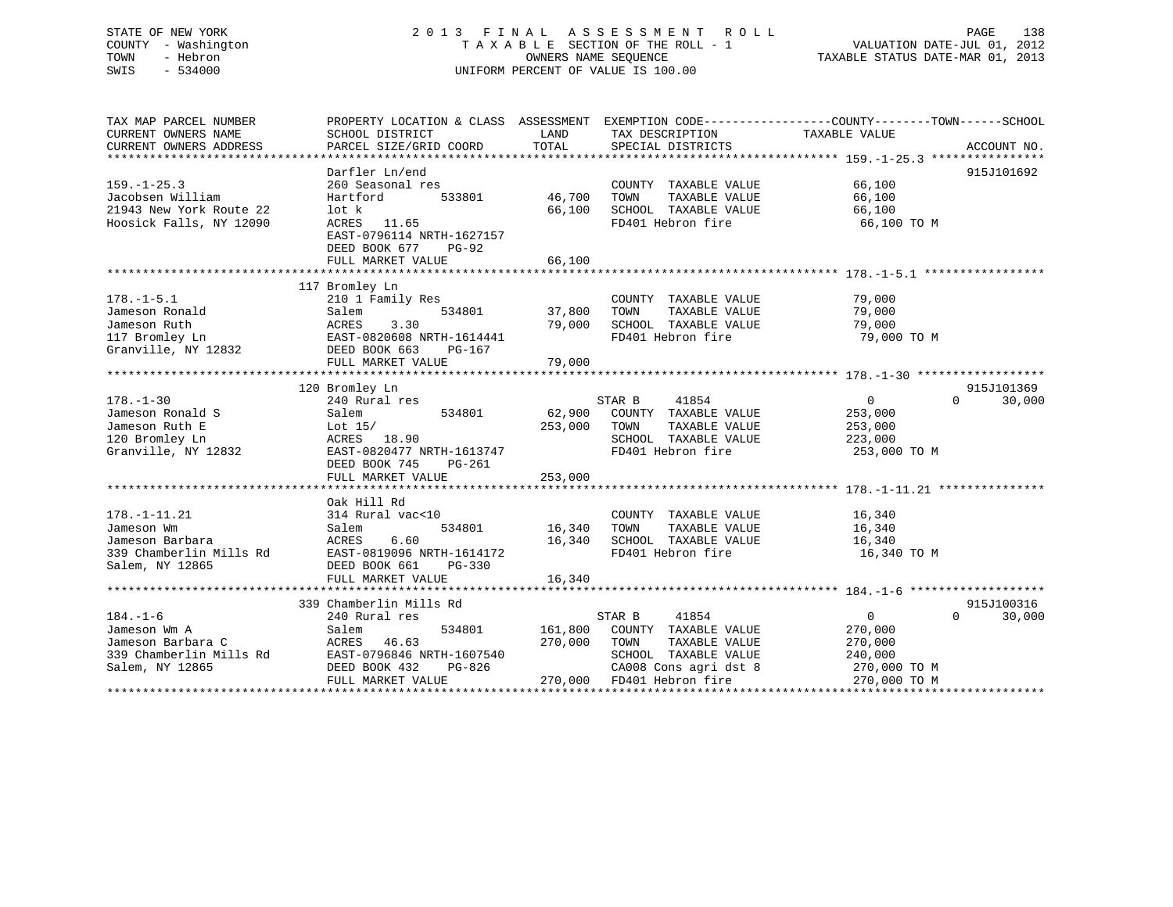# STATE OF NEW YORK 2 0 1 3 F I N A L A S S E S S M E N T R O L L PAGE 138 COUNTY - Washington T A X A B L E SECTION OF THE ROLL - 1 VALUATION DATE-JUL 01, 2012 TOWN - Hebron OWNERS NAME SEQUENCE TAXABLE STATUS DATE-MAR 01, 2013 SWIS - 534000 UNIFORM PERCENT OF VALUE IS 100.00

| TAX MAP PARCEL NUMBER         | PROPERTY LOCATION & CLASS ASSESSMENT EXEMPTION CODE---------------COUNTY-------TOWN-----SCHOOL |         |                                       |                  |                    |
|-------------------------------|------------------------------------------------------------------------------------------------|---------|---------------------------------------|------------------|--------------------|
| CURRENT OWNERS NAME           | SCHOOL DISTRICT                                                                                | LAND    | TAX DESCRIPTION                       | TAXABLE VALUE    |                    |
| CURRENT OWNERS ADDRESS        | PARCEL SIZE/GRID COORD                                                                         | TOTAL   | SPECIAL DISTRICTS                     |                  | ACCOUNT NO.        |
|                               |                                                                                                |         |                                       |                  |                    |
| $159. - 1 - 25.3$             | Darfler Ln/end<br>260 Seasonal res                                                             |         |                                       | 66,100           | 915J101692         |
|                               |                                                                                                |         | COUNTY TAXABLE VALUE                  |                  |                    |
| Jacobsen William              | Hartford<br>533801                                                                             | 46,700  | TAXABLE VALUE<br>TOWN                 | 66,100           |                    |
| 21943 New York Route 22       | lot k                                                                                          | 66,100  | SCHOOL TAXABLE VALUE                  | 66,100           |                    |
| Hoosick Falls, NY 12090       | ACRES 11.65                                                                                    |         | FD401 Hebron fire                     | 66,100 TO M      |                    |
|                               | EAST-0796114 NRTH-1627157                                                                      |         |                                       |                  |                    |
|                               | DEED BOOK 677<br>PG-92                                                                         |         |                                       |                  |                    |
|                               | FULL MARKET VALUE                                                                              | 66,100  |                                       |                  |                    |
|                               |                                                                                                |         |                                       |                  |                    |
|                               | 117 Bromley Ln                                                                                 |         |                                       |                  |                    |
| $178. - 1 - 5.1$              | 210 1 Family Res                                                                               |         | COUNTY TAXABLE VALUE                  | 79,000           |                    |
| Jameson Ronald                | 534801<br>Salem                                                                                | 37,800  | TAXABLE VALUE<br>TOWN                 | 79,000           |                    |
| Jameson Ruth                  | ACRES<br>3.30                                                                                  | 79,000  | SCHOOL TAXABLE VALUE                  | 79,000           |                    |
| 117 Bromley Ln                | EAST-0820608 NRTH-1614441                                                                      |         | FD401 Hebron fire                     | 79,000 TO M      |                    |
| Granville, NY 12832           | DEED BOOK 663<br>PG-167                                                                        |         |                                       |                  |                    |
|                               | FULL MARKET VALUE                                                                              | 79,000  |                                       |                  |                    |
|                               |                                                                                                |         |                                       |                  |                    |
|                               | 120 Bromley Ln                                                                                 |         |                                       |                  | 915J101369         |
| $178. - 1 - 30$               | 240 Rural res                                                                                  |         | STAR B<br>41854                       | $\overline{0}$   | 30,000<br>$\Omega$ |
| Jameson Ronald S              | 534801<br>Salem                                                                                | 62,900  | COUNTY TAXABLE VALUE                  | 253,000          |                    |
| Jameson Ruth E                | Lot 15/                                                                                        | 253,000 | TAXABLE VALUE<br>TOWN                 | 253,000          |                    |
| 120 Bromley Ln                | ACRES 18.90                                                                                    |         | SCHOOL TAXABLE VALUE                  | 223,000          |                    |
| Granville, NY 12832           | EAST-0820477 NRTH-1613747                                                                      |         | FD401 Hebron fire                     | 253,000 TO M     |                    |
|                               | DEED BOOK 745<br>PG-261                                                                        |         |                                       |                  |                    |
|                               | FULL MARKET VALUE                                                                              | 253,000 |                                       |                  |                    |
|                               |                                                                                                |         |                                       |                  |                    |
| $178. - 1 - 11.21$            | Oak Hill Rd<br>314 Rural vac<10                                                                |         |                                       |                  |                    |
|                               |                                                                                                | 16,340  | COUNTY TAXABLE VALUE<br>TAXABLE VALUE | 16,340<br>16,340 |                    |
| Jameson Wm<br>Jameson Barbara | Salem<br>534801<br>6.60                                                                        |         | TOWN                                  |                  |                    |
|                               | ACRES                                                                                          | 16,340  | SCHOOL TAXABLE VALUE                  | 16,340           |                    |
| 339 Chamberlin Mills Rd       | EAST-0819096 NRTH-1614172                                                                      |         | FD401 Hebron fire                     | 16,340 TO M      |                    |
| Salem, NY 12865               | DEED BOOK 661<br>$PG-330$                                                                      |         |                                       |                  |                    |
|                               | FULL MARKET VALUE                                                                              | 16,340  |                                       |                  |                    |
|                               | 339 Chamberlin Mills Rd                                                                        |         |                                       |                  | 915J100316         |
| $184. - 1 - 6$                | 240 Rural res                                                                                  |         | STAR B<br>41854                       | $\Omega$         | $\Omega$<br>30,000 |
| Jameson Wm A                  | 534801                                                                                         | 161,800 | COUNTY TAXABLE VALUE                  | 270,000          |                    |
| Jameson Barbara C             | Salem<br>ACRES<br>46.63                                                                        | 270,000 | TOWN<br>TAXABLE VALUE                 | 270,000          |                    |
|                               | EAST-0796846 NRTH-1607540                                                                      |         | SCHOOL TAXABLE VALUE                  |                  |                    |
| 339 Chamberlin Mills Rd       | PG-826                                                                                         |         | CA008 Cons agri dst 8                 | 240,000          |                    |
| Salem, NY 12865               | DEED BOOK 432                                                                                  |         |                                       | 270,000 TO M     |                    |
|                               | FULL MARKET VALUE                                                                              |         | 270,000 FD401 Hebron fire             | 270,000 TO M     |                    |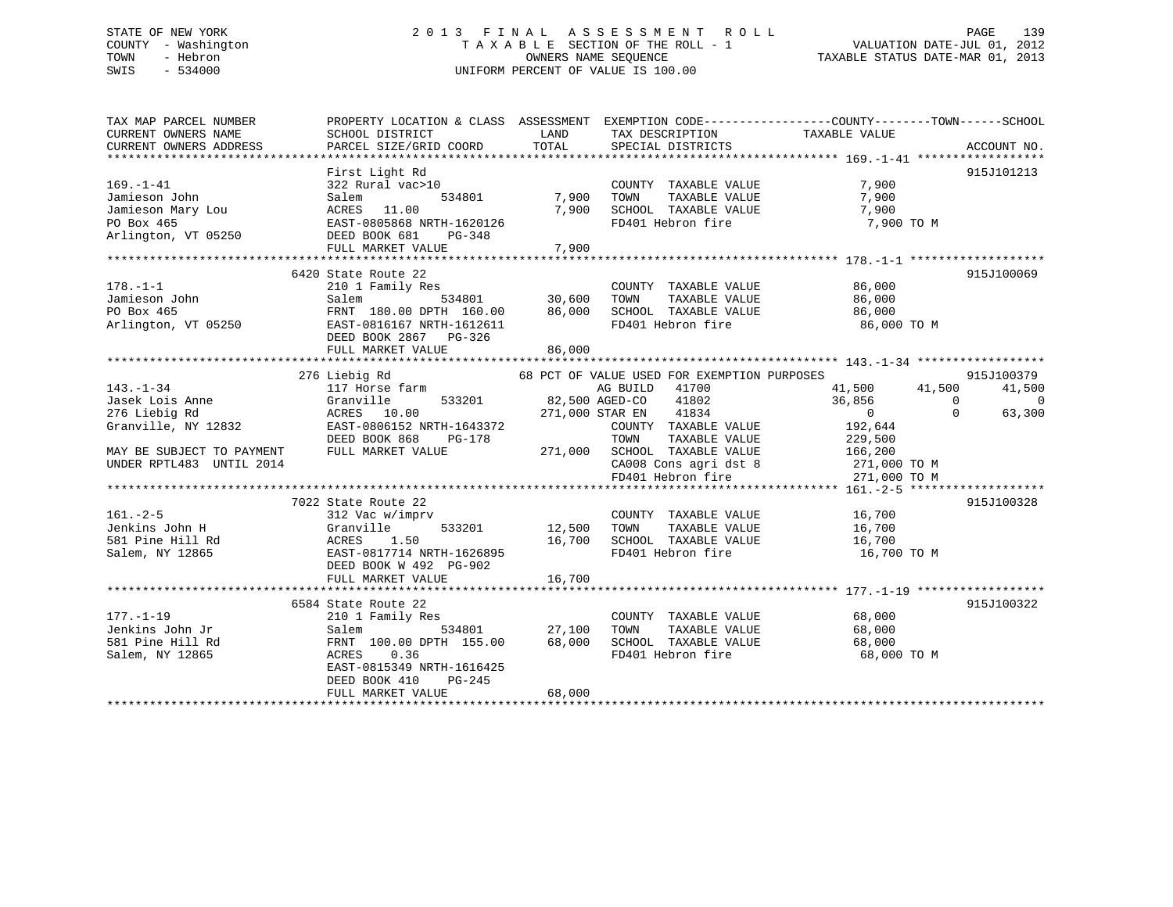# STATE OF NEW YORK 2 0 1 3 F I N A L A S S E S S M E N T R O L L PAGE 139 COUNTY - Washington T A X A B L E SECTION OF THE ROLL - 1 VALUATION DATE-JUL 01, 2012 TOWN - Hebron OWNERS NAME SEQUENCE TAXABLE STATUS DATE-MAR 01, 2013 SWIS - 534000 UNIFORM PERCENT OF VALUE IS 100.00

| TAX MAP PARCEL NUMBER<br>CURRENT OWNERS NAME<br>CURRENT OWNERS ADDRESS | SCHOOL DISTRICT<br>PARCEL SIZE/GRID COORD                                                                          | LAND<br>TOTAL   | TAX DESCRIPTION TAXABLE VALUE<br>SPECIAL DISTRICTS | PROPERTY LOCATION & CLASS ASSESSMENT EXEMPTION CODE----------------COUNTY-------TOWN------SCHOOL<br>ACCOUNT NO. |
|------------------------------------------------------------------------|--------------------------------------------------------------------------------------------------------------------|-----------------|----------------------------------------------------|-----------------------------------------------------------------------------------------------------------------|
|                                                                        |                                                                                                                    |                 |                                                    |                                                                                                                 |
|                                                                        | First Light Rd                                                                                                     |                 |                                                    | 915J101213                                                                                                      |
| $169. - 1 - 41$                                                        | 322 Rural vac>10                                                                                                   |                 | COUNTY TAXABLE VALUE                               | 7,900                                                                                                           |
| Jamieson John                                                          | 534801<br>Salem                                                                                                    | 7,900           | TAXABLE VALUE<br>TOWN                              | 7,900                                                                                                           |
|                                                                        |                                                                                                                    | 7,900           | SCHOOL TAXABLE VALUE                               | 7,900                                                                                                           |
|                                                                        |                                                                                                                    |                 | FD401 Hebron fire                                  | 7,900 TO M                                                                                                      |
|                                                                        | Jamieson Mary Lou (ACRES 11.00<br>PO Box 465 EAST-0805868 NRTH-1620126<br>Arlington, VT 05250 DEED BOOK 681 PG-348 |                 |                                                    |                                                                                                                 |
|                                                                        | FULL MARKET VALUE                                                                                                  | 7,900           |                                                    |                                                                                                                 |
|                                                                        |                                                                                                                    |                 |                                                    |                                                                                                                 |
|                                                                        | 6420 State Route 22                                                                                                |                 |                                                    | 915J100069                                                                                                      |
| $178. - 1 - 1$                                                         | 210 1 Family Res                                                                                                   |                 | COUNTY TAXABLE VALUE                               | 86,000                                                                                                          |
| Jamieson John                                                          | Salem                                                                                                              | 534801 30,600   | TOWN                                               | TAXABLE VALUE 86,000                                                                                            |
| PO Box 465                                                             | FRNT 180.00 DPTH 160.00                                                                                            | 86,000          | SCHOOL TAXABLE VALUE                               | 86,000                                                                                                          |
|                                                                        | Arlington, VT 05250 EAST-0816167 NRTH-1612611                                                                      |                 | FD401 Hebron fire                                  | 86,000 TO M                                                                                                     |
|                                                                        | DEED BOOK 2867 PG-326                                                                                              |                 |                                                    |                                                                                                                 |
|                                                                        | FULL MARKET VALUE                                                                                                  | 86,000          |                                                    |                                                                                                                 |
|                                                                        |                                                                                                                    |                 |                                                    |                                                                                                                 |
|                                                                        | 276 Liebig Rd                                                                                                      |                 | 68 PCT OF VALUE USED FOR EXEMPTION PURPOSES        | 915J100379                                                                                                      |
| $143. - 1 - 34$                                                        | 117 Horse farm                                                                                                     |                 | AG BUILD 41700                                     | 41,500 41,500<br>41,500                                                                                         |
|                                                                        | 533201<br>Granville                                                                                                | 82,500 AGED-CO  | 41802                                              | 36,856<br>$\overline{0}$<br>$\overline{0}$                                                                      |
| Jasek Lois Anne<br>276 Liebig Rd                                       | ACRES 10.00                                                                                                        | 271,000 STAR EN | 41834                                              | $\overline{0}$<br>$\Omega$<br>63,300                                                                            |
| Granville, NY 12832                                                    | EAST-0806152 NRTH-1643372                                                                                          |                 | COUNTY TAXABLE VALUE                               | 192,644                                                                                                         |
|                                                                        | DEED BOOK 868<br>PG-178                                                                                            |                 | TOWN<br>TAXABLE VALUE                              | 229,500                                                                                                         |
| MAY BE SUBJECT TO PAYMENT                                              | FULL MARKET VALUE                                                                                                  | 271,000         | SCHOOL TAXABLE VALUE                               | 166,200                                                                                                         |
| UNDER RPTL483 UNTIL 2014                                               |                                                                                                                    |                 |                                                    | 271,000 TO M                                                                                                    |
|                                                                        |                                                                                                                    |                 | CA008 Cons agri dst 8<br>FD401 Hebron fire         | 271,000 TO M                                                                                                    |
|                                                                        |                                                                                                                    |                 |                                                    |                                                                                                                 |
|                                                                        | 7022 State Route 22                                                                                                |                 |                                                    | 915J100328                                                                                                      |
| $161. - 2 - 5$                                                         | 312 Vac w/imprv                                                                                                    |                 | COUNTY TAXABLE VALUE                               | 16,700                                                                                                          |
| Jenkins John H                                                         | Granville<br>533201                                                                                                | 12,500          | TOWN<br>TAXABLE VALUE                              | 16,700                                                                                                          |
| 581 Pine Hill Rd                                                       | Granville<br>ACRES       1.50                                                                                      | 16,700          | SCHOOL TAXABLE VALUE 16,700                        |                                                                                                                 |
| Salem, NY 12865                                                        | EAST-0817714 NRTH-1626895                                                                                          |                 | FD401 Hebron fire                                  | 16,700 TO M                                                                                                     |
|                                                                        | DEED BOOK W 492 PG-902                                                                                             |                 |                                                    |                                                                                                                 |
|                                                                        | FULL MARKET VALUE                                                                                                  | 16,700          |                                                    |                                                                                                                 |
|                                                                        |                                                                                                                    |                 |                                                    |                                                                                                                 |
|                                                                        | 6584 State Route 22                                                                                                |                 |                                                    | 915J100322                                                                                                      |
| $177. - 1 - 19$                                                        | 210 1 Family Res                                                                                                   |                 | COUNTY TAXABLE VALUE                               | 68,000                                                                                                          |
| Jenkins John Jr                                                        | Salem                                                                                                              | 534801 27,100   | TAXABLE VALUE<br>TOWN                              | 68,000                                                                                                          |
| 581 Pine Hill Rd                                                       | FRNT 100.00 DPTH 155.00                                                                                            | 68,000          | SCHOOL TAXABLE VALUE                               | 68,000                                                                                                          |
| Salem, NY 12865                                                        | ACRES 0.36                                                                                                         |                 | FD401 Hebron fire                                  | 68,000 TO M                                                                                                     |
|                                                                        | EAST-0815349 NRTH-1616425                                                                                          |                 |                                                    |                                                                                                                 |
|                                                                        | DEED BOOK 410<br>PG-245                                                                                            |                 |                                                    |                                                                                                                 |
|                                                                        | FULL MARKET VALUE                                                                                                  | 68,000          |                                                    |                                                                                                                 |
|                                                                        |                                                                                                                    |                 |                                                    |                                                                                                                 |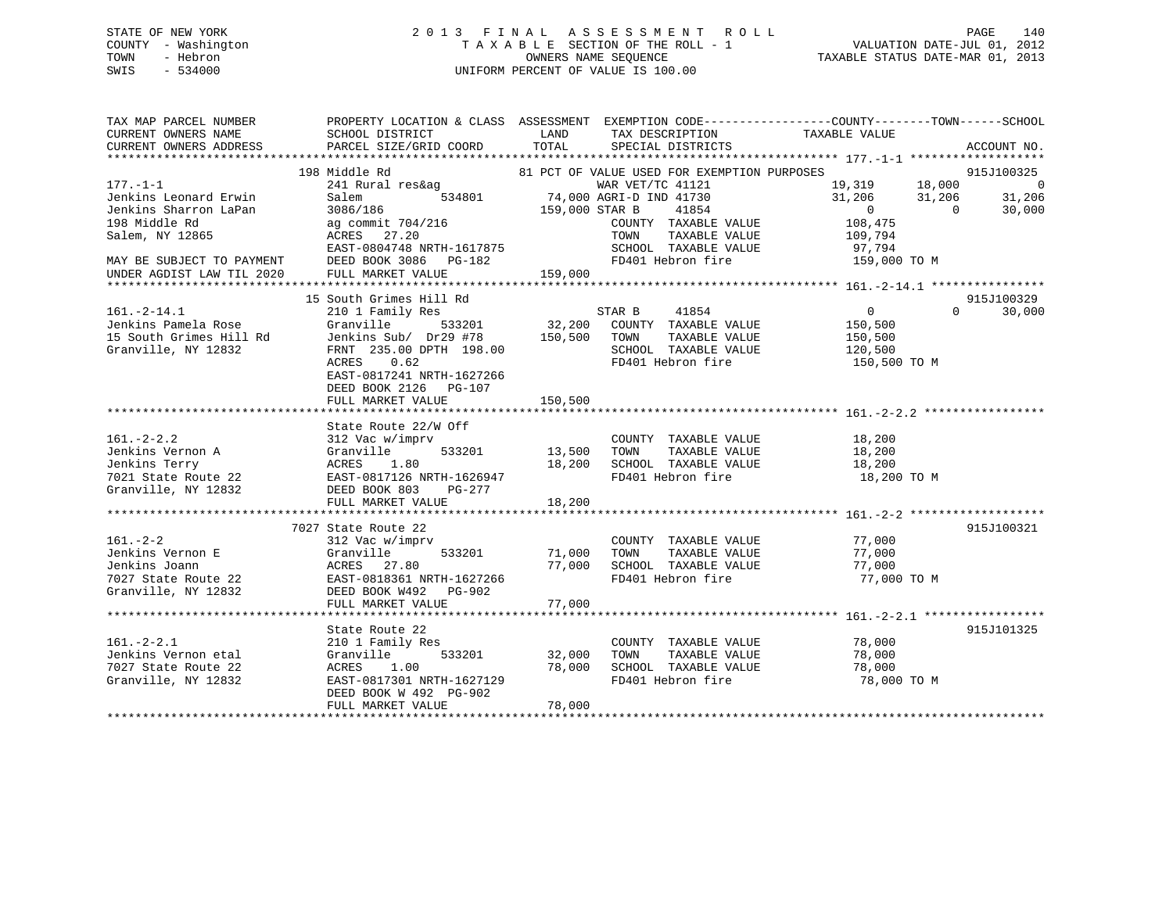# STATE OF NEW YORK 2 0 1 3 F I N A L A S S E S S M E N T R O L L PAGE 140 COUNTY - Washington T A X A B L E SECTION OF THE ROLL - 1 VALUATION DATE-JUL 01, 2012 TOWN - Hebron OWNERS NAME SEQUENCE TAXABLE STATUS DATE-MAR 01, 2013 SWIS - 534000 UNIFORM PERCENT OF VALUE IS 100.00

TAX MAP PARCEL NUMBER PROPERTY LOCATION & CLASS ASSESSMENT EXEMPTION CODE------------------COUNTY--------TOWN------SCHOOL

| CURRENT OWNERS NAME                            | SCHOOL DISTRICT                                                                    | LAND           | TAX DESCRIPTION                             | TAXABLE VALUE                      |                              |
|------------------------------------------------|------------------------------------------------------------------------------------|----------------|---------------------------------------------|------------------------------------|------------------------------|
| CURRENT OWNERS ADDRESS                         | PARCEL SIZE/GRID COORD                                                             | TOTAL          | SPECIAL DISTRICTS                           |                                    | ACCOUNT NO.                  |
|                                                |                                                                                    |                |                                             |                                    |                              |
|                                                | 198 Middle Rd                                                                      |                | 81 PCT OF VALUE USED FOR EXEMPTION PURPOSES | 19,319 18,000                      | 915J100325<br>$\overline{0}$ |
| $177. - 1 - 1$                                 | 241 Rural res&ag                                                                   |                | WAR VET/TC 41121                            |                                    |                              |
| Jenkins Leonard Erwin<br>Jenkins Sharron LaPan | Salem<br>534801<br>3086/186                                                        |                | 74,000 AGRI-D IND 41730                     | 31,206<br>31,206<br>$\overline{0}$ | 31,206<br>$\Omega$           |
| 198 Middle Rd                                  |                                                                                    | 159,000 STAR B | 41854                                       | 108,475                            | 30,000                       |
|                                                | ag commit 704/216                                                                  |                | COUNTY TAXABLE VALUE                        |                                    |                              |
| Salem, NY 12865                                | ACRES 27.20<br>EAST-0804748 NRTH-1617875                                           |                | TOWN<br>TAXABLE VALUE                       | 109,794                            |                              |
|                                                |                                                                                    |                | SCHOOL TAXABLE VALUE<br>FD401 Hebron fire   | 97,794<br>159,000 TO M             |                              |
| MAY BE SUBJECT TO PAYMENT                      | DEED BOOK 3086 PG-182                                                              |                |                                             |                                    |                              |
| UNDER AGDIST LAW TIL 2020                      | FULL MARKET VALUE                                                                  | 159,000        |                                             |                                    |                              |
|                                                | 15 South Grimes Hill Rd                                                            |                |                                             |                                    | 915J100329                   |
| $161.-2-14.1$                                  |                                                                                    |                | STAR B<br>41854                             | $\overline{0}$                     | $\Omega$<br>30,000           |
| Jenkins Pamela Rose                            | 210 1 Family Res<br>Granville<br>533201                                            |                | 32,200 COUNTY TAXABLE VALUE                 | 150,500                            |                              |
| 15 South Grimes Hill Rd                        | Jenkins Sub/ Dr29 #78                                                              | 150,500 TOWN   | TAXABLE VALUE                               | 150,500                            |                              |
| Granville, NY 12832                            | FRNT 235.00 DPTH 198.00                                                            |                | SCHOOL TAXABLE VALUE                        | 120,500                            |                              |
|                                                | ACRES<br>0.62                                                                      |                | FD401 Hebron fire                           | 150,500 TO M                       |                              |
|                                                | EAST-0817241 NRTH-1627266                                                          |                |                                             |                                    |                              |
|                                                | DEED BOOK 2126 PG-107                                                              |                |                                             |                                    |                              |
|                                                | FULL MARKET VALUE                                                                  | 150,500        |                                             |                                    |                              |
|                                                |                                                                                    |                |                                             |                                    |                              |
|                                                | State Route 22/W Off                                                               |                |                                             |                                    |                              |
| $161. - 2 - 2.2$                               | 312 Vac w/imprv                                                                    |                | COUNTY TAXABLE VALUE                        | 18,200                             |                              |
| Jenkins Vernon A                               | Granville<br>533201                                                                | 13,500 TOWN    | TAXABLE VALUE                               | 18,200                             |                              |
| Jenkins Terry                                  |                                                                                    |                | 18,200 SCHOOL TAXABLE VALUE                 | 18,200                             |                              |
| 7021 State Route 22                            |                                                                                    |                | FD401 Hebron fire                           | 18,200 TO M                        |                              |
| Granville, NY 12832                            | ACRES 1.00<br>2 EAST-0817126 NRTH-1626947<br>201 PG-277<br>DEED BOOK 803<br>PG-277 |                |                                             |                                    |                              |
|                                                | FULL MARKET VALUE                                                                  | 18,200         |                                             |                                    |                              |
|                                                |                                                                                    |                |                                             |                                    |                              |
|                                                | 7027 State Route 22                                                                |                |                                             |                                    | 915J100321                   |
| $161. - 2 - 2$                                 | 312 Vac w/imprv                                                                    |                | COUNTY TAXABLE VALUE                        | 77,000                             |                              |
| Jenkins Vernon E                               | Granville<br>533201                                                                | 71,000         | TOWN<br>TAXABLE VALUE                       | 77,000                             |                              |
| Jenkins Joann                                  | ACRES 27.80                                                                        |                | 77,000 SCHOOL TAXABLE VALUE                 | 77,000                             |                              |
| 7027 State Route 22                            | EAST-0818361 NRTH-1627266                                                          |                | FD401 Hebron fire                           | 77,000 TO M                        |                              |
| Granville, NY 12832                            | DEED BOOK W492 PG-902                                                              |                |                                             |                                    |                              |
|                                                | FULL MARKET VALUE                                                                  | 77,000         |                                             |                                    |                              |
|                                                |                                                                                    |                |                                             |                                    |                              |
|                                                | State Route 22                                                                     |                |                                             |                                    | 915J101325                   |
| $161. - 2 - 2.1$                               | 210 1 Family Res                                                                   |                | COUNTY TAXABLE VALUE                        | 78,000                             |                              |
| Jenkins Vernon etal                            | Granville<br>533201                                                                | 32,000 TOWN    | TAXABLE VALUE                               | 78,000                             |                              |
| 7027 State Route 22                            | ACRES 1.00                                                                         |                | 78,000 SCHOOL TAXABLE VALUE                 | 78,000                             |                              |
| Granville, NY 12832                            | EAST-0817301 NRTH-1627129                                                          |                | FD401 Hebron fire                           | 78,000 TO M                        |                              |
|                                                | DEED BOOK W 492 PG-902                                                             |                |                                             |                                    |                              |
|                                                | FULL MARKET VALUE                                                                  | 78,000         |                                             |                                    |                              |
|                                                |                                                                                    |                |                                             |                                    |                              |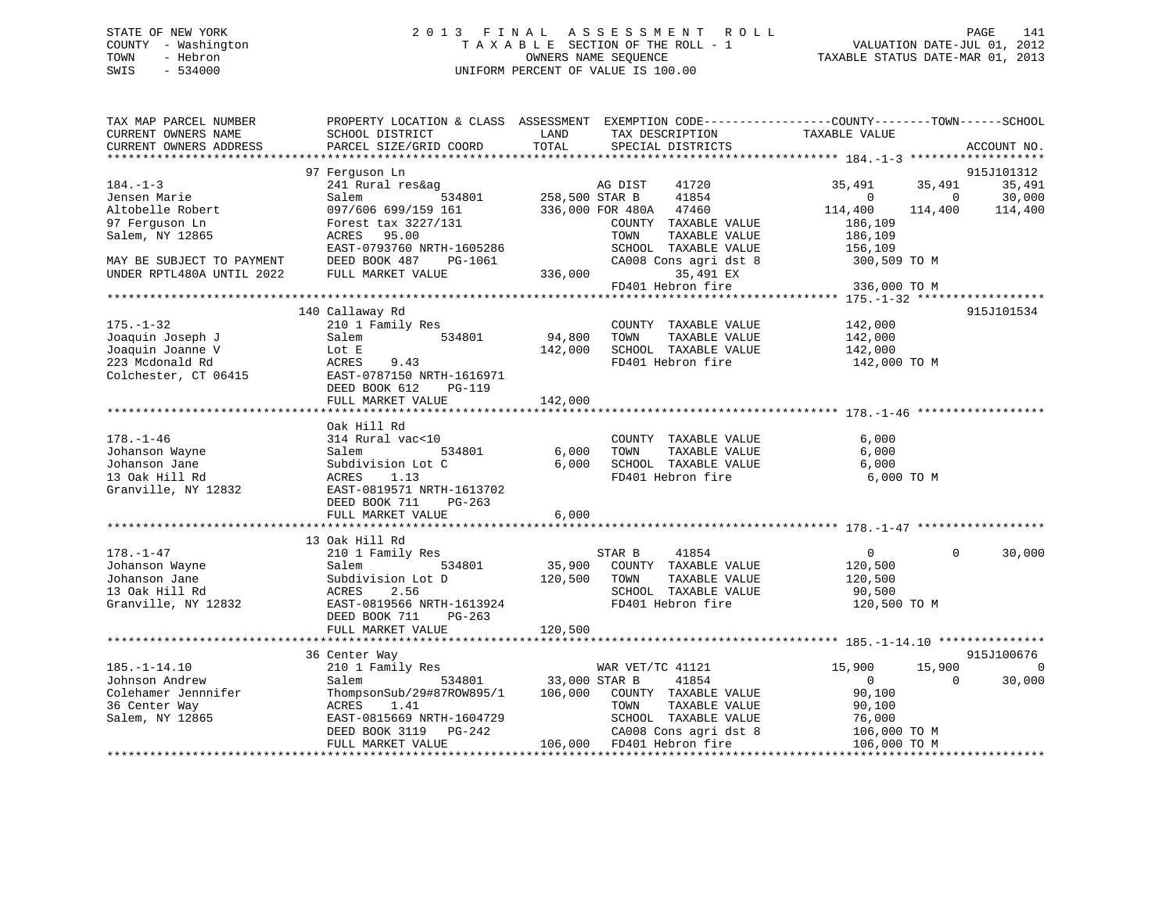# STATE OF NEW YORK 2 0 1 3 F I N A L A S S E S S M E N T R O L L PAGE 141 COUNTY - Washington T A X A B L E SECTION OF THE ROLL - 1 VALUATION DATE-JUL 01, 2012 TOWN - Hebron OWNERS NAME SEQUENCE TAXABLE STATUS DATE-MAR 01, 2013 SWIS - 534000 UNIFORM PERCENT OF VALUE IS 100.00

| TAX MAP PARCEL NUMBER<br>CURRENT OWNERS NAME<br>CURRENT OWNERS ADDRESS | SCHOOL DISTRICT<br>PARCEL SIZE/GRID COORD | PROPERTY LOCATION & CLASS ASSESSMENT EXEMPTION CODE----------------COUNTY-------TOWN------SCHOOL<br>LAND<br>TAX DESCRIPTION<br>TOTAL<br>SPECIAL DISTRICTS | TAXABLE VALUE              | ACCOUNT NO. |
|------------------------------------------------------------------------|-------------------------------------------|-----------------------------------------------------------------------------------------------------------------------------------------------------------|----------------------------|-------------|
|                                                                        |                                           |                                                                                                                                                           |                            |             |
|                                                                        | 97 Ferquson Ln                            |                                                                                                                                                           |                            | 915J101312  |
| $184. - 1 - 3$                                                         | 241 Rural res&ag                          | AG DIST<br>41720                                                                                                                                          | 35,491<br>35,491           | 35,491      |
| Jensen Marie                                                           | 534801<br>Salem                           | 258,500 STAR B<br>41854                                                                                                                                   | $\Omega$<br>$\Omega$       | 30,000      |
| Altobelle Robert                                                       | 097/606 699/159 161                       | 47460<br>336,000 FOR 480A                                                                                                                                 | 114,400<br>114,400         | 114,400     |
| 97 Ferguson Ln                                                         | Forest tax 3227/131                       | COUNTY TAXABLE VALUE                                                                                                                                      | 186,109                    |             |
| Salem, NY 12865                                                        | ACRES<br>95.00                            | TOWN<br>TAXABLE VALUE                                                                                                                                     | 186,109                    |             |
|                                                                        | EAST-0793760 NRTH-1605286                 | SCHOOL TAXABLE VALUE                                                                                                                                      | 156,109                    |             |
| MAY BE SUBJECT TO PAYMENT                                              | DEED BOOK 487<br>PG-1061                  | CA008 Cons agri dst 8                                                                                                                                     | 300,509 TO M               |             |
| UNDER RPTL480A UNTIL 2022                                              | FULL MARKET VALUE                         | 336,000<br>35,491 EX                                                                                                                                      |                            |             |
|                                                                        |                                           | FD401 Hebron fire                                                                                                                                         | 336,000 TO M               |             |
|                                                                        |                                           |                                                                                                                                                           |                            |             |
|                                                                        | 140 Callaway Rd                           |                                                                                                                                                           |                            | 915J101534  |
| $175. - 1 - 32$                                                        | 210 1 Family Res                          | COUNTY TAXABLE VALUE                                                                                                                                      | 142,000                    |             |
| Joaquin Joseph J                                                       | 534801<br>Salem                           | 94,800<br>TOWN<br>TAXABLE VALUE                                                                                                                           | 142,000                    |             |
| Joaquin Joanne V                                                       | Lot E                                     | SCHOOL TAXABLE VALUE<br>142,000                                                                                                                           | 142,000                    |             |
| 223 Mcdonald Rd                                                        | ACRES<br>9.43                             | FD401 Hebron fire                                                                                                                                         | 142,000 TO M               |             |
| Colchester, CT 06415                                                   | EAST-0787150 NRTH-1616971                 |                                                                                                                                                           |                            |             |
|                                                                        | DEED BOOK 612<br>PG-119                   |                                                                                                                                                           |                            |             |
|                                                                        | FULL MARKET VALUE                         | 142,000                                                                                                                                                   |                            |             |
|                                                                        |                                           |                                                                                                                                                           |                            |             |
|                                                                        | Oak Hill Rd                               |                                                                                                                                                           |                            |             |
| $178. - 1 - 46$                                                        | 314 Rural vac<10                          | COUNTY TAXABLE VALUE                                                                                                                                      | 6,000                      |             |
| Johanson Wayne                                                         | 534801<br>Salem                           | 6,000<br>TOWN<br>TAXABLE VALUE                                                                                                                            | 6,000                      |             |
| Johanson Jane                                                          | Subdivision Lot C                         | 6,000<br>SCHOOL TAXABLE VALUE                                                                                                                             | 6,000                      |             |
| 13 Oak Hill Rd                                                         | ACRES<br>1.13                             | FD401 Hebron fire                                                                                                                                         | 6,000 TO M                 |             |
| Granville, NY 12832                                                    | EAST-0819571 NRTH-1613702                 |                                                                                                                                                           |                            |             |
|                                                                        | DEED BOOK 711<br>PG-263                   |                                                                                                                                                           |                            |             |
|                                                                        | FULL MARKET VALUE                         | 6,000                                                                                                                                                     |                            |             |
|                                                                        |                                           |                                                                                                                                                           |                            |             |
|                                                                        | 13 Oak Hill Rd                            |                                                                                                                                                           |                            |             |
| $178. - 1 - 47$                                                        | 210 1 Family Res                          | STAR B<br>41854                                                                                                                                           | $\Omega$<br>$\overline{0}$ | 30,000      |
| Johanson Wayne                                                         | 534801<br>Salem                           | 35,900<br>COUNTY TAXABLE VALUE                                                                                                                            | 120,500                    |             |
| Johanson Jane                                                          | Subdivision Lot D                         | 120,500<br>TAXABLE VALUE<br>TOWN                                                                                                                          | 120,500                    |             |
| 13 Oak Hill Rd                                                         | ACRES<br>2.56                             | SCHOOL TAXABLE VALUE                                                                                                                                      | 90,500                     |             |
| Granville, NY 12832                                                    | EAST-0819566 NRTH-1613924                 | FD401 Hebron fire                                                                                                                                         | 120,500 TO M               |             |
|                                                                        | DEED BOOK 711<br>PG-263                   |                                                                                                                                                           |                            |             |
|                                                                        | FULL MARKET VALUE                         | 120,500                                                                                                                                                   |                            |             |
|                                                                        |                                           |                                                                                                                                                           |                            |             |
|                                                                        | 36 Center Way                             |                                                                                                                                                           |                            | 915J100676  |
| $185. - 1 - 14.10$                                                     | 210 1 Family Res                          | WAR VET/TC 41121                                                                                                                                          | 15,900<br>15,900           | 0           |
| Johnson Andrew                                                         | 534801<br>Salem                           | 33,000 STAR B<br>41854                                                                                                                                    | $\mathbf{0}$<br>$\Omega$   | 30,000      |
| Colehamer Jennnifer                                                    | ThompsonSub/29#87ROW895/1                 | 106,000 COUNTY TAXABLE VALUE                                                                                                                              | 90,100                     |             |
| 36 Center Way                                                          | ACRES<br>1.41                             | TAXABLE VALUE<br>TOWN                                                                                                                                     | 90,100                     |             |
| Salem, NY 12865                                                        | EAST-0815669 NRTH-1604729                 | SCHOOL TAXABLE VALUE                                                                                                                                      | 76,000                     |             |
|                                                                        | DEED BOOK 3119<br>PG-242                  | CA008 Cons agri dst 8                                                                                                                                     | 106,000 TO M               |             |
|                                                                        | FULL MARKET VALUE                         | 106,000 FD401 Hebron fire                                                                                                                                 | 106,000 TO M               |             |
|                                                                        |                                           |                                                                                                                                                           |                            |             |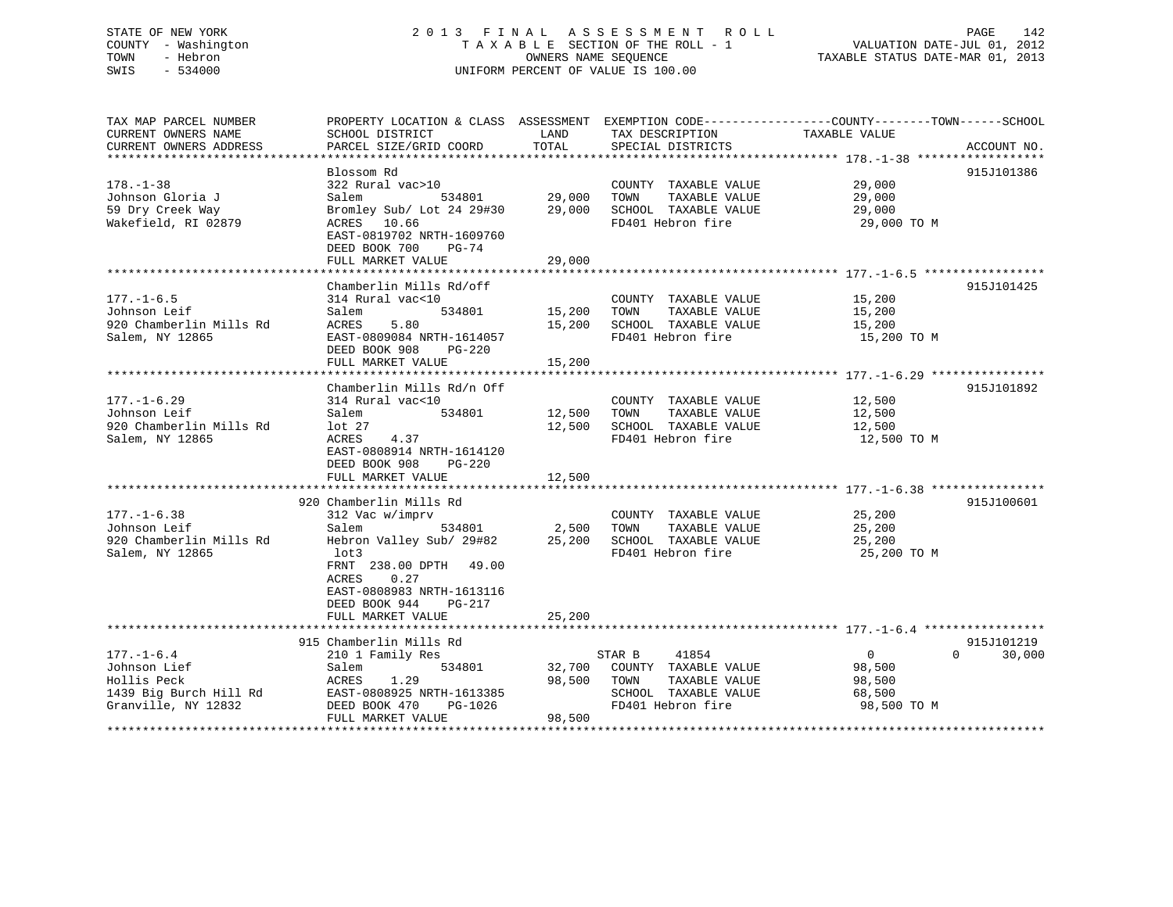# STATE OF NEW YORK 2013 FINAL ASSESSMENT ROLL PAGE 142 COUNTY - Washington  $\begin{array}{ccc} 1 & 0 & 0 \\ -1 & 0 & 0 \end{array}$  T A X A B L E SECTION OF THE ROLL - 1 SWIS - 534000 UNIFORM PERCENT OF VALUE IS 100.00

 $PAGE$   $142$ <br>VALUATION DATE-JUL 01, 2012

TAXABLE STATUS DATE-MAR 01, 2013

| TAX MAP PARCEL NUMBER<br>CURRENT OWNERS NAME<br>CURRENT OWNERS ADDRESS<br>********************** | PROPERTY LOCATION & CLASS ASSESSMENT<br>SCHOOL DISTRICT<br>PARCEL SIZE/GRID COORD                                                                                                                                           | LAND<br>TOTAL              | TAX DESCRIPTION<br>SPECIAL DISTRICTS                                                                          | EXEMPTION CODE-----------------COUNTY--------TOWN------SCHOOL<br>TAXABLE VALUE<br>ACCOUNT NO. |
|--------------------------------------------------------------------------------------------------|-----------------------------------------------------------------------------------------------------------------------------------------------------------------------------------------------------------------------------|----------------------------|---------------------------------------------------------------------------------------------------------------|-----------------------------------------------------------------------------------------------|
| $178. - 1 - 38$<br>Johnson Gloria J<br>59 Dry Creek Way<br>Wakefield, RI 02879                   | Blossom Rd<br>322 Rural vac>10<br>Salem<br>534801<br>Bromley Sub/ Lot 24 29#30<br>ACRES<br>10.66<br>EAST-0819702 NRTH-1609760<br>DEED BOOK 700<br>$PG-74$<br>FULL MARKET VALUE                                              | 29,000<br>29,000<br>29,000 | COUNTY TAXABLE VALUE<br>TAXABLE VALUE<br>TOWN<br>SCHOOL TAXABLE VALUE<br>FD401 Hebron fire                    | 915J101386<br>29,000<br>29,000<br>29,000<br>29,000 TO M                                       |
| $177. - 1 - 6.5$<br>Johnson Leif<br>920 Chamberlin Mills Rd<br>Salem, NY 12865                   | Chamberlin Mills Rd/off<br>314 Rural vac<10<br>534801<br>Salem<br>5.80<br>ACRES<br>EAST-0809084 NRTH-1614057<br>DEED BOOK 908<br>$PG-220$<br>FULL MARKET VALUE                                                              | 15,200<br>15,200<br>15,200 | COUNTY TAXABLE VALUE<br>TAXABLE VALUE<br>TOWN<br>SCHOOL TAXABLE VALUE<br>FD401 Hebron fire                    | 915J101425<br>15,200<br>15,200<br>15,200<br>15,200 TO M                                       |
| $177. - 1 - 6.29$<br>Johnson Leif<br>920 Chamberlin Mills Rd<br>Salem, NY 12865                  | Chamberlin Mills Rd/n Off<br>314 Rural vac<10<br>Salem<br>534801<br>lot <sub>27</sub><br>ACRES<br>4.37<br>EAST-0808914 NRTH-1614120<br>DEED BOOK 908<br>$PG-220$<br>FULL MARKET VALUE                                       | 12,500<br>12,500<br>12,500 | COUNTY TAXABLE VALUE<br>TAXABLE VALUE<br>TOWN<br>SCHOOL TAXABLE VALUE<br>FD401 Hebron fire                    | 915J101892<br>12,500<br>12,500<br>12,500<br>12,500 TO M                                       |
| $177. - 1 - 6.38$<br>Johnson Leif<br>920 Chamberlin Mills Rd<br>Salem, NY 12865                  | 920 Chamberlin Mills Rd<br>312 Vac w/imprv<br>Salem<br>534801<br>Hebron Valley Sub/ 29#82<br>lot3<br>FRNT 238.00 DPTH 49.00<br>ACRES<br>0.27<br>EAST-0808983 NRTH-1613116<br>DEED BOOK 944<br>$PG-217$<br>FULL MARKET VALUE | 2,500<br>25,200<br>25,200  | COUNTY TAXABLE VALUE<br>TAXABLE VALUE<br>TOWN<br>SCHOOL TAXABLE VALUE<br>FD401 Hebron fire                    | 915J100601<br>25,200<br>25,200<br>25,200<br>25,200 TO M                                       |
| $177. - 1 - 6.4$<br>Johnson Lief<br>Hollis Peck<br>1439 Big Burch Hill Rd<br>Granville, NY 12832 | 915 Chamberlin Mills Rd<br>210 1 Family Res<br>534801<br>Salem<br>1.29<br>ACRES<br>EAST-0808925 NRTH-1613385<br>DEED BOOK 470<br>PG-1026<br>FULL MARKET VALUE                                                               | 32,700<br>98,500<br>98,500 | 41854<br>STAR B<br>COUNTY TAXABLE VALUE<br>TOWN<br>TAXABLE VALUE<br>SCHOOL TAXABLE VALUE<br>FD401 Hebron fire | 915J101219<br>$\mathbf{0}$<br>$\Omega$<br>30,000<br>98,500<br>98,500<br>68,500<br>98,500 TO M |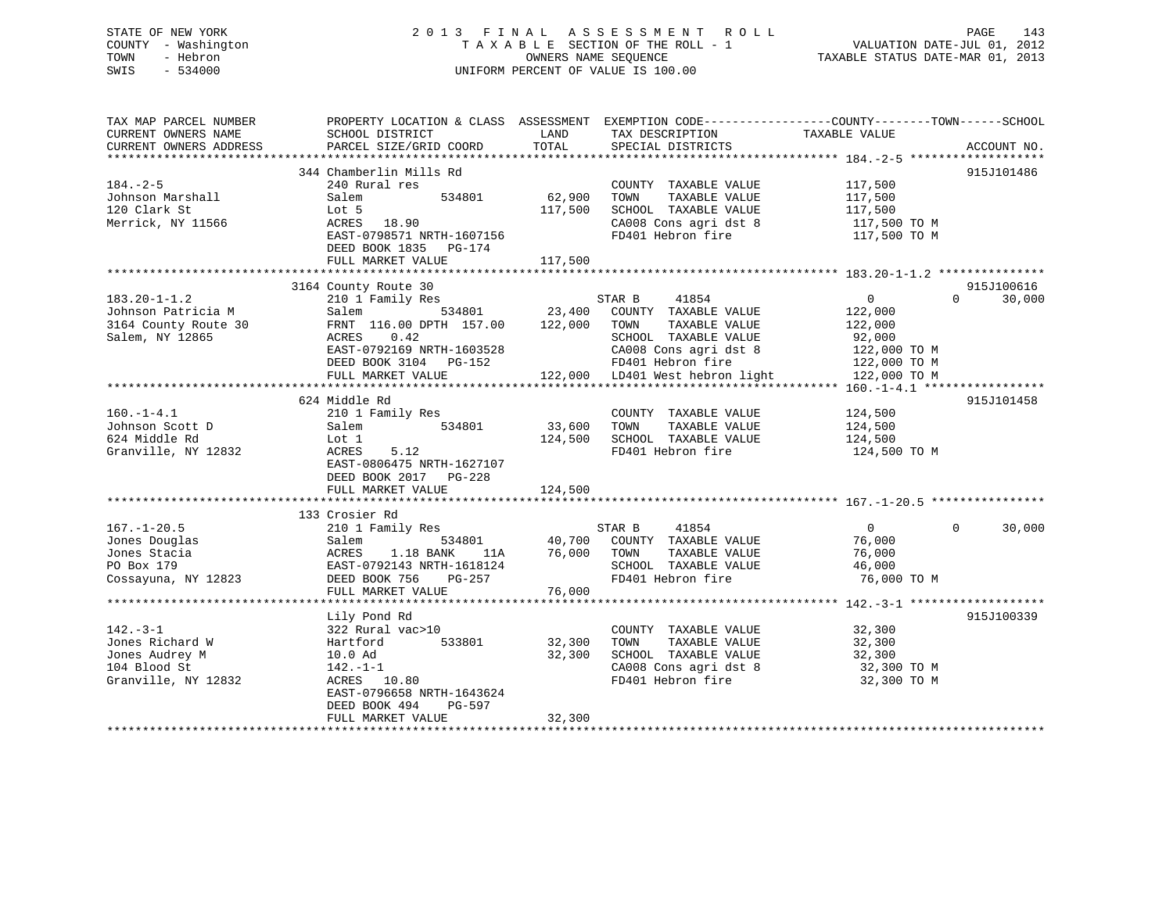# STATE OF NEW YORK 2 0 1 3 F I N A L A S S E S S M E N T R O L L PAGE 143 COUNTY - Washington T A X A B L E SECTION OF THE ROLL - 1 VALUATION DATE-JUL 01, 2012 TOWN - Hebron OWNERS NAME SEQUENCE TAXABLE STATUS DATE-MAR 01, 2013 SWIS - 534000 UNIFORM PERCENT OF VALUE IS 100.00

| 344 Chamberlin Mills Rd<br>915J101486<br>240 Rural res<br>COUNTY TAXABLE VALUE<br>117,500<br>534801<br>62,900<br>Salem<br>TOWN<br>TAXABLE VALUE<br>117,500<br>120 Clark St<br>117,500<br>SCHOOL TAXABLE VALUE<br>Lot 5<br>117,500<br>Merrick, NY 11566<br>ACRES<br>18.90<br>CA008 Cons agri dst 8<br>117,500 TO M<br>FD401 Hebron fire<br>EAST-0798571 NRTH-1607156<br>117,500 TO M<br>DEED BOOK 1835<br>PG-174<br>FULL MARKET VALUE<br>117,500<br>915J100616<br>3164 County Route 30<br>$\overline{0}$<br>$183.20 - 1 - 1.2$<br>210 1 Family Res<br>STAR B<br>41854<br>$\Omega$<br>30,000<br>534801<br>23,400<br>COUNTY TAXABLE VALUE<br>Johnson Patricia M<br>Salem<br>122,000<br>3164 County Route 30<br>FRNT 116.00 DPTH 157.00<br>122,000<br>TOWN<br>TAXABLE VALUE<br>122,000<br>Salem, NY 12865<br>ACRES<br>0.42<br>SCHOOL TAXABLE VALUE<br>92,000<br>EAST-0792169 NRTH-1603528<br>CA008 Cons agri dst 8<br>122,000 TO M<br>FD401 Hebron fire<br>DEED BOOK 3104 PG-152<br>122,000 TO M<br>122,000 LD401 West hebron light<br>FULL MARKET VALUE<br>122,000 TO M<br>624 Middle Rd<br>915J101458<br>$160.-1-4.1$<br>210 1 Family Res<br>124,500<br>COUNTY TAXABLE VALUE<br>Johnson Scott D<br>534801<br>33,600<br>TOWN<br>TAXABLE VALUE<br>124,500<br>Salem<br>624 Middle Rd<br>124,500<br>SCHOOL TAXABLE VALUE<br>Lot 1<br>124,500<br>Granville, NY 12832<br>5.12<br>FD401 Hebron fire<br>ACRES<br>124,500 TO M<br>EAST-0806475 NRTH-1627107<br>DEED BOOK 2017 PG-228<br>FULL MARKET VALUE<br>124,500<br>133 Crosier Rd<br>$167. - 1 - 20.5$<br>$\overline{0}$<br>$\Omega$<br>30,000<br>210 1 Family Res<br>STAR B<br>41854<br>Jones Douglas<br>534801<br>40,700<br>COUNTY TAXABLE VALUE<br>76,000<br>Salem<br>76,000<br>TAXABLE VALUE<br>Jones Stacia<br>ACRES<br>1.18 BANK<br>11A<br>TOWN<br>76,000<br>PO Box 179<br>EAST-0792143 NRTH-1618124<br>SCHOOL TAXABLE VALUE<br>46,000<br>FD401 Hebron fire<br>76,000 TO M<br>Cossayuna, NY 12823<br>DEED BOOK 756<br>PG-257<br>FULL MARKET VALUE<br>76,000<br>915J100339<br>Lily Pond Rd<br>$142. - 3 - 1$<br>322 Rural vac>10<br>COUNTY TAXABLE VALUE<br>32,300<br>Jones Richard W<br>533801<br>32,300<br>TOWN<br>TAXABLE VALUE<br>32,300<br>Hartford<br>Jones Audrey M<br>32,300<br>SCHOOL TAXABLE VALUE<br>32,300<br>10.0 Ad<br>104 Blood St<br>CA008 Cons agri dst 8<br>32,300 TO M<br>142.-1-1<br>Granville, NY 12832<br>FD401 Hebron fire<br>32,300 TO M<br>ACRES 10.80<br>EAST-0796658 NRTH-1643624<br>DEED BOOK 494<br>PG-597<br>32,300<br>FULL MARKET VALUE | TAX MAP PARCEL NUMBER<br>CURRENT OWNERS NAME<br>CURRENT OWNERS ADDRESS | PROPERTY LOCATION & CLASS ASSESSMENT<br>SCHOOL DISTRICT<br>PARCEL SIZE/GRID COORD | LAND<br>TOTAL | EXEMPTION CODE-----------------COUNTY-------TOWN------SCHOOL<br>TAX DESCRIPTION<br>SPECIAL DISTRICTS | TAXABLE VALUE | ACCOUNT NO. |
|-----------------------------------------------------------------------------------------------------------------------------------------------------------------------------------------------------------------------------------------------------------------------------------------------------------------------------------------------------------------------------------------------------------------------------------------------------------------------------------------------------------------------------------------------------------------------------------------------------------------------------------------------------------------------------------------------------------------------------------------------------------------------------------------------------------------------------------------------------------------------------------------------------------------------------------------------------------------------------------------------------------------------------------------------------------------------------------------------------------------------------------------------------------------------------------------------------------------------------------------------------------------------------------------------------------------------------------------------------------------------------------------------------------------------------------------------------------------------------------------------------------------------------------------------------------------------------------------------------------------------------------------------------------------------------------------------------------------------------------------------------------------------------------------------------------------------------------------------------------------------------------------------------------------------------------------------------------------------------------------------------------------------------------------------------------------------------------------------------------------------------------------------------------------------------------------------------------------------------------------------------------------------------------------------------------------------------------------------------------------------------------------------------------------------------------------------------------------------------------------------------------------------|------------------------------------------------------------------------|-----------------------------------------------------------------------------------|---------------|------------------------------------------------------------------------------------------------------|---------------|-------------|
|                                                                                                                                                                                                                                                                                                                                                                                                                                                                                                                                                                                                                                                                                                                                                                                                                                                                                                                                                                                                                                                                                                                                                                                                                                                                                                                                                                                                                                                                                                                                                                                                                                                                                                                                                                                                                                                                                                                                                                                                                                                                                                                                                                                                                                                                                                                                                                                                                                                                                                                       |                                                                        |                                                                                   |               |                                                                                                      |               |             |
|                                                                                                                                                                                                                                                                                                                                                                                                                                                                                                                                                                                                                                                                                                                                                                                                                                                                                                                                                                                                                                                                                                                                                                                                                                                                                                                                                                                                                                                                                                                                                                                                                                                                                                                                                                                                                                                                                                                                                                                                                                                                                                                                                                                                                                                                                                                                                                                                                                                                                                                       |                                                                        |                                                                                   |               |                                                                                                      |               |             |
|                                                                                                                                                                                                                                                                                                                                                                                                                                                                                                                                                                                                                                                                                                                                                                                                                                                                                                                                                                                                                                                                                                                                                                                                                                                                                                                                                                                                                                                                                                                                                                                                                                                                                                                                                                                                                                                                                                                                                                                                                                                                                                                                                                                                                                                                                                                                                                                                                                                                                                                       | $184. - 2 - 5$                                                         |                                                                                   |               |                                                                                                      |               |             |
|                                                                                                                                                                                                                                                                                                                                                                                                                                                                                                                                                                                                                                                                                                                                                                                                                                                                                                                                                                                                                                                                                                                                                                                                                                                                                                                                                                                                                                                                                                                                                                                                                                                                                                                                                                                                                                                                                                                                                                                                                                                                                                                                                                                                                                                                                                                                                                                                                                                                                                                       | Johnson Marshall                                                       |                                                                                   |               |                                                                                                      |               |             |
|                                                                                                                                                                                                                                                                                                                                                                                                                                                                                                                                                                                                                                                                                                                                                                                                                                                                                                                                                                                                                                                                                                                                                                                                                                                                                                                                                                                                                                                                                                                                                                                                                                                                                                                                                                                                                                                                                                                                                                                                                                                                                                                                                                                                                                                                                                                                                                                                                                                                                                                       |                                                                        |                                                                                   |               |                                                                                                      |               |             |
|                                                                                                                                                                                                                                                                                                                                                                                                                                                                                                                                                                                                                                                                                                                                                                                                                                                                                                                                                                                                                                                                                                                                                                                                                                                                                                                                                                                                                                                                                                                                                                                                                                                                                                                                                                                                                                                                                                                                                                                                                                                                                                                                                                                                                                                                                                                                                                                                                                                                                                                       |                                                                        |                                                                                   |               |                                                                                                      |               |             |
|                                                                                                                                                                                                                                                                                                                                                                                                                                                                                                                                                                                                                                                                                                                                                                                                                                                                                                                                                                                                                                                                                                                                                                                                                                                                                                                                                                                                                                                                                                                                                                                                                                                                                                                                                                                                                                                                                                                                                                                                                                                                                                                                                                                                                                                                                                                                                                                                                                                                                                                       |                                                                        |                                                                                   |               |                                                                                                      |               |             |
|                                                                                                                                                                                                                                                                                                                                                                                                                                                                                                                                                                                                                                                                                                                                                                                                                                                                                                                                                                                                                                                                                                                                                                                                                                                                                                                                                                                                                                                                                                                                                                                                                                                                                                                                                                                                                                                                                                                                                                                                                                                                                                                                                                                                                                                                                                                                                                                                                                                                                                                       |                                                                        |                                                                                   |               |                                                                                                      |               |             |
|                                                                                                                                                                                                                                                                                                                                                                                                                                                                                                                                                                                                                                                                                                                                                                                                                                                                                                                                                                                                                                                                                                                                                                                                                                                                                                                                                                                                                                                                                                                                                                                                                                                                                                                                                                                                                                                                                                                                                                                                                                                                                                                                                                                                                                                                                                                                                                                                                                                                                                                       |                                                                        |                                                                                   |               |                                                                                                      |               |             |
|                                                                                                                                                                                                                                                                                                                                                                                                                                                                                                                                                                                                                                                                                                                                                                                                                                                                                                                                                                                                                                                                                                                                                                                                                                                                                                                                                                                                                                                                                                                                                                                                                                                                                                                                                                                                                                                                                                                                                                                                                                                                                                                                                                                                                                                                                                                                                                                                                                                                                                                       |                                                                        |                                                                                   |               |                                                                                                      |               |             |
|                                                                                                                                                                                                                                                                                                                                                                                                                                                                                                                                                                                                                                                                                                                                                                                                                                                                                                                                                                                                                                                                                                                                                                                                                                                                                                                                                                                                                                                                                                                                                                                                                                                                                                                                                                                                                                                                                                                                                                                                                                                                                                                                                                                                                                                                                                                                                                                                                                                                                                                       |                                                                        |                                                                                   |               |                                                                                                      |               |             |
|                                                                                                                                                                                                                                                                                                                                                                                                                                                                                                                                                                                                                                                                                                                                                                                                                                                                                                                                                                                                                                                                                                                                                                                                                                                                                                                                                                                                                                                                                                                                                                                                                                                                                                                                                                                                                                                                                                                                                                                                                                                                                                                                                                                                                                                                                                                                                                                                                                                                                                                       |                                                                        |                                                                                   |               |                                                                                                      |               |             |
|                                                                                                                                                                                                                                                                                                                                                                                                                                                                                                                                                                                                                                                                                                                                                                                                                                                                                                                                                                                                                                                                                                                                                                                                                                                                                                                                                                                                                                                                                                                                                                                                                                                                                                                                                                                                                                                                                                                                                                                                                                                                                                                                                                                                                                                                                                                                                                                                                                                                                                                       |                                                                        |                                                                                   |               |                                                                                                      |               |             |
|                                                                                                                                                                                                                                                                                                                                                                                                                                                                                                                                                                                                                                                                                                                                                                                                                                                                                                                                                                                                                                                                                                                                                                                                                                                                                                                                                                                                                                                                                                                                                                                                                                                                                                                                                                                                                                                                                                                                                                                                                                                                                                                                                                                                                                                                                                                                                                                                                                                                                                                       |                                                                        |                                                                                   |               |                                                                                                      |               |             |
|                                                                                                                                                                                                                                                                                                                                                                                                                                                                                                                                                                                                                                                                                                                                                                                                                                                                                                                                                                                                                                                                                                                                                                                                                                                                                                                                                                                                                                                                                                                                                                                                                                                                                                                                                                                                                                                                                                                                                                                                                                                                                                                                                                                                                                                                                                                                                                                                                                                                                                                       |                                                                        |                                                                                   |               |                                                                                                      |               |             |
|                                                                                                                                                                                                                                                                                                                                                                                                                                                                                                                                                                                                                                                                                                                                                                                                                                                                                                                                                                                                                                                                                                                                                                                                                                                                                                                                                                                                                                                                                                                                                                                                                                                                                                                                                                                                                                                                                                                                                                                                                                                                                                                                                                                                                                                                                                                                                                                                                                                                                                                       |                                                                        |                                                                                   |               |                                                                                                      |               |             |
|                                                                                                                                                                                                                                                                                                                                                                                                                                                                                                                                                                                                                                                                                                                                                                                                                                                                                                                                                                                                                                                                                                                                                                                                                                                                                                                                                                                                                                                                                                                                                                                                                                                                                                                                                                                                                                                                                                                                                                                                                                                                                                                                                                                                                                                                                                                                                                                                                                                                                                                       |                                                                        |                                                                                   |               |                                                                                                      |               |             |
|                                                                                                                                                                                                                                                                                                                                                                                                                                                                                                                                                                                                                                                                                                                                                                                                                                                                                                                                                                                                                                                                                                                                                                                                                                                                                                                                                                                                                                                                                                                                                                                                                                                                                                                                                                                                                                                                                                                                                                                                                                                                                                                                                                                                                                                                                                                                                                                                                                                                                                                       |                                                                        |                                                                                   |               |                                                                                                      |               |             |
|                                                                                                                                                                                                                                                                                                                                                                                                                                                                                                                                                                                                                                                                                                                                                                                                                                                                                                                                                                                                                                                                                                                                                                                                                                                                                                                                                                                                                                                                                                                                                                                                                                                                                                                                                                                                                                                                                                                                                                                                                                                                                                                                                                                                                                                                                                                                                                                                                                                                                                                       |                                                                        |                                                                                   |               |                                                                                                      |               |             |
|                                                                                                                                                                                                                                                                                                                                                                                                                                                                                                                                                                                                                                                                                                                                                                                                                                                                                                                                                                                                                                                                                                                                                                                                                                                                                                                                                                                                                                                                                                                                                                                                                                                                                                                                                                                                                                                                                                                                                                                                                                                                                                                                                                                                                                                                                                                                                                                                                                                                                                                       |                                                                        |                                                                                   |               |                                                                                                      |               |             |
|                                                                                                                                                                                                                                                                                                                                                                                                                                                                                                                                                                                                                                                                                                                                                                                                                                                                                                                                                                                                                                                                                                                                                                                                                                                                                                                                                                                                                                                                                                                                                                                                                                                                                                                                                                                                                                                                                                                                                                                                                                                                                                                                                                                                                                                                                                                                                                                                                                                                                                                       |                                                                        |                                                                                   |               |                                                                                                      |               |             |
|                                                                                                                                                                                                                                                                                                                                                                                                                                                                                                                                                                                                                                                                                                                                                                                                                                                                                                                                                                                                                                                                                                                                                                                                                                                                                                                                                                                                                                                                                                                                                                                                                                                                                                                                                                                                                                                                                                                                                                                                                                                                                                                                                                                                                                                                                                                                                                                                                                                                                                                       |                                                                        |                                                                                   |               |                                                                                                      |               |             |
|                                                                                                                                                                                                                                                                                                                                                                                                                                                                                                                                                                                                                                                                                                                                                                                                                                                                                                                                                                                                                                                                                                                                                                                                                                                                                                                                                                                                                                                                                                                                                                                                                                                                                                                                                                                                                                                                                                                                                                                                                                                                                                                                                                                                                                                                                                                                                                                                                                                                                                                       |                                                                        |                                                                                   |               |                                                                                                      |               |             |
|                                                                                                                                                                                                                                                                                                                                                                                                                                                                                                                                                                                                                                                                                                                                                                                                                                                                                                                                                                                                                                                                                                                                                                                                                                                                                                                                                                                                                                                                                                                                                                                                                                                                                                                                                                                                                                                                                                                                                                                                                                                                                                                                                                                                                                                                                                                                                                                                                                                                                                                       |                                                                        |                                                                                   |               |                                                                                                      |               |             |
|                                                                                                                                                                                                                                                                                                                                                                                                                                                                                                                                                                                                                                                                                                                                                                                                                                                                                                                                                                                                                                                                                                                                                                                                                                                                                                                                                                                                                                                                                                                                                                                                                                                                                                                                                                                                                                                                                                                                                                                                                                                                                                                                                                                                                                                                                                                                                                                                                                                                                                                       |                                                                        |                                                                                   |               |                                                                                                      |               |             |
|                                                                                                                                                                                                                                                                                                                                                                                                                                                                                                                                                                                                                                                                                                                                                                                                                                                                                                                                                                                                                                                                                                                                                                                                                                                                                                                                                                                                                                                                                                                                                                                                                                                                                                                                                                                                                                                                                                                                                                                                                                                                                                                                                                                                                                                                                                                                                                                                                                                                                                                       |                                                                        |                                                                                   |               |                                                                                                      |               |             |
|                                                                                                                                                                                                                                                                                                                                                                                                                                                                                                                                                                                                                                                                                                                                                                                                                                                                                                                                                                                                                                                                                                                                                                                                                                                                                                                                                                                                                                                                                                                                                                                                                                                                                                                                                                                                                                                                                                                                                                                                                                                                                                                                                                                                                                                                                                                                                                                                                                                                                                                       |                                                                        |                                                                                   |               |                                                                                                      |               |             |
|                                                                                                                                                                                                                                                                                                                                                                                                                                                                                                                                                                                                                                                                                                                                                                                                                                                                                                                                                                                                                                                                                                                                                                                                                                                                                                                                                                                                                                                                                                                                                                                                                                                                                                                                                                                                                                                                                                                                                                                                                                                                                                                                                                                                                                                                                                                                                                                                                                                                                                                       |                                                                        |                                                                                   |               |                                                                                                      |               |             |
|                                                                                                                                                                                                                                                                                                                                                                                                                                                                                                                                                                                                                                                                                                                                                                                                                                                                                                                                                                                                                                                                                                                                                                                                                                                                                                                                                                                                                                                                                                                                                                                                                                                                                                                                                                                                                                                                                                                                                                                                                                                                                                                                                                                                                                                                                                                                                                                                                                                                                                                       |                                                                        |                                                                                   |               |                                                                                                      |               |             |
|                                                                                                                                                                                                                                                                                                                                                                                                                                                                                                                                                                                                                                                                                                                                                                                                                                                                                                                                                                                                                                                                                                                                                                                                                                                                                                                                                                                                                                                                                                                                                                                                                                                                                                                                                                                                                                                                                                                                                                                                                                                                                                                                                                                                                                                                                                                                                                                                                                                                                                                       |                                                                        |                                                                                   |               |                                                                                                      |               |             |
|                                                                                                                                                                                                                                                                                                                                                                                                                                                                                                                                                                                                                                                                                                                                                                                                                                                                                                                                                                                                                                                                                                                                                                                                                                                                                                                                                                                                                                                                                                                                                                                                                                                                                                                                                                                                                                                                                                                                                                                                                                                                                                                                                                                                                                                                                                                                                                                                                                                                                                                       |                                                                        |                                                                                   |               |                                                                                                      |               |             |
|                                                                                                                                                                                                                                                                                                                                                                                                                                                                                                                                                                                                                                                                                                                                                                                                                                                                                                                                                                                                                                                                                                                                                                                                                                                                                                                                                                                                                                                                                                                                                                                                                                                                                                                                                                                                                                                                                                                                                                                                                                                                                                                                                                                                                                                                                                                                                                                                                                                                                                                       |                                                                        |                                                                                   |               |                                                                                                      |               |             |
|                                                                                                                                                                                                                                                                                                                                                                                                                                                                                                                                                                                                                                                                                                                                                                                                                                                                                                                                                                                                                                                                                                                                                                                                                                                                                                                                                                                                                                                                                                                                                                                                                                                                                                                                                                                                                                                                                                                                                                                                                                                                                                                                                                                                                                                                                                                                                                                                                                                                                                                       |                                                                        |                                                                                   |               |                                                                                                      |               |             |
|                                                                                                                                                                                                                                                                                                                                                                                                                                                                                                                                                                                                                                                                                                                                                                                                                                                                                                                                                                                                                                                                                                                                                                                                                                                                                                                                                                                                                                                                                                                                                                                                                                                                                                                                                                                                                                                                                                                                                                                                                                                                                                                                                                                                                                                                                                                                                                                                                                                                                                                       |                                                                        |                                                                                   |               |                                                                                                      |               |             |
|                                                                                                                                                                                                                                                                                                                                                                                                                                                                                                                                                                                                                                                                                                                                                                                                                                                                                                                                                                                                                                                                                                                                                                                                                                                                                                                                                                                                                                                                                                                                                                                                                                                                                                                                                                                                                                                                                                                                                                                                                                                                                                                                                                                                                                                                                                                                                                                                                                                                                                                       |                                                                        |                                                                                   |               |                                                                                                      |               |             |
|                                                                                                                                                                                                                                                                                                                                                                                                                                                                                                                                                                                                                                                                                                                                                                                                                                                                                                                                                                                                                                                                                                                                                                                                                                                                                                                                                                                                                                                                                                                                                                                                                                                                                                                                                                                                                                                                                                                                                                                                                                                                                                                                                                                                                                                                                                                                                                                                                                                                                                                       |                                                                        |                                                                                   |               |                                                                                                      |               |             |
|                                                                                                                                                                                                                                                                                                                                                                                                                                                                                                                                                                                                                                                                                                                                                                                                                                                                                                                                                                                                                                                                                                                                                                                                                                                                                                                                                                                                                                                                                                                                                                                                                                                                                                                                                                                                                                                                                                                                                                                                                                                                                                                                                                                                                                                                                                                                                                                                                                                                                                                       |                                                                        |                                                                                   |               |                                                                                                      |               |             |
|                                                                                                                                                                                                                                                                                                                                                                                                                                                                                                                                                                                                                                                                                                                                                                                                                                                                                                                                                                                                                                                                                                                                                                                                                                                                                                                                                                                                                                                                                                                                                                                                                                                                                                                                                                                                                                                                                                                                                                                                                                                                                                                                                                                                                                                                                                                                                                                                                                                                                                                       |                                                                        |                                                                                   |               |                                                                                                      |               |             |
|                                                                                                                                                                                                                                                                                                                                                                                                                                                                                                                                                                                                                                                                                                                                                                                                                                                                                                                                                                                                                                                                                                                                                                                                                                                                                                                                                                                                                                                                                                                                                                                                                                                                                                                                                                                                                                                                                                                                                                                                                                                                                                                                                                                                                                                                                                                                                                                                                                                                                                                       |                                                                        |                                                                                   |               |                                                                                                      |               |             |
|                                                                                                                                                                                                                                                                                                                                                                                                                                                                                                                                                                                                                                                                                                                                                                                                                                                                                                                                                                                                                                                                                                                                                                                                                                                                                                                                                                                                                                                                                                                                                                                                                                                                                                                                                                                                                                                                                                                                                                                                                                                                                                                                                                                                                                                                                                                                                                                                                                                                                                                       |                                                                        |                                                                                   |               |                                                                                                      |               |             |
|                                                                                                                                                                                                                                                                                                                                                                                                                                                                                                                                                                                                                                                                                                                                                                                                                                                                                                                                                                                                                                                                                                                                                                                                                                                                                                                                                                                                                                                                                                                                                                                                                                                                                                                                                                                                                                                                                                                                                                                                                                                                                                                                                                                                                                                                                                                                                                                                                                                                                                                       |                                                                        |                                                                                   |               |                                                                                                      |               |             |
|                                                                                                                                                                                                                                                                                                                                                                                                                                                                                                                                                                                                                                                                                                                                                                                                                                                                                                                                                                                                                                                                                                                                                                                                                                                                                                                                                                                                                                                                                                                                                                                                                                                                                                                                                                                                                                                                                                                                                                                                                                                                                                                                                                                                                                                                                                                                                                                                                                                                                                                       |                                                                        |                                                                                   |               |                                                                                                      |               |             |
|                                                                                                                                                                                                                                                                                                                                                                                                                                                                                                                                                                                                                                                                                                                                                                                                                                                                                                                                                                                                                                                                                                                                                                                                                                                                                                                                                                                                                                                                                                                                                                                                                                                                                                                                                                                                                                                                                                                                                                                                                                                                                                                                                                                                                                                                                                                                                                                                                                                                                                                       |                                                                        |                                                                                   |               |                                                                                                      |               |             |
|                                                                                                                                                                                                                                                                                                                                                                                                                                                                                                                                                                                                                                                                                                                                                                                                                                                                                                                                                                                                                                                                                                                                                                                                                                                                                                                                                                                                                                                                                                                                                                                                                                                                                                                                                                                                                                                                                                                                                                                                                                                                                                                                                                                                                                                                                                                                                                                                                                                                                                                       |                                                                        |                                                                                   |               |                                                                                                      |               |             |
|                                                                                                                                                                                                                                                                                                                                                                                                                                                                                                                                                                                                                                                                                                                                                                                                                                                                                                                                                                                                                                                                                                                                                                                                                                                                                                                                                                                                                                                                                                                                                                                                                                                                                                                                                                                                                                                                                                                                                                                                                                                                                                                                                                                                                                                                                                                                                                                                                                                                                                                       |                                                                        |                                                                                   |               |                                                                                                      |               |             |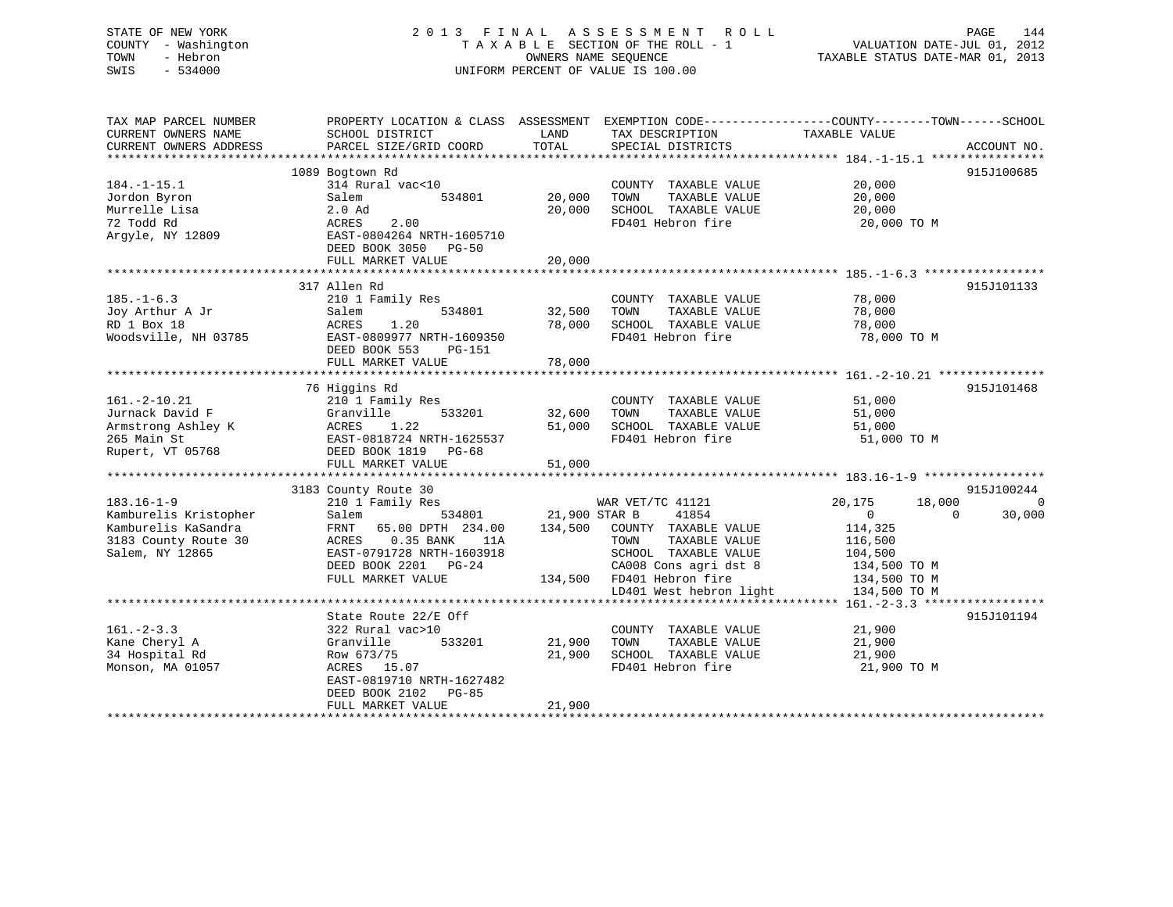# STATE OF NEW YORK 2 0 1 3 F I N A L A S S E S S M E N T R O L L PAGE 144 COUNTY - Washington T A X A B L E SECTION OF THE ROLL - 1 VALUATION DATE-JUL 01, 2012 TOWN - Hebron OWNERS NAME SEQUENCE TAXABLE STATUS DATE-MAR 01, 2013 SWIS - 534000 UNIFORM PERCENT OF VALUE IS 100.00

| TAX MAP PARCEL NUMBER<br>CURRENT OWNERS NAME<br>CURRENT OWNERS ADDRESS                                      | PROPERTY LOCATION & CLASS ASSESSMENT<br>SCHOOL DISTRICT<br>PARCEL SIZE/GRID COORD                                                                                                               | LAND<br>TOTAL                       | TAX DESCRIPTION<br>SPECIAL DISTRICTS                                                                                                                                        | EXEMPTION CODE----------------COUNTY-------TOWN------SCHOOL<br>TAXABLE VALUE<br>ACCOUNT NO.                                                                         |
|-------------------------------------------------------------------------------------------------------------|-------------------------------------------------------------------------------------------------------------------------------------------------------------------------------------------------|-------------------------------------|-----------------------------------------------------------------------------------------------------------------------------------------------------------------------------|---------------------------------------------------------------------------------------------------------------------------------------------------------------------|
| $184. - 1 - 15.1$<br>Jordon Byron<br>Murrelle Lisa<br>72 Todd Rd<br>Argyle, NY 12809                        | 1089 Bogtown Rd<br>314 Rural vac<10<br>Salem<br>534801<br>$2.0$ Ad<br>ACRES<br>2.00<br>EAST-0804264 NRTH-1605710<br>DEED BOOK 3050 PG-50<br>FULL MARKET VALUE                                   | 20,000<br>20,000<br>20,000          | COUNTY TAXABLE VALUE<br>TOWN<br>TAXABLE VALUE<br>SCHOOL TAXABLE VALUE<br>FD401 Hebron fire                                                                                  | 915J100685<br>20,000<br>20,000<br>20,000<br>20,000 TO M                                                                                                             |
| $185. - 1 - 6.3$<br>Joy Arthur A Jr<br>RD 1 Box 18<br>Woodsville, NH 03785                                  | 317 Allen Rd<br>210 1 Family Res<br>534801<br>Salem<br>ACRES<br>1.20<br>EAST-0809977 NRTH-1609350<br>DEED BOOK 553<br><b>PG-151</b><br>FULL MARKET VALUE                                        | 32,500<br>78,000<br>78,000          | COUNTY TAXABLE VALUE<br>TAXABLE VALUE<br>TOWN<br>SCHOOL TAXABLE VALUE<br>FD401 Hebron fire                                                                                  | 915J101133<br>78,000<br>78,000<br>78,000<br>78,000 TO M                                                                                                             |
| $161.-2-10.21$<br>Jurnack David F<br>Armstrong Ashley K<br>265 Main St<br>Rupert, VT 05768                  | 76 Higgins Rd<br>210 1 Family Res<br>533201<br>Granville<br>1.22<br>ACRES<br>EAST-0818724 NRTH-1625537<br>DEED BOOK 1819<br>PG-68<br>FULL MARKET VALUE                                          | 32,600<br>51,000<br>51,000          | COUNTY TAXABLE VALUE<br>TAXABLE VALUE<br>TOWN<br>SCHOOL TAXABLE VALUE<br>FD401 Hebron fire                                                                                  | 915J101468<br>51,000<br>51,000<br>51,000<br>51,000 TO M                                                                                                             |
| $183.16 - 1 - 9$<br>Kamburelis Kristopher<br>Kamburelis KaSandra<br>3183 County Route 30<br>Salem, NY 12865 | 3183 County Route 30<br>210 1 Family Res<br>Salem<br>534801<br>FRNT<br>65.00 DPTH 234.00<br>0.35 BANK<br>ACRES<br>11A<br>EAST-0791728 NRTH-1603918<br>DEED BOOK 2201 PG-24<br>FULL MARKET VALUE | 21,900 STAR B<br>134,500<br>134,500 | WAR VET/TC 41121<br>41854<br>COUNTY TAXABLE VALUE<br>TOWN<br>TAXABLE VALUE<br>SCHOOL TAXABLE VALUE<br>CA008 Cons agri dst 8<br>FD401 Hebron fire<br>LD401 West hebron light | 915J100244<br>20,175<br>18,000<br>$\Omega$<br>$\overline{0}$<br>$\Omega$<br>30,000<br>114,325<br>116,500<br>104,500<br>134,500 TO M<br>134,500 TO M<br>134,500 TO M |
| $161 - 2 - 3.3$<br>Kane Cheryl A<br>34 Hospital Rd<br>Monson, MA 01057                                      | State Route 22/E Off<br>322 Rural vac>10<br>Granville<br>533201<br>Row 673/75<br>ACRES 15.07<br>EAST-0819710 NRTH-1627482<br>DEED BOOK 2102<br>PG-85<br>FULL MARKET VALUE                       | 21,900<br>21,900<br>21,900          | COUNTY TAXABLE VALUE<br>TAXABLE VALUE<br>TOWN<br>SCHOOL TAXABLE VALUE<br>FD401 Hebron fire                                                                                  | ********** 161. - 2 - 3.3 ******************<br>915J101194<br>21,900<br>21,900<br>21,900<br>21,900 TO M                                                             |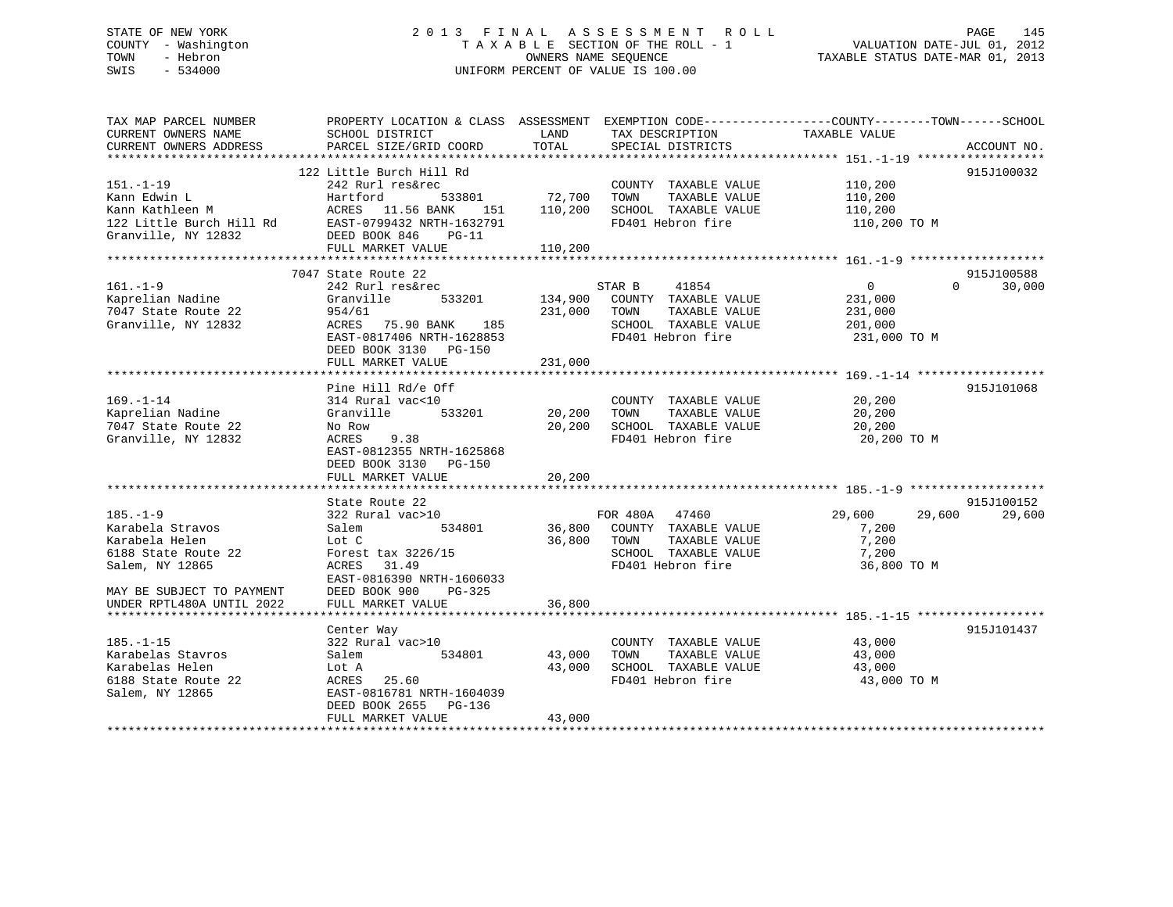# STATE OF NEW YORK 2 0 1 3 F I N A L A S S E S S M E N T R O L L PAGE 145 COUNTY - Washington T A X A B L E SECTION OF THE ROLL - 1 VALUATION DATE-JUL 01, 2012 TOWN - Hebron OWNERS NAME SEQUENCE TAXABLE STATUS DATE-MAR 01, 2013 SWIS - 534000 UNIFORM PERCENT OF VALUE IS 100.00

| TAX MAP PARCEL NUMBER                                | PROPERTY LOCATION & CLASS ASSESSMENT EXEMPTION CODE----------------COUNTY-------TOWN------SCHOOL |                        |                       |                  |             |
|------------------------------------------------------|--------------------------------------------------------------------------------------------------|------------------------|-----------------------|------------------|-------------|
| CURRENT OWNERS NAME                                  | SCHOOL DISTRICT                                                                                  | LAND                   | TAX DESCRIPTION       | TAXABLE VALUE    |             |
| CURRENT OWNERS ADDRESS<br>************************** | PARCEL SIZE/GRID COORD                                                                           | TOTAL                  | SPECIAL DISTRICTS     |                  | ACCOUNT NO. |
|                                                      |                                                                                                  |                        |                       |                  |             |
|                                                      | 122 Little Burch Hill Rd                                                                         |                        |                       |                  | 915J100032  |
| 151.-1-19                                            | 242 Rurl res&rec                                                                                 |                        | COUNTY TAXABLE VALUE  | 110,200          |             |
| Kann Edwin L                                         | Hartford<br>533801                                                                               | 72,700                 | TOWN<br>TAXABLE VALUE | 110,200          |             |
| Kann Kathleen M                                      | ACRES 11.56 BANK<br>151                                                                          | 110,200                | SCHOOL TAXABLE VALUE  | 110,200          |             |
| 122 Little Burch Hill Rd                             | EAST-0799432 NRTH-1632791                                                                        |                        | FD401 Hebron fire     | 110,200 TO M     |             |
| Granville, NY 12832                                  | DEED BOOK 846<br>$PG-11$                                                                         |                        |                       |                  |             |
| ************************                             | FULL MARKET VALUE                                                                                | 110,200                |                       |                  |             |
|                                                      | 7047 State Route 22                                                                              |                        |                       |                  | 915J100588  |
|                                                      |                                                                                                  |                        |                       |                  | $\Omega$    |
| $161. - 1 - 9$                                       | 242 Rurl res&rec                                                                                 |                        | STAR B<br>41854       | 0                | 30,000      |
| Kaprelian Nadine<br>7047 State Route 22              | Granville<br>533201                                                                              | 134,900                | COUNTY TAXABLE VALUE  | 231,000          |             |
|                                                      | 954/61                                                                                           | 231,000                | TAXABLE VALUE<br>TOWN | 231,000          |             |
| Granville, NY 12832                                  | ACRES<br>75.90 BANK<br>185                                                                       |                        | SCHOOL TAXABLE VALUE  | 201,000          |             |
|                                                      | EAST-0817406 NRTH-1628853                                                                        |                        | FD401 Hebron fire     | 231,000 TO M     |             |
|                                                      | DEED BOOK 3130 PG-150                                                                            |                        |                       |                  |             |
|                                                      | FULL MARKET VALUE                                                                                | 231,000                |                       |                  |             |
|                                                      |                                                                                                  |                        |                       |                  |             |
|                                                      | Pine Hill Rd/e Off                                                                               |                        |                       |                  | 915J101068  |
| $169. - 1 - 14$                                      | 314 Rural vac<10                                                                                 |                        | COUNTY TAXABLE VALUE  | 20,200           |             |
| Kaprelian Nadine                                     | 533201<br>Granville                                                                              | 20,200                 | TOWN<br>TAXABLE VALUE | 20,200           |             |
| 7047 State Route 22                                  | No Row                                                                                           | 20,200                 | SCHOOL TAXABLE VALUE  | 20,200           |             |
| Granville, NY 12832                                  | 9.38<br>ACRES                                                                                    |                        | FD401 Hebron fire     | 20,200 TO M      |             |
|                                                      | EAST-0812355 NRTH-1625868                                                                        |                        |                       |                  |             |
|                                                      | DEED BOOK 3130<br>PG-150<br>FULL MARKET VALUE                                                    |                        |                       |                  |             |
|                                                      | ***********************                                                                          | 20,200<br>************ |                       |                  |             |
|                                                      | State Route 22                                                                                   |                        |                       |                  | 915J100152  |
| $185. - 1 - 9$                                       | 322 Rural vac>10                                                                                 |                        | FOR 480A<br>47460     | 29,600<br>29,600 | 29,600      |
| Karabela Stravos                                     | 534801<br>Salem                                                                                  | 36,800                 | COUNTY TAXABLE VALUE  | 7,200            |             |
| Karabela Helen                                       | Lot C                                                                                            | 36,800                 | TOWN<br>TAXABLE VALUE | 7,200            |             |
| 6188 State Route 22                                  | Forest tax 3226/15                                                                               |                        | SCHOOL TAXABLE VALUE  | 7,200            |             |
|                                                      | 31.49                                                                                            |                        | FD401 Hebron fire     |                  |             |
| Salem, NY 12865                                      | ACRES<br>EAST-0816390 NRTH-1606033                                                               |                        |                       | 36,800 TO M      |             |
|                                                      | $PG-325$                                                                                         |                        |                       |                  |             |
| MAY BE SUBJECT TO PAYMENT                            | DEED BOOK 900                                                                                    |                        |                       |                  |             |
| UNDER RPTL480A UNTIL 2022                            | FULL MARKET VALUE                                                                                | 36,800                 |                       |                  |             |
|                                                      |                                                                                                  |                        |                       |                  | 915J101437  |
| $185. - 1 - 15$                                      | Center Way<br>322 Rural vac>10                                                                   |                        | COUNTY TAXABLE VALUE  | 43,000           |             |
|                                                      | 534801                                                                                           |                        | TOWN                  |                  |             |
| Karabelas Stavros                                    | Salem                                                                                            | 43,000                 | TAXABLE VALUE         | 43,000           |             |
| Karabelas Helen                                      | Lot A                                                                                            | 43,000                 | SCHOOL TAXABLE VALUE  | 43,000           |             |
| 6188 State Route 22                                  | ACRES<br>25.60                                                                                   |                        | FD401 Hebron fire     | 43,000 TO M      |             |
| Salem, NY 12865                                      | EAST-0816781 NRTH-1604039                                                                        |                        |                       |                  |             |
|                                                      | DEED BOOK 2655<br>PG-136                                                                         |                        |                       |                  |             |
|                                                      | FULL MARKET VALUE<br>**************************                                                  | 43,000                 |                       |                  |             |
|                                                      |                                                                                                  |                        |                       |                  |             |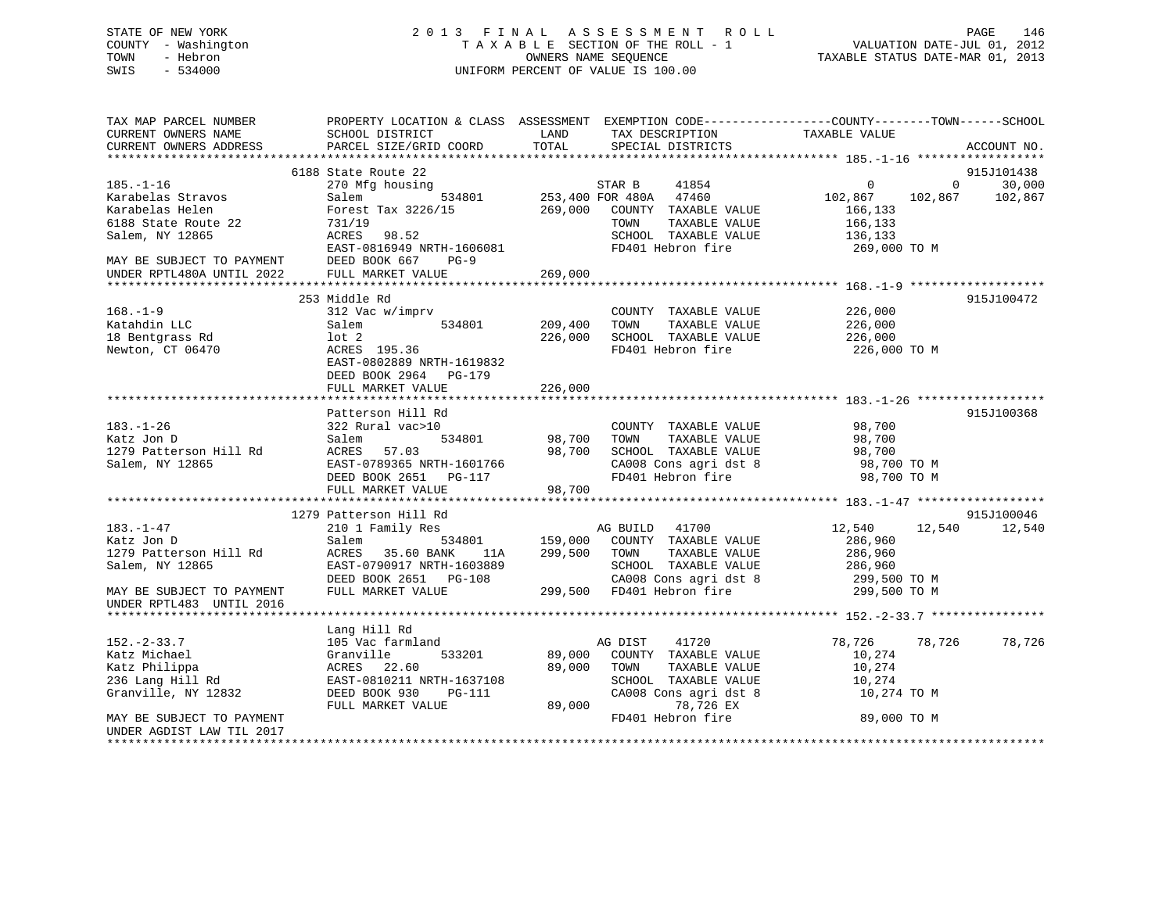# STATE OF NEW YORK 2 0 1 3 F I N A L A S S E S S M E N T R O L L PAGE 146 COUNTY - Washington T A X A B L E SECTION OF THE ROLL - 1 VALUATION DATE-JUL 01, 2012 TOWN - Hebron OWNERS NAME SEQUENCE TAXABLE STATUS DATE-MAR 01, 2013 SWIS - 534000 UNIFORM PERCENT OF VALUE IS 100.00

| TAX MAP PARCEL NUMBER<br>CURRENT OWNERS NAME<br>CURRENT OWNERS ADDRESS | PROPERTY LOCATION & CLASS ASSESSMENT EXEMPTION CODE----------------COUNTY-------TOWN-----SCHOOL<br>SCHOOL DISTRICT<br>PARCEL SIZE/GRID COORD | <b>EXAMPLE SERVICE SERVICE SERVICE SERVICE SERVICE SERVICE SERVICE SERVICE SERVICE SERVICE SERVICE SERVICE SERVICE</b><br>TOTAL | TAX DESCRIPTION TAXABLE VALUE<br>SPECIAL DISTRICTS                                                                        |                                         | ACCOUNT NO.                                                    |
|------------------------------------------------------------------------|----------------------------------------------------------------------------------------------------------------------------------------------|---------------------------------------------------------------------------------------------------------------------------------|---------------------------------------------------------------------------------------------------------------------------|-----------------------------------------|----------------------------------------------------------------|
|                                                                        |                                                                                                                                              |                                                                                                                                 |                                                                                                                           |                                         |                                                                |
|                                                                        | 6188 State Route 22                                                                                                                          |                                                                                                                                 |                                                                                                                           |                                         | 915J101438                                                     |
| $185. - 1 - 16$<br>Karabelas Stravos                                   | 270 Mfg housing<br>Salem                                                                                                                     |                                                                                                                                 | $\begin{tabular}{lllllll} \bf STAR & B & \tt 41854 \\ \bf 534801 & \tt 253,400 & FOR & 480A & \tt 47460 \\ \end{tabular}$ | $\begin{array}{c}0\\102,867\end{array}$ | 30,000<br>$\overline{0}$ and $\overline{0}$<br>102,867 102,867 |
| Karabelas Helen                                                        | Forest Tax 3226/15                                                                                                                           |                                                                                                                                 | 269,000 COUNTY TAXABLE VALUE                                                                                              | 166,133                                 |                                                                |
| 6188 State Route 22                                                    | 731/19                                                                                                                                       |                                                                                                                                 | TAXABLE VALUE<br>TOWN                                                                                                     | 166,133                                 |                                                                |
| Salem, NY 12865                                                        | ACRES 98.52                                                                                                                                  |                                                                                                                                 | SCHOOL TAXABLE VALUE                                                                                                      | 136,133                                 |                                                                |
|                                                                        | EAST-0816949 NRTH-1606081                                                                                                                    |                                                                                                                                 | FD401 Hebron fire                                                                                                         | 269,000 ТО М                            |                                                                |
| MAY BE SUBJECT TO PAYMENT                                              | DEED BOOK 667 PG-9                                                                                                                           |                                                                                                                                 |                                                                                                                           |                                         |                                                                |
| UNDER RPTL480A UNTIL 2022                                              | FULL MARKET VALUE                                                                                                                            | 269,000                                                                                                                         |                                                                                                                           |                                         |                                                                |
|                                                                        |                                                                                                                                              |                                                                                                                                 |                                                                                                                           |                                         |                                                                |
|                                                                        | 253 Middle Rd                                                                                                                                |                                                                                                                                 |                                                                                                                           |                                         | 915J100472                                                     |
| $168. - 1 - 9$                                                         | 312 Vac w/imprv                                                                                                                              |                                                                                                                                 | COUNTY TAXABLE VALUE                                                                                                      | 226,000                                 |                                                                |
| Katahdin LLC                                                           | Salem<br>534801 209,400                                                                                                                      |                                                                                                                                 | TOWN<br>TAXABLE VALUE                                                                                                     | 226,000                                 |                                                                |
| 18 Bentgrass Rd                                                        | $1$ ot $2$                                                                                                                                   | 226,000                                                                                                                         | SCHOOL TAXABLE VALUE                                                                                                      | 226,000                                 |                                                                |
| Newton, CT 06470                                                       | ACRES 195.36                                                                                                                                 |                                                                                                                                 | FD401 Hebron fire                                                                                                         | 226,000 TO M                            |                                                                |
|                                                                        | EAST-0802889 NRTH-1619832                                                                                                                    |                                                                                                                                 |                                                                                                                           |                                         |                                                                |
|                                                                        | DEED BOOK 2964 PG-179                                                                                                                        |                                                                                                                                 |                                                                                                                           |                                         |                                                                |
|                                                                        | FULL MARKET VALUE                                                                                                                            | 226,000                                                                                                                         |                                                                                                                           |                                         |                                                                |
|                                                                        |                                                                                                                                              |                                                                                                                                 |                                                                                                                           |                                         |                                                                |
|                                                                        | Patterson Hill Rd                                                                                                                            |                                                                                                                                 |                                                                                                                           |                                         | 915J100368                                                     |
| $183. - 1 - 26$                                                        | 322 Rural vac>10                                                                                                                             |                                                                                                                                 | COUNTY TAXABLE VALUE                                                                                                      | $98,700$<br>ap =                        |                                                                |
| Katz Jon D                                                             | 534801<br>Salem                                                                                                                              | 98,700                                                                                                                          | TAXABLE VALUE<br>TOWN                                                                                                     |                                         |                                                                |
| 1279 Patterson Hill Rd                                                 | ACRES 57.03 98,700<br>EAST-0789365 NRTH-1601766 98,700<br>DEED BOOK 2651 PG-117                                                              |                                                                                                                                 | SCHOOL TAXABLE VALUE                                                                                                      | 98,700                                  |                                                                |
| Salem, NY 12865                                                        |                                                                                                                                              |                                                                                                                                 | CA008 Cons agri dst 8<br>CA008 Cons agri dst 8<br>FD401 Hebron fire                                                       | 98,700 TO M                             |                                                                |
|                                                                        |                                                                                                                                              |                                                                                                                                 |                                                                                                                           | 98,700 TO M                             |                                                                |
|                                                                        | FULL MARKET VALUE                                                                                                                            | 98,700                                                                                                                          |                                                                                                                           |                                         |                                                                |
|                                                                        |                                                                                                                                              |                                                                                                                                 |                                                                                                                           |                                         |                                                                |
| 183.-1-47                                                              | 1279 Patterson Hill Rd<br>210 1 Family Res                                                                                                   |                                                                                                                                 | AG BUILD 41700                                                                                                            | 12,540                                  | 915J100046<br>12,540 12,540                                    |
| Katz Jon D                                                             | Salem                                                                                                                                        |                                                                                                                                 | 534801 159,000 COUNTY TAXABLE VALUE                                                                                       | 286,960                                 |                                                                |
| 1279 Patterson Hill Rd                                                 | ACRES 35.60 BANK<br>11A                                                                                                                      |                                                                                                                                 | 299,500 TOWN TAXABLE VALUE                                                                                                | 286,960                                 |                                                                |
| Salem, NY 12865                                                        | EAST-0790917 NRTH-1603889                                                                                                                    |                                                                                                                                 | SCHOOL TAXABLE VALUE                                                                                                      | 286,960                                 |                                                                |
|                                                                        | DEED BOOK 2651 PG-108                                                                                                                        |                                                                                                                                 | CA008 Cons agri dst 8 299,500 TO M                                                                                        |                                         |                                                                |
| MAY BE SUBJECT TO PAYMENT                                              | FULL MARKET VALUE                                                                                                                            |                                                                                                                                 | CAUU8 COILS ay 1 - 1 - 1 - 299,500 FD401 Hebron fire                                                                      | 299,500 TO M                            |                                                                |
| UNDER RPTL483 UNTIL 2016                                               |                                                                                                                                              |                                                                                                                                 |                                                                                                                           |                                         |                                                                |
|                                                                        |                                                                                                                                              |                                                                                                                                 |                                                                                                                           |                                         |                                                                |
|                                                                        | Lang Hill Rd                                                                                                                                 |                                                                                                                                 |                                                                                                                           |                                         |                                                                |
| $152. - 2 - 33.7$                                                      | 105 Vac farmland                                                                                                                             |                                                                                                                                 | AG DIST<br>41720                                                                                                          | 78,726 78,726                           | 78,726                                                         |
| Katz Michael                                                           | 533201<br>Granville                                                                                                                          |                                                                                                                                 | 89,000 COUNTY TAXABLE VALUE                                                                                               | 10,274                                  |                                                                |
| Katz Philippa                                                          | ACRES 22.60                                                                                                                                  | 89,000                                                                                                                          | TOWN<br>TAXABLE VALUE                                                                                                     | 10,274                                  |                                                                |
| 236 Lang Hill Rd                                                       | EAST-0810211 NRTH-1637108                                                                                                                    |                                                                                                                                 | SCHOOL TAXABLE VALUE                                                                                                      | 10,274                                  |                                                                |
| Granville, NY 12832                                                    | DEED BOOK 930<br>PG-111                                                                                                                      |                                                                                                                                 | CA008 Cons agri dst 8                                                                                                     | 10,274 TO M                             |                                                                |
|                                                                        | FULL MARKET VALUE                                                                                                                            |                                                                                                                                 | 89,000 78,726 EX                                                                                                          |                                         |                                                                |
| MAY BE SUBJECT TO PAYMENT                                              |                                                                                                                                              |                                                                                                                                 | FD401 Hebron fire                                                                                                         | 89,000 TO M                             |                                                                |
| UNDER AGDIST LAW TIL 2017                                              |                                                                                                                                              |                                                                                                                                 |                                                                                                                           |                                         |                                                                |
| *********************                                                  |                                                                                                                                              |                                                                                                                                 |                                                                                                                           |                                         |                                                                |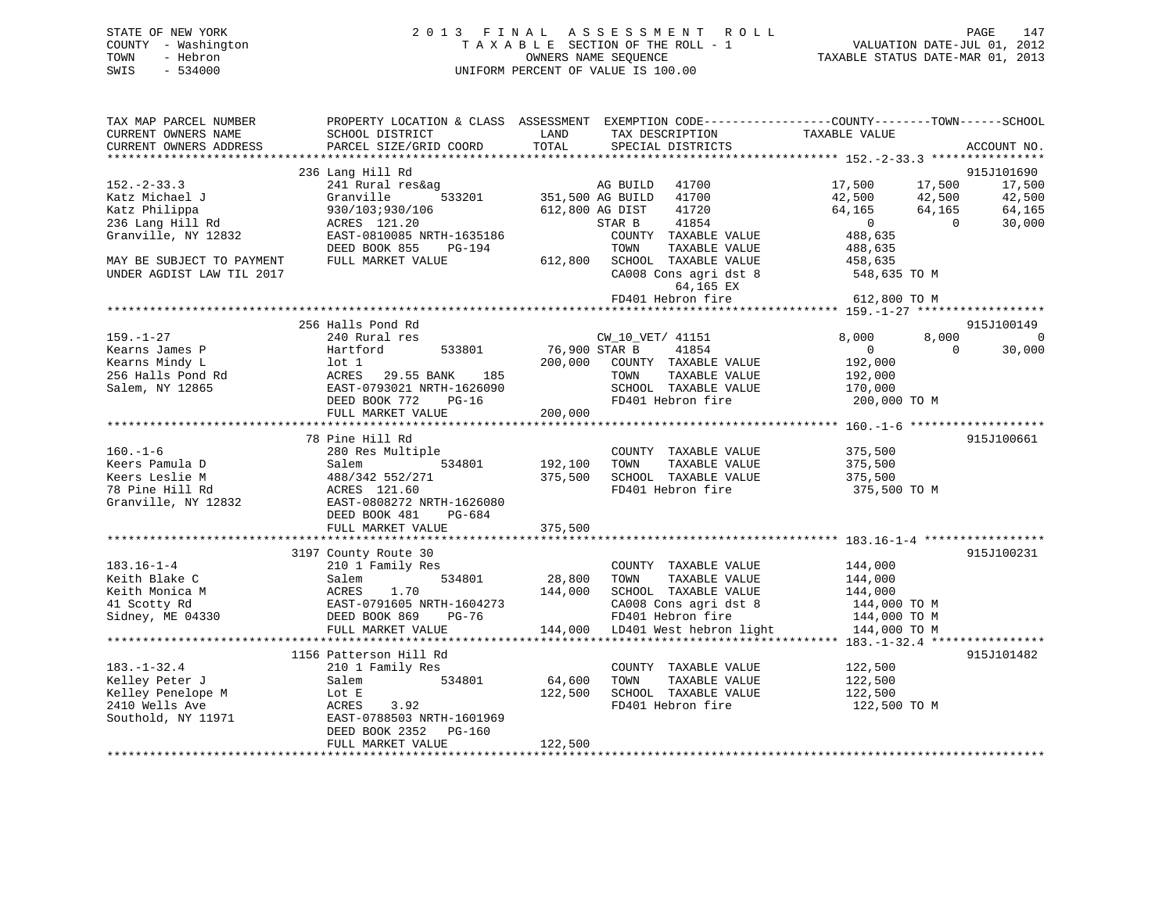| STATE OF NEW YORK   | 2013 FINAL ASSESSMENT ROLL         | 147<br>PAGE                      |
|---------------------|------------------------------------|----------------------------------|
| COUNTY - Washington | TAXABLE SECTION OF THE ROLL - 1    | VALUATION DATE-JUL 01, 2012      |
| TOWN<br>- Hebron    | OWNERS NAME SEOUENCE               | TAXABLE STATUS DATE-MAR 01, 2013 |
| - 534000<br>SWIS    | UNIFORM PERCENT OF VALUE IS 100.00 |                                  |

| TAX MAP PARCEL NUMBER<br>CURRENT OWNERS NAME        | SCHOOL DISTRICT                                  | LAND            | PROPERTY LOCATION & CLASS ASSESSMENT EXEMPTION CODE----------------COUNTY-------TOWN------SCHOOL<br>TAX DESCRIPTION | TAXABLE VALUE  |                |                |
|-----------------------------------------------------|--------------------------------------------------|-----------------|---------------------------------------------------------------------------------------------------------------------|----------------|----------------|----------------|
| CURRENT OWNERS ADDRESS                              | PARCEL SIZE/GRID COORD                           | TOTAL           | SPECIAL DISTRICTS                                                                                                   |                |                | ACCOUNT NO.    |
|                                                     |                                                  |                 |                                                                                                                     |                |                |                |
|                                                     | 236 Lang Hill Rd                                 |                 |                                                                                                                     |                |                | 915J101690     |
| $152 - 2 - 33.3$                                    | 241 Rural res&ag                                 |                 | a a builp 41700<br>533201 - 351,500 AG BUILD 41700                                                                  | 17,500         | 17,500         | 17,500         |
| Katz Michael J                                      | Granville                                        |                 |                                                                                                                     | 42,500         | 42,500         | 42,500         |
|                                                     | 930/103;930/106                                  | 612,800 AG DIST | 41720                                                                                                               | 64,165         | 64,165         | 64,165         |
| <i>. r</i> nilippa<br>236 Lang Hill Rd<br>Granville | ACRES 121.20                                     |                 | 41854<br>STAR B                                                                                                     | $\overline{0}$ | $\overline{0}$ | 30,000         |
| Granville, NY 12832                                 | EAST-0810085 NRTH-1635186                        |                 | COUNTY TAXABLE VALUE                                                                                                | 488,635        |                |                |
|                                                     | DEED BOOK 855<br>PG-194                          |                 | TOWN<br>TAXABLE VALUE                                                                                               | 488,635        |                |                |
| MAY BE SUBJECT TO PAYMENT                           | FULL MARKET VALUE                                |                 | 612,800 SCHOOL TAXABLE VALUE                                                                                        | 458,635        |                |                |
| UNDER AGDIST LAW TIL 2017                           |                                                  |                 | CA008 Cons agri dst 8                                                                                               | 548,635 TO M   |                |                |
|                                                     |                                                  |                 | 64,165 EX                                                                                                           |                |                |                |
|                                                     |                                                  |                 | FD401 Hebron fire                                                                                                   | 612,800 TO M   |                |                |
|                                                     | 256 Halls Pond Rd                                |                 |                                                                                                                     |                |                | 915J100149     |
| $159. - 1 - 27$                                     | 240 Rural res                                    |                 | CW_10_VET/ 41151                                                                                                    | 8,000          | 8,000          | $\overline{0}$ |
| Kearns James P                                      | Hartford<br>533801                               | 76,900 STAR B   | 41854                                                                                                               | $\overline{0}$ | $\Omega$       | 30,000         |
| Kearns Mindy L                                      | $1$ ot $1$                                       |                 | 200,000 COUNTY TAXABLE VALUE                                                                                        | 192,000        |                |                |
| 256 Halls Pond Rd<br>Salem, NY 12865                | ACRES 29.55 BANK<br>185                          |                 | TOWN<br>TAXABLE VALUE                                                                                               | 192,000        |                |                |
|                                                     |                                                  |                 | SCHOOL TAXABLE VALUE                                                                                                | 170,000        |                |                |
|                                                     | EAST-0793021 NRTH-1626090<br>DEED BOOK 772 PG-16 |                 | FD401 Hebron fire                                                                                                   | 200,000 TO M   |                |                |
|                                                     | FULL MARKET VALUE                                | 200,000         |                                                                                                                     |                |                |                |
|                                                     |                                                  |                 |                                                                                                                     |                |                |                |
|                                                     | 78 Pine Hill Rd                                  |                 |                                                                                                                     |                |                | 915J100661     |
| $160. - 1 - 6$                                      | 280 Res Multiple                                 |                 | COUNTY TAXABLE VALUE                                                                                                | 375,500        |                |                |
| Keers Pamula D                                      | Salem<br>534801                                  | 192,100         | TAXABLE VALUE<br>TOWN                                                                                               | 375,500        |                |                |
| Keers Leslie M                                      | 488/342 552/271                                  | 375,500         | SCHOOL TAXABLE VALUE                                                                                                | 375,500        |                |                |
| 78 Pine Hill Rd                                     | ACRES 121.60                                     |                 | FD401 Hebron fire                                                                                                   | 375,500 TO M   |                |                |
| Granville, NY 12832                                 | EAST-0808272 NRTH-1626080                        |                 |                                                                                                                     |                |                |                |
|                                                     | DEED BOOK 481<br>PG-684                          |                 |                                                                                                                     |                |                |                |
|                                                     | FULL MARKET VALUE                                | 375,500         |                                                                                                                     |                |                |                |
|                                                     |                                                  |                 |                                                                                                                     |                |                |                |
|                                                     | 3197 County Route 30                             |                 |                                                                                                                     |                |                | 915J100231     |
| $183.16 - 1 - 4$                                    | 210 1 Family Res                                 |                 | COUNTY TAXABLE VALUE                                                                                                | 144,000        |                |                |
| Keith Blake C                                       | 534801<br>Salem                                  | 28,800          | TOWN<br>TAXABLE VALUE                                                                                               | 144,000        |                |                |
| Keith Monica M                                      | ACRES<br>1.70                                    | 144,000         | SCHOOL TAXABLE VALUE                                                                                                | 144,000        |                |                |
| 41 Scotty Rd                                        | EAST-0791605 NRTH-1604273                        |                 | CA008 Cons agri dst 8                                                                                               | 144,000 TO M   |                |                |
| Sidney, ME 04330                                    | DEED BOOK 869<br>PG-76                           |                 | FD401 Hebron fire                                                                                                   | 144,000 TO M   |                |                |
|                                                     | FULL MARKET VALUE                                |                 | 144,000 LD401 West hebron light                                                                                     | 144,000 TO M   |                |                |
|                                                     | 1156 Patterson Hill Rd                           |                 |                                                                                                                     |                |                | 915J101482     |
| $183. - 1 - 32.4$                                   | 210 1 Family Res                                 |                 | COUNTY TAXABLE VALUE                                                                                                | 122,500        |                |                |
| Kelley Peter J                                      | 534801<br>Salem                                  | 64,600          | TOWN<br>TAXABLE VALUE                                                                                               | 122,500        |                |                |
| Kelley Penelope M                                   | Lot E                                            | 122,500         | SCHOOL TAXABLE VALUE                                                                                                | 122,500        |                |                |
| 2410 Wells Ave                                      | 3.92<br>ACRES                                    |                 | FD401 Hebron fire                                                                                                   | 122,500 TO M   |                |                |
| Southold, NY 11971                                  | EAST-0788503 NRTH-1601969                        |                 |                                                                                                                     |                |                |                |
|                                                     | DEED BOOK 2352 PG-160                            |                 |                                                                                                                     |                |                |                |
|                                                     | FULL MARKET VALUE                                | 122,500         |                                                                                                                     |                |                |                |
|                                                     |                                                  |                 |                                                                                                                     |                |                |                |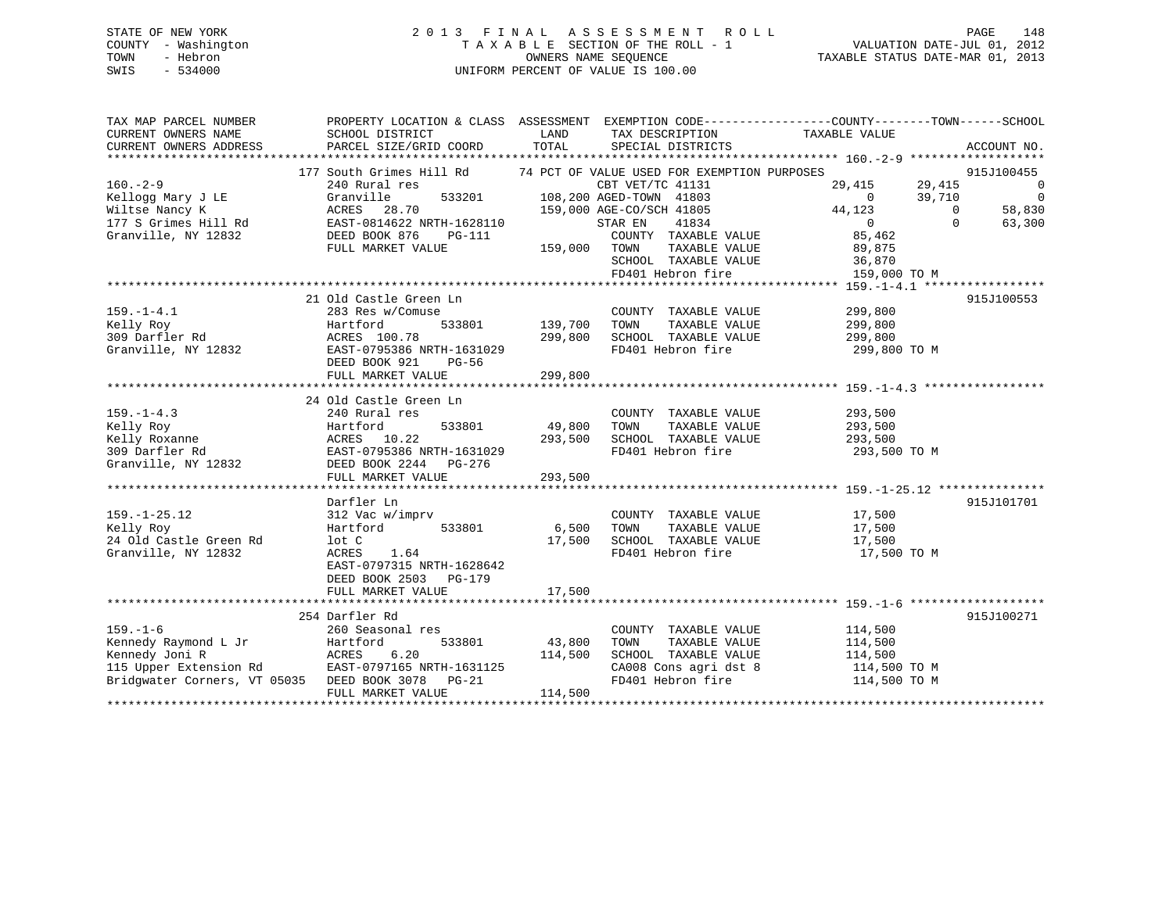# STATE OF NEW YORK 2 0 1 3 F I N A L A S S E S S M E N T R O L L PAGE 148 COUNTY - Washington T A X A B L E SECTION OF THE ROLL - 1 VALUATION DATE-JUL 01, 2012 TOWN - Hebron OWNERS NAME SEQUENCE TAXABLE STATUS DATE-MAR 01, 2013 SWIS - 534000 UNIFORM PERCENT OF VALUE IS 100.00

| TAX MAP PARCEL NUMBER<br>CURRENT OWNERS NAME<br>CURRENT OWNERS ADDRESS                                                                   | PROPERTY LOCATION & CLASS ASSESSMENT EXEMPTION CODE---------------COUNTY-------TOWN-----SCHOOL<br>SCHOOL DISTRICT<br>PARCEL SIZE/GRID COORD                                                         | LAND<br>TOTAL                | TAX DESCRIPTION<br>SPECIAL DISTRICTS                                                                                                                                                             | TAXABLE VALUE                                                                                                            | ACCOUNT NO.                                                                                       |
|------------------------------------------------------------------------------------------------------------------------------------------|-----------------------------------------------------------------------------------------------------------------------------------------------------------------------------------------------------|------------------------------|--------------------------------------------------------------------------------------------------------------------------------------------------------------------------------------------------|--------------------------------------------------------------------------------------------------------------------------|---------------------------------------------------------------------------------------------------|
| $160. - 2 - 9$<br>Kellogg Mary J LE<br>Wiltse Nancy K<br>177 S Grimes Hill Rd<br>Granville, NY 12832                                     | 177 South Grimes Hill Rd 74 PCT OF VALUE USED FOR EXEMPTION PURPOSES<br>240 Rural res<br>Granville<br>ACRES<br>28.70<br>EAST-0814622 NRTH-1628110<br>DEED BOOK 876<br>$PG-111$<br>FULL MARKET VALUE | 159,000                      | CBT VET/TC 41131<br>533201 108,200 AGED-TOWN 41803<br>159,000 AGE-CO/SCH 41805<br>STAR EN<br>41834<br>COUNTY TAXABLE VALUE<br>TOWN<br>TAXABLE VALUE<br>SCHOOL TAXABLE VALUE<br>FD401 Hebron fire | 29,415<br>$\overline{0}$<br>44,123<br>$\overline{0}$<br>85,462<br>89,875<br>36,870<br>The Company of the<br>159,000 TO M | 915J100455<br>29,415<br>0<br>39,710<br>$\overline{0}$<br>58,830<br>$\Omega$<br>$\Omega$<br>63,300 |
|                                                                                                                                          |                                                                                                                                                                                                     |                              |                                                                                                                                                                                                  |                                                                                                                          |                                                                                                   |
| $159. - 1 - 4.1$<br>Kelly Roy<br>309 Darfler Rd<br>Granville, NY 12832                                                                   | 21 Old Castle Green Ln<br>283 Res w/Comuse<br>533801<br>Hartford<br>ACRES 100.78<br>EAST-0795386 NRTH-1631029<br>DEED BOOK 921<br>PG-56                                                             | 139,700<br>299,800           | COUNTY TAXABLE VALUE<br>TAXABLE VALUE<br>TOWN<br>SCHOOL TAXABLE VALUE<br>FD401 Hebron fire                                                                                                       | 299,800<br>299,800<br>299,800<br>299,800 TO M                                                                            | 915J100553                                                                                        |
|                                                                                                                                          | FULL MARKET VALUE                                                                                                                                                                                   | 299,800                      |                                                                                                                                                                                                  |                                                                                                                          |                                                                                                   |
|                                                                                                                                          | 24 Old Castle Green Ln                                                                                                                                                                              |                              |                                                                                                                                                                                                  |                                                                                                                          |                                                                                                   |
| $159. - 1 - 4.3$<br>Kelly Roy<br>Kelly Roxanne<br>309 Darfler Rd<br>Granville, NY 12832                                                  | 240 Rural res<br>533801<br>Hartford<br>ACRES 10.22<br>EAST-0795386 NRTH-1631029<br>DEED BOOK 2244 PG-276<br>FULL MARKET VALUE                                                                       | 49,800<br>293,500<br>293,500 | COUNTY TAXABLE VALUE<br>TOWN<br>TAXABLE VALUE<br>SCHOOL TAXABLE VALUE<br>FD401 Hebron fire                                                                                                       | 293,500<br>293,500<br>293,500<br>293,500 TO M                                                                            |                                                                                                   |
|                                                                                                                                          |                                                                                                                                                                                                     |                              |                                                                                                                                                                                                  |                                                                                                                          |                                                                                                   |
| $159. - 1 - 25.12$<br>Kelly Roy<br>24 Old Castle Green Rd<br>Granville, NY 12832                                                         | Darfler Ln<br>312 Vac w/imprv<br>533801<br>Hartford<br>lot C<br>ACRES<br>1.64<br>EAST-0797315 NRTH-1628642<br>DEED BOOK 2503 PG-179<br>FULL MARKET VALUE                                            | 6,500<br>17,500              | COUNTY TAXABLE VALUE<br>TAXABLE VALUE<br>TOWN<br>17,500 SCHOOL TAXABLE VALUE<br>FD401 Hebron fire                                                                                                | 17,500<br>17,500<br>17,500<br>17,500 TO M                                                                                | 915J101701                                                                                        |
|                                                                                                                                          |                                                                                                                                                                                                     |                              |                                                                                                                                                                                                  |                                                                                                                          |                                                                                                   |
| $159. - 1 - 6$<br>Kennedy Raymond L Jr<br>Kennedy Joni R<br>115 Upper Extension Rd<br>Bridgwater Corners, VT 05035<br>****************** | 254 Darfler Rd<br>260 Seasonal res<br>Hartford<br>533801<br>ACRES<br>6.20<br>EAST-0797165 NRTH-1631125<br>DEED BOOK 3078 PG-21<br>FULL MARKET VALUE                                                 | 43,800<br>114,500<br>114,500 | COUNTY TAXABLE VALUE<br>TAXABLE VALUE<br>TOWN<br>SCHOOL TAXABLE VALUE<br>CA008 Cons agri dst 8<br>FD401 Hebron fire                                                                              | 114,500<br>114,500<br>114,500<br>114,500 TO M<br>114,500 TO M                                                            | 915J100271                                                                                        |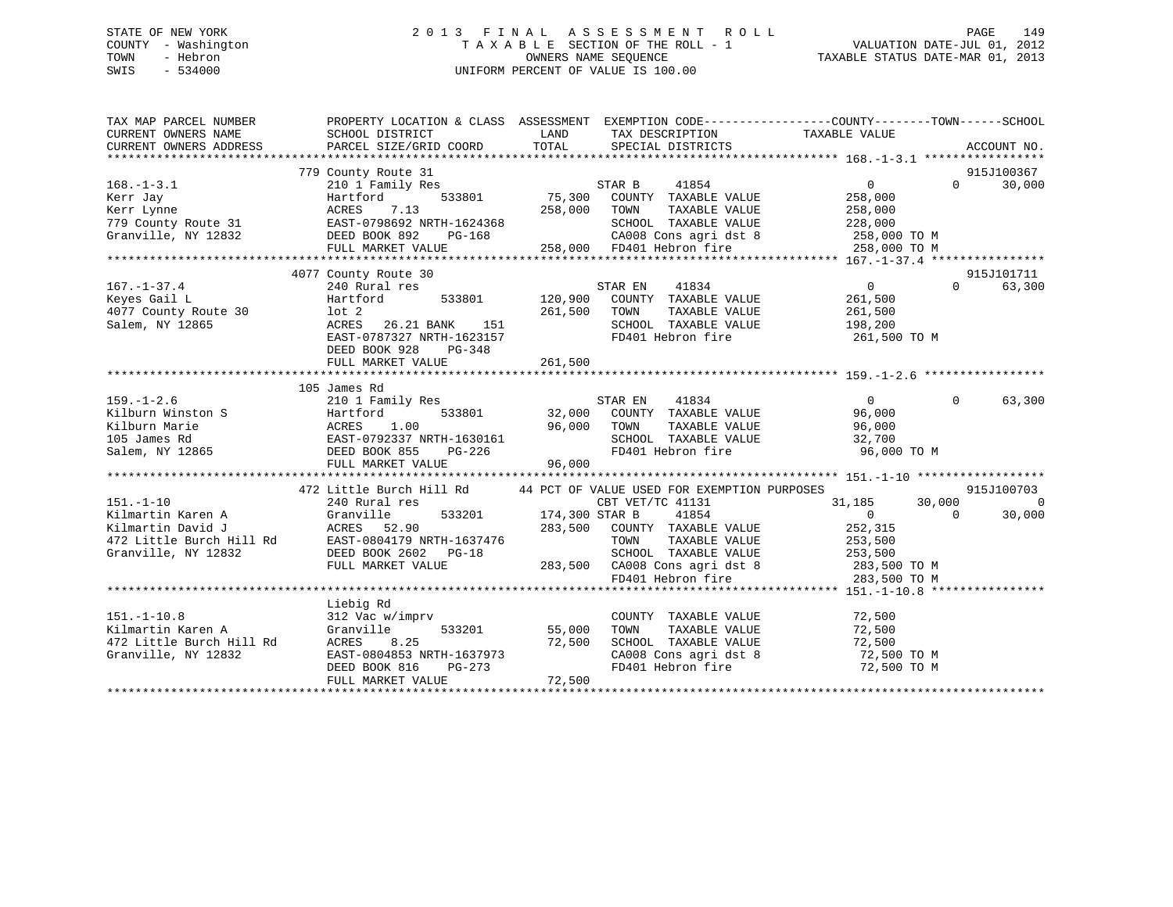# STATE OF NEW YORK 2 0 1 3 F I N A L A S S E S S M E N T R O L L PAGE 149 COUNTY - Washington T A X A B L E SECTION OF THE ROLL - 1 VALUATION DATE-JUL 01, 2012 TOWN - Hebron OWNERS NAME SEQUENCE TAXABLE STATUS DATE-MAR 01, 2013 SWIS - 534000 UNIFORM PERCENT OF VALUE IS 100.00

| TAX MAP PARCEL NUMBER                                                                                                                                                                                                                                     |                                                                                                                                                                           |                            |                                                                                                                                | PROPERTY LOCATION & CLASS ASSESSMENT EXEMPTION CODE----------------COUNTY-------TOWN------SCHOOL                                                          |                                           |
|-----------------------------------------------------------------------------------------------------------------------------------------------------------------------------------------------------------------------------------------------------------|---------------------------------------------------------------------------------------------------------------------------------------------------------------------------|----------------------------|--------------------------------------------------------------------------------------------------------------------------------|-----------------------------------------------------------------------------------------------------------------------------------------------------------|-------------------------------------------|
| $168. - 1 - 3.1$<br>Exer Jay Martford 533801 75,300<br>Kerr Lynne ACRES 7.13 258,000<br>779 County Route 31 EAST-0798692 NRTH-1624368<br>Granville, NY 12832 DEED BOOK 892 PG-168<br>ENST-0798692 NRTH-1624368                                            | 779 County Route 31<br>210 1 Family Res<br>FULL MARKET VALUE                                                                                                              | 258,000                    | STAR B<br>41854<br>533801 75,300 COUNTY TAXABLE VALUE<br>TAXABLE VALUE<br>TOWN<br>SCHOOL TAXABLE VALUE 228,000                 | $0 \qquad \qquad$<br>258,000<br>258,000                                                                                                                   | 915J100367<br>$0 \qquad \qquad$<br>30,000 |
|                                                                                                                                                                                                                                                           |                                                                                                                                                                           |                            |                                                                                                                                |                                                                                                                                                           |                                           |
| $167. - 1 - 37.4$<br>Keyes Gail L<br>4077 County Route 30<br>Salem, NY 12865                                                                                                                                                                              | 4077 County Route 30<br>240 Rural res<br>533801<br>Hartford<br>lot 2<br>ACRES 26.21 BANK 151<br>EAST-0787327 NRTH-1623157<br>DEED BOOK 928<br>PG-348<br>FULL MARKET VALUE | 261,500<br>261,500         | 41834<br>STAR EN<br>120,900 COUNTY TAXABLE VALUE<br>TAXABLE VALUE<br>TOWN<br>SCHOOL TAXABLE VALUE 198,200<br>FD401 Hebron fire | $\overline{0}$<br>$\Omega$<br>261,500<br>261,500<br>261,500 TO M                                                                                          | 915J101711<br>63,300                      |
|                                                                                                                                                                                                                                                           |                                                                                                                                                                           |                            |                                                                                                                                |                                                                                                                                                           |                                           |
| $159. - 1 - 2.6$<br>Xiviramily Res<br>Kilburn Winston S<br>Kilburn Marie (ACRES 1.00 200NT<br>Milburn Marie (ACRES 1.00 96,000 TOWN<br>105 James Rd<br>Salem, NY 12865 DEED BOOK 855<br>PG-226 FD401                                                      | 105 James Rd<br>210 1 Family Res                                                                                                                                          |                            | STAR EN 41834<br>32,000 COUNTY TAXABLE VALUE                                                                                   | $\overline{0}$<br>96,000<br>TAXABLE VALUE 96,000<br>TAXABLE VALUE 32,700<br>SCHOOL TAXABLE VALUE 32,700<br>FD401 Hebron fire 96,000 TO M                  | $\Omega$<br>63,300                        |
|                                                                                                                                                                                                                                                           | 472 Little Burch Hill Rd 44 PCT OF VALUE USED FOR EXEMPTION PURPOSES                                                                                                      |                            |                                                                                                                                |                                                                                                                                                           | 915J100703                                |
| $151. - 1 - 10$<br>191.-1-10<br>Kilmartin Karen A (1918)<br>Kilmartin David J (1918)<br>2022 1111 2022 1121 124 22 1111 2023<br>2022 12479 12832 1282 1282 1282 12932 12932 12932 12932 12932 12932 12932 12932 12932 12932 12932 12932 12932 12932 12932 | 240 Rural res<br>CBT VET<br>533201 174,300 STAR B<br>FULL MARKET VALUE                                                                                                    |                            | CBT VET/TC 41131<br>41854<br>283,500 COUNTY TAXABLE VALUE 252,315<br>TAXABLE VALUE<br>TOWN<br>SCHOOL TAXABLE VALUE 253,500     | 31,185<br>30,000<br>$\overline{0}$<br>$\Omega$<br>253,500<br>283,500 CA008 Cons agri dst 8 283,500 TO M<br>FD401 Hebron fire 283,500 TO M<br>283,500 TO M | $\overline{0}$<br>30,000                  |
|                                                                                                                                                                                                                                                           |                                                                                                                                                                           |                            |                                                                                                                                |                                                                                                                                                           |                                           |
| $151. - 1 - 10.8$<br>Kilmartin Karen A<br>472 Little Burch Hill Rd<br>Granville, NY 12832                                                                                                                                                                 | Liebig Rd<br>312 Vac w/imprv<br>533201<br>Granville<br>8.25<br>ACRES<br>EAST-0804853 NRTH-1637973<br>DEED BOOK 816<br>PG-273<br>FULL MARKET VALUE                         | 55,000<br>72,500<br>72,500 | COUNTY TAXABLE VALUE 72,500<br>TOWN<br>FD401 Hebron fire                                                                       | TAXABLE VALUE 72,500<br>TAXABLE VALUE 72,500<br>SCHOOL TAXABLE VALUE 72,500<br>CA008 Cons agri dst 8 72,500 TO M<br>72,500 TO M                           |                                           |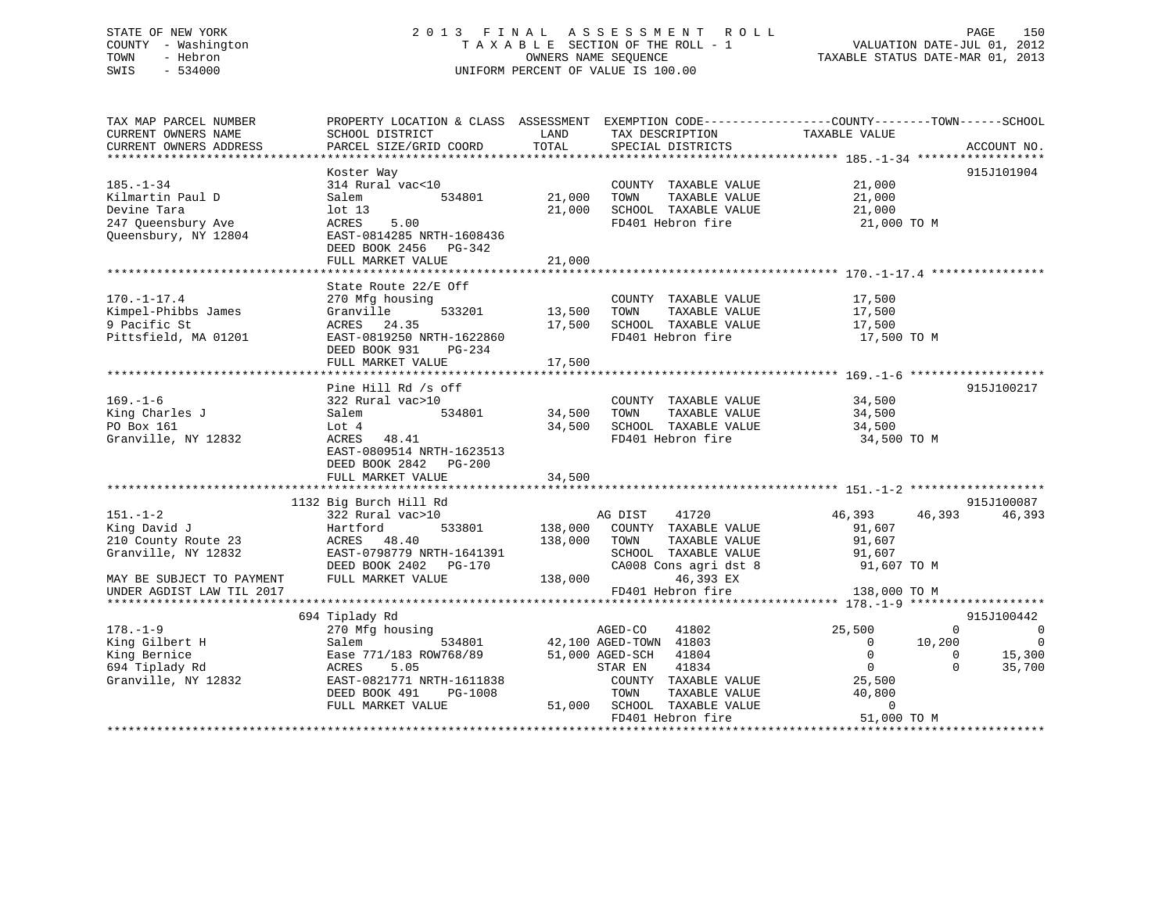# STATE OF NEW YORK 2013 FINAL ASSESSMENT ROLL PAGE 150 COUNTY - Washington  $T A X A B L E$  SECTION OF THE ROLL - 1<br>TOWN - Hebron DATE-JUL 000NERS NAME SEQUENCE SWIS - 534000 UNIFORM PERCENT OF VALUE IS 100.00

TAXABLE STATUS DATE-MAR 01, 2013

| TAX MAP PARCEL NUMBER                                           | PROPERTY LOCATION & CLASS ASSESSMENT EXEMPTION CODE---------------COUNTY-------TOWN------SCHOOL |              |                              |                          |                            |
|-----------------------------------------------------------------|-------------------------------------------------------------------------------------------------|--------------|------------------------------|--------------------------|----------------------------|
| CURRENT OWNERS NAME                                             | SCHOOL DISTRICT                                                                                 | LAND         | TAX DESCRIPTION              | TAXABLE VALUE            |                            |
| CURRENT OWNERS ADDRESS                                          | PARCEL SIZE/GRID COORD                                                                          | TOTAL        | SPECIAL DISTRICTS            |                          | ACCOUNT NO.                |
|                                                                 |                                                                                                 |              |                              |                          |                            |
|                                                                 | Koster Way                                                                                      |              |                              |                          | 915J101904                 |
| $185. - 1 - 34$                                                 | 314 Rural vac<10                                                                                |              | COUNTY TAXABLE VALUE         | 21,000                   |                            |
| Kilmartin Paul D                                                | 534801<br>Salem                                                                                 | 21,000       | TOWN<br>TAXABLE VALUE        | 21,000                   |                            |
| Devine Tara                                                     | lot 13                                                                                          | 21,000       | SCHOOL TAXABLE VALUE         | 21,000                   |                            |
| 247 Queensbury Ave                                              | ACRES 5.00                                                                                      |              | FD401 Hebron fire            | 21,000 TO M              |                            |
| Oueensbury, NY 12804                                            | EAST-0814285 NRTH-1608436                                                                       |              |                              |                          |                            |
|                                                                 |                                                                                                 |              |                              |                          |                            |
|                                                                 | DEED BOOK 2456 PG-342                                                                           |              |                              |                          |                            |
|                                                                 | FULL MARKET VALUE                                                                               | 21,000       |                              |                          |                            |
|                                                                 |                                                                                                 |              |                              |                          |                            |
|                                                                 | State Route 22/E Off                                                                            |              |                              |                          |                            |
| $170. - 1 - 17.4$                                               | 270 Mfg housing                                                                                 |              | COUNTY TAXABLE VALUE         | 17,500                   |                            |
| Kimpel-Phibbs James                                             | Granville<br>533201                                                                             | 13,500 TOWN  | TAXABLE VALUE                | 17,500                   |                            |
| 9 Pacific St                                                    | ACRES 24.35                                                                                     | 17,500       | SCHOOL TAXABLE VALUE         | 17,500                   |                            |
| Pittsfield, MA 01201                                            | EAST-0819250 NRTH-1622860                                                                       |              | FD401 Hebron fire            | 17,500 TO M              |                            |
|                                                                 | DEED BOOK 931<br>PG-234                                                                         |              |                              |                          |                            |
|                                                                 | FULL MARKET VALUE                                                                               | 17,500       |                              |                          |                            |
|                                                                 |                                                                                                 |              |                              |                          |                            |
|                                                                 | Pine Hill Rd /s off                                                                             |              |                              |                          | 915J100217                 |
| $169. - 1 - 6$                                                  | 322 Rural vac>10                                                                                |              | COUNTY TAXABLE VALUE 34,500  |                          |                            |
| King Charles J                                                  | 534801<br>Salem                                                                                 | 34,500       | TOWN<br>TAXABLE VALUE        | 34,500                   |                            |
| PO Box 161                                                      | Lot 4                                                                                           |              | 34,500 SCHOOL TAXABLE VALUE  | 34,500                   |                            |
| Granville, NY 12832                                             | ACRES 48.41                                                                                     |              | FD401 Hebron fire            | 34,500 TO M              |                            |
|                                                                 | EAST-0809514 NRTH-1623513                                                                       |              |                              |                          |                            |
|                                                                 | DEED BOOK 2842 PG-200                                                                           |              |                              |                          |                            |
|                                                                 | FULL MARKET VALUE                                                                               | 34,500       |                              |                          |                            |
|                                                                 |                                                                                                 |              |                              |                          |                            |
|                                                                 |                                                                                                 |              |                              |                          | 915J100087                 |
|                                                                 | 1132 Big Burch Hill Rd                                                                          |              |                              |                          |                            |
| $151. - 1 - 2$                                                  | 322 Rural vac>10                                                                                |              | AG DIST 41720                | 46,393                   | 46,393<br>46,393           |
| King David J<br>King David J<br>210 County Route 23 MCRES 48.40 | 533801                                                                                          |              | 138,000 COUNTY TAXABLE VALUE | 91,607                   |                            |
|                                                                 |                                                                                                 | 138,000 TOWN | TAXABLE VALUE                | 91,607                   |                            |
| Granville, NY 12832                                             | EAST-0798779 NRTH-1641391                                                                       |              | SCHOOL TAXABLE VALUE         | 91,607                   |                            |
|                                                                 | DEED BOOK 2402 PG-170                                                                           |              | CA008 Cons agri dst 8        | 91,607 TO M              |                            |
| MAY BE SUBJECT TO PAYMENT FULL MARKET VALUE                     |                                                                                                 |              | 138,000 46,393 EX            |                          |                            |
| UNDER AGDIST LAW TIL 2017                                       |                                                                                                 |              | FD401 Hebron fire            | 138,000 TO M             |                            |
|                                                                 |                                                                                                 |              |                              |                          |                            |
|                                                                 | 694 Tiplady Rd                                                                                  |              |                              |                          | 915J100442                 |
| $178. - 1 - 9$                                                  | 270 Mfg housing                                                                                 |              | 41802<br>AGED-CO             | 25,500                   | $\Omega$<br>$\overline{0}$ |
| 178.-1-><br>King Gilbert H<br>Pornice                           | 534801<br>Salem                                                                                 |              | 42,100 AGED-TOWN 41803       | 10,200<br>$\overline{0}$ | $\overline{\phantom{0}}$   |
|                                                                 | Ease 771/183 ROW768/89                                                                          |              | 51,000 AGED-SCH 41804        | $\overline{0}$           | 15,300<br>$\Omega$         |
| 694 Tiplady Rd                                                  | ACRES<br>5.05                                                                                   |              | 41834<br>STAR EN             | $\overline{0}$           | $\Omega$<br>35,700         |
| Granville, NY 12832                                             | EAST-0821771 NRTH-1611838                                                                       |              | COUNTY TAXABLE VALUE         | 25,500                   |                            |
|                                                                 | DEED BOOK 491<br>PG-1008                                                                        |              | TOWN<br>TAXABLE VALUE        | 40,800                   |                            |
|                                                                 | FULL MARKET VALUE                                                                               |              | 51,000 SCHOOL TAXABLE VALUE  | $\Omega$                 |                            |
|                                                                 |                                                                                                 |              | FD401 Hebron fire            | 51,000 TO M              |                            |
|                                                                 |                                                                                                 |              |                              |                          |                            |
|                                                                 |                                                                                                 |              |                              |                          |                            |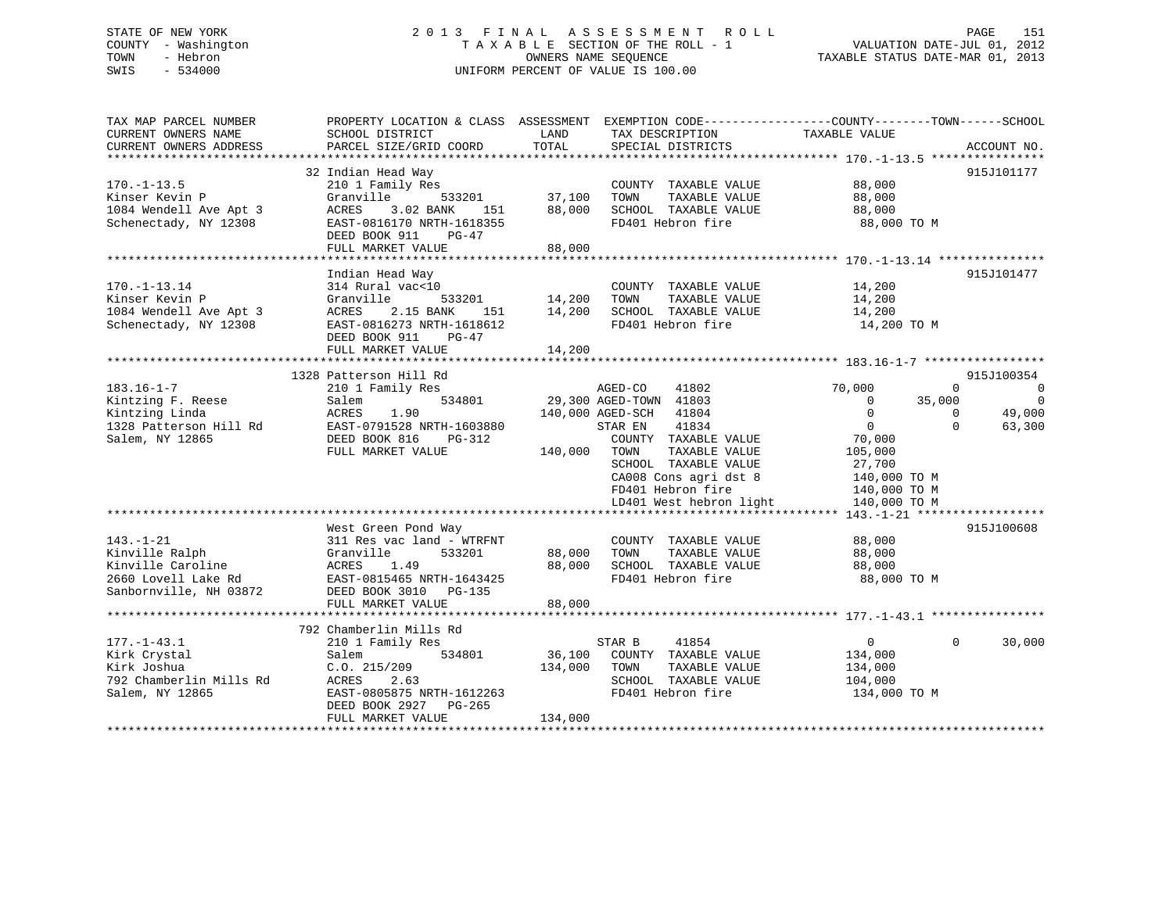# STATE OF NEW YORK 2 0 1 3 F I N A L A S S E S S M E N T R O L L PAGE 151 COUNTY - Washington T A X A B L E SECTION OF THE ROLL - 1 VALUATION DATE-JUL 01, 2012 TOWN - Hebron OWNERS NAME SEQUENCE TAXABLE STATUS DATE-MAR 01, 2013 SWIS - 534000 UNIFORM PERCENT OF VALUE IS 100.00

| SCHOOL DISTRICT                                                                                                                                                                                                                                           | LAND                                                                                                                                           | TAX DESCRIPTION                                                                                                                                                                                                                                    | TAXABLE VALUE                                                                                                                                                 |                                                                                                                         |
|-----------------------------------------------------------------------------------------------------------------------------------------------------------------------------------------------------------------------------------------------------------|------------------------------------------------------------------------------------------------------------------------------------------------|----------------------------------------------------------------------------------------------------------------------------------------------------------------------------------------------------------------------------------------------------|---------------------------------------------------------------------------------------------------------------------------------------------------------------|-------------------------------------------------------------------------------------------------------------------------|
| PARCEL SIZE/GRID COORD                                                                                                                                                                                                                                    |                                                                                                                                                | SPECIAL DISTRICTS                                                                                                                                                                                                                                  |                                                                                                                                                               | ACCOUNT NO.                                                                                                             |
|                                                                                                                                                                                                                                                           |                                                                                                                                                |                                                                                                                                                                                                                                                    |                                                                                                                                                               |                                                                                                                         |
| 210 1 Family Res<br>Granville<br>533201<br>3.02 BANK<br>ACRES<br>151<br>EAST-0816170 NRTH-1618355<br>DEED BOOK 911<br>$PG-47$                                                                                                                             | 37,100<br>88,000                                                                                                                               | COUNTY TAXABLE VALUE<br>TOWN<br>TAXABLE VALUE<br>SCHOOL TAXABLE VALUE<br>FD401 Hebron fire                                                                                                                                                         | 88,000<br>88,000<br>88,000<br>88,000 TO M                                                                                                                     | 915J101177                                                                                                              |
|                                                                                                                                                                                                                                                           |                                                                                                                                                |                                                                                                                                                                                                                                                    |                                                                                                                                                               |                                                                                                                         |
| Indian Head Way<br>314 Rural vac<10<br>Granville<br>533201<br>ACRES<br>2.15 BANK<br>151<br>EAST-0816273 NRTH-1618612                                                                                                                                      | 14,200<br>14,200                                                                                                                               | COUNTY TAXABLE VALUE<br>TOWN<br>TAXABLE VALUE<br>SCHOOL TAXABLE VALUE<br>FD401 Hebron fire                                                                                                                                                         | 14,200<br>14,200<br>14,200<br>14,200 TO M                                                                                                                     | 915J101477                                                                                                              |
| FULL MARKET VALUE                                                                                                                                                                                                                                         | 14,200                                                                                                                                         |                                                                                                                                                                                                                                                    |                                                                                                                                                               |                                                                                                                         |
|                                                                                                                                                                                                                                                           |                                                                                                                                                |                                                                                                                                                                                                                                                    |                                                                                                                                                               |                                                                                                                         |
| 1328 Patterson Hill Rd<br>210 1 Family Res<br>534801<br>Salem<br>ACRES<br>1.90<br>EAST-0791528 NRTH-1603880<br>DEED BOOK 816<br>$PG-312$<br>FULL MARKET VALUE<br>West Green Pond Way<br>311 Res vac land - WTRFNT<br>Granville<br>533201<br>1.49<br>ACRES | 88,000<br>88,000                                                                                                                               | 41802<br>41804<br>41834<br>COUNTY TAXABLE VALUE<br>TOWN<br>TAXABLE VALUE<br>SCHOOL TAXABLE VALUE<br>CA008 Cons agri dst 8<br>FD401 Hebron fire<br>LD401 West hebron light<br>COUNTY TAXABLE VALUE<br>TOWN<br>TAXABLE VALUE<br>SCHOOL TAXABLE VALUE | 70,000<br>$\Omega$<br>$\Omega$<br>$\overline{0}$<br>70,000<br>105,000<br>27,700<br>140,000 TO M<br>140,000 TO M<br>140,000 TO M<br>88,000<br>88,000<br>88,000 | 915J100354<br>$\Omega$<br>$\overline{0}$<br>$\Omega$<br>49,000<br>$\Omega$<br>63,300<br>$\Omega$<br>915J100608          |
| DEED BOOK 3010 PG-135                                                                                                                                                                                                                                     |                                                                                                                                                |                                                                                                                                                                                                                                                    |                                                                                                                                                               |                                                                                                                         |
|                                                                                                                                                                                                                                                           |                                                                                                                                                |                                                                                                                                                                                                                                                    |                                                                                                                                                               |                                                                                                                         |
|                                                                                                                                                                                                                                                           |                                                                                                                                                |                                                                                                                                                                                                                                                    |                                                                                                                                                               |                                                                                                                         |
| 210 1 Family Res<br>534801<br>Salem<br>C.0.215/209<br>ACRES<br>2.63<br>EAST-0805875 NRTH-1612263<br>DEED BOOK 2927<br>PG-265<br>FULL MARKET VALUE                                                                                                         | 36,100<br>134,000<br>134,000                                                                                                                   | 41854<br>COUNTY TAXABLE VALUE<br>TOWN<br>TAXABLE VALUE<br>SCHOOL TAXABLE VALUE<br>FD401 Hebron fire                                                                                                                                                | $\overline{0}$<br>134,000<br>134,000<br>104,000<br>134,000 TO M                                                                                               | $\Omega$<br>30,000                                                                                                      |
|                                                                                                                                                                                                                                                           | 32 Indian Head Way<br>FULL MARKET VALUE<br>DEED BOOK 911<br>PG-47<br>EAST-0815465 NRTH-1643425<br>FULL MARKET VALUE<br>792 Chamberlin Mills Rd | TOTAL<br>88,000<br>88,000                                                                                                                                                                                                                          | AGED-CO<br>29,300 AGED-TOWN 41803<br>140,000 AGED-SCH<br>STAR EN<br>140,000<br>FD401 Hebron fire<br>STAR B                                                    | PROPERTY LOCATION & CLASS ASSESSMENT EXEMPTION CODE---------------COUNTY-------TOWN-----SCHOOL<br>35,000<br>88,000 TO M |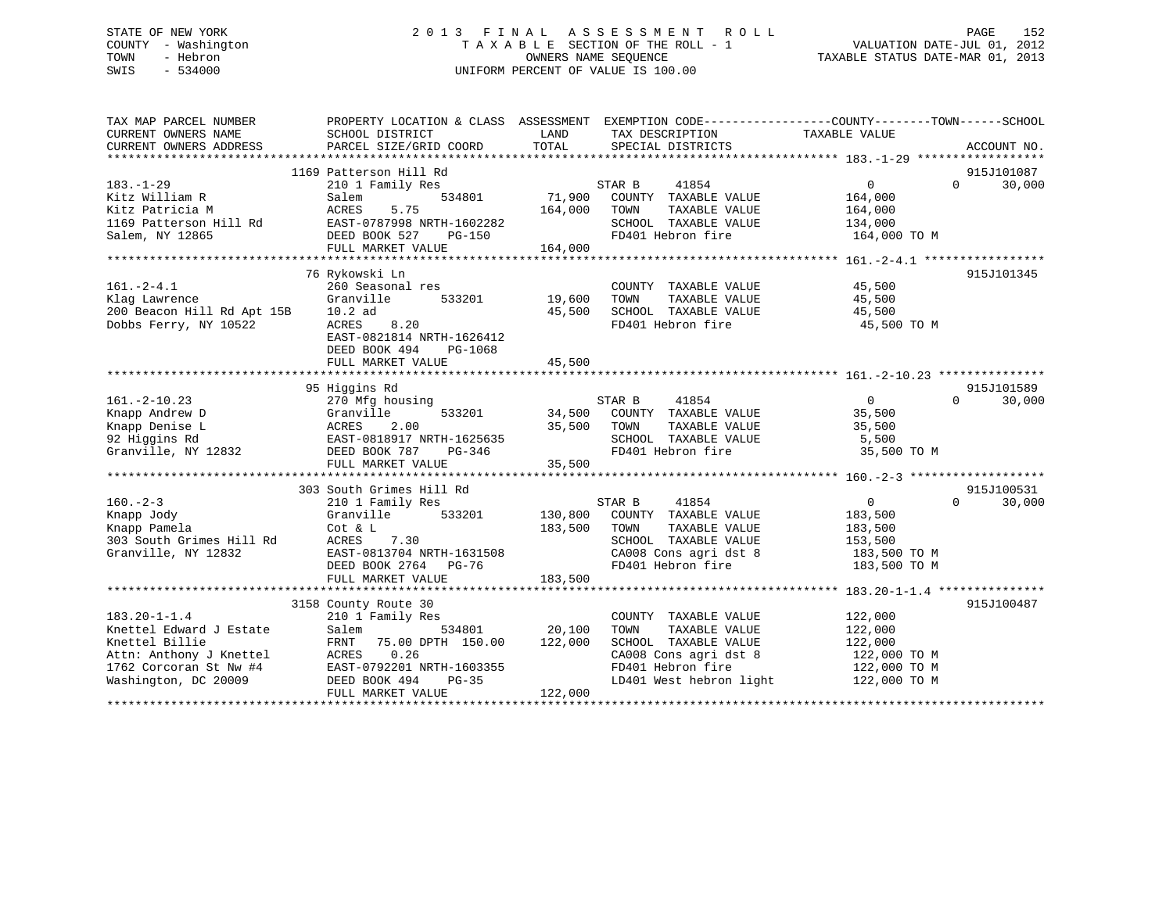# STATE OF NEW YORK 2 0 1 3 F I N A L A S S E S S M E N T R O L L PAGE 152 COUNTY - Washington T A X A B L E SECTION OF THE ROLL - 1 VALUATION DATE-JUL 01, 2012 TOWN - Hebron OWNERS NAME SEQUENCE TAXABLE STATUS DATE-MAR 01, 2013 SWIS - 534000 UNIFORM PERCENT OF VALUE IS 100.00

| TAX MAP PARCEL NUMBER<br>CURRENT OWNERS NAME    | PROPERTY LOCATION & CLASS ASSESSMENT EXEMPTION CODE---------------COUNTY-------TOWN-----SCHOOL<br>SCHOOL DISTRICT | LAND    | TAX DESCRIPTION                               | TAXABLE VALUE           |                    |
|-------------------------------------------------|-------------------------------------------------------------------------------------------------------------------|---------|-----------------------------------------------|-------------------------|--------------------|
| CURRENT OWNERS ADDRESS                          | PARCEL SIZE/GRID COORD                                                                                            | TOTAL   | SPECIAL DISTRICTS                             |                         | ACCOUNT NO.        |
|                                                 | 1169 Patterson Hill Rd                                                                                            |         |                                               |                         | 915J101087         |
| $183. - 1 - 29$                                 | 210 1 Family Res                                                                                                  |         | STAR B<br>41854                               | $0 \qquad \qquad$       | $\Omega$<br>30,000 |
| Kitz William R                                  | 534801<br>Salem                                                                                                   | 71,900  | COUNTY TAXABLE VALUE                          | 164,000                 |                    |
| Kitz Patricia M                                 | ACRES<br>5.75                                                                                                     | 164,000 | TOWN<br>TAXABLE VALUE                         | 164,000                 |                    |
| 1169 Patterson Hill Rd                          | EAST-0787998 NRTH-1602282                                                                                         |         | SCHOOL TAXABLE VALUE                          | 134,000                 |                    |
| Salem, NY 12865                                 | DEED BOOK 527<br>PG-150                                                                                           |         | FD401 Hebron fire                             | 164,000 TO M            |                    |
|                                                 | FULL MARKET VALUE                                                                                                 | 164,000 |                                               |                         |                    |
|                                                 |                                                                                                                   |         |                                               |                         |                    |
|                                                 | 76 Rykowski Ln                                                                                                    |         |                                               |                         | 915J101345         |
| $161. - 2 - 4.1$                                | 260 Seasonal res                                                                                                  |         | COUNTY TAXABLE VALUE                          | 45,500                  |                    |
| Klag Lawrence                                   | Granville<br>533201                                                                                               | 19,600  | TOWN<br>TAXABLE VALUE                         | 45,500                  |                    |
| 200 Beacon Hill Rd Apt 15B                      | $10.2$ ad                                                                                                         | 45,500  | SCHOOL TAXABLE VALUE                          | 45,500                  |                    |
| Dobbs Ferry, NY 10522                           | 8.20<br>ACRES                                                                                                     |         | FD401 Hebron fire                             | 45,500 TO M             |                    |
|                                                 | EAST-0821814 NRTH-1626412                                                                                         |         |                                               |                         |                    |
|                                                 | DEED BOOK 494<br>PG-1068                                                                                          |         |                                               |                         |                    |
|                                                 | FULL MARKET VALUE                                                                                                 | 45,500  |                                               |                         |                    |
|                                                 |                                                                                                                   |         |                                               |                         |                    |
|                                                 | 95 Higgins Rd                                                                                                     |         |                                               |                         | 915J101589         |
| $161. -2 - 10.23$                               | 270 Mfg housing                                                                                                   |         | STAR B<br>41854                               | $\overline{0}$          | $\Omega$<br>30,000 |
| Knapp Andrew D                                  | 533201<br>Granville                                                                                               |         | 34,500 COUNTY TAXABLE VALUE                   | 35,500                  |                    |
| Knapp Denise L                                  | ACRES<br>2.00                                                                                                     | 35,500  | TAXABLE VALUE<br>TOWN                         | 35,500                  |                    |
| 92 Higgins Rd                                   | EAST-0818917 NRTH-1625635                                                                                         |         | SCHOOL TAXABLE VALUE                          | 5,500                   |                    |
| Granville, NY 12832                             | DEED BOOK 787<br>PG-346                                                                                           |         | FD401 Hebron fire                             | 35,500 TO M             |                    |
|                                                 | FULL MARKET VALUE                                                                                                 | 35,500  |                                               |                         |                    |
|                                                 |                                                                                                                   |         |                                               |                         |                    |
|                                                 | 303 South Grimes Hill Rd                                                                                          |         |                                               |                         | 915J100531         |
| $160. - 2 - 3$                                  | 210 1 Family Res                                                                                                  |         | STAR B<br>41854                               | $\overline{0}$          | 30,000<br>$\Omega$ |
| Knapp Jody                                      | Granville<br>533201                                                                                               | 130,800 | COUNTY TAXABLE VALUE                          | 183,500                 |                    |
| Knapp Pamela                                    | Cot & L                                                                                                           | 183,500 | TAXABLE VALUE<br>TOWN<br>SCHOOL TAXABLE VALUE | 183,500                 |                    |
| 303 South Grimes Hill Rd<br>Granville, NY 12832 | ACRES 7.30<br>EAST-0813704 NRTH-1631508                                                                           |         | CA008 Cons agri dst 8                         | 153,500<br>183,500 TO M |                    |
|                                                 | DEED BOOK 2764 PG-76                                                                                              |         | FD401 Hebron fire                             | 183,500 TO M            |                    |
|                                                 |                                                                                                                   |         |                                               |                         |                    |
|                                                 |                                                                                                                   |         |                                               |                         |                    |
|                                                 | 3158 County Route 30                                                                                              |         |                                               |                         | 915J100487         |
| $183.20 - 1 - 1.4$                              | 210 1 Family Res                                                                                                  |         | COUNTY TAXABLE VALUE                          | 122,000                 |                    |
| Knettel Edward J Estate                         | 534801<br>Salem                                                                                                   | 20,100  | TOWN<br>TAXABLE VALUE                         | 122,000                 |                    |
| Knettel Billie                                  | 75.00 DPTH 150.00<br>FRNT                                                                                         | 122,000 | SCHOOL TAXABLE VALUE                          | 122,000                 |                    |
| Attn: Anthony J Knettel                         | 0.26<br>ACRES                                                                                                     |         | CA008 Cons agri dst 8                         | 122,000 TO M            |                    |
| 1762 Corcoran St Nw #4                          | EAST-0792201 NRTH-1603355                                                                                         |         | FD401 Hebron fire                             | 122,000 TO M            |                    |
| Washington, DC 20009                            | DEED BOOK 494<br>PG-35                                                                                            |         | LD401 West hebron light                       | 122,000 TO M            |                    |
|                                                 | FULL MARKET VALUE                                                                                                 | 122,000 |                                               |                         |                    |
|                                                 |                                                                                                                   |         |                                               |                         |                    |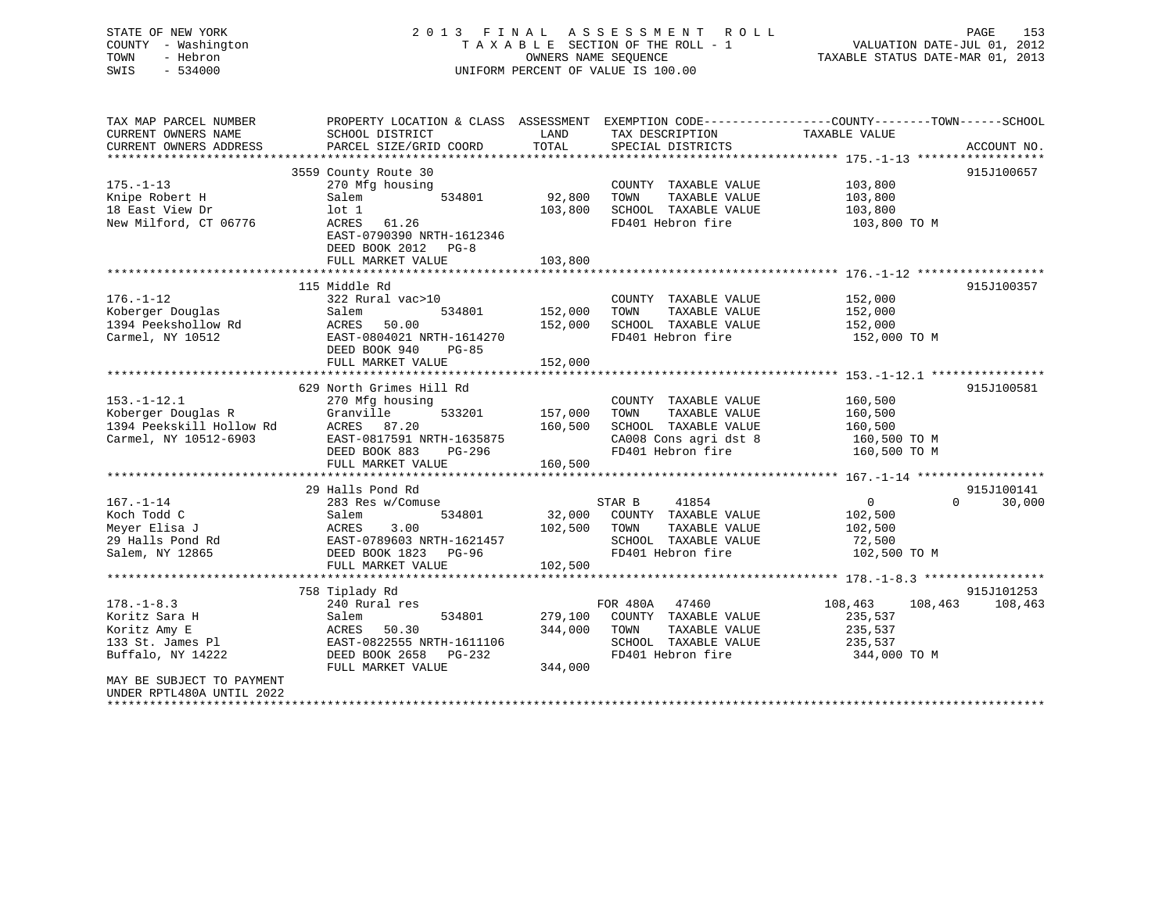# STATE OF NEW YORK 2 0 1 3 F I N A L A S S E S S M E N T R O L L PAGE 153 COUNTY - Washington T A X A B L E SECTION OF THE ROLL - 1 VALUATION DATE-JUL 01, 2012 TOWN - Hebron OWNERS NAME SEQUENCE TAXABLE STATUS DATE-MAR 01, 2013 SWIS - 534000 UNIFORM PERCENT OF VALUE IS 100.00

| TAX MAP PARCEL NUMBER<br>CURRENT OWNERS NAME<br>CURRENT OWNERS ADDRESS                                                                                                        | PROPERTY LOCATION & CLASS ASSESSMENT<br>SCHOOL DISTRICT<br>PARCEL SIZE/GRID COORD                                                                                   | LAND<br>TOTAL                 | TAX DESCRIPTION<br>SPECIAL DISTRICTS                                                                                | EXEMPTION CODE----------------COUNTY-------TOWN------SCHOOL<br>TAXABLE VALUE | ACCOUNT NO.           |
|-------------------------------------------------------------------------------------------------------------------------------------------------------------------------------|---------------------------------------------------------------------------------------------------------------------------------------------------------------------|-------------------------------|---------------------------------------------------------------------------------------------------------------------|------------------------------------------------------------------------------|-----------------------|
| $175. - 1 - 13$<br>Knipe Robert H<br>18 East View Dr<br>New Milford, CT 06776                                                                                                 | 3559 County Route 30<br>270 Mfg housing<br>Salem<br>534801<br>lot 1<br>ACRES<br>61.26<br>EAST-0790390 NRTH-1612346<br>DEED BOOK 2012<br>$PG-8$<br>FULL MARKET VALUE | 92,800<br>103,800<br>103,800  | COUNTY TAXABLE VALUE<br>TAXABLE VALUE<br>TOWN<br>SCHOOL TAXABLE VALUE<br>FD401 Hebron fire                          | 103,800<br>103,800<br>103,800<br>103,800 TO M                                | 915J100657            |
| $176. - 1 - 12$<br>Koberger Douglas<br>1394 Peekshollow Rd<br>Carmel, NY 10512                                                                                                | 115 Middle Rd<br>322 Rural vac>10<br>534801<br>Salem<br>50.00<br>ACRES<br>EAST-0804021 NRTH-1614270<br>DEED BOOK 940<br>PG-85<br>FULL MARKET VALUE                  | 152,000<br>152,000<br>152,000 | COUNTY TAXABLE VALUE<br>TAXABLE VALUE<br>TOWN<br>SCHOOL TAXABLE VALUE<br>FD401 Hebron fire                          | 152,000<br>152,000<br>152,000<br>152,000 TO M                                | 915J100357            |
| $153. - 1 - 12.1$<br>Koberger Douglas R<br>1394 Peekskill Hollow Rd<br>Carmel, NY 10512-6903                                                                                  | 629 North Grimes Hill Rd<br>270 Mfg housing<br>Granville<br>533201<br>ACRES 87.20<br>EAST-0817591 NRTH-1635875<br>DEED BOOK 883<br>PG-296<br>FULL MARKET VALUE      | 157,000<br>160,500<br>160,500 | COUNTY TAXABLE VALUE<br>TOWN<br>TAXABLE VALUE<br>SCHOOL TAXABLE VALUE<br>CA008 Cons agri dst 8<br>FD401 Hebron fire | 160,500<br>160,500<br>160,500<br>160,500 TO M<br>160,500 TO M                | 915J100581            |
| $167. - 1 - 14$<br>Koch Todd C<br>Meyer Elisa J<br>29 Halls Pond Rd<br>Salem, NY 12865                                                                                        | 29 Halls Pond Rd<br>283 Res w/Comuse<br>Salem<br>534801<br>3.00<br>ACRES<br>EAST-0789603 NRTH-1621457<br>DEED BOOK 1823<br>PG-96<br>FULL MARKET VALUE               | 32,000<br>102,500<br>102,500  | 41854<br>STAR B<br>COUNTY TAXABLE VALUE<br>TOWN<br>TAXABLE VALUE<br>SCHOOL TAXABLE VALUE<br>FD401 Hebron fire       | 0<br>$\Omega$<br>102,500<br>102,500<br>72,500<br>102,500 TO M                | 915J100141<br>30,000  |
| $178. - 1 - 8.3$<br>Koritz Sara H<br>Koritz Amy E<br>133 St. James Pl<br>Buffalo, NY 14222<br>MAY BE SUBJECT TO PAYMENT<br>UNDER RPTL480A UNTIL 2022<br>********************* | 758 Tiplady Rd<br>240 Rural res<br>Salem<br>534801<br>ACRES<br>50.30<br>EAST-0822555 NRTH-1611106<br>DEED BOOK 2658<br>PG-232<br>FULL MARKET VALUE                  | 279,100<br>344,000<br>344,000 | FOR 480A<br>47460<br>COUNTY TAXABLE VALUE<br>TOWN<br>TAXABLE VALUE<br>SCHOOL TAXABLE VALUE<br>FD401 Hebron fire     | 108,463<br>108,463<br>235,537<br>235,537<br>235,537<br>344,000 TO M          | 915J101253<br>108,463 |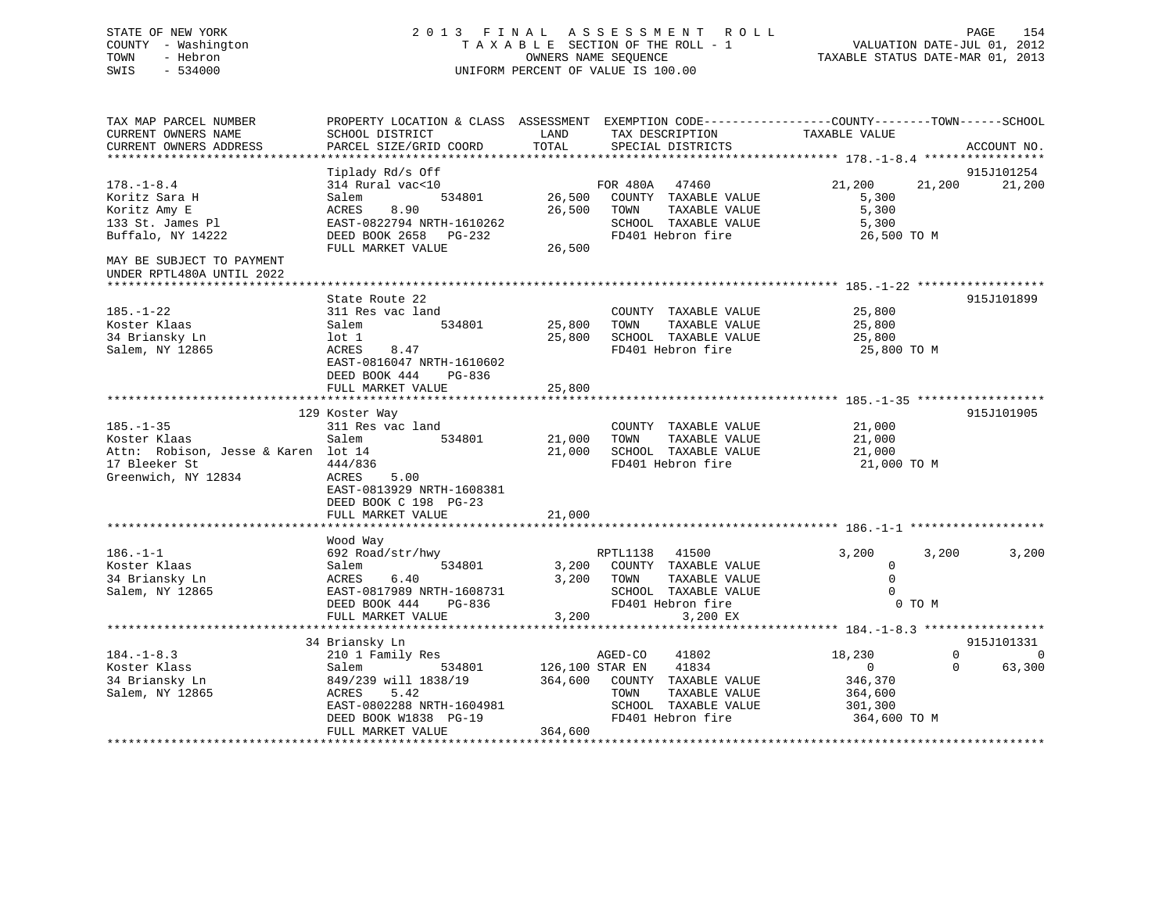# STATE OF NEW YORK 2 0 1 3 F I N A L A S S E S S M E N T R O L L PAGE 154 COUNTY - Washington T A X A B L E SECTION OF THE ROLL - 1 VALUATION DATE-JUL 01, 2012 TOWN - Hebron OWNERS NAME SEQUENCE TAXABLE STATUS DATE-MAR 01, 2013 SWIS - 534000 UNIFORM PERCENT OF VALUE IS 100.00

| TAX MAP PARCEL NUMBER               | PROPERTY LOCATION & CLASS ASSESSMENT EXEMPTION CODE----------------COUNTY-------TOWN------SCHOOL |                 |                |                              |                |          |             |
|-------------------------------------|--------------------------------------------------------------------------------------------------|-----------------|----------------|------------------------------|----------------|----------|-------------|
| CURRENT OWNERS NAME                 | SCHOOL DISTRICT                                                                                  | LAND            |                | TAX DESCRIPTION              | TAXABLE VALUE  |          |             |
| CURRENT OWNERS ADDRESS              | PARCEL SIZE/GRID COORD                                                                           | TOTAL           |                | SPECIAL DISTRICTS            |                |          | ACCOUNT NO. |
|                                     |                                                                                                  |                 |                |                              |                |          |             |
|                                     | Tiplady Rd/s Off                                                                                 |                 |                |                              |                |          | 915J101254  |
| $178. - 1 - 8.4$                    | 314 Rural vac<10                                                                                 |                 | FOR 480A 47460 |                              | 21,200         | 21,200   | 21,200      |
|                                     |                                                                                                  |                 |                |                              |                |          |             |
| Koritz Sara H                       | 534801<br>Salem                                                                                  |                 |                | 26,500 COUNTY TAXABLE VALUE  | 5,300          |          |             |
| Koritz Amy E                        | ACRES<br>8.90                                                                                    | 26,500          | TOWN           | TAXABLE VALUE                | 5,300          |          |             |
| 133 St. James Pl                    | EAST-0822794 NRTH-1610262                                                                        |                 |                | SCHOOL TAXABLE VALUE         | 5,300          |          |             |
| Buffalo, NY 14222                   | DEED BOOK 2658 PG-232                                                                            |                 |                | FD401 Hebron fire            | 26,500 TO M    |          |             |
|                                     | FULL MARKET VALUE                                                                                | 26,500          |                |                              |                |          |             |
| MAY BE SUBJECT TO PAYMENT           |                                                                                                  |                 |                |                              |                |          |             |
| UNDER RPTL480A UNTIL 2022           |                                                                                                  |                 |                |                              |                |          |             |
|                                     |                                                                                                  |                 |                |                              |                |          |             |
|                                     |                                                                                                  |                 |                |                              |                |          |             |
|                                     | State Route 22                                                                                   |                 |                |                              |                |          | 915J101899  |
| $185. - 1 - 22$                     | 311 Res vac land                                                                                 |                 |                | COUNTY TAXABLE VALUE         | 25,800         |          |             |
| Koster Klaas                        | 534801<br>Salem                                                                                  | 25,800 TOWN     |                | TAXABLE VALUE                | 25,800         |          |             |
| 34 Briansky Ln                      | lot 1                                                                                            |                 |                | 25,800 SCHOOL TAXABLE VALUE  | 25,800         |          |             |
| Salem, NY 12865                     | 8.47<br>ACRES                                                                                    |                 |                | FD401 Hebron fire            | 25,800 TO M    |          |             |
|                                     | EAST-0816047 NRTH-1610602                                                                        |                 |                |                              |                |          |             |
|                                     | DEED BOOK 444<br>PG-836                                                                          |                 |                |                              |                |          |             |
|                                     | FULL MARKET VALUE                                                                                | 25,800          |                |                              |                |          |             |
|                                     |                                                                                                  |                 |                |                              |                |          |             |
|                                     |                                                                                                  |                 |                |                              |                |          |             |
|                                     | 129 Koster Way                                                                                   |                 |                |                              |                |          | 915J101905  |
| $185. - 1 - 35$                     | 311 Res vac land                                                                                 |                 |                | COUNTY TAXABLE VALUE         | 21,000         |          |             |
| Koster Klaas                        | Salem<br>534801                                                                                  | 21,000 TOWN     |                | TAXABLE VALUE                | 21,000         |          |             |
| Attn: Robison, Jesse & Karen lot 14 |                                                                                                  |                 |                | 21,000 SCHOOL TAXABLE VALUE  | 21,000         |          |             |
| 17 Bleeker St                       | 444/836                                                                                          |                 |                | FD401 Hebron fire            | 21,000 TO M    |          |             |
| Greenwich, NY 12834                 | ACRES<br>5.00                                                                                    |                 |                |                              |                |          |             |
|                                     | EAST-0813929 NRTH-1608381                                                                        |                 |                |                              |                |          |             |
|                                     |                                                                                                  |                 |                |                              |                |          |             |
|                                     | DEED BOOK C 198 PG-23                                                                            |                 |                |                              |                |          |             |
|                                     | FULL MARKET VALUE                                                                                | 21,000          |                |                              |                |          |             |
|                                     |                                                                                                  |                 |                |                              |                |          |             |
|                                     | Wood Way                                                                                         |                 |                |                              |                |          |             |
| $186. - 1 - 1$                      | 692 Road/str/hwy                                                                                 |                 | RPTL1138 41500 |                              | 3,200          | 3,200    | 3,200       |
| Koster Klaas                        | Salem<br>534801                                                                                  |                 |                | 3,200 COUNTY TAXABLE VALUE   | $\Omega$       |          |             |
| 34 Briansky Ln                      | ACRES<br>6.40                                                                                    |                 | 3,200 TOWN     | TAXABLE VALUE                | $\mathbf 0$    |          |             |
| Salem, NY 12865                     | EAST-0817989 NRTH-1608731                                                                        |                 |                | SCHOOL TAXABLE VALUE         | $\Omega$       |          |             |
|                                     |                                                                                                  |                 |                |                              |                |          |             |
|                                     | DEED BOOK 444<br>PG-836                                                                          |                 |                | FD401 Hebron fire            |                | 0 TO M   |             |
|                                     | FULL MARKET VALUE                                                                                | 3,200           |                | 3,200 EX                     |                |          |             |
|                                     |                                                                                                  |                 |                |                              |                |          |             |
|                                     | 34 Briansky Ln                                                                                   |                 |                |                              |                |          | 915J101331  |
| $184. - 1 - 8.3$                    | 210 1 Family Res                                                                                 |                 | AGED-CO        | 41802                        | 18,230         | $\Omega$ | $\Omega$    |
| Koster Klass                        | 534801<br>Salem                                                                                  | 126,100 STAR EN |                | 41834                        | $\overline{0}$ | $\Omega$ | 63,300      |
| 34 Briansky Ln                      | 849/239 will 1838/19                                                                             |                 |                | 364,600 COUNTY TAXABLE VALUE | 346,370        |          |             |
| Salem, NY 12865                     | ACRES<br>5.42                                                                                    |                 | TOWN           | TAXABLE VALUE                | 364,600        |          |             |
|                                     |                                                                                                  |                 |                |                              |                |          |             |
|                                     | EAST-0802288 NRTH-1604981                                                                        |                 |                | SCHOOL TAXABLE VALUE         | 301,300        |          |             |
|                                     | DEED BOOK W1838 PG-19                                                                            |                 |                | FD401 Hebron fire            | 364,600 TO M   |          |             |
|                                     | FULL MARKET VALUE                                                                                | 364,600         |                |                              |                |          |             |
|                                     |                                                                                                  |                 |                |                              |                |          |             |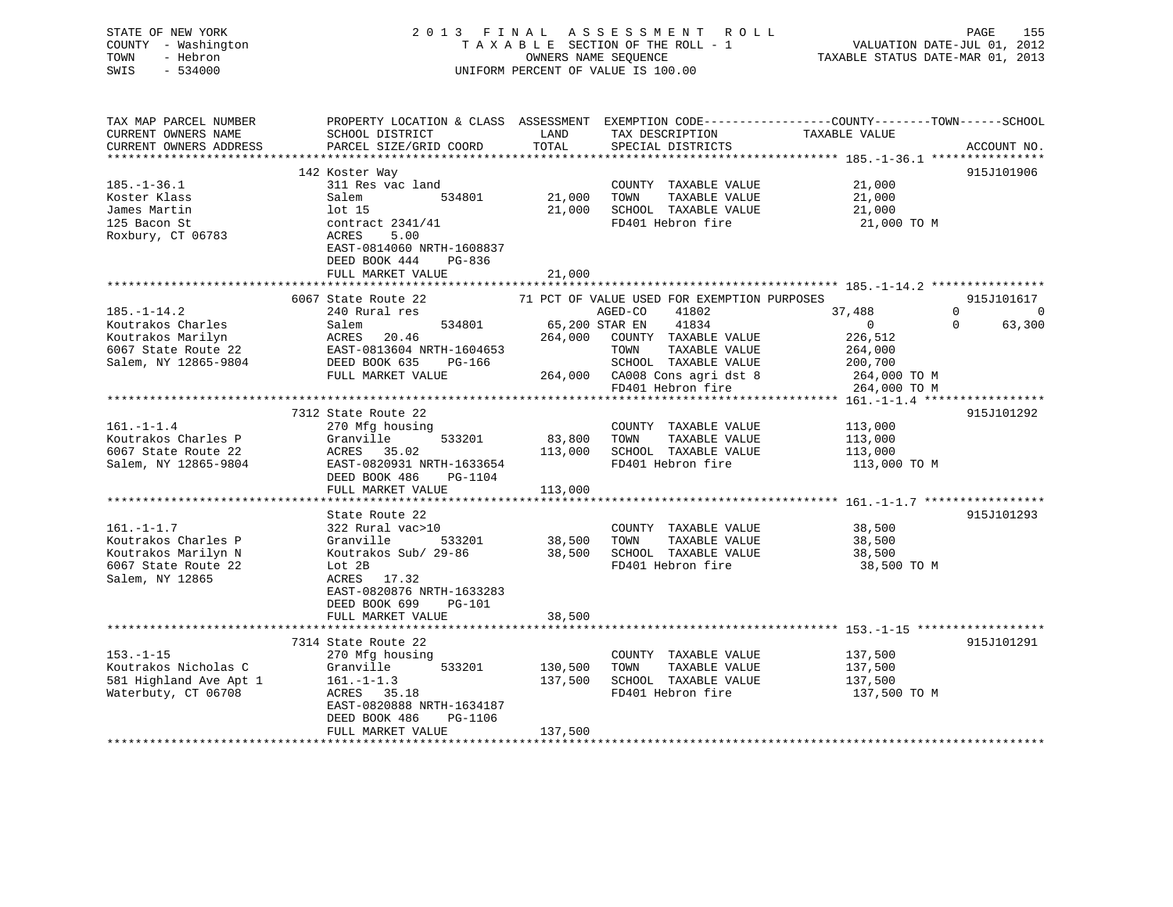| STATE OF NEW YORK<br>COUNTY - Washington<br>- Hebron<br>TOWN<br>$-534000$<br>SWIS |                                           |                | 2013 FINAL ASSESSMENT ROLL<br>TAXABLE SECTION OF THE ROLL - 1<br>OWNERS NAME SEOUENCE<br>UNIFORM PERCENT OF VALUE IS 100.00             | VALUATION DATE-JUL 01, 2012<br>TAXABLE STATUS DATE-MAR 01, 2013 | 155<br>PAGE        |
|-----------------------------------------------------------------------------------|-------------------------------------------|----------------|-----------------------------------------------------------------------------------------------------------------------------------------|-----------------------------------------------------------------|--------------------|
| TAX MAP PARCEL NUMBER<br>CURRENT OWNERS NAME<br>CURRENT OWNERS ADDRESS            | SCHOOL DISTRICT<br>PARCEL SIZE/GRID COORD | LAND<br>TOTAL  | PROPERTY LOCATION & CLASS ASSESSMENT EXEMPTION CODE---------------COUNTY-------TOWN------SCHOOL<br>TAX DESCRIPTION<br>SPECIAL DISTRICTS | TAXABLE VALUE                                                   | ACCOUNT NO.        |
|                                                                                   |                                           |                |                                                                                                                                         |                                                                 |                    |
|                                                                                   | 142 Koster Way                            |                |                                                                                                                                         |                                                                 | 915J101906         |
| $185. - 1 - 36.1$<br>Koster Klass                                                 | 311 Res vac land<br>Salem<br>534801       | 21,000         | COUNTY TAXABLE VALUE<br>TOWN<br>TAXABLE VALUE                                                                                           | 21,000<br>21,000                                                |                    |
| James Martin                                                                      | lot 15                                    | 21,000         | SCHOOL TAXABLE VALUE                                                                                                                    | 21,000                                                          |                    |
| 125 Bacon St                                                                      | contract $2341/41$                        |                | FD401 Hebron fire                                                                                                                       | 21,000 TO M                                                     |                    |
| Roxbury, CT 06783                                                                 | ACRES<br>5.00                             |                |                                                                                                                                         |                                                                 |                    |
|                                                                                   | EAST-0814060 NRTH-1608837                 |                |                                                                                                                                         |                                                                 |                    |
|                                                                                   | DEED BOOK 444<br>PG-836                   |                |                                                                                                                                         |                                                                 |                    |
|                                                                                   | FULL MARKET VALUE                         | 21,000         |                                                                                                                                         |                                                                 |                    |
|                                                                                   |                                           |                |                                                                                                                                         |                                                                 |                    |
|                                                                                   | 6067 State Route 22                       |                | 71 PCT OF VALUE USED FOR EXEMPTION PURPOSES                                                                                             |                                                                 | 915J101617         |
| $185. - 1 - 14.2$                                                                 | 240 Rural res                             |                | AGED-CO<br>41802                                                                                                                        | 37,488                                                          | 0<br>- 0           |
| Koutrakos Charles                                                                 | 534801<br>Salem                           | 65,200 STAR EN | 41834                                                                                                                                   | $\overline{0}$                                                  | $\Omega$<br>63,300 |
| Koutrakos Marilyn                                                                 | ACRES<br>20.46                            | 264,000        | COUNTY TAXABLE VALUE                                                                                                                    | 226,512                                                         |                    |
| 6067 State Route 22                                                               | EAST-0813604 NRTH-1604653                 |                | TOWN<br>TAXABLE VALUE                                                                                                                   | 264,000                                                         |                    |
| Salem, NY 12865-9804                                                              | DEED BOOK 635<br>PG-166                   |                | SCHOOL TAXABLE VALUE                                                                                                                    | 200,700                                                         |                    |
|                                                                                   | FULL MARKET VALUE                         | 264,000        | CA008 Cons agri dst 8                                                                                                                   | 264,000 TO M                                                    |                    |
|                                                                                   |                                           |                | FD401 Hebron fire                                                                                                                       | 264,000 TO M                                                    |                    |
|                                                                                   |                                           |                |                                                                                                                                         |                                                                 |                    |
|                                                                                   | 7312 State Route 22                       |                |                                                                                                                                         |                                                                 | 915J101292         |
| $161. - 1 - 1.4$<br>Koutrakos Charles P                                           | 270 Mfg housing<br>Granville<br>533201    | 83,800         | COUNTY TAXABLE VALUE<br>TOWN<br>TAXABLE VALUE                                                                                           | 113,000                                                         |                    |
| 6067 State Route 22                                                               | ACRES 35.02                               | 113,000        | SCHOOL TAXABLE VALUE                                                                                                                    | 113,000<br>113,000                                              |                    |
| Salem, NY 12865-9804                                                              | EAST-0820931 NRTH-1633654                 |                | FD401 Hebron fire                                                                                                                       | 113,000 TO M                                                    |                    |
|                                                                                   | DEED BOOK 486<br>PG-1104                  |                |                                                                                                                                         |                                                                 |                    |
|                                                                                   | FULL MARKET VALUE                         | 113,000        |                                                                                                                                         |                                                                 |                    |
|                                                                                   |                                           |                |                                                                                                                                         |                                                                 |                    |
|                                                                                   | State Route 22                            |                |                                                                                                                                         |                                                                 | 915J101293         |
| $161. - 1 - 1.7$                                                                  | 322 Rural vac>10                          |                | COUNTY TAXABLE VALUE                                                                                                                    | 38,500                                                          |                    |
| Koutrakos Charles P                                                               | 533201<br>Granville                       | 38,500         | TOWN<br>TAXABLE VALUE                                                                                                                   | 38,500                                                          |                    |
| Koutrakos Marilyn N                                                               | Koutrakos Sub/ 29–86                      | 38,500         | SCHOOL TAXABLE VALUE                                                                                                                    | 38,500                                                          |                    |
| 6067 State Route 22                                                               | Lot 2B                                    |                | FD401 Hebron fire                                                                                                                       | 38,500 TO M                                                     |                    |
| Salem, NY 12865                                                                   | ACRES 17.32                               |                |                                                                                                                                         |                                                                 |                    |
|                                                                                   | EAST-0820876 NRTH-1633283                 |                |                                                                                                                                         |                                                                 |                    |
|                                                                                   | DEED BOOK 699<br>PG-101                   |                |                                                                                                                                         |                                                                 |                    |
|                                                                                   | FULL MARKET VALUE                         | 38,500         |                                                                                                                                         |                                                                 |                    |
|                                                                                   |                                           |                |                                                                                                                                         |                                                                 |                    |
|                                                                                   | 7314 State Route 22                       |                |                                                                                                                                         |                                                                 | 915J101291         |
| $153. - 1 - 15$                                                                   | 270 Mfg housing                           |                | COUNTY TAXABLE VALUE                                                                                                                    | 137,500                                                         |                    |
| Koutrakos Nicholas C                                                              | 533201<br>Granville                       | 130,500        | TAXABLE VALUE<br>TOWN                                                                                                                   | 137,500                                                         |                    |
| 581 Highland Ave Apt 1                                                            | $161. - 1 - 1.3$                          | 137,500        | SCHOOL TAXABLE VALUE                                                                                                                    | 137,500                                                         |                    |
| Waterbuty, CT 06708                                                               | ACRES 35.18                               |                | FD401 Hebron fire                                                                                                                       | 137,500 TO M                                                    |                    |
|                                                                                   | EAST-0820888 NRTH-1634187                 |                |                                                                                                                                         |                                                                 |                    |
|                                                                                   | DEED BOOK 486<br>PG-1106                  |                |                                                                                                                                         |                                                                 |                    |
|                                                                                   | FULL MARKET VALUE                         | 137,500        |                                                                                                                                         |                                                                 |                    |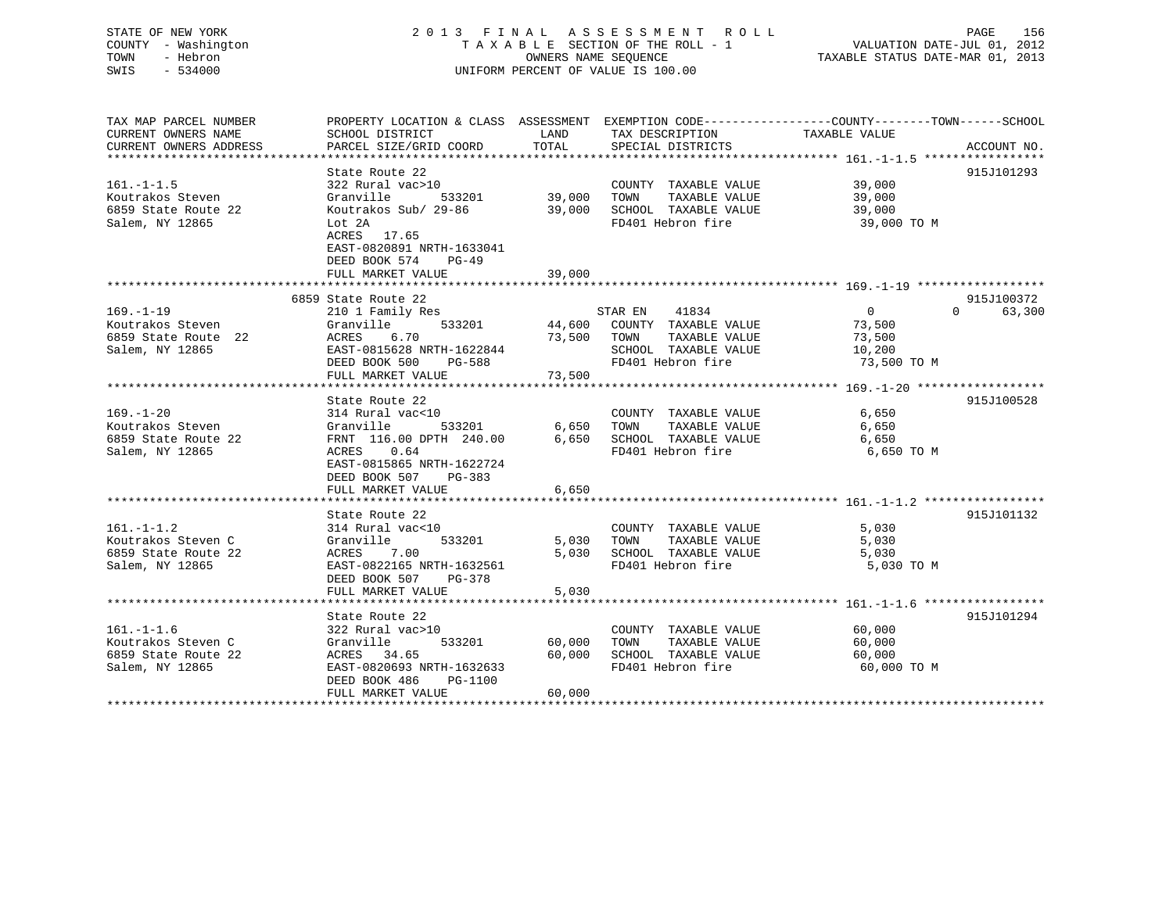# STATE OF NEW YORK 2 0 1 3 F I N A L A S S E S S M E N T R O L L PAGE 156 COUNTY - Washington T A X A B L E SECTION OF THE ROLL - 1 VALUATION DATE-JUL 01, 2012 TOWN - Hebron OWNERS NAME SEQUENCE TAXABLE STATUS DATE-MAR 01, 2013 SWIS - 534000 UNIFORM PERCENT OF VALUE IS 100.00

TAX MAP PARCEL NUMBER PROPERTY LOCATION & CLASS ASSESSMENT EXEMPTION CODE------------------COUNTY--------TOWN------SCHOOL

CURRENT OWNERS NAME SCHOOL DISTRICT THE LAND TAX DESCRIPTION TAXABLE VALUE CURRENT OWNERS ADDRESS PARCEL SIZE/GRID COORD TOTAL SPECIAL DISTRICTS ACCOUNT NO. \*\*\*\*\*\*\*\*\*\*\*\*\*\*\*\*\*\*\*\*\*\*\*\*\*\*\*\*\*\*\*\*\*\*\*\*\*\*\*\*\*\*\*\*\*\*\*\*\*\*\*\*\*\*\*\*\*\*\*\*\*\*\*\*\*\*\*\*\*\*\*\*\*\*\*\*\*\*\*\*\*\*\*\*\*\*\*\*\*\*\*\*\*\*\*\*\*\*\*\*\*\*\* 161.-1-1.5 \*\*\*\*\*\*\*\*\*\*\*\*\*\*\*\*\* State Route 22 915J101293 161.-1-1.5 322 Rural vac>10 COUNTY TAXABLE VALUE 39,000 Koutrakos Steven Granville 533201 39,000 TOWN TAXABLE VALUE 39,000 6859 State Route 22 Koutrakos Sub/ 29-86 39,000 SCHOOL TAXABLE VALUE 39,000 Salem, NY 12865 Lot 2A FD401 Hebron fire 39,000 TO M ACRES 17.65 EAST-0820891 NRTH-1633041 DEED BOOK 574 PG-49 FULL MARKET VALUE 39,000 \*\*\*\*\*\*\*\*\*\*\*\*\*\*\*\*\*\*\*\*\*\*\*\*\*\*\*\*\*\*\*\*\*\*\*\*\*\*\*\*\*\*\*\*\*\*\*\*\*\*\*\*\*\*\*\*\*\*\*\*\*\*\*\*\*\*\*\*\*\*\*\*\*\*\*\*\*\*\*\*\*\*\*\*\*\*\*\*\*\*\*\*\*\*\*\*\*\*\*\*\*\*\* 169.-1-19 \*\*\*\*\*\*\*\*\*\*\*\*\*\*\*\*\*\* 6859 State Route 22 915J100372169.-1-19 210 1 Family Res STAR EN 41834 0 0 63,300 Koutrakos Steven Granville 533201 44,600 COUNTY TAXABLE VALUE 73,500 6859 State Route 22 ACRES 6.70 73,500 TOWN TAXABLE VALUE 73,500 Soutrakos Steven<br>
Salem, NY 12865 EAST-0815628 NRTH-1622844 SCHOOL TAXABLE VALUE 73,500<br>
Salem, NY 12865 EAST-0815628 NRTH-1622844 SCHOOL TAXABLE VALUE 10,200 DEED BOOK 500 PG-588 FD401 Hebron fire 73,500 TO M FULL MARKET VALUE 73,500 \*\*\*\*\*\*\*\*\*\*\*\*\*\*\*\*\*\*\*\*\*\*\*\*\*\*\*\*\*\*\*\*\*\*\*\*\*\*\*\*\*\*\*\*\*\*\*\*\*\*\*\*\*\*\*\*\*\*\*\*\*\*\*\*\*\*\*\*\*\*\*\*\*\*\*\*\*\*\*\*\*\*\*\*\*\*\*\*\*\*\*\*\*\*\*\*\*\*\*\*\*\*\* 169.-1-20 \*\*\*\*\*\*\*\*\*\*\*\*\*\*\*\*\*\*State Route 22 915J100528 169.-1-20 314 Rural vac<10 COUNTY TAXABLE VALUE 6,650 Koutrakos Steven Granville 533201 6,650 TOWN TAXABLE VALUE 6,650 6859 State Route 22 FRNT 116.00 DPTH 240.00 6,650 SCHOOL TAXABLE VALUE 6,650 Salem, NY 12865 ACRES 0.64 FD401 Hebron fire 6,650 TO M EAST-0815865 NRTH-1622724 DEED BOOK 507 PG-383FULL MARKET VALUE 6,650 \*\*\*\*\*\*\*\*\*\*\*\*\*\*\*\*\*\*\*\*\*\*\*\*\*\*\*\*\*\*\*\*\*\*\*\*\*\*\*\*\*\*\*\*\*\*\*\*\*\*\*\*\*\*\*\*\*\*\*\*\*\*\*\*\*\*\*\*\*\*\*\*\*\*\*\*\*\*\*\*\*\*\*\*\*\*\*\*\*\*\*\*\*\*\*\*\*\*\*\*\*\*\* 161.-1-1.2 \*\*\*\*\*\*\*\*\*\*\*\*\*\*\*\*\*State Route 22 915J101132 161.-1-1.2 314 Rural vac<10 COUNTY TAXABLE VALUE 5,030 Koutrakos Steven C Granville 533201 5,030 TOWN TAXABLE VALUE 5,030 6859 State Route 22 ACRES 7.00 5,030 SCHOOL TAXABLE VALUE 5,030 Salem, NY 12865 EAST-0822165 NRTH-1632561 FD401 Hebron fire 5,030 TO M DEED BOOK 507 PG-378FULL MARKET VALUE 5,030 \*\*\*\*\*\*\*\*\*\*\*\*\*\*\*\*\*\*\*\*\*\*\*\*\*\*\*\*\*\*\*\*\*\*\*\*\*\*\*\*\*\*\*\*\*\*\*\*\*\*\*\*\*\*\*\*\*\*\*\*\*\*\*\*\*\*\*\*\*\*\*\*\*\*\*\*\*\*\*\*\*\*\*\*\*\*\*\*\*\*\*\*\*\*\*\*\*\*\*\*\*\*\* 161.-1-1.6 \*\*\*\*\*\*\*\*\*\*\*\*\*\*\*\*\*State Route 22 915J101294 161.-1-1.6 322 Rural vac>10 COUNTY TAXABLE VALUE 60,000 Koutrakos Steven C Granville 533201 60,000 TOWN TAXABLE VALUE 60,000 6859 State Route 22 ACRES 34.65 60,000 SCHOOL TAXABLE VALUE 60,000 Salem, NY 12865 EAST-0820693 NRTH-1632633 FD401 Hebron fire 60,000 TO M DEED BOOK 486 PG-1100FULL MARKET VALUE 60,000 \*\*\*\*\*\*\*\*\*\*\*\*\*\*\*\*\*\*\*\*\*\*\*\*\*\*\*\*\*\*\*\*\*\*\*\*\*\*\*\*\*\*\*\*\*\*\*\*\*\*\*\*\*\*\*\*\*\*\*\*\*\*\*\*\*\*\*\*\*\*\*\*\*\*\*\*\*\*\*\*\*\*\*\*\*\*\*\*\*\*\*\*\*\*\*\*\*\*\*\*\*\*\*\*\*\*\*\*\*\*\*\*\*\*\*\*\*\*\*\*\*\*\*\*\*\*\*\*\*\*\*\*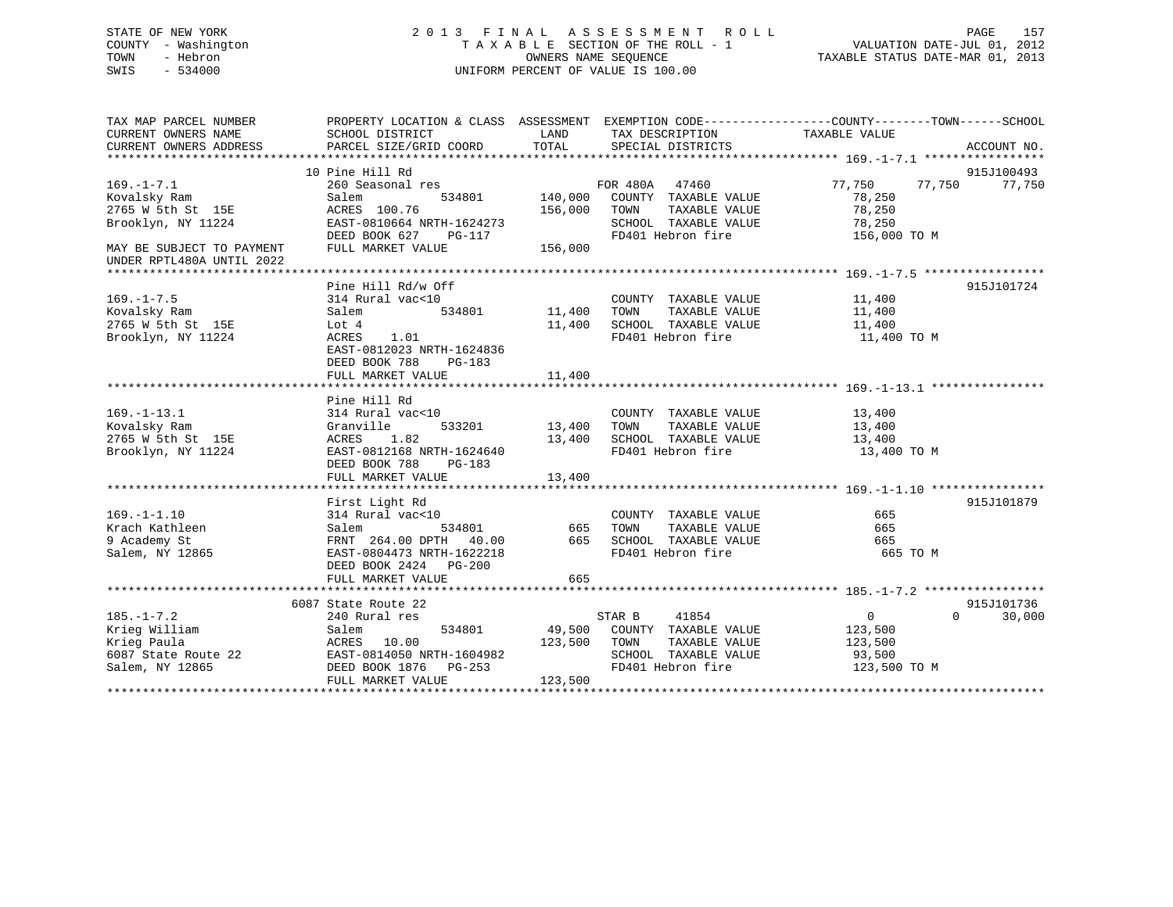# STATE OF NEW YORK 2 0 1 3 F I N A L A S S E S S M E N T R O L L PAGE 157 COUNTY - Washington T A X A B L E SECTION OF THE ROLL - 1 VALUATION DATE-JUL 01, 2012 TOWN - Hebron OWNERS NAME SEQUENCE TAXABLE STATUS DATE-MAR 01, 2013 SWIS - 534000 UNIFORM PERCENT OF VALUE IS 100.00

| TAX MAP PARCEL NUMBER             | PROPERTY LOCATION & CLASS ASSESSMENT EXEMPTION CODE---------------COUNTY-------TOWN------SCHOOL |              |                                                  |                                |                    |
|-----------------------------------|-------------------------------------------------------------------------------------------------|--------------|--------------------------------------------------|--------------------------------|--------------------|
| CURRENT OWNERS NAME               | SCHOOL DISTRICT                                                                                 |              | LAND TAX DESCRIPTION                             | TAXABLE VALUE                  |                    |
| CURRENT OWNERS ADDRESS            | PARCEL SIZE/GRID COORD                                                                          | TOTAL        | SPECIAL DISTRICTS                                |                                | ACCOUNT NO.        |
|                                   |                                                                                                 |              |                                                  |                                |                    |
|                                   | 10 Pine Hill Rd                                                                                 |              |                                                  |                                | 915J100493         |
| $169. - 1 - 7.1$                  | s<br>534801<br>260 Seasonal res                                                                 |              | FOR 480A 47460<br>140,000 COUNTY TAXABLE VALUE   | 77,750 77,750                  | 77,750             |
| Kovalsky Ram                      | Salem                                                                                           |              |                                                  | 78,250                         |                    |
| 2765 W 5th St 15E                 | ACRES 100.76                                                                                    |              | 156,000 TOWN<br>TAXABLE VALUE                    | 78,250                         |                    |
| Brooklyn, NY 11224                | EAST-0810664 NRTH-1624273<br>DEED BOOK 627 PG-117                                               |              | SCHOOL TAXABLE VALUE                             | 78,250                         |                    |
|                                   |                                                                                                 |              | FD401 Hebron fire                                | 156,000 TO M                   |                    |
| MAY BE SUBJECT TO PAYMENT         | FULL MARKET VALUE                                                                               | 156,000      |                                                  |                                |                    |
| UNDER RPTL480A UNTIL 2022         |                                                                                                 |              |                                                  |                                |                    |
|                                   |                                                                                                 |              |                                                  |                                | 915J101724         |
| $169. - 1 - 7.5$                  | Pine Hill Rd/w Off                                                                              |              |                                                  |                                |                    |
|                                   | 314 Rural vac<10                                                                                |              | COUNTY TAXABLE VALUE                             | 11,400<br>TAXABLE VALUE 11,400 |                    |
| Kovalsky Ram<br>2765 W 5th St 15E | Salem                                                                                           |              | SCHOOL TAXABLE VALUE                             |                                |                    |
|                                   | Lot 4                                                                                           | 11,400       |                                                  | 11,400                         |                    |
| Brooklyn, NY 11224                | ACRES 1.01                                                                                      |              | FD401 Hebron fire                                | 11,400 TO M                    |                    |
|                                   | EAST-0812023 NRTH-1624836                                                                       |              |                                                  |                                |                    |
|                                   | DEED BOOK 788<br>PG-183                                                                         |              |                                                  |                                |                    |
|                                   | FULL MARKET VALUE                                                                               | 11,400       |                                                  |                                |                    |
|                                   | Pine Hill Rd                                                                                    |              |                                                  |                                |                    |
| $169. - 1 - 13.1$                 | 314 Rural vac<10                                                                                |              | COUNTY TAXABLE VALUE                             | 13,400                         |                    |
| Kovalsky Ram                      | 533201<br>Granville                                                                             |              |                                                  |                                |                    |
| 2765 W 5th St 15E                 | ACRES 1.82                                                                                      |              | 13,400 TOWN TAXABLE VALUE                        | 13,400<br>13,400               |                    |
| Brooklyn, NY 11224                | EAST-0812168 NRTH-1624640                                                                       |              | 13,400 SCHOOL TAXABLE VALUE<br>FD401 Hebron fire | 13,400 TO M                    |                    |
|                                   | DEED BOOK 788 PG-183                                                                            |              |                                                  |                                |                    |
|                                   |                                                                                                 |              |                                                  |                                |                    |
|                                   |                                                                                                 |              |                                                  |                                |                    |
|                                   | First Light Rd                                                                                  |              |                                                  |                                | 915J101879         |
| $169. - 1 - 1.10$                 | 314 Rural vac<10                                                                                |              | COUNTY TAXABLE VALUE                             | 665                            |                    |
| Krach Kathleen                    | 534801 665<br>Salem                                                                             |              | TOWN<br>TAXABLE VALUE                            | 665                            |                    |
| 9 Academy St                      | FRNT 264.00 DPTH 40.00                                                                          |              |                                                  | 665                            |                    |
| Salem, NY 12865                   | EAST-0804473 NRTH-1622218                                                                       |              | 665 SCHOOL TAXABLE VALUE<br>FD401 Hebron fire    | 665 TO M                       |                    |
|                                   | DEED BOOK 2424 PG-200                                                                           |              |                                                  |                                |                    |
|                                   | FULL MARKET VALUE                                                                               | 665          |                                                  |                                |                    |
|                                   |                                                                                                 |              |                                                  |                                |                    |
|                                   | 6087 State Route 22                                                                             |              |                                                  |                                | 915J101736         |
| $185. - 1 - 7.2$                  | 240 Rural res                                                                                   |              | 41854<br>STAR B                                  | $\overline{0}$                 | $\Omega$<br>30,000 |
| Krieg William                     | Salem                                                                                           |              | 534801 49,500 COUNTY TAXABLE VALUE 123,500       |                                |                    |
| Krieg Paula                       | ACRES 10.00                                                                                     | 123,500 TOWN | TAXABLE VALUE                                    | 123,500                        |                    |
|                                   | 6087 State Route 22 EAST-0814050 NRTH-1604982                                                   |              | SCHOOL TAXABLE VALUE 93,500                      |                                |                    |
| Salem, NY 12865                   | DEED BOOK 1876 PG-253                                                                           |              | FD401 Hebron fire                                | 123,500 TO M                   |                    |
|                                   | FULL MARKET VALUE                                                                               | 123,500      |                                                  |                                |                    |
|                                   |                                                                                                 |              |                                                  |                                |                    |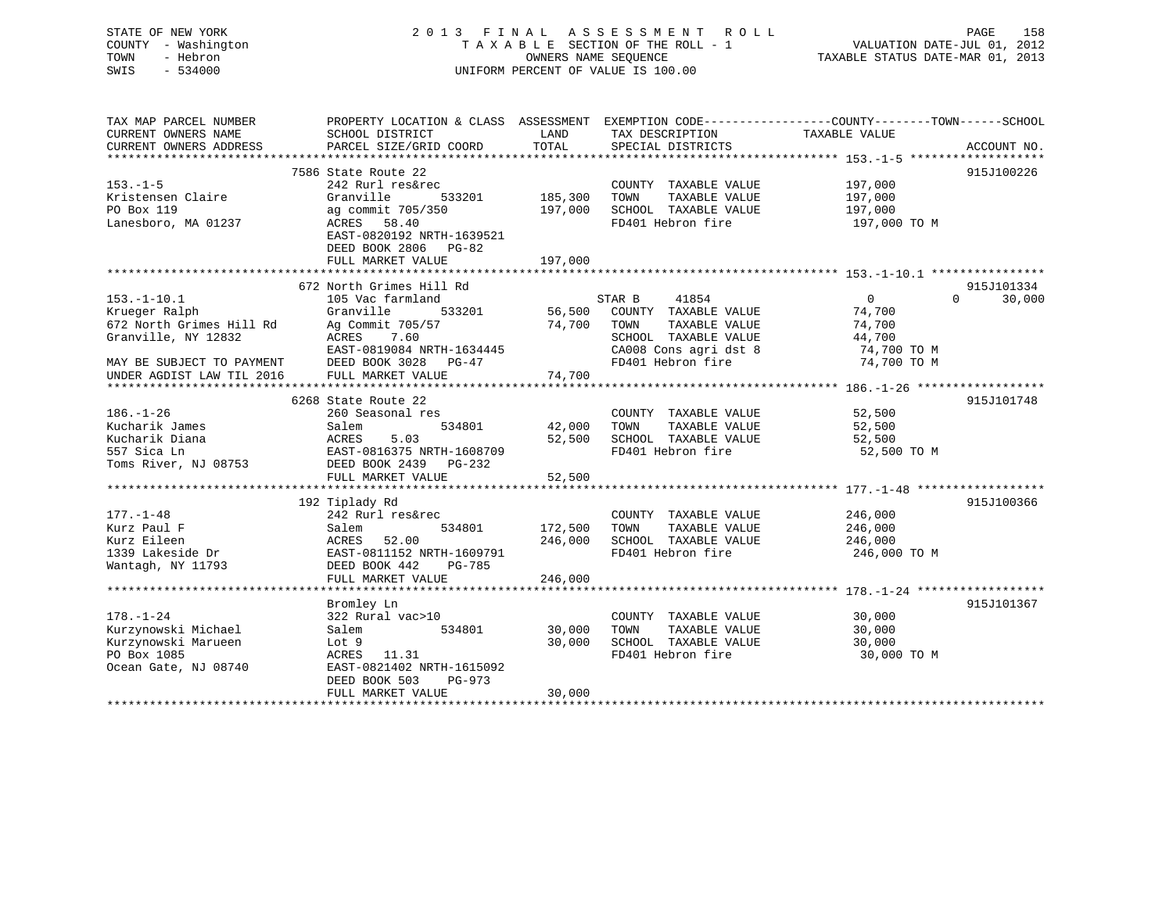# STATE OF NEW YORK 2 0 1 3 F I N A L A S S E S S M E N T R O L L PAGE 158 COUNTY - Washington T A X A B L E SECTION OF THE ROLL - 1 VALUATION DATE-JUL 01, 2012 TOWN - Hebron OWNERS NAME SEQUENCE TAXABLE STATUS DATE-MAR 01, 2013 SWIS - 534000 UNIFORM PERCENT OF VALUE IS 100.00

| TAX MAP PARCEL NUMBER     | PROPERTY LOCATION & CLASS ASSESSMENT |         |                       | EXEMPTION CODE----------------COUNTY-------TOWN------SCHOOL |             |
|---------------------------|--------------------------------------|---------|-----------------------|-------------------------------------------------------------|-------------|
| CURRENT OWNERS NAME       | SCHOOL DISTRICT                      | LAND    | TAX DESCRIPTION       | TAXABLE VALUE                                               |             |
| CURRENT OWNERS ADDRESS    | PARCEL SIZE/GRID COORD               | TOTAL   | SPECIAL DISTRICTS     |                                                             | ACCOUNT NO. |
|                           | 7586 State Route 22                  |         |                       |                                                             | 915J100226  |
| $153. - 1 - 5$            | 242 Rurl res&rec                     |         | COUNTY TAXABLE VALUE  | 197,000                                                     |             |
| Kristensen Claire         | Granville<br>533201                  | 185,300 | TAXABLE VALUE<br>TOWN | 197,000                                                     |             |
| PO Box 119                | ag commit 705/350                    | 197,000 | SCHOOL TAXABLE VALUE  | 197,000                                                     |             |
| Lanesboro, MA 01237       | ACRES 58.40                          |         | FD401 Hebron fire     | 197,000 TO M                                                |             |
|                           | EAST-0820192 NRTH-1639521            |         |                       |                                                             |             |
|                           | DEED BOOK 2806 PG-82                 |         |                       |                                                             |             |
|                           | FULL MARKET VALUE                    | 197,000 |                       |                                                             |             |
|                           |                                      |         |                       |                                                             |             |
|                           | 672 North Grimes Hill Rd             |         |                       |                                                             | 915J101334  |
| $153. - 1 - 10.1$         | 105 Vac farmland                     |         | STAR B<br>41854       | $\Omega$<br>$\Omega$                                        | 30,000      |
| Krueger Ralph             | 533201<br>Granville                  | 56,500  | COUNTY TAXABLE VALUE  | 74,700                                                      |             |
| 672 North Grimes Hill Rd  | Ag Commit 705/57                     | 74,700  | TAXABLE VALUE<br>TOWN | 74,700                                                      |             |
| Granville, NY 12832       | ACRES<br>7.60                        |         | SCHOOL TAXABLE VALUE  | 44,700                                                      |             |
|                           | EAST-0819084 NRTH-1634445            |         | CA008 Cons agri dst 8 | 74,700 TO M                                                 |             |
| MAY BE SUBJECT TO PAYMENT | DEED BOOK 3028<br>PG-47              |         | FD401 Hebron fire     | 74,700 TO M                                                 |             |
| UNDER AGDIST LAW TIL 2016 | FULL MARKET VALUE                    | 74,700  |                       |                                                             |             |
|                           |                                      |         |                       |                                                             |             |
|                           | 6268 State Route 22                  |         |                       |                                                             | 915J101748  |
| $186. - 1 - 26$           | 260 Seasonal res                     |         | COUNTY TAXABLE VALUE  | 52,500                                                      |             |
| Kucharik James            | Salem<br>534801                      | 42,000  | TAXABLE VALUE<br>TOWN | 52,500                                                      |             |
| Kucharik Diana            | 5.03<br>ACRES                        | 52,500  | SCHOOL TAXABLE VALUE  | 52,500                                                      |             |
| 557 Sica Ln               | EAST-0816375 NRTH-1608709            |         | FD401 Hebron fire     | 52,500 TO M                                                 |             |
| Toms River, NJ 08753      | DEED BOOK 2439 PG-232                |         |                       |                                                             |             |
|                           | FULL MARKET VALUE                    | 52,500  |                       |                                                             |             |
|                           | 192 Tiplady Rd                       |         |                       |                                                             | 915J100366  |
| $177. - 1 - 48$           | 242 Rurl res&rec                     |         | COUNTY TAXABLE VALUE  | 246,000                                                     |             |
| Kurz Paul F               | 534801<br>Salem                      | 172,500 | TOWN<br>TAXABLE VALUE | 246,000                                                     |             |
| Kurz Eileen               | 52.00<br>ACRES                       | 246,000 | SCHOOL TAXABLE VALUE  | 246,000                                                     |             |
| 1339 Lakeside Dr          | EAST-0811152 NRTH-1609791            |         | FD401 Hebron fire     | 246,000 TO M                                                |             |
| Wantagh, NY 11793         | DEED BOOK 442<br>PG-785              |         |                       |                                                             |             |
|                           | FULL MARKET VALUE                    | 246,000 |                       |                                                             |             |
|                           |                                      |         |                       |                                                             |             |
|                           | Bromley Ln                           |         |                       |                                                             | 915J101367  |
| $178. - 1 - 24$           | 322 Rural vac>10                     |         | COUNTY TAXABLE VALUE  | 30,000                                                      |             |
| Kurzynowski Michael       | Salem<br>534801                      | 30,000  | TAXABLE VALUE<br>TOWN | 30,000                                                      |             |
| Kurzynowski Marueen       | Lot 9                                | 30,000  | SCHOOL TAXABLE VALUE  | 30,000                                                      |             |
| PO Box 1085               | ACRES<br>11.31                       |         | FD401 Hebron fire     | 30,000 TO M                                                 |             |
| Ocean Gate, NJ 08740      | EAST-0821402 NRTH-1615092            |         |                       |                                                             |             |
|                           | DEED BOOK 503<br>PG-973              |         |                       |                                                             |             |
|                           | FULL MARKET VALUE                    | 30,000  |                       |                                                             |             |
|                           |                                      |         |                       |                                                             |             |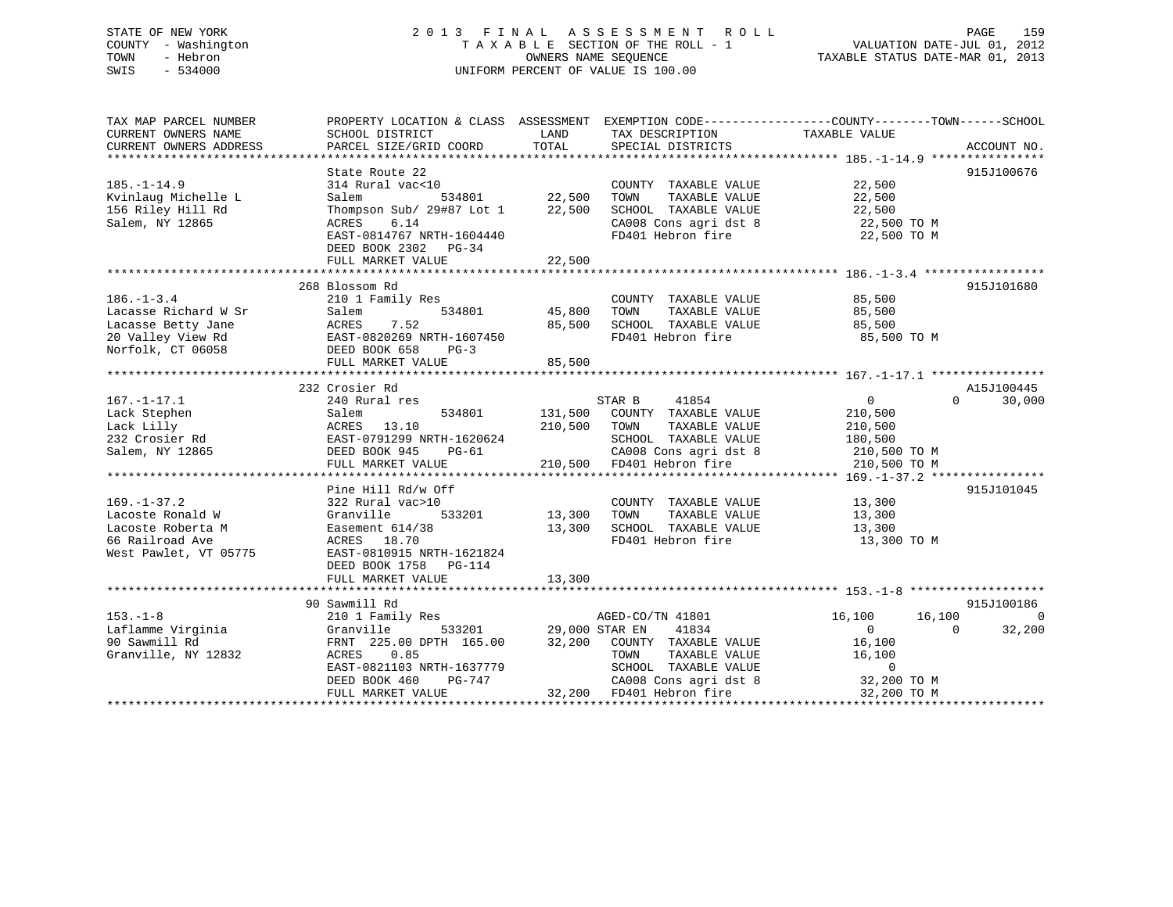# STATE OF NEW YORK 2 0 1 3 F I N A L A S S E S S M E N T R O L L PAGE 159 COUNTY - Washington T A X A B L E SECTION OF THE ROLL - 1 VALUATION DATE-JUL 01, 2012 TOWN - Hebron OWNERS NAME SEQUENCE TAXABLE STATUS DATE-MAR 01, 2013 SWIS - 534000 UNIFORM PERCENT OF VALUE IS 100.00

| TAX MAP PARCEL NUMBER  | PROPERTY LOCATION & CLASS ASSESSMENT EXEMPTION CODE----------------COUNTY-------TOWN------SCHOOL |                             |                                            |                |                    |
|------------------------|--------------------------------------------------------------------------------------------------|-----------------------------|--------------------------------------------|----------------|--------------------|
| CURRENT OWNERS NAME    | SCHOOL DISTRICT                                                                                  | LAND                        | TAX DESCRIPTION                            | TAXABLE VALUE  |                    |
| CURRENT OWNERS ADDRESS | PARCEL SIZE/GRID COORD                                                                           | TOTAL                       | SPECIAL DISTRICTS                          |                | ACCOUNT NO.        |
|                        | State Route 22                                                                                   |                             |                                            |                | 915J100676         |
| $185. - 1 - 14.9$      | 314 Rural vac<10                                                                                 |                             | COUNTY TAXABLE VALUE                       | 22,500         |                    |
| Kvinlaug Michelle L    | Salem                                                                                            | 534801 22,500<br>TOWN       | TAXABLE VALUE                              | 22,500         |                    |
| 156 Riley Hill Rd      | Thompson Sub/ 29#87 Lot 1                                                                        | 22,500                      | SCHOOL TAXABLE VALUE                       | 22,500         |                    |
|                        |                                                                                                  |                             |                                            |                |                    |
| Salem, NY 12865        | 6.14<br>ACRES                                                                                    |                             | CA008 Cons agri dst 8<br>FD401 Hebron fire | 22,500 TO M    |                    |
|                        | EAST-0814767 NRTH-1604440                                                                        |                             |                                            | 22,500 TO M    |                    |
|                        | DEED BOOK 2302 PG-34                                                                             |                             |                                            |                |                    |
|                        | FULL MARKET VALUE                                                                                | 22,500                      |                                            |                |                    |
|                        |                                                                                                  |                             |                                            |                |                    |
|                        | 268 Blossom Rd                                                                                   |                             |                                            |                | 915J101680         |
| $186. - 1 - 3.4$       | 210 1 Family Res                                                                                 |                             | COUNTY TAXABLE VALUE                       | 85,500         |                    |
| Lacasse Richard W Sr   | 534801<br>Salem                                                                                  | 45,800<br>TOWN              | TAXABLE VALUE                              | 85,500         |                    |
| Lacasse Betty Jane     | 7.52<br>ACRES                                                                                    | 85,500                      | SCHOOL TAXABLE VALUE                       | 85,500         |                    |
| 20 Valley View Rd      | EAST-0820269 NRTH-1607450<br>DEED BOOK 658 PG-3                                                  |                             | FD401 Hebron fire                          | 85,500 TO M    |                    |
| Norfolk, CT 06058      |                                                                                                  |                             |                                            |                |                    |
|                        | FULL MARKET VALUE                                                                                | 85,500                      |                                            |                |                    |
|                        |                                                                                                  |                             |                                            |                |                    |
|                        | 232 Crosier Rd                                                                                   |                             |                                            |                | A15J100445         |
| $167. - 1 - 17.1$      | 240 Rural res                                                                                    | STAR B                      | 41854                                      | 0              | $\Omega$<br>30,000 |
| Lack Stephen           | 534801<br>Salem                                                                                  | 131,500                     | COUNTY TAXABLE VALUE                       | 210,500        |                    |
| Lack Lilly             | ACRES 13.10                                                                                      | 210,500<br>TOWN             | TAXABLE VALUE                              | 210,500        |                    |
| 232 Crosier Rd         | EAST-0791299 NRTH-1620624                                                                        |                             | SCHOOL TAXABLE VALUE                       | 180,500        |                    |
| Salem, NY 12865        | DEED BOOK 945<br>PG-61                                                                           |                             | CA008 Cons agri dst 8                      | 210,500 TO M   |                    |
|                        | FULL MARKET VALUE                                                                                | 210,500 FD401 Hebron fire   |                                            | 210,500 TO M   |                    |
|                        |                                                                                                  |                             |                                            |                |                    |
|                        | Pine Hill Rd/w Off                                                                               |                             |                                            |                | 915J101045         |
| $169. - 1 - 37.2$      | 322 Rural vac>10                                                                                 |                             | COUNTY TAXABLE VALUE                       | 13,300         |                    |
| Lacoste Ronald W       | Granville<br>533201                                                                              | 13,300<br>TOWN              | TAXABLE VALUE                              | 13,300         |                    |
| Lacoste Roberta M      | Easement 614/38                                                                                  | 13,300                      | SCHOOL TAXABLE VALUE                       | 13,300         |                    |
| 66 Railroad Ave        | ACRES 18.70                                                                                      |                             | FD401 Hebron fire                          | 13,300 TO M    |                    |
| West Pawlet, VT 05775  | EAST-0810915 NRTH-1621824                                                                        |                             |                                            |                |                    |
|                        | DEED BOOK 1758 PG-114                                                                            |                             |                                            |                |                    |
|                        | FULL MARKET VALUE                                                                                | 13,300                      |                                            |                |                    |
|                        |                                                                                                  |                             |                                            |                |                    |
|                        | 90 Sawmill Rd                                                                                    |                             |                                            |                | 915J100186         |
| $153. - 1 - 8$         | 210 1 Family Res                                                                                 |                             | AGED-CO/TN 41801                           | 16,100         | 16,100<br>$\Omega$ |
| Laflamme Virginia      | Granville                                                                                        | 533201 29,000 STAR EN       | 41834                                      | $\Omega$       | 32,200<br>$\Omega$ |
| 90 Sawmill Rd          | FRNT 225.00 DPTH 165.00                                                                          | 32,200 COUNTY TAXABLE VALUE |                                            |                |                    |
| Granville, NY 12832    | ACRES 0.85                                                                                       |                             |                                            | 16,100         |                    |
|                        |                                                                                                  | TOWN                        |                                            | 16,100         |                    |
|                        | EAST-0821103 NRTH-1637779                                                                        |                             | SCHOOL TAXABLE VALUE                       | $\overline{0}$ |                    |
|                        | DEED BOOK 460<br>PG-747                                                                          | 32,200 FD401 Hebron fire    | CA008 Cons agri dst 8                      | 32,200 TO M    |                    |
|                        | FULL MARKET VALUE                                                                                |                             |                                            | 32,200 TO M    |                    |
|                        |                                                                                                  |                             |                                            |                |                    |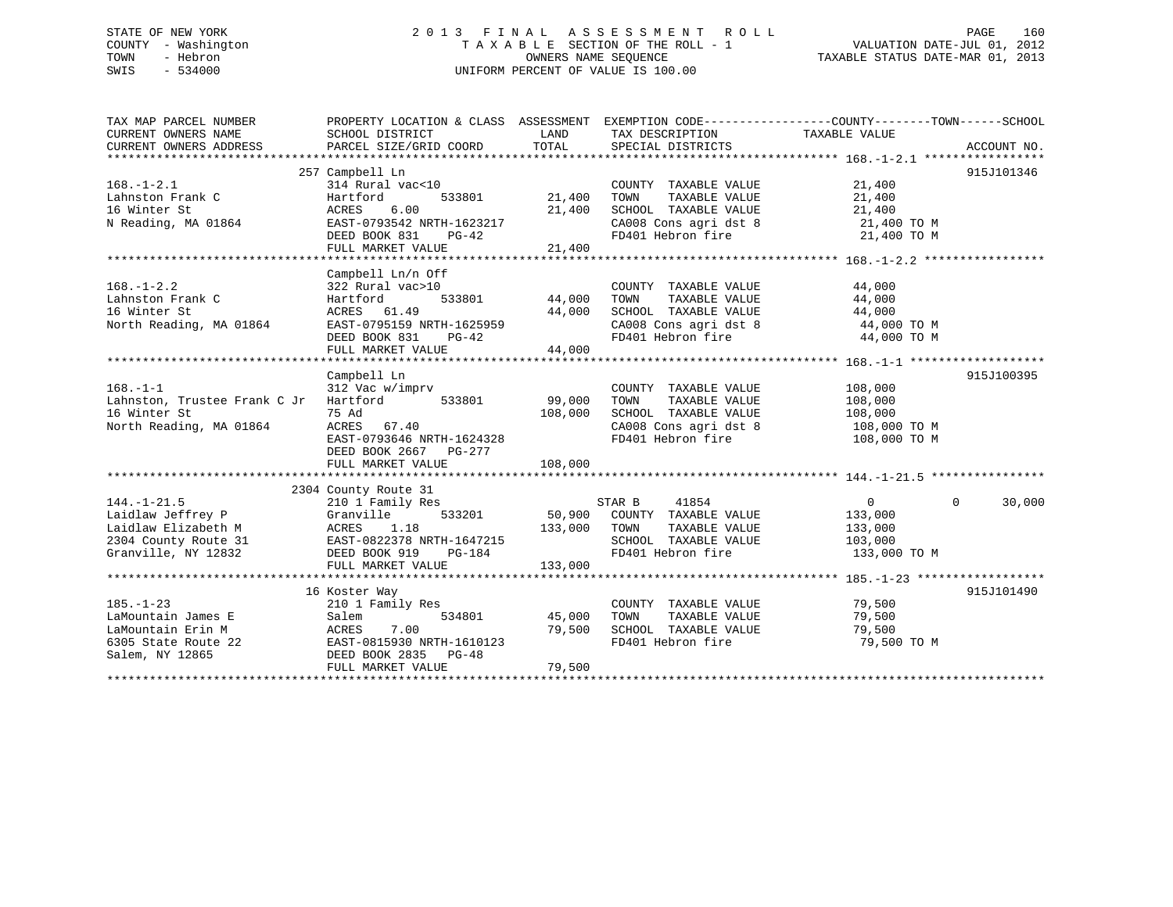# STATE OF NEW YORK 2 0 1 3 F I N A L A S S E S S M E N T R O L L PAGE 160 COUNTY - Washington T A X A B L E SECTION OF THE ROLL - 1 VALUATION DATE-JUL 01, 2012 TOWN - Hebron OWNERS NAME SEQUENCE TAXABLE STATUS DATE-MAR 01, 2013 SWIS - 534000 UNIFORM PERCENT OF VALUE IS 100.00

| TAX MAP PARCEL NUMBER                                           | PROPERTY LOCATION & CLASS ASSESSMENT EXEMPTION CODE---------------COUNTY-------TOWN------SCHOOL      |               |                                                                                                         |                           |                    |
|-----------------------------------------------------------------|------------------------------------------------------------------------------------------------------|---------------|---------------------------------------------------------------------------------------------------------|---------------------------|--------------------|
| CURRENT OWNERS NAME                                             | SCHOOL DISTRICT                                                                                      | LAND          | TAX DESCRIPTION                                                                                         | TAXABLE VALUE             |                    |
| CURRENT OWNERS ADDRESS                                          | PARCEL SIZE/GRID COORD                                                                               | TOTAL         | SPECIAL DISTRICTS                                                                                       |                           | ACCOUNT NO.        |
|                                                                 |                                                                                                      |               |                                                                                                         |                           |                    |
|                                                                 | 257 Campbell Ln                                                                                      |               |                                                                                                         |                           | 915J101346         |
| $168. - 1 - 2.1$                                                | 314 Rural vac<10                                                                                     |               | COUNTY TAXABLE VALUE                                                                                    | 21,400                    |                    |
| Lahnston Frank C                                                | Hartford<br>533801                                                                                   | 21,400        | TOWN      TAXABLE  VALUE<br>SCHOOL   TAXABLE  VALUE                                                     | 21,400                    |                    |
| 16 Winter St                                                    | 6.00<br>ACRES                                                                                        | 21,400        |                                                                                                         | 21,400                    |                    |
| N Reading, MA 01864                                             | EAST-0793542 NRTH-1623217                                                                            |               | CA008 Cons agri dst 8 21,400 TO M                                                                       |                           |                    |
|                                                                 | DEED BOOK 831<br>$PG-42$                                                                             |               | FD401 Hebron fire                                                                                       | 21,400 TO M               |                    |
|                                                                 | FULL MARKET VALUE                                                                                    | 21,400        |                                                                                                         |                           |                    |
|                                                                 |                                                                                                      |               |                                                                                                         |                           |                    |
|                                                                 | Campbell Ln/n Off                                                                                    |               |                                                                                                         |                           |                    |
| $168. - 1 - 2.2$                                                | 322 Rural vac>10                                                                                     |               | COUNTY TAXABLE VALUE                                                                                    | 44,000                    |                    |
| Lahnston Frank C                                                | Hartford                                                                                             | 533801 44,000 | TAXABLE VALUE<br>TOWN                                                                                   | 44,000                    |                    |
| 16 Winter St                                                    |                                                                                                      |               |                                                                                                         |                           |                    |
| North Reading, MA 01864                                         |                                                                                                      |               | SCHOOL TAXABLE VALUE $44,000$<br>CA008 Cons agri dst 8 $44,000$ TO M<br>FD401 Hebron fire $44,000$ TO M |                           |                    |
|                                                                 | ACRES 61.49 44,000<br>EAST-0795159 NRTH-1625959 44,000<br>DEED BOOK 831 PG-42<br>FUIL MARWAR 111-111 |               |                                                                                                         |                           |                    |
|                                                                 | FULL MARKET VALUE                                                                                    | 44,000        |                                                                                                         |                           |                    |
|                                                                 | Campbell Ln                                                                                          |               |                                                                                                         |                           | 915J100395         |
| $168. - 1 - 1$                                                  |                                                                                                      |               |                                                                                                         |                           |                    |
| 168.-1-1<br>Lahnston, Trustee Frank C Jr Hartford 533801 99,000 | 312 Vac w/imprv                                                                                      |               | COUNTY TAXABLE VALUE<br>TOWN     TAXABLE VALUE                                                          | 108,000<br>108,000        |                    |
| 16 Winter St                                                    | 75 Ad                                                                                                | 108,000       |                                                                                                         |                           |                    |
| North Reading, MA 01864                                         | ACRES 67.40                                                                                          |               | SCHOOL TAXABLE VALUE 108,000                                                                            | 108,000 TO M              |                    |
|                                                                 | EAST-0793646 NRTH-1624328                                                                            |               | CA008 Cons agri dst 8<br>FD401 Hebron fire                                                              | 108,000 TO M              |                    |
|                                                                 | DEED BOOK 2667 PG-277                                                                                |               |                                                                                                         |                           |                    |
|                                                                 | FULL MARKET VALUE                                                                                    | 108,000       |                                                                                                         |                           |                    |
|                                                                 |                                                                                                      |               |                                                                                                         |                           |                    |
|                                                                 | 2304 County Route 31                                                                                 |               |                                                                                                         |                           |                    |
| $144. - 1 - 21.5$                                               | 210 1 Family Res                                                                                     |               | STAR B 41854                                                                                            | $0 \qquad \qquad$         | $\Omega$<br>30,000 |
| Laidlaw Jeffrey P                                               | Granville                                                                                            |               | 533201 50,900 COUNTY TAXABLE VALUE                                                                      | 133,000                   |                    |
| Laidlaw Elizabeth M                                             |                                                                                                      | 133,000 TOWN  |                                                                                                         | TAXABLE VALUE 133,000     |                    |
| 2304 County Route 31                                            |                                                                                                      |               |                                                                                                         | 103,000                   |                    |
| Granville, NY 12832                                             |                                                                                                      |               | SCHOOL TAXABLE VALUE<br>FD401 Hebron fire                                                               | 133,000 TO M              |                    |
|                                                                 | FULL MARKET VALUE                                                                                    | 133,000       |                                                                                                         |                           |                    |
|                                                                 |                                                                                                      |               |                                                                                                         |                           |                    |
|                                                                 | 16 Koster Way                                                                                        |               |                                                                                                         |                           | 915J101490         |
| $185. - 1 - 23$                                                 | 210 1 Family Res                                                                                     |               | COUNTY TAXABLE VALUE 79,500                                                                             |                           |                    |
| LaMountain James E                                              | 534801                                                                                               | 45,000        |                                                                                                         | 79,500                    |                    |
| Salem<br>ACRES<br>LaMountain Erin M                             | 7.00                                                                                                 | 79,500        | TOWN       TAXABLE  VALUE<br>SCHOOL    TAXABLE  VALUE                                                   | טטפ, צ <i>ו</i><br>79,500 |                    |
| 6305 State Route 22                                             | EAST-0815930 NRTH-1610123                                                                            |               | FD401 Hebron fire                                                                                       | 79,500 TO M               |                    |
| Salem, NY 12865                                                 | DEED BOOK 2835 PG-48                                                                                 |               |                                                                                                         |                           |                    |
|                                                                 | FULL MARKET VALUE                                                                                    | 79,500        |                                                                                                         |                           |                    |
|                                                                 |                                                                                                      |               |                                                                                                         |                           |                    |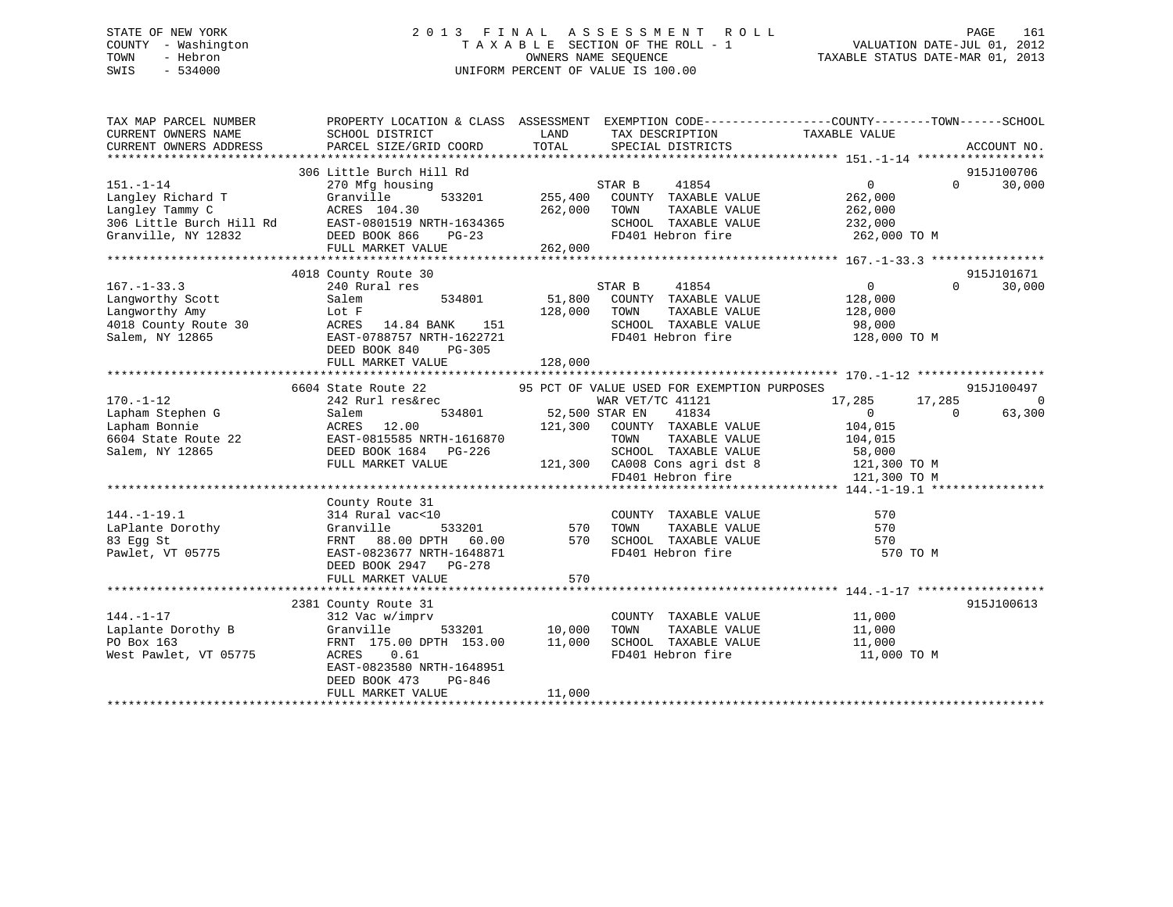# STATE OF NEW YORK 2 0 1 3 F I N A L A S S E S S M E N T R O L L PAGE 161 COUNTY - Washington T A X A B L E SECTION OF THE ROLL - 1 VALUATION DATE-JUL 01, 2012 TOWN - Hebron OWNERS NAME SEQUENCE TAXABLE STATUS DATE-MAR 01, 2013 SWIS - 534000 UNIFORM PERCENT OF VALUE IS 100.00

| TAX MAP PARCEL NUMBER<br>CURRENT OWNERS NAME       | SCHOOL DISTRICT                                                                                                                                                                                                                                                                                                                                                                                                  | <b>EXAMPLE THE EXAMPLE THE EXAMPLE THE EXAMPLE THE EXAMPLE THE EXAMPLE THE EXAMPLE THE EXAMPLE THE EXAMPLE THE EXAMPLE THE EXAMPLE THE EXAMPLE THE EXAMPLE THE EXAMPLE THE EXAMPLE THE EXAMPLE THE EXAMPLE THE EXAMPLE THE EXAMP</b><br>TAX DESCRIPTION | PROPERTY LOCATION & CLASS ASSESSMENT EXEMPTION CODE----------------COUNTY-------TOWN------SCHOOL<br>TAXABLE VALUE |
|----------------------------------------------------|------------------------------------------------------------------------------------------------------------------------------------------------------------------------------------------------------------------------------------------------------------------------------------------------------------------------------------------------------------------------------------------------------------------|---------------------------------------------------------------------------------------------------------------------------------------------------------------------------------------------------------------------------------------------------------|-------------------------------------------------------------------------------------------------------------------|
| CURRENT OWNERS ADDRESS                             | PARCEL SIZE/GRID COORD                                                                                                                                                                                                                                                                                                                                                                                           | TOTAL<br>SPECIAL DISTRICTS                                                                                                                                                                                                                              | ACCOUNT NO.                                                                                                       |
|                                                    |                                                                                                                                                                                                                                                                                                                                                                                                                  |                                                                                                                                                                                                                                                         |                                                                                                                   |
| $151. - 1 - 14$                                    | 306 Little Burch Hill Rd<br>270 Mfg housing                                                                                                                                                                                                                                                                                                                                                                      |                                                                                                                                                                                                                                                         | 915J100706<br>$0 \qquad \qquad$<br>30,000<br>$\Omega$                                                             |
| Langley Richard T                                  | Granville                                                                                                                                                                                                                                                                                                                                                                                                        | $STAR B$ $41854$<br>533201<br>255,400 COUNTY TAXABLE VALUE                                                                                                                                                                                              | 262,000                                                                                                           |
|                                                    |                                                                                                                                                                                                                                                                                                                                                                                                                  | TAXABLE VALUE                                                                                                                                                                                                                                           | 262,000                                                                                                           |
|                                                    |                                                                                                                                                                                                                                                                                                                                                                                                                  | SCHOOL TAXABLE VALUE                                                                                                                                                                                                                                    | 232,000                                                                                                           |
|                                                    | Langley Tammy C<br>194.30 262,000 TOWN<br>306 Little Burch Hill Rd<br>Granville, NY 12832 DEED BOOK 866 PG-23<br>DEED BOOK 866 PG-23<br>TD401                                                                                                                                                                                                                                                                    |                                                                                                                                                                                                                                                         | FD401 Hebron fire 262,000 TO M                                                                                    |
|                                                    | FULL MARKET VALUE 262,000                                                                                                                                                                                                                                                                                                                                                                                        |                                                                                                                                                                                                                                                         |                                                                                                                   |
|                                                    |                                                                                                                                                                                                                                                                                                                                                                                                                  |                                                                                                                                                                                                                                                         |                                                                                                                   |
|                                                    | 4018 County Route 30                                                                                                                                                                                                                                                                                                                                                                                             |                                                                                                                                                                                                                                                         | 915J101671                                                                                                        |
| $167. - 1 - 33.3$                                  | 240 Rural res                                                                                                                                                                                                                                                                                                                                                                                                    | STAR B<br>41854                                                                                                                                                                                                                                         | $\overline{0}$<br>$0 \qquad \qquad$<br>30,000                                                                     |
| Langworthy Scott                                   | 534801 51,800<br>Salem                                                                                                                                                                                                                                                                                                                                                                                           | COUNTY TAXABLE VALUE 128,000                                                                                                                                                                                                                            |                                                                                                                   |
| Langworthy Amy                                     | Lot F                                                                                                                                                                                                                                                                                                                                                                                                            | 128,000<br>TOWN<br>TAXABLE VALUE                                                                                                                                                                                                                        | 128,000                                                                                                           |
|                                                    | 4018 County Route 30 ACRES 14.84 BANK 151                                                                                                                                                                                                                                                                                                                                                                        | SCHOOL TAXABLE VALUE 98,000                                                                                                                                                                                                                             |                                                                                                                   |
| Salem, NY 12865                                    | EAST-0788757 NRTH-1622721                                                                                                                                                                                                                                                                                                                                                                                        |                                                                                                                                                                                                                                                         | FD401 Hebron fire 128,000 TO M                                                                                    |
|                                                    | DEED BOOK 840 PG-305                                                                                                                                                                                                                                                                                                                                                                                             |                                                                                                                                                                                                                                                         |                                                                                                                   |
|                                                    | FULL MARKET VALUE                                                                                                                                                                                                                                                                                                                                                                                                | 128,000                                                                                                                                                                                                                                                 |                                                                                                                   |
|                                                    |                                                                                                                                                                                                                                                                                                                                                                                                                  |                                                                                                                                                                                                                                                         |                                                                                                                   |
|                                                    |                                                                                                                                                                                                                                                                                                                                                                                                                  | 6604 State Route 22 95 PCT OF VALUE USED FOR EXEMPTION PURPOSES                                                                                                                                                                                         | 915J100497                                                                                                        |
|                                                    | $\begin{tabular}{llll} 242 \hspace{0.1cm}Rurl \hspace{0.1cm} \text{res\&rec} \hspace{0.1cm} \text{WAR VET}/ \\ \text{Salem} \hspace{2.8cm} & 534801 \hspace{2.8cm} & 52,500 \hspace{0.1cm} \text{STAR EN} \end{tabular}$<br>1/0.-1-12<br>Lapham Stephen G<br>Lapham Bonnie<br>6604 State Route 22<br>Salem, NY 12865<br>22<br>Lapham Bonnie<br>22<br>22<br>EAST-0815585 NRTH-1616870<br>DEED BOOK 1684<br>PG-226 | WAR VET/TC 41121                                                                                                                                                                                                                                        | 17,285 17,285<br>0                                                                                                |
|                                                    |                                                                                                                                                                                                                                                                                                                                                                                                                  | 41834                                                                                                                                                                                                                                                   | $\sim$ 0<br>$\sim$ 0<br>63,300                                                                                    |
|                                                    |                                                                                                                                                                                                                                                                                                                                                                                                                  | 121,300 COUNTY TAXABLE VALUE 104,015<br>TAXABLE VALUE<br>TOWN                                                                                                                                                                                           |                                                                                                                   |
|                                                    |                                                                                                                                                                                                                                                                                                                                                                                                                  |                                                                                                                                                                                                                                                         | 104,015                                                                                                           |
|                                                    | DEED BOOK 1684 PG-226<br>FULL MARKET VALUE                                                                                                                                                                                                                                                                                                                                                                       |                                                                                                                                                                                                                                                         |                                                                                                                   |
|                                                    |                                                                                                                                                                                                                                                                                                                                                                                                                  | SCHOOL TAXABLE VALUE 58,000<br>121,300 CA008 Cons agri dst 8 121,300 TO M<br>FD401 Hebron fire 121,300 TO M                                                                                                                                             |                                                                                                                   |
|                                                    |                                                                                                                                                                                                                                                                                                                                                                                                                  |                                                                                                                                                                                                                                                         |                                                                                                                   |
|                                                    | County Route 31                                                                                                                                                                                                                                                                                                                                                                                                  |                                                                                                                                                                                                                                                         |                                                                                                                   |
| $144. - 1 - 19.1$                                  | 314 Rural vac<10                                                                                                                                                                                                                                                                                                                                                                                                 | COUNTY TAXABLE VALUE 570                                                                                                                                                                                                                                |                                                                                                                   |
|                                                    |                                                                                                                                                                                                                                                                                                                                                                                                                  | 0<br>533201 570 TOWN                                                                                                                                                                                                                                    |                                                                                                                   |
| LaPlante Dorothy<br>83 Egg St<br>Pawlet - VT 05775 |                                                                                                                                                                                                                                                                                                                                                                                                                  | Granville 533201 570 TOWN TAXABLE VALUE 570 570<br>FRNT 88.00 DPTH 60.00 570 SCHOOL TAXABLE VALUE 570 570                                                                                                                                               |                                                                                                                   |
| Pawlet, VT 05775                                   | EAST-0823677 NRTH-1648871                                                                                                                                                                                                                                                                                                                                                                                        | FD401 Hebron fire                                                                                                                                                                                                                                       | 570 TO M                                                                                                          |
|                                                    | DEED BOOK 2947 PG-278                                                                                                                                                                                                                                                                                                                                                                                            |                                                                                                                                                                                                                                                         |                                                                                                                   |
|                                                    | FULL MARKET VALUE                                                                                                                                                                                                                                                                                                                                                                                                | 570                                                                                                                                                                                                                                                     |                                                                                                                   |
|                                                    |                                                                                                                                                                                                                                                                                                                                                                                                                  |                                                                                                                                                                                                                                                         |                                                                                                                   |
|                                                    | 2381 County Route 31                                                                                                                                                                                                                                                                                                                                                                                             |                                                                                                                                                                                                                                                         | 915J100613                                                                                                        |
| $144. - 1 - 17$                                    | 312 Vac w/imprv                                                                                                                                                                                                                                                                                                                                                                                                  | COUNTY TAXABLE VALUE 11,000<br>TOWN TAXABLE VALUE 11,000                                                                                                                                                                                                |                                                                                                                   |
| Laplante Dorothy B                                 | Granville                                                                                                                                                                                                                                                                                                                                                                                                        | TAXABLE VALUE<br>533201 10,000                                                                                                                                                                                                                          |                                                                                                                   |
| PO Box 163                                         | FRNT 175.00 DPTH 153.00 11,000                                                                                                                                                                                                                                                                                                                                                                                   | SCHOOL TAXABLE VALUE 11,000                                                                                                                                                                                                                             |                                                                                                                   |
| West Pawlet, VT 05775                              | ACRES 0.61                                                                                                                                                                                                                                                                                                                                                                                                       | FD401 Hebron fire                                                                                                                                                                                                                                       | 11,000 TO M                                                                                                       |
|                                                    | EAST-0823580 NRTH-1648951                                                                                                                                                                                                                                                                                                                                                                                        |                                                                                                                                                                                                                                                         |                                                                                                                   |
|                                                    | DEED BOOK 473<br>PG-846                                                                                                                                                                                                                                                                                                                                                                                          | 11,000                                                                                                                                                                                                                                                  |                                                                                                                   |
|                                                    | FULL MARKET VALUE                                                                                                                                                                                                                                                                                                                                                                                                |                                                                                                                                                                                                                                                         |                                                                                                                   |
|                                                    |                                                                                                                                                                                                                                                                                                                                                                                                                  |                                                                                                                                                                                                                                                         |                                                                                                                   |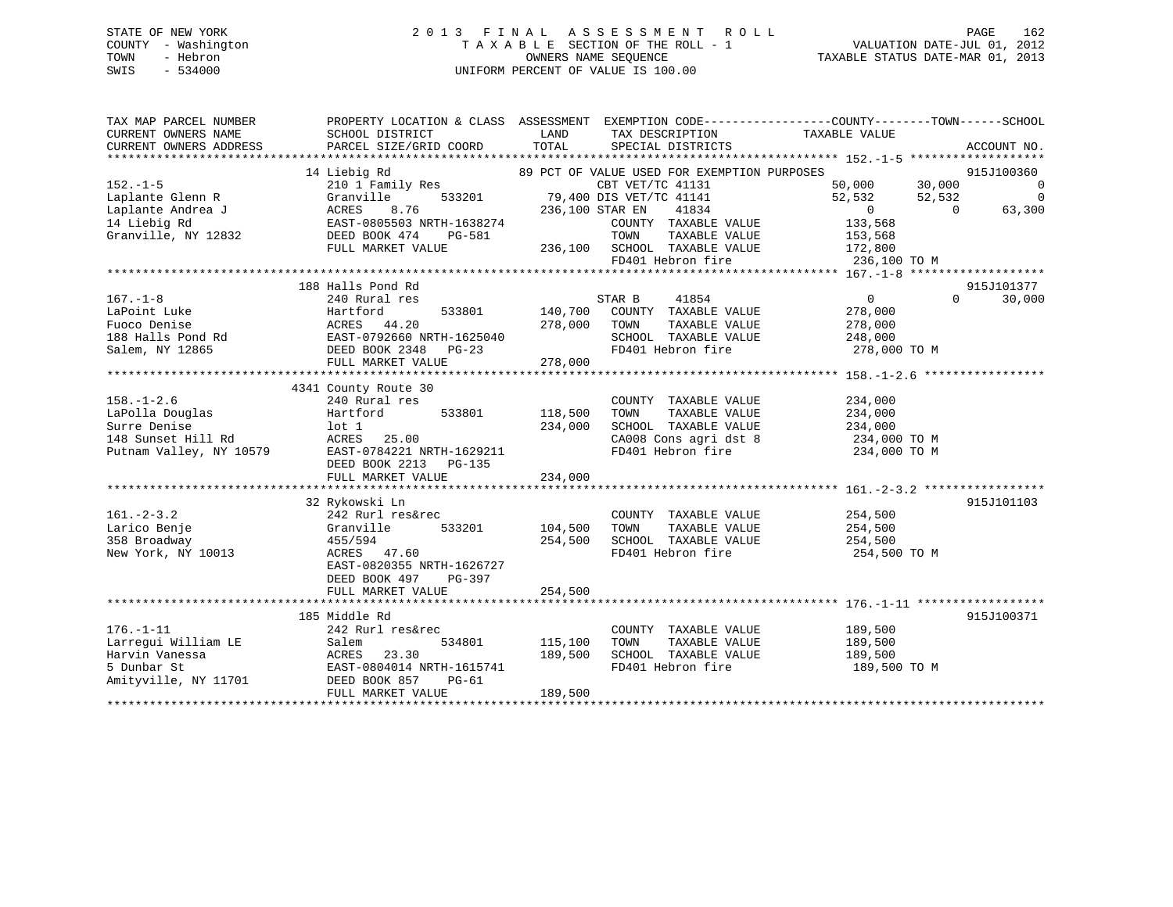# STATE OF NEW YORK 2 0 1 3 F I N A L A S S E S S M E N T R O L L PAGE 162 COUNTY - Washington T A X A B L E SECTION OF THE ROLL - 1 VALUATION DATE-JUL 01, 2012 TOWN - Hebron OWNERS NAME SEQUENCE TAXABLE STATUS DATE-MAR 01, 2013 SWIS - 534000 UNIFORM PERCENT OF VALUE IS 100.00

| TAX MAP PARCEL NUMBER<br>CURRENT OWNERS NAME<br>CURRENT OWNERS ADDRESS | PROPERTY LOCATION & CLASS ASSESSMENT EXEMPTION CODE---------------COUNTY-------TOWN------SCHOOL<br>SCHOOL DISTRICT<br>PARCEL SIZE/GRID COORD | LAND<br>TOTAL   | TAX DESCRIPTION<br>SPECIAL DISTRICTS        | TAXABLE VALUE  | ACCOUNT NO.              |
|------------------------------------------------------------------------|----------------------------------------------------------------------------------------------------------------------------------------------|-----------------|---------------------------------------------|----------------|--------------------------|
|                                                                        |                                                                                                                                              |                 |                                             |                |                          |
|                                                                        | 14 Liebig Rd                                                                                                                                 |                 | 89 PCT OF VALUE USED FOR EXEMPTION PURPOSES |                | 915J100360               |
| $152. - 1 - 5$                                                         | 210 1 Family Res                                                                                                                             |                 | CBT VET/TC 41131                            | 50,000         | 30,000<br>$\overline{0}$ |
| Laplante Glenn R                                                       | 533201<br>Granville                                                                                                                          |                 | 79,400 DIS VET/TC 41141                     | 52,532         | $\overline{0}$<br>52,532 |
| Laplante Andrea J                                                      | ACRES<br>8.76                                                                                                                                | 236,100 STAR EN | 41834                                       | $\overline{0}$ | 63,300<br>$\Omega$       |
| 14 Liebig Rd                                                           | EAST-0805503 NRTH-1638274                                                                                                                    |                 | COUNTY TAXABLE VALUE                        | 133,568        |                          |
| Granville, NY 12832                                                    | DEED BOOK 474<br>PG-581                                                                                                                      |                 | TAXABLE VALUE<br>TOWN                       | 153,568        |                          |
|                                                                        | FULL MARKET VALUE                                                                                                                            | 236,100         | SCHOOL TAXABLE VALUE                        | 172,800        |                          |
|                                                                        |                                                                                                                                              |                 | FD401 Hebron fire                           | 236,100 TO M   |                          |
|                                                                        |                                                                                                                                              |                 |                                             |                |                          |
|                                                                        | 188 Halls Pond Rd                                                                                                                            |                 |                                             |                | 915J101377               |
| $167. - 1 - 8$                                                         | 240 Rural res                                                                                                                                |                 | STAR B<br>41854                             | $\overline{0}$ | $\Omega$<br>30,000       |
| LaPoint Luke                                                           | Hartford<br>533801                                                                                                                           | 140,700         | COUNTY TAXABLE VALUE                        | 278,000        |                          |
| Fuoco Denise                                                           | ACRES 44.20                                                                                                                                  | 278,000         | TOWN<br>TAXABLE VALUE                       | 278,000        |                          |
|                                                                        |                                                                                                                                              |                 | SCHOOL TAXABLE VALUE                        |                |                          |
|                                                                        | 188 Halls Pond Rd EAST-0792660 NRTH-1625040                                                                                                  |                 |                                             | 248,000        |                          |
| Salem, NY 12865                                                        | DEED BOOK 2348 PG-23                                                                                                                         |                 | FD401 Hebron fire                           | 278,000 TO M   |                          |
|                                                                        | FULL MARKET VALUE                                                                                                                            | 278,000         |                                             |                |                          |
|                                                                        |                                                                                                                                              |                 |                                             |                |                          |
|                                                                        | 4341 County Route 30                                                                                                                         |                 |                                             |                |                          |
| $158. - 1 - 2.6$                                                       | 240 Rural res                                                                                                                                |                 | COUNTY TAXABLE VALUE                        | 234,000        |                          |
| LaPolla Douglas                                                        | Hartford<br>533801                                                                                                                           | 118,500         | TOWN<br>TAXABLE VALUE                       | 234,000        |                          |
| Surre Denise                                                           | $1$ ot $1$                                                                                                                                   | 234,000         | SCHOOL TAXABLE VALUE                        | 234,000        |                          |
| 148 Sunset Hill Rd                                                     | ACRES 25.00                                                                                                                                  |                 | CA008 Cons agri dst 8                       | 234,000 TO M   |                          |
| Putnam Valley, NY 10579                                                | EAST-0784221 NRTH-1629211                                                                                                                    |                 | FD401 Hebron fire                           | 234,000 TO M   |                          |
|                                                                        | DEED BOOK 2213 PG-135                                                                                                                        |                 |                                             |                |                          |
|                                                                        | FULL MARKET VALUE                                                                                                                            | 234,000         |                                             |                |                          |
|                                                                        |                                                                                                                                              | *************** |                                             |                |                          |
|                                                                        | 32 Rykowski Ln                                                                                                                               |                 |                                             |                | 915J101103               |
| $161. - 2 - 3.2$                                                       | 242 Rurl res&rec                                                                                                                             |                 | COUNTY TAXABLE VALUE                        | 254,500        |                          |
| Larico Benje                                                           | Granville<br>533201                                                                                                                          | 104,500         | TOWN<br>TAXABLE VALUE                       | 254,500        |                          |
| 358 Broadway                                                           | 455/594                                                                                                                                      | 254,500         | SCHOOL TAXABLE VALUE                        | 254,500        |                          |
| New York, NY 10013                                                     | ACRES 47.60                                                                                                                                  |                 | FD401 Hebron fire                           | 254,500 TO M   |                          |
|                                                                        | EAST-0820355 NRTH-1626727                                                                                                                    |                 |                                             |                |                          |
|                                                                        | DEED BOOK 497<br>PG-397                                                                                                                      |                 |                                             |                |                          |
|                                                                        | FULL MARKET VALUE                                                                                                                            | 254,500         |                                             |                |                          |
|                                                                        |                                                                                                                                              |                 |                                             |                |                          |
|                                                                        | 185 Middle Rd                                                                                                                                |                 |                                             |                | 915J100371               |
| $176. - 1 - 11$                                                        | 242 Rurl res&rec                                                                                                                             |                 | COUNTY TAXABLE VALUE                        | 189,500        |                          |
| Larrequi William LE                                                    | 534801<br>Salem                                                                                                                              | 115,100         | TAXABLE VALUE<br>TOWN                       | 189,500        |                          |
| Harvin Vanessa                                                         | 23.30<br>ACRES                                                                                                                               | 189,500         | SCHOOL TAXABLE VALUE                        | 189,500        |                          |
| 5 Dunbar St                                                            | EAST-0804014 NRTH-1615741                                                                                                                    |                 | FD401 Hebron fire                           | 189,500 TO M   |                          |
| Amityville, NY 11701                                                   | DEED BOOK 857<br>PG-61                                                                                                                       |                 |                                             |                |                          |
|                                                                        | FULL MARKET VALUE                                                                                                                            | 189,500         |                                             |                |                          |
|                                                                        |                                                                                                                                              |                 |                                             |                |                          |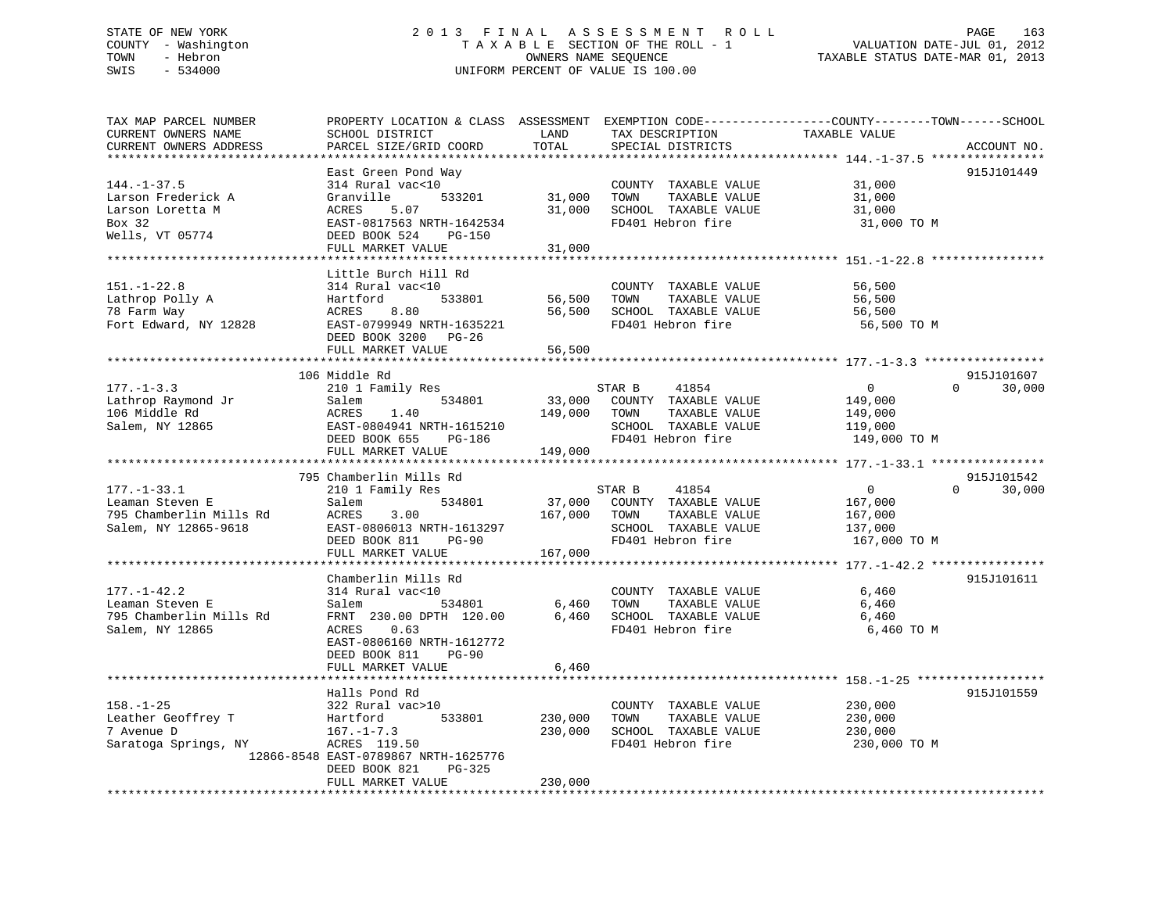# STATE OF NEW YORK 2 0 1 3 F I N A L A S S E S S M E N T R O L L PAGE 163 COUNTY - Washington T A X A B L E SECTION OF THE ROLL - 1 VALUATION DATE-JUL 01, 2012 TOWN - Hebron OWNERS NAME SEQUENCE TAXABLE STATUS DATE-MAR 01, 2013 SWIS - 534000 UNIFORM PERCENT OF VALUE IS 100.00

| TAX MAP PARCEL NUMBER<br>CURRENT OWNERS NAME<br>CURRENT OWNERS ADDRESS | PROPERTY LOCATION & CLASS ASSESSMENT EXEMPTION CODE---------------COUNTY-------TOWN-----SCHOOL<br>SCHOOL DISTRICT<br>PARCEL SIZE/GRID COORD | LAND<br>TOTAL    | TAX DESCRIPTION<br>SPECIAL DISTRICTS                                  | TAXABLE VALUE              | ACCOUNT NO.                      |
|------------------------------------------------------------------------|---------------------------------------------------------------------------------------------------------------------------------------------|------------------|-----------------------------------------------------------------------|----------------------------|----------------------------------|
|                                                                        |                                                                                                                                             |                  |                                                                       |                            |                                  |
|                                                                        | East Green Pond Way                                                                                                                         |                  |                                                                       |                            | 915J101449                       |
| $144. - 1 - 37.5$<br>Larson Frederick A<br>Larson Loretta M            | 314 Rural vac<10<br>Granville<br>533201<br>5.07<br>ACRES                                                                                    | 31,000<br>31,000 | COUNTY TAXABLE VALUE<br>TAXABLE VALUE<br>TOWN<br>SCHOOL TAXABLE VALUE | 31,000<br>31,000<br>31,000 |                                  |
| Box 32<br>Wells, VT 05774                                              | EAST-0817563 NRTH-1642534<br>DEED BOOK 524<br>PG-150                                                                                        |                  | FD401 Hebron fire                                                     | 31,000 TO M                |                                  |
|                                                                        | FULL MARKET VALUE                                                                                                                           | 31,000           |                                                                       |                            |                                  |
|                                                                        |                                                                                                                                             |                  |                                                                       |                            |                                  |
| $151. - 1 - 22.8$                                                      | Little Burch Hill Rd<br>314 Rural vac<10                                                                                                    |                  | COUNTY TAXABLE VALUE                                                  | 56,500                     |                                  |
| Lathrop Polly A                                                        | 533801<br>Hartford                                                                                                                          | 56,500           | TOWN<br>TAXABLE VALUE                                                 | 56,500                     |                                  |
| 78 Farm Way                                                            | 8.80<br>ACRES                                                                                                                               | 56,500           | SCHOOL TAXABLE VALUE                                                  | 56,500                     |                                  |
| Fort Edward, NY 12828                                                  | EAST-0799949 NRTH-1635221<br>DEED BOOK 3200 PG-26                                                                                           |                  | FD401 Hebron fire                                                     | 56,500 TO M                |                                  |
|                                                                        | FULL MARKET VALUE                                                                                                                           | 56,500           |                                                                       |                            |                                  |
|                                                                        | **************************                                                                                                                  | *************    |                                                                       |                            |                                  |
| $177. - 1 - 3.3$                                                       | 106 Middle Rd                                                                                                                               |                  | 41854                                                                 | $\overline{0}$             | 915J101607<br>$\Omega$<br>30,000 |
| Lathrop Raymond Jr                                                     | 210 1 Family Res<br>534801<br>Salem                                                                                                         | 33,000           | STAR B<br>COUNTY TAXABLE VALUE                                        | 149,000                    |                                  |
| 106 Middle Rd                                                          | ACRES<br>1.40                                                                                                                               | 149,000          | TOWN<br>TAXABLE VALUE                                                 | 149,000                    |                                  |
| Salem, NY 12865                                                        | EAST-0804941 NRTH-1615210                                                                                                                   |                  | SCHOOL TAXABLE VALUE                                                  | 119,000                    |                                  |
|                                                                        | DEED BOOK 655<br>PG-186                                                                                                                     |                  | FD401 Hebron fire                                                     | 149,000 TO M               |                                  |
|                                                                        | FULL MARKET VALUE                                                                                                                           | 149,000          |                                                                       |                            |                                  |
|                                                                        | *************************                                                                                                                   |                  |                                                                       |                            |                                  |
|                                                                        | 795 Chamberlin Mills Rd                                                                                                                     |                  |                                                                       |                            | 915J101542                       |
| $177. - 1 - 33.1$                                                      | 210 1 Family Res                                                                                                                            |                  | 41854<br>STAR B                                                       | $\overline{0}$             | $\Omega$<br>30,000               |
| Leaman Steven E                                                        | Salem<br>534801                                                                                                                             | 37,000           | COUNTY TAXABLE VALUE                                                  | 167,000                    |                                  |
| 795 Chamberlin Mills Rd<br>Salem, NY 12865-9618                        | ACRES<br>3.00<br>EAST-0806013 NRTH-1613297                                                                                                  | 167,000          | TOWN<br>TAXABLE VALUE<br>SCHOOL TAXABLE VALUE                         | 167,000<br>137,000         |                                  |
|                                                                        | DEED BOOK 811<br>$PG-90$                                                                                                                    |                  | FD401 Hebron fire                                                     | 167,000 TO M               |                                  |
|                                                                        | FULL MARKET VALUE                                                                                                                           | 167,000          |                                                                       |                            |                                  |
|                                                                        |                                                                                                                                             |                  |                                                                       |                            |                                  |
|                                                                        | Chamberlin Mills Rd                                                                                                                         |                  |                                                                       |                            | 915J101611                       |
| $177. - 1 - 42.2$                                                      | 314 Rural vac<10                                                                                                                            |                  | COUNTY TAXABLE VALUE                                                  | 6,460                      |                                  |
| Leaman Steven E                                                        | 534801<br>Salem                                                                                                                             | 6,460            | TOWN<br>TAXABLE VALUE                                                 | 6,460                      |                                  |
| 795 Chamberlin Mills Rd                                                | FRNT 230.00 DPTH 120.00                                                                                                                     | 6,460            | SCHOOL TAXABLE VALUE                                                  | 6,460                      |                                  |
| Salem, NY 12865                                                        | ACRES<br>0.63                                                                                                                               |                  | FD401 Hebron fire                                                     | 6,460 TO M                 |                                  |
|                                                                        | EAST-0806160 NRTH-1612772                                                                                                                   |                  |                                                                       |                            |                                  |
|                                                                        | DEED BOOK 811<br>$PG-90$                                                                                                                    |                  |                                                                       |                            |                                  |
|                                                                        | FULL MARKET VALUE                                                                                                                           | 6,460            |                                                                       |                            |                                  |
|                                                                        | Halls Pond Rd                                                                                                                               |                  |                                                                       |                            | 915J101559                       |
| $158. - 1 - 25$                                                        | 322 Rural vac>10                                                                                                                            |                  | COUNTY TAXABLE VALUE                                                  | 230,000                    |                                  |
| Leather Geoffrey T                                                     | 533801<br>Hartford                                                                                                                          | 230,000          | TOWN<br>TAXABLE VALUE                                                 | 230,000                    |                                  |
| 7 Avenue D                                                             | $167. - 1 - 7.3$                                                                                                                            | 230,000          | SCHOOL TAXABLE VALUE                                                  | 230,000                    |                                  |
| Saratoga Springs, NY                                                   | ACRES 119.50                                                                                                                                |                  | FD401 Hebron fire                                                     | 230,000 TO M               |                                  |
|                                                                        | 12866-8548 EAST-0789867 NRTH-1625776                                                                                                        |                  |                                                                       |                            |                                  |
|                                                                        | DEED BOOK 821<br>PG-325                                                                                                                     |                  |                                                                       |                            |                                  |
|                                                                        | FULL MARKET VALUE                                                                                                                           | 230,000          |                                                                       |                            |                                  |
|                                                                        |                                                                                                                                             |                  |                                                                       |                            |                                  |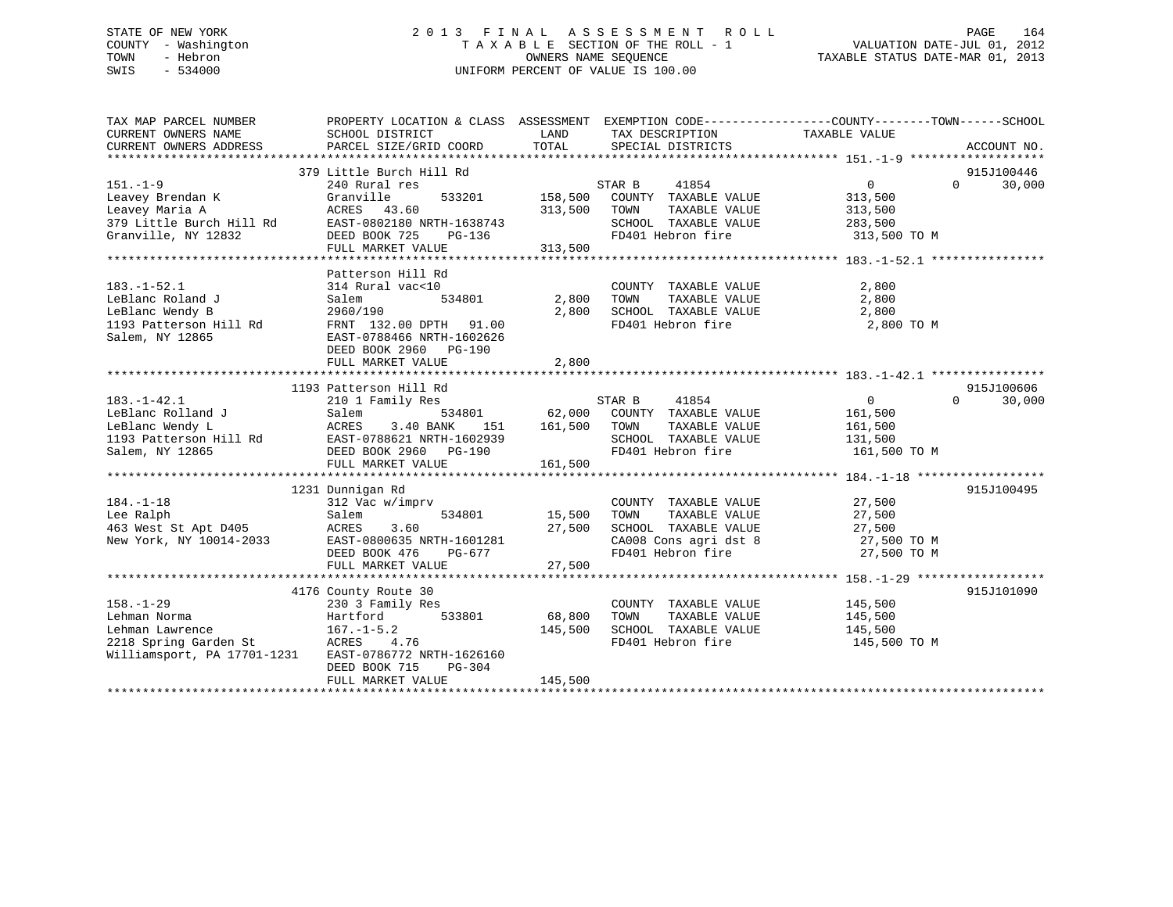# STATE OF NEW YORK 2 0 1 3 F I N A L A S S E S S M E N T R O L L PAGE 164 COUNTY - Washington T A X A B L E SECTION OF THE ROLL - 1 VALUATION DATE-JUL 01, 2012 TOWN - Hebron OWNERS NAME SEQUENCE TAXABLE STATUS DATE-MAR 01, 2013 SWIS - 534000 UNIFORM PERCENT OF VALUE IS 100.00

| TAX MAP PARCEL NUMBER<br>CURRENT OWNERS NAME<br>CURRENT OWNERS ADDRESS                                                                                                                                    | PROPERTY LOCATION & CLASS ASSESSMENT EXEMPTION CODE---------------COUNTY-------TOWN-----SCHOOL<br>SCHOOL DISTRICT<br>PARCEL SIZE/GRID COORD | LAND<br>TOTAL                         | TAX DESCRIPTION<br>SPECIAL DISTRICTS                                                                                                                                                                                                               | TAXABLE VALUE                                      | ACCOUNT NO.                      |
|-----------------------------------------------------------------------------------------------------------------------------------------------------------------------------------------------------------|---------------------------------------------------------------------------------------------------------------------------------------------|---------------------------------------|----------------------------------------------------------------------------------------------------------------------------------------------------------------------------------------------------------------------------------------------------|----------------------------------------------------|----------------------------------|
| $151. - 1 - 9$                                                                                                                                                                                            | 379 Little Burch Hill Rd<br>240 Rural res<br>Granville 533201 158,500 COUNTY TAXABLE VALUE                                                  |                                       |                                                                                                                                                                                                                                                    | $\overline{0}$                                     | 915J100446<br>$\Omega$<br>30,000 |
| 151.-1-9<br>Leavey Brendan K<br>Leavey Maria A<br>379 Little Burch Hill Rd<br>82.7-0802180 NRTH-1638743<br>82.114 NY 12832<br>82.114 NY 12832<br>82.1114 NY 12832<br>82.1114 NY 12832<br>82.1114 NY 12832 | $PG-136$                                                                                                                                    | 313,500                               | TOWN<br>SCHOOL TAXABLE VALUE 283,500                                                                                                                                                                                                               | 313,500<br>TAXABLE VALUE 313,500                   |                                  |
|                                                                                                                                                                                                           |                                                                                                                                             | 313,500                               | FD401 Hebron fire                                                                                                                                                                                                                                  | 313,500 TO M                                       |                                  |
| $183. - 1 - 52.1$<br>LeBlanc Roland J<br>LeBlanc Wendy B<br>1193 Patterson Hill Rd<br>FRNT 132.00 DPTH 91.00<br>Salem, NY 12865                                                                           | Patterson Hill Rd<br>314 Rural vac<10<br>Salem<br>534801<br>2960/190<br>EAST-0788466 NRTH-1602626                                           | 2,800 TOWN                            | COUNTY TAXABLE VALUE<br>$\begin{tabular}{lllllllllll} 2,800 & TOWN & TAXABLE VALUE & & & & 2,800 \\ 2,800 & SCHOOL & TAXABLE VALUE & & & 2,800 \\ \end{tabular}$<br>FD401 Hebron fire 2,800 TO M                                                   | 2,800                                              |                                  |
|                                                                                                                                                                                                           | DEED BOOK 2960 PG-190<br>FULL MARKET VALUE                                                                                                  | 2,800                                 |                                                                                                                                                                                                                                                    |                                                    |                                  |
|                                                                                                                                                                                                           | 1193 Patterson Hill Rd                                                                                                                      |                                       |                                                                                                                                                                                                                                                    |                                                    | 915J100606                       |
| $183. - 1 - 42.1$<br>LeBlanc Rolland J                                                                                                                                                                    | 210 1 Family Res<br>Salem                                                                                                                   | 151   161,500   TOWN                  | STAR B 41854<br>534801 62,000 COUNTY TAXABLE VALUE<br>SCHOOL TAXABLE VALUE 131,500<br>FD401 Hebron fire 161,500 TO M                                                                                                                               | $\overline{0}$<br>161,500<br>TAXABLE VALUE 161,500 | $\Omega$<br>30,000               |
|                                                                                                                                                                                                           |                                                                                                                                             |                                       |                                                                                                                                                                                                                                                    |                                                    |                                  |
|                                                                                                                                                                                                           |                                                                                                                                             |                                       |                                                                                                                                                                                                                                                    |                                                    |                                  |
| $184. - 1 - 18$<br>Lee Ralph<br>463 West St Apt D405 ACRES<br>New York, NY 10014-2033 EAST-0                                                                                                              | 1231 Dunnigan Rd<br>312 Vac w/imprv<br>Salem<br>3.60<br>EAST-0800635 NRTH-1601281<br>DEED BOOK 476<br>PG-677                                | COUNT<br>534801 15,500 TOWN<br>27,500 | $\begin{tabular}{lllllllllll} \multicolumn{2}{c}{\textbf{COUNTY}} & \textbf{TXABLE VALUE} & & & & 27,500 \\ \multicolumn{2}{c}{\textbf{TOWN}} & \textbf{TXABLE VALUE} & & & 27,500 \\ \end{tabular}$<br>CA008 Cons agri dst 8<br>FD401 Hebron fire | 27,500 TO M                                        | 915J100495                       |
|                                                                                                                                                                                                           |                                                                                                                                             |                                       |                                                                                                                                                                                                                                                    |                                                    |                                  |
|                                                                                                                                                                                                           |                                                                                                                                             |                                       |                                                                                                                                                                                                                                                    |                                                    |                                  |
| $158. - 1 - 29$<br>Lehman Norma<br>Lehman Lawrence 167.-1-5.2<br>2218 Spring Garden St ACRES 4.76<br>Williamsport, PA 17701-1231 EAST-0786772 NRTH-1626160                                                | 4176 County Route 30<br>230 3 Family Res<br>$230$ $3$ $5$ $33801$<br>Hartford 533801<br>DEED BOOK 715<br>PG-304                             | 68,800<br>145,500                     | $\begin{tabular}{lllllllll} \multicolumn{2}{c}{\text{COUNTY}} & \text{TAXABLE VALUE} & & & 145,500 \\ \multicolumn{2}{c}{\text{TOWN}} & \text{TAXABLE VALUE} & & 145,500 \end{tabular}$<br>SCHOOL TAXABLE VALUE 145,500<br>FD401 Hebron fire       | 145,500 TO M                                       | 915J101090                       |
|                                                                                                                                                                                                           | FULL MARKET VALUE                                                                                                                           | 145,500                               |                                                                                                                                                                                                                                                    |                                                    |                                  |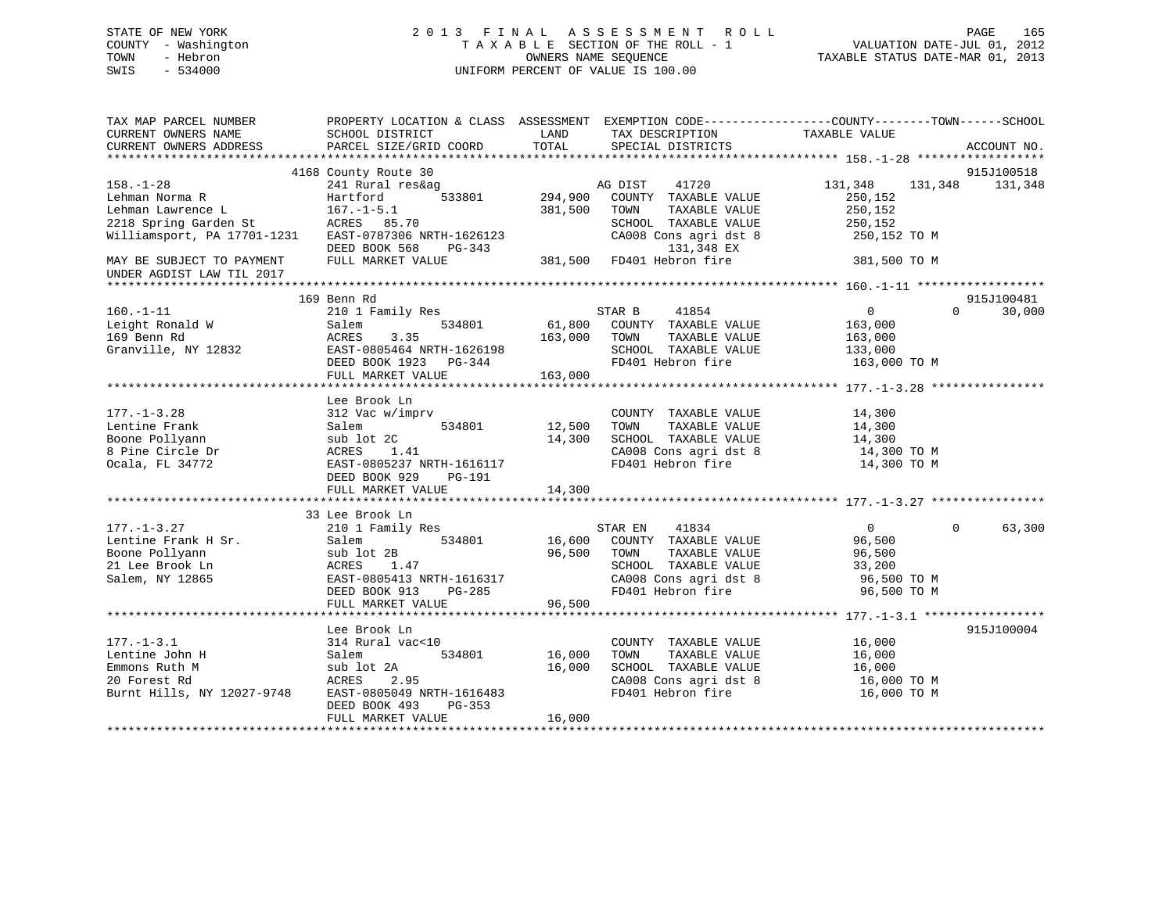# STATE OF NEW YORK 2 0 1 3 F I N A L A S S E S S M E N T R O L L PAGE 165 COUNTY - Washington T A X A B L E SECTION OF THE ROLL - 1 VALUATION DATE-JUL 01, 2012 TOWN - Hebron OWNERS NAME SEQUENCE TAXABLE STATUS DATE-MAR 01, 2013 SWIS - 534000 UNIFORM PERCENT OF VALUE IS 100.00

| TAX MAP PARCEL NUMBER<br>CURRENT OWNERS NAME           | SCHOOL DISTRICT           | LAND    | TAX DESCRIPTION                                         | PROPERTY LOCATION & CLASS ASSESSMENT EXEMPTION CODE---------------COUNTY-------TOWN-----SCHOOL<br>TAXABLE VALUE |             |
|--------------------------------------------------------|---------------------------|---------|---------------------------------------------------------|-----------------------------------------------------------------------------------------------------------------|-------------|
| CURRENT OWNERS ADDRESS                                 | PARCEL SIZE/GRID COORD    | TOTAL   | SPECIAL DISTRICTS                                       |                                                                                                                 | ACCOUNT NO. |
|                                                        |                           |         |                                                         |                                                                                                                 |             |
|                                                        | 4168 County Route 30      |         |                                                         |                                                                                                                 | 915J100518  |
| $158. - 1 - 28$                                        | 241 Rural res&ag          |         | AG DIST 41720                                           | 131,348<br>131,348                                                                                              | 131,348     |
| Lehman Norma R                                         | 533801<br>Hartford        | 294,900 | COUNTY TAXABLE VALUE                                    | 250,152                                                                                                         |             |
| Lehman Lawrence L                                      | $167. - 1 - 5.1$          | 381,500 | TOWN<br>TAXABLE VALUE                                   | 250,152                                                                                                         |             |
| 2218 Spring Garden St                                  | ACRES 85.70               |         | SCHOOL TAXABLE VALUE                                    | 250,152                                                                                                         |             |
| Williamsport, PA 17701-1231 EAST-0787306 NRTH-1626123  |                           |         | CA008 Cons agri dst 8                                   | 250,152 TO M                                                                                                    |             |
|                                                        | DEED BOOK 568<br>PG-343   |         | 131,348 EX<br>131,348 EX<br>381,500   FD401 Hebron fire |                                                                                                                 |             |
| MAY BE SUBJECT TO PAYMENT<br>UNDER AGDIST LAW TIL 2017 | FULL MARKET VALUE         |         |                                                         | 381,500 TO M                                                                                                    |             |
|                                                        |                           |         |                                                         |                                                                                                                 |             |
|                                                        | 169 Benn Rd               |         |                                                         |                                                                                                                 | 915J100481  |
| $160. - 1 - 11$                                        | 210 1 Family Res          |         | 41854<br>STAR B                                         | $\overline{0}$<br>$\Omega$                                                                                      | 30,000      |
| Leight Ronald W                                        | Salem<br>534801           | 61,800  | COUNTY TAXABLE VALUE                                    | 163,000                                                                                                         |             |
| 169 Benn Rd                                            | ACRES<br>3.35             | 163,000 | TAXABLE VALUE<br>TOWN                                   | 163,000                                                                                                         |             |
| Granville, NY 12832                                    | EAST-0805464 NRTH-1626198 |         | SCHOOL TAXABLE VALUE                                    | 133,000                                                                                                         |             |
|                                                        | DEED BOOK 1923 PG-344     |         | FD401 Hebron fire                                       | 163,000 TO M                                                                                                    |             |
|                                                        | FULL MARKET VALUE         | 163,000 |                                                         |                                                                                                                 |             |
|                                                        |                           |         |                                                         |                                                                                                                 |             |
|                                                        | Lee Brook Ln              |         |                                                         |                                                                                                                 |             |
| $177. - 1 - 3.28$                                      | 312 Vac w/imprv           | 12,500  | COUNTY TAXABLE VALUE                                    | 14,300                                                                                                          |             |
| Lentine Frank                                          | 534801<br>Salem           |         | TAXABLE VALUE<br>TOWN                                   | 14,300                                                                                                          |             |
| Boone Pollyann                                         | sub lot 2C                | 14,300  | SCHOOL TAXABLE VALUE                                    | 14,300                                                                                                          |             |
| 8 Pine Circle Dr                                       | ACRES<br>1.41             |         | CA008 Cons agri dst 8                                   | 14,300 TO M                                                                                                     |             |
| Ocala, FL 34772                                        | EAST-0805237 NRTH-1616117 |         | FD401 Hebron fire                                       | 14,300 TO M                                                                                                     |             |
|                                                        | DEED BOOK 929<br>PG-191   |         |                                                         |                                                                                                                 |             |
|                                                        | FULL MARKET VALUE         | 14,300  |                                                         |                                                                                                                 |             |
|                                                        |                           |         |                                                         |                                                                                                                 |             |
|                                                        | 33 Lee Brook Ln           |         |                                                         |                                                                                                                 |             |
| $177. - 1 - 3.27$                                      | 210 1 Family Res          |         | 41834<br>STAR EN                                        | 0<br>$\Omega$                                                                                                   | 63,300      |
| Lentine Frank H Sr.                                    | 534801<br>Salem           | 16,600  | COUNTY TAXABLE VALUE                                    | 96,500                                                                                                          |             |
| Boone Pollyann                                         | sub lot 2B                | 96,500  | TAXABLE VALUE<br>TOWN                                   | 96,500                                                                                                          |             |
| 21 Lee Brook Ln                                        | ACRES<br>1.47             |         | SCHOOL TAXABLE VALUE                                    | 33,200                                                                                                          |             |
| Salem, NY 12865                                        | EAST-0805413 NRTH-1616317 |         | CA008 Cons agri dst 8                                   | 96,500 TO M                                                                                                     |             |
|                                                        | DEED BOOK 913<br>PG-285   |         | FD401 Hebron fire                                       | 96,500 TO M                                                                                                     |             |
|                                                        | FULL MARKET VALUE         | 96,500  |                                                         |                                                                                                                 |             |
|                                                        |                           |         |                                                         |                                                                                                                 |             |
|                                                        | Lee Brook Ln              |         |                                                         |                                                                                                                 | 915J100004  |
| $177. - 1 - 3.1$                                       | 314 Rural vac<10          |         | COUNTY TAXABLE VALUE                                    | 16,000                                                                                                          |             |
| Lentine John H                                         | 534801<br>Salem           | 16,000  | TOWN<br>TAXABLE VALUE                                   | 16,000                                                                                                          |             |
| Emmons Ruth M                                          | sub lot 2A                | 16,000  | SCHOOL TAXABLE VALUE                                    | 16,000                                                                                                          |             |
| 20 Forest Rd                                           | ACRES<br>2.95             |         | CA008 Cons agri dst 8                                   | 16,000 TO M                                                                                                     |             |
| Burnt Hills, NY 12027-9748                             | EAST-0805049 NRTH-1616483 |         | FD401 Hebron fire                                       | 16,000 TO M                                                                                                     |             |
|                                                        | DEED BOOK 493<br>PG-353   |         |                                                         |                                                                                                                 |             |
|                                                        | FULL MARKET VALUE         | 16,000  |                                                         |                                                                                                                 |             |
|                                                        |                           |         |                                                         |                                                                                                                 |             |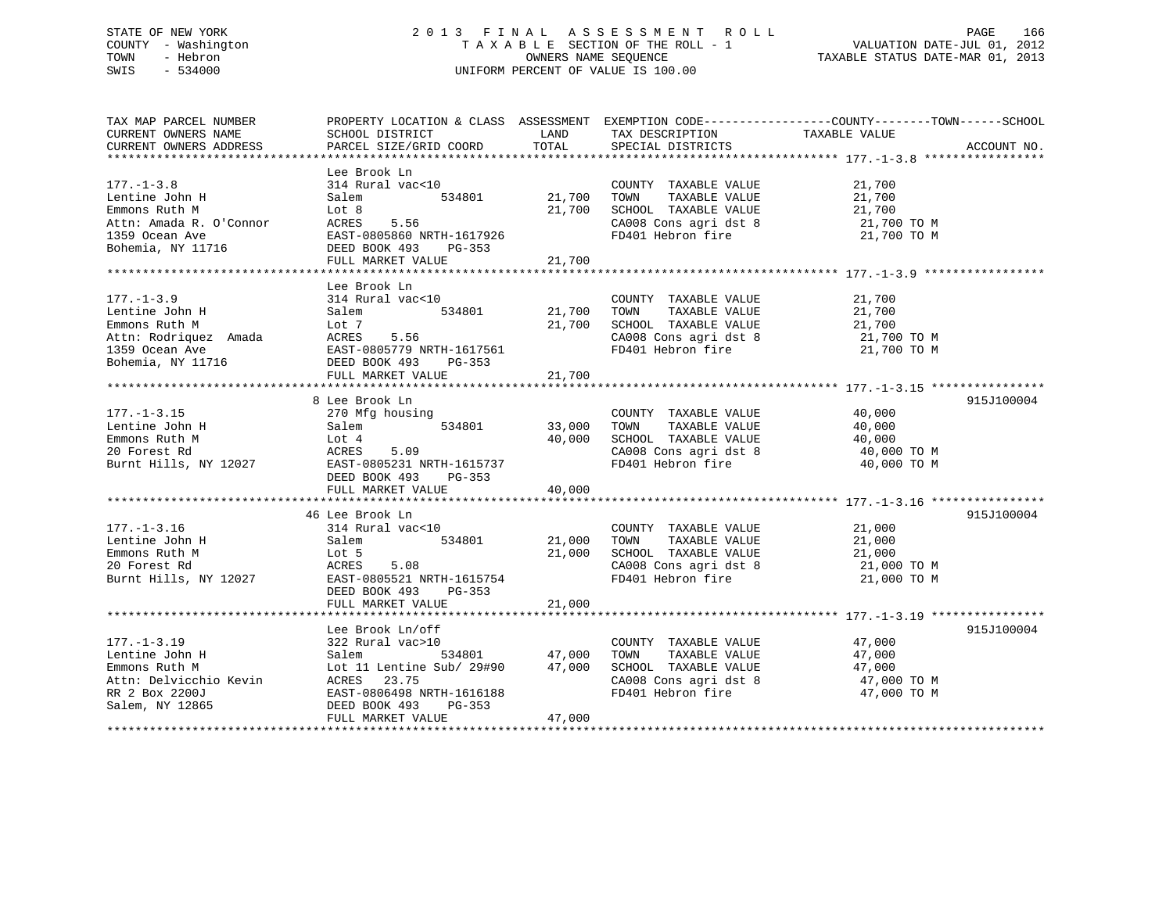# STATE OF NEW YORK 2 0 1 3 F I N A L A S S E S S M E N T R O L L PAGE 166 COUNTY - Washington T A X A B L E SECTION OF THE ROLL - 1 VALUATION DATE-JUL 01, 2012 TOWN - Hebron OWNERS NAME SEQUENCE TAXABLE STATUS DATE-MAR 01, 2013 SWIS - 534000 UNIFORM PERCENT OF VALUE IS 100.00

| TAX MAP PARCEL NUMBER | PROPERTY LOCATION & CLASS ASSESSMENT EXEMPTION CODE--------------COUNTY-------TOWN-----SCHOOL                                                                                                                                                                |                   |                                                                                                                                                                                                          |                                              |             |
|-----------------------|--------------------------------------------------------------------------------------------------------------------------------------------------------------------------------------------------------------------------------------------------------------|-------------------|----------------------------------------------------------------------------------------------------------------------------------------------------------------------------------------------------------|----------------------------------------------|-------------|
| CURRENT OWNERS NAME   | SCHOOL DISTRICT                                                                                                                                                                                                                                              | LAND              | TAX DESCRIPTION                                                                                                                                                                                          | TAXABLE VALUE                                |             |
|                       | CURRENT OWNERS ADDRESS PARCEL SIZE/GRID COORD TOTAL                                                                                                                                                                                                          |                   | SPECIAL DISTRICTS                                                                                                                                                                                        |                                              | ACCOUNT NO. |
|                       |                                                                                                                                                                                                                                                              |                   |                                                                                                                                                                                                          |                                              |             |
|                       | Lee Brook Ln                                                                                                                                                                                                                                                 |                   |                                                                                                                                                                                                          |                                              |             |
|                       |                                                                                                                                                                                                                                                              |                   |                                                                                                                                                                                                          |                                              |             |
| $177. - 1 - 3.8$      | 314 Rural vac<10 (21,700 COUNT)<br>Salem 534801 21,700 TOWN<br>314 Ru<br>Salem                                                                                                                                                                               |                   | $\begin{tabular}{lllllllllllll} \multicolumn{2}{c}{\textbf{COUNTY}} & \textbf{TAXABLE VALUE} & & & & 21,700 \\ \multicolumn{2}{c}{\textbf{TOWN}} & \textbf{TAXABLE VALUE} & & & 21,700 \\ \end{tabular}$ |                                              |             |
| Lentine John H        |                                                                                                                                                                                                                                                              |                   |                                                                                                                                                                                                          |                                              |             |
|                       |                                                                                                                                                                                                                                                              |                   |                                                                                                                                                                                                          |                                              |             |
|                       |                                                                                                                                                                                                                                                              |                   |                                                                                                                                                                                                          |                                              |             |
|                       |                                                                                                                                                                                                                                                              |                   | 21,700 SCHOOL TAXABLE VALUE<br>CA008 Cons agri dst 8 21,700 TO M<br>FD401 Hebron fire 21,700 TO M                                                                                                        |                                              |             |
| Bohemia, NY 11716     |                                                                                                                                                                                                                                                              |                   |                                                                                                                                                                                                          |                                              |             |
|                       | FULL MARKET VALUE                                                                                                                                                                                                                                            | 21,700            |                                                                                                                                                                                                          |                                              |             |
|                       |                                                                                                                                                                                                                                                              |                   |                                                                                                                                                                                                          |                                              |             |
|                       | Lee Brook Ln                                                                                                                                                                                                                                                 |                   |                                                                                                                                                                                                          |                                              |             |
|                       |                                                                                                                                                                                                                                                              |                   |                                                                                                                                                                                                          |                                              |             |
|                       |                                                                                                                                                                                                                                                              |                   |                                                                                                                                                                                                          |                                              |             |
|                       |                                                                                                                                                                                                                                                              |                   |                                                                                                                                                                                                          |                                              |             |
|                       |                                                                                                                                                                                                                                                              |                   |                                                                                                                                                                                                          |                                              |             |
|                       |                                                                                                                                                                                                                                                              |                   |                                                                                                                                                                                                          |                                              |             |
|                       |                                                                                                                                                                                                                                                              |                   |                                                                                                                                                                                                          |                                              |             |
|                       |                                                                                                                                                                                                                                                              |                   |                                                                                                                                                                                                          |                                              |             |
|                       |                                                                                                                                                                                                                                                              |                   |                                                                                                                                                                                                          |                                              |             |
|                       |                                                                                                                                                                                                                                                              |                   |                                                                                                                                                                                                          |                                              |             |
|                       | 8 Lee Brook Ln                                                                                                                                                                                                                                               |                   |                                                                                                                                                                                                          |                                              | 915J100004  |
|                       |                                                                                                                                                                                                                                                              |                   | COUNTY TAXABLE VALUE 40,000                                                                                                                                                                              |                                              |             |
|                       |                                                                                                                                                                                                                                                              |                   | TOWN                                                                                                                                                                                                     |                                              |             |
|                       |                                                                                                                                                                                                                                                              | $534801$ $33,000$ |                                                                                                                                                                                                          | TAXABLE VALUE 40,000<br>TAXABLE VALUE 40,000 |             |
|                       |                                                                                                                                                                                                                                                              |                   | 40,000 SCHOOL TAXABLE VALUE 40,000 CA008 Cons agri dst 8 40,000 TO M                                                                                                                                     |                                              |             |
|                       |                                                                                                                                                                                                                                                              |                   |                                                                                                                                                                                                          |                                              |             |
|                       | 177.-1-3.15<br>Lentine John H<br>Emmons Ruth M<br>20 Forest Rd<br>Burnt Hills, NY 12027<br>20 Forest Rd<br>20 Forest Rd<br>20 Forest Rd<br>20 Forest Rd<br>20 Forest Rd<br>20 Forest Rd<br>20 Forest Rd<br>20 Forest Rd<br>20 Forest Rd<br>20 Forest Rd<br>2 |                   | FD401 Hebron fire                                                                                                                                                                                        | 40,000 TO M                                  |             |
|                       |                                                                                                                                                                                                                                                              |                   |                                                                                                                                                                                                          |                                              |             |
|                       | FULL MARKET VALUE 40,000                                                                                                                                                                                                                                     |                   |                                                                                                                                                                                                          |                                              |             |
|                       |                                                                                                                                                                                                                                                              |                   |                                                                                                                                                                                                          |                                              |             |
|                       | 46 Lee Brook Ln                                                                                                                                                                                                                                              |                   |                                                                                                                                                                                                          |                                              | 915J100004  |
|                       |                                                                                                                                                                                                                                                              |                   |                                                                                                                                                                                                          |                                              |             |
|                       |                                                                                                                                                                                                                                                              |                   |                                                                                                                                                                                                          |                                              |             |
|                       |                                                                                                                                                                                                                                                              |                   |                                                                                                                                                                                                          |                                              |             |
|                       |                                                                                                                                                                                                                                                              |                   |                                                                                                                                                                                                          |                                              |             |
|                       |                                                                                                                                                                                                                                                              |                   |                                                                                                                                                                                                          |                                              |             |
|                       | 177.-1-3.16<br>Lentine John H Salem 534801<br>Emmons Ruth M Lot 5<br>21,000 TOWN TAXABLE VALUE 21,000<br>21,000 TOWN TAXABLE VALUE 21,000<br>21,000 TOWN TAXABLE VALUE 21,000<br>21,000 TOWN TAXABLE VALUE 21,000<br>21,000 TOWN TAXA                        |                   |                                                                                                                                                                                                          |                                              |             |
|                       | DEED BOOK 493 PG-353                                                                                                                                                                                                                                         |                   |                                                                                                                                                                                                          |                                              |             |
|                       | FULL MARKET VALUE 21,000                                                                                                                                                                                                                                     |                   |                                                                                                                                                                                                          |                                              |             |
|                       |                                                                                                                                                                                                                                                              |                   |                                                                                                                                                                                                          |                                              |             |
|                       | Lee Brook Ln/off                                                                                                                                                                                                                                             |                   |                                                                                                                                                                                                          |                                              | 915J100004  |
|                       |                                                                                                                                                                                                                                                              |                   | COUNTY TAXABLE VALUE 47,000                                                                                                                                                                              |                                              |             |
|                       |                                                                                                                                                                                                                                                              |                   | TOWN      TAXABLE VALUE<br>SCHOOL   TAXABLE VALUE                                                                                                                                                        | 47,000<br>47,000                             |             |
|                       |                                                                                                                                                                                                                                                              |                   |                                                                                                                                                                                                          |                                              |             |
|                       |                                                                                                                                                                                                                                                              |                   | CA008 Cons agri dst 8 47,000 TO M                                                                                                                                                                        |                                              |             |
|                       |                                                                                                                                                                                                                                                              |                   | FD401 Hebron fire                                                                                                                                                                                        | 47,000 TO M                                  |             |
|                       |                                                                                                                                                                                                                                                              |                   |                                                                                                                                                                                                          |                                              |             |
|                       | CONCILIE UP B<br>Emmons Ruth M<br>Emmons Ruth M<br>Entine Sub/ 29#90<br>Attn: Delvicchio Kevin<br>ACRES 23.75<br>RR 2 Box 2200J<br>Salem, NY 12865<br>Salem, NY 12865<br>THE BOOK 493<br>PG-353<br>THE BOOK 493<br>PG-353                                    |                   |                                                                                                                                                                                                          |                                              |             |
|                       |                                                                                                                                                                                                                                                              |                   |                                                                                                                                                                                                          |                                              |             |
|                       |                                                                                                                                                                                                                                                              |                   |                                                                                                                                                                                                          |                                              |             |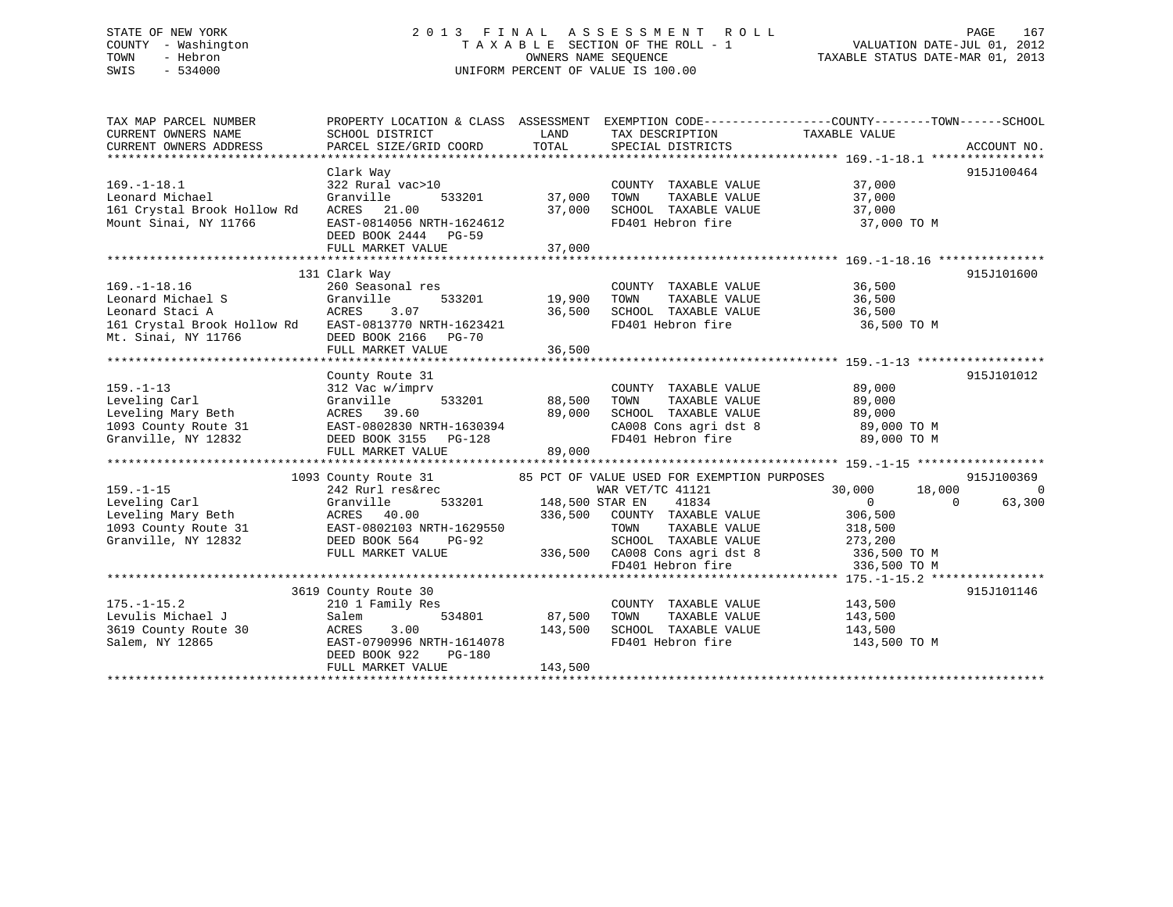# STATE OF NEW YORK 2 0 1 3 F I N A L A S S E S S M E N T R O L L PAGE 167 COUNTY - Washington T A X A B L E SECTION OF THE ROLL - 1 VALUATION DATE-JUL 01, 2012 TOWN - Hebron **CONNERS NAME SEQUENCE** TAXABLE STATUS DATE-MAR 01, 2013 SWIS - 534000 UNIFORM PERCENT OF VALUE IS 100.00

| TAX MAP PARCEL NUMBER<br>CURRENT OWNERS NAME<br>CURRENT OWNERS ADDRESS                                                                     | PROPERTY LOCATION & CLASS ASSESSMENT<br>SCHOOL DISTRICT<br>PARCEL SIZE/GRID COORD                                                                         | LAND<br>TOTAL                     | TAX DESCRIPTION<br>SPECIAL DISTRICTS                                                                                                                                   | EXEMPTION CODE-----------------COUNTY-------TOWN------SCHOOL<br>TAXABLE VALUE<br>ACCOUNT NO.                                                                                   |
|--------------------------------------------------------------------------------------------------------------------------------------------|-----------------------------------------------------------------------------------------------------------------------------------------------------------|-----------------------------------|------------------------------------------------------------------------------------------------------------------------------------------------------------------------|--------------------------------------------------------------------------------------------------------------------------------------------------------------------------------|
| $169. - 1 - 18.1$<br>Leonard Michael<br>161 Crystal Brook Hollow Rd<br>Mount Sinai, NY 11766                                               | Clark Way<br>322 Rural vac>10<br>Granville<br>533201<br>ACRES 21.00<br>EAST-0814056 NRTH-1624612<br>DEED BOOK 2444 PG-59<br>FULL MARKET VALUE             | 37,000<br>37,000<br>37,000        | COUNTY TAXABLE VALUE<br>TOWN<br>TAXABLE VALUE<br>SCHOOL TAXABLE VALUE<br>FD401 Hebron fire                                                                             | 915J100464<br>37,000<br>37,000<br>37,000<br>37,000 TO M                                                                                                                        |
| $169. - 1 - 18.16$<br>Leonard Michael S<br>Leonard Staci A<br>161 Crystal Brook Hollow Rd EAST-0813770 NRTH-1623421<br>Mt. Sinai, NY 11766 | 131 Clark Way<br>260 Seasonal res<br>Granville<br>533201<br>ACRES 3.07<br>DEED BOOK 2166 PG-70<br>FULL MARKET VALUE                                       | 19,900<br>36,500<br>36,500        | COUNTY TAXABLE VALUE 36,500<br>TOWN<br>SCHOOL TAXABLE VALUE<br>FD401 Hebron fire                                                                                       | 915J101600<br>TAXABLE VALUE 36,500<br>36,500<br>36,500 TO M                                                                                                                    |
| $159. - 1 - 13$<br>Leveling Carl<br>Leveling Mary Beth<br>1093 County Route 31<br>Granville. NY 12832<br>Granville, NY 12832               | County Route 31<br>312 Vac w/imprv<br>Granville<br>ACRES 39.60<br>EAST-0802830 NRTH-1630394<br>DEED BOOK 3155 PG-128<br>FULL MARKET VALUE                 | 533201 88,500<br>89,000<br>89,000 | COUNTY TAXABLE VALUE<br>TAXABLE VALUE<br>TOWN<br>CA008 Cons agri dst 8<br>FD401 Hebron fire                                                                            | 915J101012<br>89,000<br>89,000<br>SCHOOL TAXABLE VALUE 89,000<br>CA008 Cons agri dst 8 89,000 TO M<br>89,000 TO M                                                              |
| $159. - 1 - 15$<br>Leveling Carl<br>Leveling Mary Beth<br>1093 County Route 31 EAST-0802103 NRTH-1629550<br>Granville, NY 12832            | 1093 County Route 31<br>242 Rurl res&rec<br>533201<br>Granville<br><b>ACRES</b> 40.00<br>DEED BOOK 564<br>$PG-92$<br>FULL MARKET VALUE                    | 148,500 STAR EN<br>336,500        | 85 PCT OF VALUE USED FOR EXEMPTION PURPOSES<br>WAR VET/TC 41121<br>41834<br>COUNTY TAXABLE VALUE<br>TOWN<br>TAXABLE VALUE<br>SCHOOL TAXABLE VALUE<br>FD401 Hebron fire | 915J100369<br>18,000<br>30,000<br>$\bigcap$<br>$\Omega$<br>63,300<br>$\Omega$<br>306,500<br>318,500<br>273,200<br>$336,500$ CA008 Cons agri dst 8 336,500 TO M<br>336,500 TO M |
| $175. - 1 - 15.2$<br>Levulis Michael J<br>3619 County Route 30<br>Salem, NY 12865                                                          | 3619 County Route 30<br>210 1 Family Res<br>Salem<br>534801<br>3.00<br>ACRES<br>EAST-0790996 NRTH-1614078<br>DEED BOOK 922<br>PG-180<br>FULL MARKET VALUE | 87,500<br>143,500<br>143,500      | COUNTY TAXABLE VALUE<br>TOWN<br>TAXABLE VALUE<br>SCHOOL TAXABLE VALUE 143,500<br>FD401 Hebron fire                                                                     | 915J101146<br>143,500<br>143,500<br>143,500 TO M                                                                                                                               |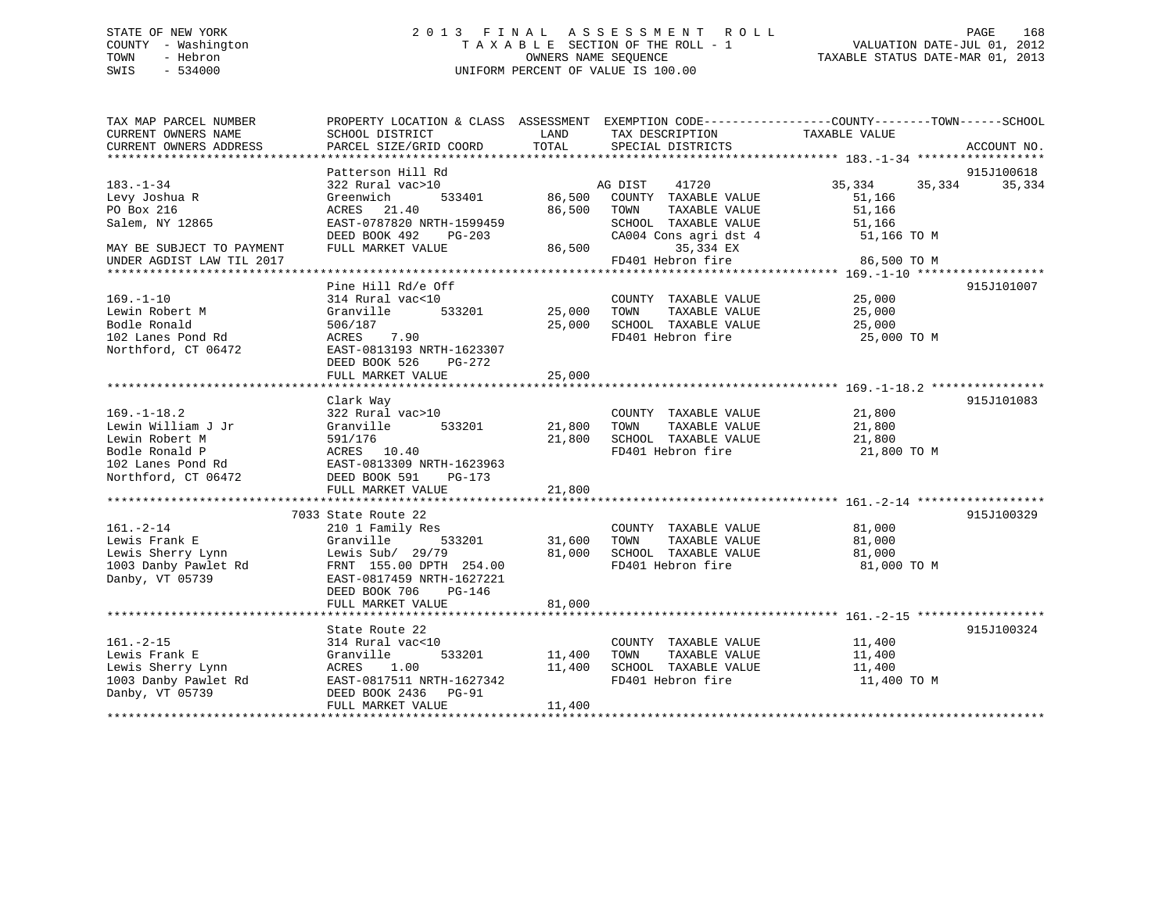# STATE OF NEW YORK 2 0 1 3 F I N A L A S S E S S M E N T R O L L PAGE 168 COUNTY - Washington T A X A B L E SECTION OF THE ROLL - 1 VALUATION DATE-JUL 01, 2012 TOWN - Hebron OWNERS NAME SEQUENCE TAXABLE STATUS DATE-MAR 01, 2013 SWIS - 534000 UNIFORM PERCENT OF VALUE IS 100.00

| TAX MAP PARCEL NUMBER                         | PROPERTY LOCATION & CLASS ASSESSMENT EXEMPTION CODE----------------COUNTY-------TOWN------SCHOOL |               |                                      |                            |             |
|-----------------------------------------------|--------------------------------------------------------------------------------------------------|---------------|--------------------------------------|----------------------------|-------------|
| CURRENT OWNERS NAME<br>CURRENT OWNERS ADDRESS | SCHOOL DISTRICT<br>PARCEL SIZE/GRID COORD                                                        | LAND<br>TOTAL | TAX DESCRIPTION<br>SPECIAL DISTRICTS | TAXABLE VALUE              | ACCOUNT NO. |
|                                               |                                                                                                  |               |                                      |                            |             |
|                                               | Patterson Hill Rd                                                                                |               |                                      |                            | 915J100618  |
| $183. - 1 - 34$                               | 322 Rural vac>10                                                                                 |               | 41720<br>AG DIST                     | 35,334<br>35,334           | 35,334      |
| Levy Joshua R                                 | 533401<br>Greenwich                                                                              | 86,500        | COUNTY TAXABLE VALUE                 | 51,166                     |             |
| PO Box 216                                    | ACRES 21.40                                                                                      | 86,500 TOWN   | TAXABLE VALUE                        | 51,166                     |             |
| Salem, NY 12865                               | EAST-0787820 NRTH-1599459                                                                        |               | SCHOOL TAXABLE VALUE                 | 51,166                     |             |
|                                               | DEED BOOK 492<br>PG-203                                                                          |               | CA004 Cons agri dst 4                | 51,166 TO M                |             |
| MAY BE SUBJECT TO PAYMENT                     | FULL MARKET VALUE                                                                                |               | 86,500<br>35,334 EX                  |                            |             |
| UNDER AGDIST LAW TIL 2017                     |                                                                                                  |               | FD401 Hebron fire                    | 86,500 TO M                |             |
|                                               |                                                                                                  |               |                                      |                            |             |
|                                               | Pine Hill Rd/e Off                                                                               |               |                                      |                            | 915J101007  |
| $169. - 1 - 10$                               | 314 Rural vac<10                                                                                 |               | COUNTY TAXABLE VALUE                 |                            |             |
| Lewin Robert M                                | 533201<br>Granville                                                                              | 25,000 TOWN   | TAXABLE VALUE                        | 25,000<br>25,000<br>25,000 |             |
| Bodle Ronald                                  | 506/187                                                                                          | 25,000        | SCHOOL TAXABLE VALUE                 | 25,000                     |             |
| 102 Lanes Pond Rd                             | 7.90<br>ACRES                                                                                    |               | FD401 Hebron fire                    | 25,000 TO M                |             |
| Northford, CT 06472                           | EAST-0813193 NRTH-1623307                                                                        |               |                                      |                            |             |
|                                               | DEED BOOK 526<br>PG-272                                                                          |               |                                      |                            |             |
|                                               | FULL MARKET VALUE                                                                                | 25,000        |                                      |                            |             |
|                                               |                                                                                                  |               |                                      |                            |             |
|                                               | Clark Way                                                                                        |               |                                      |                            | 915J101083  |
| $169. - 1 - 18.2$                             | 322 Rural vac>10                                                                                 |               | COUNTY TAXABLE VALUE                 | $\frac{21}{21}$ , 800      |             |
| Lewin William J Jr                            | 533201<br>Granville                                                                              | 21,800        | TAXABLE VALUE<br>TOWN                | 21,800                     |             |
| Lewin Robert M                                | 591/176                                                                                          | 21,800        | SCHOOL TAXABLE VALUE                 | 21,800                     |             |
| Bodle Ronald P                                | ACRES 10.40                                                                                      |               | FD401 Hebron fire                    | 21,800 TO M                |             |
| 102 Lanes Pond Rd                             | EAST-0813309 NRTH-1623963                                                                        |               |                                      |                            |             |
| Northford, CT 06472                           | DEED BOOK 591<br>PG-173                                                                          |               |                                      |                            |             |
|                                               |                                                                                                  | 21,800        |                                      |                            |             |
|                                               |                                                                                                  |               |                                      |                            |             |
|                                               | 7033 State Route 22                                                                              |               |                                      |                            | 915J100329  |
| $161. - 2 - 14$                               | 210 1 Family Res                                                                                 |               | COUNTY TAXABLE VALUE                 | 81,000                     |             |
| Lewis Frank E                                 | 533201<br>Granville                                                                              | 31,600        | TAXABLE VALUE<br>TOWN                | 81,000                     |             |
| Lewis Sherry Lynn                             | Lewis Sub/ 29/79                                                                                 | 81,000        | SCHOOL TAXABLE VALUE                 | 81,000                     |             |
| 1003 Danby Pawlet Rd                          | FRNT 155.00 DPTH 254.00                                                                          |               | FD401 Hebron fire                    | 81,000 TO M                |             |
| Danby, VT 05739                               | EAST-0817459 NRTH-1627221                                                                        |               |                                      |                            |             |
|                                               | DEED BOOK 706<br>PG-146                                                                          |               |                                      |                            |             |
|                                               | FULL MARKET VALUE                                                                                | 81,000        |                                      |                            |             |
|                                               |                                                                                                  |               |                                      |                            |             |
|                                               | State Route 22                                                                                   |               |                                      |                            | 915J100324  |
| $161. - 2 - 15$                               | 314 Rural vac<10                                                                                 |               | COUNTY TAXABLE VALUE                 | 11,400                     |             |
| Lewis Frank E                                 | Granville<br>533201                                                                              | 11,400        | TOWN<br>TAXABLE VALUE                | 11,400                     |             |
| Lewis Sherry Lynn                             | ACRES<br>1.00                                                                                    | 11,400        | SCHOOL TAXABLE VALUE                 | 11,400                     |             |
| 1003 Danby Pawlet Rd                          | EAST-0817511 NRTH-1627342                                                                        |               | FD401 Hebron fire                    | 11,400 TO M                |             |
| Danby, VT 05739                               | DEED BOOK 2436 PG-91                                                                             |               |                                      |                            |             |
|                                               | FULL MARKET VALUE                                                                                | 11,400        |                                      |                            |             |
|                                               |                                                                                                  |               |                                      |                            |             |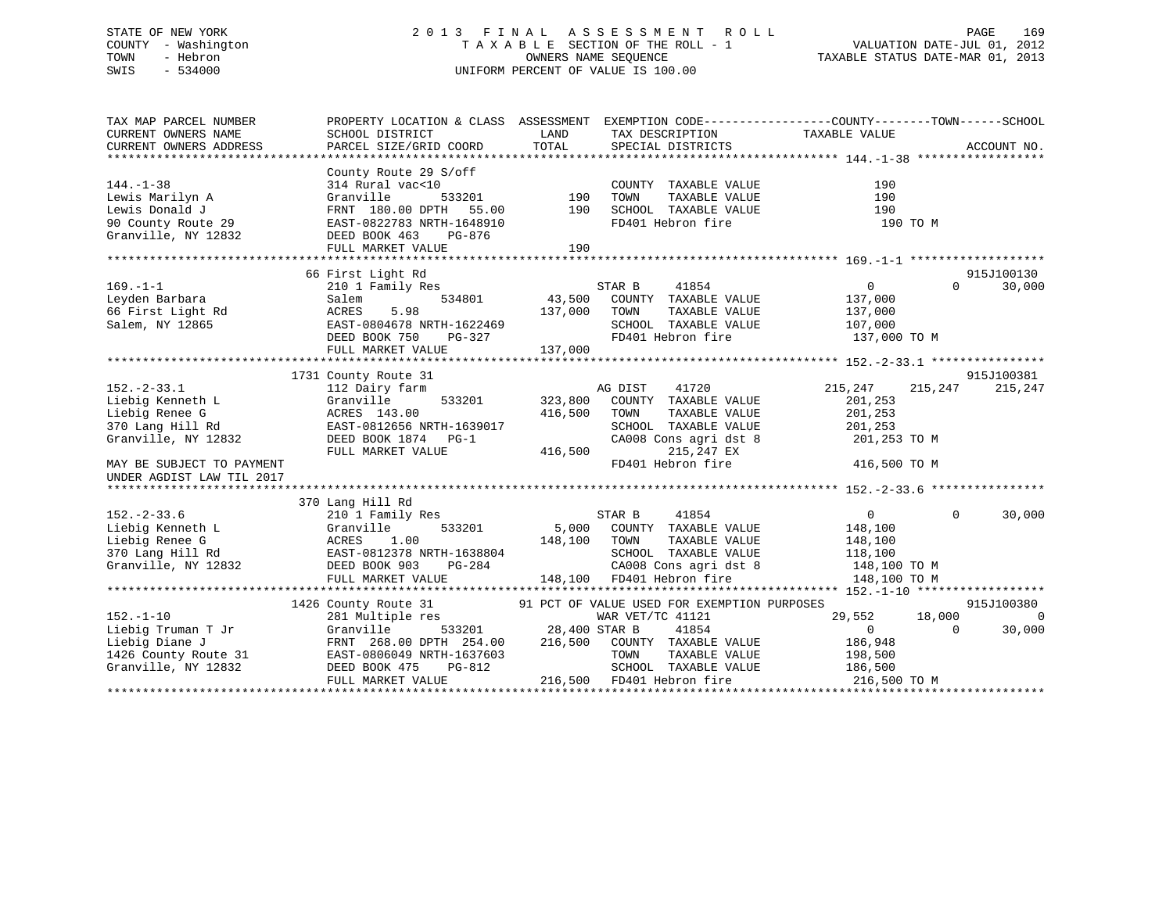# STATE OF NEW YORK 2 0 1 3 F I N A L A S S E S S M E N T R O L L PAGE 169 COUNTY - Washington T A X A B L E SECTION OF THE ROLL - 1 VALUATION DATE-JUL 01, 2012 TOWN - Hebron OWNERS NAME SEQUENCE TAXABLE STATUS DATE-MAR 01, 2013 SWIS - 534000 UNIFORM PERCENT OF VALUE IS 100.00

| TAX MAP PARCEL NUMBER<br>CURRENT OWNERS NAME<br>CURRENT OWNERS ADDRESS                                                   | SCHOOL DISTRICT<br>PARCEL SIZE/GRID COORD                                                                                                                                                                                                                                                                                                       | LAND<br>TOTAL                        | TAX DESCRIPTION<br>SPECIAL DISTRICTS                                                                                             | PROPERTY LOCATION & CLASS ASSESSMENT EXEMPTION CODE----------------COUNTY-------TOWN------SCHOOL<br>TAXABLE VALUE | ACCOUNT NO.                      |
|--------------------------------------------------------------------------------------------------------------------------|-------------------------------------------------------------------------------------------------------------------------------------------------------------------------------------------------------------------------------------------------------------------------------------------------------------------------------------------------|--------------------------------------|----------------------------------------------------------------------------------------------------------------------------------|-------------------------------------------------------------------------------------------------------------------|----------------------------------|
|                                                                                                                          |                                                                                                                                                                                                                                                                                                                                                 |                                      |                                                                                                                                  |                                                                                                                   |                                  |
| $144. - 1 - 38$<br>Lewis Marilyn A<br>Lewis Donald J<br>90 County Route 29<br>Granville, NY 12832<br>Granville, NY 12832 | County Route 29 S/off<br>314 Rural vac<10<br>Granville<br>533201<br>FRNT 180.00 DPTH 55.00<br>EAST-0822783 NRTH-1648910<br>DEED BOOK 463<br>PG-876                                                                                                                                                                                              | 190<br>190                           | COUNTY TAXABLE VALUE<br>TOWN<br>TAXABLE VALUE<br>SCHOOL TAXABLE VALUE<br>FD401 Hebron fire                                       | 190<br>190<br>190<br>190 TO M                                                                                     |                                  |
|                                                                                                                          | FULL MARKET VALUE                                                                                                                                                                                                                                                                                                                               | 190                                  |                                                                                                                                  |                                                                                                                   |                                  |
|                                                                                                                          |                                                                                                                                                                                                                                                                                                                                                 |                                      |                                                                                                                                  |                                                                                                                   |                                  |
|                                                                                                                          | 66 First Light Rd                                                                                                                                                                                                                                                                                                                               |                                      |                                                                                                                                  |                                                                                                                   | 915J100130                       |
| $169. - 1 - 1$<br>Leyden Barbara<br>Leyden Barbara<br>66 First Light Rd<br>Salem, NY 12865                               | 210 1 Family Res<br>Salem<br>534801<br>5.98<br>ACRES<br>EAST-0804678 NRTH-1622469<br>DEED BOOK 750<br>PG-327<br>FULL MARKET VALUE                                                                                                                                                                                                               | 137,000<br>137,000                   | STAR B<br>41854<br>43,500 COUNTY TAXABLE VALUE<br>TAXABLE VALUE<br>TOWN<br>SCHOOL TAXABLE VALUE 107,000<br>FD401 Hebron fire     | $\overline{0}$<br>$\Omega$<br>137,000<br>137,000<br>137,000 TO M                                                  | 30,000                           |
|                                                                                                                          |                                                                                                                                                                                                                                                                                                                                                 |                                      |                                                                                                                                  |                                                                                                                   |                                  |
| $152. - 2 - 33.1$<br>Liebig Kenneth L<br>Liebig Renee G<br>370 Lang Hill Rd<br>Granville, NY 12832                       | 1731 County Route 31<br>112 Dairy farm<br>Granville<br>ACRES 143.00<br>EAST-0812656 NRTH-1639017<br>DEED BOOK 1874 PG-1<br>FULL MARKET VALUE                                                                                                                                                                                                    | 533201 323,800<br>416,500<br>416,500 | AG DIST<br>41720<br>COUNTY TAXABLE VALUE<br>TOWN<br>TAXABLE VALUE<br>SCHOOL TAXABLE VALUE<br>CA008 Cons agri dst 8<br>215,247 EX | 215,247<br>215,247<br>201,253<br>201,253<br>201,253<br>201,253 TO M                                               | 915J100381<br>215,247            |
| MAY BE SUBJECT TO PAYMENT<br>UNDER AGDIST LAW TIL 2017                                                                   |                                                                                                                                                                                                                                                                                                                                                 |                                      | FD401 Hebron fire                                                                                                                | 416,500 TO M                                                                                                      |                                  |
|                                                                                                                          |                                                                                                                                                                                                                                                                                                                                                 |                                      |                                                                                                                                  |                                                                                                                   |                                  |
| $152. - 2 - 33.6$<br>Liebig Kenneth L<br>Liebig Renee G<br>370 Lang Hill Rd<br>Granville, NY 12832 DEED BOOK 903         | 370 Lang Hill Rd<br>210 1 Family Res<br>Granville<br>ACRES 1.00<br>EAST-0812378 NRTH-1638804<br>PG-284<br>FULL MARKET VALUE                                                                                                                                                                                                                     | 533201 5,000<br>148,100              | STAR B<br>41854<br>COUNTY TAXABLE VALUE<br>TOWN<br>TAXABLE VALUE<br>SCHOOL TAXABLE VALUE<br>148,100 FD401 Hebron fire            | $\overline{0}$<br>$\Omega$<br>148,100<br>148,100<br>118,100<br>CA008 Cons agri dst 8 148,100 TO M<br>148,100 TO M | 30,000                           |
|                                                                                                                          |                                                                                                                                                                                                                                                                                                                                                 |                                      |                                                                                                                                  |                                                                                                                   |                                  |
| $152. - 1 - 10$<br>Liebig Truman T Jr<br>Liebig Diane J<br>1426 County Route 31<br>Granville, NY 12832                   | 1426 County Route 31 91 PCT OF VALUE USED FOR EXEMPTION PURPOSES<br>281 Multiple res WAR VET/TC 41121<br>281 Multiple res<br>Granville<br>FRNT 268.00 DPTH 254.00 216,500 COUNTY TAXABLE VALUE<br>FRNT 268.00 DPIN 253.00<br>EAST-0806049 NRTH-1637603<br>Compare the SAST-0806049 NRTH-1637603<br>DEED BOOK 475<br>PG-812<br>FULL MARKET VALUE | 533201 28,400 STAR B                 | WAR VET/TC 41121<br>41854<br>TOWN<br>TAXABLE VALUE<br>SCHOOL TAXABLE VALUE<br>216,500 FD401 Hebron fire                          | 18,000<br>29,552<br>$\overline{0}$<br>$\Omega$<br>186,948<br>198,500<br>186,500<br>216,500 TO M                   | 915J100380<br>$\Omega$<br>30,000 |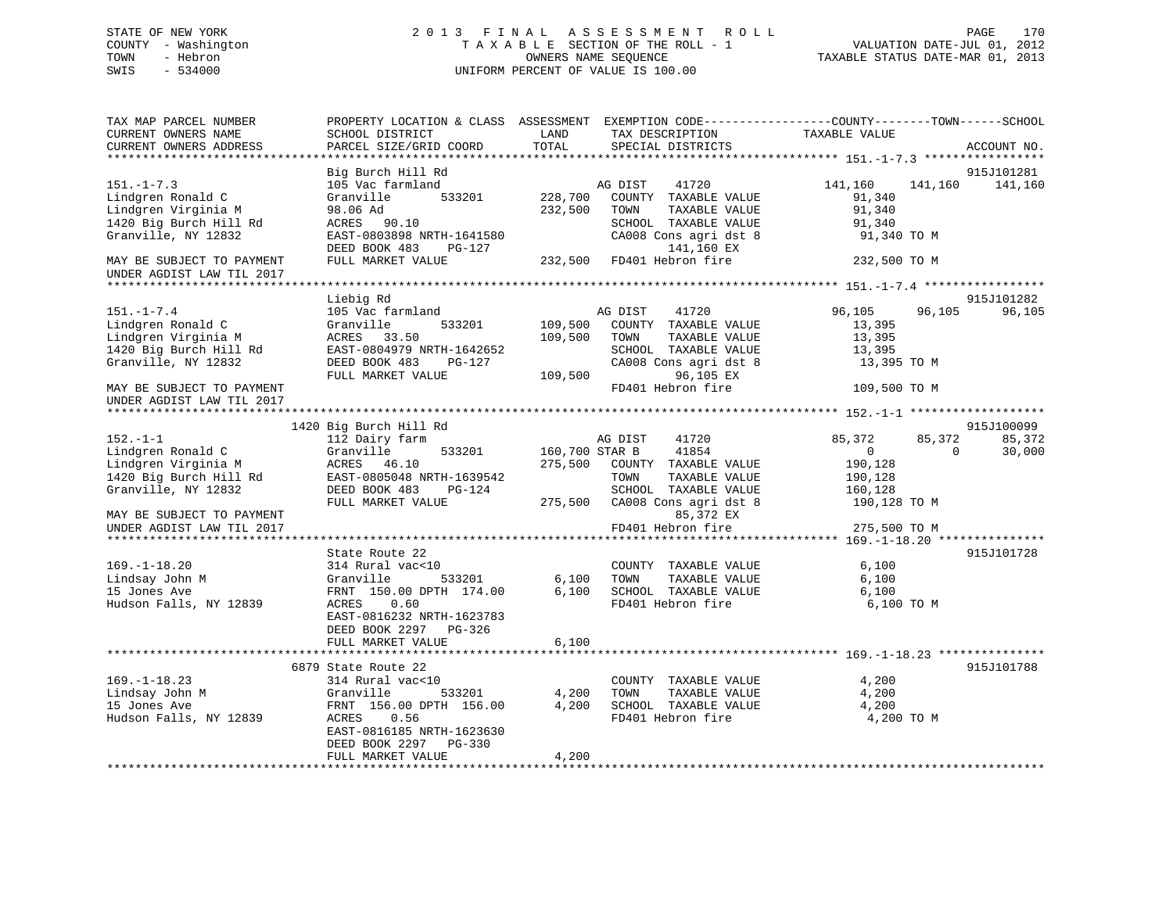# STATE OF NEW YORK 2 0 1 3 F I N A L A S S E S S M E N T R O L L PAGE 170 COUNTY - Washington T A X A B L E SECTION OF THE ROLL - 1 VALUATION DATE-JUL 01, 2012 TOWN - Hebron OWNERS NAME SEQUENCE TAXABLE STATUS DATE-MAR 01, 2013 SWIS - 534000 UNIFORM PERCENT OF VALUE IS 100.00

| TAX MAP PARCEL NUMBER<br>CURRENT OWNERS NAME<br>CURRENT OWNERS ADDRESS                                                                     | PROPERTY LOCATION & CLASS ASSESSMENT EXEMPTION CODE----------------COUNTY-------TOWN------SCHOOL<br>SCHOOL DISTRICT<br>PARCEL SIZE/GRID COORD                                            | LAND<br>TOTAL                 | TAX DESCRIPTION<br>SPECIAL DISTRICTS                                                                                                                 | TAXABLE VALUE                                                                                   | ACCOUNT NO.           |
|--------------------------------------------------------------------------------------------------------------------------------------------|------------------------------------------------------------------------------------------------------------------------------------------------------------------------------------------|-------------------------------|------------------------------------------------------------------------------------------------------------------------------------------------------|-------------------------------------------------------------------------------------------------|-----------------------|
|                                                                                                                                            |                                                                                                                                                                                          |                               |                                                                                                                                                      |                                                                                                 |                       |
| $151. - 1 - 7.3$<br>Lindgren Ronald C<br>Lindgren Virginia M<br>1420 Big Burch Hill Rd<br>Granville, NY 12832                              | Big Burch Hill Rd<br>105 Vac farmland<br>Granville<br>533201<br>98.06 Ad<br>ACRES 90.10<br>EAST-0803898 NRTH-1641580                                                                     | 228,700<br>232,500            | 41720<br>AG DIST<br>COUNTY TAXABLE VALUE<br>TOWN<br>TAXABLE VALUE<br>SCHOOL TAXABLE VALUE<br>CA008 Cons agri dst 8                                   | 141,160<br>141,160<br>91,340<br>91,340<br>91,340<br>91,340 TO M                                 | 915J101281<br>141,160 |
| MAY BE SUBJECT TO PAYMENT<br>UNDER AGDIST LAW TIL 2017                                                                                     | DEED BOOK 483<br>PG-127<br>FULL MARKET VALUE                                                                                                                                             |                               | 141,160 EX<br>232,500 FD401 Hebron fire                                                                                                              | 232,500 TO M                                                                                    |                       |
|                                                                                                                                            |                                                                                                                                                                                          |                               |                                                                                                                                                      |                                                                                                 |                       |
| $151. - 1 - 7.4$<br>Lindgren Ronald C<br>Lindgren Virginia M<br>1420 Big Burch Hill Rd<br>Granville, NY 12832<br>MAY BE SUBJECT TO PAYMENT | Liebig Rd<br>105 Vac farmland<br>533201<br>Granville<br>ACRES<br>33.50<br>EAST-0804979 NRTH-1642652<br>DEED BOOK 483<br>PG-127<br>FULL MARKET VALUE                                      | 109,500<br>109,500<br>109,500 | 41720<br>AG DIST<br>COUNTY TAXABLE VALUE<br>TOWN<br>TAXABLE VALUE<br>SCHOOL TAXABLE VALUE<br>CA008 Cons agri dst 8<br>96,105 EX<br>FD401 Hebron fire | 96,105<br>96,105<br>13,395<br>13,395<br>13,395<br>13,395 TO M<br>109,500 TO M                   | 915J101282<br>96,105  |
| UNDER AGDIST LAW TIL 2017                                                                                                                  |                                                                                                                                                                                          |                               |                                                                                                                                                      |                                                                                                 |                       |
|                                                                                                                                            |                                                                                                                                                                                          |                               |                                                                                                                                                      |                                                                                                 |                       |
|                                                                                                                                            | 1420 Big Burch Hill Rd                                                                                                                                                                   |                               |                                                                                                                                                      |                                                                                                 | 915J100099            |
| $152. - 1 - 1$<br>Lindgren Ronald C<br>Lindgren Virginia M<br>1420 Big Burch Hill Rd<br>Granville, NY 12832                                | 112 Dairy farm<br>Granville<br>533201<br>ACRES 46.10<br>EAST-0805048 NRTH-1639542<br>DEED BOOK 483<br>PG-124<br>FULL MARKET VALUE                                                        | 160,700 STAR B                | AG DIST<br>41720<br>41854<br>275,500 COUNTY TAXABLE VALUE<br>TOWN<br>TAXABLE VALUE<br>SCHOOL TAXABLE VALUE<br>275,500 CA008 Cons agri dst 8          | 85,372<br>85,372<br>$\overline{0}$<br>$\Omega$<br>190,128<br>190,128<br>160,128<br>190,128 TO M | 85,372<br>30,000      |
| MAY BE SUBJECT TO PAYMENT<br>UNDER AGDIST LAW TIL 2017                                                                                     |                                                                                                                                                                                          |                               | 85,372 EX<br>FD401 Hebron fire                                                                                                                       | 275,500 TO M                                                                                    |                       |
|                                                                                                                                            |                                                                                                                                                                                          |                               |                                                                                                                                                      | **************** 169. -1-18.20 **************                                                   |                       |
| $169. - 1 - 18.20$<br>Lindsay John M<br>15 Jones Ave<br>Hudson Falls, NY 12839                                                             | State Route 22<br>314 Rural vac<10<br>Granville<br>533201<br>FRNT 150.00 DPTH 174.00<br>ACRES<br>0.60<br>EAST-0816232 NRTH-1623783<br>DEED BOOK 2297<br>PG-326<br>FULL MARKET VALUE      | 6,100<br>6,100<br>6,100       | COUNTY TAXABLE VALUE<br>TOWN<br>TAXABLE VALUE<br>SCHOOL TAXABLE VALUE<br>FD401 Hebron fire                                                           | 6,100<br>6,100<br>6,100<br>6,100 TO M                                                           | 915J101728            |
|                                                                                                                                            |                                                                                                                                                                                          |                               |                                                                                                                                                      |                                                                                                 |                       |
| $169. - 1 - 18.23$<br>Lindsay John M<br>15 Jones Ave<br>Hudson Falls, NY 12839                                                             | 6879 State Route 22<br>314 Rural vac<10<br>533201<br>Granville<br>FRNT 156.00 DPTH 156.00<br>ACRES<br>0.56<br>EAST-0816185 NRTH-1623630<br>DEED BOOK 2297<br>PG-330<br>FULL MARKET VALUE | 4,200<br>4,200<br>4,200       | COUNTY TAXABLE VALUE<br>TAXABLE VALUE<br>TOWN<br>SCHOOL TAXABLE VALUE<br>FD401 Hebron fire                                                           | 4,200<br>4,200<br>4,200<br>4,200 TO M                                                           | 915J101788            |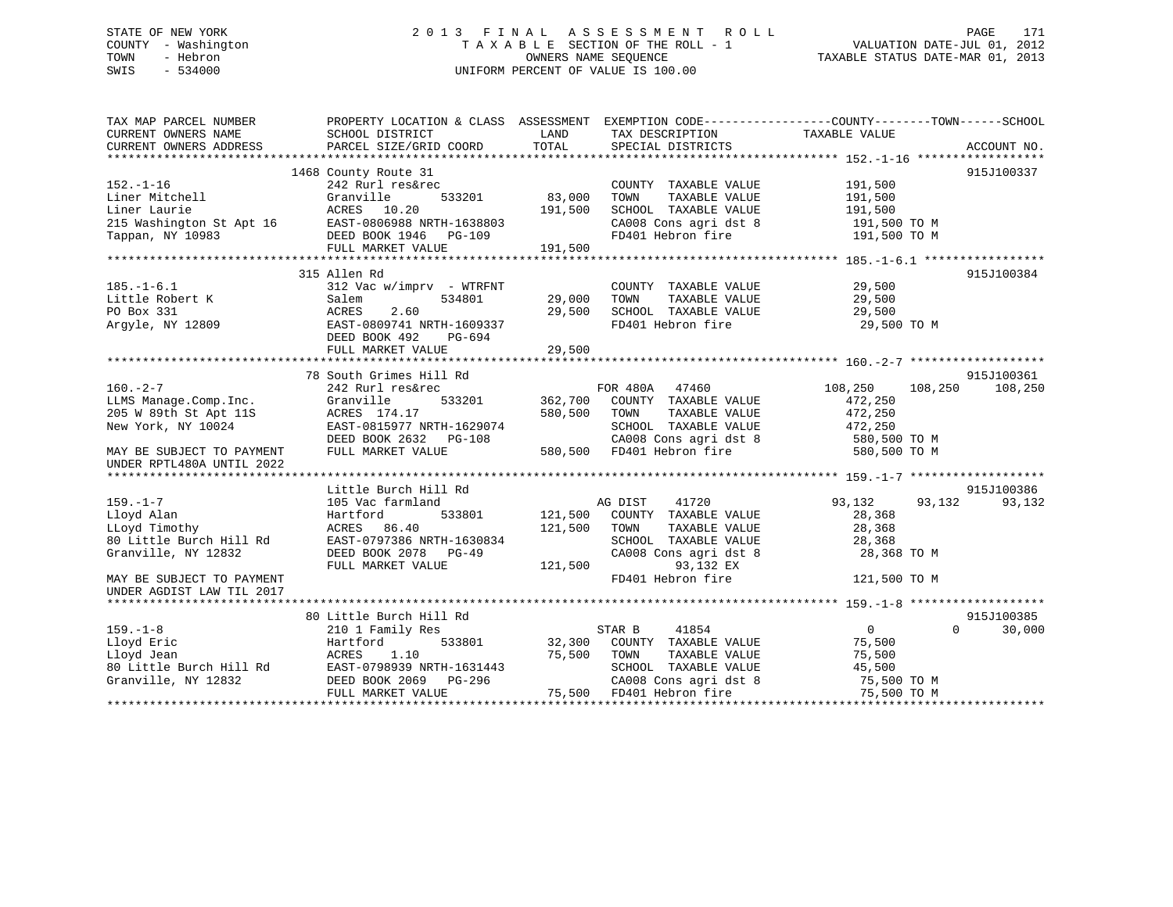# STATE OF NEW YORK 2 0 1 3 F I N A L A S S E S S M E N T R O L L PAGE 171 COUNTY - Washington T A X A B L E SECTION OF THE ROLL - 1 VALUATION DATE-JUL 01, 2012 TOWN - Hebron OWNERS NAME SEQUENCE TAXABLE STATUS DATE-MAR 01, 2013 SWIS - 534000 UNIFORM PERCENT OF VALUE IS 100.00

| ACCOUNT NO.<br>1468 County Route 31<br>915J100337<br>$152. - 1 - 16$<br>242 Rurl res&rec<br>COUNTY TAXABLE VALUE<br>191,500<br>Granville<br>533201<br>83,000<br>TAXABLE VALUE<br>Liner Mitchell<br>TOWN<br>191,500<br>191,500<br>Liner Laurie<br>ACRES 10.20<br>191,500<br>SCHOOL TAXABLE VALUE<br>SCHOOL Income.<br>CA008 Cons agri dst 8<br>191,500 TO M<br>191,500 TO M<br>191,500<br>FULL MARKET VALUE<br>915J100384<br>315 Allen Rd<br>312 Vac w/imprv - WTRFNT<br>29,500<br>$185. - 1 - 6.1$<br>COUNTY TAXABLE VALUE<br>Little Robert K<br>534801<br>29,000<br>TOWN<br>TAXABLE VALUE<br>29,500<br>Salem<br>PO Box 331<br>2.60<br>29,500<br>SCHOOL TAXABLE VALUE<br>29,500<br>ACRES<br>FD401 Hebron fire<br>Argyle, NY 12809<br>EAST-0809741 NRTH-1609337<br>29,500 TO M<br>DEED BOOK 492<br>PG-694<br>29,500<br>FULL MARKET VALUE<br>915J100361<br>78 South Grimes Hill Rd<br>FOR 480A 47460<br>$160. -2 - 7$<br>108,250<br>108,250<br>108,250<br>242 Rurl res&rec<br>533201 362,700 COUNTY TAXABLE VALUE<br>Granville<br>472,250<br>LLMS Manage.Comp.Inc.<br>205 W 89th St Apt 11S<br>472,250<br>ACRES 174.17<br>580,500<br>TOWN<br>TOWN      TAXABLE VALUE<br>SCHOOL   TAXABLE VALUE<br>472,250<br>EAST-0815977 NRTH-1629074<br>New York, NY 10024<br>DEED BOOK 2632 PG-108<br>CA008 Cons agri dst 8 580,500 TO M<br>%-108 CA008 Cons agri dst 8<br>580,500 FD401 Hebron fire<br>MAY BE SUBJECT TO PAYMENT<br>FULL MARKET VALUE<br>580,500 TO M<br>UNDER RPTL480A UNTIL 2022<br>915J100386<br>Little Burch Hill Rd<br>105 Vac farmland<br>AG DIST<br>41720<br>93,132<br>93,132<br>93,132<br>533801 121,500 COUNTY TAXABLE VALUE<br>Hartford<br>28,368<br>ACRES 86.40<br>121,500<br>TOWN<br>TAXABLE VALUE<br>28,368<br>EAST-0797386 NRTH-1630834<br>SCHOOL TAXABLE VALUE<br>28,368<br>CA008 Cons agri dst 8<br>28,368 TO M<br>DEED BOOK 2078 PG-49<br>121,500<br>93,132 EX<br>FULL MARKET VALUE<br>FD401 Hebron fire<br>121,500 TO M<br>915J100385<br>80 Little Burch Hill Rd<br>41854<br>$\overline{0}$<br>$\Omega$<br>30,000<br>STAR B<br>210 1 Family Res<br>533801<br>32,300 COUNTY TAXABLE VALUE<br>Hartford<br>75,500<br>ACRES<br>1.10<br>75,500<br>TOWN<br>TAXABLE VALUE<br>75,500<br>EAST-0798939 NRTH-1631443<br>SCHOOL TAXABLE VALUE<br>45,500<br>DEED BOOK 2069    PG-296<br>CA008 Cons agri dst 8<br>75,500 TO M<br>75,500 FD401 Hebron fire<br>FULL MARKET VALUE<br>75,500 TO M | TAX MAP PARCEL NUMBER<br>CURRENT OWNERS NAME | PROPERTY LOCATION & CLASS ASSESSMENT EXEMPTION CODE---------------COUNTY-------TOWN-----SCHOOL<br>SCHOOL DISTRICT | LAND  | TAX DESCRIPTION   | TAXABLE VALUE |  |
|-----------------------------------------------------------------------------------------------------------------------------------------------------------------------------------------------------------------------------------------------------------------------------------------------------------------------------------------------------------------------------------------------------------------------------------------------------------------------------------------------------------------------------------------------------------------------------------------------------------------------------------------------------------------------------------------------------------------------------------------------------------------------------------------------------------------------------------------------------------------------------------------------------------------------------------------------------------------------------------------------------------------------------------------------------------------------------------------------------------------------------------------------------------------------------------------------------------------------------------------------------------------------------------------------------------------------------------------------------------------------------------------------------------------------------------------------------------------------------------------------------------------------------------------------------------------------------------------------------------------------------------------------------------------------------------------------------------------------------------------------------------------------------------------------------------------------------------------------------------------------------------------------------------------------------------------------------------------------------------------------------------------------------------------------------------------------------------------------------------------------------------------------------------------------------------------------------------------------------------------------------------------------------------------------------------------------------------------------------------------------------------------------------|----------------------------------------------|-------------------------------------------------------------------------------------------------------------------|-------|-------------------|---------------|--|
|                                                                                                                                                                                                                                                                                                                                                                                                                                                                                                                                                                                                                                                                                                                                                                                                                                                                                                                                                                                                                                                                                                                                                                                                                                                                                                                                                                                                                                                                                                                                                                                                                                                                                                                                                                                                                                                                                                                                                                                                                                                                                                                                                                                                                                                                                                                                                                                                     | CURRENT OWNERS ADDRESS                       | PARCEL SIZE/GRID COORD                                                                                            | TOTAL | SPECIAL DISTRICTS |               |  |
|                                                                                                                                                                                                                                                                                                                                                                                                                                                                                                                                                                                                                                                                                                                                                                                                                                                                                                                                                                                                                                                                                                                                                                                                                                                                                                                                                                                                                                                                                                                                                                                                                                                                                                                                                                                                                                                                                                                                                                                                                                                                                                                                                                                                                                                                                                                                                                                                     |                                              |                                                                                                                   |       |                   |               |  |
|                                                                                                                                                                                                                                                                                                                                                                                                                                                                                                                                                                                                                                                                                                                                                                                                                                                                                                                                                                                                                                                                                                                                                                                                                                                                                                                                                                                                                                                                                                                                                                                                                                                                                                                                                                                                                                                                                                                                                                                                                                                                                                                                                                                                                                                                                                                                                                                                     |                                              |                                                                                                                   |       |                   |               |  |
|                                                                                                                                                                                                                                                                                                                                                                                                                                                                                                                                                                                                                                                                                                                                                                                                                                                                                                                                                                                                                                                                                                                                                                                                                                                                                                                                                                                                                                                                                                                                                                                                                                                                                                                                                                                                                                                                                                                                                                                                                                                                                                                                                                                                                                                                                                                                                                                                     |                                              |                                                                                                                   |       |                   |               |  |
|                                                                                                                                                                                                                                                                                                                                                                                                                                                                                                                                                                                                                                                                                                                                                                                                                                                                                                                                                                                                                                                                                                                                                                                                                                                                                                                                                                                                                                                                                                                                                                                                                                                                                                                                                                                                                                                                                                                                                                                                                                                                                                                                                                                                                                                                                                                                                                                                     |                                              |                                                                                                                   |       |                   |               |  |
|                                                                                                                                                                                                                                                                                                                                                                                                                                                                                                                                                                                                                                                                                                                                                                                                                                                                                                                                                                                                                                                                                                                                                                                                                                                                                                                                                                                                                                                                                                                                                                                                                                                                                                                                                                                                                                                                                                                                                                                                                                                                                                                                                                                                                                                                                                                                                                                                     |                                              |                                                                                                                   |       |                   |               |  |
|                                                                                                                                                                                                                                                                                                                                                                                                                                                                                                                                                                                                                                                                                                                                                                                                                                                                                                                                                                                                                                                                                                                                                                                                                                                                                                                                                                                                                                                                                                                                                                                                                                                                                                                                                                                                                                                                                                                                                                                                                                                                                                                                                                                                                                                                                                                                                                                                     |                                              |                                                                                                                   |       |                   |               |  |
|                                                                                                                                                                                                                                                                                                                                                                                                                                                                                                                                                                                                                                                                                                                                                                                                                                                                                                                                                                                                                                                                                                                                                                                                                                                                                                                                                                                                                                                                                                                                                                                                                                                                                                                                                                                                                                                                                                                                                                                                                                                                                                                                                                                                                                                                                                                                                                                                     |                                              |                                                                                                                   |       |                   |               |  |
|                                                                                                                                                                                                                                                                                                                                                                                                                                                                                                                                                                                                                                                                                                                                                                                                                                                                                                                                                                                                                                                                                                                                                                                                                                                                                                                                                                                                                                                                                                                                                                                                                                                                                                                                                                                                                                                                                                                                                                                                                                                                                                                                                                                                                                                                                                                                                                                                     |                                              |                                                                                                                   |       |                   |               |  |
|                                                                                                                                                                                                                                                                                                                                                                                                                                                                                                                                                                                                                                                                                                                                                                                                                                                                                                                                                                                                                                                                                                                                                                                                                                                                                                                                                                                                                                                                                                                                                                                                                                                                                                                                                                                                                                                                                                                                                                                                                                                                                                                                                                                                                                                                                                                                                                                                     |                                              |                                                                                                                   |       |                   |               |  |
|                                                                                                                                                                                                                                                                                                                                                                                                                                                                                                                                                                                                                                                                                                                                                                                                                                                                                                                                                                                                                                                                                                                                                                                                                                                                                                                                                                                                                                                                                                                                                                                                                                                                                                                                                                                                                                                                                                                                                                                                                                                                                                                                                                                                                                                                                                                                                                                                     |                                              |                                                                                                                   |       |                   |               |  |
|                                                                                                                                                                                                                                                                                                                                                                                                                                                                                                                                                                                                                                                                                                                                                                                                                                                                                                                                                                                                                                                                                                                                                                                                                                                                                                                                                                                                                                                                                                                                                                                                                                                                                                                                                                                                                                                                                                                                                                                                                                                                                                                                                                                                                                                                                                                                                                                                     |                                              |                                                                                                                   |       |                   |               |  |
|                                                                                                                                                                                                                                                                                                                                                                                                                                                                                                                                                                                                                                                                                                                                                                                                                                                                                                                                                                                                                                                                                                                                                                                                                                                                                                                                                                                                                                                                                                                                                                                                                                                                                                                                                                                                                                                                                                                                                                                                                                                                                                                                                                                                                                                                                                                                                                                                     |                                              |                                                                                                                   |       |                   |               |  |
|                                                                                                                                                                                                                                                                                                                                                                                                                                                                                                                                                                                                                                                                                                                                                                                                                                                                                                                                                                                                                                                                                                                                                                                                                                                                                                                                                                                                                                                                                                                                                                                                                                                                                                                                                                                                                                                                                                                                                                                                                                                                                                                                                                                                                                                                                                                                                                                                     |                                              |                                                                                                                   |       |                   |               |  |
|                                                                                                                                                                                                                                                                                                                                                                                                                                                                                                                                                                                                                                                                                                                                                                                                                                                                                                                                                                                                                                                                                                                                                                                                                                                                                                                                                                                                                                                                                                                                                                                                                                                                                                                                                                                                                                                                                                                                                                                                                                                                                                                                                                                                                                                                                                                                                                                                     |                                              |                                                                                                                   |       |                   |               |  |
|                                                                                                                                                                                                                                                                                                                                                                                                                                                                                                                                                                                                                                                                                                                                                                                                                                                                                                                                                                                                                                                                                                                                                                                                                                                                                                                                                                                                                                                                                                                                                                                                                                                                                                                                                                                                                                                                                                                                                                                                                                                                                                                                                                                                                                                                                                                                                                                                     |                                              |                                                                                                                   |       |                   |               |  |
|                                                                                                                                                                                                                                                                                                                                                                                                                                                                                                                                                                                                                                                                                                                                                                                                                                                                                                                                                                                                                                                                                                                                                                                                                                                                                                                                                                                                                                                                                                                                                                                                                                                                                                                                                                                                                                                                                                                                                                                                                                                                                                                                                                                                                                                                                                                                                                                                     |                                              |                                                                                                                   |       |                   |               |  |
|                                                                                                                                                                                                                                                                                                                                                                                                                                                                                                                                                                                                                                                                                                                                                                                                                                                                                                                                                                                                                                                                                                                                                                                                                                                                                                                                                                                                                                                                                                                                                                                                                                                                                                                                                                                                                                                                                                                                                                                                                                                                                                                                                                                                                                                                                                                                                                                                     |                                              |                                                                                                                   |       |                   |               |  |
|                                                                                                                                                                                                                                                                                                                                                                                                                                                                                                                                                                                                                                                                                                                                                                                                                                                                                                                                                                                                                                                                                                                                                                                                                                                                                                                                                                                                                                                                                                                                                                                                                                                                                                                                                                                                                                                                                                                                                                                                                                                                                                                                                                                                                                                                                                                                                                                                     |                                              |                                                                                                                   |       |                   |               |  |
|                                                                                                                                                                                                                                                                                                                                                                                                                                                                                                                                                                                                                                                                                                                                                                                                                                                                                                                                                                                                                                                                                                                                                                                                                                                                                                                                                                                                                                                                                                                                                                                                                                                                                                                                                                                                                                                                                                                                                                                                                                                                                                                                                                                                                                                                                                                                                                                                     |                                              |                                                                                                                   |       |                   |               |  |
|                                                                                                                                                                                                                                                                                                                                                                                                                                                                                                                                                                                                                                                                                                                                                                                                                                                                                                                                                                                                                                                                                                                                                                                                                                                                                                                                                                                                                                                                                                                                                                                                                                                                                                                                                                                                                                                                                                                                                                                                                                                                                                                                                                                                                                                                                                                                                                                                     |                                              |                                                                                                                   |       |                   |               |  |
|                                                                                                                                                                                                                                                                                                                                                                                                                                                                                                                                                                                                                                                                                                                                                                                                                                                                                                                                                                                                                                                                                                                                                                                                                                                                                                                                                                                                                                                                                                                                                                                                                                                                                                                                                                                                                                                                                                                                                                                                                                                                                                                                                                                                                                                                                                                                                                                                     |                                              |                                                                                                                   |       |                   |               |  |
|                                                                                                                                                                                                                                                                                                                                                                                                                                                                                                                                                                                                                                                                                                                                                                                                                                                                                                                                                                                                                                                                                                                                                                                                                                                                                                                                                                                                                                                                                                                                                                                                                                                                                                                                                                                                                                                                                                                                                                                                                                                                                                                                                                                                                                                                                                                                                                                                     |                                              |                                                                                                                   |       |                   |               |  |
|                                                                                                                                                                                                                                                                                                                                                                                                                                                                                                                                                                                                                                                                                                                                                                                                                                                                                                                                                                                                                                                                                                                                                                                                                                                                                                                                                                                                                                                                                                                                                                                                                                                                                                                                                                                                                                                                                                                                                                                                                                                                                                                                                                                                                                                                                                                                                                                                     |                                              |                                                                                                                   |       |                   |               |  |
|                                                                                                                                                                                                                                                                                                                                                                                                                                                                                                                                                                                                                                                                                                                                                                                                                                                                                                                                                                                                                                                                                                                                                                                                                                                                                                                                                                                                                                                                                                                                                                                                                                                                                                                                                                                                                                                                                                                                                                                                                                                                                                                                                                                                                                                                                                                                                                                                     |                                              |                                                                                                                   |       |                   |               |  |
|                                                                                                                                                                                                                                                                                                                                                                                                                                                                                                                                                                                                                                                                                                                                                                                                                                                                                                                                                                                                                                                                                                                                                                                                                                                                                                                                                                                                                                                                                                                                                                                                                                                                                                                                                                                                                                                                                                                                                                                                                                                                                                                                                                                                                                                                                                                                                                                                     |                                              |                                                                                                                   |       |                   |               |  |
|                                                                                                                                                                                                                                                                                                                                                                                                                                                                                                                                                                                                                                                                                                                                                                                                                                                                                                                                                                                                                                                                                                                                                                                                                                                                                                                                                                                                                                                                                                                                                                                                                                                                                                                                                                                                                                                                                                                                                                                                                                                                                                                                                                                                                                                                                                                                                                                                     |                                              |                                                                                                                   |       |                   |               |  |
|                                                                                                                                                                                                                                                                                                                                                                                                                                                                                                                                                                                                                                                                                                                                                                                                                                                                                                                                                                                                                                                                                                                                                                                                                                                                                                                                                                                                                                                                                                                                                                                                                                                                                                                                                                                                                                                                                                                                                                                                                                                                                                                                                                                                                                                                                                                                                                                                     | $159. - 1 - 7$                               |                                                                                                                   |       |                   |               |  |
|                                                                                                                                                                                                                                                                                                                                                                                                                                                                                                                                                                                                                                                                                                                                                                                                                                                                                                                                                                                                                                                                                                                                                                                                                                                                                                                                                                                                                                                                                                                                                                                                                                                                                                                                                                                                                                                                                                                                                                                                                                                                                                                                                                                                                                                                                                                                                                                                     | Lloyd Alan                                   |                                                                                                                   |       |                   |               |  |
|                                                                                                                                                                                                                                                                                                                                                                                                                                                                                                                                                                                                                                                                                                                                                                                                                                                                                                                                                                                                                                                                                                                                                                                                                                                                                                                                                                                                                                                                                                                                                                                                                                                                                                                                                                                                                                                                                                                                                                                                                                                                                                                                                                                                                                                                                                                                                                                                     | LLoyd Timothy                                |                                                                                                                   |       |                   |               |  |
|                                                                                                                                                                                                                                                                                                                                                                                                                                                                                                                                                                                                                                                                                                                                                                                                                                                                                                                                                                                                                                                                                                                                                                                                                                                                                                                                                                                                                                                                                                                                                                                                                                                                                                                                                                                                                                                                                                                                                                                                                                                                                                                                                                                                                                                                                                                                                                                                     | 80 Little Burch Hill Rd                      |                                                                                                                   |       |                   |               |  |
|                                                                                                                                                                                                                                                                                                                                                                                                                                                                                                                                                                                                                                                                                                                                                                                                                                                                                                                                                                                                                                                                                                                                                                                                                                                                                                                                                                                                                                                                                                                                                                                                                                                                                                                                                                                                                                                                                                                                                                                                                                                                                                                                                                                                                                                                                                                                                                                                     | Granville, NY 12832                          |                                                                                                                   |       |                   |               |  |
|                                                                                                                                                                                                                                                                                                                                                                                                                                                                                                                                                                                                                                                                                                                                                                                                                                                                                                                                                                                                                                                                                                                                                                                                                                                                                                                                                                                                                                                                                                                                                                                                                                                                                                                                                                                                                                                                                                                                                                                                                                                                                                                                                                                                                                                                                                                                                                                                     |                                              |                                                                                                                   |       |                   |               |  |
|                                                                                                                                                                                                                                                                                                                                                                                                                                                                                                                                                                                                                                                                                                                                                                                                                                                                                                                                                                                                                                                                                                                                                                                                                                                                                                                                                                                                                                                                                                                                                                                                                                                                                                                                                                                                                                                                                                                                                                                                                                                                                                                                                                                                                                                                                                                                                                                                     | MAY BE SUBJECT TO PAYMENT                    |                                                                                                                   |       |                   |               |  |
|                                                                                                                                                                                                                                                                                                                                                                                                                                                                                                                                                                                                                                                                                                                                                                                                                                                                                                                                                                                                                                                                                                                                                                                                                                                                                                                                                                                                                                                                                                                                                                                                                                                                                                                                                                                                                                                                                                                                                                                                                                                                                                                                                                                                                                                                                                                                                                                                     | UNDER AGDIST LAW TIL 2017                    |                                                                                                                   |       |                   |               |  |
|                                                                                                                                                                                                                                                                                                                                                                                                                                                                                                                                                                                                                                                                                                                                                                                                                                                                                                                                                                                                                                                                                                                                                                                                                                                                                                                                                                                                                                                                                                                                                                                                                                                                                                                                                                                                                                                                                                                                                                                                                                                                                                                                                                                                                                                                                                                                                                                                     |                                              |                                                                                                                   |       |                   |               |  |
|                                                                                                                                                                                                                                                                                                                                                                                                                                                                                                                                                                                                                                                                                                                                                                                                                                                                                                                                                                                                                                                                                                                                                                                                                                                                                                                                                                                                                                                                                                                                                                                                                                                                                                                                                                                                                                                                                                                                                                                                                                                                                                                                                                                                                                                                                                                                                                                                     |                                              |                                                                                                                   |       |                   |               |  |
|                                                                                                                                                                                                                                                                                                                                                                                                                                                                                                                                                                                                                                                                                                                                                                                                                                                                                                                                                                                                                                                                                                                                                                                                                                                                                                                                                                                                                                                                                                                                                                                                                                                                                                                                                                                                                                                                                                                                                                                                                                                                                                                                                                                                                                                                                                                                                                                                     | $159. - 1 - 8$                               |                                                                                                                   |       |                   |               |  |
|                                                                                                                                                                                                                                                                                                                                                                                                                                                                                                                                                                                                                                                                                                                                                                                                                                                                                                                                                                                                                                                                                                                                                                                                                                                                                                                                                                                                                                                                                                                                                                                                                                                                                                                                                                                                                                                                                                                                                                                                                                                                                                                                                                                                                                                                                                                                                                                                     | Lloyd Eric                                   |                                                                                                                   |       |                   |               |  |
|                                                                                                                                                                                                                                                                                                                                                                                                                                                                                                                                                                                                                                                                                                                                                                                                                                                                                                                                                                                                                                                                                                                                                                                                                                                                                                                                                                                                                                                                                                                                                                                                                                                                                                                                                                                                                                                                                                                                                                                                                                                                                                                                                                                                                                                                                                                                                                                                     | Lloyd Jean                                   |                                                                                                                   |       |                   |               |  |
|                                                                                                                                                                                                                                                                                                                                                                                                                                                                                                                                                                                                                                                                                                                                                                                                                                                                                                                                                                                                                                                                                                                                                                                                                                                                                                                                                                                                                                                                                                                                                                                                                                                                                                                                                                                                                                                                                                                                                                                                                                                                                                                                                                                                                                                                                                                                                                                                     | 80 Little Burch Hill Rd                      |                                                                                                                   |       |                   |               |  |
|                                                                                                                                                                                                                                                                                                                                                                                                                                                                                                                                                                                                                                                                                                                                                                                                                                                                                                                                                                                                                                                                                                                                                                                                                                                                                                                                                                                                                                                                                                                                                                                                                                                                                                                                                                                                                                                                                                                                                                                                                                                                                                                                                                                                                                                                                                                                                                                                     | Granville, NY 12832                          |                                                                                                                   |       |                   |               |  |
|                                                                                                                                                                                                                                                                                                                                                                                                                                                                                                                                                                                                                                                                                                                                                                                                                                                                                                                                                                                                                                                                                                                                                                                                                                                                                                                                                                                                                                                                                                                                                                                                                                                                                                                                                                                                                                                                                                                                                                                                                                                                                                                                                                                                                                                                                                                                                                                                     |                                              |                                                                                                                   |       |                   |               |  |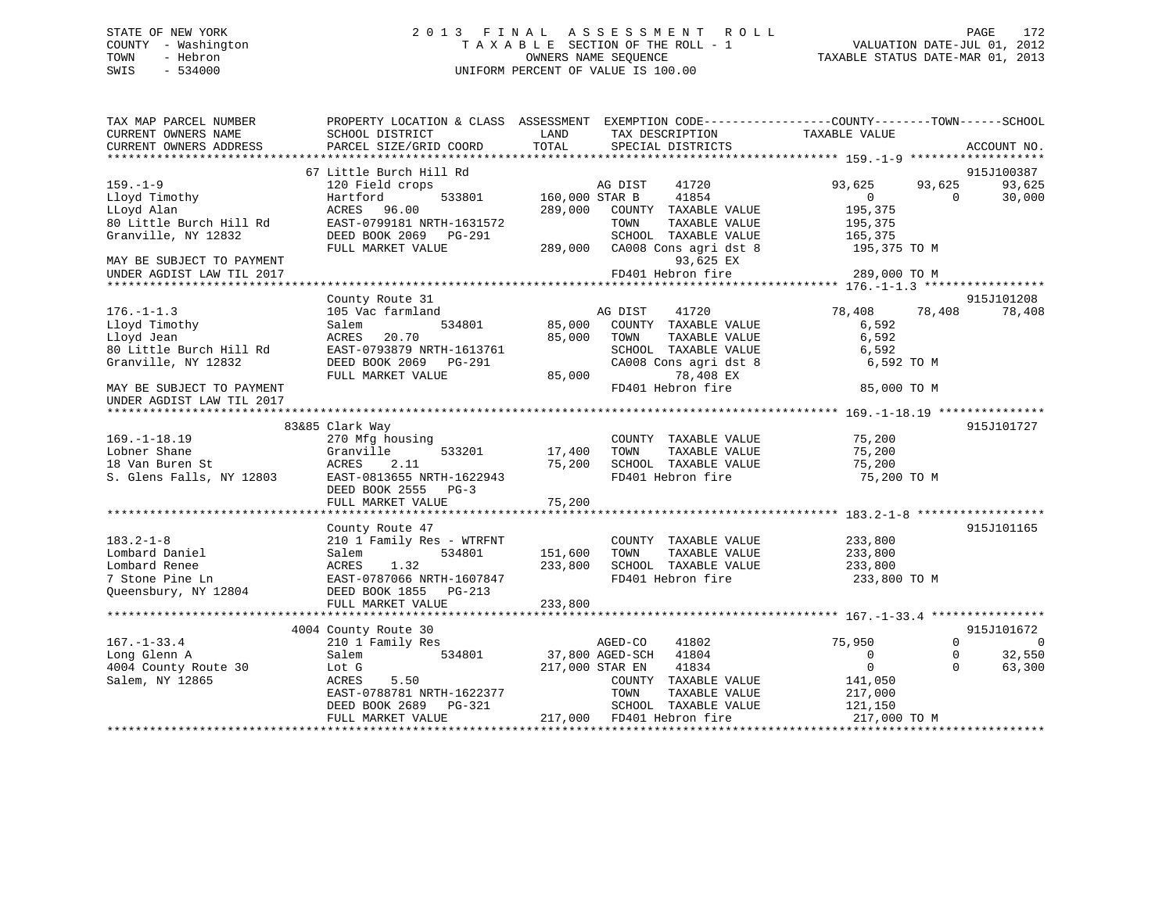# STATE OF NEW YORK 2 0 1 3 F I N A L A S S E S S M E N T R O L L PAGE 172 COUNTY - Washington T A X A B L E SECTION OF THE ROLL - 1 VALUATION DATE-JUL 01, 2012 TOWN - Hebron OWNERS NAME SEQUENCE TAXABLE STATUS DATE-MAR 01, 2013 SWIS - 534000 UNIFORM PERCENT OF VALUE IS 100.00

| TAX MAP PARCEL NUMBER     |                           |                |                               | PROPERTY LOCATION & CLASS ASSESSMENT EXEMPTION CODE----------------COUNTY-------TOWN------SCHOOL |                            |
|---------------------------|---------------------------|----------------|-------------------------------|--------------------------------------------------------------------------------------------------|----------------------------|
| CURRENT OWNERS NAME       | SCHOOL DISTRICT           | LAND           | TAX DESCRIPTION               | TAXABLE VALUE                                                                                    |                            |
| CURRENT OWNERS ADDRESS    | PARCEL SIZE/GRID COORD    | TOTAL          | SPECIAL DISTRICTS             |                                                                                                  | ACCOUNT NO.                |
|                           |                           |                |                               |                                                                                                  |                            |
|                           | 67 Little Burch Hill Rd   |                |                               |                                                                                                  | 915J100387                 |
| $159. - 1 - 9$            | 120 Field crops           |                | AG DIST<br>41720              | 93,625                                                                                           | 93,625<br>93,625           |
| Lloyd Timothy             | 533801<br>Hartford        | 160,000 STAR B | 41854                         | $\overline{0}$                                                                                   | $\Omega$<br>30,000         |
| LLoyd Alan                | ACRES 96.00               | 289,000        | COUNTY TAXABLE VALUE          | 195,375                                                                                          |                            |
| 80 Little Burch Hill Rd   | EAST-0799181 NRTH-1631572 |                | TOWN<br>TAXABLE VALUE         | 195,375                                                                                          |                            |
| Granville, NY 12832       | DEED BOOK 2069 PG-291     |                | SCHOOL TAXABLE VALUE          | $\frac{1}{165}$ , 375                                                                            |                            |
|                           | FULL MARKET VALUE         |                | 289,000 CA008 Cons agri dst 8 | 195,375 TO M                                                                                     |                            |
| MAY BE SUBJECT TO PAYMENT |                           |                | 93,625 EX                     |                                                                                                  |                            |
| UNDER AGDIST LAW TIL 2017 |                           |                | FD401 Hebron fire             | 289,000 TO M                                                                                     |                            |
|                           |                           |                |                               |                                                                                                  |                            |
|                           | County Route 31           |                |                               |                                                                                                  | 915J101208                 |
| $176. - 1 - 1.3$          | 105 Vac farmland          |                | AG DIST<br>41720              | 78,408<br>78,408                                                                                 | 78,408                     |
| Lloyd Timothy             | 534801<br>Salem           | 85,000         | COUNTY TAXABLE VALUE          | 6,592                                                                                            |                            |
| Lloyd Jean                | ACRES<br>20.70            | 85,000         | TAXABLE VALUE<br>TOWN         | 6,592                                                                                            |                            |
| 80 Little Burch Hill Rd   | EAST-0793879 NRTH-1613761 |                | SCHOOL TAXABLE VALUE          | 6,592                                                                                            |                            |
| Granville, NY 12832       | DEED BOOK 2069 PG-291     |                | CA008 Cons agri dst 8         | 6,592 ТО М                                                                                       |                            |
|                           | FULL MARKET VALUE         | 85,000         | 78,408 EX                     |                                                                                                  |                            |
| MAY BE SUBJECT TO PAYMENT |                           |                | FD401 Hebron fire             | 85,000 TO M                                                                                      |                            |
| UNDER AGDIST LAW TIL 2017 |                           |                |                               |                                                                                                  |                            |
|                           |                           |                |                               |                                                                                                  |                            |
|                           | 83&85 Clark Way           |                |                               |                                                                                                  | 915J101727                 |
| $169. - 1 - 18.19$        | 270 Mfg housing           |                | COUNTY TAXABLE VALUE          | 75,200                                                                                           |                            |
| Lobner Shane              | Granville<br>533201       | 17,400         | TAXABLE VALUE<br>TOWN         | 75,200                                                                                           |                            |
|                           |                           | 75,200         | SCHOOL TAXABLE VALUE          | 75,200                                                                                           |                            |
|                           |                           |                | FD401 Hebron fire             | 75,200 TO M                                                                                      |                            |
|                           | DEED BOOK 2555 PG-3       |                |                               |                                                                                                  |                            |
|                           |                           |                |                               |                                                                                                  |                            |
|                           |                           |                |                               |                                                                                                  |                            |
|                           | County Route 47           |                |                               |                                                                                                  | 915J101165                 |
| $183.2 - 1 - 8$           | 210 1 Family Res - WTRFNT |                | COUNTY TAXABLE VALUE          | 233,800                                                                                          |                            |
| Lombard Daniel            | 534801<br>Salem           | 151,600        | TAXABLE VALUE<br>TOWN         | 233,800                                                                                          |                            |
| Lombard Renee             | ACRES<br>1.32             | 233,800        | SCHOOL TAXABLE VALUE          | 233,800                                                                                          |                            |
| 7 Stone Pine Ln           | EAST-0787066 NRTH-1607847 |                | FD401 Hebron fire             | 233,800 TO M                                                                                     |                            |
| Queensbury, NY 12804      | DEED BOOK 1855 PG-213     |                |                               |                                                                                                  |                            |
|                           | FULL MARKET VALUE         | 233,800        |                               |                                                                                                  |                            |
|                           |                           |                |                               |                                                                                                  |                            |
|                           | 4004 County Route 30      |                |                               |                                                                                                  | 915J101672                 |
| $167. - 1 - 33.4$         | 210 1 Family Res          |                | AGED-CO<br>41802              | 75,950                                                                                           | $\Omega$<br>$\overline{0}$ |
| Long Glenn A              | 534801<br>Salem           |                | 37,800 AGED-SCH<br>41804      | $\Omega$                                                                                         | 32,550<br>$\mathbf 0$      |
| 4004 County Route 30      | Lot G                     |                | 41834<br>217,000 STAR EN      | $\mathbf 0$                                                                                      | $\Omega$<br>63,300         |
| Salem, NY 12865           | ACRES<br>5.50             |                | COUNTY TAXABLE VALUE          | 141,050                                                                                          |                            |
|                           | EAST-0788781 NRTH-1622377 |                | TOWN<br>TAXABLE VALUE         | 217,000                                                                                          |                            |
|                           | DEED BOOK 2689 PG-321     |                | SCHOOL TAXABLE VALUE          | 121,150                                                                                          |                            |
|                           | FULL MARKET VALUE         |                | 217,000 FD401 Hebron fire     | 217,000 TO M                                                                                     |                            |
|                           |                           |                |                               |                                                                                                  |                            |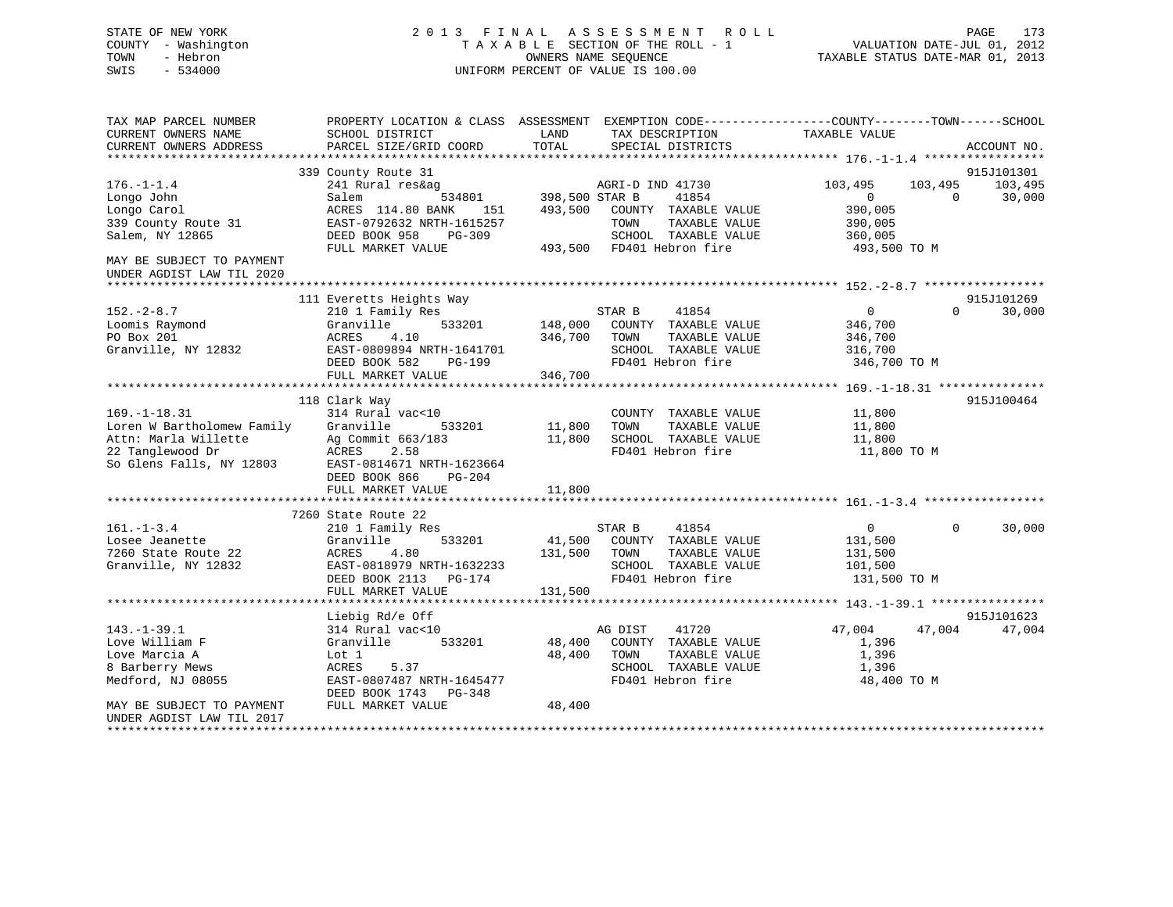# STATE OF NEW YORK 2 0 1 3 F I N A L A S S E S S M E N T R O L L PAGE 173 COUNTY - Washington T A X A B L E SECTION OF THE ROLL - 1 VALUATION DATE-JUL 01, 2012 TOWN - Hebron OWNERS NAME SEQUENCE TAXABLE STATUS DATE-MAR 01, 2013 SWIS - 534000 UNIFORM PERCENT OF VALUE IS 100.00

| TAX MAP PARCEL NUMBER<br>CURRENT OWNERS NAME<br>CURRENT OWNERS ADDRESS                                                   | PROPERTY LOCATION & CLASS ASSESSMENT<br>SCHOOL DISTRICT<br>PARCEL SIZE/GRID COORD                                                                                           | LAND<br>TAX DESCRIPTION<br>TOTAL<br>SPECIAL DISTRICTS                                                                                                           | EXEMPTION CODE-----------------COUNTY-------TOWN------SCHOOL<br>TAXABLE VALUE<br>ACCOUNT NO.                                   |
|--------------------------------------------------------------------------------------------------------------------------|-----------------------------------------------------------------------------------------------------------------------------------------------------------------------------|-----------------------------------------------------------------------------------------------------------------------------------------------------------------|--------------------------------------------------------------------------------------------------------------------------------|
| $176. - 1 - 1.4$<br>Longo John<br>Longo Carol<br>339 County Route 31<br>Salem, NY 12865<br>MAY BE SUBJECT TO PAYMENT     | 339 County Route 31<br>241 Rural res&ag<br>534801<br>Salem<br>ACRES 114.80 BANK<br>151<br>EAST-0792632 NRTH-1615257<br>DEED BOOK 958<br>$PG-309$<br>FULL MARKET VALUE       | AGRI-D IND 41730<br>398,500 STAR B<br>41854<br>493,500<br>COUNTY TAXABLE VALUE<br>TOWN<br>TAXABLE VALUE<br>SCHOOL TAXABLE VALUE<br>FD401 Hebron fire<br>493,500 | 915J101301<br>103,495<br>103,495<br>103,495<br>30,000<br>$\Omega$<br>$\Omega$<br>390,005<br>390,005<br>360,005<br>493,500 TO M |
| UNDER AGDIST LAW TIL 2020                                                                                                |                                                                                                                                                                             |                                                                                                                                                                 |                                                                                                                                |
| $152 - 2 - 8.7$<br>Loomis Raymond<br>PO Box 201<br>Granville, NY 12832                                                   | 111 Everetts Heights Way<br>210 1 Family Res<br>Granville<br>533201<br>ACRES<br>4.10<br>EAST-0809894 NRTH-1641701<br>DEED BOOK 582<br>PG-199<br>FULL MARKET VALUE           | STAR B<br>41854<br>148,000<br>COUNTY TAXABLE VALUE<br>TAXABLE VALUE<br>346,700<br>TOWN<br>SCHOOL TAXABLE VALUE<br>FD401 Hebron fire<br>346,700                  | 915J101269<br>$\overline{0}$<br>$\Omega$<br>30,000<br>346,700<br>346,700<br>316,700<br>346,700 TO M                            |
|                                                                                                                          |                                                                                                                                                                             |                                                                                                                                                                 |                                                                                                                                |
| $169. - 1 - 18.31$<br>Loren W Bartholomew Family<br>Attn: Marla Willette<br>22 Tanglewood Dr<br>So Glens Falls, NY 12803 | 118 Clark Way<br>314 Rural vac<10<br>Granville<br>533201<br>Ag Commit 663/183<br>2.58<br>ACRES<br>EAST-0814671 NRTH-1623664<br>DEED BOOK 866<br>PG-204<br>FULL MARKET VALUE | COUNTY TAXABLE VALUE<br>11,800<br>TOWN<br>TAXABLE VALUE<br>11,800<br>SCHOOL TAXABLE VALUE<br>FD401 Hebron fire<br>11,800                                        | 915J100464<br>11,800<br>11,800<br>11,800<br>11,800 TO M                                                                        |
|                                                                                                                          |                                                                                                                                                                             |                                                                                                                                                                 |                                                                                                                                |
| $161. - 1 - 3.4$<br>Losee Jeanette<br>7260 State Route 22<br>Granville, NY 12832                                         | 7260 State Route 22<br>210 1 Family Res<br>Granville<br>533201<br>ACRES<br>4.80<br>EAST-0818979 NRTH-1632233<br>DEED BOOK 2113<br>PG-174                                    | STAR B<br>41854<br>41,500<br>COUNTY TAXABLE VALUE<br>131,500<br>TAXABLE VALUE<br>TOWN<br>SCHOOL TAXABLE VALUE<br>FD401 Hebron fire                              | 30,000<br>$\overline{0}$<br>$\Omega$<br>131,500<br>131,500<br>101,500<br>131,500 TO M                                          |
|                                                                                                                          | FULL MARKET VALUE                                                                                                                                                           | 131,500                                                                                                                                                         |                                                                                                                                |
| $143. - 1 - 39.1$<br>Love William F<br>Love Marcia A<br>8 Barberry Mews<br>Medford, NJ 08055                             | Liebig Rd/e Off<br>314 Rural vac<10<br>533201<br>Granville<br>Lot 1<br>5.37<br>ACRES<br>EAST-0807487 NRTH-1645477<br>DEED BOOK 1743 PG-348                                  | AG DIST<br>41720<br>COUNTY TAXABLE VALUE<br>48,400<br>48,400<br>TAXABLE VALUE<br>TOWN<br>SCHOOL TAXABLE VALUE<br>FD401 Hebron fire                              | 915J101623<br>47,004<br>47,004<br>47,004<br>1,396<br>1,396<br>1,396<br>48,400 TO M                                             |
| MAY BE SUBJECT TO PAYMENT<br>UNDER AGDIST LAW TIL 2017                                                                   | FULL MARKET VALUE                                                                                                                                                           | 48,400                                                                                                                                                          |                                                                                                                                |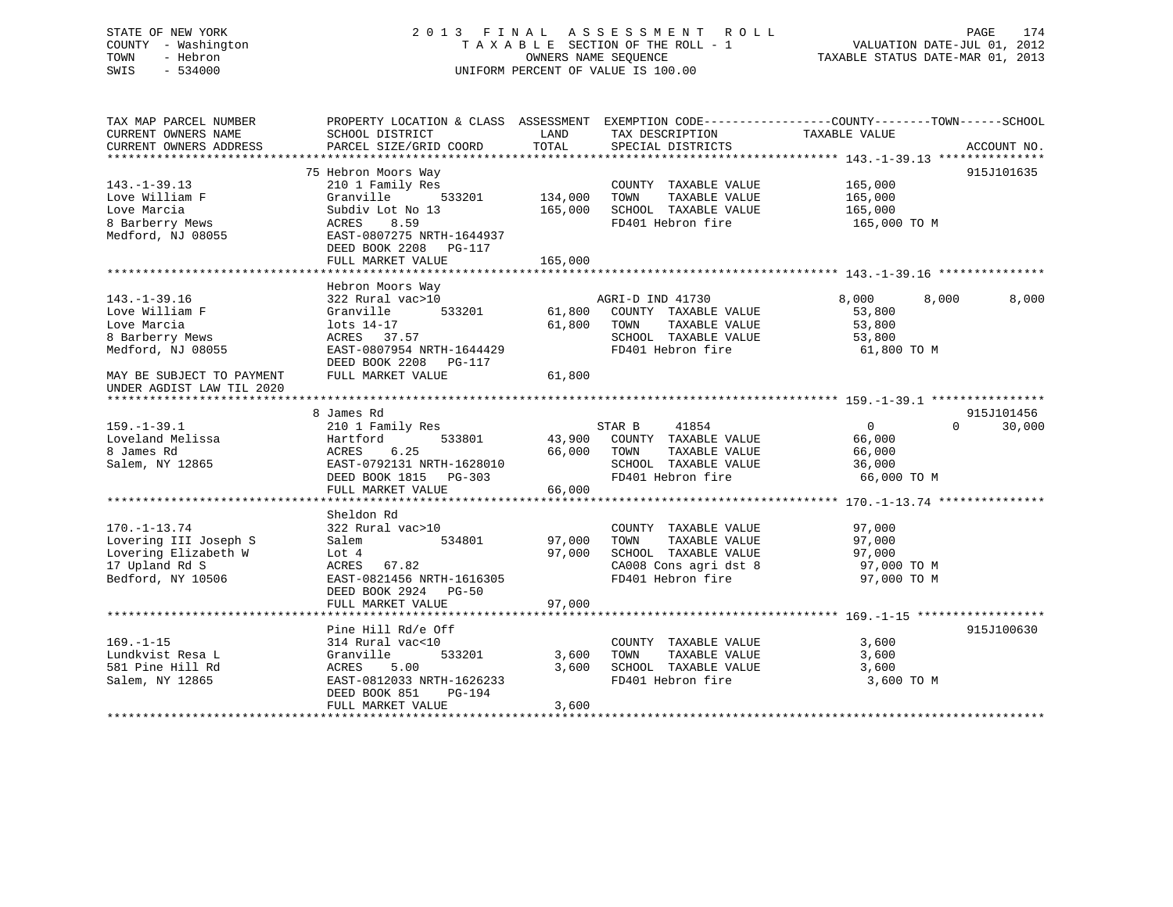# STATE OF NEW YORK 2 0 1 3 F I N A L A S S E S S M E N T R O L L PAGE 174 COUNTY - Washington T A X A B L E SECTION OF THE ROLL - 1 VALUATION DATE-JUL 01, 2012 TOWN - Hebron OWNERS NAME SEQUENCE TAXABLE STATUS DATE-MAR 01, 2013 SWIS - 534000 UNIFORM PERCENT OF VALUE IS 100.00

| TAX MAP PARCEL NUMBER<br>CURRENT OWNERS NAME | SCHOOL DISTRICT           | LAND          | TAX DESCRIPTION             | PROPERTY LOCATION & CLASS ASSESSMENT EXEMPTION CODE----------------COUNTY-------TOWN------SCHOOL<br>TAXABLE VALUE |
|----------------------------------------------|---------------------------|---------------|-----------------------------|-------------------------------------------------------------------------------------------------------------------|
| CURRENT OWNERS ADDRESS                       | PARCEL SIZE/GRID COORD    | TOTAL         | SPECIAL DISTRICTS           | ACCOUNT NO.                                                                                                       |
|                                              |                           |               |                             |                                                                                                                   |
|                                              | 75 Hebron Moors Way       |               |                             | 915J101635                                                                                                        |
| $143. - 1 - 39.13$                           | 210 1 Family Res          |               | COUNTY TAXABLE VALUE        | 165,000                                                                                                           |
| Love William F                               | Granville<br>533201       | 134,000       | TOWN<br>TAXABLE VALUE       | 165,000                                                                                                           |
| Love Marcia                                  | Subdiv Lot No 13          | 165,000       | SCHOOL TAXABLE VALUE        | 165,000                                                                                                           |
| 8 Barberry Mews                              | 8.59<br>ACRES             |               | FD401 Hebron fire           | 165,000 TO M                                                                                                      |
| Medford, NJ 08055                            | EAST-0807275 NRTH-1644937 |               |                             |                                                                                                                   |
|                                              | DEED BOOK 2208 PG-117     |               |                             |                                                                                                                   |
|                                              | FULL MARKET VALUE         | 165,000       |                             |                                                                                                                   |
|                                              |                           |               |                             |                                                                                                                   |
|                                              | Hebron Moors Way          |               |                             |                                                                                                                   |
| $143. - 1 - 39.16$                           | 322 Rural vac>10          |               | AGRI-D IND 41730            | 8,000<br>8,000<br>8,000                                                                                           |
| Love William F                               | Granville                 | 533201 61,800 | COUNTY TAXABLE VALUE        | 53,800                                                                                                            |
| Love Marcia                                  | lots 14-17                | 61,800        | TOWN<br>TAXABLE VALUE       | 53,800                                                                                                            |
| 8 Barberry Mews                              | ACRES 37.57               |               | SCHOOL TAXABLE VALUE        | 53,800                                                                                                            |
| Medford, NJ 08055                            | EAST-0807954 NRTH-1644429 |               | FD401 Hebron fire           | 61,800 TO M                                                                                                       |
|                                              | DEED BOOK 2208 PG-117     |               |                             |                                                                                                                   |
| MAY BE SUBJECT TO PAYMENT                    | FULL MARKET VALUE         | 61,800        |                             |                                                                                                                   |
| UNDER AGDIST LAW TIL 2020                    |                           |               |                             |                                                                                                                   |
|                                              |                           |               |                             |                                                                                                                   |
|                                              | 8 James Rd                |               |                             | 915J101456                                                                                                        |
| $159. - 1 - 39.1$                            | 210 1 Family Res          |               | 41854<br>STAR B             | $\overline{0}$<br>$\Omega$<br>30,000                                                                              |
| Loveland Melissa                             | 533801<br>Hartford        |               | 43,900 COUNTY TAXABLE VALUE | 66,000                                                                                                            |
| 8 James Rd                                   | ACRES<br>6.25             | 66,000        | TOWN<br>TAXABLE VALUE       | 66,000                                                                                                            |
| Salem, NY 12865                              | EAST-0792131 NRTH-1628010 |               | SCHOOL TAXABLE VALUE        | 36,000                                                                                                            |
|                                              | DEED BOOK 1815 PG-303     |               | FD401 Hebron fire           | 66,000 TO M                                                                                                       |
|                                              | FULL MARKET VALUE         | 66,000        |                             |                                                                                                                   |
|                                              |                           |               |                             |                                                                                                                   |
|                                              | Sheldon Rd                |               |                             |                                                                                                                   |
| $170. - 1 - 13.74$                           | 322 Rural vac>10          |               | COUNTY TAXABLE VALUE        | 97,000                                                                                                            |
| Lovering III Joseph S                        | 534801<br>Salem           | 97,000        | TAXABLE VALUE<br>TOWN       | 97,000                                                                                                            |
| Lovering Elizabeth W                         | Lot 4                     | 97,000        | SCHOOL TAXABLE VALUE        | 97,000                                                                                                            |
| 17 Upland Rd S                               | ACRES 67.82               |               | CA008 Cons agri dst 8       | 97,000 TO M                                                                                                       |
| Bedford, NY 10506                            | EAST-0821456 NRTH-1616305 |               | FD401 Hebron fire           | 97,000 TO M                                                                                                       |
|                                              | DEED BOOK 2924 PG-50      |               |                             |                                                                                                                   |
|                                              | FULL MARKET VALUE         | 97,000        |                             |                                                                                                                   |
|                                              |                           |               |                             |                                                                                                                   |
|                                              | Pine Hill Rd/e Off        |               |                             | 915J100630                                                                                                        |
| $169. - 1 - 15$                              | 314 Rural vac<10          |               | COUNTY TAXABLE VALUE        | 3,600                                                                                                             |
| Lundkvist Resa L                             | 533201<br>Granville       | 3,600         | TOWN<br>TAXABLE VALUE       | 3,600                                                                                                             |
| 581 Pine Hill Rd                             | ACRES<br>5.00             | 3,600         | SCHOOL TAXABLE VALUE        | 3,600                                                                                                             |
| Salem, NY 12865                              | EAST-0812033 NRTH-1626233 |               | FD401 Hebron fire           | 3,600 TO M                                                                                                        |
|                                              | DEED BOOK 851<br>PG-194   |               |                             |                                                                                                                   |
|                                              | FULL MARKET VALUE         | 3,600         |                             |                                                                                                                   |
|                                              |                           |               |                             |                                                                                                                   |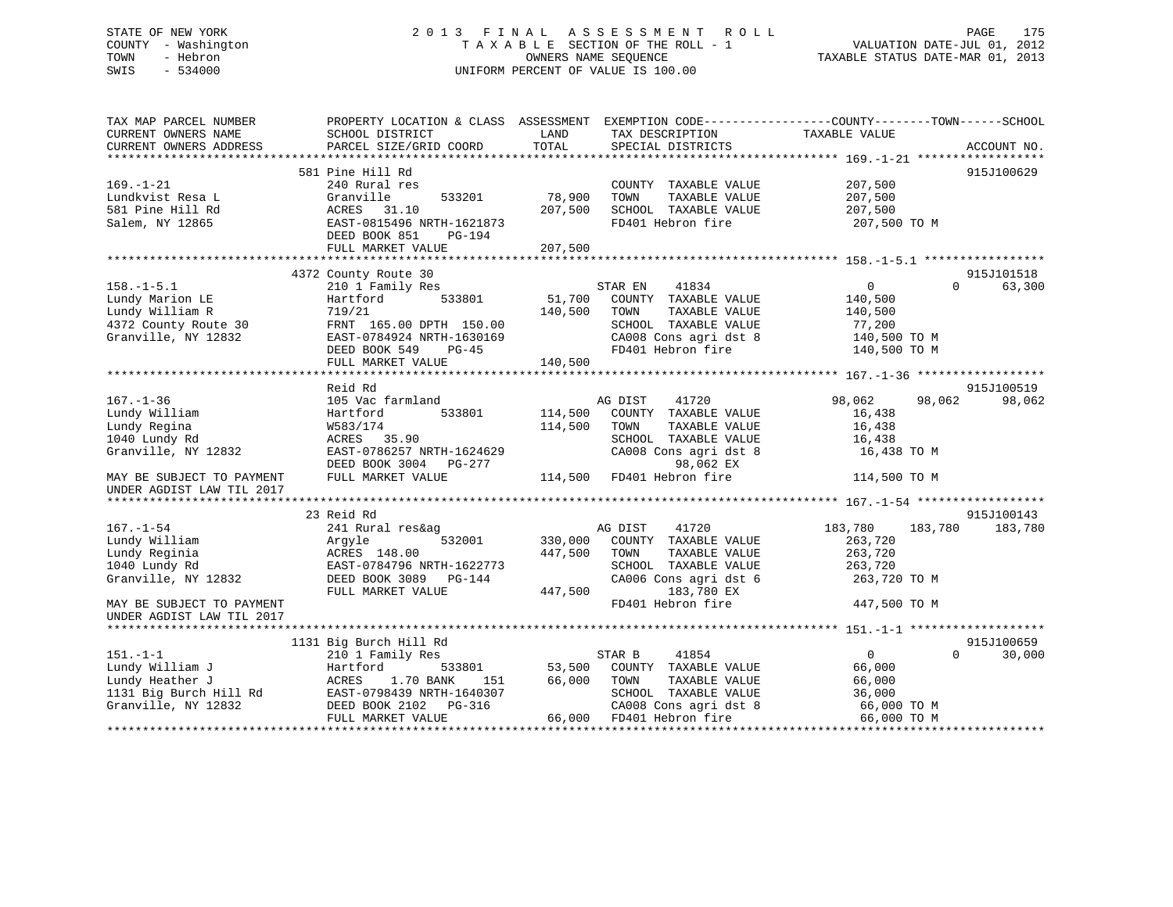# STATE OF NEW YORK 2 0 1 3 F I N A L A S S E S S M E N T R O L L PAGE 175 COUNTY - Washington T A X A B L E SECTION OF THE ROLL - 1 VALUATION DATE-JUL 01, 2012 TOWN - Hebron OWNERS NAME SEQUENCE TAXABLE STATUS DATE-MAR 01, 2013 SWIS - 534000 UNIFORM PERCENT OF VALUE IS 100.00

| TAX MAP PARCEL NUMBER<br>CURRENT OWNERS NAME<br>CURRENT OWNERS ADDRESS | PROPERTY LOCATION & CLASS ASSESSMENT EXEMPTION CODE----------------COUNTY-------TOWN------SCHOOL<br>SCHOOL DISTRICT<br>PARCEL SIZE/GRID COORD | LAND<br>TOTAL | TAX DESCRIPTION<br>SPECIAL DISTRICTS | TAXABLE VALUE              | ACCOUNT NO. |
|------------------------------------------------------------------------|-----------------------------------------------------------------------------------------------------------------------------------------------|---------------|--------------------------------------|----------------------------|-------------|
|                                                                        |                                                                                                                                               |               |                                      |                            |             |
|                                                                        | 581 Pine Hill Rd                                                                                                                              |               |                                      |                            | 915J100629  |
| $169. - 1 - 21$                                                        | 240 Rural res                                                                                                                                 |               | COUNTY TAXABLE VALUE                 | 207,500                    |             |
| Lundkvist Resa L                                                       | Granville<br>533201                                                                                                                           | 78,900        | TOWN<br>TAXABLE VALUE                | 207,500                    |             |
| 581 Pine Hill Rd                                                       | ACRES 31.10                                                                                                                                   | 207,500       | SCHOOL TAXABLE VALUE                 | 207,500                    |             |
| Salem, NY 12865                                                        | EAST-0815496 NRTH-1621873                                                                                                                     |               | FD401 Hebron fire                    | 207,500 TO M               |             |
|                                                                        | DEED BOOK 851<br>PG-194                                                                                                                       |               |                                      |                            |             |
|                                                                        | FULL MARKET VALUE                                                                                                                             | 207,500       |                                      |                            |             |
|                                                                        |                                                                                                                                               |               |                                      |                            |             |
|                                                                        | 4372 County Route 30                                                                                                                          |               |                                      |                            | 915J101518  |
| $158. - 1 - 5.1$                                                       | 210 1 Family Res                                                                                                                              |               | 41834<br>STAR EN                     | $\overline{0}$<br>$\Omega$ | 63,300      |
| Lundy Marion LE                                                        | 533801<br>Hartford                                                                                                                            | 51,700        | COUNTY TAXABLE VALUE                 | 140,500                    |             |
| Lundy William R                                                        | 719/21                                                                                                                                        | 140,500       | TOWN<br>TAXABLE VALUE                | 140,500                    |             |
| 4372 County Route 30                                                   | FRNT 165.00 DPTH 150.00                                                                                                                       |               | SCHOOL TAXABLE VALUE                 | 77,200                     |             |
| Granville, NY 12832                                                    | EAST-0784924 NRTH-1630169                                                                                                                     |               | CA008 Cons agri dst 8                | 140,500 TO M               |             |
|                                                                        | DEED BOOK 549<br>$PG-45$                                                                                                                      |               | FD401 Hebron fire                    | 140,500 TO M               |             |
|                                                                        | FULL MARKET VALUE                                                                                                                             | 140,500       |                                      |                            |             |
|                                                                        |                                                                                                                                               |               |                                      |                            |             |
|                                                                        | Reid Rd                                                                                                                                       |               |                                      |                            | 915J100519  |
| $167. - 1 - 36$                                                        | 105 Vac farmland                                                                                                                              |               | AG DIST<br>41720                     | 98,062<br>98,062           | 98,062      |
| Lundy William                                                          | 533801<br>Hartford                                                                                                                            | 114,500       | COUNTY TAXABLE VALUE                 | 16,438                     |             |
| Lundy Regina                                                           | W583/174                                                                                                                                      | 114,500       | TAXABLE VALUE<br>TOWN                | 16,438                     |             |
| 1040 Lundy Rd                                                          | ACRES 35.90                                                                                                                                   |               | SCHOOL TAXABLE VALUE                 | 16,438                     |             |
| Granville, NY 12832                                                    | EAST-0786257 NRTH-1624629                                                                                                                     |               | CA008 Cons agri dst 8                | 16,438 TO M                |             |
|                                                                        | DEED BOOK 3004 PG-277                                                                                                                         |               | 98,062 EX                            |                            |             |
| MAY BE SUBJECT TO PAYMENT                                              | FULL MARKET VALUE                                                                                                                             | 114,500       | FD401 Hebron fire                    | 114,500 TO M               |             |
| UNDER AGDIST LAW TIL 2017                                              |                                                                                                                                               |               |                                      |                            |             |
|                                                                        |                                                                                                                                               |               |                                      |                            |             |
|                                                                        | 23 Reid Rd                                                                                                                                    |               |                                      |                            | 915J100143  |
| $167. - 1 - 54$                                                        | 241 Rural res&ag                                                                                                                              |               | AG DIST<br>41720                     | 183,780<br>183,780         | 183,780     |
| Lundy William                                                          | 532001<br>Argyle                                                                                                                              | 330,000       | COUNTY TAXABLE VALUE                 | 263,720                    |             |
| Lundy Reginia                                                          | ACRES 148.00                                                                                                                                  | 447,500       | TOWN<br>TAXABLE VALUE                | 263,720                    |             |
| 1040 Lundy Rd                                                          | EAST-0784796 NRTH-1622773                                                                                                                     |               | SCHOOL TAXABLE VALUE                 | 263,720                    |             |
| Granville, NY 12832                                                    | DEED BOOK 3089 PG-144                                                                                                                         |               | CA006 Cons agri dst 6                | 263,720 TO M               |             |
|                                                                        | FULL MARKET VALUE                                                                                                                             | 447,500       | 183,780 EX                           |                            |             |
| MAY BE SUBJECT TO PAYMENT                                              |                                                                                                                                               |               | FD401 Hebron fire                    | 447,500 TO M               |             |
| UNDER AGDIST LAW TIL 2017                                              |                                                                                                                                               |               |                                      |                            |             |
|                                                                        |                                                                                                                                               |               |                                      |                            |             |
|                                                                        | 1131 Big Burch Hill Rd                                                                                                                        |               |                                      |                            | 915J100659  |
| $151. - 1 - 1$                                                         | 210 1 Family Res                                                                                                                              |               | 41854<br>STAR B                      | $\mathbf{0}$<br>$\Omega$   | 30,000      |
| Lundy William J                                                        | 533801<br>Hartford                                                                                                                            | 53,500        | COUNTY TAXABLE VALUE                 | 66,000                     |             |
| Lundy Heather J                                                        | ACRES<br>1.70 BANK<br>151                                                                                                                     | 66,000        | TOWN<br>TAXABLE VALUE                | 66,000                     |             |
| 1131 Big Burch Hill Rd                                                 | EAST-0798439 NRTH-1640307                                                                                                                     |               | SCHOOL TAXABLE VALUE                 | 36,000                     |             |
| Granville, NY 12832                                                    | DEED BOOK 2102 PG-316                                                                                                                         |               | CA008 Cons agri dst 8                | 66,000 TO M                |             |
|                                                                        | FULL MARKET VALUE                                                                                                                             |               | 66,000 FD401 Hebron fire             | 66,000 TO M                |             |
|                                                                        |                                                                                                                                               |               |                                      |                            |             |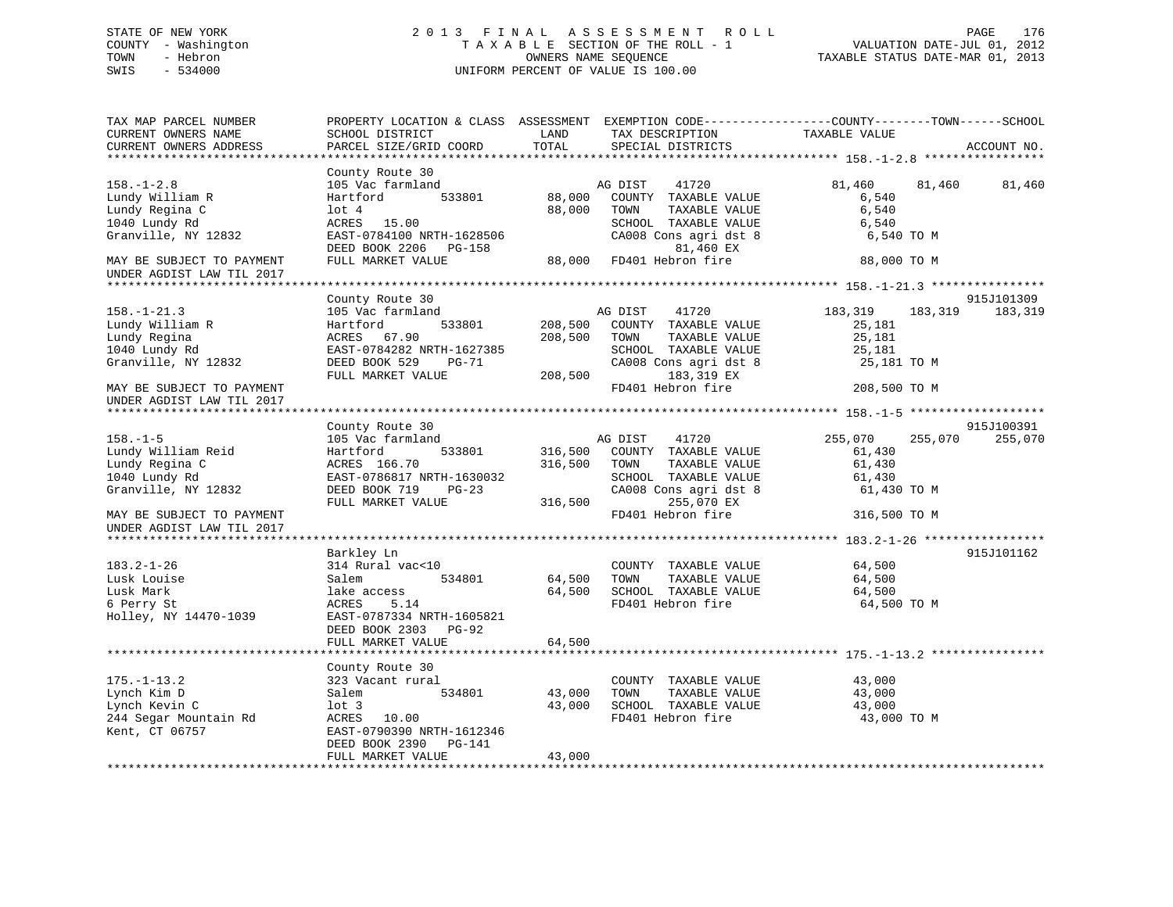# STATE OF NEW YORK 2 0 1 3 F I N A L A S S E S S M E N T R O L L PAGE 176 COUNTY - Washington T A X A B L E SECTION OF THE ROLL - 1 VALUATION DATE-JUL 01, 2012 TOWN - Hebron OWNERS NAME SEQUENCE TAXABLE STATUS DATE-MAR 01, 2013 SWIS - 534000 UNIFORM PERCENT OF VALUE IS 100.00

| TAX MAP PARCEL NUMBER<br>CURRENT OWNERS NAME<br>CURRENT OWNERS ADDRESS | PROPERTY LOCATION & CLASS ASSESSMENT<br>SCHOOL DISTRICT<br>PARCEL SIZE/GRID COORD       | LAND<br>TOTAL      |                 | TAX DESCRIPTION<br>SPECIAL DISTRICTS                                             | EXEMPTION CODE-----------------COUNTY-------TOWN------SCHOOL<br>TAXABLE VALUE |         | ACCOUNT NO.           |
|------------------------------------------------------------------------|-----------------------------------------------------------------------------------------|--------------------|-----------------|----------------------------------------------------------------------------------|-------------------------------------------------------------------------------|---------|-----------------------|
|                                                                        |                                                                                         |                    |                 |                                                                                  |                                                                               |         |                       |
| $158. - 1 - 2.8$<br>Lundy William R<br>Lundy Regina C                  | County Route 30<br>105 Vac farmland<br>533801<br>Hartford<br>$1$ ot $4$                 | 88,000<br>88,000   | AG DIST<br>TOWN | 41720<br>COUNTY TAXABLE VALUE<br>TAXABLE VALUE                                   | 81,460<br>6,540<br>6,540                                                      | 81,460  | 81,460                |
| 1040 Lundy Rd<br>Granville, NY 12832                                   | ACRES 15.00<br>EAST-0784100 NRTH-1628506<br>DEED BOOK 2206 PG-158                       |                    |                 | SCHOOL TAXABLE VALUE<br>CA008 Cons agri dst 8<br>81,460 EX                       | 6,540<br>6,540 TO M                                                           |         |                       |
| MAY BE SUBJECT TO PAYMENT<br>UNDER AGDIST LAW TIL 2017                 | FULL MARKET VALUE                                                                       | 88,000             |                 | FD401 Hebron fire                                                                | 88,000 TO M                                                                   |         |                       |
|                                                                        |                                                                                         |                    |                 |                                                                                  |                                                                               |         |                       |
| $158. - 1 - 21.3$<br>Lundy William R<br>Lundy Regina                   | County Route 30<br>105 Vac farmland<br>Hartford<br>533801<br>ACRES 67.90                | 208,500<br>208,500 | AG DIST<br>TOWN | 41720<br>COUNTY TAXABLE VALUE<br>TAXABLE VALUE                                   | 183,319<br>25,181<br>25,181                                                   | 183,319 | 915J101309<br>183,319 |
| 1040 Lundy Rd<br>Granville, NY 12832<br>MAY BE SUBJECT TO PAYMENT      | EAST-0784282 NRTH-1627385<br>DEED BOOK 529<br>PG-71<br>FULL MARKET VALUE                | 208,500            |                 | SCHOOL TAXABLE VALUE<br>CA008 Cons agri dst 8<br>183,319 EX<br>FD401 Hebron fire | 25,181<br>25,181 TO M<br>208,500 TO M                                         |         |                       |
| UNDER AGDIST LAW TIL 2017                                              |                                                                                         |                    |                 |                                                                                  |                                                                               |         |                       |
|                                                                        |                                                                                         |                    |                 |                                                                                  |                                                                               |         |                       |
|                                                                        | County Route 30                                                                         |                    |                 |                                                                                  |                                                                               |         | 915J100391            |
| $158. - 1 - 5$                                                         | 105 Vac farmland                                                                        |                    | AG DIST         | 41720                                                                            | 255,070                                                                       | 255,070 | 255,070               |
| Lundy William Reid                                                     | Hartford<br>533801                                                                      | 316,500            |                 | COUNTY TAXABLE VALUE                                                             | 61,430                                                                        |         |                       |
| Lundy Regina C                                                         | ACRES 166.70                                                                            | 316,500            | TOWN            | TAXABLE VALUE                                                                    | 61,430                                                                        |         |                       |
| 1040 Lundy Rd                                                          | EAST-0786817 NRTH-1630032                                                               |                    |                 | SCHOOL TAXABLE VALUE                                                             | 61,430                                                                        |         |                       |
| Granville, NY 12832                                                    | DEED BOOK 719<br>$PG-23$                                                                |                    |                 | CA008 Cons agri dst 8                                                            | 61,430 TO M                                                                   |         |                       |
|                                                                        | FULL MARKET VALUE                                                                       | 316,500            |                 | 255,070 EX                                                                       |                                                                               |         |                       |
| MAY BE SUBJECT TO PAYMENT<br>UNDER AGDIST LAW TIL 2017                 |                                                                                         |                    |                 | FD401 Hebron fire                                                                | 316,500 TO M                                                                  |         |                       |
|                                                                        |                                                                                         |                    |                 |                                                                                  |                                                                               |         |                       |
|                                                                        | Barkley Ln                                                                              |                    |                 |                                                                                  |                                                                               |         | 915J101162            |
| $183.2 - 1 - 26$                                                       | 314 Rural vac<10                                                                        |                    |                 | COUNTY TAXABLE VALUE                                                             | 64,500                                                                        |         |                       |
| Lusk Louise                                                            | Salem<br>534801                                                                         | 64,500             | TOWN            | TAXABLE VALUE                                                                    | 64,500                                                                        |         |                       |
| Lusk Mark                                                              | lake access                                                                             | 64,500             |                 | SCHOOL TAXABLE VALUE                                                             | 64,500                                                                        |         |                       |
| 6 Perry St<br>Holley, NY 14470-1039                                    | ACRES<br>5.14<br>EAST-0787334 NRTH-1605821<br>DEED BOOK 2303 PG-92<br>FULL MARKET VALUE | 64,500             |                 | FD401 Hebron fire                                                                | 64,500 TO M                                                                   |         |                       |
|                                                                        |                                                                                         |                    |                 |                                                                                  |                                                                               |         |                       |
|                                                                        | County Route 30                                                                         |                    |                 |                                                                                  |                                                                               |         |                       |
| $175. - 1 - 13.2$                                                      | 323 Vacant rural                                                                        |                    |                 | COUNTY TAXABLE VALUE                                                             | 43,000                                                                        |         |                       |
| Lynch Kim D                                                            | 534801<br>Salem                                                                         | 43,000             | TOWN            | TAXABLE VALUE                                                                    | 43,000                                                                        |         |                       |
| Lynch Kevin C                                                          | $1$ ot 3                                                                                | 43,000             |                 | SCHOOL TAXABLE VALUE                                                             | 43,000                                                                        |         |                       |
| 244 Segar Mountain Rd<br>Kent, CT 06757                                | ACRES 10.00<br>EAST-0790390 NRTH-1612346<br>DEED BOOK 2390<br>PG-141                    |                    |                 | FD401 Hebron fire                                                                | 43,000 TO M                                                                   |         |                       |
|                                                                        | FULL MARKET VALUE                                                                       | 43,000             |                 |                                                                                  |                                                                               |         |                       |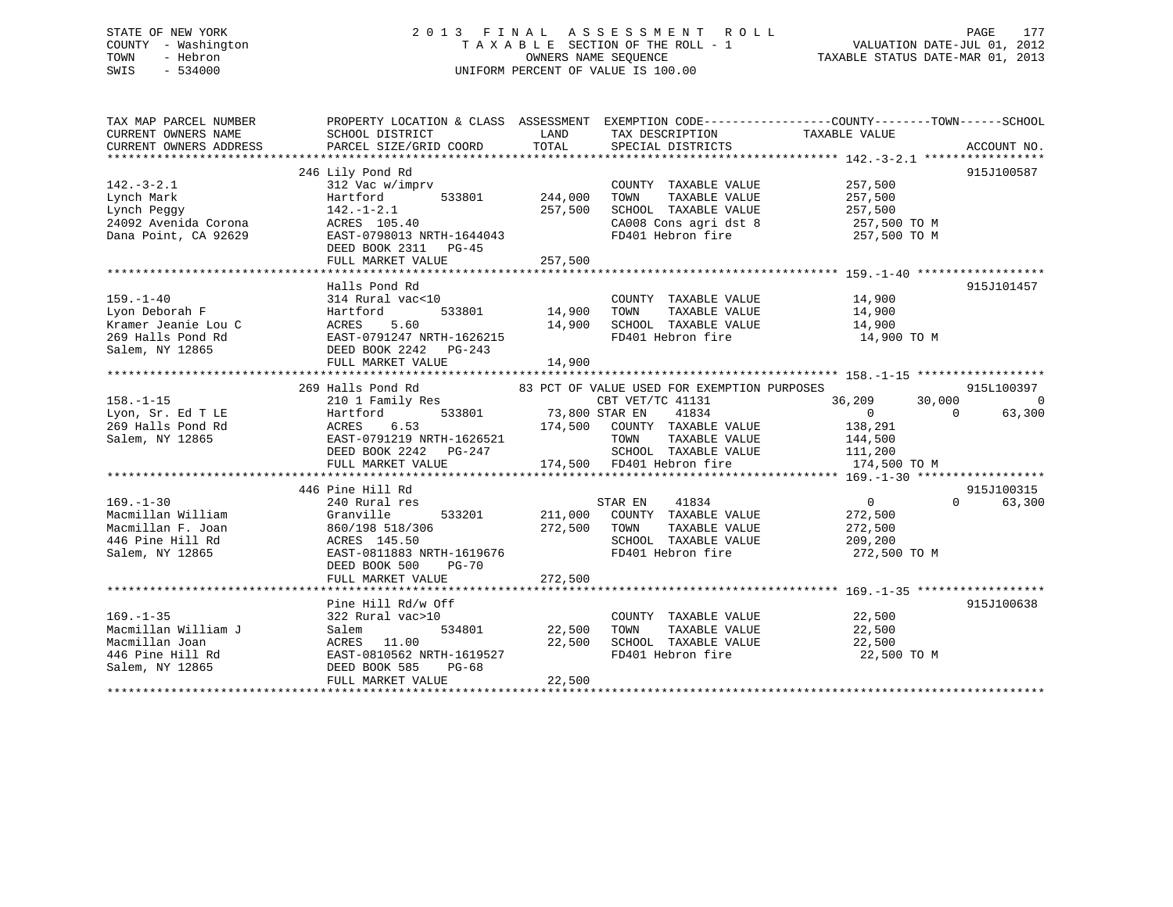# STATE OF NEW YORK 2 0 1 3 F I N A L A S S E S S M E N T R O L L PAGE 177 COUNTY - Washington T A X A B L E SECTION OF THE ROLL - 1 VALUATION DATE-JUL 01, 2012 TOWN - Hebron OWNERS NAME SEQUENCE TAXABLE STATUS DATE-MAR 01, 2013 SWIS - 534000 UNIFORM PERCENT OF VALUE IS 100.00

| TAX MAP PARCEL NUMBER<br>CURRENT OWNERS NAME<br>CURRENT OWNERS ADDRESS | PROPERTY LOCATION & CLASS ASSESSMENT EXEMPTION CODE---------------COUNTY-------TOWN------SCHOOL<br>SCHOOL DISTRICT<br>PARCEL SIZE/GRID COORD | LAND<br>TOTAL         | TAX DESCRIPTION<br>SPECIAL DISTRICTS        | TAXABLE VALUE    | ACCOUNT NO.         |
|------------------------------------------------------------------------|----------------------------------------------------------------------------------------------------------------------------------------------|-----------------------|---------------------------------------------|------------------|---------------------|
|                                                                        |                                                                                                                                              |                       |                                             |                  |                     |
|                                                                        | 246 Lily Pond Rd                                                                                                                             |                       |                                             |                  | 915J100587          |
| $142. - 3 - 2.1$                                                       | 312 Vac w/imprv                                                                                                                              |                       | COUNTY TAXABLE VALUE                        | 257,500          |                     |
| Lynch Mark                                                             | 533801<br>Hartford                                                                                                                           | 244,000               | TOWN<br>TAXABLE VALUE                       | 257,500          |                     |
| Lynch Peggy                                                            | $142. - 1 - 2.1$                                                                                                                             | 257,500               | SCHOOL TAXABLE VALUE                        | 257,500          |                     |
| 24092 Avenida Corona                                                   | ACRES 105.40                                                                                                                                 |                       | CA008 Cons agri dst 8                       | 257,500 TO M     |                     |
| Dana Point, CA 92629                                                   | EAST-0798013 NRTH-1644043                                                                                                                    |                       | FD401 Hebron fire                           | 257,500 TO M     |                     |
|                                                                        | DEED BOOK 2311 PG-45                                                                                                                         |                       |                                             |                  |                     |
|                                                                        | FULL MARKET VALUE                                                                                                                            | 257,500               |                                             |                  |                     |
|                                                                        |                                                                                                                                              |                       |                                             |                  |                     |
|                                                                        | Halls Pond Rd                                                                                                                                |                       |                                             |                  | 915J101457          |
| $159. - 1 - 40$                                                        | 314 Rural vac<10                                                                                                                             |                       | COUNTY TAXABLE VALUE                        | 14,900           |                     |
| Lyon Deborah F                                                         | Hartford                                                                                                                                     | 533801 14,900         | TAXABLE VALUE<br>TOWN                       | 14,900           |                     |
| Kramer Jeanie Lou C                                                    | ACRES 5.60<br>EAST-0791247 NRTH-1626215                                                                                                      | 14,900                | SCHOOL TAXABLE VALUE                        | 14,900           |                     |
| 269 Halls Pond Rd                                                      |                                                                                                                                              |                       | FD401 Hebron fire                           | 14,900 TO M      |                     |
| Salem, NY 12865                                                        | DEED BOOK 2242 PG-243                                                                                                                        |                       |                                             |                  |                     |
|                                                                        | FULL MARKET VALUE                                                                                                                            | 14,900                |                                             |                  |                     |
|                                                                        |                                                                                                                                              |                       |                                             |                  |                     |
|                                                                        | 269 Halls Pond Rd                                                                                                                            |                       | 83 PCT OF VALUE USED FOR EXEMPTION PURPOSES |                  | 915L100397          |
| $158. - 1 - 15$                                                        | 210 1 Family Res                                                                                                                             |                       | CBT VET/TC 41131                            | 36,209<br>30,000 | $\overline{0}$      |
| Lyon, Sr. Ed T LE                                                      | Hartford                                                                                                                                     | 533801 73,800 STAR EN | 41834                                       | $\overline{0}$   | 63,300<br>$\bigcap$ |
| 269 Halls Pond Rd                                                      | 6.53<br>ACRES                                                                                                                                |                       | 174,500 COUNTY TAXABLE VALUE                | 138,291          |                     |
| Salem, NY 12865                                                        | EAST-0791219 NRTH-1626521                                                                                                                    |                       | TOWN<br>TAXABLE VALUE                       | 144,500          |                     |
|                                                                        | DEED BOOK 2242 PG-247                                                                                                                        |                       | SCHOOL TAXABLE VALUE 111,200                |                  |                     |
|                                                                        | FULL MARKET VALUE                                                                                                                            |                       | 174,500 FD401 Hebron fire                   | 174,500 TO M     |                     |
|                                                                        | 446 Pine Hill Rd                                                                                                                             |                       |                                             |                  | 915J100315          |
| $169. - 1 - 30$                                                        | 240 Rural res                                                                                                                                |                       | STAR EN<br>41834                            | 0                | 63,300<br>$\Omega$  |
| Macmillan William                                                      | Granville<br>533201                                                                                                                          |                       | 211,000 COUNTY TAXABLE VALUE                | 272,500          |                     |
| Macmillan F. Joan                                                      | 860/198 518/306                                                                                                                              | 272,500               | TOWN<br>TAXABLE VALUE                       | 272,500          |                     |
| 446 Pine Hill Rd                                                       | ACRES 145.50                                                                                                                                 |                       | SCHOOL TAXABLE VALUE                        | 209,200          |                     |
| Salem, NY 12865                                                        | EAST-0811883 NRTH-1619676                                                                                                                    |                       | FD401 Hebron fire                           | 272,500 TO M     |                     |
|                                                                        | DEED BOOK 500<br>$PG-70$                                                                                                                     |                       |                                             |                  |                     |
|                                                                        | FULL MARKET VALUE                                                                                                                            | 272,500               |                                             |                  |                     |
|                                                                        |                                                                                                                                              |                       |                                             |                  |                     |
|                                                                        | Pine Hill Rd/w Off                                                                                                                           |                       |                                             |                  | 915J100638          |
| $169. - 1 - 35$                                                        | 322 Rural vac>10                                                                                                                             |                       | COUNTY TAXABLE VALUE 22,500                 |                  |                     |
| Macmillan William J                                                    | 534801<br>Salem                                                                                                                              | 22,500                | TAXABLE VALUE<br>TOWN                       | 22,500           |                     |
| Macmillan Joan                                                         | ACRES 11.00                                                                                                                                  | 22,500                | SCHOOL TAXABLE VALUE                        | 22,500           |                     |
| 446 Pine Hill Rd                                                       | EAST-0810562 NRTH-1619527                                                                                                                    |                       | FD401 Hebron fire                           | 22,500 TO M      |                     |
| Salem, NY 12865                                                        | DEED BOOK 585<br>PG-68                                                                                                                       |                       |                                             |                  |                     |
|                                                                        | FULL MARKET VALUE                                                                                                                            | 22,500                |                                             |                  |                     |
|                                                                        |                                                                                                                                              |                       |                                             |                  |                     |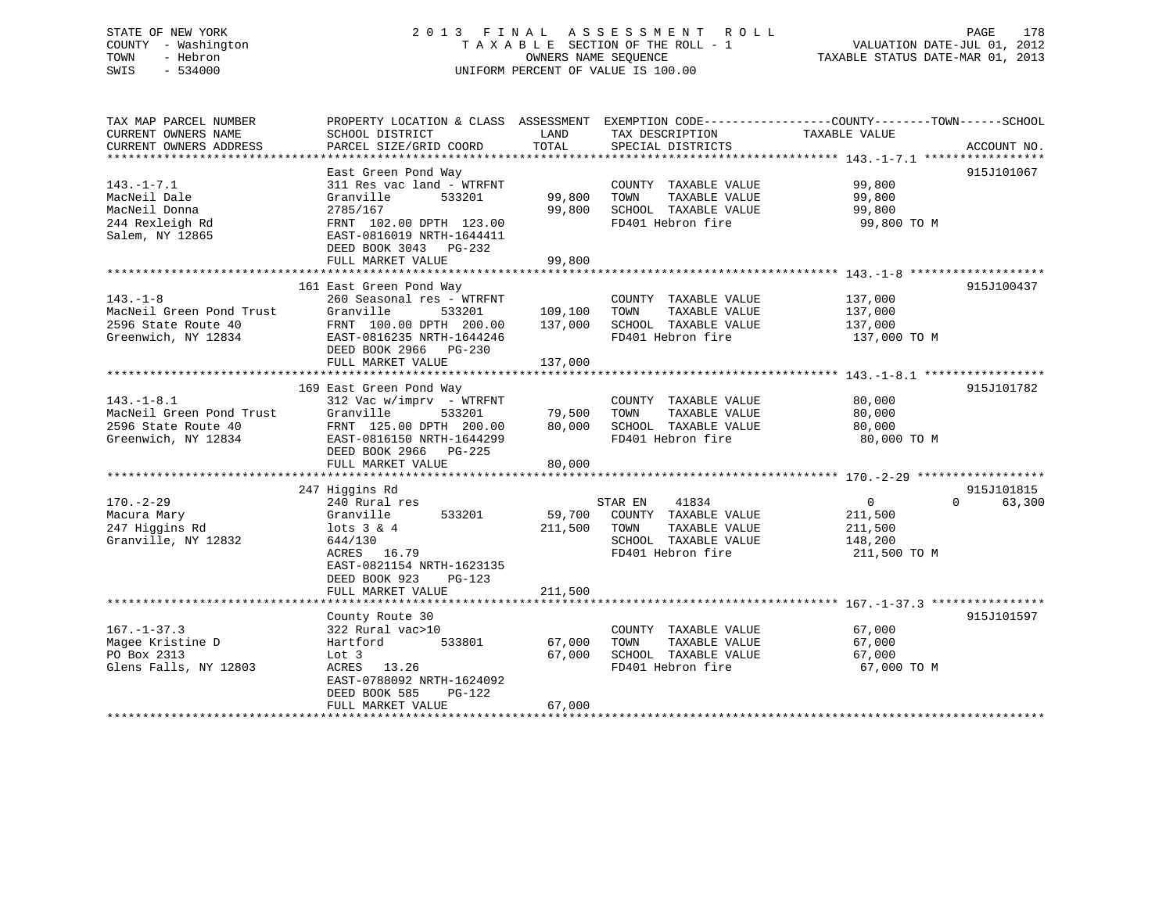# STATE OF NEW YORK 2 0 1 3 F I N A L A S S E S S M E N T R O L L PAGE 178 COUNTY - Washington T A X A B L E SECTION OF THE ROLL - 1 VALUATION DATE-JUL 01, 2012 TOWN - Hebron OWNERS NAME SEQUENCE TAXABLE STATUS DATE-MAR 01, 2013 SWIS - 534000 UNIFORM PERCENT OF VALUE IS 100.00

| TAX MAP PARCEL NUMBER<br>CURRENT OWNERS NAME<br>CURRENT OWNERS ADDRESS                     | PROPERTY LOCATION & CLASS ASSESSMENT EXEMPTION CODE---------------COUNTY-------TOWN-----SCHOOL<br>SCHOOL DISTRICT<br>PARCEL SIZE/GRID COORD                                               | LAND<br>TOTAL                 | TAX DESCRIPTION<br>SPECIAL DISTRICTS                                                                           | TAXABLE VALUE                                                   | ACCOUNT NO.                      |
|--------------------------------------------------------------------------------------------|-------------------------------------------------------------------------------------------------------------------------------------------------------------------------------------------|-------------------------------|----------------------------------------------------------------------------------------------------------------|-----------------------------------------------------------------|----------------------------------|
| $143. - 1 - 7.1$<br>MacNeil Dale<br>MacNeil Donna<br>244 Rexleigh Rd<br>Salem, NY 12865    | East Green Pond Way<br>311 Res vac land - WTRFNT<br>Granville<br>533201<br>2785/167<br>FRNT 102.00 DPTH 123.00<br>EAST-0816019 NRTH-1644411<br>DEED BOOK 3043 PG-232<br>FULL MARKET VALUE | 99,800<br>99,800<br>99,800    | COUNTY TAXABLE VALUE<br>TOWN<br>TAXABLE VALUE<br>SCHOOL TAXABLE VALUE<br>FD401 Hebron fire                     | 99,800<br>99,800<br>99,800<br>99,800 TO M                       | 915J101067                       |
| $143. - 1 - 8$<br>MacNeil Green Pond Trust<br>2596 State Route 40<br>Greenwich, NY 12834   | 161 East Green Pond Way<br>260 Seasonal res - WTRFNT<br>Granville<br>533201<br>FRNT 100.00 DPTH 200.00<br>EAST-0816235 NRTH-1644246<br>DEED BOOK 2966 PG-230<br>FULL MARKET VALUE         | 109,100<br>137,000<br>137,000 | COUNTY TAXABLE VALUE<br>TAXABLE VALUE<br>TOWN<br>SCHOOL TAXABLE VALUE<br>FD401 Hebron fire                     | 137,000<br>137,000<br>137,000<br>137,000 TO M                   | 915J100437                       |
| $143. - 1 - 8.1$<br>MacNeil Green Pond Trust<br>2596 State Route 40<br>Greenwich, NY 12834 | 169 East Green Pond Way<br>$312$ Vac w/imprv - WTRFNT<br>Granville<br>533201<br>FRNT 125.00 DPTH 200.00<br>EAST-0816150 NRTH-1644299<br>DEED BOOK 2966 PG-225<br>FULL MARKET VALUE        | 79,500<br>80,000<br>80,000    | COUNTY TAXABLE VALUE<br>TAXABLE VALUE<br>TOWN<br>SCHOOL TAXABLE VALUE<br>FD401 Hebron fire                     | 80,000<br>80,000<br>80,000<br>80,000 TO M                       | 915J101782                       |
| $170. - 2 - 29$<br>Macura Mary<br>247 Higgins Rd<br>Granville, NY 12832                    | 247 Higgins Rd<br>240 Rural res<br>533201<br>Granville<br>$lots$ 3 & 4<br>644/130<br>ACRES 16.79<br>EAST-0821154 NRTH-1623135<br>DEED BOOK 923<br>PG-123<br>FULL MARKET VALUE             | 59,700<br>211,500<br>211,500  | 41834<br>STAR EN<br>COUNTY TAXABLE VALUE<br>TAXABLE VALUE<br>TOWN<br>SCHOOL TAXABLE VALUE<br>FD401 Hebron fire | $\overline{0}$<br>211,500<br>211,500<br>148,200<br>211,500 TO M | 915J101815<br>$\Omega$<br>63,300 |
| $167. - 1 - 37.3$<br>Magee Kristine D<br>PO Box 2313<br>Glens Falls, NY 12803              | County Route 30<br>322 Rural vac>10<br>533801<br>Hartford<br>Lot 3<br>ACRES 13.26<br>EAST-0788092 NRTH-1624092<br>DEED BOOK 585<br>PG-122<br>FULL MARKET VALUE                            | 67,000<br>67,000<br>67,000    | COUNTY TAXABLE VALUE<br>TAXABLE VALUE<br>TOWN<br>SCHOOL TAXABLE VALUE<br>FD401 Hebron fire                     | 67,000<br>67,000<br>67,000<br>67,000 TO M                       | 915J101597                       |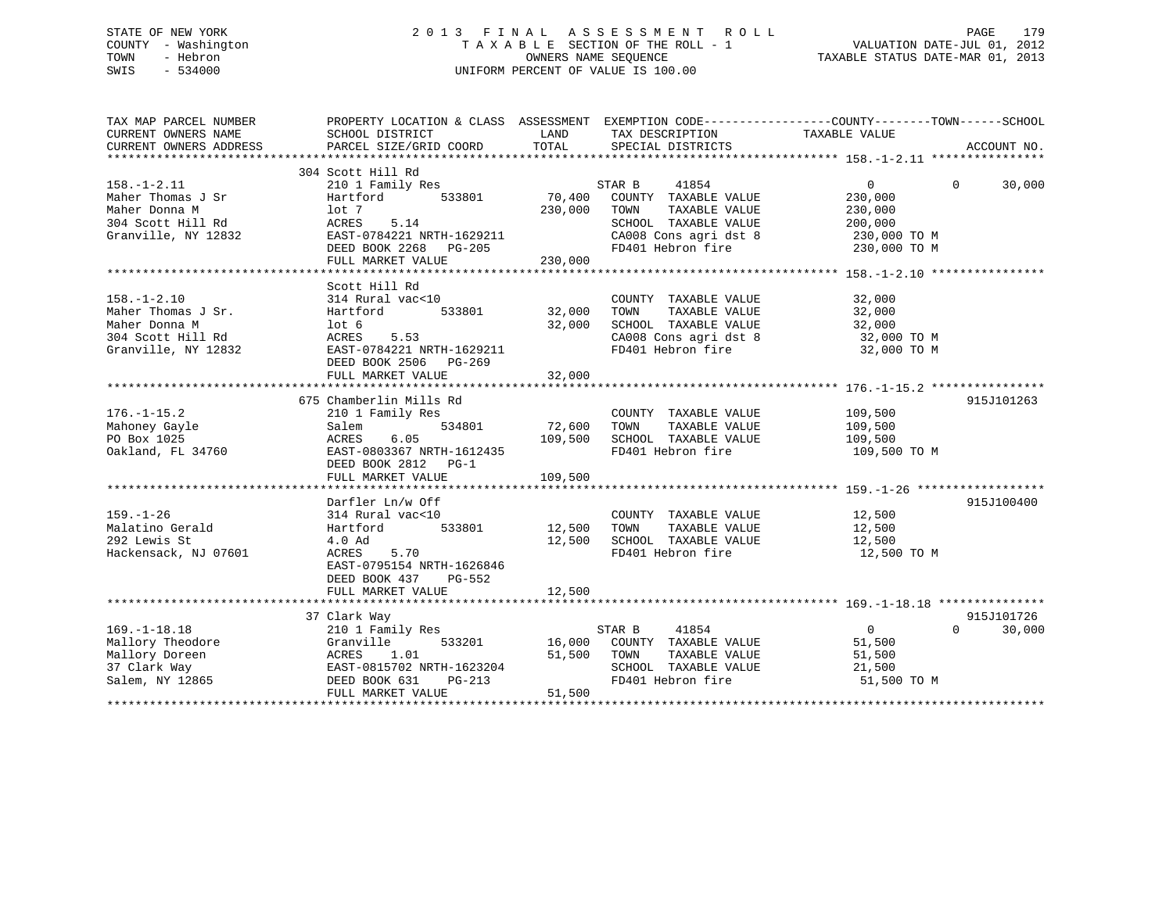# STATE OF NEW YORK 2 0 1 3 F I N A L A S S E S S M E N T R O L L PAGE 179 COUNTY - Washington T A X A B L E SECTION OF THE ROLL - 1 VALUATION DATE-JUL 01, 2012 TOWN - Hebron OWNERS NAME SEQUENCE TAXABLE STATUS DATE-MAR 01, 2013 SWIS - 534000 UNIFORM PERCENT OF VALUE IS 100.00

| TAX MAP PARCEL NUMBER<br>CURRENT OWNERS NAME<br>CURRENT OWNERS ADDRESS                               | PROPERTY LOCATION & CLASS ASSESSMENT EXEMPTION CODE----------------COUNTY-------TOWN------SCHOOL<br>SCHOOL DISTRICT<br>PARCEL SIZE/GRID COORD           | LAND<br>TOTAL                     | TAX DESCRIPTION TAXABLE VALUE<br>SPECIAL DISTRICTS                                                                                     |                                                                               | ACCOUNT NO.                      |
|------------------------------------------------------------------------------------------------------|---------------------------------------------------------------------------------------------------------------------------------------------------------|-----------------------------------|----------------------------------------------------------------------------------------------------------------------------------------|-------------------------------------------------------------------------------|----------------------------------|
| $158. - 1 - 2.11$<br>Maher Thomas J Sr<br>Maher Donna M<br>304 Scott Hill Rd<br>Granville, NY 12832  | 304 Scott Hill Rd<br>210 1 Family Res<br>Hartford<br>533801<br>lot 7<br>ACRES<br>5.14<br>EAST-0784221 NRTH-1629211<br>DEED BOOK 2268 PG-205             | 70,400<br>230,000                 | STAR B<br>41854<br>COUNTY TAXABLE VALUE<br>TOWN<br>TAXABLE VALUE<br>SCHOOL TAXABLE VALUE<br>CA008 Cons agri dst 8<br>FD401 Hebron fire | $\mathbf{0}$<br>230,000<br>230,000<br>200,000<br>230,000 TO M<br>230,000 TO M | $\Omega$<br>30,000               |
|                                                                                                      |                                                                                                                                                         |                                   |                                                                                                                                        |                                                                               |                                  |
| $158. - 1 - 2.10$<br>Maher Thomas J Sr.<br>Maher Donna M<br>304 Scott Hill Rd<br>Granville, NY 12832 | Scott Hill Rd<br>314 Rural vac<10<br>Hartford<br>lot 6<br>ACRES<br>5.53<br>EAST-0784221 NRTH-1629211<br>DEED BOOK 2506 PG-269<br>FULL MARKET VALUE      | 533801 32,000<br>32,000<br>32,000 | COUNTY TAXABLE VALUE<br>TOWN<br>TAXABLE VALUE<br>SCHOOL TAXABLE VALUE<br>CA008 Cons agri dst 8<br>FD401 Hebron fire                    | 32,000<br>32,000<br>32,000<br>32,000<br>32,000 TO M<br>32,000 TO M            |                                  |
|                                                                                                      | 675 Chamberlin Mills Rd                                                                                                                                 |                                   |                                                                                                                                        |                                                                               | 915J101263                       |
| $176. - 1 - 15.2$<br>Mahoney Gayle<br>PO Box 1025<br>Oakland, FL 34760                               | 210 1 Family Res<br>534801<br>Salem<br>ACRES<br>6.05<br>EAST-0803367 NRTH-1612435<br>DEED BOOK 2812 PG-1<br>FULL MARKET VALUE                           | 72,600<br>109,500<br>109,500      | COUNTY TAXABLE VALUE<br>TOWN<br>TAXABLE VALUE<br>SCHOOL TAXABLE VALUE<br>FD401 Hebron fire                                             | 109,500<br>109,500<br>109,500<br>109,500 TO M                                 |                                  |
|                                                                                                      |                                                                                                                                                         |                                   |                                                                                                                                        |                                                                               | 915J100400                       |
| $159. - 1 - 26$<br>Malatino Gerald<br>292 Lewis St<br>Hackensack, NJ 07601                           | Darfler Ln/w Off<br>314 Rural vac<10<br>Hartford<br>4.0 Ad<br>5.70<br>ACRES<br>EAST-0795154 NRTH-1626846<br>DEED BOOK 437 PG-552<br>FULL MARKET VALUE   | 533801 12,500<br>12,500<br>12,500 | COUNTY TAXABLE VALUE<br>TAXABLE VALUE<br>TOWN<br>SCHOOL TAXABLE VALUE<br>FD401 Hebron fire                                             | 12,500<br>12,500<br>12,500<br>12,500 TO M                                     |                                  |
|                                                                                                      |                                                                                                                                                         |                                   |                                                                                                                                        |                                                                               |                                  |
| $169. - 1 - 18.18$<br>Mallory Theodore<br>Mallory Doreen<br>37 Clark Way<br>Salem, NY 12865          | 37 Clark Way<br>210 1 Family Res<br>Granville<br>533201<br>1.01<br>ACRES<br>EAST-0815702 NRTH-1623204<br>DEED BOOK 631<br>$PG-213$<br>FULL MARKET VALUE | 51,500<br>51,500                  | STAR B<br>41854<br>16,000 COUNTY TAXABLE VALUE<br>TAXABLE VALUE<br>TOWN<br>SCHOOL TAXABLE VALUE<br>FD401 Hebron fire                   | $\overline{0}$<br>51,500<br>51,500<br>21,500<br>51,500 TO M                   | 915J101726<br>$\Omega$<br>30,000 |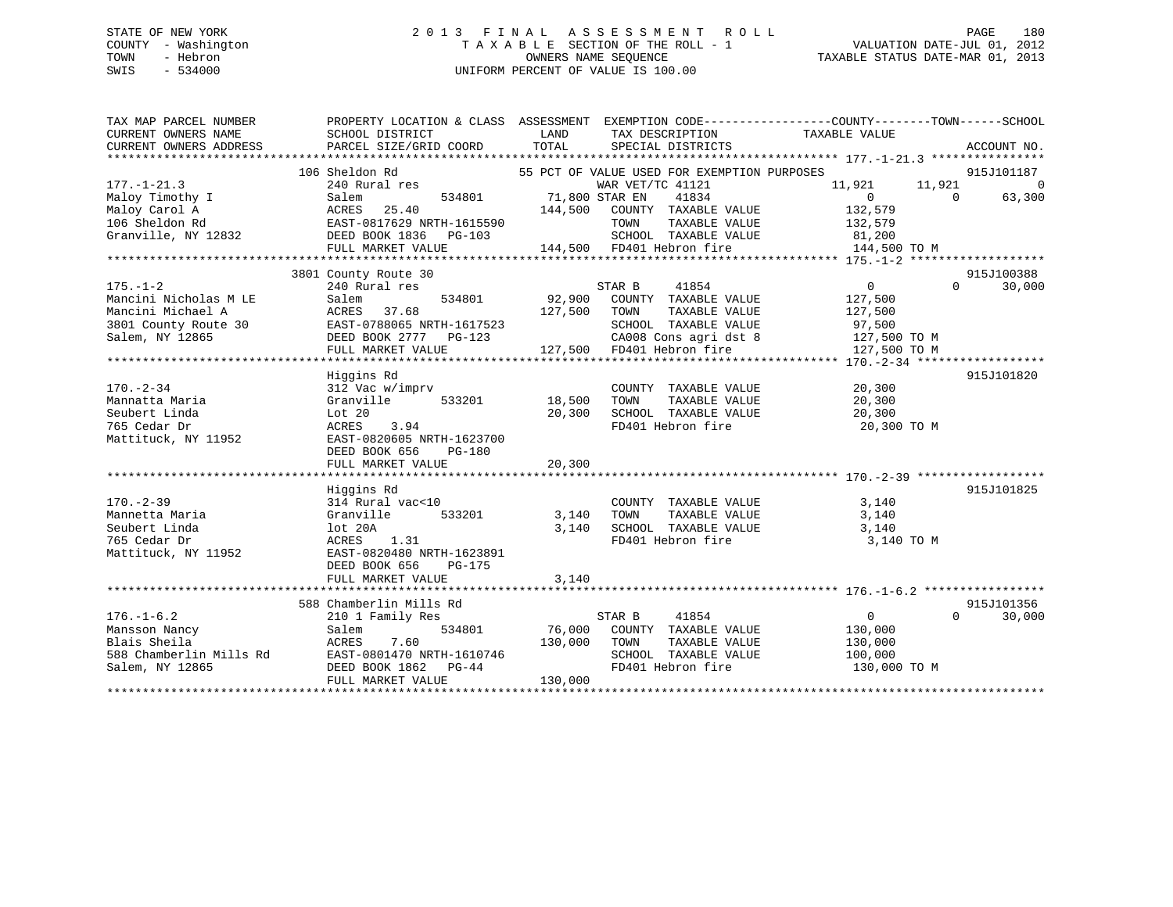# STATE OF NEW YORK 2 0 1 3 F I N A L A S S E S S M E N T R O L L PAGE 180 COUNTY - Washington T A X A B L E SECTION OF THE ROLL - 1 VALUATION DATE-JUL 01, 2012 TOWN - Hebron OWNERS NAME SEQUENCE TAXABLE STATUS DATE-MAR 01, 2013 SWIS - 534000 UNIFORM PERCENT OF VALUE IS 100.00

| TAXABLE VALUE<br>CURRENT OWNERS NAME<br>SCHOOL DISTRICT<br><b>EXAMPLE EXAMPLE EXAMPLE EXAMPLE EXAMPLE EXAMPLE EXAMPLE EXAMPLE EXAMPLE EXAMPLE EXAMPLE EXAMPLE EXAMPLE EXAMPLE E</b><br>TAX DESCRIPTION<br>106 Sheldon Rd<br>55 PCT OF VALUE USED FOR EXEMPTION PURPOSES<br>915J101187<br>240 Rural res<br>WAR VET/TC 41121<br>11,921<br>11,921<br>$\overline{0}$<br>71,800 STAR EN<br>534801<br>63,300<br>41834<br>$\sim$ 0<br>Maloy Timothy I Salem 534801 71,800 :<br>Maloy Carol A ACRES 25.40 106 Sheldon Rd EAST-0817629 NRTH-1615590<br>Granville, NY 12832 DEED BOOK 1836 PG-103<br>$\sim$ 0<br>144,500 COUNTY TAXABLE VALUE<br>132,579<br>TOWN      TAXABLE VALUE<br>SCHOOL   TAXABLE VALUE<br>132,579<br>81,200<br>144,500 FD401 Hebron fire 3144,500 TO M<br>FULL MARKET VALUE<br>915J100388<br>3801 County Route 30<br>240 Rural res<br>STAR B<br>41854<br>$\overline{0}$<br>$\Omega$<br>30,000<br>92,900 COUNTY TAXABLE VALUE<br>Mancini Nicholas M LE Salem 534801<br>Mancini Michael A ACRES 37.68<br>3801 County Route 30 EAST-0788065 NRTH-1617523<br>Salem, NY 12865 COOK 2777 PG-123<br>DEED BOOK 2777 PG-123<br>127,500<br>TAXABLE VALUE 127,500<br>127,500 TOWN<br>SCHOOL TAXABLE VALUE 97,500<br>CA008 Cons agri dst 8 127,500 TO M<br>FULL MARKET VALUE<br>Higgins Rd<br>915J101820<br>$170. - 2 - 34$<br>COUNTY TAXABLE VALUE<br>20,300<br>312 Vac w/imprv<br>Mannatta Maria<br>Granville<br>533201 18,500<br>TOWN<br>TAXABLE VALUE<br>20,300<br>SCHOOL TAXABLE VALUE<br>20,300<br>Seubert Linda<br>Lot 20<br>20,300<br>FD401 Hebron fire<br>20,300 TO M<br>765 Cedar Dr<br>ACRES<br>3.94<br>Mattituck, NY 11952<br>EAST-0820605 NRTH-1623700<br>DEED BOOK 656<br>PG-180<br>20,300<br>FULL MARKET VALUE<br>915J101825<br>Higgins Rd<br>$170. - 2 - 39$<br>3,140<br>314 Rural vac<10<br>COUNTY TAXABLE VALUE<br>533201<br>3,140 TOWN<br>TAXABLE VALUE<br>Mannetta Maria<br>Granville<br>3,140<br>3,140 SCHOOL TAXABLE VALUE<br>3,140<br>lot 20A<br>Seubert Linda<br>FD401 Hebron fire<br>765 Cedar Dr<br>ACRES 1.31<br>3,140 TO M<br>EAST-0820480 NRTH-1623891<br>Mattituck, NY 11952<br>DEED BOOK 656<br>PG-175<br>FULL MARKET VALUE<br>3,140<br>588 Chamberlin Mills Rd<br>915J101356<br>30,000<br>$176. - 1 - 6.2$<br>STAR B<br>41854<br>$\overline{0}$<br>$\Omega$<br>210 1 Family Res<br>534801 76,000 COUNTY TAXABLE VALUE<br>130,000<br>Mansson Nancy<br>Salem<br>Blais Sheila<br>7.60<br>130,000 TOWN<br>TAXABLE VALUE<br>ACRES<br>130,000<br>ACRES 7.60<br>EAST-0801470 NRTH-1610746<br>DEED BOOK 1862 PG-44<br>588 Chamberlin Mills Rd<br>SCHOOL TAXABLE VALUE<br>100,000<br>DEED BOOK 1862 PG-44<br>FIILL MADYST CO<br>FD401 Hebron fire<br>Salem, NY 12865<br>130,000 TO M<br>130,000<br>FULL MARKET VALUE | TAX MAP PARCEL NUMBER | PROPERTY LOCATION & CLASS ASSESSMENT EXEMPTION CODE-----------------COUNTY--------TOWN------SCHOOL |  |  |
|----------------------------------------------------------------------------------------------------------------------------------------------------------------------------------------------------------------------------------------------------------------------------------------------------------------------------------------------------------------------------------------------------------------------------------------------------------------------------------------------------------------------------------------------------------------------------------------------------------------------------------------------------------------------------------------------------------------------------------------------------------------------------------------------------------------------------------------------------------------------------------------------------------------------------------------------------------------------------------------------------------------------------------------------------------------------------------------------------------------------------------------------------------------------------------------------------------------------------------------------------------------------------------------------------------------------------------------------------------------------------------------------------------------------------------------------------------------------------------------------------------------------------------------------------------------------------------------------------------------------------------------------------------------------------------------------------------------------------------------------------------------------------------------------------------------------------------------------------------------------------------------------------------------------------------------------------------------------------------------------------------------------------------------------------------------------------------------------------------------------------------------------------------------------------------------------------------------------------------------------------------------------------------------------------------------------------------------------------------------------------------------------------------------------------------------------------------------------------------------------------------------------------------------------------------------------------------------------------------------------------------------------------------------------------------------------------------------------------------------------|-----------------------|----------------------------------------------------------------------------------------------------|--|--|
|                                                                                                                                                                                                                                                                                                                                                                                                                                                                                                                                                                                                                                                                                                                                                                                                                                                                                                                                                                                                                                                                                                                                                                                                                                                                                                                                                                                                                                                                                                                                                                                                                                                                                                                                                                                                                                                                                                                                                                                                                                                                                                                                                                                                                                                                                                                                                                                                                                                                                                                                                                                                                                                                                                                                              |                       |                                                                                                    |  |  |
|                                                                                                                                                                                                                                                                                                                                                                                                                                                                                                                                                                                                                                                                                                                                                                                                                                                                                                                                                                                                                                                                                                                                                                                                                                                                                                                                                                                                                                                                                                                                                                                                                                                                                                                                                                                                                                                                                                                                                                                                                                                                                                                                                                                                                                                                                                                                                                                                                                                                                                                                                                                                                                                                                                                                              |                       |                                                                                                    |  |  |
|                                                                                                                                                                                                                                                                                                                                                                                                                                                                                                                                                                                                                                                                                                                                                                                                                                                                                                                                                                                                                                                                                                                                                                                                                                                                                                                                                                                                                                                                                                                                                                                                                                                                                                                                                                                                                                                                                                                                                                                                                                                                                                                                                                                                                                                                                                                                                                                                                                                                                                                                                                                                                                                                                                                                              |                       |                                                                                                    |  |  |
|                                                                                                                                                                                                                                                                                                                                                                                                                                                                                                                                                                                                                                                                                                                                                                                                                                                                                                                                                                                                                                                                                                                                                                                                                                                                                                                                                                                                                                                                                                                                                                                                                                                                                                                                                                                                                                                                                                                                                                                                                                                                                                                                                                                                                                                                                                                                                                                                                                                                                                                                                                                                                                                                                                                                              |                       |                                                                                                    |  |  |
|                                                                                                                                                                                                                                                                                                                                                                                                                                                                                                                                                                                                                                                                                                                                                                                                                                                                                                                                                                                                                                                                                                                                                                                                                                                                                                                                                                                                                                                                                                                                                                                                                                                                                                                                                                                                                                                                                                                                                                                                                                                                                                                                                                                                                                                                                                                                                                                                                                                                                                                                                                                                                                                                                                                                              | $177. - 1 - 21.3$     |                                                                                                    |  |  |
|                                                                                                                                                                                                                                                                                                                                                                                                                                                                                                                                                                                                                                                                                                                                                                                                                                                                                                                                                                                                                                                                                                                                                                                                                                                                                                                                                                                                                                                                                                                                                                                                                                                                                                                                                                                                                                                                                                                                                                                                                                                                                                                                                                                                                                                                                                                                                                                                                                                                                                                                                                                                                                                                                                                                              |                       |                                                                                                    |  |  |
|                                                                                                                                                                                                                                                                                                                                                                                                                                                                                                                                                                                                                                                                                                                                                                                                                                                                                                                                                                                                                                                                                                                                                                                                                                                                                                                                                                                                                                                                                                                                                                                                                                                                                                                                                                                                                                                                                                                                                                                                                                                                                                                                                                                                                                                                                                                                                                                                                                                                                                                                                                                                                                                                                                                                              |                       |                                                                                                    |  |  |
|                                                                                                                                                                                                                                                                                                                                                                                                                                                                                                                                                                                                                                                                                                                                                                                                                                                                                                                                                                                                                                                                                                                                                                                                                                                                                                                                                                                                                                                                                                                                                                                                                                                                                                                                                                                                                                                                                                                                                                                                                                                                                                                                                                                                                                                                                                                                                                                                                                                                                                                                                                                                                                                                                                                                              |                       |                                                                                                    |  |  |
|                                                                                                                                                                                                                                                                                                                                                                                                                                                                                                                                                                                                                                                                                                                                                                                                                                                                                                                                                                                                                                                                                                                                                                                                                                                                                                                                                                                                                                                                                                                                                                                                                                                                                                                                                                                                                                                                                                                                                                                                                                                                                                                                                                                                                                                                                                                                                                                                                                                                                                                                                                                                                                                                                                                                              |                       |                                                                                                    |  |  |
|                                                                                                                                                                                                                                                                                                                                                                                                                                                                                                                                                                                                                                                                                                                                                                                                                                                                                                                                                                                                                                                                                                                                                                                                                                                                                                                                                                                                                                                                                                                                                                                                                                                                                                                                                                                                                                                                                                                                                                                                                                                                                                                                                                                                                                                                                                                                                                                                                                                                                                                                                                                                                                                                                                                                              |                       |                                                                                                    |  |  |
|                                                                                                                                                                                                                                                                                                                                                                                                                                                                                                                                                                                                                                                                                                                                                                                                                                                                                                                                                                                                                                                                                                                                                                                                                                                                                                                                                                                                                                                                                                                                                                                                                                                                                                                                                                                                                                                                                                                                                                                                                                                                                                                                                                                                                                                                                                                                                                                                                                                                                                                                                                                                                                                                                                                                              |                       |                                                                                                    |  |  |
|                                                                                                                                                                                                                                                                                                                                                                                                                                                                                                                                                                                                                                                                                                                                                                                                                                                                                                                                                                                                                                                                                                                                                                                                                                                                                                                                                                                                                                                                                                                                                                                                                                                                                                                                                                                                                                                                                                                                                                                                                                                                                                                                                                                                                                                                                                                                                                                                                                                                                                                                                                                                                                                                                                                                              |                       |                                                                                                    |  |  |
|                                                                                                                                                                                                                                                                                                                                                                                                                                                                                                                                                                                                                                                                                                                                                                                                                                                                                                                                                                                                                                                                                                                                                                                                                                                                                                                                                                                                                                                                                                                                                                                                                                                                                                                                                                                                                                                                                                                                                                                                                                                                                                                                                                                                                                                                                                                                                                                                                                                                                                                                                                                                                                                                                                                                              | $175. - 1 - 2$        |                                                                                                    |  |  |
|                                                                                                                                                                                                                                                                                                                                                                                                                                                                                                                                                                                                                                                                                                                                                                                                                                                                                                                                                                                                                                                                                                                                                                                                                                                                                                                                                                                                                                                                                                                                                                                                                                                                                                                                                                                                                                                                                                                                                                                                                                                                                                                                                                                                                                                                                                                                                                                                                                                                                                                                                                                                                                                                                                                                              |                       |                                                                                                    |  |  |
|                                                                                                                                                                                                                                                                                                                                                                                                                                                                                                                                                                                                                                                                                                                                                                                                                                                                                                                                                                                                                                                                                                                                                                                                                                                                                                                                                                                                                                                                                                                                                                                                                                                                                                                                                                                                                                                                                                                                                                                                                                                                                                                                                                                                                                                                                                                                                                                                                                                                                                                                                                                                                                                                                                                                              |                       |                                                                                                    |  |  |
|                                                                                                                                                                                                                                                                                                                                                                                                                                                                                                                                                                                                                                                                                                                                                                                                                                                                                                                                                                                                                                                                                                                                                                                                                                                                                                                                                                                                                                                                                                                                                                                                                                                                                                                                                                                                                                                                                                                                                                                                                                                                                                                                                                                                                                                                                                                                                                                                                                                                                                                                                                                                                                                                                                                                              |                       |                                                                                                    |  |  |
|                                                                                                                                                                                                                                                                                                                                                                                                                                                                                                                                                                                                                                                                                                                                                                                                                                                                                                                                                                                                                                                                                                                                                                                                                                                                                                                                                                                                                                                                                                                                                                                                                                                                                                                                                                                                                                                                                                                                                                                                                                                                                                                                                                                                                                                                                                                                                                                                                                                                                                                                                                                                                                                                                                                                              |                       |                                                                                                    |  |  |
|                                                                                                                                                                                                                                                                                                                                                                                                                                                                                                                                                                                                                                                                                                                                                                                                                                                                                                                                                                                                                                                                                                                                                                                                                                                                                                                                                                                                                                                                                                                                                                                                                                                                                                                                                                                                                                                                                                                                                                                                                                                                                                                                                                                                                                                                                                                                                                                                                                                                                                                                                                                                                                                                                                                                              |                       |                                                                                                    |  |  |
|                                                                                                                                                                                                                                                                                                                                                                                                                                                                                                                                                                                                                                                                                                                                                                                                                                                                                                                                                                                                                                                                                                                                                                                                                                                                                                                                                                                                                                                                                                                                                                                                                                                                                                                                                                                                                                                                                                                                                                                                                                                                                                                                                                                                                                                                                                                                                                                                                                                                                                                                                                                                                                                                                                                                              |                       |                                                                                                    |  |  |
|                                                                                                                                                                                                                                                                                                                                                                                                                                                                                                                                                                                                                                                                                                                                                                                                                                                                                                                                                                                                                                                                                                                                                                                                                                                                                                                                                                                                                                                                                                                                                                                                                                                                                                                                                                                                                                                                                                                                                                                                                                                                                                                                                                                                                                                                                                                                                                                                                                                                                                                                                                                                                                                                                                                                              |                       |                                                                                                    |  |  |
|                                                                                                                                                                                                                                                                                                                                                                                                                                                                                                                                                                                                                                                                                                                                                                                                                                                                                                                                                                                                                                                                                                                                                                                                                                                                                                                                                                                                                                                                                                                                                                                                                                                                                                                                                                                                                                                                                                                                                                                                                                                                                                                                                                                                                                                                                                                                                                                                                                                                                                                                                                                                                                                                                                                                              |                       |                                                                                                    |  |  |
|                                                                                                                                                                                                                                                                                                                                                                                                                                                                                                                                                                                                                                                                                                                                                                                                                                                                                                                                                                                                                                                                                                                                                                                                                                                                                                                                                                                                                                                                                                                                                                                                                                                                                                                                                                                                                                                                                                                                                                                                                                                                                                                                                                                                                                                                                                                                                                                                                                                                                                                                                                                                                                                                                                                                              |                       |                                                                                                    |  |  |
|                                                                                                                                                                                                                                                                                                                                                                                                                                                                                                                                                                                                                                                                                                                                                                                                                                                                                                                                                                                                                                                                                                                                                                                                                                                                                                                                                                                                                                                                                                                                                                                                                                                                                                                                                                                                                                                                                                                                                                                                                                                                                                                                                                                                                                                                                                                                                                                                                                                                                                                                                                                                                                                                                                                                              |                       |                                                                                                    |  |  |
|                                                                                                                                                                                                                                                                                                                                                                                                                                                                                                                                                                                                                                                                                                                                                                                                                                                                                                                                                                                                                                                                                                                                                                                                                                                                                                                                                                                                                                                                                                                                                                                                                                                                                                                                                                                                                                                                                                                                                                                                                                                                                                                                                                                                                                                                                                                                                                                                                                                                                                                                                                                                                                                                                                                                              |                       |                                                                                                    |  |  |
|                                                                                                                                                                                                                                                                                                                                                                                                                                                                                                                                                                                                                                                                                                                                                                                                                                                                                                                                                                                                                                                                                                                                                                                                                                                                                                                                                                                                                                                                                                                                                                                                                                                                                                                                                                                                                                                                                                                                                                                                                                                                                                                                                                                                                                                                                                                                                                                                                                                                                                                                                                                                                                                                                                                                              |                       |                                                                                                    |  |  |
|                                                                                                                                                                                                                                                                                                                                                                                                                                                                                                                                                                                                                                                                                                                                                                                                                                                                                                                                                                                                                                                                                                                                                                                                                                                                                                                                                                                                                                                                                                                                                                                                                                                                                                                                                                                                                                                                                                                                                                                                                                                                                                                                                                                                                                                                                                                                                                                                                                                                                                                                                                                                                                                                                                                                              |                       |                                                                                                    |  |  |
|                                                                                                                                                                                                                                                                                                                                                                                                                                                                                                                                                                                                                                                                                                                                                                                                                                                                                                                                                                                                                                                                                                                                                                                                                                                                                                                                                                                                                                                                                                                                                                                                                                                                                                                                                                                                                                                                                                                                                                                                                                                                                                                                                                                                                                                                                                                                                                                                                                                                                                                                                                                                                                                                                                                                              |                       |                                                                                                    |  |  |
|                                                                                                                                                                                                                                                                                                                                                                                                                                                                                                                                                                                                                                                                                                                                                                                                                                                                                                                                                                                                                                                                                                                                                                                                                                                                                                                                                                                                                                                                                                                                                                                                                                                                                                                                                                                                                                                                                                                                                                                                                                                                                                                                                                                                                                                                                                                                                                                                                                                                                                                                                                                                                                                                                                                                              |                       |                                                                                                    |  |  |
|                                                                                                                                                                                                                                                                                                                                                                                                                                                                                                                                                                                                                                                                                                                                                                                                                                                                                                                                                                                                                                                                                                                                                                                                                                                                                                                                                                                                                                                                                                                                                                                                                                                                                                                                                                                                                                                                                                                                                                                                                                                                                                                                                                                                                                                                                                                                                                                                                                                                                                                                                                                                                                                                                                                                              |                       |                                                                                                    |  |  |
|                                                                                                                                                                                                                                                                                                                                                                                                                                                                                                                                                                                                                                                                                                                                                                                                                                                                                                                                                                                                                                                                                                                                                                                                                                                                                                                                                                                                                                                                                                                                                                                                                                                                                                                                                                                                                                                                                                                                                                                                                                                                                                                                                                                                                                                                                                                                                                                                                                                                                                                                                                                                                                                                                                                                              |                       |                                                                                                    |  |  |
|                                                                                                                                                                                                                                                                                                                                                                                                                                                                                                                                                                                                                                                                                                                                                                                                                                                                                                                                                                                                                                                                                                                                                                                                                                                                                                                                                                                                                                                                                                                                                                                                                                                                                                                                                                                                                                                                                                                                                                                                                                                                                                                                                                                                                                                                                                                                                                                                                                                                                                                                                                                                                                                                                                                                              |                       |                                                                                                    |  |  |
|                                                                                                                                                                                                                                                                                                                                                                                                                                                                                                                                                                                                                                                                                                                                                                                                                                                                                                                                                                                                                                                                                                                                                                                                                                                                                                                                                                                                                                                                                                                                                                                                                                                                                                                                                                                                                                                                                                                                                                                                                                                                                                                                                                                                                                                                                                                                                                                                                                                                                                                                                                                                                                                                                                                                              |                       |                                                                                                    |  |  |
|                                                                                                                                                                                                                                                                                                                                                                                                                                                                                                                                                                                                                                                                                                                                                                                                                                                                                                                                                                                                                                                                                                                                                                                                                                                                                                                                                                                                                                                                                                                                                                                                                                                                                                                                                                                                                                                                                                                                                                                                                                                                                                                                                                                                                                                                                                                                                                                                                                                                                                                                                                                                                                                                                                                                              |                       |                                                                                                    |  |  |
|                                                                                                                                                                                                                                                                                                                                                                                                                                                                                                                                                                                                                                                                                                                                                                                                                                                                                                                                                                                                                                                                                                                                                                                                                                                                                                                                                                                                                                                                                                                                                                                                                                                                                                                                                                                                                                                                                                                                                                                                                                                                                                                                                                                                                                                                                                                                                                                                                                                                                                                                                                                                                                                                                                                                              |                       |                                                                                                    |  |  |
|                                                                                                                                                                                                                                                                                                                                                                                                                                                                                                                                                                                                                                                                                                                                                                                                                                                                                                                                                                                                                                                                                                                                                                                                                                                                                                                                                                                                                                                                                                                                                                                                                                                                                                                                                                                                                                                                                                                                                                                                                                                                                                                                                                                                                                                                                                                                                                                                                                                                                                                                                                                                                                                                                                                                              |                       |                                                                                                    |  |  |
|                                                                                                                                                                                                                                                                                                                                                                                                                                                                                                                                                                                                                                                                                                                                                                                                                                                                                                                                                                                                                                                                                                                                                                                                                                                                                                                                                                                                                                                                                                                                                                                                                                                                                                                                                                                                                                                                                                                                                                                                                                                                                                                                                                                                                                                                                                                                                                                                                                                                                                                                                                                                                                                                                                                                              |                       |                                                                                                    |  |  |
|                                                                                                                                                                                                                                                                                                                                                                                                                                                                                                                                                                                                                                                                                                                                                                                                                                                                                                                                                                                                                                                                                                                                                                                                                                                                                                                                                                                                                                                                                                                                                                                                                                                                                                                                                                                                                                                                                                                                                                                                                                                                                                                                                                                                                                                                                                                                                                                                                                                                                                                                                                                                                                                                                                                                              |                       |                                                                                                    |  |  |
|                                                                                                                                                                                                                                                                                                                                                                                                                                                                                                                                                                                                                                                                                                                                                                                                                                                                                                                                                                                                                                                                                                                                                                                                                                                                                                                                                                                                                                                                                                                                                                                                                                                                                                                                                                                                                                                                                                                                                                                                                                                                                                                                                                                                                                                                                                                                                                                                                                                                                                                                                                                                                                                                                                                                              |                       |                                                                                                    |  |  |
|                                                                                                                                                                                                                                                                                                                                                                                                                                                                                                                                                                                                                                                                                                                                                                                                                                                                                                                                                                                                                                                                                                                                                                                                                                                                                                                                                                                                                                                                                                                                                                                                                                                                                                                                                                                                                                                                                                                                                                                                                                                                                                                                                                                                                                                                                                                                                                                                                                                                                                                                                                                                                                                                                                                                              |                       |                                                                                                    |  |  |
|                                                                                                                                                                                                                                                                                                                                                                                                                                                                                                                                                                                                                                                                                                                                                                                                                                                                                                                                                                                                                                                                                                                                                                                                                                                                                                                                                                                                                                                                                                                                                                                                                                                                                                                                                                                                                                                                                                                                                                                                                                                                                                                                                                                                                                                                                                                                                                                                                                                                                                                                                                                                                                                                                                                                              |                       |                                                                                                    |  |  |
|                                                                                                                                                                                                                                                                                                                                                                                                                                                                                                                                                                                                                                                                                                                                                                                                                                                                                                                                                                                                                                                                                                                                                                                                                                                                                                                                                                                                                                                                                                                                                                                                                                                                                                                                                                                                                                                                                                                                                                                                                                                                                                                                                                                                                                                                                                                                                                                                                                                                                                                                                                                                                                                                                                                                              |                       |                                                                                                    |  |  |
|                                                                                                                                                                                                                                                                                                                                                                                                                                                                                                                                                                                                                                                                                                                                                                                                                                                                                                                                                                                                                                                                                                                                                                                                                                                                                                                                                                                                                                                                                                                                                                                                                                                                                                                                                                                                                                                                                                                                                                                                                                                                                                                                                                                                                                                                                                                                                                                                                                                                                                                                                                                                                                                                                                                                              |                       |                                                                                                    |  |  |
|                                                                                                                                                                                                                                                                                                                                                                                                                                                                                                                                                                                                                                                                                                                                                                                                                                                                                                                                                                                                                                                                                                                                                                                                                                                                                                                                                                                                                                                                                                                                                                                                                                                                                                                                                                                                                                                                                                                                                                                                                                                                                                                                                                                                                                                                                                                                                                                                                                                                                                                                                                                                                                                                                                                                              |                       |                                                                                                    |  |  |
|                                                                                                                                                                                                                                                                                                                                                                                                                                                                                                                                                                                                                                                                                                                                                                                                                                                                                                                                                                                                                                                                                                                                                                                                                                                                                                                                                                                                                                                                                                                                                                                                                                                                                                                                                                                                                                                                                                                                                                                                                                                                                                                                                                                                                                                                                                                                                                                                                                                                                                                                                                                                                                                                                                                                              |                       |                                                                                                    |  |  |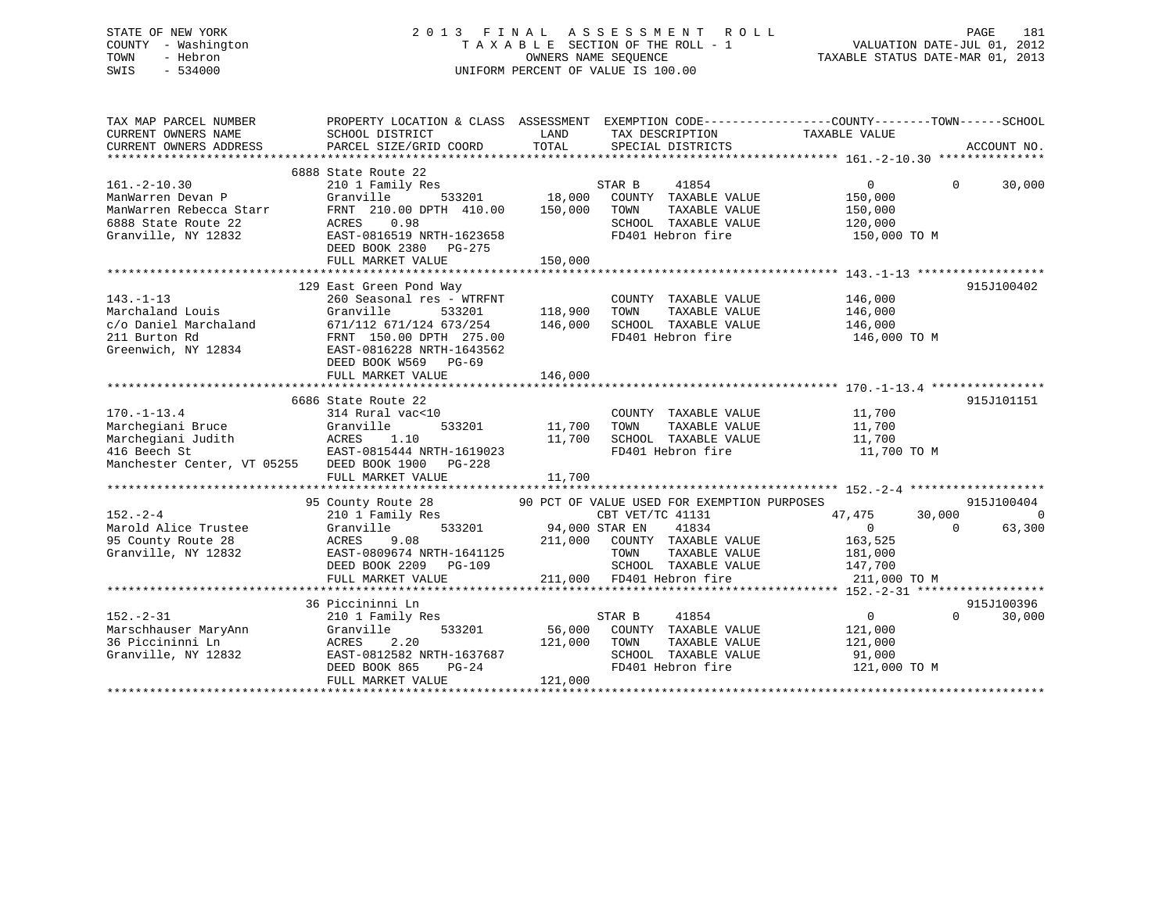## STATE OF NEW YORK 2 0 1 3 F I N A L A S S E S S M E N T R O L L PAGE 181 COUNTY - Washington T A X A B L E SECTION OF THE ROLL - 1 VALUATION DATE-JUL 01, 2012 TOWN - Hebron OWNERS NAME SEQUENCE TAXABLE STATUS DATE-MAR 01, 2013 SWIS - 534000 UNIFORM PERCENT OF VALUE IS 100.00

| TAX MAP PARCEL NUMBER<br>CURRENT OWNERS NAME<br>CURRENT OWNERS ADDRESS                                                            | PROPERTY LOCATION & CLASS ASSESSMENT EXEMPTION CODE----------------COUNTY-------TOWN-----SCHOOL<br>SCHOOL DISTRICT<br>PARCEL SIZE/GRID COORD                                                                        | LAND<br>TOTAL                                 | TAX DESCRIPTION TAXABLE VALUE<br>SPECIAL DISTRICTS                                                                                                                                     |                                                                                     | ACCOUNT NO.                                  |
|-----------------------------------------------------------------------------------------------------------------------------------|---------------------------------------------------------------------------------------------------------------------------------------------------------------------------------------------------------------------|-----------------------------------------------|----------------------------------------------------------------------------------------------------------------------------------------------------------------------------------------|-------------------------------------------------------------------------------------|----------------------------------------------|
| $161. - 2 - 10.30$<br>ManWarren Devan P<br>ManWarren Rebecca Starr<br>6888 State Route 22<br>Granville, NY 12832                  | 6888 State Route 22<br>210 1 Family Res<br>Granville<br>FRNT 210.00 DPTH 410.00<br>ACRES<br>0.98<br>EAST-0816519 NRTH-1623658<br>DEED BOOK 2380 PG-275<br>FULL MARKET VALUE                                         | 533201 18,000<br>TH 410.00 150,000<br>150,000 | STAR B<br>41854<br>COUNTY TAXABLE VALUE<br>TOWN<br>TAXABLE VALUE<br>SCHOOL TAXABLE VALUE<br>FD401 Hebron fire                                                                          | $\Omega$<br>150,000<br>150,000<br>120,000<br>150,000 TO M                           | 30,000<br>$\Omega$                           |
|                                                                                                                                   |                                                                                                                                                                                                                     |                                               |                                                                                                                                                                                        |                                                                                     |                                              |
| $143. - 1 - 13$<br>Marchaland Louis<br>c/o Daniel Marchaland<br>211 Burton Rd<br>Greenwich, NY 12834                              | 129 East Green Pond Way<br>260 Seasonal res - WTRFNT<br>533201<br>Granville<br>671/112 671/124 673/254 146,000<br>FRNT 150.00 DPTH 275.00<br>EAST-0816228 NRTH-1643562<br>DEED BOOK W569 PG-69<br>FULL MARKET VALUE | 118,900<br>146,000                            | COUNTY TAXABLE VALUE<br>TOWN<br>TAXABLE VALUE<br>SCHOOL TAXABLE VALUE<br>FD401 Hebron fire                                                                                             | 146,000<br>146,000<br>146,000<br>146,000 TO M                                       | 915J100402                                   |
|                                                                                                                                   |                                                                                                                                                                                                                     |                                               |                                                                                                                                                                                        |                                                                                     |                                              |
| $170. - 1 - 13.4$<br>Marchegiani Bruce<br>Marchegiani Judith<br>416 Beech St<br>Manchester Center, VT 05255 DEED BOOK 1900 PG-228 | 6686 State Route 22<br>314 Rural vac<10<br>Granville<br>533201<br>ACRES 1.10<br>EAST-0815444 NRTH-1619023<br>FULL MARKET VALUE                                                                                      | 11,700<br>11,700                              | COUNTY TAXABLE VALUE<br>TOWN<br>TAXABLE VALUE<br>11,700 SCHOOL TAXABLE VALUE<br>FD401 Hebron fire                                                                                      | 11,700<br>11,700<br>11,700<br>11,700 TO M                                           | 915J101151                                   |
|                                                                                                                                   |                                                                                                                                                                                                                     |                                               |                                                                                                                                                                                        |                                                                                     |                                              |
| $152 - 2 - 4$<br>Marold Alice Trustee<br>95 County Route 28<br>Granville, NY 12832                                                | 95 County Route 28<br>210 1 Family Res<br>Granville<br>ACRES<br>9.08<br>EAST-0809674 NRTH-1641125<br>DEED BOOK 2209<br>PG-109<br>FULL MARKET VALUE                                                                  | 533201 94,000 STAR EN                         | 90 PCT OF VALUE USED FOR EXEMPTION PURPOSES<br>CBT VET/TC 41131<br>41834<br>211,000 COUNTY TAXABLE VALUE<br>TAXABLE VALUE<br>TOWN<br>SCHOOL TAXABLE VALUE<br>211,000 FD401 Hebron fire | 47,475<br>30,000<br>$\overline{0}$<br>163,525<br>181,000<br>147,700<br>211,000 TO M | 915J100404<br>$\Omega$<br>63,300<br>$\Omega$ |
|                                                                                                                                   |                                                                                                                                                                                                                     |                                               |                                                                                                                                                                                        |                                                                                     |                                              |
| $152. - 2 - 31$<br>Marschhauser MaryAnn<br>36 Piccininni Ln<br>Granville, NY 12832                                                | 36 Piccininni Ln<br>210 1 Family Res<br>Granville<br>533201<br>2.20<br>ACRES<br>EAST-0812582 NRTH-1637687<br>DEED BOOK 865<br>PG-24<br>FULL MARKET VALUE                                                            | 56,000<br>121,000 TOWN<br>121,000             | 41854<br>STAR B<br>COUNTY TAXABLE VALUE<br>TAXABLE VALUE<br>SCHOOL TAXABLE VALUE<br>FD401 Hebron fire                                                                                  | $\sim$ 0<br>121,000<br>121,000<br>91,000<br>121,000 TO M                            | 915J100396<br>$\Omega$<br>30,000             |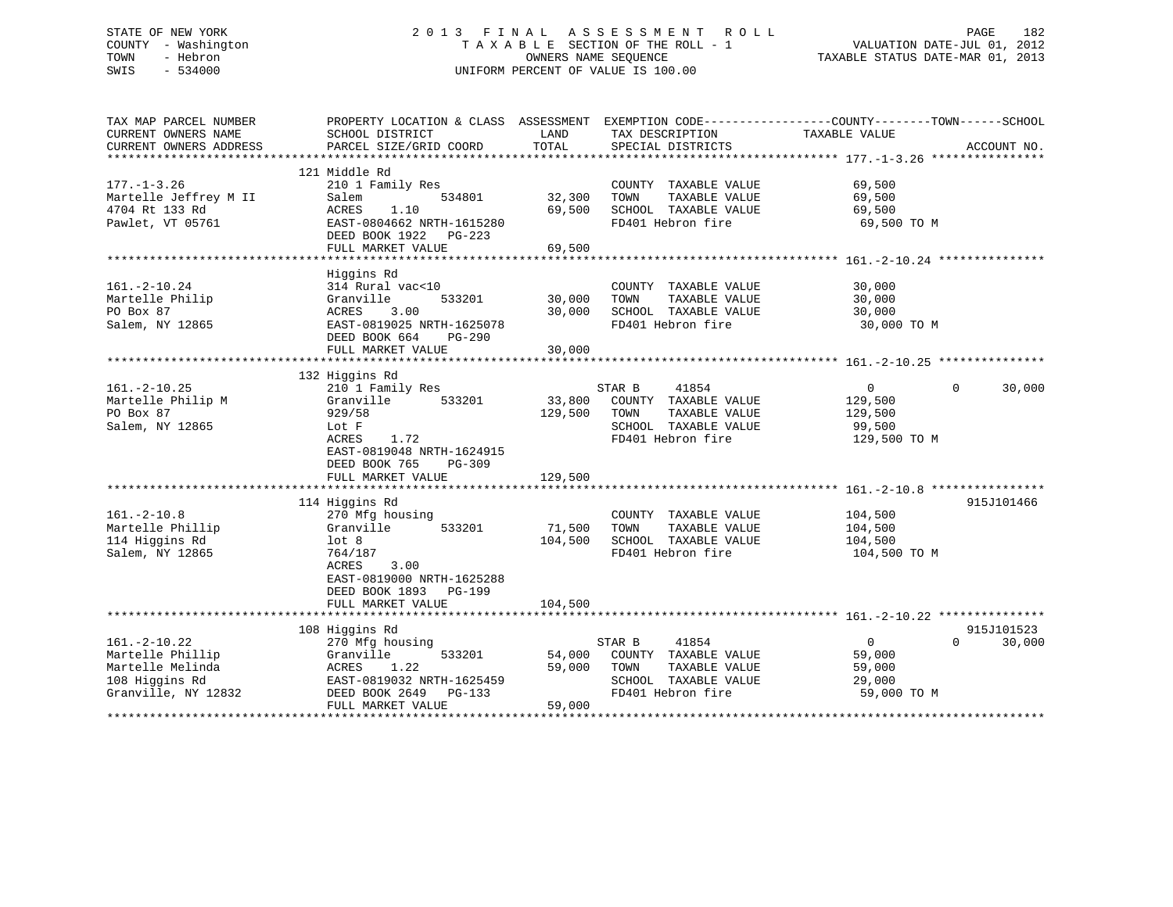## STATE OF NEW YORK 2 0 1 3 F I N A L A S S E S S M E N T R O L L PAGE 182 COUNTY - Washington T A X A B L E SECTION OF THE ROLL - 1 VALUATION DATE-JUL 01, 2012 TOWN - Hebron OWNERS NAME SEQUENCE TAXABLE STATUS DATE-MAR 01, 2013 SWIS - 534000 UNIFORM PERCENT OF VALUE IS 100.00

| TAX MAP PARCEL NUMBER<br>CURRENT OWNERS NAME<br>CURRENT OWNERS ADDRESS                              | PROPERTY LOCATION & CLASS ASSESSMENT<br>SCHOOL DISTRICT<br>PARCEL SIZE/GRID COORD                                                                                            | LAND<br>TOTAL                                | EXEMPTION CODE-----------------COUNTY-------TOWN------SCHOOL<br>TAX DESCRIPTION<br>SPECIAL DISTRICTS          | TAXABLE VALUE                                                  | ACCOUNT NO.                      |
|-----------------------------------------------------------------------------------------------------|------------------------------------------------------------------------------------------------------------------------------------------------------------------------------|----------------------------------------------|---------------------------------------------------------------------------------------------------------------|----------------------------------------------------------------|----------------------------------|
| $177. - 1 - 3.26$<br>Martelle Jeffrey M II<br>4704 Rt 133 Rd<br>Pawlet, VT 05761                    | 121 Middle Rd<br>210 1 Family Res<br>534801<br>Salem<br>ACRES<br>1.10<br>EAST-0804662 NRTH-1615280<br>DEED BOOK 1922 PG-223<br>FULL MARKET VALUE                             | 32,300<br>69,500<br>69,500                   | COUNTY TAXABLE VALUE<br>TOWN<br>TAXABLE VALUE<br>SCHOOL TAXABLE VALUE<br>FD401 Hebron fire                    | 69,500<br>69,500<br>69,500<br>69,500 TO M                      |                                  |
| $161. - 2 - 10.24$<br>Martelle Philip<br>PO Box 87<br>Salem, NY 12865                               | Higgins Rd<br>314 Rural vac<10<br>Granville<br>533201<br>3.00<br>ACRES<br>EAST-0819025 NRTH-1625078<br>DEED BOOK 664<br>PG-290<br>FULL MARKET VALUE                          | 30,000<br>30,000<br>30,000                   | COUNTY TAXABLE VALUE<br>TAXABLE VALUE<br>TOWN<br>SCHOOL TAXABLE VALUE<br>FD401 Hebron fire                    | 30,000<br>30,000<br>30,000<br>30,000 TO M                      |                                  |
| $161. - 2 - 10.25$<br>Martelle Philip M<br>PO Box 87<br>Salem, NY 12865                             | 132 Higgins Rd<br>210 1 Family Res<br>533201<br>Granville<br>929/58<br>Lot F<br>ACRES<br>1.72<br>EAST-0819048 NRTH-1624915<br>DEED BOOK 765<br>$PG-309$<br>FULL MARKET VALUE | 33,800<br>129,500<br>129,500                 | STAR B<br>41854<br>COUNTY TAXABLE VALUE<br>TAXABLE VALUE<br>TOWN<br>SCHOOL TAXABLE VALUE<br>FD401 Hebron fire | $\overline{0}$<br>129,500<br>129,500<br>99,500<br>129,500 TO M | $\Omega$<br>30,000               |
| $161. - 2 - 10.8$<br>Martelle Phillip<br>114 Higgins Rd<br>Salem, NY 12865                          | 114 Higgins Rd<br>270 Mfg housing<br>Granville<br>533201<br>$1$ ot 8<br>764/187<br>3.00<br>ACRES<br>EAST-0819000 NRTH-1625288<br>DEED BOOK 1893 PG-199<br>FULL MARKET VALUE  | 71,500<br>104,500<br>104,500                 | COUNTY TAXABLE VALUE<br>TAXABLE VALUE<br>TOWN<br>SCHOOL TAXABLE VALUE<br>FD401 Hebron fire                    | 104,500<br>104,500<br>104,500<br>104,500 TO M                  | 915J101466                       |
| $161. - 2 - 10.22$<br>Martelle Phillip<br>Martelle Melinda<br>108 Higgins Rd<br>Granville, NY 12832 | 108 Higgins Rd<br>270 Mfg housing<br>533201<br>Granville<br>ACRES<br>1.22<br>EAST-0819032 NRTH-1625459<br>DEED BOOK 2649<br>PG-133<br>FULL MARKET VALUE                      | 54,000<br>59,000<br>59,000<br>************** | STAR B<br>41854<br>COUNTY TAXABLE VALUE<br>TOWN<br>TAXABLE VALUE<br>SCHOOL TAXABLE VALUE<br>FD401 Hebron fire | $\overline{0}$<br>59,000<br>59,000<br>29,000<br>59,000 TO M    | 915J101523<br>30,000<br>$\Omega$ |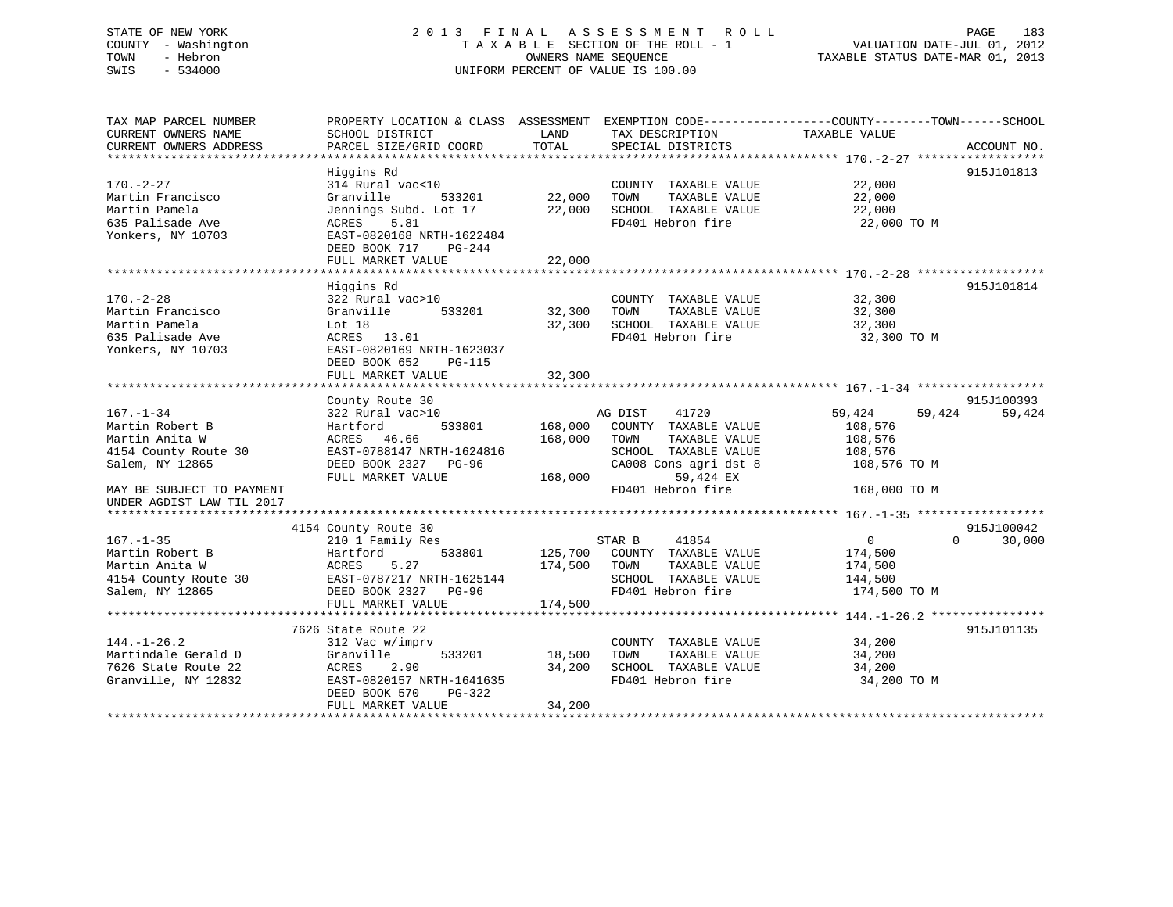## STATE OF NEW YORK 2 0 1 3 F I N A L A S S E S S M E N T R O L L PAGE 183 COUNTY - Washington T A X A B L E SECTION OF THE ROLL - 1 VALUATION DATE-JUL 01, 2012 TOWN - Hebron OWNERS NAME SEQUENCE TAXABLE STATUS DATE-MAR 01, 2013 SWIS - 534000 UNIFORM PERCENT OF VALUE IS 100.00

| TAX MAP PARCEL NUMBER<br>CURRENT OWNERS NAME<br>CURRENT OWNERS ADDRESS                                                                                    | PROPERTY LOCATION & CLASS ASSESSMENT<br>SCHOOL DISTRICT<br>PARCEL SIZE/GRID COORD                                                                                            | LAND<br>TAX DESCRIPTION<br>TOTAL<br>SPECIAL DISTRICTS                                                                                                   | EXEMPTION CODE-----------------COUNTY-------TOWN------SCHOOL<br>TAXABLE VALUE<br>ACCOUNT NO.                                            |
|-----------------------------------------------------------------------------------------------------------------------------------------------------------|------------------------------------------------------------------------------------------------------------------------------------------------------------------------------|---------------------------------------------------------------------------------------------------------------------------------------------------------|-----------------------------------------------------------------------------------------------------------------------------------------|
| $170. - 2 - 27$<br>Martin Francisco<br>Martin Pamela<br>635 Palisade Ave<br>Yonkers, NY 10703                                                             | Higgins Rd<br>314 Rural vac<10<br>Granville<br>533201<br>Jennings Subd. Lot 17<br>5.81<br>ACRES<br>EAST-0820168 NRTH-1622484<br>DEED BOOK 717<br>PG-244<br>FULL MARKET VALUE | COUNTY TAXABLE VALUE<br>22,000<br>TOWN<br>22,000<br>SCHOOL TAXABLE VALUE<br>FD401 Hebron fire<br>22,000                                                 | 915J101813<br>22,000<br>TAXABLE VALUE<br>22,000<br>22,000<br>22,000 TO M                                                                |
| $170. - 2 - 28$<br>Martin Francisco<br>Martin Pamela<br>635 Palisade Ave<br>Yonkers, NY 10703                                                             | Higgins Rd<br>322 Rural vac>10<br>Granville<br>533201<br>Lot 18<br>13.01<br>ACRES<br>EAST-0820169 NRTH-1623037<br>DEED BOOK 652<br>PG-115<br>FULL MARKET VALUE               | COUNTY TAXABLE VALUE<br>32,300<br>TOWN<br>SCHOOL TAXABLE VALUE<br>32,300<br>FD401 Hebron fire<br>32,300                                                 | 915J101814<br>32,300<br>TAXABLE VALUE<br>32,300<br>32,300<br>32,300 TO M                                                                |
| $167. - 1 - 34$<br>Martin Robert B<br>Martin Anita W<br>4154 County Route 30<br>Salem, NY 12865<br>MAY BE SUBJECT TO PAYMENT<br>UNDER AGDIST LAW TIL 2017 | County Route 30<br>322 Rural vac>10<br>533801<br>Hartford<br>ACRES 46.66<br>EAST-0788147 NRTH-1624816<br>DEED BOOK 2327 PG-96<br>FULL MARKET VALUE                           | 41720<br>AG DIST<br>168,000<br>COUNTY TAXABLE VALUE<br>168,000<br>TOWN<br>SCHOOL TAXABLE VALUE<br>CA008 Cons agri dst 8<br>168,000<br>FD401 Hebron fire | 915J100393<br>59,424<br>59,424<br>59,424<br>108,576<br>TAXABLE VALUE<br>108,576<br>108,576<br>108,576 TO M<br>59,424 EX<br>168,000 TO M |
| $167. - 1 - 35$<br>Martin Robert B<br>Martin Anita W<br>4154 County Route 30<br>Salem, NY 12865                                                           | 4154 County Route 30<br>210 1 Family Res<br>Hartford<br>533801<br>5.27<br>ACRES<br>EAST-0787217 NRTH-1625144<br>DEED BOOK 2327 PG-96<br>FULL MARKET VALUE                    | STAR B<br>41854<br>COUNTY TAXABLE VALUE<br>125,700<br>174,500<br>TOWN<br>SCHOOL TAXABLE VALUE<br>FD401 Hebron fire<br>174,500                           | 915J100042<br>$\overline{0}$<br>$\Omega$<br>30,000<br>174,500<br>TAXABLE VALUE<br>174,500<br>144,500<br>174,500 TO M                    |
| $144. - 1 - 26.2$<br>Martindale Gerald D<br>7626 State Route 22<br>Granville, NY 12832                                                                    | 7626 State Route 22<br>312 Vac w/imprv<br>Granville<br>533201<br>ACRES<br>2.90<br>EAST-0820157 NRTH-1641635<br>DEED BOOK 570<br>PG-322<br>FULL MARKET VALUE                  | COUNTY TAXABLE VALUE<br>18,500<br>TOWN<br>SCHOOL TAXABLE VALUE<br>34,200<br>FD401 Hebron fire<br>34,200                                                 | 915J101135<br>34,200<br>TAXABLE VALUE<br>34,200<br>34,200<br>34,200 TO M                                                                |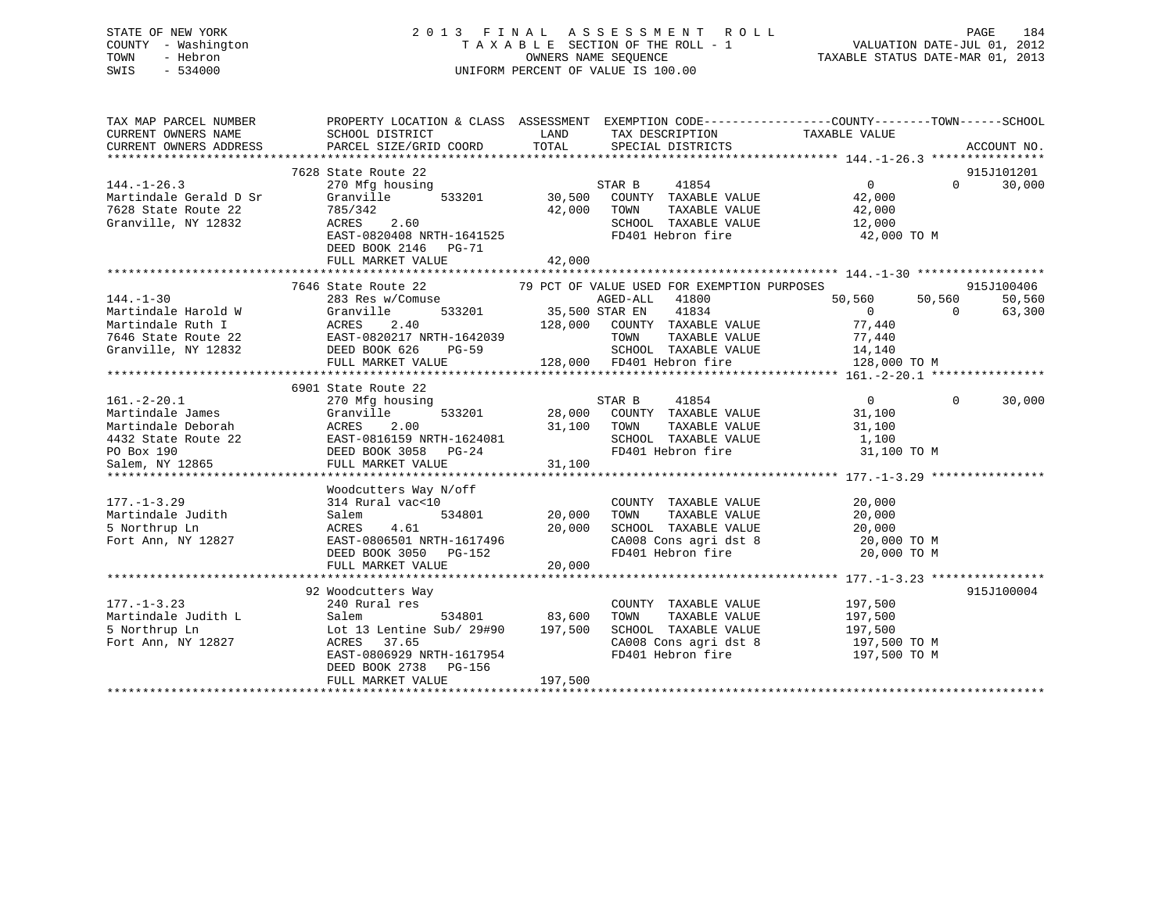## STATE OF NEW YORK 2 0 1 3 F I N A L A S S E S S M E N T R O L L PAGE 184 COUNTY - Washington T A X A B L E SECTION OF THE ROLL - 1 VALUATION DATE-JUL 01, 2012 TOWN - Hebron OWNERS NAME SEQUENCE TAXABLE STATUS DATE-MAR 01, 2013 SWIS - 534000 UNIFORM PERCENT OF VALUE IS 100.00

| TAX MAP PARCEL NUMBER<br>CURRENT OWNERS NAME<br>CURRENT OWNERS ADDRESS                       | PROPERTY LOCATION & CLASS ASSESSMENT EXEMPTION CODE---------------COUNTY-------TOWN------SCHOOL<br>SCHOOL DISTRICT<br>PARCEL SIZE/GRID COORD                                                                                                                                                | LAND<br>TOTAL            | TAX DESCRIPTION TAXABLE VALUE SPECIAL DISTRICTS                                                                                                                                                                                                                                                              |                                                                               |            | ACCOUNT NO.                               |
|----------------------------------------------------------------------------------------------|---------------------------------------------------------------------------------------------------------------------------------------------------------------------------------------------------------------------------------------------------------------------------------------------|--------------------------|--------------------------------------------------------------------------------------------------------------------------------------------------------------------------------------------------------------------------------------------------------------------------------------------------------------|-------------------------------------------------------------------------------|------------|-------------------------------------------|
| $144. - 1 - 26.3$<br>Martindale Gerald D Sr<br>7628 State Route 22<br>Granville, NY 12832    | 7628 State Route 22<br>270 Mfg housing<br>Granville<br>533201<br>785/342<br>ACRES 2.60<br>EAST-0820408 NRTH-1641525<br>DEED BOOK 2146 PG-71                                                                                                                                                 | 42,000                   | STAR B<br>41854<br>30,500 COUNTY TAXABLE VALUE<br>TAXABLE VALUE<br>TOWN<br>SCHOOL TAXABLE VALUE 12,000<br>FD401 Hebron fire                                                                                                                                                                                  | $\overline{0}$<br>42,000<br>42,000<br>42,000 TO M                             |            | 915J101201<br>$0 \qquad \qquad$<br>30,000 |
|                                                                                              | FULL MARKET VALUE                                                                                                                                                                                                                                                                           | 42,000                   |                                                                                                                                                                                                                                                                                                              |                                                                               |            |                                           |
|                                                                                              | 7646 State Route 22                                                                                                                                                                                                                                                                         |                          | 79 PCT OF VALUE USED FOR EXEMPTION PURPOSES                                                                                                                                                                                                                                                                  |                                                                               |            | 915J100406                                |
| $144. - 1 - 30$                                                                              | 283 Res w/Comuse<br>144.-1-30<br>Martindale Harold W<br>Martindale Ruth I (ACRES 2.40<br>7646 State Route 22<br>Granville, NY 12832<br>TAST-0820217 NRTH-1642039<br>Granville, NY 12832<br>DEED BOOK 626<br>TAST-0820217 NRTH-1642039<br>DEED BOOK 626<br>TAST-0820217<br>FULL MARKET VALUE |                          | AGED-ALL 41800<br>$\frac{1}{533201}$ 35,500 STAR EN 41834<br>128,000 COUNTY TAXABLE VALUE<br>TAXABLE VALUE<br>TOWN<br>SCHOOL TAXABLE VALUE<br>128,000 FD401 Hebron fire                                                                                                                                      | 50,560 50,560<br>$\overline{0}$<br>77,440<br>77,440<br>14,140<br>128,000 TO M | $\bigcirc$ | 50,560<br>63,300                          |
|                                                                                              |                                                                                                                                                                                                                                                                                             |                          |                                                                                                                                                                                                                                                                                                              |                                                                               |            |                                           |
| $161.-2-20.1$<br>Martindale James                                                            | 6901 State Route 22<br>270 Mfg housing<br>Granville<br>Martindale Deborah Martindale Deborah Martindale Deborah Martindale Deborah Martindale Deborah Martindale 22 EAST-0816159 NRTH-1624081<br>PO Box 190 DEED BOOK 3058 PG-24<br>Salem, NY 12865 FULL MARKET VALUE 31,100                | 31,100 TOWN              | STAR B 41854<br>533201 28,000 COUNTY TAXABLE VALUE<br>TAXABLE VALUE<br>SCHOOL TAXABLE VALUE 1,100<br>FD401 Hebron fire 31,100 TO M                                                                                                                                                                           | $\overline{0}$<br>31,100<br>31,100                                            | $\Omega$   | 30,000                                    |
|                                                                                              |                                                                                                                                                                                                                                                                                             |                          |                                                                                                                                                                                                                                                                                                              |                                                                               |            |                                           |
| $177. - 1 - 3.29$<br>177.-1-3.23<br>Martindale Judith<br>5 Northrup Ln<br>Fort Ann, NY 12827 | Woodcutters Way N/off<br>314 Rural vac<10<br>Salem<br>4.61<br>ACRES<br>EAST-0806501 NRTH-1617496<br>DEED BOOK 3050 PG-152                                                                                                                                                                   | 20,000                   | COUNTY TAXABLE VALUE<br>TOWN      TAXABLE VALUE<br>SCHOOL TAXABLE VALUE<br>CA008 Cons agri dst 8<br>FD401 Hebron fire                                                                                                                                                                                        | 20,000<br>20,000<br>20,000<br>20,000 TO M<br>20,000 TO M                      |            |                                           |
|                                                                                              | FULL MARKET VALUE                                                                                                                                                                                                                                                                           | 20,000                   |                                                                                                                                                                                                                                                                                                              |                                                                               |            |                                           |
| $177. - 1 - 3.23$<br>Martindale Judith L<br>5 Northrup Ln<br>Fort Ann, NY 12827              | 92 Woodcutters Way<br>240 Rural res<br>Salem<br>Lot 13 Lentine Sub/ 29#90 197,500<br>ACRES 37.65<br>ACRES 37.65<br>EAST-0806929 NRTH-1617954<br>DEED BOOK 2738 PG-156<br>FULL MARKET VALUE                                                                                                  | 534801 83,600<br>197,500 | COUNTY TAXABLE VALUE<br>TAXABLE VALUE<br>TOWN<br>SCHOOL TAXABLE VALUE<br>$\begin{array}{lll} \texttt{CA008} \texttt{ Cons} & \texttt{aspti} & \texttt{dst} & \texttt{8} & \texttt{197,500} \texttt{ TO M} \\ \texttt{FD401} & \texttt{Hebron} & \texttt{fire} & \texttt{197,500} \texttt{ TO M} \end{array}$ | 197,500<br>197,500<br>197,500                                                 |            | 915J100004                                |
|                                                                                              |                                                                                                                                                                                                                                                                                             |                          |                                                                                                                                                                                                                                                                                                              |                                                                               |            |                                           |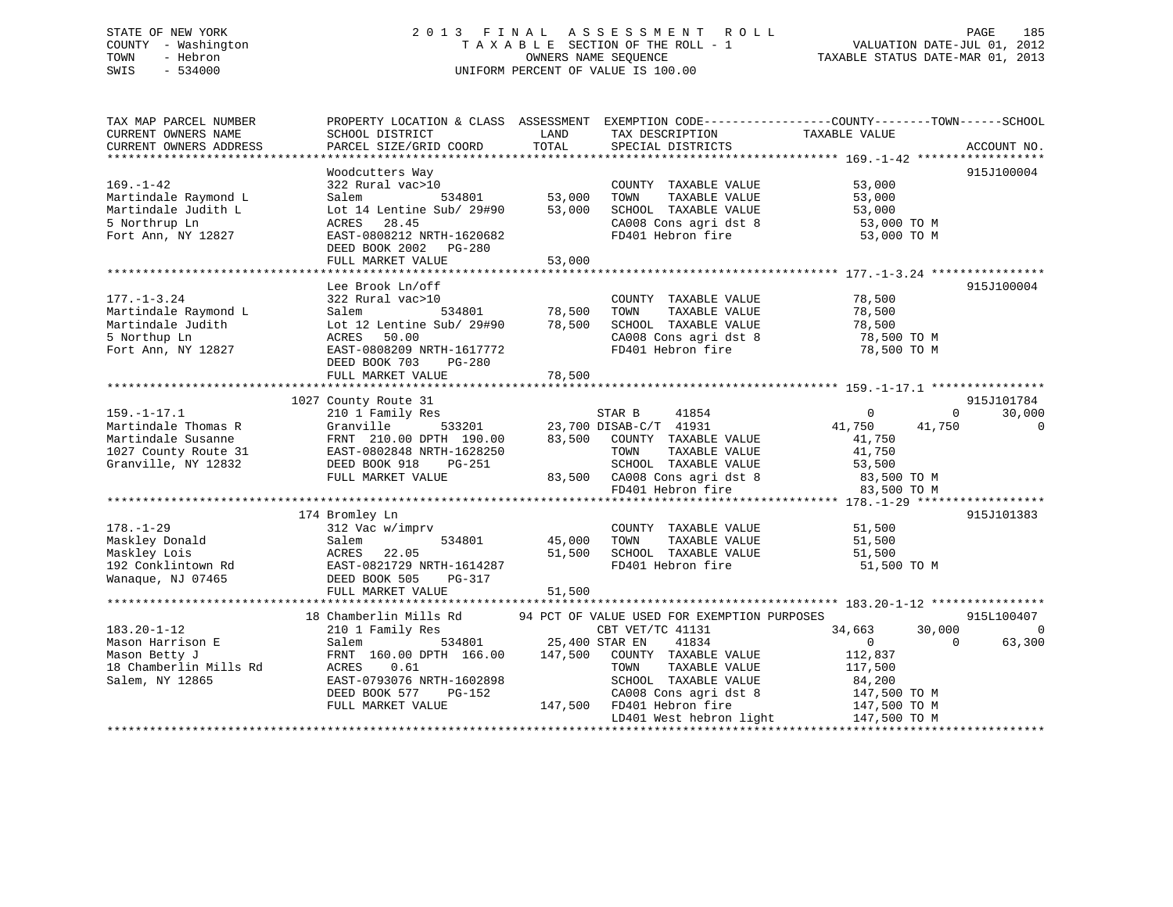## STATE OF NEW YORK 2 0 1 3 F I N A L A S S E S S M E N T R O L L PAGE 185 COUNTY - Washington T A X A B L E SECTION OF THE ROLL - 1 VALUATION DATE-JUL 01, 2012 TOWN - Hebron OWNERS NAME SEQUENCE TAXABLE STATUS DATE-MAR 01, 2013 SWIS - 534000 UNIFORM PERCENT OF VALUE IS 100.00

| TAX MAP PARCEL NUMBER<br>CURRENT OWNERS NAME<br>CURRENT OWNERS ADDRESS | SCHOOL DISTRICT                                     | LAND<br>TOTAL         | TAX DESCRIPTION                               | PROPERTY LOCATION & CLASS ASSESSMENT EXEMPTION CODE----------------COUNTY-------TOWN------SCHOOL<br>TAXABLE VALUE | ACCOUNT NO.    |
|------------------------------------------------------------------------|-----------------------------------------------------|-----------------------|-----------------------------------------------|-------------------------------------------------------------------------------------------------------------------|----------------|
|                                                                        | PARCEL SIZE/GRID COORD                              |                       | SPECIAL DISTRICTS                             |                                                                                                                   |                |
|                                                                        | Woodcutters Way                                     |                       |                                               |                                                                                                                   | 915J100004     |
| $169. - 1 - 42$                                                        | 322 Rural vac>10                                    |                       | COUNTY TAXABLE VALUE                          | 53,000                                                                                                            |                |
| Martindale Raymond L                                                   | Salem<br>534801                                     | 53,000                | TOWN<br>TAXABLE VALUE                         | 53,000                                                                                                            |                |
| Martindale Judith L                                                    | Lot 14 Lentine Sub/ 29#90                           | 53,000                | SCHOOL TAXABLE VALUE                          | 53,000                                                                                                            |                |
| 5 Northrup Ln                                                          | ACRES<br>28.45                                      |                       | CA008 Cons agri dst 8                         | 53,000 TO M                                                                                                       |                |
| Fort Ann, NY 12827                                                     | EAST-0808212 NRTH-1620682                           |                       | FD401 Hebron fire                             | 53,000 TO M                                                                                                       |                |
|                                                                        | DEED BOOK 2002    PG-280                            |                       |                                               |                                                                                                                   |                |
|                                                                        | FULL MARKET VALUE                                   | 53,000                |                                               |                                                                                                                   |                |
|                                                                        |                                                     |                       |                                               |                                                                                                                   |                |
|                                                                        | Lee Brook Ln/off                                    |                       |                                               |                                                                                                                   | 915J100004     |
| $177. - 1 - 3.24$                                                      | 322 Rural vac>10                                    |                       | COUNTY TAXABLE VALUE                          | 78,500                                                                                                            |                |
| Martindale Raymond L                                                   | 534801<br>Salem<br>Lot 12 Lentine Sub/ 29#90 78,500 | 78,500                | TOWN<br>TAXABLE VALUE                         | 78,500                                                                                                            |                |
| Martindale Judith<br>5 Northup Ln                                      | ACRES<br>50.00                                      |                       | SCHOOL TAXABLE VALUE<br>CA008 Cons agri dst 8 | 78,500<br>78,500 TO M                                                                                             |                |
| Fort Ann, NY 12827                                                     | EAST-0808209 NRTH-1617772                           |                       | FD401 Hebron fire                             | 78,500 TO M                                                                                                       |                |
|                                                                        | DEED BOOK 703<br>PG-280                             |                       |                                               |                                                                                                                   |                |
|                                                                        | FULL MARKET VALUE                                   | 78,500                |                                               |                                                                                                                   |                |
|                                                                        |                                                     |                       |                                               |                                                                                                                   |                |
|                                                                        | 1027 County Route 31                                |                       |                                               |                                                                                                                   | 915J101784     |
| $159. - 1 - 17.1$                                                      | 210 1 Family Res                                    |                       | STAR B<br>41854                               | 0<br>$\Omega$                                                                                                     | 30,000         |
| Martindale Thomas R                                                    | Granville                                           |                       | 533201 23,700 DISAB-C/T 41931                 | 41,750<br>41,750                                                                                                  | $\overline{0}$ |
| Martindale Susanne                                                     | FRNT 210.00 DPTH 190.00                             | 83,500                | COUNTY TAXABLE VALUE                          | 41,750                                                                                                            |                |
| 1027 County Route 31                                                   | EAST-0802848 NRTH-1628250                           |                       | TOWN<br>TAXABLE VALUE                         | 41,750                                                                                                            |                |
| Granville, NY 12832                                                    | DEED BOOK 918<br>PG-251                             |                       | SCHOOL TAXABLE VALUE                          | 53,500                                                                                                            |                |
|                                                                        | FULL MARKET VALUE                                   |                       | 83,500 CA008 Cons agri dst 8                  | 83,500 TO M                                                                                                       |                |
|                                                                        |                                                     |                       | FD401 Hebron fire                             | 83,500 TO M                                                                                                       |                |
|                                                                        |                                                     |                       |                                               |                                                                                                                   |                |
|                                                                        | 174 Bromley Ln                                      |                       |                                               |                                                                                                                   | 915J101383     |
| $178. - 1 - 29$                                                        | 312 Vac w/imprv                                     |                       | COUNTY TAXABLE VALUE                          | 51,500                                                                                                            |                |
| Maskley Donald                                                         | 534801<br>Salem                                     | 45,000                | TAXABLE VALUE<br>TOWN                         | 51,500                                                                                                            |                |
| Maskley Lois<br>192 Conklintown Rd                                     | 22.05<br>ACRES<br>EAST-0821729 NRTH-1614287         | 51,500                | SCHOOL TAXABLE VALUE<br>FD401 Hebron fire     | 51,500<br>51,500 TO M                                                                                             |                |
| Wanaque, NJ 07465                                                      | DEED BOOK 505<br>PG-317                             |                       |                                               |                                                                                                                   |                |
|                                                                        | FULL MARKET VALUE                                   | 51,500                |                                               |                                                                                                                   |                |
|                                                                        |                                                     |                       |                                               |                                                                                                                   |                |
|                                                                        | 18 Chamberlin Mills Rd                              |                       | 94 PCT OF VALUE USED FOR EXEMPTION PURPOSES   |                                                                                                                   | 915L100407     |
| $183.20 - 1 - 12$                                                      | 210 1 Family Res                                    |                       | CBT VET/TC 41131                              | 34,663<br>30,000                                                                                                  | $\overline{0}$ |
| Mason Harrison E                                                       | Salem                                               | 534801 25,400 STAR EN | 41834                                         | $\Omega$<br>$\overline{0}$                                                                                        | 63,300         |
| Mason Betty J                                                          | FRNT 160.00 DPTH 166.00                             | 147,500               | COUNTY TAXABLE VALUE                          | 112,837                                                                                                           |                |
| 18 Chamberlin Mills Rd                                                 | 0.61<br>ACRES                                       |                       | TAXABLE VALUE<br>TOWN                         | 117,500                                                                                                           |                |
| Salem, NY 12865                                                        | EAST-0793076 NRTH-1602898                           |                       | SCHOOL TAXABLE VALUE                          | 84,200                                                                                                            |                |
|                                                                        | DEED BOOK 577<br>PG-152                             |                       | CA008 Cons agri dst 8                         | 147,500 TO M                                                                                                      |                |
|                                                                        | FULL MARKET VALUE                                   |                       | 147,500 FD401 Hebron fire                     | 147,500 TO M                                                                                                      |                |
|                                                                        |                                                     |                       | LD401 West hebron light                       | 147,500 TO M                                                                                                      |                |
|                                                                        |                                                     |                       |                                               |                                                                                                                   |                |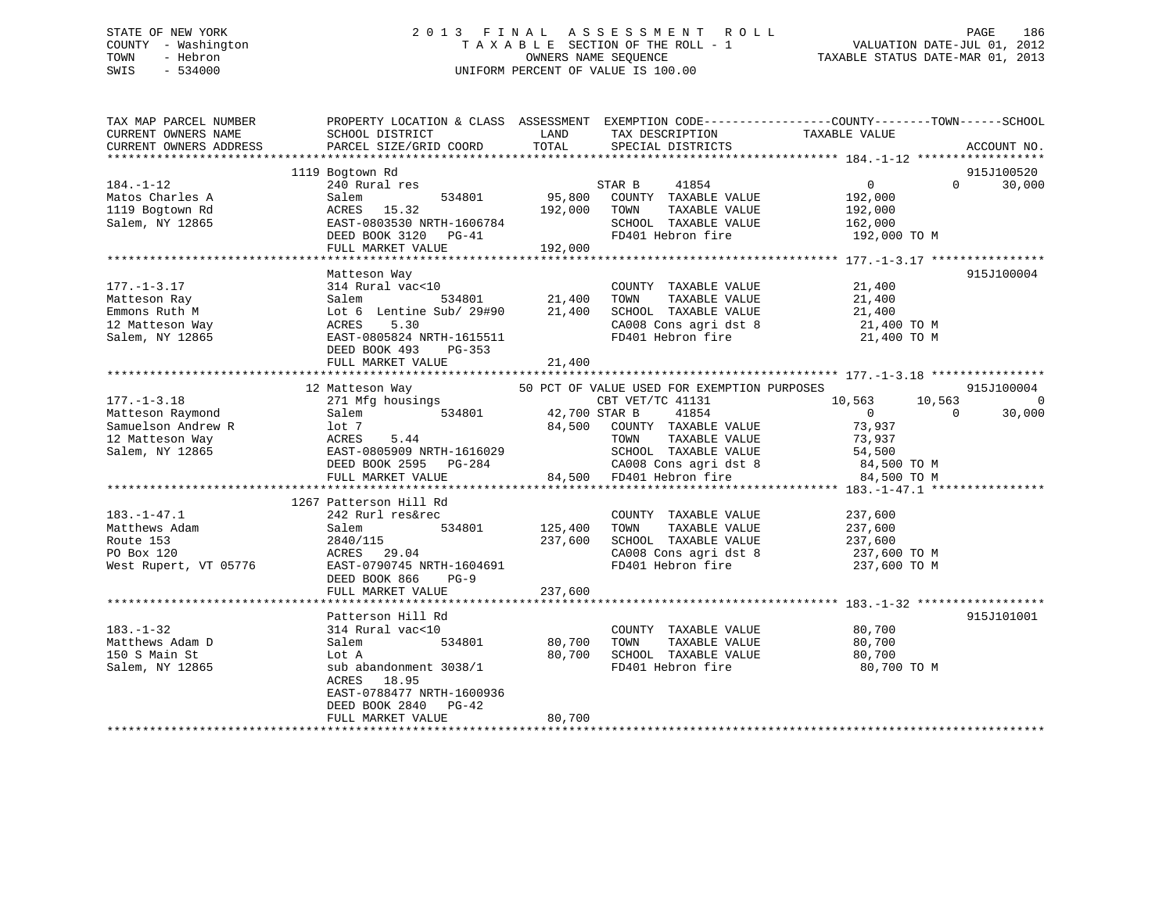## STATE OF NEW YORK 2 0 1 3 F I N A L A S S E S S M E N T R O L L PAGE 186 COUNTY - Washington T A X A B L E SECTION OF THE ROLL - 1 VALUATION DATE-JUL 01, 2012 TOWN - Hebron OWNERS NAME SEQUENCE TAXABLE STATUS DATE-MAR 01, 2013 SWIS - 534000 UNIFORM PERCENT OF VALUE IS 100.00

| TAX MAP PARCEL NUMBER<br>CURRENT OWNERS NAME<br>CURRENT OWNERS ADDRESS | PROPERTY LOCATION & CLASS ASSESSMENT EXEMPTION CODE----------------COUNTY-------TOWN------SCHOOL<br>SCHOOL DISTRICT<br>PARCEL SIZE/GRID COORD | LAND<br>TOTAL | TAX DESCRIPTION<br>SPECIAL DISTRICTS                             | TAXABLE VALUE                    | ACCOUNT NO.        |
|------------------------------------------------------------------------|-----------------------------------------------------------------------------------------------------------------------------------------------|---------------|------------------------------------------------------------------|----------------------------------|--------------------|
|                                                                        |                                                                                                                                               |               |                                                                  |                                  |                    |
|                                                                        | 1119 Bogtown Rd                                                                                                                               |               |                                                                  |                                  | 915J100520         |
| $184. - 1 - 12$                                                        | 240 Rural res                                                                                                                                 |               | STAR B<br>41854                                                  | $\overline{0}$                   | $\Omega$<br>30,000 |
| Matos Charles A                                                        | Salem                                                                                                                                         |               | 534801 95,800 COUNTY TAXABLE VALUE                               | 192,000                          |                    |
| 1119 Bogtown Rd                                                        | ACRES 15.32                                                                                                                                   | 192,000 TOWN  | TAXABLE VALUE                                                    | 192,000                          |                    |
| Salem, NY 12865                                                        | ACKES 19.92<br>EAST-0803530 NRTH-1606784<br>2000 2120 PG-41                                                                                   |               | SCHOOL TAXABLE VALUE 162,000                                     |                                  |                    |
|                                                                        |                                                                                                                                               |               | FD401 Hebron fire                                                | 192,000 TO M                     |                    |
|                                                                        | FULL MARKET VALUE                                                                                                                             | 192,000       |                                                                  |                                  |                    |
|                                                                        |                                                                                                                                               |               |                                                                  |                                  |                    |
|                                                                        | Matteson Way                                                                                                                                  |               |                                                                  |                                  | 915J100004         |
| $177. - 1 - 3.17$                                                      | 314 Rural vac<10                                                                                                                              |               | COUNTY TAXABLE VALUE                                             | 21,400                           |                    |
| Matteson Ray                                                           | Salem                                                                                                                                         | 534801 21,400 | TOWN<br>TAXABLE VALUE                                            | 21,400                           |                    |
| Emmons Ruth M                                                          | Lot 6 Lentine Sub/ 29#90 21,400                                                                                                               |               | SCHOOL TAXABLE VALUE 21,400<br>CA008 Cons agri dst 8 21,400 TO M |                                  |                    |
| 12 Matteson Way                                                        | ACRES<br>5.30                                                                                                                                 |               |                                                                  |                                  |                    |
| Salem, NY 12865                                                        | EAST-0805824 NRTH-1615511                                                                                                                     |               |                                                                  | FD401 Hebron fire 21,400 TO M    |                    |
|                                                                        | DEED BOOK 493<br>PG-353                                                                                                                       |               |                                                                  |                                  |                    |
|                                                                        | FULL MARKET VALUE                                                                                                                             | 21,400        |                                                                  |                                  |                    |
|                                                                        |                                                                                                                                               |               |                                                                  |                                  | 915J100004         |
| $177. - 1 - 3.18$                                                      | 12 Matteson Way<br>Matteson Way 50 PCT (271 Mfg housings                                                                                      |               | 50 PCT OF VALUE USED FOR EXEMPTION PURPOSES<br>CBT VET/TC 41131  | 10,563 10,563                    | $\overline{0}$     |
| Matteson Raymond                                                       | 534801 42,700 STAR B<br>Salem                                                                                                                 |               | 41854                                                            | $\overline{0}$<br>$\overline{0}$ | 30,000             |
| Samuelson Andrew R                                                     | lot 7                                                                                                                                         |               | 84,500 COUNTY TAXABLE VALUE                                      | 73,937                           |                    |
| 12 Matteson Way                                                        | ACRES<br>5.44                                                                                                                                 |               | TOWN<br>TAXABLE VALUE                                            | 73,937                           |                    |
| Salem, NY 12865                                                        | EAST-0805909 NRTH-1616029                                                                                                                     |               | SCHOOL TAXABLE VALUE                                             | 54,500                           |                    |
|                                                                        | DEED BOOK 2595 PG-284                                                                                                                         |               | $CA008$ Cons agri dst 8 $84,500$ TO M                            |                                  |                    |
|                                                                        | FULL MARKET VALUE                                                                                                                             |               | 84,500 FD401 Hebron fire                                         | 84,500 TO M                      |                    |
|                                                                        |                                                                                                                                               |               |                                                                  |                                  |                    |
|                                                                        | 1267 Patterson Hill Rd                                                                                                                        |               |                                                                  |                                  |                    |
| $183. - 1 - 47.1$                                                      | 242 Rurl res&rec                                                                                                                              |               | COUNTY TAXABLE VALUE                                             | 237,600                          |                    |
| Matthews Adam                                                          | 534801<br>Salem                                                                                                                               | 125,400       |                                                                  |                                  |                    |
| Route 153                                                              | 2840/115                                                                                                                                      | 237,600       | TOWN TAXABLE VALUE 237,600<br>SCHOOL TAXABLE VALUE 237,600       |                                  |                    |
| PO Box 120                                                             | ACRES 29.04                                                                                                                                   |               | CA008 Cons agri dst 8                                            | 237,600 TO M                     |                    |
| West Rupert, VT 05776                                                  | EAST-0790745 NRTH-1604691                                                                                                                     |               | FD401 Hebron fire                                                | 237,600 TO M                     |                    |
|                                                                        | DEED BOOK 866<br>$PG-9$                                                                                                                       |               |                                                                  |                                  |                    |
|                                                                        | FULL MARKET VALUE                                                                                                                             | 237,600       |                                                                  |                                  |                    |
|                                                                        |                                                                                                                                               |               |                                                                  |                                  |                    |
|                                                                        | Patterson Hill Rd                                                                                                                             |               |                                                                  |                                  | 915J101001         |
| $183. - 1 - 32$                                                        | 314 Rural vac<10                                                                                                                              |               | COUNTY TAXABLE VALUE                                             | 80,700                           |                    |
| Matthews Adam D                                                        | Salem<br>534801                                                                                                                               | 80,700        | TOWN<br>TAXABLE VALUE                                            | 80,700                           |                    |
| 150 S Main St                                                          | Lot A                                                                                                                                         | 80,700        | SCHOOL TAXABLE VALUE                                             | 80,700                           |                    |
| Salem, NY 12865                                                        | sub abandonment 3038/1                                                                                                                        |               | FD401 Hebron fire                                                | 80,700 TO M                      |                    |
|                                                                        | ACRES<br>18.95                                                                                                                                |               |                                                                  |                                  |                    |
|                                                                        | EAST-0788477 NRTH-1600936                                                                                                                     |               |                                                                  |                                  |                    |
|                                                                        | DEED BOOK 2840 PG-42                                                                                                                          |               |                                                                  |                                  |                    |
|                                                                        | FULL MARKET VALUE                                                                                                                             | 80,700        |                                                                  |                                  |                    |
|                                                                        |                                                                                                                                               |               |                                                                  |                                  |                    |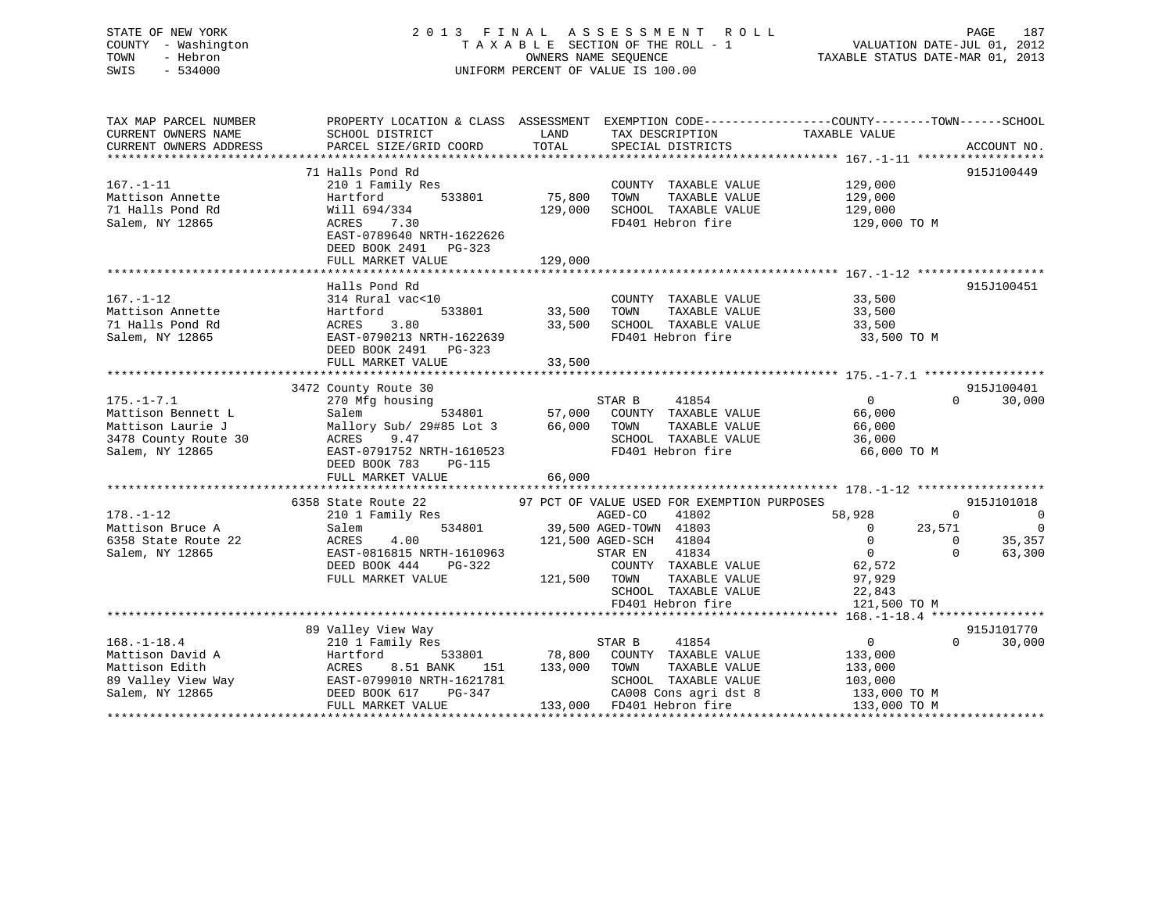## STATE OF NEW YORK 2 0 1 3 F I N A L A S S E S S M E N T R O L L PAGE 187 COUNTY - Washington T A X A B L E SECTION OF THE ROLL - 1 VALUATION DATE-JUL 01, 2012 TOWN - Hebron OWNERS NAME SEQUENCE TAXABLE STATUS DATE-MAR 01, 2013 SWIS - 534000 UNIFORM PERCENT OF VALUE IS 100.00

| TAX MAP PARCEL NUMBER                         |                                           | LAND         |                                                                           | PROPERTY LOCATION & CLASS ASSESSMENT EXEMPTION CODE---------------COUNTY-------TOWN------SCHOOL<br>TAXABLE VALUE |                                  |
|-----------------------------------------------|-------------------------------------------|--------------|---------------------------------------------------------------------------|------------------------------------------------------------------------------------------------------------------|----------------------------------|
| CURRENT OWNERS NAME<br>CURRENT OWNERS ADDRESS | SCHOOL DISTRICT<br>PARCEL SIZE/GRID COORD | TOTAL        | TAX DESCRIPTION<br>SPECIAL DISTRICTS                                      |                                                                                                                  | ACCOUNT NO.                      |
|                                               |                                           |              |                                                                           |                                                                                                                  |                                  |
|                                               | 71 Halls Pond Rd                          |              |                                                                           |                                                                                                                  | 915J100449                       |
| $167. - 1 - 11$                               | 210 1 Family Res                          |              | COUNTY TAXABLE VALUE 129,000                                              |                                                                                                                  |                                  |
| Mattison Annette                              | 533801<br>Hartford                        | 75,800       | TOWN<br>TAXABLE VALUE                                                     | 129,000                                                                                                          |                                  |
| 71 Halls Pond Rd                              | Will 694/334                              | 129,000      | SCHOOL TAXABLE VALUE                                                      | 129,000                                                                                                          |                                  |
| Salem, NY 12865                               | 7.30<br>ACRES                             |              | FD401 Hebron fire                                                         | 129,000 TO M                                                                                                     |                                  |
|                                               | EAST-0789640 NRTH-1622626                 |              |                                                                           |                                                                                                                  |                                  |
|                                               | DEED BOOK 2491 PG-323                     |              |                                                                           |                                                                                                                  |                                  |
|                                               | FULL MARKET VALUE                         | 129,000      |                                                                           |                                                                                                                  |                                  |
|                                               |                                           |              |                                                                           |                                                                                                                  |                                  |
| $167. - 1 - 12$                               | Halls Pond Rd                             |              | COUNTY TAXABLE VALUE 33,500                                               |                                                                                                                  | 915J100451                       |
| Mattison Annette                              | 314 Rural vac<10<br>533801<br>Hartford    | 33,500       | TOWN<br>TAXABLE VALUE                                                     | 33,500                                                                                                           |                                  |
| 71 Halls Pond Rd                              | ACRES 3.80                                |              | 33,500 SCHOOL TAXABLE VALUE                                               | 33,500                                                                                                           |                                  |
| Salem, NY 12865                               | EAST-0790213 NRTH-1622639                 |              | FD401 Hebron fire                                                         | 33,500 TO M                                                                                                      |                                  |
|                                               | DEED BOOK 2491 PG-323                     |              |                                                                           |                                                                                                                  |                                  |
|                                               | FULL MARKET VALUE                         | 33,500       |                                                                           |                                                                                                                  |                                  |
|                                               |                                           |              |                                                                           |                                                                                                                  |                                  |
|                                               | 3472 County Route 30                      |              |                                                                           |                                                                                                                  | 915J100401                       |
| $175. - 1 - 7.1$                              | 270 Mfg housing                           |              | STAR B<br>41854                                                           | $\Omega$                                                                                                         | $\Omega$<br>30,000               |
| Mattison Bennett L                            | Salem                                     |              | 534801 57,000 COUNTY TAXABLE VALUE<br>#85 Lot 3 66,000 TOWN TAXABLE VALUE | 66,000                                                                                                           |                                  |
| Mattison Laurie J                             | Mallory Sub/ 29#85 Lot 3                  |              |                                                                           | 66,000                                                                                                           |                                  |
| 3478 County Route 30                          | ACRES<br>9.47                             |              | SCHOOL TAXABLE VALUE                                                      | 36,000                                                                                                           |                                  |
| Salem, NY 12865                               | EAST-0791752 NRTH-1610523                 |              | FD401 Hebron fire                                                         | 66,000 TO M                                                                                                      |                                  |
|                                               | DEED BOOK 783<br>PG-115                   |              |                                                                           |                                                                                                                  |                                  |
|                                               | FULL MARKET VALUE 66,000                  |              |                                                                           |                                                                                                                  |                                  |
|                                               |                                           |              | 97 PCT OF VALUE USED FOR EXEMPTION PURPOSES                               |                                                                                                                  |                                  |
| $178. - 1 - 12$                               | 6358 State Route 22                       |              | 41802<br>AGED-CO                                                          | 58,928<br>$\Omega$                                                                                               | 915J101018                       |
| Mattison Bruce A                              | 210 1 Family Res<br>Salem                 |              | 534801 39,500 AGED-TOWN 41803                                             | 23,571<br>$\overline{0}$                                                                                         | $\overline{0}$<br>$\overline{0}$ |
| 6358 State Route 22                           | ACRES<br>4.00                             |              | 121,500 AGED-SCH 41804                                                    | $\overline{0}$<br>$\mathbf{0}$                                                                                   | 35,357                           |
| Salem, NY 12865                               | EAST-0816815 NRTH-1610963                 |              | 41834<br>STAR EN                                                          | $\overline{0}$<br>$\Omega$                                                                                       | 63,300                           |
|                                               | DEED BOOK 444<br>PG-322                   |              | COUNTY TAXABLE VALUE                                                      | 62,572                                                                                                           |                                  |
|                                               | FULL MARKET VALUE                         | 121,500 TOWN | TAXABLE VALUE                                                             | 97,929                                                                                                           |                                  |
|                                               |                                           |              | SCHOOL TAXABLE VALUE                                                      | 22,843                                                                                                           |                                  |
|                                               |                                           |              |                                                                           | 121,500 TO M                                                                                                     |                                  |
|                                               |                                           |              |                                                                           |                                                                                                                  |                                  |
|                                               | 89 Valley View Way                        |              |                                                                           |                                                                                                                  | 915J101770                       |
| $168. - 1 - 18.4$                             | 210 1 Family Res                          |              | STAR B<br>41854                                                           | $\overline{0}$                                                                                                   | 30,000<br>$\Omega$               |
| Mattison David A                              | 533801<br>Hartford                        |              | 78,800 COUNTY TAXABLE VALUE                                               | 133,000                                                                                                          |                                  |
| Mattison Edith                                | ACRES<br>8.51 BANK<br>151                 | 133,000 TOWN | TAXABLE VALUE                                                             | 133,000                                                                                                          |                                  |
| 89 Valley View Way                            | EAST-0799010 NRTH-1621781                 |              | SCHOOL TAXABLE VALUE                                                      | 103,000                                                                                                          |                                  |
| Salem, NY 12865                               | PG-347<br>DEED BOOK 617                   |              | CA008 Cons agri dst 8                                                     | $103,000$ TO M<br>133,000 TO M                                                                                   |                                  |
|                                               | FULL MARKET VALUE                         |              | 133,000 FD401 Hebron fire                                                 | 133,000 TO M                                                                                                     |                                  |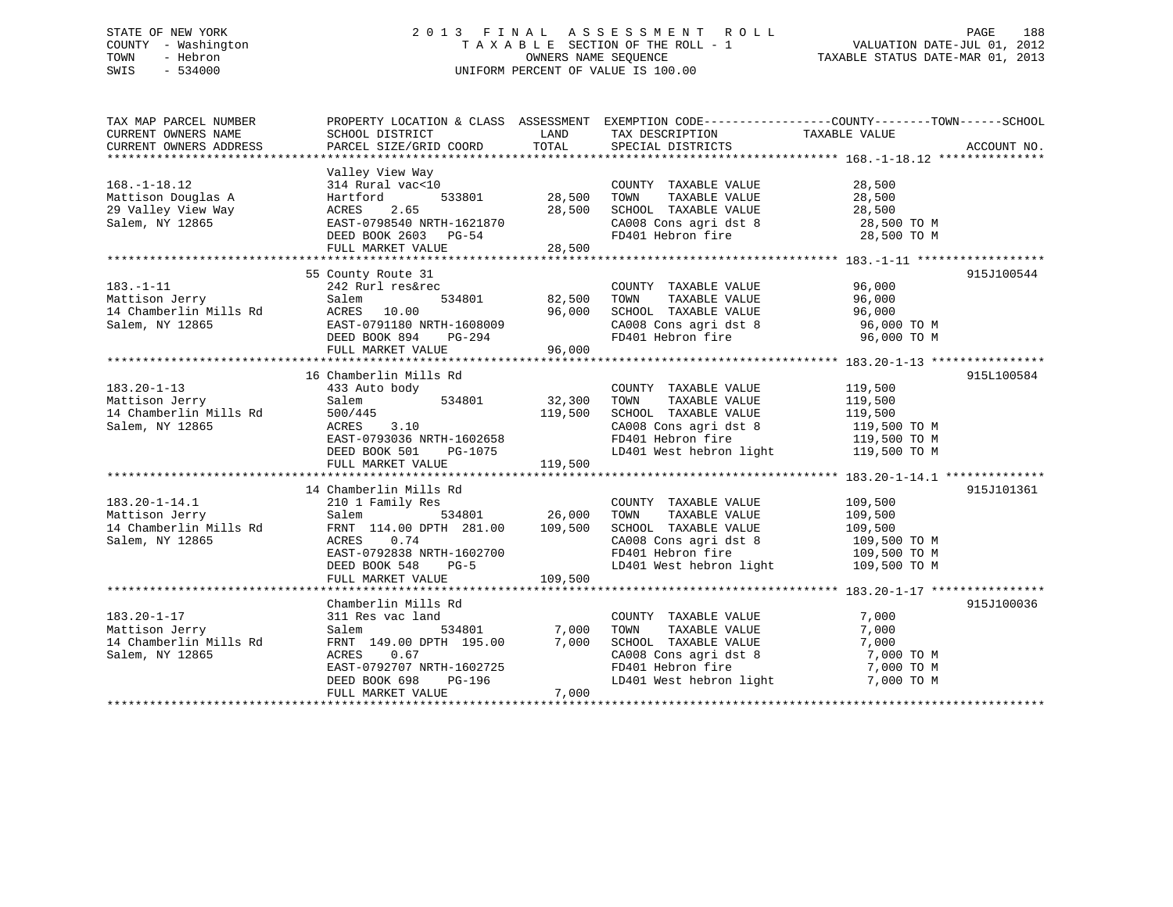## STATE OF NEW YORK 2 0 1 3 F I N A L A S S E S S M E N T R O L L PAGE 188 COUNTY - Washington T A X A B L E SECTION OF THE ROLL - 1 VALUATION DATE-JUL 01, 2012 TOWN - Hebron OWNERS NAME SEQUENCE TAXABLE STATUS DATE-MAR 01, 2013 SWIS - 534000 UNIFORM PERCENT OF VALUE IS 100.00

| TAX MAP PARCEL NUMBER<br>CURRENT OWNERS NAME<br>CURRENT OWNERS ADDRESS                                                                                                 | SCHOOL DISTRICT<br>PARCEL SIZE/GRID COORD                                                                                                                                                                                                                                | LAND<br>TOTAL                                    | TAX DESCRIPTION<br>SPECIAL DISTRICTS                                                                                                                                                                                                                                                                                                      | PROPERTY LOCATION & CLASS ASSESSMENT EXEMPTION CODE---------------COUNTY-------TOWN-----SCHOOL<br>TAXABLE VALUE<br>ACCOUNT NO.  |
|------------------------------------------------------------------------------------------------------------------------------------------------------------------------|--------------------------------------------------------------------------------------------------------------------------------------------------------------------------------------------------------------------------------------------------------------------------|--------------------------------------------------|-------------------------------------------------------------------------------------------------------------------------------------------------------------------------------------------------------------------------------------------------------------------------------------------------------------------------------------------|---------------------------------------------------------------------------------------------------------------------------------|
|                                                                                                                                                                        |                                                                                                                                                                                                                                                                          |                                                  |                                                                                                                                                                                                                                                                                                                                           |                                                                                                                                 |
| $168. - 1 - 18.12$<br>Mattison Douglas A<br>29 Valley View Way<br>Salem, NY 12865                                                                                      | Valley View Way<br>314 Rural vac<10<br>533801<br>Hartford<br>ACRES<br>2.65<br>EAST-0798540 NRTH-1621870<br>DEED BOOK 2603 PG-54                                                                                                                                          | 28,500<br>28,500                                 | COUNTY TAXABLE VALUE<br>TAXABLE VALUE<br>TOWN<br>SCHOOL TAXABLE VALUE 28,500<br>$\begin{array}{llllll} \texttt{CA008} & \texttt{cons} & \texttt{agri} & \texttt{dst} & 8 & 28,500\ \texttt{TO401} & \texttt{Hebron} & \texttt{fire} & 28,500\ \texttt{TO M} & & & & \\ \end{array}$                                                       | 28,500<br>28,500                                                                                                                |
|                                                                                                                                                                        |                                                                                                                                                                                                                                                                          |                                                  |                                                                                                                                                                                                                                                                                                                                           |                                                                                                                                 |
| $183. - 1 - 11$<br>Mattison Jerry<br>14 Chamberlin Mills Rd<br>Salem, NY 12865                                                                                         | 55 County Route 31<br>242 Rurl res&rec<br>Salem<br>ACRES 10.00<br>EAST-0791180 NRTH-1608009<br>DEED BOOK 894<br>PG-294<br>FULL MARKET VALUE                                                                                                                              | 534801 82,500<br>96,000<br>96.000                | COUNTY TAXABLE VALUE<br>TAXABLE VALUE 96,000<br>TOWN<br>SCHOOL TAXABLE VALUE 96,000<br>CA008 Cons agri dst 8 96,000 TO M<br>FD401 Hebron fire 96,000 TO M                                                                                                                                                                                 | 915J100544<br>96,000                                                                                                            |
|                                                                                                                                                                        |                                                                                                                                                                                                                                                                          |                                                  |                                                                                                                                                                                                                                                                                                                                           |                                                                                                                                 |
| $183.20 - 1 - 13$<br>Mattison Jerry<br>14 Chamberlin Mills Rd<br>Salem, NY 12865<br>$183.20 - 1 - 14.1$<br>Mattison Jerry<br>14 Chamberlin Mills Rd<br>Salem, NY 12865 | 16 Chamberlin Mills Rd<br>433 Auto body<br>534801 32,300<br>Salem<br>500/445<br>3.10<br>ACRES<br>EAST-0793036 NRTH-1602658<br>DEED BOOK 501<br>FULL MARKET VALUE<br>14 Chamberlin Mills Rd<br>210 1 Family Res<br>Salem<br>FRNT 114.00 DPTH 281.00 109,500<br>ACRES 0.74 | 119,500<br>$PG-1075$<br>119,500<br>534801 26,000 | COUNTY TAXABLE VALUE 119,500<br>TAXABLE VALUE<br>TOWN<br>SCHOOL TAXABLE VALUE<br>CA008 Cons agri dst 8 119,500 TO M<br>FD401 Hebron fire<br>LD401 West hebron light<br>COUNTY TAXABLE VALUE<br>TOWN<br>TAXABLE VALUE<br>SCHOOL TAXABLE VALUE                                                                                              | 915L100584<br>119,500<br>119,500<br>119,500 TO M<br>119,500 TO M<br>915J101361<br>109,500<br>109,500<br>109,500<br>109,500 TO M |
|                                                                                                                                                                        | EAST-0792838 NRTH-1602700<br>DEED BOOK 548<br>$PG-5$<br>FULL MARKET VALUE                                                                                                                                                                                                | 109,500                                          | CA008 Cons agri dst 8<br>FD401 Hebron fire<br>LD401 West hebron light 109,500 TO M                                                                                                                                                                                                                                                        | 109,500 TO M                                                                                                                    |
| $183.20 - 1 - 17$<br>Mattison Jerry<br>14 Chamberlin Mills Rd<br>Salem, NY 12865                                                                                       | Chamberlin Mills Rd<br>311 Res vac land<br>534801<br>Salem<br>FRNT 149.00 DPTH 195.00<br>ACRES<br>0.67<br>EAST-0792707 NRTH-1602725<br>DEED BOOK 698<br>PG-196<br>FULL MARKET VALUE                                                                                      | 7,000<br>7,000<br>7,000                          | COUNTY TAXABLE VALUE<br>TAXABLE VALUE<br>TOWN<br>SCHOOL TAXABLE VALUE<br>$\begin{array}{lllllll} \texttt{CA008} & \texttt{Cons}\ \texttt{agrid}\ \texttt{sf} & 8 & 7,000\ \texttt{\footnotesize TO401} & \texttt{Hebron}\ \texttt{fire} & 7,000\ \texttt{\footnotesize TO}\ \texttt{M} \end{array}$<br>LD401 West hebron light 7,000 TO M | 915J100036<br>7,000<br>7,000<br>7,000                                                                                           |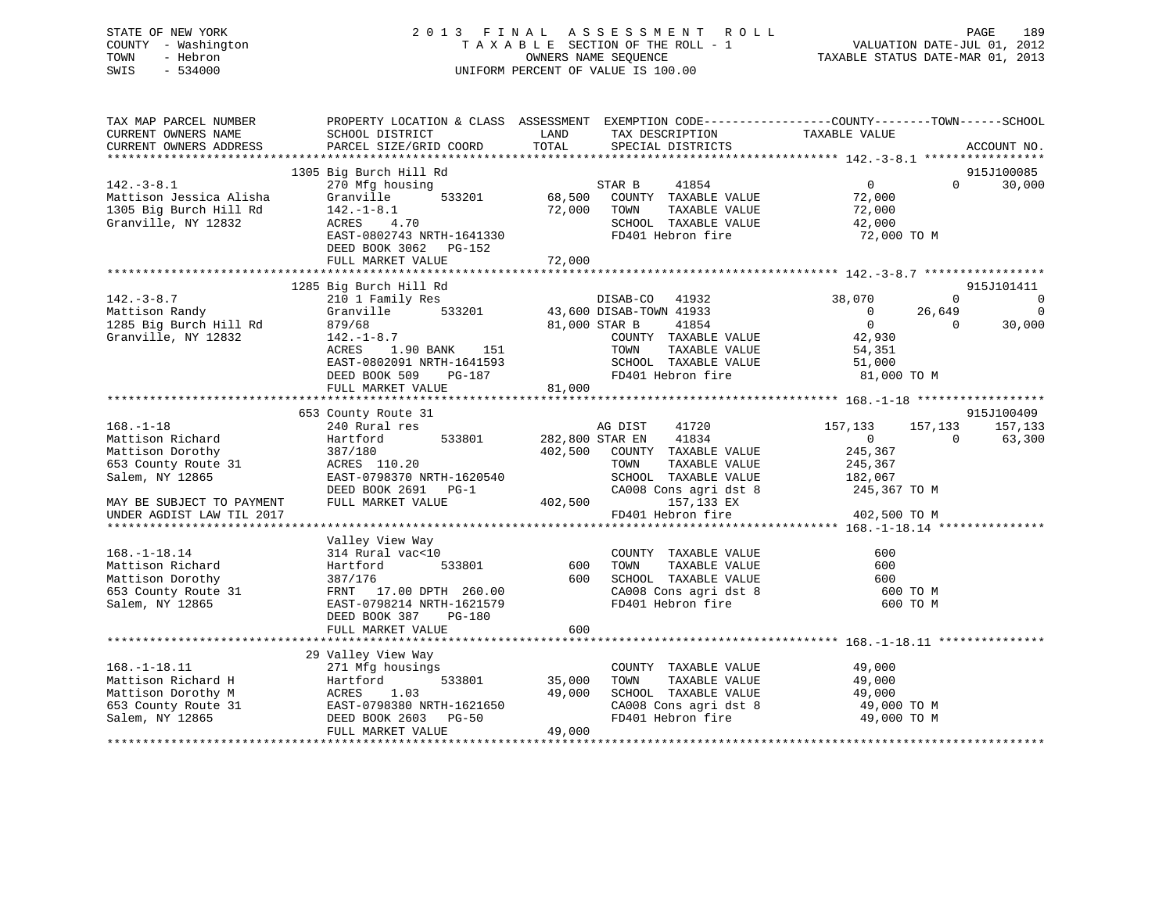## STATE OF NEW YORK 2 0 1 3 F I N A L A S S E S S M E N T R O L L PAGE 189 COUNTY - Washington T A X A B L E SECTION OF THE ROLL - 1 VALUATION DATE-JUL 01, 2012 TOWN - Hebron OWNERS NAME SEQUENCE TAXABLE STATUS DATE-MAR 01, 2013 SWIS - 534000 UNIFORM PERCENT OF VALUE IS 100.00

| TAX MAP PARCEL NUMBER<br>CURRENT OWNERS NAME<br>CURRENT OWNERS ADDRESS                                   | PROPERTY LOCATION & CLASS ASSESSMENT<br>SCHOOL DISTRICT<br>PARCEL SIZE/GRID COORD                                                                                | LAND<br>TOTAL              | EXEMPTION CODE----------------COUNTY-------TOWN------SCHOOL<br>TAX DESCRIPTION<br>SPECIAL DISTRICTS                                                 | TAXABLE VALUE                                                                           |                                | ACCOUNT NO.             |
|----------------------------------------------------------------------------------------------------------|------------------------------------------------------------------------------------------------------------------------------------------------------------------|----------------------------|-----------------------------------------------------------------------------------------------------------------------------------------------------|-----------------------------------------------------------------------------------------|--------------------------------|-------------------------|
|                                                                                                          |                                                                                                                                                                  |                            |                                                                                                                                                     |                                                                                         |                                |                         |
|                                                                                                          | 1305 Big Burch Hill Rd                                                                                                                                           |                            |                                                                                                                                                     |                                                                                         |                                | 915J100085              |
| $142.-3-8.1$<br>Mattison Jessica Alisha<br>1305 Big Burch Hill Rd<br>Granville, NY 12832                 | 270 Mfg housing<br>533201<br>Granville<br>$142. - 1 - 8.1$<br>ACRES 4.70<br>EAST-0802743 NRTH-1641330<br>DEED BOOK 3062 PG-152                                   | 68,500<br>72,000           | 41854<br>STAR B<br>COUNTY TAXABLE VALUE<br>TOWN<br>TAXABLE VALUE<br>SCHOOL TAXABLE VALUE<br>FD401 Hebron fire                                       | $\overline{0}$<br>72,000<br>72,000<br>42,000<br>72,000 TO M                             | $\Omega$                       | 30,000                  |
|                                                                                                          | FULL MARKET VALUE                                                                                                                                                | 72,000                     |                                                                                                                                                     |                                                                                         |                                |                         |
|                                                                                                          | 1285 Big Burch Hill Rd                                                                                                                                           |                            |                                                                                                                                                     |                                                                                         |                                | 915J101411              |
| $142. - 3 - 8.7$<br>Mattison Randy<br>1285 Big Burch Hill Rd<br>Granville, NY 12832                      | 210 1 Family Res<br>Granville<br>533201<br>879/68<br>$142. - 1 - 8.7$<br>1.90 BANK<br>ACRES<br>151<br>EAST-0802091 NRTH-1641593<br>DEED BOOK 509<br>$PG-187$     | 81,000 STAR B<br>81,000    | DISAB-CO<br>41932<br>43,600 DISAB-TOWN 41933<br>41854<br>COUNTY TAXABLE VALUE<br>TOWN<br>TAXABLE VALUE<br>SCHOOL TAXABLE VALUE<br>FD401 Hebron fire | 38,070<br>$\overline{0}$<br>$\overline{0}$<br>42,930<br>54,351<br>51,000<br>81,000 TO M | $\Omega$<br>26,649<br>$\Omega$ | $\Omega$<br>0<br>30,000 |
|                                                                                                          | FULL MARKET VALUE                                                                                                                                                |                            |                                                                                                                                                     |                                                                                         |                                |                         |
|                                                                                                          | 653 County Route 31                                                                                                                                              |                            |                                                                                                                                                     |                                                                                         |                                | 915J100409              |
| $168. - 1 - 18$<br>Mattison Richard<br>Mattison Dorothy<br>653 County Route 31<br>Salem, NY 12865        | 240 Rural res<br>533801<br>Hartford<br>387/180<br>ACRES 110.20<br>EAST-0798370 NRTH-1620540                                                                      | 282,800 STAR EN<br>402,500 | AG DIST<br>41720<br>41834<br>COUNTY TAXABLE VALUE<br>TOWN<br>TAXABLE VALUE<br>SCHOOL TAXABLE VALUE                                                  | 157,133<br>$\overline{0}$<br>245,367<br>245,367<br>182,067                              | 157,133<br>$\Omega$            | 157,133<br>63,300       |
| MAY BE SUBJECT TO PAYMENT<br>UNDER AGDIST LAW TIL 2017                                                   | DEED BOOK 2691<br>$PG-1$<br>FULL MARKET VALUE                                                                                                                    | 402,500                    | CA008 Cons agri dst 8<br>157,133 EX<br>FD401 Hebron fire                                                                                            | 245,367 TO M<br>402,500 TO M                                                            |                                |                         |
|                                                                                                          |                                                                                                                                                                  |                            |                                                                                                                                                     |                                                                                         |                                |                         |
| $168. - 1 - 18.14$<br>Mattison Richard<br>Mattison Dorothy<br>653 County Route 31<br>Salem, NY 12865     | Valley View Way<br>314 Rural vac<10<br>533801<br>Hartford<br>387/176<br>17.00 DPTH 260.00<br>FRNT<br>EAST-0798214 NRTH-1621579<br>DEED BOOK 387<br><b>PG-180</b> | 600<br>600                 | COUNTY TAXABLE VALUE<br>TAXABLE VALUE<br>TOWN<br>SCHOOL TAXABLE VALUE<br>CA008 Cons agri dst 8<br>FD401 Hebron fire                                 | 600<br>600<br>600<br>600 TO M<br>600 TO M                                               |                                |                         |
|                                                                                                          | FULL MARKET VALUE                                                                                                                                                | 600                        |                                                                                                                                                     |                                                                                         |                                |                         |
|                                                                                                          |                                                                                                                                                                  |                            |                                                                                                                                                     |                                                                                         |                                |                         |
| $168. - 1 - 18.11$<br>Mattison Richard H<br>Mattison Dorothy M<br>653 County Route 31<br>Salem, NY 12865 | 29 Valley View Way<br>271 Mfg housings<br>533801<br>Hartford<br>1.03<br>ACRES<br>EAST-0798380 NRTH-1621650<br>DEED BOOK 2603<br><b>PG-50</b>                     | 35,000<br>49,000           | COUNTY TAXABLE VALUE<br>TOWN<br>TAXABLE VALUE<br>SCHOOL TAXABLE VALUE<br>CA008 Cons agri dst 8<br>FD401 Hebron fire                                 | 49,000<br>49,000<br>49,000<br>49,000 TO M<br>49,000 TO M                                |                                |                         |
|                                                                                                          | FULL MARKET VALUE                                                                                                                                                | 49,000                     |                                                                                                                                                     |                                                                                         |                                |                         |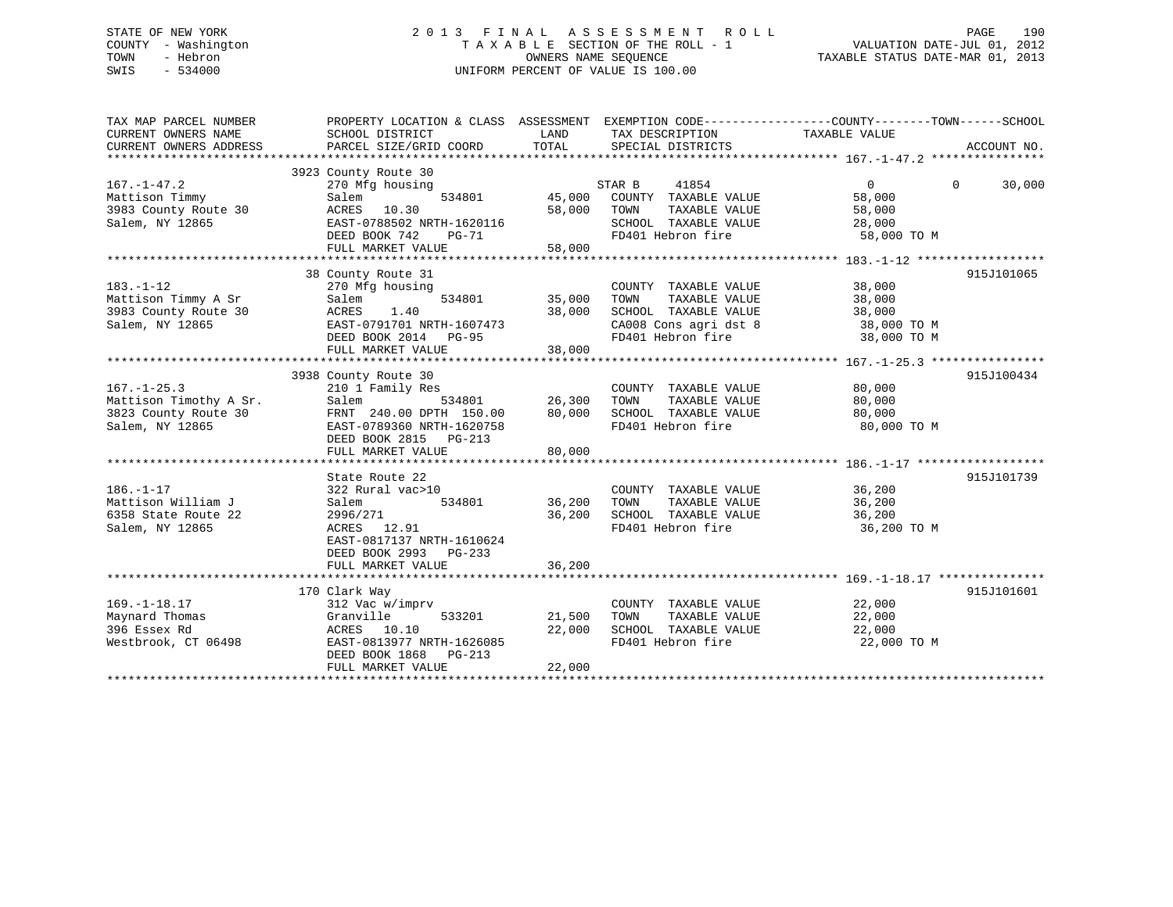## STATE OF NEW YORK 2 0 1 3 F I N A L A S S E S S M E N T R O L L PAGE 190 COUNTY - Washington T A X A B L E SECTION OF THE ROLL - 1 VALUATION DATE-JUL 01, 2012 TOWN - Hebron OWNERS NAME SEQUENCE TAXABLE STATUS DATE-MAR 01, 2013 SWIS - 534000 UNIFORM PERCENT OF VALUE IS 100.00

| TAX MAP PARCEL NUMBER<br>CURRENT OWNERS NAME<br>CURRENT OWNERS ADDRESS                 | PROPERTY LOCATION & CLASS ASSESSMENT<br>SCHOOL DISTRICT<br>PARCEL SIZE/GRID COORD                                                                                 | LAND<br>TOTAL                     | EXEMPTION CODE-----------------COUNTY-------TOWN------SCHOOL<br>TAX DESCRIPTION TAXABLE VALUE<br>SPECIAL DISTRICTS  |                                                          | ACCOUNT NO.        |
|----------------------------------------------------------------------------------------|-------------------------------------------------------------------------------------------------------------------------------------------------------------------|-----------------------------------|---------------------------------------------------------------------------------------------------------------------|----------------------------------------------------------|--------------------|
| $167. - 1 - 47.2$<br>Mattison Timmy<br>3983 County Route 30<br>Salem, NY 12865         | 3923 County Route 30<br>270 Mfg housing<br>Salem<br>ACRES 10.30<br>EAST-0788502 NRTH-1620116<br>DEED BOOK 742<br>PG-71<br>FULL MARKET VALUE                       | 534801 45,000<br>58,000<br>58,000 | 41854<br>STAR B<br>COUNTY TAXABLE VALUE<br>TOWN<br>TAXABLE VALUE<br>SCHOOL TAXABLE VALUE<br>FD401 Hebron fire       | $\Omega$<br>58,000<br>58,000<br>28,000<br>58,000 TO M    | 30,000<br>$\Omega$ |
| $183. - 1 - 12$<br>Mattison Timmy A Sr<br>3983 County Route 30<br>Salem, NY 12865      | 38 County Route 31<br>270 Mfg housing<br>534801<br>Salem<br>1.40<br>ACRES<br>EAST-0791701 NRTH-1607473<br>DEED BOOK 2014 PG-95<br>FULL MARKET VALUE               | 35,000<br>38,000<br>38,000        | COUNTY TAXABLE VALUE<br>TAXABLE VALUE<br>TOWN<br>SCHOOL TAXABLE VALUE<br>CA008 Cons agri dst 8<br>FD401 Hebron fire | 38,000<br>38,000<br>38,000<br>38,000 TO M<br>38,000 TO M | 915J101065         |
| $167. - 1 - 25.3$<br>Mattison Timothy A Sr.<br>3823 County Route 30<br>Salem, NY 12865 | 3938 County Route 30<br>210 1 Family Res<br>534801<br>Salem<br>FRNT 240.00 DPTH 150.00<br>EAST-0789360 NRTH-1620758<br>DEED BOOK 2815 PG-213<br>FULL MARKET VALUE | 26,300<br>80,000<br>80,000        | COUNTY TAXABLE VALUE<br>TAXABLE VALUE<br>TOWN<br>SCHOOL TAXABLE VALUE<br>FD401 Hebron fire                          | 80,000<br>80,000<br>80,000<br>80,000 TO M                | 915J100434         |
| $186. - 1 - 17$<br>Mattison William J<br>6358 State Route 22<br>Salem, NY 12865        | State Route 22<br>322 Rural vac>10<br>534801<br>Salem<br>2996/271<br>ACRES 12.91<br>EAST-0817137 NRTH-1610624<br>DEED BOOK 2993 PG-233<br>FULL MARKET VALUE       | 36,200<br>36,200<br>36,200        | COUNTY TAXABLE VALUE<br>TAXABLE VALUE<br>TOWN<br>SCHOOL TAXABLE VALUE<br>FD401 Hebron fire                          | 36,200<br>36,200<br>36,200<br>36,200 TO M                | 915J101739         |
| $169. - 1 - 18.17$<br>Maynard Thomas<br>396 Essex Rd<br>Westbrook, CT 06498            | 170 Clark Way<br>312 Vac w/imprv<br>Granville<br>533201<br>ACRES 10.10<br>EAST-0813977 NRTH-1626085<br>DEED BOOK 1868 PG-213<br>FULL MARKET VALUE                 | 21,500<br>22,000<br>22,000        | COUNTY TAXABLE VALUE<br>TOWN<br>TAXABLE VALUE<br>SCHOOL TAXABLE VALUE<br>FD401 Hebron fire                          | 22,000<br>22,000<br>22,000<br>22,000 TO M                | 915J101601         |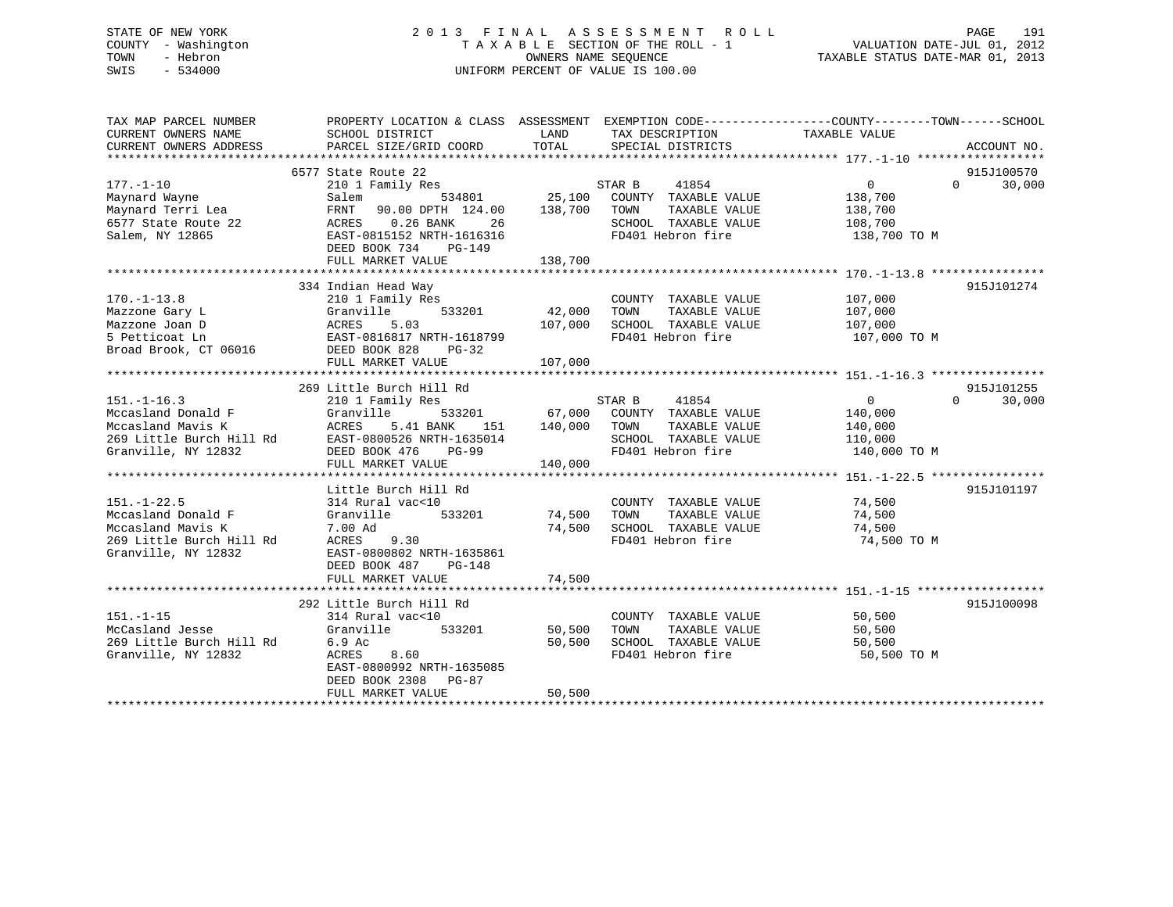## STATE OF NEW YORK 2 0 1 3 F I N A L A S S E S S M E N T R O L L PAGE 191 COUNTY - Washington T A X A B L E SECTION OF THE ROLL - 1 VALUATION DATE-JUL 01, 2012 TOWN - Hebron OWNERS NAME SEQUENCE TAXABLE STATUS DATE-MAR 01, 2013 SWIS - 534000 UNIFORM PERCENT OF VALUE IS 100.00

| TAX MAP PARCEL NUMBER<br>CURRENT OWNERS NAME                                                                    | PROPERTY LOCATION & CLASS ASSESSMENT EXEMPTION CODE---------------COUNTY-------TOWN-----SCHOOL                                                                                                                                                   |                            | TAX DESCRIPTION                                                                                                                               | TAXABLE VALUE                             |                                  |
|-----------------------------------------------------------------------------------------------------------------|--------------------------------------------------------------------------------------------------------------------------------------------------------------------------------------------------------------------------------------------------|----------------------------|-----------------------------------------------------------------------------------------------------------------------------------------------|-------------------------------------------|----------------------------------|
| CURRENT OWNERS ADDRESS                                                                                          | SCHOOL DISTRICT<br>PARCEL SIZE/GRID COORD                                                                                                                                                                                                        | LAND<br>TOTAL              | SPECIAL DISTRICTS                                                                                                                             |                                           | ACCOUNT NO.                      |
|                                                                                                                 |                                                                                                                                                                                                                                                  |                            |                                                                                                                                               |                                           |                                  |
|                                                                                                                 | 6577 State Route 22                                                                                                                                                                                                                              |                            |                                                                                                                                               |                                           | 915J100570                       |
| $177. - 1 - 10$<br>Maynard Wayne<br>Maynard Terri Lea<br>6577 State Route 22<br>Salem, NY 12865                 | FRNT 90.00 DPTH 124.00 138,700 TOWN<br>SALEM<br>FRNT 90.00 DPTH<br>ACRES 0.26 BANK<br>EAST-0815152 NT<br>26<br>EAST-0815152 NRTH-1616316<br>DEED BOOK 734<br>PG-149                                                                              |                            | 41854<br>534801 25,100 COUNTY TAXABLE VALUE 138,700<br>TAXABLE VALUE<br>SCHOOL TAXABLE VALUE 198,700<br>FD401 Hebron fire                     | $\overline{0}$<br>138,700<br>138,700 TO M | $\Omega$<br>30,000               |
|                                                                                                                 | FULL MARKET VALUE                                                                                                                                                                                                                                | 138,700                    |                                                                                                                                               |                                           |                                  |
| $170. - 1 - 13.8$<br>Mazzone Gary L                                                                             | 334 Indian Head Way<br>210 1 Family Res<br>533201<br>Granville<br>Mazzone Joan D<br>S Petticoat Ln<br>S Petticoat Ln<br>Broad Brook, CT 06016<br>DEED BOOK 828 PG-32<br>107,000                                                                  | 42,000                     | COUNTY TAXABLE VALUE<br>TAXABLE VALUE<br>TOWN<br>SCHOOL TAXABLE VALUE 107,000<br>FD401 Hebron fire                                            | 107,000<br>107,000<br>107,000 TO M        | 915J101274                       |
|                                                                                                                 |                                                                                                                                                                                                                                                  |                            |                                                                                                                                               |                                           |                                  |
|                                                                                                                 |                                                                                                                                                                                                                                                  |                            |                                                                                                                                               |                                           |                                  |
|                                                                                                                 |                                                                                                                                                                                                                                                  |                            |                                                                                                                                               |                                           |                                  |
| $151. - 1 - 16.3$<br>Granville, NY 12832                                                                        | 269 Little Burch Hill Rd<br>210 1 Family Res<br>Mccasland Donald F<br>Mccasland Mavis K<br>Mccasland Mavis K<br>269 Little Burch Hill Rd<br>269 Little Burch Hill Rd<br>EAST-0800526 NRTH-1635014<br>DEED BOOK 476<br>PG-99<br>FULL MARKET VALUE | 140,000<br>140,000         | STAR B 41854<br>533201 67,000 COUNTY TAXABLE VALUE 140,000<br>TOWN<br>TAXABLE VALUE<br>SCHOOL TAXABLE VALUE<br>FD401 Hebron fire 140,000 TO M | $\overline{0}$<br>140,000<br>110,000      | 915J101255<br>$\Omega$<br>30,000 |
|                                                                                                                 | Little Burch Hill Rd                                                                                                                                                                                                                             |                            |                                                                                                                                               |                                           | 915J101197                       |
| $151. - 1 - 22.5$<br>Mccasland Donald F<br>Mccasland Mavis K<br>269 Little Burch Hill Rd<br>Granville, NY 12832 | 314 Rural vac<10<br>533201 74,500 TOWN<br>Granville<br>7.00 Ad<br>9.30<br>ACRES<br>EAST-0800802 NRTH-1635861<br>DEED BOOK 487<br>PG-148                                                                                                          |                            | COUNTY TAXABLE VALUE 74,500<br>TAXABLE VALUE<br>74,500 SCHOOL TAXABLE VALUE<br>FD401 Hebron fire                                              | 74,500<br>74,500<br>74,500 TO M           |                                  |
|                                                                                                                 | FULL MARKET VALUE                                                                                                                                                                                                                                | 74,500                     |                                                                                                                                               |                                           |                                  |
| $151. - 1 - 15$<br>269 Little Burch Hill Rd 6.9 Ac<br>Granville, NY 12832                                       | 292 Little Burch Hill Rd<br>314 Rural vac<10<br>533201<br>ACRES<br>8.60<br>EAST-0800992 NRTH-1635085<br>DEED BOOK 2308 PG-87<br>FULL MARKET VALUE                                                                                                | 50,500<br>50,500<br>50,500 | COUNTY TAXABLE VALUE 50,500<br>TOWN TAXABLE VALUE 50.500<br>TAXABLE VALUE<br>TOWN<br>SCHOOL TAXABLE VALUE 50,500<br>FD401 Hebron fire         | 50,500<br>50,500 TO M                     | 915J100098                       |
|                                                                                                                 |                                                                                                                                                                                                                                                  |                            |                                                                                                                                               |                                           |                                  |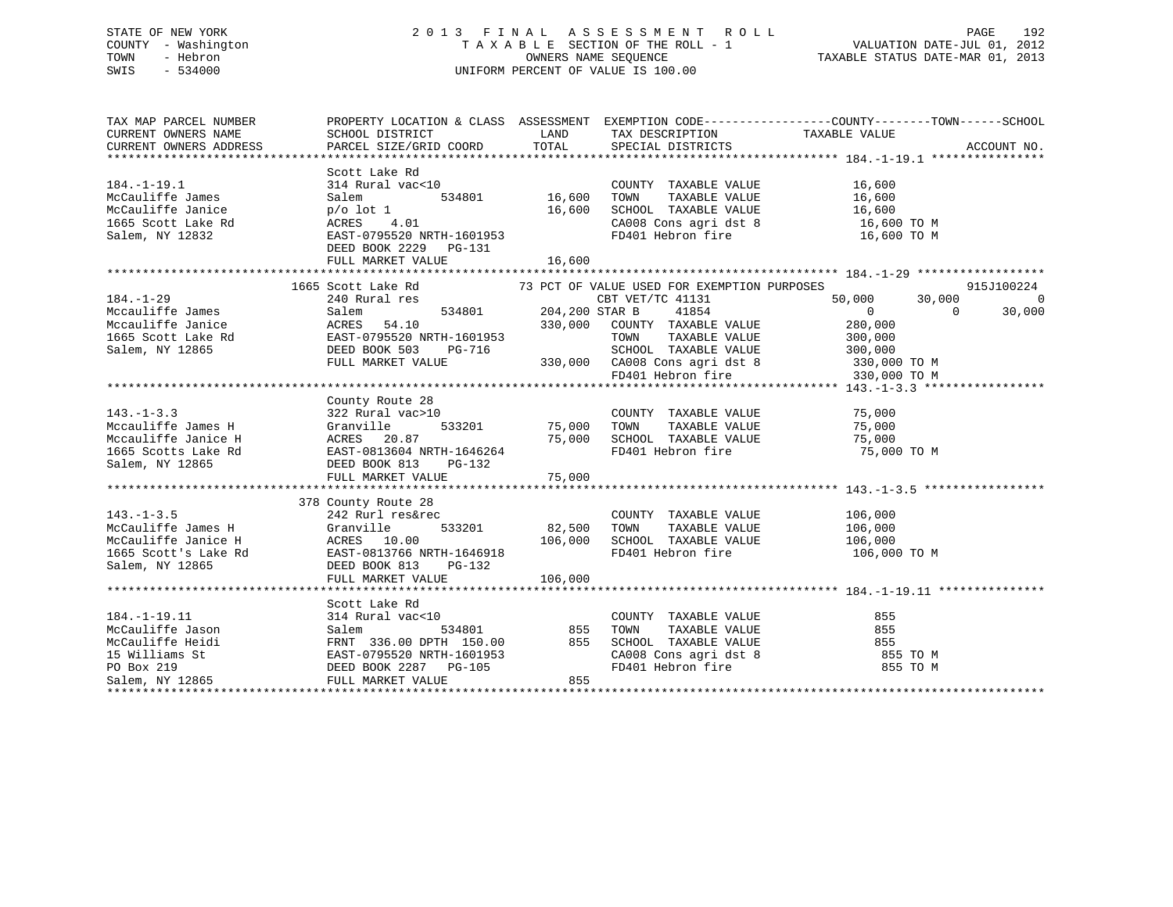## STATE OF NEW YORK 2 0 1 3 F I N A L A S S E S S M E N T R O L L PAGE 192 COUNTY - Washington T A X A B L E SECTION OF THE ROLL - 1 VALUATION DATE-JUL 01, 2012 TOWN - Hebron OWNERS NAME SEQUENCE TAXABLE STATUS DATE-MAR 01, 2013 SWIS - 534000 UNIFORM PERCENT OF VALUE IS 100.00

| 915J100224                                    |
|-----------------------------------------------|
| $\begin{smallmatrix}0\0\0\0\end{smallmatrix}$ |
|                                               |
|                                               |
|                                               |
|                                               |
|                                               |
|                                               |
|                                               |
|                                               |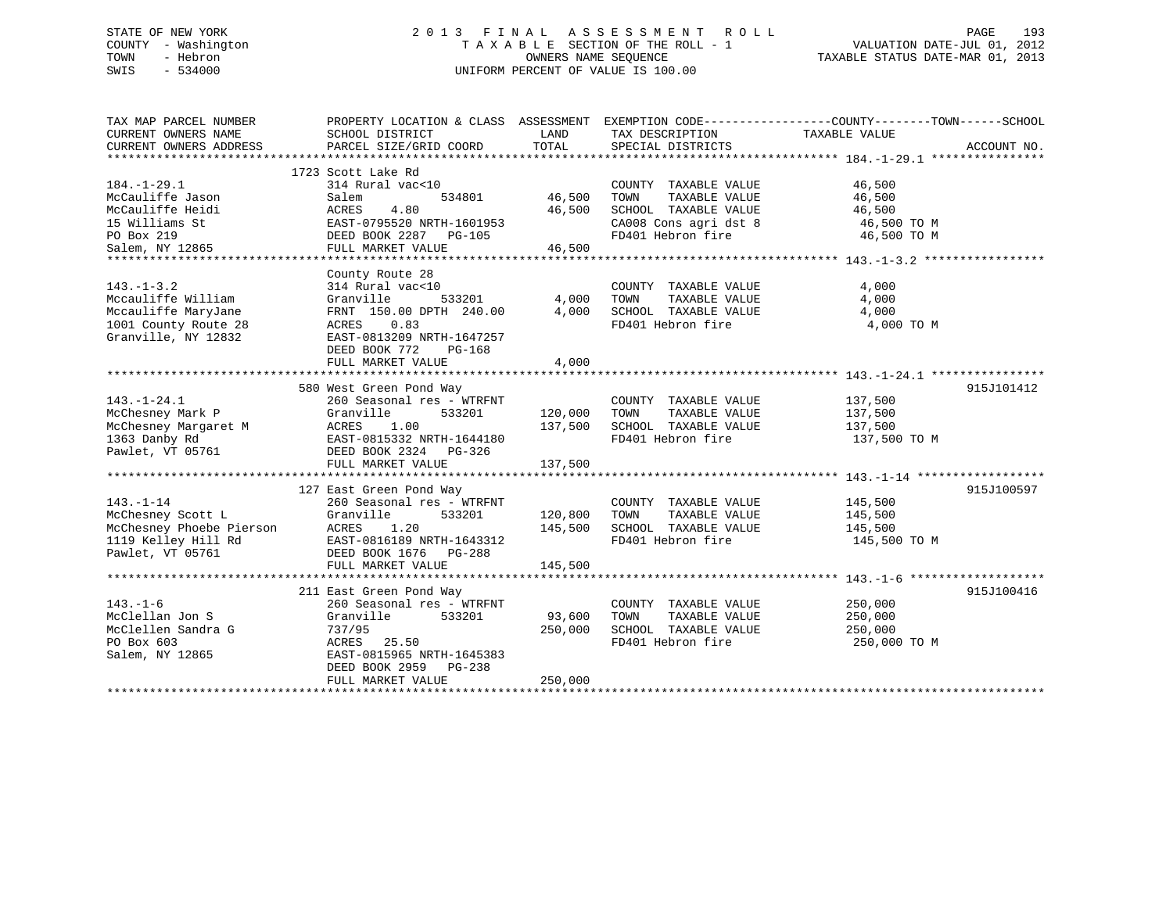## STATE OF NEW YORK 2 0 1 3 F I N A L A S S E S S M E N T R O L L PAGE 193 COUNTY - Washington T A X A B L E SECTION OF THE ROLL - 1 VALUATION DATE-JUL 01, 2012 TOWN - Hebron OWNERS NAME SEQUENCE TAXABLE STATUS DATE-MAR 01, 2013 SWIS - 534000 UNIFORM PERCENT OF VALUE IS 100.00

| TAX MAP PARCEL NUMBER<br>CURRENT OWNERS NAME<br>CURRENT OWNERS ADDRESS                                       | PROPERTY LOCATION & CLASS ASSESSMENT<br>SCHOOL DISTRICT<br>PARCEL SIZE/GRID COORD                                                                                                     | LAND<br>TOTAL                 | TAX DESCRIPTION<br>SPECIAL DISTRICTS                                                                                | EXEMPTION CODE-----------------COUNTY-------TOWN------SCHOOL<br>TAXABLE VALUE<br>ACCOUNT NO. |
|--------------------------------------------------------------------------------------------------------------|---------------------------------------------------------------------------------------------------------------------------------------------------------------------------------------|-------------------------------|---------------------------------------------------------------------------------------------------------------------|----------------------------------------------------------------------------------------------|
| $184. - 1 - 29.1$<br>McCauliffe Jason<br>McCauliffe Heidi<br>15 Williams St<br>PO Box 219<br>Salem, NY 12865 | 1723 Scott Lake Rd<br>314 Rural vac<10<br>Salem<br>534801<br>4.80<br>ACRES<br>EAST-0795520 NRTH-1601953<br>DEED BOOK 2287 PG-105<br>FULL MARKET VALUE                                 | 46,500<br>46,500<br>46,500    | COUNTY TAXABLE VALUE<br>TAXABLE VALUE<br>TOWN<br>SCHOOL TAXABLE VALUE<br>CA008 Cons agri dst 8<br>FD401 Hebron fire | 46,500<br>46,500<br>46,500<br>46,500 TO M<br>46,500 TO M                                     |
| $143. - 1 - 3.2$<br>Mccauliffe William<br>Mccauliffe MaryJane<br>1001 County Route 28<br>Granville, NY 12832 | County Route 28<br>314 Rural vac<10<br>533201<br>Granville<br>FRNT 150.00 DPTH 240.00<br>0.83<br>ACRES<br>EAST-0813209 NRTH-1647257<br>DEED BOOK 772<br>$PG-168$<br>FULL MARKET VALUE | 4,000<br>4,000<br>4,000       | COUNTY TAXABLE VALUE<br>TAXABLE VALUE<br>TOWN<br>SCHOOL TAXABLE VALUE<br>FD401 Hebron fire                          | 4,000<br>4,000<br>4,000<br>4,000 TO M                                                        |
| $143. - 1 - 24.1$<br>McChesney Mark P<br>McChesney Margaret M<br>1363 Danby Rd<br>Pawlet, VT 05761           | 580 West Green Pond Way<br>260 Seasonal res - WTRFNT<br>Granville<br>533201<br>1.00<br>ACRES<br>EAST-0815332 NRTH-1644180<br>DEED BOOK 2324 PG-326<br>FULL MARKET VALUE               | 120,000<br>137,500<br>137,500 | COUNTY TAXABLE VALUE<br>TOWN<br>TAXABLE VALUE<br>SCHOOL TAXABLE VALUE<br>FD401 Hebron fire                          | 915J101412<br>137,500<br>137,500<br>137,500<br>137,500 TO M                                  |
| $143. - 1 - 14$<br>McChesney Scott L<br>McChesney Phoebe Pierson<br>1119 Kelley Hill Rd<br>Pawlet, VT 05761  | 127 East Green Pond Way<br>260 Seasonal res - WTRFNT<br>Granville<br>533201<br>1.20<br>ACRES<br>EAST-0816189 NRTH-1643312<br>DEED BOOK 1676 PG-288<br>FULL MARKET VALUE               | 120,800<br>145,500<br>145,500 | COUNTY TAXABLE VALUE<br>TOWN<br>TAXABLE VALUE<br>SCHOOL TAXABLE VALUE<br>FD401 Hebron fire                          | 915J100597<br>145,500<br>145,500<br>145,500<br>145,500 TO M                                  |
| $143. - 1 - 6$<br>McClellan Jon S<br>McClellen Sandra G<br>PO Box 603<br>Salem, NY 12865                     | 211 East Green Pond Way<br>260 Seasonal res - WTRFNT<br>Granville<br>533201<br>737/95<br>ACRES 25.50<br>EAST-0815965 NRTH-1645383<br>DEED BOOK 2959<br>$PG-238$<br>FULL MARKET VALUE  | 93,600<br>250,000<br>250,000  | COUNTY TAXABLE VALUE<br>TAXABLE VALUE<br>TOWN<br>SCHOOL TAXABLE VALUE<br>FD401 Hebron fire                          | 915J100416<br>250,000<br>250,000<br>250,000<br>250,000 TO M                                  |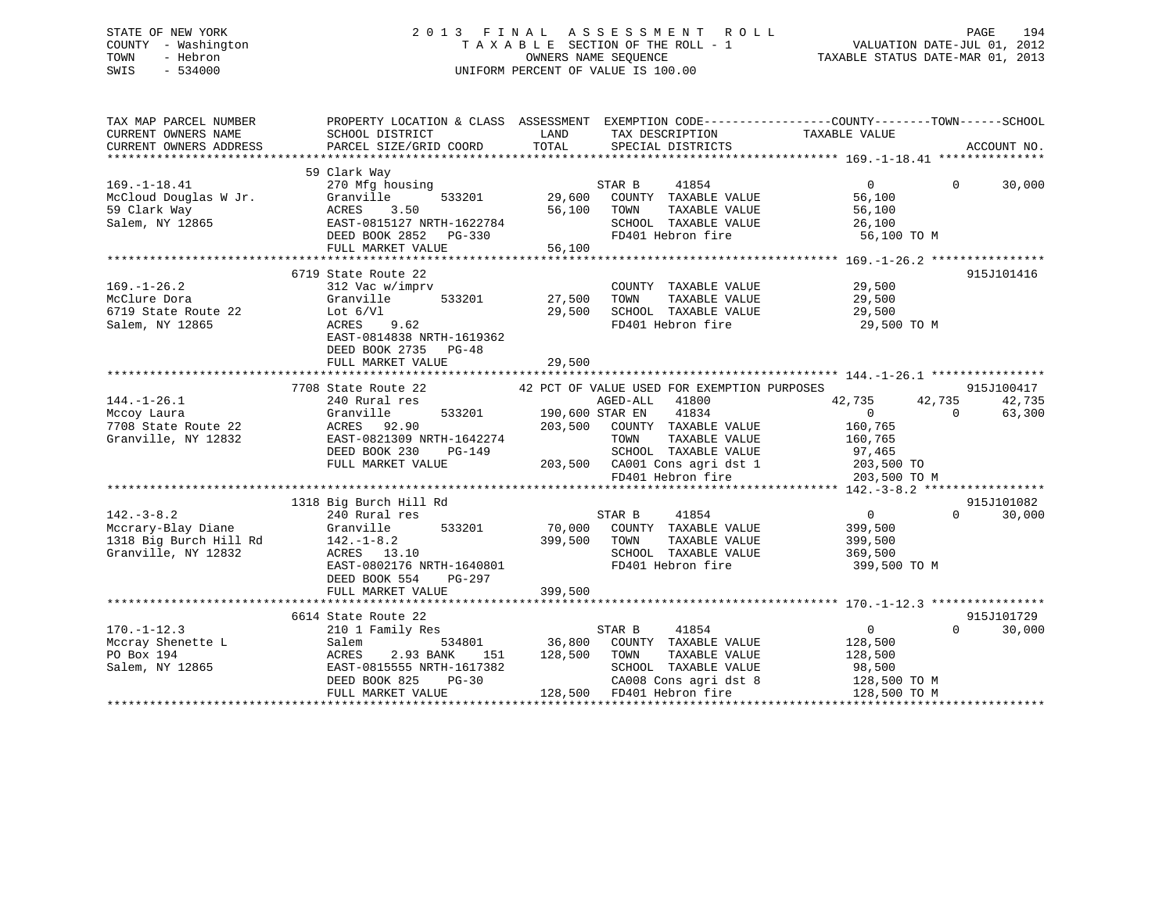## STATE OF NEW YORK 2 0 1 3 F I N A L A S S E S S M E N T R O L L PAGE 194 COUNTY - Washington T A X A B L E SECTION OF THE ROLL - 1 VALUATION DATE-JUL 01, 2012 TOWN - Hebron OWNERS NAME SEQUENCE TAXABLE STATUS DATE-MAR 01, 2013 SWIS - 534000 UNIFORM PERCENT OF VALUE IS 100.00

| TAX MAP PARCEL NUMBER                                    |                                                                        |                  |                                                                       | PROPERTY LOCATION & CLASS ASSESSMENT EXEMPTION CODE----------------COUNTY-------TOWN-----SCHOOL |                    |
|----------------------------------------------------------|------------------------------------------------------------------------|------------------|-----------------------------------------------------------------------|-------------------------------------------------------------------------------------------------|--------------------|
|                                                          |                                                                        |                  |                                                                       |                                                                                                 |                    |
| $169. - 1 - 18.41$                                       | 59 Clark Way<br>270 Mfg housing<br>533201                              |                  | STAR B<br>41854                                                       | $\overline{0}$                                                                                  | $\Omega$<br>30,000 |
| McCloud Douglas W Jr.<br>59 Clark Way<br>Salem, NY 12865 | Granville<br>ACRES<br>3.50<br>EAST-0815127 NRTH-1622784                | 29,600<br>56,100 | COUNTY TAXABLE VALUE<br>TOWN<br>TAXABLE VALUE<br>SCHOOL TAXABLE VALUE | 56,100<br>56,100                                                                                |                    |
|                                                          | DEED BOOK 2852 PG-330                                                  |                  | FD401 Hebron fire                                                     | 26,100<br>56,100 TO M                                                                           |                    |
|                                                          | FULL MARKET VALUE                                                      | 56,100           |                                                                       |                                                                                                 |                    |
|                                                          |                                                                        |                  |                                                                       |                                                                                                 |                    |
|                                                          | 6719 State Route 22                                                    |                  |                                                                       |                                                                                                 | 915J101416         |
| $169. - 1 - 26.2$                                        | 312 Vac w/imprv                                                        | 533201 27,500    | COUNTY TAXABLE VALUE                                                  | 29,500<br>29,500                                                                                |                    |
| McClure Dora                                             | Granville                                                              |                  | TOWN<br>TAXABLE VALUE                                                 |                                                                                                 |                    |
| 6719 State Route 22<br>Salem, NY 12865                   | Lot $6/V1$<br>ACRES 9.62                                               | 29,500           | SCHOOL TAXABLE VALUE<br>FD401 Hebron fire                             | 29,500                                                                                          |                    |
|                                                          | EAST-0814838 NRTH-1619362<br>DEED BOOK 2735 PG-48<br>FULL MARKET VALUE | 29,500           |                                                                       | 29,500 TO M                                                                                     |                    |
|                                                          |                                                                        |                  |                                                                       |                                                                                                 |                    |
|                                                          | 7708 State Route 22 42 PCT OF VALUE USED FOR EXEMPTION PURPOSES        |                  |                                                                       |                                                                                                 | 915J100417         |
| $144. - 1 - 26.1$                                        | 240 Rural res                                                          |                  |                                                                       | 42,735<br>42,735                                                                                | 42,735             |
| Mccoy Laura                                              | Granville                                                              |                  | AGED-ALL 41800<br>533201 190,600 STAR EN 41834                        | $\overline{0}$                                                                                  | $\Omega$<br>63,300 |
| 7708 State Route 22                                      | ACRES 92.90                                                            |                  | 203,500 COUNTY TAXABLE VALUE                                          | 160,765                                                                                         |                    |
| Granville, NY 12832                                      | EAST-0821309 NRTH-1642274                                              |                  | TAXABLE VALUE<br>TOWN                                                 | 160,765                                                                                         |                    |
|                                                          | DEED BOOK 230<br>PG-149                                                |                  | SCHOOL TAXABLE VALUE                                                  | 97,465                                                                                          |                    |
|                                                          | FULL MARKET VALUE                                                      |                  | 203,500 CA001 Cons agri dst 1                                         | 203,500 TO                                                                                      |                    |
|                                                          |                                                                        |                  | FD401 Hebron fire                                                     | 203,500 TO M                                                                                    |                    |
|                                                          |                                                                        |                  |                                                                       |                                                                                                 |                    |
|                                                          | 1318 Big Burch Hill Rd                                                 |                  |                                                                       |                                                                                                 | 915J101082         |
| $142. - 3 - 8.2$                                         | 240 Rural res                                                          |                  | STAR B<br>41854                                                       | $\overline{0}$                                                                                  | 30,000<br>$\Omega$ |
| Mccrary-Blay Diane                                       | Granville 533201                                                       |                  | 70,000 COUNTY TAXABLE VALUE                                           | 399,500                                                                                         |                    |
| 1318 Big Burch Hill Rd                                   | $142. - 1 - 8.2$                                                       |                  | 399,500 TOWN<br>TAXABLE VALUE                                         | 399,500                                                                                         |                    |
| Granville, NY 12832                                      | ACRES 13.10                                                            |                  | SCHOOL TAXABLE VALUE                                                  | 369,500                                                                                         |                    |
|                                                          | EAST-0802176 NRTH-1640801                                              |                  | FD401 Hebron fire                                                     | 399,500 TO M                                                                                    |                    |
|                                                          | DEED BOOK 554<br>PG-297                                                |                  |                                                                       |                                                                                                 |                    |
|                                                          | FULL MARKET VALUE                                                      | 399,500          |                                                                       |                                                                                                 |                    |
|                                                          |                                                                        |                  |                                                                       |                                                                                                 |                    |
|                                                          | 6614 State Route 22                                                    |                  |                                                                       |                                                                                                 | 915J101729         |
| $170. - 1 - 12.3$                                        | 210 1 Family Res                                                       |                  | STAR B<br>41854                                                       | $0 \qquad \qquad$                                                                               | 30,000<br>$\Omega$ |
|                                                          | 534801<br>Salem                                                        |                  | 36,800 COUNTY TAXABLE VALUE                                           | 128,500                                                                                         |                    |
| IVU.-1-12<br>Mccray Shenette L                           | 2.93 BANK<br>ACRES                                                     | 151 128,500 TOWN | TAXABLE VALUE                                                         | 128,500                                                                                         |                    |
| Salem, NY 12865                                          | EAST-0815555 NRTH-1617382                                              |                  | SCHOOL TAXABLE VALUE                                                  | 98,500                                                                                          |                    |
|                                                          | DEED BOOK 825<br>$PG-30$                                               |                  | CA008 Cons agri dst 8                                                 | 128,500 TO M                                                                                    |                    |
|                                                          | FULL MARKET VALUE                                                      |                  | 128,500 FD401 Hebron fire                                             | 128,500 TO M                                                                                    |                    |
|                                                          |                                                                        |                  |                                                                       |                                                                                                 |                    |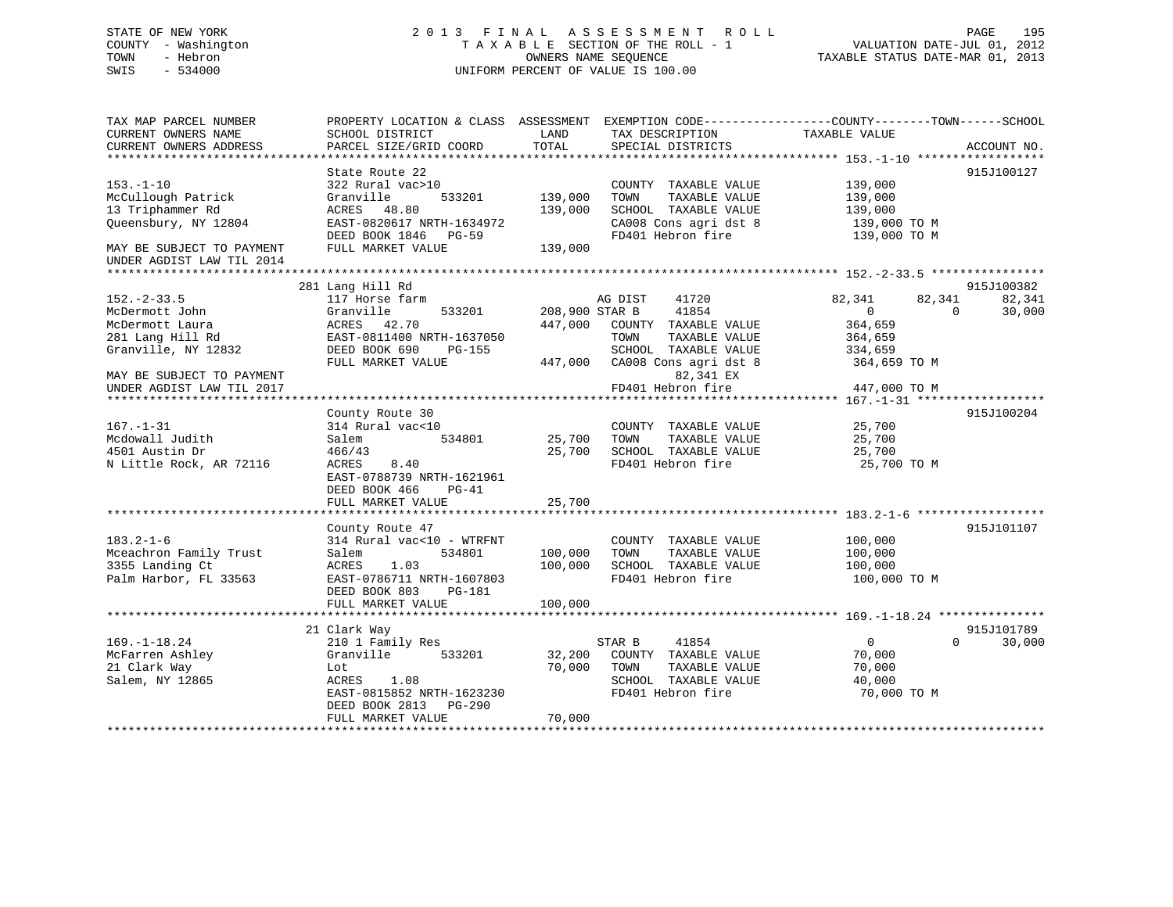## STATE OF NEW YORK 2 0 1 3 F I N A L A S S E S S M E N T R O L L PAGE 195 COUNTY - Washington T A X A B L E SECTION OF THE ROLL - 1 VALUATION DATE-JUL 01, 2012 TOWN - Hebron OWNERS NAME SEQUENCE TAXABLE STATUS DATE-MAR 01, 2013 SWIS - 534000 UNIFORM PERCENT OF VALUE IS 100.00

| TAX MAP PARCEL NUMBER<br>CURRENT OWNERS NAME<br>CURRENT OWNERS ADDRESS                           | SCHOOL DISTRICT<br>PARCEL SIZE/GRID COORD                                                                                                                            | LAND<br>TOTAL                        | PROPERTY LOCATION & CLASS ASSESSMENT EXEMPTION CODE----------------COUNTY-------TOWN------SCHOOL<br>TAX DESCRIPTION<br>SPECIAL DISTRICTS | TAXABLE VALUE                                                                                   | ACCOUNT NO.          |
|--------------------------------------------------------------------------------------------------|----------------------------------------------------------------------------------------------------------------------------------------------------------------------|--------------------------------------|------------------------------------------------------------------------------------------------------------------------------------------|-------------------------------------------------------------------------------------------------|----------------------|
| $153. - 1 - 10$<br>McCullough Patrick<br>13 Triphammer Rd<br>Oueensbury, NY 12804                | State Route 22<br>322 Rural vac>10<br>Granville<br>533201<br>ACRES 48.80<br>EAST-0820617 NRTH-1634972<br>DEED BOOK 1846 PG-59                                        | 139,000<br>139,000                   | COUNTY TAXABLE VALUE<br>TOWN<br>TAXABLE VALUE<br>SCHOOL TAXABLE VALUE<br>CA008 Cons agri dst 8<br>FD401 Hebron fire                      | 139,000<br>139,000<br>139,000<br>139,000 TO M<br>139,000 TO M                                   | 915J100127           |
| MAY BE SUBJECT TO PAYMENT<br>UNDER AGDIST LAW TIL 2014                                           | FULL MARKET VALUE                                                                                                                                                    | 139,000                              |                                                                                                                                          |                                                                                                 |                      |
|                                                                                                  | 281 Lang Hill Rd                                                                                                                                                     |                                      |                                                                                                                                          |                                                                                                 | 915J100382           |
| $152 - 2 - 33.5$<br>McDermott John<br>McDermott Laura<br>281 Lang Hill Rd<br>Granville, NY 12832 | 117 Horse farm<br>Granville<br>533201<br>ACRES 42.70<br>EAST-0811400 NRTH-1637050<br>DEED BOOK 690<br><b>PG-155</b><br>FULL MARKET VALUE                             | 208,900 STAR B<br>447,000<br>447,000 | AG DIST<br>41720<br>41854<br>COUNTY TAXABLE VALUE<br>TAXABLE VALUE<br>TOWN<br>SCHOOL TAXABLE VALUE<br>CA008 Cons agri dst 8              | 82,341<br>82,341<br>$\overline{0}$<br>$\Omega$<br>364,659<br>364,659<br>334,659<br>364,659 TO M | 82,341<br>30,000     |
| MAY BE SUBJECT TO PAYMENT<br>UNDER AGDIST LAW TIL 2017<br>*********************                  |                                                                                                                                                                      |                                      | 82,341 EX<br>FD401 Hebron fire                                                                                                           | 447,000 TO M                                                                                    |                      |
|                                                                                                  | County Route 30                                                                                                                                                      |                                      |                                                                                                                                          |                                                                                                 | 915J100204           |
| $167. - 1 - 31$<br>Mcdowall Judith<br>4501 Austin Dr<br>N Little Rock, AR 72116                  | 314 Rural vac<10<br>534801<br>Salem<br>466/43<br>8.40<br>ACRES<br>EAST-0788739 NRTH-1621961<br>DEED BOOK 466<br>PG-41                                                | 25,700<br>25,700                     | COUNTY TAXABLE VALUE<br>TOWN<br>TAXABLE VALUE<br>SCHOOL TAXABLE VALUE<br>FD401 Hebron fire                                               | 25,700<br>25,700<br>25,700<br>25,700 TO M                                                       |                      |
|                                                                                                  | FULL MARKET VALUE                                                                                                                                                    | 25,700                               |                                                                                                                                          |                                                                                                 |                      |
| $183.2 - 1 - 6$<br>Mceachron Family Trust<br>3355 Landing Ct<br>Palm Harbor, FL 33563            | County Route 47<br>314 Rural vac<10 - WTRFNT<br>Salem<br>534801<br>ACRES<br>1.03<br>EAST-0786711 NRTH-1607803<br>DEED BOOK 803<br><b>PG-181</b><br>FULL MARKET VALUE | 100,000<br>100,000<br>100,000        | COUNTY TAXABLE VALUE<br>TOWN<br>TAXABLE VALUE<br>SCHOOL TAXABLE VALUE<br>FD401 Hebron fire                                               | 100,000<br>100,000<br>100,000<br>100,000 TO M                                                   | 915J101107           |
|                                                                                                  |                                                                                                                                                                      |                                      |                                                                                                                                          |                                                                                                 |                      |
| $169. - 1 - 18.24$<br>McFarren Ashley<br>21 Clark Way<br>Salem, NY 12865                         | 21 Clark Way<br>210 1 Family Res<br>Granville<br>533201<br>Lot<br>ACRES<br>1.08<br>EAST-0815852 NRTH-1623230<br>DEED BOOK 2813<br>PG-290<br>FULL MARKET VALUE        | 32,200<br>70,000<br>70,000           | STAR B<br>41854<br>COUNTY TAXABLE VALUE<br>TOWN<br>TAXABLE VALUE<br>SCHOOL TAXABLE VALUE<br>FD401 Hebron fire                            | $\overline{0}$<br>$\Omega$<br>70,000<br>70,000<br>40,000<br>70,000 TO M                         | 915J101789<br>30,000 |
| ***********************                                                                          | *****************************                                                                                                                                        |                                      |                                                                                                                                          |                                                                                                 |                      |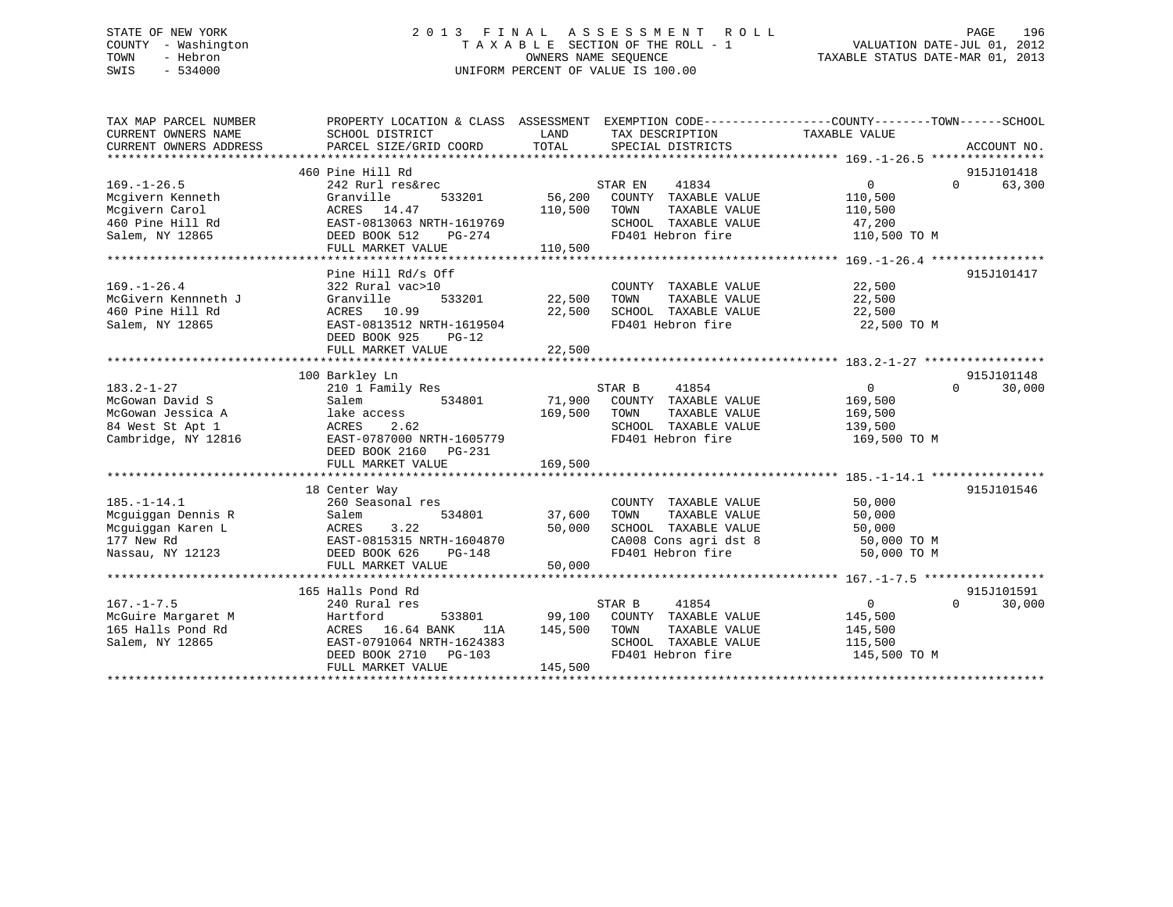## STATE OF NEW YORK 2 0 1 3 F I N A L A S S E S S M E N T R O L L PAGE 196 COUNTY - Washington T A X A B L E SECTION OF THE ROLL - 1 VALUATION DATE-JUL 01, 2012 TOWN - Hebron OWNERS NAME SEQUENCE TAXABLE STATUS DATE-MAR 01, 2013 SWIS - 534000 UNIFORM PERCENT OF VALUE IS 100.00

| TAX MAP PARCEL NUMBER<br>CURRENT OWNERS NAME<br>CURRENT OWNERS ADDRESS | PROPERTY LOCATION & CLASS ASSESSMENT EXEMPTION CODE----------------COUNTY-------TOWN-----SCHOOL<br>SCHOOL DISTRICT<br>PARCEL SIZE/GRID COORD | LAND<br>TOTAL | TAX DESCRIPTION<br>SPECIAL DISTRICTS | TAXABLE VALUE              | ACCOUNT NO.        |
|------------------------------------------------------------------------|----------------------------------------------------------------------------------------------------------------------------------------------|---------------|--------------------------------------|----------------------------|--------------------|
|                                                                        | 460 Pine Hill Rd                                                                                                                             |               |                                      |                            | 915J101418         |
| $169. - 1 - 26.5$                                                      | 242 Rurl res&rec                                                                                                                             |               | STAR EN<br>41834                     | $\mathbf{0}$               | 63,300<br>$\Omega$ |
| Mcgivern Kenneth                                                       | Granville<br>533201                                                                                                                          | 56,200        | COUNTY TAXABLE VALUE                 | 110,500                    |                    |
| Mcgivern Carol                                                         | ACRES 14.47                                                                                                                                  | 110,500       | TAXABLE VALUE<br>TOWN                | 110,500                    |                    |
| 460 Pine Hill Rd                                                       | EAST-0813063 NRTH-1619769                                                                                                                    |               | SCHOOL TAXABLE VALUE                 | 47,200                     |                    |
| Salem, NY 12865                                                        | DEED BOOK 512<br>PG-274                                                                                                                      |               | FD401 Hebron fire                    | 110,500 TO M               |                    |
|                                                                        | FULL MARKET VALUE                                                                                                                            | 110,500       |                                      |                            |                    |
|                                                                        |                                                                                                                                              |               |                                      |                            |                    |
|                                                                        | Pine Hill Rd/s Off                                                                                                                           |               |                                      |                            | 915J101417         |
| $169. - 1 - 26.4$                                                      | 322 Rural vac>10                                                                                                                             |               | COUNTY TAXABLE VALUE                 | 22,500                     |                    |
| McGivern Kennneth J                                                    | 533201<br>Granville                                                                                                                          | 22,500        | TOWN<br>TAXABLE VALUE                | 22,500                     |                    |
| 460 Pine Hill Rd                                                       | ACRES 10.99                                                                                                                                  | 22,500        | SCHOOL TAXABLE VALUE                 | 22,500                     |                    |
| Salem, NY 12865                                                        | EAST-0813512 NRTH-1619504                                                                                                                    |               | FD401 Hebron fire                    | 22,500 TO M                |                    |
|                                                                        | DEED BOOK 925<br>$PG-12$                                                                                                                     |               |                                      |                            |                    |
|                                                                        | FULL MARKET VALUE                                                                                                                            | 22,500        |                                      |                            |                    |
|                                                                        |                                                                                                                                              |               |                                      |                            |                    |
|                                                                        | 100 Barkley Ln                                                                                                                               |               |                                      |                            | 915J101148         |
| $183.2 - 1 - 27$                                                       | 210 1 Family Res                                                                                                                             |               | STAR B<br>41854                      | $\overline{0}$             | $\Omega$<br>30,000 |
| McGowan David S                                                        | Salem<br>534801                                                                                                                              |               | 71,900 COUNTY TAXABLE VALUE          | 169,500                    |                    |
| McGowan Jessica A                                                      | lake access                                                                                                                                  | 169,500       | TAXABLE VALUE<br>TOWN                | 169,500                    |                    |
| 84 West St Apt 1                                                       | ACRES<br>2.62                                                                                                                                |               | SCHOOL TAXABLE VALUE                 | 139,500                    |                    |
| Cambridge, NY 12816                                                    | EAST-0787000 NRTH-1605779                                                                                                                    |               | FD401 Hebron fire                    | 169,500 TO M               |                    |
|                                                                        | DEED BOOK 2160 PG-231                                                                                                                        |               |                                      |                            |                    |
|                                                                        | FULL MARKET VALUE                                                                                                                            | 169,500       |                                      |                            |                    |
|                                                                        |                                                                                                                                              |               |                                      |                            |                    |
|                                                                        | 18 Center Way                                                                                                                                |               |                                      |                            | 915J101546         |
| $185. - 1 - 14.1$                                                      | 260 Seasonal res                                                                                                                             |               | COUNTY TAXABLE VALUE                 | 50,000                     |                    |
| Mcquiqqan Dennis R                                                     | 534801<br>Salem                                                                                                                              | 37,600        | TAXABLE VALUE<br>TOWN                | 50,000                     |                    |
| Mcguiggan Karen L                                                      | 3.22<br>ACRES                                                                                                                                | 50,000        | SCHOOL TAXABLE VALUE                 | 50,000                     |                    |
| 177 New Rd                                                             | EAST-0815315 NRTH-1604870                                                                                                                    |               | CA008 Cons agri dst 8                |                            |                    |
| Nassau, NY 12123                                                       | DEED BOOK 626<br>PG-148                                                                                                                      |               | FD401 Hebron fire                    | 50,000 TO M<br>50,000 TO M |                    |
|                                                                        | FULL MARKET VALUE                                                                                                                            | 50,000        |                                      |                            |                    |
|                                                                        |                                                                                                                                              |               |                                      |                            |                    |
|                                                                        | 165 Halls Pond Rd                                                                                                                            |               |                                      |                            | 915J101591         |
| $167. - 1 - 7.5$                                                       | 240 Rural res                                                                                                                                |               | STAR B<br>41854                      | $\overline{0}$             | $\cap$<br>30,000   |
| McGuire Margaret M                                                     | Hartford<br>533801                                                                                                                           |               | 99,100 COUNTY TAXABLE VALUE          | 145,500                    |                    |
| 165 Halls Pond Rd                                                      | ACRES 16.64 BANK<br>11A                                                                                                                      | 145,500       | TOWN<br>TAXABLE VALUE                | 145,500                    |                    |
| Salem, NY 12865                                                        | EAST-0791064 NRTH-1624383                                                                                                                    |               | SCHOOL TAXABLE VALUE                 | 115,500                    |                    |
|                                                                        | DEED BOOK 2710 PG-103                                                                                                                        |               | FD401 Hebron fire                    | 145,500 TO M               |                    |
|                                                                        | FULL MARKET VALUE                                                                                                                            | 145,500       |                                      |                            |                    |
|                                                                        |                                                                                                                                              |               |                                      |                            |                    |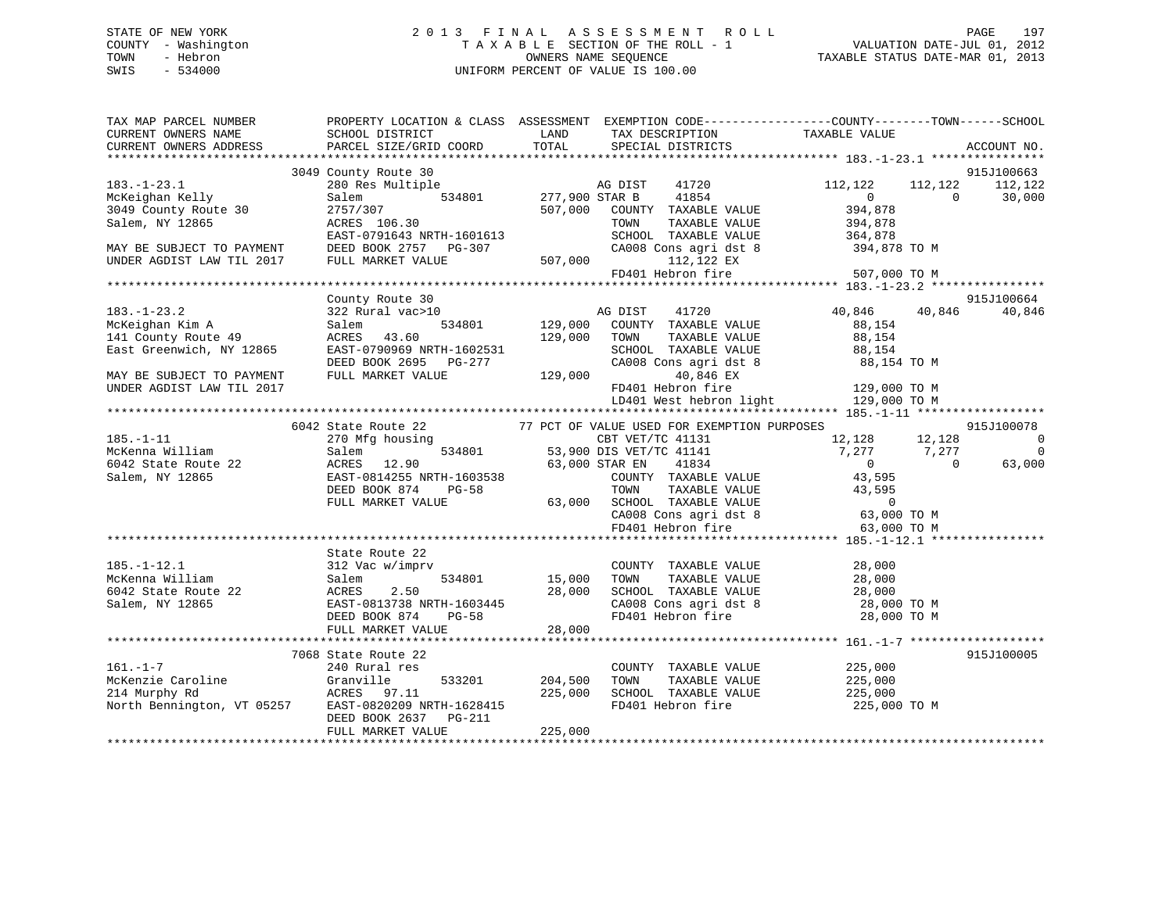# STATE OF NEW YORK 2013 FINAL ASSESSMENT ROLL PAGE 197 COUNTY - Washington  $T A X A B L E$  SECTION OF THE ROLL - 1<br>TOWN - Hebron DATE-JUL 000NERS NAME SEQUENCE SWIS - 534000 UNIFORM PERCENT OF VALUE IS 100.00

VALUATION DATE-JUL 01, 2012 TAXABLE STATUS DATE-MAR 01, 2013

| TAX MAP PARCEL NUMBER                                       |                                                                                                                                                                                                                                   |                | PROPERTY LOCATION & CLASS ASSESSMENT EXEMPTION CODE----------------COUNTY-------TOWN------SCHOOL                                                                                                                                                                                                                  |                                  |                          |
|-------------------------------------------------------------|-----------------------------------------------------------------------------------------------------------------------------------------------------------------------------------------------------------------------------------|----------------|-------------------------------------------------------------------------------------------------------------------------------------------------------------------------------------------------------------------------------------------------------------------------------------------------------------------|----------------------------------|--------------------------|
| CURRENT OWNERS NAME                                         | SCHOOL DISTRICT                                                                                                                                                                                                                   | LAND           | TAX DESCRIPTION TAXABLE VALUE<br>SERCIAL DISTRICTS                                                                                                                                                                                                                                                                |                                  |                          |
| CURRENT OWNERS ADDRESS PARCEL SIZE/GRID COORD TOTAL         |                                                                                                                                                                                                                                   |                | SPECIAL DISTRICTS                                                                                                                                                                                                                                                                                                 |                                  | ACCOUNT NO.              |
|                                                             |                                                                                                                                                                                                                                   |                |                                                                                                                                                                                                                                                                                                                   |                                  |                          |
|                                                             | 3049 County Route 30                                                                                                                                                                                                              |                |                                                                                                                                                                                                                                                                                                                   |                                  | 915J100663               |
| $183. - 1 - 23.1$                                           | Multiple AG DIST<br>534801 277,900 STAR B<br>280 Res Multiple                                                                                                                                                                     |                | AG DIST<br>41720                                                                                                                                                                                                                                                                                                  | 112,122<br>112,122               | 112,122                  |
| McKeighan Kelly                                             | Salem                                                                                                                                                                                                                             |                | 41854                                                                                                                                                                                                                                                                                                             | $\overline{0}$<br>$\overline{0}$ | 30,000                   |
| 3049 County Route 30                                        | 2757/307                                                                                                                                                                                                                          | 507,000        | COUNTY TAXABLE VALUE                                                                                                                                                                                                                                                                                              |                                  |                          |
| Salem, NY 12865                                             | ACRES 106.30                                                                                                                                                                                                                      |                | TOWN<br>TAXABLE VALUE                                                                                                                                                                                                                                                                                             | 394,878<br>394,878               |                          |
|                                                             |                                                                                                                                                                                                                                   |                |                                                                                                                                                                                                                                                                                                                   |                                  |                          |
| MAY BE SUBJECT TO PAYMENT                                   |                                                                                                                                                                                                                                   |                |                                                                                                                                                                                                                                                                                                                   |                                  |                          |
| UNDER AGDIST LAW TIL 2017 FULL MARKET VALUE                 |                                                                                                                                                                                                                                   | $507,000$ FD4  |                                                                                                                                                                                                                                                                                                                   |                                  |                          |
|                                                             |                                                                                                                                                                                                                                   |                | $\begin{tabular}{lllllllllll} \multicolumn{2}{c}{\textbf{SCHODL}} & \textbf{TAXABLE} & \textbf{VALUE} & & \textbf{364,878} \\ \textbf{CA008} & \textbf{Cons}\text{ agri}\text{ dst} & 8 & & \textbf{394,878} & \textbf{TO} \text{ M} \\ & & 112,122 \text{ EX} & & & \textbf{507,000} \text{ TO M} \end{tabular}$ |                                  |                          |
|                                                             |                                                                                                                                                                                                                                   |                |                                                                                                                                                                                                                                                                                                                   |                                  |                          |
|                                                             | County Route 30                                                                                                                                                                                                                   |                |                                                                                                                                                                                                                                                                                                                   |                                  | 915J100664               |
| $183. - 1 - 23.2$                                           | 322 Rural vac>10                                                                                                                                                                                                                  |                | AG DIST 41720                                                                                                                                                                                                                                                                                                     | 40,846<br>40,846                 | 40,846                   |
| McKeighan Kim A                                             | 534801<br>Salem                                                                                                                                                                                                                   | 129,000        | COUNTY TAXABLE VALUE                                                                                                                                                                                                                                                                                              | 88,154                           |                          |
| McKeighan Kim A<br>141 County Route 49<br>12865 - Ary 12865 | ACRES 43.60                                                                                                                                                                                                                       | 129,000        | TOWN<br>TAXABLE VALUE                                                                                                                                                                                                                                                                                             | 88,154                           |                          |
| East Greenwich, NY 12865                                    |                                                                                                                                                                                                                                   |                |                                                                                                                                                                                                                                                                                                                   |                                  |                          |
|                                                             | $\begin{tabular}{lllllllll} \texttt{EAST-0790969 NRTH-1602531} & & & & & & & \\ \texttt{DEED BOOK 2695} & & & & & & & & \\ \texttt{DEED BOOK 2695} & & & & & & & & \\ \texttt{FULL MARKET VALUE} & & & & & 129,000 \end{tabular}$ |                | ${\tt SCHOOD\quad} {\tt TAXABLE\ VALUE} \hspace{1.5cm} {\tt 88,154} \label{eq:28}$ ${\tt CAO08\ Cons\ agri\ dat\ 8} \hspace{1.5cm} {\tt 88,154\ TO\ M}$                                                                                                                                                           |                                  |                          |
| MAY BE SUBJECT TO PAYMENT                                   |                                                                                                                                                                                                                                   |                | 40,846 EX                                                                                                                                                                                                                                                                                                         |                                  |                          |
| UNDER AGDIST LAW TIL 2017                                   |                                                                                                                                                                                                                                   |                | $FD401$ Hebron fire $129,000$ TO M                                                                                                                                                                                                                                                                                |                                  |                          |
|                                                             |                                                                                                                                                                                                                                   |                | LD401 West hebron light 129,000 TO M                                                                                                                                                                                                                                                                              |                                  |                          |
|                                                             |                                                                                                                                                                                                                                   |                |                                                                                                                                                                                                                                                                                                                   |                                  |                          |
|                                                             | 6042 State Route 22                                                                                                                                                                                                               |                | 77 PCT OF VALUE USED FOR EXEMPTION PURPOSES                                                                                                                                                                                                                                                                       |                                  | 915J100078               |
| $185. - 1 - 11$                                             |                                                                                                                                                                                                                                   |                |                                                                                                                                                                                                                                                                                                                   |                                  | $\overline{0}$           |
| McKenna William                                             | 270 Mfg housing<br>270 Mfg housing<br>534801 53,900 DIS VET/TC 41141<br>Salem                                                                                                                                                     |                |                                                                                                                                                                                                                                                                                                                   |                                  | $\overline{\phantom{0}}$ |
|                                                             |                                                                                                                                                                                                                                   |                |                                                                                                                                                                                                                                                                                                                   |                                  | 63,000                   |
| Salem, NY 12865                                             | EAST-0814255 NRTH-1603538                                                                                                                                                                                                         |                |                                                                                                                                                                                                                                                                                                                   |                                  |                          |
|                                                             | $PG-58$<br>DEED BOOK 874                                                                                                                                                                                                          |                |                                                                                                                                                                                                                                                                                                                   |                                  |                          |
|                                                             | FULL MARKET VALUE                                                                                                                                                                                                                 |                |                                                                                                                                                                                                                                                                                                                   |                                  |                          |
|                                                             |                                                                                                                                                                                                                                   |                |                                                                                                                                                                                                                                                                                                                   |                                  |                          |
|                                                             |                                                                                                                                                                                                                                   |                | CHE CHE CONTRESSED FOR EXEMPTION PURPOSES<br>S3,900 DIS VET/TC 41131 7,277 7,277<br>63,000 STAR EN 41834 0<br>COUNTY TAXABLE VALUE 43,595<br>TOWN TAXABLE VALUE 43,595<br>63,000 SCHOOL TAXABLE VALUE 43,595<br>63,000 SCHOOL TAXABLE VALU                                                                        |                                  |                          |
|                                                             |                                                                                                                                                                                                                                   |                |                                                                                                                                                                                                                                                                                                                   |                                  |                          |
|                                                             | State Route 22                                                                                                                                                                                                                    |                |                                                                                                                                                                                                                                                                                                                   |                                  |                          |
| $185. - 1 - 12.1$                                           | 312 Vac w/imprv                                                                                                                                                                                                                   |                | COUNTY TAXABLE VALUE                                                                                                                                                                                                                                                                                              | 28,000                           |                          |
| McKenna William                                             | Salem                                                                                                                                                                                                                             | 534801 15,000  |                                                                                                                                                                                                                                                                                                                   |                                  |                          |
|                                                             |                                                                                                                                                                                                                                   |                | $\begin{tabular}{lllllllllll} \textsc{TOWN} & \textsc{TXABLE} & \textsc{VALUE} & & \textsc{28,000} \\ \textsc{SCHOOL} & \textsc{TAXABLE} & \textsc{VALUE} & & \textsc{28,000} \end{tabular}$                                                                                                                      |                                  |                          |
| noncina William<br>6042 State Route 22<br>Salem, NY 12865   | ACRES 2.50 28,000<br>EAST-0813738 NRTH-1603445 28,000<br>DEED BOOK 874 PG-58                                                                                                                                                      |                | $\begin{array}{llllll} \texttt{CA008} & \texttt{Cons}\ \texttt{agri}\ \texttt{dst}\ 8 & 28,000\ \texttt{\footnotesize TO}\ \texttt{M} & 28,000\ \texttt{\footnotesize TO}\ \texttt{M} & 28,000\ \texttt{\footnotesize TO}\ \texttt{M} \end{array}$                                                                |                                  |                          |
|                                                             |                                                                                                                                                                                                                                   |                |                                                                                                                                                                                                                                                                                                                   |                                  |                          |
|                                                             | FULL MARKET VALUE                                                                                                                                                                                                                 | 28,000         |                                                                                                                                                                                                                                                                                                                   |                                  |                          |
|                                                             |                                                                                                                                                                                                                                   |                |                                                                                                                                                                                                                                                                                                                   |                                  |                          |
|                                                             | 7068 State Route 22                                                                                                                                                                                                               |                |                                                                                                                                                                                                                                                                                                                   |                                  | 915J100005               |
| $161. - 1 - 7$                                              | 240 Rural res                                                                                                                                                                                                                     |                | COUNTY TAXABLE VALUE 225,000                                                                                                                                                                                                                                                                                      |                                  |                          |
|                                                             |                                                                                                                                                                                                                                   | 533201 204,500 |                                                                                                                                                                                                                                                                                                                   |                                  |                          |
|                                                             |                                                                                                                                                                                                                                   | 225,000        | TOWN      TAXABLE  VALUE<br>SCHOOL    TAXABLE  VALUE                                                                                                                                                                                                                                                              | 225,000<br>225,000               |                          |
| North Bennington, VT 05257 EAST-0820209 NRTH-1628415        |                                                                                                                                                                                                                                   |                | FD401 Hebron fire 225,000 TO M                                                                                                                                                                                                                                                                                    |                                  |                          |
|                                                             | DEED BOOK 2637<br>PG-211                                                                                                                                                                                                          |                |                                                                                                                                                                                                                                                                                                                   |                                  |                          |
|                                                             | FULL MARKET VALUE                                                                                                                                                                                                                 | 225,000        |                                                                                                                                                                                                                                                                                                                   |                                  |                          |
|                                                             |                                                                                                                                                                                                                                   |                |                                                                                                                                                                                                                                                                                                                   |                                  |                          |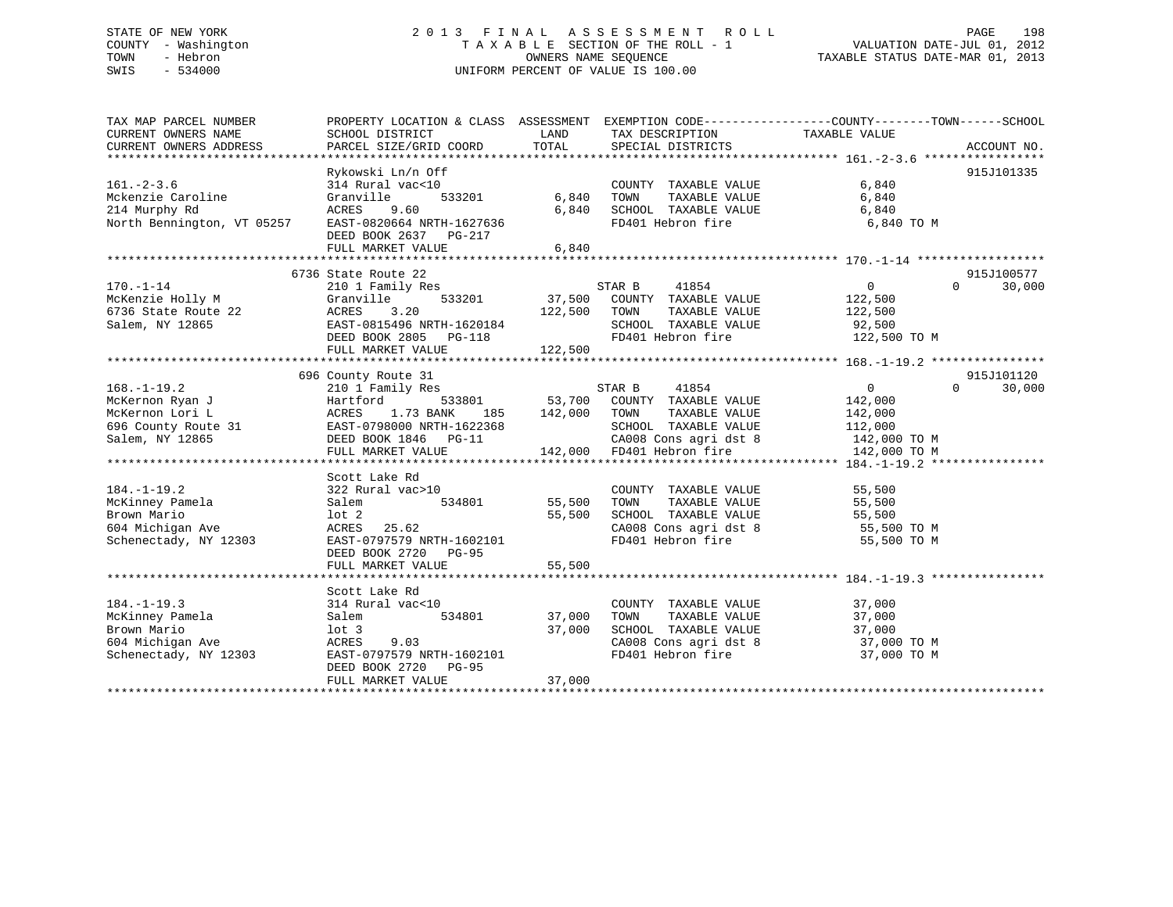# STATE OF NEW YORK 2 0 1 3 F I N A L A S S E S S M E N T R O L L PAGE 198 COUNTY - Washington T A X A B L E SECTION OF THE ROLL - 1 VALUATION DATE-JUL 01, 2012 TRIE OF NEW YORK STATE OF NEW YORK COUNTY - WASHINGTON COUNTY - WASHINGTON COUNTY - WASHINGTON COUNTY - WASHINGTON COUNTY - WASHINGTON ORDER AND TAXABLE STATUS ONNERS NAME SEQUENCE TANABLE STATUS DATE-MAR 01, 2013 SWIS - 534000 UNIFORM PERCENT OF VALUE IS 100.00

TAX MAP PARCEL NUMBER PROPERTY LOCATION & CLASS ASSESSMENT EXEMPTION CODE------------------COUNTY--------TOWN------SCHOOL CURRENT OWNERS NAME SCHOOL DISTRICT LAND TAX DESCRIPTION TAXABLE VALUE CURRENT OWNERS ADDRESS PARCEL SIZE/GRID COORD TOTAL SPECIAL DISTRICTS ACCOUNT NO. \*\*\*\*\*\*\*\*\*\*\*\*\*\*\*\*\*\*\*\*\*\*\*\*\*\*\*\*\*\*\*\*\*\*\*\*\*\*\*\*\*\*\*\*\*\*\*\*\*\*\*\*\*\*\*\*\*\*\*\*\*\*\*\*\*\*\*\*\*\*\*\*\*\*\*\*\*\*\*\*\*\*\*\*\*\*\*\*\*\*\*\*\*\*\*\*\*\*\*\*\*\*\* 161.-2-3.6 \*\*\*\*\*\*\*\*\*\*\*\*\*\*\*\*\* Rykowski Ln/n Off 915J101335 161.-2-3.6 314 Rural vac<10 COUNTY TAXABLE VALUE 6,840 Mckenzie Caroline Granville 533201 6,840 TOWN TAXABLE VALUE 6,840 214 Murphy Rd ACRES 9.60 6,840 SCHOOL TAXABLE VALUE 6,840 North Bennington, VT 05257 EAST-0820664 NRTH-1627636 FD401 Hebron fire 6,840 TO M DEED BOOK 2637 PG-217 FULL MARKET VALUE 6,840 \*\*\*\*\*\*\*\*\*\*\*\*\*\*\*\*\*\*\*\*\*\*\*\*\*\*\*\*\*\*\*\*\*\*\*\*\*\*\*\*\*\*\*\*\*\*\*\*\*\*\*\*\*\*\*\*\*\*\*\*\*\*\*\*\*\*\*\*\*\*\*\*\*\*\*\*\*\*\*\*\*\*\*\*\*\*\*\*\*\*\*\*\*\*\*\*\*\*\*\*\*\*\* 170.-1-14 \*\*\*\*\*\*\*\*\*\*\*\*\*\*\*\*\*\*915J100577 6736 State Route 22 915J100577 $0 \t 30,000$ 170.-1-14 210 1 Family Res STAR B 41854 0 0 30,000 McKenzie Holly M Granville 533201 37,500 COUNTY TAXABLE VALUE 122,500 6736 State Route 22 ACRES 3.20 122,500 TOWN TAXABLE VALUE 122,500 Salem, NY 12865 EAST-0815496 NRTH-1620184 SCHOOL TAXABLE VALUE 92,500 DEED BOOK 2805 PG-118 FD401 Hebron fire 122,500 TO M FULL MARKET VALUE 122,500 \*\*\*\*\*\*\*\*\*\*\*\*\*\*\*\*\*\*\*\*\*\*\*\*\*\*\*\*\*\*\*\*\*\*\*\*\*\*\*\*\*\*\*\*\*\*\*\*\*\*\*\*\*\*\*\*\*\*\*\*\*\*\*\*\*\*\*\*\*\*\*\*\*\*\*\*\*\*\*\*\*\*\*\*\*\*\*\*\*\*\*\*\*\*\*\*\*\*\*\*\*\*\* 168.-1-19.2 \*\*\*\*\*\*\*\*\*\*\*\*\*\*\*\* 696 County Route 31 915J101120 168.-1-19.2 210 1 Family Res STAR B 41854 0 30,000 McKernon Ryan J Hartford 533801 53,700 COUNTY TAXABLE VALUE 142,000 McKernon Lori L ACRES 1.73 BANK 185 142,000 TOWN TAXABLE VALUE 142,000 696 County Route 31 EAST-0798000 NRTH-1622368 SCHOOL TAXABLE VALUE 112,000 Salem, NY 12865 DEED BOOK 1846 PG-11 CA008 Cons agri dst 8 142,000 TO M FULL MARKET VALUE 142,000 FD401 Hebron fire 142,000 TO M \*\*\*\*\*\*\*\*\*\*\*\*\*\*\*\*\*\*\*\*\*\*\*\*\*\*\*\*\*\*\*\*\*\*\*\*\*\*\*\*\*\*\*\*\*\*\*\*\*\*\*\*\*\*\*\*\*\*\*\*\*\*\*\*\*\*\*\*\*\*\*\*\*\*\*\*\*\*\*\*\*\*\*\*\*\*\*\*\*\*\*\*\*\*\*\*\*\*\*\*\*\*\* 184.-1-19.2 \*\*\*\*\*\*\*\*\*\*\*\*\*\*\*\* Scott Lake Rd 184.-1-19.2 322 Rural vac>10 COUNTY TAXABLE VALUE 55,500 McKinney Pamela Salem 534801 55,500 TOWN TAXABLE VALUE 55,500 Brown Mario lot 2 55,500 SCHOOL TAXABLE VALUE 55,500 604 Michigan Ave ACRES 25.62 CA008 Cons agri dst 8 55,500 TO M Schenectady, NY 12303 EAST-0797579 NRTH-1602101 FD401 Hebron fire 55,500 TO M DEED BOOK 2720 PG-95 FULL MARKET VALUE 55,500 \*\*\*\*\*\*\*\*\*\*\*\*\*\*\*\*\*\*\*\*\*\*\*\*\*\*\*\*\*\*\*\*\*\*\*\*\*\*\*\*\*\*\*\*\*\*\*\*\*\*\*\*\*\*\*\*\*\*\*\*\*\*\*\*\*\*\*\*\*\*\*\*\*\*\*\*\*\*\*\*\*\*\*\*\*\*\*\*\*\*\*\*\*\*\*\*\*\*\*\*\*\*\* 184.-1-19.3 \*\*\*\*\*\*\*\*\*\*\*\*\*\*\*\* Scott Lake Rd 184.-1-19.3 314 Rural vac<10 COUNTY TAXABLE VALUE 37,000 McKinney Pamela Salem 534801 37,000 TOWN TAXABLE VALUE 37,000 Brown Mario lot 3 37,000 SCHOOL TAXABLE VALUE 37,000 604 Michigan Ave ACRES 9.03 CA008 Cons agri dst 8 37,000 TO M Schenectady, NY 12303 EAST-0797579 NRTH-1602101 FD401 Hebron fire 37,000 TO M DEED BOOK 2720 PG-95 FULL MARKET VALUE 37,000 \*\*\*\*\*\*\*\*\*\*\*\*\*\*\*\*\*\*\*\*\*\*\*\*\*\*\*\*\*\*\*\*\*\*\*\*\*\*\*\*\*\*\*\*\*\*\*\*\*\*\*\*\*\*\*\*\*\*\*\*\*\*\*\*\*\*\*\*\*\*\*\*\*\*\*\*\*\*\*\*\*\*\*\*\*\*\*\*\*\*\*\*\*\*\*\*\*\*\*\*\*\*\*\*\*\*\*\*\*\*\*\*\*\*\*\*\*\*\*\*\*\*\*\*\*\*\*\*\*\*\*\*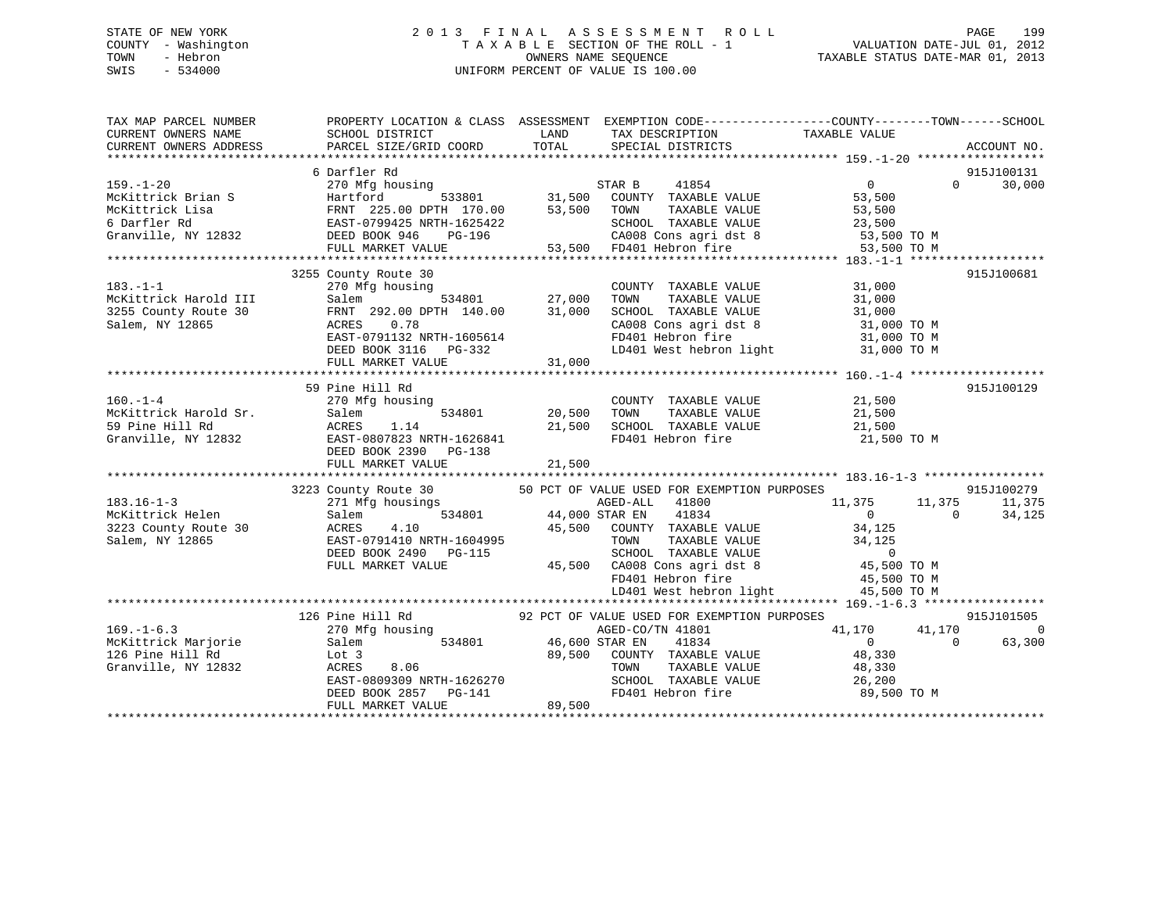## STATE OF NEW YORK 2 0 1 3 F I N A L A S S E S S M E N T R O L L PAGE 199 COUNTY - Washington T A X A B L E SECTION OF THE ROLL - 1 VALUATION DATE-JUL 01, 2012 TOWN - Hebron OWNERS NAME SEQUENCE TAXABLE STATUS DATE-MAR 01, 2013 SWIS - 534000 UNIFORM PERCENT OF VALUE IS 100.00

| TAX MAP PARCEL NUMBER<br>CURRENT OWNERS NAME<br>CURRENT OWNERS ADDRESS                         | PROPERTY LOCATIO<br>SCHOOL DISTRICT<br>PARCEL SIZE/GRID COORD | TAX DESCRIPTION TAXABLE VALUE<br>TOTAL SPECIAL DISTRICTS TAXABLE VALUE<br>LAND TAX DESCRIPTION                                                                                                                                                                                                                                                                                                     | PROPERTY LOCATION & CLASS ASSESSMENT EXEMPTION CODE-----------------COUNTY--------TOWN------SCHOOL<br>ACCOUNT NO.                                                                                                                                                |
|------------------------------------------------------------------------------------------------|---------------------------------------------------------------|----------------------------------------------------------------------------------------------------------------------------------------------------------------------------------------------------------------------------------------------------------------------------------------------------------------------------------------------------------------------------------------------------|------------------------------------------------------------------------------------------------------------------------------------------------------------------------------------------------------------------------------------------------------------------|
|                                                                                                | 6 Darfler Rd                                                  |                                                                                                                                                                                                                                                                                                                                                                                                    | 915J100131<br>6 Darfler Rd<br>McKittrick Brian S<br>McKittrick Brian S<br>McKittrick Isla (1892)<br>McKittrick Isla (1892)<br>McKittrick Isla (1892)<br>McKittrick Isla (1892)<br>McKittrick Isla (1892)<br>McKittrick Isla (1892)<br>McKittrick Isla (1892)<br> |
| $183. -1 - 1$                                                                                  | 3255 County Route 30                                          |                                                                                                                                                                                                                                                                                                                                                                                                    | 915J100681<br>3255 County Raxel and III and the Salem and COUNTY TAXABLE VALUE 31,000<br>27,000 TOWN TAXABLE VALUE 31,000<br>3255 County Route 30 FRNT 292.00 DPTH 140.00 31,000 SCHOOL TAXABLE VALUE 31,000<br>Salem, NY 12865 0.78 CADES 0.78 CA               |
|                                                                                                | 59 Pine Hill Rd                                               | 160.-1-4<br>McKittrick Harold Sr.<br>21,500 McKittrick Harold Sr.<br>31,500 McKittrick Harold Sr.<br>31,500 McKittrick Harold Sr.<br>31,500 McKittrick Harold Sr.<br>31,500 McKittrick Harold Sr.<br>31,500 McKittrick Harold Sr.<br>31,500 Mc                                                                                                                                                     | 915J100129<br>FD401 Hebron fire 21,500 TO M                                                                                                                                                                                                                      |
|                                                                                                |                                                               | 3223 County Route 30 50 PCT OF VALUE USED FOR EXEMPTION PURPOSES<br>183.16-1-3<br>McKittrick Helen Salem and McKitter Salem and McKitter Salem and McKitter Salem and McKitter Salem and McKitter Salem and McKitter Salem and McKitter Salem and McKitter Salem and McKitter Salem and McKitter Sa                                                                                                | 915J100279<br>$11,375$ $11,375$ $11,375$<br>0 0 34.125                                                                                                                                                                                                           |
| $169. - 1 - 6.3$<br>McKittrick Marjorie Salem<br>126 Pine Hill Rd Lot 3<br>Granville, NY 12832 | 126 Pine Hill Rd                                              | 126 Pine Hill Rd 92 PCT OF VALUE USED FOR EXEMPTION PURPOSES<br>270 Mfg housing 92 PCT OF VALUE USED FOR EXEMPTION PURPOSES<br>g housing<br>534801 696,600 STAR EN 41801<br>89,500 COUNTY TAXABLE VALUE<br>ACRES 8.06 TOWN TAXABLE VALUE 48,330<br>EAST-0809309 NRTH-1626270 SCHOOL TAXABLE VALUE 26,200<br>DEED BOOK 2857 PG-141 89,500 FD401 Hebron fire 89,500 TO M<br>FULL MARKET VALUE 89,500 | 915J101505<br>41,170<br>$\overline{0}$<br>$\begin{array}{ccc} & 0 & & 0 \\ 48,330 & & & \end{array}$<br>63,300<br>TAXABLE VALUE 48,330<br>TAXABLE VALUE 26,200                                                                                                   |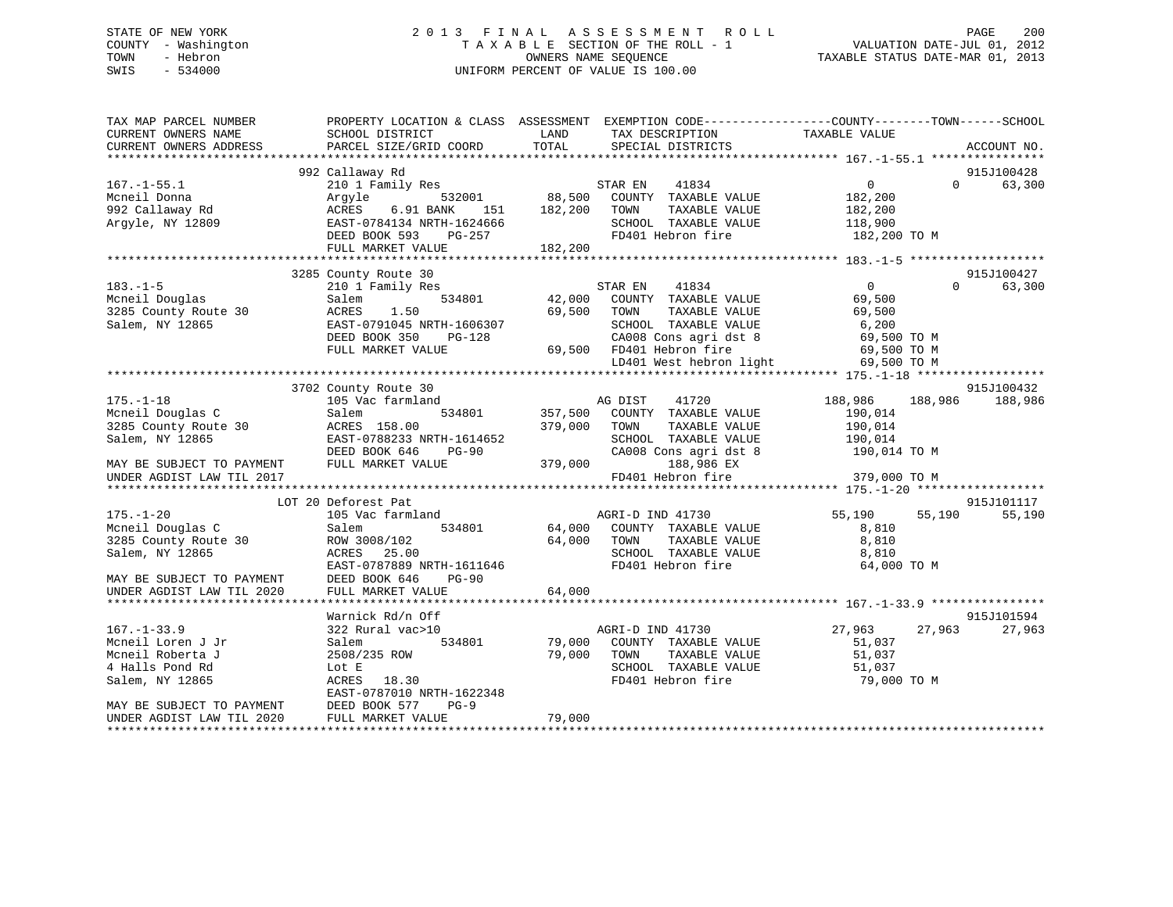## STATE OF NEW YORK 2 0 1 3 F I N A L A S S E S S M E N T R O L L PAGE 200 COUNTY - Washington T A X A B L E SECTION OF THE ROLL - 1 VALUATION DATE-JUL 01, 2012 TOWN - Hebron OWNERS NAME SEQUENCE TAXABLE STATUS DATE-MAR 01, 2013 SWIS - 534000 UNIFORM PERCENT OF VALUE IS 100.00

| TAX MAP PARCEL NUMBER<br>CURRENT OWNERS NAME<br>CURRENT OWNERS ADDRESS | PROPERTY LOCATION & CLASS ASSESSMENT EXEMPTION CODE---------------COUNTY-------TOWN-----SCHOOL<br>SCHOOL DISTRICT<br>PARCEL SIZE/GRID COORD | LAND<br>TOTAL | TAX DESCRIPTION<br>SPECIAL DISTRICTS | TAXABLE VALUE     |          | ACCOUNT NO.          |
|------------------------------------------------------------------------|---------------------------------------------------------------------------------------------------------------------------------------------|---------------|--------------------------------------|-------------------|----------|----------------------|
|                                                                        |                                                                                                                                             |               |                                      |                   |          |                      |
|                                                                        | 992 Callaway Rd                                                                                                                             |               |                                      |                   |          | 915J100428           |
| $167. - 1 - 55.1$                                                      | 210 1 Family Res                                                                                                                            |               | STAR EN<br>41834                     | $0 \qquad \qquad$ | $\Omega$ | 63,300               |
| Mcneil Donna                                                           | 532001<br>Argyle                                                                                                                            | 88,500        | COUNTY TAXABLE VALUE                 | 182,200           |          |                      |
| 992 Callaway Rd                                                        | ACRES<br>6.91 BANK<br>151                                                                                                                   | 182,200       | TOWN<br>TAXABLE VALUE                | 182,200           |          |                      |
| Argyle, NY 12809                                                       | EAST-0784134 NRTH-1624666                                                                                                                   |               | SCHOOL TAXABLE VALUE                 | 118,900           |          |                      |
|                                                                        | DEED BOOK 593<br>PG-257                                                                                                                     |               | FD401 Hebron fire                    | 182,200 TO M      |          |                      |
|                                                                        | FULL MARKET VALUE                                                                                                                           | 182,200       |                                      |                   |          |                      |
|                                                                        |                                                                                                                                             |               |                                      |                   |          |                      |
|                                                                        | 3285 County Route 30                                                                                                                        |               |                                      | $0 \qquad \qquad$ | $\Omega$ | 915J100427<br>63,300 |
| $183. - 1 - 5$                                                         | 210 1 Family Res                                                                                                                            |               | STAR EN<br>41834                     |                   |          |                      |
| Mcneil Douglas                                                         | 534801<br>Salem<br>1.50                                                                                                                     | 42,000        | COUNTY TAXABLE VALUE                 | 69,500            |          |                      |
| 3285 County Route 30                                                   | ACRES                                                                                                                                       | 69,500        | TAXABLE VALUE<br>TOWN                | 69,500            |          |                      |
| Salem, NY 12865                                                        | EAST-0791045 NRTH-1606307                                                                                                                   |               | SCHOOL TAXABLE VALUE                 | 6,200             |          |                      |
|                                                                        | DEED BOOK 350<br>PG-128                                                                                                                     |               | CA008 Cons agri dst 8                | 69,500 TO M       |          |                      |
|                                                                        | FULL MARKET VALUE                                                                                                                           |               | 69,500 FD401 Hebron fire             | 69,500 TO M       |          |                      |
|                                                                        |                                                                                                                                             |               | LD401 West hebron light              | 69,500 TO M       |          |                      |
|                                                                        | 3702 County Route 30                                                                                                                        |               |                                      |                   |          | 915J100432           |
| $175. - 1 - 18$                                                        | 105 Vac farmland                                                                                                                            | AG DIST       | 41720                                | 188,986           | 188,986  | 188,986              |
| Mcneil Douglas C                                                       | Salem<br>534801                                                                                                                             | 357,500       | COUNTY TAXABLE VALUE                 | 190,014           |          |                      |
| 3285 County Route 30                                                   | ACRES 158.00                                                                                                                                | 379,000       | TOWN<br>TAXABLE VALUE                | 190,014           |          |                      |
| Salem, NY 12865                                                        | EAST-0788233 NRTH-1614652                                                                                                                   |               | SCHOOL TAXABLE VALUE                 | 190,014           |          |                      |
|                                                                        | DEED BOOK 646<br>$PG-90$                                                                                                                    |               | CA008 Cons agri dst 8                | 190,014 TO M      |          |                      |
| MAY BE SUBJECT TO PAYMENT                                              | FULL MARKET VALUE                                                                                                                           | 379,000       | 188,986 EX                           |                   |          |                      |
| UNDER AGDIST LAW TIL 2017                                              |                                                                                                                                             |               | FD401 Hebron fire                    | 379,000 TO M      |          |                      |
|                                                                        |                                                                                                                                             |               |                                      |                   |          |                      |
|                                                                        | LOT 20 Deforest Pat                                                                                                                         |               |                                      |                   |          | 915J101117           |
| $175. - 1 - 20$                                                        | 105 Vac farmland                                                                                                                            |               | AGRI-D IND 41730                     | 55,190            | 55,190   | 55,190               |
| Mcneil Douglas C                                                       | 534801<br>Salem                                                                                                                             |               | 64,000 COUNTY TAXABLE VALUE          | 8,810             |          |                      |
| 3285 County Route 30                                                   | ROW 3008/102                                                                                                                                | 64,000        | TOWN<br>TAXABLE VALUE                | 8,810             |          |                      |
| Salem, NY 12865                                                        | ACRES 25.00                                                                                                                                 |               | SCHOOL TAXABLE VALUE                 | 8,810             |          |                      |
|                                                                        | EAST-0787889 NRTH-1611646                                                                                                                   |               | FD401 Hebron fire                    | 64,000 TO M       |          |                      |
| MAY BE SUBJECT TO PAYMENT                                              | DEED BOOK 646<br>$PG-90$                                                                                                                    |               |                                      |                   |          |                      |
| UNDER AGDIST LAW TIL 2020                                              | FULL MARKET VALUE                                                                                                                           | 64,000        |                                      |                   |          |                      |
|                                                                        |                                                                                                                                             |               |                                      |                   |          |                      |
|                                                                        | Warnick Rd/n Off                                                                                                                            |               |                                      |                   |          | 915J101594           |
| $167. - 1 - 33.9$                                                      | 322 Rural vac>10                                                                                                                            |               | AGRI-D IND 41730                     | 27,963            | 27,963   | 27,963               |
| Mcneil Loren J Jr                                                      | 534801<br>Salem                                                                                                                             | 79,000        | COUNTY TAXABLE VALUE                 | 51,037            |          |                      |
| Mcneil Roberta J                                                       | 2508/235 ROW                                                                                                                                | 79,000        | TOWN<br>TAXABLE VALUE                | 51,037            |          |                      |
| 4 Halls Pond Rd                                                        | Lot E                                                                                                                                       |               | SCHOOL TAXABLE VALUE                 | 51,037            |          |                      |
| Salem, NY 12865                                                        | ACRES<br>18.30                                                                                                                              |               | FD401 Hebron fire                    | 79,000 TO M       |          |                      |
|                                                                        | EAST-0787010 NRTH-1622348                                                                                                                   |               |                                      |                   |          |                      |
| MAY BE SUBJECT TO PAYMENT                                              | DEED BOOK 577<br>$PG-9$                                                                                                                     |               |                                      |                   |          |                      |
| UNDER AGDIST LAW TIL 2020                                              | FULL MARKET VALUE                                                                                                                           | 79,000        |                                      |                   |          |                      |
|                                                                        |                                                                                                                                             |               |                                      |                   |          |                      |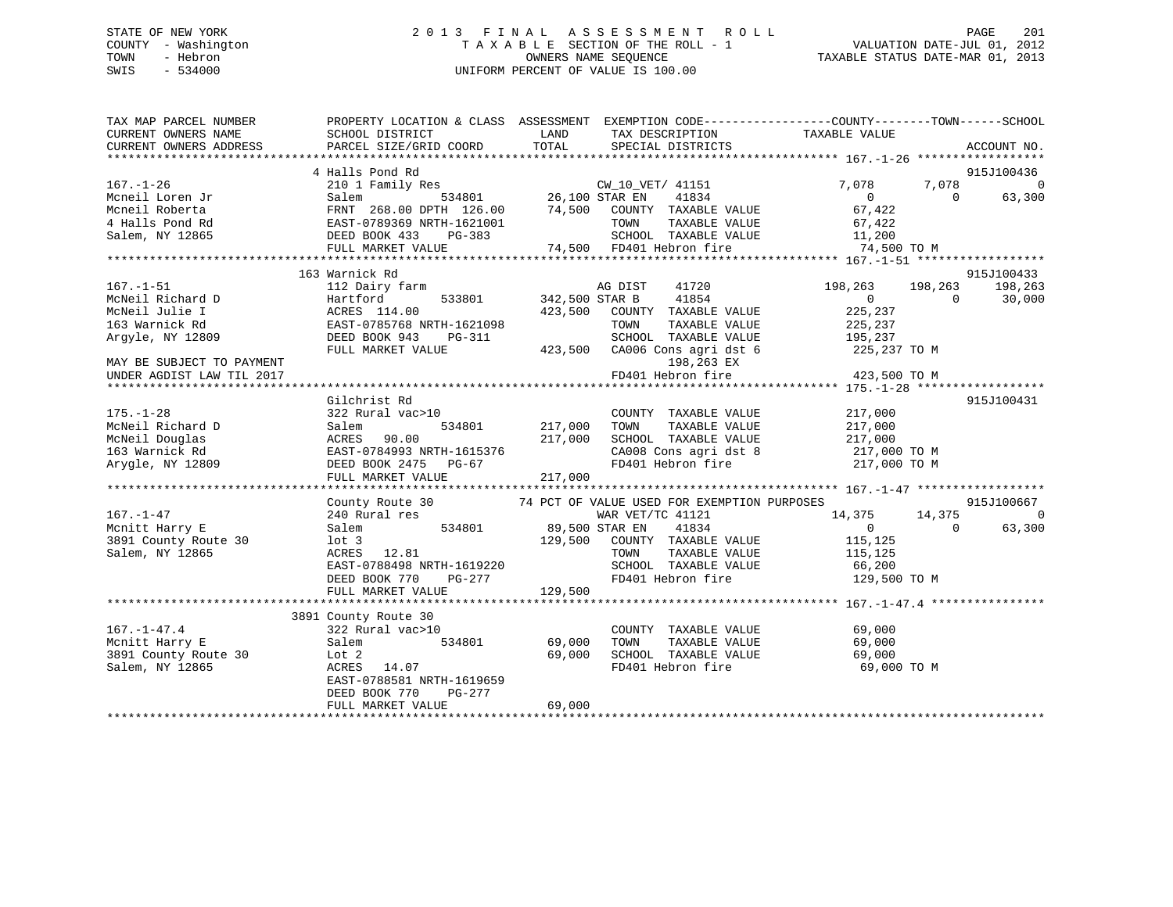## STATE OF NEW YORK 2 0 1 3 F I N A L A S S E S S M E N T R O L L PAGE 201 COUNTY - Washington T A X A B L E SECTION OF THE ROLL - 1 VALUATION DATE-JUL 01, 2012 TOWN - Hebron OWNERS NAME SEQUENCE TAXABLE STATUS DATE-MAR 01, 2013 SWIS - 534000 UNIFORM PERCENT OF VALUE IS 100.00

| TAX MAP PARCEL NUMBER<br>CURRENT OWNERS NAME                                                                                                                                                                                               | PROPERTY LOCATION & CLASS ASSESSMENT EXEMPTION CODE---------------COUNTY-------TOWN-----SCHOOL<br>SCHOOL DISTRICT | <b>EXAMPLE EXAMPLE EXAMPLE EXAMPLE EXAMPLE EXAMPLE EXAMPLE EXAMPLE EXAMPLE EXAMPLE EXAMPLE EXAMPLE EXAMPLE EXAMPLE EXAMPLE EXAMPLE EXAMPLE EXAMPLE EXAMPLE EXAMPLE EXAMPLE EXAMPLE EXAMPLE EXAMPLE EXAMPLE EXAMPLE EXAMPLE EXAMP</b> | TAX DESCRIPTION TAXABLE VALUE SPECIAL DISTRICTS                                                          |                                                      |                |                              |
|--------------------------------------------------------------------------------------------------------------------------------------------------------------------------------------------------------------------------------------------|-------------------------------------------------------------------------------------------------------------------|--------------------------------------------------------------------------------------------------------------------------------------------------------------------------------------------------------------------------------------|----------------------------------------------------------------------------------------------------------|------------------------------------------------------|----------------|------------------------------|
| CURRENT OWNERS ADDRESS                                                                                                                                                                                                                     | PARCEL SIZE/GRID COORD                                                                                            | TOTAL                                                                                                                                                                                                                                |                                                                                                          |                                                      |                | ACCOUNT NO.                  |
|                                                                                                                                                                                                                                            |                                                                                                                   |                                                                                                                                                                                                                                      |                                                                                                          |                                                      |                |                              |
|                                                                                                                                                                                                                                            | 4 Halls Pond Rd                                                                                                   |                                                                                                                                                                                                                                      |                                                                                                          |                                                      |                | 915J100436<br>$\overline{0}$ |
| $167. - 1 - 26$                                                                                                                                                                                                                            |                                                                                                                   |                                                                                                                                                                                                                                      | 41834                                                                                                    | $\begin{array}{c} 7 \, , \, 078 \\ \, 0 \end{array}$ |                | $7,078$ $0$ $63$             |
| Mcneil Loren Jr                                                                                                                                                                                                                            |                                                                                                                   |                                                                                                                                                                                                                                      |                                                                                                          |                                                      |                | 63,300                       |
|                                                                                                                                                                                                                                            |                                                                                                                   |                                                                                                                                                                                                                                      |                                                                                                          |                                                      |                |                              |
|                                                                                                                                                                                                                                            |                                                                                                                   |                                                                                                                                                                                                                                      |                                                                                                          |                                                      |                |                              |
|                                                                                                                                                                                                                                            |                                                                                                                   |                                                                                                                                                                                                                                      |                                                                                                          |                                                      |                |                              |
| Mcneil Loren Jr (1993)<br>Mcneil Roberta (1993)<br>Mcneil Roberta (1993)<br>Town TAXABLE VALUE (199369 NRTH-1621001 TOWN TAXABLE VALUE (199369 NRTH-1621001 TOWN TAXABLE VALUE (199369 NRTH-1621001 TOWN TAXABLE VALUE (1993)<br>Salem, NY |                                                                                                                   |                                                                                                                                                                                                                                      |                                                                                                          |                                                      |                |                              |
|                                                                                                                                                                                                                                            | 163 Warnick Rd                                                                                                    |                                                                                                                                                                                                                                      |                                                                                                          |                                                      |                | 915J100433                   |
| $167. - 1 - 51$                                                                                                                                                                                                                            | 112 Dairy farm                                                                                                    |                                                                                                                                                                                                                                      | 41720<br>AG DIST                                                                                         | 198,263                                              | 198,263        | 198,263                      |
|                                                                                                                                                                                                                                            | 533801 342,500 STAR B                                                                                             |                                                                                                                                                                                                                                      | 41854                                                                                                    | $\Omega$                                             | $\overline{0}$ | 30,000                       |
| McNeil Richard D<br>McNeil Julie I (1990) Hartford (1990) 533801<br>163 Warnick Rd (1991) EAST-0785768 NRTH-1621098<br>Argyle, NY 12809 (DEED BOOK 943 (1993) PG-311                                                                       |                                                                                                                   | 423,500                                                                                                                                                                                                                              | COUNTY TAXABLE VALUE                                                                                     | 225,237                                              |                |                              |
|                                                                                                                                                                                                                                            |                                                                                                                   |                                                                                                                                                                                                                                      | TOWN<br>TAXABLE VALUE                                                                                    |                                                      |                |                              |
|                                                                                                                                                                                                                                            |                                                                                                                   |                                                                                                                                                                                                                                      | SCHOOL TAXABLE VALUE                                                                                     | 225,237<br>195,237                                   |                |                              |
|                                                                                                                                                                                                                                            | FULL MARKET VALUE                                                                                                 |                                                                                                                                                                                                                                      | 423,500 CA006 Cons agri dst 6 225,237 TO M                                                               |                                                      |                |                              |
| MAY BE SUBJECT TO PAYMENT                                                                                                                                                                                                                  |                                                                                                                   |                                                                                                                                                                                                                                      | 198,263 EX                                                                                               |                                                      |                |                              |
| UNDER AGDIST LAW TIL 2017                                                                                                                                                                                                                  |                                                                                                                   |                                                                                                                                                                                                                                      | 198,263 EX<br>FD401 Hebron fire 423,500 TO M                                                             |                                                      |                |                              |
|                                                                                                                                                                                                                                            |                                                                                                                   |                                                                                                                                                                                                                                      |                                                                                                          |                                                      |                |                              |
|                                                                                                                                                                                                                                            | Gilchrist Rd                                                                                                      |                                                                                                                                                                                                                                      |                                                                                                          |                                                      |                | 915J100431                   |
| $175. - 1 - 28$                                                                                                                                                                                                                            | 322 Rural vac>10                                                                                                  |                                                                                                                                                                                                                                      | COUNTY TAXABLE VALUE                                                                                     |                                                      |                |                              |
| McNeil Richard D                                                                                                                                                                                                                           | Salem                                                                                                             | 534801 217,000                                                                                                                                                                                                                       | TAXABLE VALUE<br>TOWN                                                                                    | 217,000<br>217.000                                   |                |                              |
|                                                                                                                                                                                                                                            |                                                                                                                   |                                                                                                                                                                                                                                      |                                                                                                          |                                                      |                |                              |
|                                                                                                                                                                                                                                            |                                                                                                                   |                                                                                                                                                                                                                                      | SCHOOL TAXABLE VALUE $217,000$<br>CA008 Cons agri dst 8 $217,000$ TO M<br>FD401 Hebron fire 217,000 TO M |                                                      |                |                              |
|                                                                                                                                                                                                                                            |                                                                                                                   |                                                                                                                                                                                                                                      |                                                                                                          |                                                      |                |                              |
|                                                                                                                                                                                                                                            |                                                                                                                   |                                                                                                                                                                                                                                      |                                                                                                          |                                                      |                |                              |
|                                                                                                                                                                                                                                            |                                                                                                                   |                                                                                                                                                                                                                                      |                                                                                                          |                                                      |                |                              |
|                                                                                                                                                                                                                                            |                                                                                                                   |                                                                                                                                                                                                                                      |                                                                                                          |                                                      |                | 915J100667                   |
| $167. - 1 - 47$                                                                                                                                                                                                                            |                                                                                                                   |                                                                                                                                                                                                                                      | WAR VET/TC 41121                                                                                         | 14,375 14,375                                        |                | $\overline{0}$               |
| Mcnitt Harry E                                                                                                                                                                                                                             | WAR VET/<br>534801 89,500 STAR EN<br>100 F00 600 Movement<br>Salem                                                |                                                                                                                                                                                                                                      | 41834                                                                                                    | $\overline{0}$                                       | $\bigcap$      | 63,300                       |
| 3891 County Route 30                                                                                                                                                                                                                       | lot 3                                                                                                             |                                                                                                                                                                                                                                      | 129,500 COUNTY TAXABLE VALUE                                                                             | 115,125                                              |                |                              |
| Salem, NY 12865                                                                                                                                                                                                                            | ACRES 12.81                                                                                                       |                                                                                                                                                                                                                                      | TOWN                                                                                                     | TAXABLE VALUE 115,125                                |                |                              |
|                                                                                                                                                                                                                                            | ACRES 12.81<br>EAST-0788498 NRTH-1619220                                                                          |                                                                                                                                                                                                                                      |                                                                                                          |                                                      |                |                              |
|                                                                                                                                                                                                                                            | $PG-277$<br>DEED BOOK 770                                                                                         |                                                                                                                                                                                                                                      | SCHOOL TAXABLE VALUE 66,200<br>FD401 Hebron fire 129,500 TO M                                            |                                                      |                |                              |
|                                                                                                                                                                                                                                            |                                                                                                                   |                                                                                                                                                                                                                                      |                                                                                                          |                                                      |                |                              |
|                                                                                                                                                                                                                                            |                                                                                                                   |                                                                                                                                                                                                                                      |                                                                                                          |                                                      |                |                              |
|                                                                                                                                                                                                                                            | 3891 County Route 30                                                                                              |                                                                                                                                                                                                                                      |                                                                                                          |                                                      |                |                              |
| $167. - 1 - 47.4$                                                                                                                                                                                                                          | 322 Rural vac>10                                                                                                  |                                                                                                                                                                                                                                      | COUNTY TAXABLE VALUE                                                                                     | 69,000                                               |                |                              |
| Mcnitt Harry E                                                                                                                                                                                                                             | Salem                                                                                                             | 534801 69,000                                                                                                                                                                                                                        | TOWN                                                                                                     | 69,000                                               |                |                              |
| 3891 County Route 30                                                                                                                                                                                                                       | Lot 2                                                                                                             | 69,000                                                                                                                                                                                                                               | TAXABLE VALUE<br>TAXARLE VALUE<br>SCHOOL TAXABLE VALUE                                                   | 69,000                                               |                |                              |
| Salem, NY 12865                                                                                                                                                                                                                            | ACRES 14.07                                                                                                       |                                                                                                                                                                                                                                      | FD401 Hebron fire                                                                                        | 69,000 TO M                                          |                |                              |
|                                                                                                                                                                                                                                            | EAST-0788581 NRTH-1619659                                                                                         |                                                                                                                                                                                                                                      |                                                                                                          |                                                      |                |                              |
|                                                                                                                                                                                                                                            | PG-277<br>DEED BOOK 770                                                                                           |                                                                                                                                                                                                                                      |                                                                                                          |                                                      |                |                              |
|                                                                                                                                                                                                                                            | FULL MARKET VALUE                                                                                                 | 69,000                                                                                                                                                                                                                               |                                                                                                          |                                                      |                |                              |
|                                                                                                                                                                                                                                            |                                                                                                                   |                                                                                                                                                                                                                                      |                                                                                                          |                                                      |                |                              |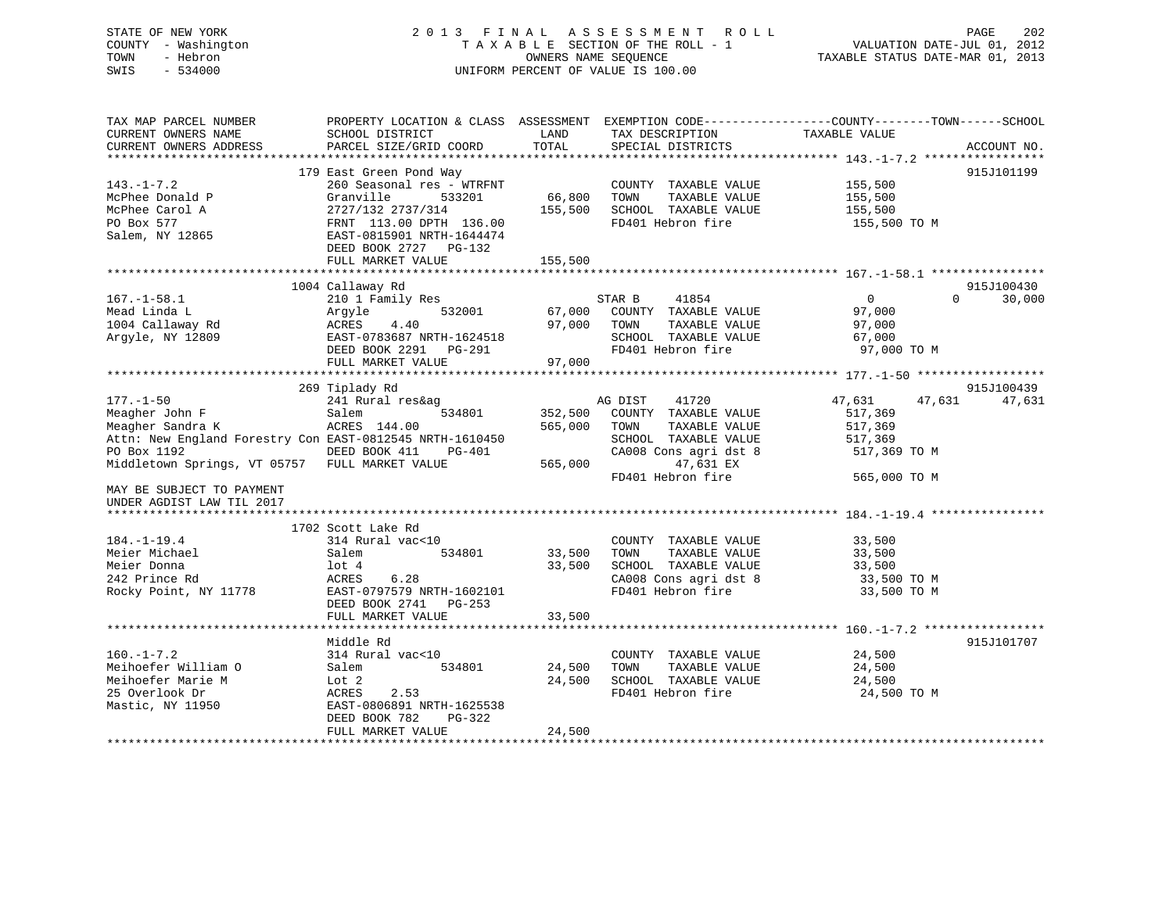## STATE OF NEW YORK 2 0 1 3 F I N A L A S S E S S M E N T R O L L PAGE 202 COUNTY - Washington T A X A B L E SECTION OF THE ROLL - 1 VALUATION DATE-JUL 01, 2012 TOWN - Hebron OWNERS NAME SEQUENCE TAXABLE STATUS DATE-MAR 01, 2013 SWIS - 534000 UNIFORM PERCENT OF VALUE IS 100.00

| TAX MAP PARCEL NUMBER                                    |                           |         |                       | PROPERTY LOCATION & CLASS ASSESSMENT EXEMPTION CODE----------------COUNTY-------TOWN-----SCHOOL |             |
|----------------------------------------------------------|---------------------------|---------|-----------------------|-------------------------------------------------------------------------------------------------|-------------|
| CURRENT OWNERS NAME                                      | SCHOOL DISTRICT           | LAND    | TAX DESCRIPTION       | TAXABLE VALUE                                                                                   |             |
| CURRENT OWNERS ADDRESS                                   | PARCEL SIZE/GRID COORD    | TOTAL   | SPECIAL DISTRICTS     |                                                                                                 | ACCOUNT NO. |
|                                                          |                           |         |                       |                                                                                                 |             |
|                                                          | 179 East Green Pond Way   |         |                       |                                                                                                 | 915J101199  |
| $143. - 1 - 7.2$                                         | 260 Seasonal res - WTRFNT |         | COUNTY TAXABLE VALUE  | 155,500                                                                                         |             |
| McPhee Donald P                                          | 533201<br>Granville       | 66,800  | TAXABLE VALUE<br>TOWN | 155,500                                                                                         |             |
| McPhee Carol A                                           | 2727/132 2737/314         | 155,500 | SCHOOL TAXABLE VALUE  | 155,500                                                                                         |             |
| PO Box 577                                               | FRNT 113.00 DPTH 136.00   |         | FD401 Hebron fire     | 155,500 TO M                                                                                    |             |
| Salem, NY 12865                                          | EAST-0815901 NRTH-1644474 |         |                       |                                                                                                 |             |
|                                                          | DEED BOOK 2727 PG-132     |         |                       |                                                                                                 |             |
|                                                          | FULL MARKET VALUE         | 155,500 |                       |                                                                                                 |             |
|                                                          |                           |         |                       |                                                                                                 |             |
|                                                          | 1004 Callaway Rd          |         |                       |                                                                                                 | 915J100430  |
| $167. - 1 - 58.1$                                        | 210 1 Family Res          |         |                       | $\overline{0}$<br>$\Omega$                                                                      |             |
|                                                          |                           |         | STAR B<br>41854       |                                                                                                 | 30,000      |
| Mead Linda L                                             | 532001<br>Argyle          | 67,000  | COUNTY TAXABLE VALUE  | 97,000                                                                                          |             |
| 1004 Callaway Rd                                         | ACRES 4.40                | 97,000  | TOWN<br>TAXABLE VALUE | 97,000                                                                                          |             |
| Arqyle, NY 12809                                         | EAST-0783687 NRTH-1624518 |         | SCHOOL TAXABLE VALUE  | 67,000                                                                                          |             |
|                                                          | DEED BOOK 2291 PG-291     |         | FD401 Hebron fire     | 97,000 TO M                                                                                     |             |
|                                                          | FULL MARKET VALUE         | 97,000  |                       |                                                                                                 |             |
|                                                          |                           |         |                       |                                                                                                 |             |
|                                                          | 269 Tiplady Rd            |         |                       |                                                                                                 | 915J100439  |
| $177. - 1 - 50$                                          | 241 Rural res&ag          |         | AG DIST<br>41720      | 47,631<br>47,631                                                                                | 47,631      |
|                                                          | 534801                    | 352,500 | COUNTY TAXABLE VALUE  | 517,369                                                                                         |             |
|                                                          |                           | 565,000 | TOWN<br>TAXABLE VALUE | 517,369                                                                                         |             |
| Attn: New England Forestry Con EAST-0812545 NRTH-1610450 |                           |         | SCHOOL TAXABLE VALUE  | 517,369                                                                                         |             |
| PO Box 1192                                              | DEED BOOK 411<br>PG-401   |         | CA008 Cons agri dst 8 | 517,369 TO M                                                                                    |             |
| Middletown Springs, VT 05757 FULL MARKET VALUE           |                           | 565,000 | 47,631 EX             |                                                                                                 |             |
|                                                          |                           |         | FD401 Hebron fire     | 565,000 TO M                                                                                    |             |
| MAY BE SUBJECT TO PAYMENT                                |                           |         |                       |                                                                                                 |             |
| UNDER AGDIST LAW TIL 2017                                |                           |         |                       |                                                                                                 |             |
| *************************                                |                           |         |                       |                                                                                                 |             |
|                                                          | 1702 Scott Lake Rd        |         |                       |                                                                                                 |             |
| $184. - 1 - 19.4$                                        | 314 Rural vac<10          |         | COUNTY TAXABLE VALUE  | 33,500                                                                                          |             |
| Meier Michael                                            | 534801<br>Salem           | 33,500  | TOWN<br>TAXABLE VALUE | 33,500                                                                                          |             |
| Meier Donna                                              | lot 4                     | 33,500  | SCHOOL TAXABLE VALUE  | 33,500                                                                                          |             |
| 242 Prince Rd                                            | 6.28<br>ACRES             |         | CA008 Cons agri dst 8 | 33,500 TO M                                                                                     |             |
| Rocky Point, NY 11778 EAST-0797579 NRTH-1602101          |                           |         | FD401 Hebron fire     | 33,500 TO M                                                                                     |             |
|                                                          | DEED BOOK 2741 PG-253     |         |                       |                                                                                                 |             |
|                                                          | FULL MARKET VALUE         | 33,500  |                       |                                                                                                 |             |
|                                                          |                           |         |                       |                                                                                                 |             |
|                                                          | Middle Rd                 |         |                       |                                                                                                 | 915J101707  |
| $160. - 1 - 7.2$                                         | 314 Rural vac<10          |         | COUNTY TAXABLE VALUE  | 24,500                                                                                          |             |
| Meihoefer William O                                      | 534801<br>Salem           | 24,500  | TOWN<br>TAXABLE VALUE | 24,500                                                                                          |             |
|                                                          |                           |         | SCHOOL TAXABLE VALUE  |                                                                                                 |             |
| Meihoefer Marie M                                        | Lot 2                     | 24,500  | FD401 Hebron fire     | 24,500                                                                                          |             |
| 25 Overlook Dr                                           | ACRES<br>2.53             |         |                       | 24,500 TO M                                                                                     |             |
| Mastic, NY 11950                                         | EAST-0806891 NRTH-1625538 |         |                       |                                                                                                 |             |
|                                                          | DEED BOOK 782<br>PG-322   |         |                       |                                                                                                 |             |
|                                                          | FULL MARKET VALUE         | 24,500  |                       |                                                                                                 |             |
|                                                          |                           |         |                       |                                                                                                 |             |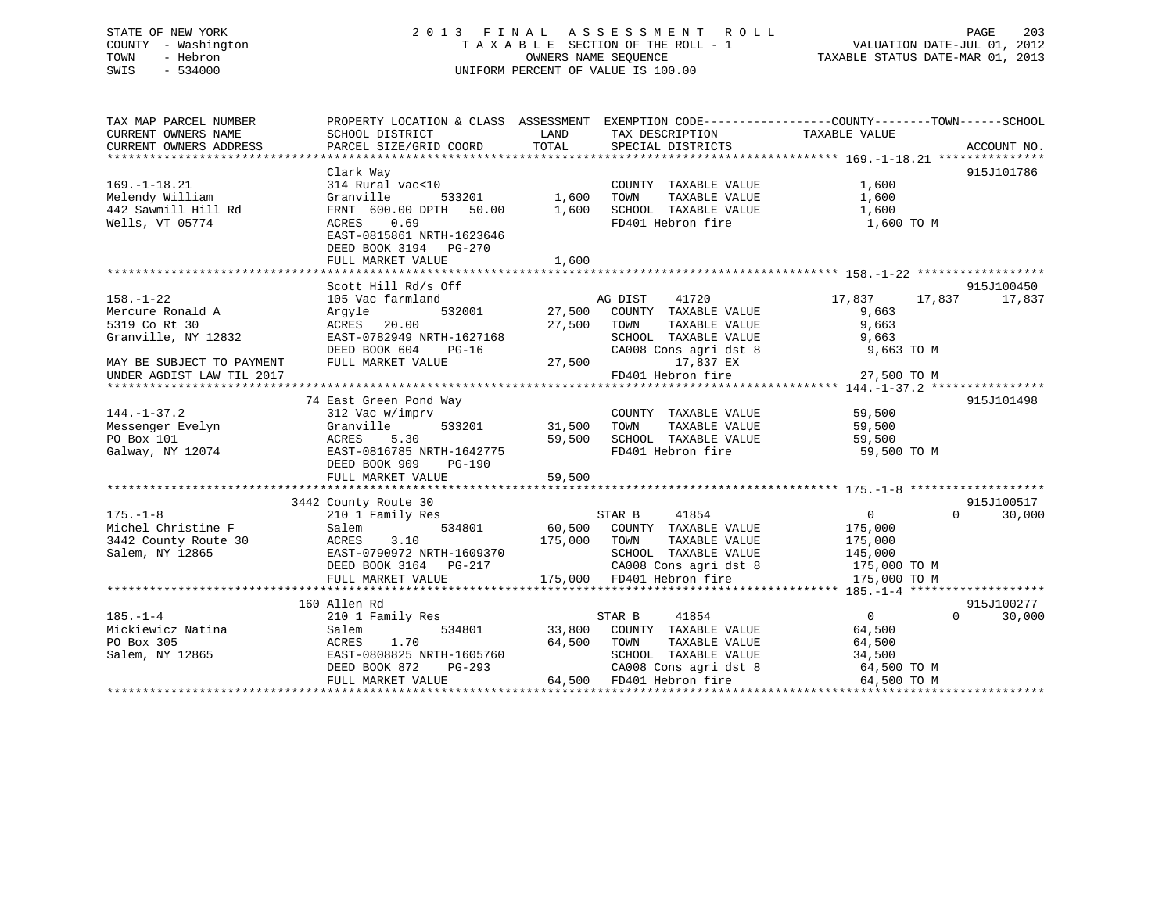## STATE OF NEW YORK 2 0 1 3 F I N A L A S S E S S M E N T R O L L PAGE 203 COUNTY - Washington T A X A B L E SECTION OF THE ROLL - 1 VALUATION DATE-JUL 01, 2012 TOWN - Hebron OWNERS NAME SEQUENCE TAXABLE STATUS DATE-MAR 01, 2013 SWIS - 534000 UNIFORM PERCENT OF VALUE IS 100.00

| TAX MAP PARCEL NUMBER     |                                         |         |                                           | PROPERTY LOCATION & CLASS ASSESSMENT EXEMPTION CODE---------------COUNTY-------TOWN------SCHOOL |        |
|---------------------------|-----------------------------------------|---------|-------------------------------------------|-------------------------------------------------------------------------------------------------|--------|
| CURRENT OWNERS NAME       | SCHOOL DISTRICT                         | LAND    | TAX DESCRIPTION                           | TAXABLE VALUE                                                                                   |        |
| CURRENT OWNERS ADDRESS    | PARCEL SIZE/GRID COORD                  | TOTAL   | SPECIAL DISTRICTS                         | ACCOUNT NO.                                                                                     |        |
|                           |                                         |         |                                           |                                                                                                 |        |
|                           | Clark Way                               |         |                                           | 915J101786                                                                                      |        |
| $169. - 1 - 18.21$        | 314 Rural vac<10                        |         | COUNTY TAXABLE VALUE                      | 1,600                                                                                           |        |
| Melendy William           | Granville<br>533201                     | 1,600   | TOWN<br>TAXABLE VALUE                     | 1,600                                                                                           |        |
| 442 Sawmill Hill Rd       | FRNT 600.00 DPTH 50.00                  | 1,600   | SCHOOL TAXABLE VALUE                      | 1,600                                                                                           |        |
| Wells, VT 05774           | ACRES 0.69                              |         | FD401 Hebron fire                         | 1,600 TO M                                                                                      |        |
|                           | EAST-0815861 NRTH-1623646               |         |                                           |                                                                                                 |        |
|                           | DEED BOOK 3194 PG-270                   |         |                                           |                                                                                                 |        |
|                           | FULL MARKET VALUE                       | 1,600   |                                           |                                                                                                 |        |
|                           |                                         |         |                                           |                                                                                                 |        |
|                           | Scott Hill Rd/s Off                     |         |                                           | 915J100450                                                                                      |        |
| $158. - 1 - 22$           | 105 Vac farmland                        |         | AG DIST<br>41720                          | 17,837 17,837<br>17,837                                                                         |        |
| Mercure Ronald A          | 532001<br>Argyle                        |         | 27,500 COUNTY TAXABLE VALUE               | 9,663                                                                                           |        |
| 5319 Co Rt 30             | ACRES 20.00                             | 27,500  | TOWN<br>TAXABLE VALUE                     | 9,663                                                                                           |        |
| Granville, NY 12832       | EAST-0782949 NRTH-1627168               |         | SCHOOL TAXABLE VALUE                      | 9,663                                                                                           |        |
|                           | DEED BOOK 604<br>PG-16                  |         | CA008 Cons agri dst 8                     | 9,663 TO M                                                                                      |        |
| MAY BE SUBJECT TO PAYMENT | FULL MARKET VALUE                       | 27,500  | 17,837 EX                                 |                                                                                                 |        |
| UNDER AGDIST LAW TIL 2017 |                                         |         | FD401 Hebron fire                         | 27,500 TO M                                                                                     |        |
|                           |                                         |         |                                           |                                                                                                 |        |
|                           | 74 East Green Pond Way                  |         |                                           | 915J101498                                                                                      |        |
| $144. - 1 - 37.2$         | 312 Vac w/imprv                         |         | COUNTY TAXABLE VALUE 59,500               |                                                                                                 |        |
| Messenger Evelyn          | 533201<br>Granville                     | 31,500  | TOWN                                      | TAXABLE VALUE 59,500                                                                            |        |
| PO Box 101                | ACRES 5.30                              | 59,500  |                                           | 59,500                                                                                          |        |
| Galway, NY 12074          | EAST-0816785 NRTH-1642775               |         | TOWN LOADLE VALUE<br>SCHOOL TAXABLE VALUE | 59,500 TO M                                                                                     |        |
|                           | DEED BOOK 909<br>PG-190                 |         |                                           |                                                                                                 |        |
|                           |                                         |         |                                           |                                                                                                 |        |
|                           |                                         |         |                                           |                                                                                                 |        |
|                           | 3442 County Route 30                    |         |                                           | 915J100517                                                                                      |        |
| $175. - 1 - 8$            | 210 1 Family Res                        |         | STAR B<br>41854                           | $\Omega$<br>$\overline{0}$                                                                      | 30,000 |
| Michel Christine F        | 534801<br>Salem                         | 60,500  | COUNTY TAXABLE VALUE                      | 175,000                                                                                         |        |
| 3442 County Route 30      |                                         | 175,000 | TOWN<br>TAXABLE VALUE                     | 175,000                                                                                         |        |
| Salem, NY 12865           | ACRES 3.10<br>EAST-0790972 NRTH-1609370 |         | SCHOOL TAXABLE VALUE                      | 145,000                                                                                         |        |
|                           | DEED BOOK 3164 PG-217                   |         | CA008 Cons agri dst 8                     | 175,000 TO M                                                                                    |        |
|                           | FULL MARKET VALUE                       |         | 175,000 FD401 Hebron fire                 | 175,000 TO M                                                                                    |        |
|                           |                                         |         |                                           |                                                                                                 |        |
|                           | 160 Allen Rd                            |         |                                           | 915J100277                                                                                      |        |
| $185. - 1 - 4$            | 210 1 Family Res                        |         | 41854<br>STAR B                           | $\overline{0}$<br>$\Omega$                                                                      | 30,000 |
| Mickiewicz Natina         | 534801<br>Salem                         |         | 33,800 COUNTY TAXABLE VALUE               | 64,500                                                                                          |        |
| PO Box 305                | 1.70<br>ACRES                           | 64,500  | TOWN<br>TAXABLE VALUE                     | 64,500                                                                                          |        |
| Salem, NY 12865           | EAST-0808825 NRTH-1605760               |         | SCHOOL TAXABLE VALUE                      | 34,500                                                                                          |        |
|                           | DEED BOOK 872<br>PG-293                 |         |                                           | CA008 Cons agri dst 8 64,500 TO M                                                               |        |
|                           | FULL MARKET VALUE                       |         | 64,500 FD401 Hebron fire                  | 64,500 TO M                                                                                     |        |
|                           |                                         |         |                                           |                                                                                                 |        |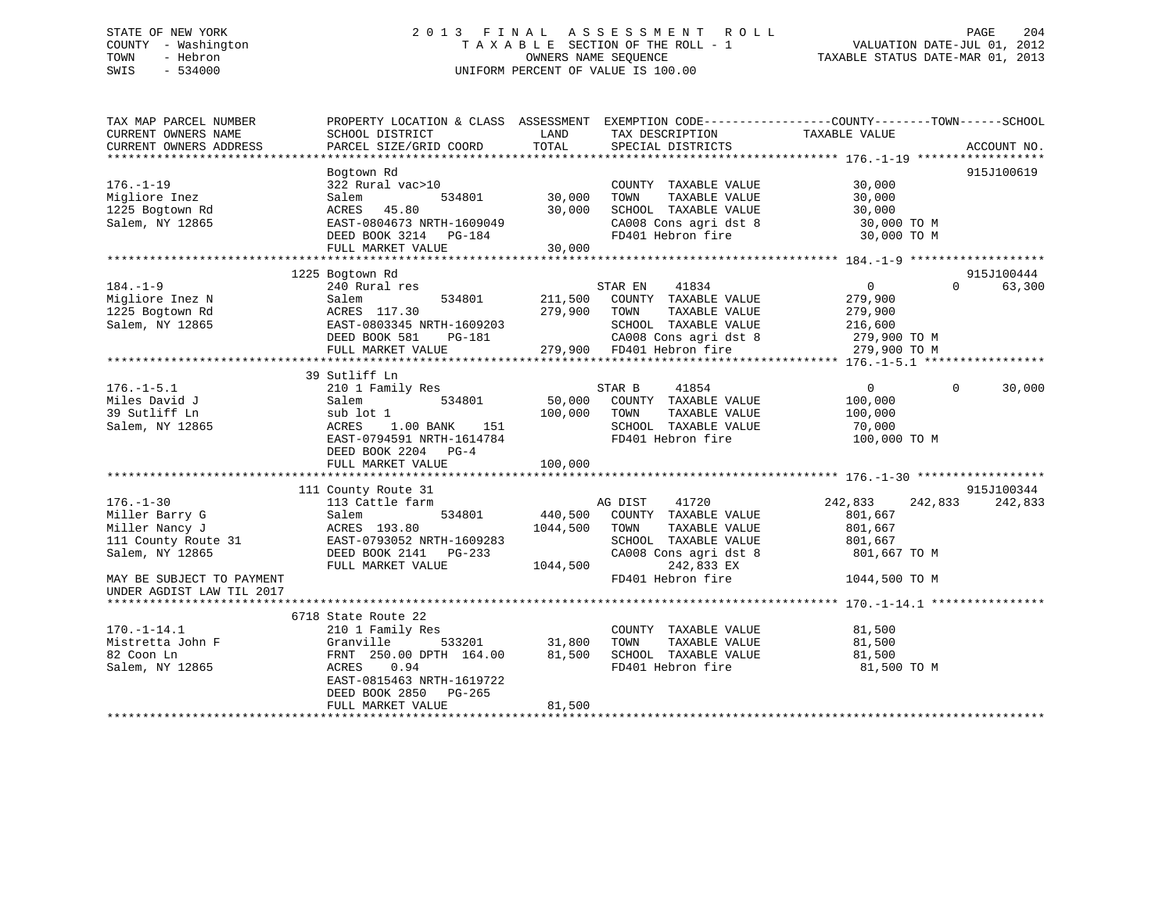# STATE OF NEW YORK 201 2013 FINAL ASSESSMENT ROLL PAGE 204 COUNTY - Washington  $T A X A B L E$  SECTION OF THE ROLL - 1<br>TOWN - Hebron DATE-JUL 000NERS NAME SEQUENCE SWIS - 534000 UNIFORM PERCENT OF VALUE IS 100.00

TAXABLE STATUS DATE-MAR 01, 2013

| TAX MAP PARCEL NUMBER                 | PROPERTY LOCATION & CLASS ASSESSMENT EXEMPTION CODE---------------COUNTY-------TOWN-----SCHOOL                         |               |                                                                    |                       |                          |
|---------------------------------------|------------------------------------------------------------------------------------------------------------------------|---------------|--------------------------------------------------------------------|-----------------------|--------------------------|
|                                       |                                                                                                                        |               |                                                                    |                       |                          |
|                                       |                                                                                                                        |               |                                                                    |                       |                          |
|                                       |                                                                                                                        |               |                                                                    |                       |                          |
|                                       | Bogtown Rd                                                                                                             |               |                                                                    |                       | 915J100619               |
| $176. - 1 - 19$                       | $322$ Rural vac > 10                                                                                                   |               | COUNTY TAXABLE VALUE 30,000                                        |                       |                          |
| Migliore Inez                         | 534801 30,000<br>Salem                                                                                                 |               | TAXABLE VALUE<br>TOWN                                              | 30,000                |                          |
| 1225 Bogtown Rd                       | ACRES 45.80                                                                                                            | 30,000        | SCHOOL TAXABLE VALUE                                               | 30,000                |                          |
| Salem, NY 12865                       |                                                                                                                        |               | CA008 Cons agri dst 8 30,000 TO M                                  |                       |                          |
|                                       | EAST-0804673 NRTH-1609049<br>DEED BOOK 3214 PG-184                                                                     |               | FD401 Hebron fire                                                  | 30,000 TO M           |                          |
|                                       | FULL MARKET VALUE                                                                                                      | 30,000        |                                                                    |                       |                          |
|                                       |                                                                                                                        |               |                                                                    |                       |                          |
|                                       |                                                                                                                        |               |                                                                    |                       |                          |
|                                       | 1225 Bogtown Rd                                                                                                        |               |                                                                    |                       | 915J100444               |
| $184. - 1 - 9$                        | 240 Rural res                                                                                                          |               | STAR EN<br>41834                                                   | $\overline{0}$        | 63,300<br>$\Omega$       |
| Migliore Inez N                       | 534801<br>Salem                                                                                                        |               | 211,500 COUNTY TAXABLE VALUE                                       | 279,900               |                          |
| 1225 Bogtown Rd                       | ACRES 117.30 279,900 TOWN                                                                                              |               |                                                                    | TAXABLE VALUE 279,900 |                          |
| Salem, NY 12865                       |                                                                                                                        |               |                                                                    | 216,600               |                          |
|                                       |                                                                                                                        |               | CA008 Cons agri dst 8 279,900 TO M                                 |                       |                          |
|                                       | EAST-0803345 NRTH-1609203<br>DEED BOOK 581 PG-181 CA008 Cons agri dst 8<br>FULL MARKET VALUE 279,900 FD401 Hebron fire |               |                                                                    | 279,900 TO M          |                          |
|                                       |                                                                                                                        |               |                                                                    |                       |                          |
|                                       | 39 Sutliff Ln                                                                                                          |               |                                                                    |                       |                          |
| $176. - 1 - 5.1$                      | 210 1 Family Res                                                                                                       |               | STAR B<br>41854                                                    | $\sim$ 0              | $\overline{0}$<br>30,000 |
| Miles David J                         | Salem                                                                                                                  |               |                                                                    |                       |                          |
| 39 Sutliff Ln                         | sub lot 1                                                                                                              | 100,000 TOWN  | TAXABLE VALUE                                                      | 100,000               |                          |
|                                       |                                                                                                                        |               | SCHOOL TAXABLE VALUE 70,000                                        |                       |                          |
| Salem, NY 12865                       | 1.00 BANK<br>ACRES                                                                                                     | 151           |                                                                    |                       |                          |
|                                       | EAST-0794591 NRTH-1614784                                                                                              |               | FD401 Hebron fire                                                  | 100,000 TO M          |                          |
|                                       | DEED BOOK 2204 PG-4                                                                                                    |               |                                                                    |                       |                          |
|                                       |                                                                                                                        |               |                                                                    |                       |                          |
|                                       |                                                                                                                        |               |                                                                    |                       |                          |
|                                       | 111 County Route 31                                                                                                    |               |                                                                    |                       | 915J100344               |
| $176. - 1 - 30$                       | 113 Cattle farm                                                                                                        |               | e farm 534801 AG DIST 41720<br>534801 440,500 COUNTY TAXABLE VALUE | 242,833<br>242,833    | 242,833                  |
| Miller Barry G                        | Salem                                                                                                                  |               |                                                                    | 801,667               |                          |
| Miller Nancy J                        | ACRES 193.80                                                                                                           | 1044,500 TOWN | TAXABLE VALUE                                                      | 801,667               |                          |
| Miller Nancy J<br>111 County Route 31 | EAST-0793052 NRTH-1609283                                                                                              |               | SCHOOL TAXABLE VALUE                                               | 801,667               |                          |
| Salem, NY 12865                       |                                                                                                                        |               | CA008 Cons agri dst 8 301,667 TO M                                 |                       |                          |
|                                       | DEED BOOK 2141 PG-233 CA008 C CA008 C                                                                                  |               | 242,833 EX                                                         |                       |                          |
| MAY BE SUBJECT TO PAYMENT             |                                                                                                                        |               | FD401 Hebron fire 1044,500 TO M                                    |                       |                          |
| UNDER AGDIST LAW TIL 2017             |                                                                                                                        |               |                                                                    |                       |                          |
|                                       |                                                                                                                        |               |                                                                    |                       |                          |
|                                       |                                                                                                                        |               |                                                                    |                       |                          |
|                                       | 6718 State Route 22                                                                                                    |               |                                                                    |                       |                          |
| $170. - 1 - 14.1$                     | 210 1 Family Res                                                                                                       |               | COUNTY TAXABLE VALUE                                               | 81,500                |                          |
| Mistretta John F                      | Granville                                                                                                              | 533201 31,800 | TOWN<br>TAXABLE VALUE                                              | 81,500                |                          |
| 82 Coon Ln                            | FRNT 250.00 DPTH 164.00 81,500                                                                                         |               | SCHOOL TAXABLE VALUE<br>FD401 Hebron fire                          | 81,500                |                          |
| Salem, NY 12865                       | 0.94<br>ACRES                                                                                                          |               |                                                                    | 81,500 TO M           |                          |
|                                       | EAST-0815463 NRTH-1619722                                                                                              |               |                                                                    |                       |                          |
|                                       | DEED BOOK 2850 PG-265                                                                                                  |               |                                                                    |                       |                          |
|                                       | FULL MARKET VALUE                                                                                                      | 81,500        |                                                                    |                       |                          |
|                                       |                                                                                                                        |               |                                                                    |                       |                          |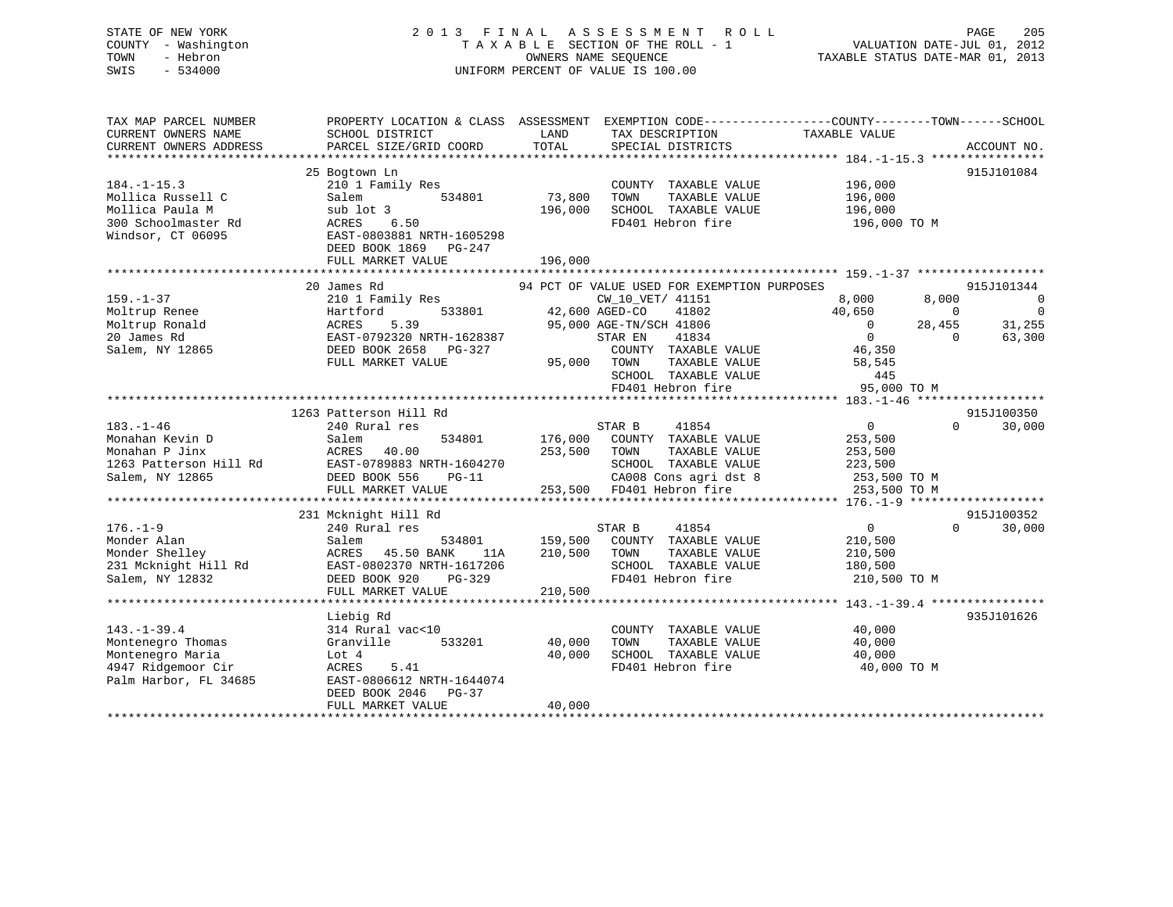## STATE OF NEW YORK 2 0 1 3 F I N A L A S S E S S M E N T R O L L PAGE 205 COUNTY - Washington T A X A B L E SECTION OF THE ROLL - 1 VALUATION DATE-JUL 01, 2012 TOWN - Hebron OWNERS NAME SEQUENCE TAXABLE STATUS DATE-MAR 01, 2013 SWIS - 534000 UNIFORM PERCENT OF VALUE IS 100.00

| TAX MAP PARCEL NUMBER<br>CURRENT OWNERS NAME<br>CURRENT OWNERS ADDRESS                                    | PROPERTY LOCATION & CLASS ASSESSMENT EXEMPTION CODE---------------COUNTY-------TOWN-----SCHOOL<br>SCHOOL DISTRICT<br>PARCEL SIZE/GRID COORD                      | LAND<br>TOTAL                 | TAX DESCRIPTION<br>SPECIAL DISTRICTS                                                                                                                                                                                                                  | TAXABLE VALUE                                                                                                        | ACCOUNT NO.                                                              |
|-----------------------------------------------------------------------------------------------------------|------------------------------------------------------------------------------------------------------------------------------------------------------------------|-------------------------------|-------------------------------------------------------------------------------------------------------------------------------------------------------------------------------------------------------------------------------------------------------|----------------------------------------------------------------------------------------------------------------------|--------------------------------------------------------------------------|
| $184. - 1 - 15.3$<br>Mollica Russell C<br>Mollica Paula M<br>300 Schoolmaster Rd<br>Windsor, CT 06095     | 25 Bogtown Ln<br>210 1 Family Res<br>534801<br>Salem<br>sub lot 3<br>ACRES<br>6.50<br>EAST-0803881 NRTH-1605298<br>DEED BOOK 1869 PG-247<br>FULL MARKET VALUE    | 73,800<br>196,000<br>196,000  | COUNTY TAXABLE VALUE<br>TOWN<br>TAXABLE VALUE<br>SCHOOL TAXABLE VALUE<br>FD401 Hebron fire                                                                                                                                                            | 196,000<br>196,000<br>196,000<br>196,000 ТО М                                                                        | 915J101084                                                               |
| $159. - 1 - 37$<br>Moltrup Renee<br>Moltrup Ronald<br>20 James Rd<br>Salem, NY 12865                      | 20 James Rd<br>210 1 Family Res<br>533801<br>Hartford<br>5.39<br>ACRES<br>EAST-0792320 NRTH-1628387<br>DEED BOOK 2658 PG-327<br>FULL MARKET VALUE                |                               | 94 PCT OF VALUE USED FOR EXEMPTION PURPOSES<br>CW_10_VET/ 41151<br>42,600 AGED-CO<br>41802<br>95,000 AGE-TN/SCH 41806<br>STAR EN<br>41834<br>COUNTY TAXABLE VALUE 46,350<br>TAXABLE VALUE<br>95,000 TOWN<br>SCHOOL TAXABLE VALUE<br>FD401 Hebron fire | 8,000<br>8,000<br>40,650<br>$\bigcirc$<br>28,455<br>$\overline{0}$<br>$\overline{0}$<br>58,545<br>445<br>95,000 TO M | 915J101344<br>$\overline{0}$<br>$\Omega$<br>31,255<br>$\Omega$<br>63,300 |
| $183. - 1 - 46$<br>Monahan Kevin D<br>Monahan P Jinx<br>1263 Patterson Hill Rd<br>Salem, NY 12865         | 1263 Patterson Hill Rd<br>240 Rural res<br>534801<br>Salem<br>ACRES<br>40.00<br>EAST-0789883 NRTH-1604270<br>DEED BOOK 556<br>$PG-11$<br>FULL MARKET VALUE       | 253,500                       | 41854<br>STAR B<br>176,000 COUNTY TAXABLE VALUE<br>TOWN<br>TAXABLE VALUE<br>SCHOOL TAXABLE VALUE<br>CA008 Cons agri dst 8<br>253,500 FD401 Hebron fire                                                                                                | $\overline{0}$<br>253,500<br>253,500<br>223,500<br>253,500 TO M<br>253,500 TO M                                      | 915J100350<br>$\Omega$<br>30,000                                         |
| $176. - 1 - 9$<br>Monder Alan<br>Monder Shelley<br>231 Mcknight Hill Rd<br>Salem, NY 12832                | 231 Mcknight Hill Rd<br>240 Rural res<br>Salem<br>534801<br>ACRES 45.50 BANK<br>11A<br>EAST-0802370 NRTH-1617206<br>DEED BOOK 920<br>PG-329<br>FULL MARKET VALUE | 159,500<br>210,500<br>210,500 | STAR B<br>41854<br>COUNTY TAXABLE VALUE<br>TAXABLE VALUE<br>TOWN<br>SCHOOL TAXABLE VALUE<br>FD401 Hebron fire                                                                                                                                         | $\overline{0}$<br>210,500<br>210,500<br>180,500<br>210,500 TO M                                                      | 915J100352<br>$\Omega$<br>30,000                                         |
| $143. - 1 - 39.4$<br>Montenegro Thomas<br>Montenegro Maria<br>4947 Ridgemoor Cir<br>Palm Harbor, FL 34685 | Liebig Rd<br>314 Rural vac<10<br>533201<br>Granville<br>Lot 4<br>ACRES<br>5.41<br>EAST-0806612 NRTH-1644074<br>DEED BOOK 2046<br>PG-37<br>FULL MARKET VALUE      | 40,000<br>40,000<br>40,000    | COUNTY TAXABLE VALUE<br>TAXABLE VALUE<br>TOWN<br>SCHOOL TAXABLE VALUE<br>FD401 Hebron fire                                                                                                                                                            | 40,000<br>40,000<br>40,000<br>40,000 TO M                                                                            | 935J101626                                                               |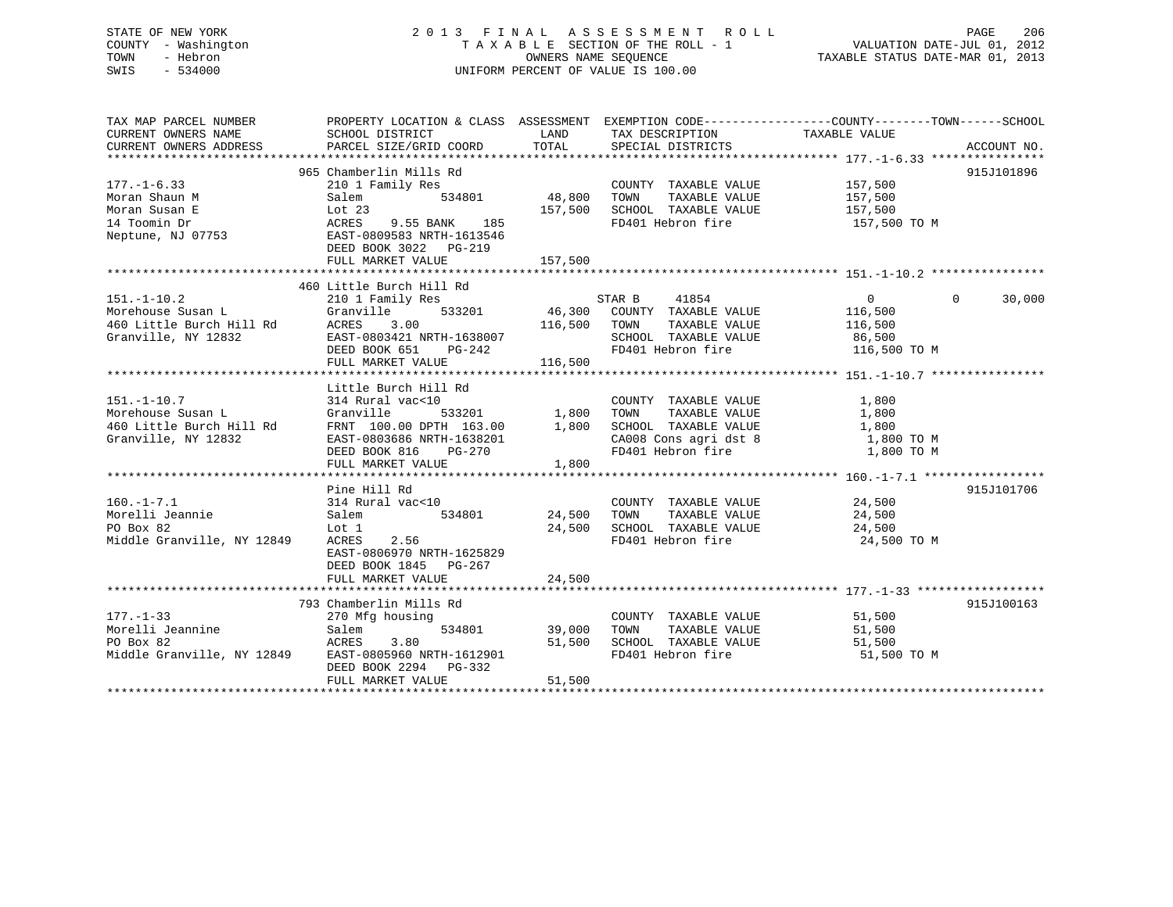## STATE OF NEW YORK 2 0 1 3 F I N A L A S S E S S M E N T R O L L PAGE 206 COUNTY - Washington T A X A B L E SECTION OF THE ROLL - 1 VALUATION DATE-JUL 01, 2012 TOWN - Hebron OWNERS NAME SEQUENCE TAXABLE STATUS DATE-MAR 01, 2013 SWIS - 534000 UNIFORM PERCENT OF VALUE IS 100.00

| TAX MAP PARCEL NUMBER                                                  | PROPERTY LOCATION & CLASS ASSESSMENT EXEMPTION CODE---------------COUNTY-------TOWN-----SCHOOL                                                                            |                                            |                                                                                                                                                                                                      |                   |                    |
|------------------------------------------------------------------------|---------------------------------------------------------------------------------------------------------------------------------------------------------------------------|--------------------------------------------|------------------------------------------------------------------------------------------------------------------------------------------------------------------------------------------------------|-------------------|--------------------|
| CURRENT OWNERS NAME                                                    | SCHOOL DISTRICT                                                                                                                                                           | <b>EXAMPLE THE STATE OF STATE OF STATE</b> | TAX DESCRIPTION                                                                                                                                                                                      | TAXABLE VALUE     |                    |
| CURRENT OWNERS ADDRESS                                                 | PARCEL SIZE/GRID COORD                                                                                                                                                    | TOTAL                                      | SPECIAL DISTRICTS                                                                                                                                                                                    |                   | ACCOUNT NO.        |
|                                                                        | 965 Chamberlin Mills Rd                                                                                                                                                   |                                            |                                                                                                                                                                                                      |                   | 915J101896         |
| $177. - 1 - 6.33$                                                      | 210 1 Family Res                                                                                                                                                          |                                            | COUNTY TAXABLE VALUE 157,500<br>TOWN TAXABLE VALUE 157,500                                                                                                                                           |                   |                    |
| Moran Shaun M                                                          | 534801<br>Salem                                                                                                                                                           | COUNTY<br>48,800       TOWN                |                                                                                                                                                                                                      |                   |                    |
|                                                                        |                                                                                                                                                                           |                                            | 157,500 SCHOOL TAXABLE VALUE 157,500                                                                                                                                                                 |                   |                    |
|                                                                        | ACRES 9.55 BANK 185                                                                                                                                                       |                                            | FD401 Hebron fire                                                                                                                                                                                    | 157,500 TO M      |                    |
|                                                                        | Moran Susan E<br>14 Toomin Dr<br>14 Toomin Dr<br>14 Toomin Dr<br>15 Neptune, NJ 07753<br>201583 NRTH-1613546                                                              |                                            |                                                                                                                                                                                                      |                   |                    |
|                                                                        | DEED BOOK 3022 PG-219                                                                                                                                                     |                                            |                                                                                                                                                                                                      |                   |                    |
|                                                                        |                                                                                                                                                                           |                                            |                                                                                                                                                                                                      |                   |                    |
|                                                                        |                                                                                                                                                                           |                                            |                                                                                                                                                                                                      |                   |                    |
|                                                                        | 460 Little Burch Hill Rd                                                                                                                                                  |                                            |                                                                                                                                                                                                      |                   |                    |
| $151. - 1 - 10.2$                                                      |                                                                                                                                                                           |                                            | STAR B 41854                                                                                                                                                                                         | $\overline{0}$    | $\Omega$<br>30,000 |
|                                                                        |                                                                                                                                                                           |                                            |                                                                                                                                                                                                      |                   |                    |
|                                                                        |                                                                                                                                                                           |                                            | 116,500 TOWN TAXABLE VALUE<br>RTH-1638007 SCHOOL TAXABLE VALUE                                                                                                                                       | 116,500<br>86,500 |                    |
|                                                                        |                                                                                                                                                                           |                                            |                                                                                                                                                                                                      |                   |                    |
|                                                                        | 151.-1-10.2<br>Morehouse Susan L<br>460 Little Burch Hill Rd<br>67 Granville, NY 12832<br>EAST-0803421 NRTH-1638007<br>DEED BOOK 651<br>PG-242<br>PEED BOOK 651<br>PG-242 | $PG-242$                                   | FD401 Hebron fire 116,500 TO M                                                                                                                                                                       |                   |                    |
|                                                                        | FULL MARKET VALUE                                                                                                                                                         | 116,500                                    |                                                                                                                                                                                                      |                   |                    |
|                                                                        |                                                                                                                                                                           |                                            |                                                                                                                                                                                                      |                   |                    |
|                                                                        | Little Burch Hill Rd                                                                                                                                                      |                                            |                                                                                                                                                                                                      |                   |                    |
|                                                                        |                                                                                                                                                                           |                                            |                                                                                                                                                                                                      | 1,800             |                    |
|                                                                        |                                                                                                                                                                           |                                            |                                                                                                                                                                                                      |                   |                    |
|                                                                        |                                                                                                                                                                           |                                            |                                                                                                                                                                                                      |                   |                    |
|                                                                        |                                                                                                                                                                           |                                            | CA008 Cons agri dst 8 1,800 TO M<br>FD401 Hebron fire 1,800 TO M                                                                                                                                     |                   |                    |
|                                                                        | DEED BOOK 816 PG-270                                                                                                                                                      |                                            |                                                                                                                                                                                                      |                   |                    |
|                                                                        | FULL MARKET VALUE 1,800                                                                                                                                                   |                                            |                                                                                                                                                                                                      |                   |                    |
|                                                                        | Pine Hill Rd                                                                                                                                                              |                                            |                                                                                                                                                                                                      |                   | 915J101706         |
| $160.-1-7.1$                                                           | 314 Rural vac<10<br>Salem 534801                                                                                                                                          |                                            |                                                                                                                                                                                                      |                   |                    |
|                                                                        |                                                                                                                                                                           |                                            | $\begin{tabular}{lllllllll} \multicolumn{2}{c}{\textbf{COUNTY}} & \textbf{TAXABLE VALUE} & & & & 24,500 \\ \multicolumn{2}{c}{\textbf{TOWN}} & \textbf{TAXABLE VALUE} & & & 24,500 \\ \end{tabular}$ |                   |                    |
|                                                                        |                                                                                                                                                                           |                                            | 24,500 SCHOOL TAXABLE VALUE 24,500                                                                                                                                                                   |                   |                    |
| Norelli Jeannie<br>PO Box 82 Lot 1<br>Middle Granville, NY 12849 ACRES | 2.56                                                                                                                                                                      |                                            | FD401 Hebron fire                                                                                                                                                                                    | 24,500 TO M       |                    |
|                                                                        | EAST-0806970 NRTH-1625829                                                                                                                                                 |                                            |                                                                                                                                                                                                      |                   |                    |
|                                                                        | DEED BOOK 1845 PG-267                                                                                                                                                     |                                            |                                                                                                                                                                                                      |                   |                    |
|                                                                        | FULL MARKET VALUE                                                                                                                                                         | 24,500                                     |                                                                                                                                                                                                      |                   |                    |
|                                                                        |                                                                                                                                                                           |                                            |                                                                                                                                                                                                      |                   |                    |
|                                                                        | 793 Chamberlin Mills Rd                                                                                                                                                   |                                            |                                                                                                                                                                                                      |                   | 915J100163         |
| $177. - 1 - 33$                                                        | 270 Mfg housing                                                                                                                                                           |                                            | COUNTY TAXABLE VALUE 51,500                                                                                                                                                                          |                   |                    |
| Morelli Jeannine                                                       |                                                                                                                                                                           |                                            | 534801 39,000 TOWN TAXABLE VALUE                                                                                                                                                                     | 51,500            |                    |
| PO Box 82                                                              | mine Salem 534801<br>ACRES 3.80                                                                                                                                           |                                            | 51,500 SCHOOL TAXABLE VALUE                                                                                                                                                                          | 51,500            |                    |
|                                                                        | Middle Granville, NY 12849 EAST-0805960 NRTH-1612901                                                                                                                      |                                            | FD401 Hebron fire                                                                                                                                                                                    | 51,500 TO M       |                    |
|                                                                        | DEED BOOK 2294 PG-332                                                                                                                                                     |                                            |                                                                                                                                                                                                      |                   |                    |
|                                                                        | FULL MARKET VALUE                                                                                                                                                         | 51,500                                     |                                                                                                                                                                                                      |                   |                    |
|                                                                        |                                                                                                                                                                           |                                            |                                                                                                                                                                                                      |                   |                    |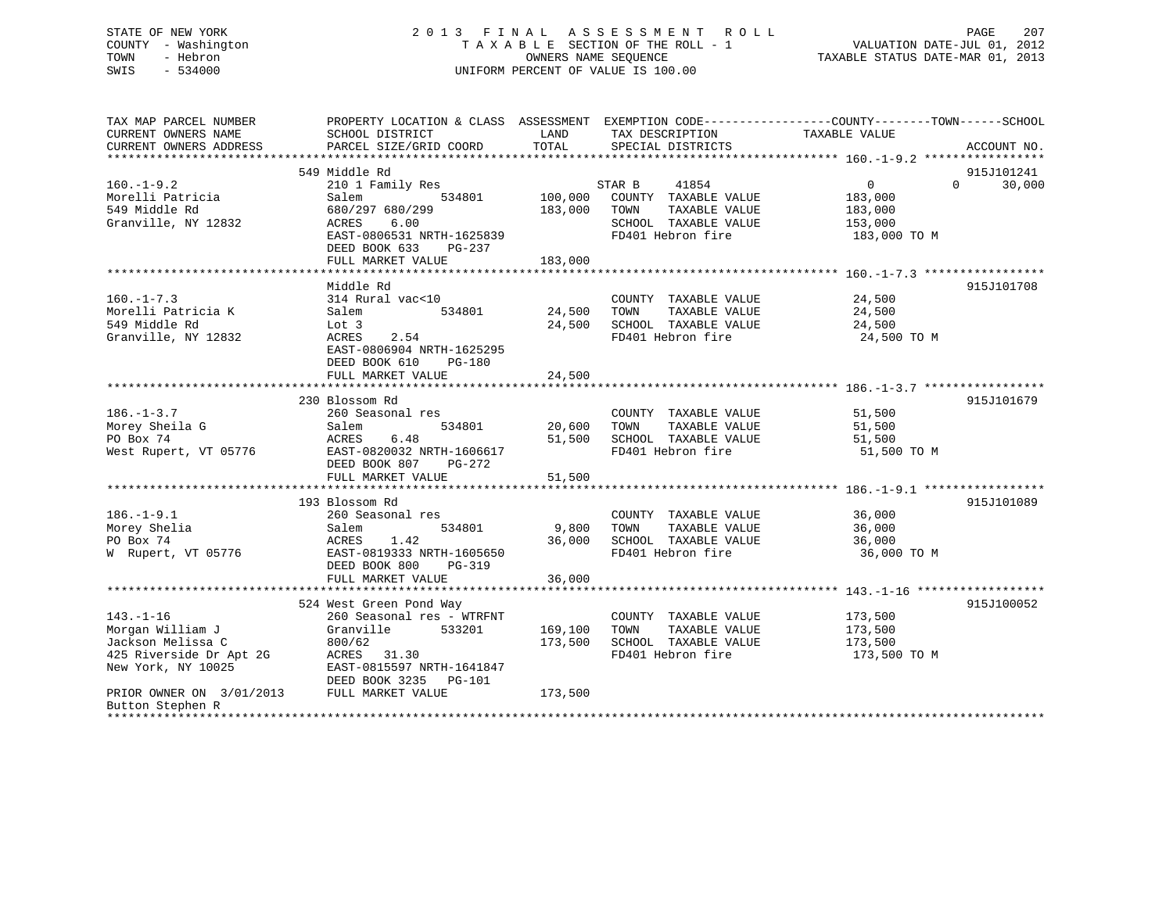## STATE OF NEW YORK 2 0 1 3 F I N A L A S S E S S M E N T R O L L PAGE 207 COUNTY - Washington T A X A B L E SECTION OF THE ROLL - 1 VALUATION DATE-JUL 01, 2012 TOWN - Hebron OWNERS NAME SEQUENCE TAXABLE STATUS DATE-MAR 01, 2013 SWIS - 534000 UNIFORM PERCENT OF VALUE IS 100.00

| TAX MAP PARCEL NUMBER<br>CURRENT OWNERS NAME | PROPERTY LOCATION & CLASS ASSESSMENT EXEMPTION CODE---------------COUNTY-------TOWN-----SCHOOL<br>SCHOOL DISTRICT | LAND    | TAX DESCRIPTION                           | TAXABLE VALUE         |                    |
|----------------------------------------------|-------------------------------------------------------------------------------------------------------------------|---------|-------------------------------------------|-----------------------|--------------------|
| CURRENT OWNERS ADDRESS                       | PARCEL SIZE/GRID COORD                                                                                            | TOTAL   | SPECIAL DISTRICTS                         |                       | ACCOUNT NO.        |
|                                              |                                                                                                                   |         |                                           |                       |                    |
|                                              | 549 Middle Rd                                                                                                     |         |                                           |                       | 915J101241         |
| $160. - 1 - 9.2$                             | 210 1 Family Res                                                                                                  |         | STAR B<br>41854                           | $0 \qquad \qquad$     | 30,000<br>$\Omega$ |
| Morelli Patricia                             | 534801<br>Salem                                                                                                   | 100,000 | COUNTY TAXABLE VALUE                      | 183,000               |                    |
| 549 Middle Rd                                | 680/297 680/299                                                                                                   | 183,000 | TAXABLE VALUE<br>TOWN                     | 183,000               |                    |
| Granville, NY 12832                          | 6.00<br>ACRES                                                                                                     |         | SCHOOL TAXABLE VALUE<br>FD401 Hebron fire | 153,000               |                    |
|                                              | EAST-0806531 NRTH-1625839<br>DEED BOOK 633<br>$PG-237$                                                            |         |                                           | 183,000 TO M          |                    |
|                                              | FULL MARKET VALUE                                                                                                 | 183,000 |                                           |                       |                    |
|                                              |                                                                                                                   |         |                                           |                       |                    |
|                                              | Middle Rd                                                                                                         |         |                                           |                       | 915J101708         |
| $160. - 1 - 7.3$                             | 314 Rural vac<10                                                                                                  |         | COUNTY TAXABLE VALUE                      | $\frac{24}{24}$ , 500 |                    |
| Morelli Patricia K                           | 534801<br>Salem                                                                                                   | 24,500  | TAXABLE VALUE<br>TOWN                     | 24,500                |                    |
| 549 Middle Rd                                | Lot 3                                                                                                             | 24,500  | SCHOOL TAXABLE VALUE                      | 24,500                |                    |
| Granville, NY 12832                          | ACRES<br>2.54                                                                                                     |         | FD401 Hebron fire                         | 24,500 TO M           |                    |
|                                              | EAST-0806904 NRTH-1625295                                                                                         |         |                                           |                       |                    |
|                                              | DEED BOOK 610<br>PG-180                                                                                           |         |                                           |                       |                    |
|                                              | FULL MARKET VALUE                                                                                                 | 24,500  |                                           |                       |                    |
|                                              |                                                                                                                   |         |                                           |                       |                    |
|                                              | 230 Blossom Rd                                                                                                    |         |                                           |                       | 915J101679         |
| $186. - 1 - 3.7$                             | 260 Seasonal res                                                                                                  |         | COUNTY TAXABLE VALUE                      | 51,500                |                    |
| Morey Sheila G                               | Salem<br>534801                                                                                                   | 20,600  | TOWN<br>TAXABLE VALUE                     | 51,500                |                    |
| PO Box 74                                    | ACRES<br>6.48                                                                                                     | 51,500  | SCHOOL TAXABLE VALUE                      | 51,500                |                    |
| West Rupert, VT 05776                        | EAST-0820032 NRTH-1606617                                                                                         |         | FD401 Hebron fire                         | 51,500 TO M           |                    |
|                                              | DEED BOOK 807<br>PG-272                                                                                           |         |                                           |                       |                    |
|                                              | FULL MARKET VALUE                                                                                                 | 51,500  |                                           |                       |                    |
|                                              |                                                                                                                   |         |                                           |                       |                    |
|                                              | 193 Blossom Rd                                                                                                    |         |                                           |                       | 915J101089         |
| $186. - 1 - 9.1$                             | 260 Seasonal res                                                                                                  |         | COUNTY TAXABLE VALUE                      | 36,000                |                    |
| Morey Shelia                                 | 534801<br>Salem                                                                                                   | 9,800   | TOWN<br>TAXABLE VALUE                     | 36,000                |                    |
| PO Box 74                                    | ACRES<br>1.42                                                                                                     | 36,000  | SCHOOL TAXABLE VALUE                      | 36,000                |                    |
| W Rupert, VT 05776                           | EAST-0819333 NRTH-1605650                                                                                         |         | FD401 Hebron fire                         | 36,000 TO M           |                    |
|                                              | DEED BOOK 800<br>PG-319                                                                                           |         |                                           |                       |                    |
|                                              | FULL MARKET VALUE                                                                                                 | 36,000  |                                           |                       |                    |
|                                              |                                                                                                                   |         |                                           |                       |                    |
|                                              | 524 West Green Pond Way                                                                                           |         |                                           |                       | 915J100052         |
| $143. - 1 - 16$                              | 260 Seasonal res - WTRFNT                                                                                         |         | COUNTY TAXABLE VALUE                      | 173,500               |                    |
| Morgan William J                             | Granville<br>533201                                                                                               | 169,100 | TOWN<br>TAXABLE VALUE                     | 173,500               |                    |
| Jackson Melissa C                            | 800/62                                                                                                            | 173,500 | SCHOOL TAXABLE VALUE                      | 173,500               |                    |
| 425 Riverside Dr Apt 2G                      | ACRES 31.30                                                                                                       |         | FD401 Hebron fire                         | 173,500 TO M          |                    |
| New York, NY 10025                           | EAST-0815597 NRTH-1641847                                                                                         |         |                                           |                       |                    |
|                                              | DEED BOOK 3235 PG-101                                                                                             |         |                                           |                       |                    |
| PRIOR OWNER ON 3/01/2013 FULL MARKET VALUE   |                                                                                                                   | 173,500 |                                           |                       |                    |
| Button Stephen R                             |                                                                                                                   |         |                                           |                       |                    |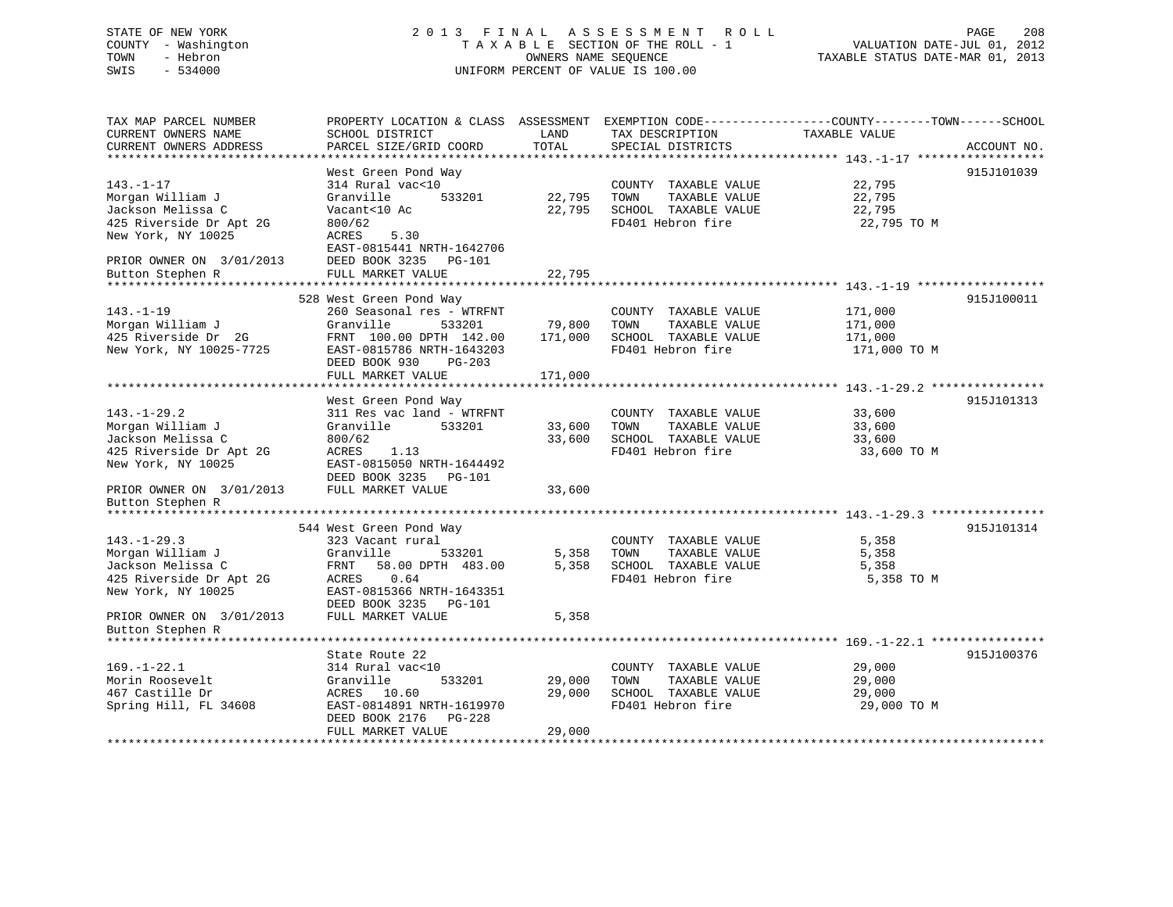## STATE OF NEW YORK 2 0 1 3 F I N A L A S S E S S M E N T R O L L PAGE 208 COUNTY - Washington T A X A B L E SECTION OF THE ROLL - 1 VALUATION DATE-JUL 01, 2012 TOWN - Hebron OWNERS NAME SEQUENCE TAXABLE STATUS DATE-MAR 01, 2013 SWIS - 534000 UNIFORM PERCENT OF VALUE IS 100.00

TAX MAP PARCEL NUMBER PROPERTY LOCATION & CLASS ASSESSMENT EXEMPTION CODE------------------COUNTY--------TOWN------SCHOOL CURRENT OWNERS NAME SCHOOL DISTRICT LAND TAX DESCRIPTION TAXABLE VALUECURRENT OWNERS ADDRESS PARCEL SIZE/GRID COORD TOTAL SPECIAL DISTRICTS ACCOUNT NO. \*\*\*\*\*\*\*\*\*\*\*\*\*\*\*\*\*\*\*\*\*\*\*\*\*\*\*\*\*\*\*\*\*\*\*\*\*\*\*\*\*\*\*\*\*\*\*\*\*\*\*\*\*\*\*\*\*\*\*\*\*\*\*\*\*\*\*\*\*\*\*\*\*\*\*\*\*\*\*\*\*\*\*\*\*\*\*\*\*\*\*\*\*\*\*\*\*\*\*\*\*\*\* 143.-1-17 \*\*\*\*\*\*\*\*\*\*\*\*\*\*\*\*\*\* West Green Pond Way 915J101039 143.-1-17 314 Rural vac<10 COUNTY TAXABLE VALUE 22,795 Morgan William J Granville 533201 22,795 TOWN TAXABLE VALUE 22,795 Jackson Melissa C Vacant<10 Ac 22,795 SCHOOL TAXABLE VALUE 22,795 1993 Protegant William United Standard University Activities (22,795 PD401 Hebron fire 22,795 PD401 Hebron fire<br>1925 Riverside Dr Apt 2G 800/62 FD401 Hebron fire 22,795 PD401 Hebron fire 22,795 TO M New York, NY 10025 ACRES 5.30 EAST-0815441 NRTH-1642706 PRIOR OWNER ON 3/01/2013 DEED BOOK 3235 PG-101 Button Stephen R FULL MARKET VALUE 22,795 \*\*\*\*\*\*\*\*\*\*\*\*\*\*\*\*\*\*\*\*\*\*\*\*\*\*\*\*\*\*\*\*\*\*\*\*\*\*\*\*\*\*\*\*\*\*\*\*\*\*\*\*\*\*\*\*\*\*\*\*\*\*\*\*\*\*\*\*\*\*\*\*\*\*\*\*\*\*\*\*\*\*\*\*\*\*\*\*\*\*\*\*\*\*\*\*\*\*\*\*\*\*\* 143.-1-19 \*\*\*\*\*\*\*\*\*\*\*\*\*\*\*\*\*\* 528 West Green Pond Way 915J100011 143.-1-19 260 Seasonal res - WTRFNT COUNTY TAXABLE VALUE 171,000 Morgan William J Granville 533201 79,800 TOWN TAXABLE VALUE 171,000 425 Riverside Dr 2G FRNT 100.00 DPTH 142.00 171,000 SCHOOL TAXABLE VALUE 171,000 New York, NY 10025-7725 EAST-0815786 NRTH-1643203 FD401 Hebron fire 171,000 TO M DEED BOOK 930 PG-203 FULL MARKET VALUE 171,000 \*\*\*\*\*\*\*\*\*\*\*\*\*\*\*\*\*\*\*\*\*\*\*\*\*\*\*\*\*\*\*\*\*\*\*\*\*\*\*\*\*\*\*\*\*\*\*\*\*\*\*\*\*\*\*\*\*\*\*\*\*\*\*\*\*\*\*\*\*\*\*\*\*\*\*\*\*\*\*\*\*\*\*\*\*\*\*\*\*\*\*\*\*\*\*\*\*\*\*\*\*\*\* 143.-1-29.2 \*\*\*\*\*\*\*\*\*\*\*\*\*\*\*\*West Green Pond Way 315J101313 143.-1-29.2 311 Res vac land - WTRFNT COUNTY TAXABLE VALUE 33,600 Morgan William J Granville 533201 33,600 TOWN TAXABLE VALUE 33,600 Jackson Melissa C 800/62 33,600 SCHOOL TAXABLE VALUE 33,600 Ackson Melissa C 33,600 SCHOOL TAXABLE VALUE<br>425 Riverside Dr Apt 2G ACRES 1.13 5 ACRES 1.13 FD401 Hebron fire 33,600 TO M New York, NY 10025 EAST-0815050 NRTH-1644492 DEED BOOK 3235 PG-101PRIOR OWNER ON 3/01/2013 FULL MARKET VALUE 33,600 Button Stephen R \*\*\*\*\*\*\*\*\*\*\*\*\*\*\*\*\*\*\*\*\*\*\*\*\*\*\*\*\*\*\*\*\*\*\*\*\*\*\*\*\*\*\*\*\*\*\*\*\*\*\*\*\*\*\*\*\*\*\*\*\*\*\*\*\*\*\*\*\*\*\*\*\*\*\*\*\*\*\*\*\*\*\*\*\*\*\*\*\*\*\*\*\*\*\*\*\*\*\*\*\*\*\* 143.-1-29.3 \*\*\*\*\*\*\*\*\*\*\*\*\*\*\*\* 544 West Green Pond Way 915J101314 143.-1-29.3 323 Vacant rural COUNTY TAXABLE VALUE 5,358 Morgan William J Granville 533201 5,358 TOWN TAXABLE VALUE 5,358 Jackson Melissa C FRNT 58.00 DPTH 483.00 5,358 SCHOOL TAXABLE VALUE 5,358 425 Riverside Dr Apt 2G ACRES 0.64 FD401 Hebron fire 5,358 TO M New York, NY 10025 EAST-0815366 NRTH-1643351 DEED BOOK 3235 PG-101PRIOR OWNER ON  $3/01/2013$  FULL MARKET VALUE 5,358 Button Stephen R \*\*\*\*\*\*\*\*\*\*\*\*\*\*\*\*\*\*\*\*\*\*\*\*\*\*\*\*\*\*\*\*\*\*\*\*\*\*\*\*\*\*\*\*\*\*\*\*\*\*\*\*\*\*\*\*\*\*\*\*\*\*\*\*\*\*\*\*\*\*\*\*\*\*\*\*\*\*\*\*\*\*\*\*\*\*\*\*\*\*\*\*\*\*\*\*\*\*\*\*\*\*\* 169.-1-22.1 \*\*\*\*\*\*\*\*\*\*\*\*\*\*\*\*State Route 22 915J100376 169.-1-22.1 314 Rural vac<10 COUNTY TAXABLE VALUE 29,000 Morin Roosevelt Granville 533201 29,000 TOWN TAXABLE VALUE 29,000 467 Castille Dr ACRES 10.60 29,000 SCHOOL TAXABLE VALUE 29,000 Spring Hill, FL 34608 EAST-0814891 NRTH-1619970 FD401 Hebron fire 29,000 TO M DEED BOOK 2176 PG-228 FULL MARKET VALUE 29,000 \*\*\*\*\*\*\*\*\*\*\*\*\*\*\*\*\*\*\*\*\*\*\*\*\*\*\*\*\*\*\*\*\*\*\*\*\*\*\*\*\*\*\*\*\*\*\*\*\*\*\*\*\*\*\*\*\*\*\*\*\*\*\*\*\*\*\*\*\*\*\*\*\*\*\*\*\*\*\*\*\*\*\*\*\*\*\*\*\*\*\*\*\*\*\*\*\*\*\*\*\*\*\*\*\*\*\*\*\*\*\*\*\*\*\*\*\*\*\*\*\*\*\*\*\*\*\*\*\*\*\*\*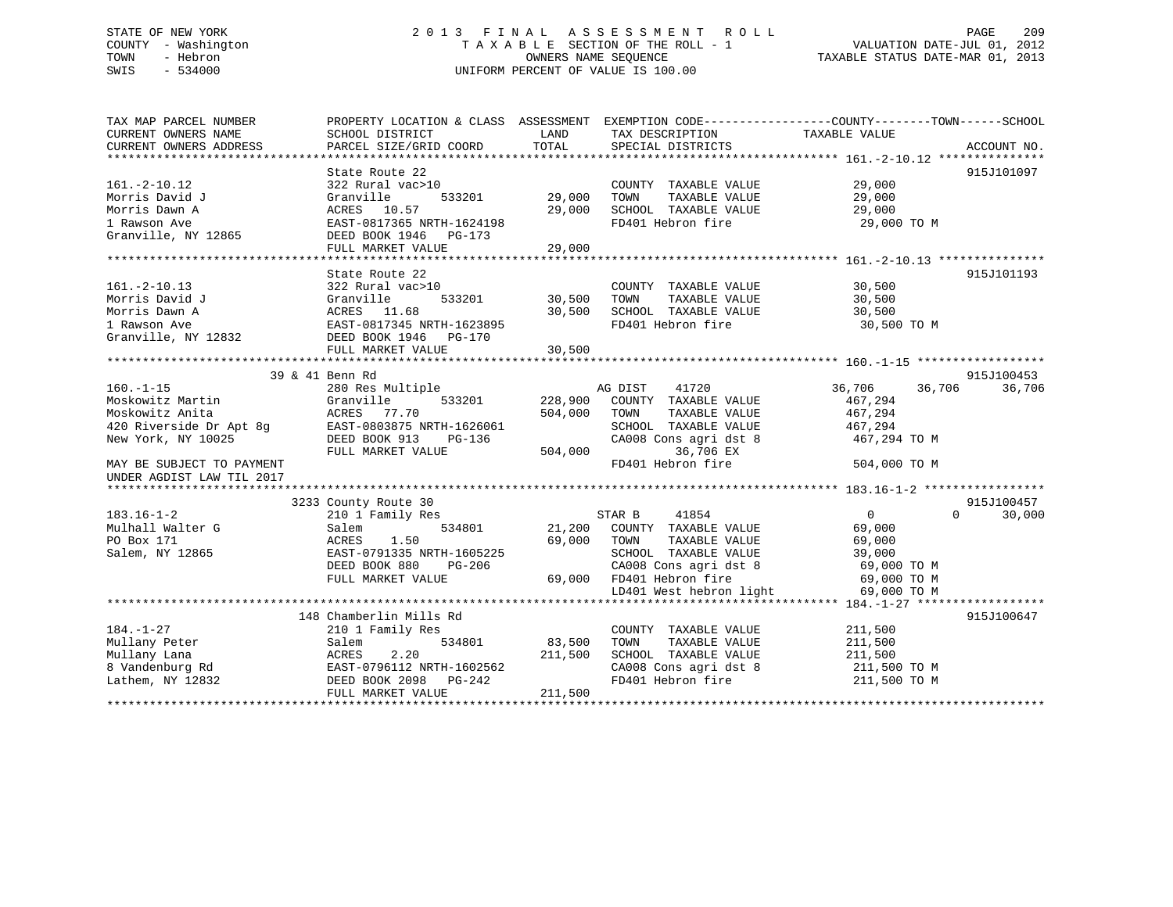## STATE OF NEW YORK 2 0 1 3 F I N A L A S S E S S M E N T R O L L PAGE 209 COUNTY - Washington T A X A B L E SECTION OF THE ROLL - 1 VALUATION DATE-JUL 01, 2012 TOWN - Hebron OWNERS NAME SEQUENCE TAXABLE STATUS DATE-MAR 01, 2013 SWIS - 534000 UNIFORM PERCENT OF VALUE IS 100.00

| TAX MAP PARCEL NUMBER<br>CURRENT OWNERS NAME | PROPERTY LOCATION & CLASS ASSESSMENT EXEMPTION CODE----------------COUNTY-------TOWN------SCHOOL<br>SCHOOL DISTRICT | LAND    | TAX DESCRIPTION                                   | TAXABLE VALUE               |             |
|----------------------------------------------|---------------------------------------------------------------------------------------------------------------------|---------|---------------------------------------------------|-----------------------------|-------------|
| CURRENT OWNERS ADDRESS                       | PARCEL SIZE/GRID COORD                                                                                              | TOTAL   | SPECIAL DISTRICTS                                 |                             | ACCOUNT NO. |
|                                              |                                                                                                                     |         |                                                   |                             | 915J101097  |
| $161. - 2 - 10.12$                           | State Route 22<br>322 Rural vac>10                                                                                  |         | COUNTY TAXABLE VALUE                              | 29,000                      |             |
| Morris David J                               | 533201<br>Granville                                                                                                 | 29,000  | TAXABLE VALUE<br>TOWN                             | 29,000                      |             |
| Morris Dawn A                                | ACRES 10.57                                                                                                         | 29,000  | SCHOOL TAXABLE VALUE                              | 29,000                      |             |
| 1 Rawson Ave                                 | EAST-0817365 NRTH-1624198                                                                                           |         | FD401 Hebron fire                                 | 29,000 TO M                 |             |
| Granville, NY 12865                          |                                                                                                                     |         |                                                   |                             |             |
|                                              | DEED BOOK 1946 PG-173                                                                                               |         |                                                   |                             |             |
|                                              | FULL MARKET VALUE                                                                                                   | 29,000  |                                                   |                             |             |
|                                              | State Route 22                                                                                                      |         |                                                   |                             | 915J101193  |
|                                              | 322 Rural vac>10                                                                                                    |         |                                                   | 30,500                      |             |
| $161. - 2 - 10.13$<br>Morris David J         | Granville<br>533201                                                                                                 | 30,500  | COUNTY TAXABLE VALUE<br>TAXABLE VALUE             | 30,500                      |             |
| Morris Dawn A                                | ACRES 11.68                                                                                                         | 30,500  | TOWN<br>SCHOOL TAXABLE VALUE                      |                             |             |
|                                              | EAST-0817345 NRTH-1623895                                                                                           |         | FD401 Hebron fire                                 | 30,500<br>30,500 TO M       |             |
| 1 Rawson Ave                                 |                                                                                                                     |         |                                                   |                             |             |
| Granville, NY 12832                          | DEED BOOK 1946<br>PG-170                                                                                            |         |                                                   |                             |             |
|                                              | FULL MARKET VALUE                                                                                                   | 30,500  |                                                   |                             |             |
|                                              | 39 & 41 Benn Rd                                                                                                     |         |                                                   |                             | 915J100453  |
|                                              |                                                                                                                     |         | 41720                                             |                             | 36,706      |
| $160. - 1 - 15$<br>Moskowitz Martin          | 280 Res Multiple<br>Granville<br>533201                                                                             | 228,900 | AG DIST<br>COUNTY TAXABLE VALUE                   | 36,706<br>36,706<br>467,294 |             |
|                                              |                                                                                                                     |         |                                                   |                             |             |
| Moskowitz Anita<br>420 Riverside Dr Apt 8q   | ACRES 77.70<br>EAST-0803875 NRTH-1626061                                                                            | 504,000 | TAXABLE VALUE<br>TOWN<br>SCHOOL TAXABLE VALUE     | 467,294<br>467,294          |             |
|                                              | DEED BOOK 913                                                                                                       |         | CA008 Cons agri dst 8                             |                             |             |
| New York, NY 10025                           | PG-136                                                                                                              |         |                                                   | 467,294 TO M                |             |
|                                              | FULL MARKET VALUE                                                                                                   | 504,000 | 36,706 EX                                         |                             |             |
| MAY BE SUBJECT TO PAYMENT                    |                                                                                                                     |         | FD401 Hebron fire                                 | 504,000 TO M                |             |
| UNDER AGDIST LAW TIL 2017                    |                                                                                                                     |         |                                                   |                             |             |
|                                              |                                                                                                                     |         |                                                   |                             | 915J100457  |
|                                              | 3233 County Route 30                                                                                                |         | 41854                                             |                             | $\cap$      |
| $183.16 - 1 - 2$<br>Mulhall Walter G         | 210 1 Family Res<br>534801<br>Salem                                                                                 | 21,200  | STAR B<br>COUNTY TAXABLE VALUE                    | $\overline{0}$<br>69,000    | 30,000      |
| PO Box 171                                   | 1.50<br>ACRES                                                                                                       | 69,000  | TOWN<br>TAXABLE VALUE                             |                             |             |
|                                              |                                                                                                                     |         | SCHOOL TAXABLE VALUE                              | 69,000                      |             |
| Salem, NY 12865                              | EAST-0791335 NRTH-1605225<br>DEED BOOK 880                                                                          |         |                                                   | 39,000                      |             |
|                                              | PG-206                                                                                                              |         | CA008 Cons agri dst 8<br>69,000 FD401 Hebron fire | 69,000 TO M                 |             |
|                                              | FULL MARKET VALUE                                                                                                   |         |                                                   | 69,000 TO M                 |             |
|                                              |                                                                                                                     |         | LD401 West hebron light                           | 69,000 TO M                 |             |
|                                              | 148 Chamberlin Mills Rd                                                                                             |         |                                                   |                             | 915J100647  |
| $184. - 1 - 27$                              |                                                                                                                     |         | COUNTY TAXABLE VALUE                              | 211,500                     |             |
|                                              | 210 1 Family Res<br>534801                                                                                          |         | TAXABLE VALUE                                     |                             |             |
| Mullany Peter                                | Salem                                                                                                               | 83,500  | TOWN                                              | 211,500                     |             |
| Mullany Lana                                 | ACRES<br>2.20                                                                                                       | 211,500 | SCHOOL TAXABLE VALUE                              | 211,500                     |             |
| 8 Vandenburg Rd                              | EAST-0796112 NRTH-1602562                                                                                           |         | CA008 Cons agri dst 8<br>FD401 Hebron fire        | 211,500 TO M                |             |
| Lathem, NY 12832                             | DEED BOOK 2098 PG-242                                                                                               | 211,500 |                                                   | 211,500 TO M                |             |
|                                              | FULL MARKET VALUE                                                                                                   |         |                                                   |                             |             |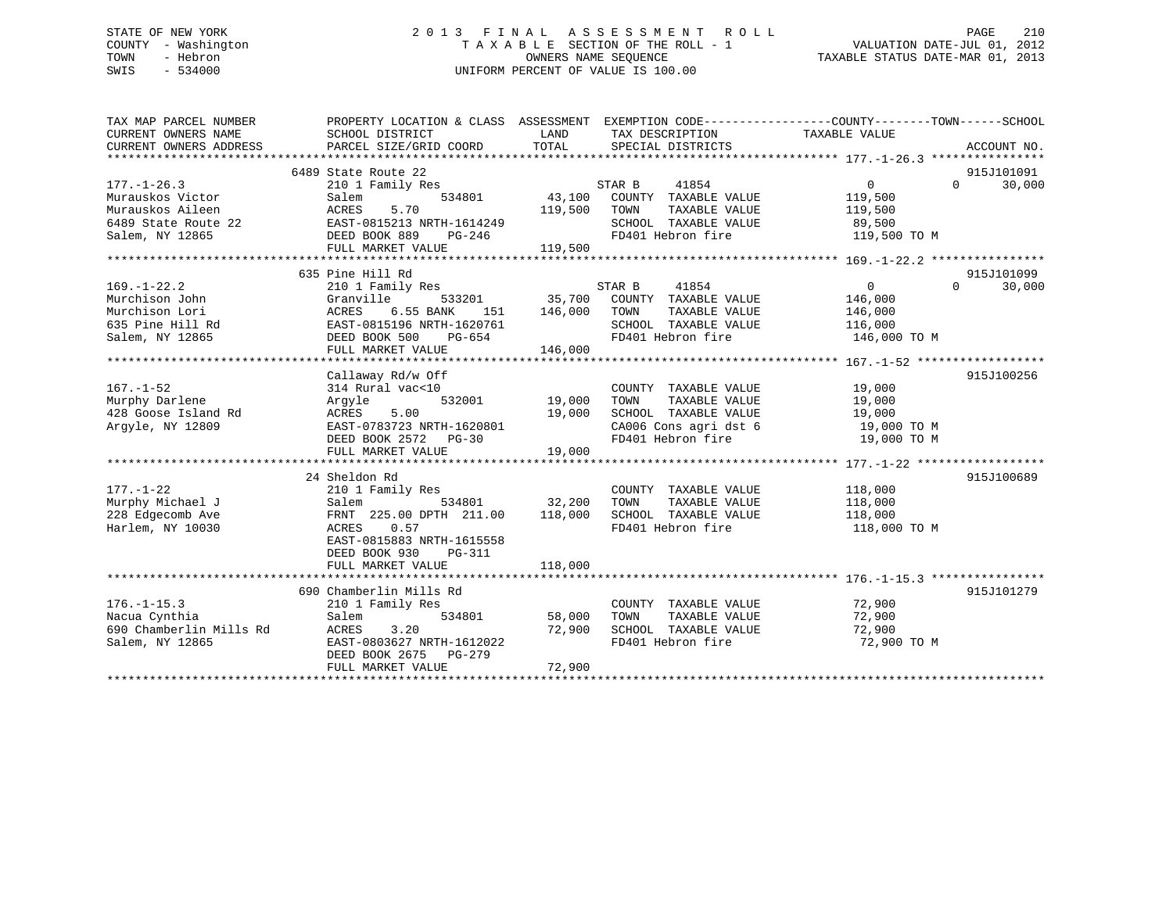## STATE OF NEW YORK 2 0 1 3 F I N A L A S S E S S M E N T R O L L PAGE 210 COUNTY - Washington T A X A B L E SECTION OF THE ROLL - 1 VALUATION DATE-JUL 01, 2012 TOWN - Hebron OWNERS NAME SEQUENCE TAXABLE STATUS DATE-MAR 01, 2013 SWIS - 534000 UNIFORM PERCENT OF VALUE IS 100.00

| 6489 State Route 22<br>915J101091<br>$\Omega$<br>30,000<br>$177. - 1 - 26.3$<br>210 1 Family Res<br>STAR B<br>41854<br>$\overline{0}$<br>Murauskos Victor<br>534801<br>43,100<br>119,500<br>COUNTY TAXABLE VALUE<br>Salem<br>Murauskos Aileen<br>5.70<br>119,500<br>ACRES<br>TOWN<br>TAXABLE VALUE<br>119,500<br>EAST-0815213 NRTH-1614249<br>SCHOOL TAXABLE VALUE<br>6489 State Route 22<br>89,500<br>FD401 Hebron fire<br>Salem, NY 12865<br>DEED BOOK 889<br>119,500 TO M<br>PG-246<br>FULL MARKET VALUE<br>119,500<br>635 Pine Hill Rd<br>915J101099<br>$169. - 1 - 22.2$<br>STAR B<br>41854<br>$\overline{0}$<br>$\Omega$<br>30,000<br>210 1 Family Res<br>Murchison John<br>533201<br>35,700<br>COUNTY TAXABLE VALUE<br>Granville<br>146,000<br>Murchison Lori<br>6.55 BANK<br>146,000<br>TAXABLE VALUE<br>ACRES<br>TOWN<br>146,000<br>151<br>635 Pine Hill Rd<br>EAST-0815196 NRTH-1620761<br>SCHOOL TAXABLE VALUE<br>116,000<br>FD401 Hebron fire<br>Salem, NY 12865<br>DEED BOOK 500<br>146,000 TO M<br>PG-654<br>146,000<br>FULL MARKET VALUE<br>915J100256<br>Callaway Rd/w Off<br>$167. - 1 - 52$<br>314 Rural vac<10<br>19,000<br>COUNTY TAXABLE VALUE<br>532001<br>19,000<br>TAXABLE VALUE<br>19,000<br>Murphy Darlene<br>Arqyle<br>TOWN<br>5.00<br>428 Goose Island Rd<br>ACRES<br>19,000<br>SCHOOL TAXABLE VALUE<br>19,000<br>EAST-0783723 NRTH-1620801<br>CA006 Cons agri dst 6<br>Argyle, NY 12809<br>19,000 TO M<br>FD401 Hebron fire<br>19,000 TO M<br>DEED BOOK 2572 PG-30<br>19,000<br>FULL MARKET VALUE<br>24 Sheldon Rd<br>915J100689<br>$177. - 1 - 22$<br>210 1 Family Res<br>118,000<br>COUNTY TAXABLE VALUE<br>Murphy Michael J<br>32,200<br>534801<br>TOWN<br>TAXABLE VALUE<br>Salem<br>118,000<br>228 Edgecomb Ave<br>SCHOOL TAXABLE VALUE<br>FRNT 225.00 DPTH 211.00<br>118,000<br>118,000<br>FD401 Hebron fire<br>Harlem, NY 10030<br>ACRES<br>0.57<br>118,000 TO M<br>EAST-0815883 NRTH-1615558<br>DEED BOOK 930<br>PG-311<br>FULL MARKET VALUE<br>118,000<br>915J101279<br>690 Chamberlin Mills Rd<br>72,900<br>$176. - 1 - 15.3$<br>210 1 Family Res<br>COUNTY TAXABLE VALUE<br>Nacua Cynthia<br>534801<br>58,000<br>72,900<br>Salem<br>TOWN<br>TAXABLE VALUE<br>690 Chamberlin Mills Rd<br>3.20<br>72,900<br>SCHOOL TAXABLE VALUE<br>ACRES<br>72,900<br>EAST-0803627 NRTH-1612022<br>FD401 Hebron fire<br>72,900 TO M<br>Salem, NY 12865<br>DEED BOOK 2675<br>PG-279<br>FULL MARKET VALUE<br>72,900 | TAX MAP PARCEL NUMBER<br>CURRENT OWNERS NAME<br>CURRENT OWNERS ADDRESS | PROPERTY LOCATION & CLASS ASSESSMENT EXEMPTION CODE----------------COUNTY-------TOWN------SCHOOL<br>SCHOOL DISTRICT<br>PARCEL SIZE/GRID COORD | LAND<br>TOTAL | TAX DESCRIPTION<br>SPECIAL DISTRICTS | TAXABLE VALUE | ACCOUNT NO. |
|-----------------------------------------------------------------------------------------------------------------------------------------------------------------------------------------------------------------------------------------------------------------------------------------------------------------------------------------------------------------------------------------------------------------------------------------------------------------------------------------------------------------------------------------------------------------------------------------------------------------------------------------------------------------------------------------------------------------------------------------------------------------------------------------------------------------------------------------------------------------------------------------------------------------------------------------------------------------------------------------------------------------------------------------------------------------------------------------------------------------------------------------------------------------------------------------------------------------------------------------------------------------------------------------------------------------------------------------------------------------------------------------------------------------------------------------------------------------------------------------------------------------------------------------------------------------------------------------------------------------------------------------------------------------------------------------------------------------------------------------------------------------------------------------------------------------------------------------------------------------------------------------------------------------------------------------------------------------------------------------------------------------------------------------------------------------------------------------------------------------------------------------------------------------------------------------------------------------------------------------------------------------------------------------------------------------------------------------------------------------------------------------------------------------------------------------|------------------------------------------------------------------------|-----------------------------------------------------------------------------------------------------------------------------------------------|---------------|--------------------------------------|---------------|-------------|
|                                                                                                                                                                                                                                                                                                                                                                                                                                                                                                                                                                                                                                                                                                                                                                                                                                                                                                                                                                                                                                                                                                                                                                                                                                                                                                                                                                                                                                                                                                                                                                                                                                                                                                                                                                                                                                                                                                                                                                                                                                                                                                                                                                                                                                                                                                                                                                                                                                         |                                                                        |                                                                                                                                               |               |                                      |               |             |
|                                                                                                                                                                                                                                                                                                                                                                                                                                                                                                                                                                                                                                                                                                                                                                                                                                                                                                                                                                                                                                                                                                                                                                                                                                                                                                                                                                                                                                                                                                                                                                                                                                                                                                                                                                                                                                                                                                                                                                                                                                                                                                                                                                                                                                                                                                                                                                                                                                         |                                                                        |                                                                                                                                               |               |                                      |               |             |
|                                                                                                                                                                                                                                                                                                                                                                                                                                                                                                                                                                                                                                                                                                                                                                                                                                                                                                                                                                                                                                                                                                                                                                                                                                                                                                                                                                                                                                                                                                                                                                                                                                                                                                                                                                                                                                                                                                                                                                                                                                                                                                                                                                                                                                                                                                                                                                                                                                         |                                                                        |                                                                                                                                               |               |                                      |               |             |
|                                                                                                                                                                                                                                                                                                                                                                                                                                                                                                                                                                                                                                                                                                                                                                                                                                                                                                                                                                                                                                                                                                                                                                                                                                                                                                                                                                                                                                                                                                                                                                                                                                                                                                                                                                                                                                                                                                                                                                                                                                                                                                                                                                                                                                                                                                                                                                                                                                         |                                                                        |                                                                                                                                               |               |                                      |               |             |
|                                                                                                                                                                                                                                                                                                                                                                                                                                                                                                                                                                                                                                                                                                                                                                                                                                                                                                                                                                                                                                                                                                                                                                                                                                                                                                                                                                                                                                                                                                                                                                                                                                                                                                                                                                                                                                                                                                                                                                                                                                                                                                                                                                                                                                                                                                                                                                                                                                         |                                                                        |                                                                                                                                               |               |                                      |               |             |
|                                                                                                                                                                                                                                                                                                                                                                                                                                                                                                                                                                                                                                                                                                                                                                                                                                                                                                                                                                                                                                                                                                                                                                                                                                                                                                                                                                                                                                                                                                                                                                                                                                                                                                                                                                                                                                                                                                                                                                                                                                                                                                                                                                                                                                                                                                                                                                                                                                         |                                                                        |                                                                                                                                               |               |                                      |               |             |
|                                                                                                                                                                                                                                                                                                                                                                                                                                                                                                                                                                                                                                                                                                                                                                                                                                                                                                                                                                                                                                                                                                                                                                                                                                                                                                                                                                                                                                                                                                                                                                                                                                                                                                                                                                                                                                                                                                                                                                                                                                                                                                                                                                                                                                                                                                                                                                                                                                         |                                                                        |                                                                                                                                               |               |                                      |               |             |
|                                                                                                                                                                                                                                                                                                                                                                                                                                                                                                                                                                                                                                                                                                                                                                                                                                                                                                                                                                                                                                                                                                                                                                                                                                                                                                                                                                                                                                                                                                                                                                                                                                                                                                                                                                                                                                                                                                                                                                                                                                                                                                                                                                                                                                                                                                                                                                                                                                         |                                                                        |                                                                                                                                               |               |                                      |               |             |
|                                                                                                                                                                                                                                                                                                                                                                                                                                                                                                                                                                                                                                                                                                                                                                                                                                                                                                                                                                                                                                                                                                                                                                                                                                                                                                                                                                                                                                                                                                                                                                                                                                                                                                                                                                                                                                                                                                                                                                                                                                                                                                                                                                                                                                                                                                                                                                                                                                         |                                                                        |                                                                                                                                               |               |                                      |               |             |
|                                                                                                                                                                                                                                                                                                                                                                                                                                                                                                                                                                                                                                                                                                                                                                                                                                                                                                                                                                                                                                                                                                                                                                                                                                                                                                                                                                                                                                                                                                                                                                                                                                                                                                                                                                                                                                                                                                                                                                                                                                                                                                                                                                                                                                                                                                                                                                                                                                         |                                                                        |                                                                                                                                               |               |                                      |               |             |
|                                                                                                                                                                                                                                                                                                                                                                                                                                                                                                                                                                                                                                                                                                                                                                                                                                                                                                                                                                                                                                                                                                                                                                                                                                                                                                                                                                                                                                                                                                                                                                                                                                                                                                                                                                                                                                                                                                                                                                                                                                                                                                                                                                                                                                                                                                                                                                                                                                         |                                                                        |                                                                                                                                               |               |                                      |               |             |
|                                                                                                                                                                                                                                                                                                                                                                                                                                                                                                                                                                                                                                                                                                                                                                                                                                                                                                                                                                                                                                                                                                                                                                                                                                                                                                                                                                                                                                                                                                                                                                                                                                                                                                                                                                                                                                                                                                                                                                                                                                                                                                                                                                                                                                                                                                                                                                                                                                         |                                                                        |                                                                                                                                               |               |                                      |               |             |
|                                                                                                                                                                                                                                                                                                                                                                                                                                                                                                                                                                                                                                                                                                                                                                                                                                                                                                                                                                                                                                                                                                                                                                                                                                                                                                                                                                                                                                                                                                                                                                                                                                                                                                                                                                                                                                                                                                                                                                                                                                                                                                                                                                                                                                                                                                                                                                                                                                         |                                                                        |                                                                                                                                               |               |                                      |               |             |
|                                                                                                                                                                                                                                                                                                                                                                                                                                                                                                                                                                                                                                                                                                                                                                                                                                                                                                                                                                                                                                                                                                                                                                                                                                                                                                                                                                                                                                                                                                                                                                                                                                                                                                                                                                                                                                                                                                                                                                                                                                                                                                                                                                                                                                                                                                                                                                                                                                         |                                                                        |                                                                                                                                               |               |                                      |               |             |
|                                                                                                                                                                                                                                                                                                                                                                                                                                                                                                                                                                                                                                                                                                                                                                                                                                                                                                                                                                                                                                                                                                                                                                                                                                                                                                                                                                                                                                                                                                                                                                                                                                                                                                                                                                                                                                                                                                                                                                                                                                                                                                                                                                                                                                                                                                                                                                                                                                         |                                                                        |                                                                                                                                               |               |                                      |               |             |
|                                                                                                                                                                                                                                                                                                                                                                                                                                                                                                                                                                                                                                                                                                                                                                                                                                                                                                                                                                                                                                                                                                                                                                                                                                                                                                                                                                                                                                                                                                                                                                                                                                                                                                                                                                                                                                                                                                                                                                                                                                                                                                                                                                                                                                                                                                                                                                                                                                         |                                                                        |                                                                                                                                               |               |                                      |               |             |
|                                                                                                                                                                                                                                                                                                                                                                                                                                                                                                                                                                                                                                                                                                                                                                                                                                                                                                                                                                                                                                                                                                                                                                                                                                                                                                                                                                                                                                                                                                                                                                                                                                                                                                                                                                                                                                                                                                                                                                                                                                                                                                                                                                                                                                                                                                                                                                                                                                         |                                                                        |                                                                                                                                               |               |                                      |               |             |
|                                                                                                                                                                                                                                                                                                                                                                                                                                                                                                                                                                                                                                                                                                                                                                                                                                                                                                                                                                                                                                                                                                                                                                                                                                                                                                                                                                                                                                                                                                                                                                                                                                                                                                                                                                                                                                                                                                                                                                                                                                                                                                                                                                                                                                                                                                                                                                                                                                         |                                                                        |                                                                                                                                               |               |                                      |               |             |
|                                                                                                                                                                                                                                                                                                                                                                                                                                                                                                                                                                                                                                                                                                                                                                                                                                                                                                                                                                                                                                                                                                                                                                                                                                                                                                                                                                                                                                                                                                                                                                                                                                                                                                                                                                                                                                                                                                                                                                                                                                                                                                                                                                                                                                                                                                                                                                                                                                         |                                                                        |                                                                                                                                               |               |                                      |               |             |
|                                                                                                                                                                                                                                                                                                                                                                                                                                                                                                                                                                                                                                                                                                                                                                                                                                                                                                                                                                                                                                                                                                                                                                                                                                                                                                                                                                                                                                                                                                                                                                                                                                                                                                                                                                                                                                                                                                                                                                                                                                                                                                                                                                                                                                                                                                                                                                                                                                         |                                                                        |                                                                                                                                               |               |                                      |               |             |
|                                                                                                                                                                                                                                                                                                                                                                                                                                                                                                                                                                                                                                                                                                                                                                                                                                                                                                                                                                                                                                                                                                                                                                                                                                                                                                                                                                                                                                                                                                                                                                                                                                                                                                                                                                                                                                                                                                                                                                                                                                                                                                                                                                                                                                                                                                                                                                                                                                         |                                                                        |                                                                                                                                               |               |                                      |               |             |
|                                                                                                                                                                                                                                                                                                                                                                                                                                                                                                                                                                                                                                                                                                                                                                                                                                                                                                                                                                                                                                                                                                                                                                                                                                                                                                                                                                                                                                                                                                                                                                                                                                                                                                                                                                                                                                                                                                                                                                                                                                                                                                                                                                                                                                                                                                                                                                                                                                         |                                                                        |                                                                                                                                               |               |                                      |               |             |
|                                                                                                                                                                                                                                                                                                                                                                                                                                                                                                                                                                                                                                                                                                                                                                                                                                                                                                                                                                                                                                                                                                                                                                                                                                                                                                                                                                                                                                                                                                                                                                                                                                                                                                                                                                                                                                                                                                                                                                                                                                                                                                                                                                                                                                                                                                                                                                                                                                         |                                                                        |                                                                                                                                               |               |                                      |               |             |
|                                                                                                                                                                                                                                                                                                                                                                                                                                                                                                                                                                                                                                                                                                                                                                                                                                                                                                                                                                                                                                                                                                                                                                                                                                                                                                                                                                                                                                                                                                                                                                                                                                                                                                                                                                                                                                                                                                                                                                                                                                                                                                                                                                                                                                                                                                                                                                                                                                         |                                                                        |                                                                                                                                               |               |                                      |               |             |
|                                                                                                                                                                                                                                                                                                                                                                                                                                                                                                                                                                                                                                                                                                                                                                                                                                                                                                                                                                                                                                                                                                                                                                                                                                                                                                                                                                                                                                                                                                                                                                                                                                                                                                                                                                                                                                                                                                                                                                                                                                                                                                                                                                                                                                                                                                                                                                                                                                         |                                                                        |                                                                                                                                               |               |                                      |               |             |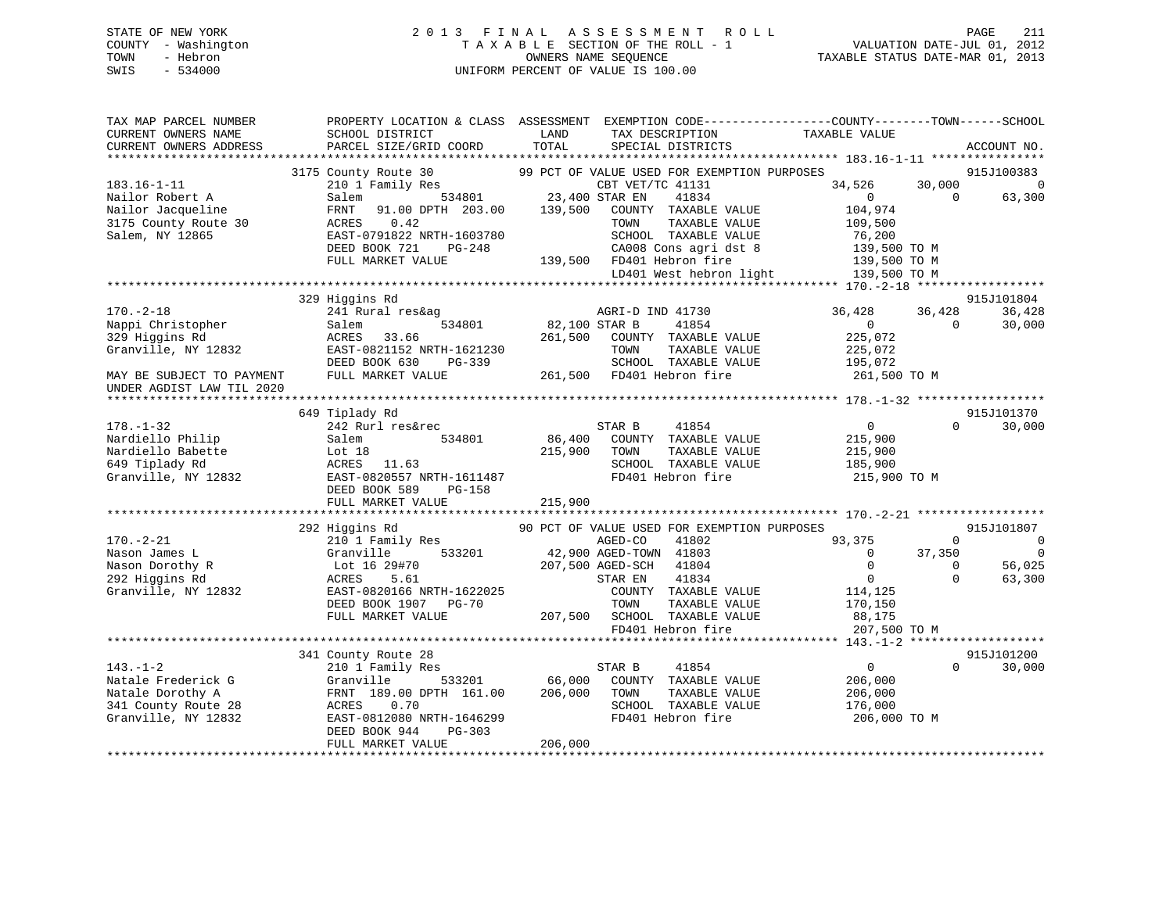## STATE OF NEW YORK 2 0 1 3 F I N A L A S S E S S M E N T R O L L PAGE 211 COUNTY - Washington T A X A B L E SECTION OF THE ROLL - 1 VALUATION DATE-JUL 01, 2012 TOWN - Hebron OWNERS NAME SEQUENCE TAXABLE STATUS DATE-MAR 01, 2013 SWIS - 534000 UNIFORM PERCENT OF VALUE IS 100.00

| TAX MAP PARCEL NUMBER<br>CURRENT OWNERS NAME | PROPERTY LOCATION & CLASS ASSESSMENT<br>SCHOOL DISTRICT | LAND          | EXEMPTION CODE----------------COUNTY-------TOWN------SCHOOL<br>TAX DESCRIPTION | TAXABLE VALUE  |              |             |
|----------------------------------------------|---------------------------------------------------------|---------------|--------------------------------------------------------------------------------|----------------|--------------|-------------|
| CURRENT OWNERS ADDRESS                       | PARCEL SIZE/GRID COORD                                  | TOTAL         | SPECIAL DISTRICTS                                                              |                |              | ACCOUNT NO. |
|                                              | 3175 County Route 30                                    |               | 99 PCT OF VALUE USED FOR EXEMPTION PURPOSES                                    |                |              | 915J100383  |
| $183.16 - 1 - 11$                            | 210 1 Family Res                                        |               | CBT VET/TC 41131                                                               | 34,526         | 30,000       | $\Omega$    |
| Nailor Robert A                              | 534801<br>Salem                                         |               | 23,400 STAR EN<br>41834                                                        | $\Omega$       | $\Omega$     | 63,300      |
| Nailor Jacqueline                            | FRNT<br>91.00 DPTH 203.00                               | 139,500       | COUNTY TAXABLE VALUE                                                           | 104,974        |              |             |
| 3175 County Route 30                         | ACRES<br>0.42                                           |               | TAXABLE VALUE<br>TOWN                                                          | 109,500        |              |             |
| Salem, NY 12865                              | EAST-0791822 NRTH-1603780                               |               | SCHOOL TAXABLE VALUE                                                           | 76,200         |              |             |
|                                              | DEED BOOK 721<br>PG-248                                 |               | CA008 Cons agri dst 8                                                          | 139,500 TO M   |              |             |
|                                              | FULL MARKET VALUE                                       |               | 139,500 FD401 Hebron fire                                                      | 139,500 TO M   |              |             |
|                                              |                                                         |               | LD401 West hebron light                                                        | 139,500 TO M   |              |             |
|                                              |                                                         |               |                                                                                |                |              |             |
|                                              | 329 Higgins Rd                                          |               |                                                                                |                |              | 915J101804  |
| $170. - 2 - 18$                              | 241 Rural res&ag                                        |               | AGRI-D IND 41730                                                               | 36,428         | 36,428       | 36,428      |
| Nappi Christopher                            | 534801<br>Salem                                         | 82,100 STAR B | 41854                                                                          | $\overline{0}$ | $\Omega$     | 30,000      |
| 329 Higgins Rd                               | ACRES<br>33.66                                          | 261,500       | COUNTY TAXABLE VALUE                                                           | 225,072        |              |             |
| Granville, NY 12832                          | EAST-0821152 NRTH-1621230                               |               | TAXABLE VALUE<br>TOWN                                                          | 225,072        |              |             |
|                                              | DEED BOOK 630<br>PG-339                                 |               | SCHOOL TAXABLE VALUE                                                           | 195,072        |              |             |
| MAY BE SUBJECT TO PAYMENT                    | FULL MARKET VALUE                                       |               | 261,500 FD401 Hebron fire                                                      | 261,500 TO M   |              |             |
| UNDER AGDIST LAW TIL 2020                    |                                                         |               |                                                                                |                |              |             |
|                                              |                                                         |               |                                                                                |                |              |             |
|                                              | 649 Tiplady Rd                                          |               |                                                                                |                |              | 915J101370  |
| $178. - 1 - 32$                              | 242 Rurl res&rec                                        |               | STAR B<br>41854                                                                | $\overline{0}$ | $\Omega$     | 30,000      |
| Nardiello Philip                             | Salem<br>534801                                         | 86,400        | COUNTY TAXABLE VALUE                                                           | 215,900        |              |             |
| Nardiello Babette                            | Lot 18                                                  | 215,900       | TAXABLE VALUE<br>TOWN                                                          | 215,900        |              |             |
| 649 Tiplady Rd                               | ACRES<br>11.63                                          |               | SCHOOL TAXABLE VALUE                                                           | 185,900        |              |             |
| Granville, NY 12832                          | EAST-0820557 NRTH-1611487                               |               | FD401 Hebron fire                                                              | 215,900 TO M   |              |             |
|                                              | DEED BOOK 589<br>PG-158                                 |               |                                                                                |                |              |             |
|                                              | FULL MARKET VALUE                                       | 215,900       |                                                                                |                |              |             |
|                                              | 292 Higgins Rd                                          |               | 90 PCT OF VALUE USED FOR EXEMPTION PURPOSES                                    |                |              | 915J101807  |
| $170. - 2 - 21$                              | 210 1 Family Res                                        |               | 41802<br>AGED-CO                                                               | 93,375         | $\mathbf 0$  | $\mathbf 0$ |
| Nason James L                                | 533201<br>Granville                                     |               | 42,900 AGED-TOWN 41803                                                         | $\mathbf{0}$   | 37,350       | $\Omega$    |
| Nason Dorothy R                              | Lot 16 29#70                                            |               | 207,500 AGED-SCH<br>41804                                                      | $\Omega$       | $\mathbf{0}$ | 56,025      |
| 292 Higgins Rd                               | ACRES<br>5.61                                           |               | 41834<br>STAR EN                                                               | $\overline{0}$ | $\Omega$     | 63,300      |
| Granville, NY 12832                          | EAST-0820166 NRTH-1622025                               |               | COUNTY TAXABLE VALUE                                                           | 114,125        |              |             |
|                                              | DEED BOOK 1907<br><b>PG-70</b>                          |               | TOWN<br>TAXABLE VALUE                                                          | 170,150        |              |             |
|                                              | FULL MARKET VALUE                                       | 207,500       | SCHOOL TAXABLE VALUE                                                           | 88,175         |              |             |
|                                              |                                                         |               | FD401 Hebron fire                                                              | 207,500 TO M   |              |             |
|                                              |                                                         |               |                                                                                |                |              |             |
|                                              | 341 County Route 28                                     |               |                                                                                |                |              | 915J101200  |
| $143. - 1 - 2$                               | 210 1 Family Res                                        |               | STAR B<br>41854                                                                | $\overline{0}$ | $\Omega$     | 30,000      |
| Natale Frederick G                           | 533201<br>Granville                                     | 66,000        | COUNTY TAXABLE VALUE                                                           | 206,000        |              |             |
| Natale Dorothy A                             | FRNT 189.00 DPTH 161.00                                 | 206,000       | TOWN<br>TAXABLE VALUE                                                          | 206,000        |              |             |
| 341 County Route 28                          | 0.70<br>ACRES                                           |               | SCHOOL TAXABLE VALUE                                                           | 176,000        |              |             |
| Granville, NY 12832                          | EAST-0812080 NRTH-1646299                               |               | FD401 Hebron fire                                                              | 206,000 TO M   |              |             |
|                                              | DEED BOOK 944<br>$PG-303$                               |               |                                                                                |                |              |             |
|                                              | FULL MARKET VALUE                                       | 206,000       |                                                                                |                |              |             |
|                                              |                                                         |               |                                                                                |                |              |             |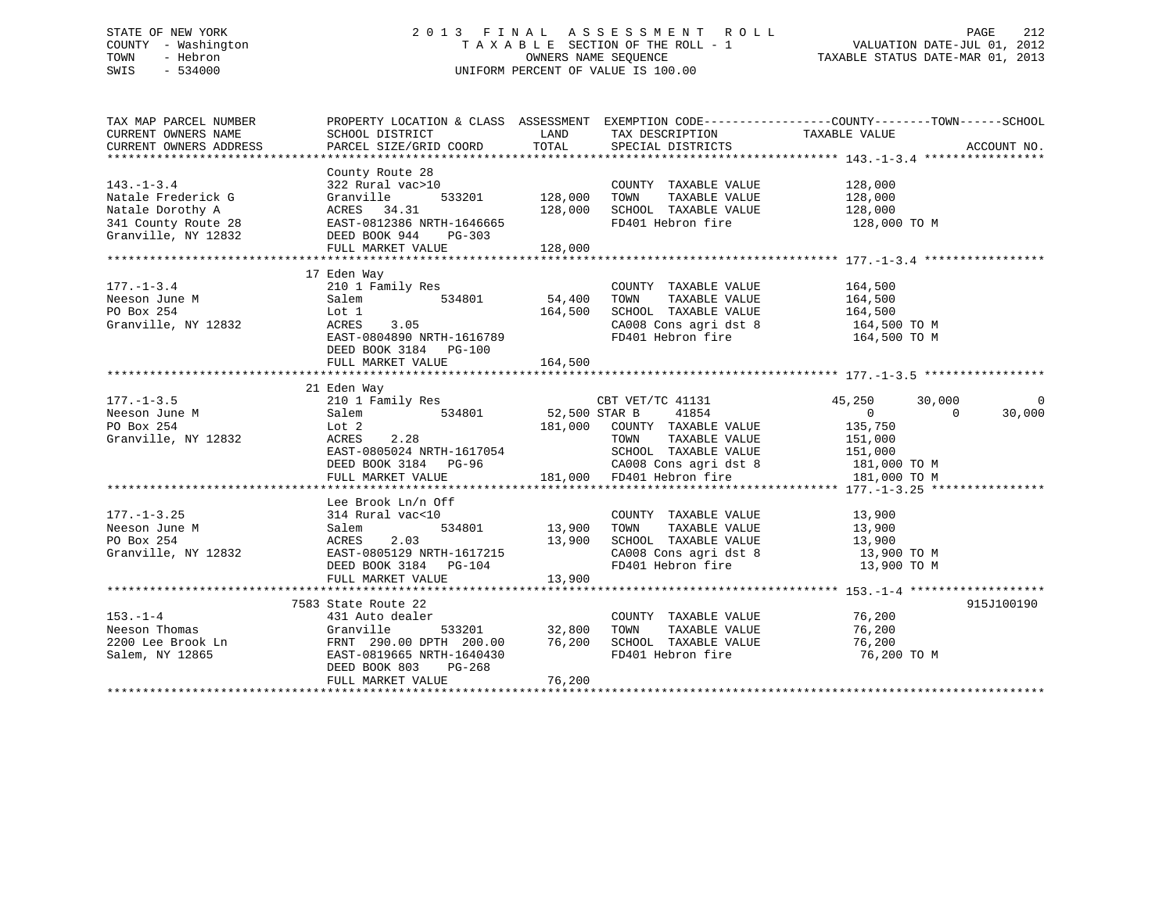## STATE OF NEW YORK 2 0 1 3 F I N A L A S S E S S M E N T R O L L PAGE 212 COUNTY - Washington T A X A B L E SECTION OF THE ROLL - 1 VALUATION DATE-JUL 01, 2012 TOWN - Hebron OWNERS NAME SEQUENCE TAXABLE STATUS DATE-MAR 01, 2013 SWIS - 534000 UNIFORM PERCENT OF VALUE IS 100.00

| TAX MAP PARCEL NUMBER |                                                                           |                |                                                                                                      | PROPERTY LOCATION & CLASS ASSESSMENT EXEMPTION CODE---------------COUNTY-------TOWN------SCHOOL |            |
|-----------------------|---------------------------------------------------------------------------|----------------|------------------------------------------------------------------------------------------------------|-------------------------------------------------------------------------------------------------|------------|
|                       |                                                                           |                |                                                                                                      |                                                                                                 |            |
|                       |                                                                           |                |                                                                                                      |                                                                                                 |            |
|                       |                                                                           |                |                                                                                                      |                                                                                                 |            |
|                       | County Route 28                                                           |                |                                                                                                      |                                                                                                 |            |
| $143. - 1 - 3.4$      | $322$ Rural vac > 10                                                      |                | COUNTY TAXABLE VALUE 128,000                                                                         |                                                                                                 |            |
| Natale Frederick G    | Granville                                                                 | 533201 128,000 | TAXABLE VALUE 128,000<br>TOWN                                                                        |                                                                                                 |            |
|                       |                                                                           |                | SCHOOL TAXABLE VALUE                                                                                 | 128,000<br>128,000 TO M                                                                         |            |
|                       |                                                                           |                | FD401 Hebron fire                                                                                    |                                                                                                 |            |
| Granville, NY 12832   | DEED BOOK 944<br>PG-303                                                   |                |                                                                                                      |                                                                                                 |            |
|                       | FULL MARKET VALUE                                                         | 128,000        |                                                                                                      |                                                                                                 |            |
|                       |                                                                           |                |                                                                                                      |                                                                                                 |            |
|                       | 17 Eden Way                                                               |                |                                                                                                      |                                                                                                 |            |
| $177. - 1 - 3.4$      | 210 1 Family Res                                                          |                | COUNTY TAXABLE VALUE                                                                                 | 164,500                                                                                         |            |
| Neeson June M         | Salem                                                                     | 534801 54,400  | TOWN                                                                                                 | TAXABLE VALUE 164,500                                                                           |            |
| PO Box 254            | Lot 1<br>ACRES                                                            | 164,500        | SCHOOL TAXABLE VALUE 164,500<br>CA008 Cons agri dst 8 164,500 TO M<br>FD401 Hebron fire 164,500 TO M |                                                                                                 |            |
| Granville, NY 12832   | ACRES 3.05                                                                |                |                                                                                                      |                                                                                                 |            |
|                       | EAST-0804890 NRTH-1616789                                                 |                |                                                                                                      |                                                                                                 |            |
|                       | DEED BOOK 3184 PG-100                                                     |                |                                                                                                      |                                                                                                 |            |
|                       | FULL MARKET VALUE                                                         | 164,500        |                                                                                                      |                                                                                                 |            |
|                       |                                                                           |                |                                                                                                      |                                                                                                 |            |
|                       | 21 Eden Way                                                               |                |                                                                                                      |                                                                                                 |            |
| $177. - 1 - 3.5$      | 210 1 Family Res CBT VET/TC 41131                                         |                |                                                                                                      | 45,250 30,000                                                                                   | 0          |
| Neeson June M         | Salem 534801 52,500 STAR B                                                |                | 41854                                                                                                | $\overline{0}$<br>$\Omega$                                                                      | 30,000     |
| PO Box 254            | Lot 2                                                                     |                | 181,000 COUNTY TAXABLE VALUE                                                                         | 135,750                                                                                         |            |
| Granville, NY 12832   | 2.28<br>ACRES                                                             |                | TOWN                                                                                                 | TAXABLE VALUE 151,000                                                                           |            |
|                       |                                                                           |                |                                                                                                      |                                                                                                 |            |
|                       | EAST-0805024 NRTH-1617054<br>DEED BOOK 3184 PG-96<br>DEED BOOK 3184 PG-96 |                | SCHOOL TAXABLE VALUE 151,000<br>CA008 Cons agri dst 8 181,000 TO M                                   |                                                                                                 |            |
|                       | FULL MARKET VALUE                                                         |                | G-96 CA008 Cons agri dst 8 181,000 TO M<br>181,000 FD401 Hebron fire 181,000 TO M                    |                                                                                                 |            |
|                       |                                                                           |                |                                                                                                      |                                                                                                 |            |
|                       | Lee Brook Ln/n Off                                                        |                |                                                                                                      |                                                                                                 |            |
| $177. - 1 - 3.25$     | 314 Rural vac<10                                                          |                | COUNTY TAXABLE VALUE 13,900                                                                          |                                                                                                 |            |
| Neeson June M         | Salem                                                                     | 534801 13,900  |                                                                                                      |                                                                                                 |            |
| PO Box 254            | 2.03<br>ACRES                                                             | 13,900         | TOWN TAXABLE VALUE<br>SCHOOL TAXABLE VALUE                                                           | 13,900<br>13,900                                                                                |            |
|                       | Granville, NY 12832 EAST-0805129 NRTH-1617215                             |                | CA008 Cons agri dst 8 13,900 TO M                                                                    |                                                                                                 |            |
|                       | DEED BOOK 3184 PG-104                                                     |                | FD401 Hebron fire                                                                                    | 13,900 TO M                                                                                     |            |
|                       | FULL MARKET VALUE                                                         | 13,900         |                                                                                                      |                                                                                                 |            |
|                       |                                                                           |                |                                                                                                      |                                                                                                 |            |
|                       | 7583 State Route 22                                                       |                |                                                                                                      |                                                                                                 | 915J100190 |
|                       |                                                                           |                | COUNTY TAXABLE VALUE 76,200                                                                          |                                                                                                 |            |
| $153. - 1 - 4$        | 431 Auto dealer                                                           |                |                                                                                                      |                                                                                                 |            |
|                       |                                                                           |                | TOWN                                                                                                 | TAXABLE VALUE 76,200<br>TAXABLE VALUE 76,200                                                    |            |
|                       |                                                                           |                | SCHOOL TAXABLE VALUE                                                                                 |                                                                                                 |            |
|                       |                                                                           |                | FD401 Hebron fire                                                                                    | 76,200 TO M                                                                                     |            |
|                       | DEED BOOK 803<br>PG-268                                                   |                |                                                                                                      |                                                                                                 |            |
|                       |                                                                           |                |                                                                                                      |                                                                                                 |            |
|                       |                                                                           |                |                                                                                                      |                                                                                                 |            |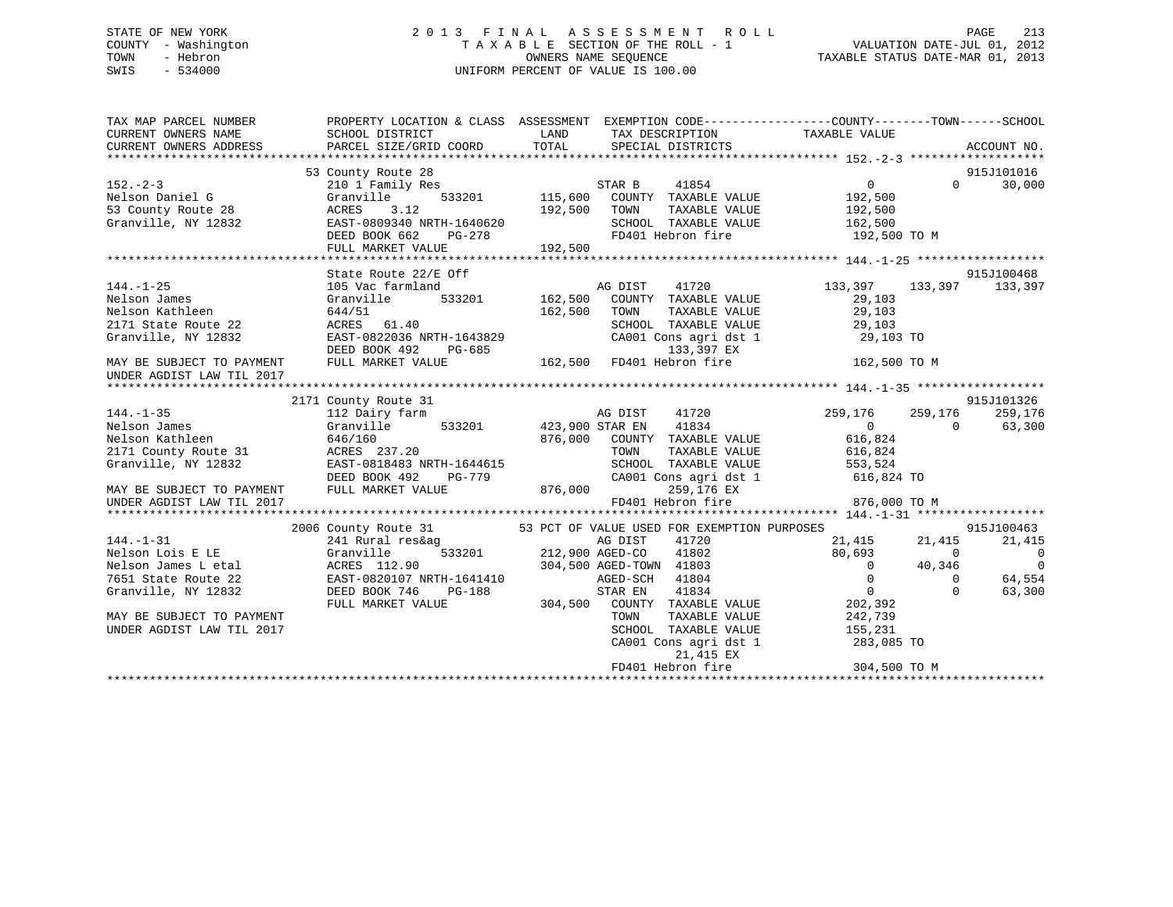## STATE OF NEW YORK 2 0 1 3 F I N A L A S S E S S M E N T R O L L PAGE 213 COUNTY - Washington T A X A B L E SECTION OF THE ROLL - 1 VALUATION DATE-JUL 01, 2012 TOWN - Hebron OWNERS NAME SEQUENCE TAXABLE STATUS DATE-MAR 01, 2013 SWIS - 534000 UNIFORM PERCENT OF VALUE IS 100.00

| TAX MAP PARCEL NUMBER<br>CURRENT OWNERS NAME<br>CURRENT OWNERS ADDRESS                           | PROPERTY LOCATION & CLASS ASSESSMENT EXEMPTION CODE----------------COUNTY-------TOWN------SCHOOL<br>SCHOOL DISTRICT<br>PARCEL SIZE/GRID COORD TOTAL SPECIAL DISTRICTS | LAND                                                                                |                                                                     | TAX DESCRIPTION TAXABLE VALUE                                                                                                                                                                                      |                            | ACCOUNT NO.           |
|--------------------------------------------------------------------------------------------------|-----------------------------------------------------------------------------------------------------------------------------------------------------------------------|-------------------------------------------------------------------------------------|---------------------------------------------------------------------|--------------------------------------------------------------------------------------------------------------------------------------------------------------------------------------------------------------------|----------------------------|-----------------------|
| $152 - 2 - 3$<br>Nelson Daniel G<br>53 County Route 28<br>Granville, NY 12832                    | 53 County Route 28<br>210 1 Family Res<br>Granville<br>ACRES<br>3.12<br>EAST-0809340 NRTH-1640620<br>DEED BOOK 662<br>PG-278<br>FULL MARKET VALUE                     | STAR B<br>533201 115,600 COUNTY TAXABLE VALUE 192,500<br>192,500<br>TOWN<br>192,500 | 41854<br>TAXABLE VALUE<br>SCHOOL TAXABLE VALUE<br>FD401 Hebron fire | $\overline{0}$<br>192,500<br>162,500<br>192,500 TO M                                                                                                                                                               | $\Omega$                   | 915J101016<br>30,000  |
|                                                                                                  |                                                                                                                                                                       |                                                                                     |                                                                     |                                                                                                                                                                                                                    |                            |                       |
| $144. - 1 - 25$<br>Nelson James<br>Nelson Kathleen<br>2171 State Route 22<br>Granville, NY 12832 | State Route 22/E Off<br>105 Vac farmland<br>Granville<br>644/51<br>ACRES 61.40<br>EAST-0822036 NRTH-1643829<br>DEED BOOK 492<br>PG-685                                | 162,500 TOWN                                                                        | 133,397 EX                                                          | E Off 915<br>d<br>533201 162,500 COUNTY TAXABLE VALUE 133,397 133,397<br>533201 162,500 COUNTY TAXABLE VALUE 29,103<br>TOWN TAXABLE VALUE 29,103<br>SCHOOL TAXABLE VALUE 29,103<br>CA001 Cons agri dst 1 29,103 TO |                            | 915J100468<br>133,397 |
| MAY BE SUBJECT TO PAYMENT<br>UNDER AGDIST LAW TIL 2017                                           | FULL MARKET VALUE                                                                                                                                                     | 133,397 EX<br>162,500 FD401 Hebron fire                                             |                                                                     | 162,500 TO M                                                                                                                                                                                                       |                            |                       |
|                                                                                                  |                                                                                                                                                                       |                                                                                     |                                                                     |                                                                                                                                                                                                                    |                            |                       |
|                                                                                                  | 2171 County Route 31                                                                                                                                                  |                                                                                     |                                                                     |                                                                                                                                                                                                                    |                            | 915J101326            |
| $144. - 1 - 35$                                                                                  | 112 Dairy farm                                                                                                                                                        | AG DIST                                                                             | 41720                                                               | 259,176                                                                                                                                                                                                            | 259,176                    | 259,176               |
| Nelson James                                                                                     | Granville                                                                                                                                                             | 533201 423,900 STAR EN 41834                                                        |                                                                     | $\sim$ 0                                                                                                                                                                                                           | $\Omega$                   | 63,300                |
| Nelson Kathleen                                                                                  | 646/160                                                                                                                                                               |                                                                                     | 876,000 COUNTY TAXABLE VALUE                                        | 616,824                                                                                                                                                                                                            |                            |                       |
| 2171 County Route 31                                                                             | ACRES 237.20                                                                                                                                                          | TOWN                                                                                |                                                                     | TAXABLE VALUE 616,824                                                                                                                                                                                              |                            |                       |
| Granville, NY 12832                                                                              | EAST-0818483 NRTH-1644615                                                                                                                                             |                                                                                     |                                                                     |                                                                                                                                                                                                                    |                            |                       |
|                                                                                                  | PG-779<br>DEED BOOK 492                                                                                                                                               |                                                                                     |                                                                     |                                                                                                                                                                                                                    |                            |                       |
| MAY BE SUBJECT TO PAYMENT                                                                        | FULL MARKET VALUE                                                                                                                                                     | 876,000                                                                             |                                                                     | SCHOOL TAXABLE VALUE 553,524<br>CA001 Cons agri dst 1 616,824 TO<br>259,176 EX                                                                                                                                     |                            |                       |
| UNDER AGDIST LAW TIL 2017                                                                        |                                                                                                                                                                       |                                                                                     | FD401 Hebron fire                                                   | 876,000 TO M                                                                                                                                                                                                       |                            |                       |
|                                                                                                  |                                                                                                                                                                       |                                                                                     |                                                                     |                                                                                                                                                                                                                    |                            |                       |
|                                                                                                  | 2006 County Route 31                                                                                                                                                  |                                                                                     |                                                                     | 53 PCT OF VALUE USED FOR EXEMPTION PURPOSES                                                                                                                                                                        |                            | 915J100463            |
| 144.-1-31                                                                                        | 241 Rural res&ag                                                                                                                                                      | g<br>533201 212,900 AGED-CO                                                         | 41720                                                               | 21,415 21,415<br>80,693 0                                                                                                                                                                                          |                            | 21,415                |
| Nelson Lois E LE                                                                                 | Granville                                                                                                                                                             |                                                                                     | 41802                                                               | 80,693                                                                                                                                                                                                             |                            | $\overline{0}$        |
| Nelson James L etal                                                                              | ACRES 112.90                                                                                                                                                          | 304,500 AGED-TOWN 41803                                                             |                                                                     | $\overline{0}$                                                                                                                                                                                                     | 40,346                     | $\overline{0}$        |
| 7651 State Route 22                                                                              | EAST-0820107 NRTH-1641410                                                                                                                                             | $\overline{0}$<br>AGED-SCH                                                          | 41804<br>41834                                                      | $\overline{0}$<br>$\overline{0}$                                                                                                                                                                                   | $\overline{0}$<br>$\Omega$ | 64,554<br>63,300      |
| Granville, NY 12832                                                                              | DEED BOOK 746<br>PG-188<br>FULL MARKET VALUE                                                                                                                          | STAR EN<br>304,500 COUNTY TAXABLE VALUE 202,392                                     |                                                                     |                                                                                                                                                                                                                    |                            |                       |
| MAY BE SUBJECT TO PAYMENT                                                                        |                                                                                                                                                                       |                                                                                     |                                                                     |                                                                                                                                                                                                                    |                            |                       |
| UNDER AGDIST LAW TIL 2017                                                                        |                                                                                                                                                                       |                                                                                     |                                                                     | TOWN TAXABLE VALUE 242,739<br>SCHOOL TAXABLE VALUE 155,231                                                                                                                                                         |                            |                       |
|                                                                                                  |                                                                                                                                                                       |                                                                                     |                                                                     | CA001 Cons agri dst 1 283,085 TO                                                                                                                                                                                   |                            |                       |
|                                                                                                  |                                                                                                                                                                       |                                                                                     |                                                                     |                                                                                                                                                                                                                    |                            |                       |
|                                                                                                  |                                                                                                                                                                       |                                                                                     |                                                                     |                                                                                                                                                                                                                    |                            |                       |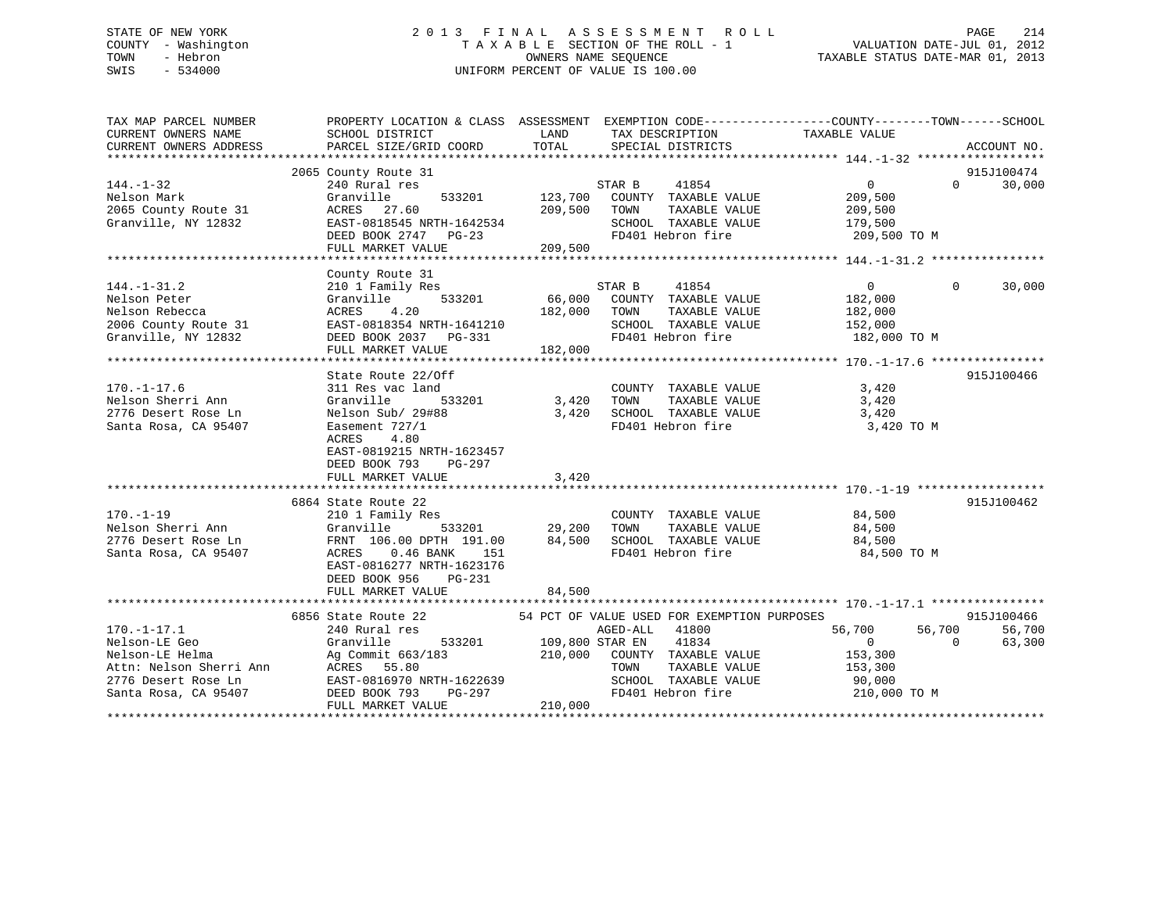## STATE OF NEW YORK 2 0 1 3 F I N A L A S S E S S M E N T R O L L PAGE 214 COUNTY - Washington T A X A B L E SECTION OF THE ROLL - 1 VALUATION DATE-JUL 01, 2012 TOWN - Hebron OWNERS NAME SEQUENCE TAXABLE STATUS DATE-MAR 01, 2013 SWIS - 534000 UNIFORM PERCENT OF VALUE IS 100.00

| TAX MAP PARCEL NUMBER<br>CURRENT OWNERS NAME<br>CURRENT OWNERS ADDRESS                                                    | SCHOOL DISTRICT<br>PARCEL SIZE/GRID COORD                                                                                                                                                     | <b>EXAMPLE DESCRIPTION OF STREET AND STREET AND STREET AND STREET AND STREET AND STREET AND STREET AND STREET AND</b><br>TAX DESCRIPTION<br>TOTAL<br>SPECIAL DISTRICTS                                                                                                                                                                                                                                                                           | PROPERTY LOCATION & CLASS ASSESSMENT EXEMPTION CODE---------------COUNTY-------TOWN-----SCHOOL<br>TAXABLE VALUE<br>ACCOUNT NO.            |
|---------------------------------------------------------------------------------------------------------------------------|-----------------------------------------------------------------------------------------------------------------------------------------------------------------------------------------------|--------------------------------------------------------------------------------------------------------------------------------------------------------------------------------------------------------------------------------------------------------------------------------------------------------------------------------------------------------------------------------------------------------------------------------------------------|-------------------------------------------------------------------------------------------------------------------------------------------|
| $144. - 1 - 32$<br>Nelson Mark<br>2065 County Route 31<br>Granville, NY 12832                                             | 2065 County Route 31<br>240 Rural res<br>Granville<br>533201<br>ACRES 27.60<br>EAST-0818545 NRTH-1642534<br>DEED BOOK 2747 PG-23<br>FULL MARKET VALUE 209,500                                 | STAR B<br>41854<br>123,700 COUNTY TAXABLE VALUE<br>209,500 TOWN<br>SCHOOL TAXABLE VALUE<br>FD401 Hebron fire                                                                                                                                                                                                                                                                                                                                     | 915J100474<br>$\overline{0}$<br>$\Omega$<br>30,000<br>209,500<br>TAXABLE VALUE 209,500<br>TAXABLE VALUE 179,500<br>209,500 TO M           |
| $144. - 1 - 31.2$<br>Nelson Peter<br>Nelson Rebecca<br>2006 County Route 31<br>Granville, NY 12832<br>Granville, NY 12832 | County Route 31<br>210 1 Family Res<br>FULL MARKET VALUE                                                                                                                                      | STAR B<br>41854<br>Cranville 533201 66,000 COUNTY TAXABLE VALUE<br>ACRES 4.20 182,000 TOWN TAXABLE VALUE<br>EAST-0818354 NRTH-1641210 SCHOOL TAXABLE VALUE<br>DEED BOOK 2037 PG-331 FD401 Hebron fire<br>TAXABLE VALUE<br>182,000                                                                                                                                                                                                                | $\overline{0}$<br>30,000<br>$\Omega$<br>182,000<br>182,000<br>SCHOOL TAXABLE VALUE 152,000<br>FD401 Hebron fire 182,000 TO M              |
| $170. - 1 - 17.6$<br>Nelson Sherri Ann<br>2776 Desert Rose Ln<br>Santa Rosa, CA 95407                                     | State Route 22/Off<br>311 Res vac land<br>Granville<br>Nelson Sub/ 29#88<br>Easement 727/1<br>4.80<br>ACRES<br>EAST-0819215 NRTH-1623457<br>DEED BOOK 793<br>PG-297<br>FULL MARKET VALUE      | 533201 3,420<br>TOWN<br>SCHOOL TAXABLE VALUE<br>3,420<br>FD401 Hebron fire<br>3,420                                                                                                                                                                                                                                                                                                                                                              | 915J100466<br>COUNTY TAXABLE VALUE 3,420<br>TAXABLE VALUE 3,420<br>3,420<br>3,420 TO M                                                    |
| $170. - 1 - 19$<br>Nelson Sherri Ann<br>2776 Desert Rose Ln<br>Santa Rosa, CA 95407                                       | 6864 State Route 22<br>210 1 Family Res<br>$533201$ 29,200<br>0 DPTH 191.00 84,500<br>16 BANK<br>ACRES 0.46 BANK<br>EAST-0816277 NRTH-1623176<br>DEED BOOK 956<br>PG-231<br>FULL MARKET VALUE | FD401 Hebron fire<br>84,500                                                                                                                                                                                                                                                                                                                                                                                                                      | 915J100462<br>COUNTY TAXABLE VALUE 84,500<br>84,500 TO M                                                                                  |
| $170. - 1 - 17.1$                                                                                                         | 240 Rural res<br>FULL MARKET VALUE                                                                                                                                                            | 6856 State Route 22 54 PCT OF VALUE USED FOR EXEMPTION PURPOSES<br>AGED-ALL 41800<br>56,700 533201 109,800 STAR EN 41834<br>210,000 COUNTY TAXABLE VALUE 153,300<br>TOWN TAXABLE VALUE 153,300<br>Nelson-LE Geo<br>Nelson-LE Helma<br>Ag Commit 663/183<br>Attn: Nelson Sherri Ann ACRES 55.80<br>2776 Desert Rose Ln EAST-0816970 NRTH-1622639<br>Santa Rosa, CA 95407<br>2007 DEED BOOK 793<br>2008 POM BASE VALUE<br>2010 2008 PD401 Hebron f | 915J100466<br>56,700<br>56,700<br>56,700<br>63,300<br>$\overline{0}$<br>TAXABLE VALUE 153,300<br>90,000<br>FD401 Hebron fire 210,000 TO M |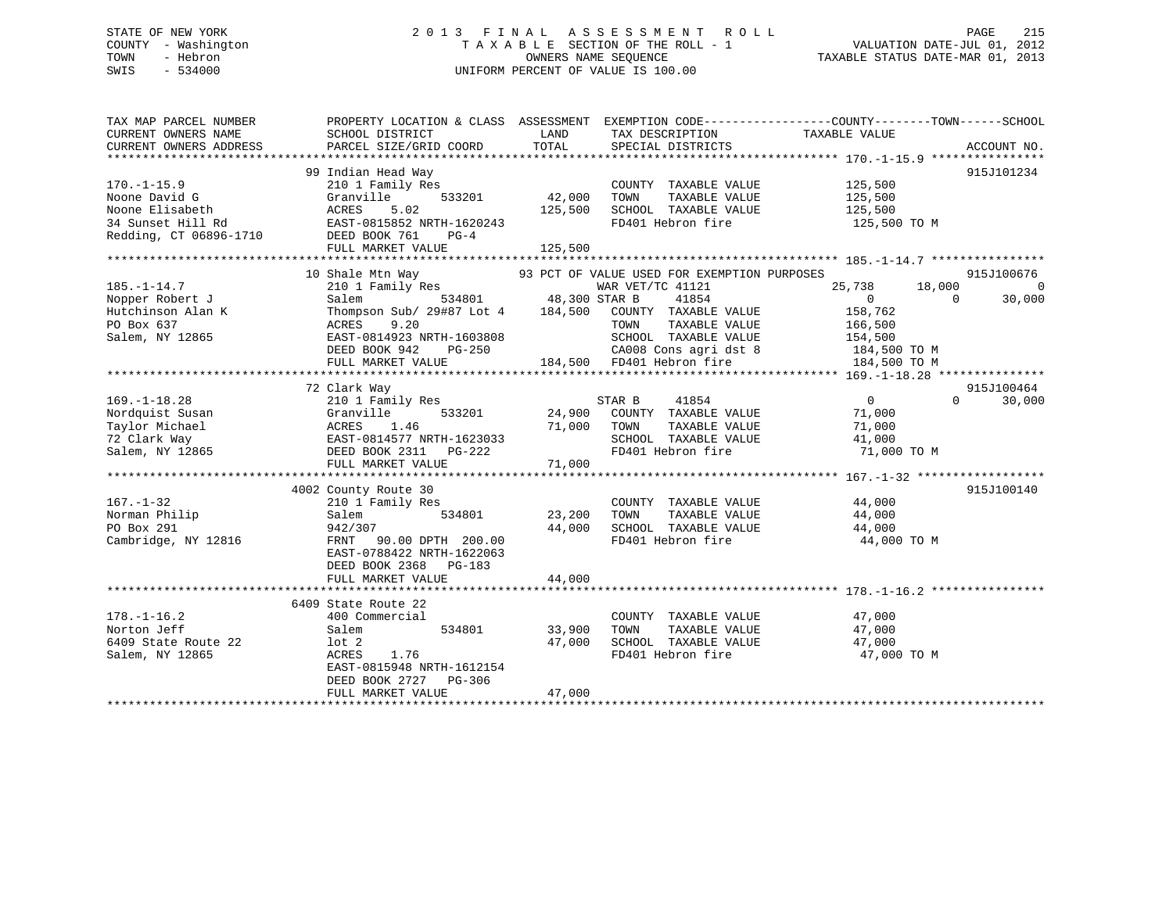## STATE OF NEW YORK 2 0 1 3 F I N A L A S S E S S M E N T R O L L PAGE 215 COUNTY - Washington T A X A B L E SECTION OF THE ROLL - 1 VALUATION DATE-JUL 01, 2012 TOWN - Hebron OWNERS NAME SEQUENCE TAXABLE STATUS DATE-MAR 01, 2013 SWIS - 534000 UNIFORM PERCENT OF VALUE IS 100.00

| TAX MAP PARCEL NUMBER<br>CURRENT OWNERS NAME<br>CURRENT OWNERS ADDRESS                     | PROPERTY LOCATION & CLASS ASSESSMENT EXEMPTION CODE----------------COUNTY-------TOWN-----SCHOOL<br>SCHOOL DISTRICT<br>PARCEL SIZE/GRID COORD                                     | LAND<br>TOTAL                       | TAX DESCRIPTION<br>SPECIAL DISTRICTS                                                                                                                       | TAXABLE VALUE                                                                  | ACCOUNT NO.                            |
|--------------------------------------------------------------------------------------------|----------------------------------------------------------------------------------------------------------------------------------------------------------------------------------|-------------------------------------|------------------------------------------------------------------------------------------------------------------------------------------------------------|--------------------------------------------------------------------------------|----------------------------------------|
| $170. - 1 - 15.9$<br>Noone David G<br>Noone Elisabeth<br>34 Sunset Hill Rd                 | 99 Indian Head Way<br>210 1 Family Res<br>Granville<br>533201<br>ACRES<br>5.02<br>EAST-0815852 NRTH-1620243                                                                      | 42,000<br>125,500                   | COUNTY TAXABLE VALUE<br>TAXABLE VALUE<br>TOWN<br>SCHOOL TAXABLE VALUE<br>FD401 Hebron fire                                                                 | 125,500<br>125,500<br>125,500                                                  | 915J101234                             |
| Redding, CT 06896-1710 DEED BOOK 761                                                       | PG-4<br>FULL MARKET VALUE                                                                                                                                                        | 125,500                             |                                                                                                                                                            | 125,500 TO M                                                                   |                                        |
|                                                                                            |                                                                                                                                                                                  |                                     |                                                                                                                                                            |                                                                                |                                        |
| $185. - 1 - 14.7$<br>Nopper Robert J<br>Hutchinson Alan K<br>PO Box 637<br>Salem, NY 12865 | 10 Shale Mtn Way<br>210 1 Family Res<br>Salem<br>Thompson Sub/ 29#87 Lot 4 184,500 COUNTY TAXABLE VALUE<br>ACRES<br>9.20<br>EAST-0814923 NRTH-1603808<br>DEED BOOK 942<br>PG-250 | $\overline{1}$ 534801 48,300 STAR B | 93 PCT OF VALUE USED FOR EXEMPTION PURPOSES<br>WAR VET/TC 41121<br>41854<br>TOWN<br>TAXABLE VALUE<br>SCHOOL TAXABLE VALUE 154,500<br>CA008 Cons agri dst 8 | 25,738<br>18,000<br>$\Omega$<br>$\Omega$<br>158,762<br>166,500<br>184,500 TO M | 915J100676<br>$\overline{0}$<br>30,000 |
|                                                                                            | FULL MARKET VALUE                                                                                                                                                                |                                     | 184,500 FD401 Hebron fire                                                                                                                                  | 184,500 TO M                                                                   |                                        |
|                                                                                            |                                                                                                                                                                                  |                                     |                                                                                                                                                            |                                                                                |                                        |
| $169. - 1 - 18.28$<br>Nordquist Susan<br>Taylor Michael<br>72 Clark Way<br>Salem, NY 12865 | 72 Clark Way<br>210 1 Family Res<br>Granville<br>533201<br>ACRES<br>1.46<br>EAST-0814577 NRTH-1623033<br>DEED BOOK 2311 PG-222<br>FULL MARKET VALUE                              | 24,900<br>71,000<br>71,000          | STAR B<br>41854<br>COUNTY TAXABLE VALUE<br>TOWN<br>TAXABLE VALUE<br>SCHOOL TAXABLE VALUE<br>FD401 Hebron fire                                              | $\overline{0}$<br>$\Omega$<br>71,000<br>71,000<br>41,000<br>71,000 TO M        | 915J100464<br>30,000                   |
|                                                                                            |                                                                                                                                                                                  |                                     |                                                                                                                                                            |                                                                                |                                        |
| $167. - 1 - 32$<br>Norman Philip<br>PO Box 291<br>Cambridge, NY 12816                      | 4002 County Route 30<br>210 1 Family Res<br>534801<br>Salem<br>942/307<br>FRNT 90.00 DPTH 200.00<br>EAST-0788422 NRTH-1622063<br>DEED BOOK 2368 PG-183                           | 23,200<br>44,000                    | COUNTY TAXABLE VALUE<br>TOWN<br>TAXABLE VALUE<br>SCHOOL TAXABLE VALUE 44,000<br>FD401 Hebron fire                                                          | 44,000<br>44,000<br>44,000 TO M                                                | 915J100140                             |
|                                                                                            | FULL MARKET VALUE                                                                                                                                                                | 44,000                              |                                                                                                                                                            |                                                                                |                                        |
|                                                                                            |                                                                                                                                                                                  |                                     |                                                                                                                                                            |                                                                                |                                        |
| $178. - 1 - 16.2$<br>Norton Jeff<br>6409 State Route 22<br>Salem, NY 12865                 | 6409 State Route 22<br>400 Commercial<br>Salem<br>534801<br>lot <sub>2</sub><br>ACRES<br>1.76<br>EAST-0815948 NRTH-1612154<br>DEED BOOK 2727 PG-306<br>FULL MARKET VALUE         | 33,900<br>47,000<br>47,000          | COUNTY TAXABLE VALUE<br>TAXABLE VALUE<br>TOWN<br>SCHOOL TAXABLE VALUE<br>FD401 Hebron fire                                                                 | 47,000<br>47,000<br>47,000<br>47,000 TO M                                      |                                        |
|                                                                                            |                                                                                                                                                                                  |                                     |                                                                                                                                                            |                                                                                |                                        |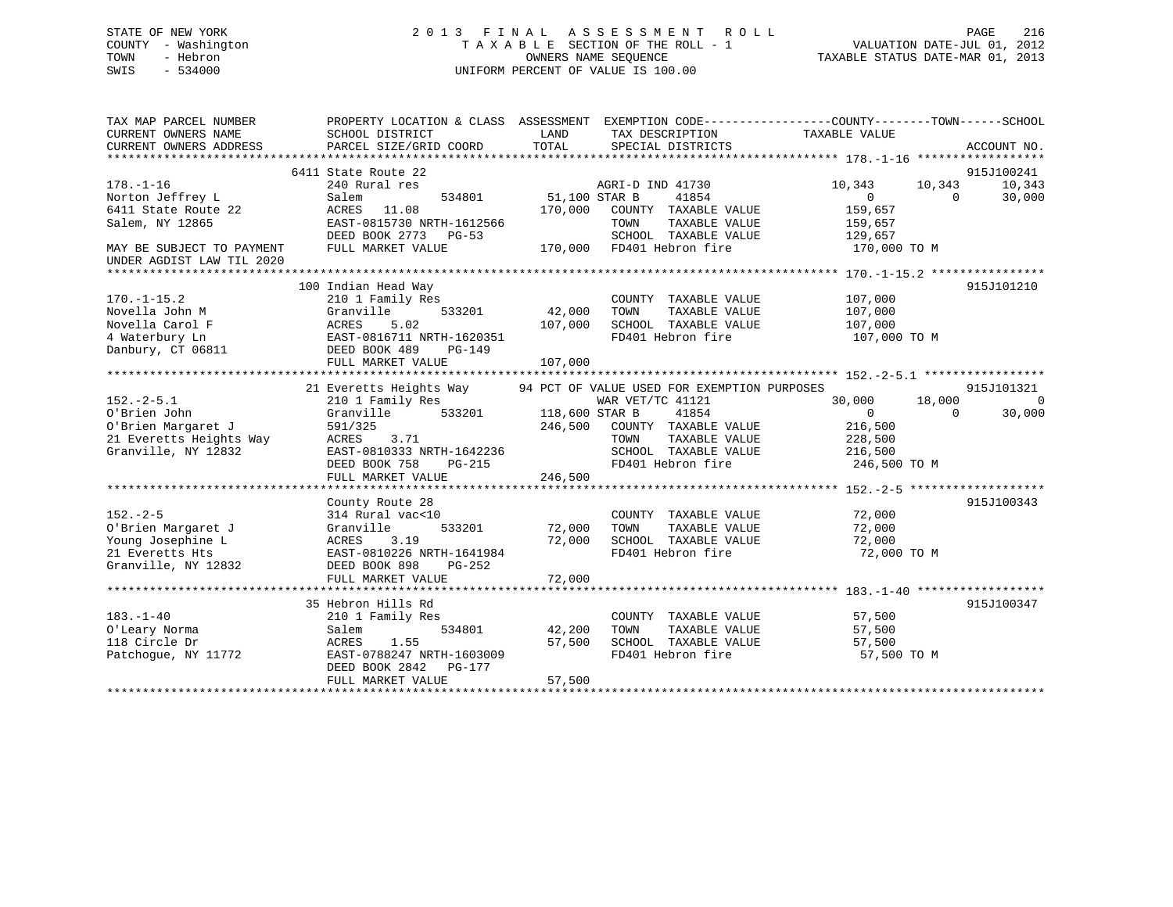## STATE OF NEW YORK 2 0 1 3 F I N A L A S S E S S M E N T R O L L PAGE 216 COUNTY - Washington T A X A B L E SECTION OF THE ROLL - 1 VALUATION DATE-JUL 01, 2012 TOWN - Hebron OWNERS NAME SEQUENCE TAXABLE STATUS DATE-MAR 01, 2013 SWIS - 534000 UNIFORM PERCENT OF VALUE IS 100.00

| TAX MAP PARCEL NUMBER<br>CURRENT OWNERS NAME<br>CURRENT OWNERS ADDRESS                                                     | SCHOOL DISTRICT<br>PARCEL SIZE/GRID COORD                                                                                                                                   | PROPERTY LOCATION & CLASS ASSESSMENT EXEMPTION CODE---------------COUNTY-------TOWN-----SCHOOL<br>LAND<br>TAX DESCRIPTION<br>TOTAL<br>SPECIAL DISTRICTS                                                     | TAXABLE VALUE<br>ACCOUNT NO.                                                                                                        |
|----------------------------------------------------------------------------------------------------------------------------|-----------------------------------------------------------------------------------------------------------------------------------------------------------------------------|-------------------------------------------------------------------------------------------------------------------------------------------------------------------------------------------------------------|-------------------------------------------------------------------------------------------------------------------------------------|
| $178. - 1 - 16$<br>Norton Jeffrey L<br>6411 State Route 22<br>Salem, NY 12865<br>MAY BE SUBJECT TO PAYMENT                 | 6411 State Route 22<br>240 Rural res<br>534801<br>Salem<br>ACRES 11.08<br>EAST-0815730 NRTH-1612566<br>DEED BOOK 2773 PG-53<br>FULL MARKET VALUE                            | AGRI-D IND 41730<br>51,100 STAR B<br>41854<br>170,000<br>COUNTY TAXABLE VALUE<br>TAXABLE VALUE<br>TOWN<br>SCHOOL TAXABLE VALUE<br>170,000 FD401 Hebron fire                                                 | 915J100241<br>10,343<br>10,343<br>10,343<br>$\overline{0}$<br>30,000<br>$\bigcirc$<br>159,657<br>159,657<br>129,657<br>170,000 TO M |
| UNDER AGDIST LAW TIL 2020<br>$170. - 1 - 15.2$<br>Novella John M<br>Novella Carol F<br>4 Waterbury Ln<br>Danbury, CT 06811 | 100 Indian Head Way<br>210 1 Family Res<br>533201<br>Granville<br>5.02<br>ACRES<br>EAST-0816711 NRTH-1620351<br>DEED BOOK 489<br>$PG-149$<br>FULL MARKET VALUE              | COUNTY TAXABLE VALUE<br>42,000<br>TAXABLE VALUE<br>TOWN<br>107,000<br>SCHOOL TAXABLE VALUE<br>FD401 Hebron fire<br>107,000                                                                                  | 915J101210<br>107,000<br>107,000<br>107,000<br>107,000 TO M                                                                         |
| $152 - 2 - 5.1$<br>O'Brien John<br>O'Brien Margaret J<br>21 Everetts Heights Way<br>Granville, NY 12832                    | 21 Everetts Heights Way<br>210 1 Family Res<br>533201<br>Granville<br>591/325<br>3.71<br>ACRES<br>EAST-0810333 NRTH-1642236<br>PG-215<br>DEED BOOK 758<br>FULL MARKET VALUE | 94 PCT OF VALUE USED FOR EXEMPTION PURPOSES<br>WAR VET/TC 41121<br>118,600 STAR B<br>41854<br>246,500 COUNTY TAXABLE VALUE<br>TOWN<br>TAXABLE VALUE<br>SCHOOL TAXABLE VALUE<br>FD401 Hebron fire<br>246,500 | 915J101321<br>18,000<br>30,000<br>$\Omega$<br>$\overline{0}$<br>30,000<br>$\Omega$<br>216,500<br>228,500<br>216,500<br>246,500 TO M |
| $152 - 2 - 5$<br>O'Brien Margaret J<br>Young Josephine L<br>21 Everetts Hts<br>Granville, NY 12832                         | County Route 28<br>314 Rural vac<10<br>533201<br>Granville<br>3.19<br>ACRES<br>EAST-0810226 NRTH-1641984<br>DEED BOOK 898<br>PG-252<br>FULL MARKET VALUE                    | COUNTY TAXABLE VALUE<br>72,000<br>TOWN<br>TAXABLE VALUE<br>72,000<br>SCHOOL TAXABLE VALUE<br>FD401 Hebron fire<br>72,000                                                                                    | 915J100343<br>72,000<br>72,000<br>72,000<br>72,000 TO M                                                                             |
| $183. - 1 - 40$<br>O'Leary Norma<br>118 Circle Dr<br>Patchogue, NY 11772                                                   | 35 Hebron Hills Rd<br>210 1 Family Res<br>534801<br>Salem<br>1.55<br>ACRES<br>EAST-0788247 NRTH-1603009<br>DEED BOOK 2842<br>PG-177<br>FULL MARKET VALUE                    | COUNTY TAXABLE VALUE<br>42,200<br>TOWN<br>TAXABLE VALUE<br>57,500<br>SCHOOL TAXABLE VALUE<br>FD401 Hebron fire<br>57,500                                                                                    | 915J100347<br>57,500<br>57,500<br>57,500<br>57,500 TO M                                                                             |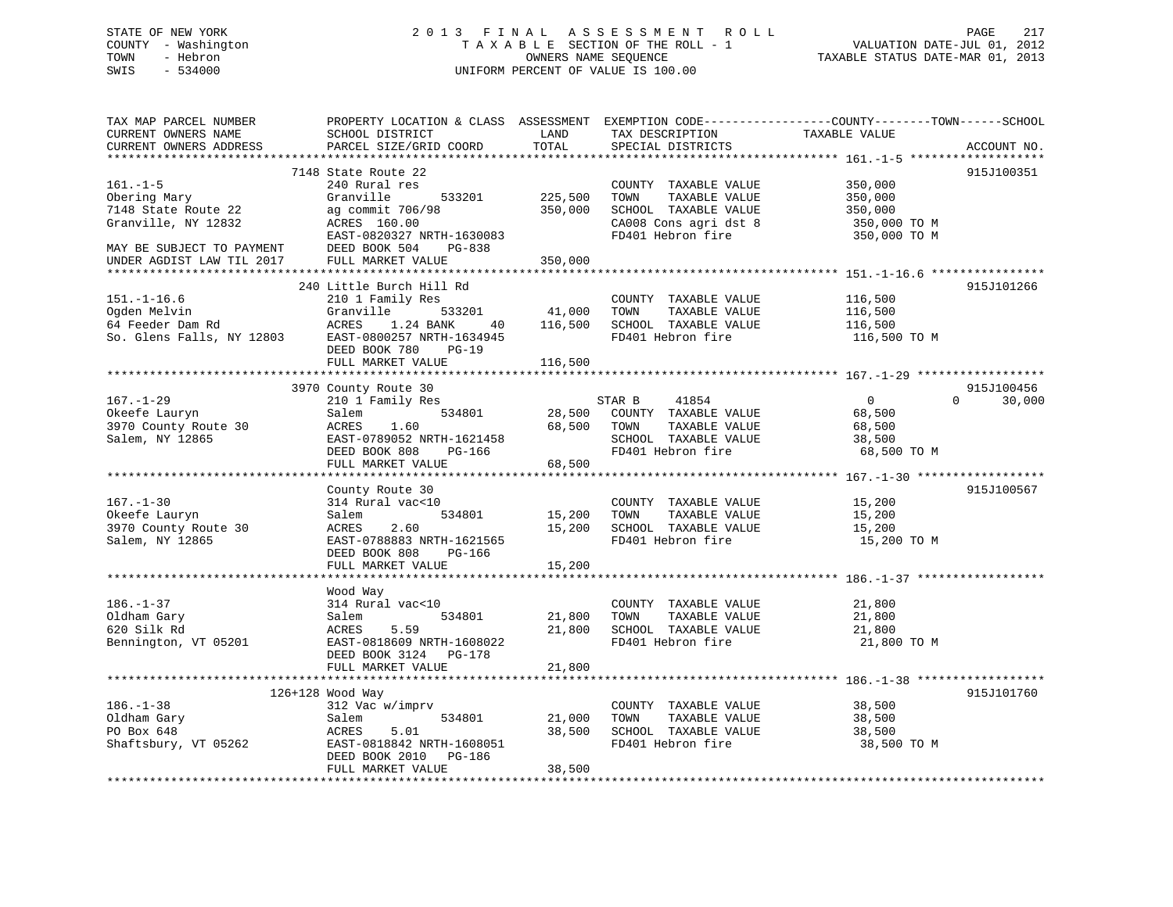# STATE OF NEW YORK 2 0 1 3 F I N A L A S S E S S M E N T R O L L PAGE 217 COUNTY - Washington T A X A B L E SECTION OF THE ROLL - 1 VALUATION DATE-JUL 01, 2012 TOWN - Hebron OWNERS NAME SEQUENCE TAXABLE STATUS DATE-MAR 01, 2013 SWIS - 534000 UNIFORM PERCENT OF VALUE IS 100.00

| TAX MAP PARCEL NUMBER<br>CURRENT OWNERS NAME<br>CURRENT OWNERS ADDRESS<br>*************************                                    | PROPERTY LOCATION & CLASS ASSESSMENT<br>SCHOOL DISTRICT<br>PARCEL SIZE/GRID COORD                                                                                                                             | LAND<br>TOTAL                                             | TAX DESCRIPTION<br>SPECIAL DISTRICTS                                                                                | EXEMPTION CODE-----------------COUNTY-------TOWN------SCHOOL<br>TAXABLE VALUE | ACCOUNT NO.                      |
|----------------------------------------------------------------------------------------------------------------------------------------|---------------------------------------------------------------------------------------------------------------------------------------------------------------------------------------------------------------|-----------------------------------------------------------|---------------------------------------------------------------------------------------------------------------------|-------------------------------------------------------------------------------|----------------------------------|
| $161. - 1 - 5$<br>Obering Mary<br>7148 State Route 22<br>Granville, NY 12832<br>MAY BE SUBJECT TO PAYMENT<br>UNDER AGDIST LAW TIL 2017 | 7148 State Route 22<br>240 Rural res<br>Granville<br>533201<br>ag commit 706/98<br>ACRES 160.00<br>EAST-0820327 NRTH-1630083<br>DEED BOOK 504<br>PG-838<br>FULL MARKET VALUE                                  | 225,500<br>350,000<br>350,000                             | COUNTY TAXABLE VALUE<br>TAXABLE VALUE<br>TOWN<br>SCHOOL TAXABLE VALUE<br>CA008 Cons agri dst 8<br>FD401 Hebron fire | 350,000<br>350,000<br>350,000<br>350,000 TO M<br>350,000 TO M                 | 915J100351                       |
| $151. - 1 - 16.6$<br>Ogden Melvin<br>64 Feeder Dam Rd<br>So. Glens Falls, NY 12803                                                     | 240 Little Burch Hill Rd<br>210 1 Family Res<br>Granville<br>533201<br>ACRES<br>1.24 BANK<br>40<br>EAST-0800257 NRTH-1634945<br>DEED BOOK 780<br>$PG-19$<br>FULL MARKET VALUE<br>**************************** | 41,000<br>116,500<br>116,500<br>* * * * * * * * * * * * * | COUNTY TAXABLE VALUE<br>TOWN<br>TAXABLE VALUE<br>SCHOOL TAXABLE VALUE<br>FD401 Hebron fire                          | 116,500<br>116,500<br>116,500<br>116,500 TO M                                 | 915J101266                       |
| $167. - 1 - 29$<br>Okeefe Lauryn<br>3970 County Route 30<br>Salem, NY 12865                                                            | 3970 County Route 30<br>210 1 Family Res<br>534801<br>Salem<br>1.60<br>ACRES<br>EAST-0789052 NRTH-1621458<br>DEED BOOK 808<br>PG-166<br>FULL MARKET VALUE                                                     | 28,500<br>68,500<br>68,500                                | 41854<br>STAR B<br>COUNTY TAXABLE VALUE<br>TAXABLE VALUE<br>TOWN<br>SCHOOL TAXABLE VALUE<br>FD401 Hebron fire       | $\overline{0}$<br>68,500<br>68,500<br>38,500<br>68,500 TO M                   | 915J100456<br>$\Omega$<br>30,000 |
| $167. - 1 - 30$<br>Okeefe Lauryn<br>3970 County Route 30<br>Salem, NY 12865                                                            | County Route 30<br>314 Rural vac<10<br>Salem<br>534801<br>2.60<br>ACRES<br>EAST-0788883 NRTH-1621565<br>DEED BOOK 808<br>PG-166<br>FULL MARKET VALUE<br>*****************************                         | 15,200<br>15,200<br>15,200                                | COUNTY TAXABLE VALUE<br>TAXABLE VALUE<br>TOWN<br>SCHOOL TAXABLE VALUE<br>FD401 Hebron fire                          | 15,200<br>15,200<br>15,200<br>15,200 TO M                                     | 915J100567                       |
| $186. - 1 - 37$<br>Oldham Gary<br>620 Silk Rd<br>Bennington, VT 05201                                                                  | Wood Way<br>314 Rural vac<10<br>534801<br>Salem<br>5.59<br>ACRES<br>EAST-0818609 NRTH-1608022<br>DEED BOOK 3124 PG-178<br>FULL MARKET VALUE                                                                   | 21,800<br>21,800<br>21,800                                | COUNTY TAXABLE VALUE<br>TOWN<br>TAXABLE VALUE<br>SCHOOL TAXABLE VALUE<br>FD401 Hebron fire                          | 21,800<br>21,800<br>21,800<br>21,800 TO M                                     |                                  |
| $186. - 1 - 38$<br>Oldham Gary<br>PO Box 648<br>Shaftsbury, VT 05262                                                                   | 126+128 Wood Way<br>312 Vac w/imprv<br>Salem<br>534801<br>5.01<br>ACRES<br>EAST-0818842 NRTH-1608051<br>DEED BOOK 2010 PG-186<br>FULL MARKET VALUE                                                            | 21,000<br>38,500<br>38,500                                | COUNTY TAXABLE VALUE<br>TOWN<br>TAXABLE VALUE<br>SCHOOL TAXABLE VALUE<br>FD401 Hebron fire                          | 38,500<br>38,500<br>38,500<br>38,500 TO M                                     | 915J101760                       |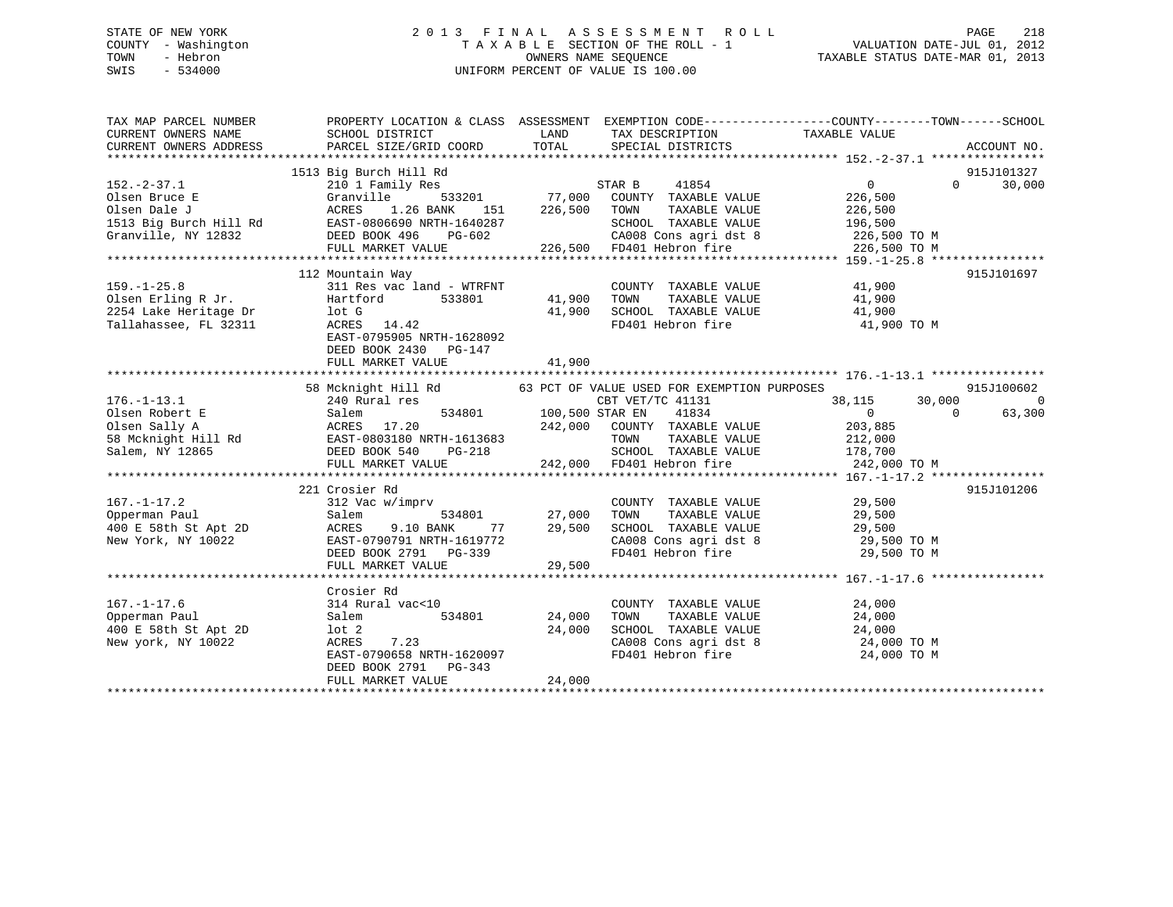# STATE OF NEW YORK 2 0 1 3 F I N A L A S S E S S M E N T R O L L PAGE 218 COUNTY - Washington T A X A B L E SECTION OF THE ROLL - 1 VALUATION DATE-JUL 01, 2012 TOWN - Hebron OWNERS NAME SEQUENCE TAXABLE STATUS DATE-MAR 01, 2013 SWIS - 534000 UNIFORM PERCENT OF VALUE IS 100.00

| TAX MAP PARCEL NUMBER      |                                                                              |                                                                                                                                                                                                                                                          | PROPERTY LOCATION & CLASS ASSESSMENT EXEMPTION CODE---------------COUNTY-------TOWN-----SCHOOL                                                         |
|----------------------------|------------------------------------------------------------------------------|----------------------------------------------------------------------------------------------------------------------------------------------------------------------------------------------------------------------------------------------------------|--------------------------------------------------------------------------------------------------------------------------------------------------------|
| CURRENT OWNERS NAME        | SCHOOL DISTRICT                                                              | LAND TAX DESCRIPTION                                                                                                                                                                                                                                     |                                                                                                                                                        |
| CURRENT OWNERS ADDRESS     | PARCEL SIZE/GRID COORD                                                       |                                                                                                                                                                                                                                                          | ACCOUNT NO.                                                                                                                                            |
|                            |                                                                              |                                                                                                                                                                                                                                                          |                                                                                                                                                        |
|                            | 1513 Big Burch Hill Rd                                                       |                                                                                                                                                                                                                                                          | 915J101327                                                                                                                                             |
| $152.-2-37.1$              | 210 1 Family Res                                                             |                                                                                                                                                                                                                                                          | $\begin{array}{c} 0 \ 226 \, , 500 \end{array}$<br>30,000<br>$0 \qquad \qquad$                                                                         |
|                            |                                                                              |                                                                                                                                                                                                                                                          |                                                                                                                                                        |
|                            |                                                                              |                                                                                                                                                                                                                                                          |                                                                                                                                                        |
|                            |                                                                              |                                                                                                                                                                                                                                                          |                                                                                                                                                        |
|                            |                                                                              |                                                                                                                                                                                                                                                          |                                                                                                                                                        |
|                            |                                                                              |                                                                                                                                                                                                                                                          |                                                                                                                                                        |
|                            |                                                                              |                                                                                                                                                                                                                                                          | 915J101697                                                                                                                                             |
|                            |                                                                              | COUNTY TAXABLE VALUE 41,900                                                                                                                                                                                                                              |                                                                                                                                                        |
|                            |                                                                              |                                                                                                                                                                                                                                                          |                                                                                                                                                        |
|                            |                                                                              |                                                                                                                                                                                                                                                          |                                                                                                                                                        |
|                            |                                                                              | 41,900 TOWN TAXABLE VALUE 41,900<br>41,900 SCHOOL TAXABLE VALUE 41,900<br>FD401 Hebron fire 41,900 TO M                                                                                                                                                  |                                                                                                                                                        |
|                            |                                                                              |                                                                                                                                                                                                                                                          |                                                                                                                                                        |
|                            | DEED BOOK 2430 PG-147                                                        |                                                                                                                                                                                                                                                          |                                                                                                                                                        |
|                            | FULL MARKET VALUE                                                            | 41,900                                                                                                                                                                                                                                                   |                                                                                                                                                        |
|                            |                                                                              |                                                                                                                                                                                                                                                          |                                                                                                                                                        |
|                            |                                                                              | 58 Mcknight Hill Rd 63 PCT OF VALUE USED FOR EXEMPTION PURPOSES<br>240 Rural res 63 PCT OF VET/TC 41131                                                                                                                                                  | 915J100602                                                                                                                                             |
| $176. - 1 - 13.1$          | 240 Rural res                                                                | CBT VET/TC 41131<br>176.-1-13.1 240 Kurai 188 234801 100,500 STAR EN 41834 0<br>100,500 STAR EN 41834 0<br>2018 Bolden Sally A ACRES 17.20 242,000 COUNTY TAXABLE VALUE 203,885<br>58 McKnight Hill Rd EAST-0803180 NRTH-1613683 TOWN TAXABLE VALUE 212, | 38,115<br>30,000<br>$\overline{\phantom{0}}$                                                                                                           |
|                            |                                                                              |                                                                                                                                                                                                                                                          | 63,300<br>$\overline{0}$                                                                                                                               |
|                            |                                                                              |                                                                                                                                                                                                                                                          |                                                                                                                                                        |
|                            |                                                                              |                                                                                                                                                                                                                                                          |                                                                                                                                                        |
|                            |                                                                              |                                                                                                                                                                                                                                                          |                                                                                                                                                        |
|                            |                                                                              |                                                                                                                                                                                                                                                          |                                                                                                                                                        |
|                            | 221 Crosier Rd                                                               |                                                                                                                                                                                                                                                          | 915J101206                                                                                                                                             |
|                            |                                                                              |                                                                                                                                                                                                                                                          |                                                                                                                                                        |
|                            |                                                                              | COUNTY TAXABLE VALUE 29,500<br>TOWN TAXABLE VALUE 29,500<br>TOWN TAXABLE VALUE 29,500<br>COUNT 534801 27,000 TOWN                                                                                                                                        |                                                                                                                                                        |
|                            |                                                                              | $77$ 29,500                                                                                                                                                                                                                                              |                                                                                                                                                        |
|                            | سمعاء - 1779/1910 NRTH-1619772<br>DEED BOOK 2791 PG-339<br>FULI MARKET VALUE |                                                                                                                                                                                                                                                          | SCHOOL TAXABLE VALUE 29,500<br>CA008 Cons agri dst 8 29,500 TO M<br>FD401 Hebron fire 29,500 TO M                                                      |
|                            |                                                                              |                                                                                                                                                                                                                                                          |                                                                                                                                                        |
|                            |                                                                              |                                                                                                                                                                                                                                                          |                                                                                                                                                        |
|                            |                                                                              |                                                                                                                                                                                                                                                          |                                                                                                                                                        |
|                            | Crosier Rd                                                                   |                                                                                                                                                                                                                                                          |                                                                                                                                                        |
| $167. - 1 - 17.6$          | $314$ Rural vac<10<br>314 Rui<br>Salem                                       |                                                                                                                                                                                                                                                          |                                                                                                                                                        |
| Opperman Paul              |                                                                              | 534801 24,000                                                                                                                                                                                                                                            |                                                                                                                                                        |
| 400 E 58th St Apt 2D lot 2 | $7.23$ $24,000$                                                              |                                                                                                                                                                                                                                                          |                                                                                                                                                        |
| New york, NY 10022         | ACRES 7.23<br>EAST-0790658 NRTH-1620097                                      |                                                                                                                                                                                                                                                          |                                                                                                                                                        |
|                            |                                                                              |                                                                                                                                                                                                                                                          | COUNTY TAXABLE VALUE<br>TOWN TAXABLE VALUE 24,000<br>SCHOOL TAXABLE VALUE 24,000<br>CA008 Cons agri dst 8 24,000 TO M<br>FD401 Hebron fire 24,000 TO M |
|                            | DEED BOOK 2791 PG-343                                                        |                                                                                                                                                                                                                                                          |                                                                                                                                                        |
|                            |                                                                              | 24,000 کاملات سے مسلسلہ 24,000 کاملاتی ہے۔<br>FULL MAKET VALUE 24,000 24,000 پیلام پر 1988 میں پر 1988 کی جو 1981 کی جو 1988 کی جو 1988 کی جو 1988 کی جائے ہ                                                                                             |                                                                                                                                                        |
|                            |                                                                              |                                                                                                                                                                                                                                                          |                                                                                                                                                        |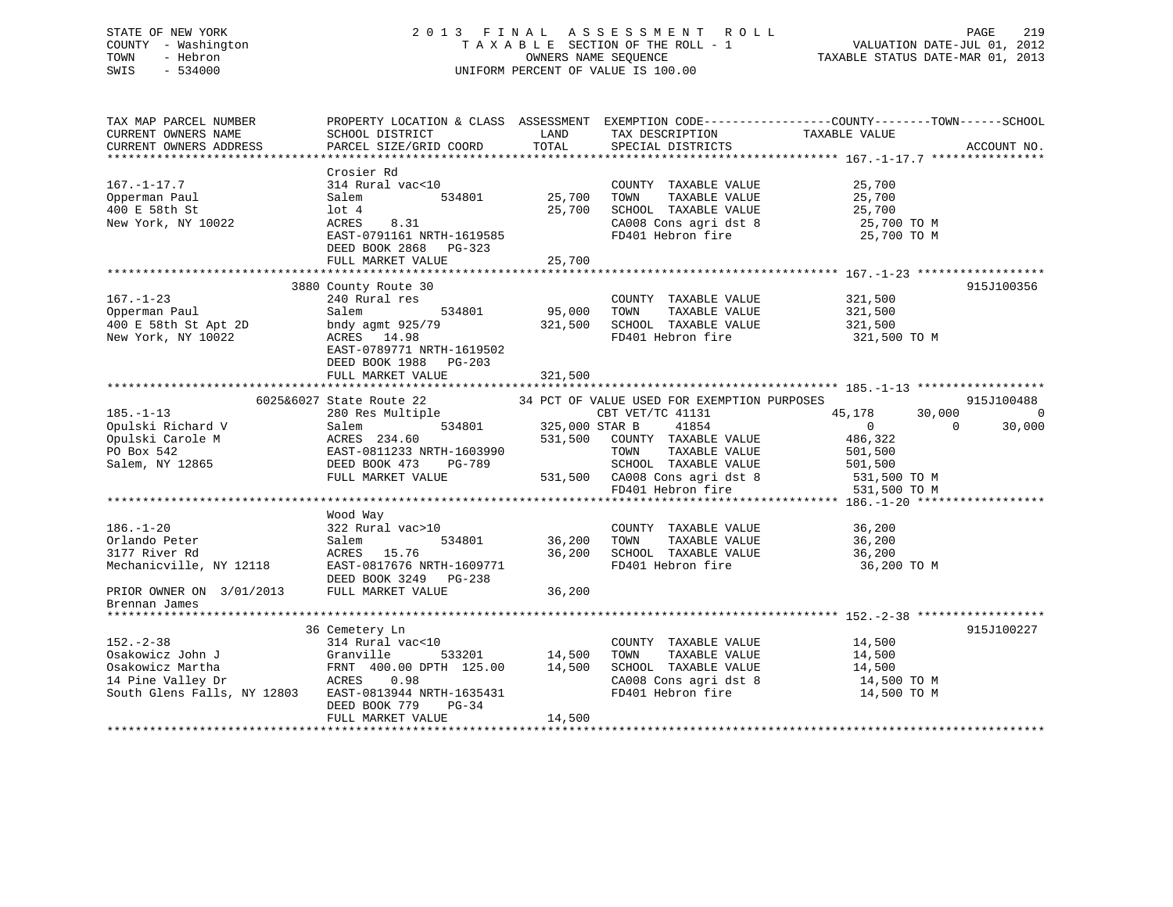# STATE OF NEW YORK 2 0 1 3 F I N A L A S S E S S M E N T R O L L PAGE 219 COUNTY - Washington T A X A B L E SECTION OF THE ROLL - 1 VALUATION DATE-JUL 01, 2012 TOWN - Hebron OWNERS NAME SEQUENCE TAXABLE STATUS DATE-MAR 01, 2013 SWIS - 534000 UNIFORM PERCENT OF VALUE IS 100.00

| TAX MAP PARCEL NUMBER<br>CURRENT OWNERS NAME<br>CURRENT OWNERS ADDRESS         | SCHOOL DISTRICT<br>PARCEL SIZE/GRID COORD                                                                                                                   | LAND<br>TOTAL              | TAX DESCRIPTION TAXABLE VALUE SPECIAL DISTRICTS<br>SPECIAL DISTRICTS                                                | PROPERTY LOCATION & CLASS ASSESSMENT EXEMPTION CODE----------------COUNTY-------TOWN------SCHOOL | ACCOUNT NO. |
|--------------------------------------------------------------------------------|-------------------------------------------------------------------------------------------------------------------------------------------------------------|----------------------------|---------------------------------------------------------------------------------------------------------------------|--------------------------------------------------------------------------------------------------|-------------|
| $167. - 1 - 17.7$<br>Opperman Paul<br>400 E 58th St<br>New York, NY 10022      | Crosier Rd<br>314 Rural vac<10<br>534801<br>Salem<br>$1$ ot $4$<br>8.31<br>ACRES<br>EAST-0791161 NRTH-1619585<br>DEED BOOK 2868 PG-323<br>FULL MARKET VALUE | 25,700<br>25,700<br>25,700 | COUNTY TAXABLE VALUE<br>TAXABLE VALUE<br>TOWN<br>SCHOOL TAXABLE VALUE<br>CA008 Cons agri dst 8<br>FD401 Hebron fire | 25,700<br>25,700<br>25,700<br>25,700 TO M<br>25,700 TO M                                         |             |
|                                                                                | 3880 County Route 30                                                                                                                                        |                            |                                                                                                                     |                                                                                                  | 915J100356  |
| $167. - 1 - 23$<br>Opperman Paul<br>400 E 58th St Apt 2D<br>New York, NY 10022 | 240 Rural res<br>Salem<br>534801<br>bndy agmt 925/79<br>ACRES 14.98<br>EAST-0789771 NRTH-1619502<br>DEED BOOK 1988 PG-203                                   | 95,000<br>321,500          | COUNTY TAXABLE VALUE<br>TOWN<br>TAXABLE VALUE<br>SCHOOL TAXABLE VALUE<br>FD401 Hebron fire                          | 321,500<br>321,500<br>321,500<br>321,500 TO M                                                    |             |
|                                                                                | FULL MARKET VALUE                                                                                                                                           | 321,500                    |                                                                                                                     |                                                                                                  |             |
|                                                                                | 6025&6027 State Route 22                                                                                                                                    |                            | 34 PCT OF VALUE USED FOR EXEMPTION PURPOSES                                                                         |                                                                                                  | 915J100488  |
| $185. - 1 - 13$                                                                | State Route 22 34 PCT OF VALUE US<br>280 Res Multiple CBT VET<br>Salem 534801 325,000 STAR B                                                                |                            | CBT VET/TC 41131                                                                                                    | 45,178<br>30,000                                                                                 | $\Omega$    |
| Opulski Richard V                                                              |                                                                                                                                                             |                            | 41854                                                                                                               | $\overline{0}$<br>$\Omega$                                                                       | 30,000      |
| Opulski Carole M                                                               |                                                                                                                                                             |                            | 531,500 COUNTY TAXABLE VALUE                                                                                        | 486,322                                                                                          |             |
| PO Box 542                                                                     | EAST-0811233 NRTH-1603990                                                                                                                                   |                            | TAXABLE VALUE<br>TOWN                                                                                               | 501,500                                                                                          |             |
| Salem, NY 12865                                                                | PG-789                                                                                                                                                      |                            | SCHOOL TAXABLE VALUE                                                                                                | 501,500                                                                                          |             |
|                                                                                | FULL MARKET VALUE                                                                                                                                           |                            | 531,500 CA008 Cons agri dst 8                                                                                       | 531,500 TO M                                                                                     |             |
|                                                                                |                                                                                                                                                             |                            | FD401 Hebron fire                                                                                                   | 531,500 TO M                                                                                     |             |
|                                                                                |                                                                                                                                                             |                            |                                                                                                                     |                                                                                                  |             |
| $186. - 1 - 20$                                                                | Wood Way<br>322 Rural vac>10                                                                                                                                |                            | COUNTY TAXABLE VALUE                                                                                                | 36,200                                                                                           |             |
| Orlando Peter                                                                  | Salem<br>534801                                                                                                                                             | 36,200                     | TOWN<br>TAXABLE VALUE                                                                                               | 36,200                                                                                           |             |
| 3177 River Rd                                                                  | ACRES 15.76                                                                                                                                                 | 36,200                     | SCHOOL TAXABLE VALUE                                                                                                | 36,200                                                                                           |             |
| Mechanicville, NY 12118                                                        | EAST-0817676 NRTH-1609771<br>DEED BOOK 3249 PG-238                                                                                                          |                            | FD401 Hebron fire                                                                                                   | 36,200 TO M                                                                                      |             |
| PRIOR OWNER ON 3/01/2013 FULL MARKET VALUE                                     |                                                                                                                                                             | 36,200                     |                                                                                                                     |                                                                                                  |             |
| Brennan James                                                                  |                                                                                                                                                             |                            |                                                                                                                     |                                                                                                  |             |
| *****************                                                              |                                                                                                                                                             |                            |                                                                                                                     |                                                                                                  |             |
|                                                                                | 36 Cemetery Ln                                                                                                                                              |                            |                                                                                                                     |                                                                                                  | 915J100227  |
| $152 - 2 - 38$                                                                 | 314 Rural vac<10                                                                                                                                            |                            | COUNTY TAXABLE VALUE                                                                                                | 14,500                                                                                           |             |
| Osakowicz John J                                                               | Granville                                                                                                                                                   | 533201 14,500              | TAXABLE VALUE<br>TOWN                                                                                               | 14,500                                                                                           |             |
| Osakowicz Martha<br>ACRES                                                      | FRNT 400.00 DPTH 125.00                                                                                                                                     | 14,500                     | SCHOOL TAXABLE VALUE                                                                                                | 14,500                                                                                           |             |
| 14 Pine Valley Dr                                                              | 0.98                                                                                                                                                        |                            | CA008 Cons agri dst 8                                                                                               | 14,500 TO M                                                                                      |             |
| South Glens Falls, NY 12803                                                    | EAST-0813944 NRTH-1635431<br>DEED BOOK 779<br>$PG-34$                                                                                                       |                            | FD401 Hebron fire                                                                                                   | 14,500 TO M                                                                                      |             |
|                                                                                | FULL MARKET VALUE                                                                                                                                           | 14,500                     |                                                                                                                     |                                                                                                  |             |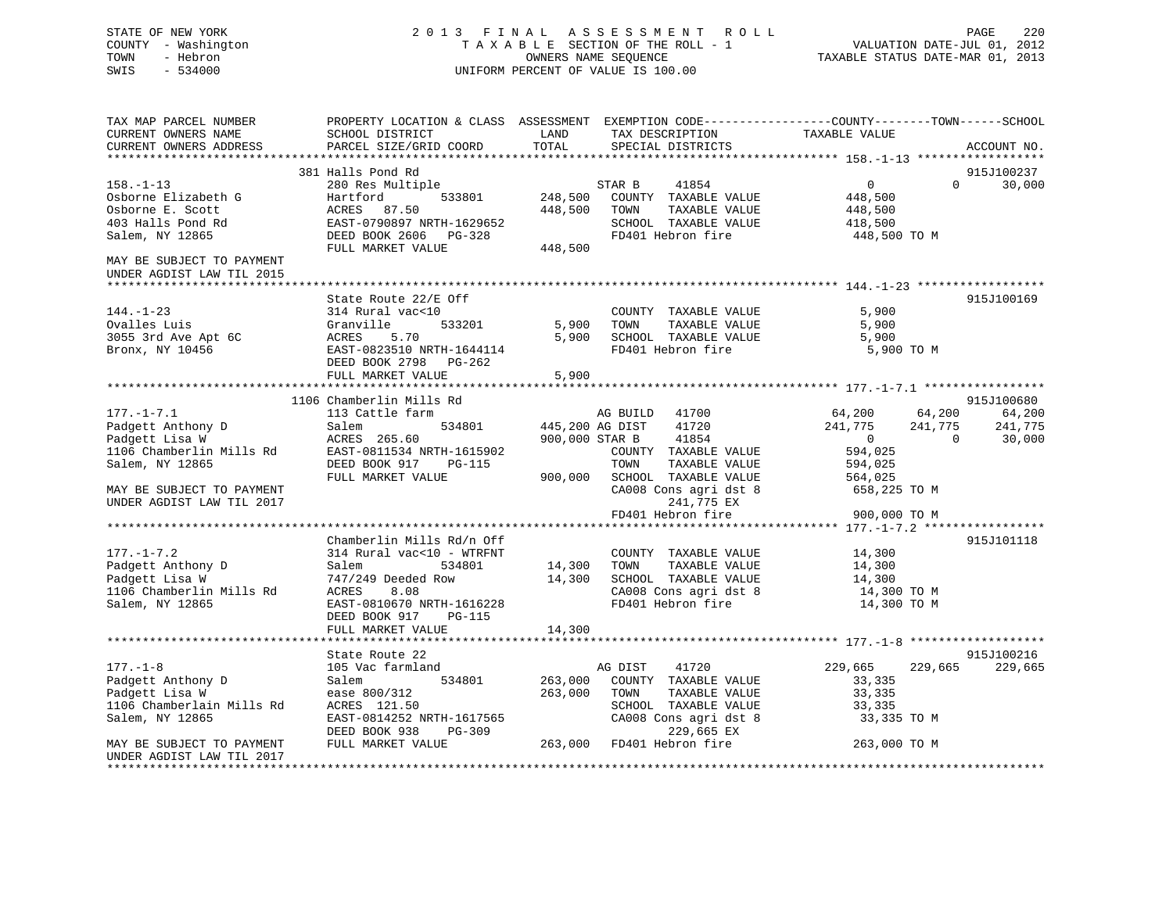# STATE OF NEW YORK 2 0 1 3 F I N A L A S S E S S M E N T R O L L PAGE 220 COUNTY - Washington T A X A B L E SECTION OF THE ROLL - 1 VALUATION DATE-JUL 01, 2012 TOWN - Hebron OWNERS NAME SEQUENCE TAXABLE STATUS DATE-MAR 01, 2013 SWIS - 534000 UNIFORM PERCENT OF VALUE IS 100.00

| TAX MAP PARCEL NUMBER<br>CURRENT OWNERS NAME<br>CURRENT OWNERS ADDRESS                                                                                                                                                                                                            | PROPERTY LOCATION & CLASS ASSESSMENT EXEMPTION CODE---------------COUNTY-------TOWN-----SCHOOL<br>SCHOOL DISTRICT<br>PARCEL SIZE/GRID COORD                                                                      | <b>EXAMPLE THE EXAMPLE THE EXAMPLE THE EXAMPLE THE EXAMPLE THE EXAMPLE THE EXAMPLE THE EXAMPLE THE EXAMPLE THE EXAMPLE THE EXAMPLE THE EXAMPLE THE EXAMPLE THE EXAMPLE THE EXAMPLE THE EXAMPLE THE EXAMPLE THE EXAMPLE THE EXAMP</b><br>TOTAL | TAX DESCRIPTION<br>SPECIAL DISTRICTS                                                                                                                                                                             | TAXABLE VALUE                                                                                                                                               | ACCOUNT NO.                                                 |
|-----------------------------------------------------------------------------------------------------------------------------------------------------------------------------------------------------------------------------------------------------------------------------------|------------------------------------------------------------------------------------------------------------------------------------------------------------------------------------------------------------------|-----------------------------------------------------------------------------------------------------------------------------------------------------------------------------------------------------------------------------------------------|------------------------------------------------------------------------------------------------------------------------------------------------------------------------------------------------------------------|-------------------------------------------------------------------------------------------------------------------------------------------------------------|-------------------------------------------------------------|
|                                                                                                                                                                                                                                                                                   |                                                                                                                                                                                                                  |                                                                                                                                                                                                                                               |                                                                                                                                                                                                                  |                                                                                                                                                             |                                                             |
| $158. - 1 - 13$<br>Osborne Elizabeth G<br>Osborne E. Scott<br>403 Halls Pond Rd<br>Salem, NY 12865<br>MAY BE SUBJECT TO PAYMENT                                                                                                                                                   | 381 Halls Pond Rd<br>nails roma<br>280 Res Multiple<br>Hartford 533801<br>ACRES 87.50<br>EAST-0790897 NRTH-1629652<br>DEED BOOK 2606 PG-328<br>FULL MARKET VALUE                                                 | 448,500<br>448,500                                                                                                                                                                                                                            | STAR B 41854<br>248,500 COUNTY TAXABLE VALUE<br>TOWN<br>TAXABLE VALUE<br>SCHOOL TAXABLE VALUE<br>FD401 Hebron fire                                                                                               | $\overline{0}$<br>448,500<br>448,500<br>418,500<br>448,500 TO M                                                                                             | 915J100237<br>$\Omega$<br>30,000                            |
| UNDER AGDIST LAW TIL 2015                                                                                                                                                                                                                                                         |                                                                                                                                                                                                                  |                                                                                                                                                                                                                                               |                                                                                                                                                                                                                  |                                                                                                                                                             |                                                             |
| $144. - 1 - 23$<br>Ovalles Luis<br>Ovalles Luis<br>3055 3rd Ave Apt 6C<br>Bronx, NY 10456                                                                                                                                                                                         | State Route 22/E Off<br>314 Rural vac<10<br>533201<br>Granville<br>5.70<br>ACRES<br>EAST-0823510 NRTH-1644114<br>DEED BOOK 2798 PG-262                                                                           |                                                                                                                                                                                                                                               | COUNTY TAXABLE VALUE 5,900<br>$5,900 \quad \text{TOWN} \qquad \text{TAXABLE VALUE} \qquad \qquad 5,900 \qquad 5,900$<br>FD401 Hebron fire                                                                        | 5,900 TO M                                                                                                                                                  | 915J100169                                                  |
|                                                                                                                                                                                                                                                                                   | FULL MARKET VALUE                                                                                                                                                                                                | 5,900                                                                                                                                                                                                                                         |                                                                                                                                                                                                                  |                                                                                                                                                             |                                                             |
|                                                                                                                                                                                                                                                                                   | 1106 Chamberlin Mills Rd                                                                                                                                                                                         |                                                                                                                                                                                                                                               |                                                                                                                                                                                                                  |                                                                                                                                                             | 915J100680                                                  |
| $177. - 1 - 7.1$<br>Padgett Anthony D<br>Padgett Lisa W<br>Padgett Lisa W<br>radgect fisa w<br>1106 Chamberlin Mills Rd<br>Salem, NY 12865<br>MAY BE SUBJECT TO PAYMENT<br>UNDER AGDIST LAW TIL 2017<br>$177. - 1 - 7.2$<br>Padgett Anthony D<br>Padgett Lisa W<br>Padgett Lisa W | 113 Cattle farm<br>Salem<br>ACRES 265.60<br>EAST-0811534 NRTH-1615902<br>DEED BOOK 917 PG-115<br>FULL MARKET VALUE<br>Chamberlin Mills Rd/n Off<br>314 Rural vac<10 - WTRFNT<br>Salem                            | AG BUILD<br>534801 445,200 AG DIST                                                                                                                                                                                                            | AG BUILD 41700<br>41700<br>41720<br>900,000 STAR B<br>41854<br>COUNTY TAXABLE VALUE<br>TAXABLE VALUE<br>TOWN<br>900,000 SCHOOL TAXABLE VALUE 564,025<br>CA008 Cons agri dst 8<br>241,775 EX<br>FD401 Hebron fire | 64,200 64,200<br>$64,200$ $64,200$<br>241,775 241,775<br>$\overline{0}$<br>594,025<br>594,025<br>658,225 TO M<br>900,000 TO M<br>14,300<br>14,300<br>14,300 | 64,200<br>241,775<br>$\overline{0}$<br>30,000<br>915J101118 |
| 1106 Chamberlin Mills Rd<br>Salem, NY 12865                                                                                                                                                                                                                                       | 14/249 Deeded Row<br>ACRES 8.08 14/300 SCHOOL TAXABLE VALUE<br>EAST -0810670 NRTH-1616228<br>FD401 Hebron fire<br>DEED BOOK 917 PG-115<br>FULL MARKET VALUE                                                      | 14,300                                                                                                                                                                                                                                        | CA008 Cons agri dst 8<br>FD401 Hebron fire                                                                                                                                                                       | 14,300 TO M<br>14,300 TO M                                                                                                                                  |                                                             |
|                                                                                                                                                                                                                                                                                   |                                                                                                                                                                                                                  |                                                                                                                                                                                                                                               |                                                                                                                                                                                                                  |                                                                                                                                                             |                                                             |
| $177. - 1 - 8$<br>Padgett Anthony D<br>Padgett Lisa W<br>1106 Chamberlain Mills Rd<br>Salem, NY 12865                                                                                                                                                                             | State Route 22<br>105 Vac farmland<br>Salem<br>ease 800/312<br>ACRES 121.50<br>EAST-0814252 NRTH-1617565 CA008 Cons agri dst 8<br>DEED BOOK 938 PG-309 229,665 EX<br>FULL MARKET VALUE 263,000 FD401 Hebron fire | 263,000 TOWN                                                                                                                                                                                                                                  | AG DIST<br>41720<br>534801 263,000 COUNTY TAXABLE VALUE<br>TAXABLE VALUE<br>SCHOOL TAXABLE VALUE<br>$CA008$ Cons agri dst 8                                                                                      | 229,665<br>33,335<br>33,335<br>33,335<br>33,335 TO M                                                                                                        | 915J100216<br>229,665<br>229,665                            |
| MAY BE SUBJECT TO PAYMENT<br>UNDER AGDIST LAW TIL 2017                                                                                                                                                                                                                            |                                                                                                                                                                                                                  |                                                                                                                                                                                                                                               | $229,665$ EX                                                                                                                                                                                                     | 263,000 TO M                                                                                                                                                |                                                             |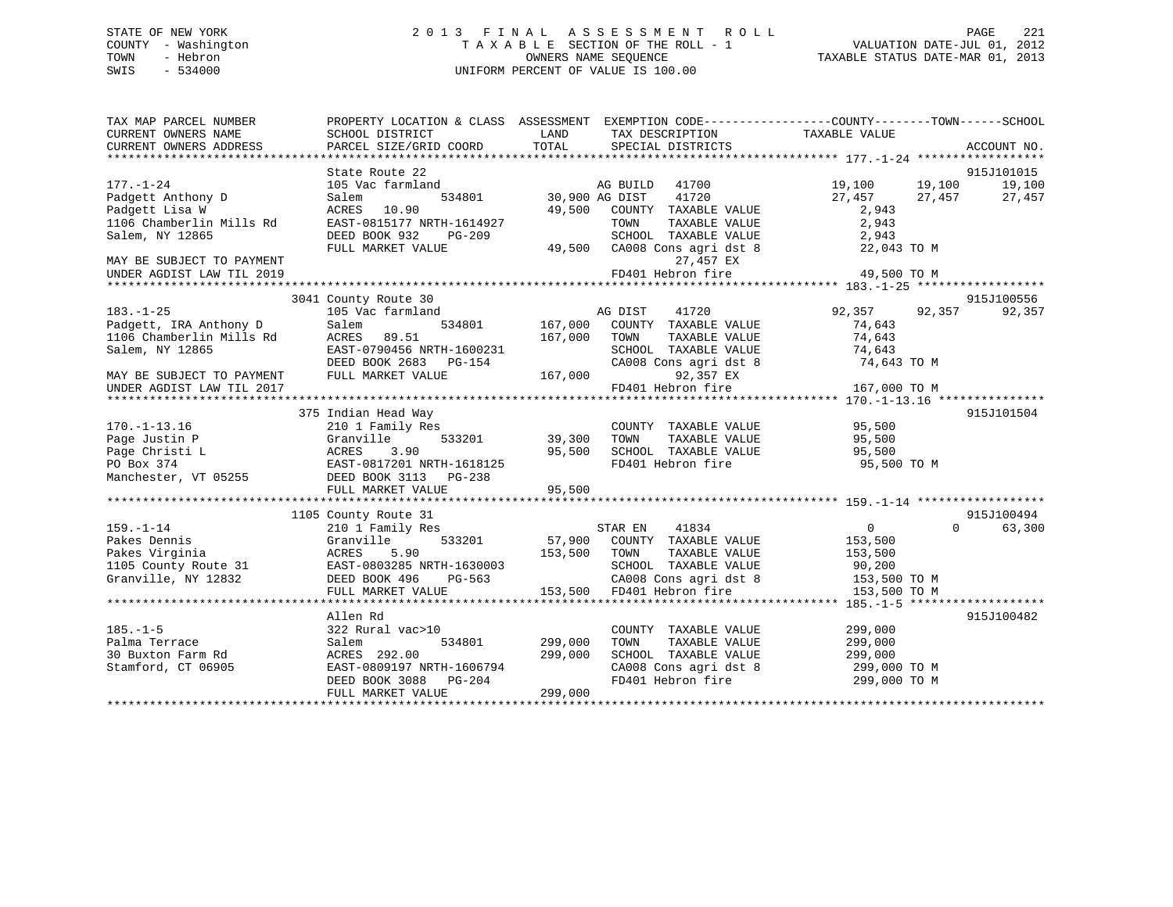# STATE OF NEW YORK 2 0 1 3 F I N A L A S S E S S M E N T R O L L PAGE 221 COUNTY - Washington T A X A B L E SECTION OF THE ROLL - 1 VALUATION DATE-JUL 01, 2012 TOWN - Hebron OWNERS NAME SEQUENCE TAXABLE STATUS DATE-MAR 01, 2013 SWIS - 534000 UNIFORM PERCENT OF VALUE IS 100.00

| TAX MAP PARCEL NUMBER<br>CURRENT OWNERS NAME | PROPERTY LOCATION & CLASS ASSESSMENT EXEMPTION CODE----------------COUNTY-------TOWN------SCHOOL<br>SCHOOL DISTRICT | LAND           | TAX DESCRIPTION                               | TAXABLE VALUE          |             |
|----------------------------------------------|---------------------------------------------------------------------------------------------------------------------|----------------|-----------------------------------------------|------------------------|-------------|
| CURRENT OWNERS ADDRESS                       | PARCEL SIZE/GRID COORD                                                                                              | TOTAL          | SPECIAL DISTRICTS                             |                        | ACCOUNT NO. |
|                                              | State Route 22                                                                                                      |                |                                               |                        | 915J101015  |
| $177. - 1 - 24$                              | 105 Vac farmland                                                                                                    |                | 41700<br>AG BUILD                             | 19,100<br>19,100       | 19,100      |
| Padgett Anthony D                            | Salem<br>534801                                                                                                     | 30,900 AG DIST | 41720                                         | 27,457<br>27,457       | 27,457      |
| Padgett Lisa W                               | ACRES 10.90                                                                                                         | 49,500         | COUNTY TAXABLE VALUE                          | 2,943                  |             |
| 1106 Chamberlin Mills Rd                     | EAST-0815177 NRTH-1614927                                                                                           |                | TOWN<br>TAXABLE VALUE                         | 2,943                  |             |
| Salem, NY 12865                              | DEED BOOK 932<br>PG-209                                                                                             |                | SCHOOL TAXABLE VALUE                          | 2,943                  |             |
|                                              | FULL MARKET VALUE                                                                                                   |                | 49,500 CA008 Cons agri dst 8                  | 22,043 TO M            |             |
| MAY BE SUBJECT TO PAYMENT                    |                                                                                                                     |                | 27,457 EX                                     |                        |             |
| UNDER AGDIST LAW TIL 2019                    |                                                                                                                     |                | FD401 Hebron fire                             | 49,500 TO M            |             |
|                                              |                                                                                                                     |                |                                               |                        |             |
|                                              | 3041 County Route 30                                                                                                |                |                                               |                        | 915J100556  |
| $183. - 1 - 25$                              | 105 Vac farmland                                                                                                    |                | AG DIST<br>41720                              | 92,357<br>92,357       | 92,357      |
| Padgett, IRA Anthony D                       | 534801<br>Salem                                                                                                     | 167,000        | COUNTY TAXABLE VALUE                          | 74,643                 |             |
| 1106 Chamberlin Mills Rd                     | ACRES<br>89.51                                                                                                      | 167,000        | TOWN<br>TAXABLE VALUE                         | 74,643                 |             |
| Salem, NY 12865                              | EAST-0790456 NRTH-1600231                                                                                           |                | SCHOOL TAXABLE VALUE                          | 74,643                 |             |
|                                              | DEED BOOK 2683 PG-154                                                                                               |                | CA008 Cons agri dst 8                         | 74,643 TO M            |             |
| MAY BE SUBJECT TO PAYMENT                    | FULL MARKET VALUE                                                                                                   | 167,000        | 92,357 EX                                     |                        |             |
| UNDER AGDIST LAW TIL 2017                    |                                                                                                                     |                | FD401 Hebron fire                             | 167,000 TO M           |             |
|                                              |                                                                                                                     |                |                                               |                        |             |
|                                              | 375 Indian Head Way                                                                                                 |                |                                               |                        | 915J101504  |
| $170. - 1 - 13.16$                           | 210 1 Family Res                                                                                                    |                | COUNTY TAXABLE VALUE                          | 95,500                 |             |
| Page Justin P                                | 533201<br>Granville                                                                                                 | 39,300         | TAXABLE VALUE<br>TOWN                         | 95,500                 |             |
| Page Christi L                               | ACRES<br>3.90                                                                                                       | 95,500         | SCHOOL TAXABLE VALUE                          | 95,500                 |             |
| PO Box 374                                   | EAST-0817201 NRTH-1618125                                                                                           |                | FD401 Hebron fire                             | 95,500 TO M            |             |
| Manchester, VT 05255                         | DEED BOOK 3113 PG-238                                                                                               |                |                                               |                        |             |
|                                              | FULL MARKET VALUE                                                                                                   | 95,500         |                                               |                        |             |
|                                              |                                                                                                                     |                |                                               |                        |             |
|                                              | 1105 County Route 31                                                                                                |                |                                               |                        | 915J100494  |
| $159. - 1 - 14$                              | 210 1 Family Res                                                                                                    |                | STAR EN<br>41834                              | 0<br>$\Omega$          | 63,300      |
| Pakes Dennis                                 | Granville<br>533201                                                                                                 |                | 57,900 COUNTY TAXABLE VALUE                   | 153,500                |             |
| Pakes Virginia                               | ACRES<br>5.90                                                                                                       | 153,500        | TAXABLE VALUE<br>TOWN                         | 153,500                |             |
| 1105 County Route 31                         | EAST-0803285 NRTH-1630003                                                                                           |                | SCHOOL TAXABLE VALUE                          | 90,200<br>153,500 TO M |             |
| Granville, NY 12832                          | DEED BOOK 496<br>PG-563                                                                                             |                | CA008 Cons agri dst 8                         |                        |             |
|                                              | FULL MARKET VALUE                                                                                                   |                | 153,500 FD401 Hebron fire                     | 153,500 TO M           |             |
|                                              |                                                                                                                     |                |                                               |                        | 915J100482  |
| $185. - 1 - 5$                               | Allen Rd<br>322 Rural vac>10                                                                                        |                | COUNTY TAXABLE VALUE                          | 299,000                |             |
| Palma Terrace                                | Salem<br>534801                                                                                                     | 299,000        | TOWN<br>TAXABLE VALUE                         | 299,000                |             |
| 30 Buxton Farm Rd                            | ACRES 292.00                                                                                                        | 299,000        | SCHOOL TAXABLE VALUE                          | 299,000                |             |
| Stamford, CT 06905                           | EAST-0809197 NRTH-1606794                                                                                           |                | SCHOOL TAXABLE VALUE<br>CA008 Cons agri dst 8 | 299,000 TO M           |             |
|                                              | DEED BOOK 3088<br>PG-204                                                                                            |                | FD401 Hebron fire                             | 299,000 TO M           |             |
|                                              | FULL MARKET VALUE                                                                                                   | 299,000        |                                               |                        |             |
|                                              |                                                                                                                     |                |                                               |                        |             |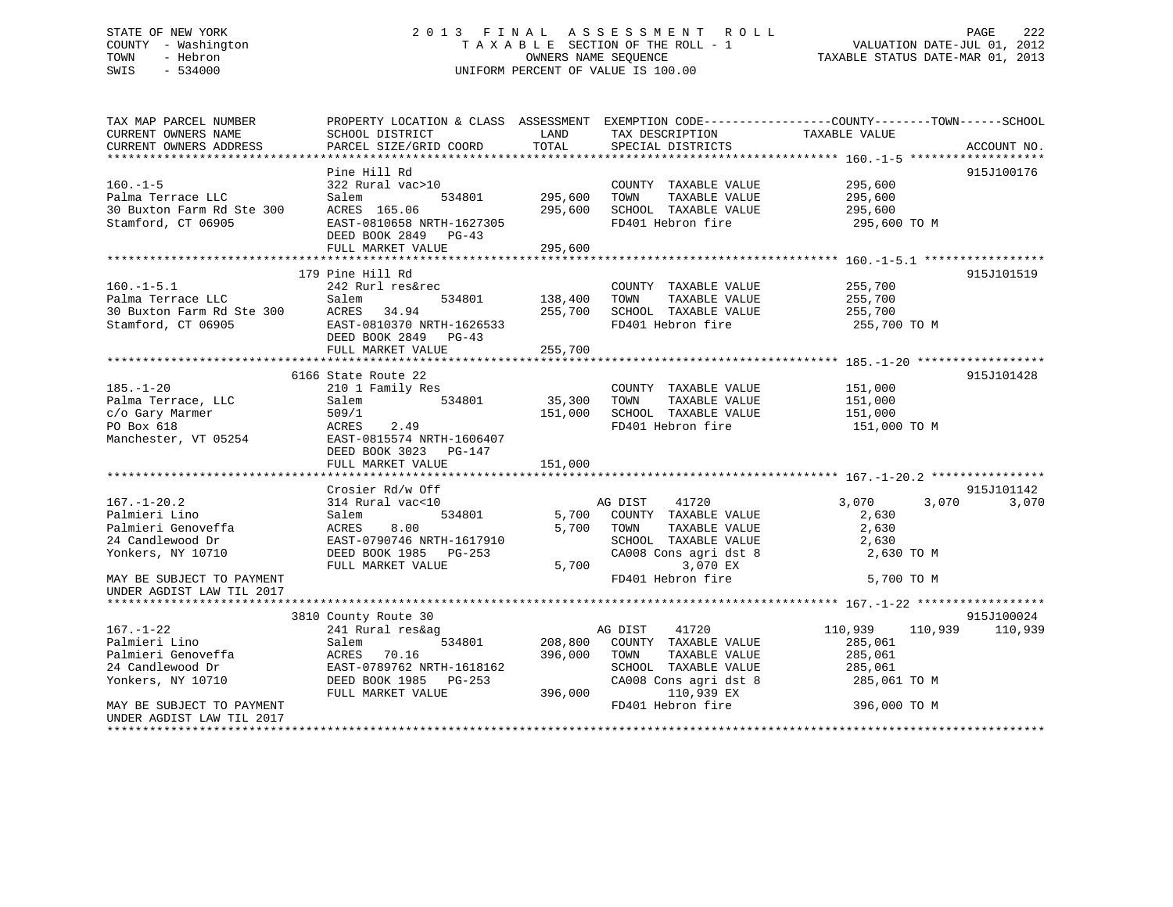# STATE OF NEW YORK 2 0 1 3 F I N A L A S S E S S M E N T R O L L PAGE 222 COUNTY - Washington T A X A B L E SECTION OF THE ROLL - 1 VALUATION DATE-JUL 01, 2012 TOWN - Hebron OWNERS NAME SEQUENCE TAXABLE STATUS DATE-MAR 01, 2013 SWIS - 534000 UNIFORM PERCENT OF VALUE IS 100.00

| TAX MAP PARCEL NUMBER                                  | PROPERTY LOCATION & CLASS ASSESSMENT EXEMPTION CODE----------------COUNTY-------TOWN------SCHOOL |         |                                               |                    |             |
|--------------------------------------------------------|--------------------------------------------------------------------------------------------------|---------|-----------------------------------------------|--------------------|-------------|
| CURRENT OWNERS NAME                                    | SCHOOL DISTRICT                                                                                  | LAND    | TAX DESCRIPTION                               | TAXABLE VALUE      |             |
| CURRENT OWNERS ADDRESS                                 | PARCEL SIZE/GRID COORD                                                                           | TOTAL   | SPECIAL DISTRICTS                             |                    | ACCOUNT NO. |
|                                                        |                                                                                                  |         |                                               |                    |             |
|                                                        | Pine Hill Rd                                                                                     |         |                                               |                    | 915J100176  |
| $160. - 1 - 5$<br>Palma Terrace LLC                    | 322 Rural vac>10<br>534801<br>Salem                                                              | 295,600 | COUNTY TAXABLE VALUE<br>TOWN<br>TAXABLE VALUE | 295,600<br>295,600 |             |
| 30 Buxton Farm Rd Ste 300                              | ACRES 165.06                                                                                     | 295,600 | SCHOOL TAXABLE VALUE                          | 295,600            |             |
| Stamford, CT 06905                                     | EAST-0810658 NRTH-1627305                                                                        |         | FD401 Hebron fire                             | 295,600 TO M       |             |
|                                                        | DEED BOOK 2849 PG-43                                                                             |         |                                               |                    |             |
|                                                        | FULL MARKET VALUE                                                                                | 295,600 |                                               |                    |             |
|                                                        |                                                                                                  |         |                                               |                    |             |
|                                                        | 179 Pine Hill Rd                                                                                 |         |                                               |                    | 915J101519  |
| $160.-1-5.1$                                           | 242 Rurl res&rec                                                                                 |         | COUNTY TAXABLE VALUE                          | 255,700            |             |
|                                                        | Salem<br>534801                                                                                  | 138,400 | TOWN<br>TAXABLE VALUE                         | 255,700            |             |
|                                                        | ACRES 34.94                                                                                      | 255,700 | SCHOOL TAXABLE VALUE                          | 255,700            |             |
| Stamford, CT 06905                                     | EAST-0810370 NRTH-1626533                                                                        |         | FD401 Hebron fire                             | 255,700 TO M       |             |
|                                                        | DEED BOOK 2849 PG-43                                                                             |         |                                               |                    |             |
|                                                        | FULL MARKET VALUE                                                                                | 255,700 |                                               |                    |             |
|                                                        |                                                                                                  |         |                                               |                    |             |
|                                                        | 6166 State Route 22                                                                              |         |                                               |                    | 915J101428  |
| $185. - 1 - 20$                                        | 210 1 Family Res                                                                                 |         | COUNTY TAXABLE VALUE                          | 151,000            |             |
| Palma Terrace, LLC                                     | 534801<br>Salem                                                                                  | 35,300  | TAXABLE VALUE<br>TOWN                         | 151,000            |             |
| c/o Gary Marmer                                        | 509/1                                                                                            | 151,000 | SCHOOL TAXABLE VALUE                          | 151,000            |             |
| PO Box 618                                             | ACRES<br>2.49                                                                                    |         | FD401 Hebron fire                             | 151,000 TO M       |             |
| Manchester, VT 05254                                   | EAST-0815574 NRTH-1606407                                                                        |         |                                               |                    |             |
|                                                        | DEED BOOK 3023 PG-147                                                                            |         |                                               |                    |             |
|                                                        | FULL MARKET VALUE                                                                                | 151,000 |                                               |                    |             |
|                                                        |                                                                                                  |         |                                               |                    |             |
|                                                        | Crosier Rd/w Off                                                                                 |         |                                               |                    | 915J101142  |
| $167. - 1 - 20.2$                                      | 314 Rural vac<10                                                                                 |         | AG DIST 41720                                 | 3,070<br>3,070     | 3,070       |
| Palmieri Lino                                          | Salem<br>534801                                                                                  |         | 5,700 COUNTY TAXABLE VALUE                    | 2,630              |             |
| Palmieri Genoveffa                                     | ACRES<br>8.00                                                                                    |         | 5,700 TOWN<br>TAXABLE VALUE                   | 2,630              |             |
| 24 Candlewood Dr                                       | EAST-0790746 NRTH-1617910                                                                        |         | SCHOOL TAXABLE VALUE                          | 2,630              |             |
| Yonkers, NY 10710                                      | DEED BOOK 1985 PG-253                                                                            |         | CA008 Cons agri dst 8                         | 2,630 TO M         |             |
|                                                        | FULL MARKET VALUE                                                                                |         | 3,070 EX<br>5,700                             |                    |             |
| MAY BE SUBJECT TO PAYMENT                              |                                                                                                  |         | FD401 Hebron fire                             | 5,700 TO M         |             |
| UNDER AGDIST LAW TIL 2017                              |                                                                                                  |         |                                               |                    |             |
|                                                        |                                                                                                  |         |                                               |                    |             |
|                                                        | 3810 County Route 30                                                                             |         |                                               |                    | 915J100024  |
| $167. - 1 - 22$                                        | 241 Rural res&ag                                                                                 |         | AG DIST<br>41720                              | 110,939<br>110,939 | 110,939     |
| Palmieri Lino                                          | Salem<br>534801                                                                                  |         | 208,800 COUNTY TAXABLE VALUE                  | 285,061            |             |
| Palmieri Genoveffa                                     | ACRES<br>70.16                                                                                   | 396,000 | TOWN<br>TAXABLE VALUE                         | 285,061            |             |
| 24 Candlewood Dr                                       | EAST-0789762 NRTH-1618162                                                                        |         | SCHOOL TAXABLE VALUE                          | 285,061            |             |
| Yonkers, NY 10710                                      | DEED BOOK 1985 PG-253                                                                            |         | CA008 Cons agri dst 8                         | 285,061 TO M       |             |
|                                                        | FULL MARKET VALUE                                                                                | 396,000 | 110,939 EX                                    |                    |             |
| MAY BE SUBJECT TO PAYMENT<br>UNDER AGDIST LAW TIL 2017 |                                                                                                  |         | FD401 Hebron fire                             | 396,000 TO M       |             |
|                                                        |                                                                                                  |         |                                               |                    |             |
|                                                        |                                                                                                  |         |                                               |                    |             |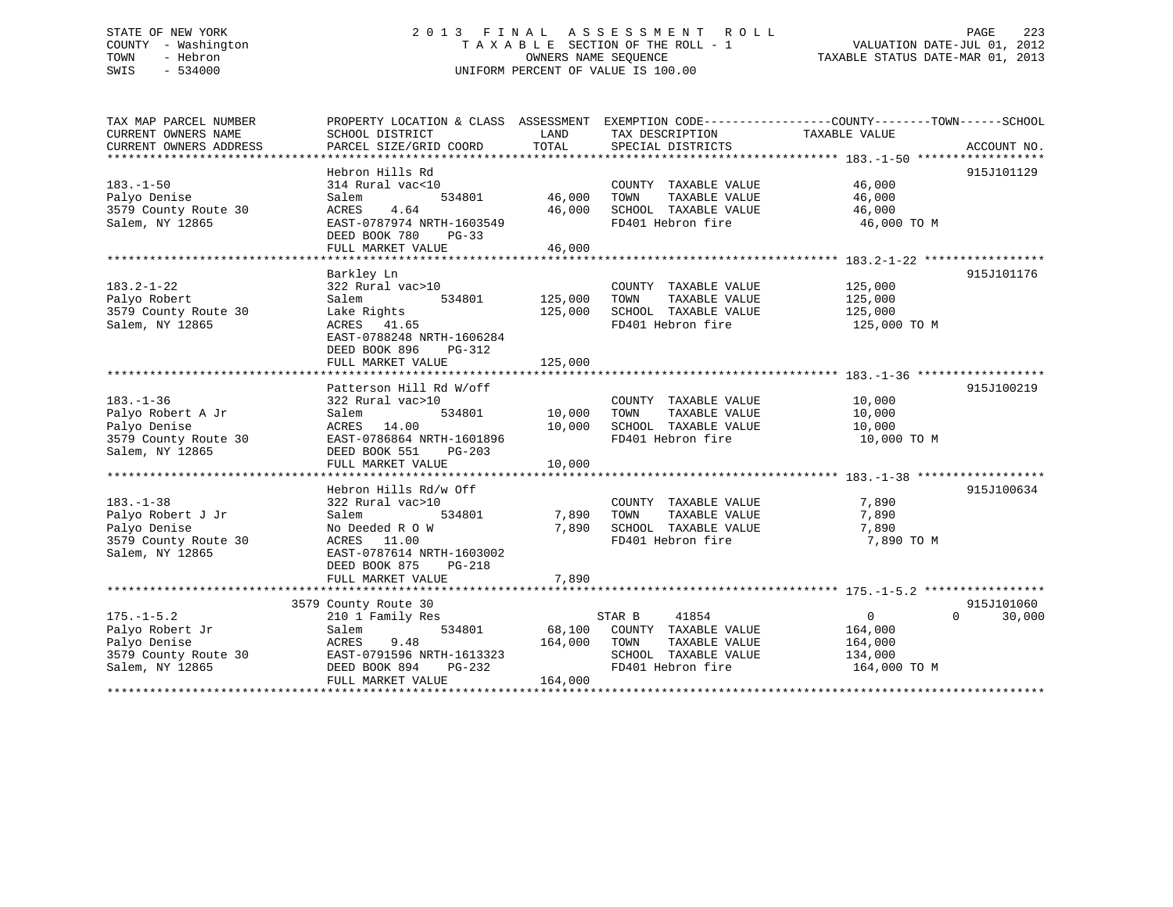# STATE OF NEW YORK 2 0 1 3 F I N A L A S S E S S M E N T R O L L PAGE 223 COUNTY - Washington T A X A B L E SECTION OF THE ROLL - 1 VALUATION DATE-JUL 01, 2012 TOWN - Hebron OWNERS NAME SEQUENCE TAXABLE STATUS DATE-MAR 01, 2013 SWIS - 534000 UNIFORM PERCENT OF VALUE IS 100.00

| TAX MAP PARCEL NUMBER<br>CURRENT OWNERS NAME<br>CURRENT OWNERS ADDRESS | PROPERTY LOCATION & CLASS ASSESSMENT EXEMPTION CODE---------------COUNTY-------TOWN-----SCHOOL<br>SCHOOL DISTRICT<br>PARCEL SIZE/GRID COORD | LAND<br>TOTAL | TAX DESCRIPTION<br>SPECIAL DISTRICTS  | TAXABLE VALUE      | ACCOUNT NO.        |
|------------------------------------------------------------------------|---------------------------------------------------------------------------------------------------------------------------------------------|---------------|---------------------------------------|--------------------|--------------------|
|                                                                        |                                                                                                                                             |               |                                       |                    |                    |
|                                                                        | Hebron Hills Rd                                                                                                                             |               |                                       |                    | 915J101129         |
| $183. - 1 - 50$                                                        | 314 Rural vac<10                                                                                                                            |               | COUNTY TAXABLE VALUE                  | 46,000             |                    |
| Palyo Denise                                                           | Salem<br>534801                                                                                                                             | 46,000        | TAXABLE VALUE<br>TOWN                 | 46,000             |                    |
| 3579 County Route 30                                                   | 4.64<br>ACRES                                                                                                                               | 46,000        | SCHOOL TAXABLE VALUE                  | 46,000             |                    |
| Salem, NY 12865                                                        | EAST-0787974 NRTH-1603549                                                                                                                   |               | FD401 Hebron fire                     | 46,000 TO M        |                    |
|                                                                        | DEED BOOK 780<br>$PG-33$                                                                                                                    |               |                                       |                    |                    |
|                                                                        | FULL MARKET VALUE                                                                                                                           | 46,000        |                                       |                    |                    |
|                                                                        |                                                                                                                                             |               |                                       |                    |                    |
|                                                                        | Barkley Ln                                                                                                                                  |               |                                       |                    | 915J101176         |
| $183.2 - 1 - 22$                                                       | 322 Rural vac>10                                                                                                                            |               | COUNTY TAXABLE VALUE                  | 125,000            |                    |
| Palyo Robert                                                           | 534801<br>Salem                                                                                                                             | 125,000       | TAXABLE VALUE<br>TOWN                 |                    |                    |
| 3579 County Route 30                                                   | Lake Rights                                                                                                                                 | 125,000       | SCHOOL TAXABLE VALUE                  | 125,000<br>125,000 |                    |
| Salem, NY 12865                                                        | ACRES 41.65                                                                                                                                 |               | FD401 Hebron fire                     | 125,000 TO M       |                    |
|                                                                        | EAST-0788248 NRTH-1606284                                                                                                                   |               |                                       |                    |                    |
|                                                                        | DEED BOOK 896<br>PG-312                                                                                                                     |               |                                       |                    |                    |
|                                                                        | FULL MARKET VALUE                                                                                                                           | 125,000       |                                       |                    |                    |
|                                                                        |                                                                                                                                             |               |                                       |                    |                    |
|                                                                        | Patterson Hill Rd W/off                                                                                                                     |               |                                       |                    | 915J100219         |
| $183. - 1 - 36$                                                        | 322 Rural vac>10                                                                                                                            |               | COUNTY TAXABLE VALUE                  | 10,000             |                    |
| Palyo Robert A Jr                                                      | Salem<br>534801                                                                                                                             | 10,000        | TAXABLE VALUE<br>TOWN                 | 10,000             |                    |
| Palyo Denise                                                           | ACRES 14.00                                                                                                                                 | 10,000        | SCHOOL TAXABLE VALUE                  | 10,000             |                    |
| 3579 County Route 30                                                   | EAST-0786864 NRTH-1601896                                                                                                                   |               | FD401 Hebron fire                     | 10,000 TO M        |                    |
| Salem, NY 12865                                                        | DEED BOOK 551 PG-203                                                                                                                        |               |                                       |                    |                    |
|                                                                        | FULL MARKET VALUE                                                                                                                           | 10,000        |                                       |                    |                    |
|                                                                        |                                                                                                                                             |               |                                       |                    |                    |
|                                                                        | Hebron Hills Rd/w Off                                                                                                                       |               |                                       |                    | 915J100634         |
| $183. - 1 - 38$                                                        | 322 Rural vac>10                                                                                                                            |               | COUNTY TAXABLE VALUE                  | 7,890              |                    |
| Palyo Robert J Jr                                                      | 534801<br>Salem                                                                                                                             | 7,890         | TAXABLE VALUE<br>TOWN                 | 7,890              |                    |
| Palyo Denise                                                           | No Deeded R O W                                                                                                                             |               | 7,890 SCHOOL TAXABLE VALUE            | 7,890              |                    |
| 3579 County Route 30                                                   | ACRES 11.00                                                                                                                                 |               | FD401 Hebron fire                     | 7,890 TO M         |                    |
| Salem, NY 12865                                                        | EAST-0787614 NRTH-1603002                                                                                                                   |               |                                       |                    |                    |
|                                                                        | DEED BOOK 875<br>PG-218                                                                                                                     |               |                                       |                    |                    |
|                                                                        | FULL MARKET VALUE                                                                                                                           | 7,890         |                                       |                    |                    |
|                                                                        |                                                                                                                                             |               |                                       |                    | 915J101060         |
|                                                                        | 3579 County Route 30                                                                                                                        |               | 41854                                 | $\overline{0}$     | 30,000<br>$\Omega$ |
| $175. - 1 - 5.2$<br>Palyo Robert Jr                                    | 210 1 Family Res<br>534801<br>Salem                                                                                                         |               | STAR B<br>68,100 COUNTY TAXABLE VALUE | 164,000            |                    |
| Palyo Denise                                                           | 9.48<br>ACRES                                                                                                                               | 164,000       | TOWN<br>TAXABLE VALUE                 | 164,000            |                    |
| 3579 County Route 30                                                   | EAST-0791596 NRTH-1613323                                                                                                                   |               | SCHOOL TAXABLE VALUE                  | 134,000            |                    |
| Salem, NY 12865                                                        | DEED BOOK 894<br>PG-232                                                                                                                     |               | FD401 Hebron fire                     | 164,000 TO M       |                    |
|                                                                        | FULL MARKET VALUE                                                                                                                           | 164,000       |                                       |                    |                    |
|                                                                        |                                                                                                                                             |               |                                       |                    |                    |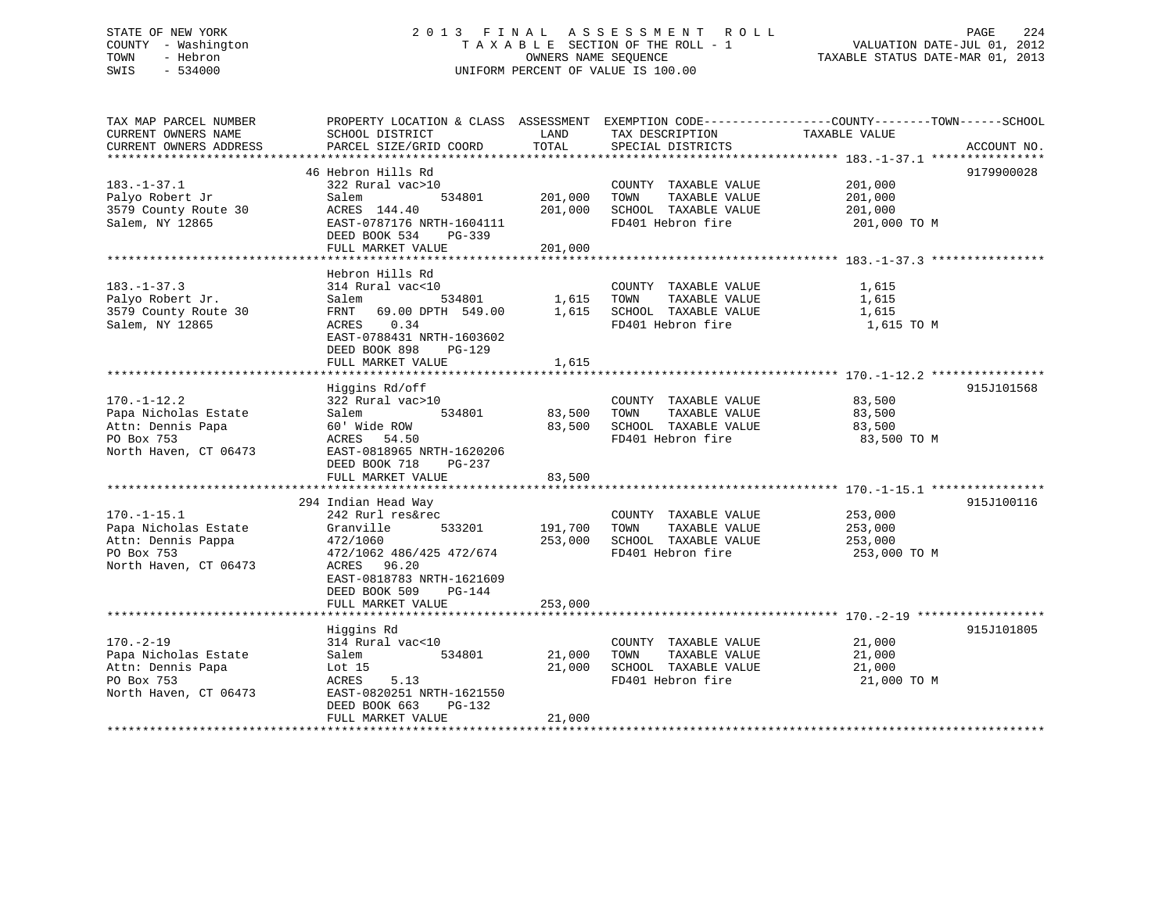# STATE OF NEW YORK 2 0 1 3 F I N A L A S S E S S M E N T R O L L PAGE 224 COUNTY - Washington T A X A B L E SECTION OF THE ROLL - 1 VALUATION DATE-JUL 01, 2012 TOWN - Hebron OWNERS NAME SEQUENCE TAXABLE STATUS DATE-MAR 01, 2013 SWIS - 534000 UNIFORM PERCENT OF VALUE IS 100.00

| TAX MAP PARCEL NUMBER  | PROPERTY LOCATION & CLASS ASSESSMENT EXEMPTION CODE---------------COUNTY-------TOWN-----SCHOOL |         |                            |               |             |
|------------------------|------------------------------------------------------------------------------------------------|---------|----------------------------|---------------|-------------|
| CURRENT OWNERS NAME    | SCHOOL DISTRICT                                                                                | LAND    | TAX DESCRIPTION            | TAXABLE VALUE |             |
| CURRENT OWNERS ADDRESS | PARCEL SIZE/GRID COORD                                                                         | TOTAL   | SPECIAL DISTRICTS          |               | ACCOUNT NO. |
| ********************   |                                                                                                |         |                            |               |             |
|                        | 46 Hebron Hills Rd                                                                             |         |                            |               | 9179900028  |
| $183. - 1 - 37.1$      | 322 Rural vac>10                                                                               |         | COUNTY TAXABLE VALUE       | 201,000       |             |
| Palyo Robert Jr        | Salem<br>534801                                                                                | 201,000 | TOWN<br>TAXABLE VALUE      | 201,000       |             |
| 3579 County Route 30   | ACRES 144.40                                                                                   | 201,000 | SCHOOL TAXABLE VALUE       | 201,000       |             |
| Salem, NY 12865        | EAST-0787176 NRTH-1604111                                                                      |         | FD401 Hebron fire          | 201,000 TO M  |             |
|                        |                                                                                                |         |                            |               |             |
|                        | DEED BOOK 534<br>PG-339                                                                        |         |                            |               |             |
|                        | FULL MARKET VALUE                                                                              | 201,000 |                            |               |             |
|                        |                                                                                                |         |                            |               |             |
|                        | Hebron Hills Rd                                                                                |         |                            |               |             |
| $183. - 1 - 37.3$      | 314 Rural vac<10                                                                               |         | COUNTY TAXABLE VALUE       | 1,615         |             |
| Palyo Robert Jr.       | Salem<br>534801                                                                                | 1,615   | TOWN<br>TAXABLE VALUE      | 1,615         |             |
| 3579 County Route 30   | FRNT 69.00 DPTH 549.00                                                                         |         | 1,615 SCHOOL TAXABLE VALUE | 1,615         |             |
| Salem, NY 12865        | 0.34<br>ACRES                                                                                  |         | FD401 Hebron fire          | 1,615 TO M    |             |
|                        | EAST-0788431 NRTH-1603602                                                                      |         |                            |               |             |
|                        | DEED BOOK 898<br>$PG-129$                                                                      |         |                            |               |             |
|                        | FULL MARKET VALUE                                                                              | 1,615   |                            |               |             |
|                        |                                                                                                |         |                            |               |             |
|                        | Higgins Rd/off                                                                                 |         |                            |               | 915J101568  |
| $170. - 1 - 12.2$      | 322 Rural vac>10                                                                               |         | COUNTY TAXABLE VALUE       | 83,500        |             |
| Papa Nicholas Estate   | 534801<br>Salem                                                                                | 83,500  | TOWN<br>TAXABLE VALUE      | 83,500        |             |
| Attn: Dennis Papa      | 60' Wide ROW                                                                                   | 83,500  | SCHOOL TAXABLE VALUE       | 83,500        |             |
| PO Box 753             | ACRES<br>54.50                                                                                 |         | FD401 Hebron fire          | 83,500 TO M   |             |
| North Haven, CT 06473  | EAST-0818965 NRTH-1620206                                                                      |         |                            |               |             |
|                        | DEED BOOK 718<br>PG-237                                                                        |         |                            |               |             |
|                        | FULL MARKET VALUE                                                                              | 83,500  |                            |               |             |
|                        |                                                                                                |         |                            |               |             |
|                        | 294 Indian Head Way                                                                            |         |                            |               | 915J100116  |
|                        |                                                                                                |         |                            |               |             |
| $170. - 1 - 15.1$      | 242 Rurl res&rec                                                                               |         | COUNTY TAXABLE VALUE       | 253,000       |             |
| Papa Nicholas Estate   | 533201<br>Granville                                                                            | 191,700 | TAXABLE VALUE<br>TOWN      | 253,000       |             |
| Attn: Dennis Pappa     | 472/1060                                                                                       | 253,000 | SCHOOL TAXABLE VALUE       | 253,000       |             |
| PO Box 753             | 472/1062 486/425 472/674                                                                       |         | FD401 Hebron fire          | 253,000 TO M  |             |
| North Haven, CT 06473  | ACRES 96.20                                                                                    |         |                            |               |             |
|                        | EAST-0818783 NRTH-1621609                                                                      |         |                            |               |             |
|                        | DEED BOOK 509 PG-144                                                                           |         |                            |               |             |
|                        | FULL MARKET VALUE                                                                              | 253,000 |                            |               |             |
|                        |                                                                                                |         |                            |               |             |
|                        | Higgins Rd                                                                                     |         |                            |               | 915J101805  |
| $170. - 2 - 19$        | 314 Rural vac<10                                                                               |         | COUNTY TAXABLE VALUE       | 21,000        |             |
| Papa Nicholas Estate   | 534801<br>Salem                                                                                | 21,000  | TOWN<br>TAXABLE VALUE      | 21,000        |             |
| Attn: Dennis Papa      | Lot $15$                                                                                       | 21,000  | SCHOOL TAXABLE VALUE       | 21,000        |             |
| PO Box 753             | ACRES<br>5.13                                                                                  |         | FD401 Hebron fire          | 21,000 TO M   |             |
| North Haven, CT 06473  | EAST-0820251 NRTH-1621550                                                                      |         |                            |               |             |
|                        | DEED BOOK 663<br>PG-132                                                                        |         |                            |               |             |
|                        | FULL MARKET VALUE                                                                              | 21,000  |                            |               |             |
|                        |                                                                                                |         |                            |               |             |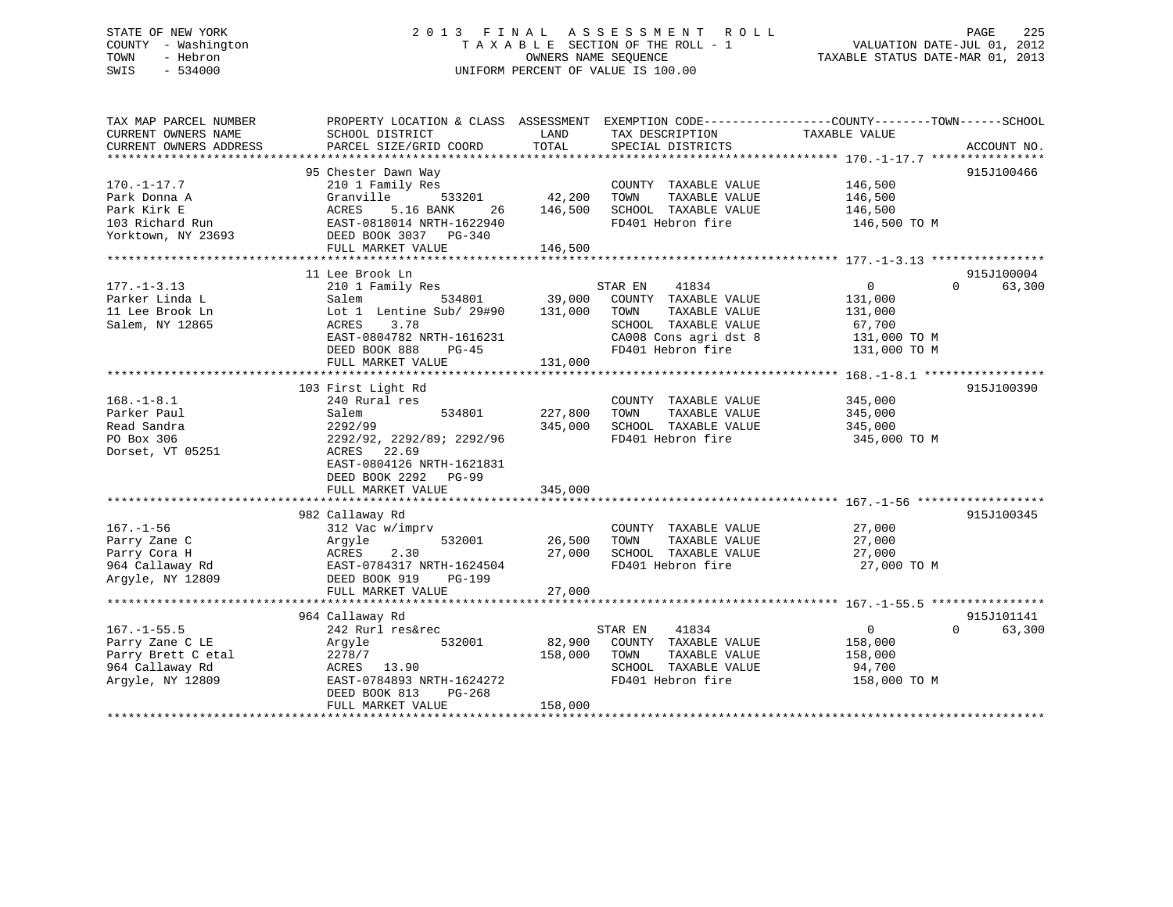# STATE OF NEW YORK 2 0 1 3 F I N A L A S S E S S M E N T R O L L PAGE 225 COUNTY - Washington T A X A B L E SECTION OF THE ROLL - 1 VALUATION DATE-JUL 01, 2012 TOWN - Hebron OWNERS NAME SEQUENCE TAXABLE STATUS DATE-MAR 01, 2013 SWIS - 534000 UNIFORM PERCENT OF VALUE IS 100.00

| TAX MAP PARCEL NUMBER<br>CURRENT OWNERS NAME<br>CURRENT OWNERS ADDRESS                            | SCHOOL DISTRICT<br>PARCEL SIZE/GRID COORD                                                                                                                                                  | LAND<br>TAX DESCRIPTION<br>TOTAL<br>SPECIAL DISTRICTS                                                                                                                   | PROPERTY LOCATION & CLASS ASSESSMENT EXEMPTION CODE----------------COUNTY-------TOWN------SCHOOL<br>TAXABLE VALUE<br>ACCOUNT NO. |
|---------------------------------------------------------------------------------------------------|--------------------------------------------------------------------------------------------------------------------------------------------------------------------------------------------|-------------------------------------------------------------------------------------------------------------------------------------------------------------------------|----------------------------------------------------------------------------------------------------------------------------------|
| $170. - 1 - 17.7$<br>Park Donna A<br>Park Kirk E<br>103 Richard Run<br>Yorktown, NY 23693         | 95 Chester Dawn Way<br>210 1 Family Res<br>Granville<br>533201<br>ACRES<br>5.16 BANK<br>26<br>EAST-0818014 NRTH-1622940<br>DEED BOOK 3037 PG-340<br>FULL MARKET VALUE                      | COUNTY TAXABLE VALUE<br>42,200<br>TOWN<br>TAXABLE VALUE<br>SCHOOL TAXABLE VALUE<br>146,500<br>FD401 Hebron fire<br>146,500                                              | 915J100466<br>146,500<br>146,500<br>146,500<br>146,500 TO M                                                                      |
| $177. - 1 - 3.13$<br>Parker Linda L<br>11 Lee Brook Ln<br>Salem, NY 12865                         | 11 Lee Brook Ln<br>210 1 Family Res<br>Salem<br>534801<br>Lot 1 Lentine Sub/ 29#90<br>ACRES<br>3.78<br>EAST-0804782 NRTH-1616231<br>DEED BOOK 888<br>$PG-45$<br>FULL MARKET VALUE          | STAR EN<br>41834<br>39,000<br>COUNTY TAXABLE VALUE<br>131,000<br>TOWN<br>TAXABLE VALUE<br>SCHOOL TAXABLE VALUE<br>CA008 Cons agri dst 8<br>FD401 Hebron fire<br>131,000 | 915J100004<br>$\overline{0}$<br>$\Omega$<br>63,300<br>131,000<br>131,000<br>67,700<br>131,000 TO M<br>131,000 TO M               |
| $168. - 1 - 8.1$<br>Parker Paul<br>Read Sandra<br>PO Box 306<br>Dorset, VT 05251                  | 103 First Light Rd<br>240 Rural res<br>Salem<br>534801<br>2292/99<br>2292/92, 2292/89; 2292/96<br>22.69<br>ACRES<br>EAST-0804126 NRTH-1621831<br>DEED BOOK 2292 PG-99<br>FULL MARKET VALUE | COUNTY TAXABLE VALUE<br>227,800<br>TOWN<br>TAXABLE VALUE<br>345,000<br>SCHOOL TAXABLE VALUE<br>FD401 Hebron fire<br>345,000                                             | 915J100390<br>345,000<br>345,000<br>345,000<br>345,000 TO M                                                                      |
| $167. - 1 - 56$<br>Parry Zane C<br>Parry Cora H<br>964 Callaway Rd<br>Arqyle, NY 12809            | 982 Callaway Rd<br>312 Vac w/imprv<br>532001<br>Argyle<br>2.30<br>ACRES<br>EAST-0784317 NRTH-1624504<br>DEED BOOK 919<br>PG-199<br>FULL MARKET VALUE                                       | COUNTY TAXABLE VALUE<br>26,500<br>TAXABLE VALUE<br>TOWN<br>27,000<br>SCHOOL TAXABLE VALUE<br>FD401 Hebron fire<br>27,000                                                | 915J100345<br>27,000<br>27,000<br>27,000<br>27,000 TO M                                                                          |
| $167. - 1 - 55.5$<br>Parry Zane C LE<br>Parry Brett C etal<br>964 Callaway Rd<br>Argyle, NY 12809 | 964 Callaway Rd<br>242 Rurl res&rec<br>532001<br>Argyle<br>2278/7<br>ACRES 13.90<br>EAST-0784893 NRTH-1624272<br>DEED BOOK 813<br>PG-268<br>FULL MARKET VALUE                              | 41834<br>STAR EN<br>82,900<br>COUNTY TAXABLE VALUE<br>158,000<br>TOWN<br>TAXABLE VALUE<br>SCHOOL TAXABLE VALUE<br>FD401 Hebron fire<br>158,000                          | 915J101141<br>$\overline{0}$<br>$\Omega$<br>63,300<br>158,000<br>158,000<br>94,700<br>158,000 TO M                               |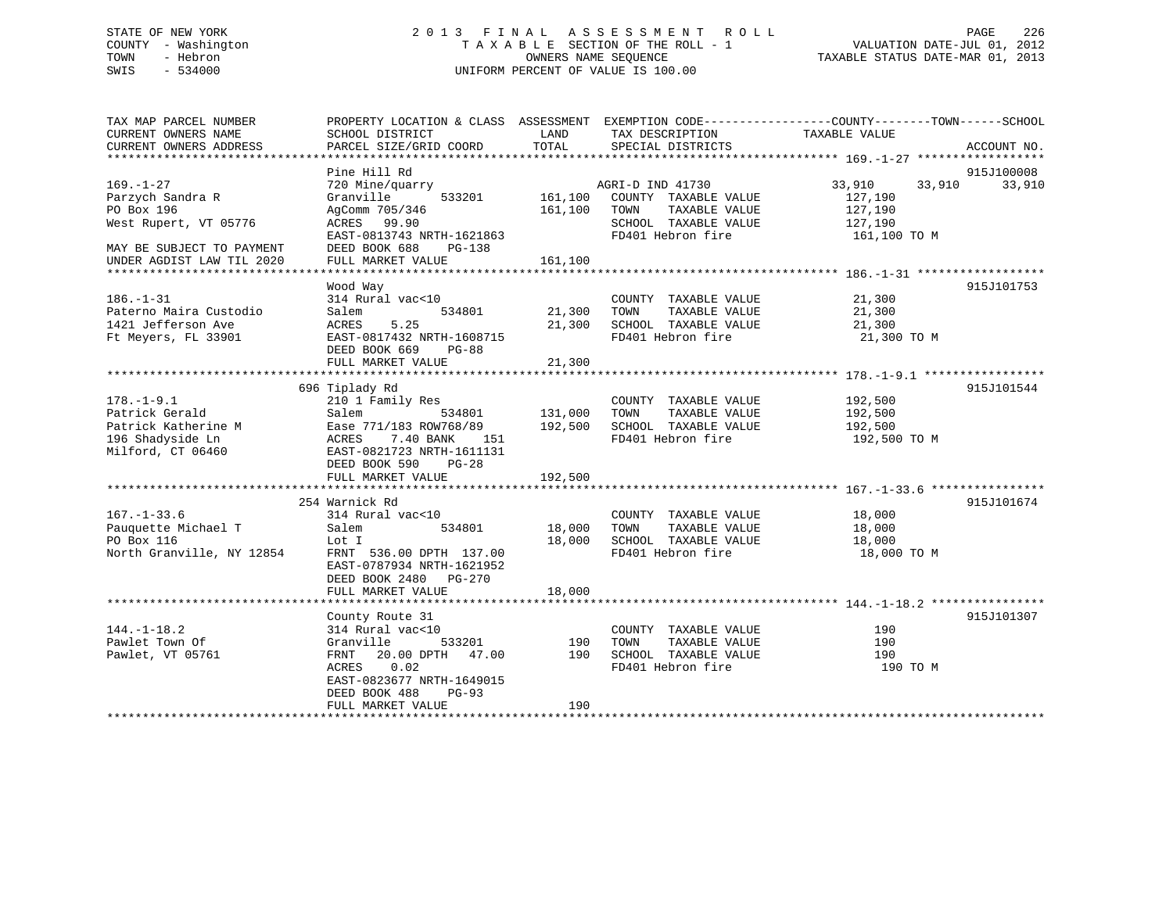# STATE OF NEW YORK 2 0 1 3 F I N A L A S S E S S M E N T R O L L PAGE 226 COUNTY - Washington T A X A B L E SECTION OF THE ROLL - 1 VALUATION DATE-JUL 01, 2012 TOWN - Hebron OWNERS NAME SEQUENCE TAXABLE STATUS DATE-MAR 01, 2013 SWIS - 534000 UNIFORM PERCENT OF VALUE IS 100.00

| TAX MAP PARCEL NUMBER<br>CURRENT OWNERS NAME<br>CURRENT OWNERS ADDRESS                                                               | PROPERTY LOCATION & CLASS ASSESSMENT EXEMPTION CODE----------------COUNTY-------TOWN------SCHOOL<br>SCHOOL DISTRICT<br>PARCEL SIZE/GRID COORD                                              | LAND<br>TOTAL                 | TAX DESCRIPTION<br>SPECIAL DISTRICTS                                                                           | TAXABLE VALUE                                                     | ACCOUNT NO.          |
|--------------------------------------------------------------------------------------------------------------------------------------|--------------------------------------------------------------------------------------------------------------------------------------------------------------------------------------------|-------------------------------|----------------------------------------------------------------------------------------------------------------|-------------------------------------------------------------------|----------------------|
| $169. - 1 - 27$<br>Parzych Sandra R<br>PO Box 196<br>West Rupert, VT 05776<br>MAY BE SUBJECT TO PAYMENT<br>UNDER AGDIST LAW TIL 2020 | Pine Hill Rd<br>720 Mine/quarry<br>533201<br>Granville<br>AgComm 705/346<br>ACRES 99.90<br>EAST-0813743 NRTH-1621863<br>DEED BOOK 688<br>PG-138<br>FULL MARKET VALUE                       | 161,100<br>161,100<br>161,100 | AGRI-D IND 41730<br>COUNTY TAXABLE VALUE<br>TOWN<br>TAXABLE VALUE<br>SCHOOL TAXABLE VALUE<br>FD401 Hebron fire | 33,910<br>33,910<br>127,190<br>127,190<br>127,190<br>161,100 TO M | 915J100008<br>33,910 |
| $186. - 1 - 31$<br>Paterno Maira Custodio<br>1421 Jefferson Ave<br>Ft Meyers, FL 33901                                               | Wood Way<br>314 Rural vac<10<br>534801<br>Salem<br>5.25<br>ACRES<br>EAST-0817432 NRTH-1608715<br>DEED BOOK 669<br>PG-88<br>FULL MARKET VALUE                                               | 21,300<br>21,300<br>21,300    | COUNTY TAXABLE VALUE<br>TAXABLE VALUE<br>TOWN<br>SCHOOL TAXABLE VALUE<br>FD401 Hebron fire                     | 21,300<br>21,300<br>21,300<br>21,300 TO M                         | 915J101753           |
| $178. - 1 - 9.1$<br>Patrick Gerald<br>Patrick Katherine M<br>196 Shadyside Ln<br>Milford, CT 06460                                   | 696 Tiplady Rd<br>210 1 Family Res<br>Salem<br>534801<br>Ease 771/183 ROW768/89<br>7.40 BANK<br>ACRES<br>151<br>EAST-0821723 NRTH-1611131<br>DEED BOOK 590<br>$PG-28$<br>FULL MARKET VALUE | 131,000<br>192,500<br>192,500 | COUNTY TAXABLE VALUE<br>TAXABLE VALUE<br>TOWN<br>SCHOOL TAXABLE VALUE<br>FD401 Hebron fire                     | 192,500<br>192,500<br>192,500<br>192,500 TO M                     | 915J101544           |
| $167. - 1 - 33.6$<br>Pauquette Michael T<br>PO Box 116<br>North Granville, NY 12854                                                  | 254 Warnick Rd<br>314 Rural vac<10<br>Salem<br>534801<br>Lot I<br>FRNT 536.00 DPTH 137.00<br>EAST-0787934 NRTH-1621952<br>DEED BOOK 2480 PG-270<br>FULL MARKET VALUE                       | 18,000<br>18,000<br>18,000    | COUNTY TAXABLE VALUE<br>TAXABLE VALUE<br>TOWN<br>SCHOOL TAXABLE VALUE<br>FD401 Hebron fire                     | 18,000<br>18,000<br>18,000<br>18,000 TO M                         | 915J101674           |
| $144. - 1 - 18.2$<br>Pawlet Town Of<br>Pawlet, VT 05761<br>***********************                                                   | County Route 31<br>314 Rural vac<10<br>Granville<br>533201<br>20.00 DPTH 47.00<br>FRNT<br>ACRES<br>0.02<br>EAST-0823677 NRTH-1649015<br>DEED BOOK 488<br>$PG-93$<br>FULL MARKET VALUE      | 190<br>190<br>190             | COUNTY TAXABLE VALUE<br>TOWN<br>TAXABLE VALUE<br>SCHOOL TAXABLE VALUE<br>FD401 Hebron fire                     | 190<br>190<br>190<br>190 TO M                                     | 915J101307           |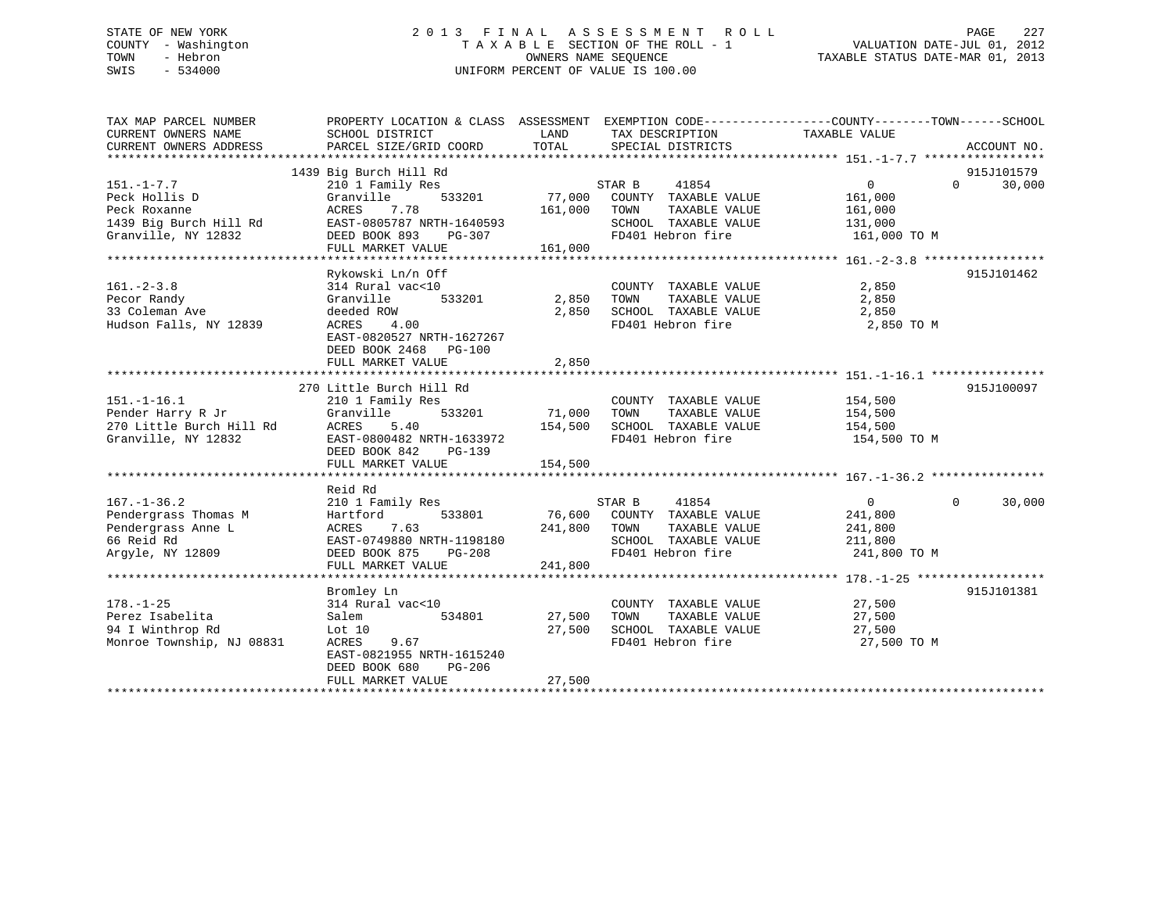# STATE OF NEW YORK 2 0 1 3 F I N A L A S S E S S M E N T R O L L PAGE 227 COUNTY - Washington T A X A B L E SECTION OF THE ROLL - 1 VALUATION DATE-JUL 01, 2012 TOWN - Hebron OWNERS NAME SEQUENCE TAXABLE STATUS DATE-MAR 01, 2013 SWIS - 534000 UNIFORM PERCENT OF VALUE IS 100.00

| TAX MAP PARCEL NUMBER             | PROPERTY LOCATION & CLASS ASSESSMENT EXEMPTION CODE---------------COUNTY-------TOWN-----SCHOOL |                 |                             |               |                                  |
|-----------------------------------|------------------------------------------------------------------------------------------------|-----------------|-----------------------------|---------------|----------------------------------|
| CURRENT OWNERS NAME               | SCHOOL DISTRICT                                                                                | LAND            | TAX DESCRIPTION             | TAXABLE VALUE |                                  |
| CURRENT OWNERS ADDRESS            | PARCEL SIZE/GRID COORD                                                                         | TOTAL           | SPECIAL DISTRICTS           |               | ACCOUNT NO.                      |
|                                   |                                                                                                |                 |                             |               |                                  |
|                                   | 1439 Big Burch Hill Rd                                                                         |                 | 41854                       | 0             | 915J101579<br>30,000<br>$\Omega$ |
| $151. - 1 - 7.7$<br>Peck Hollis D | 210 1 Family Res<br>Granville<br>533201                                                        | STAR B          | 77,000 COUNTY TAXABLE VALUE | 161,000       |                                  |
| Peck Roxanne                      | ACRES<br>7.78                                                                                  | 161,000<br>TOWN | TAXABLE VALUE               | 161,000       |                                  |
| 1439 Big Burch Hill Rd            | EAST-0805787 NRTH-1640593                                                                      |                 | SCHOOL TAXABLE VALUE        | 131,000       |                                  |
| Granville, NY 12832               | DEED BOOK 893 PG-307                                                                           |                 | FD401 Hebron fire           | 161,000 TO M  |                                  |
|                                   | FULL MARKET VALUE                                                                              | 161,000         |                             |               |                                  |
|                                   |                                                                                                |                 |                             |               |                                  |
|                                   | Rykowski Ln/n Off                                                                              |                 |                             |               | 915J101462                       |
| $161. - 2 - 3.8$                  | 314 Rural vac<10                                                                               |                 | COUNTY TAXABLE VALUE        | 2,850         |                                  |
| Pecor Randy                       | 533201<br>Granville                                                                            | 2,850<br>TOWN   | TAXABLE VALUE               | 2,850         |                                  |
| 33 Coleman Ave                    | deeded ROW                                                                                     |                 | 2,850 SCHOOL TAXABLE VALUE  | 2,850         |                                  |
| Hudson Falls, NY 12839            | 4.00<br>ACRES                                                                                  |                 | FD401 Hebron fire           | 2,850 TO M    |                                  |
|                                   | EAST-0820527 NRTH-1627267                                                                      |                 |                             |               |                                  |
|                                   | DEED BOOK 2468<br>PG-100                                                                       |                 |                             |               |                                  |
|                                   | FULL MARKET VALUE                                                                              | 2,850           |                             |               |                                  |
|                                   |                                                                                                |                 |                             |               |                                  |
|                                   | 270 Little Burch Hill Rd                                                                       |                 |                             |               | 915J100097                       |
| $151. - 1 - 16.1$                 | 210 1 Family Res                                                                               |                 | COUNTY TAXABLE VALUE        | 154,500       |                                  |
| Pender Harry R Jr                 | Granville<br>533201                                                                            | 71,000<br>TOWN  | TAXABLE VALUE               | 154,500       |                                  |
| 270 Little Burch Hill Rd          | 5.40<br>ACRES                                                                                  | 154,500         | SCHOOL TAXABLE VALUE        | 154,500       |                                  |
| Granville, NY 12832               | EAST-0800482 NRTH-1633972                                                                      |                 | FD401 Hebron fire           | 154,500 TO M  |                                  |
|                                   | DEED BOOK 842<br>PG-139                                                                        |                 |                             |               |                                  |
|                                   | FULL MARKET VALUE                                                                              | 154,500         |                             |               |                                  |
|                                   |                                                                                                |                 |                             |               |                                  |
|                                   | Reid Rd                                                                                        |                 |                             |               |                                  |
| $167. - 1 - 36.2$                 | 210 1 Family Res                                                                               | STAR B          | 41854                       | $\Omega$      | $\Omega$<br>30,000               |
| Pendergrass Thomas M              | Hartford<br>533801                                                                             |                 | 76,600 COUNTY TAXABLE VALUE | 241,800       |                                  |
| Pendergrass Anne L                | ACRES<br>7.63                                                                                  | 241,800<br>TOWN | TAXABLE VALUE               | 241,800       |                                  |
| 66 Reid Rd                        | EAST-0749880 NRTH-1198180                                                                      |                 | SCHOOL TAXABLE VALUE        | 211,800       |                                  |
| Arqyle, NY 12809                  | DEED BOOK 875<br>PG-208                                                                        |                 | FD401 Hebron fire           | 241,800 TO M  |                                  |
|                                   | FULL MARKET VALUE                                                                              | 241,800         |                             |               |                                  |
|                                   |                                                                                                |                 |                             |               |                                  |
|                                   | Bromley Ln                                                                                     |                 |                             |               | 915J101381                       |
| $178. - 1 - 25$                   | 314 Rural vac<10                                                                               |                 | COUNTY TAXABLE VALUE        | 27,500        |                                  |
| Perez Isabelita                   | Salem<br>534801                                                                                | 27,500<br>TOWN  | TAXABLE VALUE               | 27,500        |                                  |
| 94 I Winthrop Rd                  | Lot $10$                                                                                       | 27,500          | SCHOOL TAXABLE VALUE        | 27,500        |                                  |
| Monroe Township, NJ 08831         | ACRES<br>9.67                                                                                  |                 | FD401 Hebron fire           | 27,500 TO M   |                                  |
|                                   | EAST-0821955 NRTH-1615240                                                                      |                 |                             |               |                                  |
|                                   | DEED BOOK 680<br>PG-206                                                                        |                 |                             |               |                                  |
|                                   | FULL MARKET VALUE                                                                              | 27,500          |                             |               |                                  |
|                                   |                                                                                                |                 |                             |               |                                  |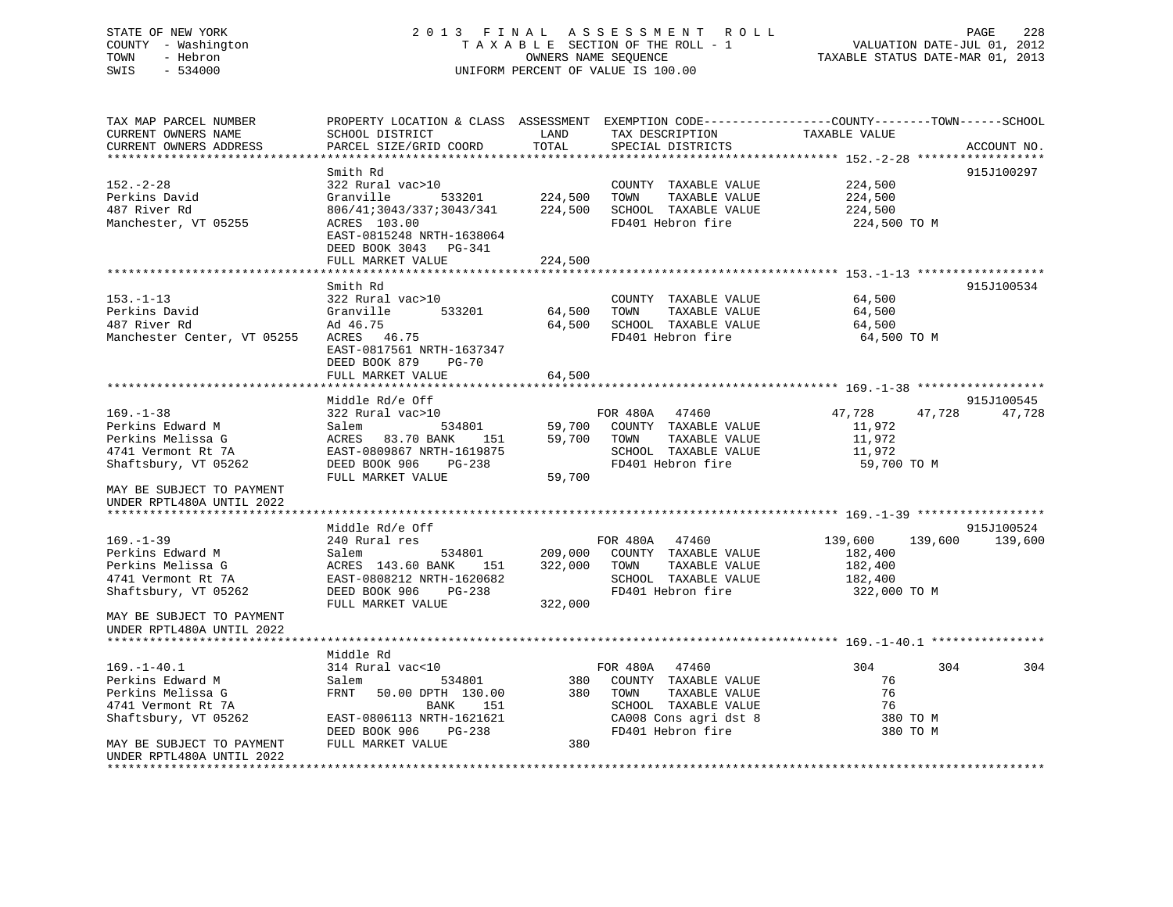# STATE OF NEW YORK 2 0 1 3 F I N A L A S S E S S M E N T R O L L PAGE 228 COUNTY - Washington T A X A B L E SECTION OF THE ROLL - 1 VALUATION DATE-JUL 01, 2012 TOWN - Hebron OWNERS NAME SEQUENCE TAXABLE STATUS DATE-MAR 01, 2013 SWIS - 534000 UNIFORM PERCENT OF VALUE IS 100.00

TAX MAP PARCEL NUMBER PROPERTY LOCATION & CLASS ASSESSMENT EXEMPTION CODE------------------COUNTY--------TOWN------SCHOOL

| CURRENT OWNERS NAME                                     | SCHOOL DISTRICT                                                                                | LAND    | TAX DESCRIPTION                               | TAXABLE VALUE           |                    |
|---------------------------------------------------------|------------------------------------------------------------------------------------------------|---------|-----------------------------------------------|-------------------------|--------------------|
| CURRENT OWNERS ADDRESS<br>***************************** | PARCEL SIZE/GRID COORD                                                                         | TOTAL   | SPECIAL DISTRICTS                             |                         | ACCOUNT NO.        |
|                                                         | Smith Rd                                                                                       |         |                                               |                         | 915J100297         |
| $152. - 2 - 28$<br>Perkins David                        | 322 Rural vac>10<br>Granville<br>533201                                                        | 224,500 | COUNTY TAXABLE VALUE<br>TOWN<br>TAXABLE VALUE | 224,500<br>224,500      |                    |
| 487 River Rd<br>Manchester, VT 05255                    | 806/41;3043/337;3043/341<br>ACRES 103.00<br>EAST-0815248 NRTH-1638064<br>DEED BOOK 3043 PG-341 | 224,500 | SCHOOL TAXABLE VALUE<br>FD401 Hebron fire     | 224,500<br>224,500 TO M |                    |
|                                                         | FULL MARKET VALUE                                                                              | 224,500 |                                               |                         |                    |
|                                                         |                                                                                                |         |                                               |                         |                    |
| $153. - 1 - 13$                                         | Smith Rd<br>322 Rural vac>10                                                                   |         | COUNTY TAXABLE VALUE                          | 64,500                  | 915J100534         |
| Perkins David                                           | 533201<br>Granville                                                                            | 64,500  | TOWN<br>TAXABLE VALUE                         | 64,500                  |                    |
| 487 River Rd                                            | Ad 46.75                                                                                       | 64,500  | SCHOOL TAXABLE VALUE                          | 64,500                  |                    |
| Manchester Center, VT 05255                             | ACRES 46.75                                                                                    |         | FD401 Hebron fire                             | 64,500 TO M             |                    |
|                                                         | EAST-0817561 NRTH-1637347<br>DEED BOOK 879<br><b>PG-70</b>                                     |         |                                               |                         |                    |
|                                                         | FULL MARKET VALUE                                                                              | 64,500  |                                               |                         |                    |
|                                                         |                                                                                                |         |                                               |                         |                    |
|                                                         | Middle Rd/e Off                                                                                |         |                                               |                         | 915J100545         |
| $169. - 1 - 38$                                         | 322 Rural vac>10                                                                               |         | FOR 480A 47460                                | 47,728<br>47,728        | 47,728             |
| Perkins Edward M                                        | 534801<br>Salem                                                                                | 59,700  | COUNTY TAXABLE VALUE<br>TOWN                  | 11,972                  |                    |
| Perkins Melissa G<br>4741 Vermont Rt 7A                 | ACRES 83.70 BANK<br>151<br>EAST-0809867 NRTH-1619875                                           | 59,700  | TAXABLE VALUE<br>SCHOOL TAXABLE VALUE         | 11,972<br>11,972        |                    |
| Shaftsbury, VT 05262                                    | DEED BOOK 906 PG-238                                                                           |         | FD401 Hebron fire                             | 59,700 TO M             |                    |
|                                                         | FULL MARKET VALUE                                                                              | 59,700  |                                               |                         |                    |
| MAY BE SUBJECT TO PAYMENT<br>UNDER RPTL480A UNTIL 2022  |                                                                                                |         |                                               |                         |                    |
|                                                         |                                                                                                |         |                                               |                         |                    |
|                                                         | Middle Rd/e Off                                                                                |         |                                               |                         | 915J100524         |
| $169. - 1 - 39$                                         | 240 Rural res                                                                                  |         | FOR 480A 47460                                | 139,600                 | 139,600<br>139,600 |
| Perkins Edward M                                        | Salem<br>534801                                                                                | 209,000 | COUNTY TAXABLE VALUE                          | 182,400                 |                    |
| Perkins Melissa G<br>4741 Vermont Rt 7A                 | ACRES 143.60 BANK<br>151<br>EAST-0808212 NRTH-1620682                                          | 322,000 | TAXABLE VALUE<br>TOWN<br>SCHOOL TAXABLE VALUE | 182,400                 |                    |
| Shaftsbury, VT 05262                                    | DEED BOOK 906<br>$PG-238$                                                                      |         | FD401 Hebron fire                             | 182,400<br>322,000 TO M |                    |
|                                                         | FULL MARKET VALUE                                                                              | 322,000 |                                               |                         |                    |
| MAY BE SUBJECT TO PAYMENT                               |                                                                                                |         |                                               |                         |                    |
| UNDER RPTL480A UNTIL 2022                               |                                                                                                |         |                                               |                         |                    |
|                                                         |                                                                                                |         |                                               |                         |                    |
|                                                         | Middle Rd                                                                                      |         |                                               |                         |                    |
| $169. - 1 - 40.1$                                       | 314 Rural vac<10                                                                               |         | 47460<br>FOR 480A                             | 304                     | 304<br>304         |
| Perkins Edward M                                        | Salem<br>534801                                                                                |         | 380 COUNTY TAXABLE VALUE                      | 76                      |                    |
| Perkins Melissa G                                       | FRNT<br>50.00 DPTH 130.00                                                                      | 380     | TAXABLE VALUE<br>TOWN                         | 76                      |                    |
| 4741 Vermont Rt 7A                                      | BANK<br>151                                                                                    |         | SCHOOL TAXABLE VALUE                          | 76                      |                    |
| Shaftsbury, VT 05262                                    | EAST-0806113 NRTH-1621621                                                                      |         | CA008 Cons agri dst 8                         | 380 TO M                |                    |
|                                                         | PG-238<br>DEED BOOK 906                                                                        |         | FD401 Hebron fire                             | 380 TO M                |                    |
| MAY BE SUBJECT TO PAYMENT<br>UNDER RPTL480A UNTIL 2022  | FULL MARKET VALUE                                                                              | 380     |                                               |                         |                    |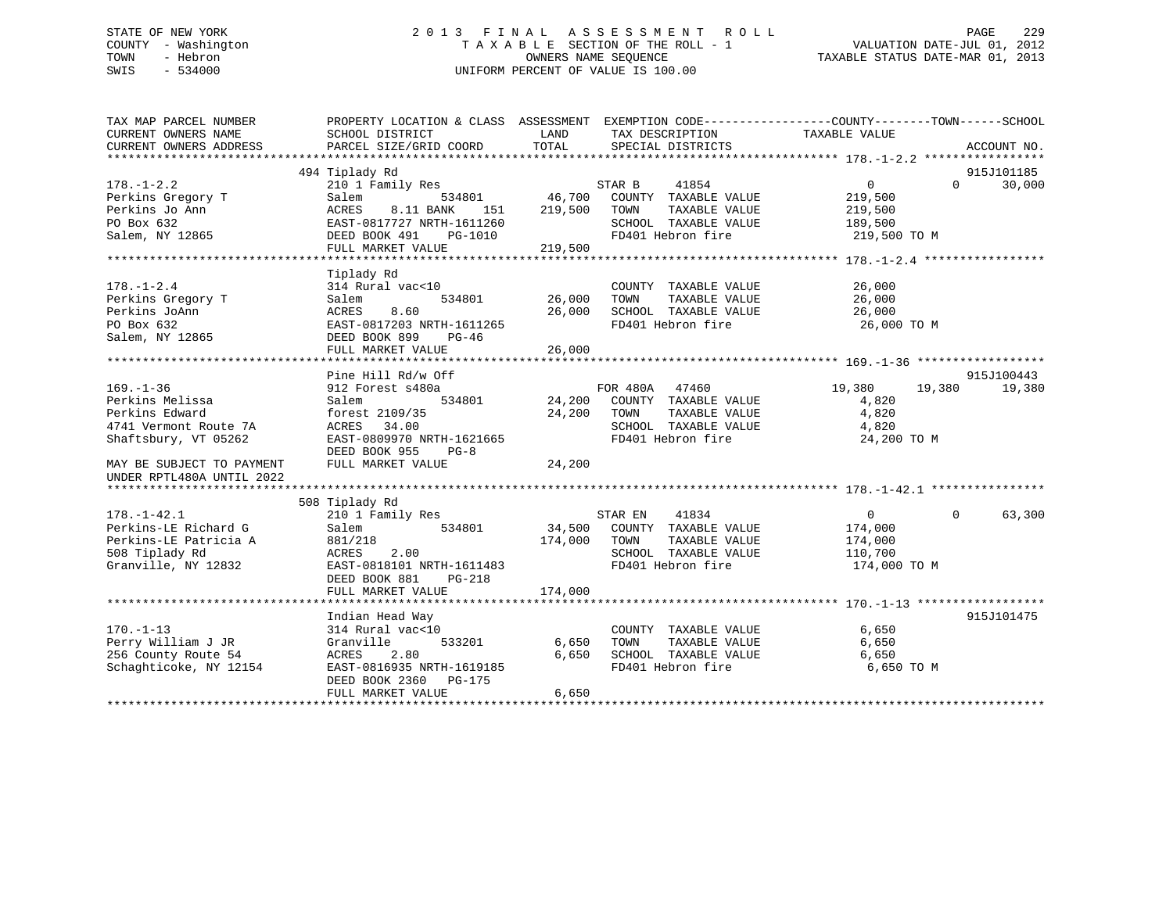# STATE OF NEW YORK 2 0 1 3 F I N A L A S S E S S M E N T R O L L PAGE 229 COUNTY - Washington T A X A B L E SECTION OF THE ROLL - 1 VALUATION DATE-JUL 01, 2012 TOWN - Hebron OWNERS NAME SEQUENCE TAXABLE STATUS DATE-MAR 01, 2013 SWIS - 534000 UNIFORM PERCENT OF VALUE IS 100.00

| 494 Tiplady Rd<br>915J101185<br>$178. - 1 - 2.2$<br>$0 \qquad \qquad$<br>30,000<br>$\Omega$<br>Perkins Gregory T<br>219,500<br>Perkins Jo Ann<br>219,500<br>TAXABLE VALUE<br>ACRES<br>8.11 BANK<br>151<br>TOWN<br>219,500<br>SCHOOL TAXABLE VALUE<br>PO Box 632<br>EAST-0817727 NRTH-1611260<br>189,500<br>Salem, NY 12865<br>FD401 Hebron fire<br>219,500 TO M<br>DEED BOOK 491 PG-1010<br>FULL MARKET VALUE 219,500<br>Tiplady Rd<br>$178. - 1 - 2.4$<br>314 Rural vac<10<br>COUNTY TAXABLE VALUE<br>26,000<br>534801 26,000<br>TAXABLE VALUE<br>26,000<br>Perkins Gregory T<br>Salem<br>TOWN<br>Perkins JoAnn<br>SCHOOL TAXABLE VALUE<br>FD401 Hebron fire<br>ACRES<br>8.60<br>26,000<br>26,000<br>PO Box 632<br>EAST-0817203 NRTH-1611265<br>26,000 TO M<br>Salem, NY 12865<br>DEED BOOK 899<br>PG-46<br>26,000<br>FULL MARKET VALUE<br>Pine Hill Rd/w Off<br>915J100443<br>FOR 480A 47460<br>19,380<br>$169. - 1 - 36$<br>912 Forest s480a<br>19,380 19,380<br>534801 24,200 COUNTY TAXABLE VALUE<br>Perkins Melissa<br>Salem<br>4,820<br>Perkins Edward<br>forest 2109/35<br>24,200 TOWN<br>TAXABLE VALUE<br>4,820<br>SCHOOL TAXABLE VALUE<br>ACRES 34.00<br>4741 Vermont Route 7A<br>4,820<br>EAST-0809970 NRTH-1621665<br>FD401 Hebron fire<br>Shaftsbury, VT 05262<br>24,200 TO M<br>DEED BOOK 955<br>$PG-8$<br>FULL MARKET VALUE<br>24,200<br>MAY BE SUBJECT TO PAYMENT<br>UNDER RPTL480A UNTIL 2022<br>508 Tiplady Rd<br>63,300<br>$178. - 1 - 42.1$<br>$\overline{0}$<br>$\Omega$<br>Perkins-LE Richard G<br>534801<br>34,500 COUNTY TAXABLE VALUE<br>Salem<br>174,000<br>174,000 TOWN<br>Perkins-LE Patricia A<br>881/218<br>TAXABLE VALUE<br>174,000<br>SCHOOL TAXABLE VALUE 110,700<br>508 Tiplady Rd<br>2.00<br>ACRES<br>FD401 Hebron fire<br>Granville, NY 12832<br>EAST-0818101 NRTH-1611483<br>174,000 TO M<br>DEED BOOK 881<br>$PG-218$<br>Indian Head Way<br>915J101475<br>$170. - 1 - 13$<br>314 Rural vac<10<br>6,650<br>COUNTY TAXABLE VALUE<br>533201<br>Perry William J JR<br>Granville<br>6,650<br>TOWN<br>TAXABLE VALUE<br>6,650<br>SCHOOL TAXABLE VALUE<br>256 County Route 54<br>6,650<br>ACRES<br>2.80<br>6,650<br>Schaghticoke, NY 12154<br>EAST-0816935 NRTH-1619185<br>FD401 Hebron fire<br>6,650 TO M<br>DEED BOOK 2360 PG-175<br>6,650<br>FULL MARKET VALUE | TAX MAP PARCEL NUMBER<br>CURRENT OWNERS NAME | PROPERTY LOCATION & CLASS ASSESSMENT EXEMPTION CODE---------------COUNTY-------TOWN-----SCHOOL<br>SCHOOL DISTRICT | <b>LAND</b> | TAX DESCRIPTION   | TAXABLE VALUE |             |
|-------------------------------------------------------------------------------------------------------------------------------------------------------------------------------------------------------------------------------------------------------------------------------------------------------------------------------------------------------------------------------------------------------------------------------------------------------------------------------------------------------------------------------------------------------------------------------------------------------------------------------------------------------------------------------------------------------------------------------------------------------------------------------------------------------------------------------------------------------------------------------------------------------------------------------------------------------------------------------------------------------------------------------------------------------------------------------------------------------------------------------------------------------------------------------------------------------------------------------------------------------------------------------------------------------------------------------------------------------------------------------------------------------------------------------------------------------------------------------------------------------------------------------------------------------------------------------------------------------------------------------------------------------------------------------------------------------------------------------------------------------------------------------------------------------------------------------------------------------------------------------------------------------------------------------------------------------------------------------------------------------------------------------------------------------------------------------------------------------------------------------------------------------------------------------------------------------------------------------------------------------------------------------------------------|----------------------------------------------|-------------------------------------------------------------------------------------------------------------------|-------------|-------------------|---------------|-------------|
|                                                                                                                                                                                                                                                                                                                                                                                                                                                                                                                                                                                                                                                                                                                                                                                                                                                                                                                                                                                                                                                                                                                                                                                                                                                                                                                                                                                                                                                                                                                                                                                                                                                                                                                                                                                                                                                                                                                                                                                                                                                                                                                                                                                                                                                                                                 | CURRENT OWNERS ADDRESS                       | PARCEL SIZE/GRID COORD                                                                                            | TOTAL       | SPECIAL DISTRICTS |               | ACCOUNT NO. |
|                                                                                                                                                                                                                                                                                                                                                                                                                                                                                                                                                                                                                                                                                                                                                                                                                                                                                                                                                                                                                                                                                                                                                                                                                                                                                                                                                                                                                                                                                                                                                                                                                                                                                                                                                                                                                                                                                                                                                                                                                                                                                                                                                                                                                                                                                                 |                                              |                                                                                                                   |             |                   |               |             |
|                                                                                                                                                                                                                                                                                                                                                                                                                                                                                                                                                                                                                                                                                                                                                                                                                                                                                                                                                                                                                                                                                                                                                                                                                                                                                                                                                                                                                                                                                                                                                                                                                                                                                                                                                                                                                                                                                                                                                                                                                                                                                                                                                                                                                                                                                                 |                                              |                                                                                                                   |             |                   |               |             |
|                                                                                                                                                                                                                                                                                                                                                                                                                                                                                                                                                                                                                                                                                                                                                                                                                                                                                                                                                                                                                                                                                                                                                                                                                                                                                                                                                                                                                                                                                                                                                                                                                                                                                                                                                                                                                                                                                                                                                                                                                                                                                                                                                                                                                                                                                                 |                                              |                                                                                                                   |             |                   |               |             |
|                                                                                                                                                                                                                                                                                                                                                                                                                                                                                                                                                                                                                                                                                                                                                                                                                                                                                                                                                                                                                                                                                                                                                                                                                                                                                                                                                                                                                                                                                                                                                                                                                                                                                                                                                                                                                                                                                                                                                                                                                                                                                                                                                                                                                                                                                                 |                                              |                                                                                                                   |             |                   |               |             |
|                                                                                                                                                                                                                                                                                                                                                                                                                                                                                                                                                                                                                                                                                                                                                                                                                                                                                                                                                                                                                                                                                                                                                                                                                                                                                                                                                                                                                                                                                                                                                                                                                                                                                                                                                                                                                                                                                                                                                                                                                                                                                                                                                                                                                                                                                                 |                                              |                                                                                                                   |             |                   |               |             |
|                                                                                                                                                                                                                                                                                                                                                                                                                                                                                                                                                                                                                                                                                                                                                                                                                                                                                                                                                                                                                                                                                                                                                                                                                                                                                                                                                                                                                                                                                                                                                                                                                                                                                                                                                                                                                                                                                                                                                                                                                                                                                                                                                                                                                                                                                                 |                                              |                                                                                                                   |             |                   |               |             |
|                                                                                                                                                                                                                                                                                                                                                                                                                                                                                                                                                                                                                                                                                                                                                                                                                                                                                                                                                                                                                                                                                                                                                                                                                                                                                                                                                                                                                                                                                                                                                                                                                                                                                                                                                                                                                                                                                                                                                                                                                                                                                                                                                                                                                                                                                                 |                                              |                                                                                                                   |             |                   |               |             |
|                                                                                                                                                                                                                                                                                                                                                                                                                                                                                                                                                                                                                                                                                                                                                                                                                                                                                                                                                                                                                                                                                                                                                                                                                                                                                                                                                                                                                                                                                                                                                                                                                                                                                                                                                                                                                                                                                                                                                                                                                                                                                                                                                                                                                                                                                                 |                                              |                                                                                                                   |             |                   |               |             |
|                                                                                                                                                                                                                                                                                                                                                                                                                                                                                                                                                                                                                                                                                                                                                                                                                                                                                                                                                                                                                                                                                                                                                                                                                                                                                                                                                                                                                                                                                                                                                                                                                                                                                                                                                                                                                                                                                                                                                                                                                                                                                                                                                                                                                                                                                                 |                                              |                                                                                                                   |             |                   |               |             |
|                                                                                                                                                                                                                                                                                                                                                                                                                                                                                                                                                                                                                                                                                                                                                                                                                                                                                                                                                                                                                                                                                                                                                                                                                                                                                                                                                                                                                                                                                                                                                                                                                                                                                                                                                                                                                                                                                                                                                                                                                                                                                                                                                                                                                                                                                                 |                                              |                                                                                                                   |             |                   |               |             |
|                                                                                                                                                                                                                                                                                                                                                                                                                                                                                                                                                                                                                                                                                                                                                                                                                                                                                                                                                                                                                                                                                                                                                                                                                                                                                                                                                                                                                                                                                                                                                                                                                                                                                                                                                                                                                                                                                                                                                                                                                                                                                                                                                                                                                                                                                                 |                                              |                                                                                                                   |             |                   |               |             |
|                                                                                                                                                                                                                                                                                                                                                                                                                                                                                                                                                                                                                                                                                                                                                                                                                                                                                                                                                                                                                                                                                                                                                                                                                                                                                                                                                                                                                                                                                                                                                                                                                                                                                                                                                                                                                                                                                                                                                                                                                                                                                                                                                                                                                                                                                                 |                                              |                                                                                                                   |             |                   |               |             |
|                                                                                                                                                                                                                                                                                                                                                                                                                                                                                                                                                                                                                                                                                                                                                                                                                                                                                                                                                                                                                                                                                                                                                                                                                                                                                                                                                                                                                                                                                                                                                                                                                                                                                                                                                                                                                                                                                                                                                                                                                                                                                                                                                                                                                                                                                                 |                                              |                                                                                                                   |             |                   |               |             |
|                                                                                                                                                                                                                                                                                                                                                                                                                                                                                                                                                                                                                                                                                                                                                                                                                                                                                                                                                                                                                                                                                                                                                                                                                                                                                                                                                                                                                                                                                                                                                                                                                                                                                                                                                                                                                                                                                                                                                                                                                                                                                                                                                                                                                                                                                                 |                                              |                                                                                                                   |             |                   |               |             |
|                                                                                                                                                                                                                                                                                                                                                                                                                                                                                                                                                                                                                                                                                                                                                                                                                                                                                                                                                                                                                                                                                                                                                                                                                                                                                                                                                                                                                                                                                                                                                                                                                                                                                                                                                                                                                                                                                                                                                                                                                                                                                                                                                                                                                                                                                                 |                                              |                                                                                                                   |             |                   |               |             |
|                                                                                                                                                                                                                                                                                                                                                                                                                                                                                                                                                                                                                                                                                                                                                                                                                                                                                                                                                                                                                                                                                                                                                                                                                                                                                                                                                                                                                                                                                                                                                                                                                                                                                                                                                                                                                                                                                                                                                                                                                                                                                                                                                                                                                                                                                                 |                                              |                                                                                                                   |             |                   |               |             |
|                                                                                                                                                                                                                                                                                                                                                                                                                                                                                                                                                                                                                                                                                                                                                                                                                                                                                                                                                                                                                                                                                                                                                                                                                                                                                                                                                                                                                                                                                                                                                                                                                                                                                                                                                                                                                                                                                                                                                                                                                                                                                                                                                                                                                                                                                                 |                                              |                                                                                                                   |             |                   |               |             |
|                                                                                                                                                                                                                                                                                                                                                                                                                                                                                                                                                                                                                                                                                                                                                                                                                                                                                                                                                                                                                                                                                                                                                                                                                                                                                                                                                                                                                                                                                                                                                                                                                                                                                                                                                                                                                                                                                                                                                                                                                                                                                                                                                                                                                                                                                                 |                                              |                                                                                                                   |             |                   |               |             |
|                                                                                                                                                                                                                                                                                                                                                                                                                                                                                                                                                                                                                                                                                                                                                                                                                                                                                                                                                                                                                                                                                                                                                                                                                                                                                                                                                                                                                                                                                                                                                                                                                                                                                                                                                                                                                                                                                                                                                                                                                                                                                                                                                                                                                                                                                                 |                                              |                                                                                                                   |             |                   |               |             |
|                                                                                                                                                                                                                                                                                                                                                                                                                                                                                                                                                                                                                                                                                                                                                                                                                                                                                                                                                                                                                                                                                                                                                                                                                                                                                                                                                                                                                                                                                                                                                                                                                                                                                                                                                                                                                                                                                                                                                                                                                                                                                                                                                                                                                                                                                                 |                                              |                                                                                                                   |             |                   |               |             |
|                                                                                                                                                                                                                                                                                                                                                                                                                                                                                                                                                                                                                                                                                                                                                                                                                                                                                                                                                                                                                                                                                                                                                                                                                                                                                                                                                                                                                                                                                                                                                                                                                                                                                                                                                                                                                                                                                                                                                                                                                                                                                                                                                                                                                                                                                                 |                                              |                                                                                                                   |             |                   |               |             |
|                                                                                                                                                                                                                                                                                                                                                                                                                                                                                                                                                                                                                                                                                                                                                                                                                                                                                                                                                                                                                                                                                                                                                                                                                                                                                                                                                                                                                                                                                                                                                                                                                                                                                                                                                                                                                                                                                                                                                                                                                                                                                                                                                                                                                                                                                                 |                                              |                                                                                                                   |             |                   |               |             |
|                                                                                                                                                                                                                                                                                                                                                                                                                                                                                                                                                                                                                                                                                                                                                                                                                                                                                                                                                                                                                                                                                                                                                                                                                                                                                                                                                                                                                                                                                                                                                                                                                                                                                                                                                                                                                                                                                                                                                                                                                                                                                                                                                                                                                                                                                                 |                                              |                                                                                                                   |             |                   |               |             |
|                                                                                                                                                                                                                                                                                                                                                                                                                                                                                                                                                                                                                                                                                                                                                                                                                                                                                                                                                                                                                                                                                                                                                                                                                                                                                                                                                                                                                                                                                                                                                                                                                                                                                                                                                                                                                                                                                                                                                                                                                                                                                                                                                                                                                                                                                                 |                                              |                                                                                                                   |             |                   |               |             |
|                                                                                                                                                                                                                                                                                                                                                                                                                                                                                                                                                                                                                                                                                                                                                                                                                                                                                                                                                                                                                                                                                                                                                                                                                                                                                                                                                                                                                                                                                                                                                                                                                                                                                                                                                                                                                                                                                                                                                                                                                                                                                                                                                                                                                                                                                                 |                                              |                                                                                                                   |             |                   |               |             |
|                                                                                                                                                                                                                                                                                                                                                                                                                                                                                                                                                                                                                                                                                                                                                                                                                                                                                                                                                                                                                                                                                                                                                                                                                                                                                                                                                                                                                                                                                                                                                                                                                                                                                                                                                                                                                                                                                                                                                                                                                                                                                                                                                                                                                                                                                                 |                                              |                                                                                                                   |             |                   |               |             |
|                                                                                                                                                                                                                                                                                                                                                                                                                                                                                                                                                                                                                                                                                                                                                                                                                                                                                                                                                                                                                                                                                                                                                                                                                                                                                                                                                                                                                                                                                                                                                                                                                                                                                                                                                                                                                                                                                                                                                                                                                                                                                                                                                                                                                                                                                                 |                                              |                                                                                                                   |             |                   |               |             |
|                                                                                                                                                                                                                                                                                                                                                                                                                                                                                                                                                                                                                                                                                                                                                                                                                                                                                                                                                                                                                                                                                                                                                                                                                                                                                                                                                                                                                                                                                                                                                                                                                                                                                                                                                                                                                                                                                                                                                                                                                                                                                                                                                                                                                                                                                                 |                                              |                                                                                                                   |             |                   |               |             |
|                                                                                                                                                                                                                                                                                                                                                                                                                                                                                                                                                                                                                                                                                                                                                                                                                                                                                                                                                                                                                                                                                                                                                                                                                                                                                                                                                                                                                                                                                                                                                                                                                                                                                                                                                                                                                                                                                                                                                                                                                                                                                                                                                                                                                                                                                                 |                                              |                                                                                                                   |             |                   |               |             |
|                                                                                                                                                                                                                                                                                                                                                                                                                                                                                                                                                                                                                                                                                                                                                                                                                                                                                                                                                                                                                                                                                                                                                                                                                                                                                                                                                                                                                                                                                                                                                                                                                                                                                                                                                                                                                                                                                                                                                                                                                                                                                                                                                                                                                                                                                                 |                                              |                                                                                                                   |             |                   |               |             |
|                                                                                                                                                                                                                                                                                                                                                                                                                                                                                                                                                                                                                                                                                                                                                                                                                                                                                                                                                                                                                                                                                                                                                                                                                                                                                                                                                                                                                                                                                                                                                                                                                                                                                                                                                                                                                                                                                                                                                                                                                                                                                                                                                                                                                                                                                                 |                                              |                                                                                                                   |             |                   |               |             |
|                                                                                                                                                                                                                                                                                                                                                                                                                                                                                                                                                                                                                                                                                                                                                                                                                                                                                                                                                                                                                                                                                                                                                                                                                                                                                                                                                                                                                                                                                                                                                                                                                                                                                                                                                                                                                                                                                                                                                                                                                                                                                                                                                                                                                                                                                                 |                                              |                                                                                                                   |             |                   |               |             |
|                                                                                                                                                                                                                                                                                                                                                                                                                                                                                                                                                                                                                                                                                                                                                                                                                                                                                                                                                                                                                                                                                                                                                                                                                                                                                                                                                                                                                                                                                                                                                                                                                                                                                                                                                                                                                                                                                                                                                                                                                                                                                                                                                                                                                                                                                                 |                                              |                                                                                                                   |             |                   |               |             |
|                                                                                                                                                                                                                                                                                                                                                                                                                                                                                                                                                                                                                                                                                                                                                                                                                                                                                                                                                                                                                                                                                                                                                                                                                                                                                                                                                                                                                                                                                                                                                                                                                                                                                                                                                                                                                                                                                                                                                                                                                                                                                                                                                                                                                                                                                                 |                                              |                                                                                                                   |             |                   |               |             |
|                                                                                                                                                                                                                                                                                                                                                                                                                                                                                                                                                                                                                                                                                                                                                                                                                                                                                                                                                                                                                                                                                                                                                                                                                                                                                                                                                                                                                                                                                                                                                                                                                                                                                                                                                                                                                                                                                                                                                                                                                                                                                                                                                                                                                                                                                                 |                                              |                                                                                                                   |             |                   |               |             |
|                                                                                                                                                                                                                                                                                                                                                                                                                                                                                                                                                                                                                                                                                                                                                                                                                                                                                                                                                                                                                                                                                                                                                                                                                                                                                                                                                                                                                                                                                                                                                                                                                                                                                                                                                                                                                                                                                                                                                                                                                                                                                                                                                                                                                                                                                                 |                                              |                                                                                                                   |             |                   |               |             |
|                                                                                                                                                                                                                                                                                                                                                                                                                                                                                                                                                                                                                                                                                                                                                                                                                                                                                                                                                                                                                                                                                                                                                                                                                                                                                                                                                                                                                                                                                                                                                                                                                                                                                                                                                                                                                                                                                                                                                                                                                                                                                                                                                                                                                                                                                                 |                                              |                                                                                                                   |             |                   |               |             |
|                                                                                                                                                                                                                                                                                                                                                                                                                                                                                                                                                                                                                                                                                                                                                                                                                                                                                                                                                                                                                                                                                                                                                                                                                                                                                                                                                                                                                                                                                                                                                                                                                                                                                                                                                                                                                                                                                                                                                                                                                                                                                                                                                                                                                                                                                                 |                                              |                                                                                                                   |             |                   |               |             |
|                                                                                                                                                                                                                                                                                                                                                                                                                                                                                                                                                                                                                                                                                                                                                                                                                                                                                                                                                                                                                                                                                                                                                                                                                                                                                                                                                                                                                                                                                                                                                                                                                                                                                                                                                                                                                                                                                                                                                                                                                                                                                                                                                                                                                                                                                                 |                                              |                                                                                                                   |             |                   |               |             |
|                                                                                                                                                                                                                                                                                                                                                                                                                                                                                                                                                                                                                                                                                                                                                                                                                                                                                                                                                                                                                                                                                                                                                                                                                                                                                                                                                                                                                                                                                                                                                                                                                                                                                                                                                                                                                                                                                                                                                                                                                                                                                                                                                                                                                                                                                                 |                                              |                                                                                                                   |             |                   |               |             |
|                                                                                                                                                                                                                                                                                                                                                                                                                                                                                                                                                                                                                                                                                                                                                                                                                                                                                                                                                                                                                                                                                                                                                                                                                                                                                                                                                                                                                                                                                                                                                                                                                                                                                                                                                                                                                                                                                                                                                                                                                                                                                                                                                                                                                                                                                                 |                                              |                                                                                                                   |             |                   |               |             |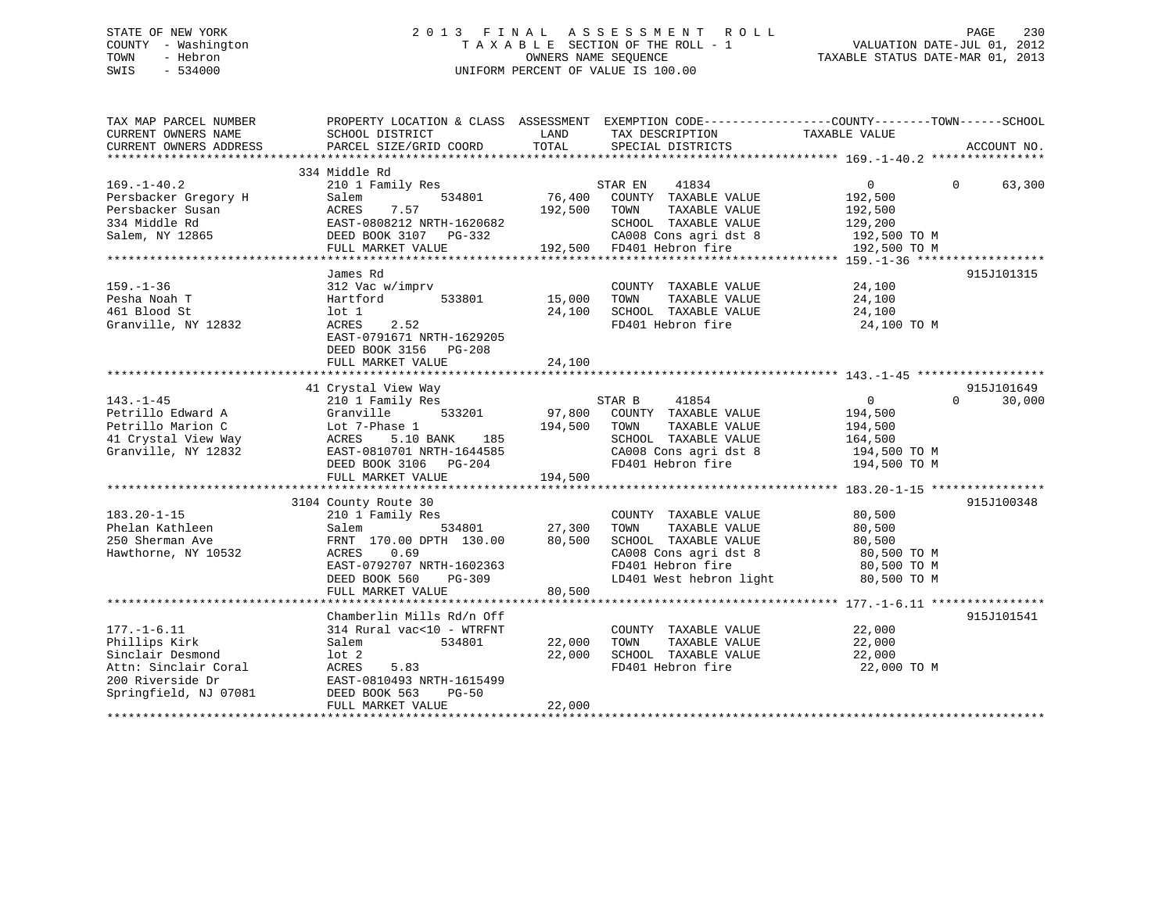# STATE OF NEW YORK 2 0 1 3 F I N A L A S S E S S M E N T R O L L PAGE 230 COUNTY - Washington T A X A B L E SECTION OF THE ROLL - 1 VALUATION DATE-JUL 01, 2012 TOWN - Hebron OWNERS NAME SEQUENCE TAXABLE STATUS DATE-MAR 01, 2013 SWIS - 534000 UNIFORM PERCENT OF VALUE IS 100.00

| TAX MAP PARCEL NUMBER<br>CURRENT OWNERS NAME<br>CURRENT OWNERS ADDRESS                                                      | PROPERTY LOCATION & CLASS ASSESSMENT EXEMPTION CODE----------------COUNTY-------TOWN-----SCHOOL<br>SCHOOL DISTRICT<br>PARCEL SIZE/GRID COORD                     | LAND<br>TOTAL                | TAX DESCRIPTION<br>SPECIAL DISTRICTS                                                                                                           | TAXABLE VALUE                                                             | ACCOUNT NO.        |
|-----------------------------------------------------------------------------------------------------------------------------|------------------------------------------------------------------------------------------------------------------------------------------------------------------|------------------------------|------------------------------------------------------------------------------------------------------------------------------------------------|---------------------------------------------------------------------------|--------------------|
|                                                                                                                             |                                                                                                                                                                  |                              |                                                                                                                                                |                                                                           |                    |
| $169. - 1 - 40.2$<br>Persbacker Gregory H                                                                                   | 334 Middle Rd<br>210 1 Family Res<br>Salem<br>534801<br>7.57                                                                                                     | 76,400                       | STAR EN<br>41834<br>COUNTY TAXABLE VALUE                                                                                                       | $0 \qquad \qquad$<br>192,500                                              | $\Omega$<br>63,300 |
| Persbacker Susan<br>334 Middle Rd<br>Salem, NY 12865                                                                        | ACRES<br>EAST-0808212 NRTH-1620682<br>DEED BOOK 3107 PG-332<br>FULL MARKET VALUE                                                                                 | 192,500                      | TAXABLE VALUE<br>TOWN<br>SCHOOL TAXABLE VALUE<br>CA008 Cons agri dst 8 192,500 TO M<br>192,500 FD401 Hebron fire                               | 192,500<br>129,200<br>192,500 TO M                                        |                    |
|                                                                                                                             |                                                                                                                                                                  |                              |                                                                                                                                                |                                                                           |                    |
|                                                                                                                             | James Rd                                                                                                                                                         |                              |                                                                                                                                                |                                                                           | 915J101315         |
| $159. - 1 - 36$<br>Pesha Noah T<br>461 Blood St<br>Granville, NY 12832                                                      | 312 Vac w/imprv<br>533801<br>Hartford<br>lot 1<br>ACRES<br>2.52<br>EAST-0791671 NRTH-1629205<br>DEED BOOK 3156 PG-208<br>FULL MARKET VALUE                       | 15,000<br>24,100<br>24,100   | COUNTY TAXABLE VALUE<br>TAXABLE VALUE<br>TOWN<br>SCHOOL TAXABLE VALUE<br>FD401 Hebron fire                                                     | 24,100<br>24,100<br>24,100<br>24,100 TO M                                 |                    |
|                                                                                                                             |                                                                                                                                                                  |                              |                                                                                                                                                |                                                                           |                    |
|                                                                                                                             | 41 Crystal View Way                                                                                                                                              |                              |                                                                                                                                                |                                                                           | 915J101649         |
| $143. - 1 - 45$<br>Petrillo Edward A<br>Petrillo Marion C<br>41 Crystal View Way<br>Granville, NY 12832                     | 210 1 Family Res<br>533201<br>Granville<br>Lot 7-Phase 1<br>5.10 BANK<br>185<br>ACRES<br>EAST-0810701 NRTH-1644585<br>DEED BOOK 3106 PG-204<br>FULL MARKET VALUE | 97,800<br>194,500<br>194,500 | 41854<br>STAR B<br>COUNTY TAXABLE VALUE<br>TOWN<br>TAXABLE VALUE<br>SCHOOL TAXABLE VALUE<br>CA008 Cons agri dst 8<br>FD401 Hebron fire         | $\Omega$<br>194,500<br>194,500<br>164,500<br>194,500 TO M<br>194,500 TO M | 30,000<br>$\Omega$ |
|                                                                                                                             |                                                                                                                                                                  |                              |                                                                                                                                                |                                                                           |                    |
| $183.20 - 1 - 15$<br>Phelan Kathleen<br>250 Sherman Ave<br>Hawthorne, NY 10532                                              | 3104 County Route 30<br>210 1 Family Res<br>534801<br>Salem<br>FRNT 170.00 DPTH 130.00<br>ACRES<br>0.69<br>EAST-0792707 NRTH-1602363<br>DEED BOOK 560<br>PG-309  | 27,300<br>80,500             | COUNTY TAXABLE VALUE<br>TOWN<br>TAXABLE VALUE<br>SCHOOL TAXABLE VALUE<br>CA008 Cons agri dst 8<br>FD401 Hebron fire<br>LD401 West hebron light | 80,500<br>80,500<br>80,500<br>80,500 TO M<br>80,500 TO M<br>80,500 TO M   | 915J100348         |
|                                                                                                                             | FULL MARKET VALUE                                                                                                                                                | 80,500                       |                                                                                                                                                |                                                                           |                    |
|                                                                                                                             | Chamberlin Mills Rd/n Off                                                                                                                                        |                              |                                                                                                                                                |                                                                           | 915J101541         |
| $177. - 1 - 6.11$<br>Phillips Kirk<br>Sinclair Desmond<br>Attn: Sinclair Coral<br>200 Riverside Dr<br>Springfield, NJ 07081 | 314 Rural vac<10 - WTRFNT<br>Salem<br>534801<br>$1$ ot $2$<br>ACRES<br>5.83<br>EAST-0810493 NRTH-1615499<br>DEED BOOK 563<br>$PG-50$<br>FULL MARKET VALUE        | 22,000<br>22,000<br>22,000   | COUNTY TAXABLE VALUE<br>TAXABLE VALUE<br>TOWN<br>SCHOOL TAXABLE VALUE<br>FD401 Hebron fire                                                     | 22,000<br>22,000<br>22,000<br>22,000 TO M                                 |                    |
|                                                                                                                             |                                                                                                                                                                  |                              |                                                                                                                                                |                                                                           |                    |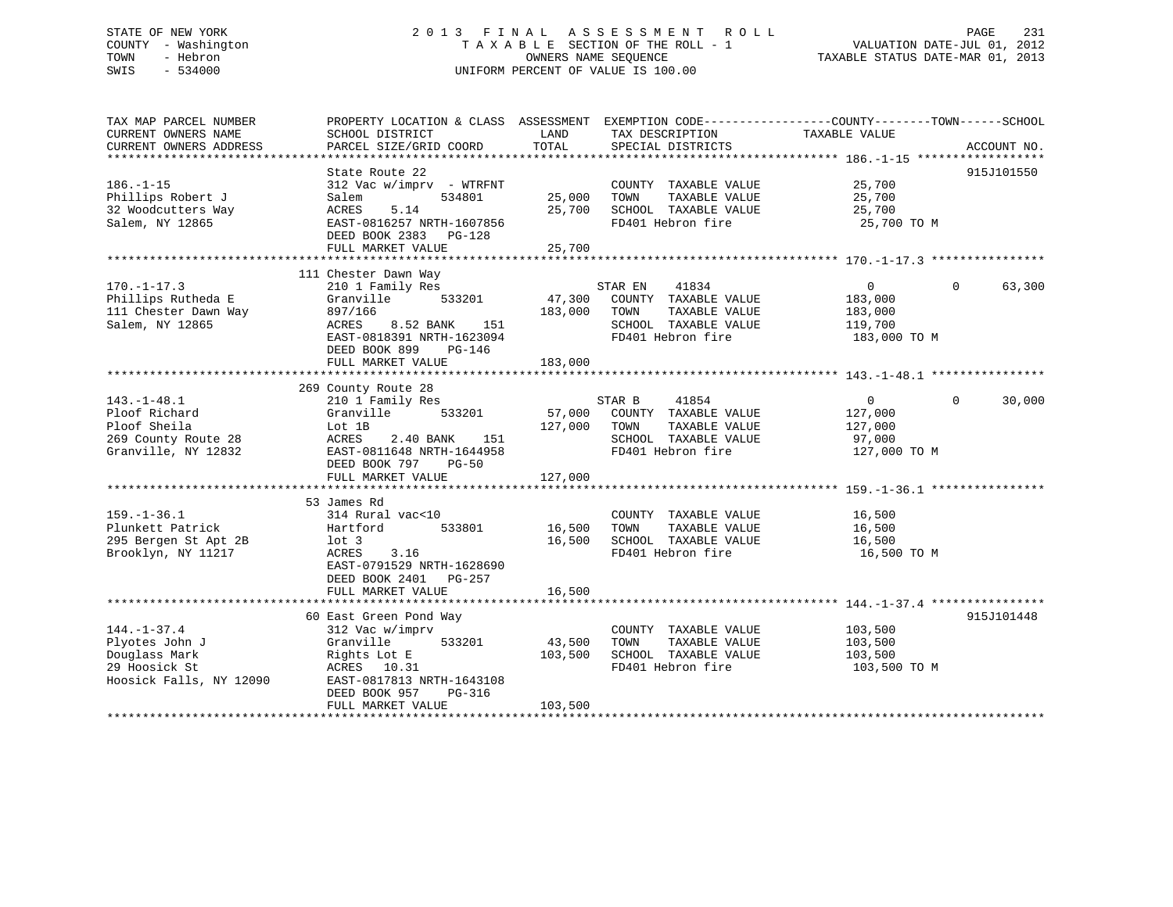# STATE OF NEW YORK 2 0 1 3 F I N A L A S S E S S M E N T R O L L PAGE 231 COUNTY - Washington T A X A B L E SECTION OF THE ROLL - 1 VALUATION DATE-JUL 01, 2012 TOWN - Hebron OWNERS NAME SEQUENCE TAXABLE STATUS DATE-MAR 01, 2013 SWIS - 534000 UNIFORM PERCENT OF VALUE IS 100.00

| TAX MAP PARCEL NUMBER<br>CURRENT OWNERS NAME<br>CURRENT OWNERS ADDRESS                           | PROPERTY LOCATION & CLASS ASSESSMENT EXEMPTION CODE---------------COUNTY-------TOWN-----SCHOOL<br>SCHOOL DISTRICT<br>PARCEL SIZE/GRID COORD                                          | LAND<br>TOTAL                | TAX DESCRIPTION<br>SPECIAL DISTRICTS                                                                                 | TAXABLE VALUE                                                   | ACCOUNT NO.        |
|--------------------------------------------------------------------------------------------------|--------------------------------------------------------------------------------------------------------------------------------------------------------------------------------------|------------------------------|----------------------------------------------------------------------------------------------------------------------|-----------------------------------------------------------------|--------------------|
|                                                                                                  |                                                                                                                                                                                      |                              |                                                                                                                      |                                                                 |                    |
| $186. - 1 - 15$<br>Phillips Robert J<br>32 Woodcutters Way<br>Salem, NY 12865                    | State Route 22<br>312 Vac w/imprv - WTRFNT<br>534801<br>Salem<br>5.14<br>ACRES<br>EAST-0816257 NRTH-1607856<br>DEED BOOK 2383 PG-128<br>FULL MARKET VALUE                            | 25,000<br>25,700<br>25,700   | COUNTY TAXABLE VALUE 25,700<br>TAXABLE VALUE<br>TOWN<br>SCHOOL TAXABLE VALUE<br>FD401 Hebron fire                    | 25,700<br>25,700<br>25,700 TO M                                 | 915J101550         |
| $170. - 1 - 17.3$<br>Phillips Rutheda E<br>111 Chester Dawn Way<br>Salem, NY 12865               | 111 Chester Dawn Way<br>210 1 Family Res<br>Granville<br>533201<br>897/166<br>ACRES<br>8.52 BANK<br>151<br>EAST-0818391 NRTH-1623094<br>DEED BOOK 899<br>PG-146<br>FULL MARKET VALUE | 47,300<br>183,000<br>183,000 | STAR EN<br>41834<br>COUNTY TAXABLE VALUE<br>TAXABLE VALUE<br>TOWN<br>SCHOOL TAXABLE VALUE<br>FD401 Hebron fire       | $\overline{0}$<br>183,000<br>183,000<br>119,700<br>183,000 TO M | 63,300<br>$\Omega$ |
| $143. - 1 - 48.1$<br>Ploof Richard<br>Ploof Sheila<br>269 County Route 28<br>Granville, NY 12832 | 269 County Route 28<br>210 1 Family Res<br>533201<br>Granville<br>Lot 1B<br>ACRES<br>151<br>2.40 BANK<br>EAST-0811648 NRTH-1644958<br>DEED BOOK 797 PG-50<br>FULL MARKET VALUE       | 127,000<br>127,000           | STAR B<br>41854<br>57,000 COUNTY TAXABLE VALUE<br>TOWN<br>TAXABLE VALUE<br>SCHOOL TAXABLE VALUE<br>FD401 Hebron fire | $\overline{0}$<br>127,000<br>127,000<br>97,000<br>127,000 TO M  | $\Omega$<br>30,000 |
| $159. - 1 - 36.1$<br>Plunkett Patrick<br>295 Bergen St Apt 2B<br>Brooklyn, NY 11217              | 53 James Rd<br>314 Rural vac<10<br>Hartford<br>533801<br>$1$ ot $3$<br>ACRES<br>3.16<br>EAST-0791529 NRTH-1628690<br>DEED BOOK 2401 PG-257<br>FULL MARKET VALUE                      | 16,500<br>16,500<br>16,500   | COUNTY TAXABLE VALUE<br>TOWN<br>TAXABLE VALUE<br>SCHOOL TAXABLE VALUE<br>FD401 Hebron fire                           | 16,500<br>16,500<br>16,500<br>16,500 TO M                       |                    |
| $144. - 1 - 37.4$<br>Plyotes John J<br>Douglass Mark<br>29 Hoosick St<br>Hoosick Falls, NY 12090 | 60 East Green Pond Way<br>312 Vac w/imprv<br>Granville<br>533201<br>Rights Lot E<br>ACRES 10.31<br>EAST-0817813 NRTH-1643108<br>DEED BOOK 957<br>PG-316<br>FULL MARKET VALUE         | 43,500<br>103,500<br>103,500 | COUNTY TAXABLE VALUE<br>TAXABLE VALUE<br>TOWN<br>SCHOOL TAXABLE VALUE<br>FD401 Hebron fire                           | 103,500<br>103,500<br>103,500<br>103,500 TO M                   | 915J101448         |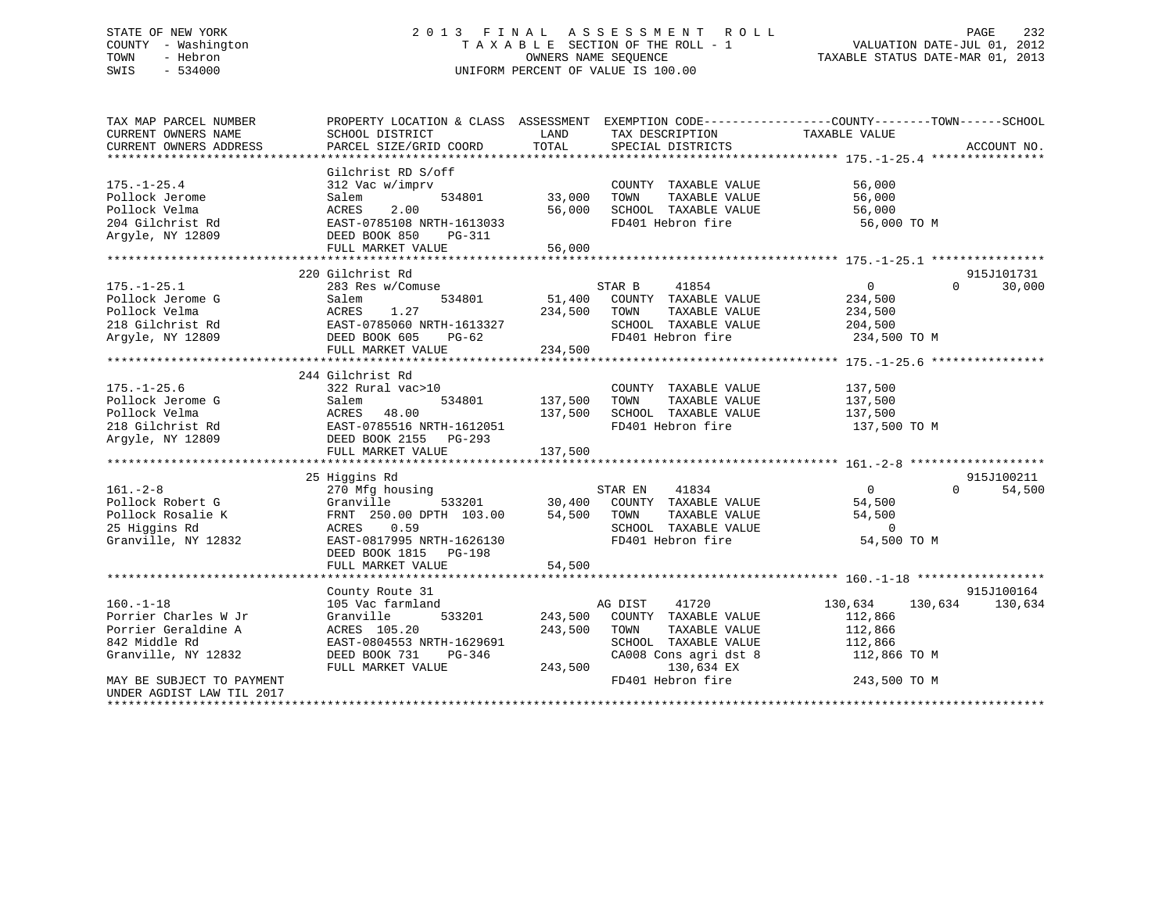# STATE OF NEW YORK 2 0 1 3 F I N A L A S S E S S M E N T R O L L PAGE 232 COUNTY - Washington T A X A B L E SECTION OF THE ROLL - 1 VALUATION DATE-JUL 01, 2012 TOWN - Hebron OWNERS NAME SEQUENCE TAXABLE STATUS DATE-MAR 01, 2013 SWIS - 534000 UNIFORM PERCENT OF VALUE IS 100.00

| TAX MAP PARCEL NUMBER     | PROPERTY LOCATION & CLASS ASSESSMENT EXEMPTION CODE----------------COUNTY-------TOWN-----SCHOOL |                            |                       |                |                    |  |
|---------------------------|-------------------------------------------------------------------------------------------------|----------------------------|-----------------------|----------------|--------------------|--|
| CURRENT OWNERS NAME       | SCHOOL DISTRICT                                                                                 | LAND                       | TAX DESCRIPTION       | TAXABLE VALUE  |                    |  |
| CURRENT OWNERS ADDRESS    | PARCEL SIZE/GRID COORD                                                                          | TOTAL                      | SPECIAL DISTRICTS     |                | ACCOUNT NO.        |  |
|                           |                                                                                                 |                            |                       |                |                    |  |
|                           | Gilchrist RD S/off                                                                              |                            |                       |                |                    |  |
| $175. - 1 - 25.4$         | 312 Vac w/imprv                                                                                 |                            | COUNTY TAXABLE VALUE  | 56,000         |                    |  |
| Pollock Jerome            | 534801<br>Salem                                                                                 | 33,000                     | TOWN<br>TAXABLE VALUE | 56,000         |                    |  |
| Pollock Velma             | 2.00<br>ACRES                                                                                   | 56,000                     | SCHOOL TAXABLE VALUE  | 56,000         |                    |  |
| 204 Gilchrist Rd          | EAST-0785108 NRTH-1613033                                                                       |                            | FD401 Hebron fire     | 56,000 TO M    |                    |  |
| Argyle, NY 12809          | DEED BOOK 850<br>PG-311                                                                         |                            |                       |                |                    |  |
|                           | FULL MARKET VALUE                                                                               | 56,000                     |                       |                |                    |  |
|                           |                                                                                                 |                            |                       |                |                    |  |
|                           | 220 Gilchrist Rd                                                                                |                            |                       |                | 915J101731         |  |
| $175. - 1 - 25.1$         | 283 Res w/Comuse                                                                                |                            | STAR B<br>41854       | $\overline{0}$ | 30,000<br>$\Omega$ |  |
| Pollock Jerome G          | 534801<br>Salem                                                                                 | 51,400                     | COUNTY TAXABLE VALUE  | 234,500        |                    |  |
| Pollock Velma             | 1.27<br>ACRES                                                                                   | 234,500                    | TOWN<br>TAXABLE VALUE | 234,500        |                    |  |
| 218 Gilchrist Rd          | EAST-0785060 NRTH-1613327                                                                       |                            | SCHOOL TAXABLE VALUE  | 204,500        |                    |  |
| Argyle, NY 12809          | DEED BOOK 605<br>PG-62                                                                          |                            | FD401 Hebron fire     | 234,500 TO M   |                    |  |
|                           | FULL MARKET VALUE                                                                               | 234,500                    |                       |                |                    |  |
|                           |                                                                                                 |                            |                       |                |                    |  |
|                           | 244 Gilchrist Rd                                                                                |                            |                       |                |                    |  |
| $175. - 1 - 25.6$         | 322 Rural vac>10                                                                                |                            | COUNTY TAXABLE VALUE  | 137,500        |                    |  |
| Pollock Jerome G          | 534801<br>Salem                                                                                 | 137,500                    | TOWN<br>TAXABLE VALUE | 137,500        |                    |  |
| Pollock Velma             | ACRES<br>48.00                                                                                  | 137,500                    | SCHOOL TAXABLE VALUE  | 137,500        |                    |  |
| 218 Gilchrist Rd          | EAST-0785516 NRTH-1612051                                                                       |                            | FD401 Hebron fire     | 137,500 TO M   |                    |  |
| Argyle, NY 12809          | DEED BOOK 2155 PG-293                                                                           |                            |                       |                |                    |  |
|                           | FULL MARKET VALUE                                                                               | 137,500                    |                       |                |                    |  |
|                           |                                                                                                 |                            |                       |                |                    |  |
|                           | 25 Higgins Rd                                                                                   |                            |                       |                | 915J100211         |  |
| $161. - 2 - 8$            | 270 Mfg housing                                                                                 |                            | 41834<br>STAR EN      | $\overline{0}$ | $\Omega$<br>54,500 |  |
| Pollock Robert G          | Granville<br>533201                                                                             |                            | COUNTY TAXABLE VALUE  | 54,500         |                    |  |
| Pollock Rosalie K         | FRNT 250.00 DPTH 103.00                                                                         | 30,400<br>54,500<br>54,500 | TOWN<br>TAXABLE VALUE | 54,500         |                    |  |
| 25 Higgins Rd             | ACRES 0.59                                                                                      |                            | SCHOOL TAXABLE VALUE  | $\overline{0}$ |                    |  |
| Granville, NY 12832       | EAST-0817995 NRTH-1626130                                                                       |                            | FD401 Hebron fire     | 54,500 TO M    |                    |  |
|                           | DEED BOOK 1815 PG-198                                                                           |                            |                       |                |                    |  |
|                           | FULL MARKET VALUE                                                                               | 54,500                     |                       |                |                    |  |
|                           |                                                                                                 |                            |                       |                |                    |  |
|                           | County Route 31                                                                                 |                            |                       |                | 915J100164         |  |
| $160. - 1 - 18$           | 105 Vac farmland                                                                                |                            | AG DIST<br>41720      | 130,634        | 130,634<br>130,634 |  |
| Porrier Charles W Jr      | 533201<br>Granville                                                                             | 243,500                    | COUNTY TAXABLE VALUE  | 112,866        |                    |  |
| Porrier Geraldine A       | ACRES 105.20                                                                                    | 243,500                    | TAXABLE VALUE<br>TOWN | 112,866        |                    |  |
| 842 Middle Rd             | EAST-0804553 NRTH-1629691                                                                       |                            | SCHOOL TAXABLE VALUE  | 112,866        |                    |  |
| Granville, NY 12832       | DEED BOOK 731<br>PG-346                                                                         |                            | CA008 Cons agri dst 8 | 112,866 TO M   |                    |  |
|                           | FULL MARKET VALUE                                                                               | 243,500                    | 130,634 EX            |                |                    |  |
| MAY BE SUBJECT TO PAYMENT |                                                                                                 |                            | FD401 Hebron fire     | 243,500 TO M   |                    |  |
| UNDER AGDIST LAW TIL 2017 |                                                                                                 |                            |                       |                |                    |  |
|                           |                                                                                                 |                            |                       |                |                    |  |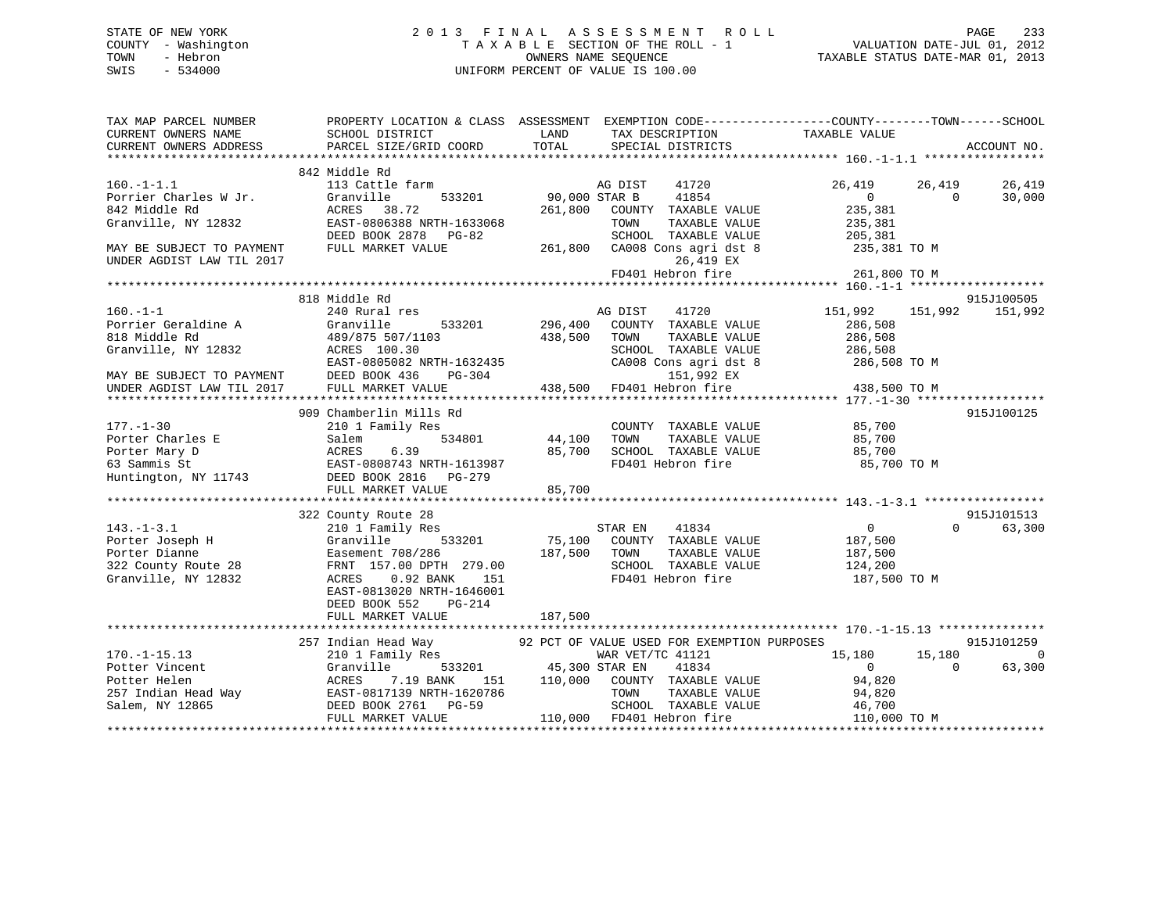# STATE OF NEW YORK 2 0 1 3 F I N A L A S S E S S M E N T R O L L PAGE 233 COUNTY - Washington T A X A B L E SECTION OF THE ROLL - 1 VALUATION DATE-JUL 01, 2012 TOWN - Hebron OWNERS NAME SEQUENCE TAXABLE STATUS DATE-MAR 01, 2013 SWIS - 534000 UNIFORM PERCENT OF VALUE IS 100.00

| TAX MAP PARCEL NUMBER<br>CURRENT OWNERS NAME<br>CURRENT OWNERS ADDRESS                               | <b>EXAMPLE SERVICE SERVICE SERVICE SERVICE SERVICE SERVICE SERVICE SERVICE SERVICE SERVICE SERVICE SERVICE SERVICE</b><br>SCHOOL DISTRICT<br>PARCEL SIZE/GRID COORD | TOTAL                 | TAX DESCRIPTION TAXABLE VALUE<br>SPECIAL DISTRICTS | PROPERTY LOCATION & CLASS ASSESSMENT EXEMPTION CODE---------------COUNTY-------TOWN-----SCHOOL | ACCOUNT NO.    |
|------------------------------------------------------------------------------------------------------|---------------------------------------------------------------------------------------------------------------------------------------------------------------------|-----------------------|----------------------------------------------------|------------------------------------------------------------------------------------------------|----------------|
|                                                                                                      |                                                                                                                                                                     |                       |                                                    |                                                                                                |                |
|                                                                                                      | 842 Middle Rd                                                                                                                                                       |                       |                                                    |                                                                                                |                |
| $160.-1-1.1$                                                                                         | 113 Cattle farm                                                                                                                                                     |                       | 41720<br>AG DIST                                   | 26,419<br>26,419                                                                               | 26,419         |
| Porrier Charles W Jr.                                                                                | Granville<br>533201                                                                                                                                                 | 90,000 STAR B         | 41854                                              | $\overline{0}$<br>$\Omega$                                                                     | 30,000         |
| 842 Middle Rd                                                                                        | ACRES 38.72                                                                                                                                                         | 261,800               | COUNTY TAXABLE VALUE                               | 235,381                                                                                        |                |
| Granville, NY 12832                                                                                  | EAST-0806388 NRTH-1633068                                                                                                                                           |                       | TOWN<br>TAXABLE VALUE                              | 235,381                                                                                        |                |
|                                                                                                      | DEED BOOK 2878 PG-82                                                                                                                                                |                       | SCHOOL TAXABLE VALUE                               | 205,381                                                                                        |                |
| MAY BE SUBJECT TO PAYMENT<br>UNDER AGDIST LAW TIL 2017                                               | FULL MARKET VALUE                                                                                                                                                   | 261,800               | CA008 Cons agri dst 8<br>26,419 EX                 | 235,381 TO M                                                                                   |                |
|                                                                                                      |                                                                                                                                                                     |                       | FD401 Hebron fire                                  | 261,800 TO M                                                                                   |                |
|                                                                                                      |                                                                                                                                                                     |                       |                                                    |                                                                                                |                |
|                                                                                                      | 818 Middle Rd                                                                                                                                                       |                       |                                                    |                                                                                                | 915J100505     |
| $160. - 1 - 1$                                                                                       | 240 Rural res                                                                                                                                                       |                       | 41720<br>AG DIST                                   | 151,992<br>151,992                                                                             | 151,992        |
| Porrier Geraldine A                                                                                  | Granville<br>533201                                                                                                                                                 | 296,400               | COUNTY TAXABLE VALUE                               | 286,508                                                                                        |                |
| 818 Middle Rd                                                                                        | 489/875 507/1103                                                                                                                                                    | 438,500               | TOWN<br>TAXABLE VALUE                              | 286,508                                                                                        |                |
| Granville, NY 12832                                                                                  | ACRES 100.30                                                                                                                                                        |                       | SCHOOL TAXABLE VALUE                               | 286,508                                                                                        |                |
|                                                                                                      | EAST-0805082 NRTH-1632435                                                                                                                                           |                       | CA008 Cons agri dst 8                              | 286,508 TO M                                                                                   |                |
| EAST-0805082 N<br>MAY BE SUBJECT TO PAYMENT DEED BOOK 436<br>UNDER AGDIST LAW TIL 2017 FULL MARKET V | PG-304                                                                                                                                                              |                       | 151,992 EX                                         |                                                                                                |                |
|                                                                                                      | FULL MARKET VALUE                                                                                                                                                   | 438,500               | FD401 Hebron fire                                  | 438,500 TO M                                                                                   |                |
|                                                                                                      |                                                                                                                                                                     |                       |                                                    |                                                                                                |                |
|                                                                                                      | 909 Chamberlin Mills Rd                                                                                                                                             |                       |                                                    |                                                                                                | 915J100125     |
| $177. - 1 - 30$                                                                                      | 210 1 Family Res                                                                                                                                                    |                       | COUNTY TAXABLE VALUE                               | 85,700                                                                                         |                |
| Porter Charles E                                                                                     | 534801<br>Salem                                                                                                                                                     | 44,100                | TAXABLE VALUE<br>TOWN                              | 85,700                                                                                         |                |
| Porter Mary D                                                                                        | ACRES<br>6.39<br>EAST-0808743 NRTH-1613987                                                                                                                          | 85,700                | SCHOOL TAXABLE VALUE                               | 85,700                                                                                         |                |
| 63 Sammis St                                                                                         |                                                                                                                                                                     |                       | FD401 Hebron fire                                  | 85,700 TO M                                                                                    |                |
|                                                                                                      | Huntington, NY 11743 DEED BOOK 2816 PG-279                                                                                                                          | 85,700                |                                                    |                                                                                                |                |
|                                                                                                      | FULL MARKET VALUE                                                                                                                                                   |                       |                                                    |                                                                                                |                |
|                                                                                                      | 322 County Route 28                                                                                                                                                 |                       |                                                    |                                                                                                | 915J101513     |
| $143. - 1 - 3.1$                                                                                     | 210 1 Family Res                                                                                                                                                    |                       | STAR EN<br>41834                                   | $\overline{0}$<br>$\Omega$                                                                     | 63,300         |
| Porter Joseph H                                                                                      | Granville<br>533201                                                                                                                                                 | 75,100                | COUNTY TAXABLE VALUE                               | 187,500                                                                                        |                |
| Porter Dianne                                                                                        | Easement 708/286                                                                                                                                                    | 187,500               | TOWN<br>TAXABLE VALUE                              | 187,500                                                                                        |                |
| 322 County Route 28                                                                                  | FRNT 157.00 DPTH 279.00                                                                                                                                             |                       | SCHOOL TAXABLE VALUE                               | 124,200                                                                                        |                |
| Granville, NY 12832                                                                                  | ACRES<br>0.92 BANK<br>151                                                                                                                                           |                       | FD401 Hebron fire                                  | 187,500 TO M                                                                                   |                |
|                                                                                                      | EAST-0813020 NRTH-1646001                                                                                                                                           |                       |                                                    |                                                                                                |                |
|                                                                                                      | DEED BOOK 552<br>PG-214                                                                                                                                             |                       |                                                    |                                                                                                |                |
|                                                                                                      | FULL MARKET VALUE                                                                                                                                                   | 187,500               |                                                    |                                                                                                |                |
|                                                                                                      |                                                                                                                                                                     |                       |                                                    |                                                                                                |                |
|                                                                                                      | 257 Indian Head Way 62 PCT OF VALUE USED FOR EXEMPTION PURPOSES                                                                                                     |                       |                                                    |                                                                                                | 915J101259     |
| $170. - 1 - 15.13$                                                                                   | 210 1 Family Res                                                                                                                                                    |                       | WAR VET/TC 41121                                   | 15,180<br>15,180                                                                               | $\overline{0}$ |
| Potter Vincent                                                                                       | Granville                                                                                                                                                           | 533201 45,300 STAR EN | 41834                                              | $\overline{0}$<br>$\Omega$                                                                     | 63,300         |
| Potter Helen                                                                                         | ACRES<br>7.19 BANK<br>151                                                                                                                                           | 110,000               | COUNTY TAXABLE VALUE                               | 94,820                                                                                         |                |
|                                                                                                      |                                                                                                                                                                     |                       | TOWN<br>TAXABLE VALUE                              | 94,820                                                                                         |                |
| Salem, NY 12865                                                                                      | DEED BOOK 2761 PG-59                                                                                                                                                |                       | SCHOOL TAXABLE VALUE                               | 46,700                                                                                         |                |
|                                                                                                      | FULL MARKET VALUE                                                                                                                                                   |                       | 110,000 FD401 Hebron fire                          | 110,000 TO M                                                                                   |                |
|                                                                                                      |                                                                                                                                                                     |                       |                                                    |                                                                                                |                |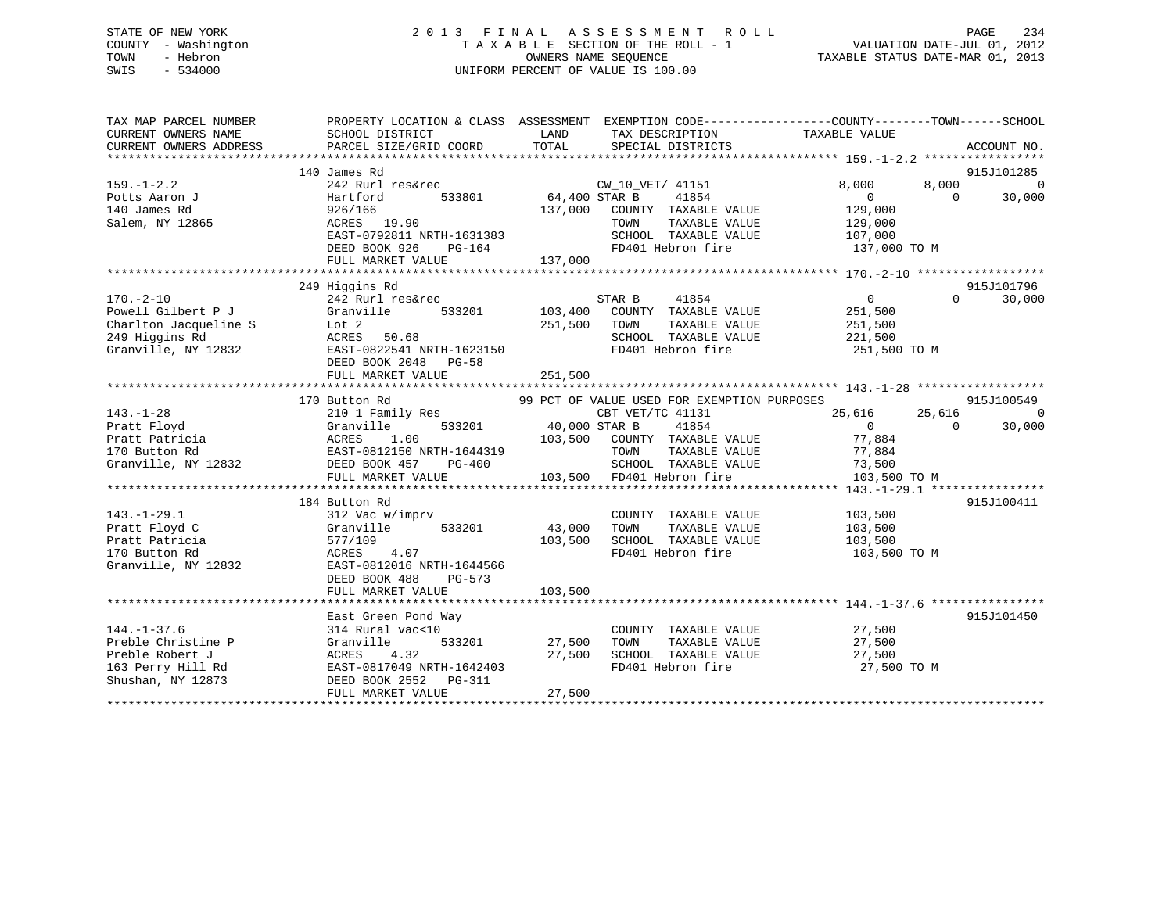# STATE OF NEW YORK 2 0 1 3 F I N A L A S S E S S M E N T R O L L PAGE 234 COUNTY - Washington T A X A B L E SECTION OF THE ROLL - 1 VALUATION DATE-JUL 01, 2012 TOWN - Hebron OWNERS NAME SEQUENCE TAXABLE STATUS DATE-MAR 01, 2013 SWIS - 534000 UNIFORM PERCENT OF VALUE IS 100.00

| TAX MAP PARCEL NUMBER<br><b>CURRENT OWNERS NAME</b><br>CURRENT OWNERS ADDRESS                           | PROPERTY LOCATION & CLASS ASSESSMENT EXEMPTION CODE----------------COUNTY-------TOWN------SCHOOL<br>SCHOOL DISTRICT<br>PARCEL SIZE/GRID COORD                      | LAND<br>TOTAL                       | TAX DESCRIPTION<br>SPECIAL DISTRICTS                                                                                                                                                   | TAXABLE VALUE                                                                    | ACCOUNT NO.                                        |
|---------------------------------------------------------------------------------------------------------|--------------------------------------------------------------------------------------------------------------------------------------------------------------------|-------------------------------------|----------------------------------------------------------------------------------------------------------------------------------------------------------------------------------------|----------------------------------------------------------------------------------|----------------------------------------------------|
| $159. - 1 - 2.2$<br>Potts Aaron J<br>140 James Rd<br>Salem, NY 12865                                    | 140 James Rd<br>242 Rurl res&rec<br>533801<br>Hartford<br>926/166<br>ACRES 19.90<br>EAST-0792811 NRTH-1631383<br>DEED BOOK 926<br>PG-164<br>FULL MARKET VALUE      | 64,400 STAR B<br>137,000<br>137,000 | CW_10_VET/ 41151<br>41854<br>COUNTY TAXABLE VALUE<br>TOWN<br>TAXABLE VALUE<br>SCHOOL TAXABLE VALUE<br>FD401 Hebron fire                                                                | 8,000<br>8,000<br>$\Omega$<br>129,000<br>129,000<br>107,000<br>137,000 TO M      | 915J101285<br>$\overline{0}$<br>$\Omega$<br>30,000 |
| $170. - 2 - 10$<br>Powell Gilbert P J<br>Charlton Jacqueline S<br>249 Higgins Rd<br>Granville, NY 12832 | 249 Higgins Rd<br>242 Rurl res&rec<br>533201<br>Granville<br>Lot 2<br>ACRES<br>50.68<br>EAST-0822541 NRTH-1623150<br>DEED BOOK 2048 PG-58<br>FULL MARKET VALUE     | 103,400<br>251,500<br>251,500       | STAR B<br>41854<br>COUNTY TAXABLE VALUE<br>TAXABLE VALUE<br>TOWN<br>SCHOOL TAXABLE VALUE<br>FD401 Hebron fire                                                                          | $\overline{0}$<br>251,500<br>251,500<br>221,500<br>251,500 TO M                  | 915J101796<br>30,000<br>$\Omega$                   |
| $143. - 1 - 28$<br>Pratt Floyd<br>Pratt Patricia<br>170 Button Rd<br>Granville, NY 12832                | 170 Button Rd<br>210 1 Family Res<br>533201<br>Granville<br>ACRES<br>1.00<br>EAST-0812150 NRTH-1644319<br>DEED BOOK 457<br>PG-400<br>FULL MARKET VALUE             | CBT VET<br>40,000 STAR B            | 99 PCT OF VALUE USED FOR EXEMPTION PURPOSES<br>CBT VET/TC 41131<br>41854<br>103,500 COUNTY TAXABLE VALUE<br>TAXABLE VALUE<br>TOWN<br>SCHOOL TAXABLE VALUE<br>103,500 FD401 Hebron fire | 25,616<br>25,616<br>$\overline{0}$<br>77,884<br>77,884<br>73,500<br>103,500 TO M | 915J100549<br>$\overline{0}$<br>$\Omega$<br>30,000 |
| $143. - 1 - 29.1$<br>Pratt Floyd C<br>Pratt Patricia<br>170 Button Rd<br>Granville, NY 12832            | 184 Button Rd<br>312 Vac w/imprv<br>533201<br>Granville<br>577/109<br>ACRES<br>4.07<br>EAST-0812016 NRTH-1644566<br>DEED BOOK 488<br>$PG-573$<br>FULL MARKET VALUE | 43,000<br>103,500<br>103,500        | COUNTY TAXABLE VALUE<br>TOWN<br>TAXABLE VALUE<br>SCHOOL TAXABLE VALUE<br>FD401 Hebron fire                                                                                             | 103,500<br>103,500<br>103,500<br>103,500 TO M                                    | 915J100411                                         |
| $144. - 1 - 37.6$<br>Preble Christine P<br>Preble Robert J<br>163 Perry Hill Rd<br>Shushan, NY 12873    | East Green Pond Way<br>314 Rural vac<10<br>Granville<br>533201<br>4.32<br>ACRES<br>EAST-0817049 NRTH-1642403<br>DEED BOOK 2552 PG-311<br>FULL MARKET VALUE         | 27,500<br>27,500<br>27,500          | COUNTY TAXABLE VALUE<br>TOWN<br>TAXABLE VALUE<br>SCHOOL TAXABLE VALUE<br>FD401 Hebron fire                                                                                             | 27,500<br>27,500<br>27,500<br>27,500 TO M                                        | 915J101450                                         |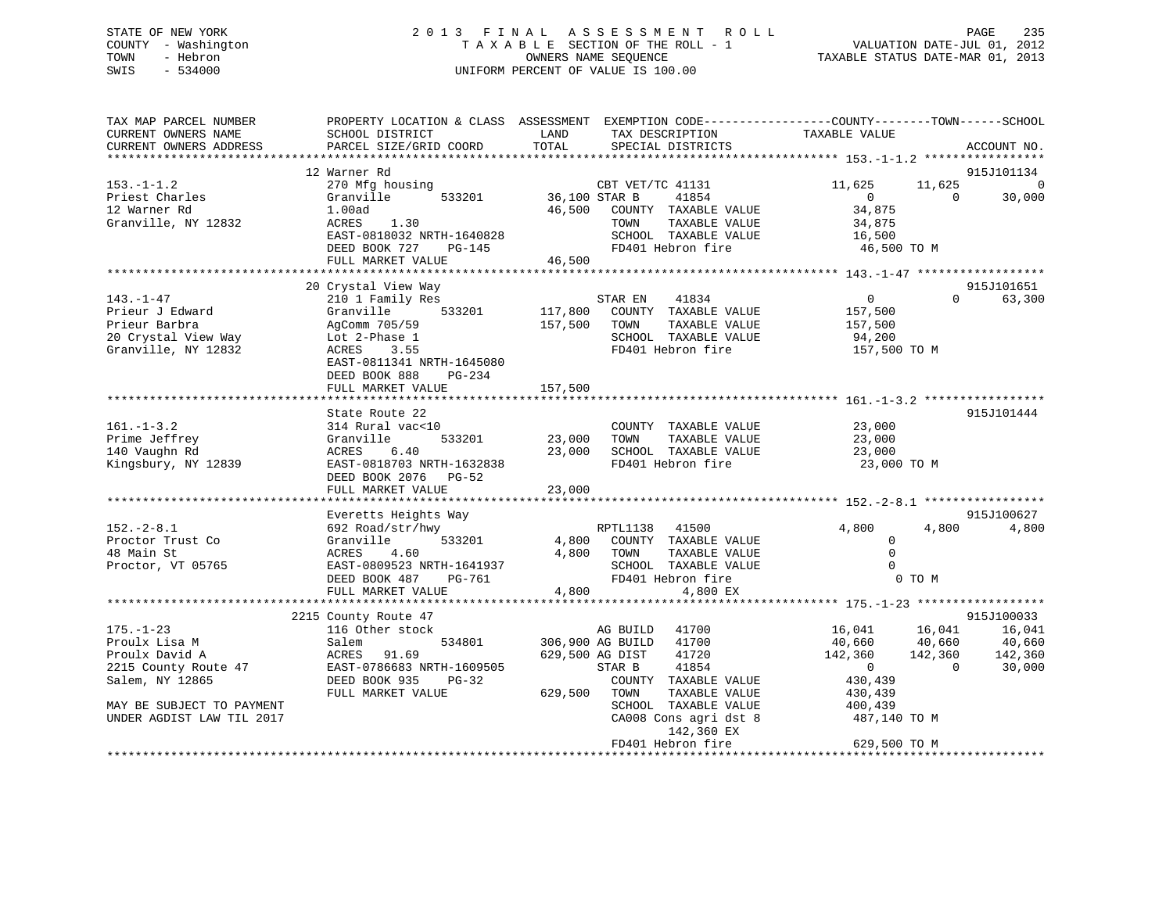# STATE OF NEW YORK 2 0 1 3 F I N A L A S S E S S M E N T R O L L PAGE 235 COUNTY - Washington T A X A B L E SECTION OF THE ROLL - 1 VALUATION DATE-JUL 01, 2012 TOWN - Hebron OWNERS NAME SEQUENCE TAXABLE STATUS DATE-MAR 01, 2013 SWIS - 534000 UNIFORM PERCENT OF VALUE IS 100.00

| TAX MAP PARCEL NUMBER<br>CURRENT OWNERS NAME                                                                                                            | PROPERTY LOCATION & CLASS ASSESSMENT<br>SCHOOL DISTRICT                                                                                                                   | LAND                          | EXEMPTION CODE-----------------COUNTY-------TOWN------SCHOOL<br>TAX DESCRIPTION                                                                                                            | TAXABLE VALUE                                                                                  |                                         |                                       |
|---------------------------------------------------------------------------------------------------------------------------------------------------------|---------------------------------------------------------------------------------------------------------------------------------------------------------------------------|-------------------------------|--------------------------------------------------------------------------------------------------------------------------------------------------------------------------------------------|------------------------------------------------------------------------------------------------|-----------------------------------------|---------------------------------------|
| CURRENT OWNERS ADDRESS                                                                                                                                  | PARCEL SIZE/GRID COORD                                                                                                                                                    | TOTAL                         | SPECIAL DISTRICTS                                                                                                                                                                          |                                                                                                |                                         | ACCOUNT NO.                           |
|                                                                                                                                                         | 12 Warner Rd                                                                                                                                                              |                               |                                                                                                                                                                                            |                                                                                                |                                         | 915J101134                            |
| $153. - 1 - 1.2$<br>Priest Charles<br>12 Warner Rd<br>Granville, NY 12832                                                                               | 270 Mfg housing<br>533201<br>Granville<br>1.00ad<br>ACRES<br>1.30<br>EAST-0818032 NRTH-1640828<br>DEED BOOK 727<br>PG-145<br>FULL MARKET VALUE                            | 36,100 STAR B<br>46,500       | CBT VET/TC 41131<br>41854<br>COUNTY TAXABLE VALUE<br>TAXABLE VALUE<br>TOWN<br>SCHOOL TAXABLE VALUE<br>FD401 Hebron fire                                                                    | 11,625<br>$\Omega$<br>34,875<br>34,875<br>16,500<br>46,500 TO M                                | 11,625<br>$\Omega$                      | $\mathbf 0$<br>30,000                 |
|                                                                                                                                                         |                                                                                                                                                                           | 46,500                        |                                                                                                                                                                                            |                                                                                                |                                         |                                       |
|                                                                                                                                                         | 20 Crystal View Way                                                                                                                                                       |                               |                                                                                                                                                                                            |                                                                                                |                                         | 915J101651                            |
| $143. - 1 - 47$<br>Prieur J Edward<br>Prieur Barbra<br>20 Crystal View Way<br>Granville, NY 12832                                                       | 210 1 Family Res<br>533201<br>Granville<br>AgComm 705/59<br>Lot 2-Phase 1<br>3.55<br>ACRES<br>EAST-0811341 NRTH-1645080<br>DEED BOOK 888<br>$PG-234$<br>FULL MARKET VALUE | 117,800<br>157,500<br>157,500 | STAR EN<br>41834<br>COUNTY TAXABLE VALUE<br>TOWN<br>TAXABLE VALUE<br>SCHOOL TAXABLE VALUE<br>FD401 Hebron fire                                                                             | $\overline{0}$<br>157,500<br>157,500<br>94,200<br>157,500 TO M                                 | $\Omega$                                | 63,300                                |
|                                                                                                                                                         |                                                                                                                                                                           |                               |                                                                                                                                                                                            |                                                                                                |                                         |                                       |
| $161. - 1 - 3.2$<br>Prime Jeffrey<br>140 Vaughn Rd<br>Kingsbury, NY 12839                                                                               | State Route 22<br>314 Rural vac<10<br>Granville<br>533201<br>ACRES<br>6.40<br>EAST-0818703 NRTH-1632838<br>DEED BOOK 2076<br>$PG-52$<br>FULL MARKET VALUE                 | 23,000<br>23,000<br>23,000    | COUNTY TAXABLE VALUE<br>TAXABLE VALUE<br>TOWN<br>SCHOOL TAXABLE VALUE<br>FD401 Hebron fire                                                                                                 | 23,000<br>23,000<br>23,000<br>23,000 TO M                                                      |                                         | 915J101444                            |
|                                                                                                                                                         | Everetts Heights Way                                                                                                                                                      |                               |                                                                                                                                                                                            |                                                                                                |                                         | 915J100627                            |
| $152 - 2 - 8.1$<br>Proctor Trust Co<br>48 Main St<br>Proctor, VT 05765                                                                                  | 692 Road/str/hwy<br>Granville<br>533201<br>4.60<br>ACRES<br>EAST-0809523 NRTH-1641937<br>DEED BOOK 487<br>PG-761<br>FULL MARKET VALUE                                     | 4,800<br>4,800<br>4,800       | RPTL1138<br>41500<br>COUNTY TAXABLE VALUE<br>TOWN<br>TAXABLE VALUE<br>SCHOOL TAXABLE VALUE<br>FD401 Hebron fire<br>4,800 EX                                                                | 4,800<br>$\Omega$<br>$\mathbf 0$<br>$\Omega$                                                   | 4,800<br>0 TO M                         | 4,800                                 |
|                                                                                                                                                         |                                                                                                                                                                           |                               |                                                                                                                                                                                            |                                                                                                |                                         | 915J100033                            |
| $175. - 1 - 23$<br>Proulx Lisa M<br>Proulx David A<br>2215 County Route 47<br>Salem, NY 12865<br>MAY BE SUBJECT TO PAYMENT<br>UNDER AGDIST LAW TIL 2017 | 2215 County Route 47<br>116 Other stock<br>Salem<br>534801<br>ACRES<br>91.69<br>EAST-0786683 NRTH-1609505<br>DEED BOOK 935<br>PG-32<br>FULL MARKET VALUE                  | 629,500 AG DIST<br>629,500    | AG BUILD<br>41700<br>306,900 AG BUILD<br>41700<br>41720<br>STAR B<br>41854<br>COUNTY TAXABLE VALUE<br>TOWN<br>TAXABLE VALUE<br>SCHOOL TAXABLE VALUE<br>CA008 Cons agri dst 8<br>142,360 EX | 16,041<br>40,660<br>142,360<br>$\overline{0}$<br>430,439<br>430,439<br>400,439<br>487,140 TO M | 16,041<br>40,660<br>142,360<br>$\Omega$ | 16,041<br>40,660<br>142,360<br>30,000 |
|                                                                                                                                                         | **************************************                                                                                                                                    |                               | FD401 Hebron fire                                                                                                                                                                          | 629,500 TO M                                                                                   |                                         |                                       |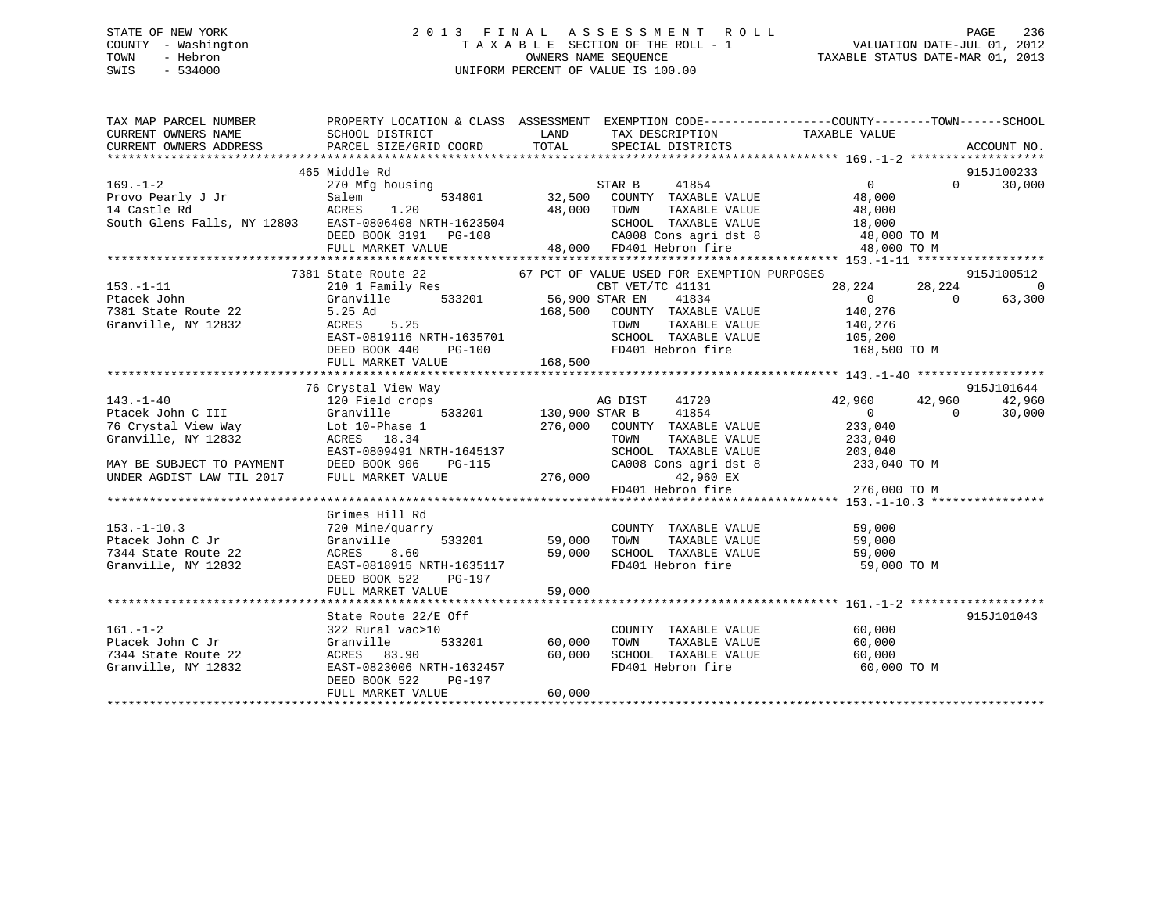# STATE OF NEW YORK 2 0 1 3 F I N A L A S S E S S M E N T R O L L PAGE 236 COUNTY - Washington T A X A B L E SECTION OF THE ROLL - 1 VALUATION DATE-JUL 01, 2012 TOWN - Hebron OWNERS NAME SEQUENCE TAXABLE STATUS DATE-MAR 01, 2013 SWIS - 534000 UNIFORM PERCENT OF VALUE IS 100.00

| TAX MAP PARCEL NUMBER                                                                                                                                                                                                                  |                                                                                                                              |                 |                                                          | PROPERTY LOCATION & CLASS ASSESSMENT EXEMPTION CODE----------------COUNTY-------TOWN------SCHOOL                                                                                                                                                                                  |                                  |
|----------------------------------------------------------------------------------------------------------------------------------------------------------------------------------------------------------------------------------------|------------------------------------------------------------------------------------------------------------------------------|-----------------|----------------------------------------------------------|-----------------------------------------------------------------------------------------------------------------------------------------------------------------------------------------------------------------------------------------------------------------------------------|----------------------------------|
|                                                                                                                                                                                                                                        | 465 Middle Rd                                                                                                                |                 |                                                          |                                                                                                                                                                                                                                                                                   | 915J100233                       |
| 153.-1-11 210 1 Family Res<br>Ptacek John Granville 533201 56,900 STAR EN 41834 0<br>7381 State Route 22 5.25 Ad 168,500 COUNTY TAXABLE VALUE 140,276<br>Granville, NY 12832 ACRES 5.25 TOWN TAXABLE VALUE 140,276                     | 7381 State Route 22<br>EAST-0819116 NRTH-1635701 SCHOOL TAXABLE VALUE $105,200$<br>DEED BOOK 440 PG-100<br>FULL MARKET VALUE | $G-100$ 168,500 |                                                          | ${\begin{array}{cccccccc}67&\text{PCT OF VALUE USED FOR EXEMPITION PURPOSES} & & & & & & 915J100512 \\ s&& & & & & & & & & & 915J100512 \\ 533201 && 56,900 STAR EN && 41834 && 28,224 && 0 \\ 63,300 && 63,300 && 0 && 63,300 \\ \end{array}}$<br>FD401 Hebron fire 168,500 TO M |                                  |
|                                                                                                                                                                                                                                        |                                                                                                                              |                 |                                                          | AG DIST 41720 42,960 42,960 42,960                                                                                                                                                                                                                                                | 915J101644<br>$\Omega$<br>30,000 |
| 153.-1-10.3<br>Ptacek John C Jr (Granville 111 Kd)<br>Ptacek John C Jr (Granville 533201 59,000 TOWN TAXABLE VALUE 59,000<br>7344 State Route 22 ACRES 8.60 59,000 SCHOOL TAXABLE VALUE 59,000<br>Granville, NY 12832 EAST-0818915 NRT | Grimes Hill Rd<br>DEED BOOK 522<br>PG-197                                                                                    |                 |                                                          |                                                                                                                                                                                                                                                                                   |                                  |
| $161. - 1 - 2$<br>Ptacek John C Jr<br>7344 State Route 22<br>Granville, NY 12832<br>EAST-0823006 NRTH-1632457<br>EAST-0823006 NRTH-1632457<br>EAST-0823006 NRTH-1632457<br>FD401 Hebron fire 60,000                                    | State Route 22/E Off<br>322 Rural vac>10<br>533201 60,000 TOWN<br>DEED BOOK 522<br>$PG-197$<br>FULL MARKET VALUE             | 60,000          | COUNTY TAXABLE VALUE 60,000<br>TOWN TAXABLE VALUE 60,000 | 60,000 TO M                                                                                                                                                                                                                                                                       | 915J101043                       |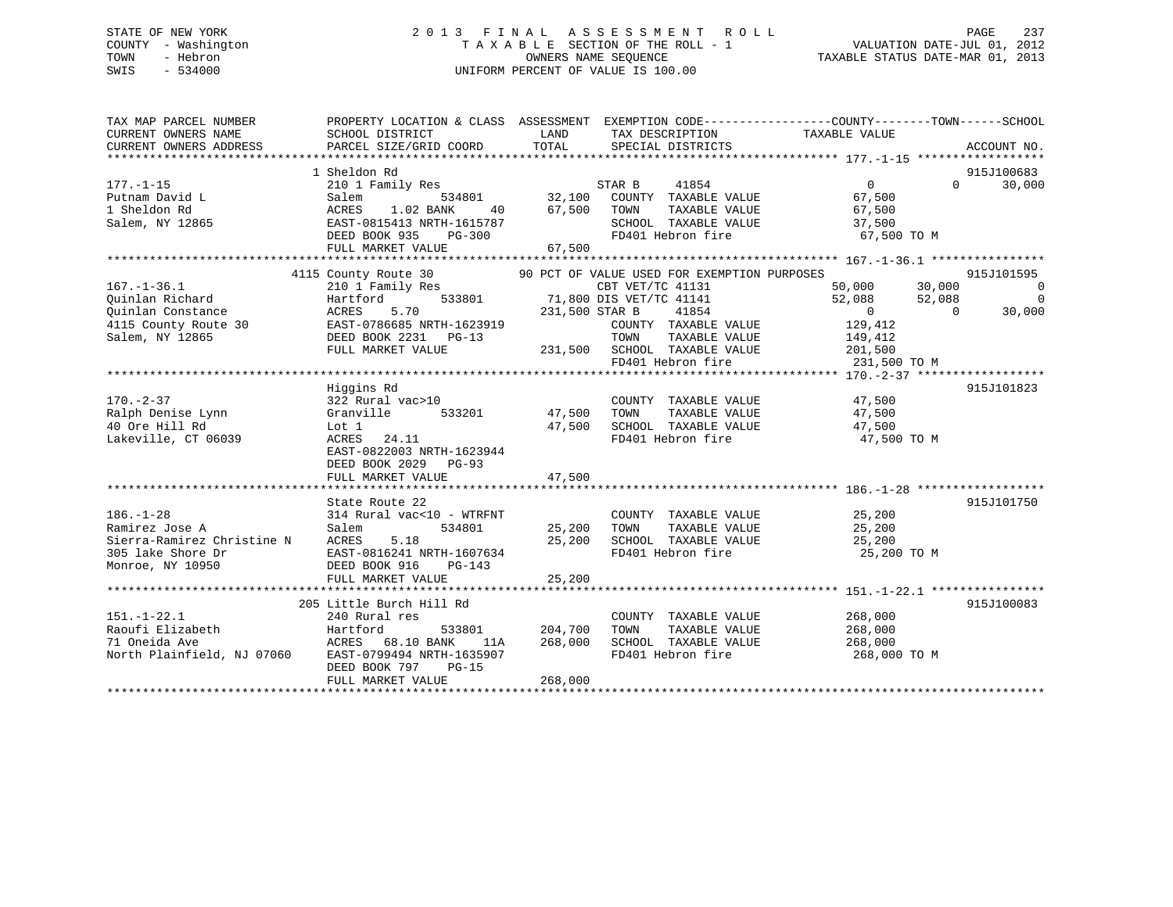# STATE OF NEW YORK 2 0 1 3 F I N A L A S S E S S M E N T R O L L PAGE 237 COUNTY - Washington T A X A B L E SECTION OF THE ROLL - 1 VALUATION DATE-JUL 01, 2012 TOWN - Hebron OWNERS NAME SEQUENCE TAXABLE STATUS DATE-MAR 01, 2013 SWIS - 534000 UNIFORM PERCENT OF VALUE IS 100.00

| TAX MAP PARCEL NUMBER<br>CURRENT OWNERS NAME<br>CURRENT OWNERS ADDRESS | PROPERTY LOCATION & CLASS ASSESSMENT EXEMPTION CODE----------------COUNTY-------TOWN------SCHOOL<br>SCHOOL DISTRICT<br>PARCEL SIZE/GRID COORD TOTAL | <b>EXAMPLE THE STATE OF STATE OF STATE OF STATE OF STATE OF STATE OF STATE OF STATE</b> | TAX DESCRIPTION TAXABLE VALUE<br>SPECIAL DISTRICTS                 |                               | ACCOUNT NO.                                    |
|------------------------------------------------------------------------|-----------------------------------------------------------------------------------------------------------------------------------------------------|-----------------------------------------------------------------------------------------|--------------------------------------------------------------------|-------------------------------|------------------------------------------------|
|                                                                        |                                                                                                                                                     |                                                                                         |                                                                    |                               |                                                |
|                                                                        | 1 Sheldon Rd                                                                                                                                        |                                                                                         |                                                                    |                               | 915J100683                                     |
| $177. - 1 - 15$                                                        | Sheldon Rd<br>210 1 Family Res<br>Salem 534801 32,100 COUNTY TAXABLE VALUE<br>21.02 BANK 40 57,500 TOWN TAXABLE VALUE                               |                                                                                         |                                                                    | $\overline{0}$                | 30,000<br>$\Omega$ and $\Omega$                |
| $111. - 12$<br>Putnam David L                                          |                                                                                                                                                     |                                                                                         |                                                                    | 67,500                        |                                                |
| 1 Sheldon Rd                                                           |                                                                                                                                                     |                                                                                         |                                                                    | 67,500                        |                                                |
| Salem, NY 12865                                                        | Salem 534801<br>ACRES 1.02 BANK 40<br>EAST-0815413 NRTH-1615787                                                                                     |                                                                                         | SCHOOL TAXABLE VALUE                                               | 37,500                        |                                                |
|                                                                        | $PG-300$<br>DEED BOOK 935                                                                                                                           |                                                                                         | FD401 Hebron fire                                                  | 67,500 TO M                   |                                                |
|                                                                        | FULL MARKET VALUE                                                                                                                                   | 67,500                                                                                  |                                                                    |                               |                                                |
|                                                                        |                                                                                                                                                     |                                                                                         |                                                                    |                               |                                                |
|                                                                        |                                                                                                                                                     |                                                                                         |                                                                    |                               | 915J101595                                     |
| $167. - 1 - 36.1$                                                      |                                                                                                                                                     |                                                                                         |                                                                    | 50,000 30,000                 | $\sim$ 0                                       |
| Quinlan Richard                                                        |                                                                                                                                                     |                                                                                         | 41141<br>41854                                                     | 52,088 52,088                 | $\begin{smallmatrix}0\30.000\end{smallmatrix}$ |
|                                                                        |                                                                                                                                                     | 231,500 STAR B                                                                          |                                                                    | $\overline{0}$                | 30,000<br>$\overline{0}$                       |
|                                                                        |                                                                                                                                                     |                                                                                         | COUNTY TAXABLE VALUE 129, 412                                      |                               |                                                |
| Salem, NY 12865                                                        | DEED BOOK 2231 PG-13                                                                                                                                |                                                                                         | TOWN TAXABLE VALUE 149,412<br>231,500 SCHOOL TAXABLE VALUE 201,500 |                               |                                                |
|                                                                        | FULL MARKET VALUE                                                                                                                                   |                                                                                         |                                                                    |                               |                                                |
|                                                                        |                                                                                                                                                     |                                                                                         | FD401 Hebron fire                                                  | 231,500 TO M                  |                                                |
|                                                                        |                                                                                                                                                     |                                                                                         |                                                                    |                               |                                                |
|                                                                        | Higgins Rd                                                                                                                                          |                                                                                         |                                                                    |                               | 915J101823                                     |
| $170. - 2 - 37$                                                        | 322 Rural vac>10                                                                                                                                    |                                                                                         | COUNTY TAXABLE VALUE 47,500<br>TOWN TAXABLE VALUE 47,500           |                               |                                                |
| Ralph Denise Lynn<br>40 Ore Hill Rd                                    | 533201 47,500 TOWN<br>Granville                                                                                                                     |                                                                                         | TAXABLE VALUE<br>SCHOOL TAXABLE VALUE                              | 47,500                        |                                                |
|                                                                        | Lot 1                                                                                                                                               | 47,500                                                                                  |                                                                    | 47,500                        |                                                |
| Lakeville, CT 06039                                                    | ACRES 24.11<br>EAST-0822003 NRTH-1623944                                                                                                            |                                                                                         | FD401 Hebron fire                                                  | 47,500 TO M                   |                                                |
|                                                                        | DEED BOOK 2029 PG-93                                                                                                                                |                                                                                         |                                                                    |                               |                                                |
|                                                                        | FULL MARKET VALUE                                                                                                                                   | 47,500                                                                                  |                                                                    |                               |                                                |
|                                                                        |                                                                                                                                                     |                                                                                         |                                                                    |                               |                                                |
|                                                                        | State Route 22                                                                                                                                      |                                                                                         |                                                                    |                               | 915J101750                                     |
| $186. - 1 - 28$                                                        | 314 Rural vac<10 - WTRFNT                                                                                                                           |                                                                                         |                                                                    | 25,200                        |                                                |
| Ramirez Jose A                                                         | 534801<br>Salem                                                                                                                                     |                                                                                         | COUNTY TAXABLE VALUE<br>TOWN TAXABLE VALUE 25,200<br>25,200 TOWN   |                               |                                                |
| Sierra-Ramirez Christine N ACRES                                       | 5.18                                                                                                                                                | 25,200                                                                                  | SCHOOL TAXABLE VALUE 25,200                                        |                               |                                                |
| 305 lake Shore Dr                                                      | EAST-0816241 NRTH-1607634                                                                                                                           |                                                                                         | FD401 Hebron fire                                                  | 25,200 TO M                   |                                                |
| Monroe, NY 10950                                                       | DEED BOOK 916<br>$PG-143$                                                                                                                           |                                                                                         |                                                                    |                               |                                                |
|                                                                        | FULL MARKET VALUE                                                                                                                                   | 25, 200                                                                                 |                                                                    |                               |                                                |
|                                                                        |                                                                                                                                                     |                                                                                         |                                                                    |                               |                                                |
|                                                                        | 205 Little Burch Hill Rd                                                                                                                            |                                                                                         |                                                                    |                               | 915J100083                                     |
| $151. - 1 - 22.1$                                                      | 240 Rural res                                                                                                                                       |                                                                                         | COUNTY TAXABLE VALUE                                               |                               |                                                |
| Raoufi Elizabeth Martford                                              |                                                                                                                                                     | 533801 204,700                                                                          | TAXABLE VALUE<br>TOWN                                              | 268,000<br>268.000<br>268,000 |                                                |
| 71 Oneida Ave                                                          | ACRES 68.10 BANK<br>11A                                                                                                                             | 268,000                                                                                 | SCHOOL TAXABLE VALUE 268,000                                       |                               |                                                |
| North Plainfield, NJ 07060                                             | EAST-0799494 NRTH-1635907                                                                                                                           |                                                                                         | FD401 Hebron fire                                                  | 268,000 TO M                  |                                                |
|                                                                        | DEED BOOK 797<br>$PG-15$                                                                                                                            |                                                                                         |                                                                    |                               |                                                |
|                                                                        | FULL MARKET VALUE                                                                                                                                   | 268,000                                                                                 |                                                                    |                               |                                                |
|                                                                        |                                                                                                                                                     |                                                                                         |                                                                    |                               |                                                |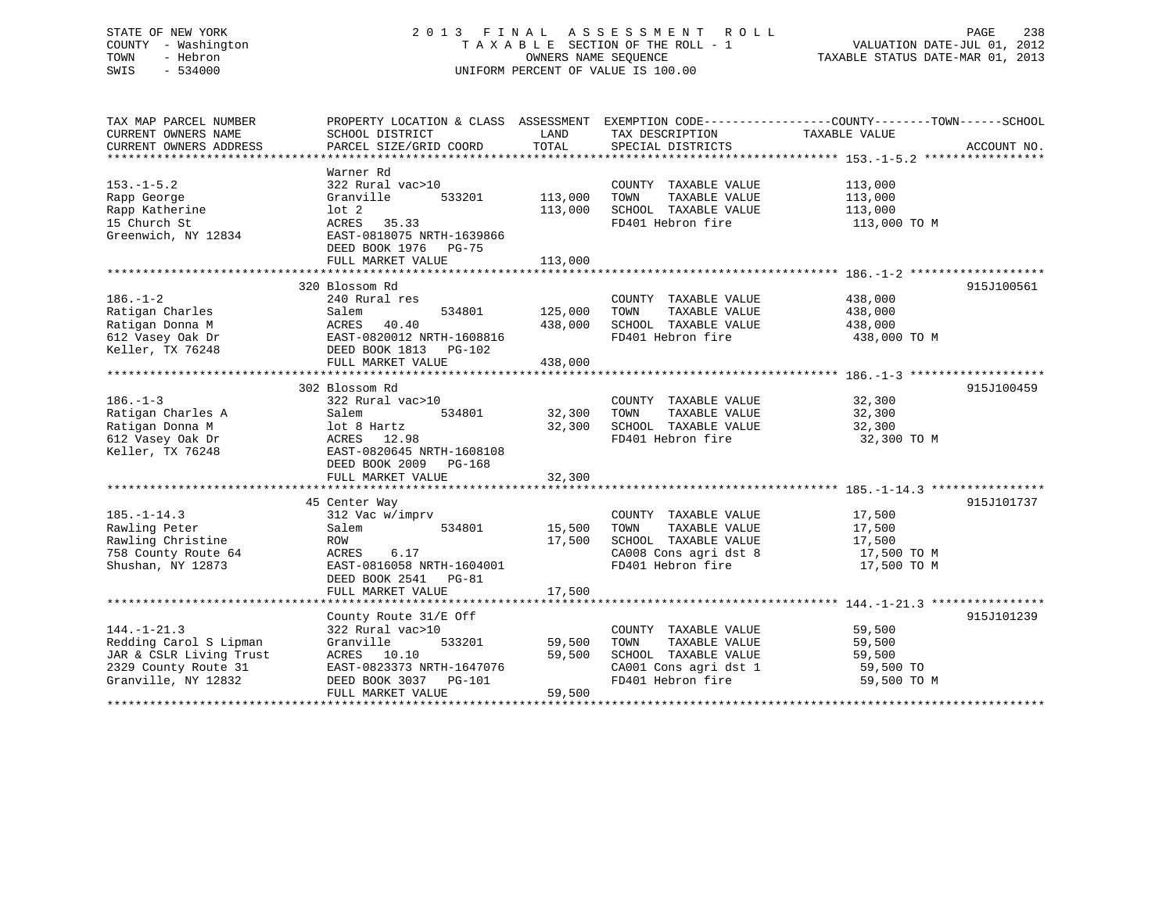# STATE OF NEW YORK 2 0 1 3 F I N A L A S S E S S M E N T R O L L PAGE 238 COUNTY - Washington T A X A B L E SECTION OF THE ROLL - 1 VALUATION DATE-JUL 01, 2012 TOWN - Hebron OWNERS NAME SEQUENCE TAXABLE STATUS DATE-MAR 01, 2013 SWIS - 534000 UNIFORM PERCENT OF VALUE IS 100.00

| TAX MAP PARCEL NUMBER<br>CURRENT OWNERS NAME | SCHOOL DISTRICT           | LAND    | TAX DESCRIPTION       | PROPERTY LOCATION & CLASS ASSESSMENT EXEMPTION CODE---------------COUNTY-------TOWN------SCHOOL<br>TAXABLE VALUE |             |
|----------------------------------------------|---------------------------|---------|-----------------------|------------------------------------------------------------------------------------------------------------------|-------------|
| CURRENT OWNERS ADDRESS                       | PARCEL SIZE/GRID COORD    | TOTAL   | SPECIAL DISTRICTS     |                                                                                                                  | ACCOUNT NO. |
|                                              | Warner Rd                 |         |                       |                                                                                                                  |             |
| $153. - 1 - 5.2$                             | 322 Rural vac>10          |         | COUNTY TAXABLE VALUE  | 113,000                                                                                                          |             |
| Rapp George                                  | 533201<br>Granville       | 113,000 | TOWN<br>TAXABLE VALUE | 113,000                                                                                                          |             |
| Rapp Katherine                               | $1$ ot $2$                | 113,000 | SCHOOL TAXABLE VALUE  | 113,000                                                                                                          |             |
| 15 Church St                                 | ACRES<br>35.33            |         | FD401 Hebron fire     | 113,000 TO M                                                                                                     |             |
| Greenwich, NY 12834                          | EAST-0818075 NRTH-1639866 |         |                       |                                                                                                                  |             |
|                                              | DEED BOOK 1976 PG-75      |         |                       |                                                                                                                  |             |
|                                              | FULL MARKET VALUE         | 113,000 |                       |                                                                                                                  |             |
|                                              |                           |         |                       |                                                                                                                  |             |
|                                              | 320 Blossom Rd            |         |                       |                                                                                                                  | 915J100561  |
| $186. - 1 - 2$                               | 240 Rural res             |         | COUNTY TAXABLE VALUE  | 438,000                                                                                                          |             |
| Ratigan Charles                              | 534801<br>Salem           | 125,000 | TOWN<br>TAXABLE VALUE | 438,000                                                                                                          |             |
| Ratigan Donna M                              | 40.40<br>ACRES            | 438,000 | SCHOOL TAXABLE VALUE  | 438,000                                                                                                          |             |
| 612 Vasey Oak Dr                             | EAST-0820012 NRTH-1608816 |         | FD401 Hebron fire     | 438,000 TO M                                                                                                     |             |
| Keller, TX 76248                             | DEED BOOK 1813<br>PG-102  |         |                       |                                                                                                                  |             |
|                                              | FULL MARKET VALUE         | 438,000 |                       |                                                                                                                  |             |
|                                              |                           |         |                       |                                                                                                                  |             |
|                                              | 302 Blossom Rd            |         |                       |                                                                                                                  | 915J100459  |
| $186. - 1 - 3$                               | 322 Rural vac>10          |         | COUNTY TAXABLE VALUE  | 32,300                                                                                                           |             |
| Ratigan Charles A                            | Salem<br>534801           | 32,300  | TOWN<br>TAXABLE VALUE | 32,300                                                                                                           |             |
| Ratigan Donna M                              | lot 8 Hartz               | 32,300  | SCHOOL TAXABLE VALUE  | 32,300                                                                                                           |             |
| 612 Vasey Oak Dr                             | ACRES 12.98               |         | FD401 Hebron fire     | 32,300 TO M                                                                                                      |             |
| Keller, TX 76248                             | EAST-0820645 NRTH-1608108 |         |                       |                                                                                                                  |             |
|                                              | DEED BOOK 2009<br>PG-168  |         |                       |                                                                                                                  |             |
|                                              | FULL MARKET VALUE         | 32,300  |                       |                                                                                                                  |             |
|                                              |                           |         |                       |                                                                                                                  |             |
|                                              | 45 Center Way             |         |                       |                                                                                                                  | 915J101737  |
| $185. - 1 - 14.3$                            | 312 Vac w/imprv           |         | COUNTY TAXABLE VALUE  | 17,500                                                                                                           |             |
| Rawling Peter                                | 534801<br>Salem           | 15,500  | TOWN<br>TAXABLE VALUE | 17,500                                                                                                           |             |
| Rawling Christine                            | ROW                       | 17,500  | SCHOOL TAXABLE VALUE  | 17,500                                                                                                           |             |
| 758 County Route 64                          | 6.17<br>ACRES             |         | CA008 Cons agri dst 8 | 17,500 TO M                                                                                                      |             |
| Shushan, NY 12873                            | EAST-0816058 NRTH-1604001 |         | FD401 Hebron fire     | 17,500 TO M                                                                                                      |             |
|                                              | DEED BOOK 2541<br>$PG-81$ |         |                       |                                                                                                                  |             |
|                                              | FULL MARKET VALUE         | 17,500  |                       |                                                                                                                  |             |
|                                              |                           |         |                       |                                                                                                                  |             |
|                                              | County Route 31/E Off     |         |                       |                                                                                                                  | 915J101239  |
| $144. - 1 - 21.3$                            | 322 Rural vac>10          |         | COUNTY TAXABLE VALUE  | 59,500                                                                                                           |             |
| Redding Carol S Lipman                       | Granville<br>533201       | 59,500  | TAXABLE VALUE<br>TOWN | 59,500                                                                                                           |             |
| JAR & CSLR Living Trust                      | ACRES 10.10               | 59,500  | SCHOOL TAXABLE VALUE  | 59,500                                                                                                           |             |
| 2329 County Route 31                         | EAST-0823373 NRTH-1647076 |         | CA001 Cons agri dst 1 | 59,500 TO                                                                                                        |             |
| Granville, NY 12832                          | DEED BOOK 3037 PG-101     |         | FD401 Hebron fire     | 59,500 TO M                                                                                                      |             |
|                                              | FULL MARKET VALUE         | 59,500  |                       |                                                                                                                  |             |
|                                              |                           |         |                       |                                                                                                                  |             |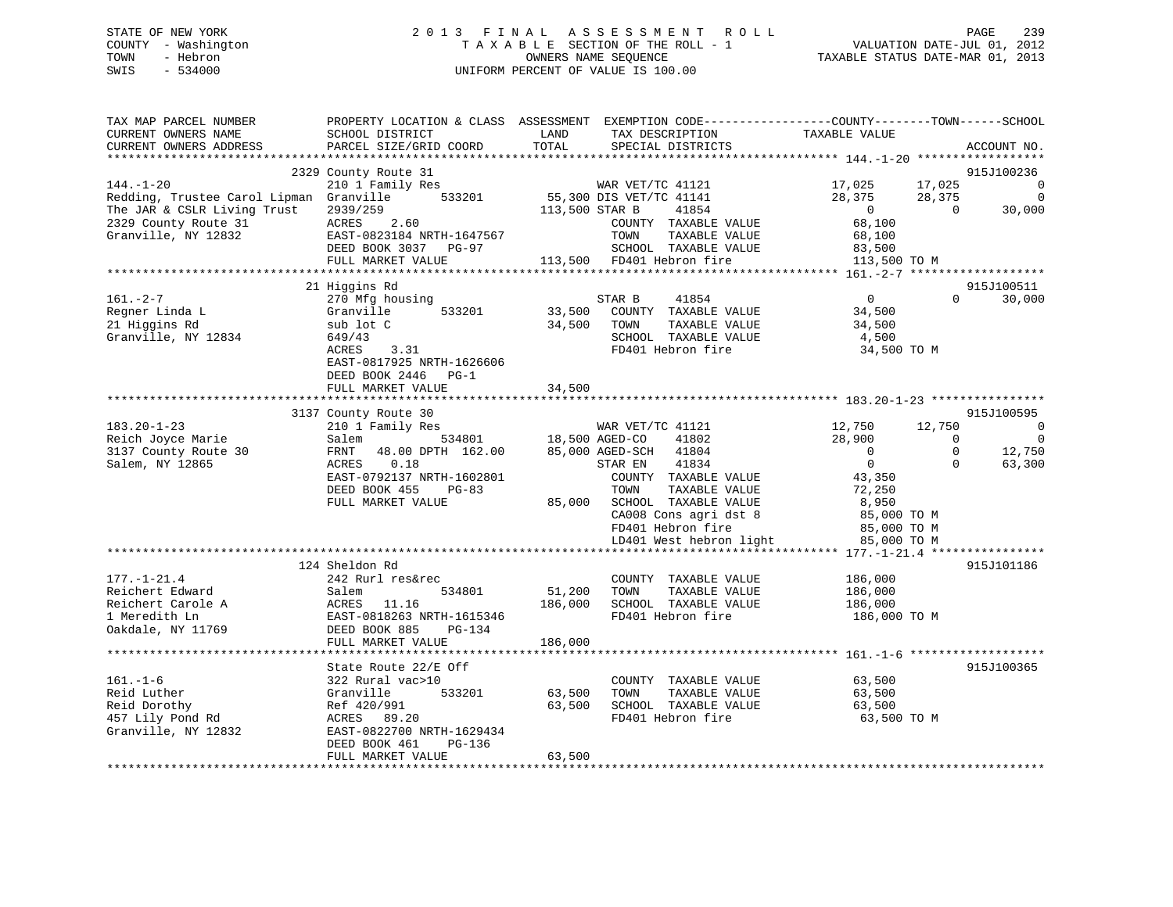# STATE OF NEW YORK 2 0 1 3 F I N A L A S S E S S M E N T R O L L PAGE 239 COUNTY - Washington T A X A B L E SECTION OF THE ROLL - 1 VALUATION DATE-JUL 01, 2012 TOWN - Hebron OWNERS NAME SEQUENCE TAXABLE STATUS DATE-MAR 01, 2013 SWIS - 534000 UNIFORM PERCENT OF VALUE IS 100.00

| TAX MAP PARCEL NUMBER<br>CURRENT OWNERS NAME<br>CURRENT OWNERS ADDRESS                                                                   | SCHOOL DISTRICT<br>PARCEL SIZE/GRID COORD                                                                                                             | LAND<br>TOTAL                | TAX DESCRIPTION<br>SPECIAL DISTRICTS                                                                                      | PROPERTY LOCATION & CLASS ASSESSMENT EXEMPTION CODE----------------COUNTY-------TOWN------SCHOOL<br>TAXABLE VALUE                                                                                                        | ACCOUNT NO.                                                        |
|------------------------------------------------------------------------------------------------------------------------------------------|-------------------------------------------------------------------------------------------------------------------------------------------------------|------------------------------|---------------------------------------------------------------------------------------------------------------------------|--------------------------------------------------------------------------------------------------------------------------------------------------------------------------------------------------------------------------|--------------------------------------------------------------------|
| *********************                                                                                                                    |                                                                                                                                                       |                              |                                                                                                                           |                                                                                                                                                                                                                          |                                                                    |
| $144. - 1 - 20$<br>Redding, Trustee Carol Lipman Granville<br>The JAR & CSLR Living Trust<br>2329 County Route 31<br>Granville, NY 12832 | 2329 County Route 31<br>210 1 Family Res<br>533201<br>$ACRES$ 2.60<br>EAST-0823184 NRTH-1647567<br>DEED BOOK 3037 PG-97<br>FULL MARKET VALUE          | 113,500 STAR B               | WAR VET/TC 41121<br>55,300 DIS VET/TC 41141<br>41854<br>COUNTY TAXABLE VALUE<br>113,500 FD401 Hebron fire                 | 17,025<br>17,025<br>28,375<br>28,375<br>$\overline{0}$<br>$\bigcap$<br>68,100<br>TOWN TAXABLE VALUE 83,500<br>SCHOOL TAXABLE VALUE 83,500 TO M                                                                           | 915J100236<br>$\overline{\phantom{0}}$<br>$\overline{0}$<br>30,000 |
|                                                                                                                                          |                                                                                                                                                       |                              |                                                                                                                           |                                                                                                                                                                                                                          |                                                                    |
|                                                                                                                                          | 21 Higgins Rd                                                                                                                                         |                              |                                                                                                                           |                                                                                                                                                                                                                          | 915J100511                                                         |
| $161. - 2 - 7$<br>Regner Linda L<br>21 Higgins Rd<br>Granville, NY 12834                                                                 | 270 Mfg housing<br>Granville<br>533201<br>sub lot C<br>649/43<br>3.31<br>ACRES<br>EAST-0817925 NRTH-1626606<br>DEED BOOK 2446 PG-1                    | 33,500                       | 41854<br>STAR B<br>COUNTY TAXABLE VALUE<br>34,500 TOWN<br>TAXABLE VALUE<br>SCHOOL TAXABLE VALUE<br>FD401 Hebron fire      | $\overline{0}$<br>$\Omega$<br>34,500<br>34,500<br>4,500<br>34,500 TO M                                                                                                                                                   | 30,000                                                             |
|                                                                                                                                          | FULL MARKET VALUE                                                                                                                                     | 34,500                       |                                                                                                                           |                                                                                                                                                                                                                          |                                                                    |
|                                                                                                                                          |                                                                                                                                                       |                              |                                                                                                                           |                                                                                                                                                                                                                          |                                                                    |
|                                                                                                                                          | 3137 County Route 30                                                                                                                                  |                              |                                                                                                                           |                                                                                                                                                                                                                          | 915J100595                                                         |
| $183.20 - 1 - 23$<br>Reich Joyce Marie                                                                                                   | 210 1 Family Res<br>534801 18,500 AGED-CO 41802<br>48.00 DPTH 162.00 85,000 AGED-SCH 41804<br>Salem                                                   |                              | WAR VET/TC 41121                                                                                                          | 12,750<br>12,750<br>28,900<br>$\overline{0}$                                                                                                                                                                             | $\overline{\phantom{0}}$<br>$\overline{0}$                         |
| 3137 County Route 30<br>Salem, NY 12865                                                                                                  | FRNT<br>ACRES 0.18<br>EAST-0792137 NRTH-1602801<br>DEED BOOK 455<br>$PG-83$<br>FULL MARKET VALUE                                                      |                              | 41834<br>STAR EN<br>COUNTY TAXABLE VALUE<br>TOWN<br>TAXABLE VALUE<br>85,000 SCHOOL TAXABLE VALUE<br>CA008 Cons agri dst 8 | $\overline{0}$<br>$\mathbb O$<br>$\overline{0}$<br>$\Omega$<br>43,350<br>72,250<br>8,950<br>85,000 TO M<br>CAUU8 Cons agri dst 8 and 85,000 TO M<br>FD401 Hebron fire 85,000 TO M<br>LD401 West hebron light 85,000 TO M | 12,750<br>63,300                                                   |
|                                                                                                                                          |                                                                                                                                                       |                              |                                                                                                                           |                                                                                                                                                                                                                          |                                                                    |
| $177. - 1 - 21.4$<br>Reichert Edward<br>Reichert Carole A<br>1 Meredith Ln<br>Oakdale, NY 11769                                          | 124 Sheldon Rd<br>242 Rurl res&rec<br>534801<br>Salem<br>ACRES 11.16<br>EAST-0818263 NRTH-1615346<br>DEED BOOK 885<br>PG-134<br>FULL MARKET VALUE     | 51,200<br>186,000<br>186,000 | COUNTY TAXABLE VALUE<br>TOWN<br>SCHOOL TAXABLE VALUE<br>FD401 Hebron fire                                                 | 186,000<br>TAXABLE VALUE 186,000<br>186,000<br>186,000 TO M                                                                                                                                                              | 915J101186                                                         |
|                                                                                                                                          |                                                                                                                                                       |                              |                                                                                                                           |                                                                                                                                                                                                                          |                                                                    |
| $161. - 1 - 6$<br>Reid Luther<br>Reid Dorothy<br>457 Lily Pond Rd<br>Granville, NY 12832                                                 | State Route 22/E Off<br>322 Rural vac>10<br>Granville<br>533201<br>Ref 420/991<br>ACRES 89.20<br>EAST-0822700 NRTH-1629434<br>DEED BOOK 461<br>PG-136 | 63,500<br>63,500             | COUNTY TAXABLE VALUE 63,500<br>TOWN<br>TAXABLE VALUE<br>SCHOOL TAXABLE VALUE<br>FD401 Hebron fire                         | 63,500<br>63,500<br>63,500 TO M                                                                                                                                                                                          | 915J100365                                                         |
|                                                                                                                                          | FULL MARKET VALUE                                                                                                                                     | 63,500                       |                                                                                                                           |                                                                                                                                                                                                                          |                                                                    |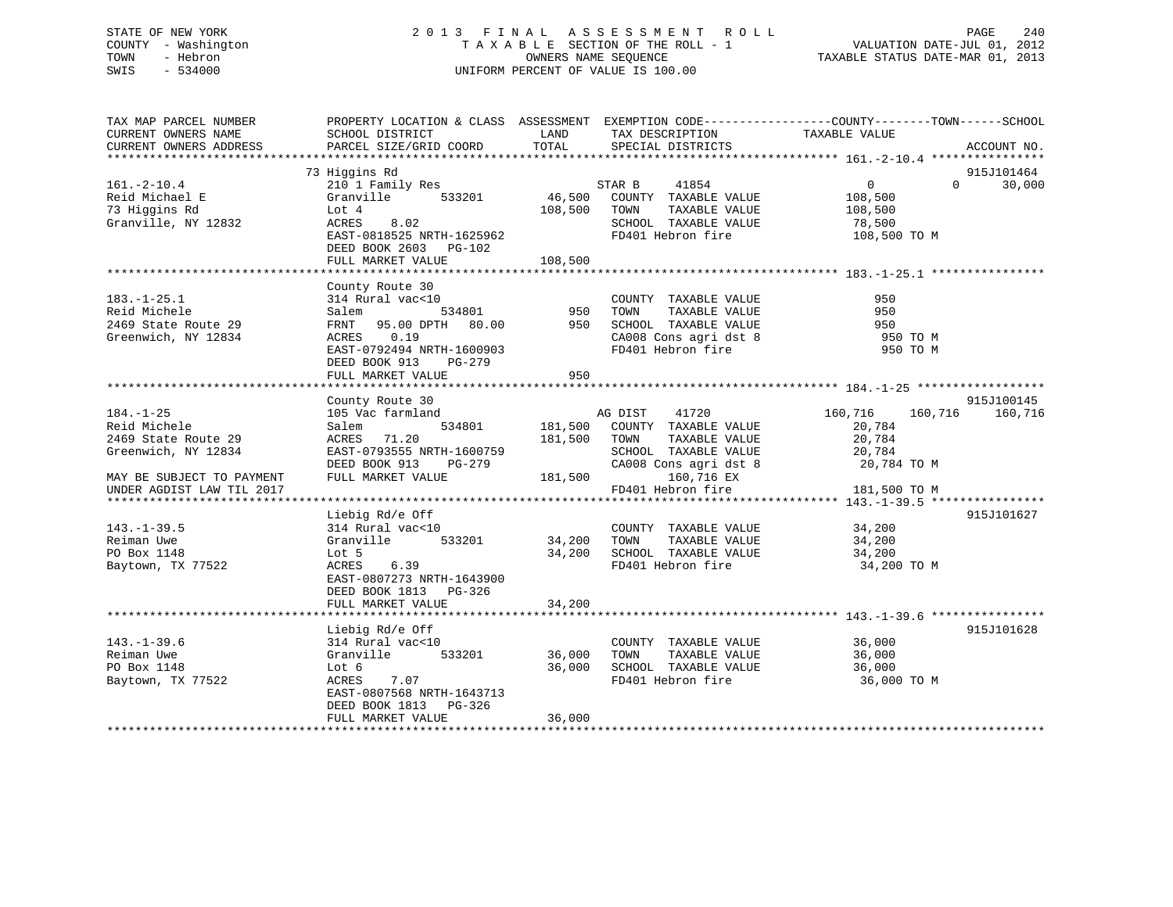# STATE OF NEW YORK 2 0 1 3 F I N A L A S S E S S M E N T R O L L PAGE 240 COUNTY - Washington T A X A B L E SECTION OF THE ROLL - 1 VALUATION DATE-JUL 01, 2012 TOWN - Hebron OWNERS NAME SEQUENCE TAXABLE STATUS DATE-MAR 01, 2013 SWIS - 534000 UNIFORM PERCENT OF VALUE IS 100.00

| TAX MAP PARCEL NUMBER<br>CURRENT OWNERS NAME<br>CURRENT OWNERS ADDRESS | PROPERTY LOCATION & CLASS ASSESSMENT EXEMPTION CODE---------------COUNTY-------TOWN------SCHOOL<br>SCHOOL DISTRICT<br>PARCEL SIZE/GRID COORD | LAND<br>TOTAL | TAX DESCRIPTION<br>SPECIAL DISTRICTS          | TAXABLE VALUE                                  | ACCOUNT NO. |
|------------------------------------------------------------------------|----------------------------------------------------------------------------------------------------------------------------------------------|---------------|-----------------------------------------------|------------------------------------------------|-------------|
|                                                                        |                                                                                                                                              |               |                                               |                                                |             |
|                                                                        | 73 Higgins Rd                                                                                                                                |               |                                               |                                                | 915J101464  |
| $161. - 2 - 10.4$                                                      | 210 1 Family Res                                                                                                                             |               | 41854<br>STAR B                               | $\overline{0}$<br>$\Omega$                     | 30,000      |
| Reid Michael E                                                         | 533201<br>Granville                                                                                                                          | 46,500        | COUNTY TAXABLE VALUE                          | 108,500                                        |             |
| 73 Higgins Rd                                                          | Lot 4<br>8.02<br>ACRES                                                                                                                       | 108,500       | TOWN<br>TAXABLE VALUE<br>SCHOOL TAXABLE VALUE | 108,500<br>78,500                              |             |
| Granville, NY 12832                                                    | EAST-0818525 NRTH-1625962                                                                                                                    |               | FD401 Hebron fire                             | 108,500 TO M                                   |             |
|                                                                        | DEED BOOK 2603<br>$PG-102$                                                                                                                   |               |                                               |                                                |             |
|                                                                        | FULL MARKET VALUE                                                                                                                            | 108,500       |                                               |                                                |             |
|                                                                        |                                                                                                                                              |               |                                               |                                                |             |
|                                                                        | County Route 30                                                                                                                              |               |                                               |                                                |             |
| $183. - 1 - 25.1$                                                      | 314 Rural vac<10                                                                                                                             |               | COUNTY TAXABLE VALUE                          | 950                                            |             |
| Reid Michele                                                           | 534801<br>Salem                                                                                                                              | 950           | TOWN<br>TAXABLE VALUE                         | 950                                            |             |
| 2469 State Route 29                                                    | FRNT 95.00 DPTH 80.00                                                                                                                        | 950           | SCHOOL TAXABLE VALUE                          | 950                                            |             |
| Greenwich, NY 12834                                                    | 0.19<br>ACRES                                                                                                                                |               | CA008 Cons agri dst 8                         | 950 TO M                                       |             |
|                                                                        | EAST-0792494 NRTH-1600903                                                                                                                    |               | FD401 Hebron fire                             | 950 TO M                                       |             |
|                                                                        | DEED BOOK 913<br>$PG-279$                                                                                                                    |               |                                               |                                                |             |
|                                                                        | FULL MARKET VALUE                                                                                                                            | 950           |                                               |                                                |             |
|                                                                        |                                                                                                                                              |               |                                               |                                                |             |
|                                                                        | County Route 30                                                                                                                              |               |                                               |                                                | 915J100145  |
| $184. - 1 - 25$<br>Reid Michele                                        | 105 Vac farmland<br>534801                                                                                                                   | 181,500       | AG DIST<br>41720<br>COUNTY TAXABLE VALUE      | 160,716<br>160,716<br>20,784                   | 160,716     |
| 2469 State Route 29                                                    | Salem<br>71.20<br>ACRES                                                                                                                      | 181,500       | TOWN<br>TAXABLE VALUE                         | 20,784                                         |             |
| Greenwich, NY 12834                                                    | EAST-0793555 NRTH-1600759                                                                                                                    |               | SCHOOL TAXABLE VALUE                          | 20,784                                         |             |
|                                                                        | DEED BOOK 913<br>PG-279                                                                                                                      |               | CA008 Cons agri dst 8                         | 20,784 TO M                                    |             |
| MAY BE SUBJECT TO PAYMENT                                              | FULL MARKET VALUE                                                                                                                            | 181,500       | 160,716 EX                                    |                                                |             |
| UNDER AGDIST LAW TIL 2017                                              |                                                                                                                                              |               | FD401 Hebron fire                             | 181,500 TO M                                   |             |
| **********************                                                 |                                                                                                                                              |               |                                               | ***************** 143.-1-39.5 **************** |             |
|                                                                        | Liebig Rd/e Off                                                                                                                              |               |                                               |                                                | 915J101627  |
| $143. - 1 - 39.5$                                                      | 314 Rural vac<10                                                                                                                             |               | COUNTY TAXABLE VALUE                          | 34,200                                         |             |
| Reiman Uwe                                                             | Granville<br>533201                                                                                                                          | 34,200        | TOWN<br>TAXABLE VALUE                         | 34,200                                         |             |
| PO Box 1148                                                            | Lot 5                                                                                                                                        | 34,200        | SCHOOL TAXABLE VALUE                          | 34,200                                         |             |
| Baytown, TX 77522                                                      | ACRES<br>6.39                                                                                                                                |               | FD401 Hebron fire                             | 34,200 TO M                                    |             |
|                                                                        | EAST-0807273 NRTH-1643900                                                                                                                    |               |                                               |                                                |             |
|                                                                        | DEED BOOK 1813 PG-326                                                                                                                        |               |                                               |                                                |             |
|                                                                        | FULL MARKET VALUE                                                                                                                            | 34,200        |                                               |                                                |             |
|                                                                        | Liebig Rd/e Off                                                                                                                              |               |                                               |                                                | 915J101628  |
| $143. - 1 - 39.6$                                                      | 314 Rural vac<10                                                                                                                             |               | COUNTY TAXABLE VALUE                          | 36,000                                         |             |
| Reiman Uwe                                                             | Granville<br>533201                                                                                                                          | 36,000        | TAXABLE VALUE<br>TOWN                         | 36,000                                         |             |
| PO Box 1148                                                            | Lot 6                                                                                                                                        | 36,000        | SCHOOL TAXABLE VALUE                          | 36,000                                         |             |
| Baytown, TX 77522                                                      | ACRES<br>7.07                                                                                                                                |               | FD401 Hebron fire                             | 36,000 TO M                                    |             |
|                                                                        | EAST-0807568 NRTH-1643713                                                                                                                    |               |                                               |                                                |             |
|                                                                        | DEED BOOK 1813 PG-326                                                                                                                        |               |                                               |                                                |             |
|                                                                        | FULL MARKET VALUE                                                                                                                            | 36,000        |                                               |                                                |             |
|                                                                        |                                                                                                                                              |               |                                               |                                                |             |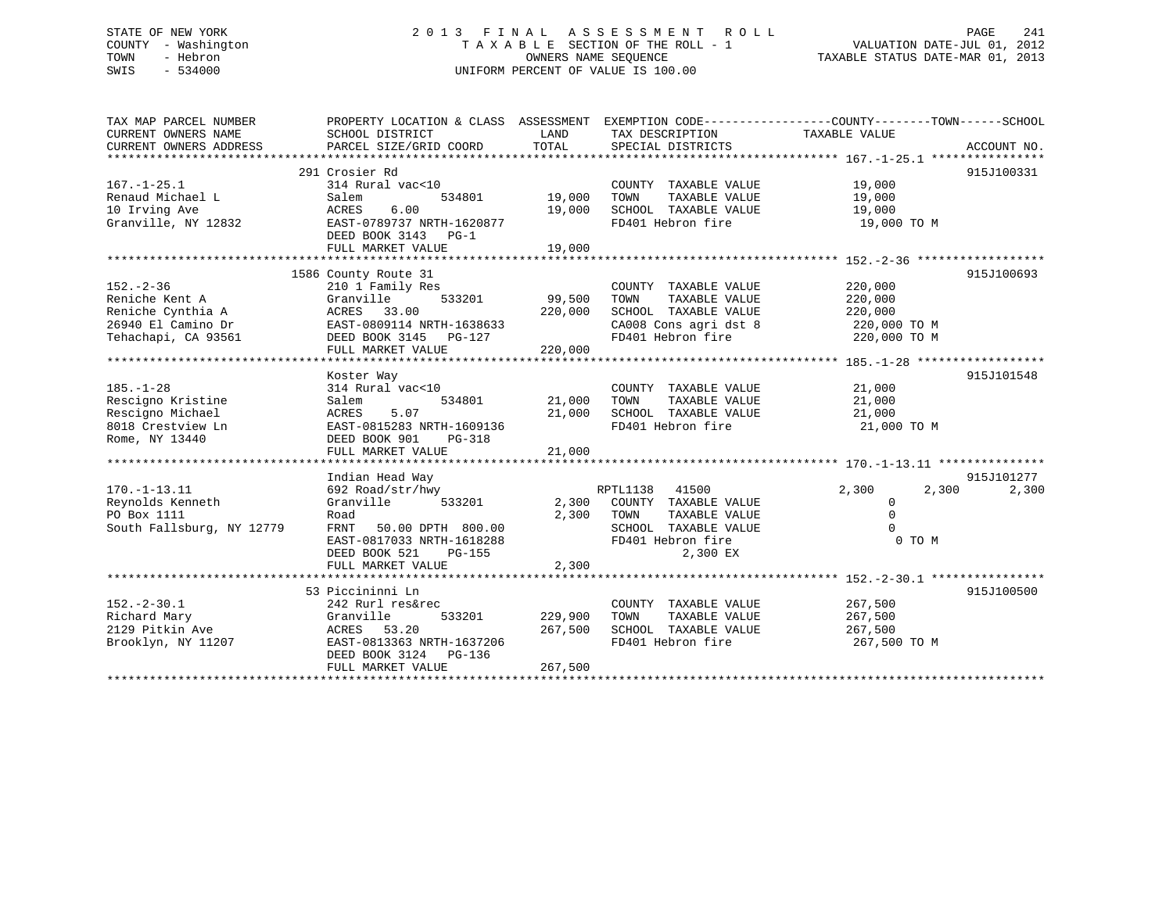# STATE OF NEW YORK 2 0 1 3 F I N A L A S S E S S M E N T R O L L PAGE 241 COUNTY - Washington T A X A B L E SECTION OF THE ROLL - 1 VALUATION DATE-JUL 01, 2012 TOWN - Hebron OWNERS NAME SEQUENCE TAXABLE STATUS DATE-MAR 01, 2013 SWIS - 534000 UNIFORM PERCENT OF VALUE IS 100.00

| TAX MAP PARCEL NUMBER     |                           |         |                       | PROPERTY LOCATION & CLASS ASSESSMENT EXEMPTION CODE---------------COUNTY-------TOWN-----SCHOOL |             |
|---------------------------|---------------------------|---------|-----------------------|------------------------------------------------------------------------------------------------|-------------|
| CURRENT OWNERS NAME       | SCHOOL DISTRICT           | LAND    | TAX DESCRIPTION       | TAXABLE VALUE                                                                                  |             |
| CURRENT OWNERS ADDRESS    | PARCEL SIZE/GRID COORD    | TOTAL   | SPECIAL DISTRICTS     |                                                                                                | ACCOUNT NO. |
|                           |                           |         |                       |                                                                                                |             |
|                           | 291 Crosier Rd            |         |                       |                                                                                                | 915J100331  |
| $167. - 1 - 25.1$         | 314 Rural vac<10          |         | COUNTY TAXABLE VALUE  | 19,000                                                                                         |             |
| Renaud Michael L          | Salem<br>534801           | 19,000  | TAXABLE VALUE<br>TOWN | 19,000                                                                                         |             |
| 10 Irving Ave             | 6.00<br>ACRES             | 19,000  | SCHOOL TAXABLE VALUE  | 19,000                                                                                         |             |
| Granville, NY 12832       | EAST-0789737 NRTH-1620877 |         | FD401 Hebron fire     | 19,000 TO M                                                                                    |             |
|                           | DEED BOOK 3143 PG-1       |         |                       |                                                                                                |             |
|                           | FULL MARKET VALUE         | 19,000  |                       |                                                                                                |             |
|                           |                           |         |                       |                                                                                                |             |
|                           | 1586 County Route 31      |         |                       |                                                                                                | 915J100693  |
| $152. - 2 - 36$           | 210 1 Family Res          |         | COUNTY TAXABLE VALUE  | 220,000                                                                                        |             |
| Reniche Kent A            | Granville<br>533201       | 99,500  | TOWN<br>TAXABLE VALUE | 220,000                                                                                        |             |
| Reniche Cynthia A         | ACRES 33.00               | 220,000 | SCHOOL TAXABLE VALUE  | 220,000                                                                                        |             |
| 26940 El Camino Dr        | EAST-0809114 NRTH-1638633 |         | CA008 Cons agri dst 8 | 220,000 TO M                                                                                   |             |
| Tehachapi, CA 93561       | DEED BOOK 3145 PG-127     |         | FD401 Hebron fire     | 220,000 TO M                                                                                   |             |
|                           | FULL MARKET VALUE         | 220,000 |                       |                                                                                                |             |
|                           |                           |         |                       |                                                                                                |             |
|                           | Koster Way                |         |                       |                                                                                                | 915J101548  |
| $185. - 1 - 28$           | 314 Rural vac<10          |         | COUNTY TAXABLE VALUE  | 21,000                                                                                         |             |
| Rescigno Kristine         | 534801<br>Salem           | 21,000  | TOWN<br>TAXABLE VALUE | 21,000                                                                                         |             |
| Rescigno Michael          | 5.07<br>ACRES             | 21,000  | SCHOOL TAXABLE VALUE  | 21,000                                                                                         |             |
| 8018 Crestview Ln         | EAST-0815283 NRTH-1609136 |         | FD401 Hebron fire     | 21,000 TO M                                                                                    |             |
| Rome, NY 13440            | DEED BOOK 901<br>PG-318   |         |                       |                                                                                                |             |
|                           | FULL MARKET VALUE         | 21,000  |                       |                                                                                                |             |
|                           |                           |         |                       |                                                                                                |             |
|                           | Indian Head Way           |         |                       |                                                                                                | 915J101277  |
| $170. - 1 - 13.11$        | 692 Road/str/hwy          |         | RPTL1138 41500        | 2,300<br>2,300                                                                                 | 2,300       |
| Reynolds Kenneth          | 533201<br>Granville       | 2,300   | COUNTY TAXABLE VALUE  | 0                                                                                              |             |
| PO Box 1111               | Road                      | 2,300   | TOWN<br>TAXABLE VALUE | $\Omega$                                                                                       |             |
| South Fallsburg, NY 12779 | 50.00 DPTH 800.00<br>FRNT |         | SCHOOL TAXABLE VALUE  | $\Omega$                                                                                       |             |
|                           | EAST-0817033 NRTH-1618288 |         | FD401 Hebron fire     | 0 TO M                                                                                         |             |
|                           | DEED BOOK 521<br>PG-155   |         | 2,300 EX              |                                                                                                |             |
|                           | FULL MARKET VALUE         | 2,300   |                       |                                                                                                |             |
|                           |                           |         |                       |                                                                                                |             |
|                           | 53 Piccininni Ln          |         |                       |                                                                                                | 915J100500  |
| $152 - 2 - 30.1$          | 242 Rurl res&rec          |         | COUNTY TAXABLE VALUE  | 267,500                                                                                        |             |
| Richard Mary              | Granville<br>533201       | 229,900 | TOWN<br>TAXABLE VALUE | 267,500                                                                                        |             |
| 2129 Pitkin Ave           | ACRES 53.20               | 267,500 | SCHOOL TAXABLE VALUE  | 267,500                                                                                        |             |
| Brooklyn, NY 11207        | EAST-0813363 NRTH-1637206 |         | FD401 Hebron fire     | 267,500 TO M                                                                                   |             |
|                           | DEED BOOK 3124 PG-136     |         |                       |                                                                                                |             |
|                           | FULL MARKET VALUE         | 267,500 |                       |                                                                                                |             |
|                           |                           |         |                       |                                                                                                |             |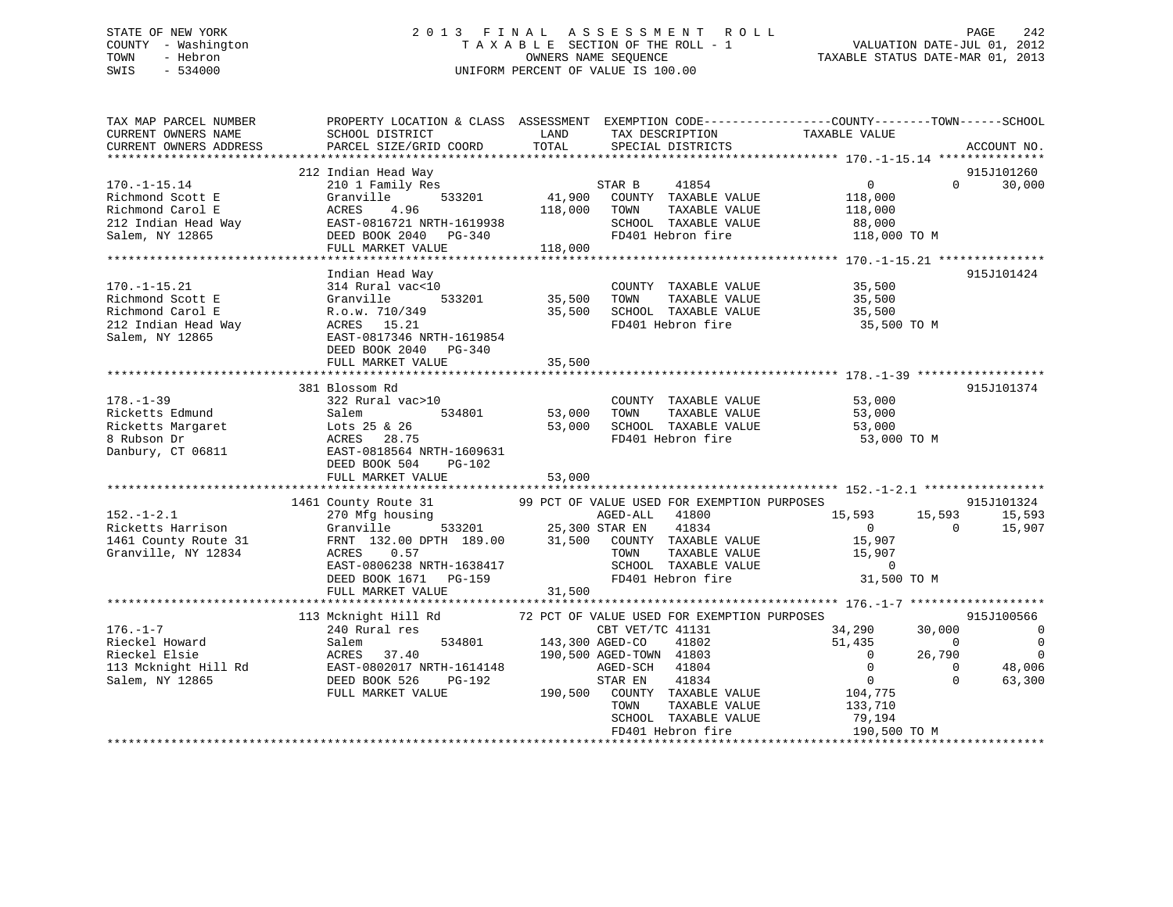# STATE OF NEW YORK 2 0 1 3 F I N A L A S S E S S M E N T R O L L PAGE 242 COUNTY - Washington T A X A B L E SECTION OF THE ROLL - 1 VALUATION DATE-JUL 01, 2012 TOWN - Hebron OWNERS NAME SEQUENCE TAXABLE STATUS DATE-MAR 01, 2013 SWIS - 534000 UNIFORM PERCENT OF VALUE IS 100.00

| TAX MAP PARCEL NUMBER<br>CURRENT OWNERS NAME<br>CURRENT OWNERS ADDRESS                                                                                                                                                                                                                       | PROPERTY LOCATION & CLASS ASSESSMENT EXEMPTION CODE----------------COUNTY-------TOWN------SCHOOL<br>SCHOOL DISTRICT<br><b>Example 12</b> LAND<br>PARCEL SIZE/GRID COORD | TOTAL                   | TAX DESCRIPTION TAXABLE VALUE SPECIAL DISTRICTS                                                                                                                                                                                                                                                                                    |                                                                                                                                   | ACCOUNT NO.                                                                                                            |
|----------------------------------------------------------------------------------------------------------------------------------------------------------------------------------------------------------------------------------------------------------------------------------------------|-------------------------------------------------------------------------------------------------------------------------------------------------------------------------|-------------------------|------------------------------------------------------------------------------------------------------------------------------------------------------------------------------------------------------------------------------------------------------------------------------------------------------------------------------------|-----------------------------------------------------------------------------------------------------------------------------------|------------------------------------------------------------------------------------------------------------------------|
| $170. - 1 - 15.14$<br>Richmond Scott E<br>Richmond Carol E                                                                                                                                                                                                                                   | 212 Indian Head Way<br>210 1 Family Res<br>Granville<br>ACRES 4.96<br>FULL MARKET VALUE                                                                                 | 118,000 TOWN<br>118,000 | $\begin{array}{ccccccccc}\n & & & & & & & \text{STAR B} & & & 41854 \\  & & & & & & & & \text{STAR B} & & 41854 \\ \hline\n & 533201 & & & & & & & \text{TA} & & \text{TAXABLE VALUE} \\  & & & & & & & & \text{TAYAR BEC} & & \text{VALUE} \\  & & & & & & & & \text{TAYAR BEC} & & \text{VALUE} \\ \end{array}$<br>TAXABLE VALUE | $\overline{0}$<br>118,000<br>118,000<br>88,000<br>118,000 TO M                                                                    | 915J101260<br>$\Omega$<br>30,000                                                                                       |
| 170.-1-15.21<br>Richmond Scott E<br>Richmond Carol E<br>212 Indian Head Way<br>Northern Scott B<br>212 Indian Head Way<br>Northern Scott Bass 15.21<br>EAST-0817346 NRTH-1619854<br>PG-340                                                                                                   | Indian Head Way<br>DEED BOOK 2040 PG-340<br>FULL MARKET VALUE                                                                                                           | 35,500                  | COUNTY TAXABLE VALUE<br>533201 35,500 TOWN TAXABLE VALUE<br>35,500 SCHOOL TAXABLE VALUE<br>FD401 Hebron fire                                                                                                                                                                                                                       | 35,500<br>TAXABLE VALUE 35,500<br>TAXABLE VALUE 35,500<br>FD401 Hebron fire 35,500 TO M                                           | 915J101424                                                                                                             |
| $178. - 1 - 39$<br>Ricketts Edmund<br>Danbury, CT 06811                                                                                                                                                                                                                                      | 381 Blossom Rd<br>322 Rural vac>10<br>$41 \text{ Vd}$<br>Salem<br>EAST-0818564 NRTH-1609631<br>DEED BOOK 504 PG-102<br>FULL MARKET VALUE 53,000                         | 53,000<br>53,000        | COUNTY TAXABLE VALUE 53,000<br>TOWN TAXABLE VALUE 53,000<br>on and the value of 53,000<br>SCHOOL TAXABLE VALUE 53,000<br>FD401 Hebron fire 53,000                                                                                                                                                                                  | 53,000 TO M                                                                                                                       | 915J101374                                                                                                             |
| $152. - 1 - 2.1$<br>Ricketts Harrison<br>1461 County Route 31<br>Granville, NY 12834                                                                                                                                                                                                         | 1461 County Route 31<br>270 Mfg housing<br>ACRES 0.57<br>EAST-0806238 NRTH-1638417<br>DEED BOOK 1671    PG-159<br>FULL MARKET VALUE                                     | 31,500                  | 99 PCT OF VALUE USED FOR EXEMPTION PURPOSES<br>AGEN-ALLY ALOCAL MARIAL AREA<br>TOWN      TAXABLE VALUE<br>SCHOOL   TAXABLE VALUE<br>FD401 Hebron fire                                                                                                                                                                              | 15,593 15,593<br>$\overline{0}$<br>$\overline{0}$<br>15,907<br>15,907<br>0<br>31,500 TO M                                         | 915J101324<br>15,593<br>15,907                                                                                         |
| $176. - 1 - 7$<br>Rieckel Howard<br>Rieckel Elsie<br>113 Mcknight Hill Rd<br>Salem, NY 12865<br>Salem, NY 12865<br>Salem, NY 12865<br>Salem, NY 12865<br>Salem Albert Market Market Market Market Market Market Market Market Market Market Market Market Market Market Market Market Market | 240 Rural res<br>Salem<br>ACRES 37.40<br>FULL MARKET VALUE                                                                                                              | 534801 143,300 AGED-CO  | CBT VET/TC 41131<br>41802<br>190,500 AGED-TOWN 41803<br>AGED-SCH 41804<br>STAR EN<br>41834<br>190,500 COUNTY TAXABLE VALUE 104,775<br>TOWN<br>TAXABLE VALUE<br>SCHOOL TAXABLE VALUE                                                                                                                                                | 34,290<br>30,000<br>51,435<br>$\overline{0}$<br>$\overline{0}$<br>26,790<br>$\overline{0}$<br>$\overline{0}$<br>133,710<br>79,194 | 915J100566<br>$\overline{\phantom{0}}$<br>$\overline{0}$<br>$\overline{0}$<br>48,006<br>$\Omega$<br>$\Omega$<br>63,300 |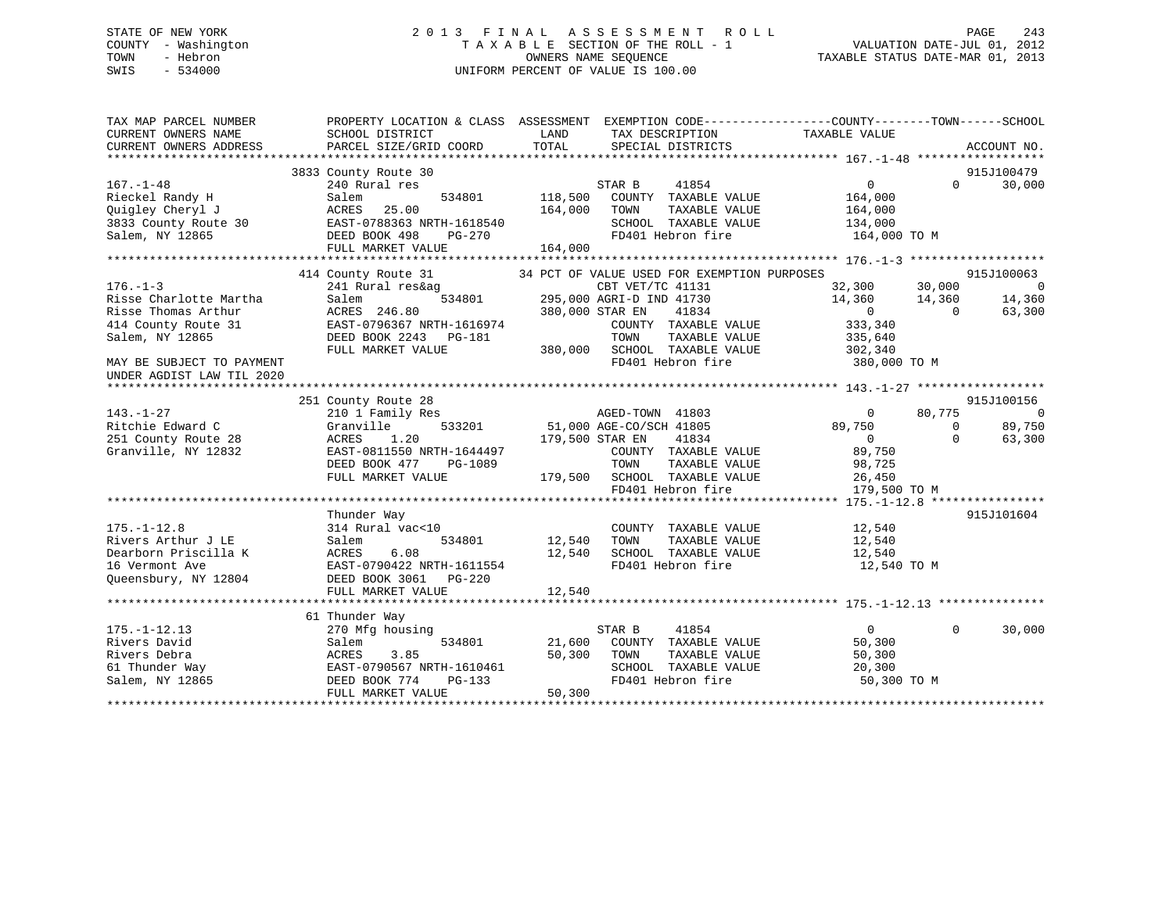# STATE OF NEW YORK 2 0 1 3 F I N A L A S S E S S M E N T R O L L PAGE 243 COUNTY - Washington T A X A B L E SECTION OF THE ROLL - 1 VALUATION DATE-JUL 01, 2012 TOWN - Hebron OWNERS NAME SEQUENCE TAXABLE STATUS DATE-MAR 01, 2013 SWIS - 534000 UNIFORM PERCENT OF VALUE IS 100.00

| TAX MAP PARCEL NUMBER<br>CURRENT OWNERS NAME           | SCHOOL DISTRICT           | PROPERTY LOCATION & CLASS ASSESSMENT EXEMPTION CODE----------------COUNTY-------TOWN------SCHOOL<br>LAND<br>TAX DESCRIPTION | TAXABLE VALUE                 |                          |
|--------------------------------------------------------|---------------------------|-----------------------------------------------------------------------------------------------------------------------------|-------------------------------|--------------------------|
| CURRENT OWNERS ADDRESS                                 | PARCEL SIZE/GRID COORD    | TOTAL<br>SPECIAL DISTRICTS                                                                                                  | ACCOUNT NO.                   |                          |
|                                                        | 3833 County Route 30      |                                                                                                                             | 915J100479                    |                          |
| $167. - 1 - 48$                                        | 240 Rural res             | STAR B<br>41854                                                                                                             | $0 \qquad \qquad$<br>$\Omega$ | 30,000                   |
| Rieckel Randy H                                        | 534801<br>Salem           | 118,500<br>COUNTY TAXABLE VALUE                                                                                             | 164,000                       |                          |
| Quigley Cheryl J                                       | 25.00<br>ACRES            | 164,000<br>TOWN<br>TAXABLE VALUE                                                                                            | 164,000                       |                          |
| 3833 County Route 30                                   | EAST-0788363 NRTH-1618540 | SCHOOL TAXABLE VALUE                                                                                                        | 134,000                       |                          |
| Salem, NY 12865                                        | DEED BOOK 498<br>PG-270   | FD401 Hebron fire                                                                                                           | 164,000 TO M                  |                          |
|                                                        | FULL MARKET VALUE         | 164,000                                                                                                                     |                               |                          |
|                                                        |                           |                                                                                                                             |                               |                          |
|                                                        | 414 County Route 31       | 34 PCT OF VALUE USED FOR EXEMPTION PURPOSES                                                                                 | 915J100063                    |                          |
| $176. - 1 - 3$                                         | 241 Rural res&ag          | CBT VET/TC 41131                                                                                                            | 32,300<br>30,000              | $\overline{0}$           |
| Risse Charlotte Martha                                 | 534801<br>Salem           | 295,000 AGRI-D IND 41730                                                                                                    | 14,360<br>14,360              | 14,360                   |
| Risse Thomas Arthur                                    | ACRES 246.80              | 380,000 STAR EN<br>41834                                                                                                    | $\sim$ 0<br>$\Omega$          | 63,300                   |
| 414 County Route 31                                    | EAST-0796367 NRTH-1616974 | COUNTY TAXABLE VALUE                                                                                                        | 333,340                       |                          |
| Salem, NY 12865                                        | DEED BOOK 2243 PG-181     | TOWN<br>TAXABLE VALUE                                                                                                       | 335,640                       |                          |
|                                                        | FULL MARKET VALUE         | 380,000 SCHOOL TAXABLE VALUE                                                                                                | 302,340                       |                          |
| MAY BE SUBJECT TO PAYMENT<br>UNDER AGDIST LAW TIL 2020 |                           | FD401 Hebron fire                                                                                                           | 380,000 TO M                  |                          |
|                                                        |                           |                                                                                                                             |                               |                          |
|                                                        | 251 County Route 28       |                                                                                                                             | 915J100156                    |                          |
| $143. - 1 - 27$                                        | 210 1 Family Res          | AGED-TOWN 41803                                                                                                             | 80,775<br>$\overline{0}$      | $\overline{\phantom{0}}$ |
| Ritchie Edward C                                       | Granville<br>533201       | 51,000 AGE-CO/SCH 41805                                                                                                     | 89,750<br>$\Omega$            | 89,750                   |
| 251 County Route 28                                    | 1.20<br>ACRES             | 179,500 STAR EN<br>41834                                                                                                    | $\Omega$<br>$\overline{0}$    | 63,300                   |
| Granville, NY 12832                                    | EAST-0811550 NRTH-1644497 | COUNTY TAXABLE VALUE                                                                                                        | 89,750                        |                          |
|                                                        | DEED BOOK 477<br>PG-1089  | TOWN<br>TAXABLE VALUE                                                                                                       | 98,725                        |                          |
|                                                        | FULL MARKET VALUE         | 179,500 SCHOOL TAXABLE VALUE                                                                                                | 26,450                        |                          |
|                                                        |                           | FD401 Hebron fire                                                                                                           | 179,500 TO M                  |                          |
|                                                        |                           |                                                                                                                             |                               |                          |
|                                                        | Thunder Way               |                                                                                                                             | 915J101604                    |                          |
| $175. - 1 - 12.8$                                      | 314 Rural vac<10          | COUNTY TAXABLE VALUE                                                                                                        | 12,540                        |                          |
| Rivers Arthur J LE                                     | Salem<br>534801           | 12,540<br>TOWN<br>TAXABLE VALUE                                                                                             | 12,540                        |                          |
| Dearborn Priscilla K                                   | ACRES<br>6.08             | 12,540<br>SCHOOL TAXABLE VALUE                                                                                              | 12,540                        |                          |
| 16 Vermont Ave                                         | EAST-0790422 NRTH-1611554 | FD401 Hebron fire                                                                                                           | 12,540 TO M                   |                          |
| Oueensbury, NY 12804                                   | DEED BOOK 3061 PG-220     |                                                                                                                             |                               |                          |
|                                                        | FULL MARKET VALUE         | 12,540                                                                                                                      |                               |                          |
|                                                        | 61 Thunder Way            |                                                                                                                             |                               |                          |
| $175. - 1 - 12.13$                                     | 270 Mfg housing           | STAR B<br>41854                                                                                                             | $\overline{0}$<br>$\Omega$    | 30,000                   |
| Rivers David                                           | 534801<br>Salem           | 21,600<br>COUNTY TAXABLE VALUE                                                                                              | 50,300                        |                          |
| Rivers Debra                                           | 3.85<br>ACRES             | 50,300<br>TOWN<br>TAXABLE VALUE                                                                                             | 50,300                        |                          |
| 61 Thunder Way                                         | EAST-0790567 NRTH-1610461 | SCHOOL TAXABLE VALUE                                                                                                        | 20,300                        |                          |
| Salem, NY 12865                                        | DEED BOOK 774<br>$PG-133$ | FD401 Hebron fire                                                                                                           | 50,300 TO M                   |                          |
|                                                        | FULL MARKET VALUE         | 50,300                                                                                                                      |                               |                          |
|                                                        |                           |                                                                                                                             |                               |                          |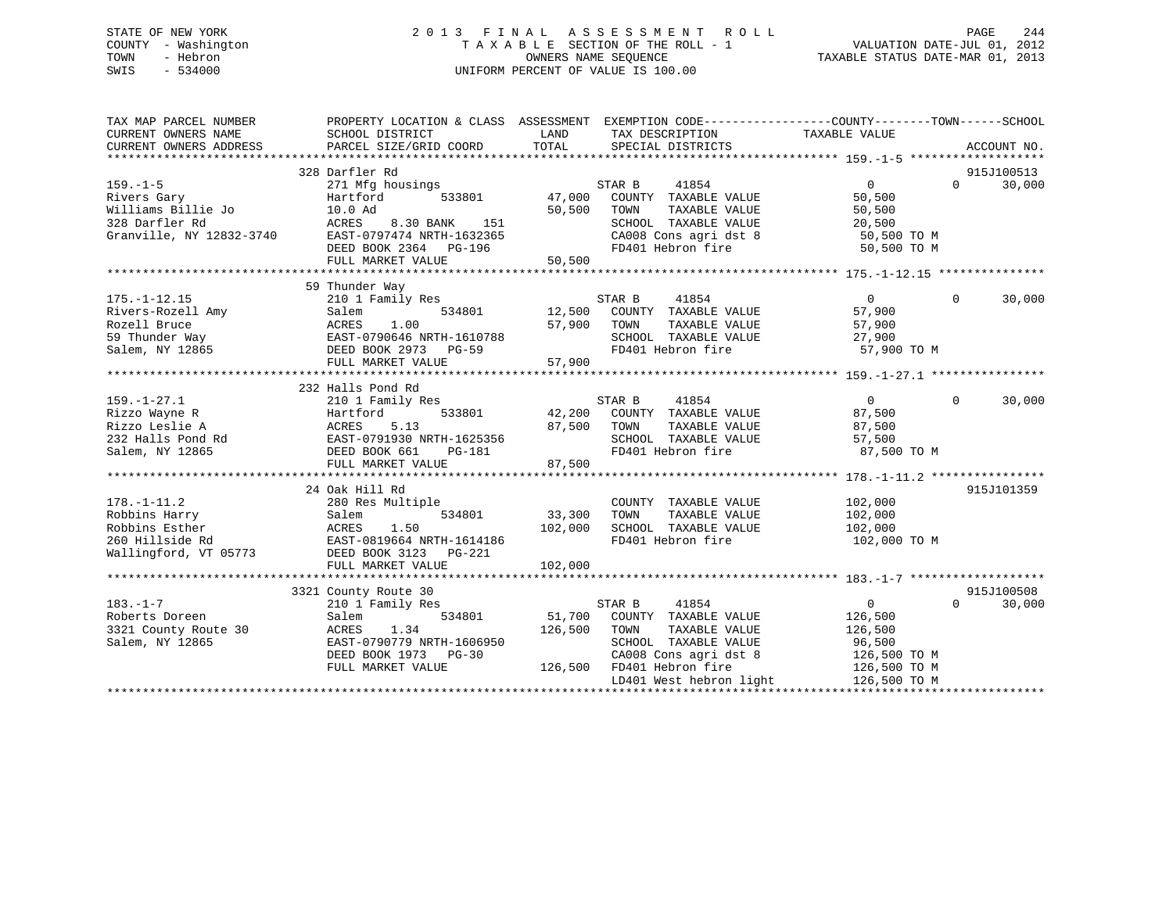# STATE OF NEW YORK 2 0 1 3 F I N A L A S S E S S M E N T R O L L PAGE 244 COUNTY - Washington T A X A B L E SECTION OF THE ROLL - 1 VALUATION DATE-JUL 01, 2012 TOWN - Hebron OWNERS NAME SEQUENCE TAXABLE STATUS DATE-MAR 01, 2013 SWIS - 534000 UNIFORM PERCENT OF VALUE IS 100.00

| TAX MAP PARCEL NUMBER<br>CURRENT OWNERS NAME<br>CURRENT OWNERS ADDRESS | PROPERTY LOCATION & CLASS ASSESSMENT EXEMPTION CODE---------------COUNTY-------TOWN------SCHOOL<br>SCHOOL DISTRICT<br>PARCEL SIZE/GRID COORD                                                                                                                                                                                                                                                | LAND<br>TOTAL | TAX DESCRIPTION<br>SPECIAL DISTRICTS                           | TAXABLE VALUE                    |          | ACCOUNT NO. |
|------------------------------------------------------------------------|---------------------------------------------------------------------------------------------------------------------------------------------------------------------------------------------------------------------------------------------------------------------------------------------------------------------------------------------------------------------------------------------|---------------|----------------------------------------------------------------|----------------------------------|----------|-------------|
|                                                                        |                                                                                                                                                                                                                                                                                                                                                                                             |               |                                                                |                                  |          |             |
|                                                                        | 328 Darfler Rd                                                                                                                                                                                                                                                                                                                                                                              |               |                                                                |                                  |          | 915J100513  |
| $159. - 1 - 5$                                                         | 271 Mfg housings                                                                                                                                                                                                                                                                                                                                                                            |               | STAR B<br>41854                                                | $\overline{0}$                   | $\Omega$ | 30,000      |
|                                                                        | Hartford<br>533801                                                                                                                                                                                                                                                                                                                                                                          |               | 47,000 COUNTY TAXABLE VALUE                                    | 50,500                           |          |             |
|                                                                        |                                                                                                                                                                                                                                                                                                                                                                                             | 50,500        | TOWN<br>TAXABLE VALUE                                          | 50,500                           |          |             |
| 328 Darfler Rd<br>Granville, NY 12832-3740                             |                                                                                                                                                                                                                                                                                                                                                                                             |               | SCHOOL TAXABLE VALUE                                           | 20,500                           |          |             |
|                                                                        | U.JU BANK 151<br>EAST-0797474 NRTH-1632365<br>DEED BOOK 2364 100 100 100                                                                                                                                                                                                                                                                                                                    |               | CA008 Cons agri dst 8<br>FD401 Hebron fire                     | 50,500 TO M                      |          |             |
|                                                                        | DEED BOOK 2364 PG-196                                                                                                                                                                                                                                                                                                                                                                       |               |                                                                | 50,500 TO M                      |          |             |
|                                                                        |                                                                                                                                                                                                                                                                                                                                                                                             |               |                                                                |                                  |          |             |
|                                                                        |                                                                                                                                                                                                                                                                                                                                                                                             |               |                                                                |                                  |          |             |
|                                                                        | 59 Thunder Way                                                                                                                                                                                                                                                                                                                                                                              |               |                                                                |                                  |          |             |
| $175. - 1 - 12.15$                                                     | 210 1 Family Res                                                                                                                                                                                                                                                                                                                                                                            |               |                                                                | $\overline{0}$                   | $\Omega$ | 30,000      |
|                                                                        |                                                                                                                                                                                                                                                                                                                                                                                             |               |                                                                | 57,900                           |          |             |
|                                                                        |                                                                                                                                                                                                                                                                                                                                                                                             | 57,900 TOWN   | TAXABLE VALUE                                                  | 57,900                           |          |             |
|                                                                        |                                                                                                                                                                                                                                                                                                                                                                                             |               |                                                                | 27,900                           |          |             |
|                                                                        | 175.-1-12.15 210 1 Family Res<br>Rivers-Rozell Amy Salem 534801<br>Rozell Bruce ACRES 1.00<br>59 Thunder Way EAST-0790646 NRTH-1610788<br>Salem, NY 12865 DEED BOOK 2973 PG-59                                                                                                                                                                                                              |               | SCHOOL TAXABLE VALUE<br>FD401 Hebron fire<br>FD401 Hebron fire | 57,900 TO M                      |          |             |
|                                                                        |                                                                                                                                                                                                                                                                                                                                                                                             |               |                                                                |                                  |          |             |
|                                                                        |                                                                                                                                                                                                                                                                                                                                                                                             |               |                                                                |                                  |          |             |
|                                                                        | 232 Halls Pond Rd                                                                                                                                                                                                                                                                                                                                                                           |               |                                                                |                                  |          |             |
|                                                                        |                                                                                                                                                                                                                                                                                                                                                                                             |               | STAR B<br>41854                                                | $\overline{0}$                   | $\Omega$ | 30,000      |
|                                                                        |                                                                                                                                                                                                                                                                                                                                                                                             |               | 42,200 COUNTY TAXABLE VALUE                                    | 87,500                           |          |             |
|                                                                        |                                                                                                                                                                                                                                                                                                                                                                                             | 87,500 TOWN   |                                                                | TAXABLE VALUE 87,500             |          |             |
|                                                                        |                                                                                                                                                                                                                                                                                                                                                                                             |               |                                                                | 57,500                           |          |             |
|                                                                        |                                                                                                                                                                                                                                                                                                                                                                                             |               | SCHOOL TAXABLE VALUE<br>FD401 Hebron fire                      | 87,500 TO M                      |          |             |
|                                                                        |                                                                                                                                                                                                                                                                                                                                                                                             |               |                                                                |                                  |          |             |
|                                                                        | ${\small \begin{tabular}{lcccc} 159.-1-27.1 & & & & 210 & 1 \text{ r} \text{cm} & \text{m} & \text{m} & \text{m} & \text{m} \\ \text{Rizzo} & \text{Wayne} & \text{R} & & \text{Hartford} & & 533801 & & 42\,,200 \\ \text{Rizzo Leslie A} & & & & & & & 87\,,500 \\ 232 \text{ Halls Pond Rd} & & & & & & & 87\,,500 \\ \text{Salem, NY} & 12865 & & & & & & & 87\,,500 \\ \end{tabular}}$ |               |                                                                |                                  |          |             |
|                                                                        | 24 Oak Hill Rd                                                                                                                                                                                                                                                                                                                                                                              |               |                                                                |                                  |          | 915J101359  |
| $178. - 1 - 11.2$                                                      | 280 Res Multiple                                                                                                                                                                                                                                                                                                                                                                            |               | COUNTY TAXABLE VALUE                                           | 102,000                          |          |             |
|                                                                        |                                                                                                                                                                                                                                                                                                                                                                                             | $33,300$ TOWN | TAXABLE VALUE                                                  | 102,000                          |          |             |
|                                                                        |                                                                                                                                                                                                                                                                                                                                                                                             | 102,000       | SCHOOL TAXABLE VALUE 102,000                                   |                                  |          |             |
|                                                                        |                                                                                                                                                                                                                                                                                                                                                                                             |               | FD401 Hebron fire                                              | 102,000 TO M                     |          |             |
|                                                                        |                                                                                                                                                                                                                                                                                                                                                                                             |               |                                                                |                                  |          |             |
|                                                                        |                                                                                                                                                                                                                                                                                                                                                                                             |               |                                                                |                                  |          |             |
|                                                                        |                                                                                                                                                                                                                                                                                                                                                                                             |               |                                                                |                                  |          |             |
|                                                                        | 3321 County Route 30                                                                                                                                                                                                                                                                                                                                                                        |               |                                                                |                                  |          | 915J100508  |
| $183. - 1 - 7$                                                         | 210 1 Family Res                                                                                                                                                                                                                                                                                                                                                                            |               | STAR B<br>41854                                                | $\overline{0}$                   | $\Omega$ | 30,000      |
| Roberts Doreen                                                         | 534801<br>Salem                                                                                                                                                                                                                                                                                                                                                                             |               | 51,700 COUNTY TAXABLE VALUE                                    | 126,500                          |          |             |
| 3321 County Route 30                                                   | 1.34<br>ACRES                                                                                                                                                                                                                                                                                                                                                                               | 126,500       | TOWN<br>TAXABLE VALUE                                          | 126,500                          |          |             |
| Salem, NY 12865                                                        | EAST-0790779 NRTH-1606950                                                                                                                                                                                                                                                                                                                                                                   |               | SCHOOL TAXABLE VALUE                                           | 96,500                           |          |             |
|                                                                        | DEED BOOK 1973 PG-30                                                                                                                                                                                                                                                                                                                                                                        |               | CA008 Cons agri dst 8                                          | $126,500$ TO M<br>$-25,500$ TO M |          |             |
|                                                                        | FULL MARKET VALUE                                                                                                                                                                                                                                                                                                                                                                           |               | 126,500 FD401 Hebron fire                                      | 126,500 TO M                     |          |             |
|                                                                        |                                                                                                                                                                                                                                                                                                                                                                                             |               | LD401 West hebron light                                        | 126,500 TO M                     |          |             |
|                                                                        |                                                                                                                                                                                                                                                                                                                                                                                             |               |                                                                |                                  |          |             |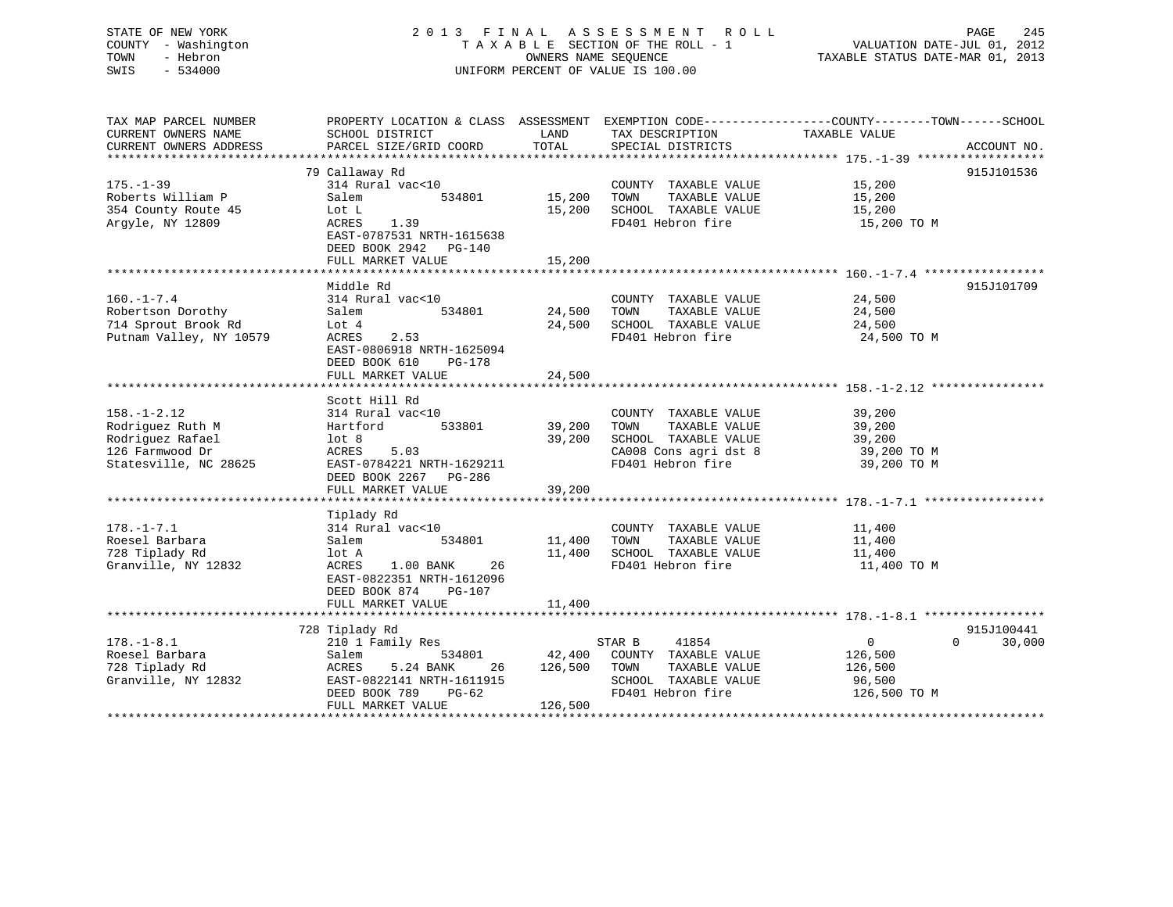# STATE OF NEW YORK 2 0 1 3 F I N A L A S S E S S M E N T R O L L PAGE 245 COUNTY - Washington T A X A B L E SECTION OF THE ROLL - 1 VALUATION DATE-JUL 01, 2012 TOWN - Hebron OWNERS NAME SEQUENCE TAXABLE STATUS DATE-MAR 01, 2013 SWIS - 534000 UNIFORM PERCENT OF VALUE IS 100.00

TAX MAP PARCEL NUMBER PROPERTY LOCATION & CLASS ASSESSMENT EXEMPTION CODE------------------COUNTY--------TOWN------SCHOOL

CURRENT OWNERS NAME SCHOOL DISTRICT THE LAND TAX DESCRIPTION TAXABLE VALUE CURRENT OWNERS ADDRESS PARCEL SIZE/GRID COORD TOTAL SPECIAL DISTRICTS ACCOUNT NO. \*\*\*\*\*\*\*\*\*\*\*\*\*\*\*\*\*\*\*\*\*\*\*\*\*\*\*\*\*\*\*\*\*\*\*\*\*\*\*\*\*\*\*\*\*\*\*\*\*\*\*\*\*\*\*\*\*\*\*\*\*\*\*\*\*\*\*\*\*\*\*\*\*\*\*\*\*\*\*\*\*\*\*\*\*\*\*\*\*\*\*\*\*\*\*\*\*\*\*\*\*\*\* 175.-1-39 \*\*\*\*\*\*\*\*\*\*\*\*\*\*\*\*\*\* 79 Callaway Rd 915J101536 175.-1-39 314 Rural vac<10 COUNTY TAXABLE VALUE 15,200 Roberts William P Salem 534801 15,200 TOWN TAXABLE VALUE 15,200 354 County Route 45 Lot L 15,200 SCHOOL TAXABLE VALUE 15,200 Argyle, NY 12809 ACRES 1.39 FD401 Hebron fire 15,200 TO M EAST-0787531 NRTH-1615638 DEED BOOK 2942 PG-140FULL MARKET VALUE 15,200 \*\*\*\*\*\*\*\*\*\*\*\*\*\*\*\*\*\*\*\*\*\*\*\*\*\*\*\*\*\*\*\*\*\*\*\*\*\*\*\*\*\*\*\*\*\*\*\*\*\*\*\*\*\*\*\*\*\*\*\*\*\*\*\*\*\*\*\*\*\*\*\*\*\*\*\*\*\*\*\*\*\*\*\*\*\*\*\*\*\*\*\*\*\*\*\*\*\*\*\*\*\*\* 160.-1-7.4 \*\*\*\*\*\*\*\*\*\*\*\*\*\*\*\*\* Middle Rd 915J101709160.-1-7.4 314 Rural vac<10 COUNTY TAXABLE VALUE 24,500 Robertson Dorothy Salem 534801 24,500 TOWN TAXABLE VALUE 24,500 714 Sprout Brook Rd Lot 4 24,500 SCHOOL TAXABLE VALUE 24,500 Putnam Valley, NY 10579 ACRES 2.53 FD401 Hebron fire 24,500 TO M EAST-0806918 NRTH-1625094 DEED BOOK 610 PG-178DEED BOOK 610 PG-178 FULL MARKET VALUE 24,500 \*\*\*\*\*\*\*\*\*\*\*\*\*\*\*\*\*\*\*\*\*\*\*\*\*\*\*\*\*\*\*\*\*\*\*\*\*\*\*\*\*\*\*\*\*\*\*\*\*\*\*\*\*\*\*\*\*\*\*\*\*\*\*\*\*\*\*\*\*\*\*\*\*\*\*\*\*\*\*\*\*\*\*\*\*\*\*\*\*\*\*\*\*\*\*\*\*\*\*\*\*\*\* 158.-1-2.12 \*\*\*\*\*\*\*\*\*\*\*\*\*\*\*\* Scott Hill Rd158.-1-2.12 314 Rural vac<10 COUNTY TAXABLE VALUE 39,200 Rodriguez Ruth M Hartford 533801 39,200 TOWN TAXABLE VALUE 39,200 Rodriguez Rafael lot 8 39,200 SCHOOL TAXABLE VALUE 39,200 126 Farmwood Dr ACRES 5.03 CA008 Cons agri dst 8 39,200 TO M Statesville, NC 28625 EAST-0784221 NRTH-1629211 FD401 Hebron fire 39,200 TO M DEED BOOK 2267 PG-286 FULL MARKET VALUE 39,200 \*\*\*\*\*\*\*\*\*\*\*\*\*\*\*\*\*\*\*\*\*\*\*\*\*\*\*\*\*\*\*\*\*\*\*\*\*\*\*\*\*\*\*\*\*\*\*\*\*\*\*\*\*\*\*\*\*\*\*\*\*\*\*\*\*\*\*\*\*\*\*\*\*\*\*\*\*\*\*\*\*\*\*\*\*\*\*\*\*\*\*\*\*\*\*\*\*\*\*\*\*\*\* 178.-1-7.1 \*\*\*\*\*\*\*\*\*\*\*\*\*\*\*\*\* Tiplady Rd 178.-1-7.1 314 Rural vac<10 COUNTY TAXABLE VALUE 11,400 Roesel Barbara Salem 534801 11,400 TOWN TAXABLE VALUE 11,400 728 Tiplady Rd lot A 11,400 SCHOOL TAXABLE VALUE 11,400 Granville, NY 12832 ACRES 1.00 BANK 26 FD401 Hebron fire 11,400 TO M EAST-0822351 NRTH-1612096 DEED BOOK 874 PG-107FULL MARKET VALUE 11,400 \*\*\*\*\*\*\*\*\*\*\*\*\*\*\*\*\*\*\*\*\*\*\*\*\*\*\*\*\*\*\*\*\*\*\*\*\*\*\*\*\*\*\*\*\*\*\*\*\*\*\*\*\*\*\*\*\*\*\*\*\*\*\*\*\*\*\*\*\*\*\*\*\*\*\*\*\*\*\*\*\*\*\*\*\*\*\*\*\*\*\*\*\*\*\*\*\*\*\*\*\*\*\* 178.-1-8.1 \*\*\*\*\*\*\*\*\*\*\*\*\*\*\*\*\* 728 Tiplady Rd 915J100441 178.-1-8.1 210 1 Family Res STAR B 41854 0 0 30,000 Roesel Barbara Salem 534801 42,400 COUNTY TAXABLE VALUE 126,500 728 Tiplady Rd ACRES 5.24 BANK 26 126,500 TOWN TAXABLE VALUE 126,500 Granville, NY 12832 EAST-0822141 NRTH-1611915 SCHOOL TAXABLE VALUE 96,500 DEED BOOK 789 PG-62 FD401 Hebron fire 126,500 TO M DEED BOOK 789 PG-62 126,500 PG-62 \*\*\*\*\*\*\*\*\*\*\*\*\*\*\*\*\*\*\*\*\*\*\*\*\*\*\*\*\*\*\*\*\*\*\*\*\*\*\*\*\*\*\*\*\*\*\*\*\*\*\*\*\*\*\*\*\*\*\*\*\*\*\*\*\*\*\*\*\*\*\*\*\*\*\*\*\*\*\*\*\*\*\*\*\*\*\*\*\*\*\*\*\*\*\*\*\*\*\*\*\*\*\*\*\*\*\*\*\*\*\*\*\*\*\*\*\*\*\*\*\*\*\*\*\*\*\*\*\*\*\*\*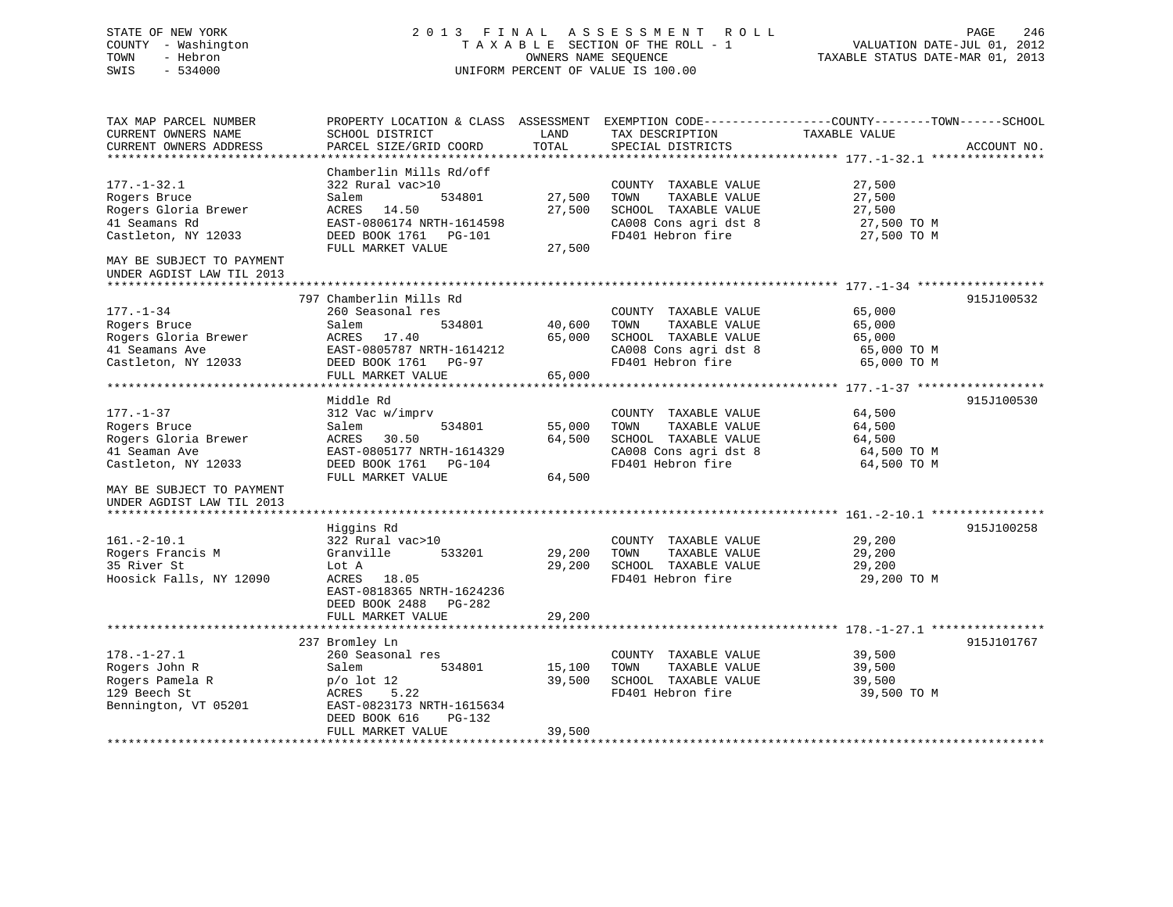# STATE OF NEW YORK 2 0 1 3 F I N A L A S S E S S M E N T R O L L PAGE 246 COUNTY - Washington T A X A B L E SECTION OF THE ROLL - 1 VALUATION DATE-JUL 01, 2012 TOWN - Hebron OWNERS NAME SEQUENCE TAXABLE STATUS DATE-MAR 01, 2013 SWIS - 534000 UNIFORM PERCENT OF VALUE IS 100.00

| TAX MAP PARCEL NUMBER     | PROPERTY LOCATION & CLASS ASSESSMENT EXEMPTION CODE----------------COUNTY-------TOWN------SCHOOL |        |                       |               |             |
|---------------------------|--------------------------------------------------------------------------------------------------|--------|-----------------------|---------------|-------------|
| CURRENT OWNERS NAME       | SCHOOL DISTRICT                                                                                  | LAND   | TAX DESCRIPTION       | TAXABLE VALUE |             |
| CURRENT OWNERS ADDRESS    | PARCEL SIZE/GRID COORD                                                                           | TOTAL  | SPECIAL DISTRICTS     |               | ACCOUNT NO. |
|                           |                                                                                                  |        |                       |               |             |
|                           | Chamberlin Mills Rd/off                                                                          |        |                       |               |             |
| $177. - 1 - 32.1$         | 322 Rural vac>10                                                                                 |        | COUNTY TAXABLE VALUE  | 27,500        |             |
| Rogers Bruce              | 534801<br>Salem                                                                                  | 27,500 | TAXABLE VALUE<br>TOWN | 27,500        |             |
| Rogers Gloria Brewer      | ACRES<br>14.50                                                                                   | 27,500 | SCHOOL TAXABLE VALUE  | 27,500        |             |
| 41 Seamans Rd             | EAST-0806174 NRTH-1614598                                                                        |        | CA008 Cons agri dst 8 | 27,500 TO M   |             |
| Castleton, NY 12033       | DEED BOOK 1761    PG-101                                                                         |        | FD401 Hebron fire     | 27,500 TO M   |             |
|                           | FULL MARKET VALUE                                                                                | 27,500 |                       |               |             |
| MAY BE SUBJECT TO PAYMENT |                                                                                                  |        |                       |               |             |
| UNDER AGDIST LAW TIL 2013 |                                                                                                  |        |                       |               |             |
|                           |                                                                                                  |        |                       |               |             |
|                           | 797 Chamberlin Mills Rd                                                                          |        |                       |               | 915J100532  |
|                           |                                                                                                  |        |                       |               |             |
| 177.-1-34                 | 260 Seasonal res                                                                                 |        | COUNTY TAXABLE VALUE  | 65,000        |             |
| Rogers Bruce              | Salem<br>534801                                                                                  | 40,600 | TOWN<br>TAXABLE VALUE | 65,000        |             |
| Rogers Gloria Brewer      | ACRES 17.40                                                                                      | 65,000 | SCHOOL TAXABLE VALUE  | 65,000        |             |
| 41 Seamans Ave            | EAST-0805787 NRTH-1614212                                                                        |        | CA008 Cons agri dst 8 | 65,000 TO M   |             |
| Castleton, NY 12033       | DEED BOOK 1761 PG-97                                                                             |        | FD401 Hebron fire     | 65,000 TO M   |             |
|                           | FULL MARKET VALUE                                                                                | 65,000 |                       |               |             |
|                           |                                                                                                  |        |                       |               |             |
|                           | Middle Rd                                                                                        |        |                       |               | 915J100530  |
| $177. - 1 - 37$           | 312 Vac w/imprv                                                                                  |        | COUNTY TAXABLE VALUE  | 64,500        |             |
| Rogers Bruce              | 534801<br>Salem                                                                                  | 55,000 | TAXABLE VALUE<br>TOWN | 64,500        |             |
| Rogers Gloria Brewer      | ACRES 30.50                                                                                      | 64,500 | SCHOOL TAXABLE VALUE  | 64,500        |             |
| 41 Seaman Ave             | EAST-0805177 NRTH-1614329                                                                        |        | CA008 Cons agri dst 8 | 64,500 TO M   |             |
| Castleton, NY 12033       | DEED BOOK 1761 PG-104                                                                            |        | FD401 Hebron fire     | 64,500 TO M   |             |
|                           | FULL MARKET VALUE                                                                                | 64,500 |                       |               |             |
| MAY BE SUBJECT TO PAYMENT |                                                                                                  |        |                       |               |             |
| UNDER AGDIST LAW TIL 2013 |                                                                                                  |        |                       |               |             |
|                           |                                                                                                  |        |                       |               |             |
|                           | Higgins Rd                                                                                       |        |                       |               | 915J100258  |
| $161.-2-10.1$             | 322 Rural vac>10                                                                                 |        | COUNTY TAXABLE VALUE  | 29,200        |             |
| Rogers Francis M          | 533201<br>Granville                                                                              | 29,200 | TOWN<br>TAXABLE VALUE | 29,200        |             |
| 35 River St               | Lot A                                                                                            | 29,200 | SCHOOL TAXABLE VALUE  | 29,200        |             |
| Hoosick Falls, NY 12090   | ACRES 18.05                                                                                      |        | FD401 Hebron fire     | 29,200 TO M   |             |
|                           | EAST-0818365 NRTH-1624236                                                                        |        |                       |               |             |
|                           | DEED BOOK 2488 PG-282                                                                            |        |                       |               |             |
|                           | FULL MARKET VALUE                                                                                | 29,200 |                       |               |             |
|                           |                                                                                                  |        |                       |               |             |
|                           | 237 Bromley Ln                                                                                   |        |                       |               | 915J101767  |
| $178. - 1 - 27.1$         | 260 Seasonal res                                                                                 |        |                       | 39,500        |             |
|                           |                                                                                                  |        | COUNTY TAXABLE VALUE  |               |             |
| Rogers John R             | 534801<br>Salem                                                                                  | 15,100 | TOWN<br>TAXABLE VALUE | 39,500        |             |
| Rogers Pamela R           | $p/o$ lot 12                                                                                     | 39,500 | SCHOOL TAXABLE VALUE  | 39,500        |             |
| 129 Beech St              | ACRES<br>5.22                                                                                    |        | FD401 Hebron fire     | 39,500 TO M   |             |
| Bennington, VT 05201      | EAST-0823173 NRTH-1615634                                                                        |        |                       |               |             |
|                           | DEED BOOK 616<br>PG-132                                                                          |        |                       |               |             |
|                           | FULL MARKET VALUE                                                                                | 39,500 |                       |               |             |
|                           |                                                                                                  |        |                       |               |             |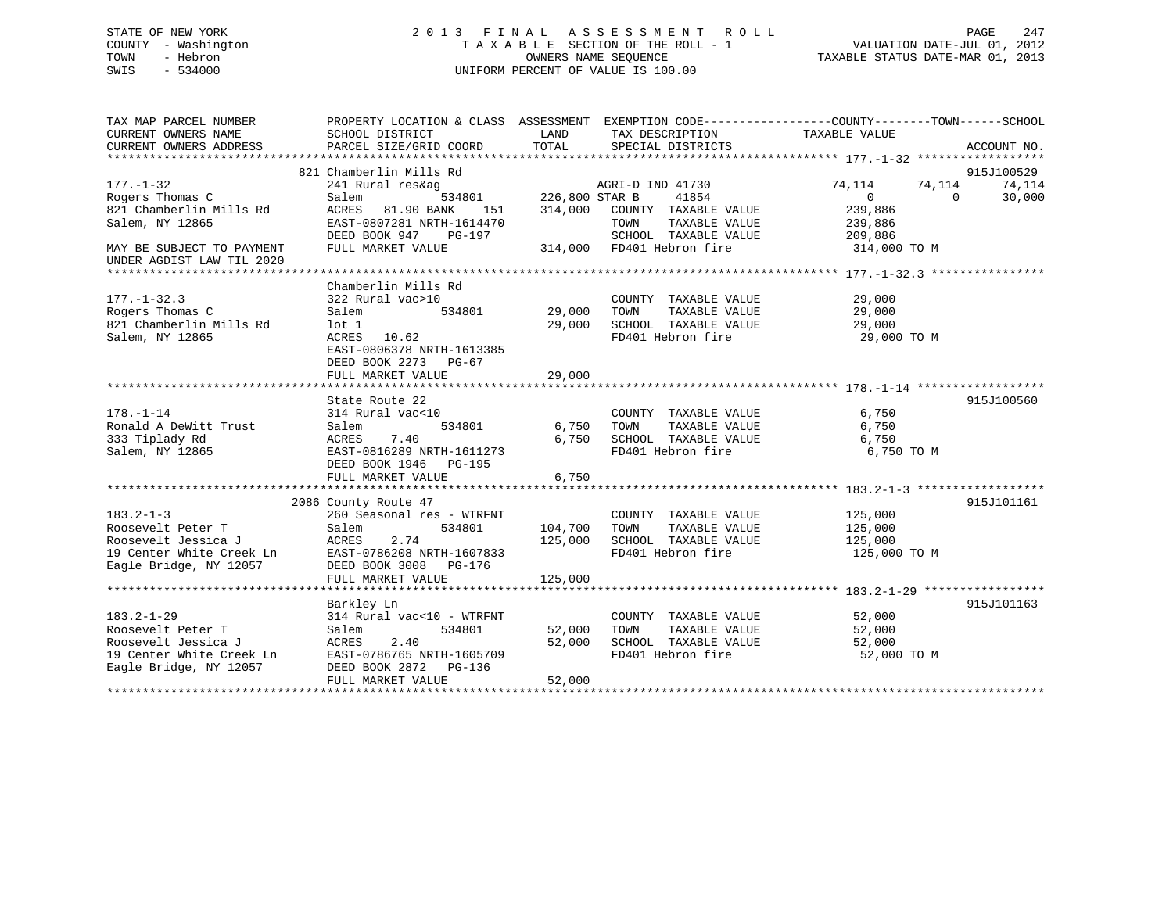# STATE OF NEW YORK 2 0 1 3 F I N A L A S S E S S M E N T R O L L PAGE 247 COUNTY - Washington T A X A B L E SECTION OF THE ROLL - 1 VALUATION DATE-JUL 01, 2012 TOWN - Hebron OWNERS NAME SEQUENCE TAXABLE STATUS DATE-MAR 01, 2013 SWIS - 534000 UNIFORM PERCENT OF VALUE IS 100.00

| TAX MAP PARCEL NUMBER<br>CURRENT OWNERS NAME<br>CURRENT OWNERS ADDRESS                                                                     | PROPERTY LOCATION & CLASS ASSESSMENT EXEMPTION CODE----------------COUNTY-------TOWN------SCHOOL<br>SCHOOL DISTRICT<br>PARCEL SIZE/GRID COORD                             | LAND<br>TOTAL                 | TAX DESCRIPTION<br>SPECIAL DISTRICTS                                                                                            | TAXABLE VALUE                                                                 | ACCOUNT NO.                                |
|--------------------------------------------------------------------------------------------------------------------------------------------|---------------------------------------------------------------------------------------------------------------------------------------------------------------------------|-------------------------------|---------------------------------------------------------------------------------------------------------------------------------|-------------------------------------------------------------------------------|--------------------------------------------|
| $177. - 1 - 32$<br>Rogers Thomas C<br>821 Chamberlin Mills Rd<br>Salem, NY 12865<br>MAY BE SUBJECT TO PAYMENT<br>UNDER AGDIST LAW TIL 2020 | 821 Chamberlin Mills Rd<br>241 Rural res&ag<br>Salem<br>534801<br>81.90 BANK<br>151<br>ACRES<br>EAST-0807281 NRTH-1614470<br>DEED BOOK 947<br>PG-197<br>FULL MARKET VALUE | 226,800 STAR B<br>314,000     | AGRI-D IND 41730<br>41854<br>COUNTY TAXABLE VALUE<br>TAXABLE VALUE<br>TOWN<br>SCHOOL TAXABLE VALUE<br>314,000 FD401 Hebron fire | 74,114<br>74,114<br>$\Omega$<br>239,886<br>239,886<br>209,886<br>314,000 TO M | 915J100529<br>74,114<br>$\Omega$<br>30,000 |
| $177. - 1 - 32.3$<br>Rogers Thomas C<br>821 Chamberlin Mills Rd<br>Salem, NY 12865                                                         | Chamberlin Mills Rd<br>322 Rural vac>10<br>534801<br>Salem<br>$1$ ot $1$<br>ACRES 10.62<br>EAST-0806378 NRTH-1613385<br>DEED BOOK 2273<br>PG-67<br>FULL MARKET VALUE      | 29,000<br>29,000<br>29,000    | COUNTY TAXABLE VALUE<br>TAXABLE VALUE<br>TOWN<br>SCHOOL TAXABLE VALUE<br>FD401 Hebron fire                                      | 29,000<br>29,000<br>29,000<br>29,000 TO M                                     |                                            |
| $178. - 1 - 14$<br>Ronald A DeWitt Trust<br>333 Tiplady Rd<br>Salem, NY 12865                                                              | State Route 22<br>314 Rural vac<10<br>534801<br>Salem<br>7.40<br>ACRES<br>EAST-0816289 NRTH-1611273<br>DEED BOOK 1946 PG-195<br>FULL MARKET VALUE                         | 6,750<br>6,750<br>6,750       | COUNTY TAXABLE VALUE<br>TOWN<br>TAXABLE VALUE<br>SCHOOL TAXABLE VALUE<br>FD401 Hebron fire                                      | 6,750<br>6,750<br>6,750<br>6,750 TO M                                         | 915J100560                                 |
| $183.2 - 1 - 3$<br>Roosevelt Peter T<br>Roosevelt Jessica J<br>19 Center White Creek Ln<br>Eagle Bridge, NY 12057                          | 2086 County Route 47<br>260 Seasonal res - WTRFNT<br>534801<br>Salem<br>ACRES<br>2.74<br>EAST-0786208 NRTH-1607833<br>DEED BOOK 3008<br>PG-176<br>FULL MARKET VALUE       | 104,700<br>125,000<br>125,000 | COUNTY TAXABLE VALUE<br>TOWN<br>TAXABLE VALUE<br>SCHOOL TAXABLE VALUE<br>FD401 Hebron fire                                      | 125,000<br>125,000<br>125,000<br>125,000 TO M                                 | 915J101161                                 |
| $183.2 - 1 - 29$<br>Roosevelt Peter T<br>Roosevelt Jessica J<br>19 Center White Creek Ln<br>Eagle Bridge, NY 12057                         | Barkley Ln<br>314 Rural vac<10 - WTRFNT<br>534801<br>Salem<br>2.40<br>ACRES<br>EAST-0786765 NRTH-1605709<br>DEED BOOK 2872 PG-136<br>FULL MARKET VALUE                    | 52,000<br>52,000<br>52,000    | COUNTY TAXABLE VALUE<br>TAXABLE VALUE<br>TOWN<br>SCHOOL TAXABLE VALUE<br>FD401 Hebron fire                                      | 52,000<br>52,000<br>52,000<br>52,000 TO M                                     | 915J101163                                 |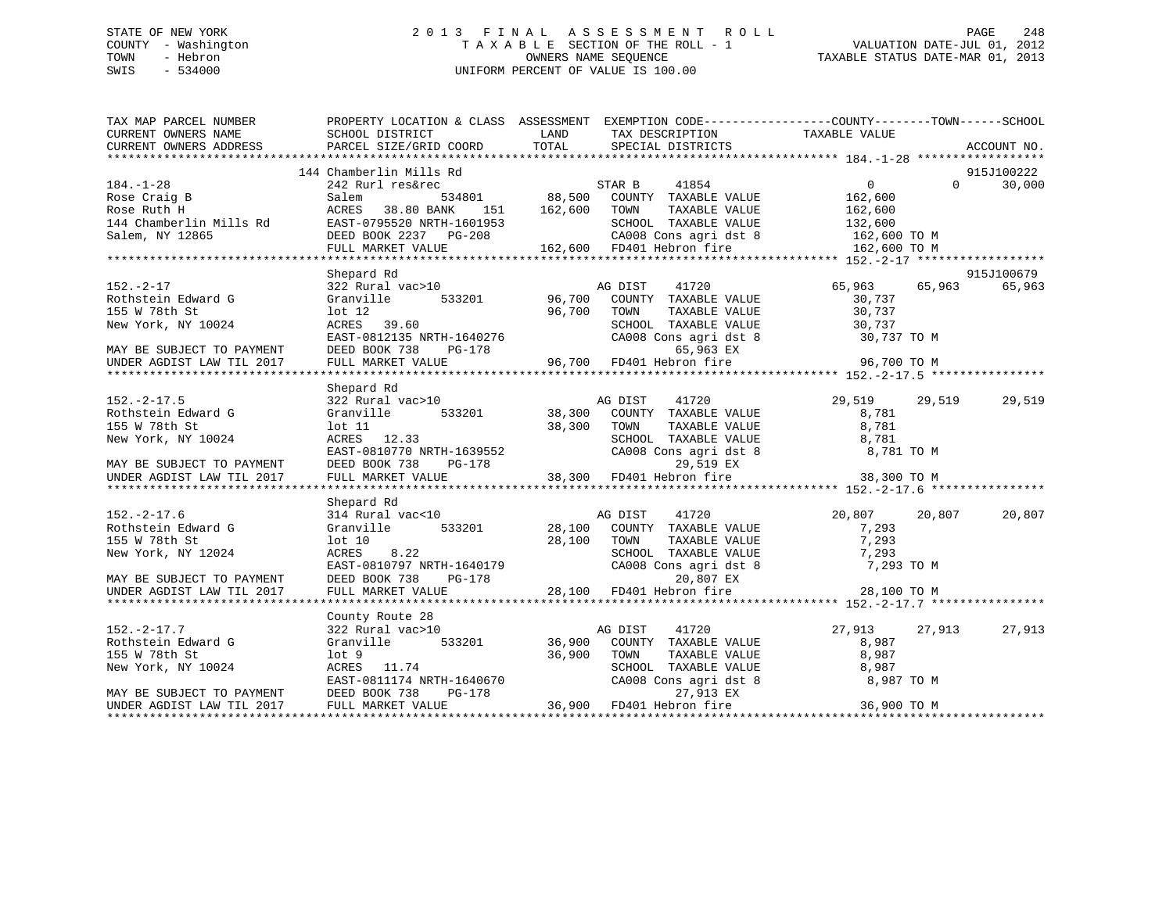# STATE OF NEW YORK 2 0 1 3 F I N A L A S S E S S M E N T R O L L PAGE 248 COUNTY - Washington T A X A B L E SECTION OF THE ROLL - 1 VALUATION DATE-JUL 01, 2012 TOWN - Hebron OWNERS NAME SEQUENCE TAXABLE STATUS DATE-MAR 01, 2013 SWIS - 534000 UNIFORM PERCENT OF VALUE IS 100.00

| TAX MAP PARCEL NUMBER     | PROPERTY LOCATION & CLASS ASSESSMENT EXEMPTION CODE---------------COUNTY-------TOWN-----SCHOOL                                                                                                                                          |               |                                                                                                                                                                                                                                                                                                                                                                                                         |                |          |             |
|---------------------------|-----------------------------------------------------------------------------------------------------------------------------------------------------------------------------------------------------------------------------------------|---------------|---------------------------------------------------------------------------------------------------------------------------------------------------------------------------------------------------------------------------------------------------------------------------------------------------------------------------------------------------------------------------------------------------------|----------------|----------|-------------|
| CURRENT OWNERS NAME       | SCHOOL DISTRICT                                                                                                                                                                                                                         | LAND          | TAX DESCRIPTION                                                                                                                                                                                                                                                                                                                                                                                         | TAXABLE VALUE  |          |             |
| CURRENT OWNERS ADDRESS    | PARCEL SIZE/GRID COORD                                                                                                                                                                                                                  | TOTAL         | SPECIAL DISTRICTS                                                                                                                                                                                                                                                                                                                                                                                       |                |          | ACCOUNT NO. |
|                           |                                                                                                                                                                                                                                         |               |                                                                                                                                                                                                                                                                                                                                                                                                         |                |          |             |
| $184. - 1 - 28$           | 144 Chamberlin Mills Rd                                                                                                                                                                                                                 |               | STAR B 41854 0<br>534801 88,500 COUNTY TAXABLE VALUE 162,600<br>95520 NRTH-1601953 162,600 TOWN TAXABLE VALUE                                                                                                                                                                                                                                                                                           | $\overline{0}$ | $\Omega$ | 915J100222  |
|                           | 242 Rurl res&rec                                                                                                                                                                                                                        |               |                                                                                                                                                                                                                                                                                                                                                                                                         |                |          | 30,000      |
| Rose Craig B              | Salem                                                                                                                                                                                                                                   |               |                                                                                                                                                                                                                                                                                                                                                                                                         |                |          |             |
| Rose Ruth H               | ACRES                                                                                                                                                                                                                                   |               |                                                                                                                                                                                                                                                                                                                                                                                                         |                |          |             |
|                           |                                                                                                                                                                                                                                         |               |                                                                                                                                                                                                                                                                                                                                                                                                         |                |          |             |
|                           |                                                                                                                                                                                                                                         |               |                                                                                                                                                                                                                                                                                                                                                                                                         |                |          |             |
|                           | Rose Ruth H<br>144 Chamberlin Mills Rd EAST-0795520 NRTH-1601953 SCHOOL TAXABLE VALUE<br>162,600 TO M<br>162,600 CA008 Cons agri dst 8 162,600 TO M<br>162,600 FD401 Hebron fire 162,600 TO M<br>162,600 FD401 Hebron fire 162,600 TO M |               |                                                                                                                                                                                                                                                                                                                                                                                                         |                |          |             |
|                           | Shepard Rd                                                                                                                                                                                                                              |               |                                                                                                                                                                                                                                                                                                                                                                                                         |                |          | 915J100679  |
| $152. - 2 - 17$           | 322 Rural vac>10                                                                                                                                                                                                                        |               | AG DIST<br>41720                                                                                                                                                                                                                                                                                                                                                                                        | 65,963         | 65,963   | 65,963      |
| Rothstein Edward G        | 533201 96,700<br>Granville                                                                                                                                                                                                              |               | COUNTY TAXABLE VALUE                                                                                                                                                                                                                                                                                                                                                                                    | 30,737         |          |             |
| 155 W 78th St             | $1$ ot $12$                                                                                                                                                                                                                             | 96,700        | TOWN<br>TAXABLE VALUE                                                                                                                                                                                                                                                                                                                                                                                   | 30,737         |          |             |
|                           |                                                                                                                                                                                                                                         |               |                                                                                                                                                                                                                                                                                                                                                                                                         |                |          |             |
| New York, NY 10024        | ACRES 39.60                                                                                                                                                                                                                             |               | $\begin{tabular}{lllllllll} \multicolumn{2}{c}{\textbf{SCHOOL}} & \textbf{TAXABLE VALUE} & & & 30,737 \\ \multicolumn{2}{c}{\textbf{CA008} \hspace{0.2cm} \hspace{0.2cm} \hspace{0.2cm} \hspace{0.2cm} \hspace{0.2cm} \hspace{0.2cm} \hspace{0.2cm} \hspace{0.2cm} \hspace{0.2cm} \hspace{0.2cm} \hspace{0.2cm} \hspace{0.2cm} \hspace{0.2cm} \hspace{0.2cm} \hspace{0.2cm} \hspace{0.2cm} \hspace{0.2$ |                |          |             |
|                           |                                                                                                                                                                                                                                         |               |                                                                                                                                                                                                                                                                                                                                                                                                         |                |          |             |
|                           |                                                                                                                                                                                                                                         |               |                                                                                                                                                                                                                                                                                                                                                                                                         |                |          |             |
|                           | New York, NY 10024 ACRES 39.60<br>EAST-0812135 NRTH-1640276 CA008 Cons agri dst 8 30,737 TO M<br>MAY BE SUBJECT TO PAYMENT DEED BOOK 738 PG-178 65,963 EX<br>UNDER AGDIST LAW TIL 2017 FULL MARKET VALUE 96,700 FD401 Hebron fire 96    |               |                                                                                                                                                                                                                                                                                                                                                                                                         |                |          |             |
|                           |                                                                                                                                                                                                                                         |               |                                                                                                                                                                                                                                                                                                                                                                                                         |                |          |             |
|                           | Shepard Rd                                                                                                                                                                                                                              |               |                                                                                                                                                                                                                                                                                                                                                                                                         |                |          |             |
| $152. - 2 - 17.5$         | 322 Rural vac>10                                                                                                                                                                                                                        |               | 41720<br>AG DIST                                                                                                                                                                                                                                                                                                                                                                                        | 29,519         | 29,519   | 29,519      |
| Rothstein Edward G        | Granville                                                                                                                                                                                                                               | 533201 38,300 | COUNTY TAXABLE VALUE                                                                                                                                                                                                                                                                                                                                                                                    | 8,781          |          |             |
| 155 W 78th St             | $1$ ot $11$                                                                                                                                                                                                                             | 38,300        | TAXABLE VALUE<br>TOWN                                                                                                                                                                                                                                                                                                                                                                                   | 8,781          |          |             |
|                           |                                                                                                                                                                                                                                         |               |                                                                                                                                                                                                                                                                                                                                                                                                         |                |          |             |
|                           |                                                                                                                                                                                                                                         |               |                                                                                                                                                                                                                                                                                                                                                                                                         |                |          |             |
|                           |                                                                                                                                                                                                                                         |               |                                                                                                                                                                                                                                                                                                                                                                                                         |                |          |             |
|                           | 155 W 78th St 10024 15<br>New York, NY 10024 2021 2.33<br>MAY BE SUBJECT TO PAYMENT DEED BOOK 738 PG-178 28,300 FD401 Hebron fire 38,781<br>MAY BE SUBJECT TO PAYMENT DEED BOOK 738 PG-178 29,519 EX 38,300 TO M<br>EXERT VALUE 38,300  |               |                                                                                                                                                                                                                                                                                                                                                                                                         |                |          |             |
|                           |                                                                                                                                                                                                                                         |               |                                                                                                                                                                                                                                                                                                                                                                                                         |                |          |             |
|                           | Shepard Rd                                                                                                                                                                                                                              |               |                                                                                                                                                                                                                                                                                                                                                                                                         |                |          |             |
| $152. - 2 - 17.6$         | 314 Rural vac<10                                                                                                                                                                                                                        |               | AG DIST<br>41720                                                                                                                                                                                                                                                                                                                                                                                        | 20,807         | 20,807   | 20,807      |
| Rothstein Edward G        | Granville                                                                                                                                                                                                                               |               | 533201 28,100 COUNTY TAXABLE VALUE                                                                                                                                                                                                                                                                                                                                                                      | 7,293          |          |             |
| 155 W 78th St             | $1$ ot $10$                                                                                                                                                                                                                             | 28,100        | TOWN TAXABLE VALUE 7,293<br>SCHOOL TAXABLE VALUE 7,293                                                                                                                                                                                                                                                                                                                                                  |                |          |             |
| New York, NY 12024        |                                                                                                                                                                                                                                         |               |                                                                                                                                                                                                                                                                                                                                                                                                         |                |          |             |
|                           |                                                                                                                                                                                                                                         |               | CA008 Cons agri dst 8                                                                                                                                                                                                                                                                                                                                                                                   | 7,293 TO M     |          |             |
| MAY BE SUBJECT TO PAYMENT |                                                                                                                                                                                                                                         |               |                                                                                                                                                                                                                                                                                                                                                                                                         |                |          |             |
| UNDER AGDIST LAW TIL 2017 | ACRES 8.22<br>EAST-0810797 NRTH-1640179<br>DEED BOOK 738 PG-178<br>FULL MARKET VALUE 28,100 FD401 Hebron fire<br>28,100 FD401 Hebron fire                                                                                               |               |                                                                                                                                                                                                                                                                                                                                                                                                         | 28,100 TO M    |          |             |
|                           |                                                                                                                                                                                                                                         |               |                                                                                                                                                                                                                                                                                                                                                                                                         |                |          |             |
|                           | County Route 28                                                                                                                                                                                                                         |               |                                                                                                                                                                                                                                                                                                                                                                                                         |                |          |             |
| $152. - 2 - 17.7$         | 322 Rural vac>10                                                                                                                                                                                                                        |               | AG DIST<br>41720                                                                                                                                                                                                                                                                                                                                                                                        | 27,913         | 27,913   | 27,913      |
| Rothstein Edward G        | Granville                                                                                                                                                                                                                               | 533201 36,900 | COUNTY TAXABLE VALUE                                                                                                                                                                                                                                                                                                                                                                                    | 8,987          |          |             |
| 155 W 78th St             | lot 9                                                                                                                                                                                                                                   | 36,900        | TOWN TAXABLE VALUE<br>SCHOOL TAXABLE VALUE<br>CA008 Cons agri dst 8                                                                                                                                                                                                                                                                                                                                     | 8,987          |          |             |
| New York, NY 10024        | ACRES 11.74                                                                                                                                                                                                                             |               |                                                                                                                                                                                                                                                                                                                                                                                                         | 8,987          |          |             |
|                           |                                                                                                                                                                                                                                         |               |                                                                                                                                                                                                                                                                                                                                                                                                         | 8,987 TO M     |          |             |
| MAY BE SUBJECT TO PAYMENT | EAST-0811174 NRTH-1640670<br>DEED BOOK 738 PG-178 27,913 EX<br>FULL MARKET VALUE 36,900 FD401 Hebron fire                                                                                                                               |               |                                                                                                                                                                                                                                                                                                                                                                                                         |                |          |             |
| UNDER AGDIST LAW TIL 2017 |                                                                                                                                                                                                                                         |               |                                                                                                                                                                                                                                                                                                                                                                                                         | 36,900 TO M    |          |             |
|                           |                                                                                                                                                                                                                                         |               |                                                                                                                                                                                                                                                                                                                                                                                                         |                |          |             |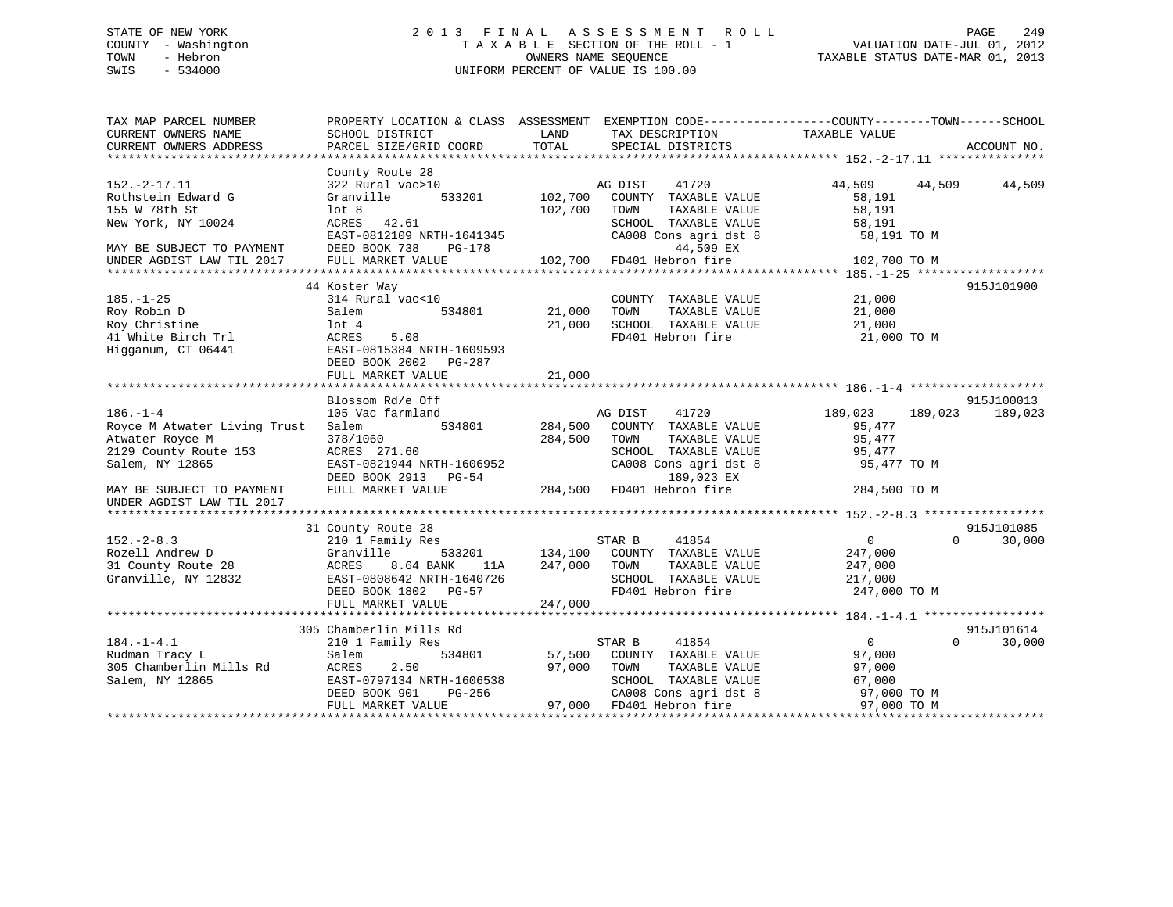# STATE OF NEW YORK 2 0 1 3 F I N A L A S S E S S M E N T R O L L PAGE 249 COUNTY - Washington T A X A B L E SECTION OF THE ROLL - 1 VALUATION DATE-JUL 01, 2012 TOWN - Hebron OWNERS NAME SEQUENCE TAXABLE STATUS DATE-MAR 01, 2013 SWIS - 534000 UNIFORM PERCENT OF VALUE IS 100.00

| TAX MAP PARCEL NUMBER<br>CURRENT OWNERS NAME<br>CURRENT OWNERS ADDRESS                                                                                                  | PROPERTY LOCATION & CLASS ASSESSMENT EXEMPTION CODE---------------COUNTY-------TOWN-----SCHOOL<br>SCHOOL DISTRICT<br>PARCEL SIZE/GRID COORD                   | LAND<br>TOTAL                 | TAX DESCRIPTION<br>SPECIAL DISTRICTS                                                                                                                  | TAXABLE VALUE                                                                   | ACCOUNT NO.                      |
|-------------------------------------------------------------------------------------------------------------------------------------------------------------------------|---------------------------------------------------------------------------------------------------------------------------------------------------------------|-------------------------------|-------------------------------------------------------------------------------------------------------------------------------------------------------|---------------------------------------------------------------------------------|----------------------------------|
|                                                                                                                                                                         |                                                                                                                                                               |                               |                                                                                                                                                       |                                                                                 |                                  |
| $152. - 2 - 17.11$<br>Rothstein Edward G<br>155 W 78th St<br>New York, NY 10024<br>MAY BE SUBJECT TO PAYMENT                                                            | County Route 28<br>322 Rural vac>10<br>Granville<br>533201<br>lot <sub>8</sub><br>ACRES 42.61<br>EAST-0812109 NRTH-1641345<br>DEED BOOK 738<br>PG-178         | 102,700<br>102,700            | AG DIST<br>41720<br>COUNTY TAXABLE VALUE<br>TOWN<br>TAXABLE VALUE<br>SCHOOL TAXABLE VALUE<br>CA008 Cons agri dst 8<br>44,509 EX                       | 44,509 44,509<br>58,191<br>58,191<br>58,191<br>58,191 TO M                      | 44,509                           |
| UNDER AGDIST LAW TIL 2017                                                                                                                                               | FULL MARKET VALUE                                                                                                                                             |                               | 102,700 FD401 Hebron fire                                                                                                                             | 102,700 TO M                                                                    |                                  |
| $185. - 1 - 25$<br>Roy Robin D<br>Roy Christine<br>41 White Birch Trl<br>Higganum, CT 06441                                                                             | 44 Koster Way<br>314 Rural vac<10<br>534801<br>Salem<br>$1$ ot $4$<br>ACRES<br>5.08<br>EAST-0815384 NRTH-1609593<br>DEED BOOK 2002    PG-287                  | 21,000<br>21,000              | COUNTY TAXABLE VALUE<br>TAXABLE VALUE<br>TOWN<br>SCHOOL TAXABLE VALUE<br>FD401 Hebron fire                                                            | 21,000<br>21,000<br>21,000<br>21,000 TO M                                       | 915J101900                       |
|                                                                                                                                                                         | FULL MARKET VALUE                                                                                                                                             | 21,000                        |                                                                                                                                                       |                                                                                 |                                  |
| $186. - 1 - 4$<br>Royce M Atwater Living Trust<br>Atwater Royce M<br>2129 County Route 153<br>Salem, NY 12865<br>MAY BE SUBJECT TO PAYMENT<br>UNDER AGDIST LAW TIL 2017 | Blossom Rd/e Off<br>105 Vac farmland<br>534801<br>Salem<br>378/1060<br>ACRES 271.60<br>EAST-0821944 NRTH-1606952<br>DEED BOOK 2913 PG-54<br>FULL MARKET VALUE | 284,500<br>284,500<br>284,500 | AG DIST<br>41720<br>COUNTY TAXABLE VALUE<br>TAXABLE VALUE<br>TOWN<br>SCHOOL TAXABLE VALUE<br>CA008 Cons agri dst 8<br>189,023 EX<br>FD401 Hebron fire | 189,023<br>189,023<br>95,477<br>95,477<br>95,477<br>95,477 TO M<br>284,500 TO M | 915J100013<br>189,023            |
|                                                                                                                                                                         |                                                                                                                                                               |                               |                                                                                                                                                       |                                                                                 |                                  |
| $152. - 2 - 8.3$<br>Rozell Andrew D<br>31 County Route 28<br>Granville, NY 12832                                                                                        | 31 County Route 28<br>210 1 Family Res<br>Granville<br>8.64 BANK<br>ACRES<br>11A<br>EAST-0808642 NRTH-1640726<br>DEED BOOK 1802 PG-57<br>FULL MARKET VALUE    | 247,000<br>247,000            | STAR B<br>41854<br>533201 134,100 COUNTY TAXABLE VALUE<br>TOWN<br>TAXABLE VALUE<br>SCHOOL TAXABLE VALUE<br>FD401 Hebron fire                          | $\overline{0}$<br>247,000<br>247,000<br>217,000<br>247,000 TO M                 | 915J101085<br>$\Omega$<br>30,000 |
|                                                                                                                                                                         |                                                                                                                                                               |                               |                                                                                                                                                       |                                                                                 |                                  |
| $184. - 1 - 4.1$<br>Rudman Tracy L<br>305 Chamberlin Mills Rd<br>Salem, NY 12865                                                                                        | 305 Chamberlin Mills Rd<br>210 1 Family Res<br>534801<br>Salem<br>ACRES<br>2.50<br>EAST-0797134 NRTH-1606538<br>PG-256<br>DEED BOOK 901<br>FULL MARKET VALUE  | 57,500<br>97,000              | STAR B<br>41854<br>COUNTY TAXABLE VALUE<br>TOWN<br>TAXABLE VALUE<br>SCHOOL TAXABLE VALUE<br>CA008 Cons agri dst 8<br>97,000 FD401 Hebron fire         | $\overline{0}$<br>97,000<br>97,000<br>67,000<br>97,000 TO M<br>97,000 TO M      | 915J101614<br>$\Omega$<br>30,000 |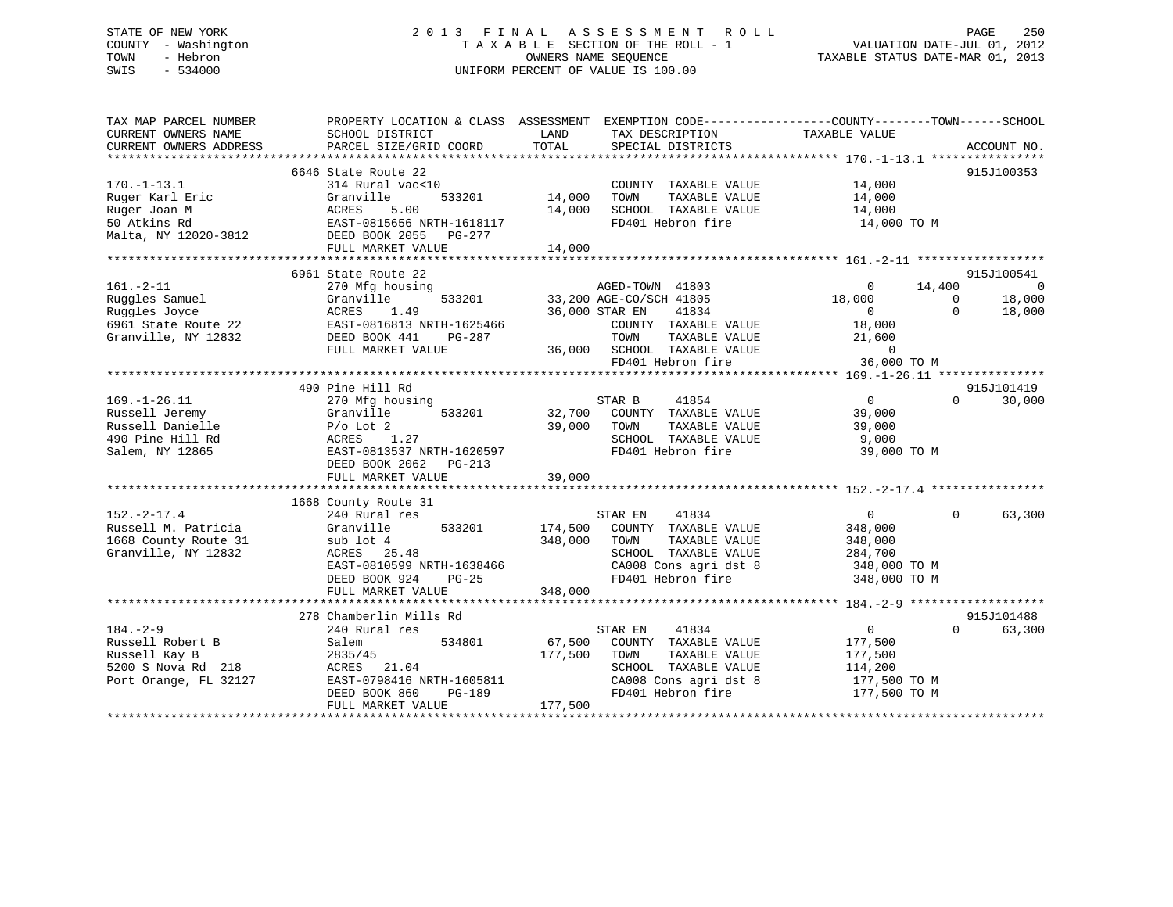# STATE OF NEW YORK 2 0 1 3 F I N A L A S S E S S M E N T R O L L PAGE 250 COUNTY - Washington T A X A B L E SECTION OF THE ROLL - 1 VALUATION DATE-JUL 01, 2012 TOWN - Hebron OWNERS NAME SEQUENCE TAXABLE STATUS DATE-MAR 01, 2013 SWIS - 534000 UNIFORM PERCENT OF VALUE IS 100.00

| TAX MAP PARCEL NUMBER<br>CURRENT OWNERS NAME<br>CURRENT OWNERS ADDRESS                                                                                     | SCHOOL DISTRICT<br>PARCEL SIZE/GRID COORD                                                                                                                            | LAND<br>TAX DESCRIPTION<br>TOTAL<br>SPECIAL DISTRICTS                                                                                                                             | PROPERTY LOCATION & CLASS ASSESSMENT EXEMPTION CODE---------------COUNTY-------TOWN-----SCHOOL<br>TAXABLE VALUE<br>ACCOUNT NO.                                                 |
|------------------------------------------------------------------------------------------------------------------------------------------------------------|----------------------------------------------------------------------------------------------------------------------------------------------------------------------|-----------------------------------------------------------------------------------------------------------------------------------------------------------------------------------|--------------------------------------------------------------------------------------------------------------------------------------------------------------------------------|
| $170.-1-13.1$<br>Ruger Karl Eric<br>Ruger Joan M<br>50 Atkins Rd<br>Malta, NY 12020-3812                                                                   | 6646 State Route 22<br>314 Rural vac<10<br>Granville<br>533201<br>ACRES<br>5.00<br>EAST-0815656 NRTH-1618117<br>DEED BOOK 2055 PG-277<br>FULL MARKET VALUE           | COUNTY TAXABLE VALUE<br>14,000<br>TOWN<br>TAXABLE VALUE<br>14,000<br>SCHOOL TAXABLE VALUE<br>FD401 Hebron fire<br>14,000                                                          | 915J100353<br>14,000<br>14,000<br>14,000<br>14,000 TO M                                                                                                                        |
| $161. - 2 - 11$<br>Functional Cranwille<br>Ruggles Joyce (Samuel ACRES 1.49)<br>6961 State Route 22 (EAST-0816813 N<br>Granville, NY 12832 (DEED BOOK 441) | 6961 State Route 22<br>270 Mfg housing<br>EAST-0816813 NRTH-1625466<br>PG-287<br>FULL MARKET VALUE                                                                   | AGED-TOWN 41803<br>533201 33,200 AGE-CO/SCH 41805<br>36,000 STAR EN<br>41834<br>COUNTY TAXABLE VALUE<br>TOWN<br>TAXABLE VALUE<br>36,000 SCHOOL TAXABLE VALUE<br>FD401 Hebron fire | 915J100541<br>14,400<br>$\overline{0}$<br>$\overline{0}$<br>$\Omega$<br>18,000<br>18,000<br>$\Omega$<br>$\overline{0}$<br>18,000<br>18,000<br>21,600<br>LUE $0$<br>36,000 TO M |
| $169. - 1 - 26.11$<br>Russell Jeremy<br>Russell Danielle<br>490 Pine Hill Rd<br>Salem, NY 12865                                                            | 490 Pine Hill Rd<br>270 Mfg housing<br>533201<br>Granville<br>$P/O$ Lot $2$<br>ACRES 1.27<br>EAST-0813537 NRTH-1620597<br>DEED BOOK 2062 PG-213<br>FULL MARKET VALUE | 41854<br>STAR B<br>COUNTY TAXABLE VALUE<br>32,700<br>39,000<br>TOWN<br>TAXABLE VALUE<br>SCHOOL TAXABLE VALUE<br>FD401 Hebron fire<br>39,000                                       | 915J101419<br>$\overline{0}$<br>$\Omega$<br>30,000<br>39,000<br>39,000<br>9,000<br>39,000 TO M                                                                                 |
| $152. - 2 - 17.4$<br>Russell M. Patricia<br>1668 County Route 31<br>Granville, NY 12832                                                                    | 1668 County Route 31<br>240 Rural res<br>Granville<br>sub lot 4<br>ACRES 25.48<br>EAST-0810599 NRTH-1638466<br>$PG-25$<br>DEED BOOK 924<br>FULL MARKET VALUE         | STAR EN<br>41834<br>533201 174,500<br>COUNTY TAXABLE VALUE<br>348,000<br>TOWN<br>TAXABLE VALUE<br>SCHOOL TAXABLE VALUE<br>348,000                                                 | $\overline{0}$<br>$\mathbf{0}$<br>63,300<br>348,000<br>348,000<br>SCHOOL TAXABLE VALUE 284,700<br>CA008 Cons agri dst 8 348,000 TO M<br>FD401 Hebron fire 348,000 TO M         |
| $184. - 2 - 9$<br>Russell Robert B<br>Russell Kay B<br>5200 S Nova Rd 218<br>Port Orange, FL 32127                                                         | 278 Chamberlin Mills Rd<br>240 Rural res<br>534801<br>Salem<br>2835/45<br>ACRES 21.04<br>EAST-0798416 NRTH-1605811<br>DEED BOOK 860<br>PG-189<br>FULL MARKET VALUE   | 41834<br>STAR EN<br>67,500<br>COUNTY TAXABLE VALUE<br>177,500<br>TAXABLE VALUE<br>TOWN<br>SCHOOL TAXABLE VALUE<br>CA008 Cons agri dst 8<br>FD401 Hebron fire<br>177,500           | 915J101488<br>$\overline{0}$<br>$\Omega$<br>63,300<br>177,500<br>177,500<br>114,200<br>177,500 TO M<br>177,500 TO M                                                            |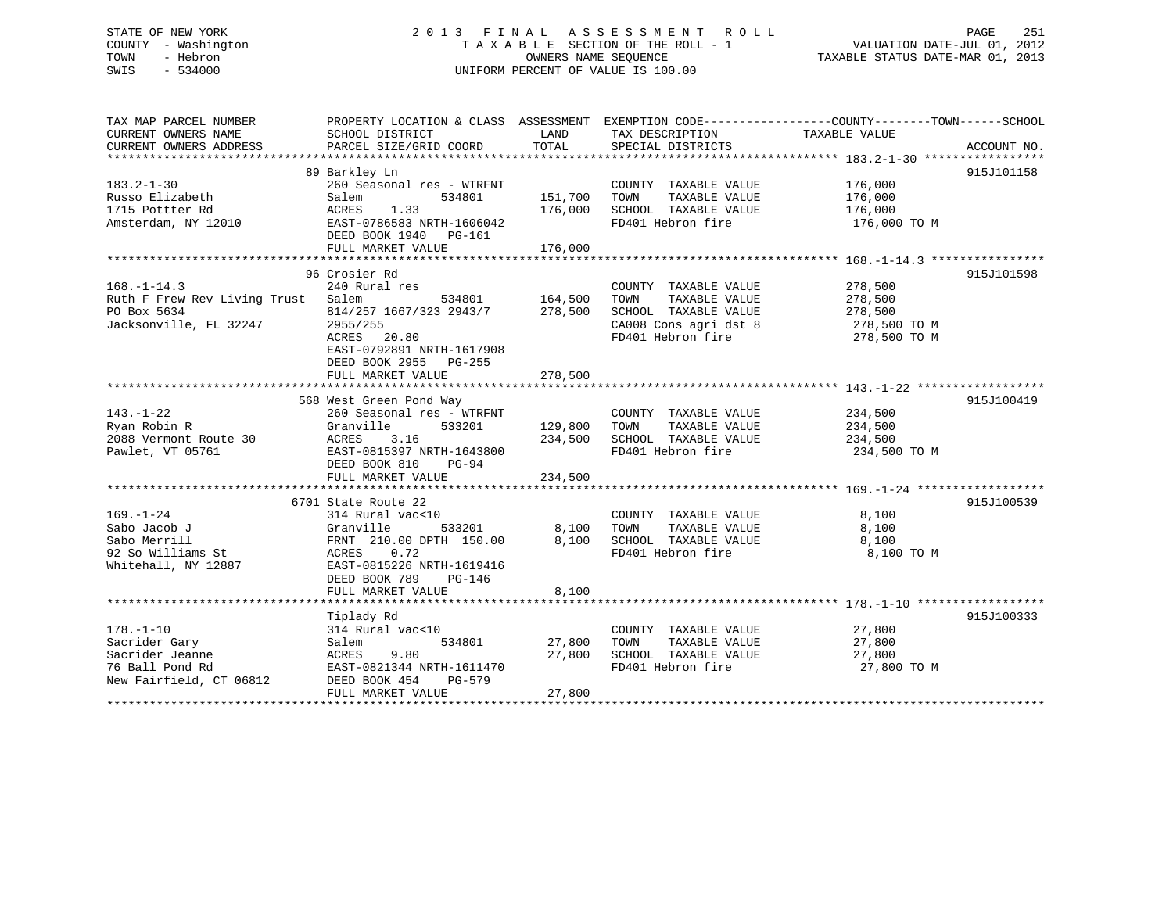# STATE OF NEW YORK 2 0 1 3 F I N A L A S S E S S M E N T R O L L PAGE 251 COUNTY - Washington T A X A B L E SECTION OF THE ROLL - 1 VALUATION DATE-JUL 01, 2012 TOWN - Hebron OWNERS NAME SEQUENCE TAXABLE STATUS DATE-MAR 01, 2013 SWIS - 534000 UNIFORM PERCENT OF VALUE IS 100.00

| TAX MAP PARCEL NUMBER<br>CURRENT OWNERS NAME<br>CURRENT OWNERS ADDRESS | SCHOOL DISTRICT<br>PARCEL SIZE/GRID COORD | LAND<br>TOTAL  | TAX DESCRIPTION<br>SPECIAL DISTRICTS      | PROPERTY LOCATION & CLASS ASSESSMENT EXEMPTION CODE---------------COUNTY-------TOWN-----SCHOOL<br>TAXABLE VALUE | ACCOUNT NO. |
|------------------------------------------------------------------------|-------------------------------------------|----------------|-------------------------------------------|-----------------------------------------------------------------------------------------------------------------|-------------|
|                                                                        |                                           |                |                                           |                                                                                                                 |             |
|                                                                        | 89 Barkley Ln                             |                |                                           |                                                                                                                 | 915J101158  |
| $183.2 - 1 - 30$                                                       | 260 Seasonal res - WTRFNT                 |                | COUNTY TAXABLE VALUE                      | 176,000                                                                                                         |             |
| Russo Elizabeth                                                        | Salem<br>534801                           | 151,700        | TAXABLE VALUE<br>TOWN                     | 176,000                                                                                                         |             |
| 1715 Pottter Rd                                                        | 1.33<br>ACRES                             | 176,000        | SCHOOL TAXABLE VALUE                      | 176,000                                                                                                         |             |
| Amsterdam, NY 12010                                                    | EAST-0786583 NRTH-1606042                 |                | FD401 Hebron fire                         | 176,000 TO M                                                                                                    |             |
|                                                                        | DEED BOOK 1940 PG-161                     |                |                                           |                                                                                                                 |             |
|                                                                        | FULL MARKET VALUE                         | 176,000        |                                           |                                                                                                                 |             |
|                                                                        |                                           |                |                                           |                                                                                                                 |             |
|                                                                        |                                           |                |                                           |                                                                                                                 |             |
|                                                                        | 96 Crosier Rd                             |                |                                           |                                                                                                                 | 915J101598  |
| $168. - 1 - 14.3$                                                      | 240 Rural res                             |                | COUNTY TAXABLE VALUE                      | 278,500                                                                                                         |             |
| Ruth F Frew Rev Living Trust Salem                                     | 534801 164,500                            |                | TAXABLE VALUE<br>TOWN                     | 278,500                                                                                                         |             |
| PO Box 5634                                                            | 814/257 1667/323 2943/7 278,500           |                | SCHOOL TAXABLE VALUE                      | 278,500                                                                                                         |             |
| Jacksonville, FL 32247                                                 | 2955/255                                  |                | CA008 Cons agri dst 8                     | 278,500 TO M                                                                                                    |             |
|                                                                        | 20.80<br>ACRES                            |                | FD401 Hebron fire                         | 278,500 TO M                                                                                                    |             |
|                                                                        | EAST-0792891 NRTH-1617908                 |                |                                           |                                                                                                                 |             |
|                                                                        | DEED BOOK 2955 PG-255                     |                |                                           |                                                                                                                 |             |
|                                                                        | FULL MARKET VALUE                         | 278,500        |                                           |                                                                                                                 |             |
|                                                                        |                                           |                |                                           |                                                                                                                 |             |
|                                                                        | 568 West Green Pond Way                   |                |                                           |                                                                                                                 | 915J100419  |
| $143. - 1 - 22$                                                        | 260 Seasonal res - WTRFNT                 |                | COUNTY TAXABLE VALUE                      | 234,500                                                                                                         |             |
| Ryan Robin R                                                           | Granville<br>533201                       | 129,800        | TAXABLE VALUE<br>TOWN                     | 234,500                                                                                                         |             |
|                                                                        | ACRES<br>3.16                             |                |                                           |                                                                                                                 |             |
| 2088 Vermont Route 30                                                  |                                           | 234,500        | SCHOOL TAXABLE VALUE                      | 234,500                                                                                                         |             |
| Pawlet, VT 05761                                                       | EAST-0815397 NRTH-1643800                 |                | FD401 Hebron fire                         | 234,500 TO M                                                                                                    |             |
|                                                                        | DEED BOOK 810<br>$PG-94$                  |                |                                           |                                                                                                                 |             |
|                                                                        | FULL MARKET VALUE                         | 234,500        |                                           |                                                                                                                 |             |
|                                                                        |                                           |                |                                           |                                                                                                                 |             |
|                                                                        | 6701 State Route 22                       |                |                                           |                                                                                                                 | 915J100539  |
| $169. - 1 - 24$                                                        | 314 Rural vac<10                          |                | COUNTY TAXABLE VALUE                      | 8,100                                                                                                           |             |
| Sabo Jacob J                                                           | 533201<br>Granville                       |                | TOWN<br>TAXABLE VALUE                     | 8,100                                                                                                           |             |
| Sabo Merrill                                                           | FRNT 210.00 DPTH 150.00                   | 8,100<br>8,100 | SCHOOL TAXABLE VALUE<br>FD401 Hebron fire | 8,100                                                                                                           |             |
| 92 So Williams St                                                      | ACRES<br>0.72                             |                |                                           | 8,100 TO M                                                                                                      |             |
| Whitehall, NY 12887                                                    | EAST-0815226 NRTH-1619416                 |                |                                           |                                                                                                                 |             |
|                                                                        | DEED BOOK 789<br>PG-146                   |                |                                           |                                                                                                                 |             |
|                                                                        | FULL MARKET VALUE                         | 8,100          |                                           |                                                                                                                 |             |
|                                                                        |                                           |                |                                           |                                                                                                                 |             |
|                                                                        |                                           |                |                                           |                                                                                                                 |             |
|                                                                        | Tiplady Rd                                |                |                                           |                                                                                                                 | 915J100333  |
| $178. - 1 - 10$                                                        | 314 Rural vac<10                          |                | COUNTY TAXABLE VALUE                      | 27,800                                                                                                          |             |
| Sacrider Gary                                                          | Salem<br>534801                           | 27,800         | TOWN<br>TAXABLE VALUE                     | 27,800                                                                                                          |             |
| Sacrider Jeanne                                                        | 9.80<br>ACRES                             | 27,800         | SCHOOL TAXABLE VALUE                      | 27,800                                                                                                          |             |
| 76 Ball Pond Rd                                                        | EAST-0821344 NRTH-1611470                 |                | FD401 Hebron fire                         | 27,800 TO M                                                                                                     |             |
| New Fairfield, CT 06812                                                | DEED BOOK 454<br>PG-579                   |                |                                           |                                                                                                                 |             |
|                                                                        | FULL MARKET VALUE                         | 27,800         |                                           |                                                                                                                 |             |
|                                                                        |                                           |                |                                           |                                                                                                                 |             |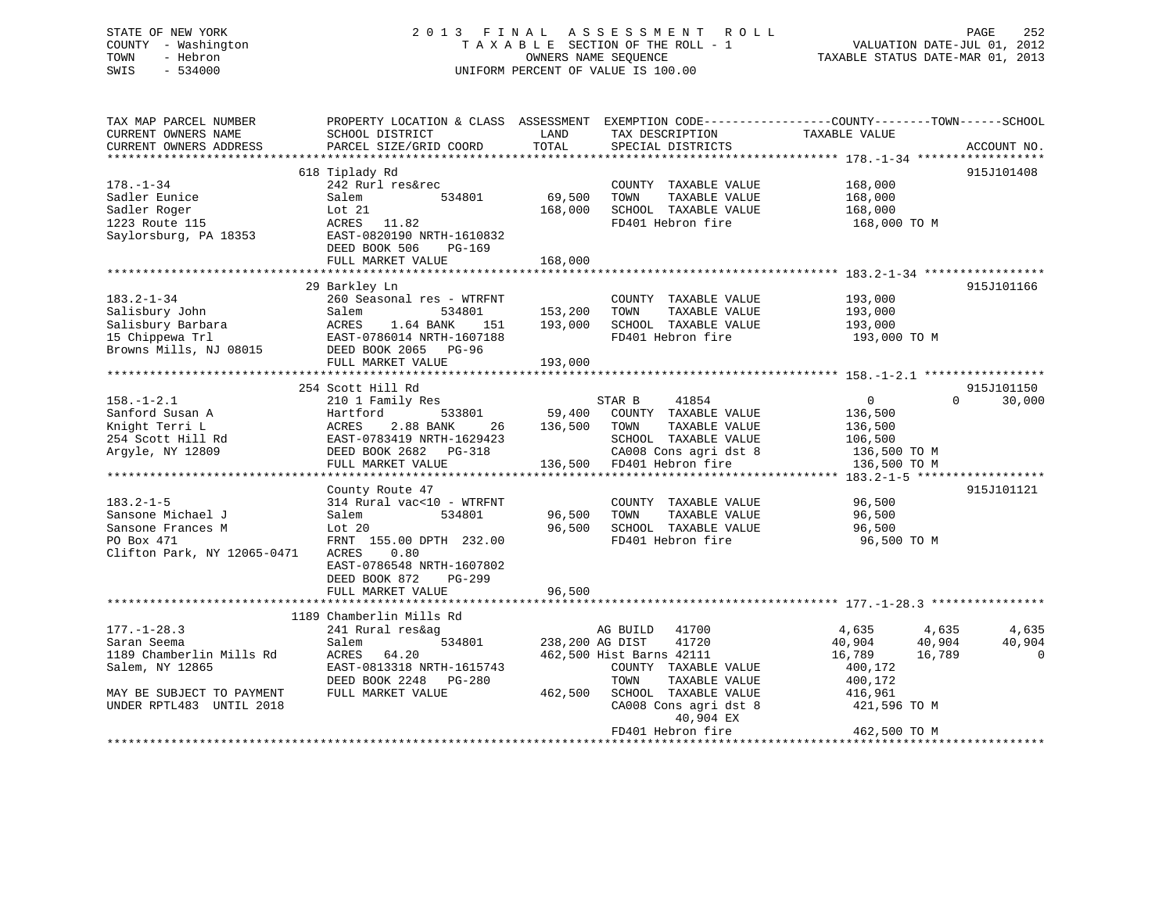# STATE OF NEW YORK 2 0 1 3 F I N A L A S S E S S M E N T R O L L PAGE 252 COUNTY - Washington T A X A B L E SECTION OF THE ROLL - 1 VALUATION DATE-JUL 01, 2012 TOWN - Hebron OWNERS NAME SEQUENCE TAXABLE STATUS DATE-MAR 01, 2013 SWIS - 534000 UNIFORM PERCENT OF VALUE IS 100.00

| TAX MAP PARCEL NUMBER                                                                                                                                                                                                                                         |                                           |                        |                                      | PROPERTY LOCATION & CLASS ASSESSMENT EXEMPTION CODE----------------COUNTY-------TOWN------SCHOOL                                                                          |                    |
|---------------------------------------------------------------------------------------------------------------------------------------------------------------------------------------------------------------------------------------------------------------|-------------------------------------------|------------------------|--------------------------------------|---------------------------------------------------------------------------------------------------------------------------------------------------------------------------|--------------------|
| CURRENT OWNERS NAME<br>CURRENT OWNERS ADDRESS                                                                                                                                                                                                                 | SCHOOL DISTRICT<br>PARCEL SIZE/GRID COORD | LAND<br>TOTAL          | TAX DESCRIPTION<br>SPECIAL DISTRICTS | TAXABLE VALUE                                                                                                                                                             | ACCOUNT NO.        |
|                                                                                                                                                                                                                                                               |                                           |                        |                                      |                                                                                                                                                                           |                    |
|                                                                                                                                                                                                                                                               | 618 Tiplady Rd                            |                        |                                      |                                                                                                                                                                           | 915J101408         |
| $178. - 1 - 34$                                                                                                                                                                                                                                               | 242 Rurl res&rec                          |                        | COUNTY TAXABLE VALUE 168,000         |                                                                                                                                                                           |                    |
|                                                                                                                                                                                                                                                               | $534801$ 69,500                           |                        | TOWN<br>TAXABLE VALUE                | 168,000                                                                                                                                                                   |                    |
|                                                                                                                                                                                                                                                               |                                           | 168,000                | SCHOOL TAXABLE VALUE 168,000         |                                                                                                                                                                           |                    |
| Sadler Eunice Salem 534801<br>Sadler Roger Lot 21<br>1223 Route 115<br>Saylorsburg, PA 18353<br>EAST-0820190 NRTH-1610832<br>FERE ROGER DC-169                                                                                                                |                                           |                        | FD401 Hebron fire                    | 168,000 TO M                                                                                                                                                              |                    |
|                                                                                                                                                                                                                                                               |                                           |                        |                                      |                                                                                                                                                                           |                    |
|                                                                                                                                                                                                                                                               | DEED BOOK 506<br>PG-169                   |                        |                                      |                                                                                                                                                                           |                    |
|                                                                                                                                                                                                                                                               | FULL MARKET VALUE                         | 168,000                |                                      |                                                                                                                                                                           |                    |
|                                                                                                                                                                                                                                                               |                                           |                        |                                      |                                                                                                                                                                           |                    |
|                                                                                                                                                                                                                                                               | 29 Barkley Ln                             |                        |                                      |                                                                                                                                                                           | 915J101166         |
| $183.2 - 1 - 34$<br>183.2-1-34<br>260 Seasonal res - WTRFNT<br>Salisbury John Salem 534801 153,200<br>Salisbury Barbara ACRES 1.64 BANK 151 193,000<br>15 Chippewa Trl EAST-0786014 NRTH-1607188<br>Browns Mills, NJ 08015 DEED BOOK 2065 PG-96<br>THE MOOK 2 | 260 Seasonal res - WTRFNT                 |                        | COUNTY TAXABLE VALUE                 | 193,000                                                                                                                                                                   |                    |
|                                                                                                                                                                                                                                                               |                                           |                        | TOWN                                 | TAXABLE VALUE<br>TAXABLE VALUE 193,000<br>TAXABLE VALUE 193,000                                                                                                           |                    |
|                                                                                                                                                                                                                                                               |                                           |                        | SCHOOL TAXABLE VALUE                 |                                                                                                                                                                           |                    |
|                                                                                                                                                                                                                                                               |                                           |                        |                                      | FD401 Hebron fire 193,000 TO M                                                                                                                                            |                    |
|                                                                                                                                                                                                                                                               |                                           |                        |                                      |                                                                                                                                                                           |                    |
|                                                                                                                                                                                                                                                               | FULL MARKET VALUE                         | 193,000                |                                      |                                                                                                                                                                           |                    |
|                                                                                                                                                                                                                                                               |                                           |                        |                                      |                                                                                                                                                                           |                    |
|                                                                                                                                                                                                                                                               | 254 Scott Hill Rd                         |                        |                                      |                                                                                                                                                                           | 915J101150         |
| $158. - 1 - 2.1$                                                                                                                                                                                                                                              | 210 1 Family Res                          |                        |                                      |                                                                                                                                                                           | $\Omega$<br>30,000 |
|                                                                                                                                                                                                                                                               |                                           |                        |                                      |                                                                                                                                                                           |                    |
|                                                                                                                                                                                                                                                               | 2.88 BANK 26 136,500 TOWN                 |                        |                                      |                                                                                                                                                                           |                    |
|                                                                                                                                                                                                                                                               |                                           |                        |                                      |                                                                                                                                                                           |                    |
| S<br>Sanford Susan A<br>Sanford Susan A<br>Sanght Terri L<br>254 Scott Hill Rd<br>254 Scott Hill Rd<br>254 Scott Hill Rd<br>254 Scott Hill Rd<br>254 Scott Hill Rd<br>254 Scott Hill Rd<br>254 Scott Hill Rd<br>254 Scott Hill Rd<br>254 Scott Hill Rd        |                                           |                        |                                      | 1629423<br>SCHOOL TAXABLE VALUE<br>G-318<br>136,500 CA008 Cons agri dst 8<br>136,500 TO M<br>136,500 TO M<br>136,500 TO M<br>136,500 TO M<br>136,500 TO M<br>136,500 TO M |                    |
|                                                                                                                                                                                                                                                               |                                           |                        |                                      |                                                                                                                                                                           |                    |
|                                                                                                                                                                                                                                                               |                                           |                        |                                      |                                                                                                                                                                           | 915J101121         |
|                                                                                                                                                                                                                                                               | County Route 47                           |                        | COUNTY TAXABLE VALUE                 | 96,500                                                                                                                                                                    |                    |
|                                                                                                                                                                                                                                                               |                                           | 96,500                 | TOWN                                 | TAXABLE VALUE 96,500                                                                                                                                                      |                    |
|                                                                                                                                                                                                                                                               |                                           | 96,500                 | SCHOOL TAXABLE VALUE                 | 96,500                                                                                                                                                                    |                    |
|                                                                                                                                                                                                                                                               |                                           |                        | FD401 Hebron fire                    | 96,500 TO M                                                                                                                                                               |                    |
| Clifton Park, NY 12065-0471 ACRES 0.80                                                                                                                                                                                                                        |                                           |                        |                                      |                                                                                                                                                                           |                    |
|                                                                                                                                                                                                                                                               | EAST-0786548 NRTH-1607802                 |                        |                                      |                                                                                                                                                                           |                    |
|                                                                                                                                                                                                                                                               | DEED BOOK 872<br>PG-299                   |                        |                                      |                                                                                                                                                                           |                    |
|                                                                                                                                                                                                                                                               | FULL MARKET VALUE                         | 96,500                 |                                      |                                                                                                                                                                           |                    |
|                                                                                                                                                                                                                                                               |                                           |                        |                                      |                                                                                                                                                                           |                    |
|                                                                                                                                                                                                                                                               | 1189 Chamberlin Mills Rd                  |                        |                                      |                                                                                                                                                                           |                    |
| 177.-1-28.3<br>Saran Seema<br>1189 Chamberlin Mills Rd                                                                                                                                                                                                        | 241 Rural res&ag                          |                        | AG BUILD 41700                       | 4,635 4,635 4,635                                                                                                                                                         |                    |
|                                                                                                                                                                                                                                                               | Salem                                     | 534801 238,200 AG DIST | 41720                                | 40,904 40,904                                                                                                                                                             | 40,904             |
|                                                                                                                                                                                                                                                               | ACRES 64.20                               |                        | 462,500 Hist Barns 42111             | 16,789<br>16,789                                                                                                                                                          | $\overline{0}$     |
| Salem, NY 12865                                                                                                                                                                                                                                               | EAST-0813318 NRTH-1615743                 |                        | COUNTY TAXABLE VALUE                 | 400,172                                                                                                                                                                   |                    |
|                                                                                                                                                                                                                                                               | DEED BOOK 2248 PG-280                     |                        | TOWN<br>TAXABLE VALUE                | 400,172                                                                                                                                                                   |                    |
| MAY BE SUBJECT TO PAYMENT                                                                                                                                                                                                                                     | FULL MARKET VALUE                         |                        | 462,500 SCHOOL TAXABLE VALUE 416,961 |                                                                                                                                                                           |                    |
| UNDER RPTL483 UNTIL 2018                                                                                                                                                                                                                                      |                                           |                        | CA008 Cons agri dst 8                | 421,596 TO M                                                                                                                                                              |                    |
|                                                                                                                                                                                                                                                               |                                           |                        | 40,904 EX                            |                                                                                                                                                                           |                    |
|                                                                                                                                                                                                                                                               |                                           |                        |                                      | 462,500 TO M                                                                                                                                                              |                    |
|                                                                                                                                                                                                                                                               |                                           |                        |                                      |                                                                                                                                                                           |                    |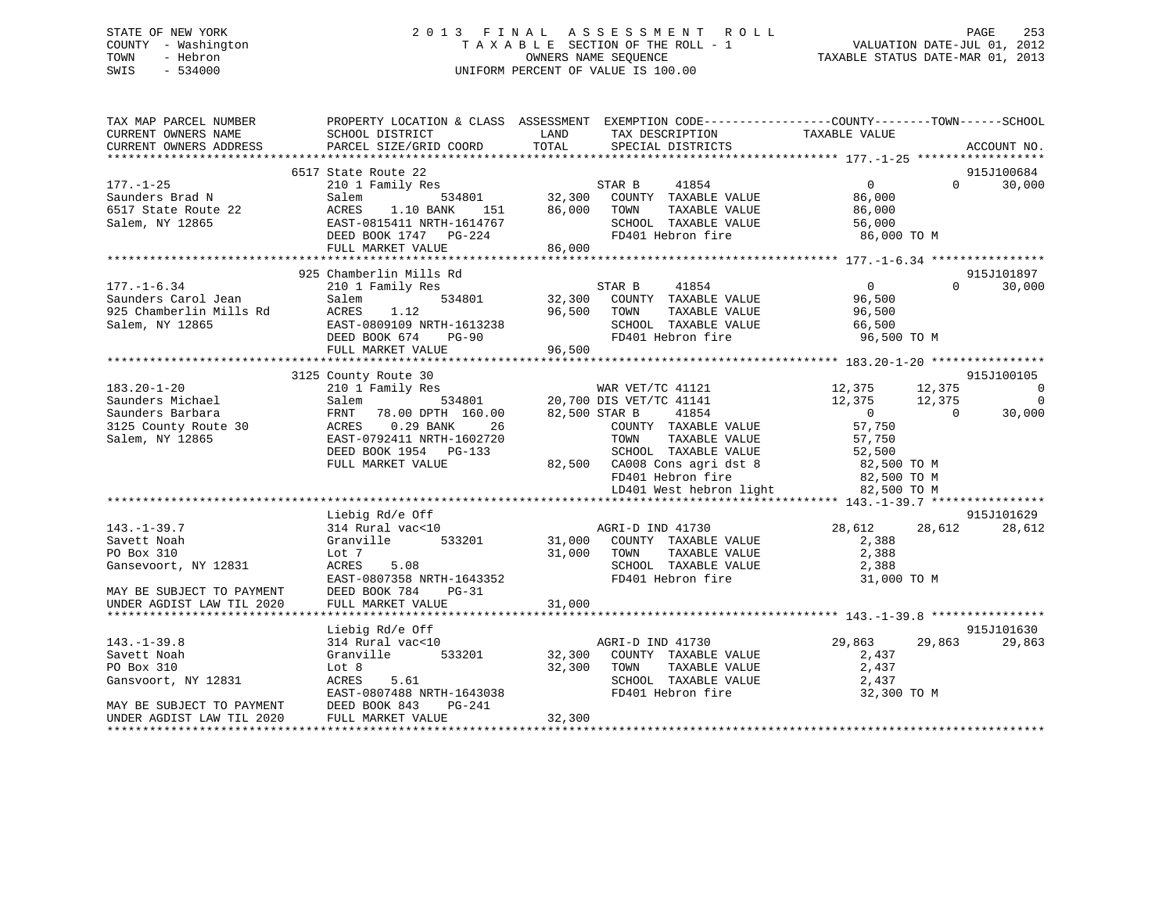# STATE OF NEW YORK 2 0 1 3 F I N A L A S S E S S M E N T R O L L PAGE 253 COUNTY - Washington T A X A B L E SECTION OF THE ROLL - 1 VALUATION DATE-JUL 01, 2012 TOWN - Hebron OWNERS NAME SEQUENCE TAXABLE STATUS DATE-MAR 01, 2013 SWIS - 534000 UNIFORM PERCENT OF VALUE IS 100.00

| TAX MAP PARCEL NUMBER<br>CURRENT OWNERS NAME<br>CURRENT OWNERS ADDRESS | PROPERTY LOCATION & CLASS ASSESSMENT EXEMPTION CODE----------------COUNTY-------TOWN------SCHOOL<br>SCHOOL DISTRICT<br><b>EXAMPLE EXAMPLE EXAMPLE EXAMPLE EXAMPLE EXAMPLE EXAMPLE EXAMPLE EXAMPLE EXAMPLE EXAMPLE EXAMPLE EXAMPLE EXAMPLE EXAMPLE EXAMPLE EXAMPLE EXAMPLE EXAMPLE EXAMPLE EXAMPLE EXAMPLE EXAMPLE EXAMPLE EXAMPLE EXAMPLE EXAMPLE EXAMP</b><br>PARCEL SIZE/GRID COORD | TOTAL  | TAX DESCRIPTION<br>SPECIAL DISTRICTS                                    | TAXABLE VALUE    | ACCOUNT NO.        |
|------------------------------------------------------------------------|---------------------------------------------------------------------------------------------------------------------------------------------------------------------------------------------------------------------------------------------------------------------------------------------------------------------------------------------------------------------------------------|--------|-------------------------------------------------------------------------|------------------|--------------------|
|                                                                        |                                                                                                                                                                                                                                                                                                                                                                                       |        |                                                                         |                  |                    |
|                                                                        | 6517 State Route 22                                                                                                                                                                                                                                                                                                                                                                   |        |                                                                         |                  | 915J100684         |
| $177. - 1 - 25$                                                        |                                                                                                                                                                                                                                                                                                                                                                                       |        |                                                                         | $\overline{0}$   | $\Omega$<br>30,000 |
| Saunders Brad N                                                        |                                                                                                                                                                                                                                                                                                                                                                                       |        |                                                                         | 86,000           |                    |
| 6517 State Route 22                                                    | ACRES 1.10 BANK 151 86,000 TOWN<br>EAST-0815411 NRTH-1614767 SCHOOL<br>DEED BOOK 1747 PG-224 FD401 H                                                                                                                                                                                                                                                                                  |        |                                                                         | 86,000           |                    |
| Salem, NY 12865                                                        |                                                                                                                                                                                                                                                                                                                                                                                       |        | SCHOOL TAXABLE VALUE 56,000                                             |                  |                    |
|                                                                        |                                                                                                                                                                                                                                                                                                                                                                                       | 86,000 | FD401 Hebron fire                                                       | 86,000 TO M      |                    |
|                                                                        | FULL MARKET VALUE                                                                                                                                                                                                                                                                                                                                                                     |        |                                                                         |                  |                    |
|                                                                        | 925 Chamberlin Mills Rd                                                                                                                                                                                                                                                                                                                                                               |        |                                                                         |                  | 915J101897         |
| $177. - 1 - 6.34$                                                      | 210 1 Family Res                                                                                                                                                                                                                                                                                                                                                                      |        | 41854<br>STAR B                                                         | $\Omega$         | 30,000<br>$\Omega$ |
| Saunders Carol Jean                                                    | 534801<br>Sale<br>d<br>ACRES<br>EAST-C<br>הארי                                                                                                                                                                                                                                                                                                                                        |        | 32,300 COUNTY TAXABLE VALUE                                             | 96,500           |                    |
| 925 Chamberlin Mills Rd                                                |                                                                                                                                                                                                                                                                                                                                                                                       |        | 96,500 TOWN<br>TAXABLE VALUE                                            |                  |                    |
| Salem, NY 12865                                                        |                                                                                                                                                                                                                                                                                                                                                                                       |        | SCHOOL TAXABLE VALUE                                                    | 96,500<br>66,500 |                    |
|                                                                        |                                                                                                                                                                                                                                                                                                                                                                                       |        | FD401 Hebron fire                                                       | 96,500 TO M      |                    |
|                                                                        | ACRES 1.12 96,500<br>EAST-0809109 NRTH-1613238<br>DEED BOOK 674 PG-90<br>FULL MARKET VALUE 96,500                                                                                                                                                                                                                                                                                     |        |                                                                         |                  |                    |
|                                                                        |                                                                                                                                                                                                                                                                                                                                                                                       |        |                                                                         |                  |                    |
|                                                                        | 3125 County Route 30                                                                                                                                                                                                                                                                                                                                                                  |        |                                                                         |                  | 915J100105         |
| $183.20 - 1 - 20$                                                      |                                                                                                                                                                                                                                                                                                                                                                                       |        |                                                                         | 12,375 12,375    | $\overline{0}$     |
| Saunders Michael                                                       |                                                                                                                                                                                                                                                                                                                                                                                       |        |                                                                         | 12,375 12,375    | $\overline{0}$     |
| Saunders Barbara                                                       |                                                                                                                                                                                                                                                                                                                                                                                       |        |                                                                         | $\overline{0}$   | $\Omega$<br>30,000 |
| 3125 County Route 30                                                   | 26<br>ACRES 0.29 BANK                                                                                                                                                                                                                                                                                                                                                                 |        | COUNTY TAXABLE VALUE                                                    | 57,750           |                    |
| Salem, NY 12865                                                        | EAST-0792411 NRTH-1602720                                                                                                                                                                                                                                                                                                                                                             |        | TAXABLE VALUE<br>TOWN                                                   | 57,750           |                    |
|                                                                        | DEED BOOK 1954 PG-133                                                                                                                                                                                                                                                                                                                                                                 |        |                                                                         |                  |                    |
|                                                                        | FULL MARKET VALUE                                                                                                                                                                                                                                                                                                                                                                     |        | SCHOOL TAXABLE VALUE 52,500<br>82,500 CA008 Cons agri dst 8 62,500 TO M |                  |                    |
|                                                                        |                                                                                                                                                                                                                                                                                                                                                                                       |        |                                                                         |                  |                    |
|                                                                        |                                                                                                                                                                                                                                                                                                                                                                                       |        | FD401 Hebron fire 82,500 TO M<br>LD401 West hebron light 82,500 TO M    |                  |                    |
|                                                                        |                                                                                                                                                                                                                                                                                                                                                                                       |        |                                                                         |                  |                    |
|                                                                        | Liebig Rd/e Off                                                                                                                                                                                                                                                                                                                                                                       |        |                                                                         |                  | 915J101629         |
| $143. - 1 - 39.7$                                                      |                                                                                                                                                                                                                                                                                                                                                                                       |        | AGRI-D IND 41730<br>31,000 COUNTY TAXABLE VALUE                         | 28,612 28,612    | 28,612             |
| Savett Noah                                                            | 314 Rural vac<10<br>Granville 533201                                                                                                                                                                                                                                                                                                                                                  |        |                                                                         | 2,388            |                    |
| PO Box 310                                                             | Lot 7                                                                                                                                                                                                                                                                                                                                                                                 | 31,000 | TAXABLE VALUE<br>TOWN                                                   | 2,388            |                    |
| Gansevoort, NY 12831                                                   | ACRES<br>5.08                                                                                                                                                                                                                                                                                                                                                                         |        | SCHOOL TAXABLE VALUE                                                    | 2,388            |                    |
|                                                                        | EAST-0807358 NRTH-1643352                                                                                                                                                                                                                                                                                                                                                             |        | FD401 Hebron fire                                                       | 31,000 TO M      |                    |
| MAY BE SUBJECT TO PAYMENT                                              | DEED BOOK 784<br>$PG-31$                                                                                                                                                                                                                                                                                                                                                              |        |                                                                         |                  |                    |
|                                                                        |                                                                                                                                                                                                                                                                                                                                                                                       |        |                                                                         |                  |                    |
|                                                                        |                                                                                                                                                                                                                                                                                                                                                                                       |        |                                                                         |                  |                    |
|                                                                        | Liebig Rd/e Off                                                                                                                                                                                                                                                                                                                                                                       |        |                                                                         |                  | 915J101630         |
| $143. - 1 - 39.8$                                                      | 314 Rural vac<10                                                                                                                                                                                                                                                                                                                                                                      |        | AGRI-D IND 41730                                                        | 29,863           | 29,863<br>29,863   |
| Savett Noah                                                            | Granville 533201 32,300                                                                                                                                                                                                                                                                                                                                                               |        | COUNTY TAXABLE VALUE                                                    | 2,437            |                    |
| PO Box 310                                                             | Lot 8                                                                                                                                                                                                                                                                                                                                                                                 | 32,300 | TAXABLE VALUE<br>TOWN                                                   | 2,437            |                    |
| Gansvoort, NY 12831                                                    | ACRES<br>5.61                                                                                                                                                                                                                                                                                                                                                                         |        | SCHOOL TAXABLE VALUE                                                    | 2,437            |                    |
|                                                                        | EAST-0807488 NRTH-1643038                                                                                                                                                                                                                                                                                                                                                             |        | FD401 Hebron fire                                                       | 32,300 TO M      |                    |
| MAY BE SUBJECT TO PAYMENT                                              | DEED BOOK 843<br>PG-241                                                                                                                                                                                                                                                                                                                                                               |        |                                                                         |                  |                    |
| UNDER AGDIST LAW TIL 2020                                              | FULL MARKET VALUE                                                                                                                                                                                                                                                                                                                                                                     | 32,300 |                                                                         |                  |                    |
|                                                                        |                                                                                                                                                                                                                                                                                                                                                                                       |        |                                                                         |                  |                    |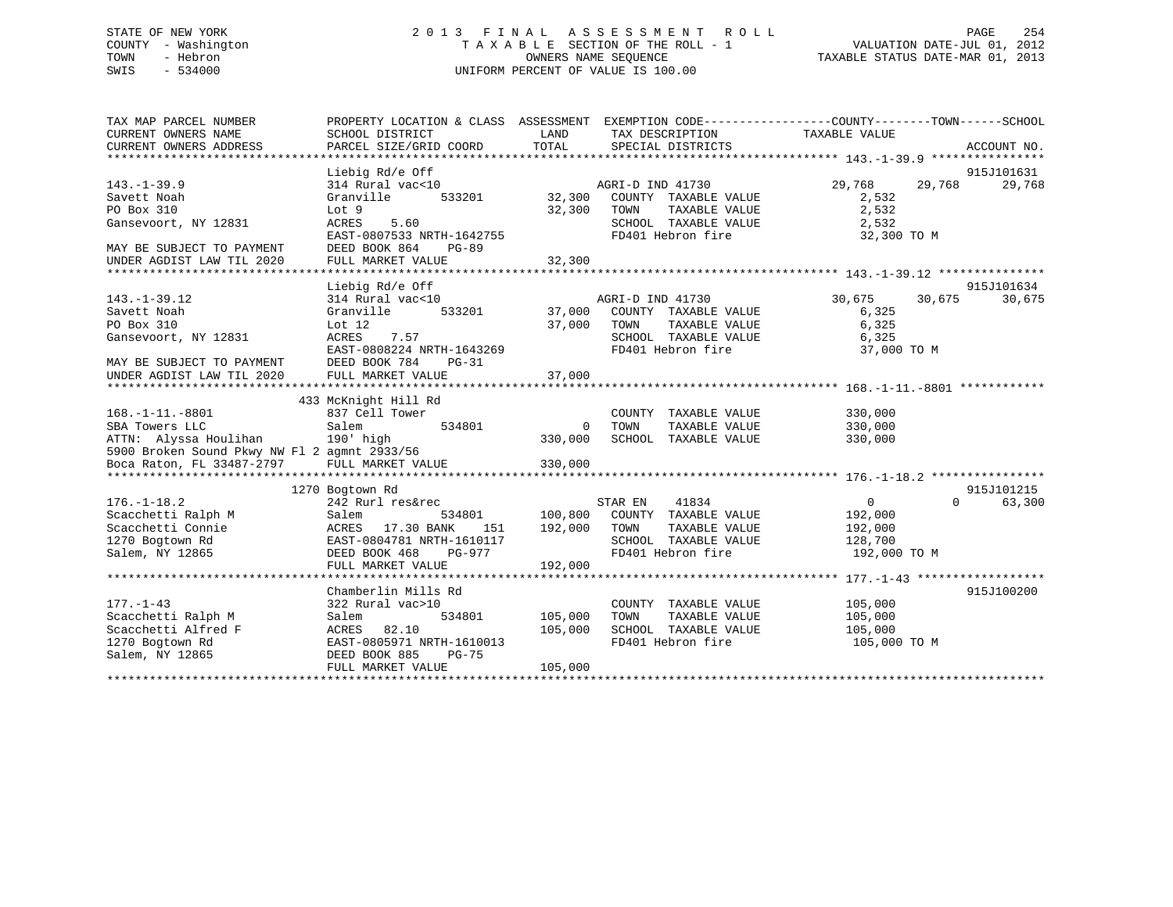# STATE OF NEW YORK 2 0 1 3 F I N A L A S S E S S M E N T R O L L PAGE 254 COUNTY - Washington T A X A B L E SECTION OF THE ROLL - 1 VALUATION DATE-JUL 01, 2012 TOWN - Hebron OWNERS NAME SEQUENCE TAXABLE STATUS DATE-MAR 01, 2013 SWIS - 534000 UNIFORM PERCENT OF VALUE IS 100.00

| TAX MAP PARCEL NUMBER<br>CURRENT OWNERS NAME<br>CURRENT OWNERS ADDRESS                                                                                    | SCHOOL DISTRICT<br>PARCEL SIZE/GRID COORD                                                                                                                             | LAND<br>TOTAL                      | TAX DESCRIPTION TAXABLE VALUE<br>SPECIAL DISTRICTS                                                                    | PROPERTY LOCATION & CLASS ASSESSMENT EXEMPTION CODE----------------COUNTY-------TOWN-----SCHOOL<br>ACCOUNT NO. |
|-----------------------------------------------------------------------------------------------------------------------------------------------------------|-----------------------------------------------------------------------------------------------------------------------------------------------------------------------|------------------------------------|-----------------------------------------------------------------------------------------------------------------------|----------------------------------------------------------------------------------------------------------------|
| $143. - 1 - 39.9$<br>Savett Noah<br>PO Box 310<br>Gansevoort, NY 12831<br>MAY BE SUBJECT TO PAYMENT<br>UNDER AGDIST LAW TIL 2020                          | Liebig Rd/e Off<br>314 Rural vac<10<br>Granville<br>Lot 9<br><b>ACRES</b><br>5.60<br>EAST-0807533 NRTH-1642755<br>DEED BOOK 864<br><b>PG-89</b><br>FULL MARKET VALUE  | 533201 32,300<br>32,300<br>32,300  | AGRI-D IND 41730<br>COUNTY TAXABLE VALUE<br>TOWN<br>TAXABLE VALUE<br>SCHOOL TAXABLE VALUE<br>FD401 Hebron fire        | 915J101631<br>29,768<br>29,768<br>29,768<br>2,532<br>2,532<br>2,532<br>32,300 TO M                             |
|                                                                                                                                                           |                                                                                                                                                                       |                                    |                                                                                                                       |                                                                                                                |
| $143. - 1 - 39.12$<br>Savett Noah<br>PO Box 310<br>Gansevoort, NY 12831<br>MAY BE SUBJECT TO PAYMENT<br>UNDER AGDIST LAW TIL 2020                         | Liebig Rd/e Off<br>314 Rural vac<10<br>533201<br>Granville<br>Lot $12$<br>ACRES<br>7.57<br>EAST-0808224 NRTH-1643269<br>DEED BOOK 784<br>$PG-31$<br>FULL MARKET VALUE | 37,000<br>37,000                   | AGRI-D IND 41730<br>37,000 COUNTY TAXABLE VALUE<br>TOWN<br>TAXABLE VALUE<br>SCHOOL TAXABLE VALUE<br>FD401 Hebron fire | 915J101634<br>30,675<br>30,675<br>30,675<br>6,325<br>6,325<br>6,325<br>37,000 TO M                             |
|                                                                                                                                                           | 433 McKnight Hill Rd                                                                                                                                                  |                                    |                                                                                                                       |                                                                                                                |
| $168. - 1 - 11. - 8801$<br>SBA Towers LLC<br>ATTN: Alyssa Houlihan 190' high<br>5900 Broken Sound Pkwy NW Fl 2 agmnt 2933/56<br>Boca Raton, FL 33487-2797 | 837 Cell Tower<br>Salem<br>534801<br>FULL MARKET VALUE                                                                                                                | $\mathbf{0}$<br>330,000<br>330,000 | COUNTY TAXABLE VALUE<br>TOWN<br>TAXABLE VALUE<br>SCHOOL TAXABLE VALUE                                                 | 330,000<br>330,000<br>330,000                                                                                  |
|                                                                                                                                                           | 1270 Bogtown Rd                                                                                                                                                       |                                    |                                                                                                                       | 915J101215                                                                                                     |
| $176. - 1 - 18.2$<br>Scacchetti Ralph M<br>Scacchetti Connie<br>1270 Bogtown Rd<br>Salem, NY 12865                                                        | 242 Rurl res&rec<br>Salem<br>534801<br>ACRES 17.30 BANK<br>151<br>EAST-0804781 NRTH-1610117<br>DEED BOOK 468<br>PG-977<br>FULL MARKET VALUE                           | 100,800<br>192,000<br>192,000      | 41834<br>STAR EN<br>COUNTY TAXABLE VALUE<br>TOWN<br>TAXABLE VALUE<br>SCHOOL TAXABLE VALUE<br>FD401 Hebron fire        | 0<br>$\Omega$<br>63,300<br>192,000<br>192,000<br>128,700<br>192,000 TO M                                       |
|                                                                                                                                                           |                                                                                                                                                                       |                                    |                                                                                                                       |                                                                                                                |
| $177. - 1 - 43$<br>Scacchetti Ralph M<br>Scacchetti Alfred F<br>1270 Bogtown Rd<br>Salem, NY 12865                                                        | Chamberlin Mills Rd<br>322 Rural vac>10<br>534801<br>Salem<br>82.10<br>ACRES<br>EAST-0805971 NRTH-1610013<br>DEED BOOK 885<br>$PG-75$<br>FULL MARKET VALUE            | 105,000<br>105,000<br>105,000      | COUNTY TAXABLE VALUE<br>TOWN<br>TAXABLE VALUE<br>SCHOOL TAXABLE VALUE<br>FD401 Hebron fire                            | 915J100200<br>105,000<br>105,000<br>105,000<br>105,000 TO M                                                    |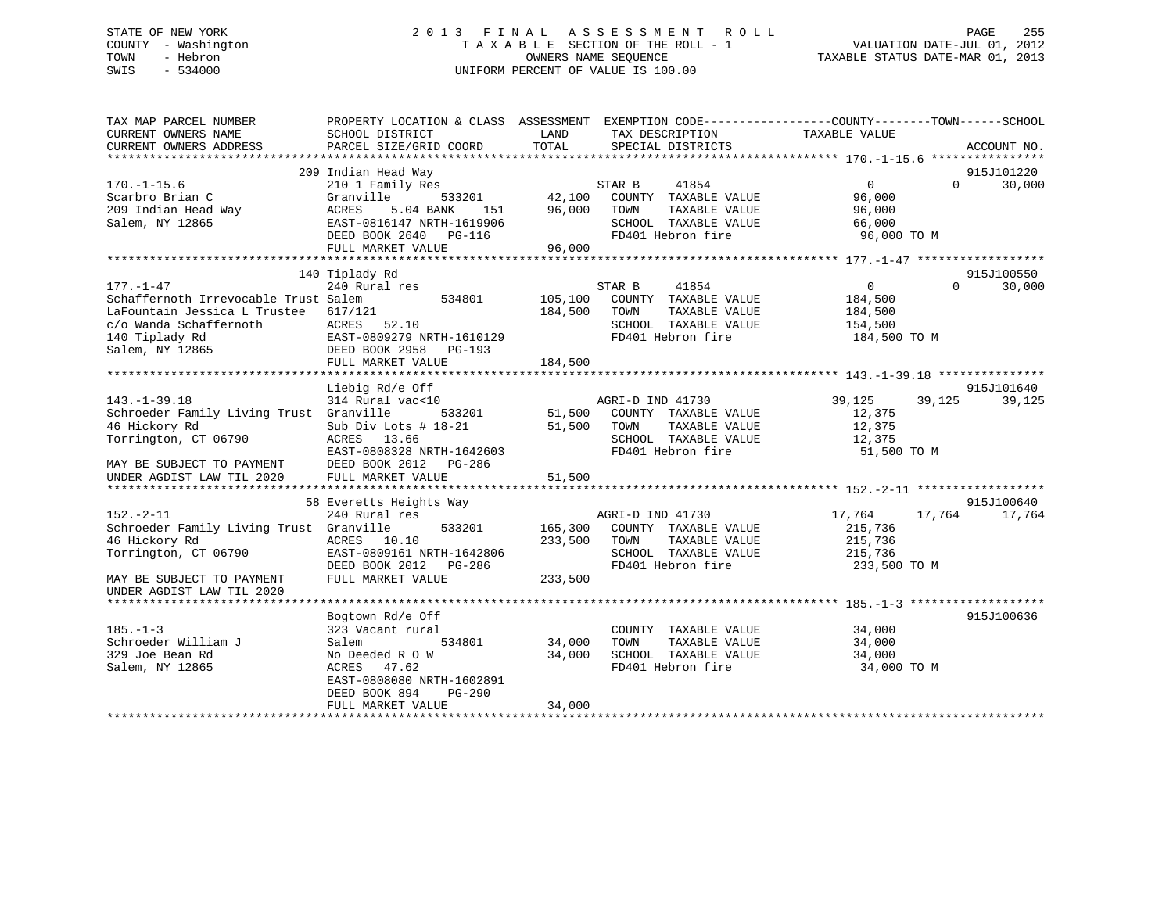# STATE OF NEW YORK 2 0 1 3 F I N A L A S S E S S M E N T R O L L PAGE 255 COUNTY - Washington T A X A B L E SECTION OF THE ROLL - 1 VALUATION DATE-JUL 01, 2012 TOWN - Hebron OWNERS NAME SEQUENCE TAXABLE STATUS DATE-MAR 01, 2013 SWIS - 534000 UNIFORM PERCENT OF VALUE IS 100.00

| TAX MAP PARCEL NUMBER<br>CURRENT OWNERS NAME<br>CURRENT OWNERS ADDRESS | PROPERTY LOCATION & CLASS ASSESSMENT EXEMPTION CODE----------------COUNTY-------TOWN-----SCHOOL<br>SCHOOL DISTRICT<br>PARCEL SIZE/GRID COORD | LAND<br>TOTAL              | TAX DESCRIPTION<br>SPECIAL DISTRICTS | TAXABLE VALUE        | ACCOUNT NO.        |
|------------------------------------------------------------------------|----------------------------------------------------------------------------------------------------------------------------------------------|----------------------------|--------------------------------------|----------------------|--------------------|
|                                                                        |                                                                                                                                              |                            |                                      |                      |                    |
|                                                                        | 209 Indian Head Way                                                                                                                          |                            |                                      |                      | 915J101220         |
| $170. - 1 - 15.6$                                                      | 210 1 Family Res                                                                                                                             |                            | STAR B<br>41854                      | $\Omega$             | $\Omega$<br>30,000 |
| Scarbro Brian C                                                        | Granville                                                                                                                                    |                            | 533201 42,100 COUNTY TAXABLE VALUE   | 96,000               |                    |
| 209 Indian Head Way                                                    | ACRES<br>5.04 BANK                                                                                                                           | 151 96,000 TOWN            | TAXABLE VALUE                        | 96,000               |                    |
| Salem, NY 12865                                                        |                                                                                                                                              |                            | SCHOOL TAXABLE VALUE                 | 66,000               |                    |
|                                                                        |                                                                                                                                              |                            | FD401 Hebron fire                    | 96,000 TO M          |                    |
|                                                                        |                                                                                                                                              |                            |                                      |                      |                    |
|                                                                        |                                                                                                                                              |                            |                                      |                      |                    |
|                                                                        | 140 Tiplady Rd                                                                                                                               |                            |                                      |                      | 915J100550         |
| $177. - 1 - 47$                                                        | 240 Rural res                                                                                                                                |                            | STAR B<br>41854                      | $\overline{0}$       | $\cap$<br>30,000   |
| Schaffernoth Irrevocable Trust Salem                                   | 534801                                                                                                                                       | 105,100                    | COUNTY TAXABLE VALUE                 | 184,500              |                    |
| LaFountain Jessica L Trustee                                           | 617/121                                                                                                                                      | 184,500                    | TAXABLE VALUE<br>TOWN                | 184,500              |                    |
| c/o Wanda Schaffernoth                                                 |                                                                                                                                              |                            | SCHOOL TAXABLE VALUE                 | 154,500              |                    |
| 140 Tiplady Rd                                                         |                                                                                                                                              |                            | FD401 Hebron fire                    | 184,500 TO M         |                    |
| Salem, NY 12865                                                        | EAST-0809279 NRTH-1610129<br>DEED BOOK 2958 - DO 100                                                                                         |                            |                                      |                      |                    |
|                                                                        |                                                                                                                                              |                            |                                      |                      |                    |
|                                                                        |                                                                                                                                              |                            |                                      |                      |                    |
|                                                                        | Liebig Rd/e Off                                                                                                                              |                            |                                      |                      | 915J101640         |
| $143. - 1 - 39.18$                                                     | 314 Rural vac<10                                                                                                                             |                            | AGRI-D IND 41730                     | 39,125<br>39,125     | 39,125             |
| Schroeder Family Living Trust Granville                                | 533201                                                                                                                                       |                            | COUNTY TAXABLE VALUE                 | 12,375               |                    |
| 46 Hickory Rd                                                          | Sub Div Lots $# 18-21$                                                                                                                       | 51,500<br>51,500<br>51,500 | TOWN<br>TAXABLE VALUE                | 12,375               |                    |
| Torrington, CT 06790                                                   | ACRES 13.66                                                                                                                                  |                            | SCHOOL TAXABLE VALUE                 | 12,375               |                    |
|                                                                        | EAST-0808328 NRTH-1642603                                                                                                                    |                            | FD401 Hebron fire                    | 51,500 TO M          |                    |
| MAY BE SUBJECT TO PAYMENT                                              | DEED BOOK 2012 PG-286                                                                                                                        |                            |                                      |                      |                    |
| UNDER AGDIST LAW TIL 2020                                              |                                                                                                                                              |                            |                                      |                      |                    |
|                                                                        |                                                                                                                                              |                            |                                      |                      |                    |
|                                                                        | 58 Everetts Heights Way                                                                                                                      |                            |                                      |                      | 915J100640         |
| $152. - 2 - 11$                                                        | 240 Rural res                                                                                                                                |                            | AGRI-D IND 41730                     | 17,764<br>17,764     | 17,764             |
| Schroeder Family Living Trust Granville                                |                                                                                                                                              | 533201 165,300             | COUNTY TAXABLE VALUE                 | 215,736              |                    |
| 46 Hickory Rd                                                          | ACRES 10.10                                                                                                                                  | 233,500                    | TOWN<br>TAXABLE VALUE                | 215,736              |                    |
| Torrington, CT 06790                                                   | EAST-0809161 NRTH-1642806                                                                                                                    |                            | SCHOOL TAXABLE VALUE 215,736         |                      |                    |
|                                                                        | DEED BOOK 2012 PG-286                                                                                                                        |                            | FD401 Hebron fire                    | 233,500 TO M         |                    |
| MAY BE SUBJECT TO PAYMENT                                              | FULL MARKET VALUE                                                                                                                            | 233,500                    |                                      |                      |                    |
| UNDER AGDIST LAW TIL 2020                                              |                                                                                                                                              |                            |                                      |                      |                    |
|                                                                        |                                                                                                                                              |                            |                                      |                      |                    |
|                                                                        | Bogtown Rd/e Off                                                                                                                             |                            |                                      |                      | 915J100636         |
| $185. - 1 - 3$                                                         | 323 Vacant rural                                                                                                                             |                            | COUNTY TAXABLE VALUE                 | 34,000               |                    |
| Schroeder William J                                                    | Salem<br>534801                                                                                                                              | 34,000                     | TOWN                                 | TAXABLE VALUE 34,000 |                    |
| 329 Joe Bean Rd                                                        | No Deeded R O W                                                                                                                              | 34,000                     | SCHOOL TAXABLE VALUE                 | 34,000               |                    |
| Salem, NY 12865                                                        | ACRES<br>47.62                                                                                                                               |                            | FD401 Hebron fire                    | 34,000 TO M          |                    |
|                                                                        | EAST-0808080 NRTH-1602891                                                                                                                    |                            |                                      |                      |                    |
|                                                                        | DEED BOOK 894<br>PG-290                                                                                                                      |                            |                                      |                      |                    |
|                                                                        | FULL MARKET VALUE                                                                                                                            | 34,000                     |                                      |                      |                    |
|                                                                        |                                                                                                                                              |                            |                                      |                      |                    |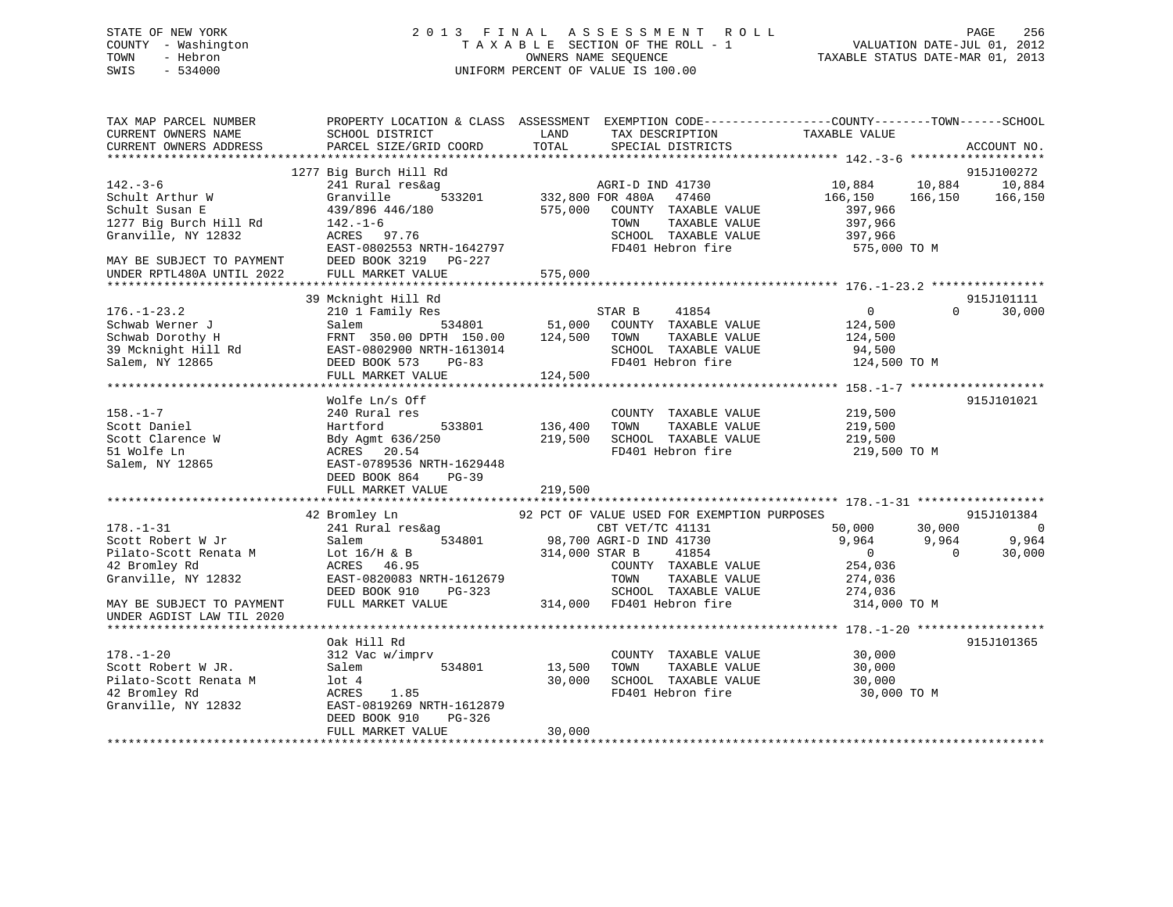# STATE OF NEW YORK 2 0 1 3 F I N A L A S S E S S M E N T R O L L PAGE 256 COUNTY - Washington T A X A B L E SECTION OF THE ROLL - 1 VALUATION DATE-JUL 01, 2012 TOWN - Hebron OWNERS NAME SEQUENCE TAXABLE STATUS DATE-MAR 01, 2013 SWIS - 534000 UNIFORM PERCENT OF VALUE IS 100.00

| TAX MAP PARCEL NUMBER<br>CURRENT OWNERS NAME | PROPERTY LOCATION & CLASS ASSESSMENT EXEMPTION CODE----------------COUNTY-------TOWN------SCHOOL<br>SCHOOL DISTRICT | LAND           | TAX DESCRIPTION                             | TAXABLE VALUE     |                              |
|----------------------------------------------|---------------------------------------------------------------------------------------------------------------------|----------------|---------------------------------------------|-------------------|------------------------------|
| CURRENT OWNERS ADDRESS                       | PARCEL SIZE/GRID COORD                                                                                              | TOTAL          | SPECIAL DISTRICTS                           |                   | ACCOUNT NO.                  |
| ***********************                      |                                                                                                                     |                |                                             |                   |                              |
| $142. - 3 - 6$                               | 1277 Big Burch Hill Rd<br>241 Rural res&ag                                                                          |                | AGRI-D IND 41730                            |                   | 915J100272<br>10,884         |
| Schult Arthur W                              | 533201<br>Granville                                                                                                 |                | 332,800 FOR 480A<br>47460                   | 10,884<br>166,150 | 10,884<br>166,150<br>166,150 |
| Schult Susan E                               | 439/896 446/180                                                                                                     | 575,000        | COUNTY TAXABLE VALUE                        | 397,966           |                              |
| 1277 Big Burch Hill Rd                       | $142. - 1 - 6$                                                                                                      |                | TAXABLE VALUE<br>TOWN                       | 397,966           |                              |
| Granville, NY 12832                          | ACRES 97.76                                                                                                         |                | SCHOOL TAXABLE VALUE                        | 397,966           |                              |
|                                              | EAST-0802553 NRTH-1642797                                                                                           |                | FD401 Hebron fire                           | 575,000 TO M      |                              |
| MAY BE SUBJECT TO PAYMENT                    | DEED BOOK 3219 PG-227                                                                                               |                |                                             |                   |                              |
| UNDER RPTL480A UNTIL 2022                    | FULL MARKET VALUE                                                                                                   | 575,000        |                                             |                   |                              |
| **********************                       |                                                                                                                     |                |                                             |                   |                              |
|                                              | 39 Mcknight Hill Rd                                                                                                 |                |                                             |                   | 915J101111                   |
| $176. - 1 - 23.2$                            | 210 1 Family Res                                                                                                    |                | STAR B<br>41854                             | $\mathsf{O}$      | 30,000<br>$\Omega$           |
| Schwab Werner J                              | 534801<br>Salem                                                                                                     | 51,000         | COUNTY TAXABLE VALUE                        | 124,500           |                              |
| Schwab Dorothy H                             | FRNT 350.00 DPTH 150.00                                                                                             | 124,500        | TOWN<br>TAXABLE VALUE                       | 124,500           |                              |
| 39 Mcknight Hill Rd                          | EAST-0802900 NRTH-1613014                                                                                           |                | SCHOOL TAXABLE VALUE                        | 94,500            |                              |
| Salem, NY 12865                              | DEED BOOK 573<br>$PG-83$                                                                                            |                | FD401 Hebron fire                           | 124,500 TO M      |                              |
|                                              | FULL MARKET VALUE                                                                                                   | 124,500        |                                             |                   |                              |
|                                              | Wolfe Ln/s Off                                                                                                      |                |                                             |                   | 915J101021                   |
| $158. - 1 - 7$                               | 240 Rural res                                                                                                       |                | COUNTY TAXABLE VALUE                        | 219,500           |                              |
| Scott Daniel                                 | Hartford<br>533801                                                                                                  | 136,400        | TAXABLE VALUE<br>TOWN                       | 219,500           |                              |
| Scott Clarence W                             | Bdy Agmt 636/250                                                                                                    | 219,500        | SCHOOL TAXABLE VALUE                        | 219,500           |                              |
| 51 Wolfe Ln                                  | ACRES 20.54                                                                                                         |                | FD401 Hebron fire                           | 219,500 TO M      |                              |
| Salem, NY 12865                              | EAST-0789536 NRTH-1629448                                                                                           |                |                                             |                   |                              |
|                                              | DEED BOOK 864<br>$PG-39$                                                                                            |                |                                             |                   |                              |
|                                              | FULL MARKET VALUE                                                                                                   | 219,500        |                                             |                   |                              |
|                                              |                                                                                                                     |                |                                             |                   |                              |
|                                              | 42 Bromley Ln                                                                                                       |                | 92 PCT OF VALUE USED FOR EXEMPTION PURPOSES |                   | 915J101384                   |
| $178. - 1 - 31$                              | 241 Rural res&ag                                                                                                    |                | CBT VET/TC 41131                            | 50,000            | 30,000<br>$\Omega$           |
| Scott Robert W Jr                            | Salem<br>534801                                                                                                     |                | 98,700 AGRI-D IND 41730                     | 9,964             | 9,964<br>9,964               |
| Pilato-Scott Renata M                        | Lot $16/H$ & B                                                                                                      | 314,000 STAR B | 41854                                       | $\overline{0}$    | $\Omega$<br>30,000           |
| 42 Bromley Rd                                | 46.95<br>ACRES                                                                                                      |                | COUNTY TAXABLE VALUE                        | 254,036           |                              |
| Granville, NY 12832                          | EAST-0820083 NRTH-1612679                                                                                           |                | TAXABLE VALUE<br>TOWN                       | 274,036           |                              |
|                                              | DEED BOOK 910<br>$PG-323$                                                                                           |                | SCHOOL TAXABLE VALUE                        | 274,036           |                              |
| MAY BE SUBJECT TO PAYMENT                    | FULL MARKET VALUE                                                                                                   |                | 314,000 FD401 Hebron fire                   | 314,000 TO M      |                              |
| UNDER AGDIST LAW TIL 2020                    |                                                                                                                     |                |                                             |                   |                              |
|                                              | Oak Hill Rd                                                                                                         |                |                                             |                   | 915J101365                   |
| $178. - 1 - 20$                              | 312 Vac w/imprv                                                                                                     |                | COUNTY TAXABLE VALUE                        | 30,000            |                              |
| Scott Robert W JR.                           | Salem<br>534801                                                                                                     | 13,500         | TAXABLE VALUE<br>TOWN                       | 30,000            |                              |
| Pilato-Scott Renata M                        | $1$ ot $4$                                                                                                          | 30,000         | SCHOOL TAXABLE VALUE                        | 30,000            |                              |
| 42 Bromley Rd                                | 1.85<br>ACRES                                                                                                       |                | FD401 Hebron fire                           | 30,000 TO M       |                              |
| Granville, NY 12832                          | EAST-0819269 NRTH-1612879                                                                                           |                |                                             |                   |                              |
|                                              | DEED BOOK 910<br>$PG-326$                                                                                           |                |                                             |                   |                              |
|                                              | FULL MARKET VALUE                                                                                                   | 30,000         |                                             |                   |                              |
|                                              |                                                                                                                     |                |                                             |                   |                              |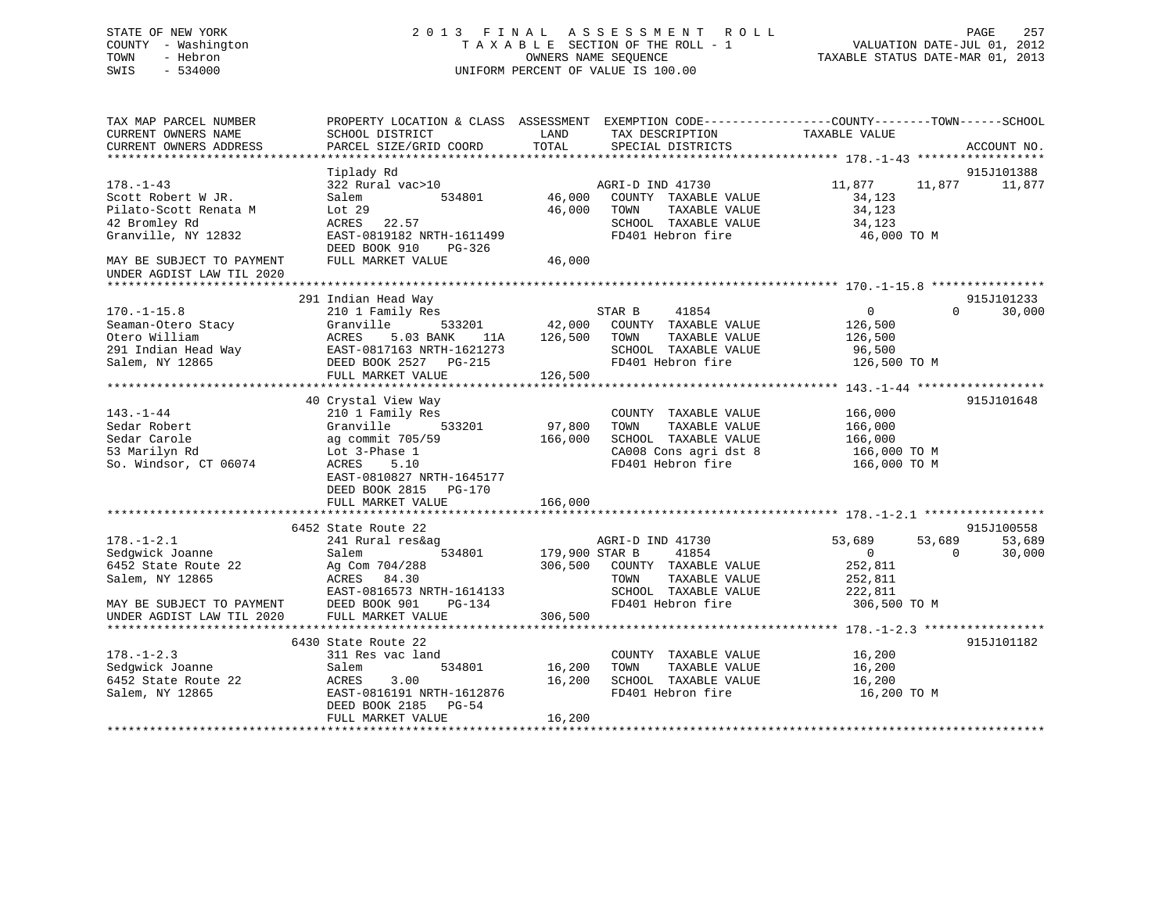# STATE OF NEW YORK 2 0 1 3 F I N A L A S S E S S M E N T R O L L PAGE 257 COUNTY - Washington T A X A B L E SECTION OF THE ROLL - 1 VALUATION DATE-JUL 01, 2012 TOWN - Hebron **CONNERS NAME SEQUENCE** TAXABLE STATUS DATE-MAR 01, 2013 SWIS - 534000 UNIFORM PERCENT OF VALUE IS 100.00

| TAX MAP PARCEL NUMBER<br>CURRENT OWNERS NAME | PROPERTY LOCATION & CLASS ASSESSMENT<br>SCHOOL DISTRICT | LAND           | TAX DESCRIPTION       | EXEMPTION CODE-----------------COUNTY-------TOWN------SCHOOL<br>TAXABLE VALUE |             |
|----------------------------------------------|---------------------------------------------------------|----------------|-----------------------|-------------------------------------------------------------------------------|-------------|
| CURRENT OWNERS ADDRESS                       | PARCEL SIZE/GRID COORD                                  | TOTAL          | SPECIAL DISTRICTS     |                                                                               | ACCOUNT NO. |
|                                              |                                                         |                |                       |                                                                               |             |
|                                              | Tiplady Rd                                              |                |                       |                                                                               | 915J101388  |
| $178. - 1 - 43$                              | 322 Rural vac>10                                        |                | AGRI-D IND 41730      | 11,877<br>11,877                                                              | 11,877      |
| Scott Robert W JR.                           | Salem<br>534801                                         | 46,000         | COUNTY TAXABLE VALUE  | 34,123                                                                        |             |
| Pilato-Scott Renata M                        | Lot $29$                                                | 46,000         | TOWN<br>TAXABLE VALUE | 34,123                                                                        |             |
| 42 Bromley Rd                                | ACRES<br>22.57                                          |                | SCHOOL TAXABLE VALUE  | 34,123                                                                        |             |
| Granville, NY 12832                          | EAST-0819182 NRTH-1611499                               |                | FD401 Hebron fire     | 46,000 TO M                                                                   |             |
|                                              | DEED BOOK 910<br>$PG-326$                               |                |                       |                                                                               |             |
| MAY BE SUBJECT TO PAYMENT                    | FULL MARKET VALUE                                       | 46,000         |                       |                                                                               |             |
| UNDER AGDIST LAW TIL 2020                    |                                                         |                |                       |                                                                               |             |
|                                              | 291 Indian Head Way                                     |                |                       |                                                                               | 915J101233  |
| $170. - 1 - 15.8$                            | 210 1 Family Res                                        |                | STAR B<br>41854       | $\Omega$<br>$\Omega$                                                          | 30,000      |
| Seaman-Otero Stacy                           | 533201<br>Granville                                     | 42,000         | COUNTY TAXABLE VALUE  | 126,500                                                                       |             |
| Otero William                                | ACRES<br>5.03 BANK<br>11A                               | 126,500        | TOWN<br>TAXABLE VALUE | 126,500                                                                       |             |
| 291 Indian Head Way                          | EAST-0817163 NRTH-1621273                               |                | SCHOOL TAXABLE VALUE  | 96,500                                                                        |             |
| Salem, NY 12865                              |                                                         |                | FD401 Hebron fire     |                                                                               |             |
|                                              | DEED BOOK 2527<br>PG-215<br>FULL MARKET VALUE           | 126,500        |                       | 126,500 TO M                                                                  |             |
|                                              |                                                         |                |                       |                                                                               |             |
|                                              | 40 Crystal View Way                                     |                |                       |                                                                               | 915J101648  |
| $143. - 1 - 44$                              | 210 1 Family Res                                        |                | COUNTY TAXABLE VALUE  | 166,000                                                                       |             |
| Sedar Robert                                 | Granville<br>533201                                     | 97,800         | TAXABLE VALUE<br>TOWN | 166,000                                                                       |             |
| Sedar Carole                                 | ag commit 705/59                                        | 166,000        | SCHOOL TAXABLE VALUE  | 166,000                                                                       |             |
| 53 Marilyn Rd                                | Lot 3-Phase 1                                           |                | CA008 Cons agri dst 8 | 166,000 TO M                                                                  |             |
| So. Windsor, CT 06074                        | ACRES<br>5.10                                           |                | FD401 Hebron fire     | 166,000 TO M                                                                  |             |
|                                              | EAST-0810827 NRTH-1645177                               |                |                       |                                                                               |             |
|                                              | DEED BOOK 2815<br>PG-170                                |                |                       |                                                                               |             |
|                                              | FULL MARKET VALUE                                       | 166,000        |                       |                                                                               |             |
|                                              |                                                         |                |                       |                                                                               |             |
|                                              | 6452 State Route 22                                     |                |                       |                                                                               | 915J100558  |
| $178. - 1 - 2.1$                             | 241 Rural res&ag                                        |                | AGRI-D IND 41730      | 53,689<br>53,689                                                              | 53,689      |
| Sedgwick Joanne                              | Salem<br>534801                                         | 179,900 STAR B | 41854                 | $\mathbf{0}$<br>$\Omega$                                                      | 30,000      |
| 6452 State Route 22                          | Ag Com 704/288                                          | 306,500        | COUNTY TAXABLE VALUE  | 252,811                                                                       |             |
| Salem, NY 12865                              | ACRES 84.30                                             |                | TOWN<br>TAXABLE VALUE | 252,811                                                                       |             |
|                                              | EAST-0816573 NRTH-1614133                               |                | SCHOOL TAXABLE VALUE  | 222,811                                                                       |             |
| MAY BE SUBJECT TO PAYMENT                    | DEED BOOK 901<br>$PG-134$                               |                | FD401 Hebron fire     | 306,500 TO M                                                                  |             |
| UNDER AGDIST LAW TIL 2020                    | FULL MARKET VALUE                                       | 306,500        |                       |                                                                               |             |
|                                              |                                                         |                |                       |                                                                               |             |
|                                              | 6430 State Route 22                                     |                |                       |                                                                               | 915J101182  |
| $178. - 1 - 2.3$                             | 311 Res vac land                                        |                | COUNTY TAXABLE VALUE  | 16,200                                                                        |             |
| Sedqwick Joanne                              | Salem<br>534801                                         | 16,200         | TOWN<br>TAXABLE VALUE | 16,200                                                                        |             |
| 6452 State Route 22                          | ACRES<br>3.00                                           | 16,200         | SCHOOL TAXABLE VALUE  | 16,200                                                                        |             |
| Salem, NY 12865                              | EAST-0816191 NRTH-1612876                               |                | FD401 Hebron fire     | 16,200 TO M                                                                   |             |
|                                              | DEED BOOK 2185<br>$PG-54$                               |                |                       |                                                                               |             |
|                                              | FULL MARKET VALUE                                       | 16,200         |                       |                                                                               |             |
|                                              |                                                         |                |                       |                                                                               |             |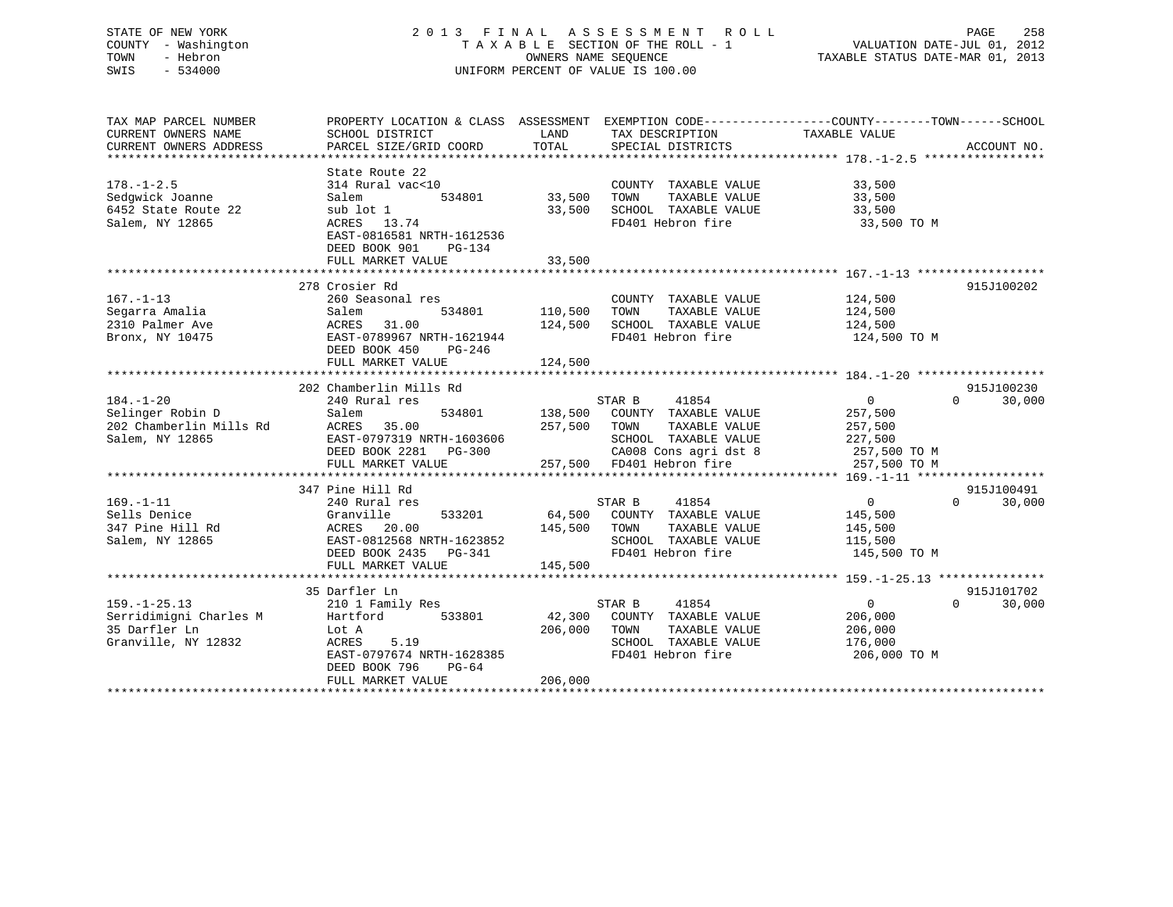# STATE OF NEW YORK 2 0 1 3 F I N A L A S S E S S M E N T R O L L PAGE 258 COUNTY - Washington T A X A B L E SECTION OF THE ROLL - 1 VALUATION DATE-JUL 01, 2012 TOWN - Hebron OWNERS NAME SEQUENCE TAXABLE STATUS DATE-MAR 01, 2013 SWIS - 534000 UNIFORM PERCENT OF VALUE IS 100.00

| TAX MAP PARCEL NUMBER   |                            | PROPERTY LOCATION & CLASS ASSESSMENT EXEMPTION CODE---------------COUNTY-------TOWN-----SCHOOL |                                      |
|-------------------------|----------------------------|------------------------------------------------------------------------------------------------|--------------------------------------|
| CURRENT OWNERS NAME     | SCHOOL DISTRICT            | LAND<br>TAX DESCRIPTION                                                                        | TAXABLE VALUE                        |
| CURRENT OWNERS ADDRESS  | PARCEL SIZE/GRID COORD     | TOTAL<br>SPECIAL DISTRICTS                                                                     | ACCOUNT NO.                          |
|                         |                            |                                                                                                |                                      |
|                         | State Route 22             |                                                                                                |                                      |
| $178. - 1 - 2.5$        | 314 Rural vac<10           | COUNTY TAXABLE VALUE                                                                           | 33,500                               |
| Sedqwick Joanne         | Salem<br>534801            | 33,500<br>TAXABLE VALUE<br>TOWN                                                                | 33,500                               |
| 6452 State Route 22     | sub lot 1                  | 33,500<br>SCHOOL TAXABLE VALUE                                                                 | 33,500                               |
| Salem, NY 12865         | ACRES 13.74                | FD401 Hebron fire                                                                              | 33,500 TO M                          |
|                         | EAST-0816581 NRTH-1612536  |                                                                                                |                                      |
|                         | DEED BOOK 901<br>PG-134    |                                                                                                |                                      |
|                         | FULL MARKET VALUE          | 33,500                                                                                         |                                      |
|                         |                            |                                                                                                |                                      |
|                         | 278 Crosier Rd             |                                                                                                | 915J100202                           |
| $167. - 1 - 13$         | 260 Seasonal res           | COUNTY TAXABLE VALUE                                                                           | 124,500                              |
| Segarra Amalia          | 534801<br>Salem            | 110,500<br>TOWN<br>TAXABLE VALUE                                                               | 124,500                              |
| 2310 Palmer Ave         | ACRES 31.00                | 124,500<br>SCHOOL TAXABLE VALUE                                                                | 124,500                              |
| Bronx, NY 10475         | EAST-0789967 NRTH-1621944  | FD401 Hebron fire                                                                              | 124,500 TO M                         |
|                         | DEED BOOK 450<br>PG-246    |                                                                                                |                                      |
|                         | FULL MARKET VALUE          | 124,500                                                                                        |                                      |
|                         |                            |                                                                                                |                                      |
|                         | 202 Chamberlin Mills Rd    |                                                                                                | 915J100230                           |
| $184. - 1 - 20$         | 240 Rural res              | 41854<br>STAR B                                                                                | $\overline{0}$<br>30,000<br>$\Omega$ |
| Selinger Robin D        | 534801<br>Salem            | 138,500 COUNTY TAXABLE VALUE                                                                   | 257,500                              |
| 202 Chamberlin Mills Rd | ACRES 35.00                | 257,500 TOWN<br>TAXABLE VALUE                                                                  | 257,500                              |
| Salem, NY 12865         | EAST-0797319 NRTH-1603606  | SCHOOL TAXABLE VALUE                                                                           | 227,500                              |
|                         | DEED BOOK 2281 PG-300      |                                                                                                | 257,500 TO M                         |
|                         | FULL MARKET VALUE          | CA008 Cons agri dst 8<br>257,500 FD401 Hebron fire                                             | 257,500 TO M                         |
|                         |                            |                                                                                                |                                      |
|                         | 347 Pine Hill Rd           |                                                                                                | 915J100491                           |
| $169. - 1 - 11$         | 240 Rural res              | 41854<br>STAR B                                                                                | $\overline{0}$<br>30,000<br>$\Omega$ |
| Sells Denice            | Granville<br>533201        | 64,500 COUNTY TAXABLE VALUE                                                                    | 145,500                              |
| 347 Pine Hill Rd        | ACRES 20.00                | 145,500<br>TOWN<br>TAXABLE VALUE                                                               | 145,500                              |
| Salem, NY 12865         | EAST-0812568 NRTH-1623852  | SCHOOL TAXABLE VALUE                                                                           | 115,500                              |
|                         | DEED BOOK 2435<br>$PG-341$ | FD401 Hebron fire                                                                              | 145,500 TO M                         |
|                         | FULL MARKET VALUE          | 145,500                                                                                        |                                      |
|                         |                            |                                                                                                |                                      |
|                         | 35 Darfler Ln              |                                                                                                | 915J101702                           |
| $159. - 1 - 25.13$      |                            | STAR B<br>41854                                                                                | $\overline{0}$<br>$\Omega$<br>30,000 |
|                         | 210 1 Family Res           | 42,300                                                                                         |                                      |
| Serridimigni Charles M  | Hartford<br>533801         | COUNTY TAXABLE VALUE                                                                           | 206,000                              |
| 35 Darfler Ln           | Lot A                      | 206,000<br>TAXABLE VALUE<br>TOWN                                                               | 206,000                              |
| Granville, NY 12832     | 5.19<br>ACRES              | SCHOOL TAXABLE VALUE                                                                           | 176,000                              |
|                         | EAST-0797674 NRTH-1628385  | FD401 Hebron fire                                                                              | 206,000 TO M                         |
|                         | DEED BOOK 796<br>$PG-64$   |                                                                                                |                                      |
|                         | FULL MARKET VALUE          | 206,000                                                                                        |                                      |
|                         |                            |                                                                                                |                                      |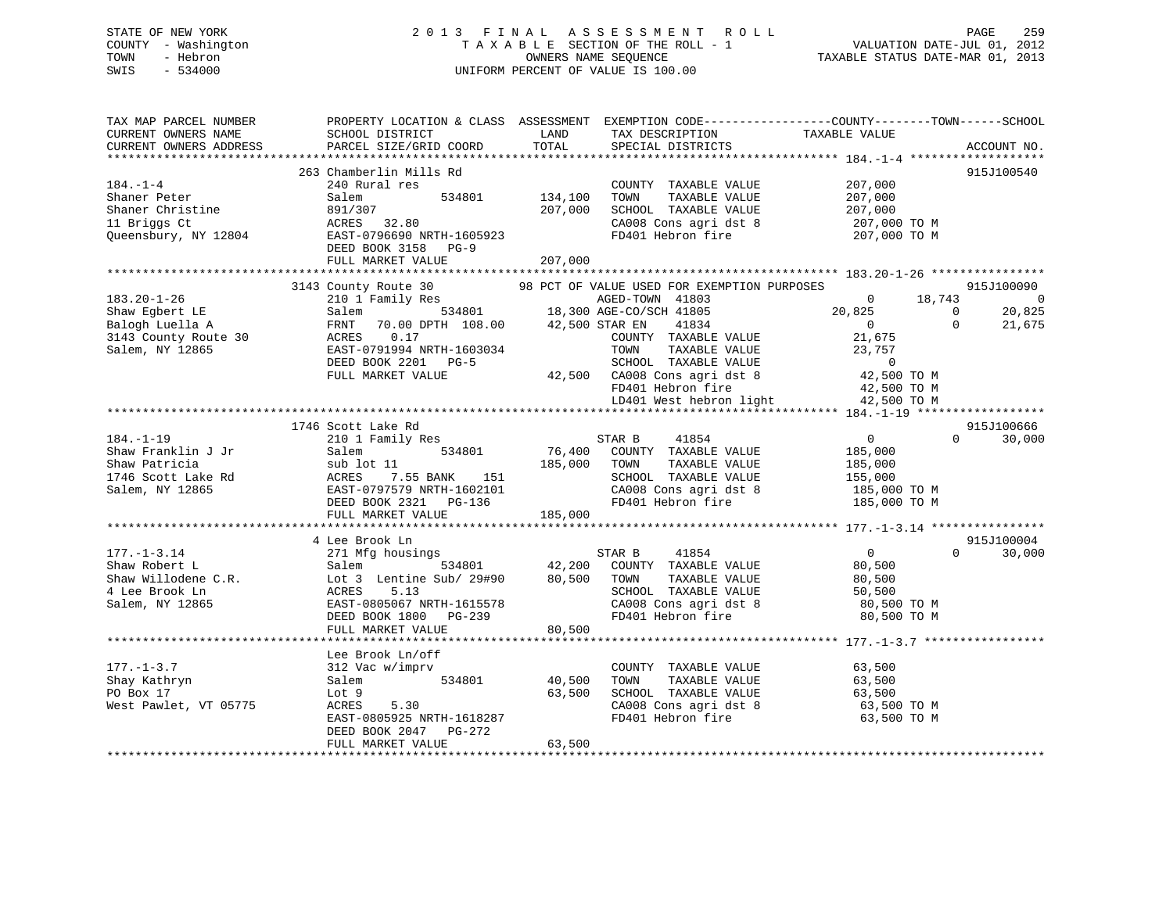# STATE OF NEW YORK 2 0 1 3 F I N A L A S S E S S M E N T R O L L PAGE 259 COUNTY - Washington T A X A B L E SECTION OF THE ROLL - 1 VALUATION DATE-JUL 01, 2012 TOWN - Hebron OWNERS NAME SEQUENCE TAXABLE STATUS DATE-MAR 01, 2013 SWIS - 534000 UNIFORM PERCENT OF VALUE IS 100.00

| TAX MAP PARCEL NUMBER<br>CURRENT OWNERS NAME<br>CURRENT OWNERS ADDRESS                            | SCHOOL DISTRICT<br>PARCEL SIZE/GRID COORD                                                                                                                                                                             | LAND<br>TOTAL                 | TAX DESCRIPTION<br>SPECIAL DISTRICTS                                                                                                                                                                                   | PROPERTY LOCATION & CLASS ASSESSMENT EXEMPTION CODE---------------COUNTY-------TOWN------SCHOOL<br>TAXABLE VALUE     | ACCOUNT NO.                                      |
|---------------------------------------------------------------------------------------------------|-----------------------------------------------------------------------------------------------------------------------------------------------------------------------------------------------------------------------|-------------------------------|------------------------------------------------------------------------------------------------------------------------------------------------------------------------------------------------------------------------|----------------------------------------------------------------------------------------------------------------------|--------------------------------------------------|
|                                                                                                   |                                                                                                                                                                                                                       |                               |                                                                                                                                                                                                                        |                                                                                                                      |                                                  |
| $184. - 1 - 4$<br>Shaner Peter<br>Shaner Christine<br>11 Briggs Ct<br>Queensbury, NY 12804        | 263 Chamberlin Mills Rd<br>240 Rural res<br>534801<br>Salem<br>891/307<br>ACRES 32.80<br>EAST-0796690 NRTH-1605923<br>DEED BOOK 3158 PG-9<br>FULL MARKET VALUE                                                        | 134,100<br>207,000<br>207,000 | COUNTY TAXABLE VALUE<br>TOWN<br>TAXABLE VALUE<br>SCHOOL TAXABLE VALUE<br>CA008 Cons agri dst 8<br>FD401 Hebron fire                                                                                                    | 207,000<br>207,000<br>207,000<br>207,000 TO M<br>207,000 TO M                                                        | 915J100540                                       |
|                                                                                                   |                                                                                                                                                                                                                       |                               |                                                                                                                                                                                                                        |                                                                                                                      |                                                  |
| $183.20 - 1 - 26$<br>Shaw Egbert LE<br>Balogh Luella A<br>3143 County Route 30<br>Salem, NY 12865 | 3143 County Route 30<br>210 1 Family Res<br>210 1 Family Res<br>Salem 534801 18,300 AGE-CO/SCH 41805<br>FRNT 70.00 DPTH 108.00 42,500 STAR EN 41834<br>ACRES 0.17<br>EAST-0791994 NRTH-1603034<br>DEED BOOK 2201 PG-5 |                               | 98 PCT OF VALUE USED FOR EXEMPTION PURPOSES<br>AGED-TOWN 41803<br>41834<br>COUNTY TAXABLE VALUE<br>TAXABLE VALUE<br>TOWN<br>SCHOOL TAXABLE VALUE<br>SCHOOL TAXABLE VALUE 0<br>42,500 CA008 Cons agri dst 8 42,500 TO M | $\bigcirc$<br>18,743<br>20,825<br>$\overline{0}$<br>$\overline{0}$<br>$\Omega$<br>21,675<br>23,757<br>$\overline{0}$ | 915J100090<br>$\overline{0}$<br>20,825<br>21,675 |
|                                                                                                   | FULL MARKET VALUE                                                                                                                                                                                                     |                               | FD401 Hebron fire                                                                                                                                                                                                      |                                                                                                                      |                                                  |
|                                                                                                   |                                                                                                                                                                                                                       |                               | LD401 West hebron light                                                                                                                                                                                                | 42,500 TO M<br>42,500 TO M                                                                                           |                                                  |
|                                                                                                   |                                                                                                                                                                                                                       |                               |                                                                                                                                                                                                                        |                                                                                                                      |                                                  |
|                                                                                                   | 1746 Scott Lake Rd                                                                                                                                                                                                    |                               |                                                                                                                                                                                                                        |                                                                                                                      | 915J100666                                       |
| $184. - 1 - 19$<br>Shaw Franklin J Jr<br>Shaw Patricia<br>1746 Scott Lake Rd<br>Salem, NY 12865   | 210 1 Family Res<br>534801<br>Salem<br>sub lot 11<br>ACRES<br>- --<br>7.55 BANK 151<br>797579 NRTH-1602101<br>EAST-0797579 NRTH-1602101<br>DEED BOOK 2321 PG-136                                                      | 185,000                       | STAR B<br>41854<br>76,400 COUNTY TAXABLE VALUE<br>TOWN<br>TAXABLE VALUE<br>SCHOOL TAXABLE VALUE<br>CA008 Cons agri dst 8<br>FD401 Hebron fire                                                                          | $\overline{0}$<br>$\Omega$<br>185,000<br>185,000<br>155,000<br>185,000 TO M<br>185,000 TO M                          | 30,000                                           |
|                                                                                                   | FULL MARKET VALUE                                                                                                                                                                                                     | 185,000                       |                                                                                                                                                                                                                        |                                                                                                                      |                                                  |
|                                                                                                   |                                                                                                                                                                                                                       |                               |                                                                                                                                                                                                                        |                                                                                                                      |                                                  |
| $177. - 1 - 3.14$<br>Shaw Robert L<br>Shaw Willodene C.R.<br>4 Lee Brook Ln<br>Salem, NY 12865    | 4 Lee Brook Ln<br>271 Mfg housings<br>Salem<br>Lot 3 Lentine Sub/ 29#90<br>5.13<br>ACRES<br>EAST-0805067 NRTH-1615578<br>DEED BOOK 1800 PG-239<br>FULL MARKET VALUE                                                   | 80,500 TOWN<br>80,500         | 41854<br>STAR B<br>534801 42,200 COUNTY TAXABLE VALUE<br>TAXABLE VALUE<br>SCHOOL TAXABLE VALUE<br>CA008 Cons agri dst 8<br>FD401 Hebron fire                                                                           | $\overline{0}$<br>$\Omega$<br>80,500<br>80,500<br>50,500<br>80,500 TO M<br>80,500 TO M                               | 915J100004<br>30,000                             |
|                                                                                                   | Lee Brook Ln/off                                                                                                                                                                                                      |                               |                                                                                                                                                                                                                        |                                                                                                                      |                                                  |
| $177. - 1 - 3.7$<br>Shay Kathryn<br>PO Box 17<br>West Pawlet, VT 05775                            | 312 Vac w/imprv<br>534801<br>Salem<br>Lot 9<br>ACRES<br>5.30<br>EAST-0805925 NRTH-1618287<br>DEED BOOK 2047 PG-272<br>FULL MARKET VALUE                                                                               | 40,500<br>63,500<br>63,500    | COUNTY TAXABLE VALUE<br>TOWN<br>TAXABLE VALUE<br>SCHOOL TAXABLE VALUE<br>CA008 Cons agri dst 8<br>FD401 Hebron fire                                                                                                    | 63,500<br>63,500<br>$63,500$ TO M<br>$63,500$ TO M<br>63,500 TO M                                                    |                                                  |
|                                                                                                   |                                                                                                                                                                                                                       |                               |                                                                                                                                                                                                                        |                                                                                                                      |                                                  |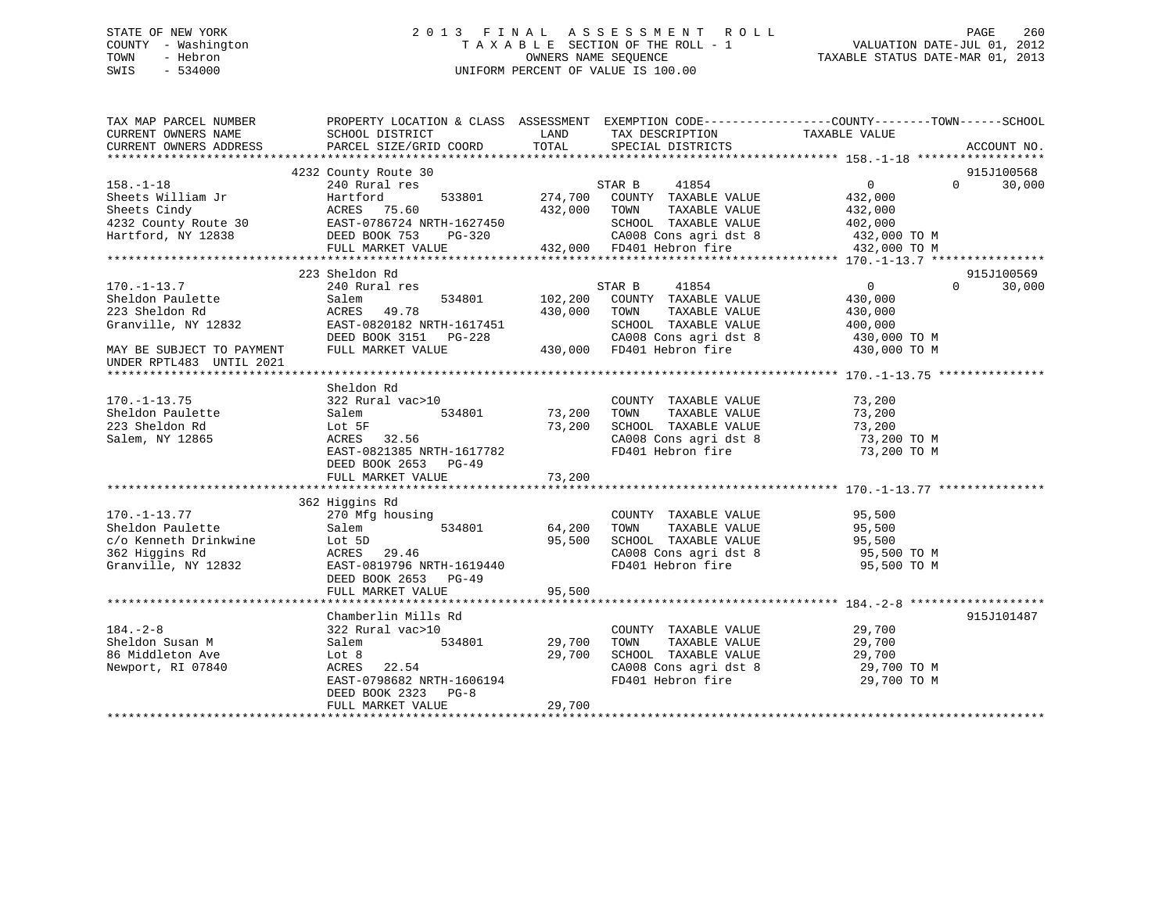# STATE OF NEW YORK 2 0 1 3 F I N A L A S S E S S M E N T R O L L PAGE 260 COUNTY - Washington T A X A B L E SECTION OF THE ROLL - 1 VALUATION DATE-JUL 01, 2012 TOWN - Hebron OWNERS NAME SEQUENCE TAXABLE STATUS DATE-MAR 01, 2013 SWIS - 534000 UNIFORM PERCENT OF VALUE IS 100.00

| TAX MAP PARCEL NUMBER<br>CURRENT OWNERS NAME                                                                                                                            | PROPERTY LOCATION & CLASS ASSESSMENT EXEMPTION CODE---------------COUNTY-------TOWN-----SCHOOL<br>SCHOOL DISTRICT                                           | LAND                       | TAX DESCRIPTION                                                                                                                                                                  | TAXABLE VALUE                                                                                   |                    |
|-------------------------------------------------------------------------------------------------------------------------------------------------------------------------|-------------------------------------------------------------------------------------------------------------------------------------------------------------|----------------------------|----------------------------------------------------------------------------------------------------------------------------------------------------------------------------------|-------------------------------------------------------------------------------------------------|--------------------|
| CURRENT OWNERS ADDRESS                                                                                                                                                  | PARCEL SIZE/GRID COORD                                                                                                                                      | TOTAL                      | SPECIAL DISTRICTS                                                                                                                                                                |                                                                                                 | ACCOUNT NO.        |
|                                                                                                                                                                         | 4232 County Route 30                                                                                                                                        |                            |                                                                                                                                                                                  |                                                                                                 | 915J100568         |
| $158. - 1 - 18$<br>Sheets William Jr<br>Sheets Cindy<br>91860161 1991<br>4232 County Route 30<br>Fast-0786724 NRTH-1627450<br>Fartford NY 12838<br>DEED BOOK 753 PG-320 | 240 Rural res<br>533801<br>Hartford<br>ACRES 75.60<br>FULL MARKET VALUE                                                                                     | 432,000                    | STAR B<br>41854<br>274,700 COUNTY TAXABLE VALUE<br>TAXABLE VALUE<br>TOWN<br>SCHOOL TAXABLE VALUE<br>CA008 Cons agri dst 8 432,000 TO M<br>432,000 FD401 Hebron fire 432,000 TO M | $\overline{0}$<br>432,000<br>432,000<br>402,000                                                 | 30,000<br>$\Omega$ |
|                                                                                                                                                                         |                                                                                                                                                             |                            |                                                                                                                                                                                  |                                                                                                 | 915J100569         |
| $170. - 1 - 13.7$<br>Sheldon Paulette<br>223 Sheldon Rd<br>Granville, NY 12832<br>MAY BE SUBJECT TO PAYMENT<br>UNDER RPTL483 UNTIL 2021                                 | 223 Sheldon Rd<br>240 Rural res<br>Salem<br>534801<br>ACRES 49.78<br>EAST-0820182 NRTH-1617451<br>DEED BOOK 3151 PG-228<br>FULL MARKET VALUE                | 102,200<br>430,000         | STAR B<br>41854<br>COUNTY TAXABLE VALUE<br>TOWN<br>TAXABLE VALUE<br>SCHOOL TAXABLE VALUE<br>430,000 FD401 Hebron fire                                                            | $\sim$ 0<br>430,000<br>430,000<br>400,000<br>CA008 Cons agri dst 8 430,000 TO M<br>430,000 TO M | $\Omega$<br>30,000 |
|                                                                                                                                                                         | Sheldon Rd                                                                                                                                                  |                            |                                                                                                                                                                                  |                                                                                                 |                    |
| $170. - 1 - 13.75$<br>Sheldon Paulette<br>223 Sheldon Rd<br>Salem, NY 12865                                                                                             | 322 Rural vac>10<br>534801<br>Salem<br>Lot 5F<br>ACRES 32.56<br>EAST-0821385 NRTH-1617782<br>DEED BOOK 2653 PG-49                                           | 73,200<br>73,200           | COUNTY TAXABLE VALUE<br>TAXABLE VALUE<br>TOWN<br>SCHOOL TAXABLE VALUE<br>CA008 Cons agri dst 8<br>FD401 Hebron fire                                                              | 73,200<br>73,200<br>73,200<br>73,200 TO M<br>73,200 TO M                                        |                    |
|                                                                                                                                                                         | 362 Higgins Rd                                                                                                                                              |                            |                                                                                                                                                                                  |                                                                                                 |                    |
| $170. - 1 - 13.77$<br>Sheldon Paulette<br>c/o Kenneth Drinkwine<br>362 Higgins Rd<br>Granville, NY 12832                                                                | 270 Mfg housing<br>534801<br>Salem<br>Lot 5D<br>ACRES 29.46<br>EAST-0819796 NRTH-1619440<br>DEED BOOK 2653 PG-49                                            | 64,200<br>95,500           | COUNTY TAXABLE VALUE<br>TAXABLE VALUE<br>TOWN<br>SCHOOL TAXABLE VALUE<br>CA008 Cons agri dst 8<br>FD401 Hebron fire                                                              | 95,500<br>95,500<br>95,500<br>95,500 TO M<br>95,500 TO M                                        |                    |
|                                                                                                                                                                         | FULL MARKET VALUE                                                                                                                                           | 95,500                     |                                                                                                                                                                                  |                                                                                                 |                    |
| $184. - 2 - 8$<br>Sheldon Susan M<br>86 Middleton Ave<br>Newport, RI 07840                                                                                              | Chamberlin Mills Rd<br>322 Rural vac>10<br>534801<br>Salem<br>Lot 8<br>ACRES 22.54<br>EAST-0798682 NRTH-1606194<br>DEED BOOK 2323 PG-8<br>FULL MARKET VALUE | 29,700<br>29,700<br>29,700 | COUNTY TAXABLE VALUE<br>TAXABLE VALUE<br>TOWN<br>SCHOOL TAXABLE VALUE<br>CA008 Cons agri dst 8<br>FD401 Hebron fire                                                              | 29,700<br>29,700<br>29,700<br>29,700 TO M<br>29,700 TO M                                        | 915J101487         |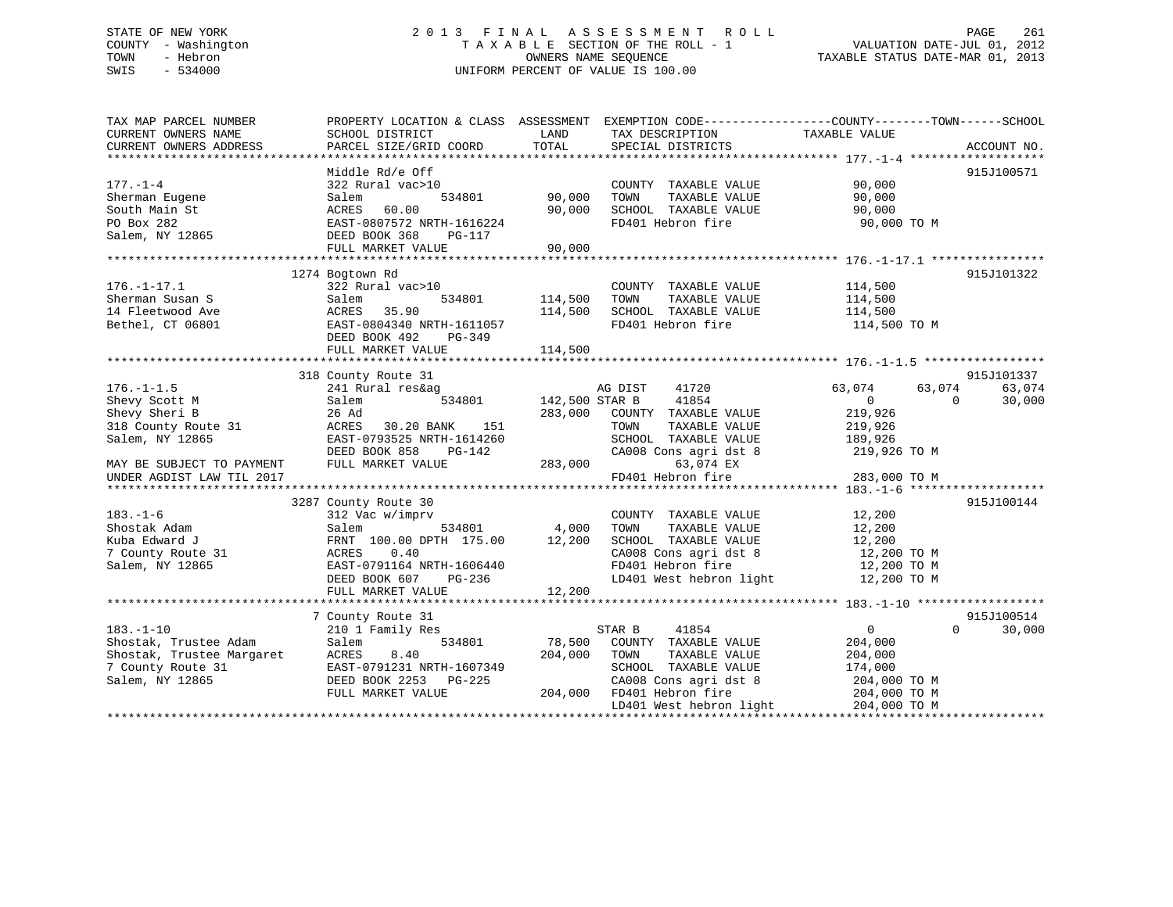# STATE OF NEW YORK 2 0 1 3 F I N A L A S S E S S M E N T R O L L PAGE 261 COUNTY - Washington T A X A B L E SECTION OF THE ROLL - 1 VALUATION DATE-JUL 01, 2012 TOWN - Hebron OWNERS NAME SEQUENCE TAXABLE STATUS DATE-MAR 01, 2013 SWIS - 534000 UNIFORM PERCENT OF VALUE IS 100.00

| TAX MAP PARCEL NUMBER<br>CURRENT OWNERS NAME | PROPERTY LOCATION & CLASS ASSESSMENT EXEMPTION CODE----------------COUNTY-------TOWN------SCHOOL<br>SCHOOL DISTRICT | LAND               | TAX DESCRIPTION                               | TAXABLE VALUE    |                        |
|----------------------------------------------|---------------------------------------------------------------------------------------------------------------------|--------------------|-----------------------------------------------|------------------|------------------------|
| CURRENT OWNERS ADDRESS                       | PARCEL SIZE/GRID COORD                                                                                              | TOTAL              | SPECIAL DISTRICTS                             |                  | ACCOUNT NO.            |
|                                              | Middle Rd/e Off                                                                                                     |                    |                                               |                  | 915J100571             |
| $177. - 1 - 4$                               | 322 Rural vac>10                                                                                                    |                    | COUNTY TAXABLE VALUE                          | 90,000           |                        |
| Sherman Eugene                               | 534801<br>Salem                                                                                                     | 90,000             | TOWN<br>TAXABLE VALUE                         | 90,000           |                        |
| South Main St                                | ACRES<br>60.00                                                                                                      | 90,000             | SCHOOL TAXABLE VALUE                          | 90,000           |                        |
| PO Box 282                                   | EAST-0807572 NRTH-1616224                                                                                           |                    | FD401 Hebron fire                             | 90,000 TO M      |                        |
| Salem, NY 12865                              | DEED BOOK 368<br>PG-117                                                                                             |                    |                                               |                  |                        |
|                                              | FULL MARKET VALUE                                                                                                   | 90,000             |                                               |                  |                        |
|                                              |                                                                                                                     |                    |                                               |                  |                        |
|                                              | 1274 Bogtown Rd                                                                                                     |                    |                                               |                  | 915J101322             |
| $176. - 1 - 17.1$                            | 322 Rural vac>10                                                                                                    |                    | COUNTY TAXABLE VALUE                          | 114,500          |                        |
| Sherman Susan S                              | Salem<br>534801                                                                                                     | 114,500<br>114,500 | TAXABLE VALUE<br>TOWN                         | 114,500          |                        |
| 14 Fleetwood Ave                             | ACRES 35.90                                                                                                         |                    | SCHOOL TAXABLE VALUE                          | 114,500          |                        |
| Bethel, CT 06801                             | EAST-0804340 NRTH-1611057                                                                                           |                    | FD401 Hebron fire                             | 114,500 TO M     |                        |
|                                              | DEED BOOK 492<br>PG-349<br>FULL MARKET VALUE                                                                        | 114,500            |                                               |                  |                        |
|                                              |                                                                                                                     |                    |                                               |                  |                        |
|                                              | 318 County Route 31                                                                                                 |                    |                                               |                  | 915J101337             |
| $176. - 1 - 1.5$                             | 241 Rural res&ag                                                                                                    |                    | AG DIST<br>41720                              | 63,074<br>63,074 | 63,074                 |
| Shevy Scott M                                | 534801<br>Salem                                                                                                     | 142,500 STAR B     | 41854                                         | $\overline{0}$   | 30,000<br>$\Omega$     |
| Shevy Sheri B                                | 26 Ad                                                                                                               | 283,000            | COUNTY TAXABLE VALUE                          | 219,926          |                        |
| 318 County Route 31                          | ACRES<br>30.20 BANK<br>151                                                                                          |                    | TAXABLE VALUE<br>TOWN                         | 219,926          |                        |
| Salem, NY 12865                              | EAST-0793525 NRTH-1614260                                                                                           |                    | SCHOOL TAXABLE VALUE                          | 189,926          |                        |
|                                              | DEED BOOK 858<br>PG-142                                                                                             |                    | CA008 Cons agri dst 8                         | 219,926 TO M     |                        |
| MAY BE SUBJECT TO PAYMENT                    | FULL MARKET VALUE                                                                                                   | 283,000            | 63,074 EX                                     |                  |                        |
| UNDER AGDIST LAW TIL 2017                    |                                                                                                                     |                    | FD401 Hebron fire                             | 283,000 TO M     |                        |
|                                              |                                                                                                                     |                    |                                               |                  |                        |
|                                              | 3287 County Route 30                                                                                                |                    |                                               |                  | 915J100144             |
| $183. - 1 - 6$                               | 312 Vac w/imprv                                                                                                     |                    | COUNTY TAXABLE VALUE                          | 12,200           |                        |
| Shostak Adam                                 | 534801<br>Salem                                                                                                     | 4,000              | TAXABLE VALUE<br>TOWN                         | 12,200           |                        |
| Kuba Edward J                                | FRNT 100.00 DPTH 175.00                                                                                             | 12,200             | SCHOOL TAXABLE VALUE                          | 12,200           |                        |
| 7 County Route 31                            | ACRES<br>0.40                                                                                                       |                    | CA008 Cons agri dst 8                         | 12,200 TO M      |                        |
| Salem, NY 12865                              | EAST-0791164 NRTH-1606440                                                                                           |                    | FD401 Hebron fire                             | 12,200 TO M      |                        |
|                                              | DEED BOOK 607 PG-236                                                                                                |                    | LD401 West hebron light                       | 12,200 TO M      |                        |
|                                              | FULL MARKET VALUE                                                                                                   | 12,200             |                                               |                  |                        |
|                                              |                                                                                                                     |                    |                                               |                  |                        |
|                                              | 7 County Route 31                                                                                                   |                    |                                               |                  | 915J100514<br>$\Omega$ |
| $183. - 1 - 10$                              | 210 1 Family Res                                                                                                    |                    | 41854<br>STAR B                               | $\overline{0}$   | 30,000                 |
| Shostak, Trustee Adam                        | 534801<br>Salem                                                                                                     | 78,500             | COUNTY TAXABLE VALUE                          | 204,000          |                        |
| Shostak, Trustee Margaret                    | ACRES<br>8.40                                                                                                       | 204,000            | TAXABLE VALUE<br>TOWN                         | 204,000          |                        |
| 7 County Route 31<br>Salem, NY 12865         | EAST-0791231 NRTH-1607349<br>DEED BOOK 2253 PG-225                                                                  |                    | SCHOOL TAXABLE VALUE<br>CA008 Cons agri dst 8 | 174,000          |                        |
|                                              | FULL MARKET VALUE                                                                                                   | 204,000            | FD401 Hebron fire                             | 204,000 TO M     |                        |
|                                              |                                                                                                                     |                    | LD401 West hebron light                       | 204,000 TO M     |                        |
|                                              |                                                                                                                     |                    |                                               | 204,000 TO M     |                        |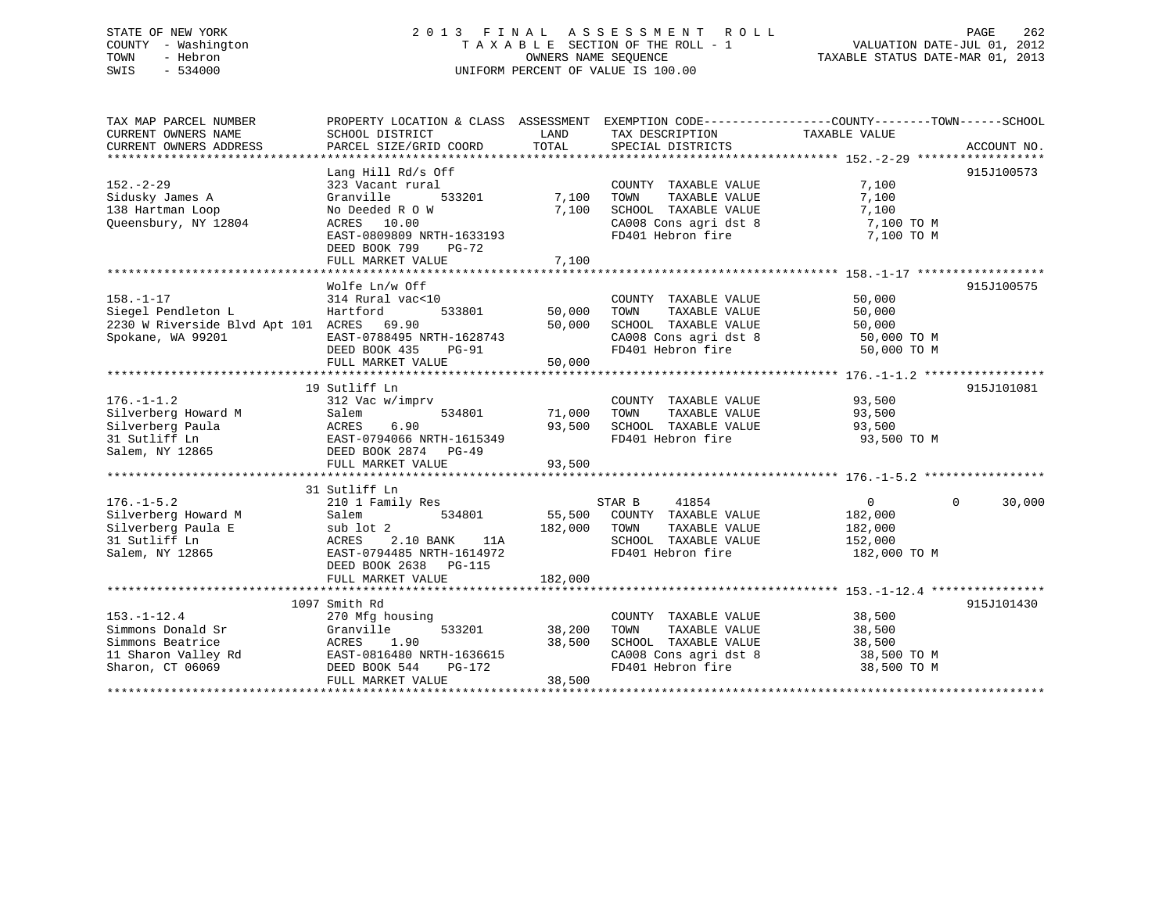TAX MAP PARCEL NUMBER PROPERTY LOCATION & CLASS ASSESSMENT EXEMPTION CODE------------------COUNTY--------TOWN------SCHOOL CURRENT OWNERS NAME SCHOOL DISTRICT LAND TAX DESCRIPTION TAXABLE VALUE CURRENT OWNERS ADDRESS PARCEL SIZE/GRID COORD TOTAL SPECIAL DISTRICTS ACCOUNT NO. \*\*\*\*\*\*\*\*\*\*\*\*\*\*\*\*\*\*\*\*\*\*\*\*\*\*\*\*\*\*\*\*\*\*\*\*\*\*\*\*\*\*\*\*\*\*\*\*\*\*\*\*\*\*\*\*\*\*\*\*\*\*\*\*\*\*\*\*\*\*\*\*\*\*\*\*\*\*\*\*\*\*\*\*\*\*\*\*\*\*\*\*\*\*\*\*\*\*\*\*\*\*\* 152.-2-29 \*\*\*\*\*\*\*\*\*\*\*\*\*\*\*\*\*\* Lang Hill Rd/s Off 915J100573 152.-2-29 323 Vacant rural COUNTY TAXABLE VALUE 7,100 Sidusky James A Granville 533201 7,100 TOWN TAXABLE VALUE 7,100 138 Hartman Loop No Deeded R O W 7,100 SCHOOL TAXABLE VALUE 7,100 Queensbury, NY 12804 ACRES 10.00 CA008 Cons agri dst 8 7,100 TO M EAST-0809809 NRTH-1633193 FD401 Hebron fire 7,100 TO M DEED BOOK 799 PG-72 FULL MARKET VALUE 7,100 \*\*\*\*\*\*\*\*\*\*\*\*\*\*\*\*\*\*\*\*\*\*\*\*\*\*\*\*\*\*\*\*\*\*\*\*\*\*\*\*\*\*\*\*\*\*\*\*\*\*\*\*\*\*\*\*\*\*\*\*\*\*\*\*\*\*\*\*\*\*\*\*\*\*\*\*\*\*\*\*\*\*\*\*\*\*\*\*\*\*\*\*\*\*\*\*\*\*\*\*\*\*\* 158.-1-17 \*\*\*\*\*\*\*\*\*\*\*\*\*\*\*\*\*\*Wolfe Ln/w Off 915J100575 158.-1-17 314 Rural vac<10 COUNTY TAXABLE VALUE 50,000 Siegel Pendleton L Hartford 533801 50,000 TOWN TAXABLE VALUE 50,000 2230 W Riverside Blvd Apt 101 ACRES 69.90 50,000 SCHOOL TAXABLE VALUE 50,000 Spokane, WA 99201 EAST-0788495 NRTH-1628743 CA008 Cons agri dst 8 50,000 TO M DEED BOOK 435 PG-91 FD401 Hebron fire 50,000 TO M FULL MARKET VALUE 50,000 \*\*\*\*\*\*\*\*\*\*\*\*\*\*\*\*\*\*\*\*\*\*\*\*\*\*\*\*\*\*\*\*\*\*\*\*\*\*\*\*\*\*\*\*\*\*\*\*\*\*\*\*\*\*\*\*\*\*\*\*\*\*\*\*\*\*\*\*\*\*\*\*\*\*\*\*\*\*\*\*\*\*\*\*\*\*\*\*\*\*\*\*\*\*\*\*\*\*\*\*\*\*\* 176.-1-1.2 \*\*\*\*\*\*\*\*\*\*\*\*\*\*\*\*\* 19 Sutliff Ln 915J101081176.-1-1.2 312 Vac w/imprv COUNTY TAXABLE VALUE 93,500 Silverberg Howard M Salem 534801 71,000 TOWN TAXABLE VALUE 93,500 Silverberg Paula ACRES 6.90 93,500 SCHOOL TAXABLE VALUE 93,500 31 Sutliff Ln EAST-0794066 NRTH-1615349 FD401 Hebron fire 93,500 TO M Salem, NY 12865 DEED BOOK 2874 PG-49 FULL MARKET VALUE 93,500 \*\*\*\*\*\*\*\*\*\*\*\*\*\*\*\*\*\*\*\*\*\*\*\*\*\*\*\*\*\*\*\*\*\*\*\*\*\*\*\*\*\*\*\*\*\*\*\*\*\*\*\*\*\*\*\*\*\*\*\*\*\*\*\*\*\*\*\*\*\*\*\*\*\*\*\*\*\*\*\*\*\*\*\*\*\*\*\*\*\*\*\*\*\*\*\*\*\*\*\*\*\*\* 176.-1-5.2 \*\*\*\*\*\*\*\*\*\*\*\*\*\*\*\*\* 31 Sutliff Ln 176.-1-5.2 210 1 Family Res STAR B 41854 0 0 30,000 Silverberg Howard M Salem 534801 55,500 COUNTY TAXABLE VALUE 182,000 Silverberg Paula E sub lot 2 182,000 TOWN TAXABLE VALUE 182,000 31 Sutliff Ln ACRES 2.10 BANK 11A SCHOOL TAXABLE VALUE 152,000 Salem, NY 12865 EAST-0794485 NRTH-1614972 FD401 Hebron fire 182,000 TO M DEED BOOK 2638 PG-115 FULL MARKET VALUE 182,000 \*\*\*\*\*\*\*\*\*\*\*\*\*\*\*\*\*\*\*\*\*\*\*\*\*\*\*\*\*\*\*\*\*\*\*\*\*\*\*\*\*\*\*\*\*\*\*\*\*\*\*\*\*\*\*\*\*\*\*\*\*\*\*\*\*\*\*\*\*\*\*\*\*\*\*\*\*\*\*\*\*\*\*\*\*\*\*\*\*\*\*\*\*\*\*\*\*\*\*\*\*\*\* 153.-1-12.4 \*\*\*\*\*\*\*\*\*\*\*\*\*\*\*\* 1097 Smith Rd 915J101430153.-1-12.4 270 Mfg housing COUNTY TAXABLE VALUE 38,500 Simmons Donald Sr Granville 533201 38,200 TOWN TAXABLE VALUE 38,500 Simmons Beatrice ACRES 1.90 38,500 SCHOOL TAXABLE VALUE 38,500 11 Sharon Valley Rd EAST-0816480 NRTH-1636615 CA008 Cons agri dst 8 38,500 TO M Sharon, CT 06069 DEED BOOK 544 PG-172 FD401 Hebron fire 38,500 TO M FULL MARKET VALUE 38,500 \*\*\*\*\*\*\*\*\*\*\*\*\*\*\*\*\*\*\*\*\*\*\*\*\*\*\*\*\*\*\*\*\*\*\*\*\*\*\*\*\*\*\*\*\*\*\*\*\*\*\*\*\*\*\*\*\*\*\*\*\*\*\*\*\*\*\*\*\*\*\*\*\*\*\*\*\*\*\*\*\*\*\*\*\*\*\*\*\*\*\*\*\*\*\*\*\*\*\*\*\*\*\*\*\*\*\*\*\*\*\*\*\*\*\*\*\*\*\*\*\*\*\*\*\*\*\*\*\*\*\*\*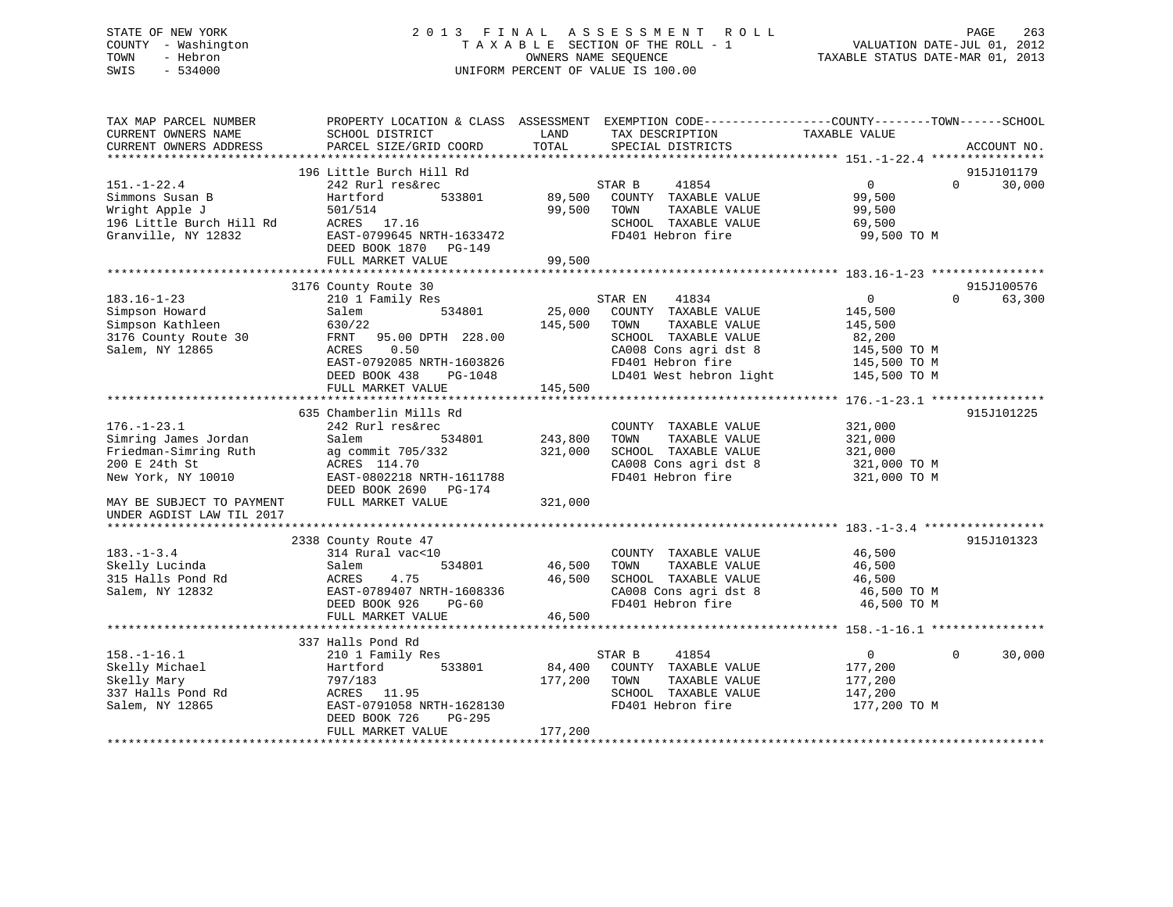# STATE OF NEW YORK 2 0 1 3 F I N A L A S S E S S M E N T R O L L PAGE 263 COUNTY - Washington T A X A B L E SECTION OF THE ROLL - 1 VALUATION DATE-JUL 01, 2012 TOWN - Hebron OWNERS NAME SEQUENCE TAXABLE STATUS DATE-MAR 01, 2013 SWIS - 534000 UNIFORM PERCENT OF VALUE IS 100.00

| TAX MAP PARCEL NUMBER<br>CURRENT OWNERS NAME<br>CURRENT OWNERS ADDRESS | PROPERTY LOCATION & CLASS ASSESSMENT<br>SCHOOL DISTRICT<br>PARCEL SIZE/GRID COORD | LAND<br>TAX DESCRIPTION<br>TOTAL<br>SPECIAL DISTRICTS    | EXEMPTION CODE-----------------COUNTY-------TOWN------SCHOOL<br>TAXABLE VALUE<br>ACCOUNT NO. |
|------------------------------------------------------------------------|-----------------------------------------------------------------------------------|----------------------------------------------------------|----------------------------------------------------------------------------------------------|
| *************************                                              | **********************                                                            |                                                          |                                                                                              |
|                                                                        | 196 Little Burch Hill Rd                                                          |                                                          | 915J101179                                                                                   |
| $151. - 1 - 22.4$                                                      | 242 Rurl res&rec                                                                  | 41854<br>STAR B                                          | $\overline{0}$<br>$\Omega$<br>30,000                                                         |
| Simmons Susan B                                                        | 533801<br>Hartford                                                                | 89,500<br>COUNTY TAXABLE VALUE                           | 99,500                                                                                       |
| Wright Apple J                                                         | 501/514                                                                           | 99,500<br>TOWN<br>TAXABLE VALUE                          | 99,500                                                                                       |
| 196 Little Burch Hill Rd                                               | ACRES 17.16                                                                       | SCHOOL TAXABLE VALUE                                     | 69,500                                                                                       |
| Granville, NY 12832                                                    | EAST-0799645 NRTH-1633472                                                         | FD401 Hebron fire                                        | 99,500 TO M                                                                                  |
|                                                                        | DEED BOOK 1870 PG-149                                                             |                                                          |                                                                                              |
|                                                                        | FULL MARKET VALUE<br>****************************                                 | 99,500<br>* * * * * * * * * * * * * *                    |                                                                                              |
|                                                                        |                                                                                   |                                                          | 915J100576                                                                                   |
| $183.16 - 1 - 23$                                                      | 3176 County Route 30<br>210 1 Family Res                                          | STAR EN<br>41834                                         | $\overline{0}$<br>63,300<br>$\Omega$                                                         |
| Simpson Howard                                                         | Salem<br>534801                                                                   | 25,000<br>COUNTY TAXABLE VALUE                           | 145,500                                                                                      |
| Simpson Kathleen                                                       | 630/22                                                                            | 145,500<br>TOWN<br>TAXABLE VALUE                         | 145,500                                                                                      |
| 3176 County Route 30                                                   | 95.00 DPTH 228.00<br>FRNT                                                         | SCHOOL TAXABLE VALUE                                     | 82,200                                                                                       |
| Salem, NY 12865                                                        | ACRES<br>0.50                                                                     | CA008 Cons agri dst 8                                    | 145,500 TO M                                                                                 |
|                                                                        | EAST-0792085 NRTH-1603826                                                         | FD401 Hebron fire                                        | 145,500 TO M                                                                                 |
|                                                                        | DEED BOOK 438<br>PG-1048                                                          | LD401 West hebron light                                  | 145,500 TO M                                                                                 |
|                                                                        | FULL MARKET VALUE                                                                 | 145,500                                                  |                                                                                              |
|                                                                        |                                                                                   |                                                          |                                                                                              |
|                                                                        | 635 Chamberlin Mills Rd                                                           |                                                          | 915J101225                                                                                   |
| $176. - 1 - 23.1$                                                      | 242 Rurl res&rec                                                                  | COUNTY TAXABLE VALUE                                     | 321,000                                                                                      |
| Simring James Jordan                                                   | Salem<br>534801                                                                   | 243,800<br>TAXABLE VALUE<br>TOWN                         | 321,000                                                                                      |
| Friedman-Simring Ruth                                                  | ag commit 705/332                                                                 | 321,000<br>SCHOOL TAXABLE VALUE                          | 321,000                                                                                      |
| 200 E 24th St                                                          | ACRES 114.70                                                                      | CA008 Cons agri dst 8                                    | 321,000 TO M                                                                                 |
| New York, NY 10010                                                     | EAST-0802218 NRTH-1611788                                                         | FD401 Hebron fire                                        | 321,000 TO M                                                                                 |
|                                                                        | DEED BOOK 2690<br>PG-174                                                          |                                                          |                                                                                              |
| MAY BE SUBJECT TO PAYMENT<br>UNDER AGDIST LAW TIL 2017                 | FULL MARKET VALUE                                                                 | 321,000                                                  |                                                                                              |
|                                                                        |                                                                                   |                                                          |                                                                                              |
|                                                                        | 2338 County Route 47                                                              |                                                          | 915J101323                                                                                   |
| $183. - 1 - 3.4$                                                       | 314 Rural vac<10                                                                  | COUNTY TAXABLE VALUE                                     | 46,500                                                                                       |
| Skelly Lucinda                                                         | 534801<br>Salem                                                                   | 46,500<br>TOWN<br>TAXABLE VALUE                          | 46,500                                                                                       |
| 315 Halls Pond Rd                                                      | ACRES<br>4.75                                                                     | 46,500<br>SCHOOL TAXABLE VALUE                           | 46,500                                                                                       |
| Salem, NY 12832                                                        | EAST-0789407 NRTH-1608336                                                         | CA008 Cons agri dst 8                                    | 46,500 TO M                                                                                  |
|                                                                        | DEED BOOK 926<br>$PG-60$                                                          | FD401 Hebron fire                                        | 46,500 TO M                                                                                  |
|                                                                        | FULL MARKET VALUE                                                                 | 46,500                                                   |                                                                                              |
|                                                                        |                                                                                   |                                                          |                                                                                              |
|                                                                        | 337 Halls Pond Rd                                                                 |                                                          |                                                                                              |
| $158. - 1 - 16.1$                                                      | 210 1 Family Res                                                                  | STAR B<br>41854                                          | $\overline{0}$<br>$\Omega$<br>30,000                                                         |
| Skelly Michael                                                         | 533801<br>Hartford                                                                | 84,400<br>COUNTY TAXABLE VALUE                           | 177,200                                                                                      |
| Skelly Mary<br>337 Halls Pond Rd                                       | 797/183<br>ACRES 11.95                                                            | 177,200<br>TOWN<br>TAXABLE VALUE<br>SCHOOL TAXABLE VALUE | 177,200                                                                                      |
| Salem, NY 12865                                                        | EAST-0791058 NRTH-1628130                                                         | FD401 Hebron fire                                        | 147,200<br>177,200 TO M                                                                      |
|                                                                        | DEED BOOK 726<br>$PG-295$                                                         |                                                          |                                                                                              |
|                                                                        | FULL MARKET VALUE                                                                 | 177,200                                                  |                                                                                              |
|                                                                        |                                                                                   |                                                          |                                                                                              |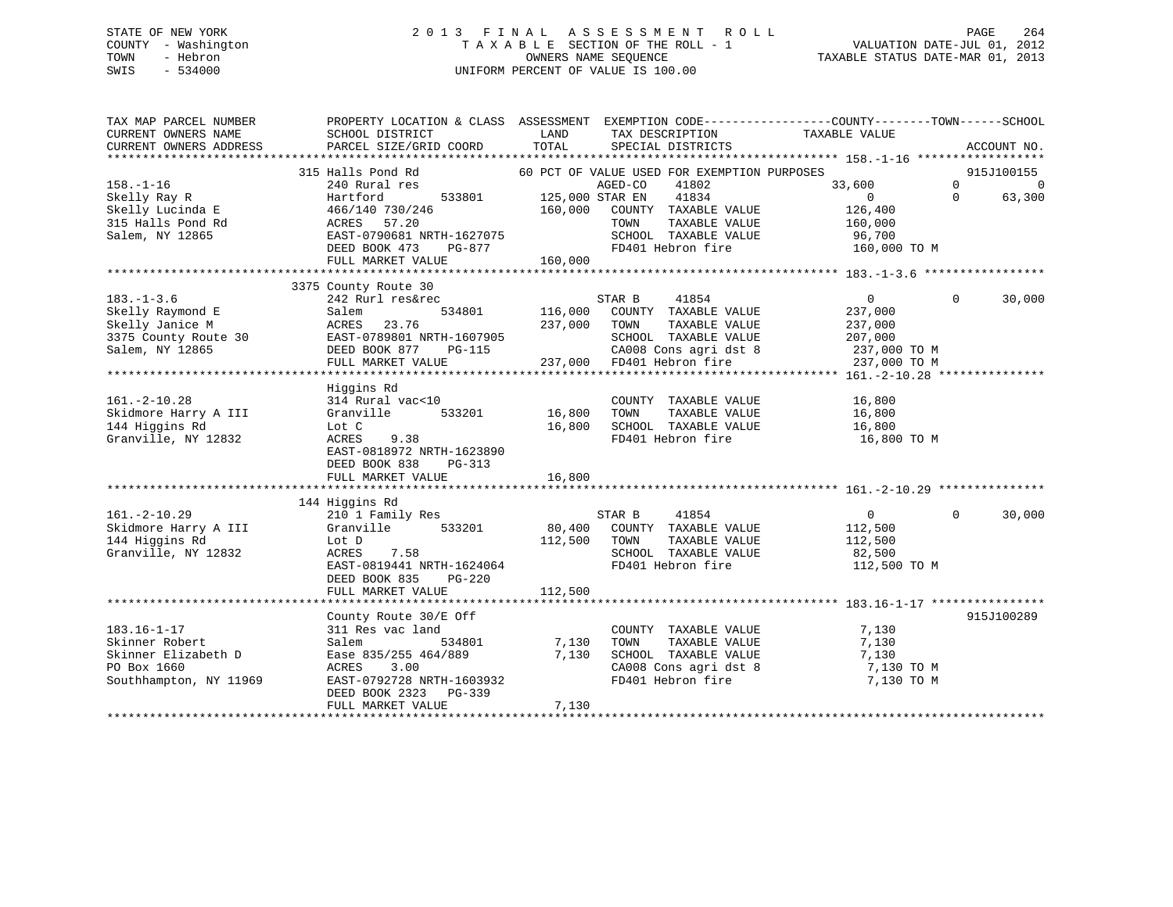# STATE OF NEW YORK 2 0 1 3 F I N A L A S S E S S M E N T R O L L PAGE 264 COUNTY - Washington T A X A B L E SECTION OF THE ROLL - 1 VALUATION DATE-JUL 01, 2012 TOWN - Hebron OWNERS NAME SEQUENCE TAXABLE STATUS DATE-MAR 01, 2013 SWIS - 534000 UNIFORM PERCENT OF VALUE IS 100.00

| TAX MAP PARCEL NUMBER<br>CURRENT OWNERS NAME<br>CURRENT OWNERS ADDRESS                              | PROPERTY LOCATION & CLASS ASSESSMENT EXEMPTION CODE----------------COUNTY-------TOWN------SCHOOL<br>SCHOOL DISTRICT<br>PARCEL SIZE/GRID COORD                                                                                                                                                           | LAND<br>TOTAL                   | TAX DESCRIPTION<br>SPECIAL DISTRICTS                                                                                                                                                              | TAXABLE VALUE                                                            | ACCOUNT NO.                                                    |
|-----------------------------------------------------------------------------------------------------|---------------------------------------------------------------------------------------------------------------------------------------------------------------------------------------------------------------------------------------------------------------------------------------------------------|---------------------------------|---------------------------------------------------------------------------------------------------------------------------------------------------------------------------------------------------|--------------------------------------------------------------------------|----------------------------------------------------------------|
| $158. - 1 - 16$<br>Skelly Ray R<br>Skelly Lucinda E<br>315 Halls Pond Rd<br>Salem, NY 12865         | 315 Halls Pond Rd<br>240 Rural res<br>Hartford<br>533801<br>466/140 730/246<br>57.20<br>ACRES<br>EAST-0790681 NRTH-1627075<br>DEED BOOK 473<br>FULL MARKET VALUE                                                                                                                                        | כ/ ∪/ ∠ס⊥−<br>PG-877<br>160,000 | 60 PCT OF VALUE USED FOR EXEMPTION PURPOSES<br>AGED-CO<br>41802<br>125,000 STAR EN<br>41834<br>160,000 COUNTY TAXABLE VALUE<br>TOWN<br>TAXABLE VALUE<br>SCHOOL TAXABLE VALUE<br>FD401 Hebron fire | 33,600<br>$\overline{0}$<br>126,400<br>160,000<br>96,700<br>160,000 TO M | 915J100155<br>$\Omega$<br>$\overline{0}$<br>$\Omega$<br>63,300 |
| $183. - 1 - 3.6$<br>Skelly Raymond E<br>Skelly Janice M<br>3375 County Route 30<br>Salem, NY 12865  | 3375 County Route 30<br>242 Rurl res&rec<br>Salem<br>23.76<br>ACRES<br>ACRES 23.76 23.76 23.76 23.76 23.76 23.76 23.76 23.76 23.76 23.76 23.76 23.76 23.76 23.76 23.76 23.76 23.76 2<br>DEED BOOK 877 PG-115 237,000 FD401 Hebron fire 237,000 TO M FILL MARKET VALUE 237,000 237,000 FD401 Hebron fire | 534801 116,000<br>237,000 TOWN  | 41854<br>STAR B<br>COUNTY TAXABLE VALUE<br>TAXABLE VALUE                                                                                                                                          | $\overline{0}$<br>237,000<br>237,000                                     | $\Omega$<br>30,000                                             |
| $161. - 2 - 10.28$<br>Skidmore Harry A III<br>144 Higgins Rd<br>Granville, NY 12832                 | Higgins Rd<br>314 Rural vac<10<br>533201<br>Granville<br>Lot C<br>ACRES<br>9.38<br>EAST-0818972 NRTH-1623890<br>DEED BOOK 838<br>PG-313                                                                                                                                                                 | 16,800<br>16,800                | COUNTY TAXABLE VALUE<br>TAXABLE VALUE<br>TOWN<br>SCHOOL TAXABLE VALUE<br>FD401 Hebron fire                                                                                                        | 16,800<br>16,800<br>16,800<br>16,800 TO M                                |                                                                |
| $161. - 2 - 10.29$<br>Skidmore Harry A III<br>144 Higgins Rd<br>Granville, NY 12832                 | 144 Higgins Rd<br>210 1 Family Res<br>Granville 533201<br>Lot D<br>ACRES<br>7.58<br>EAST-0819441 NRTH-1624064<br>DEED BOOK 835<br>PG-220<br>FULL MARKET VALUE                                                                                                                                           | 80,400<br>112,500<br>112,500    | STAR B<br>41854<br>COUNTY TAXABLE VALUE<br>TOWN<br>TAXABLE VALUE<br>SCHOOL TAXABLE VALUE<br>FD401 Hebron fire                                                                                     | $\overline{0}$<br>112,500<br>112,500<br>82,500<br>112,500 TO M           | 30,000<br>$\Omega$                                             |
| $183.16 - 1 - 17$<br>Skinner Robert<br>Skinner Elizabeth D<br>PO Box 1660<br>Southhampton, NY 11969 | County Route 30/E Off<br>311 Res vac land<br>Salem<br>534801<br>Ease 835/255 464/889<br>ACRES<br>3.00<br>EAST-0792728 NRTH-1603932<br>DEED BOOK 2323 PG-339<br>FULL MARKET VALUE                                                                                                                        | 7,130<br>7,130<br>7,130         | COUNTY TAXABLE VALUE<br>TAXABLE VALUE<br>TOWN<br>SCHOOL TAXABLE VALUE<br>CA008 Cons agri dst 8<br>FD401 Hebron fire                                                                               | 7,130<br>7,130<br>7,130<br>7,130 TO M<br>7,130 TO M                      | 915J100289                                                     |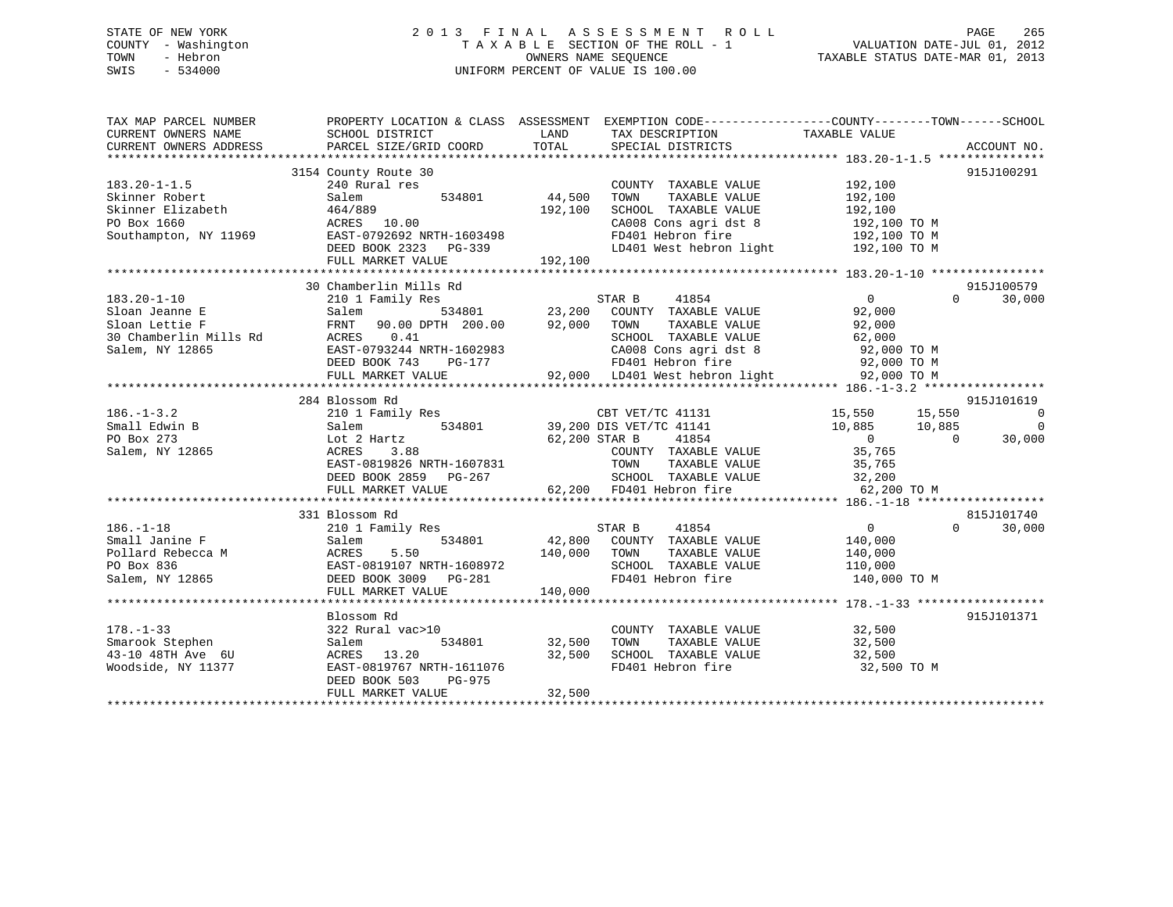# STATE OF NEW YORK 2 0 1 3 F I N A L A S S E S S M E N T R O L L PAGE 265 COUNTY - Washington T A X A B L E SECTION OF THE ROLL - 1 VALUATION DATE-JUL 01, 2012 TOWN - Hebron OWNERS NAME SEQUENCE TAXABLE STATUS DATE-MAR 01, 2013 SWIS - 534000 UNIFORM PERCENT OF VALUE IS 100.00

| CURRENT OWNERS ADDRESS<br>SPECIAL DISTRICTS<br>ACCOUNT NO.<br>3154 County Route 30<br>915J100291<br>$183.20 - 1 - 1.5$<br>240 Rural res<br>192,100<br>COUNTY TAXABLE VALUE<br>44,500<br>534801<br>TAXABLE VALUE<br>192,100<br>Skinner Robert<br>Salem<br>TOWN<br>Skinner Elizabeth<br>464/889<br>192,100<br>SCHOOL TAXABLE VALUE<br>192,100<br>PO Box 1660<br>ACRES<br>10.00<br>CA008 Cons agri dst 8<br>FD401 Hebron fire<br>192,100 TO M<br>Southampton, NY 11969 EAST-0792692 NRTH-1603498<br>192,100 TO M<br>LD401 West hebron light 192,100 TO M<br>DEED BOOK 2323 PG-339<br>192,100<br>FULL MARKET VALUE<br>30 Chamberlin Mills Rd<br>915J100579<br>$\overline{0}$<br>STAR B<br>41854<br>$\Omega$<br>30,000<br>210 1 Family Res<br>534801 23,200<br>DPTH 200.00 92,000<br>COUNTY TAXABLE VALUE<br>92,000<br>Salem<br>Sloan Lettie F<br>FRNT 90.00 DPTH 200.00<br>TOWN<br>TAXABLE VALUE<br>92,000<br>30 Chamberlin Mills Rd<br>ACRES 0.41<br>SCHOOL TAXABLE VALUE<br>EAST-0793244 NRTH-1602983<br>DEED BOOK 742<br>62,000<br>92,000 TO M<br>200 TO M<br>Salem, NY 12865<br>CA008 Cons agri dst 8<br>The 92,000 TO M<br>FD401 Hebron fire 92,000 TO M<br>22,000 TO M<br>284 Blossom Rd<br>915J101619<br>3<br>534801 15,550 15,550 15,550<br>534801 39,200 DIS VET/TC 41141<br>$186. - 1 - 3.2$<br>210 1 Family Res<br>$\overline{0}$<br>Small Edwin B<br>Salem<br>$\Omega$<br>PO Box 273<br>Lot 2 Hartz<br>62,200 STAR B<br>41854<br>$\overline{0}$<br>$\overline{0}$<br>30,000<br>COUNTY TAXABLE VALUE 35,765<br>Salem, NY 12865<br>3.88<br>ACRES<br>EAST-0819826 NRTH-1607831<br>DEED BOOK 2859 PG-267<br>COUNTY IAAADDE WALLE<br>TOWN TAXABLE VALUE<br>SCHOOL TAXABLE VALUE<br>EDA01 Hebron fire<br>35,765<br>32,200<br>62,200 FD401 Hebron fire<br>62,200 TO M<br>FULL MARKET VALUE<br>815J101740<br>331 Blossom Rd<br>$\overline{0}$<br>30,000<br>$186. - 1 - 18$<br>210 1 Family Res<br>STAR B<br>41854<br>$\Omega$<br>COUNTY TAXABLE VALUE<br>42,800<br>140,000<br>534801<br>Small Janine F<br>Salem<br>Pollard Rebecca M<br>Pollard Rebecca M<br>PO Box 836<br>ACRES<br>5.50<br>140,000<br>TOWN<br>TAXABLE VALUE<br>140,000<br>EAST-0819107 NRTH-1608972<br>SCHOOL TAXABLE VALUE<br>110,000<br>$\overline{a}$<br>FD401 Hebron fire<br>140,000 TO M<br>Salem, NY 12865<br>DEED BOOK 3009 PG-281<br>FULL MARKET VALUE<br>140,000<br>Blossom Rd<br>915J101371<br>COUNTY TAXABLE VALUE 32,500<br>$178. - 1 - 33$<br>322 Rural vac>10<br>534801 32,500<br>TAXABLE VALUE<br>Smarook Stephen<br>TOWN<br>32,500<br>Salem<br>SCHOOL TAXABLE VALUE<br>43-10 48TH Ave 6U<br>ACRES 13.20<br>32,500<br>32,500<br>Woodside, NY 11377<br>EAST-0819767 NRTH-1611076<br>FD401 Hebron fire<br>32,500 TO M<br>DEED BOOK 503<br>PG-975<br>32,500<br>FULL MARKET VALUE | TAX MAP PARCEL NUMBER<br>CURRENT OWNERS NAME | PROPERTY LOCATION & CLASS ASSESSMENT<br>SCHOOL DISTRICT | LAND<br>TAX DESCRIPTION | EXEMPTION CODE-----------------COUNTY-------TOWN------SCHOOL<br>TAXABLE VALUE |
|---------------------------------------------------------------------------------------------------------------------------------------------------------------------------------------------------------------------------------------------------------------------------------------------------------------------------------------------------------------------------------------------------------------------------------------------------------------------------------------------------------------------------------------------------------------------------------------------------------------------------------------------------------------------------------------------------------------------------------------------------------------------------------------------------------------------------------------------------------------------------------------------------------------------------------------------------------------------------------------------------------------------------------------------------------------------------------------------------------------------------------------------------------------------------------------------------------------------------------------------------------------------------------------------------------------------------------------------------------------------------------------------------------------------------------------------------------------------------------------------------------------------------------------------------------------------------------------------------------------------------------------------------------------------------------------------------------------------------------------------------------------------------------------------------------------------------------------------------------------------------------------------------------------------------------------------------------------------------------------------------------------------------------------------------------------------------------------------------------------------------------------------------------------------------------------------------------------------------------------------------------------------------------------------------------------------------------------------------------------------------------------------------------------------------------------------------------------------------------------------------------------------------------------------------------------------------------------------------------------------------------------------------------------------------------------------------------------------------------------------------------------|----------------------------------------------|---------------------------------------------------------|-------------------------|-------------------------------------------------------------------------------|
|                                                                                                                                                                                                                                                                                                                                                                                                                                                                                                                                                                                                                                                                                                                                                                                                                                                                                                                                                                                                                                                                                                                                                                                                                                                                                                                                                                                                                                                                                                                                                                                                                                                                                                                                                                                                                                                                                                                                                                                                                                                                                                                                                                                                                                                                                                                                                                                                                                                                                                                                                                                                                                                                                                                                                               |                                              | PARCEL SIZE/GRID COORD                                  | TOTAL                   |                                                                               |
|                                                                                                                                                                                                                                                                                                                                                                                                                                                                                                                                                                                                                                                                                                                                                                                                                                                                                                                                                                                                                                                                                                                                                                                                                                                                                                                                                                                                                                                                                                                                                                                                                                                                                                                                                                                                                                                                                                                                                                                                                                                                                                                                                                                                                                                                                                                                                                                                                                                                                                                                                                                                                                                                                                                                                               |                                              |                                                         |                         |                                                                               |
|                                                                                                                                                                                                                                                                                                                                                                                                                                                                                                                                                                                                                                                                                                                                                                                                                                                                                                                                                                                                                                                                                                                                                                                                                                                                                                                                                                                                                                                                                                                                                                                                                                                                                                                                                                                                                                                                                                                                                                                                                                                                                                                                                                                                                                                                                                                                                                                                                                                                                                                                                                                                                                                                                                                                                               |                                              |                                                         |                         |                                                                               |
|                                                                                                                                                                                                                                                                                                                                                                                                                                                                                                                                                                                                                                                                                                                                                                                                                                                                                                                                                                                                                                                                                                                                                                                                                                                                                                                                                                                                                                                                                                                                                                                                                                                                                                                                                                                                                                                                                                                                                                                                                                                                                                                                                                                                                                                                                                                                                                                                                                                                                                                                                                                                                                                                                                                                                               |                                              |                                                         |                         |                                                                               |
|                                                                                                                                                                                                                                                                                                                                                                                                                                                                                                                                                                                                                                                                                                                                                                                                                                                                                                                                                                                                                                                                                                                                                                                                                                                                                                                                                                                                                                                                                                                                                                                                                                                                                                                                                                                                                                                                                                                                                                                                                                                                                                                                                                                                                                                                                                                                                                                                                                                                                                                                                                                                                                                                                                                                                               |                                              |                                                         |                         |                                                                               |
|                                                                                                                                                                                                                                                                                                                                                                                                                                                                                                                                                                                                                                                                                                                                                                                                                                                                                                                                                                                                                                                                                                                                                                                                                                                                                                                                                                                                                                                                                                                                                                                                                                                                                                                                                                                                                                                                                                                                                                                                                                                                                                                                                                                                                                                                                                                                                                                                                                                                                                                                                                                                                                                                                                                                                               |                                              |                                                         |                         |                                                                               |
|                                                                                                                                                                                                                                                                                                                                                                                                                                                                                                                                                                                                                                                                                                                                                                                                                                                                                                                                                                                                                                                                                                                                                                                                                                                                                                                                                                                                                                                                                                                                                                                                                                                                                                                                                                                                                                                                                                                                                                                                                                                                                                                                                                                                                                                                                                                                                                                                                                                                                                                                                                                                                                                                                                                                                               |                                              |                                                         |                         |                                                                               |
|                                                                                                                                                                                                                                                                                                                                                                                                                                                                                                                                                                                                                                                                                                                                                                                                                                                                                                                                                                                                                                                                                                                                                                                                                                                                                                                                                                                                                                                                                                                                                                                                                                                                                                                                                                                                                                                                                                                                                                                                                                                                                                                                                                                                                                                                                                                                                                                                                                                                                                                                                                                                                                                                                                                                                               |                                              |                                                         |                         |                                                                               |
|                                                                                                                                                                                                                                                                                                                                                                                                                                                                                                                                                                                                                                                                                                                                                                                                                                                                                                                                                                                                                                                                                                                                                                                                                                                                                                                                                                                                                                                                                                                                                                                                                                                                                                                                                                                                                                                                                                                                                                                                                                                                                                                                                                                                                                                                                                                                                                                                                                                                                                                                                                                                                                                                                                                                                               |                                              |                                                         |                         |                                                                               |
|                                                                                                                                                                                                                                                                                                                                                                                                                                                                                                                                                                                                                                                                                                                                                                                                                                                                                                                                                                                                                                                                                                                                                                                                                                                                                                                                                                                                                                                                                                                                                                                                                                                                                                                                                                                                                                                                                                                                                                                                                                                                                                                                                                                                                                                                                                                                                                                                                                                                                                                                                                                                                                                                                                                                                               |                                              |                                                         |                         |                                                                               |
|                                                                                                                                                                                                                                                                                                                                                                                                                                                                                                                                                                                                                                                                                                                                                                                                                                                                                                                                                                                                                                                                                                                                                                                                                                                                                                                                                                                                                                                                                                                                                                                                                                                                                                                                                                                                                                                                                                                                                                                                                                                                                                                                                                                                                                                                                                                                                                                                                                                                                                                                                                                                                                                                                                                                                               |                                              |                                                         |                         |                                                                               |
|                                                                                                                                                                                                                                                                                                                                                                                                                                                                                                                                                                                                                                                                                                                                                                                                                                                                                                                                                                                                                                                                                                                                                                                                                                                                                                                                                                                                                                                                                                                                                                                                                                                                                                                                                                                                                                                                                                                                                                                                                                                                                                                                                                                                                                                                                                                                                                                                                                                                                                                                                                                                                                                                                                                                                               | $183.20 - 1 - 10$                            |                                                         |                         |                                                                               |
|                                                                                                                                                                                                                                                                                                                                                                                                                                                                                                                                                                                                                                                                                                                                                                                                                                                                                                                                                                                                                                                                                                                                                                                                                                                                                                                                                                                                                                                                                                                                                                                                                                                                                                                                                                                                                                                                                                                                                                                                                                                                                                                                                                                                                                                                                                                                                                                                                                                                                                                                                                                                                                                                                                                                                               | Sloan Jeanne E                               |                                                         |                         |                                                                               |
|                                                                                                                                                                                                                                                                                                                                                                                                                                                                                                                                                                                                                                                                                                                                                                                                                                                                                                                                                                                                                                                                                                                                                                                                                                                                                                                                                                                                                                                                                                                                                                                                                                                                                                                                                                                                                                                                                                                                                                                                                                                                                                                                                                                                                                                                                                                                                                                                                                                                                                                                                                                                                                                                                                                                                               |                                              |                                                         |                         |                                                                               |
|                                                                                                                                                                                                                                                                                                                                                                                                                                                                                                                                                                                                                                                                                                                                                                                                                                                                                                                                                                                                                                                                                                                                                                                                                                                                                                                                                                                                                                                                                                                                                                                                                                                                                                                                                                                                                                                                                                                                                                                                                                                                                                                                                                                                                                                                                                                                                                                                                                                                                                                                                                                                                                                                                                                                                               |                                              |                                                         |                         |                                                                               |
|                                                                                                                                                                                                                                                                                                                                                                                                                                                                                                                                                                                                                                                                                                                                                                                                                                                                                                                                                                                                                                                                                                                                                                                                                                                                                                                                                                                                                                                                                                                                                                                                                                                                                                                                                                                                                                                                                                                                                                                                                                                                                                                                                                                                                                                                                                                                                                                                                                                                                                                                                                                                                                                                                                                                                               |                                              |                                                         |                         |                                                                               |
|                                                                                                                                                                                                                                                                                                                                                                                                                                                                                                                                                                                                                                                                                                                                                                                                                                                                                                                                                                                                                                                                                                                                                                                                                                                                                                                                                                                                                                                                                                                                                                                                                                                                                                                                                                                                                                                                                                                                                                                                                                                                                                                                                                                                                                                                                                                                                                                                                                                                                                                                                                                                                                                                                                                                                               |                                              |                                                         |                         |                                                                               |
|                                                                                                                                                                                                                                                                                                                                                                                                                                                                                                                                                                                                                                                                                                                                                                                                                                                                                                                                                                                                                                                                                                                                                                                                                                                                                                                                                                                                                                                                                                                                                                                                                                                                                                                                                                                                                                                                                                                                                                                                                                                                                                                                                                                                                                                                                                                                                                                                                                                                                                                                                                                                                                                                                                                                                               |                                              |                                                         |                         |                                                                               |
|                                                                                                                                                                                                                                                                                                                                                                                                                                                                                                                                                                                                                                                                                                                                                                                                                                                                                                                                                                                                                                                                                                                                                                                                                                                                                                                                                                                                                                                                                                                                                                                                                                                                                                                                                                                                                                                                                                                                                                                                                                                                                                                                                                                                                                                                                                                                                                                                                                                                                                                                                                                                                                                                                                                                                               |                                              |                                                         |                         |                                                                               |
|                                                                                                                                                                                                                                                                                                                                                                                                                                                                                                                                                                                                                                                                                                                                                                                                                                                                                                                                                                                                                                                                                                                                                                                                                                                                                                                                                                                                                                                                                                                                                                                                                                                                                                                                                                                                                                                                                                                                                                                                                                                                                                                                                                                                                                                                                                                                                                                                                                                                                                                                                                                                                                                                                                                                                               |                                              |                                                         |                         |                                                                               |
|                                                                                                                                                                                                                                                                                                                                                                                                                                                                                                                                                                                                                                                                                                                                                                                                                                                                                                                                                                                                                                                                                                                                                                                                                                                                                                                                                                                                                                                                                                                                                                                                                                                                                                                                                                                                                                                                                                                                                                                                                                                                                                                                                                                                                                                                                                                                                                                                                                                                                                                                                                                                                                                                                                                                                               |                                              |                                                         |                         |                                                                               |
|                                                                                                                                                                                                                                                                                                                                                                                                                                                                                                                                                                                                                                                                                                                                                                                                                                                                                                                                                                                                                                                                                                                                                                                                                                                                                                                                                                                                                                                                                                                                                                                                                                                                                                                                                                                                                                                                                                                                                                                                                                                                                                                                                                                                                                                                                                                                                                                                                                                                                                                                                                                                                                                                                                                                                               |                                              |                                                         |                         |                                                                               |
|                                                                                                                                                                                                                                                                                                                                                                                                                                                                                                                                                                                                                                                                                                                                                                                                                                                                                                                                                                                                                                                                                                                                                                                                                                                                                                                                                                                                                                                                                                                                                                                                                                                                                                                                                                                                                                                                                                                                                                                                                                                                                                                                                                                                                                                                                                                                                                                                                                                                                                                                                                                                                                                                                                                                                               |                                              |                                                         |                         |                                                                               |
|                                                                                                                                                                                                                                                                                                                                                                                                                                                                                                                                                                                                                                                                                                                                                                                                                                                                                                                                                                                                                                                                                                                                                                                                                                                                                                                                                                                                                                                                                                                                                                                                                                                                                                                                                                                                                                                                                                                                                                                                                                                                                                                                                                                                                                                                                                                                                                                                                                                                                                                                                                                                                                                                                                                                                               |                                              |                                                         |                         |                                                                               |
|                                                                                                                                                                                                                                                                                                                                                                                                                                                                                                                                                                                                                                                                                                                                                                                                                                                                                                                                                                                                                                                                                                                                                                                                                                                                                                                                                                                                                                                                                                                                                                                                                                                                                                                                                                                                                                                                                                                                                                                                                                                                                                                                                                                                                                                                                                                                                                                                                                                                                                                                                                                                                                                                                                                                                               |                                              |                                                         |                         |                                                                               |
|                                                                                                                                                                                                                                                                                                                                                                                                                                                                                                                                                                                                                                                                                                                                                                                                                                                                                                                                                                                                                                                                                                                                                                                                                                                                                                                                                                                                                                                                                                                                                                                                                                                                                                                                                                                                                                                                                                                                                                                                                                                                                                                                                                                                                                                                                                                                                                                                                                                                                                                                                                                                                                                                                                                                                               |                                              |                                                         |                         |                                                                               |
|                                                                                                                                                                                                                                                                                                                                                                                                                                                                                                                                                                                                                                                                                                                                                                                                                                                                                                                                                                                                                                                                                                                                                                                                                                                                                                                                                                                                                                                                                                                                                                                                                                                                                                                                                                                                                                                                                                                                                                                                                                                                                                                                                                                                                                                                                                                                                                                                                                                                                                                                                                                                                                                                                                                                                               |                                              |                                                         |                         |                                                                               |
|                                                                                                                                                                                                                                                                                                                                                                                                                                                                                                                                                                                                                                                                                                                                                                                                                                                                                                                                                                                                                                                                                                                                                                                                                                                                                                                                                                                                                                                                                                                                                                                                                                                                                                                                                                                                                                                                                                                                                                                                                                                                                                                                                                                                                                                                                                                                                                                                                                                                                                                                                                                                                                                                                                                                                               |                                              |                                                         |                         |                                                                               |
|                                                                                                                                                                                                                                                                                                                                                                                                                                                                                                                                                                                                                                                                                                                                                                                                                                                                                                                                                                                                                                                                                                                                                                                                                                                                                                                                                                                                                                                                                                                                                                                                                                                                                                                                                                                                                                                                                                                                                                                                                                                                                                                                                                                                                                                                                                                                                                                                                                                                                                                                                                                                                                                                                                                                                               |                                              |                                                         |                         |                                                                               |
|                                                                                                                                                                                                                                                                                                                                                                                                                                                                                                                                                                                                                                                                                                                                                                                                                                                                                                                                                                                                                                                                                                                                                                                                                                                                                                                                                                                                                                                                                                                                                                                                                                                                                                                                                                                                                                                                                                                                                                                                                                                                                                                                                                                                                                                                                                                                                                                                                                                                                                                                                                                                                                                                                                                                                               |                                              |                                                         |                         |                                                                               |
|                                                                                                                                                                                                                                                                                                                                                                                                                                                                                                                                                                                                                                                                                                                                                                                                                                                                                                                                                                                                                                                                                                                                                                                                                                                                                                                                                                                                                                                                                                                                                                                                                                                                                                                                                                                                                                                                                                                                                                                                                                                                                                                                                                                                                                                                                                                                                                                                                                                                                                                                                                                                                                                                                                                                                               |                                              |                                                         |                         |                                                                               |
|                                                                                                                                                                                                                                                                                                                                                                                                                                                                                                                                                                                                                                                                                                                                                                                                                                                                                                                                                                                                                                                                                                                                                                                                                                                                                                                                                                                                                                                                                                                                                                                                                                                                                                                                                                                                                                                                                                                                                                                                                                                                                                                                                                                                                                                                                                                                                                                                                                                                                                                                                                                                                                                                                                                                                               |                                              |                                                         |                         |                                                                               |
|                                                                                                                                                                                                                                                                                                                                                                                                                                                                                                                                                                                                                                                                                                                                                                                                                                                                                                                                                                                                                                                                                                                                                                                                                                                                                                                                                                                                                                                                                                                                                                                                                                                                                                                                                                                                                                                                                                                                                                                                                                                                                                                                                                                                                                                                                                                                                                                                                                                                                                                                                                                                                                                                                                                                                               |                                              |                                                         |                         |                                                                               |
|                                                                                                                                                                                                                                                                                                                                                                                                                                                                                                                                                                                                                                                                                                                                                                                                                                                                                                                                                                                                                                                                                                                                                                                                                                                                                                                                                                                                                                                                                                                                                                                                                                                                                                                                                                                                                                                                                                                                                                                                                                                                                                                                                                                                                                                                                                                                                                                                                                                                                                                                                                                                                                                                                                                                                               |                                              |                                                         |                         |                                                                               |
|                                                                                                                                                                                                                                                                                                                                                                                                                                                                                                                                                                                                                                                                                                                                                                                                                                                                                                                                                                                                                                                                                                                                                                                                                                                                                                                                                                                                                                                                                                                                                                                                                                                                                                                                                                                                                                                                                                                                                                                                                                                                                                                                                                                                                                                                                                                                                                                                                                                                                                                                                                                                                                                                                                                                                               |                                              |                                                         |                         |                                                                               |
|                                                                                                                                                                                                                                                                                                                                                                                                                                                                                                                                                                                                                                                                                                                                                                                                                                                                                                                                                                                                                                                                                                                                                                                                                                                                                                                                                                                                                                                                                                                                                                                                                                                                                                                                                                                                                                                                                                                                                                                                                                                                                                                                                                                                                                                                                                                                                                                                                                                                                                                                                                                                                                                                                                                                                               |                                              |                                                         |                         |                                                                               |
|                                                                                                                                                                                                                                                                                                                                                                                                                                                                                                                                                                                                                                                                                                                                                                                                                                                                                                                                                                                                                                                                                                                                                                                                                                                                                                                                                                                                                                                                                                                                                                                                                                                                                                                                                                                                                                                                                                                                                                                                                                                                                                                                                                                                                                                                                                                                                                                                                                                                                                                                                                                                                                                                                                                                                               |                                              |                                                         |                         |                                                                               |
|                                                                                                                                                                                                                                                                                                                                                                                                                                                                                                                                                                                                                                                                                                                                                                                                                                                                                                                                                                                                                                                                                                                                                                                                                                                                                                                                                                                                                                                                                                                                                                                                                                                                                                                                                                                                                                                                                                                                                                                                                                                                                                                                                                                                                                                                                                                                                                                                                                                                                                                                                                                                                                                                                                                                                               |                                              |                                                         |                         |                                                                               |
|                                                                                                                                                                                                                                                                                                                                                                                                                                                                                                                                                                                                                                                                                                                                                                                                                                                                                                                                                                                                                                                                                                                                                                                                                                                                                                                                                                                                                                                                                                                                                                                                                                                                                                                                                                                                                                                                                                                                                                                                                                                                                                                                                                                                                                                                                                                                                                                                                                                                                                                                                                                                                                                                                                                                                               |                                              |                                                         |                         |                                                                               |
|                                                                                                                                                                                                                                                                                                                                                                                                                                                                                                                                                                                                                                                                                                                                                                                                                                                                                                                                                                                                                                                                                                                                                                                                                                                                                                                                                                                                                                                                                                                                                                                                                                                                                                                                                                                                                                                                                                                                                                                                                                                                                                                                                                                                                                                                                                                                                                                                                                                                                                                                                                                                                                                                                                                                                               |                                              |                                                         |                         |                                                                               |
|                                                                                                                                                                                                                                                                                                                                                                                                                                                                                                                                                                                                                                                                                                                                                                                                                                                                                                                                                                                                                                                                                                                                                                                                                                                                                                                                                                                                                                                                                                                                                                                                                                                                                                                                                                                                                                                                                                                                                                                                                                                                                                                                                                                                                                                                                                                                                                                                                                                                                                                                                                                                                                                                                                                                                               |                                              |                                                         |                         |                                                                               |
|                                                                                                                                                                                                                                                                                                                                                                                                                                                                                                                                                                                                                                                                                                                                                                                                                                                                                                                                                                                                                                                                                                                                                                                                                                                                                                                                                                                                                                                                                                                                                                                                                                                                                                                                                                                                                                                                                                                                                                                                                                                                                                                                                                                                                                                                                                                                                                                                                                                                                                                                                                                                                                                                                                                                                               |                                              |                                                         |                         |                                                                               |
|                                                                                                                                                                                                                                                                                                                                                                                                                                                                                                                                                                                                                                                                                                                                                                                                                                                                                                                                                                                                                                                                                                                                                                                                                                                                                                                                                                                                                                                                                                                                                                                                                                                                                                                                                                                                                                                                                                                                                                                                                                                                                                                                                                                                                                                                                                                                                                                                                                                                                                                                                                                                                                                                                                                                                               |                                              |                                                         |                         |                                                                               |
|                                                                                                                                                                                                                                                                                                                                                                                                                                                                                                                                                                                                                                                                                                                                                                                                                                                                                                                                                                                                                                                                                                                                                                                                                                                                                                                                                                                                                                                                                                                                                                                                                                                                                                                                                                                                                                                                                                                                                                                                                                                                                                                                                                                                                                                                                                                                                                                                                                                                                                                                                                                                                                                                                                                                                               |                                              |                                                         |                         |                                                                               |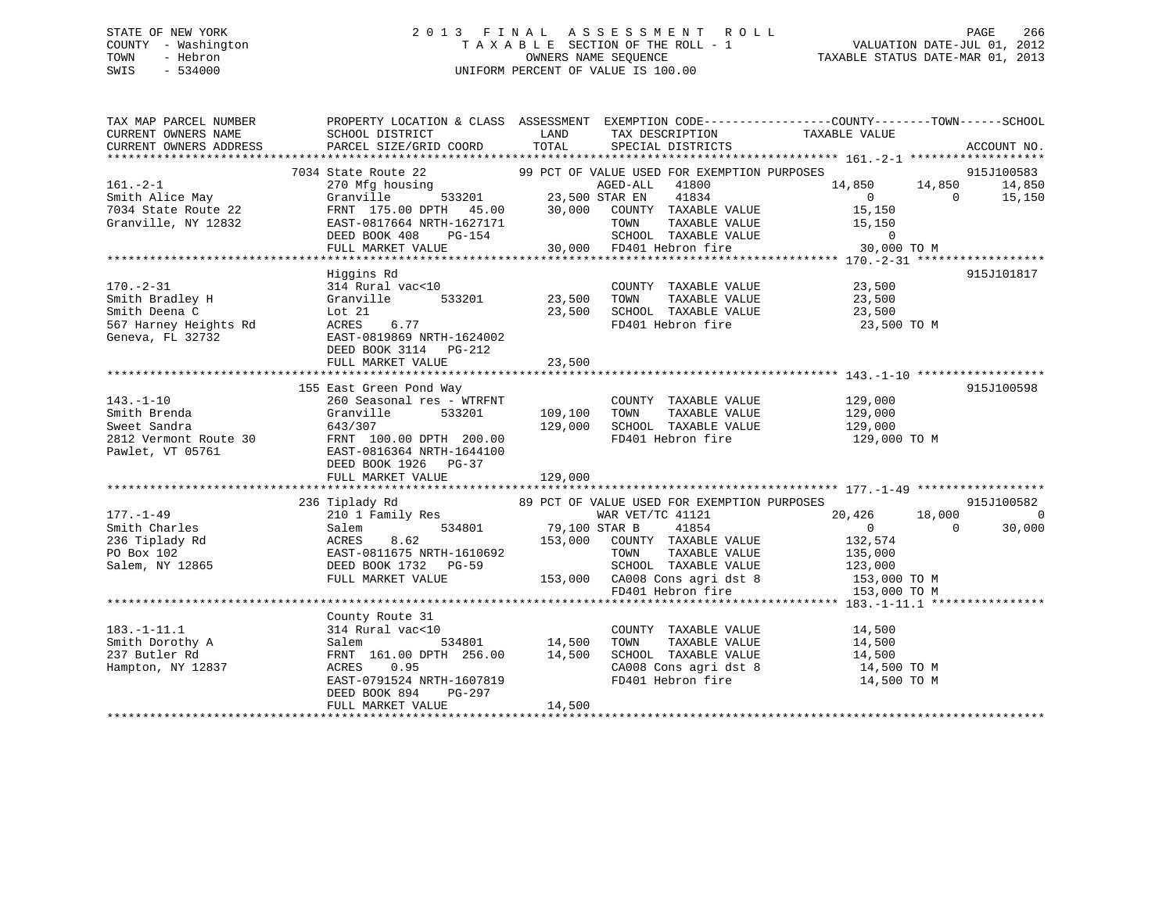## STATE OF NEW YORK 2 0 1 3 F I N A L A S S E S S M E N T R O L L PAGE 266 COUNTY - Washington T A X A B L E SECTION OF THE ROLL - 1 VALUATION DATE-JUL 01, 2012 TOWN - Hebron OWNERS NAME SEQUENCE TAXABLE STATUS DATE-MAR 01, 2013 SWIS - 534000 UNIFORM PERCENT OF VALUE IS 100.00

TAX MAP PARCEL NUMBER PROPERTY LOCATION & CLASS ASSESSMENT EXEMPTION CODE------------------COUNTY--------TOWN------SCHOOL

CURRENT OWNERS NAME SCHOOL DISTRICT LAND TAX DESCRIPTION TAXABLE VALUE CURRENT OWNERS ADDRESS PARCEL SIZE/GRID COORD TOTAL SPECIAL DISTRICTS ACCOUNT NO. \*\*\*\*\*\*\*\*\*\*\*\*\*\*\*\*\*\*\*\*\*\*\*\*\*\*\*\*\*\*\*\*\*\*\*\*\*\*\*\*\*\*\*\*\*\*\*\*\*\*\*\*\*\*\*\*\*\*\*\*\*\*\*\*\*\*\*\*\*\*\*\*\*\*\*\*\*\*\*\*\*\*\*\*\*\*\*\*\*\*\*\*\*\*\*\*\*\*\*\*\*\*\* 161.-2-1 \*\*\*\*\*\*\*\*\*\*\*\*\*\*\*\*\*\*\*7034 State Route 22 99 PCT OF VALUE USED FOR EXEMPTION PURPOSES 915J100583<br>270 Mfg housing AGED-ALL 41800 14,850 14,850 14,850 14,850 Smith Alice May Granville 533201 23,500 STAR EN 41834 0 0 15,150 7034 State Route 22 FRNT 175.00 DPTH 45.00 30,000 COUNTY TAXABLE VALUE 15,150 Granville, NY 12832 EAST-0817664 NRTH-1627171 TOWN TAXABLE VALUE 15,150 DEED BOOK 408 PG-154 SCHOOL TAXABLE VALUE 0 FULL MARKET VALUE 30,000 FD401 Hebron fire 30,000 TO M \*\*\*\*\*\*\*\*\*\*\*\*\*\*\*\*\*\*\*\*\*\*\*\*\*\*\*\*\*\*\*\*\*\*\*\*\*\*\*\*\*\*\*\*\*\*\*\*\*\*\*\*\*\*\*\*\*\*\*\*\*\*\*\*\*\*\*\*\*\*\*\*\*\*\*\*\*\*\*\*\*\*\*\*\*\*\*\*\*\*\*\*\*\*\*\*\*\*\*\*\*\*\* 170.-2-31 \*\*\*\*\*\*\*\*\*\*\*\*\*\*\*\*\*\* Higgins Rd 915J101817 170.-2-31 314 Rural vac<10 COUNTY TAXABLE VALUE 23,500 Smith Bradley H Granville 533201 23,500 TOWN TAXABLE VALUE 23,500 Smith Deena C Lot 21 23,500 SCHOOL TAXABLE VALUE 23,500 567 Harney Heights Rd ACRES 6.77 FD401 Hebron fire 23,500 TO M Geneva, FL 32732 EAST-0819869 NRTH-1624002 DEED BOOK 3114 PG-212 FULL MARKET VALUE 23,500 \*\*\*\*\*\*\*\*\*\*\*\*\*\*\*\*\*\*\*\*\*\*\*\*\*\*\*\*\*\*\*\*\*\*\*\*\*\*\*\*\*\*\*\*\*\*\*\*\*\*\*\*\*\*\*\*\*\*\*\*\*\*\*\*\*\*\*\*\*\*\*\*\*\*\*\*\*\*\*\*\*\*\*\*\*\*\*\*\*\*\*\*\*\*\*\*\*\*\*\*\*\*\* 143.-1-10 \*\*\*\*\*\*\*\*\*\*\*\*\*\*\*\*\*\* 155 East Green Pond Way 915J100598 143.-1-10 260 Seasonal res - WTRFNT COUNTY TAXABLE VALUE 129,000 Smith Brenda Granville 533201 109,100 TOWN TAXABLE VALUE 129,000 Sweet Sandra 643/307 129,000 SCHOOL TAXABLE VALUE 129,000 2812 Vermont Route 30 FRNT 100.00 DPTH 200.00 FD401 Hebron fire 129,000 TO M Pawlet, VT 05761 EAST-0816364 NRTH-1644100 DEED BOOK 1926 PG-37FULL MARKET VALUE 129,000 \*\*\*\*\*\*\*\*\*\*\*\*\*\*\*\*\*\*\*\*\*\*\*\*\*\*\*\*\*\*\*\*\*\*\*\*\*\*\*\*\*\*\*\*\*\*\*\*\*\*\*\*\*\*\*\*\*\*\*\*\*\*\*\*\*\*\*\*\*\*\*\*\*\*\*\*\*\*\*\*\*\*\*\*\*\*\*\*\*\*\*\*\*\*\*\*\*\*\*\*\*\*\* 177.-1-49 \*\*\*\*\*\*\*\*\*\*\*\*\*\*\*\*\*\* 236 Tiplady Rd 89 PCT OF VALUE USED FOR EXEMPTION PURPOSES 915J100582 177.-1-49 210 1 Family Res WAR VET/TC 41121 20,426 18,000 0 Smith Charles Salem 534801 79,100 STAR B 41854 0 0 30,000 236 Tiplady Rd ACRES 8.62 153,000 COUNTY TAXABLE VALUE 132,574 PO Box 102 EAST-0811675 NRTH-1610692 TOWN TAXABLE VALUE 135,000 Salem, NY 12865 DEED BOOK 1732 PG-59 SCHOOL TAXABLE VALUE 123,000 FULL MARKET VALUE 153,000 CA008 Cons agri dst 8 153,000 TO M FD401 Hebron fire 153,000 TO M \*\*\*\*\*\*\*\*\*\*\*\*\*\*\*\*\*\*\*\*\*\*\*\*\*\*\*\*\*\*\*\*\*\*\*\*\*\*\*\*\*\*\*\*\*\*\*\*\*\*\*\*\*\*\*\*\*\*\*\*\*\*\*\*\*\*\*\*\*\*\*\*\*\*\*\*\*\*\*\*\*\*\*\*\*\*\*\*\*\*\*\*\*\*\*\*\*\*\*\*\*\*\* 183.-1-11.1 \*\*\*\*\*\*\*\*\*\*\*\*\*\*\*\* County Route 31 183.-1-11.1 314 Rural vac<10 COUNTY TAXABLE VALUE 14,500 Smith Dorothy A Salem 534801 14,500 TOWN TAXABLE VALUE 14,500 237 Butler Rd FRNT 161.00 DPTH 256.00 14,500 SCHOOL TAXABLE VALUE 14,500 Hampton, NY 12837 ACRES 0.95 CA008 Cons agri dst 8 14,500 TO M EAST-0791524 NRTH-1607819 FD401 Hebron fire 14,500 TO M DEED BOOK 894 PG-297FULL MARKET VALUE 14,500 \*\*\*\*\*\*\*\*\*\*\*\*\*\*\*\*\*\*\*\*\*\*\*\*\*\*\*\*\*\*\*\*\*\*\*\*\*\*\*\*\*\*\*\*\*\*\*\*\*\*\*\*\*\*\*\*\*\*\*\*\*\*\*\*\*\*\*\*\*\*\*\*\*\*\*\*\*\*\*\*\*\*\*\*\*\*\*\*\*\*\*\*\*\*\*\*\*\*\*\*\*\*\*\*\*\*\*\*\*\*\*\*\*\*\*\*\*\*\*\*\*\*\*\*\*\*\*\*\*\*\*\*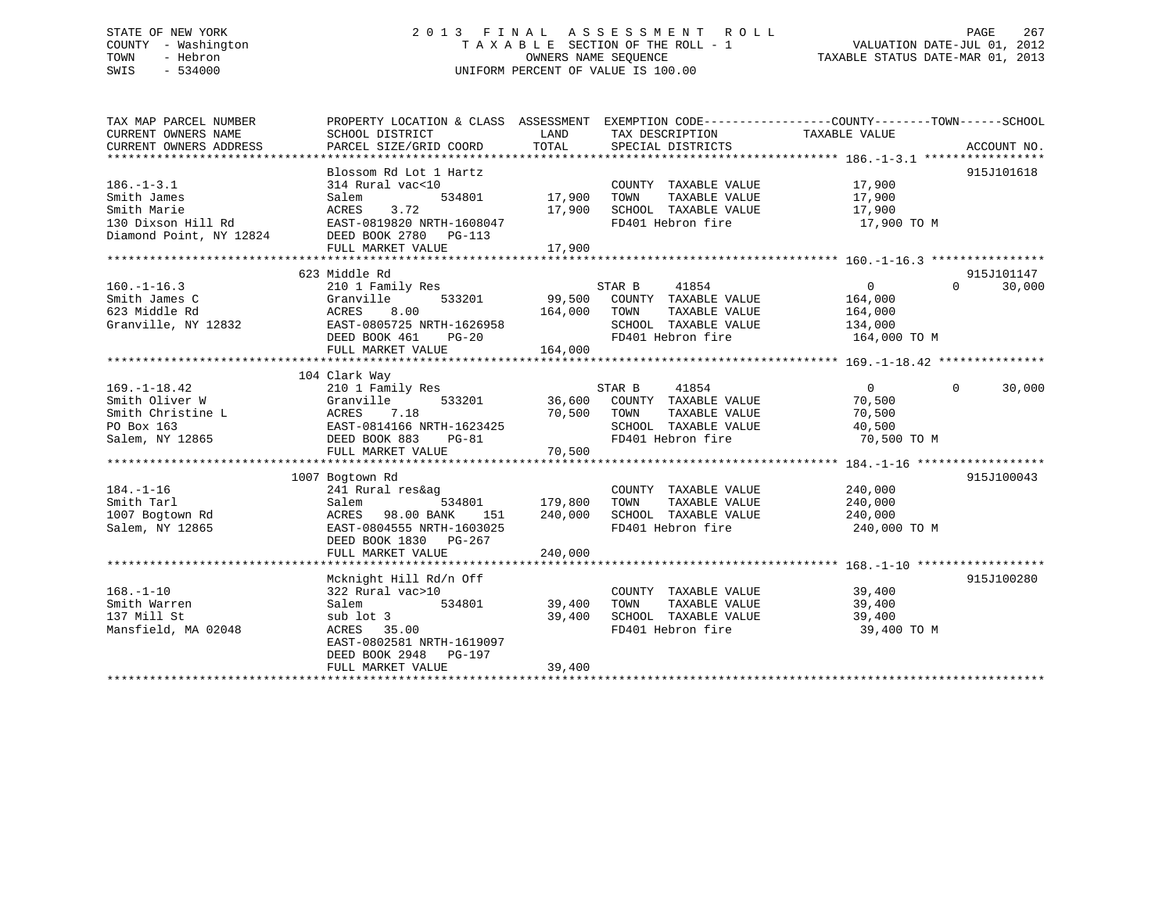# STATE OF NEW YORK 2 0 1 3 F I N A L A S S E S S M E N T R O L L PAGE 267 COUNTY - Washington T A X A B L E SECTION OF THE ROLL - 1 VALUATION DATE-JUL 01, 2012 TOWN - Hebron OWNERS NAME SEQUENCE TAXABLE STATUS DATE-MAR 01, 2013 SWIS - 534000 UNIFORM PERCENT OF VALUE IS 100.00

| TAX MAP PARCEL NUMBER  | PROPERTY LOCATION & CLASS ASSESSMENT EXEMPTION CODE---------------COUNTY-------TOWN------SCHOOL |               |                                           |                  |                    |
|------------------------|-------------------------------------------------------------------------------------------------|---------------|-------------------------------------------|------------------|--------------------|
| CURRENT OWNERS NAME    | SCHOOL DISTRICT                                                                                 | LAND          | TAX DESCRIPTION                           | TAXABLE VALUE    |                    |
| CURRENT OWNERS ADDRESS | PARCEL SIZE/GRID COORD                                                                          | TOTAL         | SPECIAL DISTRICTS                         |                  | ACCOUNT NO.        |
|                        |                                                                                                 |               |                                           |                  |                    |
|                        | Blossom Rd Lot 1 Hartz                                                                          |               |                                           |                  | 915J101618         |
| $186. - 1 - 3.1$       | 314 Rural vac<10                                                                                |               | COUNTY TAXABLE VALUE                      | 17,900           |                    |
| Smith James            | Salem                                                                                           | 534801 17,900 | TOWN<br>TAXABLE VALUE                     | 17,900           |                    |
| Smith Marie            | 3.72<br>ACRES                                                                                   | 17,900        | SCHOOL TAXABLE VALUE                      | 17,900           |                    |
| 130 Dixson Hill Rd     | EAST-0819820 NRTH-1608047                                                                       |               | FD401 Hebron fire                         | 17,900 TO M      |                    |
|                        | Diamond Point, NY 12824 DEED BOOK 2780 PG-113                                                   |               |                                           |                  |                    |
|                        | FULL MARKET VALUE                                                                               | 17,900        |                                           |                  |                    |
|                        |                                                                                                 |               |                                           |                  |                    |
|                        | 623 Middle Rd                                                                                   |               |                                           |                  | 915J101147         |
| $160. - 1 - 16.3$      | 210 1 Family Res                                                                                |               | STAR B<br>41854                           | $\overline{0}$   | $\Omega$<br>30,000 |
| Smith James C          | Granville<br>533201                                                                             |               | 99,500 COUNTY TAXABLE VALUE               | 164,000          |                    |
| 623 Middle Rd          | ACRES<br>8.00                                                                                   | 164,000       | TAXABLE VALUE<br>TOWN                     | 164,000          |                    |
|                        |                                                                                                 |               |                                           |                  |                    |
| Granville, NY 12832    | EAST-0805725 NRTH-1626958                                                                       |               | SCHOOL TAXABLE VALUE 134,000              |                  |                    |
|                        | DEED BOOK 461 PG-20                                                                             |               | FD401 Hebron fire                         | 164,000 TO M     |                    |
|                        | FULL MARKET VALUE                                                                               | 164,000       |                                           |                  |                    |
|                        |                                                                                                 |               |                                           |                  |                    |
|                        | 104 Clark Way                                                                                   |               |                                           |                  |                    |
| $169. - 1 - 18.42$     | 210 1 Family Res                                                                                |               | 41854<br>STAR B                           | $\overline{0}$   | 30,000<br>$\Omega$ |
| Smith Oliver W         | Granville                                                                                       |               | 533201 36,600 COUNTY TAXABLE VALUE        | 70,500           |                    |
| Smith Christine L      | ACRES<br>EAST-0<br>7.18                                                                         | 70,500        | TOWN<br>TAXABLE VALUE                     | 70,500           |                    |
| PO Box 163             | EAST-0814166 NRTH-1623425                                                                       |               | SCHOOL TAXABLE VALUE                      | 40,500           |                    |
| Salem, NY 12865        | DEED BOOK 883<br>$PG-81$                                                                        |               | FD401 Hebron fire                         | 70,500 TO M      |                    |
|                        | FULL MARKET VALUE                                                                               | 70,500        |                                           |                  |                    |
|                        |                                                                                                 |               |                                           |                  |                    |
|                        | 1007 Bogtown Rd                                                                                 |               |                                           |                  | 915J100043         |
| $184. - 1 - 16$        | 241 Rural res&ag                                                                                |               | COUNTY TAXABLE VALUE                      | 240,000          |                    |
| Smith Tarl             | 534801<br>Salem                                                                                 | 179,800       | TAXABLE VALUE<br>TOWN                     | 240,000          |                    |
| 1007 Bogtown Rd        | 98.00 BANK<br>151<br>ACRES                                                                      | 240,000       | SCHOOL TAXABLE VALUE                      | 240,000          |                    |
| Salem, NY 12865        | EAST-0804555 NRTH-1603025                                                                       |               | FD401 Hebron fire                         | 240,000 TO M     |                    |
|                        | DEED BOOK 1830 PG-267                                                                           |               |                                           |                  |                    |
|                        | FULL MARKET VALUE                                                                               | 240,000       |                                           |                  |                    |
|                        |                                                                                                 |               |                                           |                  |                    |
|                        | Mcknight Hill Rd/n Off                                                                          |               |                                           |                  | 915J100280         |
| $168. - 1 - 10$        | 322 Rural vac>10                                                                                |               | COUNTY TAXABLE VALUE 39,400               |                  |                    |
| Smith Warren           | 534801<br>Salem                                                                                 | 39,400        | TOWN<br>TAXABLE VALUE                     |                  |                    |
| 137 Mill St            | sub lot 3                                                                                       | 39,400        |                                           | 39,400<br>39,400 |                    |
| Mansfield, MA 02048    | ACRES 35.00                                                                                     |               | SCHOOL TAXABLE VALUE<br>FD401 Hebron fire | 39,400 TO M      |                    |
|                        |                                                                                                 |               |                                           |                  |                    |
|                        | EAST-0802581 NRTH-1619097                                                                       |               |                                           |                  |                    |
|                        | DEED BOOK 2948 PG-197                                                                           |               |                                           |                  |                    |
|                        | FULL MARKET VALUE                                                                               | 39,400        |                                           |                  |                    |
|                        |                                                                                                 |               |                                           |                  |                    |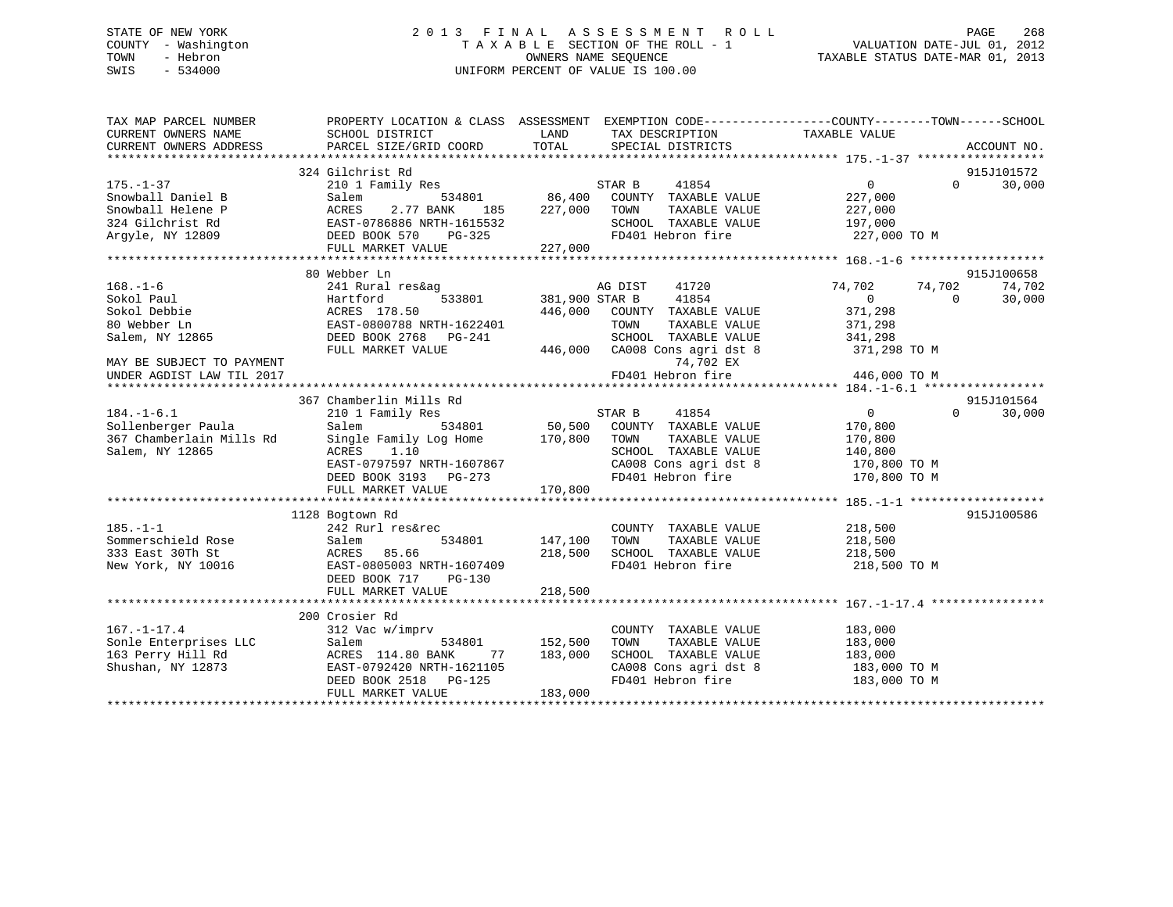# STATE OF NEW YORK 2 0 1 3 F I N A L A S S E S S M E N T R O L L PAGE 268 COUNTY - Washington T A X A B L E SECTION OF THE ROLL - 1 VALUATION DATE-JUL 01, 2012 TOWN - Hebron OWNERS NAME SEQUENCE TAXABLE STATUS DATE-MAR 01, 2013 SWIS - 534000 UNIFORM PERCENT OF VALUE IS 100.00

| TAX MAP PARCEL NUMBER<br>CURRENT OWNERS NAME<br>CURRENT OWNERS ADDRESS | PROPERTY LOCATION & CLASS ASSESSMENT EXEMPTION CODE----------------COUNTY-------TOWN------SCHOOL<br>SCHOOL DISTRICT<br>PARCEL SIZE/GRID COORD | LAND<br>TOTAL  | TAX DESCRIPTION<br>SPECIAL DISTRICTS        | TAXABLE VALUE      | ACCOUNT NO.        |
|------------------------------------------------------------------------|-----------------------------------------------------------------------------------------------------------------------------------------------|----------------|---------------------------------------------|--------------------|--------------------|
|                                                                        |                                                                                                                                               |                |                                             |                    |                    |
|                                                                        | 324 Gilchrist Rd                                                                                                                              |                |                                             |                    | 915J101572         |
| $175. - 1 - 37$                                                        | 210 1 Family Res                                                                                                                              |                |                                             | $\overline{0}$     | 30,000<br>$\Omega$ |
| Snowball Daniel B                                                      | Salem<br>534801                                                                                                                               |                | STAR B 41854<br>86,400 COUNTY TAXABLE VALUE | 227,000            |                    |
| Snowball Helene P                                                      | ACRES<br>2.77 BANK<br>185                                                                                                                     | 227,000        | TOWN<br>TAXABLE VALUE                       | 227,000            |                    |
| 324 Gilchrist Rd                                                       | EAST-0786886 NRTH-1615532                                                                                                                     |                | SCHOOL TAXABLE VALUE                        | 197,000            |                    |
| Argyle, NY 12809                                                       | DEED BOOK 570 PG-325                                                                                                                          | $\frac{32}{2}$ | FD401 Hebron fire                           | 227,000 TO M       |                    |
|                                                                        | FULL MARKET VALUE                                                                                                                             | 227,000        |                                             |                    |                    |
|                                                                        |                                                                                                                                               |                |                                             |                    |                    |
|                                                                        | 80 Webber Ln                                                                                                                                  |                |                                             |                    | 915J100658         |
| $168. - 1 - 6$                                                         | 241 Rural res&ag                                                                                                                              |                | 41720<br>AG DIST                            | 74,702             | 74,702<br>74,702   |
| Sokol Paul                                                             | 533801<br>Hartford                                                                                                                            |                | 381,900 STAR B 41854                        | $\overline{0}$     | $\Omega$<br>30,000 |
| Sokol Debbie                                                           | ACRES 178.50                                                                                                                                  | 446,000        | COUNTY TAXABLE VALUE                        | 371,298            |                    |
| 80 Webber Ln                                                           | EAST-0800788 NRTH-1622401                                                                                                                     |                | TOWN<br>TAXABLE VALUE                       | 371,298            |                    |
| Salem, NY 12865                                                        | DEED BOOK 2768 PG-241                                                                                                                         |                | SCHOOL TAXABLE VALUE                        | 341,298            |                    |
|                                                                        | FULL MARKET VALUE                                                                                                                             |                | 446,000 CA008 Cons agri dst 8               | 371,298 TO M       |                    |
| MAY BE SUBJECT TO PAYMENT                                              |                                                                                                                                               |                | 74,702 EX                                   |                    |                    |
| UNDER AGDIST LAW TIL 2017                                              |                                                                                                                                               |                | FD401 Hebron fire                           | 446,000 TO M       |                    |
|                                                                        |                                                                                                                                               |                |                                             |                    |                    |
|                                                                        | 367 Chamberlin Mills Rd                                                                                                                       |                |                                             |                    | 915J101564         |
| $184. - 1 - 6.1$                                                       | 210 1 Family Res<br>534801                                                                                                                    |                | STAR B 41854<br>50,500 COUNTY TAXABLE VALUE | $\overline{0}$     | 30,000<br>$\Omega$ |
| Sollenberger Paula                                                     | Salem<br>Single Family Log Home 170,800                                                                                                       |                | TOWN<br>TAXABLE VALUE                       | 170,800<br>170,800 |                    |
| 367 Chamberlain Mills Rd<br>Salem, NY 12865                            | ACRES<br>1.10                                                                                                                                 |                | SCHOOL TAXABLE VALUE                        | 140,800            |                    |
|                                                                        | EAST-0797597 NRTH-1607867                                                                                                                     |                | CA008 Cons agri dst 8                       | 170,800 TO M       |                    |
|                                                                        | DEED BOOK 3193 PG-273                                                                                                                         |                | FD401 Hebron fire                           | 170,800 TO M       |                    |
|                                                                        | FULL MARKET VALUE                                                                                                                             | 170,800        |                                             |                    |                    |
|                                                                        |                                                                                                                                               |                |                                             |                    |                    |
|                                                                        | 1128 Bogtown Rd                                                                                                                               |                |                                             |                    | 915J100586         |
| $185. - 1 - 1$                                                         | 242 Rurl res&rec                                                                                                                              |                | COUNTY TAXABLE VALUE                        | 218,500            |                    |
| Sommerschield Rose                                                     | 534801<br>Salem                                                                                                                               | 147,100        | TAXABLE VALUE<br>TOWN                       | 218,500            |                    |
| 333 East 30Th St                                                       | ACRES 85.66                                                                                                                                   | 218,500        | SCHOOL TAXABLE VALUE                        | 218,500            |                    |
| New York, NY 10016                                                     | EAST-0805003 NRTH-1607409                                                                                                                     |                | FD401 Hebron fire                           | 218,500 TO M       |                    |
|                                                                        | DEED BOOK 717 PG-130                                                                                                                          |                |                                             |                    |                    |
|                                                                        | FULL MARKET VALUE                                                                                                                             | 218,500        |                                             |                    |                    |
|                                                                        |                                                                                                                                               |                |                                             |                    |                    |
|                                                                        | 200 Crosier Rd                                                                                                                                |                |                                             |                    |                    |
| $167. - 1 - 17.4$                                                      | 312 Vac w/imprv                                                                                                                               |                | COUNTY TAXABLE VALUE                        | 183,000            |                    |
| Sonle Enterprises LLC                                                  | 534801<br>Salem                                                                                                                               | 152,500        | TAXABLE VALUE<br>TOWN                       | 183,000            |                    |
| 163 Perry Hill Rd                                                      | ACRES 114.80 BANK<br>77                                                                                                                       | 183,000        | SCHOOL TAXABLE VALUE                        | 183,000            |                    |
| Shushan, NY 12873                                                      | EAST-0792420 NRTH-1621105                                                                                                                     |                | CA008 Cons agri dst 8                       | 183,000 TO M       |                    |
|                                                                        | DEED BOOK 2518 PG-125                                                                                                                         |                | FD401 Hebron fire                           | 183,000 TO M       |                    |
|                                                                        | FULL MARKET VALUE                                                                                                                             | 183,000        |                                             |                    |                    |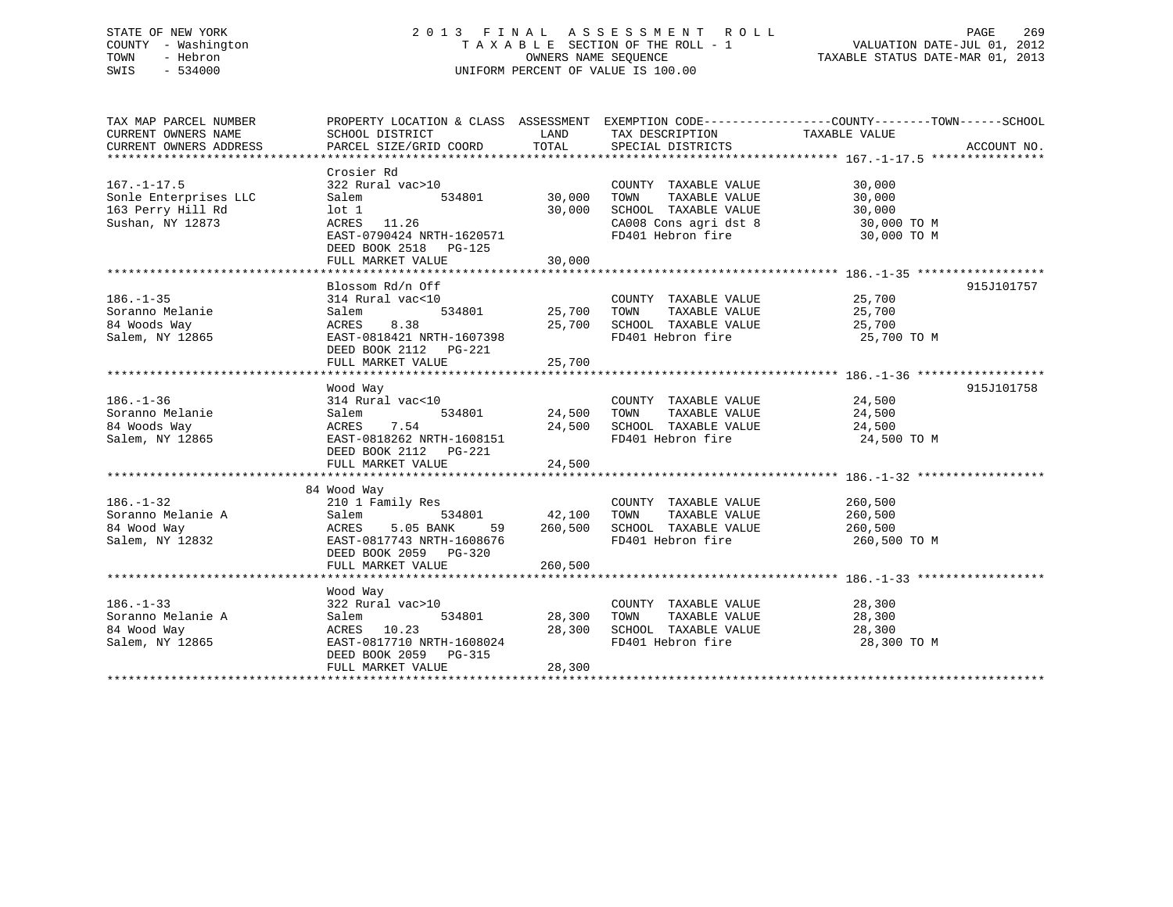# STATE OF NEW YORK 2 0 1 3 F I N A L A S S E S S M E N T R O L L PAGE 269 COUNTY - Washington T A X A B L E SECTION OF THE ROLL - 1 VALUATION DATE-JUL 01, 2012 TOWN - Hebron OWNERS NAME SEQUENCE TAXABLE STATUS DATE-MAR 01, 2013 SWIS - 534000 UNIFORM PERCENT OF VALUE IS 100.00

| TAX MAP PARCEL NUMBER<br>CURRENT OWNERS NAME<br>CURRENT OWNERS ADDRESS                | PROPERTY LOCATION & CLASS ASSESSMENT EXEMPTION CODE---------------COUNTY-------TOWN-----SCHOOL<br>SCHOOL DISTRICT<br>PARCEL SIZE/GRID COORD | TOTAL                             |                                                                                                                                                                                                                                                                                                                                                                    |                                               | ACCOUNT NO. |
|---------------------------------------------------------------------------------------|---------------------------------------------------------------------------------------------------------------------------------------------|-----------------------------------|--------------------------------------------------------------------------------------------------------------------------------------------------------------------------------------------------------------------------------------------------------------------------------------------------------------------------------------------------------------------|-----------------------------------------------|-------------|
|                                                                                       |                                                                                                                                             |                                   |                                                                                                                                                                                                                                                                                                                                                                    |                                               |             |
| $167. - 1 - 17.5$<br>Sonle Enterprises LLC<br>163 Perry Hill Rd<br>Sushan, NY 12873   | Crosier Rd<br>322 Rural vac>10<br>534801 30,000<br>Salem<br>lot 1<br>ACRES 11.26<br>EAST-0790424 NRTH-1620571                               | 30,000                            | COUNTY TAXABLE VALUE<br>TOWN<br>TAXABLE VALUE<br>SCHOOL TAXABLE VALUE<br>CA008 Cons agri dst 8 30,000 TO M<br>FD401 Hebron fire                                                                                                                                                                                                                                    | 30,000<br>30,000<br>30,000<br>30,000 TO M     |             |
|                                                                                       | DEED BOOK 2518 PG-125<br>FULL MARKET VALUE                                                                                                  | 30,000                            |                                                                                                                                                                                                                                                                                                                                                                    |                                               |             |
|                                                                                       |                                                                                                                                             |                                   |                                                                                                                                                                                                                                                                                                                                                                    |                                               |             |
| $186. - 1 - 35$<br>Soranno Melanie<br>84 Woods Way<br>Salem, NY 12865                 | Blossom Rd/n Off<br>314 Rural vac<10<br>Salem<br>ACRES 8.38<br>EAST-0818421 NRTH-1607398<br>DEED BOOK 2112    PG-221                        |                                   | $\begin{array}{lllllllllll} 0 & \text{COUNTY} & \text{TAXABLE VALUE} & & 25,700 \\ 534801 & 25,700 & \text{TOWN} & \text{TAXABLE VALUE} & & 25,700 \\ 25,700 & \text{SCH OOL} & \text{TAXABLE VALUE} & & 25,700 \\ 25,700 & \text{SCH OOL} & \text{TAXABLE VALUE} & & 25,700 \\ \text{TH-1607398} & & \text{FD401 Hebron fire} & & 25,700\text{ TO M} \end{array}$ |                                               | 915J101757  |
|                                                                                       | Wood Way                                                                                                                                    |                                   |                                                                                                                                                                                                                                                                                                                                                                    |                                               | 915J101758  |
| $186. - 1 - 36$<br>Soranno Melanie<br>84 Woods Way<br>Salem, NY 12865                 | 314 Rural vac<10<br>Salem<br>7.54<br>ACRES<br>EAST-0818262 NRTH-1608151<br>DEED BOOK 2112    PG-221<br>FULL MARKET VALUE                    | 534801 24,500<br>24,500<br>24,500 | COUNTY TAXABLE VALUE 24,500<br>TOWN<br>SCHOOL TAXABLE VALUE<br>FD401 Hebron fire                                                                                                                                                                                                                                                                                   | TAXABLE VALUE 24,500<br>24,500<br>24,500 TO M |             |
|                                                                                       | 84 Wood Way                                                                                                                                 |                                   |                                                                                                                                                                                                                                                                                                                                                                    |                                               |             |
| $186. - 1 - 32$<br>Soranno Melanie A<br>84 Wood Way<br>Salem, NY 12832                | 210 1 Family Res<br>Salem<br>5.05 BANK<br>ACRES<br>EAST-0817743 NRTH-1608676<br>DEED BOOK 2059    PG-320<br>FULL MARKET VALUE               | 534801 42,100<br>260,500          | COUNTY TAXABLE VALUE 260,500<br>TOWN<br>TAXABLE VALUE<br>59 260,500 SCHOOL TAXABLE VALUE 260,500<br>FD401 Hebron fire                                                                                                                                                                                                                                              | 260,500<br>260,500 TO M                       |             |
|                                                                                       |                                                                                                                                             |                                   |                                                                                                                                                                                                                                                                                                                                                                    |                                               |             |
| $186. - 1 - 33$<br>Soranno Melanie A<br>84 Wood Way<br>84 Wood Way<br>Salem, NY 12865 | Wood Way<br>322 Rural vac>10<br>534801<br>Salem<br>ACRES 10.23<br>EAST-0817710 NRTH-1608024<br>DEED BOOK 2059 PG-315<br>FULL MARKET VALUE   | COUNTY<br>28,300 TOWN<br>28,300   | COUNTY TAXABLE VALUE<br>TAXABLE VALUE<br>28,300 SCHOOL TAXABLE VALUE 28,300<br>FD401 Hebron fire                                                                                                                                                                                                                                                                   | 28,300<br>28,300<br>28,300 TO M               |             |
|                                                                                       |                                                                                                                                             |                                   |                                                                                                                                                                                                                                                                                                                                                                    |                                               |             |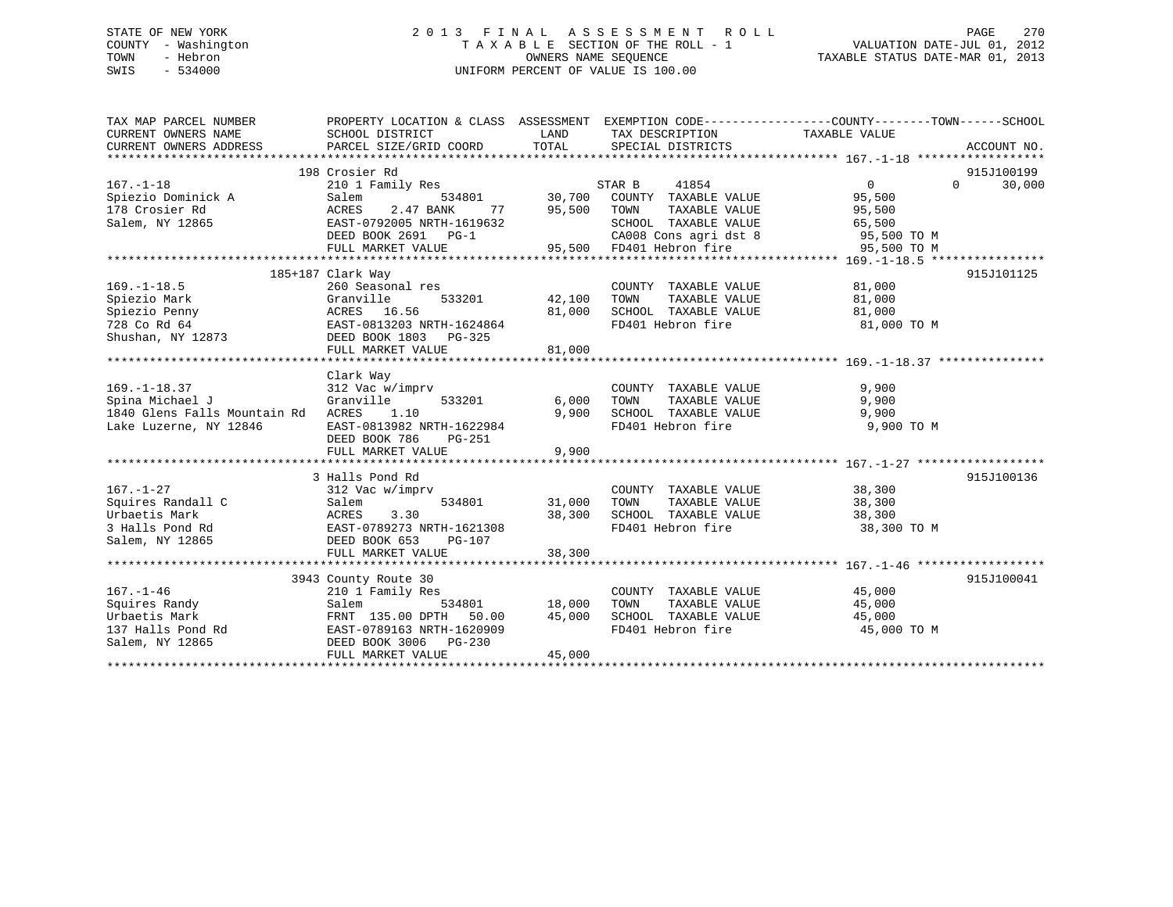# STATE OF NEW YORK 2 0 1 3 F I N A L A S S E S S M E N T R O L L PAGE 270 COUNTY - Washington T A X A B L E SECTION OF THE ROLL - 1 VALUATION DATE-JUL 01, 2012 TOWN - Hebron OWNERS NAME SEQUENCE TAXABLE STATUS DATE-MAR 01, 2013 SWIS - 534000 UNIFORM PERCENT OF VALUE IS 100.00

| TAX MAP PARCEL NUMBER<br>CURRENT OWNERS NAME<br>CURRENT OWNERS ADDRESS                                                                                                          | PROPERTY LOCATION & CLASS ASSESSMENT EXEMPTION CODE---------------COUNTY-------TOWN-----SCHOOL<br>SCHOOL DISTRICT<br>PARCEL SIZE/GRID COORD | LAND<br>TOTAL                      | TAX DESCRIPTION<br>SPECIAL DISTRICTS | TAXABLE VALUE  | ACCOUNT NO.        |
|---------------------------------------------------------------------------------------------------------------------------------------------------------------------------------|---------------------------------------------------------------------------------------------------------------------------------------------|------------------------------------|--------------------------------------|----------------|--------------------|
|                                                                                                                                                                                 | 198 Crosier Rd                                                                                                                              |                                    |                                      |                | 915J100199         |
| $167. - 1 - 18$                                                                                                                                                                 | 210 1 Family Res                                                                                                                            |                                    | STAR B<br>41854                      | $\overline{0}$ | $\Omega$<br>30,000 |
| Spiezio Dominick A                                                                                                                                                              | Salem                                                                                                                                       |                                    | 534801 30,700 COUNTY TAXABLE VALUE   | 95,500         |                    |
| 178 Crosier Rd                                                                                                                                                                  | ACRES<br>2.47 BANK<br>77                                                                                                                    | 95,500                             | TOWN<br>TAXABLE VALUE                | 95,500         |                    |
| Salem, NY 12865                                                                                                                                                                 | EAST-0792005 NRTH-1619632                                                                                                                   |                                    | SCHOOL TAXABLE VALUE                 | 65,500         |                    |
|                                                                                                                                                                                 | DEED BOOK 2691 PG-1                                                                                                                         |                                    | CA008 Cons agri dst 8 95,500 TO M    |                |                    |
|                                                                                                                                                                                 | FULL MARKET VALUE                                                                                                                           | 95,500                             | 95,500 FD401 Hebron fire             | 95,500 TO M    |                    |
|                                                                                                                                                                                 |                                                                                                                                             |                                    |                                      |                |                    |
|                                                                                                                                                                                 | 185+187 Clark Way                                                                                                                           |                                    |                                      |                | 915J101125         |
| $169. - 1 - 18.5$                                                                                                                                                               | 260 Seasonal res                                                                                                                            |                                    | COUNTY TAXABLE VALUE 81,000          |                |                    |
| Spiezio Mark                                                                                                                                                                    | Granville<br>533201                                                                                                                         | 42,100                             | TAXABLE VALUE<br>TOWN                | 81,000         |                    |
| Spiezio Penny                                                                                                                                                                   | ACRES 16.56                                                                                                                                 | 81,000                             | SCHOOL TAXABLE VALUE                 | 81,000         |                    |
| 728 Co Rd 64<br>Shushan, NY 12873 CDEED BOOK 1803 PG-325                                                                                                                        |                                                                                                                                             |                                    | FD401 Hebron fire 81,000 TO M        |                |                    |
|                                                                                                                                                                                 |                                                                                                                                             |                                    |                                      |                |                    |
|                                                                                                                                                                                 | FULL MARKET VALUE                                                                                                                           | 81,000                             |                                      |                |                    |
|                                                                                                                                                                                 |                                                                                                                                             |                                    |                                      |                |                    |
|                                                                                                                                                                                 | Clark Way                                                                                                                                   |                                    |                                      |                |                    |
| $169. - 1 - 18.37$                                                                                                                                                              | 312 Vac w/imprv                                                                                                                             |                                    | COUNTY TAXABLE VALUE                 | 9,900          |                    |
| Spina Michael J                                                                                                                                                                 | Granville                                                                                                                                   | 533201 6,000                       | TOWN<br>TAXABLE VALUE                | 9,900          |                    |
| 1840 Glens Falls Mountain Rd                                                                                                                                                    | ACRES<br>1.10                                                                                                                               | 9,900                              | SCHOOL TAXABLE VALUE 9,900           |                |                    |
| Lake Luzerne, NY 12846                                                                                                                                                          | EAST-0813982 NRTH-1622984                                                                                                                   |                                    | FD401 Hebron fire                    | 9,900 TO M     |                    |
|                                                                                                                                                                                 | DEED BOOK 786<br>PG-251                                                                                                                     |                                    |                                      |                |                    |
|                                                                                                                                                                                 | FULL MARKET VALUE                                                                                                                           | 9,900                              |                                      |                |                    |
|                                                                                                                                                                                 |                                                                                                                                             |                                    |                                      |                |                    |
|                                                                                                                                                                                 | 3 Halls Pond Rd                                                                                                                             |                                    |                                      |                | 915J100136         |
| $167. - 1 - 27$                                                                                                                                                                 | 312 Vac w/imprv                                                                                                                             |                                    | COUNTY TAXABLE VALUE 38,300          |                |                    |
|                                                                                                                                                                                 |                                                                                                                                             | 31,000 TOWN                        |                                      |                |                    |
|                                                                                                                                                                                 |                                                                                                                                             |                                    |                                      |                |                    |
| Squires Randall C<br>Urbaetis Mark<br>3 Halls Pond Rd<br>3 Halls Pond Rd<br>534801<br>2 Salem, NY 12865<br>2 Salem, NY 12865<br>2 DEED BOOK 653<br>PG-107<br>FIIT. MARKET VALUE |                                                                                                                                             |                                    |                                      |                |                    |
|                                                                                                                                                                                 |                                                                                                                                             |                                    |                                      |                |                    |
|                                                                                                                                                                                 | FULL MARKET VALUE                                                                                                                           | 38,300                             |                                      |                |                    |
|                                                                                                                                                                                 |                                                                                                                                             |                                    |                                      |                |                    |
|                                                                                                                                                                                 | 3943 County Route 30                                                                                                                        |                                    |                                      |                | 915J100041         |
| $167. - 1 - 46$                                                                                                                                                                 | 210 1 Family Res                                                                                                                            | з<br>534801                 18,000 | COUNTY TAXABLE VALUE                 | 45,000         |                    |
| Squires Randy                                                                                                                                                                   | Salem                                                                                                                                       |                                    | TOWN<br>TAXABLE VALUE                | 45,000         |                    |
| Urbaetis Mark                                                                                                                                                                   | FRNT 135.00 DPTH 50.00                                                                                                                      | 45,000                             | SCHOOL TAXABLE VALUE                 | 45,000         |                    |
| 137 Halls Pond Rd                                                                                                                                                               | EAST-0789163 NRTH-1620909                                                                                                                   |                                    | FD401 Hebron fire                    | 45,000 TO M    |                    |
| Salem, NY 12865                                                                                                                                                                 | DEED BOOK 3006 PG-230                                                                                                                       |                                    |                                      |                |                    |
|                                                                                                                                                                                 | FULL MARKET VALUE                                                                                                                           | 45,000                             |                                      |                |                    |
|                                                                                                                                                                                 |                                                                                                                                             |                                    |                                      |                |                    |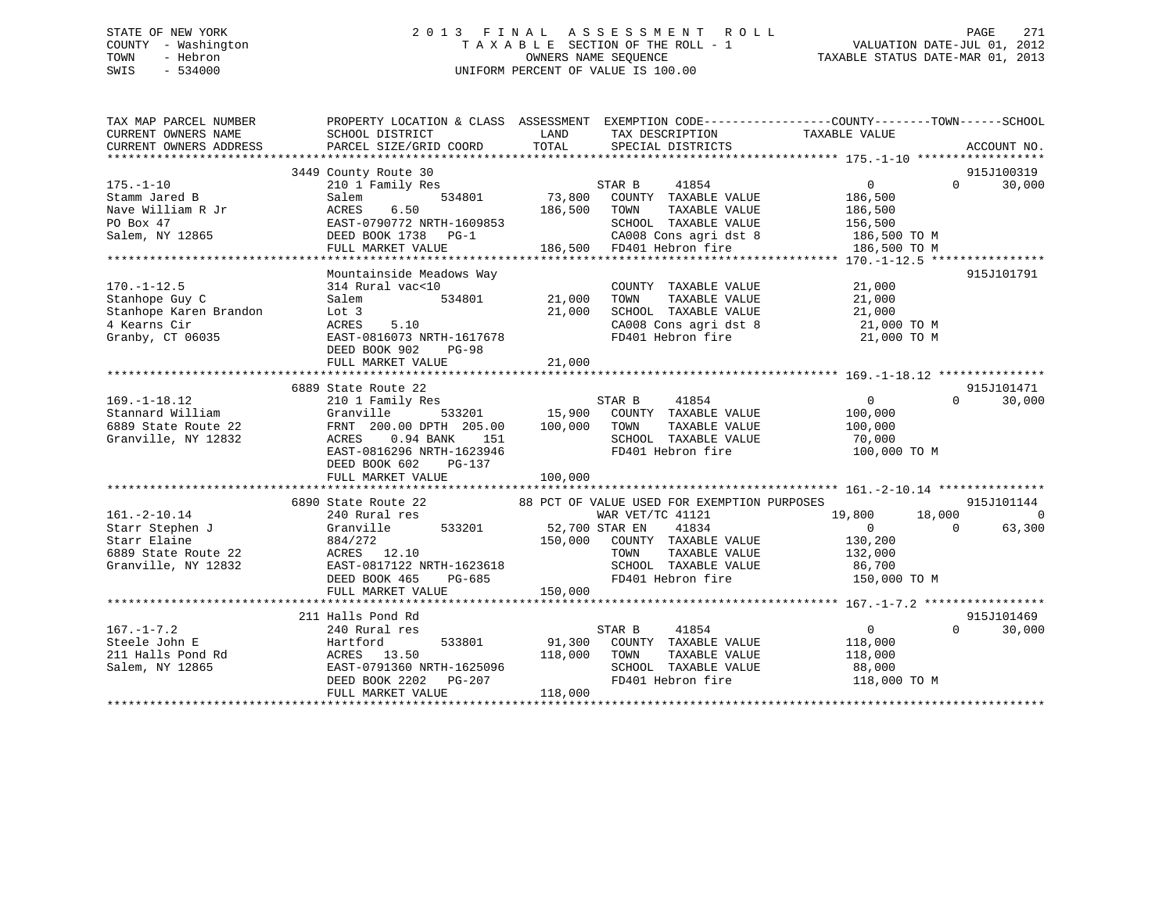# STATE OF NEW YORK 2 0 1 3 F I N A L A S S E S S M E N T R O L L PAGE 271 COUNTY - Washington T A X A B L E SECTION OF THE ROLL - 1 VALUATION DATE-JUL 01, 2012 TOWN - Hebron OWNERS NAME SEQUENCE TAXABLE STATUS DATE-MAR 01, 2013 SWIS - 534000 UNIFORM PERCENT OF VALUE IS 100.00

| LAND<br>TAXABLE VALUE<br>CURRENT OWNERS NAME<br>SCHOOL DISTRICT<br>TAX DESCRIPTION<br>TOTAL<br>CURRENT OWNERS ADDRESS<br>PARCEL SIZE/GRID COORD<br>SPECIAL DISTRICTS<br>ACCOUNT NO.<br>915J100319<br>3449 County Route 30<br>STAR B 41854<br>73,800 COUNTY TAXABLE VALUE<br>30,000<br>$175. - 1 - 10$<br>210 1 Family Res<br>$0 \qquad \qquad$<br>$\Omega$<br>534801<br>Stamm Jared B<br>Salem<br>186,500<br>6.50<br>186,500<br>Nave William R Jr<br>ACRES<br>TOWN<br>TAXABLE VALUE<br>186,500<br>PO Box 47<br>EAST-0790772 NRTH-1609853<br>SCHOOL TAXABLE VALUE<br>156,500<br>CA008 Cons agri dst 8 186,500 TO M<br>Salem, NY 12865<br>DEED BOOK 1738 PG-1<br>Mountainside Meadows Way<br>915J101791<br>$170. - 1 - 12.5$<br>21,000<br>314 Rural vac<10<br>COUNTY TAXABLE VALUE<br>21,000<br>Stanhope Guy C<br>Salem<br>534801<br>TOWN<br>TAXABLE VALUE<br>21,000<br>Stanhope Karen Brandon<br>21,000<br>SCHOOL TAXABLE VALUE<br>21,000<br>Lot 3<br>SCHOOL TAXABLE VALUE 21,000<br>CA008 Cons agri dst 8 21,000 TO M<br>FD401 Hebron fire 21,000 TO M<br>5.10<br>4 Kearns Cir<br>ACRES<br>Granby, CT 06035<br>EAST-0816073 NRTH-1617678<br>DEED BOOK 902<br>PG-98<br>21,000<br>FULL MARKET VALUE<br>6889 State Route 22<br>915J101471<br>$169. - 1 - 18.12$<br>STAR B<br>41854<br>$\overline{0}$<br>$\Omega$<br>30,000<br>210 1 Family Res<br>15,900 COUNTY TAXABLE VALUE<br>Stannard William<br>Granville 533201<br>100,000<br>100,000 TOWN<br>6889 State Route 22<br>FRNT 200.00 DPTH 205.00<br>TAXABLE VALUE<br>100,000<br>SCHOOL TAXABLE VALUE<br>Granville, NY 12832<br>ACRES<br>0.94 BANK 151<br>70,000 |
|----------------------------------------------------------------------------------------------------------------------------------------------------------------------------------------------------------------------------------------------------------------------------------------------------------------------------------------------------------------------------------------------------------------------------------------------------------------------------------------------------------------------------------------------------------------------------------------------------------------------------------------------------------------------------------------------------------------------------------------------------------------------------------------------------------------------------------------------------------------------------------------------------------------------------------------------------------------------------------------------------------------------------------------------------------------------------------------------------------------------------------------------------------------------------------------------------------------------------------------------------------------------------------------------------------------------------------------------------------------------------------------------------------------------------------------------------------------------------------------------------------------------------------------------------------------------------------------------------------------|
|                                                                                                                                                                                                                                                                                                                                                                                                                                                                                                                                                                                                                                                                                                                                                                                                                                                                                                                                                                                                                                                                                                                                                                                                                                                                                                                                                                                                                                                                                                                                                                                                                |
|                                                                                                                                                                                                                                                                                                                                                                                                                                                                                                                                                                                                                                                                                                                                                                                                                                                                                                                                                                                                                                                                                                                                                                                                                                                                                                                                                                                                                                                                                                                                                                                                                |
|                                                                                                                                                                                                                                                                                                                                                                                                                                                                                                                                                                                                                                                                                                                                                                                                                                                                                                                                                                                                                                                                                                                                                                                                                                                                                                                                                                                                                                                                                                                                                                                                                |
|                                                                                                                                                                                                                                                                                                                                                                                                                                                                                                                                                                                                                                                                                                                                                                                                                                                                                                                                                                                                                                                                                                                                                                                                                                                                                                                                                                                                                                                                                                                                                                                                                |
|                                                                                                                                                                                                                                                                                                                                                                                                                                                                                                                                                                                                                                                                                                                                                                                                                                                                                                                                                                                                                                                                                                                                                                                                                                                                                                                                                                                                                                                                                                                                                                                                                |
|                                                                                                                                                                                                                                                                                                                                                                                                                                                                                                                                                                                                                                                                                                                                                                                                                                                                                                                                                                                                                                                                                                                                                                                                                                                                                                                                                                                                                                                                                                                                                                                                                |
|                                                                                                                                                                                                                                                                                                                                                                                                                                                                                                                                                                                                                                                                                                                                                                                                                                                                                                                                                                                                                                                                                                                                                                                                                                                                                                                                                                                                                                                                                                                                                                                                                |
|                                                                                                                                                                                                                                                                                                                                                                                                                                                                                                                                                                                                                                                                                                                                                                                                                                                                                                                                                                                                                                                                                                                                                                                                                                                                                                                                                                                                                                                                                                                                                                                                                |
|                                                                                                                                                                                                                                                                                                                                                                                                                                                                                                                                                                                                                                                                                                                                                                                                                                                                                                                                                                                                                                                                                                                                                                                                                                                                                                                                                                                                                                                                                                                                                                                                                |
|                                                                                                                                                                                                                                                                                                                                                                                                                                                                                                                                                                                                                                                                                                                                                                                                                                                                                                                                                                                                                                                                                                                                                                                                                                                                                                                                                                                                                                                                                                                                                                                                                |
|                                                                                                                                                                                                                                                                                                                                                                                                                                                                                                                                                                                                                                                                                                                                                                                                                                                                                                                                                                                                                                                                                                                                                                                                                                                                                                                                                                                                                                                                                                                                                                                                                |
|                                                                                                                                                                                                                                                                                                                                                                                                                                                                                                                                                                                                                                                                                                                                                                                                                                                                                                                                                                                                                                                                                                                                                                                                                                                                                                                                                                                                                                                                                                                                                                                                                |
|                                                                                                                                                                                                                                                                                                                                                                                                                                                                                                                                                                                                                                                                                                                                                                                                                                                                                                                                                                                                                                                                                                                                                                                                                                                                                                                                                                                                                                                                                                                                                                                                                |
|                                                                                                                                                                                                                                                                                                                                                                                                                                                                                                                                                                                                                                                                                                                                                                                                                                                                                                                                                                                                                                                                                                                                                                                                                                                                                                                                                                                                                                                                                                                                                                                                                |
|                                                                                                                                                                                                                                                                                                                                                                                                                                                                                                                                                                                                                                                                                                                                                                                                                                                                                                                                                                                                                                                                                                                                                                                                                                                                                                                                                                                                                                                                                                                                                                                                                |
|                                                                                                                                                                                                                                                                                                                                                                                                                                                                                                                                                                                                                                                                                                                                                                                                                                                                                                                                                                                                                                                                                                                                                                                                                                                                                                                                                                                                                                                                                                                                                                                                                |
|                                                                                                                                                                                                                                                                                                                                                                                                                                                                                                                                                                                                                                                                                                                                                                                                                                                                                                                                                                                                                                                                                                                                                                                                                                                                                                                                                                                                                                                                                                                                                                                                                |
|                                                                                                                                                                                                                                                                                                                                                                                                                                                                                                                                                                                                                                                                                                                                                                                                                                                                                                                                                                                                                                                                                                                                                                                                                                                                                                                                                                                                                                                                                                                                                                                                                |
|                                                                                                                                                                                                                                                                                                                                                                                                                                                                                                                                                                                                                                                                                                                                                                                                                                                                                                                                                                                                                                                                                                                                                                                                                                                                                                                                                                                                                                                                                                                                                                                                                |
|                                                                                                                                                                                                                                                                                                                                                                                                                                                                                                                                                                                                                                                                                                                                                                                                                                                                                                                                                                                                                                                                                                                                                                                                                                                                                                                                                                                                                                                                                                                                                                                                                |
|                                                                                                                                                                                                                                                                                                                                                                                                                                                                                                                                                                                                                                                                                                                                                                                                                                                                                                                                                                                                                                                                                                                                                                                                                                                                                                                                                                                                                                                                                                                                                                                                                |
|                                                                                                                                                                                                                                                                                                                                                                                                                                                                                                                                                                                                                                                                                                                                                                                                                                                                                                                                                                                                                                                                                                                                                                                                                                                                                                                                                                                                                                                                                                                                                                                                                |
| EAST-0816296 NRTH-1623946<br>FD401 Hebron fire<br>100,000 TO M                                                                                                                                                                                                                                                                                                                                                                                                                                                                                                                                                                                                                                                                                                                                                                                                                                                                                                                                                                                                                                                                                                                                                                                                                                                                                                                                                                                                                                                                                                                                                 |
| DEED BOOK 602<br>PG-137                                                                                                                                                                                                                                                                                                                                                                                                                                                                                                                                                                                                                                                                                                                                                                                                                                                                                                                                                                                                                                                                                                                                                                                                                                                                                                                                                                                                                                                                                                                                                                                        |
| FULL MARKET VALUE<br>100,000                                                                                                                                                                                                                                                                                                                                                                                                                                                                                                                                                                                                                                                                                                                                                                                                                                                                                                                                                                                                                                                                                                                                                                                                                                                                                                                                                                                                                                                                                                                                                                                   |
|                                                                                                                                                                                                                                                                                                                                                                                                                                                                                                                                                                                                                                                                                                                                                                                                                                                                                                                                                                                                                                                                                                                                                                                                                                                                                                                                                                                                                                                                                                                                                                                                                |
| 6890 State Route 22<br>88 PCT OF VALUE USED FOR EXEMPTION PURPOSES<br>915J101144                                                                                                                                                                                                                                                                                                                                                                                                                                                                                                                                                                                                                                                                                                                                                                                                                                                                                                                                                                                                                                                                                                                                                                                                                                                                                                                                                                                                                                                                                                                               |
| $161. - 2 - 10.14$<br>WAR VET/TC 41121<br>18,000<br>$\Omega$<br>240 Rural res<br>19,800                                                                                                                                                                                                                                                                                                                                                                                                                                                                                                                                                                                                                                                                                                                                                                                                                                                                                                                                                                                                                                                                                                                                                                                                                                                                                                                                                                                                                                                                                                                        |
| Granville 533201 52,700 STAR EN<br>$\overline{0}$<br>63,300<br>Starr Stephen J<br>41834<br>$\Omega$                                                                                                                                                                                                                                                                                                                                                                                                                                                                                                                                                                                                                                                                                                                                                                                                                                                                                                                                                                                                                                                                                                                                                                                                                                                                                                                                                                                                                                                                                                            |
| 150,000 COUNTY TAXABLE VALUE<br>Starr Elaine<br>884/272<br>130,200                                                                                                                                                                                                                                                                                                                                                                                                                                                                                                                                                                                                                                                                                                                                                                                                                                                                                                                                                                                                                                                                                                                                                                                                                                                                                                                                                                                                                                                                                                                                             |
| 6889 State Route 22<br>ACRES 12.10<br>TOWN<br>TAXABLE VALUE<br>132,000                                                                                                                                                                                                                                                                                                                                                                                                                                                                                                                                                                                                                                                                                                                                                                                                                                                                                                                                                                                                                                                                                                                                                                                                                                                                                                                                                                                                                                                                                                                                         |
| Granville, NY 12832<br>EAST-0817122 NRTH-1623618<br>SCHOOL TAXABLE VALUE<br>86,700                                                                                                                                                                                                                                                                                                                                                                                                                                                                                                                                                                                                                                                                                                                                                                                                                                                                                                                                                                                                                                                                                                                                                                                                                                                                                                                                                                                                                                                                                                                             |
| FD401 Hebron fire<br>DEED BOOK 465<br>PG-685<br>150,000 TO M                                                                                                                                                                                                                                                                                                                                                                                                                                                                                                                                                                                                                                                                                                                                                                                                                                                                                                                                                                                                                                                                                                                                                                                                                                                                                                                                                                                                                                                                                                                                                   |
| 150,000<br>FULL MARKET VALUE                                                                                                                                                                                                                                                                                                                                                                                                                                                                                                                                                                                                                                                                                                                                                                                                                                                                                                                                                                                                                                                                                                                                                                                                                                                                                                                                                                                                                                                                                                                                                                                   |
|                                                                                                                                                                                                                                                                                                                                                                                                                                                                                                                                                                                                                                                                                                                                                                                                                                                                                                                                                                                                                                                                                                                                                                                                                                                                                                                                                                                                                                                                                                                                                                                                                |
| 211 Halls Pond Rd<br>915J101469                                                                                                                                                                                                                                                                                                                                                                                                                                                                                                                                                                                                                                                                                                                                                                                                                                                                                                                                                                                                                                                                                                                                                                                                                                                                                                                                                                                                                                                                                                                                                                                |
| $167. - 1 - 7.2$<br>41854<br>$0 \qquad \qquad$<br>$\Omega$<br>30,000<br>240 Rural res<br>STAR B                                                                                                                                                                                                                                                                                                                                                                                                                                                                                                                                                                                                                                                                                                                                                                                                                                                                                                                                                                                                                                                                                                                                                                                                                                                                                                                                                                                                                                                                                                                |
| 91,300 COUNTY TAXABLE VALUE<br>Steele John E<br>Hartford<br>533801<br>118,000                                                                                                                                                                                                                                                                                                                                                                                                                                                                                                                                                                                                                                                                                                                                                                                                                                                                                                                                                                                                                                                                                                                                                                                                                                                                                                                                                                                                                                                                                                                                  |
| 211 Halls Pond Rd<br>ACRES 13.50<br>118,000<br>TOWN<br>TAXABLE VALUE<br>118,000                                                                                                                                                                                                                                                                                                                                                                                                                                                                                                                                                                                                                                                                                                                                                                                                                                                                                                                                                                                                                                                                                                                                                                                                                                                                                                                                                                                                                                                                                                                                |
| SCHOOL TAXABLE VALUE<br>Salem, NY 12865<br>EAST-0791360 NRTH-1625096<br>88,000                                                                                                                                                                                                                                                                                                                                                                                                                                                                                                                                                                                                                                                                                                                                                                                                                                                                                                                                                                                                                                                                                                                                                                                                                                                                                                                                                                                                                                                                                                                                 |
| DEED BOOK 2202 PG-207<br>FD401 Hebron fire<br>118,000 TO M                                                                                                                                                                                                                                                                                                                                                                                                                                                                                                                                                                                                                                                                                                                                                                                                                                                                                                                                                                                                                                                                                                                                                                                                                                                                                                                                                                                                                                                                                                                                                     |
| 118,000<br>FULL MARKET VALUE                                                                                                                                                                                                                                                                                                                                                                                                                                                                                                                                                                                                                                                                                                                                                                                                                                                                                                                                                                                                                                                                                                                                                                                                                                                                                                                                                                                                                                                                                                                                                                                   |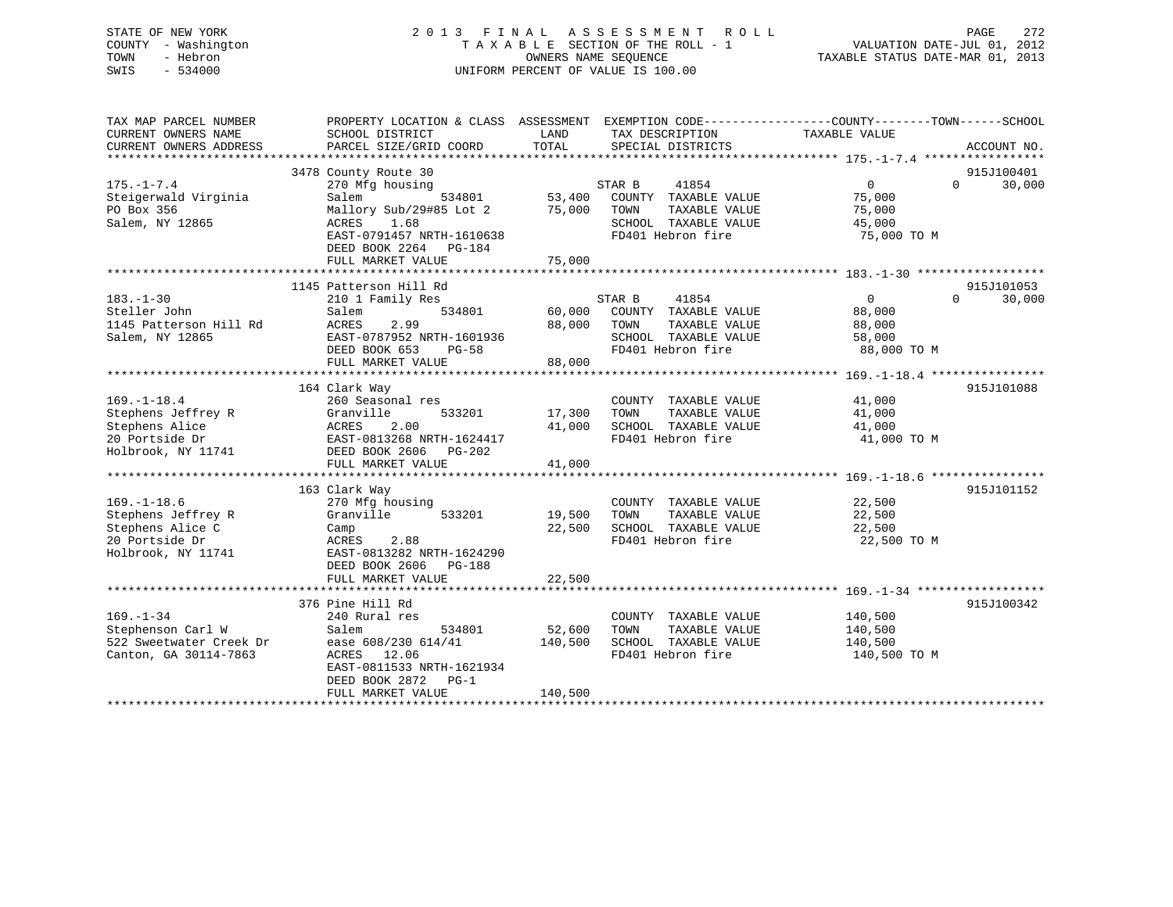# STATE OF NEW YORK 2 0 1 3 F I N A L A S S E S S M E N T R O L L PAGE 272 COUNTY - Washington T A X A B L E SECTION OF THE ROLL - 1 VALUATION DATE-JUL 01, 2012 TOWN - Hebron OWNERS NAME SEQUENCE TAXABLE STATUS DATE-MAR 01, 2013 SWIS - 534000 UNIFORM PERCENT OF VALUE IS 100.00

| TAX MAP PARCEL NUMBER<br>CURRENT OWNERS NAME<br>CURRENT OWNERS ADDRESS                              | PROPERTY LOCATION & CLASS ASSESSMENT EXEMPTION CODE----------------COUNTY-------TOWN------SCHOOL<br>SCHOOL DISTRICT<br>PARCEL SIZE/GRID COORD  | LAND<br>TOTAL     | TAX DESCRIPTION<br>SPECIAL DISTRICTS                                                                          | TAXABLE VALUE                                         | ACCOUNT NO.                      |
|-----------------------------------------------------------------------------------------------------|------------------------------------------------------------------------------------------------------------------------------------------------|-------------------|---------------------------------------------------------------------------------------------------------------|-------------------------------------------------------|----------------------------------|
|                                                                                                     |                                                                                                                                                |                   |                                                                                                               |                                                       |                                  |
| $175. - 1 - 7.4$<br>Steigerwald Virginia                                                            | 3478 County Route 30<br>270 Mfg housing<br>534801<br>Salem                                                                                     | 53,400            | STAR B<br>41854<br>COUNTY TAXABLE VALUE                                                                       | $\mathbf{0}$<br>75,000                                | 915J100401<br>30,000<br>$\Omega$ |
| PO Box 356<br>Salem, NY 12865                                                                       | Mallory Sub/29#85 Lot 2<br>ACRES<br>1.68<br>EAST-0791457 NRTH-1610638<br>DEED BOOK 2264 PG-184                                                 | 75,000            | TOWN<br>TAXABLE VALUE<br>SCHOOL TAXABLE VALUE<br>FD401 Hebron fire                                            | 75,000<br>45,000<br>75,000 TO M                       |                                  |
|                                                                                                     | FULL MARKET VALUE                                                                                                                              | 75,000            |                                                                                                               |                                                       |                                  |
|                                                                                                     | 1145 Patterson Hill Rd                                                                                                                         |                   |                                                                                                               |                                                       | 915J101053                       |
| $183. - 1 - 30$<br>Steller John<br>1145 Patterson Hill Rd<br>Salem, NY 12865                        | 210 1 Family Res<br>534801<br>Salem<br>ACRES<br>2.99<br>EAST-0787952 NRTH-1601936<br>DEED BOOK 653<br>PG-58                                    | 60,000<br>88,000  | STAR B<br>41854<br>COUNTY TAXABLE VALUE<br>TOWN<br>TAXABLE VALUE<br>SCHOOL TAXABLE VALUE<br>FD401 Hebron fire | $\Omega$<br>88,000<br>88,000<br>58,000<br>88,000 TO M | $\Omega$<br>30,000               |
|                                                                                                     | FULL MARKET VALUE                                                                                                                              | 88,000            |                                                                                                               |                                                       |                                  |
|                                                                                                     | 164 Clark Way                                                                                                                                  |                   |                                                                                                               |                                                       | 915J101088                       |
| $169. - 1 - 18.4$<br>Stephens Jeffrey R<br>Stephens Alice                                           | 260 Seasonal res<br>Granville<br>533201<br>ACRES<br>2.00                                                                                       | 17,300<br>41,000  | COUNTY TAXABLE VALUE<br>TAXABLE VALUE<br>TOWN<br>SCHOOL TAXABLE VALUE                                         | 41,000<br>41,000<br>41,000                            |                                  |
| 20 Portside Dr<br>Holbrook, NY 11741                                                                | EAST-0813268 NRTH-1624417<br>DEED BOOK 2606<br>PG-202<br>FULL MARKET VALUE                                                                     | 41,000            | FD401 Hebron fire                                                                                             | 41,000 TO M                                           |                                  |
|                                                                                                     |                                                                                                                                                |                   |                                                                                                               |                                                       |                                  |
| $169. - 1 - 18.6$<br>Stephens Jeffrey R<br>Stephens Alice C<br>20 Portside Dr<br>Holbrook, NY 11741 | 163 Clark Way<br>270 Mfg housing<br>Granville<br>533201<br>Camp<br>2.88<br>ACRES<br>EAST-0813282 NRTH-1624290<br>DEED BOOK 2606 PG-188         | 19,500<br>22,500  | COUNTY TAXABLE VALUE<br>TOWN<br>TAXABLE VALUE<br>SCHOOL TAXABLE VALUE<br>FD401 Hebron fire                    | 22,500<br>22,500<br>22,500<br>22,500 TO M             | 915J101152                       |
|                                                                                                     | FULL MARKET VALUE                                                                                                                              | 22,500            |                                                                                                               |                                                       |                                  |
|                                                                                                     |                                                                                                                                                |                   |                                                                                                               |                                                       |                                  |
| $169. - 1 - 34$<br>Stephenson Carl W<br>522 Sweetwater Creek Dr<br>Canton, GA 30114-7863            | 376 Pine Hill Rd<br>240 Rural res<br>534801<br>Salem<br>ease 608/230 614/41<br>ACRES 12.06<br>EAST-0811533 NRTH-1621934<br>DEED BOOK 2872 PG-1 | 52,600<br>140,500 | COUNTY TAXABLE VALUE<br>TAXABLE VALUE<br>TOWN<br>SCHOOL TAXABLE VALUE<br>FD401 Hebron fire                    | 140,500<br>140,500<br>140,500<br>140,500 TO M         | 915J100342                       |
|                                                                                                     | FULL MARKET VALUE                                                                                                                              | 140,500           |                                                                                                               |                                                       |                                  |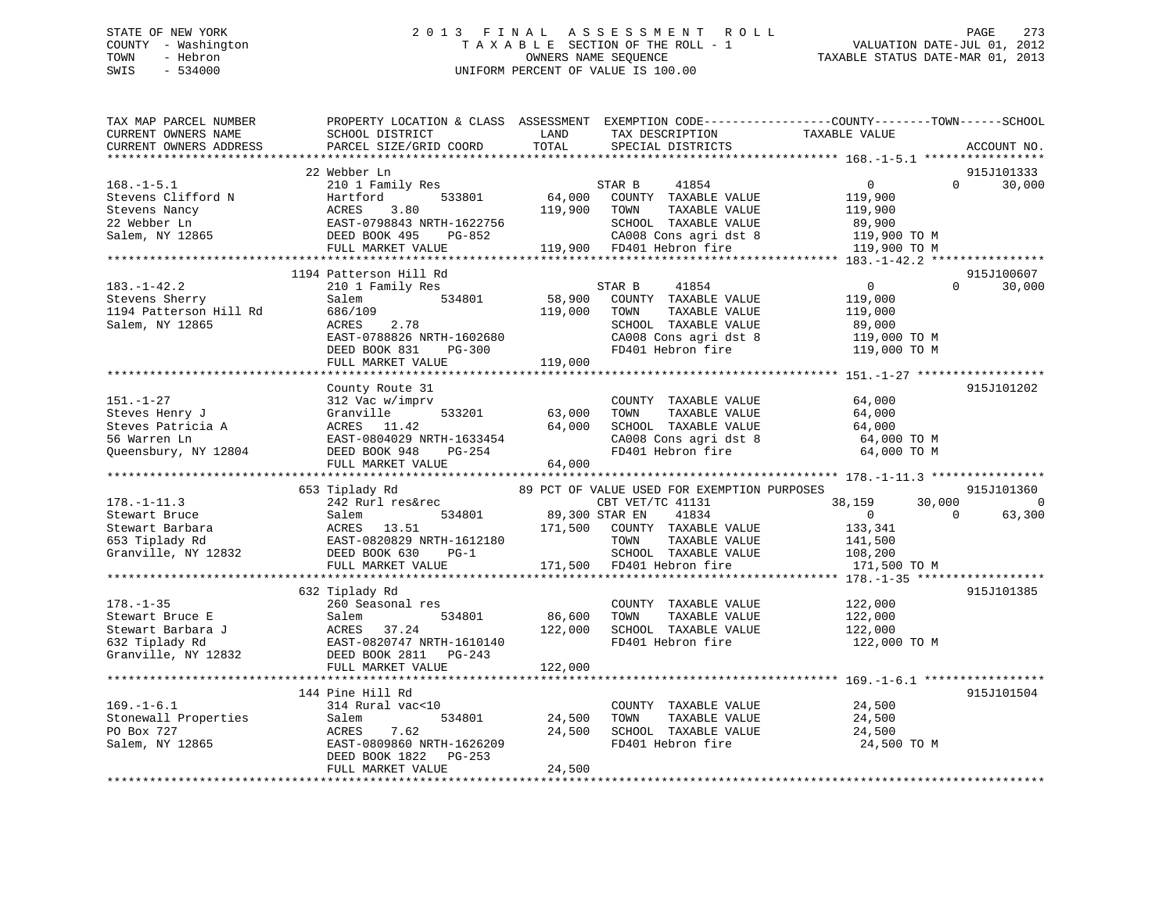# STATE OF NEW YORK 2 0 1 3 F I N A L A S S E S S M E N T R O L L PAGE 273 COUNTY - Washington T A X A B L E SECTION OF THE ROLL - 1 VALUATION DATE-JUL 01, 2012 TOWN - Hebron OWNERS NAME SEQUENCE TAXABLE STATUS DATE-MAR 01, 2013 SWIS - 534000 UNIFORM PERCENT OF VALUE IS 100.00

| TAX MAP PARCEL NUMBER<br>CURRENT OWNERS NAME<br>CURRENT OWNERS ADDRESS                                                                                                                         | PROPERTY LOCATION & CLASS ASSESSMENT EXEMPTION CODE----------------COUNTY-------TOWN-----SCHOOL<br>SCHOOL DISTRICT<br>PARCEL SIZE/GRID COORD                                            | LAND<br>TOTAL                | TAX DESCRIPTION<br>SPECIAL DISTRICTS                                                                                                                                           | TAXABLE VALUE                                                                              | ACCOUNT NO.              |
|------------------------------------------------------------------------------------------------------------------------------------------------------------------------------------------------|-----------------------------------------------------------------------------------------------------------------------------------------------------------------------------------------|------------------------------|--------------------------------------------------------------------------------------------------------------------------------------------------------------------------------|--------------------------------------------------------------------------------------------|--------------------------|
|                                                                                                                                                                                                |                                                                                                                                                                                         |                              |                                                                                                                                                                                |                                                                                            |                          |
| $168. - 1 - 5.1$<br>Stevens Clifford N<br>Stevens Nancy<br>22 Webber Ln<br>Salem, NY 12865                                                                                                     | 22 Webber Ln<br>210 1 Family Res<br>533801<br>Hartford<br>ACRES<br>3.80<br>-------<br>EAST-0798843 NRTH-1622756<br>DEED BOOK 495 PG-852<br>DEED BOOK 495<br>PG-852<br>FULL MARKET VALUE | 64,000<br>119,900            | 41854<br>STAR B<br>COUNTY TAXABLE VALUE<br>TAXABLE VALUE<br>TOWN<br>SCHOOL TAXABLE VALUE<br>CA008 Cons agri dst 8<br>Than Hebron fire<br>119,900 FD401 Hebron fire             | $\overline{0}$<br>$\Omega$<br>119,900<br>119,900<br>89,900<br>119,900 TO M<br>119,900 TO M | 915J101333<br>30,000     |
|                                                                                                                                                                                                | 1194 Patterson Hill Rd                                                                                                                                                                  |                              |                                                                                                                                                                                |                                                                                            | 915J100607               |
| $183. - 1 - 42.2$<br>Stevens Sherry<br>1194 Patterson Hill Rd<br>Salem, NY 12865                                                                                                               | 210 1 Family Res<br>534801<br>Salem<br>686/109<br>2.78<br>ACRES<br>EAST-0788826 NRTH-1602680<br>DEED BOOK 831<br>PG-300<br>FULL MARKET VALUE                                            | 58,900<br>119,000<br>119,000 | STAR B<br>41854<br>COUNTY TAXABLE VALUE<br>TAXABLE VALUE<br>TOWN<br>SCHOOL TAXABLE VALUE<br>CA008 Cons agri dst 8<br>FD401 Hebron fire                                         | $\mathbf{0}$<br>$\Omega$<br>119,000<br>119,000<br>89,000<br>119,000 TO M<br>119,000 TO M   | 30,000                   |
|                                                                                                                                                                                                |                                                                                                                                                                                         |                              |                                                                                                                                                                                |                                                                                            |                          |
| $151. - 1 - 27$<br>Steves Henry J<br>Steves Patricia A<br>Steves Patricia A<br>56 Warren Ln<br>Number 2004<br>Number 2007 2004<br>DEED BOOK 948<br>DEED BOOK 948<br>DEED BOOK 948<br>COMERCIAL | County Route 31<br>312 Vac w/imprv<br>FULL MARKET VALUE<br>653 Tiplady Rd                                                                                                               | 63,000<br>64,000<br>64,000   | COUNTY TAXABLE VALUE<br>TAXABLE VALUE<br>TOWN<br>SCHOOL TAXABLE VALUE<br>CA008 Cons agri dst 8<br>ED101 T.<br>FD401 Hebron fire<br>89 PCT OF VALUE USED FOR EXEMPTION PURPOSES | 64,000<br>64,000<br>64,000<br>64,000 TO M<br>64,000 TO M                                   | 915J101202<br>915J101360 |
| $178. - 1 - 11.3$                                                                                                                                                                              | 242 Rurl res&rec                                                                                                                                                                        |                              | CBT VET/TC 41131                                                                                                                                                               | 38,159<br>30,000                                                                           | $\mathbf 0$              |
| Stewart Bruce                                                                                                                                                                                  | Salem<br>534801<br>ACRES 13.31<br>EAST-0820829 NRTH-1612180<br>FULL MARKET VALUE                                                                                                        | 171,500                      | 89,300 STAR EN<br>41834<br>COUNTY TAXABLE VALUE<br>TOWN<br>TAXABLE VALUE<br>SCHOOL TAXABLE VALUE<br>171,500 FD401 Hebron fire                                                  | $\Omega$<br>$\overline{0}$<br>133,341<br>141,500<br>108,200<br>171,500 TO M                | 63,300                   |
|                                                                                                                                                                                                |                                                                                                                                                                                         |                              |                                                                                                                                                                                |                                                                                            |                          |
| $178. - 1 - 35$                                                                                                                                                                                | 632 Tiplady Rd<br>260 Seasonal res                                                                                                                                                      | 86,600<br>122,000            | COUNTY TAXABLE VALUE<br>TAXABLE VALUE<br>TOWN<br>SCHOOL TAXABLE VALUE<br>FD401 Hebron fire                                                                                     | 122,000<br>122,000<br>122,000<br>122,000 TO M                                              | 915J101385               |
|                                                                                                                                                                                                | FULL MARKET VALUE                                                                                                                                                                       | 122,000                      |                                                                                                                                                                                |                                                                                            |                          |
| $169. - 1 - 6.1$<br>Stonewall Properties<br>PO Box 727<br>Salem, NY 12865                                                                                                                      | 144 Pine Hill Rd<br>314 Rural vac<10<br>Salem<br>534801<br>7.62<br>ACRES<br>EAST-0809860 NRTH-1626209<br>DEED BOOK 1822<br>PG-253<br>FULL MARKET VALUE                                  | 24,500<br>24,500<br>24,500   | COUNTY TAXABLE VALUE<br>TAXABLE VALUE<br>TOWN<br>SCHOOL TAXABLE VALUE<br>FD401 Hebron fire                                                                                     | 24,500<br>24,500<br>24,500<br>24,500 TO M                                                  | 915J101504               |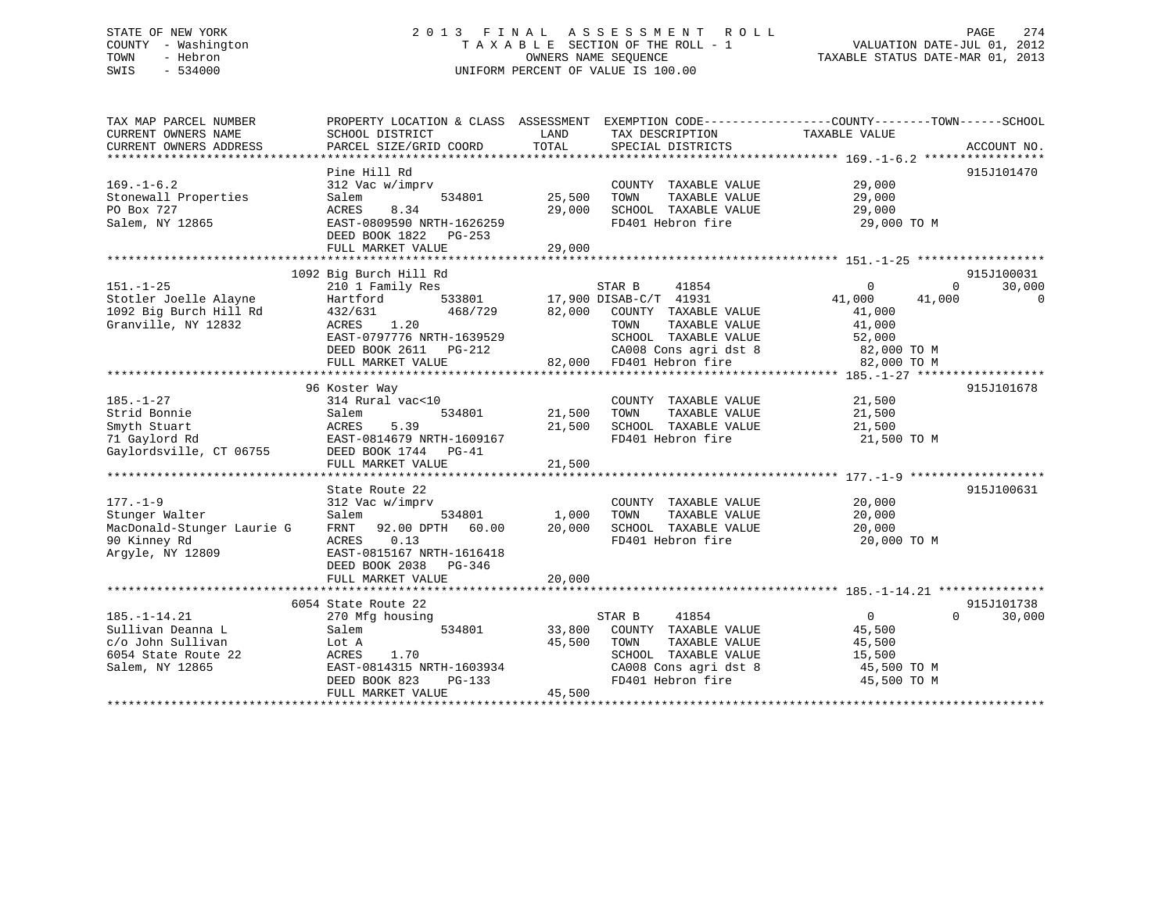# STATE OF NEW YORK 2 0 1 3 F I N A L A S S E S S M E N T R O L L PAGE 274 COUNTY - Washington T A X A B L E SECTION OF THE ROLL - 1 VALUATION DATE-JUL 01, 2012 TOWN - Hebron OWNERS NAME SEQUENCE TAXABLE STATUS DATE-MAR 01, 2013 SWIS - 534000 UNIFORM PERCENT OF VALUE IS 100.00

| TAX MAP PARCEL NUMBER<br>CURRENT OWNERS NAME | SCHOOL DISTRICT           | LAND<br>TAX DESCRIPTION                                                | PROPERTY LOCATION & CLASS ASSESSMENT EXEMPTION CODE---------------COUNTY-------TOWN-----SCHOOL<br>TAXABLE VALUE |
|----------------------------------------------|---------------------------|------------------------------------------------------------------------|-----------------------------------------------------------------------------------------------------------------|
| CURRENT OWNERS ADDRESS                       | PARCEL SIZE/GRID COORD    | TOTAL<br>SPECIAL DISTRICTS                                             | ACCOUNT NO.                                                                                                     |
|                                              | Pine Hill Rd              |                                                                        | 915J101470                                                                                                      |
| $169. - 1 - 6.2$                             | 312 Vac w/imprv           | COUNTY TAXABLE VALUE                                                   | 29,000                                                                                                          |
| Stonewall Properties                         | 534801<br>Salem           | 25,500<br>TOWN<br>TAXABLE VALUE                                        | 29,000                                                                                                          |
| PO Box 727                                   | ACRES<br>8.34             | 29,000<br>SCHOOL TAXABLE VALUE                                         | 29,000                                                                                                          |
| Salem, NY 12865                              | EAST-0809590 NRTH-1626259 | FD401 Hebron fire                                                      | 29,000 TO M                                                                                                     |
|                                              | DEED BOOK 1822 PG-253     |                                                                        |                                                                                                                 |
|                                              | FULL MARKET VALUE         | 29,000                                                                 |                                                                                                                 |
|                                              |                           |                                                                        |                                                                                                                 |
|                                              | 1092 Big Burch Hill Rd    |                                                                        | 915J100031                                                                                                      |
| $151. - 1 - 25$                              | 210 1 Family Res          | STAR B<br>41854                                                        | $\Omega$<br>30,000<br>0                                                                                         |
| Stotler Joelle Alayne                        | Hartford                  | 533801 17,900 DISAB-C/T 41931                                          | 41,000<br>$\Omega$<br>41,000                                                                                    |
| 1092 Big Burch Hill Rd                       | 432/631<br>468/729        | 82,000<br>COUNTY TAXABLE VALUE                                         | 41,000                                                                                                          |
| Granville, NY 12832                          | 1.20<br>ACRES             | TAXABLE VALUE<br>TOWN                                                  | 41,000                                                                                                          |
|                                              | EAST-0797776 NRTH-1639529 | SCHOOL TAXABLE VALUE                                                   | 52,000                                                                                                          |
|                                              | DEED BOOK 2611 PG-212     |                                                                        | 82,000 TO M                                                                                                     |
|                                              | FULL MARKET VALUE         | CA008 Cons agri dst 8<br>FD401 Hebron fire<br>82,000 FD401 Hebron fire | 82,000 TO M                                                                                                     |
|                                              |                           |                                                                        |                                                                                                                 |
|                                              | 96 Koster Way             |                                                                        | 915J101678                                                                                                      |
| $185. - 1 - 27$                              | 314 Rural vac<10          | COUNTY TAXABLE VALUE                                                   | 21,500                                                                                                          |
| Strid Bonnie                                 | 534801<br>Salem           | 21,500<br>TAXABLE VALUE<br>TOWN                                        | 21,500                                                                                                          |
| Smyth Stuart                                 | ACRES<br>5.39             | 21,500<br>SCHOOL TAXABLE VALUE                                         | 21,500                                                                                                          |
| 71 Gaylord Rd                                | EAST-0814679 NRTH-1609167 | FD401 Hebron fire                                                      | 21,500 TO M                                                                                                     |
| Gaylordsville, CT 06755                      | DEED BOOK 1744 PG-41      |                                                                        |                                                                                                                 |
|                                              | FULL MARKET VALUE         | 21,500                                                                 |                                                                                                                 |
|                                              |                           |                                                                        |                                                                                                                 |
|                                              | State Route 22            |                                                                        | 915J100631                                                                                                      |
| $177. - 1 - 9$                               | 312 Vac w/imprv           | COUNTY TAXABLE VALUE                                                   | 20,000                                                                                                          |
| Stunger Walter                               | Salem<br>534801           | 1,000<br>TAXABLE VALUE<br>TOWN                                         | 20,000                                                                                                          |
| MacDonald-Stunger Laurie G                   | FRNT 92.00 DPTH 60.00     | 20,000<br>SCHOOL TAXABLE VALUE                                         | 20,000                                                                                                          |
| 90 Kinney Rd                                 | ACRES<br>0.13             | FD401 Hebron fire                                                      | 20,000 TO M                                                                                                     |
| Argyle, NY 12809                             | EAST-0815167 NRTH-1616418 |                                                                        |                                                                                                                 |
|                                              | DEED BOOK 2038 PG-346     |                                                                        |                                                                                                                 |
|                                              |                           |                                                                        |                                                                                                                 |
|                                              |                           |                                                                        |                                                                                                                 |
|                                              | 6054 State Route 22       |                                                                        | 915J101738                                                                                                      |
| $185. - 1 - 14.21$                           | 270 Mfg housing           | STAR B<br>41854                                                        | $\overline{0}$<br>30,000<br>$\Omega$                                                                            |
| Sullivan Deanna L                            | Salem<br>534801           | 33,800<br>COUNTY TAXABLE VALUE                                         | 45,500                                                                                                          |
| c/o John Sullivan                            | Lot A                     | 45,500<br>TOWN<br>TAXABLE VALUE                                        | 45,500                                                                                                          |
| 6054 State Route 22                          | 1.70<br>ACRES             | SCHOOL TAXABLE VALUE                                                   | 15,500                                                                                                          |
| Salem, NY 12865                              | EAST-0814315 NRTH-1603934 | CA008 Cons agri dst 8                                                  | 45,500 TO M                                                                                                     |
|                                              | DEED BOOK 823<br>PG-133   | FD401 Hebron fire                                                      | 45,500 TO M                                                                                                     |
|                                              | FULL MARKET VALUE         | 45,500                                                                 |                                                                                                                 |
|                                              |                           |                                                                        |                                                                                                                 |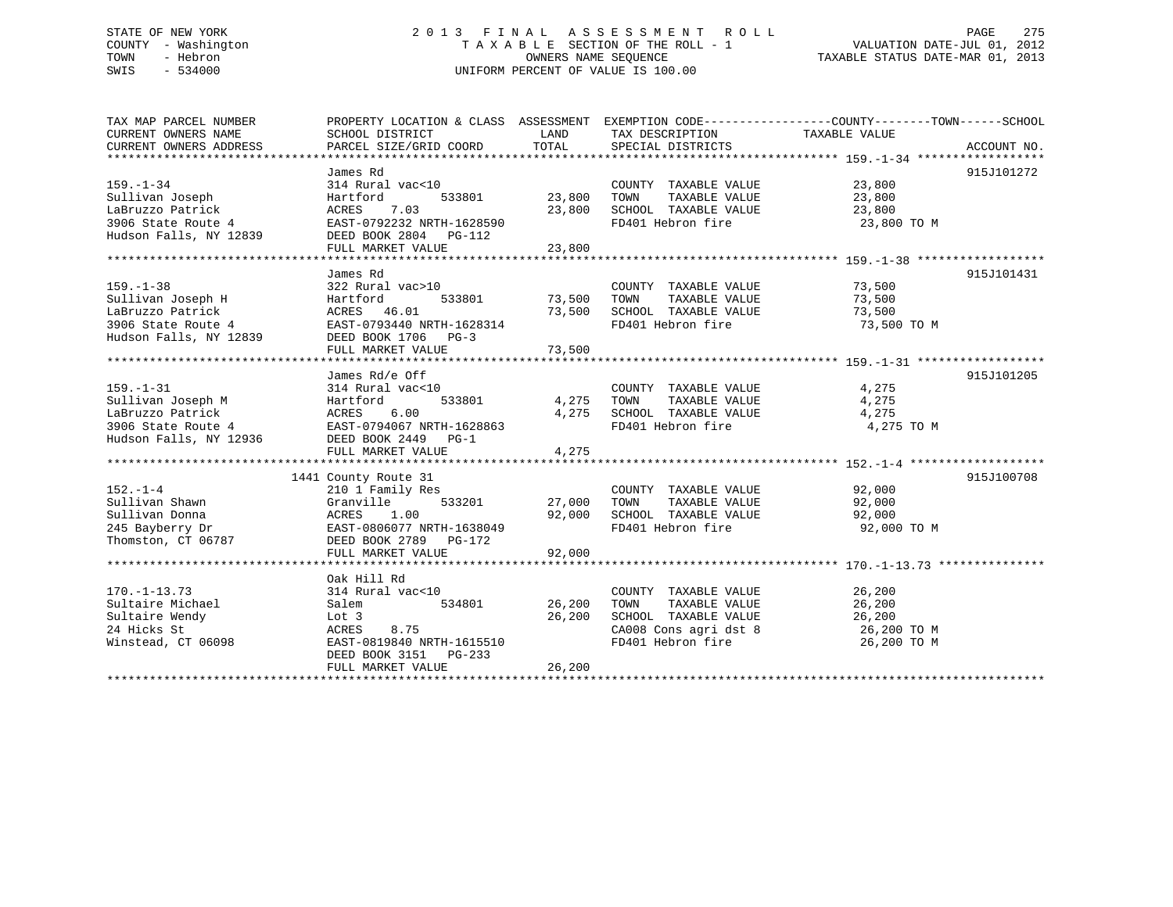# STATE OF NEW YORK 2 0 1 3 F I N A L A S S E S S M E N T R O L L PAGE 275 COUNTY - Washington T A X A B L E SECTION OF THE ROLL - 1 VALUATION DATE-JUL 01, 2012 TOWN - Hebron OWNERS NAME SEQUENCE TAXABLE STATUS DATE-MAR 01, 2013 SWIS - 534000 UNIFORM PERCENT OF VALUE IS 100.00

| TAX MAP PARCEL NUMBER<br>CURRENT OWNERS ADDRESS                                               | PROPERTY LOCATION & CLASS ASSESSMENT EXEMPTION CODE----------------COUNTY-------TOWN------SCHOOL                                                                                                                              |                                   |                                                                                                                                                                                                                                                                  |                              |            |
|-----------------------------------------------------------------------------------------------|-------------------------------------------------------------------------------------------------------------------------------------------------------------------------------------------------------------------------------|-----------------------------------|------------------------------------------------------------------------------------------------------------------------------------------------------------------------------------------------------------------------------------------------------------------|------------------------------|------------|
| $159. - 1 - 34$<br>Sullivan Joseph                                                            | James Rd<br>314 Rural vac<10<br>Hartford                                                                                                                                                                                      |                                   | COUNTY TAXABLE VALUE 23,800<br>533801 23,800 TOWN TAXABLE VALUE 23,800                                                                                                                                                                                           |                              | 915J101272 |
| LaBruzzo Patrick<br>3906 State Route 4                                                        | ACRES 7.03 23,800 SCHOOL TAXABLE VALUE 23,800<br>EAST-0792232 NRTH-1628590 FD401 Hebron fire 23,800<br>Hudson Falls, NY 12839 DEED BOOK 2804 PG-112                                                                           |                                   |                                                                                                                                                                                                                                                                  | 23,800 TO M                  |            |
|                                                                                               |                                                                                                                                                                                                                               |                                   |                                                                                                                                                                                                                                                                  |                              |            |
| $159. - 1 - 38$                                                                               | James Rd<br>322 Rural vac>10<br>159.-1-38 322 Rural vac>10<br>Sullivan Joseph H Hartford 533801<br>LaBruzzo Patrick ACRES 46.01<br>3906 State Route 4 EAST-0793440 NRTH-1628314<br>Hudson Falls, NY 12839 DEED BOOK 1706 PG-3 |                                   | COUNTY TAXABLE VALUE 73,500<br>TAXABLE VALUE<br>73,500 IOMN IAAADDE VALUE 73,500<br>73,500 SCHOOL TAXABLE VALUE 73,500                                                                                                                                           | 73,500                       | 915J101431 |
|                                                                                               |                                                                                                                                                                                                                               |                                   | FD401 Hebron fire 73,500 TO M                                                                                                                                                                                                                                    |                              |            |
|                                                                                               |                                                                                                                                                                                                                               |                                   |                                                                                                                                                                                                                                                                  |                              |            |
| $159. - 1 - 31$                                                                               | James Rd/e Off<br>314 Rural vac<10<br>Sullivan Joseph M<br>LaBruzzo Patrick<br>3906 State Route 4<br>Hudson Falls, NY 12936<br>EEED BOOK 2449<br>PG-1                                                                         | 533801 4,275<br>4,275             | COUNTY TAXABLE VALUE 4,275<br>TOWN<br>TAXABLE VALUE<br>SCHOOL TAXABLE VALUE<br>FD401 Hebron fire                                                                                                                                                                 | 4,275<br>4,275<br>4,275 TO M | 915J101205 |
|                                                                                               | FULL MARKET VALUE                                                                                                                                                                                                             | 4,275                             |                                                                                                                                                                                                                                                                  |                              |            |
|                                                                                               | 1441 County Route 31                                                                                                                                                                                                          |                                   |                                                                                                                                                                                                                                                                  |                              | 915J100708 |
|                                                                                               | 210 1 Family Res<br>Sullivan Shawn Granville 533201<br>Sullivan Donna ACRES 1.00<br>245 Bayberry Dr EAST-0806077 NRTH-1638049<br>Thomston, CT 06787 DEED BOOK 2789 PG-172<br>Granville 533201 27,000 TOWN                     | 92,000                            | $\begin{tabular}{lllllll} \multicolumn{2}{c}{\text{COUNTY}} & \text{TAXABLE} & \text{VALUE} & & & 92,000 \\ \multicolumn{2}{c}{\text{TANABLE}} & \text{VALUE} & & & 92,000 \end{tabular}$<br>92,000 SCHOOL TAXABLE VALUE 92,000<br>FD401 Hebron fire 92,000 TO M |                              |            |
|                                                                                               | FULL MARKET VALUE                                                                                                                                                                                                             |                                   |                                                                                                                                                                                                                                                                  |                              |            |
| $170. - 1 - 13.73$<br>Sultaire Michael<br>Sultaire Wendy<br>24 Hicks St<br>Winstead, CT 06098 | Oak Hill Rd<br>314 Rural vac<10<br>Salem<br>Lot 3<br>8.75<br>ACRES<br>EAST-0819840 NRTH-1615510<br>DEED BOOK 3151 PG-233<br>FULL MARKET VALUE                                                                                 | 534801 26,200<br>26,200<br>26,200 | COUNTY TAXABLE VALUE 26,200<br>TOWN<br>TOWN TAXABLE VALUE 26,200<br>SCHOOL TAXABLE VALUE 26,200<br>CA008 Cons agri dst 8 26,200 TO M<br>FD401 Hebron fire                                                                                                        | 26,200 TO M                  |            |
|                                                                                               |                                                                                                                                                                                                                               |                                   |                                                                                                                                                                                                                                                                  |                              |            |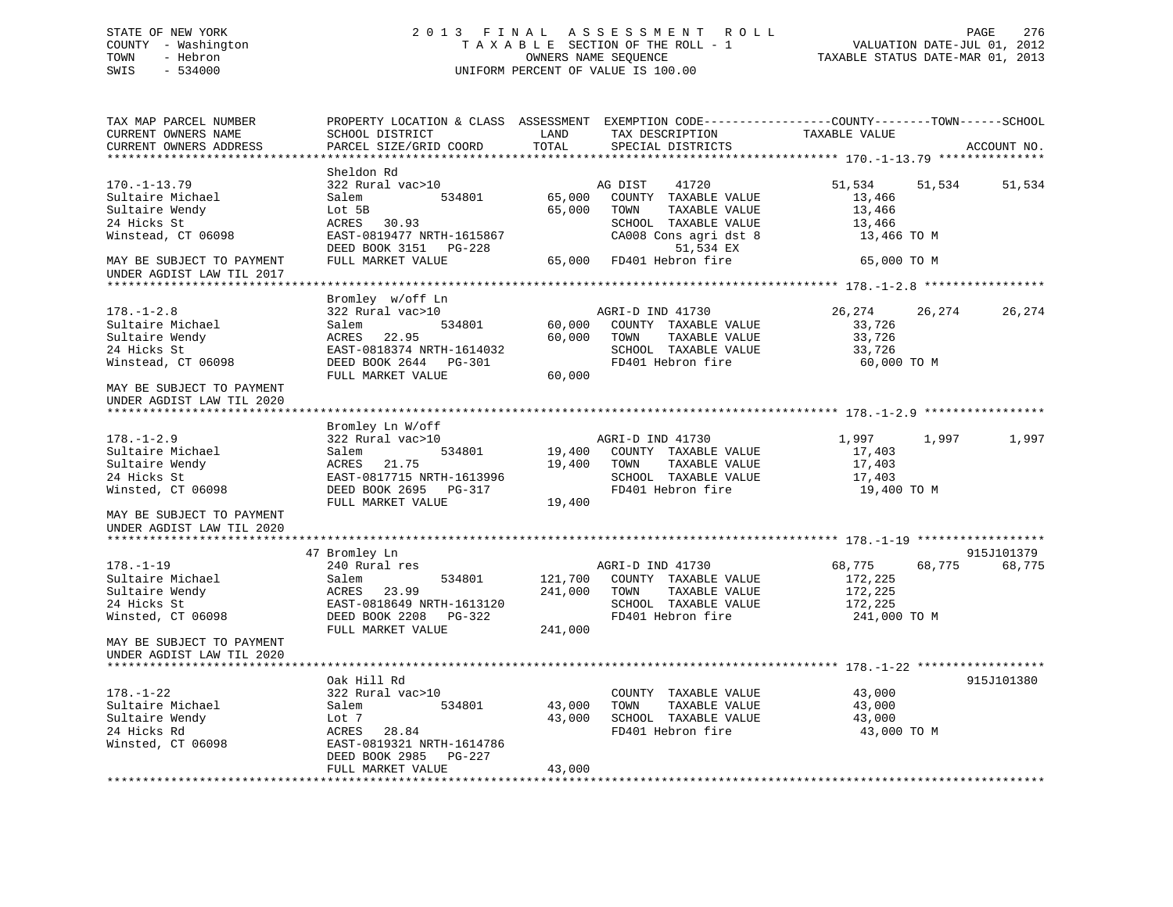# STATE OF NEW YORK 2 0 1 3 F I N A L A S S E S S M E N T R O L L PAGE 276 COUNTY - Washington T A X A B L E SECTION OF THE ROLL - 1 VALUATION DATE-JUL 01, 2012 TOWN - Hebron OWNERS NAME SEQUENCE TAXABLE STATUS DATE-MAR 01, 2013 SWIS - 534000 UNIFORM PERCENT OF VALUE IS 100.00

| TAX MAP PARCEL NUMBER<br>CURRENT OWNERS NAME<br>CURRENT OWNERS ADDRESS                                                     | PROPERTY LOCATION & CLASS ASSESSMENT<br>SCHOOL DISTRICT<br>PARCEL SIZE/GRID COORD                                                                     | LAND<br>TOTAL              | EXEMPTION CODE-----------------COUNTY--------TOWN------SCHOOL<br>TAX DESCRIPTION<br>SPECIAL DISTRICTS                                                       | TAXABLE VALUE                                                      |        | ACCOUNT NO. |
|----------------------------------------------------------------------------------------------------------------------------|-------------------------------------------------------------------------------------------------------------------------------------------------------|----------------------------|-------------------------------------------------------------------------------------------------------------------------------------------------------------|--------------------------------------------------------------------|--------|-------------|
|                                                                                                                            |                                                                                                                                                       |                            |                                                                                                                                                             |                                                                    |        |             |
| $170. - 1 - 13.79$<br>Sultaire Michael<br>Sultaire Wendy<br>24 Hicks St<br>Winstead, CT 06098<br>MAY BE SUBJECT TO PAYMENT | Sheldon Rd<br>322 Rural vac>10<br>Salem<br>534801<br>Lot 5B<br>ACRES 30.93<br>EAST-0819477 NRTH-1615867<br>DEED BOOK 3151 PG-228<br>FULL MARKET VALUE | 65,000<br>65,000           | AG DIST<br>41720<br>COUNTY TAXABLE VALUE<br>TOWN<br>TAXABLE VALUE<br>SCHOOL TAXABLE VALUE<br>CA008 Cons agri dst 8<br>51,534 EX<br>65,000 FD401 Hebron fire | 51,534<br>13,466<br>13,466<br>13,466<br>13,466 TO M<br>65,000 TO M | 51,534 | 51,534      |
| UNDER AGDIST LAW TIL 2017                                                                                                  |                                                                                                                                                       |                            |                                                                                                                                                             |                                                                    |        |             |
|                                                                                                                            |                                                                                                                                                       |                            |                                                                                                                                                             |                                                                    |        |             |
| $178. - 1 - 2.8$<br>Sultaire Michael<br>Sultaire Wendy<br>24 Hicks St<br>Winstead, CT 06098                                | Bromley w/off Ln<br>322 Rural vac>10<br>534801<br>Salem<br>ACRES 22.95<br>EAST-0818374 NRTH-1614032<br>DEED BOOK 2644 PG-301<br>FULL MARKET VALUE     | 60,000<br>60,000<br>60,000 | AGRI-D IND 41730<br>COUNTY TAXABLE VALUE<br>TAXABLE VALUE<br>TOWN<br>SCHOOL TAXABLE VALUE<br>FD401 Hebron fire                                              | 26,274<br>33,726<br>33,726<br>33,726<br>60,000 TO M                | 26,274 | 26,274      |
| MAY BE SUBJECT TO PAYMENT<br>UNDER AGDIST LAW TIL 2020<br>***************************                                      |                                                                                                                                                       |                            |                                                                                                                                                             |                                                                    |        |             |
| $178. - 1 - 2.9$<br>Sultaire Michael<br>Sultaire Wendy<br>24 Hicks St<br>Winsted, CT 06098                                 | Bromley Ln W/off<br>322 Rural vac>10<br>534801<br>Salem<br>21.75<br>ACRES<br>EAST-0817715 NRTH-1613996<br>DEED BOOK 2695 PG-317<br>FULL MARKET VALUE  | 19,400<br>19,400           | AGRI-D IND 41730<br>19,400 COUNTY TAXABLE VALUE<br>TAXABLE VALUE<br>TOWN<br>SCHOOL TAXABLE VALUE<br>FD401 Hebron fire                                       | 1,997<br>17,403<br>17,403<br>17,403<br>19,400 TO M                 | 1,997  | 1,997       |
| MAY BE SUBJECT TO PAYMENT<br>UNDER AGDIST LAW TIL 2020                                                                     |                                                                                                                                                       |                            |                                                                                                                                                             |                                                                    |        |             |
|                                                                                                                            | 47 Bromley Ln                                                                                                                                         |                            |                                                                                                                                                             |                                                                    |        | 915J101379  |
| $178. - 1 - 19$<br>Sultaire Michael<br>Sultaire Wendy<br>24 Hicks St<br>Winsted, CT 06098                                  | 240 Rural res<br>534801<br>Salem<br>ACRES 23.99<br>EAST-0818649 NRTH-1613120<br>DEED BOOK 2208 PG-322<br>FULL MARKET VALUE                            | 241,000<br>241,000         | AGRI-D IND 41730<br>121,700 COUNTY TAXABLE VALUE<br>TAXABLE VALUE<br>TOWN<br>SCHOOL TAXABLE VALUE<br>FD401 Hebron fire                                      | 68,775<br>172,225<br>172,225<br>172,225<br>241,000 TO M            | 68,775 | 68,775      |
| MAY BE SUBJECT TO PAYMENT<br>UNDER AGDIST LAW TIL 2020                                                                     |                                                                                                                                                       |                            |                                                                                                                                                             |                                                                    |        |             |
|                                                                                                                            | Oak Hill Rd                                                                                                                                           |                            |                                                                                                                                                             |                                                                    |        |             |
| $178. - 1 - 22$<br>Sultaire Michael<br>Sultaire Wendy<br>24 Hicks Rd<br>Winsted, CT 06098                                  | 322 Rural vac>10<br>534801<br>Salem<br>Lot 7<br>ACRES<br>28.84<br>EAST-0819321 NRTH-1614786<br>DEED BOOK 2985 PG-227                                  | 43,000<br>43,000           | COUNTY TAXABLE VALUE<br>TOWN<br>TAXABLE VALUE<br>SCHOOL TAXABLE VALUE<br>FD401 Hebron fire                                                                  | 43,000<br>43,000<br>43,000<br>43,000 TO M                          |        | 915J101380  |
|                                                                                                                            | FULL MARKET VALUE                                                                                                                                     | 43,000                     |                                                                                                                                                             |                                                                    |        |             |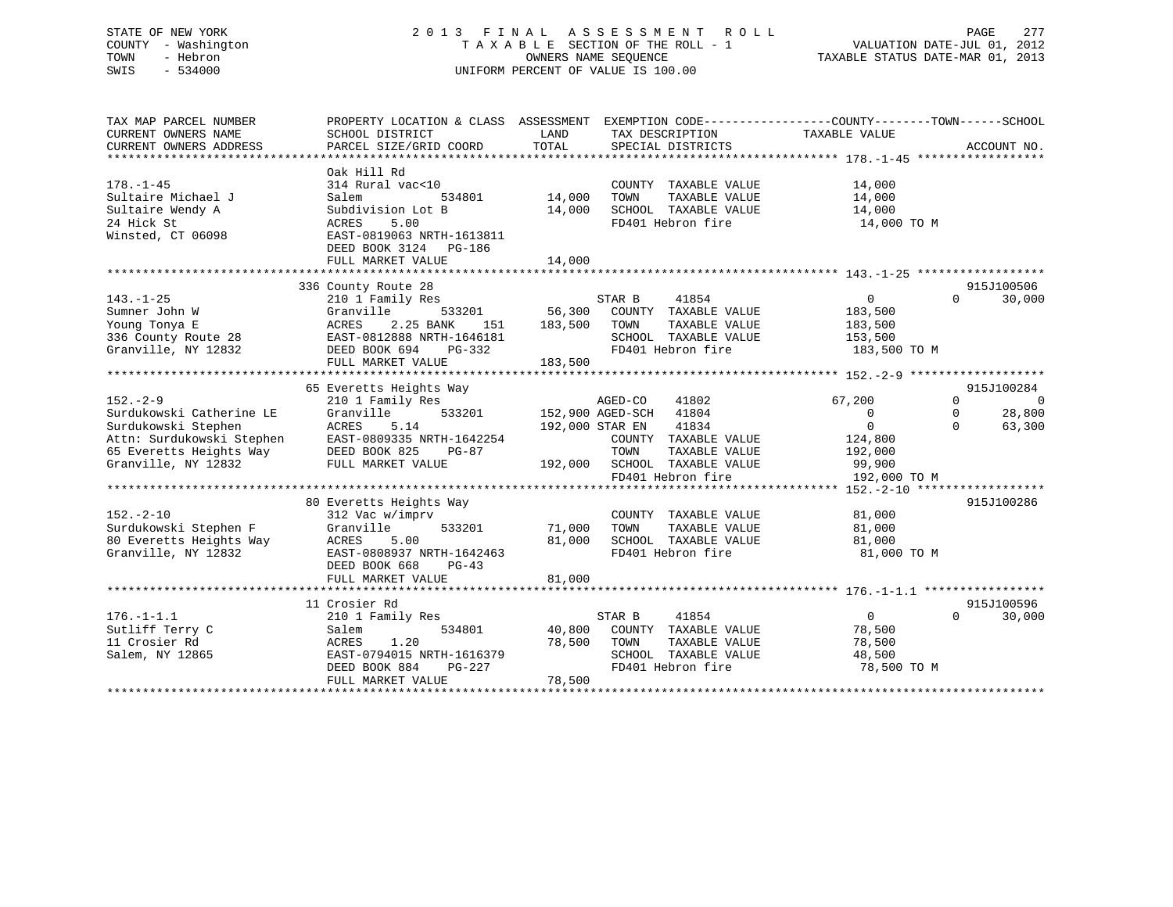# STATE OF NEW YORK 2 0 1 3 F I N A L A S S E S S M E N T R O L L PAGE 277 COUNTY - Washington T A X A B L E SECTION OF THE ROLL - 1 VALUATION DATE-JUL 01, 2012 TOWN - Hebron OWNERS NAME SEQUENCE TAXABLE STATUS DATE-MAR 01, 2013 SWIS - 534000 UNIFORM PERCENT OF VALUE IS 100.00

| TAX MAP PARCEL NUMBER<br>CURRENT OWNERS NAME<br>CURRENT OWNERS ADDRESS                                                                                                                  | PROPERTY LOCATION & CLASS ASSESSMENT EXEMPTION CODE----------------COUNTY-------TOWN------SCHOOL<br>SCHOOL DISTRICT<br>PARCEL SIZE/GRID COORD                              | LAND<br>TOTAL              | TAX DESCRIPTION TAXABLE VALUE<br>SPECIAL DISTRICTS                                                                                                |                                                                 | ACCOUNT NO.                                  |
|-----------------------------------------------------------------------------------------------------------------------------------------------------------------------------------------|----------------------------------------------------------------------------------------------------------------------------------------------------------------------------|----------------------------|---------------------------------------------------------------------------------------------------------------------------------------------------|-----------------------------------------------------------------|----------------------------------------------|
| $178. - 1 - 45$<br>Sultaire Michael J<br>Sultaire Wendy A<br>24 Hick St<br>Winsted, CT 06098                                                                                            | Oak Hill Rd<br>314 Rural vac<10<br>Salem<br>534801<br>Subdivision Lot B<br>ACRES<br>5.00<br>EAST-0819063 NRTH-1613811<br>DEED BOOK 3124 PG-186<br>FULL MARKET VALUE        | 14,000<br>14,000<br>14,000 | COUNTY TAXABLE VALUE<br>TOWN<br>TAXABLE VALUE<br>SCHOOL TAXABLE VALUE<br>FD401 Hebron fire                                                        | 14,000<br>14,000<br>14,000<br>14,000 TO M                       |                                              |
|                                                                                                                                                                                         |                                                                                                                                                                            |                            |                                                                                                                                                   |                                                                 |                                              |
| $143. - 1 - 25$<br>Sumner John W<br>Young Tonya E<br>Young Tonya $E$<br>336 County Route 28<br>Granville, NY 12832                                                                      | 336 County Route 28<br>210 1 Family Res<br>533201<br>Granville<br>2.25 BANK<br>ACRES<br>151<br>EAST-0812888 NRTH-1646181<br>DEED BOOK 694<br>$PG-332$<br>FULL MARKET VALUE | 183,500 TOWN<br>183,500    | STAR B<br>41854<br>56,300 COUNTY TAXABLE VALUE<br>TAXABLE VALUE<br>SCHOOL TAXABLE VALUE<br>FD401 Hebron fire                                      | $\overline{0}$<br>183,500<br>183,500<br>153,500<br>183,500 TO M | 915J100506<br>30,000<br>$\Omega$             |
|                                                                                                                                                                                         |                                                                                                                                                                            |                            |                                                                                                                                                   |                                                                 |                                              |
| $152 - 2 - 9$                                                                                                                                                                           | 65 Everetts Heights Way<br>210 1 Family Res                                                                                                                                |                            | AGED-CO<br>41802                                                                                                                                  | 67,200                                                          | 915J100284<br>$\Omega$<br>$\Omega$           |
| Surdukowski Catherine LE<br>Surdukowski Stephen<br>Attn: Surdukowski Stephen<br>65 Everetts Heights Way<br>65 Everetts Heights Way<br>12832<br>FULL MARKET VALUE<br>Granville, NY 12832 | Granville<br>ACRES<br>5.14<br>FULL MARKET VALUE                                                                                                                            |                            | 533201 152,900 AGED-SCH 41804<br>41834<br>192,000 STAR EN<br>COUNTY TAXABLE VALUE<br>TOWN<br>TAXABLE VALUE<br>192,000 SCHOOL TAXABLE VALUE 99,900 | $\overline{0}$<br>$\Omega$<br>124,800<br>192,000                | 28,800<br>$\mathbf{0}$<br>63,300<br>$\Omega$ |
|                                                                                                                                                                                         |                                                                                                                                                                            |                            | FD401 Hebron fire                                                                                                                                 | 192,000 TO M                                                    |                                              |
| $152 - 2 - 10$<br>Surdukowski Stephen F<br>80 Everetts Heights Way<br>Granville, NY 12832                                                                                               | 80 Everetts Heights Way<br>312 Vac w/imprv<br>Granville<br>533201<br>ACRES<br>5.00<br>EAST-0808937 NRTH-1642463<br>DEED BOOK 668<br>$PG-43$<br>FULL MARKET VALUE           | 71,000<br>81,000<br>81,000 | COUNTY TAXABLE VALUE<br>TOWN<br>TAXABLE VALUE<br>SCHOOL TAXABLE VALUE<br>FD401 Hebron fire                                                        | 81,000<br>81,000<br>81,000<br>81,000 TO M                       | 915J100286                                   |
|                                                                                                                                                                                         |                                                                                                                                                                            |                            |                                                                                                                                                   |                                                                 |                                              |
| $176. - 1 - 1.1$<br>Sutliff Terry C<br>11 Crosier Rd<br>Salem, NY 12865                                                                                                                 | 11 Crosier Rd<br>210 1 Family Res<br>534801<br>Salem<br>1.20<br>ACRES<br>EAST-0794015 NRTH-1616379<br>DEED BOOK 884<br>PG-227<br>FULL MARKET VALUE                         | 78,500<br>78,500           | 41854<br>STAR B<br>40,800 COUNTY TAXABLE VALUE<br>TAXABLE VALUE<br>TOWN<br>SCHOOL TAXABLE VALUE<br>FD401 Hebron fire                              | $\overline{0}$<br>78,500<br>78,500<br>48,500<br>78,500 TO M     | 915J100596<br>30,000<br>$\Omega$             |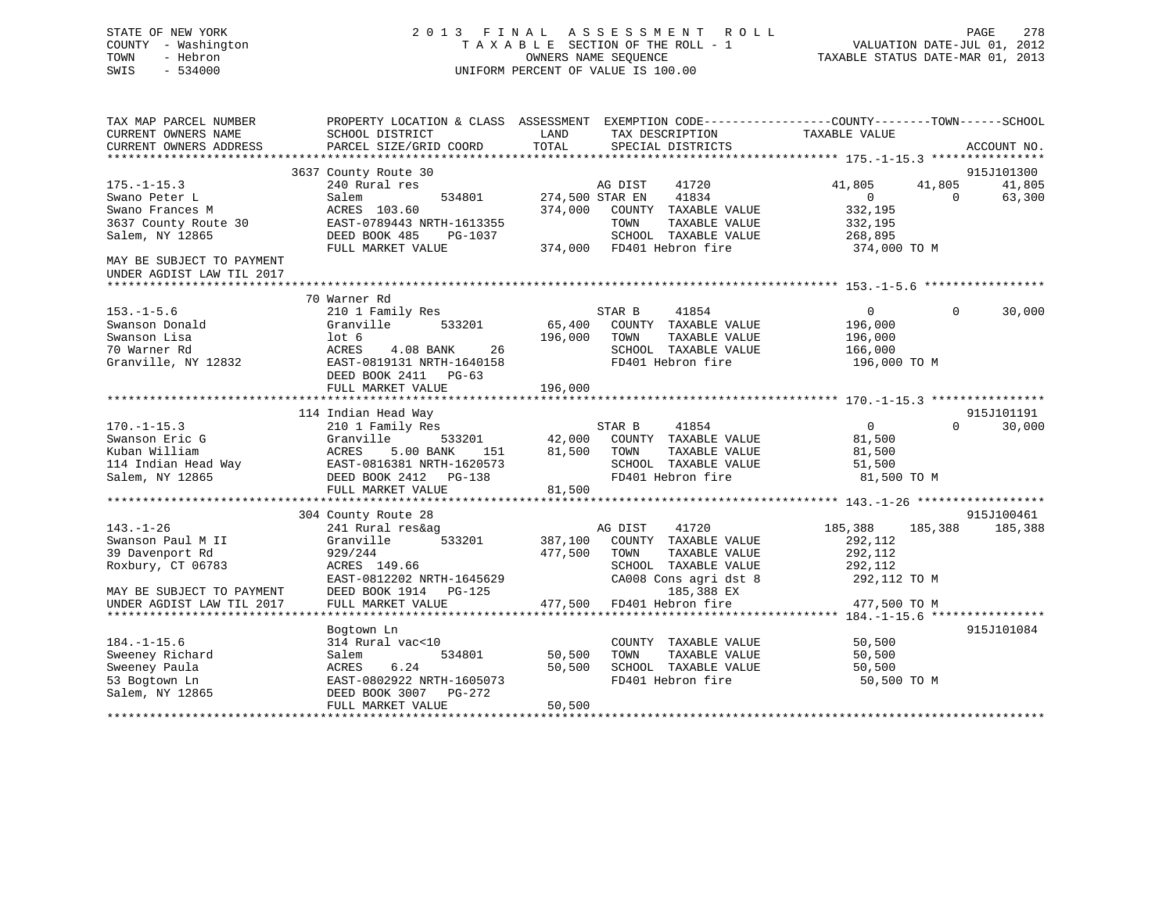# STATE OF NEW YORK 2 0 1 3 F I N A L A S S E S S M E N T R O L L PAGE 278 COUNTY - Washington T A X A B L E SECTION OF THE ROLL - 1 VALUATION DATE-JUL 01, 2012 TOWN - Hebron OWNERS NAME SEQUENCE TAXABLE STATUS DATE-MAR 01, 2013 SWIS - 534000 UNIFORM PERCENT OF VALUE IS 100.00

| EXEMPTION CODE-----------------COUNTY-------TOWN------SCHOOL<br>TAX MAP PARCEL NUMBER<br>PROPERTY LOCATION & CLASS ASSESSMENT<br>CURRENT OWNERS NAME<br>SCHOOL DISTRICT<br>TAXABLE VALUE<br>LAND<br>TAX DESCRIPTION<br>TOTAL<br>CURRENT OWNERS ADDRESS<br>PARCEL SIZE/GRID COORD<br>SPECIAL DISTRICTS | ACCOUNT NO.                          |
|-------------------------------------------------------------------------------------------------------------------------------------------------------------------------------------------------------------------------------------------------------------------------------------------------------|--------------------------------------|
|                                                                                                                                                                                                                                                                                                       |                                      |
| 3637 County Route 30<br>$175. - 1 - 15.3$<br>41720<br>240 Rural res<br>AG DIST<br>41,805                                                                                                                                                                                                              | 915J101300<br>41,805<br>41,805       |
| 41834<br>534801<br>274,500 STAR EN<br>Swano Peter L<br>Salem                                                                                                                                                                                                                                          | $\overline{0}$<br>63,300<br>$\Omega$ |
| Swano Frances M<br>ACRES 103.60<br>374,000<br>COUNTY TAXABLE VALUE<br>332,195                                                                                                                                                                                                                         |                                      |
| 3637 County Route 30<br>EAST-0789443 NRTH-1613355<br>TOWN<br>TAXABLE VALUE<br>332,195                                                                                                                                                                                                                 |                                      |
| Salem, NY 12865<br>DEED BOOK 485<br>SCHOOL TAXABLE VALUE<br>PG-1037<br>268,895                                                                                                                                                                                                                        |                                      |
| 374,000 FD401 Hebron fire<br>FULL MARKET VALUE                                                                                                                                                                                                                                                        | 374,000 TO M                         |
| MAY BE SUBJECT TO PAYMENT<br>UNDER AGDIST LAW TIL 2017                                                                                                                                                                                                                                                |                                      |
|                                                                                                                                                                                                                                                                                                       |                                      |
| 70 Warner Rd                                                                                                                                                                                                                                                                                          |                                      |
| 41854<br>$153. - 1 - 5.6$<br>210 1 Family Res<br>STAR B                                                                                                                                                                                                                                               | 30,000<br>$\overline{0}$<br>$\Omega$ |
| 65,400<br>Swanson Donald<br>Granville<br>533201<br>COUNTY TAXABLE VALUE<br>196,000                                                                                                                                                                                                                    |                                      |
| Swanson Lisa<br>$1$ ot 6<br>196,000<br>TOWN<br>TAXABLE VALUE<br>196,000                                                                                                                                                                                                                               |                                      |
| 70 Warner Rd<br>ACRES<br>4.08 BANK<br>26<br>SCHOOL TAXABLE VALUE<br>166,000                                                                                                                                                                                                                           |                                      |
| Granville, NY 12832<br>EAST-0819131 NRTH-1640158<br>FD401 Hebron fire                                                                                                                                                                                                                                 | 196,000 TO M                         |
| DEED BOOK 2411 PG-63                                                                                                                                                                                                                                                                                  |                                      |
| 196,000<br>FULL MARKET VALUE                                                                                                                                                                                                                                                                          |                                      |
|                                                                                                                                                                                                                                                                                                       |                                      |
| 114 Indian Head Way                                                                                                                                                                                                                                                                                   | 915J101191                           |
| 41854<br>$170. - 1 - 15.3$<br>STAR B<br>210 1 Family Res                                                                                                                                                                                                                                              | $\Omega$<br>$\Omega$<br>30,000       |
| 42,000<br>Swanson Eric G<br>533201<br>COUNTY TAXABLE VALUE<br>Granville                                                                                                                                                                                                                               | 81,500                               |
| Kuban William<br>ACRES<br>5.00 BANK<br>81,500<br>TOWN<br>TAXABLE VALUE<br>151                                                                                                                                                                                                                         | 81,500                               |
| 114 Indian Head Way<br>EAST-0816381 NRTH-1620573<br>SCHOOL TAXABLE VALUE                                                                                                                                                                                                                              | 51,500                               |
| Salem, NY 12865<br>FD401 Hebron fire<br>DEED BOOK 2412 PG-138                                                                                                                                                                                                                                         | 81,500 TO M                          |
| FULL MARKET VALUE<br>81,500                                                                                                                                                                                                                                                                           |                                      |
|                                                                                                                                                                                                                                                                                                       |                                      |
| 304 County Route 28                                                                                                                                                                                                                                                                                   | 915J100461                           |
| $143. - 1 - 26$<br>AG DIST<br>41720<br>185,388<br>241 Rural res&ag                                                                                                                                                                                                                                    | 185,388<br>185,388                   |
| Swanson Paul M II<br>533201<br>387,100<br>292,112<br>Granville<br>COUNTY TAXABLE VALUE                                                                                                                                                                                                                |                                      |
| 39 Davenport Rd<br>477,500<br>929/244<br>TOWN<br>TAXABLE VALUE<br>292,112                                                                                                                                                                                                                             |                                      |
| Roxbury, CT 06783<br>ACRES 149.66<br>SCHOOL TAXABLE VALUE<br>292,112                                                                                                                                                                                                                                  |                                      |
| EAST-0812202 NRTH-1645629<br>CA008 Cons agri dst 8                                                                                                                                                                                                                                                    | 292,112 TO M                         |
| 185,388 EX<br>DEED BOOK 1914 PG-125<br>MAY BE SUBJECT TO PAYMENT                                                                                                                                                                                                                                      |                                      |
| 477,500<br>FD401 Hebron fire<br>UNDER AGDIST LAW TIL 2017<br>FULL MARKET VALUE                                                                                                                                                                                                                        | 477,500 TO M                         |
|                                                                                                                                                                                                                                                                                                       |                                      |
| Bogtown Ln                                                                                                                                                                                                                                                                                            | 915J101084                           |
| $184. - 1 - 15.6$<br>314 Rural vac<10<br>COUNTY TAXABLE VALUE                                                                                                                                                                                                                                         | 50,500                               |
| Sweeney Richard<br>534801<br>50,500<br>TOWN<br>TAXABLE VALUE<br>Salem                                                                                                                                                                                                                                 | 50,500                               |
| Sweeney Paula<br>ACRES<br>6.24<br>50,500<br>SCHOOL TAXABLE VALUE                                                                                                                                                                                                                                      | 50,500                               |
| EAST-0802922 NRTH-1605073<br>FD401 Hebron fire<br>53 Bogtown Ln                                                                                                                                                                                                                                       | 50,500 TO M                          |
| Salem, NY 12865<br>DEED BOOK 3007<br>PG-272                                                                                                                                                                                                                                                           |                                      |
| 50,500<br>FULL MARKET VALUE                                                                                                                                                                                                                                                                           |                                      |
|                                                                                                                                                                                                                                                                                                       |                                      |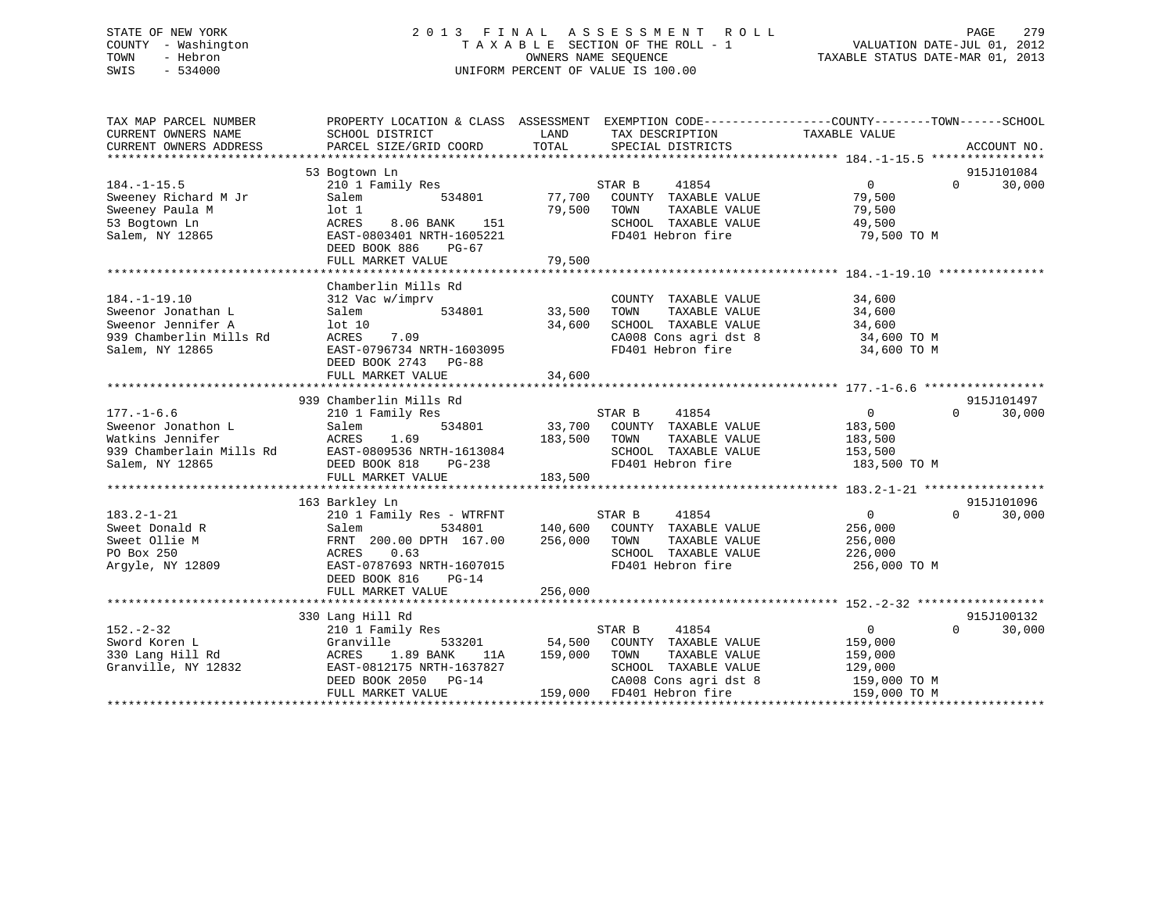# STATE OF NEW YORK 2 0 1 3 F I N A L A S S E S S M E N T R O L L PAGE 279 COUNTY - Washington T A X A B L E SECTION OF THE ROLL - 1 VALUATION DATE-JUL 01, 2012 TOWN - Hebron OWNERS NAME SEQUENCE TAXABLE STATUS DATE-MAR 01, 2013 SWIS - 534000 UNIFORM PERCENT OF VALUE IS 100.00

| TAX MAP PARCEL NUMBER<br>CURRENT OWNERS NAME<br>CURRENT OWNERS ADDRESS                                       | SCHOOL DISTRICT<br>PARCEL SIZE/GRID COORD                                                                                                                                               | LAND<br>TAX DESCRIPTION TAXABLE VALUE SPECIAL DISTRICTS<br>TOTAL<br>SPECIAL DISTRICTS                                                                                                            | PROPERTY LOCATION & CLASS ASSESSMENT EXEMPTION CODE---------------COUNTY-------TOWN------SCHOOL<br>ACCOUNT NO. |
|--------------------------------------------------------------------------------------------------------------|-----------------------------------------------------------------------------------------------------------------------------------------------------------------------------------------|--------------------------------------------------------------------------------------------------------------------------------------------------------------------------------------------------|----------------------------------------------------------------------------------------------------------------|
| $184. - 1 - 15.5$<br>Sweeney Richard M Jr<br>Sweeney Paula M<br>53 Bogtown Ln<br>Salem, NY 12865             | 53 Bogtown Ln<br>210 1 Family Res<br>534801<br>Salem<br>$1$ ot $1$<br>ACRES<br>8.06 BANK 151<br>EAST-0803401 NRTH-1605221<br>DEED BOOK 886<br>PG-67                                     | STAR B<br>41854<br>77,700 COUNTY TAXABLE VALUE<br>79,500 TOWN<br>TAXABLE VALUE<br>SCHOOL TAXABLE VALUE<br>FD401 Hebron fire                                                                      | 915J101084<br>$\overline{0}$<br>$\Omega$<br>30,000<br>79,500<br>79,500<br>49,500<br>79,500 TO M                |
| $184. - 1 - 19.10$<br>Sweenor Jonathan L<br>Sweenor Jennifer A<br>939 Chamberlin Mills Rd<br>Salem, NY 12865 | Chamberlin Mills Rd<br>312 Vac w/imprv<br>534801 33,500<br>Salem<br>lot 10<br>ACRES<br>7.09<br>EAST-0796734 NRTH-1603095<br>DEED BOOK 2743 PG-88                                        | COUNTY TAXABLE VALUE<br>TAXABLE VALUE<br>TOWN<br>34,600<br>SCHOOL TAXABLE VALUE<br>CA008 Cons agri dst 8 34,600 TO M<br>FD401 Hebron fire                                                        | 34,600<br>34,600<br>34,600<br>34,600 TO M                                                                      |
| $177. - 1 - 6.6$<br>Sweenor Jonathon L                                                                       | 939 Chamberlin Mills Rd<br>210 1 Family Res<br>Salem<br>Watkins Jennifer<br>939 Chamberlain Mills Rd<br>Salem, NY 12865<br>Salem, NY 12865<br>DEED BOOK 818 PG-238<br>FULL MARKET VALUE | TAXABLE VALUE<br>183,500<br>TOWN<br>SCHOOL TAXABLE VALUE<br>FD401 Hebron fire<br>183,500                                                                                                         | 915J101497<br>$\Omega$<br>30,000<br>183,500<br>153,500<br>183,500 TO M                                         |
| $183.2 - 1 - 21$<br>Sweet Donald R<br>Sweet Ollie M<br>PO Box 250<br>Argyle, NY 12809                        | 163 Barkley Ln<br>210 1 Family Res - WTRFNT<br>0.63<br>ACRES<br>EAST-0787693 NRTH-1607015<br>DEED BOOK 816<br>$PG-14$<br>FULL MARKET VALUE                                              | STAR B 41854<br>Salem 534801 140,600 COUNTY TAXABLE VALUE<br>FRNT 200.00 DPTH 167.00 256,000 TOWN TAXABLE VALUE<br>TAXABLE VALUE<br>SCHOOL TAXABLE VALUE 226,000<br>FD401 Hebron fire<br>256,000 | 915J101096<br>$\overline{0}$<br>$\Omega$<br>30,000<br>256,000<br>256,000<br>256,000 TO M                       |
| $152 - 2 - 32$<br>Sword Koren L<br>330 Lang Hill Rd<br>Granville, NY 12832                                   | 330 Lang Hill Rd<br>210 1 Family Res<br>Granville<br>1.89 BANK<br>ACRES<br>EAST-0812175 NRTH-1637827<br>DEED BOOK 2050 PG-14<br>FULL MARKET VALUE                                       | STAR B<br>41854<br>533201 54,500 COUNTY TAXABLE VALUE<br>11A 159,000 TOWN<br>TAXABLE VALUE<br>SCHOOL TAXABLE VALUE<br>CA008 Cons agri dst 8 159,000 TO M<br>159,000 FD401 Hebron fire            | 915J100132<br>$0 \qquad \qquad$<br>30,000<br>$\Omega$<br>159,000<br>159,000<br>129,000<br>159,000 TO M         |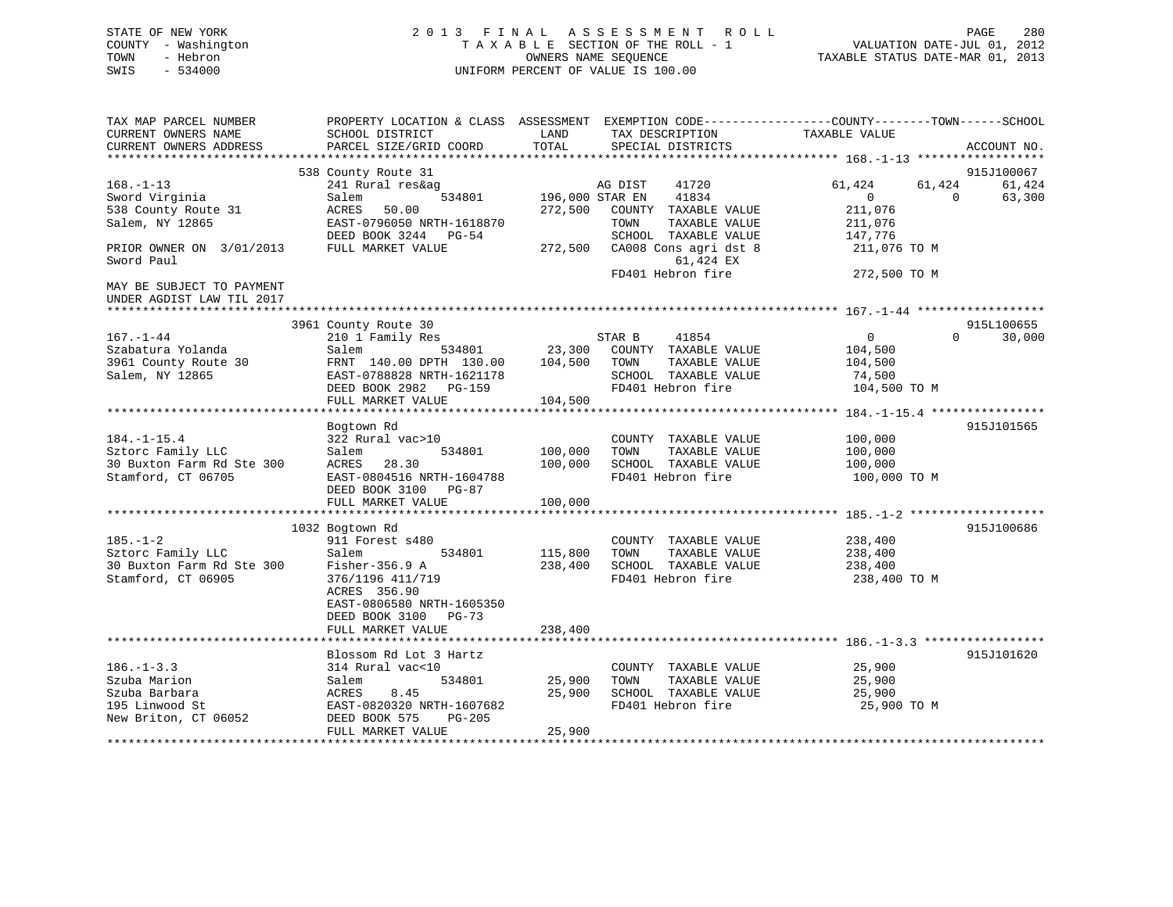# STATE OF NEW YORK 2 0 1 3 F I N A L A S S E S S M E N T R O L L PAGE 280 COUNTY - Washington T A X A B L E SECTION OF THE ROLL - 1 VALUATION DATE-JUL 01, 2012 TOWN - Hebron OWNERS NAME SEQUENCE TAXABLE STATUS DATE-MAR 01, 2013 SWIS - 534000 UNIFORM PERCENT OF VALUE IS 100.00

| TAX MAP PARCEL NUMBER<br>CURRENT OWNERS NAME<br>CURRENT OWNERS ADDRESS                    | PROPERTY LOCATION & CLASS ASSESSMENT<br>SCHOOL DISTRICT<br>PARCEL SIZE/GRID COORD                                        | LAND<br>TOTAL              | EXEMPTION CODE----------------COUNTY-------TOWN------SCHOOL<br>TAX DESCRIPTION<br>SPECIAL DISTRICTS | TAXABLE VALUE                                      | ACCOUNT NO.                  |
|-------------------------------------------------------------------------------------------|--------------------------------------------------------------------------------------------------------------------------|----------------------------|-----------------------------------------------------------------------------------------------------|----------------------------------------------------|------------------------------|
|                                                                                           |                                                                                                                          |                            |                                                                                                     |                                                    |                              |
|                                                                                           | 538 County Route 31                                                                                                      |                            |                                                                                                     |                                                    | 915J100067                   |
| $168. - 1 - 13$<br>Sword Virginia<br>538 County Route 31<br>Salem, NY 12865               | 241 Rural res&ag<br>534801<br>Salem<br>ACRES<br>50.00<br>EAST-0796050 NRTH-1618870                                       | 196,000 STAR EN<br>272,500 | 41720<br>AG DIST<br>41834<br>COUNTY TAXABLE VALUE<br>TAXABLE VALUE<br>TOWN                          | 61,424<br>61,424<br>$\Omega$<br>211,076<br>211,076 | 61,424<br>63,300<br>$\Omega$ |
|                                                                                           | DEED BOOK 3244 PG-54                                                                                                     |                            | SCHOOL TAXABLE VALUE                                                                                | 147,776                                            |                              |
| PRIOR OWNER ON 3/01/2013<br>Sword Paul                                                    | FULL MARKET VALUE                                                                                                        | 272,500                    | CA008 Cons agri dst 8<br>61,424 EX                                                                  | 211,076 TO M                                       |                              |
| MAY BE SUBJECT TO PAYMENT<br>UNDER AGDIST LAW TIL 2017                                    |                                                                                                                          |                            | FD401 Hebron fire                                                                                   | 272,500 TO M                                       |                              |
|                                                                                           | 3961 County Route 30                                                                                                     |                            |                                                                                                     |                                                    | 915L100655                   |
| 167.-1-44<br>Szabatura Yolanda<br>3961 County Route 30<br>Salem, NY 12865                 | 210 1 Family Res<br>Salem<br>534801<br>FRNT 140.00 DPTH 130.00<br>EAST-0788828 NRTH-1621178                              | 23,300<br>104,500          | STAR B<br>41854<br>COUNTY TAXABLE VALUE<br>TOWN<br>TAXABLE VALUE<br>SCHOOL TAXABLE VALUE            | $\overline{0}$<br>104,500<br>104,500<br>74,500     | $\Omega$<br>30,000           |
|                                                                                           | DEED BOOK 2982 PG-159                                                                                                    |                            | FD401 Hebron fire                                                                                   | 104,500 TO M                                       |                              |
|                                                                                           | FULL MARKET VALUE                                                                                                        | 104,500                    |                                                                                                     |                                                    | 915J101565                   |
| $184. - 1 - 15.4$<br>Sztorc Family LLC<br>30 Buxton Farm Rd Ste 300<br>Stamford, CT 06705 | Bogtown Rd<br>322 Rural vac>10<br>534801<br>Salem<br>ACRES<br>28.30<br>EAST-0804516 NRTH-1604788<br>DEED BOOK 3100 PG-87 | 100,000<br>100,000         | COUNTY TAXABLE VALUE<br>TOWN<br>TAXABLE VALUE<br>SCHOOL TAXABLE VALUE<br>FD401 Hebron fire          | 100,000<br>100,000<br>100,000<br>100,000 TO M      |                              |
|                                                                                           | FULL MARKET VALUE                                                                                                        | 100,000                    |                                                                                                     |                                                    |                              |
| $185. - 1 - 2$<br>Sztorc Family LLC<br>30 Buxton Farm Rd Ste 300<br>Stamford, CT 06905    | 1032 Bogtown Rd<br>911 Forest s480<br>Salem<br>534801<br>Fisher-356.9 A<br>376/1196 411/719                              | 115,800<br>238,400         | COUNTY TAXABLE VALUE<br>TOWN<br>TAXABLE VALUE<br>SCHOOL TAXABLE VALUE<br>FD401 Hebron fire          | 238,400<br>238,400<br>238,400<br>238,400 TO M      | 915J100686                   |
|                                                                                           | ACRES 356.90<br>EAST-0806580 NRTH-1605350<br>DEED BOOK 3100 PG-73<br>FULL MARKET VALUE                                   | 238,400                    |                                                                                                     |                                                    |                              |
|                                                                                           | Blossom Rd Lot 3 Hartz                                                                                                   |                            |                                                                                                     |                                                    | 915J101620                   |
| $186. - 1 - 3.3$<br>Szuba Marion<br>Szuba Barbara<br>195 Linwood St                       | 314 Rural vac<10<br>534801<br>Salem<br>8.45<br>ACRES<br>EAST-0820320 NRTH-1607682                                        | 25,900<br>25,900           | COUNTY TAXABLE VALUE<br>TOWN<br>TAXABLE VALUE<br>SCHOOL TAXABLE VALUE<br>FD401 Hebron fire          | 25,900<br>25,900<br>25,900<br>25,900 TO M          |                              |
| New Briton, CT 06052                                                                      | DEED BOOK 575<br>PG-205<br>FULL MARKET VALUE                                                                             | 25,900                     |                                                                                                     |                                                    |                              |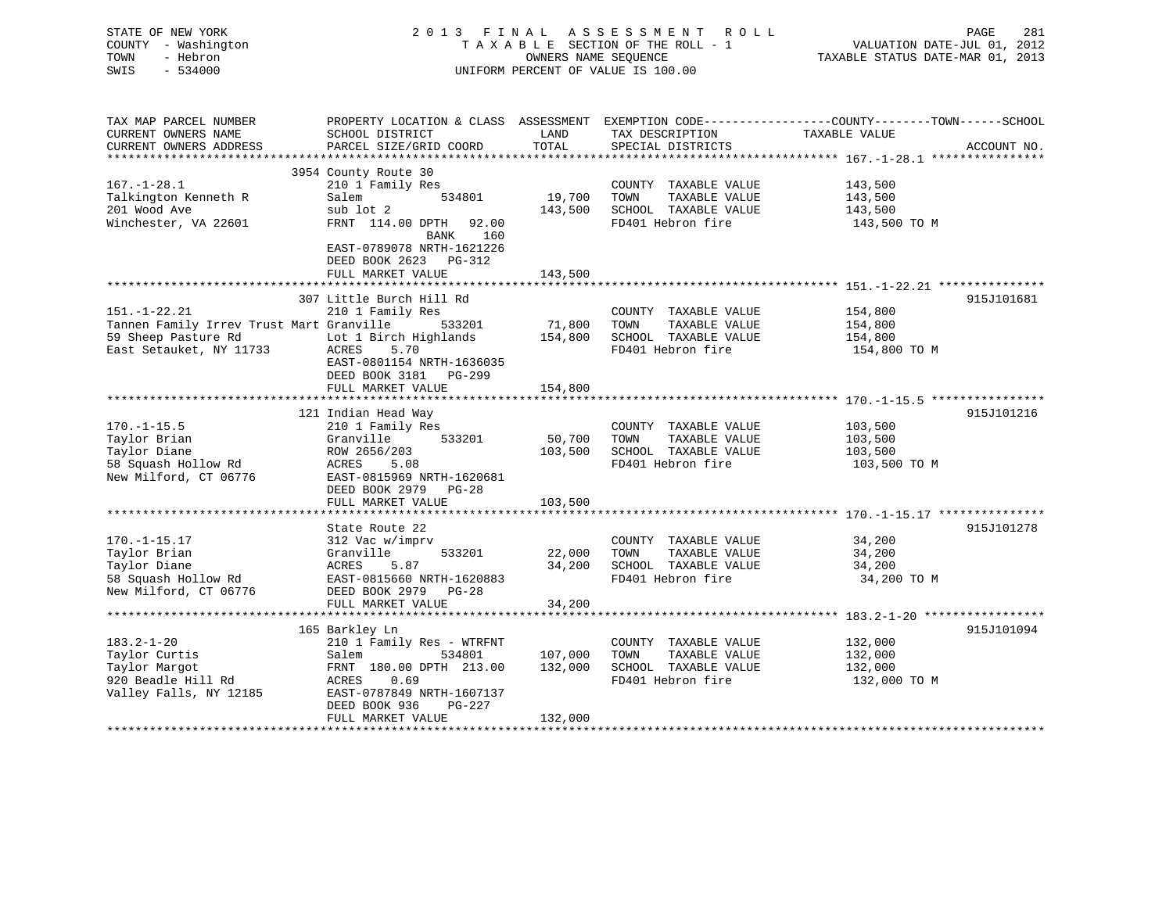|                                | STATE OF NEW YORK                             | 2013<br>FINAL                                         |                      | A S S E S S M E N T<br>R O L L       | PAGE<br>281                                                                                    |  |
|--------------------------------|-----------------------------------------------|-------------------------------------------------------|----------------------|--------------------------------------|------------------------------------------------------------------------------------------------|--|
|                                | COUNTY - Washington                           |                                                       |                      | TAXABLE SECTION OF THE ROLL - 1      | VALUATION DATE-JUL 01, 2012                                                                    |  |
| TOWN                           | - Hebron                                      |                                                       | OWNERS NAME SEQUENCE |                                      | TAXABLE STATUS DATE-MAR 01, 2013                                                               |  |
| SWIS                           | $-534000$                                     |                                                       |                      | UNIFORM PERCENT OF VALUE IS 100.00   |                                                                                                |  |
|                                |                                               |                                                       |                      |                                      |                                                                                                |  |
|                                | TAX MAP PARCEL NUMBER                         |                                                       |                      |                                      | PROPERTY LOCATION & CLASS ASSESSMENT EXEMPTION CODE---------------COUNTY-------TOWN-----SCHOOL |  |
|                                | CURRENT OWNERS NAME<br>CURRENT OWNERS ADDRESS | SCHOOL DISTRICT<br>PARCEL SIZE/GRID COORD             | LAND<br>TOTAL        | TAX DESCRIPTION<br>SPECIAL DISTRICTS | TAXABLE VALUE<br>ACCOUNT NO.                                                                   |  |
|                                |                                               |                                                       |                      |                                      |                                                                                                |  |
|                                |                                               | 3954 County Route 30                                  |                      |                                      |                                                                                                |  |
| $167. - 1 - 28.1$              |                                               | 210 1 Family Res                                      |                      | COUNTY TAXABLE VALUE                 | 143,500                                                                                        |  |
|                                | Talkington Kenneth R                          | 534801<br>Salem                                       | 19,700               | TOWN<br>TAXABLE VALUE                | 143,500                                                                                        |  |
| 201 Wood Ave                   |                                               | sub lot 2                                             | 143,500              | SCHOOL TAXABLE VALUE                 | 143,500                                                                                        |  |
|                                | Winchester, VA 22601                          | FRNT 114.00 DPTH<br>92.00                             |                      | FD401 Hebron fire                    | 143,500 TO M                                                                                   |  |
|                                |                                               | 160<br>BANK<br>EAST-0789078 NRTH-1621226              |                      |                                      |                                                                                                |  |
|                                |                                               | DEED BOOK 2623 PG-312                                 |                      |                                      |                                                                                                |  |
|                                |                                               | FULL MARKET VALUE<br>*******************              | 143,500              |                                      |                                                                                                |  |
|                                |                                               |                                                       |                      |                                      |                                                                                                |  |
| $151. - 1 - 22.21$             |                                               | 307 Little Burch Hill Rd<br>210 1 Family Res          |                      | COUNTY TAXABLE VALUE                 | 915J101681<br>154,800                                                                          |  |
|                                | Tannen Family Irrev Trust Mart Granville      | 533201                                                | 71,800               | TOWN<br>TAXABLE VALUE                | 154,800                                                                                        |  |
|                                | 59 Sheep Pasture Rd                           | Lot 1 Birch Highlands                                 | 154,800              | SCHOOL TAXABLE VALUE                 | 154,800                                                                                        |  |
|                                | East Setauket, NY 11733                       | ACRES<br>5.70                                         |                      | FD401 Hebron fire                    | 154,800 TO M                                                                                   |  |
|                                |                                               | EAST-0801154 NRTH-1636035<br>DEED BOOK 3181<br>PG-299 |                      |                                      |                                                                                                |  |
|                                |                                               | FULL MARKET VALUE                                     | 154,800              |                                      |                                                                                                |  |
|                                |                                               |                                                       |                      |                                      |                                                                                                |  |
|                                |                                               | 121 Indian Head Way                                   |                      |                                      | 915J101216                                                                                     |  |
| $170.-1-15.5$                  |                                               | 210 1 Family Res                                      |                      | COUNTY TAXABLE VALUE                 | 103,500                                                                                        |  |
| Taylor Brian                   |                                               | Granville<br>533201                                   | 50,700               | TOWN<br>TAXABLE VALUE                | 103,500                                                                                        |  |
| Taylor Diane                   |                                               | ROW 2656/203                                          | 103,500              | SCHOOL TAXABLE VALUE                 | 103,500                                                                                        |  |
|                                | 58 Squash Hollow Rd                           | ACRES<br>5.08                                         |                      | FD401 Hebron fire                    | 103,500 TO M                                                                                   |  |
|                                | New Milford, CT 06776                         | EAST-0815969 NRTH-1620681                             |                      |                                      |                                                                                                |  |
|                                |                                               | DEED BOOK 2979<br>$PG-28$                             |                      |                                      |                                                                                                |  |
|                                |                                               | FULL MARKET VALUE                                     | 103,500              |                                      |                                                                                                |  |
|                                |                                               |                                                       |                      |                                      |                                                                                                |  |
|                                |                                               | State Route 22                                        |                      |                                      | 915J101278                                                                                     |  |
| $170. - 1 - 15.17$             |                                               | 312 Vac w/imprv                                       |                      | COUNTY TAXABLE VALUE                 | 34,200                                                                                         |  |
| Taylor Brian                   |                                               | Granville<br>533201                                   | 22,000               | TOWN<br>TAXABLE VALUE                | 34,200                                                                                         |  |
| Taylor Diane                   |                                               | ACRES<br>5.87                                         | 34,200               | SCHOOL TAXABLE VALUE                 | 34,200                                                                                         |  |
|                                | 58 Squash Hollow Rd                           | EAST-0815660 NRTH-1620883                             |                      | FD401 Hebron fire                    | 34,200 TO M                                                                                    |  |
|                                | New Milford, CT 06776                         | DEED BOOK 2979 PG-28                                  |                      |                                      |                                                                                                |  |
|                                |                                               | FULL MARKET VALUE                                     | 34,200               |                                      | 183.2-1-20 ******************                                                                  |  |
|                                |                                               | 165 Barkley Ln                                        |                      |                                      | 915J101094                                                                                     |  |
| $183.2 - 1 - 20$               |                                               | 210 1 Family Res - WTRFNT                             |                      | COUNTY TAXABLE VALUE                 | 132,000                                                                                        |  |
|                                |                                               | 534801<br>Salem                                       | 107,000              | TOWN<br>TAXABLE VALUE                | 132,000                                                                                        |  |
|                                |                                               |                                                       | 132,000              | SCHOOL TAXABLE VALUE                 | 132,000                                                                                        |  |
|                                |                                               |                                                       |                      |                                      |                                                                                                |  |
| Taylor Curtis<br>Taylor Margot |                                               | FRNT 180.00 DPTH 213.00                               |                      |                                      |                                                                                                |  |
|                                | 920 Beadle Hill Rd                            | 0.69<br>ACRES                                         |                      | FD401 Hebron fire                    | 132,000 TO M                                                                                   |  |
|                                | Valley Falls, NY 12185                        | EAST-0787849 NRTH-1607137                             |                      |                                      |                                                                                                |  |
|                                |                                               | DEED BOOK 936<br>PG-227<br>FULL MARKET VALUE          | 132,000              |                                      |                                                                                                |  |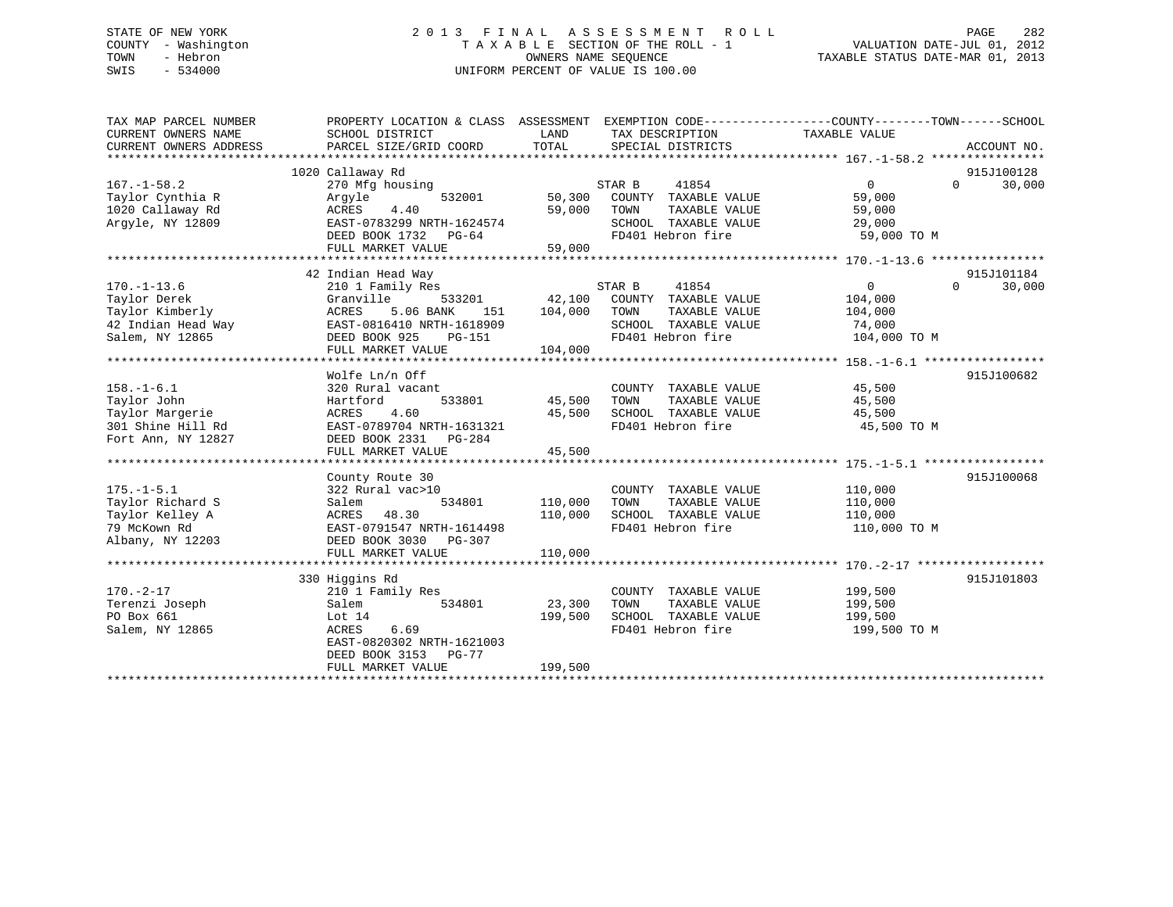# STATE OF NEW YORK 2 0 1 3 F I N A L A S S E S S M E N T R O L L PAGE 282 COUNTY - Washington T A X A B L E SECTION OF THE ROLL - 1 VALUATION DATE-JUL 01, 2012 TOWN - Hebron OWNERS NAME SEQUENCE TAXABLE STATUS DATE-MAR 01, 2013 SWIS - 534000 UNIFORM PERCENT OF VALUE IS 100.00

| TAX MAP PARCEL NUMBER  | PROPERTY LOCATION & CLASS ASSESSMENT EXEMPTION CODE---------------COUNTY-------TOWN-----SCHOOL |         |                             |                |                        |        |
|------------------------|------------------------------------------------------------------------------------------------|---------|-----------------------------|----------------|------------------------|--------|
| CURRENT OWNERS NAME    | SCHOOL DISTRICT                                                                                | LAND    | TAX DESCRIPTION             | TAXABLE VALUE  |                        |        |
| CURRENT OWNERS ADDRESS | PARCEL SIZE/GRID COORD                                                                         | TOTAL   | SPECIAL DISTRICTS           |                | ACCOUNT NO.            |        |
|                        |                                                                                                |         |                             |                |                        |        |
| $167. - 1 - 58.2$      | 1020 Callaway Rd<br>270 Mfg housing                                                            |         | STAR B<br>41854             | $\overline{0}$ | 915J100128<br>$\Omega$ | 30,000 |
| Taylor Cynthia R       | 532001<br>Arqyle                                                                               | 50,300  | COUNTY TAXABLE VALUE        | 59,000         |                        |        |
| 1020 Callaway Rd       | ACRES<br>4.40                                                                                  | 59,000  | TOWN<br>TAXABLE VALUE       | 59,000         |                        |        |
| Argyle, NY 12809       | EAST-0783299 NRTH-1624574                                                                      |         | SCHOOL TAXABLE VALUE        | 29,000         |                        |        |
|                        | DEED BOOK 1732 PG-64                                                                           |         | FD401 Hebron fire           | 59,000 TO M    |                        |        |
|                        | FULL MARKET VALUE                                                                              | 59,000  |                             |                |                        |        |
|                        |                                                                                                |         |                             |                |                        |        |
|                        | 42 Indian Head Way                                                                             |         |                             |                | 915J101184             |        |
| $170. - 1 - 13.6$      | 210 1 Family Res                                                                               |         | STAR B<br>41854             | $\overline{0}$ | $\Omega$               | 30,000 |
| Taylor Derek           | Granville<br>533201                                                                            |         | 42,100 COUNTY TAXABLE VALUE | 104,000        |                        |        |
| Taylor Kimberly        | ACRES<br>5.06 BANK<br>151                                                                      | 104,000 | TOWN<br>TAXABLE VALUE       | 104,000        |                        |        |
| 42 Indian Head Way     | EAST-0816410 NRTH-1618909                                                                      |         | SCHOOL TAXABLE VALUE        | 74,000         |                        |        |
| Salem, NY 12865        | DEED BOOK 925<br>PG-151                                                                        |         | FD401 Hebron fire           | 104,000 TO M   |                        |        |
|                        | FULL MARKET VALUE                                                                              | 104,000 |                             |                |                        |        |
|                        |                                                                                                |         |                             |                |                        |        |
|                        | Wolfe Ln/n Off                                                                                 |         |                             |                | 915J100682             |        |
| $158. - 1 - 6.1$       | 320 Rural vacant                                                                               |         | COUNTY TAXABLE VALUE        | 45,500         |                        |        |
| Taylor John            | 533801<br>Hartford                                                                             | 45,500  | TOWN<br>TAXABLE VALUE       | 45,500         |                        |        |
| Taylor Margerie        | 4.60<br>ACRES                                                                                  | 45,500  | SCHOOL TAXABLE VALUE        | 45,500         |                        |        |
| 301 Shine Hill Rd      | EAST-0789704 NRTH-1631321                                                                      |         | FD401 Hebron fire           | 45,500 TO M    |                        |        |
| Fort Ann, NY 12827     | DEED BOOK 2331<br>PG-284                                                                       |         |                             |                |                        |        |
|                        | FULL MARKET VALUE                                                                              | 45,500  |                             |                |                        |        |
|                        | County Route 30                                                                                |         |                             |                | 915J100068             |        |
| $175. - 1 - 5.1$       | 322 Rural vac>10                                                                               |         | COUNTY TAXABLE VALUE        | 110,000        |                        |        |
| Taylor Richard S       | 534801<br>Salem                                                                                | 110,000 | TAXABLE VALUE<br>TOWN       | 110,000        |                        |        |
| Taylor Kelley A        | ACRES<br>48.30                                                                                 | 110,000 | SCHOOL TAXABLE VALUE        | 110,000        |                        |        |
| 79 McKown Rd           | EAST-0791547 NRTH-1614498                                                                      |         | FD401 Hebron fire           | 110,000 TO M   |                        |        |
| Albany, NY 12203       | DEED BOOK 3030 PG-307                                                                          |         |                             |                |                        |        |
|                        | FULL MARKET VALUE                                                                              | 110,000 |                             |                |                        |        |
|                        |                                                                                                |         |                             |                |                        |        |
|                        | 330 Higgins Rd                                                                                 |         |                             |                | 915J101803             |        |
| $170. - 2 - 17$        | 210 1 Family Res                                                                               |         | COUNTY TAXABLE VALUE        | 199,500        |                        |        |
| Terenzi Joseph         | Salem<br>534801                                                                                | 23,300  | TOWN<br>TAXABLE VALUE       | 199,500        |                        |        |
| PO Box 661             | Lot 14                                                                                         | 199,500 | SCHOOL TAXABLE VALUE        | 199,500        |                        |        |
| Salem, NY 12865        | 6.69<br>ACRES                                                                                  |         | FD401 Hebron fire           | 199,500 TO M   |                        |        |
|                        | EAST-0820302 NRTH-1621003                                                                      |         |                             |                |                        |        |
|                        | DEED BOOK 3153 PG-77                                                                           |         |                             |                |                        |        |
|                        | FULL MARKET VALUE                                                                              | 199,500 |                             |                |                        |        |
|                        |                                                                                                |         |                             |                |                        |        |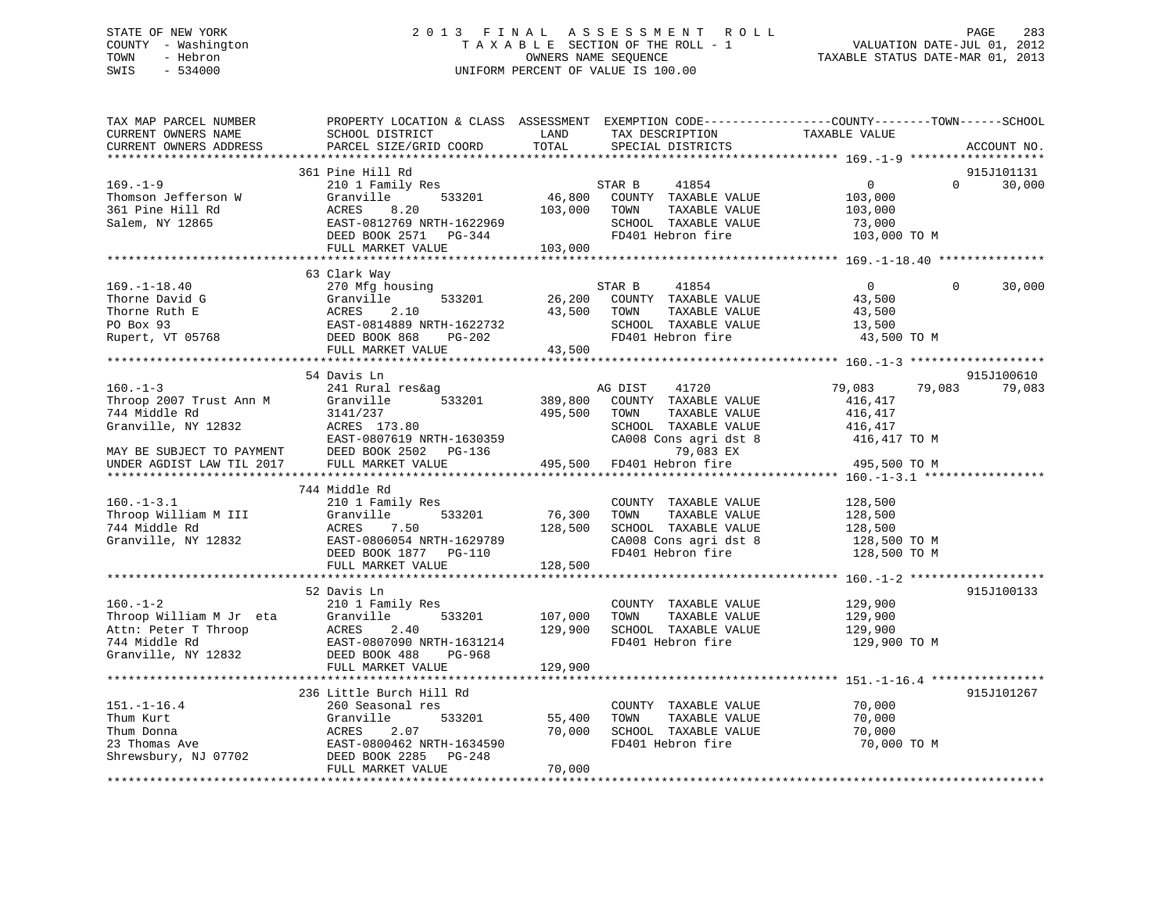# STATE OF NEW YORK 2 0 1 3 F I N A L A S S E S S M E N T R O L L PAGE 283 COUNTY - Washington T A X A B L E SECTION OF THE ROLL - 1 VALUATION DATE-JUL 01, 2012 TOWN - Hebron OWNERS NAME SEQUENCE TAXABLE STATUS DATE-MAR 01, 2013 SWIS - 534000 UNIFORM PERCENT OF VALUE IS 100.00

| TAX MAP PARCEL NUMBER<br>CURRENT OWNERS NAME<br>CURRENT OWNERS ADDRESS                                                                                                    | PROPERTY LOCATION & CLASS ASSESSMENT EXEMPTION CODE----------------COUNTY-------TOWN-----SCHOOL<br>SCHOOL DISTRICT<br>PARCEL SIZE/GRID COORD            | LAND<br>TOTAL                 | TAX DESCRIPTION<br>SPECIAL DISTRICTS                                                                                                                 | TAXABLE VALUE                                                           |          | ACCOUNT NO.          |
|---------------------------------------------------------------------------------------------------------------------------------------------------------------------------|---------------------------------------------------------------------------------------------------------------------------------------------------------|-------------------------------|------------------------------------------------------------------------------------------------------------------------------------------------------|-------------------------------------------------------------------------|----------|----------------------|
| *********************                                                                                                                                                     | ***************************                                                                                                                             |                               |                                                                                                                                                      |                                                                         |          |                      |
| $169. - 1 - 9$<br>Thomson Jefferson W<br>361 Pine Hill Rd<br>Salem, NY 12865                                                                                              | 361 Pine Hill Rd<br>210 1 Family Res<br>533201<br>Granville<br>ACRES<br>8.20<br>EAST-0812769 NRTH-1622969<br>DEED BOOK 2571 PG-344<br>FULL MARKET VALUE | 46,800<br>103,000<br>103,000  | STAR B<br>41854<br>COUNTY TAXABLE VALUE<br>TAXABLE VALUE<br>TOWN<br>SCHOOL TAXABLE VALUE<br>FD401 Hebron fire                                        | $\overline{0}$<br>103,000<br>103,000<br>73,000<br>103,000 TO M          | $\Omega$ | 915J101131<br>30,000 |
|                                                                                                                                                                           | 63 Clark Way                                                                                                                                            |                               |                                                                                                                                                      |                                                                         |          |                      |
| $169. - 1 - 18.40$<br>Thorne David G<br>Thorne Ruth E<br>PO Box 93<br>Rupert, VT 05768<br>Rupert, VT 05768<br>Rupert, 2.10<br>Rupert, VT 05768<br>CEED BOOK 868<br>PC-202 | 270 Mfg housing<br>533201<br>Granville                                                                                                                  | 26,200<br>43,500              | STAR B<br>41854<br>COUNTY TAXABLE VALUE<br>TOWN<br>TAXABLE VALUE<br>SCHOOL TAXABLE VALUE<br>FD401 Hebron fire                                        | $\overline{0}$<br>43,500<br>43,500<br>13,500<br>43,500 TO M             | $\Omega$ | 30,000               |
|                                                                                                                                                                           | FULL MARKET VALUE                                                                                                                                       | 43,500                        |                                                                                                                                                      |                                                                         |          |                      |
|                                                                                                                                                                           | 54 Davis Ln                                                                                                                                             |                               |                                                                                                                                                      |                                                                         |          | 915J100610           |
| $160. -1 - 3$<br>Throop 2007 Trust Ann M<br>744 Middle Rd<br>Granville, NY 12832<br>MAY BE SUBJECT TO PAYMENT<br>UNDER AGDIST LAW TIL 2017                                | 241 Rural res&ag<br>533201<br>Granville<br>3141/237<br>ACRES 173.80<br>EAST-0807619 NRTH-1630359<br>DEED BOOK 2502 PG-136<br>FULL MARKET VALUE          | 389,800<br>495,500<br>495,500 | AG DIST<br>41720<br>COUNTY TAXABLE VALUE<br>TOWN<br>TAXABLE VALUE<br>SCHOOL TAXABLE VALUE<br>CA008 Cons agri dst 8<br>79,083 EX<br>FD401 Hebron fire | 79,083<br>416,417<br>416,417<br>416,417<br>416,417 TO M<br>495,500 TO M | 79,083   | 79,083               |
|                                                                                                                                                                           |                                                                                                                                                         |                               |                                                                                                                                                      |                                                                         |          |                      |
| $160. - 1 - 3.1$<br>Throop William M III<br>744 Middle Rd<br>Granville, NY 12832                                                                                          | 744 Middle Rd<br>210 1 Family Res<br>533201<br>Granville<br>ACRES<br>7.50<br>EAST-0806054 NRTH-1629789<br>DEED BOOK 1877 PG-110<br>FULL MARKET VALUE    | 76,300<br>128,500<br>128,500  | COUNTY TAXABLE VALUE<br>TAXABLE VALUE<br>TOWN<br>SCHOOL TAXABLE VALUE<br>CA008 Cons agri dst 8<br>FD401 Hebron fire                                  | 128,500<br>128,500<br>128,500<br>128,500 TO M<br>128,500 TO M           |          |                      |
|                                                                                                                                                                           |                                                                                                                                                         |                               |                                                                                                                                                      |                                                                         |          |                      |
| $160. - 1 - 2$<br>Throop William M Jr eta<br>Attn: Peter T Throop<br>744 Middle Rd<br>Granville, NY 12832                                                                 | 52 Davis Ln<br>210 1 Family Res<br>Granville<br>533201<br>ACRES<br>2.40<br>EAST-0807090 NRTH-1631214<br>DEED BOOK 488<br>PG-968                         | 107,000<br>129,900            | COUNTY TAXABLE VALUE<br>TAXABLE VALUE<br>TOWN<br>SCHOOL TAXABLE VALUE<br>FD401 Hebron fire                                                           | 129,900<br>129,900<br>129,900<br>129,900 TO M                           |          | 915J100133           |
|                                                                                                                                                                           | FULL MARKET VALUE                                                                                                                                       | 129,900                       |                                                                                                                                                      |                                                                         |          |                      |
|                                                                                                                                                                           | 236 Little Burch Hill Rd                                                                                                                                |                               |                                                                                                                                                      |                                                                         |          | 915J101267           |
| $151. - 1 - 16.4$<br>Thum Kurt<br>Thum Donna<br>23 Thomas Ave<br>Shrewsbury, NJ 07702                                                                                     | 260 Seasonal res<br>Granville<br>533201<br>ACRES<br>2.07<br>EAST-0800462 NRTH-1634590<br>DEED BOOK 2285<br>PG-248<br>FULL MARKET VALUE                  | 55,400<br>70,000<br>70,000    | COUNTY TAXABLE VALUE<br>TOWN<br>TAXABLE VALUE<br>SCHOOL TAXABLE VALUE<br>FD401 Hebron fire                                                           | 70,000<br>70,000<br>70,000<br>70,000 TO M                               |          |                      |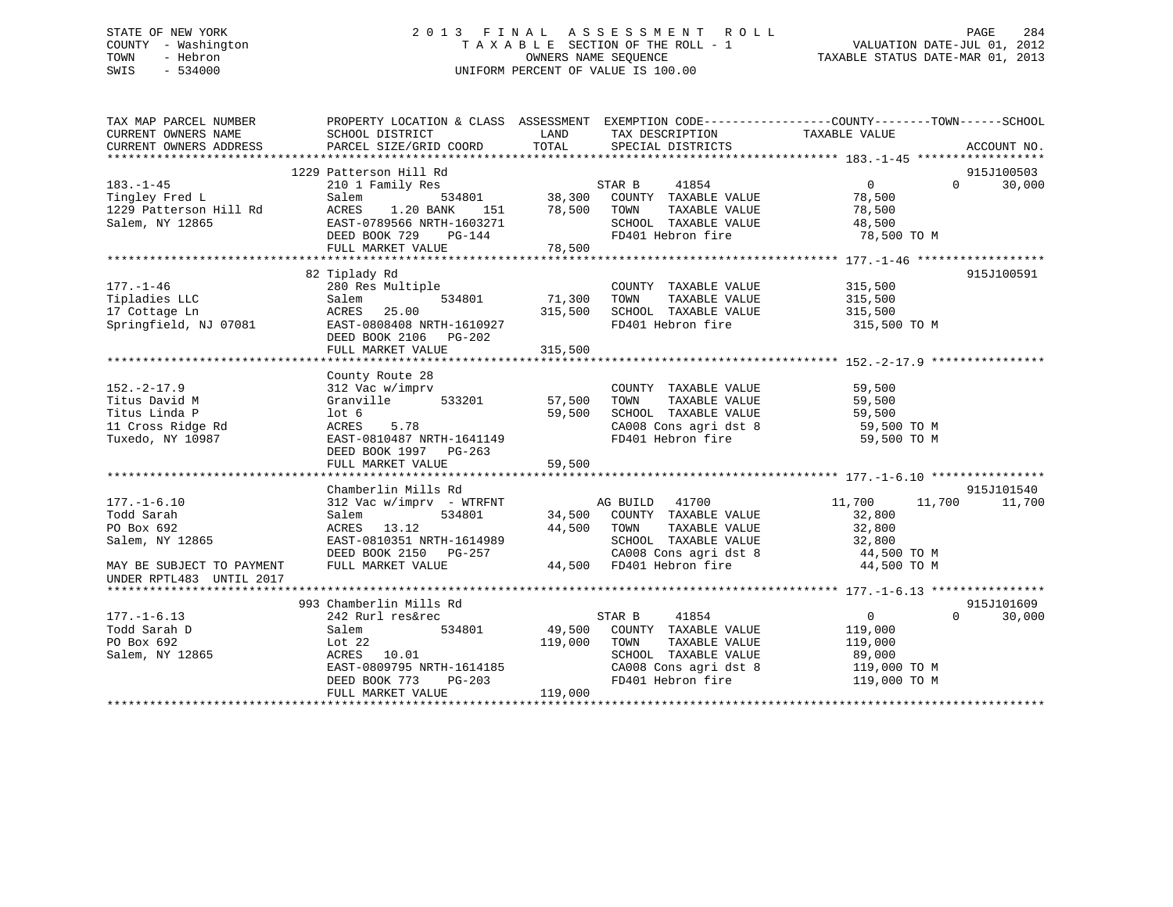# STATE OF NEW YORK 2 0 1 3 F I N A L A S S E S S M E N T R O L L PAGE 284 COUNTY - Washington T A X A B L E SECTION OF THE ROLL - 1 VALUATION DATE-JUL 01, 2012 TOWN - Hebron OWNERS NAME SEQUENCE TAXABLE STATUS DATE-MAR 01, 2013 SWIS - 534000 UNIFORM PERCENT OF VALUE IS 100.00

| TAX MAP PARCEL NUMBER<br>CURRENT OWNERS NAME | PROPERTY LOCATION & CLASS ASSESSMENT<br>SCHOOL DISTRICT | LAND       | TAX DESCRIPTION                    | EXEMPTION CODE-----------------COUNTY-------TOWN------SCHOOL<br>TAXABLE VALUE |             |
|----------------------------------------------|---------------------------------------------------------|------------|------------------------------------|-------------------------------------------------------------------------------|-------------|
| CURRENT OWNERS ADDRESS                       | PARCEL SIZE/GRID COORD                                  | TOTAL      | SPECIAL DISTRICTS                  |                                                                               | ACCOUNT NO. |
|                                              |                                                         |            |                                    |                                                                               |             |
|                                              | 1229 Patterson Hill Rd                                  |            |                                    |                                                                               | 915J100503  |
| $183. - 1 - 45$                              | 210 1 Family Res                                        |            | STAR B<br>41854                    | $\overline{0}$<br>$\Omega$                                                    | 30,000      |
| Tingley Fred L                               | Salem                                                   |            | 534801 38,300 COUNTY TAXABLE VALUE | 78,500                                                                        |             |
| 1229 Patterson Hill Rd                       | 1.20 BANK<br>ACRES                                      | 151 78,500 | TOWN<br>TAXABLE VALUE              | 78,500                                                                        |             |
| Salem, NY 12865                              | EAST-0789566 NRTH-1603271                               |            | SCHOOL TAXABLE VALUE               | 48,500                                                                        |             |
|                                              | $PG-144$<br>DEED BOOK 729                               |            | FD401 Hebron fire                  | 78,500 TO M                                                                   |             |
|                                              | FULL MARKET VALUE                                       | 78,500     |                                    |                                                                               |             |
|                                              |                                                         |            |                                    |                                                                               |             |
|                                              | 82 Tiplady Rd                                           |            |                                    |                                                                               | 915J100591  |
| $177. - 1 - 46$                              | 280 Res Multiple                                        |            | COUNTY TAXABLE VALUE               | 315,500                                                                       |             |
| Tipladies LLC                                | Salem<br>534801                                         | 71,300     | TAXABLE VALUE<br>TOWN              | 315,500                                                                       |             |
| 17 Cottage Ln                                | 25.00<br>ACRES                                          | 315,500    | SCHOOL TAXABLE VALUE               | 315,500                                                                       |             |
| Springfield, NJ 07081                        | EAST-0808408 NRTH-1610927                               |            | FD401 Hebron fire                  | 315,500 TO M                                                                  |             |
|                                              | DEED BOOK 2106 PG-202                                   |            |                                    |                                                                               |             |
|                                              | FULL MARKET VALUE                                       | 315,500    |                                    |                                                                               |             |
|                                              |                                                         |            |                                    |                                                                               |             |
|                                              | County Route 28                                         |            |                                    |                                                                               |             |
| $152. - 2 - 17.9$                            | 312 Vac w/imprv                                         |            | COUNTY TAXABLE VALUE               | 59,500                                                                        |             |
| Titus David M                                | 533201<br>Granville                                     | 57,500     | TOWN<br>TAXABLE VALUE              | 59,500                                                                        |             |
| Titus Linda P                                | lot 6                                                   | 59,500     | SCHOOL TAXABLE VALUE               | 59,500                                                                        |             |
| 11 Cross Ridge Rd                            | ACRES<br>5.78                                           |            | CA008 Cons agri dst 8 59,500 TO M  |                                                                               |             |
| Tuxedo, NY 10987                             | EAST-0810487 NRTH-1641149                               |            | FD401 Hebron fire                  | 59,500 TO M                                                                   |             |
|                                              | DEED BOOK 1997<br>$PG-263$                              |            |                                    |                                                                               |             |
|                                              | FULL MARKET VALUE                                       | 59,500     |                                    |                                                                               |             |
|                                              |                                                         |            |                                    |                                                                               |             |
|                                              | Chamberlin Mills Rd                                     |            |                                    |                                                                               | 915J101540  |
| $177. - 1 - 6.10$                            | $312$ Vac w/imprv - WTRFNT                              |            | AG BUILD 41700                     | 11,700<br>11,700                                                              | 11,700      |
| Todd Sarah                                   | 534801<br>Salem                                         |            | 34,500 COUNTY TAXABLE VALUE        | 32,800                                                                        |             |
| PO Box 692                                   | ACRES 13.12                                             |            | 44,500 TOWN<br>TAXABLE VALUE       | 32,800                                                                        |             |
| Salem, NY 12865                              | EAST-0810351 NRTH-1614989                               |            | SCHOOL TAXABLE VALUE               | 32,800                                                                        |             |
|                                              | DEED BOOK 2150 PG-257                                   |            | CA008 Cons agri dst 8              | 44,500 TO M                                                                   |             |
| MAY BE SUBJECT TO PAYMENT                    | FULL MARKET VALUE                                       |            | 44,500 FD401 Hebron fire           | 44,500 TO M                                                                   |             |
| UNDER RPTL483 UNTIL 2017                     |                                                         |            |                                    |                                                                               |             |
|                                              |                                                         |            |                                    |                                                                               |             |
|                                              | 993 Chamberlin Mills Rd                                 |            |                                    |                                                                               | 915J101609  |
| $177. - 1 - 6.13$                            | 242 Rurl res&rec                                        |            | STAR B<br>41854                    | $\overline{0}$<br>$\Omega$                                                    | 30,000      |
| Todd Sarah D                                 | Salem<br>534801                                         |            | 49,500 COUNTY TAXABLE VALUE        | 119,000                                                                       |             |
| PO Box 692                                   | Lot $22$                                                | 119,000    | TOWN<br>TAXABLE VALUE              | 119,000                                                                       |             |
| Salem, NY 12865                              | ACRES 10.01                                             |            | SCHOOL TAXABLE VALUE               | 89,000                                                                        |             |
|                                              | EAST-0809795 NRTH-1614185                               |            | CA008 Cons agri dst 8              | 119,000 TO M                                                                  |             |
|                                              | DEED BOOK 773<br>PG-203                                 |            | FD401 Hebron fire                  | 119,000 TO M                                                                  |             |
|                                              | FULL MARKET VALUE                                       | 119,000    |                                    |                                                                               |             |
|                                              |                                                         |            |                                    |                                                                               |             |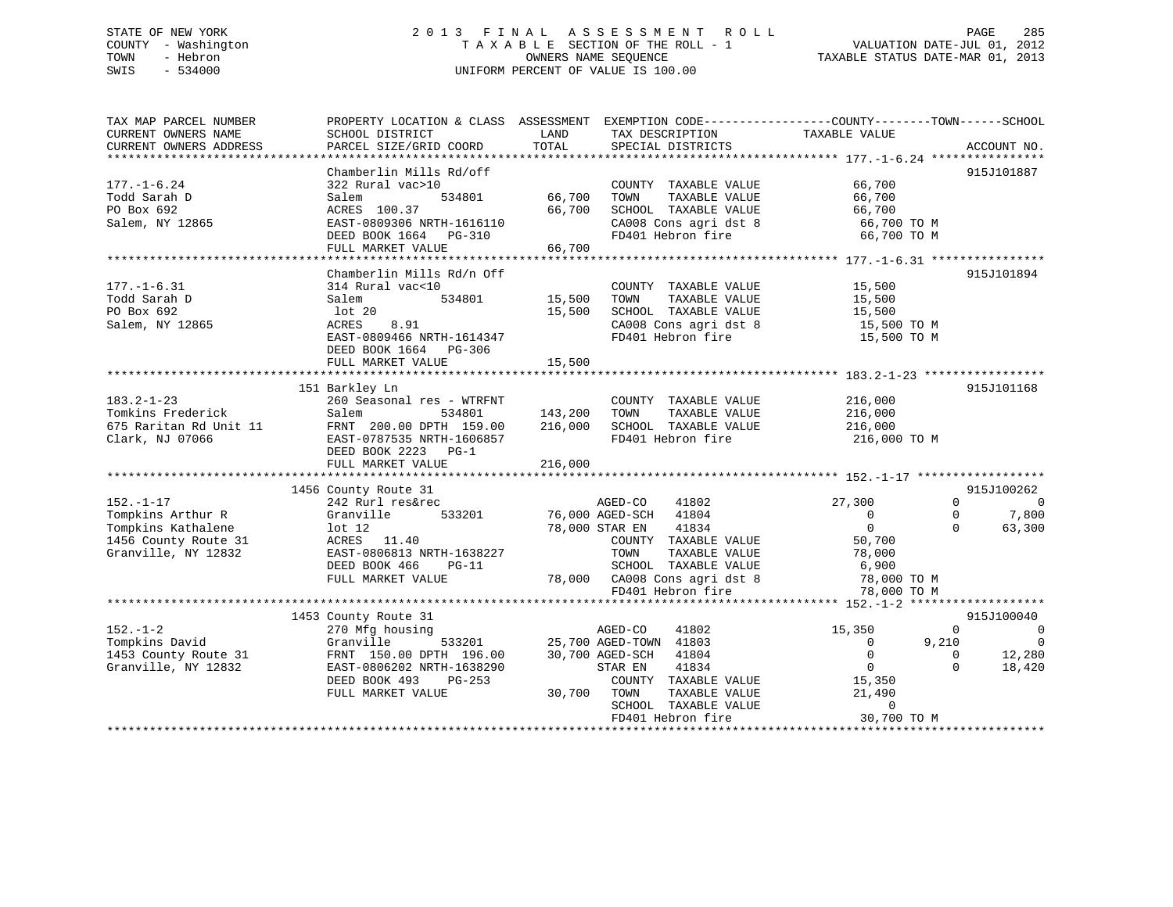# STATE OF NEW YORK 2 0 1 3 F I N A L A S S E S S M E N T R O L L PAGE 285 COUNTY - Washington T A X A B L E SECTION OF THE ROLL - 1 VALUATION DATE-JUL 01, 2012 TOWN - Hebron OWNERS NAME SEQUENCE TAXABLE STATUS DATE-MAR 01, 2013 SWIS - 534000 UNIFORM PERCENT OF VALUE IS 100.00

| TAX MAP PARCEL NUMBER<br>CURRENT OWNERS NAME<br>CURRENT OWNERS ADDRESS                                    | PROPERTY LOCATION & CLASS ASSESSMENT<br>SCHOOL DISTRICT<br>PARCEL SIZE/GRID COORD                                                                                           | LAND<br>TOTAL                 | TAX DESCRIPTION<br>SPECIAL DISTRICTS                                                                                                                                                                  | EXEMPTION CODE-----------------COUNTY--------TOWN------SCHOOL<br>TAXABLE VALUE<br>ACCOUNT NO.                                                             |                                                               |
|-----------------------------------------------------------------------------------------------------------|-----------------------------------------------------------------------------------------------------------------------------------------------------------------------------|-------------------------------|-------------------------------------------------------------------------------------------------------------------------------------------------------------------------------------------------------|-----------------------------------------------------------------------------------------------------------------------------------------------------------|---------------------------------------------------------------|
| $177. - 1 - 6.24$<br>Todd Sarah D<br>PO Box 692<br>Salem, NY 12865                                        | Chamberlin Mills Rd/off<br>322 Rural vac>10<br>Salem<br>534801<br>ACRES 100.37<br>EAST-0809306 NRTH-1616110<br>DEED BOOK 1664 PG-310<br>FULL MARKET VALUE                   | 66,700<br>66,700<br>66,700    | COUNTY TAXABLE VALUE<br>TOWN<br>TAXABLE VALUE<br>SCHOOL TAXABLE VALUE<br>CA008 Cons agri dst 8<br>FD401 Hebron fire                                                                                   | 915J101887<br>66,700<br>66,700<br>66,700<br>66,700 TO M<br>66,700 TO M                                                                                    |                                                               |
| $177. - 1 - 6.31$<br>Todd Sarah D<br>PO Box 692<br>Salem, NY 12865                                        | Chamberlin Mills Rd/n Off<br>314 Rural vac<10<br>Salem<br>534801<br>lot 20<br>ACRES<br>8.91<br>EAST-0809466 NRTH-1614347<br>DEED BOOK 1664 PG-306<br>FULL MARKET VALUE      | 15,500<br>15,500<br>15,500    | COUNTY TAXABLE VALUE<br>TOWN<br>TAXABLE VALUE<br>SCHOOL TAXABLE VALUE<br>CA008 Cons agri dst 8<br>FD401 Hebron fire                                                                                   | 915J101894<br>15,500<br>15,500<br>15,500<br>15,500 TO M<br>15,500 TO M                                                                                    |                                                               |
| $183.2 - 1 - 23$<br>Tomkins Frederick<br>675 Raritan Rd Unit 11<br>Clark, NJ 07066                        | 151 Barkley Ln<br>260 Seasonal res - WTRFNT<br>Salem<br>534801<br>FRNT 200.00 DPTH 159.00<br>EAST-0787535 NRTH-1606857<br>DEED BOOK 2223 PG-1<br>FULL MARKET VALUE          | 143,200<br>216,000<br>216,000 | COUNTY TAXABLE VALUE<br>TOWN<br>TAXABLE VALUE<br>SCHOOL TAXABLE VALUE<br>FD401 Hebron fire                                                                                                            | 915J101168<br>216,000<br>216,000<br>216,000<br>216,000 TO M                                                                                               |                                                               |
| $152. - 1 - 17$<br>Tompkins Arthur R<br>Tompkins Kathalene<br>1456 County Route 31<br>Granville, NY 12832 | 1456 County Route 31<br>242 Rurl res&rec<br>533201<br>Granville<br>$1$ ot $12$<br>ACRES 11.40<br>EAST-0806813 NRTH-1638227<br>DEED BOOK 466<br>$PG-11$<br>FULL MARKET VALUE |                               | AGED-CO<br>41802<br>76,000 AGED-SCH<br>41804<br>78,000 STAR EN<br>41834<br>COUNTY TAXABLE VALUE<br>TOWN<br>TAXABLE VALUE<br>SCHOOL TAXABLE VALUE<br>78,000 CA008 Cons agri dst 8<br>FD401 Hebron fire | 915J100262<br>27,300<br>0<br>$\Omega$<br>$\Omega$<br>$\mathbf{0}$<br>$\Omega$<br>50,700<br>78,000<br>6,900<br>78,000 TO M<br>78,000 TO M                  | $\Omega$<br>7,800<br>63,300                                   |
| $152. - 1 - 2$<br>Tompkins David<br>1453 County Route 31<br>Granville, NY 12832                           | 1453 County Route 31<br>270 Mfg housing<br>Granville<br>533201<br>FRNT 150.00 DPTH 196.00<br>EAST-0806202 NRTH-1638290<br>DEED BOOK 493<br>$PG-253$<br>FULL MARKET VALUE    | 30,700                        | AGED-CO<br>41802<br>25,700 AGED-TOWN 41803<br>30,700 AGED-SCH<br>41804<br>41834<br>STAR EN<br>COUNTY TAXABLE VALUE<br>TOWN<br>TAXABLE VALUE<br>SCHOOL TAXABLE VALUE<br>FD401 Hebron fire              | 915J100040<br>15,350<br>$\Omega$<br>9,210<br>$\mathbf{0}$<br>$\mathbf{0}$<br>0<br>$\mathbf{0}$<br>$\Omega$<br>15,350<br>21,490<br>$\Omega$<br>30,700 TO M | $\overline{\mathbf{0}}$<br>$\overline{0}$<br>12,280<br>18,420 |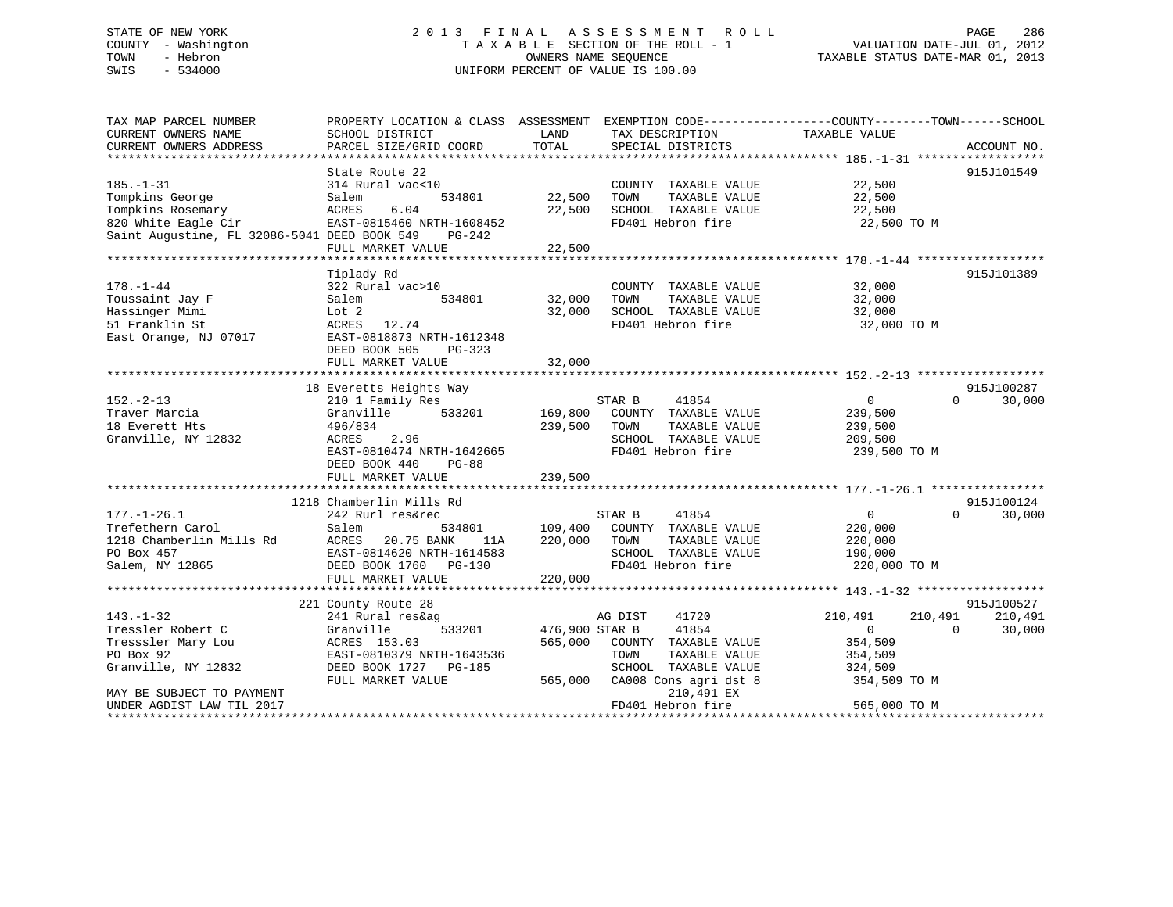TAX MAP PARCEL NUMBER PROPERTY LOCATION & CLASS ASSESSMENT EXEMPTION CODE------------------COUNTY--------TOWN------SCHOOL CURRENT OWNERS NAME SCHOOL DISTRICT LAND TAX DESCRIPTION TAXABLE VALUE CURRENT OWNERS ADDRESS PARCEL SIZE/GRID COORD TOTAL SPECIAL DISTRICTS ACCOUNT NO. \*\*\*\*\*\*\*\*\*\*\*\*\*\*\*\*\*\*\*\*\*\*\*\*\*\*\*\*\*\*\*\*\*\*\*\*\*\*\*\*\*\*\*\*\*\*\*\*\*\*\*\*\*\*\*\*\*\*\*\*\*\*\*\*\*\*\*\*\*\*\*\*\*\*\*\*\*\*\*\*\*\*\*\*\*\*\*\*\*\*\*\*\*\*\*\*\*\*\*\*\*\*\* 185.-1-31 \*\*\*\*\*\*\*\*\*\*\*\*\*\*\*\*\*\*State Route 22 915J101549 185.-1-31 314 Rural vac<10 COUNTY TAXABLE VALUE 22,500 Tompkins George Salem 534801 22,500 TOWN TAXABLE VALUE 22,500 Tompkins Rosemary ACRES 6.04 22,500 SCHOOL TAXABLE VALUE 22,500 820 White Eagle Cir EAST-0815460 NRTH-1608452 FD401 Hebron fire 22,500 TO M Saint Augustine, FL 32086-5041 DEED BOOK 549 PG-242 FULL MARKET VALUE 22,500 \*\*\*\*\*\*\*\*\*\*\*\*\*\*\*\*\*\*\*\*\*\*\*\*\*\*\*\*\*\*\*\*\*\*\*\*\*\*\*\*\*\*\*\*\*\*\*\*\*\*\*\*\*\*\*\*\*\*\*\*\*\*\*\*\*\*\*\*\*\*\*\*\*\*\*\*\*\*\*\*\*\*\*\*\*\*\*\*\*\*\*\*\*\*\*\*\*\*\*\*\*\*\* 178.-1-44 \*\*\*\*\*\*\*\*\*\*\*\*\*\*\*\*\*\* Tiplady Rd 915J101389 178.-1-44 322 Rural vac>10 COUNTY TAXABLE VALUE 32,000 Toussaint Jay F Salem 534801 32,000 TOWN TAXABLE VALUE 32,000 Hassinger Mimi Lot 2 32,000 SCHOOL TAXABLE VALUE 32,000 51 Franklin St ACRES 12.74 FD401 Hebron fire 32,000 TO M East Orange, NJ 07017 EAST-0818873 NRTH-1612348 DEED BOOK 505 PG-323 FULL MARKET VALUE 32,000 \*\*\*\*\*\*\*\*\*\*\*\*\*\*\*\*\*\*\*\*\*\*\*\*\*\*\*\*\*\*\*\*\*\*\*\*\*\*\*\*\*\*\*\*\*\*\*\*\*\*\*\*\*\*\*\*\*\*\*\*\*\*\*\*\*\*\*\*\*\*\*\*\*\*\*\*\*\*\*\*\*\*\*\*\*\*\*\*\*\*\*\*\*\*\*\*\*\*\*\*\*\*\* 152.-2-13 \*\*\*\*\*\*\*\*\*\*\*\*\*\*\*\*\*\*915J100287 18 Everetts Heights Way 915J100287 152.-2-13 210 1 Family Res STAR B 41854 0 0 30,000 Traver Marcia Granville 533201 169,800 COUNTY TAXABLE VALUE 239,500 18 Everett Hts 496/834 239,500 TOWN TAXABLE VALUE 239,500 Granville, NY 12832 ACRES 2.96 SCHOOL TAXABLE VALUE 209,500 EAST-0810474 NRTH-1642665 FD401 Hebron fire 239,500 TO M DEED BOOK 440 PG-88 FULL MARKET VALUE 239,500 \*\*\*\*\*\*\*\*\*\*\*\*\*\*\*\*\*\*\*\*\*\*\*\*\*\*\*\*\*\*\*\*\*\*\*\*\*\*\*\*\*\*\*\*\*\*\*\*\*\*\*\*\*\*\*\*\*\*\*\*\*\*\*\*\*\*\*\*\*\*\*\*\*\*\*\*\*\*\*\*\*\*\*\*\*\*\*\*\*\*\*\*\*\*\*\*\*\*\*\*\*\*\* 177.-1-26.1 \*\*\*\*\*\*\*\*\*\*\*\*\*\*\*\* 1218 Chamberlin Mills Rd 915J100124177.-1-26.1 242 Rurl res&rec STAR B 41854 0 0 30,000 Trefethern Carol Salem 534801 109,400 COUNTY TAXABLE VALUE 220,000 1212 Rurl res&rec 31801 57AR B 41854 (1854 11854 11854 1218 Chamberlin Mills Rd ACRES 20.75 BANK 11A 220,000 TOWN TAXABLE VALUE 220,000 PO Box 457 EAST-0814620 NRTH-1614583 SCHOOL TAXABLE VALUE 190,000 Salem, NY 12865 DEED BOOK 1760 PG-130 FD401 Hebron fire 220,000 TO M EAST-0814620 NRTH-1011000<br>DEED BOOK 1760 PG-130<br>-- VALUE 220,000 \*\*\*\*\*\*\*\*\*\*\*\*\*\*\*\*\*\*\*\*\*\*\*\*\*\*\*\*\*\*\*\*\*\*\*\*\*\*\*\*\*\*\*\*\*\*\*\*\*\*\*\*\*\*\*\*\*\*\*\*\*\*\*\*\*\*\*\*\*\*\*\*\*\*\*\*\*\*\*\*\*\*\*\*\*\*\*\*\*\*\*\*\*\*\*\*\*\*\*\*\*\*\* 143.-1-32 \*\*\*\*\*\*\*\*\*\*\*\*\*\*\*\*\*\* 221 County Route 28 915J100527 143.-1-32 241 Rural res&ag AG DIST 41720 210,491 210,491 210,491 Tressler Robert C Granville 533201 476,900 STAR B 41854 0 0 30,000 Tresssler Mary Lou ACRES 153.03 565,000 COUNTY TAXABLE VALUE 354,509 PO Box 92 EAST-0810379 NRTH-1643536 TOWN TAXABLE VALUE 354,509 Granville, NY 12832 DEED BOOK 1727 PG-185 SCHOOL TAXABLE VALUE 324,509 FULL MARKET VALUE 565,000 CA008 Cons agri dst 8 354,509 TO M MAY BE SUBJECT TO PAYMENT NARROLL SERVICES AND THE SUBJECT TO PAYMENT UNDER AGDIST LAW TIL 2017 **FD401** Hebron fire 565,000 TO M \*\*\*\*\*\*\*\*\*\*\*\*\*\*\*\*\*\*\*\*\*\*\*\*\*\*\*\*\*\*\*\*\*\*\*\*\*\*\*\*\*\*\*\*\*\*\*\*\*\*\*\*\*\*\*\*\*\*\*\*\*\*\*\*\*\*\*\*\*\*\*\*\*\*\*\*\*\*\*\*\*\*\*\*\*\*\*\*\*\*\*\*\*\*\*\*\*\*\*\*\*\*\*\*\*\*\*\*\*\*\*\*\*\*\*\*\*\*\*\*\*\*\*\*\*\*\*\*\*\*\*\*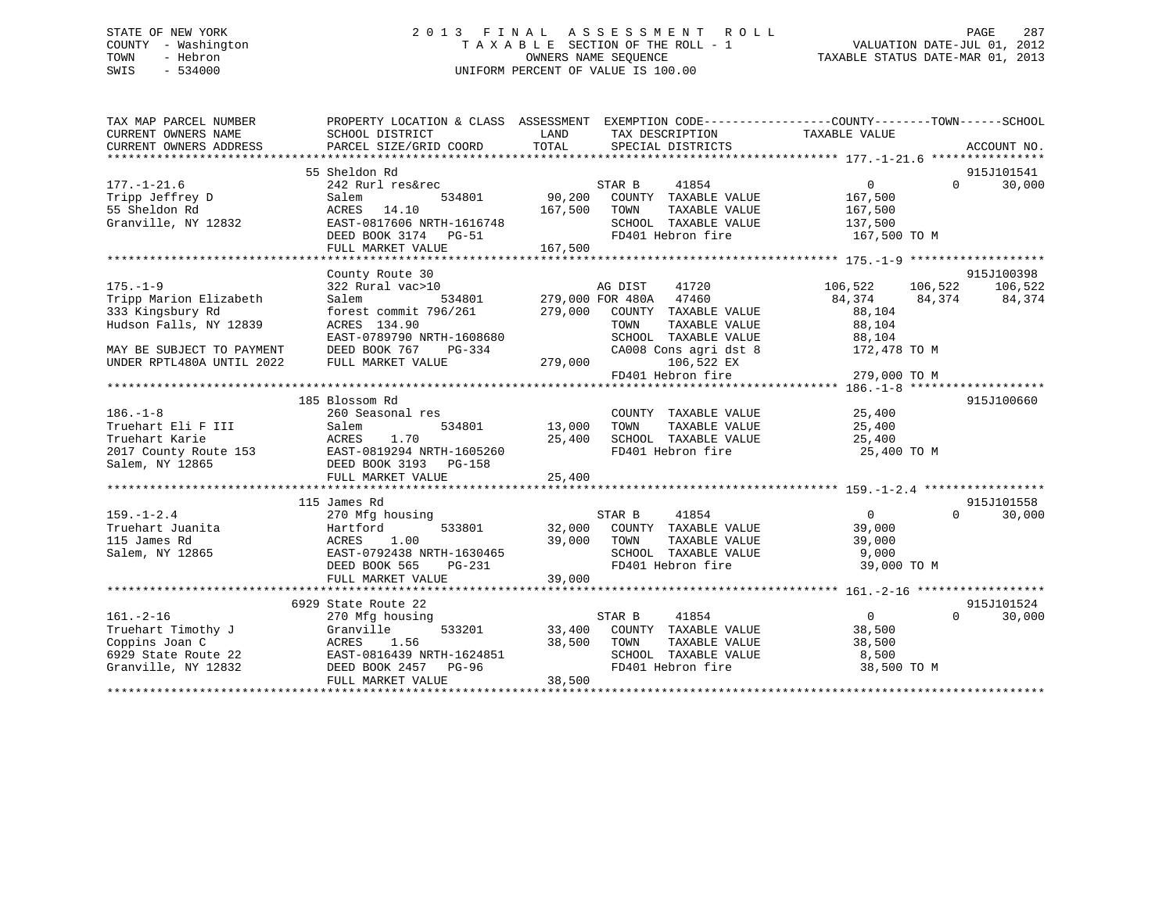# STATE OF NEW YORK 2 0 1 3 F I N A L A S S E S S M E N T R O L L PAGE 287 COUNTY - Washington T A X A B L E SECTION OF THE ROLL - 1 VALUATION DATE-JUL 01, 2012 TOWN - Hebron OWNERS NAME SEQUENCE TAXABLE STATUS DATE-MAR 01, 2013 SWIS - 534000 UNIFORM PERCENT OF VALUE IS 100.00

| TAX MAP PARCEL NUMBER<br>CURRENT OWNERS NAME<br>CURRENT OWNERS ADDRESS | SCHOOL DISTRICT<br>PARCEL SIZE/GRID COORD                                                                               | LAND<br>TOTAL | TAX DESCRIPTION<br>SPECIAL DISTRICTS | PROPERTY LOCATION & CLASS ASSESSMENT EXEMPTION CODE----------------COUNTY-------TOWN-----SCHOOL<br>TAXABLE VALUE | ACCOUNT NO.        |
|------------------------------------------------------------------------|-------------------------------------------------------------------------------------------------------------------------|---------------|--------------------------------------|------------------------------------------------------------------------------------------------------------------|--------------------|
|                                                                        |                                                                                                                         |               |                                      |                                                                                                                  |                    |
|                                                                        | 55 Sheldon Rd                                                                                                           |               |                                      |                                                                                                                  | 915J101541         |
| $177. - 1 - 21.6$                                                      | 242 Rurl res&rec                                                                                                        |               | STAR B<br>41854                      | $\Omega$                                                                                                         | 30,000<br>$\Omega$ |
| Tripp Jeffrey D                                                        | Salem<br>534801                                                                                                         | 90,200        | COUNTY TAXABLE VALUE                 | 167,500                                                                                                          |                    |
| 55 Sheldon Rd                                                          | ACRES 14.10                                                                                                             | 167,500       | TOWN<br>TAXABLE VALUE                | 167,500                                                                                                          |                    |
| Granville, NY 12832                                                    | EAST-0817606 NRTH-1616748                                                                                               |               | SCHOOL TAXABLE VALUE                 | 137,500                                                                                                          |                    |
|                                                                        | DEED BOOK 3174 PG-51                                                                                                    |               | FD401 Hebron fire                    | 167,500 TO M                                                                                                     |                    |
|                                                                        | FULL MARKET VALUE                                                                                                       | 167,500       |                                      |                                                                                                                  |                    |
|                                                                        |                                                                                                                         |               |                                      |                                                                                                                  |                    |
|                                                                        | County Route 30                                                                                                         |               |                                      |                                                                                                                  | 915J100398         |
| $175. - 1 - 9$                                                         | 322 Rural vac>10                                                                                                        |               | 41720<br>AG DIST                     | 106,522 106,522                                                                                                  | 106,522            |
| Tripp Marion Elizabeth                                                 | 534801<br>Salem                                                                                                         |               | 279,000 FOR 480A 47460               | 84,374 84,374 84,374                                                                                             |                    |
| 333 Kingsbury Rd                                                       | forest commit 796/261                                                                                                   |               | 279,000 COUNTY TAXABLE VALUE         | 88,104                                                                                                           |                    |
| Hudson Falls, NY 12839                                                 | ACRES 134.90                                                                                                            |               | TAXABLE VALUE<br>TOWN                | 88,104                                                                                                           |                    |
|                                                                        | EAST-0789790 NRTH-1608680                                                                                               |               | SCHOOL TAXABLE VALUE                 | 88,104                                                                                                           |                    |
| MAY BE SUBJECT TO PAYMENT                                              | DEED BOOK 767<br>PG-334                                                                                                 |               | CA008 Cons agri dst 8                | 172,478 TO M                                                                                                     |                    |
| UNDER RPTL480A UNTIL 2022                                              | FULL MARKET VALUE                                                                                                       | 279,000       | 106,522 EX                           |                                                                                                                  |                    |
|                                                                        |                                                                                                                         |               | FD401 Hebron fire                    | 279,000 TO M                                                                                                     |                    |
|                                                                        | 185 Blossom Rd                                                                                                          |               |                                      |                                                                                                                  | 915J100660         |
| $186. - 1 - 8$                                                         | 260 Seasonal res                                                                                                        |               | COUNTY TAXABLE VALUE                 | 25,400                                                                                                           |                    |
| Truehart Eli F III                                                     | 534801<br>Salem                                                                                                         | 13,000        | TAXABLE VALUE<br>TOWN                | 25,400                                                                                                           |                    |
|                                                                        |                                                                                                                         | 25,400        | SCHOOL TAXABLE VALUE                 | 25,400                                                                                                           |                    |
|                                                                        |                                                                                                                         |               | FD401 Hebron fire                    | 25,400 TO M                                                                                                      |                    |
|                                                                        | 2017 County Route 153<br>2017 County Route 153<br>2017 County Route 153<br>2017 County Route 153<br>2020 DEED ROOK 3193 |               |                                      |                                                                                                                  |                    |
|                                                                        | FULL MARKET VALUE                                                                                                       | 25,400        |                                      |                                                                                                                  |                    |
|                                                                        |                                                                                                                         |               |                                      |                                                                                                                  |                    |
|                                                                        | 115 James Rd                                                                                                            |               |                                      |                                                                                                                  | 915J101558         |
| $159. - 1 - 2.4$                                                       | 270 Mfg housing                                                                                                         |               | STAR B<br>41854                      | 0<br>$\Omega$                                                                                                    | 30,000             |
| Truehart Juanita                                                       | Hartford<br>533801                                                                                                      |               | 32,000 COUNTY TAXABLE VALUE          | 39,000                                                                                                           |                    |
| 115 James Rd                                                           | ACRES<br>1.00                                                                                                           | 39,000        | TOWN<br>TAXABLE VALUE                | 39,000                                                                                                           |                    |
| Salem, NY 12865                                                        | EAST-0792438 NRTH-1630465                                                                                               |               | SCHOOL TAXABLE VALUE                 | 9,000                                                                                                            |                    |
|                                                                        | DEED BOOK 565<br>PG-231                                                                                                 |               | FD401 Hebron fire                    | 39,000 TO M                                                                                                      |                    |
|                                                                        | FULL MARKET VALUE                                                                                                       | 39,000        |                                      |                                                                                                                  |                    |
|                                                                        |                                                                                                                         |               |                                      |                                                                                                                  |                    |
|                                                                        | 6929 State Route 22                                                                                                     |               |                                      |                                                                                                                  | 915J101524         |
| $161. - 2 - 16$                                                        | 270 Mfg housing                                                                                                         |               | STAR B<br>41854                      | $\overline{0}$<br>$\Omega$                                                                                       | 30,000             |
| Truehart Timothy J                                                     | Granville<br>533201                                                                                                     |               | 33,400 COUNTY TAXABLE VALUE          | 38,500                                                                                                           |                    |
| Coppins Joan C                                                         | ACRES<br>1.56                                                                                                           | 38,500        | TOWN<br>TAXABLE VALUE                | 38,500                                                                                                           |                    |
| 6929 State Route 22                                                    | EAST-0816439 NRTH-1624851                                                                                               |               | SCHOOL TAXABLE VALUE                 | 8,500                                                                                                            |                    |
| Granville, NY 12832                                                    | DEED BOOK 2457<br>PG-96                                                                                                 |               | FD401 Hebron fire                    | 38,500 TO M                                                                                                      |                    |
|                                                                        | FULL MARKET VALUE                                                                                                       | 38,500        |                                      |                                                                                                                  |                    |
|                                                                        |                                                                                                                         |               |                                      |                                                                                                                  |                    |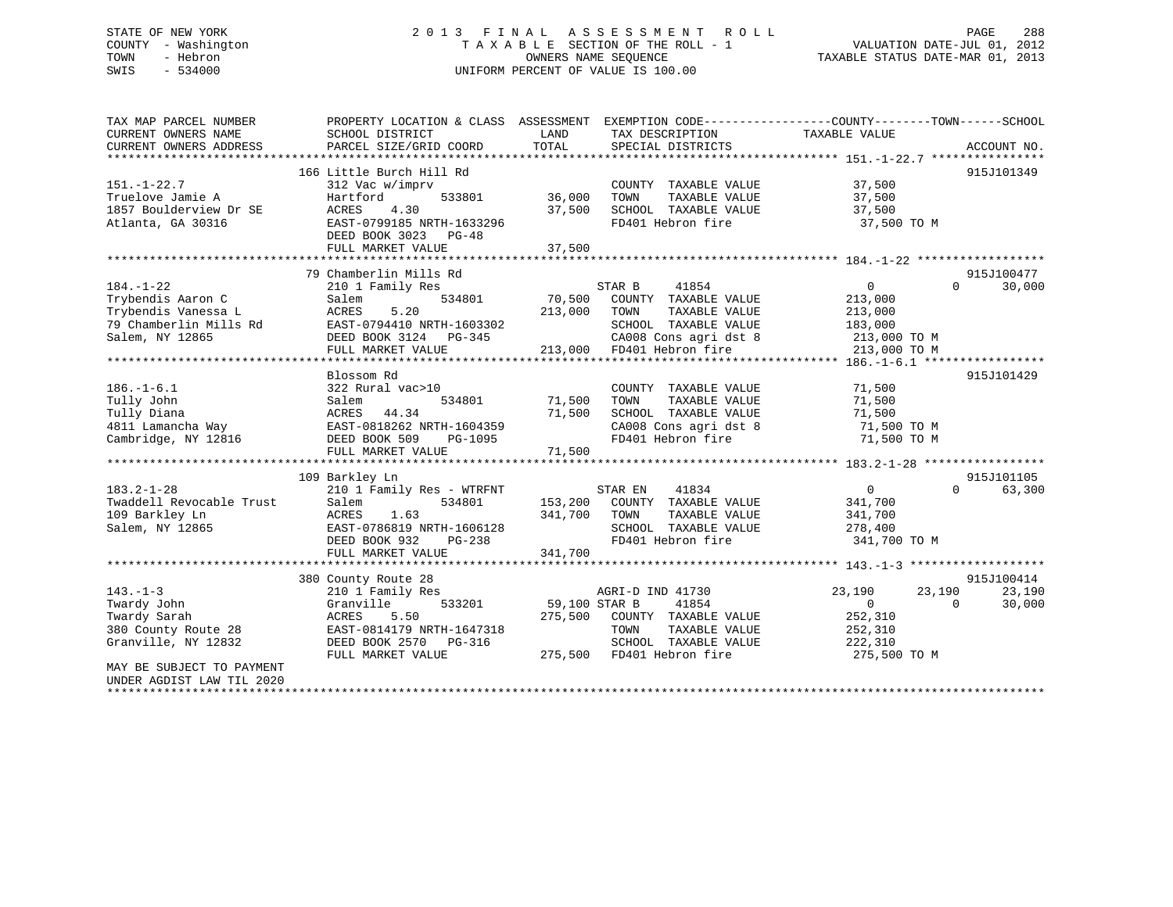# STATE OF NEW YORK 2 0 1 3 F I N A L A S S E S S M E N T R O L L PAGE 288 COUNTY - Washington T A X A B L E SECTION OF THE ROLL - 1 VALUATION DATE-JUL 01, 2012 TOWN - Hebron OWNERS NAME SEQUENCE TAXABLE STATUS DATE-MAR 01, 2013 SWIS - 534000 UNIFORM PERCENT OF VALUE IS 100.00

| TAX MAP PARCEL NUMBER     | PROPERTY LOCATION & CLASS ASSESSMENT |               | EXEMPTION CODE-----------------COUNTY-------TOWN------SCHOOL |                  |                    |
|---------------------------|--------------------------------------|---------------|--------------------------------------------------------------|------------------|--------------------|
| CURRENT OWNERS NAME       | SCHOOL DISTRICT                      | LAND          | TAX DESCRIPTION                                              | TAXABLE VALUE    |                    |
| CURRENT OWNERS ADDRESS    | PARCEL SIZE/GRID COORD               | TOTAL         | SPECIAL DISTRICTS                                            |                  | ACCOUNT NO.        |
|                           |                                      |               |                                                              |                  |                    |
|                           | 166 Little Burch Hill Rd             |               |                                                              |                  | 915J101349         |
| $151. - 1 - 22.7$         | 312 Vac w/imprv                      |               | COUNTY TAXABLE VALUE                                         | 37,500           |                    |
| Truelove Jamie A          | Hartford<br>533801                   | 36,000        | TAXABLE VALUE<br>TOWN                                        | 37,500           |                    |
| 1857 Boulderview Dr SE    | 4.30<br>ACRES                        | 37,500        | SCHOOL TAXABLE VALUE                                         | 37,500           |                    |
| Atlanta, GA 30316         | EAST-0799185 NRTH-1633296            |               | FD401 Hebron fire                                            | 37,500 TO M      |                    |
|                           | DEED BOOK 3023 PG-48                 |               |                                                              |                  |                    |
|                           | FULL MARKET VALUE                    | 37,500        |                                                              |                  |                    |
|                           |                                      |               |                                                              |                  |                    |
|                           | 79 Chamberlin Mills Rd               |               |                                                              |                  | 915J100477         |
| $184. - 1 - 22$           | 210 1 Family Res                     |               | STAR B<br>41854                                              | $\overline{0}$   | $\Omega$<br>30,000 |
| Trybendis Aaron C         | 534801<br>Salem                      | 70,500        | COUNTY TAXABLE VALUE                                         | 213,000          |                    |
| Trybendis Vanessa L       | ACRES<br>5.20                        | 213,000       | TAXABLE VALUE<br>TOWN                                        | 213,000          |                    |
| 79 Chamberlin Mills Rd    | EAST-0794410 NRTH-1603302            |               | SCHOOL TAXABLE VALUE                                         | 183,000          |                    |
| Salem, NY 12865           | DEED BOOK 3124 PG-345                |               | CA008 Cons agri dst 8                                        | 213,000 TO M     |                    |
|                           | FULL MARKET VALUE                    |               | CA008 Cons agri dst 8<br>213,000 FD401 Hebron fire           | 213,000 TO M     |                    |
|                           |                                      |               |                                                              |                  |                    |
|                           | Blossom Rd                           |               |                                                              |                  | 915J101429         |
| $186. - 1 - 6.1$          | 322 Rural vac>10                     |               | COUNTY TAXABLE VALUE                                         | 71,500           |                    |
| Tully John                | Salem<br>534801                      | 71,500        | TAXABLE VALUE<br>TOWN                                        | 71,500           |                    |
| Tully Diana               | ACRES 44.34                          | 71,500        | SCHOOL TAXABLE VALUE                                         | 71,500           |                    |
| 4811 Lamancha Way         | EAST-0818262 NRTH-1604359            |               | CA008 Cons agri dst 8                                        | 71,500 TO M      |                    |
| Cambridge, NY 12816       | DEED BOOK 509<br>PG-1095             |               | FD401 Hebron fire                                            | 71,500 TO M      |                    |
|                           | FULL MARKET VALUE                    | 71,500        |                                                              |                  |                    |
|                           |                                      |               |                                                              |                  |                    |
|                           | 109 Barkley Ln                       |               |                                                              |                  | 915J101105         |
| $183.2 - 1 - 28$          | 210 1 Family Res - WTRFNT            |               | 41834<br>STAR EN                                             | $\overline{0}$   | 63,300<br>$\Omega$ |
| Twaddell Revocable Trust  | 534801<br>Salem                      |               | 153,200 COUNTY TAXABLE VALUE                                 | 341,700          |                    |
| 109 Barkley Ln            | ACRES<br>1.63                        | 341,700       | TAXABLE VALUE<br>TOWN                                        | 341,700          |                    |
| Salem, NY 12865           | EAST-0786819 NRTH-1606128            |               | SCHOOL TAXABLE VALUE                                         | 278,400          |                    |
|                           | DEED BOOK 932<br>PG-238              |               | FD401 Hebron fire                                            | 341,700 TO M     |                    |
|                           | FULL MARKET VALUE                    | 341,700       |                                                              |                  |                    |
|                           |                                      |               |                                                              |                  |                    |
|                           | 380 County Route 28                  |               |                                                              |                  | 915J100414         |
| $143. - 1 - 3$            | 210 1 Family Res                     |               | AGRI-D IND 41730                                             | 23,190<br>23,190 | 23,190             |
| Twardy John               | 533201<br>Granville                  | 59,100 STAR B | 41854                                                        | $\overline{0}$   | 30,000<br>$\Omega$ |
| Twardy Sarah              | ACRES<br>5.50                        | 275,500       | COUNTY TAXABLE VALUE                                         | 252,310          |                    |
| 380 County Route 28       | EAST-0814179 NRTH-1647318            |               | TOWN<br>TAXABLE VALUE                                        | 252,310          |                    |
| Granville, NY 12832       | DEED BOOK 2570 PG-316                |               | SCHOOL TAXABLE VALUE                                         | 222,310          |                    |
|                           | FULL MARKET VALUE                    |               | 275,500 FD401 Hebron fire                                    | 275,500 TO M     |                    |
| MAY BE SUBJECT TO PAYMENT |                                      |               |                                                              |                  |                    |
| UNDER AGDIST LAW TIL 2020 |                                      |               |                                                              |                  |                    |
|                           |                                      |               |                                                              |                  |                    |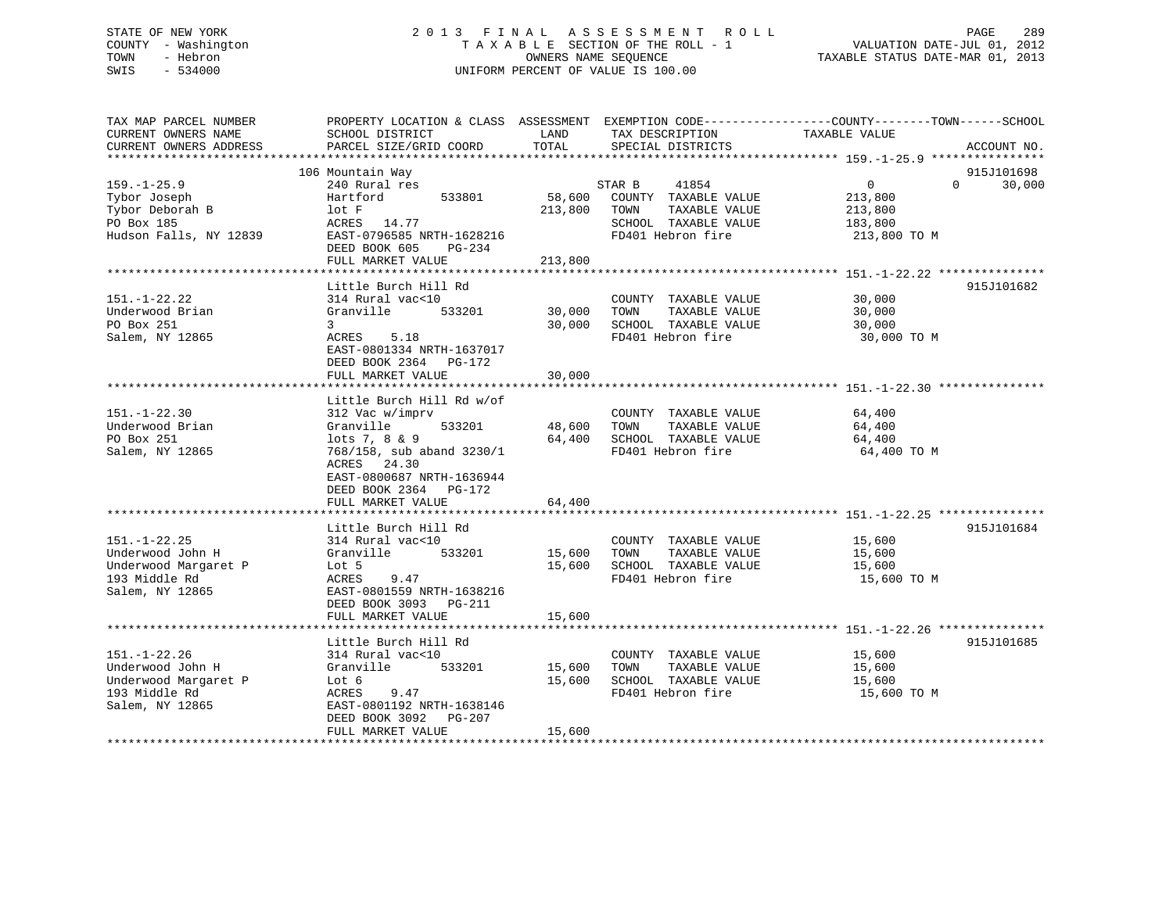# STATE OF NEW YORK 2 0 1 3 F I N A L A S S E S S M E N T R O L L PAGE 289 COUNTY - Washington T A X A B L E SECTION OF THE ROLL - 1 VALUATION DATE-JUL 01, 2012 TOWN - Hebron OWNERS NAME SEQUENCE TAXABLE STATUS DATE-MAR 01, 2013 SWIS - 534000 UNIFORM PERCENT OF VALUE IS 100.00

| TAX MAP PARCEL NUMBER<br>CURRENT OWNERS NAME<br>CURRENT OWNERS ADDRESS                             | PROPERTY LOCATION & CLASS ASSESSMENT EXEMPTION CODE----------------COUNTY-------TOWN------SCHOOL<br>SCHOOL DISTRICT<br>PARCEL SIZE/GRID COORD                                                | LAND<br>TOTAL                | TAX DESCRIPTION<br>SPECIAL DISTRICTS                                                                          | TAXABLE VALUE                                                               | ACCOUNT NO.          |
|----------------------------------------------------------------------------------------------------|----------------------------------------------------------------------------------------------------------------------------------------------------------------------------------------------|------------------------------|---------------------------------------------------------------------------------------------------------------|-----------------------------------------------------------------------------|----------------------|
|                                                                                                    |                                                                                                                                                                                              |                              |                                                                                                               |                                                                             |                      |
| $159. - 1 - 25.9$<br>Tybor Joseph<br>Tybor Deborah B<br>PO Box 185<br>Hudson Falls, NY 12839       | 106 Mountain Way<br>240 Rural res<br>533801<br>Hartford<br>lotF<br>ACRES 14.77<br>EAST-0796585 NRTH-1628216<br>DEED BOOK 605<br>PG-234<br>FULL MARKET VALUE                                  | 58,600<br>213,800<br>213,800 | 41854<br>STAR B<br>COUNTY TAXABLE VALUE<br>TOWN<br>TAXABLE VALUE<br>SCHOOL TAXABLE VALUE<br>FD401 Hebron fire | $\overline{0}$<br>$\Omega$<br>213,800<br>213,800<br>183,800<br>213,800 TO M | 915J101698<br>30,000 |
|                                                                                                    | Little Burch Hill Rd                                                                                                                                                                         |                              |                                                                                                               |                                                                             | 915J101682           |
| $151. - 1 - 22.22$<br>Underwood Brian<br>PO Box 251<br>Salem, NY 12865                             | 314 Rural vac<10<br>Granville<br>533201<br>3<br>ACRES<br>5.18<br>EAST-0801334 NRTH-1637017                                                                                                   | 30,000<br>30,000             | COUNTY TAXABLE VALUE<br>TAXABLE VALUE<br>TOWN<br>SCHOOL TAXABLE VALUE<br>FD401 Hebron fire                    | 30,000<br>30,000<br>30,000<br>30,000 TO M                                   |                      |
|                                                                                                    | DEED BOOK 2364 PG-172<br>FULL MARKET VALUE                                                                                                                                                   | 30,000                       |                                                                                                               |                                                                             |                      |
|                                                                                                    |                                                                                                                                                                                              |                              |                                                                                                               |                                                                             |                      |
| $151. - 1 - 22.30$<br>Underwood Brian<br>PO Box 251<br>Salem, NY 12865                             | Little Burch Hill Rd w/of<br>312 Vac w/imprv<br>533201<br>Granville<br>lots $7, 8 \& 9$<br>768/158, sub aband 3230/1<br>ACRES 24.30<br>EAST-0800687 NRTH-1636944<br>DEED BOOK 2364<br>PG-172 | 48,600<br>64,400             | COUNTY TAXABLE VALUE<br>TAXABLE VALUE<br>TOWN<br>SCHOOL TAXABLE VALUE<br>FD401 Hebron fire                    | 64,400<br>64,400<br>64,400<br>64,400 TO M                                   |                      |
|                                                                                                    | FULL MARKET VALUE                                                                                                                                                                            | 64,400                       |                                                                                                               |                                                                             |                      |
| $151. - 1 - 22.25$<br>Underwood John H<br>Underwood Margaret P<br>193 Middle Rd<br>Salem, NY 12865 | Little Burch Hill Rd<br>314 Rural vac<10<br>Granville<br>533201<br>Lot 5<br>9.47<br>ACRES<br>EAST-0801559 NRTH-1638216<br>DEED BOOK 3093<br>PG-211                                           | 15,600<br>15,600             | COUNTY TAXABLE VALUE<br>TOWN<br>TAXABLE VALUE<br>SCHOOL TAXABLE VALUE<br>FD401 Hebron fire                    | 15,600<br>15,600<br>15,600<br>15,600 TO M                                   | 915J101684           |
|                                                                                                    | FULL MARKET VALUE                                                                                                                                                                            | 15,600                       |                                                                                                               |                                                                             |                      |
| $151. - 1 - 22.26$<br>Underwood John H<br>Underwood Margaret P<br>193 Middle Rd<br>Salem, NY 12865 | ***********************<br>Little Burch Hill Rd<br>314 Rural vac<10<br>Granville<br>533201<br>Lot 6<br>ACRES<br>9.47<br>EAST-0801192 NRTH-1638146                                            | 15,600<br>15,600             | COUNTY TAXABLE VALUE<br>TOWN<br>TAXABLE VALUE<br>SCHOOL TAXABLE VALUE<br>FD401 Hebron fire                    | 15,600<br>15,600<br>15,600<br>15,600 TO M                                   | 915J101685           |
|                                                                                                    | DEED BOOK 3092<br>$PG-207$<br>FULL MARKET VALUE                                                                                                                                              | 15,600                       |                                                                                                               |                                                                             |                      |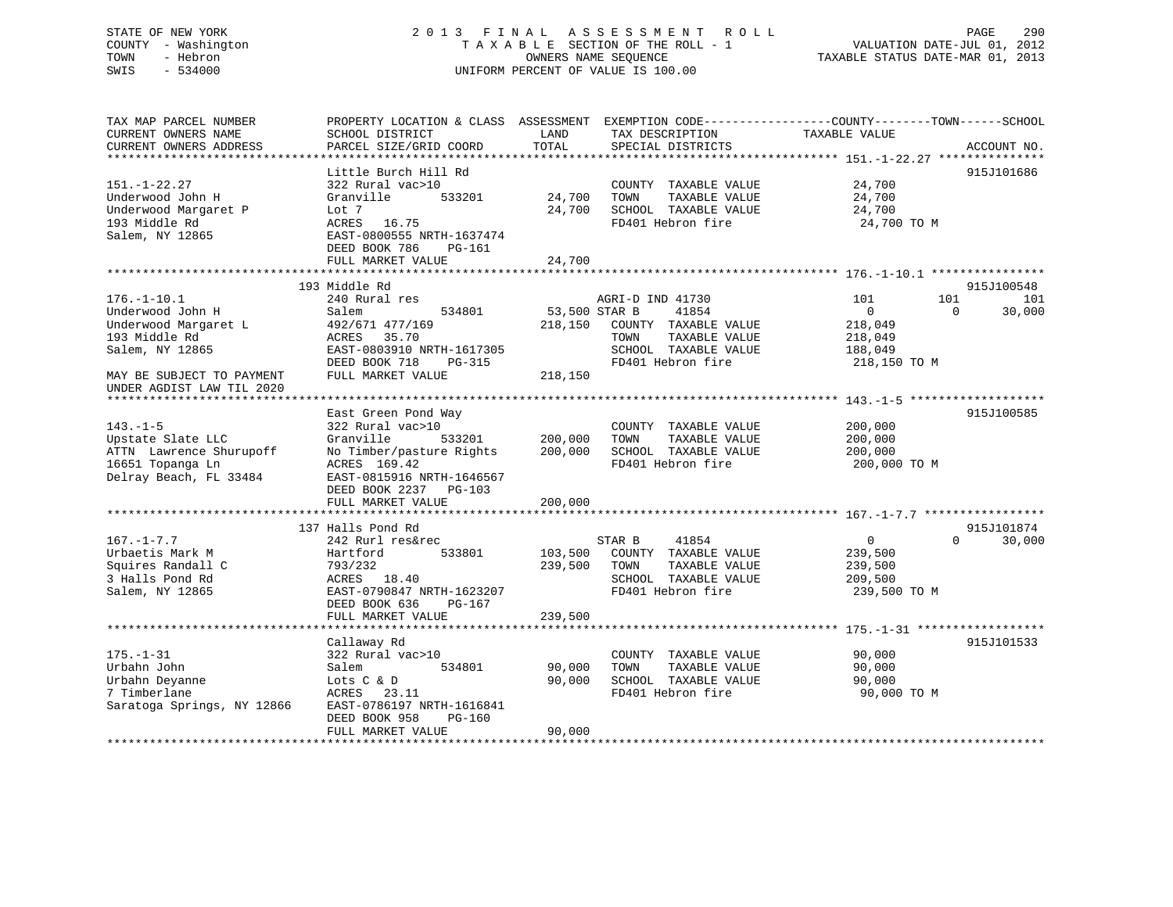# STATE OF NEW YORK 2 0 1 3 F I N A L A S S E S S M E N T R O L L PAGE 290 COUNTY - Washington T A X A B L E SECTION OF THE ROLL - 1 VALUATION DATE-JUL 01, 2012 TOWN - Hebron OWNERS NAME SEQUENCE TAXABLE STATUS DATE-MAR 01, 2013 SWIS - 534000 UNIFORM PERCENT OF VALUE IS 100.00

| TAX MAP PARCEL NUMBER<br>CURRENT OWNERS NAME<br>CURRENT OWNERS ADDRESS | SCHOOL DISTRICT<br>PARCEL SIZE/GRID COORD                           | LAND<br>TOTAL    | TAX DESCRIPTION<br>SPECIAL DISTRICTS                                  | PROPERTY LOCATION & CLASS ASSESSMENT EXEMPTION CODE----------------COUNTY-------TOWN------SCHOOL<br>TAXABLE VALUE<br>ACCOUNT NO. |
|------------------------------------------------------------------------|---------------------------------------------------------------------|------------------|-----------------------------------------------------------------------|----------------------------------------------------------------------------------------------------------------------------------|
|                                                                        |                                                                     |                  |                                                                       |                                                                                                                                  |
|                                                                        | Little Burch Hill Rd                                                |                  |                                                                       | 915J101686                                                                                                                       |
| $151. - 1 - 22.27$<br>Underwood John H<br>Underwood Margaret P         | 322 Rural vac>10<br>Granville<br>533201<br>Lot 7                    | 24,700<br>24,700 | COUNTY TAXABLE VALUE<br>TOWN<br>TAXABLE VALUE<br>SCHOOL TAXABLE VALUE | 24,700<br>24,700<br>24,700                                                                                                       |
| 193 Middle Rd<br>Salem, NY 12865                                       | ACRES 16.75<br>EAST-0800555 NRTH-1637474<br>DEED BOOK 786<br>PG-161 |                  | FD401 Hebron fire                                                     | 24,700 TO M                                                                                                                      |
|                                                                        | FULL MARKET VALUE                                                   | 24,700           |                                                                       |                                                                                                                                  |
|                                                                        |                                                                     |                  |                                                                       |                                                                                                                                  |
| $176. - 1 - 10.1$                                                      | 193 Middle Rd<br>240 Rural res                                      |                  | AGRI-D IND 41730                                                      | 915J100548<br>101<br>101<br>101                                                                                                  |
| Underwood John H                                                       | Salem<br>534801                                                     | 53,500 STAR B    | 41854                                                                 | 30,000<br>$\overline{0}$<br>$\Omega$                                                                                             |
| Underwood Margaret L                                                   | 492/671 477/169                                                     | 218,150          | COUNTY TAXABLE VALUE                                                  | 218,049                                                                                                                          |
| 193 Middle Rd                                                          | 35.70<br>ACRES                                                      |                  | TOWN<br>TAXABLE VALUE                                                 | 218,049                                                                                                                          |
| Salem, NY 12865                                                        | EAST-0803910 NRTH-1617305                                           |                  | SCHOOL TAXABLE VALUE                                                  | 188,049                                                                                                                          |
|                                                                        | DEED BOOK 718<br>$PG-315$                                           |                  | FD401 Hebron fire                                                     | 218,150 TO M                                                                                                                     |
| MAY BE SUBJECT TO PAYMENT<br>UNDER AGDIST LAW TIL 2020                 | FULL MARKET VALUE                                                   | 218,150          |                                                                       |                                                                                                                                  |
|                                                                        |                                                                     |                  |                                                                       |                                                                                                                                  |
|                                                                        | East Green Pond Way                                                 |                  |                                                                       | 915J100585                                                                                                                       |
| $143. - 1 - 5$<br>Upstate Slate LLC                                    | 322 Rural vac>10<br>Granville<br>533201                             | 200,000          | COUNTY TAXABLE VALUE<br>TOWN<br>TAXABLE VALUE                         | 200,000                                                                                                                          |
| ATTN Lawrence Shurupoff                                                | No Timber/pasture Rights                                            | 200,000          | SCHOOL TAXABLE VALUE                                                  | 200,000<br>200,000                                                                                                               |
| 16651 Topanga Ln                                                       | ACRES 169.42                                                        |                  | FD401 Hebron fire                                                     | 200,000 TO M                                                                                                                     |
| Delray Beach, FL 33484                                                 | EAST-0815916 NRTH-1646567                                           |                  |                                                                       |                                                                                                                                  |
|                                                                        | DEED BOOK 2237<br>PG-103                                            |                  |                                                                       |                                                                                                                                  |
|                                                                        | FULL MARKET VALUE                                                   | 200,000          |                                                                       |                                                                                                                                  |
|                                                                        | ****************************                                        |                  |                                                                       |                                                                                                                                  |
|                                                                        | 137 Halls Pond Rd                                                   |                  |                                                                       | 915J101874                                                                                                                       |
| $167. - 1 - 7.7$                                                       | 242 Rurl res&rec                                                    |                  | 41854<br>STAR B                                                       | 30,000<br>$\mathbf{0}$<br>$\Omega$                                                                                               |
| Urbaetis Mark M                                                        | 533801<br>Hartford                                                  | 103,500          | COUNTY TAXABLE VALUE                                                  | 239,500                                                                                                                          |
| Squires Randall C                                                      | 793/232                                                             | 239,500          | TAXABLE VALUE<br>TOWN                                                 | 239,500                                                                                                                          |
| 3 Halls Pond Rd                                                        | ACRES 18.40                                                         |                  | SCHOOL TAXABLE VALUE<br>FD401 Hebron fire                             | 209,500                                                                                                                          |
| Salem, NY 12865                                                        | EAST-0790847 NRTH-1623207<br>DEED BOOK 636<br>PG-167                |                  |                                                                       | 239,500 TO M                                                                                                                     |
|                                                                        | FULL MARKET VALUE                                                   | 239,500          |                                                                       |                                                                                                                                  |
|                                                                        | Callaway Rd                                                         |                  |                                                                       | 915J101533                                                                                                                       |
| $175. - 1 - 31$                                                        | 322 Rural vac>10                                                    |                  | COUNTY TAXABLE VALUE                                                  | 90,000                                                                                                                           |
| Urbahn John                                                            | 534801<br>Salem                                                     | 90,000           | TOWN<br>TAXABLE VALUE                                                 | 90,000                                                                                                                           |
| Urbahn Deyanne                                                         | Lots C & D                                                          | 90,000           | SCHOOL TAXABLE VALUE                                                  | 90,000                                                                                                                           |
| 7 Timberlane                                                           | ACRES 23.11                                                         |                  | FD401 Hebron fire                                                     | 90,000 TO M                                                                                                                      |
| Saratoga Springs, NY 12866                                             | EAST-0786197 NRTH-1616841                                           |                  |                                                                       |                                                                                                                                  |
|                                                                        | DEED BOOK 958<br>PG-160                                             |                  |                                                                       |                                                                                                                                  |
|                                                                        | FULL MARKET VALUE                                                   | 90,000           |                                                                       |                                                                                                                                  |
|                                                                        |                                                                     |                  |                                                                       |                                                                                                                                  |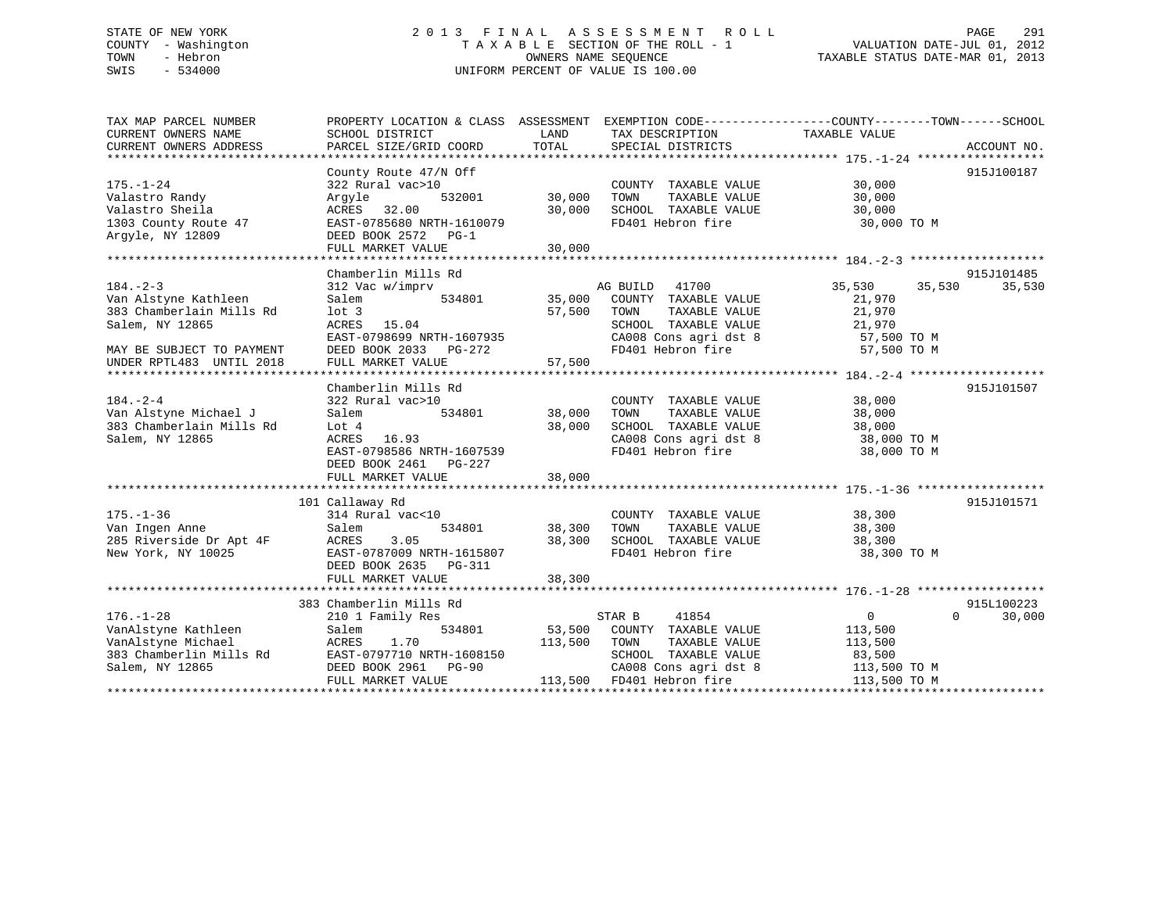# STATE OF NEW YORK 2 0 1 3 F I N A L A S S E S S M E N T R O L L PAGE 291 COUNTY - Washington T A X A B L E SECTION OF THE ROLL - 1 VALUATION DATE-JUL 01, 2012 TOWN - Hebron OWNERS NAME SEQUENCE TAXABLE STATUS DATE-MAR 01, 2013 SWIS - 534000 UNIFORM PERCENT OF VALUE IS 100.00

| TAX MAP PARCEL NUMBER<br>CURRENT OWNERS NAME<br>CURRENT OWNERS ADDRESS                                                                         | PROPERTY LOCATION & CLASS ASSESSMENT EXEMPTION CODE----------------COUNTY-------TOWN-----SCHOOL<br>SCHOOL DISTRICT<br>PARCEL SIZE/GRID COORD                     | LAND<br>TOTAL              | TAX DESCRIPTION<br>SPECIAL DISTRICTS                                                                                                            | TAXABLE VALUE                                                                     | ACCOUNT NO.                      |
|------------------------------------------------------------------------------------------------------------------------------------------------|------------------------------------------------------------------------------------------------------------------------------------------------------------------|----------------------------|-------------------------------------------------------------------------------------------------------------------------------------------------|-----------------------------------------------------------------------------------|----------------------------------|
| $175. - 1 - 24$<br>Valastro Randy<br>Valastro Sheila<br>1303 County Route 47<br>Argyle, NY 12809                                               | County Route 47/N Off<br>322 Rural vac>10<br>532001<br>Arqyle<br>ACRES<br>32.00<br>EAST-0785680 NRTH-1610079<br>DEED BOOK 2572 PG-1                              | 30,000<br>30,000           | COUNTY TAXABLE VALUE<br>TAXABLE VALUE<br>TOWN<br>SCHOOL TAXABLE VALUE<br>FD401 Hebron fire                                                      | 30,000<br>30,000<br>30,000<br>30,000 TO M                                         | 915J100187                       |
|                                                                                                                                                | FULL MARKET VALUE                                                                                                                                                | 30,000                     |                                                                                                                                                 |                                                                                   |                                  |
| $184. - 2 - 3$<br>Van Alstyne Kathleen<br>383 Chamberlain Mills Rd<br>Salem, NY 12865<br>MAY BE SUBJECT TO PAYMENT<br>UNDER RPTL483 UNTIL 2018 | Chamberlin Mills Rd<br>312 Vac w/imprv<br>Salem<br>534801<br>$1$ ot 3<br>ACRES 15.04<br>EAST-0798699 NRTH-1607935<br>DEED BOOK 2033 PG-272<br>FULL MARKET VALUE  | 57,500<br>57,500           | AG BUILD<br>41700<br>35,000 COUNTY TAXABLE VALUE<br>TAXABLE VALUE<br>TOWN<br>SCHOOL TAXABLE VALUE<br>CA008 Cons agri dst 8<br>FD401 Hebron fire | 35,530<br>35,530<br>21,970<br>21,970<br>21,970<br>57,500 TO M<br>57,500 TO M      | 915J101485<br>35,530             |
| $184. - 2 - 4$<br>Van Alstyne Michael J<br>383 Chamberlain Mills Rd<br>Salem, NY 12865                                                         | Chamberlin Mills Rd<br>322 Rural vac>10<br>534801<br>Salem<br>Lot 4<br>16.93<br>ACRES<br>EAST-0798586 NRTH-1607539<br>DEED BOOK 2461 PG-227<br>FULL MARKET VALUE | 38,000<br>38,000<br>38,000 | COUNTY TAXABLE VALUE<br>TOWN<br>TAXABLE VALUE<br>SCHOOL TAXABLE VALUE<br>CA008 Cons agri dst 8<br>FD401 Hebron fire                             | 38,000<br>38,000<br>38,000<br>38,000 TO M<br>38,000 TO M                          | 915J101507                       |
|                                                                                                                                                |                                                                                                                                                                  |                            |                                                                                                                                                 |                                                                                   |                                  |
| $175. - 1 - 36$<br>Van Ingen Anne<br>285 Riverside Dr Apt 4F<br>New York, NY 10025                                                             | 101 Callaway Rd<br>314 Rural vac<10<br>534801<br>Salem<br>ACRES<br>3.05<br>EAST-0787009 NRTH-1615807<br>DEED BOOK 2635 PG-311<br>FULL MARKET VALUE               | 38,300<br>38,300<br>38,300 | COUNTY TAXABLE VALUE<br>TOWN<br>TAXABLE VALUE<br>SCHOOL TAXABLE VALUE<br>FD401 Hebron fire                                                      | 38,300<br>38,300<br>38,300<br>38,300 TO M                                         | 915J101571                       |
|                                                                                                                                                |                                                                                                                                                                  |                            |                                                                                                                                                 |                                                                                   |                                  |
| $176. - 1 - 28$<br>VanAlstyne Kathleen<br>VanAlstyne Michael<br>383 Chamberlin Mills Rd<br>Salem, NY 12865                                     | 383 Chamberlin Mills Rd<br>210 1 Family Res<br>534801<br>Salem<br>1.70<br>ACRES<br>EAST-0797710 NRTH-1608150<br>DEED BOOK 2961 PG-90<br>FULL MARKET VALUE        | 53,500<br>113,500          | STAR B<br>41854<br>COUNTY TAXABLE VALUE<br>TAXABLE VALUE<br>TOWN<br>SCHOOL TAXABLE VALUE<br>CA008 Cons agri dst 8<br>113,500 FD401 Hebron fire  | $0 \qquad \qquad$<br>113,500<br>113,500<br>83,500<br>113,500 TO M<br>113,500 TO M | 915L100223<br>30,000<br>$\Omega$ |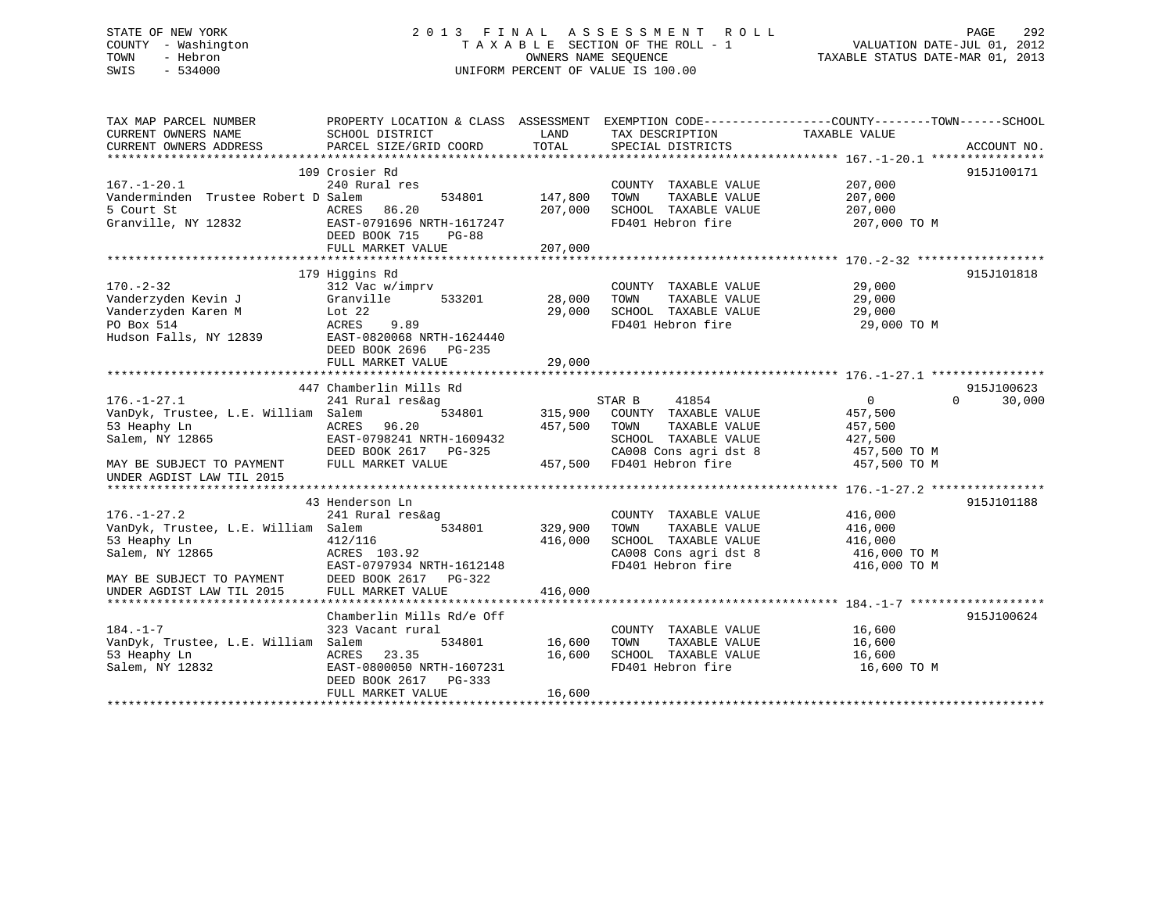# STATE OF NEW YORK 2 0 1 3 F I N A L A S S E S S M E N T R O L L PAGE 292 COUNTY - Washington T A X A B L E SECTION OF THE ROLL - 1 VALUATION DATE-JUL 01, 2012 TOWN - Hebron OWNERS NAME SEQUENCE TAXABLE STATUS DATE-MAR 01, 2013 SWIS - 534000 UNIFORM PERCENT OF VALUE IS 100.00

| TAX MAP PARCEL NUMBER               | PROPERTY LOCATION & CLASS ASSESSMENT EXEMPTION CODE----------------COUNTY-------TOWN-----SCHOOL |         |                             |                |                    |
|-------------------------------------|-------------------------------------------------------------------------------------------------|---------|-----------------------------|----------------|--------------------|
| CURRENT OWNERS NAME                 | SCHOOL DISTRICT                                                                                 | LAND    | TAX DESCRIPTION             | TAXABLE VALUE  |                    |
| CURRENT OWNERS ADDRESS              | PARCEL SIZE/GRID COORD                                                                          | TOTAL   | SPECIAL DISTRICTS           |                | ACCOUNT NO.        |
|                                     |                                                                                                 |         |                             |                |                    |
|                                     | 109 Crosier Rd                                                                                  |         |                             |                | 915J100171         |
| $167. - 1 - 20.1$                   | 240 Rural res                                                                                   |         | COUNTY TAXABLE VALUE        | 207,000        |                    |
| Vanderminden Trustee Robert D Salem | 534801                                                                                          | 147,800 | TAXABLE VALUE<br>TOWN       | 207,000        |                    |
| 5 Court St                          | ACRES<br>86.20                                                                                  | 207,000 | SCHOOL TAXABLE VALUE        | 207,000        |                    |
| Granville, NY 12832                 | EAST-0791696 NRTH-1617247<br>DEED BOOK 715<br>PG-88                                             |         | FD401 Hebron fire           | 207,000 TO M   |                    |
|                                     | FULL MARKET VALUE                                                                               | 207,000 |                             |                |                    |
|                                     |                                                                                                 |         |                             |                |                    |
|                                     | 179 Higgins Rd                                                                                  |         |                             |                | 915J101818         |
| $170. - 2 - 32$                     | 312 Vac w/imprv                                                                                 |         | COUNTY TAXABLE VALUE        | 29,000         |                    |
| Vanderzyden Kevin J                 | Granville<br>533201                                                                             | 28,000  | TAXABLE VALUE<br>TOWN       | 29,000         |                    |
|                                     |                                                                                                 |         |                             |                |                    |
| Vanderzyden Karen M                 | Lot 22                                                                                          | 29,000  | SCHOOL TAXABLE VALUE        | 29,000         |                    |
| PO Box 514                          | ACRES<br>9.89                                                                                   |         | FD401 Hebron fire           | 29,000 TO M    |                    |
| Hudson Falls, NY 12839              | EAST-0820068 NRTH-1624440                                                                       |         |                             |                |                    |
|                                     | DEED BOOK 2696 PG-235                                                                           |         |                             |                |                    |
|                                     | FULL MARKET VALUE                                                                               | 29,000  |                             |                |                    |
|                                     |                                                                                                 |         |                             |                |                    |
|                                     | 447 Chamberlin Mills Rd                                                                         |         |                             |                | 915J100623         |
| $176. - 1 - 27.1$                   | 241 Rural res&ag                                                                                |         | STAR B<br>41854             | $\overline{0}$ | $\Omega$<br>30,000 |
| VanDyk, Trustee, L.E. William Salem | 534801                                                                                          | 315,900 | COUNTY TAXABLE VALUE        | 457,500        |                    |
| 53 Heaphy Ln                        | ACRES<br>96.20                                                                                  | 457,500 | TOWN<br>TAXABLE VALUE       | 457,500        |                    |
| Salem, NY 12865                     | EAST-0798241 NRTH-1609432                                                                       |         | SCHOOL TAXABLE VALUE        | 427,500        |                    |
|                                     | DEED BOOK 2617 PG-325                                                                           |         | CA008 Cons agri dst 8       | 457,500 TO M   |                    |
| MAY BE SUBJECT TO PAYMENT           | FULL MARKET VALUE                                                                               |         | 457,500 FD401 Hebron fire   | 457,500 TO M   |                    |
| UNDER AGDIST LAW TIL 2015           |                                                                                                 |         |                             |                |                    |
|                                     |                                                                                                 |         |                             |                |                    |
|                                     | 43 Henderson Ln                                                                                 |         |                             |                | 915J101188         |
| $176. - 1 - 27.2$                   | 241 Rural res&ag                                                                                |         | COUNTY TAXABLE VALUE        | 416,000        |                    |
| VanDyk, Trustee, L.E. William Salem | 534801                                                                                          | 329,900 | TOWN<br>TAXABLE VALUE       | 416,000        |                    |
| 53 Heaphy Ln                        | 412/116                                                                                         | 416,000 | SCHOOL TAXABLE VALUE        | 416,000        |                    |
| Salem, NY 12865                     | ACRES 103.92                                                                                    |         | CA008 Cons agri dst 8       | 416,000 TO M   |                    |
|                                     | EAST-0797934 NRTH-1612148                                                                       |         | FD401 Hebron fire           | 416,000 TO M   |                    |
| MAY BE SUBJECT TO PAYMENT           | DEED BOOK 2617 PG-322                                                                           |         |                             |                |                    |
| UNDER AGDIST LAW TIL 2015           | FULL MARKET VALUE                                                                               | 416,000 |                             |                |                    |
|                                     |                                                                                                 |         |                             |                |                    |
|                                     | Chamberlin Mills Rd/e Off                                                                       |         |                             |                | 915J100624         |
| $184. - 1 - 7$                      | 323 Vacant rural                                                                                |         | COUNTY TAXABLE VALUE 16,600 |                |                    |
| VanDyk, Trustee, L.E. William Salem | 534801                                                                                          | 16,600  | TOWN<br>TAXABLE VALUE       | 16,600         |                    |
| 53 Heaphy Ln                        | ACRES 23.35                                                                                     | 16,600  | SCHOOL TAXABLE VALUE        | 16,600         |                    |
| Salem, NY 12832                     | EAST-0800050 NRTH-1607231                                                                       |         | FD401 Hebron fire           | 16,600 TO M    |                    |
|                                     | DEED BOOK 2617 PG-333                                                                           |         |                             |                |                    |
|                                     | FULL MARKET VALUE                                                                               | 16,600  |                             |                |                    |
|                                     |                                                                                                 |         |                             |                |                    |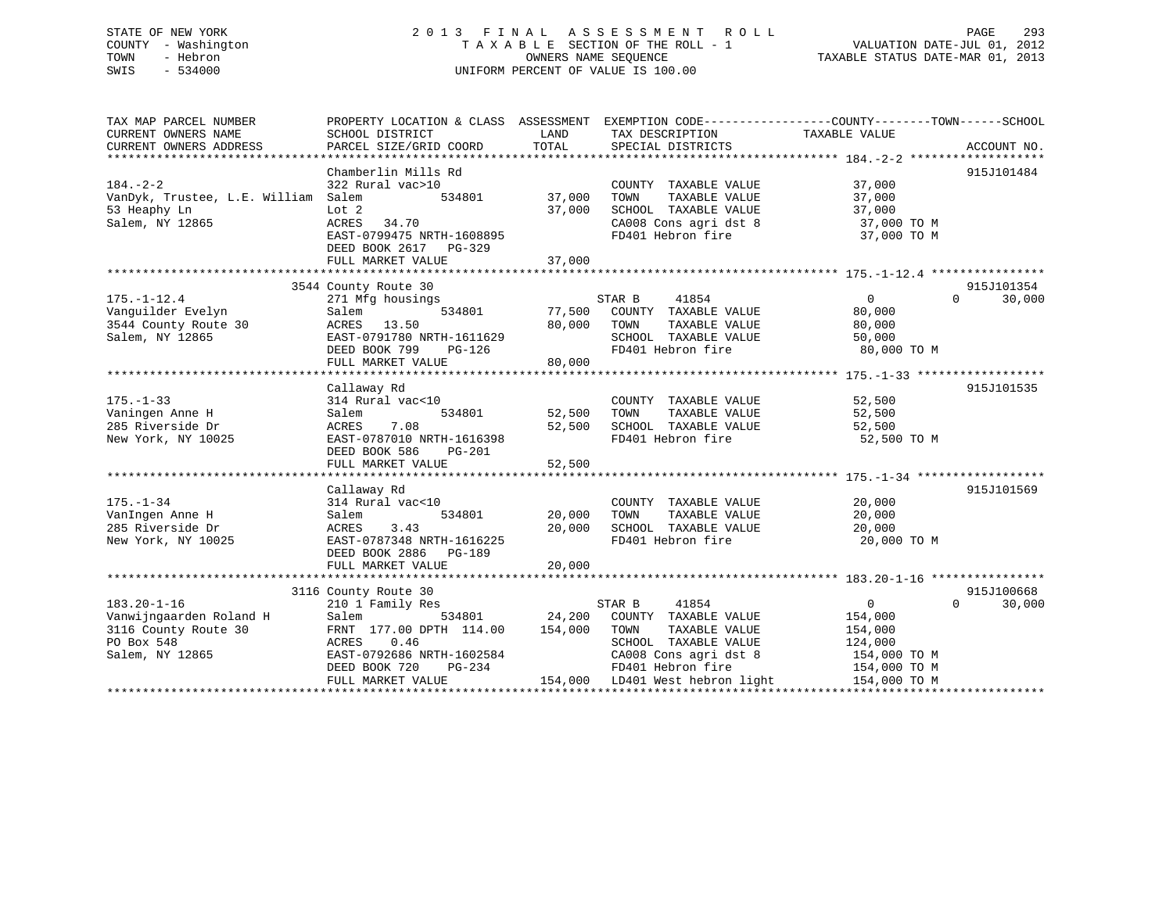# STATE OF NEW YORK 2 0 1 3 F I N A L A S S E S S M E N T R O L L PAGE 293 COUNTY - Washington T A X A B L E SECTION OF THE ROLL - 1 VALUATION DATE-JUL 01, 2012 TOWN - Hebron OWNERS NAME SEQUENCE TAXABLE STATUS DATE-MAR 01, 2013 SWIS - 534000 UNIFORM PERCENT OF VALUE IS 100.00

| TAX MAP PARCEL NUMBER               | PROPERTY LOCATION & CLASS ASSESSMENT EXEMPTION CODE----------------COUNTY-------TOWN------SCHOOL |               |                                 |                |                    |
|-------------------------------------|--------------------------------------------------------------------------------------------------|---------------|---------------------------------|----------------|--------------------|
| CURRENT OWNERS NAME                 | SCHOOL DISTRICT                                                                                  | LAND<br>TOTAL | TAX DESCRIPTION                 | TAXABLE VALUE  |                    |
| CURRENT OWNERS ADDRESS              | PARCEL SIZE/GRID COORD                                                                           |               | SPECIAL DISTRICTS               |                | ACCOUNT NO.        |
|                                     | Chamberlin Mills Rd                                                                              |               |                                 |                | 915J101484         |
| $184. - 2 - 2$                      | 322 Rural vac>10                                                                                 |               | COUNTY TAXABLE VALUE            | 37,000         |                    |
| VanDyk, Trustee, L.E. William Salem | 534801                                                                                           | 37,000        | TOWN<br>TAXABLE VALUE           | 37,000         |                    |
| 53 Heaphy Ln                        | Lot <sub>2</sub>                                                                                 | 37,000        | SCHOOL TAXABLE VALUE            | 37,000         |                    |
| Salem, NY 12865                     | ACRES<br>34.70                                                                                   |               | CA008 Cons agri dst 8           | 37,000 TO M    |                    |
|                                     | EAST-0799475 NRTH-1608895                                                                        |               | FD401 Hebron fire               | 37,000 TO M    |                    |
|                                     | DEED BOOK 2617<br>PG-329                                                                         |               |                                 |                |                    |
|                                     | FULL MARKET VALUE                                                                                | 37,000        |                                 |                |                    |
|                                     |                                                                                                  |               |                                 |                |                    |
|                                     | 3544 County Route 30                                                                             |               |                                 |                | 915J101354         |
| $175. - 1 - 12.4$                   | 271 Mfg housings                                                                                 |               | STAR B<br>41854                 | $\Omega$       | $\Omega$<br>30,000 |
| Vanquilder Evelyn                   | 534801<br>Salem                                                                                  | 77,500        | COUNTY TAXABLE VALUE            | 80,000         |                    |
| 3544 County Route 30                | 13.50<br>ACRES                                                                                   | 80,000        | TOWN<br>TAXABLE VALUE           | 80,000         |                    |
| Salem, NY 12865                     | EAST-0791780 NRTH-1611629                                                                        |               | SCHOOL TAXABLE VALUE            | 50,000         |                    |
|                                     | DEED BOOK 799<br>PG-126                                                                          |               | FD401 Hebron fire               | 80,000 TO M    |                    |
|                                     | FULL MARKET VALUE                                                                                | 80,000        |                                 |                |                    |
|                                     |                                                                                                  |               |                                 |                |                    |
|                                     | Callaway Rd                                                                                      |               |                                 |                | 915J101535         |
| $175. - 1 - 33$                     | 314 Rural vac<10                                                                                 |               | COUNTY TAXABLE VALUE            | 52,500         |                    |
| Vaningen Anne H                     | Salem<br>534801                                                                                  | 52,500        | TOWN<br>TAXABLE VALUE           | 52,500         |                    |
| 285 Riverside Dr                    | 7.08<br>ACRES                                                                                    | 52,500        | SCHOOL TAXABLE VALUE            | 52,500         |                    |
| New York, NY 10025                  | EAST-0787010 NRTH-1616398                                                                        |               | FD401 Hebron fire               | 52,500 TO M    |                    |
|                                     | DEED BOOK 586<br>$PG-201$                                                                        |               |                                 |                |                    |
|                                     | FULL MARKET VALUE                                                                                | 52,500        |                                 |                |                    |
|                                     |                                                                                                  |               |                                 |                |                    |
|                                     | Callaway Rd                                                                                      |               |                                 |                | 915J101569         |
| $175. - 1 - 34$                     | 314 Rural vac<10                                                                                 |               | COUNTY TAXABLE VALUE            | 20,000         |                    |
| VanIngen Anne H                     | 534801<br>Salem                                                                                  | 20,000        | TAXABLE VALUE<br>TOWN           | 20,000         |                    |
| 285 Riverside Dr                    | ACRES<br>3.43                                                                                    | 20,000        | SCHOOL TAXABLE VALUE            | 20,000         |                    |
| New York, NY 10025                  | EAST-0787348 NRTH-1616225                                                                        |               | FD401 Hebron fire               | 20,000 TO M    |                    |
|                                     | DEED BOOK 2886<br>PG-189                                                                         |               |                                 |                |                    |
|                                     | FULL MARKET VALUE                                                                                | 20,000        |                                 |                |                    |
|                                     |                                                                                                  |               |                                 |                |                    |
|                                     | 3116 County Route 30                                                                             |               |                                 |                | 915J100668         |
| $183.20 - 1 - 16$                   | 210 1 Family Res                                                                                 |               | 41854<br>STAR B                 | $\overline{0}$ | $\Omega$<br>30,000 |
| Vanwijngaarden Roland H             | Salem<br>534801                                                                                  | 24,200        | COUNTY TAXABLE VALUE            | 154,000        |                    |
| 3116 County Route 30                | FRNT 177.00 DPTH 114.00                                                                          | 154,000       | TOWN<br>TAXABLE VALUE           | 154,000        |                    |
| PO Box 548                          | 0.46<br>ACRES                                                                                    |               | SCHOOL TAXABLE VALUE            | 124,000        |                    |
| Salem, NY 12865                     | EAST-0792686 NRTH-1602584                                                                        |               | CA008 Cons agri dst 8           | 154,000 TO M   |                    |
|                                     | DEED BOOK 720<br>PG-234                                                                          |               | FD401 Hebron fire               | 154,000 TO M   |                    |
|                                     | FULL MARKET VALUE                                                                                |               | 154,000 LD401 West hebron light | 154,000 TO M   |                    |
|                                     |                                                                                                  |               |                                 |                |                    |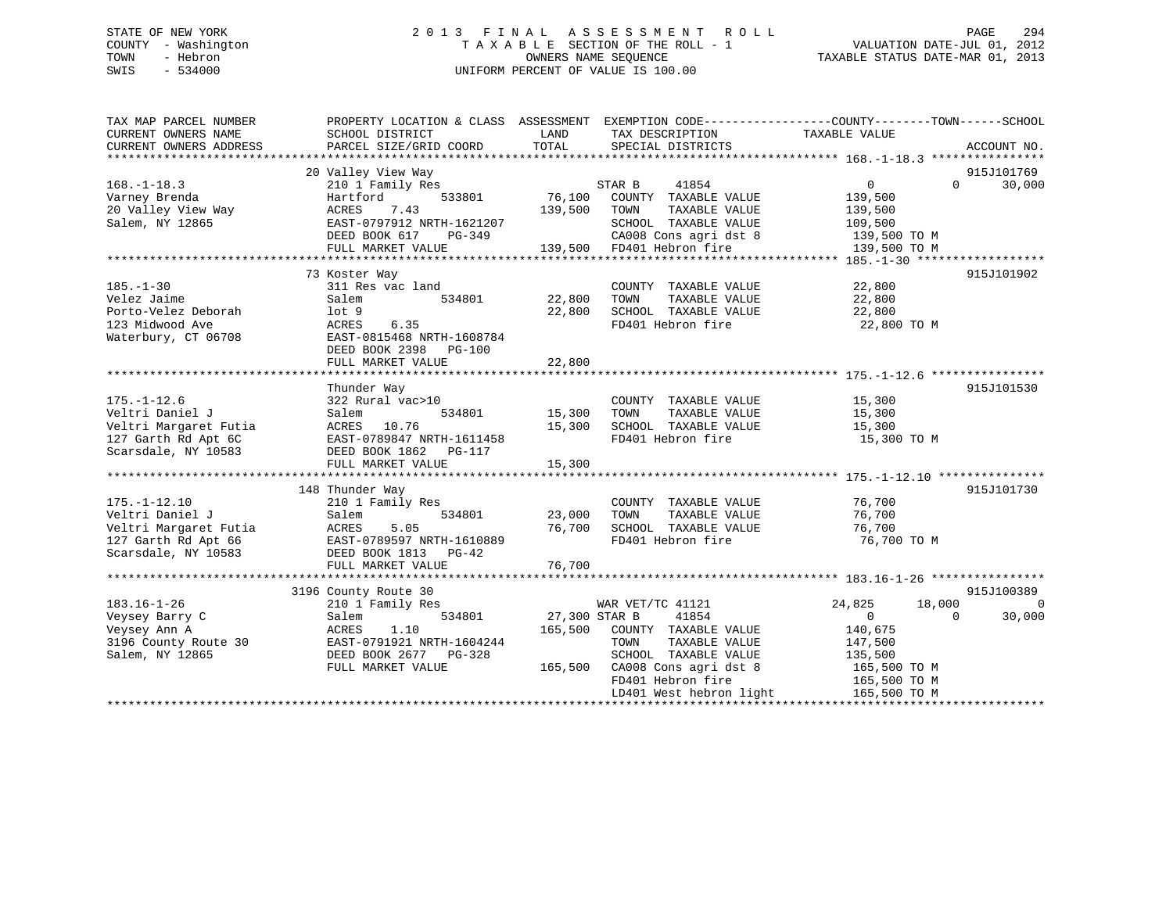# STATE OF NEW YORK 2 0 1 3 F I N A L A S S E S S M E N T R O L L PAGE 294 COUNTY - Washington T A X A B L E SECTION OF THE ROLL - 1 VALUATION DATE-JUL 01, 2012 TOWN - Hebron OWNERS NAME SEQUENCE TAXABLE STATUS DATE-MAR 01, 2013 SWIS - 534000 UNIFORM PERCENT OF VALUE IS 100.00

| TAX MAP PARCEL NUMBER  | PROPERTY LOCATION & CLASS ASSESSMENT |               | EXEMPTION CODE-----------------COUNTY-------TOWN------SCHOOL |                   |                       |
|------------------------|--------------------------------------|---------------|--------------------------------------------------------------|-------------------|-----------------------|
| CURRENT OWNERS NAME    | SCHOOL DISTRICT                      | LAND          | TAX DESCRIPTION                                              | TAXABLE VALUE     |                       |
| CURRENT OWNERS ADDRESS | PARCEL SIZE/GRID COORD               | TOTAL         | SPECIAL DISTRICTS                                            |                   | ACCOUNT NO.           |
|                        | 20 Valley View Way                   |               |                                                              |                   | 915J101769            |
| $168. - 1 - 18.3$      | 210 1 Family Res                     |               | STAR B<br>41854                                              | $0 \qquad \qquad$ | 30,000<br>$\Omega$    |
| Varney Brenda          | Hartford<br>533801                   | 76,100        | COUNTY TAXABLE VALUE                                         | 139,500           |                       |
| 20 Valley View Way     | 7.43<br>ACRES                        | 139,500       | TOWN<br>TAXABLE VALUE                                        | 139,500           |                       |
| Salem, NY 12865        | EAST-0797912 NRTH-1621207            |               | SCHOOL TAXABLE VALUE                                         | 109,500           |                       |
|                        | DEED BOOK 617<br>PG-349              |               | CA008 Cons agri dst 8                                        | 139,500 TO M      |                       |
|                        | FULL MARKET VALUE                    |               | 139,500 FD401 Hebron fire                                    | 139,500 TO M      |                       |
|                        |                                      |               |                                                              |                   |                       |
|                        | 73 Koster Way                        |               |                                                              |                   | 915J101902            |
| $185. - 1 - 30$        | 311 Res vac land                     |               | COUNTY TAXABLE VALUE                                         | 22,800            |                       |
| Velez Jaime            | 534801<br>Salem                      | 22,800        | TAXABLE VALUE<br>TOWN                                        | 22,800            |                       |
| Porto-Velez Deborah    | $1$ ot $9$                           | 22,800        | SCHOOL TAXABLE VALUE                                         | 22,800            |                       |
| 123 Midwood Ave        | 6.35<br>ACRES                        |               | FD401 Hebron fire                                            | 22,800 TO M       |                       |
| Waterbury, CT 06708    | EAST-0815468 NRTH-1608784            |               |                                                              |                   |                       |
|                        | DEED BOOK 2398 PG-100                |               |                                                              |                   |                       |
|                        | FULL MARKET VALUE                    | 22,800        |                                                              |                   |                       |
|                        |                                      |               |                                                              |                   |                       |
|                        | Thunder Way                          |               |                                                              |                   | 915J101530            |
| $175. - 1 - 12.6$      | 322 Rural vac>10                     |               | COUNTY TAXABLE VALUE                                         | 15,300            |                       |
| Veltri Daniel J        | 534801<br>Salem                      | 15,300        | TOWN<br>TAXABLE VALUE                                        | 15,300            |                       |
| Veltri Margaret Futia  | ACRES 10.76                          | 15,300        | SCHOOL TAXABLE VALUE                                         | 15,300            |                       |
| 127 Garth Rd Apt 6C    | EAST-0789847 NRTH-1611458            |               | FD401 Hebron fire                                            | 15,300 TO M       |                       |
| Scarsdale, NY 10583    | DEED BOOK 1862 PG-117                |               |                                                              |                   |                       |
|                        | FULL MARKET VALUE                    | 15,300        |                                                              |                   |                       |
|                        |                                      |               |                                                              |                   |                       |
|                        | 148 Thunder Way                      |               |                                                              |                   | 915J101730            |
| $175. - 1 - 12.10$     | 210 1 Family Res                     |               | COUNTY TAXABLE VALUE                                         | 76,700            |                       |
| Veltri Daniel J        | 534801<br>Salem                      | 23,000        | TAXABLE VALUE<br>TOWN                                        | 76,700            |                       |
| Veltri Margaret Futia  | 5.05<br>ACRES                        | 76,700        | SCHOOL TAXABLE VALUE                                         | 76,700            |                       |
| 127 Garth Rd Apt 66    | EAST-0789597 NRTH-1610889            |               | FD401 Hebron fire                                            | 76,700 TO M       |                       |
| Scarsdale, NY 10583    | DEED BOOK 1813 PG-42                 |               |                                                              |                   |                       |
|                        | FULL MARKET VALUE                    | 76,700        |                                                              |                   |                       |
|                        |                                      |               |                                                              |                   |                       |
|                        | 3196 County Route 30                 |               |                                                              |                   | 915J100389            |
| $183.16 - 1 - 26$      | 210 1 Family Res                     |               | WAR VET/TC 41121                                             | 24,825            | 18,000<br>$\mathbf 0$ |
| Veysey Barry C         | 534801<br>Salem                      | 27,300 STAR B | 41854                                                        | $\overline{0}$    | $\Omega$<br>30,000    |
| Veysey Ann A           | 1.10<br>ACRES                        | 165,500       | COUNTY TAXABLE VALUE                                         | 140,675           |                       |
| 3196 County Route 30   | EAST-0791921 NRTH-1604244            |               | TAXABLE VALUE<br>TOWN                                        | 147,500           |                       |
| Salem, NY 12865        | DEED BOOK 2677 PG-328                |               | SCHOOL TAXABLE VALUE                                         | 135,500           |                       |
|                        | FULL MARKET VALUE                    | 165,500       | CA008 Cons agri dst 8                                        | 165,500 TO M      |                       |
|                        |                                      |               | FD401 Hebron fire                                            | 165,500 TO M      |                       |
|                        |                                      |               | LD401 West hebron light                                      | 165,500 TO M      |                       |
|                        |                                      |               |                                                              |                   |                       |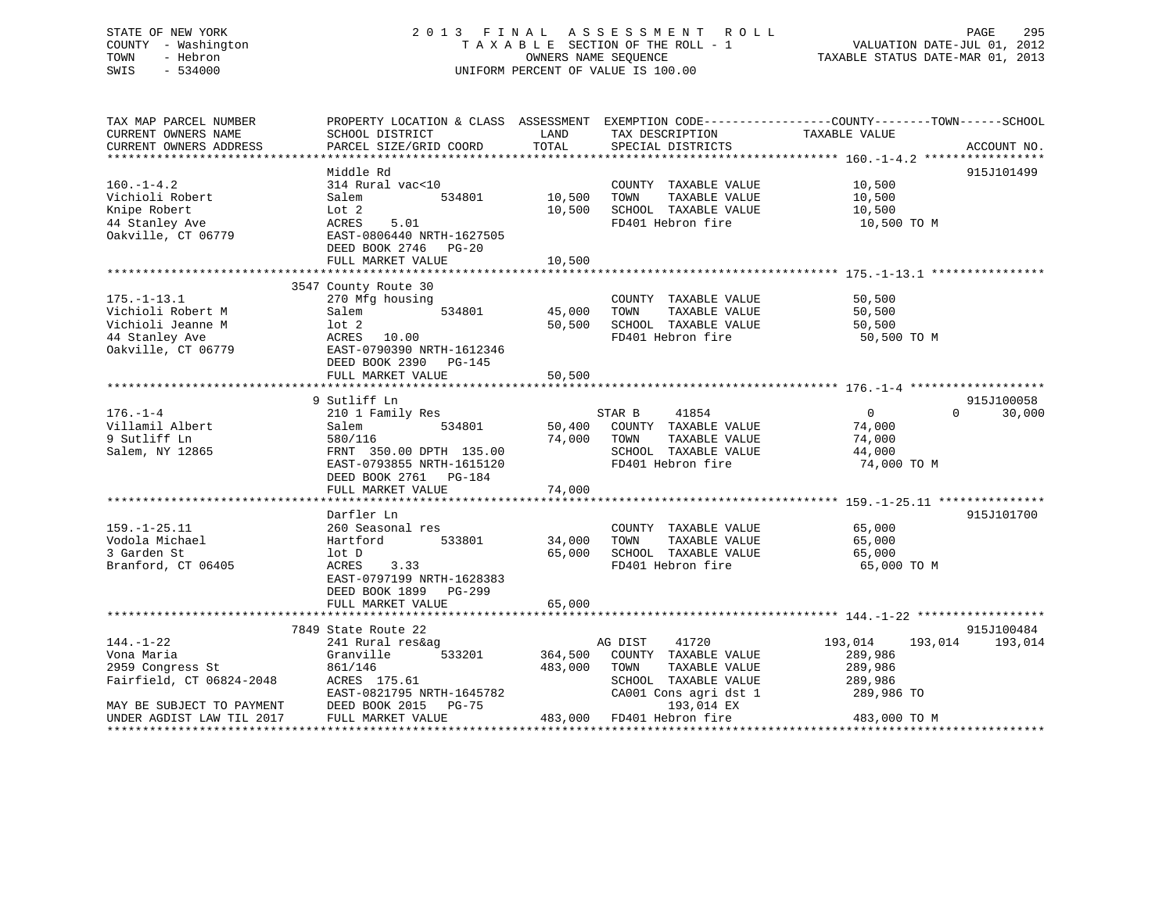# STATE OF NEW YORK 2 0 1 3 F I N A L A S S E S S M E N T R O L L PAGE 295 COUNTY - Washington T A X A B L E SECTION OF THE ROLL - 1 VALUATION DATE-JUL 01, 2012 TOWN - Hebron OWNERS NAME SEQUENCE TAXABLE STATUS DATE-MAR 01, 2013 SWIS - 534000 UNIFORM PERCENT OF VALUE IS 100.00

| TAX MAP PARCEL NUMBER<br>CURRENT OWNERS NAME                                                        | PROPERTY LOCATION & CLASS ASSESSMENT EXEMPTION CODE---------------COUNTY-------TOWN------SCHOOL<br>SCHOOL DISTRICT                   | LAND               | TAX DESCRIPTION                                                                                                    | TAXABLE VALUE                                               |                               |
|-----------------------------------------------------------------------------------------------------|--------------------------------------------------------------------------------------------------------------------------------------|--------------------|--------------------------------------------------------------------------------------------------------------------|-------------------------------------------------------------|-------------------------------|
| CURRENT OWNERS ADDRESS                                                                              | PARCEL SIZE/GRID COORD                                                                                                               | TOTAL              | SPECIAL DISTRICTS                                                                                                  |                                                             | ACCOUNT NO.                   |
|                                                                                                     | Middle Rd                                                                                                                            |                    |                                                                                                                    |                                                             | 915J101499                    |
| $160. - 1 - 4.2$<br>Vichioli Robert<br>Knipe Robert<br>44 Stanley Ave<br>Oakville, CT 06779         | 314 Rural vac<10<br>534801<br>Salem<br>Lot 2<br>5.01<br>ACRES<br>EAST-0806440 NRTH-1627505<br>DEED BOOK 2746<br>$PG-20$              | 10,500<br>10,500   | COUNTY TAXABLE VALUE<br>TOWN<br>TAXABLE VALUE<br>SCHOOL TAXABLE VALUE<br>FD401 Hebron fire                         | 10,500<br>10,500<br>10,500<br>10,500 TO M                   |                               |
|                                                                                                     | FULL MARKET VALUE                                                                                                                    | 10,500             |                                                                                                                    |                                                             |                               |
|                                                                                                     |                                                                                                                                      |                    |                                                                                                                    |                                                             |                               |
| $175. - 1 - 13.1$<br>Vichioli Robert M<br>Vichioli Jeanne M<br>44 Stanley Ave<br>Oakville, CT 06779 | 3547 County Route 30<br>270 Mfg housing<br>534801<br>Salem<br>lot 2<br>ACRES 10.00<br>EAST-0790390 NRTH-1612346                      | 45,000<br>50,500   | COUNTY TAXABLE VALUE<br>TOWN<br>TAXABLE VALUE<br>SCHOOL TAXABLE VALUE<br>FD401 Hebron fire                         | 50,500<br>50,500<br>50,500<br>50,500 TO M                   |                               |
|                                                                                                     | DEED BOOK 2390 PG-145                                                                                                                |                    |                                                                                                                    |                                                             |                               |
|                                                                                                     | FULL MARKET VALUE                                                                                                                    | 50,500             |                                                                                                                    |                                                             |                               |
|                                                                                                     |                                                                                                                                      |                    |                                                                                                                    |                                                             |                               |
| $176. - 1 - 4$<br>Villamil Albert<br>9 Sutliff Ln<br>Salem, NY 12865                                | 9 Sutliff Ln<br>210 1 Family Res<br>534801<br>Salem<br>580/116<br>FRNT 350.00 DPTH 135.00                                            | 50,400<br>74,000   | STAR B<br>41854<br>COUNTY TAXABLE VALUE<br>TAXABLE VALUE<br>TOWN<br>SCHOOL TAXABLE VALUE                           | $0 \qquad \qquad$<br>$\Omega$<br>74,000<br>74,000<br>44,000 | 915J100058<br>30,000          |
|                                                                                                     | EAST-0793855 NRTH-1615120<br>DEED BOOK 2761 PG-184<br>FULL MARKET VALUE                                                              | 74,000             | FD401 Hebron fire                                                                                                  | 74,000 TO M                                                 |                               |
|                                                                                                     |                                                                                                                                      |                    |                                                                                                                    |                                                             |                               |
| $159. - 1 - 25.11$<br>Vodola Michael<br>3 Garden St<br>Branford, CT 06405                           | Darfler Ln<br>260 Seasonal res<br>533801<br>Hartford<br>lot D<br>ACRES<br>3.33<br>EAST-0797199 NRTH-1628383<br>DEED BOOK 1899 PG-299 | 34,000<br>65,000   | COUNTY TAXABLE VALUE<br>TOWN<br>TAXABLE VALUE<br>SCHOOL TAXABLE VALUE<br>FD401 Hebron fire                         | 65,000<br>65,000<br>65,000<br>65,000 TO M                   | 915J101700                    |
|                                                                                                     | FULL MARKET VALUE                                                                                                                    | 65,000             |                                                                                                                    |                                                             |                               |
|                                                                                                     |                                                                                                                                      |                    |                                                                                                                    |                                                             |                               |
| $144. - 1 - 22$<br>Vona Maria<br>2959 Congress St<br>Fairfield, CT 06824-2048                       | 7849 State Route 22<br>241 Rural res&ag<br>Granville<br>533201<br>861/146<br>ACRES 175.61<br>EAST-0821795 NRTH-1645782               | 364,500<br>483,000 | AG DIST<br>41720<br>COUNTY TAXABLE VALUE<br>TAXABLE VALUE<br>TOWN<br>SCHOOL TAXABLE VALUE<br>CA001 Cons agri dst 1 | 193,014<br>289,986<br>289,986<br>289,986<br>289,986 TO      | 915J100484<br>193,014 193,014 |
| MAY BE SUBJECT TO PAYMENT                                                                           | DEED BOOK 2015 PG-75                                                                                                                 |                    | 193,014 EX                                                                                                         |                                                             |                               |
| UNDER AGDIST LAW TIL 2017                                                                           | FULL MARKET VALUE                                                                                                                    |                    | 483,000 FD401 Hebron fire                                                                                          | 483,000 TO M                                                |                               |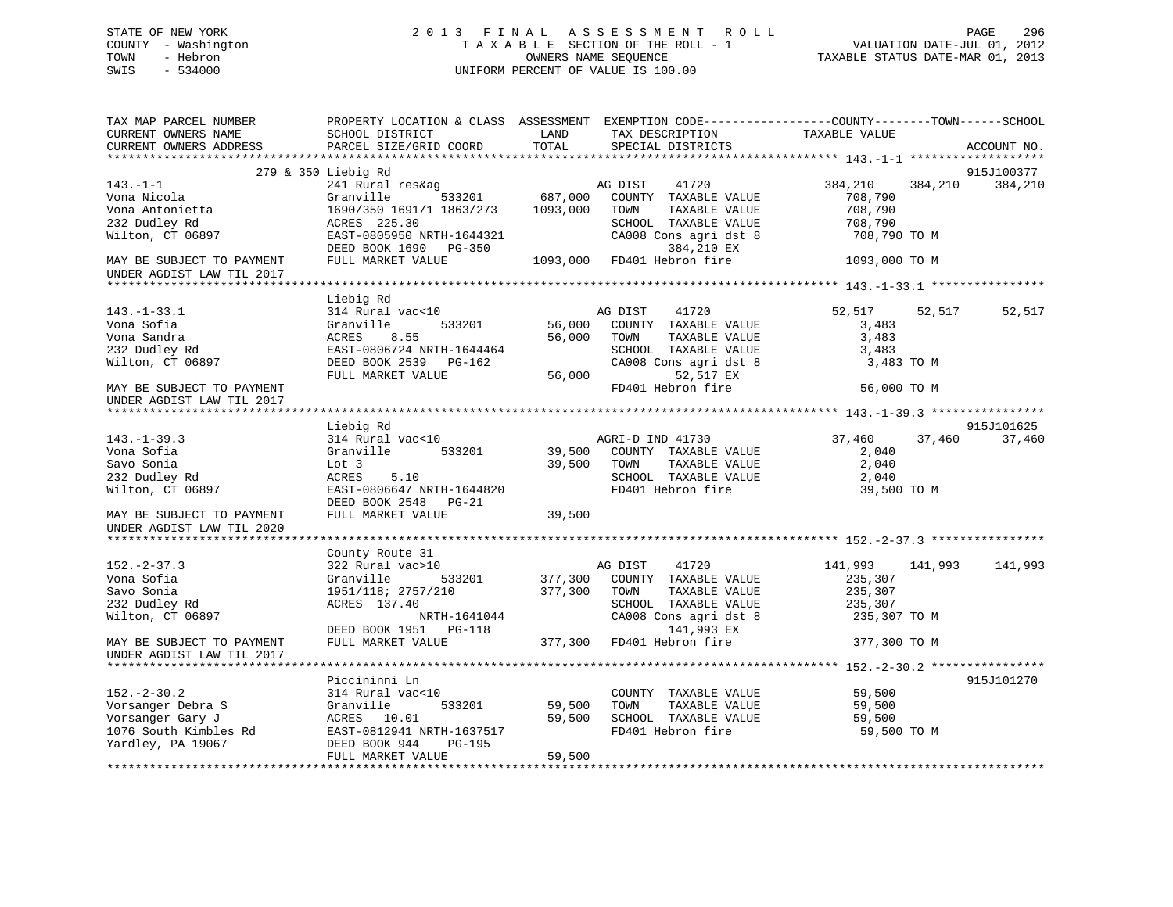# STATE OF NEW YORK 2 0 1 3 F I N A L A S S E S S M E N T R O L L PAGE 296 COUNTY - Washington T A X A B L E SECTION OF THE ROLL - 1 VALUATION DATE-JUL 01, 2012 TOWN - Hebron OWNERS NAME SEQUENCE TAXABLE STATUS DATE-MAR 01, 2013 SWIS - 534000 UNIFORM PERCENT OF VALUE IS 100.00

| 915J100377<br>279 & 350 Liebig Rd<br>241 Rural res&ag<br>AG DIST<br>41720<br>384,210<br>384,210<br>384,210<br>687,000<br>Granville<br>533201<br>COUNTY TAXABLE VALUE<br>708,790<br>708,790<br>1690/350 1691/1 1863/273<br>1093,000<br>TAXABLE VALUE<br>TOWN<br>ACRES 225.30<br>SCHOOL TAXABLE VALUE<br>708,790<br>EAST-0805950 NRTH-1644321<br>CA008 Cons agri dst 8<br>708,790 TO M<br>DEED BOOK 1690 PG-350<br>384,210 EX<br>FULL MARKET VALUE<br>1093,000<br>FD401 Hebron fire<br>1093,000 TO M<br>Liebig Rd<br>AG DIST<br>41720<br>$143. - 1 - 33.1$<br>314 Rural vac<10<br>52,517<br>52,517<br>52,517<br>Vona Sofia<br>Granville<br>533201<br>56,000<br>COUNTY TAXABLE VALUE<br>3,483<br>Vona Sandra<br>ACRES<br>8.55<br>56,000<br>TOWN<br>TAXABLE VALUE<br>3,483<br>232 Dudley Rd<br>EAST-0806724 NRTH-1644464<br>SCHOOL TAXABLE VALUE<br>3,483<br>Wilton, CT 06897<br>DEED BOOK 2539<br>PG-162<br>CA008 Cons agri dst 8<br>3,483 TO M<br>52,517 EX<br>FULL MARKET VALUE<br>56,000<br>FD401 Hebron fire<br>56,000 TO M<br>MAY BE SUBJECT TO PAYMENT<br>UNDER AGDIST LAW TIL 2017<br>915J101625<br>Liebig Rd<br>$143. - 1 - 39.3$<br>314 Rural vac<10<br>AGRI-D IND 41730<br>37,460<br>37,460<br>37,460<br>Vona Sofia<br>Granville<br>533201<br>39,500<br>COUNTY TAXABLE VALUE<br>2,040<br>Savo Sonia<br>39,500<br>TOWN<br>TAXABLE VALUE<br>2,040<br>Lot 3<br>232 Dudley Rd<br>ACRES<br>5.10<br>SCHOOL TAXABLE VALUE<br>2,040<br>FD401 Hebron fire<br>Wilton, CT 06897<br>EAST-0806647 NRTH-1644820<br>39,500 TO M<br>DEED BOOK 2548<br>PG-21<br>FULL MARKET VALUE<br>39,500<br>MAY BE SUBJECT TO PAYMENT<br>UNDER AGDIST LAW TIL 2020<br>County Route 31<br>322 Rural vac>10<br>AG DIST<br>41720<br>141,993<br>141,993<br>141,993<br>Granville<br>533201<br>377,300<br>COUNTY TAXABLE VALUE<br>235,307<br>1951/118; 2757/210<br>377,300<br>TOWN<br>TAXABLE VALUE<br>235,307<br>ACRES 137.40<br>SCHOOL TAXABLE VALUE<br>235,307<br>CA008 Cons agri dst 8<br>NRTH-1641044<br>235,307 TO M<br>DEED BOOK 1951 PG-118<br>141,993 EX<br>FD401 Hebron fire<br>FULL MARKET VALUE<br>377,300<br>377,300 TO M<br>915J101270<br>Piccininni Ln<br>314 Rural vac<10<br>COUNTY TAXABLE VALUE<br>59,500<br>TAXABLE VALUE<br>Granville<br>533201<br>59,500<br>TOWN<br>59,500<br>59,500<br>ACRES<br>10.01<br>SCHOOL TAXABLE VALUE<br>59,500<br>EAST-0812941 NRTH-1637517<br>FD401 Hebron fire<br>59,500 TO M<br>Yardley, PA 19067<br>DEED BOOK 944<br>PG-195<br>59,500<br>FULL MARKET VALUE | TAX MAP PARCEL NUMBER<br>CURRENT OWNERS NAME<br>CURRENT OWNERS ADDRESS | PROPERTY LOCATION & CLASS ASSESSMENT<br>SCHOOL DISTRICT<br>PARCEL SIZE/GRID COORD | LAND<br>TOTAL | TAX DESCRIPTION<br>SPECIAL DISTRICTS | EXEMPTION CODE-----------------COUNTY-------TOWN------SCHOOL<br>TAXABLE VALUE | ACCOUNT NO. |
|----------------------------------------------------------------------------------------------------------------------------------------------------------------------------------------------------------------------------------------------------------------------------------------------------------------------------------------------------------------------------------------------------------------------------------------------------------------------------------------------------------------------------------------------------------------------------------------------------------------------------------------------------------------------------------------------------------------------------------------------------------------------------------------------------------------------------------------------------------------------------------------------------------------------------------------------------------------------------------------------------------------------------------------------------------------------------------------------------------------------------------------------------------------------------------------------------------------------------------------------------------------------------------------------------------------------------------------------------------------------------------------------------------------------------------------------------------------------------------------------------------------------------------------------------------------------------------------------------------------------------------------------------------------------------------------------------------------------------------------------------------------------------------------------------------------------------------------------------------------------------------------------------------------------------------------------------------------------------------------------------------------------------------------------------------------------------------------------------------------------------------------------------------------------------------------------------------------------------------------------------------------------------------------------------------------------------------------------------------------------------------------------------------------------------------------------------------------------------------|------------------------------------------------------------------------|-----------------------------------------------------------------------------------|---------------|--------------------------------------|-------------------------------------------------------------------------------|-------------|
|                                                                                                                                                                                                                                                                                                                                                                                                                                                                                                                                                                                                                                                                                                                                                                                                                                                                                                                                                                                                                                                                                                                                                                                                                                                                                                                                                                                                                                                                                                                                                                                                                                                                                                                                                                                                                                                                                                                                                                                                                                                                                                                                                                                                                                                                                                                                                                                                                                                                                  |                                                                        |                                                                                   |               |                                      |                                                                               |             |
|                                                                                                                                                                                                                                                                                                                                                                                                                                                                                                                                                                                                                                                                                                                                                                                                                                                                                                                                                                                                                                                                                                                                                                                                                                                                                                                                                                                                                                                                                                                                                                                                                                                                                                                                                                                                                                                                                                                                                                                                                                                                                                                                                                                                                                                                                                                                                                                                                                                                                  |                                                                        |                                                                                   |               |                                      |                                                                               |             |
|                                                                                                                                                                                                                                                                                                                                                                                                                                                                                                                                                                                                                                                                                                                                                                                                                                                                                                                                                                                                                                                                                                                                                                                                                                                                                                                                                                                                                                                                                                                                                                                                                                                                                                                                                                                                                                                                                                                                                                                                                                                                                                                                                                                                                                                                                                                                                                                                                                                                                  | $143. - 1 - 1$                                                         |                                                                                   |               |                                      |                                                                               |             |
|                                                                                                                                                                                                                                                                                                                                                                                                                                                                                                                                                                                                                                                                                                                                                                                                                                                                                                                                                                                                                                                                                                                                                                                                                                                                                                                                                                                                                                                                                                                                                                                                                                                                                                                                                                                                                                                                                                                                                                                                                                                                                                                                                                                                                                                                                                                                                                                                                                                                                  | Vona Nicola                                                            |                                                                                   |               |                                      |                                                                               |             |
|                                                                                                                                                                                                                                                                                                                                                                                                                                                                                                                                                                                                                                                                                                                                                                                                                                                                                                                                                                                                                                                                                                                                                                                                                                                                                                                                                                                                                                                                                                                                                                                                                                                                                                                                                                                                                                                                                                                                                                                                                                                                                                                                                                                                                                                                                                                                                                                                                                                                                  | Vona Antonietta                                                        |                                                                                   |               |                                      |                                                                               |             |
|                                                                                                                                                                                                                                                                                                                                                                                                                                                                                                                                                                                                                                                                                                                                                                                                                                                                                                                                                                                                                                                                                                                                                                                                                                                                                                                                                                                                                                                                                                                                                                                                                                                                                                                                                                                                                                                                                                                                                                                                                                                                                                                                                                                                                                                                                                                                                                                                                                                                                  | 232 Dudley Rd                                                          |                                                                                   |               |                                      |                                                                               |             |
|                                                                                                                                                                                                                                                                                                                                                                                                                                                                                                                                                                                                                                                                                                                                                                                                                                                                                                                                                                                                                                                                                                                                                                                                                                                                                                                                                                                                                                                                                                                                                                                                                                                                                                                                                                                                                                                                                                                                                                                                                                                                                                                                                                                                                                                                                                                                                                                                                                                                                  | Wilton, CT 06897                                                       |                                                                                   |               |                                      |                                                                               |             |
|                                                                                                                                                                                                                                                                                                                                                                                                                                                                                                                                                                                                                                                                                                                                                                                                                                                                                                                                                                                                                                                                                                                                                                                                                                                                                                                                                                                                                                                                                                                                                                                                                                                                                                                                                                                                                                                                                                                                                                                                                                                                                                                                                                                                                                                                                                                                                                                                                                                                                  |                                                                        |                                                                                   |               |                                      |                                                                               |             |
|                                                                                                                                                                                                                                                                                                                                                                                                                                                                                                                                                                                                                                                                                                                                                                                                                                                                                                                                                                                                                                                                                                                                                                                                                                                                                                                                                                                                                                                                                                                                                                                                                                                                                                                                                                                                                                                                                                                                                                                                                                                                                                                                                                                                                                                                                                                                                                                                                                                                                  | MAY BE SUBJECT TO PAYMENT<br>UNDER AGDIST LAW TIL 2017                 |                                                                                   |               |                                      |                                                                               |             |
|                                                                                                                                                                                                                                                                                                                                                                                                                                                                                                                                                                                                                                                                                                                                                                                                                                                                                                                                                                                                                                                                                                                                                                                                                                                                                                                                                                                                                                                                                                                                                                                                                                                                                                                                                                                                                                                                                                                                                                                                                                                                                                                                                                                                                                                                                                                                                                                                                                                                                  |                                                                        |                                                                                   |               |                                      |                                                                               |             |
|                                                                                                                                                                                                                                                                                                                                                                                                                                                                                                                                                                                                                                                                                                                                                                                                                                                                                                                                                                                                                                                                                                                                                                                                                                                                                                                                                                                                                                                                                                                                                                                                                                                                                                                                                                                                                                                                                                                                                                                                                                                                                                                                                                                                                                                                                                                                                                                                                                                                                  |                                                                        |                                                                                   |               |                                      |                                                                               |             |
|                                                                                                                                                                                                                                                                                                                                                                                                                                                                                                                                                                                                                                                                                                                                                                                                                                                                                                                                                                                                                                                                                                                                                                                                                                                                                                                                                                                                                                                                                                                                                                                                                                                                                                                                                                                                                                                                                                                                                                                                                                                                                                                                                                                                                                                                                                                                                                                                                                                                                  |                                                                        |                                                                                   |               |                                      |                                                                               |             |
|                                                                                                                                                                                                                                                                                                                                                                                                                                                                                                                                                                                                                                                                                                                                                                                                                                                                                                                                                                                                                                                                                                                                                                                                                                                                                                                                                                                                                                                                                                                                                                                                                                                                                                                                                                                                                                                                                                                                                                                                                                                                                                                                                                                                                                                                                                                                                                                                                                                                                  |                                                                        |                                                                                   |               |                                      |                                                                               |             |
|                                                                                                                                                                                                                                                                                                                                                                                                                                                                                                                                                                                                                                                                                                                                                                                                                                                                                                                                                                                                                                                                                                                                                                                                                                                                                                                                                                                                                                                                                                                                                                                                                                                                                                                                                                                                                                                                                                                                                                                                                                                                                                                                                                                                                                                                                                                                                                                                                                                                                  |                                                                        |                                                                                   |               |                                      |                                                                               |             |
|                                                                                                                                                                                                                                                                                                                                                                                                                                                                                                                                                                                                                                                                                                                                                                                                                                                                                                                                                                                                                                                                                                                                                                                                                                                                                                                                                                                                                                                                                                                                                                                                                                                                                                                                                                                                                                                                                                                                                                                                                                                                                                                                                                                                                                                                                                                                                                                                                                                                                  |                                                                        |                                                                                   |               |                                      |                                                                               |             |
|                                                                                                                                                                                                                                                                                                                                                                                                                                                                                                                                                                                                                                                                                                                                                                                                                                                                                                                                                                                                                                                                                                                                                                                                                                                                                                                                                                                                                                                                                                                                                                                                                                                                                                                                                                                                                                                                                                                                                                                                                                                                                                                                                                                                                                                                                                                                                                                                                                                                                  |                                                                        |                                                                                   |               |                                      |                                                                               |             |
|                                                                                                                                                                                                                                                                                                                                                                                                                                                                                                                                                                                                                                                                                                                                                                                                                                                                                                                                                                                                                                                                                                                                                                                                                                                                                                                                                                                                                                                                                                                                                                                                                                                                                                                                                                                                                                                                                                                                                                                                                                                                                                                                                                                                                                                                                                                                                                                                                                                                                  |                                                                        |                                                                                   |               |                                      |                                                                               |             |
|                                                                                                                                                                                                                                                                                                                                                                                                                                                                                                                                                                                                                                                                                                                                                                                                                                                                                                                                                                                                                                                                                                                                                                                                                                                                                                                                                                                                                                                                                                                                                                                                                                                                                                                                                                                                                                                                                                                                                                                                                                                                                                                                                                                                                                                                                                                                                                                                                                                                                  |                                                                        |                                                                                   |               |                                      |                                                                               |             |
|                                                                                                                                                                                                                                                                                                                                                                                                                                                                                                                                                                                                                                                                                                                                                                                                                                                                                                                                                                                                                                                                                                                                                                                                                                                                                                                                                                                                                                                                                                                                                                                                                                                                                                                                                                                                                                                                                                                                                                                                                                                                                                                                                                                                                                                                                                                                                                                                                                                                                  |                                                                        |                                                                                   |               |                                      |                                                                               |             |
|                                                                                                                                                                                                                                                                                                                                                                                                                                                                                                                                                                                                                                                                                                                                                                                                                                                                                                                                                                                                                                                                                                                                                                                                                                                                                                                                                                                                                                                                                                                                                                                                                                                                                                                                                                                                                                                                                                                                                                                                                                                                                                                                                                                                                                                                                                                                                                                                                                                                                  |                                                                        |                                                                                   |               |                                      |                                                                               |             |
|                                                                                                                                                                                                                                                                                                                                                                                                                                                                                                                                                                                                                                                                                                                                                                                                                                                                                                                                                                                                                                                                                                                                                                                                                                                                                                                                                                                                                                                                                                                                                                                                                                                                                                                                                                                                                                                                                                                                                                                                                                                                                                                                                                                                                                                                                                                                                                                                                                                                                  |                                                                        |                                                                                   |               |                                      |                                                                               |             |
|                                                                                                                                                                                                                                                                                                                                                                                                                                                                                                                                                                                                                                                                                                                                                                                                                                                                                                                                                                                                                                                                                                                                                                                                                                                                                                                                                                                                                                                                                                                                                                                                                                                                                                                                                                                                                                                                                                                                                                                                                                                                                                                                                                                                                                                                                                                                                                                                                                                                                  |                                                                        |                                                                                   |               |                                      |                                                                               |             |
|                                                                                                                                                                                                                                                                                                                                                                                                                                                                                                                                                                                                                                                                                                                                                                                                                                                                                                                                                                                                                                                                                                                                                                                                                                                                                                                                                                                                                                                                                                                                                                                                                                                                                                                                                                                                                                                                                                                                                                                                                                                                                                                                                                                                                                                                                                                                                                                                                                                                                  |                                                                        |                                                                                   |               |                                      |                                                                               |             |
|                                                                                                                                                                                                                                                                                                                                                                                                                                                                                                                                                                                                                                                                                                                                                                                                                                                                                                                                                                                                                                                                                                                                                                                                                                                                                                                                                                                                                                                                                                                                                                                                                                                                                                                                                                                                                                                                                                                                                                                                                                                                                                                                                                                                                                                                                                                                                                                                                                                                                  |                                                                        |                                                                                   |               |                                      |                                                                               |             |
|                                                                                                                                                                                                                                                                                                                                                                                                                                                                                                                                                                                                                                                                                                                                                                                                                                                                                                                                                                                                                                                                                                                                                                                                                                                                                                                                                                                                                                                                                                                                                                                                                                                                                                                                                                                                                                                                                                                                                                                                                                                                                                                                                                                                                                                                                                                                                                                                                                                                                  |                                                                        |                                                                                   |               |                                      |                                                                               |             |
|                                                                                                                                                                                                                                                                                                                                                                                                                                                                                                                                                                                                                                                                                                                                                                                                                                                                                                                                                                                                                                                                                                                                                                                                                                                                                                                                                                                                                                                                                                                                                                                                                                                                                                                                                                                                                                                                                                                                                                                                                                                                                                                                                                                                                                                                                                                                                                                                                                                                                  |                                                                        |                                                                                   |               |                                      |                                                                               |             |
|                                                                                                                                                                                                                                                                                                                                                                                                                                                                                                                                                                                                                                                                                                                                                                                                                                                                                                                                                                                                                                                                                                                                                                                                                                                                                                                                                                                                                                                                                                                                                                                                                                                                                                                                                                                                                                                                                                                                                                                                                                                                                                                                                                                                                                                                                                                                                                                                                                                                                  |                                                                        |                                                                                   |               |                                      |                                                                               |             |
|                                                                                                                                                                                                                                                                                                                                                                                                                                                                                                                                                                                                                                                                                                                                                                                                                                                                                                                                                                                                                                                                                                                                                                                                                                                                                                                                                                                                                                                                                                                                                                                                                                                                                                                                                                                                                                                                                                                                                                                                                                                                                                                                                                                                                                                                                                                                                                                                                                                                                  |                                                                        |                                                                                   |               |                                      |                                                                               |             |
|                                                                                                                                                                                                                                                                                                                                                                                                                                                                                                                                                                                                                                                                                                                                                                                                                                                                                                                                                                                                                                                                                                                                                                                                                                                                                                                                                                                                                                                                                                                                                                                                                                                                                                                                                                                                                                                                                                                                                                                                                                                                                                                                                                                                                                                                                                                                                                                                                                                                                  |                                                                        |                                                                                   |               |                                      |                                                                               |             |
|                                                                                                                                                                                                                                                                                                                                                                                                                                                                                                                                                                                                                                                                                                                                                                                                                                                                                                                                                                                                                                                                                                                                                                                                                                                                                                                                                                                                                                                                                                                                                                                                                                                                                                                                                                                                                                                                                                                                                                                                                                                                                                                                                                                                                                                                                                                                                                                                                                                                                  |                                                                        |                                                                                   |               |                                      |                                                                               |             |
|                                                                                                                                                                                                                                                                                                                                                                                                                                                                                                                                                                                                                                                                                                                                                                                                                                                                                                                                                                                                                                                                                                                                                                                                                                                                                                                                                                                                                                                                                                                                                                                                                                                                                                                                                                                                                                                                                                                                                                                                                                                                                                                                                                                                                                                                                                                                                                                                                                                                                  | $152. - 2 - 37.3$                                                      |                                                                                   |               |                                      |                                                                               |             |
|                                                                                                                                                                                                                                                                                                                                                                                                                                                                                                                                                                                                                                                                                                                                                                                                                                                                                                                                                                                                                                                                                                                                                                                                                                                                                                                                                                                                                                                                                                                                                                                                                                                                                                                                                                                                                                                                                                                                                                                                                                                                                                                                                                                                                                                                                                                                                                                                                                                                                  | Vona Sofia                                                             |                                                                                   |               |                                      |                                                                               |             |
|                                                                                                                                                                                                                                                                                                                                                                                                                                                                                                                                                                                                                                                                                                                                                                                                                                                                                                                                                                                                                                                                                                                                                                                                                                                                                                                                                                                                                                                                                                                                                                                                                                                                                                                                                                                                                                                                                                                                                                                                                                                                                                                                                                                                                                                                                                                                                                                                                                                                                  | Savo Sonia                                                             |                                                                                   |               |                                      |                                                                               |             |
|                                                                                                                                                                                                                                                                                                                                                                                                                                                                                                                                                                                                                                                                                                                                                                                                                                                                                                                                                                                                                                                                                                                                                                                                                                                                                                                                                                                                                                                                                                                                                                                                                                                                                                                                                                                                                                                                                                                                                                                                                                                                                                                                                                                                                                                                                                                                                                                                                                                                                  | 232 Dudley Rd                                                          |                                                                                   |               |                                      |                                                                               |             |
|                                                                                                                                                                                                                                                                                                                                                                                                                                                                                                                                                                                                                                                                                                                                                                                                                                                                                                                                                                                                                                                                                                                                                                                                                                                                                                                                                                                                                                                                                                                                                                                                                                                                                                                                                                                                                                                                                                                                                                                                                                                                                                                                                                                                                                                                                                                                                                                                                                                                                  | Wilton, CT 06897                                                       |                                                                                   |               |                                      |                                                                               |             |
|                                                                                                                                                                                                                                                                                                                                                                                                                                                                                                                                                                                                                                                                                                                                                                                                                                                                                                                                                                                                                                                                                                                                                                                                                                                                                                                                                                                                                                                                                                                                                                                                                                                                                                                                                                                                                                                                                                                                                                                                                                                                                                                                                                                                                                                                                                                                                                                                                                                                                  |                                                                        |                                                                                   |               |                                      |                                                                               |             |
|                                                                                                                                                                                                                                                                                                                                                                                                                                                                                                                                                                                                                                                                                                                                                                                                                                                                                                                                                                                                                                                                                                                                                                                                                                                                                                                                                                                                                                                                                                                                                                                                                                                                                                                                                                                                                                                                                                                                                                                                                                                                                                                                                                                                                                                                                                                                                                                                                                                                                  | MAY BE SUBJECT TO PAYMENT<br>UNDER AGDIST LAW TIL 2017                 |                                                                                   |               |                                      |                                                                               |             |
|                                                                                                                                                                                                                                                                                                                                                                                                                                                                                                                                                                                                                                                                                                                                                                                                                                                                                                                                                                                                                                                                                                                                                                                                                                                                                                                                                                                                                                                                                                                                                                                                                                                                                                                                                                                                                                                                                                                                                                                                                                                                                                                                                                                                                                                                                                                                                                                                                                                                                  |                                                                        |                                                                                   |               |                                      |                                                                               |             |
|                                                                                                                                                                                                                                                                                                                                                                                                                                                                                                                                                                                                                                                                                                                                                                                                                                                                                                                                                                                                                                                                                                                                                                                                                                                                                                                                                                                                                                                                                                                                                                                                                                                                                                                                                                                                                                                                                                                                                                                                                                                                                                                                                                                                                                                                                                                                                                                                                                                                                  |                                                                        |                                                                                   |               |                                      |                                                                               |             |
|                                                                                                                                                                                                                                                                                                                                                                                                                                                                                                                                                                                                                                                                                                                                                                                                                                                                                                                                                                                                                                                                                                                                                                                                                                                                                                                                                                                                                                                                                                                                                                                                                                                                                                                                                                                                                                                                                                                                                                                                                                                                                                                                                                                                                                                                                                                                                                                                                                                                                  | $152 - 2 - 30.2$                                                       |                                                                                   |               |                                      |                                                                               |             |
|                                                                                                                                                                                                                                                                                                                                                                                                                                                                                                                                                                                                                                                                                                                                                                                                                                                                                                                                                                                                                                                                                                                                                                                                                                                                                                                                                                                                                                                                                                                                                                                                                                                                                                                                                                                                                                                                                                                                                                                                                                                                                                                                                                                                                                                                                                                                                                                                                                                                                  | Vorsanger Debra S                                                      |                                                                                   |               |                                      |                                                                               |             |
|                                                                                                                                                                                                                                                                                                                                                                                                                                                                                                                                                                                                                                                                                                                                                                                                                                                                                                                                                                                                                                                                                                                                                                                                                                                                                                                                                                                                                                                                                                                                                                                                                                                                                                                                                                                                                                                                                                                                                                                                                                                                                                                                                                                                                                                                                                                                                                                                                                                                                  | Vorsanger Gary J                                                       |                                                                                   |               |                                      |                                                                               |             |
|                                                                                                                                                                                                                                                                                                                                                                                                                                                                                                                                                                                                                                                                                                                                                                                                                                                                                                                                                                                                                                                                                                                                                                                                                                                                                                                                                                                                                                                                                                                                                                                                                                                                                                                                                                                                                                                                                                                                                                                                                                                                                                                                                                                                                                                                                                                                                                                                                                                                                  | 1076 South Kimbles Rd                                                  |                                                                                   |               |                                      |                                                                               |             |
|                                                                                                                                                                                                                                                                                                                                                                                                                                                                                                                                                                                                                                                                                                                                                                                                                                                                                                                                                                                                                                                                                                                                                                                                                                                                                                                                                                                                                                                                                                                                                                                                                                                                                                                                                                                                                                                                                                                                                                                                                                                                                                                                                                                                                                                                                                                                                                                                                                                                                  |                                                                        |                                                                                   |               |                                      |                                                                               |             |
|                                                                                                                                                                                                                                                                                                                                                                                                                                                                                                                                                                                                                                                                                                                                                                                                                                                                                                                                                                                                                                                                                                                                                                                                                                                                                                                                                                                                                                                                                                                                                                                                                                                                                                                                                                                                                                                                                                                                                                                                                                                                                                                                                                                                                                                                                                                                                                                                                                                                                  |                                                                        |                                                                                   |               |                                      |                                                                               |             |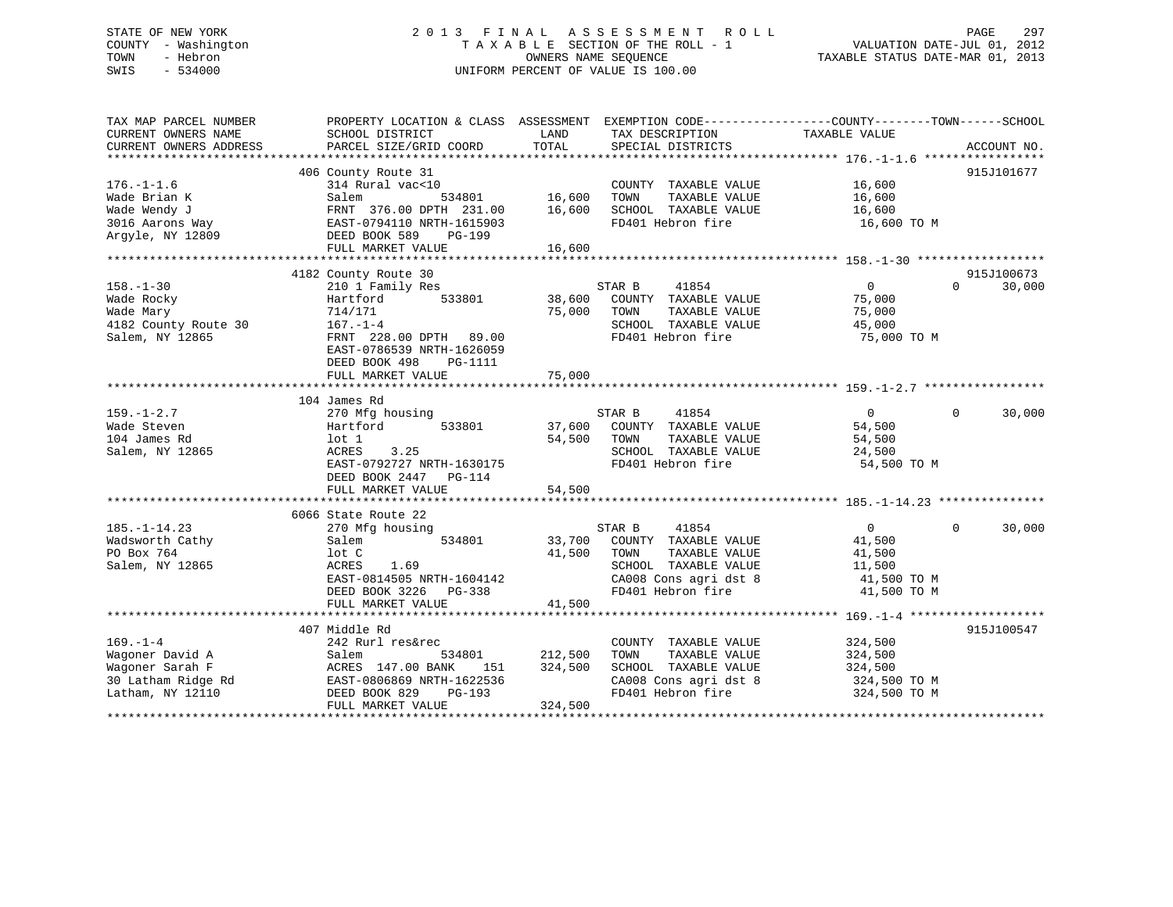# STATE OF NEW YORK 2 0 1 3 F I N A L A S S E S S M E N T R O L L PAGE 297 COUNTY - Washington T A X A B L E SECTION OF THE ROLL - 1 VALUATION DATE-JUL 01, 2012 TOWN - Hebron OWNERS NAME SEQUENCE TAXABLE STATUS DATE-MAR 01, 2013 SWIS - 534000 UNIFORM PERCENT OF VALUE IS 100.00

| TAX MAP PARCEL NUMBER<br>CURRENT OWNERS NAME<br>CURRENT OWNERS ADDRESS                         | PROPERTY LOCATION & CLASS ASSESSMENT EXEMPTION CODE---------------COUNTY-------TOWN-----SCHOOL<br>SCHOOL DISTRICT<br>PARCEL SIZE/GRID COORD                                                         | LAND<br>TOTAL                 | TAX DESCRIPTION<br>SPECIAL DISTRICTS                                                                                                   | TAXABLE VALUE                                                              | ACCOUNT NO.                      |
|------------------------------------------------------------------------------------------------|-----------------------------------------------------------------------------------------------------------------------------------------------------------------------------------------------------|-------------------------------|----------------------------------------------------------------------------------------------------------------------------------------|----------------------------------------------------------------------------|----------------------------------|
| $176. - 1 - 1.6$<br>Wade Brian K<br>Wade Wendy J<br>3016 Aarons Way<br>Argyle, NY 12809        | 406 County Route 31<br>314 Rural vac<10<br>534801<br>Salem<br>FRNT 376.00 DPTH 231.00<br>EAST-0794110 NRTH-1615903<br>DEED BOOK 589<br>PG-199<br>FULL MARKET VALUE                                  | 16,600<br>16,600<br>16,600    | COUNTY TAXABLE VALUE<br>TOWN<br>TAXABLE VALUE<br>SCHOOL TAXABLE VALUE<br>FD401 Hebron fire                                             | 16,600<br>16,600<br>16,600<br>16,600 TO M                                  | 915J101677                       |
|                                                                                                |                                                                                                                                                                                                     |                               |                                                                                                                                        |                                                                            |                                  |
| $158. - 1 - 30$<br>Wade Rocky<br>Wade Mary<br>4182 County Route 30<br>Salem, NY 12865          | 4182 County Route 30<br>210 1 Family Res<br>Hartford<br>533801<br>714/171<br>$167. - 1 - 4$<br>FRNT 228.00 DPTH 89.00<br>EAST-0786539 NRTH-1626059<br>DEED BOOK 498<br>PG-1111<br>FULL MARKET VALUE | 38,600<br>75,000<br>75,000    | STAR B<br>41854<br>COUNTY TAXABLE VALUE<br>TOWN<br>TAXABLE VALUE<br>SCHOOL TAXABLE VALUE<br>FD401 Hebron fire                          | $\overline{0}$<br>75,000<br>75,000<br>45,000<br>75,000 TO M                | 915J100673<br>$\Omega$<br>30,000 |
|                                                                                                | 104 James Rd                                                                                                                                                                                        |                               |                                                                                                                                        |                                                                            |                                  |
| $159. - 1 - 2.7$<br>Wade Steven<br>104 James Rd<br>Salem, NY 12865                             | 270 Mfg housing<br>Hartford<br>533801<br>lot 1<br>3.25<br>ACRES<br>EAST-0792727 NRTH-1630175<br>DEED BOOK 2447<br>PG-114<br>FULL MARKET VALUE                                                       | 37,600<br>54,500<br>54,500    | STAR B<br>41854<br>COUNTY TAXABLE VALUE<br>TOWN<br>TAXABLE VALUE<br>SCHOOL TAXABLE VALUE<br>FD401 Hebron fire                          | $\Omega$<br>54,500<br>54,500<br>24,500<br>54,500 TO M                      | $\Omega$<br>30,000               |
|                                                                                                |                                                                                                                                                                                                     |                               |                                                                                                                                        |                                                                            |                                  |
| $185. - 1 - 14.23$<br>Wadsworth Cathy<br>PO Box 764<br>Salem, NY 12865                         | 6066 State Route 22<br>270 Mfg housing<br>534801<br>Salem<br>lot C<br>1.69<br>ACRES<br>EAST-0814505 NRTH-1604142<br>DEED BOOK 3226 PG-338<br>FULL MARKET VALUE                                      | 33,700<br>41,500<br>41,500    | STAR B<br>41854<br>COUNTY TAXABLE VALUE<br>TAXABLE VALUE<br>TOWN<br>SCHOOL TAXABLE VALUE<br>CA008 Cons agri dst 8<br>FD401 Hebron fire | $\overline{0}$<br>41,500<br>41,500<br>11,500<br>41,500 TO M<br>41,500 TO M | $\Omega$<br>30,000               |
|                                                                                                |                                                                                                                                                                                                     |                               |                                                                                                                                        |                                                                            |                                  |
| $169. - 1 - 4$<br>Wagoner David A<br>Wagoner Sarah F<br>30 Latham Ridge Rd<br>Latham, NY 12110 | 407 Middle Rd<br>242 Rurl res&rec<br>Salem<br>534801<br>ACRES 147.00 BANK<br>151<br>EAST-0806869 NRTH-1622536<br>DEED BOOK 829<br>PG-193<br>FULL MARKET VALUE                                       | 212,500<br>324,500<br>324,500 | COUNTY TAXABLE VALUE<br>TAXABLE VALUE<br>TOWN<br>SCHOOL TAXABLE VALUE<br>CA008 Cons agri dst 8<br>FD401 Hebron fire                    | 324,500<br>324,500<br>324,500<br>324,500 TO M<br>324,500 TO M              | 915J100547                       |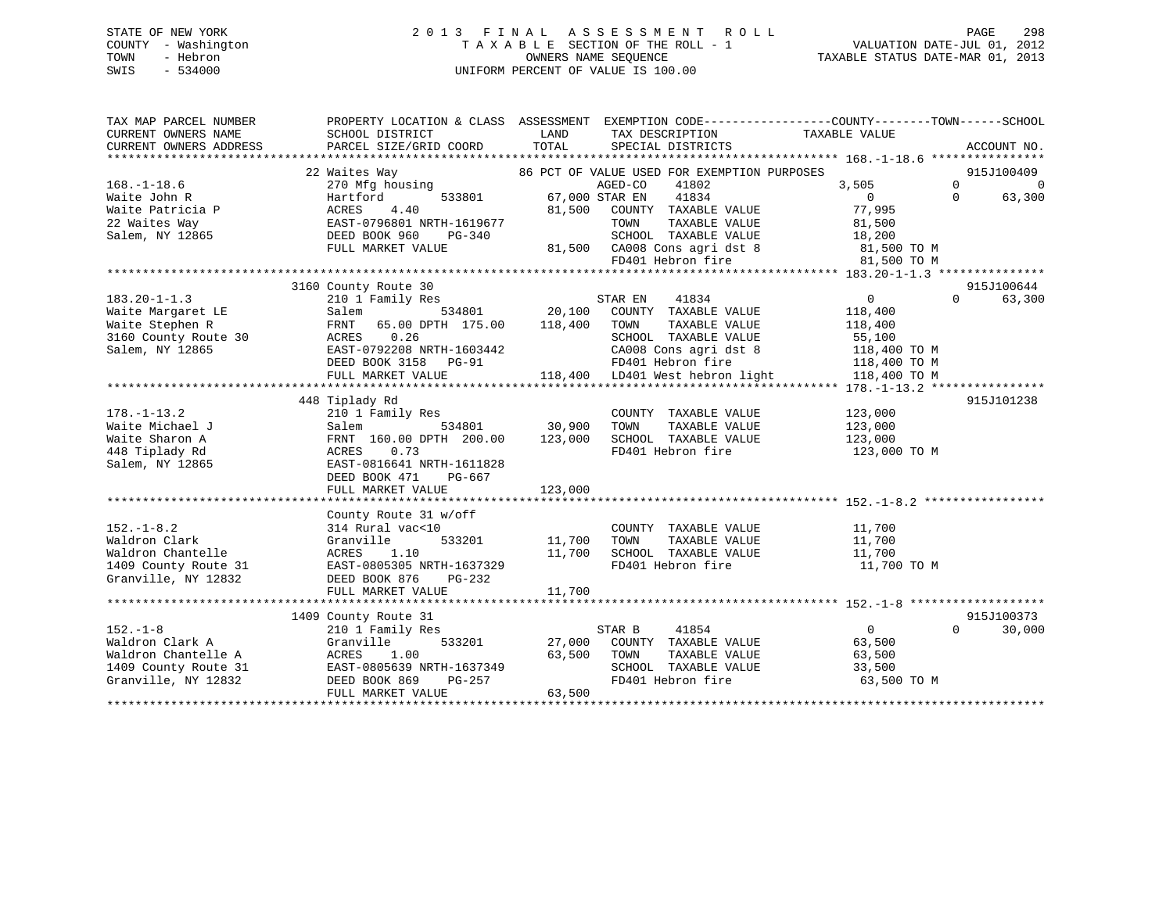# STATE OF NEW YORK 2 0 1 3 F I N A L A S S E S S M E N T R O L L PAGE 298 COUNTY - Washington T A X A B L E SECTION OF THE ROLL - 1 VALUATION DATE-JUL 01, 2012 TOWN - Hebron OWNERS NAME SEQUENCE TAXABLE STATUS DATE-MAR 01, 2013 SWIS - 534000 UNIFORM PERCENT OF VALUE IS 100.00

| TAX MAP PARCEL NUMBER<br>CURRENT OWNERS NAME | PROPERTY LOCATION & CLASS ASSESSMENT EXEMPTION CODE----------------COUNTY-------TOWN------SCHOOL<br>SCHOOL DISTRICT | LAND           | TAX DESCRIPTION                                      | TAXABLE VALUE                |          |             |
|----------------------------------------------|---------------------------------------------------------------------------------------------------------------------|----------------|------------------------------------------------------|------------------------------|----------|-------------|
| CURRENT OWNERS ADDRESS                       | PARCEL SIZE/GRID COORD                                                                                              | TOTAL          | SPECIAL DISTRICTS                                    |                              |          | ACCOUNT NO. |
|                                              | 22 Waites Way                                                                                                       |                | 86 PCT OF VALUE USED FOR EXEMPTION PURPOSES          |                              |          | 915J100409  |
| $168. - 1 - 18.6$                            | 270 Mfg housing                                                                                                     |                | AGED-CO<br>41802                                     | 3,505                        | $\Omega$ | $\Omega$    |
| Waite John R                                 | 533801<br>Hartford                                                                                                  | 67,000 STAR EN | 41834                                                | $\Omega$                     | $\Omega$ | 63,300      |
| Waite Patricia P                             | ACRES<br>4.40                                                                                                       | 81,500         | COUNTY TAXABLE VALUE                                 | 77,995                       |          |             |
| 22 Waites Way                                | EAST-0796801 NRTH-1619677                                                                                           |                | TAXABLE VALUE<br>TOWN                                | 81,500                       |          |             |
| Salem, NY 12865                              | DEED BOOK 960<br>PG-340                                                                                             |                | SCHOOL TAXABLE VALUE                                 | 18,200                       |          |             |
|                                              | FULL MARKET VALUE                                                                                                   |                | 81,500 CA008 Cons agri dst 8 81,500 TO M             |                              |          |             |
|                                              |                                                                                                                     |                | FD401 Hebron fire                                    | 81,500 TO M                  |          |             |
|                                              |                                                                                                                     |                |                                                      |                              |          |             |
|                                              | 3160 County Route 30                                                                                                |                |                                                      |                              |          | 915J100644  |
| $183.20 - 1 - 1.3$                           | 210 1 Family Res                                                                                                    |                | STAR EN<br>41834                                     | $\overline{0}$               | $\Omega$ | 63,300      |
| Waite Margaret LE                            | Salem                                                                                                               | 534801 20,100  | COUNTY TAXABLE VALUE                                 | 118,400                      |          |             |
| Waite Stephen R                              | FRNT 65.00 DPTH 175.00 118,400                                                                                      |                | TOWN<br>TAXABLE VALUE                                | 118,400                      |          |             |
| 3160 County Route 30                         | ACRES 0.26                                                                                                          |                | SCHOOL TAXABLE VALUE                                 | 55,100                       |          |             |
| Salem, NY 12865                              | EAST-0792208 NRTH-1603442                                                                                           |                | CA008 Cons agri dst 8                                | 118,400 TO M                 |          |             |
|                                              | DEED BOOK 3158 PG-91                                                                                                |                | FD401 Hebron fire<br>118,400 LD401 West hebron light | 118,400 TO M<br>118,400 TO M |          |             |
|                                              | FULL MARKET VALUE                                                                                                   |                |                                                      |                              |          |             |
|                                              | 448 Tiplady Rd                                                                                                      |                |                                                      |                              |          | 915J101238  |
| $178. - 1 - 13.2$                            | 210 1 Family Res                                                                                                    |                | COUNTY TAXABLE VALUE                                 | 123,000                      |          |             |
| Waite Michael J                              | Salem<br>534801                                                                                                     | 30,900         | TAXABLE VALUE<br>TOWN                                | 123,000                      |          |             |
| Waite Sharon A                               | FRNT 160.00 DPTH 200.00                                                                                             | 123,000        | SCHOOL TAXABLE VALUE                                 | 123,000                      |          |             |
| 448 Tiplady Rd                               | ACRES<br>0.73                                                                                                       |                | FD401 Hebron fire                                    | 123,000 TO M                 |          |             |
| Salem, NY 12865                              | EAST-0816641 NRTH-1611828                                                                                           |                |                                                      |                              |          |             |
|                                              | DEED BOOK 471<br>PG-667                                                                                             |                |                                                      |                              |          |             |
|                                              | FULL MARKET VALUE                                                                                                   | 123,000        |                                                      |                              |          |             |
|                                              |                                                                                                                     |                |                                                      |                              |          |             |
|                                              | County Route 31 w/off                                                                                               |                |                                                      |                              |          |             |
| $152. - 1 - 8.2$                             | 314 Rural vac<10                                                                                                    |                | COUNTY TAXABLE VALUE                                 | 11,700                       |          |             |
| Waldron Clark                                | Granville<br>533201                                                                                                 | 11,700         | TOWN<br>TAXABLE VALUE                                | 11,700                       |          |             |
| Waldron Chantelle                            | ACRES<br>1.10                                                                                                       | 11,700         | SCHOOL TAXABLE VALUE                                 | 11,700                       |          |             |
| 1409 County Route 31                         | EAST-0805305 NRTH-1637329                                                                                           |                | FD401 Hebron fire                                    | 11,700 TO M                  |          |             |
| Granville, NY 12832                          | DEED BOOK 876<br>PG-232                                                                                             |                |                                                      |                              |          |             |
|                                              | FULL MARKET VALUE                                                                                                   | 11,700         |                                                      |                              |          |             |
|                                              |                                                                                                                     |                |                                                      |                              |          |             |
|                                              | 1409 County Route 31                                                                                                |                |                                                      | $\overline{0}$               | $\Omega$ | 915J100373  |
| $152. - 1 - 8$<br>Waldron Clark A            | 210 1 Family Res                                                                                                    | 27,000         | STAR B<br>41854                                      |                              |          | 30,000      |
| Waldron Chantelle A                          | Granville<br>533201<br>ACRES 1.00                                                                                   | 63,500         | COUNTY TAXABLE VALUE<br>TOWN<br>TAXABLE VALUE        | 63,500                       |          |             |
| 1409 County Route 31                         | EAST-0805639 NRTH-1637349                                                                                           |                | SCHOOL TAXABLE VALUE                                 | 63,500<br>33,500             |          |             |
| Granville, NY 12832                          | DEED BOOK 869<br>PG-257                                                                                             |                | FD401 Hebron fire                                    | 63,500 TO M                  |          |             |
|                                              | FULL MARKET VALUE                                                                                                   | 63,500         |                                                      |                              |          |             |
|                                              |                                                                                                                     |                |                                                      |                              |          |             |
|                                              |                                                                                                                     |                |                                                      |                              |          |             |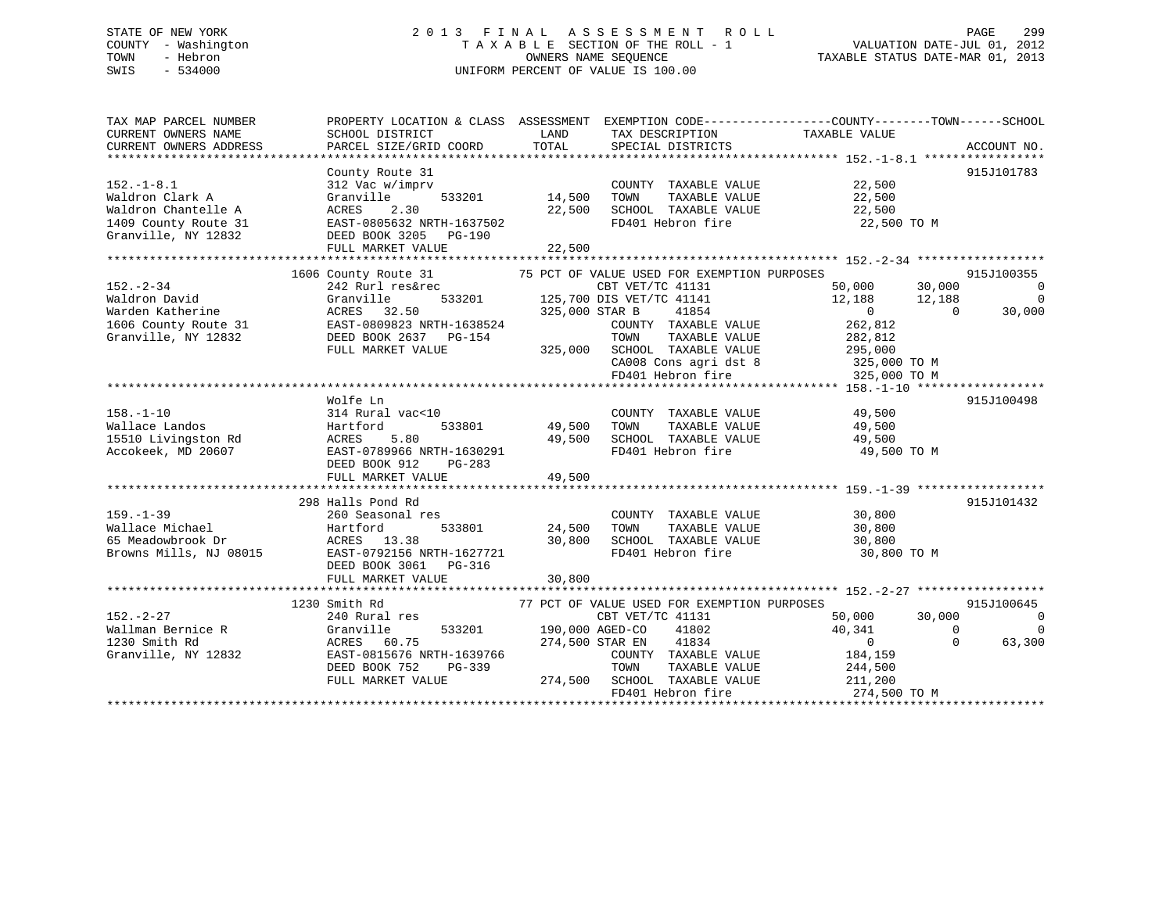# STATE OF NEW YORK 2 0 1 3 F I N A L A S S E S S M E N T R O L L PAGE 299 COUNTY - Washington T A X A B L E SECTION OF THE ROLL - 1 VALUATION DATE-JUL 01, 2012 TOWN - Hebron OWNERS NAME SEQUENCE TAXABLE STATUS DATE-MAR 01, 2013 SWIS - 534000 UNIFORM PERCENT OF VALUE IS 100.00

| TAX MAP PARCEL NUMBER<br>CURRENT OWNERS NAME<br>CURRENT OWNERS ADDRESS                                    | SCHOOL DISTRICT<br>PARCEL SIZE/GRID COORD                                                                                                                 | LAND<br>TAX DESCRIPTION<br>TOTAL<br>SPECIAL DISTRICTS                                                                                                                                                                         | PROPERTY LOCATION & CLASS ASSESSMENT EXEMPTION CODE---------------COUNTY-------TOWN-----SCHOOL<br>TAXABLE VALUE<br>ACCOUNT NO.                                                                                           |
|-----------------------------------------------------------------------------------------------------------|-----------------------------------------------------------------------------------------------------------------------------------------------------------|-------------------------------------------------------------------------------------------------------------------------------------------------------------------------------------------------------------------------------|--------------------------------------------------------------------------------------------------------------------------------------------------------------------------------------------------------------------------|
| $152. - 1 - 8.1$<br>Waldron Clark A<br>Waldron Chantelle A<br>1409 County Route 31<br>Granville, NY 12832 | County Route 31<br>312 Vac w/imprv<br>Granville<br>533201<br>ACRES<br>2.30<br>EAST-0805632 NRTH-1637502<br>DEED BOOK 3205 PG-190<br>FULL MARKET VALUE     | COUNTY TAXABLE VALUE<br>14,500<br>TAXABLE VALUE<br>TOWN<br>22,500<br>SCHOOL TAXABLE VALUE<br>FD401 Hebron fire<br>22,500                                                                                                      | 915J101783<br>22,500<br>22,500<br>22,500<br>22,500 TO M                                                                                                                                                                  |
|                                                                                                           |                                                                                                                                                           |                                                                                                                                                                                                                               |                                                                                                                                                                                                                          |
| $152 - 2 - 34$<br>Waldron David<br>Warden Katherine<br>1606 County Route 31<br>Granville, NY 12832        | 1606 County Route 31<br>242 Rurl res&rec<br>533201<br>Granville<br>ACRES 32.50<br>EAST-0809823 NRTH-1638524<br>DEED BOOK 2637 PG-154<br>FULL MARKET VALUE | 75 PCT OF VALUE USED FOR EXEMPTION PURPOSES<br>CBT VET/TC 41131<br>125,700 DIS VET/TC 41141<br>325,000 STAR B<br>41854<br>COUNTY TAXABLE VALUE<br>TOWN<br>TAXABLE VALUE<br>325,000 SCHOOL TAXABLE VALUE<br>FD401 Hebron fire  | 915J100355<br>50,000<br>30,000<br>$\overline{0}$<br>12,188<br>12,188<br>$\mathbf 0$<br>$\overline{0}$<br>$\overline{0}$<br>30,000<br>262,812<br>282,812<br>295,000<br>CA008 Cons agri dst 8 325,000 TO M<br>325,000 TO M |
|                                                                                                           |                                                                                                                                                           |                                                                                                                                                                                                                               |                                                                                                                                                                                                                          |
| $158. - 1 - 10$<br>Wallace Landos<br>15510 Livingston Rd<br>Accokeek, MD 20607                            | Wolfe Ln<br>314 Rural vac<10<br>Hartford<br>5.80<br>ACRES<br>EAST-0789966 NRTH-1630291<br>DEED BOOK 912<br>PG-283<br>FULL MARKET VALUE                    | COUNTY TAXABLE VALUE<br>533801 49,500<br>TOWN<br>TAXABLE VALUE<br>49,500<br>SCHOOL TAXABLE VALUE<br>FD401 Hebron fire<br>49,500                                                                                               | 915J100498<br>49,500<br>49,500<br>49,500<br>49,500 TO M                                                                                                                                                                  |
|                                                                                                           |                                                                                                                                                           |                                                                                                                                                                                                                               |                                                                                                                                                                                                                          |
| $159. - 1 - 39$<br>Wallace Michael<br>65 Meadowbrook Dr<br>Browns Mills, NJ 08015                         | 298 Halls Pond Rd<br>260 Seasonal res<br>533801<br>Hartford<br>ACRES 13.38<br>EAST-0792156 NRTH-1627721<br>DEED BOOK 3061 PG-316<br>FULL MARKET VALUE     | COUNTY TAXABLE VALUE<br>24,500<br>TOWN<br>TAXABLE VALUE<br>30,800<br>SCHOOL TAXABLE VALUE<br>FD401 Hebron fire<br>30,800                                                                                                      | 915J101432<br>30,800<br>30,800<br>30,800<br>30,800 TO M                                                                                                                                                                  |
|                                                                                                           |                                                                                                                                                           |                                                                                                                                                                                                                               |                                                                                                                                                                                                                          |
| $152. - 2 - 27$<br>Wallman Bernice R<br>1230 Smith Rd<br>Granville, NY 12832                              | 1230 Smith Rd<br>240 Rural res<br>Granville<br>533201<br>ACRES 60.75<br>EAST-0815676 NRTH-1639766<br>DEED BOOK 752<br>PG-339<br>FULL MARKET VALUE         | 77 PCT OF VALUE USED FOR EXEMPTION PURPOSES<br>CBT VET/TC 41131<br>190,000 AGED-CO<br>41802<br>274,500 STAR EN<br>41834<br>COUNTY TAXABLE VALUE<br>TOWN<br>TAXABLE VALUE<br>274,500 SCHOOL TAXABLE VALUE<br>FD401 Hebron fire | 915J100645<br>50,000<br>30,000<br>0<br>40,341<br>$\Omega$<br>$\Omega$<br>63,300<br>$\overline{0}$<br>$\Omega$<br>184,159<br>244,500<br>211,200<br>274,500 TO M                                                           |
|                                                                                                           |                                                                                                                                                           |                                                                                                                                                                                                                               |                                                                                                                                                                                                                          |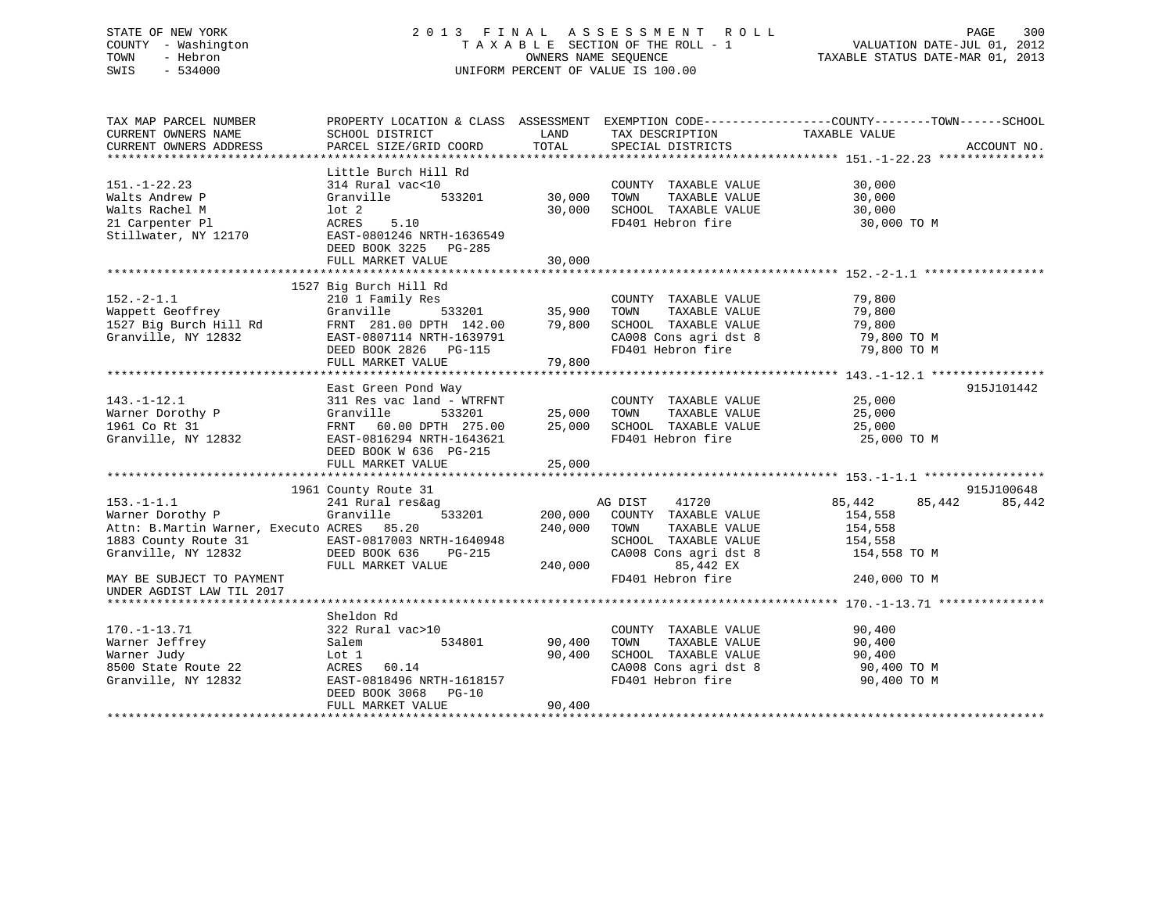# STATE OF NEW YORK 2 0 1 3 F I N A L A S S E S S M E N T R O L L PAGE 300 COUNTY - Washington T A X A B L E SECTION OF THE ROLL - 1 VALUATION DATE-JUL 01, 2012 TOWN - Hebron OWNERS NAME SEQUENCE TAXABLE STATUS DATE-MAR 01, 2013 SWIS - 534000 UNIFORM PERCENT OF VALUE IS 100.00

| TAX MAP PARCEL NUMBER<br>CURRENT OWNERS NAME<br>CURRENT OWNERS ADDRESS                                                                                                                                                | SCHOOL DISTRICT<br>PARCEL SIZE/GRID COORD                                                                                                                                                                                                         | LAND<br>TOTAL              | TAX DESCRIPTION<br>SPECIAL DISTRICTS                                                                                                                                                | PROPERTY LOCATION & CLASS ASSESSMENT EXEMPTION CODE---------------COUNTY-------TOWN------SCHOOL<br>TAXABLE VALUE<br>ACCOUNT NO. |
|-----------------------------------------------------------------------------------------------------------------------------------------------------------------------------------------------------------------------|---------------------------------------------------------------------------------------------------------------------------------------------------------------------------------------------------------------------------------------------------|----------------------------|-------------------------------------------------------------------------------------------------------------------------------------------------------------------------------------|---------------------------------------------------------------------------------------------------------------------------------|
| $151. - 1 - 22.23$<br>Walts Andrew P<br>Walts Rachel M<br>21 Carpenter Pl<br>Stillwater, NY 12170                                                                                                                     | Little Burch Hill Rd<br>314 Rural vac<10<br>533201<br>Granville<br>lot <sub>2</sub><br>5.10<br>ACRES<br>EAST-0801246 NRTH-1636549<br>DEED BOOK 3225 PG-285<br>FULL MARKET VALUE                                                                   | 30,000<br>30,000           | COUNTY TAXABLE VALUE<br>TOWN<br>TAXABLE VALUE<br>30,000 SCHOOL TAXABLE VALUE<br>FD401 Hebron fire                                                                                   | 30,000<br>30,000<br>30,000<br>30,000 TO M                                                                                       |
| $152. - 2 - 1.1$<br>Wappett Geoffrey<br>1527 Big Burch Hill Rd                                                                                                                                                        | 1527 Big Burch Hill Rd<br>210 1 Family Res<br>Granville<br>FRNT 281.00 DPTH 142.00 79,800 SCHOOL TAXABLE VALUE 79,800<br>EAST-0807114 NRTH-1639791 CA008 Cons agri dst 8 79,800 TO M<br>DEED BOOK 2826 PG-115 ----- FD401 Hebron fire 79,800 TO M |                            | COUNTY TAXABLE VALUE<br>TOWN<br>TAXABLE VALUE                                                                                                                                       | 79,800<br>79,800                                                                                                                |
| $143. - 1 - 12.1$<br>Warner Dorothy P<br>1961 Co Rt 31<br>1961 Co Rt 31<br>Granville, NY 12832                                                                                                                        | East Green Pond Way<br>311 Res vac land - WTRFNT<br>Granville 533201 25,000 TOWN<br>FRNT 60.00 DPTH 275.00 25,000 SCHOO<br>EAST-0816294 NRTH-1643621<br>DEED BOOK W 636 PG-215<br>FULL MARKET VALUE                                               | 25,000                     | COUNTY TAXABLE VALUE<br>TOWN      TAXABLE  VALUE<br>SCHOOL   TAXABLE  VALUE<br>FD401 Hebron fire                                                                                    | 915J101442<br>25,000<br>25,000<br>25,000<br>25,000 TO M                                                                         |
| $153. - 1 - 1.1$<br>Warner Dorothy P<br>Attn: B.Martin Warner, Executo ACRES 85.20<br>1883 County Route 31 EAST-0817003 NRTH-1640948<br>Granville, NY 12832<br>MAY BE SUBJECT TO PAYMENT<br>UNDER AGDIST LAW TIL 2017 | 1961 County Route 31<br>241 Rural res&ag<br>533201<br>Granville<br>DEED BOOK 636<br>PG-215<br>FULL MARKET VALUE                                                                                                                                   | 240,000<br>240,000         | AG DIST 41720<br>200,000 COUNTY TAXABLE VALUE<br>TOWN<br>TAXABLE VALUE<br>SCHOOL TAXABLE VALUE<br>CA008 Cons agri dst 8 154,558 TO M<br>85,442 EX<br>FD401 Hebron fire 240,000 TO M | 915J100648<br>85,442<br>85,442<br>85,442<br>154,558<br>154,558<br>154,558                                                       |
| $170. - 1 - 13.71$<br>Warner Jeffrey<br>Warner Judy<br>8500 State Route 22<br>Granville, NY 12832                                                                                                                     | Sheldon Rd<br>322 Rural vac>10<br>534801<br>Salem<br>Lot 1<br>ACRES 60.14<br>EAST-0818496 NRTH-1618157<br>DEED BOOK 3068 PG-10<br>FULL MARKET VALUE                                                                                               | 90,400<br>90,400<br>90,400 | COUNTY TAXABLE VALUE<br>TAXABLE VALUE<br>TOWN<br>SCHOOL TAXABLE VALUE<br>CA008 Cons agri dst 8<br>FD401 Hebron fire                                                                 | 90,400<br>90,400<br>90,400<br>90,400 TO M<br>90,400 TO M                                                                        |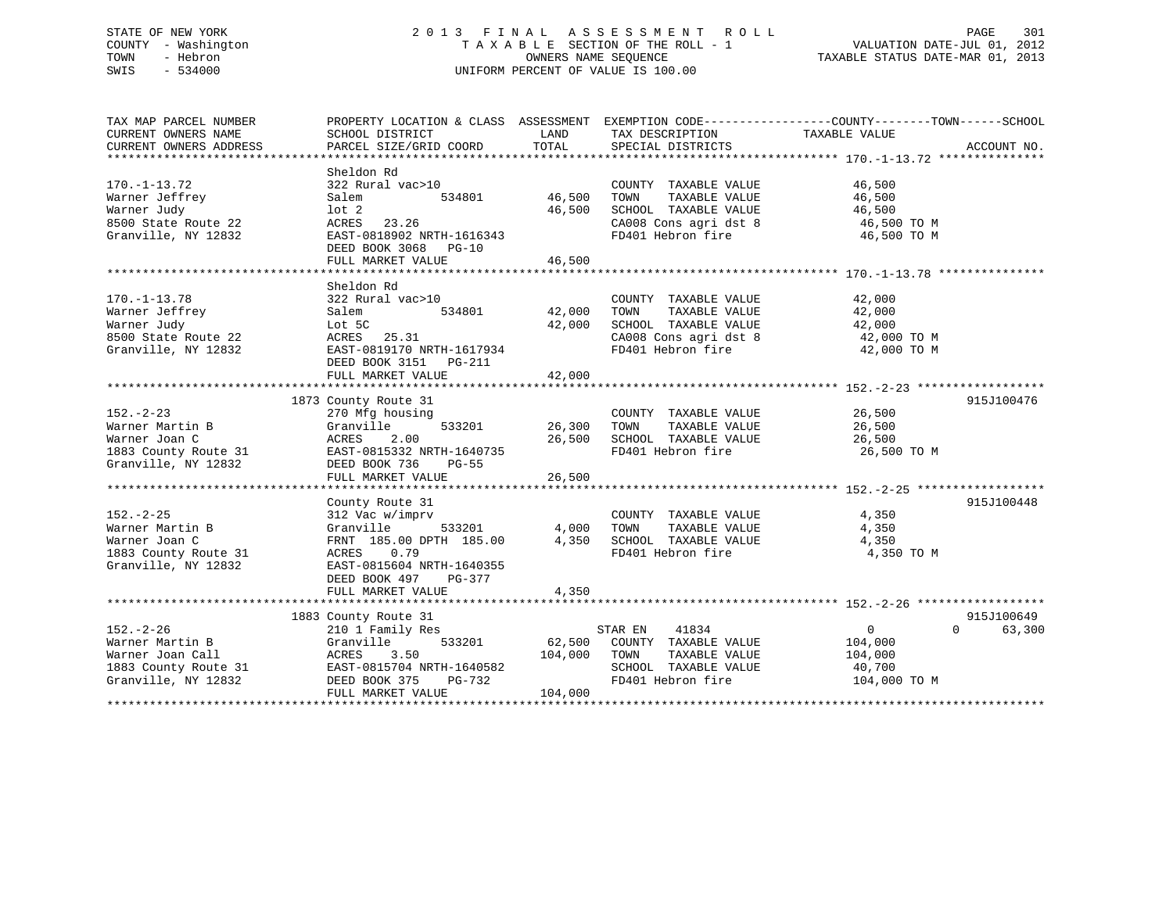# STATE OF NEW YORK 2 0 1 3 F I N A L A S S E S S M E N T R O L L PAGE 301 COUNTY - Washington T A X A B L E SECTION OF THE ROLL - 1 VALUATION DATE-JUL 01, 2012 TOWN - Hebron **CONNERS NAME SEQUENCE** TAXABLE STATUS DATE-MAR 01, 2013 SWIS - 534000 UNIFORM PERCENT OF VALUE IS 100.00

| TAX MAP PARCEL NUMBER                                                                                                                                                                         | PROPERTY LOCATION & CLASS ASSESSMENT EXEMPTION CODE----------------COUNTY-------TOWN------SCHOOL                                                                       |               |                                                                                                                                                            |                |                    |
|-----------------------------------------------------------------------------------------------------------------------------------------------------------------------------------------------|------------------------------------------------------------------------------------------------------------------------------------------------------------------------|---------------|------------------------------------------------------------------------------------------------------------------------------------------------------------|----------------|--------------------|
| CURRENT OWNERS NAME                                                                                                                                                                           | SCHOOL DISTRICT                                                                                                                                                        | LAND          | TAX DESCRIPTION                                                                                                                                            | TAXABLE VALUE  |                    |
|                                                                                                                                                                                               |                                                                                                                                                                        |               |                                                                                                                                                            |                |                    |
|                                                                                                                                                                                               |                                                                                                                                                                        |               |                                                                                                                                                            |                |                    |
|                                                                                                                                                                                               | Sheldon Rd                                                                                                                                                             |               |                                                                                                                                                            |                |                    |
| $170. - 1 - 13.72$                                                                                                                                                                            | 322 Rural vac>10                                                                                                                                                       |               | COUNTY TAXABLE VALUE 46,500                                                                                                                                |                |                    |
| Warner Jeffrey                                                                                                                                                                                | Salem                                                                                                                                                                  | 534801 46,500 | TAXABLE VALUE 46,500<br>TOWN                                                                                                                               |                |                    |
| Warner Judy                                                                                                                                                                                   | lot 2                                                                                                                                                                  | 46,500        |                                                                                                                                                            |                |                    |
| 8500 State Route 22                                                                                                                                                                           | ACRES 23.26                                                                                                                                                            |               | SCHOOL TAXABLE VALUE 46,500<br>CA008 Cons agri dst 8 46,500 TO M                                                                                           |                |                    |
| Granville, NY 12832                                                                                                                                                                           | EAST-0818902 NRTH-1616343                                                                                                                                              |               | FD401 Hebron fire 46,500 TO M                                                                                                                              |                |                    |
|                                                                                                                                                                                               | DEED BOOK 3068 PG-10                                                                                                                                                   |               |                                                                                                                                                            |                |                    |
|                                                                                                                                                                                               | FULL MARKET VALUE                                                                                                                                                      | 46,500        |                                                                                                                                                            |                |                    |
|                                                                                                                                                                                               |                                                                                                                                                                        |               |                                                                                                                                                            |                |                    |
|                                                                                                                                                                                               | Sheldon Rd                                                                                                                                                             |               |                                                                                                                                                            |                |                    |
| $170. - 1 - 13.78$                                                                                                                                                                            | 322 Rural vac>10                                                                                                                                                       |               | COUNTY TAXABLE VALUE                                                                                                                                       | 42,000         |                    |
| Warner Jeffrey                                                                                                                                                                                | 534801<br>Salem                                                                                                                                                        | 42,000        | TOWN<br>TAXABLE VALUE                                                                                                                                      | 42,000         |                    |
| Warner Judy                                                                                                                                                                                   | Lot 5C                                                                                                                                                                 | 42,000        | SCHOOL TAXABLE VALUE                                                                                                                                       | 42,000         |                    |
| 8500 State Route 22                                                                                                                                                                           | ACRES 25.31                                                                                                                                                            |               |                                                                                                                                                            |                |                    |
| Granville, NY 12832                                                                                                                                                                           | EAST-0819170 NRTH-1617934                                                                                                                                              |               | $\begin{array}{ll}\n\text{CA008 Cons agri dist 8} & 42,000\text{ TO M} \\ \text{F0401 Hehron fire} & 42,000\text{ TO M}\n\end{array}$<br>FD401 Hebron fire | 42,000 TO M    |                    |
|                                                                                                                                                                                               | DEED BOOK 3151 PG-211                                                                                                                                                  |               |                                                                                                                                                            |                |                    |
|                                                                                                                                                                                               |                                                                                                                                                                        |               |                                                                                                                                                            |                |                    |
|                                                                                                                                                                                               | FULL MARKET VALUE                                                                                                                                                      | 42,000        |                                                                                                                                                            |                |                    |
|                                                                                                                                                                                               |                                                                                                                                                                        |               |                                                                                                                                                            |                |                    |
|                                                                                                                                                                                               | 1873 County Route 31                                                                                                                                                   |               |                                                                                                                                                            |                | 915J100476         |
| $152 - 2 - 23$                                                                                                                                                                                | 270 Mfg housing                                                                                                                                                        |               | COUNTY TAXABLE VALUE                                                                                                                                       | 26,500         |                    |
| Warner Martin B                                                                                                                                                                               | 533201<br>Granville                                                                                                                                                    | 26,300        | TAXABLE VALUE 26,500<br>TOWN                                                                                                                               |                |                    |
| Warner Joan C                                                                                                                                                                                 | ACRES<br>2.00                                                                                                                                                          | 26,500        | SCHOOL TAXABLE VALUE<br>FD401 Hebron fire                                                                                                                  | 26,500         |                    |
| 1883 County Route 31 EAST-0815332 NRTH-1640735                                                                                                                                                |                                                                                                                                                                        |               |                                                                                                                                                            | 26,500 TO M    |                    |
| Granville, NY 12832                                                                                                                                                                           | DEED BOOK 736<br>PG-55                                                                                                                                                 |               |                                                                                                                                                            |                |                    |
|                                                                                                                                                                                               | FULL MARKET VALUE                                                                                                                                                      | 26,500        |                                                                                                                                                            |                |                    |
|                                                                                                                                                                                               |                                                                                                                                                                        |               |                                                                                                                                                            |                |                    |
|                                                                                                                                                                                               | County Route 31                                                                                                                                                        |               |                                                                                                                                                            |                | 915J100448         |
| $152. - 2 - 25$                                                                                                                                                                               | 312 Vac w/imprv                                                                                                                                                        |               | COUNTY TAXABLE VALUE 4,350                                                                                                                                 |                |                    |
| Warner Martin B                                                                                                                                                                               |                                                                                                                                                                        |               |                                                                                                                                                            | 4,350          |                    |
| Warner Joan C                                                                                                                                                                                 | Granville $\overline{\phantom{0}}$ 533201 $\phantom{\textrm{0}}$ 4,000 TOWN TAXABLE VALUE<br>FRNT 185.00 DPTH 185.00 $\phantom{\textrm{0}}$ 4,350 SCHOOL TAXABLE VALUE |               |                                                                                                                                                            | 4,350          |                    |
| 1883 County Route 31                                                                                                                                                                          | ACRES<br>0.79                                                                                                                                                          |               | FD401 Hebron fire                                                                                                                                          | 4,350 TO M     |                    |
| Granville, NY 12832                                                                                                                                                                           | EAST-0815604 NRTH-1640355                                                                                                                                              |               |                                                                                                                                                            |                |                    |
|                                                                                                                                                                                               | DEED BOOK 497 PG-377                                                                                                                                                   |               |                                                                                                                                                            |                |                    |
|                                                                                                                                                                                               | FULL MARKET VALUE                                                                                                                                                      | 4,350         |                                                                                                                                                            |                |                    |
|                                                                                                                                                                                               |                                                                                                                                                                        |               |                                                                                                                                                            |                |                    |
|                                                                                                                                                                                               | 1883 County Route 31<br>210 1 Family Res                                                                                                                               |               |                                                                                                                                                            |                | 915J100649         |
| $152. - 2 - 26$                                                                                                                                                                               | 210 1 Family Res                                                                                                                                                       |               | STAR EN 41834                                                                                                                                              | $\overline{0}$ | 63,300<br>$\Omega$ |
| Warner Martin B                                                                                                                                                                               | Granville                                                                                                                                                              |               | 533201 62,500 COUNTY TAXABLE VALUE                                                                                                                         | 104,000        |                    |
|                                                                                                                                                                                               |                                                                                                                                                                        | 104,000 TOWN  | TAXABLE VALUE                                                                                                                                              | 104,000        |                    |
|                                                                                                                                                                                               |                                                                                                                                                                        |               | SCHOOL TAXABLE VALUE                                                                                                                                       | 40,700         |                    |
| Warner Farsten - 1<br>Warner Joan Call<br>1883 County Route 31<br>Granville, NY 12832<br>CHERE BOOK 375 PG-732<br>The Market Chere of The March 1982<br>The Market Chere of The Market PG-732 | NR1H-1640582<br>PG-732                                                                                                                                                 |               | FD401 Hebron fire                                                                                                                                          | 104,000 TO M   |                    |
|                                                                                                                                                                                               | FULL MARKET VALUE                                                                                                                                                      | 104,000       |                                                                                                                                                            |                |                    |
|                                                                                                                                                                                               |                                                                                                                                                                        |               |                                                                                                                                                            |                |                    |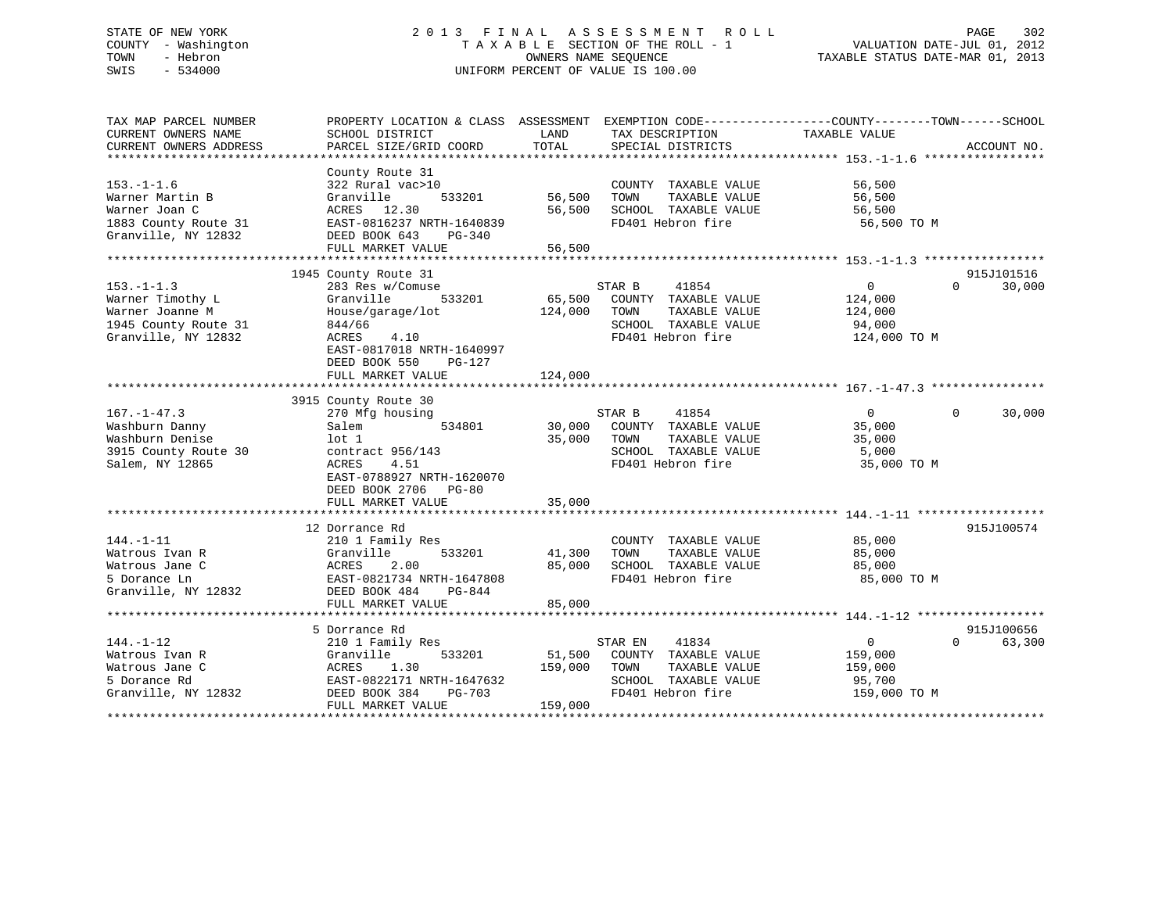# STATE OF NEW YORK 2 0 1 3 F I N A L A S S E S S M E N T R O L L PAGE 302 COUNTY - Washington T A X A B L E SECTION OF THE ROLL - 1 VALUATION DATE-JUL 01, 2012 TOWN - Hebron OWNERS NAME SEQUENCE TAXABLE STATUS DATE-MAR 01, 2013 SWIS - 534000 UNIFORM PERCENT OF VALUE IS 100.00

| TAX MAP PARCEL NUMBER<br>CURRENT OWNERS NAME<br>CURRENT OWNERS ADDRESS                                 | PROPERTY LOCATION & CLASS ASSESSMENT<br>SCHOOL DISTRICT<br>PARCEL SIZE/GRID COORD                                                                                                             | LAND<br>TOTAL                | EXEMPTION CODE----------------COUNTY-------TOWN------SCHOOL<br>TAX DESCRIPTION<br>SPECIAL DISTRICTS            | TAXABLE VALUE                                                  | ACCOUNT NO.                      |
|--------------------------------------------------------------------------------------------------------|-----------------------------------------------------------------------------------------------------------------------------------------------------------------------------------------------|------------------------------|----------------------------------------------------------------------------------------------------------------|----------------------------------------------------------------|----------------------------------|
| $153. - 1 - 1.6$<br>Warner Martin B<br>Warner Joan C<br>1883 County Route 31<br>Granville, NY 12832    | County Route 31<br>322 Rural vac>10<br>Granville<br>533201<br>ACRES 12.30<br>EAST-0816237 NRTH-1640839<br>DEED BOOK 643<br>PG-340<br>FULL MARKET VALUE                                        | 56,500<br>56,500<br>56,500   | COUNTY TAXABLE VALUE<br>TOWN<br>TAXABLE VALUE<br>SCHOOL TAXABLE VALUE<br>FD401 Hebron fire                     | 56,500<br>56,500<br>56,500<br>56,500 TO M                      |                                  |
| $153. - 1 - 1.3$<br>Warner Timothy L<br>Warner Joanne M<br>1945 County Route 31<br>Granville, NY 12832 | 1945 County Route 31<br>283 Res w/Comuse<br>Granville<br>533201<br>House/garage/lot<br>844/66<br>4.10<br>ACRES<br>EAST-0817018 NRTH-1640997<br>DEED BOOK 550<br>$PG-127$<br>FULL MARKET VALUE | 65,500<br>124,000<br>124,000 | STAR B<br>41854<br>COUNTY TAXABLE VALUE<br>TOWN<br>TAXABLE VALUE<br>SCHOOL TAXABLE VALUE<br>FD401 Hebron fire  | $\overline{0}$<br>124,000<br>124,000<br>94,000<br>124,000 TO M | 915J101516<br>30,000<br>$\Omega$ |
| $167. - 1 - 47.3$<br>Washburn Danny<br>Washburn Denise<br>3915 County Route 30<br>Salem, NY 12865      | 3915 County Route 30<br>270 Mfg housing<br>534801<br>Salem<br>lot 1<br>contract 956/143<br>ACRES<br>4.51<br>EAST-0788927 NRTH-1620070<br>DEED BOOK 2706<br>$PG-80$<br>FULL MARKET VALUE       | 30,000<br>35,000<br>35,000   | STAR B<br>41854<br>COUNTY TAXABLE VALUE<br>TOWN<br>TAXABLE VALUE<br>SCHOOL TAXABLE VALUE<br>FD401 Hebron fire  | $\overline{0}$<br>35,000<br>35,000<br>5,000<br>35,000 TO M     | $\Omega$<br>30,000               |
| $144. - 1 - 11$<br>Watrous Ivan R<br>Watrous Jane C<br>5 Dorance Ln<br>Granville, NY 12832             | 12 Dorrance Rd<br>210 1 Family Res<br>533201<br>Granville<br>2.00<br>ACRES<br>EAST-0821734 NRTH-1647808<br>DEED BOOK 484<br>PG-844<br>FULL MARKET VALUE                                       | 41,300<br>85,000<br>85,000   | COUNTY TAXABLE VALUE<br>TOWN<br>TAXABLE VALUE<br>SCHOOL TAXABLE VALUE<br>FD401 Hebron fire                     | 85,000<br>85,000<br>85,000<br>85,000 TO M                      | 915J100574                       |
| $144. - 1 - 12$<br>Watrous Ivan R<br>Watrous Jane C<br>5 Dorance Rd<br>Granville, NY 12832             | 5 Dorrance Rd<br>210 1 Family Res<br>Granville<br>533201<br>ACRES<br>1.30<br>EAST-0822171 NRTH-1647632<br>DEED BOOK 384<br><b>PG-703</b><br>FULL MARKET VALUE                                 | 51,500<br>159,000<br>159,000 | 41834<br>STAR EN<br>COUNTY TAXABLE VALUE<br>TOWN<br>TAXABLE VALUE<br>SCHOOL TAXABLE VALUE<br>FD401 Hebron fire | 0<br>159,000<br>159,000<br>95,700<br>159,000 TO M              | 915J100656<br>63,300<br>$\Omega$ |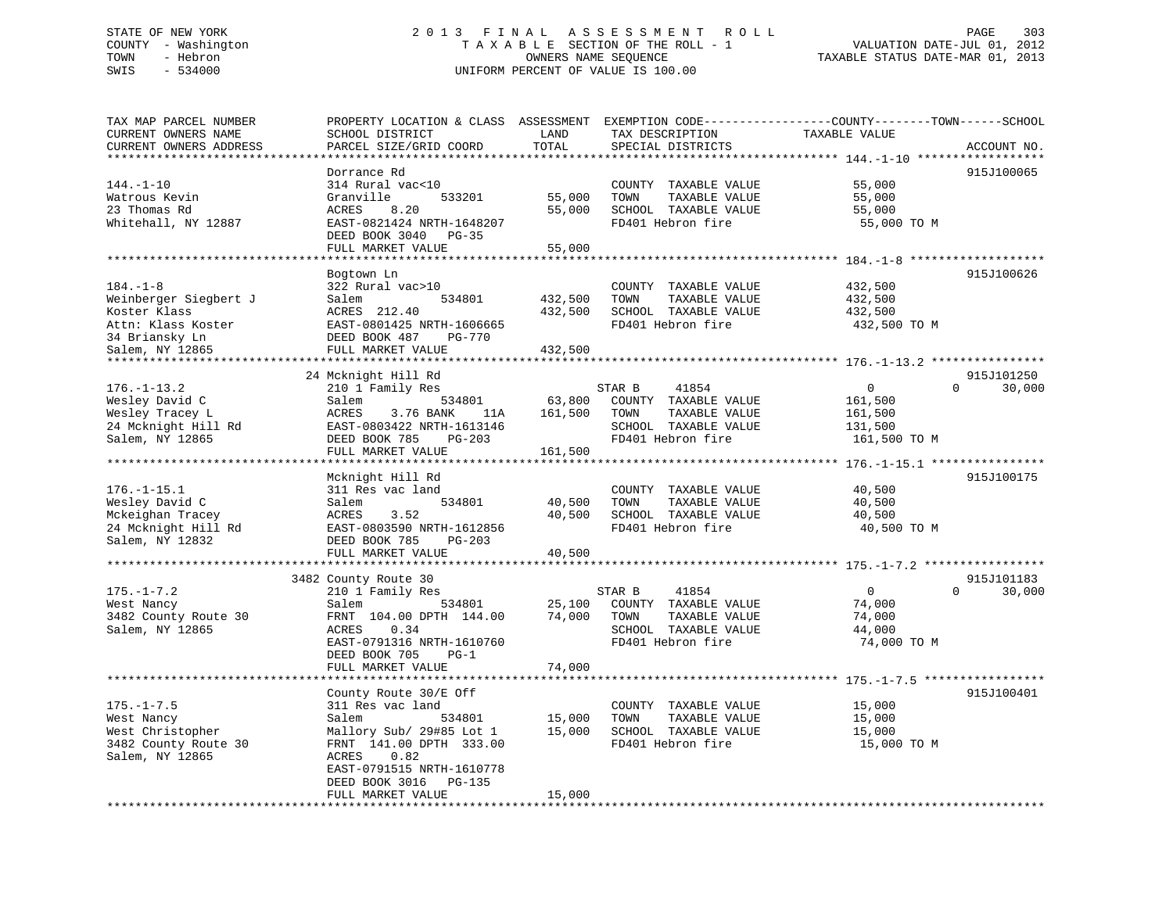# STATE OF NEW YORK 2 0 1 3 F I N A L A S S E S S M E N T R O L L PAGE 303 COUNTY - Washington T A X A B L E SECTION OF THE ROLL - 1 VALUATION DATE-JUL 01, 2012 TOWN - Hebron **CONNERS NAME SEQUENCE** TAXABLE STATUS DATE-MAR 01, 2013 SWIS - 534000 UNIFORM PERCENT OF VALUE IS 100.00

| 915J100065<br>Dorrance Rd<br>$144. - 1 - 10$<br>314 Rural vac<10<br>55,000<br>COUNTY TAXABLE VALUE<br>Watrous Kevin<br>Granville<br>533201<br>55,000<br>TOWN<br>TAXABLE VALUE<br>55,000<br>55,000<br>23 Thomas Rd<br>8.20<br>SCHOOL TAXABLE VALUE<br>55,000<br>ACRES<br>Whitehall, NY 12887<br>FD401 Hebron fire<br>EAST-0821424 NRTH-1648207<br>55,000 TO M<br>DEED BOOK 3040<br>PG-35<br>55,000<br>FULL MARKET VALUE<br>915J100626<br>Bogtown Ln<br>322 Rural vac>10<br>432,500<br>COUNTY TAXABLE VALUE<br>Weinberger Siegbert J<br>534801<br>432,500<br>Salem<br>TOWN<br>TAXABLE VALUE<br>432,500<br>Koster Klass<br>432,500<br>SCHOOL TAXABLE VALUE<br>ACRES 212.40<br>432,500<br>Attn: Klass Koster<br>EAST-0801425 NRTH-1606665<br>FD401 Hebron fire<br>432,500 TO M<br>34 Briansky Ln<br>DEED BOOK 487<br>PG-770<br>Salem, NY 12865<br>FULL MARKET VALUE<br>432,500<br>24 Mcknight Hill Rd<br>915J101250<br>210 1 Family Res<br>41854<br>0<br>$\Omega$<br>30,000<br>STAR B<br>Wesley David C<br>534801<br>63,800<br>COUNTY TAXABLE VALUE<br>Salem<br>161,500<br>Wesley Tracey L<br>161,500<br>TOWN<br>TAXABLE VALUE<br>ACRES<br>3.76 BANK<br>161,500<br>11A<br>24 Mcknight Hill Rd<br>EAST-0803422 NRTH-1613146<br>SCHOOL TAXABLE VALUE<br>131,500<br>Salem, NY 12865<br>DEED BOOK 785<br>FD401 Hebron fire<br>$PG-203$<br>161,500 TO M<br>FULL MARKET VALUE<br>161,500<br>*********************<br>Mcknight Hill Rd<br>915J100175<br>311 Res vac land<br>COUNTY TAXABLE VALUE<br>40,500<br>Wesley David C<br>Salem<br>40,500<br>TOWN<br>TAXABLE VALUE<br>40,500<br>534801<br>Mckeighan Tracey<br>ACRES<br>40,500<br>SCHOOL TAXABLE VALUE<br>3.52<br>40,500<br>FD401 Hebron fire<br>24 Mcknight Hill Rd<br>EAST-0803590 NRTH-1612856<br>40,500 TO M<br>DEED BOOK 785<br>PG-203<br>FULL MARKET VALUE<br>40,500<br>3482 County Route 30<br>915J101183<br>$175. - 1 - 7.2$<br>210 1 Family Res<br>$\mathbf{0}$<br>$\Omega$<br>30,000<br>STAR B<br>41854<br>West Nancy<br>Salem<br>534801<br>25,100<br>COUNTY TAXABLE VALUE<br>74,000<br>3482 County Route 30<br>FRNT 104.00 DPTH 144.00<br>74,000<br>TOWN<br>TAXABLE VALUE<br>74,000<br>Salem, NY 12865<br>0.34<br>SCHOOL TAXABLE VALUE<br>44,000<br>ACRES<br>FD401 Hebron fire<br>74,000 TO M<br>EAST-0791316 NRTH-1610760<br>DEED BOOK 705<br>$PG-1$<br>FULL MARKET VALUE<br>74,000<br>915J100401<br>County Route 30/E Off<br>$175. - 1 - 7.5$<br>311 Res vac land<br>COUNTY TAXABLE VALUE<br>15,000<br>West Nancy<br>15,000<br>TOWN<br>TAXABLE VALUE<br>Salem<br>534801<br>15,000<br>West Christopher<br>15,000<br>SCHOOL TAXABLE VALUE<br>Mallory Sub/ 29#85 Lot 1<br>15,000<br>3482 County Route 30<br>FRNT 141.00 DPTH 333.00<br>FD401 Hebron fire<br>15,000 TO M<br>Salem, NY 12865<br>ACRES<br>0.82<br>EAST-0791515 NRTH-1610778<br>DEED BOOK 3016<br>PG-135<br>15,000<br>FULL MARKET VALUE<br>*********************** | TAX MAP PARCEL NUMBER<br>CURRENT OWNERS NAME<br>CURRENT OWNERS ADDRESS | SCHOOL DISTRICT<br>PARCEL SIZE/GRID COORD | LAND<br>TOTAL | TAX DESCRIPTION<br>SPECIAL DISTRICTS | PROPERTY LOCATION & CLASS ASSESSMENT EXEMPTION CODE----------------COUNTY-------TOWN-----SCHOOL<br>TAXABLE VALUE<br>ACCOUNT NO. |
|------------------------------------------------------------------------------------------------------------------------------------------------------------------------------------------------------------------------------------------------------------------------------------------------------------------------------------------------------------------------------------------------------------------------------------------------------------------------------------------------------------------------------------------------------------------------------------------------------------------------------------------------------------------------------------------------------------------------------------------------------------------------------------------------------------------------------------------------------------------------------------------------------------------------------------------------------------------------------------------------------------------------------------------------------------------------------------------------------------------------------------------------------------------------------------------------------------------------------------------------------------------------------------------------------------------------------------------------------------------------------------------------------------------------------------------------------------------------------------------------------------------------------------------------------------------------------------------------------------------------------------------------------------------------------------------------------------------------------------------------------------------------------------------------------------------------------------------------------------------------------------------------------------------------------------------------------------------------------------------------------------------------------------------------------------------------------------------------------------------------------------------------------------------------------------------------------------------------------------------------------------------------------------------------------------------------------------------------------------------------------------------------------------------------------------------------------------------------------------------------------------------------------------------------------------------------------------------------------------------------------------------------------------------------------------------------------------------------------------------------------------------------------------------------------------------------------------------------------------------------------------|------------------------------------------------------------------------|-------------------------------------------|---------------|--------------------------------------|---------------------------------------------------------------------------------------------------------------------------------|
|                                                                                                                                                                                                                                                                                                                                                                                                                                                                                                                                                                                                                                                                                                                                                                                                                                                                                                                                                                                                                                                                                                                                                                                                                                                                                                                                                                                                                                                                                                                                                                                                                                                                                                                                                                                                                                                                                                                                                                                                                                                                                                                                                                                                                                                                                                                                                                                                                                                                                                                                                                                                                                                                                                                                                                                                                                                                                    |                                                                        |                                           |               |                                      |                                                                                                                                 |
|                                                                                                                                                                                                                                                                                                                                                                                                                                                                                                                                                                                                                                                                                                                                                                                                                                                                                                                                                                                                                                                                                                                                                                                                                                                                                                                                                                                                                                                                                                                                                                                                                                                                                                                                                                                                                                                                                                                                                                                                                                                                                                                                                                                                                                                                                                                                                                                                                                                                                                                                                                                                                                                                                                                                                                                                                                                                                    |                                                                        |                                           |               |                                      |                                                                                                                                 |
|                                                                                                                                                                                                                                                                                                                                                                                                                                                                                                                                                                                                                                                                                                                                                                                                                                                                                                                                                                                                                                                                                                                                                                                                                                                                                                                                                                                                                                                                                                                                                                                                                                                                                                                                                                                                                                                                                                                                                                                                                                                                                                                                                                                                                                                                                                                                                                                                                                                                                                                                                                                                                                                                                                                                                                                                                                                                                    |                                                                        |                                           |               |                                      |                                                                                                                                 |
|                                                                                                                                                                                                                                                                                                                                                                                                                                                                                                                                                                                                                                                                                                                                                                                                                                                                                                                                                                                                                                                                                                                                                                                                                                                                                                                                                                                                                                                                                                                                                                                                                                                                                                                                                                                                                                                                                                                                                                                                                                                                                                                                                                                                                                                                                                                                                                                                                                                                                                                                                                                                                                                                                                                                                                                                                                                                                    |                                                                        |                                           |               |                                      |                                                                                                                                 |
|                                                                                                                                                                                                                                                                                                                                                                                                                                                                                                                                                                                                                                                                                                                                                                                                                                                                                                                                                                                                                                                                                                                                                                                                                                                                                                                                                                                                                                                                                                                                                                                                                                                                                                                                                                                                                                                                                                                                                                                                                                                                                                                                                                                                                                                                                                                                                                                                                                                                                                                                                                                                                                                                                                                                                                                                                                                                                    |                                                                        |                                           |               |                                      |                                                                                                                                 |
|                                                                                                                                                                                                                                                                                                                                                                                                                                                                                                                                                                                                                                                                                                                                                                                                                                                                                                                                                                                                                                                                                                                                                                                                                                                                                                                                                                                                                                                                                                                                                                                                                                                                                                                                                                                                                                                                                                                                                                                                                                                                                                                                                                                                                                                                                                                                                                                                                                                                                                                                                                                                                                                                                                                                                                                                                                                                                    |                                                                        |                                           |               |                                      |                                                                                                                                 |
|                                                                                                                                                                                                                                                                                                                                                                                                                                                                                                                                                                                                                                                                                                                                                                                                                                                                                                                                                                                                                                                                                                                                                                                                                                                                                                                                                                                                                                                                                                                                                                                                                                                                                                                                                                                                                                                                                                                                                                                                                                                                                                                                                                                                                                                                                                                                                                                                                                                                                                                                                                                                                                                                                                                                                                                                                                                                                    |                                                                        |                                           |               |                                      |                                                                                                                                 |
|                                                                                                                                                                                                                                                                                                                                                                                                                                                                                                                                                                                                                                                                                                                                                                                                                                                                                                                                                                                                                                                                                                                                                                                                                                                                                                                                                                                                                                                                                                                                                                                                                                                                                                                                                                                                                                                                                                                                                                                                                                                                                                                                                                                                                                                                                                                                                                                                                                                                                                                                                                                                                                                                                                                                                                                                                                                                                    |                                                                        |                                           |               |                                      |                                                                                                                                 |
|                                                                                                                                                                                                                                                                                                                                                                                                                                                                                                                                                                                                                                                                                                                                                                                                                                                                                                                                                                                                                                                                                                                                                                                                                                                                                                                                                                                                                                                                                                                                                                                                                                                                                                                                                                                                                                                                                                                                                                                                                                                                                                                                                                                                                                                                                                                                                                                                                                                                                                                                                                                                                                                                                                                                                                                                                                                                                    |                                                                        |                                           |               |                                      |                                                                                                                                 |
|                                                                                                                                                                                                                                                                                                                                                                                                                                                                                                                                                                                                                                                                                                                                                                                                                                                                                                                                                                                                                                                                                                                                                                                                                                                                                                                                                                                                                                                                                                                                                                                                                                                                                                                                                                                                                                                                                                                                                                                                                                                                                                                                                                                                                                                                                                                                                                                                                                                                                                                                                                                                                                                                                                                                                                                                                                                                                    |                                                                        |                                           |               |                                      |                                                                                                                                 |
|                                                                                                                                                                                                                                                                                                                                                                                                                                                                                                                                                                                                                                                                                                                                                                                                                                                                                                                                                                                                                                                                                                                                                                                                                                                                                                                                                                                                                                                                                                                                                                                                                                                                                                                                                                                                                                                                                                                                                                                                                                                                                                                                                                                                                                                                                                                                                                                                                                                                                                                                                                                                                                                                                                                                                                                                                                                                                    | $184. - 1 - 8$                                                         |                                           |               |                                      |                                                                                                                                 |
|                                                                                                                                                                                                                                                                                                                                                                                                                                                                                                                                                                                                                                                                                                                                                                                                                                                                                                                                                                                                                                                                                                                                                                                                                                                                                                                                                                                                                                                                                                                                                                                                                                                                                                                                                                                                                                                                                                                                                                                                                                                                                                                                                                                                                                                                                                                                                                                                                                                                                                                                                                                                                                                                                                                                                                                                                                                                                    |                                                                        |                                           |               |                                      |                                                                                                                                 |
|                                                                                                                                                                                                                                                                                                                                                                                                                                                                                                                                                                                                                                                                                                                                                                                                                                                                                                                                                                                                                                                                                                                                                                                                                                                                                                                                                                                                                                                                                                                                                                                                                                                                                                                                                                                                                                                                                                                                                                                                                                                                                                                                                                                                                                                                                                                                                                                                                                                                                                                                                                                                                                                                                                                                                                                                                                                                                    |                                                                        |                                           |               |                                      |                                                                                                                                 |
|                                                                                                                                                                                                                                                                                                                                                                                                                                                                                                                                                                                                                                                                                                                                                                                                                                                                                                                                                                                                                                                                                                                                                                                                                                                                                                                                                                                                                                                                                                                                                                                                                                                                                                                                                                                                                                                                                                                                                                                                                                                                                                                                                                                                                                                                                                                                                                                                                                                                                                                                                                                                                                                                                                                                                                                                                                                                                    |                                                                        |                                           |               |                                      |                                                                                                                                 |
|                                                                                                                                                                                                                                                                                                                                                                                                                                                                                                                                                                                                                                                                                                                                                                                                                                                                                                                                                                                                                                                                                                                                                                                                                                                                                                                                                                                                                                                                                                                                                                                                                                                                                                                                                                                                                                                                                                                                                                                                                                                                                                                                                                                                                                                                                                                                                                                                                                                                                                                                                                                                                                                                                                                                                                                                                                                                                    |                                                                        |                                           |               |                                      |                                                                                                                                 |
|                                                                                                                                                                                                                                                                                                                                                                                                                                                                                                                                                                                                                                                                                                                                                                                                                                                                                                                                                                                                                                                                                                                                                                                                                                                                                                                                                                                                                                                                                                                                                                                                                                                                                                                                                                                                                                                                                                                                                                                                                                                                                                                                                                                                                                                                                                                                                                                                                                                                                                                                                                                                                                                                                                                                                                                                                                                                                    |                                                                        |                                           |               |                                      |                                                                                                                                 |
|                                                                                                                                                                                                                                                                                                                                                                                                                                                                                                                                                                                                                                                                                                                                                                                                                                                                                                                                                                                                                                                                                                                                                                                                                                                                                                                                                                                                                                                                                                                                                                                                                                                                                                                                                                                                                                                                                                                                                                                                                                                                                                                                                                                                                                                                                                                                                                                                                                                                                                                                                                                                                                                                                                                                                                                                                                                                                    |                                                                        |                                           |               |                                      |                                                                                                                                 |
|                                                                                                                                                                                                                                                                                                                                                                                                                                                                                                                                                                                                                                                                                                                                                                                                                                                                                                                                                                                                                                                                                                                                                                                                                                                                                                                                                                                                                                                                                                                                                                                                                                                                                                                                                                                                                                                                                                                                                                                                                                                                                                                                                                                                                                                                                                                                                                                                                                                                                                                                                                                                                                                                                                                                                                                                                                                                                    |                                                                        |                                           |               |                                      |                                                                                                                                 |
|                                                                                                                                                                                                                                                                                                                                                                                                                                                                                                                                                                                                                                                                                                                                                                                                                                                                                                                                                                                                                                                                                                                                                                                                                                                                                                                                                                                                                                                                                                                                                                                                                                                                                                                                                                                                                                                                                                                                                                                                                                                                                                                                                                                                                                                                                                                                                                                                                                                                                                                                                                                                                                                                                                                                                                                                                                                                                    | $176. - 1 - 13.2$                                                      |                                           |               |                                      |                                                                                                                                 |
|                                                                                                                                                                                                                                                                                                                                                                                                                                                                                                                                                                                                                                                                                                                                                                                                                                                                                                                                                                                                                                                                                                                                                                                                                                                                                                                                                                                                                                                                                                                                                                                                                                                                                                                                                                                                                                                                                                                                                                                                                                                                                                                                                                                                                                                                                                                                                                                                                                                                                                                                                                                                                                                                                                                                                                                                                                                                                    |                                                                        |                                           |               |                                      |                                                                                                                                 |
|                                                                                                                                                                                                                                                                                                                                                                                                                                                                                                                                                                                                                                                                                                                                                                                                                                                                                                                                                                                                                                                                                                                                                                                                                                                                                                                                                                                                                                                                                                                                                                                                                                                                                                                                                                                                                                                                                                                                                                                                                                                                                                                                                                                                                                                                                                                                                                                                                                                                                                                                                                                                                                                                                                                                                                                                                                                                                    |                                                                        |                                           |               |                                      |                                                                                                                                 |
|                                                                                                                                                                                                                                                                                                                                                                                                                                                                                                                                                                                                                                                                                                                                                                                                                                                                                                                                                                                                                                                                                                                                                                                                                                                                                                                                                                                                                                                                                                                                                                                                                                                                                                                                                                                                                                                                                                                                                                                                                                                                                                                                                                                                                                                                                                                                                                                                                                                                                                                                                                                                                                                                                                                                                                                                                                                                                    |                                                                        |                                           |               |                                      |                                                                                                                                 |
|                                                                                                                                                                                                                                                                                                                                                                                                                                                                                                                                                                                                                                                                                                                                                                                                                                                                                                                                                                                                                                                                                                                                                                                                                                                                                                                                                                                                                                                                                                                                                                                                                                                                                                                                                                                                                                                                                                                                                                                                                                                                                                                                                                                                                                                                                                                                                                                                                                                                                                                                                                                                                                                                                                                                                                                                                                                                                    |                                                                        |                                           |               |                                      |                                                                                                                                 |
|                                                                                                                                                                                                                                                                                                                                                                                                                                                                                                                                                                                                                                                                                                                                                                                                                                                                                                                                                                                                                                                                                                                                                                                                                                                                                                                                                                                                                                                                                                                                                                                                                                                                                                                                                                                                                                                                                                                                                                                                                                                                                                                                                                                                                                                                                                                                                                                                                                                                                                                                                                                                                                                                                                                                                                                                                                                                                    |                                                                        |                                           |               |                                      |                                                                                                                                 |
|                                                                                                                                                                                                                                                                                                                                                                                                                                                                                                                                                                                                                                                                                                                                                                                                                                                                                                                                                                                                                                                                                                                                                                                                                                                                                                                                                                                                                                                                                                                                                                                                                                                                                                                                                                                                                                                                                                                                                                                                                                                                                                                                                                                                                                                                                                                                                                                                                                                                                                                                                                                                                                                                                                                                                                                                                                                                                    |                                                                        |                                           |               |                                      |                                                                                                                                 |
|                                                                                                                                                                                                                                                                                                                                                                                                                                                                                                                                                                                                                                                                                                                                                                                                                                                                                                                                                                                                                                                                                                                                                                                                                                                                                                                                                                                                                                                                                                                                                                                                                                                                                                                                                                                                                                                                                                                                                                                                                                                                                                                                                                                                                                                                                                                                                                                                                                                                                                                                                                                                                                                                                                                                                                                                                                                                                    |                                                                        |                                           |               |                                      |                                                                                                                                 |
|                                                                                                                                                                                                                                                                                                                                                                                                                                                                                                                                                                                                                                                                                                                                                                                                                                                                                                                                                                                                                                                                                                                                                                                                                                                                                                                                                                                                                                                                                                                                                                                                                                                                                                                                                                                                                                                                                                                                                                                                                                                                                                                                                                                                                                                                                                                                                                                                                                                                                                                                                                                                                                                                                                                                                                                                                                                                                    | $176. - 1 - 15.1$                                                      |                                           |               |                                      |                                                                                                                                 |
|                                                                                                                                                                                                                                                                                                                                                                                                                                                                                                                                                                                                                                                                                                                                                                                                                                                                                                                                                                                                                                                                                                                                                                                                                                                                                                                                                                                                                                                                                                                                                                                                                                                                                                                                                                                                                                                                                                                                                                                                                                                                                                                                                                                                                                                                                                                                                                                                                                                                                                                                                                                                                                                                                                                                                                                                                                                                                    |                                                                        |                                           |               |                                      |                                                                                                                                 |
|                                                                                                                                                                                                                                                                                                                                                                                                                                                                                                                                                                                                                                                                                                                                                                                                                                                                                                                                                                                                                                                                                                                                                                                                                                                                                                                                                                                                                                                                                                                                                                                                                                                                                                                                                                                                                                                                                                                                                                                                                                                                                                                                                                                                                                                                                                                                                                                                                                                                                                                                                                                                                                                                                                                                                                                                                                                                                    |                                                                        |                                           |               |                                      |                                                                                                                                 |
|                                                                                                                                                                                                                                                                                                                                                                                                                                                                                                                                                                                                                                                                                                                                                                                                                                                                                                                                                                                                                                                                                                                                                                                                                                                                                                                                                                                                                                                                                                                                                                                                                                                                                                                                                                                                                                                                                                                                                                                                                                                                                                                                                                                                                                                                                                                                                                                                                                                                                                                                                                                                                                                                                                                                                                                                                                                                                    |                                                                        |                                           |               |                                      |                                                                                                                                 |
|                                                                                                                                                                                                                                                                                                                                                                                                                                                                                                                                                                                                                                                                                                                                                                                                                                                                                                                                                                                                                                                                                                                                                                                                                                                                                                                                                                                                                                                                                                                                                                                                                                                                                                                                                                                                                                                                                                                                                                                                                                                                                                                                                                                                                                                                                                                                                                                                                                                                                                                                                                                                                                                                                                                                                                                                                                                                                    | Salem, NY 12832                                                        |                                           |               |                                      |                                                                                                                                 |
|                                                                                                                                                                                                                                                                                                                                                                                                                                                                                                                                                                                                                                                                                                                                                                                                                                                                                                                                                                                                                                                                                                                                                                                                                                                                                                                                                                                                                                                                                                                                                                                                                                                                                                                                                                                                                                                                                                                                                                                                                                                                                                                                                                                                                                                                                                                                                                                                                                                                                                                                                                                                                                                                                                                                                                                                                                                                                    |                                                                        |                                           |               |                                      |                                                                                                                                 |
|                                                                                                                                                                                                                                                                                                                                                                                                                                                                                                                                                                                                                                                                                                                                                                                                                                                                                                                                                                                                                                                                                                                                                                                                                                                                                                                                                                                                                                                                                                                                                                                                                                                                                                                                                                                                                                                                                                                                                                                                                                                                                                                                                                                                                                                                                                                                                                                                                                                                                                                                                                                                                                                                                                                                                                                                                                                                                    |                                                                        |                                           |               |                                      |                                                                                                                                 |
|                                                                                                                                                                                                                                                                                                                                                                                                                                                                                                                                                                                                                                                                                                                                                                                                                                                                                                                                                                                                                                                                                                                                                                                                                                                                                                                                                                                                                                                                                                                                                                                                                                                                                                                                                                                                                                                                                                                                                                                                                                                                                                                                                                                                                                                                                                                                                                                                                                                                                                                                                                                                                                                                                                                                                                                                                                                                                    |                                                                        |                                           |               |                                      |                                                                                                                                 |
|                                                                                                                                                                                                                                                                                                                                                                                                                                                                                                                                                                                                                                                                                                                                                                                                                                                                                                                                                                                                                                                                                                                                                                                                                                                                                                                                                                                                                                                                                                                                                                                                                                                                                                                                                                                                                                                                                                                                                                                                                                                                                                                                                                                                                                                                                                                                                                                                                                                                                                                                                                                                                                                                                                                                                                                                                                                                                    |                                                                        |                                           |               |                                      |                                                                                                                                 |
|                                                                                                                                                                                                                                                                                                                                                                                                                                                                                                                                                                                                                                                                                                                                                                                                                                                                                                                                                                                                                                                                                                                                                                                                                                                                                                                                                                                                                                                                                                                                                                                                                                                                                                                                                                                                                                                                                                                                                                                                                                                                                                                                                                                                                                                                                                                                                                                                                                                                                                                                                                                                                                                                                                                                                                                                                                                                                    |                                                                        |                                           |               |                                      |                                                                                                                                 |
|                                                                                                                                                                                                                                                                                                                                                                                                                                                                                                                                                                                                                                                                                                                                                                                                                                                                                                                                                                                                                                                                                                                                                                                                                                                                                                                                                                                                                                                                                                                                                                                                                                                                                                                                                                                                                                                                                                                                                                                                                                                                                                                                                                                                                                                                                                                                                                                                                                                                                                                                                                                                                                                                                                                                                                                                                                                                                    |                                                                        |                                           |               |                                      |                                                                                                                                 |
|                                                                                                                                                                                                                                                                                                                                                                                                                                                                                                                                                                                                                                                                                                                                                                                                                                                                                                                                                                                                                                                                                                                                                                                                                                                                                                                                                                                                                                                                                                                                                                                                                                                                                                                                                                                                                                                                                                                                                                                                                                                                                                                                                                                                                                                                                                                                                                                                                                                                                                                                                                                                                                                                                                                                                                                                                                                                                    |                                                                        |                                           |               |                                      |                                                                                                                                 |
|                                                                                                                                                                                                                                                                                                                                                                                                                                                                                                                                                                                                                                                                                                                                                                                                                                                                                                                                                                                                                                                                                                                                                                                                                                                                                                                                                                                                                                                                                                                                                                                                                                                                                                                                                                                                                                                                                                                                                                                                                                                                                                                                                                                                                                                                                                                                                                                                                                                                                                                                                                                                                                                                                                                                                                                                                                                                                    |                                                                        |                                           |               |                                      |                                                                                                                                 |
|                                                                                                                                                                                                                                                                                                                                                                                                                                                                                                                                                                                                                                                                                                                                                                                                                                                                                                                                                                                                                                                                                                                                                                                                                                                                                                                                                                                                                                                                                                                                                                                                                                                                                                                                                                                                                                                                                                                                                                                                                                                                                                                                                                                                                                                                                                                                                                                                                                                                                                                                                                                                                                                                                                                                                                                                                                                                                    |                                                                        |                                           |               |                                      |                                                                                                                                 |
|                                                                                                                                                                                                                                                                                                                                                                                                                                                                                                                                                                                                                                                                                                                                                                                                                                                                                                                                                                                                                                                                                                                                                                                                                                                                                                                                                                                                                                                                                                                                                                                                                                                                                                                                                                                                                                                                                                                                                                                                                                                                                                                                                                                                                                                                                                                                                                                                                                                                                                                                                                                                                                                                                                                                                                                                                                                                                    |                                                                        |                                           |               |                                      |                                                                                                                                 |
|                                                                                                                                                                                                                                                                                                                                                                                                                                                                                                                                                                                                                                                                                                                                                                                                                                                                                                                                                                                                                                                                                                                                                                                                                                                                                                                                                                                                                                                                                                                                                                                                                                                                                                                                                                                                                                                                                                                                                                                                                                                                                                                                                                                                                                                                                                                                                                                                                                                                                                                                                                                                                                                                                                                                                                                                                                                                                    |                                                                        |                                           |               |                                      |                                                                                                                                 |
|                                                                                                                                                                                                                                                                                                                                                                                                                                                                                                                                                                                                                                                                                                                                                                                                                                                                                                                                                                                                                                                                                                                                                                                                                                                                                                                                                                                                                                                                                                                                                                                                                                                                                                                                                                                                                                                                                                                                                                                                                                                                                                                                                                                                                                                                                                                                                                                                                                                                                                                                                                                                                                                                                                                                                                                                                                                                                    |                                                                        |                                           |               |                                      |                                                                                                                                 |
|                                                                                                                                                                                                                                                                                                                                                                                                                                                                                                                                                                                                                                                                                                                                                                                                                                                                                                                                                                                                                                                                                                                                                                                                                                                                                                                                                                                                                                                                                                                                                                                                                                                                                                                                                                                                                                                                                                                                                                                                                                                                                                                                                                                                                                                                                                                                                                                                                                                                                                                                                                                                                                                                                                                                                                                                                                                                                    |                                                                        |                                           |               |                                      |                                                                                                                                 |
|                                                                                                                                                                                                                                                                                                                                                                                                                                                                                                                                                                                                                                                                                                                                                                                                                                                                                                                                                                                                                                                                                                                                                                                                                                                                                                                                                                                                                                                                                                                                                                                                                                                                                                                                                                                                                                                                                                                                                                                                                                                                                                                                                                                                                                                                                                                                                                                                                                                                                                                                                                                                                                                                                                                                                                                                                                                                                    |                                                                        |                                           |               |                                      |                                                                                                                                 |
|                                                                                                                                                                                                                                                                                                                                                                                                                                                                                                                                                                                                                                                                                                                                                                                                                                                                                                                                                                                                                                                                                                                                                                                                                                                                                                                                                                                                                                                                                                                                                                                                                                                                                                                                                                                                                                                                                                                                                                                                                                                                                                                                                                                                                                                                                                                                                                                                                                                                                                                                                                                                                                                                                                                                                                                                                                                                                    |                                                                        |                                           |               |                                      |                                                                                                                                 |
|                                                                                                                                                                                                                                                                                                                                                                                                                                                                                                                                                                                                                                                                                                                                                                                                                                                                                                                                                                                                                                                                                                                                                                                                                                                                                                                                                                                                                                                                                                                                                                                                                                                                                                                                                                                                                                                                                                                                                                                                                                                                                                                                                                                                                                                                                                                                                                                                                                                                                                                                                                                                                                                                                                                                                                                                                                                                                    |                                                                        |                                           |               |                                      |                                                                                                                                 |
|                                                                                                                                                                                                                                                                                                                                                                                                                                                                                                                                                                                                                                                                                                                                                                                                                                                                                                                                                                                                                                                                                                                                                                                                                                                                                                                                                                                                                                                                                                                                                                                                                                                                                                                                                                                                                                                                                                                                                                                                                                                                                                                                                                                                                                                                                                                                                                                                                                                                                                                                                                                                                                                                                                                                                                                                                                                                                    |                                                                        |                                           |               |                                      |                                                                                                                                 |
|                                                                                                                                                                                                                                                                                                                                                                                                                                                                                                                                                                                                                                                                                                                                                                                                                                                                                                                                                                                                                                                                                                                                                                                                                                                                                                                                                                                                                                                                                                                                                                                                                                                                                                                                                                                                                                                                                                                                                                                                                                                                                                                                                                                                                                                                                                                                                                                                                                                                                                                                                                                                                                                                                                                                                                                                                                                                                    |                                                                        |                                           |               |                                      |                                                                                                                                 |
|                                                                                                                                                                                                                                                                                                                                                                                                                                                                                                                                                                                                                                                                                                                                                                                                                                                                                                                                                                                                                                                                                                                                                                                                                                                                                                                                                                                                                                                                                                                                                                                                                                                                                                                                                                                                                                                                                                                                                                                                                                                                                                                                                                                                                                                                                                                                                                                                                                                                                                                                                                                                                                                                                                                                                                                                                                                                                    |                                                                        |                                           |               |                                      |                                                                                                                                 |
|                                                                                                                                                                                                                                                                                                                                                                                                                                                                                                                                                                                                                                                                                                                                                                                                                                                                                                                                                                                                                                                                                                                                                                                                                                                                                                                                                                                                                                                                                                                                                                                                                                                                                                                                                                                                                                                                                                                                                                                                                                                                                                                                                                                                                                                                                                                                                                                                                                                                                                                                                                                                                                                                                                                                                                                                                                                                                    |                                                                        |                                           |               |                                      |                                                                                                                                 |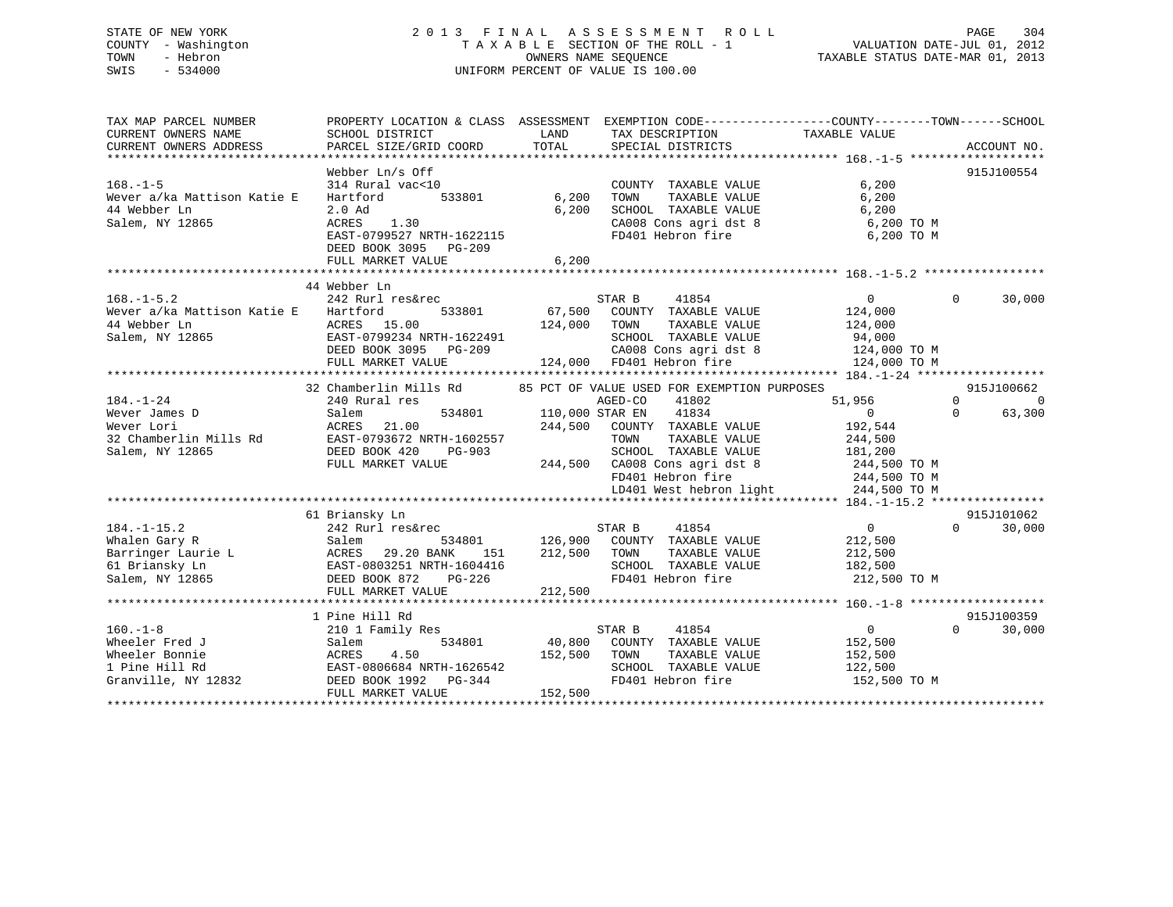# STATE OF NEW YORK 2 0 1 3 F I N A L A S S E S S M E N T R O L L PAGE 304 COUNTY - Washington T A X A B L E SECTION OF THE ROLL - 1 VALUATION DATE-JUL 01, 2012 TOWN - Hebron OWNERS NAME SEQUENCE TAXABLE STATUS DATE-MAR 01, 2013 SWIS - 534000 UNIFORM PERCENT OF VALUE IS 100.00

| TAX MAP PARCEL NUMBER                                                                                                                                                                                                                                      | PROPERTY LOCATION & CLASS ASSESSMENT EXEMPTION CODE----------------COUNTY-------TOWN------SCHOOL                                             |              |                                                                              |                                                                |                                  |
|------------------------------------------------------------------------------------------------------------------------------------------------------------------------------------------------------------------------------------------------------------|----------------------------------------------------------------------------------------------------------------------------------------------|--------------|------------------------------------------------------------------------------|----------------------------------------------------------------|----------------------------------|
| CURRENT OWNERS NAME                                                                                                                                                                                                                                        | SCHOOL DISTRICT                                                                                                                              | LAND         | TAX DESCRIPTION                                                              | TAXABLE VALUE                                                  |                                  |
|                                                                                                                                                                                                                                                            |                                                                                                                                              |              |                                                                              |                                                                |                                  |
|                                                                                                                                                                                                                                                            |                                                                                                                                              |              |                                                                              |                                                                |                                  |
|                                                                                                                                                                                                                                                            | Webber Ln/s Off                                                                                                                              |              |                                                                              |                                                                | 915J100554                       |
| $168. - 1 - 5$                                                                                                                                                                                                                                             | 314 Rural vac<10                                                                                                                             |              | COUNTY TAXABLE VALUE                                                         | 6,200                                                          |                                  |
| Wever a/ka Mattison Katie E                                                                                                                                                                                                                                | Hartford                                                                                                                                     | 533801 6,200 | TOWN<br>TAXABLE VALUE                                                        | 6,200                                                          |                                  |
| 44 Webber Ln                                                                                                                                                                                                                                               | $2.0$ Ad                                                                                                                                     | 6,200        |                                                                              |                                                                |                                  |
| Salem, NY 12865                                                                                                                                                                                                                                            | ACRES 1.30                                                                                                                                   |              |                                                                              | SCHOOL TAXABLE VALUE 6,200<br>CA008 Cons agri dst 8 6,200 TO M |                                  |
|                                                                                                                                                                                                                                                            | EAST-0799527 NRTH-1622115                                                                                                                    |              | FD401 Hebron fire                                                            | 6,200 TO M                                                     |                                  |
|                                                                                                                                                                                                                                                            | DEED BOOK 3095 PG-209                                                                                                                        |              |                                                                              |                                                                |                                  |
|                                                                                                                                                                                                                                                            | FULL MARKET VALUE                                                                                                                            | 6,200        |                                                                              |                                                                |                                  |
|                                                                                                                                                                                                                                                            |                                                                                                                                              |              |                                                                              |                                                                |                                  |
|                                                                                                                                                                                                                                                            | 44 Webber Ln                                                                                                                                 |              |                                                                              |                                                                |                                  |
| $168. - 1 - 5.2$                                                                                                                                                                                                                                           | 242 Rurl res&rec                                                                                                                             |              | STAR B<br>41854                                                              | $\Omega$                                                       | $\Omega$<br>30,000               |
| Wever a/ka Mattison Katie E Hartford                                                                                                                                                                                                                       | 533801                                                                                                                                       |              | 67,500 COUNTY TAXABLE VALUE                                                  | 124,000                                                        |                                  |
| 44 Webber Ln                                                                                                                                                                                                                                               |                                                                                                                                              | 124,000 TOWN | TAXABLE VALUE                                                                | 124,000                                                        |                                  |
| Salem, NY 12865                                                                                                                                                                                                                                            | ACRES 15.00<br>EAST-0799234 NRTH-1622491                                                                                                     |              | SCHOOL TAXABLE VALUE                                                         | 94,000                                                         |                                  |
|                                                                                                                                                                                                                                                            |                                                                                                                                              |              |                                                                              | CA008 Cons agri dst 8 124,000 TO M                             |                                  |
|                                                                                                                                                                                                                                                            | EAST-0799234 NRTH-1622491 SCHOOL TAXABLE VALUE<br>DEED BOOK 3095 PG-209 CA008 Cons agri dst 8<br>FULL MARKET VALUE 124,000 FD401 Hebron fire |              |                                                                              | 124,000 TO M                                                   |                                  |
|                                                                                                                                                                                                                                                            |                                                                                                                                              |              |                                                                              |                                                                |                                  |
|                                                                                                                                                                                                                                                            | 32 Chamberlin Mills Rd 85 PCT OF VALUE USED FOR EXEMPTION PURPOSES                                                                           |              |                                                                              |                                                                | 915J100662                       |
| 184.-1-24<br>Wever James D<br>Wever Lori Salem 534801<br>240 Rural res<br>Salem 534801<br>240 Rural res<br>534801<br>240 Rural res<br>534801<br>21.00<br>21.00<br>22 Chamberlin Mills Rd<br>22 Chamberlin Mills Rd<br>22 Chamberlin Mills Rd<br>22 Chamber |                                                                                                                                              |              | AGED-CO<br>41802                                                             | 51,956                                                         | $\overline{0}$<br>$\overline{0}$ |
|                                                                                                                                                                                                                                                            |                                                                                                                                              |              | AGED-CO 41802<br>534801 110,000 STAR EN 41834                                | $\overline{0}$                                                 | $\Omega$<br>63,300               |
|                                                                                                                                                                                                                                                            |                                                                                                                                              |              | 244,500 COUNTY TAXABLE VALUE                                                 |                                                                |                                  |
|                                                                                                                                                                                                                                                            |                                                                                                                                              |              | TAXABLE VALUE<br>TOWN                                                        | 192,544<br>244,500                                             |                                  |
|                                                                                                                                                                                                                                                            | $PG-903$                                                                                                                                     |              | SCHOOL TAXABLE VALUE 181,200                                                 |                                                                |                                  |
|                                                                                                                                                                                                                                                            | FULL MARKET VALUE                                                                                                                            |              |                                                                              |                                                                |                                  |
|                                                                                                                                                                                                                                                            |                                                                                                                                              |              | 244,500 CA008 Cons agri dst 8 244,500 TO M<br>FD401 Hebron fire 244,500 TO M |                                                                |                                  |
|                                                                                                                                                                                                                                                            |                                                                                                                                              |              |                                                                              | LD401 West hebron light 244,500 TO M                           |                                  |
|                                                                                                                                                                                                                                                            |                                                                                                                                              |              |                                                                              |                                                                |                                  |
|                                                                                                                                                                                                                                                            | 61 Briansky Ln                                                                                                                               |              |                                                                              |                                                                | 915J101062                       |
| $184. - 1 - 15.2$                                                                                                                                                                                                                                          | 242 Rurl res&rec<br>Salem 534801                                                                                                             |              | 41854<br>STAR B                                                              | $\overline{0}$                                                 | $\Omega$<br>30,000               |
|                                                                                                                                                                                                                                                            |                                                                                                                                              |              | 534801 126,900 COUNTY TAXABLE VALUE                                          | 212,500                                                        |                                  |
|                                                                                                                                                                                                                                                            | 151                                                                                                                                          | 212,500 TOWN | TAXABLE VALUE                                                                | 212,500                                                        |                                  |
| 1947-1942<br>Malen Gary R<br>Bartinger Laurie L<br>Salem B34801<br>Salem B34801<br>EAST-0803251 NRTH-1604416<br>Salem, NY 12865<br>DEED BOOK 872<br>PG-226                                                                                                 |                                                                                                                                              |              | SCHOOL TAXABLE VALUE                                                         | 182,500                                                        |                                  |
|                                                                                                                                                                                                                                                            |                                                                                                                                              |              | FD401 Hebron fire                                                            | 212,500 TO M                                                   |                                  |
|                                                                                                                                                                                                                                                            | FULL MARKET VALUE                                                                                                                            | 212,500      |                                                                              |                                                                |                                  |
|                                                                                                                                                                                                                                                            |                                                                                                                                              |              |                                                                              |                                                                |                                  |
|                                                                                                                                                                                                                                                            | 1 Pine Hill Rd                                                                                                                               |              |                                                                              |                                                                | 915J100359                       |
| $160. - 1 - 8$                                                                                                                                                                                                                                             | $210$ 1 Family Res                                                                                                                           |              | 41854<br>STAR B                                                              | $\overline{0}$                                                 | $\Omega$<br>30,000               |
| Wheeler Fred J                                                                                                                                                                                                                                             | Salem                                                                                                                                        |              | 534801 40,800 COUNTY TAXABLE VALUE 152,500                                   |                                                                |                                  |
| Wheeler Bonnie                                                                                                                                                                                                                                             |                                                                                                                                              | 152,500 TOWN |                                                                              |                                                                |                                  |
| 1 Pine Hill Rd                                                                                                                                                                                                                                             | ACRES 4.50 152,50<br>EAST-0806684 NRTH-1626542                                                                                               |              | TOWN       TAXABLE  VALUE<br>SCHOOL    TAXABLE  VALUE                        | 152,500<br>122,500                                             |                                  |
| Granville, NY 12832 DEED BOOK 1992 PG-344                                                                                                                                                                                                                  |                                                                                                                                              |              | FD401 Hebron fire                                                            | 152,500 TO M                                                   |                                  |
|                                                                                                                                                                                                                                                            | FULL MARKET VALUE                                                                                                                            | 152,500      |                                                                              |                                                                |                                  |
|                                                                                                                                                                                                                                                            |                                                                                                                                              |              |                                                                              |                                                                |                                  |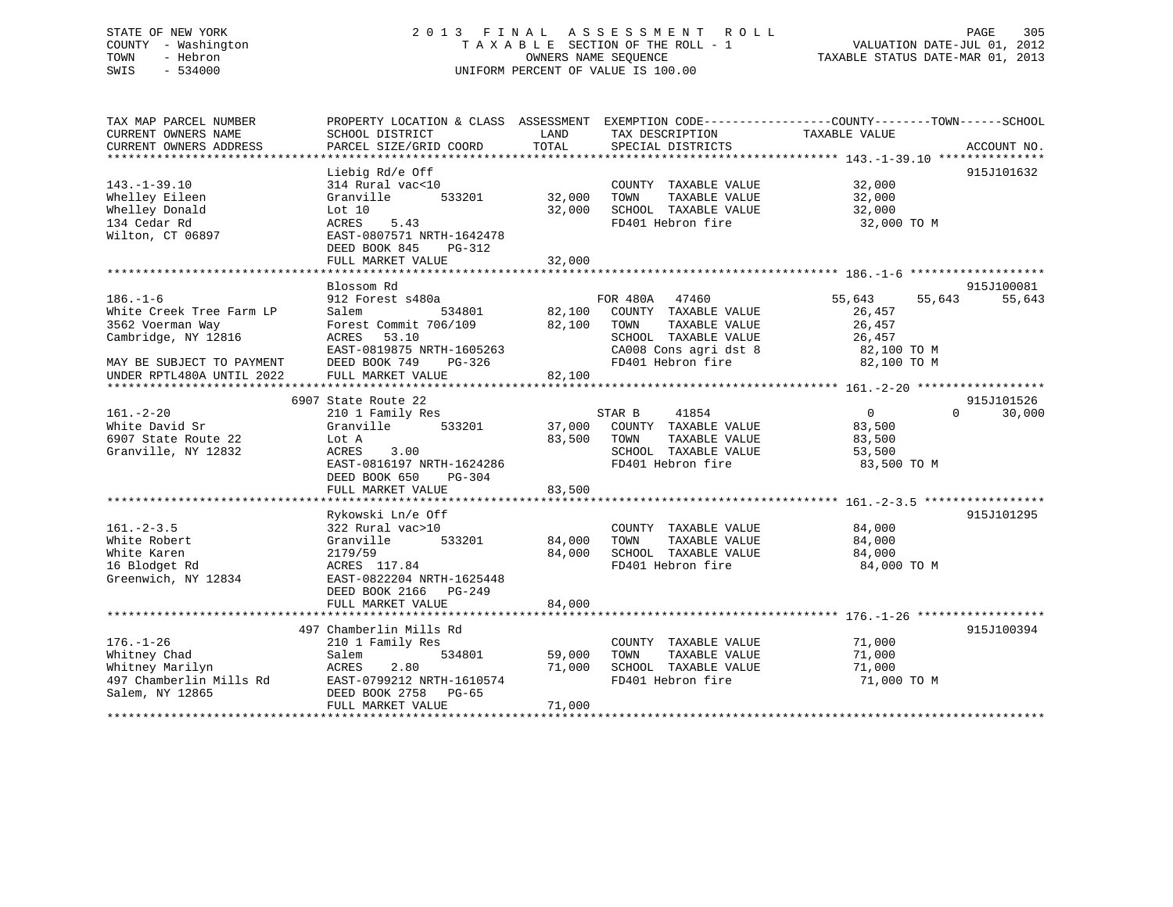# STATE OF NEW YORK 2 0 1 3 F I N A L A S S E S S M E N T R O L L PAGE 305 COUNTY - Washington T A X A B L E SECTION OF THE ROLL - 1 VALUATION DATE-JUL 01, 2012 TOWN - Hebron OWNERS NAME SEQUENCE TAXABLE STATUS DATE-MAR 01, 2013 SWIS - 534000 UNIFORM PERCENT OF VALUE IS 100.00

| TAX MAP PARCEL NUMBER<br>CURRENT OWNERS NAME<br>CURRENT OWNERS ADDRESS | PROPERTY LOCATION & CLASS ASSESSMENT<br>SCHOOL DISTRICT<br>PARCEL SIZE/GRID COORD | LAND<br>TOTAL | EXEMPTION CODE-----------------COUNTY-------TOWN------SCHOOL<br>TAX DESCRIPTION<br>SPECIAL DISTRICTS | TAXABLE VALUE    | ACCOUNT NO.        |
|------------------------------------------------------------------------|-----------------------------------------------------------------------------------|---------------|------------------------------------------------------------------------------------------------------|------------------|--------------------|
|                                                                        |                                                                                   |               |                                                                                                      |                  |                    |
|                                                                        | Liebig Rd/e Off                                                                   |               |                                                                                                      |                  | 915J101632         |
| $143. - 1 - 39.10$                                                     | 314 Rural vac<10                                                                  |               | COUNTY TAXABLE VALUE                                                                                 | 32,000           |                    |
| Whelley Eileen                                                         | 533201<br>Granville                                                               | 32,000        | TAXABLE VALUE<br>TOWN                                                                                | 32,000           |                    |
| Whelley Donald                                                         | Lot 10                                                                            | 32,000        | SCHOOL TAXABLE VALUE                                                                                 | 32,000           |                    |
| 134 Cedar Rd                                                           | ACRES<br>5.43                                                                     |               | FD401 Hebron fire                                                                                    | 32,000 TO M      |                    |
| Wilton, CT 06897                                                       | EAST-0807571 NRTH-1642478                                                         |               |                                                                                                      |                  |                    |
|                                                                        | DEED BOOK 845<br>PG-312                                                           |               |                                                                                                      |                  |                    |
|                                                                        | FULL MARKET VALUE                                                                 | 32,000        |                                                                                                      |                  |                    |
|                                                                        |                                                                                   |               |                                                                                                      |                  |                    |
|                                                                        | Blossom Rd                                                                        |               |                                                                                                      |                  | 915J100081         |
| $186. - 1 - 6$                                                         | 912 Forest s480a                                                                  |               | FOR 480A<br>47460                                                                                    | 55,643<br>55,643 | 55,643             |
| White Creek Tree Farm LP                                               | Salem<br>534801                                                                   | 82,100        | COUNTY TAXABLE VALUE                                                                                 | 26,457           |                    |
| 3562 Voerman Way                                                       | Forest Commit 706/109                                                             | 82,100        | TAXABLE VALUE<br>TOWN                                                                                | 26,457           |                    |
| Cambridge, NY 12816                                                    | ACRES<br>53.10                                                                    |               | SCHOOL TAXABLE VALUE                                                                                 | 26,457           |                    |
|                                                                        | EAST-0819875 NRTH-1605263                                                         |               | CA008 Cons agri dst 8                                                                                | 82,100 TO M      |                    |
| MAY BE SUBJECT TO PAYMENT                                              | DEED BOOK 749<br>PG-326                                                           |               | FD401 Hebron fire                                                                                    | 82,100 TO M      |                    |
| UNDER RPTL480A UNTIL 2022                                              | FULL MARKET VALUE                                                                 | 82,100        |                                                                                                      |                  |                    |
|                                                                        |                                                                                   |               |                                                                                                      |                  |                    |
|                                                                        | 6907 State Route 22                                                               |               |                                                                                                      |                  | 915J101526         |
| $161. - 2 - 20$                                                        | 210 1 Family Res                                                                  |               | 41854<br>STAR B                                                                                      | $\overline{0}$   | $\Omega$<br>30,000 |
| White David Sr                                                         | Granville<br>533201                                                               | 37,000        | COUNTY TAXABLE VALUE                                                                                 | 83,500           |                    |
| 6907 State Route 22                                                    | Lot A                                                                             | 83,500        | TOWN<br>TAXABLE VALUE                                                                                |                  |                    |
| Granville, NY 12832                                                    |                                                                                   |               | SCHOOL TAXABLE VALUE                                                                                 | 83,500           |                    |
|                                                                        | ACRES<br>3.00                                                                     |               | FD401 Hebron fire                                                                                    | 53,500           |                    |
|                                                                        | EAST-0816197 NRTH-1624286                                                         |               |                                                                                                      | 83,500 TO M      |                    |
|                                                                        | DEED BOOK 650<br>$PG-304$                                                         |               |                                                                                                      |                  |                    |
|                                                                        | FULL MARKET VALUE                                                                 | 83,500        |                                                                                                      |                  |                    |
|                                                                        |                                                                                   |               |                                                                                                      |                  |                    |
|                                                                        | Rykowski Ln/e Off                                                                 |               |                                                                                                      |                  | 915J101295         |
| $161. - 2 - 3.5$                                                       | 322 Rural vac>10                                                                  |               | COUNTY TAXABLE VALUE                                                                                 | 84,000           |                    |
| White Robert                                                           | Granville<br>533201                                                               | 84,000        | TAXABLE VALUE<br>TOWN                                                                                | 84,000           |                    |
| White Karen                                                            | 2179/59                                                                           | 84,000        | SCHOOL TAXABLE VALUE                                                                                 | 84,000           |                    |
| 16 Blodget Rd                                                          | ACRES 117.84                                                                      |               | FD401 Hebron fire                                                                                    | 84,000 TO M      |                    |
| Greenwich, NY 12834                                                    | EAST-0822204 NRTH-1625448                                                         |               |                                                                                                      |                  |                    |
|                                                                        | DEED BOOK 2166 PG-249                                                             |               |                                                                                                      |                  |                    |
|                                                                        | FULL MARKET VALUE                                                                 | 84,000        |                                                                                                      |                  |                    |
|                                                                        |                                                                                   |               |                                                                                                      |                  |                    |
|                                                                        | 497 Chamberlin Mills Rd                                                           |               |                                                                                                      |                  | 915J100394         |
| $176. - 1 - 26$                                                        | 210 1 Family Res                                                                  |               | COUNTY TAXABLE VALUE                                                                                 | 71,000           |                    |
| Whitney Chad                                                           | Salem<br>534801                                                                   | 59,000        | TAXABLE VALUE<br>TOWN                                                                                | 71,000           |                    |
| Whitney Marilyn                                                        | ACRES<br>2.80                                                                     | 71,000        | SCHOOL TAXABLE VALUE                                                                                 | 71,000           |                    |
| 497 Chamberlin Mills Rd                                                | EAST-0799212 NRTH-1610574                                                         |               | FD401 Hebron fire                                                                                    | 71,000 TO M      |                    |
| Salem, NY 12865                                                        | DEED BOOK 2758<br>PG-65                                                           |               |                                                                                                      |                  |                    |
|                                                                        | FULL MARKET VALUE                                                                 | 71,000        |                                                                                                      |                  |                    |
|                                                                        |                                                                                   |               |                                                                                                      |                  |                    |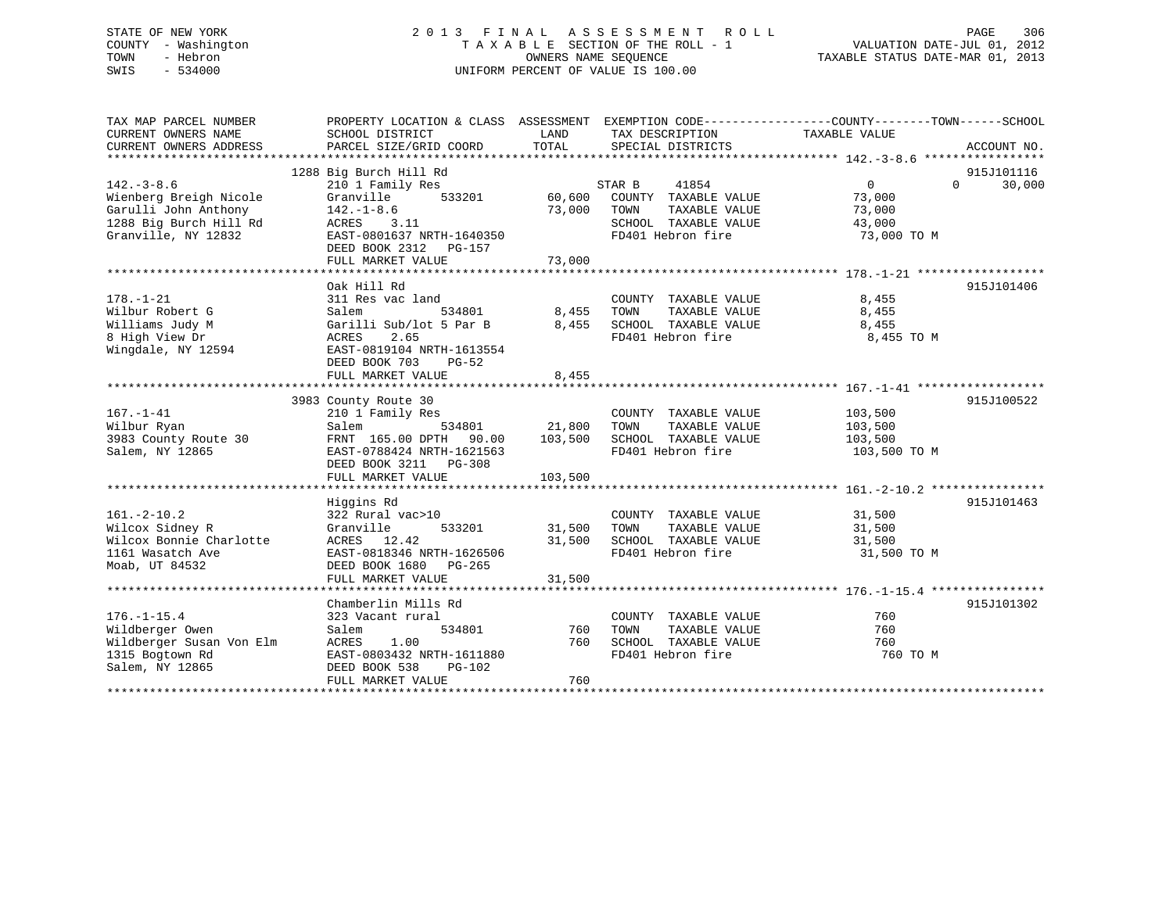# STATE OF NEW YORK 2 0 1 3 F I N A L A S S E S S M E N T R O L L PAGE 306 COUNTY - Washington T A X A B L E SECTION OF THE ROLL - 1 VALUATION DATE-JUL 01, 2012 TOWN - Hebron OWNERS NAME SEQUENCE TAXABLE STATUS DATE-MAR 01, 2013 SWIS - 534000 UNIFORM PERCENT OF VALUE IS 100.00

| TAX MAP PARCEL NUMBER<br>CURRENT OWNERS NAME | PROPERTY LOCATION & CLASS ASSESSMENT EXEMPTION CODE----------------COUNTY-------TOWN------SCHOOL<br>SCHOOL DISTRICT | LAND          | TAX DESCRIPTION                               | TAXABLE VALUE              |             |
|----------------------------------------------|---------------------------------------------------------------------------------------------------------------------|---------------|-----------------------------------------------|----------------------------|-------------|
| CURRENT OWNERS ADDRESS                       | PARCEL SIZE/GRID COORD                                                                                              | TOTAL         | SPECIAL DISTRICTS                             |                            | ACCOUNT NO. |
|                                              | 1288 Big Burch Hill Rd                                                                                              |               |                                               |                            | 915J101116  |
| $142. - 3 - 8.6$                             | 210 1 Family Res                                                                                                    |               | STAR B<br>41854                               | $\overline{0}$<br>$\Omega$ | 30,000      |
| Wienberg Breigh Nicole                       | Granville<br>533201                                                                                                 | 60,600        | COUNTY TAXABLE VALUE                          | 73,000                     |             |
| Garulli John Anthony                         | $142. - 1 - 8.6$                                                                                                    | 73,000        | TAXABLE VALUE<br>TOWN                         | 73,000                     |             |
| 1288 Big Burch Hill Rd                       | ACRES<br>3.11                                                                                                       |               | SCHOOL TAXABLE VALUE                          | 43,000                     |             |
| Granville, NY 12832                          | EAST-0801637 NRTH-1640350                                                                                           |               | FD401 Hebron fire                             | 73,000 TO M                |             |
|                                              | DEED BOOK 2312    PG-157                                                                                            |               |                                               |                            |             |
|                                              |                                                                                                                     |               |                                               |                            |             |
|                                              |                                                                                                                     |               |                                               |                            |             |
|                                              | Oak Hill Rd                                                                                                         |               |                                               |                            | 915J101406  |
| $178. - 1 - 21$                              | 311 Res vac land                                                                                                    |               | COUNTY TAXABLE VALUE                          | 8,455                      |             |
| Wilbur Robert G                              | 534801<br>Salem                                                                                                     | 8,455         | TOWN<br>TAXABLE VALUE                         | 8,455                      |             |
| Williams Judy M                              | Garilli Sub/lot 5 Par B                                                                                             | 8,455         | SCHOOL TAXABLE VALUE                          | 8,455                      |             |
| 8 High View Dr                               | ACRES<br>2.65                                                                                                       |               | FD401 Hebron fire                             | 8,455 TO M                 |             |
| Wingdale, NY 12594                           | EAST-0819104 NRTH-1613554                                                                                           |               |                                               |                            |             |
|                                              | DEED BOOK 703<br>$PG-52$                                                                                            |               |                                               |                            |             |
|                                              | FULL MARKET VALUE                                                                                                   | 8,455         |                                               |                            |             |
|                                              |                                                                                                                     |               |                                               |                            |             |
|                                              | 3983 County Route 30                                                                                                |               |                                               |                            | 915J100522  |
| $167. - 1 - 41$                              | 210 1 Family Res                                                                                                    |               | COUNTY TAXABLE VALUE                          | 103,500                    |             |
| Wilbur Ryan                                  | 534801<br>Salem                                                                                                     | 21,800        | TOWN<br>TAXABLE VALUE                         | 103,500                    |             |
| 3983 County Route 30                         | FRNT 165.00 DPTH 90.00 103,500                                                                                      |               | SCHOOL TAXABLE VALUE                          | 103,500                    |             |
| Salem, NY 12865                              | EAST-0788424 NRTH-1621563                                                                                           |               | FD401 Hebron fire                             | 103,500 TO M               |             |
|                                              | DEED BOOK 3211 PG-308                                                                                               |               |                                               |                            |             |
|                                              | FULL MARKET VALUE                                                                                                   | 103,500       |                                               |                            |             |
|                                              |                                                                                                                     |               |                                               |                            |             |
|                                              | Higgins Rd                                                                                                          |               |                                               |                            | 915J101463  |
| $161. - 2 - 10.2$                            | 322 Rural vac>10                                                                                                    |               | COUNTY TAXABLE VALUE                          | 31,500                     |             |
| Wilcox Sidney R                              | Granville                                                                                                           | 533201 31,500 | TOWN<br>TAXABLE VALUE                         | 31,500                     |             |
| Wilcox Bonnie Charlotte                      | ACRES 12.42                                                                                                         | 31,500        | SCHOOL TAXABLE VALUE                          | 31,500                     |             |
| 1161 Wasatch Ave                             | EAST-0818346 NRTH-1626506                                                                                           |               | FD401 Hebron fire                             | 31,500 TO M                |             |
| Moab, UT 84532                               | DEED BOOK 1680 PG-265                                                                                               |               |                                               |                            |             |
|                                              | FULL MARKET VALUE                                                                                                   | 31,500        |                                               |                            |             |
|                                              |                                                                                                                     |               |                                               |                            |             |
|                                              | Chamberlin Mills Rd                                                                                                 |               |                                               |                            | 915J101302  |
| $176. - 1 - 15.4$<br>Wildberger Owen         | 323 Vacant rural<br>534801<br>Salem                                                                                 | 760           | COUNTY TAXABLE VALUE<br>TOWN<br>TAXABLE VALUE | 760<br>760                 |             |
| Wildberger Susan Von Elm                     | 1.00<br>ACRES                                                                                                       | 760           | SCHOOL TAXABLE VALUE                          | 760                        |             |
| 1315 Bogtown Rd                              | EAST-0803432 NRTH-1611880                                                                                           |               | FD401 Hebron fire                             | 760 TO M                   |             |
| Salem, NY 12865                              | DEED BOOK 538<br>PG-102                                                                                             |               |                                               |                            |             |
|                                              | FULL MARKET VALUE                                                                                                   | 760           |                                               |                            |             |
|                                              |                                                                                                                     |               |                                               |                            |             |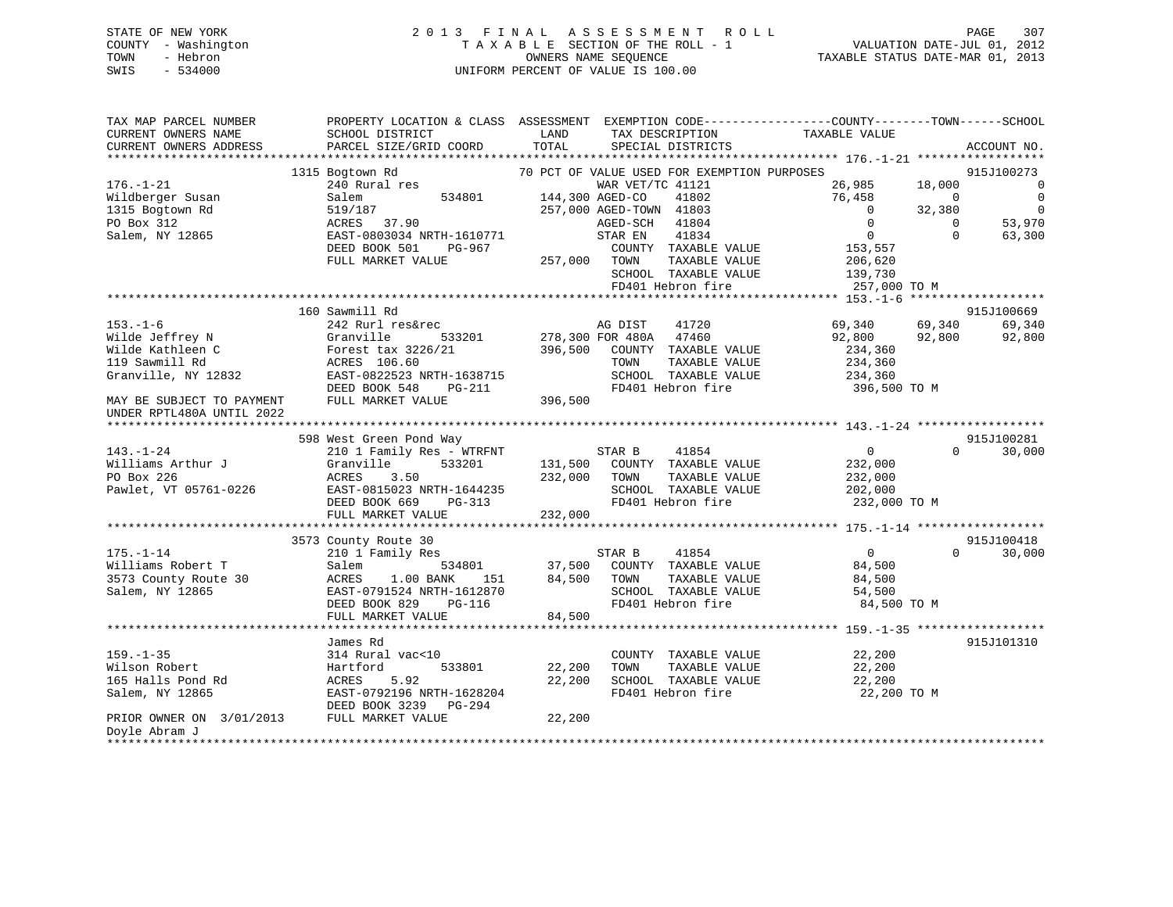# STATE OF NEW YORK 2 0 1 3 F I N A L A S S E S S M E N T R O L L PAGE 307 COUNTY - Washington T A X A B L E SECTION OF THE ROLL - 1 VALUATION DATE-JUL 01, 2012 TOWN - Hebron OWNERS NAME SEQUENCE TAXABLE STATUS DATE-MAR 01, 2013 SWIS - 534000 UNIFORM PERCENT OF VALUE IS 100.00

| TAX MAP PARCEL NUMBER                      | PROPERTY LOCATION & CLASS ASSESSMENT EXEMPTION CODE----------------COUNTY-------TOWN------SCHOOL |                    |                                             |                    |          |                |
|--------------------------------------------|--------------------------------------------------------------------------------------------------|--------------------|---------------------------------------------|--------------------|----------|----------------|
| CURRENT OWNERS NAME                        | SCHOOL DISTRICT                                                                                  | LAND               | TAX DESCRIPTION                             | TAXABLE VALUE      |          |                |
| CURRENT OWNERS ADDRESS                     | PARCEL SIZE/GRID COORD                                                                           | TOTAL              | SPECIAL DISTRICTS                           |                    |          | ACCOUNT NO.    |
|                                            |                                                                                                  |                    |                                             |                    |          |                |
|                                            | 1315 Bogtown Rd                                                                                  |                    | 70 PCT OF VALUE USED FOR EXEMPTION PURPOSES |                    |          | 915J100273     |
| $176. - 1 - 21$                            | 240 Rural res                                                                                    |                    | WAR VET/TC 41121                            | 26,985             | 18,000   | $\overline{0}$ |
| Wildberger Susan                           | 534801<br>Salem                                                                                  |                    | 144,300 AGED-CO<br>41802                    | 76,458             | $\Omega$ | $\overline{0}$ |
| 1315 Bogtown Rd                            | 519/187                                                                                          |                    | 257,000 AGED-TOWN 41803                     | $\Omega$           | 32,380   | $\mathbf 0$    |
| PO Box 312                                 | ACRES 37.90                                                                                      |                    | AGED-SCH<br>41804                           | $\Omega$           | $\Omega$ | 53,970         |
| Salem, NY 12865                            | EAST-0803034 NRTH-1610771                                                                        |                    | 41834<br>STAR EN                            | $\overline{0}$     | $\Omega$ | 63,300         |
|                                            | DEED BOOK 501<br>PG-967                                                                          |                    | COUNTY TAXABLE VALUE                        | 153,557            |          |                |
|                                            | FULL MARKET VALUE                                                                                | 257,000 TOWN       | TAXABLE VALUE                               | 206,620            |          |                |
|                                            |                                                                                                  |                    | SCHOOL TAXABLE VALUE                        | 139,730            |          |                |
|                                            |                                                                                                  |                    | FD401 Hebron fire                           | 257,000 TO M       |          |                |
|                                            |                                                                                                  |                    |                                             |                    |          |                |
|                                            | 160 Sawmill Rd                                                                                   |                    |                                             |                    |          | 915J100669     |
| $153. - 1 - 6$                             | 242 Rurl res&rec                                                                                 |                    | 41720<br>AG DIST                            | 69,340             | 69,340   | 69,340         |
| Wilde Jeffrey N                            | Granville<br>533201                                                                              |                    | 278,300 FOR 480A 47460                      | 92,800             | 92,800   | 92,800         |
| Wilde Kathleen C                           | Forest tax 3226/21                                                                               |                    | 396,500 COUNTY TAXABLE VALUE                | 234,360            |          |                |
| 119 Sawmill Rd                             | ACRES 106.60                                                                                     |                    | TAXABLE VALUE<br>TOWN                       | 234,360            |          |                |
| Granville, NY 12832                        | EAST-0822523 NRTH-1638715                                                                        |                    | SCHOOL TAXABLE VALUE                        | 234,360            |          |                |
|                                            | DEED BOOK 548<br>PG-211                                                                          |                    | FD401 Hebron fire                           | 396,500 TO M       |          |                |
| MAY BE SUBJECT TO PAYMENT                  | FULL MARKET VALUE                                                                                | 396,500            |                                             |                    |          |                |
| UNDER RPTL480A UNTIL 2022                  |                                                                                                  |                    |                                             |                    |          |                |
|                                            |                                                                                                  |                    |                                             |                    |          | 915J100281     |
| $143. - 1 - 24$                            | 598 West Green Pond Way                                                                          |                    |                                             | $\overline{0}$     | $\Omega$ | 30,000         |
| Williams Arthur J                          | 210 1 Family Res - WTRFNT<br>533201                                                              |                    | STAR B<br>41854<br>COUNTY TAXABLE VALUE     |                    |          |                |
| PO Box 226                                 | Granville<br>ACRES<br>3.50                                                                       | 131,500<br>232,000 | TAXABLE VALUE<br>TOWN                       | 232,000<br>232,000 |          |                |
| Pawlet, VT 05761-0226                      | EAST-0815023 NRTH-1644235                                                                        |                    | SCHOOL TAXABLE VALUE                        | 202,000            |          |                |
|                                            | DEED BOOK 669<br>PG-313                                                                          |                    | FD401 Hebron fire                           | 232,000 TO M       |          |                |
|                                            | FULL MARKET VALUE                                                                                | 232,000            |                                             |                    |          |                |
|                                            |                                                                                                  |                    |                                             |                    |          |                |
|                                            | 3573 County Route 30                                                                             |                    |                                             |                    |          | 915J100418     |
| $175. - 1 - 14$                            | 210 1 Family Res                                                                                 |                    | STAR B<br>41854                             | $\overline{0}$     | $\Omega$ | 30,000         |
| Williams Robert T                          | 534801<br>Salem                                                                                  | 37,500             | COUNTY TAXABLE VALUE                        | 84,500             |          |                |
| 3573 County Route 30                       | 1.00 BANK<br>ACRES<br>151                                                                        | 84,500             | TAXABLE VALUE<br>TOWN                       | 84,500             |          |                |
| Salem, NY 12865                            | EAST-0791524 NRTH-1612870                                                                        |                    | SCHOOL TAXABLE VALUE                        | 54,500             |          |                |
|                                            | DEED BOOK 829<br>PG-116                                                                          |                    | FD401 Hebron fire                           | 84,500 TO M        |          |                |
|                                            | FULL MARKET VALUE                                                                                | 84,500             |                                             |                    |          |                |
|                                            |                                                                                                  |                    |                                             |                    |          |                |
|                                            | James Rd                                                                                         |                    |                                             |                    |          | 915J101310     |
| $159. - 1 - 35$                            | 314 Rural vac<10                                                                                 |                    | COUNTY TAXABLE VALUE                        | 22,200             |          |                |
| Wilson Robert                              | Hartford<br>533801                                                                               | 22,200             | TAXABLE VALUE<br>TOWN                       | 22,200             |          |                |
| 165 Halls Pond Rd                          | ACRES<br>5.92                                                                                    | 22,200             | SCHOOL TAXABLE VALUE                        | 22,200             |          |                |
| Salem, NY 12865                            | EAST-0792196 NRTH-1628204                                                                        |                    | FD401 Hebron fire                           | 22,200 TO M        |          |                |
|                                            | DEED BOOK 3239 PG-294                                                                            |                    |                                             |                    |          |                |
| PRIOR OWNER ON 3/01/2013 FULL MARKET VALUE |                                                                                                  | 22,200             |                                             |                    |          |                |
| Doyle Abram J                              |                                                                                                  |                    |                                             |                    |          |                |
|                                            |                                                                                                  |                    |                                             |                    |          |                |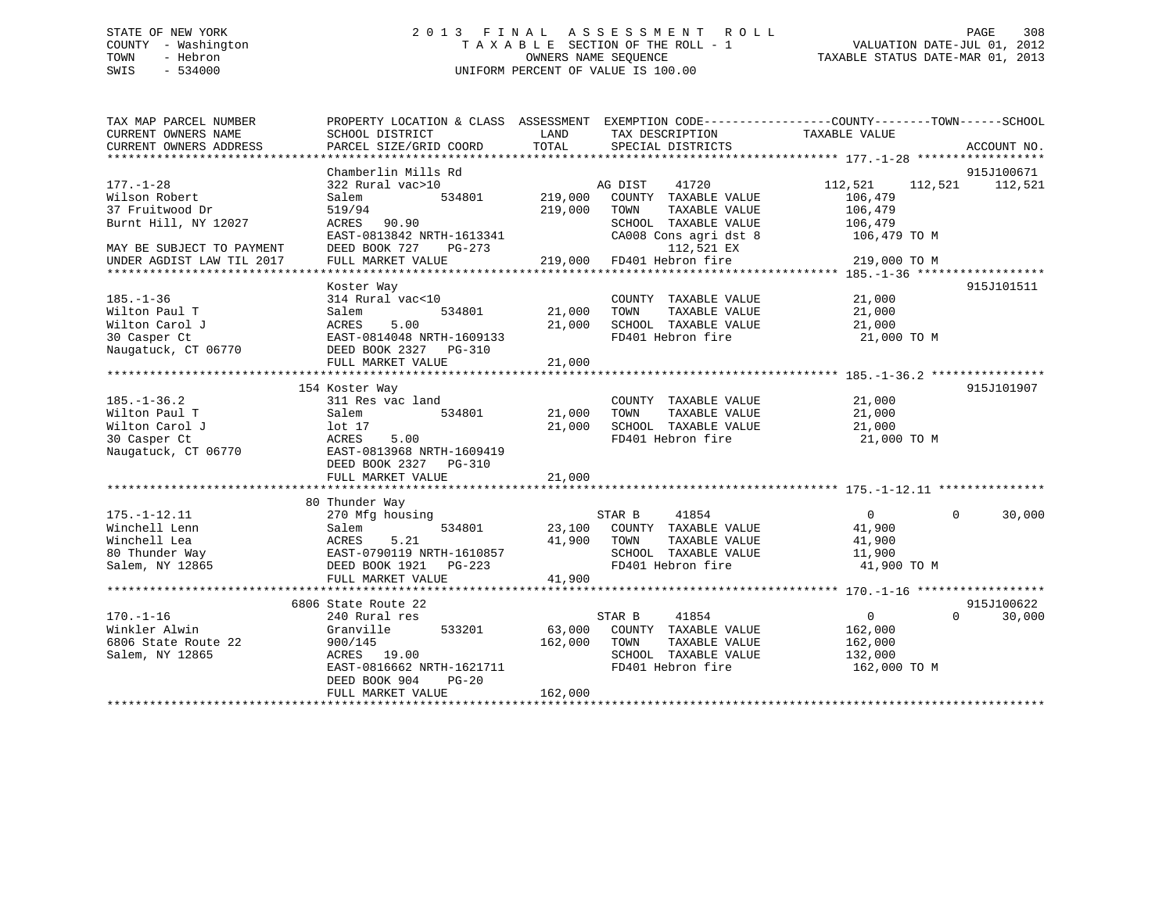# COUNTY - Washington  $T A X A B L E$  SECTION OF THE ROLL - 1<br>TOWN - Hebron DATE-JUL 000NERS NAME SEQUENCE SWIS - 534000 UNIFORM PERCENT OF VALUE IS 100.00

TAXABLE STATUS DATE-MAR 01, 2013

| TAX MAP PARCEL NUMBER     | PROPERTY LOCATION & CLASS ASSESSMENT EXEMPTION CODE----------------COUNTY-------TOWN-----SCHOOL |         |                             |                      |             |
|---------------------------|-------------------------------------------------------------------------------------------------|---------|-----------------------------|----------------------|-------------|
| CURRENT OWNERS NAME       | SCHOOL DISTRICT                                                                                 | LAND    | TAX DESCRIPTION             | TAXABLE VALUE        |             |
| CURRENT OWNERS ADDRESS    | PARCEL SIZE/GRID COORD                                                                          | TOTAL   | SPECIAL DISTRICTS           |                      | ACCOUNT NO. |
|                           |                                                                                                 |         |                             |                      |             |
|                           | Chamberlin Mills Rd                                                                             |         |                             |                      | 915J100671  |
| $177. - 1 - 28$           | 322 Rural vac>10                                                                                |         | AG DIST<br>41720            | 112,521<br>112,521   | 112,521     |
| Wilson Robert             | Salem<br>534801                                                                                 | 219,000 | COUNTY TAXABLE VALUE        | 106,479              |             |
| 37 Fruitwood Dr           | 519/94                                                                                          | 219,000 | TOWN<br>TAXABLE VALUE       | 106,479              |             |
| Burnt Hill, NY 12027      | ACRES 90.90                                                                                     |         | SCHOOL TAXABLE VALUE        | 106,479              |             |
|                           | EAST-0813842 NRTH-1613341                                                                       |         | CA008 Cons agri dst 8       | 106,479 TO M         |             |
|                           | DEED BOOK 727<br>$PG-273$                                                                       |         | 112,521 EX                  |                      |             |
| MAY BE SUBJECT TO PAYMENT |                                                                                                 |         | 219,000 FD401 Hebron fire   |                      |             |
| UNDER AGDIST LAW TIL 2017 | FULL MARKET VALUE                                                                               |         |                             | 219,000 TO M         |             |
|                           |                                                                                                 |         |                             |                      |             |
|                           | Koster Way                                                                                      |         |                             |                      | 915J101511  |
| $185. - 1 - 36$           | 314 Rural vac<10                                                                                |         | COUNTY TAXABLE VALUE        | 21,000               |             |
| Wilton Paul T             | 534801<br>Salem                                                                                 | 21,000  | TOWN<br>TAXABLE VALUE       | 21,000               |             |
| Wilton Carol J            | 5.00<br>ACRES                                                                                   | 21,000  | SCHOOL TAXABLE VALUE        | 21,000               |             |
| 30 Casper Ct              | EAST-0814048 NRTH-1609133                                                                       |         | FD401 Hebron fire           | 21,000 TO M          |             |
| Naugatuck, CT 06770       | DEED BOOK 2327 PG-310                                                                           |         |                             |                      |             |
|                           | FULL MARKET VALUE                                                                               | 21,000  |                             |                      |             |
|                           |                                                                                                 |         |                             |                      |             |
|                           | 154 Koster Way                                                                                  |         |                             |                      | 915J101907  |
| $185. - 1 - 36.2$         | 311 Res vac land                                                                                |         | COUNTY TAXABLE VALUE        | 21,000               |             |
| Wilton Paul T             | 534801<br>Salem                                                                                 | 21,000  | TAXABLE VALUE<br>TOWN       | 21,000               |             |
| Wilton Carol J            | lot 17                                                                                          | 21,000  | SCHOOL TAXABLE VALUE        | 21,000               |             |
| 30 Casper Ct              | 5.00<br>ACRES                                                                                   |         | FD401 Hebron fire           | 21,000 TO M          |             |
| Naugatuck, CT 06770       | EAST-0813968 NRTH-1609419                                                                       |         |                             |                      |             |
|                           | DEED BOOK 2327 PG-310                                                                           |         |                             |                      |             |
|                           | FULL MARKET VALUE                                                                               | 21,000  |                             |                      |             |
|                           |                                                                                                 |         |                             |                      |             |
|                           | 80 Thunder Way                                                                                  |         |                             |                      |             |
| $175. - 1 - 12.11$        | 270 Mfg housing                                                                                 |         | STAR B<br>41854             | $\Omega$<br>$\Omega$ | 30,000      |
| Winchell Lenn             | 534801<br>Salem                                                                                 |         | 23,100 COUNTY TAXABLE VALUE | 41,900               |             |
| Winchell Lea              |                                                                                                 | 41,900  | TAXABLE VALUE<br>TOWN       | 41,900               |             |
| 80 Thunder Way            | ACRES 5.21<br>EAST-0790119 NRTH-1610857                                                         |         | SCHOOL TAXABLE VALUE        | 11,900               |             |
| Salem, NY 12865           | DEED BOOK 1921<br>PG-223                                                                        |         | FD401 Hebron fire           | 41,900 TO M          |             |
|                           | FULL MARKET VALUE                                                                               | 41,900  |                             |                      |             |
|                           |                                                                                                 |         |                             |                      |             |
|                           | 6806 State Route 22                                                                             |         |                             |                      | 915J100622  |
| $170. - 1 - 16$           | 240 Rural res                                                                                   |         | STAR B<br>41854             | $\Omega$<br>$\Omega$ | 30,000      |
| Winkler Alwin             | 533201<br>Granville                                                                             | 63,000  | COUNTY TAXABLE VALUE        | 162,000              |             |
|                           |                                                                                                 |         |                             |                      |             |
| 6806 State Route 22       | 900/145<br>ACRES 19.00                                                                          | 162,000 | TOWN<br>TAXABLE VALUE       | 162,000              |             |
| Salem, NY 12865           |                                                                                                 |         | SCHOOL TAXABLE VALUE        | 132,000              |             |
|                           | EAST-0816662 NRTH-1621711                                                                       |         | FD401 Hebron fire           | 162,000 TO M         |             |
|                           | DEED BOOK 904<br>$PG-20$                                                                        |         |                             |                      |             |
|                           | FULL MARKET VALUE                                                                               | 162,000 |                             |                      |             |
|                           |                                                                                                 |         |                             |                      |             |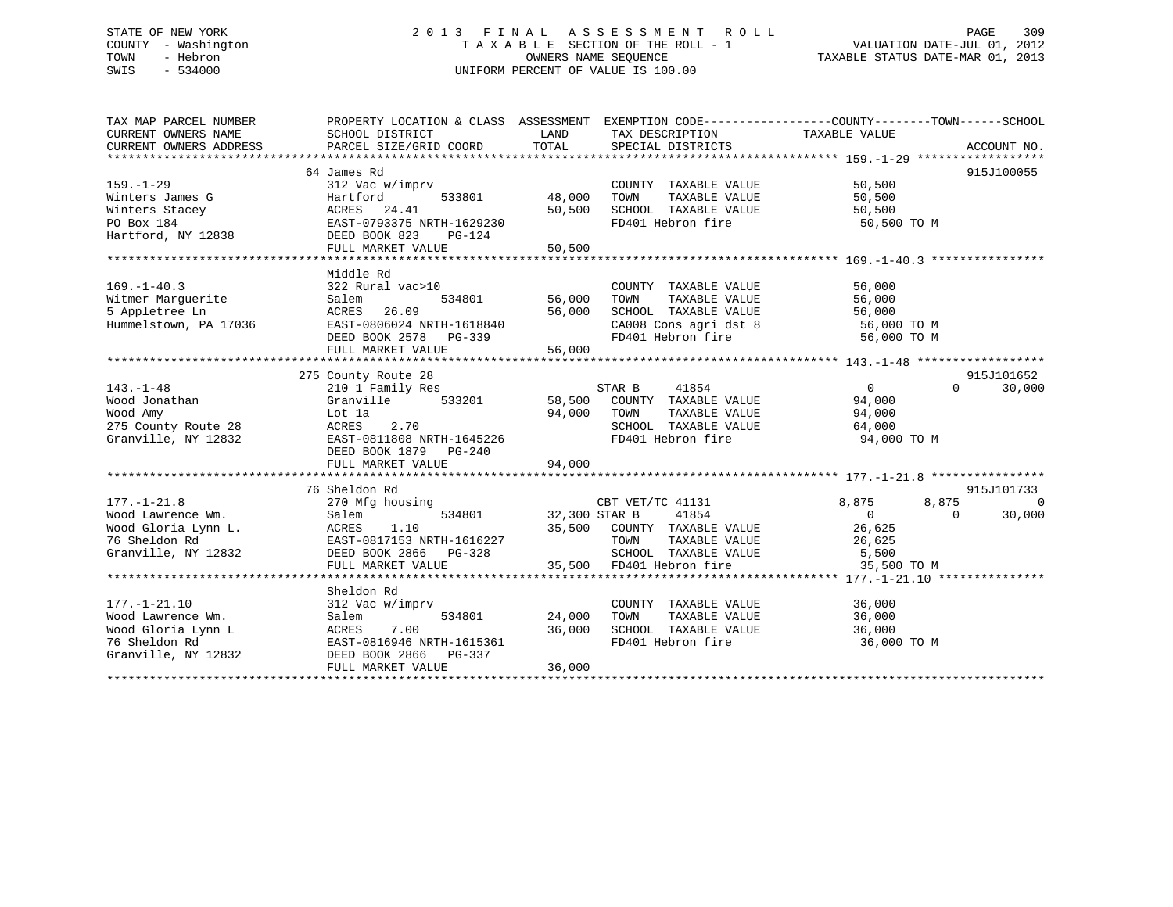# STATE OF NEW YORK 2 0 1 3 F I N A L A S S E S S M E N T R O L L PAGE 309 COUNTY - Washington T A X A B L E SECTION OF THE ROLL - 1 VALUATION DATE-JUL 01, 2012 TOWN - Hebron OWNERS NAME SEQUENCE TAXABLE STATUS DATE-MAR 01, 2013 SWIS - 534000 UNIFORM PERCENT OF VALUE IS 100.00

| TAX MAP PARCEL NUMBER                   | PROPERTY LOCATION & CLASS ASSESSMENT EXEMPTION CODE----------------COUNTY-------TOWN-----SCHOOL |                  |                                                                                                   |                |          |             |
|-----------------------------------------|-------------------------------------------------------------------------------------------------|------------------|---------------------------------------------------------------------------------------------------|----------------|----------|-------------|
| CURRENT OWNERS NAME                     | SCHOOL DISTRICT                                                                                 | LAND             | TAX DESCRIPTION                                                                                   | TAXABLE VALUE  |          |             |
| CURRENT OWNERS ADDRESS                  | PARCEL SIZE/GRID COORD                                                                          | TOTAL            | SPECIAL DISTRICTS                                                                                 |                |          | ACCOUNT NO. |
|                                         |                                                                                                 |                  |                                                                                                   |                |          |             |
|                                         | 64 James Rd                                                                                     |                  |                                                                                                   |                |          | 915J100055  |
| $159. - 1 - 29$                         | 312 Vac w/imprv                                                                                 |                  | COUNTY TAXABLE VALUE                                                                              | 50,500         |          |             |
| Winters James G                         | Hartford<br>533801                                                                              | 48,000           | TAXABLE VALUE<br>TOWN                                                                             | 50,500         |          |             |
| Winters Stacey                          | ACRES 24.41                                                                                     | 50,500           | SCHOOL TAXABLE VALUE                                                                              | 50,500         |          |             |
| PO Box 184                              | EAST-0793375 NRTH-1629230                                                                       |                  | FD401 Hebron fire                                                                                 | 50,500 TO M    |          |             |
| Hartford, NY 12838                      | DEED BOOK 823<br>PG-124                                                                         |                  |                                                                                                   |                |          |             |
|                                         | FULL MARKET VALUE                                                                               | 50,500           |                                                                                                   |                |          |             |
|                                         |                                                                                                 |                  |                                                                                                   |                |          |             |
|                                         | Middle Rd                                                                                       |                  |                                                                                                   |                |          |             |
| $169. - 1 - 40.3$                       | 322 Rural vac>10                                                                                |                  | COUNTY TAXABLE VALUE                                                                              | 56,000         |          |             |
| Witmer Marguerite                       | 534801<br>Salem                                                                                 | 56,000<br>56,000 | TOWN<br>TAXABLE VALUE                                                                             | 56,000         |          |             |
| 5 Appletree Ln<br>Hummelstown, PA 17036 | ACRES<br>26.09<br>EAST-0806024 NRTH-1618840                                                     |                  |                                                                                                   |                |          |             |
|                                         | DEED BOOK 2578 PG-339                                                                           |                  | SCHOOL TAXABLE VALUE 56,000<br>CA008 Cons agri dst 8 56,000 TO M<br>FD401 Hebron fire 56,000 TO M |                |          |             |
|                                         | FULL MARKET VALUE                                                                               | 56,000           |                                                                                                   |                |          |             |
|                                         |                                                                                                 |                  |                                                                                                   |                |          |             |
|                                         | 275 County Route 28                                                                             |                  |                                                                                                   |                |          | 915J101652  |
| $143. - 1 - 48$                         | 210 1 Family Res                                                                                |                  | STAR B<br>41854                                                                                   | $\overline{0}$ | $\Omega$ | 30,000      |
| Wood Jonathan                           | Granville 533201                                                                                |                  | 58,500 COUNTY TAXABLE VALUE                                                                       | 94,000         |          |             |
| Wood Amy                                | Lot 1a                                                                                          | 94,000           | TOWN<br>TAXABLE VALUE                                                                             | 94,000         |          |             |
| 275 County Route 28                     | 2.70<br>ACRES                                                                                   |                  | SCHOOL TAXABLE VALUE                                                                              | 64,000         |          |             |
| Granville, NY 12832                     | EAST-0811808 NRTH-1645226                                                                       |                  | FD401 Hebron fire                                                                                 | 94,000 TO M    |          |             |
|                                         | DEED BOOK 1879<br>PG-240                                                                        |                  |                                                                                                   |                |          |             |
|                                         | FULL MARKET VALUE                                                                               | 94,000           |                                                                                                   |                |          |             |
|                                         |                                                                                                 |                  |                                                                                                   |                |          |             |
|                                         | 76 Sheldon Rd                                                                                   |                  |                                                                                                   |                |          | 915J101733  |
| $177. - 1 - 21.8$                       | 270 Mfg housing                                                                                 |                  | CBT VET/TC 41131                                                                                  | 8,875          | 8,875    | $\Omega$    |
| Wood Lawrence Wm.                       | 534801<br>Salem                                                                                 | 32,300 STAR B    | 41854                                                                                             | $\Omega$       | $\Omega$ | 30,000      |
| Wood Gloria Lynn L.                     | 1.10<br>ACRES                                                                                   |                  | 35,500 COUNTY TAXABLE VALUE                                                                       | 26,625         |          |             |
| 76 Sheldon Rd                           | EAST-0817153 NRTH-1616227                                                                       |                  | TOWN<br>TAXABLE VALUE                                                                             | 26,625         |          |             |
| Granville, NY 12832                     |                                                                                                 |                  | SCHOOL TAXABLE VALUE                                                                              | 5,500          |          |             |
|                                         | FULL MARKET VALUE                                                                               |                  | 35,500 FD401 Hebron fire                                                                          | 35,500 TO M    |          |             |
|                                         |                                                                                                 |                  |                                                                                                   |                |          |             |
|                                         | Sheldon Rd                                                                                      |                  |                                                                                                   |                |          |             |
| $177. - 1 - 21.10$                      | 312 Vac w/imprv                                                                                 |                  | COUNTY TAXABLE VALUE                                                                              | 36,000         |          |             |
| Wood Lawrence Wm.                       | 534801<br>Salem                                                                                 | 24,000           | TAXABLE VALUE<br>TOWN                                                                             | 36,000         |          |             |
| Wood Gloria Lynn L                      | ACRES<br>7.00                                                                                   | 36,000           | <b>TOWN TAXABLE VALUE</b><br>SCHOOL TAXABLE VALUE                                                 | 36,000         |          |             |
| 76 Sheldon Rd                           | EAST-0816946 NRTH-1615361                                                                       |                  | FD401 Hebron fire                                                                                 | 36,000 TO M    |          |             |
| Granville, NY 12832                     | DEED BOOK 2866 PG-337                                                                           |                  |                                                                                                   |                |          |             |
|                                         | FULL MARKET VALUE                                                                               | 36,000           |                                                                                                   |                |          |             |
|                                         |                                                                                                 |                  |                                                                                                   |                |          |             |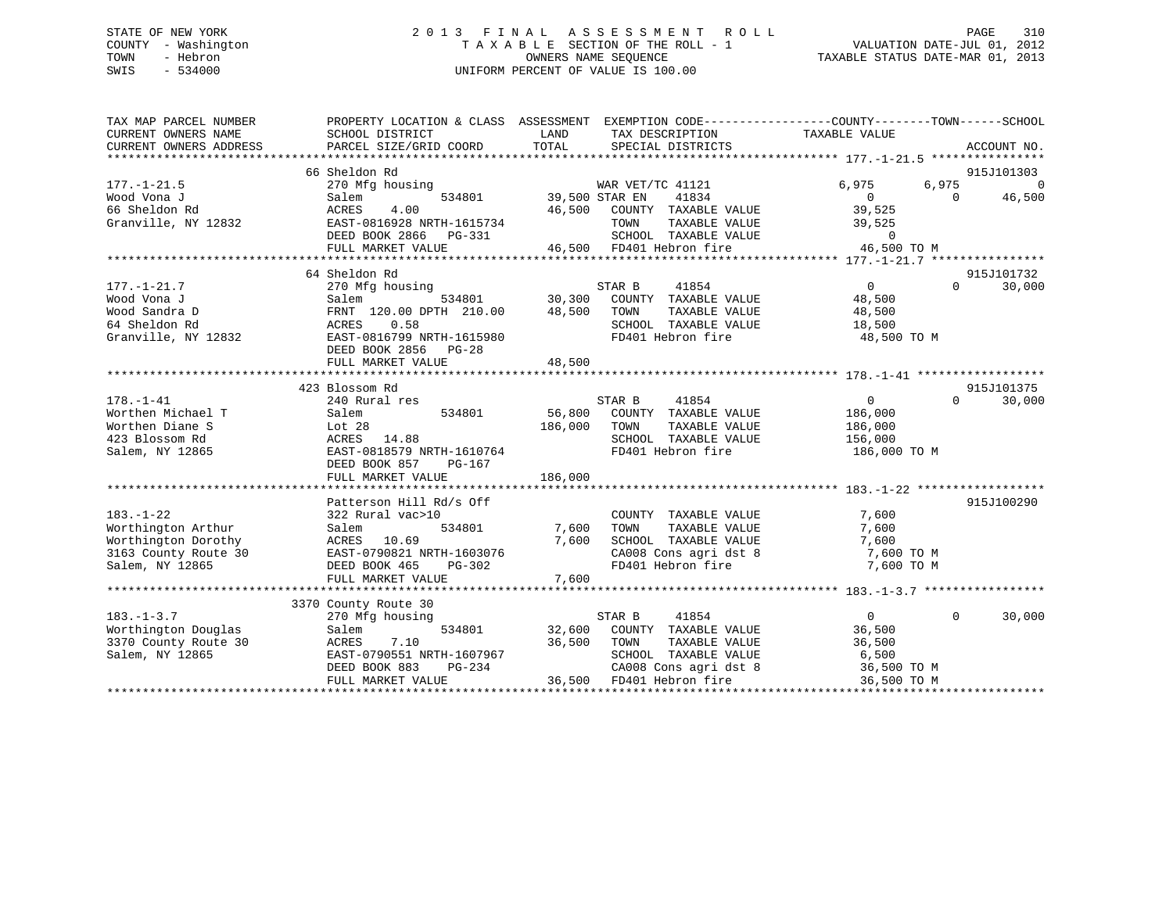# STATE OF NEW YORK 2 0 1 3 F I N A L A S S E S S M E N T R O L L PAGE 310 COUNTY - Washington T A X A B L E SECTION OF THE ROLL - 1 VALUATION DATE-JUL 01, 2012 TOWN - Hebron OWNERS NAME SEQUENCE TAXABLE STATUS DATE-MAR 01, 2013 SWIS - 534000 UNIFORM PERCENT OF VALUE IS 100.00

| TAX MAP PARCEL NUMBER<br>CURRENT OWNERS NAME<br>CURRENT OWNERS ADDRESS | PROPERTY LOCATION & CLASS ASSESSMENT<br>SCHOOL DISTRICT<br>PARCEL SIZE/GRID COORD | TAX DESCRIPTION TAXABLE VALUE<br>LAND<br>TOTAL<br>SPECIAL DISTRICTS | EXEMPTION CODE-----------------COUNTY-------TOWN------SCHOOL<br>ACCOUNT NO. |
|------------------------------------------------------------------------|-----------------------------------------------------------------------------------|---------------------------------------------------------------------|-----------------------------------------------------------------------------|
|                                                                        | 66 Sheldon Rd                                                                     |                                                                     | 915J101303                                                                  |
| $177. - 1 - 21.5$                                                      | 270 Mfg housing                                                                   |                                                                     | 6,975<br>$\Omega$                                                           |
| Wood Vona J                                                            | 534801                                                                            | WAR VET/TC 41121<br>41834                                           | 6,975<br>$\Omega$                                                           |
| 66 Sheldon Rd                                                          | Salem<br>ACRES<br>4.00                                                            | 39,500 STAR EN<br>46,500<br>COUNTY TAXABLE VALUE                    | 46,500<br>$\overline{0}$<br>39,525                                          |
| Granville, NY 12832                                                    | EAST-0816928 NRTH-1615734                                                         | TAXABLE VALUE                                                       | 39,525                                                                      |
|                                                                        |                                                                                   | TOWN<br>SCHOOL TAXABLE VALUE                                        | $\Omega$                                                                    |
|                                                                        | DEED BOOK 2866 PG-331                                                             |                                                                     | 46,500 TO M                                                                 |
|                                                                        | FULL MARKET VALUE<br>****************************                                 | 46,500 FD401 Hebron fire                                            |                                                                             |
|                                                                        |                                                                                   |                                                                     |                                                                             |
|                                                                        | 64 Sheldon Rd                                                                     |                                                                     | 915J101732                                                                  |
| $177. - 1 - 21.7$                                                      | 270 Mfg housing                                                                   | 41854<br>STAR B                                                     | $\overline{0}$<br>30,000<br>$\Omega$                                        |
| Wood Vona J                                                            | Salem                                                                             | 534801 30,300<br>COUNTY TAXABLE VALUE                               | 48,500                                                                      |
| Wood Sandra D                                                          | FRNT 120.00 DPTH 210.00                                                           | 48,500<br>TOWN<br>TAXABLE VALUE                                     | 48,500                                                                      |
| 64 Sheldon Rd                                                          | 0.58<br>ACRES                                                                     | SCHOOL TAXABLE VALUE                                                | 18,500                                                                      |
| Granville, NY 12832                                                    | EAST-0816799 NRTH-1615980                                                         | FD401 Hebron fire                                                   | 48,500 TO M                                                                 |
|                                                                        | DEED BOOK 2856 PG-28                                                              |                                                                     |                                                                             |
|                                                                        | FULL MARKET VALUE                                                                 | 48,500                                                              |                                                                             |
|                                                                        |                                                                                   |                                                                     |                                                                             |
|                                                                        | 423 Blossom Rd                                                                    |                                                                     | 915J101375                                                                  |
| $178. - 1 - 41$                                                        | 240 Rural res                                                                     | STAR B<br>41854                                                     | 30,000<br>$\overline{0}$<br>$\Omega$                                        |
| Worthen Michael T                                                      | Salem<br>534801                                                                   | 56,800<br>COUNTY TAXABLE VALUE                                      | 186,000                                                                     |
| Worthen Diane S                                                        | Lot <sub>28</sub>                                                                 | 186,000<br>TOWN<br>TAXABLE VALUE                                    | 186,000                                                                     |
| 423 Blossom Rd                                                         | ACRES 14.88                                                                       | SCHOOL TAXABLE VALUE                                                | 156,000                                                                     |
| Salem, NY 12865                                                        | EAST-0818579 NRTH-1610764                                                         | FD401 Hebron fire                                                   | 186,000 TO M                                                                |
|                                                                        | DEED BOOK 857<br>PG-167                                                           |                                                                     |                                                                             |
|                                                                        | FULL MARKET VALUE                                                                 | 186,000                                                             |                                                                             |
|                                                                        |                                                                                   |                                                                     |                                                                             |
|                                                                        | Patterson Hill Rd/s Off                                                           |                                                                     | 915J100290                                                                  |
| $183. - 1 - 22$                                                        | 322 Rural vac>10                                                                  | COUNTY TAXABLE VALUE                                                | 7,600                                                                       |
| Worthington Arthur                                                     | Salem<br>534801                                                                   | 7,600<br>TAXABLE VALUE<br>TOWN                                      | 7,600                                                                       |
| Worthington Dorothy                                                    | ACRES<br>10.69                                                                    | 7,600<br>SCHOOL TAXABLE VALUE                                       | 7,600                                                                       |
| 3163 County Route 30                                                   | EAST-0790821 NRTH-1603076                                                         | CA008 Cons agri dst 8                                               | 7,600 TO M                                                                  |
| Salem, NY 12865                                                        | DEED BOOK 465<br>PG-302                                                           | FD401 Hebron fire                                                   | 7,600 TO M                                                                  |
|                                                                        | FULL MARKET VALUE                                                                 | 7,600                                                               |                                                                             |
|                                                                        |                                                                                   |                                                                     |                                                                             |
|                                                                        | 3370 County Route 30                                                              |                                                                     |                                                                             |
| $183. - 1 - 3.7$                                                       | 270 Mfg housing                                                                   | STAR B<br>41854                                                     | $\Omega$<br>30,000<br>$\Omega$                                              |
| Worthington Douglas                                                    | 534801<br>Salem                                                                   | 32,600 COUNTY TAXABLE VALUE                                         | 36,500                                                                      |
| 3370 County Route 30                                                   | ACRES<br>7.10                                                                     | 36,500<br>TOWN<br>TAXABLE VALUE                                     | 36,500                                                                      |
| Salem, NY 12865                                                        | EAST-0790551 NRTH-1607967                                                         | SCHOOL TAXABLE VALUE                                                | 6,500                                                                       |
|                                                                        | DEED BOOK 883<br>PG-234                                                           | CA008 Cons agri dst 8                                               | 36,500 TO M                                                                 |
|                                                                        | FULL MARKET VALUE                                                                 | 36,500 FD401 Hebron fire                                            | 36,500 TO M                                                                 |
|                                                                        |                                                                                   |                                                                     |                                                                             |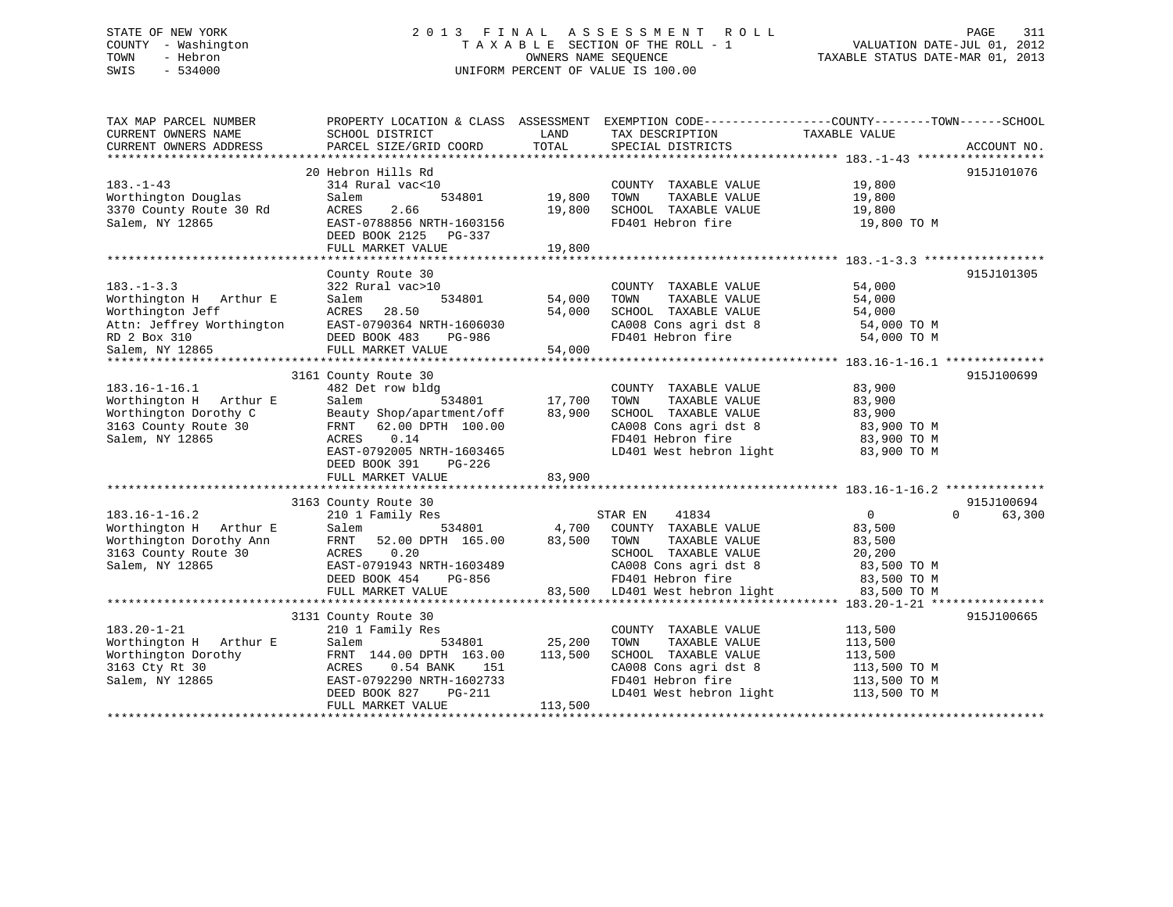# STATE OF NEW YORK 2 0 1 3 F I N A L A S S E S S M E N T R O L L PAGE 311 COUNTY - Washington T A X A B L E SECTION OF THE ROLL - 1 VALUATION DATE-JUL 01, 2012 TOWN - Hebron OWNERS NAME SEQUENCE TAXABLE STATUS DATE-MAR 01, 2013 SWIS - 534000 UNIFORM PERCENT OF VALUE IS 100.00

| TAX MAP PARCEL NUMBER<br>CURRENT OWNERS NAME<br>CURRENT OWNERS ADDRESS | PROPERTY LOCATION & CLASS ASSESSMENT EXEMPTION CODE---------------COUNTY-------TOWN-----SCHOOL<br>SCHOOL DISTRICT<br>PARCEL SIZE/GRID COORD | LAND<br>TOTAL | TAX DESCRIPTION<br>SPECIAL DISTRICTS | TAXABLE VALUE | ACCOUNT NO.        |
|------------------------------------------------------------------------|---------------------------------------------------------------------------------------------------------------------------------------------|---------------|--------------------------------------|---------------|--------------------|
|                                                                        |                                                                                                                                             |               |                                      |               |                    |
| $183. - 1 - 43$                                                        | 20 Hebron Hills Rd<br>314 Rural vac<10                                                                                                      |               | COUNTY TAXABLE VALUE                 | 19,800        | 915J101076         |
| Worthington Douglas                                                    | Salem<br>534801                                                                                                                             | 19,800        | TOWN<br>TAXABLE VALUE                | 19,800        |                    |
| 3370 County Route 30 Rd                                                | 2.66<br>ACRES                                                                                                                               | 19,800        | SCHOOL TAXABLE VALUE                 | 19,800        |                    |
| Salem, NY 12865                                                        | EAST-0788856 NRTH-1603156<br>DEED BOOK 2125 PG-337                                                                                          |               | FD401 Hebron fire                    | 19,800 TO M   |                    |
|                                                                        | FULL MARKET VALUE                                                                                                                           | 19,800        |                                      |               |                    |
|                                                                        |                                                                                                                                             |               |                                      |               |                    |
|                                                                        | County Route 30                                                                                                                             |               |                                      |               | 915J101305         |
| $183. - 1 - 3.3$                                                       | 322 Rural vac>10                                                                                                                            |               | COUNTY TAXABLE VALUE                 | 54,000        |                    |
| Worthington H Arthur E                                                 | Salem<br>534801                                                                                                                             | 54,000        | TAXABLE VALUE<br>TOWN                | 54,000        |                    |
| Worthington Jeff                                                       | 28.50<br>ACRES                                                                                                                              | 54,000        | SCHOOL TAXABLE VALUE                 | 54,000        |                    |
| Attn: Jeffrey Worthington                                              | EAST-0790364 NRTH-1606030                                                                                                                   |               | CA008 Cons agri dst 8                | 54,000 TO M   |                    |
| RD 2 Box 310                                                           | DEED BOOK 483<br>PG-986                                                                                                                     |               | FD401 Hebron fire                    | 54,000 TO M   |                    |
| Salem, NY 12865                                                        | FULL MARKET VALUE                                                                                                                           | 54,000        |                                      |               |                    |
|                                                                        |                                                                                                                                             |               |                                      |               |                    |
|                                                                        | 3161 County Route 30                                                                                                                        |               |                                      |               | 915J100699         |
| $183.16 - 1 - 16.1$                                                    | 482 Det row bldg                                                                                                                            |               | COUNTY TAXABLE VALUE                 | 83,900        |                    |
| Worthington H Arthur E                                                 | 534801<br>Salem                                                                                                                             | 17,700        | TAXABLE VALUE<br>TOWN                | 83,900        |                    |
| Worthington Dorothy C                                                  | Beauty Shop/apartment/off                                                                                                                   | 83,900        | SCHOOL TAXABLE VALUE                 | 83,900        |                    |
| 3163 County Route 30                                                   | 62.00 DPTH 100.00<br>FRNT                                                                                                                   |               | CA008 Cons agri dst 8                | 83,900 TO M   |                    |
| Salem, NY 12865                                                        | ACRES<br>0.14                                                                                                                               |               | FD401 Hebron fire                    | 83,900 TO M   |                    |
|                                                                        | EAST-0792005 NRTH-1603465                                                                                                                   |               | LD401 West hebron light              | 83,900 TO M   |                    |
|                                                                        | DEED BOOK 391<br>PG-226                                                                                                                     |               |                                      |               |                    |
|                                                                        | FULL MARKET VALUE                                                                                                                           | 83,900        |                                      |               |                    |
|                                                                        |                                                                                                                                             |               |                                      |               |                    |
|                                                                        | 3163 County Route 30                                                                                                                        |               |                                      |               | 915J100694         |
| $183.16 - 1 - 16.2$                                                    | 210 1 Family Res                                                                                                                            |               | 41834<br>STAR EN                     | $\mathbf 0$   | $\Omega$<br>63,300 |
| Worthington H Arthur E                                                 | 534801<br>Salem                                                                                                                             | 4,700         | COUNTY TAXABLE VALUE                 | 83,500        |                    |
| Worthington Dorothy Ann                                                | FRNT<br>52.00 DPTH 165.00                                                                                                                   | 83,500        | TOWN<br>TAXABLE VALUE                | 83,500        |                    |
| 3163 County Route 30                                                   | 0.20<br>ACRES                                                                                                                               |               | SCHOOL TAXABLE VALUE                 | 20,200        |                    |
| Salem, NY 12865                                                        | EAST-0791943 NRTH-1603489                                                                                                                   |               | CA008 Cons agri dst 8                | 83,500 TO M   |                    |
|                                                                        | DEED BOOK 454<br>PG-856                                                                                                                     |               | FD401 Hebron fire                    | 83,500 TO M   |                    |
|                                                                        | FULL MARKET VALUE                                                                                                                           |               | 83,500 LD401 West hebron light       | 83,500 TO M   |                    |
|                                                                        |                                                                                                                                             |               |                                      |               |                    |
|                                                                        | 3131 County Route 30                                                                                                                        |               |                                      |               | 915J100665         |
| $183.20 - 1 - 21$                                                      | 210 1 Family Res                                                                                                                            |               | COUNTY TAXABLE VALUE                 | 113,500       |                    |
| Worthington H Arthur E                                                 | 534801<br>Salem                                                                                                                             | 25,200        | TOWN<br>TAXABLE VALUE                | 113,500       |                    |
| Worthington Dorothy                                                    | FRNT 144.00 DPTH 163.00                                                                                                                     | 113,500       | SCHOOL TAXABLE VALUE                 | 113,500       |                    |
| 3163 Cty Rt 30                                                         | ACRES<br>0.54 BANK<br>151                                                                                                                   |               | CA008 Cons agri dst 8                | 113,500 TO M  |                    |
| Salem, NY 12865                                                        | EAST-0792290 NRTH-1602733                                                                                                                   |               | FD401 Hebron fire                    | 113,500 TO M  |                    |
|                                                                        | $PG-211$<br>DEED BOOK 827                                                                                                                   |               | LD401 West hebron light              | 113,500 TO M  |                    |
|                                                                        | FULL MARKET VALUE                                                                                                                           | 113,500       |                                      |               |                    |
|                                                                        |                                                                                                                                             |               |                                      |               |                    |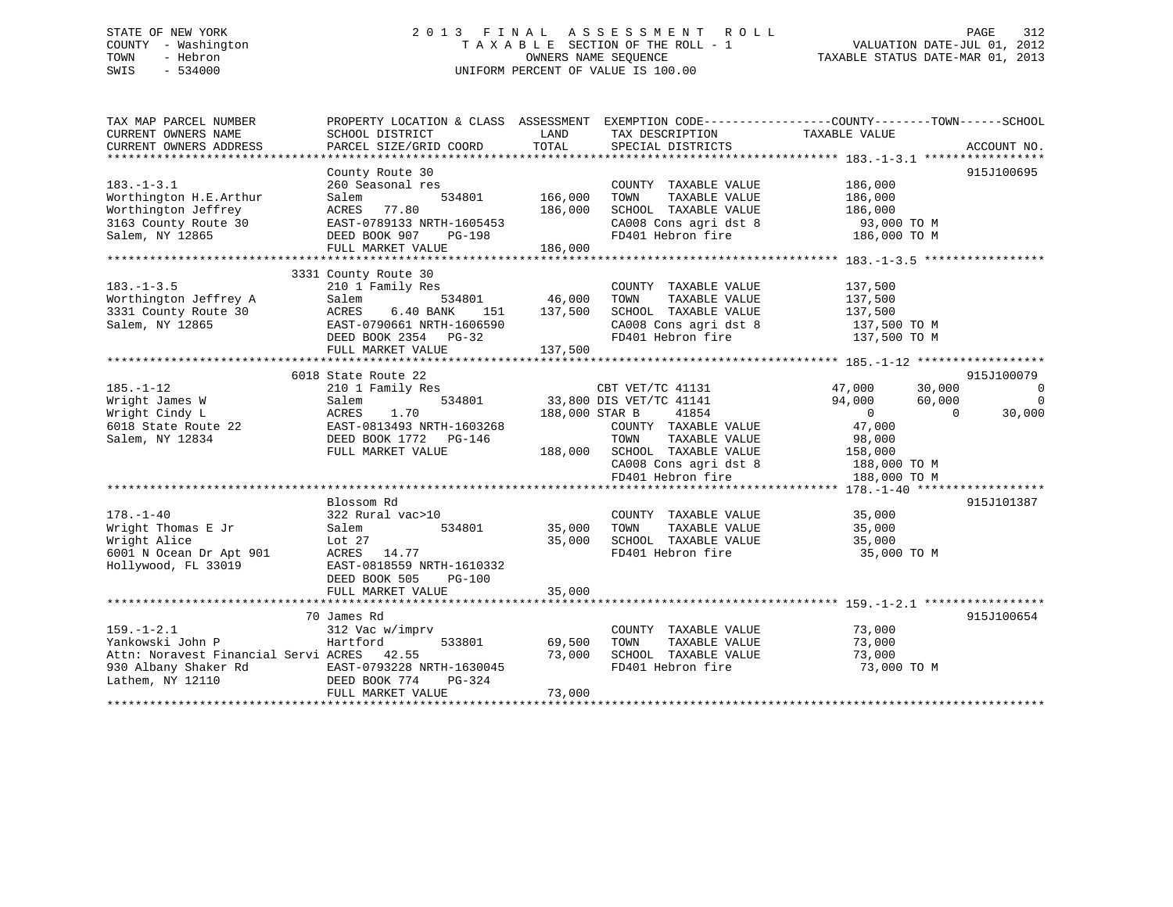# STATE OF NEW YORK 2 0 1 3 F I N A L A S S E S S M E N T R O L L PAGE 312 COUNTY - Washington T A X A B L E SECTION OF THE ROLL - 1 VALUATION DATE-JUL 01, 2012 TOWN - Hebron OWNERS NAME SEQUENCE TAXABLE STATUS DATE-MAR 01, 2013 SWIS - 534000 UNIFORM PERCENT OF VALUE IS 100.00

| TAX MAP PARCEL NUMBER<br>CURRENT OWNERS NAME<br>CURRENT OWNERS ADDRESS                                                                        | SCHOOL DISTRICT<br>PARCEL SIZE/GRID COORD          | LAND<br>TOTAL  | TAX DESCRIPTION<br>SPECIAL DISTRICTS                     | PROPERTY LOCATION & CLASS ASSESSMENT EXEMPTION CODE---------------COUNTY-------TOWN-----SCHOOL<br>TAXABLE VALUE | ACCOUNT NO.              |
|-----------------------------------------------------------------------------------------------------------------------------------------------|----------------------------------------------------|----------------|----------------------------------------------------------|-----------------------------------------------------------------------------------------------------------------|--------------------------|
|                                                                                                                                               |                                                    |                |                                                          |                                                                                                                 |                          |
|                                                                                                                                               | County Route 30                                    |                |                                                          |                                                                                                                 | 915J100695               |
| $183. - 1 - 3.1$                                                                                                                              | 260 Seasonal res                                   |                | COUNTY TAXABLE VALUE                                     | 186,000                                                                                                         |                          |
| Worthington H.E.Arthur                                                                                                                        | Salem<br>534801                                    | 166,000        | TAXABLE VALUE<br>TOWN                                    | 186,000                                                                                                         |                          |
| Worthington Jeffrey                                                                                                                           | ACRES 77.80                                        | 186,000        | SCHOOL TAXABLE VALUE                                     | 186,000                                                                                                         |                          |
| 3163 County Route 30                                                                                                                          | EAST-0789133 NRTH-1605453<br>rin-1009453<br>PG-198 |                |                                                          | CA008 Cons agri dst 8 $93,000$ TO M<br>FD401 Hebron fire 186,000 TO M                                           |                          |
| Salem, NY 12865                                                                                                                               | DEED BOOK 907                                      |                |                                                          |                                                                                                                 |                          |
|                                                                                                                                               | FULL MARKET VALUE                                  | 186,000        |                                                          |                                                                                                                 |                          |
|                                                                                                                                               |                                                    |                |                                                          |                                                                                                                 |                          |
| $183. - 1 - 3.5$                                                                                                                              | 3331 County Route 30<br>210 1 Family Res           |                | COUNTY TAXABLE VALUE                                     | 137,500                                                                                                         |                          |
| Worthington Jeffrey A                                                                                                                         | 534801 46,000<br>Salem                             |                | TAXABLE VALUE<br>TOWN                                    | 137,500                                                                                                         |                          |
| 3331 County Route 30                                                                                                                          | 151                                                | 137,500        | SCHOOL TAXABLE VALUE                                     | 137,500                                                                                                         |                          |
| Salem, NY 12865                                                                                                                               |                                                    |                | SCHOOL TAXABLE VALUE<br>CA008 Cons agri dst 8            |                                                                                                                 |                          |
|                                                                                                                                               | ACRES 6.40 BANA 100<br>DEED BOOK 2354 PG-32        |                |                                                          | $137,500$ TO M<br>$-20.70$ M<br>FD401 Hebron fire 137,500 TO M                                                  |                          |
|                                                                                                                                               | FULL MARKET VALUE                                  | 137,500        |                                                          |                                                                                                                 |                          |
|                                                                                                                                               |                                                    |                |                                                          |                                                                                                                 |                          |
|                                                                                                                                               | 6018 State Route 22                                |                |                                                          |                                                                                                                 | 915J100079               |
| $185. - 1 - 12$                                                                                                                               | 210 1 Family Res                                   |                |                                                          | CBT VET/TC 41131 47,000 30,000                                                                                  | $\overline{\phantom{0}}$ |
| Wright James W                                                                                                                                | 534801<br>Salem                                    |                | 33,800 DIS VET/TC 41141                                  | 94,000<br>60,000                                                                                                | $\overline{0}$           |
| Wright Cindy L<br>Wright Cindy L<br>6018 State Route 22<br>2010 MY 12834<br>2010 DEED BOOK 1772 PG-146<br>2010 Contract CEED BOOK 1772 PG-146 |                                                    | 188,000 STAR B | 41854                                                    | $\overline{0}$<br>$\overline{0}$                                                                                | 30,000                   |
|                                                                                                                                               |                                                    |                | COUNTY TAXABLE VALUE                                     | 47,000                                                                                                          |                          |
|                                                                                                                                               |                                                    |                | TAXABLE VALUE<br>TOWN                                    | 98,000                                                                                                          |                          |
|                                                                                                                                               | FULL MARKET VALUE                                  |                | 188,000 SCHOOL TAXABLE VALUE 158,000                     |                                                                                                                 |                          |
|                                                                                                                                               |                                                    |                |                                                          | CA008 Cons agri dst 8 188,000 TO M                                                                              |                          |
|                                                                                                                                               |                                                    |                | FD401 Hebron fire                                        | 188,000 TO M                                                                                                    |                          |
|                                                                                                                                               |                                                    |                |                                                          |                                                                                                                 |                          |
|                                                                                                                                               | Blossom Rd                                         |                |                                                          |                                                                                                                 | 915J101387               |
| $178. - 1 - 40$                                                                                                                               | 322 Rural vac>10                                   |                | COUNTY TAXABLE VALUE 35,000                              |                                                                                                                 |                          |
| Wright Thomas E Jr Salem                                                                                                                      | 534801                                             | 35,000         |                                                          |                                                                                                                 |                          |
| Wright Alice                                                                                                                                  | Lot 27                                             | 35,000         | TOWN TAXABLE VALUE 35,000<br>SCHOOL TAXABLE VALUE 35,000 |                                                                                                                 |                          |
| 6001 N Ocean Dr Apt 901                                                                                                                       | ACRES 14.77                                        |                |                                                          | FD401 Hebron fire 35,000 TO M                                                                                   |                          |
| Hollywood, FL 33019                                                                                                                           | EAST-0818559 NRTH-1610332                          |                |                                                          |                                                                                                                 |                          |
|                                                                                                                                               | DEED BOOK 505<br><b>PG-100</b>                     |                |                                                          |                                                                                                                 |                          |
|                                                                                                                                               | FULL MARKET VALUE                                  | 35,000         |                                                          |                                                                                                                 |                          |
|                                                                                                                                               |                                                    |                |                                                          |                                                                                                                 |                          |
|                                                                                                                                               | 70 James Rd                                        |                |                                                          |                                                                                                                 | 915J100654               |
| $159. - 1 - 2.1$                                                                                                                              | 312 Vac w/imprv                                    |                | COUNTY TAXABLE VALUE                                     | 73,000                                                                                                          |                          |
| Yankowski John P                                                                                                                              | 533801<br>Hartford                                 | 69,500         | TAXABLE VALUE<br>TOWN                                    | 73,000                                                                                                          |                          |
| Attn: Noravest Financial Servi ACRES 42.55                                                                                                    |                                                    | 73,000         | SCHOOL TAXABLE VALUE                                     | 73,000                                                                                                          |                          |
| 930 Albany Shaker Rd EAST-0793228 NRTH-1630045                                                                                                |                                                    |                | FD401 Hebron fire                                        | 73,000 TO M                                                                                                     |                          |
| Lathem, NY 12110                                                                                                                              | DEED BOOK 774<br>PG-324                            |                |                                                          |                                                                                                                 |                          |
|                                                                                                                                               | FULL MARKET VALUE                                  | 73,000         |                                                          |                                                                                                                 |                          |
|                                                                                                                                               |                                                    |                |                                                          |                                                                                                                 |                          |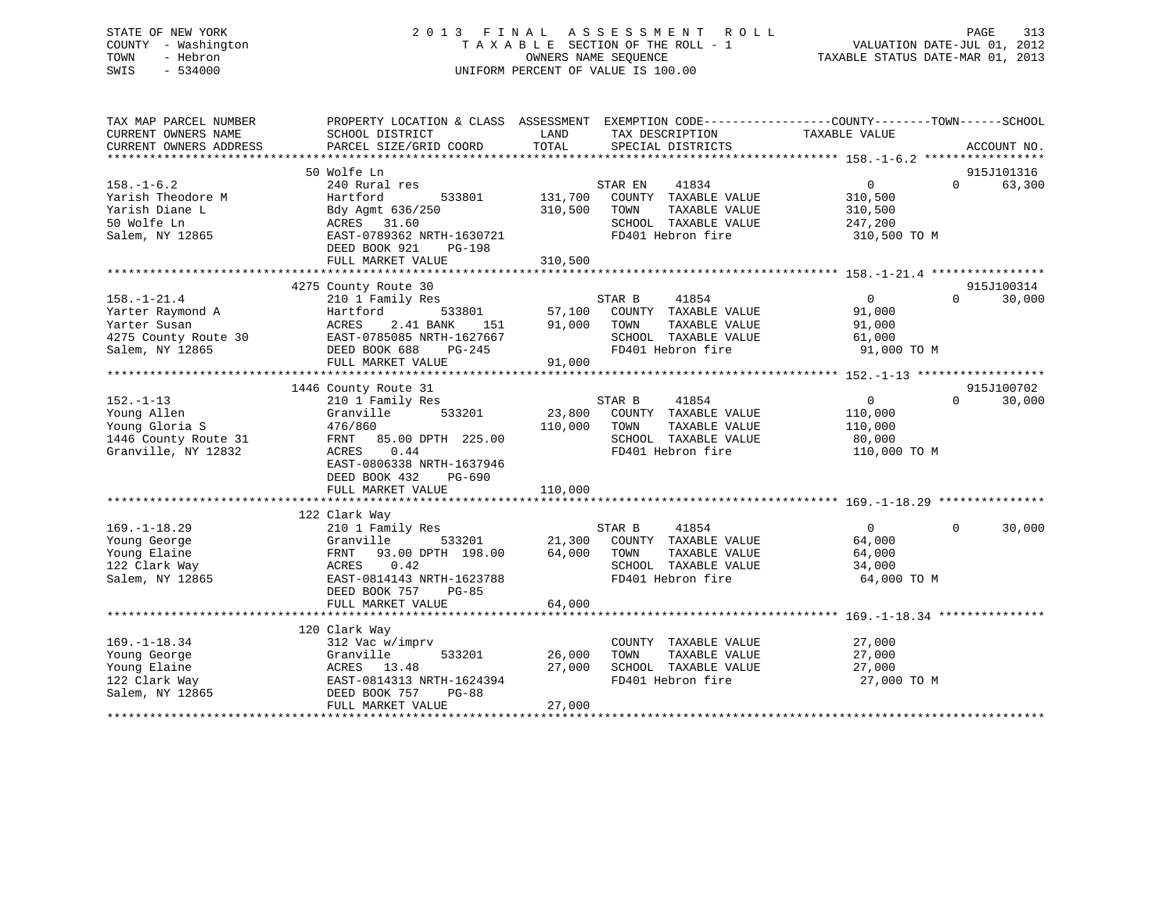# STATE OF NEW YORK 2 0 1 3 F I N A L A S S E S S M E N T R O L L PAGE 313 COUNTY - Washington T A X A B L E SECTION OF THE ROLL - 1 VALUATION DATE-JUL 01, 2012 TOWN - Hebron OWNERS NAME SEQUENCE TAXABLE STATUS DATE-MAR 01, 2013 SWIS - 534000 UNIFORM PERCENT OF VALUE IS 100.00

| TAX MAP PARCEL NUMBER<br>CURRENT OWNERS NAME                                                     | PROPERTY LOCATION & CLASS ASSESSMENT<br>SCHOOL DISTRICT                                                                                                                            | LAND                          | EXEMPTION CODE-----------------COUNTY-------TOWN------SCHOOL<br>TAX DESCRIPTION                                | TAXABLE VALUE                                                |          |                      |
|--------------------------------------------------------------------------------------------------|------------------------------------------------------------------------------------------------------------------------------------------------------------------------------------|-------------------------------|----------------------------------------------------------------------------------------------------------------|--------------------------------------------------------------|----------|----------------------|
| CURRENT OWNERS ADDRESS                                                                           | PARCEL SIZE/GRID COORD                                                                                                                                                             | TOTAL                         | SPECIAL DISTRICTS                                                                                              |                                                              |          | ACCOUNT NO.          |
|                                                                                                  |                                                                                                                                                                                    |                               |                                                                                                                |                                                              |          |                      |
| $158. - 1 - 6.2$<br>Yarish Theodore M<br>Yarish Diane L<br>50 Wolfe Ln<br>Salem, NY 12865        | 50 Wolfe Ln<br>240 Rural res<br>Hartford<br>533801<br>Bdy Agmt 636/250<br>ACRES 31.60<br>EAST-0789362 NRTH-1630721<br>DEED BOOK 921<br><b>PG-198</b><br>FULL MARKET VALUE          | 131,700<br>310,500<br>310,500 | 41834<br>STAR EN<br>COUNTY TAXABLE VALUE<br>TAXABLE VALUE<br>TOWN<br>SCHOOL TAXABLE VALUE<br>FD401 Hebron fire | $\Omega$<br>310,500<br>310,500<br>247,200<br>310,500 TO M    | $\Omega$ | 915J101316<br>63,300 |
|                                                                                                  |                                                                                                                                                                                    |                               |                                                                                                                |                                                              |          |                      |
| $158. - 1 - 21.4$<br>Yarter Raymond A<br>Yarter Susan<br>4275 County Route 30<br>Salem, NY 12865 | 4275 County Route 30<br>210 1 Family Res<br>Hartford<br>533801<br>2.41 BANK<br>ACRES<br>151<br>EAST-0785085 NRTH-1627667<br>DEED BOOK 688<br>PG-245<br>FULL MARKET VALUE           | 57,100<br>91,000<br>91,000    | 41854<br>STAR B<br>COUNTY TAXABLE VALUE<br>TOWN<br>TAXABLE VALUE<br>SCHOOL TAXABLE VALUE<br>FD401 Hebron fire  | $\overline{0}$<br>91,000<br>91,000<br>61,000<br>91,000 TO M  | $\Omega$ | 915J100314<br>30,000 |
|                                                                                                  | 1446 County Route 31                                                                                                                                                               |                               |                                                                                                                |                                                              |          | 915J100702           |
| $152. - 1 - 13$<br>Young Allen<br>Young Gloria S<br>1446 County Route 31<br>Granville, NY 12832  | 210 1 Family Res<br>533201<br>Granville<br>476/860<br>FRNT 85.00 DPTH 225.00<br>ACRES<br>0.44<br>EAST-0806338 NRTH-1637946<br>DEED BOOK 432<br>PG-690<br>FULL MARKET VALUE         | 23,800<br>110,000<br>110,000  | STAR B<br>41854<br>COUNTY TAXABLE VALUE<br>TOWN<br>TAXABLE VALUE<br>SCHOOL TAXABLE VALUE<br>FD401 Hebron fire  | $\mathbf{0}$<br>110,000<br>110,000<br>80,000<br>110,000 TO M | $\Omega$ | 30,000               |
|                                                                                                  |                                                                                                                                                                                    |                               |                                                                                                                |                                                              |          |                      |
| $169. - 1 - 18.29$<br>Young George<br>Young Elaine<br>122 Clark Way<br>Salem, NY 12865           | 122 Clark Way<br>210 1 Family Res<br>Granville<br>533201<br>93.00 DPTH 198.00<br>FRNT<br>ACRES<br>0.42<br>EAST-0814143 NRTH-1623788<br>DEED BOOK 757<br>PG-85<br>FULL MARKET VALUE | 21,300<br>64,000<br>64,000    | 41854<br>STAR B<br>COUNTY TAXABLE VALUE<br>TOWN<br>TAXABLE VALUE<br>SCHOOL TAXABLE VALUE<br>FD401 Hebron fire  | $\overline{0}$<br>64,000<br>64,000<br>34,000<br>64,000 TO M  | $\Omega$ | 30,000               |
|                                                                                                  |                                                                                                                                                                                    |                               |                                                                                                                |                                                              |          |                      |
| $169. - 1 - 18.34$<br>Young George<br>Young Elaine<br>122 Clark Way<br>Salem, NY 12865           | 120 Clark Way<br>312 Vac w/imprv<br>Granville<br>533201<br>ACRES 13.48<br>EAST-0814313 NRTH-1624394<br>DEED BOOK 757<br>$PG-88$<br>FULL MARKET VALUE                               | 26,000<br>27,000<br>27,000    | COUNTY TAXABLE VALUE<br>TAXABLE VALUE<br>TOWN<br>SCHOOL TAXABLE VALUE<br>FD401 Hebron fire                     | 27,000<br>27,000<br>27,000<br>27,000 TO M                    |          |                      |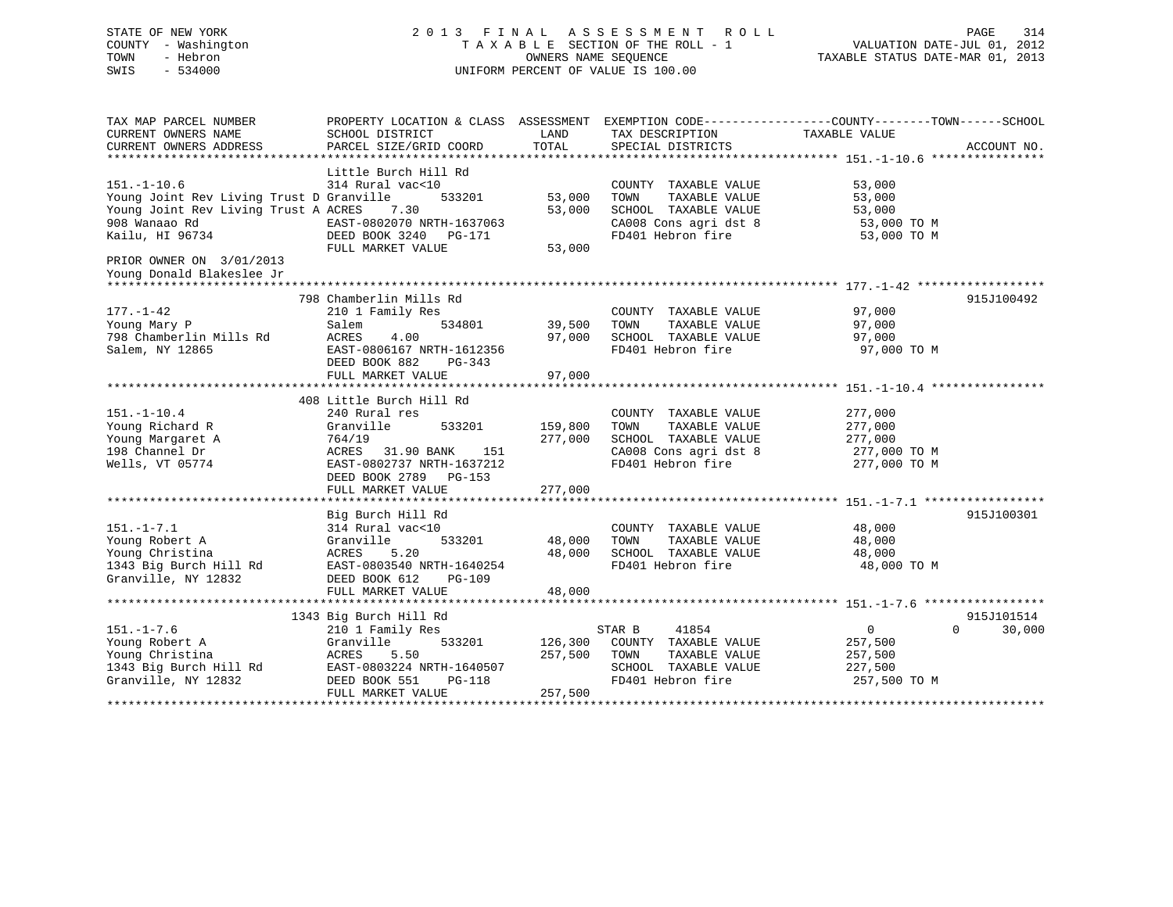# STATE OF NEW YORK 2 0 1 3 F I N A L A S S E S S M E N T R O L L PAGE 314 COUNTY - Washington T A X A B L E SECTION OF THE ROLL - 1 VALUATION DATE-JUL 01, 2012 TOWN - Hebron OWNERS NAME SEQUENCE TAXABLE STATUS DATE-MAR 01, 2013 SWIS - 534000 UNIFORM PERCENT OF VALUE IS 100.00

| TAX MAP PARCEL NUMBER<br>CURRENT OWNERS NAME                                                               | PROPERTY LOCATION & CLASS ASSESSMENT EXEMPTION CODE---------------COUNTY-------TOWN-----SCHOOL<br>SCHOOL DISTRICT | LAND           | TAX DESCRIPTION                                                                                                                                                                                       | TAXABLE VALUE    |                    |
|------------------------------------------------------------------------------------------------------------|-------------------------------------------------------------------------------------------------------------------|----------------|-------------------------------------------------------------------------------------------------------------------------------------------------------------------------------------------------------|------------------|--------------------|
| CURRENT OWNERS ADDRESS                                                                                     | PARCEL SIZE/GRID COORD                                                                                            | TOTAL          | SPECIAL DISTRICTS                                                                                                                                                                                     |                  | ACCOUNT NO.        |
|                                                                                                            |                                                                                                                   |                |                                                                                                                                                                                                       |                  |                    |
| $151. - 1 - 10.6$<br>Young Joint Rev Living Trust D Granville                                              | Little Burch Hill Rd<br>314 Rural vac<10<br>533201                                                                | 53,000         | COUNTY TAXABLE VALUE<br>TAXABLE VALUE<br>TOWN                                                                                                                                                         | 53,000<br>53,000 |                    |
| Young Joint Rev Living Trust A ACRES 7.30<br>908 Wanaao Rd<br>Kailu, HI 96734 <b>DEED BOOK 3240</b> PG-171 | EAST-0802070 NRTH-1637063                                                                                         | 53,000         | SCHOOL TAXABLE VALUE<br>$\begin{array}{llll}\n\text{CA008} & \text{Cons}\n\text{ a grid dist 8} & \text{53,000 TO M} \\ \text{FD401} & \text{Hebron}\n\text{ fire} & \text{53,000 TO M}\n\end{array}$ | 53,000           |                    |
| PRIOR OWNER ON 3/01/2013                                                                                   | FULL MARKET VALUE                                                                                                 | 53,000         |                                                                                                                                                                                                       |                  |                    |
| Young Donald Blakeslee Jr                                                                                  |                                                                                                                   |                |                                                                                                                                                                                                       |                  |                    |
|                                                                                                            |                                                                                                                   |                |                                                                                                                                                                                                       |                  |                    |
|                                                                                                            | 798 Chamberlin Mills Rd                                                                                           |                |                                                                                                                                                                                                       |                  | 915J100492         |
| 177.-1-42                                                                                                  | 210 1 Family Res                                                                                                  |                | COUNTY TAXABLE VALUE                                                                                                                                                                                  | 97,000           |                    |
| Young Mary P                                                                                               | Salem                                                                                                             | 534801 39,500  | TAXABLE VALUE<br>TOWN                                                                                                                                                                                 | 97,000           |                    |
| 798 Chamberlin Mills Rd                                                                                    | ACRES<br>4.00                                                                                                     | 97,000         | SCHOOL TAXABLE VALUE 97,000                                                                                                                                                                           |                  |                    |
| Salem, NY 12865                                                                                            | EAST-0806167 NRTH-1612356<br>DEED BOOK 882<br>PG-343                                                              |                | FD401 Hebron fire                                                                                                                                                                                     | 97,000 TO M      |                    |
|                                                                                                            | FULL MARKET VALUE                                                                                                 | 97,000         |                                                                                                                                                                                                       |                  |                    |
|                                                                                                            |                                                                                                                   |                |                                                                                                                                                                                                       |                  |                    |
|                                                                                                            | 408 Little Burch Hill Rd                                                                                          |                |                                                                                                                                                                                                       |                  |                    |
| $151. - 1 - 10.4$                                                                                          | 240 Rural res                                                                                                     |                | COUNTY TAXABLE VALUE                                                                                                                                                                                  | 277,000          |                    |
| Young Richard R                                                                                            | 533201<br>Granville                                                                                               | 159,800        | TAXABLE VALUE<br>TOWN                                                                                                                                                                                 | 277,000          |                    |
| Young Margaret A<br>198 Channel Dr                                                                         | 764/19                                                                                                            | 277,000        | SCHOOL TAXABLE VALUE 277,000<br>CA008 Cons agri dst 8 277,000 TO M                                                                                                                                    |                  |                    |
| 198 Channel Dr                                                                                             | ACRES 31.90 BANK<br>151                                                                                           |                |                                                                                                                                                                                                       |                  |                    |
| Wells, VT 05774                                                                                            | EAST-0802737 NRTH-1637212<br>DEED BOOK 2789 PG-153                                                                |                | FD401 Hebron fire 277,000 TO M                                                                                                                                                                        |                  |                    |
|                                                                                                            | FULL MARKET VALUE                                                                                                 | 277,000        |                                                                                                                                                                                                       |                  |                    |
|                                                                                                            |                                                                                                                   |                |                                                                                                                                                                                                       |                  |                    |
| $151. - 1 - 7.1$                                                                                           | Big Burch Hill Rd<br>314 Rural vac<10                                                                             |                |                                                                                                                                                                                                       |                  | 915J100301         |
| Young Robert A                                                                                             | 533201                                                                                                            | 48,000         | COUNTY TAXABLE VALUE 48,000<br>TAXABLE VALUE<br>TOWN                                                                                                                                                  | 48,000           |                    |
| Young Christina                                                                                            | 5.20                                                                                                              | 48,000         | SCHOOL TAXABLE VALUE 48,000                                                                                                                                                                           |                  |                    |
| any Burch<br>314 Rural<br>Granville<br>21 Rd<br>21 Rd<br>20 Rd                                             | EAST-0803540 NRTH-1640254                                                                                         |                | FD401 Hebron fire                                                                                                                                                                                     | 48,000 TO M      |                    |
| 1343 Big Burch Hill Rd<br>Guannille NY 12922<br>Granville, NY 12832                                        | DEED BOOK 612<br>PG-109                                                                                           |                |                                                                                                                                                                                                       |                  |                    |
|                                                                                                            | FULL MARKET VALUE                                                                                                 | 48,000         |                                                                                                                                                                                                       |                  |                    |
|                                                                                                            |                                                                                                                   |                |                                                                                                                                                                                                       |                  |                    |
|                                                                                                            | 1343 Big Burch Hill Rd                                                                                            |                |                                                                                                                                                                                                       |                  | 915J101514         |
| $151. - 1 - 7.6$                                                                                           | 210 1 Family Res                                                                                                  |                | 41854<br>STAR B                                                                                                                                                                                       | $\overline{0}$   | $\Omega$<br>30,000 |
|                                                                                                            |                                                                                                                   | 533201 126,300 | COUNTY TAXABLE VALUE                                                                                                                                                                                  | 257,500          |                    |
|                                                                                                            |                                                                                                                   | 257,500 TOWN   | TAXABLE VALUE                                                                                                                                                                                         | 257,500          |                    |
|                                                                                                            |                                                                                                                   |                | SCHOOL TAXABLE VALUE                                                                                                                                                                                  | 227,500          |                    |
|                                                                                                            |                                                                                                                   |                | FD401 Hebron fire                                                                                                                                                                                     | 257,500 TO M     |                    |
|                                                                                                            | FULL MARKET VALUE                                                                                                 | 257,500        |                                                                                                                                                                                                       |                  |                    |
|                                                                                                            |                                                                                                                   |                |                                                                                                                                                                                                       |                  |                    |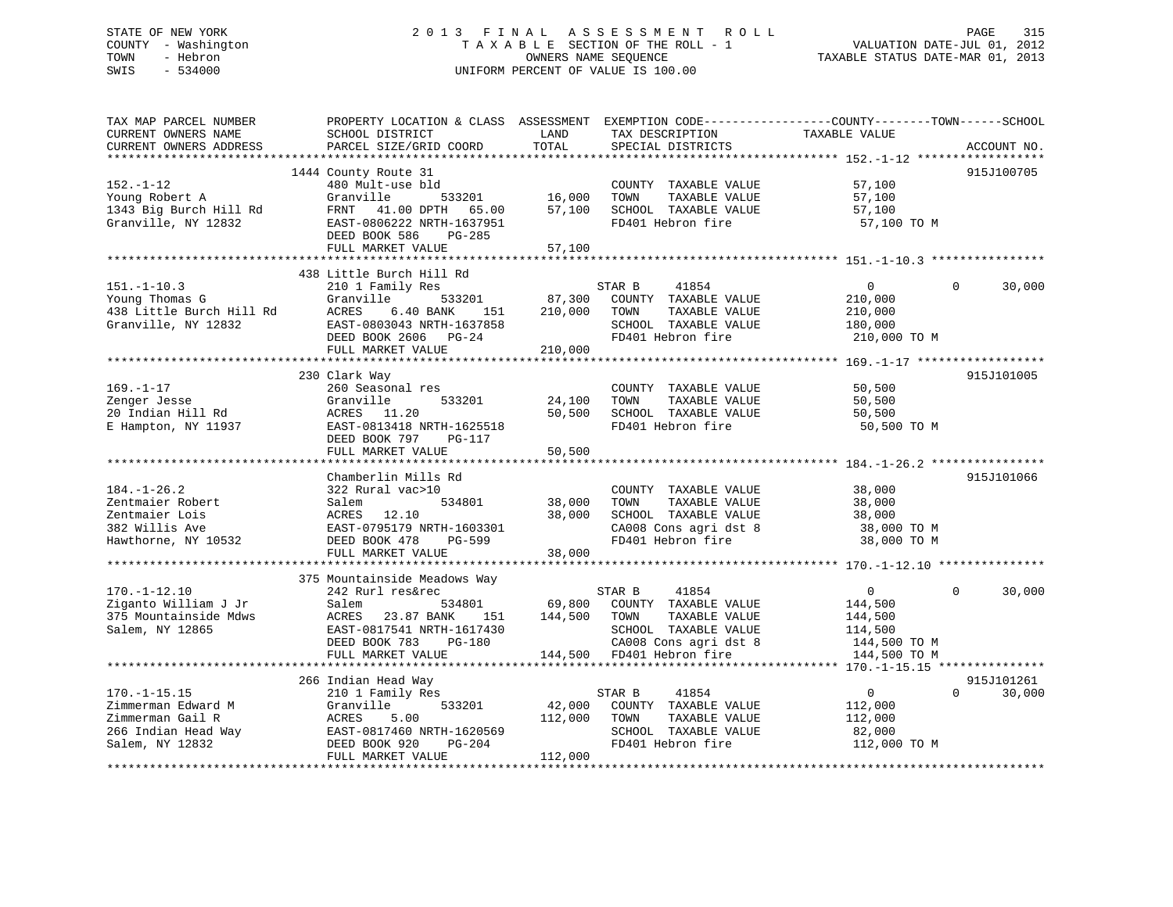# STATE OF NEW YORK 2 0 1 3 F I N A L A S S E S S M E N T R O L L PAGE 315 COUNTY - Washington T A X A B L E SECTION OF THE ROLL - 1 VALUATION DATE-JUL 01, 2012 TOWN - Hebron OWNERS NAME SEQUENCE TAXABLE STATUS DATE-MAR 01, 2013 SWIS - 534000 UNIFORM PERCENT OF VALUE IS 100.00

| SCHOOL DISTRICT<br>PARCEL SIZE/GRID COORD                                                                                                                                     | LAND<br>TOTAL                                                                                                                                              | TAX DESCRIPTION<br>SPECIAL DISTRICTS                                                                                | TAXABLE VALUE                                                                 | ACCOUNT NO.                                                  |
|-------------------------------------------------------------------------------------------------------------------------------------------------------------------------------|------------------------------------------------------------------------------------------------------------------------------------------------------------|---------------------------------------------------------------------------------------------------------------------|-------------------------------------------------------------------------------|--------------------------------------------------------------|
|                                                                                                                                                                               |                                                                                                                                                            |                                                                                                                     |                                                                               |                                                              |
| 1444 County Route 31<br>480 Mult-use bld<br>Granville<br>533201<br>FRNT<br>41.00 DPTH<br>65.00<br>EAST-0806222 NRTH-1637951<br>DEED BOOK 586<br>$PG-285$<br>FULL MARKET VALUE | 16,000<br>57,100<br>57,100                                                                                                                                 | COUNTY TAXABLE VALUE<br>TAXABLE VALUE<br>TOWN<br>SCHOOL TAXABLE VALUE<br>FD401 Hebron fire                          | 57,100<br>57,100<br>57,100<br>57,100 TO M                                     | 915J100705                                                   |
|                                                                                                                                                                               |                                                                                                                                                            |                                                                                                                     |                                                                               |                                                              |
| 210 1 Family Res<br>Granville<br>533201<br>ACRES<br>6.40 BANK<br>151<br>EAST-0803043 NRTH-1637858<br>DEED BOOK 2606<br>$PG-24$<br>FULL MARKET VALUE                           | 87,300<br>210,000<br>210,000                                                                                                                               | 41854<br>COUNTY TAXABLE VALUE<br>TAXABLE VALUE<br>TOWN<br>SCHOOL TAXABLE VALUE<br>FD401 Hebron fire                 | $\Omega$<br>210,000<br>210,000<br>180,000<br>210,000 TO M                     | $\Omega$<br>30,000                                           |
|                                                                                                                                                                               |                                                                                                                                                            |                                                                                                                     |                                                                               | 915J101005                                                   |
| 260 Seasonal res<br>Granville<br>533201<br>ACRES 11.20<br>EAST-0813418 NRTH-1625518<br>DEED BOOK 797<br><b>PG-117</b><br>FULL MARKET VALUE                                    | 24,100<br>50,500<br>50,500                                                                                                                                 | COUNTY TAXABLE VALUE<br>TOWN<br>TAXABLE VALUE<br>SCHOOL TAXABLE VALUE<br>FD401 Hebron fire                          | 50,500<br>50,500<br>50,500<br>50,500 TO M                                     |                                                              |
|                                                                                                                                                                               |                                                                                                                                                            |                                                                                                                     |                                                                               |                                                              |
| Chamberlin Mills Rd<br>322 Rural vac>10<br>534801<br>Salem<br>ACRES<br>12.10<br>EAST-0795179 NRTH-1603301<br>DEED BOOK 478<br>$PG-599$<br>FULL MARKET VALUE                   | 38,000<br>38,000<br>38,000                                                                                                                                 | COUNTY TAXABLE VALUE<br>TAXABLE VALUE<br>TOWN<br>SCHOOL TAXABLE VALUE<br>CA008 Cons agri dst 8<br>FD401 Hebron fire | 38,000<br>38,000<br>38,000<br>38,000 TO M<br>38,000 TO M                      | 915J101066                                                   |
|                                                                                                                                                                               |                                                                                                                                                            |                                                                                                                     |                                                                               |                                                              |
| 242 Rurl res&rec<br>Salem<br>534801<br>ACRES<br>23.87 BANK<br>151<br>EAST-0817541 NRTH-1617430<br>DEED BOOK 783<br>PG-180                                                     | 69,800<br>144,500                                                                                                                                          | 41854<br>COUNTY TAXABLE VALUE<br>TOWN<br>TAXABLE VALUE<br>SCHOOL TAXABLE VALUE<br>CA008 Cons agri dst 8             | $\overline{0}$<br>144,500<br>144,500<br>114,500<br>144,500 TO M               | 30,000<br>$\Omega$                                           |
| FULL MARKET VALUE                                                                                                                                                             |                                                                                                                                                            | FD401 Hebron fire                                                                                                   | 144,500 TO M                                                                  |                                                              |
|                                                                                                                                                                               |                                                                                                                                                            |                                                                                                                     |                                                                               |                                                              |
| 210 1 Family Res<br>Granville<br>533201<br>ACRES<br>5.00<br>EAST-0817460 NRTH-1620569<br>DEED BOOK 920<br><b>PG-204</b><br>FULL MARKET VALUE                                  | 42,000<br>112,000<br>112,000                                                                                                                               | 41854<br>COUNTY TAXABLE VALUE<br>TOWN<br>TAXABLE VALUE<br>SCHOOL TAXABLE VALUE<br>FD401 Hebron fire                 | $\mathbf{0}$<br>112,000<br>112,000<br>82,000<br>112,000 TO M                  | 915J101261<br>$\Omega$<br>30,000                             |
|                                                                                                                                                                               | 438 Little Burch Hill Rd<br>************************<br>230 Clark Way<br>**************************<br>375 Mountainside Meadows Way<br>266 Indian Head Way |                                                                                                                     | PROPERTY LOCATION & CLASS ASSESSMENT<br>STAR B<br>STAR B<br>144,500<br>STAR B | EXEMPTION CODE-----------------COUNTY-------TOWN------SCHOOL |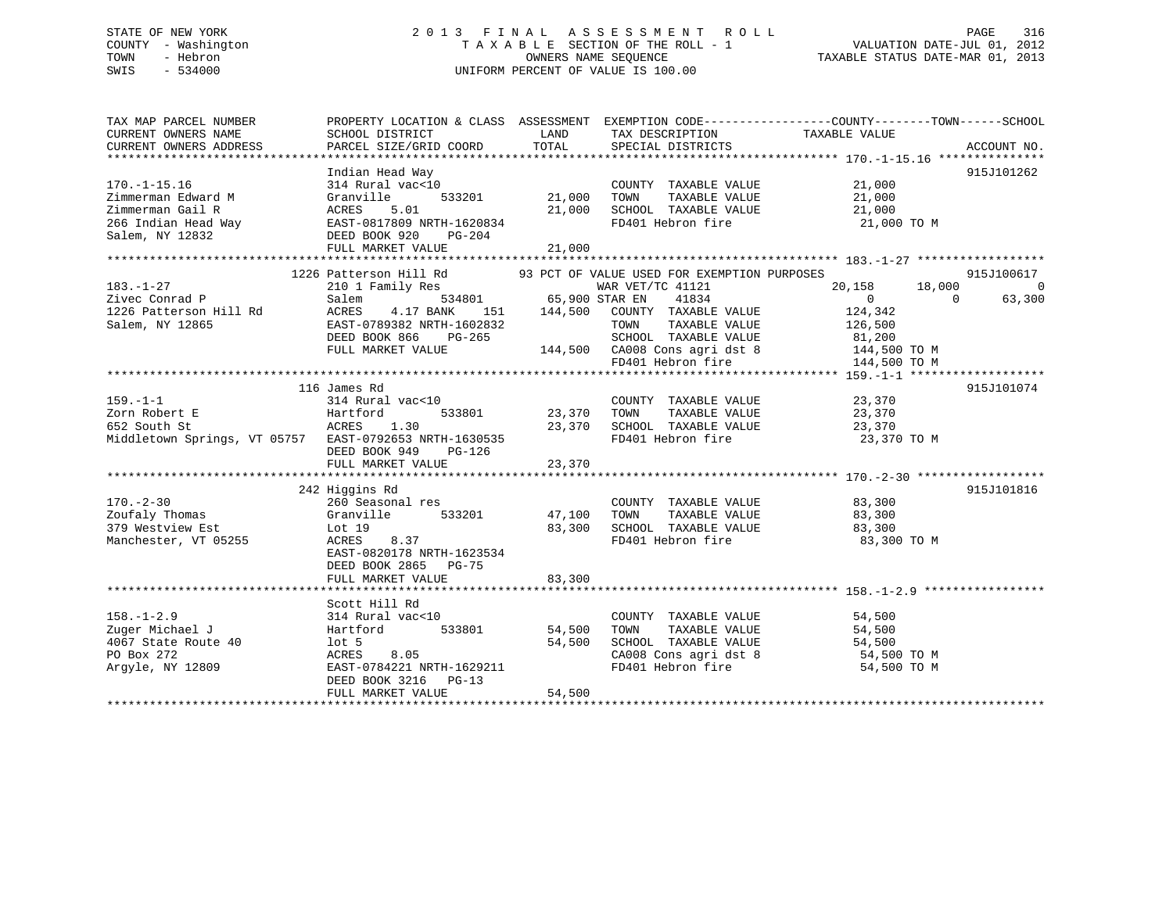# STATE OF NEW YORK 2 0 1 3 F I N A L A S S E S S M E N T R O L L PAGE 316 COUNTY - Washington T A X A B L E SECTION OF THE ROLL - 1 VALUATION DATE-JUL 01, 2012 TOWN - Hebron OWNERS NAME SEQUENCE TAXABLE STATUS DATE-MAR 01, 2013 SWIS - 534000 UNIFORM PERCENT OF VALUE IS 100.00

| TAX MAP PARCEL NUMBER<br>CURRENT OWNERS NAME<br>CURRENT OWNERS ADDRESS                                                                                                                                                              | PROPERTY LOCATION & CLASS ASSESSMENT EXEMPTION CODE----------------COUNTY-------TOWN-----SCHOOL<br>SCHOOL DISTRICT<br>PARCEL SIZE/GRID COORD | <b>LAND</b><br>TOTAL          | TAX DESCRIPTION<br>SPECIAL DISTRICTS | TAXABLE VALUE                                                     | ACCOUNT NO. |
|-------------------------------------------------------------------------------------------------------------------------------------------------------------------------------------------------------------------------------------|----------------------------------------------------------------------------------------------------------------------------------------------|-------------------------------|--------------------------------------|-------------------------------------------------------------------|-------------|
|                                                                                                                                                                                                                                     |                                                                                                                                              |                               |                                      |                                                                   |             |
|                                                                                                                                                                                                                                     | Indian Head Way                                                                                                                              |                               |                                      |                                                                   | 915J101262  |
| $170. - 1 - 15.16$                                                                                                                                                                                                                  | 314 Rural vac<10                                                                                                                             |                               | COUNTY TAXABLE VALUE                 | $\frac{21,000}{21}$                                               |             |
| Zimmerman Edward M                                                                                                                                                                                                                  | Granville                                                                                                                                    | 21,000                        | TAXABLE VALUE<br>TOWN                |                                                                   |             |
|                                                                                                                                                                                                                                     |                                                                                                                                              | 21,000                        | SCHOOL TAXABLE VALUE                 | 21,000                                                            |             |
|                                                                                                                                                                                                                                     |                                                                                                                                              |                               | FD401 Hebron fire                    | 21,000 TO M                                                       |             |
| 21,00<br>21,00<br>21,00<br>266 Indian Head Way<br>21,00<br>266 Indian Head Way<br>21,00<br>266 Indian Head Way<br>21,00<br>22.00<br>22.00<br>22.00<br>22.00<br>22.00<br>22.00<br>22.00<br>22.00<br>22.00<br>22.00<br>22.00<br>22.00 |                                                                                                                                              |                               |                                      |                                                                   |             |
|                                                                                                                                                                                                                                     |                                                                                                                                              |                               |                                      |                                                                   |             |
|                                                                                                                                                                                                                                     |                                                                                                                                              |                               |                                      |                                                                   |             |
|                                                                                                                                                                                                                                     | 1226 Patterson Hill Rd 93 PCT OF VALUE USED FOR EXEMPTION PURPOSES                                                                           |                               |                                      |                                                                   | 915J100617  |
| $183. - 1 - 27$                                                                                                                                                                                                                     | 210 1 Family Res                                                                                                                             |                               | WAR VET/TC 41121                     | 20,158 18,000                                                     | $\Omega$    |
| Zivec Conrad P                                                                                                                                                                                                                      | Salem                                                                                                                                        | $534801$ 65,900 STAR EN       | 41834                                | $\overline{0}$<br>$\Omega$                                        | 63,300      |
| 1226 Patterson Hill Rd                                                                                                                                                                                                              | ACRES<br>4.17 BANK                                                                                                                           |                               | 151 144,500 COUNTY TAXABLE VALUE     | 124,342                                                           |             |
| Salem, NY 12865                                                                                                                                                                                                                     | EAST-0789382 NRTH-1602832                                                                                                                    |                               | TAXABLE VALUE<br>TOWN                | 126,500                                                           |             |
|                                                                                                                                                                                                                                     | DEED BOOK 866<br>PG-265                                                                                                                      |                               |                                      |                                                                   |             |
|                                                                                                                                                                                                                                     |                                                                                                                                              |                               |                                      | SCHOOL TAXABLE VALUE 81,200<br>CA008 Cons agri dst 8 144,500 TO M |             |
|                                                                                                                                                                                                                                     | DEED BOOK 866 FG-205<br>FULL MARKET VALUE 144,500 CA008 Cons agri dst 8<br>FD401 Hebron fire                                                 |                               |                                      | 144,500 TO M                                                      |             |
|                                                                                                                                                                                                                                     |                                                                                                                                              |                               |                                      |                                                                   |             |
|                                                                                                                                                                                                                                     | 116 James Rd                                                                                                                                 |                               |                                      |                                                                   | 915J101074  |
| $159. - 1 - 1$                                                                                                                                                                                                                      | 314 Rural vac<10                                                                                                                             |                               | COUNTY TAXABLE VALUE 23,370          |                                                                   |             |
| Zorn Robert E                                                                                                                                                                                                                       |                                                                                                                                              | 0 COUNT<br>533801 23,370 TOWN | TAXABLE VALUE                        | 23,370                                                            |             |
| Hartford<br>ACRES<br>652 South St                                                                                                                                                                                                   | 1.30                                                                                                                                         |                               | 23,370 SCHOOL TAXABLE VALUE 23,370   |                                                                   |             |
| Middletown Springs, VT 05757 EAST-0792653 NRTH-1630535                                                                                                                                                                              |                                                                                                                                              |                               | FD401 Hebron fire                    | 23,370 TO M                                                       |             |
|                                                                                                                                                                                                                                     | DEED BOOK 949<br>PG-126                                                                                                                      |                               |                                      |                                                                   |             |
|                                                                                                                                                                                                                                     | FULL MARKET VALUE                                                                                                                            | 23,370                        |                                      |                                                                   |             |
|                                                                                                                                                                                                                                     |                                                                                                                                              |                               |                                      |                                                                   |             |
|                                                                                                                                                                                                                                     | 242 Higgins Rd                                                                                                                               |                               |                                      |                                                                   | 915J101816  |
| $170. - 2 - 30$                                                                                                                                                                                                                     | 260 Seasonal res                                                                                                                             |                               | COUNTY TAXABLE VALUE 83,300          |                                                                   |             |
| Zoufaly Thomas                                                                                                                                                                                                                      | Granville                                                                                                                                    | 533201 47,100 TOWN            | TAXABLE VALUE                        | 83,300                                                            |             |
| 379 Westview Est                                                                                                                                                                                                                    | Lot 19                                                                                                                                       |                               | 83,300 SCHOOL TAXABLE VALUE 63,300   |                                                                   |             |
| Manchester, VT 05255                                                                                                                                                                                                                | 8.37<br>ACRES                                                                                                                                |                               | FD401 Hebron fire                    | 83,300 TO M                                                       |             |
|                                                                                                                                                                                                                                     | EAST-0820178 NRTH-1623534                                                                                                                    |                               |                                      |                                                                   |             |
|                                                                                                                                                                                                                                     | DEED BOOK 2865 PG-75                                                                                                                         |                               |                                      |                                                                   |             |
|                                                                                                                                                                                                                                     | FULL MARKET VALUE                                                                                                                            | 83,300                        |                                      |                                                                   |             |
|                                                                                                                                                                                                                                     |                                                                                                                                              |                               |                                      |                                                                   |             |
|                                                                                                                                                                                                                                     | Scott Hill Rd                                                                                                                                |                               |                                      |                                                                   |             |
| $158. - 1 - 2.9$                                                                                                                                                                                                                    | 314 Rural vac<10                                                                                                                             |                               | COUNTY TAXABLE VALUE                 | 54,500                                                            |             |
| Zuger Michael J                                                                                                                                                                                                                     | 533801<br>Hartford                                                                                                                           | 54,500                        | TAXABLE VALUE<br>TOWN                | 54,500                                                            |             |
| 4067 State Route 40                                                                                                                                                                                                                 | $1$ ot 5                                                                                                                                     | 54,500                        | SCHOOL TAXABLE VALUE                 | 54,500                                                            |             |
| PO Box 272                                                                                                                                                                                                                          | ACRES<br>8.05                                                                                                                                |                               |                                      |                                                                   |             |
| Arqyle, NY 12809                                                                                                                                                                                                                    | EAST-0784221 NRTH-1629211                                                                                                                    |                               | FD401 Hebron fire                    | CA008 Cons agri dst 8 54,500 TO M<br>54,500 TO M                  |             |
|                                                                                                                                                                                                                                     | DEED BOOK 3216<br>$PG-13$                                                                                                                    |                               |                                      |                                                                   |             |
|                                                                                                                                                                                                                                     | FULL MARKET VALUE                                                                                                                            | 54,500                        |                                      |                                                                   |             |
|                                                                                                                                                                                                                                     |                                                                                                                                              |                               |                                      |                                                                   |             |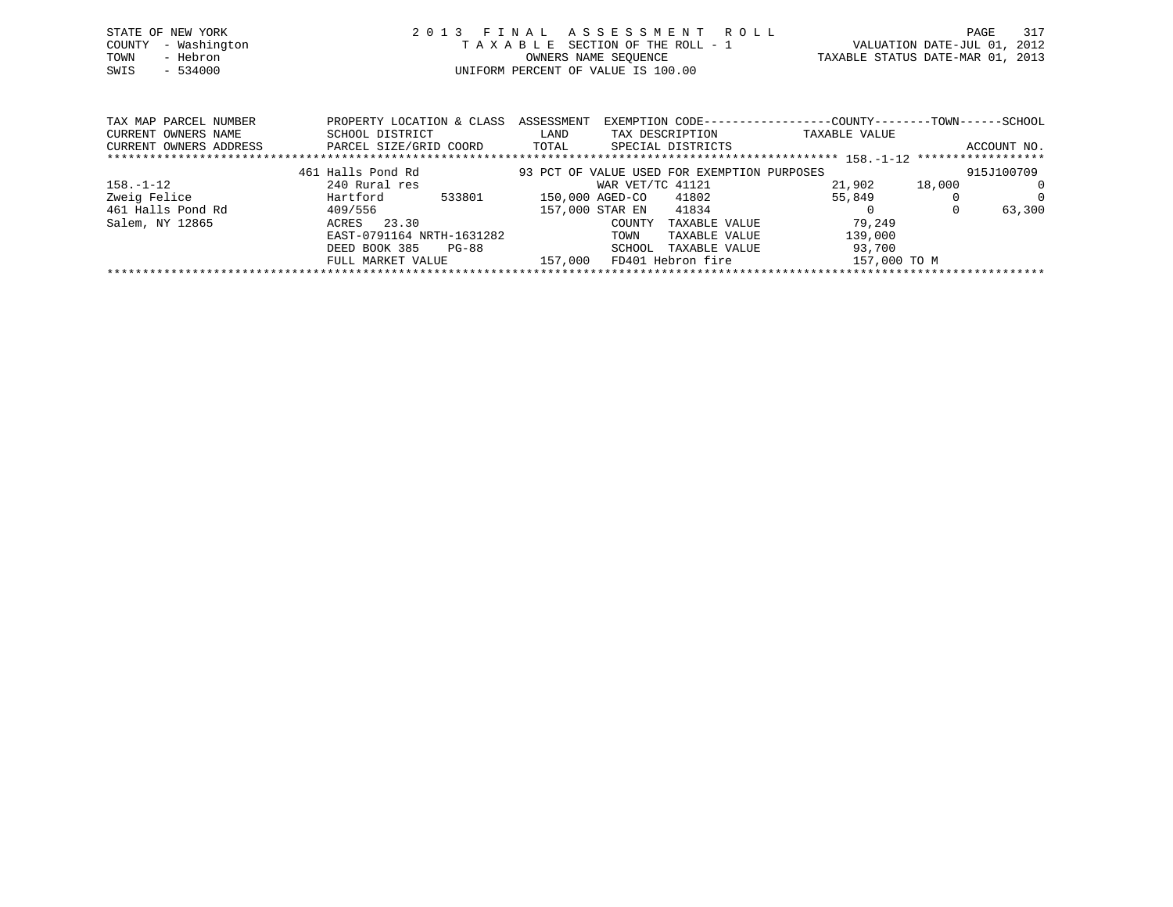| STATE OF NEW YORK   | 2013 FINAL ASSESSMENT ROLL         | PAGE                             | 317 |
|---------------------|------------------------------------|----------------------------------|-----|
| COUNTY - Washington | TAXABLE SECTION OF THE ROLL - 1    | VALUATION DATE-JUL 01, 2012      |     |
| TOWN<br>- Hebron    | OWNERS NAME SEOUENCE               | TAXABLE STATUS DATE-MAR 01, 2013 |     |
| SWIS - 534000       | UNIFORM PERCENT OF VALUE IS 100.00 |                                  |     |
|                     |                                    |                                  |     |

| TAX MAP PARCEL NUMBER  | PROPERTY LOCATION & CLASS | ASSESSMENT | EXEMPTION CODE-----------------COUNTY-------TOWN------SCHOOL |               |        |             |
|------------------------|---------------------------|------------|--------------------------------------------------------------|---------------|--------|-------------|
| CURRENT OWNERS NAME    | SCHOOL DISTRICT           | LAND       | TAX DESCRIPTION                                              | TAXABLE VALUE |        |             |
| CURRENT OWNERS ADDRESS | PARCEL SIZE/GRID COORD    | TOTAL      | SPECIAL DISTRICTS                                            |               |        | ACCOUNT NO. |
|                        |                           |            |                                                              |               |        |             |
|                        | 461 Halls Pond Rd         |            | 93 PCT OF VALUE USED FOR EXEMPTION PURPOSES                  |               |        | 915J100709  |
| $158. - 1 - 12$        | 240 Rural res             |            | WAR VET/TC 41121                                             | 21,902        | 18,000 | $\Omega$    |
| Zweig Felice           | Hartford<br>533801        |            | 41802<br>150,000 AGED-CO                                     | 55,849        |        | $\Omega$    |
| 461 Halls Pond Rd      | 409/556                   |            | 157,000 STAR EN<br>41834                                     |               |        | 63,300      |
| Salem, NY 12865        | 23.30<br>ACRES            |            | TAXABLE VALUE<br>COUNTY                                      | 79,249        |        |             |
|                        | EAST-0791164 NRTH-1631282 |            | TAXABLE VALUE<br>TOWN                                        | 139,000       |        |             |
|                        | DEED BOOK 385<br>PG-88    |            | SCHOOL<br>TAXABLE VALUE                                      | 93,700        |        |             |
|                        | FULL MARKET VALUE         | 157,000    | FD401 Hebron fire                                            | 157,000 TO M  |        |             |
|                        |                           |            |                                                              |               |        |             |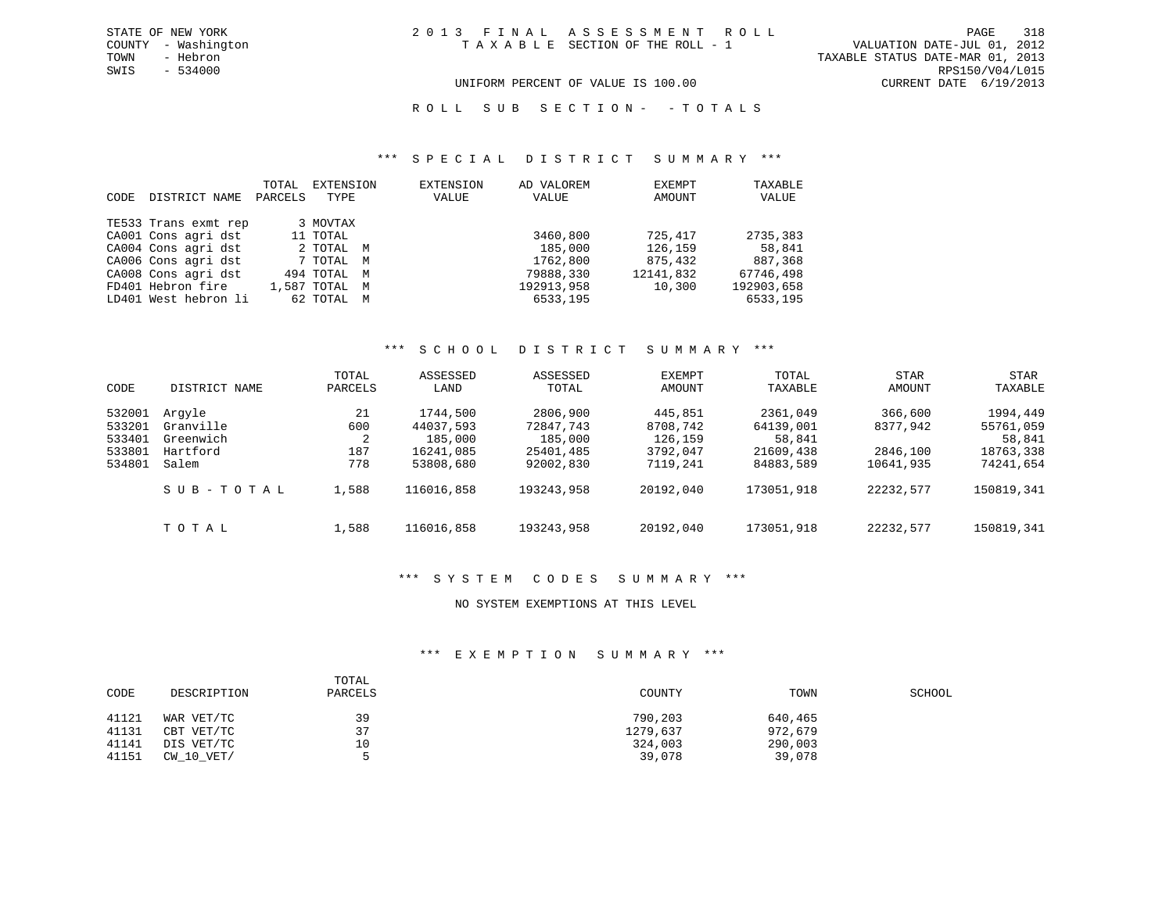VALUATION DATE-JUL 01, 2012 TOWN - Hebron TAXABLE STATUS DATE-MAR 01, 2013 SWIS - 534000 RPS150/V04/L015 UNIFORM PERCENT OF VALUE IS 100.00 CURRENT DATE 6/19/2013

ROLL SUB SECTION - - TOTALS

#### \*\*\* S P E C I A L D I S T R I C T S U M M A R Y \*\*\*

| CODE | DISTRICT NAME        | TOTAL<br>PARCELS | EXTENSION<br>TYPE | EXTENSION<br>VALUE | AD VALOREM<br>VALUE | EXEMPT<br>AMOUNT | TAXABLE<br>VALUE |
|------|----------------------|------------------|-------------------|--------------------|---------------------|------------------|------------------|
|      | TE533 Trans exmt rep |                  | 3 MOVTAX          |                    |                     |                  |                  |
|      | CA001 Cons agri dst  |                  | 11 TOTAL          |                    | 3460,800            | 725,417          | 2735,383         |
|      | CA004 Cons agri dst  |                  | 2 TOTAL M         |                    | 185,000             | 126,159          | 58,841           |
|      | CA006 Cons agri dst  |                  | 7 TOTAL M         |                    | 1762,800            | 875,432          | 887,368          |
|      | CA008 Cons agri dst  |                  | 494 TOTAL M       |                    | 79888,330           | 12141,832        | 67746,498        |
|      | FD401 Hebron fire    |                  | 1,587 TOTAL M     |                    | 192913,958          | 10,300           | 192903,658       |
|      | LD401 West hebron li |                  | 62 TOTAL M        |                    | 6533,195            |                  | 6533,195         |

### \*\*\* S C H O O L D I S T R I C T S U M M A R Y \*\*\*

| CODE                                           | DISTRICT NAME                                         | TOTAL<br>PARCELS             | ASSESSED<br>LAND                                           | ASSESSED<br>TOTAL                                          | EXEMPT<br>AMOUNT                                       | TOTAL<br>TAXABLE                                          | <b>STAR</b><br>AMOUNT                        | <b>STAR</b><br>TAXABLE                                    |
|------------------------------------------------|-------------------------------------------------------|------------------------------|------------------------------------------------------------|------------------------------------------------------------|--------------------------------------------------------|-----------------------------------------------------------|----------------------------------------------|-----------------------------------------------------------|
| 532001<br>533201<br>533401<br>533801<br>534801 | Arqyle<br>Granville<br>Greenwich<br>Hartford<br>Salem | 21<br>600<br>2<br>187<br>778 | 1744,500<br>44037,593<br>185,000<br>16241,085<br>53808,680 | 2806,900<br>72847.743<br>185,000<br>25401,485<br>92002,830 | 445,851<br>8708,742<br>126,159<br>3792,047<br>7119,241 | 2361,049<br>64139,001<br>58,841<br>21609,438<br>84883,589 | 366,600<br>8377,942<br>2846,100<br>10641,935 | 1994,449<br>55761,059<br>58,841<br>18763,338<br>74241,654 |
|                                                | SUB-TOTAL                                             | 1,588                        | 116016,858                                                 | 193243,958                                                 | 20192,040                                              | 173051,918                                                | 22232,577                                    | 150819,341                                                |
|                                                | TOTAL                                                 | 1,588                        | 116016,858                                                 | 193243,958                                                 | 20192,040                                              | 173051,918                                                | 22232,577                                    | 150819,341                                                |

### \*\*\* S Y S T E M C O D E S S U M M A R Y \*\*\*

### NO SYSTEM EXEMPTIONS AT THIS LEVEL

### \*\*\* E X E M P T I O N S U M M A R Y \*\*\*

| CODE  | DESCRIPTION | TOTAL<br>PARCELS | COUNTY   | TOWN    | SCHOOL |
|-------|-------------|------------------|----------|---------|--------|
| 41121 | WAR VET/TC  | 39               | 790,203  | 640,465 |        |
| 41131 | CBT VET/TC  | 37               | 1279,637 | 972,679 |        |
| 41141 | DIS VET/TC  | 10               | 324,003  | 290,003 |        |
| 41151 | CW 10 VET/  |                  | 39,078   | 39,078  |        |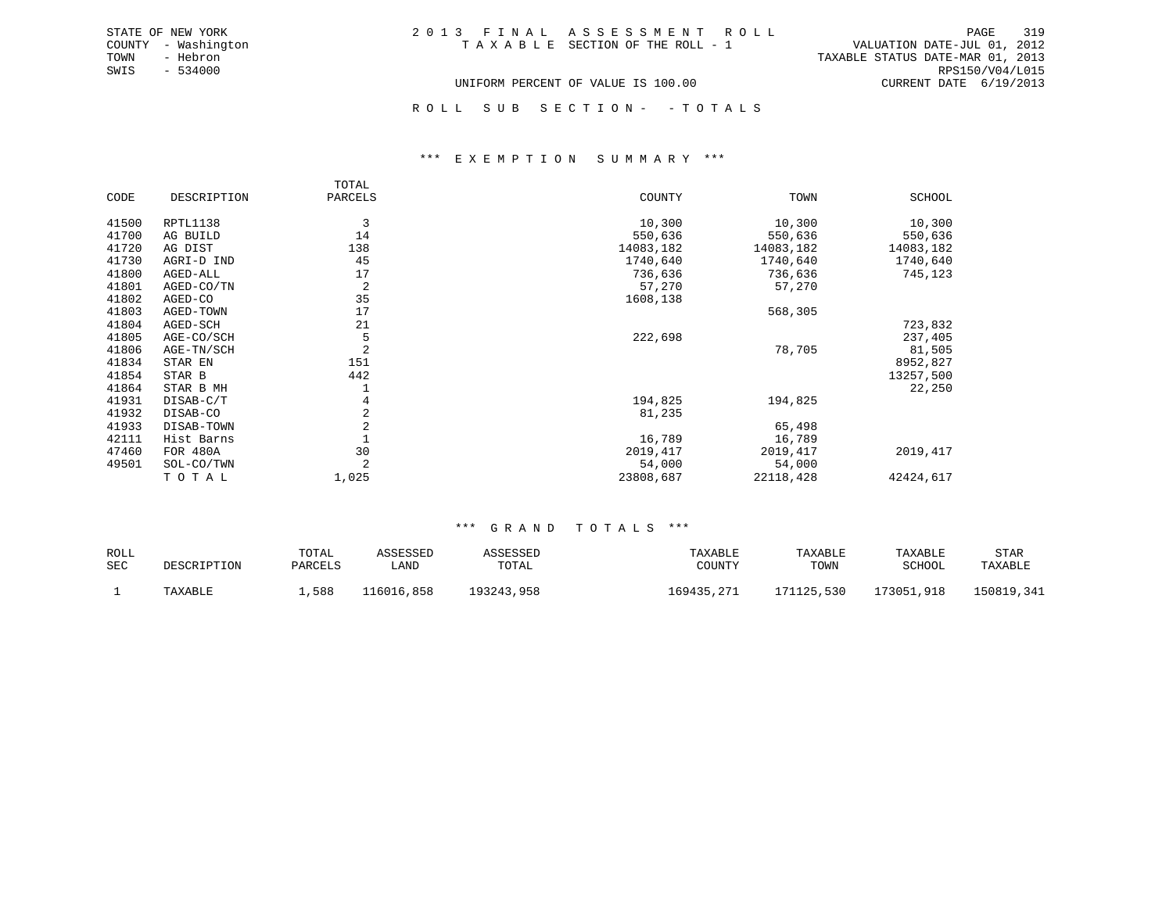| 2013 FINAL ASSESSMENT ROLL         |  |                                  |                        | PAGE | 319 |
|------------------------------------|--|----------------------------------|------------------------|------|-----|
| TAXABLE SECTION OF THE ROLL - 1    |  | VALUATION DATE-JUL 01, 2012      |                        |      |     |
|                                    |  | TAXABLE STATUS DATE-MAR 01, 2013 |                        |      |     |
|                                    |  |                                  | RPS150/V04/L015        |      |     |
| UNIFORM PERCENT OF VALUE IS 100.00 |  |                                  | CURRENT DATE 6/19/2013 |      |     |

STATE OF NEW YORK COUNTY - Washington TOWN - Hebron SWIS - 534000

ROLL SUB SECTION - - TOTALS

#### \*\*\* E X E M P T I O N S U M M A R Y \*\*\*

|       |             | TOTAL   |           |           |           |
|-------|-------------|---------|-----------|-----------|-----------|
| CODE  | DESCRIPTION | PARCELS | COUNTY    | TOWN      | SCHOOL    |
| 41500 | RPTL1138    | 3       | 10,300    | 10,300    | 10,300    |
| 41700 | AG BUILD    | 14      | 550,636   | 550,636   | 550,636   |
| 41720 | AG DIST     | 138     | 14083,182 | 14083,182 | 14083,182 |
| 41730 | AGRI-D IND  | 45      | 1740,640  | 1740,640  | 1740,640  |
| 41800 | AGED-ALL    | 17      | 736,636   | 736,636   | 745,123   |
| 41801 | AGED-CO/TN  | 2       | 57,270    | 57,270    |           |
| 41802 | AGED-CO     | 35      | 1608,138  |           |           |
| 41803 | AGED-TOWN   | 17      |           | 568,305   |           |
| 41804 | AGED-SCH    | 21      |           |           | 723,832   |
| 41805 | AGE-CO/SCH  | 5       | 222,698   |           | 237,405   |
| 41806 | AGE-TN/SCH  | 2       |           | 78,705    | 81,505    |
| 41834 | STAR EN     | 151     |           |           | 8952,827  |
| 41854 | STAR B      | 442     |           |           | 13257,500 |
| 41864 | STAR B MH   |         |           |           | 22,250    |
| 41931 | DISAB-C/T   | 4       | 194,825   | 194,825   |           |
| 41932 | DISAB-CO    | 2       | 81,235    |           |           |
| 41933 | DISAB-TOWN  | 2       |           | 65,498    |           |
| 42111 | Hist Barns  |         | 16,789    | 16,789    |           |
| 47460 | FOR 480A    | 30      | 2019, 417 | 2019,417  | 2019, 417 |
| 49501 | SOL-CO/TWN  | 2       | 54,000    | 54,000    |           |
|       | TOTAL       | 1,025   | 23808,687 | 22118,428 | 42424,617 |

| ROLL |             | TOTAL   | ASSESSED   | ASSESSED   | TAXABLE    | TAXABLE    | TAXABLE    | STAR       |
|------|-------------|---------|------------|------------|------------|------------|------------|------------|
| SEC  | DESCRIPTION | PARCELS | úAND       | TOTAL      | COUNTY     | TOWN       | SCHOOL     | TAXABLE    |
|      | TAXABLE     | 1,588   | 116016,858 | 193243,958 | 169435,271 | 171125,530 | 173051,918 | 150819,341 |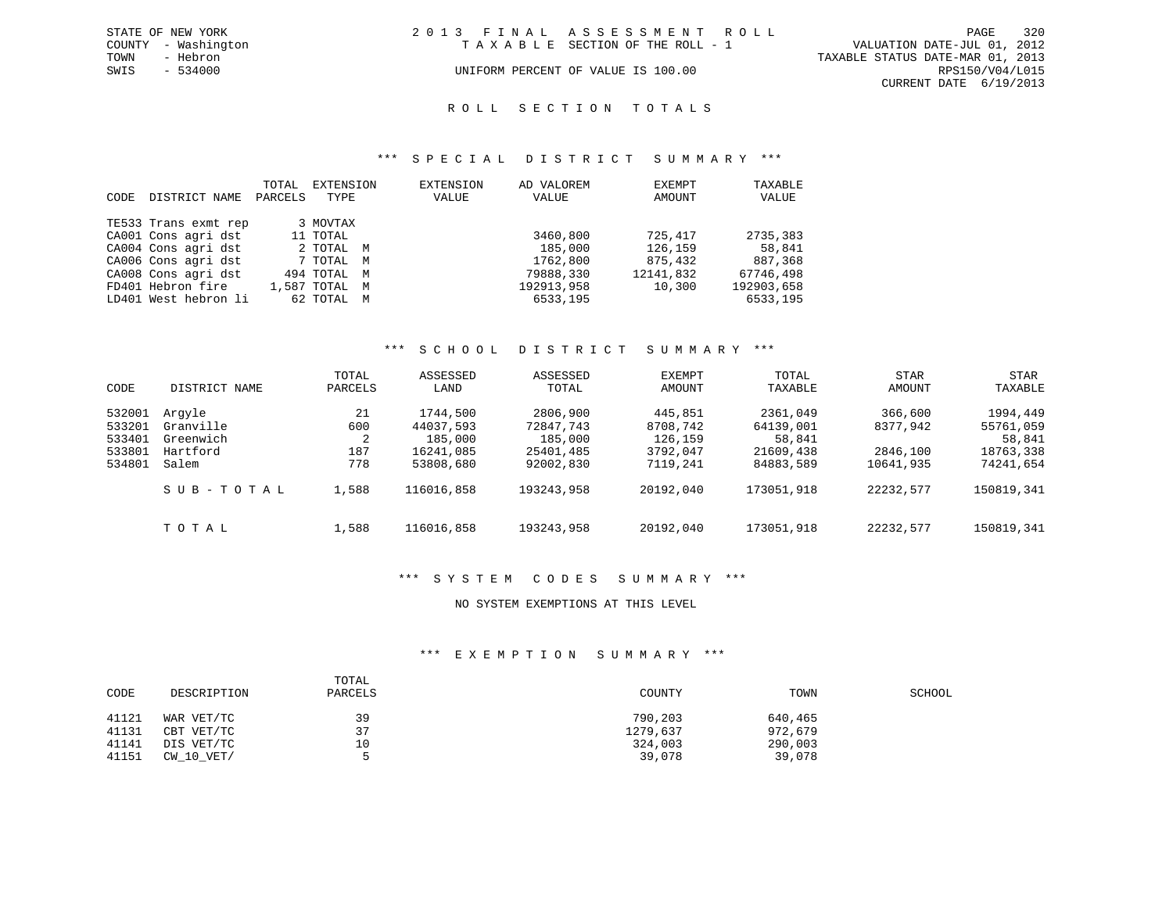|      | STATE OF NEW YORK   | 2013 FINAL ASSESSMENT ROLL                                     | PAGE                   | 320 |
|------|---------------------|----------------------------------------------------------------|------------------------|-----|
|      | COUNTY - Washington | VALUATION DATE-JUL 01, 2012<br>TAXABLE SECTION OF THE ROLL - 1 |                        |     |
| TOWN | - Hebron            | TAXABLE STATUS DATE-MAR 01, 2013                               |                        |     |
| SWIS | - 534000            | UNIFORM PERCENT OF VALUE IS 100.00                             | RPS150/V04/L015        |     |
|      |                     |                                                                | CURRENT DATE 6/19/2013 |     |

#### R O L L S E C T I O N T O T A L S

### \*\*\* S P E C I A L D I S T R I C T S U M M A R Y \*\*\*

| CODE | DISTRICT NAME        | TOTAL<br>PARCELS | EXTENSION<br>TYPE | EXTENSION<br>VALUE | AD VALOREM<br>VALUE | EXEMPT<br>AMOUNT | TAXABLE<br>VALUE |
|------|----------------------|------------------|-------------------|--------------------|---------------------|------------------|------------------|
|      | TE533 Trans exmt rep |                  | 3 MOVTAX          |                    |                     |                  |                  |
|      | CA001 Cons agri dst  |                  | 11 TOTAL          |                    | 3460,800            | 725,417          | 2735,383         |
|      | CA004 Cons agri dst  |                  | 2 TOTAL M         |                    | 185,000             | 126,159          | 58,841           |
|      | CA006 Cons agri dst  |                  | 7 TOTAL M         |                    | 1762,800            | 875,432          | 887,368          |
|      | CA008 Cons agri dst  |                  | 494 TOTAL M       |                    | 79888,330           | 12141,832        | 67746,498        |
|      | FD401 Hebron fire    |                  | 1,587 TOTAL M     |                    | 192913,958          | 10,300           | 192903,658       |
|      | LD401 West hebron li |                  | 62 TOTAL M        |                    | 6533,195            |                  | 6533,195         |

### \*\*\* S C H O O L D I S T R I C T S U M M A R Y \*\*\*

| CODE                                           | DISTRICT NAME                                         | TOTAL<br>PARCELS             | ASSESSED<br>LAND                                           | ASSESSED<br>TOTAL                                          | <b>EXEMPT</b><br>AMOUNT                                | TOTAL<br>TAXABLE                                          | STAR<br>AMOUNT                               | STAR<br>TAXABLE                                           |
|------------------------------------------------|-------------------------------------------------------|------------------------------|------------------------------------------------------------|------------------------------------------------------------|--------------------------------------------------------|-----------------------------------------------------------|----------------------------------------------|-----------------------------------------------------------|
| 532001<br>533201<br>533401<br>533801<br>534801 | Arqvle<br>Granville<br>Greenwich<br>Hartford<br>Salem | 21<br>600<br>2<br>187<br>778 | 1744,500<br>44037,593<br>185,000<br>16241,085<br>53808,680 | 2806,900<br>72847.743<br>185,000<br>25401,485<br>92002,830 | 445,851<br>8708,742<br>126,159<br>3792,047<br>7119,241 | 2361,049<br>64139,001<br>58,841<br>21609,438<br>84883,589 | 366,600<br>8377,942<br>2846,100<br>10641,935 | 1994,449<br>55761,059<br>58,841<br>18763,338<br>74241,654 |
|                                                | SUB-TOTAL                                             | 1,588                        | 116016,858                                                 | 193243,958                                                 | 20192,040                                              | 173051,918                                                | 22232,577                                    | 150819,341                                                |
|                                                | TOTAL                                                 | 1,588                        | 116016,858                                                 | 193243,958                                                 | 20192,040                                              | 173051,918                                                | 22232,577                                    | 150819,341                                                |

### \*\*\* S Y S T E M C O D E S S U M M A R Y \*\*\*

### NO SYSTEM EXEMPTIONS AT THIS LEVEL

### \*\*\* E X E M P T I O N S U M M A R Y \*\*\*

| CODE  | DESCRIPTION | TOTAL<br>PARCELS | COUNTY   | TOWN    | SCHOOL |
|-------|-------------|------------------|----------|---------|--------|
| 41121 | WAR VET/TC  | 39               | 790,203  | 640,465 |        |
| 41131 | CBT VET/TC  | 37               | 1279,637 | 972,679 |        |
| 41141 | DIS VET/TC  | 10               | 324,003  | 290,003 |        |
| 41151 | CW 10 VET/  |                  | 39,078   | 39,078  |        |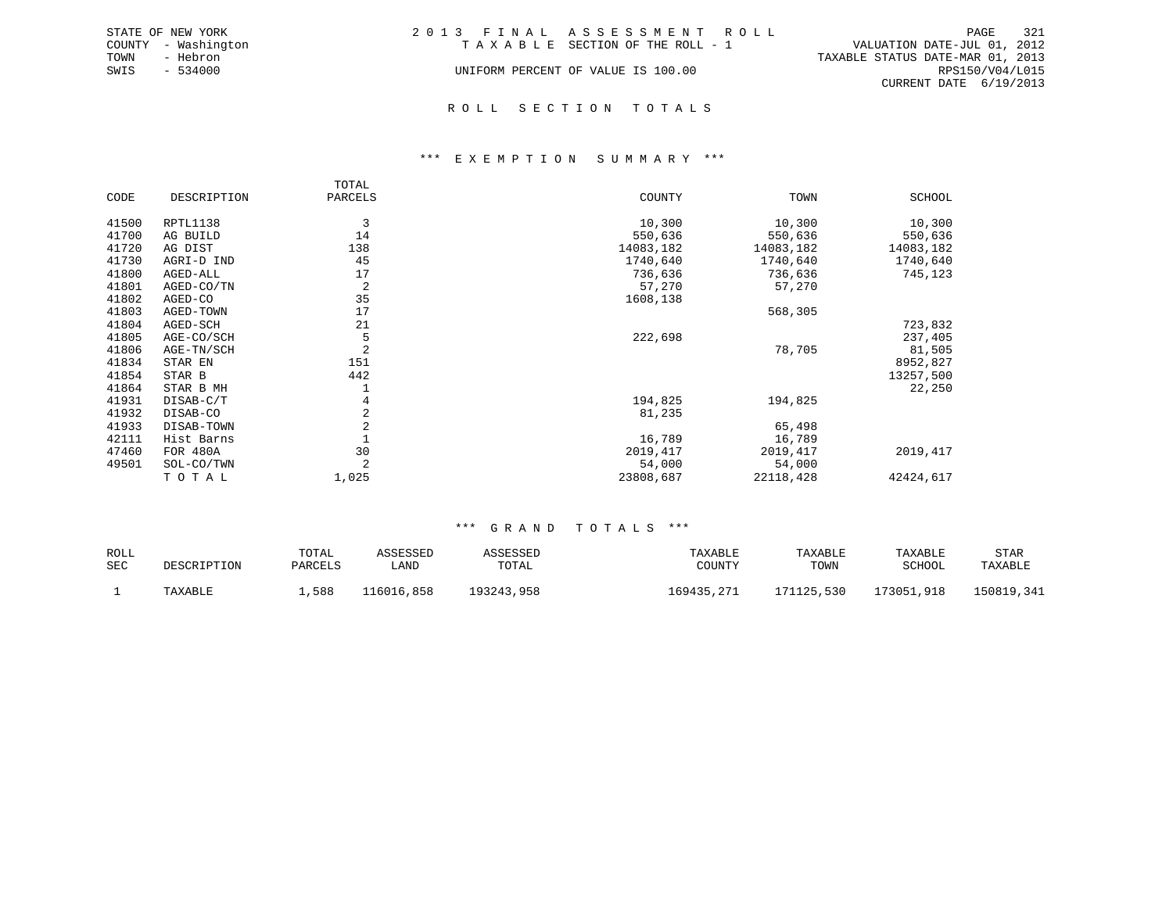|      | STATE OF NEW YORK   | 2013 FINAL ASSESSMENT ROLL |                                    |                                  |                        | PAGE | 321 |
|------|---------------------|----------------------------|------------------------------------|----------------------------------|------------------------|------|-----|
|      | COUNTY - Washington |                            | TAXABLE SECTION OF THE ROLL - 1    | VALUATION DATE-JUL 01, 2012      |                        |      |     |
| TOWN | - Hebron            |                            |                                    | TAXABLE STATUS DATE-MAR 01, 2013 |                        |      |     |
| SWIS | $-534000$           |                            | UNIFORM PERCENT OF VALUE IS 100.00 |                                  | RPS150/V04/L015        |      |     |
|      |                     |                            |                                    |                                  | CURRENT DATE 6/19/2013 |      |     |
|      |                     |                            |                                    |                                  |                        |      |     |

### R O L L S E C T I O N T O T A L S

### \*\*\* E X E M P T I O N S U M M A R Y \*\*\*

|       |             | TOTAL          |           |           |           |
|-------|-------------|----------------|-----------|-----------|-----------|
| CODE  | DESCRIPTION | PARCELS        | COUNTY    | TOWN      | SCHOOL    |
| 41500 | RPTL1138    | 3              | 10,300    | 10,300    | 10,300    |
| 41700 | AG BUILD    | 14             | 550,636   | 550,636   | 550,636   |
| 41720 | AG DIST     | 138            | 14083,182 | 14083,182 | 14083,182 |
| 41730 | AGRI-D IND  | 45             | 1740,640  | 1740,640  | 1740,640  |
| 41800 | AGED-ALL    | 17             | 736,636   | 736,636   | 745,123   |
| 41801 | AGED-CO/TN  | 2              | 57,270    | 57,270    |           |
| 41802 | AGED-CO     | 35             | 1608,138  |           |           |
| 41803 | AGED-TOWN   | 17             |           | 568,305   |           |
| 41804 | AGED-SCH    | 21             |           |           | 723,832   |
| 41805 | AGE-CO/SCH  | 5              | 222,698   |           | 237,405   |
| 41806 | AGE-TN/SCH  | 2              |           | 78,705    | 81,505    |
| 41834 | STAR EN     | 151            |           |           | 8952,827  |
| 41854 | STAR B      | 442            |           |           | 13257,500 |
| 41864 | STAR B MH   |                |           |           | 22,250    |
| 41931 | DISAB-C/T   | 4              | 194,825   | 194,825   |           |
| 41932 | DISAB-CO    | 2              | 81,235    |           |           |
| 41933 | DISAB-TOWN  | $\overline{2}$ |           | 65,498    |           |
| 42111 | Hist Barns  |                | 16,789    | 16,789    |           |
| 47460 | FOR 480A    | 30             | 2019, 417 | 2019,417  | 2019, 417 |
| 49501 | SOL-CO/TWN  |                | 54,000    | 54,000    |           |
|       | TOTAL       | 1,025          | 23808,687 | 22118,428 | 42424,617 |

| ROLL |             | TOTAL   | ASSESSED   | ASSESSED   | TAXABLE    | TAXABLE    | TAXABLE    | STAR       |
|------|-------------|---------|------------|------------|------------|------------|------------|------------|
| SEC  | DESCRIPTION | PARCELS | 'JAND      | TOTAL      | COUNTY     | TOWN       | SCHOOL     | TAXABLE    |
|      | TAXABLE     | 588     | 116016,858 | 193243,958 | 169435.271 | 171125,530 | 173051,918 | 150819,341 |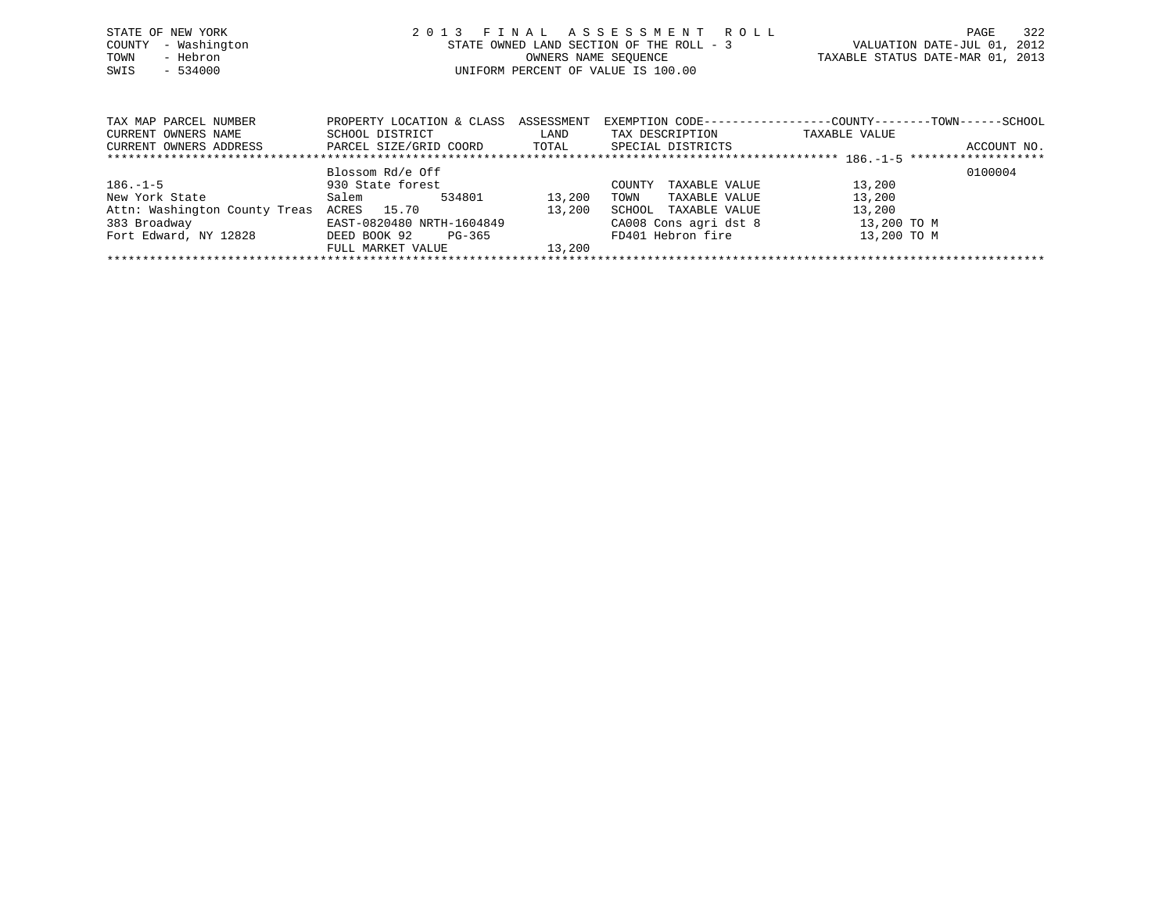| STATE OF NEW YORK   | 2013 FINAL ASSESSMENT ROLL               | 322<br>PAGE                      |
|---------------------|------------------------------------------|----------------------------------|
| COUNTY - Washington | STATE OWNED LAND SECTION OF THE ROLL - 3 | VALUATION DATE-JUL 01, 2012      |
| - Hebron<br>TOWN    | OWNERS NAME SEOUENCE                     | TAXABLE STATUS DATE-MAR 01, 2013 |
| $-534000$<br>SWIS   | UNIFORM PERCENT OF VALUE IS 100.00       |                                  |
|                     |                                          |                                  |

| TAX MAP PARCEL NUMBER         | ASSESSMENT<br>PROPERTY LOCATION & CLASS |        | EXEMPTION CODE-----------------COUNTY-------TOWN------SCHOOL |               |             |  |  |  |  |  |  |  |
|-------------------------------|-----------------------------------------|--------|--------------------------------------------------------------|---------------|-------------|--|--|--|--|--|--|--|
| CURRENT OWNERS NAME           | SCHOOL DISTRICT                         | LAND   | TAX DESCRIPTION                                              | TAXABLE VALUE |             |  |  |  |  |  |  |  |
| CURRENT OWNERS ADDRESS        | PARCEL SIZE/GRID COORD                  | TOTAL  | SPECIAL DISTRICTS                                            |               | ACCOUNT NO. |  |  |  |  |  |  |  |
|                               |                                         |        |                                                              |               |             |  |  |  |  |  |  |  |
|                               | Blossom Rd/e Off                        |        |                                                              |               | 0100004     |  |  |  |  |  |  |  |
| $186. - 1 - 5$                | 930 State forest                        |        | TAXABLE VALUE<br>COUNTY                                      | 13,200        |             |  |  |  |  |  |  |  |
| New York State                | 534801<br>Salem                         | 13,200 | TAXABLE VALUE<br>TOWN                                        | 13,200        |             |  |  |  |  |  |  |  |
| Attn: Washington County Treas | ACRES 15.70                             | 13,200 | TAXABLE VALUE<br>SCHOOL                                      | 13,200        |             |  |  |  |  |  |  |  |
| 383 Broadway                  | EAST-0820480 NRTH-1604849               |        | CA008 Cons agri dst 8                                        | 13,200 TO M   |             |  |  |  |  |  |  |  |
| Fort Edward, NY 12828         | DEED BOOK 92<br>PG-365                  |        | FD401 Hebron fire                                            | 13,200 TO M   |             |  |  |  |  |  |  |  |
|                               | FULL MARKET VALUE                       | 13,200 |                                                              |               |             |  |  |  |  |  |  |  |
|                               |                                         |        |                                                              |               |             |  |  |  |  |  |  |  |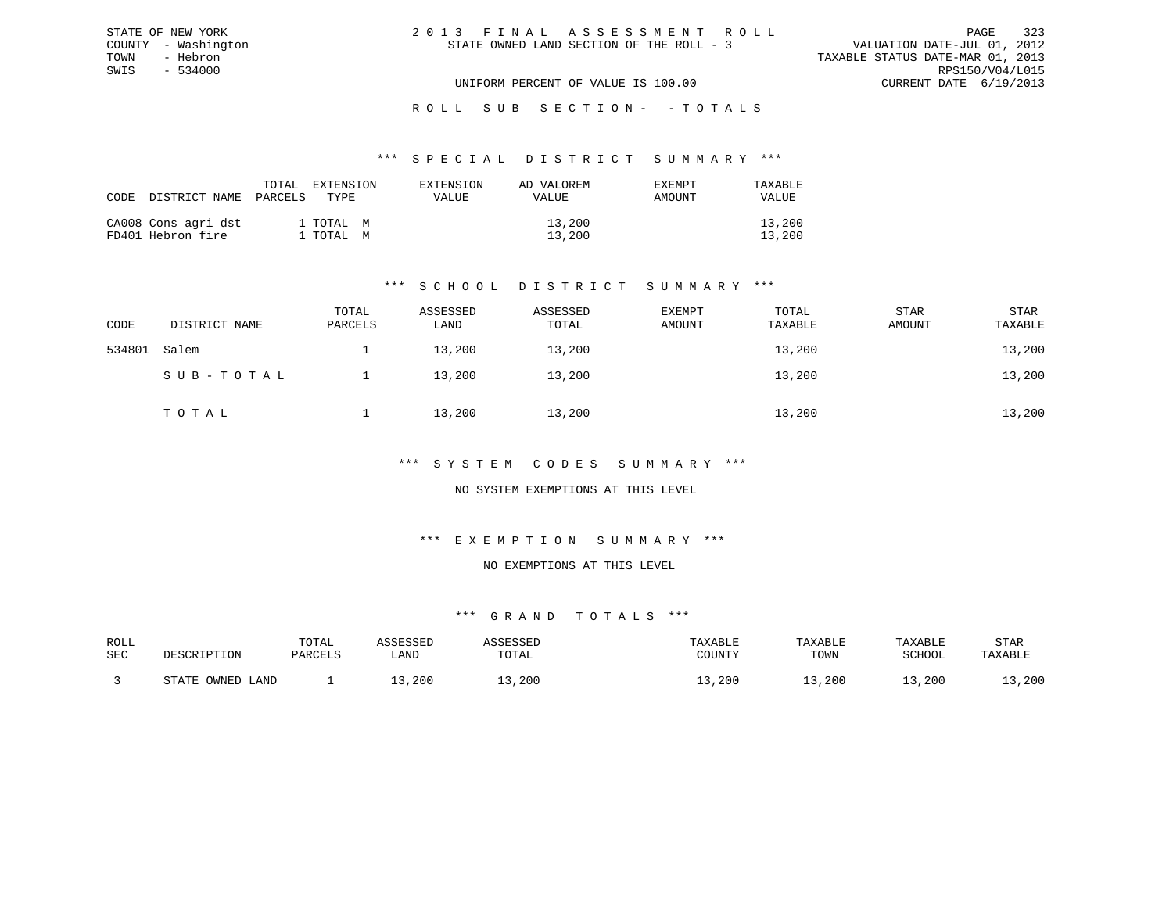| 2013 FINAL ASSESSMENT ROLL               | 323<br>PAGE                      |
|------------------------------------------|----------------------------------|
| STATE OWNED LAND SECTION OF THE ROLL - 3 | VALUATION DATE-JUL 01, 2012      |
|                                          | TAXABLE STATUS DATE-MAR 01, 2013 |
|                                          | RPS150/V04/L015                  |
| UNIFORM PERCENT OF VALUE IS 100.00       | CURRENT DATE 6/19/2013           |

ROLL SUB SECTION - - TOTALS

#### \*\*\* S P E C I A L D I S T R I C T S U M M A R Y \*\*\*

| CODE | DISTRICT NAME                            | TOTAL<br>PARCELS | EXTENSION<br>TYPE.     | EXTENSION<br><b>VALUE</b> | AD VALOREM<br><b>VALUE</b> | EXEMPT<br>AMOUNT | TAXARLE<br>VALUE |
|------|------------------------------------------|------------------|------------------------|---------------------------|----------------------------|------------------|------------------|
|      | CA008 Cons agri dst<br>FD401 Hebron fire |                  | 1 TOTAL M<br>1 TOTAL M |                           | 13,200<br>13,200           |                  | 13,200<br>13,200 |

STATE OF NEW YORK COUNTY - Washington TOWN - Hebron SWIS - 534000

### \*\*\* S C H O O L D I S T R I C T S U M M A R Y \*\*\*

| CODE   | DISTRICT NAME | TOTAL<br>PARCELS | ASSESSED<br>LAND | ASSESSED<br>TOTAL | EXEMPT<br>AMOUNT | TOTAL<br>TAXABLE | STAR<br>AMOUNT | STAR<br>TAXABLE |
|--------|---------------|------------------|------------------|-------------------|------------------|------------------|----------------|-----------------|
| 534801 | Salem         |                  | 13,200           | 13,200            |                  | 13,200           |                | 13,200          |
|        | SUB-TOTAL     |                  | 13,200           | 13,200            |                  | 13,200           |                | 13,200          |
|        | TOTAL         |                  | 13,200           | 13,200            |                  | 13,200           |                | 13,200          |

### \*\*\* S Y S T E M C O D E S S U M M A R Y \*\*\*

### NO SYSTEM EXEMPTIONS AT THIS LEVEL

### \*\*\* E X E M P T I O N S U M M A R Y \*\*\*

#### NO EXEMPTIONS AT THIS LEVEL

| ROLL |                      | TOTAL   | .ccrccrr |       | TAXABLE | TAXABLE | TAXABLE | STAR    |
|------|----------------------|---------|----------|-------|---------|---------|---------|---------|
| SEC  | DESCRIPTION          | PARCELS | ∟AND     | TOTAL | COUNTY  | TOWN    | SCHOOL  | TAXABLE |
|      | OWNED<br>CDR<br>LAND |         | ,200     | ,200  | , 200   | ⊥3,200  | 13,200  | , 200   |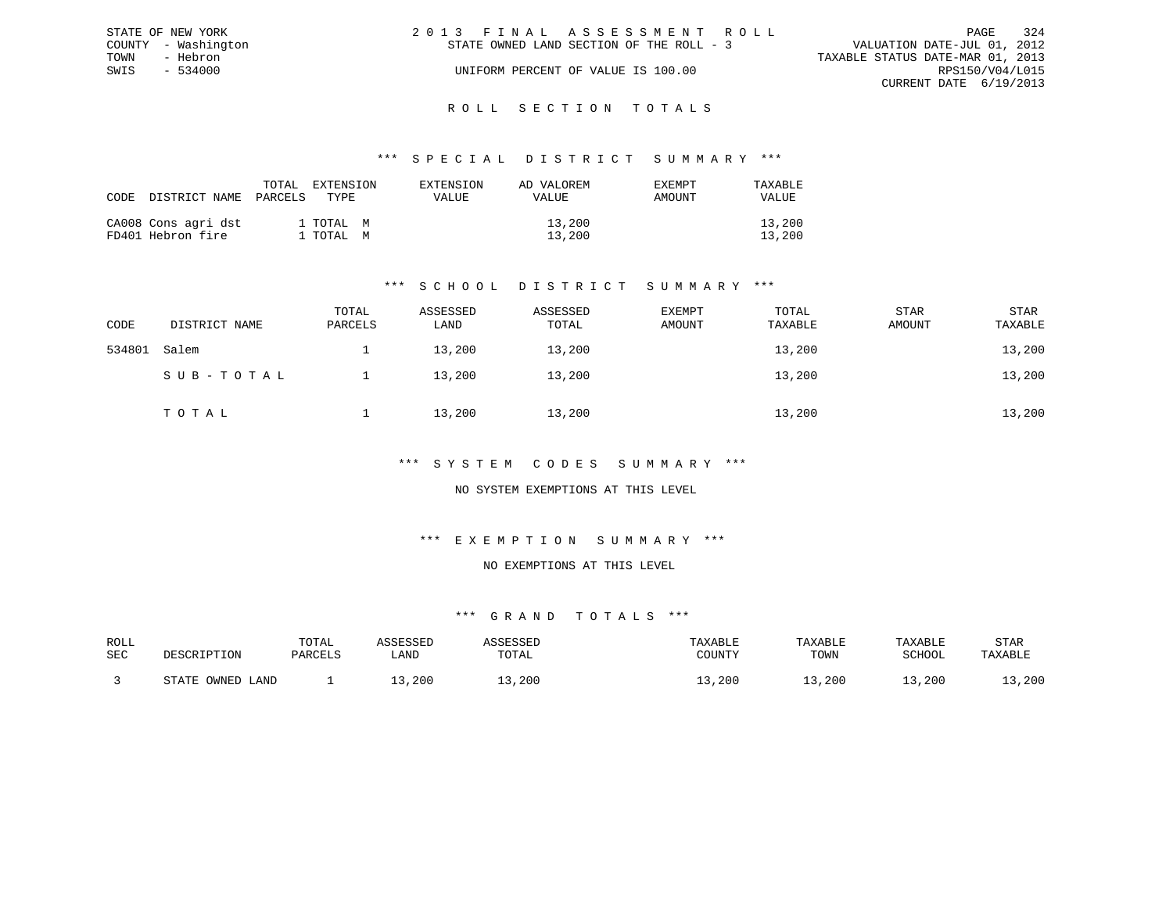|      | STATE OF NEW YORK   | 2013 FINAL ASSESSMENT ROLL               |                                  | PAGE                   | 324 |
|------|---------------------|------------------------------------------|----------------------------------|------------------------|-----|
|      | COUNTY - Washington | STATE OWNED LAND SECTION OF THE ROLL - 3 | VALUATION DATE-JUL 01, 2012      |                        |     |
| TOWN | - Hebron            |                                          | TAXABLE STATUS DATE-MAR 01, 2013 |                        |     |
| SWIS | $-534000$           | UNIFORM PERCENT OF VALUE IS 100.00       |                                  | RPS150/V04/L015        |     |
|      |                     |                                          |                                  | CURRENT DATE 6/19/2013 |     |
|      |                     |                                          |                                  |                        |     |

### R O L L S E C T I O N T O T A L S

### \*\*\* S P E C I A L D I S T R I C T S U M M A R Y \*\*\*

| CODE DISTRICT NAME                       | TOTAL<br>PARCELS | EXTENSION<br>TYPE.     | EXTENSION<br>VALUE | AD VALOREM<br>VALUE | <b>EXEMPT</b><br>AMOUNT | TAXABLE<br>VALUE |
|------------------------------------------|------------------|------------------------|--------------------|---------------------|-------------------------|------------------|
| CA008 Cons agri dst<br>FD401 Hebron fire |                  | 1 TOTAL M<br>1 TOTAL M |                    | 13,200<br>13,200    |                         | 13,200<br>13,200 |

### \*\*\* S C H O O L D I S T R I C T S U M M A R Y \*\*\*

| CODE   | DISTRICT NAME | TOTAL<br>PARCELS | ASSESSED<br>LAND | ASSESSED<br>TOTAL | <b>EXEMPT</b><br>AMOUNT | TOTAL<br>TAXABLE | <b>STAR</b><br>AMOUNT | STAR<br>TAXABLE |
|--------|---------------|------------------|------------------|-------------------|-------------------------|------------------|-----------------------|-----------------|
| 534801 | Salem         |                  | 13,200           | 13,200            |                         | 13,200           |                       | 13,200          |
|        | SUB-TOTAL     |                  | 13,200           | 13,200            |                         | 13,200           |                       | 13,200          |
|        | TOTAL         |                  | 13,200           | 13,200            |                         | 13,200           |                       | 13,200          |

### \*\*\* S Y S T E M C O D E S S U M M A R Y \*\*\*

### NO SYSTEM EXEMPTIONS AT THIS LEVEL

### \*\*\* E X E M P T I O N S U M M A R Y \*\*\*

#### NO EXEMPTIONS AT THIS LEVEL

| ROLL |                      | TOTAL   | .ccrccrr |       | TAXABLE | TAXABLE | TAXABLE | STAR    |
|------|----------------------|---------|----------|-------|---------|---------|---------|---------|
| SEC  | DESCRIPTION          | PARCELS | ∟AND     | TOTAL | COUNTY  | TOWN    | SCHOOL  | TAXABLE |
|      | OWNED<br>CDR<br>LAND |         | ,200     | ,200  | , 200   | ⊥3,200  | 13,200  | , 200   |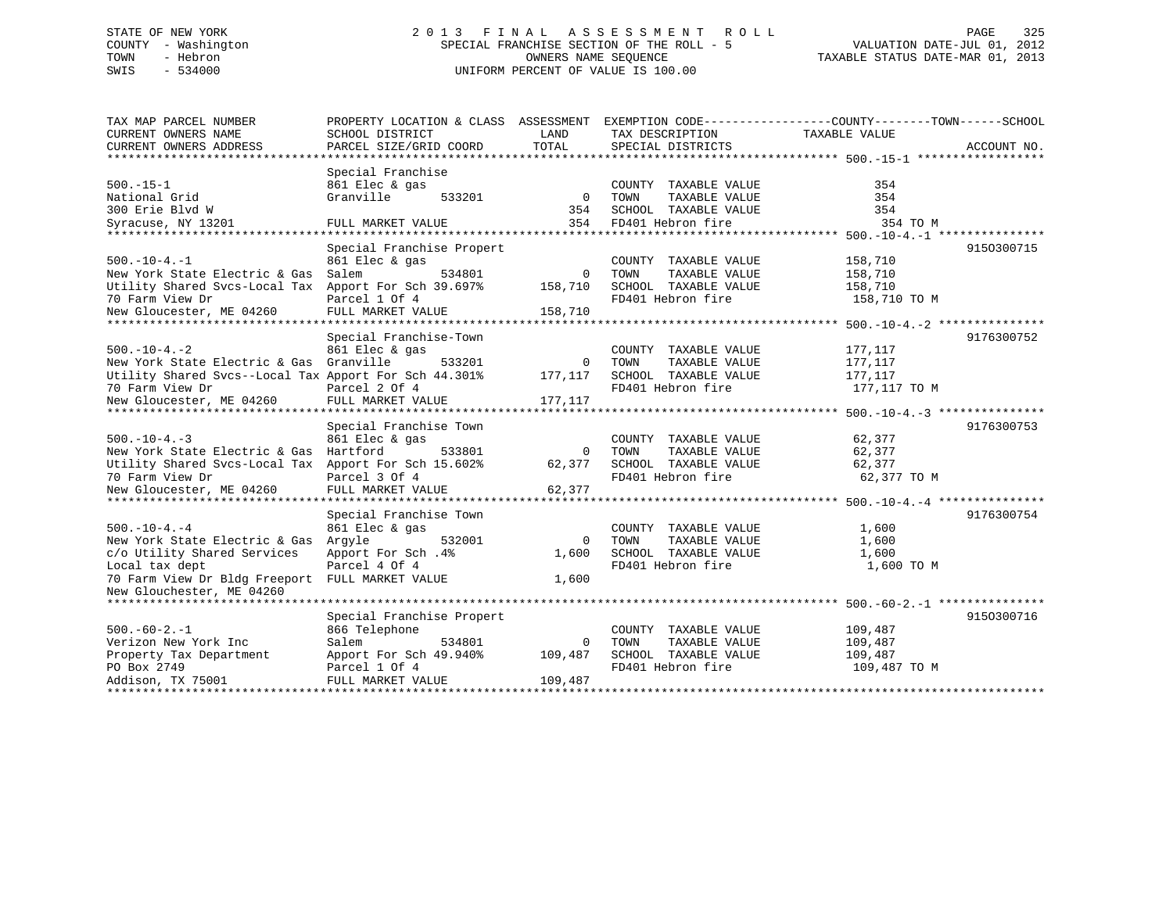# STATE OF NEW YORK 2 0 1 3 F I N A L A S S E S S M E N T R O L L PAGE 325 COUNTY - Washington SPECIAL FRANCHISE SECTION OF THE ROLL - 5 VALUATION DATE-JUL 01, 2012 TOWN - Hebron OWNERS NAME SEQUENCE TAXABLE STATUS DATE-MAR 01, 2013 SWIS - 534000 UNIFORM PERCENT OF VALUE IS 100.00

| TAX MAP PARCEL NUMBER                                 |                                    |          |                       | PROPERTY LOCATION & CLASS ASSESSMENT EXEMPTION CODE---------------COUNTY-------TOWN------SCHOOL |             |
|-------------------------------------------------------|------------------------------------|----------|-----------------------|-------------------------------------------------------------------------------------------------|-------------|
| CURRENT OWNERS NAME                                   | SCHOOL DISTRICT                    | LAND     | TAX DESCRIPTION       | TAXABLE VALUE                                                                                   |             |
| CURRENT OWNERS ADDRESS                                | PARCEL SIZE/GRID COORD             | TOTAL    | SPECIAL DISTRICTS     |                                                                                                 | ACCOUNT NO. |
|                                                       |                                    |          |                       |                                                                                                 |             |
|                                                       | Special Franchise                  |          |                       |                                                                                                 |             |
| $500. -15 - 1$                                        | 861 Elec & gas                     |          | COUNTY TAXABLE VALUE  | 354                                                                                             |             |
| National Grid                                         | Granville<br>533201                | $\Omega$ | TOWN<br>TAXABLE VALUE | 354                                                                                             |             |
| 300 Erie Blyd W                                       |                                    | 354      | SCHOOL TAXABLE VALUE  | 354                                                                                             |             |
| Syracuse, NY 13201                                    | FULL MARKET VALUE                  | 354      | FD401 Hebron fire     | 354 TO M                                                                                        |             |
| *******************                                   | ********************************** |          |                       |                                                                                                 |             |
|                                                       | Special Franchise Propert          |          |                       |                                                                                                 | 9150300715  |
| $500. -10 - 4. -1$                                    | 861 Elec & gas                     |          | COUNTY TAXABLE VALUE  | 158,710                                                                                         |             |
| New York State Electric & Gas                         | Salem<br>534801                    | $\Omega$ | TOWN<br>TAXABLE VALUE | 158,710                                                                                         |             |
| Utility Shared Svcs-Local Tax Apport For Sch 39.697%  |                                    | 158,710  | SCHOOL TAXABLE VALUE  | 158,710                                                                                         |             |
| 70 Farm View Dr                                       | Parcel 1 Of 4                      |          | FD401 Hebron fire     | 158,710 TO M                                                                                    |             |
| New Gloucester, ME 04260                              | FULL MARKET VALUE                  | 158,710  |                       |                                                                                                 |             |
|                                                       |                                    |          |                       |                                                                                                 |             |
|                                                       | Special Franchise-Town             |          |                       |                                                                                                 | 9176300752  |
| $500. - 10 - 4. - 2$                                  | 861 Elec & gas                     |          | COUNTY TAXABLE VALUE  | 177,117                                                                                         |             |
| New York State Electric & Gas Granville               | 533201                             | 0        | TOWN<br>TAXABLE VALUE | 177,117                                                                                         |             |
| Utility Shared Svcs--Local Tax Apport For Sch 44.301% |                                    | 177,117  | SCHOOL TAXABLE VALUE  | 177,117                                                                                         |             |
| 70 Farm View Dr                                       | Parcel 2 Of 4                      |          | FD401 Hebron fire     | 177,117 TO M                                                                                    |             |
| New Gloucester, ME 04260                              | FULL MARKET VALUE                  | 177,117  |                       |                                                                                                 |             |
|                                                       |                                    |          |                       |                                                                                                 |             |
|                                                       | Special Franchise Town             |          |                       |                                                                                                 | 9176300753  |
| $500. -10 - 4. -3$                                    | 861 Elec & gas                     |          | COUNTY TAXABLE VALUE  | 62,377                                                                                          |             |
| New York State Electric & Gas Hartford                | 533801                             | $\Omega$ | TOWN<br>TAXABLE VALUE | 62,377                                                                                          |             |
| Utility Shared Svcs-Local Tax Apport For Sch 15.602%  |                                    | 62,377   | SCHOOL TAXABLE VALUE  | 62,377                                                                                          |             |
| 70 Farm View Dr                                       | Parcel 3 Of 4                      |          | FD401 Hebron fire     | 62,377 TO M                                                                                     |             |
| New Gloucester, ME 04260                              | FULL MARKET VALUE                  | 62,377   |                       |                                                                                                 |             |
|                                                       |                                    |          |                       |                                                                                                 |             |
|                                                       | Special Franchise Town             |          |                       |                                                                                                 | 9176300754  |
| $500. - 10 - 4. - 4$                                  | 861 Elec & gas                     |          | COUNTY TAXABLE VALUE  | 1,600                                                                                           |             |
| New York State Electric & Gas Argyle                  | 532001                             | $\Omega$ | TOWN<br>TAXABLE VALUE | 1,600                                                                                           |             |
| c/o Utility Shared Services                           | Apport For Sch.4%                  | 1,600    | SCHOOL TAXABLE VALUE  | 1,600                                                                                           |             |
| Local tax dept                                        | Parcel 4 Of 4                      |          | FD401 Hebron fire     | 1,600 TO M                                                                                      |             |
| 70 Farm View Dr Bldg Freeport FULL MARKET VALUE       |                                    | 1,600    |                       |                                                                                                 |             |
| New Glouchester, ME 04260                             |                                    |          |                       |                                                                                                 |             |
|                                                       |                                    |          |                       |                                                                                                 |             |
|                                                       | Special Franchise Propert          |          |                       |                                                                                                 | 9150300716  |
| $500. -60 - 2. -1$                                    | 866 Telephone                      |          | COUNTY TAXABLE VALUE  | 109,487                                                                                         |             |
| Verizon New York Inc                                  | Salem<br>534801                    | $\Omega$ | TOWN<br>TAXABLE VALUE | 109,487                                                                                         |             |
| Property Tax Department                               | Apport For Sch 49.940%             | 109,487  | SCHOOL TAXABLE VALUE  | 109,487                                                                                         |             |
| PO Box 2749                                           | Parcel 1 Of 4                      |          | FD401 Hebron fire     | 109,487 TO M                                                                                    |             |
| Addison, TX 75001                                     | FULL MARKET VALUE                  | 109,487  |                       |                                                                                                 |             |
|                                                       |                                    |          |                       |                                                                                                 |             |
|                                                       |                                    |          |                       |                                                                                                 |             |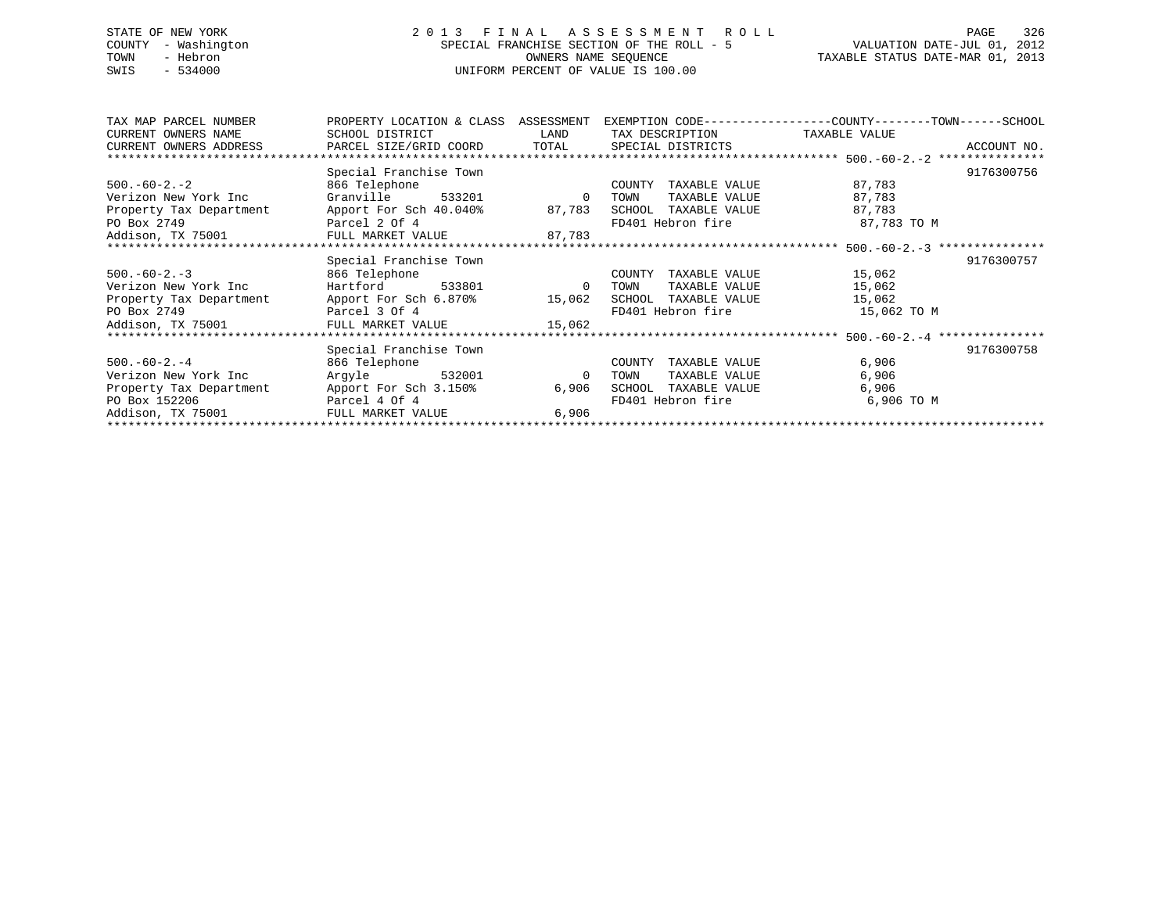# STATE OF NEW YORK 2 0 1 3 F I N A L A S S E S S M E N T R O L L PAGE 326 COUNTY - Washington SPECIAL FRANCHISE SECTION OF THE ROLL - 5 VALUATION DATE-JUL 01, 2012 TOWN - Hebron OWNERS NAME SEQUENCE TAXABLE STATUS DATE-MAR 01, 2013 SWIS - 534000 UNIFORM PERCENT OF VALUE IS 100.00

| TAX MAP PARCEL NUMBER   | PROPERTY LOCATION & CLASS ASSESSMENT EXEMPTION CODE---------------COUNTY-------TOWN-----SCHOOL |                |                                    |             |             |
|-------------------------|------------------------------------------------------------------------------------------------|----------------|------------------------------------|-------------|-------------|
| CURRENT OWNERS NAME     | SCHOOL DISTRICT                                                                                |                | LAND TAX DESCRIPTION TAXABLE VALUE |             |             |
|                         | CURRENT OWNERS ADDRESS     PARCEL SIZE/GRID COORD     TOTAL     SPECIAL DISTRICTS              |                |                                    |             | ACCOUNT NO. |
|                         |                                                                                                |                |                                    |             |             |
|                         | Special Franchise Town                                                                         |                |                                    |             | 9176300756  |
| $500.-60-2.-2$          | 866 Telephone                                                                                  |                | COUNTY TAXABLE VALUE               | 87,783      |             |
| Verizon New York Inc    | Granville 533201                                                                               | $\overline{0}$ | TOWN<br>TAXABLE VALUE              | 87,783      |             |
|                         | Property Tax Department Apport For Sch 40.040% 87,783                                          |                | SCHOOL TAXABLE VALUE               | 87,783      |             |
| PO Box 2749             | Parcel 2 Of 4                                                                                  |                | FD401 Hebron fire                  | 87,783 TO M |             |
|                         | Addison, TX 75001 FULL MARKET VALUE 87,783                                                     |                |                                    |             |             |
|                         |                                                                                                |                |                                    |             |             |
|                         | Special Franchise Town                                                                         |                |                                    |             | 9176300757  |
| $500. -60 - 2. -3$      | 866 Telephone                                                                                  |                | COUNTY<br>TAXABLE VALUE            | 15,062      |             |
| Verizon New York Inc    | Hartford 533801 0 TOWN                                                                         |                | TAXABLE VALUE                      | 15,062      |             |
|                         | Property Tax Department Apport For Sch 6.870% 15,062 SCHOOL TAXABLE VALUE                      |                |                                    | 15,062      |             |
| PO Box 2749             | Parcel 3 Of 4                                                                                  |                | FD401 Hebron fire                  | 15,062 TO M |             |
|                         | Addison, TX 75001 FULL MARKET VALUE 15,062                                                     |                |                                    |             |             |
|                         |                                                                                                |                |                                    |             |             |
|                         | Special Franchise Town                                                                         |                |                                    |             | 9176300758  |
| $500.-60-2.-4$          | 866 Telephone                                                                                  |                | COUNTY<br>TAXABLE VALUE            | 6,906       |             |
| Verizon New York Inc    | Argyle 532001                                                                                  | $\overline{0}$ | TAXABLE VALUE<br>TOWN              | 6,906       |             |
| Property Tax Department | Apport For Sch 3.150%                                                                          | 6,906          | SCHOOL<br>TAXABLE VALUE            | 6,906       |             |
| PO Box 152206           | Parcel 4 Of 4                                                                                  |                | FD401 Hebron fire                  | 6,906 TO M  |             |
| Addison, TX 75001       | FULL MARKET VALUE                                                                              | 6.906          |                                    |             |             |
|                         |                                                                                                |                |                                    |             |             |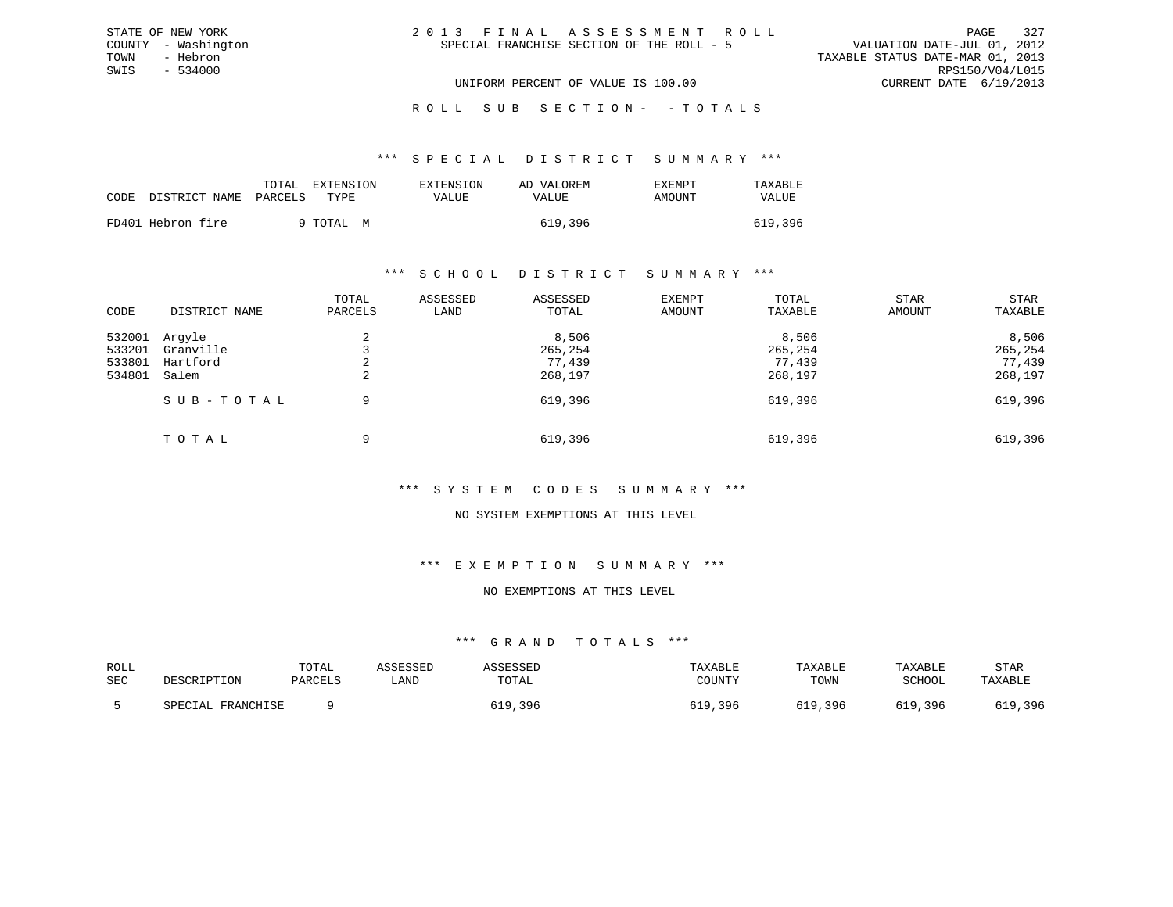|  | 2013 FINAL ASSESSMENT ROLL                |                                  | PAGE            | 327 |
|--|-------------------------------------------|----------------------------------|-----------------|-----|
|  | SPECIAL FRANCHISE SECTION OF THE ROLL - 5 | VALUATION DATE-JUL 01, 2012      |                 |     |
|  |                                           | TAXABLE STATUS DATE-MAR 01, 2013 |                 |     |
|  |                                           |                                  | RPS150/V04/L015 |     |
|  | UNIFORM PERCENT OF VALUE IS 100.00        | CURRENT DATE 6/19/2013           |                 |     |

ROLL SUB SECTION - - TOTALS

#### \*\*\* S P E C I A L D I S T R I C T S U M M A R Y \*\*\*

|      |                   | TOTAL   | EXTENSION | EXTENSION | AD VALOREM | EXEMPT | TAXABLE |
|------|-------------------|---------|-----------|-----------|------------|--------|---------|
| CODE | DISTRICT NAME     | PARCELS | TYPE.     | VALUE     | VALUE      | AMOUNT | VALUE   |
|      | FD401 Hebron fire |         | 9 TOTAL M |           | 619,396    |        | 619,396 |
|      |                   |         |           |           |            |        |         |

STATE OF NEW YORK COUNTY - Washington TOWN - Hebron SWIS - 534000

### \*\*\* S C H O O L D I S T R I C T S U M M A R Y \*\*\*

| CODE                                 | DISTRICT NAME                            | TOTAL<br>PARCELS | ASSESSED<br>LAND                      | ASSESSED<br>TOTAL  | EXEMPT<br>AMOUNT                      | TOTAL<br>TAXABLE   | STAR<br>AMOUNT                        | STAR<br>TAXABLE    |
|--------------------------------------|------------------------------------------|------------------|---------------------------------------|--------------------|---------------------------------------|--------------------|---------------------------------------|--------------------|
| 532001<br>533201<br>533801<br>534801 | Arqyle<br>Granville<br>Hartford<br>Salem | 4<br>∠           | 8,506<br>265,254<br>77,439<br>268,197 |                    | 8,506<br>265,254<br>77,439<br>268,197 |                    | 8,506<br>265,254<br>77,439<br>268,197 |                    |
|                                      | SUB-TOTAL<br>TOTAL                       | 9<br>9           |                                       | 619,396<br>619,396 |                                       | 619,396<br>619,396 |                                       | 619,396<br>619,396 |

# \*\*\* S Y S T E M C O D E S S U M M A R Y \*\*\*

# NO SYSTEM EXEMPTIONS AT THIS LEVEL

### \*\*\* E X E M P T I O N S U M M A R Y \*\*\*

### NO EXEMPTIONS AT THIS LEVEL

| ROLL<br>SEC | DESCRIPTION          | TOTAL<br>PARCELS | \SSESSED<br>LAND | SSESSEL<br>TOTAL | TAXABLE<br>COUNTY | TAXABLE<br>TOWN | TAXABLE<br>SCHOOL | STAR<br>TAXABLE                |
|-------------|----------------------|------------------|------------------|------------------|-------------------|-----------------|-------------------|--------------------------------|
|             | FRANCHISE<br>SPECIAL |                  |                  | .396             | , 396             | 619,396         | .396              | ,396<br>$\sim$ 1 $\sim$<br>シエン |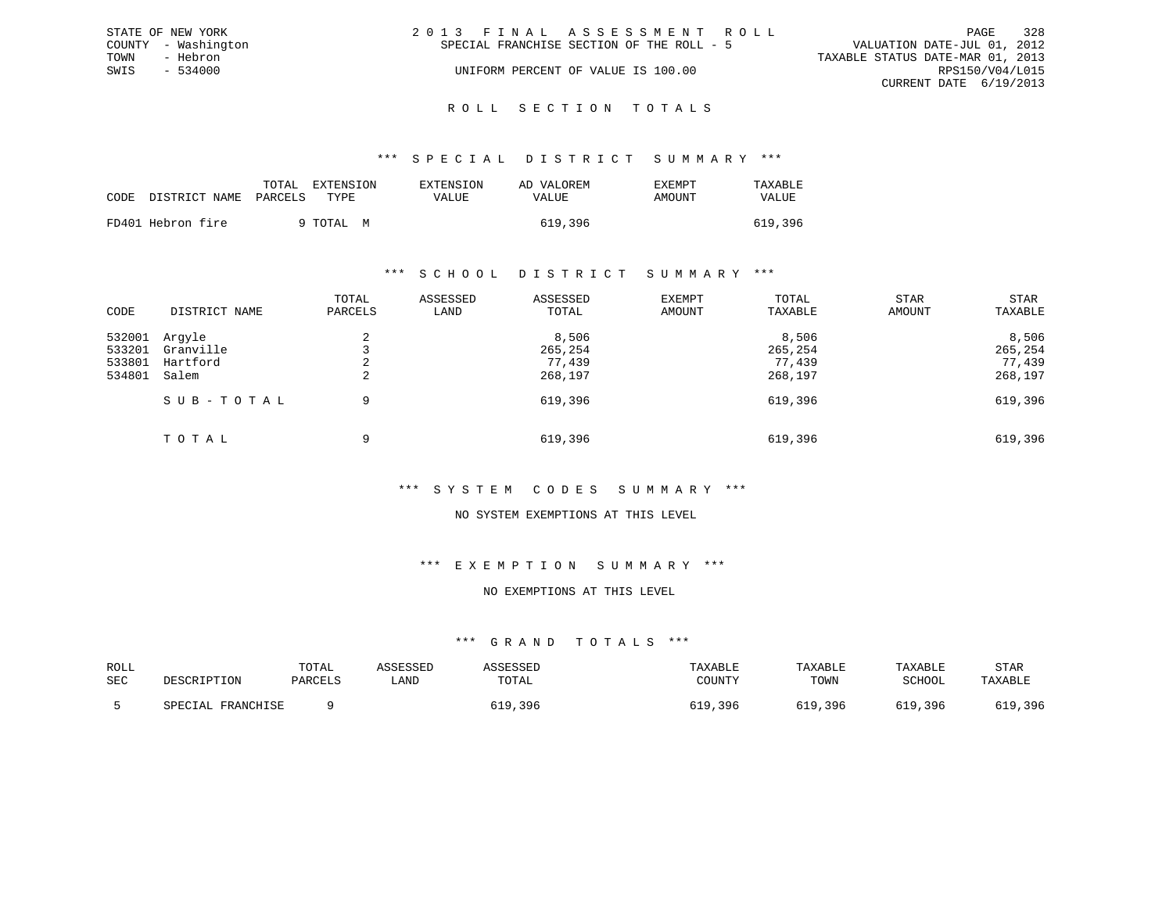|      | STATE OF NEW YORK   | 2013 FINAL ASSESSMENT ROLL                                               | PAGE            | 328 |
|------|---------------------|--------------------------------------------------------------------------|-----------------|-----|
|      | COUNTY - Washington | VALUATION DATE-JUL 01, 2012<br>SPECIAL FRANCHISE SECTION OF THE ROLL - 5 |                 |     |
| TOWN | - Hebron            | TAXABLE STATUS DATE-MAR 01, 2013                                         |                 |     |
| SWIS | - 534000            | UNIFORM PERCENT OF VALUE IS 100.00                                       | RPS150/V04/L015 |     |
|      |                     | CURRENT DATE 6/19/2013                                                   |                 |     |
|      |                     |                                                                          |                 |     |

### R O L L S E C T I O N T O T A L S

### \*\*\* S P E C I A L D I S T R I C T S U M M A R Y \*\*\*

|      |                   | TOTAL   | <b>EXTENSION</b> | <b>EXTENSION</b> | AD VALOREM | <b>EXEMPT</b> | TAXABLE |
|------|-------------------|---------|------------------|------------------|------------|---------------|---------|
| CODE | DISTRICT NAME     | PARCELS | TYPE.            | VALUE            | VALUE      | AMOUNT        | VALUE   |
|      | FD401 Hebron fire |         | 9 TOTAL M        |                  | 619,396    |               | 619,396 |

### \*\*\* S C H O O L D I S T R I C T S U M M A R Y \*\*\*

| CODE                                 | DISTRICT NAME                            | TOTAL<br>PARCELS | ASSESSED<br>LAND | ASSESSED<br>TOTAL                     | EXEMPT<br>AMOUNT | TOTAL<br>TAXABLE                      | STAR<br>AMOUNT | STAR<br>TAXABLE                       |
|--------------------------------------|------------------------------------------|------------------|------------------|---------------------------------------|------------------|---------------------------------------|----------------|---------------------------------------|
| 532001<br>533201<br>533801<br>534801 | Arqyle<br>Granville<br>Hartford<br>Salem | 2<br>2           |                  | 8,506<br>265,254<br>77,439<br>268,197 |                  | 8,506<br>265,254<br>77,439<br>268,197 |                | 8,506<br>265,254<br>77,439<br>268,197 |
|                                      | SUB-TOTAL                                | 9                |                  | 619,396                               |                  | 619,396                               |                | 619,396                               |
|                                      | TOTAL                                    | 9                |                  | 619,396                               |                  | 619,396                               |                | 619,396                               |

# \*\*\* S Y S T E M C O D E S S U M M A R Y \*\*\*

# NO SYSTEM EXEMPTIONS AT THIS LEVEL

### \*\*\* E X E M P T I O N S U M M A R Y \*\*\*

### NO EXEMPTIONS AT THIS LEVEL

| ROLL<br>SEC | DESCRIPTION          | TOTAL<br>PARCELS | \SSESSED<br>LAND | TOTAL         | TAXABLE<br>COUNTY | TAXABLE<br>TOWN | TAXABLE<br>SCHOOL | STAR<br>TAXABLE |
|-------------|----------------------|------------------|------------------|---------------|-------------------|-----------------|-------------------|-----------------|
|             | FRANCHISE<br>SPECIAL |                  |                  | ,396<br>5 T Q | ,396              | 619,396         | 610<br>.396       | 619,396         |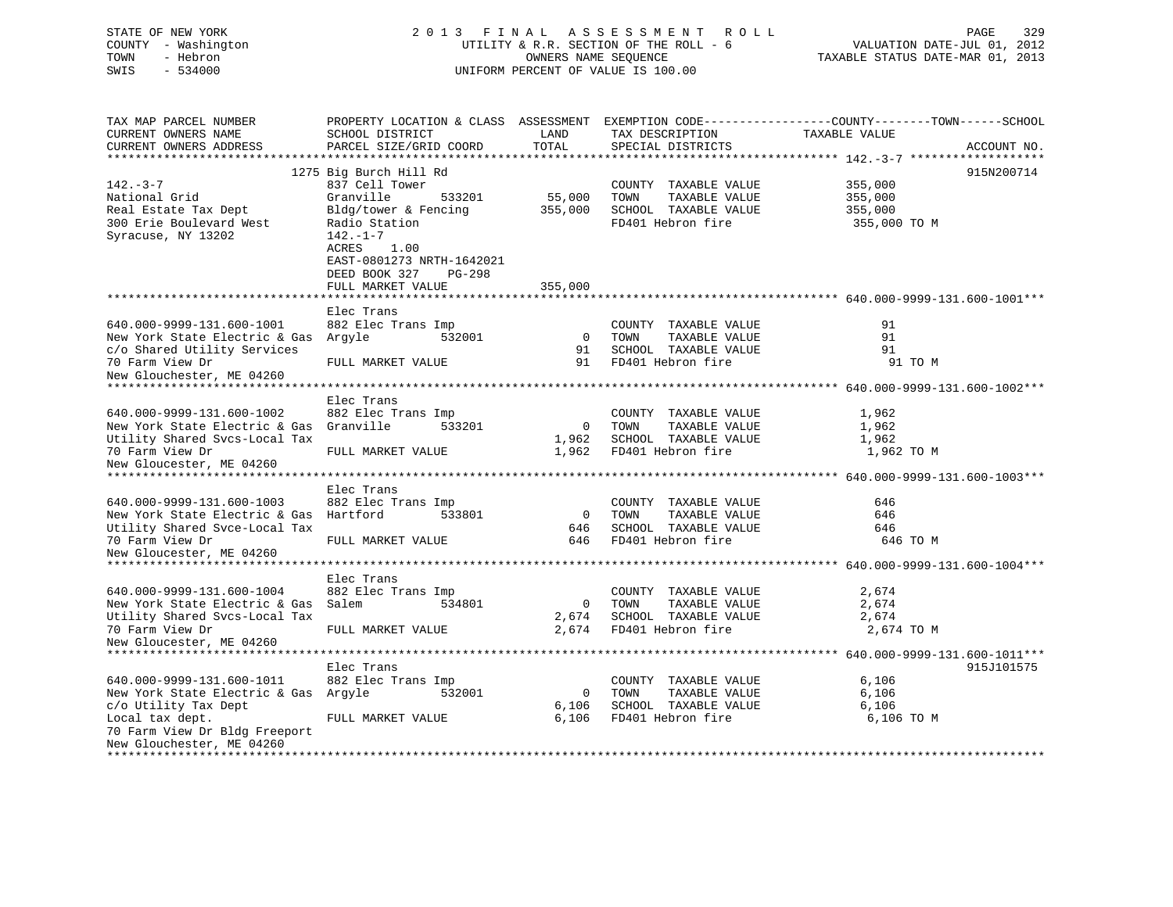| COUNTY - Washington<br>- Hebron<br>TOWN<br>SWIS<br>$-534000$ |                                            | OWNERS NAME SEQUENCE | UTILITY & R.R. SECTION OF THE ROLL - 6<br>UNIFORM PERCENT OF VALUE IS 100.00 | VALUATION DATE-JUL 01, 2012<br>TAXABLE STATUS DATE-MAR 01, 2013                                |  |  |
|--------------------------------------------------------------|--------------------------------------------|----------------------|------------------------------------------------------------------------------|------------------------------------------------------------------------------------------------|--|--|
| TAX MAP PARCEL NUMBER                                        |                                            |                      |                                                                              | PROPERTY LOCATION & CLASS ASSESSMENT EXEMPTION CODE---------------COUNTY-------TOWN-----SCHOOL |  |  |
| CURRENT OWNERS NAME<br>CURRENT OWNERS ADDRESS                | SCHOOL DISTRICT<br>PARCEL SIZE/GRID COORD  | LAND<br>TOTAL        | TAX DESCRIPTION<br>SPECIAL DISTRICTS                                         | TAXABLE VALUE<br>ACCOUNT NO.                                                                   |  |  |
|                                                              |                                            |                      |                                                                              |                                                                                                |  |  |
|                                                              | 1275 Big Burch Hill Rd                     |                      |                                                                              | 915N200714                                                                                     |  |  |
| $142. - 3 - 7$                                               | 837 Cell Tower                             |                      | COUNTY TAXABLE VALUE                                                         | 355,000                                                                                        |  |  |
| National Grid                                                | Granville<br>533201                        | 55,000               | TOWN<br>TAXABLE VALUE                                                        | 355,000                                                                                        |  |  |
| Real Estate Tax Dept                                         | Bldg/tower & Fencing                       | 355,000              | SCHOOL TAXABLE VALUE                                                         | 355,000                                                                                        |  |  |
| 300 Erie Boulevard West                                      | Radio Station                              |                      | FD401 Hebron fire                                                            | 355,000 TO M                                                                                   |  |  |
| Syracuse, NY 13202                                           | $142. - 1 - 7$                             |                      |                                                                              |                                                                                                |  |  |
|                                                              | ACRES<br>1.00<br>EAST-0801273 NRTH-1642021 |                      |                                                                              |                                                                                                |  |  |
|                                                              | DEED BOOK 327<br>$PG-298$                  |                      |                                                                              |                                                                                                |  |  |
|                                                              | FULL MARKET VALUE                          | 355,000              |                                                                              |                                                                                                |  |  |
|                                                              |                                            |                      |                                                                              |                                                                                                |  |  |
|                                                              | Elec Trans                                 |                      |                                                                              |                                                                                                |  |  |
| 640.000-9999-131.600-1001                                    | 882 Elec Trans Imp                         |                      | COUNTY TAXABLE VALUE                                                         | 91                                                                                             |  |  |
| New York State Electric & Gas Argyle                         | 532001                                     | $\mathbf 0$          | TOWN<br>TAXABLE VALUE                                                        | 91                                                                                             |  |  |
| c/o Shared Utility Services                                  |                                            | 91                   | SCHOOL TAXABLE VALUE                                                         | 91                                                                                             |  |  |
| 70 Farm View Dr                                              | FULL MARKET VALUE                          | 91                   | FD401 Hebron fire                                                            | 91 TO M                                                                                        |  |  |
| New Glouchester, ME 04260<br>*****************************   |                                            |                      |                                                                              |                                                                                                |  |  |
|                                                              |                                            |                      |                                                                              |                                                                                                |  |  |
| 640.000-9999-131.600-1002                                    | Elec Trans<br>882 Elec Trans Imp           |                      | COUNTY TAXABLE VALUE                                                         | 1,962                                                                                          |  |  |
| New York State Electric & Gas                                | Granville<br>533201                        | $\mathbf{0}$         | TOWN<br>TAXABLE VALUE                                                        | 1,962                                                                                          |  |  |
| Utility Shared Svcs-Local Tax                                |                                            | 1,962                | SCHOOL TAXABLE VALUE                                                         | 1,962                                                                                          |  |  |
| 70 Farm View Dr                                              | FULL MARKET VALUE                          | 1,962                | FD401 Hebron fire                                                            | 1,962 TO M                                                                                     |  |  |
| New Gloucester, ME 04260                                     |                                            |                      |                                                                              |                                                                                                |  |  |
|                                                              |                                            |                      |                                                                              |                                                                                                |  |  |
|                                                              | Elec Trans                                 |                      |                                                                              |                                                                                                |  |  |
| 640.000-9999-131.600-1003                                    | 882 Elec Trans Imp                         |                      | COUNTY TAXABLE VALUE                                                         | 646                                                                                            |  |  |
| New York State Electric & Gas Hartford                       | 533801                                     | $\overline{0}$       | TOWN<br>TAXABLE VALUE                                                        | 646                                                                                            |  |  |
| Utility Shared Svce-Local Tax                                |                                            | 646                  | SCHOOL TAXABLE VALUE                                                         | 646                                                                                            |  |  |
| 70 Farm View Dr                                              | FULL MARKET VALUE                          | 646                  | FD401 Hebron fire                                                            | 646 TO M                                                                                       |  |  |
| New Gloucester, ME 04260                                     |                                            |                      |                                                                              |                                                                                                |  |  |
|                                                              | Elec Trans                                 |                      |                                                                              |                                                                                                |  |  |
| 640.000-9999-131.600-1004                                    | 882 Elec Trans Imp                         |                      | COUNTY TAXABLE VALUE                                                         | 2,674                                                                                          |  |  |
| New York State Electric & Gas                                | Salem<br>534801                            | $\mathbf{0}$         | TAXABLE VALUE<br>TOWN                                                        | 2,674                                                                                          |  |  |
| Utility Shared Svcs-Local Tax                                |                                            | 2,674                | SCHOOL TAXABLE VALUE                                                         | 2,674                                                                                          |  |  |
| 70 Farm View Dr                                              | FULL MARKET VALUE                          | 2,674                | FD401 Hebron fire                                                            | 2,674 TO M                                                                                     |  |  |
| New Gloucester, ME 04260                                     |                                            |                      |                                                                              |                                                                                                |  |  |
| *****************                                            |                                            | ***********          |                                                                              | ***************** 640.000-9999-131.600-1011***                                                 |  |  |
|                                                              | Elec Trans                                 |                      |                                                                              | 915J101575                                                                                     |  |  |
| 640.000-9999-131.600-1011                                    | 882 Elec Trans Imp                         |                      | COUNTY TAXABLE VALUE                                                         | 6,106                                                                                          |  |  |
| New York State Electric & Gas Argyle                         | 532001                                     | $\mathbf{0}$         | TOWN<br>TAXABLE VALUE                                                        | 6,106                                                                                          |  |  |
| c/o Utility Tax Dept                                         |                                            | 6,106                | SCHOOL TAXABLE VALUE                                                         | 6,106                                                                                          |  |  |
| Local tax dept.                                              | FULL MARKET VALUE                          | 6,106                | FD401 Hebron fire                                                            | 6,106 TO M                                                                                     |  |  |
| 70 Farm View Dr Bldg Freeport<br>New Glouchester, ME 04260   |                                            |                      |                                                                              |                                                                                                |  |  |
| ******************************                               |                                            |                      |                                                                              |                                                                                                |  |  |

STATE OF NEW YORK 2013 FINAL ASSESSMENT ROLL PAGE 329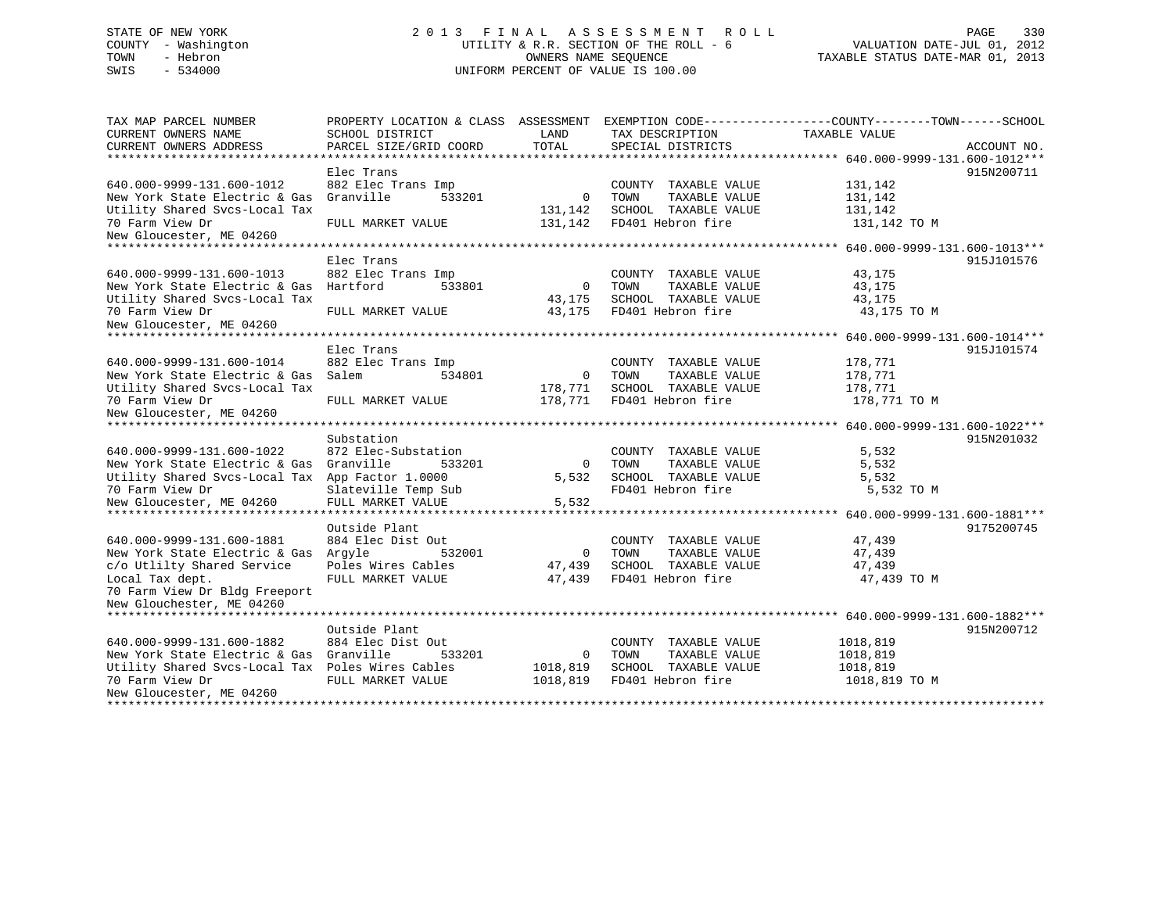# STATE OF NEW YORK 2 0 1 3 F I N A L A S S E S S M E N T R O L L PAGE 330 COUNTY - Washington UTILITY & R.R. SECTION OF THE ROLL - 6 VALUATION DATE-JUL 01, 2012 TOWN - Hebron OWNERS NAME SEQUENCE TAXABLE STATUS DATE-MAR 01, 2013 SWIS - 534000 UNIFORM PERCENT OF VALUE IS 100.00

| TAX MAP PARCEL NUMBER<br>CURRENT OWNERS NAME<br>CURRENT OWNERS ADDRESS | PROPERTY LOCATION & CLASS ASSESSMENT<br>SCHOOL DISTRICT<br>PARCEL SIZE/GRID COORD | LAND<br>TOTAL | EXEMPTION CODE-----------------COUNTY-------TOWN------SCHOOL<br>TAX DESCRIPTION<br>SPECIAL DISTRICTS | TAXABLE VALUE                            | ACCOUNT NO. |
|------------------------------------------------------------------------|-----------------------------------------------------------------------------------|---------------|------------------------------------------------------------------------------------------------------|------------------------------------------|-------------|
|                                                                        |                                                                                   |               |                                                                                                      |                                          |             |
|                                                                        | Elec Trans                                                                        |               |                                                                                                      |                                          | 915N200711  |
| 640.000-9999-131.600-1012                                              | 882 Elec Trans Imp                                                                |               | COUNTY TAXABLE VALUE                                                                                 | 131,142                                  |             |
| New York State Electric & Gas                                          | Granville<br>533201                                                               | $\Omega$      | TOWN<br>TAXABLE VALUE                                                                                | 131,142                                  |             |
| Utility Shared Svcs-Local Tax                                          |                                                                                   | 131,142       | SCHOOL TAXABLE VALUE                                                                                 | 131,142                                  |             |
| 70 Farm View Dr                                                        | FULL MARKET VALUE                                                                 | 131,142       | FD401 Hebron fire                                                                                    | 131,142 TO M                             |             |
| New Gloucester, ME 04260                                               |                                                                                   |               |                                                                                                      |                                          |             |
| ***************************                                            |                                                                                   |               |                                                                                                      |                                          |             |
|                                                                        | Elec Trans                                                                        |               |                                                                                                      |                                          | 915J101576  |
| 640.000-9999-131.600-1013                                              | 882 Elec Trans Imp                                                                |               | COUNTY<br>TAXABLE VALUE                                                                              | 43,175                                   |             |
| New York State Electric & Gas                                          | Hartford<br>533801                                                                | $\mathbf 0$   | TOWN<br>TAXABLE VALUE                                                                                | 43,175                                   |             |
| Utility Shared Svcs-Local Tax                                          |                                                                                   | 43,175        | SCHOOL TAXABLE VALUE                                                                                 | 43,175                                   |             |
| 70 Farm View Dr                                                        | FULL MARKET VALUE                                                                 | 43,175        | FD401 Hebron fire                                                                                    | 43,175 TO M                              |             |
| New Gloucester, ME 04260                                               |                                                                                   |               |                                                                                                      |                                          |             |
|                                                                        |                                                                                   |               |                                                                                                      |                                          |             |
|                                                                        | Elec Trans                                                                        |               |                                                                                                      |                                          | 915J101574  |
| 640.000-9999-131.600-1014                                              | 882 Elec Trans Imp                                                                |               | COUNTY<br>TAXABLE VALUE                                                                              | 178,771                                  |             |
| New York State Electric & Gas                                          | 534801<br>Salem                                                                   | $\mathbf 0$   | TOWN<br>TAXABLE VALUE                                                                                | 178,771                                  |             |
| Utility Shared Svcs-Local Tax                                          |                                                                                   | 178,771       | SCHOOL TAXABLE VALUE                                                                                 | 178,771                                  |             |
| 70 Farm View Dr                                                        | FULL MARKET VALUE                                                                 | 178,771       | FD401 Hebron fire                                                                                    | 178,771 TO M                             |             |
| New Gloucester, ME 04260                                               |                                                                                   |               |                                                                                                      |                                          |             |
| **********************                                                 |                                                                                   |               |                                                                                                      |                                          |             |
|                                                                        | Substation                                                                        |               |                                                                                                      |                                          | 915N201032  |
| 640.000-9999-131.600-1022                                              | 872 Elec-Substation                                                               |               | COUNTY TAXABLE VALUE                                                                                 | 5,532                                    |             |
| New York State Electric & Gas                                          | Granville<br>533201                                                               | $\Omega$      | TOWN<br>TAXABLE VALUE                                                                                | 5,532                                    |             |
| Utility Shared Svcs-Local Tax App Factor 1.0000                        |                                                                                   | 5,532         | SCHOOL TAXABLE VALUE                                                                                 | 5,532                                    |             |
| 70 Farm View Dr                                                        | Slateville Temp Sub                                                               |               | FD401 Hebron fire                                                                                    | 5,532 TO M                               |             |
| New Gloucester, ME 04260                                               | FULL MARKET VALUE                                                                 | 5,532         |                                                                                                      |                                          |             |
| *********************                                                  | ***************************                                                       |               |                                                                                                      | *********** 640.000-9999-131.600-1881*** |             |
|                                                                        | Outside Plant                                                                     |               |                                                                                                      |                                          | 9175200745  |
| 640.000-9999-131.600-1881                                              | 884 Elec Dist Out                                                                 |               | COUNTY TAXABLE VALUE                                                                                 | 47,439                                   |             |
| New York State Electric & Gas                                          | Arqyle<br>532001                                                                  | $\Omega$      | TAXABLE VALUE<br>TOWN                                                                                | 47,439                                   |             |
| c/o Utlilty Shared Service                                             | Poles Wires Cables                                                                | 47,439        | SCHOOL TAXABLE VALUE                                                                                 | 47,439                                   |             |
| Local Tax dept.                                                        | FULL MARKET VALUE                                                                 | 47,439        | FD401 Hebron fire                                                                                    | 47,439 TO M                              |             |
| 70 Farm View Dr Bldg Freeport                                          |                                                                                   |               |                                                                                                      |                                          |             |
| New Glouchester, ME 04260                                              |                                                                                   |               |                                                                                                      |                                          |             |
|                                                                        |                                                                                   |               |                                                                                                      |                                          |             |
|                                                                        | Outside Plant                                                                     |               |                                                                                                      |                                          | 915N200712  |
| 640.000-9999-131.600-1882                                              | 884 Elec Dist Out                                                                 |               | COUNTY TAXABLE VALUE                                                                                 | 1018,819                                 |             |
| New York State Electric & Gas                                          | Granville<br>533201                                                               | $\mathbf 0$   | TOWN<br>TAXABLE VALUE                                                                                | 1018,819                                 |             |
| Utility Shared Svcs-Local Tax Poles Wires Cables                       |                                                                                   | 1018,819      | SCHOOL TAXABLE VALUE                                                                                 | 1018,819                                 |             |
| 70 Farm View Dr                                                        | FULL MARKET VALUE                                                                 | 1018,819      | FD401 Hebron fire                                                                                    | 1018,819 TO M                            |             |
| New Gloucester, ME 04260                                               |                                                                                   |               |                                                                                                      |                                          |             |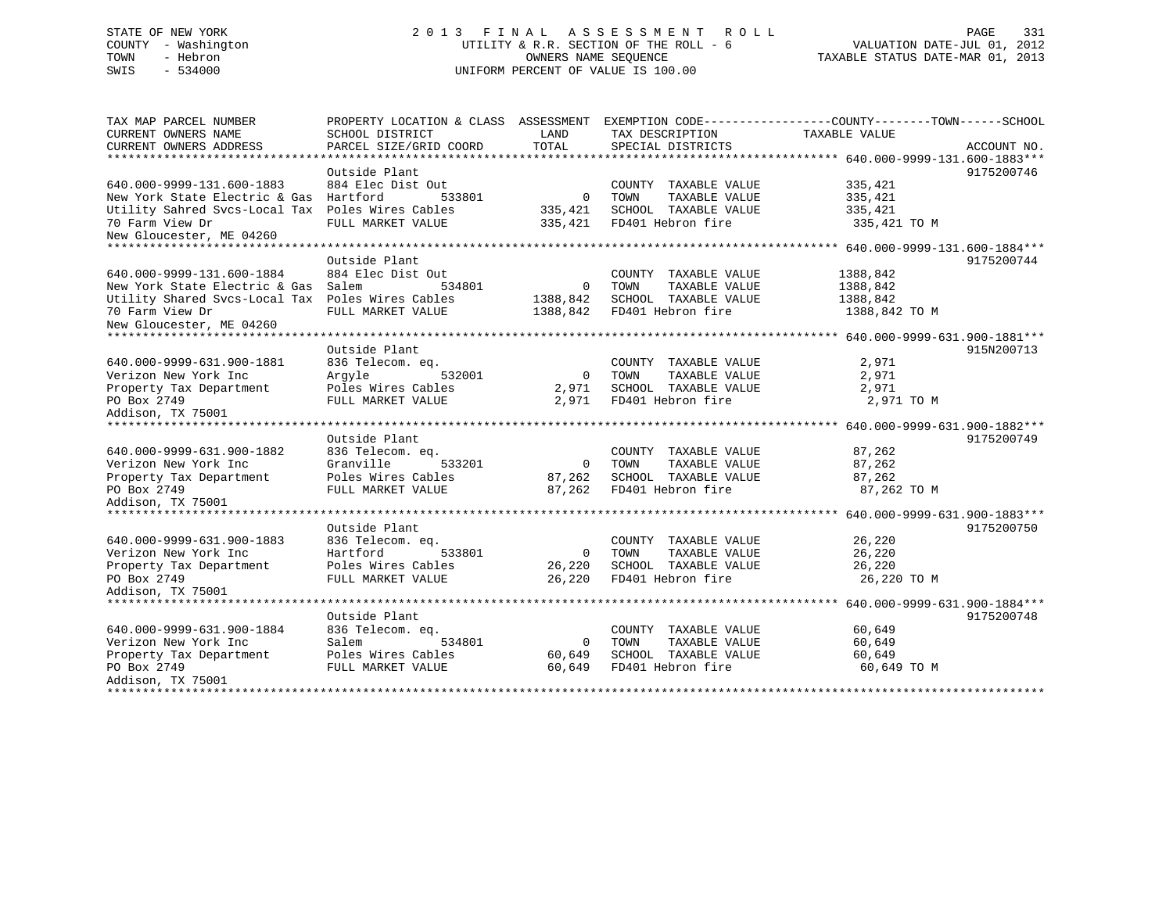# STATE OF NEW YORK 2 0 1 3 F I N A L A S S E S S M E N T R O L L PAGE 331 COUNTY - Washington UTILITY & R.R. SECTION OF THE ROLL - 6 VALUATION DATE-JUL 01, 2012 TOWN - Hebron OWNERS NAME SEQUENCE TAXABLE STATUS DATE-MAR 01, 2013 SWIS - 534000 UNIFORM PERCENT OF VALUE IS 100.00

| TAX MAP PARCEL NUMBER<br>CURRENT OWNERS NAME     | PROPERTY LOCATION & CLASS ASSESSMENT<br>SCHOOL DISTRICT | LAND           | TAX DESCRIPTION       | EXEMPTION CODE-----------------COUNTY-------TOWN------SCHOOL<br>TAXABLE VALUE |             |
|--------------------------------------------------|---------------------------------------------------------|----------------|-----------------------|-------------------------------------------------------------------------------|-------------|
| CURRENT OWNERS ADDRESS                           | PARCEL SIZE/GRID COORD                                  | TOTAL          | SPECIAL DISTRICTS     |                                                                               | ACCOUNT NO. |
|                                                  |                                                         |                |                       |                                                                               |             |
|                                                  | Outside Plant                                           |                |                       |                                                                               | 9175200746  |
| 640.000-9999-131.600-1883                        | 884 Elec Dist Out                                       |                | COUNTY TAXABLE VALUE  | 335,421                                                                       |             |
| New York State Electric & Gas                    | Hartford<br>533801                                      | $\Omega$       | TOWN<br>TAXABLE VALUE | 335,421                                                                       |             |
| Utility Sahred Svcs-Local Tax Poles Wires Cables |                                                         | 335,421        | SCHOOL TAXABLE VALUE  | 335,421                                                                       |             |
| 70 Farm View Dr                                  | FULL MARKET VALUE                                       | 335,421        | FD401 Hebron fire     | 335,421 TO M                                                                  |             |
| New Gloucester, ME 04260                         |                                                         |                |                       |                                                                               |             |
|                                                  |                                                         |                |                       |                                                                               |             |
|                                                  | Outside Plant                                           |                |                       |                                                                               | 9175200744  |
| 640.000-9999-131.600-1884                        | 884 Elec Dist Out                                       |                | COUNTY TAXABLE VALUE  | 1388,842                                                                      |             |
| New York State Electric & Gas                    | Salem<br>534801                                         | $\mathbf 0$    | TOWN<br>TAXABLE VALUE | 1388,842                                                                      |             |
| Utility Shared Svcs-Local Tax Poles Wires Cables |                                                         | 1388,842       | SCHOOL TAXABLE VALUE  | 1388,842                                                                      |             |
| 70 Farm View Dr                                  | FULL MARKET VALUE                                       | 1388,842       | FD401 Hebron fire     | 1388,842 TO M                                                                 |             |
| New Gloucester, ME 04260                         |                                                         |                |                       |                                                                               |             |
|                                                  |                                                         |                |                       |                                                                               |             |
|                                                  | Outside Plant                                           |                |                       |                                                                               | 915N200713  |
| 640.000-9999-631.900-1881                        | 836 Telecom. eq.                                        |                | COUNTY TAXABLE VALUE  | 2,971                                                                         |             |
| Verizon New York Inc                             | 532001<br>Arqyle                                        | $\mathbf 0$    | TOWN<br>TAXABLE VALUE | 2,971                                                                         |             |
| Property Tax Department                          | Poles Wires Cables                                      | 2,971          | SCHOOL TAXABLE VALUE  | 2,971                                                                         |             |
| PO Box 2749                                      | FULL MARKET VALUE                                       | 2,971          | FD401 Hebron fire     | 2,971 TO M                                                                    |             |
| Addison, TX 75001                                |                                                         |                |                       |                                                                               |             |
|                                                  |                                                         |                |                       |                                                                               |             |
|                                                  | Outside Plant                                           |                |                       |                                                                               | 9175200749  |
| 640.000-9999-631.900-1882                        | 836 Telecom. eq.                                        |                | COUNTY TAXABLE VALUE  | 87,262                                                                        |             |
| Verizon New York Inc                             | 533201<br>Granville                                     | $\Omega$       | TOWN<br>TAXABLE VALUE | 87,262                                                                        |             |
| Property Tax Department                          | Poles Wires Cables                                      | 87,262         | SCHOOL TAXABLE VALUE  | 87,262                                                                        |             |
| PO Box 2749                                      | FULL MARKET VALUE                                       | 87,262         | FD401 Hebron fire     | 87,262 TO M                                                                   |             |
| Addison, TX 75001                                |                                                         |                |                       |                                                                               |             |
|                                                  | Outside Plant                                           |                |                       |                                                                               | 9175200750  |
| 640.000-9999-631.900-1883                        | 836 Telecom. eq.                                        |                | COUNTY TAXABLE VALUE  | 26,220                                                                        |             |
| Verizon New York Inc                             | Hartford<br>533801                                      | $\overline{0}$ | TAXABLE VALUE<br>TOWN | 26,220                                                                        |             |
| Property Tax Department                          | Poles Wires Cables                                      | 26,220         | SCHOOL TAXABLE VALUE  | 26,220                                                                        |             |
| PO Box 2749                                      | FULL MARKET VALUE                                       | 26,220         | FD401 Hebron fire     | 26,220 TO M                                                                   |             |
| Addison, TX 75001                                |                                                         |                |                       |                                                                               |             |
|                                                  |                                                         |                |                       |                                                                               |             |
|                                                  | Outside Plant                                           |                |                       |                                                                               | 9175200748  |
| 640.000-9999-631.900-1884                        | 836 Telecom. eq.                                        |                | COUNTY TAXABLE VALUE  | 60,649                                                                        |             |
| Verizon New York Inc                             | 534801<br>Salem                                         | 0              | TOWN<br>TAXABLE VALUE | 60,649                                                                        |             |
| Property Tax Department                          | Poles Wires Cables                                      | 60,649         | SCHOOL TAXABLE VALUE  | 60,649                                                                        |             |
| PO Box 2749                                      | FULL MARKET VALUE                                       | 60,649         | FD401 Hebron fire     | 60,649 TO M                                                                   |             |
| Addison, TX 75001                                |                                                         |                |                       |                                                                               |             |
|                                                  |                                                         |                |                       |                                                                               |             |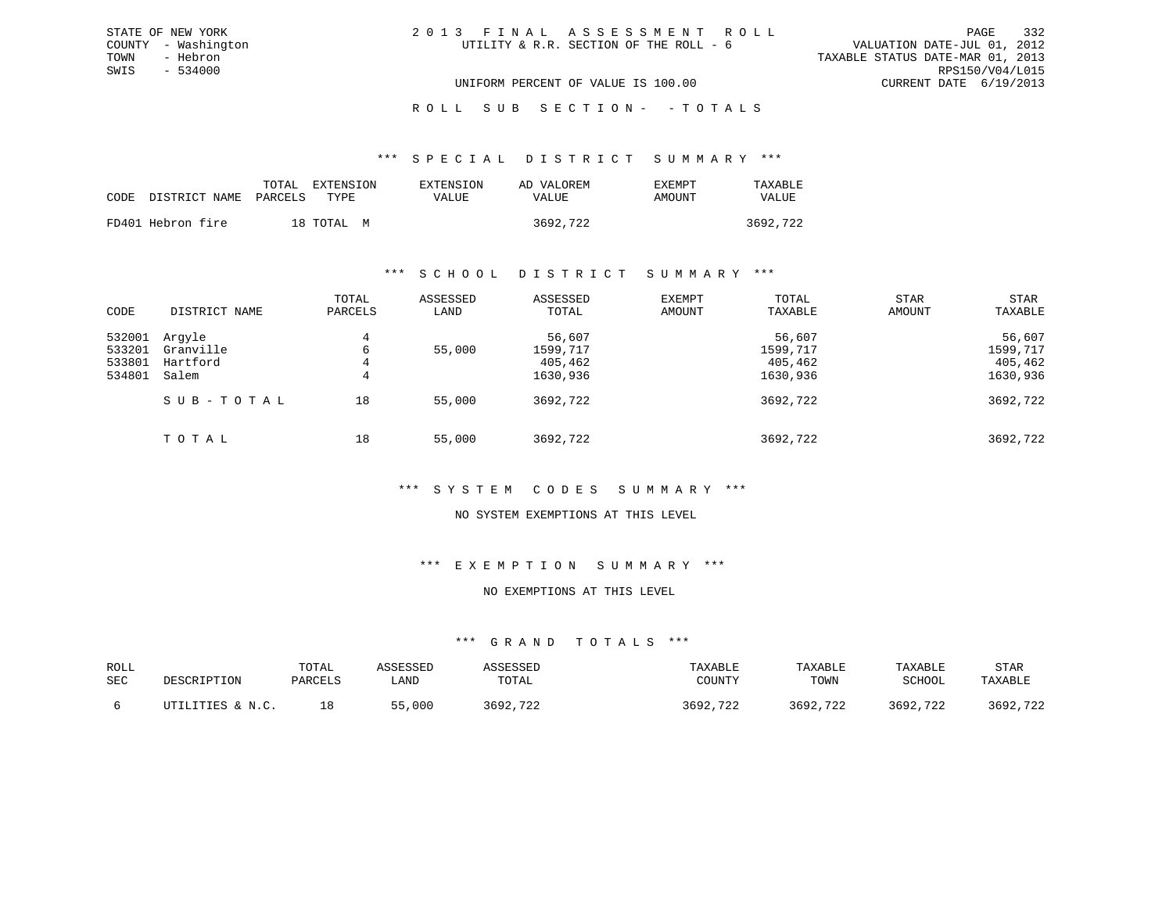# ROLL SUB SECTION - - TOTALS

#### \*\*\* S P E C I A L D I S T R I C T S U M M A R Y \*\*\*

|                                 | TOTAL | EXTENSION  | EXTENSION | AD VALOREM | EXEMPT | TAXABLE  |
|---------------------------------|-------|------------|-----------|------------|--------|----------|
| CODE DISTRICT NAME PARCELS TYPE |       |            | VALUE     | VALUE      | AMOUNT | VALUE    |
| FD401 Hebron fire               |       | 18 TOTAL M |           | 3692,722   |        | 3692,722 |

### \*\*\* S C H O O L D I S T R I C T S U M M A R Y \*\*\*

| CODE                                 | DISTRICT NAME                            | TOTAL<br>PARCELS | ASSESSED<br>LAND | ASSESSED<br>TOTAL                         | EXEMPT<br>AMOUNT | TOTAL<br>TAXABLE                          | <b>STAR</b><br>AMOUNT | STAR<br>TAXABLE                           |
|--------------------------------------|------------------------------------------|------------------|------------------|-------------------------------------------|------------------|-------------------------------------------|-----------------------|-------------------------------------------|
| 532001<br>533201<br>533801<br>534801 | Argyle<br>Granville<br>Hartford<br>Salem | 4<br>6<br>4<br>4 | 55,000           | 56,607<br>1599,717<br>405,462<br>1630,936 |                  | 56,607<br>1599,717<br>405,462<br>1630,936 |                       | 56,607<br>1599,717<br>405,462<br>1630,936 |
|                                      | SUB-TOTAL                                | 18               | 55,000           | 3692,722                                  |                  | 3692,722                                  |                       | 3692,722                                  |
|                                      | TOTAL                                    | 18               | 55,000           | 3692,722                                  |                  | 3692,722                                  |                       | 3692,722                                  |

# \*\*\* S Y S T E M C O D E S S U M M A R Y \*\*\*

# NO SYSTEM EXEMPTIONS AT THIS LEVEL

### \*\*\* E X E M P T I O N S U M M A R Y \*\*\*

### NO EXEMPTIONS AT THIS LEVEL

| ROLL<br>SEC | DESCRIPTION                        | TOTAL<br>PARCELS | <i><b>SSESSED</b></i><br>LAND | TOTAL             | TAXABLE<br>COUNTY | TAXABLE<br>TOWN | TAXABLE<br>SCHOOL | STAR<br>TAXABLE                      |
|-------------|------------------------------------|------------------|-------------------------------|-------------------|-------------------|-----------------|-------------------|--------------------------------------|
|             | <b>LITIES &amp; N.C.</b><br>┎┰┯╍┰┲ |                  | 55,000                        | 700<br>3692.<br>້ | 3692<br>722       | ,722<br>3692.   | .722<br>2 ລ ດ ງ   | $\neg \wedge \wedge$<br>3692,<br>122 |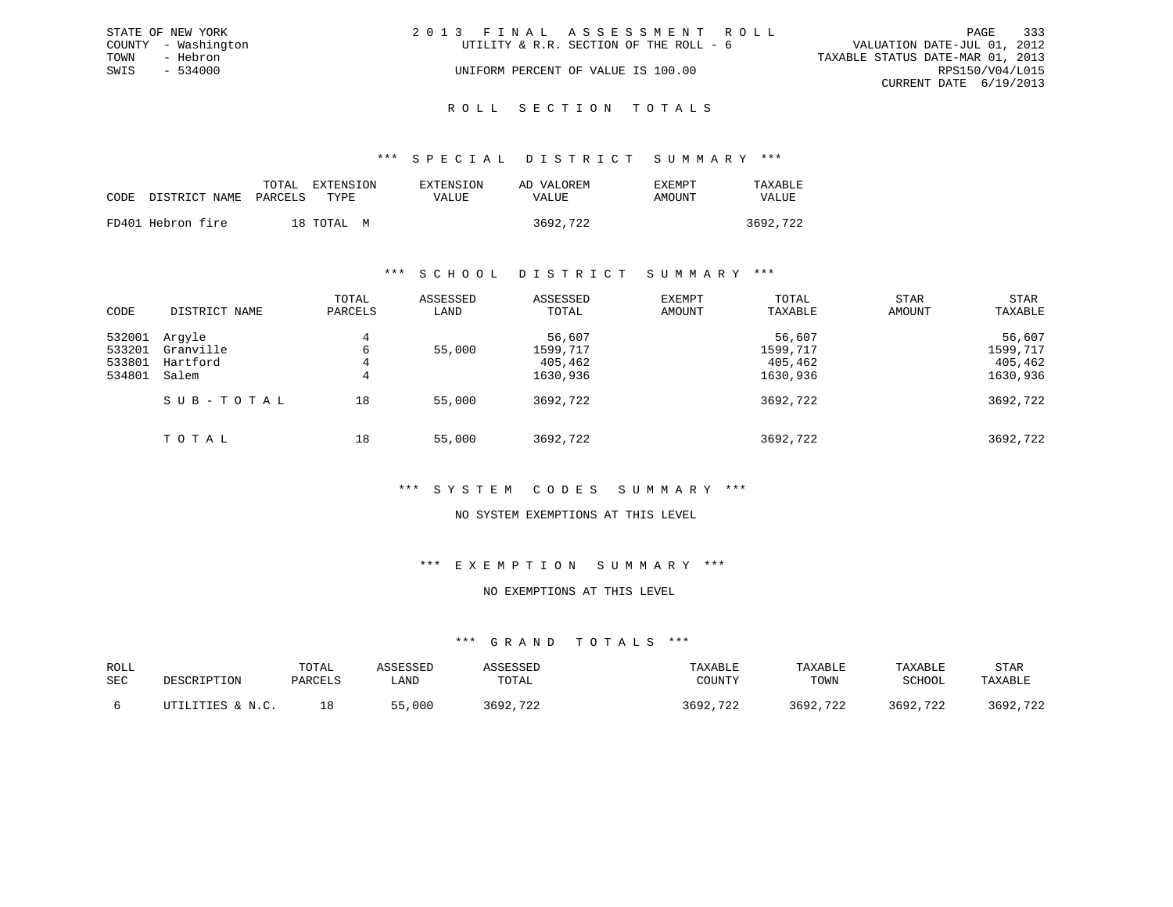|      | STATE OF NEW YORK   | 2013 FINAL ASSESSMENT ROLL |                                        |                                  |                        | PAGE | 333 |
|------|---------------------|----------------------------|----------------------------------------|----------------------------------|------------------------|------|-----|
|      | COUNTY - Washington |                            | UTILITY & R.R. SECTION OF THE ROLL - 6 | VALUATION DATE-JUL 01, 2012      |                        |      |     |
| TOWN | - Hebron            |                            |                                        | TAXABLE STATUS DATE-MAR 01, 2013 |                        |      |     |
| SWIS | $-534000$           |                            | UNIFORM PERCENT OF VALUE IS 100.00     |                                  | RPS150/V04/L015        |      |     |
|      |                     |                            |                                        |                                  | CURRENT DATE 6/19/2013 |      |     |
|      |                     |                            |                                        |                                  |                        |      |     |

### R O L L S E C T I O N T O T A L S

### \*\*\* S P E C I A L D I S T R I C T S U M M A R Y \*\*\*

|      |                       | TOTAL | EXTENSION  | EXTENSION | AD VALOREM | EXEMPT | TAXABLE  |
|------|-----------------------|-------|------------|-----------|------------|--------|----------|
| CODE | DISTRICT NAME PARCELS |       | TYPR.      | VALUE     | VALUE      | AMOUNT | VALUE    |
|      | FD401 Hebron fire     |       | 18 TOTAL M |           | 3692,722   |        | 3692,722 |

### \*\*\* S C H O O L D I S T R I C T S U M M A R Y \*\*\*

| CODE                                 | DISTRICT NAME                            | TOTAL<br>PARCELS | ASSESSED<br>LAND | ASSESSED<br>TOTAL                         | EXEMPT<br>AMOUNT | TOTAL<br>TAXABLE                          | <b>STAR</b><br>AMOUNT | STAR<br>TAXABLE                           |
|--------------------------------------|------------------------------------------|------------------|------------------|-------------------------------------------|------------------|-------------------------------------------|-----------------------|-------------------------------------------|
| 532001<br>533201<br>533801<br>534801 | Arqyle<br>Granville<br>Hartford<br>Salem | 4<br>6<br>4<br>4 | 55,000           | 56,607<br>1599,717<br>405,462<br>1630,936 |                  | 56,607<br>1599,717<br>405,462<br>1630,936 |                       | 56,607<br>1599,717<br>405,462<br>1630,936 |
|                                      | SUB-TOTAL                                | 18               | 55,000           | 3692,722                                  |                  | 3692,722                                  |                       | 3692,722                                  |
|                                      | TOTAL                                    | 18               | 55,000           | 3692,722                                  |                  | 3692,722                                  |                       | 3692,722                                  |

# \*\*\* S Y S T E M C O D E S S U M M A R Y \*\*\*

# NO SYSTEM EXEMPTIONS AT THIS LEVEL

### \*\*\* E X E M P T I O N S U M M A R Y \*\*\*

### NO EXEMPTIONS AT THIS LEVEL

| ROLL<br>SEC | DESCRIPTION      | TOTAL<br>PARCELS | ASSESSED<br>LAND | ASSESSED<br>TOTAL | TAXABLE<br>COUNTY | TAXABLE<br>TOWN | TAXABLE<br>SCHOOL | STAR<br>TAXABLE |
|-------------|------------------|------------------|------------------|-------------------|-------------------|-----------------|-------------------|-----------------|
|             | UTILITIES & N.C. | 18               | 55,000           | 3692,722          | 3692,722          | 3692,722        | 3692,722          | 3692,722        |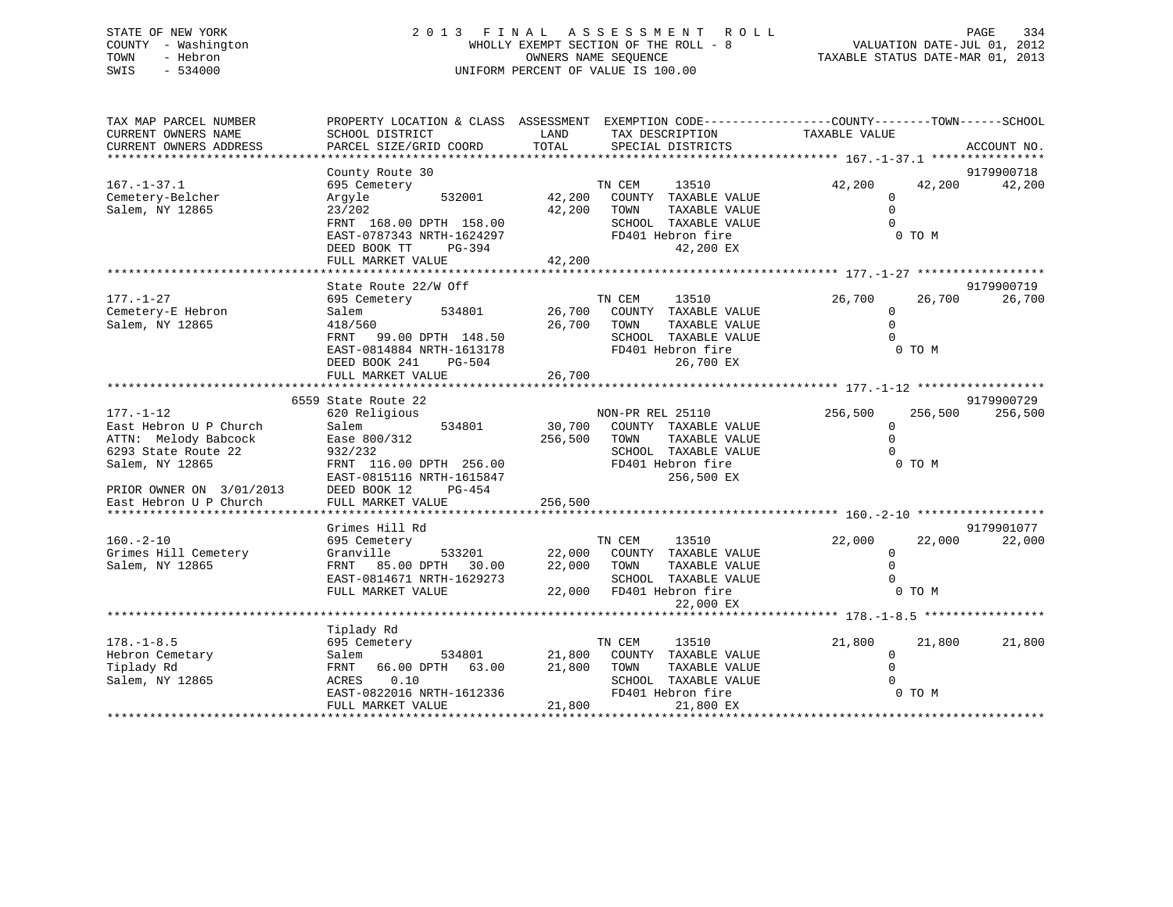# STATE OF NEW YORK 2 0 1 3 F I N A L A S S E S S M E N T R O L L PAGE 334 COUNTY - Washington WHOLLY EXEMPT SECTION OF THE ROLL - 8 VALUATION DATE-JUL 01, 2012 TOWN - Hebron OWNERS NAME SEQUENCE TAXABLE STATUS DATE-MAR 01, 2013 SWIS - 534000 UNIFORM PERCENT OF VALUE IS 100.00

| TAX MAP PARCEL NUMBER                 |                           |         | PROPERTY LOCATION & CLASS ASSESSMENT EXEMPTION CODE---------------COUNTY-------TOWN-----SCHOOL |               |                      |
|---------------------------------------|---------------------------|---------|------------------------------------------------------------------------------------------------|---------------|----------------------|
| CURRENT OWNERS NAME                   | SCHOOL DISTRICT           | LAND    | TAX DESCRIPTION                                                                                | TAXABLE VALUE |                      |
| CURRENT OWNERS ADDRESS                | PARCEL SIZE/GRID COORD    | TOTAL   | SPECIAL DISTRICTS                                                                              |               | ACCOUNT NO.          |
|                                       |                           |         |                                                                                                |               |                      |
|                                       | County Route 30           |         |                                                                                                |               | 9179900718<br>42,200 |
| $167. - 1 - 37.1$<br>Cemetery-Belcher | 695 Cemetery<br>532001    |         | TN CEM<br>13510                                                                                | 42,200        | 42,200               |
| Salem, NY 12865                       | Arqyle<br>23/202          | 42,200  | 42,200 COUNTY TAXABLE VALUE<br>TAXABLE VALUE<br>TOWN                                           | 0<br>$\Omega$ |                      |
|                                       | FRNT 168.00 DPTH 158.00   |         | SCHOOL TAXABLE VALUE                                                                           |               |                      |
|                                       | EAST-0787343 NRTH-1624297 |         | FD401 Hebron fire                                                                              | 0 TO M        |                      |
|                                       | DEED BOOK TT<br>PG-394    |         | 42,200 EX                                                                                      |               |                      |
|                                       | FULL MARKET VALUE         | 42,200  |                                                                                                |               |                      |
|                                       |                           |         |                                                                                                |               |                      |
|                                       | State Route 22/W Off      |         |                                                                                                |               | 9179900719           |
| $177. - 1 - 27$                       | 695 Cemetery              |         | TN CEM<br>13510                                                                                | 26,700        | 26,700<br>26,700     |
| Cemetery-E Hebron                     | 534801<br>Salem           |         | 26,700 COUNTY TAXABLE VALUE                                                                    | $\Omega$      |                      |
| Salem, NY 12865                       | 418/560                   | 26,700  | TOWN<br>TAXABLE VALUE                                                                          | $\Omega$      |                      |
|                                       | FRNT<br>99.00 DPTH 148.50 |         | SCHOOL TAXABLE VALUE                                                                           | $\cap$        |                      |
|                                       | EAST-0814884 NRTH-1613178 |         | FD401 Hebron fire                                                                              | 0 TO M        |                      |
|                                       | DEED BOOK 241<br>PG-504   |         | 26,700 EX                                                                                      |               |                      |
|                                       | FULL MARKET VALUE         | 26,700  |                                                                                                |               |                      |
|                                       |                           |         |                                                                                                |               |                      |
|                                       | 6559 State Route 22       |         |                                                                                                |               | 9179900729           |
| $177. - 1 - 12$                       | 620 Religious             |         | NON-PR REL 25110                                                                               | 256,500       | 256,500<br>256,500   |
| East Hebron U P Church                | 534801<br>Salem           | 30,700  | COUNTY TAXABLE VALUE                                                                           | $\Omega$      |                      |
| ATTN: Melody Babcock                  | Ease 800/312              | 256,500 | TOWN<br>TAXABLE VALUE                                                                          | $\Omega$      |                      |
| 6293 State Route 22                   | 932/232                   |         | SCHOOL TAXABLE VALUE                                                                           | $\cap$        |                      |
| Salem, NY 12865                       | FRNT 116.00 DPTH 256.00   |         | FD401 Hebron fire                                                                              | 0 TO M        |                      |
|                                       | EAST-0815116 NRTH-1615847 |         | 256,500 EX                                                                                     |               |                      |
| PRIOR OWNER ON 3/01/2013              | DEED BOOK 12<br>PG-454    |         |                                                                                                |               |                      |
| East Hebron U P Church                | FULL MARKET VALUE         | 256,500 |                                                                                                |               |                      |
|                                       | Grimes Hill Rd            |         |                                                                                                |               | 9179901077           |
| $160. - 2 - 10$                       | 695 Cemetery              |         | TN CEM<br>13510                                                                                | 22,000        | 22,000<br>22,000     |
| Grimes Hill Cemetery                  | 533201<br>Granville       |         | 22,000 COUNTY TAXABLE VALUE                                                                    | $\Omega$      |                      |
| Salem, NY 12865                       | FRNT 85.00 DPTH 30.00     | 22,000  | TOWN<br>TAXABLE VALUE                                                                          | $\Omega$      |                      |
|                                       | EAST-0814671 NRTH-1629273 |         | SCHOOL TAXABLE VALUE                                                                           |               |                      |
|                                       | FULL MARKET VALUE         |         | 22,000 FD401 Hebron fire                                                                       | 0 TO M        |                      |
|                                       |                           |         | 22,000 EX                                                                                      |               |                      |
|                                       |                           |         |                                                                                                |               |                      |
|                                       | Tiplady Rd                |         |                                                                                                |               |                      |
| $178. - 1 - 8.5$                      | 695 Cemetery              |         | TN CEM<br>13510                                                                                | 21,800        | 21,800<br>21,800     |
| Hebron Cemetary                       | 534801<br>Salem           | 21,800  | COUNTY TAXABLE VALUE                                                                           | $\Omega$      |                      |
| Tiplady Rd                            | FRNT 66.00 DPTH 63.00     | 21,800  | TOWN<br>TAXABLE VALUE                                                                          |               |                      |
| Salem, NY 12865                       | ACRES 0.10                |         | SCHOOL TAXABLE VALUE                                                                           |               |                      |
|                                       | EAST-0822016 NRTH-1612336 |         | FD401 Hebron fire                                                                              | 0 TO M        |                      |
|                                       | FULL MARKET VALUE         | 21,800  | 21,800 EX                                                                                      |               |                      |
|                                       |                           |         |                                                                                                |               |                      |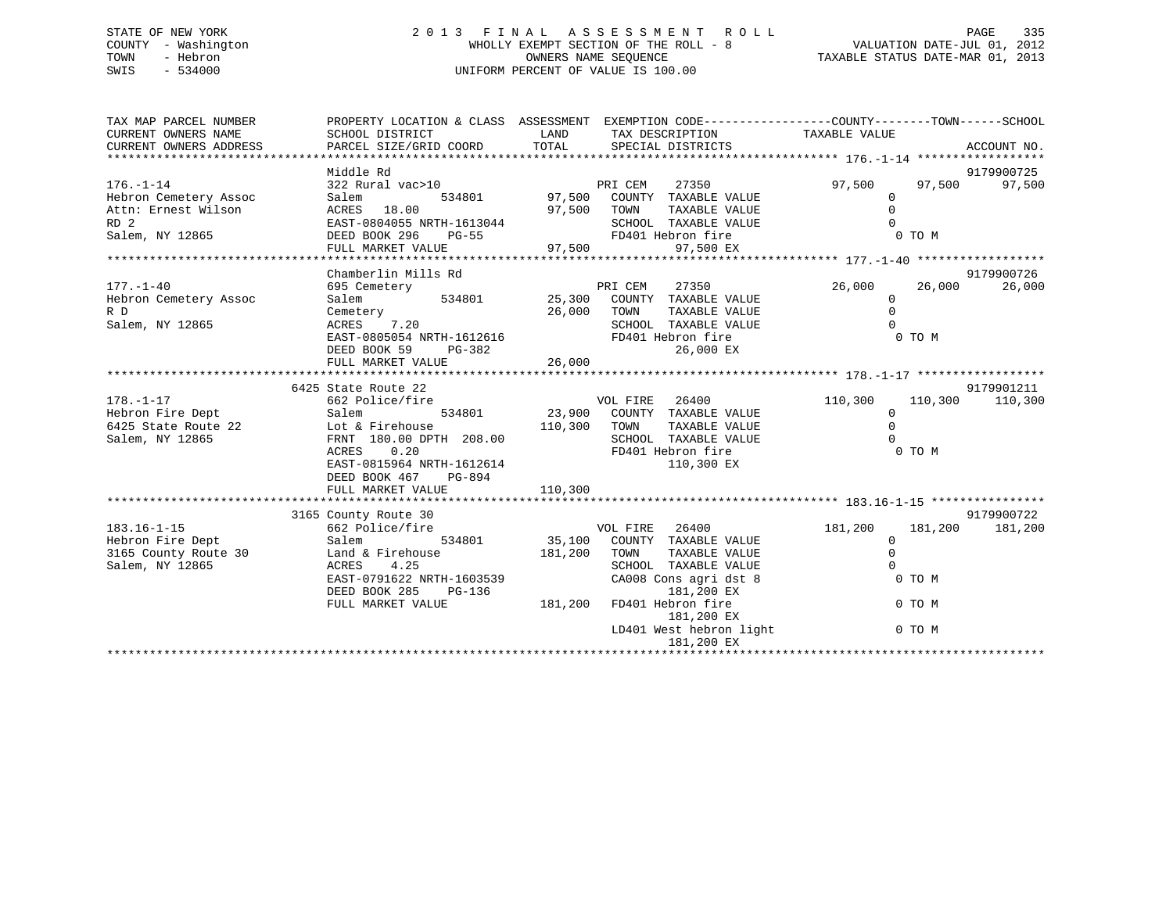# STATE OF NEW YORK 2 0 1 3 F I N A L A S S E S S M E N T R O L L PAGE 335 COUNTY - Washington WHOLLY EXEMPT SECTION OF THE ROLL - 8 VALUATION DATE-JUL 01, 2012 TOWN - Hebron OWNERS NAME SEQUENCE TAXABLE STATUS DATE-MAR 01, 2013 SWIS - 534000 UNIFORM PERCENT OF VALUE IS 100.00

| Middle Rd<br>9179900725<br>322 Rural vac>10<br>$176. - 1 - 14$<br>PRI CEM<br>27350<br>97,500<br>97,500<br>97,500<br>97,500 COUNTY TAXABLE VALUE<br>Hebron Cemetery Assoc<br>Salem<br>534801<br>$\mathbf 0$<br>$\Omega$<br>Attn: Ernest Wilson<br>97,500<br>ACRES 18.00<br>TOWN<br>TAXABLE VALUE<br>RD <sub>2</sub><br>SCHOOL TAXABLE VALUE<br>$\Omega$<br>EAST-0804055 NRTH-1613044<br>FD401 Hebron fire<br>Salem, NY 12865<br>DEED BOOK 296<br>0 TO M<br><b>PG-55</b><br>97,500<br>97,500 EX<br>FULL MARKET VALUE<br>Chamberlin Mills Rd<br>9179900726<br>PRI CEM<br>$177. - 1 - 40$<br>695 Cemetery<br>27350<br>26,000<br>26,000<br>26,000<br>534801<br>25,300<br>Hebron Cemetery Assoc<br>Salem<br>COUNTY TAXABLE VALUE<br>$\mathbf 0$<br>$\Omega$<br>26,000<br>TAXABLE VALUE<br>R D<br>Cemetery<br>TOWN<br>Salem, NY 12865<br>SCHOOL TAXABLE VALUE<br>ACRES<br>7.20<br>$\Omega$<br>EAST-0805054 NRTH-1612616<br>FD401 Hebron fire<br>0 TO M<br>26,000 EX<br>DEED BOOK 59<br>PG-382<br>26,000<br>FULL MARKET VALUE<br>9179901211<br>6425 State Route 22<br>$178. - 1 - 17$<br>110,300<br>662 Police/fire<br>VOL FIRE<br>26400<br>110,300<br>110,300<br>Hebron Fire Dept<br>534801 23,900<br>COUNTY TAXABLE VALUE<br>Salem<br>$\Omega$<br>$\mathbf 0$<br>6425 State Route 22<br>110,300<br>Lot & Firehouse<br>TOWN<br>TAXABLE VALUE<br>FRNT 180.00 DPTH 208.00<br>$\Omega$<br>Salem, NY 12865<br>SCHOOL TAXABLE VALUE<br>0 TO M<br>0.20<br>FD401 Hebron fire<br>ACRES<br>EAST-0815964 NRTH-1612614<br>110,300 EX<br>DEED BOOK 467<br>PG-894<br>110,300<br>FULL MARKET VALUE<br>9179900722<br>3165 County Route 30<br>$183.16 - 1 - 15$<br>662 Police/fire<br>VOL FIRE 26400<br>181,200<br>181,200<br>181,200<br>Hebron Fire Dept<br>534801<br>35,100 COUNTY TAXABLE VALUE<br>Salem<br>0<br>$\Omega$<br>3165 County Route 30<br>Land & Firehouse<br>181,200<br>TOWN<br>TAXABLE VALUE<br>Salem, NY 12865<br>SCHOOL TAXABLE VALUE<br>ACRES<br>4.25<br>0<br>EAST-0791622 NRTH-1603539<br>CA008 Cons agri dst 8<br>0 TO M<br>181,200 EX<br>DEED BOOK 285<br>PG-136<br>181,200<br>FD401 Hebron fire<br>FULL MARKET VALUE<br>0 TO M<br>181,200 EX<br>LD401 West hebron light<br>0 TO M<br>181,200 EX | TAX MAP PARCEL NUMBER<br>CURRENT OWNERS NAME<br>CURRENT OWNERS ADDRESS | PROPERTY LOCATION & CLASS ASSESSMENT EXEMPTION CODE---------------COUNTY-------TOWN-----SCHOOL<br>SCHOOL DISTRICT<br>PARCEL SIZE/GRID COORD | LAND<br>TOTAL | TAX DESCRIPTION TAXABLE VALUE<br>SPECIAL DISTRICTS | ACCOUNT NO. |  |
|-------------------------------------------------------------------------------------------------------------------------------------------------------------------------------------------------------------------------------------------------------------------------------------------------------------------------------------------------------------------------------------------------------------------------------------------------------------------------------------------------------------------------------------------------------------------------------------------------------------------------------------------------------------------------------------------------------------------------------------------------------------------------------------------------------------------------------------------------------------------------------------------------------------------------------------------------------------------------------------------------------------------------------------------------------------------------------------------------------------------------------------------------------------------------------------------------------------------------------------------------------------------------------------------------------------------------------------------------------------------------------------------------------------------------------------------------------------------------------------------------------------------------------------------------------------------------------------------------------------------------------------------------------------------------------------------------------------------------------------------------------------------------------------------------------------------------------------------------------------------------------------------------------------------------------------------------------------------------------------------------------------------------------------------------------------------------------------------------------------------------------------------------------------------------------------------------|------------------------------------------------------------------------|---------------------------------------------------------------------------------------------------------------------------------------------|---------------|----------------------------------------------------|-------------|--|
|                                                                                                                                                                                                                                                                                                                                                                                                                                                                                                                                                                                                                                                                                                                                                                                                                                                                                                                                                                                                                                                                                                                                                                                                                                                                                                                                                                                                                                                                                                                                                                                                                                                                                                                                                                                                                                                                                                                                                                                                                                                                                                                                                                                                 |                                                                        |                                                                                                                                             |               |                                                    |             |  |
|                                                                                                                                                                                                                                                                                                                                                                                                                                                                                                                                                                                                                                                                                                                                                                                                                                                                                                                                                                                                                                                                                                                                                                                                                                                                                                                                                                                                                                                                                                                                                                                                                                                                                                                                                                                                                                                                                                                                                                                                                                                                                                                                                                                                 |                                                                        |                                                                                                                                             |               |                                                    |             |  |
|                                                                                                                                                                                                                                                                                                                                                                                                                                                                                                                                                                                                                                                                                                                                                                                                                                                                                                                                                                                                                                                                                                                                                                                                                                                                                                                                                                                                                                                                                                                                                                                                                                                                                                                                                                                                                                                                                                                                                                                                                                                                                                                                                                                                 |                                                                        |                                                                                                                                             |               |                                                    |             |  |
|                                                                                                                                                                                                                                                                                                                                                                                                                                                                                                                                                                                                                                                                                                                                                                                                                                                                                                                                                                                                                                                                                                                                                                                                                                                                                                                                                                                                                                                                                                                                                                                                                                                                                                                                                                                                                                                                                                                                                                                                                                                                                                                                                                                                 |                                                                        |                                                                                                                                             |               |                                                    |             |  |
|                                                                                                                                                                                                                                                                                                                                                                                                                                                                                                                                                                                                                                                                                                                                                                                                                                                                                                                                                                                                                                                                                                                                                                                                                                                                                                                                                                                                                                                                                                                                                                                                                                                                                                                                                                                                                                                                                                                                                                                                                                                                                                                                                                                                 |                                                                        |                                                                                                                                             |               |                                                    |             |  |
|                                                                                                                                                                                                                                                                                                                                                                                                                                                                                                                                                                                                                                                                                                                                                                                                                                                                                                                                                                                                                                                                                                                                                                                                                                                                                                                                                                                                                                                                                                                                                                                                                                                                                                                                                                                                                                                                                                                                                                                                                                                                                                                                                                                                 |                                                                        |                                                                                                                                             |               |                                                    |             |  |
|                                                                                                                                                                                                                                                                                                                                                                                                                                                                                                                                                                                                                                                                                                                                                                                                                                                                                                                                                                                                                                                                                                                                                                                                                                                                                                                                                                                                                                                                                                                                                                                                                                                                                                                                                                                                                                                                                                                                                                                                                                                                                                                                                                                                 |                                                                        |                                                                                                                                             |               |                                                    |             |  |
|                                                                                                                                                                                                                                                                                                                                                                                                                                                                                                                                                                                                                                                                                                                                                                                                                                                                                                                                                                                                                                                                                                                                                                                                                                                                                                                                                                                                                                                                                                                                                                                                                                                                                                                                                                                                                                                                                                                                                                                                                                                                                                                                                                                                 |                                                                        |                                                                                                                                             |               |                                                    |             |  |
|                                                                                                                                                                                                                                                                                                                                                                                                                                                                                                                                                                                                                                                                                                                                                                                                                                                                                                                                                                                                                                                                                                                                                                                                                                                                                                                                                                                                                                                                                                                                                                                                                                                                                                                                                                                                                                                                                                                                                                                                                                                                                                                                                                                                 |                                                                        |                                                                                                                                             |               |                                                    |             |  |
|                                                                                                                                                                                                                                                                                                                                                                                                                                                                                                                                                                                                                                                                                                                                                                                                                                                                                                                                                                                                                                                                                                                                                                                                                                                                                                                                                                                                                                                                                                                                                                                                                                                                                                                                                                                                                                                                                                                                                                                                                                                                                                                                                                                                 |                                                                        |                                                                                                                                             |               |                                                    |             |  |
|                                                                                                                                                                                                                                                                                                                                                                                                                                                                                                                                                                                                                                                                                                                                                                                                                                                                                                                                                                                                                                                                                                                                                                                                                                                                                                                                                                                                                                                                                                                                                                                                                                                                                                                                                                                                                                                                                                                                                                                                                                                                                                                                                                                                 |                                                                        |                                                                                                                                             |               |                                                    |             |  |
|                                                                                                                                                                                                                                                                                                                                                                                                                                                                                                                                                                                                                                                                                                                                                                                                                                                                                                                                                                                                                                                                                                                                                                                                                                                                                                                                                                                                                                                                                                                                                                                                                                                                                                                                                                                                                                                                                                                                                                                                                                                                                                                                                                                                 |                                                                        |                                                                                                                                             |               |                                                    |             |  |
|                                                                                                                                                                                                                                                                                                                                                                                                                                                                                                                                                                                                                                                                                                                                                                                                                                                                                                                                                                                                                                                                                                                                                                                                                                                                                                                                                                                                                                                                                                                                                                                                                                                                                                                                                                                                                                                                                                                                                                                                                                                                                                                                                                                                 |                                                                        |                                                                                                                                             |               |                                                    |             |  |
|                                                                                                                                                                                                                                                                                                                                                                                                                                                                                                                                                                                                                                                                                                                                                                                                                                                                                                                                                                                                                                                                                                                                                                                                                                                                                                                                                                                                                                                                                                                                                                                                                                                                                                                                                                                                                                                                                                                                                                                                                                                                                                                                                                                                 |                                                                        |                                                                                                                                             |               |                                                    |             |  |
|                                                                                                                                                                                                                                                                                                                                                                                                                                                                                                                                                                                                                                                                                                                                                                                                                                                                                                                                                                                                                                                                                                                                                                                                                                                                                                                                                                                                                                                                                                                                                                                                                                                                                                                                                                                                                                                                                                                                                                                                                                                                                                                                                                                                 |                                                                        |                                                                                                                                             |               |                                                    |             |  |
|                                                                                                                                                                                                                                                                                                                                                                                                                                                                                                                                                                                                                                                                                                                                                                                                                                                                                                                                                                                                                                                                                                                                                                                                                                                                                                                                                                                                                                                                                                                                                                                                                                                                                                                                                                                                                                                                                                                                                                                                                                                                                                                                                                                                 |                                                                        |                                                                                                                                             |               |                                                    |             |  |
|                                                                                                                                                                                                                                                                                                                                                                                                                                                                                                                                                                                                                                                                                                                                                                                                                                                                                                                                                                                                                                                                                                                                                                                                                                                                                                                                                                                                                                                                                                                                                                                                                                                                                                                                                                                                                                                                                                                                                                                                                                                                                                                                                                                                 |                                                                        |                                                                                                                                             |               |                                                    |             |  |
|                                                                                                                                                                                                                                                                                                                                                                                                                                                                                                                                                                                                                                                                                                                                                                                                                                                                                                                                                                                                                                                                                                                                                                                                                                                                                                                                                                                                                                                                                                                                                                                                                                                                                                                                                                                                                                                                                                                                                                                                                                                                                                                                                                                                 |                                                                        |                                                                                                                                             |               |                                                    |             |  |
|                                                                                                                                                                                                                                                                                                                                                                                                                                                                                                                                                                                                                                                                                                                                                                                                                                                                                                                                                                                                                                                                                                                                                                                                                                                                                                                                                                                                                                                                                                                                                                                                                                                                                                                                                                                                                                                                                                                                                                                                                                                                                                                                                                                                 |                                                                        |                                                                                                                                             |               |                                                    |             |  |
|                                                                                                                                                                                                                                                                                                                                                                                                                                                                                                                                                                                                                                                                                                                                                                                                                                                                                                                                                                                                                                                                                                                                                                                                                                                                                                                                                                                                                                                                                                                                                                                                                                                                                                                                                                                                                                                                                                                                                                                                                                                                                                                                                                                                 |                                                                        |                                                                                                                                             |               |                                                    |             |  |
|                                                                                                                                                                                                                                                                                                                                                                                                                                                                                                                                                                                                                                                                                                                                                                                                                                                                                                                                                                                                                                                                                                                                                                                                                                                                                                                                                                                                                                                                                                                                                                                                                                                                                                                                                                                                                                                                                                                                                                                                                                                                                                                                                                                                 |                                                                        |                                                                                                                                             |               |                                                    |             |  |
|                                                                                                                                                                                                                                                                                                                                                                                                                                                                                                                                                                                                                                                                                                                                                                                                                                                                                                                                                                                                                                                                                                                                                                                                                                                                                                                                                                                                                                                                                                                                                                                                                                                                                                                                                                                                                                                                                                                                                                                                                                                                                                                                                                                                 |                                                                        |                                                                                                                                             |               |                                                    |             |  |
|                                                                                                                                                                                                                                                                                                                                                                                                                                                                                                                                                                                                                                                                                                                                                                                                                                                                                                                                                                                                                                                                                                                                                                                                                                                                                                                                                                                                                                                                                                                                                                                                                                                                                                                                                                                                                                                                                                                                                                                                                                                                                                                                                                                                 |                                                                        |                                                                                                                                             |               |                                                    |             |  |
|                                                                                                                                                                                                                                                                                                                                                                                                                                                                                                                                                                                                                                                                                                                                                                                                                                                                                                                                                                                                                                                                                                                                                                                                                                                                                                                                                                                                                                                                                                                                                                                                                                                                                                                                                                                                                                                                                                                                                                                                                                                                                                                                                                                                 |                                                                        |                                                                                                                                             |               |                                                    |             |  |
|                                                                                                                                                                                                                                                                                                                                                                                                                                                                                                                                                                                                                                                                                                                                                                                                                                                                                                                                                                                                                                                                                                                                                                                                                                                                                                                                                                                                                                                                                                                                                                                                                                                                                                                                                                                                                                                                                                                                                                                                                                                                                                                                                                                                 |                                                                        |                                                                                                                                             |               |                                                    |             |  |
|                                                                                                                                                                                                                                                                                                                                                                                                                                                                                                                                                                                                                                                                                                                                                                                                                                                                                                                                                                                                                                                                                                                                                                                                                                                                                                                                                                                                                                                                                                                                                                                                                                                                                                                                                                                                                                                                                                                                                                                                                                                                                                                                                                                                 |                                                                        |                                                                                                                                             |               |                                                    |             |  |
|                                                                                                                                                                                                                                                                                                                                                                                                                                                                                                                                                                                                                                                                                                                                                                                                                                                                                                                                                                                                                                                                                                                                                                                                                                                                                                                                                                                                                                                                                                                                                                                                                                                                                                                                                                                                                                                                                                                                                                                                                                                                                                                                                                                                 |                                                                        |                                                                                                                                             |               |                                                    |             |  |
|                                                                                                                                                                                                                                                                                                                                                                                                                                                                                                                                                                                                                                                                                                                                                                                                                                                                                                                                                                                                                                                                                                                                                                                                                                                                                                                                                                                                                                                                                                                                                                                                                                                                                                                                                                                                                                                                                                                                                                                                                                                                                                                                                                                                 |                                                                        |                                                                                                                                             |               |                                                    |             |  |
|                                                                                                                                                                                                                                                                                                                                                                                                                                                                                                                                                                                                                                                                                                                                                                                                                                                                                                                                                                                                                                                                                                                                                                                                                                                                                                                                                                                                                                                                                                                                                                                                                                                                                                                                                                                                                                                                                                                                                                                                                                                                                                                                                                                                 |                                                                        |                                                                                                                                             |               |                                                    |             |  |
|                                                                                                                                                                                                                                                                                                                                                                                                                                                                                                                                                                                                                                                                                                                                                                                                                                                                                                                                                                                                                                                                                                                                                                                                                                                                                                                                                                                                                                                                                                                                                                                                                                                                                                                                                                                                                                                                                                                                                                                                                                                                                                                                                                                                 |                                                                        |                                                                                                                                             |               |                                                    |             |  |
|                                                                                                                                                                                                                                                                                                                                                                                                                                                                                                                                                                                                                                                                                                                                                                                                                                                                                                                                                                                                                                                                                                                                                                                                                                                                                                                                                                                                                                                                                                                                                                                                                                                                                                                                                                                                                                                                                                                                                                                                                                                                                                                                                                                                 |                                                                        |                                                                                                                                             |               |                                                    |             |  |
|                                                                                                                                                                                                                                                                                                                                                                                                                                                                                                                                                                                                                                                                                                                                                                                                                                                                                                                                                                                                                                                                                                                                                                                                                                                                                                                                                                                                                                                                                                                                                                                                                                                                                                                                                                                                                                                                                                                                                                                                                                                                                                                                                                                                 |                                                                        |                                                                                                                                             |               |                                                    |             |  |
|                                                                                                                                                                                                                                                                                                                                                                                                                                                                                                                                                                                                                                                                                                                                                                                                                                                                                                                                                                                                                                                                                                                                                                                                                                                                                                                                                                                                                                                                                                                                                                                                                                                                                                                                                                                                                                                                                                                                                                                                                                                                                                                                                                                                 |                                                                        |                                                                                                                                             |               |                                                    |             |  |
|                                                                                                                                                                                                                                                                                                                                                                                                                                                                                                                                                                                                                                                                                                                                                                                                                                                                                                                                                                                                                                                                                                                                                                                                                                                                                                                                                                                                                                                                                                                                                                                                                                                                                                                                                                                                                                                                                                                                                                                                                                                                                                                                                                                                 |                                                                        |                                                                                                                                             |               |                                                    |             |  |
|                                                                                                                                                                                                                                                                                                                                                                                                                                                                                                                                                                                                                                                                                                                                                                                                                                                                                                                                                                                                                                                                                                                                                                                                                                                                                                                                                                                                                                                                                                                                                                                                                                                                                                                                                                                                                                                                                                                                                                                                                                                                                                                                                                                                 |                                                                        |                                                                                                                                             |               |                                                    |             |  |
|                                                                                                                                                                                                                                                                                                                                                                                                                                                                                                                                                                                                                                                                                                                                                                                                                                                                                                                                                                                                                                                                                                                                                                                                                                                                                                                                                                                                                                                                                                                                                                                                                                                                                                                                                                                                                                                                                                                                                                                                                                                                                                                                                                                                 |                                                                        |                                                                                                                                             |               |                                                    |             |  |
|                                                                                                                                                                                                                                                                                                                                                                                                                                                                                                                                                                                                                                                                                                                                                                                                                                                                                                                                                                                                                                                                                                                                                                                                                                                                                                                                                                                                                                                                                                                                                                                                                                                                                                                                                                                                                                                                                                                                                                                                                                                                                                                                                                                                 |                                                                        |                                                                                                                                             |               |                                                    |             |  |
|                                                                                                                                                                                                                                                                                                                                                                                                                                                                                                                                                                                                                                                                                                                                                                                                                                                                                                                                                                                                                                                                                                                                                                                                                                                                                                                                                                                                                                                                                                                                                                                                                                                                                                                                                                                                                                                                                                                                                                                                                                                                                                                                                                                                 |                                                                        |                                                                                                                                             |               |                                                    |             |  |
|                                                                                                                                                                                                                                                                                                                                                                                                                                                                                                                                                                                                                                                                                                                                                                                                                                                                                                                                                                                                                                                                                                                                                                                                                                                                                                                                                                                                                                                                                                                                                                                                                                                                                                                                                                                                                                                                                                                                                                                                                                                                                                                                                                                                 |                                                                        |                                                                                                                                             |               |                                                    |             |  |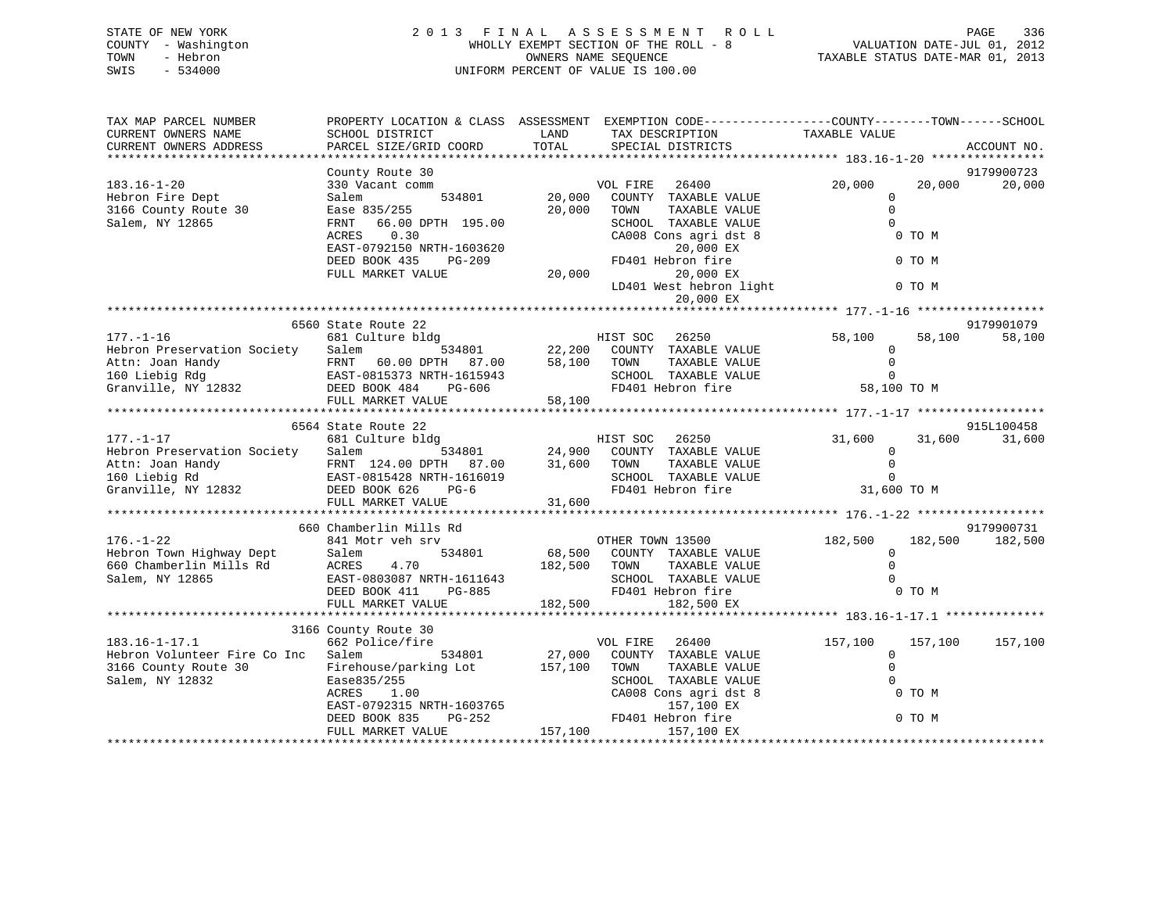| TAX MAP PARCEL NUMBER<br>CURRENT OWNERS NAME<br>CURRENT OWNERS ADDRESS | PROPERTY LOCATION & CLASS ASSESSMENT EXEMPTION CODE----------------COUNTY-------TOWN------SCHOOL<br>SCHOOL DISTRICT<br>PARCEL SIZE/GRID COORD                                   | LAND<br>TOTAL | TAX DESCRIPTION<br>SERCIAL DISTRICTS<br>SPECIAL DISTRICTS |                                                |        | ACCOUNT NO.     |
|------------------------------------------------------------------------|---------------------------------------------------------------------------------------------------------------------------------------------------------------------------------|---------------|-----------------------------------------------------------|------------------------------------------------|--------|-----------------|
|                                                                        |                                                                                                                                                                                 |               |                                                           |                                                |        |                 |
|                                                                        | County Route 30                                                                                                                                                                 |               |                                                           |                                                |        | 9179900723      |
| $183.16 - 1 - 20$                                                      | 330 Vacant comm                                                                                                                                                                 |               | VOL FIRE 26400<br>534801 20,000 COUNTY TAXABLE VALUE      | 20,000                                         | 20,000 | 20,000          |
| Hebron Fire Dept                                                       | Salem                                                                                                                                                                           |               |                                                           | $\Omega$                                       |        |                 |
| 3166 County Route 30                                                   | Ease 835/255<br>35/255<br>66.00 DPTH 195.00                                                                                                                                     | 20,000 TOWN   | TAXABLE VALUE                                             | $\Omega$                                       |        |                 |
| Salem, NY 12865                                                        | FRNT                                                                                                                                                                            |               | SCHOOL TAXABLE VALUE                                      | $\cap$                                         |        |                 |
|                                                                        | 0.30<br>ACRES                                                                                                                                                                   |               | CA008 Cons agri dst 8                                     |                                                | 0 TO M |                 |
|                                                                        | EAST-0792150 NRTH-1603620<br>DEED BOOK 435<br>PG-209                                                                                                                            | FD4(          | 20,000 EX<br>FD401 Hebron fire                            |                                                | 0 TO M |                 |
|                                                                        | FULL MARKET VALUE                                                                                                                                                               |               |                                                           |                                                |        |                 |
|                                                                        |                                                                                                                                                                                 | 20,000        | 20,000 EX<br>LD401 West hebron light 0 TO M               |                                                |        |                 |
|                                                                        |                                                                                                                                                                                 |               | 20,000 EX                                                 |                                                |        |                 |
|                                                                        |                                                                                                                                                                                 |               |                                                           |                                                |        |                 |
|                                                                        | 6560 State Route 22                                                                                                                                                             |               |                                                           |                                                |        | 9179901079      |
|                                                                        |                                                                                                                                                                                 |               |                                                           |                                                |        |                 |
|                                                                        |                                                                                                                                                                                 |               |                                                           |                                                |        |                 |
|                                                                        |                                                                                                                                                                                 |               |                                                           |                                                |        |                 |
|                                                                        |                                                                                                                                                                                 |               |                                                           |                                                |        |                 |
|                                                                        |                                                                                                                                                                                 |               |                                                           |                                                |        |                 |
|                                                                        |                                                                                                                                                                                 |               |                                                           |                                                |        |                 |
|                                                                        |                                                                                                                                                                                 |               |                                                           |                                                |        |                 |
|                                                                        |                                                                                                                                                                                 |               |                                                           |                                                |        |                 |
|                                                                        |                                                                                                                                                                                 |               |                                                           |                                                |        |                 |
|                                                                        |                                                                                                                                                                                 |               |                                                           |                                                |        |                 |
|                                                                        |                                                                                                                                                                                 |               |                                                           |                                                |        |                 |
|                                                                        |                                                                                                                                                                                 |               |                                                           |                                                |        |                 |
|                                                                        |                                                                                                                                                                                 |               |                                                           |                                                |        |                 |
|                                                                        |                                                                                                                                                                                 |               |                                                           |                                                |        |                 |
|                                                                        |                                                                                                                                                                                 |               |                                                           |                                                |        |                 |
|                                                                        |                                                                                                                                                                                 |               |                                                           |                                                |        | 9179900731      |
| $176. - 1 - 22$                                                        |                                                                                                                                                                                 |               |                                                           | $182,500$ $182,500$ $182,500$ $182,500$<br>$0$ |        |                 |
|                                                                        | Salem                                                                                                                                                                           |               | 534801 68,500 COUNTY TAXABLE VALUE                        |                                                |        |                 |
| Hebron Town Highway Dept<br>660 Chamberlin Mills Rd<br>Salem, NY 12865 | ACRES 4.70 182,500 TOWN TAXABLE VALUE<br>EAST-0803087 NRTH-1611643 SCHOOL TAXABLE VALUE<br>DEED BOOK 411 PG-885 FD401 Hebron fire                                               |               |                                                           | $\cap$                                         |        |                 |
|                                                                        |                                                                                                                                                                                 |               |                                                           | $\cap$                                         |        |                 |
|                                                                        | FULL MARKET VALUE 182,500                                                                                                                                                       |               |                                                           |                                                | 0 TO M |                 |
|                                                                        |                                                                                                                                                                                 |               | 182,500 EX                                                |                                                |        |                 |
|                                                                        | 3166 County Route 30                                                                                                                                                            |               |                                                           |                                                |        |                 |
| $183.16 - 1 - 17.1$                                                    | 662 Police/fire                                                                                                                                                                 |               | VOL FIRE 26400                                            | 157,100                                        |        | 157,100 157,100 |
| Hebron Volunteer Fire Co Inc Salem                                     |                                                                                                                                                                                 |               |                                                           | $\Omega$                                       |        |                 |
| 3166 County Route 30                                                   | Salem 534801 27,000 COUNTY TAXABLE VALUE Firehouse/parking Lot 157,100 TOWN TAXABLE VALUE                                                                                       |               |                                                           | $\Omega$                                       |        |                 |
| Salem, NY 12832                                                        | Ease835/255                                                                                                                                                                     |               | SCHOOL TAXABLE VALUE                                      | $\Omega$                                       |        |                 |
|                                                                        |                                                                                                                                                                                 |               | CA008 Cons agri dst 8                                     |                                                | 0 TO M |                 |
|                                                                        | Ease835/255<br>ACRES 1.00<br>EAST-0792315<br>NRTH-1603765<br>DEED BOOK 835 PG-252<br>PG-252<br>PG-252<br>PG-252<br>PG-252<br>PG-252<br>PG-252<br>PG-252<br>PD401<br>Hebron fire |               | 157,100 EX                                                |                                                |        |                 |
|                                                                        |                                                                                                                                                                                 |               |                                                           |                                                | 0 TO M |                 |
|                                                                        | FULL MARKET VALUE                                                                                                                                                               |               | 157,100 157,100 EX                                        |                                                |        |                 |
|                                                                        |                                                                                                                                                                                 |               |                                                           |                                                |        |                 |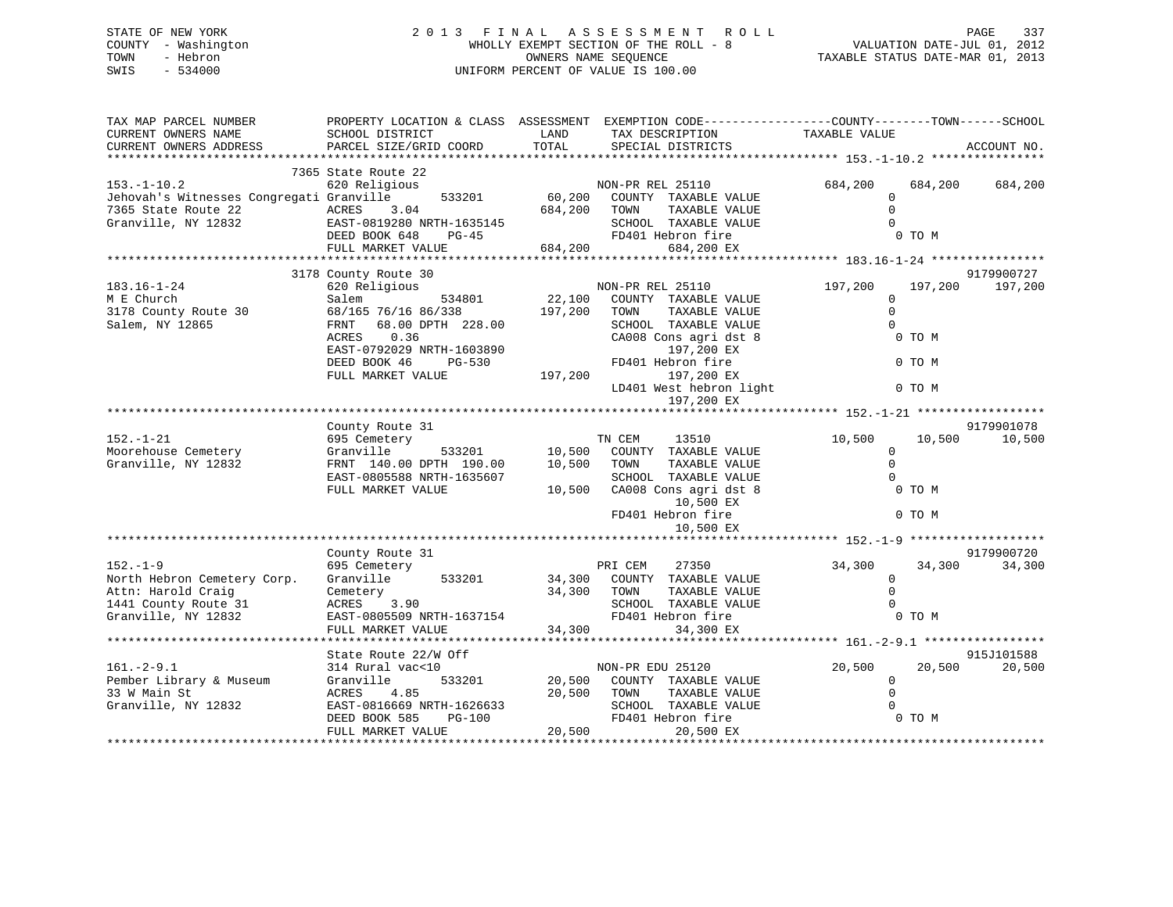# STATE OF NEW YORK 2 0 1 3 F I N A L A S S E S S M E N T R O L L PAGE 337 COUNTY - Washington WHOLLY EXEMPT SECTION OF THE ROLL - 8 VALUATION DATE-JUL 01, 2012 TOWN - Hebron OWNERS NAME SEQUENCE TAXABLE STATUS DATE-MAR 01, 2013 SWIS - 534000 UNIFORM PERCENT OF VALUE IS 100.00

| TAX MAP PARCEL NUMBER<br>CURRENT OWNERS NAME<br>CURRENT OWNERS ADDRESS                                             | PROPERTY LOCATION & CLASS ASSESSMENT EXEMPTION CODE----------------COUNTY-------TOWN-----SCHOOL<br>SCHOOL DISTRICT<br>PARCEL SIZE/GRID COORD                                      | LAND<br>TOTAL                | TAX DESCRIPTION<br>SPECIAL DISTRICTS                                                                                                                                                                         | TAXABLE VALUE                                       |                                       | ACCOUNT NO.          |
|--------------------------------------------------------------------------------------------------------------------|-----------------------------------------------------------------------------------------------------------------------------------------------------------------------------------|------------------------------|--------------------------------------------------------------------------------------------------------------------------------------------------------------------------------------------------------------|-----------------------------------------------------|---------------------------------------|----------------------|
|                                                                                                                    | 7365 State Route 22                                                                                                                                                               |                              |                                                                                                                                                                                                              |                                                     |                                       |                      |
| $153. - 1 - 10.2$<br>Jehovah's Witnesses Congregati Granville<br>7365 State Route 22<br>Granville, NY 12832        | 620 Religious<br>533201<br>ACRES 3.04<br>EAST-0819280 NRTH-1635145<br>DEED BOOK 648<br>$PG-45$                                                                                    | 60,200<br>684,200            | NON-PR REL 25110<br>COUNTY TAXABLE VALUE<br>TOWN<br>TAXABLE VALUE<br>SCHOOL TAXABLE VALUE<br>FD401 Hebron fire                                                                                               | 684,200<br>$\overline{0}$<br>$\Omega$<br>$\Omega$   | 684,200<br>0 TO M                     | 684,200              |
|                                                                                                                    | FULL MARKET VALUE                                                                                                                                                                 | 684,200                      | 684,200 EX                                                                                                                                                                                                   |                                                     |                                       |                      |
|                                                                                                                    | 3178 County Route 30                                                                                                                                                              |                              |                                                                                                                                                                                                              |                                                     |                                       | 9179900727           |
| $183.16 - 1 - 24$<br>M E Church<br>3178 County Route 30<br>Salem, NY 12865                                         | 620 Religious<br>Salem<br>534801<br>68/165 76/16 86/338<br>68.00 DPTH 228.00<br>FRNT<br>0.36<br>ACRES<br>EAST-0792029 NRTH-1603890<br>DEED BOOK 46<br>PG-530<br>FULL MARKET VALUE | 22,100<br>197,200<br>197,200 | NON-PR REL 25110<br>COUNTY TAXABLE VALUE<br>TAXABLE VALUE<br>TOWN<br>SCHOOL TAXABLE VALUE<br>CA008 Cons agri dst 8<br>197,200 EX<br>FD401 Hebron fire<br>197,200 EX<br>LD401 West hebron light<br>197,200 EX | 197,200<br>$\mathbf{0}$<br>$\Omega$<br>$\Omega$     | 197,200<br>0 TO M<br>0 TO M<br>0 TO M | 197,200              |
|                                                                                                                    |                                                                                                                                                                                   |                              |                                                                                                                                                                                                              |                                                     |                                       |                      |
| $152. - 1 - 21$<br>Moorehouse Cemetery<br>Granville, NY 12832                                                      | County Route 31<br>695 Cemetery<br>Granville<br>533201<br>FRNT 140.00 DPTH 190.00<br>EAST-0805588 NRTH-1635607<br>FULL MARKET VALUE                                               | 10,500<br>10,500<br>10,500   | TN CEM<br>13510<br>COUNTY TAXABLE VALUE<br>TOWN<br>TAXABLE VALUE<br>SCHOOL TAXABLE VALUE<br>CA008 Cons agri dst 8<br>10,500 EX<br>FD401 Hebron fire<br>10,500 EX                                             | 10,500<br>$\overline{0}$<br>$\mathbf 0$<br>$\Omega$ | 10,500<br>0 TO M<br>0 TO M            | 9179901078<br>10,500 |
|                                                                                                                    |                                                                                                                                                                                   |                              |                                                                                                                                                                                                              |                                                     |                                       |                      |
| $152. - 1 - 9$<br>North Hebron Cemetery Corp.<br>Attn: Harold Craig<br>1441 County Route 31<br>Granville, NY 12832 | County Route 31<br>695 Cemetery<br>Granville<br>533201<br>Cemetery<br>ACRES<br>3.90<br>EAST-0805509 NRTH-1637154                                                                  | 34,300<br>34,300             | PRI CEM<br>27350<br>COUNTY TAXABLE VALUE<br>TOWN<br>TAXABLE VALUE<br>SCHOOL TAXABLE VALUE<br>FD401 Hebron fire                                                                                               | 34,300<br>$\mathbf 0$<br>$\Omega$<br>$\Omega$       | 34,300<br>0 TO M                      | 9179900720<br>34,300 |
|                                                                                                                    | FULL MARKET VALUE                                                                                                                                                                 | 34,300                       | 34,300 EX                                                                                                                                                                                                    |                                                     |                                       |                      |
| $161. - 2 - 9.1$<br>Pember Library & Museum<br>33 W Main St<br>Granville, NY 12832                                 | State Route 22/W Off<br>314 Rural vac<10<br>533201<br>Granville<br>ACRES<br>4.85<br>EAST-0816669 NRTH-1626633                                                                     | 20,500<br>20,500             | NON-PR EDU 25120<br>COUNTY TAXABLE VALUE<br>TAXABLE VALUE<br>TOWN<br>SCHOOL TAXABLE VALUE                                                                                                                    | 20,500<br>$\mathbf 0$<br>$\Omega$                   | 20,500                                | 915J101588<br>20,500 |
|                                                                                                                    | DEED BOOK 585<br>PG-100<br>FULL MARKET VALUE                                                                                                                                      | 20,500                       | FD401 Hebron fire<br>20,500 EX                                                                                                                                                                               |                                                     | 0 TO M                                |                      |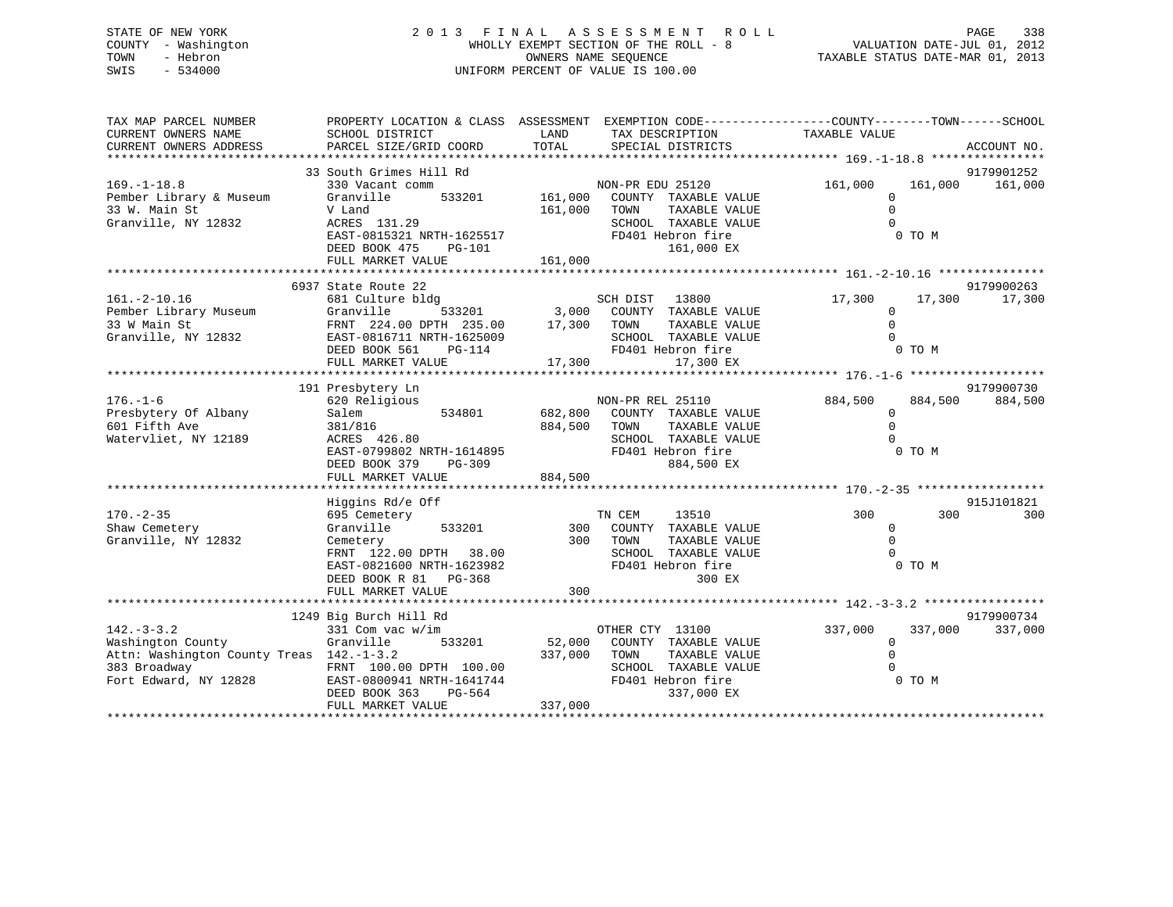# STATE OF NEW YORK 2 0 1 3 F I N A L A S S E S S M E N T R O L L PAGE 338 COUNTY - Washington WHOLLY EXEMPT SECTION OF THE ROLL - 8 VALUATION DATE-JUL 01, 2012 TOWN - Hebron OWNERS NAME SEQUENCE TAXABLE STATUS DATE-MAR 01, 2013 SWIS - 534000 UNIFORM PERCENT OF VALUE IS 100.00

| TAX MAP PARCEL NUMBER<br>CURRENT OWNERS NAME<br>CURRENT OWNERS ADDRESS                                                     | PROPERTY LOCATION & CLASS ASSESSMENT EXEMPTION CODE----------------COUNTY-------TOWN-----SCHOOL<br>SCHOOL DISTRICT<br>PARCEL SIZE/GRID COORD                              | LAND<br>TOTAL                 | TAX DESCRIPTION<br>SPECIAL DISTRICTS                                                                                         | TAXABLE VALUE                                                          | ACCOUNT NO.           |
|----------------------------------------------------------------------------------------------------------------------------|---------------------------------------------------------------------------------------------------------------------------------------------------------------------------|-------------------------------|------------------------------------------------------------------------------------------------------------------------------|------------------------------------------------------------------------|-----------------------|
| $169. - 1 - 18.8$<br>Pember Library & Museum<br>33 W. Main St<br>Granville, NY 12832                                       | 33 South Grimes Hill Rd<br>330 Vacant comm<br>533201<br>Granville<br>V Land<br>ACRES 131.29<br>EAST-0815321 NRTH-1625517<br>DEED BOOK 475<br>PG-101<br>FULL MARKET VALUE  | 161,000<br>161,000<br>161,000 | NON-PR EDU 25120<br>COUNTY TAXABLE VALUE<br>TOWN<br>TAXABLE VALUE<br>SCHOOL TAXABLE VALUE<br>FD401 Hebron fire<br>161,000 EX | 161,000<br>161,000<br>$\mathbf 0$<br>$\mathbf 0$<br>$\Omega$<br>0 TO M | 9179901252<br>161,000 |
| $161. - 2 - 10.16$<br>Pember Library Museum<br>33 W Main St<br>Granville, NY 12832                                         | 6937 State Route 22<br>681 Culture bldg<br>Granville<br>FRNT 224.00 DPTH 235.00<br>EAST-0816711 NRTH-1625009                                                              | 533201 3,000<br>17,300 TOWN   | SCH DIST 13800<br>COUNTY TAXABLE VALUE<br>TAXABLE VALUE<br>SCHOOL TAXABLE VALUE                                              | 17,300<br>17,300<br>$\mathbf 0$<br>$\mathbf 0$<br>$\Omega$             | 9179900263<br>17,300  |
| $176. - 1 - 6$<br>Presbytery Of Albany<br>601 Fifth Ave<br>Watervliet, NY 12189                                            | 191 Presbytery Ln<br>620 Religious<br>534801<br>Salem<br>381/816<br>ACRES 426.80<br>EAST-0799802 NRTH-1614895<br>DEED BOOK 379<br>PG-309<br>FULL MARKET VALUE             | 682,800<br>884,500<br>884,500 | NON-PR REL 25110<br>COUNTY TAXABLE VALUE<br>TOWN<br>TAXABLE VALUE<br>SCHOOL TAXABLE VALUE<br>FD401 Hebron fire<br>884,500 EX | 884,500<br>884,500<br>0<br>$\Omega$<br>0 TO M                          | 9179900730<br>884,500 |
| $170. - 2 - 35$<br>Shaw Cemetery<br>Granville, NY 12832                                                                    | Higgins Rd/e Off<br>695 Cemetery<br>Granville<br>533201<br>Cemetery<br>FRNT 122.00 DPTH 38.00<br>EAST-0821600 NRTH-1623982<br>DEED BOOK R 81 PG-368<br>FULL MARKET VALUE  | 300<br>300<br>300             | TN CEM<br>13510<br>COUNTY TAXABLE VALUE<br>TOWN<br>TAXABLE VALUE<br>SCHOOL TAXABLE VALUE<br>FD401 Hebron fire<br>300 EX      | 300<br>300<br>0<br>$\Omega$<br>0 TO M                                  | 915J101821<br>300     |
| $142. - 3 - 3.2$<br>Washington County<br>Attn: Washington County Treas 142.-1-3.2<br>383 Broadway<br>Fort Edward, NY 12828 | 1249 Big Burch Hill Rd<br>331 Com vac w/im<br>Granville<br>533201<br>FRNT 100.00 DPTH 100.00<br>EAST-0800941 NRTH-1641744<br>DEED BOOK 363<br>PG-564<br>FULL MARKET VALUE | 52,000<br>337,000<br>337,000  | OTHER CTY 13100<br>COUNTY TAXABLE VALUE<br>TOWN<br>TAXABLE VALUE<br>SCHOOL TAXABLE VALUE<br>FD401 Hebron fire<br>337,000 EX  | 337,000<br>337,000<br>$\mathbf 0$<br>$\Omega$<br>0 TO M                | 9179900734<br>337,000 |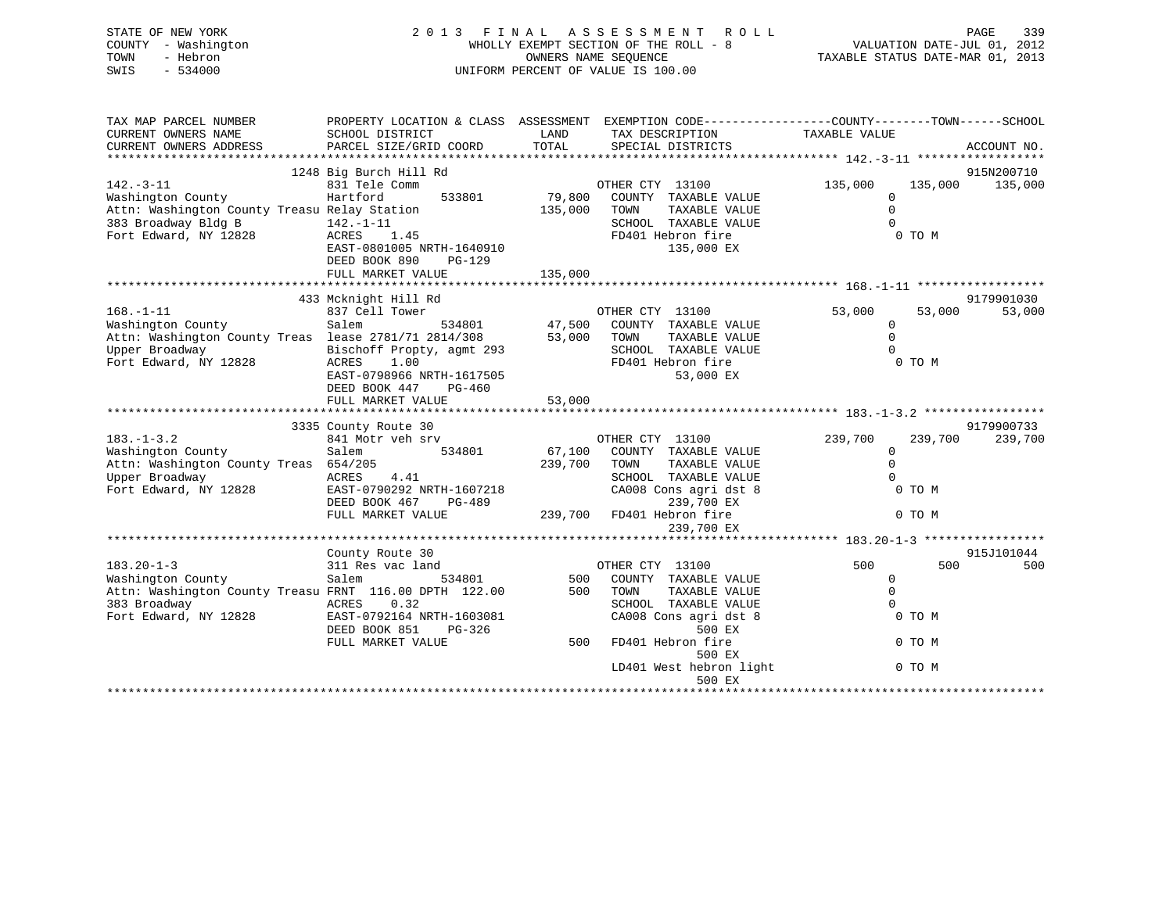| STATE OF NEW YORK<br>- Washington<br>COUNTY<br>- Hebron<br>TOWN<br>$-534000$<br>SWIS | 2013 FINAL<br>WHOLLY EXEMPT SECTION OF THE ROLL - 8<br>UNIFORM PERCENT OF VALUE IS 100.00 | PAGE 339<br>VALUATION DATE-JUL 01, 2012<br>TAXABLE STATUS DATE 11                                |                               |  |
|--------------------------------------------------------------------------------------|-------------------------------------------------------------------------------------------|--------------------------------------------------------------------------------------------------|-------------------------------|--|
| TAX MAP PARCEL NUMBER                                                                |                                                                                           | PROPERTY LOCATION & CLASS ASSESSMENT EXEMPTION CODE----------------COUNTY-------TOWN------SCHOOL |                               |  |
| CURRENT OWNERS NAME                                                                  | SCHOOL DISTRICT                                                                           | LAND<br>TAX DESCRIPTION                                                                          | TAXABLE VALUE                 |  |
| CURRENT OWNERS ADDRESS                                                               | PARCEL SIZE/GRID COORD                                                                    | TOTAL<br>SPECIAL DISTRICTS                                                                       | ACCOUNT NO.                   |  |
|                                                                                      |                                                                                           |                                                                                                  |                               |  |
|                                                                                      | 1248 Big Burch Hill Rd                                                                    |                                                                                                  | 915N200710                    |  |
| $142. - 3 - 11$                                                                      | 831 Tele Comm                                                                             | OTHER CTY 13100                                                                                  | 135,000<br>135,000 135,000    |  |
| Washington County                                                                    | 533801<br>Hartford                                                                        | 79,800<br>COUNTY TAXABLE VALUE                                                                   | $\mathbf 0$                   |  |
| Attn: Washington County Treasu Relay Station                                         |                                                                                           | TAXABLE VALUE<br>135,000<br>TOWN                                                                 | $\Omega$                      |  |
| 383 Broadway Bldg B                                                                  | 142.-1-11                                                                                 | SCHOOL<br>TAXABLE VALUE                                                                          | $\Omega$                      |  |
| Fort Edward, NY 12828                                                                | ACRES 1.45                                                                                | FD401 Hebron fire                                                                                | 0 TO M                        |  |
|                                                                                      | EAST-0801005 NRTH-1640910                                                                 | 135,000 EX                                                                                       |                               |  |
|                                                                                      | DEED BOOK 890<br>$PG-129$                                                                 |                                                                                                  |                               |  |
|                                                                                      | FULL MARKET VALUE                                                                         | 135,000                                                                                          |                               |  |
|                                                                                      |                                                                                           |                                                                                                  |                               |  |
|                                                                                      | 433 Mcknight Hill Rd                                                                      |                                                                                                  | 9179901030                    |  |
| $168. - 1 - 11$                                                                      | 837 Cell Tower                                                                            | $534801$ $47,500$<br>OTHER CTY 13100                                                             | 53,000<br>53,000<br>53,000    |  |
| Washington County                                                                    | Salem                                                                                     | COUNTY TAXABLE VALUE                                                                             | $\mathbf 0$                   |  |
| Attn: Washington County Treas lease 2781/71 2814/308                                 |                                                                                           | TAXABLE VALUE<br>53,000<br>TOWN                                                                  | $\Omega$                      |  |
| Upper Broadway                                                                       | Bischoff Propty, agmt 293                                                                 | SCHOOL<br>TAXABLE VALUE                                                                          |                               |  |
| Fort Edward, NY 12828                                                                | 1.00<br>ACRES                                                                             | FD401 Hebron fire                                                                                | 0 TO M                        |  |
|                                                                                      | EAST-0798966 NRTH-1617505                                                                 | 53,000 EX                                                                                        |                               |  |
|                                                                                      | $PG-460$<br>DEED BOOK 447                                                                 |                                                                                                  |                               |  |
|                                                                                      | FULL MARKET VALUE                                                                         | 53,000                                                                                           |                               |  |
|                                                                                      |                                                                                           |                                                                                                  | 9179900733                    |  |
| $183. - 1 - 3.2$                                                                     | 3335 County Route 30<br>841 Motr veh srv                                                  | OTHER CTY 13100                                                                                  | 239,700<br>239,700<br>239,700 |  |
| Washington County                                                                    | Salem<br>534801                                                                           | 67,100<br>COUNTY TAXABLE VALUE                                                                   | $\Omega$                      |  |
|                                                                                      |                                                                                           |                                                                                                  |                               |  |

| Attn: Washington County Treas                          | 654/205                   | 239,700 | TOWN<br>TAXABLE VALUE   |            |            |
|--------------------------------------------------------|---------------------------|---------|-------------------------|------------|------------|
| Upper Broadway                                         | 4.41<br>ACRES             |         | SCHOOL TAXABLE VALUE    |            |            |
| Fort Edward, NY 12828                                  | EAST-0790292 NRTH-1607218 |         | CA008 Cons agri dst 8   | 0 TO M     |            |
|                                                        | DEED BOOK 467<br>PG-489   |         | 239,700 EX              |            |            |
|                                                        | FULL MARKET VALUE         | 239,700 | FD401 Hebron fire       | 0 TO M     |            |
|                                                        |                           |         | 239,700 EX              |            |            |
|                                                        |                           |         |                         |            |            |
|                                                        | County Route 30           |         |                         |            | 915J101044 |
| $183.20 - 1 - 3$                                       | 311 Res vac land          |         | 13100<br>OTHER CTY      | 500<br>500 | 500        |
| Washington County                                      | 534801<br>Salem           | 500     | COUNTY<br>TAXABLE VALUE |            |            |
| Attn: Washington County Treasu FRNT 116.00 DPTH 122.00 |                           | 500     | TOWN<br>TAXABLE VALUE   |            |            |
| 383 Broadway                                           | 0.32<br>ACRES             |         | SCHOOL TAXABLE VALUE    |            |            |
| Fort Edward, NY 12828                                  | EAST-0792164 NRTH-1603081 |         | CA008 Cons agri dst 8   | 0 TO M     |            |
|                                                        | DEED BOOK 851<br>PG-326   |         | 500 EX                  |            |            |
|                                                        | FULL MARKET VALUE         | 500     | FD401 Hebron fire       | 0 TO M     |            |
|                                                        |                           |         | 500 EX                  |            |            |
|                                                        |                           |         | LD401 West hebron light | 0 TO M     |            |
|                                                        |                           |         | 500 EX                  |            |            |
|                                                        |                           |         |                         |            |            |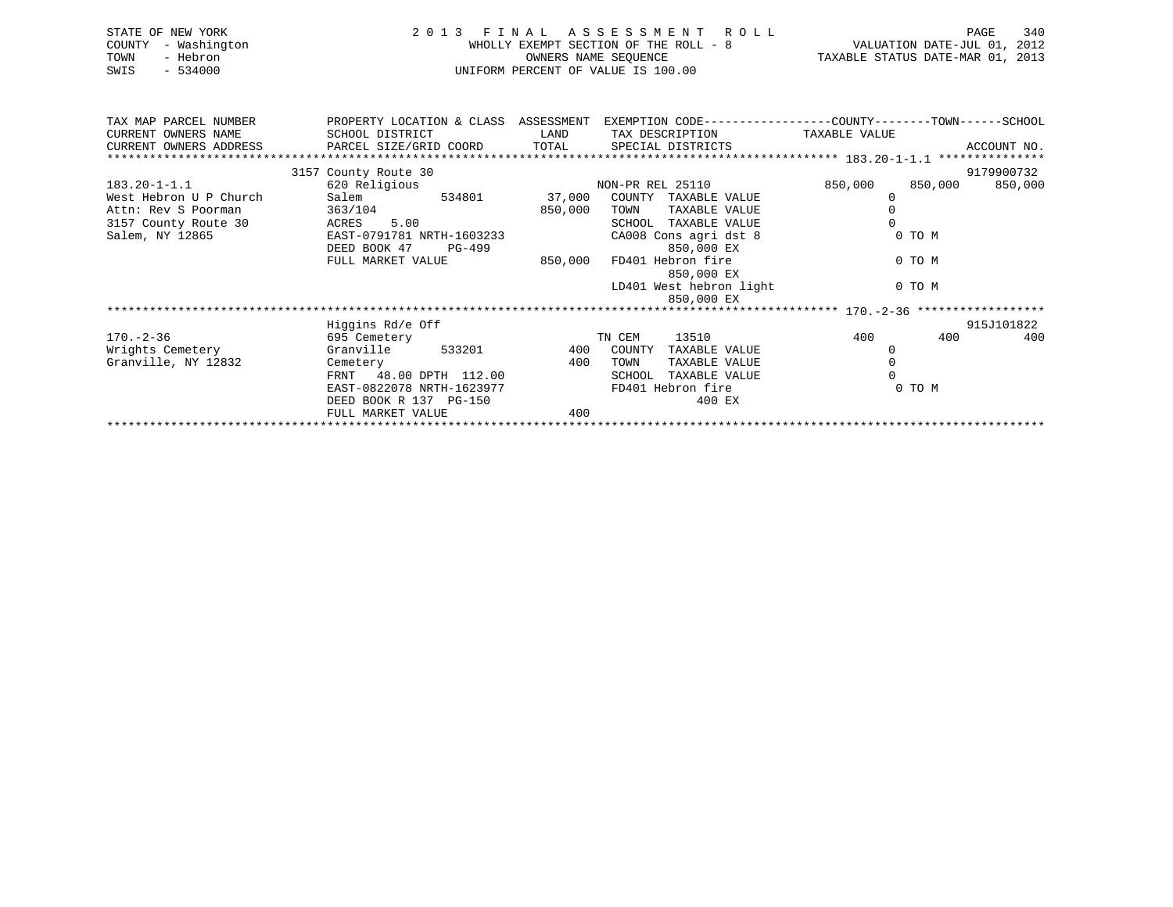|      | STATE OF NEW YORK   | 2013 FINAL ASSESSMENT ROLL            | 340<br>PAGE                      |
|------|---------------------|---------------------------------------|----------------------------------|
|      | COUNTY - Washington | WHOLLY EXEMPT SECTION OF THE ROLL - 8 | VALUATION DATE-JUL 01, 2012      |
| TOWN | - Hebron            | OWNERS NAME SEOUENCE                  | TAXABLE STATUS DATE-MAR 01, 2013 |
| SWIS | - 534000            | UNIFORM PERCENT OF VALUE IS 100.00    |                                  |

| TAX MAP PARCEL NUMBER<br>PROPERTY LOCATION & CLASS ASSESSMENT |                                                |         | EXEMPTION CODE-----------------COUNTY-------TOWN------SCHOOL |                    |             |
|---------------------------------------------------------------|------------------------------------------------|---------|--------------------------------------------------------------|--------------------|-------------|
| CURRENT OWNERS NAME                                           | SCHOOL DISTRICT                                | LAND    | TAX DESCRIPTION                                              | TAXABLE VALUE      |             |
| CURRENT OWNERS ADDRESS                                        | PARCEL SIZE/GRID COORD TOTAL SPECIAL DISTRICTS |         |                                                              |                    | ACCOUNT NO. |
|                                                               |                                                |         |                                                              |                    |             |
|                                                               | 3157 County Route 30                           |         |                                                              |                    | 9179900732  |
| $183.20 - 1 - 1.1$                                            | 620 Religious                                  |         | NON-PR REL 25110                                             | 850,000<br>850,000 | 850,000     |
| West Hebron U P Church                                        | 534801<br>Salem                                | 37,000  | COUNTY<br>TAXABLE VALUE                                      |                    |             |
| Attn: Rev S Poorman                                           | 363/104                                        | 850,000 | TAXABLE VALUE<br>TOWN                                        |                    |             |
| 3157 County Route 30                                          | ACRES 5.00                                     |         | TAXABLE VALUE<br>SCHOOL                                      |                    |             |
| Salem, NY 12865                                               | EAST-0791781 NRTH-1603233                      |         | CA008 Cons agri dst 8                                        | 0 TO M             |             |
|                                                               | DEED BOOK 47<br>PG-499                         |         | 850,000 EX                                                   |                    |             |
|                                                               | FULL MARKET VALUE                              | 850,000 | FD401 Hebron fire                                            | 0 TO M             |             |
|                                                               |                                                |         | 850,000 EX                                                   |                    |             |
|                                                               |                                                |         | LD401 West hebron light                                      | 0 TO M             |             |
|                                                               |                                                |         | 850,000 EX                                                   |                    |             |
|                                                               |                                                |         |                                                              |                    |             |
|                                                               | Higgins Rd/e Off                               |         |                                                              |                    | 915J101822  |
| $170. - 2 - 36$                                               | 695 Cemetery                                   |         | 13510<br>TN CEM                                              | 400<br>400         | 400         |
| Wrights Cemetery                                              | Granville<br>533201                            |         | 400 COUNTY<br>TAXABLE VALUE                                  |                    |             |
| Granville, NY 12832                                           | Cemetery                                       | 400     | TAXABLE VALUE<br>TOWN                                        |                    |             |
|                                                               | FRNT 48.00 DPTH 112.00                         |         | TAXABLE VALUE<br>SCHOOL                                      |                    |             |
|                                                               | EAST-0822078 NRTH-1623977                      |         | FD401 Hebron fire                                            | 0 TO M             |             |
|                                                               | DEED BOOK R 137 PG-150                         |         | 400 EX                                                       |                    |             |
|                                                               | FULL MARKET VALUE                              | 400     |                                                              |                    |             |
|                                                               |                                                |         |                                                              |                    |             |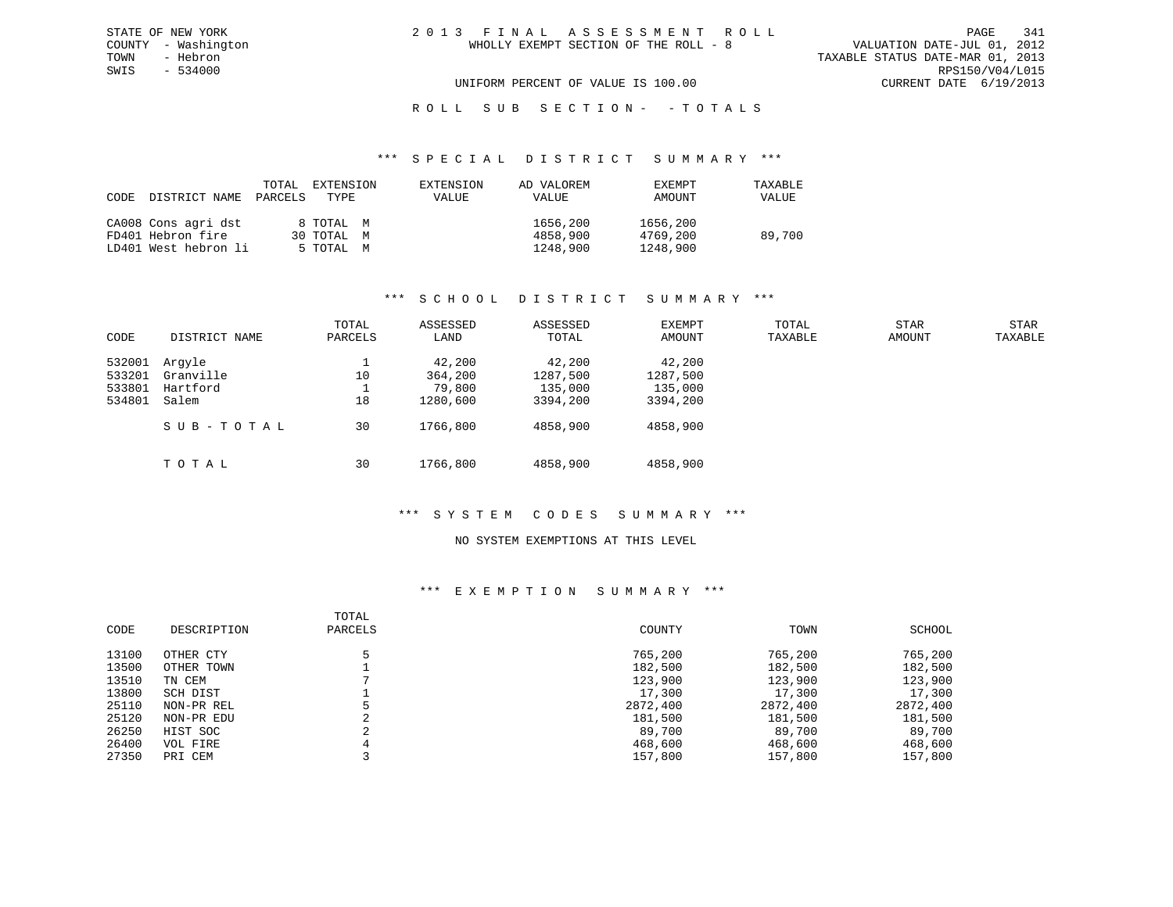VALUATION DATE-JUL 01, 2012 TOWN - Hebron TAXABLE STATUS DATE-MAR 01, 2013 SWIS - 534000 RPS150/V04/L015 UNIFORM PERCENT OF VALUE IS 100.00 CURRENT DATE 6/19/2013

# ROLL SUB SECTION - - TOTALS

#### \*\*\* S P E C I A L D I S T R I C T S U M M A R Y \*\*\*

| CODE DISTRICT NAME   | TOTAL<br>PARCELS | EXTENSION<br>TYPE | EXTENSION<br>VALUE | AD VALOREM<br>VALUE | <b>EXEMPT</b><br>AMOUNT | TAXABLE<br>VALUE |
|----------------------|------------------|-------------------|--------------------|---------------------|-------------------------|------------------|
| CA008 Cons agri dst  |                  | 8 TOTAL M         |                    | 1656,200            | 1656,200                |                  |
| FD401 Hebron fire    |                  | 30 TOTAL M        |                    | 4858,900            | 4769,200                | 89,700           |
| LD401 West hebron li |                  | 5 TOTAL M         |                    | 1248,900            | 1248,900                |                  |

### \*\*\* S C H O O L D I S T R I C T S U M M A R Y \*\*\*

|        |               | TOTAL   | ASSESSED | ASSESSED | EXEMPT   | TOTAL   | <b>STAR</b> | <b>STAR</b> |
|--------|---------------|---------|----------|----------|----------|---------|-------------|-------------|
| CODE   | DISTRICT NAME | PARCELS | LAND     | TOTAL    | AMOUNT   | TAXABLE | AMOUNT      | TAXABLE     |
| 532001 | Arqyle        |         | 42,200   | 42,200   | 42,200   |         |             |             |
| 533201 | Granville     | 10      | 364,200  | 1287,500 | 1287,500 |         |             |             |
| 533801 | Hartford      |         | 79,800   | 135,000  | 135,000  |         |             |             |
| 534801 | Salem         | 18      | 1280,600 | 3394,200 | 3394,200 |         |             |             |
|        | SUB-TOTAL     | 30      | 1766,800 | 4858,900 | 4858,900 |         |             |             |
|        | TOTAL         | 30      | 1766,800 | 4858,900 | 4858,900 |         |             |             |

# \*\*\* S Y S T E M C O D E S S U M M A R Y \*\*\*

### NO SYSTEM EXEMPTIONS AT THIS LEVEL

| CODE  | DESCRIPTION | TOTAL<br>PARCELS | COUNTY   | TOWN     | SCHOOL   |
|-------|-------------|------------------|----------|----------|----------|
| 13100 | OTHER CTY   |                  | 765,200  | 765,200  | 765,200  |
| 13500 | OTHER TOWN  |                  | 182,500  | 182,500  | 182,500  |
| 13510 | TN CEM      |                  | 123,900  | 123,900  | 123,900  |
| 13800 | SCH DIST    |                  | 17,300   | 17,300   | 17,300   |
| 25110 | NON-PR REL  |                  | 2872,400 | 2872,400 | 2872,400 |
| 25120 | NON-PR EDU  | ∠                | 181,500  | 181,500  | 181,500  |
| 26250 | HIST SOC    | $\Omega$         | 89,700   | 89,700   | 89,700   |
| 26400 | VOL FIRE    |                  | 468,600  | 468,600  | 468,600  |
| 27350 | PRI CEM     |                  | 157,800  | 157,800  | 157,800  |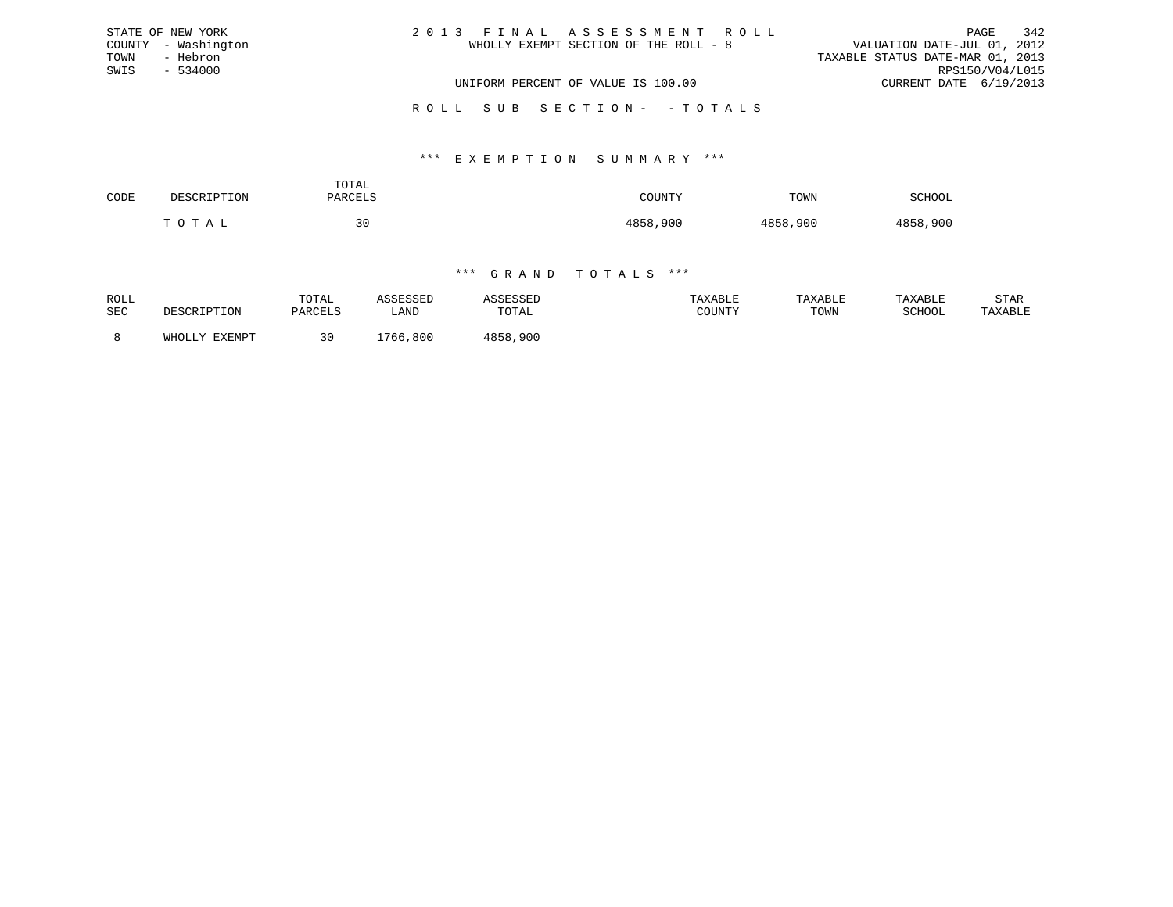| STATE OF NEW YORK   | 2013 FINAL ASSESSMENT ROLL            | 342<br>PAGE                      |
|---------------------|---------------------------------------|----------------------------------|
| COUNTY - Washington | WHOLLY EXEMPT SECTION OF THE ROLL - 8 | VALUATION DATE-JUL 01, 2012      |
| TOWN<br>- Hebron    |                                       | TAXABLE STATUS DATE-MAR 01, 2013 |
| SWIS<br>$-534000$   |                                       | RPS150/V04/L015                  |
|                     | UNIFORM PERCENT OF VALUE IS 100.00    | CURRENT DATE 6/19/2013           |
|                     | ROLL SUB SECTION- - TOTALS            |                                  |

### \*\*\* E X E M P T I O N S U M M A R Y \*\*\*

| CODE | סים הח                | TOTAL<br>PARCELS |          | TOWN            | SCHOOL   |
|------|-----------------------|------------------|----------|-----------------|----------|
|      | ገ ጥ ∆<br>$\mathbf{r}$ | 30               | 4858,900 | 1 O E O<br>,900 | 4858,900 |

| ROLL<br>SEC |               | TOTAL<br>PARCELS | <b>\CCTCCT</b><br>LAND | TOTAL        | TAXABLE<br>COUNTY | TAXABLE<br>TOWN | TAXABLE<br>SCHOOL | STAR<br>TAXABLE |
|-------------|---------------|------------------|------------------------|--------------|-------------------|-----------------|-------------------|-----------------|
|             | WHOLLY FYFMDT |                  | ,800<br>.766           | ,900<br>4858 |                   |                 |                   |                 |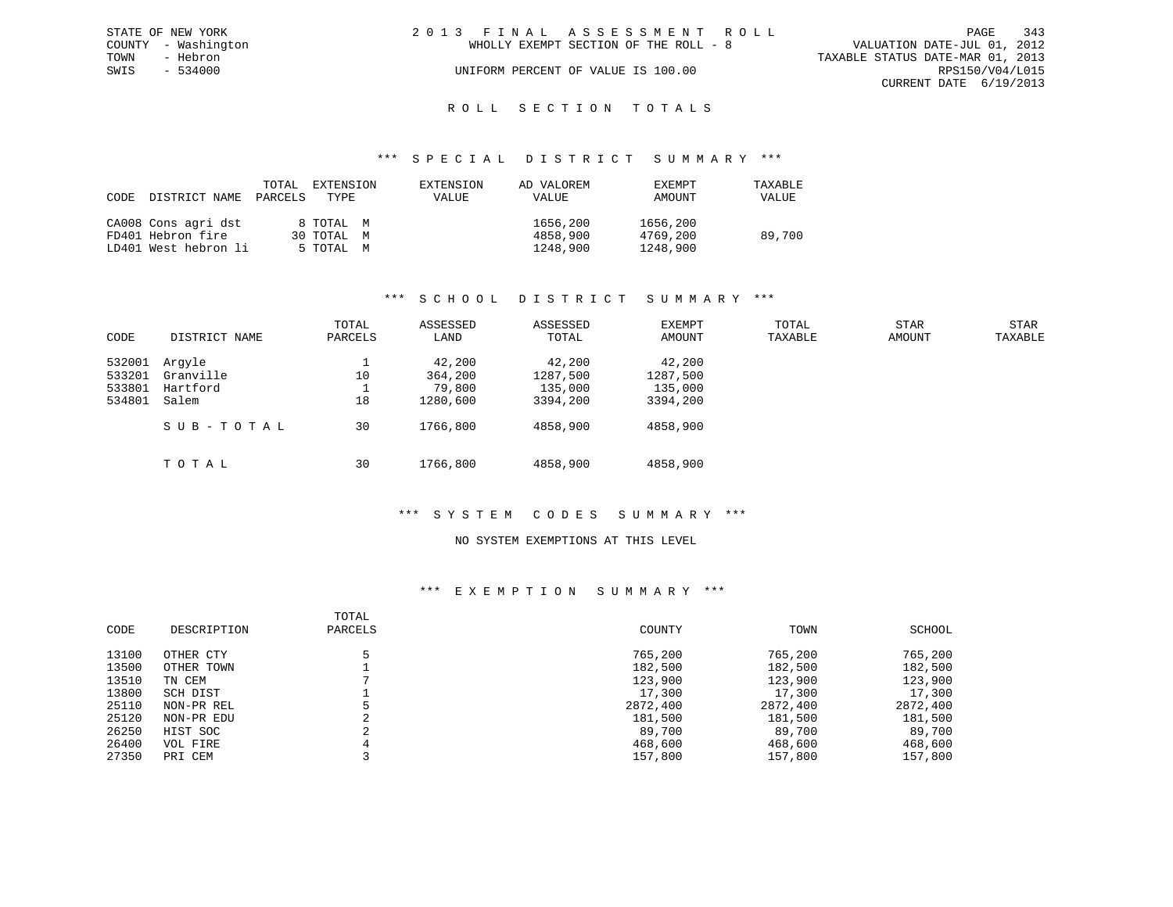|      | STATE OF NEW YORK   | 2013 FINAL ASSESSMENT ROLL |                                       |                                  | PAGE                   | 343 |
|------|---------------------|----------------------------|---------------------------------------|----------------------------------|------------------------|-----|
|      | COUNTY - Washington |                            | WHOLLY EXEMPT SECTION OF THE ROLL - 8 | VALUATION DATE-JUL 01, 2012      |                        |     |
| TOWN | - Hebron            |                            |                                       | TAXABLE STATUS DATE-MAR 01, 2013 |                        |     |
| SWIS | $-534000$           |                            | UNIFORM PERCENT OF VALUE IS 100.00    |                                  | RPS150/V04/L015        |     |
|      |                     |                            |                                       |                                  | CURRENT DATE 6/19/2013 |     |
|      |                     |                            |                                       |                                  |                        |     |

# ROLL SECTION TOTALS

### \*\*\* S P E C I A L D I S T R I C T S U M M A R Y \*\*\*

| CODE | DISTRICT NAME        | TOTAL<br>PARCELS | EXTENSION<br>TYPE | EXTENSION<br>VALUE | AD VALOREM<br>VALUE | <b>EXEMPT</b><br>AMOUNT | TAXABLE<br>VALUE |
|------|----------------------|------------------|-------------------|--------------------|---------------------|-------------------------|------------------|
|      | CA008 Cons agri dst  |                  | 8 TOTAL M         |                    |                     | 1656,200<br>1656,200    |                  |
|      | FD401 Hebron fire    |                  | 30 TOTAL M        |                    |                     | 4769,200<br>4858,900    | 89,700           |
|      | LD401 West hebron li |                  | 5 TOTAL M         |                    |                     | 1248,900<br>1248,900    |                  |

### \*\*\* S C H O O L D I S T R I C T S U M M A R Y \*\*\*

|        |               | TOTAL   | ASSESSED | ASSESSED | EXEMPT   | TOTAL   | <b>STAR</b> | <b>STAR</b> |
|--------|---------------|---------|----------|----------|----------|---------|-------------|-------------|
| CODE   | DISTRICT NAME | PARCELS | LAND     | TOTAL    | AMOUNT   | TAXABLE | AMOUNT      | TAXABLE     |
| 532001 | Arqyle        |         | 42,200   | 42,200   | 42,200   |         |             |             |
| 533201 | Granville     | 10      | 364,200  | 1287,500 | 1287,500 |         |             |             |
| 533801 | Hartford      |         | 79,800   | 135,000  | 135,000  |         |             |             |
| 534801 | Salem         | 18      | 1280,600 | 3394,200 | 3394,200 |         |             |             |
|        | SUB-TOTAL     | 30      | 1766,800 | 4858,900 | 4858,900 |         |             |             |
|        | тотаь         | 30      | 1766,800 | 4858,900 | 4858,900 |         |             |             |

### \*\*\* S Y S T E M C O D E S S U M M A R Y \*\*\*

### NO SYSTEM EXEMPTIONS AT THIS LEVEL

| CODE  | DESCRIPTION | TOTAL<br>PARCELS | COUNTY   | TOWN     | SCHOOL   |
|-------|-------------|------------------|----------|----------|----------|
| 13100 | OTHER CTY   |                  | 765,200  | 765,200  | 765,200  |
| 13500 | OTHER TOWN  |                  | 182,500  | 182,500  | 182,500  |
| 13510 | TN CEM      |                  | 123,900  | 123,900  | 123,900  |
| 13800 | SCH DIST    |                  | 17,300   | 17,300   | 17,300   |
| 25110 | NON-PR REL  |                  | 2872,400 | 2872,400 | 2872,400 |
| 25120 | NON-PR EDU  | ◠<br>∠           | 181,500  | 181,500  | 181,500  |
| 26250 | HIST SOC    | $\sim$           | 89,700   | 89,700   | 89,700   |
| 26400 | VOL FIRE    |                  | 468,600  | 468,600  | 468,600  |
| 27350 | PRI CEM     |                  | 157,800  | 157,800  | 157,800  |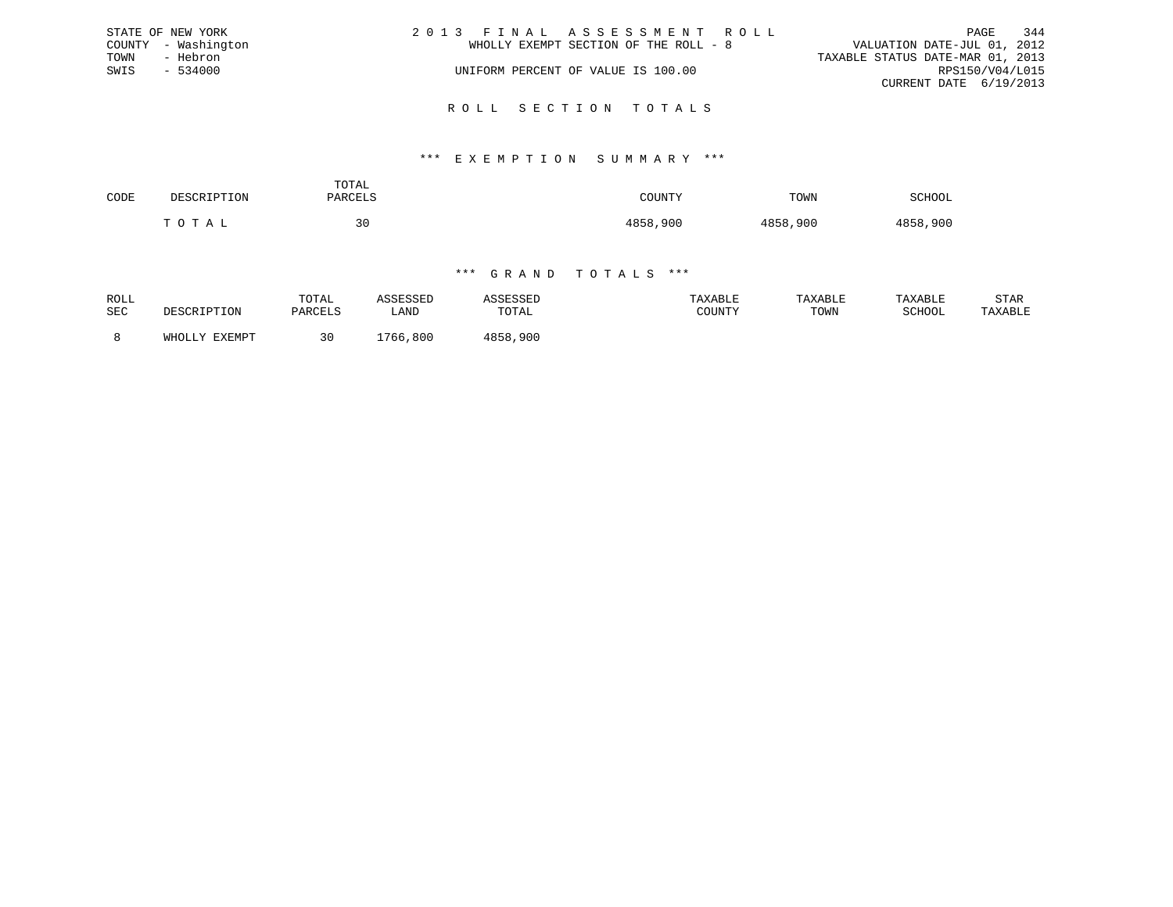|      | STATE OF NEW YORK   | 2013 FINAL ASSESSMENT ROLL            | 344<br>PAGE                      |
|------|---------------------|---------------------------------------|----------------------------------|
|      | COUNTY - Washington | WHOLLY EXEMPT SECTION OF THE ROLL - 8 | VALUATION DATE-JUL 01, 2012      |
| TOWN | - Hebron            |                                       | TAXABLE STATUS DATE-MAR 01, 2013 |
| SWIS | - 534000            | UNIFORM PERCENT OF VALUE IS 100.00    | RPS150/V04/L015                  |
|      |                     |                                       | CURRENT DATE 6/19/2013           |
|      |                     |                                       |                                  |

### R O L L S E C T I O N T O T A L S

### \*\*\* E X E M P T I O N S U M M A R Y \*\*\*

| CODE | DECCETERTOM | TOTAL<br>PARCELS | COUNTY<br>. | TOWN     | SCHOOL   |
|------|-------------|------------------|-------------|----------|----------|
|      | T O T A T   | 30<br>$\sim$     | 4858,900    | 4858,900 | 4858,900 |

| ROLL<br>SEC | DESCRIPTION   | TOTAL<br>PARCELS | \SSESSED<br>LAND | TOTAL    | TAXABLE<br>COUNTY | TAXABLE<br>TOWN | TAXABLE<br>SCHOOI | STAR<br>TAXABLE |
|-------------|---------------|------------------|------------------|----------|-------------------|-----------------|-------------------|-----------------|
|             | WHOLLY EXEMPT |                  | ,800<br>766.     | 4858,900 |                   |                 |                   |                 |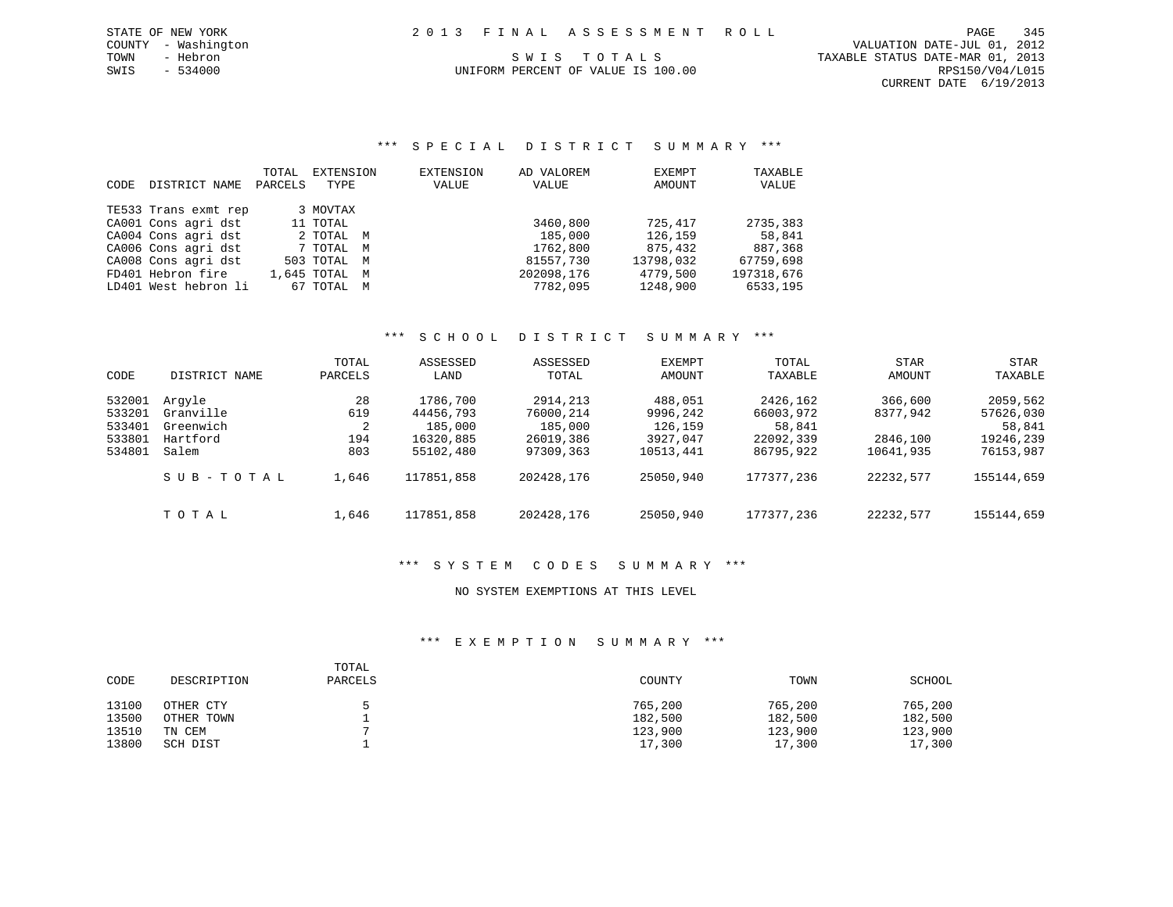### \*\*\* S P E C I A L D I S T R I C T S U M M A R Y \*\*\*

| CODE | DISTRICT NAME        | TOTAL<br>PARCELS | EXTENSION<br>TYPE | EXTENSION<br>VALUE | AD VALOREM<br>VALUE | EXEMPT<br>AMOUNT | TAXABLE<br>VALUE |
|------|----------------------|------------------|-------------------|--------------------|---------------------|------------------|------------------|
|      | TE533 Trans exmt rep |                  | 3 MOVTAX          |                    |                     |                  |                  |
|      | CA001 Cons agri dst  |                  | 11 TOTAL          |                    | 3460,800            | 725,417          | 2735,383         |
|      | CA004 Cons agri dst  |                  | 2 TOTAL M         |                    | 185,000             | 126,159          | 58,841           |
|      | CA006 Cons agri dst  |                  | 7 TOTAL M         |                    | 1762,800            | 875,432          | 887,368          |
|      | CA008 Cons agri dst  |                  | 503 TOTAL M       |                    | 81557,730           | 13798,032        | 67759,698        |
|      | FD401 Hebron fire    |                  | 1,645 TOTAL M     |                    | 202098,176          | 4779,500         | 197318,676       |
|      | LD401 West hebron li |                  | 67 TOTAL M        |                    | 7782,095            | 1248,900         | 6533,195         |

# \*\*\* S C H O O L D I S T R I C T S U M M A R Y \*\*\*

|        |               | TOTAL   | ASSESSED   | ASSESSED   | EXEMPT    | TOTAL      | <b>STAR</b> | <b>STAR</b> |
|--------|---------------|---------|------------|------------|-----------|------------|-------------|-------------|
| CODE   | DISTRICT NAME | PARCELS | LAND       | TOTAL      | AMOUNT    | TAXABLE    | AMOUNT      | TAXABLE     |
| 532001 | Arqyle        | 28      | 1786,700   | 2914, 213  | 488,051   | 2426,162   | 366,600     | 2059,562    |
| 533201 | Granville     | 619     | 44456,793  | 76000,214  | 9996,242  | 66003,972  | 8377,942    | 57626,030   |
| 533401 | Greenwich     | 2       | 185,000    | 185,000    | 126,159   | 58,841     |             | 58,841      |
| 533801 | Hartford      | 194     | 16320,885  | 26019,386  | 3927,047  | 22092,339  | 2846,100    | 19246,239   |
| 534801 | Salem         | 803     | 55102,480  | 97309,363  | 10513,441 | 86795,922  | 10641,935   | 76153,987   |
|        | SUB-TOTAL     | 1,646   | 117851,858 | 202428,176 | 25050,940 | 177377,236 | 22232,577   | 155144,659  |
|        | TOTAL         | 1,646   | 117851,858 | 202428,176 | 25050,940 | 177377,236 | 22232,577   | 155144,659  |

### \*\*\* S Y S T E M C O D E S S U M M A R Y \*\*\*

### NO SYSTEM EXEMPTIONS AT THIS LEVEL

| CODE  | DESCRIPTION | TOTAL<br>PARCELS | COUNTY  | TOWN    | SCHOOL  |
|-------|-------------|------------------|---------|---------|---------|
| 13100 | OTHER CTY   |                  | 765,200 | 765,200 | 765,200 |
| 13500 | OTHER TOWN  |                  | 182,500 | 182,500 | 182,500 |
| 13510 | TN CEM      |                  | 123,900 | 123,900 | 123,900 |
| 13800 | SCH DIST    |                  | 17,300  | 17,300  | 17,300  |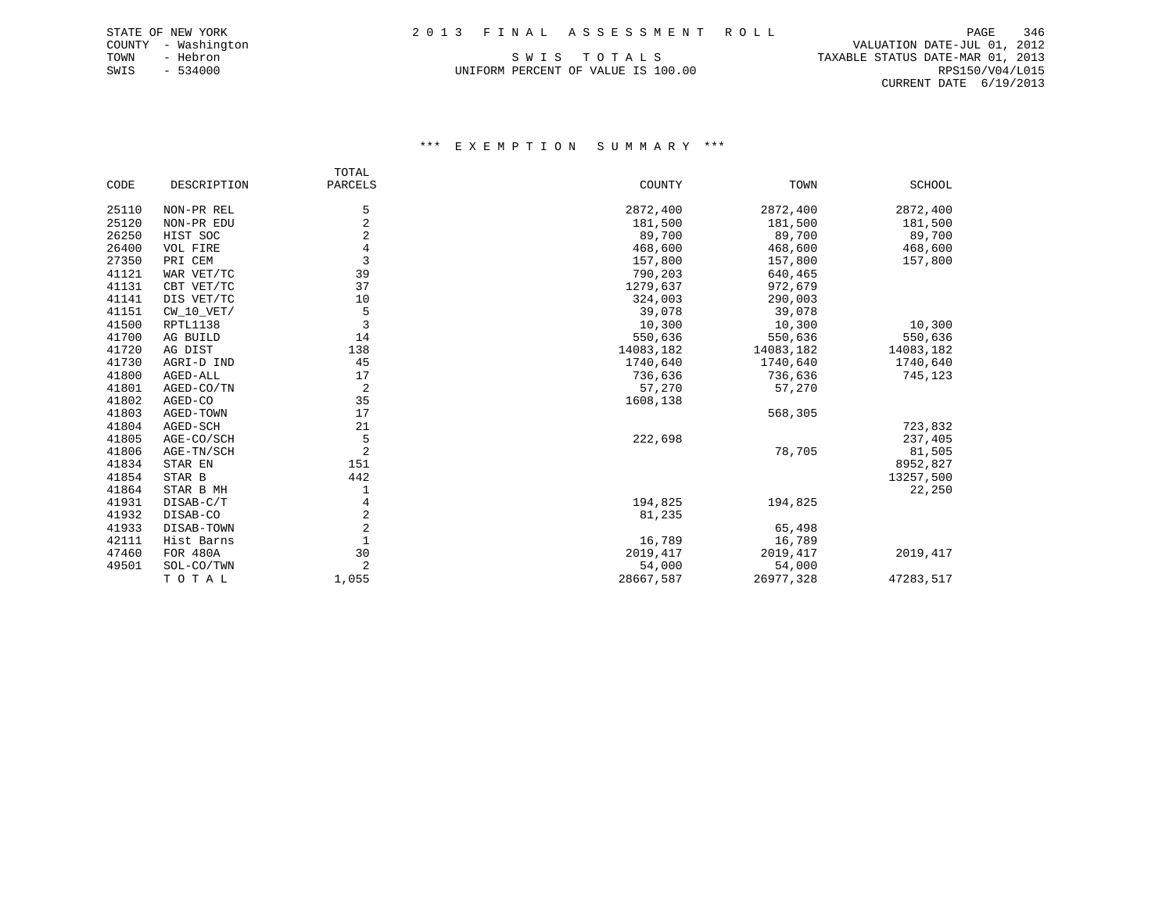UNIFORM PERCENT OF VALUE IS 100.00 RPS150/V04/L015

 COUNTY - Washington VALUATION DATE-JUL 01, 2012 TOWN - Hebron S W I S T O T A L S TAXABLE STATUS DATE-MAR 01, 2013 CURRENT DATE 6/19/2013

|       |                 | TOTAL          |           |           |           |
|-------|-----------------|----------------|-----------|-----------|-----------|
| CODE  | DESCRIPTION     | PARCELS        | COUNTY    | TOWN      | SCHOOL    |
| 25110 | NON-PR REL      | 5              | 2872,400  | 2872,400  | 2872,400  |
| 25120 | NON-PR EDU      | $\overline{2}$ | 181,500   | 181,500   | 181,500   |
| 26250 | HIST SOC        | 2              | 89,700    | 89,700    | 89,700    |
| 26400 | VOL FIRE        | 4              | 468,600   | 468,600   | 468,600   |
| 27350 | PRI CEM         | 3              | 157,800   | 157,800   | 157,800   |
| 41121 | WAR VET/TC      | 39             | 790,203   | 640,465   |           |
| 41131 | CBT VET/TC      | 37             | 1279,637  | 972,679   |           |
| 41141 | DIS VET/TC      | 10             | 324,003   | 290,003   |           |
| 41151 | $CW_10_VET/$    | 5              | 39,078    | 39,078    |           |
| 41500 | RPTL1138        | 3              | 10,300    | 10,300    | 10,300    |
| 41700 | AG BUILD        | 14             | 550,636   | 550,636   | 550,636   |
| 41720 | AG DIST         | 138            | 14083,182 | 14083,182 | 14083,182 |
| 41730 | AGRI-D IND      | 45             | 1740,640  | 1740,640  | 1740,640  |
| 41800 | AGED-ALL        | 17             | 736,636   | 736,636   | 745,123   |
| 41801 | AGED-CO/TN      | 2              | 57,270    | 57,270    |           |
| 41802 | AGED-CO         | 35             | 1608,138  |           |           |
| 41803 | AGED-TOWN       | 17             |           | 568,305   |           |
| 41804 | AGED-SCH        | 21             |           |           | 723,832   |
| 41805 | AGE-CO/SCH      | 5              | 222,698   |           | 237,405   |
| 41806 | AGE-TN/SCH      | $\overline{2}$ |           | 78,705    | 81,505    |
| 41834 | STAR EN         | 151            |           |           | 8952,827  |
| 41854 | STAR B          | 442            |           |           | 13257,500 |
| 41864 | STAR B MH       | 1              |           |           | 22,250    |
| 41931 | DISAB-C/T       | 4              | 194,825   | 194,825   |           |
| 41932 | DISAB-CO        | 2              | 81,235    |           |           |
| 41933 | DISAB-TOWN      | $\overline{2}$ |           | 65,498    |           |
| 42111 | Hist Barns      | $\mathbf{1}$   | 16,789    | 16,789    |           |
| 47460 | <b>FOR 480A</b> | 30             | 2019, 417 | 2019,417  | 2019, 417 |
| 49501 | SOL-CO/TWN      | $\overline{2}$ | 54,000    | 54,000    |           |
|       | TOTAL           | 1,055          | 28667,587 | 26977,328 | 47283,517 |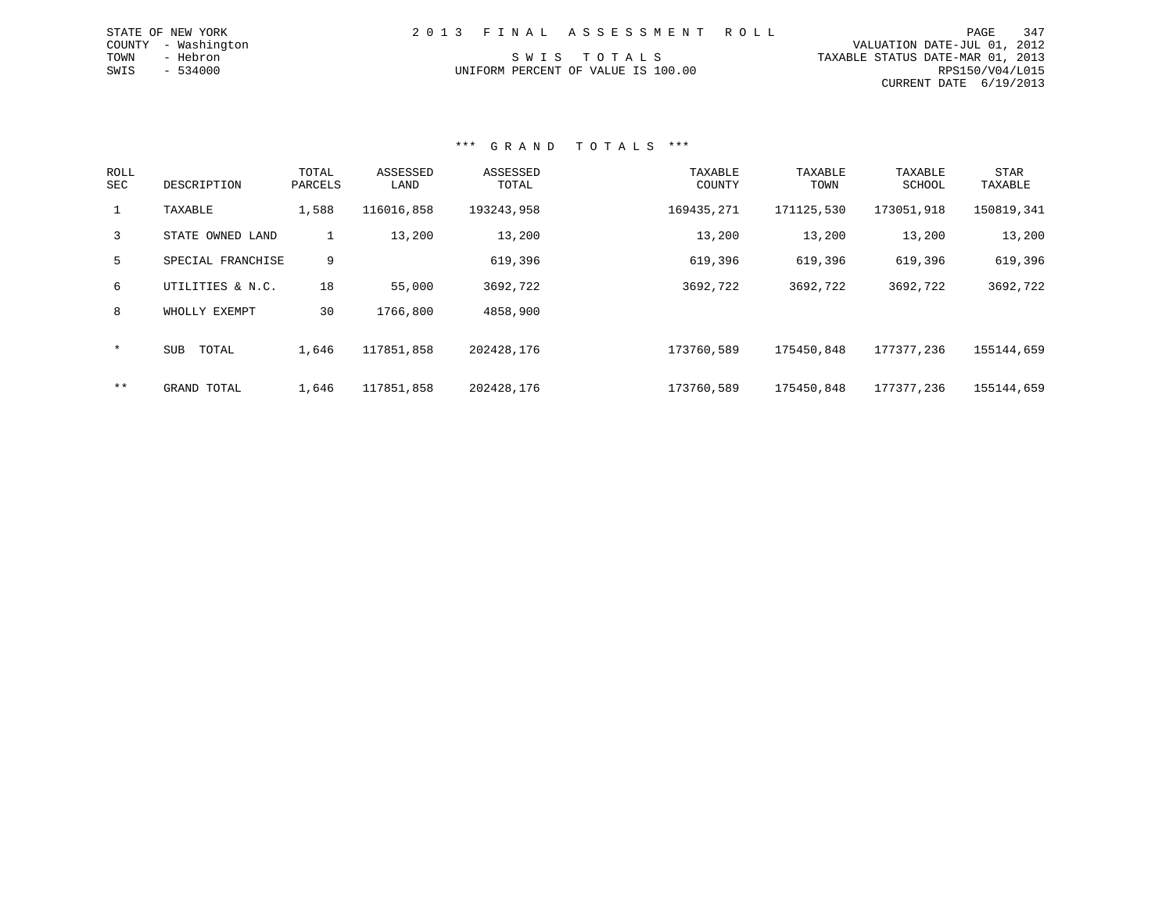| 2013 FINAL ASSESSMENT ROLL         | 347<br>PAGE                      |
|------------------------------------|----------------------------------|
|                                    | VALUATION DATE-JUL 01, 2012      |
| SWIS TOTALS                        | TAXABLE STATUS DATE-MAR 01, 2013 |
| UNIFORM PERCENT OF VALUE IS 100.00 | RPS150/V04/L015                  |
|                                    | CURRENT DATE 6/19/2013           |

### \*\*\* G R A N D T O T A L S \*\*\*

STATE OF NEW YORK COUNTY - Washington TOWN - Hebron  $SWIS$  - 534000

| ROLL<br><b>SEC</b> | DESCRIPTION         | TOTAL<br>PARCELS | ASSESSED<br>LAND | ASSESSED<br>TOTAL | TAXABLE<br>COUNTY | TAXABLE<br>TOWN | TAXABLE<br>SCHOOL | STAR<br>TAXABLE |
|--------------------|---------------------|------------------|------------------|-------------------|-------------------|-----------------|-------------------|-----------------|
|                    | TAXABLE             | 1,588            | 116016,858       | 193243,958        | 169435,271        | 171125,530      | 173051,918        | 150819,341      |
| 3                  | STATE OWNED LAND    |                  | 13,200           | 13,200            | 13,200            | 13,200          | 13,200            | 13,200          |
| 5                  | SPECIAL FRANCHISE   | 9                |                  | 619,396           | 619,396           | 619,396         | 619,396           | 619,396         |
| 6                  | UTILITIES & N.C.    | 18               | 55,000           | 3692,722          | 3692,722          | 3692,722        | 3692,722          | 3692,722        |
| 8                  | WHOLLY EXEMPT       | 30               | 1766,800         | 4858,900          |                   |                 |                   |                 |
| $\star$            | <b>SUB</b><br>TOTAL | 1,646            | 117851,858       | 202428,176        | 173760,589        | 175450,848      | 177377,236        | 155144,659      |
| $***$              | GRAND TOTAL         | 1,646            | 117851,858       | 202428,176        | 173760,589        | 175450,848      | 177377,236        | 155144,659      |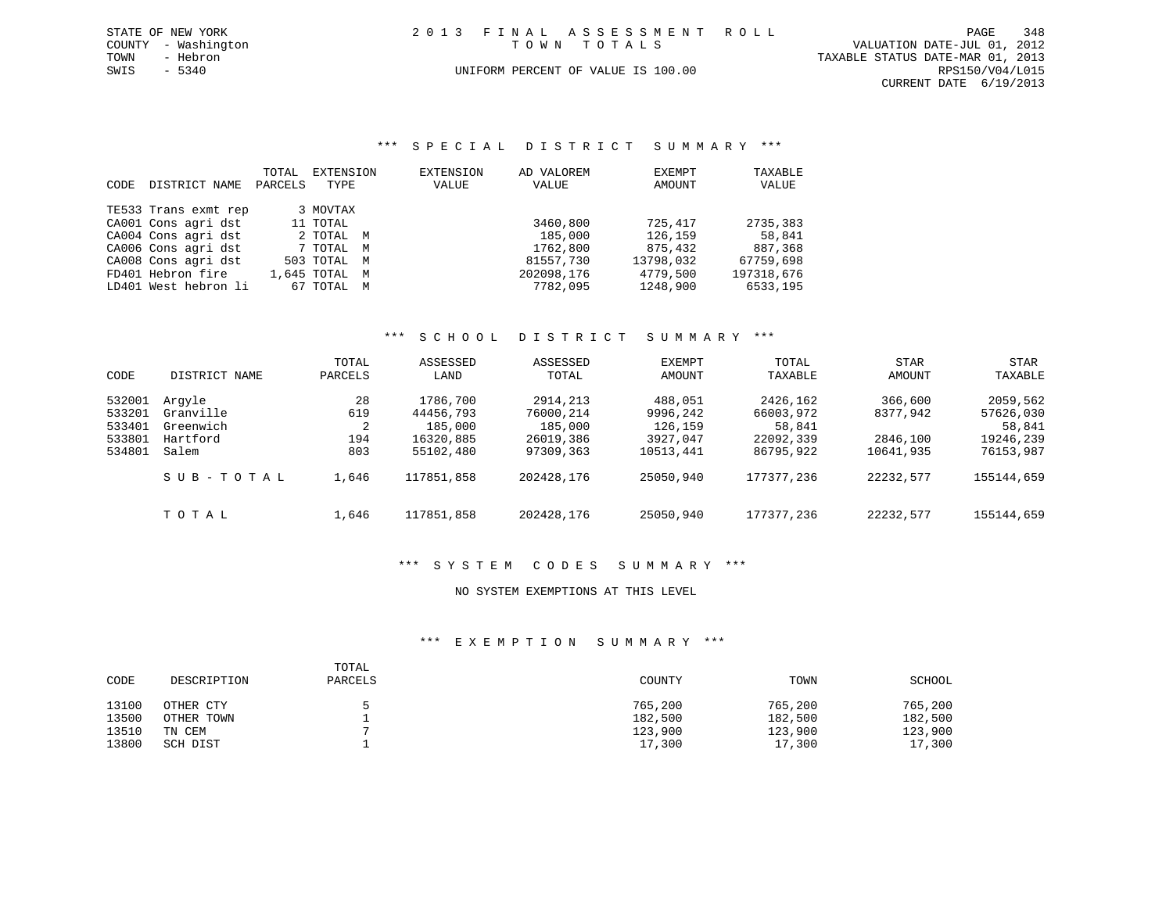|             | STATE OF NEW YORK   |  | 2013 FINAL ASSESSMENT ROLL         |                                  | PAGE            | 348 |
|-------------|---------------------|--|------------------------------------|----------------------------------|-----------------|-----|
|             | COUNTY - Washington |  | TOWN TOTALS                        | VALUATION DATE-JUL 01, 2012      |                 |     |
| TOWN        | - Hebron            |  |                                    | TAXABLE STATUS DATE-MAR 01, 2013 |                 |     |
| SWIS - 5340 |                     |  | UNIFORM PERCENT OF VALUE IS 100.00 |                                  | RPS150/V04/L015 |     |
|             |                     |  |                                    | CURRENT DATE 6/19/2013           |                 |     |

\*\*\* S P E C I A L D I S T R I C T S U M M A R Y \*\*\*

|      |                      | TOTAL   | EXTENSION     | <b>EXTENSION</b> | AD VALOREM | EXEMPT    | TAXABLE    |
|------|----------------------|---------|---------------|------------------|------------|-----------|------------|
| CODE | DISTRICT NAME        | PARCELS | TYPE          | VALUE            | VALUE      | AMOUNT    | VALUE      |
|      | TE533 Trans exmt rep |         | 3 MOVTAX      |                  |            |           |            |
|      | CA001 Cons agri dst  |         | 11 TOTAL      |                  | 3460,800   | 725,417   | 2735,383   |
|      | CA004 Cons agri dst  |         | 2 TOTAL M     |                  | 185,000    | 126,159   | 58,841     |
|      | CA006 Cons agri dst  |         | 7 TOTAL M     |                  | 1762,800   | 875,432   | 887,368    |
|      | CA008 Cons agri dst  |         | 503 TOTAL M   |                  | 81557,730  | 13798,032 | 67759,698  |
|      | FD401 Hebron fire    |         | 1,645 TOTAL M |                  | 202098,176 | 4779,500  | 197318,676 |
|      | LD401 West hebron li |         | 67 TOTAL M    |                  | 7782,095   | 1248,900  | 6533,195   |

# \*\*\* S C H O O L D I S T R I C T S U M M A R Y \*\*\*

| CODE                                           | DISTRICT NAME                                         | TOTAL<br>PARCELS             | ASSESSED<br>LAND                                           | ASSESSED<br>TOTAL                                          | EXEMPT<br>AMOUNT                                        | TOTAL<br>TAXABLE                                          | STAR<br><b>AMOUNT</b>                        | STAR<br>TAXABLE                                           |
|------------------------------------------------|-------------------------------------------------------|------------------------------|------------------------------------------------------------|------------------------------------------------------------|---------------------------------------------------------|-----------------------------------------------------------|----------------------------------------------|-----------------------------------------------------------|
| 532001<br>533201<br>533401<br>533801<br>534801 | Arqyle<br>Granville<br>Greenwich<br>Hartford<br>Salem | 28<br>619<br>2<br>194<br>803 | 1786,700<br>44456,793<br>185,000<br>16320,885<br>55102,480 | 2914,213<br>76000,214<br>185,000<br>26019,386<br>97309,363 | 488,051<br>9996,242<br>126,159<br>3927,047<br>10513,441 | 2426,162<br>66003,972<br>58,841<br>22092,339<br>86795,922 | 366,600<br>8377,942<br>2846,100<br>10641,935 | 2059,562<br>57626,030<br>58,841<br>19246,239<br>76153,987 |
|                                                | SUB-TOTAL                                             | 1,646                        | 117851,858                                                 | 202428,176                                                 | 25050,940                                               | 177377,236                                                | 22232,577                                    | 155144,659                                                |
|                                                | TOTAL                                                 | 1,646                        | 117851,858                                                 | 202428,176                                                 | 25050,940                                               | 177377,236                                                | 22232,577                                    | 155144,659                                                |

### \*\*\* S Y S T E M C O D E S S U M M A R Y \*\*\*

### NO SYSTEM EXEMPTIONS AT THIS LEVEL

| CODE  | DESCRIPTION | TOTAL<br>PARCELS | COUNTY  | TOWN    | SCHOOL  |
|-------|-------------|------------------|---------|---------|---------|
| 13100 | OTHER CTY   |                  | 765,200 | 765,200 | 765,200 |
| 13500 | OTHER TOWN  |                  | 182,500 | 182,500 | 182,500 |
| 13510 | TN CEM      |                  | 123,900 | 123,900 | 123,900 |
| 13800 | SCH DIST    |                  | 17,300  | 17,300  | 17,300  |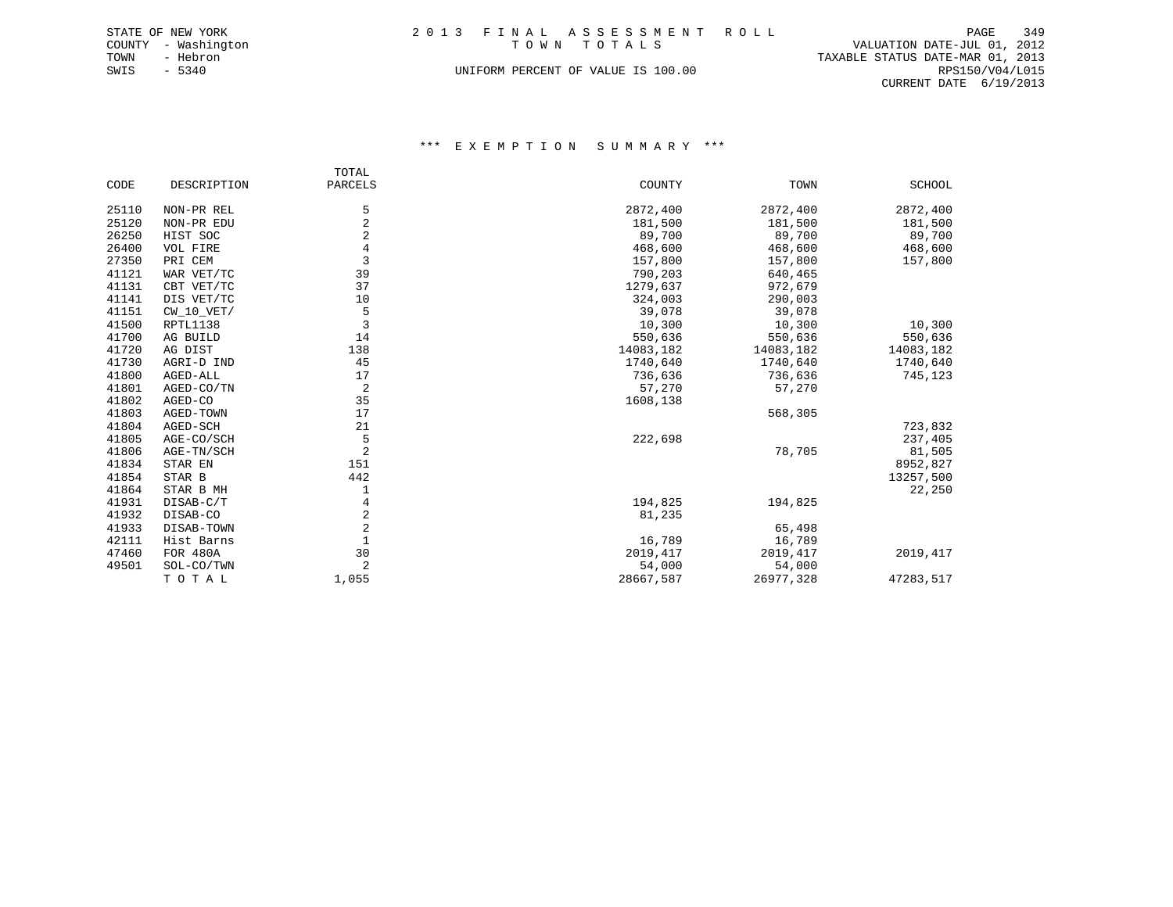|      | STATE OF NEW YORK   | 2013 FINAL ASSESSMENT ROLL         | PAGE                             | 349 |
|------|---------------------|------------------------------------|----------------------------------|-----|
|      | COUNTY - Washington | TOWN TOTALS                        | VALUATION DATE-JUL 01, 2012      |     |
| TOWN | - Hebron            |                                    | TAXABLE STATUS DATE-MAR 01, 2013 |     |
| SWIS | $-5340$             | UNIFORM PERCENT OF VALUE IS 100.00 | RPS150/V04/L015                  |     |
|      |                     |                                    | CURRENT DATE $6/19/2013$         |     |

|       |              | TOTAL          |           |           |           |
|-------|--------------|----------------|-----------|-----------|-----------|
| CODE  | DESCRIPTION  | PARCELS        | COUNTY    | TOWN      | SCHOOL    |
| 25110 | NON-PR REL   | 5              | 2872,400  | 2872,400  | 2872,400  |
| 25120 | NON-PR EDU   | $\overline{c}$ | 181,500   | 181,500   | 181,500   |
| 26250 | HIST SOC     | $\overline{2}$ | 89,700    | 89,700    | 89,700    |
| 26400 | VOL FIRE     | $\overline{4}$ | 468,600   | 468,600   | 468,600   |
| 27350 | PRI CEM      | $\overline{3}$ | 157,800   | 157,800   | 157,800   |
| 41121 | WAR VET/TC   | 39             | 790,203   | 640,465   |           |
| 41131 | CBT VET/TC   | 37             | 1279,637  | 972,679   |           |
| 41141 | DIS VET/TC   | 10             | 324,003   | 290,003   |           |
| 41151 | $CW_10_VET/$ | 5              | 39,078    | 39,078    |           |
| 41500 | RPTL1138     | 3              | 10,300    | 10,300    | 10,300    |
| 41700 | AG BUILD     | 14             | 550,636   | 550,636   | 550,636   |
| 41720 | AG DIST      | 138            | 14083,182 | 14083,182 | 14083,182 |
| 41730 | AGRI-D IND   | 45             | 1740,640  | 1740,640  | 1740,640  |
| 41800 | AGED-ALL     | 17             | 736,636   | 736,636   | 745,123   |
| 41801 | AGED-CO/TN   | 2              | 57,270    | 57,270    |           |
| 41802 | AGED-CO      | 35             | 1608,138  |           |           |
| 41803 | AGED-TOWN    | 17             |           | 568,305   |           |
| 41804 | AGED-SCH     | 21             |           |           | 723,832   |
| 41805 | AGE-CO/SCH   | 5              | 222,698   |           | 237,405   |
| 41806 | AGE-TN/SCH   | $\overline{a}$ |           | 78,705    | 81,505    |
| 41834 | STAR EN      | 151            |           |           | 8952,827  |
| 41854 | STAR B       | 442            |           |           | 13257,500 |
| 41864 | STAR B MH    | 1              |           |           | 22,250    |
| 41931 | DISAB-C/T    | 4              | 194,825   | 194,825   |           |
| 41932 | DISAB-CO     | 2              | 81,235    |           |           |
| 41933 | DISAB-TOWN   | $\overline{2}$ |           | 65,498    |           |
| 42111 | Hist Barns   | $\mathbf{1}$   | 16,789    | 16,789    |           |
| 47460 | FOR 480A     | 30             | 2019, 417 | 2019, 417 | 2019, 417 |
| 49501 | SOL-CO/TWN   | $\overline{2}$ | 54,000    | 54,000    |           |
|       | TOTAL        | 1,055          | 28667,587 | 26977,328 | 47283,517 |